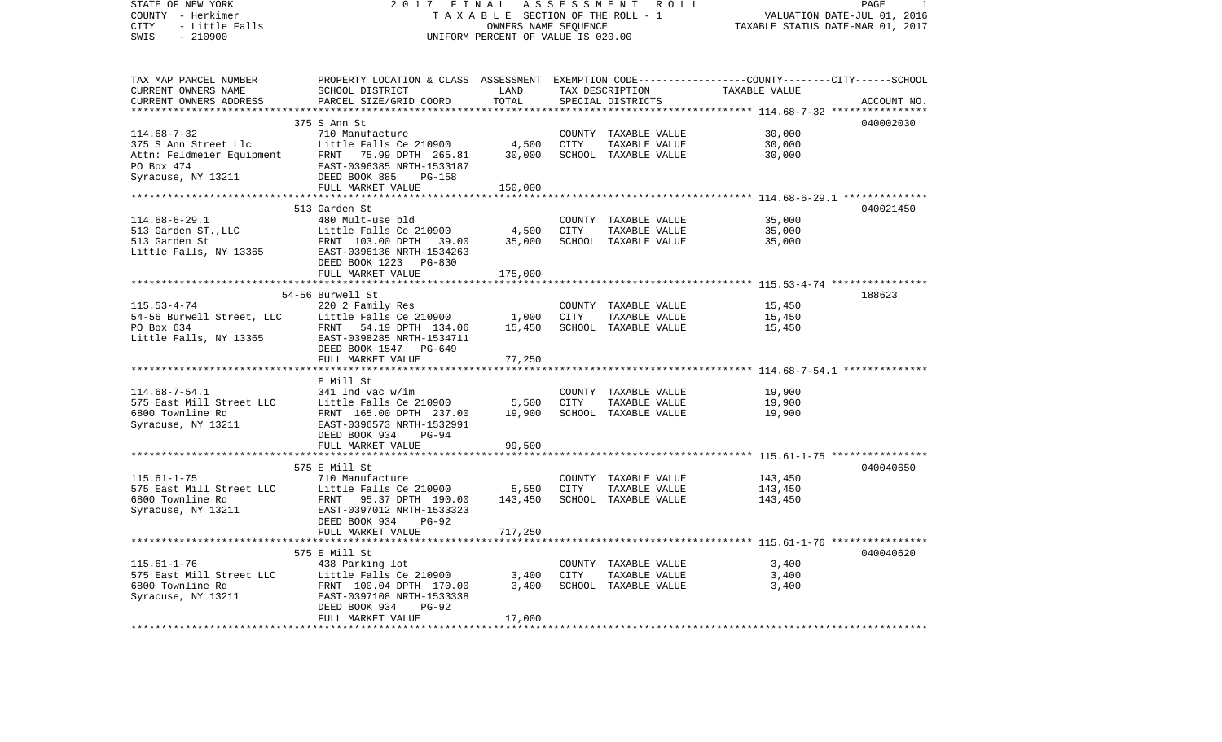| TAX MAP PARCEL NUMBER<br>PROPERTY LOCATION & CLASS ASSESSMENT EXEMPTION CODE---------------COUNTY-------CITY------SCHOOL<br>CURRENT OWNERS NAME<br>SCHOOL DISTRICT<br>LAND<br>TAX DESCRIPTION<br>TAXABLE VALUE<br>PARCEL SIZE/GRID COORD<br>TOTAL<br>CURRENT OWNERS ADDRESS<br>SPECIAL DISTRICTS<br>ACCOUNT NO.<br>*********** 114.68-7-32 ****<br>***********<br>040002030<br>375 S Ann St<br>710 Manufacture<br>30,000<br>$114.68 - 7 - 32$<br>COUNTY TAXABLE VALUE<br>4,500<br>375 S Ann Street Llc<br>Little Falls Ce 210900<br>CITY<br>TAXABLE VALUE<br>30,000<br>30,000<br>30,000<br>Attn: Feldmeier Equipment<br>FRNT 75.99 DPTH 265.81<br>SCHOOL TAXABLE VALUE<br>PO Box 474<br>EAST-0396385 NRTH-1533187<br>Syracuse, NY 13211<br>DEED BOOK 885<br>PG-158<br>150,000<br>FULL MARKET VALUE<br>**********************<br>*******************************<br>************<br>************************ 114.68-6-29.1 ***************<br>040021450<br>513 Garden St<br>35,000<br>$114.68 - 6 - 29.1$<br>480 Mult-use bld<br>COUNTY TAXABLE VALUE<br>4,500<br>CITY<br>513 Garden ST., LLC<br>Little Falls Ce 210900<br>TAXABLE VALUE<br>35,000<br>513 Garden St<br>35,000<br>FRNT 103.00 DPTH 39.00<br>SCHOOL TAXABLE VALUE<br>35,000<br>Little Falls, NY 13365<br>EAST-0396136 NRTH-1534263<br>DEED BOOK 1223 PG-830<br>FULL MARKET VALUE<br>175,000<br>54-56 Burwell St<br>188623<br>$115.53 - 4 - 74$<br>220 2 Family Res<br>COUNTY TAXABLE VALUE<br>15,450<br>1,000<br>54-56 Burwell Street, LLC<br>Little Falls Ce 210900<br>CITY<br>TAXABLE VALUE<br>15,450<br>PO Box 634<br>15,450<br>FRNT 54.19 DPTH 134.06<br>SCHOOL TAXABLE VALUE<br>15,450<br>Little Falls, NY 13365<br>EAST-0398285 NRTH-1534711<br>DEED BOOK 1547 PG-649<br>77,250<br>FULL MARKET VALUE<br>E Mill St<br>$114.68 - 7 - 54.1$<br>341 Ind vac w/im<br>COUNTY TAXABLE VALUE<br>19,900<br>5,500<br>CITY<br>19,900<br>575 East Mill Street LLC<br>Little Falls Ce 210900<br>TAXABLE VALUE<br>19,900<br>SCHOOL TAXABLE VALUE<br>6800 Townline Rd<br>FRNT 165.00 DPTH 237.00<br>19,900<br>Syracuse, NY 13211<br>EAST-0396573 NRTH-1532991<br>DEED BOOK 934<br>PG-94<br>99,500<br>FULL MARKET VALUE<br>575 E Mill St<br>040040650<br>$115.61 - 1 - 75$<br>710 Manufacture<br>COUNTY TAXABLE VALUE<br>143,450<br>575 East Mill Street LLC<br>Little Falls Ce 210900<br>5,550<br>CITY<br>TAXABLE VALUE<br>143,450<br>6800 Townline Rd<br>143,450<br>SCHOOL TAXABLE VALUE<br>FRNT<br>95.37 DPTH 190.00<br>143,450<br>Syracuse, NY 13211<br>EAST-0397012 NRTH-1533323<br>DEED BOOK 934<br>$PG-92$<br>717,250<br>FULL MARKET VALUE<br>040040620<br>575 E Mill St<br>$115.61 - 1 - 76$<br>3,400<br>438 Parking lot<br>COUNTY TAXABLE VALUE<br>575 East Mill Street LLC<br>Little Falls Ce 210900<br>3,400<br>CITY<br>TAXABLE VALUE<br>3,400<br>3,400<br>6800 Townline Rd<br>FRNT 100.04 DPTH 170.00<br>SCHOOL TAXABLE VALUE<br>3,400<br>Syracuse, NY 13211<br>EAST-0397108 NRTH-1533338<br>$PG-92$<br>DEED BOOK 934<br>FULL MARKET VALUE<br>17,000 | STATE OF NEW YORK<br>COUNTY - Herkimer<br>CITY<br>- Little Falls<br>$-210900$<br>SWIS | 2017 | FINAL<br>ASSESSMENT<br>TAXABLE SECTION OF THE ROLL - 1<br>OWNERS NAME SEQUENCE<br>UNIFORM PERCENT OF VALUE IS 020.00 | R O L L<br>PAGE<br>1<br>VALUATION DATE-JUL 01, 2016<br>TAXABLE STATUS DATE-MAR 01, 2017 |  |  |
|---------------------------------------------------------------------------------------------------------------------------------------------------------------------------------------------------------------------------------------------------------------------------------------------------------------------------------------------------------------------------------------------------------------------------------------------------------------------------------------------------------------------------------------------------------------------------------------------------------------------------------------------------------------------------------------------------------------------------------------------------------------------------------------------------------------------------------------------------------------------------------------------------------------------------------------------------------------------------------------------------------------------------------------------------------------------------------------------------------------------------------------------------------------------------------------------------------------------------------------------------------------------------------------------------------------------------------------------------------------------------------------------------------------------------------------------------------------------------------------------------------------------------------------------------------------------------------------------------------------------------------------------------------------------------------------------------------------------------------------------------------------------------------------------------------------------------------------------------------------------------------------------------------------------------------------------------------------------------------------------------------------------------------------------------------------------------------------------------------------------------------------------------------------------------------------------------------------------------------------------------------------------------------------------------------------------------------------------------------------------------------------------------------------------------------------------------------------------------------------------------------------------------------------------------------------------------------------------------------------------------------------------------------------------------------------------------------------------------------------------------------------------------------------------------------------------------------------------------------------------------------------------------------------------------------------------------------------------------------------------------------------------|---------------------------------------------------------------------------------------|------|----------------------------------------------------------------------------------------------------------------------|-----------------------------------------------------------------------------------------|--|--|
|                                                                                                                                                                                                                                                                                                                                                                                                                                                                                                                                                                                                                                                                                                                                                                                                                                                                                                                                                                                                                                                                                                                                                                                                                                                                                                                                                                                                                                                                                                                                                                                                                                                                                                                                                                                                                                                                                                                                                                                                                                                                                                                                                                                                                                                                                                                                                                                                                                                                                                                                                                                                                                                                                                                                                                                                                                                                                                                                                                                                                     |                                                                                       |      |                                                                                                                      |                                                                                         |  |  |
|                                                                                                                                                                                                                                                                                                                                                                                                                                                                                                                                                                                                                                                                                                                                                                                                                                                                                                                                                                                                                                                                                                                                                                                                                                                                                                                                                                                                                                                                                                                                                                                                                                                                                                                                                                                                                                                                                                                                                                                                                                                                                                                                                                                                                                                                                                                                                                                                                                                                                                                                                                                                                                                                                                                                                                                                                                                                                                                                                                                                                     |                                                                                       |      |                                                                                                                      |                                                                                         |  |  |
|                                                                                                                                                                                                                                                                                                                                                                                                                                                                                                                                                                                                                                                                                                                                                                                                                                                                                                                                                                                                                                                                                                                                                                                                                                                                                                                                                                                                                                                                                                                                                                                                                                                                                                                                                                                                                                                                                                                                                                                                                                                                                                                                                                                                                                                                                                                                                                                                                                                                                                                                                                                                                                                                                                                                                                                                                                                                                                                                                                                                                     |                                                                                       |      |                                                                                                                      |                                                                                         |  |  |
|                                                                                                                                                                                                                                                                                                                                                                                                                                                                                                                                                                                                                                                                                                                                                                                                                                                                                                                                                                                                                                                                                                                                                                                                                                                                                                                                                                                                                                                                                                                                                                                                                                                                                                                                                                                                                                                                                                                                                                                                                                                                                                                                                                                                                                                                                                                                                                                                                                                                                                                                                                                                                                                                                                                                                                                                                                                                                                                                                                                                                     |                                                                                       |      |                                                                                                                      |                                                                                         |  |  |
|                                                                                                                                                                                                                                                                                                                                                                                                                                                                                                                                                                                                                                                                                                                                                                                                                                                                                                                                                                                                                                                                                                                                                                                                                                                                                                                                                                                                                                                                                                                                                                                                                                                                                                                                                                                                                                                                                                                                                                                                                                                                                                                                                                                                                                                                                                                                                                                                                                                                                                                                                                                                                                                                                                                                                                                                                                                                                                                                                                                                                     |                                                                                       |      |                                                                                                                      |                                                                                         |  |  |
|                                                                                                                                                                                                                                                                                                                                                                                                                                                                                                                                                                                                                                                                                                                                                                                                                                                                                                                                                                                                                                                                                                                                                                                                                                                                                                                                                                                                                                                                                                                                                                                                                                                                                                                                                                                                                                                                                                                                                                                                                                                                                                                                                                                                                                                                                                                                                                                                                                                                                                                                                                                                                                                                                                                                                                                                                                                                                                                                                                                                                     |                                                                                       |      |                                                                                                                      |                                                                                         |  |  |
|                                                                                                                                                                                                                                                                                                                                                                                                                                                                                                                                                                                                                                                                                                                                                                                                                                                                                                                                                                                                                                                                                                                                                                                                                                                                                                                                                                                                                                                                                                                                                                                                                                                                                                                                                                                                                                                                                                                                                                                                                                                                                                                                                                                                                                                                                                                                                                                                                                                                                                                                                                                                                                                                                                                                                                                                                                                                                                                                                                                                                     |                                                                                       |      |                                                                                                                      |                                                                                         |  |  |
|                                                                                                                                                                                                                                                                                                                                                                                                                                                                                                                                                                                                                                                                                                                                                                                                                                                                                                                                                                                                                                                                                                                                                                                                                                                                                                                                                                                                                                                                                                                                                                                                                                                                                                                                                                                                                                                                                                                                                                                                                                                                                                                                                                                                                                                                                                                                                                                                                                                                                                                                                                                                                                                                                                                                                                                                                                                                                                                                                                                                                     |                                                                                       |      |                                                                                                                      |                                                                                         |  |  |
|                                                                                                                                                                                                                                                                                                                                                                                                                                                                                                                                                                                                                                                                                                                                                                                                                                                                                                                                                                                                                                                                                                                                                                                                                                                                                                                                                                                                                                                                                                                                                                                                                                                                                                                                                                                                                                                                                                                                                                                                                                                                                                                                                                                                                                                                                                                                                                                                                                                                                                                                                                                                                                                                                                                                                                                                                                                                                                                                                                                                                     |                                                                                       |      |                                                                                                                      |                                                                                         |  |  |
|                                                                                                                                                                                                                                                                                                                                                                                                                                                                                                                                                                                                                                                                                                                                                                                                                                                                                                                                                                                                                                                                                                                                                                                                                                                                                                                                                                                                                                                                                                                                                                                                                                                                                                                                                                                                                                                                                                                                                                                                                                                                                                                                                                                                                                                                                                                                                                                                                                                                                                                                                                                                                                                                                                                                                                                                                                                                                                                                                                                                                     |                                                                                       |      |                                                                                                                      |                                                                                         |  |  |
|                                                                                                                                                                                                                                                                                                                                                                                                                                                                                                                                                                                                                                                                                                                                                                                                                                                                                                                                                                                                                                                                                                                                                                                                                                                                                                                                                                                                                                                                                                                                                                                                                                                                                                                                                                                                                                                                                                                                                                                                                                                                                                                                                                                                                                                                                                                                                                                                                                                                                                                                                                                                                                                                                                                                                                                                                                                                                                                                                                                                                     |                                                                                       |      |                                                                                                                      |                                                                                         |  |  |
|                                                                                                                                                                                                                                                                                                                                                                                                                                                                                                                                                                                                                                                                                                                                                                                                                                                                                                                                                                                                                                                                                                                                                                                                                                                                                                                                                                                                                                                                                                                                                                                                                                                                                                                                                                                                                                                                                                                                                                                                                                                                                                                                                                                                                                                                                                                                                                                                                                                                                                                                                                                                                                                                                                                                                                                                                                                                                                                                                                                                                     |                                                                                       |      |                                                                                                                      |                                                                                         |  |  |
|                                                                                                                                                                                                                                                                                                                                                                                                                                                                                                                                                                                                                                                                                                                                                                                                                                                                                                                                                                                                                                                                                                                                                                                                                                                                                                                                                                                                                                                                                                                                                                                                                                                                                                                                                                                                                                                                                                                                                                                                                                                                                                                                                                                                                                                                                                                                                                                                                                                                                                                                                                                                                                                                                                                                                                                                                                                                                                                                                                                                                     |                                                                                       |      |                                                                                                                      |                                                                                         |  |  |
|                                                                                                                                                                                                                                                                                                                                                                                                                                                                                                                                                                                                                                                                                                                                                                                                                                                                                                                                                                                                                                                                                                                                                                                                                                                                                                                                                                                                                                                                                                                                                                                                                                                                                                                                                                                                                                                                                                                                                                                                                                                                                                                                                                                                                                                                                                                                                                                                                                                                                                                                                                                                                                                                                                                                                                                                                                                                                                                                                                                                                     |                                                                                       |      |                                                                                                                      |                                                                                         |  |  |
|                                                                                                                                                                                                                                                                                                                                                                                                                                                                                                                                                                                                                                                                                                                                                                                                                                                                                                                                                                                                                                                                                                                                                                                                                                                                                                                                                                                                                                                                                                                                                                                                                                                                                                                                                                                                                                                                                                                                                                                                                                                                                                                                                                                                                                                                                                                                                                                                                                                                                                                                                                                                                                                                                                                                                                                                                                                                                                                                                                                                                     |                                                                                       |      |                                                                                                                      |                                                                                         |  |  |
|                                                                                                                                                                                                                                                                                                                                                                                                                                                                                                                                                                                                                                                                                                                                                                                                                                                                                                                                                                                                                                                                                                                                                                                                                                                                                                                                                                                                                                                                                                                                                                                                                                                                                                                                                                                                                                                                                                                                                                                                                                                                                                                                                                                                                                                                                                                                                                                                                                                                                                                                                                                                                                                                                                                                                                                                                                                                                                                                                                                                                     |                                                                                       |      |                                                                                                                      |                                                                                         |  |  |
|                                                                                                                                                                                                                                                                                                                                                                                                                                                                                                                                                                                                                                                                                                                                                                                                                                                                                                                                                                                                                                                                                                                                                                                                                                                                                                                                                                                                                                                                                                                                                                                                                                                                                                                                                                                                                                                                                                                                                                                                                                                                                                                                                                                                                                                                                                                                                                                                                                                                                                                                                                                                                                                                                                                                                                                                                                                                                                                                                                                                                     |                                                                                       |      |                                                                                                                      |                                                                                         |  |  |
|                                                                                                                                                                                                                                                                                                                                                                                                                                                                                                                                                                                                                                                                                                                                                                                                                                                                                                                                                                                                                                                                                                                                                                                                                                                                                                                                                                                                                                                                                                                                                                                                                                                                                                                                                                                                                                                                                                                                                                                                                                                                                                                                                                                                                                                                                                                                                                                                                                                                                                                                                                                                                                                                                                                                                                                                                                                                                                                                                                                                                     |                                                                                       |      |                                                                                                                      |                                                                                         |  |  |
|                                                                                                                                                                                                                                                                                                                                                                                                                                                                                                                                                                                                                                                                                                                                                                                                                                                                                                                                                                                                                                                                                                                                                                                                                                                                                                                                                                                                                                                                                                                                                                                                                                                                                                                                                                                                                                                                                                                                                                                                                                                                                                                                                                                                                                                                                                                                                                                                                                                                                                                                                                                                                                                                                                                                                                                                                                                                                                                                                                                                                     |                                                                                       |      |                                                                                                                      |                                                                                         |  |  |
|                                                                                                                                                                                                                                                                                                                                                                                                                                                                                                                                                                                                                                                                                                                                                                                                                                                                                                                                                                                                                                                                                                                                                                                                                                                                                                                                                                                                                                                                                                                                                                                                                                                                                                                                                                                                                                                                                                                                                                                                                                                                                                                                                                                                                                                                                                                                                                                                                                                                                                                                                                                                                                                                                                                                                                                                                                                                                                                                                                                                                     |                                                                                       |      |                                                                                                                      |                                                                                         |  |  |
|                                                                                                                                                                                                                                                                                                                                                                                                                                                                                                                                                                                                                                                                                                                                                                                                                                                                                                                                                                                                                                                                                                                                                                                                                                                                                                                                                                                                                                                                                                                                                                                                                                                                                                                                                                                                                                                                                                                                                                                                                                                                                                                                                                                                                                                                                                                                                                                                                                                                                                                                                                                                                                                                                                                                                                                                                                                                                                                                                                                                                     |                                                                                       |      |                                                                                                                      |                                                                                         |  |  |
|                                                                                                                                                                                                                                                                                                                                                                                                                                                                                                                                                                                                                                                                                                                                                                                                                                                                                                                                                                                                                                                                                                                                                                                                                                                                                                                                                                                                                                                                                                                                                                                                                                                                                                                                                                                                                                                                                                                                                                                                                                                                                                                                                                                                                                                                                                                                                                                                                                                                                                                                                                                                                                                                                                                                                                                                                                                                                                                                                                                                                     |                                                                                       |      |                                                                                                                      |                                                                                         |  |  |
|                                                                                                                                                                                                                                                                                                                                                                                                                                                                                                                                                                                                                                                                                                                                                                                                                                                                                                                                                                                                                                                                                                                                                                                                                                                                                                                                                                                                                                                                                                                                                                                                                                                                                                                                                                                                                                                                                                                                                                                                                                                                                                                                                                                                                                                                                                                                                                                                                                                                                                                                                                                                                                                                                                                                                                                                                                                                                                                                                                                                                     |                                                                                       |      |                                                                                                                      |                                                                                         |  |  |
|                                                                                                                                                                                                                                                                                                                                                                                                                                                                                                                                                                                                                                                                                                                                                                                                                                                                                                                                                                                                                                                                                                                                                                                                                                                                                                                                                                                                                                                                                                                                                                                                                                                                                                                                                                                                                                                                                                                                                                                                                                                                                                                                                                                                                                                                                                                                                                                                                                                                                                                                                                                                                                                                                                                                                                                                                                                                                                                                                                                                                     |                                                                                       |      |                                                                                                                      |                                                                                         |  |  |
|                                                                                                                                                                                                                                                                                                                                                                                                                                                                                                                                                                                                                                                                                                                                                                                                                                                                                                                                                                                                                                                                                                                                                                                                                                                                                                                                                                                                                                                                                                                                                                                                                                                                                                                                                                                                                                                                                                                                                                                                                                                                                                                                                                                                                                                                                                                                                                                                                                                                                                                                                                                                                                                                                                                                                                                                                                                                                                                                                                                                                     |                                                                                       |      |                                                                                                                      |                                                                                         |  |  |
|                                                                                                                                                                                                                                                                                                                                                                                                                                                                                                                                                                                                                                                                                                                                                                                                                                                                                                                                                                                                                                                                                                                                                                                                                                                                                                                                                                                                                                                                                                                                                                                                                                                                                                                                                                                                                                                                                                                                                                                                                                                                                                                                                                                                                                                                                                                                                                                                                                                                                                                                                                                                                                                                                                                                                                                                                                                                                                                                                                                                                     |                                                                                       |      |                                                                                                                      |                                                                                         |  |  |
|                                                                                                                                                                                                                                                                                                                                                                                                                                                                                                                                                                                                                                                                                                                                                                                                                                                                                                                                                                                                                                                                                                                                                                                                                                                                                                                                                                                                                                                                                                                                                                                                                                                                                                                                                                                                                                                                                                                                                                                                                                                                                                                                                                                                                                                                                                                                                                                                                                                                                                                                                                                                                                                                                                                                                                                                                                                                                                                                                                                                                     |                                                                                       |      |                                                                                                                      |                                                                                         |  |  |
|                                                                                                                                                                                                                                                                                                                                                                                                                                                                                                                                                                                                                                                                                                                                                                                                                                                                                                                                                                                                                                                                                                                                                                                                                                                                                                                                                                                                                                                                                                                                                                                                                                                                                                                                                                                                                                                                                                                                                                                                                                                                                                                                                                                                                                                                                                                                                                                                                                                                                                                                                                                                                                                                                                                                                                                                                                                                                                                                                                                                                     |                                                                                       |      |                                                                                                                      |                                                                                         |  |  |
|                                                                                                                                                                                                                                                                                                                                                                                                                                                                                                                                                                                                                                                                                                                                                                                                                                                                                                                                                                                                                                                                                                                                                                                                                                                                                                                                                                                                                                                                                                                                                                                                                                                                                                                                                                                                                                                                                                                                                                                                                                                                                                                                                                                                                                                                                                                                                                                                                                                                                                                                                                                                                                                                                                                                                                                                                                                                                                                                                                                                                     |                                                                                       |      |                                                                                                                      |                                                                                         |  |  |
|                                                                                                                                                                                                                                                                                                                                                                                                                                                                                                                                                                                                                                                                                                                                                                                                                                                                                                                                                                                                                                                                                                                                                                                                                                                                                                                                                                                                                                                                                                                                                                                                                                                                                                                                                                                                                                                                                                                                                                                                                                                                                                                                                                                                                                                                                                                                                                                                                                                                                                                                                                                                                                                                                                                                                                                                                                                                                                                                                                                                                     |                                                                                       |      |                                                                                                                      |                                                                                         |  |  |
|                                                                                                                                                                                                                                                                                                                                                                                                                                                                                                                                                                                                                                                                                                                                                                                                                                                                                                                                                                                                                                                                                                                                                                                                                                                                                                                                                                                                                                                                                                                                                                                                                                                                                                                                                                                                                                                                                                                                                                                                                                                                                                                                                                                                                                                                                                                                                                                                                                                                                                                                                                                                                                                                                                                                                                                                                                                                                                                                                                                                                     |                                                                                       |      |                                                                                                                      |                                                                                         |  |  |
|                                                                                                                                                                                                                                                                                                                                                                                                                                                                                                                                                                                                                                                                                                                                                                                                                                                                                                                                                                                                                                                                                                                                                                                                                                                                                                                                                                                                                                                                                                                                                                                                                                                                                                                                                                                                                                                                                                                                                                                                                                                                                                                                                                                                                                                                                                                                                                                                                                                                                                                                                                                                                                                                                                                                                                                                                                                                                                                                                                                                                     |                                                                                       |      |                                                                                                                      |                                                                                         |  |  |
|                                                                                                                                                                                                                                                                                                                                                                                                                                                                                                                                                                                                                                                                                                                                                                                                                                                                                                                                                                                                                                                                                                                                                                                                                                                                                                                                                                                                                                                                                                                                                                                                                                                                                                                                                                                                                                                                                                                                                                                                                                                                                                                                                                                                                                                                                                                                                                                                                                                                                                                                                                                                                                                                                                                                                                                                                                                                                                                                                                                                                     |                                                                                       |      |                                                                                                                      |                                                                                         |  |  |
|                                                                                                                                                                                                                                                                                                                                                                                                                                                                                                                                                                                                                                                                                                                                                                                                                                                                                                                                                                                                                                                                                                                                                                                                                                                                                                                                                                                                                                                                                                                                                                                                                                                                                                                                                                                                                                                                                                                                                                                                                                                                                                                                                                                                                                                                                                                                                                                                                                                                                                                                                                                                                                                                                                                                                                                                                                                                                                                                                                                                                     |                                                                                       |      |                                                                                                                      |                                                                                         |  |  |
|                                                                                                                                                                                                                                                                                                                                                                                                                                                                                                                                                                                                                                                                                                                                                                                                                                                                                                                                                                                                                                                                                                                                                                                                                                                                                                                                                                                                                                                                                                                                                                                                                                                                                                                                                                                                                                                                                                                                                                                                                                                                                                                                                                                                                                                                                                                                                                                                                                                                                                                                                                                                                                                                                                                                                                                                                                                                                                                                                                                                                     |                                                                                       |      |                                                                                                                      |                                                                                         |  |  |
|                                                                                                                                                                                                                                                                                                                                                                                                                                                                                                                                                                                                                                                                                                                                                                                                                                                                                                                                                                                                                                                                                                                                                                                                                                                                                                                                                                                                                                                                                                                                                                                                                                                                                                                                                                                                                                                                                                                                                                                                                                                                                                                                                                                                                                                                                                                                                                                                                                                                                                                                                                                                                                                                                                                                                                                                                                                                                                                                                                                                                     |                                                                                       |      |                                                                                                                      |                                                                                         |  |  |
|                                                                                                                                                                                                                                                                                                                                                                                                                                                                                                                                                                                                                                                                                                                                                                                                                                                                                                                                                                                                                                                                                                                                                                                                                                                                                                                                                                                                                                                                                                                                                                                                                                                                                                                                                                                                                                                                                                                                                                                                                                                                                                                                                                                                                                                                                                                                                                                                                                                                                                                                                                                                                                                                                                                                                                                                                                                                                                                                                                                                                     |                                                                                       |      |                                                                                                                      |                                                                                         |  |  |
|                                                                                                                                                                                                                                                                                                                                                                                                                                                                                                                                                                                                                                                                                                                                                                                                                                                                                                                                                                                                                                                                                                                                                                                                                                                                                                                                                                                                                                                                                                                                                                                                                                                                                                                                                                                                                                                                                                                                                                                                                                                                                                                                                                                                                                                                                                                                                                                                                                                                                                                                                                                                                                                                                                                                                                                                                                                                                                                                                                                                                     |                                                                                       |      |                                                                                                                      |                                                                                         |  |  |
|                                                                                                                                                                                                                                                                                                                                                                                                                                                                                                                                                                                                                                                                                                                                                                                                                                                                                                                                                                                                                                                                                                                                                                                                                                                                                                                                                                                                                                                                                                                                                                                                                                                                                                                                                                                                                                                                                                                                                                                                                                                                                                                                                                                                                                                                                                                                                                                                                                                                                                                                                                                                                                                                                                                                                                                                                                                                                                                                                                                                                     |                                                                                       |      |                                                                                                                      |                                                                                         |  |  |
|                                                                                                                                                                                                                                                                                                                                                                                                                                                                                                                                                                                                                                                                                                                                                                                                                                                                                                                                                                                                                                                                                                                                                                                                                                                                                                                                                                                                                                                                                                                                                                                                                                                                                                                                                                                                                                                                                                                                                                                                                                                                                                                                                                                                                                                                                                                                                                                                                                                                                                                                                                                                                                                                                                                                                                                                                                                                                                                                                                                                                     |                                                                                       |      |                                                                                                                      |                                                                                         |  |  |
|                                                                                                                                                                                                                                                                                                                                                                                                                                                                                                                                                                                                                                                                                                                                                                                                                                                                                                                                                                                                                                                                                                                                                                                                                                                                                                                                                                                                                                                                                                                                                                                                                                                                                                                                                                                                                                                                                                                                                                                                                                                                                                                                                                                                                                                                                                                                                                                                                                                                                                                                                                                                                                                                                                                                                                                                                                                                                                                                                                                                                     |                                                                                       |      |                                                                                                                      |                                                                                         |  |  |
|                                                                                                                                                                                                                                                                                                                                                                                                                                                                                                                                                                                                                                                                                                                                                                                                                                                                                                                                                                                                                                                                                                                                                                                                                                                                                                                                                                                                                                                                                                                                                                                                                                                                                                                                                                                                                                                                                                                                                                                                                                                                                                                                                                                                                                                                                                                                                                                                                                                                                                                                                                                                                                                                                                                                                                                                                                                                                                                                                                                                                     |                                                                                       |      |                                                                                                                      |                                                                                         |  |  |
|                                                                                                                                                                                                                                                                                                                                                                                                                                                                                                                                                                                                                                                                                                                                                                                                                                                                                                                                                                                                                                                                                                                                                                                                                                                                                                                                                                                                                                                                                                                                                                                                                                                                                                                                                                                                                                                                                                                                                                                                                                                                                                                                                                                                                                                                                                                                                                                                                                                                                                                                                                                                                                                                                                                                                                                                                                                                                                                                                                                                                     |                                                                                       |      |                                                                                                                      |                                                                                         |  |  |
|                                                                                                                                                                                                                                                                                                                                                                                                                                                                                                                                                                                                                                                                                                                                                                                                                                                                                                                                                                                                                                                                                                                                                                                                                                                                                                                                                                                                                                                                                                                                                                                                                                                                                                                                                                                                                                                                                                                                                                                                                                                                                                                                                                                                                                                                                                                                                                                                                                                                                                                                                                                                                                                                                                                                                                                                                                                                                                                                                                                                                     |                                                                                       |      |                                                                                                                      |                                                                                         |  |  |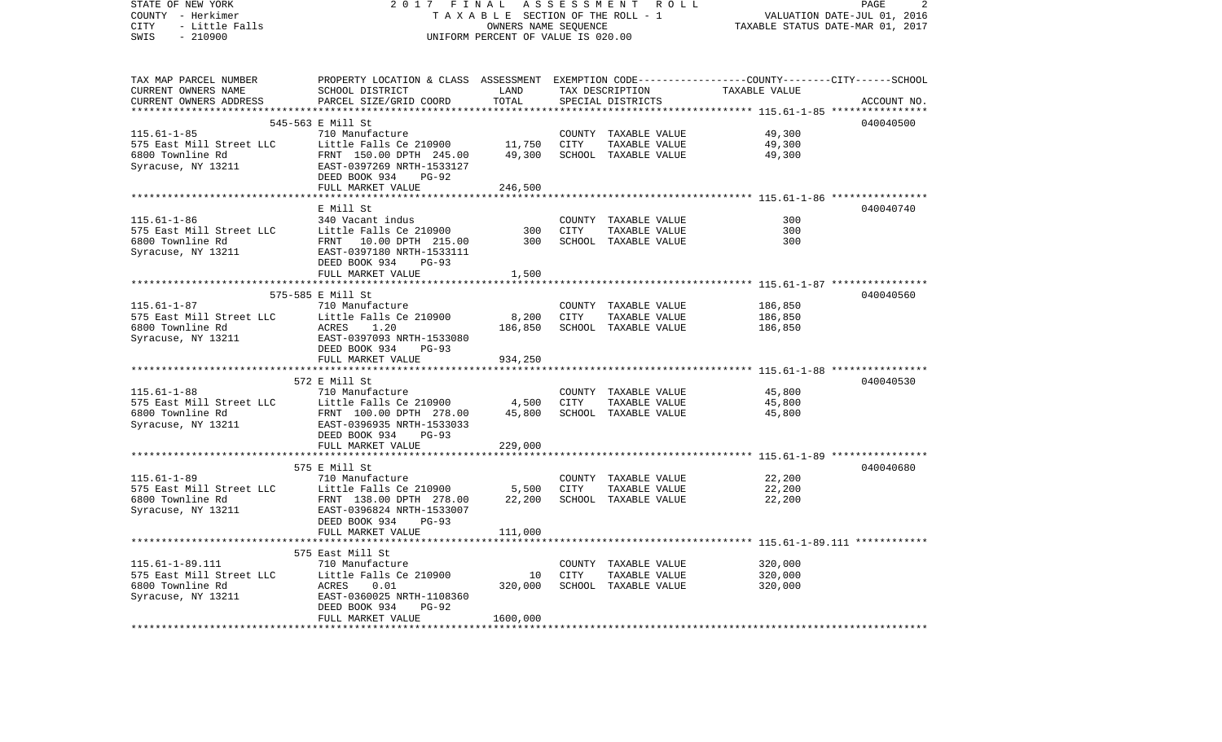| STATE OF NEW YORK<br>COUNTY - Herkimer<br>CITY<br>- Little Falls | 2 0 1 7<br>FINAL<br>TAXABLE SECTION OF THE ROLL - 1                                             |                                    | 2<br>PAGE<br>VALUATION DATE-JUL 01, 2016<br>TAXABLE STATUS DATE-MAR 01, 2017 |                                       |                                                           |             |
|------------------------------------------------------------------|-------------------------------------------------------------------------------------------------|------------------------------------|------------------------------------------------------------------------------|---------------------------------------|-----------------------------------------------------------|-------------|
| $-210900$<br>SWIS                                                |                                                                                                 | UNIFORM PERCENT OF VALUE IS 020.00 |                                                                              |                                       |                                                           |             |
| TAX MAP PARCEL NUMBER                                            | PROPERTY LOCATION & CLASS ASSESSMENT EXEMPTION CODE---------------COUNTY-------CITY------SCHOOL |                                    |                                                                              |                                       |                                                           |             |
| CURRENT OWNERS NAME                                              | SCHOOL DISTRICT                                                                                 | LAND                               |                                                                              | TAX DESCRIPTION                       | TAXABLE VALUE                                             |             |
| CURRENT OWNERS ADDRESS                                           | PARCEL SIZE/GRID COORD                                                                          | TOTAL<br>***********               |                                                                              | SPECIAL DISTRICTS                     |                                                           | ACCOUNT NO. |
|                                                                  | 545-563 E Mill St                                                                               |                                    |                                                                              |                                       | **************************** 115.61-1-85 **************** | 040040500   |
| $115.61 - 1 - 85$                                                | 710 Manufacture                                                                                 |                                    | COUNTY                                                                       | TAXABLE VALUE                         | 49,300                                                    |             |
| 575 East Mill Street LLC                                         | Little Falls Ce 210900                                                                          | 11,750                             | CITY                                                                         | TAXABLE VALUE                         | 49,300                                                    |             |
| 6800 Townline Rd                                                 | FRNT 150.00 DPTH 245.00                                                                         | 49,300                             |                                                                              | SCHOOL TAXABLE VALUE                  | 49,300                                                    |             |
| Syracuse, NY 13211                                               | EAST-0397269 NRTH-1533127<br>DEED BOOK 934<br>PG-92                                             |                                    |                                                                              |                                       |                                                           |             |
|                                                                  | FULL MARKET VALUE                                                                               | 246,500                            |                                                                              |                                       |                                                           |             |
|                                                                  |                                                                                                 | ************                       |                                                                              |                                       |                                                           |             |
| $115.61 - 1 - 86$                                                | E Mill St<br>340 Vacant indus                                                                   |                                    | COUNTY                                                                       | TAXABLE VALUE                         | 300                                                       | 040040740   |
| 575 East Mill Street LLC                                         | Little Falls Ce 210900                                                                          | 300                                | CITY                                                                         | TAXABLE VALUE                         | 300                                                       |             |
| 6800 Townline Rd                                                 | 10.00 DPTH 215.00<br>FRNT                                                                       | 300                                |                                                                              | SCHOOL TAXABLE VALUE                  | 300                                                       |             |
| Syracuse, NY 13211                                               | EAST-0397180 NRTH-1533111                                                                       |                                    |                                                                              |                                       |                                                           |             |
|                                                                  | DEED BOOK 934<br>$PG-93$                                                                        |                                    |                                                                              |                                       |                                                           |             |
|                                                                  | FULL MARKET VALUE                                                                               | 1,500                              |                                                                              |                                       |                                                           |             |
|                                                                  |                                                                                                 |                                    |                                                                              |                                       |                                                           |             |
|                                                                  | 575-585 E Mill St                                                                               |                                    |                                                                              |                                       |                                                           | 040040560   |
| $115.61 - 1 - 87$<br>575 East Mill Street LLC                    | 710 Manufacture<br>Little Falls Ce 210900                                                       | 8,200                              | CITY                                                                         | COUNTY TAXABLE VALUE<br>TAXABLE VALUE | 186,850<br>186,850                                        |             |
| 6800 Townline Rd                                                 | ACRES<br>1.20                                                                                   | 186,850                            |                                                                              | SCHOOL TAXABLE VALUE                  | 186,850                                                   |             |
| Syracuse, NY 13211                                               | EAST-0397093 NRTH-1533080<br>DEED BOOK 934<br>$PG-93$                                           |                                    |                                                                              |                                       |                                                           |             |
|                                                                  | FULL MARKET VALUE                                                                               | 934,250                            |                                                                              |                                       |                                                           |             |
|                                                                  |                                                                                                 |                                    |                                                                              |                                       |                                                           |             |
|                                                                  | 572 E Mill St                                                                                   |                                    |                                                                              |                                       |                                                           | 040040530   |
| $115.61 - 1 - 88$<br>575 East Mill Street LLC                    | 710 Manufacture<br>Little Falls Ce 210900                                                       | 4,500                              | CITY                                                                         | COUNTY TAXABLE VALUE<br>TAXABLE VALUE | 45,800<br>45,800                                          |             |
| 6800 Townline Rd                                                 | FRNT 100.00 DPTH 278.00                                                                         | 45,800                             |                                                                              | SCHOOL TAXABLE VALUE                  | 45,800                                                    |             |
| Syracuse, NY 13211                                               | EAST-0396935 NRTH-1533033                                                                       |                                    |                                                                              |                                       |                                                           |             |
|                                                                  | DEED BOOK 934<br>$PG-93$                                                                        |                                    |                                                                              |                                       |                                                           |             |
|                                                                  | FULL MARKET VALUE                                                                               | 229,000                            |                                                                              |                                       |                                                           |             |
|                                                                  | ***********************                                                                         |                                    |                                                                              |                                       |                                                           |             |
|                                                                  | 575 E Mill St                                                                                   |                                    |                                                                              |                                       |                                                           | 040040680   |
| $115.61 - 1 - 89$<br>575 East Mill Street LLC                    | 710 Manufacture<br>Little Falls Ce 210900                                                       | 5,500                              | CITY                                                                         | COUNTY TAXABLE VALUE<br>TAXABLE VALUE | 22,200<br>22,200                                          |             |
| 6800 Townline Rd                                                 | FRNT 138.00 DPTH 278.00                                                                         | 22,200                             |                                                                              | SCHOOL TAXABLE VALUE                  | 22,200                                                    |             |
| Syracuse, NY 13211                                               | EAST-0396824 NRTH-1533007                                                                       |                                    |                                                                              |                                       |                                                           |             |
|                                                                  | DEED BOOK 934<br>$PG-93$                                                                        |                                    |                                                                              |                                       |                                                           |             |
|                                                                  | FULL MARKET VALUE                                                                               | 111,000                            |                                                                              |                                       |                                                           |             |
|                                                                  |                                                                                                 |                                    |                                                                              |                                       | *************** 115.61-1-89.111 ************              |             |
|                                                                  | 575 East Mill St                                                                                |                                    |                                                                              |                                       |                                                           |             |
| $115.61 - 1 - 89.111$                                            | 710 Manufacture                                                                                 |                                    |                                                                              | COUNTY TAXABLE VALUE                  | 320,000                                                   |             |
| 575 East Mill Street LLC<br>6800 Townline Rd                     | Little Falls Ce 210900<br>ACRES                                                                 | 10<br>320,000                      | CITY                                                                         | TAXABLE VALUE<br>SCHOOL TAXABLE VALUE | 320,000<br>320,000                                        |             |
| Syracuse, NY 13211                                               | 0.01<br>EAST-0360025 NRTH-1108360                                                               |                                    |                                                                              |                                       |                                                           |             |
|                                                                  | DEED BOOK 934<br>$PG-92$                                                                        |                                    |                                                                              |                                       |                                                           |             |
|                                                                  | FULL MARKET VALUE                                                                               | 1600,000                           |                                                                              |                                       |                                                           |             |
| ********************                                             |                                                                                                 |                                    |                                                                              |                                       |                                                           |             |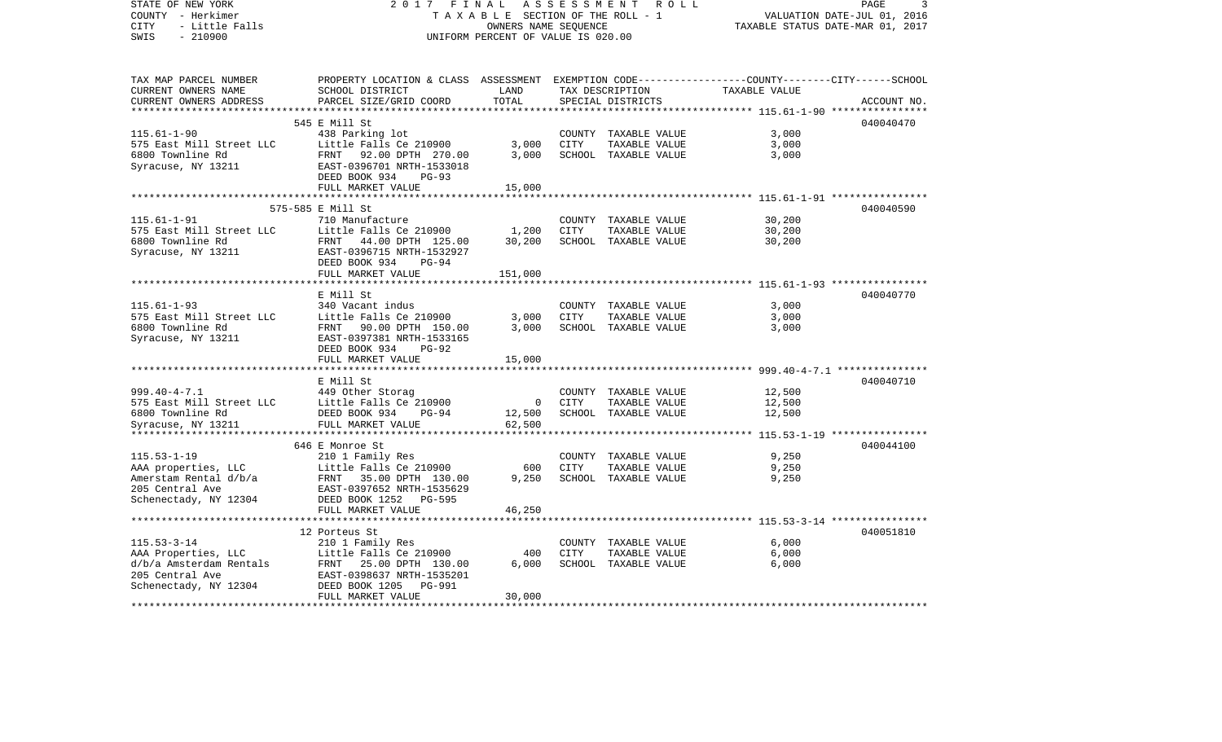| STATE OF NEW YORK<br>COUNTY - Herkimer<br>CITY<br>- Little Falls | 2017<br>FINAL<br>TAXABLE SECTION OF THE ROLL - 1                                                 | R O L L                            | PAGE<br>3<br>VALUATION DATE-JUL 01, 2016<br>TAXABLE STATUS DATE-MAR 01, 2017 |                                      |               |             |
|------------------------------------------------------------------|--------------------------------------------------------------------------------------------------|------------------------------------|------------------------------------------------------------------------------|--------------------------------------|---------------|-------------|
| $-210900$<br>SWIS                                                |                                                                                                  | UNIFORM PERCENT OF VALUE IS 020.00 |                                                                              |                                      |               |             |
| TAX MAP PARCEL NUMBER                                            | PROPERTY LOCATION & CLASS ASSESSMENT EXEMPTION CODE----------------COUNTY-------CITY------SCHOOL |                                    |                                                                              |                                      |               |             |
| CURRENT OWNERS NAME<br>CURRENT OWNERS ADDRESS                    | SCHOOL DISTRICT<br>PARCEL SIZE/GRID COORD                                                        | LAND<br>TOTAL                      |                                                                              | TAX DESCRIPTION<br>SPECIAL DISTRICTS | TAXABLE VALUE | ACCOUNT NO. |
|                                                                  |                                                                                                  |                                    |                                                                              |                                      |               |             |
| $115.61 - 1 - 90$                                                | 545 E Mill St<br>438 Parking lot                                                                 |                                    |                                                                              | COUNTY TAXABLE VALUE                 | 3,000         | 040040470   |
| 575 East Mill Street LLC                                         | Little Falls Ce 210900                                                                           | 3,000                              | <b>CITY</b>                                                                  | TAXABLE VALUE                        | 3,000         |             |
| 6800 Townline Rd                                                 | FRNT 92.00 DPTH 270.00                                                                           | 3,000                              |                                                                              | SCHOOL TAXABLE VALUE                 | 3,000         |             |
| Syracuse, NY 13211                                               | EAST-0396701 NRTH-1533018                                                                        |                                    |                                                                              |                                      |               |             |
|                                                                  | DEED BOOK 934<br>$PG-93$                                                                         |                                    |                                                                              |                                      |               |             |
|                                                                  | FULL MARKET VALUE                                                                                | 15,000                             |                                                                              |                                      |               |             |
|                                                                  |                                                                                                  |                                    |                                                                              |                                      |               |             |
|                                                                  | 575-585 E Mill St                                                                                |                                    |                                                                              |                                      |               | 040040590   |
| $115.61 - 1 - 91$                                                | 710 Manufacture                                                                                  |                                    |                                                                              | COUNTY TAXABLE VALUE                 | 30,200        |             |
| 575 East Mill Street LLC                                         | Little Falls Ce 210900                                                                           | 1,200                              | CITY                                                                         | TAXABLE VALUE                        | 30,200        |             |
| 6800 Townline Rd                                                 | FRNT 44.00 DPTH 125.00                                                                           | 30,200                             |                                                                              | SCHOOL TAXABLE VALUE                 | 30,200        |             |
| Syracuse, NY 13211                                               | EAST-0396715 NRTH-1532927<br>$PG-94$                                                             |                                    |                                                                              |                                      |               |             |
|                                                                  | DEED BOOK 934<br>FULL MARKET VALUE                                                               | 151,000                            |                                                                              |                                      |               |             |
|                                                                  |                                                                                                  |                                    |                                                                              |                                      |               |             |
|                                                                  | E Mill St                                                                                        |                                    |                                                                              |                                      |               | 040040770   |
| $115.61 - 1 - 93$                                                | 340 Vacant indus                                                                                 |                                    |                                                                              | COUNTY TAXABLE VALUE                 | 3,000         |             |
| 575 East Mill Street LLC                                         | Little Falls Ce 210900                                                                           | 3,000                              | CITY                                                                         | TAXABLE VALUE                        | 3,000         |             |
| 6800 Townline Rd                                                 | FRNT 90.00 DPTH 150.00                                                                           | 3,000                              |                                                                              | SCHOOL TAXABLE VALUE                 | 3,000         |             |
| Syracuse, NY 13211                                               | EAST-0397381 NRTH-1533165                                                                        |                                    |                                                                              |                                      |               |             |
|                                                                  | DEED BOOK 934<br>$PG-92$                                                                         |                                    |                                                                              |                                      |               |             |
|                                                                  | FULL MARKET VALUE                                                                                | 15,000                             |                                                                              |                                      |               |             |
|                                                                  |                                                                                                  |                                    |                                                                              |                                      |               |             |
|                                                                  | E Mill St                                                                                        |                                    |                                                                              |                                      |               | 040040710   |
| $999.40 - 4 - 7.1$                                               | 449 Other Storag                                                                                 |                                    |                                                                              | COUNTY TAXABLE VALUE                 | 12,500        |             |
| 575 East Mill Street LLC                                         | Little Falls Ce 210900                                                                           | $\overline{0}$                     | CITY                                                                         | TAXABLE VALUE                        | 12,500        |             |
| 6800 Townline Rd                                                 | DEED BOOK 934<br>PG-94                                                                           | 12,500                             |                                                                              | SCHOOL TAXABLE VALUE                 | 12,500        |             |
| Syracuse, NY 13211                                               | FULL MARKET VALUE                                                                                | 62,500                             |                                                                              |                                      |               |             |
|                                                                  | 646 E Monroe St                                                                                  |                                    |                                                                              |                                      |               | 040044100   |
| $115.53 - 1 - 19$                                                | 210 1 Family Res                                                                                 |                                    |                                                                              | COUNTY TAXABLE VALUE                 | 9,250         |             |
| AAA properties, LLC                                              | Little Falls Ce 210900                                                                           | 600                                | CITY                                                                         | TAXABLE VALUE                        | 9,250         |             |
| Amerstam Rental d/b/a                                            | FRNT 35.00 DPTH 130.00                                                                           | 9,250                              |                                                                              | SCHOOL TAXABLE VALUE                 | 9,250         |             |
| 205 Central Ave                                                  | EAST-0397652 NRTH-1535629                                                                        |                                    |                                                                              |                                      |               |             |
| Schenectady, NY 12304                                            | PG-595<br>DEED BOOK 1252                                                                         |                                    |                                                                              |                                      |               |             |
|                                                                  | FULL MARKET VALUE                                                                                | 46,250                             |                                                                              |                                      |               |             |
|                                                                  | *************************                                                                        |                                    |                                                                              |                                      |               |             |
|                                                                  | 12 Porteus St                                                                                    |                                    |                                                                              |                                      |               | 040051810   |
| $115.53 - 3 - 14$                                                | 210 1 Family Res                                                                                 |                                    |                                                                              | COUNTY TAXABLE VALUE                 | 6,000         |             |
| AAA Properties, LLC                                              | Little Falls Ce 210900                                                                           | 400                                | CITY                                                                         | TAXABLE VALUE                        | 6,000         |             |
| d/b/a Amsterdam Rentals                                          | FRNT<br>25.00 DPTH 130.00                                                                        | 6,000                              |                                                                              | SCHOOL TAXABLE VALUE                 | 6,000         |             |
| 205 Central Ave                                                  | EAST-0398637 NRTH-1535201                                                                        |                                    |                                                                              |                                      |               |             |
| Schenectady, NY 12304                                            | DEED BOOK 1205<br><b>PG-991</b>                                                                  |                                    |                                                                              |                                      |               |             |
| ***********                                                      | FULL MARKET VALUE<br>************************                                                    | 30,000<br>**********               |                                                                              |                                      |               |             |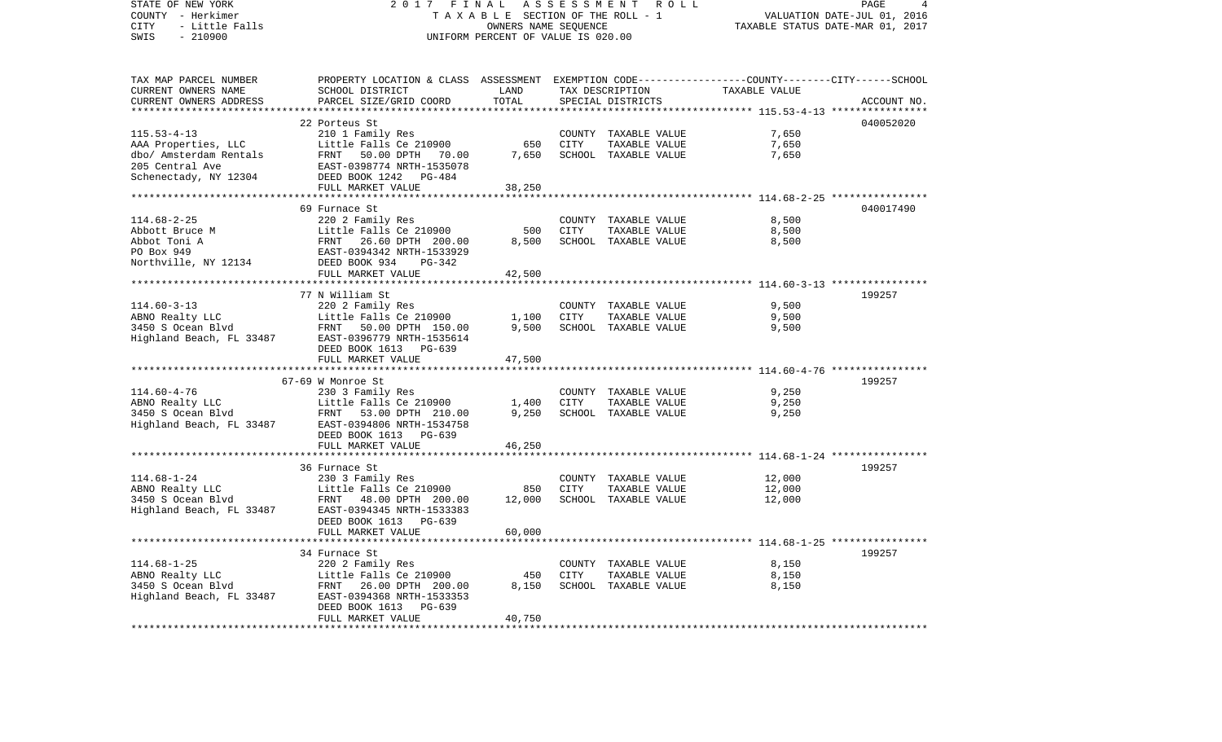| STATE OF NEW YORK<br>COUNTY - Herkimer<br>CITY<br>- Little Falls<br>$-210900$<br>SWIS                          | 2017<br>FINAL<br>TAXABLE SECTION OF THE ROLL - 1<br>UNIFORM PERCENT OF VALUE IS 020.00                                                                             | ASSESSMENT ROLL<br>PAGE<br>4<br>VALUATION DATE-JUL 01, 2016<br>TAXABLE STATUS DATE-MAR 01, 2017 |                |                                                               |                                                        |             |
|----------------------------------------------------------------------------------------------------------------|--------------------------------------------------------------------------------------------------------------------------------------------------------------------|-------------------------------------------------------------------------------------------------|----------------|---------------------------------------------------------------|--------------------------------------------------------|-------------|
| TAX MAP PARCEL NUMBER<br>CURRENT OWNERS NAME<br>CURRENT OWNERS ADDRESS                                         | PROPERTY LOCATION & CLASS ASSESSMENT EXEMPTION CODE---------------COUNTY-------CITY------SCHOOL<br>SCHOOL DISTRICT<br>PARCEL SIZE/GRID COORD                       | LAND<br>TOTAL                                                                                   |                | TAX DESCRIPTION<br>SPECIAL DISTRICTS                          | TAXABLE VALUE                                          | ACCOUNT NO. |
|                                                                                                                |                                                                                                                                                                    | ***********                                                                                     |                |                                                               | ********** 115.53-4-13 *****************               |             |
| $115.53 - 4 - 13$<br>AAA Properties, LLC<br>dbo/ Amsterdam Rentals<br>205 Central Ave<br>Schenectady, NY 12304 | 22 Porteus St<br>210 1 Family Res<br>Little Falls Ce 210900<br>FRNT 50.00 DPTH<br>70.00<br>EAST-0398774 NRTH-1535078<br>DEED BOOK 1242 PG-484<br>FULL MARKET VALUE | 650<br>7,650<br>38,250                                                                          | CITY           | COUNTY TAXABLE VALUE<br>TAXABLE VALUE<br>SCHOOL TAXABLE VALUE | 7,650<br>7,650<br>7,650                                | 040052020   |
|                                                                                                                |                                                                                                                                                                    | ***********                                                                                     |                |                                                               | ************************ 114.68-2-25 ***************** |             |
|                                                                                                                | 69 Furnace St                                                                                                                                                      |                                                                                                 |                |                                                               |                                                        | 040017490   |
| $114.68 - 2 - 25$<br>Abbott Bruce M<br>Abbot Toni A<br>PO Box 949<br>Northville, NY 12134                      | 220 2 Family Res<br>Little Falls Ce 210900<br>FRNT<br>26.60 DPTH 200.00<br>EAST-0394342 NRTH-1533929<br>DEED BOOK 934<br>PG-342                                    | 500<br>8,500                                                                                    | <b>CITY</b>    | COUNTY TAXABLE VALUE<br>TAXABLE VALUE<br>SCHOOL TAXABLE VALUE | 8,500<br>8,500<br>8,500                                |             |
|                                                                                                                | FULL MARKET VALUE                                                                                                                                                  | 42,500                                                                                          |                |                                                               |                                                        |             |
|                                                                                                                |                                                                                                                                                                    |                                                                                                 |                |                                                               |                                                        |             |
| $114.60 - 3 - 13$<br>ABNO Realty LLC<br>3450 S Ocean Blvd<br>Highland Beach, FL 33487                          | 77 N William St<br>220 2 Family Res<br>Little Falls Ce 210900<br>FRNT 50.00 DPTH 150.00<br>EAST-0396779 NRTH-1535614<br>DEED BOOK 1613 PG-639                      | 1,100<br>9,500                                                                                  | COUNTY<br>CITY | TAXABLE VALUE<br>TAXABLE VALUE<br>SCHOOL TAXABLE VALUE        | 9,500<br>9,500<br>9,500                                | 199257      |
|                                                                                                                | FULL MARKET VALUE                                                                                                                                                  | 47,500                                                                                          |                |                                                               |                                                        |             |
|                                                                                                                |                                                                                                                                                                    |                                                                                                 |                |                                                               |                                                        |             |
| $114.60 - 4 - 76$<br>ABNO Realty LLC<br>3450 S Ocean Blvd<br>Highland Beach, FL 33487                          | 67-69 W Monroe St<br>230 3 Family Res<br>Little Falls Ce 210900<br>FRNT 53.00 DPTH 210.00<br>EAST-0394806 NRTH-1534758<br>DEED BOOK 1613 PG-639                    | 1,400<br>9,250                                                                                  | CITY           | COUNTY TAXABLE VALUE<br>TAXABLE VALUE<br>SCHOOL TAXABLE VALUE | 9,250<br>9,250<br>9,250                                | 199257      |
|                                                                                                                | FULL MARKET VALUE                                                                                                                                                  | 46,250                                                                                          |                |                                                               |                                                        |             |
| $114.68 - 1 - 24$<br>ABNO Realty LLC<br>3450 S Ocean Blvd                                                      | 36 Furnace St<br>230 3 Family Res<br>Little Falls Ce 210900<br>FRNT<br>48.00 DPTH 200.00                                                                           | 850<br>12,000                                                                                   | CITY           | COUNTY TAXABLE VALUE<br>TAXABLE VALUE<br>SCHOOL TAXABLE VALUE | 12,000<br>12,000<br>12,000                             | 199257      |
| Highland Beach, FL 33487                                                                                       | EAST-0394345 NRTH-1533383<br>DEED BOOK 1613 PG-639<br>FULL MARKET VALUE                                                                                            | 60,000                                                                                          |                |                                                               |                                                        |             |
|                                                                                                                | 34 Furnace St                                                                                                                                                      |                                                                                                 |                |                                                               |                                                        | 199257      |
| $114.68 - 1 - 25$<br>ABNO Realty LLC<br>3450 S Ocean Blvd<br>Highland Beach, FL 33487                          | 220 2 Family Res<br>Little Falls Ce 210900<br>FRNT 26.00 DPTH 200.00<br>EAST-0394368 NRTH-1533353<br>DEED BOOK 1613<br>PG-639<br>FULL MARKET VALUE                 | 450<br>8,150<br>40,750                                                                          | CITY           | COUNTY TAXABLE VALUE<br>TAXABLE VALUE<br>SCHOOL TAXABLE VALUE | 8,150<br>8,150<br>8,150                                |             |
| **********************                                                                                         | *****************************                                                                                                                                      |                                                                                                 |                |                                                               |                                                        |             |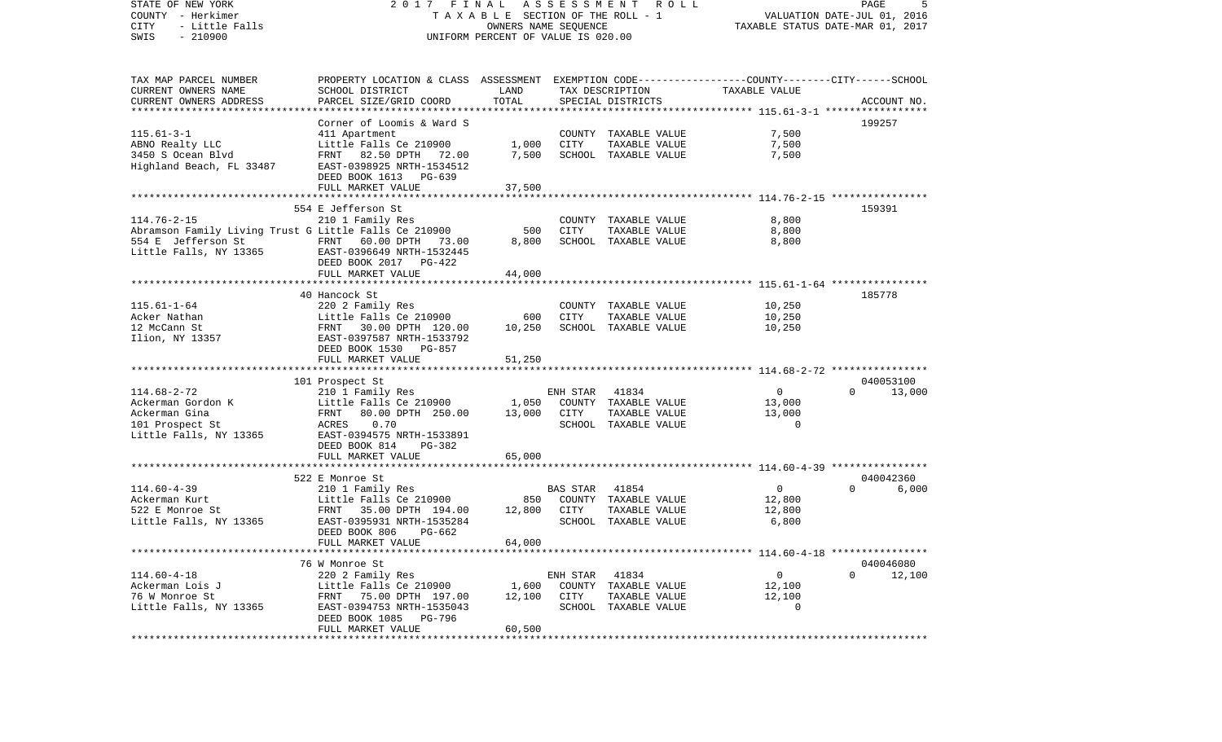COUNTY - Herkimer T A X A B L E SECTION OF THE ROLL - 1 VALUATION DATE-JUL 01, 2016 CITY - Little Falls OWNERS NAME SEQUENCE TAXABLE STATUS DATE-MAR 01, 2017 SWIS - 210900 UNIFORM PERCENT OF VALUE IS 020.00TAX MAP PARCEL NUMBER PROPERTY LOCATION & CLASS ASSESSMENT EXEMPTION CODE------------------COUNTY--------CITY------SCHOOL CURRENT OWNERS NAME SCHOOL DISTRICT LAND TAX DESCRIPTION TAXABLE VALUECURRENT OWNERS ADDRESS PARCEL SIZE/GRID COORD TOTAL SPECIAL DISTRICTS ACCOUNT NO. \*\*\*\*\*\*\*\*\*\*\*\*\*\*\*\*\*\*\*\*\*\*\*\*\*\*\*\*\*\*\*\*\*\*\*\*\*\*\*\*\*\*\*\*\*\*\*\*\*\*\*\*\*\*\*\*\*\*\*\*\*\*\*\*\*\*\*\*\*\*\*\*\*\*\*\*\*\*\*\*\*\*\*\*\*\*\*\*\*\*\*\*\*\*\*\*\*\*\*\*\*\*\* 115.61-3-1 \*\*\*\*\*\*\*\*\*\*\*\*\*\*\*\*\* Corner of Loomis & Ward S 199257115.61-3-1 411 Apartment COUNTY TAXABLE VALUE 7,500 ABNO Realty LLC Little Falls Ce 210900 1,000 CITY TAXABLE VALUE 7,500 3450 S Ocean Blvd FRNT 82.50 DPTH 72.00 7,500 SCHOOL TAXABLE VALUE 7,500 Highland Beach, FL 33487 EAST-0398925 NRTH-1534512 DEED BOOK 1613 PG-639FULL MARKET VALUE 37,500 \*\*\*\*\*\*\*\*\*\*\*\*\*\*\*\*\*\*\*\*\*\*\*\*\*\*\*\*\*\*\*\*\*\*\*\*\*\*\*\*\*\*\*\*\*\*\*\*\*\*\*\*\*\*\*\*\*\*\*\*\*\*\*\*\*\*\*\*\*\*\*\*\*\*\*\*\*\*\*\*\*\*\*\*\*\*\*\*\*\*\*\*\*\*\*\*\*\*\*\*\*\*\* 114.76-2-15 \*\*\*\*\*\*\*\*\*\*\*\*\*\*\*\* 554 E Jefferson St 159391114.76-2-15 210 1 Family Res COUNTY TAXABLE VALUE 8,800 Abramson Family Living Trust G Little Falls Ce 210900 500 CITY TAXABLE VALUE 554 E Jefferson St FRNT 60.00 DPTH 73.00 8,800 SCHOOL TAXABLE VALUE 8,800 Little Falls, NY 13365 EAST-0396649 NRTH-1532445 DEED BOOK 2017 PG-422FULL MARKET VALUE 44,000 \*\*\*\*\*\*\*\*\*\*\*\*\*\*\*\*\*\*\*\*\*\*\*\*\*\*\*\*\*\*\*\*\*\*\*\*\*\*\*\*\*\*\*\*\*\*\*\*\*\*\*\*\*\*\*\*\*\*\*\*\*\*\*\*\*\*\*\*\*\*\*\*\*\*\*\*\*\*\*\*\*\*\*\*\*\*\*\*\*\*\*\*\*\*\*\*\*\*\*\*\*\*\* 115.61-1-64 \*\*\*\*\*\*\*\*\*\*\*\*\*\*\*\* 40 Hancock St 185778115.61-1-64 220 2 Family Res COUNTY TAXABLE VALUE 10,250 Acker Nathan Little Falls Ce 210900 600 CITY TAXABLE VALUE 10,250 12 McCann St FRNT 30.00 DPTH 120.00 10,250 SCHOOL TAXABLE VALUE 10,250 Ilion, NY 13357 EAST-0397587 NRTH-1533792 DEED BOOK 1530 PG-857FULL MARKET VALUE 51,250 \*\*\*\*\*\*\*\*\*\*\*\*\*\*\*\*\*\*\*\*\*\*\*\*\*\*\*\*\*\*\*\*\*\*\*\*\*\*\*\*\*\*\*\*\*\*\*\*\*\*\*\*\*\*\*\*\*\*\*\*\*\*\*\*\*\*\*\*\*\*\*\*\*\*\*\*\*\*\*\*\*\*\*\*\*\*\*\*\*\*\*\*\*\*\*\*\*\*\*\*\*\*\* 114.68-2-72 \*\*\*\*\*\*\*\*\*\*\*\*\*\*\*\* 101 Prospect St 040053100 114.68-2-72 210 1 Family Res ENH STAR 41834 0 0 13,000 Ackerman Gordon K Little Falls Ce 210900 1,050 COUNTY TAXABLE VALUE 13,000 Ackerman Gina FRNT 80.00 DPTH 250.00 13,000 CITY TAXABLE VALUE 13,000 101 Prospect St ACRES 0.70 SCHOOL TAXABLE VALUE 0 Little Falls, NY 13365 EAST-0394575 NRTH-1533891 DEED BOOK 814 PG-382FULL MARKET VALUE 65,000 \*\*\*\*\*\*\*\*\*\*\*\*\*\*\*\*\*\*\*\*\*\*\*\*\*\*\*\*\*\*\*\*\*\*\*\*\*\*\*\*\*\*\*\*\*\*\*\*\*\*\*\*\*\*\*\*\*\*\*\*\*\*\*\*\*\*\*\*\*\*\*\*\*\*\*\*\*\*\*\*\*\*\*\*\*\*\*\*\*\*\*\*\*\*\*\*\*\*\*\*\*\*\* 114.60-4-39 \*\*\*\*\*\*\*\*\*\*\*\*\*\*\*\*522 E Monroe St 040042360 114.60-4-39 210 1 Family Res BAS STAR 41854 0 0 6,000 Ackerman Kurt **Little Falls Ce 210900** 850 COUNTY TAXABLE VALUE 12,800 522 E Monroe St FRNT 35.00 DPTH 194.00 12,800 CITY TAXABLE VALUE 12,800 Little Falls, NY 13365 EAST-0395931 NRTH-1535284 SCHOOL TAXABLE VALUE 6,800 DEED BOOK 806 PG-662 FULL MARKET VALUE 64,000 \*\*\*\*\*\*\*\*\*\*\*\*\*\*\*\*\*\*\*\*\*\*\*\*\*\*\*\*\*\*\*\*\*\*\*\*\*\*\*\*\*\*\*\*\*\*\*\*\*\*\*\*\*\*\*\*\*\*\*\*\*\*\*\*\*\*\*\*\*\*\*\*\*\*\*\*\*\*\*\*\*\*\*\*\*\*\*\*\*\*\*\*\*\*\*\*\*\*\*\*\*\*\* 114.60-4-18 \*\*\*\*\*\*\*\*\*\*\*\*\*\*\*\* 76 W Monroe St 040046080114.60-4-18 220 2 Family Res ENH STAR 41834 0 0 12,100 Ackerman Lois J Little Falls Ce 210900 1,600 COUNTY TAXABLE VALUE 12,100 76 W Monroe St FRNT 75.00 DPTH 197.00 12,100 CITY TAXABLE VALUE 12,100 Little Falls, NY 13365 EAST-0394753 NRTH-1535043 SCHOOL TAXABLE VALUE 0 DEED BOOK 1085 PG-796FULL MARKET VALUE 60,500 \*\*\*\*\*\*\*\*\*\*\*\*\*\*\*\*\*\*\*\*\*\*\*\*\*\*\*\*\*\*\*\*\*\*\*\*\*\*\*\*\*\*\*\*\*\*\*\*\*\*\*\*\*\*\*\*\*\*\*\*\*\*\*\*\*\*\*\*\*\*\*\*\*\*\*\*\*\*\*\*\*\*\*\*\*\*\*\*\*\*\*\*\*\*\*\*\*\*\*\*\*\*\*\*\*\*\*\*\*\*\*\*\*\*\*\*\*\*\*\*\*\*\*\*\*\*\*\*\*\*\*\*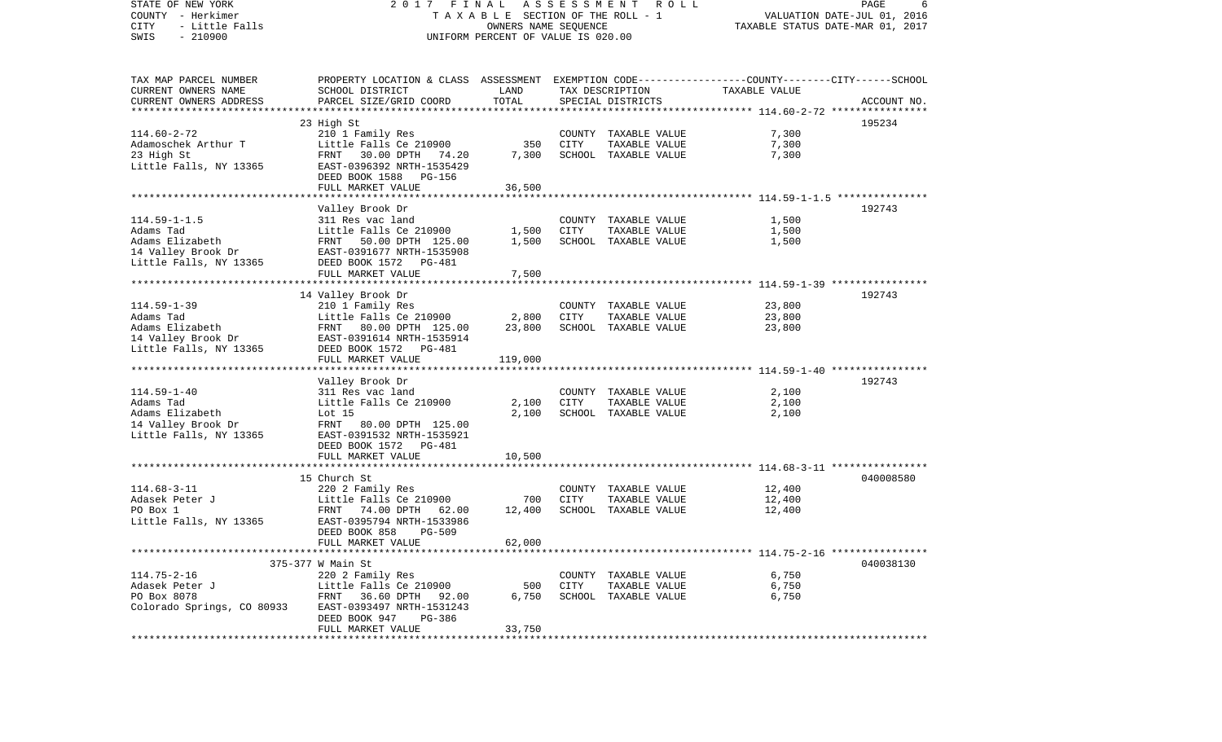STATE OF NEW YORK 2 0 1 7 F I N A L A S S E S S M E N T R O L L PAGE 6COUNTY - Herkimer T A X A B L E SECTION OF THE ROLL - 1 VALUATION DATE-JUL 01, 2016 CITY - Little Falls OWNERS NAME SEQUENCE TAXABLE STATUS DATE-MAR 01, 2017 SWIS - 210900 UNIFORM PERCENT OF VALUE IS 020.00TAX MAP PARCEL NUMBER PROPERTY LOCATION & CLASS ASSESSMENT EXEMPTION CODE------------------COUNTY--------CITY------SCHOOL CURRENT OWNERS NAME SCHOOL DISTRICT LAND TAX DESCRIPTION TAXABLE VALUECURRENT OWNERS ADDRESS PARCEL SIZE/GRID COORD TOTAL SPECIAL DISTRICTS ACCOUNT NO. \*\*\*\*\*\*\*\*\*\*\*\*\*\*\*\*\*\*\*\*\*\*\*\*\*\*\*\*\*\*\*\*\*\*\*\*\*\*\*\*\*\*\*\*\*\*\*\*\*\*\*\*\*\*\*\*\*\*\*\*\*\*\*\*\*\*\*\*\*\*\*\*\*\*\*\*\*\*\*\*\*\*\*\*\*\*\*\*\*\*\*\*\*\*\*\*\*\*\*\*\*\*\* 114.60-2-72 \*\*\*\*\*\*\*\*\*\*\*\*\*\*\*\* 23 High St 195234 114.60-2-72 210 1 Family Res COUNTY TAXABLE VALUE 7,300 Adamoschek Arthur T Little Falls Ce 210900 350 CITY TAXABLE VALUE 7,300 23 High St FRNT 30.00 DPTH 74.20 7,300 SCHOOL TAXABLE VALUE 7,300 Little Falls, NY 13365 EAST-0396392 NRTH-1535429 DEED BOOK 1588 PG-156 FULL MARKET VALUE 36,500 \*\*\*\*\*\*\*\*\*\*\*\*\*\*\*\*\*\*\*\*\*\*\*\*\*\*\*\*\*\*\*\*\*\*\*\*\*\*\*\*\*\*\*\*\*\*\*\*\*\*\*\*\*\*\*\*\*\*\*\*\*\*\*\*\*\*\*\*\*\*\*\*\*\*\*\*\*\*\*\*\*\*\*\*\*\*\*\*\*\*\*\*\*\*\*\*\*\*\*\*\*\*\* 114.59-1-1.5 \*\*\*\*\*\*\*\*\*\*\*\*\*\*\* Valley Brook Dr 192743 114.59-1-1.5 311 Res vac land COUNTY TAXABLE VALUE 1,500 Adams Tad Little Falls Ce 210900 1,500 CITY TAXABLE VALUE 1,500 Adams Elizabeth FRNT 50.00 DPTH 125.00 1,500 SCHOOL TAXABLE VALUE 1,500 14 Valley Brook Dr EAST-0391677 NRTH-1535908 Little Falls, NY 13365 DEED BOOK 1572 PG-481 FULL MARKET VALUE 7,500 \*\*\*\*\*\*\*\*\*\*\*\*\*\*\*\*\*\*\*\*\*\*\*\*\*\*\*\*\*\*\*\*\*\*\*\*\*\*\*\*\*\*\*\*\*\*\*\*\*\*\*\*\*\*\*\*\*\*\*\*\*\*\*\*\*\*\*\*\*\*\*\*\*\*\*\*\*\*\*\*\*\*\*\*\*\*\*\*\*\*\*\*\*\*\*\*\*\*\*\*\*\*\* 114.59-1-39 \*\*\*\*\*\*\*\*\*\*\*\*\*\*\*\* 14 Valley Brook Dr 192743 114.59-1-39 210 1 Family Res COUNTY TAXABLE VALUE 23,800 Adams Tad Little Falls Ce 210900 2,800 CITY TAXABLE VALUE 23,800 Adams Elizabeth FRNT 80.00 DPTH 125.00 23,800 SCHOOL TAXABLE VALUE 23,800 14 Valley Brook Dr EAST-0391614 NRTH-1535914 Little Falls, NY 13365 DEED BOOK 1572 PG-481 FULL MARKET VALUE 119,000 \*\*\*\*\*\*\*\*\*\*\*\*\*\*\*\*\*\*\*\*\*\*\*\*\*\*\*\*\*\*\*\*\*\*\*\*\*\*\*\*\*\*\*\*\*\*\*\*\*\*\*\*\*\*\*\*\*\*\*\*\*\*\*\*\*\*\*\*\*\*\*\*\*\*\*\*\*\*\*\*\*\*\*\*\*\*\*\*\*\*\*\*\*\*\*\*\*\*\*\*\*\*\* 114.59-1-40 \*\*\*\*\*\*\*\*\*\*\*\*\*\*\*\* Valley Brook Dr 192743 114.59-1-40 311 Res vac land COUNTY TAXABLE VALUE 2,100 Adams Tad Little Falls Ce 210900 2,100 CITY TAXABLE VALUE 2,100 Adams Elizabeth Lot 15 2,100 SCHOOL TAXABLE VALUE 2,100 14 Valley Brook Dr FRNT 80.00 DPTH 125.00 Little Falls, NY 13365 EAST-0391532 NRTH-1535921 DEED BOOK 1572 PG-481FULL MARKET VALUE 10,500 \*\*\*\*\*\*\*\*\*\*\*\*\*\*\*\*\*\*\*\*\*\*\*\*\*\*\*\*\*\*\*\*\*\*\*\*\*\*\*\*\*\*\*\*\*\*\*\*\*\*\*\*\*\*\*\*\*\*\*\*\*\*\*\*\*\*\*\*\*\*\*\*\*\*\*\*\*\*\*\*\*\*\*\*\*\*\*\*\*\*\*\*\*\*\*\*\*\*\*\*\*\*\* 114.68-3-11 \*\*\*\*\*\*\*\*\*\*\*\*\*\*\*\*15 Church St 040008580 114.68-3-11 220 2 Family Res COUNTY TAXABLE VALUE 12,400 Adasek Peter J Little Falls Ce 210900 700 CITY TAXABLE VALUE 12,400 PO Box 1 FRNT 74.00 DPTH 62.00 12,400 SCHOOL TAXABLE VALUE 12,400 Little Falls, NY 13365 EAST-0395794 NRTH-1533986 DEED BOOK 858 PG-509 FULL MARKET VALUE 62,000 \*\*\*\*\*\*\*\*\*\*\*\*\*\*\*\*\*\*\*\*\*\*\*\*\*\*\*\*\*\*\*\*\*\*\*\*\*\*\*\*\*\*\*\*\*\*\*\*\*\*\*\*\*\*\*\*\*\*\*\*\*\*\*\*\*\*\*\*\*\*\*\*\*\*\*\*\*\*\*\*\*\*\*\*\*\*\*\*\*\*\*\*\*\*\*\*\*\*\*\*\*\*\* 114.75-2-16 \*\*\*\*\*\*\*\*\*\*\*\*\*\*\*\* 375-377 W Main St 040038130114.75-2-16 220 2 Family Res COUNTY TAXABLE VALUE 6,750 Adasek Peter J Little Falls Ce 210900 500 CITY TAXABLE VALUE 6,750 PO Box 8078 FRNT 36.60 DPTH 92.00 6,750 SCHOOL TAXABLE VALUE 6,750 Colorado Springs, CO 80933 EAST-0393497 NRTH-1531243 DEED BOOK 947 PG-386FULL MARKET VALUE 33,750 \*\*\*\*\*\*\*\*\*\*\*\*\*\*\*\*\*\*\*\*\*\*\*\*\*\*\*\*\*\*\*\*\*\*\*\*\*\*\*\*\*\*\*\*\*\*\*\*\*\*\*\*\*\*\*\*\*\*\*\*\*\*\*\*\*\*\*\*\*\*\*\*\*\*\*\*\*\*\*\*\*\*\*\*\*\*\*\*\*\*\*\*\*\*\*\*\*\*\*\*\*\*\*\*\*\*\*\*\*\*\*\*\*\*\*\*\*\*\*\*\*\*\*\*\*\*\*\*\*\*\*\*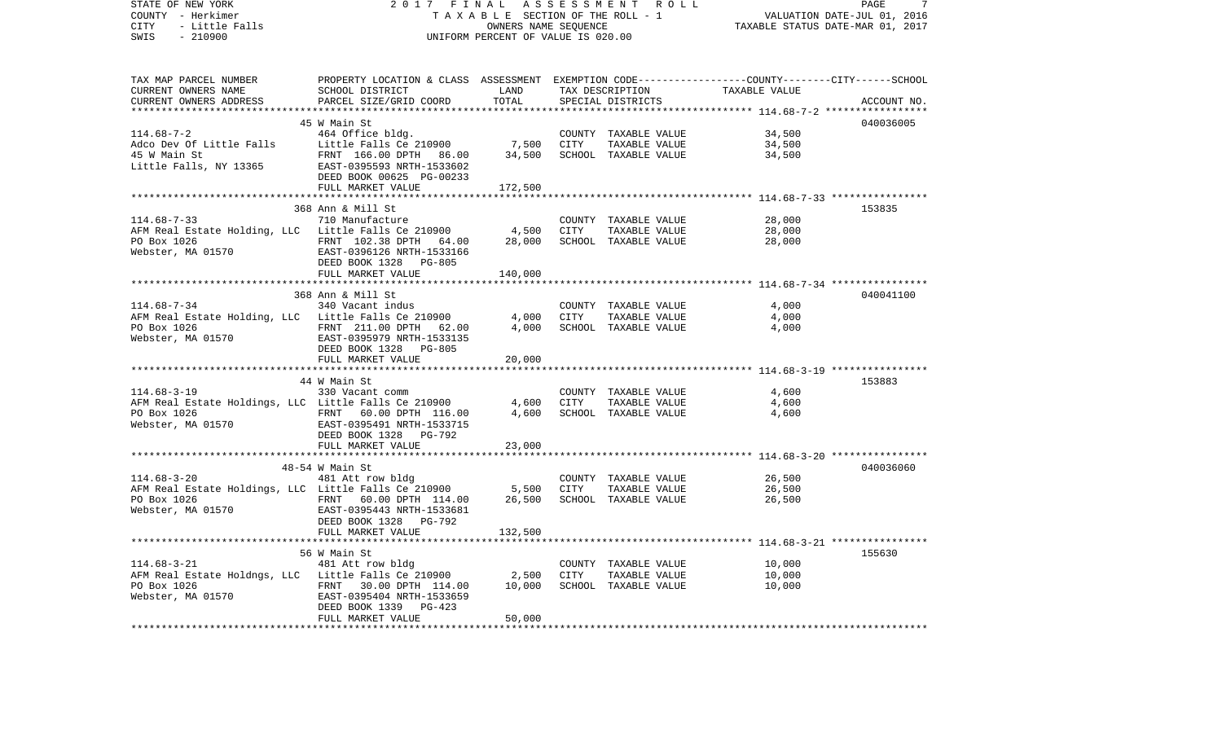| STATE OF NEW YORK<br>COUNTY - Herkimer<br>CITY<br>- Little Falls<br>SWIS<br>$-210900$                                                                                                                                                           | 2017<br>FINAL<br>TAXABLE SECTION OF THE ROLL - 1<br>UNIFORM PERCENT OF VALUE IS 020.00                                | PAGE<br>7<br>VALUATION DATE-JUL 01, 2016<br>TAXABLE STATUS DATE-MAR 01, 2017 |      |                               |                                                              |             |
|-------------------------------------------------------------------------------------------------------------------------------------------------------------------------------------------------------------------------------------------------|-----------------------------------------------------------------------------------------------------------------------|------------------------------------------------------------------------------|------|-------------------------------|--------------------------------------------------------------|-------------|
| TAX MAP PARCEL NUMBER<br>CURRENT OWNERS NAME                                                                                                                                                                                                    | PROPERTY LOCATION & CLASS ASSESSMENT EXEMPTION CODE-----------------COUNTY--------CITY------SCHOOL<br>SCHOOL DISTRICT | LAND                                                                         |      | TAX DESCRIPTION TAXABLE VALUE |                                                              |             |
| CURRENT OWNERS ADDRESS                                                                                                                                                                                                                          | PARCEL SIZE/GRID COORD                                                                                                | TOTAL                                                                        |      | SPECIAL DISTRICTS             |                                                              | ACCOUNT NO. |
|                                                                                                                                                                                                                                                 | 45 W Main St                                                                                                          |                                                                              |      |                               |                                                              | 040036005   |
| 114.68-7-2                                                                                                                                                                                                                                      | 464 Office bldg.                                                                                                      |                                                                              |      | COUNTY TAXABLE VALUE          | 34,500                                                       |             |
|                                                                                                                                                                                                                                                 |                                                                                                                       | 7,500                                                                        | CITY | TAXABLE VALUE                 | 34,500                                                       |             |
|                                                                                                                                                                                                                                                 |                                                                                                                       | 34,500                                                                       |      | SCHOOL TAXABLE VALUE          | 34,500                                                       |             |
| Adco Dev Of Little Falls<br>45 W Main St<br>Little Falls (e 210900<br>15 W Main St<br>Little Falls, NY 13365<br>EAST-0395593 NRTH-1533602<br>DEED BOOK 00625 PG-00233                                                                           |                                                                                                                       |                                                                              |      |                               |                                                              |             |
|                                                                                                                                                                                                                                                 | FULL MARKET VALUE                                                                                                     | 172,500                                                                      |      |                               |                                                              |             |
|                                                                                                                                                                                                                                                 |                                                                                                                       |                                                                              |      |                               |                                                              |             |
| $114.68 - 7 - 33$                                                                                                                                                                                                                               | 368 Ann & Mill St<br>710 Manufacture                                                                                  |                                                                              |      | COUNTY TAXABLE VALUE          | 28,000                                                       | 153835      |
| AFM Real Estate Holding, LLC Little Falls Ce 210900 4,500                                                                                                                                                                                       |                                                                                                                       |                                                                              | CITY | TAXABLE VALUE                 | 28,000                                                       |             |
|                                                                                                                                                                                                                                                 |                                                                                                                       | 28,000                                                                       |      | SCHOOL TAXABLE VALUE          | 28,000                                                       |             |
| PO Box 1026<br>Webster, MA 01570<br>EAST-0396126 NRTH-1533166<br>EAST-0396126 NRTH-1533166                                                                                                                                                      | DEED BOOK 1328 PG-805                                                                                                 |                                                                              |      |                               |                                                              |             |
|                                                                                                                                                                                                                                                 | FULL MARKET VALUE                                                                                                     | 140,000                                                                      |      |                               |                                                              |             |
|                                                                                                                                                                                                                                                 | 368 Ann & Mill St                                                                                                     |                                                                              |      |                               |                                                              | 040041100   |
| $114.68 - 7 - 34$                                                                                                                                                                                                                               | 340 Vacant indus                                                                                                      |                                                                              |      | COUNTY TAXABLE VALUE          | 4,000                                                        |             |
|                                                                                                                                                                                                                                                 |                                                                                                                       |                                                                              | CITY | TAXABLE VALUE                 | 4,000                                                        |             |
| PO Box 1026                                                                                                                                                                                                                                     | FRNT 211.00 DPTH 62.00                                                                                                | 4,000                                                                        |      | SCHOOL TAXABLE VALUE          | 4,000                                                        |             |
| Webster, MA 01570 EAST-0395979 NRTH-1533135                                                                                                                                                                                                     |                                                                                                                       |                                                                              |      |                               |                                                              |             |
|                                                                                                                                                                                                                                                 | DEED BOOK 1328 PG-805                                                                                                 |                                                                              |      |                               |                                                              |             |
|                                                                                                                                                                                                                                                 | FULL MARKET VALUE                                                                                                     | 20,000                                                                       |      |                               |                                                              |             |
|                                                                                                                                                                                                                                                 |                                                                                                                       |                                                                              |      |                               |                                                              |             |
|                                                                                                                                                                                                                                                 | 44 W Main St                                                                                                          |                                                                              |      |                               |                                                              | 153883      |
| $114.68 - 3 - 19$                                                                                                                                                                                                                               |                                                                                                                       |                                                                              |      | COUNTY TAXABLE VALUE          | 4,600                                                        |             |
|                                                                                                                                                                                                                                                 |                                                                                                                       |                                                                              | CITY | TAXABLE VALUE                 | 4,600                                                        |             |
| 350 vacant comm<br>AFM Real Estate Holdings, LLC Little Falls Ce 210900 4,600<br>PO Box 1026 FRNT 60.00 DPTH 116.00 4,600<br>Webster, MA 01570 FRST-0205401 FRNT 1500000 4,600<br>PO Box 1026<br>Webster, MA 01570<br>EAST-0395491 NRTH-1533715 |                                                                                                                       |                                                                              |      | SCHOOL TAXABLE VALUE          | 4,600                                                        |             |
|                                                                                                                                                                                                                                                 |                                                                                                                       |                                                                              |      |                               |                                                              |             |
|                                                                                                                                                                                                                                                 | DEED BOOK 1328 PG-792                                                                                                 |                                                                              |      |                               |                                                              |             |
|                                                                                                                                                                                                                                                 | FULL MARKET VALUE                                                                                                     | 23,000<br>*****************                                                  |      |                               | ******************************* 114.68-3-20 **************** |             |
|                                                                                                                                                                                                                                                 | 48-54 W Main St                                                                                                       |                                                                              |      |                               |                                                              | 040036060   |
| $114.68 - 3 - 20$                                                                                                                                                                                                                               | 481 Att row bldg                                                                                                      |                                                                              |      | COUNTY TAXABLE VALUE          | 26,500                                                       |             |
| AFM Real Estate Holdings, LLC Little Falls Ce 210900 5,500                                                                                                                                                                                      |                                                                                                                       |                                                                              | CITY | TAXABLE VALUE                 | 26,500                                                       |             |
|                                                                                                                                                                                                                                                 | FRNT 60.00 DPTH 114.00                                                                                                | 26,500                                                                       |      | SCHOOL TAXABLE VALUE          | 26,500                                                       |             |
| PO Box 1026<br>Webster, MA 01570<br>EAST-0395443 NRTH-1533681                                                                                                                                                                                   |                                                                                                                       |                                                                              |      |                               |                                                              |             |
|                                                                                                                                                                                                                                                 | DEED BOOK 1328 PG-792                                                                                                 |                                                                              |      |                               |                                                              |             |
|                                                                                                                                                                                                                                                 | FULL MARKET VALUE                                                                                                     | 132,500                                                                      |      |                               |                                                              |             |
|                                                                                                                                                                                                                                                 |                                                                                                                       |                                                                              |      |                               |                                                              |             |
|                                                                                                                                                                                                                                                 | 56 W Main St                                                                                                          |                                                                              |      |                               |                                                              | 155630      |
| 114.68-3-21 14.68-3-21 481 Att row bidg<br>AFM Real Estate Holdngs, LLC Little Falls Ce 210900 2,500<br>FRAT 30.00 DPTH 114.00 10,000                                                                                                           |                                                                                                                       |                                                                              |      | COUNTY TAXABLE VALUE          | 10,000                                                       |             |
|                                                                                                                                                                                                                                                 |                                                                                                                       |                                                                              | CITY | TAXABLE VALUE                 | 10,000                                                       |             |
| PO Box 1026<br>Webster, MA 01570<br>Webster, MA 01570<br>EAST-0395404 NRTH-1533659                                                                                                                                                              |                                                                                                                       |                                                                              |      | SCHOOL TAXABLE VALUE          | 10,000                                                       |             |
|                                                                                                                                                                                                                                                 |                                                                                                                       |                                                                              |      |                               |                                                              |             |
|                                                                                                                                                                                                                                                 | DEED BOOK 1339<br>PG-423                                                                                              |                                                                              |      |                               |                                                              |             |
|                                                                                                                                                                                                                                                 | FULL MARKET VALUE                                                                                                     | 50,000                                                                       |      |                               |                                                              |             |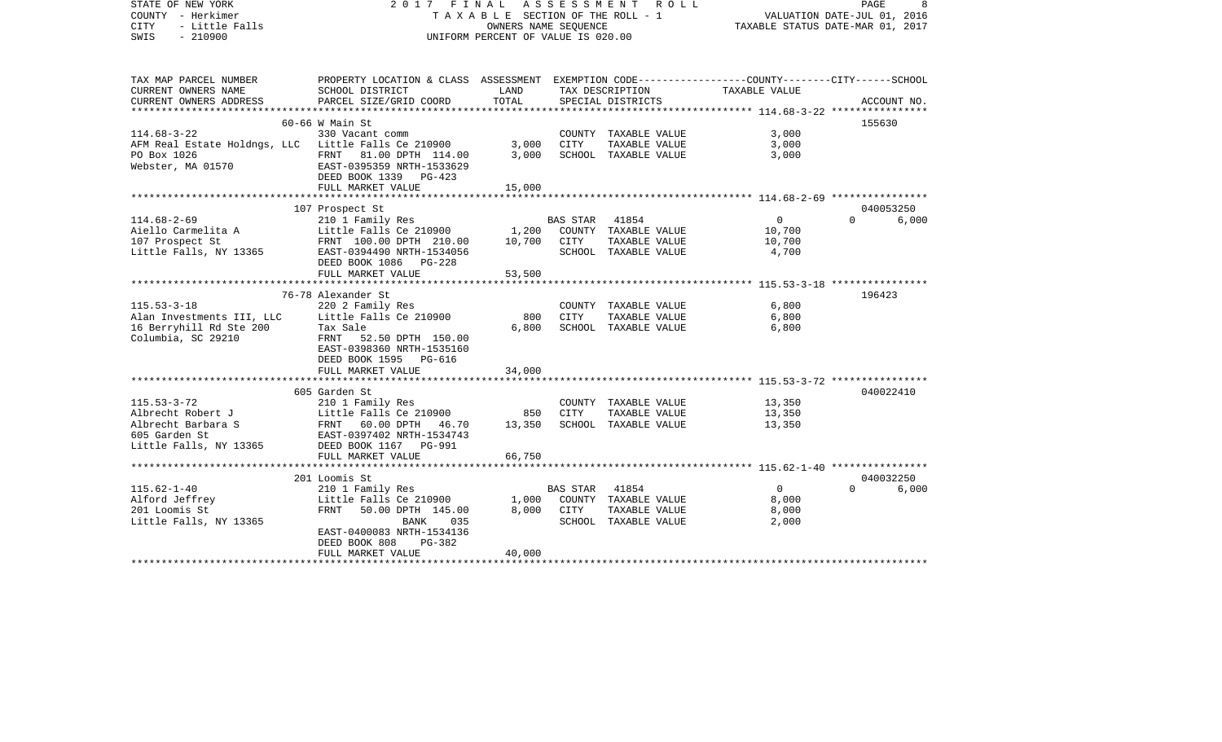| STATE OF NEW YORK<br>COUNTY - Herkimer<br>- Little Falls<br><b>CITY</b><br>SWIS<br>$-210900$                 | 2017 FINAL                                                                                                                                                                 | A S S E S S M E N T<br>TAXABLE SECTION OF THE ROLL - 1<br>OWNERS NAME SEQUENCE<br>UNIFORM PERCENT OF VALUE IS 020.00 |                  | PAGE<br>8<br>VALUATION DATE-JUL 01, 2016<br>TAXABLE STATUS DATE-MAR 01, 2017 |                                             |                   |
|--------------------------------------------------------------------------------------------------------------|----------------------------------------------------------------------------------------------------------------------------------------------------------------------------|----------------------------------------------------------------------------------------------------------------------|------------------|------------------------------------------------------------------------------|---------------------------------------------|-------------------|
| TAX MAP PARCEL NUMBER<br>CURRENT OWNERS NAME                                                                 | PROPERTY LOCATION & CLASS ASSESSMENT EXEMPTION CODE---------------COUNTY-------CITY------SCHOOL<br>SCHOOL DISTRICT                                                         | LAND                                                                                                                 |                  | TAX DESCRIPTION                                                              | TAXABLE VALUE                               |                   |
| CURRENT OWNERS ADDRESS                                                                                       | PARCEL SIZE/GRID COORD                                                                                                                                                     | TOTAL                                                                                                                |                  | SPECIAL DISTRICTS                                                            |                                             | ACCOUNT NO.       |
|                                                                                                              | $60-66$ W Main St                                                                                                                                                          |                                                                                                                      |                  |                                                                              |                                             | 155630            |
| $114.68 - 3 - 22$<br>AFM Real Estate Holdngs, LLC Little Falls Ce 210900<br>PO Box 1026<br>Webster, MA 01570 | 330 Vacant comm<br>FRNT 81.00 DPTH 114.00<br>EAST-0395359 NRTH-1533629<br>DEED BOOK 1339 PG-423                                                                            | 3,000<br>3,000                                                                                                       | CITY             | COUNTY TAXABLE VALUE<br>TAXABLE VALUE<br>SCHOOL TAXABLE VALUE                | 3,000<br>3,000<br>3,000                     |                   |
|                                                                                                              | FULL MARKET VALUE                                                                                                                                                          | 15,000                                                                                                               |                  |                                                                              |                                             |                   |
|                                                                                                              | 107 Prospect St                                                                                                                                                            |                                                                                                                      |                  |                                                                              |                                             | 040053250         |
| $114.68 - 2 - 69$<br>Aiello Carmelita A<br>107 Prospect St<br>Little Falls, NY 13365                         | 210 1 Family Res<br>Little Falls Ce 210900<br>FRNT 100.00 DPTH 210.00<br>EAST-0394490 NRTH-1534056<br>DEED BOOK 1086<br>$PG-228$                                           | 1,200<br>10,700                                                                                                      | BAS STAR<br>CITY | 41854<br>COUNTY TAXABLE VALUE<br>TAXABLE VALUE<br>SCHOOL TAXABLE VALUE       | $\overline{0}$<br>10,700<br>10,700<br>4,700 | $\Omega$<br>6,000 |
|                                                                                                              | FULL MARKET VALUE                                                                                                                                                          | 53,500                                                                                                               |                  |                                                                              |                                             |                   |
|                                                                                                              | 76-78 Alexander St                                                                                                                                                         |                                                                                                                      |                  |                                                                              |                                             | 196423            |
| $115.53 - 3 - 18$<br>Alan Investments III, LLC<br>16 Berryhill Rd Ste 200<br>Columbia, SC 29210              | 220 2 Family Res<br>Little Falls Ce 210900<br>Tax Sale<br>FRNT 52.50 DPTH 150.00<br>EAST-0398360 NRTH-1535160<br>DEED BOOK 1595 PG-616                                     | 800<br>6,800                                                                                                         | CITY             | COUNTY TAXABLE VALUE<br>TAXABLE VALUE<br>SCHOOL TAXABLE VALUE                | 6,800<br>6,800<br>6,800                     |                   |
|                                                                                                              | FULL MARKET VALUE                                                                                                                                                          | 34,000                                                                                                               |                  |                                                                              |                                             |                   |
| $115.53 - 3 - 72$<br>Albrecht Robert J<br>Albrecht Barbara S<br>605 Garden St<br>Little Falls, NY 13365      | 605 Garden St<br>210 1 Family Res<br>Little Falls Ce 210900<br>FRNT 60.00 DPTH 46.70<br>EAST-0397402 NRTH-1534743<br>DEED BOOK 1167 PG-991<br>FULL MARKET VALUE            | 850<br>13,350<br>66,750                                                                                              | CITY             | COUNTY TAXABLE VALUE<br>TAXABLE VALUE<br>SCHOOL TAXABLE VALUE                | 13,350<br>13,350<br>13,350                  | 040022410         |
|                                                                                                              | 201 Loomis St                                                                                                                                                              |                                                                                                                      |                  |                                                                              |                                             | 040032250         |
| $115.62 - 1 - 40$<br>Alford Jeffrey<br>201 Loomis St<br>Little Falls, NY 13365                               | 210 1 Family Res<br>Little Falls Ce 210900<br><b>FRNT</b><br>50.00 DPTH 145.00<br>BANK<br>035<br>EAST-0400083 NRTH-1534136<br>DEED BOOK 808<br>PG-382<br>FULL MARKET VALUE | 1,000<br>8,000<br>40,000                                                                                             | BAS STAR<br>CITY | 41854<br>COUNTY TAXABLE VALUE<br>TAXABLE VALUE<br>SCHOOL TAXABLE VALUE       | $\overline{0}$<br>8,000<br>8,000<br>2,000   | $\Omega$<br>6,000 |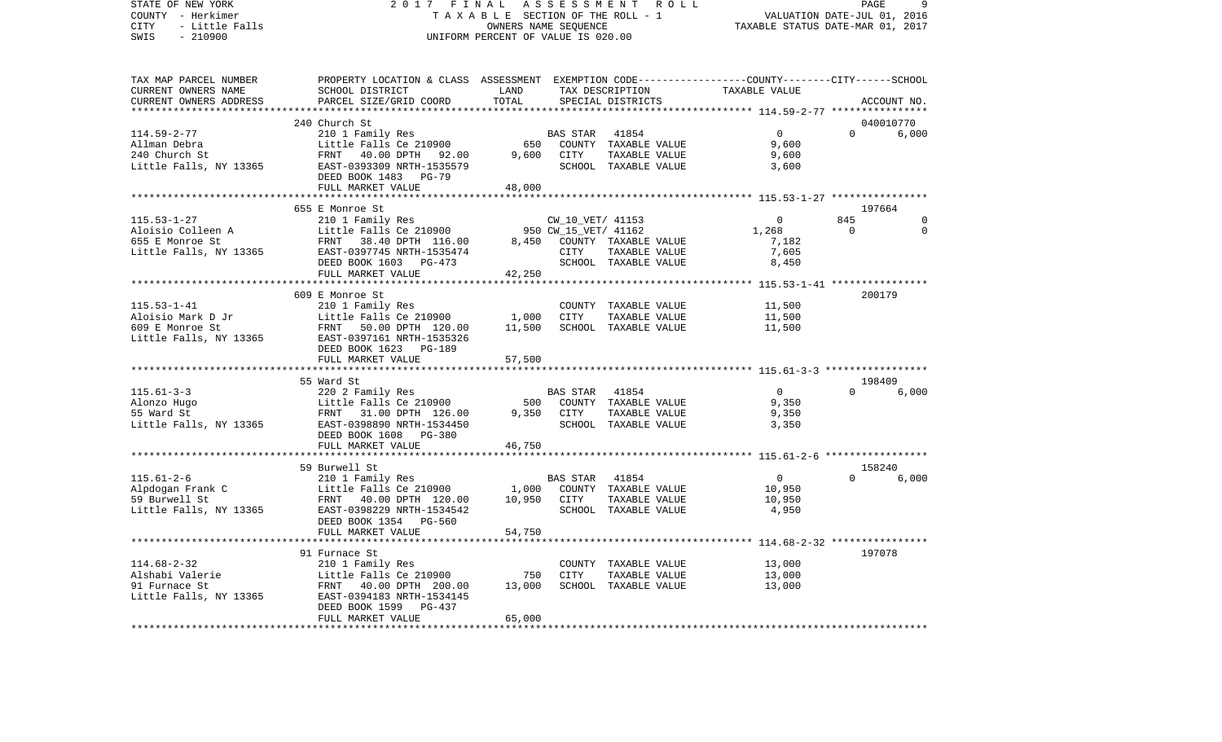STATE OF NEW YORK 2 0 1 7 F I N A L A S S E S S M E N T R O L L PAGE 9COUNTY - Herkimer **T A X A B L E** SECTION OF THE ROLL - 1 VALUATION DATE-JUL 01, 2016 CITY - Little Falls OWNERS NAME SEQUENCE TAXABLE STATUS DATE-MAR 01, 2017 SWIS - 210900 UNIFORM PERCENT OF VALUE IS 020.00TAX MAP PARCEL NUMBER PROPERTY LOCATION & CLASS ASSESSMENT EXEMPTION CODE------------------COUNTY--------CITY------SCHOOL CURRENT OWNERS NAME SCHOOL DISTRICT LAND TAX DESCRIPTION TAXABLE VALUECURRENT OWNERS ADDRESS PARCEL SIZE/GRID COORD TOTAL SPECIAL DISTRICTS ACCOUNT NO. \*\*\*\*\*\*\*\*\*\*\*\*\*\*\*\*\*\*\*\*\*\*\*\*\*\*\*\*\*\*\*\*\*\*\*\*\*\*\*\*\*\*\*\*\*\*\*\*\*\*\*\*\*\*\*\*\*\*\*\*\*\*\*\*\*\*\*\*\*\*\*\*\*\*\*\*\*\*\*\*\*\*\*\*\*\*\*\*\*\*\*\*\*\*\*\*\*\*\*\*\*\*\* 114.59-2-77 \*\*\*\*\*\*\*\*\*\*\*\*\*\*\*\* 240 Church St 040010770114.59-2-77 210 1 Family Res BAS STAR 41854 0 0 6,000 Allman Debra Little Falls Ce 210900 650 COUNTY TAXABLE VALUE 9,600 240 Church St FRNT 40.00 DPTH 92.00 9,600 CITY TAXABLE VALUE 9,600 Little Falls, NY 13365 600 EAST-0393309 NRTH-1535579 SCHOOL TAXABLE VALUE 3,600 DEED BOOK 1483 PG-79 FULL MARKET VALUE 48,000 \*\*\*\*\*\*\*\*\*\*\*\*\*\*\*\*\*\*\*\*\*\*\*\*\*\*\*\*\*\*\*\*\*\*\*\*\*\*\*\*\*\*\*\*\*\*\*\*\*\*\*\*\*\*\*\*\*\*\*\*\*\*\*\*\*\*\*\*\*\*\*\*\*\*\*\*\*\*\*\*\*\*\*\*\*\*\*\*\*\*\*\*\*\*\*\*\*\*\*\*\*\*\* 115.53-1-27 \*\*\*\*\*\*\*\*\*\*\*\*\*\*\*\* 655 E Monroe St 197664115.53-1-27 210 1 Family Res CW\_10\_VET/ 41153 0 845 0 Aloisio Colleen A Little Falls Ce 210900 950 CW 15 VET/ 41162 1,268 0 0 655 E Monroe St FRNT 38.40 DPTH 116.00 8,450 COUNTY TAXABLE VALUE 7,182 Little Falls, NY 13365 EAST-0397745 NRTH-1535474 CITY TAXABLE VALUE 7,605 DEED BOOK 1603 PG-473 SCHOOL TAXABLE VALUE 8,450 FULL MARKET VALUE 42,250 \*\*\*\*\*\*\*\*\*\*\*\*\*\*\*\*\*\*\*\*\*\*\*\*\*\*\*\*\*\*\*\*\*\*\*\*\*\*\*\*\*\*\*\*\*\*\*\*\*\*\*\*\*\*\*\*\*\*\*\*\*\*\*\*\*\*\*\*\*\*\*\*\*\*\*\*\*\*\*\*\*\*\*\*\*\*\*\*\*\*\*\*\*\*\*\*\*\*\*\*\*\*\* 115.53-1-41 \*\*\*\*\*\*\*\*\*\*\*\*\*\*\*\* 609 E Monroe St 200179115.53-1-41 210 1 Family Res COUNTY TAXABLE VALUE 11,500 Aloisio Mark D Jr Little Falls Ce 210900 1,000 CITY TAXABLE VALUE 11,500 609 E Monroe St FRNT 50.00 DPTH 120.00 11,500 SCHOOL TAXABLE VALUE 11,500 Little Falls, NY 13365 EAST-0397161 NRTH-1535326 DEED BOOK 1623 PG-189FULL MARKET VALUE 57,500 \*\*\*\*\*\*\*\*\*\*\*\*\*\*\*\*\*\*\*\*\*\*\*\*\*\*\*\*\*\*\*\*\*\*\*\*\*\*\*\*\*\*\*\*\*\*\*\*\*\*\*\*\*\*\*\*\*\*\*\*\*\*\*\*\*\*\*\*\*\*\*\*\*\*\*\*\*\*\*\*\*\*\*\*\*\*\*\*\*\*\*\*\*\*\*\*\*\*\*\*\*\*\* 115.61-3-3 \*\*\*\*\*\*\*\*\*\*\*\*\*\*\*\*\* 55 Ward St 198409115.61-3-3 220 2 Family Res BAS STAR 41854 0 0 6,000 Alonzo Hugo **Little Falls Ce 210900** 500 COUNTY TAXABLE VALUE 9,350 55 Ward St FRNT 31.00 DPTH 126.00 9,350 CITY TAXABLE VALUE 9,350 Little Falls, NY 13365 EAST-0398890 NRTH-1534450 SCHOOL TAXABLE VALUE 3,350 DEED BOOK 1608 PG-380FULL MARKET VALUE 46,750 \*\*\*\*\*\*\*\*\*\*\*\*\*\*\*\*\*\*\*\*\*\*\*\*\*\*\*\*\*\*\*\*\*\*\*\*\*\*\*\*\*\*\*\*\*\*\*\*\*\*\*\*\*\*\*\*\*\*\*\*\*\*\*\*\*\*\*\*\*\*\*\*\*\*\*\*\*\*\*\*\*\*\*\*\*\*\*\*\*\*\*\*\*\*\*\*\*\*\*\*\*\*\* 115.61-2-6 \*\*\*\*\*\*\*\*\*\*\*\*\*\*\*\*\* 59 Burwell St 158240115.61-2-6 210 1 Family Res BAS STAR 41854 0 0 6,000 Alpdogan Frank C 10,950 Little Falls Ce 210900 1,000 COUNTY TAXABLE VALUE 10,950 59 Burwell St FRNT 40.00 DPTH 120.00 10,950 CITY TAXABLE VALUE 10,950 Little Falls, NY 13365 EAST-0398229 NRTH-1534542 SCHOOL TAXABLE VALUE 4,950 DEED BOOK 1354 PG-560FULL MARKET VALUE 54,750 \*\*\*\*\*\*\*\*\*\*\*\*\*\*\*\*\*\*\*\*\*\*\*\*\*\*\*\*\*\*\*\*\*\*\*\*\*\*\*\*\*\*\*\*\*\*\*\*\*\*\*\*\*\*\*\*\*\*\*\*\*\*\*\*\*\*\*\*\*\*\*\*\*\*\*\*\*\*\*\*\*\*\*\*\*\*\*\*\*\*\*\*\*\*\*\*\*\*\*\*\*\*\* 114.68-2-32 \*\*\*\*\*\*\*\*\*\*\*\*\*\*\*\* 91 Furnace St 197078114.68-2-32 210 1 Family Res COUNTY TAXABLE VALUE 13,000 Little Falls Ce 210900 750 CITY TAXABLE VALUE 91 Furnace St 60 TRNT 40.00 DPTH 200.00 13,000 SCHOOL TAXABLE VALUE 13,000 Little Falls, NY 13365 EAST-0394183 NRTH-1534145 DEED BOOK 1599 PG-437 FULL MARKET VALUE 65,000 \*\*\*\*\*\*\*\*\*\*\*\*\*\*\*\*\*\*\*\*\*\*\*\*\*\*\*\*\*\*\*\*\*\*\*\*\*\*\*\*\*\*\*\*\*\*\*\*\*\*\*\*\*\*\*\*\*\*\*\*\*\*\*\*\*\*\*\*\*\*\*\*\*\*\*\*\*\*\*\*\*\*\*\*\*\*\*\*\*\*\*\*\*\*\*\*\*\*\*\*\*\*\*\*\*\*\*\*\*\*\*\*\*\*\*\*\*\*\*\*\*\*\*\*\*\*\*\*\*\*\*\*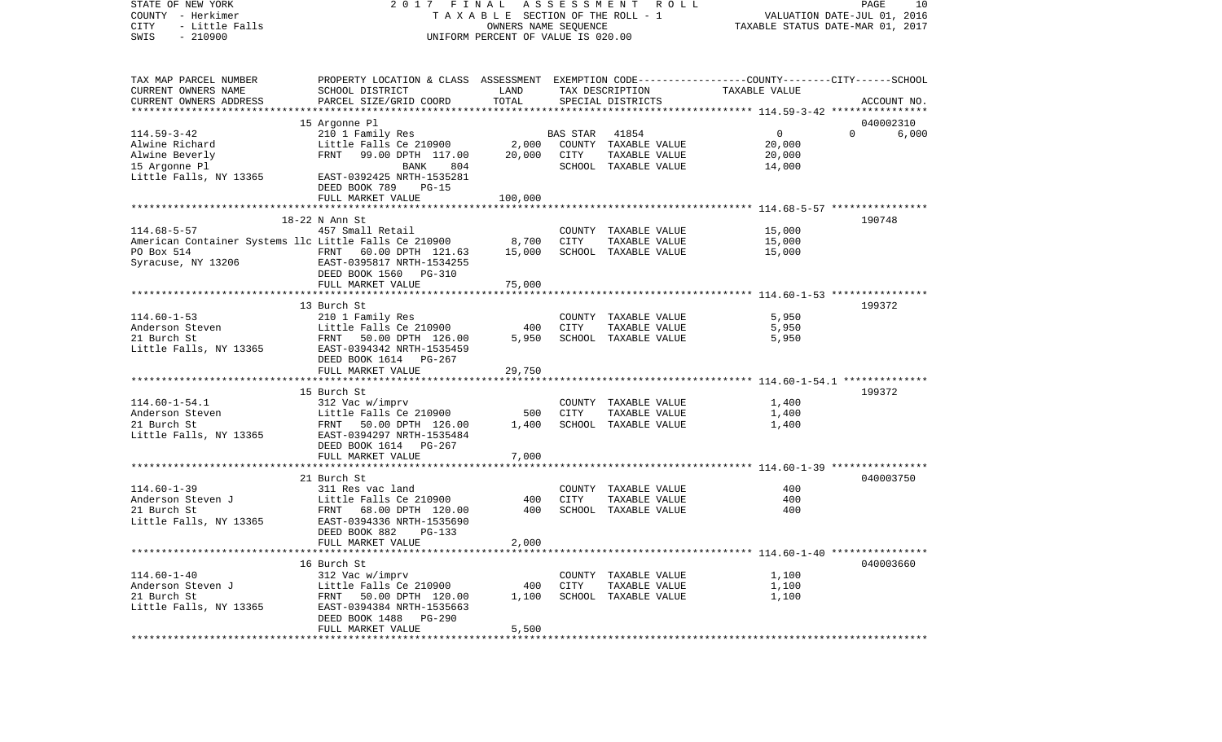STATE OF NEW YORK 2 0 1 7 F I N A L A S S E S S M E N T R O L L PAGE 10COUNTY - Herkimer T A X A B L E SECTION OF THE ROLL - 1 VALUATION DATE-JUL 01, 2016 CITY - Little Falls OWNERS NAME SEQUENCE TAXABLE STATUS DATE-MAR 01, 2017 SWIS - 210900 UNIFORM PERCENT OF VALUE IS 020.00TAX MAP PARCEL NUMBER PROPERTY LOCATION & CLASS ASSESSMENT EXEMPTION CODE------------------COUNTY--------CITY------SCHOOL CURRENT OWNERS NAME SCHOOL DISTRICT LAND TAX DESCRIPTION TAXABLE VALUECURRENT OWNERS ADDRESS PARCEL SIZE/GRID COORD TOTAL SPECIAL DISTRICTS ACCOUNT NO. \*\*\*\*\*\*\*\*\*\*\*\*\*\*\*\*\*\*\*\*\*\*\*\*\*\*\*\*\*\*\*\*\*\*\*\*\*\*\*\*\*\*\*\*\*\*\*\*\*\*\*\*\*\*\*\*\*\*\*\*\*\*\*\*\*\*\*\*\*\*\*\*\*\*\*\*\*\*\*\*\*\*\*\*\*\*\*\*\*\*\*\*\*\*\*\*\*\*\*\*\*\*\* 114.59-3-42 \*\*\*\*\*\*\*\*\*\*\*\*\*\*\*\* 15 Argonne Pl 040002310 114.59-3-42 210 1 Family Res BAS STAR 41854 0 0 6,000 Alwine Richard Little Falls Ce 210900 2,000 COUNTY TAXABLE VALUE 20,000 Alwine Beverly FRNT 99.00 DPTH 117.00 20,000 CITY TAXABLE VALUE 20,000 15 Argonne Pl BANK 804 SCHOOL TAXABLE VALUE 14,000 Little Falls, NY 13365 EAST-0392425 NRTH-1535281 DEED BOOK 789 PG-15FULL MARKET VALUE 100,000 \*\*\*\*\*\*\*\*\*\*\*\*\*\*\*\*\*\*\*\*\*\*\*\*\*\*\*\*\*\*\*\*\*\*\*\*\*\*\*\*\*\*\*\*\*\*\*\*\*\*\*\*\*\*\*\*\*\*\*\*\*\*\*\*\*\*\*\*\*\*\*\*\*\*\*\*\*\*\*\*\*\*\*\*\*\*\*\*\*\*\*\*\*\*\*\*\*\*\*\*\*\*\* 114.68-5-57 \*\*\*\*\*\*\*\*\*\*\*\*\*\*\*\* 18-22 N Ann St 190748114.68-5-57 457 Small Retail COUNTY TAXABLE VALUE 15,000 American Container Systems llc Little Falls Ce 210900 8,700 CITY TAXABLE VALUE 15,000 PO Box 514 FRNT 60.00 DPTH 121.63 15,000 SCHOOL TAXABLE VALUE 15,000 Syracuse, NY 13206 EAST-0395817 NRTH-1534255 DEED BOOK 1560 PG-310 FULL MARKET VALUE 75,000 \*\*\*\*\*\*\*\*\*\*\*\*\*\*\*\*\*\*\*\*\*\*\*\*\*\*\*\*\*\*\*\*\*\*\*\*\*\*\*\*\*\*\*\*\*\*\*\*\*\*\*\*\*\*\*\*\*\*\*\*\*\*\*\*\*\*\*\*\*\*\*\*\*\*\*\*\*\*\*\*\*\*\*\*\*\*\*\*\*\*\*\*\*\*\*\*\*\*\*\*\*\*\* 114.60-1-53 \*\*\*\*\*\*\*\*\*\*\*\*\*\*\*\*13 Burch St. 2007 199372 114.60-1-53 210 1 Family Res COUNTY TAXABLE VALUE 5,950 Anderson Steven Little Falls Ce 210900 400 CITY TAXABLE VALUE 5,950 21 Burch St FRNT 50.00 DPTH 126.00 5,950 SCHOOL TAXABLE VALUE 5,950 Little Falls, NY 13365 EAST-0394342 NRTH-1535459 DEED BOOK 1614 PG-267 FULL MARKET VALUE 29,750 \*\*\*\*\*\*\*\*\*\*\*\*\*\*\*\*\*\*\*\*\*\*\*\*\*\*\*\*\*\*\*\*\*\*\*\*\*\*\*\*\*\*\*\*\*\*\*\*\*\*\*\*\*\*\*\*\*\*\*\*\*\*\*\*\*\*\*\*\*\*\*\*\*\*\*\*\*\*\*\*\*\*\*\*\*\*\*\*\*\*\*\*\*\*\*\*\*\*\*\*\*\*\* 114.60-1-54.1 \*\*\*\*\*\*\*\*\*\*\*\*\*\* 15 Burch St 199372114.60-1-54.1 312 Vac w/imprv COUNTY TAXABLE VALUE 1,400 Anderson Steven Little Falls Ce 210900 TAXABLE VALUE 1,400 21 Burch St FRNT 50.00 DPTH 126.00 1,400 SCHOOL TAXABLE VALUE 1,400 Little Falls, NY 13365 EAST-0394297 NRTH-1535484 DEED BOOK 1614 PG-267FULL MARKET VALUE 7,000 \*\*\*\*\*\*\*\*\*\*\*\*\*\*\*\*\*\*\*\*\*\*\*\*\*\*\*\*\*\*\*\*\*\*\*\*\*\*\*\*\*\*\*\*\*\*\*\*\*\*\*\*\*\*\*\*\*\*\*\*\*\*\*\*\*\*\*\*\*\*\*\*\*\*\*\*\*\*\*\*\*\*\*\*\*\*\*\*\*\*\*\*\*\*\*\*\*\*\*\*\*\*\* 114.60-1-39 \*\*\*\*\*\*\*\*\*\*\*\*\*\*\*\*21 Burch St 040003750 114.60-1-39 311 Res vac land COUNTY TAXABLE VALUE 400Anderson Steven J Little Falls Ce 210900 400 CITY TAXABLE VALUE 400400 21 Burch St. FRNT 68.00 DPTH 120.00 400 SCHOOL TAXABLE VALUE Little Falls, NY 13365 EAST-0394336 NRTH-1535690 DEED BOOK 882 PG-133FULL MARKET VALUE 2,000 \*\*\*\*\*\*\*\*\*\*\*\*\*\*\*\*\*\*\*\*\*\*\*\*\*\*\*\*\*\*\*\*\*\*\*\*\*\*\*\*\*\*\*\*\*\*\*\*\*\*\*\*\*\*\*\*\*\*\*\*\*\*\*\*\*\*\*\*\*\*\*\*\*\*\*\*\*\*\*\*\*\*\*\*\*\*\*\*\*\*\*\*\*\*\*\*\*\*\*\*\*\*\* 114.60-1-40 \*\*\*\*\*\*\*\*\*\*\*\*\*\*\*\* 16 Burch St 040003660114.60-1-40 312 Vac w/imprv COUNTY TAXABLE VALUE 1,100 Anderson Steven J Little Falls Ce 210900 400 CITY TAXABLE VALUE 1,100 21 Burch St FRNT 50.00 DPTH 120.00 1,100 SCHOOL TAXABLE VALUE 1,100 Little Falls, NY 13365 EAST-0394384 NRTH-1535663 DEED BOOK 1488 PG-290FULL MARKET VALUE 5,500 \*\*\*\*\*\*\*\*\*\*\*\*\*\*\*\*\*\*\*\*\*\*\*\*\*\*\*\*\*\*\*\*\*\*\*\*\*\*\*\*\*\*\*\*\*\*\*\*\*\*\*\*\*\*\*\*\*\*\*\*\*\*\*\*\*\*\*\*\*\*\*\*\*\*\*\*\*\*\*\*\*\*\*\*\*\*\*\*\*\*\*\*\*\*\*\*\*\*\*\*\*\*\*\*\*\*\*\*\*\*\*\*\*\*\*\*\*\*\*\*\*\*\*\*\*\*\*\*\*\*\*\*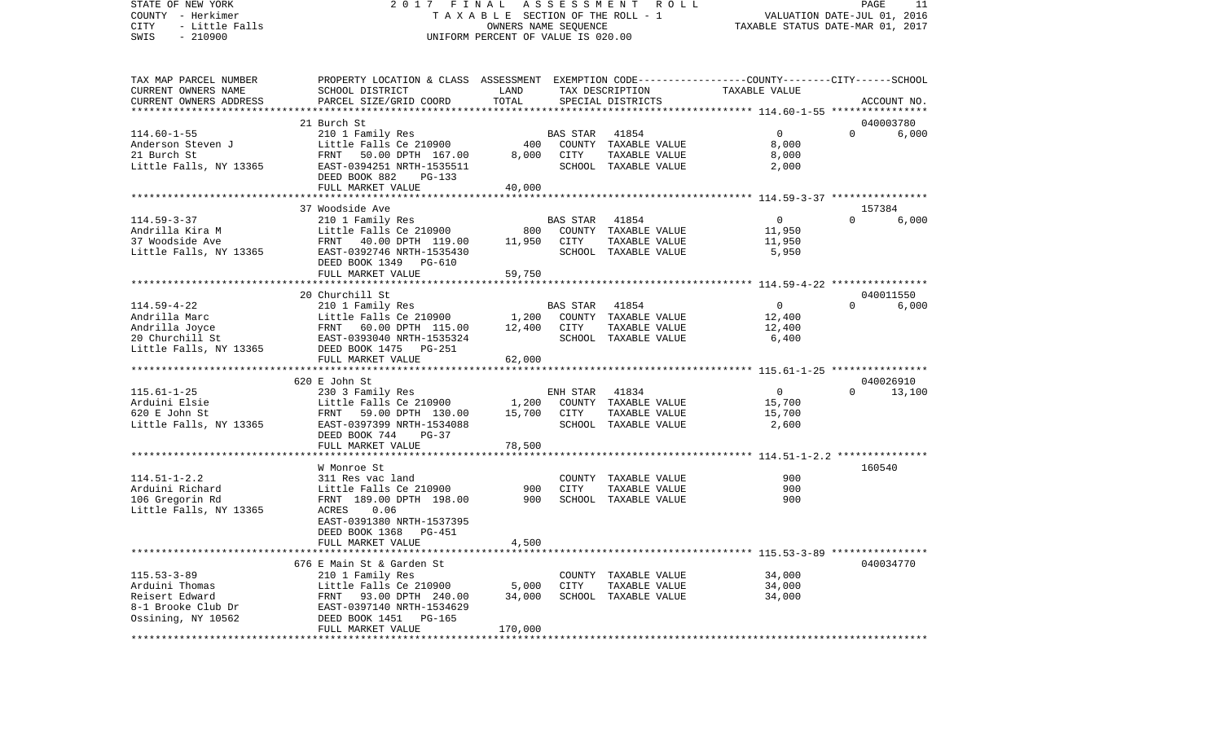STATE OF NEW YORK 2 0 1 7 F I N A L A S S E S S M E N T R O L L PAGE 11COUNTY - Herkimer T A X A B L E SECTION OF THE ROLL - 1 VALUATION DATE-JUL 01, 2016 CITY - Little Falls OWNERS NAME SEQUENCE TAXABLE STATUS DATE-MAR 01, 2017 SWIS - 210900 UNIFORM PERCENT OF VALUE IS 020.00TAX MAP PARCEL NUMBER PROPERTY LOCATION & CLASS ASSESSMENT EXEMPTION CODE------------------COUNTY--------CITY------SCHOOL CURRENT OWNERS NAME SCHOOL DISTRICT LAND TAX DESCRIPTION TAXABLE VALUECURRENT OWNERS ADDRESS PARCEL SIZE/GRID COORD TOTAL SPECIAL DISTRICTS ACCOUNT NO. \*\*\*\*\*\*\*\*\*\*\*\*\*\*\*\*\*\*\*\*\*\*\*\*\*\*\*\*\*\*\*\*\*\*\*\*\*\*\*\*\*\*\*\*\*\*\*\*\*\*\*\*\*\*\*\*\*\*\*\*\*\*\*\*\*\*\*\*\*\*\*\*\*\*\*\*\*\*\*\*\*\*\*\*\*\*\*\*\*\*\*\*\*\*\*\*\*\*\*\*\*\*\* 114.60-1-55 \*\*\*\*\*\*\*\*\*\*\*\*\*\*\*\* 21 Burch St 040003780114.60-1-55 210 1 Family Res BAS STAR 41854 0 0 6,000 Anderson Steven J Little Falls Ce 210900 400 COUNTY TAXABLE VALUE 8,000 21 Burch St FRNT 50.00 DPTH 167.00 8,000 CITY TAXABLE VALUE 8,000 Little Falls, NY 13365 EAST-0394251 NRTH-1535511 SCHOOL TAXABLE VALUE 2,000 DEED BOOK 882 PG-133FULL MARKET VALUE 40,000 \*\*\*\*\*\*\*\*\*\*\*\*\*\*\*\*\*\*\*\*\*\*\*\*\*\*\*\*\*\*\*\*\*\*\*\*\*\*\*\*\*\*\*\*\*\*\*\*\*\*\*\*\*\*\*\*\*\*\*\*\*\*\*\*\*\*\*\*\*\*\*\*\*\*\*\*\*\*\*\*\*\*\*\*\*\*\*\*\*\*\*\*\*\*\*\*\*\*\*\*\*\*\* 114.59-3-37 \*\*\*\*\*\*\*\*\*\*\*\*\*\*\*\* 37 Woodside Ave 157384114.59-3-37 210 1 Family Res BAS STAR 41854 0 0 6,000 Andrilla Kira M **Little Falls Ce 210900** 800 COUNTY TAXABLE VALUE 11,950 37 Woodside Ave FRNT 40.00 DPTH 119.00 11,950 CITY TAXABLE VALUE 11,950 Little Falls, NY 13365 EAST-0392746 NRTH-1535430 SCHOOL TAXABLE VALUE 5,950 DEED BOOK 1349 PG-610FULL MARKET VALUE 59,750 \*\*\*\*\*\*\*\*\*\*\*\*\*\*\*\*\*\*\*\*\*\*\*\*\*\*\*\*\*\*\*\*\*\*\*\*\*\*\*\*\*\*\*\*\*\*\*\*\*\*\*\*\*\*\*\*\*\*\*\*\*\*\*\*\*\*\*\*\*\*\*\*\*\*\*\*\*\*\*\*\*\*\*\*\*\*\*\*\*\*\*\*\*\*\*\*\*\*\*\*\*\*\* 114.59-4-22 \*\*\*\*\*\*\*\*\*\*\*\*\*\*\*\* 20 Churchill St 0400115506,000 114.59-4-22 210 1 Family Res BAS STAR 41854 0 0 6,000 Andrilla Marc Little Falls Ce 210900 1.200 COUNTY TAXABLE VALUE 12,400 Andrilla Joyce 6 60.00 DPTH 115.00 12,400 CITY TAXABLE VALUE 12,400 20 Churchill St EAST-0393040 NRTH-1535324 SCHOOL TAXABLE VALUE 6,400 Little Falls, NY 13365 DEED BOOK 1475 PG-251 FULL MARKET VALUE 62,000 \*\*\*\*\*\*\*\*\*\*\*\*\*\*\*\*\*\*\*\*\*\*\*\*\*\*\*\*\*\*\*\*\*\*\*\*\*\*\*\*\*\*\*\*\*\*\*\*\*\*\*\*\*\*\*\*\*\*\*\*\*\*\*\*\*\*\*\*\*\*\*\*\*\*\*\*\*\*\*\*\*\*\*\*\*\*\*\*\*\*\*\*\*\*\*\*\*\*\*\*\*\*\* 115.61-1-25 \*\*\*\*\*\*\*\*\*\*\*\*\*\*\*\* 620 E John St 040026910115.61-1-25 230 3 Family Res ENH STAR 41834 0 0 13,100 Arduini Elsie Little Falls Ce 210900 1,200 COUNTY TAXABLE VALUE 15,700 620 E John St FRNT 59.00 DPTH 130.00 15,700 CITY TAXABLE VALUE 15,700 Little Falls, NY 13365 EAST-0397399 NRTH-1534088 SCHOOL TAXABLE VALUE 2,600 DEED BOOK 744 PG-37FULL MARKET VALUE 78,500 \*\*\*\*\*\*\*\*\*\*\*\*\*\*\*\*\*\*\*\*\*\*\*\*\*\*\*\*\*\*\*\*\*\*\*\*\*\*\*\*\*\*\*\*\*\*\*\*\*\*\*\*\*\*\*\*\*\*\*\*\*\*\*\*\*\*\*\*\*\*\*\*\*\*\*\*\*\*\*\*\*\*\*\*\*\*\*\*\*\*\*\*\*\*\*\*\*\*\*\*\*\*\* 114.51-1-2.2 \*\*\*\*\*\*\*\*\*\*\*\*\*\*\*W Monroe St 160540 114.51-1-2.2 311 Res vac land COUNTY TAXABLE VALUE 900900 Arduini Richard Little Falls Ce 210900 900 CITY TAXABLE VALUE 900 106 Gregorin Rd FRNT 189.00 DPTH 198.00 900 SCHOOL TAXABLE VALUE 900 Little Falls, NY 13365 EAST-0391380 NRTH-1537395 DEED BOOK 1368 PG-451 FULL MARKET VALUE 4,500 \*\*\*\*\*\*\*\*\*\*\*\*\*\*\*\*\*\*\*\*\*\*\*\*\*\*\*\*\*\*\*\*\*\*\*\*\*\*\*\*\*\*\*\*\*\*\*\*\*\*\*\*\*\*\*\*\*\*\*\*\*\*\*\*\*\*\*\*\*\*\*\*\*\*\*\*\*\*\*\*\*\*\*\*\*\*\*\*\*\*\*\*\*\*\*\*\*\*\*\*\*\*\* 115.53-3-89 \*\*\*\*\*\*\*\*\*\*\*\*\*\*\*\* 676 E Main St & Garden St 040034770115.53-3-89 210 1 Family Res COUNTY TAXABLE VALUE 34,000 Arduini Thomas Little Falls Ce 210900 5,000 CITY TAXABLE VALUE 34,000 Reisert Edward FRNT 93.00 DPTH 240.00 34.000 SCHOOL TAXABLE VALUE 34.000 8-1 Brooke Club Dr EAST-0397140 NRTH-1534629 Ossining, NY 10562 DEED BOOK 1451 PG-165 FULL MARKET VALUE 170,000 \*\*\*\*\*\*\*\*\*\*\*\*\*\*\*\*\*\*\*\*\*\*\*\*\*\*\*\*\*\*\*\*\*\*\*\*\*\*\*\*\*\*\*\*\*\*\*\*\*\*\*\*\*\*\*\*\*\*\*\*\*\*\*\*\*\*\*\*\*\*\*\*\*\*\*\*\*\*\*\*\*\*\*\*\*\*\*\*\*\*\*\*\*\*\*\*\*\*\*\*\*\*\*\*\*\*\*\*\*\*\*\*\*\*\*\*\*\*\*\*\*\*\*\*\*\*\*\*\*\*\*\*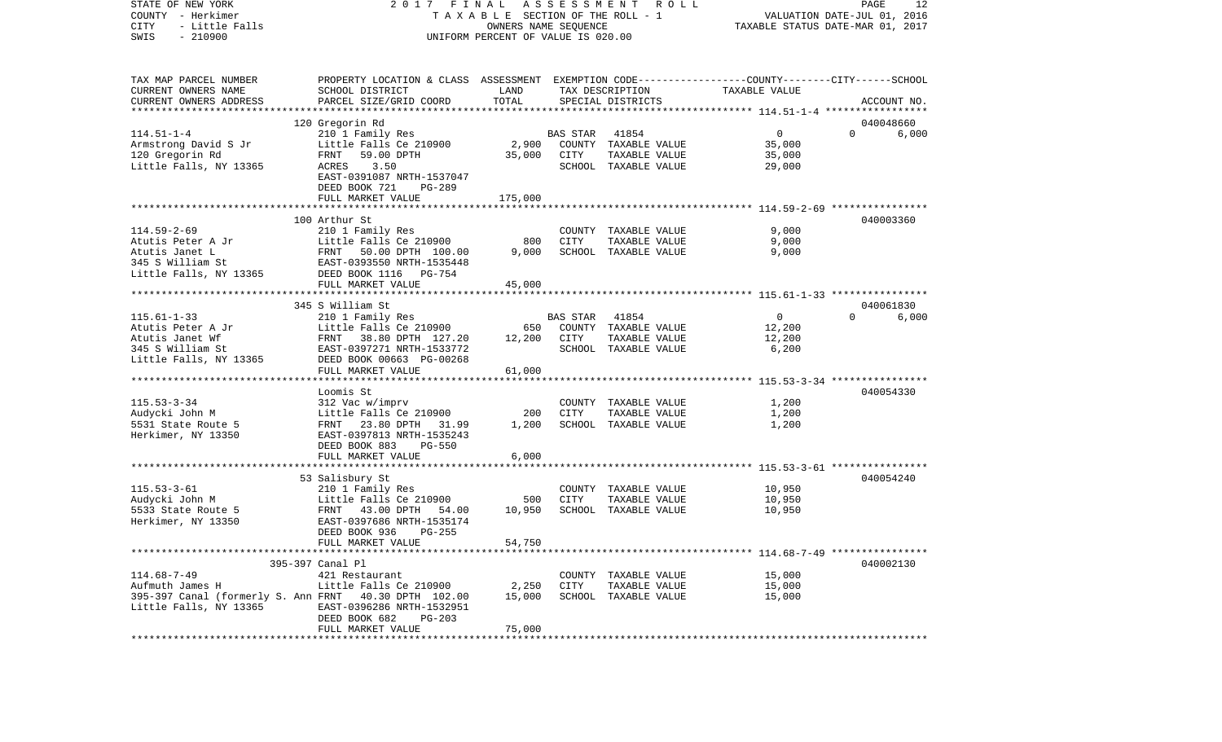| STATE OF NEW YORK<br>COUNTY - Herkimer<br>- Little Falls<br>CITY | 2017 FINAL ASSESSMENT<br>T A X A B L E SECTION OF THE ROLL - 1                                  |                                    | PAGE<br>12<br>VALUATION DATE-JUL 01, 2016<br>TAXABLE STATUS DATE-MAR 01, 2017 |                                       |                |          |             |
|------------------------------------------------------------------|-------------------------------------------------------------------------------------------------|------------------------------------|-------------------------------------------------------------------------------|---------------------------------------|----------------|----------|-------------|
| $-210900$<br>SWIS                                                |                                                                                                 | UNIFORM PERCENT OF VALUE IS 020.00 |                                                                               |                                       |                |          |             |
| TAX MAP PARCEL NUMBER                                            | PROPERTY LOCATION & CLASS ASSESSMENT EXEMPTION CODE---------------COUNTY-------CITY------SCHOOL |                                    |                                                                               |                                       |                |          |             |
| CURRENT OWNERS NAME                                              | SCHOOL DISTRICT                                                                                 | LAND                               |                                                                               | TAX DESCRIPTION                       | TAXABLE VALUE  |          |             |
| CURRENT OWNERS ADDRESS                                           | PARCEL SIZE/GRID COORD                                                                          | TOTAL                              |                                                                               | SPECIAL DISTRICTS                     |                |          | ACCOUNT NO. |
| ************************                                         |                                                                                                 |                                    |                                                                               |                                       |                |          |             |
|                                                                  | 120 Gregorin Rd                                                                                 |                                    |                                                                               |                                       |                |          | 040048660   |
| $114.51 - 1 - 4$                                                 | 210 1 Family Res                                                                                |                                    | BAS STAR                                                                      | 41854                                 | $\mathbf{0}$   | $\Omega$ | 6,000       |
| Armstrong David S Jr                                             | Little Falls Ce 210900                                                                          | 2,900                              |                                                                               | COUNTY TAXABLE VALUE                  | 35,000         |          |             |
| 120 Gregorin Rd                                                  | FRNT<br>59.00 DPTH                                                                              | 35,000                             | CITY                                                                          | TAXABLE VALUE                         | 35,000         |          |             |
| Little Falls, NY 13365                                           | 3.50<br>ACRES                                                                                   |                                    |                                                                               | SCHOOL TAXABLE VALUE                  | 29,000         |          |             |
|                                                                  | EAST-0391087 NRTH-1537047                                                                       |                                    |                                                                               |                                       |                |          |             |
|                                                                  | DEED BOOK 721<br>PG-289                                                                         |                                    |                                                                               |                                       |                |          |             |
|                                                                  | FULL MARKET VALUE                                                                               | 175,000                            |                                                                               |                                       |                |          |             |
|                                                                  | 100 Arthur St                                                                                   |                                    |                                                                               |                                       |                |          | 040003360   |
| $114.59 - 2 - 69$                                                | 210 1 Family Res                                                                                |                                    |                                                                               |                                       | 9,000          |          |             |
| Atutis Peter A Jr                                                | Little Falls Ce 210900                                                                          | 800                                | CITY                                                                          | COUNTY TAXABLE VALUE<br>TAXABLE VALUE | 9,000          |          |             |
| Atutis Janet L                                                   | FRNT 50.00 DPTH 100.00                                                                          | 9,000                              |                                                                               | SCHOOL TAXABLE VALUE                  | 9,000          |          |             |
| 345 S William St                                                 | EAST-0393550 NRTH-1535448                                                                       |                                    |                                                                               |                                       |                |          |             |
| Little Falls, NY 13365                                           | DEED BOOK 1116 PG-754                                                                           |                                    |                                                                               |                                       |                |          |             |
|                                                                  | FULL MARKET VALUE                                                                               | 45,000                             |                                                                               |                                       |                |          |             |
|                                                                  |                                                                                                 |                                    |                                                                               |                                       |                |          |             |
|                                                                  | 345 S William St                                                                                |                                    |                                                                               |                                       |                |          | 040061830   |
| $115.61 - 1 - 33$                                                | 210 1 Family Res                                                                                |                                    | <b>BAS STAR</b>                                                               | 41854                                 | $\overline{0}$ | $\Omega$ | 6,000       |
| Atutis Peter A Jr                                                | Little Falls Ce 210900                                                                          | 650                                |                                                                               | COUNTY TAXABLE VALUE                  | 12,200         |          |             |
| Atutis Janet Wf                                                  | FRNT 38.80 DPTH 127.20                                                                          | 12,200                             | CITY                                                                          | TAXABLE VALUE                         | 12,200         |          |             |
| 345 S William St                                                 | EAST-0397271 NRTH-1533772                                                                       |                                    |                                                                               | SCHOOL TAXABLE VALUE                  | 6,200          |          |             |
| Little Falls, NY 13365                                           | DEED BOOK 00663 PG-00268                                                                        |                                    |                                                                               |                                       |                |          |             |
|                                                                  | FULL MARKET VALUE                                                                               | 61,000                             |                                                                               |                                       |                |          |             |
|                                                                  |                                                                                                 |                                    |                                                                               |                                       |                |          |             |
|                                                                  | Loomis St                                                                                       |                                    |                                                                               |                                       |                |          | 040054330   |
| $115.53 - 3 - 34$                                                | 312 Vac w/imprv                                                                                 |                                    |                                                                               | COUNTY TAXABLE VALUE                  | 1,200          |          |             |
| Audycki John M                                                   | Little Falls Ce 210900                                                                          | 200                                | CITY                                                                          | TAXABLE VALUE                         | 1,200          |          |             |
| 5531 State Route 5                                               | FRNT 23.80 DPTH 31.99                                                                           | 1,200                              |                                                                               | SCHOOL TAXABLE VALUE                  | 1,200          |          |             |
| Herkimer, NY 13350                                               | EAST-0397813 NRTH-1535243                                                                       |                                    |                                                                               |                                       |                |          |             |
|                                                                  | DEED BOOK 883<br>PG-550                                                                         |                                    |                                                                               |                                       |                |          |             |
|                                                                  | FULL MARKET VALUE                                                                               | 6,000                              |                                                                               |                                       |                |          |             |
|                                                                  |                                                                                                 |                                    |                                                                               |                                       |                |          | 040054240   |
| $115.53 - 3 - 61$                                                | 53 Salisbury St<br>210 1 Family Res                                                             |                                    |                                                                               | COUNTY TAXABLE VALUE                  | 10,950         |          |             |
| Audycki John M                                                   | Little Falls Ce 210900                                                                          | 500                                | CITY                                                                          | TAXABLE VALUE                         | 10,950         |          |             |
| 5533 State Route 5                                               | FRNT 43.00 DPTH<br>54.00                                                                        | 10,950                             |                                                                               | SCHOOL TAXABLE VALUE                  | 10,950         |          |             |
| Herkimer, NY 13350                                               | EAST-0397686 NRTH-1535174                                                                       |                                    |                                                                               |                                       |                |          |             |
|                                                                  | DEED BOOK 936<br>$PG-255$                                                                       |                                    |                                                                               |                                       |                |          |             |
|                                                                  | FULL MARKET VALUE                                                                               | 54,750                             |                                                                               |                                       |                |          |             |
|                                                                  |                                                                                                 |                                    |                                                                               |                                       |                |          |             |
|                                                                  | 395-397 Canal Pl                                                                                |                                    |                                                                               |                                       |                |          | 040002130   |
| $114.68 - 7 - 49$                                                | 421 Restaurant                                                                                  |                                    |                                                                               | COUNTY TAXABLE VALUE                  | 15,000         |          |             |
| Aufmuth James H                                                  | Little Falls Ce 210900                                                                          | 2,250                              | CITY                                                                          | TAXABLE VALUE                         | 15,000         |          |             |
| 395-397 Canal (formerly S. Ann FRNT 40.30 DPTH 102.00            |                                                                                                 | 15,000                             |                                                                               | SCHOOL TAXABLE VALUE                  | 15,000         |          |             |
| Little Falls, NY 13365                                           | EAST-0396286 NRTH-1532951                                                                       |                                    |                                                                               |                                       |                |          |             |
|                                                                  | DEED BOOK 682<br>PG-203                                                                         |                                    |                                                                               |                                       |                |          |             |
|                                                                  | FULL MARKET VALUE                                                                               | 75,000                             |                                                                               |                                       |                |          |             |
|                                                                  |                                                                                                 |                                    |                                                                               |                                       |                |          |             |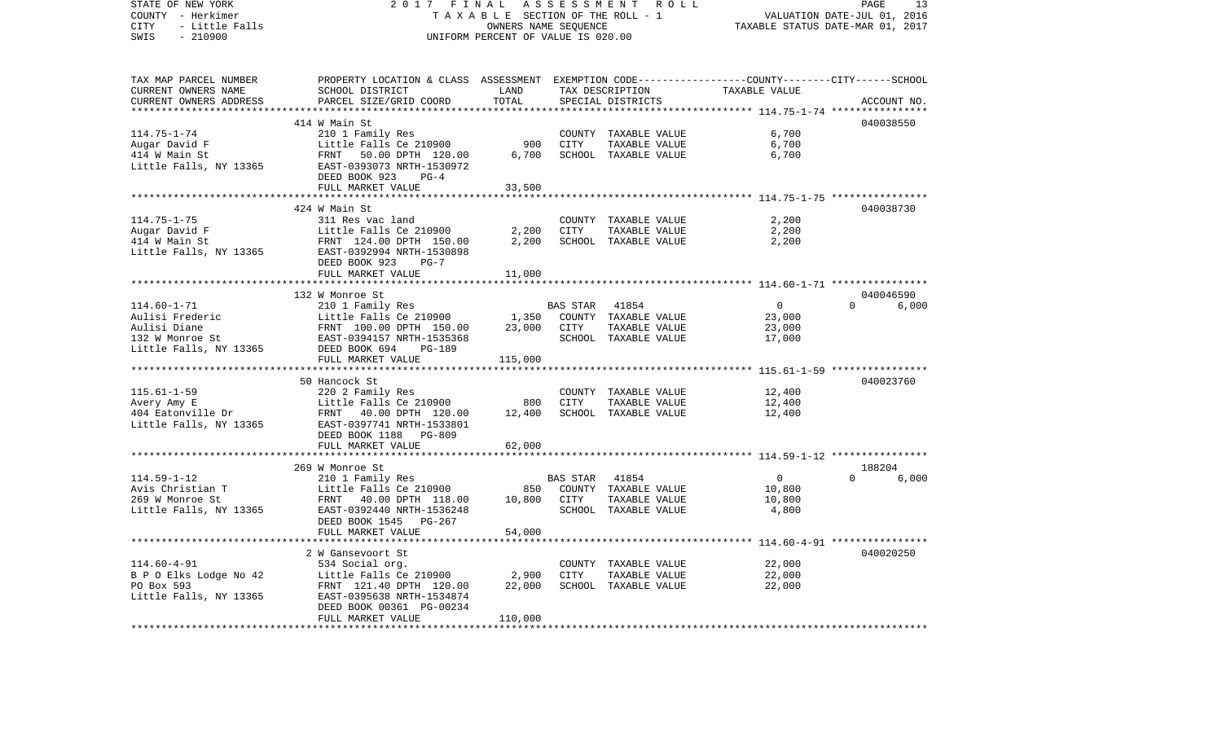| TAX MAP PARCEL NUMBER<br>PROPERTY LOCATION & CLASS ASSESSMENT EXEMPTION CODE---------------COUNTY-------CITY------SCHOOL<br>LAND<br>TAXABLE VALUE<br>CURRENT OWNERS NAME<br>SCHOOL DISTRICT<br>TAX DESCRIPTION<br>CURRENT OWNERS ADDRESS<br>PARCEL SIZE/GRID COORD<br>TOTAL<br>SPECIAL DISTRICTS<br>ACCOUNT NO.<br>*************<br>040038550<br>414 W Main St<br>6,700<br>114.75-1-74<br>210 1 Family Res<br>COUNTY TAXABLE VALUE<br>900<br>6,700<br>Augar David F<br>Little Falls Ce 210900<br>CITY<br>TAXABLE VALUE<br>6,700<br>SCHOOL TAXABLE VALUE<br>6,700<br>414 W Main St<br>FRNT 50.00 DPTH 120.00<br>Little Falls, NY 13365<br>EAST-0393073 NRTH-1530972<br>DEED BOOK 923<br>$PG-4$<br>33,500<br>FULL MARKET VALUE<br>***********<br>************************ 114.75-1-75 *****************<br>424 W Main St<br>040038730<br>$114.75 - 1 - 75$<br>2,200<br>311 Res vac land<br>COUNTY TAXABLE VALUE<br>2,200<br><b>CITY</b><br>2,200<br>Augar David F<br>Little Falls Ce 210900<br>TAXABLE VALUE<br>2,200<br>2,200<br>414 W Main St<br>FRNT 124.00 DPTH 150.00<br>SCHOOL TAXABLE VALUE<br>Little Falls, NY 13365<br>EAST-0392994 NRTH-1530898<br>DEED BOOK 923<br>$PG-7$<br>11,000<br>FULL MARKET VALUE<br>***************************<br>************************ 114.60-1-71 *****************<br>040046590<br>132 W Monroe St<br>$\overline{0}$<br>$114.60 - 1 - 71$<br>210 1 Family Res<br><b>BAS STAR</b><br>$\Omega$<br>6,000<br>41854<br>Little Falls Ce 210900<br>Aulisi Frederic<br>1,350<br>COUNTY TAXABLE VALUE<br>23,000<br>23,000<br>23,000<br>Aulisi Diane<br>FRNT 100.00 DPTH 150.00<br>CITY<br>TAXABLE VALUE<br>17,000<br>132 W Monroe St<br>EAST-0394157 NRTH-1535368<br>SCHOOL TAXABLE VALUE<br>Little Falls, NY 13365<br>DEED BOOK 694<br>PG-189<br>FULL MARKET VALUE<br>115,000<br>040023760<br>50 Hancock St<br>$115.61 - 1 - 59$<br>12,400<br>220 2 Family Res<br>COUNTY TAXABLE VALUE<br>800<br><b>CITY</b><br>12,400<br>Little Falls Ce 210900<br>TAXABLE VALUE<br>Avery Amy E<br>404 Eatonville Dr<br>12,400<br>SCHOOL TAXABLE VALUE<br>12,400<br>FRNT<br>40.00 DPTH 120.00<br>Little Falls, NY 13365<br>EAST-0397741 NRTH-1533801<br>DEED BOOK 1188 PG-809<br>FULL MARKET VALUE<br>62,000<br>188204<br>269 W Monroe St<br>$114.59 - 1 - 12$<br>41854<br>$\overline{0}$<br>$\Omega$<br>6,000<br>210 1 Family Res<br>BAS STAR<br>Avis Christian T<br>850<br>10,800<br>Little Falls Ce 210900<br>COUNTY TAXABLE VALUE<br>269 W Monroe St<br>10,800<br>CITY<br>TAXABLE VALUE<br>10,800<br>FRNT 40.00 DPTH 118.00<br>Little Falls, NY 13365<br>EAST-0392440 NRTH-1536248<br>SCHOOL TAXABLE VALUE<br>4,800<br>DEED BOOK 1545 PG-267<br>FULL MARKET VALUE<br>54,000<br>***********************<br>******************<br>2 W Gansevoort St<br>040020250<br>$114.60 - 4 - 91$<br>534 Social org.<br>COUNTY TAXABLE VALUE<br>22,000<br>22,000<br>B P O Elks Lodge No 42<br>Little Falls Ce 210900<br>2,900<br><b>CITY</b><br>TAXABLE VALUE<br>PO Box 593<br>22,000<br>22,000<br>FRNT 121.40 DPTH 120.00<br>SCHOOL TAXABLE VALUE<br>Little Falls, NY 13365<br>EAST-0395638 NRTH-1534874<br>DEED BOOK 00361 PG-00234<br>FULL MARKET VALUE<br>110,000 | STATE OF NEW YORK<br>COUNTY - Herkimer<br>- Little Falls<br>CITY<br>SWIS<br>$-210900$ | 2017 FINAL<br>TAXABLE SECTION OF THE ROLL - 1<br>UNIFORM PERCENT OF VALUE IS 020.00 | ROLL<br>PAGE<br>13<br>VALUATION DATE-JUL 01, 2016<br>TAXABLE STATUS DATE-MAR 01, 2017 |  |  |  |
|------------------------------------------------------------------------------------------------------------------------------------------------------------------------------------------------------------------------------------------------------------------------------------------------------------------------------------------------------------------------------------------------------------------------------------------------------------------------------------------------------------------------------------------------------------------------------------------------------------------------------------------------------------------------------------------------------------------------------------------------------------------------------------------------------------------------------------------------------------------------------------------------------------------------------------------------------------------------------------------------------------------------------------------------------------------------------------------------------------------------------------------------------------------------------------------------------------------------------------------------------------------------------------------------------------------------------------------------------------------------------------------------------------------------------------------------------------------------------------------------------------------------------------------------------------------------------------------------------------------------------------------------------------------------------------------------------------------------------------------------------------------------------------------------------------------------------------------------------------------------------------------------------------------------------------------------------------------------------------------------------------------------------------------------------------------------------------------------------------------------------------------------------------------------------------------------------------------------------------------------------------------------------------------------------------------------------------------------------------------------------------------------------------------------------------------------------------------------------------------------------------------------------------------------------------------------------------------------------------------------------------------------------------------------------------------------------------------------------------------------------------------------------------------------------------------------------------------------------------------------------------------------------------------------------------------------------------------------------------------------------------------------------------------------------------------------------------------------------------------------------------------------------------------------------|---------------------------------------------------------------------------------------|-------------------------------------------------------------------------------------|---------------------------------------------------------------------------------------|--|--|--|
|                                                                                                                                                                                                                                                                                                                                                                                                                                                                                                                                                                                                                                                                                                                                                                                                                                                                                                                                                                                                                                                                                                                                                                                                                                                                                                                                                                                                                                                                                                                                                                                                                                                                                                                                                                                                                                                                                                                                                                                                                                                                                                                                                                                                                                                                                                                                                                                                                                                                                                                                                                                                                                                                                                                                                                                                                                                                                                                                                                                                                                                                                                                                                                              |                                                                                       |                                                                                     |                                                                                       |  |  |  |
|                                                                                                                                                                                                                                                                                                                                                                                                                                                                                                                                                                                                                                                                                                                                                                                                                                                                                                                                                                                                                                                                                                                                                                                                                                                                                                                                                                                                                                                                                                                                                                                                                                                                                                                                                                                                                                                                                                                                                                                                                                                                                                                                                                                                                                                                                                                                                                                                                                                                                                                                                                                                                                                                                                                                                                                                                                                                                                                                                                                                                                                                                                                                                                              |                                                                                       |                                                                                     |                                                                                       |  |  |  |
|                                                                                                                                                                                                                                                                                                                                                                                                                                                                                                                                                                                                                                                                                                                                                                                                                                                                                                                                                                                                                                                                                                                                                                                                                                                                                                                                                                                                                                                                                                                                                                                                                                                                                                                                                                                                                                                                                                                                                                                                                                                                                                                                                                                                                                                                                                                                                                                                                                                                                                                                                                                                                                                                                                                                                                                                                                                                                                                                                                                                                                                                                                                                                                              |                                                                                       |                                                                                     |                                                                                       |  |  |  |
|                                                                                                                                                                                                                                                                                                                                                                                                                                                                                                                                                                                                                                                                                                                                                                                                                                                                                                                                                                                                                                                                                                                                                                                                                                                                                                                                                                                                                                                                                                                                                                                                                                                                                                                                                                                                                                                                                                                                                                                                                                                                                                                                                                                                                                                                                                                                                                                                                                                                                                                                                                                                                                                                                                                                                                                                                                                                                                                                                                                                                                                                                                                                                                              |                                                                                       |                                                                                     |                                                                                       |  |  |  |
|                                                                                                                                                                                                                                                                                                                                                                                                                                                                                                                                                                                                                                                                                                                                                                                                                                                                                                                                                                                                                                                                                                                                                                                                                                                                                                                                                                                                                                                                                                                                                                                                                                                                                                                                                                                                                                                                                                                                                                                                                                                                                                                                                                                                                                                                                                                                                                                                                                                                                                                                                                                                                                                                                                                                                                                                                                                                                                                                                                                                                                                                                                                                                                              |                                                                                       |                                                                                     |                                                                                       |  |  |  |
|                                                                                                                                                                                                                                                                                                                                                                                                                                                                                                                                                                                                                                                                                                                                                                                                                                                                                                                                                                                                                                                                                                                                                                                                                                                                                                                                                                                                                                                                                                                                                                                                                                                                                                                                                                                                                                                                                                                                                                                                                                                                                                                                                                                                                                                                                                                                                                                                                                                                                                                                                                                                                                                                                                                                                                                                                                                                                                                                                                                                                                                                                                                                                                              |                                                                                       |                                                                                     |                                                                                       |  |  |  |
|                                                                                                                                                                                                                                                                                                                                                                                                                                                                                                                                                                                                                                                                                                                                                                                                                                                                                                                                                                                                                                                                                                                                                                                                                                                                                                                                                                                                                                                                                                                                                                                                                                                                                                                                                                                                                                                                                                                                                                                                                                                                                                                                                                                                                                                                                                                                                                                                                                                                                                                                                                                                                                                                                                                                                                                                                                                                                                                                                                                                                                                                                                                                                                              |                                                                                       |                                                                                     |                                                                                       |  |  |  |
|                                                                                                                                                                                                                                                                                                                                                                                                                                                                                                                                                                                                                                                                                                                                                                                                                                                                                                                                                                                                                                                                                                                                                                                                                                                                                                                                                                                                                                                                                                                                                                                                                                                                                                                                                                                                                                                                                                                                                                                                                                                                                                                                                                                                                                                                                                                                                                                                                                                                                                                                                                                                                                                                                                                                                                                                                                                                                                                                                                                                                                                                                                                                                                              |                                                                                       |                                                                                     |                                                                                       |  |  |  |
|                                                                                                                                                                                                                                                                                                                                                                                                                                                                                                                                                                                                                                                                                                                                                                                                                                                                                                                                                                                                                                                                                                                                                                                                                                                                                                                                                                                                                                                                                                                                                                                                                                                                                                                                                                                                                                                                                                                                                                                                                                                                                                                                                                                                                                                                                                                                                                                                                                                                                                                                                                                                                                                                                                                                                                                                                                                                                                                                                                                                                                                                                                                                                                              |                                                                                       |                                                                                     |                                                                                       |  |  |  |
|                                                                                                                                                                                                                                                                                                                                                                                                                                                                                                                                                                                                                                                                                                                                                                                                                                                                                                                                                                                                                                                                                                                                                                                                                                                                                                                                                                                                                                                                                                                                                                                                                                                                                                                                                                                                                                                                                                                                                                                                                                                                                                                                                                                                                                                                                                                                                                                                                                                                                                                                                                                                                                                                                                                                                                                                                                                                                                                                                                                                                                                                                                                                                                              |                                                                                       |                                                                                     |                                                                                       |  |  |  |
|                                                                                                                                                                                                                                                                                                                                                                                                                                                                                                                                                                                                                                                                                                                                                                                                                                                                                                                                                                                                                                                                                                                                                                                                                                                                                                                                                                                                                                                                                                                                                                                                                                                                                                                                                                                                                                                                                                                                                                                                                                                                                                                                                                                                                                                                                                                                                                                                                                                                                                                                                                                                                                                                                                                                                                                                                                                                                                                                                                                                                                                                                                                                                                              |                                                                                       |                                                                                     |                                                                                       |  |  |  |
|                                                                                                                                                                                                                                                                                                                                                                                                                                                                                                                                                                                                                                                                                                                                                                                                                                                                                                                                                                                                                                                                                                                                                                                                                                                                                                                                                                                                                                                                                                                                                                                                                                                                                                                                                                                                                                                                                                                                                                                                                                                                                                                                                                                                                                                                                                                                                                                                                                                                                                                                                                                                                                                                                                                                                                                                                                                                                                                                                                                                                                                                                                                                                                              |                                                                                       |                                                                                     |                                                                                       |  |  |  |
|                                                                                                                                                                                                                                                                                                                                                                                                                                                                                                                                                                                                                                                                                                                                                                                                                                                                                                                                                                                                                                                                                                                                                                                                                                                                                                                                                                                                                                                                                                                                                                                                                                                                                                                                                                                                                                                                                                                                                                                                                                                                                                                                                                                                                                                                                                                                                                                                                                                                                                                                                                                                                                                                                                                                                                                                                                                                                                                                                                                                                                                                                                                                                                              |                                                                                       |                                                                                     |                                                                                       |  |  |  |
|                                                                                                                                                                                                                                                                                                                                                                                                                                                                                                                                                                                                                                                                                                                                                                                                                                                                                                                                                                                                                                                                                                                                                                                                                                                                                                                                                                                                                                                                                                                                                                                                                                                                                                                                                                                                                                                                                                                                                                                                                                                                                                                                                                                                                                                                                                                                                                                                                                                                                                                                                                                                                                                                                                                                                                                                                                                                                                                                                                                                                                                                                                                                                                              |                                                                                       |                                                                                     |                                                                                       |  |  |  |
|                                                                                                                                                                                                                                                                                                                                                                                                                                                                                                                                                                                                                                                                                                                                                                                                                                                                                                                                                                                                                                                                                                                                                                                                                                                                                                                                                                                                                                                                                                                                                                                                                                                                                                                                                                                                                                                                                                                                                                                                                                                                                                                                                                                                                                                                                                                                                                                                                                                                                                                                                                                                                                                                                                                                                                                                                                                                                                                                                                                                                                                                                                                                                                              |                                                                                       |                                                                                     |                                                                                       |  |  |  |
|                                                                                                                                                                                                                                                                                                                                                                                                                                                                                                                                                                                                                                                                                                                                                                                                                                                                                                                                                                                                                                                                                                                                                                                                                                                                                                                                                                                                                                                                                                                                                                                                                                                                                                                                                                                                                                                                                                                                                                                                                                                                                                                                                                                                                                                                                                                                                                                                                                                                                                                                                                                                                                                                                                                                                                                                                                                                                                                                                                                                                                                                                                                                                                              |                                                                                       |                                                                                     |                                                                                       |  |  |  |
|                                                                                                                                                                                                                                                                                                                                                                                                                                                                                                                                                                                                                                                                                                                                                                                                                                                                                                                                                                                                                                                                                                                                                                                                                                                                                                                                                                                                                                                                                                                                                                                                                                                                                                                                                                                                                                                                                                                                                                                                                                                                                                                                                                                                                                                                                                                                                                                                                                                                                                                                                                                                                                                                                                                                                                                                                                                                                                                                                                                                                                                                                                                                                                              |                                                                                       |                                                                                     |                                                                                       |  |  |  |
|                                                                                                                                                                                                                                                                                                                                                                                                                                                                                                                                                                                                                                                                                                                                                                                                                                                                                                                                                                                                                                                                                                                                                                                                                                                                                                                                                                                                                                                                                                                                                                                                                                                                                                                                                                                                                                                                                                                                                                                                                                                                                                                                                                                                                                                                                                                                                                                                                                                                                                                                                                                                                                                                                                                                                                                                                                                                                                                                                                                                                                                                                                                                                                              |                                                                                       |                                                                                     |                                                                                       |  |  |  |
|                                                                                                                                                                                                                                                                                                                                                                                                                                                                                                                                                                                                                                                                                                                                                                                                                                                                                                                                                                                                                                                                                                                                                                                                                                                                                                                                                                                                                                                                                                                                                                                                                                                                                                                                                                                                                                                                                                                                                                                                                                                                                                                                                                                                                                                                                                                                                                                                                                                                                                                                                                                                                                                                                                                                                                                                                                                                                                                                                                                                                                                                                                                                                                              |                                                                                       |                                                                                     |                                                                                       |  |  |  |
|                                                                                                                                                                                                                                                                                                                                                                                                                                                                                                                                                                                                                                                                                                                                                                                                                                                                                                                                                                                                                                                                                                                                                                                                                                                                                                                                                                                                                                                                                                                                                                                                                                                                                                                                                                                                                                                                                                                                                                                                                                                                                                                                                                                                                                                                                                                                                                                                                                                                                                                                                                                                                                                                                                                                                                                                                                                                                                                                                                                                                                                                                                                                                                              |                                                                                       |                                                                                     |                                                                                       |  |  |  |
|                                                                                                                                                                                                                                                                                                                                                                                                                                                                                                                                                                                                                                                                                                                                                                                                                                                                                                                                                                                                                                                                                                                                                                                                                                                                                                                                                                                                                                                                                                                                                                                                                                                                                                                                                                                                                                                                                                                                                                                                                                                                                                                                                                                                                                                                                                                                                                                                                                                                                                                                                                                                                                                                                                                                                                                                                                                                                                                                                                                                                                                                                                                                                                              |                                                                                       |                                                                                     |                                                                                       |  |  |  |
|                                                                                                                                                                                                                                                                                                                                                                                                                                                                                                                                                                                                                                                                                                                                                                                                                                                                                                                                                                                                                                                                                                                                                                                                                                                                                                                                                                                                                                                                                                                                                                                                                                                                                                                                                                                                                                                                                                                                                                                                                                                                                                                                                                                                                                                                                                                                                                                                                                                                                                                                                                                                                                                                                                                                                                                                                                                                                                                                                                                                                                                                                                                                                                              |                                                                                       |                                                                                     |                                                                                       |  |  |  |
|                                                                                                                                                                                                                                                                                                                                                                                                                                                                                                                                                                                                                                                                                                                                                                                                                                                                                                                                                                                                                                                                                                                                                                                                                                                                                                                                                                                                                                                                                                                                                                                                                                                                                                                                                                                                                                                                                                                                                                                                                                                                                                                                                                                                                                                                                                                                                                                                                                                                                                                                                                                                                                                                                                                                                                                                                                                                                                                                                                                                                                                                                                                                                                              |                                                                                       |                                                                                     |                                                                                       |  |  |  |
|                                                                                                                                                                                                                                                                                                                                                                                                                                                                                                                                                                                                                                                                                                                                                                                                                                                                                                                                                                                                                                                                                                                                                                                                                                                                                                                                                                                                                                                                                                                                                                                                                                                                                                                                                                                                                                                                                                                                                                                                                                                                                                                                                                                                                                                                                                                                                                                                                                                                                                                                                                                                                                                                                                                                                                                                                                                                                                                                                                                                                                                                                                                                                                              |                                                                                       |                                                                                     |                                                                                       |  |  |  |
|                                                                                                                                                                                                                                                                                                                                                                                                                                                                                                                                                                                                                                                                                                                                                                                                                                                                                                                                                                                                                                                                                                                                                                                                                                                                                                                                                                                                                                                                                                                                                                                                                                                                                                                                                                                                                                                                                                                                                                                                                                                                                                                                                                                                                                                                                                                                                                                                                                                                                                                                                                                                                                                                                                                                                                                                                                                                                                                                                                                                                                                                                                                                                                              |                                                                                       |                                                                                     |                                                                                       |  |  |  |
|                                                                                                                                                                                                                                                                                                                                                                                                                                                                                                                                                                                                                                                                                                                                                                                                                                                                                                                                                                                                                                                                                                                                                                                                                                                                                                                                                                                                                                                                                                                                                                                                                                                                                                                                                                                                                                                                                                                                                                                                                                                                                                                                                                                                                                                                                                                                                                                                                                                                                                                                                                                                                                                                                                                                                                                                                                                                                                                                                                                                                                                                                                                                                                              |                                                                                       |                                                                                     |                                                                                       |  |  |  |
|                                                                                                                                                                                                                                                                                                                                                                                                                                                                                                                                                                                                                                                                                                                                                                                                                                                                                                                                                                                                                                                                                                                                                                                                                                                                                                                                                                                                                                                                                                                                                                                                                                                                                                                                                                                                                                                                                                                                                                                                                                                                                                                                                                                                                                                                                                                                                                                                                                                                                                                                                                                                                                                                                                                                                                                                                                                                                                                                                                                                                                                                                                                                                                              |                                                                                       |                                                                                     |                                                                                       |  |  |  |
|                                                                                                                                                                                                                                                                                                                                                                                                                                                                                                                                                                                                                                                                                                                                                                                                                                                                                                                                                                                                                                                                                                                                                                                                                                                                                                                                                                                                                                                                                                                                                                                                                                                                                                                                                                                                                                                                                                                                                                                                                                                                                                                                                                                                                                                                                                                                                                                                                                                                                                                                                                                                                                                                                                                                                                                                                                                                                                                                                                                                                                                                                                                                                                              |                                                                                       |                                                                                     |                                                                                       |  |  |  |
|                                                                                                                                                                                                                                                                                                                                                                                                                                                                                                                                                                                                                                                                                                                                                                                                                                                                                                                                                                                                                                                                                                                                                                                                                                                                                                                                                                                                                                                                                                                                                                                                                                                                                                                                                                                                                                                                                                                                                                                                                                                                                                                                                                                                                                                                                                                                                                                                                                                                                                                                                                                                                                                                                                                                                                                                                                                                                                                                                                                                                                                                                                                                                                              |                                                                                       |                                                                                     |                                                                                       |  |  |  |
|                                                                                                                                                                                                                                                                                                                                                                                                                                                                                                                                                                                                                                                                                                                                                                                                                                                                                                                                                                                                                                                                                                                                                                                                                                                                                                                                                                                                                                                                                                                                                                                                                                                                                                                                                                                                                                                                                                                                                                                                                                                                                                                                                                                                                                                                                                                                                                                                                                                                                                                                                                                                                                                                                                                                                                                                                                                                                                                                                                                                                                                                                                                                                                              |                                                                                       |                                                                                     |                                                                                       |  |  |  |
|                                                                                                                                                                                                                                                                                                                                                                                                                                                                                                                                                                                                                                                                                                                                                                                                                                                                                                                                                                                                                                                                                                                                                                                                                                                                                                                                                                                                                                                                                                                                                                                                                                                                                                                                                                                                                                                                                                                                                                                                                                                                                                                                                                                                                                                                                                                                                                                                                                                                                                                                                                                                                                                                                                                                                                                                                                                                                                                                                                                                                                                                                                                                                                              |                                                                                       |                                                                                     |                                                                                       |  |  |  |
|                                                                                                                                                                                                                                                                                                                                                                                                                                                                                                                                                                                                                                                                                                                                                                                                                                                                                                                                                                                                                                                                                                                                                                                                                                                                                                                                                                                                                                                                                                                                                                                                                                                                                                                                                                                                                                                                                                                                                                                                                                                                                                                                                                                                                                                                                                                                                                                                                                                                                                                                                                                                                                                                                                                                                                                                                                                                                                                                                                                                                                                                                                                                                                              |                                                                                       |                                                                                     |                                                                                       |  |  |  |
|                                                                                                                                                                                                                                                                                                                                                                                                                                                                                                                                                                                                                                                                                                                                                                                                                                                                                                                                                                                                                                                                                                                                                                                                                                                                                                                                                                                                                                                                                                                                                                                                                                                                                                                                                                                                                                                                                                                                                                                                                                                                                                                                                                                                                                                                                                                                                                                                                                                                                                                                                                                                                                                                                                                                                                                                                                                                                                                                                                                                                                                                                                                                                                              |                                                                                       |                                                                                     |                                                                                       |  |  |  |
|                                                                                                                                                                                                                                                                                                                                                                                                                                                                                                                                                                                                                                                                                                                                                                                                                                                                                                                                                                                                                                                                                                                                                                                                                                                                                                                                                                                                                                                                                                                                                                                                                                                                                                                                                                                                                                                                                                                                                                                                                                                                                                                                                                                                                                                                                                                                                                                                                                                                                                                                                                                                                                                                                                                                                                                                                                                                                                                                                                                                                                                                                                                                                                              |                                                                                       |                                                                                     |                                                                                       |  |  |  |
|                                                                                                                                                                                                                                                                                                                                                                                                                                                                                                                                                                                                                                                                                                                                                                                                                                                                                                                                                                                                                                                                                                                                                                                                                                                                                                                                                                                                                                                                                                                                                                                                                                                                                                                                                                                                                                                                                                                                                                                                                                                                                                                                                                                                                                                                                                                                                                                                                                                                                                                                                                                                                                                                                                                                                                                                                                                                                                                                                                                                                                                                                                                                                                              |                                                                                       |                                                                                     |                                                                                       |  |  |  |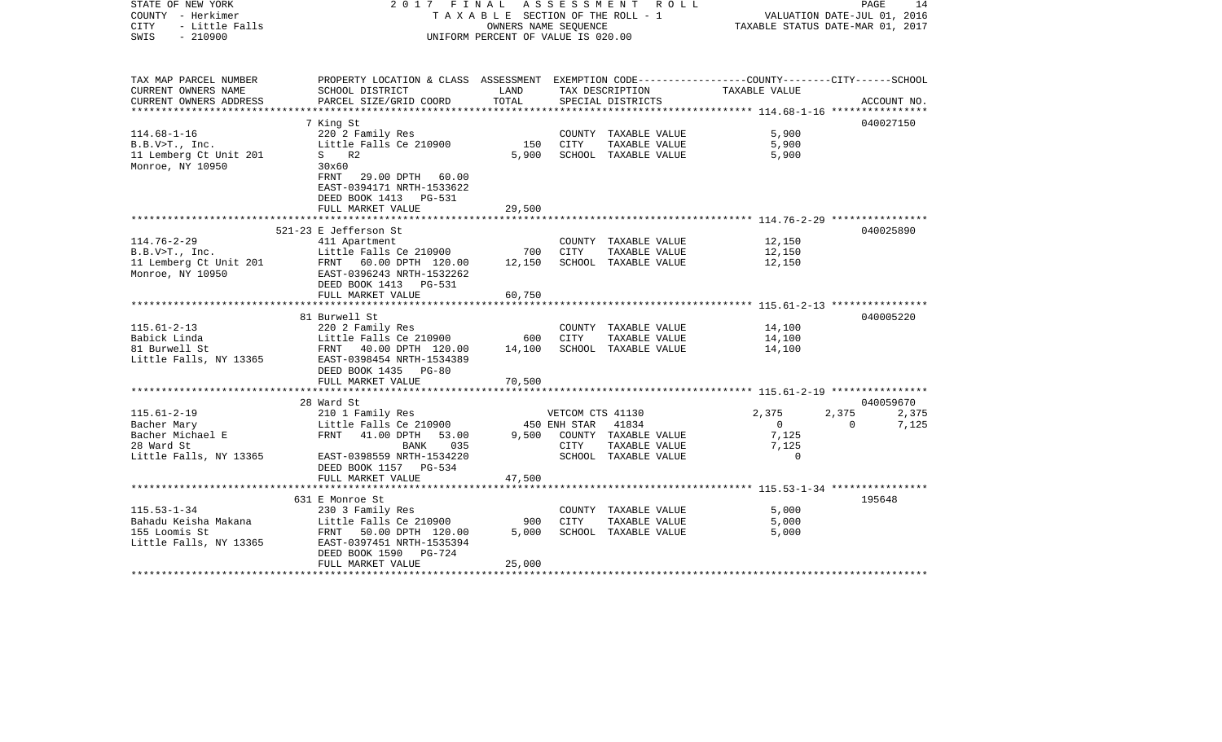| STATE OF NEW YORK<br>COUNTY - Herkimer<br><b>CITY</b><br>- Little Falls<br>$-210900$<br>SWIS | 2017 FINAL ASSESSMENT ROLL<br>TAXABLE SECTION OF THE ROLL - 1<br>UNIFORM PERCENT OF VALUE IS 020.00 | PAGE<br>14<br>VALUATION DATE-JUL 01, 2016<br>TAXABLE STATUS DATE-MAR 01, 2017 |                  |                                       |                                                            |          |             |
|----------------------------------------------------------------------------------------------|-----------------------------------------------------------------------------------------------------|-------------------------------------------------------------------------------|------------------|---------------------------------------|------------------------------------------------------------|----------|-------------|
|                                                                                              |                                                                                                     |                                                                               |                  |                                       |                                                            |          |             |
| TAX MAP PARCEL NUMBER                                                                        | PROPERTY LOCATION & CLASS ASSESSMENT EXEMPTION CODE---------------COUNTY-------CITY------SCHOOL     |                                                                               |                  |                                       |                                                            |          |             |
| CURRENT OWNERS NAME                                                                          | SCHOOL DISTRICT                                                                                     | LAND                                                                          |                  | TAX DESCRIPTION                       | TAXABLE VALUE                                              |          |             |
| CURRENT OWNERS ADDRESS                                                                       | PARCEL SIZE/GRID COORD                                                                              | TOTAL                                                                         |                  | SPECIAL DISTRICTS                     | ********************* 114.68-1-16 *****************        |          | ACCOUNT NO. |
|                                                                                              | 7 King St                                                                                           |                                                                               |                  |                                       |                                                            |          | 040027150   |
| $114.68 - 1 - 16$                                                                            | 220 2 Family Res                                                                                    |                                                                               |                  | COUNTY TAXABLE VALUE                  | 5,900                                                      |          |             |
| B.B.V>T., Inc.                                                                               | Little Falls Ce 210900                                                                              | 150                                                                           | CITY             | TAXABLE VALUE                         | 5,900                                                      |          |             |
| 11 Lemberg Ct Unit 201                                                                       | $S$ R2                                                                                              | 5,900                                                                         |                  | SCHOOL TAXABLE VALUE                  | 5,900                                                      |          |             |
| Monroe, NY 10950                                                                             | 30x60                                                                                               |                                                                               |                  |                                       |                                                            |          |             |
|                                                                                              | FRNT 29.00 DPTH 60.00                                                                               |                                                                               |                  |                                       |                                                            |          |             |
|                                                                                              | EAST-0394171 NRTH-1533622                                                                           |                                                                               |                  |                                       |                                                            |          |             |
|                                                                                              | DEED BOOK 1413 PG-531                                                                               |                                                                               |                  |                                       |                                                            |          |             |
|                                                                                              | FULL MARKET VALUE                                                                                   | 29,500                                                                        |                  |                                       |                                                            |          |             |
|                                                                                              |                                                                                                     |                                                                               |                  |                                       |                                                            |          |             |
|                                                                                              | 521-23 E Jefferson St                                                                               |                                                                               |                  |                                       |                                                            |          | 040025890   |
| $114.76 - 2 - 29$<br>B.B.V>T., Inc.                                                          | 411 Apartment<br>Little Falls Ce 210900                                                             | 700                                                                           | CITY             | COUNTY TAXABLE VALUE<br>TAXABLE VALUE | 12,150<br>12,150                                           |          |             |
| 11 Lemberg Ct Unit 201                                                                       | FRNT 60.00 DPTH 120.00                                                                              | 12,150                                                                        |                  | SCHOOL TAXABLE VALUE                  | 12,150                                                     |          |             |
| Monroe, NY 10950                                                                             | EAST-0396243 NRTH-1532262                                                                           |                                                                               |                  |                                       |                                                            |          |             |
|                                                                                              | DEED BOOK 1413 PG-531                                                                               |                                                                               |                  |                                       |                                                            |          |             |
|                                                                                              | FULL MARKET VALUE                                                                                   | 60,750                                                                        |                  |                                       |                                                            |          |             |
|                                                                                              |                                                                                                     |                                                                               |                  |                                       |                                                            |          |             |
|                                                                                              | 81 Burwell St                                                                                       |                                                                               |                  |                                       |                                                            |          | 040005220   |
| $115.61 - 2 - 13$                                                                            | 220 2 Family Res                                                                                    |                                                                               |                  | COUNTY TAXABLE VALUE                  | 14,100                                                     |          |             |
| Babick Linda                                                                                 | Little Falls Ce 210900                                                                              | 600                                                                           | CITY             | TAXABLE VALUE                         | 14,100                                                     |          |             |
| 81 Burwell St<br>Little Falls, NY 13365                                                      | FRNT 40.00 DPTH 120.00                                                                              | 14,100                                                                        |                  | SCHOOL TAXABLE VALUE                  | 14,100                                                     |          |             |
|                                                                                              | EAST-0398454 NRTH-1534389<br>DEED BOOK 1435 PG-80                                                   |                                                                               |                  |                                       |                                                            |          |             |
|                                                                                              | FULL MARKET VALUE                                                                                   | 70,500                                                                        |                  |                                       |                                                            |          |             |
|                                                                                              | ***********************                                                                             |                                                                               |                  |                                       |                                                            |          |             |
|                                                                                              | 28 Ward St                                                                                          |                                                                               |                  |                                       |                                                            |          | 040059670   |
| $115.61 - 2 - 19$                                                                            | 210 1 Family Res                                                                                    |                                                                               | VETCOM CTS 41130 |                                       | 2,375                                                      | 2,375    | 2,375       |
| Bacher Mary                                                                                  | Little Falls Ce 210900                                                                              |                                                                               | 450 ENH STAR     | 41834                                 | $\Omega$                                                   | $\Omega$ | 7,125       |
| Bacher Michael E                                                                             | FRNT 41.00 DPTH 53.00                                                                               | 9,500                                                                         |                  | COUNTY TAXABLE VALUE                  | 7,125                                                      |          |             |
| 28 Ward St                                                                                   | BANK 035                                                                                            |                                                                               | CITY             | TAXABLE VALUE                         | 7,125                                                      |          |             |
| Little Falls, NY 13365                                                                       | EAST-0398559 NRTH-1534220                                                                           |                                                                               |                  | SCHOOL TAXABLE VALUE                  | $\mathbf 0$                                                |          |             |
|                                                                                              | DEED BOOK 1157 PG-534                                                                               | 47,500                                                                        |                  |                                       |                                                            |          |             |
|                                                                                              | FULL MARKET VALUE                                                                                   |                                                                               |                  |                                       | ***************************** 115.53-1-34 **************** |          |             |
|                                                                                              | 631 E Monroe St                                                                                     |                                                                               |                  |                                       |                                                            |          | 195648      |
| $115.53 - 1 - 34$                                                                            | 230 3 Family Res                                                                                    |                                                                               |                  | COUNTY TAXABLE VALUE                  | 5,000                                                      |          |             |
| Bahadu Keisha Makana                                                                         | Little Falls Ce 210900                                                                              | 900                                                                           | CITY             | TAXABLE VALUE                         | 5,000                                                      |          |             |
| 155 Loomis St                                                                                | FRNT 50.00 DPTH 120.00                                                                              | 5,000                                                                         |                  | SCHOOL TAXABLE VALUE                  | 5,000                                                      |          |             |
| Little Falls, NY 13365                                                                       | EAST-0397451 NRTH-1535394                                                                           |                                                                               |                  |                                       |                                                            |          |             |
|                                                                                              | DEED BOOK 1590<br>PG-724                                                                            |                                                                               |                  |                                       |                                                            |          |             |
|                                                                                              | FULL MARKET VALUE                                                                                   | 25,000                                                                        |                  |                                       |                                                            |          |             |
|                                                                                              |                                                                                                     |                                                                               |                  |                                       |                                                            |          |             |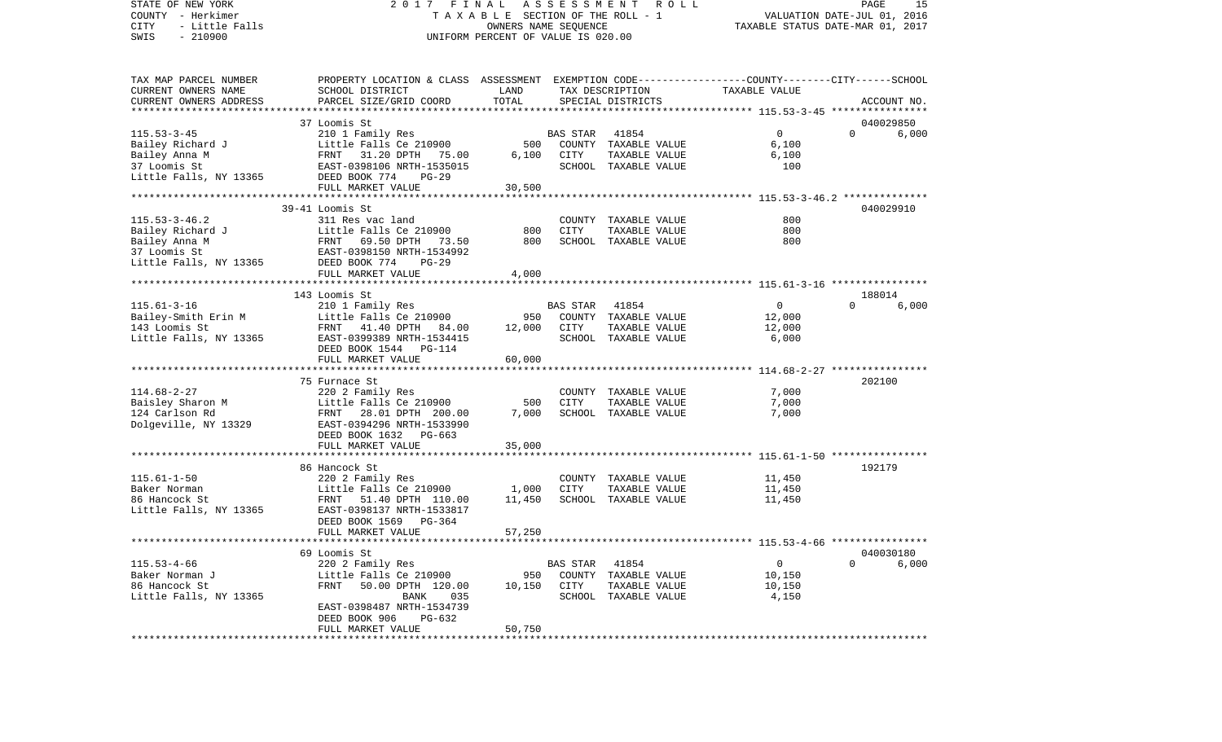STATE OF NEW YORK 2 0 1 7 F I N A L A S S E S S M E N T R O L L PAGE 15VALUATION DATE-JUL 01, 2016 COUNTY - Herkimer T A X A B L E SECTION OF THE ROLL - 1 CITY - Little Falls OWNERS NAME SEQUENCE TAXABLE STATUS DATE-MAR 01, 2017 SWIS - 210900 UNIFORM PERCENT OF VALUE IS 020.00TAX MAP PARCEL NUMBER PROPERTY LOCATION & CLASS ASSESSMENT EXEMPTION CODE------------------COUNTY--------CITY------SCHOOL CURRENT OWNERS NAME SCHOOL DISTRICT LAND TAX DESCRIPTION TAXABLE VALUECURRENT OWNERS ADDRESS PARCEL SIZE/GRID COORD TOTAL SPECIAL DISTRICTS ACCOUNT NO. \*\*\*\*\*\*\*\*\*\*\*\*\*\*\*\*\*\*\*\*\*\*\*\*\*\*\*\*\*\*\*\*\*\*\*\*\*\*\*\*\*\*\*\*\*\*\*\*\*\*\*\*\*\*\*\*\*\*\*\*\*\*\*\*\*\*\*\*\*\*\*\*\*\*\*\*\*\*\*\*\*\*\*\*\*\*\*\*\*\*\*\*\*\*\*\*\*\*\*\*\*\*\* 115.53-3-45 \*\*\*\*\*\*\*\*\*\*\*\*\*\*\*\* 37 Loomis St 040029850115.53-3-45 210 1 Family Res BAS STAR 41854 0 0 6,000 Bailey Richard J Little Falls Ce 210900 500 COUNTY TAXABLE VALUE 6,100 Bailey Anna M FRNT 31.20 DPTH 75.00 6,100 CITY TAXABLE VALUE 6,100 37 Loomis St EAST-0398106 NRTH-1535015 SCHOOL TAXABLE VALUE 100 Little Falls, NY 13365 DEED BOOK 774 PG-29 FULL MARKET VALUE 30,500 \*\*\*\*\*\*\*\*\*\*\*\*\*\*\*\*\*\*\*\*\*\*\*\*\*\*\*\*\*\*\*\*\*\*\*\*\*\*\*\*\*\*\*\*\*\*\*\*\*\*\*\*\*\*\*\*\*\*\*\*\*\*\*\*\*\*\*\*\*\*\*\*\*\*\*\*\*\*\*\*\*\*\*\*\*\*\*\*\*\*\*\*\*\*\*\*\*\*\*\*\*\*\* 115.53-3-46.2 \*\*\*\*\*\*\*\*\*\*\*\*\*\* 39-41 Loomis St 040029910115.53-3-46.2 311 Res vac land COUNTY TAXABLE VALUE 800800 Bailey Richard J Little Falls Ce 210900 800 CITY TAXABLE VALUE 800 Bailey Anna M **FRNT** 69.50 DPTH 73.50 800 SCHOOL TAXABLE VALUE 37 Loomis St EAST-0398150 NRTH-1534992Little Falls, NY 13365 DEED BOOK 774 PG-29 FULL MARKET VALUE 4,000 \*\*\*\*\*\*\*\*\*\*\*\*\*\*\*\*\*\*\*\*\*\*\*\*\*\*\*\*\*\*\*\*\*\*\*\*\*\*\*\*\*\*\*\*\*\*\*\*\*\*\*\*\*\*\*\*\*\*\*\*\*\*\*\*\*\*\*\*\*\*\*\*\*\*\*\*\*\*\*\*\*\*\*\*\*\*\*\*\*\*\*\*\*\*\*\*\*\*\*\*\*\*\* 115.61-3-16 \*\*\*\*\*\*\*\*\*\*\*\*\*\*\*\* 143 Loomis St 188014115.61-3-16 210 1 Family Res BAS STAR 41854 0 0 6,000 Bailey-Smith Erin M and Little Falls Ce 210900 950 COUNTY TAXABLE VALUE 12,000 143 Loomis St FRNT 41.40 DPTH 84.00 12,000 CITY TAXABLE VALUE 12,000 Little Falls, NY 13365 EAST-0399389 NRTH-1534415 SCHOOL TAXABLE VALUE 6,000 DEED BOOK 1544 PG-114FULL MARKET VALUE 60,000 \*\*\*\*\*\*\*\*\*\*\*\*\*\*\*\*\*\*\*\*\*\*\*\*\*\*\*\*\*\*\*\*\*\*\*\*\*\*\*\*\*\*\*\*\*\*\*\*\*\*\*\*\*\*\*\*\*\*\*\*\*\*\*\*\*\*\*\*\*\*\*\*\*\*\*\*\*\*\*\*\*\*\*\*\*\*\*\*\*\*\*\*\*\*\*\*\*\*\*\*\*\*\* 114.68-2-27 \*\*\*\*\*\*\*\*\*\*\*\*\*\*\*\* 75 Furnace St 202100114.68-2-27 220 2 Family Res COUNTY TAXABLE VALUE 7,000 Baisley Sharon M **Little Falls Ce 210900** 500 CITY TAXABLE VALUE 7,000 124 Carlson Rd FRNT 28.01 DPTH 200.00 7,000 SCHOOL TAXABLE VALUE 7,000 Dolgeville, NY 13329 EAST-0394296 NRTH-1533990 DEED BOOK 1632 PG-663 FULL MARKET VALUE 35,000 \*\*\*\*\*\*\*\*\*\*\*\*\*\*\*\*\*\*\*\*\*\*\*\*\*\*\*\*\*\*\*\*\*\*\*\*\*\*\*\*\*\*\*\*\*\*\*\*\*\*\*\*\*\*\*\*\*\*\*\*\*\*\*\*\*\*\*\*\*\*\*\*\*\*\*\*\*\*\*\*\*\*\*\*\*\*\*\*\*\*\*\*\*\*\*\*\*\*\*\*\*\*\* 115.61-1-50 \*\*\*\*\*\*\*\*\*\*\*\*\*\*\*\* 86 Hancock St 192179115.61-1-50 220 2 Family Res COUNTY TAXABLE VALUE 11,450 Baker Norman and The Falls Ce 210900 1,000 CITY TAXABLE VALUE 11,450 86 Hancock St. FRNT 51.40 DPTH 110.00 11.450 SCHOOL TAXABLE VALUE 11.450 Little Falls, NY 13365 EAST-0398137 NRTH-1533817 DEED BOOK 1569 PG-364FULL MARKET VALUE 57,250 \*\*\*\*\*\*\*\*\*\*\*\*\*\*\*\*\*\*\*\*\*\*\*\*\*\*\*\*\*\*\*\*\*\*\*\*\*\*\*\*\*\*\*\*\*\*\*\*\*\*\*\*\*\*\*\*\*\*\*\*\*\*\*\*\*\*\*\*\*\*\*\*\*\*\*\*\*\*\*\*\*\*\*\*\*\*\*\*\*\*\*\*\*\*\*\*\*\*\*\*\*\*\* 115.53-4-66 \*\*\*\*\*\*\*\*\*\*\*\*\*\*\*\* 69 Loomis St 040030180115.53-4-66 220 2 Family Res BAS STAR 41854 0 0 6,000 Baker Norman J Little Falls Ce 210900 950 COUNTY TAXABLE VALUE 10,150 86 Hancock St FRNT 50.00 DPTH 120.00 10,150 CITY TAXABLE VALUE 10,150 Little Falls, NY 13365 BANK 035 SCHOOL TAXABLE VALUE 4,150 EAST-0398487 NRTH-1534739 DEED BOOK 906 PG-632FULL MARKET VALUE 50,750 \*\*\*\*\*\*\*\*\*\*\*\*\*\*\*\*\*\*\*\*\*\*\*\*\*\*\*\*\*\*\*\*\*\*\*\*\*\*\*\*\*\*\*\*\*\*\*\*\*\*\*\*\*\*\*\*\*\*\*\*\*\*\*\*\*\*\*\*\*\*\*\*\*\*\*\*\*\*\*\*\*\*\*\*\*\*\*\*\*\*\*\*\*\*\*\*\*\*\*\*\*\*\*\*\*\*\*\*\*\*\*\*\*\*\*\*\*\*\*\*\*\*\*\*\*\*\*\*\*\*\*\*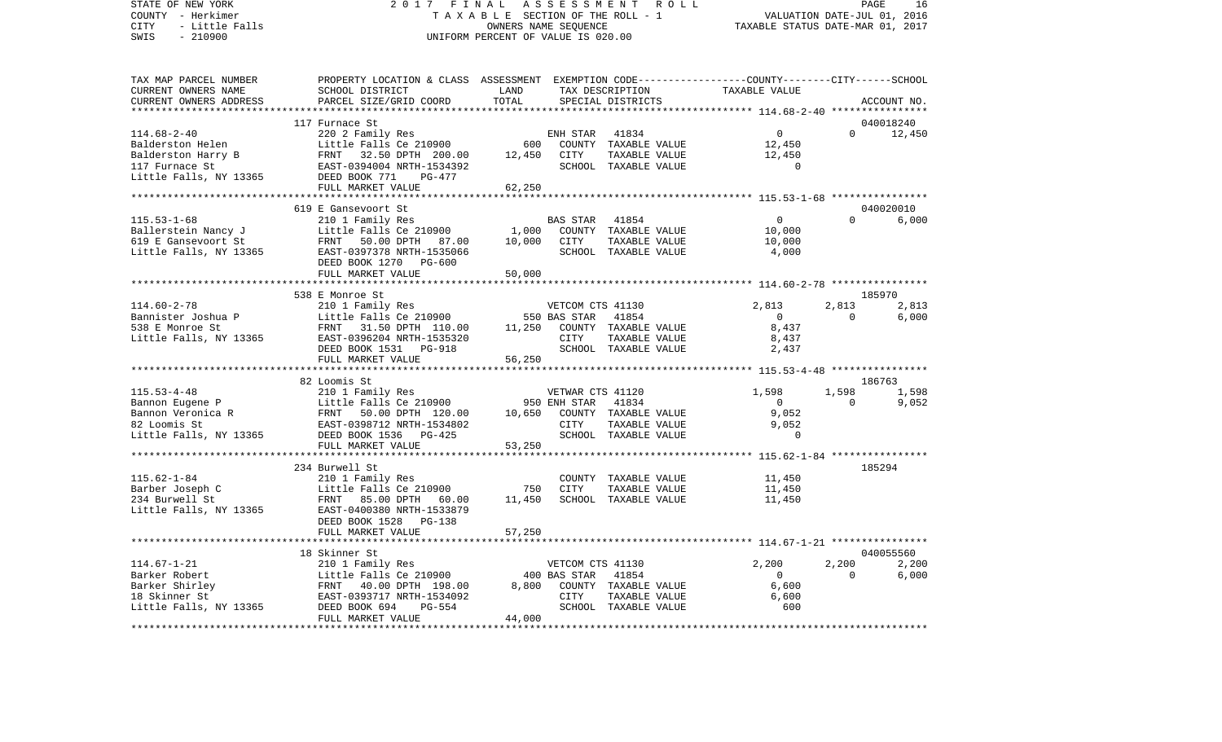## STATE OF NEW YORK 2 0 1 7 F I N A L A S S E S S M E N T R O L L PAGE 16COUNTY - Herkimer T A X A B L E SECTION OF THE ROLL - 1 VALUATION DATE-JUL 01, 2016 CITY - Little Falls OWNERS NAME SEQUENCE TAXABLE STATUS DATE-MAR 01, 2017 SWIS - 210900 UNIFORM PERCENT OF VALUE IS 020.00

PAGE 16

| TAX MAP PARCEL NUMBER  | PROPERTY LOCATION & CLASS ASSESSMENT EXEMPTION CODE----------------COUNTY-------CITY------SCHOOL                                                                           |        |                  |                             |                |                   |             |
|------------------------|----------------------------------------------------------------------------------------------------------------------------------------------------------------------------|--------|------------------|-----------------------------|----------------|-------------------|-------------|
| CURRENT OWNERS NAME    | SCHOOL DISTRICT                                                                                                                                                            | LAND   |                  | TAX DESCRIPTION             | TAXABLE VALUE  |                   |             |
| CURRENT OWNERS ADDRESS | PARCEL SIZE/GRID COORD                                                                                                                                                     | TOTAL  |                  | SPECIAL DISTRICTS           |                |                   | ACCOUNT NO. |
|                        |                                                                                                                                                                            |        |                  |                             |                |                   |             |
|                        | 117 Furnace St                                                                                                                                                             |        |                  |                             |                |                   | 040018240   |
| $114.68 - 2 - 40$      | 220 2 Family Res                                                                                                                                                           |        | ENH STAR         | 41834                       | 0              | $0 \qquad \qquad$ | 12,450      |
|                        |                                                                                                                                                                            | 600    |                  | COUNTY TAXABLE VALUE        | 12,450         |                   |             |
|                        |                                                                                                                                                                            | 12,450 | CITY             | TAXABLE VALUE               | 12,450         |                   |             |
|                        |                                                                                                                                                                            |        |                  | SCHOOL TAXABLE VALUE        | $\Omega$       |                   |             |
|                        |                                                                                                                                                                            |        |                  |                             |                |                   |             |
|                        | FULL MARKET VALUE                                                                                                                                                          | 62,250 |                  |                             |                |                   |             |
|                        |                                                                                                                                                                            |        |                  |                             |                |                   |             |
|                        | 619 E Gansevoort St                                                                                                                                                        |        |                  |                             |                |                   | 040020010   |
| $115.53 - 1 - 68$      | 210 1 Family Res                                                                                                                                                           |        | BAS STAR 41854   |                             | $\overline{0}$ | $\Omega$          | 6,000       |
|                        | Example of the Mandy J<br>Fallerstein Nancy J<br>E Gansevoort St FRAT 50.00 DPTH 87.00<br>Eittle Falls, NY 13365<br>EAST-0397378 NRTH-1535066<br>EAST-0397378 NRTH-1535066 | 1,000  |                  | COUNTY TAXABLE VALUE        | 10,000         |                   |             |
|                        |                                                                                                                                                                            | 10,000 | CITY             | TAXABLE VALUE               | 10,000         |                   |             |
|                        |                                                                                                                                                                            |        |                  | SCHOOL TAXABLE VALUE        | 4,000          |                   |             |
|                        | DEED BOOK 1270 PG-600                                                                                                                                                      |        |                  |                             |                |                   |             |
|                        | FULL MARKET VALUE                                                                                                                                                          | 50,000 |                  |                             |                |                   |             |
|                        |                                                                                                                                                                            |        |                  |                             |                |                   |             |
|                        | 538 E Monroe St                                                                                                                                                            |        |                  |                             |                |                   | 185970      |
| $114.60 - 2 - 78$      | 210 1 Family Res                                                                                                                                                           |        | VETCOM CTS 41130 |                             | 2,813          | 2,813             | 2,813       |
|                        |                                                                                                                                                                            |        |                  | 41854                       | $\overline{0}$ | $\Omega$          | 6,000       |
|                        |                                                                                                                                                                            |        |                  |                             | 8,437          |                   |             |
|                        | Little Falls, NY 13365 EAST-0396204 NRTH-1535320                                                                                                                           |        |                  | 11,250 COUNTY TAXABLE VALUE |                |                   |             |
|                        |                                                                                                                                                                            |        | <b>CITY</b>      | TAXABLE VALUE               | 8,437          |                   |             |
|                        | DEED BOOK 1531 PG-918                                                                                                                                                      |        |                  | SCHOOL TAXABLE VALUE        | 2,437          |                   |             |
|                        | FULL MARKET VALUE                                                                                                                                                          | 56,250 |                  |                             |                |                   |             |
|                        |                                                                                                                                                                            |        |                  |                             |                |                   |             |
|                        | 82 Loomis St                                                                                                                                                               |        |                  |                             |                |                   | 186763      |
| $115.53 - 4 - 48$      | 210 1 Family Res                                                                                                                                                           |        | VETWAR CTS 41120 |                             | 1,598          | 1,598             | 1,598       |
|                        |                                                                                                                                                                            |        | 950 ENH STAR     | 41834                       | $\overline{0}$ | $\Omega$          | 9,052       |
|                        |                                                                                                                                                                            | 10,650 |                  | COUNTY TAXABLE VALUE        | 9,052          |                   |             |
|                        |                                                                                                                                                                            |        | <b>CITY</b>      | TAXABLE VALUE               | 9,052          |                   |             |
|                        |                                                                                                                                                                            |        |                  | SCHOOL TAXABLE VALUE        | $\Omega$       |                   |             |
|                        | FULL MARKET VALUE                                                                                                                                                          | 53,250 |                  |                             |                |                   |             |
|                        |                                                                                                                                                                            |        |                  |                             |                |                   |             |
|                        | 234 Burwell St                                                                                                                                                             |        |                  |                             |                |                   | 185294      |
| 115.62-1-84            |                                                                                                                                                                            |        |                  | COUNTY TAXABLE VALUE        | 11,450         |                   |             |
| Barber Joseph C        |                                                                                                                                                                            | 750    | CITY             | TAXABLE VALUE               | 11,450         |                   |             |
| 234 Burwell St         |                                                                                                                                                                            | 11,450 |                  | SCHOOL TAXABLE VALUE        | 11,450         |                   |             |
| Little Falls, NY 13365 | 210 1 Family Res<br>11ttle Falls Ce 210900<br>13365 EAST-0400380 NRTH-1533879                                                                                              |        |                  |                             |                |                   |             |
|                        | DEED BOOK 1528<br>PG-138                                                                                                                                                   |        |                  |                             |                |                   |             |
|                        | FULL MARKET VALUE                                                                                                                                                          | 57,250 |                  |                             |                |                   |             |
|                        |                                                                                                                                                                            |        |                  |                             |                |                   |             |
|                        | 18 Skinner St                                                                                                                                                              |        |                  |                             |                |                   | 040055560   |
| $114.67 - 1 - 21$      | 210 1 Family Res                                                                                                                                                           |        | VETCOM CTS 41130 |                             | 2,200          | 2,200             | 2,200       |
| Barker Robert          | 210 1 Family Res<br>Little Falls Ce 210900<br>FRNT 40.00 DPTH 198.00<br>EAST-0393717 NRTH-1534092                                                                          |        | 400 BAS STAR     | 41854                       | $\overline{0}$ | $\Omega$          | 6,000       |
| Barker Shirley         |                                                                                                                                                                            | 8,800  |                  | COUNTY TAXABLE VALUE        | 6,600          |                   |             |
| 18 Skinner St          |                                                                                                                                                                            |        | CITY             | TAXABLE VALUE               |                |                   |             |
|                        | DEED BOOK 694                                                                                                                                                              |        |                  |                             | 6,600          |                   |             |
| Little Falls, NY 13365 | $PG-554$                                                                                                                                                                   |        |                  | SCHOOL TAXABLE VALUE        | 600            |                   |             |
|                        | FULL MARKET VALUE                                                                                                                                                          | 44,000 |                  |                             |                |                   |             |
|                        |                                                                                                                                                                            |        |                  |                             |                |                   |             |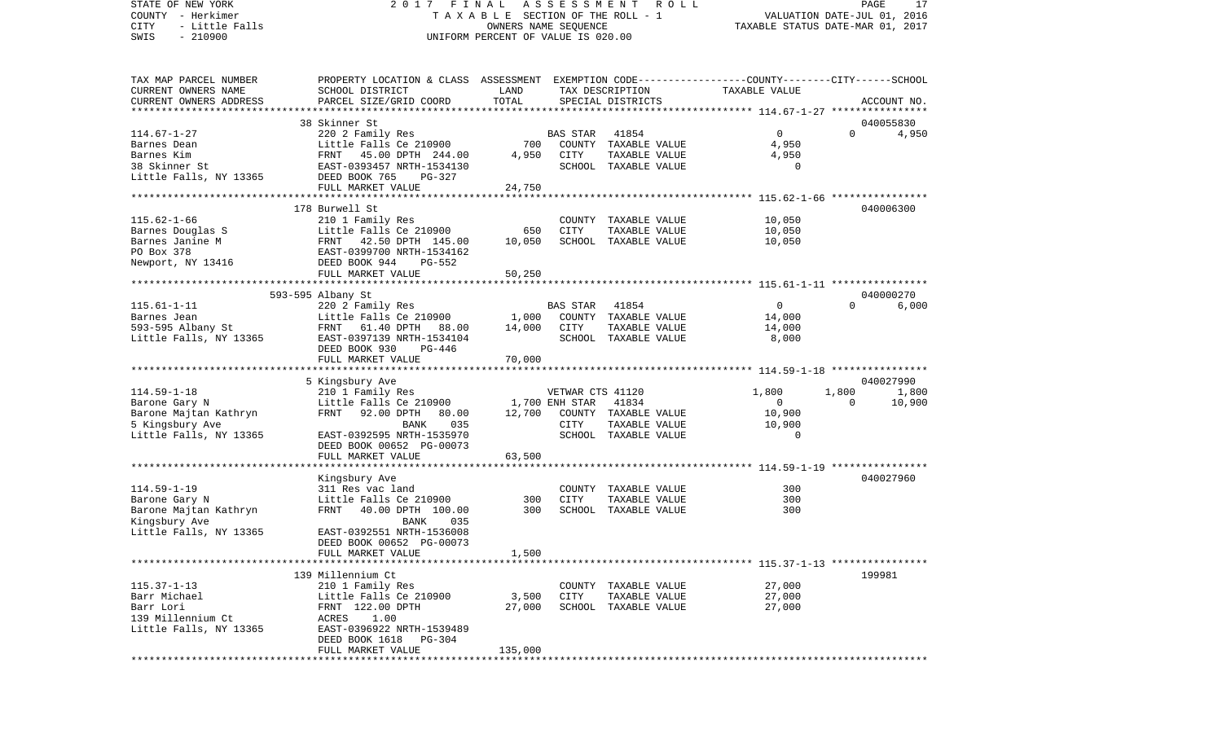STATE OF NEW YORK 2 0 1 7 F I N A L A S S E S S M E N T R O L L PAGE 17VALUATION DATE-JUL 01, 2016 COUNTY - Herkimer T A X A B L E SECTION OF THE ROLL - 1 CITY - Little Falls OWNERS NAME SEQUENCE TAXABLE STATUS DATE-MAR 01, 2017 SWIS - 210900 UNIFORM PERCENT OF VALUE IS 020.00TAX MAP PARCEL NUMBER PROPERTY LOCATION & CLASS ASSESSMENT EXEMPTION CODE------------------COUNTY--------CITY------SCHOOL CURRENT OWNERS NAME SCHOOL DISTRICT LAND TAX DESCRIPTION TAXABLE VALUECURRENT OWNERS ADDRESS PARCEL SIZE/GRID COORD TOTAL SPECIAL DISTRICTS ACCOUNT NO. \*\*\*\*\*\*\*\*\*\*\*\*\*\*\*\*\*\*\*\*\*\*\*\*\*\*\*\*\*\*\*\*\*\*\*\*\*\*\*\*\*\*\*\*\*\*\*\*\*\*\*\*\*\*\*\*\*\*\*\*\*\*\*\*\*\*\*\*\*\*\*\*\*\*\*\*\*\*\*\*\*\*\*\*\*\*\*\*\*\*\*\*\*\*\*\*\*\*\*\*\*\*\* 114.67-1-27 \*\*\*\*\*\*\*\*\*\*\*\*\*\*\*\* 38 Skinner St 040055830114.67-1-27 220 2 Family Res BAS STAR 41854 0 0 4,950 Barnes Dean Little Falls Ce 210900 700 COUNTY TAXABLE VALUE 4,950 Barnes Kim FRNT 45.00 DPTH 244.00 4,950 CITY TAXABLE VALUE 4,950 38 Skinner St EAST-0393457 NRTH-1534130 SCHOOL TAXABLE VALUE 0Little Falls, NY 13365 DEED BOOK 765 PG-327 FULL MARKET VALUE 24,750 \*\*\*\*\*\*\*\*\*\*\*\*\*\*\*\*\*\*\*\*\*\*\*\*\*\*\*\*\*\*\*\*\*\*\*\*\*\*\*\*\*\*\*\*\*\*\*\*\*\*\*\*\*\*\*\*\*\*\*\*\*\*\*\*\*\*\*\*\*\*\*\*\*\*\*\*\*\*\*\*\*\*\*\*\*\*\*\*\*\*\*\*\*\*\*\*\*\*\*\*\*\*\* 115.62-1-66 \*\*\*\*\*\*\*\*\*\*\*\*\*\*\*\* 178 Burwell St 040006300115.62-1-66 210 1 Family Res COUNTY TAXABLE VALUE 10,050 Barnes Douglas S Little Falls Ce 210900 650 CITY TAXABLE VALUE 10,050 Barnes Janine M FRNT 42.50 DPTH 145.00 10.050 SCHOOL TAXABLE VALUE PO Box 378 EAST-0399700 NRTH-1534162Newport, NY 13416 DEED BOOK 944 PG-552 FULL MARKET VALUE 50,250 \*\*\*\*\*\*\*\*\*\*\*\*\*\*\*\*\*\*\*\*\*\*\*\*\*\*\*\*\*\*\*\*\*\*\*\*\*\*\*\*\*\*\*\*\*\*\*\*\*\*\*\*\*\*\*\*\*\*\*\*\*\*\*\*\*\*\*\*\*\*\*\*\*\*\*\*\*\*\*\*\*\*\*\*\*\*\*\*\*\*\*\*\*\*\*\*\*\*\*\*\*\*\* 115.61-1-11 \*\*\*\*\*\*\*\*\*\*\*\*\*\*\*\* 593-595 Albany St 040000270 115.61-1-11 220 2 Family Res BAS STAR 41854 0 Barnes Jean Little Falls Ce 210900 1,000 COUNTY TAXABLE VALUE 14,000 593-595 Albany St FRNT 61.40 DPTH 88.00 14,000 CITY TAXABLE VALUE 14,000 Little Falls, NY 13365 EAST-0397139 NRTH-1534104 SCHOOL TAXABLE VALUE 8,000 DEED BOOK 930 PG-446FULL MARKET VALUE 70,000 \*\*\*\*\*\*\*\*\*\*\*\*\*\*\*\*\*\*\*\*\*\*\*\*\*\*\*\*\*\*\*\*\*\*\*\*\*\*\*\*\*\*\*\*\*\*\*\*\*\*\*\*\*\*\*\*\*\*\*\*\*\*\*\*\*\*\*\*\*\*\*\*\*\*\*\*\*\*\*\*\*\*\*\*\*\*\*\*\*\*\*\*\*\*\*\*\*\*\*\*\*\*\* 114.59-1-18 \*\*\*\*\*\*\*\*\*\*\*\*\*\*\*\* 5 Kingsbury Ave 040027990 114.59-1-18 210 1 Family Res VETWAR CTS 41120 1,800 1,800 1,800 Barone Gary N Control Cittle Falls Ce 210900 1,700 ENH STAR 41834 0 0 0 10,900 Barone Majtan Kathryn FRNT 92.00 DPTH 80.00 12,700 COUNTY TAXABLE VALUE 10,900 5 Kingsbury Ave BANK 035 CITY TAXABLE VALUE 10,900 Little Falls, NY 13365 EAST-0392595 NRTH-1535970 SCHOOL TAXABLE VALUE 0 DEED BOOK 00652 PG-00073FULL MARKET VALUE 63,500 \*\*\*\*\*\*\*\*\*\*\*\*\*\*\*\*\*\*\*\*\*\*\*\*\*\*\*\*\*\*\*\*\*\*\*\*\*\*\*\*\*\*\*\*\*\*\*\*\*\*\*\*\*\*\*\*\*\*\*\*\*\*\*\*\*\*\*\*\*\*\*\*\*\*\*\*\*\*\*\*\*\*\*\*\*\*\*\*\*\*\*\*\*\*\*\*\*\*\*\*\*\*\* 114.59-1-19 \*\*\*\*\*\*\*\*\*\*\*\*\*\*\*\* Kingsbury Ave 040027960 114.59-1-19 311 Res vac land COUNTY TAXABLE VALUE 300Barone Gary N Little Falls Ce 210900 300 CITY TAXABLE VALUE 300  $FRNT = 40.00$  DPTH  $100.00$ Kingsbury Ave BANK 035 Little Falls, NY 13365 EAST-0392551 NRTH-1536008 DEED BOOK 00652 PG-00073FULL MARKET VALUE 1,500 \*\*\*\*\*\*\*\*\*\*\*\*\*\*\*\*\*\*\*\*\*\*\*\*\*\*\*\*\*\*\*\*\*\*\*\*\*\*\*\*\*\*\*\*\*\*\*\*\*\*\*\*\*\*\*\*\*\*\*\*\*\*\*\*\*\*\*\*\*\*\*\*\*\*\*\*\*\*\*\*\*\*\*\*\*\*\*\*\*\*\*\*\*\*\*\*\*\*\*\*\*\*\* 115.37-1-13 \*\*\*\*\*\*\*\*\*\*\*\*\*\*\*\* 139 Millennium Ct 199981115.37-1-13 210 1 Family Res COUNTY TAXABLE VALUE 27,000 Barr Michael Little Falls Ce 210900 3.500 CITY TAXABLE VALUE 27,000 Barr Lori **Example 27,000** DPTH 27,000 SCHOOL TAXABLE VALUE 27,000 139 Millennium Ct ACRES 1.00Little Falls, NY 13365 EAST-0396922 NRTH-1539489 DEED BOOK 1618 PG-304FULL MARKET VALUE 135,000

\*\*\*\*\*\*\*\*\*\*\*\*\*\*\*\*\*\*\*\*\*\*\*\*\*\*\*\*\*\*\*\*\*\*\*\*\*\*\*\*\*\*\*\*\*\*\*\*\*\*\*\*\*\*\*\*\*\*\*\*\*\*\*\*\*\*\*\*\*\*\*\*\*\*\*\*\*\*\*\*\*\*\*\*\*\*\*\*\*\*\*\*\*\*\*\*\*\*\*\*\*\*\*\*\*\*\*\*\*\*\*\*\*\*\*\*\*\*\*\*\*\*\*\*\*\*\*\*\*\*\*\*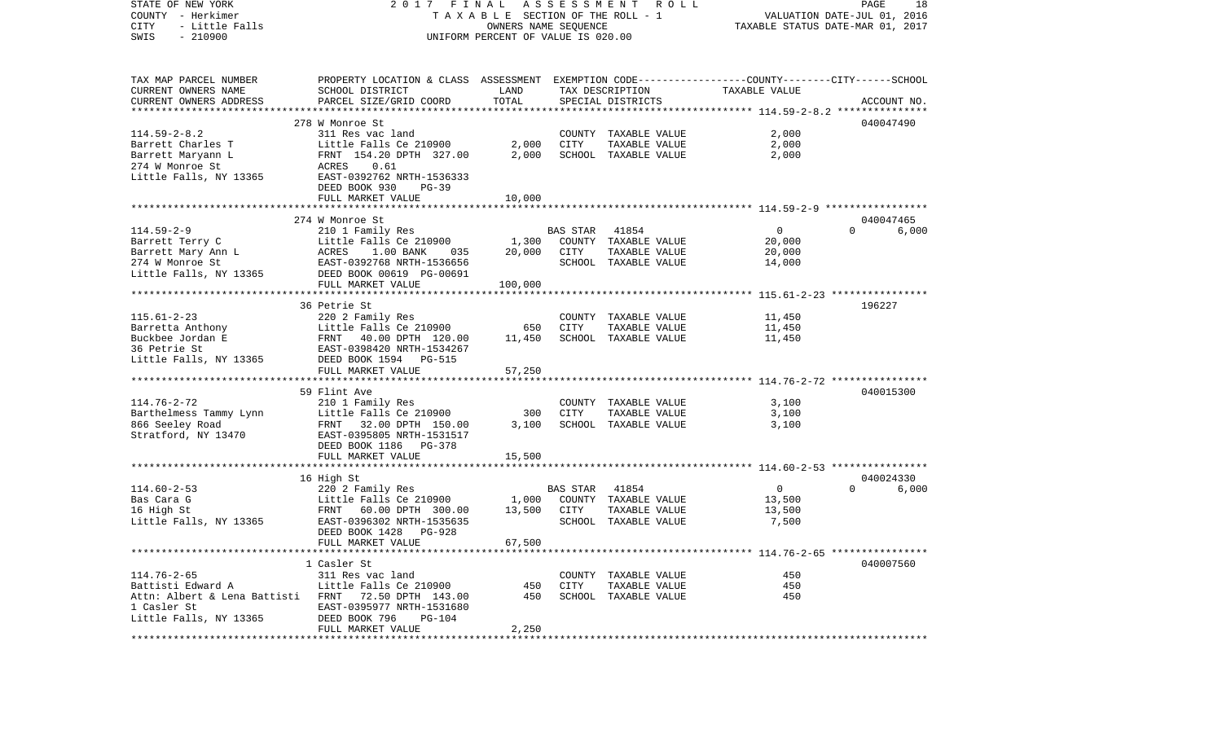| STATE OF NEW YORK<br>COUNTY - Herkimer<br>CITY<br>- Little Falls<br>$-210900$<br>SWIS | FINAL<br>2017<br>TAXABLE SECTION OF THE ROLL - 1<br>UNIFORM PERCENT OF VALUE IS 020.00          | PAGE<br>18<br>VALUATION DATE-JUL 01, 2016<br>TAXABLE STATUS DATE-MAR 01, 2017 |          |                                       |                |                   |
|---------------------------------------------------------------------------------------|-------------------------------------------------------------------------------------------------|-------------------------------------------------------------------------------|----------|---------------------------------------|----------------|-------------------|
| TAX MAP PARCEL NUMBER                                                                 | PROPERTY LOCATION & CLASS ASSESSMENT EXEMPTION CODE---------------COUNTY-------CITY------SCHOOL |                                                                               |          |                                       |                |                   |
| CURRENT OWNERS NAME                                                                   | SCHOOL DISTRICT                                                                                 | LAND                                                                          |          | TAX DESCRIPTION                       | TAXABLE VALUE  |                   |
| CURRENT OWNERS ADDRESS                                                                | PARCEL SIZE/GRID COORD                                                                          | TOTAL                                                                         |          | SPECIAL DISTRICTS                     |                | ACCOUNT NO.       |
|                                                                                       |                                                                                                 |                                                                               |          |                                       |                |                   |
|                                                                                       | 278 W Monroe St                                                                                 |                                                                               |          |                                       |                | 040047490         |
| $114.59 - 2 - 8.2$<br>Barrett Charles T                                               | 311 Res vac land<br>Little Falls Ce 210900                                                      | 2,000                                                                         | CITY     | COUNTY TAXABLE VALUE<br>TAXABLE VALUE | 2,000<br>2,000 |                   |
| Barrett Maryann L                                                                     | FRNT 154.20 DPTH 327.00                                                                         | 2,000                                                                         |          | SCHOOL TAXABLE VALUE                  | 2,000          |                   |
| 274 W Monroe St                                                                       | 0.61<br>ACRES                                                                                   |                                                                               |          |                                       |                |                   |
| Little Falls, NY 13365                                                                | EAST-0392762 NRTH-1536333                                                                       |                                                                               |          |                                       |                |                   |
|                                                                                       | DEED BOOK 930<br>$PG-39$                                                                        |                                                                               |          |                                       |                |                   |
|                                                                                       | FULL MARKET VALUE                                                                               | 10,000                                                                        |          |                                       |                |                   |
|                                                                                       |                                                                                                 |                                                                               |          |                                       |                |                   |
|                                                                                       | 274 W Monroe St                                                                                 |                                                                               |          |                                       |                | 040047465         |
| $114.59 - 2 - 9$                                                                      | 210 1 Family Res                                                                                |                                                                               | BAS STAR | 41854                                 | $\overline{0}$ | $\Omega$<br>6,000 |
| Barrett Terry C                                                                       | Little Falls Ce 210900                                                                          | 1,300                                                                         |          | COUNTY TAXABLE VALUE                  | 20,000         |                   |
| Barrett Mary Ann L                                                                    | $1.00$ BANK<br>035<br>ACRES                                                                     | 20,000                                                                        | CITY     | TAXABLE VALUE                         | 20,000         |                   |
| 274 W Monroe St                                                                       | EAST-0392768 NRTH-1536656                                                                       |                                                                               |          | SCHOOL TAXABLE VALUE                  | 14,000         |                   |
| Little Falls, NY 13365                                                                | DEED BOOK 00619 PG-00691                                                                        |                                                                               |          |                                       |                |                   |
|                                                                                       | FULL MARKET VALUE                                                                               | 100,000                                                                       |          |                                       |                |                   |
|                                                                                       | 36 Petrie St                                                                                    |                                                                               |          |                                       |                | 196227            |
| $115.61 - 2 - 23$                                                                     | 220 2 Family Res                                                                                |                                                                               |          | COUNTY TAXABLE VALUE                  | 11,450         |                   |
| Barretta Anthony                                                                      | Little Falls Ce 210900                                                                          | 650                                                                           | CITY     | TAXABLE VALUE                         | 11,450         |                   |
| Buckbee Jordan E                                                                      | Littl<br>FRNT<br>40.00 DPTH 120.00                                                              | 11,450                                                                        |          | SCHOOL TAXABLE VALUE                  | 11,450         |                   |
| 36 Petrie St                                                                          | EAST-0398420 NRTH-1534267                                                                       |                                                                               |          |                                       |                |                   |
| Little Falls, NY 13365                                                                | DEED BOOK 1594 PG-515                                                                           |                                                                               |          |                                       |                |                   |
|                                                                                       | FULL MARKET VALUE                                                                               | 57,250                                                                        |          |                                       |                |                   |
|                                                                                       |                                                                                                 |                                                                               |          |                                       |                |                   |
|                                                                                       | 59 Flint Ave                                                                                    |                                                                               |          |                                       |                | 040015300         |
| $114.76 - 2 - 72$                                                                     | 210 1 Family Res                                                                                | 300                                                                           | CITY     | COUNTY TAXABLE VALUE<br>TAXABLE VALUE | 3,100<br>3,100 |                   |
| Barthelmess Tammy Lynn<br>866 Seeley Road                                             | Little Falls Ce 210900<br>FRNT 32.00 DPTH 150.00                                                | 3,100                                                                         |          | SCHOOL TAXABLE VALUE                  | 3,100          |                   |
| Stratford, NY 13470                                                                   | EAST-0395805 NRTH-1531517                                                                       |                                                                               |          |                                       |                |                   |
|                                                                                       | DEED BOOK 1186 PG-378                                                                           |                                                                               |          |                                       |                |                   |
|                                                                                       | FULL MARKET VALUE                                                                               | 15,500                                                                        |          |                                       |                |                   |
|                                                                                       |                                                                                                 |                                                                               |          |                                       |                |                   |
|                                                                                       | 16 High St                                                                                      |                                                                               |          |                                       |                | 040024330         |
| $114.60 - 2 - 53$                                                                     | 220 2 Family Res                                                                                |                                                                               | BAS STAR | 41854                                 | $\overline{0}$ | $\Omega$<br>6,000 |
| Bas Cara G                                                                            | Little Falls Ce 210900                                                                          | 1,000                                                                         |          | COUNTY TAXABLE VALUE                  | 13,500         |                   |
| 16 High St                                                                            | FRNT<br>60.00 DPTH 300.00                                                                       | 13,500                                                                        | CITY     | TAXABLE VALUE                         | 13,500         |                   |
| Little Falls, NY 13365                                                                | EAST-0396302 NRTH-1535635                                                                       |                                                                               |          | SCHOOL TAXABLE VALUE                  | 7,500          |                   |
|                                                                                       | DEED BOOK 1428<br>PG-928                                                                        |                                                                               |          |                                       |                |                   |
|                                                                                       | FULL MARKET VALUE                                                                               | 67,500                                                                        |          |                                       |                |                   |
|                                                                                       | 1 Casler St                                                                                     |                                                                               |          |                                       |                | 040007560         |
| $114.76 - 2 - 65$                                                                     | 311 Res vac land                                                                                |                                                                               |          | COUNTY TAXABLE VALUE                  | 450            |                   |
| Battisti Edward A                                                                     | Little Falls Ce 210900                                                                          | 450                                                                           | CITY     | TAXABLE VALUE                         | 450            |                   |
| Attn: Albert & Lena Battisti FRNT 72.50 DPTH 143.00                                   |                                                                                                 | 450                                                                           |          | SCHOOL TAXABLE VALUE                  | 450            |                   |
| 1 Casler St                                                                           | EAST-0395977 NRTH-1531680                                                                       |                                                                               |          |                                       |                |                   |
| Little Falls, NY 13365                                                                | DEED BOOK 796<br>PG-104                                                                         |                                                                               |          |                                       |                |                   |
|                                                                                       | FULL MARKET VALUE                                                                               | 2,250                                                                         |          |                                       |                |                   |
|                                                                                       |                                                                                                 |                                                                               |          |                                       |                |                   |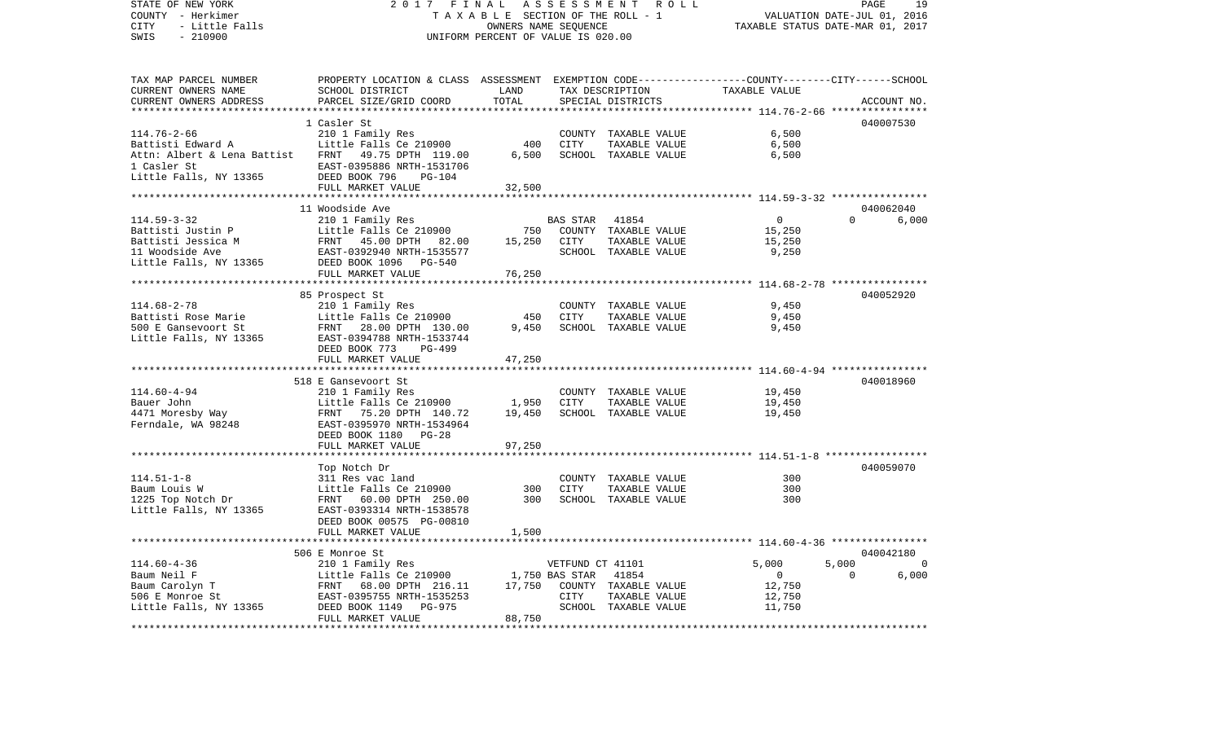| STATE OF NEW YORK                                                                                                                           | 2017<br>FINAL<br>A S S E S S M E N T R O L L<br>PAGE<br>19<br>TAXABLE SECTION OF THE ROLL - 1<br>VALUATION DATE-JUL 01, 2016 |                                    |                  |                          |                                                       |                         |                |  |
|---------------------------------------------------------------------------------------------------------------------------------------------|------------------------------------------------------------------------------------------------------------------------------|------------------------------------|------------------|--------------------------|-------------------------------------------------------|-------------------------|----------------|--|
| COUNTY - Herkimer                                                                                                                           |                                                                                                                              |                                    |                  |                          |                                                       |                         |                |  |
| CITY<br>- Little Falls                                                                                                                      |                                                                                                                              | TAXABLE STATUS DATE-MAR 01, 2017   |                  |                          |                                                       |                         |                |  |
| SWIS<br>$-210900$                                                                                                                           |                                                                                                                              | UNIFORM PERCENT OF VALUE IS 020.00 |                  |                          |                                                       |                         |                |  |
| TAX MAP PARCEL NUMBER                                                                                                                       | PROPERTY LOCATION & CLASS ASSESSMENT EXEMPTION CODE---------------COUNTY-------CITY------SCHOOL                              |                                    |                  |                          |                                                       |                         |                |  |
| CURRENT OWNERS NAME                                                                                                                         | SCHOOL DISTRICT                                                                                                              | LAND                               |                  | TAX DESCRIPTION          | TAXABLE VALUE                                         |                         |                |  |
| CURRENT OWNERS ADDRESS                                                                                                                      | PARCEL SIZE/GRID COORD                                                                                                       | TOTAL                              |                  | SPECIAL DISTRICTS        |                                                       | ACCOUNT NO.             |                |  |
|                                                                                                                                             |                                                                                                                              | *************                      |                  |                          |                                                       | * * * * * * * * * * * * |                |  |
|                                                                                                                                             | 1 Casler St                                                                                                                  |                                    |                  |                          |                                                       | 040007530               |                |  |
| $114.76 - 2 - 66$                                                                                                                           | 210 1 Family Res                                                                                                             |                                    |                  | COUNTY TAXABLE VALUE     | 6,500                                                 |                         |                |  |
| Battisti Edward A                                                                                                                           | Little Falls Ce 210900                                                                                                       | 400                                | CITY             | TAXABLE VALUE            | 6,500                                                 |                         |                |  |
| Attn: Albert & Lena Battist FRNT 49.75 DPTH 119.00                                                                                          |                                                                                                                              | 6,500                              |                  | SCHOOL TAXABLE VALUE     | 6,500                                                 |                         |                |  |
| 1 Casler St                                                                                                                                 | EAST-0395886 NRTH-1531706                                                                                                    |                                    |                  |                          |                                                       |                         |                |  |
| Little Falls, NY 13365                                                                                                                      | DEED BOOK 796<br>$PG-104$                                                                                                    |                                    |                  |                          |                                                       |                         |                |  |
|                                                                                                                                             | FULL MARKET VALUE                                                                                                            | 32,500                             |                  |                          |                                                       |                         |                |  |
|                                                                                                                                             |                                                                                                                              |                                    |                  |                          |                                                       |                         |                |  |
|                                                                                                                                             | 11 Woodside Ave                                                                                                              |                                    |                  |                          |                                                       | 040062040               |                |  |
| 114.59-3-32                                                                                                                                 | 210 1 Family Res                                                                                                             |                                    | BAS STAR         | 41854                    | $\overline{0}$                                        | $\Omega$<br>6,000       |                |  |
| Battisti Justin P                                                                                                                           | Little Falls Ce 210900                                                                                                       |                                    |                  | 750 COUNTY TAXABLE VALUE | 15,250                                                |                         |                |  |
| Battisti Jessica M                                                                                                                          |                                                                                                                              | 15,250                             | CITY             | TAXABLE VALUE            | 15,250                                                |                         |                |  |
| 11 Woodside Ave                                                                                                                             | Little Falls Ce 210900<br>FRNT 45.00 DPTH 82.00<br>EAST-0392940 NRTH-1535577                                                 |                                    |                  | SCHOOL TAXABLE VALUE     | 9,250                                                 |                         |                |  |
| Little Falls, NY 13365 DEED BOOK 1096 PG-540                                                                                                |                                                                                                                              |                                    |                  |                          |                                                       |                         |                |  |
|                                                                                                                                             | FULL MARKET VALUE                                                                                                            | 76,250                             |                  |                          |                                                       |                         |                |  |
|                                                                                                                                             | ***************************                                                                                                  |                                    |                  |                          |                                                       |                         |                |  |
|                                                                                                                                             | 85 Prospect St                                                                                                               |                                    |                  |                          |                                                       | 040052920               |                |  |
| $114.68 - 2 - 78$                                                                                                                           | 210 1 Family Res                                                                                                             |                                    |                  | COUNTY TAXABLE VALUE     | 9,450                                                 |                         |                |  |
| Battisti Rose Marie                                                                                                                         | Little Falls Ce 210900                                                                                                       | 450                                | CITY             | TAXABLE VALUE            | 9,450                                                 |                         |                |  |
| 500 E Gansevoort St                                                                                                                         | FRNT 28.00 DPTH 130.00                                                                                                       | 9,450                              |                  | SCHOOL TAXABLE VALUE     | 9,450                                                 |                         |                |  |
| Little Falls, NY 13365                                                                                                                      | EAST-0394788 NRTH-1533744                                                                                                    |                                    |                  |                          |                                                       |                         |                |  |
|                                                                                                                                             | DEED BOOK 773<br>PG-499                                                                                                      |                                    |                  |                          |                                                       |                         |                |  |
|                                                                                                                                             | FULL MARKET VALUE                                                                                                            | 47,250                             |                  |                          |                                                       |                         |                |  |
|                                                                                                                                             |                                                                                                                              |                                    |                  |                          |                                                       |                         |                |  |
|                                                                                                                                             | 518 E Gansevoort St                                                                                                          |                                    |                  |                          |                                                       | 040018960               |                |  |
| $114.60 - 4 - 94$                                                                                                                           | 210 1 Family Res                                                                                                             |                                    |                  | COUNTY TAXABLE VALUE     | 19,450                                                |                         |                |  |
|                                                                                                                                             |                                                                                                                              | 1,950                              | CITY             | TAXABLE VALUE            | 19,450                                                |                         |                |  |
|                                                                                                                                             |                                                                                                                              | 19,450                             |                  | SCHOOL TAXABLE VALUE     | 19,450                                                |                         |                |  |
| 114.60-4-94<br>Bauer John Little Falls Ce 210900<br>4471 Moresby Way FRNT 75.20 DPTH 140.72<br>Ferndale, WA 98248 EAST-0395970 NRTH-1534964 |                                                                                                                              |                                    |                  |                          |                                                       |                         |                |  |
|                                                                                                                                             | DEED BOOK 1180 PG-28                                                                                                         |                                    |                  |                          |                                                       |                         |                |  |
|                                                                                                                                             | FULL MARKET VALUE                                                                                                            | 97,250                             |                  |                          |                                                       |                         |                |  |
|                                                                                                                                             |                                                                                                                              |                                    |                  |                          | ************************ 114.51-1-8 ***************** |                         |                |  |
|                                                                                                                                             | Top Notch Dr                                                                                                                 |                                    |                  |                          |                                                       | 040059070               |                |  |
| $114.51 - 1 - 8$                                                                                                                            | 311 Res vac land                                                                                                             |                                    |                  | COUNTY TAXABLE VALUE     | 300                                                   |                         |                |  |
|                                                                                                                                             | Little Falls Ce 210900                                                                                                       | 300                                | CITY             | TAXABLE VALUE            | 300                                                   |                         |                |  |
| Baum Louis W<br>1225 Top Notch Dr                                                                                                           | FRNT 60.00 DPTH 250.00                                                                                                       | 300                                |                  | SCHOOL TAXABLE VALUE     | 300                                                   |                         |                |  |
| Little Falls, NY 13365                                                                                                                      | EAST-0393314 NRTH-1538578                                                                                                    |                                    |                  |                          |                                                       |                         |                |  |
|                                                                                                                                             | DEED BOOK 00575 PG-00810                                                                                                     |                                    |                  |                          |                                                       |                         |                |  |
|                                                                                                                                             | FULL MARKET VALUE                                                                                                            | 1,500                              |                  |                          |                                                       |                         |                |  |
|                                                                                                                                             |                                                                                                                              |                                    |                  |                          |                                                       |                         |                |  |
|                                                                                                                                             | 506 E Monroe St                                                                                                              |                                    |                  |                          |                                                       | 040042180               |                |  |
| $114.60 - 4 - 36$                                                                                                                           | 210 1 Family Res                                                                                                             |                                    | VETFUND CT 41101 |                          | 5,000                                                 | 5,000                   | $\overline{0}$ |  |
| Baum Neil F<br>Baum Carolyn T<br>506 E Monroe St                                                                                            | Little Falls Ce 210900 1,750 BAS STAR<br>Little Falls Ce 210900<br>FRNT 68.00 DPTH 216.11<br>EAST-0395755 NRTH-1535253       |                                    |                  | 41854                    | $\overline{0}$                                        | $\overline{0}$          | 6,000          |  |
|                                                                                                                                             |                                                                                                                              | 17,750                             |                  | COUNTY TAXABLE VALUE     | 12,750                                                |                         |                |  |
|                                                                                                                                             |                                                                                                                              |                                    | CITY             | TAXABLE VALUE            | 12,750                                                |                         |                |  |
| Little Falls, NY 13365                                                                                                                      | DEED BOOK 1149<br>PG-975                                                                                                     |                                    |                  | SCHOOL TAXABLE VALUE     | 11,750                                                |                         |                |  |
|                                                                                                                                             | FULL MARKET VALUE                                                                                                            | 88,750                             |                  |                          |                                                       |                         |                |  |
|                                                                                                                                             |                                                                                                                              |                                    |                  |                          |                                                       |                         |                |  |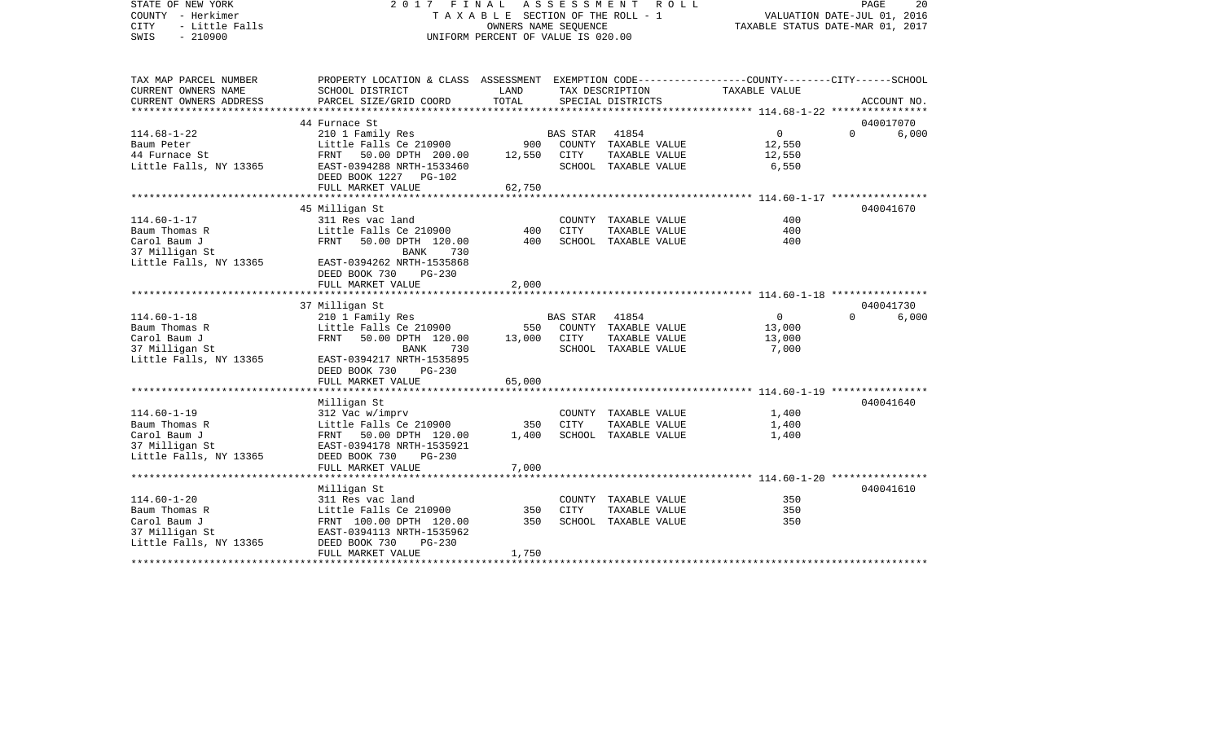| STATE OF NEW YORK<br>COUNTY - Herkimer<br><b>CITY</b><br>- Little Falls<br>$-210900$<br>SWIS | 2017 FINAL                                                                                                          | TAXABLE SECTION OF THE ROLL - 1<br>OWNERS NAME SEQUENCE<br>UNIFORM PERCENT OF VALUE IS 020.00 | A S S E S S M E N T | ROLL                 |               | PAGE<br>20<br>VALUATION DATE-JUL 01, 2016<br>TAXABLE STATUS DATE-MAR 01, 2017 |
|----------------------------------------------------------------------------------------------|---------------------------------------------------------------------------------------------------------------------|-----------------------------------------------------------------------------------------------|---------------------|----------------------|---------------|-------------------------------------------------------------------------------|
| TAX MAP PARCEL NUMBER<br>CURRENT OWNERS NAME                                                 | PROPERTY LOCATION & CLASS ASSESSMENT EXEMPTION CODE----------------COUNTY-------CITY------SCHOOL<br>SCHOOL DISTRICT | LAND                                                                                          |                     | TAX DESCRIPTION      | TAXABLE VALUE |                                                                               |
| CURRENT OWNERS ADDRESS                                                                       | PARCEL SIZE/GRID COORD                                                                                              | TOTAL                                                                                         |                     | SPECIAL DISTRICTS    |               | ACCOUNT NO.                                                                   |
| ************************                                                                     |                                                                                                                     |                                                                                               |                     |                      |               |                                                                               |
|                                                                                              | 44 Furnace St                                                                                                       |                                                                                               |                     |                      |               | 040017070                                                                     |
| $114.68 - 1 - 22$                                                                            | 210 1 Family Res                                                                                                    |                                                                                               | BAS STAR            | 41854                | $\circ$       | $\Omega$<br>6,000                                                             |
| Baum Peter                                                                                   | Little Falls Ce 210900                                                                                              | 900                                                                                           |                     | COUNTY TAXABLE VALUE | 12,550        |                                                                               |
| 44 Furnace St                                                                                | FRNT 50.00 DPTH 200.00                                                                                              | 12,550                                                                                        | CITY                | TAXABLE VALUE        | 12,550        |                                                                               |
| Little Falls, NY 13365                                                                       | EAST-0394288 NRTH-1533460                                                                                           |                                                                                               |                     | SCHOOL TAXABLE VALUE | 6,550         |                                                                               |
|                                                                                              | DEED BOOK 1227 PG-102                                                                                               |                                                                                               |                     |                      |               |                                                                               |
|                                                                                              | FULL MARKET VALUE                                                                                                   | 62,750                                                                                        |                     |                      |               |                                                                               |
|                                                                                              | ***********************                                                                                             | *******************                                                                           |                     |                      |               |                                                                               |
|                                                                                              | 45 Milligan St                                                                                                      |                                                                                               |                     |                      |               | 040041670                                                                     |
| $114.60 - 1 - 17$<br>Baum Thomas R                                                           | 311 Res vac land<br>Little Falls Ce 210900                                                                          | 400                                                                                           | CITY                | COUNTY TAXABLE VALUE | 400<br>400    |                                                                               |
| Carol Baum J                                                                                 | FRNT                                                                                                                | 400                                                                                           |                     | TAXABLE VALUE        | 400           |                                                                               |
| 37 Milligan St                                                                               | 50.00 DPTH 120.00<br><b>BANK</b><br>730                                                                             |                                                                                               |                     | SCHOOL TAXABLE VALUE |               |                                                                               |
| Little Falls, NY 13365                                                                       | EAST-0394262 NRTH-1535868                                                                                           |                                                                                               |                     |                      |               |                                                                               |
|                                                                                              | DEED BOOK 730<br>PG-230                                                                                             |                                                                                               |                     |                      |               |                                                                               |
|                                                                                              | FULL MARKET VALUE                                                                                                   | 2,000                                                                                         |                     |                      |               |                                                                               |
|                                                                                              |                                                                                                                     |                                                                                               |                     |                      |               |                                                                               |
|                                                                                              | 37 Milligan St                                                                                                      |                                                                                               |                     |                      |               | 040041730                                                                     |
| $114.60 - 1 - 18$                                                                            | 210 1 Family Res                                                                                                    |                                                                                               | BAS STAR            | 41854                | $\mathbf 0$   | $\Omega$<br>6,000                                                             |
| Baum Thomas R                                                                                | Little Falls Ce 210900                                                                                              | 550                                                                                           |                     | COUNTY TAXABLE VALUE | 13,000        |                                                                               |
| Carol Baum J                                                                                 | FRNT<br>50.00 DPTH 120.00                                                                                           | 13,000                                                                                        | CITY                | TAXABLE VALUE        | 13,000        |                                                                               |
| 37 Milligan St                                                                               | <b>BANK</b><br>730                                                                                                  |                                                                                               |                     | SCHOOL TAXABLE VALUE | 7,000         |                                                                               |
| Little Falls, NY 13365                                                                       | EAST-0394217 NRTH-1535895                                                                                           |                                                                                               |                     |                      |               |                                                                               |
|                                                                                              | DEED BOOK 730<br>$PG-230$                                                                                           |                                                                                               |                     |                      |               |                                                                               |
|                                                                                              | FULL MARKET VALUE                                                                                                   | 65,000                                                                                        |                     |                      |               |                                                                               |
|                                                                                              |                                                                                                                     |                                                                                               |                     |                      |               |                                                                               |
|                                                                                              | Milligan St                                                                                                         |                                                                                               |                     |                      |               | 040041640                                                                     |
| $114.60 - 1 - 19$                                                                            | 312 Vac w/imprv                                                                                                     |                                                                                               |                     | COUNTY TAXABLE VALUE | 1,400         |                                                                               |
| Baum Thomas R                                                                                | Little Falls Ce 210900                                                                                              | 350                                                                                           | CITY                | TAXABLE VALUE        | 1,400         |                                                                               |
| Carol Baum J                                                                                 | FRNT 50.00 DPTH 120.00<br>EAST-0394178 NRTH-1535921                                                                 | 1,400                                                                                         |                     | SCHOOL TAXABLE VALUE | 1,400         |                                                                               |
| 37 Milligan St<br>Little Falls, NY 13365                                                     | DEED BOOK 730<br>$PG-230$                                                                                           |                                                                                               |                     |                      |               |                                                                               |
|                                                                                              | FULL MARKET VALUE                                                                                                   | 7,000                                                                                         |                     |                      |               |                                                                               |
|                                                                                              |                                                                                                                     |                                                                                               |                     |                      |               |                                                                               |
|                                                                                              | Milligan St                                                                                                         |                                                                                               |                     |                      |               | 040041610                                                                     |
| $114.60 - 1 - 20$                                                                            | 311 Res vac land                                                                                                    |                                                                                               |                     | COUNTY TAXABLE VALUE | 350           |                                                                               |
| Baum Thomas R                                                                                | Little Falls Ce 210900                                                                                              | 350                                                                                           | CITY                | TAXABLE VALUE        | 350           |                                                                               |
| Carol Baum J                                                                                 | FRNT 100.00 DPTH 120.00                                                                                             | 350                                                                                           |                     | SCHOOL TAXABLE VALUE | 350           |                                                                               |
| 37 Milligan St                                                                               | EAST-0394113 NRTH-1535962                                                                                           |                                                                                               |                     |                      |               |                                                                               |
| Little Falls, NY 13365                                                                       | DEED BOOK 730<br>$PG-230$                                                                                           |                                                                                               |                     |                      |               |                                                                               |
|                                                                                              | FULL MARKET VALUE                                                                                                   | 1,750                                                                                         |                     |                      |               |                                                                               |
|                                                                                              |                                                                                                                     |                                                                                               |                     |                      |               |                                                                               |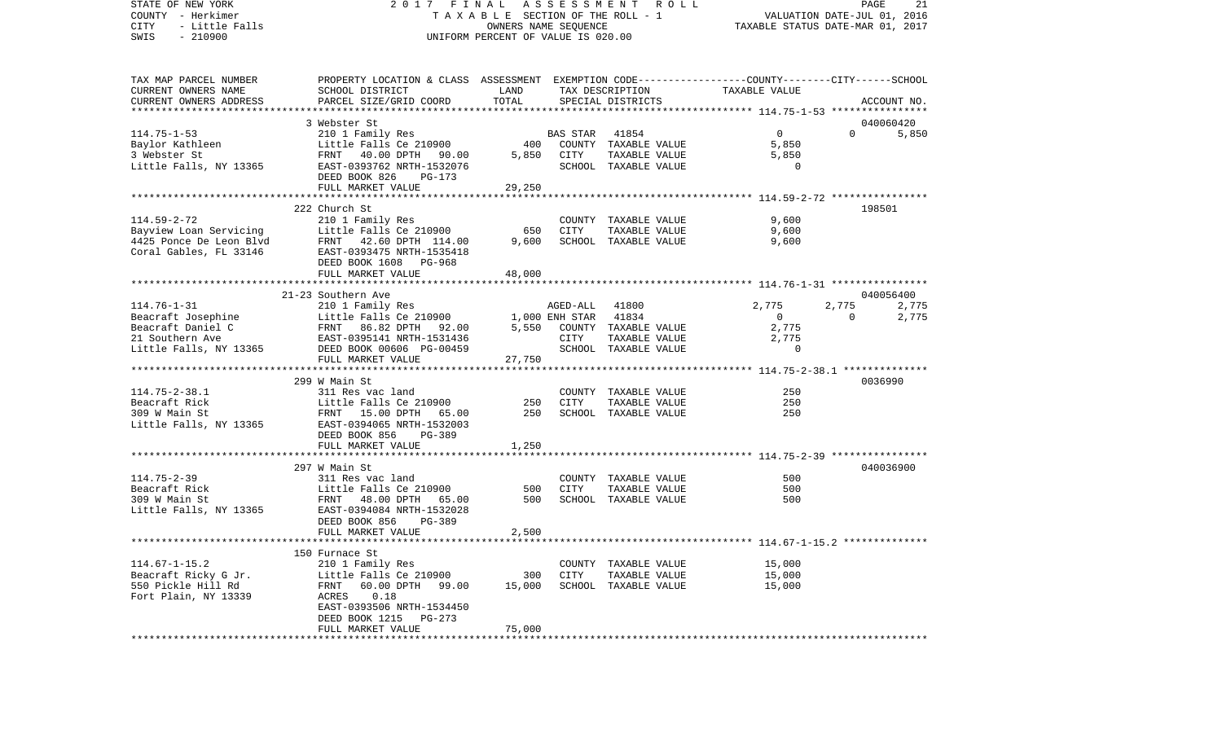COUNTY - Herkimer T A X A B L E SECTION OF THE ROLL - 1 VALUATION DATE-JUL 01, 2016 CITY - Little Falls OWNERS NAME SEQUENCE TAXABLE STATUS DATE-MAR 01, 2017 SWIS - 210900 UNIFORM PERCENT OF VALUE IS 020.00TAX MAP PARCEL NUMBER PROPERTY LOCATION & CLASS ASSESSMENT EXEMPTION CODE------------------COUNTY--------CITY------SCHOOL CURRENT OWNERS NAME SCHOOL DISTRICT LAND TAX DESCRIPTION TAXABLE VALUECURRENT OWNERS ADDRESS PARCEL SIZE/GRID COORD TOTAL SPECIAL DISTRICTS ACCOUNT NO. \*\*\*\*\*\*\*\*\*\*\*\*\*\*\*\*\*\*\*\*\*\*\*\*\*\*\*\*\*\*\*\*\*\*\*\*\*\*\*\*\*\*\*\*\*\*\*\*\*\*\*\*\*\*\*\*\*\*\*\*\*\*\*\*\*\*\*\*\*\*\*\*\*\*\*\*\*\*\*\*\*\*\*\*\*\*\*\*\*\*\*\*\*\*\*\*\*\*\*\*\*\*\* 114.75-1-53 \*\*\*\*\*\*\*\*\*\*\*\*\*\*\*\*3 Webster St 040060420 114.75-1-53 210 1 Family Res BAS STAR 41854 0 0 5,850 Baylor Kathleen Little Falls Ce 210900 400 COUNTY TAXABLE VALUE 5,850 3 Webster St FRNT 40.00 DPTH 90.00 5,850 CITY TAXABLE VALUE 5,850 Little Falls, NY 13365 EAST-0393762 NRTH-1532076 SCHOOL TAXABLE VALUE 0 DEED BOOK 826 PG-173FULL MARKET VALUE 29,250 \*\*\*\*\*\*\*\*\*\*\*\*\*\*\*\*\*\*\*\*\*\*\*\*\*\*\*\*\*\*\*\*\*\*\*\*\*\*\*\*\*\*\*\*\*\*\*\*\*\*\*\*\*\*\*\*\*\*\*\*\*\*\*\*\*\*\*\*\*\*\*\*\*\*\*\*\*\*\*\*\*\*\*\*\*\*\*\*\*\*\*\*\*\*\*\*\*\*\*\*\*\*\* 114.59-2-72 \*\*\*\*\*\*\*\*\*\*\*\*\*\*\*\* 222 Church St 198501114.59-2-72 210 1 Family Res COUNTY TAXABLE VALUE 9,600 Bayview Loan Servicing and Little Falls Ce 210900 650 CITY TAXABLE VALUE 9,600 4425 Ponce De Leon Blvd FRNT 42.60 DPTH 114.00 9,600 SCHOOL TAXABLE VALUE 9,600 Coral Gables, FL 33146 EAST-0393475 NRTH-1535418 DEED BOOK 1608 PG-968FULL MARKET VALUE 48,000 \*\*\*\*\*\*\*\*\*\*\*\*\*\*\*\*\*\*\*\*\*\*\*\*\*\*\*\*\*\*\*\*\*\*\*\*\*\*\*\*\*\*\*\*\*\*\*\*\*\*\*\*\*\*\*\*\*\*\*\*\*\*\*\*\*\*\*\*\*\*\*\*\*\*\*\*\*\*\*\*\*\*\*\*\*\*\*\*\*\*\*\*\*\*\*\*\*\*\*\*\*\*\* 114.76-1-31 \*\*\*\*\*\*\*\*\*\*\*\*\*\*\*\* 21-23 Southern Ave 0400564002.775 114.76-1-31 210 1 Family Res AGED-ALL 41800 2,775 2,775 2,775 Beacraft Josephine Little Falls Ce 210900 1,000 ENH STAR 41834 0 0 2,775 Beacraft Daniel C 6.87 PRNT 86.82 DPTH 92.00 5,550 COUNTY TAXABLE VALUE 2,775 21 Southern Ave EAST-0395141 NRTH-1531436 CITY TAXABLE VALUE 2,775 Little Falls, NY 13365 DEED BOOK 00606 PG-00459 SCHOOL TAXABLE VALUE 0 FULL MARKET VALUE 27,750 \*\*\*\*\*\*\*\*\*\*\*\*\*\*\*\*\*\*\*\*\*\*\*\*\*\*\*\*\*\*\*\*\*\*\*\*\*\*\*\*\*\*\*\*\*\*\*\*\*\*\*\*\*\*\*\*\*\*\*\*\*\*\*\*\*\*\*\*\*\*\*\*\*\*\*\*\*\*\*\*\*\*\*\*\*\*\*\*\*\*\*\*\*\*\*\*\*\*\*\*\*\*\* 114.75-2-38.1 \*\*\*\*\*\*\*\*\*\*\*\*\*\* 299 W Main St 0036990114.75-2-38.1 311 Res vac land COUNTY TAXABLE VALUE 250Beacraft Rick Little Falls Ce 210900 250 CITY TAXABLE VALUE 250 309 W Main St FRNT 15.00 DPTH 65.00 250 SCHOOL TAXABLE VALUE 250Little Falls, NY 13365 EAST-0394065 NRTH-1532003 DEED BOOK 856 PG-389FULL MARKET VALUE 1,250 \*\*\*\*\*\*\*\*\*\*\*\*\*\*\*\*\*\*\*\*\*\*\*\*\*\*\*\*\*\*\*\*\*\*\*\*\*\*\*\*\*\*\*\*\*\*\*\*\*\*\*\*\*\*\*\*\*\*\*\*\*\*\*\*\*\*\*\*\*\*\*\*\*\*\*\*\*\*\*\*\*\*\*\*\*\*\*\*\*\*\*\*\*\*\*\*\*\*\*\*\*\*\* 114.75-2-39 \*\*\*\*\*\*\*\*\*\*\*\*\*\*\*\* 297 W Main St 040036900114.75-2-39 311 Res vac land COUNTY TAXABLE VALUE 500500 Beacraft Rick Controller Little Falls Ce 210900 500 CITY TAXABLE VALUE 500 309 W Main St FRNT 48.00 DPTH 65.00 500 SCHOOL TAXABLE VALUE 500 Little Falls, NY 13365 EAST-0394084 NRTH-1532028 DEED BOOK 856 PG-389FULL MARKET VALUE 2,500 \*\*\*\*\*\*\*\*\*\*\*\*\*\*\*\*\*\*\*\*\*\*\*\*\*\*\*\*\*\*\*\*\*\*\*\*\*\*\*\*\*\*\*\*\*\*\*\*\*\*\*\*\*\*\*\*\*\*\*\*\*\*\*\*\*\*\*\*\*\*\*\*\*\*\*\*\*\*\*\*\*\*\*\*\*\*\*\*\*\*\*\*\*\*\*\*\*\*\*\*\*\*\* 114.67-1-15.2 \*\*\*\*\*\*\*\*\*\*\*\*\*\* 150 Furnace St114.67-1-15.2 210 1 Family Res COUNTY TAXABLE VALUE 15,000 Beacraft Ricky G Jr. Little Falls Ce 210900 300 CITY TAXABLE VALUE 15,000 550 Pickle Hill Rd FRNT 60.00 DPTH 99.00 15,000 SCHOOL TAXABLE VALUE 15,000 Fort Plain, NY 13339 ACRES 0.18 EAST-0393506 NRTH-1534450 DEED BOOK 1215 PG-273FULL MARKET VALUE 75,000 \*\*\*\*\*\*\*\*\*\*\*\*\*\*\*\*\*\*\*\*\*\*\*\*\*\*\*\*\*\*\*\*\*\*\*\*\*\*\*\*\*\*\*\*\*\*\*\*\*\*\*\*\*\*\*\*\*\*\*\*\*\*\*\*\*\*\*\*\*\*\*\*\*\*\*\*\*\*\*\*\*\*\*\*\*\*\*\*\*\*\*\*\*\*\*\*\*\*\*\*\*\*\*\*\*\*\*\*\*\*\*\*\*\*\*\*\*\*\*\*\*\*\*\*\*\*\*\*\*\*\*\*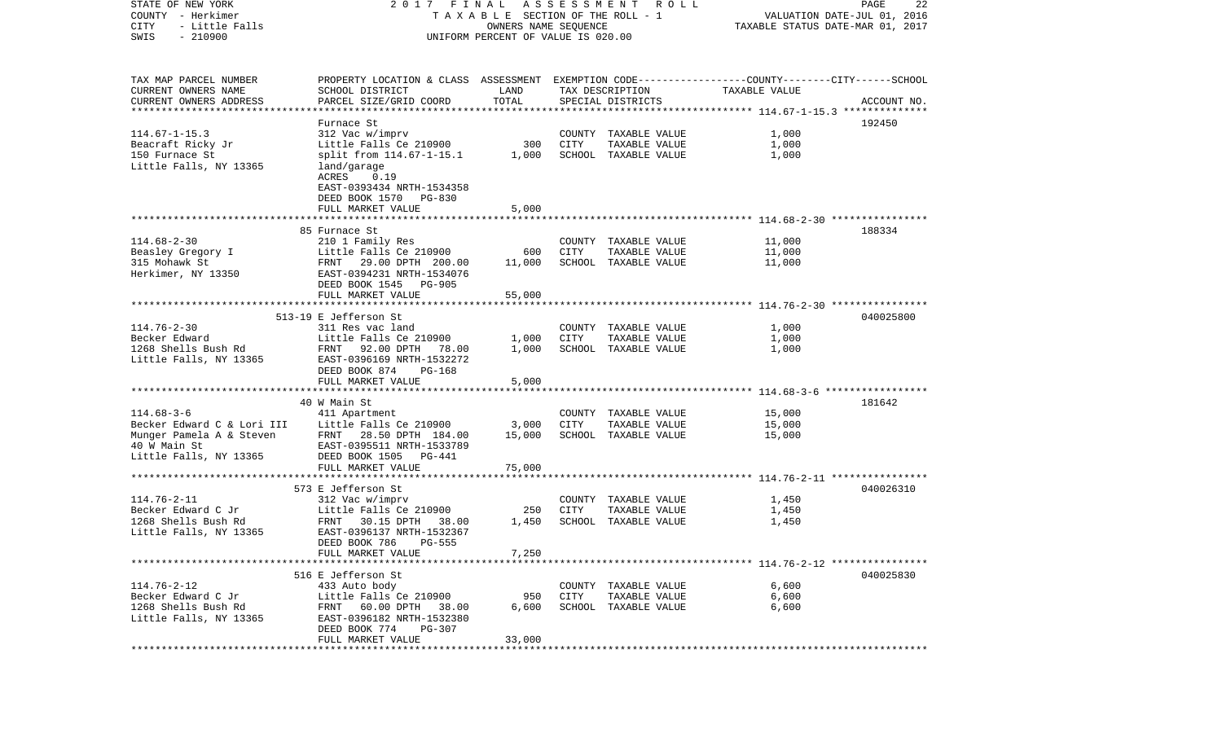COUNTY - Herkimer T A X A B L E SECTION OF THE ROLL - 1 VALUATION DATE-JUL 01, 2016 CITY - Little Falls OWNERS NAME SEQUENCE TAXABLE STATUS DATE-MAR 01, 2017 SWIS - 210900 UNIFORM PERCENT OF VALUE IS 020.00TAX MAP PARCEL NUMBER PROPERTY LOCATION & CLASS ASSESSMENT EXEMPTION CODE------------------COUNTY--------CITY------SCHOOL CURRENT OWNERS NAME SCHOOL DISTRICT LAND TAX DESCRIPTION TAXABLE VALUECURRENT OWNERS ADDRESS PARCEL SIZE/GRID COORD TOTAL SPECIAL DISTRICTS ACCOUNT NO. \*\*\*\*\*\*\*\*\*\*\*\*\*\*\*\*\*\*\*\*\*\*\*\*\*\*\*\*\*\*\*\*\*\*\*\*\*\*\*\*\*\*\*\*\*\*\*\*\*\*\*\*\*\*\*\*\*\*\*\*\*\*\*\*\*\*\*\*\*\*\*\*\*\*\*\*\*\*\*\*\*\*\*\*\*\*\*\*\*\*\*\*\*\*\*\*\*\*\*\*\*\*\* 114.67-1-15.3 \*\*\*\*\*\*\*\*\*\*\*\*\*\* Furnace St 192450114.67-1-15.3 312 Vac w/imprv COUNTY TAXABLE VALUE 1,000 Beacraft Ricky Jr **Little Falls Ce 210900** 300 CITY TAXABLE VALUE 1,000 150 Furnace St split from 114.67-1-15.1 1,000 SCHOOL TAXABLE VALUE 1,000 Little Falls, NY 13365 land/garage ACRES 0.19 EAST-0393434 NRTH-1534358 DEED BOOK 1570 PG-830 FULL MARKET VALUE 5,000 \*\*\*\*\*\*\*\*\*\*\*\*\*\*\*\*\*\*\*\*\*\*\*\*\*\*\*\*\*\*\*\*\*\*\*\*\*\*\*\*\*\*\*\*\*\*\*\*\*\*\*\*\*\*\*\*\*\*\*\*\*\*\*\*\*\*\*\*\*\*\*\*\*\*\*\*\*\*\*\*\*\*\*\*\*\*\*\*\*\*\*\*\*\*\*\*\*\*\*\*\*\*\* 114.68-2-30 \*\*\*\*\*\*\*\*\*\*\*\*\*\*\*\* 85 Furnace St 188334114.68-2-30 210 1 Family Res COUNTY TAXABLE VALUE 11,000 Beasley Gregory I Little Falls Ce 210900 600 CITY TAXABLE VALUE 11,000 315 Mohawk St FRNT 29.00 DPTH 200.00 11,000 SCHOOL TAXABLE VALUE 11,000 Herkimer, NY 13350 EAST-0394231 NRTH-1534076 DEED BOOK 1545 PG-905FULL MARKET VALUE 55,000 \*\*\*\*\*\*\*\*\*\*\*\*\*\*\*\*\*\*\*\*\*\*\*\*\*\*\*\*\*\*\*\*\*\*\*\*\*\*\*\*\*\*\*\*\*\*\*\*\*\*\*\*\*\*\*\*\*\*\*\*\*\*\*\*\*\*\*\*\*\*\*\*\*\*\*\*\*\*\*\*\*\*\*\*\*\*\*\*\*\*\*\*\*\*\*\*\*\*\*\*\*\*\* 114.76-2-30 \*\*\*\*\*\*\*\*\*\*\*\*\*\*\*\*513-19 E Jefferson St 040025800114.76-2-30 311 Res vac land COUNTY TAXABLE VALUE 1,000 Becker Edward Little Falls Ce 210900 1,000 CITY TAXABLE VALUE 1,000 1268 Shells Bush Rd FRNT 92.00 DPTH 78.00 1,000 SCHOOL TAXABLE VALUE 1,000 Little Falls, NY 13365 EAST-0396169 NRTH-1532272 DEED BOOK 874 PG-168FULL MARKET VALUE 5,000 \*\*\*\*\*\*\*\*\*\*\*\*\*\*\*\*\*\*\*\*\*\*\*\*\*\*\*\*\*\*\*\*\*\*\*\*\*\*\*\*\*\*\*\*\*\*\*\*\*\*\*\*\*\*\*\*\*\*\*\*\*\*\*\*\*\*\*\*\*\*\*\*\*\*\*\*\*\*\*\*\*\*\*\*\*\*\*\*\*\*\*\*\*\*\*\*\*\*\*\*\*\*\* 114.68-3-6 \*\*\*\*\*\*\*\*\*\*\*\*\*\*\*\*\* 40 W Main St 181642114.68-3-6 411 Apartment COUNTY TAXABLE VALUE 15,000 Becker Edward C & Lori III bittle Falls Ce 210900 3,000 CITY TAXABLE VALUE 15,000 Munger Pamela A & Steven FRNT 28.50 DPTH 184.00 15,000 SCHOOL TAXABLE VALUE 15,000 40 W Main St EAST-0395511 NRTH-1533789Little Falls, NY 13365 DEED BOOK 1505 PG-441 FULL MARKET VALUE 75,000 \*\*\*\*\*\*\*\*\*\*\*\*\*\*\*\*\*\*\*\*\*\*\*\*\*\*\*\*\*\*\*\*\*\*\*\*\*\*\*\*\*\*\*\*\*\*\*\*\*\*\*\*\*\*\*\*\*\*\*\*\*\*\*\*\*\*\*\*\*\*\*\*\*\*\*\*\*\*\*\*\*\*\*\*\*\*\*\*\*\*\*\*\*\*\*\*\*\*\*\*\*\*\* 114.76-2-11 \*\*\*\*\*\*\*\*\*\*\*\*\*\*\*\* 573 E Jefferson St 040026310114.76-2-11 312 Vac w/imprv COUNTY TAXABLE VALUE 1,450  $Little$  Falls  $Ce$  210900 250 CITY TAXABLE VALUE 1268 Shells Bush Rd FRNT 30.15 DPTH 38.00 1,450 SCHOOL TAXABLE VALUE 1,450 Little Falls, NY 13365 EAST-0396137 NRTH-1532367 DEED BOOK 786 PG-555FULL MARKET VALUE 7,250 \*\*\*\*\*\*\*\*\*\*\*\*\*\*\*\*\*\*\*\*\*\*\*\*\*\*\*\*\*\*\*\*\*\*\*\*\*\*\*\*\*\*\*\*\*\*\*\*\*\*\*\*\*\*\*\*\*\*\*\*\*\*\*\*\*\*\*\*\*\*\*\*\*\*\*\*\*\*\*\*\*\*\*\*\*\*\*\*\*\*\*\*\*\*\*\*\*\*\*\*\*\*\* 114.76-2-12 \*\*\*\*\*\*\*\*\*\*\*\*\*\*\*\* 516 E Jefferson St 040025830114.76-2-12 433 Auto body COUNTY TAXABLE VALUE 6,600 Becker Edward C Jr Little Falls Ce 210900 950 CITY TAXABLE VALUE 6,600 1268 Shells Bush Rd FRNT 60.00 DPTH 38.00 6,600 SCHOOL TAXABLE VALUE 6,600 Little Falls, NY 13365 EAST-0396182 NRTH-1532380 DEED BOOK 774 PG-307 FULL MARKET VALUE 33,000 \*\*\*\*\*\*\*\*\*\*\*\*\*\*\*\*\*\*\*\*\*\*\*\*\*\*\*\*\*\*\*\*\*\*\*\*\*\*\*\*\*\*\*\*\*\*\*\*\*\*\*\*\*\*\*\*\*\*\*\*\*\*\*\*\*\*\*\*\*\*\*\*\*\*\*\*\*\*\*\*\*\*\*\*\*\*\*\*\*\*\*\*\*\*\*\*\*\*\*\*\*\*\*\*\*\*\*\*\*\*\*\*\*\*\*\*\*\*\*\*\*\*\*\*\*\*\*\*\*\*\*\*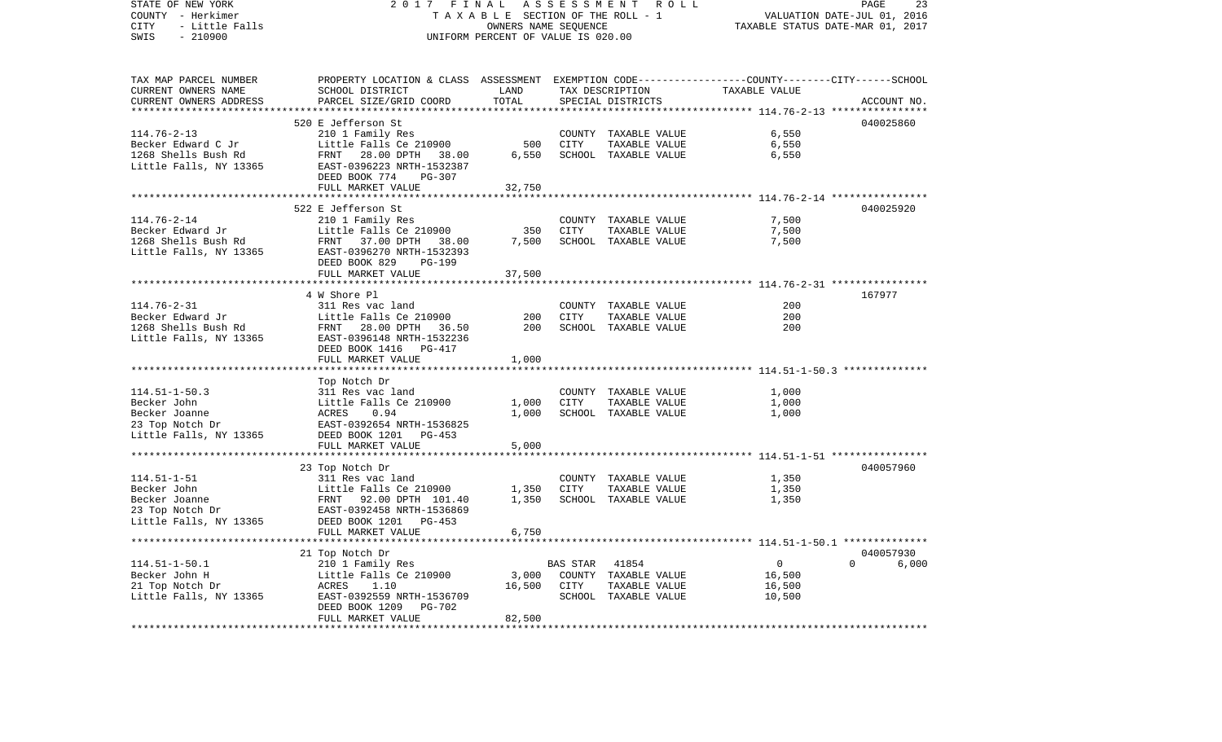STATE OF NEW YORK 2 0 1 7 F I N A L A S S E S S M E N T R O L L PAGE 23COUNTY - Herkimer T A X A B L E SECTION OF THE ROLL - 1 VALUATION DATE-JUL 01, 2016 CITY - Little Falls OWNERS NAME SEQUENCE TAXABLE STATUS DATE-MAR 01, 2017 SWIS - 210900 UNIFORM PERCENT OF VALUE IS 020.00TAX MAP PARCEL NUMBER PROPERTY LOCATION & CLASS ASSESSMENT EXEMPTION CODE------------------COUNTY--------CITY------SCHOOL CURRENT OWNERS NAME SCHOOL DISTRICT LAND TAX DESCRIPTION TAXABLE VALUECURRENT OWNERS ADDRESS PARCEL SIZE/GRID COORD TOTAL SPECIAL DISTRICTS ACCOUNT NO. \*\*\*\*\*\*\*\*\*\*\*\*\*\*\*\*\*\*\*\*\*\*\*\*\*\*\*\*\*\*\*\*\*\*\*\*\*\*\*\*\*\*\*\*\*\*\*\*\*\*\*\*\*\*\*\*\*\*\*\*\*\*\*\*\*\*\*\*\*\*\*\*\*\*\*\*\*\*\*\*\*\*\*\*\*\*\*\*\*\*\*\*\*\*\*\*\*\*\*\*\*\*\* 114.76-2-13 \*\*\*\*\*\*\*\*\*\*\*\*\*\*\*\*520 E Jefferson St 040025860 114.76-2-13 210 1 Family Res COUNTY TAXABLE VALUE 6,550 Becker Edward C Jr Little Falls Ce 210900 500 CITY TAXABLE VALUE 6,550 1268 Shells Bush Rd FRNT 28.00 DPTH 38.00 6,550 SCHOOL TAXABLE VALUE 6,550 Little Falls, NY 13365 EAST-0396223 NRTH-1532387 DEED BOOK 774 PG-307FULL MARKET VALUE 32,750 \*\*\*\*\*\*\*\*\*\*\*\*\*\*\*\*\*\*\*\*\*\*\*\*\*\*\*\*\*\*\*\*\*\*\*\*\*\*\*\*\*\*\*\*\*\*\*\*\*\*\*\*\*\*\*\*\*\*\*\*\*\*\*\*\*\*\*\*\*\*\*\*\*\*\*\*\*\*\*\*\*\*\*\*\*\*\*\*\*\*\*\*\*\*\*\*\*\*\*\*\*\*\* 114.76-2-14 \*\*\*\*\*\*\*\*\*\*\*\*\*\*\*\* 522 E Jefferson St 040025920114.76-2-14 210 1 Family Res COUNTY TAXABLE VALUE 7,500 Becker Edward Jr Little Falls Ce 210900 350 CITY TAXABLE VALUE 7,500 1268 Shells Bush Rd FRNT 37.00 DPTH 38.00 7,500 SCHOOL TAXABLE VALUE 7,500 Little Falls, NY 13365 EAST-0396270 NRTH-1532393 DEED BOOK 829 PG-199FULL MARKET VALUE 37,500 \*\*\*\*\*\*\*\*\*\*\*\*\*\*\*\*\*\*\*\*\*\*\*\*\*\*\*\*\*\*\*\*\*\*\*\*\*\*\*\*\*\*\*\*\*\*\*\*\*\*\*\*\*\*\*\*\*\*\*\*\*\*\*\*\*\*\*\*\*\*\*\*\*\*\*\*\*\*\*\*\*\*\*\*\*\*\*\*\*\*\*\*\*\*\*\*\*\*\*\*\*\*\* 114.76-2-31 \*\*\*\*\*\*\*\*\*\*\*\*\*\*\*\* 4 W Shore Pl 167977114.76-2-31 311 Res vac land COUNTY TAXABLE VALUE 200Becker Edward Jr Little Falls Ce 210900 200 CITY TAXABLE VALUE 200200 1268 Shells Bush Rd FRNT 28.00 DPTH 36.50 200 SCHOOL TAXABLE VALUE Little Falls, NY 13365 EAST-0396148 NRTH-1532236 DEED BOOK 1416 PG-417 FULL MARKET VALUE 1,000 \*\*\*\*\*\*\*\*\*\*\*\*\*\*\*\*\*\*\*\*\*\*\*\*\*\*\*\*\*\*\*\*\*\*\*\*\*\*\*\*\*\*\*\*\*\*\*\*\*\*\*\*\*\*\*\*\*\*\*\*\*\*\*\*\*\*\*\*\*\*\*\*\*\*\*\*\*\*\*\*\*\*\*\*\*\*\*\*\*\*\*\*\*\*\*\*\*\*\*\*\*\*\* 114.51-1-50.3 \*\*\*\*\*\*\*\*\*\*\*\*\*\* Top Notch Dr 114.51-1-50.3 311 Res vac land COUNTY TAXABLE VALUE 1,000 Becker John Little Falls Ce 210900 1,000 CITY TAXABLE VALUE 1,000 Becker Joanne ACRES 0.94 1,000 SCHOOL TAXABLE VALUE 1,000 23 Top Notch Dr EAST-0392654 NRTH-1536825 Little Falls, NY 13365 DEED BOOK 1201 PG-453 FULL MARKET VALUE 5,000 \*\*\*\*\*\*\*\*\*\*\*\*\*\*\*\*\*\*\*\*\*\*\*\*\*\*\*\*\*\*\*\*\*\*\*\*\*\*\*\*\*\*\*\*\*\*\*\*\*\*\*\*\*\*\*\*\*\*\*\*\*\*\*\*\*\*\*\*\*\*\*\*\*\*\*\*\*\*\*\*\*\*\*\*\*\*\*\*\*\*\*\*\*\*\*\*\*\*\*\*\*\*\* 114.51-1-51 \*\*\*\*\*\*\*\*\*\*\*\*\*\*\*\* 23 Top Notch Dr 040057960 114.51-1-51 311 Res vac land COUNTY TAXABLE VALUE 1,350 Becker John Little Falls Ce 210900 1,350 CITY TAXABLE VALUE 1,350 Becker Joanne 6 6 FRNT 92.00 DPTH 101.40 1,350 SCHOOL TAXABLE VALUE 1,350 23 Top Notch Dr EAST-0392458 NRTH-1536869 Little Falls, NY 13365 DEED BOOK 1201 PG-453 FULL MARKET VALUE 6,750 \*\*\*\*\*\*\*\*\*\*\*\*\*\*\*\*\*\*\*\*\*\*\*\*\*\*\*\*\*\*\*\*\*\*\*\*\*\*\*\*\*\*\*\*\*\*\*\*\*\*\*\*\*\*\*\*\*\*\*\*\*\*\*\*\*\*\*\*\*\*\*\*\*\*\*\*\*\*\*\*\*\*\*\*\*\*\*\*\*\*\*\*\*\*\*\*\*\*\*\*\*\*\* 114.51-1-50.1 \*\*\*\*\*\*\*\*\*\*\*\*\*\* 21 Top Notch Dr 040057930 114.51-1-50.1 210 1 Family Res BAS STAR 41854 0 0 6,000 Becker John H <sup>Little</sup> Falls Ce 210900 3,000 COUNTY TAXABLE VALUE 16,500 21 Top Notch Dr ACRES 1.10 16,500 CITY TAXABLE VALUE 16,500 Little Falls, NY 13365 EAST-0392559 NRTH-1536709 SCHOOL TAXABLE VALUE 10,500 DEED BOOK 1209 PG-702 FULL MARKET VALUE 82,500 \*\*\*\*\*\*\*\*\*\*\*\*\*\*\*\*\*\*\*\*\*\*\*\*\*\*\*\*\*\*\*\*\*\*\*\*\*\*\*\*\*\*\*\*\*\*\*\*\*\*\*\*\*\*\*\*\*\*\*\*\*\*\*\*\*\*\*\*\*\*\*\*\*\*\*\*\*\*\*\*\*\*\*\*\*\*\*\*\*\*\*\*\*\*\*\*\*\*\*\*\*\*\*\*\*\*\*\*\*\*\*\*\*\*\*\*\*\*\*\*\*\*\*\*\*\*\*\*\*\*\*\*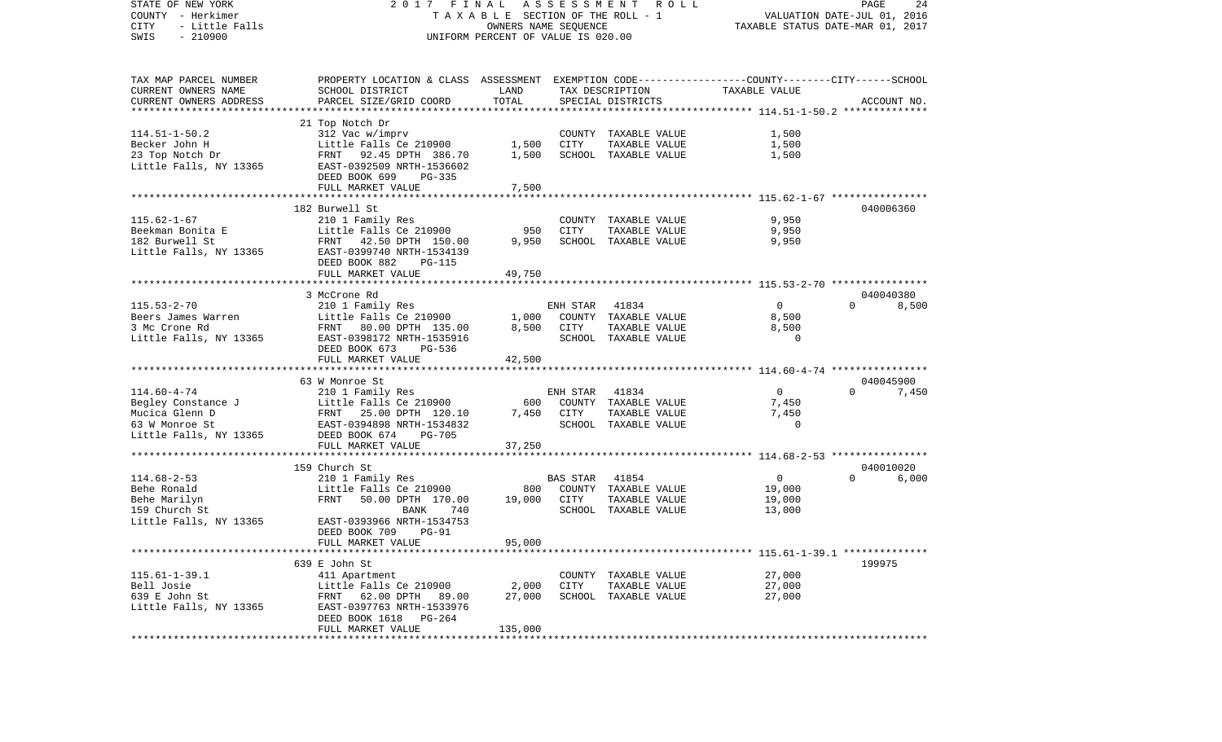| STATE OF NEW YORK<br>COUNTY - Herkimer<br>- Little Falls<br>CITY<br>$-210900$<br>SWIS | A S S E S S M E N T R O L L<br>2017 FINAL<br>TAXABLE SECTION OF THE ROLL - 1<br>OWNERS NAME SEQUENCE<br>UNIFORM PERCENT OF VALUE IS 020.00 |               |          |                                       | PAGE<br>24<br>VALUATION DATE-JUL 01, 2016<br>TAXABLE STATUS DATE-MAR 01, 2017 |                                |  |  |
|---------------------------------------------------------------------------------------|--------------------------------------------------------------------------------------------------------------------------------------------|---------------|----------|---------------------------------------|-------------------------------------------------------------------------------|--------------------------------|--|--|
| TAX MAP PARCEL NUMBER                                                                 | PROPERTY LOCATION & CLASS ASSESSMENT EXEMPTION CODE---------------COUNTY-------CITY------SCHOOL                                            |               |          |                                       |                                                                               |                                |  |  |
| CURRENT OWNERS NAME<br>CURRENT OWNERS ADDRESS                                         | SCHOOL DISTRICT<br>PARCEL SIZE/GRID COORD                                                                                                  | LAND<br>TOTAL |          | TAX DESCRIPTION<br>SPECIAL DISTRICTS  | TAXABLE VALUE                                                                 | ACCOUNT NO.                    |  |  |
|                                                                                       |                                                                                                                                            |               |          |                                       |                                                                               |                                |  |  |
|                                                                                       | 21 Top Notch Dr                                                                                                                            |               |          |                                       |                                                                               |                                |  |  |
| $114.51 - 1 - 50.2$                                                                   | 312 Vac w/imprv                                                                                                                            |               |          | COUNTY TAXABLE VALUE                  | 1,500                                                                         |                                |  |  |
| Becker John H                                                                         | Little Falls Ce 210900                                                                                                                     | 1,500         | CITY     | TAXABLE VALUE                         | 1,500                                                                         |                                |  |  |
| 23 Top Notch Dr                                                                       | FRNT 92.45 DPTH 386.70                                                                                                                     | 1,500         |          | SCHOOL TAXABLE VALUE                  | 1,500                                                                         |                                |  |  |
| Little Falls, NY 13365                                                                | EAST-0392509 NRTH-1536602<br>DEED BOOK 699<br>PG-335                                                                                       |               |          |                                       |                                                                               |                                |  |  |
|                                                                                       | FULL MARKET VALUE                                                                                                                          | 7,500         |          |                                       |                                                                               |                                |  |  |
|                                                                                       |                                                                                                                                            |               |          |                                       |                                                                               |                                |  |  |
|                                                                                       | 182 Burwell St                                                                                                                             |               |          |                                       |                                                                               | 040006360                      |  |  |
| $115.62 - 1 - 67$                                                                     | 210 1 Family Res                                                                                                                           |               |          | COUNTY TAXABLE VALUE                  | 9,950                                                                         |                                |  |  |
| Beekman Bonita E                                                                      | Little Falls Ce 210900                                                                                                                     | 950           | CITY     | TAXABLE VALUE                         | 9,950                                                                         |                                |  |  |
| 182 Burwell St                                                                        | FRNT 42.50 DPTH 150.00                                                                                                                     | 9,950         |          | SCHOOL TAXABLE VALUE                  | 9,950                                                                         |                                |  |  |
| Little Falls, NY 13365                                                                | EAST-0399740 NRTH-1534139                                                                                                                  |               |          |                                       |                                                                               |                                |  |  |
|                                                                                       | DEED BOOK 882<br>PG-115                                                                                                                    |               |          |                                       |                                                                               |                                |  |  |
|                                                                                       | FULL MARKET VALUE                                                                                                                          | 49,750        |          |                                       |                                                                               |                                |  |  |
|                                                                                       | 3 McCrone Rd                                                                                                                               |               |          |                                       |                                                                               | 040040380                      |  |  |
| $115.53 - 2 - 70$                                                                     | 210 1 Family Res                                                                                                                           |               | ENH STAR | 41834                                 | $\overline{0}$                                                                | 8,500<br>$\Omega$              |  |  |
| Beers James Warren                                                                    | Little Falls Ce 210900                                                                                                                     | 1,000         |          | COUNTY TAXABLE VALUE                  | 8,500                                                                         |                                |  |  |
| 3 Mc Crone Rd                                                                         | FRNT 80.00 DPTH 135.00                                                                                                                     | 8,500         | CITY     | TAXABLE VALUE                         | 8,500                                                                         |                                |  |  |
| Little Falls, NY 13365                                                                | EAST-0398172 NRTH-1535916                                                                                                                  |               |          | SCHOOL TAXABLE VALUE                  | $\Omega$                                                                      |                                |  |  |
|                                                                                       | DEED BOOK 673<br>PG-536                                                                                                                    |               |          |                                       |                                                                               |                                |  |  |
|                                                                                       | FULL MARKET VALUE                                                                                                                          | 42,500        |          |                                       |                                                                               |                                |  |  |
|                                                                                       | 63 W Monroe St                                                                                                                             |               |          |                                       |                                                                               | 040045900                      |  |  |
| $114.60 - 4 - 74$                                                                     | 210 1 Family Res                                                                                                                           |               | ENH STAR | 41834                                 | $\overline{0}$                                                                | $\Omega$<br>7,450              |  |  |
| Begley Constance J                                                                    | Little Falls Ce 210900                                                                                                                     | 600           |          | COUNTY TAXABLE VALUE                  | 7,450                                                                         |                                |  |  |
| Mucica Glenn D                                                                        | FRNT 25.00 DPTH 120.10                                                                                                                     | 7,450         | CITY     | TAXABLE VALUE                         | 7,450                                                                         |                                |  |  |
| 63 W Monroe St                                                                        | EAST-0394898 NRTH-1534832                                                                                                                  |               |          | SCHOOL TAXABLE VALUE                  | $\Omega$                                                                      |                                |  |  |
| Little Falls, NY 13365                                                                | DEED BOOK 674<br>PG-705                                                                                                                    |               |          |                                       |                                                                               |                                |  |  |
|                                                                                       | FULL MARKET VALUE                                                                                                                          | 37,250        |          |                                       |                                                                               |                                |  |  |
|                                                                                       |                                                                                                                                            |               |          |                                       |                                                                               |                                |  |  |
| $114.68 - 2 - 53$                                                                     | 159 Church St<br>210 1 Family Res                                                                                                          |               | BAS STAR | 41854                                 | $\overline{0}$                                                                | 040010020<br>6,000<br>$\Omega$ |  |  |
| Behe Ronald                                                                           | Little Falls Ce 210900                                                                                                                     | 800           |          | COUNTY TAXABLE VALUE                  | 19,000                                                                        |                                |  |  |
| Behe Marilyn                                                                          | FRNT<br>50.00 DPTH 170.00                                                                                                                  | 19,000        | CITY     | TAXABLE VALUE                         | 19,000                                                                        |                                |  |  |
| 159 Church St                                                                         | <b>BANK</b><br>740                                                                                                                         |               |          | SCHOOL TAXABLE VALUE                  | 13,000                                                                        |                                |  |  |
| Little Falls, NY 13365                                                                | EAST-0393966 NRTH-1534753                                                                                                                  |               |          |                                       |                                                                               |                                |  |  |
|                                                                                       | DEED BOOK 709<br><b>PG-91</b>                                                                                                              |               |          |                                       |                                                                               |                                |  |  |
|                                                                                       | FULL MARKET VALUE                                                                                                                          | 95,000        |          |                                       |                                                                               |                                |  |  |
|                                                                                       |                                                                                                                                            |               |          |                                       |                                                                               |                                |  |  |
| $115.61 - 1 - 39.1$                                                                   | 639 E John St                                                                                                                              |               |          |                                       |                                                                               | 199975                         |  |  |
| Bell Josie                                                                            | 411 Apartment<br>Little Falls Ce 210900                                                                                                    | 2,000         | CITY     | COUNTY TAXABLE VALUE<br>TAXABLE VALUE | 27,000<br>27,000                                                              |                                |  |  |
| 639 E John St                                                                         | FRNT 62.00 DPTH 89.00                                                                                                                      | 27,000        |          | SCHOOL TAXABLE VALUE                  | 27,000                                                                        |                                |  |  |
| Little Falls, NY 13365                                                                | EAST-0397763 NRTH-1533976                                                                                                                  |               |          |                                       |                                                                               |                                |  |  |
|                                                                                       | DEED BOOK 1618 PG-264                                                                                                                      |               |          |                                       |                                                                               |                                |  |  |
|                                                                                       | FULL MARKET VALUE                                                                                                                          | 135,000       |          |                                       |                                                                               |                                |  |  |
|                                                                                       |                                                                                                                                            |               |          |                                       |                                                                               |                                |  |  |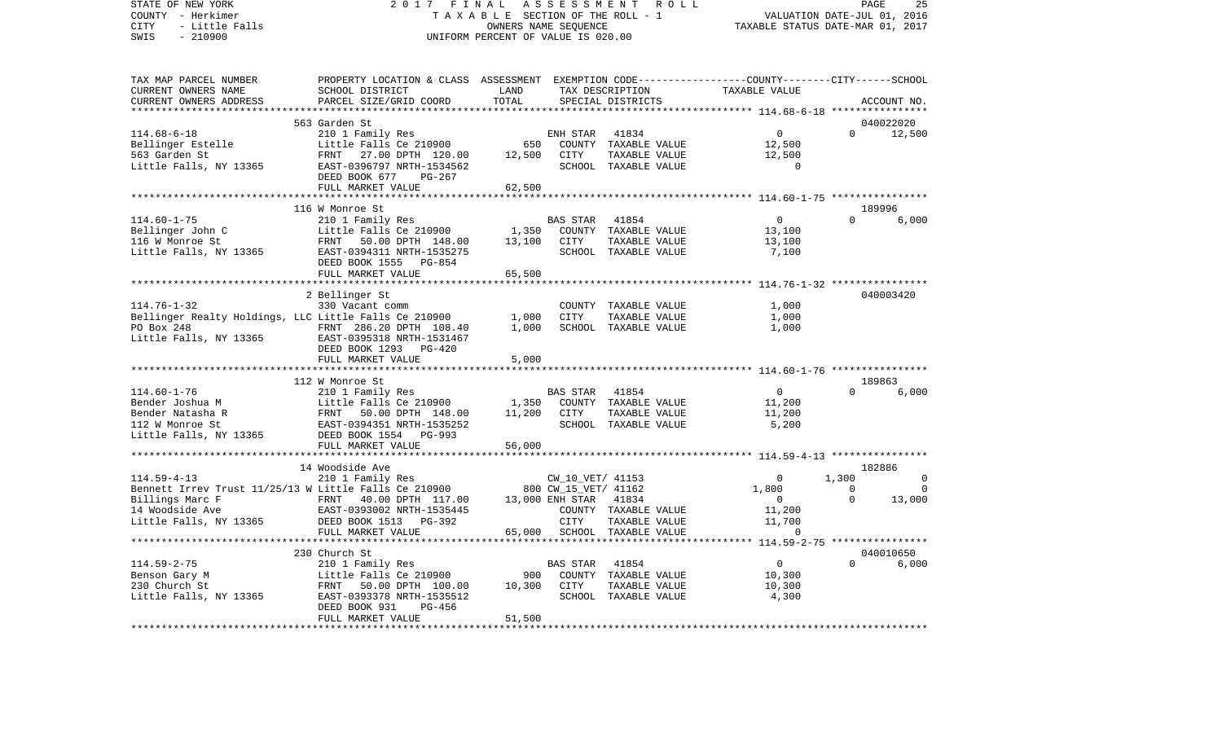STATE OF NEW YORK 2 0 1 7 F I N A L A S S E S S M E N T R O L L PAGE 25COUNTY - Herkimer **T A X A B L E** SECTION OF THE ROLL - 1 VALUATION DATE-JUL 01, 2016 CITY - Little Falls OWNERS NAME SEQUENCE TAXABLE STATUS DATE-MAR 01, 2017 SWIS - 210900 UNIFORM PERCENT OF VALUE IS 020.00TAX MAP PARCEL NUMBER PROPERTY LOCATION & CLASS ASSESSMENT EXEMPTION CODE------------------COUNTY--------CITY------SCHOOL CURRENT OWNERS NAME SCHOOL DISTRICT LAND TAX DESCRIPTION TAXABLE VALUECURRENT OWNERS ADDRESS PARCEL SIZE/GRID COORD TOTAL SPECIAL DISTRICTS ACCOUNT NO. \*\*\*\*\*\*\*\*\*\*\*\*\*\*\*\*\*\*\*\*\*\*\*\*\*\*\*\*\*\*\*\*\*\*\*\*\*\*\*\*\*\*\*\*\*\*\*\*\*\*\*\*\*\*\*\*\*\*\*\*\*\*\*\*\*\*\*\*\*\*\*\*\*\*\*\*\*\*\*\*\*\*\*\*\*\*\*\*\*\*\*\*\*\*\*\*\*\*\*\*\*\*\* 114.68-6-18 \*\*\*\*\*\*\*\*\*\*\*\*\*\*\*\* 563 Garden St 040022020114.68-6-18 210 1 Family Res ENH STAR 41834 0 0 12,500 Bellinger Estelle Little Falls Ce 210900 650 COUNTY TAXABLE VALUE 12,500 563 Garden St FRNT 27.00 DPTH 120.00 12,500 CITY TAXABLE VALUE 12,500 Little Falls, NY 13365 EAST-0396797 NRTH-1534562 SCHOOL TAXABLE VALUE 0 DEED BOOK 677 PG-267 FULL MARKET VALUE 62,500 \*\*\*\*\*\*\*\*\*\*\*\*\*\*\*\*\*\*\*\*\*\*\*\*\*\*\*\*\*\*\*\*\*\*\*\*\*\*\*\*\*\*\*\*\*\*\*\*\*\*\*\*\*\*\*\*\*\*\*\*\*\*\*\*\*\*\*\*\*\*\*\*\*\*\*\*\*\*\*\*\*\*\*\*\*\*\*\*\*\*\*\*\*\*\*\*\*\*\*\*\*\*\* 114.60-1-75 \*\*\*\*\*\*\*\*\*\*\*\*\*\*\*\*116 W Monroe St 189996 114.60-1-75 210 1 Family Res BAS STAR 41854 0 0 6,000 Bellinger John C <sup>Little</sup> Falls Ce 210900 1,350 COUNTY TAXABLE VALUE 13,100 116 W Monroe St FRNT 50.00 DPTH 148.00 13,100 CITY TAXABLE VALUE 13,100 Little Falls, NY 13365 BAST-0394311 NRTH-1535275 SCHOOL TAXABLE VALUE 7,100 DEED BOOK 1555 PG-854FULL MARKET VALUE 65,500 \*\*\*\*\*\*\*\*\*\*\*\*\*\*\*\*\*\*\*\*\*\*\*\*\*\*\*\*\*\*\*\*\*\*\*\*\*\*\*\*\*\*\*\*\*\*\*\*\*\*\*\*\*\*\*\*\*\*\*\*\*\*\*\*\*\*\*\*\*\*\*\*\*\*\*\*\*\*\*\*\*\*\*\*\*\*\*\*\*\*\*\*\*\*\*\*\*\*\*\*\*\*\* 114.76-1-32 \*\*\*\*\*\*\*\*\*\*\*\*\*\*\*\* 2 Bellinger St 040003420 114.76-1-32 330 Vacant comm COUNTY TAXABLE VALUE 1,000 Bellinger Realty Holdings, LLC Little Falls Ce 210900 1,000 CITY TAXABLE VALUE 1,000<br>PO Box 248 FRNT 286.20 DPTH 108.40 1,000 SCHOOL TAXABLE VALUE 1,000 PO Box 248 FRNT 286.20 DPTH 108.40 1,000 SCHOOL TAXABLE VALUE 1,000 Little Falls, NY 13365 EAST-0395318 NRTH-1531467 DEED BOOK 1293 PG-420FULL MARKET VALUE 5,000 \*\*\*\*\*\*\*\*\*\*\*\*\*\*\*\*\*\*\*\*\*\*\*\*\*\*\*\*\*\*\*\*\*\*\*\*\*\*\*\*\*\*\*\*\*\*\*\*\*\*\*\*\*\*\*\*\*\*\*\*\*\*\*\*\*\*\*\*\*\*\*\*\*\*\*\*\*\*\*\*\*\*\*\*\*\*\*\*\*\*\*\*\*\*\*\*\*\*\*\*\*\*\* 114.60-1-76 \*\*\*\*\*\*\*\*\*\*\*\*\*\*\*\* 112 W Monroe St 189863114.60-1-76 210 1 Family Res BAS STAR 41854 0 0 6,000 Bender Joshua M **Little Falls Ce 210900** 1,350 COUNTY TAXABLE VALUE 11,200 Bender Natasha R FRNT 50.00 DPTH 148.00 11,200 CITY TAXABLE VALUE 11,200 112 W Monroe St EAST-0394351 NRTH-1535252 SCHOOL TAXABLE VALUE 5,200 Little Falls, NY 13365 DEED BOOK 1554 PG-993 FULL MARKET VALUE 56,000 \*\*\*\*\*\*\*\*\*\*\*\*\*\*\*\*\*\*\*\*\*\*\*\*\*\*\*\*\*\*\*\*\*\*\*\*\*\*\*\*\*\*\*\*\*\*\*\*\*\*\*\*\*\*\*\*\*\*\*\*\*\*\*\*\*\*\*\*\*\*\*\*\*\*\*\*\*\*\*\*\*\*\*\*\*\*\*\*\*\*\*\*\*\*\*\*\*\*\*\*\*\*\* 114.59-4-13 \*\*\*\*\*\*\*\*\*\*\*\*\*\*\*\* 14 Woodside Ave 182886114.59-4-13 210 1 Family Res CW\_10\_VET/ 41153 0 1,300 0 Bennett Irrev Trust 11/25/13 W Little Falls Ce 210900 800 CW 15 VET/ 41162 1,800 1,800 0 0 0 0 Billings Marc F FRNT 40.00 DPTH 117.00 13,000 ENH STAR 41834 0 0 13,000 EAST-0393002 NRTH-1535445 Little Falls, NY 13365 DEED BOOK 1513 PG-392 CITY TAXABLE VALUE 11,700 FULL MARKET VALUE  $65,000$  SCHOOL TAXABLE VALUE  $0$ \*\*\*\*\*\*\*\*\*\*\*\*\*\*\*\*\*\*\*\*\*\*\*\*\*\*\*\*\*\*\*\*\*\*\*\*\*\*\*\*\*\*\*\*\*\*\*\*\*\*\*\*\*\*\*\*\*\*\*\*\*\*\*\*\*\*\*\*\*\*\*\*\*\*\*\*\*\*\*\*\*\*\*\*\*\*\*\*\*\*\*\*\*\*\*\*\*\*\*\*\*\*\* 114.59-2-75 \*\*\*\*\*\*\*\*\*\*\*\*\*\*\*\* $114.59 - 2 - 75$  \*\*\*\*\*\*\*\*\*\*\*\*\*\*\*\*\* 230 Church St 040010650114.59-2-75 210 1 Family Res BAS STAR 41854 0 0 6,000 Benson Gary M Little Falls Ce 210900 900 230 Church St FRNT 50.00 DPTH 100.00 10,300 CITY TAXABLE VALUE 10,300 Little Falls, NY 13365 EAST-0393378 NRTH-1535512 SCHOOL TAXABLE VALUE 4,300 DEED BOOK 931 PG-456 FULL MARKET VALUE 51,500 \*\*\*\*\*\*\*\*\*\*\*\*\*\*\*\*\*\*\*\*\*\*\*\*\*\*\*\*\*\*\*\*\*\*\*\*\*\*\*\*\*\*\*\*\*\*\*\*\*\*\*\*\*\*\*\*\*\*\*\*\*\*\*\*\*\*\*\*\*\*\*\*\*\*\*\*\*\*\*\*\*\*\*\*\*\*\*\*\*\*\*\*\*\*\*\*\*\*\*\*\*\*\*\*\*\*\*\*\*\*\*\*\*\*\*\*\*\*\*\*\*\*\*\*\*\*\*\*\*\*\*\*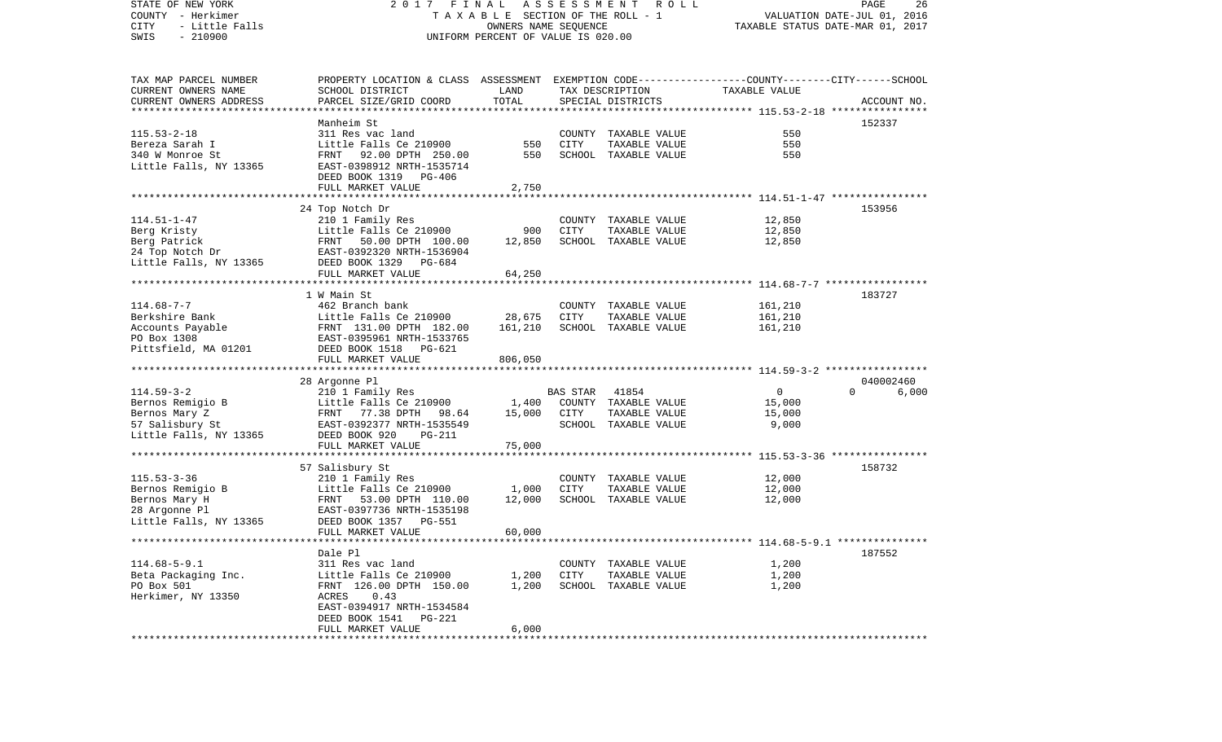STATE OF NEW YORK 2 0 1 7 F I N A L A S S E S S M E N T R O L L PAGE 26COUNTY - Herkimer T A X A B L E SECTION OF THE ROLL - 1 VALUATION DATE-JUL 01, 2016 CITY - Little Falls OWNERS NAME SEQUENCE TAXABLE STATUS DATE-MAR 01, 2017 SWIS - 210900 UNIFORM PERCENT OF VALUE IS 020.00TAX MAP PARCEL NUMBER PROPERTY LOCATION & CLASS ASSESSMENT EXEMPTION CODE------------------COUNTY--------CITY------SCHOOL CURRENT OWNERS NAME SCHOOL DISTRICT LAND TAX DESCRIPTION TAXABLE VALUECURRENT OWNERS ADDRESS PARCEL SIZE/GRID COORD TOTAL SPECIAL DISTRICTS ACCOUNT NO. \*\*\*\*\*\*\*\*\*\*\*\*\*\*\*\*\*\*\*\*\*\*\*\*\*\*\*\*\*\*\*\*\*\*\*\*\*\*\*\*\*\*\*\*\*\*\*\*\*\*\*\*\*\*\*\*\*\*\*\*\*\*\*\*\*\*\*\*\*\*\*\*\*\*\*\*\*\*\*\*\*\*\*\*\*\*\*\*\*\*\*\*\*\*\*\*\*\*\*\*\*\*\* 115.53-2-18 \*\*\*\*\*\*\*\*\*\*\*\*\*\*\*\* Manheim St 152337115.53-2-18 311 Res vac land COUNTY TAXABLE VALUE 550Bereza Sarah I Little Falls Ce 210900 550 CITY TAXABLE VALUE 550340 W Monroe St FRNT 92.00 DPTH 250.00 550 SCHOOL TAXABLE VALUE 550Little Falls, NY 13365 EAST-0398912 NRTH-1535714 DEED BOOK 1319 PG-406FULL MARKET VALUE 2,750 \*\*\*\*\*\*\*\*\*\*\*\*\*\*\*\*\*\*\*\*\*\*\*\*\*\*\*\*\*\*\*\*\*\*\*\*\*\*\*\*\*\*\*\*\*\*\*\*\*\*\*\*\*\*\*\*\*\*\*\*\*\*\*\*\*\*\*\*\*\*\*\*\*\*\*\*\*\*\*\*\*\*\*\*\*\*\*\*\*\*\*\*\*\*\*\*\*\*\*\*\*\*\* 114.51-1-47 \*\*\*\*\*\*\*\*\*\*\*\*\*\*\*\* 24 Top Notch Dr 153956 114.51-1-47 210 1 Family Res COUNTY TAXABLE VALUE 12,850 Berg Kristy Little Falls Ce 210900 900 CITY TAXABLE VALUE 12,850 Berg Patrick FRNT 50.00 DPTH 100.00 12.850 SCHOOL TAXABLE VALUE 24 Top Notch Dr EAST-0392320 NRTH-1536904 Little Falls, NY 13365 DEED BOOK 1329 PG-684 FULL MARKET VALUE 64,250 \*\*\*\*\*\*\*\*\*\*\*\*\*\*\*\*\*\*\*\*\*\*\*\*\*\*\*\*\*\*\*\*\*\*\*\*\*\*\*\*\*\*\*\*\*\*\*\*\*\*\*\*\*\*\*\*\*\*\*\*\*\*\*\*\*\*\*\*\*\*\*\*\*\*\*\*\*\*\*\*\*\*\*\*\*\*\*\*\*\*\*\*\*\*\*\*\*\*\*\*\*\*\* 114.68-7-7 \*\*\*\*\*\*\*\*\*\*\*\*\*\*\*\*\* 1 W Main St 183727114.68-7-7 462 Branch bank COUNTY TAXABLE VALUE 161,210 Berkshire Bank Little Falls Ce 210900 28,675 CITY TAXABLE VALUE 161,210 Accounts Payable FRNT 131.00 DPTH 182.00 161,210 SCHOOL TAXABLE VALUE 161,210 PO Box 1308 EAST-0395961 NRTH-1533765Pittsfield, MA 01201 DEED BOOK 1518 PG-621 FULL MARKET VALUE 806,050 \*\*\*\*\*\*\*\*\*\*\*\*\*\*\*\*\*\*\*\*\*\*\*\*\*\*\*\*\*\*\*\*\*\*\*\*\*\*\*\*\*\*\*\*\*\*\*\*\*\*\*\*\*\*\*\*\*\*\*\*\*\*\*\*\*\*\*\*\*\*\*\*\*\*\*\*\*\*\*\*\*\*\*\*\*\*\*\*\*\*\*\*\*\*\*\*\*\*\*\*\*\*\* 114.59-3-2 \*\*\*\*\*\*\*\*\*\*\*\*\*\*\*\*\* 28 Argonne Pl 040002460 114.59-3-2 210 1 Family Res BAS STAR 41854 0 0 6,000 Bernos Remigio B Little Falls Ce 210900 1,400 COUNTY TAXABLE VALUE 15,000 Bernos Mary Z **FRNT 77.38 DPTH 98.64** 15,000 CITY TAXABLE VALUE 15,000 57 Salisbury St EAST-0392377 NRTH-1535549 SCHOOL TAXABLE VALUE 9,000 Little Falls, NY 13365 DEED BOOK 920 PG-211 FULL MARKET VALUE 75,000 \*\*\*\*\*\*\*\*\*\*\*\*\*\*\*\*\*\*\*\*\*\*\*\*\*\*\*\*\*\*\*\*\*\*\*\*\*\*\*\*\*\*\*\*\*\*\*\*\*\*\*\*\*\*\*\*\*\*\*\*\*\*\*\*\*\*\*\*\*\*\*\*\*\*\*\*\*\*\*\*\*\*\*\*\*\*\*\*\*\*\*\*\*\*\*\*\*\*\*\*\*\*\* 115.53-3-36 \*\*\*\*\*\*\*\*\*\*\*\*\*\*\*\* 57 Salisbury St 158732 115.53-3-36 210 1 Family Res COUNTY TAXABLE VALUE 12,000 Bernos Remigio B 12,000 Little Falls Ce 210900 1,000 CITY TAXABLE VALUE 12,000 Bernos Mary H FRNT 53.00 DPTH 110.00 12,000 SCHOOL TAXABLE VALUE 12,000 EAST-0397736 NRTH-1535198 Little Falls, NY 13365 DEED BOOK 1357 PG-551 FULL MARKET VALUE 60,000 \*\*\*\*\*\*\*\*\*\*\*\*\*\*\*\*\*\*\*\*\*\*\*\*\*\*\*\*\*\*\*\*\*\*\*\*\*\*\*\*\*\*\*\*\*\*\*\*\*\*\*\*\*\*\*\*\*\*\*\*\*\*\*\*\*\*\*\*\*\*\*\*\*\*\*\*\*\*\*\*\*\*\*\*\*\*\*\*\*\*\*\*\*\*\*\*\*\*\*\*\*\*\* 114.68-5-9.1 \*\*\*\*\*\*\*\*\*\*\*\*\*\*\* Dale Pl 187552114.68-5-9.1 311 Res vac land COUNTY TAXABLE VALUE 1,200 Beta Packaging Inc. <br>1,200 CITY TAXABLE VALUE 1,200 PO Box 501 FRNT 126.00 DPTH 150.00 1,200 SCHOOL TAXABLE VALUE 1,200 Herkimer, NY 13350 ACRES 0.43 EAST-0394917 NRTH-1534584 DEED BOOK 1541 PG-221FULL MARKET VALUE 6,000 \*\*\*\*\*\*\*\*\*\*\*\*\*\*\*\*\*\*\*\*\*\*\*\*\*\*\*\*\*\*\*\*\*\*\*\*\*\*\*\*\*\*\*\*\*\*\*\*\*\*\*\*\*\*\*\*\*\*\*\*\*\*\*\*\*\*\*\*\*\*\*\*\*\*\*\*\*\*\*\*\*\*\*\*\*\*\*\*\*\*\*\*\*\*\*\*\*\*\*\*\*\*\*\*\*\*\*\*\*\*\*\*\*\*\*\*\*\*\*\*\*\*\*\*\*\*\*\*\*\*\*\*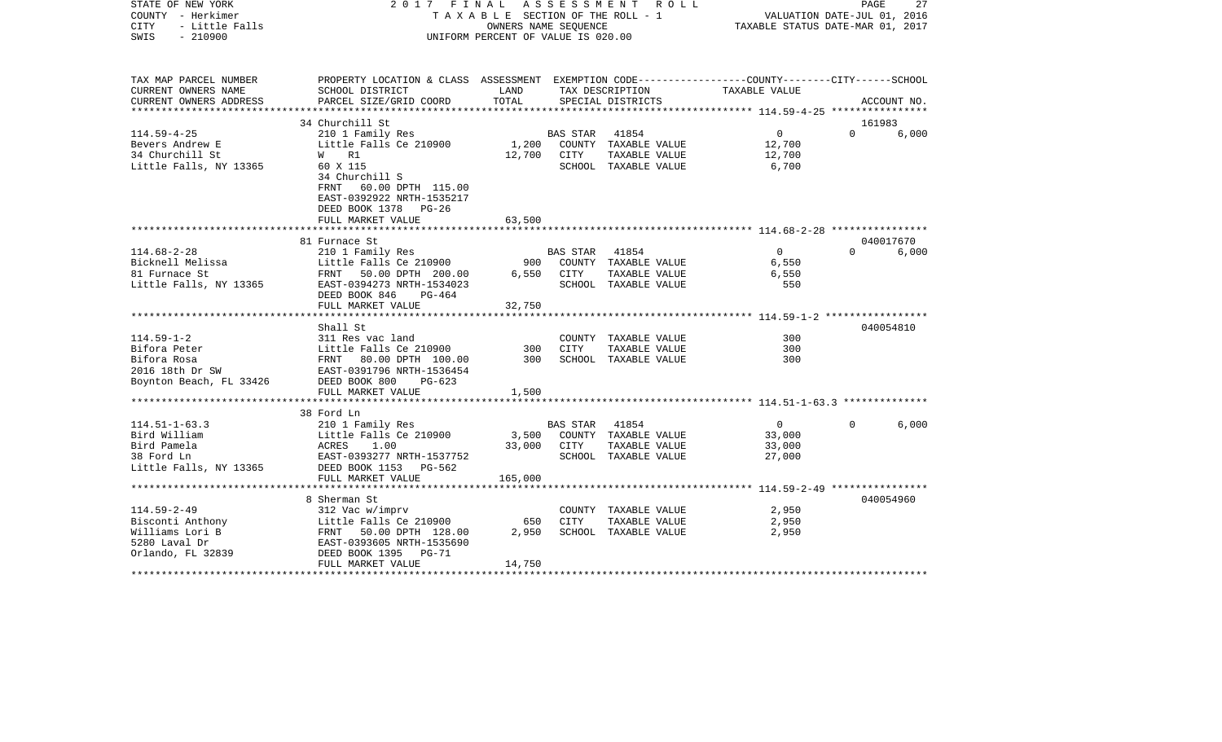| STATE OF NEW YORK<br>COUNTY - Herkimer<br><b>CITY</b><br>- Little Falls<br>$-210900$<br>SWIS | 2017 FINAL<br>ASSESSMENT ROLL<br>TAXABLE SECTION OF THE ROLL - 1<br>OWNERS NAME SEOUENCE<br>UNIFORM PERCENT OF VALUE IS 020.00 |             |                |                                       | 27<br>PAGE<br>VALUATION DATE-JUL 01, 2016<br>TAXABLE STATUS DATE-MAR 01, 2017 |          |             |  |
|----------------------------------------------------------------------------------------------|--------------------------------------------------------------------------------------------------------------------------------|-------------|----------------|---------------------------------------|-------------------------------------------------------------------------------|----------|-------------|--|
| TAX MAP PARCEL NUMBER                                                                        | PROPERTY LOCATION & CLASS ASSESSMENT EXEMPTION CODE---------------COUNTY-------CITY------SCHOOL                                |             |                |                                       |                                                                               |          |             |  |
| CURRENT OWNERS NAME                                                                          | SCHOOL DISTRICT                                                                                                                | LAND        |                | TAX DESCRIPTION                       | TAXABLE VALUE                                                                 |          |             |  |
| CURRENT OWNERS ADDRESS<br>************************                                           | PARCEL SIZE/GRID COORD                                                                                                         | TOTAL       |                | SPECIAL DISTRICTS                     |                                                                               |          | ACCOUNT NO. |  |
|                                                                                              | 34 Churchill St                                                                                                                |             |                |                                       |                                                                               | 161983   |             |  |
| $114.59 - 4 - 25$                                                                            | 210 1 Family Res                                                                                                               |             | BAS STAR       | 41854                                 | $\overline{0}$                                                                | $\Omega$ | 6,000       |  |
| Bevers Andrew E                                                                              | Little Falls Ce 210900                                                                                                         |             |                | 1,200 COUNTY TAXABLE VALUE            | 12,700                                                                        |          |             |  |
| 34 Churchill St                                                                              | W R1                                                                                                                           | 12,700 CITY |                | TAXABLE VALUE                         | 12,700                                                                        |          |             |  |
| Little Falls, NY 13365                                                                       | 60 X 115                                                                                                                       |             |                | SCHOOL TAXABLE VALUE                  | 6,700                                                                         |          |             |  |
|                                                                                              | 34 Churchill S                                                                                                                 |             |                |                                       |                                                                               |          |             |  |
|                                                                                              | FRNT 60.00 DPTH 115.00                                                                                                         |             |                |                                       |                                                                               |          |             |  |
|                                                                                              | EAST-0392922 NRTH-1535217                                                                                                      |             |                |                                       |                                                                               |          |             |  |
|                                                                                              | DEED BOOK 1378 PG-26                                                                                                           |             |                |                                       |                                                                               |          |             |  |
|                                                                                              | FULL MARKET VALUE                                                                                                              | 63,500      |                |                                       |                                                                               |          |             |  |
|                                                                                              | 81 Furnace St                                                                                                                  |             |                |                                       |                                                                               |          | 040017670   |  |
| $114.68 - 2 - 28$                                                                            | 210 1 Family Res                                                                                                               |             | BAS STAR 41854 |                                       | $\overline{0}$                                                                | $\Omega$ | 6,000       |  |
| Bicknell Melissa                                                                             | Little Falls Ce 210900                                                                                                         |             |                | 900 COUNTY TAXABLE VALUE              | 6,550                                                                         |          |             |  |
| 81 Furnace St                                                                                | FRNT 50.00 DPTH 200.00                                                                                                         | 6,550       | CITY           | TAXABLE VALUE                         | 6,550                                                                         |          |             |  |
| Little Falls, NY 13365                                                                       | EAST-0394273 NRTH-1534023                                                                                                      |             |                | SCHOOL TAXABLE VALUE                  | 550                                                                           |          |             |  |
|                                                                                              | DEED BOOK 846<br>PG-464                                                                                                        |             |                |                                       |                                                                               |          |             |  |
|                                                                                              | FULL MARKET VALUE                                                                                                              | 32,750      |                |                                       |                                                                               |          |             |  |
|                                                                                              |                                                                                                                                |             |                |                                       |                                                                               |          |             |  |
|                                                                                              | Shall St                                                                                                                       |             |                |                                       | 300                                                                           |          | 040054810   |  |
| $114.59 - 1 - 2$<br>Bifora Peter                                                             | 311 Res vac land                                                                                                               | 300         | <b>CITY</b>    | COUNTY TAXABLE VALUE<br>TAXABLE VALUE | 300                                                                           |          |             |  |
| Bifora Rosa                                                                                  | Little Falls Ce 210900<br>FRNT 80.00 DPTH 100.00                                                                               | 300         |                | SCHOOL TAXABLE VALUE                  | 300                                                                           |          |             |  |
| 2016 18th Dr SW                                                                              | EAST-0391796 NRTH-1536454                                                                                                      |             |                |                                       |                                                                               |          |             |  |
| Boynton Beach, FL 33426                                                                      | DEED BOOK 800<br>$PG-623$                                                                                                      |             |                |                                       |                                                                               |          |             |  |
|                                                                                              | FULL MARKET VALUE                                                                                                              | 1,500       |                |                                       |                                                                               |          |             |  |
|                                                                                              |                                                                                                                                |             |                |                                       |                                                                               |          |             |  |
|                                                                                              | 38 Ford Ln                                                                                                                     |             |                |                                       |                                                                               |          |             |  |
| $114.51 - 1 - 63.3$                                                                          | 210 1 Family Res                                                                                                               |             | BAS STAR       | 41854                                 | $\overline{0}$                                                                |          | 6,000       |  |
| Bird William                                                                                 | Little Falls Ce 210900                                                                                                         | 3,500       |                | COUNTY TAXABLE VALUE                  | 33,000                                                                        |          |             |  |
| Bird Pamela                                                                                  | ACRES<br>1.00                                                                                                                  | 33,000      | CITY           | TAXABLE VALUE                         | 33,000                                                                        |          |             |  |
| 38 Ford Ln<br>Little Falls, NY 13365                                                         | EAST-0393277 NRTH-1537752<br>DEED BOOK 1153 PG-562                                                                             |             |                | SCHOOL TAXABLE VALUE                  | 27,000                                                                        |          |             |  |
|                                                                                              | FULL MARKET VALUE                                                                                                              | 165,000     |                |                                       |                                                                               |          |             |  |
|                                                                                              |                                                                                                                                |             |                |                                       | ************** 114.59-2-49 *****************                                  |          |             |  |
|                                                                                              | 8 Sherman St                                                                                                                   |             |                |                                       |                                                                               |          | 040054960   |  |
| $114.59 - 2 - 49$                                                                            | 312 Vac w/imprv                                                                                                                |             |                | COUNTY TAXABLE VALUE                  | 2,950                                                                         |          |             |  |
| Bisconti Anthony                                                                             | Little Falls Ce 210900                                                                                                         | 650         | <b>CITY</b>    | TAXABLE VALUE                         | 2,950                                                                         |          |             |  |
| Williams Lori B                                                                              | FRNT 50.00 DPTH 128.00                                                                                                         | 2,950       |                | SCHOOL TAXABLE VALUE                  | 2,950                                                                         |          |             |  |
| 5280 Laval Dr                                                                                | EAST-0393605 NRTH-1535690<br>DEED BOOK 1395 PG-71                                                                              |             |                |                                       |                                                                               |          |             |  |
| Orlando, FL 32839                                                                            | DEED BOOK 1395<br>PG-71                                                                                                        |             |                |                                       |                                                                               |          |             |  |
|                                                                                              | FULL MARKET VALUE                                                                                                              | 14,750      |                |                                       |                                                                               |          |             |  |
|                                                                                              |                                                                                                                                |             |                |                                       |                                                                               |          |             |  |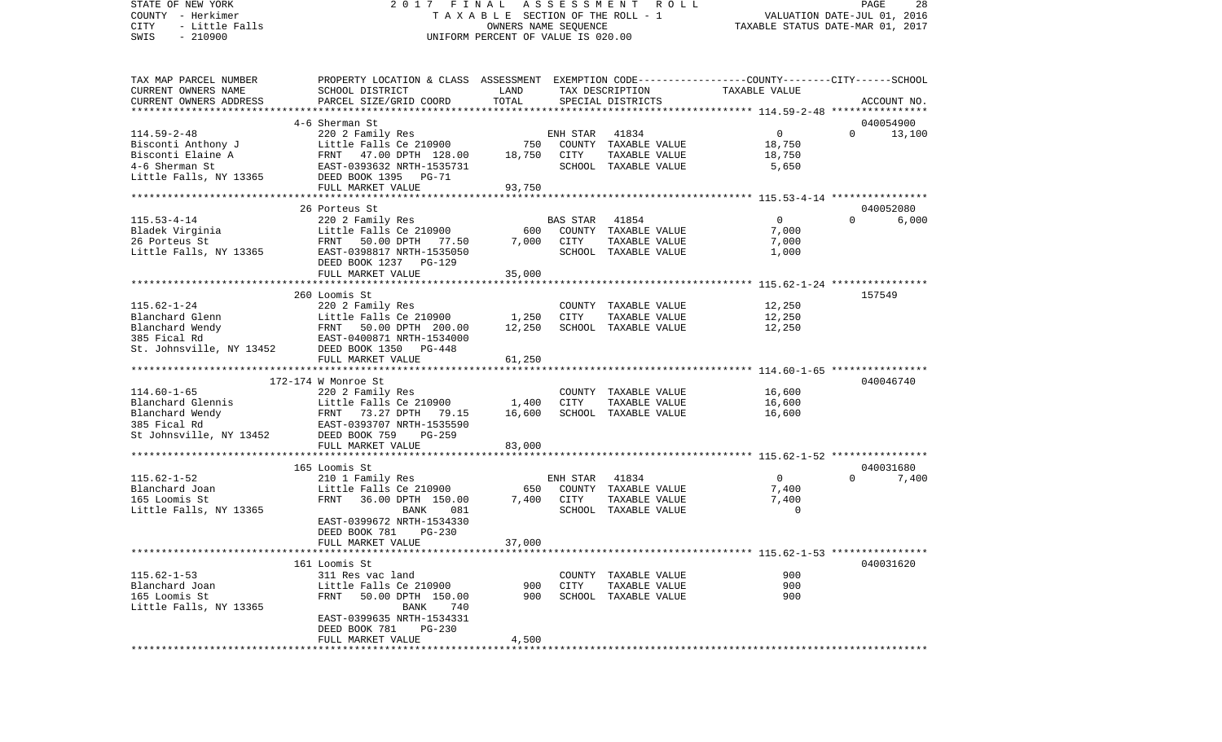STATE OF NEW YORK 2 0 1 7 F I N A L A S S E S S M E N T R O L L PAGE 28COUNTY - Herkimer T A X A B L E SECTION OF THE ROLL - 1 CITY - Little Falls OWNERS NAME SEQUENCE TAXABLE STATUS DATE-MAR 01, 2017 TAX MAP PARCEL NUMBER PROPERTY LOCATION & CLASS ASSESSMENT EXEMPTION CODE------------------COUNTY--------CITY------SCHOOL CURRENT OWNERS NAME SCHOOL DISTRICT LAND TAX DESCRIPTION TAXABLE VALUELittle Falls, NY 13365 DEED BOOK 1395 PG-71

UNIFORM PERCENT OF VALUE IS 020.00

VALUATION DATE-JUL 01, 2016

| CURRENT OWNERS ADDRESS   | PARCEL SIZE/GRID COORD                                                           | TOTAL         |             | SPECIAL DISTRICTS    | ************************** 114.59-2-48 ********** | ACCOUNT NO.        |
|--------------------------|----------------------------------------------------------------------------------|---------------|-------------|----------------------|---------------------------------------------------|--------------------|
|                          | 4-6 Sherman St                                                                   |               |             |                      |                                                   | 040054900          |
| $114.59 - 2 - 48$        | 220 2 Family Res                                                                 |               | ENH STAR    | 41834                | 0                                                 | $\Omega$<br>13,100 |
| Bisconti Anthony J       | Little Falls Ce 210900                                                           | 750           |             | COUNTY TAXABLE VALUE | 18,750                                            |                    |
| Bisconti Elaine A        |                                                                                  | 18,750        | CITY        | TAXABLE VALUE        | 18,750                                            |                    |
| 4-6 Sherman St           | FRNT 47.00 DPTH 128.00<br>EAST-0393632 NRTH-1535731<br>EAST-0393632 NRTH-1535731 |               |             | SCHOOL TAXABLE VALUE | 5,650                                             |                    |
| Little Falls, NY 13365   | DEED BOOK 1395 PG-71                                                             |               |             |                      |                                                   |                    |
|                          | FULL MARKET VALUE                                                                | 93,750        |             |                      |                                                   |                    |
|                          |                                                                                  |               |             |                      |                                                   |                    |
|                          | 26 Porteus St                                                                    |               |             |                      |                                                   | 040052080          |
| $115.53 - 4 - 14$        | 220 2 Family Res                                                                 |               | BAS STAR    | 41854                | $\Omega$                                          | $\Omega$<br>6,000  |
|                          |                                                                                  |               |             |                      |                                                   |                    |
| Bladek Virginia          | Little Falls Ce 210900                                                           | 600           |             | COUNTY TAXABLE VALUE | 7,000                                             |                    |
| 26 Porteus St            | FRNT<br>50.00 DPTH 77.50                                                         | 7,000         | CITY        | TAXABLE VALUE        | 7,000                                             |                    |
|                          | Little Falls, NY 13365 EAST-0398817 NRTH-1535050                                 |               |             | SCHOOL TAXABLE VALUE | 1,000                                             |                    |
|                          | DEED BOOK 1237<br><b>PG-129</b>                                                  |               |             |                      |                                                   |                    |
|                          | FULL MARKET VALUE<br>*****************************                               | 35,000        |             |                      |                                                   |                    |
|                          |                                                                                  | ************* |             |                      |                                                   |                    |
|                          | 260 Loomis St                                                                    |               |             |                      |                                                   | 157549             |
| $115.62 - 1 - 24$        | 220 2 Family Res                                                                 |               |             | COUNTY TAXABLE VALUE | 12,250                                            |                    |
| Blanchard Glenn          | Little Falls Ce 210900                                                           | 1,250         | CITY        | TAXABLE VALUE        | 12,250                                            |                    |
| Blanchard Wendy          | FRNT<br>50.00 DPTH 200.00                                                        | 12,250        |             | SCHOOL TAXABLE VALUE | 12,250                                            |                    |
| 385 Fical Rd             | EAST-0400871 NRTH-1534000                                                        |               |             |                      |                                                   |                    |
| St. Johnsville, NY 13452 | DEED BOOK 1350 PG-448                                                            |               |             |                      |                                                   |                    |
|                          | FULL MARKET VALUE                                                                | 61,250        |             |                      |                                                   |                    |
|                          |                                                                                  |               |             |                      |                                                   |                    |
|                          | 172-174 W Monroe St                                                              |               |             |                      |                                                   | 040046740          |
| $114.60 - 1 - 65$        | 220 2 Family Res                                                                 |               |             | COUNTY TAXABLE VALUE | 16,600                                            |                    |
| Blanchard Glennis        | Little Falls Ce 210900                                                           | 1,400         | <b>CITY</b> | TAXABLE VALUE        | 16,600                                            |                    |
| Blanchard Wendy          | FRNT 73.27 DPTH 79.15                                                            | 16,600        |             | SCHOOL TAXABLE VALUE | 16,600                                            |                    |
| 385 Fical Rd             |                                                                                  |               |             |                      |                                                   |                    |
| St Johnsville, NY 13452  | EAST-0393707 NRTH-1535590<br>DEED BOOK 759   PG-259                              |               |             |                      |                                                   |                    |
|                          | FULL MARKET VALUE                                                                | 83,000        |             |                      |                                                   |                    |
|                          |                                                                                  |               |             |                      |                                                   |                    |
|                          | 165 Loomis St                                                                    |               |             |                      |                                                   | 040031680          |
| $115.62 - 1 - 52$        | 210 1 Family Res                                                                 |               | ENH STAR    | 41834                | $\overline{0}$                                    | $\Omega$<br>7,400  |
|                          |                                                                                  | 650           |             |                      |                                                   |                    |
| Blanchard Joan           | Little Falls Ce 210900                                                           |               |             | COUNTY TAXABLE VALUE | 7,400                                             |                    |
| 165 Loomis St            | FRNT<br>36.00 DPTH 150.00                                                        | 7,400         | <b>CITY</b> | TAXABLE VALUE        | 7,400                                             |                    |
| Little Falls, NY 13365   | BANK<br>081                                                                      |               |             | SCHOOL TAXABLE VALUE | $\Omega$                                          |                    |
|                          | EAST-0399672 NRTH-1534330                                                        |               |             |                      |                                                   |                    |
|                          | DEED BOOK 781<br>$PG-230$                                                        |               |             |                      |                                                   |                    |
|                          | FULL MARKET VALUE                                                                | 37,000        |             |                      |                                                   |                    |
|                          |                                                                                  |               |             |                      |                                                   |                    |
|                          | 161 Loomis St                                                                    |               |             |                      |                                                   | 040031620          |
| $115.62 - 1 - 53$        | 311 Res vac land                                                                 |               |             | COUNTY TAXABLE VALUE | 900                                               |                    |
| Blanchard Joan           | Little Falls Ce 210900                                                           | 900           | CITY        | TAXABLE VALUE        | 900                                               |                    |
| 165 Loomis St            | <b>FRNT</b><br>50.00 DPTH 150.00                                                 | 900           |             | SCHOOL TAXABLE VALUE | 900                                               |                    |
| Little Falls, NY 13365   | BANK<br>740                                                                      |               |             |                      |                                                   |                    |
|                          | EAST-0399635 NRTH-1534331                                                        |               |             |                      |                                                   |                    |
|                          | DEED BOOK 781<br>$PG-230$                                                        |               |             |                      |                                                   |                    |
|                          | FULL MARKET VALUE                                                                | 4,500         |             |                      |                                                   |                    |
|                          |                                                                                  |               |             |                      |                                                   |                    |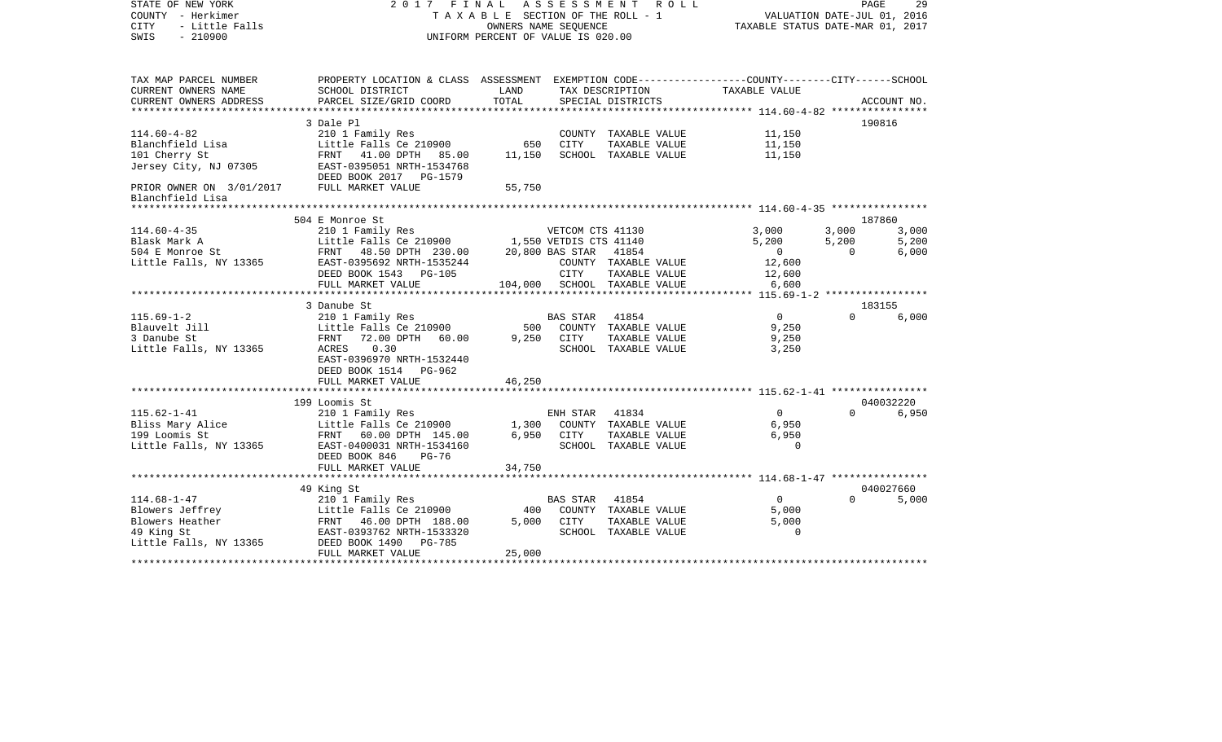| STATE OF NEW YORK<br>COUNTY - Herkimer<br>- Little Falls<br><b>CITY</b><br>$-210900$<br>SWIS | 2017 FINAL ASSESSMENT<br>TAXABLE SECTION OF THE ROLL - 1<br>UNIFORM PERCENT OF VALUE IS 020.00                     | PAGE<br>29<br>VALUATION DATE-JUL 01, 2016<br>TAXABLE STATUS DATE-MAR 01, 2017 |                  |                                       |                   |          |             |
|----------------------------------------------------------------------------------------------|--------------------------------------------------------------------------------------------------------------------|-------------------------------------------------------------------------------|------------------|---------------------------------------|-------------------|----------|-------------|
| TAX MAP PARCEL NUMBER<br>CURRENT OWNERS NAME                                                 | PROPERTY LOCATION & CLASS ASSESSMENT EXEMPTION CODE---------------COUNTY-------CITY------SCHOOL<br>SCHOOL DISTRICT | LAND                                                                          |                  | TAX DESCRIPTION                       | TAXABLE VALUE     |          |             |
| CURRENT OWNERS ADDRESS                                                                       | PARCEL SIZE/GRID COORD                                                                                             | TOTAL                                                                         |                  | SPECIAL DISTRICTS                     |                   |          | ACCOUNT NO. |
| ***********************                                                                      |                                                                                                                    |                                                                               |                  |                                       |                   |          |             |
|                                                                                              | 3 Dale Pl                                                                                                          |                                                                               |                  |                                       |                   |          | 190816      |
| $114.60 - 4 - 82$                                                                            | 210 1 Family Res                                                                                                   |                                                                               |                  | COUNTY TAXABLE VALUE                  | 11,150            |          |             |
| Blanchfield Lisa                                                                             | Little Falls Ce 210900                                                                                             | 650                                                                           | <b>CITY</b>      | TAXABLE VALUE                         | 11,150            |          |             |
| 101 Cherry St                                                                                | FRNT 41.00 DPTH 85.00                                                                                              | 11,150                                                                        |                  | SCHOOL TAXABLE VALUE                  | 11,150            |          |             |
| Jersey City, NJ 07305                                                                        | EAST-0395051 NRTH-1534768<br>DEED BOOK 2017 PG-1579                                                                |                                                                               |                  |                                       |                   |          |             |
| PRIOR OWNER ON 3/01/2017<br>Blanchfield Lisa                                                 | FULL MARKET VALUE                                                                                                  | 55,750                                                                        |                  |                                       |                   |          |             |
| ******************                                                                           |                                                                                                                    |                                                                               |                  |                                       |                   |          |             |
|                                                                                              | 504 E Monroe St                                                                                                    |                                                                               |                  |                                       |                   |          | 187860      |
| $114.60 - 4 - 35$                                                                            | 210 1 Family Res                                                                                                   |                                                                               | VETCOM CTS 41130 |                                       | 3,000             | 3,000    | 3,000       |
| Blask Mark A                                                                                 | Little Falls Ce 210900 1,550 VETDIS CTS 41140                                                                      |                                                                               |                  |                                       | 5,200             | 5,200    | 5,200       |
| 504 E Monroe St                                                                              | FRNT 48.50 DPTH 230.00                                                                                             |                                                                               | 20,800 BAS STAR  | 41854                                 | $\overline{0}$    | $\Omega$ | 6,000       |
| Little Falls, NY 13365                                                                       | EAST-0395692 NRTH-1535244                                                                                          |                                                                               |                  | COUNTY TAXABLE VALUE                  | 12,600            |          |             |
|                                                                                              | DEED BOOK 1543 PG-105                                                                                              |                                                                               | CITY             | TAXABLE VALUE                         | 12,600            |          |             |
|                                                                                              | FULL MARKET VALUE                                                                                                  |                                                                               |                  | 104,000 SCHOOL TAXABLE VALUE          | 6,600             |          |             |
|                                                                                              | 3 Danube St                                                                                                        |                                                                               |                  |                                       |                   |          | 183155      |
| $115.69 - 1 - 2$                                                                             | 210 1 Family Res                                                                                                   |                                                                               | BAS STAR         | 41854                                 | $\overline{0}$    | $\Omega$ | 6,000       |
| Blauvelt Jill                                                                                | Little Falls Ce 210900                                                                                             | 500                                                                           |                  | COUNTY TAXABLE VALUE                  | 9,250             |          |             |
| 3 Danube St                                                                                  | 72.00 DPTH 60.00<br>FRNT                                                                                           | 9,250                                                                         | CITY             | TAXABLE VALUE                         | 9,250             |          |             |
| Little Falls, NY 13365                                                                       | 0.30<br>ACRES                                                                                                      |                                                                               |                  | SCHOOL TAXABLE VALUE                  | 3,250             |          |             |
|                                                                                              | EAST-0396970 NRTH-1532440<br>DEED BOOK 1514 PG-962                                                                 |                                                                               |                  |                                       |                   |          |             |
|                                                                                              | FULL MARKET VALUE                                                                                                  | 46,250                                                                        |                  |                                       |                   |          |             |
|                                                                                              |                                                                                                                    |                                                                               |                  |                                       |                   |          |             |
|                                                                                              | 199 Loomis St                                                                                                      |                                                                               |                  |                                       |                   |          | 040032220   |
| $115.62 - 1 - 41$                                                                            | 210 1 Family Res                                                                                                   |                                                                               | ENH STAR         | 41834                                 | $\Omega$          | $\Omega$ | 6,950       |
| Bliss Mary Alice                                                                             | Little Falls Ce 210900                                                                                             | 1,300                                                                         |                  | COUNTY TAXABLE VALUE                  | 6,950             |          |             |
| 199 Loomis St                                                                                | FRNT 60.00 DPTH 145.00                                                                                             | 6,950                                                                         | CITY             | TAXABLE VALUE                         | 6,950             |          |             |
| Little Falls, NY 13365                                                                       | EAST-0400031 NRTH-1534160                                                                                          |                                                                               |                  | SCHOOL TAXABLE VALUE                  | $\Omega$          |          |             |
|                                                                                              | DEED BOOK 846<br>$PG-76$                                                                                           |                                                                               |                  |                                       |                   |          |             |
|                                                                                              | FULL MARKET VALUE                                                                                                  | 34,750                                                                        |                  |                                       |                   |          |             |
|                                                                                              |                                                                                                                    |                                                                               |                  |                                       |                   |          |             |
|                                                                                              | 49 King St                                                                                                         |                                                                               |                  |                                       |                   |          | 040027660   |
| $114.68 - 1 - 47$                                                                            | 210 1 Family Res                                                                                                   |                                                                               | <b>BAS STAR</b>  | 41854                                 | $0 \qquad \qquad$ | $\Omega$ | 5,000       |
| Blowers Jeffrey                                                                              | Little Falls Ce 210900                                                                                             | 400<br>5,000                                                                  | CITY             | COUNTY TAXABLE VALUE<br>TAXABLE VALUE | 5,000<br>5,000    |          |             |
| Blowers Heather<br>49 King St                                                                | FRNT 46.00 DPTH 188.00<br>EAST-0393762 NRTH-1533320                                                                |                                                                               |                  | SCHOOL TAXABLE VALUE                  | $\Omega$          |          |             |
| Little Falls, NY 13365                                                                       | DEED BOOK 1490<br>PG-785                                                                                           |                                                                               |                  |                                       |                   |          |             |
|                                                                                              | FULL MARKET VALUE                                                                                                  | 25,000                                                                        |                  |                                       |                   |          |             |
|                                                                                              |                                                                                                                    |                                                                               |                  |                                       |                   |          |             |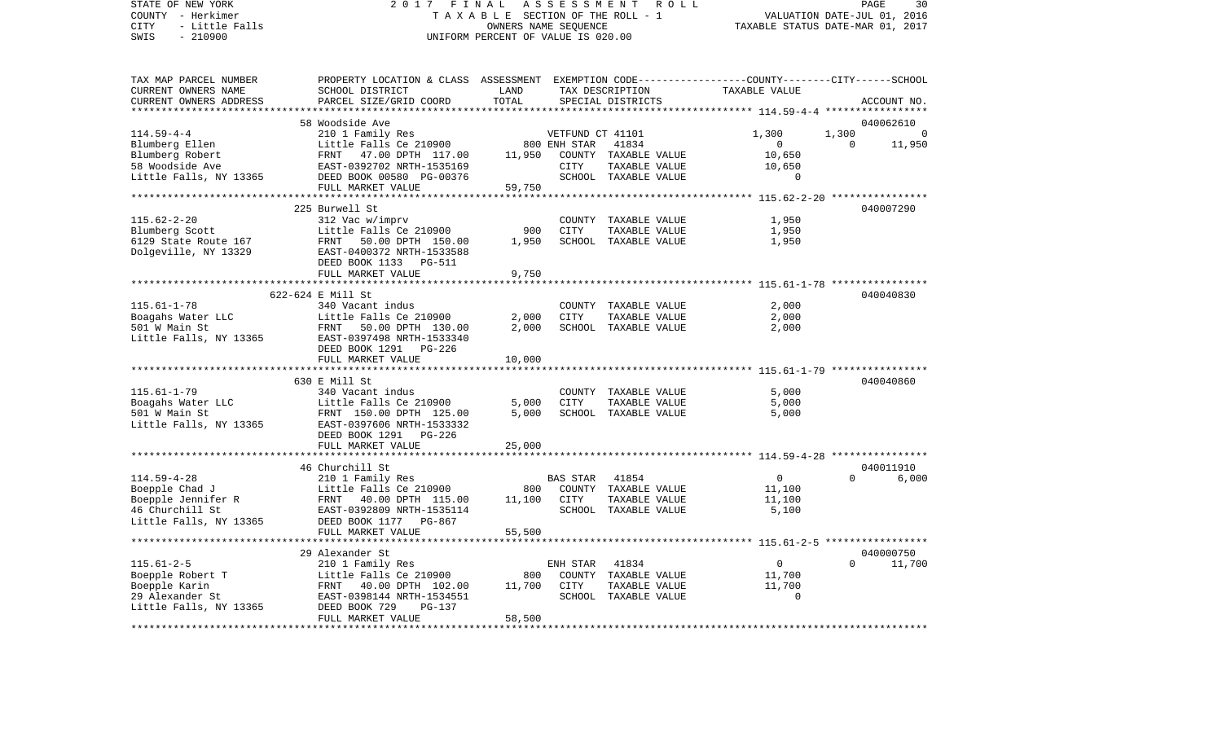COUNTY - Herkimer T A X A B L E SECTION OF THE ROLL - 1 VALUATION DATE-JUL 01, 2016 CITY - Little Falls OWNERS NAME SEQUENCE TAXABLE STATUS DATE-MAR 01, 2017 SWIS - 210900 UNIFORM PERCENT OF VALUE IS 020.00TAX MAP PARCEL NUMBER PROPERTY LOCATION & CLASS ASSESSMENT EXEMPTION CODE------------------COUNTY--------CITY------SCHOOL CURRENT OWNERS NAME SCHOOL DISTRICT LAND TAX DESCRIPTION TAXABLE VALUECURRENT OWNERS ADDRESS PARCEL SIZE/GRID COORD TOTAL SPECIAL DISTRICTS ACCOUNT NO. \*\*\*\*\*\*\*\*\*\*\*\*\*\*\*\*\*\*\*\*\*\*\*\*\*\*\*\*\*\*\*\*\*\*\*\*\*\*\*\*\*\*\*\*\*\*\*\*\*\*\*\*\*\*\*\*\*\*\*\*\*\*\*\*\*\*\*\*\*\*\*\*\*\*\*\*\*\*\*\*\*\*\*\*\*\*\*\*\*\*\*\*\*\*\*\*\*\*\*\*\*\*\* 114.59-4-4 \*\*\*\*\*\*\*\*\*\*\*\*\*\*\*\*\* 58 Woodside Ave 040062610114.59-4-4 210 1 Family Res VETFUND CT 41101 1,300 1,300 0 Blumberg Ellen and Little Falls Ce 210900 800 ENH STAR 41834 0 0 11,950 Blumberg Robert 610,650 FRNT 47.00 DPTH 117.00 11,950 COUNTY TAXABLE VALUE 10,650 58 Woodside Ave EAST-0392702 NRTH-1535169 CITY TAXABLE VALUE 10,650 Little Falls, NY 13365 DEED BOOK 00580 PG-00376 SCHOOL TAXABLE VALUE 0 FULL MARKET VALUE 59,750 \*\*\*\*\*\*\*\*\*\*\*\*\*\*\*\*\*\*\*\*\*\*\*\*\*\*\*\*\*\*\*\*\*\*\*\*\*\*\*\*\*\*\*\*\*\*\*\*\*\*\*\*\*\*\*\*\*\*\*\*\*\*\*\*\*\*\*\*\*\*\*\*\*\*\*\*\*\*\*\*\*\*\*\*\*\*\*\*\*\*\*\*\*\*\*\*\*\*\*\*\*\*\* 115.62-2-20 \*\*\*\*\*\*\*\*\*\*\*\*\*\*\*\* 225 Burwell St 040007290115.62-2-20 312 Vac w/imprv COUNTY TAXABLE VALUE 1,950 Blumberg Scott 1 11ttle Falls Ce 210900 900 CITY TAXABLE VALUE 6129 State Route 167 FRNT 50.00 DPTH 150.00 1,950 SCHOOL TAXABLE VALUE 1,950 Dolgeville, NY 13329 EAST-0400372 NRTH-1533588 DEED BOOK 1133 PG-511FULL MARKET VALUE 9,750 \*\*\*\*\*\*\*\*\*\*\*\*\*\*\*\*\*\*\*\*\*\*\*\*\*\*\*\*\*\*\*\*\*\*\*\*\*\*\*\*\*\*\*\*\*\*\*\*\*\*\*\*\*\*\*\*\*\*\*\*\*\*\*\*\*\*\*\*\*\*\*\*\*\*\*\*\*\*\*\*\*\*\*\*\*\*\*\*\*\*\*\*\*\*\*\*\*\*\*\*\*\*\* 115.61-1-78 \*\*\*\*\*\*\*\*\*\*\*\*\*\*\*\* 622-624 E Mill St 040040830115.61-1-78 340 Vacant indus COUNTY TAXABLE VALUE 2,000 Boagahs Water LLC Little Falls Ce 210900 2,000 CITY TAXABLE VALUE 2,000 501 W Main St FRNT 50.00 DPTH 130.00 2,000 SCHOOL TAXABLE VALUE 2,000 Little Falls, NY 13365 EAST-0397498 NRTH-1533340 DEED BOOK 1291 PG-226FULL MARKET VALUE 10,000 \*\*\*\*\*\*\*\*\*\*\*\*\*\*\*\*\*\*\*\*\*\*\*\*\*\*\*\*\*\*\*\*\*\*\*\*\*\*\*\*\*\*\*\*\*\*\*\*\*\*\*\*\*\*\*\*\*\*\*\*\*\*\*\*\*\*\*\*\*\*\*\*\*\*\*\*\*\*\*\*\*\*\*\*\*\*\*\*\*\*\*\*\*\*\*\*\*\*\*\*\*\*\* 115.61-1-79 \*\*\*\*\*\*\*\*\*\*\*\*\*\*\*\* 630 E Mill St 040040860115.61-1-79 340 Vacant indus COUNTY TAXABLE VALUE 5,000 Boagahs Water LLC Little Falls Ce 210900 5,000 CITY TAXABLE VALUE 5,000 501 W Main St FRNT 150.00 DPTH 125.00 5,000 SCHOOL TAXABLE VALUE 5,000 Little Falls, NY 13365 EAST-0397606 NRTH-1533332 DEED BOOK 1291 PG-226 FULL MARKET VALUE 25,000 \*\*\*\*\*\*\*\*\*\*\*\*\*\*\*\*\*\*\*\*\*\*\*\*\*\*\*\*\*\*\*\*\*\*\*\*\*\*\*\*\*\*\*\*\*\*\*\*\*\*\*\*\*\*\*\*\*\*\*\*\*\*\*\*\*\*\*\*\*\*\*\*\*\*\*\*\*\*\*\*\*\*\*\*\*\*\*\*\*\*\*\*\*\*\*\*\*\*\*\*\*\*\* 114.59-4-28 \*\*\*\*\*\*\*\*\*\*\*\*\*\*\*\* 46 Churchill St 040011910114.59-4-28 210 1 Family Res BAS STAR 41854 0 0 6,000 Boepple Chad J Little Falls Ce 210900 800 COUNTY TAXABLE VALUE 11,100 Boepple Jennifer R FRNT 40.00 DPTH 115.00 11,100 CITY TAXABLE VALUE 11,100 EAST-0392809 NRTH-1535114 Little Falls, NY 13365 DEED BOOK 1177 PG-867 FULL MARKET VALUE 55,500 \*\*\*\*\*\*\*\*\*\*\*\*\*\*\*\*\*\*\*\*\*\*\*\*\*\*\*\*\*\*\*\*\*\*\*\*\*\*\*\*\*\*\*\*\*\*\*\*\*\*\*\*\*\*\*\*\*\*\*\*\*\*\*\*\*\*\*\*\*\*\*\*\*\*\*\*\*\*\*\*\*\*\*\*\*\*\*\*\*\*\*\*\*\*\*\*\*\*\*\*\*\*\* 115.61-2-5 \*\*\*\*\*\*\*\*\*\*\*\*\*\*\*\*\* 29 Alexander St 040000750115.61-2-5 210 1 Family Res ENH STAR 41834 0 0 11,700 Boepple Robert T 611,700 COUNTY TAXABLE VALUE 11,700 Boepple Karin 10.700 CITY TAXABLE VALUE 11,700 POSTER 11,700 COMPONE 11,700 POSTER 11,700 29 Alexander St EAST-0398144 NRTH-1534551 SCHOOL TAXABLE VALUE 0Little Falls, NY 13365 DEED BOOK 729 PG-137 FULL MARKET VALUE 58,500 \*\*\*\*\*\*\*\*\*\*\*\*\*\*\*\*\*\*\*\*\*\*\*\*\*\*\*\*\*\*\*\*\*\*\*\*\*\*\*\*\*\*\*\*\*\*\*\*\*\*\*\*\*\*\*\*\*\*\*\*\*\*\*\*\*\*\*\*\*\*\*\*\*\*\*\*\*\*\*\*\*\*\*\*\*\*\*\*\*\*\*\*\*\*\*\*\*\*\*\*\*\*\*\*\*\*\*\*\*\*\*\*\*\*\*\*\*\*\*\*\*\*\*\*\*\*\*\*\*\*\*\*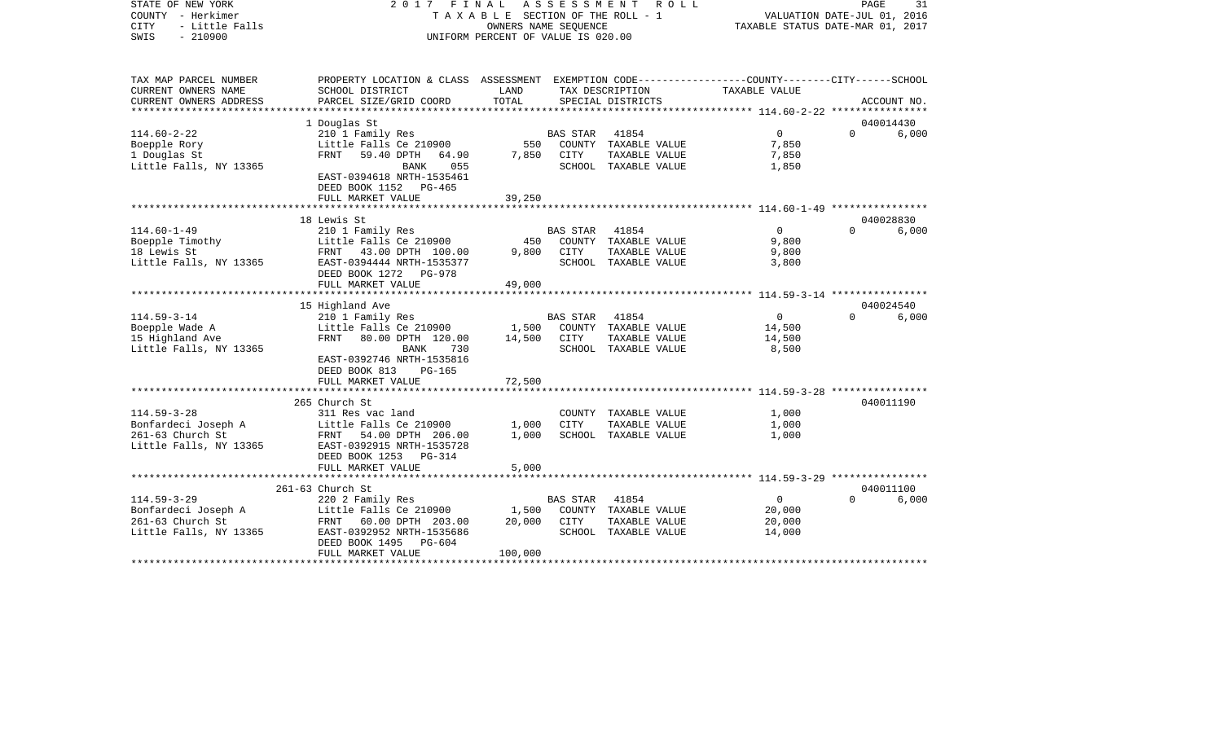| STATE OF NEW YORK<br>COUNTY - Herkimer<br>- Little Falls<br><b>CITY</b><br>$-210900$<br>SWIS | 2017<br>FINAL<br>ASSESSMENT<br>ROLL<br>TAXABLE SECTION OF THE ROLL - 1<br>OWNERS NAME SEQUENCE<br>UNIFORM PERCENT OF VALUE IS 020.00 |              |                 |                                       | PAGE<br>31<br>VALUATION DATE-JUL 01, 2016<br>TAXABLE STATUS DATE-MAR 01, 2017 |           |             |
|----------------------------------------------------------------------------------------------|--------------------------------------------------------------------------------------------------------------------------------------|--------------|-----------------|---------------------------------------|-------------------------------------------------------------------------------|-----------|-------------|
| TAX MAP PARCEL NUMBER<br>CURRENT OWNERS NAME                                                 | PROPERTY LOCATION & CLASS ASSESSMENT EXEMPTION CODE---------------COUNTY-------CITY------SCHOOL<br>SCHOOL DISTRICT                   | LAND         |                 | TAX DESCRIPTION                       | TAXABLE VALUE                                                                 |           |             |
| CURRENT OWNERS ADDRESS                                                                       | PARCEL SIZE/GRID COORD                                                                                                               | TOTAL        |                 | SPECIAL DISTRICTS                     |                                                                               |           | ACCOUNT NO. |
|                                                                                              |                                                                                                                                      |              |                 |                                       |                                                                               |           |             |
|                                                                                              | 1 Douglas St                                                                                                                         |              |                 |                                       |                                                                               | 040014430 |             |
| $114.60 - 2 - 22$                                                                            | 210 1 Family Res                                                                                                                     |              | <b>BAS STAR</b> | 41854                                 | $\mathbf{0}$                                                                  | $\Omega$  | 6,000       |
| Boepple Rory                                                                                 | Little Falls Ce 210900                                                                                                               | 550          |                 | COUNTY TAXABLE VALUE                  | 7,850                                                                         |           |             |
| 1 Douglas St                                                                                 | 59.40 DPTH<br>FRNT<br>64.90                                                                                                          | 7,850        | CITY            | TAXABLE VALUE                         | 7,850                                                                         |           |             |
| Little Falls, NY 13365                                                                       | BANK<br>055<br>EAST-0394618 NRTH-1535461                                                                                             |              |                 | SCHOOL TAXABLE VALUE                  | 1,850                                                                         |           |             |
|                                                                                              | DEED BOOK 1152 PG-465                                                                                                                |              |                 |                                       |                                                                               |           |             |
|                                                                                              | FULL MARKET VALUE                                                                                                                    | 39,250       |                 |                                       |                                                                               |           |             |
|                                                                                              |                                                                                                                                      |              |                 |                                       |                                                                               |           |             |
|                                                                                              | 18 Lewis St                                                                                                                          |              |                 |                                       |                                                                               | 040028830 |             |
| $114.60 - 1 - 49$                                                                            | 210 1 Family Res                                                                                                                     |              | <b>BAS STAR</b> | 41854                                 | $\overline{0}$                                                                | $\Omega$  | 6,000       |
| Boepple Timothy<br>18 Lewis St                                                               | Little Falls Ce 210900<br>FRNT 43.00 DPTH 100.00                                                                                     | 450<br>9,800 | CITY            | COUNTY TAXABLE VALUE<br>TAXABLE VALUE | 9,800<br>9,800                                                                |           |             |
| Little Falls, NY 13365                                                                       | EAST-0394444 NRTH-1535377                                                                                                            |              |                 | SCHOOL TAXABLE VALUE                  | 3,800                                                                         |           |             |
|                                                                                              | DEED BOOK 1272<br><b>PG-978</b>                                                                                                      |              |                 |                                       |                                                                               |           |             |
|                                                                                              | FULL MARKET VALUE                                                                                                                    | 49,000       |                 |                                       |                                                                               |           |             |
|                                                                                              |                                                                                                                                      |              |                 |                                       |                                                                               |           |             |
|                                                                                              | 15 Highland Ave                                                                                                                      |              |                 |                                       |                                                                               | 040024540 |             |
| $114.59 - 3 - 14$                                                                            | 210 1 Family Res                                                                                                                     |              | <b>BAS STAR</b> | 41854                                 | $\mathbf 0$                                                                   | $\Omega$  | 6,000       |
| Boepple Wade A                                                                               | Little Falls Ce 210900                                                                                                               | 1,500        |                 | COUNTY TAXABLE VALUE                  | 14,500                                                                        |           |             |
| 15 Highland Ave                                                                              | 80.00 DPTH 120.00<br>FRNT                                                                                                            | 14,500       | CITY            | TAXABLE VALUE                         | 14,500                                                                        |           |             |
| Little Falls, NY 13365                                                                       | <b>BANK</b><br>730<br>EAST-0392746 NRTH-1535816                                                                                      |              |                 | SCHOOL TAXABLE VALUE                  | 8,500                                                                         |           |             |
|                                                                                              | DEED BOOK 813<br><b>PG-165</b>                                                                                                       |              |                 |                                       |                                                                               |           |             |
|                                                                                              | FULL MARKET VALUE                                                                                                                    | 72,500       |                 |                                       |                                                                               |           |             |
|                                                                                              |                                                                                                                                      |              |                 |                                       |                                                                               |           |             |
|                                                                                              | 265 Church St                                                                                                                        |              |                 |                                       |                                                                               | 040011190 |             |
| $114.59 - 3 - 28$                                                                            | 311 Res vac land                                                                                                                     |              |                 | COUNTY TAXABLE VALUE                  | 1,000                                                                         |           |             |
| Bonfardeci Joseph A                                                                          | Little Falls Ce 210900                                                                                                               | 1,000        | <b>CITY</b>     | TAXABLE VALUE                         | 1,000                                                                         |           |             |
| 261-63 Church St                                                                             | FRNT 54.00 DPTH 206.00                                                                                                               | 1,000        |                 | SCHOOL TAXABLE VALUE                  | 1,000                                                                         |           |             |
| Little Falls, NY 13365                                                                       | EAST-0392915 NRTH-1535728                                                                                                            |              |                 |                                       |                                                                               |           |             |
|                                                                                              | DEED BOOK 1253<br><b>PG-314</b><br>FULL MARKET VALUE                                                                                 | 5,000        |                 |                                       |                                                                               |           |             |
|                                                                                              |                                                                                                                                      |              |                 |                                       |                                                                               |           |             |
|                                                                                              | 261-63 Church St                                                                                                                     |              |                 |                                       |                                                                               | 040011100 |             |
| $114.59 - 3 - 29$                                                                            | 220 2 Family Res                                                                                                                     |              | <b>BAS STAR</b> | 41854                                 | 0                                                                             | $\Omega$  | 6,000       |
| Bonfardeci Joseph A                                                                          | Little Falls Ce 210900                                                                                                               | 1,500        |                 | COUNTY TAXABLE VALUE                  | 20,000                                                                        |           |             |
| 261-63 Church St                                                                             | FRNT 60.00 DPTH 203.00                                                                                                               | 20,000       | CITY            | TAXABLE VALUE                         | 20,000                                                                        |           |             |
| Little Falls, NY 13365                                                                       | EAST-0392952 NRTH-1535686                                                                                                            |              |                 | SCHOOL TAXABLE VALUE                  | 14,000                                                                        |           |             |
|                                                                                              | DEED BOOK 1495<br>$PG-604$                                                                                                           |              |                 |                                       |                                                                               |           |             |
| ********************                                                                         | FULL MARKET VALUE                                                                                                                    | 100,000      |                 |                                       |                                                                               |           |             |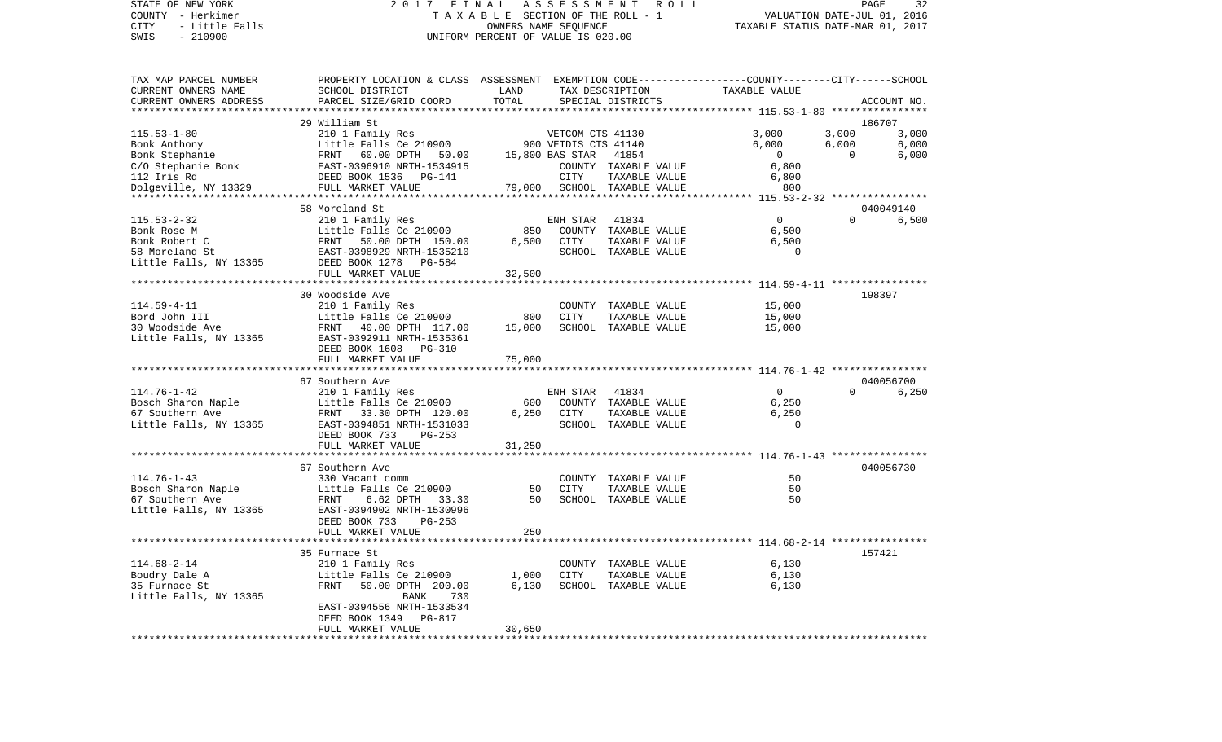## STATE OF NEW YORK 2 0 1 7 F I N A L A S S E S S M E N T R O L L PAGE 32 COUNTY - Herkimer T A X A B L E SECTION OF THE ROLL - 1 VALUATION DATE-JUL 01, 2016 CITY - Little Falls OWNERS NAME SEQUENCE TAXABLE STATUS DATE-MAR 01, 2017 SWIS - Little Falls<br>
SWIS - 210900<br>
SWIS - 210900<br>
UNIFORM PERCENT OF VALUE IS 020.00

| TAX MAP PARCEL NUMBER<br>CURRENT OWNERS NAME        | PROPERTY LOCATION & CLASS ASSESSMENT<br>SCHOOL DISTRICT                     | LAND                      |                                          | TAX DESCRIPTION                                | EXEMPTION CODE-----------------COUNTY-------CITY------SCHOOL<br>TAXABLE VALUE |                |                    |
|-----------------------------------------------------|-----------------------------------------------------------------------------|---------------------------|------------------------------------------|------------------------------------------------|-------------------------------------------------------------------------------|----------------|--------------------|
| CURRENT OWNERS ADDRESS                              | PARCEL SIZE/GRID COORD                                                      | TOTAL<br>**************** |                                          | SPECIAL DISTRICTS                              | **************************** 115.53-1-80 ****************                     |                | ACCOUNT NO.        |
|                                                     | 29 William St                                                               |                           |                                          |                                                |                                                                               |                | 186707             |
| $115.53 - 1 - 80$<br>Bonk Anthony                   | 210 1 Family Res<br>Little Falls Ce 210900                                  |                           | VETCOM CTS 41130<br>900 VETDIS CTS 41140 |                                                | 3,000<br>6,000                                                                | 3,000<br>6,000 | 3,000<br>6,000     |
| Bonk Stephanie<br>C/O Stephanie Bonk<br>112 Iris Rd | FRNT 60.00 DPTH 50.00<br>EAST-0396910 NRTH-1534915<br>DEED BOOK 1536 PG-141 |                           | 15,800 BAS STAR<br>CITY                  | 41854<br>COUNTY TAXABLE VALUE<br>TAXABLE VALUE | $\Omega$<br>6,800<br>6,800                                                    | $\Omega$       | 6,000              |
| Dolgeville, NY 13329                                | FULL MARKET VALUE                                                           |                           |                                          | 79,000 SCHOOL TAXABLE VALUE                    | 800                                                                           |                |                    |
|                                                     | 58 Moreland St                                                              |                           |                                          |                                                |                                                                               |                |                    |
| $115.53 - 2 - 32$                                   | 210 1 Family Res                                                            |                           | ENH STAR                                 | 41834                                          | $\Omega$                                                                      | $\Omega$       | 040049140<br>6,500 |
| Bonk Rose M                                         | Little Falls Ce 210900                                                      | 850                       |                                          | COUNTY TAXABLE VALUE                           | 6,500                                                                         |                |                    |
| Bonk Robert C                                       | FRNT<br>50.00 DPTH 150.00                                                   | 6,500                     | <b>CITY</b>                              | TAXABLE VALUE                                  | 6,500                                                                         |                |                    |
| 58 Moreland St                                      | EAST-0398929 NRTH-1535210                                                   |                           |                                          | SCHOOL TAXABLE VALUE                           | $\Omega$                                                                      |                |                    |
| Little Falls, NY 13365                              | DEED BOOK 1278 PG-584                                                       |                           |                                          |                                                |                                                                               |                |                    |
|                                                     | FULL MARKET VALUE                                                           | 32,500                    |                                          |                                                |                                                                               |                |                    |
|                                                     |                                                                             |                           |                                          |                                                |                                                                               |                |                    |
|                                                     | 30 Woodside Ave                                                             |                           |                                          |                                                |                                                                               |                | 198397             |
| $114.59 - 4 - 11$                                   | 210 1 Family Res                                                            |                           |                                          | COUNTY TAXABLE VALUE                           | 15,000                                                                        |                |                    |
| Bord John III                                       | Little Falls Ce 210900                                                      | 800                       | CITY                                     | TAXABLE VALUE                                  | 15,000                                                                        |                |                    |
| 30 Woodside Ave                                     | FRNT 40.00 DPTH 117.00                                                      | 15,000                    |                                          | SCHOOL TAXABLE VALUE                           | 15,000                                                                        |                |                    |
| Little Falls, NY 13365                              | EAST-0392911 NRTH-1535361<br>DEED BOOK 1608 PG-310                          |                           |                                          |                                                |                                                                               |                |                    |
|                                                     | FULL MARKET VALUE<br>*********************                                  | 75,000<br>********        |                                          |                                                |                                                                               |                |                    |
|                                                     | 67 Southern Ave                                                             |                           |                                          |                                                |                                                                               |                | 040056700          |
| $114.76 - 1 - 42$                                   | 210 1 Family Res                                                            |                           | ENH STAR                                 | 41834                                          | $\overline{0}$                                                                | $\Omega$       | 6,250              |
| Bosch Sharon Naple                                  | Little Falls Ce 210900                                                      | 600                       |                                          | COUNTY TAXABLE VALUE                           | 6,250                                                                         |                |                    |
| 67 Southern Ave                                     | FRNT 33.30 DPTH 120.00                                                      | 6,250                     | CITY                                     | TAXABLE VALUE                                  | 6,250                                                                         |                |                    |
| Little Falls, NY 13365                              | EAST-0394851 NRTH-1531033                                                   |                           |                                          | SCHOOL TAXABLE VALUE                           | $\Omega$                                                                      |                |                    |
|                                                     | DEED BOOK 733<br>$PG-253$                                                   |                           |                                          |                                                |                                                                               |                |                    |
|                                                     | FULL MARKET VALUE                                                           | 31,250                    |                                          |                                                |                                                                               |                |                    |
|                                                     |                                                                             |                           |                                          |                                                |                                                                               |                |                    |
|                                                     | 67 Southern Ave                                                             |                           |                                          |                                                |                                                                               |                | 040056730          |
| $114.76 - 1 - 43$                                   | 330 Vacant comm                                                             |                           |                                          | COUNTY TAXABLE VALUE                           | 50                                                                            |                |                    |
| Bosch Sharon Naple                                  | Little Falls Ce 210900                                                      | 50                        | <b>CITY</b>                              | TAXABLE VALUE                                  | 50                                                                            |                |                    |
| 67 Southern Ave                                     | FRNT<br>6.62 DPTH<br>33.30                                                  | 50                        |                                          | SCHOOL TAXABLE VALUE                           | 50                                                                            |                |                    |
| Little Falls, NY 13365                              | EAST-0394902 NRTH-1530996                                                   |                           |                                          |                                                |                                                                               |                |                    |
|                                                     | DEED BOOK 733<br>$PG-253$                                                   |                           |                                          |                                                |                                                                               |                |                    |
|                                                     | FULL MARKET VALUE                                                           | 250                       |                                          |                                                |                                                                               |                |                    |
|                                                     |                                                                             |                           |                                          |                                                |                                                                               |                | 157421             |
| $114.68 - 2 - 14$                                   | 35 Furnace St                                                               |                           |                                          |                                                | 6,130                                                                         |                |                    |
|                                                     | 210 1 Family Res<br>Little Falls Ce 210900                                  |                           | <b>CITY</b>                              | COUNTY TAXABLE VALUE                           | 6,130                                                                         |                |                    |
| Boudry Dale A<br>35 Furnace St                      | FRNT                                                                        | 1,000<br>6,130            |                                          | TAXABLE VALUE                                  |                                                                               |                |                    |
|                                                     | 50.00 DPTH 200.00<br>730<br><b>BANK</b>                                     |                           |                                          | SCHOOL TAXABLE VALUE                           | 6,130                                                                         |                |                    |
| Little Falls, NY 13365                              | EAST-0394556 NRTH-1533534                                                   |                           |                                          |                                                |                                                                               |                |                    |
|                                                     | DEED BOOK 1349<br>PG-817                                                    |                           |                                          |                                                |                                                                               |                |                    |
|                                                     | FULL MARKET VALUE                                                           | 30,650                    |                                          |                                                |                                                                               |                |                    |
|                                                     |                                                                             |                           |                                          |                                                |                                                                               |                |                    |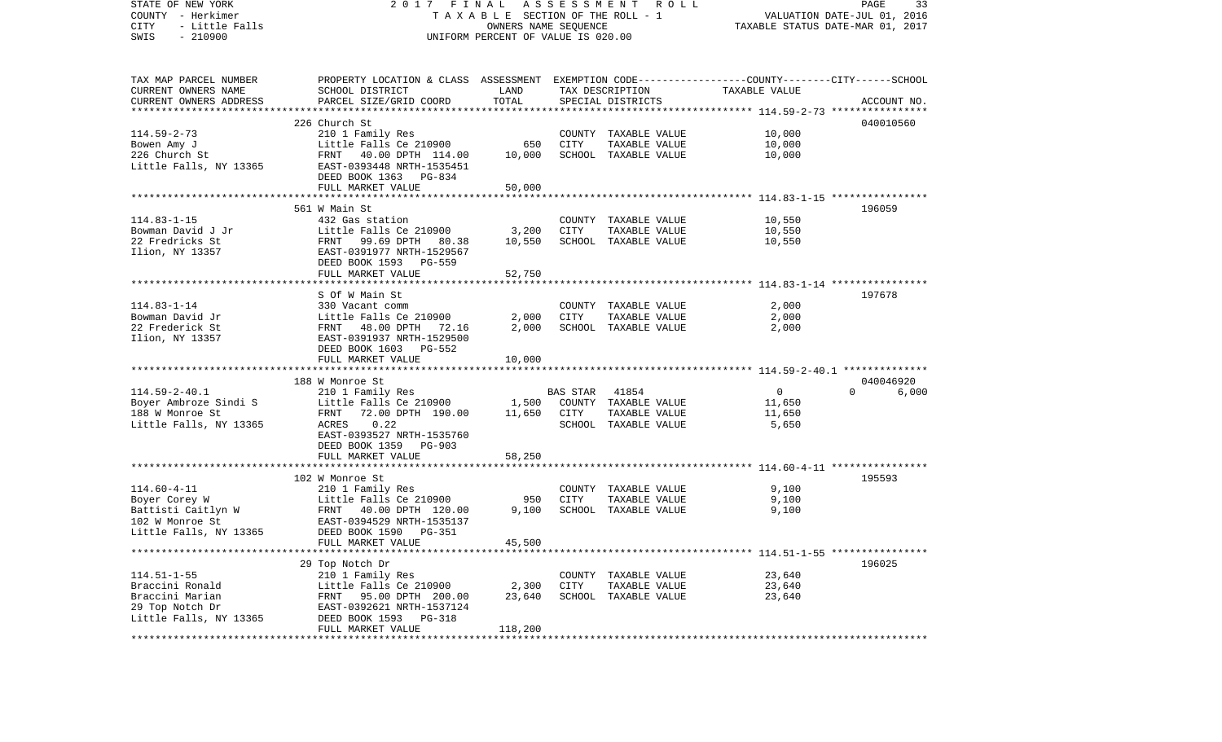| STATE OF NEW YORK<br>COUNTY - Herkimer<br>CITY<br>- Little Falls<br>$-210900$<br>SWIS | 2017 FINAL<br>TAXABLE SECTION OF THE ROLL - 1<br>UNIFORM PERCENT OF VALUE IS 020.00             | PAGE<br>33<br>VALUATION DATE-JUL 01, 2016<br>TAXABLE STATUS DATE-MAR 01, 2017 |                 |                                       |                  |                   |
|---------------------------------------------------------------------------------------|-------------------------------------------------------------------------------------------------|-------------------------------------------------------------------------------|-----------------|---------------------------------------|------------------|-------------------|
|                                                                                       |                                                                                                 |                                                                               |                 |                                       |                  |                   |
| TAX MAP PARCEL NUMBER                                                                 | PROPERTY LOCATION & CLASS ASSESSMENT EXEMPTION CODE---------------COUNTY-------CITY------SCHOOL |                                                                               |                 |                                       |                  |                   |
| CURRENT OWNERS NAME                                                                   | SCHOOL DISTRICT                                                                                 | LAND                                                                          |                 | TAX DESCRIPTION                       | TAXABLE VALUE    |                   |
| CURRENT OWNERS ADDRESS                                                                | PARCEL SIZE/GRID COORD                                                                          | TOTAL                                                                         |                 | SPECIAL DISTRICTS                     |                  | ACCOUNT NO.       |
|                                                                                       |                                                                                                 |                                                                               |                 |                                       |                  |                   |
|                                                                                       | 226 Church St                                                                                   |                                                                               |                 |                                       |                  | 040010560         |
| $114.59 - 2 - 73$                                                                     | 210 1 Family Res                                                                                |                                                                               |                 | COUNTY TAXABLE VALUE<br>TAXABLE VALUE | 10,000           |                   |
| Bowen Amy J<br>226 Church St                                                          | Little Falls Ce 210900<br>FRNT<br>40.00 DPTH 114.00                                             | 650<br>10,000                                                                 | CITY            | SCHOOL TAXABLE VALUE                  | 10,000<br>10,000 |                   |
| Little Falls, NY 13365                                                                | EAST-0393448 NRTH-1535451                                                                       |                                                                               |                 |                                       |                  |                   |
|                                                                                       | DEED BOOK 1363 PG-834                                                                           |                                                                               |                 |                                       |                  |                   |
|                                                                                       | FULL MARKET VALUE                                                                               | 50,000                                                                        |                 |                                       |                  |                   |
|                                                                                       |                                                                                                 |                                                                               |                 |                                       |                  |                   |
|                                                                                       | 561 W Main St                                                                                   |                                                                               |                 |                                       |                  | 196059            |
| $114.83 - 1 - 15$                                                                     | 432 Gas station                                                                                 |                                                                               |                 | COUNTY TAXABLE VALUE                  | 10,550           |                   |
| Bowman David J Jr                                                                     | Little Falls Ce 210900                                                                          | 3,200                                                                         | CITY            | TAXABLE VALUE                         | 10,550           |                   |
| 22 Fredricks St<br>Ilion, NY 13357                                                    | FRNT 99.69 DPTH 80.38<br>EAST-0391977 NRTH-1529567                                              | 10,550                                                                        |                 | SCHOOL TAXABLE VALUE                  | 10,550           |                   |
|                                                                                       | DEED BOOK 1593<br>PG-559                                                                        |                                                                               |                 |                                       |                  |                   |
|                                                                                       | FULL MARKET VALUE                                                                               | 52,750                                                                        |                 |                                       |                  |                   |
|                                                                                       |                                                                                                 |                                                                               |                 |                                       |                  |                   |
|                                                                                       | S Of W Main St                                                                                  |                                                                               |                 |                                       |                  | 197678            |
| $114.83 - 1 - 14$                                                                     | 330 Vacant comm                                                                                 |                                                                               |                 | COUNTY TAXABLE VALUE                  | 2,000            |                   |
| Bowman David Jr                                                                       | Little Falls Ce 210900                                                                          | 2,000                                                                         | CITY            | TAXABLE VALUE                         | 2,000            |                   |
| 22 Frederick St                                                                       | FRNT 48.00 DPTH 72.16                                                                           | 2,000                                                                         |                 | SCHOOL TAXABLE VALUE                  | 2,000            |                   |
| Ilion, NY 13357                                                                       | EAST-0391937 NRTH-1529500                                                                       |                                                                               |                 |                                       |                  |                   |
|                                                                                       | DEED BOOK 1603 PG-552<br>FULL MARKET VALUE                                                      | 10,000                                                                        |                 |                                       |                  |                   |
|                                                                                       |                                                                                                 |                                                                               |                 |                                       |                  |                   |
|                                                                                       | 188 W Monroe St                                                                                 |                                                                               |                 |                                       |                  | 040046920         |
| $114.59 - 2 - 40.1$                                                                   | 210 1 Family Res                                                                                |                                                                               | <b>BAS STAR</b> | 41854                                 | $\circ$          | $\Omega$<br>6,000 |
| Boyer Ambroze Sindi S                                                                 | Little Falls Ce 210900                                                                          | 1,500                                                                         | COUNTY          | TAXABLE VALUE                         | 11,650           |                   |
| 188 W Monroe St                                                                       | 72.00 DPTH 190.00<br>FRNT                                                                       | 11,650                                                                        | CITY            | TAXABLE VALUE                         | 11,650           |                   |
| Little Falls, NY 13365                                                                | ACRES<br>0.22                                                                                   |                                                                               |                 | SCHOOL TAXABLE VALUE                  | 5,650            |                   |
|                                                                                       | EAST-0393527 NRTH-1535760                                                                       |                                                                               |                 |                                       |                  |                   |
|                                                                                       | DEED BOOK 1359<br>PG-903<br>FULL MARKET VALUE                                                   | 58,250                                                                        |                 |                                       |                  |                   |
|                                                                                       |                                                                                                 |                                                                               |                 |                                       |                  |                   |
|                                                                                       | 102 W Monroe St                                                                                 |                                                                               |                 |                                       |                  | 195593            |
| $114.60 - 4 - 11$                                                                     | 210 1 Family Res                                                                                |                                                                               |                 | COUNTY TAXABLE VALUE                  | 9,100            |                   |
| Boyer Corey W                                                                         | Little Falls Ce 210900                                                                          | 950                                                                           | CITY            | TAXABLE VALUE                         | 9,100            |                   |
| Battisti Caitlyn W                                                                    | FRNT 40.00 DPTH 120.00                                                                          | 9,100                                                                         |                 | SCHOOL TAXABLE VALUE                  | 9,100            |                   |
| 102 W Monroe St                                                                       | EAST-0394529 NRTH-1535137                                                                       |                                                                               |                 |                                       |                  |                   |
| Little Falls, NY 13365                                                                | DEED BOOK 1590<br>PG-351                                                                        |                                                                               |                 |                                       |                  |                   |
|                                                                                       | FULL MARKET VALUE                                                                               | 45,500                                                                        |                 |                                       |                  |                   |
|                                                                                       | 29 Top Notch Dr                                                                                 |                                                                               |                 |                                       |                  | 196025            |
| $114.51 - 1 - 55$                                                                     | 210 1 Family Res                                                                                |                                                                               |                 | COUNTY TAXABLE VALUE                  | 23,640           |                   |
| Braccini Ronald                                                                       | Little Falls Ce 210900                                                                          | 2,300                                                                         | CITY            | TAXABLE VALUE                         | 23,640           |                   |
| Braccini Marian                                                                       | FRNT 95.00 DPTH 200.00                                                                          | 23,640                                                                        |                 | SCHOOL TAXABLE VALUE                  | 23,640           |                   |
| 29 Top Notch Dr                                                                       | EAST-0392621 NRTH-1537124                                                                       |                                                                               |                 |                                       |                  |                   |
| Little Falls, NY 13365                                                                | DEED BOOK 1593<br>PG-318                                                                        |                                                                               |                 |                                       |                  |                   |
|                                                                                       | FULL MARKET VALUE                                                                               | 118,200                                                                       |                 |                                       |                  |                   |
|                                                                                       |                                                                                                 |                                                                               |                 |                                       |                  |                   |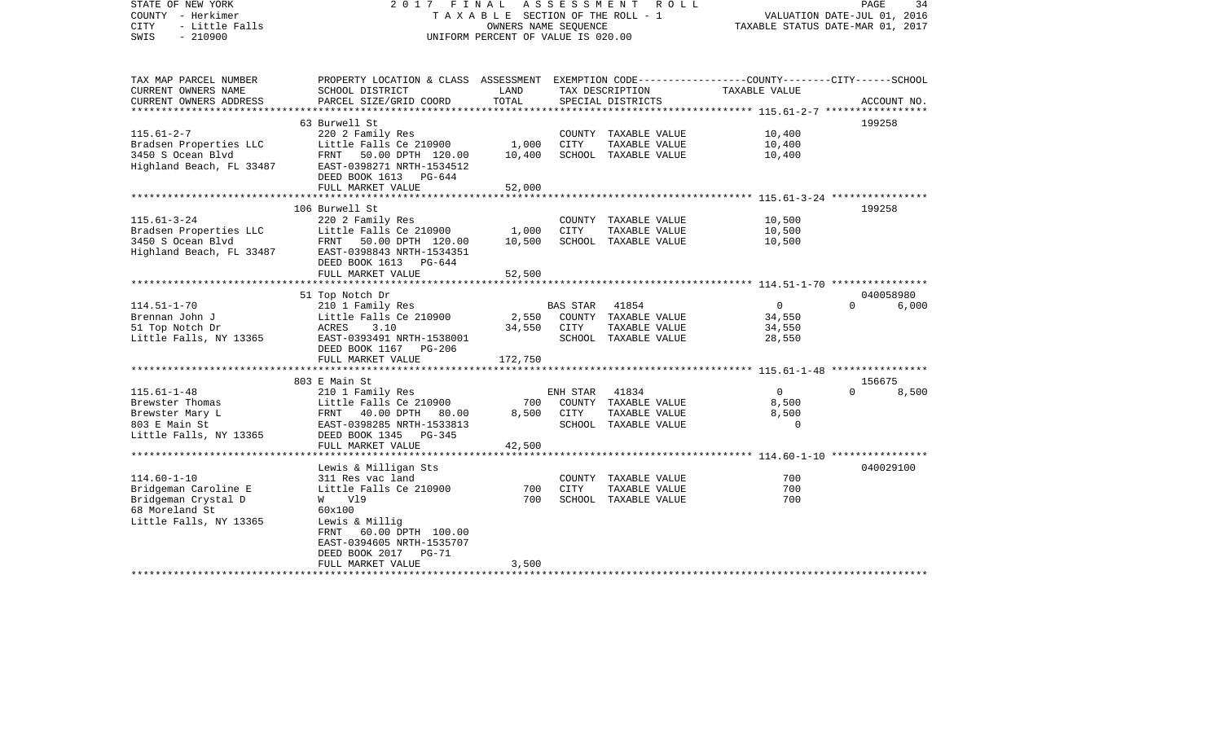| STATE OF NEW YORK<br>COUNTY - Herkimer<br><b>CITY</b><br>- Little Falls<br>$-210900$<br>SWIS | 2017 FINAL<br>ASSESSMENT<br>R O L L<br>T A X A B L E SECTION OF THE ROLL - 1<br>OWNERS NAME SEQUENCE<br>UNIFORM PERCENT OF VALUE IS 020.00 |                 |                 |                                       | PAGE<br>34<br>VALUATION DATE-JUL 01, 2016<br>TAXABLE STATUS DATE-MAR 01, 2017 |          |             |  |
|----------------------------------------------------------------------------------------------|--------------------------------------------------------------------------------------------------------------------------------------------|-----------------|-----------------|---------------------------------------|-------------------------------------------------------------------------------|----------|-------------|--|
| TAX MAP PARCEL NUMBER<br>CURRENT OWNERS NAME                                                 | PROPERTY LOCATION & CLASS ASSESSMENT EXEMPTION CODE----------------COUNTY-------CITY------SCHOOL<br>SCHOOL DISTRICT                        | LAND            |                 | TAX DESCRIPTION                       | TAXABLE VALUE                                                                 |          |             |  |
| CURRENT OWNERS ADDRESS                                                                       | PARCEL SIZE/GRID COORD                                                                                                                     | TOTAL           |                 | SPECIAL DISTRICTS                     |                                                                               |          | ACCOUNT NO. |  |
| ***********************                                                                      | 63 Burwell St                                                                                                                              |                 |                 |                                       |                                                                               | 199258   |             |  |
| $115.61 - 2 - 7$                                                                             | 220 2 Family Res                                                                                                                           |                 |                 | COUNTY TAXABLE VALUE                  | 10,400                                                                        |          |             |  |
| Bradsen Properties LLC                                                                       | Little Falls Ce 210900                                                                                                                     | 1,000           | CITY            | TAXABLE VALUE                         | 10,400                                                                        |          |             |  |
| 3450 S Ocean Blvd                                                                            | FRNT 50.00 DPTH 120.00                                                                                                                     | 10,400          |                 | SCHOOL TAXABLE VALUE                  | 10,400                                                                        |          |             |  |
| Highland Beach, FL 33487                                                                     | EAST-0398271 NRTH-1534512                                                                                                                  |                 |                 |                                       |                                                                               |          |             |  |
|                                                                                              | DEED BOOK 1613 PG-644                                                                                                                      |                 |                 |                                       |                                                                               |          |             |  |
|                                                                                              | FULL MARKET VALUE                                                                                                                          | 52,000          |                 |                                       |                                                                               |          |             |  |
|                                                                                              | ******************************                                                                                                             |                 |                 |                                       |                                                                               |          |             |  |
| $115.61 - 3 - 24$                                                                            | 106 Burwell St                                                                                                                             |                 |                 | COUNTY TAXABLE VALUE                  | 10,500                                                                        | 199258   |             |  |
| Bradsen Properties LLC                                                                       | 220 2 Family Res<br>Little Falls Ce 210900                                                                                                 | 1,000           | <b>CITY</b>     | TAXABLE VALUE                         | 10,500                                                                        |          |             |  |
| 3450 S Ocean Blvd                                                                            | FRNT 50.00 DPTH 120.00                                                                                                                     | 10,500          |                 | SCHOOL TAXABLE VALUE                  | 10,500                                                                        |          |             |  |
| Highland Beach, FL 33487                                                                     | EAST-0398843 NRTH-1534351                                                                                                                  |                 |                 |                                       |                                                                               |          |             |  |
|                                                                                              | DEED BOOK 1613<br>PG-644                                                                                                                   |                 |                 |                                       |                                                                               |          |             |  |
|                                                                                              | FULL MARKET VALUE                                                                                                                          | 52,500          |                 |                                       |                                                                               |          |             |  |
|                                                                                              |                                                                                                                                            |                 |                 |                                       |                                                                               |          |             |  |
|                                                                                              | 51 Top Notch Dr                                                                                                                            |                 |                 |                                       |                                                                               |          | 040058980   |  |
| $114.51 - 1 - 70$                                                                            | 210 1 Family Res                                                                                                                           |                 | <b>BAS STAR</b> | 41854                                 | $\overline{0}$                                                                | $\Omega$ | 6,000       |  |
| Brennan John J                                                                               | Little Falls Ce 210900<br>3.10                                                                                                             | 2,550<br>34,550 | CITY            | COUNTY TAXABLE VALUE<br>TAXABLE VALUE | 34,550<br>34,550                                                              |          |             |  |
| 51 Top Notch Dr<br>Little Falls, NY 13365                                                    | ACRES<br>EAST-0393491 NRTH-1538001                                                                                                         |                 |                 | SCHOOL TAXABLE VALUE                  | 28,550                                                                        |          |             |  |
|                                                                                              | DEED BOOK 1167 PG-206                                                                                                                      |                 |                 |                                       |                                                                               |          |             |  |
|                                                                                              | FULL MARKET VALUE                                                                                                                          | 172,750         |                 |                                       |                                                                               |          |             |  |
|                                                                                              |                                                                                                                                            |                 |                 |                                       |                                                                               |          |             |  |
|                                                                                              | 803 E Main St                                                                                                                              |                 |                 |                                       |                                                                               | 156675   |             |  |
| $115.61 - 1 - 48$                                                                            | 210 1 Family Res                                                                                                                           |                 | ENH STAR        | 41834                                 | $\Omega$                                                                      | $\Omega$ | 8,500       |  |
| Brewster Thomas                                                                              | Little Falls Ce 210900                                                                                                                     | 700             |                 | COUNTY TAXABLE VALUE                  | 8,500                                                                         |          |             |  |
| Brewster Mary L                                                                              | FRNT 40.00 DPTH 80.00                                                                                                                      | 8,500           | CITY            | TAXABLE VALUE                         | 8,500                                                                         |          |             |  |
| 803 E Main St                                                                                | EAST-0398285 NRTH-1533813                                                                                                                  |                 |                 | SCHOOL TAXABLE VALUE                  | $\Omega$                                                                      |          |             |  |
| Little Falls, NY 13365                                                                       | DEED BOOK 1345 PG-345<br>FULL MARKET VALUE                                                                                                 | 42,500          |                 |                                       |                                                                               |          |             |  |
|                                                                                              |                                                                                                                                            |                 |                 |                                       | ***************** 114.60-1-10 *****************                               |          |             |  |
|                                                                                              | Lewis & Milligan Sts                                                                                                                       |                 |                 |                                       |                                                                               |          | 040029100   |  |
| $114.60 - 1 - 10$                                                                            | 311 Res vac land                                                                                                                           |                 |                 | COUNTY TAXABLE VALUE                  | 700                                                                           |          |             |  |
| Bridgeman Caroline E                                                                         | Little Falls Ce 210900                                                                                                                     | 700             | <b>CITY</b>     | TAXABLE VALUE                         | 700                                                                           |          |             |  |
| Bridgeman Crystal D                                                                          | W V19                                                                                                                                      | 700             |                 | SCHOOL TAXABLE VALUE                  | 700                                                                           |          |             |  |
| 68 Moreland St                                                                               | 60x100                                                                                                                                     |                 |                 |                                       |                                                                               |          |             |  |
| Little Falls, NY 13365                                                                       | Lewis & Millig                                                                                                                             |                 |                 |                                       |                                                                               |          |             |  |
|                                                                                              | FRNT 60.00 DPTH 100.00                                                                                                                     |                 |                 |                                       |                                                                               |          |             |  |
|                                                                                              | EAST-0394605 NRTH-1535707<br>DEED BOOK 2017 PG-71                                                                                          |                 |                 |                                       |                                                                               |          |             |  |
|                                                                                              | FULL MARKET VALUE                                                                                                                          | 3,500           |                 |                                       |                                                                               |          |             |  |
|                                                                                              |                                                                                                                                            |                 |                 |                                       |                                                                               |          |             |  |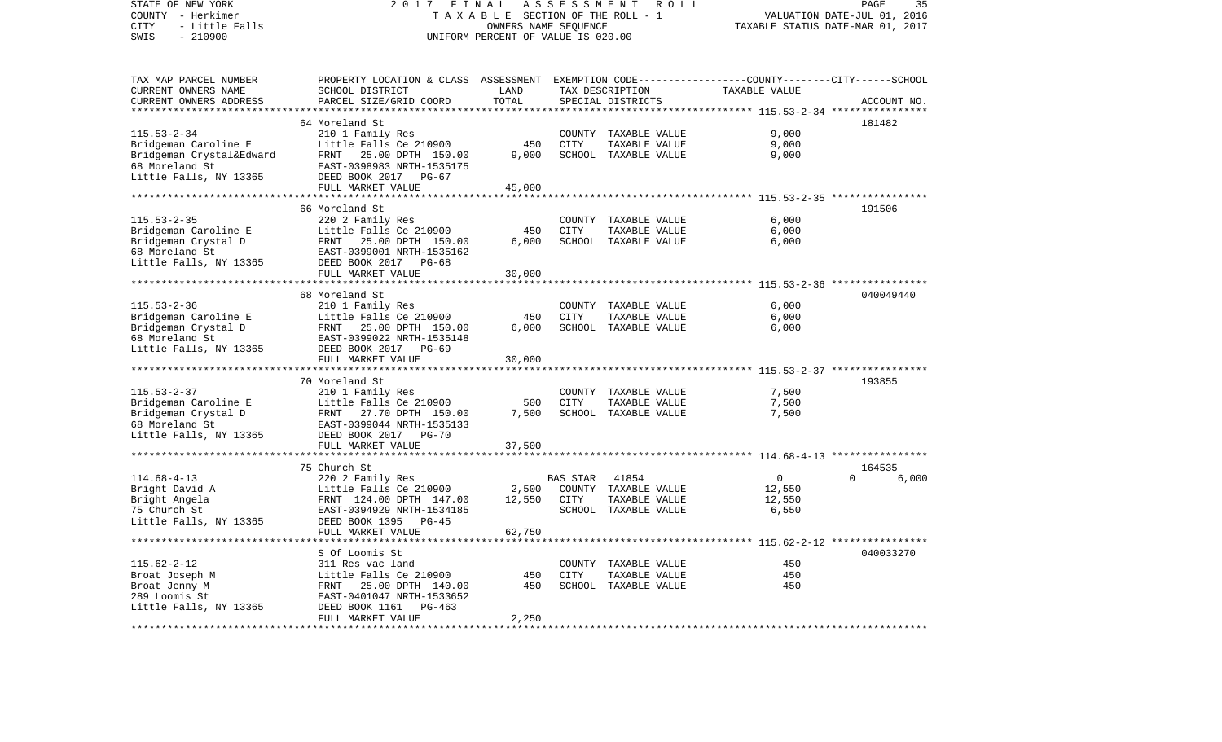| STATE OF NEW YORK<br>COUNTY - Herkimer<br>CITY<br>- Little Falls<br>SWIS<br>$-210900$                             | 2 0 1 7<br>FINAL<br>ASSESSMENT<br>R O L L<br>TAXABLE SECTION OF THE ROLL - 1<br>OWNERS NAME SEQUENCE<br>UNIFORM PERCENT OF VALUE IS 020.00                                   |                                                |                  |                                                                        | PAGE<br>35<br>VALUATION DATE-JUL 01, 2016<br>TAXABLE STATUS DATE-MAR 01, 2017 |                   |  |
|-------------------------------------------------------------------------------------------------------------------|------------------------------------------------------------------------------------------------------------------------------------------------------------------------------|------------------------------------------------|------------------|------------------------------------------------------------------------|-------------------------------------------------------------------------------|-------------------|--|
| TAX MAP PARCEL NUMBER<br>CURRENT OWNERS NAME<br>CURRENT OWNERS ADDRESS                                            | PROPERTY LOCATION & CLASS ASSESSMENT EXEMPTION CODE----------------COUNTY-------CITY------SCHOOL<br>SCHOOL DISTRICT<br>PARCEL SIZE/GRID COORD                                | LAND<br>TOTAL                                  |                  | TAX DESCRIPTION<br>SPECIAL DISTRICTS                                   | TAXABLE VALUE                                                                 | ACCOUNT NO.       |  |
|                                                                                                                   |                                                                                                                                                                              |                                                |                  |                                                                        | ********* 115.53-2-34 ****                                                    |                   |  |
|                                                                                                                   | 64 Moreland St                                                                                                                                                               |                                                |                  |                                                                        |                                                                               | 181482            |  |
| $115.53 - 2 - 34$<br>Bridgeman Caroline E<br>Bridgeman Crystal&Edward<br>68 Moreland St<br>Little Falls, NY 13365 | 210 1 Family Res<br>Little Falls Ce 210900<br>FRNT 25.00 DPTH 150.00<br>EAST-0398983 NRTH-1535175<br>DEED BOOK 2017 PG-67                                                    | 450<br>9,000                                   | CITY             | COUNTY TAXABLE VALUE<br>TAXABLE VALUE<br>SCHOOL TAXABLE VALUE          | 9,000<br>9,000<br>9,000                                                       |                   |  |
|                                                                                                                   | FULL MARKET VALUE                                                                                                                                                            | 45,000                                         |                  |                                                                        |                                                                               |                   |  |
|                                                                                                                   |                                                                                                                                                                              | * * * * * * * * * * *                          |                  |                                                                        | ************************* 115.53-2-35 *****************                       |                   |  |
|                                                                                                                   | 66 Moreland St                                                                                                                                                               |                                                |                  |                                                                        |                                                                               | 191506            |  |
| $115.53 - 2 - 35$                                                                                                 | 220 2 Family Res                                                                                                                                                             |                                                |                  | COUNTY TAXABLE VALUE                                                   | 6,000                                                                         |                   |  |
| Bridgeman Caroline E<br>Bridgeman Crystal D<br>68 Moreland St<br>Little Falls, NY 13365                           | Little Falls Ce 210900<br>FRNT<br>25.00 DPTH 150.00<br>EAST-0399001 NRTH-1535162<br>DEED BOOK 2017 PG-68                                                                     | 450<br>6,000                                   | <b>CITY</b>      | TAXABLE VALUE<br>SCHOOL TAXABLE VALUE                                  | 6,000<br>6,000                                                                |                   |  |
|                                                                                                                   | FULL MARKET VALUE                                                                                                                                                            | 30,000                                         |                  |                                                                        |                                                                               |                   |  |
|                                                                                                                   | ***********************                                                                                                                                                      |                                                |                  |                                                                        | ************************ 115.53-2-36 *****************                        |                   |  |
| $115.53 - 2 - 36$<br>Bridgeman Caroline E<br>Bridgeman Crystal D<br>68 Moreland St<br>Little Falls, NY 13365      | 68 Moreland St<br>210 1 Family Res<br>Little Falls Ce 210900<br>FRNT 25.00 DPTH 150.00<br>EAST-0399022 NRTH-1535148<br>DEED BOOK 2017 PG-69                                  | 450<br>6,000                                   | COUNTY<br>CITY   | TAXABLE VALUE<br>TAXABLE VALUE<br>SCHOOL TAXABLE VALUE                 | 6,000<br>6,000<br>6,000                                                       | 040049440         |  |
|                                                                                                                   | FULL MARKET VALUE                                                                                                                                                            | 30,000                                         |                  |                                                                        |                                                                               |                   |  |
|                                                                                                                   | *************************                                                                                                                                                    |                                                |                  |                                                                        |                                                                               |                   |  |
|                                                                                                                   | 70 Moreland St                                                                                                                                                               |                                                |                  |                                                                        |                                                                               | 193855            |  |
| $115.53 - 2 - 37$<br>Bridgeman Caroline E<br>Bridgeman Crystal D<br>68 Moreland St<br>Little Falls, NY 13365      | 210 1 Family Res<br>Little Falls Ce 210900<br>FRNT 27.70 DPTH 150.00<br>EAST-0399044 NRTH-1535133<br>DEED BOOK 2017<br>PG-70                                                 | 500<br>7,500                                   | <b>CITY</b>      | COUNTY TAXABLE VALUE<br>TAXABLE VALUE<br>SCHOOL TAXABLE VALUE          | 7,500<br>7,500<br>7,500                                                       |                   |  |
|                                                                                                                   | FULL MARKET VALUE                                                                                                                                                            | 37,500                                         |                  |                                                                        |                                                                               |                   |  |
|                                                                                                                   | ************************<br>75 Church St                                                                                                                                     |                                                |                  |                                                                        |                                                                               | 164535            |  |
| $114.68 - 4 - 13$<br>Bright David A<br>Bright Angela<br>75 Church St<br>Little Falls, NY 13365                    | 220 2 Family Res<br>Little Falls Ce 210900<br>FRNT 124.00 DPTH 147.00<br>EAST-0394929 NRTH-1534185<br>DEED BOOK 1395 PG-45<br>FULL MARKET VALUE<br>************************* | 2,500<br>12,550<br>62,750<br>***************** | BAS STAR<br>CITY | 41854<br>COUNTY TAXABLE VALUE<br>TAXABLE VALUE<br>SCHOOL TAXABLE VALUE | $\overline{0}$<br>12,550<br>12,550<br>6,550                                   | $\Omega$<br>6,000 |  |
|                                                                                                                   | S Of Loomis St                                                                                                                                                               |                                                |                  |                                                                        |                                                                               | 040033270         |  |
| $115.62 - 2 - 12$<br>Broat Joseph M<br>Broat Jenny M<br>289 Loomis St<br>Little Falls, NY 13365                   | 311 Res vac land<br>Little Falls Ce 210900<br>25.00 DPTH 140.00<br>FRNT<br>EAST-0401047 NRTH-1533652<br>DEED BOOK 1161<br>$PG-463$<br>FULL MARKET VALUE                      | 450<br>450<br>2,250                            | CITY             | COUNTY TAXABLE VALUE<br>TAXABLE VALUE<br>SCHOOL TAXABLE VALUE          | 450<br>450<br>450                                                             |                   |  |
| *************                                                                                                     |                                                                                                                                                                              |                                                |                  |                                                                        |                                                                               |                   |  |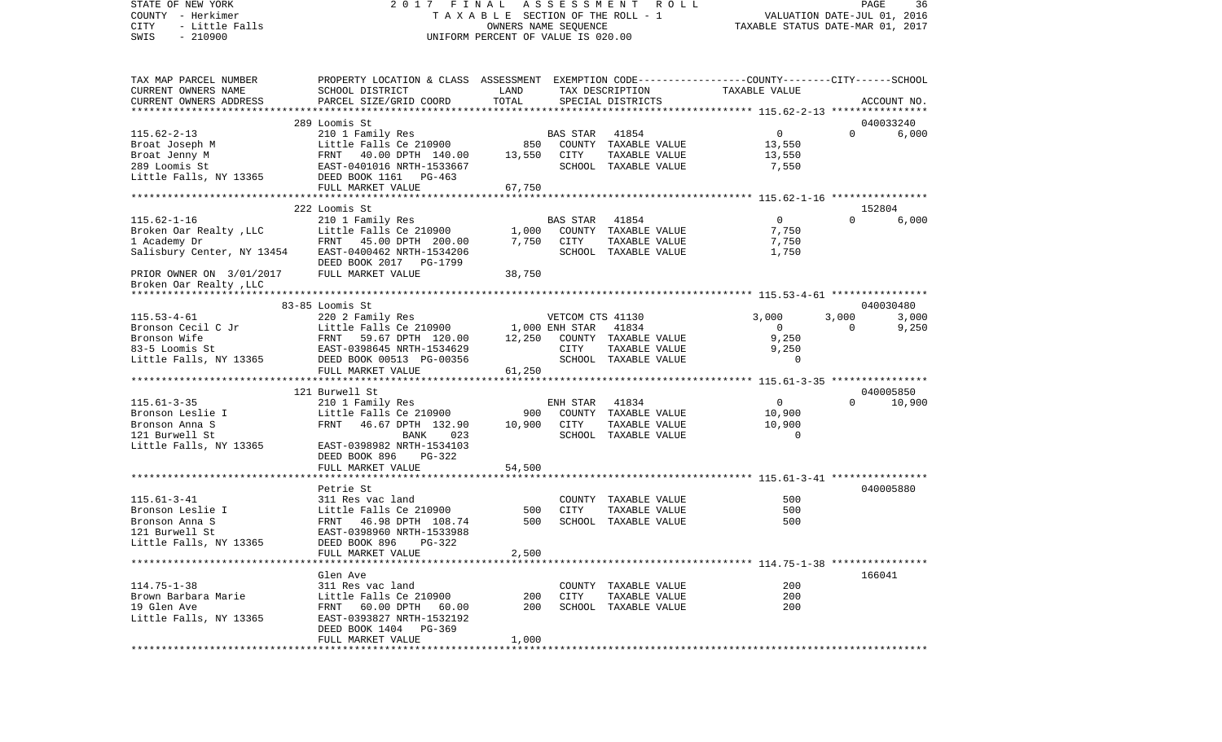## STATE OF NEW YORK 2 0 1 7 F I N A L A S S E S S M E N T R O L L PAGE 36COUNTY - Herkimer T A X A B L E SECTION OF THE ROLL - 1 VALUATION DATE-JUL 01, 2016 CITY - Little Falls OWNERS NAME SEQUENCE TAXABLE STATUS DATE-MAR 01, 2017 UNIFORM PERCENT OF VALUE IS 020.00

36

| TAX MAP PARCEL NUMBER                 | PROPERTY LOCATION & CLASS ASSESSMENT EXEMPTION CODE---------------COUNTY-------CITY------SCHOOL |               |                  |                      |                |          |             |
|---------------------------------------|-------------------------------------------------------------------------------------------------|---------------|------------------|----------------------|----------------|----------|-------------|
| CURRENT OWNERS NAME                   | SCHOOL DISTRICT                                                                                 | LAND<br>TOTAL |                  | TAX DESCRIPTION      | TAXABLE VALUE  |          |             |
| CURRENT OWNERS ADDRESS                | PARCEL SIZE/GRID COORD                                                                          |               |                  | SPECIAL DISTRICTS    |                |          | ACCOUNT NO. |
|                                       | 289 Loomis St                                                                                   |               |                  |                      |                |          | 040033240   |
| $115.62 - 2 - 13$                     | 210 1 Family Res                                                                                |               | BAS STAR         | 41854                | $\overline{0}$ | $\Omega$ | 6,000       |
| Broat Joseph M                        | Little Falls Ce 210900                                                                          | 850           |                  | COUNTY TAXABLE VALUE | 13,550         |          |             |
| Broat Jenny M                         | FRNT 40.00 DPTH 140.00                                                                          | 13,550        | CITY             | TAXABLE VALUE        | 13,550         |          |             |
| 289 Loomis St                         | EAST-0401016 NRTH-1533667                                                                       |               |                  | SCHOOL TAXABLE VALUE | 7,550          |          |             |
| Little Falls, NY 13365                | DEED BOOK 1161 PG-463                                                                           |               |                  |                      |                |          |             |
|                                       | FULL MARKET VALUE                                                                               | 67,750        |                  |                      |                |          |             |
|                                       |                                                                                                 |               |                  |                      |                |          |             |
|                                       | 222 Loomis St                                                                                   |               |                  |                      |                |          | 152804      |
| $115.62 - 1 - 16$                     | 210 1 Family Res                                                                                |               | BAS STAR         | 41854                | $\overline{0}$ | $\Omega$ | 6,000       |
| Broken Oar Realty, LLC                | Little Falls Ce 210900                                                                          | 1,000         |                  | COUNTY TAXABLE VALUE | 7,750          |          |             |
| 1 Academy Dr                          | FRNT 45.00 DPTH 200.00                                                                          | 7,750         | CITY             | TAXABLE VALUE        | 7,750          |          |             |
| Salisbury Center, NY 13454            | EAST-0400462 NRTH-1534206                                                                       |               |                  | SCHOOL TAXABLE VALUE | 1,750          |          |             |
|                                       | DEED BOOK 2017 PG-1799                                                                          |               |                  |                      |                |          |             |
| PRIOR OWNER ON 3/01/2017              | FULL MARKET VALUE                                                                               | 38,750        |                  |                      |                |          |             |
| Broken Oar Realty, LLC                |                                                                                                 |               |                  |                      |                |          |             |
|                                       |                                                                                                 |               |                  |                      |                |          |             |
|                                       | 83-85 Loomis St                                                                                 |               |                  |                      |                |          | 040030480   |
| $115.53 - 4 - 61$                     | 220 2 Family Res                                                                                |               | VETCOM CTS 41130 |                      | 3,000          | 3,000    | 3,000       |
| Bronson Cecil C Jr                    | Little Falls Ce 210900                                                                          |               | 1,000 ENH STAR   | 41834                | $\overline{0}$ | $\Omega$ | 9,250       |
| Bronson Wife                          | FRNT 59.67 DPTH 120.00                                                                          | 12,250        |                  | COUNTY TAXABLE VALUE | 9,250          |          |             |
| 83-5 Loomis St                        | EAST-0398645 NRTH-1534629                                                                       |               | CITY             | TAXABLE VALUE        | 9,250          |          |             |
| Little Falls, NY 13365                | DEED BOOK 00513 PG-00356                                                                        |               |                  | SCHOOL TAXABLE VALUE | $\mathbf 0$    |          |             |
|                                       | FULL MARKET VALUE                                                                               | 61,250        |                  |                      |                |          |             |
|                                       |                                                                                                 |               |                  |                      |                |          |             |
|                                       | 121 Burwell St                                                                                  |               |                  |                      |                |          | 040005850   |
| $115.61 - 3 - 35$                     | 210 1 Family Res                                                                                |               | ENH STAR         | 41834                | $\overline{0}$ | $\Omega$ | 10,900      |
| Bronson Leslie I                      | Little Falls Ce 210900                                                                          | 900           |                  | COUNTY TAXABLE VALUE | 10,900         |          |             |
| Bronson Anna S                        | FRNT<br>46.67 DPTH 132.90                                                                       | 10,900 CITY   |                  | TAXABLE VALUE        | 10,900         |          |             |
| 121 Burwell St                        | 023<br>BANK                                                                                     |               |                  | SCHOOL TAXABLE VALUE | $\Omega$       |          |             |
| Little Falls, NY 13365                | EAST-0398982 NRTH-1534103                                                                       |               |                  |                      |                |          |             |
|                                       | DEED BOOK 896 PG-322                                                                            |               |                  |                      |                |          |             |
|                                       | FULL MARKET VALUE                                                                               | 54,500        |                  |                      |                |          |             |
|                                       |                                                                                                 |               |                  |                      |                |          |             |
|                                       | Petrie St                                                                                       |               |                  |                      |                |          | 040005880   |
| $115.61 - 3 - 41$                     | 311 Res vac land                                                                                |               |                  | COUNTY TAXABLE VALUE | 500            |          |             |
| Bronson Leslie I                      | Little Falls Ce 210900                                                                          | 500           | <b>CITY</b>      | TAXABLE VALUE        | 500            |          |             |
| Bronson Anna S                        | FRNT 46.98 DPTH 108.74                                                                          | 500           |                  | SCHOOL TAXABLE VALUE | 500            |          |             |
| 121 Burwell St                        | EAST-0398960 NRTH-1533988                                                                       |               |                  |                      |                |          |             |
| Little Falls, NY 13365                | DEED BOOK 896<br>PG-322                                                                         |               |                  |                      |                |          |             |
|                                       | FULL MARKET VALUE                                                                               | 2,500         |                  |                      |                |          |             |
|                                       |                                                                                                 |               |                  |                      |                |          |             |
|                                       | Glen Ave                                                                                        |               |                  |                      |                |          | 166041      |
| $114.75 - 1 - 38$                     | 311 Res vac land                                                                                |               |                  | COUNTY TAXABLE VALUE | 200            |          |             |
| Brown Barbara Marie                   | Little Falls Ce 210900                                                                          | 200           | CITY             | TAXABLE VALUE        | 200            |          |             |
| 19 Glen Ave<br>Little Falls, NY 13365 | FRNT 60.00 DPTH 60.00<br>EAST-0393827 NRTH-1532192                                              | 200           |                  | SCHOOL TAXABLE VALUE | 200            |          |             |
|                                       | DEED BOOK 1404 PG-369                                                                           |               |                  |                      |                |          |             |
|                                       | FULL MARKET VALUE                                                                               | 1,000         |                  |                      |                |          |             |
|                                       |                                                                                                 |               |                  |                      |                |          |             |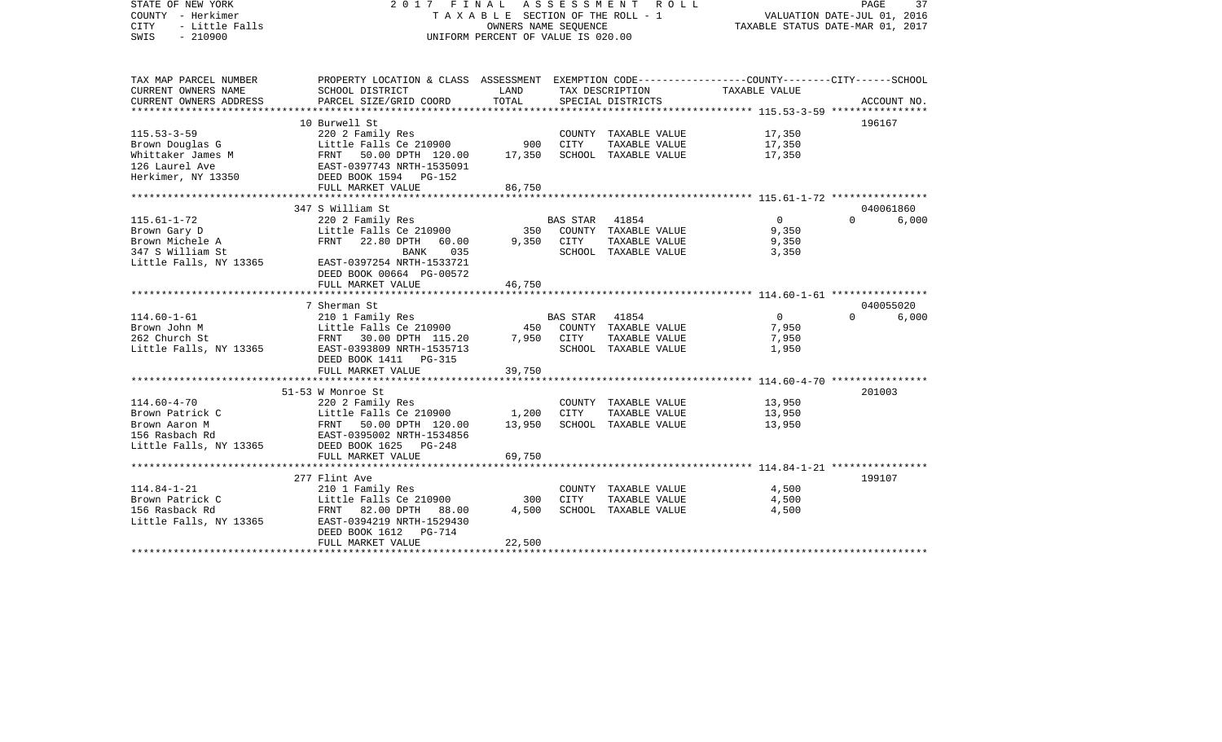| STATE OF NEW YORK<br>COUNTY - Herkimer<br>- Little Falls<br><b>CITY</b><br>SWIS<br>$-210900$ | 2017 FINAL                                                                                                         | T A X A B L E SECTION OF THE ROLL - 1<br>OWNERS NAME SEQUENCE<br>UNIFORM PERCENT OF VALUE IS 020.00 | ASSESSMENT  | R O L L              | TAXABLE STATUS DATE-MAR 01, 2017                 | PAGE<br>VALUATION DATE-JUL 01, 2016 | 37          |
|----------------------------------------------------------------------------------------------|--------------------------------------------------------------------------------------------------------------------|-----------------------------------------------------------------------------------------------------|-------------|----------------------|--------------------------------------------------|-------------------------------------|-------------|
| TAX MAP PARCEL NUMBER<br>CURRENT OWNERS NAME                                                 | PROPERTY LOCATION & CLASS ASSESSMENT EXEMPTION CODE---------------COUNTY-------CITY------SCHOOL<br>SCHOOL DISTRICT | LAND                                                                                                |             | TAX DESCRIPTION      | TAXABLE VALUE                                    |                                     |             |
| CURRENT OWNERS ADDRESS                                                                       | PARCEL SIZE/GRID COORD                                                                                             | TOTAL                                                                                               |             | SPECIAL DISTRICTS    |                                                  |                                     | ACCOUNT NO. |
|                                                                                              | 10 Burwell St                                                                                                      |                                                                                                     |             |                      |                                                  | 196167                              |             |
| $115.53 - 3 - 59$                                                                            | 220 2 Family Res                                                                                                   |                                                                                                     |             | COUNTY TAXABLE VALUE | 17,350                                           |                                     |             |
| Brown Douglas G                                                                              | Little Falls Ce 210900                                                                                             | 900                                                                                                 | <b>CITY</b> | TAXABLE VALUE        | 17,350                                           |                                     |             |
| Whittaker James M                                                                            | FRNT 50.00 DPTH 120.00                                                                                             | 17,350                                                                                              |             | SCHOOL TAXABLE VALUE | 17,350                                           |                                     |             |
| 126 Laurel Ave                                                                               | EAST-0397743 NRTH-1535091                                                                                          |                                                                                                     |             |                      |                                                  |                                     |             |
| Herkimer, NY 13350                                                                           | DEED BOOK 1594 PG-152                                                                                              |                                                                                                     |             |                      |                                                  |                                     |             |
|                                                                                              | FULL MARKET VALUE                                                                                                  | 86,750                                                                                              |             |                      |                                                  |                                     |             |
|                                                                                              |                                                                                                                    |                                                                                                     |             |                      |                                                  |                                     |             |
|                                                                                              | 347 S William St                                                                                                   |                                                                                                     |             |                      |                                                  |                                     | 040061860   |
| $115.61 - 1 - 72$                                                                            | 220 2 Family Res                                                                                                   |                                                                                                     | BAS STAR    | 41854                | $\overline{0}$                                   | $\cap$                              | 6,000       |
| Brown Gary D                                                                                 | Little Falls Ce 210900                                                                                             | 350                                                                                                 |             | COUNTY TAXABLE VALUE | 9,350                                            |                                     |             |
| Brown Michele A                                                                              | 22.80 DPTH<br>FRNT<br>60.00                                                                                        | 9,350                                                                                               | CITY        | TAXABLE VALUE        | 9,350                                            |                                     |             |
| 347 S William St                                                                             | BANK<br>035                                                                                                        |                                                                                                     |             | SCHOOL TAXABLE VALUE | 3,350                                            |                                     |             |
| Little Falls, NY 13365                                                                       | EAST-0397254 NRTH-1533721                                                                                          |                                                                                                     |             |                      |                                                  |                                     |             |
|                                                                                              | DEED BOOK 00664 PG-00572                                                                                           |                                                                                                     |             |                      |                                                  |                                     |             |
|                                                                                              | FULL MARKET VALUE<br>****************************                                                                  | 46,750                                                                                              |             |                      |                                                  |                                     |             |
|                                                                                              |                                                                                                                    |                                                                                                     |             |                      |                                                  |                                     | 040055020   |
| $114.60 - 1 - 61$                                                                            | 7 Sherman St<br>210 1 Family Res                                                                                   |                                                                                                     | BAS STAR    | 41854                | $\overline{0}$                                   | $\Omega$                            | 6,000       |
| Brown John M                                                                                 | Little Falls Ce 210900                                                                                             | 450                                                                                                 |             | COUNTY TAXABLE VALUE | 7,950                                            |                                     |             |
| 262 Church St                                                                                | FRNT 30.00 DPTH 115.20                                                                                             | 7,950                                                                                               | <b>CITY</b> | TAXABLE VALUE        | 7,950                                            |                                     |             |
| Little Falls, NY 13365                                                                       | EAST-0393809 NRTH-1535713                                                                                          |                                                                                                     |             | SCHOOL TAXABLE VALUE | 1,950                                            |                                     |             |
|                                                                                              | DEED BOOK 1411    PG-315                                                                                           |                                                                                                     |             |                      |                                                  |                                     |             |
|                                                                                              | FULL MARKET VALUE                                                                                                  | 39,750                                                                                              |             |                      |                                                  |                                     |             |
|                                                                                              | **********************                                                                                             |                                                                                                     |             |                      | ****************** 114.60-4-70 ***************** |                                     |             |
|                                                                                              | 51-53 W Monroe St                                                                                                  |                                                                                                     |             |                      |                                                  | 201003                              |             |
| $114.60 - 4 - 70$                                                                            | 220 2 Family Res                                                                                                   |                                                                                                     |             | COUNTY TAXABLE VALUE | 13,950                                           |                                     |             |
| Brown Patrick C                                                                              | Little Falls Ce 210900                                                                                             | 1,200                                                                                               | <b>CITY</b> | TAXABLE VALUE        | 13,950                                           |                                     |             |
| Brown Aaron M                                                                                | FRNT 50.00 DPTH 120.00                                                                                             | 13,950                                                                                              |             | SCHOOL TAXABLE VALUE | 13,950                                           |                                     |             |
| 156 Rasbach Rd                                                                               | EAST-0395002 NRTH-1534856                                                                                          |                                                                                                     |             |                      |                                                  |                                     |             |
| Little Falls, NY 13365                                                                       | DEED BOOK 1625<br>$PG-248$                                                                                         |                                                                                                     |             |                      |                                                  |                                     |             |
|                                                                                              | FULL MARKET VALUE                                                                                                  | 69,750                                                                                              |             |                      |                                                  |                                     |             |
|                                                                                              |                                                                                                                    |                                                                                                     |             |                      |                                                  |                                     |             |
|                                                                                              | 277 Flint Ave                                                                                                      |                                                                                                     |             |                      |                                                  | 199107                              |             |
| $114.84 - 1 - 21$                                                                            | 210 1 Family Res                                                                                                   |                                                                                                     |             | COUNTY TAXABLE VALUE | 4,500                                            |                                     |             |
| Brown Patrick C                                                                              | Little Falls Ce 210900                                                                                             | 300                                                                                                 | <b>CITY</b> | TAXABLE VALUE        | 4,500                                            |                                     |             |
| 156 Rasback Rd                                                                               | FRNT<br>82.00 DPTH<br>88.00                                                                                        | 4,500                                                                                               |             | SCHOOL TAXABLE VALUE | 4,500                                            |                                     |             |
| Little Falls, NY 13365                                                                       | EAST-0394219 NRTH-1529430                                                                                          |                                                                                                     |             |                      |                                                  |                                     |             |
|                                                                                              | DEED BOOK 1612<br>PG-714                                                                                           |                                                                                                     |             |                      |                                                  |                                     |             |
|                                                                                              | FULL MARKET VALUE                                                                                                  | 22,500                                                                                              |             |                      |                                                  |                                     |             |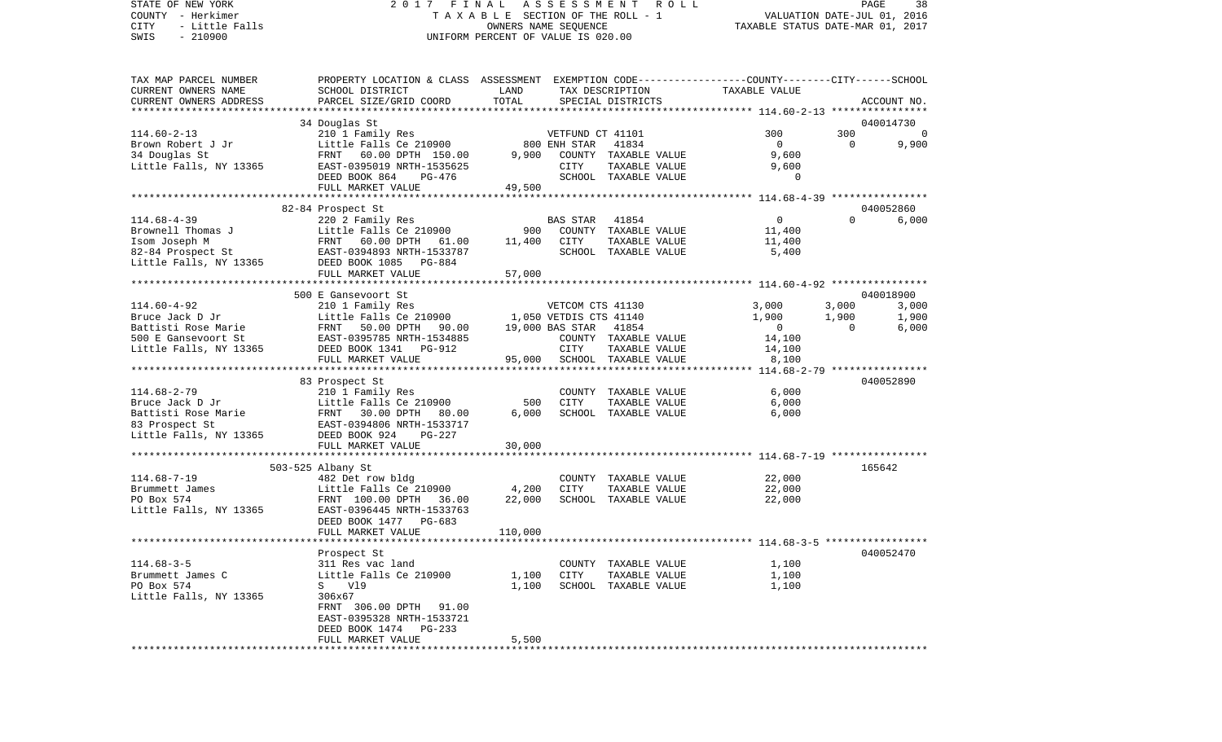# STATE OF NEW YORK 2 0 1 7 F I N A L A S S E S S M E N T R O L L PAGE 38COUNTY - Herkimer<br>CITY - Little Falls (The Section Of The SECTION OF THE ROLL - 1<br>SWIS - 210900 - 201900 - 2016 - 2016 - UNIFORM PERCENT OF VALUE IS 020.00 A L A S S E S S W E N I A O L L<br>B L E SECTION OF THE ROLL - 1 VALUATION DATE-JUL 01, 2016<br>OWNERS NAME SEQUENCE TAXABLE STATUS DATE-MAR 01, 2017 SWIS - 210900 UNIFORM PERCENT OF VALUE IS 020.00

| TAX MAP PARCEL NUMBER  | PROPERTY LOCATION & CLASS ASSESSMENT EXEMPTION CODE----------------COUNTY-------CITY------SCHOOL |         |                        |                      |                |          |                |
|------------------------|--------------------------------------------------------------------------------------------------|---------|------------------------|----------------------|----------------|----------|----------------|
| CURRENT OWNERS NAME    | SCHOOL DISTRICT                                                                                  | LAND    |                        | TAX DESCRIPTION      | TAXABLE VALUE  |          |                |
| CURRENT OWNERS ADDRESS | PARCEL SIZE/GRID COORD                                                                           | TOTAL   |                        | SPECIAL DISTRICTS    |                |          | ACCOUNT NO.    |
|                        |                                                                                                  |         |                        |                      |                |          |                |
|                        | 34 Douglas St                                                                                    |         |                        |                      |                |          | 040014730      |
| $114.60 - 2 - 13$      | 210 1 Family Res                                                                                 |         | VETFUND CT 41101       |                      | 300            | 300      | $\overline{0}$ |
| Brown Robert J Jr      | Little Falls Ce 210900                                                                           |         | 800 ENH STAR           | 41834                | $\Omega$       | $\Omega$ | 9,900          |
| 34 Douglas St          | 60.00 DPTH 150.00<br>FRNT                                                                        | 9,900   |                        | COUNTY TAXABLE VALUE | 9,600          |          |                |
| Little Falls, NY 13365 | EAST-0395019 NRTH-1535625                                                                        |         | <b>CITY</b>            | TAXABLE VALUE        | 9,600          |          |                |
|                        | DEED BOOK 864<br>PG-476                                                                          |         |                        | SCHOOL TAXABLE VALUE | 0              |          |                |
|                        | FULL MARKET VALUE                                                                                | 49,500  |                        |                      |                |          |                |
|                        |                                                                                                  |         |                        |                      |                |          |                |
|                        | 82-84 Prospect St                                                                                |         |                        |                      |                |          | 040052860      |
| $114.68 - 4 - 39$      | 220 2 Family Res                                                                                 |         | <b>BAS STAR</b>        | 41854                | 0              | $\Omega$ | 6,000          |
| Brownell Thomas J      | Little Falls Ce 210900                                                                           | 900     |                        | COUNTY TAXABLE VALUE | 11,400         |          |                |
| Isom Joseph M          | FRNT 60.00 DPTH 61.00                                                                            | 11,400  | CITY                   |                      | 11,400         |          |                |
|                        |                                                                                                  |         |                        | TAXABLE VALUE        |                |          |                |
| 82-84 Prospect St      | EAST-0394893 NRTH-1533787                                                                        |         |                        | SCHOOL TAXABLE VALUE | 5,400          |          |                |
| Little Falls, NY 13365 | DEED BOOK 1085<br>PG-884                                                                         |         |                        |                      |                |          |                |
|                        | FULL MARKET VALUE                                                                                | 57,000  |                        |                      |                |          |                |
|                        |                                                                                                  |         |                        |                      |                |          |                |
|                        | 500 E Gansevoort St                                                                              |         |                        |                      |                |          | 040018900      |
| $114.60 - 4 - 92$      | 210 1 Family Res                                                                                 |         | VETCOM CTS 41130       |                      | 3,000          | 3,000    | 3,000          |
| Bruce Jack D Jr        | Little Falls Ce 210900                                                                           |         | 1,050 VETDIS CTS 41140 |                      | 1,900          | 1,900    | 1,900          |
| Battisti Rose Marie    | 50.00 DPTH<br>FRNT<br>90.00                                                                      |         | 19,000 BAS STAR        | 41854                | $\overline{0}$ | $\Omega$ | 6,000          |
| 500 E Gansevoort St    | EAST-0395785 NRTH-1534885                                                                        |         |                        | COUNTY TAXABLE VALUE | 14,100         |          |                |
| Little Falls, NY 13365 | DEED BOOK 1341 PG-912                                                                            |         | <b>CITY</b>            | TAXABLE VALUE        | 14,100         |          |                |
|                        | FULL MARKET VALUE                                                                                | 95,000  |                        | SCHOOL TAXABLE VALUE | 8,100          |          |                |
|                        |                                                                                                  |         |                        |                      |                |          |                |
|                        | 83 Prospect St                                                                                   |         |                        |                      |                |          | 040052890      |
| $114.68 - 2 - 79$      | 210 1 Family Res                                                                                 |         |                        | COUNTY TAXABLE VALUE | 6,000          |          |                |
| Bruce Jack D Jr        | Little Falls Ce 210900                                                                           | 500     | <b>CITY</b>            | TAXABLE VALUE        | 6,000          |          |                |
| Battisti Rose Marie    | FRNT 30.00 DPTH 80.00                                                                            | 6,000   |                        | SCHOOL TAXABLE VALUE | 6,000          |          |                |
| 83 Prospect St         | EAST-0394806 NRTH-1533717                                                                        |         |                        |                      |                |          |                |
| Little Falls, NY 13365 | DEED BOOK 924<br>$PG-227$                                                                        |         |                        |                      |                |          |                |
|                        | FULL MARKET VALUE                                                                                | 30,000  |                        |                      |                |          |                |
|                        |                                                                                                  |         |                        |                      |                |          |                |
|                        | 503-525 Albany St                                                                                |         |                        |                      |                |          | 165642         |
| $114.68 - 7 - 19$      | 482 Det row bldg                                                                                 |         |                        | COUNTY TAXABLE VALUE | 22,000         |          |                |
| Brummett James         | Little Falls Ce 210900                                                                           | 4,200   | <b>CITY</b>            | TAXABLE VALUE        | 22,000         |          |                |
| PO Box 574             | FRNT 100.00 DPTH<br>36.00                                                                        | 22,000  |                        | SCHOOL TAXABLE VALUE | 22,000         |          |                |
| Little Falls, NY 13365 | EAST-0396445 NRTH-1533763                                                                        |         |                        |                      |                |          |                |
|                        | DEED BOOK 1477 PG-683                                                                            |         |                        |                      |                |          |                |
|                        | FULL MARKET VALUE                                                                                | 110,000 |                        |                      |                |          |                |
|                        |                                                                                                  |         |                        |                      |                |          |                |
|                        | Prospect St                                                                                      |         |                        |                      |                |          | 040052470      |
| $114.68 - 3 - 5$       | 311 Res vac land                                                                                 |         |                        | COUNTY TAXABLE VALUE | 1,100          |          |                |
|                        |                                                                                                  |         | <b>CITY</b>            |                      |                |          |                |
| Brummett James C       | Little Falls Ce 210900                                                                           | 1,100   |                        | TAXABLE VALUE        | 1,100          |          |                |
| PO Box 574             | Vl9<br>S                                                                                         | 1,100   |                        | SCHOOL TAXABLE VALUE | 1,100          |          |                |
| Little Falls, NY 13365 | 306x67                                                                                           |         |                        |                      |                |          |                |
|                        | FRNT 306.00 DPTH 91.00                                                                           |         |                        |                      |                |          |                |
|                        | EAST-0395328 NRTH-1533721                                                                        |         |                        |                      |                |          |                |
|                        | DEED BOOK 1474<br>PG-233                                                                         |         |                        |                      |                |          |                |
|                        | FULL MARKET VALUE                                                                                | 5,500   |                        |                      |                |          |                |
|                        |                                                                                                  |         |                        |                      |                |          |                |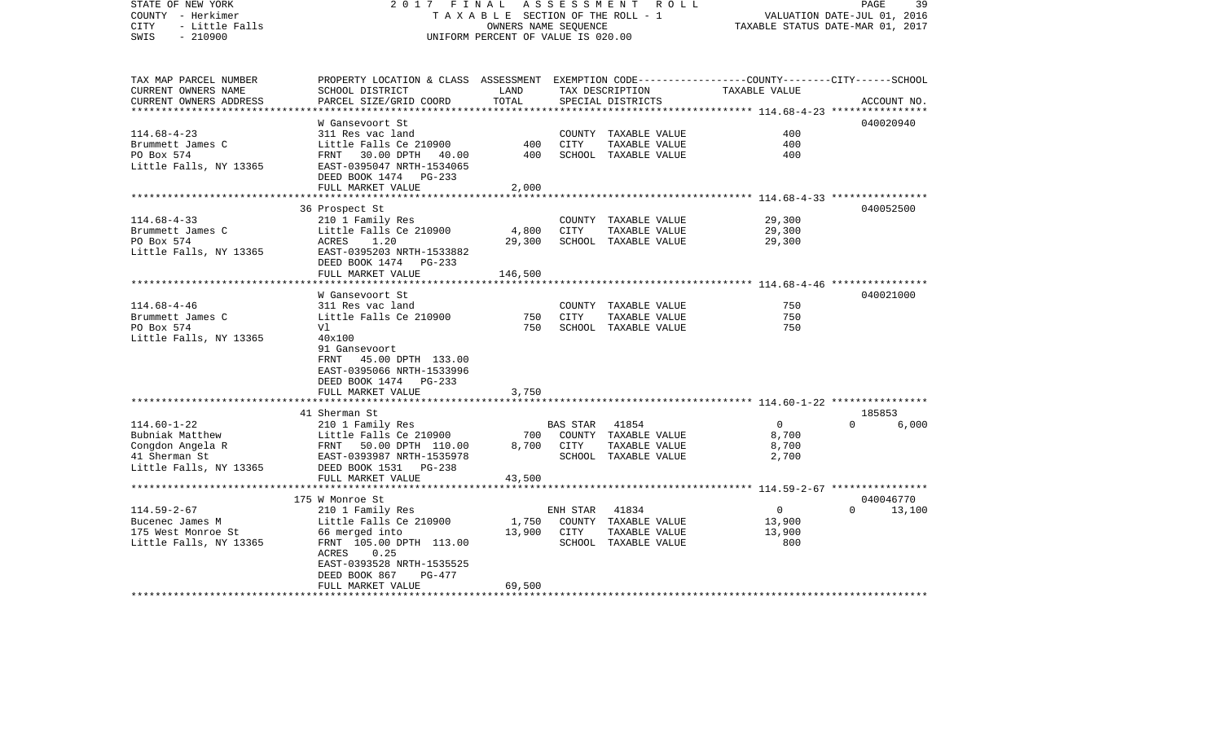| STATE OF NEW YORK<br>COUNTY - Herkimer<br><b>CITY</b><br>- Little Falls<br>$-210900$<br>SWIS | 2017<br>FINAL                                                                                                                                | TAXABLE SECTION OF THE ROLL - 1<br>OWNERS NAME SEQUENCE<br>UNIFORM PERCENT OF VALUE IS 020.00 |             | ASSESSMENT ROLL                      |                                                                  | 39<br>PAGE<br>VALUATION DATE-JUL 01, 2016<br>TAXABLE STATUS DATE-MAR 01, 2017 |
|----------------------------------------------------------------------------------------------|----------------------------------------------------------------------------------------------------------------------------------------------|-----------------------------------------------------------------------------------------------|-------------|--------------------------------------|------------------------------------------------------------------|-------------------------------------------------------------------------------|
| TAX MAP PARCEL NUMBER<br>CURRENT OWNERS NAME<br>CURRENT OWNERS ADDRESS                       | PROPERTY LOCATION & CLASS ASSESSMENT EXEMPTION CODE---------------COUNTY-------CITY------SCHOOL<br>SCHOOL DISTRICT<br>PARCEL SIZE/GRID COORD | LAND<br>TOTAL                                                                                 |             | TAX DESCRIPTION<br>SPECIAL DISTRICTS | TAXABLE VALUE                                                    | ACCOUNT NO.                                                                   |
|                                                                                              | W Gansevoort St                                                                                                                              |                                                                                               |             |                                      |                                                                  | 040020940                                                                     |
| $114.68 - 4 - 23$                                                                            | 311 Res vac land                                                                                                                             |                                                                                               |             | COUNTY TAXABLE VALUE                 | 400                                                              |                                                                               |
| Brummett James C                                                                             | Little Falls Ce 210900                                                                                                                       | 400                                                                                           | CITY        | TAXABLE VALUE                        | 400                                                              |                                                                               |
| PO Box 574<br>Little Falls, NY 13365                                                         | FRNT 30.00 DPTH<br>40.00<br>EAST-0395047 NRTH-1534065<br>DEED BOOK 1474 PG-233                                                               | 400                                                                                           |             | SCHOOL TAXABLE VALUE                 | 400                                                              |                                                                               |
|                                                                                              | FULL MARKET VALUE<br>********************                                                                                                    | 2,000                                                                                         |             |                                      |                                                                  |                                                                               |
|                                                                                              | 36 Prospect St                                                                                                                               |                                                                                               |             |                                      |                                                                  | 040052500                                                                     |
| $114.68 - 4 - 33$                                                                            | 210 1 Family Res                                                                                                                             |                                                                                               |             | COUNTY TAXABLE VALUE                 | 29,300                                                           |                                                                               |
| Brummett James C                                                                             | Little Falls Ce 210900                                                                                                                       | 4,800                                                                                         | CITY        | TAXABLE VALUE                        | 29,300                                                           |                                                                               |
| PO Box 574                                                                                   | ACRES<br>1.20                                                                                                                                | 29,300                                                                                        |             | SCHOOL TAXABLE VALUE                 | 29,300                                                           |                                                                               |
| Little Falls, NY 13365                                                                       | EAST-0395203 NRTH-1533882<br>DEED BOOK 1474 PG-233<br>FULL MARKET VALUE                                                                      | 146,500                                                                                       |             |                                      |                                                                  |                                                                               |
|                                                                                              | ************************                                                                                                                     | ***********                                                                                   |             |                                      | ********************************** 114.68-4-46 ***************** |                                                                               |
|                                                                                              | W Gansevoort St                                                                                                                              |                                                                                               |             |                                      |                                                                  | 040021000                                                                     |
| $114.68 - 4 - 46$                                                                            | 311 Res vac land                                                                                                                             |                                                                                               |             | COUNTY TAXABLE VALUE                 | 750                                                              |                                                                               |
| Brummett James C                                                                             | Little Falls Ce 210900                                                                                                                       | 750                                                                                           | <b>CITY</b> | TAXABLE VALUE                        | 750                                                              |                                                                               |
| PO Box 574                                                                                   | Vl                                                                                                                                           | 750                                                                                           |             | SCHOOL TAXABLE VALUE                 | 750                                                              |                                                                               |
| Little Falls, NY 13365                                                                       | 40x100<br>91 Gansevoort<br>FRNT<br>45.00 DPTH 133.00<br>EAST-0395066 NRTH-1533996<br>DEED BOOK 1474 PG-233                                   |                                                                                               |             |                                      |                                                                  |                                                                               |
|                                                                                              | FULL MARKET VALUE                                                                                                                            | 3,750                                                                                         |             |                                      |                                                                  |                                                                               |
|                                                                                              |                                                                                                                                              | * * * * * * * * *                                                                             |             |                                      |                                                                  |                                                                               |
|                                                                                              | 41 Sherman St                                                                                                                                |                                                                                               |             |                                      | $\Omega$                                                         | 185853<br>$\Omega$                                                            |
| $114.60 - 1 - 22$<br>Bubniak Matthew                                                         | 210 1 Family Res<br>Little Falls Ce 210900                                                                                                   | 700                                                                                           | BAS STAR    | 41854<br>COUNTY TAXABLE VALUE        | 8,700                                                            | 6,000                                                                         |
| Congdon Angela R                                                                             | FRNT 50.00 DPTH 110.00                                                                                                                       | 8,700                                                                                         | CITY        | TAXABLE VALUE                        | 8,700                                                            |                                                                               |
| 41 Sherman St                                                                                | EAST-0393987 NRTH-1535978                                                                                                                    |                                                                                               |             | SCHOOL TAXABLE VALUE                 | 2,700                                                            |                                                                               |
| Little Falls, NY 13365                                                                       | DEED BOOK 1531 PG-238<br>FULL MARKET VALUE                                                                                                   | 43,500                                                                                        |             |                                      |                                                                  |                                                                               |
|                                                                                              | ***************************                                                                                                                  |                                                                                               |             |                                      |                                                                  |                                                                               |
|                                                                                              | 175 W Monroe St                                                                                                                              |                                                                                               |             |                                      |                                                                  | 040046770                                                                     |
| $114.59 - 2 - 67$                                                                            | 210 1 Family Res                                                                                                                             |                                                                                               | ENH STAR    | 41834                                | $\overline{0}$                                                   | $\Omega$<br>13,100                                                            |
| Bucenec James M                                                                              | Little Falls Ce 210900                                                                                                                       | 1,750                                                                                         |             | COUNTY TAXABLE VALUE                 | 13,900                                                           |                                                                               |
| 175 West Monroe St                                                                           | 66 merged into                                                                                                                               | 13,900                                                                                        | CITY        | TAXABLE VALUE                        | 13,900                                                           |                                                                               |
| Little Falls, NY 13365                                                                       | FRNT 105.00 DPTH 113.00<br>ACRES<br>0.25<br>EAST-0393528 NRTH-1535525                                                                        |                                                                                               |             | SCHOOL TAXABLE VALUE                 | 800                                                              |                                                                               |
|                                                                                              | DEED BOOK 867<br>PG-477                                                                                                                      |                                                                                               |             |                                      |                                                                  |                                                                               |
|                                                                                              | FULL MARKET VALUE                                                                                                                            | 69,500                                                                                        |             |                                      |                                                                  |                                                                               |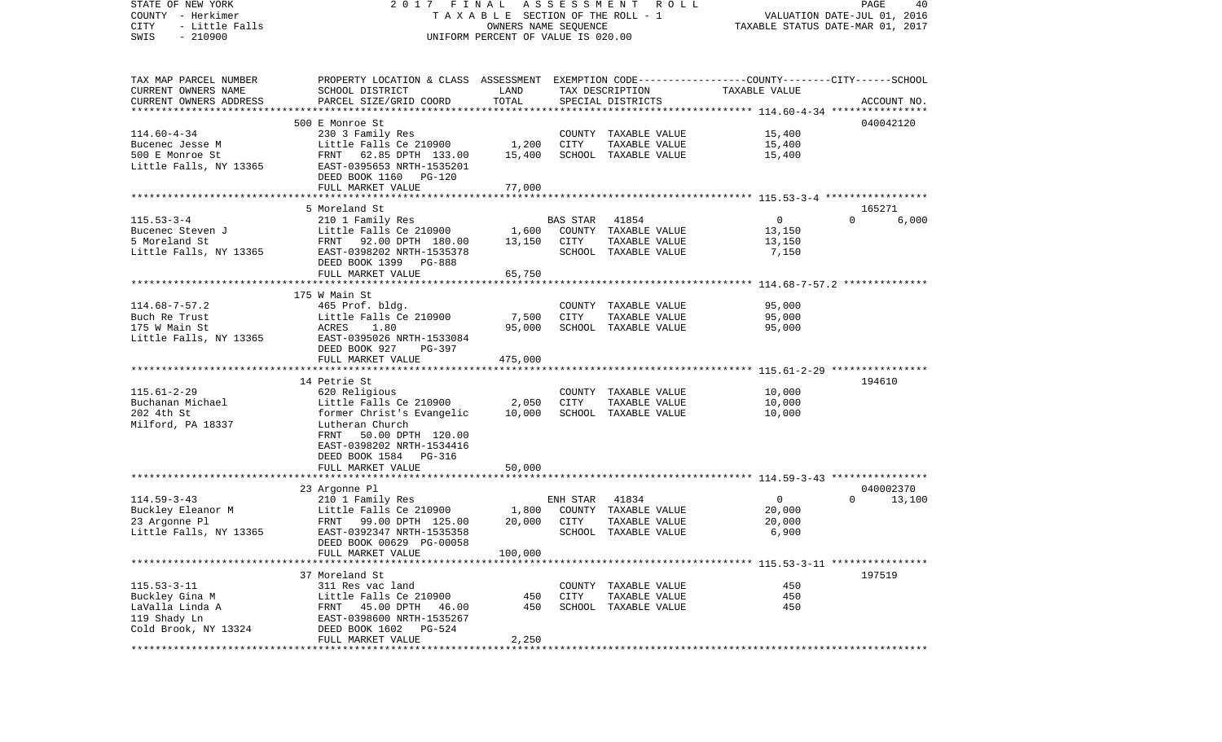| STATE OF NEW YORK<br>COUNTY - Herkimer | FINAL<br>2017<br>TAXABLE SECTION OF THE ROLL - 1                                                |                      | PAGE<br>40<br>VALUATION DATE-JUL 01, 2016 |                      |                |                                  |
|----------------------------------------|-------------------------------------------------------------------------------------------------|----------------------|-------------------------------------------|----------------------|----------------|----------------------------------|
| CITY<br>- Little Falls                 |                                                                                                 | OWNERS NAME SEQUENCE |                                           |                      |                | TAXABLE STATUS DATE-MAR 01, 2017 |
| $-210900$<br>SWIS                      | UNIFORM PERCENT OF VALUE IS 020.00                                                              |                      |                                           |                      |                |                                  |
|                                        |                                                                                                 |                      |                                           |                      |                |                                  |
| TAX MAP PARCEL NUMBER                  | PROPERTY LOCATION & CLASS ASSESSMENT EXEMPTION CODE---------------COUNTY-------CITY------SCHOOL |                      |                                           |                      |                |                                  |
| CURRENT OWNERS NAME                    | SCHOOL DISTRICT                                                                                 | LAND                 |                                           | TAX DESCRIPTION      | TAXABLE VALUE  |                                  |
| CURRENT OWNERS ADDRESS                 | PARCEL SIZE/GRID COORD                                                                          | TOTAL                |                                           | SPECIAL DISTRICTS    |                | ACCOUNT NO.                      |
| ***********************                |                                                                                                 |                      |                                           |                      |                |                                  |
|                                        | 500 E Monroe St                                                                                 |                      |                                           |                      |                | 040042120                        |
| $114.60 - 4 - 34$                      | 230 3 Family Res                                                                                |                      |                                           | COUNTY TAXABLE VALUE | 15,400         |                                  |
| Bucenec Jesse M                        | Little Falls Ce 210900                                                                          | 1,200                | CITY                                      | TAXABLE VALUE        | 15,400         |                                  |
| 500 E Monroe St                        | FRNT<br>62.85 DPTH 133.00                                                                       | 15,400               |                                           | SCHOOL TAXABLE VALUE | 15,400         |                                  |
| Little Falls, NY 13365                 | EAST-0395653 NRTH-1535201                                                                       |                      |                                           |                      |                |                                  |
|                                        | DEED BOOK 1160<br>PG-120                                                                        |                      |                                           |                      |                |                                  |
|                                        | FULL MARKET VALUE                                                                               | 77,000               |                                           |                      |                |                                  |
|                                        |                                                                                                 |                      |                                           |                      |                |                                  |
| $115.53 - 3 - 4$                       | 5 Moreland St<br>210 1 Family Res                                                               |                      | BAS STAR                                  | 41854                | 0              | 165271<br>6,000<br>$\Omega$      |
| Bucenec Steven J                       | Little Falls Ce 210900                                                                          | 1,600                |                                           | COUNTY TAXABLE VALUE | 13,150         |                                  |
| 5 Moreland St                          | FRNT 92.00 DPTH 180.00                                                                          | 13,150               | CITY                                      | TAXABLE VALUE        | 13,150         |                                  |
| Little Falls, NY 13365                 | EAST-0398202 NRTH-1535378                                                                       |                      |                                           | SCHOOL TAXABLE VALUE | 7,150          |                                  |
|                                        | DEED BOOK 1399<br>PG-888                                                                        |                      |                                           |                      |                |                                  |
|                                        | FULL MARKET VALUE                                                                               | 65,750               |                                           |                      |                |                                  |
|                                        |                                                                                                 |                      |                                           |                      |                |                                  |
|                                        | 175 W Main St                                                                                   |                      |                                           |                      |                |                                  |
| $114.68 - 7 - 57.2$                    | 465 Prof. bldg.                                                                                 |                      |                                           | COUNTY TAXABLE VALUE | 95,000         |                                  |
| Buch Re Trust                          | Little Falls Ce 210900                                                                          | 7,500                | CITY                                      | TAXABLE VALUE        | 95,000         |                                  |
| 175 W Main St                          | ACRES<br>1.80                                                                                   | 95,000               |                                           | SCHOOL TAXABLE VALUE | 95,000         |                                  |
| Little Falls, NY 13365                 | EAST-0395026 NRTH-1533084                                                                       |                      |                                           |                      |                |                                  |
|                                        | DEED BOOK 927<br>PG-397                                                                         |                      |                                           |                      |                |                                  |
|                                        | FULL MARKET VALUE                                                                               | 475,000              |                                           |                      |                |                                  |
|                                        |                                                                                                 |                      |                                           |                      |                |                                  |
|                                        | 14 Petrie St                                                                                    |                      |                                           |                      |                | 194610                           |
| $115.61 - 2 - 29$                      | 620 Religious                                                                                   |                      |                                           | COUNTY TAXABLE VALUE | 10,000         |                                  |
| Buchanan Michael                       | Little Falls Ce 210900                                                                          | 2,050                | <b>CITY</b>                               | TAXABLE VALUE        | 10,000         |                                  |
| 202 4th St                             | former Christ's Evangelic                                                                       | 10,000               |                                           | SCHOOL TAXABLE VALUE | 10,000         |                                  |
| Milford, PA 18337                      | Lutheran Church                                                                                 |                      |                                           |                      |                |                                  |
|                                        | 50.00 DPTH 120.00<br>FRNT                                                                       |                      |                                           |                      |                |                                  |
|                                        | EAST-0398202 NRTH-1534416                                                                       |                      |                                           |                      |                |                                  |
|                                        | DEED BOOK 1584 PG-316                                                                           |                      |                                           |                      |                |                                  |
|                                        | FULL MARKET VALUE                                                                               | 50,000               |                                           |                      |                |                                  |
|                                        | 23 Argonne Pl                                                                                   |                      |                                           |                      |                | 040002370                        |
| $114.59 - 3 - 43$                      | 210 1 Family Res                                                                                |                      | ENH STAR                                  | 41834                | $\overline{0}$ | $\Omega$<br>13,100               |
| Buckley Eleanor M                      | Little Falls Ce 210900                                                                          | 1,800                |                                           | COUNTY TAXABLE VALUE | 20,000         |                                  |
| 23 Argonne Pl                          | FRNT<br>99.00 DPTH 125.00                                                                       | 20,000               | CITY                                      | TAXABLE VALUE        | 20,000         |                                  |
| Little Falls, NY 13365                 | EAST-0392347 NRTH-1535358                                                                       |                      |                                           | SCHOOL TAXABLE VALUE | 6,900          |                                  |
|                                        | DEED BOOK 00629 PG-00058                                                                        |                      |                                           |                      |                |                                  |
|                                        | FULL MARKET VALUE                                                                               | 100,000              |                                           |                      |                |                                  |
|                                        |                                                                                                 |                      |                                           |                      |                |                                  |
|                                        | 37 Moreland St                                                                                  |                      |                                           |                      |                | 197519                           |
| $115.53 - 3 - 11$                      | 311 Res vac land                                                                                |                      | COUNTY                                    | TAXABLE VALUE        | 450            |                                  |
| Buckley Gina M                         | Little Falls Ce 210900                                                                          | 450                  | CITY                                      | TAXABLE VALUE        | 450            |                                  |
| LaValla Linda A                        | 45.00 DPTH<br>FRNT<br>46.00                                                                     | 450                  |                                           | SCHOOL TAXABLE VALUE | 450            |                                  |
| 119 Shady Ln                           | EAST-0398600 NRTH-1535267                                                                       |                      |                                           |                      |                |                                  |
| Cold Brook, NY 13324                   | DEED BOOK 1602<br>PG-524                                                                        |                      |                                           |                      |                |                                  |
|                                        | FULL MARKET VALUE                                                                               | 2,250                |                                           |                      |                |                                  |
|                                        |                                                                                                 |                      |                                           |                      |                |                                  |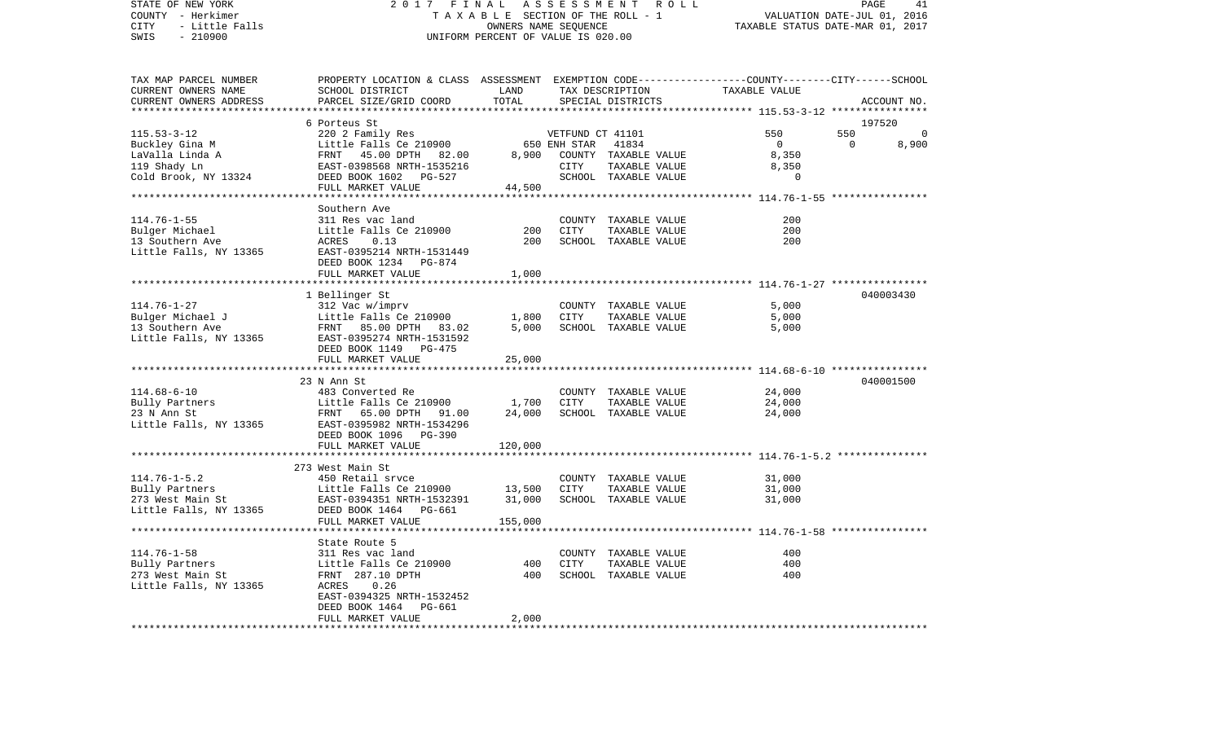| STATE OF NEW YORK                           | 2017                                                                                            | FINAL<br>TAXABLE SECTION OF THE ROLL - 1 | ASSESSMENT       | R O L L              |                                                                | PAGE                        | 41          |
|---------------------------------------------|-------------------------------------------------------------------------------------------------|------------------------------------------|------------------|----------------------|----------------------------------------------------------------|-----------------------------|-------------|
| COUNTY - Herkimer<br>- Little Falls<br>CITY |                                                                                                 | OWNERS NAME SEOUENCE                     |                  |                      |                                                                | VALUATION DATE-JUL 01, 2016 |             |
| SWIS<br>$-210900$                           |                                                                                                 | UNIFORM PERCENT OF VALUE IS 020.00       |                  |                      | TAXABLE STATUS DATE-MAR 01, 2017                               |                             |             |
|                                             |                                                                                                 |                                          |                  |                      |                                                                |                             |             |
| TAX MAP PARCEL NUMBER                       | PROPERTY LOCATION & CLASS ASSESSMENT EXEMPTION CODE---------------COUNTY-------CITY------SCHOOL |                                          |                  |                      |                                                                |                             |             |
| CURRENT OWNERS NAME                         | SCHOOL DISTRICT                                                                                 | LAND                                     |                  | TAX DESCRIPTION      | TAXABLE VALUE                                                  |                             |             |
| CURRENT OWNERS ADDRESS                      | PARCEL SIZE/GRID COORD                                                                          | TOTAL                                    |                  | SPECIAL DISTRICTS    |                                                                |                             | ACCOUNT NO. |
|                                             |                                                                                                 |                                          |                  |                      | ********************************* 115.53-3-12 **************** |                             |             |
|                                             | 6 Porteus St                                                                                    |                                          |                  |                      |                                                                | 197520                      |             |
| $115.53 - 3 - 12$                           | 220 2 Family Res                                                                                |                                          | VETFUND CT 41101 |                      | 550                                                            | 550                         | 0           |
| Buckley Gina M                              | Little Falls Ce 210900                                                                          |                                          | 650 ENH STAR     | 41834                | $\overline{0}$                                                 | $\overline{0}$              | 8,900       |
| LaValla Linda A                             | FRNT<br>45.00 DPTH 82.00                                                                        | 8,900                                    |                  | COUNTY TAXABLE VALUE | 8,350                                                          |                             |             |
| 119 Shady Ln                                | EAST-0398568 NRTH-1535216                                                                       |                                          | CITY             | TAXABLE VALUE        | 8,350                                                          |                             |             |
| Cold Brook, NY 13324                        | DEED BOOK 1602<br>PG-527                                                                        |                                          |                  | SCHOOL TAXABLE VALUE | $\Omega$                                                       |                             |             |
|                                             | FULL MARKET VALUE                                                                               | 44,500                                   |                  |                      |                                                                |                             |             |
|                                             |                                                                                                 |                                          |                  |                      |                                                                |                             |             |
|                                             | Southern Ave                                                                                    |                                          |                  |                      | 200                                                            |                             |             |
| $114.76 - 1 - 55$                           | 311 Res vac land                                                                                |                                          | CITY             | COUNTY TAXABLE VALUE | 200                                                            |                             |             |
| Bulger Michael                              | Little Falls Ce 210900                                                                          | 200<br>200                               |                  | TAXABLE VALUE        | 200                                                            |                             |             |
| 13 Southern Ave<br>Little Falls, NY 13365   | ACRES<br>0.13<br>EAST-0395214 NRTH-1531449                                                      |                                          |                  | SCHOOL TAXABLE VALUE |                                                                |                             |             |
|                                             | DEED BOOK 1234 PG-874                                                                           |                                          |                  |                      |                                                                |                             |             |
|                                             | FULL MARKET VALUE                                                                               | 1,000                                    |                  |                      |                                                                |                             |             |
|                                             |                                                                                                 |                                          |                  |                      |                                                                |                             |             |
|                                             | 1 Bellinger St                                                                                  |                                          |                  |                      |                                                                | 040003430                   |             |
| 114.76-1-27                                 | 312 Vac w/imprv                                                                                 |                                          |                  | COUNTY TAXABLE VALUE | 5,000                                                          |                             |             |
| Bulger Michael J                            | Little Falls Ce 210900                                                                          | 1,800                                    | CITY             | TAXABLE VALUE        | 5,000                                                          |                             |             |
| 13 Southern Ave                             | FRNT 85.00 DPTH 83.02                                                                           | 5,000                                    |                  | SCHOOL TAXABLE VALUE | 5,000                                                          |                             |             |
| Little Falls, NY 13365                      | EAST-0395274 NRTH-1531592                                                                       |                                          |                  |                      |                                                                |                             |             |
|                                             | DEED BOOK 1149 PG-475                                                                           |                                          |                  |                      |                                                                |                             |             |
|                                             | FULL MARKET VALUE                                                                               | 25,000                                   |                  |                      |                                                                |                             |             |
|                                             |                                                                                                 |                                          |                  |                      |                                                                |                             |             |
|                                             | 23 N Ann St                                                                                     |                                          |                  |                      |                                                                | 040001500                   |             |
| $114.68 - 6 - 10$                           | 483 Converted Re                                                                                |                                          |                  | COUNTY TAXABLE VALUE | 24,000                                                         |                             |             |
| Bully Partners                              | Little Falls Ce 210900                                                                          | 1,700                                    | CITY             | TAXABLE VALUE        | 24,000                                                         |                             |             |
| 23 N Ann St                                 | FRNT 65.00 DPTH 91.00                                                                           | 24,000                                   |                  | SCHOOL TAXABLE VALUE | 24,000                                                         |                             |             |
| Little Falls, NY 13365                      | EAST-0395982 NRTH-1534296                                                                       |                                          |                  |                      |                                                                |                             |             |
|                                             | DEED BOOK 1096 PG-390                                                                           |                                          |                  |                      |                                                                |                             |             |
|                                             | FULL MARKET VALUE                                                                               | 120,000                                  |                  |                      |                                                                |                             |             |
|                                             |                                                                                                 | * * * * * * * * * * *                    |                  |                      |                                                                |                             |             |
|                                             | 273 West Main St                                                                                |                                          |                  |                      |                                                                |                             |             |
| $114.76 - 1 - 5.2$                          | 450 Retail srvce                                                                                |                                          |                  | COUNTY TAXABLE VALUE | 31,000                                                         |                             |             |
| Bully Partners                              | Little Falls Ce 210900                                                                          | 13,500                                   | CITY             | TAXABLE VALUE        | 31,000                                                         |                             |             |
| 273 West Main St                            | EAST-0394351 NRTH-1532391                                                                       | 31,000                                   |                  | SCHOOL TAXABLE VALUE | 31,000                                                         |                             |             |
| Little Falls, NY 13365                      | DEED BOOK 1464 PG-661                                                                           |                                          |                  |                      |                                                                |                             |             |
|                                             | FULL MARKET VALUE                                                                               | 155,000                                  |                  |                      |                                                                |                             |             |
|                                             |                                                                                                 | *********                                |                  |                      | ************** 114.76-1-58 *****************                   |                             |             |
|                                             | State Route 5                                                                                   |                                          |                  |                      |                                                                |                             |             |
| $114.76 - 1 - 58$                           | 311 Res vac land                                                                                |                                          |                  | COUNTY TAXABLE VALUE | 400                                                            |                             |             |
| Bully Partners                              | Little Falls Ce 210900                                                                          | 400                                      | <b>CITY</b>      | TAXABLE VALUE        | 400                                                            |                             |             |
| 273 West Main St                            | FRNT 287.10 DPTH                                                                                | 400                                      |                  | SCHOOL TAXABLE VALUE | 400                                                            |                             |             |
| Little Falls, NY 13365                      | ACRES<br>0.26                                                                                   |                                          |                  |                      |                                                                |                             |             |
|                                             | EAST-0394325 NRTH-1532452                                                                       |                                          |                  |                      |                                                                |                             |             |
|                                             | DEED BOOK 1464<br>PG-661                                                                        | 2,000                                    |                  |                      |                                                                |                             |             |
| ***************************                 | FULL MARKET VALUE<br>*******************                                                        |                                          |                  |                      |                                                                |                             |             |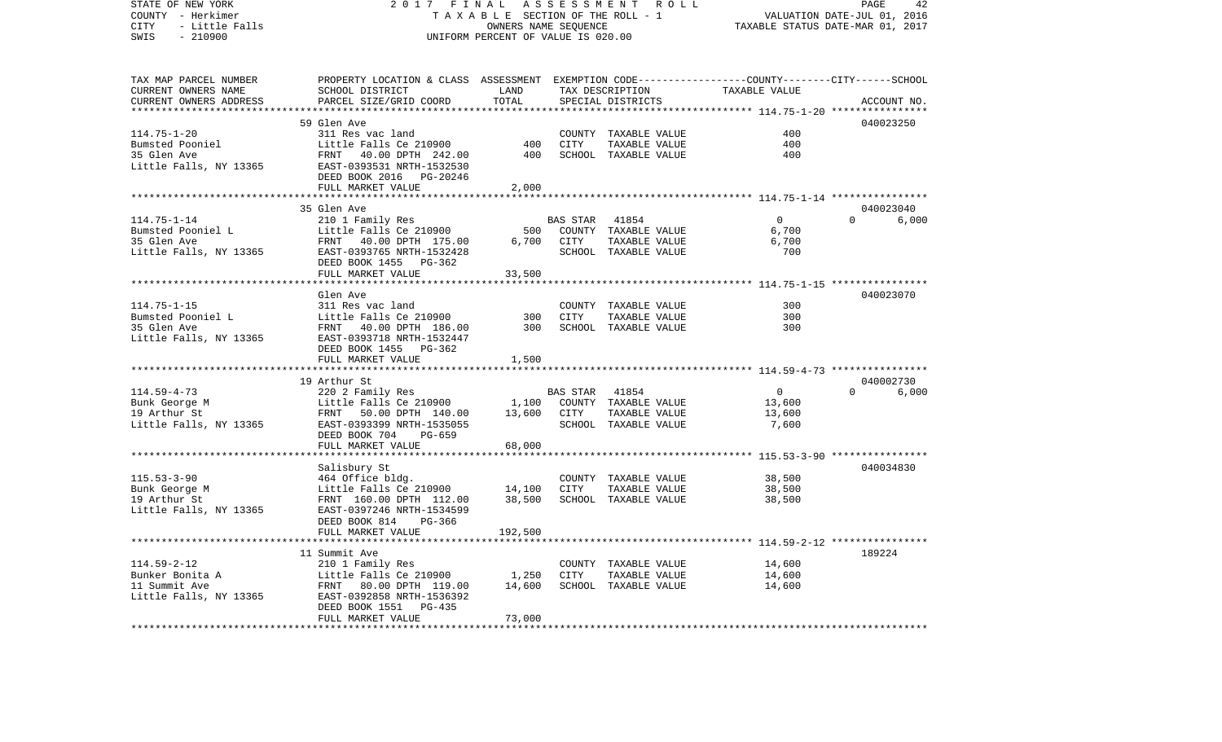| STATE OF NEW YORK<br>COUNTY - Herkimer        | 2017<br>FINAL<br>TAXABLE SECTION OF THE ROLL - 1                                                | ASSESSMENT ROLL<br>PAGE<br>42<br>VALUATION DATE-JUL 01, 2016<br>TAXABLE STATUS DATE-MAR 01, 2017 |             |                                      |                                                         |                                |  |
|-----------------------------------------------|-------------------------------------------------------------------------------------------------|--------------------------------------------------------------------------------------------------|-------------|--------------------------------------|---------------------------------------------------------|--------------------------------|--|
| CITY<br>- Little Falls<br>SWIS<br>$-210900$   |                                                                                                 | OWNERS NAME SEQUENCE<br>UNIFORM PERCENT OF VALUE IS 020.00                                       |             |                                      |                                                         |                                |  |
| TAX MAP PARCEL NUMBER                         | PROPERTY LOCATION & CLASS ASSESSMENT EXEMPTION CODE---------------COUNTY-------CITY------SCHOOL | LAND                                                                                             |             |                                      | TAXABLE VALUE                                           |                                |  |
| CURRENT OWNERS NAME<br>CURRENT OWNERS ADDRESS | SCHOOL DISTRICT<br>PARCEL SIZE/GRID COORD                                                       | TOTAL                                                                                            |             | TAX DESCRIPTION<br>SPECIAL DISTRICTS |                                                         | ACCOUNT NO.                    |  |
|                                               |                                                                                                 | ***********                                                                                      |             |                                      | ******************** 114.75-1-20 *****************      |                                |  |
|                                               | 59 Glen Ave                                                                                     |                                                                                                  |             |                                      |                                                         | 040023250                      |  |
| $114.75 - 1 - 20$                             | 311 Res vac land                                                                                |                                                                                                  |             | COUNTY TAXABLE VALUE                 | 400                                                     |                                |  |
| Bumsted Pooniel                               | Little Falls Ce 210900                                                                          | 400                                                                                              | CITY        | TAXABLE VALUE                        | 400                                                     |                                |  |
| 35 Glen Ave                                   | FRNT 40.00 DPTH 242.00                                                                          | 400                                                                                              |             | SCHOOL TAXABLE VALUE                 | 400                                                     |                                |  |
| Little Falls, NY 13365                        | EAST-0393531 NRTH-1532530<br>DEED BOOK 2016 PG-20246                                            |                                                                                                  |             |                                      |                                                         |                                |  |
|                                               | FULL MARKET VALUE                                                                               | 2,000                                                                                            |             |                                      |                                                         |                                |  |
|                                               | ****************************                                                                    |                                                                                                  |             |                                      |                                                         |                                |  |
| $114.75 - 1 - 14$                             | 35 Glen Ave                                                                                     |                                                                                                  | BAS STAR    | 41854                                | $\overline{0}$                                          | 040023040<br>$\Omega$<br>6,000 |  |
| Bumsted Pooniel L                             | 210 1 Family Res<br>Little Falls Ce 210900                                                      | 500                                                                                              |             | COUNTY TAXABLE VALUE                 | 6,700                                                   |                                |  |
| 35 Glen Ave                                   | FRNT 40.00 DPTH 175.00                                                                          | 6,700                                                                                            | CITY        | TAXABLE VALUE                        | 6,700                                                   |                                |  |
| Little Falls, NY 13365                        | EAST-0393765 NRTH-1532428                                                                       |                                                                                                  |             | SCHOOL TAXABLE VALUE                 | 700                                                     |                                |  |
|                                               | DEED BOOK 1455 PG-362                                                                           |                                                                                                  |             |                                      |                                                         |                                |  |
|                                               | FULL MARKET VALUE                                                                               | 33,500                                                                                           |             |                                      |                                                         |                                |  |
|                                               |                                                                                                 |                                                                                                  |             |                                      | ************************ 114.75-1-15 *****************  |                                |  |
|                                               | Glen Ave                                                                                        |                                                                                                  |             |                                      |                                                         | 040023070                      |  |
| $114.75 - 1 - 15$                             | 311 Res vac land                                                                                |                                                                                                  |             | COUNTY TAXABLE VALUE                 | 300                                                     |                                |  |
| Bumsted Pooniel L                             | Little Falls Ce 210900                                                                          | 300<br>300                                                                                       | CITY        | TAXABLE VALUE                        | 300<br>300                                              |                                |  |
| 35 Glen Ave<br>Little Falls, NY 13365         | FRNT 40.00 DPTH 186.00<br>EAST-0393718 NRTH-1532447                                             |                                                                                                  |             | SCHOOL TAXABLE VALUE                 |                                                         |                                |  |
|                                               | DEED BOOK 1455 PG-362                                                                           |                                                                                                  |             |                                      |                                                         |                                |  |
|                                               | FULL MARKET VALUE                                                                               | 1,500                                                                                            |             |                                      |                                                         |                                |  |
|                                               |                                                                                                 |                                                                                                  |             |                                      |                                                         |                                |  |
|                                               | 19 Arthur St                                                                                    |                                                                                                  |             |                                      |                                                         | 040002730                      |  |
| $114.59 - 4 - 73$                             | 220 2 Family Res                                                                                |                                                                                                  | BAS STAR    | 41854                                | $\overline{0}$                                          | 6,000<br>$\Omega$              |  |
| Bunk George M                                 | Little Falls Ce 210900                                                                          |                                                                                                  |             | 1,100 COUNTY TAXABLE VALUE           | 13,600                                                  |                                |  |
| 19 Arthur St                                  | FRNT 50.00 DPTH 140.00                                                                          | 13,600                                                                                           | CITY        | TAXABLE VALUE                        | 13,600                                                  |                                |  |
| Little Falls, NY 13365                        | EAST-0393399 NRTH-1535055                                                                       |                                                                                                  |             | SCHOOL TAXABLE VALUE                 | 7,600                                                   |                                |  |
|                                               | DEED BOOK 704<br>PG-659                                                                         |                                                                                                  |             |                                      |                                                         |                                |  |
|                                               | FULL MARKET VALUE<br>******************                                                         | 68,000<br>* * * * * * * * * *                                                                    |             |                                      | ************************* 115.53-3-90 ***************** |                                |  |
|                                               | Salisbury St                                                                                    |                                                                                                  |             |                                      |                                                         | 040034830                      |  |
| $115.53 - 3 - 90$                             | 464 Office bldg.                                                                                |                                                                                                  |             | COUNTY TAXABLE VALUE                 | 38,500                                                  |                                |  |
| Bunk George M                                 | Little Falls Ce 210900                                                                          | 14,100                                                                                           | CITY        | TAXABLE VALUE                        | 38,500                                                  |                                |  |
| 19 Arthur St                                  | FRNT 160.00 DPTH 112.00                                                                         | 38,500                                                                                           |             | SCHOOL TAXABLE VALUE                 | 38,500                                                  |                                |  |
| Little Falls, NY 13365                        | EAST-0397246 NRTH-1534599                                                                       |                                                                                                  |             |                                      |                                                         |                                |  |
|                                               | DEED BOOK 814<br>PG-366                                                                         |                                                                                                  |             |                                      |                                                         |                                |  |
|                                               | FULL MARKET VALUE                                                                               | 192,500                                                                                          |             |                                      |                                                         |                                |  |
|                                               |                                                                                                 |                                                                                                  |             |                                      |                                                         |                                |  |
|                                               | 11 Summit Ave                                                                                   |                                                                                                  |             |                                      |                                                         | 189224                         |  |
| $114.59 - 2 - 12$                             | 210 1 Family Res                                                                                |                                                                                                  |             | COUNTY TAXABLE VALUE                 | 14,600                                                  |                                |  |
| Bunker Bonita A                               | Little Falls Ce 210900                                                                          | 1,250                                                                                            | <b>CITY</b> | TAXABLE VALUE                        | 14,600                                                  |                                |  |
| 11 Summit Ave                                 | FRNT 80.00 DPTH 119.00                                                                          | 14,600                                                                                           |             | SCHOOL TAXABLE VALUE                 | 14,600                                                  |                                |  |
| Little Falls, NY 13365                        | EAST-0392858 NRTH-1536392                                                                       |                                                                                                  |             |                                      |                                                         |                                |  |
|                                               | DEED BOOK 1551<br>PG-435<br>FULL MARKET VALUE                                                   | 73,000                                                                                           |             |                                      |                                                         |                                |  |
|                                               |                                                                                                 |                                                                                                  |             |                                      |                                                         |                                |  |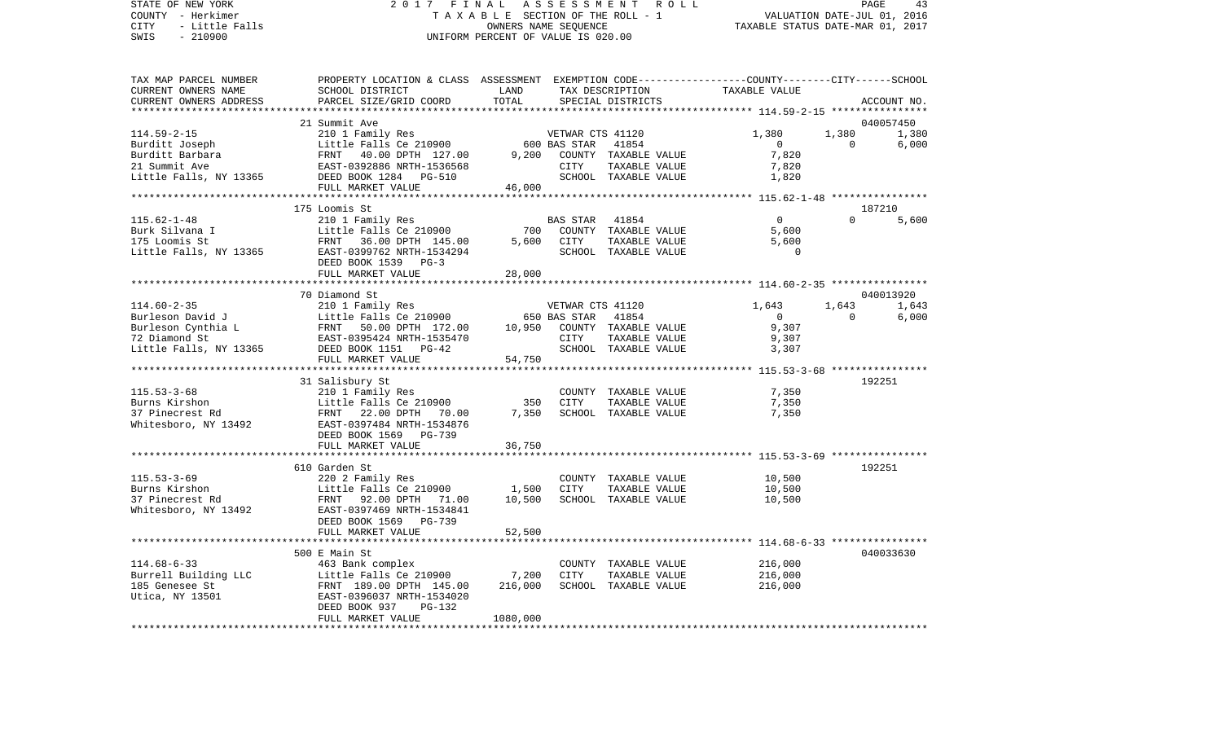## STATE OF NEW YORK 2 0 1 7 F I N A L A S S E S S M E N T R O L L PAGE 43COUNTY - Herkimer T A X A B L E SECTION OF THE ROLL - 1 CITY - Little Falls OWNERS NAME SEQUENCE TAXABLE STATUS DATE-MAR 01, 2017 UNIFORM PERCENT OF VALUE IS 020.00

TAX MAP PARCEL NUMBER PROPERTY LOCATION & CLASS ASSESSMENT EXEMPTION CODE------------------COUNTY--------CITY------SCHOOL

VALUATION DATE-JUL 01, 2016

| CURRENT OWNERS NAME                   | SCHOOL DISTRICT                                             | LAND         |                  | TAX DESCRIPTION                       | TAXABLE VALUE                        |          |             |
|---------------------------------------|-------------------------------------------------------------|--------------|------------------|---------------------------------------|--------------------------------------|----------|-------------|
| CURRENT OWNERS ADDRESS                | PARCEL SIZE/GRID COORD                                      | TOTAL        |                  | SPECIAL DISTRICTS                     |                                      |          | ACCOUNT NO. |
|                                       |                                                             |              |                  |                                       | ************ 114.59-2-15 *********** |          |             |
|                                       | 21 Summit Ave                                               |              |                  |                                       |                                      |          | 040057450   |
| $114.59 - 2 - 15$                     | 210 1 Family Res                                            |              | VETWAR CTS 41120 |                                       | 1,380                                | 1,380    | 1,380       |
| Burditt Joseph                        | Little Falls Ce 210900                                      |              | 600 BAS STAR     | 41854                                 | $\overline{0}$                       | $\Omega$ | 6,000       |
| Burditt Barbara                       | 40.00 DPTH 127.00<br>FRNT                                   | 9,200        |                  | COUNTY TAXABLE VALUE                  | 7,820                                |          |             |
| 21 Summit Ave                         | EAST-0392886 NRTH-1536568                                   |              | CITY             | TAXABLE VALUE                         | 7,820                                |          |             |
| Little Falls, NY 13365 DEED BOOK 1284 | PG-510                                                      |              |                  | SCHOOL TAXABLE VALUE                  | 1,820                                |          |             |
|                                       | FULL MARKET VALUE                                           | 46,000       |                  |                                       |                                      |          |             |
|                                       |                                                             |              |                  |                                       |                                      |          |             |
|                                       | 175 Loomis St                                               |              |                  |                                       |                                      |          | 187210      |
| $115.62 - 1 - 48$                     | 210 1 Family Res                                            |              | <b>BAS STAR</b>  | 41854                                 | $\mathbf 0$                          | $\Omega$ | 5,600       |
| Burk Silvana I                        | Little Falls Ce 210900                                      | 700          |                  | COUNTY TAXABLE VALUE                  | 5,600                                |          |             |
| 175 Loomis St                         | FRNT<br>36.00 DPTH 145.00                                   | 5,600        | CITY             | TAXABLE VALUE                         | 5,600                                |          |             |
| Little Falls, NY 13365                | EAST-0399762 NRTH-1534294                                   |              |                  | SCHOOL TAXABLE VALUE                  | $\Omega$                             |          |             |
|                                       | DEED BOOK 1539<br>$PG-3$                                    |              |                  |                                       |                                      |          |             |
|                                       | FULL MARKET VALUE                                           | 28,000       |                  |                                       |                                      |          |             |
|                                       |                                                             |              |                  |                                       |                                      |          |             |
|                                       | 70 Diamond St                                               |              |                  |                                       |                                      |          | 040013920   |
| $114.60 - 2 - 35$                     | 210 1 Family Res                                            |              | VETWAR CTS 41120 |                                       | 1,643                                | 1,643    | 1,643       |
| Burleson David J                      | Little Falls Ce 210900                                      |              | 650 BAS STAR     | 41854                                 | $\overline{0}$                       | $\Omega$ | 6,000       |
| Burleson Cynthia L                    | FRNT 50.00 DPTH 172.00                                      | 10,950       |                  | COUNTY TAXABLE VALUE                  | 9,307                                |          |             |
| 72 Diamond St                         | EAST-0395424 NRTH-1535470                                   |              | CITY             | TAXABLE VALUE                         | 9,307                                |          |             |
| Little Falls, NY 13365                | DEED BOOK 1151 PG-42                                        |              |                  | SCHOOL TAXABLE VALUE                  | 3,307                                |          |             |
|                                       | FULL MARKET VALUE<br>************************************** | 54,750       |                  |                                       |                                      |          |             |
|                                       | 31 Salisbury St                                             |              |                  |                                       |                                      |          | 192251      |
| $115.53 - 3 - 68$                     | 210 1 Family Res                                            |              |                  |                                       |                                      |          |             |
|                                       |                                                             |              |                  | COUNTY TAXABLE VALUE                  | 7,350                                |          |             |
| Burns Kirshon                         | Little Falls Ce 210900                                      | 350<br>7,350 | CITY             | TAXABLE VALUE<br>SCHOOL TAXABLE VALUE | 7,350                                |          |             |
| 37 Pinecrest Rd                       | FRNT 22.00 DPTH<br>70.00                                    |              |                  |                                       | 7,350                                |          |             |
| Whitesboro, NY 13492                  | EAST-0397484 NRTH-1534876                                   |              |                  |                                       |                                      |          |             |
|                                       | DEED BOOK 1569<br>PG-739                                    |              |                  |                                       |                                      |          |             |
|                                       | FULL MARKET VALUE                                           | 36,750       |                  |                                       |                                      |          |             |
|                                       | 610 Garden St                                               |              |                  |                                       |                                      |          | 192251      |
| $115.53 - 3 - 69$                     | 220 2 Family Res                                            |              |                  | COUNTY TAXABLE VALUE                  | 10,500                               |          |             |
| Burns Kirshon                         | Little Falls Ce 210900                                      | 1,500        | CITY             | TAXABLE VALUE                         | 10,500                               |          |             |
| 37 Pinecrest Rd                       | FRNT 92.00 DPTH<br>71.00                                    | 10,500       |                  | SCHOOL TAXABLE VALUE                  | 10,500                               |          |             |
| Whitesboro, NY 13492                  | EAST-0397469 NRTH-1534841                                   |              |                  |                                       |                                      |          |             |
|                                       | DEED BOOK 1569<br>PG-739                                    |              |                  |                                       |                                      |          |             |
|                                       | FULL MARKET VALUE                                           | 52,500       |                  |                                       |                                      |          |             |
|                                       |                                                             |              |                  |                                       |                                      |          |             |
|                                       | 500 E Main St                                               |              |                  |                                       |                                      |          | 040033630   |
| $114.68 - 6 - 33$                     | 463 Bank complex                                            |              |                  | COUNTY TAXABLE VALUE                  | 216,000                              |          |             |
| Burrell Building LLC                  |                                                             | 7,200        | <b>CITY</b>      | TAXABLE VALUE                         | 216,000                              |          |             |
| 185 Genesee St                        | Little Falls Ce 210900<br>FRNT 189.00 DPTH 145.00           | 216,000      |                  | SCHOOL TAXABLE VALUE                  | 216,000                              |          |             |
| Utica, NY 13501                       |                                                             |              |                  |                                       |                                      |          |             |
|                                       |                                                             |              |                  |                                       |                                      |          |             |
|                                       | EAST-0396037 NRTH-1534020                                   |              |                  |                                       |                                      |          |             |
|                                       | DEED BOOK 937<br>PG-132<br>FULL MARKET VALUE                | 1080,000     |                  |                                       |                                      |          |             |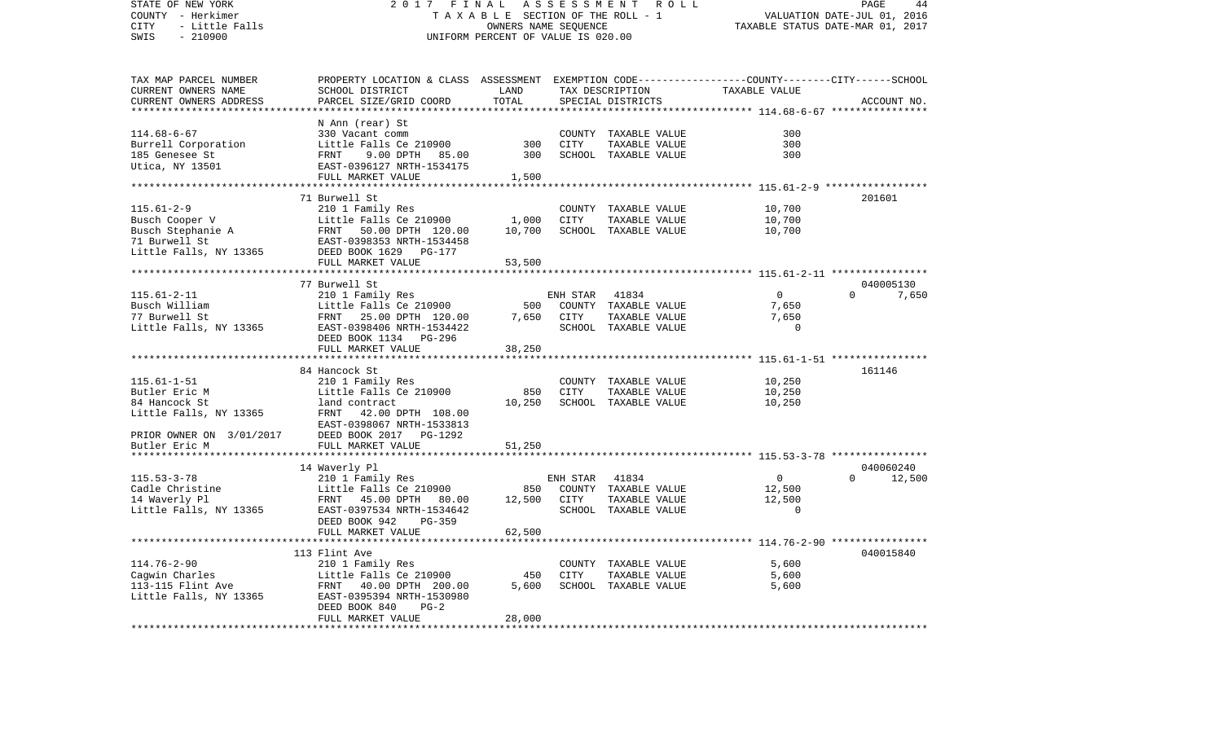| STATE OF NEW YORK<br>COUNTY - Herkimer<br>- Little Falls<br>CITY<br>$-210900$<br>SWIS | 2017<br>FINAL<br>TAXABLE SECTION OF THE ROLL - 1<br>UNIFORM PERCENT OF VALUE IS 020.00          | PAGE<br>44<br>VALUATION DATE-JUL 01, 2016<br>TAXABLE STATUS DATE-MAR 01, 2017 |             |                                       |                                                           |                    |
|---------------------------------------------------------------------------------------|-------------------------------------------------------------------------------------------------|-------------------------------------------------------------------------------|-------------|---------------------------------------|-----------------------------------------------------------|--------------------|
|                                                                                       |                                                                                                 |                                                                               |             |                                       |                                                           |                    |
| TAX MAP PARCEL NUMBER                                                                 | PROPERTY LOCATION & CLASS ASSESSMENT EXEMPTION CODE---------------COUNTY-------CITY------SCHOOL |                                                                               |             |                                       |                                                           |                    |
| CURRENT OWNERS NAME                                                                   | SCHOOL DISTRICT                                                                                 | LAND                                                                          |             | TAX DESCRIPTION                       | TAXABLE VALUE                                             |                    |
| CURRENT OWNERS ADDRESS                                                                | PARCEL SIZE/GRID COORD                                                                          | TOTAL                                                                         |             | SPECIAL DISTRICTS                     |                                                           | ACCOUNT NO.        |
| *********************                                                                 |                                                                                                 | ************************                                                      |             |                                       | **************************** 114.68-6-67 **************** |                    |
|                                                                                       | N Ann (rear) St                                                                                 |                                                                               |             |                                       | 300                                                       |                    |
| $114.68 - 6 - 67$                                                                     | 330 Vacant comm<br>Little Falls Ce 210900                                                       | 300                                                                           | CITY        | COUNTY TAXABLE VALUE<br>TAXABLE VALUE | 300                                                       |                    |
| Burrell Corporation<br>185 Genesee St                                                 | FRNT<br>9.00 DPTH 85.00                                                                         | 300                                                                           |             | SCHOOL TAXABLE VALUE                  | 300                                                       |                    |
| Utica, NY 13501                                                                       | EAST-0396127 NRTH-1534175                                                                       |                                                                               |             |                                       |                                                           |                    |
|                                                                                       | FULL MARKET VALUE                                                                               | 1,500                                                                         |             |                                       |                                                           |                    |
|                                                                                       |                                                                                                 |                                                                               |             |                                       |                                                           |                    |
|                                                                                       | 71 Burwell St                                                                                   |                                                                               |             |                                       |                                                           | 201601             |
| $115.61 - 2 - 9$                                                                      | 210 1 Family Res                                                                                |                                                                               |             | COUNTY TAXABLE VALUE                  | 10,700                                                    |                    |
| Busch Cooper V                                                                        | Little Falls Ce 210900                                                                          | 1,000                                                                         | CITY        | TAXABLE VALUE                         | 10,700                                                    |                    |
| Busch Stephanie A<br>71 Burwell St                                                    | Little Falls Ce 210900<br>FRNT   50.00 DPTH  120.00                                             | 10,700                                                                        |             | SCHOOL TAXABLE VALUE                  | 10,700                                                    |                    |
|                                                                                       | EAST-0398353 NRTH-1534458                                                                       |                                                                               |             |                                       |                                                           |                    |
| Little Falls, NY 13365                                                                | DEED BOOK 1629 PG-177                                                                           |                                                                               |             |                                       |                                                           |                    |
|                                                                                       | FULL MARKET VALUE<br>*************************                                                  | 53,500                                                                        |             |                                       |                                                           |                    |
|                                                                                       | 77 Burwell St                                                                                   |                                                                               |             |                                       |                                                           | 040005130          |
| $115.61 - 2 - 11$                                                                     | 210 1 Family Res                                                                                |                                                                               | ENH STAR    | 41834                                 | $\overline{0}$                                            | $\Omega$<br>7,650  |
| Busch William                                                                         | Little Falls Ce 210900                                                                          | 500                                                                           |             | COUNTY TAXABLE VALUE                  | 7,650                                                     |                    |
| 77 Burwell St                                                                         | FRNT 25.00 DPTH 120.00                                                                          | 7,650                                                                         | CITY        | TAXABLE VALUE                         | 7,650                                                     |                    |
| Little Falls, NY 13365                                                                | EAST-0398406 NRTH-1534422                                                                       |                                                                               |             | SCHOOL TAXABLE VALUE                  | $\Omega$                                                  |                    |
|                                                                                       | DEED BOOK 1134<br>PG-296                                                                        |                                                                               |             |                                       |                                                           |                    |
|                                                                                       | FULL MARKET VALUE                                                                               | 38,250                                                                        |             |                                       |                                                           |                    |
|                                                                                       |                                                                                                 |                                                                               |             |                                       |                                                           |                    |
|                                                                                       | 84 Hancock St                                                                                   |                                                                               |             |                                       |                                                           | 161146             |
| $115.61 - 1 - 51$                                                                     | 210 1 Family Res                                                                                |                                                                               |             | COUNTY TAXABLE VALUE                  | 10,250                                                    |                    |
| Butler Eric M                                                                         | Little Falls Ce 210900                                                                          | 850                                                                           | <b>CITY</b> | TAXABLE VALUE                         | 10,250                                                    |                    |
| 84 Hancock St                                                                         | land contract                                                                                   | 10,250                                                                        |             | SCHOOL TAXABLE VALUE                  | 10,250                                                    |                    |
| Little Falls, NY 13365                                                                | FRNT 42.00 DPTH 108.00<br>EAST-0398067 NRTH-1533813                                             |                                                                               |             |                                       |                                                           |                    |
| PRIOR OWNER ON 3/01/2017                                                              | DEED BOOK 2017 PG-1292                                                                          |                                                                               |             |                                       |                                                           |                    |
| Butler Eric M                                                                         | FULL MARKET VALUE                                                                               | 51,250                                                                        |             |                                       |                                                           |                    |
|                                                                                       |                                                                                                 |                                                                               |             |                                       |                                                           |                    |
|                                                                                       | 14 Waverly Pl                                                                                   |                                                                               |             |                                       |                                                           | 040060240          |
| $115.53 - 3 - 78$                                                                     | 210 1 Family Res                                                                                |                                                                               | ENH STAR    | 41834                                 | $\overline{0}$                                            | $\Omega$<br>12,500 |
| Cadle Christine<br>14 Waverly Pl                                                      | Little Falls Ce 210900                                                                          | 850                                                                           |             | COUNTY TAXABLE VALUE                  | 12,500                                                    |                    |
|                                                                                       | FRNT 45.00 DPTH 80.00                                                                           | 12,500                                                                        | CITY        | TAXABLE VALUE                         | 12,500                                                    |                    |
| Little Falls, NY 13365                                                                | EAST-0397534 NRTH-1534642                                                                       |                                                                               |             | SCHOOL TAXABLE VALUE                  | $\Omega$                                                  |                    |
|                                                                                       | DEED BOOK 942<br>PG-359                                                                         |                                                                               |             |                                       |                                                           |                    |
|                                                                                       | FULL MARKET VALUE<br>************                                                               | 62,500                                                                        |             |                                       |                                                           |                    |
|                                                                                       | 113 Flint Ave                                                                                   |                                                                               |             |                                       | ********************** 114.76-2-90 ****************       | 040015840          |
| $114.76 - 2 - 90$                                                                     | 210 1 Family Res                                                                                |                                                                               |             | COUNTY TAXABLE VALUE                  | 5,600                                                     |                    |
| Cagwin Charles                                                                        | Little Falls Ce 210900                                                                          | 450                                                                           | CITY        | TAXABLE VALUE                         | 5,600                                                     |                    |
| $113-115$ Flint Ave                                                                   | FRNT 40.00 DPTH 200.00                                                                          | 5,600                                                                         |             | SCHOOL TAXABLE VALUE                  | 5,600                                                     |                    |
| Little Falls, NY 13365                                                                | EAST-0395394 NRTH-1530980                                                                       |                                                                               |             |                                       |                                                           |                    |
|                                                                                       | DEED BOOK 840<br>$PG-2$                                                                         |                                                                               |             |                                       |                                                           |                    |
|                                                                                       | FULL MARKET VALUE                                                                               | 28,000                                                                        |             |                                       |                                                           |                    |
|                                                                                       |                                                                                                 |                                                                               |             |                                       |                                                           |                    |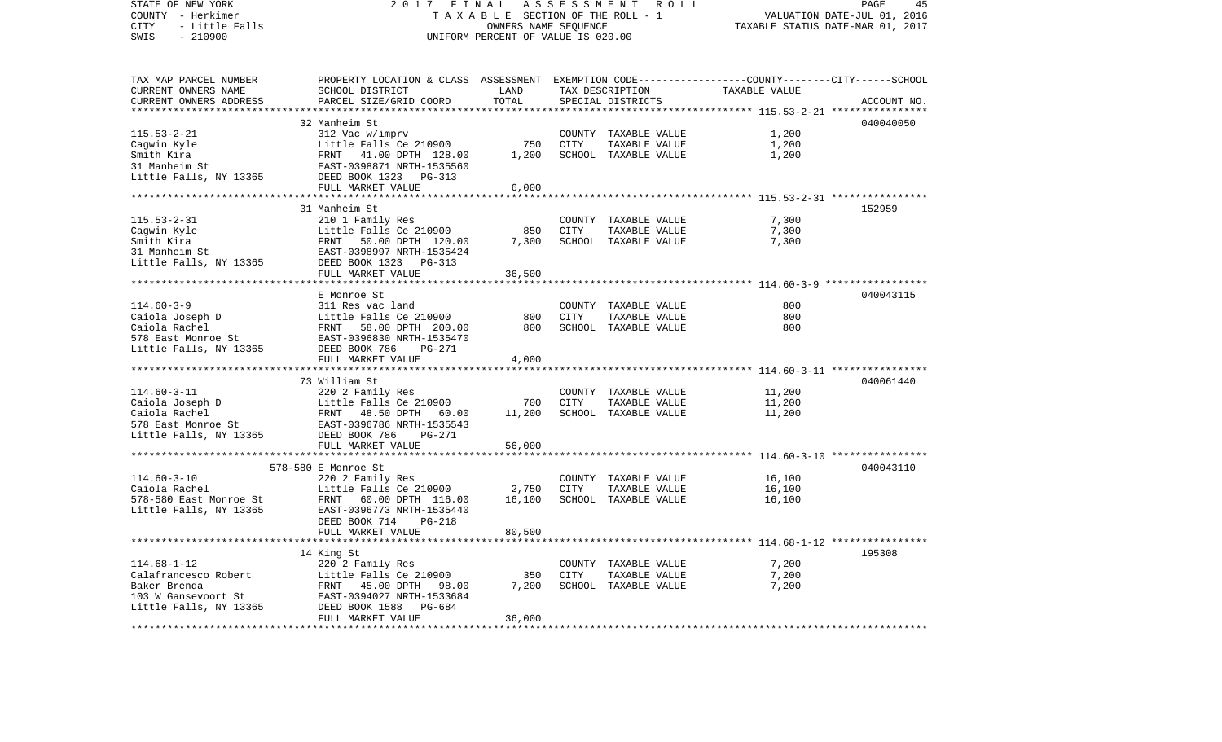STATE OF NEW YORK 2 0 1 7 F I N A L A S S E S S M E N T R O L L PAGE 45COUNTY - Herkimer T A X A B L E SECTION OF THE ROLL - 1 VALUATION DATE-JUL 01, 2016 CITY - Little Falls OWNERS NAME SEQUENCE TAXABLE STATUS DATE-MAR 01, 2017 SWIS - 210900 UNIFORM PERCENT OF VALUE IS 020.00TAX MAP PARCEL NUMBER PROPERTY LOCATION & CLASS ASSESSMENT EXEMPTION CODE------------------COUNTY--------CITY------SCHOOL CURRENT OWNERS NAME SCHOOL DISTRICT LAND TAX DESCRIPTION TAXABLE VALUECURRENT OWNERS ADDRESS PARCEL SIZE/GRID COORD TOTAL SPECIAL DISTRICTS ACCOUNT NO. \*\*\*\*\*\*\*\*\*\*\*\*\*\*\*\*\*\*\*\*\*\*\*\*\*\*\*\*\*\*\*\*\*\*\*\*\*\*\*\*\*\*\*\*\*\*\*\*\*\*\*\*\*\*\*\*\*\*\*\*\*\*\*\*\*\*\*\*\*\*\*\*\*\*\*\*\*\*\*\*\*\*\*\*\*\*\*\*\*\*\*\*\*\*\*\*\*\*\*\*\*\*\* 115.53-2-21 \*\*\*\*\*\*\*\*\*\*\*\*\*\*\*\*32 Manheim St 040040050 115.53-2-21 312 Vac w/imprv COUNTY TAXABLE VALUE 1,200 Cagwin Kyle Little Falls Ce 210900 750 CITY TAXABLE VALUE 1,200 Smith Kira FRNT 41.00 DPTH 128.00 1,200 SCHOOL TAXABLE VALUE 1,200 31 Manheim St EAST-0398871 NRTH-1535560Little Falls, NY 13365 DEED BOOK 1323 PG-313 FULL MARKET VALUE 6,000 \*\*\*\*\*\*\*\*\*\*\*\*\*\*\*\*\*\*\*\*\*\*\*\*\*\*\*\*\*\*\*\*\*\*\*\*\*\*\*\*\*\*\*\*\*\*\*\*\*\*\*\*\*\*\*\*\*\*\*\*\*\*\*\*\*\*\*\*\*\*\*\*\*\*\*\*\*\*\*\*\*\*\*\*\*\*\*\*\*\*\*\*\*\*\*\*\*\*\*\*\*\*\* 115.53-2-31 \*\*\*\*\*\*\*\*\*\*\*\*\*\*\*\* 31 Manheim St 152959115.53-2-31 210 1 Family Res COUNTY TAXABLE VALUE 7,300 Cagwin Kyle **Cagwin Kyle** Little Falls Ce 210900 850 CITY TAXABLE VALUE Smith Kira FRNT 50.00 DPTH 120.00 7,300 SCHOOL TAXABLE VALUE 7,300 31 Manheim St EAST-0398997 NRTH-1535424Little Falls, NY 13365 DEED BOOK 1323 PG-313 FULL MARKET VALUE 36,500 \*\*\*\*\*\*\*\*\*\*\*\*\*\*\*\*\*\*\*\*\*\*\*\*\*\*\*\*\*\*\*\*\*\*\*\*\*\*\*\*\*\*\*\*\*\*\*\*\*\*\*\*\*\*\*\*\*\*\*\*\*\*\*\*\*\*\*\*\*\*\*\*\*\*\*\*\*\*\*\*\*\*\*\*\*\*\*\*\*\*\*\*\*\*\*\*\*\*\*\*\*\*\* 114.60-3-9 \*\*\*\*\*\*\*\*\*\*\*\*\*\*\*\*\* E Monroe St 040043115114.60-3-9 311 Res vac land COUNTY TAXABLE VALUE 800Caiola Joseph D Little Falls Ce 210900 800 CITY TAXABLE VALUE 800 Caiola Rachel FRNT 58.00 DPTH 200.00 800 SCHOOL TAXABLE VALUE 800578 East Monroe St EAST-0396830 NRTH-1535470Little Falls, NY 13365 DEED BOOK 786 PG-271 FULL MARKET VALUE 4,000 \*\*\*\*\*\*\*\*\*\*\*\*\*\*\*\*\*\*\*\*\*\*\*\*\*\*\*\*\*\*\*\*\*\*\*\*\*\*\*\*\*\*\*\*\*\*\*\*\*\*\*\*\*\*\*\*\*\*\*\*\*\*\*\*\*\*\*\*\*\*\*\*\*\*\*\*\*\*\*\*\*\*\*\*\*\*\*\*\*\*\*\*\*\*\*\*\*\*\*\*\*\*\* 114.60-3-11 \*\*\*\*\*\*\*\*\*\*\*\*\*\*\*\* 73 William St 040061440114.60-3-11 220 2 Family Res COUNTY TAXABLE VALUE 11,200 Caiola Joseph D Little Falls Ce 210900 700 CITY TAXABLE VALUE 11,200 Caiola Rachel FRNT 48.50 DPTH 60.00 11,200 SCHOOL TAXABLE VALUE 11,200 578 East Monroe St EAST-0396786 NRTH-1535543Little Falls, NY 13365 DEED BOOK 786 PG-271 FULL MARKET VALUE 56,000 \*\*\*\*\*\*\*\*\*\*\*\*\*\*\*\*\*\*\*\*\*\*\*\*\*\*\*\*\*\*\*\*\*\*\*\*\*\*\*\*\*\*\*\*\*\*\*\*\*\*\*\*\*\*\*\*\*\*\*\*\*\*\*\*\*\*\*\*\*\*\*\*\*\*\*\*\*\*\*\*\*\*\*\*\*\*\*\*\*\*\*\*\*\*\*\*\*\*\*\*\*\*\* 114.60-3-10 \*\*\*\*\*\*\*\*\*\*\*\*\*\*\*\* 578-580 E Monroe St 040043110114.60-3-10 220 2 Family Res COUNTY TAXABLE VALUE 16,100 Caiola Rachel Little Falls Ce 210900 2,750 CITY TAXABLE VALUE 16,100 578-580 East Monroe St FRNT 60.00 DPTH 116.00 16,100 SCHOOL TAXABLE VALUE 16,100 Little Falls, NY 13365 EAST-0396773 NRTH-1535440 DEED BOOK 714 PG-218FULL MARKET VALUE 80,500 \*\*\*\*\*\*\*\*\*\*\*\*\*\*\*\*\*\*\*\*\*\*\*\*\*\*\*\*\*\*\*\*\*\*\*\*\*\*\*\*\*\*\*\*\*\*\*\*\*\*\*\*\*\*\*\*\*\*\*\*\*\*\*\*\*\*\*\*\*\*\*\*\*\*\*\*\*\*\*\*\*\*\*\*\*\*\*\*\*\*\*\*\*\*\*\*\*\*\*\*\*\*\* 114.68-1-12 \*\*\*\*\*\*\*\*\*\*\*\*\*\*\*\*14 King St 195308 114.68-1-12 220 2 Family Res COUNTY TAXABLE VALUE 7,200 Little Falls Ce 210900 350 CITY TAXABLE VALUE Baker Brenda FRNT 45.00 DPTH 98.00 7,200 SCHOOL TAXABLE VALUE 7,200 103 W Gansevoort St EAST-0394027 NRTH-1533684Little Falls, NY 13365 DEED BOOK 1588 PG-684 FULL MARKET VALUE 36,000 \*\*\*\*\*\*\*\*\*\*\*\*\*\*\*\*\*\*\*\*\*\*\*\*\*\*\*\*\*\*\*\*\*\*\*\*\*\*\*\*\*\*\*\*\*\*\*\*\*\*\*\*\*\*\*\*\*\*\*\*\*\*\*\*\*\*\*\*\*\*\*\*\*\*\*\*\*\*\*\*\*\*\*\*\*\*\*\*\*\*\*\*\*\*\*\*\*\*\*\*\*\*\*\*\*\*\*\*\*\*\*\*\*\*\*\*\*\*\*\*\*\*\*\*\*\*\*\*\*\*\*\*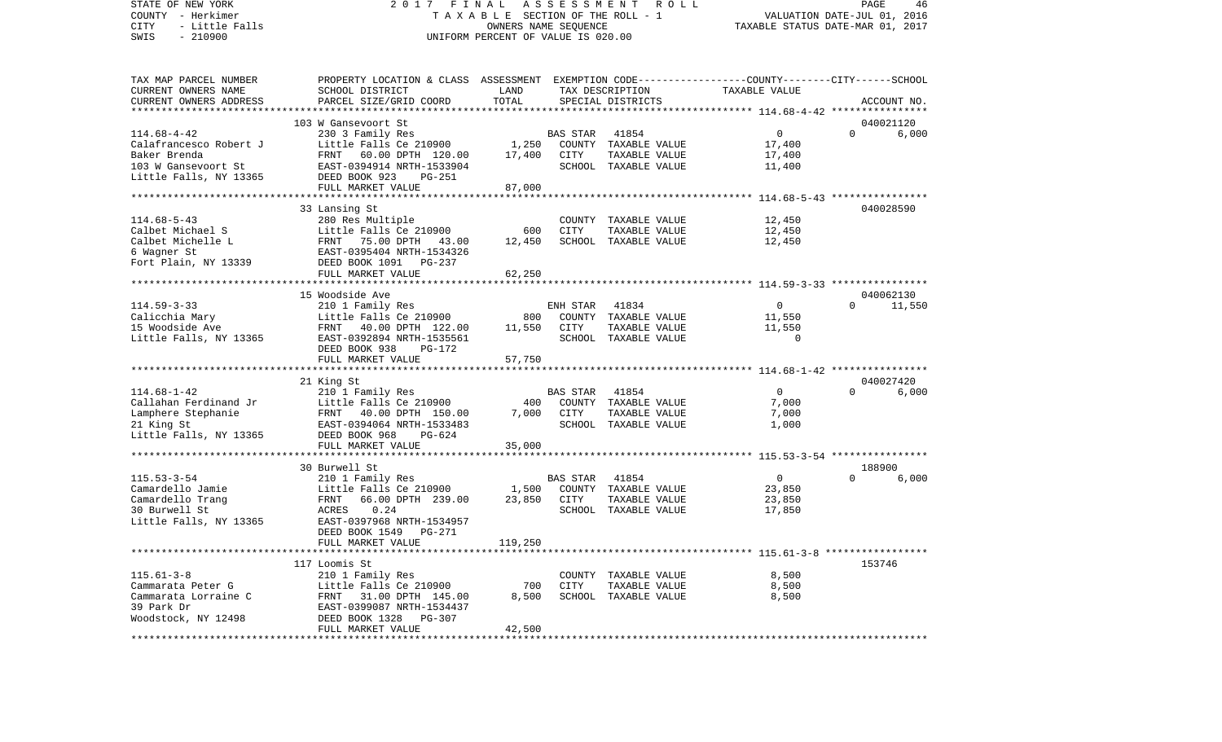## STATE OF NEW YORK 2 0 1 7 F I N A L A S S E S S M E N T R O L L PAGE 46COUNTY - Herkimer T A X A B L E SECTION OF THE ROLL - 1 CITY - Little Falls OWNERS NAME SEQUENCE TAXABLE STATUS DATE-MAR 01, 2017 UNIFORM PERCENT OF VALUE IS 020.00

VALUATION DATE-JUL 01, 2016

| TAX MAP PARCEL NUMBER   | PROPERTY LOCATION & CLASS ASSESSMENT EXEMPTION CODE----------------COUNTY-------CITY------SCHOOL |         |                 |                      |                |          |             |
|-------------------------|--------------------------------------------------------------------------------------------------|---------|-----------------|----------------------|----------------|----------|-------------|
| CURRENT OWNERS NAME     | SCHOOL DISTRICT                                                                                  | LAND    |                 | TAX DESCRIPTION      | TAXABLE VALUE  |          |             |
| CURRENT OWNERS ADDRESS  | PARCEL SIZE/GRID COORD                                                                           | TOTAL   |                 | SPECIAL DISTRICTS    |                |          | ACCOUNT NO. |
| *********************** |                                                                                                  |         |                 |                      |                |          |             |
|                         | 103 W Gansevoort St                                                                              |         |                 |                      |                |          | 040021120   |
| $114.68 - 4 - 42$       | 230 3 Family Res                                                                                 |         | BAS STAR        | 41854                | $\mathbf 0$    | $\Omega$ | 6,000       |
| Calafrancesco Robert J  | Little Falls Ce 210900                                                                           | 1,250   |                 | COUNTY TAXABLE VALUE | 17,400         |          |             |
| Baker Brenda            | FRNT 60.00 DPTH 120.00                                                                           | 17,400  | CITY            | TAXABLE VALUE        | 17,400         |          |             |
| 103 W Gansevoort St     | EAST-0394914 NRTH-1533904                                                                        |         |                 | SCHOOL TAXABLE VALUE | 11,400         |          |             |
| Little Falls, NY 13365  | DEED BOOK 923<br>$PG-251$                                                                        |         |                 |                      |                |          |             |
|                         | FULL MARKET VALUE                                                                                | 87,000  |                 |                      |                |          |             |
|                         |                                                                                                  |         |                 |                      |                |          |             |
|                         | 33 Lansing St                                                                                    |         |                 |                      |                |          | 040028590   |
| $114.68 - 5 - 43$       | 280 Res Multiple                                                                                 |         |                 | COUNTY TAXABLE VALUE | 12,450         |          |             |
| Calbet Michael S        | Little Falls Ce 210900                                                                           | 600     | CITY            | TAXABLE VALUE        | 12,450         |          |             |
| Calbet Michelle L       | FRNT 75.00 DPTH 43.00                                                                            | 12,450  |                 | SCHOOL TAXABLE VALUE | 12,450         |          |             |
| 6 Wagner St             | EAST-0395404 NRTH-1534326                                                                        |         |                 |                      |                |          |             |
| Fort Plain, NY 13339    | DEED BOOK 1091 PG-237                                                                            |         |                 |                      |                |          |             |
|                         | FULL MARKET VALUE                                                                                | 62,250  |                 |                      |                |          |             |
|                         |                                                                                                  |         |                 |                      |                |          |             |
|                         | 15 Woodside Ave                                                                                  |         |                 |                      |                |          | 040062130   |
| $114.59 - 3 - 33$       | 210 1 Family Res                                                                                 |         | ENH STAR        | 41834                | $\overline{0}$ | $\Omega$ | 11,550      |
| Calicchia Mary          | Little Falls Ce 210900                                                                           | 800     |                 | COUNTY TAXABLE VALUE | 11,550         |          |             |
| 15 Woodside Ave         | FRNT 40.00 DPTH 122.00                                                                           | 11,550  | CITY            | TAXABLE VALUE        | 11,550         |          |             |
| Little Falls, NY 13365  | EAST-0392894 NRTH-1535561                                                                        |         |                 | SCHOOL TAXABLE VALUE | $\Omega$       |          |             |
|                         | DEED BOOK 938<br>PG-172                                                                          |         |                 |                      |                |          |             |
|                         | FULL MARKET VALUE                                                                                | 57,750  |                 |                      |                |          |             |
|                         | ***********************                                                                          |         |                 |                      |                |          |             |
|                         | 21 King St                                                                                       |         |                 |                      |                |          | 040027420   |
| $114.68 - 1 - 42$       | 210 1 Family Res                                                                                 |         | <b>BAS STAR</b> | 41854                | $\overline{0}$ | $\Omega$ | 6,000       |
| Callahan Ferdinand Jr   | Little Falls Ce 210900                                                                           | 400     |                 | COUNTY TAXABLE VALUE | 7,000          |          |             |
| Lamphere Stephanie      | FRNT 40.00 DPTH 150.00                                                                           | 7,000   | CITY            | TAXABLE VALUE        | 7,000          |          |             |
| 21 King St              | EAST-0394064 NRTH-1533483                                                                        |         |                 | SCHOOL TAXABLE VALUE | 1,000          |          |             |
| Little Falls, NY 13365  | DEED BOOK 968<br>PG-624                                                                          |         |                 |                      |                |          |             |
|                         | FULL MARKET VALUE                                                                                | 35,000  |                 |                      |                |          |             |
|                         |                                                                                                  |         |                 |                      |                |          |             |
|                         | 30 Burwell St                                                                                    |         |                 |                      |                |          | 188900      |
| $115.53 - 3 - 54$       | 210 1 Family Res                                                                                 |         | <b>BAS STAR</b> | 41854                | $\overline{0}$ | $\Omega$ | 6,000       |
| Camardello Jamie        | Little Falls Ce 210900                                                                           | 1,500   |                 | COUNTY TAXABLE VALUE | 23,850         |          |             |
| Camardello Trang        | FRNT<br>66.00 DPTH 239.00                                                                        | 23,850  | CITY            | TAXABLE VALUE        |                |          |             |
| 30 Burwell St           | 0.24                                                                                             |         |                 |                      | 23,850         |          |             |
|                         | ACRES                                                                                            |         |                 | SCHOOL TAXABLE VALUE | 17,850         |          |             |
| Little Falls, NY 13365  | EAST-0397968 NRTH-1534957                                                                        |         |                 |                      |                |          |             |
|                         | DEED BOOK 1549 PG-271                                                                            |         |                 |                      |                |          |             |
|                         | FULL MARKET VALUE                                                                                | 119,250 |                 |                      |                |          |             |
|                         |                                                                                                  |         |                 |                      |                |          | 153746      |
|                         | 117 Loomis St                                                                                    |         |                 |                      |                |          |             |
| $115.61 - 3 - 8$        | 210 1 Family Res                                                                                 |         |                 | COUNTY TAXABLE VALUE | 8,500          |          |             |
| Cammarata Peter G       | Little Falls Ce 210900                                                                           | 700     | CITY            | TAXABLE VALUE        | 8,500          |          |             |
| Cammarata Lorraine C    | FRNT 31.00 DPTH 145.00                                                                           | 8,500   |                 | SCHOOL TAXABLE VALUE | 8,500          |          |             |
| 39 Park Dr              | EAST-0399087 NRTH-1534437                                                                        |         |                 |                      |                |          |             |
| Woodstock, NY 12498     | DEED BOOK 1328<br>PG-307                                                                         |         |                 |                      |                |          |             |
|                         |                                                                                                  | 42,500  |                 |                      |                |          |             |
|                         | FULL MARKET VALUE                                                                                |         |                 |                      |                |          |             |
|                         |                                                                                                  |         |                 |                      |                |          |             |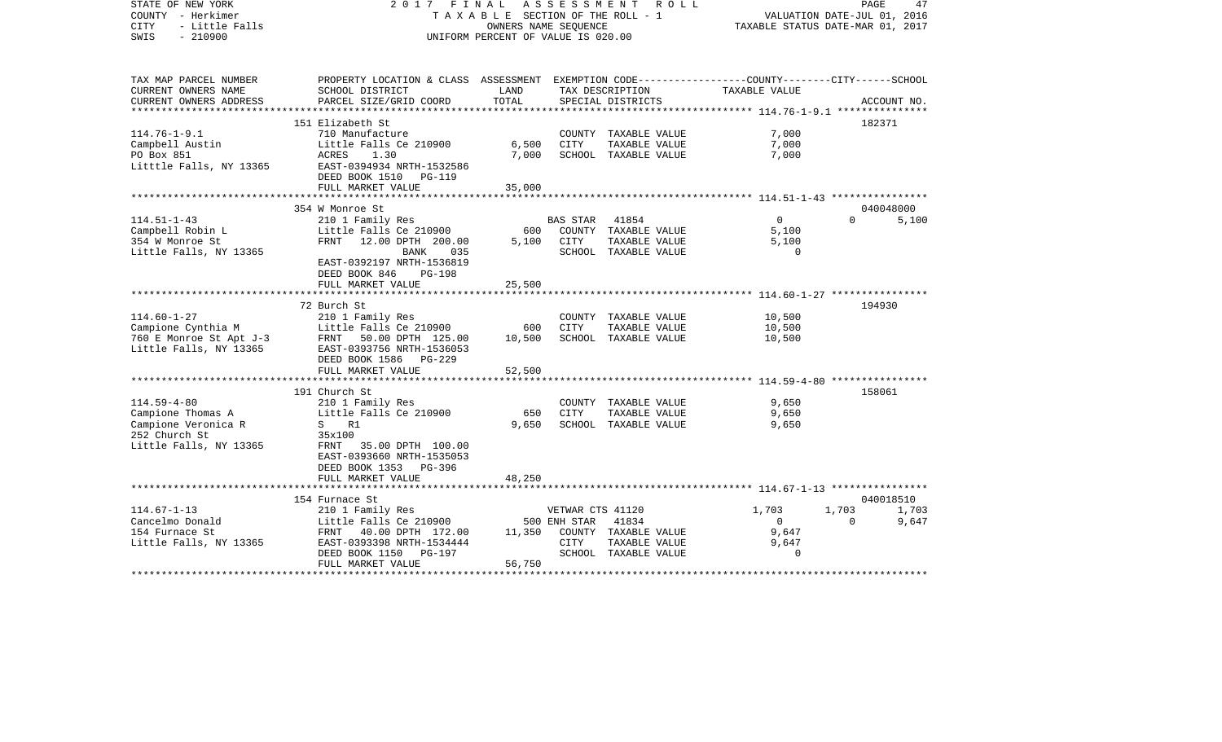| STATE OF NEW YORK<br>COUNTY - Herkimer<br>- Little Falls<br><b>CITY</b><br>$-210900$<br>SWIS             | 2017 FINAL                                                                                                                                                                                  | A S S E S S M E N T<br>TAXABLE SECTION OF THE ROLL - 1<br>OWNERS NAME SEOUENCE<br>UNIFORM PERCENT OF VALUE IS 020.00 | R O L L                                         | PAGE<br>47<br>VALUATION DATE-JUL 01, 2016<br>TAXABLE STATUS DATE-MAR 01, 2017 |                                                        |                   |                             |  |
|----------------------------------------------------------------------------------------------------------|---------------------------------------------------------------------------------------------------------------------------------------------------------------------------------------------|----------------------------------------------------------------------------------------------------------------------|-------------------------------------------------|-------------------------------------------------------------------------------|--------------------------------------------------------|-------------------|-----------------------------|--|
| TAX MAP PARCEL NUMBER<br>CURRENT OWNERS NAME<br>CURRENT OWNERS ADDRESS                                   | PROPERTY LOCATION & CLASS ASSESSMENT EXEMPTION CODE---------------COUNTY-------CITY------SCHOOL<br>SCHOOL DISTRICT<br>PARCEL SIZE/GRID COORD                                                | LAND<br>TOTAL                                                                                                        | TAX DESCRIPTION<br>SPECIAL DISTRICTS            |                                                                               | TAXABLE VALUE                                          |                   | ACCOUNT NO.                 |  |
|                                                                                                          |                                                                                                                                                                                             |                                                                                                                      |                                                 |                                                                               | ***************** 114.76-1-9.1 ****************        |                   |                             |  |
| $114.76 - 1 - 9.1$<br>Campbell Austin<br>PO Box 851<br>Litttle Falls, NY 13365                           | 151 Elizabeth St<br>710 Manufacture<br>Little Falls Ce 210900<br>ACRES<br>1.30<br>EAST-0394934 NRTH-1532586<br>DEED BOOK 1510 PG-119                                                        | 6,500<br>7,000                                                                                                       | CITY                                            | COUNTY TAXABLE VALUE<br>TAXABLE VALUE<br>SCHOOL TAXABLE VALUE                 | 7,000<br>7,000<br>7,000                                |                   | 182371                      |  |
|                                                                                                          | FULL MARKET VALUE                                                                                                                                                                           | 35,000                                                                                                               |                                                 |                                                                               |                                                        |                   |                             |  |
| $114.51 - 1 - 43$<br>Campbell Robin L<br>354 W Monroe St<br>Little Falls, NY 13365                       | 354 W Monroe St<br>210 1 Family Res<br>Little Falls Ce 210900<br>FRNT<br>12.00 DPTH 200.00<br>BANK<br>035<br>EAST-0392197 NRTH-1536819<br>DEED BOOK 846<br>$PG-198$                         | 600<br>5,100                                                                                                         | <b>BAS STAR</b><br>CITY                         | 41854<br>COUNTY TAXABLE VALUE<br>TAXABLE VALUE<br>SCHOOL TAXABLE VALUE        | $\overline{0}$<br>5,100<br>5,100<br>$\Omega$           | $\Omega$          | 040048000<br>5,100          |  |
|                                                                                                          | FULL MARKET VALUE                                                                                                                                                                           | 25,500<br>*********                                                                                                  |                                                 |                                                                               | ************************ 114.60-1-27 ***************** |                   |                             |  |
| $114.60 - 1 - 27$<br>Campione Cynthia M<br>760 E Monroe St Apt J-3<br>Little Falls, NY 13365             | 72 Burch St<br>210 1 Family Res<br>Little Falls Ce 210900<br>FRNT 50.00 DPTH 125.00<br>EAST-0393756 NRTH-1536053<br>DEED BOOK 1586 PG-229<br>FULL MARKET VALUE                              | 600<br>10,500<br>52,500                                                                                              | CITY                                            | COUNTY TAXABLE VALUE<br>TAXABLE VALUE<br>SCHOOL TAXABLE VALUE                 | 10,500<br>10,500<br>10,500                             |                   | 194930                      |  |
|                                                                                                          | *************************                                                                                                                                                                   |                                                                                                                      |                                                 |                                                                               | ************************ 114.59-4-80 ***************** |                   |                             |  |
| $114.59 - 4 - 80$<br>Campione Thomas A<br>Campione Veronica R<br>252 Church St<br>Little Falls, NY 13365 | 191 Church St<br>210 1 Family Res<br>Little Falls Ce 210900<br>S R1<br>35x100<br>FRNT 35.00 DPTH 100.00<br>EAST-0393660 NRTH-1535053<br>DEED BOOK 1353 PG-396                               | 650<br>9,650                                                                                                         | CITY                                            | COUNTY TAXABLE VALUE<br>TAXABLE VALUE<br>SCHOOL TAXABLE VALUE                 | 9,650<br>9,650<br>9,650                                |                   | 158061                      |  |
|                                                                                                          | FULL MARKET VALUE                                                                                                                                                                           | 48,250                                                                                                               |                                                 |                                                                               |                                                        |                   |                             |  |
| $114.67 - 1 - 13$<br>Cancelmo Donald<br>154 Furnace St<br>Little Falls, NY 13365                         | **********************<br>154 Furnace St<br>210 1 Family Res<br>Little Falls Ce 210900<br>FRNT 40.00 DPTH 172.00<br>EAST-0393398 NRTH-1534444<br>DEED BOOK 1150 PG-197<br>FULL MARKET VALUE | 11,350<br>56,750                                                                                                     | VETWAR CTS 41120<br>500 ENH STAR<br><b>CITY</b> | 41834<br>COUNTY TAXABLE VALUE<br>TAXABLE VALUE<br>SCHOOL TAXABLE VALUE        | 1,703<br>$\Omega$<br>9,647<br>9,647<br>$\Omega$        | 1,703<br>$\Omega$ | 040018510<br>1,703<br>9,647 |  |
|                                                                                                          |                                                                                                                                                                                             |                                                                                                                      |                                                 |                                                                               |                                                        |                   |                             |  |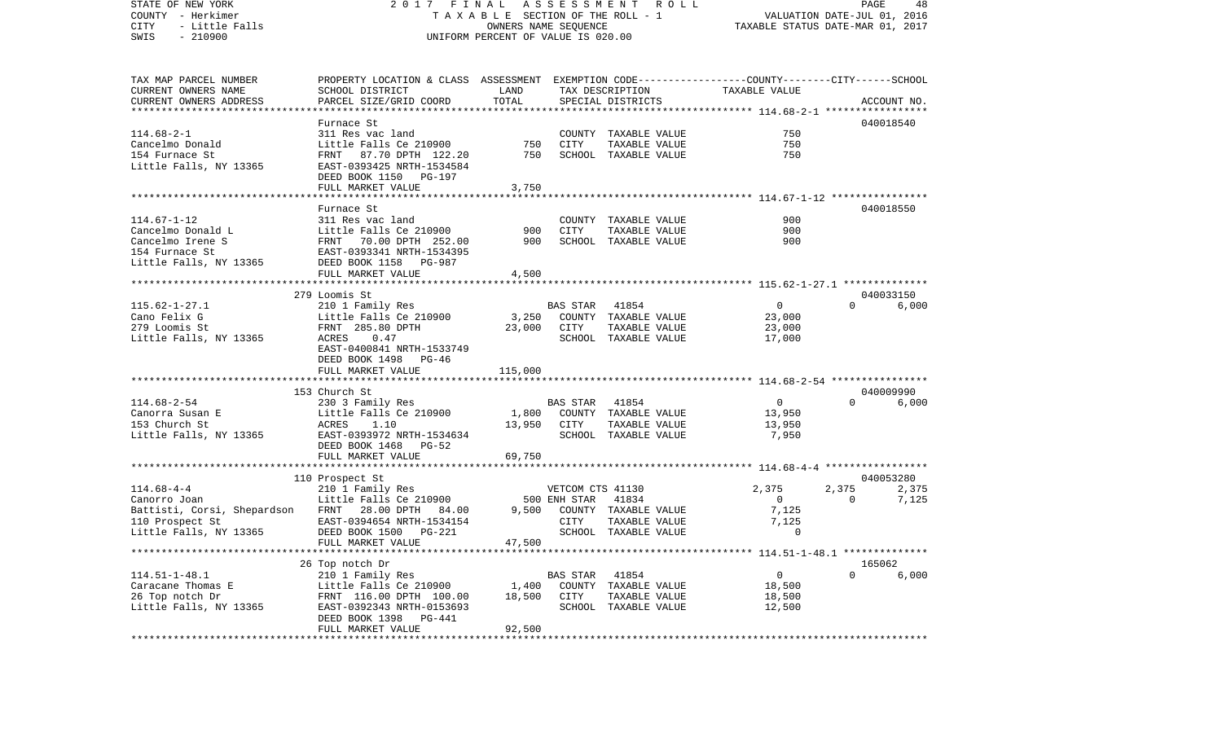STATE OF NEW YORK 2 0 1 7 F I N A L A S S E S S M E N T R O L L PAGE 48COUNTY - Herkimer T A X A B L E SECTION OF THE ROLL - 1 VALUATION DATE-JUL 01, 2016 CITY - Little Falls OWNERS NAME SEQUENCE TAXABLE STATUS DATE-MAR 01, 2017 SWIS - 210900 UNIFORM PERCENT OF VALUE IS 020.00TAX MAP PARCEL NUMBER PROPERTY LOCATION & CLASS ASSESSMENT EXEMPTION CODE------------------COUNTY--------CITY------SCHOOL CURRENT OWNERS NAME SCHOOL DISTRICT LAND TAX DESCRIPTION TAXABLE VALUECURRENT OWNERS ADDRESS PARCEL SIZE/GRID COORD TOTAL SPECIAL DISTRICTS ACCOUNT NO. \*\*\*\*\*\*\*\*\*\*\*\*\*\*\*\*\*\*\*\*\*\*\*\*\*\*\*\*\*\*\*\*\*\*\*\*\*\*\*\*\*\*\*\*\*\*\*\*\*\*\*\*\*\*\*\*\*\*\*\*\*\*\*\*\*\*\*\*\*\*\*\*\*\*\*\*\*\*\*\*\*\*\*\*\*\*\*\*\*\*\*\*\*\*\*\*\*\*\*\*\*\*\* 114.68-2-1 \*\*\*\*\*\*\*\*\*\*\*\*\*\*\*\*\* Furnace St 040018540040018540 114.68-2-1 311 Res vac land COUNTY TAXABLE VALUE 750Cancelmo Donald Little Falls Ce 210900 750 CITY TAXABLE VALUE 750 750 154 Furnace St FRNT 87.70 DPTH 122.20 750 SCHOOL TAXABLE VALUE 750Little Falls, NY 13365 EAST-0393425 NRTH-1534584 DEED BOOK 1150 PG-197FULL MARKET VALUE 3,750 \*\*\*\*\*\*\*\*\*\*\*\*\*\*\*\*\*\*\*\*\*\*\*\*\*\*\*\*\*\*\*\*\*\*\*\*\*\*\*\*\*\*\*\*\*\*\*\*\*\*\*\*\*\*\*\*\*\*\*\*\*\*\*\*\*\*\*\*\*\*\*\*\*\*\*\*\*\*\*\*\*\*\*\*\*\*\*\*\*\*\*\*\*\*\*\*\*\*\*\*\*\*\* 114.67-1-12 \*\*\*\*\*\*\*\*\*\*\*\*\*\*\*\* Furnace St 040018550114.67-1-12 311 Res vac land COUNTY TAXABLE VALUE 900Cancelmo Donald L Little Falls Ce 210900 900 CITY TAXABLE VALUE 900 Cancelmo Irene S FRNT 70.00 DPTH 252.00 900 SCHOOL TAXABLE VALUE 900154 Furnace St EAST-0393341 NRTH-1534395Little Falls, NY 13365 DEED BOOK 1158 PG-987 FULL MARKET VALUE 4,500 \*\*\*\*\*\*\*\*\*\*\*\*\*\*\*\*\*\*\*\*\*\*\*\*\*\*\*\*\*\*\*\*\*\*\*\*\*\*\*\*\*\*\*\*\*\*\*\*\*\*\*\*\*\*\*\*\*\*\*\*\*\*\*\*\*\*\*\*\*\*\*\*\*\*\*\*\*\*\*\*\*\*\*\*\*\*\*\*\*\*\*\*\*\*\*\*\*\*\*\*\*\*\* 115.62-1-27.1 \*\*\*\*\*\*\*\*\*\*\*\*\*\* 279 Loomis St 0400331506,000 115.62-1-27.1 210 1 Family Res BAS STAR 41854 0 0 0 Cano Felix G Cano County TAXABLE VALUE 23,000 279 Loomis St FRNT 285.80 DPTH 23,000 CITY TAXABLE VALUE 23,000 Little Falls, NY 13365 ACRES 0.47 SCHOOL TAXABLE VALUE 17,000 EAST-0400841 NRTH-1533749 DEED BOOK 1498 PG-46FULL MARKET VALUE 115,000 \*\*\*\*\*\*\*\*\*\*\*\*\*\*\*\*\*\*\*\*\*\*\*\*\*\*\*\*\*\*\*\*\*\*\*\*\*\*\*\*\*\*\*\*\*\*\*\*\*\*\*\*\*\*\*\*\*\*\*\*\*\*\*\*\*\*\*\*\*\*\*\*\*\*\*\*\*\*\*\*\*\*\*\*\*\*\*\*\*\*\*\*\*\*\*\*\*\*\*\*\*\*\* 114.68-2-54 \*\*\*\*\*\*\*\*\*\*\*\*\*\*\*\* 153 Church St 040009990114.68-2-54 230 3 Family Res BAS STAR 41854 0 0 6,000 Canorra Susan E 13,950 Little Falls Ce 210900 1,800 COUNTY TAXABLE VALUE 13,950 153 Church St ACRES 1.10 13,950 CITY TAXABLE VALUE 13,950 Little Falls, NY 13365 EAST-0393972 NRTH-1534634 SCHOOL TAXABLE VALUE 7,950 DEED BOOK 1468 PG-52FULL MARKET VALUE 69,750 \*\*\*\*\*\*\*\*\*\*\*\*\*\*\*\*\*\*\*\*\*\*\*\*\*\*\*\*\*\*\*\*\*\*\*\*\*\*\*\*\*\*\*\*\*\*\*\*\*\*\*\*\*\*\*\*\*\*\*\*\*\*\*\*\*\*\*\*\*\*\*\*\*\*\*\*\*\*\*\*\*\*\*\*\*\*\*\*\*\*\*\*\*\*\*\*\*\*\*\*\*\*\* 114.68-4-4 \*\*\*\*\*\*\*\*\*\*\*\*\*\*\*\*\* 110 Prospect St 040053280 114.68-4-4 210 1 Family Res VETCOM CTS 41130 2,375 2,375 2,375 Canorro Joan **Canorro Joan** 1988 Central Little Falls Ce 210900 500 ENH STAR 41834 6000000 0 0 0 7,125 Battisti, Corsi, Shepardson FRNT 28.00 DPTH 84.00 9,500 COUNTY TAXABLE VALUE 7,125 110 Prospect St EAST-0394654 NRTH-1534154 CITY TAXABLE VALUE 7,125 Little Falls, NY 13365 DEED BOOK 1500 PG-221 SCHOOL TAXABLE VALUE 0 FULL MARKET VALUE 47,500 \*\*\*\*\*\*\*\*\*\*\*\*\*\*\*\*\*\*\*\*\*\*\*\*\*\*\*\*\*\*\*\*\*\*\*\*\*\*\*\*\*\*\*\*\*\*\*\*\*\*\*\*\*\*\*\*\*\*\*\*\*\*\*\*\*\*\*\*\*\*\*\*\*\*\*\*\*\*\*\*\*\*\*\*\*\*\*\*\*\*\*\*\*\*\*\*\*\*\*\*\*\*\* 114.51-1-48.1 \*\*\*\*\*\*\*\*\*\*\*\*\*\* 26 Top notch Dr 165062 114.51-1-48.1 210 1 Family Res BAS STAR 41854 0 0 6,000 Caracane Thomas E Little Falls Ce 210900 1,400 COUNTY TAXABLE VALUE 18,500 26 Top notch Dr FRNT 116.00 DPTH 100.00 18,500 CITY TAXABLE VALUE 18,500 Little Falls, NY 13365 EAST-0392343 NRTH-0153693 SCHOOL TAXABLE VALUE 12,500 DEED BOOK 1398 PG-441FULL MARKET VALUE 92,500 \*\*\*\*\*\*\*\*\*\*\*\*\*\*\*\*\*\*\*\*\*\*\*\*\*\*\*\*\*\*\*\*\*\*\*\*\*\*\*\*\*\*\*\*\*\*\*\*\*\*\*\*\*\*\*\*\*\*\*\*\*\*\*\*\*\*\*\*\*\*\*\*\*\*\*\*\*\*\*\*\*\*\*\*\*\*\*\*\*\*\*\*\*\*\*\*\*\*\*\*\*\*\*\*\*\*\*\*\*\*\*\*\*\*\*\*\*\*\*\*\*\*\*\*\*\*\*\*\*\*\*\*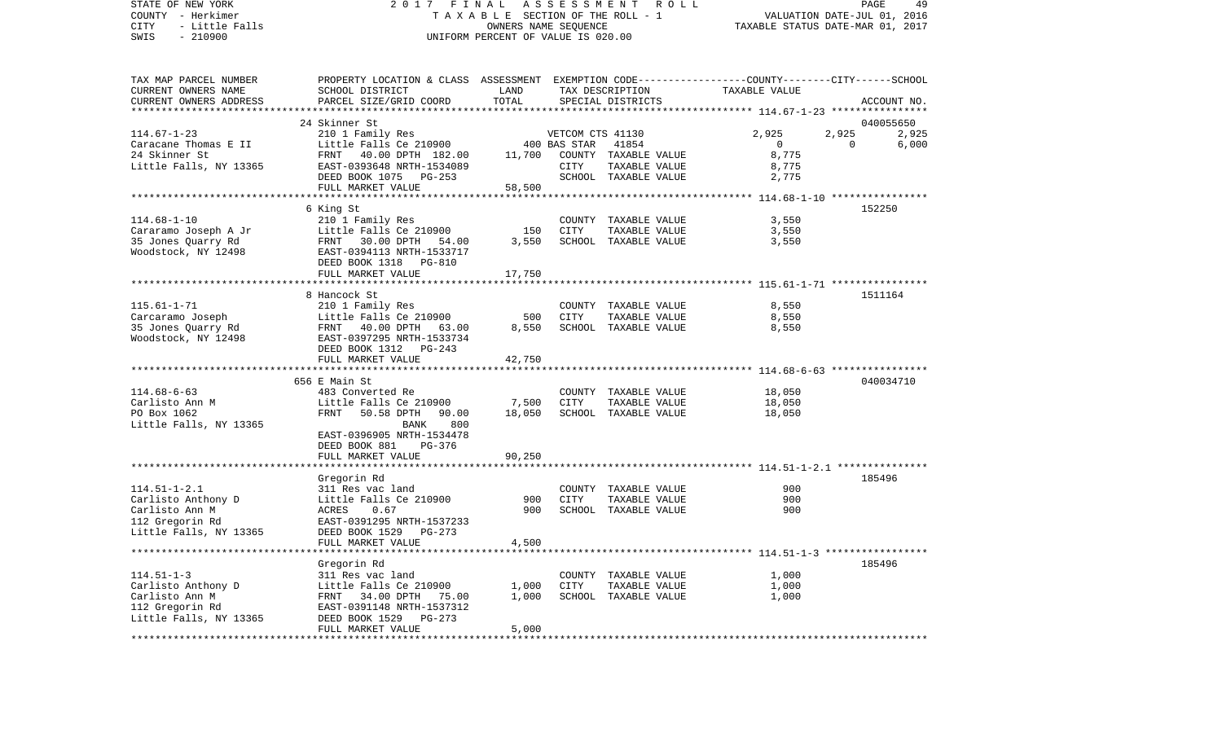COUNTY - Herkimer T A X A B L E SECTION OF THE ROLL - 1 VALUATION DATE-JUL 01, 2016 CITY - Little Falls OWNERS NAME SEQUENCE TAXABLE STATUS DATE-MAR 01, 2017 SWIS - 210900 UNIFORM PERCENT OF VALUE IS 020.00TAX MAP PARCEL NUMBER PROPERTY LOCATION & CLASS ASSESSMENT EXEMPTION CODE------------------COUNTY--------CITY------SCHOOL CURRENT OWNERS NAME SCHOOL DISTRICT LAND TAX DESCRIPTION TAXABLE VALUECURRENT OWNERS ADDRESS PARCEL SIZE/GRID COORD TOTAL SPECIAL DISTRICTS ACCOUNT NO. \*\*\*\*\*\*\*\*\*\*\*\*\*\*\*\*\*\*\*\*\*\*\*\*\*\*\*\*\*\*\*\*\*\*\*\*\*\*\*\*\*\*\*\*\*\*\*\*\*\*\*\*\*\*\*\*\*\*\*\*\*\*\*\*\*\*\*\*\*\*\*\*\*\*\*\*\*\*\*\*\*\*\*\*\*\*\*\*\*\*\*\*\*\*\*\*\*\*\*\*\*\*\* 114.67-1-23 \*\*\*\*\*\*\*\*\*\*\*\*\*\*\*\*24 Skinner St 040055650 114.67-1-23 210 1 Family Res VETCOM CTS 41130 2,925 2,925 2,925 Caracane Thomas E II and Little Falls Ce 210900 400 BAS STAR 41854 6 0 0 0 6,000 24 Skinner St FRNT 40.00 DPTH 182.00 11,700 COUNTY TAXABLE VALUE 8,775 Little Falls, NY 13365 EAST-0393648 NRTH-1534089 CITY TAXABLE VALUE 8,775 DEED BOOK 1075 PG-253 SCHOOL TAXABLE VALUE 2,775 FULL MARKET VALUE 58,500 \*\*\*\*\*\*\*\*\*\*\*\*\*\*\*\*\*\*\*\*\*\*\*\*\*\*\*\*\*\*\*\*\*\*\*\*\*\*\*\*\*\*\*\*\*\*\*\*\*\*\*\*\*\*\*\*\*\*\*\*\*\*\*\*\*\*\*\*\*\*\*\*\*\*\*\*\*\*\*\*\*\*\*\*\*\*\*\*\*\*\*\*\*\*\*\*\*\*\*\*\*\*\* 114.68-1-10 \*\*\*\*\*\*\*\*\*\*\*\*\*\*\*\* 6 King St 152250 114.68-1-10 210 1 Family Res COUNTY TAXABLE VALUE 3,550 Cararamo Joseph A Jr Little Falls Ce 210900 150 CITY TAXABLE VALUE 3,550 35 Jones Quarry Rd FRNT 30.00 DPTH 54.00 3,550 SCHOOL TAXABLE VALUE 3,550 Woodstock, NY 12498 EAST-0394113 NRTH-1533717 DEED BOOK 1318 PG-810FULL MARKET VALUE 17,750 \*\*\*\*\*\*\*\*\*\*\*\*\*\*\*\*\*\*\*\*\*\*\*\*\*\*\*\*\*\*\*\*\*\*\*\*\*\*\*\*\*\*\*\*\*\*\*\*\*\*\*\*\*\*\*\*\*\*\*\*\*\*\*\*\*\*\*\*\*\*\*\*\*\*\*\*\*\*\*\*\*\*\*\*\*\*\*\*\*\*\*\*\*\*\*\*\*\*\*\*\*\*\* 115.61-1-71 \*\*\*\*\*\*\*\*\*\*\*\*\*\*\*\* 8 Hancock St 1511164115.61-1-71 210 1 Family Res COUNTY TAXABLE VALUE 8,550 Carcaramo Joseph Little Falls Ce 210900 500 CITY TAXABLE VALUE 8,550 35 Jones Quarry Rd FRNT 40.00 DPTH 63.00 8,550 SCHOOL TAXABLE VALUE 8,550 Woodstock, NY 12498 EAST-0397295 NRTH-1533734 DEED BOOK 1312 PG-243 FULL MARKET VALUE 42,750 \*\*\*\*\*\*\*\*\*\*\*\*\*\*\*\*\*\*\*\*\*\*\*\*\*\*\*\*\*\*\*\*\*\*\*\*\*\*\*\*\*\*\*\*\*\*\*\*\*\*\*\*\*\*\*\*\*\*\*\*\*\*\*\*\*\*\*\*\*\*\*\*\*\*\*\*\*\*\*\*\*\*\*\*\*\*\*\*\*\*\*\*\*\*\*\*\*\*\*\*\*\*\* 114.68-6-63 \*\*\*\*\*\*\*\*\*\*\*\*\*\*\*\* 656 E Main St 040034710114.68-6-63 483 Converted Re COUNTY TAXABLE VALUE 18,050 Carlisto Ann M Little Falls Ce 210900 7,500 CITY TAXABLE VALUE 18,050 PO Box 1062 FRNT 50.58 DPTH 90.00 18,050 SCHOOL TAXABLE VALUE 18,050 Little Falls, NY 13365 BANK 800 EAST-0396905 NRTH-1534478 DEED BOOK 881 PG-376FULL MARKET VALUE 90,250 \*\*\*\*\*\*\*\*\*\*\*\*\*\*\*\*\*\*\*\*\*\*\*\*\*\*\*\*\*\*\*\*\*\*\*\*\*\*\*\*\*\*\*\*\*\*\*\*\*\*\*\*\*\*\*\*\*\*\*\*\*\*\*\*\*\*\*\*\*\*\*\*\*\*\*\*\*\*\*\*\*\*\*\*\*\*\*\*\*\*\*\*\*\*\*\*\*\*\*\*\*\*\* 114.51-1-2.1 \*\*\*\*\*\*\*\*\*\*\*\*\*\*\*Gregorin Rd 185496 114.51-1-2.1 311 Res vac land COUNTY TAXABLE VALUE 900Carlisto Anthony D Little Falls Ce 210900 900 CITY TAXABLE VALUE 900 Carlisto Ann M ACRES 0.67 900 SCHOOL TAXABLE VALUE 900112 Gregorin Rd EAST-0391295 NRTH-1537233 Little Falls, NY 13365 DEED BOOK 1529 PG-273 FULL MARKET VALUE 4,500 \*\*\*\*\*\*\*\*\*\*\*\*\*\*\*\*\*\*\*\*\*\*\*\*\*\*\*\*\*\*\*\*\*\*\*\*\*\*\*\*\*\*\*\*\*\*\*\*\*\*\*\*\*\*\*\*\*\*\*\*\*\*\*\*\*\*\*\*\*\*\*\*\*\*\*\*\*\*\*\*\*\*\*\*\*\*\*\*\*\*\*\*\*\*\*\*\*\*\*\*\*\*\* 114.51-1-3 \*\*\*\*\*\*\*\*\*\*\*\*\*\*\*\*\* Gregorin Rd 185496 114.51-1-3 311 Res vac land COUNTY TAXABLE VALUE 1,000 Carlisto Anthony D Little Falls Ce 210900 1,000 CITY TAXABLE VALUE 1,000 Carlisto Ann M FRNT 34.00 DPTH 75.00 1,000 SCHOOL TAXABLE VALUE 1,000 112 Gregorin Rd EAST-0391148 NRTH-1537312 Little Falls, NY 13365 DEED BOOK 1529 PG-273 FULL MARKET VALUE 5,000 \*\*\*\*\*\*\*\*\*\*\*\*\*\*\*\*\*\*\*\*\*\*\*\*\*\*\*\*\*\*\*\*\*\*\*\*\*\*\*\*\*\*\*\*\*\*\*\*\*\*\*\*\*\*\*\*\*\*\*\*\*\*\*\*\*\*\*\*\*\*\*\*\*\*\*\*\*\*\*\*\*\*\*\*\*\*\*\*\*\*\*\*\*\*\*\*\*\*\*\*\*\*\*\*\*\*\*\*\*\*\*\*\*\*\*\*\*\*\*\*\*\*\*\*\*\*\*\*\*\*\*\*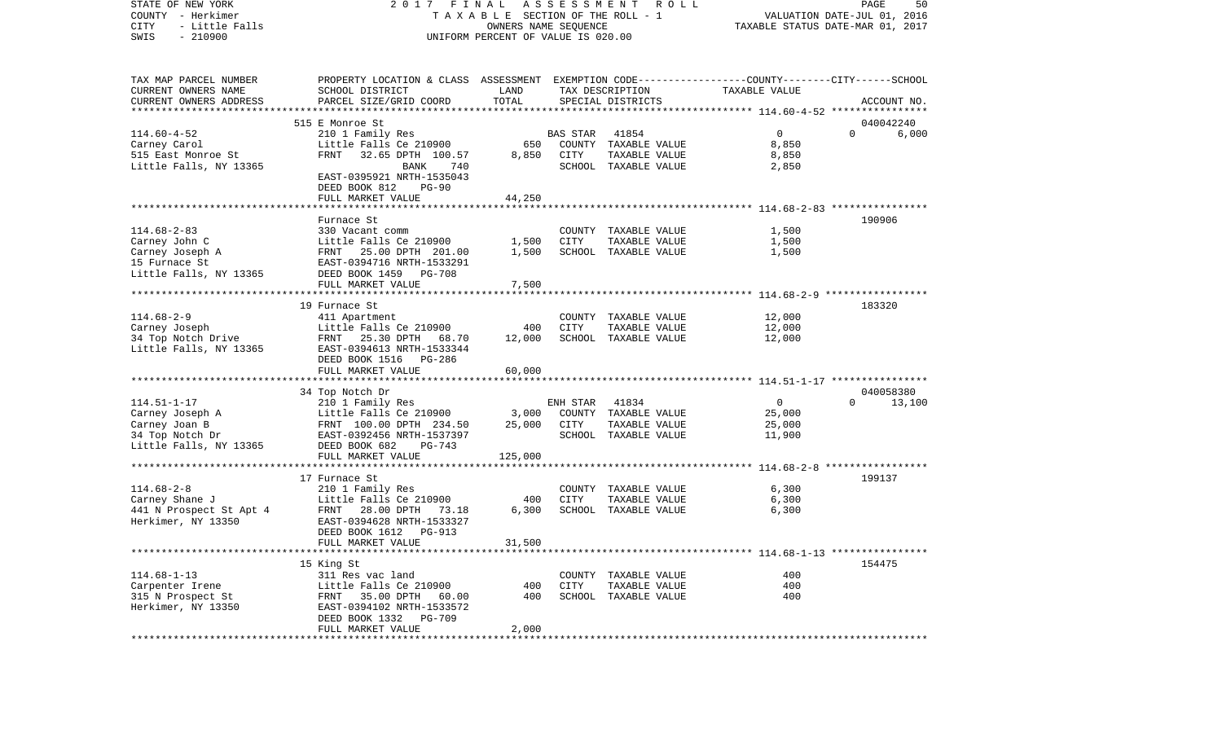COUNTY - Herkimer T A X A B L E SECTION OF THE ROLL - 1 VALUATION DATE-JUL 01, 2016 CITY - Little Falls OWNERS NAME SEQUENCE TAXABLE STATUS DATE-MAR 01, 2017 SWIS - 210900 UNIFORM PERCENT OF VALUE IS 020.00TAX MAP PARCEL NUMBER PROPERTY LOCATION & CLASS ASSESSMENT EXEMPTION CODE------------------COUNTY--------CITY------SCHOOL CURRENT OWNERS NAME SCHOOL DISTRICT LAND TAX DESCRIPTION TAXABLE VALUECURRENT OWNERS ADDRESS PARCEL SIZE/GRID COORD TOTAL SPECIAL DISTRICTS ACCOUNT NO. \*\*\*\*\*\*\*\*\*\*\*\*\*\*\*\*\*\*\*\*\*\*\*\*\*\*\*\*\*\*\*\*\*\*\*\*\*\*\*\*\*\*\*\*\*\*\*\*\*\*\*\*\*\*\*\*\*\*\*\*\*\*\*\*\*\*\*\*\*\*\*\*\*\*\*\*\*\*\*\*\*\*\*\*\*\*\*\*\*\*\*\*\*\*\*\*\*\*\*\*\*\*\* 114.60-4-52 \*\*\*\*\*\*\*\*\*\*\*\*\*\*\*\* 515 E Monroe St 040042240114.60-4-52 210 1 Family Res BAS STAR 41854 0 0 6,000 Carney Carol Little Falls Ce 210900 650 COUNTY TAXABLE VALUE 8,850 515 East Monroe St FRNT 32.65 DPTH 100.57 8,850 CITY TAXABLE VALUE 8,850 Little Falls, NY 13365 BANK 740 SCHOOL TAXABLE VALUE 2,850 EAST-0395921 NRTH-1535043 DEED BOOK 812 PG-90FULL MARKET VALUE 44,250 \*\*\*\*\*\*\*\*\*\*\*\*\*\*\*\*\*\*\*\*\*\*\*\*\*\*\*\*\*\*\*\*\*\*\*\*\*\*\*\*\*\*\*\*\*\*\*\*\*\*\*\*\*\*\*\*\*\*\*\*\*\*\*\*\*\*\*\*\*\*\*\*\*\*\*\*\*\*\*\*\*\*\*\*\*\*\*\*\*\*\*\*\*\*\*\*\*\*\*\*\*\*\* 114.68-2-83 \*\*\*\*\*\*\*\*\*\*\*\*\*\*\*\*Furnace St 190906 114.68-2-83 330 Vacant comm COUNTY TAXABLE VALUE 1,500 Carney John C Little Falls Ce 210900 1,500 CITY TAXABLE VALUE 1,500 Carney Joseph A FRNT 25.00 DPTH 201.00 1,500 SCHOOL TAXABLE VALUE 1,500 15 Furnace St EAST-0394716 NRTH-1533291Little Falls, NY 13365 DEED BOOK 1459 PG-708 FULL MARKET VALUE 7,500 \*\*\*\*\*\*\*\*\*\*\*\*\*\*\*\*\*\*\*\*\*\*\*\*\*\*\*\*\*\*\*\*\*\*\*\*\*\*\*\*\*\*\*\*\*\*\*\*\*\*\*\*\*\*\*\*\*\*\*\*\*\*\*\*\*\*\*\*\*\*\*\*\*\*\*\*\*\*\*\*\*\*\*\*\*\*\*\*\*\*\*\*\*\*\*\*\*\*\*\*\*\*\* 114.68-2-9 \*\*\*\*\*\*\*\*\*\*\*\*\*\*\*\*\* 19 Furnace St 183320114.68-2-9 411 Apartment COUNTY TAXABLE VALUE 12,000 Carney Joseph Little Falls Ce 210900 400 CITY TAXABLE VALUE 12,000 34 Top Notch Drive FRNT 25.30 DPTH 68.70 12,000 SCHOOL TAXABLE VALUE 12,000 Little Falls, NY 13365 EAST-0394613 NRTH-1533344 DEED BOOK 1516 PG-286 FULL MARKET VALUE 60,000 \*\*\*\*\*\*\*\*\*\*\*\*\*\*\*\*\*\*\*\*\*\*\*\*\*\*\*\*\*\*\*\*\*\*\*\*\*\*\*\*\*\*\*\*\*\*\*\*\*\*\*\*\*\*\*\*\*\*\*\*\*\*\*\*\*\*\*\*\*\*\*\*\*\*\*\*\*\*\*\*\*\*\*\*\*\*\*\*\*\*\*\*\*\*\*\*\*\*\*\*\*\*\* 114.51-1-17 \*\*\*\*\*\*\*\*\*\*\*\*\*\*\*\* 34 Top Notch Dr 040058380 114.51-1-17 210 1 Family Res ENH STAR 41834 0 0 13,100 Carney Joseph A Little Falls Ce 210900 3,000 COUNTY TAXABLE VALUE 25,000 Carney Joan B FRNT 100.00 DPTH 234.50 25,000 CITY TAXABLE VALUE 25,000 34 Top Notch Dr EAST-0392456 NRTH-1537397 SCHOOL TAXABLE VALUE 11,900 Little Falls, NY 13365 DEED BOOK 682 PG-743 FULL MARKET VALUE 125,000 \*\*\*\*\*\*\*\*\*\*\*\*\*\*\*\*\*\*\*\*\*\*\*\*\*\*\*\*\*\*\*\*\*\*\*\*\*\*\*\*\*\*\*\*\*\*\*\*\*\*\*\*\*\*\*\*\*\*\*\*\*\*\*\*\*\*\*\*\*\*\*\*\*\*\*\*\*\*\*\*\*\*\*\*\*\*\*\*\*\*\*\*\*\*\*\*\*\*\*\*\*\*\* 114.68-2-8 \*\*\*\*\*\*\*\*\*\*\*\*\*\*\*\*\* 17 Furnace St 199137114.68-2-8 210 1 Family Res COUNTY TAXABLE VALUE 6,300 Carney Shane J Little Falls Ce 210900 400 CITY TAXABLE VALUE 6,300 441 N Prospect St Apt 4 FRNT 28.00 DPTH 73.18 Herkimer, NY 13350 EAST-0394628 NRTH-1533327 DEED BOOK 1612 PG-913FULL MARKET VALUE 31,500 \*\*\*\*\*\*\*\*\*\*\*\*\*\*\*\*\*\*\*\*\*\*\*\*\*\*\*\*\*\*\*\*\*\*\*\*\*\*\*\*\*\*\*\*\*\*\*\*\*\*\*\*\*\*\*\*\*\*\*\*\*\*\*\*\*\*\*\*\*\*\*\*\*\*\*\*\*\*\*\*\*\*\*\*\*\*\*\*\*\*\*\*\*\*\*\*\*\*\*\*\*\*\* 114.68-1-13 \*\*\*\*\*\*\*\*\*\*\*\*\*\*\*\* 15 King St 154475 114.68-1-13 311 Res vac land COUNTY TAXABLE VALUE 400Carpenter Irene Little Falls Ce 210900 400 CITY TAXABLE VALUE 400 315 N Prospect St FRNT 35.00 DPTH 60.00 400 SCHOOL TAXABLE VALUE 400 Herkimer, NY 13350 EAST-0394102 NRTH-1533572 DEED BOOK 1332 PG-709FULL MARKET VALUE 2,000 \*\*\*\*\*\*\*\*\*\*\*\*\*\*\*\*\*\*\*\*\*\*\*\*\*\*\*\*\*\*\*\*\*\*\*\*\*\*\*\*\*\*\*\*\*\*\*\*\*\*\*\*\*\*\*\*\*\*\*\*\*\*\*\*\*\*\*\*\*\*\*\*\*\*\*\*\*\*\*\*\*\*\*\*\*\*\*\*\*\*\*\*\*\*\*\*\*\*\*\*\*\*\*\*\*\*\*\*\*\*\*\*\*\*\*\*\*\*\*\*\*\*\*\*\*\*\*\*\*\*\*\*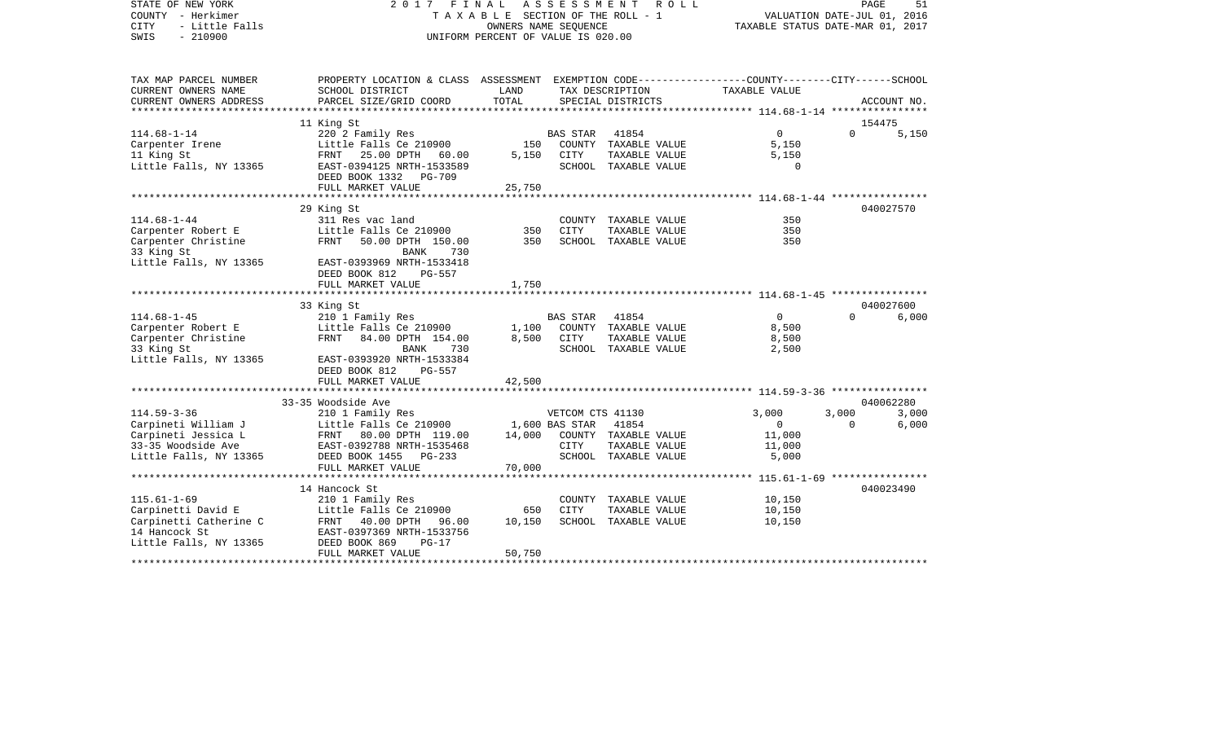| STATE OF NEW YORK<br>COUNTY - Herkimer<br>- Little Falls<br><b>CITY</b><br>$-210900$<br>SWIS | 2017<br>FINAL<br>TAXABLE SECTION OF THE ROLL - 1<br>UNIFORM PERCENT OF VALUE IS 020.00                             | PAGE<br>51<br>VALUATION DATE-JUL 01, 2016<br>TAXABLE STATUS DATE-MAR 01, 2017 |                  |                                       |                 |          |             |
|----------------------------------------------------------------------------------------------|--------------------------------------------------------------------------------------------------------------------|-------------------------------------------------------------------------------|------------------|---------------------------------------|-----------------|----------|-------------|
| TAX MAP PARCEL NUMBER<br>CURRENT OWNERS NAME                                                 | PROPERTY LOCATION & CLASS ASSESSMENT EXEMPTION CODE---------------COUNTY-------CITY------SCHOOL<br>SCHOOL DISTRICT | LAND                                                                          |                  | TAX DESCRIPTION                       | TAXABLE VALUE   |          |             |
| CURRENT OWNERS ADDRESS                                                                       | PARCEL SIZE/GRID COORD                                                                                             | TOTAL                                                                         |                  | SPECIAL DISTRICTS                     |                 |          | ACCOUNT NO. |
| **********************                                                                       |                                                                                                                    |                                                                               |                  |                                       |                 |          |             |
|                                                                                              | 11 King St                                                                                                         |                                                                               |                  |                                       |                 |          | 154475      |
| $114.68 - 1 - 14$                                                                            | 220 2 Family Res                                                                                                   |                                                                               | <b>BAS STAR</b>  | 41854                                 | $\Omega$        | $\Omega$ | 5,150       |
| Carpenter Irene                                                                              | Little Falls Ce 210900                                                                                             | 150                                                                           |                  | COUNTY TAXABLE VALUE                  | 5,150           |          |             |
| 11 King St                                                                                   | FRNT 25.00 DPTH<br>60.00                                                                                           | 5,150                                                                         | CITY             | TAXABLE VALUE                         | 5,150           |          |             |
| Little Falls, NY 13365                                                                       | EAST-0394125 NRTH-1533589                                                                                          |                                                                               |                  | SCHOOL TAXABLE VALUE                  | $\Omega$        |          |             |
|                                                                                              | DEED BOOK 1332<br>PG-709<br>FULL MARKET VALUE                                                                      | 25,750                                                                        |                  |                                       |                 |          |             |
|                                                                                              |                                                                                                                    |                                                                               |                  |                                       |                 |          |             |
|                                                                                              | 29 King St                                                                                                         |                                                                               |                  |                                       |                 |          | 040027570   |
| $114.68 - 1 - 44$                                                                            | 311 Res vac land                                                                                                   |                                                                               |                  | COUNTY TAXABLE VALUE                  | 350             |          |             |
| Carpenter Robert E                                                                           | Little Falls Ce 210900                                                                                             | 350                                                                           | CITY             | TAXABLE VALUE                         | 350             |          |             |
| Carpenter Christine                                                                          | FRNT<br>50.00 DPTH 150.00                                                                                          | 350                                                                           |                  | SCHOOL TAXABLE VALUE                  | 350             |          |             |
| 33 King St                                                                                   | <b>BANK</b><br>730                                                                                                 |                                                                               |                  |                                       |                 |          |             |
| Little Falls, NY 13365                                                                       | EAST-0393969 NRTH-1533418                                                                                          |                                                                               |                  |                                       |                 |          |             |
|                                                                                              | DEED BOOK 812<br>PG-557                                                                                            |                                                                               |                  |                                       |                 |          |             |
|                                                                                              | FULL MARKET VALUE                                                                                                  | 1,750                                                                         |                  |                                       |                 |          |             |
|                                                                                              | 33 King St                                                                                                         |                                                                               |                  |                                       |                 |          | 040027600   |
| $114.68 - 1 - 45$                                                                            | 210 1 Family Res                                                                                                   |                                                                               | <b>BAS STAR</b>  | 41854                                 | $\Omega$        | $\Omega$ | 6,000       |
| Carpenter Robert E                                                                           | Little Falls Ce 210900                                                                                             | 1,100                                                                         |                  | COUNTY TAXABLE VALUE                  | 8,500           |          |             |
| Carpenter Christine                                                                          | FRNT 84.00 DPTH 154.00                                                                                             | 8,500                                                                         | CITY             | TAXABLE VALUE                         | 8,500           |          |             |
| 33 King St                                                                                   | 730<br>BANK                                                                                                        |                                                                               |                  | SCHOOL TAXABLE VALUE                  | 2,500           |          |             |
| Little Falls, NY 13365                                                                       | EAST-0393920 NRTH-1533384<br>DEED BOOK 812<br>$PG-557$                                                             |                                                                               |                  |                                       |                 |          |             |
|                                                                                              | FULL MARKET VALUE                                                                                                  | 42,500                                                                        |                  |                                       |                 |          |             |
|                                                                                              |                                                                                                                    |                                                                               |                  |                                       |                 |          |             |
|                                                                                              | 33-35 Woodside Ave                                                                                                 |                                                                               |                  |                                       |                 |          | 040062280   |
| $114.59 - 3 - 36$                                                                            | 210 1 Family Res                                                                                                   |                                                                               | VETCOM CTS 41130 |                                       | 3,000           | 3,000    | 3,000       |
| Carpineti William J                                                                          | Little Falls Ce 210900                                                                                             |                                                                               | 1,600 BAS STAR   | 41854                                 | $\mathbf 0$     | $\Omega$ | 6,000       |
| Carpineti Jessica L                                                                          | FRNT 80.00 DPTH 119.00                                                                                             | 14,000                                                                        |                  | COUNTY TAXABLE VALUE                  | 11,000          |          |             |
| 33-35 Woodside Ave<br>Little Falls, NY 13365                                                 | EAST-0392788 NRTH-1535468<br>DEED BOOK 1455<br>$PG-233$                                                            |                                                                               | CITY             | TAXABLE VALUE<br>SCHOOL TAXABLE VALUE | 11,000<br>5,000 |          |             |
|                                                                                              | FULL MARKET VALUE                                                                                                  | 70,000                                                                        |                  |                                       |                 |          |             |
|                                                                                              | **************************                                                                                         |                                                                               |                  |                                       |                 |          |             |
|                                                                                              | 14 Hancock St                                                                                                      |                                                                               |                  |                                       |                 |          | 040023490   |
| $115.61 - 1 - 69$                                                                            | 210 1 Family Res                                                                                                   |                                                                               |                  | COUNTY TAXABLE VALUE                  | 10,150          |          |             |
| Carpinetti David E                                                                           | Little Falls Ce 210900                                                                                             | 650                                                                           | <b>CITY</b>      | TAXABLE VALUE                         | 10,150          |          |             |
| Carpinetti Catherine C                                                                       | FRNT 40.00 DPTH<br>96.00                                                                                           | 10,150                                                                        |                  | SCHOOL TAXABLE VALUE                  | 10,150          |          |             |
| 14 Hancock St                                                                                | EAST-0397369 NRTH-1533756                                                                                          |                                                                               |                  |                                       |                 |          |             |
| Little Falls, NY 13365                                                                       | DEED BOOK 869<br>$PG-17$                                                                                           |                                                                               |                  |                                       |                 |          |             |
|                                                                                              | FULL MARKET VALUE                                                                                                  | 50,750                                                                        |                  |                                       |                 |          |             |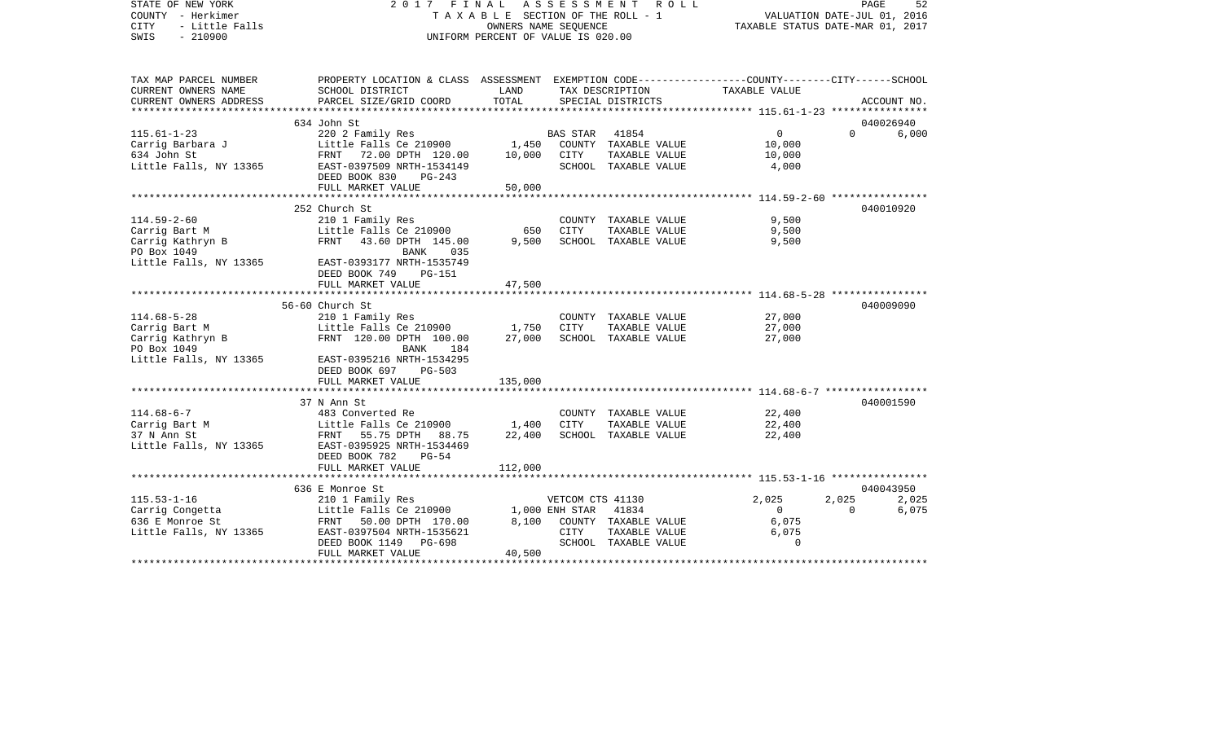| STATE OF NEW YORK<br>COUNTY - Herkimer<br><b>CITY</b><br>- Little Falls<br>$-210900$<br>SWIS | 2017 FINAL ASSESSMENT<br>TAXABLE SECTION OF THE ROLL - 1<br>UNIFORM PERCENT OF VALUE IS 020.00                     | PAGE<br>52<br>VALUATION DATE-JUL 01, 2016<br>TAXABLE STATUS DATE-MAR 01, 2017 |                  |                      |                                                 |          |             |
|----------------------------------------------------------------------------------------------|--------------------------------------------------------------------------------------------------------------------|-------------------------------------------------------------------------------|------------------|----------------------|-------------------------------------------------|----------|-------------|
| TAX MAP PARCEL NUMBER<br>CURRENT OWNERS NAME                                                 | PROPERTY LOCATION & CLASS ASSESSMENT EXEMPTION CODE---------------COUNTY-------CITY------SCHOOL<br>SCHOOL DISTRICT | LAND                                                                          |                  | TAX DESCRIPTION      | TAXABLE VALUE                                   |          |             |
| CURRENT OWNERS ADDRESS                                                                       | PARCEL SIZE/GRID COORD                                                                                             | TOTAL                                                                         |                  | SPECIAL DISTRICTS    |                                                 |          | ACCOUNT NO. |
|                                                                                              |                                                                                                                    |                                                                               |                  |                      |                                                 |          |             |
|                                                                                              | 634 John St                                                                                                        |                                                                               |                  |                      |                                                 |          | 040026940   |
| $115.61 - 1 - 23$                                                                            | 220 2 Family Res                                                                                                   |                                                                               | BAS STAR         | 41854                | $\overline{0}$                                  | $\Omega$ | 6,000       |
| Carrig Barbara J<br>634 John St                                                              | Little Falls Ce 210900                                                                                             | 1,450                                                                         |                  | COUNTY TAXABLE VALUE | 10,000                                          |          |             |
| 634 John St                                                                                  | FRNT 72.00 DPTH 120.00                                                                                             | 10,000                                                                        | CITY             | TAXABLE VALUE        | 10,000                                          |          |             |
| Little Falls, NY 13365                                                                       | EAST-0397509 NRTH-1534149<br>DEED BOOK 830<br>$PG-243$<br>FULL MARKET VALUE                                        | 50,000                                                                        |                  | SCHOOL TAXABLE VALUE | 4,000                                           |          |             |
|                                                                                              | ***************************                                                                                        | ************                                                                  |                  |                      | ***************** 114.59-2-60 ***************** |          |             |
|                                                                                              | 252 Church St                                                                                                      |                                                                               |                  |                      |                                                 |          | 040010920   |
| $114.59 - 2 - 60$                                                                            | 210 1 Family Res                                                                                                   |                                                                               |                  | COUNTY TAXABLE VALUE | 9,500                                           |          |             |
| Carrig Bart M                                                                                | Little Falls Ce 210900                                                                                             | 650                                                                           | CITY             | TAXABLE VALUE        | 9,500                                           |          |             |
| Carrig Kathryn B                                                                             | FRNT<br>43.60 DPTH 145.00                                                                                          | 9,500                                                                         |                  | SCHOOL TAXABLE VALUE | 9,500                                           |          |             |
| PO Box 1049                                                                                  | BANK<br>035                                                                                                        |                                                                               |                  |                      |                                                 |          |             |
| Little Falls, NY 13365                                                                       | EAST-0393177 NRTH-1535749<br>DEED BOOK 749<br><b>PG-151</b>                                                        |                                                                               |                  |                      |                                                 |          |             |
|                                                                                              | FULL MARKET VALUE                                                                                                  | 47,500                                                                        |                  |                      |                                                 |          |             |
|                                                                                              |                                                                                                                    |                                                                               |                  |                      |                                                 |          |             |
|                                                                                              | 56-60 Church St                                                                                                    |                                                                               |                  |                      |                                                 |          | 040009090   |
| $114.68 - 5 - 28$                                                                            | 210 1 Family Res                                                                                                   |                                                                               |                  | COUNTY TAXABLE VALUE | 27,000                                          |          |             |
| Carrig Bart M                                                                                | Little Falls Ce 210900                                                                                             | 1,750                                                                         | <b>CITY</b>      | TAXABLE VALUE        | 27,000                                          |          |             |
| Carrig Kathryn B<br>PO Box 1049                                                              | FRNT 120.00 DPTH 100.00<br>BANK<br>184                                                                             | 27,000                                                                        |                  | SCHOOL TAXABLE VALUE | 27,000                                          |          |             |
| Little Falls, NY 13365                                                                       | EAST-0395216 NRTH-1534295<br>DEED BOOK 697<br>PG-503                                                               |                                                                               |                  |                      |                                                 |          |             |
|                                                                                              | FULL MARKET VALUE                                                                                                  | 135,000                                                                       |                  |                      |                                                 |          |             |
|                                                                                              |                                                                                                                    |                                                                               |                  |                      |                                                 |          |             |
|                                                                                              | 37 N Ann St                                                                                                        |                                                                               |                  |                      |                                                 |          | 040001590   |
| $114.68 - 6 - 7$                                                                             | 483 Converted Re                                                                                                   |                                                                               |                  | COUNTY TAXABLE VALUE | 22,400                                          |          |             |
| Carrig Bart M                                                                                | Little Falls Ce 210900                                                                                             | 1,400                                                                         | CITY             | TAXABLE VALUE        | 22,400                                          |          |             |
| 37 N Ann St                                                                                  | FRNT 55.75 DPTH 88.75                                                                                              | 22,400                                                                        |                  | SCHOOL TAXABLE VALUE | 22,400                                          |          |             |
| Little Falls, NY 13365                                                                       | EAST-0395925 NRTH-1534469                                                                                          |                                                                               |                  |                      |                                                 |          |             |
|                                                                                              | DEED BOOK 782<br>$PG-54$<br>FULL MARKET VALUE                                                                      | 112,000                                                                       |                  |                      |                                                 |          |             |
|                                                                                              |                                                                                                                    |                                                                               |                  |                      |                                                 |          |             |
|                                                                                              | 636 E Monroe St                                                                                                    |                                                                               |                  |                      |                                                 |          | 040043950   |
| $115.53 - 1 - 16$                                                                            | 210 1 Family Res                                                                                                   |                                                                               | VETCOM CTS 41130 |                      | 2,025                                           | 2,025    | 2,025       |
| Carrig Congetta                                                                              | Little Falls Ce 210900                                                                                             |                                                                               | 1,000 ENH STAR   | 41834                | $\overline{0}$                                  | $\Omega$ | 6,075       |
| 636 E Monroe St                                                                              | FRNT 50.00 DPTH 170.00                                                                                             | 8,100                                                                         |                  | COUNTY TAXABLE VALUE | 6,075                                           |          |             |
| Little Falls, NY 13365                                                                       | EAST-0397504 NRTH-1535621                                                                                          |                                                                               | CITY             | TAXABLE VALUE        | 6,075                                           |          |             |
|                                                                                              | DEED BOOK 1149<br>PG-698                                                                                           |                                                                               |                  | SCHOOL TAXABLE VALUE | $\Omega$                                        |          |             |
|                                                                                              | FULL MARKET VALUE                                                                                                  | 40,500                                                                        |                  |                      |                                                 |          |             |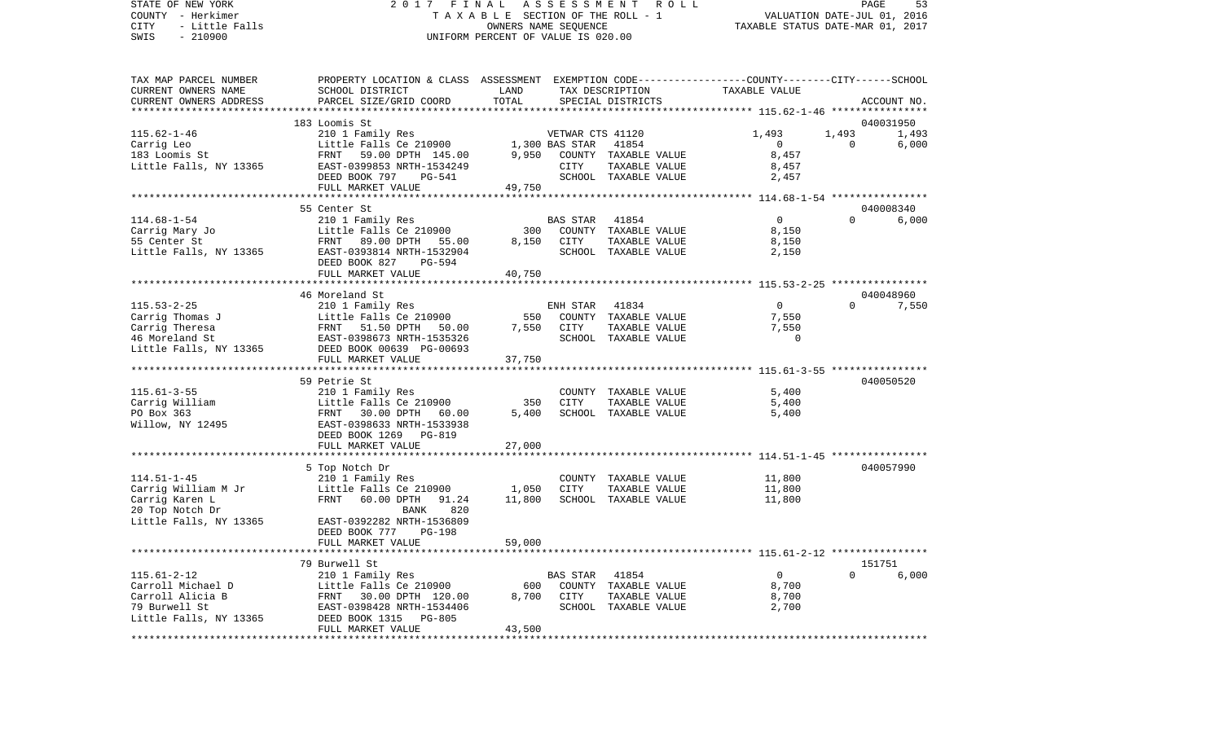## STATE OF NEW YORK 2 0 1 7 F I N A L A S S E S S M E N T R O L L PAGE 53COUNTY - Herkimer T A X A B L E SECTION OF THE ROLL - 1 CITY - Little Falls OWNERS NAME SEQUENCE TAXABLE STATUS DATE-MAR 01, 2017 UNIFORM PERCENT OF VALUE IS 020.00

VALUATION DATE-JUL 01, 2016

| TAX MAP PARCEL NUMBER  | PROPERTY LOCATION & CLASS ASSESSMENT EXEMPTION CODE----------------COUNTY-------CITY------SCHOOL |                  |                  |                      |                |             |             |
|------------------------|--------------------------------------------------------------------------------------------------|------------------|------------------|----------------------|----------------|-------------|-------------|
| CURRENT OWNERS NAME    | SCHOOL DISTRICT                                                                                  | LAND             |                  | TAX DESCRIPTION      | TAXABLE VALUE  |             |             |
| CURRENT OWNERS ADDRESS | PARCEL SIZE/GRID COORD                                                                           | TOTAL            |                  | SPECIAL DISTRICTS    |                |             | ACCOUNT NO. |
|                        |                                                                                                  |                  |                  |                      |                |             |             |
|                        | 183 Loomis St                                                                                    |                  |                  |                      |                |             | 040031950   |
| $115.62 - 1 - 46$      | 210 1 Family Res                                                                                 |                  | VETWAR CTS 41120 |                      | 1,493          | 1,493       | 1,493       |
| Carrig Leo             | Little Falls Ce 210900                                                                           | 1,300 BAS STAR   |                  | 41854                | $\mathsf{O}$   | $\mathbf 0$ | 6,000       |
| 183 Loomis St          | FRNT 59.00 DPTH 145.00                                                                           | 9,950            |                  | COUNTY TAXABLE VALUE | 8,457          |             |             |
| Little Falls, NY 13365 | EAST-0399853 NRTH-1534249                                                                        |                  | CITY             | TAXABLE VALUE        | 8,457          |             |             |
|                        | DEED BOOK 797<br><b>PG-541</b>                                                                   |                  |                  | SCHOOL TAXABLE VALUE | 2,457          |             |             |
|                        | FULL MARKET VALUE                                                                                | 49,750           |                  |                      |                |             |             |
|                        |                                                                                                  |                  |                  |                      |                |             |             |
|                        | 55 Center St                                                                                     |                  |                  |                      |                |             | 040008340   |
| $114.68 - 1 - 54$      | 210 1 Family Res                                                                                 |                  | BAS STAR         | 41854                | $\overline{0}$ | $\Omega$    | 6,000       |
|                        |                                                                                                  |                  |                  |                      | 8,150          |             |             |
| Carrig Mary Jo         | Little Falls Ce 210900                                                                           | 300              |                  | COUNTY TAXABLE VALUE |                |             |             |
| 55 Center St           | 89.00 DPTH 55.00<br>FRNT                                                                         | 8,150            | CITY             | TAXABLE VALUE        | 8,150          |             |             |
| Little Falls, NY 13365 | EAST-0393814 NRTH-1532904                                                                        |                  |                  | SCHOOL TAXABLE VALUE | 2,150          |             |             |
|                        | DEED BOOK 827<br>$PG-594$                                                                        |                  |                  |                      |                |             |             |
|                        | FULL MARKET VALUE                                                                                | 40,750           |                  |                      |                |             |             |
|                        |                                                                                                  |                  |                  |                      |                |             |             |
|                        | 46 Moreland St                                                                                   |                  |                  |                      |                |             | 040048960   |
| $115.53 - 2 - 25$      | 210 1 Family Res                                                                                 |                  | ENH STAR         | 41834                | $\overline{0}$ | $\Omega$    | 7,550       |
| Carrig Thomas J        | Little Falls Ce 210900                                                                           | 550              |                  | COUNTY TAXABLE VALUE | 7,550          |             |             |
| Carrig Theresa         | FRNT 51.50 DPTH 50.00                                                                            | 7,550            | CITY             | TAXABLE VALUE        | 7,550          |             |             |
| 46 Moreland St         | EAST-0398673 NRTH-1535326                                                                        |                  |                  | SCHOOL TAXABLE VALUE | $\mathbf 0$    |             |             |
| Little Falls, NY 13365 | DEED BOOK 00639 PG-00693                                                                         |                  |                  |                      |                |             |             |
|                        | FULL MARKET VALUE                                                                                | 37,750           |                  |                      |                |             |             |
|                        |                                                                                                  |                  |                  |                      |                |             |             |
|                        | 59 Petrie St                                                                                     |                  |                  |                      |                |             | 040050520   |
| $115.61 - 3 - 55$      | 210 1 Family Res                                                                                 |                  |                  | COUNTY TAXABLE VALUE | 5,400          |             |             |
| Carrig William         |                                                                                                  | 350              | CITY             | TAXABLE VALUE        | 5,400          |             |             |
| PO Box 363             | Little Falls Ce 210900<br>FRNT 30.00 DPTH 60.00<br>EAST-0398633 NRTH-1533938                     | 5,400            |                  | SCHOOL TAXABLE VALUE | 5,400          |             |             |
| Willow, NY 12495       |                                                                                                  |                  |                  |                      |                |             |             |
|                        | DEED BOOK 1269 PG-819                                                                            |                  |                  |                      |                |             |             |
|                        | FULL MARKET VALUE                                                                                | 27,000           |                  |                      |                |             |             |
|                        | ***********************                                                                          | **************** |                  |                      |                |             |             |
|                        | 5 Top Notch Dr                                                                                   |                  |                  |                      |                |             | 040057990   |
| $114.51 - 1 - 45$      | 210 1 Family Res                                                                                 |                  |                  | COUNTY TAXABLE VALUE | 11,800         |             |             |
| Carrig William M Jr    | Little Falls Ce 210900                                                                           | 1,050            | CITY             | TAXABLE VALUE        | 11,800         |             |             |
| Carrig Karen L         | FRNT<br>60.00 DPTH<br>91.24                                                                      | 11,800           |                  | SCHOOL TAXABLE VALUE | 11,800         |             |             |
| 20 Top Notch Dr        | <b>BANK</b><br>820                                                                               |                  |                  |                      |                |             |             |
| Little Falls, NY 13365 |                                                                                                  |                  |                  |                      |                |             |             |
|                        | EAST-0392282 NRTH-1536809                                                                        |                  |                  |                      |                |             |             |
|                        | DEED BOOK 777<br><b>PG-198</b>                                                                   |                  |                  |                      |                |             |             |
|                        | FULL MARKET VALUE                                                                                | 59,000           |                  |                      |                |             |             |
|                        |                                                                                                  |                  |                  |                      |                |             |             |
|                        | 79 Burwell St                                                                                    |                  |                  |                      |                |             | 151751      |
| $115.61 - 2 - 12$      | 210 1 Family Res                                                                                 |                  | <b>BAS STAR</b>  | 41854                | $\overline{0}$ | $\Omega$    | 6,000       |
| Carroll Michael D      | Little Falls Ce 210900                                                                           | 600              |                  | COUNTY TAXABLE VALUE | 8,700          |             |             |
| Carroll Alicia B       | FRNT 30.00 DPTH 120.00                                                                           | 8,700            | CITY             | TAXABLE VALUE        | 8,700          |             |             |
| 79 Burwell St          | EAST-0398428 NRTH-1534406                                                                        |                  |                  | SCHOOL TAXABLE VALUE | 2,700          |             |             |
| Little Falls, NY 13365 | DEED BOOK 1315<br>PG-805                                                                         |                  |                  |                      |                |             |             |
|                        | FULL MARKET VALUE                                                                                | 43,500           |                  |                      |                |             |             |
|                        |                                                                                                  |                  |                  |                      |                |             |             |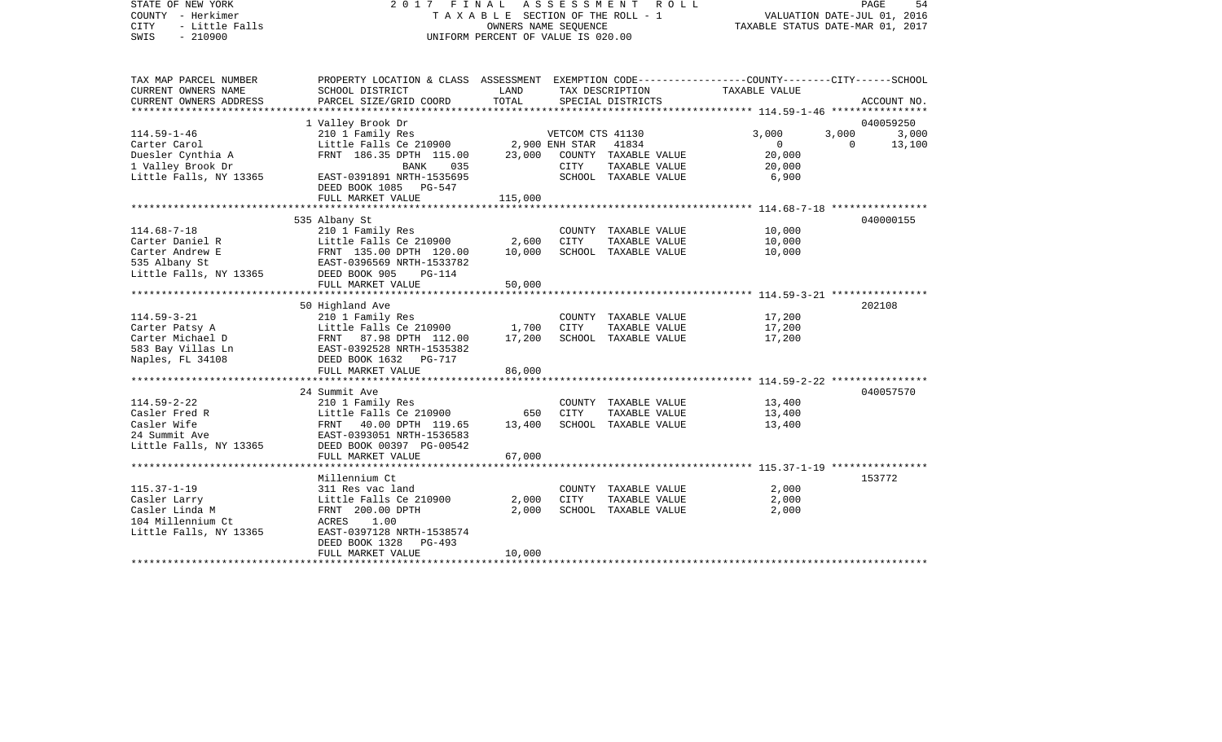COUNTY - Herkimer T A X A B L E SECTION OF THE ROLL - 1 VALUATION DATE-JUL 01, 2016 CITY - Little Falls OWNERS NAME SEQUENCE TAXABLE STATUS DATE-MAR 01, 2017 SWIS - 210900 UNIFORM PERCENT OF VALUE IS 020.00TAX MAP PARCEL NUMBER PROPERTY LOCATION & CLASS ASSESSMENT EXEMPTION CODE------------------COUNTY--------CITY------SCHOOL CURRENT OWNERS NAME SCHOOL DISTRICT LAND TAX DESCRIPTION TAXABLE VALUECURRENT OWNERS ADDRESS PARCEL SIZE/GRID COORD TOTAL SPECIAL DISTRICTS ACCOUNT NO. \*\*\*\*\*\*\*\*\*\*\*\*\*\*\*\*\*\*\*\*\*\*\*\*\*\*\*\*\*\*\*\*\*\*\*\*\*\*\*\*\*\*\*\*\*\*\*\*\*\*\*\*\*\*\*\*\*\*\*\*\*\*\*\*\*\*\*\*\*\*\*\*\*\*\*\*\*\*\*\*\*\*\*\*\*\*\*\*\*\*\*\*\*\*\*\*\*\*\*\*\*\*\* 114.59-1-46 \*\*\*\*\*\*\*\*\*\*\*\*\*\*\*\* 1 Valley Brook Dr 040059250 114.59-1-46 210 1 Family Res VETCOM CTS 41130 3,000 3,000 3,000 Carter Carol Little Falls Ce 210900 2,900 ENH STAR 41834 0 0 13,100 Duesler Cynthia A FRNT 186.35 DPTH 115.00 23,000 COUNTY TAXABLE VALUE 20,000 1 Valley Brook Dr BANK 035 CITY TAXABLE VALUE 20,000 EAST-0391891 NRTH-1535695 DEED BOOK 1085 PG-547FULL MARKET VALUE 115,000 \*\*\*\*\*\*\*\*\*\*\*\*\*\*\*\*\*\*\*\*\*\*\*\*\*\*\*\*\*\*\*\*\*\*\*\*\*\*\*\*\*\*\*\*\*\*\*\*\*\*\*\*\*\*\*\*\*\*\*\*\*\*\*\*\*\*\*\*\*\*\*\*\*\*\*\*\*\*\*\*\*\*\*\*\*\*\*\*\*\*\*\*\*\*\*\*\*\*\*\*\*\*\* 114.68-7-18 \*\*\*\*\*\*\*\*\*\*\*\*\*\*\*\* 535 Albany St 040000155 114.68-7-18 210 1 Family Res COUNTY TAXABLE VALUE 10,000 Carter Daniel R Little Falls Ce 210900 2,600 CITY TAXABLE VALUE 10,000 Carter Andrew E FRNT 135.00 DPTH 120.00 10,000 SCHOOL TAXABLE VALUE 10,000 535 Albany St EAST-0396569 NRTH-1533782 Little Falls, NY 13365 DEED BOOK 905 PG-114 FULL MARKET VALUE 50,000 \*\*\*\*\*\*\*\*\*\*\*\*\*\*\*\*\*\*\*\*\*\*\*\*\*\*\*\*\*\*\*\*\*\*\*\*\*\*\*\*\*\*\*\*\*\*\*\*\*\*\*\*\*\*\*\*\*\*\*\*\*\*\*\*\*\*\*\*\*\*\*\*\*\*\*\*\*\*\*\*\*\*\*\*\*\*\*\*\*\*\*\*\*\*\*\*\*\*\*\*\*\*\* 114.59-3-21 \*\*\*\*\*\*\*\*\*\*\*\*\*\*\*\* 50 Highland Ave 202108 114.59-3-21 210 1 Family Res COUNTY TAXABLE VALUE 17,200 Carter Patsy A **Little Falls Ce 210900** 1,700 CITY TAXABLE VALUE 17,200 Carter Michael D FRNT 87.98 DPTH 112.00 17,200 SCHOOL TAXABLE VALUE 17,200 583 Bay Villas Ln EAST-0392528 NRTH-1535382 Naples, FL 34108 DEED BOOK 1632 PG-717 FULL MARKET VALUE 86,000 \*\*\*\*\*\*\*\*\*\*\*\*\*\*\*\*\*\*\*\*\*\*\*\*\*\*\*\*\*\*\*\*\*\*\*\*\*\*\*\*\*\*\*\*\*\*\*\*\*\*\*\*\*\*\*\*\*\*\*\*\*\*\*\*\*\*\*\*\*\*\*\*\*\*\*\*\*\*\*\*\*\*\*\*\*\*\*\*\*\*\*\*\*\*\*\*\*\*\*\*\*\*\* 114.59-2-22 \*\*\*\*\*\*\*\*\*\*\*\*\*\*\*\* 24 Summit Ave 040057570114.59-2-22 210 1 Family Res COUNTY TAXABLE VALUE 13,400 Casler Fred R **Casler Fred R** Little Falls Ce 210900 650 CITY TAXABLE VALUE 13,400 Casler Wife **FRNT 40.00 DPTH 119.65** 13,400 SCHOOL TAXABLE VALUE 13,400 24 Summit Ave EAST-0393051 NRTH-1536583Little Falls, NY 13365 DEED BOOK 00397 PG-00542 FULL MARKET VALUE 67,000 \*\*\*\*\*\*\*\*\*\*\*\*\*\*\*\*\*\*\*\*\*\*\*\*\*\*\*\*\*\*\*\*\*\*\*\*\*\*\*\*\*\*\*\*\*\*\*\*\*\*\*\*\*\*\*\*\*\*\*\*\*\*\*\*\*\*\*\*\*\*\*\*\*\*\*\*\*\*\*\*\*\*\*\*\*\*\*\*\*\*\*\*\*\*\*\*\*\*\*\*\*\*\* 115.37-1-19 \*\*\*\*\*\*\*\*\*\*\*\*\*\*\*\*Millennium Ct 153772 115.37-1-19 311 Res vac land COUNTY TAXABLE VALUE 2,000 Casler Larry Little Falls Ce 210900 2,000 CITY TAXABLE VALUE 2,000 SCHOOL TAXABLE VALUE 104 Millennium Ct ACRES 1.00Little Falls, NY 13365 EAST-0397128 NRTH-1538574 DEED BOOK 1328 PG-493FULL MARKET VALUE 10,000 \*\*\*\*\*\*\*\*\*\*\*\*\*\*\*\*\*\*\*\*\*\*\*\*\*\*\*\*\*\*\*\*\*\*\*\*\*\*\*\*\*\*\*\*\*\*\*\*\*\*\*\*\*\*\*\*\*\*\*\*\*\*\*\*\*\*\*\*\*\*\*\*\*\*\*\*\*\*\*\*\*\*\*\*\*\*\*\*\*\*\*\*\*\*\*\*\*\*\*\*\*\*\*\*\*\*\*\*\*\*\*\*\*\*\*\*\*\*\*\*\*\*\*\*\*\*\*\*\*\*\*\*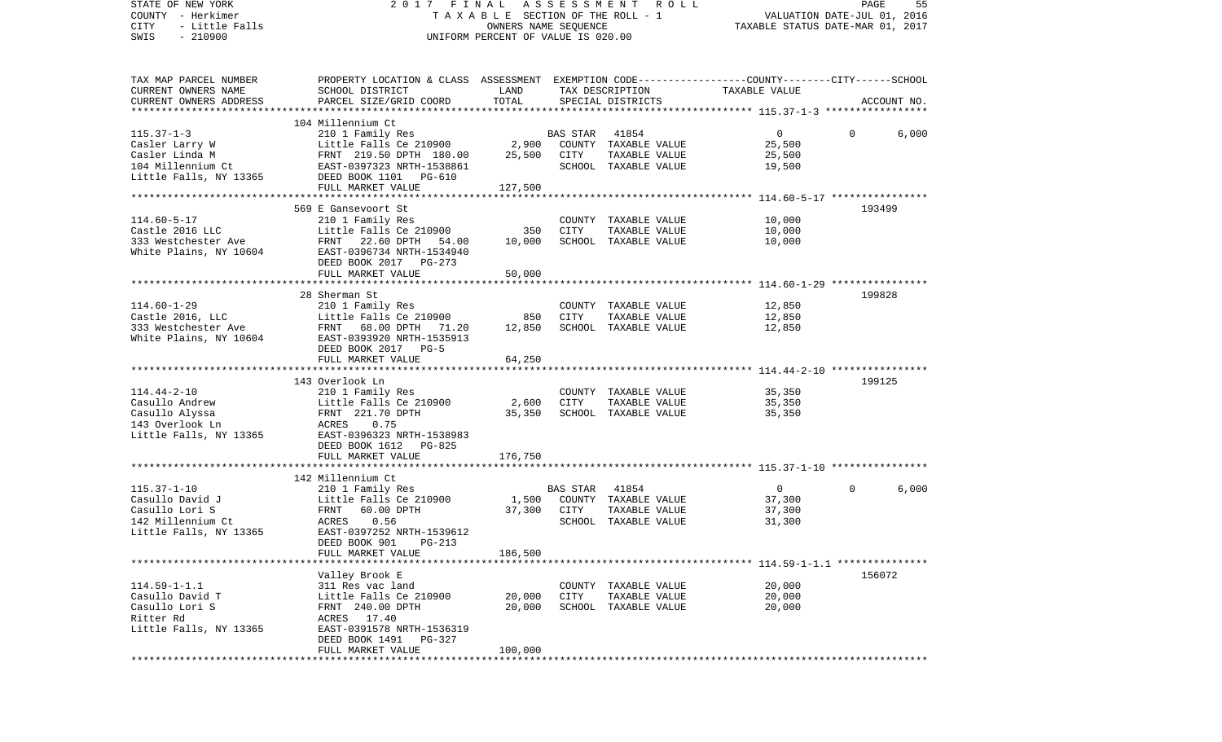| STATE OF NEW YORK<br>COUNTY - Herkimer<br>CITY<br>- Little Falls       | 2017 FINAL                                                                                                                                   | T A X A B L E SECTION OF THE ROLL - 1<br>OWNERS NAME SEQUENCE | A S S E S S M E N T | R O L L                               | VALUATION DATE-JUL 01, 2016<br>TAXABLE STATUS DATE-MAR 01, 2017 | PAGE     | 55          |
|------------------------------------------------------------------------|----------------------------------------------------------------------------------------------------------------------------------------------|---------------------------------------------------------------|---------------------|---------------------------------------|-----------------------------------------------------------------|----------|-------------|
| $-210900$<br>SWIS                                                      |                                                                                                                                              | UNIFORM PERCENT OF VALUE IS 020.00                            |                     |                                       |                                                                 |          |             |
| TAX MAP PARCEL NUMBER<br>CURRENT OWNERS NAME<br>CURRENT OWNERS ADDRESS | PROPERTY LOCATION & CLASS ASSESSMENT EXEMPTION CODE---------------COUNTY-------CITY------SCHOOL<br>SCHOOL DISTRICT<br>PARCEL SIZE/GRID COORD | LAND<br>TOTAL                                                 |                     | TAX DESCRIPTION<br>SPECIAL DISTRICTS  | TAXABLE VALUE                                                   |          | ACCOUNT NO. |
| **************************                                             | 104 Millennium Ct                                                                                                                            |                                                               |                     |                                       |                                                                 |          |             |
| $115.37 - 1 - 3$                                                       | 210 1 Family Res                                                                                                                             |                                                               | <b>BAS STAR</b>     | 41854                                 | $\overline{0}$                                                  | $\Omega$ | 6,000       |
| Casler Larry W                                                         | Little Falls Ce 210900                                                                                                                       | 2,900                                                         |                     | COUNTY TAXABLE VALUE                  | 25,500                                                          |          |             |
| Casler Linda M                                                         | FRNT 219.50 DPTH 180.00                                                                                                                      | 25,500                                                        | CITY                | TAXABLE VALUE                         | 25,500                                                          |          |             |
| 104 Millennium Ct<br>Little Falls, NY 13365                            | EAST-0397323 NRTH-1538861                                                                                                                    |                                                               |                     | SCHOOL TAXABLE VALUE                  | 19,500                                                          |          |             |
|                                                                        | DEED BOOK 1101 PG-610<br>FULL MARKET VALUE                                                                                                   | 127,500                                                       |                     |                                       |                                                                 |          |             |
|                                                                        |                                                                                                                                              |                                                               |                     |                                       |                                                                 |          |             |
|                                                                        | 569 E Gansevoort St                                                                                                                          |                                                               |                     |                                       |                                                                 |          | 193499      |
| $114.60 - 5 - 17$                                                      | 210 1 Family Res                                                                                                                             |                                                               |                     | COUNTY TAXABLE VALUE                  | 10,000                                                          |          |             |
| Castle 2016 LLC<br>333 Westchester Ave                                 | Little Falls Ce 210900<br>FRNT 22.60 DPTH<br>54.00                                                                                           | 350<br>10,000                                                 | CITY                | TAXABLE VALUE<br>SCHOOL TAXABLE VALUE | 10,000<br>10,000                                                |          |             |
| White Plains, NY 10604                                                 | EAST-0396734 NRTH-1534940                                                                                                                    |                                                               |                     |                                       |                                                                 |          |             |
|                                                                        | DEED BOOK 2017 PG-273                                                                                                                        |                                                               |                     |                                       |                                                                 |          |             |
|                                                                        | FULL MARKET VALUE                                                                                                                            | 50,000                                                        |                     |                                       |                                                                 |          |             |
|                                                                        |                                                                                                                                              |                                                               |                     |                                       |                                                                 |          |             |
| $114.60 - 1 - 29$                                                      | 28 Sherman St<br>210 1 Family Res                                                                                                            |                                                               |                     | COUNTY TAXABLE VALUE                  | 12,850                                                          |          | 199828      |
| Castle 2016, LLC                                                       | Little Falls Ce 210900                                                                                                                       | 850                                                           | CITY                | TAXABLE VALUE                         | 12,850                                                          |          |             |
| 333 Westchester Ave                                                    | FRNT 68.00 DPTH 71.20                                                                                                                        | 12,850                                                        |                     | SCHOOL TAXABLE VALUE                  | 12,850                                                          |          |             |
| White Plains, NY 10604                                                 | EAST-0393920 NRTH-1535913<br>DEED BOOK 2017 PG-5                                                                                             |                                                               |                     |                                       |                                                                 |          |             |
|                                                                        | FULL MARKET VALUE                                                                                                                            | 64,250                                                        |                     |                                       |                                                                 |          |             |
|                                                                        | 143 Overlook Ln                                                                                                                              |                                                               |                     |                                       |                                                                 |          | 199125      |
| $114.44 - 2 - 10$                                                      | 210 1 Family Res                                                                                                                             |                                                               |                     | COUNTY TAXABLE VALUE                  | 35,350                                                          |          |             |
| Casullo Andrew                                                         | Little Falls Ce 210900                                                                                                                       | 2,600                                                         | <b>CITY</b>         | TAXABLE VALUE                         | 35,350                                                          |          |             |
| Casullo Alyssa                                                         | FRNT 221.70 DPTH                                                                                                                             | 35,350                                                        |                     | SCHOOL TAXABLE VALUE                  | 35,350                                                          |          |             |
| 143 Overlook Ln                                                        | ACRES<br>0.75                                                                                                                                |                                                               |                     |                                       |                                                                 |          |             |
| Little Falls, NY 13365                                                 | EAST-0396323 NRTH-1538983<br>DEED BOOK 1612<br>PG-825                                                                                        |                                                               |                     |                                       |                                                                 |          |             |
|                                                                        | FULL MARKET VALUE                                                                                                                            | 176,750                                                       |                     |                                       |                                                                 |          |             |
|                                                                        |                                                                                                                                              |                                                               |                     |                                       |                                                                 |          |             |
|                                                                        | 142 Millennium Ct                                                                                                                            |                                                               |                     |                                       |                                                                 |          |             |
| $115.37 - 1 - 10$                                                      | 210 1 Family Res                                                                                                                             |                                                               | BAS STAR            | 41854                                 | $\overline{0}$<br>37,300                                        | $\Omega$ | 6,000       |
| Casullo David J<br>Casullo Lori S                                      | Little Falls Ce 210900<br>FRNT<br>60.00 DPTH                                                                                                 | 1,500<br>37,300                                               | CITY                | COUNTY TAXABLE VALUE<br>TAXABLE VALUE | 37,300                                                          |          |             |
| 142 Millennium Ct                                                      | 0.56<br>ACRES                                                                                                                                |                                                               |                     | SCHOOL TAXABLE VALUE                  | 31,300                                                          |          |             |
| Little Falls, NY 13365                                                 | EAST-0397252 NRTH-1539612                                                                                                                    |                                                               |                     |                                       |                                                                 |          |             |
|                                                                        | DEED BOOK 901 PG-213                                                                                                                         |                                                               |                     |                                       |                                                                 |          |             |
|                                                                        | FULL MARKET VALUE                                                                                                                            | 186,500                                                       |                     |                                       |                                                                 |          |             |
|                                                                        | Valley Brook E                                                                                                                               |                                                               |                     |                                       |                                                                 |          | 156072      |
| $114.59 - 1 - 1.1$                                                     | 311 Res vac land                                                                                                                             |                                                               | COUNTY              | TAXABLE VALUE                         | 20,000                                                          |          |             |
| Casullo David T                                                        | Little Falls Ce 210900                                                                                                                       | 20,000                                                        | CITY                | TAXABLE VALUE                         | 20,000                                                          |          |             |
| Casullo Lori S                                                         | FRNT 240.00 DPTH                                                                                                                             | 20,000                                                        |                     | SCHOOL TAXABLE VALUE                  | 20,000                                                          |          |             |
| Ritter Rd<br>Little Falls, NY 13365                                    | ACRES 17.40<br>EAST-0391578 NRTH-1536319                                                                                                     |                                                               |                     |                                       |                                                                 |          |             |
|                                                                        | DEED BOOK 1491<br>$PG-327$                                                                                                                   |                                                               |                     |                                       |                                                                 |          |             |
|                                                                        | FULL MARKET VALUE                                                                                                                            | 100,000                                                       |                     |                                       |                                                                 |          |             |
| *****************                                                      |                                                                                                                                              |                                                               |                     |                                       |                                                                 |          |             |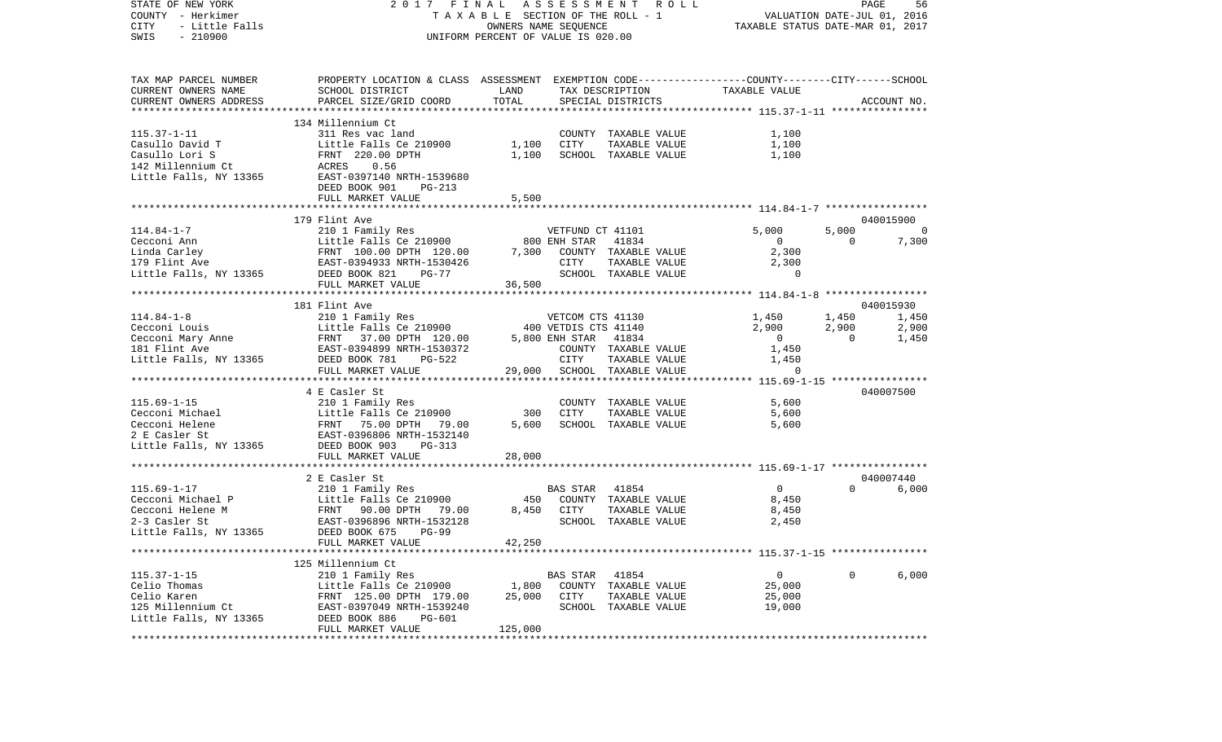| STATE OF NEW YORK<br>COUNTY - Herkimer<br>CITY<br>$-210900$<br>SWIS | - Herkimer<br>- Little Falls<br>- 210900                                                                                                                                                                                                                               | 2017 FINAL ASSESSMENT ROLL<br>TAXABLE SECTION OF THE ROLL - 1<br>OWNERS NAME SEQUENCE<br>UNIFORM PERCENT OF VALUE IS 020.00 |            |                                                                                                                                                                                                                                                                                                                                                                                                                                                                                     |                         | PAGE<br>VALUATION DATE-JUL 01, 2016<br>TAXABLE STATUS DATE-MAR 01, 2017 |                |  |  |
|---------------------------------------------------------------------|------------------------------------------------------------------------------------------------------------------------------------------------------------------------------------------------------------------------------------------------------------------------|-----------------------------------------------------------------------------------------------------------------------------|------------|-------------------------------------------------------------------------------------------------------------------------------------------------------------------------------------------------------------------------------------------------------------------------------------------------------------------------------------------------------------------------------------------------------------------------------------------------------------------------------------|-------------------------|-------------------------------------------------------------------------|----------------|--|--|
|                                                                     | TAX MAP PARCEL NUMBER PROPERTY LOCATION & CLASS ASSESSMENT EXEMPTION CODE--------------COUNTY-------CITY------SCHOOL                                                                                                                                                   |                                                                                                                             |            |                                                                                                                                                                                                                                                                                                                                                                                                                                                                                     |                         |                                                                         |                |  |  |
| CURRENT OWNERS NAME                                                 | SCHOOL DISTRICT                                                                                                                                                                                                                                                        | LAND                                                                                                                        |            | TAX DESCRIPTION TAXABLE VALUE                                                                                                                                                                                                                                                                                                                                                                                                                                                       |                         |                                                                         |                |  |  |
| CURRENT OWNERS ADDRESS                                              | PARCEL SIZE/GRID COORD                                                                                                                                                                                                                                                 | TOTAL                                                                                                                       |            | SPECIAL DISTRICTS                                                                                                                                                                                                                                                                                                                                                                                                                                                                   |                         |                                                                         | ACCOUNT NO.    |  |  |
|                                                                     | 134 Millennium Ct                                                                                                                                                                                                                                                      |                                                                                                                             |            |                                                                                                                                                                                                                                                                                                                                                                                                                                                                                     |                         |                                                                         |                |  |  |
|                                                                     | 115.37-1-11<br>Casullo David T<br>Casullo Lori S<br>1,100<br>1,100<br>1,100<br>1,100<br>1,100<br>1,100<br>220.00 DPTH<br>220.00 DPTH<br>1,100<br>220.00 DPTH<br>1,100<br>220.00 DPTH<br>1,100<br>220.00 DPTH<br>220.00 DPTH<br>220.00 DPTH<br>220.00 DPTH<br>220.00 DP |                                                                                                                             |            | COUNTY TAXABLE VALUE                                                                                                                                                                                                                                                                                                                                                                                                                                                                | 1,100                   |                                                                         |                |  |  |
|                                                                     |                                                                                                                                                                                                                                                                        |                                                                                                                             | CITY       | TAXABLE VALUE                                                                                                                                                                                                                                                                                                                                                                                                                                                                       | 1,100                   |                                                                         |                |  |  |
|                                                                     |                                                                                                                                                                                                                                                                        |                                                                                                                             |            | SCHOOL TAXABLE VALUE 1,100                                                                                                                                                                                                                                                                                                                                                                                                                                                          |                         |                                                                         |                |  |  |
|                                                                     |                                                                                                                                                                                                                                                                        |                                                                                                                             |            |                                                                                                                                                                                                                                                                                                                                                                                                                                                                                     |                         |                                                                         |                |  |  |
|                                                                     |                                                                                                                                                                                                                                                                        |                                                                                                                             |            |                                                                                                                                                                                                                                                                                                                                                                                                                                                                                     |                         |                                                                         |                |  |  |
|                                                                     | DEED BOOK 901 PG-213                                                                                                                                                                                                                                                   |                                                                                                                             |            |                                                                                                                                                                                                                                                                                                                                                                                                                                                                                     |                         |                                                                         |                |  |  |
|                                                                     | FULL MARKET VALUE                                                                                                                                                                                                                                                      | 5,500                                                                                                                       |            |                                                                                                                                                                                                                                                                                                                                                                                                                                                                                     |                         |                                                                         |                |  |  |
|                                                                     | 179 Flint Ave                                                                                                                                                                                                                                                          |                                                                                                                             |            |                                                                                                                                                                                                                                                                                                                                                                                                                                                                                     |                         |                                                                         | 040015900      |  |  |
|                                                                     |                                                                                                                                                                                                                                                                        |                                                                                                                             |            |                                                                                                                                                                                                                                                                                                                                                                                                                                                                                     | 5,000                   |                                                                         | $5,000$ 0      |  |  |
|                                                                     |                                                                                                                                                                                                                                                                        |                                                                                                                             |            |                                                                                                                                                                                                                                                                                                                                                                                                                                                                                     | $\overline{0}$          | $0 \t 7,300$                                                            |                |  |  |
|                                                                     |                                                                                                                                                                                                                                                                        |                                                                                                                             |            |                                                                                                                                                                                                                                                                                                                                                                                                                                                                                     | 2,300                   |                                                                         |                |  |  |
|                                                                     |                                                                                                                                                                                                                                                                        |                                                                                                                             |            |                                                                                                                                                                                                                                                                                                                                                                                                                                                                                     |                         |                                                                         |                |  |  |
|                                                                     |                                                                                                                                                                                                                                                                        |                                                                                                                             |            | $\begin{tabular}{lllllllll} \multicolumn{2}{c}{\texttt{CTTY}} & \multicolumn{2}{c}{\texttt{TAXABLE VALUE}} & & & & 2 \, , \text{300} \\ \multicolumn{2}{c}{\texttt{SCHOOD}} & \multicolumn{2}{c}{\texttt{TAXABLE VALUE}} & & & & 0 \\ \multicolumn{2}{c}{\texttt{OOL}} & \multicolumn{2}{c}{\texttt{TAXABLE VALUE}} & & & & 0 \\ \multicolumn{2}{c}{\texttt{OOL}} & \multicolumn{2}{c}{\texttt{OICN-2ABLEVALUE}} & & & & 0 \\ \multicolumn{2}{c}{\texttt{OICN-2A}} & \multicolumn{$ |                         |                                                                         |                |  |  |
|                                                                     |                                                                                                                                                                                                                                                                        |                                                                                                                             |            |                                                                                                                                                                                                                                                                                                                                                                                                                                                                                     |                         |                                                                         |                |  |  |
|                                                                     | 181 Flint Ave                                                                                                                                                                                                                                                          |                                                                                                                             |            |                                                                                                                                                                                                                                                                                                                                                                                                                                                                                     |                         |                                                                         |                |  |  |
|                                                                     | 114.84-1-8<br>Ceconi Louis<br>Ceconi Louis<br>Ceconi Mary Anne<br>Ceconi Mary Anne<br>Ceconi Mary Anne<br>Ceconi Mary Anne<br>Ceconi Mary Anne<br>CEAST-0394899 NRTH-1530372<br>COUNTY TAXABLE VALUE<br>COUNTY TAXABLE VALUE<br>COUNTY TAXABLE VALUE                   |                                                                                                                             |            |                                                                                                                                                                                                                                                                                                                                                                                                                                                                                     | VETCOM CTS 41130 1,450  | 1,450 1,450                                                             | 040015930      |  |  |
|                                                                     |                                                                                                                                                                                                                                                                        |                                                                                                                             |            |                                                                                                                                                                                                                                                                                                                                                                                                                                                                                     | 2,900                   | 2,900                                                                   |                |  |  |
|                                                                     |                                                                                                                                                                                                                                                                        |                                                                                                                             |            |                                                                                                                                                                                                                                                                                                                                                                                                                                                                                     | $\overline{0}$          | $\overline{0}$                                                          | 2,900<br>1,450 |  |  |
|                                                                     |                                                                                                                                                                                                                                                                        |                                                                                                                             |            |                                                                                                                                                                                                                                                                                                                                                                                                                                                                                     | 1,450                   |                                                                         |                |  |  |
|                                                                     |                                                                                                                                                                                                                                                                        |                                                                                                                             |            |                                                                                                                                                                                                                                                                                                                                                                                                                                                                                     | TAXABLE VALUE 1,450     |                                                                         |                |  |  |
|                                                                     | FULL MARKET VALUE                                                                                                                                                                                                                                                      |                                                                                                                             |            | 29,000 SCHOOL TAXABLE VALUE                                                                                                                                                                                                                                                                                                                                                                                                                                                         | $\Omega$                |                                                                         |                |  |  |
|                                                                     |                                                                                                                                                                                                                                                                        |                                                                                                                             |            |                                                                                                                                                                                                                                                                                                                                                                                                                                                                                     |                         |                                                                         |                |  |  |
|                                                                     | 4 E Casler St                                                                                                                                                                                                                                                          |                                                                                                                             |            |                                                                                                                                                                                                                                                                                                                                                                                                                                                                                     |                         |                                                                         | 040007500      |  |  |
| $115.69 - 1 - 15$<br>Cecconi Michael                                |                                                                                                                                                                                                                                                                        | 300                                                                                                                         | CITY       | $\begin{tabular}{lllllll} \multicolumn{2}{l}{{\bf \small CONITY}} & \multicolumn{2}{l}{\bf \small TAXABLE} & \multicolumn{2}{l}{\bf \small VALUE} & \multicolumn{2}{l}{\bf \small 5,600} \end{tabular}$<br>TAXABLE VALUE                                                                                                                                                                                                                                                            | 5,600                   |                                                                         |                |  |  |
| Cecconi Helene                                                      |                                                                                                                                                                                                                                                                        | 5,600                                                                                                                       |            | SCHOOL TAXABLE VALUE                                                                                                                                                                                                                                                                                                                                                                                                                                                                | 5,600                   |                                                                         |                |  |  |
| 2 E Casler St                                                       | 210 1 Family Res<br>Little Falls Ce 210900<br>FRNT 75.00 DPTH 79.00<br>EAST-0396806 NRTH-1532140                                                                                                                                                                       |                                                                                                                             |            |                                                                                                                                                                                                                                                                                                                                                                                                                                                                                     |                         |                                                                         |                |  |  |
| Little Falls, NY 13365 DEED BOOK 903                                | PG-313                                                                                                                                                                                                                                                                 |                                                                                                                             |            |                                                                                                                                                                                                                                                                                                                                                                                                                                                                                     |                         |                                                                         |                |  |  |
|                                                                     | FULL MARKET VALUE                                                                                                                                                                                                                                                      | 28,000                                                                                                                      |            |                                                                                                                                                                                                                                                                                                                                                                                                                                                                                     |                         |                                                                         |                |  |  |
|                                                                     |                                                                                                                                                                                                                                                                        |                                                                                                                             |            |                                                                                                                                                                                                                                                                                                                                                                                                                                                                                     |                         |                                                                         |                |  |  |
|                                                                     | 2 E Casler St                                                                                                                                                                                                                                                          |                                                                                                                             |            |                                                                                                                                                                                                                                                                                                                                                                                                                                                                                     |                         |                                                                         | 040007440      |  |  |
|                                                                     |                                                                                                                                                                                                                                                                        |                                                                                                                             | BAS STAR   | 41854                                                                                                                                                                                                                                                                                                                                                                                                                                                                               | $\overline{0}$<br>8,450 | $\Omega$                                                                | 6,000          |  |  |
|                                                                     |                                                                                                                                                                                                                                                                        |                                                                                                                             |            | 450 COUNTY TAXABLE VALUE                                                                                                                                                                                                                                                                                                                                                                                                                                                            |                         |                                                                         |                |  |  |
|                                                                     |                                                                                                                                                                                                                                                                        |                                                                                                                             | 8,450 CITY | TAXABLE VALUE<br>SCHOOL TAXABLE VALUE                                                                                                                                                                                                                                                                                                                                                                                                                                               | 8,450<br>2,450          |                                                                         |                |  |  |
| Little Falls, NY 13365                                              | 115.69-1-17<br>Cecconi Michael P<br>Cecconi Helene M<br>2-3 Casler St<br>Little Falls NY 13365<br>Little Falls NY 13365<br>Ceconi EAST-0396896 NRTH-1532128<br>Little Falls NY 13365<br>CHER DOW COMPTH-1532128<br>$PG-99$<br>DEED BOOK 675                            |                                                                                                                             |            |                                                                                                                                                                                                                                                                                                                                                                                                                                                                                     |                         |                                                                         |                |  |  |
|                                                                     | FULL MARKET VALUE                                                                                                                                                                                                                                                      | 42,250                                                                                                                      |            |                                                                                                                                                                                                                                                                                                                                                                                                                                                                                     |                         |                                                                         |                |  |  |
|                                                                     |                                                                                                                                                                                                                                                                        |                                                                                                                             |            |                                                                                                                                                                                                                                                                                                                                                                                                                                                                                     |                         |                                                                         |                |  |  |
|                                                                     | 125 Millennium Ct                                                                                                                                                                                                                                                      |                                                                                                                             |            |                                                                                                                                                                                                                                                                                                                                                                                                                                                                                     |                         |                                                                         |                |  |  |
| $115.37 - 1 - 15$                                                   | 210 1 Family Res                                                                                                                                                                                                                                                       |                                                                                                                             | BAS STAR   | 41854                                                                                                                                                                                                                                                                                                                                                                                                                                                                               | $\overline{0}$          | $\Omega$                                                                | 6,000          |  |  |
| Celio Thomas                                                        | Little Falls Ce 210900                                                                                                                                                                                                                                                 | 1,800                                                                                                                       |            | COUNTY TAXABLE VALUE                                                                                                                                                                                                                                                                                                                                                                                                                                                                | 25,000                  |                                                                         |                |  |  |
| Celio Karen                                                         | FRNT 125.00 DPTH 179.00                                                                                                                                                                                                                                                | 25,000                                                                                                                      | CITY       | TAXABLE VALUE                                                                                                                                                                                                                                                                                                                                                                                                                                                                       | 25,000                  |                                                                         |                |  |  |
| 125 Millennium Ct                                                   | EAST-0397049 NRTH-1539240                                                                                                                                                                                                                                              |                                                                                                                             |            | SCHOOL TAXABLE VALUE                                                                                                                                                                                                                                                                                                                                                                                                                                                                | 19,000                  |                                                                         |                |  |  |
| Little Falls, NY 13365                                              | DEED BOOK 886<br>PG-601<br>FULL MARKET VALUE                                                                                                                                                                                                                           | 125,000                                                                                                                     |            |                                                                                                                                                                                                                                                                                                                                                                                                                                                                                     |                         |                                                                         |                |  |  |
|                                                                     |                                                                                                                                                                                                                                                                        |                                                                                                                             |            |                                                                                                                                                                                                                                                                                                                                                                                                                                                                                     |                         |                                                                         |                |  |  |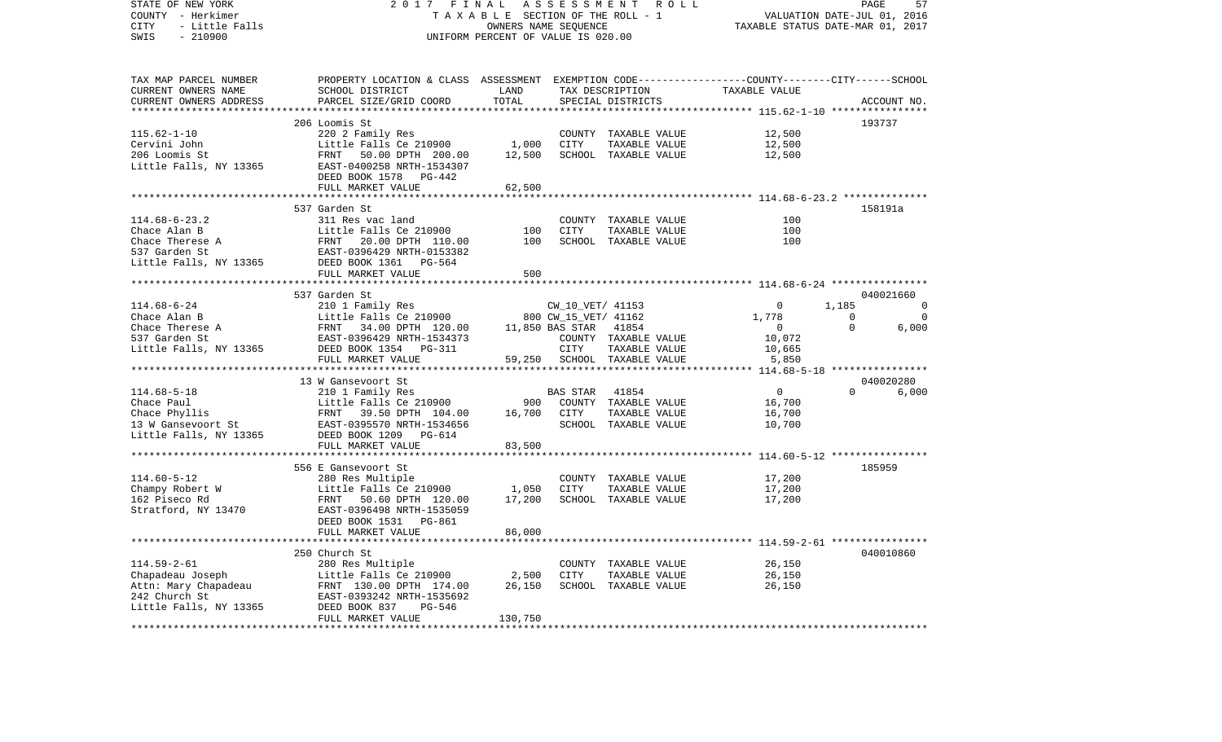COUNTY - Herkimer **T A X A B L E SECTION OF THE ROLL - 1** VALUATION DATE-JUL 01, 2016 CITY - Little Falls OWNERS NAME SEQUENCE TAXABLE STATUS DATE-MAR 01, 2017 SWIS - 210900 UNIFORM PERCENT OF VALUE IS 020.00TAX MAP PARCEL NUMBER PROPERTY LOCATION & CLASS ASSESSMENT EXEMPTION CODE------------------COUNTY--------CITY------SCHOOL CURRENT OWNERS NAME SCHOOL DISTRICT LAND TAX DESCRIPTION TAXABLE VALUECURRENT OWNERS ADDRESS PARCEL SIZE/GRID COORD TOTAL SPECIAL DISTRICTS ACCOUNT NO. \*\*\*\*\*\*\*\*\*\*\*\*\*\*\*\*\*\*\*\*\*\*\*\*\*\*\*\*\*\*\*\*\*\*\*\*\*\*\*\*\*\*\*\*\*\*\*\*\*\*\*\*\*\*\*\*\*\*\*\*\*\*\*\*\*\*\*\*\*\*\*\*\*\*\*\*\*\*\*\*\*\*\*\*\*\*\*\*\*\*\*\*\*\*\*\*\*\*\*\*\*\*\* 115.62-1-10 \*\*\*\*\*\*\*\*\*\*\*\*\*\*\*\* 206 Loomis St 193737115.62-1-10 220 2 Family Res COUNTY TAXABLE VALUE 12,500 Cervini John Christen Little Falls Ce 210900 1,000 CITY TAXABLE VALUE 12,500 206 Loomis St FRNT 50.00 DPTH 200.00 12,500 SCHOOL TAXABLE VALUE 12,500 Little Falls, NY 13365 EAST-0400258 NRTH-1534307 DEED BOOK 1578 PG-442FULL MARKET VALUE 62,500 \*\*\*\*\*\*\*\*\*\*\*\*\*\*\*\*\*\*\*\*\*\*\*\*\*\*\*\*\*\*\*\*\*\*\*\*\*\*\*\*\*\*\*\*\*\*\*\*\*\*\*\*\*\*\*\*\*\*\*\*\*\*\*\*\*\*\*\*\*\*\*\*\*\*\*\*\*\*\*\*\*\*\*\*\*\*\*\*\*\*\*\*\*\*\*\*\*\*\*\*\*\*\* 114.68-6-23.2 \*\*\*\*\*\*\*\*\*\*\*\*\*\* 537 Garden St 158191a114.68-6-23.2 311 Res vac land COUNTY TAXABLE VALUE 100Chace Alan B Little Falls Ce 210900 100 CITY TAXABLE VALUE 100 100 Chace Therese A FRNT 20.00 DPTH 110.00 100 SCHOOL TAXABLE VALUE 537 Garden St EAST-0396429 NRTH-0153382Little Falls, NY 13365 DEED BOOK 1361 PG-564 FULL MARKET VALUE 500 \*\*\*\*\*\*\*\*\*\*\*\*\*\*\*\*\*\*\*\*\*\*\*\*\*\*\*\*\*\*\*\*\*\*\*\*\*\*\*\*\*\*\*\*\*\*\*\*\*\*\*\*\*\*\*\*\*\*\*\*\*\*\*\*\*\*\*\*\*\*\*\*\*\*\*\*\*\*\*\*\*\*\*\*\*\*\*\*\*\*\*\*\*\*\*\*\*\*\*\*\*\*\* 114.68-6-24 \*\*\*\*\*\*\*\*\*\*\*\*\*\*\*\* 537 Garden St 040021660114.68-6-24 210 1 Family Res CW\_10\_VET/ 41153 0 1,185 0 Chace Alan B Little Falls Ce 210900 800 CW\_15\_VET/ 41162 1,778 0 0 Chace Therese A FRNT 34.00 DPTH 120.00 11,850 BAS STAR 41854 0 0 6,000 537 Garden St EAST-0396429 NRTH-1534373 COUNTY TAXABLE VALUE 10,072 Little Falls, NY 13365 DEED BOOK 1354 PG-311 CITY TAXABLE VALUE 10,665 FULL MARKET VALUE  $59,250$  SCHOOL TAXABLE VALUE  $5,850$ \*\*\*\*\*\*\*\*\*\*\*\*\*\*\*\*\*\*\*\*\*\*\*\*\*\*\*\*\*\*\*\*\*\*\*\*\*\*\*\*\*\*\*\*\*\*\*\*\*\*\*\*\*\*\*\*\*\*\*\*\*\*\*\*\*\*\*\*\*\*\*\*\*\*\*\*\*\*\*\*\*\*\*\*\*\*\*\*\*\*\*\*\*\*\*\*\*\*\*\*\*\*\* 114.68-5-18 \*\*\*\*\*\*\*\*\*\*\*\*\*\*\*\* 13 W Gansevoort St 040020280114.68-5-18 210 1 Family Res BAS STAR 41854 0 0 6,000 Chace Paul **Little Falls Ce 210900** 900 COUNTY TAXABLE VALUE 16,700 Chace Phyllis 6,700 ERNT 39.50 DPTH 104.00 16,700 CITY TAXABLE VALUE 16,700 13 W Gansevoort St EAST-0395570 NRTH-1534656 SCHOOL TAXABLE VALUE 10,700 Little Falls, NY 13365 DEED BOOK 1209 PG-614 FULL MARKET VALUE 83,500 \*\*\*\*\*\*\*\*\*\*\*\*\*\*\*\*\*\*\*\*\*\*\*\*\*\*\*\*\*\*\*\*\*\*\*\*\*\*\*\*\*\*\*\*\*\*\*\*\*\*\*\*\*\*\*\*\*\*\*\*\*\*\*\*\*\*\*\*\*\*\*\*\*\*\*\*\*\*\*\*\*\*\*\*\*\*\*\*\*\*\*\*\*\*\*\*\*\*\*\*\*\*\* 114.60-5-12 \*\*\*\*\*\*\*\*\*\*\*\*\*\*\*\* 556 E Gansevoort St 185959114.60-5-12 280 Res Multiple COUNTY TAXABLE VALUE 17,200 Champy Robert W Little Falls Ce 210900 1,050 CITY TAXABLE VALUE 17,200 162 Piseco Rd FRNT 50.60 DPTH 120.00 17,200 SCHOOL TAXABLE VALUE 17,200 Stratford, NY 13470 EAST-0396498 NRTH-1535059 DEED BOOK 1531 PG-861FULL MARKET VALUE 86,000 \*\*\*\*\*\*\*\*\*\*\*\*\*\*\*\*\*\*\*\*\*\*\*\*\*\*\*\*\*\*\*\*\*\*\*\*\*\*\*\*\*\*\*\*\*\*\*\*\*\*\*\*\*\*\*\*\*\*\*\*\*\*\*\*\*\*\*\*\*\*\*\*\*\*\*\*\*\*\*\*\*\*\*\*\*\*\*\*\*\*\*\*\*\*\*\*\*\*\*\*\*\*\* 114.59-2-61 \*\*\*\*\*\*\*\*\*\*\*\*\*\*\*\* 250 Church St 040010860114.59-2-61 280 Res Multiple COUNTY TAXABLE VALUE 26,150 Chapadeau Joseph Little Falls Ce 210900 2,500 CITY TAXABLE VALUE Attn: Mary Chapadeau FRNT 130.00 DPTH 174.00 26,150 SCHOOL TAXABLE VALUE 26,150 242 Church St EAST-0393242 NRTH-1535692Little Falls, NY 13365 DEED BOOK 837 PG-546 FULL MARKET VALUE 130,750 \*\*\*\*\*\*\*\*\*\*\*\*\*\*\*\*\*\*\*\*\*\*\*\*\*\*\*\*\*\*\*\*\*\*\*\*\*\*\*\*\*\*\*\*\*\*\*\*\*\*\*\*\*\*\*\*\*\*\*\*\*\*\*\*\*\*\*\*\*\*\*\*\*\*\*\*\*\*\*\*\*\*\*\*\*\*\*\*\*\*\*\*\*\*\*\*\*\*\*\*\*\*\*\*\*\*\*\*\*\*\*\*\*\*\*\*\*\*\*\*\*\*\*\*\*\*\*\*\*\*\*\*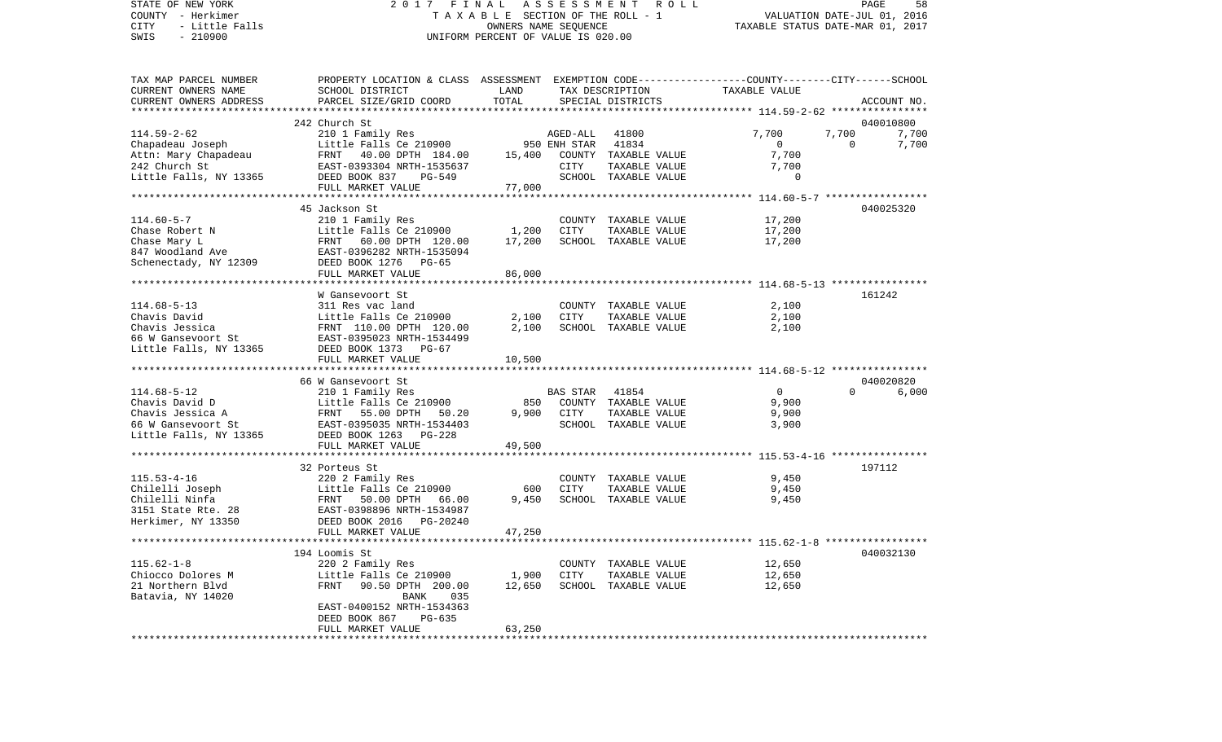# STATE OF NEW YORK 2 0 1 7 F I N A L A S S E S S M E N T R O L L PAGE 58COUNTY - Herkimer<br>CITY - Little Falls (The Section Of The SECTION OF THE ROLL - 1<br>SWIS - 210900 - 201900 - 2016 - 2016 - UNIFORM PERCENT OF VALUE IS 020.00 A L A S S E S S W E N I A O L L<br>B L E SECTION OF THE ROLL - 1 VALUATION DATE-JUL 01, 2016<br>OWNERS NAME SEQUENCE TAXABLE STATUS DATE-MAR 01, 2017 SWIS - 210900 UNIFORM PERCENT OF VALUE IS 020.00

| TAX MAP PARCEL NUMBER                               | PROPERTY LOCATION & CLASS ASSESSMENT EXEMPTION CODE----------------COUNTY-------CITY------SCHOOL |        |                |                      |                |                      |
|-----------------------------------------------------|--------------------------------------------------------------------------------------------------|--------|----------------|----------------------|----------------|----------------------|
| CURRENT OWNERS NAME                                 | SCHOOL DISTRICT                                                                                  | LAND   |                | TAX DESCRIPTION      | TAXABLE VALUE  |                      |
| CURRENT OWNERS ADDRESS                              | PARCEL SIZE/GRID COORD                                                                           | TOTAL  |                | SPECIAL DISTRICTS    |                | ACCOUNT NO.          |
|                                                     |                                                                                                  |        |                |                      |                |                      |
|                                                     | 242 Church St                                                                                    |        |                |                      |                | 040010800            |
| $114.59 - 2 - 62$                                   |                                                                                                  |        | AGED-ALL       | 41800                | 7,700          | 7,700<br>7,700       |
| Chapadeau Joseph                                    | 210 1 Family Res<br>Little Falls Ce 210900                                                       |        | 950 ENH STAR   | 41834                | $\overline{0}$ | $\mathbf 0$<br>7,700 |
| Attn: Mary Chapadeau                                | FRNT 40.00 DPTH 184.00                                                                           | 15,400 |                | COUNTY TAXABLE VALUE | 7,700          |                      |
| 242 Church St                                       | EAST-0393304 NRTH-1535637                                                                        |        | CITY           | TAXABLE VALUE        | 7,700          |                      |
| Little Falls, NY 13365                              | DEED BOOK 837<br>$PG-549$                                                                        |        |                | SCHOOL TAXABLE VALUE | $\Omega$       |                      |
|                                                     | FULL MARKET VALUE                                                                                | 77,000 |                |                      |                |                      |
|                                                     |                                                                                                  |        |                |                      |                |                      |
|                                                     | 45 Jackson St                                                                                    |        |                |                      |                | 040025320            |
| $114.60 - 5 - 7$                                    | 210 1 Family Res                                                                                 |        |                | COUNTY TAXABLE VALUE | 17,200         |                      |
| Chase Robert N                                      | Little Falls Ce 210900                                                                           | 1,200  | CITY           | TAXABLE VALUE        | 17,200         |                      |
|                                                     | Little Falls Ce 2<br>FRNT 60.00 DPTH<br>EAST-0396282 NRTH<br>DEED BOOK 1276                      |        |                |                      |                |                      |
| Chase Mary L                                        | 60.00 DPTH 120.00                                                                                | 17,200 |                | SCHOOL TAXABLE VALUE | 17,200         |                      |
| 847 Woodland Ave<br>Schenectady, NY 12309           | EAST-0396282 NRTH-1535094                                                                        |        |                |                      |                |                      |
|                                                     | PG-65                                                                                            |        |                |                      |                |                      |
|                                                     | FULL MARKET VALUE                                                                                | 86,000 |                |                      |                |                      |
|                                                     |                                                                                                  |        |                |                      |                |                      |
|                                                     | W Gansevoort St                                                                                  |        |                |                      |                | 161242               |
| $114.68 - 5 - 13$                                   | 311 Res vac land                                                                                 |        |                | COUNTY TAXABLE VALUE | 2,100          |                      |
| Chavis David                                        |                                                                                                  | 2,100  | CITY           | TAXABLE VALUE        | 2,100          |                      |
| CHAVIS JESSICA<br>66 W Gansevoort St<br>Little T II | Little Falls Ce 210900<br>FRNT 110.00 DPTH 120.00<br>EAST-0395023 NRTH-1534499                   | 2,100  |                | SCHOOL TAXABLE VALUE | 2,100          |                      |
|                                                     |                                                                                                  |        |                |                      |                |                      |
| Little Falls, NY 13365                              | DEED BOOK 1373 PG-67                                                                             |        |                |                      |                |                      |
|                                                     | FULL MARKET VALUE                                                                                | 10,500 |                |                      |                |                      |
|                                                     |                                                                                                  |        |                |                      |                |                      |
|                                                     | 66 W Gansevoort St                                                                               |        |                |                      |                | 040020820            |
| $114.68 - 5 - 12$                                   | 210 1 Family Res                                                                                 |        | BAS STAR 41854 |                      | $\overline{0}$ | $\Omega$<br>6,000    |
| Chavis David D                                      | Little Falls Ce 210900                                                                           | 850    |                | COUNTY TAXABLE VALUE | 9,900          |                      |
| Chavis Jessica A                                    | Little Falls Ce 21<br>FRNT   55.00 DPTH<br>50.20                                                 | 9,900  | CITY           | TAXABLE VALUE        | 9,900          |                      |
| 66 W Gansevoort St                                  |                                                                                                  |        |                | SCHOOL TAXABLE VALUE | 3,900          |                      |
| Little Falls, NY 13365                              | EAST-0395035 NRTH-1534403<br>DEED BOOK 1263 PG-228                                               |        |                |                      |                |                      |
|                                                     | FULL MARKET VALUE                                                                                | 49,500 |                |                      |                |                      |
|                                                     |                                                                                                  |        |                |                      |                |                      |
|                                                     | 32 Porteus St                                                                                    |        |                |                      |                | 197112               |
| $115.53 - 4 - 16$                                   | 220 2 Family Res                                                                                 |        |                | COUNTY TAXABLE VALUE | 9,450          |                      |
|                                                     |                                                                                                  | 600    | CITY           | TAXABLE VALUE        | 9,450          |                      |
|                                                     |                                                                                                  | 9.450  |                | SCHOOL TAXABLE VALUE | 9,450          |                      |
|                                                     |                                                                                                  |        |                |                      |                |                      |
|                                                     |                                                                                                  |        |                |                      |                |                      |
|                                                     | FULL MARKET VALUE                                                                                | 47,250 |                |                      |                |                      |
|                                                     |                                                                                                  |        |                |                      |                |                      |
|                                                     | 194 Loomis St                                                                                    |        |                |                      |                | 040032130            |
| $115.62 - 1 - 8$                                    | 220 2 Family Res                                                                                 |        |                | COUNTY TAXABLE VALUE | 12,650         |                      |
| Chiocco Dolores M                                   | Little Falls Ce 210900                                                                           | 1,900  | <b>CITY</b>    | TAXABLE VALUE        | 12,650         |                      |
| 21 Northern Blvd                                    | FRNT<br>90.50 DPTH 200.00                                                                        | 12,650 |                | SCHOOL TAXABLE VALUE | 12,650         |                      |
| Batavia, NY 14020                                   | 035                                                                                              |        |                |                      |                |                      |
|                                                     | BANK                                                                                             |        |                |                      |                |                      |
|                                                     | EAST-0400152 NRTH-1534363                                                                        |        |                |                      |                |                      |
|                                                     | DEED BOOK 867<br>PG-635                                                                          |        |                |                      |                |                      |
|                                                     | FULL MARKET VALUE                                                                                | 63,250 |                |                      |                |                      |
|                                                     |                                                                                                  |        |                |                      |                |                      |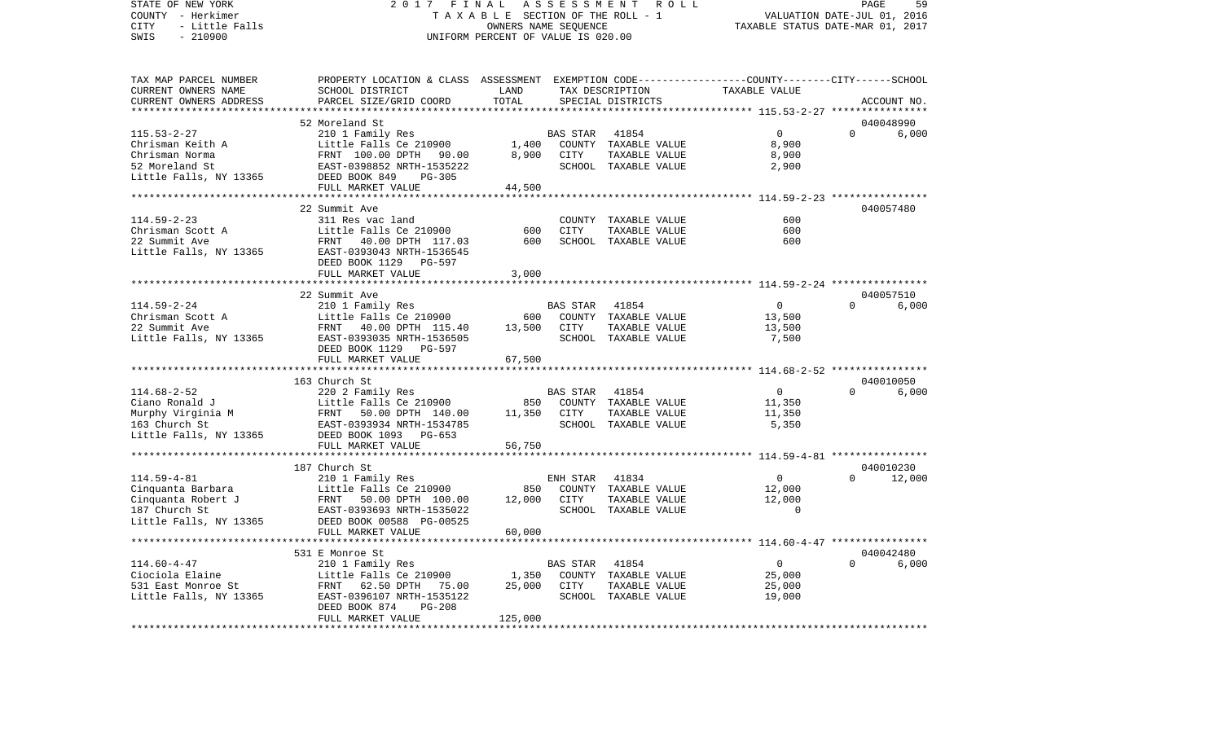COUNTY - Herkimer **T A X A B L E** SECTION OF THE ROLL - 1 VALUATION DATE-JUL 01, 2016 CITY - Little Falls OWNERS NAME SEQUENCE TAXABLE STATUS DATE-MAR 01, 2017 SWIS - 210900 UNIFORM PERCENT OF VALUE IS 020.00TAX MAP PARCEL NUMBER PROPERTY LOCATION & CLASS ASSESSMENT EXEMPTION CODE------------------COUNTY--------CITY------SCHOOL CURRENT OWNERS NAME SCHOOL DISTRICT LAND TAX DESCRIPTION TAXABLE VALUECURRENT OWNERS ADDRESS PARCEL SIZE/GRID COORD TOTAL SPECIAL DISTRICTS ACCOUNT NO. \*\*\*\*\*\*\*\*\*\*\*\*\*\*\*\*\*\*\*\*\*\*\*\*\*\*\*\*\*\*\*\*\*\*\*\*\*\*\*\*\*\*\*\*\*\*\*\*\*\*\*\*\*\*\*\*\*\*\*\*\*\*\*\*\*\*\*\*\*\*\*\*\*\*\*\*\*\*\*\*\*\*\*\*\*\*\*\*\*\*\*\*\*\*\*\*\*\*\*\*\*\*\* 115.53-2-27 \*\*\*\*\*\*\*\*\*\*\*\*\*\*\*\* 52 Moreland St 040048990115.53-2-27 210 1 Family Res BAS STAR 41854 0 0 6,000 Chrisman Keith A Little Falls Ce 210900 1,400 COUNTY TAXABLE VALUE 8,900 Chrisman Norma FRNT 100.00 DPTH 90.00 8,900 CITY TAXABLE VALUE 8,900 52 Moreland St EAST-0398852 NRTH-1535222 SCHOOL TAXABLE VALUE 2,900 Little Falls, NY 13365 DEED BOOK 849 PG-305 FULL MARKET VALUE 44,500 \*\*\*\*\*\*\*\*\*\*\*\*\*\*\*\*\*\*\*\*\*\*\*\*\*\*\*\*\*\*\*\*\*\*\*\*\*\*\*\*\*\*\*\*\*\*\*\*\*\*\*\*\*\*\*\*\*\*\*\*\*\*\*\*\*\*\*\*\*\*\*\*\*\*\*\*\*\*\*\*\*\*\*\*\*\*\*\*\*\*\*\*\*\*\*\*\*\*\*\*\*\*\* 114.59-2-23 \*\*\*\*\*\*\*\*\*\*\*\*\*\*\*\* 22 Summit Ave 040057480114.59-2-23 311 Res vac land COUNTY TAXABLE VALUE 600600 Chrisman Scott A Little Falls Ce 210900 600 CITY TAXABLE VALUE 22 Summit Ave FRNT 40.00 DPTH 117.03 600 SCHOOL TAXABLE VALUE 600Little Falls, NY 13365 EAST-0393043 NRTH-1536545 DEED BOOK 1129 PG-597FULL MARKET VALUE 3,000 \*\*\*\*\*\*\*\*\*\*\*\*\*\*\*\*\*\*\*\*\*\*\*\*\*\*\*\*\*\*\*\*\*\*\*\*\*\*\*\*\*\*\*\*\*\*\*\*\*\*\*\*\*\*\*\*\*\*\*\*\*\*\*\*\*\*\*\*\*\*\*\*\*\*\*\*\*\*\*\*\*\*\*\*\*\*\*\*\*\*\*\*\*\*\*\*\*\*\*\*\*\*\* 114.59-2-24 \*\*\*\*\*\*\*\*\*\*\*\*\*\*\*\* 22 Summit Ave 040057510 $6.000$ 114.59-2-24 210 1 Family Res BAS STAR 41854 0 0 0 Chrisman Scott A Little Falls Ce 210900 600 COUNTY TAXABLE VALUE 13,500 22 Summit Ave FRNT 40.00 DPTH 115.40 13,500 CITY TAXABLE VALUE 13,500 Little Falls, NY 13365 EAST-0393035 NRTH-1536505 SCHOOL TAXABLE VALUE 7,500 DEED BOOK 1129 PG-597FULL MARKET VALUE 67,500 \*\*\*\*\*\*\*\*\*\*\*\*\*\*\*\*\*\*\*\*\*\*\*\*\*\*\*\*\*\*\*\*\*\*\*\*\*\*\*\*\*\*\*\*\*\*\*\*\*\*\*\*\*\*\*\*\*\*\*\*\*\*\*\*\*\*\*\*\*\*\*\*\*\*\*\*\*\*\*\*\*\*\*\*\*\*\*\*\*\*\*\*\*\*\*\*\*\*\*\*\*\*\* 114.68-2-52 \*\*\*\*\*\*\*\*\*\*\*\*\*\*\*\* 163 Church St 040010050114.68-2-52 220 2 Family Res BAS STAR 41854 0 0 6,000 Ciano Ronald J Little Falls Ce 210900 850 COUNTY TAXABLE VALUE 11,350 Murphy Virginia M **FRNT 50.00 DPTH 140.00** 11,350 CITY TAXABLE VALUE 11,350 163 Church St EAST-0393934 NRTH-1534785 SCHOOL TAXABLE VALUE 5,350 Little Falls, NY 13365 DEED BOOK 1093 PG-653 FULL MARKET VALUE 56,750 \*\*\*\*\*\*\*\*\*\*\*\*\*\*\*\*\*\*\*\*\*\*\*\*\*\*\*\*\*\*\*\*\*\*\*\*\*\*\*\*\*\*\*\*\*\*\*\*\*\*\*\*\*\*\*\*\*\*\*\*\*\*\*\*\*\*\*\*\*\*\*\*\*\*\*\*\*\*\*\*\*\*\*\*\*\*\*\*\*\*\*\*\*\*\*\*\*\*\*\*\*\*\* 114.59-4-81 \*\*\*\*\*\*\*\*\*\*\*\*\*\*\*\* 187 Church St 040010230114.59-4-81 210 1 Family Res ENH STAR 41834 0 0 12,000 Cinquanta Barbara Little Falls Ce 210900 850 COUNTY TAXABLE VALUE 12,000 Cinquanta Robert J FRNT 50.00 DPTH 100.00 12,000 CITY TAXABLE VALUE 12,000 EAST-0393693 NRTH-1535022 Little Falls, NY 13365 DEED BOOK 00588 PG-00525 FULL MARKET VALUE 60,000 \*\*\*\*\*\*\*\*\*\*\*\*\*\*\*\*\*\*\*\*\*\*\*\*\*\*\*\*\*\*\*\*\*\*\*\*\*\*\*\*\*\*\*\*\*\*\*\*\*\*\*\*\*\*\*\*\*\*\*\*\*\*\*\*\*\*\*\*\*\*\*\*\*\*\*\*\*\*\*\*\*\*\*\*\*\*\*\*\*\*\*\*\*\*\*\*\*\*\*\*\*\*\* 114.60-4-47 \*\*\*\*\*\*\*\*\*\*\*\*\*\*\*\* 531 E Monroe St 040042480114.60-4-47 210 1 Family Res BAS STAR 41854 0 0 6,000 Ciociola Elaine Little Falls Ce 210900 1,350 COUNTY TAXABLE VALUE 25,000 531 East Monroe St FRNT 62.50 DPTH 75.00 25,000 CITY TAXABLE VALUE 25,000 Little Falls, NY 13365 EAST-0396107 NRTH-1535122 SCHOOL TAXABLE VALUE 19,000 DEED BOOK 874 PG-208 FULL MARKET VALUE 125,000 \*\*\*\*\*\*\*\*\*\*\*\*\*\*\*\*\*\*\*\*\*\*\*\*\*\*\*\*\*\*\*\*\*\*\*\*\*\*\*\*\*\*\*\*\*\*\*\*\*\*\*\*\*\*\*\*\*\*\*\*\*\*\*\*\*\*\*\*\*\*\*\*\*\*\*\*\*\*\*\*\*\*\*\*\*\*\*\*\*\*\*\*\*\*\*\*\*\*\*\*\*\*\*\*\*\*\*\*\*\*\*\*\*\*\*\*\*\*\*\*\*\*\*\*\*\*\*\*\*\*\*\*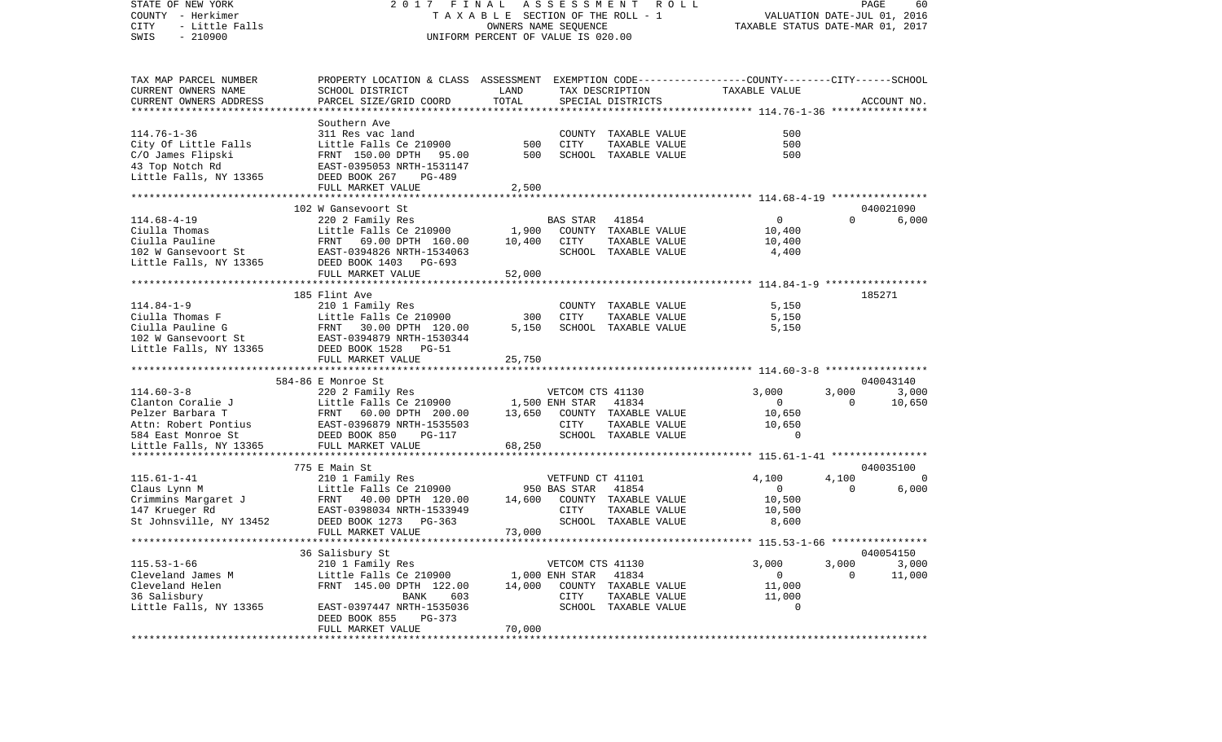| STATE OF NEW YORK<br>COUNTY - Herkimer<br>- Little Falls<br>CITY<br>$-210900$<br>SWIS                       | 2017 FINAL<br>TAXABLE SECTION OF THE ROLL - 1<br>UNIFORM PERCENT OF VALUE IS 020.00             | PAGE<br>60<br>VALUATION DATE-JUL 01, 2016<br>TAXABLE STATUS DATE-MAR 01, 2017 |                                  |                                       |                       |                         |                                   |
|-------------------------------------------------------------------------------------------------------------|-------------------------------------------------------------------------------------------------|-------------------------------------------------------------------------------|----------------------------------|---------------------------------------|-----------------------|-------------------------|-----------------------------------|
| TAX MAP PARCEL NUMBER                                                                                       | PROPERTY LOCATION & CLASS ASSESSMENT EXEMPTION CODE---------------COUNTY-------CITY------SCHOOL |                                                                               |                                  |                                       |                       |                         |                                   |
| CURRENT OWNERS NAME<br>CURRENT OWNERS ADDRESS                                                               | SCHOOL DISTRICT<br>PARCEL SIZE/GRID COORD                                                       | LAND<br>TOTAL                                                                 |                                  | TAX DESCRIPTION<br>SPECIAL DISTRICTS  | TAXABLE VALUE         |                         | ACCOUNT NO.                       |
|                                                                                                             |                                                                                                 |                                                                               |                                  |                                       |                       |                         |                                   |
|                                                                                                             | Southern Ave                                                                                    |                                                                               |                                  |                                       |                       |                         |                                   |
| $114.76 - 1 - 36$                                                                                           | 311 Res vac land                                                                                |                                                                               |                                  | COUNTY TAXABLE VALUE                  | 500                   |                         |                                   |
| City Of Little Falls                                                                                        | Little Falls Ce 210900                                                                          | 500                                                                           | CITY                             | TAXABLE VALUE                         | 500                   |                         |                                   |
| C/O James Flipski                                                                                           |                                                                                                 | 500                                                                           |                                  | SCHOOL TAXABLE VALUE                  | 500                   |                         |                                   |
| 43 Top Notch Rd<br>Little Falls, NY 13365                                                                   | FRNT 150.00 211.<br>EAST-0395053 NRTH-1531147<br>CALL 267 PG-489<br>DEED BOOK 267<br>PG-489     |                                                                               |                                  |                                       |                       |                         |                                   |
|                                                                                                             | FULL MARKET VALUE                                                                               | 2,500                                                                         |                                  |                                       |                       |                         |                                   |
|                                                                                                             |                                                                                                 |                                                                               |                                  |                                       |                       |                         |                                   |
|                                                                                                             | 102 W Gansevoort St                                                                             |                                                                               |                                  |                                       |                       |                         | 040021090                         |
| $114.68 - 4 - 19$                                                                                           | 220 2 Family Res                                                                                |                                                                               | BAS STAR                         | 41854                                 | $\overline{0}$        | $\Omega$                | 6,000                             |
| Ciulla Thomas                                                                                               | Little Falls Ce 210900                                                                          | 1,900                                                                         |                                  | COUNTY TAXABLE VALUE                  | 10,400                |                         |                                   |
| Ciulla Pauline                                                                                              | FRNT 69.00 DPTH 160.00<br>FRNI 09.00 DFIN 100.00<br>EAST-0394826 NRTH-1534063                   | 10,400                                                                        | CITY                             | TAXABLE VALUE                         | 10,400                |                         |                                   |
| 102 W Gansevoort St                                                                                         |                                                                                                 |                                                                               |                                  | SCHOOL TAXABLE VALUE                  | 4,400                 |                         |                                   |
| Little Falls, NY 13365 DEED BOOK 1403 PG-693                                                                | FULL MARKET VALUE                                                                               |                                                                               |                                  |                                       |                       |                         |                                   |
|                                                                                                             |                                                                                                 | 52,000                                                                        |                                  |                                       |                       |                         |                                   |
|                                                                                                             | 185 Flint Ave                                                                                   |                                                                               |                                  |                                       |                       |                         | 185271                            |
| $114.84 - 1 - 9$                                                                                            | 210 1 Family Res                                                                                |                                                                               |                                  | COUNTY TAXABLE VALUE                  | 5,150                 |                         |                                   |
| Ciulla Thomas F                                                                                             | Little Falls Ce 210900                                                                          | 300                                                                           | CITY                             | TAXABLE VALUE                         | 5,150                 |                         |                                   |
| Ciulla Pauline G                                                                                            | FRNT 30.00 DPTH 120.00                                                                          | 5,150                                                                         |                                  | SCHOOL TAXABLE VALUE                  | 5,150                 |                         |                                   |
| 102 W Gansevoort St                                                                                         | EAST-0394879 NRTH-1530344                                                                       |                                                                               |                                  |                                       |                       |                         |                                   |
| Little Falls, NY 13365                                                                                      | DEED BOOK 1528 PG-51                                                                            |                                                                               |                                  |                                       |                       |                         |                                   |
|                                                                                                             | FULL MARKET VALUE                                                                               | 25,750                                                                        |                                  |                                       |                       |                         |                                   |
|                                                                                                             | 584-86 E Monroe St                                                                              |                                                                               |                                  |                                       |                       |                         | 040043140                         |
| $114.60 - 3 - 8$                                                                                            | 220 2 Family Res                                                                                |                                                                               | VETCOM CTS 41130                 |                                       | 3,000                 | 3,000                   | 3,000                             |
| Clanton Coralie J                                                                                           | Little Falls Ce 210900 1,500 ENH STAR                                                           |                                                                               |                                  | 41834                                 | $\overline{0}$        | $\Omega$                | 10,650                            |
| Pelzer Barbara T                                                                                            | FRNT 60.00 DPTH 200.00                                                                          | 13,650                                                                        |                                  | COUNTY TAXABLE VALUE                  | 10,650                |                         |                                   |
| Attn: Robert Pontius<br>584 East Monroe St                                                                  | EAST-0396879 NRTH-1535503                                                                       |                                                                               | CITY                             | TAXABLE VALUE                         | 10,650                |                         |                                   |
| 584 East Monroe St                                                                                          | DEED BOOK 850<br>PG-117                                                                         |                                                                               |                                  | SCHOOL TAXABLE VALUE                  | $\overline{0}$        |                         |                                   |
| Little Falls, NY 13365                                                                                      | FULL MARKET VALUE                                                                               | 68,250                                                                        |                                  |                                       |                       |                         |                                   |
|                                                                                                             |                                                                                                 |                                                                               |                                  |                                       |                       |                         |                                   |
|                                                                                                             | 775 E Main St                                                                                   |                                                                               |                                  |                                       |                       |                         | 040035100                         |
| $115.61 - 1 - 41$                                                                                           | 210 1 Family Res<br>Little Falls Ce 210900                                                      |                                                                               | VETFUND CT 41101<br>950 BAS STAR | 41854                                 | 4,100<br>$\mathbf{0}$ | 4,100<br>$\overline{0}$ | $\overline{\phantom{0}}$<br>6,000 |
|                                                                                                             | FRNT 40.00 DPTH 120.00                                                                          | 14,600                                                                        |                                  | COUNTY TAXABLE VALUE                  | 10,500                |                         |                                   |
|                                                                                                             | EAST-0398034 NRTH-1533949                                                                       |                                                                               | CITY                             | TAXABLE VALUE                         |                       |                         |                                   |
| Claus Lynn M<br>Crimmins Margaret J<br>147 Krueger Rd<br>St Johnsville, NY 13452<br>St Johnsville, NY 13452 | DEED BOOK 1273<br>$PG-363$                                                                      |                                                                               |                                  | SCHOOL TAXABLE VALUE                  | 10,500<br>8,600       |                         |                                   |
|                                                                                                             | FULL MARKET VALUE                                                                               | 73,000                                                                        |                                  |                                       |                       |                         |                                   |
|                                                                                                             |                                                                                                 |                                                                               |                                  |                                       |                       |                         |                                   |
|                                                                                                             | 36 Salisbury St                                                                                 |                                                                               |                                  |                                       |                       |                         | 040054150                         |
| $115.53 - 1 - 66$                                                                                           | 210 1 Family Res                                                                                |                                                                               | VETCOM CTS 41130                 |                                       | 3,000                 | 3,000                   | 3,000                             |
| Cleveland James M                                                                                           | Little Falls Ce 210900                                                                          |                                                                               | 1,000 ENH STAR                   | 41834                                 | $\mathbf{0}$          | $\Omega$                | 11,000                            |
| Cleveland Helen                                                                                             | FRNT 145.00 DPTH 122.00                                                                         | 14,000                                                                        |                                  | COUNTY TAXABLE VALUE                  | 11,000                |                         |                                   |
| 36 Salisbury<br>Little Falls, NY 13365                                                                      | 603<br>BANK<br>EAST-0397447 NRTH-1535036                                                        |                                                                               | CITY                             | TAXABLE VALUE<br>SCHOOL TAXABLE VALUE | 11,000<br>0           |                         |                                   |
|                                                                                                             | DEED BOOK 855<br>PG-373                                                                         |                                                                               |                                  |                                       |                       |                         |                                   |
|                                                                                                             | FULL MARKET VALUE                                                                               | 70,000                                                                        |                                  |                                       |                       |                         |                                   |
|                                                                                                             | ***********************                                                                         | ******************                                                            |                                  |                                       |                       |                         |                                   |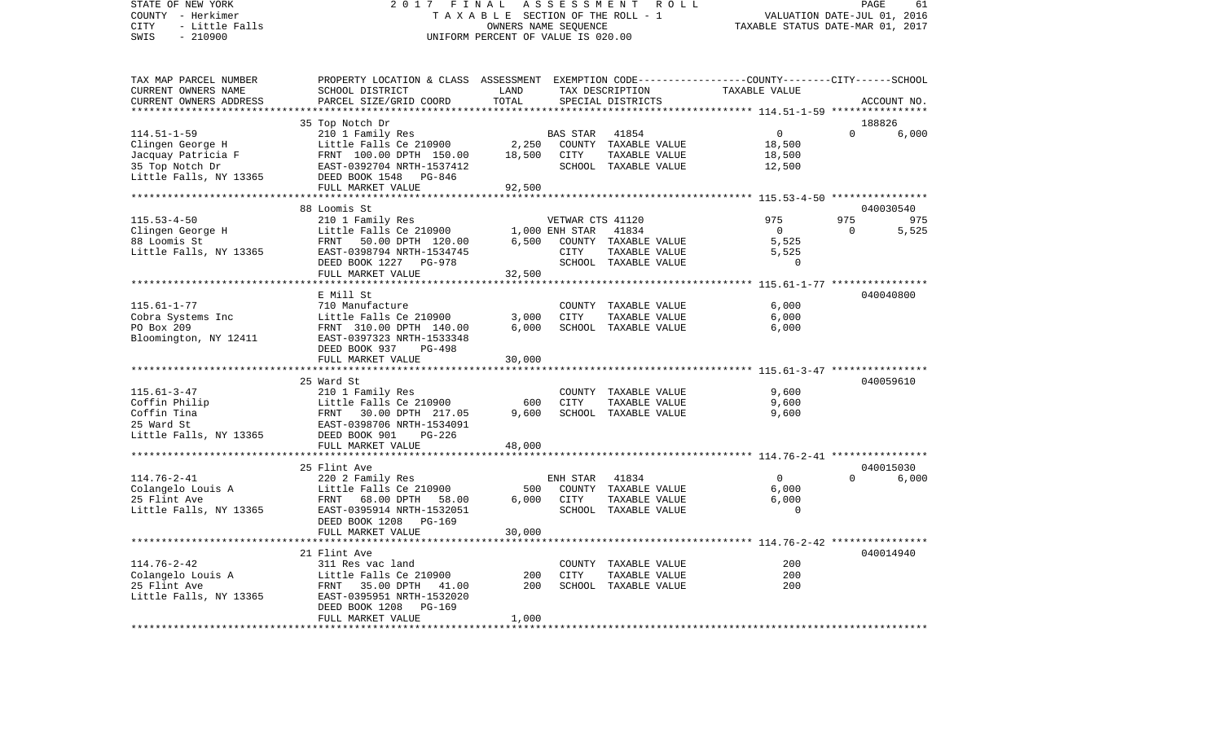COUNTY - Herkimer **T A X A B L E SECTION OF THE ROLL - 1** VALUATION DATE-JUL 01, 2016 CITY - Little Falls OWNERS NAME SEQUENCE TAXABLE STATUS DATE-MAR 01, 2017 SWIS - 210900 UNIFORM PERCENT OF VALUE IS 020.00TAX MAP PARCEL NUMBER PROPERTY LOCATION & CLASS ASSESSMENT EXEMPTION CODE------------------COUNTY--------CITY------SCHOOL CURRENT OWNERS NAME SCHOOL DISTRICT LAND TAX DESCRIPTION TAXABLE VALUECURRENT OWNERS ADDRESS PARCEL SIZE/GRID COORD TOTAL SPECIAL DISTRICTS ACCOUNT NO. \*\*\*\*\*\*\*\*\*\*\*\*\*\*\*\*\*\*\*\*\*\*\*\*\*\*\*\*\*\*\*\*\*\*\*\*\*\*\*\*\*\*\*\*\*\*\*\*\*\*\*\*\*\*\*\*\*\*\*\*\*\*\*\*\*\*\*\*\*\*\*\*\*\*\*\*\*\*\*\*\*\*\*\*\*\*\*\*\*\*\*\*\*\*\*\*\*\*\*\*\*\*\* 114.51-1-59 \*\*\*\*\*\*\*\*\*\*\*\*\*\*\*\* 35 Top Notch Dr 188826 114.51-1-59 210 1 Family Res BAS STAR 41854 0 0 6,000 Clingen George H Little Falls Ce 210900 2,250 COUNTY TAXABLE VALUE 18,500 Jacquay Patricia F 61,500 FRNT 100.00 DPTH 150.00 18,500 CITY TAXABLE VALUE 18,500 35 Top Notch Dr EAST-0392704 NRTH-1537412 SCHOOL TAXABLE VALUE 12,500 Little Falls, NY 13365 DEED BOOK 1548 PG-846 FULL MARKET VALUE 92,500 \*\*\*\*\*\*\*\*\*\*\*\*\*\*\*\*\*\*\*\*\*\*\*\*\*\*\*\*\*\*\*\*\*\*\*\*\*\*\*\*\*\*\*\*\*\*\*\*\*\*\*\*\*\*\*\*\*\*\*\*\*\*\*\*\*\*\*\*\*\*\*\*\*\*\*\*\*\*\*\*\*\*\*\*\*\*\*\*\*\*\*\*\*\*\*\*\*\*\*\*\*\*\* 115.53-4-50 \*\*\*\*\*\*\*\*\*\*\*\*\*\*\*\* 88 Loomis St 040030540115.53-4-50 210 1 Family Res VETWAR CTS 41120 975 975 975 Clingen George H Clingen Corporation Clingen George H Little Falls Ce 210900 1,000 ENH STAR 41834 0 0 5,525 88 Loomis St FRNT 50.00 DPTH 120.00 6,500 COUNTY TAXABLE VALUE 5,525 Little Falls, NY 13365 EAST-0398794 NRTH-1534745 CITY TAXABLE VALUE 5,525 DEED BOOK 1227 PG-978 SCHOOL TAXABLE VALUE 0 FULL MARKET VALUE 32,500 \*\*\*\*\*\*\*\*\*\*\*\*\*\*\*\*\*\*\*\*\*\*\*\*\*\*\*\*\*\*\*\*\*\*\*\*\*\*\*\*\*\*\*\*\*\*\*\*\*\*\*\*\*\*\*\*\*\*\*\*\*\*\*\*\*\*\*\*\*\*\*\*\*\*\*\*\*\*\*\*\*\*\*\*\*\*\*\*\*\*\*\*\*\*\*\*\*\*\*\*\*\*\* 115.61-1-77 \*\*\*\*\*\*\*\*\*\*\*\*\*\*\*\* E Mill St 040040800115.61-1-77 710 Manufacture COUNTY TAXABLE VALUE 6,000 Cobra Systems Inc Little Falls Ce 210900 3,000 CITY TAXABLE VALUE 6,000 PO Box 209 FRNT 310.00 DPTH 140.00 6,000 SCHOOL TAXABLE VALUE 6,000 Bloomington, NY 12411 EAST-0397323 NRTH-1533348 DEED BOOK 937 PG-498FULL MARKET VALUE 30,000 \*\*\*\*\*\*\*\*\*\*\*\*\*\*\*\*\*\*\*\*\*\*\*\*\*\*\*\*\*\*\*\*\*\*\*\*\*\*\*\*\*\*\*\*\*\*\*\*\*\*\*\*\*\*\*\*\*\*\*\*\*\*\*\*\*\*\*\*\*\*\*\*\*\*\*\*\*\*\*\*\*\*\*\*\*\*\*\*\*\*\*\*\*\*\*\*\*\*\*\*\*\*\* 115.61-3-47 \*\*\*\*\*\*\*\*\*\*\*\*\*\*\*\* 25 Ward St 040059610115.61-3-47 210 1 Family Res COUNTY TAXABLE VALUE 9,600 Coffin Philip Coffin Philip Little Falls Ce 210900 600 CITY TAXABLE VALUE 9,600 Coffin Tina  $F\rightarrow$  FRNT 30.00 DPTH 217.05 9,600 SCHOOL TAXABLE VALUE 9,600 25 Ward St EAST-0398706 NRTH-1534091Little Falls, NY 13365 DEED BOOK 901 PG-226 FULL MARKET VALUE 48,000 \*\*\*\*\*\*\*\*\*\*\*\*\*\*\*\*\*\*\*\*\*\*\*\*\*\*\*\*\*\*\*\*\*\*\*\*\*\*\*\*\*\*\*\*\*\*\*\*\*\*\*\*\*\*\*\*\*\*\*\*\*\*\*\*\*\*\*\*\*\*\*\*\*\*\*\*\*\*\*\*\*\*\*\*\*\*\*\*\*\*\*\*\*\*\*\*\*\*\*\*\*\*\* 114.76-2-41 \*\*\*\*\*\*\*\*\*\*\*\*\*\*\*\* 25 Flint Ave 040015030114.76-2-41 220 2 Family Res ENH STAR 41834 0 0 6,000 Colangelo Louis A Little Falls Ce 210900 500 COUNTY TAXABLE VALUE 6,000 25 Flint Ave FRNT 68.00 DPTH 58.00 6,000 CITY TAXABLE VALUE 6,000 Little Falls, NY 13365 EAST-0395914 NRTH-1532051 SCHOOL TAXABLE VALUE 0 DEED BOOK 1208 PG-169 FULL MARKET VALUE 30,000 \*\*\*\*\*\*\*\*\*\*\*\*\*\*\*\*\*\*\*\*\*\*\*\*\*\*\*\*\*\*\*\*\*\*\*\*\*\*\*\*\*\*\*\*\*\*\*\*\*\*\*\*\*\*\*\*\*\*\*\*\*\*\*\*\*\*\*\*\*\*\*\*\*\*\*\*\*\*\*\*\*\*\*\*\*\*\*\*\*\*\*\*\*\*\*\*\*\*\*\*\*\*\* 114.76-2-42 \*\*\*\*\*\*\*\*\*\*\*\*\*\*\*\* 21 Flint Ave 040014940114.76-2-42 311 Res vac land COUNTY TAXABLE VALUE 200 $200$ Colangelo Louis A Little Falls Ce 210900 200 CITY TAXABLE VALUE 200 25 Flint Ave FRNT 35.00 DPTH 41.00 200 SCHOOL TAXABLE VALUE Little Falls, NY 13365 EAST-0395951 NRTH-1532020 DEED BOOK 1208 PG-169 FULL MARKET VALUE 1,000 \*\*\*\*\*\*\*\*\*\*\*\*\*\*\*\*\*\*\*\*\*\*\*\*\*\*\*\*\*\*\*\*\*\*\*\*\*\*\*\*\*\*\*\*\*\*\*\*\*\*\*\*\*\*\*\*\*\*\*\*\*\*\*\*\*\*\*\*\*\*\*\*\*\*\*\*\*\*\*\*\*\*\*\*\*\*\*\*\*\*\*\*\*\*\*\*\*\*\*\*\*\*\*\*\*\*\*\*\*\*\*\*\*\*\*\*\*\*\*\*\*\*\*\*\*\*\*\*\*\*\*\*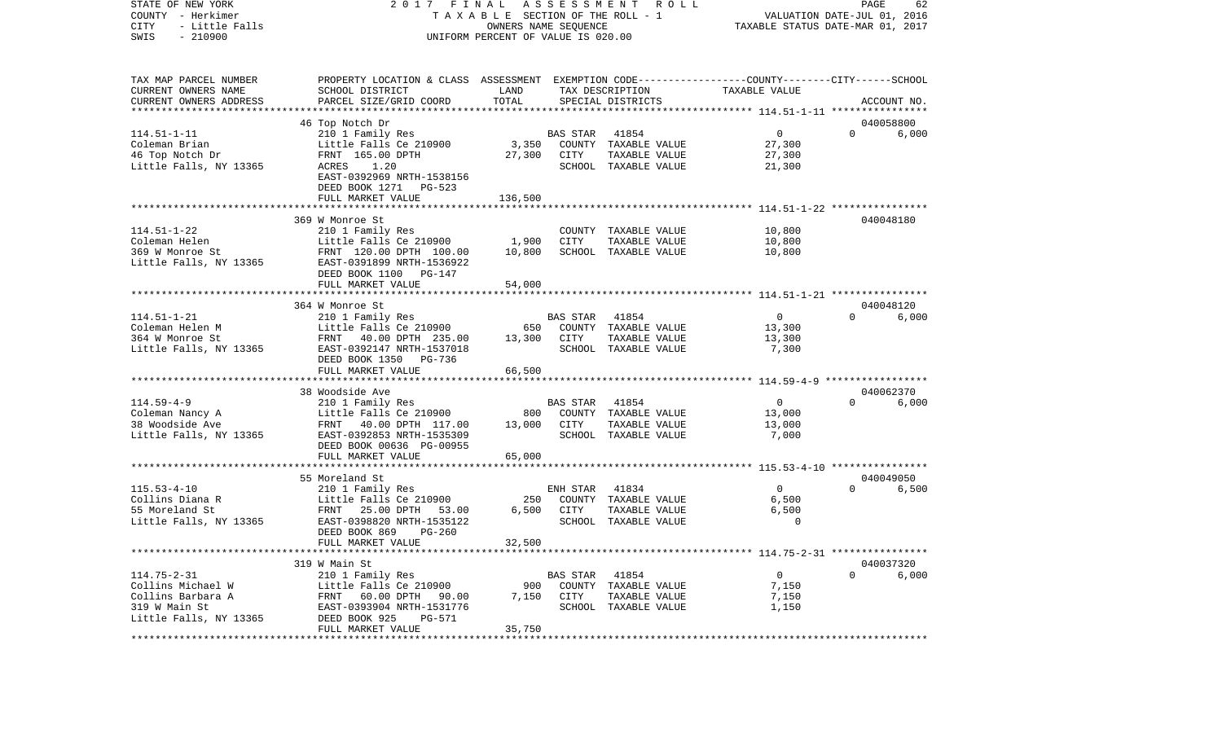| STATE OF NEW YORK<br>COUNTY - Herkimer<br>- Little Falls<br>CITY<br>$-210900$<br>SWIS | 2017 FINAL ASSESSMENT<br>T A X A B L E SECTION OF THE ROLL - 1<br>UNIFORM PERCENT OF VALUE IS 020.00 | PAGE<br>62<br>VALUATION DATE-JUL 01, 2016<br>TAXABLE STATUS DATE-MAR 01, 2017 |                 |                                       |                          |          |             |
|---------------------------------------------------------------------------------------|------------------------------------------------------------------------------------------------------|-------------------------------------------------------------------------------|-----------------|---------------------------------------|--------------------------|----------|-------------|
| TAX MAP PARCEL NUMBER                                                                 | PROPERTY LOCATION & CLASS ASSESSMENT EXEMPTION CODE---------------COUNTY-------CITY------SCHOOL      |                                                                               |                 |                                       |                          |          |             |
| CURRENT OWNERS NAME                                                                   | SCHOOL DISTRICT                                                                                      | LAND                                                                          |                 | TAX DESCRIPTION                       | TAXABLE VALUE            |          |             |
| CURRENT OWNERS ADDRESS                                                                | PARCEL SIZE/GRID COORD                                                                               | TOTAL                                                                         |                 | SPECIAL DISTRICTS                     |                          |          | ACCOUNT NO. |
| **************************                                                            |                                                                                                      |                                                                               |                 |                                       |                          |          |             |
|                                                                                       | 46 Top Notch Dr                                                                                      |                                                                               |                 |                                       |                          |          | 040058800   |
| $114.51 - 1 - 11$<br>Coleman Brian                                                    | 210 1 Family Res<br>Little Falls Ce 210900                                                           | 3,350                                                                         | BAS STAR        | 41854<br>COUNTY TAXABLE VALUE         | $\overline{0}$<br>27,300 | $\Omega$ | 6,000       |
| 46 Top Notch Dr                                                                       | FRNT 165.00 DPTH                                                                                     | 27,300                                                                        | CITY            | TAXABLE VALUE                         | 27,300                   |          |             |
| Little Falls, NY 13365                                                                | ACRES<br>1.20                                                                                        |                                                                               |                 | SCHOOL TAXABLE VALUE                  | 21,300                   |          |             |
|                                                                                       | EAST-0392969 NRTH-1538156                                                                            |                                                                               |                 |                                       |                          |          |             |
|                                                                                       | DEED BOOK 1271 PG-523                                                                                |                                                                               |                 |                                       |                          |          |             |
|                                                                                       | FULL MARKET VALUE                                                                                    | 136,500                                                                       |                 |                                       |                          |          |             |
|                                                                                       |                                                                                                      |                                                                               |                 |                                       |                          |          |             |
|                                                                                       | 369 W Monroe St                                                                                      |                                                                               |                 |                                       |                          |          | 040048180   |
| $114.51 - 1 - 22$                                                                     | 210 1 Family Res                                                                                     |                                                                               |                 | COUNTY TAXABLE VALUE                  | 10,800                   |          |             |
| Coleman Helen                                                                         | Little Falls Ce 210900                                                                               | 1,900                                                                         | CITY            | TAXABLE VALUE                         | 10,800                   |          |             |
| 369 W Monroe St                                                                       | FRNT 120.00 DPTH 100.00                                                                              | 10,800                                                                        |                 | SCHOOL TAXABLE VALUE                  | 10,800                   |          |             |
| Little Falls, NY 13365                                                                | EAST-0391899 NRTH-1536922                                                                            |                                                                               |                 |                                       |                          |          |             |
|                                                                                       | DEED BOOK 1100 PG-147<br>FULL MARKET VALUE                                                           | 54,000                                                                        |                 |                                       |                          |          |             |
|                                                                                       |                                                                                                      |                                                                               |                 |                                       |                          |          |             |
|                                                                                       | 364 W Monroe St                                                                                      |                                                                               |                 |                                       |                          |          | 040048120   |
| $114.51 - 1 - 21$                                                                     | 210 1 Family Res                                                                                     |                                                                               | BAS STAR        | 41854                                 | $\overline{0}$           | $\Omega$ | 6,000       |
| Coleman Helen M                                                                       | Little Falls Ce 210900                                                                               | 650                                                                           |                 | COUNTY TAXABLE VALUE                  | 13,300                   |          |             |
| 364 W Monroe St                                                                       | FRNT 40.00 DPTH 235.00                                                                               | 13,300                                                                        | CITY            | TAXABLE VALUE                         | 13,300                   |          |             |
| Little Falls, NY 13365                                                                | EAST-0392147 NRTH-1537018                                                                            |                                                                               |                 | SCHOOL TAXABLE VALUE                  | 7,300                    |          |             |
|                                                                                       | DEED BOOK 1350 PG-736                                                                                |                                                                               |                 |                                       |                          |          |             |
|                                                                                       | FULL MARKET VALUE                                                                                    | 66,500                                                                        |                 |                                       |                          |          |             |
|                                                                                       |                                                                                                      |                                                                               |                 |                                       |                          |          |             |
|                                                                                       | 38 Woodside Ave                                                                                      |                                                                               |                 |                                       |                          |          | 040062370   |
| $114.59 - 4 - 9$                                                                      | 210 1 Family Res                                                                                     | 800                                                                           | <b>BAS STAR</b> | 41854                                 | $\overline{0}$           | $\Omega$ | 6,000       |
| Coleman Nancy A<br>38 Woodside Ave                                                    | Little Falls Ce 210900<br>FRNT 40.00 DPTH 117.00                                                     | 13,000                                                                        | CITY            | COUNTY TAXABLE VALUE<br>TAXABLE VALUE | 13,000<br>13,000         |          |             |
| Little Falls, NY 13365                                                                | EAST-0392853 NRTH-1535309                                                                            |                                                                               |                 | SCHOOL TAXABLE VALUE                  | 7,000                    |          |             |
|                                                                                       | DEED BOOK 00636 PG-00955                                                                             |                                                                               |                 |                                       |                          |          |             |
|                                                                                       | FULL MARKET VALUE                                                                                    | 65,000                                                                        |                 |                                       |                          |          |             |
|                                                                                       |                                                                                                      |                                                                               |                 |                                       |                          |          |             |
|                                                                                       | 55 Moreland St                                                                                       |                                                                               |                 |                                       |                          |          | 040049050   |
| $115.53 - 4 - 10$                                                                     | 210 1 Family Res                                                                                     |                                                                               | ENH STAR        | 41834                                 | $\overline{0}$           | $\Omega$ | 6,500       |
| Collins Diana R                                                                       | Little Falls Ce 210900                                                                               | 250                                                                           |                 | COUNTY TAXABLE VALUE                  | 6,500                    |          |             |
| 55 Moreland St                                                                        | FRNT 25.00 DPTH<br>53.00                                                                             | 6,500                                                                         | CITY            | TAXABLE VALUE                         | 6,500                    |          |             |
| Little Falls, NY 13365                                                                | EAST-0398820 NRTH-1535122                                                                            |                                                                               |                 | SCHOOL TAXABLE VALUE                  | 0                        |          |             |
|                                                                                       | DEED BOOK 869<br>$PG-260$                                                                            | 32,500                                                                        |                 |                                       |                          |          |             |
|                                                                                       | FULL MARKET VALUE                                                                                    |                                                                               |                 |                                       |                          |          |             |
|                                                                                       | 319 W Main St                                                                                        |                                                                               |                 |                                       |                          |          | 040037320   |
| $114.75 - 2 - 31$                                                                     | 210 1 Family Res                                                                                     |                                                                               | BAS STAR 41854  |                                       | $\overline{0}$           | $\Omega$ | 6,000       |
| Collins Michael W                                                                     | Little Falls Ce 210900                                                                               | 900                                                                           |                 | COUNTY TAXABLE VALUE                  | 7,150                    |          |             |
| Collins Barbara A                                                                     | FRNT 60.00 DPTH 90.00                                                                                |                                                                               | 7,150 CITY      | TAXABLE VALUE                         | 7,150                    |          |             |
| 319 W Main St                                                                         | EAST-0393904 NRTH-1531776                                                                            |                                                                               |                 | SCHOOL TAXABLE VALUE                  | 1,150                    |          |             |
| Little Falls, NY 13365                                                                | DEED BOOK 925<br>PG-571                                                                              |                                                                               |                 |                                       |                          |          |             |
|                                                                                       | FULL MARKET VALUE                                                                                    | 35,750                                                                        |                 |                                       |                          |          |             |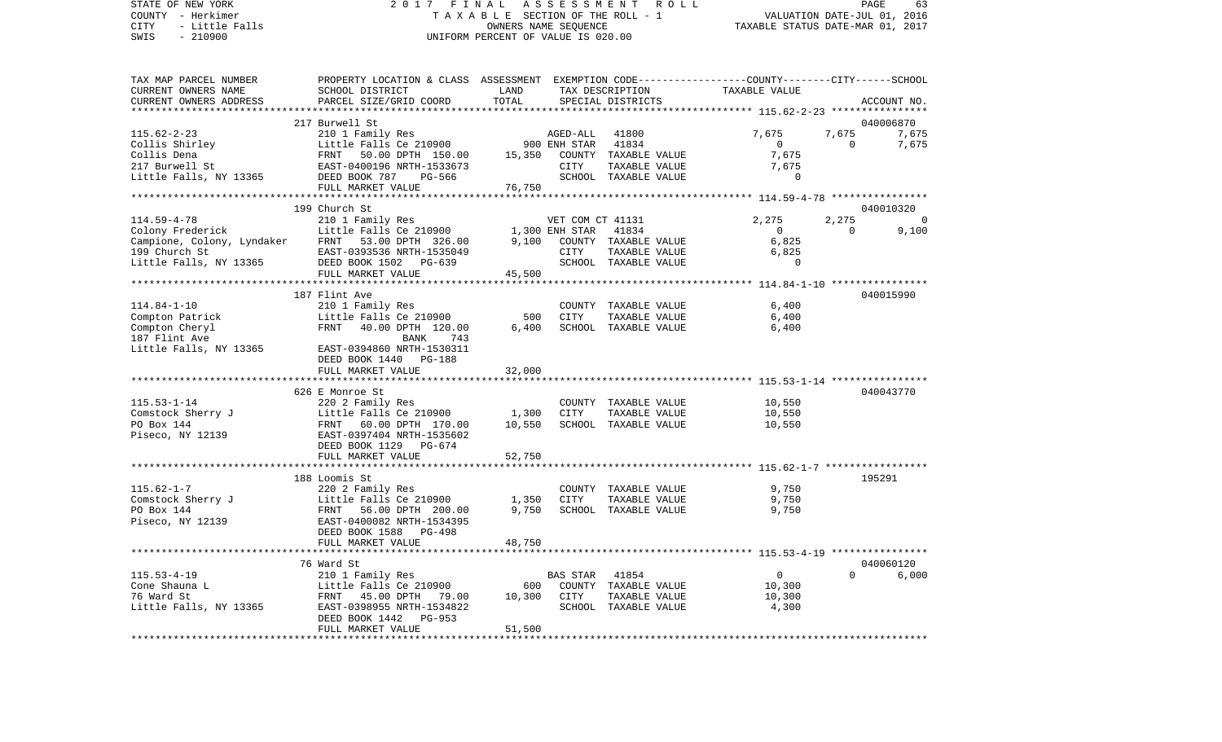### STATE OF NEW YORK 2 0 1 7 F I N A L A S S E S S M E N T R O L L PAGE 63COUNTY - Herkimer T A X A B L E SECTION OF THE ROLL - 1 CITY - Little Falls OWNERS NAME SEQUENCE TAXABLE STATUS DATE-MAR 01, 2017 UNIFORM PERCENT OF VALUE IS 020.00

| TAX MAP PARCEL NUMBER<br>CURRENT OWNERS NAME                                                   | PROPERTY LOCATION & CLASS ASSESSMENT EXEMPTION CODE----------------COUNTY-------CITY------SCHOOL<br>SCHOOL DISTRICT                            | LAND   |                                  | TAX DESCRIPTION                                                                 | TAXABLE VALUE                                         |                       |                             |
|------------------------------------------------------------------------------------------------|------------------------------------------------------------------------------------------------------------------------------------------------|--------|----------------------------------|---------------------------------------------------------------------------------|-------------------------------------------------------|-----------------------|-----------------------------|
| CURRENT OWNERS ADDRESS                                                                         | PARCEL SIZE/GRID COORD                                                                                                                         | TOTAL  |                                  | SPECIAL DISTRICTS                                                               |                                                       |                       | ACCOUNT NO.                 |
|                                                                                                |                                                                                                                                                |        |                                  |                                                                                 |                                                       |                       |                             |
| $115.62 - 2 - 23$<br>Collis Shirley<br>Collis Dena<br>217 Burwell St<br>Little Falls, NY 13365 | 217 Burwell St<br>210 1 Family Res<br>Little Falls Ce 210900<br>FRNT 50.00 DPTH 150.00<br>EAST-0400196 NRTH-1533673<br>DEED BOOK 787<br>PG-566 | 15,350 | AGED-ALL<br>900 ENH STAR<br>CITY | 41800<br>41834<br>COUNTY TAXABLE VALUE<br>TAXABLE VALUE<br>SCHOOL TAXABLE VALUE | 7,675<br>$\overline{0}$<br>7,675<br>7,675<br>$\Omega$ | 7,675<br>$\mathbf{0}$ | 040006870<br>7,675<br>7,675 |
|                                                                                                | FULL MARKET VALUE                                                                                                                              | 76,750 |                                  |                                                                                 |                                                       |                       |                             |
|                                                                                                |                                                                                                                                                |        |                                  |                                                                                 |                                                       |                       |                             |
|                                                                                                | 199 Church St                                                                                                                                  |        |                                  |                                                                                 |                                                       |                       | 040010320                   |
| $114.59 - 4 - 78$                                                                              | 210 1 Family Res                                                                                                                               |        | VET COM CT 41131                 |                                                                                 | 2,275                                                 | 2,275                 | $\overline{0}$              |
| Colony Frederick                                                                               | Little Falls Ce 210900                                                                                                                         |        | 1,300 ENH STAR                   | 41834                                                                           | $\overline{0}$                                        | $\Omega$              | 9,100                       |
| Campione, Colony, Lyndaker                                                                     | FRNT 53.00 DPTH 326.00                                                                                                                         | 9,100  |                                  | COUNTY TAXABLE VALUE                                                            | 6,825                                                 |                       |                             |
| 199 Church St                                                                                  | EAST-0393536 NRTH-1535049                                                                                                                      |        | CITY                             | TAXABLE VALUE                                                                   | 6,825<br>$\Omega$                                     |                       |                             |
| Little Falls, NY 13365                                                                         | DEED BOOK 1502 PG-639<br>FULL MARKET VALUE                                                                                                     | 45,500 |                                  | SCHOOL TAXABLE VALUE                                                            |                                                       |                       |                             |
|                                                                                                |                                                                                                                                                |        |                                  |                                                                                 |                                                       |                       |                             |
|                                                                                                | 187 Flint Ave                                                                                                                                  |        |                                  |                                                                                 |                                                       |                       | 040015990                   |
| $114.84 - 1 - 10$                                                                              | 210 1 Family Res                                                                                                                               |        |                                  | COUNTY TAXABLE VALUE                                                            | 6,400                                                 |                       |                             |
| Compton Patrick                                                                                | Little Falls Ce 210900                                                                                                                         | 500    | CITY                             | TAXABLE VALUE                                                                   | 6,400                                                 |                       |                             |
| Compton Cheryl                                                                                 | FRNT<br>40.00 DPTH 120.00                                                                                                                      | 6,400  |                                  | SCHOOL TAXABLE VALUE                                                            | 6,400                                                 |                       |                             |
| 187 Flint Ave                                                                                  | <b>BANK</b><br>743                                                                                                                             |        |                                  |                                                                                 |                                                       |                       |                             |
| Little Falls, NY 13365                                                                         | EAST-0394860 NRTH-1530311                                                                                                                      |        |                                  |                                                                                 |                                                       |                       |                             |
|                                                                                                | DEED BOOK 1440 PG-188                                                                                                                          |        |                                  |                                                                                 |                                                       |                       |                             |
|                                                                                                | FULL MARKET VALUE                                                                                                                              | 32,000 |                                  |                                                                                 |                                                       |                       |                             |
|                                                                                                |                                                                                                                                                |        |                                  |                                                                                 |                                                       |                       |                             |
|                                                                                                | 626 E Monroe St                                                                                                                                |        |                                  |                                                                                 |                                                       |                       | 040043770                   |
| $115.53 - 1 - 14$                                                                              | 220 2 Family Res                                                                                                                               |        |                                  | COUNTY TAXABLE VALUE                                                            | 10,550                                                |                       |                             |
| Comstock Sherry J                                                                              | Little Falls Ce 210900                                                                                                                         | 1,300  | <b>CITY</b>                      | TAXABLE VALUE                                                                   | 10,550                                                |                       |                             |
| PO Box 144                                                                                     | FRNT<br>60.00 DPTH 170.00                                                                                                                      | 10,550 |                                  | SCHOOL TAXABLE VALUE                                                            | 10,550                                                |                       |                             |
| Piseco, NY 12139                                                                               | EAST-0397404 NRTH-1535602<br>DEED BOOK 1129 PG-674                                                                                             |        |                                  |                                                                                 |                                                       |                       |                             |
|                                                                                                | FULL MARKET VALUE                                                                                                                              | 52,750 |                                  |                                                                                 |                                                       |                       |                             |
|                                                                                                |                                                                                                                                                |        |                                  |                                                                                 |                                                       |                       |                             |
|                                                                                                | 188 Loomis St                                                                                                                                  |        |                                  |                                                                                 |                                                       |                       | 195291                      |
| $115.62 - 1 - 7$                                                                               | 220 2 Family Res                                                                                                                               |        |                                  | COUNTY TAXABLE VALUE                                                            | 9,750                                                 |                       |                             |
| Comstock Sherry J                                                                              | Little Falls Ce 210900                                                                                                                         | 1,350  | <b>CITY</b>                      | TAXABLE VALUE                                                                   | 9,750                                                 |                       |                             |
| PO Box 144                                                                                     | FRNT 56.00 DPTH 200.00                                                                                                                         | 9,750  |                                  | SCHOOL TAXABLE VALUE                                                            | 9,750                                                 |                       |                             |
| Piseco, NY 12139                                                                               | EAST-0400082 NRTH-1534395                                                                                                                      |        |                                  |                                                                                 |                                                       |                       |                             |
|                                                                                                | DEED BOOK 1588<br>PG-498                                                                                                                       |        |                                  |                                                                                 |                                                       |                       |                             |
|                                                                                                | FULL MARKET VALUE                                                                                                                              | 48,750 |                                  |                                                                                 |                                                       |                       |                             |
|                                                                                                | 76 Ward St                                                                                                                                     |        |                                  |                                                                                 |                                                       |                       | 040060120                   |
| $115.53 - 4 - 19$                                                                              | 210 1 Family Res                                                                                                                               |        | <b>BAS STAR</b>                  | 41854                                                                           | $\overline{0}$                                        | $\Omega$              | 6.000                       |
| Cone Shauna L                                                                                  | Little Falls Ce 210900                                                                                                                         | 600    |                                  | COUNTY TAXABLE VALUE                                                            | 10,300                                                |                       |                             |
| 76 Ward St                                                                                     | FRNT 45.00 DPTH 79.00                                                                                                                          | 10,300 | CITY                             | TAXABLE VALUE                                                                   | 10,300                                                |                       |                             |
| Little Falls, NY 13365                                                                         | EAST-0398955 NRTH-1534822                                                                                                                      |        |                                  | SCHOOL TAXABLE VALUE                                                            | 4,300                                                 |                       |                             |
|                                                                                                | DEED BOOK 1442<br>PG-953                                                                                                                       |        |                                  |                                                                                 |                                                       |                       |                             |
|                                                                                                | FULL MARKET VALUE                                                                                                                              | 51,500 |                                  |                                                                                 |                                                       |                       |                             |
|                                                                                                |                                                                                                                                                |        |                                  |                                                                                 |                                                       |                       |                             |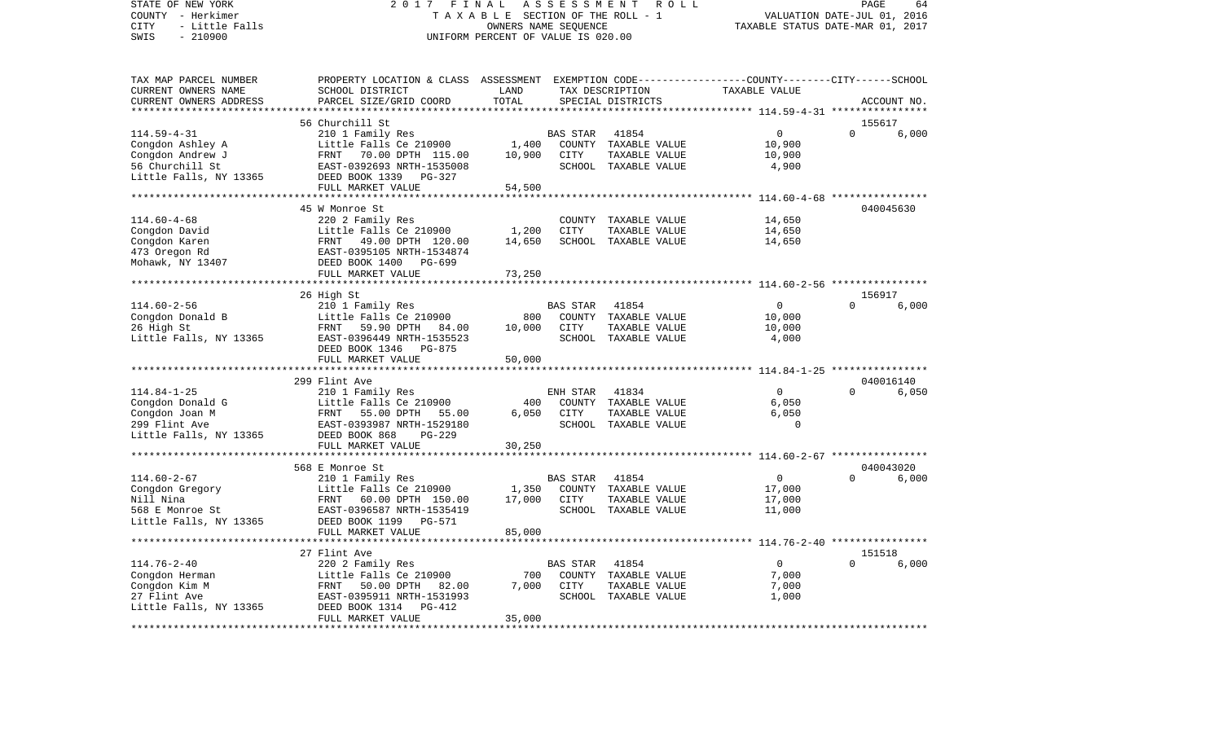COUNTY - Herkimer **T A X A B L E SECTION OF THE ROLL - 1** VALUATION DATE-JUL 01, 2016 CITY - Little Falls OWNERS NAME SEQUENCE TAXABLE STATUS DATE-MAR 01, 2017 SWIS - 210900 UNIFORM PERCENT OF VALUE IS 020.00TAX MAP PARCEL NUMBER PROPERTY LOCATION & CLASS ASSESSMENT EXEMPTION CODE------------------COUNTY--------CITY------SCHOOL CURRENT OWNERS NAME SCHOOL DISTRICT LAND TAX DESCRIPTION TAXABLE VALUECURRENT OWNERS ADDRESS PARCEL SIZE/GRID COORD TOTAL SPECIAL DISTRICTS ACCOUNT NO. \*\*\*\*\*\*\*\*\*\*\*\*\*\*\*\*\*\*\*\*\*\*\*\*\*\*\*\*\*\*\*\*\*\*\*\*\*\*\*\*\*\*\*\*\*\*\*\*\*\*\*\*\*\*\*\*\*\*\*\*\*\*\*\*\*\*\*\*\*\*\*\*\*\*\*\*\*\*\*\*\*\*\*\*\*\*\*\*\*\*\*\*\*\*\*\*\*\*\*\*\*\*\* 114.59-4-31 \*\*\*\*\*\*\*\*\*\*\*\*\*\*\*\* 56 Churchill St 155617114.59-4-31 210 1 Family Res BAS STAR 41854 0 0 6,000 Congdon Ashley A **Little Falls Ce 210900** 1,400 COUNTY TAXABLE VALUE 10,900 Congdon Andrew J **FRNT** 70.00 DPTH 115.00 10,900 CITY TAXABLE VALUE 10,900 56 Churchill St EAST-0392693 NRTH-1535008 SCHOOL TAXABLE VALUE 4,900 Little Falls, NY 13365 DEED BOOK 1339 PG-327 FULL MARKET VALUE 54,500 \*\*\*\*\*\*\*\*\*\*\*\*\*\*\*\*\*\*\*\*\*\*\*\*\*\*\*\*\*\*\*\*\*\*\*\*\*\*\*\*\*\*\*\*\*\*\*\*\*\*\*\*\*\*\*\*\*\*\*\*\*\*\*\*\*\*\*\*\*\*\*\*\*\*\*\*\*\*\*\*\*\*\*\*\*\*\*\*\*\*\*\*\*\*\*\*\*\*\*\*\*\*\* 114.60-4-68 \*\*\*\*\*\*\*\*\*\*\*\*\*\*\*\* 45 W Monroe St 040045630114.60-4-68 220 2 Family Res COUNTY TAXABLE VALUE 14,650 Congdon David **Little Falls Ce 210900** 1,200 CITY TAXABLE VALUE Congdon Karen 14,650 FRNT 49.00 DPTH 120.00 14,650 SCHOOL TAXABLE VALUE 14,650 473 Oregon Rd EAST-0395105 NRTH-1534874 Mohawk, NY 13407 DEED BOOK 1400 PG-699 FULL MARKET VALUE 73,250 \*\*\*\*\*\*\*\*\*\*\*\*\*\*\*\*\*\*\*\*\*\*\*\*\*\*\*\*\*\*\*\*\*\*\*\*\*\*\*\*\*\*\*\*\*\*\*\*\*\*\*\*\*\*\*\*\*\*\*\*\*\*\*\*\*\*\*\*\*\*\*\*\*\*\*\*\*\*\*\*\*\*\*\*\*\*\*\*\*\*\*\*\*\*\*\*\*\*\*\*\*\*\* 114.60-2-56 \*\*\*\*\*\*\*\*\*\*\*\*\*\*\*\* 26 High St 156917 114.60-2-56 210 1 Family Res BAS STAR 41854 0 0 6,000 Congdon Donald B The Little Falls Ce 210900 800 COUNTY TAXABLE VALUE 3000 10,000 26 High St FRNT 59.90 DPTH 84.00 10,000 CITY TAXABLE VALUE 10,000 Little Falls, NY 13365 EAST-0396449 NRTH-1535523 SCHOOL TAXABLE VALUE 4,000 DEED BOOK 1346 PG-875FULL MARKET VALUE 50,000 \*\*\*\*\*\*\*\*\*\*\*\*\*\*\*\*\*\*\*\*\*\*\*\*\*\*\*\*\*\*\*\*\*\*\*\*\*\*\*\*\*\*\*\*\*\*\*\*\*\*\*\*\*\*\*\*\*\*\*\*\*\*\*\*\*\*\*\*\*\*\*\*\*\*\*\*\*\*\*\*\*\*\*\*\*\*\*\*\*\*\*\*\*\*\*\*\*\*\*\*\*\*\* 114.84-1-25 \*\*\*\*\*\*\*\*\*\*\*\*\*\*\*\* 299 Flint Ave 040016140114.84-1-25 210 1 Family Res ENH STAR 41834 0 0 6,050 Congdon Donald G Little Falls Ce 210900 400 COUNTY TAXABLE VALUE 6,050 Congdon Joan M FRNT 55.00 DPTH 55.00 6,050 CITY TAXABLE VALUE 6,050 299 Flint Ave EAST-0393987 NRTH-1529180 SCHOOL TAXABLE VALUE 0Little Falls, NY 13365 DEED BOOK 868 PG-229 FULL MARKET VALUE 30,250 \*\*\*\*\*\*\*\*\*\*\*\*\*\*\*\*\*\*\*\*\*\*\*\*\*\*\*\*\*\*\*\*\*\*\*\*\*\*\*\*\*\*\*\*\*\*\*\*\*\*\*\*\*\*\*\*\*\*\*\*\*\*\*\*\*\*\*\*\*\*\*\*\*\*\*\*\*\*\*\*\*\*\*\*\*\*\*\*\*\*\*\*\*\*\*\*\*\*\*\*\*\*\* 114.60-2-67 \*\*\*\*\*\*\*\*\*\*\*\*\*\*\*\* 568 E Monroe St 040043020114.60-2-67 210 1 Family Res BAS STAR 41854 0 0 6,000 Congdon Gregory **Congdon Gregory** Little Falls Ce 210900 1,350 COUNTY TAXABLE VALUE 17,000 Nill Nina FRNT 60.00 DPTH 150.00 17,000 CITY TAXABLE VALUE 17,000 568 E Monroe St EAST-0396587 NRTH-1535419 SCHOOL TAXABLE VALUE 11,000 Little Falls, NY 13365 DEED BOOK 1199 PG-571 FULL MARKET VALUE 85,000 \*\*\*\*\*\*\*\*\*\*\*\*\*\*\*\*\*\*\*\*\*\*\*\*\*\*\*\*\*\*\*\*\*\*\*\*\*\*\*\*\*\*\*\*\*\*\*\*\*\*\*\*\*\*\*\*\*\*\*\*\*\*\*\*\*\*\*\*\*\*\*\*\*\*\*\*\*\*\*\*\*\*\*\*\*\*\*\*\*\*\*\*\*\*\*\*\*\*\*\*\*\*\* 114.76-2-40 \*\*\*\*\*\*\*\*\*\*\*\*\*\*\*\*27 Flint Ave 151518 114.76-2-40 220 2 Family Res BAS STAR 41854 0 0 6,000 Congdon Herman Little Falls Ce 210900 700 COUNTY TAXABLE VALUE Congdon Kim M FRNT 50.00 DPTH 82.00 7.000 CITY TAXABLE VALUE 7,000 27 Flint Ave EAST-0395911 NRTH-1531993 SCHOOL TAXABLE VALUE 1,000 Little Falls, NY 13365 DEED BOOK 1314 PG-412 FULL MARKET VALUE 35,000 \*\*\*\*\*\*\*\*\*\*\*\*\*\*\*\*\*\*\*\*\*\*\*\*\*\*\*\*\*\*\*\*\*\*\*\*\*\*\*\*\*\*\*\*\*\*\*\*\*\*\*\*\*\*\*\*\*\*\*\*\*\*\*\*\*\*\*\*\*\*\*\*\*\*\*\*\*\*\*\*\*\*\*\*\*\*\*\*\*\*\*\*\*\*\*\*\*\*\*\*\*\*\*\*\*\*\*\*\*\*\*\*\*\*\*\*\*\*\*\*\*\*\*\*\*\*\*\*\*\*\*\*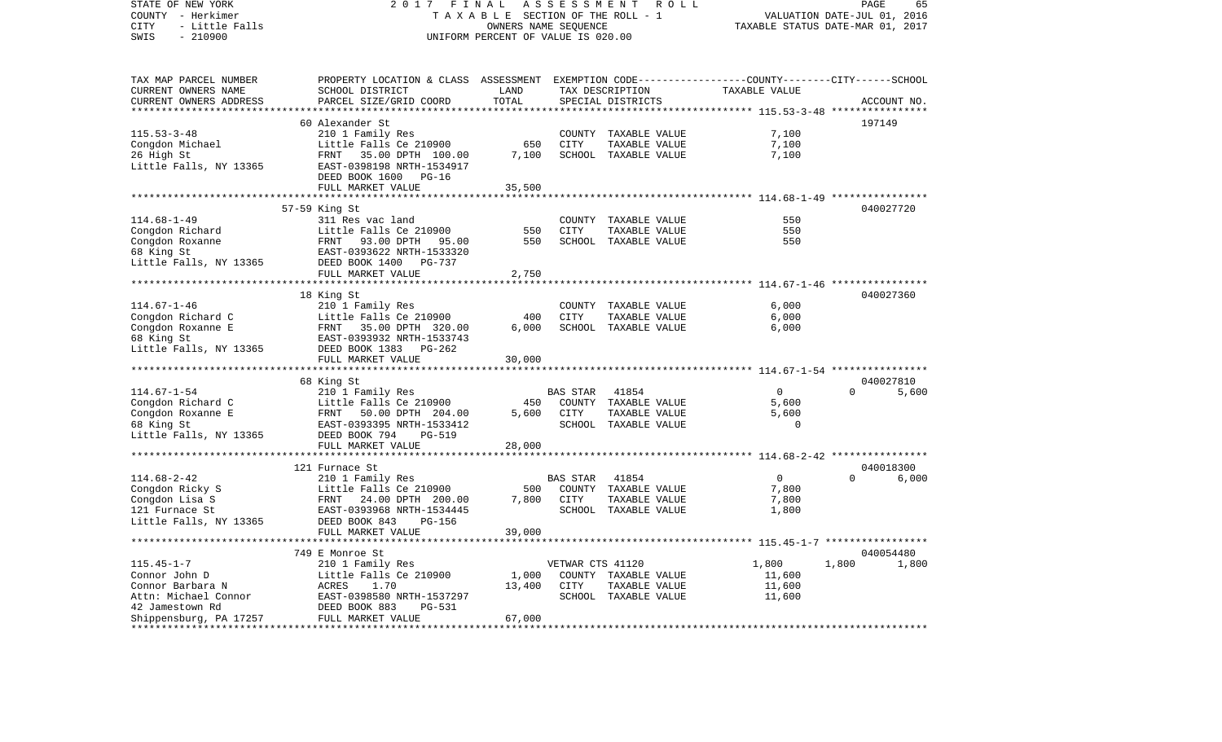COUNTY - Herkimer **T A X A B L E SECTION OF THE ROLL - 1** VALUATION DATE-JUL 01, 2016 CITY - Little Falls OWNERS NAME SEQUENCE TAXABLE STATUS DATE-MAR 01, 2017 SWIS - 210900 UNIFORM PERCENT OF VALUE IS 020.00TAX MAP PARCEL NUMBER PROPERTY LOCATION & CLASS ASSESSMENT EXEMPTION CODE------------------COUNTY--------CITY------SCHOOL CURRENT OWNERS NAME SCHOOL DISTRICT LAND TAX DESCRIPTION TAXABLE VALUECURRENT OWNERS ADDRESS PARCEL SIZE/GRID COORD TOTAL SPECIAL DISTRICTS ACCOUNT NO. \*\*\*\*\*\*\*\*\*\*\*\*\*\*\*\*\*\*\*\*\*\*\*\*\*\*\*\*\*\*\*\*\*\*\*\*\*\*\*\*\*\*\*\*\*\*\*\*\*\*\*\*\*\*\*\*\*\*\*\*\*\*\*\*\*\*\*\*\*\*\*\*\*\*\*\*\*\*\*\*\*\*\*\*\*\*\*\*\*\*\*\*\*\*\*\*\*\*\*\*\*\*\* 115.53-3-48 \*\*\*\*\*\*\*\*\*\*\*\*\*\*\*\* 60 Alexander St 197149115.53-3-48 210 1 Family Res COUNTY TAXABLE VALUE 7,100 Congdon Michael **Little Falls Ce 210900** 650 CITY TAXABLE VALUE 7,100 26 High St FRNT 35.00 DPTH 100.00 7,100 SCHOOL TAXABLE VALUE 7,100 Little Falls, NY 13365 EAST-0398198 NRTH-1534917 DEED BOOK 1600 PG-16FULL MARKET VALUE 35,500 \*\*\*\*\*\*\*\*\*\*\*\*\*\*\*\*\*\*\*\*\*\*\*\*\*\*\*\*\*\*\*\*\*\*\*\*\*\*\*\*\*\*\*\*\*\*\*\*\*\*\*\*\*\*\*\*\*\*\*\*\*\*\*\*\*\*\*\*\*\*\*\*\*\*\*\*\*\*\*\*\*\*\*\*\*\*\*\*\*\*\*\*\*\*\*\*\*\*\*\*\*\*\* 114.68-1-49 \*\*\*\*\*\*\*\*\*\*\*\*\*\*\*\* 57-59 King St 040027720 114.68-1-49 311 Res vac land COUNTY TAXABLE VALUE 550550 Congdon Richard Little Falls Ce 210900 550 CITY TAXABLE VALUE 550 Congdon Roxanne FRNT 93.00 DPTH 95.00 550 SCHOOL TAXABLE VALUE 550 68 King St EAST-0393622 NRTH-1533320 Little Falls, NY 13365 DEED BOOK 1400 PG-737 FULL MARKET VALUE 2,750 \*\*\*\*\*\*\*\*\*\*\*\*\*\*\*\*\*\*\*\*\*\*\*\*\*\*\*\*\*\*\*\*\*\*\*\*\*\*\*\*\*\*\*\*\*\*\*\*\*\*\*\*\*\*\*\*\*\*\*\*\*\*\*\*\*\*\*\*\*\*\*\*\*\*\*\*\*\*\*\*\*\*\*\*\*\*\*\*\*\*\*\*\*\*\*\*\*\*\*\*\*\*\* 114.67-1-46 \*\*\*\*\*\*\*\*\*\*\*\*\*\*\*\* 18 King St 040027360 114.67-1-46 210 1 Family Res COUNTY TAXABLE VALUE 6,000 Congdon Richard C Little Falls Ce 210900 400 CITY TAXABLE VALUE 6,000 Congdon Roxanne E FRNT 35.00 DPTH 320.00 6,000 SCHOOL TAXABLE VALUE 6,000 68 King St EAST-0393932 NRTH-1533743 Little Falls, NY 13365 DEED BOOK 1383 PG-262 FULL MARKET VALUE 30,000 \*\*\*\*\*\*\*\*\*\*\*\*\*\*\*\*\*\*\*\*\*\*\*\*\*\*\*\*\*\*\*\*\*\*\*\*\*\*\*\*\*\*\*\*\*\*\*\*\*\*\*\*\*\*\*\*\*\*\*\*\*\*\*\*\*\*\*\*\*\*\*\*\*\*\*\*\*\*\*\*\*\*\*\*\*\*\*\*\*\*\*\*\*\*\*\*\*\*\*\*\*\*\* 114.67-1-54 \*\*\*\*\*\*\*\*\*\*\*\*\*\*\*\* 68 King St 040027810 114.67-1-54 210 1 Family Res BAS STAR 41854 0 0 5,600 Congdon Richard C 6,600 Little Falls Ce 210900 450 COUNTY TAXABLE VALUE 5,600 Congdon Roxanne E FRNT 50.00 DPTH 204.00 5,600 CITY TAXABLE VALUE 5,600 68 King St EAST-0393395 NRTH-1533412 SCHOOL TAXABLE VALUE 0 Little Falls, NY 13365 DEED BOOK 794 PG-519 FULL MARKET VALUE 28,000 \*\*\*\*\*\*\*\*\*\*\*\*\*\*\*\*\*\*\*\*\*\*\*\*\*\*\*\*\*\*\*\*\*\*\*\*\*\*\*\*\*\*\*\*\*\*\*\*\*\*\*\*\*\*\*\*\*\*\*\*\*\*\*\*\*\*\*\*\*\*\*\*\*\*\*\*\*\*\*\*\*\*\*\*\*\*\*\*\*\*\*\*\*\*\*\*\*\*\*\*\*\*\* 114.68-2-42 \*\*\*\*\*\*\*\*\*\*\*\*\*\*\*\* 121 Furnace St 040018300114.68-2-42 210 1 Family Res BAS STAR 41854 0 0 6,000 Congdon Ricky S Little Falls Ce 210900 500 COUNTY TAXABLE VALUE 7,800 Congdon Lisa S FRNT 24.00 DPTH 200.00 7,800 CITY TAXABLE VALUE 7,800 EAST-0393968 NRTH-1534445 Little Falls, NY 13365 DEED BOOK 843 PG-156 FULL MARKET VALUE 39,000 \*\*\*\*\*\*\*\*\*\*\*\*\*\*\*\*\*\*\*\*\*\*\*\*\*\*\*\*\*\*\*\*\*\*\*\*\*\*\*\*\*\*\*\*\*\*\*\*\*\*\*\*\*\*\*\*\*\*\*\*\*\*\*\*\*\*\*\*\*\*\*\*\*\*\*\*\*\*\*\*\*\*\*\*\*\*\*\*\*\*\*\*\*\*\*\*\*\*\*\*\*\*\* 115.45-1-7 \*\*\*\*\*\*\*\*\*\*\*\*\*\*\*\*\* 749 E Monroe St 040054480115.45-1-7 210 1 Family Res VETWAR CTS 41120 1,800 1,800 1,800 Connor John D Little Falls Ce 210900 1,000 COUNTY TAXABLE VALUE 11,600 Connor Barbara N ACRES 1.70 13,400 CITY TAXABLE VALUE 11,600 Attn: Michael Connor 61,600 EAST-0398580 NRTH-1537297 SCHOOL TAXABLE VALUE 11,600 42 Jamestown Rd DEED BOOK 883 PG-531Shippensburg, PA 17257 FULL MARKET VALUE 67,000 \*\*\*\*\*\*\*\*\*\*\*\*\*\*\*\*\*\*\*\*\*\*\*\*\*\*\*\*\*\*\*\*\*\*\*\*\*\*\*\*\*\*\*\*\*\*\*\*\*\*\*\*\*\*\*\*\*\*\*\*\*\*\*\*\*\*\*\*\*\*\*\*\*\*\*\*\*\*\*\*\*\*\*\*\*\*\*\*\*\*\*\*\*\*\*\*\*\*\*\*\*\*\*\*\*\*\*\*\*\*\*\*\*\*\*\*\*\*\*\*\*\*\*\*\*\*\*\*\*\*\*\*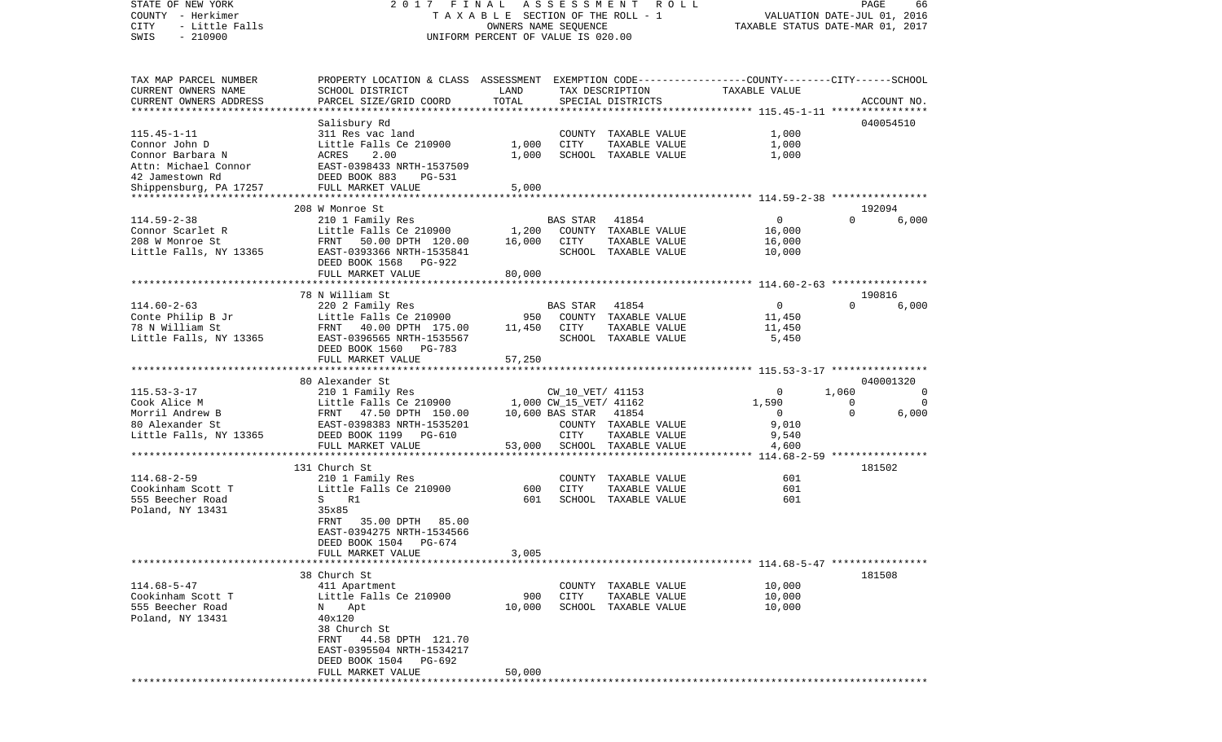COUNTY - Herkimer **T A X A B L E SECTION OF THE ROLL - 1** VALUATION DATE-JUL 01, 2016 CITY - Little Falls OWNERS NAME SEQUENCE TAXABLE STATUS DATE-MAR 01, 2017 SWIS - 210900 UNIFORM PERCENT OF VALUE IS 020.00TAX MAP PARCEL NUMBER PROPERTY LOCATION & CLASS ASSESSMENT EXEMPTION CODE------------------COUNTY--------CITY------SCHOOL CURRENT OWNERS NAME SCHOOL DISTRICT LAND TAX DESCRIPTION TAXABLE VALUECURRENT OWNERS ADDRESS PARCEL SIZE/GRID COORD TOTAL SPECIAL DISTRICTS ACCOUNT NO. \*\*\*\*\*\*\*\*\*\*\*\*\*\*\*\*\*\*\*\*\*\*\*\*\*\*\*\*\*\*\*\*\*\*\*\*\*\*\*\*\*\*\*\*\*\*\*\*\*\*\*\*\*\*\*\*\*\*\*\*\*\*\*\*\*\*\*\*\*\*\*\*\*\*\*\*\*\*\*\*\*\*\*\*\*\*\*\*\*\*\*\*\*\*\*\*\*\*\*\*\*\*\* 115.45-1-11 \*\*\*\*\*\*\*\*\*\*\*\*\*\*\*\*Salisbury Rd 040054510 115.45-1-11 311 Res vac land COUNTY TAXABLE VALUE 1,000 Connor John D Little Falls Ce 210900 1,000 CITY TAXABLE VALUE 1,000 Connor Barbara N ACRES 2.00 1,000 SCHOOL TAXABLE VALUE 1,000 Attn: Michael Connor EAST-0398433 NRTH-153750942 Jamestown Rd DEED BOOK 883 PG-531Shippensburg, PA 17257 FULL MARKET VALUE 5,000 \*\*\*\*\*\*\*\*\*\*\*\*\*\*\*\*\*\*\*\*\*\*\*\*\*\*\*\*\*\*\*\*\*\*\*\*\*\*\*\*\*\*\*\*\*\*\*\*\*\*\*\*\*\*\*\*\*\*\*\*\*\*\*\*\*\*\*\*\*\*\*\*\*\*\*\*\*\*\*\*\*\*\*\*\*\*\*\*\*\*\*\*\*\*\*\*\*\*\*\*\*\*\* 114.59-2-38 \*\*\*\*\*\*\*\*\*\*\*\*\*\*\*\* 208 W Monroe St 192094114.59-2-38 210 1 Family Res BAS STAR 41854 0 0 6,000 Connor Scarlet R 
Little Falls Ce 210900 1,200 COUNTY TAXABLE VALUE 16,000 208 W Monroe St FRNT 50.00 DPTH 120.00 16,000 CITY TAXABLE VALUE 16,000 Little Falls, NY 13365 EAST-0393366 NRTH-1535841 SCHOOL TAXABLE VALUE 10,000 DEED BOOK 1568 PG-922FULL MARKET VALUE 80,000 \*\*\*\*\*\*\*\*\*\*\*\*\*\*\*\*\*\*\*\*\*\*\*\*\*\*\*\*\*\*\*\*\*\*\*\*\*\*\*\*\*\*\*\*\*\*\*\*\*\*\*\*\*\*\*\*\*\*\*\*\*\*\*\*\*\*\*\*\*\*\*\*\*\*\*\*\*\*\*\*\*\*\*\*\*\*\*\*\*\*\*\*\*\*\*\*\*\*\*\*\*\*\* 114.60-2-63 \*\*\*\*\*\*\*\*\*\*\*\*\*\*\*\* 78 N William St 190816114.60-2-63 220 2 Family Res BAS STAR 41854 0 0 6,000 Conte Philip B Jr Little Falls Ce 210900 950 COUNTY TAXABLE VALUE 11,450 78 N William St FRNT 40.00 DPTH 175.00 11,450 CITY TAXABLE VALUE 11,450 Little Falls, NY 13365 BAST-0396565 NRTH-1535567 SCHOOL TAXABLE VALUE 5,450 DEED BOOK 1560 PG-783FULL MARKET VALUE 57,250 \*\*\*\*\*\*\*\*\*\*\*\*\*\*\*\*\*\*\*\*\*\*\*\*\*\*\*\*\*\*\*\*\*\*\*\*\*\*\*\*\*\*\*\*\*\*\*\*\*\*\*\*\*\*\*\*\*\*\*\*\*\*\*\*\*\*\*\*\*\*\*\*\*\*\*\*\*\*\*\*\*\*\*\*\*\*\*\*\*\*\*\*\*\*\*\*\*\*\*\*\*\*\* 115.53-3-17 \*\*\*\*\*\*\*\*\*\*\*\*\*\*\*\* 80 Alexander St 040001320115.53-3-17 210 1 Family Res CW\_10\_VET/ 41153 0 1,060 0 Cook Alice M Cook Alice M Little Falls Ce 210900 1,000 CW\_15\_VET/ 41162 1,590 1,590 0 0 Morril Andrew B FRNT 47.50 DPTH 150.00 10,600 BAS STAR 41854 0 0 6,000 80 Alexander St EAST-0398383 NRTH-1535201 COUNTY TAXABLE VALUE 9,010 Little Falls, NY 13365 DEED BOOK 1199 PG-610 CITY TAXABLE VALUE 9,540 FULL MARKET VALUE 53,000 SCHOOL TAXABLE VALUE 4,600 \*\*\*\*\*\*\*\*\*\*\*\*\*\*\*\*\*\*\*\*\*\*\*\*\*\*\*\*\*\*\*\*\*\*\*\*\*\*\*\*\*\*\*\*\*\*\*\*\*\*\*\*\*\*\*\*\*\*\*\*\*\*\*\*\*\*\*\*\*\*\*\*\*\*\*\*\*\*\*\*\*\*\*\*\*\*\*\*\*\*\*\*\*\*\*\*\*\*\*\*\*\*\* 114.68-2-59 \*\*\*\*\*\*\*\*\*\*\*\*\*\*\*\* 131 Church St 181502114.68-2-59 210 1 Family Res COUNTY TAXABLE VALUE 601 Cookinham Scott T Little Falls Ce 210900 600 CITY TAXABLE VALUE 601 555 Beecher Road S R1 601 SCHOOL TAXABLE VALUE 601Poland, NY 13431 35x85 FRNT 35.00 DPTH 85.00 EAST-0394275 NRTH-1534566 DEED BOOK 1504 PG-674FULL MARKET VALUE 3,005 \*\*\*\*\*\*\*\*\*\*\*\*\*\*\*\*\*\*\*\*\*\*\*\*\*\*\*\*\*\*\*\*\*\*\*\*\*\*\*\*\*\*\*\*\*\*\*\*\*\*\*\*\*\*\*\*\*\*\*\*\*\*\*\*\*\*\*\*\*\*\*\*\*\*\*\*\*\*\*\*\*\*\*\*\*\*\*\*\*\*\*\*\*\*\*\*\*\*\*\*\*\*\* 114.68-5-47 \*\*\*\*\*\*\*\*\*\*\*\*\*\*\*\* 38 Church St 181508114.68-5-47 411 Apartment COUNTY TAXABLE VALUE 10,000 Cookinham Scott T Little Falls Ce 210900 900 CITY TAXABLE VALUE 10,000 555 Beecher Road N Apt 10,000 SCHOOL TAXABLE VALUE 10,000 Poland, NY 13431 40x120 38 Church St FRNT 44.58 DPTH 121.70 EAST-0395504 NRTH-1534217 DEED BOOK 1504 PG-692 FULL MARKET VALUE 50,000 \*\*\*\*\*\*\*\*\*\*\*\*\*\*\*\*\*\*\*\*\*\*\*\*\*\*\*\*\*\*\*\*\*\*\*\*\*\*\*\*\*\*\*\*\*\*\*\*\*\*\*\*\*\*\*\*\*\*\*\*\*\*\*\*\*\*\*\*\*\*\*\*\*\*\*\*\*\*\*\*\*\*\*\*\*\*\*\*\*\*\*\*\*\*\*\*\*\*\*\*\*\*\*\*\*\*\*\*\*\*\*\*\*\*\*\*\*\*\*\*\*\*\*\*\*\*\*\*\*\*\*\*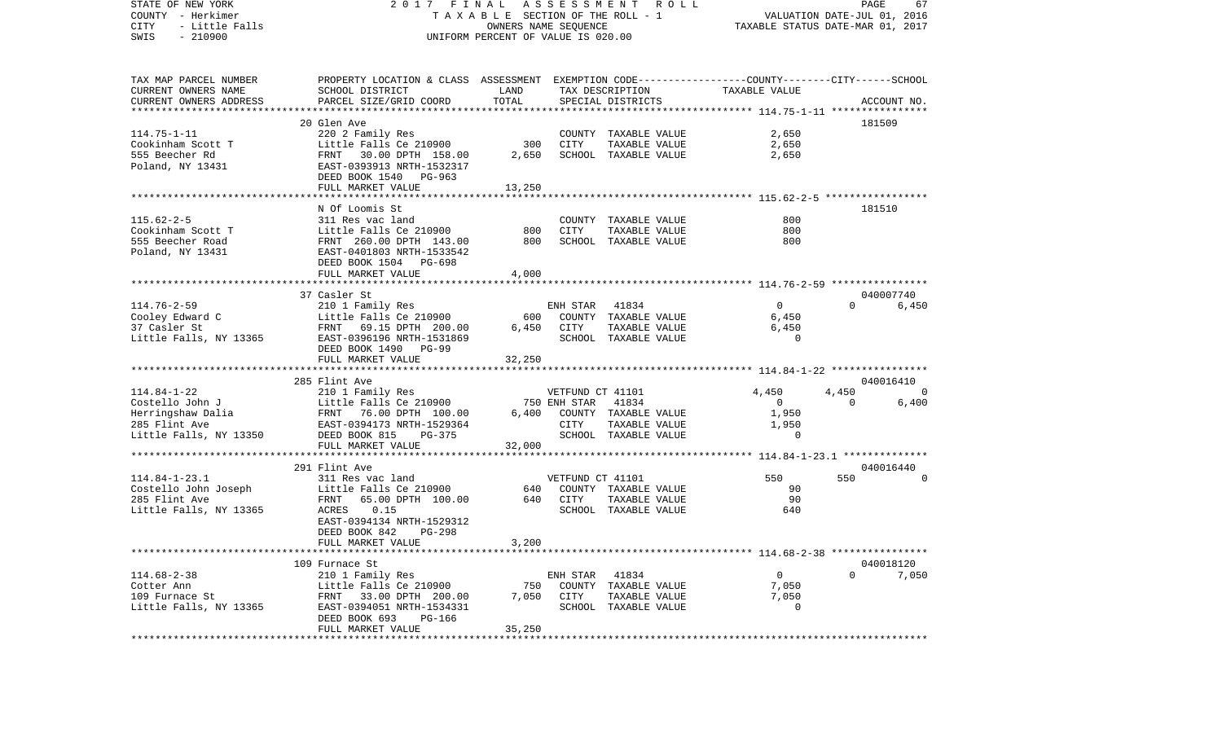| STATE OF NEW YORK<br>COUNTY - Herkimer<br>- Little Falls<br>CITY<br>SWIS<br>$-210900$ | 2017 FINAL ASSESSMENT ROLL<br>T A X A B L E SECTION OF THE ROLL - 1<br>OWNERS NAME SEQUENCE<br>UNIFORM PERCENT OF VALUE IS 020.00 | VALUATION DATE-JUL 01, 2016<br>TAXABLE STATUS DATE-MAR 01, 2017 |                  | PAGE<br>67                            |                |                |                |
|---------------------------------------------------------------------------------------|-----------------------------------------------------------------------------------------------------------------------------------|-----------------------------------------------------------------|------------------|---------------------------------------|----------------|----------------|----------------|
| TAX MAP PARCEL NUMBER                                                                 | PROPERTY LOCATION & CLASS ASSESSMENT EXEMPTION CODE----------------COUNTY-------CITY------SCHOOL                                  |                                                                 |                  |                                       |                |                |                |
| CURRENT OWNERS NAME                                                                   | SCHOOL DISTRICT                                                                                                                   | <b>EXAMPLE TO A LAND</b>                                        |                  | TAX DESCRIPTION                       | TAXABLE VALUE  |                |                |
| CURRENT OWNERS ADDRESS                                                                | PARCEL SIZE/GRID COORD                                                                                                            | TOTAL                                                           |                  | SPECIAL DISTRICTS                     |                |                | ACCOUNT NO.    |
|                                                                                       | 20 Glen Ave                                                                                                                       |                                                                 |                  |                                       |                |                | 181509         |
| $114.75 - 1 - 11$                                                                     |                                                                                                                                   |                                                                 |                  | COUNTY TAXABLE VALUE                  | 2,650          |                |                |
|                                                                                       | 220 2 Family Res<br>Little Falls Ce 210900                                                                                        |                                                                 | 300 CITY         | TAXABLE VALUE                         | 2,650          |                |                |
| 114.75-1-11<br>Cookinham Scott T<br>Incorpor Rd                                       | FRNT 30.00 DPTH 158.00<br>FRNT 30.00 DPTH 158.00<br>EAST-0393913 NRTH-1532317                                                     | 2,650                                                           |                  | SCHOOL TAXABLE VALUE                  | 2,650          |                |                |
| Poland, NY 13431                                                                      |                                                                                                                                   |                                                                 |                  |                                       |                |                |                |
|                                                                                       | DEED BOOK 1540 PG-963                                                                                                             |                                                                 |                  |                                       |                |                |                |
|                                                                                       | FULL MARKET VALUE                                                                                                                 | 13,250                                                          |                  |                                       |                |                |                |
|                                                                                       |                                                                                                                                   |                                                                 |                  |                                       |                |                |                |
|                                                                                       | N Of Loomis St                                                                                                                    |                                                                 |                  |                                       |                |                | 181510         |
| $115.62 - 2 - 5$                                                                      | 311 Res vac land<br>Little Falls Ce 210900                                                                                        |                                                                 | CITY             | COUNTY TAXABLE VALUE                  | 800<br>800     |                |                |
| Cookinham Scott T<br>555 Beecher Road                                                 |                                                                                                                                   | 800<br>800                                                      |                  | TAXABLE VALUE<br>SCHOOL TAXABLE VALUE | 800            |                |                |
| Poland, NY 13431                                                                      | FRNT 260.00 DPTH 143.00<br>EAST-0401803 NRTH-1533542                                                                              |                                                                 |                  |                                       |                |                |                |
|                                                                                       | DEED BOOK 1504 PG-698                                                                                                             |                                                                 |                  |                                       |                |                |                |
|                                                                                       | FULL MARKET VALUE                                                                                                                 | 4,000                                                           |                  |                                       |                |                |                |
|                                                                                       |                                                                                                                                   |                                                                 |                  |                                       |                |                |                |
|                                                                                       | 37 Casler St                                                                                                                      |                                                                 |                  |                                       |                |                | 040007740      |
| 114.76-2-59                                                                           | 210 1 Family Res                                                                                                                  |                                                                 | ENH STAR 41834   |                                       | 0              |                | 0 6,450        |
| ------ ---<br>Cooley Edward C<br>37 Casler St                                         |                                                                                                                                   |                                                                 |                  | 600 COUNTY TAXABLE VALUE              | 6,450          |                |                |
|                                                                                       | Little Falls Ce 210900<br>FRNT 69.15 DPTH 200.00<br>FRNT 69.15 DPTH 200.00                                                        |                                                                 | 6,450 CITY       | TAXABLE VALUE                         | 6,450          |                |                |
|                                                                                       | Little Falls, NY 13365 EAST-0396196 NRTH-1531869                                                                                  |                                                                 |                  | SCHOOL TAXABLE VALUE                  | $\Omega$       |                |                |
|                                                                                       | DEED BOOK 1490 PG-99                                                                                                              |                                                                 |                  |                                       |                |                |                |
|                                                                                       | FULL MARKET VALUE                                                                                                                 | 32,250                                                          |                  |                                       |                |                |                |
|                                                                                       | 285 Flint Ave                                                                                                                     |                                                                 |                  |                                       |                |                | 040016410      |
| $114.84 - 1 - 22$                                                                     | 210 1 Family Res                                                                                                                  |                                                                 | VETFUND CT 41101 |                                       | 4,450          | 4,450          | $\overline{0}$ |
| Costello John J                                                                       | Little Falls Ce 210900                                                                                                            | 750 ENH STAR                                                    |                  | 41834                                 | $\overline{0}$ | $\overline{0}$ | 6,400          |
|                                                                                       |                                                                                                                                   |                                                                 |                  | 6,400 COUNTY TAXABLE VALUE            | 1,950          |                |                |
|                                                                                       |                                                                                                                                   |                                                                 | CITY             | TAXABLE VALUE                         | 1,950          |                |                |
|                                                                                       |                                                                                                                                   |                                                                 |                  | SCHOOL TAXABLE VALUE                  | $\sim$ 0       |                |                |
|                                                                                       | FULL MARKET VALUE                                                                                                                 | 32,000                                                          |                  |                                       |                |                |                |
|                                                                                       |                                                                                                                                   |                                                                 |                  |                                       |                |                |                |
|                                                                                       | 291 Flint Ave                                                                                                                     |                                                                 |                  |                                       |                |                | 040016440      |
| $114.84 - 1 - 23.1$                                                                   | 311 Res vac land                                                                                                                  |                                                                 | VETFUND CT 41101 |                                       | 550            | 550            | $\sim$ 0       |
|                                                                                       |                                                                                                                                   |                                                                 |                  | 640 COUNTY TAXABLE VALUE              | 90             |                |                |
|                                                                                       |                                                                                                                                   |                                                                 | 640 CITY         | TAXABLE VALUE                         | 90             |                |                |
| Little Falls, NY 13365                                                                | ACRES 0.15<br>EAST-0394134 NRTH-1529312                                                                                           |                                                                 |                  | SCHOOL TAXABLE VALUE                  | 640            |                |                |
|                                                                                       | DEED BOOK 842<br>PG-298                                                                                                           |                                                                 |                  |                                       |                |                |                |
|                                                                                       | FULL MARKET VALUE                                                                                                                 | 3,200                                                           |                  |                                       |                |                |                |
|                                                                                       |                                                                                                                                   |                                                                 |                  |                                       |                |                |                |
|                                                                                       | 109 Furnace St                                                                                                                    |                                                                 |                  |                                       |                |                | 040018120      |
| $114.68 - 2 - 38$                                                                     | 210 1 Family Res                                                                                                                  |                                                                 | ENH STAR 41834   |                                       | $\overline{0}$ | $\circ$        | 7,050          |
| Cotter Ann                                                                            | Little Falls Ce 210900                                                                                                            | 750                                                             |                  | COUNTY TAXABLE VALUE                  | 7,050          |                |                |
| 109 Furnace St                                                                        | FRNT 33.00 DPTH 200.00                                                                                                            |                                                                 | 7,050 CITY       | TAXABLE VALUE                         | 7,050          |                |                |
| Little Falls, NY 13365                                                                | EAST-0394051 NRTH-1534331                                                                                                         |                                                                 |                  | SCHOOL TAXABLE VALUE                  | $\Omega$       |                |                |
|                                                                                       | DEED BOOK 693<br>PG-166                                                                                                           |                                                                 |                  |                                       |                |                |                |
|                                                                                       | FULL MARKET VALUE                                                                                                                 | 35,250                                                          |                  |                                       |                |                |                |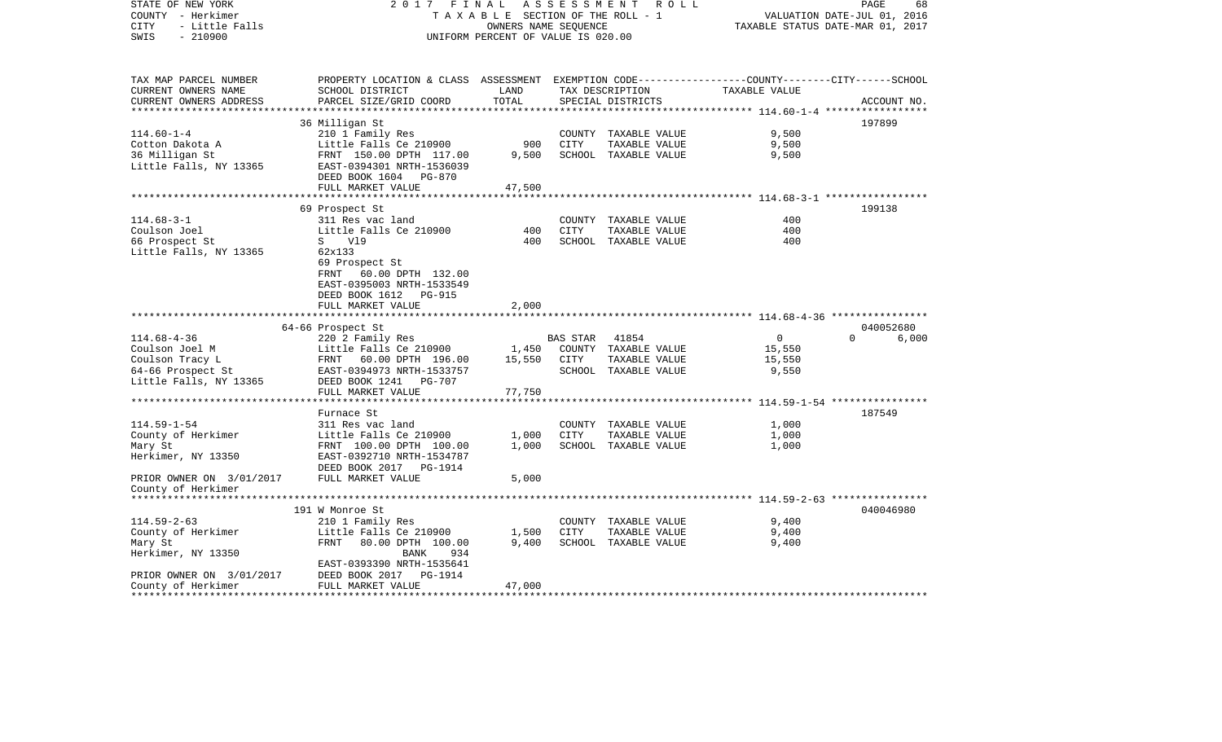| STATE OF NEW YORK<br>COUNTY - Herkimer<br>CITY<br>- Little Falls<br>SWIS<br>$-210900$                 | 2017                                                                                                                                             | FINAL<br>TAXABLE SECTION OF THE ROLL - 1<br>OWNERS NAME SEQUENCE<br>UNIFORM PERCENT OF VALUE IS 020.00 | A S S E S S M E N T | R O L L                                                                |                                             | PAGE<br>68<br>VALUATION DATE-JUL 01, 2016<br>TAXABLE STATUS DATE-MAR 01, 2017 |
|-------------------------------------------------------------------------------------------------------|--------------------------------------------------------------------------------------------------------------------------------------------------|--------------------------------------------------------------------------------------------------------|---------------------|------------------------------------------------------------------------|---------------------------------------------|-------------------------------------------------------------------------------|
| TAX MAP PARCEL NUMBER<br>CURRENT OWNERS NAME<br>CURRENT OWNERS ADDRESS                                | PROPERTY LOCATION & CLASS ASSESSMENT EXEMPTION CODE---------------COUNTY-------CITY------SCHOOL<br>SCHOOL DISTRICT<br>PARCEL SIZE/GRID COORD     | LAND<br>TOTAL                                                                                          |                     | TAX DESCRIPTION<br>SPECIAL DISTRICTS                                   | TAXABLE VALUE                               | ACCOUNT NO.                                                                   |
|                                                                                                       |                                                                                                                                                  |                                                                                                        |                     |                                                                        |                                             |                                                                               |
|                                                                                                       | 36 Milligan St                                                                                                                                   |                                                                                                        |                     |                                                                        |                                             | 197899                                                                        |
| $114.60 - 1 - 4$<br>Cotton Dakota A<br>36 Milligan St<br>Little Falls, NY 13365                       | 210 1 Family Res<br>Little Falls Ce 210900<br>FRNT 150.00 DPTH 117.00<br>EAST-0394301 NRTH-1536039<br>DEED BOOK 1604 PG-870<br>FULL MARKET VALUE | 900<br>9,500<br>47,500                                                                                 | CITY                | COUNTY TAXABLE VALUE<br>TAXABLE VALUE<br>SCHOOL TAXABLE VALUE          | 9,500<br>9,500<br>9,500                     |                                                                               |
|                                                                                                       |                                                                                                                                                  |                                                                                                        |                     |                                                                        |                                             |                                                                               |
|                                                                                                       | 69 Prospect St                                                                                                                                   |                                                                                                        |                     |                                                                        |                                             | 199138                                                                        |
| $114.68 - 3 - 1$<br>Coulson Joel<br>66 Prospect St<br>Little Falls, NY 13365                          | 311 Res vac land<br>Little Falls Ce 210900<br>S V19<br>62x133                                                                                    | 400<br>400                                                                                             | CITY                | COUNTY TAXABLE VALUE<br>TAXABLE VALUE<br>SCHOOL TAXABLE VALUE          | 400<br>400<br>400                           |                                                                               |
|                                                                                                       | 69 Prospect St<br>FRNT<br>60.00 DPTH 132.00<br>EAST-0395003 NRTH-1533549<br>DEED BOOK 1612 PG-915<br>FULL MARKET VALUE                           | 2,000                                                                                                  |                     |                                                                        |                                             |                                                                               |
|                                                                                                       |                                                                                                                                                  |                                                                                                        |                     |                                                                        |                                             |                                                                               |
|                                                                                                       | 64-66 Prospect St                                                                                                                                |                                                                                                        |                     |                                                                        |                                             | 040052680                                                                     |
| $114.68 - 4 - 36$<br>Coulson Joel M<br>Coulson Tracy L<br>64-66 Prospect St<br>Little Falls, NY 13365 | 220 2 Family Res<br>Little Falls Ce 210900<br>FRNT 60.00 DPTH 196.00<br>EAST-0394973 NRTH-1533757<br>DEED BOOK 1241 PG-707                       | 1,450<br>15,550                                                                                        | BAS STAR<br>CITY    | 41854<br>COUNTY TAXABLE VALUE<br>TAXABLE VALUE<br>SCHOOL TAXABLE VALUE | $\overline{0}$<br>15,550<br>15,550<br>9,550 | $\Omega$<br>6,000                                                             |
|                                                                                                       | FULL MARKET VALUE                                                                                                                                | 77,750                                                                                                 |                     |                                                                        |                                             |                                                                               |
|                                                                                                       |                                                                                                                                                  | *******************                                                                                    |                     |                                                                        |                                             |                                                                               |
|                                                                                                       | Furnace St                                                                                                                                       |                                                                                                        |                     |                                                                        |                                             | 187549                                                                        |
| $114.59 - 1 - 54$<br>County of Herkimer<br>Mary St<br>Herkimer, NY 13350                              | 311 Res vac land<br>Little Falls Ce 210900<br>FRNT 100.00 DPTH 100.00<br>EAST-0392710 NRTH-1534787<br>DEED BOOK 2017 PG-1914                     | 1,000<br>1,000                                                                                         | <b>CITY</b>         | COUNTY TAXABLE VALUE<br>TAXABLE VALUE<br>SCHOOL TAXABLE VALUE          | 1,000<br>1,000<br>1,000                     |                                                                               |
| PRIOR OWNER ON 3/01/2017<br>County of Herkimer                                                        | FULL MARKET VALUE                                                                                                                                | 5,000                                                                                                  |                     |                                                                        |                                             |                                                                               |
| ******************                                                                                    |                                                                                                                                                  |                                                                                                        |                     |                                                                        |                                             |                                                                               |
|                                                                                                       | 191 W Monroe St                                                                                                                                  |                                                                                                        |                     |                                                                        |                                             | 040046980                                                                     |
| $114.59 - 2 - 63$<br>County of Herkimer                                                               | 210 1 Family Res<br>Little Falls Ce 210900                                                                                                       | 1,500                                                                                                  | CITY                | COUNTY TAXABLE VALUE<br>TAXABLE VALUE                                  | 9,400<br>9,400                              |                                                                               |
| Mary St                                                                                               | FRNT<br>80.00 DPTH 100.00                                                                                                                        | 9,400                                                                                                  |                     | SCHOOL TAXABLE VALUE                                                   | 9,400                                       |                                                                               |
| Herkimer, NY 13350                                                                                    | <b>BANK</b><br>934<br>EAST-0393390 NRTH-1535641                                                                                                  |                                                                                                        |                     |                                                                        |                                             |                                                                               |
| PRIOR OWNER ON 3/01/2017<br>County of Herkimer                                                        | DEED BOOK 2017<br>PG-1914<br>FULL MARKET VALUE                                                                                                   | 47,000                                                                                                 |                     |                                                                        |                                             |                                                                               |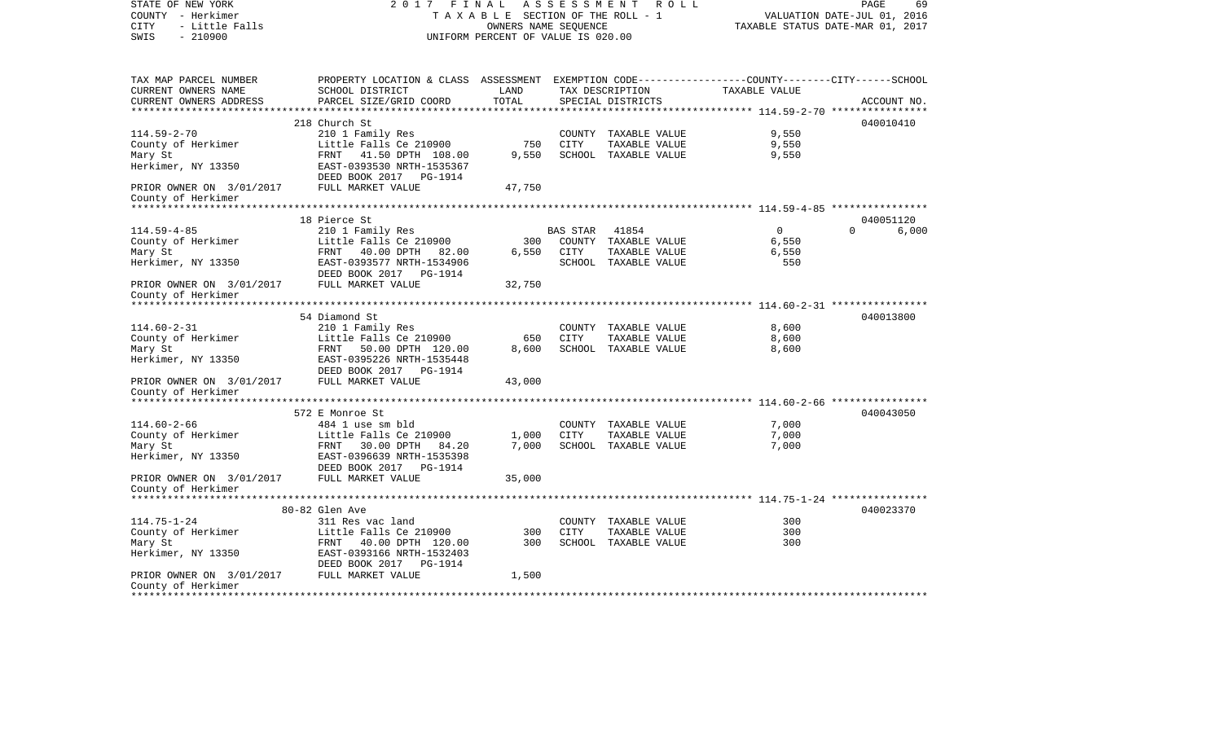| STATE OF NEW YORK<br>COUNTY - Herkimer<br>- Little Falls<br><b>CITY</b> |                                                                                                 | TAXABLE SECTION OF THE ROLL - 1<br>OWNERS NAME SEQUENCE |                | 2017 FINAL ASSESSMENT ROLL | VALUATION DATE-JUL 01, 2016<br>TAXABLE STATUS DATE-MAR 01, 2017 | PAGE      | 69          |
|-------------------------------------------------------------------------|-------------------------------------------------------------------------------------------------|---------------------------------------------------------|----------------|----------------------------|-----------------------------------------------------------------|-----------|-------------|
| $-210900$<br>SWIS                                                       |                                                                                                 | UNIFORM PERCENT OF VALUE IS 020.00                      |                |                            |                                                                 |           |             |
| TAX MAP PARCEL NUMBER                                                   | PROPERTY LOCATION & CLASS ASSESSMENT EXEMPTION CODE---------------COUNTY-------CITY------SCHOOL |                                                         |                |                            |                                                                 |           |             |
| CURRENT OWNERS NAME                                                     | SCHOOL DISTRICT                                                                                 | LAND                                                    |                | TAX DESCRIPTION            | TAXABLE VALUE                                                   |           |             |
| CURRENT OWNERS ADDRESS                                                  | PARCEL SIZE/GRID COORD                                                                          | TOTAL                                                   |                | SPECIAL DISTRICTS          |                                                                 |           | ACCOUNT NO. |
|                                                                         | 218 Church St                                                                                   |                                                         |                |                            |                                                                 | 040010410 |             |
| $114.59 - 2 - 70$                                                       | 210 1 Family Res                                                                                |                                                         |                | COUNTY TAXABLE VALUE       | 9,550                                                           |           |             |
| County of Herkimer                                                      | Little Falls Ce 210900                                                                          | 750                                                     | CITY           | TAXABLE VALUE              | 9,550                                                           |           |             |
| Mary St                                                                 | FRNT 41.50 DPTH 108.00                                                                          | 9,550                                                   |                | SCHOOL TAXABLE VALUE       | 9,550                                                           |           |             |
| Herkimer, NY 13350                                                      | EAST-0393530 NRTH-1535367<br>DEED BOOK 2017 PG-1914                                             |                                                         |                |                            |                                                                 |           |             |
| PRIOR OWNER ON 3/01/2017<br>County of Herkimer                          | FULL MARKET VALUE                                                                               | 47,750                                                  |                |                            |                                                                 |           |             |
|                                                                         |                                                                                                 |                                                         |                |                            |                                                                 |           |             |
|                                                                         | 18 Pierce St                                                                                    |                                                         |                |                            |                                                                 | 040051120 |             |
| $114.59 - 4 - 85$                                                       | 210 1 Family Res                                                                                |                                                         | BAS STAR 41854 |                            | $\overline{0}$                                                  | $\Omega$  | 6,000       |
| County of Herkimer                                                      | Little Falls Ce 210900                                                                          | 300                                                     |                | COUNTY TAXABLE VALUE       | 6,550                                                           |           |             |
| Mary St                                                                 | FRNT 40.00 DPTH 82.00                                                                           | 6,550                                                   | CITY           | TAXABLE VALUE              | 6,550                                                           |           |             |
| Herkimer, NY 13350                                                      | EAST-0393577 NRTH-1534906<br>DEED BOOK 2017    PG-1914                                          |                                                         |                | SCHOOL TAXABLE VALUE       | 550                                                             |           |             |
| PRIOR OWNER ON 3/01/2017                                                | FULL MARKET VALUE                                                                               | 32,750                                                  |                |                            |                                                                 |           |             |
| County of Herkimer                                                      |                                                                                                 |                                                         |                |                            |                                                                 |           |             |
|                                                                         |                                                                                                 |                                                         |                |                            |                                                                 | 040013800 |             |
| $114.60 - 2 - 31$                                                       | 54 Diamond St<br>210 1 Family Res                                                               |                                                         |                | COUNTY TAXABLE VALUE       | 8,600                                                           |           |             |
| County of Herkimer                                                      | Little Falls Ce 210900                                                                          | 650                                                     | <b>CITY</b>    | TAXABLE VALUE              | 8,600                                                           |           |             |
| Mary St                                                                 | FRNT 50.00 DPTH 120.00                                                                          | 8,600                                                   |                | SCHOOL TAXABLE VALUE       | 8,600                                                           |           |             |
| Herkimer, NY 13350                                                      | EAST-0395226 NRTH-1535448                                                                       |                                                         |                |                            |                                                                 |           |             |
|                                                                         | DEED BOOK 2017    PG-1914                                                                       |                                                         |                |                            |                                                                 |           |             |
| PRIOR OWNER ON 3/01/2017<br>County of Herkimer                          | FULL MARKET VALUE                                                                               | 43,000                                                  |                |                            |                                                                 |           |             |
| *********************                                                   |                                                                                                 |                                                         |                |                            |                                                                 |           |             |
|                                                                         | 572 E Monroe St                                                                                 |                                                         |                |                            |                                                                 | 040043050 |             |
| $114.60 - 2 - 66$                                                       | 484 1 use sm bld                                                                                |                                                         |                | COUNTY TAXABLE VALUE       | 7,000                                                           |           |             |
| County of Herkimer                                                      | Little Falls Ce 210900                                                                          | 1,000                                                   | <b>CITY</b>    | TAXABLE VALUE              | 7,000                                                           |           |             |
| Mary St                                                                 | FRNT 30.00 DPTH 84.20                                                                           | 7,000                                                   |                | SCHOOL TAXABLE VALUE       | 7,000                                                           |           |             |
| Herkimer, NY 13350                                                      | EAST-0396639 NRTH-1535398<br>DEED BOOK 2017    PG-1914                                          |                                                         |                |                            |                                                                 |           |             |
| PRIOR OWNER ON 3/01/2017                                                | FULL MARKET VALUE                                                                               | 35,000                                                  |                |                            |                                                                 |           |             |
| County of Herkimer<br>*******************                               |                                                                                                 |                                                         |                |                            |                                                                 |           |             |
|                                                                         |                                                                                                 |                                                         |                |                            |                                                                 |           |             |
| $114.75 - 1 - 24$                                                       | 80-82 Glen Ave<br>311 Res vac land                                                              |                                                         |                | COUNTY TAXABLE VALUE       | 300                                                             | 040023370 |             |
| County of Herkimer                                                      | Little Falls Ce 210900                                                                          | 300                                                     | CITY           | TAXABLE VALUE              | 300                                                             |           |             |
| Mary St                                                                 | FRNT 40.00 DPTH 120.00                                                                          | 300                                                     |                | SCHOOL TAXABLE VALUE       | 300                                                             |           |             |
| Herkimer, NY 13350                                                      | EAST-0393166 NRTH-1532403                                                                       |                                                         |                |                            |                                                                 |           |             |
|                                                                         | DEED BOOK 2017    PG-1914                                                                       |                                                         |                |                            |                                                                 |           |             |
| PRIOR OWNER ON 3/01/2017 FULL MARKET VALUE                              |                                                                                                 | 1,500                                                   |                |                            |                                                                 |           |             |
| County of Herkimer                                                      |                                                                                                 |                                                         |                |                            |                                                                 |           |             |
|                                                                         |                                                                                                 |                                                         |                |                            |                                                                 |           |             |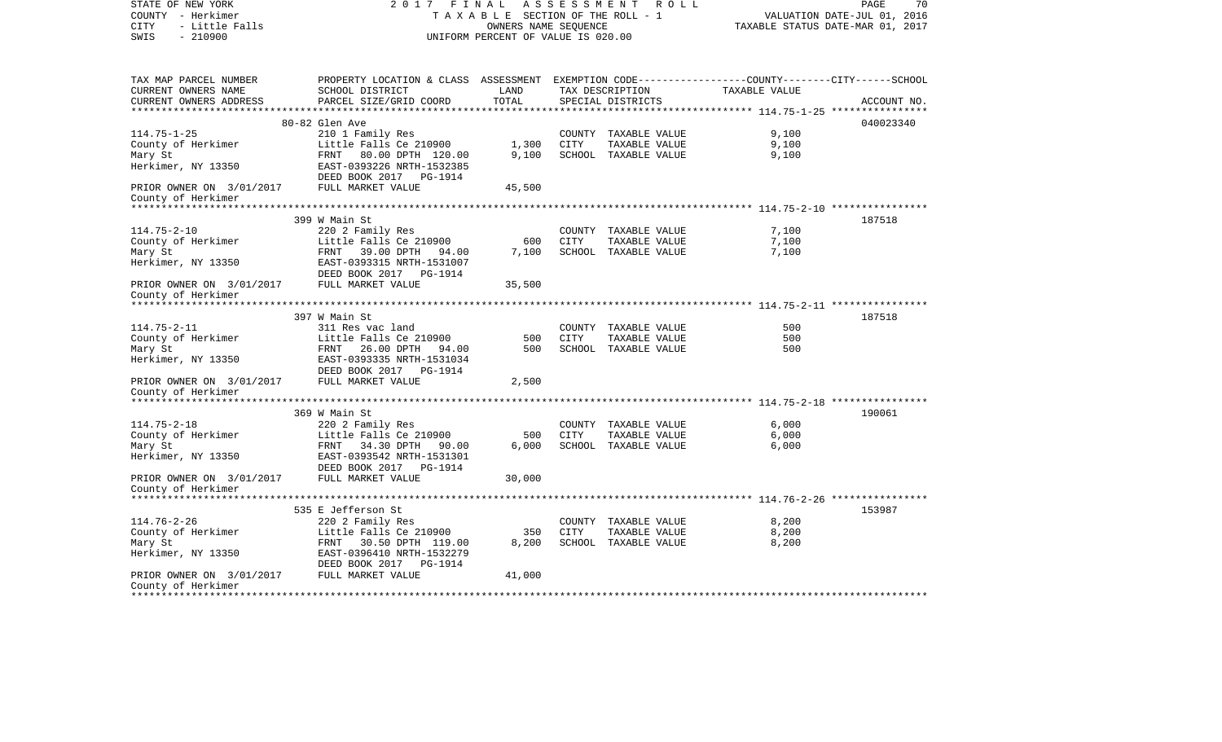| STATE OF NEW YORK<br>COUNTY - Herkimer<br>- Little Falls<br><b>CITY</b> |                                                                                                 | TAXABLE SECTION OF THE ROLL - 1<br>OWNERS NAME SEQUENCE |             | 2017 FINAL ASSESSMENT ROLL |                | PAGE<br>70<br>VALUATION DATE-JUL 01, 2016<br>TAXABLE STATUS DATE-MAR 01, 2017 |
|-------------------------------------------------------------------------|-------------------------------------------------------------------------------------------------|---------------------------------------------------------|-------------|----------------------------|----------------|-------------------------------------------------------------------------------|
| $-210900$<br>SWIS                                                       |                                                                                                 | UNIFORM PERCENT OF VALUE IS 020.00                      |             |                            |                |                                                                               |
| TAX MAP PARCEL NUMBER                                                   | PROPERTY LOCATION & CLASS ASSESSMENT EXEMPTION CODE---------------COUNTY-------CITY------SCHOOL |                                                         |             |                            |                |                                                                               |
| CURRENT OWNERS NAME                                                     | SCHOOL DISTRICT                                                                                 | LAND                                                    |             | TAX DESCRIPTION            | TAXABLE VALUE  |                                                                               |
| CURRENT OWNERS ADDRESS                                                  | PARCEL SIZE/GRID COORD                                                                          | TOTAL                                                   |             | SPECIAL DISTRICTS          |                | ACCOUNT NO.                                                                   |
|                                                                         |                                                                                                 |                                                         |             |                            |                |                                                                               |
| $114.75 - 1 - 25$                                                       | 80-82 Glen Ave                                                                                  |                                                         |             | COUNTY TAXABLE VALUE       | 9,100          | 040023340                                                                     |
| County of Herkimer                                                      | 210 1 Family Res<br>Little Falls Ce 210900                                                      | 1,300                                                   | CITY        | TAXABLE VALUE              | 9,100          |                                                                               |
| Mary St                                                                 | FRNT 80.00 DPTH 120.00                                                                          | 9,100                                                   |             | SCHOOL TAXABLE VALUE       | 9,100          |                                                                               |
| Herkimer, NY 13350                                                      | EAST-0393226 NRTH-1532385<br>DEED BOOK 2017 PG-1914                                             |                                                         |             |                            |                |                                                                               |
| PRIOR OWNER ON 3/01/2017<br>County of Herkimer                          | FULL MARKET VALUE                                                                               | 45,500                                                  |             |                            |                |                                                                               |
|                                                                         |                                                                                                 |                                                         |             |                            |                |                                                                               |
|                                                                         | 399 W Main St                                                                                   |                                                         |             |                            |                | 187518                                                                        |
| $114.75 - 2 - 10$                                                       | 220 2 Family Res                                                                                |                                                         |             | COUNTY TAXABLE VALUE       | 7,100          |                                                                               |
| County of Herkimer                                                      | Little Falls Ce 210900                                                                          | 600                                                     | CITY        | TAXABLE VALUE              | 7,100          |                                                                               |
| Mary St                                                                 | FRNT 39.00 DPTH 94.00                                                                           | 7,100                                                   |             | SCHOOL TAXABLE VALUE       | 7,100          |                                                                               |
| Herkimer, NY 13350                                                      | EAST-0393315 NRTH-1531007<br>DEED BOOK 2017    PG-1914                                          |                                                         |             |                            |                |                                                                               |
| PRIOR OWNER ON 3/01/2017<br>County of Herkimer                          | FULL MARKET VALUE                                                                               | 35,500                                                  |             |                            |                |                                                                               |
|                                                                         |                                                                                                 |                                                         |             |                            |                |                                                                               |
|                                                                         | 397 W Main St                                                                                   |                                                         |             |                            |                | 187518                                                                        |
| $114.75 - 2 - 11$                                                       | 311 Res vac land                                                                                |                                                         |             | COUNTY TAXABLE VALUE       | 500            |                                                                               |
| County of Herkimer                                                      | Little Falls Ce 210900                                                                          | 500                                                     | <b>CITY</b> | TAXABLE VALUE              | 500            |                                                                               |
| Mary St                                                                 | FRNT 26.00 DPTH 94.00                                                                           | 500                                                     |             | SCHOOL TAXABLE VALUE       | 500            |                                                                               |
| Herkimer, NY 13350                                                      | EAST-0393335 NRTH-1531034<br>DEED BOOK 2017    PG-1914                                          |                                                         |             |                            |                |                                                                               |
| PRIOR OWNER ON 3/01/2017<br>County of Herkimer                          | FULL MARKET VALUE                                                                               | 2,500                                                   |             |                            |                |                                                                               |
| **********************                                                  |                                                                                                 |                                                         |             |                            |                |                                                                               |
|                                                                         | 369 W Main St                                                                                   |                                                         |             |                            |                | 190061                                                                        |
| $114.75 - 2 - 18$                                                       | 220 2 Family Res                                                                                |                                                         |             | COUNTY TAXABLE VALUE       | 6,000          |                                                                               |
| County of Herkimer                                                      | Little Falls Ce 210900                                                                          | 500                                                     | CITY        | TAXABLE VALUE              | 6,000          |                                                                               |
| Mary St                                                                 | FRNT 34.30 DPTH 90.00                                                                           | 6,000                                                   |             | SCHOOL TAXABLE VALUE       | 6,000          |                                                                               |
| Herkimer, NY 13350                                                      | EAST-0393542 NRTH-1531301<br>DEED BOOK 2017    PG-1914                                          |                                                         |             |                            |                |                                                                               |
| PRIOR OWNER ON 3/01/2017                                                | FULL MARKET VALUE                                                                               | 30,000                                                  |             |                            |                |                                                                               |
| County of Herkimer<br>*******************                               |                                                                                                 |                                                         |             |                            |                |                                                                               |
|                                                                         |                                                                                                 |                                                         |             |                            |                |                                                                               |
| $114.76 - 2 - 26$                                                       | 535 E Jefferson St                                                                              |                                                         |             | COUNTY TAXABLE VALUE       |                | 153987                                                                        |
| County of Herkimer                                                      | 220 2 Family Res<br>Little Falls Ce 210900                                                      | 350                                                     | CITY        | TAXABLE VALUE              | 8,200<br>8,200 |                                                                               |
| Mary St                                                                 | FRNT 30.50 DPTH 119.00                                                                          | 8,200                                                   |             | SCHOOL TAXABLE VALUE       | 8,200          |                                                                               |
| Herkimer, NY 13350                                                      | EAST-0396410 NRTH-1532279                                                                       |                                                         |             |                            |                |                                                                               |
|                                                                         | DEED BOOK 2017 PG-1914                                                                          |                                                         |             |                            |                |                                                                               |
| PRIOR OWNER ON 3/01/2017 FULL MARKET VALUE                              |                                                                                                 | 41,000                                                  |             |                            |                |                                                                               |
| County of Herkimer                                                      |                                                                                                 |                                                         |             |                            |                |                                                                               |
|                                                                         |                                                                                                 |                                                         |             |                            |                |                                                                               |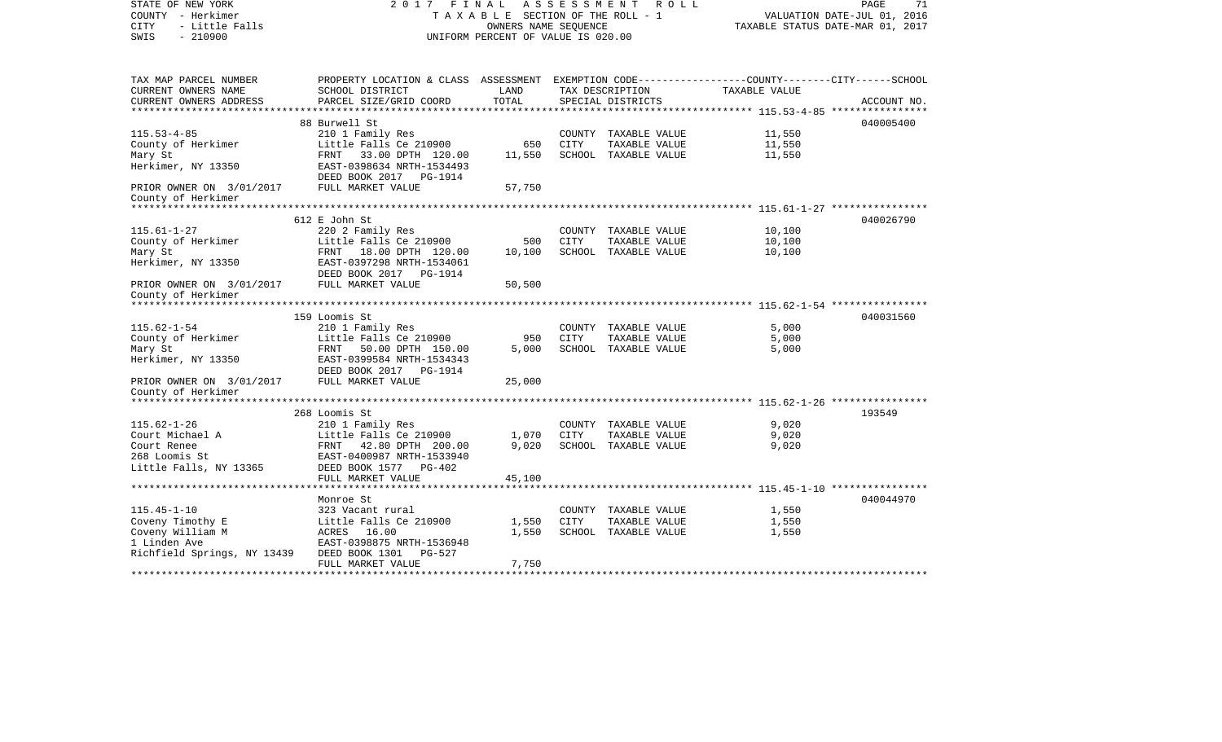| STATE OF NEW YORK<br>COUNTY - Herkimer<br><b>CITY</b><br>- Little Falls<br>$-210900$<br>SWIS | 2017 FINAL<br>A S S E S S M E N T<br>R O L L<br>TAXABLE SECTION OF THE ROLL - 1<br>OWNERS NAME SEOUENCE<br>UNIFORM PERCENT OF VALUE IS 020.00 |        |             |                                       |                | PAGE<br>71<br>VALUATION DATE-JUL 01, 2016<br>TAXABLE STATUS DATE-MAR 01, 2017 |  |
|----------------------------------------------------------------------------------------------|-----------------------------------------------------------------------------------------------------------------------------------------------|--------|-------------|---------------------------------------|----------------|-------------------------------------------------------------------------------|--|
| TAX MAP PARCEL NUMBER                                                                        | PROPERTY LOCATION & CLASS ASSESSMENT EXEMPTION CODE---------------COUNTY-------CITY------SCHOOL                                               |        |             |                                       |                |                                                                               |  |
| CURRENT OWNERS NAME                                                                          | SCHOOL DISTRICT                                                                                                                               | LAND   |             | TAX DESCRIPTION                       | TAXABLE VALUE  |                                                                               |  |
| CURRENT OWNERS ADDRESS                                                                       | PARCEL SIZE/GRID COORD                                                                                                                        | TOTAL  |             | SPECIAL DISTRICTS                     |                | ACCOUNT NO.                                                                   |  |
|                                                                                              | 88 Burwell St                                                                                                                                 |        |             |                                       |                | 040005400                                                                     |  |
| $115.53 - 4 - 85$                                                                            | 210 1 Family Res                                                                                                                              |        |             | COUNTY TAXABLE VALUE                  | 11,550         |                                                                               |  |
| County of Herkimer                                                                           | Little Falls Ce 210900                                                                                                                        | 650    | CITY        | TAXABLE VALUE                         | 11,550         |                                                                               |  |
| Mary St                                                                                      | FRNT 33.00 DPTH 120.00                                                                                                                        | 11,550 |             | SCHOOL TAXABLE VALUE                  | 11,550         |                                                                               |  |
| Herkimer, NY 13350                                                                           | EAST-0398634 NRTH-1534493<br>DEED BOOK 2017 PG-1914                                                                                           |        |             |                                       |                |                                                                               |  |
| PRIOR OWNER ON 3/01/2017<br>County of Herkimer                                               | FULL MARKET VALUE                                                                                                                             | 57,750 |             |                                       |                |                                                                               |  |
|                                                                                              |                                                                                                                                               |        |             |                                       |                |                                                                               |  |
|                                                                                              | 612 E John St                                                                                                                                 |        |             |                                       |                | 040026790                                                                     |  |
| $115.61 - 1 - 27$                                                                            | 220 2 Family Res                                                                                                                              |        |             | COUNTY TAXABLE VALUE                  | 10,100         |                                                                               |  |
| County of Herkimer                                                                           | Little Falls Ce 210900                                                                                                                        | 500    | <b>CITY</b> | TAXABLE VALUE                         | 10,100         |                                                                               |  |
| Mary St                                                                                      | FRNT 18.00 DPTH 120.00                                                                                                                        | 10,100 |             | SCHOOL TAXABLE VALUE                  | 10,100         |                                                                               |  |
| Herkimer, NY 13350                                                                           | EAST-0397298 NRTH-1534061<br>DEED BOOK 2017 PG-1914                                                                                           |        |             |                                       |                |                                                                               |  |
| PRIOR OWNER ON 3/01/2017                                                                     | FULL MARKET VALUE                                                                                                                             | 50,500 |             |                                       |                |                                                                               |  |
| County of Herkimer                                                                           |                                                                                                                                               |        |             |                                       |                |                                                                               |  |
|                                                                                              |                                                                                                                                               |        |             |                                       |                |                                                                               |  |
|                                                                                              | 159 Loomis St                                                                                                                                 |        |             |                                       |                | 040031560                                                                     |  |
| $115.62 - 1 - 54$<br>County of Herkimer                                                      | 210 1 Family Res<br>Little Falls Ce 210900                                                                                                    | 950    | <b>CITY</b> | COUNTY TAXABLE VALUE<br>TAXABLE VALUE | 5,000<br>5,000 |                                                                               |  |
| Mary St                                                                                      | FRNT<br>50.00 DPTH 150.00                                                                                                                     | 5,000  |             | SCHOOL TAXABLE VALUE                  | 5,000          |                                                                               |  |
| Herkimer, NY 13350                                                                           | EAST-0399584 NRTH-1534343                                                                                                                     |        |             |                                       |                |                                                                               |  |
|                                                                                              | DEED BOOK 2017 PG-1914                                                                                                                        |        |             |                                       |                |                                                                               |  |
| PRIOR OWNER ON 3/01/2017                                                                     | FULL MARKET VALUE                                                                                                                             | 25,000 |             |                                       |                |                                                                               |  |
| County of Herkimer                                                                           |                                                                                                                                               |        |             |                                       |                |                                                                               |  |
| 193549<br>268 Loomis St                                                                      |                                                                                                                                               |        |             |                                       |                |                                                                               |  |
| $115.62 - 1 - 26$                                                                            | 210 1 Family Res                                                                                                                              |        |             | COUNTY TAXABLE VALUE                  | 9,020          |                                                                               |  |
| Court Michael A                                                                              | Little Falls Ce 210900                                                                                                                        | 1,070  | CITY        | TAXABLE VALUE                         | 9,020          |                                                                               |  |
| Court Renee                                                                                  | FRNT 42.80 DPTH 200.00                                                                                                                        | 9.020  |             | SCHOOL TAXABLE VALUE                  | 9,020          |                                                                               |  |
| 268 Loomis St                                                                                | EAST-0400987 NRTH-1533940                                                                                                                     |        |             |                                       |                |                                                                               |  |
| Little Falls, NY 13365                                                                       | DEED BOOK 1577 PG-402                                                                                                                         |        |             |                                       |                |                                                                               |  |
|                                                                                              | FULL MARKET VALUE                                                                                                                             | 45,100 |             |                                       |                |                                                                               |  |
|                                                                                              | Monroe St                                                                                                                                     |        |             |                                       |                | 040044970                                                                     |  |
| $115.45 - 1 - 10$                                                                            | 323 Vacant rural                                                                                                                              |        |             | COUNTY TAXABLE VALUE                  | 1,550          |                                                                               |  |
| Coveny Timothy E                                                                             | Little Falls Ce 210900                                                                                                                        | 1,550  | <b>CITY</b> | TAXABLE VALUE                         | 1,550          |                                                                               |  |
| Coveny William M                                                                             | ACRES 16.00                                                                                                                                   | 1,550  |             | SCHOOL TAXABLE VALUE                  | 1,550          |                                                                               |  |
| 1 Linden Ave                                                                                 | EAST-0398875 NRTH-1536948                                                                                                                     |        |             |                                       |                |                                                                               |  |
| Richfield Springs, NY 13439                                                                  | DEED BOOK 1301<br>PG-527                                                                                                                      |        |             |                                       |                |                                                                               |  |
|                                                                                              | FULL MARKET VALUE                                                                                                                             | 7,750  |             |                                       |                |                                                                               |  |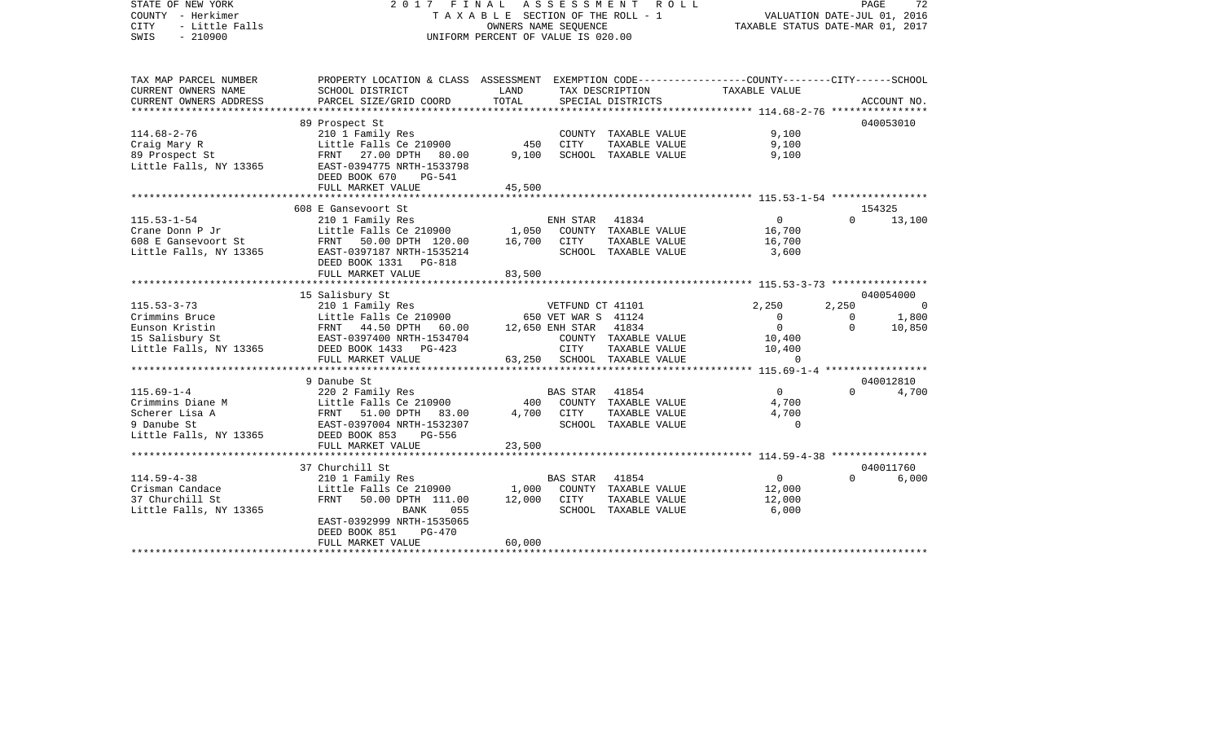| STATE OF NEW YORK<br>COUNTY - Herkimer<br><b>CITY</b><br>- Little Falls<br>$-210900$<br>SWIS        | 2017 FINAL ASSESSMENT                                                                                                                                                        | TAXABLE SECTION OF THE ROLL - 1<br>OWNERS NAME SEQUENCE<br>UNIFORM PERCENT OF VALUE IS 020.00 |                                                                          | ROLL                                                                   | TAXABLE STATUS DATE-MAR 01, 2017                                    |                               | PAGE<br>72<br>VALUATION DATE-JUL 01, 2016 |
|-----------------------------------------------------------------------------------------------------|------------------------------------------------------------------------------------------------------------------------------------------------------------------------------|-----------------------------------------------------------------------------------------------|--------------------------------------------------------------------------|------------------------------------------------------------------------|---------------------------------------------------------------------|-------------------------------|-------------------------------------------|
| TAX MAP PARCEL NUMBER<br>CURRENT OWNERS NAME<br>CURRENT OWNERS ADDRESS<br>************************* | PROPERTY LOCATION & CLASS ASSESSMENT EXEMPTION CODE--------------COUNTY-------CITY------SCHOOL<br>SCHOOL DISTRICT<br>PARCEL SIZE/GRID COORD<br>***************************** | LAND<br>TOTAL                                                                                 |                                                                          | TAX DESCRIPTION<br>SPECIAL DISTRICTS                                   | TAXABLE VALUE                                                       |                               | ACCOUNT NO.                               |
| $114.68 - 2 - 76$<br>Craig Mary R<br>89 Prospect St<br>Little Falls, NY 13365                       | 89 Prospect St<br>210 1 Family Res<br>Little Falls Ce 210900<br>FRNT 27.00 DPTH 80.00<br>EAST-0394775 NRTH-1533798<br>DEED BOOK 670<br>PG-541<br>FULL MARKET VALUE           | 450<br>9,100<br>45,500                                                                        | <b>CITY</b>                                                              | COUNTY TAXABLE VALUE<br>TAXABLE VALUE<br>SCHOOL TAXABLE VALUE          | 9,100<br>9,100<br>9,100                                             |                               | 040053010                                 |
|                                                                                                     |                                                                                                                                                                              |                                                                                               |                                                                          |                                                                        |                                                                     |                               |                                           |
| $115.53 - 1 - 54$<br>Crane Donn P Jr<br>608 E Gansevoort St<br>Little Falls, NY 13365               | 608 E Gansevoort St<br>210 1 Family Res<br>Little Falls Ce 210900<br>FRNT<br>50.00 DPTH 120.00<br>EAST-0397187 NRTH-1535214<br>DEED BOOK 1331 PG-818                         | 1,050<br>16,700                                                                               | ENH STAR<br>CITY                                                         | 41834<br>COUNTY TAXABLE VALUE<br>TAXABLE VALUE<br>SCHOOL TAXABLE VALUE | $\mathbf 0$<br>16,700<br>16,700<br>3,600                            | $\Omega$                      | 154325<br>13,100                          |
|                                                                                                     | FULL MARKET VALUE                                                                                                                                                            | 83,500                                                                                        |                                                                          |                                                                        |                                                                     |                               |                                           |
|                                                                                                     | 15 Salisbury St                                                                                                                                                              |                                                                                               |                                                                          |                                                                        |                                                                     |                               | 040054000                                 |
| $115.53 - 3 - 73$<br>Crimmins Bruce<br>Eunson Kristin<br>15 Salisbury St<br>Little Falls, NY 13365  | 210 1 Family Res<br>Little Falls Ce 210900<br>FRNT 44.50 DPTH 60.00<br>EAST-0397400 NRTH-1534704<br>DEED BOOK 1433 PG-423<br>FULL MARKET VALUE                               | 63,250                                                                                        | VETFUND CT 41101<br>650 VET WAR S 41124<br>12,650 ENH STAR 41834<br>CITY | COUNTY TAXABLE VALUE<br>TAXABLE VALUE<br>SCHOOL TAXABLE VALUE          | 2,250<br>$\Omega$<br>$\overline{0}$<br>10,400<br>10,400<br>$\Omega$ | 2,250<br>$\Omega$<br>$\Omega$ | $\Omega$<br>1,800<br>10,850               |
|                                                                                                     |                                                                                                                                                                              |                                                                                               |                                                                          |                                                                        |                                                                     |                               |                                           |
| $115.69 - 1 - 4$<br>Crimmins Diane M<br>Scherer Lisa A<br>9 Danube St<br>Little Falls, NY 13365     | 9 Danube St<br>220 2 Family Res<br>Little Falls Ce 210900<br>FRNT 51.00 DPTH<br>83.00<br>EAST-0397004 NRTH-1532307<br>DEED BOOK 853<br>PG-556<br>FULL MARKET VALUE           | 400<br>4,700<br>23,500                                                                        | <b>BAS STAR</b><br>CITY                                                  | 41854<br>COUNTY TAXABLE VALUE<br>TAXABLE VALUE<br>SCHOOL TAXABLE VALUE | $\overline{0}$<br>4,700<br>4,700<br>$\Omega$                        | $\Omega$                      | 040012810<br>4,700                        |
|                                                                                                     | 37 Churchill St                                                                                                                                                              |                                                                                               |                                                                          |                                                                        |                                                                     |                               | 040011760                                 |
| $114.59 - 4 - 38$<br>Crisman Candace<br>37 Churchill St<br>Little Falls, NY 13365                   | 210 1 Family Res<br>Little Falls Ce 210900<br>FRNT<br>50.00 DPTH 111.00<br>055<br>BANK<br>EAST-0392999 NRTH-1535065<br>DEED BOOK 851<br>$PG-470$<br>FULL MARKET VALUE        | 1,000<br>12,000<br>60,000                                                                     | <b>BAS STAR</b><br>CITY                                                  | 41854<br>COUNTY TAXABLE VALUE<br>TAXABLE VALUE<br>SCHOOL TAXABLE VALUE | $\mathbf 0$<br>12,000<br>12,000<br>6,000                            | $\Omega$                      | 6,000                                     |
|                                                                                                     | ************************                                                                                                                                                     |                                                                                               |                                                                          |                                                                        |                                                                     |                               |                                           |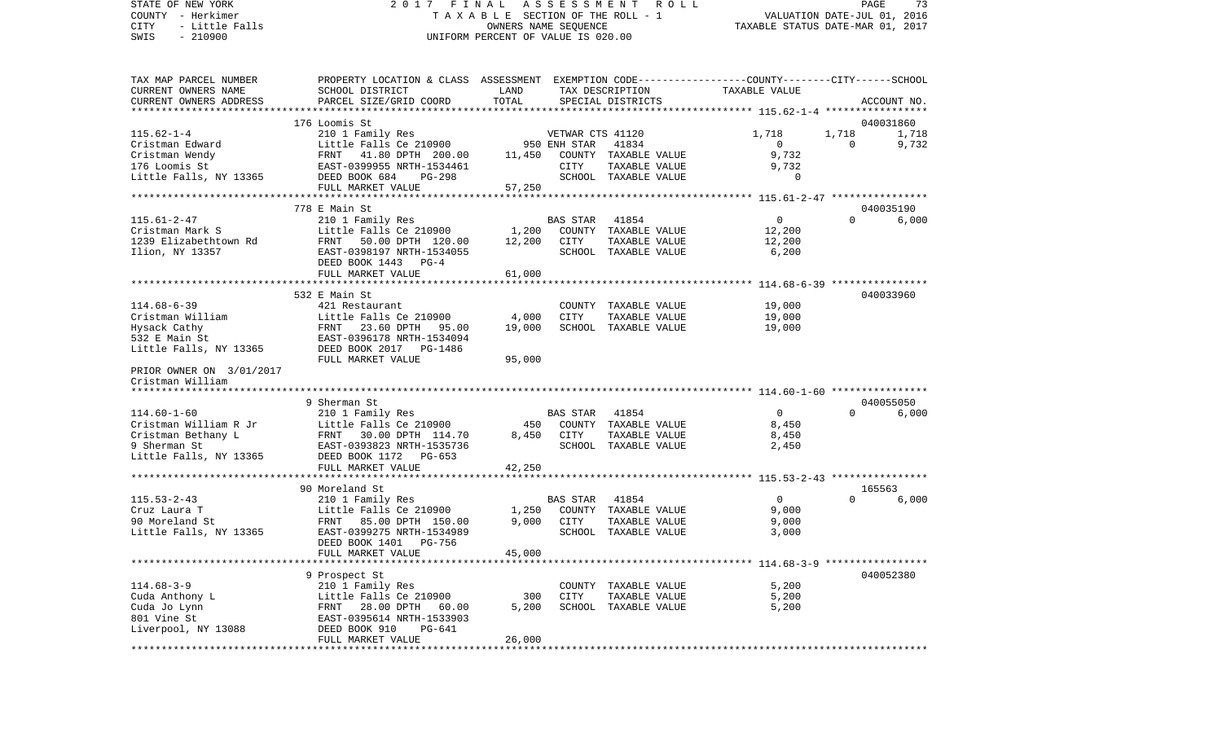COUNTY - Herkimer **T A X A B L E** SECTION OF THE ROLL - 1 VALUATION DATE-JUL 01, 2016 CITY - Little Falls OWNERS NAME SEQUENCE TAXABLE STATUS DATE-MAR 01, 2017 SWIS - 210900 UNIFORM PERCENT OF VALUE IS 020.00TAX MAP PARCEL NUMBER PROPERTY LOCATION & CLASS ASSESSMENT EXEMPTION CODE------------------COUNTY--------CITY------SCHOOL CURRENT OWNERS NAME SCHOOL DISTRICT LAND TAX DESCRIPTION TAXABLE VALUECURRENT OWNERS ADDRESS PARCEL SIZE/GRID COORD TOTAL SPECIAL DISTRICTS ACCOUNT NO. \*\*\*\*\*\*\*\*\*\*\*\*\*\*\*\*\*\*\*\*\*\*\*\*\*\*\*\*\*\*\*\*\*\*\*\*\*\*\*\*\*\*\*\*\*\*\*\*\*\*\*\*\*\*\*\*\*\*\*\*\*\*\*\*\*\*\*\*\*\*\*\*\*\*\*\*\*\*\*\*\*\*\*\*\*\*\*\*\*\*\*\*\*\*\*\*\*\*\*\*\*\*\* 115.62-1-4 \*\*\*\*\*\*\*\*\*\*\*\*\*\*\*\*\* 176 Loomis St 040031860115.62-1-4 210 1 Family Res VETWAR CTS 41120 1,718 1,718 1,718 Cristman Edward Little Falls Ce 210900 950 ENH STAR 41834 0 0 9,732 Cristman Wendy FRNT 41.80 DPTH 200.00 11,450 COUNTY TAXABLE VALUE 9,732 176 Loomis St. EAST-0399955 NRTH-1534461 CITY TAXABLE VALUE Little Falls, NY 13365 DEED BOOK 684 PG-298 SCHOOL TAXABLE VALUE 0 FULL MARKET VALUE 57,250 \*\*\*\*\*\*\*\*\*\*\*\*\*\*\*\*\*\*\*\*\*\*\*\*\*\*\*\*\*\*\*\*\*\*\*\*\*\*\*\*\*\*\*\*\*\*\*\*\*\*\*\*\*\*\*\*\*\*\*\*\*\*\*\*\*\*\*\*\*\*\*\*\*\*\*\*\*\*\*\*\*\*\*\*\*\*\*\*\*\*\*\*\*\*\*\*\*\*\*\*\*\*\* 115.61-2-47 \*\*\*\*\*\*\*\*\*\*\*\*\*\*\*\* 778 E Main St 040035190115.61-2-47 210 1 Family Res BAS STAR 41854 0 0 6,000 Cristman Mark S Little Falls Ce 210900 1,200 COUNTY TAXABLE VALUE 1239 Elizabethtown Rd FRNT 50.00 DPTH 120.00 12,200 CITY TAXABLE VALUE 12,200 Ilion, NY 13357 EAST-0398197 NRTH-1534055 SCHOOL TAXABLE VALUE 6,200 DEED BOOK 1443 PG-4FULL MARKET VALUE 61,000 \*\*\*\*\*\*\*\*\*\*\*\*\*\*\*\*\*\*\*\*\*\*\*\*\*\*\*\*\*\*\*\*\*\*\*\*\*\*\*\*\*\*\*\*\*\*\*\*\*\*\*\*\*\*\*\*\*\*\*\*\*\*\*\*\*\*\*\*\*\*\*\*\*\*\*\*\*\*\*\*\*\*\*\*\*\*\*\*\*\*\*\*\*\*\*\*\*\*\*\*\*\*\* 114.68-6-39 \*\*\*\*\*\*\*\*\*\*\*\*\*\*\*\* 532 E Main St 040033960114.68-6-39 421 Restaurant COUNTY TAXABLE VALUE 19,000 Cristman William Little Falls Ce 210900 4,000 CITY TAXABLE VALUE 19,000 Hysack Cathy FRNT 23.60 DPTH 95.00 19,000 SCHOOL TAXABLE VALUE 19,000 532 E Main St EAST-0396178 NRTH-1534094Little Falls, NY 13365 DEED BOOK 2017 PG-1486 FULL MARKET VALUE 95,000 PRIOR OWNER ON 3/01/2017 Cristman William \*\*\*\*\*\*\*\*\*\*\*\*\*\*\*\*\*\*\*\*\*\*\*\*\*\*\*\*\*\*\*\*\*\*\*\*\*\*\*\*\*\*\*\*\*\*\*\*\*\*\*\*\*\*\*\*\*\*\*\*\*\*\*\*\*\*\*\*\*\*\*\*\*\*\*\*\*\*\*\*\*\*\*\*\*\*\*\*\*\*\*\*\*\*\*\*\*\*\*\*\*\*\* 114.60-1-60 \*\*\*\*\*\*\*\*\*\*\*\*\*\*\*\* 9 Sherman St 040055050114.60-1-60 210 1 Family Res BAS STAR 41854 0 0 6,000 Cristman William R Jr Little Falls Ce 210900 450 COUNTY TAXABLE VALUE 8,450 Cristman Bethany L FRNT 30.00 DPTH 114.70 8,450 CITY TAXABLE VALUE 8,450 9 Sherman St EAST-0393823 NRTH-1535736 SCHOOL TAXABLE VALUE 2,450 Little Falls, NY 13365 DEED BOOK 1172 PG-653 FULL MARKET VALUE 42,250 \*\*\*\*\*\*\*\*\*\*\*\*\*\*\*\*\*\*\*\*\*\*\*\*\*\*\*\*\*\*\*\*\*\*\*\*\*\*\*\*\*\*\*\*\*\*\*\*\*\*\*\*\*\*\*\*\*\*\*\*\*\*\*\*\*\*\*\*\*\*\*\*\*\*\*\*\*\*\*\*\*\*\*\*\*\*\*\*\*\*\*\*\*\*\*\*\*\*\*\*\*\*\* 115.53-2-43 \*\*\*\*\*\*\*\*\*\*\*\*\*\*\*\* 90 Moreland St 165563115.53-2-43 210 1 Family Res BAS STAR 41854 0 0 6,000 Cruz Laura T Little Falls Ce 210900 1,250 COUNTY TAXABLE VALUE 9,000 90 Moreland St FRNT 85.00 DPTH 150.00 9,000 CITY TAXABLE VALUE 9,000 Little Falls, NY 13365 EAST-0399275 NRTH-1534989 SCHOOL TAXABLE VALUE 3,000 DEED BOOK 1401 PG-756FULL MARKET VALUE 45,000 \*\*\*\*\*\*\*\*\*\*\*\*\*\*\*\*\*\*\*\*\*\*\*\*\*\*\*\*\*\*\*\*\*\*\*\*\*\*\*\*\*\*\*\*\*\*\*\*\*\*\*\*\*\*\*\*\*\*\*\*\*\*\*\*\*\*\*\*\*\*\*\*\*\*\*\*\*\*\*\*\*\*\*\*\*\*\*\*\*\*\*\*\*\*\*\*\*\*\*\*\*\*\* 114.68-3-9 \*\*\*\*\*\*\*\*\*\*\*\*\*\*\*\*\* 9 Prospect St 040052380 114.68-3-9 210 1 Family Res COUNTY TAXABLE VALUE 5,200 Cuda Anthony L Cuda Anthony L Cuda Anthony L Cuda Anthony L Cuda Anthony L Cuda Anthony L Cuda Anthony L Cuda A Cuda Jo Lynn FRNT 28.00 DPTH 60.00 5,200 SCHOOL TAXABLE VALUE 5,200 801 Vine St EAST-0395614 NRTH-1533903Liverpool, NY 13088 DEED BOOK 910 PG-641 FULL MARKET VALUE 26,000 \*\*\*\*\*\*\*\*\*\*\*\*\*\*\*\*\*\*\*\*\*\*\*\*\*\*\*\*\*\*\*\*\*\*\*\*\*\*\*\*\*\*\*\*\*\*\*\*\*\*\*\*\*\*\*\*\*\*\*\*\*\*\*\*\*\*\*\*\*\*\*\*\*\*\*\*\*\*\*\*\*\*\*\*\*\*\*\*\*\*\*\*\*\*\*\*\*\*\*\*\*\*\*\*\*\*\*\*\*\*\*\*\*\*\*\*\*\*\*\*\*\*\*\*\*\*\*\*\*\*\*\*

STATE OF NEW YORK 2 0 1 7 F I N A L A S S E S S M E N T R O L L PAGE 73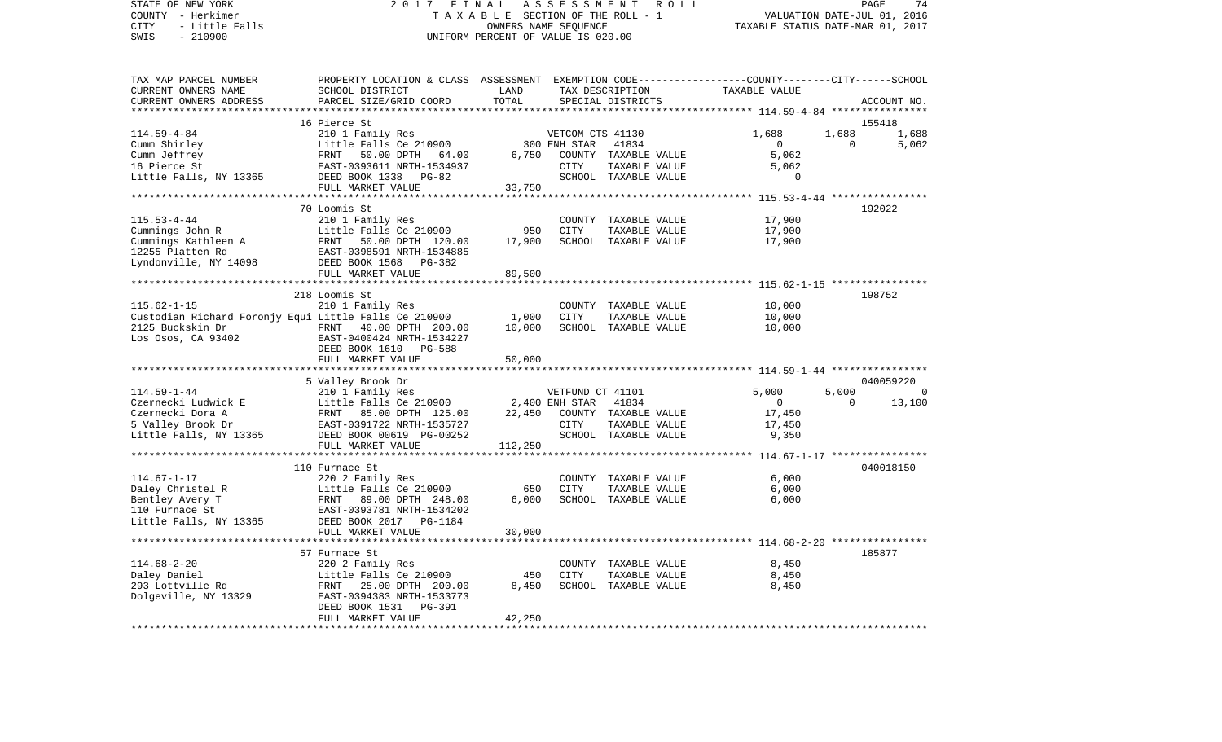STATE OF NEW YORK 2 0 1 7 F I N A L A S S E S S M E N T R O L L PAGE 74COUNTY - Herkimer **T A X A B L E SECTION OF THE ROLL - 1** VALUATION DATE-JUL 01, 2016 CITY - Little Falls OWNERS NAME SEQUENCE TAXABLE STATUS DATE-MAR 01, 2017 SWIS - 210900 UNIFORM PERCENT OF VALUE IS 020.00TAX MAP PARCEL NUMBER PROPERTY LOCATION & CLASS ASSESSMENT EXEMPTION CODE------------------COUNTY--------CITY------SCHOOL CURRENT OWNERS NAME SCHOOL DISTRICT LAND TAX DESCRIPTION TAXABLE VALUECURRENT OWNERS ADDRESS PARCEL SIZE/GRID COORD TOTAL SPECIAL DISTRICTS ACCOUNT NO. \*\*\*\*\*\*\*\*\*\*\*\*\*\*\*\*\*\*\*\*\*\*\*\*\*\*\*\*\*\*\*\*\*\*\*\*\*\*\*\*\*\*\*\*\*\*\*\*\*\*\*\*\*\*\*\*\*\*\*\*\*\*\*\*\*\*\*\*\*\*\*\*\*\*\*\*\*\*\*\*\*\*\*\*\*\*\*\*\*\*\*\*\*\*\*\*\*\*\*\*\*\*\* 114.59-4-84 \*\*\*\*\*\*\*\*\*\*\*\*\*\*\*\* 16 Pierce St 155418114.59-4-84 210 1 Family Res VETCOM CTS 41130 1,688 1,688 1,688 Cumm Shirley **Little Falls Ce 210900** 300 ENH STAR 41834 0 0 5,062 Cumm Jeffrey FRNT 50.00 DPTH 64.00 6,750 COUNTY TAXABLE VALUE 5,062 16 Pierce St EAST-0393611 NRTH-1534937 CITY TAXABLE VALUE 5,062 Little Falls, NY 13365 DEED BOOK 1338 PG-82 SCHOOL TAXABLE VALUE 0 FULL MARKET VALUE 33,750 \*\*\*\*\*\*\*\*\*\*\*\*\*\*\*\*\*\*\*\*\*\*\*\*\*\*\*\*\*\*\*\*\*\*\*\*\*\*\*\*\*\*\*\*\*\*\*\*\*\*\*\*\*\*\*\*\*\*\*\*\*\*\*\*\*\*\*\*\*\*\*\*\*\*\*\*\*\*\*\*\*\*\*\*\*\*\*\*\*\*\*\*\*\*\*\*\*\*\*\*\*\*\* 115.53-4-44 \*\*\*\*\*\*\*\*\*\*\*\*\*\*\*\* 70 Loomis St 192022115.53-4-44 210 1 Family Res COUNTY TAXABLE VALUE 17,900 Cummings John R Little Falls Ce 210900 950 CITY TAXABLE VALUE 17,900 Cummings Kathleen A FRNT 50.00 DPTH 120.00 17,900 SCHOOL TAXABLE VALUE 17,900 12255 Platten Rd EAST-0398591 NRTH-1534885Lyndonville, NY 14098 DEED BOOK 1568 PG-382 FULL MARKET VALUE 89,500 \*\*\*\*\*\*\*\*\*\*\*\*\*\*\*\*\*\*\*\*\*\*\*\*\*\*\*\*\*\*\*\*\*\*\*\*\*\*\*\*\*\*\*\*\*\*\*\*\*\*\*\*\*\*\*\*\*\*\*\*\*\*\*\*\*\*\*\*\*\*\*\*\*\*\*\*\*\*\*\*\*\*\*\*\*\*\*\*\*\*\*\*\*\*\*\*\*\*\*\*\*\*\* 115.62-1-15 \*\*\*\*\*\*\*\*\*\*\*\*\*\*\*\* 218 Loomis St 198752115.62-1-15 210 1 Family Res COUNTY TAXABLE VALUE 10,000 Custodian Richard Foronjy Equi Little Falls Ce 210900 1,000 CITY TAXABLE VALUE 10,000 2125 Buckskin Dr FRNT 40.00 DPTH 200.00 10,000 SCHOOL TAXABLE VALUE 10,000 Los Osos, CA 93402 EAST-0400424 NRTH-1534227 DEED BOOK 1610 PG-588FULL MARKET VALUE 50,000 \*\*\*\*\*\*\*\*\*\*\*\*\*\*\*\*\*\*\*\*\*\*\*\*\*\*\*\*\*\*\*\*\*\*\*\*\*\*\*\*\*\*\*\*\*\*\*\*\*\*\*\*\*\*\*\*\*\*\*\*\*\*\*\*\*\*\*\*\*\*\*\*\*\*\*\*\*\*\*\*\*\*\*\*\*\*\*\*\*\*\*\*\*\*\*\*\*\*\*\*\*\*\* 114.59-1-44 \*\*\*\*\*\*\*\*\*\*\*\*\*\*\*\* 5 Valley Brook Dr 040059220 114.59-1-44 210 1 Family Res VETFUND CT 41101 5,000 5,000 0 Czernecki Ludwick E Little Falls Ce 210900 2,400 ENH STAR 41834 0 0 0 13,100 Czernecki Dora A FRNT 85.00 DPTH 125.00 22,450 COUNTY TAXABLE VALUE 17,450 5 Valley Brook Dr EAST-0391722 NRTH-1535727 CITY TAXABLE VALUE 17,450 Little Falls, NY 13365 DEED BOOK 00619 PG-00252 SCHOOL TAXABLE VALUE 9,350 FULL MARKET VALUE 112,250 \*\*\*\*\*\*\*\*\*\*\*\*\*\*\*\*\*\*\*\*\*\*\*\*\*\*\*\*\*\*\*\*\*\*\*\*\*\*\*\*\*\*\*\*\*\*\*\*\*\*\*\*\*\*\*\*\*\*\*\*\*\*\*\*\*\*\*\*\*\*\*\*\*\*\*\*\*\*\*\*\*\*\*\*\*\*\*\*\*\*\*\*\*\*\*\*\*\*\*\*\*\*\* 114.67-1-17 \*\*\*\*\*\*\*\*\*\*\*\*\*\*\*\* 110 Furnace St 040018150114.67-1-17 220 2 Family Res COUNTY TAXABLE VALUE 6,000 Daley Christel R Little Falls Ce 210900 650 CITY TAXABLE VALUE 6,000 Bentley Avery T FRNT 89.00 DPTH 248.00 6,000 SCHOOL TAXABLE VALUE 6,000 EAST-0393781 NRTH-1534202 Little Falls, NY 13365 DEED BOOK 2017 PG-1184 FULL MARKET VALUE 30,000 \*\*\*\*\*\*\*\*\*\*\*\*\*\*\*\*\*\*\*\*\*\*\*\*\*\*\*\*\*\*\*\*\*\*\*\*\*\*\*\*\*\*\*\*\*\*\*\*\*\*\*\*\*\*\*\*\*\*\*\*\*\*\*\*\*\*\*\*\*\*\*\*\*\*\*\*\*\*\*\*\*\*\*\*\*\*\*\*\*\*\*\*\*\*\*\*\*\*\*\*\*\*\* 114.68-2-20 \*\*\*\*\*\*\*\*\*\*\*\*\*\*\*\* 57 Furnace St 185877114.68-2-20 220 2 Family Res COUNTY TAXABLE VALUE 8,450 Daley Daniel Talls Ce 210900 450 CITY 293 Lottville Rd FRNT 25.00 DPTH 200.00 8,450 SCHOOL TAXABLE VALUE 8,450 Dolgeville, NY 13329 EAST-0394383 NRTH-1533773 DEED BOOK 1531 PG-391 FULL MARKET VALUE 42,250 \*\*\*\*\*\*\*\*\*\*\*\*\*\*\*\*\*\*\*\*\*\*\*\*\*\*\*\*\*\*\*\*\*\*\*\*\*\*\*\*\*\*\*\*\*\*\*\*\*\*\*\*\*\*\*\*\*\*\*\*\*\*\*\*\*\*\*\*\*\*\*\*\*\*\*\*\*\*\*\*\*\*\*\*\*\*\*\*\*\*\*\*\*\*\*\*\*\*\*\*\*\*\*\*\*\*\*\*\*\*\*\*\*\*\*\*\*\*\*\*\*\*\*\*\*\*\*\*\*\*\*\*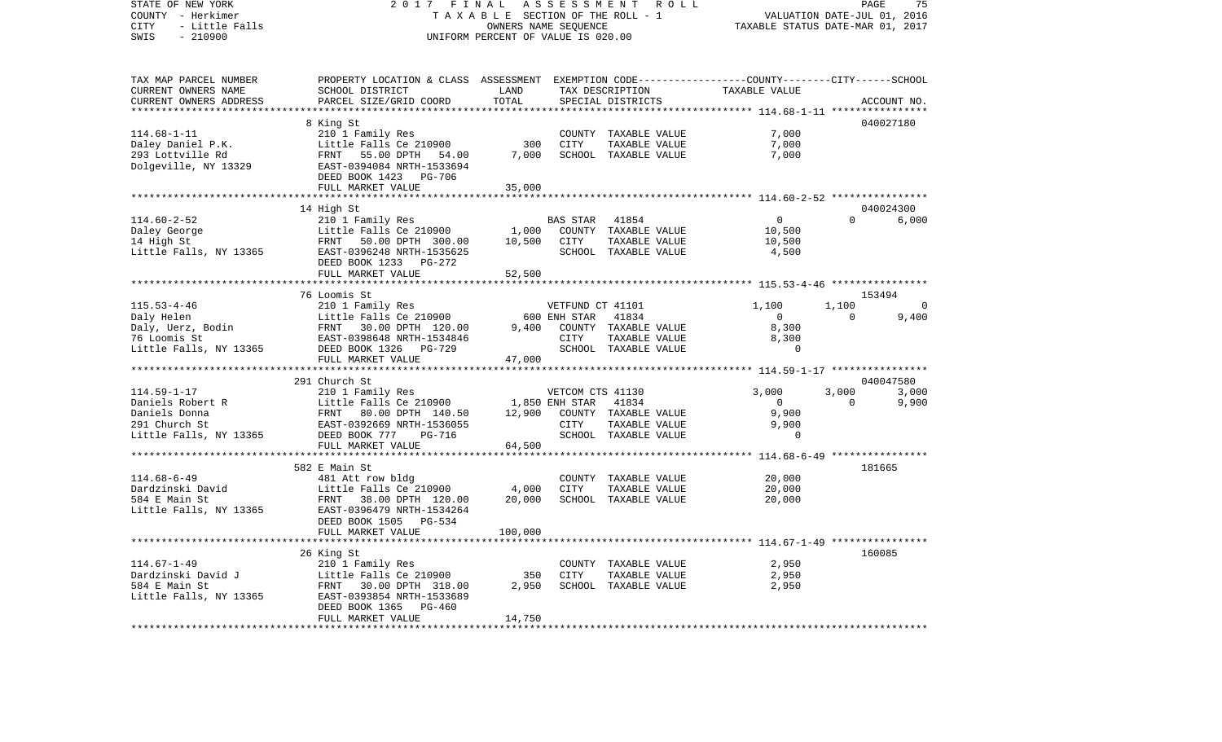| STATE OF NEW YORK<br>COUNTY - Herkimer<br>- Little Falls<br>CITY<br>SWIS<br>$-210900$ | 2017<br>FINAL<br>TAXABLE SECTION OF THE ROLL - 1<br>UNIFORM PERCENT OF VALUE IS 020.00                                                                           | PAGE<br>75<br>R O L L<br>VALUATION DATE-JUL 01, 2016<br>TAXABLE STATUS DATE-MAR 01, 2017 |                                    |                                                                        |                                                            |          |                    |
|---------------------------------------------------------------------------------------|------------------------------------------------------------------------------------------------------------------------------------------------------------------|------------------------------------------------------------------------------------------|------------------------------------|------------------------------------------------------------------------|------------------------------------------------------------|----------|--------------------|
| TAX MAP PARCEL NUMBER<br>CURRENT OWNERS NAME<br>CURRENT OWNERS ADDRESS                | PROPERTY LOCATION & CLASS ASSESSMENT EXEMPTION CODE---------------COUNTY-------CITY------SCHOOL<br>SCHOOL DISTRICT<br>PARCEL SIZE/GRID COORD                     | LAND<br>TOTAL<br>**********                                                              |                                    | TAX DESCRIPTION<br>SPECIAL DISTRICTS                                   | TAXABLE VALUE<br>*********** 114.68-1-11 ***************** |          | ACCOUNT NO.        |
|                                                                                       | 8 King St                                                                                                                                                        |                                                                                          |                                    |                                                                        |                                                            |          | 040027180          |
| $114.68 - 1 - 11$<br>Daley Daniel P.K.<br>293 Lottville Rd<br>Dolgeville, NY 13329    | 210 1 Family Res<br>Little Falls Ce 210900<br>FRNT 55.00 DPTH 54.00<br>EAST-0394084 NRTH-1533694<br>DEED BOOK 1423 PG-706<br>FULL MARKET VALUE                   | 300<br>7,000<br>35,000                                                                   | CITY                               | COUNTY TAXABLE VALUE<br>TAXABLE VALUE<br>SCHOOL TAXABLE VALUE          | 7,000<br>7,000<br>7,000                                    |          |                    |
|                                                                                       | ***********************                                                                                                                                          | *************                                                                            |                                    |                                                                        | ************************ 114.60-2-52 *****************     |          |                    |
|                                                                                       | 14 High St                                                                                                                                                       |                                                                                          |                                    |                                                                        |                                                            |          | 040024300          |
| $114.60 - 2 - 52$<br>Daley George<br>14 High St<br>Little Falls, NY 13365             | 210 1 Family Res<br>Little Falls Ce 210900<br>FRNT 50.00 DPTH 300.00<br>EAST-0396248 NRTH-1535625<br>DEED BOOK 1233 PG-272                                       | 1,000<br>10,500                                                                          | <b>BAS STAR</b><br>CITY            | 41854<br>COUNTY TAXABLE VALUE<br>TAXABLE VALUE<br>SCHOOL TAXABLE VALUE | $\overline{0}$<br>10,500<br>10,500<br>4,500                | $\Omega$ | 6,000              |
|                                                                                       | FULL MARKET VALUE<br>*******************                                                                                                                         | 52,500                                                                                   |                                    |                                                                        |                                                            |          |                    |
|                                                                                       |                                                                                                                                                                  |                                                                                          |                                    |                                                                        | ************************* 115.53-4-46 ****************     |          |                    |
| $115.53 - 4 - 46$                                                                     | 76 Loomis St                                                                                                                                                     |                                                                                          |                                    |                                                                        | 1,100                                                      | 1,100    | 153494             |
| Daly Helen                                                                            | 210 1 Family Res<br>Little Falls Ce 210900                                                                                                                       |                                                                                          | VETFUND CT 41101<br>600 ENH STAR   | 41834                                                                  | $\overline{0}$                                             | $\Omega$ | 0<br>9,400         |
| Daly, Uerz, Bodin<br>76 Loomis St<br>76 Loomis St<br>Little Falls, NY 13365           | FRNT 30.00 DPTH 120.00<br>EAST-0398648 NRTH-1534846<br>DEED BOOK 1326 PG-729                                                                                     | 9,400                                                                                    | CITY                               | COUNTY TAXABLE VALUE<br>TAXABLE VALUE<br>SCHOOL TAXABLE VALUE          | 8,300<br>8,300<br>$\Omega$                                 |          |                    |
|                                                                                       | FULL MARKET VALUE                                                                                                                                                | 47,000                                                                                   |                                    |                                                                        |                                                            |          |                    |
|                                                                                       | *************************                                                                                                                                        |                                                                                          |                                    |                                                                        |                                                            |          |                    |
|                                                                                       | 291 Church St                                                                                                                                                    |                                                                                          |                                    |                                                                        | 3,000                                                      | 3,000    | 040047580<br>3,000 |
| $114.59 - 1 - 17$<br>Daniels Robert R                                                 | 210 1 Family Res<br>Little Falls Ce 210900                                                                                                                       |                                                                                          | VETCOM CTS 41130<br>1,850 ENH STAR | 41834                                                                  | $\overline{0}$                                             | $\Omega$ | 9,900              |
| Daniels Donna<br>291 Church St<br>Little Falls, NY 13365                              | FRNT 80.00 DPTH 140.50<br>EAST-0392669 NRTH-1536055<br>DEED BOOK 777<br>PG-716<br>FULL MARKET VALUE                                                              | 12,900<br>64,500                                                                         | CITY                               | COUNTY TAXABLE VALUE<br>TAXABLE VALUE<br>SCHOOL TAXABLE VALUE          | 9,900<br>9,900<br>$\overline{0}$                           |          |                    |
|                                                                                       | ***************                                                                                                                                                  |                                                                                          |                                    |                                                                        | ************************ 114.68-6-49 *****************     |          |                    |
| $114.68 - 6 - 49$<br>Dardzinski David<br>584 E Main St<br>Little Falls, NY 13365      | 582 E Main St<br>481 Att row bldg<br>Little Falls Ce 210900<br>FRNT 38.00 DPTH 120.00<br>EAST-0396479 NRTH-1534264<br>DEED BOOK 1505 PG-534<br>FULL MARKET VALUE | 4,000<br>20,000<br>100,000                                                               | CITY                               | COUNTY TAXABLE VALUE<br>TAXABLE VALUE<br>SCHOOL TAXABLE VALUE          | 20,000<br>20,000<br>20,000                                 |          | 181665             |
|                                                                                       | ******************                                                                                                                                               |                                                                                          |                                    |                                                                        |                                                            |          |                    |
|                                                                                       | 26 King St                                                                                                                                                       |                                                                                          |                                    |                                                                        |                                                            |          | 160085             |
| $114.67 - 1 - 49$<br>Dardzinski David J<br>584 E Main St<br>Little Falls, NY 13365    | 210 1 Family Res<br>Little Falls Ce 210900<br>FRNT 30.00 DPTH 318.00<br>EAST-0393854 NRTH-1533689<br>DEED BOOK 1365<br>PG-460<br>FULL MARKET VALUE               | 350<br>2,950<br>14,750                                                                   | <b>CITY</b>                        | COUNTY TAXABLE VALUE<br>TAXABLE VALUE<br>SCHOOL TAXABLE VALUE          | 2,950<br>2,950<br>2,950                                    |          |                    |
|                                                                                       |                                                                                                                                                                  |                                                                                          |                                    |                                                                        |                                                            |          |                    |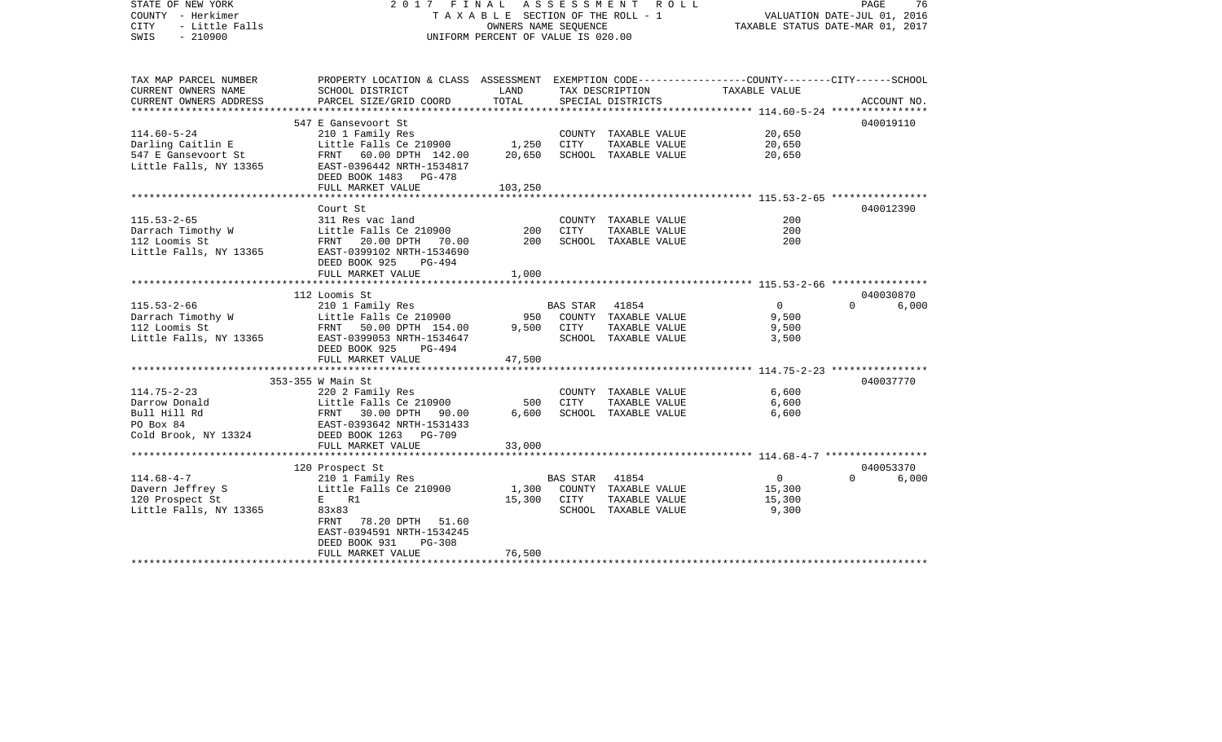| STATE OF NEW YORK<br>COUNTY - Herkimer<br><b>CITY</b><br>- Little Falls<br>SWIS<br>$-210900$                | 2017 FINAL ASSESSMENT ROLL<br>T A X A B L E SECTION OF THE ROLL - 1<br>UNIFORM PERCENT OF VALUE IS 020.00                                                                                 | PAGE<br>76<br>VALUATION DATE-JUL 01, 2016<br>TAXABLE STATUS DATE-MAR 01, 2017 |                        |                                                                            |                                             |                   |
|-------------------------------------------------------------------------------------------------------------|-------------------------------------------------------------------------------------------------------------------------------------------------------------------------------------------|-------------------------------------------------------------------------------|------------------------|----------------------------------------------------------------------------|---------------------------------------------|-------------------|
| TAX MAP PARCEL NUMBER<br>CURRENT OWNERS NAME<br>CURRENT OWNERS ADDRESS                                      | PROPERTY LOCATION & CLASS ASSESSMENT EXEMPTION CODE----------------COUNTY-------CITY------SCHOOL<br>SCHOOL DISTRICT<br>PARCEL SIZE/GRID COORD                                             | LAND<br>TOTAL                                                                 |                        | TAX DESCRIPTION<br>SPECIAL DISTRICTS                                       | TAXABLE VALUE                               | ACCOUNT NO.       |
|                                                                                                             |                                                                                                                                                                                           |                                                                               |                        |                                                                            |                                             |                   |
| $114.60 - 5 - 24$<br>Darling Caitlin E<br>547 E Gansevoort St<br>Little Falls, NY 13365                     | 547 E Gansevoort St<br>210 1 Family Res<br>Little Falls Ce 210900<br>FRNT 60.00 DPTH 142.00<br>EAST-0396442 NRTH-1534817<br>DEED BOOK 1483 PG-478<br>FULL MARKET VALUE                    | 1,250<br>20,650<br>103,250                                                    | CITY                   | COUNTY TAXABLE VALUE<br>TAXABLE VALUE<br>SCHOOL TAXABLE VALUE              | 20,650<br>20,650<br>20,650                  | 040019110         |
|                                                                                                             |                                                                                                                                                                                           |                                                                               |                        |                                                                            |                                             |                   |
| $115.53 - 2 - 65$<br>Darrach Timothy W<br>112 Loomis St<br>Little Falls, NY 13365 EAST-0399102 NRTH-1534690 | Court St<br>311 Res vac land<br>Little Falls Ce 210900<br>FRNT 20.00 DPTH 70.00<br>DEED BOOK 925<br><b>PG-494</b>                                                                         | 200<br>200                                                                    | <b>CITY</b>            | COUNTY TAXABLE VALUE<br>TAXABLE VALUE<br>SCHOOL TAXABLE VALUE              | 200<br>200<br>200                           | 040012390         |
|                                                                                                             | FULL MARKET VALUE                                                                                                                                                                         | 1,000                                                                         |                        |                                                                            |                                             |                   |
|                                                                                                             | 112 Loomis St                                                                                                                                                                             |                                                                               |                        |                                                                            |                                             | 040030870         |
| $115.53 - 2 - 66$<br>Darrach Timothy W<br>112 Loomis St<br>Little Falls, NY 13365                           | 210 1 Family Res<br>Little Falls Ce 210900<br>FRNT 50.00 DPTH 154.00<br>EAST-0399053 NRTH-1534647<br>DEED BOOK 925<br>PG-494<br>FULL MARKET VALUE                                         | 47,500                                                                        | BAS STAR<br>9,500 CITY | 41854<br>950 COUNTY TAXABLE VALUE<br>TAXABLE VALUE<br>SCHOOL TAXABLE VALUE | $\overline{0}$<br>9,500<br>9,500<br>3,500   | $\Omega$<br>6,000 |
|                                                                                                             | 353-355 W Main St                                                                                                                                                                         |                                                                               |                        |                                                                            |                                             | 040037770         |
| $114.75 - 2 - 23$<br>Darrow Donald<br>Bull Hill Rd<br>PO Box 84<br>Cold Brook, NY 13324                     | 220 2 Family Res<br>Little Falls Ce 210900<br>Little Falls Ce 210900<br>FRNT   30.00 DPTH   90.00<br>EAST-0393642 NRTH-1531433<br>DEED BOOK 1263 PG-709                                   | 500<br>6,600                                                                  | CITY                   | COUNTY TAXABLE VALUE<br>TAXABLE VALUE<br>SCHOOL TAXABLE VALUE              | 6,600<br>6,600<br>6,600                     |                   |
|                                                                                                             | FULL MARKET VALUE                                                                                                                                                                         | 33,000                                                                        |                        |                                                                            |                                             |                   |
|                                                                                                             |                                                                                                                                                                                           |                                                                               |                        |                                                                            |                                             | 040053370         |
| $114.68 - 4 - 7$<br>Davern Jeffrey S<br>120 Prospect St<br>Little Falls, NY 13365                           | 120 Prospect St<br>210 1 Family Res<br>Little Falls Ce 210900<br>E R1<br>83x83<br>78.20 DPTH 51.60<br>FRNT<br>EAST-0394591 NRTH-1534245<br>DEED BOOK 931<br>$PG-308$<br>FULL MARKET VALUE | 1,300<br>15,300 CITY<br>76,500                                                | BAS STAR               | 41854<br>COUNTY TAXABLE VALUE<br>TAXABLE VALUE<br>SCHOOL TAXABLE VALUE     | $\overline{0}$<br>15,300<br>15,300<br>9,300 | $\Omega$<br>6,000 |
|                                                                                                             |                                                                                                                                                                                           |                                                                               |                        |                                                                            |                                             |                   |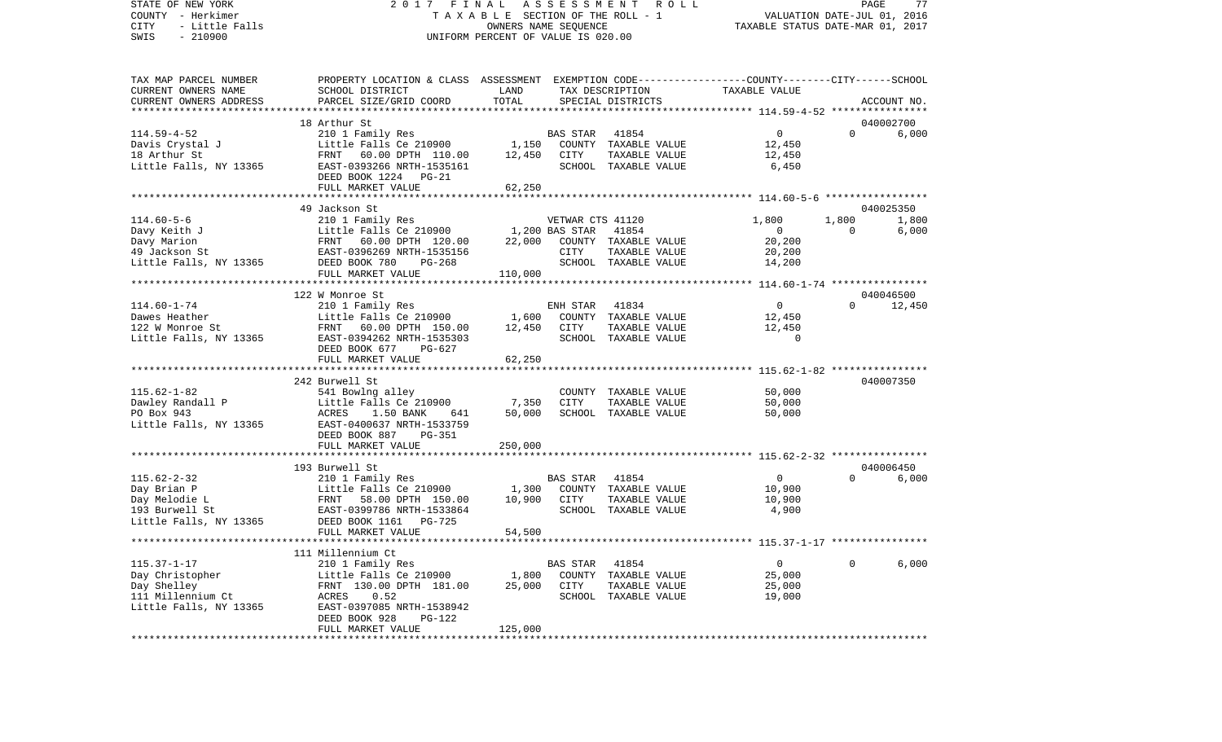STATE OF NEW YORK 2 0 1 7 F I N A L A S S E S S M E N T R O L L PAGE 77COUNTY - Herkimer T A X A B L E SECTION OF THE ROLL - 1 CITY - Little Falls OWNERS NAME SEQUENCE TAXABLE STATUS DATE-MAR 01, 2017 SWIS - 210900 UNIFORM PERCENT OF VALUE IS 020.00TAX MAP PARCEL NUMBER PROPERTY LOCATION & CLASS ASSESSMENT EXEMPTION CODE------------------COUNTY--------CITY------SCHOOL CURRENT OWNERS NAME SCHOOL DISTRICT LAND TAX DESCRIPTION TAXABLE VALUE

VALUATION DATE-JUL 01, 2016

CURRENT OWNERS ADDRESS PARCEL SIZE/GRID COORD TOTAL SPECIAL DISTRICTS ACCOUNT NO. \*\*\*\*\*\*\*\*\*\*\*\*\*\*\*\*\*\*\*\*\*\*\*\*\*\*\*\*\*\*\*\*\*\*\*\*\*\*\*\*\*\*\*\*\*\*\*\*\*\*\*\*\*\*\*\*\*\*\*\*\*\*\*\*\*\*\*\*\*\*\*\*\*\*\*\*\*\*\*\*\*\*\*\*\*\*\*\*\*\*\*\*\*\*\*\*\*\*\*\*\*\*\* 114.59-4-52 \*\*\*\*\*\*\*\*\*\*\*\*\*\*\*\* 18 Arthur St 040002700114.59-4-52 210 1 Family Res BAS STAR 41854 0 0 6,000 Davis Crystal J Little Falls Ce 210900 1,150 COUNTY TAXABLE VALUE 12,450 18 Arthur St FRNT 60.00 DPTH 110.00 12,450 CITY TAXABLE VALUE 12,450 Little Falls, NY 13365 EAST-0393266 NRTH-1535161 SCHOOL TAXABLE VALUE 6,450 DEED BOOK 1224 PG-21 FULL MARKET VALUE 62,250 \*\*\*\*\*\*\*\*\*\*\*\*\*\*\*\*\*\*\*\*\*\*\*\*\*\*\*\*\*\*\*\*\*\*\*\*\*\*\*\*\*\*\*\*\*\*\*\*\*\*\*\*\*\*\*\*\*\*\*\*\*\*\*\*\*\*\*\*\*\*\*\*\*\*\*\*\*\*\*\*\*\*\*\*\*\*\*\*\*\*\*\*\*\*\*\*\*\*\*\*\*\*\* 114.60-5-6 \*\*\*\*\*\*\*\*\*\*\*\*\*\*\*\*\* 49 Jackson St 040025350114.60-5-6 210 1 Family Res VETWAR CTS 41120 1,800 1,800 1,800 1,800 Davy Keith J **Little Falls Ce 210900** 1,200 BAS STAR 41854 0 0 0 6,000 Davy Marion FRNT 60.00 DPTH 120.00 22,000 COUNTY TAXABLE VALUE 20,200 49 Jackson St EAST-0396269 NRTH-1535156 CITY TAXABLE VALUE 20,200 Little Falls, NY 13365 DEED BOOK 780 PG-268 SCHOOL TAXABLE VALUE 14,200 FULL MARKET VALUE 110,000 \*\*\*\*\*\*\*\*\*\*\*\*\*\*\*\*\*\*\*\*\*\*\*\*\*\*\*\*\*\*\*\*\*\*\*\*\*\*\*\*\*\*\*\*\*\*\*\*\*\*\*\*\*\*\*\*\*\*\*\*\*\*\*\*\*\*\*\*\*\*\*\*\*\*\*\*\*\*\*\*\*\*\*\*\*\*\*\*\*\*\*\*\*\*\*\*\*\*\*\*\*\*\* 114.60-1-74 \*\*\*\*\*\*\*\*\*\*\*\*\*\*\*\* 122 W Monroe St 04004650012.450 114.60-1-74 210 1 Family Res ENH STAR 41834 0 0 0 Dawes Heather Little Falls Ce 210900 1,600 COUNTY TAXABLE VALUE 12,450 122 W Monroe St FRNT 60.00 DPTH 150.00 12,450 CITY TAXABLE VALUE 12,450 Little Falls, NY 13365 EAST-0394262 NRTH-1535303 SCHOOL TAXABLE VALUE 0 DEED BOOK 677 PG-627FULL MARKET VALUE 62,250 \*\*\*\*\*\*\*\*\*\*\*\*\*\*\*\*\*\*\*\*\*\*\*\*\*\*\*\*\*\*\*\*\*\*\*\*\*\*\*\*\*\*\*\*\*\*\*\*\*\*\*\*\*\*\*\*\*\*\*\*\*\*\*\*\*\*\*\*\*\*\*\*\*\*\*\*\*\*\*\*\*\*\*\*\*\*\*\*\*\*\*\*\*\*\*\*\*\*\*\*\*\*\* 115.62-1-82 \*\*\*\*\*\*\*\*\*\*\*\*\*\*\*\* 242 Burwell St 040007350115.62-1-82 541 Bowlng alley COUNTY TAXABLE VALUE 50,000 Dawley Randall P **Little Falls Ce 210900** 7,350 CITY TAXABLE VALUE 50,000 PO Box 943 ACRES 1.50 BANK 641 50,000 SCHOOL TAXABLE VALUE 50,000 Little Falls, NY 13365 EAST-0400637 NRTH-1533759 DEED BOOK 887 PG-351 FULL MARKET VALUE 250,000 \*\*\*\*\*\*\*\*\*\*\*\*\*\*\*\*\*\*\*\*\*\*\*\*\*\*\*\*\*\*\*\*\*\*\*\*\*\*\*\*\*\*\*\*\*\*\*\*\*\*\*\*\*\*\*\*\*\*\*\*\*\*\*\*\*\*\*\*\*\*\*\*\*\*\*\*\*\*\*\*\*\*\*\*\*\*\*\*\*\*\*\*\*\*\*\*\*\*\*\*\*\*\* 115.62-2-32 \*\*\*\*\*\*\*\*\*\*\*\*\*\*\*\* 193 Burwell St 040006450115.62-2-32 210 1 Family Res BAS STAR 41854 0 0 6,000 Day Brian P Little Falls Ce 210900 1,300 COUNTY TAXABLE VALUE 10,900 Day Melodie L FRNT 58.00 DPTH 150.00 10,900 CITY TAXABLE VALUE 10,900 EAST-0399786 NRTH-1533864 Little Falls, NY 13365 DEED BOOK 1161 PG-725 FULL MARKET VALUE 54,500 \*\*\*\*\*\*\*\*\*\*\*\*\*\*\*\*\*\*\*\*\*\*\*\*\*\*\*\*\*\*\*\*\*\*\*\*\*\*\*\*\*\*\*\*\*\*\*\*\*\*\*\*\*\*\*\*\*\*\*\*\*\*\*\*\*\*\*\*\*\*\*\*\*\*\*\*\*\*\*\*\*\*\*\*\*\*\*\*\*\*\*\*\*\*\*\*\*\*\*\*\*\*\* 115.37-1-17 \*\*\*\*\*\*\*\*\*\*\*\*\*\*\*\* 111 Millennium Ct 115.37-1-17 210 1 Family Res BAS STAR 41854 0 0 6,000 Day Christopher 1.800 COUNTY TAXABLE VALUE Day Shelley FRNT 130.00 DPTH 181.00 25,000 CITY TAXABLE VALUE 25,000 111 Millennium Ct ACRES 0.52 SCHOOL TAXABLE VALUE 19,000 Little Falls, NY 13365 EAST-0397085 NRTH-1538942 DEED BOOK 928 PG-122FULL MARKET VALUE 125,000 \*\*\*\*\*\*\*\*\*\*\*\*\*\*\*\*\*\*\*\*\*\*\*\*\*\*\*\*\*\*\*\*\*\*\*\*\*\*\*\*\*\*\*\*\*\*\*\*\*\*\*\*\*\*\*\*\*\*\*\*\*\*\*\*\*\*\*\*\*\*\*\*\*\*\*\*\*\*\*\*\*\*\*\*\*\*\*\*\*\*\*\*\*\*\*\*\*\*\*\*\*\*\*\*\*\*\*\*\*\*\*\*\*\*\*\*\*\*\*\*\*\*\*\*\*\*\*\*\*\*\*\*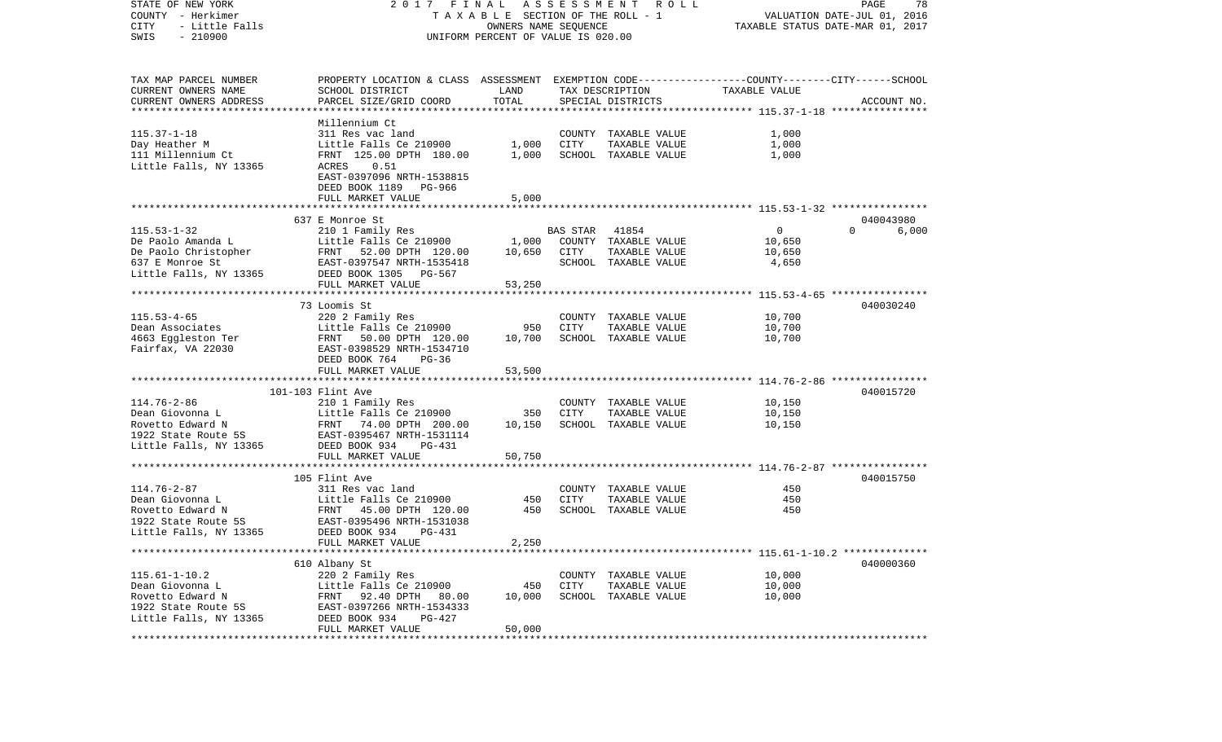STATE OF NEW YORK 2 0 1 7 F I N A L A S S E S S M E N T R O L L PAGE 78COUNTY - Herkimer **T A X A B L E SECTION OF THE ROLL - 1** VALUATION DATE-JUL 01, 2016 CITY - Little Falls OWNERS NAME SEQUENCE TAXABLE STATUS DATE-MAR 01, 2017 SWIS - 210900 UNIFORM PERCENT OF VALUE IS 020.00TAX MAP PARCEL NUMBER PROPERTY LOCATION & CLASS ASSESSMENT EXEMPTION CODE------------------COUNTY--------CITY------SCHOOL CURRENT OWNERS NAME SCHOOL DISTRICT LAND TAX DESCRIPTION TAXABLE VALUECURRENT OWNERS ADDRESS PARCEL SIZE/GRID COORD TOTAL SPECIAL DISTRICTS ACCOUNT NO. \*\*\*\*\*\*\*\*\*\*\*\*\*\*\*\*\*\*\*\*\*\*\*\*\*\*\*\*\*\*\*\*\*\*\*\*\*\*\*\*\*\*\*\*\*\*\*\*\*\*\*\*\*\*\*\*\*\*\*\*\*\*\*\*\*\*\*\*\*\*\*\*\*\*\*\*\*\*\*\*\*\*\*\*\*\*\*\*\*\*\*\*\*\*\*\*\*\*\*\*\*\*\* 115.37-1-18 \*\*\*\*\*\*\*\*\*\*\*\*\*\*\*\* Millennium Ct115.37-1-18 311 Res vac land COUNTY TAXABLE VALUE 1,000 Day Heather M **Little Falls Ce 210900** 1,000 CITY TAXABLE VALUE 1,000 111 Millennium Ct FRNT 125.00 DPTH 180.00 1,000 SCHOOL TAXABLE VALUE 1,000 Little Falls, NY 13365 ACRES 0.51 EAST-0397096 NRTH-1538815 DEED BOOK 1189 PG-966FULL MARKET VALUE 5,000 \*\*\*\*\*\*\*\*\*\*\*\*\*\*\*\*\*\*\*\*\*\*\*\*\*\*\*\*\*\*\*\*\*\*\*\*\*\*\*\*\*\*\*\*\*\*\*\*\*\*\*\*\*\*\*\*\*\*\*\*\*\*\*\*\*\*\*\*\*\*\*\*\*\*\*\*\*\*\*\*\*\*\*\*\*\*\*\*\*\*\*\*\*\*\*\*\*\*\*\*\*\*\* 115.53-1-32 \*\*\*\*\*\*\*\*\*\*\*\*\*\*\*\* 637 E Monroe St 040043980115.53-1-32 210 1 Family Res BAS STAR 41854 0 0 6,000 De Paolo Amanda L Little Falls Ce 210900 1,000 COUNTY TAXABLE VALUE 10,650 De Paolo Christopher FRNT 52.00 DPTH 120.00 10,650 CITY TAXABLE VALUE 10,650 637 E Monroe St EAST-0397547 NRTH-1535418 SCHOOL TAXABLE VALUE 4,650 Little Falls, NY 13365 DEED BOOK 1305 PG-567 FULL MARKET VALUE 53,250 \*\*\*\*\*\*\*\*\*\*\*\*\*\*\*\*\*\*\*\*\*\*\*\*\*\*\*\*\*\*\*\*\*\*\*\*\*\*\*\*\*\*\*\*\*\*\*\*\*\*\*\*\*\*\*\*\*\*\*\*\*\*\*\*\*\*\*\*\*\*\*\*\*\*\*\*\*\*\*\*\*\*\*\*\*\*\*\*\*\*\*\*\*\*\*\*\*\*\*\*\*\*\* 115.53-4-65 \*\*\*\*\*\*\*\*\*\*\*\*\*\*\*\* 73 Loomis St 040030240115.53-4-65 220 2 Family Res COUNTY TAXABLE VALUE 10,700 Dean Associates Little Falls Ce 210900 950 CITY TAXABLE VALUE 10,700 4663 Eggleston Ter FRNT 50.00 DPTH 120.00 10,700 SCHOOL TAXABLE VALUE 10,700 Fairfax, VA 22030 EAST-0398529 NRTH-1534710 DEED BOOK 764 PG-36 FULL MARKET VALUE 53,500 \*\*\*\*\*\*\*\*\*\*\*\*\*\*\*\*\*\*\*\*\*\*\*\*\*\*\*\*\*\*\*\*\*\*\*\*\*\*\*\*\*\*\*\*\*\*\*\*\*\*\*\*\*\*\*\*\*\*\*\*\*\*\*\*\*\*\*\*\*\*\*\*\*\*\*\*\*\*\*\*\*\*\*\*\*\*\*\*\*\*\*\*\*\*\*\*\*\*\*\*\*\*\* 114.76-2-86 \*\*\*\*\*\*\*\*\*\*\*\*\*\*\*\* 101-103 Flint Ave 040015720114.76-2-86 210 1 Family Res COUNTY TAXABLE VALUE 10,150 Dean Giovonna L Little Falls Ce 210900 350 CITY TAXABLE VALUE 10,150 Rovetto Edward N FRNT 74.00 DPTH 200.00 10,150 SCHOOL TAXABLE VALUE 10,150 1922 State Route 5S EAST-0395467 NRTH-1531114Little Falls, NY 13365 DEED BOOK 934 PG-431 FULL MARKET VALUE 50,750 \*\*\*\*\*\*\*\*\*\*\*\*\*\*\*\*\*\*\*\*\*\*\*\*\*\*\*\*\*\*\*\*\*\*\*\*\*\*\*\*\*\*\*\*\*\*\*\*\*\*\*\*\*\*\*\*\*\*\*\*\*\*\*\*\*\*\*\*\*\*\*\*\*\*\*\*\*\*\*\*\*\*\*\*\*\*\*\*\*\*\*\*\*\*\*\*\*\*\*\*\*\*\* 114.76-2-87 \*\*\*\*\*\*\*\*\*\*\*\*\*\*\*\*105 Flint Ave 040015750 114.76-2-87 311 Res vac land COUNTY TAXABLE VALUE 450Dean Giovonna L Little Falls Ce 210900 450 CITY TAXABLE VALUE 450 $450$ Rovetto Edward N FRNT 45.00 DPTH 120.00 450 SCHOOL TAXABLE VALUE 1922 State Route 5S EAST-0395496 NRTH-1531038Little Falls, NY 13365 DEED BOOK 934 PG-431 FULL MARKET VALUE 2,250 \*\*\*\*\*\*\*\*\*\*\*\*\*\*\*\*\*\*\*\*\*\*\*\*\*\*\*\*\*\*\*\*\*\*\*\*\*\*\*\*\*\*\*\*\*\*\*\*\*\*\*\*\*\*\*\*\*\*\*\*\*\*\*\*\*\*\*\*\*\*\*\*\*\*\*\*\*\*\*\*\*\*\*\*\*\*\*\*\*\*\*\*\*\*\*\*\*\*\*\*\*\*\* 115.61-1-10.2 \*\*\*\*\*\*\*\*\*\*\*\*\*\* 610 Albany St 040000360 115.61-1-10.2 220 2 Family Res COUNTY TAXABLE VALUE 10,000 Dean Giovonna L Little Falls Ce 210900 450 CITY TAXABLE VALUE 10,000 Rovetto Edward N FRNT 92.40 DPTH 80.00 10.000 SCHOOL TAXABLE VALUE 10.000 1922 State Route 5S EAST-0397266 NRTH-1534333 Little Falls, NY 13365 DEED BOOK 934 PG-427 FULL MARKET VALUE 50,000 \*\*\*\*\*\*\*\*\*\*\*\*\*\*\*\*\*\*\*\*\*\*\*\*\*\*\*\*\*\*\*\*\*\*\*\*\*\*\*\*\*\*\*\*\*\*\*\*\*\*\*\*\*\*\*\*\*\*\*\*\*\*\*\*\*\*\*\*\*\*\*\*\*\*\*\*\*\*\*\*\*\*\*\*\*\*\*\*\*\*\*\*\*\*\*\*\*\*\*\*\*\*\*\*\*\*\*\*\*\*\*\*\*\*\*\*\*\*\*\*\*\*\*\*\*\*\*\*\*\*\*\*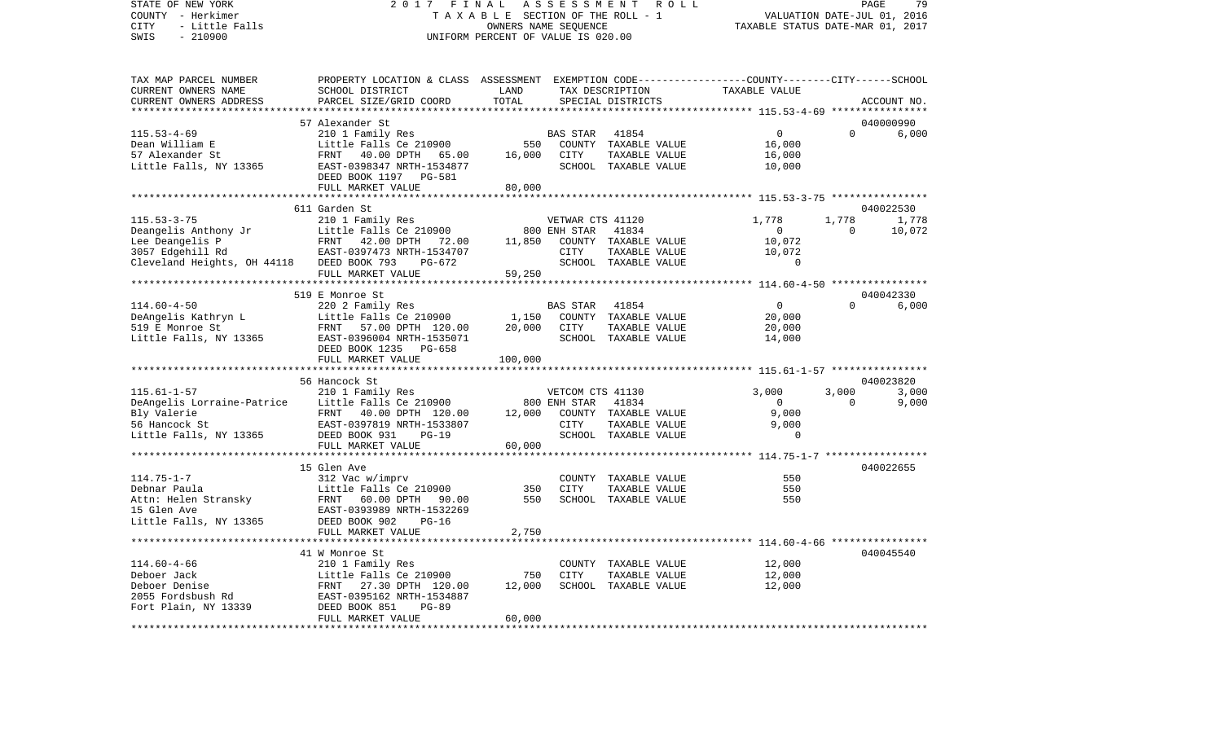## STATE OF NEW YORK 2 0 1 7 F I N A L A S S E S S M E N T R O L L PAGE 79COUNTY - Herkimer T A X A B L E SECTION OF THE ROLL - 1 VALUATION DATE-JUL 01, 2016 CITY - Little Falls OWNERS NAME SEQUENCE TAXABLE STATUS DATE-MAR 01, 2017 UNIFORM PERCENT OF VALUE IS 020.00

79

| TAX MAP PARCEL NUMBER<br>CURRENT OWNERS NAME                                                                                                                                                                                               | PROPERTY LOCATION & CLASS ASSESSMENT EXEMPTION CODE---------------COUNTY-------CITY------SCHOOL<br>SCHOOL DISTRICT | LAND                                          |                  | TAX DESCRIPTION                                                                                                                                                                                                                                                                                                                                                                                                                                                                               | TAXABLE VALUE  |                |                          |
|--------------------------------------------------------------------------------------------------------------------------------------------------------------------------------------------------------------------------------------------|--------------------------------------------------------------------------------------------------------------------|-----------------------------------------------|------------------|-----------------------------------------------------------------------------------------------------------------------------------------------------------------------------------------------------------------------------------------------------------------------------------------------------------------------------------------------------------------------------------------------------------------------------------------------------------------------------------------------|----------------|----------------|--------------------------|
| CURRENT OWNERS ADDRESS                                                                                                                                                                                                                     | PARCEL SIZE/GRID COORD                                                                                             | TOTAL                                         |                  | SPECIAL DISTRICTS                                                                                                                                                                                                                                                                                                                                                                                                                                                                             |                |                | ACCOUNT NO.              |
|                                                                                                                                                                                                                                            |                                                                                                                    |                                               |                  |                                                                                                                                                                                                                                                                                                                                                                                                                                                                                               |                |                |                          |
|                                                                                                                                                                                                                                            | 57 Alexander St                                                                                                    |                                               |                  |                                                                                                                                                                                                                                                                                                                                                                                                                                                                                               |                |                | 040000990                |
| $115.53 - 4 - 69$                                                                                                                                                                                                                          | 210 1 Family Res<br>Little Falls Ce 210900                                                                         |                                               | BAS STAR         | 41854                                                                                                                                                                                                                                                                                                                                                                                                                                                                                         |                | 0<br>$\Omega$  | 6,000                    |
| Dean William E                                                                                                                                                                                                                             |                                                                                                                    | 550                                           |                  | COUNTY TAXABLE VALUE                                                                                                                                                                                                                                                                                                                                                                                                                                                                          | 16,000         |                |                          |
| 57 Alexander St                                                                                                                                                                                                                            | FRNT 40.00 DPTH 65.00                                                                                              | 16,000                                        | CITY             | TAXABLE VALUE                                                                                                                                                                                                                                                                                                                                                                                                                                                                                 | 16,000         |                |                          |
| Little Falls, NY 13365                                                                                                                                                                                                                     | EAST-0398347 NRTH-1534877                                                                                          |                                               |                  | SCHOOL TAXABLE VALUE                                                                                                                                                                                                                                                                                                                                                                                                                                                                          | 10,000         |                |                          |
|                                                                                                                                                                                                                                            | DEED BOOK 1197 PG-581                                                                                              |                                               |                  |                                                                                                                                                                                                                                                                                                                                                                                                                                                                                               |                |                |                          |
|                                                                                                                                                                                                                                            | FULL MARKET VALUE                                                                                                  | 80,000                                        |                  |                                                                                                                                                                                                                                                                                                                                                                                                                                                                                               |                |                |                          |
|                                                                                                                                                                                                                                            |                                                                                                                    |                                               |                  |                                                                                                                                                                                                                                                                                                                                                                                                                                                                                               |                |                |                          |
|                                                                                                                                                                                                                                            | 611 Garden St                                                                                                      |                                               |                  |                                                                                                                                                                                                                                                                                                                                                                                                                                                                                               |                |                | 040022530                |
| $115.53 - 3 - 75$                                                                                                                                                                                                                          | 210 1 Family Res                                                                                                   |                                               | VETWAR CTS 41120 |                                                                                                                                                                                                                                                                                                                                                                                                                                                                                               | 1,778          | 1,778          | 1,778                    |
|                                                                                                                                                                                                                                            |                                                                                                                    | 800 ENH STAR<br>800 ENH STAR<br>11,850 COUNTY |                  | 41834                                                                                                                                                                                                                                                                                                                                                                                                                                                                                         | $\overline{0}$ |                | $\overline{0}$<br>10,072 |
|                                                                                                                                                                                                                                            |                                                                                                                    |                                               |                  | COUNTY TAXABLE VALUE                                                                                                                                                                                                                                                                                                                                                                                                                                                                          | 10,072         |                |                          |
|                                                                                                                                                                                                                                            |                                                                                                                    |                                               |                  | $\begin{tabular}{llllll} \multicolumn{2}{c}{\text{CITY}} & \multicolumn{2}{c}{\text{TAXABLE VALUE}} & \multicolumn{2}{c}{\text{MATE}} \\ \multicolumn{2}{c}{\text{SCHOOL}} & \multicolumn{2}{c}{\text{TAXABLE VALUE}} & \multicolumn{2}{c}{\text{MATE}} \\ \multicolumn{2}{c}{\text{NCABILE}} & \multicolumn{2}{c}{\text{NACIUE}} & \multicolumn{2}{c}{\text{NCAC}} \\ \multicolumn{2}{c}{\text{NCAB}} & \multicolumn{2}{c}{\text{NCAC}} & \multicolumn{2}{c}{\text{NCAC}} \\ \multicolumn{2$ |                |                |                          |
| Deangelis Anthony Jr<br>Little Falls Ce 210900<br>Lee Deangelis P<br>3057 Edgehill Rd<br>Cleveland Heights, OH 44118<br>DEED BOOK 793<br>PG-672                                                                                            |                                                                                                                    |                                               |                  |                                                                                                                                                                                                                                                                                                                                                                                                                                                                                               |                |                |                          |
|                                                                                                                                                                                                                                            | FULL MARKET VALUE                                                                                                  | 59,250                                        |                  |                                                                                                                                                                                                                                                                                                                                                                                                                                                                                               |                |                |                          |
| **********************                                                                                                                                                                                                                     |                                                                                                                    |                                               |                  |                                                                                                                                                                                                                                                                                                                                                                                                                                                                                               |                |                |                          |
|                                                                                                                                                                                                                                            | 519 E Monroe St                                                                                                    |                                               |                  |                                                                                                                                                                                                                                                                                                                                                                                                                                                                                               |                |                | 040042330                |
|                                                                                                                                                                                                                                            |                                                                                                                    | $1,150$ <sup>BZ</sup>                         | <b>BAS STAR</b>  | 41854                                                                                                                                                                                                                                                                                                                                                                                                                                                                                         |                | $\overline{0}$ | $\Omega$<br>6,000        |
|                                                                                                                                                                                                                                            |                                                                                                                    |                                               |                  | COUNTY TAXABLE VALUE                                                                                                                                                                                                                                                                                                                                                                                                                                                                          | 20,000         |                |                          |
|                                                                                                                                                                                                                                            |                                                                                                                    |                                               | 20,000 CITY      | TAXABLE VALUE                                                                                                                                                                                                                                                                                                                                                                                                                                                                                 | 20,000         |                |                          |
| 1999 - 1999 - 1999 - 1999 - 1999 - 1999 - 1999 - 1999 - 1999 - 1999 - 1999 - 1999 - 1999 - 1999 - 1999 - 1999 - 1999 - 1999 - 1999 - 1999 - 1999 - 1999 - 1999 - 1999 - 1999 - 1999 - 1999 - 1999 - 1999 - 1999 - 1999 - 1999              |                                                                                                                    |                                               |                  | SCHOOL TAXABLE VALUE                                                                                                                                                                                                                                                                                                                                                                                                                                                                          | 14,000         |                |                          |
|                                                                                                                                                                                                                                            | DEED BOOK 1235 PG-658                                                                                              |                                               |                  |                                                                                                                                                                                                                                                                                                                                                                                                                                                                                               |                |                |                          |
|                                                                                                                                                                                                                                            | FULL MARKET VALUE                                                                                                  | 100,000                                       |                  |                                                                                                                                                                                                                                                                                                                                                                                                                                                                                               |                |                |                          |
|                                                                                                                                                                                                                                            |                                                                                                                    |                                               |                  |                                                                                                                                                                                                                                                                                                                                                                                                                                                                                               |                |                |                          |
|                                                                                                                                                                                                                                            | 56 Hancock St                                                                                                      |                                               |                  |                                                                                                                                                                                                                                                                                                                                                                                                                                                                                               |                |                | 040023820                |
| $115.61 - 1 - 57$                                                                                                                                                                                                                          | 210 1 Family Res                                                                                                   |                                               | VETCOM CTS 41130 |                                                                                                                                                                                                                                                                                                                                                                                                                                                                                               | 3,000          | 3,000          | 3,000                    |
|                                                                                                                                                                                                                                            |                                                                                                                    |                                               |                  |                                                                                                                                                                                                                                                                                                                                                                                                                                                                                               | $\overline{0}$ | $\Omega$       | 9,000                    |
|                                                                                                                                                                                                                                            |                                                                                                                    |                                               |                  |                                                                                                                                                                                                                                                                                                                                                                                                                                                                                               | 9,000          |                |                          |
|                                                                                                                                                                                                                                            |                                                                                                                    |                                               |                  |                                                                                                                                                                                                                                                                                                                                                                                                                                                                                               | 9,000          |                |                          |
| DeAngelis Lorraine-Patrice<br>Bly Valerie<br>Bly Valerie<br>FRNT 40.00 DPTH 120.00 12,000 COUNTY TAXABLE VALUE<br>FRNT 40.00 DPTH 120.00 12,000 COUNTY TAXABLE VALUE<br>EAST-0397819 NRTH-1533807 CITY TAXABLE VALUE<br>Little Falls, NY 1 |                                                                                                                    |                                               |                  |                                                                                                                                                                                                                                                                                                                                                                                                                                                                                               |                | $\Omega$       |                          |
|                                                                                                                                                                                                                                            | FULL MARKET VALUE                                                                                                  | 60,000                                        |                  |                                                                                                                                                                                                                                                                                                                                                                                                                                                                                               |                |                |                          |
|                                                                                                                                                                                                                                            |                                                                                                                    |                                               |                  |                                                                                                                                                                                                                                                                                                                                                                                                                                                                                               |                |                |                          |
|                                                                                                                                                                                                                                            | 15 Glen Ave                                                                                                        |                                               |                  |                                                                                                                                                                                                                                                                                                                                                                                                                                                                                               |                |                | 040022655                |
| $114.75 - 1 - 7$                                                                                                                                                                                                                           | 312 Vac w/imprv<br>Little Falls Ce 210900                                                                          | 350                                           | <b>CITY</b>      | COUNTY TAXABLE VALUE                                                                                                                                                                                                                                                                                                                                                                                                                                                                          |                | 550            |                          |
| Debnar Paula                                                                                                                                                                                                                               |                                                                                                                    |                                               |                  | TAXABLE VALUE                                                                                                                                                                                                                                                                                                                                                                                                                                                                                 |                | 550            |                          |
| Denial Islam<br>Attansky FRNT 60.00 DPTH 90.00<br>The Rever-0293989 NRTH-1532269                                                                                                                                                           |                                                                                                                    | 550                                           |                  | SCHOOL TAXABLE VALUE                                                                                                                                                                                                                                                                                                                                                                                                                                                                          |                | 550            |                          |
| 15 Glen Ave                                                                                                                                                                                                                                | EAST-0393989 NRTH-1532269                                                                                          |                                               |                  |                                                                                                                                                                                                                                                                                                                                                                                                                                                                                               |                |                |                          |
| Little Falls, NY 13365 DEED BOOK 902                                                                                                                                                                                                       | $PG-16$<br>FULL MARKET VALUE                                                                                       | 2,750                                         |                  |                                                                                                                                                                                                                                                                                                                                                                                                                                                                                               |                |                |                          |
|                                                                                                                                                                                                                                            |                                                                                                                    |                                               |                  |                                                                                                                                                                                                                                                                                                                                                                                                                                                                                               |                |                |                          |
|                                                                                                                                                                                                                                            | 41 W Monroe St                                                                                                     |                                               |                  |                                                                                                                                                                                                                                                                                                                                                                                                                                                                                               |                |                | 040045540                |
| $114.60 - 4 - 66$                                                                                                                                                                                                                          | 210 1 Family Res                                                                                                   |                                               |                  | COUNTY TAXABLE VALUE                                                                                                                                                                                                                                                                                                                                                                                                                                                                          | 12,000         |                |                          |
| Deboer Jack                                                                                                                                                                                                                                | Little Falls Ce 210900                                                                                             | 750                                           | <b>CITY</b>      | TAXABLE VALUE                                                                                                                                                                                                                                                                                                                                                                                                                                                                                 | 12,000         |                |                          |
| Deboer Denise                                                                                                                                                                                                                              | FRNT<br>27.30 DPTH 120.00                                                                                          | 12,000                                        |                  | SCHOOL TAXABLE VALUE                                                                                                                                                                                                                                                                                                                                                                                                                                                                          | 12,000         |                |                          |
| 2055 Fordsbush Rd                                                                                                                                                                                                                          | EAST-0395162 NRTH-1534887                                                                                          |                                               |                  |                                                                                                                                                                                                                                                                                                                                                                                                                                                                                               |                |                |                          |
| Fort Plain, NY 13339                                                                                                                                                                                                                       | DEED BOOK 851<br>$PG-89$                                                                                           |                                               |                  |                                                                                                                                                                                                                                                                                                                                                                                                                                                                                               |                |                |                          |
|                                                                                                                                                                                                                                            | FULL MARKET VALUE                                                                                                  | 60,000                                        |                  |                                                                                                                                                                                                                                                                                                                                                                                                                                                                                               |                |                |                          |
|                                                                                                                                                                                                                                            |                                                                                                                    |                                               |                  |                                                                                                                                                                                                                                                                                                                                                                                                                                                                                               |                |                |                          |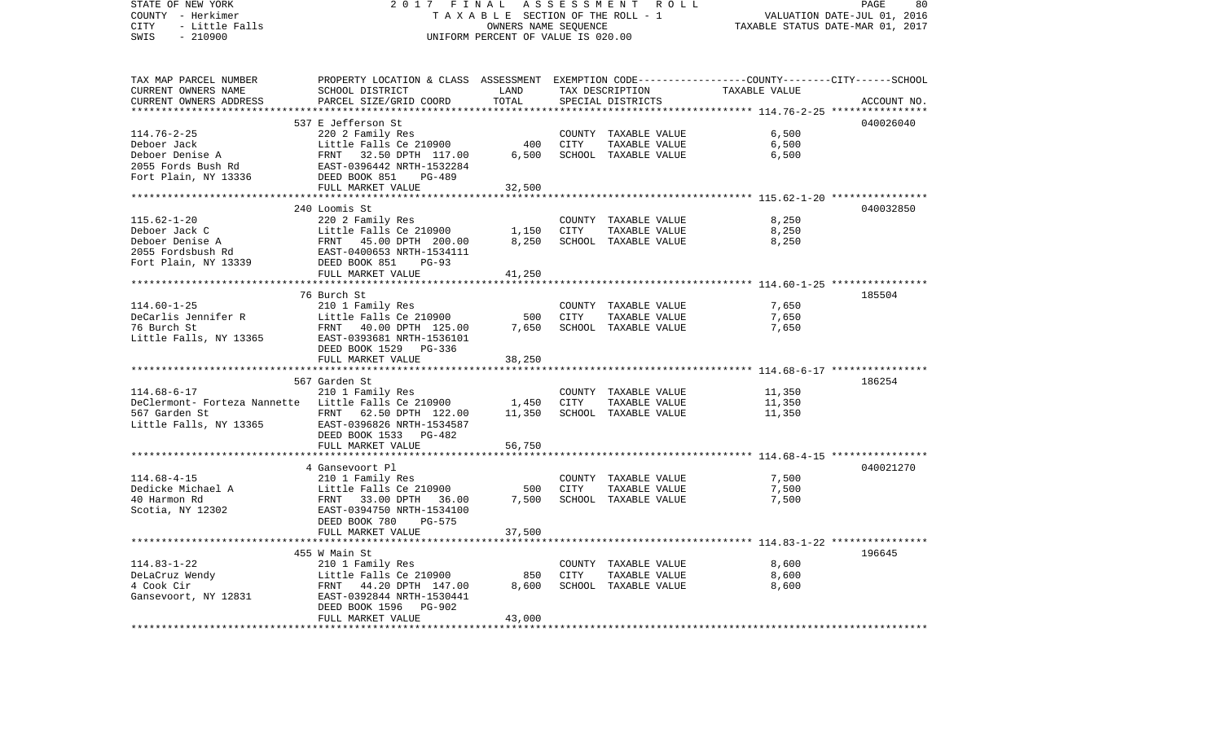| STATE OF NEW YORK<br>COUNTY - Herkimer              | 2017<br>FINAL<br>TAXABLE SECTION OF THE ROLL - 1                                                | ASSESSMENT ROLL<br>PAGE<br>VALUATION DATE-JUL 01, 2016     |      |                      |                                                           |             |
|-----------------------------------------------------|-------------------------------------------------------------------------------------------------|------------------------------------------------------------|------|----------------------|-----------------------------------------------------------|-------------|
| CITY<br>- Little Falls<br>$-210900$<br>SWIS         |                                                                                                 | OWNERS NAME SEQUENCE<br>UNIFORM PERCENT OF VALUE IS 020.00 |      |                      | TAXABLE STATUS DATE-MAR 01, 2017                          |             |
|                                                     |                                                                                                 |                                                            |      |                      |                                                           |             |
| TAX MAP PARCEL NUMBER                               | PROPERTY LOCATION & CLASS ASSESSMENT EXEMPTION CODE---------------COUNTY-------CITY------SCHOOL |                                                            |      |                      |                                                           |             |
| CURRENT OWNERS NAME                                 | SCHOOL DISTRICT                                                                                 | LAND                                                       |      | TAX DESCRIPTION      | TAXABLE VALUE                                             |             |
| CURRENT OWNERS ADDRESS                              | PARCEL SIZE/GRID COORD                                                                          | TOTAL<br>*************                                     |      | SPECIAL DISTRICTS    |                                                           | ACCOUNT NO. |
|                                                     | 537 E Jefferson St                                                                              |                                                            |      |                      | **************************** 114.76-2-25 **************** | 040026040   |
| $114.76 - 2 - 25$                                   | 220 2 Family Res                                                                                |                                                            |      | COUNTY TAXABLE VALUE | 6,500                                                     |             |
| Deboer Jack                                         | Little Falls Ce 210900                                                                          | 400                                                        | CITY | TAXABLE VALUE        | 6,500                                                     |             |
| Deboer Denise A                                     |                                                                                                 | 6,500                                                      |      | SCHOOL TAXABLE VALUE | 6,500                                                     |             |
| 2055 Fords Bush Rd                                  |                                                                                                 |                                                            |      |                      |                                                           |             |
| Fort Plain, $\overline{NY}$ 13336                   | FRNT 32.50 DPTH 117.00<br>EAST-0396442 NRTH-1532284<br>DEED BOOK 851 PG-489                     |                                                            |      |                      |                                                           |             |
|                                                     | FULL MARKET VALUE                                                                               | 32,500                                                     |      |                      |                                                           |             |
|                                                     |                                                                                                 |                                                            |      |                      |                                                           |             |
|                                                     | 240 Loomis St                                                                                   |                                                            |      |                      |                                                           | 040032850   |
| $115.62 - 1 - 20$                                   | 220 2 Family Res                                                                                |                                                            |      | COUNTY TAXABLE VALUE | 8,250                                                     |             |
| Deboer Jack C                                       | Little Falls Ce 210900                                                                          | 1,150                                                      | CITY | TAXABLE VALUE        | 8,250                                                     |             |
| Deboer Denise A                                     | Little Falls Ce 210900<br>FRNT - 45.00 DPTH - 200.00<br>EAST-0400653 NRTH-1534111               | 8,250                                                      |      | SCHOOL TAXABLE VALUE | 8,250                                                     |             |
| 2055 Fordsbush Rd                                   |                                                                                                 |                                                            |      |                      |                                                           |             |
| Fort Plain, NY 13339                                | DEED BOOK 851<br>PG-93                                                                          |                                                            |      |                      |                                                           |             |
|                                                     | FULL MARKET VALUE                                                                               | 41,250                                                     |      |                      |                                                           |             |
|                                                     |                                                                                                 |                                                            |      |                      |                                                           |             |
|                                                     | 76 Burch St                                                                                     |                                                            |      |                      |                                                           | 185504      |
| $114.60 - 1 - 25$                                   | 210 1 Family Res                                                                                |                                                            |      | COUNTY TAXABLE VALUE | 7,650                                                     |             |
| DeCarlis Jennifer R                                 | Little Falls Ce 210900                                                                          | 500                                                        | CITY | TAXABLE VALUE        | 7,650                                                     |             |
| 76 Burch St                                         | FRNT 40.00 DPTH 125.00                                                                          | 7,650                                                      |      | SCHOOL TAXABLE VALUE | 7,650                                                     |             |
| Little Falls, NY 13365                              | EAST-0393681 NRTH-1536101<br>DEED BOOK 1529 PG-336                                              |                                                            |      |                      |                                                           |             |
|                                                     | FULL MARKET VALUE                                                                               | 38,250                                                     |      |                      |                                                           |             |
|                                                     |                                                                                                 |                                                            |      |                      |                                                           |             |
|                                                     | 567 Garden St                                                                                   |                                                            |      |                      |                                                           | 186254      |
| $114.68 - 6 - 17$                                   | 210 1 Family Res                                                                                |                                                            |      | COUNTY TAXABLE VALUE | 11,350                                                    |             |
| DeClermont- Forteza Nannette Little Falls Ce 210900 |                                                                                                 | 1,450                                                      | CITY | TAXABLE VALUE        | 11,350                                                    |             |
| 567 Garden St                                       | FRNT 62.50 DPTH 122.00                                                                          | 11,350                                                     |      | SCHOOL TAXABLE VALUE | 11,350                                                    |             |
| Little Falls, NY 13365 EAST-0396826 NRTH-1534587    |                                                                                                 |                                                            |      |                      |                                                           |             |
|                                                     | DEED BOOK 1533 PG-482                                                                           |                                                            |      |                      |                                                           |             |
|                                                     | FULL MARKET VALUE                                                                               | 56,750                                                     |      |                      |                                                           |             |
|                                                     | *************************                                                                       | **************                                             |      |                      |                                                           |             |
|                                                     | 4 Gansevoort Pl                                                                                 |                                                            |      |                      |                                                           | 040021270   |
| $114.68 - 4 - 15$                                   | 210 1 Family Res                                                                                |                                                            |      | COUNTY TAXABLE VALUE | 7,500                                                     |             |
|                                                     | Little Falls Ce 210900                                                                          | 500                                                        | CITY | TAXABLE VALUE        | 7,500                                                     |             |
| Dedicke Michael A<br>40 Harmon Rd                   | FRNT 33.00 DPTH 36.00                                                                           | 7,500                                                      |      | SCHOOL TAXABLE VALUE | 7,500                                                     |             |
| Scotia, NY 12302                                    | EAST-0394750 NRTH-1534100                                                                       |                                                            |      |                      |                                                           |             |
|                                                     | DEED BOOK 780<br>PG-575                                                                         |                                                            |      |                      |                                                           |             |
|                                                     | FULL MARKET VALUE                                                                               | 37,500                                                     |      |                      |                                                           |             |
|                                                     |                                                                                                 |                                                            |      |                      |                                                           |             |
| $114.83 - 1 - 22$                                   | 455 W Main St<br>210 1 Family Res                                                               |                                                            |      | COUNTY TAXABLE VALUE | 8,600                                                     | 196645      |
| DeLaCruz Wendy                                      | Little Falls Ce 210900                                                                          | 850                                                        | CITY | TAXABLE VALUE        | 8,600                                                     |             |
| 4 Cook Cir                                          | FRNT 44.20 DPTH 147.00                                                                          | 8,600                                                      |      | SCHOOL TAXABLE VALUE | 8,600                                                     |             |
| Gansevoort, NY 12831                                | EAST-0392844 NRTH-1530441                                                                       |                                                            |      |                      |                                                           |             |
|                                                     | DEED BOOK 1596<br><b>PG-902</b>                                                                 |                                                            |      |                      |                                                           |             |
|                                                     | FULL MARKET VALUE                                                                               | 43,000                                                     |      |                      |                                                           |             |
|                                                     |                                                                                                 |                                                            |      |                      |                                                           |             |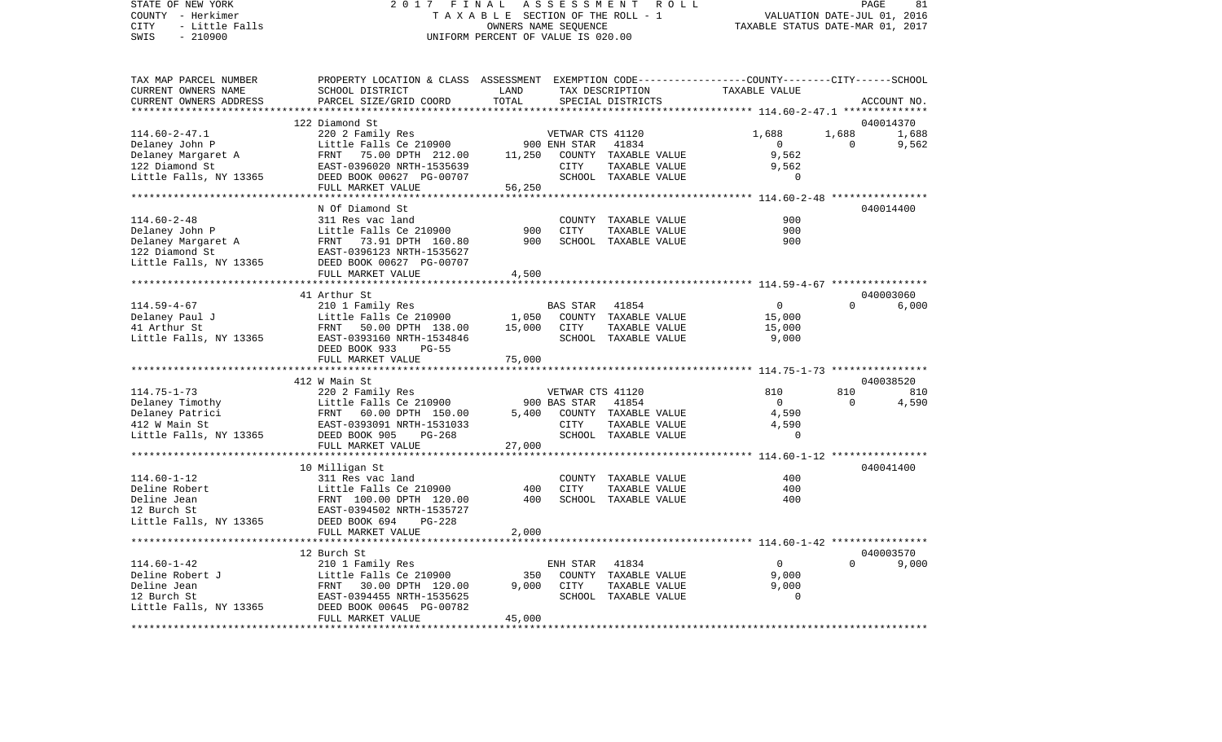STATE OF NEW YORK 2 0 1 7 F I N A L A S S E S S M E N T R O L L PAGE 81COUNTY - Herkimer **T A X A B L E** SECTION OF THE ROLL - 1 VALUATION DATE-JUL 01, 2016 CITY - Little Falls OWNERS NAME SEQUENCE TAXABLE STATUS DATE-MAR 01, 2017 SWIS - 210900 UNIFORM PERCENT OF VALUE IS 020.00TAX MAP PARCEL NUMBER PROPERTY LOCATION & CLASS ASSESSMENT EXEMPTION CODE------------------COUNTY--------CITY------SCHOOL CURRENT OWNERS NAME SCHOOL DISTRICT LAND TAX DESCRIPTION TAXABLE VALUECURRENT OWNERS ADDRESS PARCEL SIZE/GRID COORD TOTAL SPECIAL DISTRICTS ACCOUNT NO. \*\*\*\*\*\*\*\*\*\*\*\*\*\*\*\*\*\*\*\*\*\*\*\*\*\*\*\*\*\*\*\*\*\*\*\*\*\*\*\*\*\*\*\*\*\*\*\*\*\*\*\*\*\*\*\*\*\*\*\*\*\*\*\*\*\*\*\*\*\*\*\*\*\*\*\*\*\*\*\*\*\*\*\*\*\*\*\*\*\*\*\*\*\*\*\*\*\*\*\*\*\*\* 114.60-2-47.1 \*\*\*\*\*\*\*\*\*\*\*\*\*\* 122 Diamond St 040014370114.60-2-47.1 220 2 Family Res VETWAR CTS 41120 1,688 1,688 1,688 Delaney John P Little Falls Ce 210900 900 ENH STAR 41834 0 0 9,562 Delaney Margaret A FRNT 75.00 DPTH 212.00 11,250 COUNTY TAXABLE VALUE 9,562 122 Diamond St EAST-0396020 NRTH-1535639 CITY TAXABLE VALUE 9,562 Little Falls, NY 13365 DEED BOOK 00627 PG-00707 SCHOOL TAXABLE VALUE 0 FULL MARKET VALUE 56,250 \*\*\*\*\*\*\*\*\*\*\*\*\*\*\*\*\*\*\*\*\*\*\*\*\*\*\*\*\*\*\*\*\*\*\*\*\*\*\*\*\*\*\*\*\*\*\*\*\*\*\*\*\*\*\*\*\*\*\*\*\*\*\*\*\*\*\*\*\*\*\*\*\*\*\*\*\*\*\*\*\*\*\*\*\*\*\*\*\*\*\*\*\*\*\*\*\*\*\*\*\*\*\* 114.60-2-48 \*\*\*\*\*\*\*\*\*\*\*\*\*\*\*\* N Of Diamond St 040014400114.60-2-48 311 Res vac land COUNTY TAXABLE VALUE 900Delaney John P Little Falls Ce 210900 900 CITY TAXABLE VALUE 900 Delaney Margaret A FRNT 73.91 DPTH 160.80 900 SCHOOL TAXABLE VALUE 900 122 Diamond St EAST-0396123 NRTH-1535627 Little Falls, NY 13365 DEED BOOK 00627 PG-00707 FULL MARKET VALUE 4,500

\*\*\*\*\*\*\*\*\*\*\*\*\*\*\*\*\*\*\*\*\*\*\*\*\*\*\*\*\*\*\*\*\*\*\*\*\*\*\*\*\*\*\*\*\*\*\*\*\*\*\*\*\*\*\*\*\*\*\*\*\*\*\*\*\*\*\*\*\*\*\*\*\*\*\*\*\*\*\*\*\*\*\*\*\*\*\*\*\*\*\*\*\*\*\*\*\*\*\*\*\*\*\* 114.59-4-67 \*\*\*\*\*\*\*\*\*\*\*\*\*\*\*\* 41 Arthur St 040003060 $6.000$ 114.59-4-67 210 1 Family Res BAS STAR 41854 0 0 6,000 Delaney Paul J Little Falls Ce 210900 1,050 COUNTY TAXABLE VALUE 15,000 41 Arthur St FRNT 50.00 DPTH 138.00 15,000 CITY TAXABLE VALUE 15,000 Little Falls, NY 13365 EAST-0393160 NRTH-1534846 SCHOOL TAXABLE VALUE 9,000 DEED BOOK 933 PG-55FULL MARKET VALUE 75,000 \*\*\*\*\*\*\*\*\*\*\*\*\*\*\*\*\*\*\*\*\*\*\*\*\*\*\*\*\*\*\*\*\*\*\*\*\*\*\*\*\*\*\*\*\*\*\*\*\*\*\*\*\*\*\*\*\*\*\*\*\*\*\*\*\*\*\*\*\*\*\*\*\*\*\*\*\*\*\*\*\*\*\*\*\*\*\*\*\*\*\*\*\*\*\*\*\*\*\*\*\*\*\* 114.75-1-73 \*\*\*\*\*\*\*\*\*\*\*\*\*\*\*\* 412 W Main St 040038520114.75-1-73 220 2 Family Res VETWAR CTS 41120 810 810 810 Delaney Timothy **Little Falls Ce 210900** 900 BAS STAR 41854 0 0 0 4,590 Delaney Patrici FRNT 60.00 DPTH 150.00 5,400 COUNTY TAXABLE VALUE 4,590 412 W Main St EAST-0393091 NRTH-1531033 CITY TAXABLE VALUE 4,590 Little Falls, NY 13365 DEED BOOK 905 PG-268 SCHOOL TAXABLE VALUE 0 FULL MARKET VALUE 27,000 \*\*\*\*\*\*\*\*\*\*\*\*\*\*\*\*\*\*\*\*\*\*\*\*\*\*\*\*\*\*\*\*\*\*\*\*\*\*\*\*\*\*\*\*\*\*\*\*\*\*\*\*\*\*\*\*\*\*\*\*\*\*\*\*\*\*\*\*\*\*\*\*\*\*\*\*\*\*\*\*\*\*\*\*\*\*\*\*\*\*\*\*\*\*\*\*\*\*\*\*\*\*\* 114.60-1-12 \*\*\*\*\*\*\*\*\*\*\*\*\*\*\*\* 10 Milligan St 040041400 114.60-1-12 311 Res vac land COUNTY TAXABLE VALUE 400Deline Robert Little Falls Ce 210900 400 CITY TAXABLE VALUE 400 Deline Jean FRNT 100.00 DPTH 120.00 400 SCHOOL TAXABLE VALUE 40012 Burch St EAST-0394502 NRTH-1535727Little Falls, NY 13365 DEED BOOK 694 PG-228 FULL MARKET VALUE 2,000 \*\*\*\*\*\*\*\*\*\*\*\*\*\*\*\*\*\*\*\*\*\*\*\*\*\*\*\*\*\*\*\*\*\*\*\*\*\*\*\*\*\*\*\*\*\*\*\*\*\*\*\*\*\*\*\*\*\*\*\*\*\*\*\*\*\*\*\*\*\*\*\*\*\*\*\*\*\*\*\*\*\*\*\*\*\*\*\*\*\*\*\*\*\*\*\*\*\*\*\*\*\*\* 114.60-1-42 \*\*\*\*\*\*\*\*\*\*\*\*\*\*\*\* 12 Burch St 040003570114.60-1-42 210 1 Family Res ENH STAR 41834 0 0 9,000 Deline Robert J Little Falls Ce 210900 350 COUNTY TAXABLE VALUE 9,000 Deline Jean FRNT 30.00 DPTH 120.00 9,000 CITY TAXABLE VALUE 9,000 12 Burch St EAST-0394455 NRTH-1535625 SCHOOL TAXABLE VALUE 0Little Falls, NY 13365 DEED BOOK 00645 PG-00782 FULL MARKET VALUE 45,000 \*\*\*\*\*\*\*\*\*\*\*\*\*\*\*\*\*\*\*\*\*\*\*\*\*\*\*\*\*\*\*\*\*\*\*\*\*\*\*\*\*\*\*\*\*\*\*\*\*\*\*\*\*\*\*\*\*\*\*\*\*\*\*\*\*\*\*\*\*\*\*\*\*\*\*\*\*\*\*\*\*\*\*\*\*\*\*\*\*\*\*\*\*\*\*\*\*\*\*\*\*\*\*\*\*\*\*\*\*\*\*\*\*\*\*\*\*\*\*\*\*\*\*\*\*\*\*\*\*\*\*\*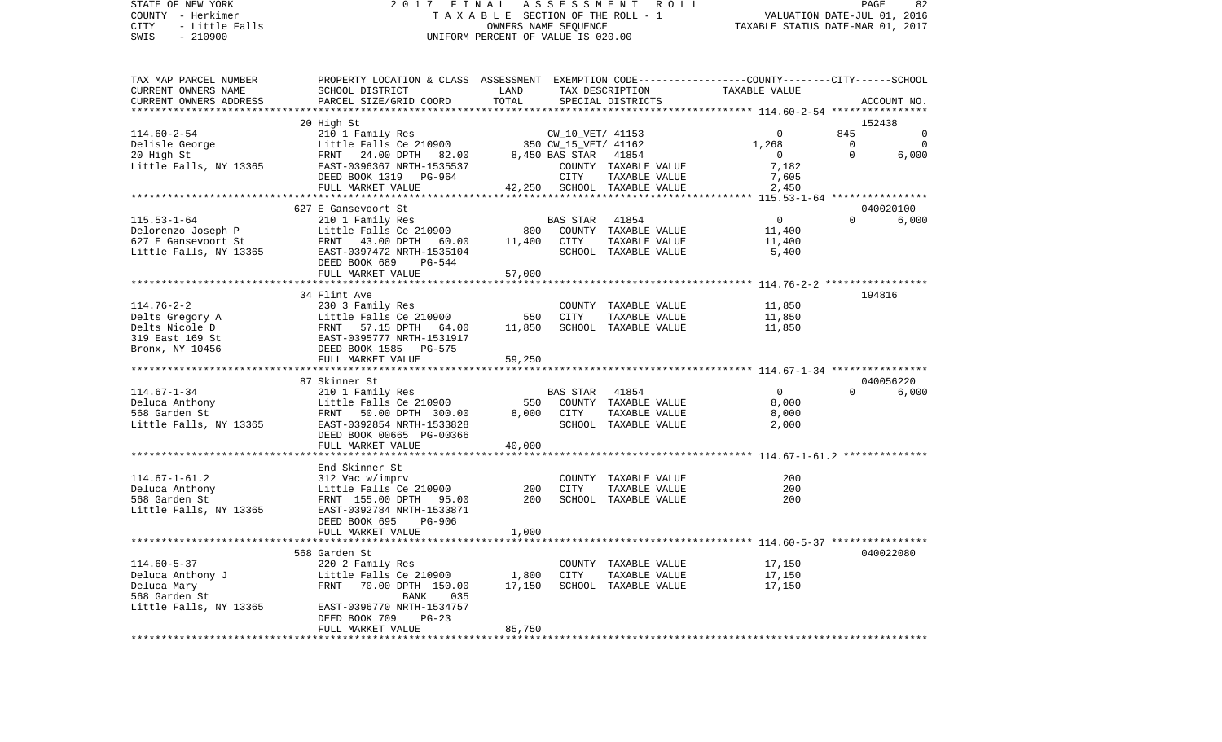STATE OF NEW YORK 2 0 1 7 F I N A L A S S E S S M E N T R O L L PAGE 82COUNTY - Herkimer **T A X A B L E SECTION OF THE ROLL - 1** VALUATION DATE-JUL 01, 2016 CITY - Little Falls OWNERS NAME SEQUENCE TAXABLE STATUS DATE-MAR 01, 2017 SWIS - 210900 UNIFORM PERCENT OF VALUE IS 020.00TAX MAP PARCEL NUMBER PROPERTY LOCATION & CLASS ASSESSMENT EXEMPTION CODE------------------COUNTY--------CITY------SCHOOL CURRENT OWNERS NAME SCHOOL DISTRICT LAND TAX DESCRIPTION TAXABLE VALUECURRENT OWNERS ADDRESS PARCEL SIZE/GRID COORD TOTAL SPECIAL DISTRICTS ACCOUNT NO. \*\*\*\*\*\*\*\*\*\*\*\*\*\*\*\*\*\*\*\*\*\*\*\*\*\*\*\*\*\*\*\*\*\*\*\*\*\*\*\*\*\*\*\*\*\*\*\*\*\*\*\*\*\*\*\*\*\*\*\*\*\*\*\*\*\*\*\*\*\*\*\*\*\*\*\*\*\*\*\*\*\*\*\*\*\*\*\*\*\*\*\*\*\*\*\*\*\*\*\*\*\*\* 114.60-2-54 \*\*\*\*\*\*\*\*\*\*\*\*\*\*\*\* 20 High St 152438 114.60-2-54 210 1 Family Res CW\_10\_VET/ 41153 0 845 0 Delisle George Little Falls Ce 210900 350 CW\_15\_VET/ 41162 1,268 0 0 20 High St FRNT 24.00 DPTH 82.00 8,450 BAS STAR 41854 0 0 6,000 Little Falls, NY 13365 EAST-0396367 NRTH-1535537 COUNTY TAXABLE VALUE 7,182 DEED BOOK 1319 PG-964 CITY TAXABLE VALUE 7,605 FULL MARKET VALUE  $42.250$  SCHOOL TAXABLE VALUE  $2.450$ \*\*\*\*\*\*\*\*\*\*\*\*\*\*\*\*\*\*\*\*\*\*\*\*\*\*\*\*\*\*\*\*\*\*\*\*\*\*\*\*\*\*\*\*\*\*\*\*\*\*\*\*\*\*\*\*\*\*\*\*\*\*\*\*\*\*\*\*\*\*\*\*\*\*\*\*\*\*\*\*\*\*\*\*\*\*\*\*\*\*\*\*\*\*\*\*\*\*\*\*\*\*\* 115.53-1-64 \*\*\*\*\*\*\*\*\*\*\*\*\*\*\*\* 627 E Gansevoort St 040020100115.53-1-64 210 1 Family Res BAS STAR 41854 0 0 6,000 Delorenzo Joseph P Little Falls Ce 210900 800 COUNTY TAXABLE VALUE 11,400 627 E Gansevoort St FRNT 43.00 DPTH 60.00 11,400 CITY TAXABLE VALUE 11,400 Little Falls, NY 13365 EAST-0397472 NRTH-1535104 SCHOOL TAXABLE VALUE 5,400 DEED BOOK 689 PG-544FULL MARKET VALUE 57,000 \*\*\*\*\*\*\*\*\*\*\*\*\*\*\*\*\*\*\*\*\*\*\*\*\*\*\*\*\*\*\*\*\*\*\*\*\*\*\*\*\*\*\*\*\*\*\*\*\*\*\*\*\*\*\*\*\*\*\*\*\*\*\*\*\*\*\*\*\*\*\*\*\*\*\*\*\*\*\*\*\*\*\*\*\*\*\*\*\*\*\*\*\*\*\*\*\*\*\*\*\*\*\* 114.76-2-2 \*\*\*\*\*\*\*\*\*\*\*\*\*\*\*\*\* 34 Flint Ave 194816114.76-2-2 230 3 Family Res COUNTY TAXABLE VALUE 11,850 Delts Gregory A 11,850 CLOMETRIE Falls Ce 210900 550 CITY TAXABLE VALUE 11,850 Delts Nicole D FRNT 57.15 DPTH 64.00 11,850 SCHOOL TAXABLE VALUE 11,850 319 East 169 St EAST-0395777 NRTH-1531917Bronx, NY 10456 DEED BOOK 1585 PG-575 FULL MARKET VALUE 59,250 \*\*\*\*\*\*\*\*\*\*\*\*\*\*\*\*\*\*\*\*\*\*\*\*\*\*\*\*\*\*\*\*\*\*\*\*\*\*\*\*\*\*\*\*\*\*\*\*\*\*\*\*\*\*\*\*\*\*\*\*\*\*\*\*\*\*\*\*\*\*\*\*\*\*\*\*\*\*\*\*\*\*\*\*\*\*\*\*\*\*\*\*\*\*\*\*\*\*\*\*\*\*\* 114.67-1-34 \*\*\*\*\*\*\*\*\*\*\*\*\*\*\*\* 87 Skinner St 040056220114.67-1-34 210 1 Family Res BAS STAR 41854 0 0 6,000 Deluca Anthony Little Falls Ce 210900 550 COUNTY TAXABLE VALUE 8,000 568 Garden St FRNT 50.00 DPTH 300.00 8,000 CITY TAXABLE VALUE 8,000 Little Falls, NY 13365 EAST-0392854 NRTH-1533828 SCHOOL TAXABLE VALUE 2,000 DEED BOOK 00665 PG-00366FULL MARKET VALUE 40.000 \*\*\*\*\*\*\*\*\*\*\*\*\*\*\*\*\*\*\*\*\*\*\*\*\*\*\*\*\*\*\*\*\*\*\*\*\*\*\*\*\*\*\*\*\*\*\*\*\*\*\*\*\*\*\*\*\*\*\*\*\*\*\*\*\*\*\*\*\*\*\*\*\*\*\*\*\*\*\*\*\*\*\*\*\*\*\*\*\*\*\*\*\*\*\*\*\*\*\*\*\*\*\* 114.67-1-61.2 \*\*\*\*\*\*\*\*\*\*\*\*\*\* End Skinner St114.67-1-61.2 312 Vac w/imprv COUNTY TAXABLE VALUE 200 Deluca Anthony Little Falls Ce 210900 200 CITY TAXABLE VALUE 200 568 Garden St FRNT 155.00 DPTH 95.00 200 SCHOOL TAXABLE VALUE 200Little Falls, NY 13365 EAST-0392784 NRTH-1533871 DEED BOOK 695 PG-906FULL MARKET VALUE 1,000 \*\*\*\*\*\*\*\*\*\*\*\*\*\*\*\*\*\*\*\*\*\*\*\*\*\*\*\*\*\*\*\*\*\*\*\*\*\*\*\*\*\*\*\*\*\*\*\*\*\*\*\*\*\*\*\*\*\*\*\*\*\*\*\*\*\*\*\*\*\*\*\*\*\*\*\*\*\*\*\*\*\*\*\*\*\*\*\*\*\*\*\*\*\*\*\*\*\*\*\*\*\*\* 114.60-5-37 \*\*\*\*\*\*\*\*\*\*\*\*\*\*\*\* 568 Garden St 040022080114.60-5-37 220 2 Family Res COUNTY TAXABLE VALUE 17,150 Deluca Anthony J Little Falls Ce 210900 1,800 CITY TAXABLE VALUE 17,150 Deluca Mary 61 17,150 FRNT 70.00 DPTH 150.00 17,150 SCHOOL TAXABLE VALUE 17,150 568 Garden St BANK 035 Little Falls, NY 13365 EAST-0396770 NRTH-1534757 DEED BOOK 709 PG-23

\*\*\*\*\*\*\*\*\*\*\*\*\*\*\*\*\*\*\*\*\*\*\*\*\*\*\*\*\*\*\*\*\*\*\*\*\*\*\*\*\*\*\*\*\*\*\*\*\*\*\*\*\*\*\*\*\*\*\*\*\*\*\*\*\*\*\*\*\*\*\*\*\*\*\*\*\*\*\*\*\*\*\*\*\*\*\*\*\*\*\*\*\*\*\*\*\*\*\*\*\*\*\*\*\*\*\*\*\*\*\*\*\*\*\*\*\*\*\*\*\*\*\*\*\*\*\*\*\*\*\*\*

FULL MARKET VALUE 85,750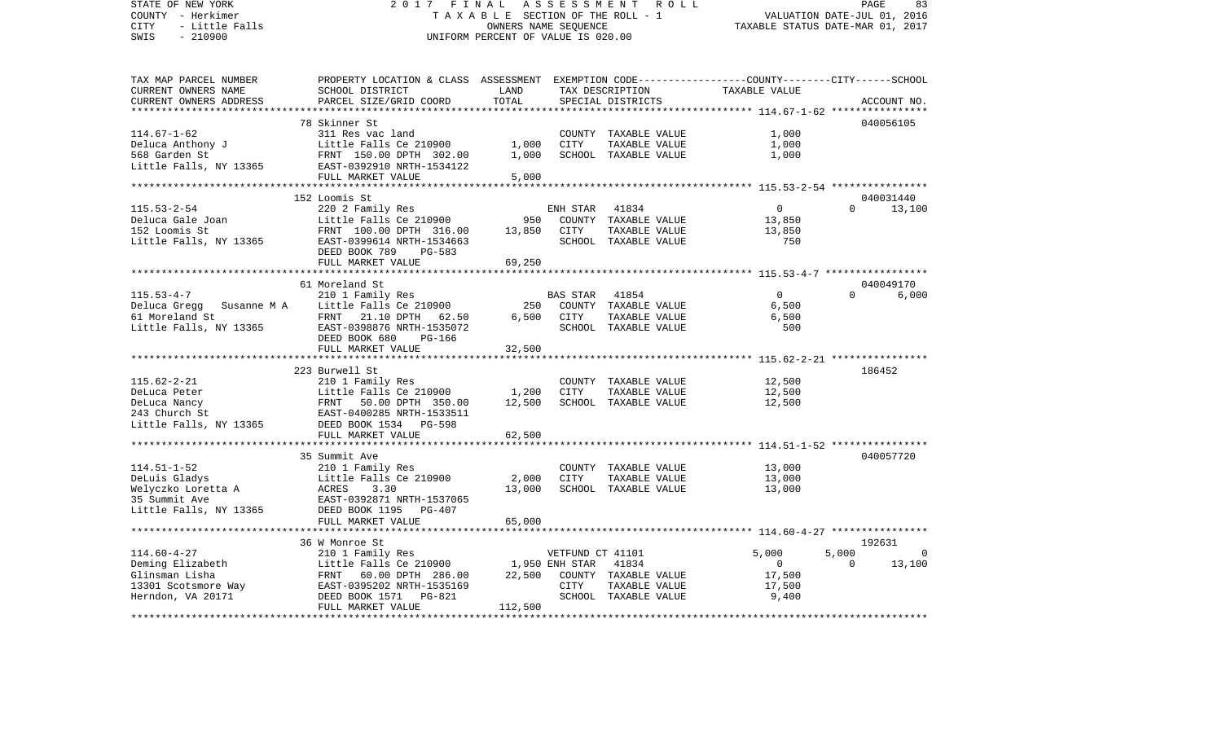| STATE OF NEW YORK                                                                                                                                                  | 2017<br>FINAL                                                                                   |                                    |                  | ASSESSMENT ROLL                       |                                  | PAGE                        | 83          |
|--------------------------------------------------------------------------------------------------------------------------------------------------------------------|-------------------------------------------------------------------------------------------------|------------------------------------|------------------|---------------------------------------|----------------------------------|-----------------------------|-------------|
| COUNTY - Herkimer                                                                                                                                                  |                                                                                                 |                                    |                  | TAXABLE SECTION OF THE ROLL - 1       |                                  | VALUATION DATE-JUL 01, 2016 |             |
| CITY<br>- Little Falls                                                                                                                                             |                                                                                                 | OWNERS NAME SEQUENCE               |                  |                                       | TAXABLE STATUS DATE-MAR 01, 2017 |                             |             |
| $-210900$<br>SWIS                                                                                                                                                  |                                                                                                 | UNIFORM PERCENT OF VALUE IS 020.00 |                  |                                       |                                  |                             |             |
|                                                                                                                                                                    |                                                                                                 |                                    |                  |                                       |                                  |                             |             |
| TAX MAP PARCEL NUMBER                                                                                                                                              | PROPERTY LOCATION & CLASS ASSESSMENT EXEMPTION CODE---------------COUNTY-------CITY------SCHOOL |                                    |                  |                                       |                                  |                             |             |
| CURRENT OWNERS NAME                                                                                                                                                | SCHOOL DISTRICT                                                                                 | LAND                               |                  | TAX DESCRIPTION                       | TAXABLE VALUE                    |                             |             |
| CURRENT OWNERS ADDRESS                                                                                                                                             | PARCEL SIZE/GRID COORD                                                                          | TOTAL                              |                  | SPECIAL DISTRICTS                     |                                  |                             | ACCOUNT NO. |
|                                                                                                                                                                    |                                                                                                 |                                    |                  |                                       |                                  |                             |             |
|                                                                                                                                                                    | 78 Skinner St                                                                                   |                                    |                  |                                       |                                  |                             | 040056105   |
| $114.67 - 1 - 62$                                                                                                                                                  |                                                                                                 |                                    |                  | COUNTY TAXABLE VALUE                  | 1,000                            |                             |             |
| Deluca Anthony J<br>568 Garden St                                                                                                                                  | 311 Res vac land<br>Little Falls Ce 210900 1,000<br>1,000 10000 1,000                           |                                    | CITY             | TAXABLE VALUE                         | 1,000                            |                             |             |
|                                                                                                                                                                    | FRNT 150.00 DPTH 302.00                                                                         |                                    |                  | SCHOOL TAXABLE VALUE                  | 1,000                            |                             |             |
| Little Falls, NY 13365                                                                                                                                             | EAST-0392910 NRTH-1534122                                                                       |                                    |                  |                                       |                                  |                             |             |
|                                                                                                                                                                    | FULL MARKET VALUE                                                                               | 5,000                              |                  |                                       |                                  |                             |             |
|                                                                                                                                                                    |                                                                                                 |                                    |                  |                                       |                                  |                             |             |
|                                                                                                                                                                    | 152 Loomis St                                                                                   |                                    |                  |                                       |                                  |                             | 040031440   |
| $115.53 - 2 - 54$                                                                                                                                                  | 220 2 Family Res                                                                                |                                    | ENH STAR         | 41834                                 | $\Omega$                         | $\Omega$                    | 13,100      |
| Deluca Gale Joan<br>152 Loomis St<br>152 Loomis St<br>16.00 EXAMPLE 100.00 DPTH<br>16.00                                                                           |                                                                                                 | 950                                |                  | COUNTY TAXABLE VALUE                  | 13,850                           |                             |             |
|                                                                                                                                                                    |                                                                                                 | 13,850                             | CITY             | TAXABLE VALUE                         | 13,850                           |                             |             |
| Little Falls, NY 13365 EAST-0399614 NRTH-1534663                                                                                                                   |                                                                                                 |                                    |                  | SCHOOL TAXABLE VALUE                  | 750                              |                             |             |
|                                                                                                                                                                    | DEED BOOK 789<br>PG-583                                                                         |                                    |                  |                                       |                                  |                             |             |
|                                                                                                                                                                    | FULL MARKET VALUE                                                                               | 69,250                             |                  |                                       |                                  |                             |             |
|                                                                                                                                                                    |                                                                                                 |                                    |                  |                                       |                                  |                             |             |
|                                                                                                                                                                    | 61 Moreland St                                                                                  |                                    |                  |                                       |                                  |                             | 040049170   |
| $115.53 - 4 - 7$                                                                                                                                                   | 210 1 Family Res                                                                                |                                    | BAS STAR         | 41854                                 | $\overline{0}$                   | $\Omega$                    | 6,000       |
| Deluca Gregg Susanne M A Little Falls Ce 210900                                                                                                                    |                                                                                                 | 250                                |                  | COUNTY TAXABLE VALUE                  | 6,500                            |                             |             |
|                                                                                                                                                                    |                                                                                                 | 6,500                              | CITY             | TAXABLE VALUE<br>SCHOOL TAXABLE VALUE | 6,500<br>500                     |                             |             |
|                                                                                                                                                                    | DEED BOOK 680<br>PG-166                                                                         |                                    |                  |                                       |                                  |                             |             |
|                                                                                                                                                                    | FULL MARKET VALUE                                                                               | 32,500                             |                  |                                       |                                  |                             |             |
|                                                                                                                                                                    |                                                                                                 |                                    |                  |                                       |                                  |                             |             |
|                                                                                                                                                                    | 223 Burwell St                                                                                  |                                    |                  |                                       |                                  | 186452                      |             |
| $115.62 - 2 - 21$                                                                                                                                                  | 210 1 Family Res                                                                                |                                    |                  | COUNTY TAXABLE VALUE                  | 12,500                           |                             |             |
| DeLuca Peter                                                                                                                                                       | Little Falls Ce 210900                                                                          | 1,200                              | <b>CITY</b>      | TAXABLE VALUE                         | 12,500                           |                             |             |
| DeLuca Nancy                                                                                                                                                       | Little<br>FRNT<br>EAST-04<br>50.00 DPTH 350.00                                                  | 12,500                             |                  | SCHOOL TAXABLE VALUE                  | 12,500                           |                             |             |
| 243 Church St                                                                                                                                                      | EAST-0400285 NRTH-1533511                                                                       |                                    |                  |                                       |                                  |                             |             |
| Little Falls, NY 13365 DEED BOOK 1534 PG-598                                                                                                                       |                                                                                                 |                                    |                  |                                       |                                  |                             |             |
|                                                                                                                                                                    | FULL MARKET VALUE                                                                               | 62,500                             |                  |                                       |                                  |                             |             |
|                                                                                                                                                                    |                                                                                                 |                                    |                  |                                       |                                  |                             |             |
|                                                                                                                                                                    | 35 Summit Ave                                                                                   |                                    |                  |                                       |                                  |                             | 040057720   |
| $114.51 - 1 - 52$                                                                                                                                                  | 210 1 Family Res                                                                                |                                    |                  | COUNTY TAXABLE VALUE                  | 13,000                           |                             |             |
| DeLuis Gladys                                                                                                                                                      | Little Falls Ce 210900                                                                          | 2,000                              | CITY             | TAXABLE VALUE                         | 13,000                           |                             |             |
| Welyczko Loretta A<br>35 Summit Ave                                                                                                                                | ACRES<br>3.30                                                                                   | 13,000                             |                  | SCHOOL TAXABLE VALUE                  | 13,000                           |                             |             |
|                                                                                                                                                                    | EAST-0392871 NRTH-1537065                                                                       |                                    |                  |                                       |                                  |                             |             |
| Little Falls, NY 13365                                                                                                                                             | DEED BOOK 1195 PG-407                                                                           |                                    |                  |                                       |                                  |                             |             |
|                                                                                                                                                                    | FULL MARKET VALUE                                                                               | 65,000                             |                  |                                       |                                  |                             |             |
|                                                                                                                                                                    |                                                                                                 |                                    |                  |                                       |                                  |                             |             |
|                                                                                                                                                                    | 36 W Monroe St                                                                                  |                                    |                  |                                       |                                  | 192631                      |             |
| $114.60 - 4 - 27$                                                                                                                                                  | 210 1 Family Res                                                                                |                                    | VETFUND CT 41101 |                                       | 5,000                            | 5,000                       | $\Omega$    |
|                                                                                                                                                                    |                                                                                                 |                                    | 1,950 ENH STAR   | 41834                                 | $\overline{0}$                   | $\Omega$                    | 13,100      |
|                                                                                                                                                                    |                                                                                                 | 22,500                             |                  | COUNTY TAXABLE VALUE                  | 17,500                           |                             |             |
|                                                                                                                                                                    |                                                                                                 |                                    | CITY             | TAXABLE VALUE                         | 17,500                           |                             |             |
| Deming Elizabeth<br>Glinsman Lisha<br>IISO ERNT 60.00 DPTH 286.00<br>13301 Scotsmore Way<br>Herndon, VA 20171<br>ERST-0395202 NRTH-1535169<br>EED BOOK 1571 PG-821 |                                                                                                 |                                    |                  | SCHOOL TAXABLE VALUE                  | 9,400                            |                             |             |
|                                                                                                                                                                    | FULL MARKET VALUE                                                                               | 112,500                            |                  |                                       |                                  |                             |             |
|                                                                                                                                                                    |                                                                                                 |                                    |                  |                                       |                                  |                             |             |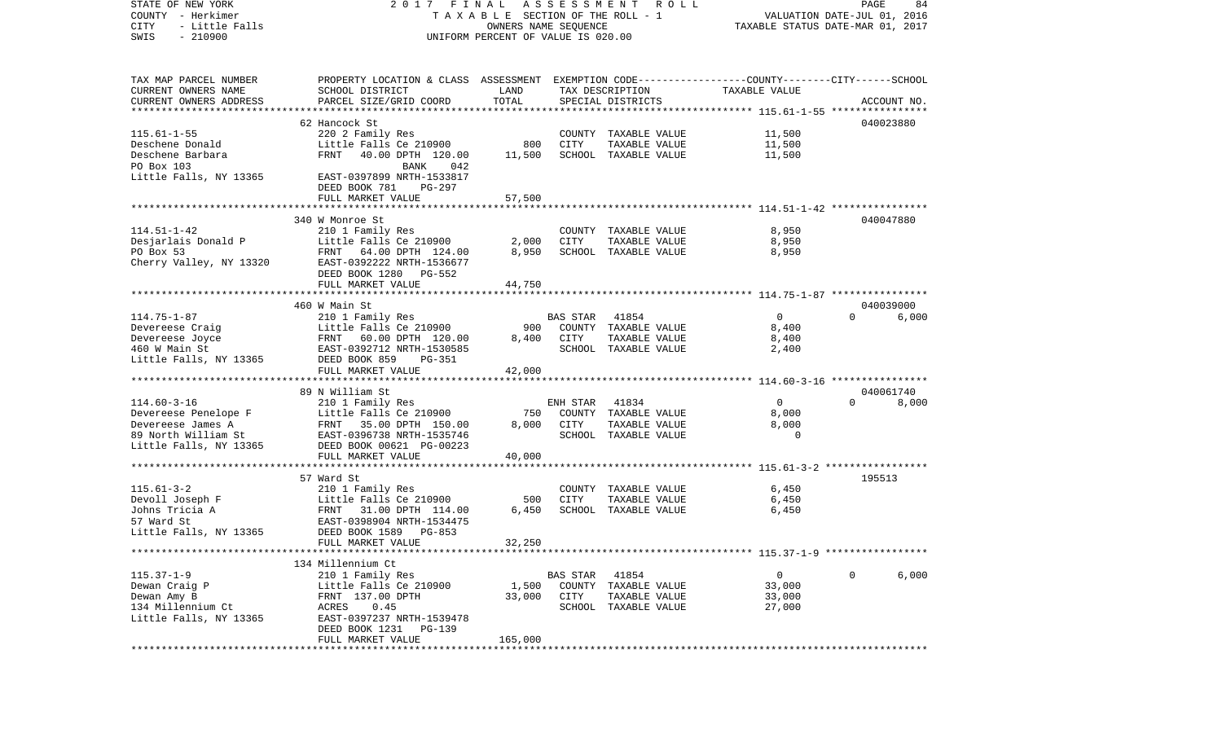| STATE OF NEW YORK<br>COUNTY - Herkimer | 2017 FINAL                                                                                      | TAXABLE SECTION OF THE ROLL - 1    | A S S E S S M E N T | R O L L              | VALUATION DATE-JUL 01, 2016      | PAGE     | 84          |
|----------------------------------------|-------------------------------------------------------------------------------------------------|------------------------------------|---------------------|----------------------|----------------------------------|----------|-------------|
| CITY<br>- Little Falls                 |                                                                                                 | OWNERS NAME SEQUENCE               |                     |                      | TAXABLE STATUS DATE-MAR 01, 2017 |          |             |
| $-210900$<br>SWIS                      |                                                                                                 | UNIFORM PERCENT OF VALUE IS 020.00 |                     |                      |                                  |          |             |
|                                        |                                                                                                 |                                    |                     |                      |                                  |          |             |
| TAX MAP PARCEL NUMBER                  | PROPERTY LOCATION & CLASS ASSESSMENT EXEMPTION CODE---------------COUNTY-------CITY------SCHOOL |                                    |                     |                      |                                  |          |             |
| CURRENT OWNERS NAME                    | SCHOOL DISTRICT                                                                                 | LAND                               |                     | TAX DESCRIPTION      | TAXABLE VALUE                    |          |             |
| CURRENT OWNERS ADDRESS                 | PARCEL SIZE/GRID COORD                                                                          | TOTAL                              |                     | SPECIAL DISTRICTS    |                                  |          | ACCOUNT NO. |
| *************************              |                                                                                                 |                                    |                     |                      |                                  |          |             |
|                                        | 62 Hancock St                                                                                   |                                    |                     |                      |                                  |          | 040023880   |
| $115.61 - 1 - 55$                      | 220 2 Family Res                                                                                |                                    |                     | COUNTY TAXABLE VALUE | 11,500                           |          |             |
| Deschene Donald                        | Little Falls Ce 210900                                                                          | 800                                | CITY                | TAXABLE VALUE        | 11,500                           |          |             |
| Deschene Barbara                       | FRNT<br>40.00 DPTH 120.00                                                                       | 11,500                             |                     | SCHOOL TAXABLE VALUE | 11,500                           |          |             |
| PO Box 103                             | BANK<br>042                                                                                     |                                    |                     |                      |                                  |          |             |
| Little Falls, NY 13365                 | EAST-0397899 NRTH-1533817                                                                       |                                    |                     |                      |                                  |          |             |
|                                        | DEED BOOK 781<br>PG-297                                                                         |                                    |                     |                      |                                  |          |             |
|                                        | FULL MARKET VALUE                                                                               | 57,500                             |                     |                      |                                  |          |             |
|                                        |                                                                                                 |                                    |                     |                      |                                  |          |             |
|                                        | 340 W Monroe St                                                                                 |                                    |                     |                      |                                  |          | 040047880   |
| $114.51 - 1 - 42$                      | 210 1 Family Res                                                                                |                                    |                     | COUNTY TAXABLE VALUE | 8,950                            |          |             |
| Desjarlais Donald P                    | Little Falls Ce 210900                                                                          | 2,000                              | CITY                | TAXABLE VALUE        | 8,950                            |          |             |
| PO Box 53                              | FRNT 64.00 DPTH 124.00                                                                          | 8,950                              |                     | SCHOOL TAXABLE VALUE | 8,950                            |          |             |
| Cherry Valley, NY 13320                | EAST-0392222 NRTH-1536677                                                                       |                                    |                     |                      |                                  |          |             |
|                                        | DEED BOOK 1280 PG-552                                                                           |                                    |                     |                      |                                  |          |             |
|                                        | FULL MARKET VALUE                                                                               | 44,750                             |                     |                      |                                  |          |             |
|                                        |                                                                                                 |                                    |                     |                      |                                  |          |             |
|                                        | 460 W Main St                                                                                   |                                    |                     |                      |                                  |          | 040039000   |
| $114.75 - 1 - 87$                      | 210 1 Family Res                                                                                |                                    | BAS STAR            | 41854                | $\overline{0}$                   | $\Omega$ | 6,000       |
| Devereese Craig                        | Little Falls Ce 210900                                                                          | 900                                |                     | COUNTY TAXABLE VALUE | 8,400                            |          |             |
| Devereese Joyce                        | FRNT 60.00 DPTH 120.00                                                                          | 8,400                              | CITY                | TAXABLE VALUE        | 8,400                            |          |             |
| 460 W Main St                          | EAST-0392712 NRTH-1530585                                                                       |                                    |                     | SCHOOL TAXABLE VALUE | 2,400                            |          |             |
| Little Falls, NY 13365                 | DEED BOOK 859<br>PG-351                                                                         |                                    |                     |                      |                                  |          |             |
|                                        | FULL MARKET VALUE                                                                               | 42,000                             |                     |                      |                                  |          |             |
|                                        |                                                                                                 |                                    |                     |                      |                                  |          |             |
| $114.60 - 3 - 16$                      | 89 N William St                                                                                 |                                    |                     |                      | $\overline{0}$                   | $\Omega$ | 040061740   |
|                                        | 210 1 Family Res                                                                                | 750                                | ENH STAR            | 41834                |                                  |          | 8,000       |
| Devereese Penelope F                   | Little Falls Ce 210900                                                                          | 8,000                              | CITY                | COUNTY TAXABLE VALUE | 8,000<br>8,000                   |          |             |
| Devereese James A                      | FRNT 35.00 DPTH 150.00                                                                          |                                    |                     | TAXABLE VALUE        | $\mathbf 0$                      |          |             |
| 89 North William St                    | EAST-0396738 NRTH-1535746                                                                       |                                    |                     | SCHOOL TAXABLE VALUE |                                  |          |             |
| Little Falls, NY 13365                 | DEED BOOK 00621 PG-00223                                                                        |                                    |                     |                      |                                  |          |             |
|                                        | FULL MARKET VALUE                                                                               | 40,000                             |                     |                      |                                  |          |             |
|                                        | 57 Ward St                                                                                      |                                    |                     |                      |                                  | 195513   |             |
| $115.61 - 3 - 2$                       | 210 1 Family Res                                                                                |                                    |                     | COUNTY TAXABLE VALUE | 6,450                            |          |             |
| Devoll Joseph F                        | Little Falls Ce 210900                                                                          | 500                                | CITY                | TAXABLE VALUE        | 6,450                            |          |             |
| Johns Tricia A                         | FRNT 31.00 DPTH 114.00                                                                          | 6,450                              |                     | SCHOOL TAXABLE VALUE | 6,450                            |          |             |
| 57 Ward St                             | EAST-0398904 NRTH-1534475                                                                       |                                    |                     |                      |                                  |          |             |
| Little Falls, NY 13365                 | DEED BOOK 1589 PG-853                                                                           |                                    |                     |                      |                                  |          |             |
|                                        | FULL MARKET VALUE                                                                               | 32,250                             |                     |                      |                                  |          |             |
|                                        |                                                                                                 |                                    |                     |                      |                                  |          |             |
|                                        | 134 Millennium Ct                                                                               |                                    |                     |                      |                                  |          |             |
| $115.37 - 1 - 9$                       | 210 1 Family Res                                                                                |                                    | BAS STAR 41854      |                      | $\mathbf{0}$                     | $\Omega$ | 6,000       |
| Dewan Craig P                          | Little Falls Ce 210900                                                                          | 1,500                              |                     | COUNTY TAXABLE VALUE | 33,000                           |          |             |
| Dewan Amy B                            | FRNT 137.00 DPTH                                                                                | 33,000                             | CITY                | TAXABLE VALUE        | 33,000                           |          |             |
| 134 Millennium Ct                      | ACRES<br>0.45                                                                                   |                                    |                     | SCHOOL TAXABLE VALUE | 27,000                           |          |             |
| Little Falls, NY 13365                 | EAST-0397237 NRTH-1539478                                                                       |                                    |                     |                      |                                  |          |             |
|                                        | DEED BOOK 1231 PG-139                                                                           |                                    |                     |                      |                                  |          |             |
|                                        | FULL MARKET VALUE                                                                               | 165,000                            |                     |                      |                                  |          |             |
|                                        |                                                                                                 |                                    |                     |                      |                                  |          |             |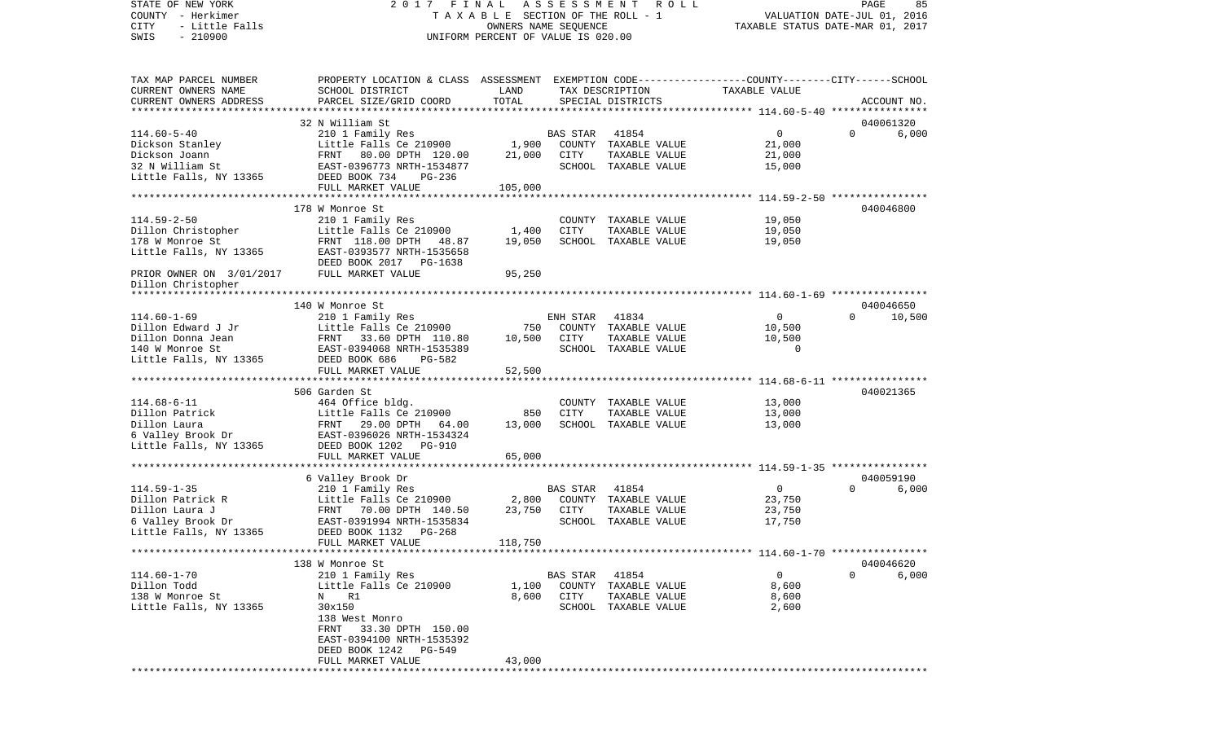COUNTY - Herkimer **T A X A B L E SECTION OF THE ROLL - 1** VALUATION DATE-JUL 01, 2016 CITY - Little Falls OWNERS NAME SEQUENCE TAXABLE STATUS DATE-MAR 01, 2017 SWIS - 210900 UNIFORM PERCENT OF VALUE IS 020.00TAX MAP PARCEL NUMBER PROPERTY LOCATION & CLASS ASSESSMENT EXEMPTION CODE------------------COUNTY--------CITY------SCHOOL CURRENT OWNERS NAME SCHOOL DISTRICT LAND TAX DESCRIPTION TAXABLE VALUECURRENT OWNERS ADDRESS PARCEL SIZE/GRID COORD TOTAL SPECIAL DISTRICTS ACCOUNT NO. \*\*\*\*\*\*\*\*\*\*\*\*\*\*\*\*\*\*\*\*\*\*\*\*\*\*\*\*\*\*\*\*\*\*\*\*\*\*\*\*\*\*\*\*\*\*\*\*\*\*\*\*\*\*\*\*\*\*\*\*\*\*\*\*\*\*\*\*\*\*\*\*\*\*\*\*\*\*\*\*\*\*\*\*\*\*\*\*\*\*\*\*\*\*\*\*\*\*\*\*\*\*\* 114.60-5-40 \*\*\*\*\*\*\*\*\*\*\*\*\*\*\*\* 32 N William St 040061320114.60-5-40 210 1 Family Res BAS STAR 41854 0 0 6,000 Dickson Stanley Little Falls Ce 210900 1,900 COUNTY TAXABLE VALUE 21,000 Dickson Joann FRNT 80.00 DPTH 120.00 21,000 CITY TAXABLE VALUE 21,000 32 N William St EAST-0396773 NRTH-1534877 SCHOOL TAXABLE VALUE 15,000 Little Falls, NY 13365 DEED BOOK 734 PG-236 FULL MARKET VALUE 105,000 \*\*\*\*\*\*\*\*\*\*\*\*\*\*\*\*\*\*\*\*\*\*\*\*\*\*\*\*\*\*\*\*\*\*\*\*\*\*\*\*\*\*\*\*\*\*\*\*\*\*\*\*\*\*\*\*\*\*\*\*\*\*\*\*\*\*\*\*\*\*\*\*\*\*\*\*\*\*\*\*\*\*\*\*\*\*\*\*\*\*\*\*\*\*\*\*\*\*\*\*\*\*\* 114.59-2-50 \*\*\*\*\*\*\*\*\*\*\*\*\*\*\*\* 178 W Monroe St 040046800114.59-2-50 210 1 Family Res COUNTY TAXABLE VALUE 19,050 Dillon Christopher Little Falls Ce 210900 1,400 CITY TAXABLE VALUE 178 W Monroe St FRNT 118.00 DPTH 48.87 19,050 SCHOOL TAXABLE VALUE 19,050 Little Falls, NY 13365 EAST-0393577 NRTH-1535658 DEED BOOK 2017 PG-1638PRIOR OWNER ON 3/01/2017 FULL MARKET VALUE 95,250 Dillon Christopher \*\*\*\*\*\*\*\*\*\*\*\*\*\*\*\*\*\*\*\*\*\*\*\*\*\*\*\*\*\*\*\*\*\*\*\*\*\*\*\*\*\*\*\*\*\*\*\*\*\*\*\*\*\*\*\*\*\*\*\*\*\*\*\*\*\*\*\*\*\*\*\*\*\*\*\*\*\*\*\*\*\*\*\*\*\*\*\*\*\*\*\*\*\*\*\*\*\*\*\*\*\*\* 114.60-1-69 \*\*\*\*\*\*\*\*\*\*\*\*\*\*\*\* 140 W Monroe St 040046650114.60-1-69 210 1 Family Res ENH STAR 41834 0 0 10,500 Little Falls Ce 210900 750 COUNTY TAXABLE VALUE 10,500 Dillon Donna Jean FRNT 33.60 DPTH 110.80 10,500 CITY TAXABLE VALUE 10,500 140 W Monroe St EAST-0394068 NRTH-1535389 SCHOOL TAXABLE VALUE 0 Little Falls, NY 13365 DEED BOOK 686 PG-582 FULL MARKET VALUE 52,500 \*\*\*\*\*\*\*\*\*\*\*\*\*\*\*\*\*\*\*\*\*\*\*\*\*\*\*\*\*\*\*\*\*\*\*\*\*\*\*\*\*\*\*\*\*\*\*\*\*\*\*\*\*\*\*\*\*\*\*\*\*\*\*\*\*\*\*\*\*\*\*\*\*\*\*\*\*\*\*\*\*\*\*\*\*\*\*\*\*\*\*\*\*\*\*\*\*\*\*\*\*\*\* 114.68-6-11 \*\*\*\*\*\*\*\*\*\*\*\*\*\*\*\* 506 Garden St 040021365114.68-6-11 464 Office bldg. COUNTY TAXABLE VALUE 13,000 Dillon Patrick and Little Falls Ce 210900 850 CITY TAXABLE VALUE 13,000 Dillon Laura FRNT 29.00 DPTH 64.00 13,000 SCHOOL TAXABLE VALUE 13,000 6 Valley Brook Dr EAST-0396026 NRTH-1534324 Little Falls, NY 13365 DEED BOOK 1202 PG-910 FULL MARKET VALUE 65,000 \*\*\*\*\*\*\*\*\*\*\*\*\*\*\*\*\*\*\*\*\*\*\*\*\*\*\*\*\*\*\*\*\*\*\*\*\*\*\*\*\*\*\*\*\*\*\*\*\*\*\*\*\*\*\*\*\*\*\*\*\*\*\*\*\*\*\*\*\*\*\*\*\*\*\*\*\*\*\*\*\*\*\*\*\*\*\*\*\*\*\*\*\*\*\*\*\*\*\*\*\*\*\* 114.59-1-35 \*\*\*\*\*\*\*\*\*\*\*\*\*\*\*\* 6 Valley Brook Dr 040059190 114.59-1-35 210 1 Family Res BAS STAR 41854 0 0 6,000 Dillon Patrick R Little Falls Ce 210900 2,800 COUNTY TAXABLE VALUE 23,750 Dillon Laura J FRNT 70.00 DPTH 140.50 23,750 CITY TAXABLE VALUE 23,750 6 Valley Brook Dr EAST-0391994 NRTH-1535834 SCHOOL TAXABLE VALUE 17,750 Little Falls, NY 13365 DEED BOOK 1132 PG-268 FULL MARKET VALUE 118,750 \*\*\*\*\*\*\*\*\*\*\*\*\*\*\*\*\*\*\*\*\*\*\*\*\*\*\*\*\*\*\*\*\*\*\*\*\*\*\*\*\*\*\*\*\*\*\*\*\*\*\*\*\*\*\*\*\*\*\*\*\*\*\*\*\*\*\*\*\*\*\*\*\*\*\*\*\*\*\*\*\*\*\*\*\*\*\*\*\*\*\*\*\*\*\*\*\*\*\*\*\*\*\* 114.60-1-70 \*\*\*\*\*\*\*\*\*\*\*\*\*\*\*\* 138 W Monroe St 040046620114.60-1-70 210 1 Family Res BAS STAR 41854 0 0 6,000 1.100 COUNTY TAXABLE VALUE 8,600 138 W Monroe St  $N$  R1 8,600 CITY TAXABLE VALUE 8,600 8,600 Little Falls, NY 13365 30x150 30x150 30x150 SCHOOL TAXABLE VALUE 2,600 138 West Monro FRNT 33.30 DPTH 150.00 EAST-0394100 NRTH-1535392 DEED BOOK 1242 PG-549FULL MARKET VALUE 43,000 \*\*\*\*\*\*\*\*\*\*\*\*\*\*\*\*\*\*\*\*\*\*\*\*\*\*\*\*\*\*\*\*\*\*\*\*\*\*\*\*\*\*\*\*\*\*\*\*\*\*\*\*\*\*\*\*\*\*\*\*\*\*\*\*\*\*\*\*\*\*\*\*\*\*\*\*\*\*\*\*\*\*\*\*\*\*\*\*\*\*\*\*\*\*\*\*\*\*\*\*\*\*\*\*\*\*\*\*\*\*\*\*\*\*\*\*\*\*\*\*\*\*\*\*\*\*\*\*\*\*\*\*

STATE OF NEW YORK 2 0 1 7 F I N A L A S S E S S M E N T R O L L PAGE 85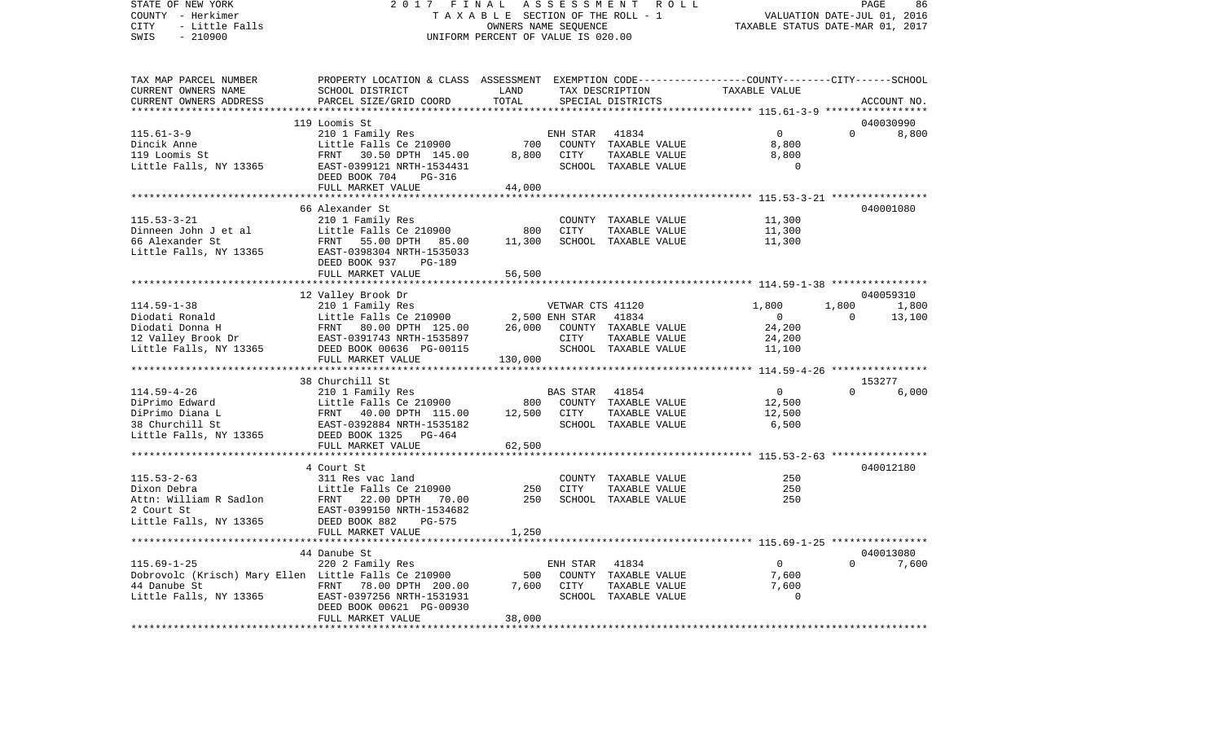STATE OF NEW YORK 2 0 1 7 F I N A L A S S E S S M E N T R O L L PAGE 86COUNTY - Herkimer **T A X A B L E SECTION OF THE ROLL - 1** VALUATION DATE-JUL 01, 2016 CITY - Little Falls OWNERS NAME SEQUENCE TAXABLE STATUS DATE-MAR 01, 2017 SWIS - 210900 UNIFORM PERCENT OF VALUE IS 020.00TAX MAP PARCEL NUMBER PROPERTY LOCATION & CLASS ASSESSMENT EXEMPTION CODE------------------COUNTY--------CITY------SCHOOL CURRENT OWNERS NAME SCHOOL DISTRICT LAND TAX DESCRIPTION TAXABLE VALUE

CURRENT OWNERS ADDRESS PARCEL SIZE/GRID COORD TOTAL SPECIAL DISTRICTS ACCOUNT NO. \*\*\*\*\*\*\*\*\*\*\*\*\*\*\*\*\*\*\*\*\*\*\*\*\*\*\*\*\*\*\*\*\*\*\*\*\*\*\*\*\*\*\*\*\*\*\*\*\*\*\*\*\*\*\*\*\*\*\*\*\*\*\*\*\*\*\*\*\*\*\*\*\*\*\*\*\*\*\*\*\*\*\*\*\*\*\*\*\*\*\*\*\*\*\*\*\*\*\*\*\*\*\* 115.61-3-9 \*\*\*\*\*\*\*\*\*\*\*\*\*\*\*\*\* 119 Loomis St 040030990115.61-3-9 210 1 Family Res ENH STAR 41834 0 0 8,800 Dincik Anne Little Falls Ce 210900 700 COUNTY TAXABLE VALUE 8,800 119 Loomis St FRNT 30.50 DPTH 145.00 8,800 CITY TAXABLE VALUE 8,800 Little Falls, NY 13365 EAST-0399121 NRTH-1534431 SCHOOL TAXABLE VALUE 0 DEED BOOK 704 PG-316 FULL MARKET VALUE 44,000 \*\*\*\*\*\*\*\*\*\*\*\*\*\*\*\*\*\*\*\*\*\*\*\*\*\*\*\*\*\*\*\*\*\*\*\*\*\*\*\*\*\*\*\*\*\*\*\*\*\*\*\*\*\*\*\*\*\*\*\*\*\*\*\*\*\*\*\*\*\*\*\*\*\*\*\*\*\*\*\*\*\*\*\*\*\*\*\*\*\*\*\*\*\*\*\*\*\*\*\*\*\*\* 115.53-3-21 \*\*\*\*\*\*\*\*\*\*\*\*\*\*\*\* 66 Alexander St 040001080115.53-3-21 210 1 Family Res COUNTY TAXABLE VALUE 11,300 Dinneen John J et al Little Falls Ce 210900 800 CITY TAXABLE VALUE 66 Alexander St FRNT 55.00 DPTH 85.00 11,300 SCHOOL TAXABLE VALUE 11,300 Little Falls, NY 13365 EAST-0398304 NRTH-1535033 DEED BOOK 937 PG-189FULL MARKET VALUE 56,500 \*\*\*\*\*\*\*\*\*\*\*\*\*\*\*\*\*\*\*\*\*\*\*\*\*\*\*\*\*\*\*\*\*\*\*\*\*\*\*\*\*\*\*\*\*\*\*\*\*\*\*\*\*\*\*\*\*\*\*\*\*\*\*\*\*\*\*\*\*\*\*\*\*\*\*\*\*\*\*\*\*\*\*\*\*\*\*\*\*\*\*\*\*\*\*\*\*\*\*\*\*\*\* 114.59-1-38 \*\*\*\*\*\*\*\*\*\*\*\*\*\*\*\* 12 Valley Brook Dr 040059310 114.59-1-38 210 1 Family Res VETWAR CTS 41120 1,800 1,800 1,800 Diodati Ronald Little Falls Ce 210900 2,500 ENH STAR 41834 0 0 13,100 Diodati Donna H FRNT 80.00 DPTH 125.00 26,000 COUNTY TAXABLE VALUE 24,200 12 Valley Brook Dr EAST-0391743 NRTH-1535897 CITY TAXABLE VALUE 24,200 Little Falls, NY 13365 DEED BOOK 00636 PG-00115 SCHOOL TAXABLE VALUE 11,100 FULL MARKET VALUE 130,000 \*\*\*\*\*\*\*\*\*\*\*\*\*\*\*\*\*\*\*\*\*\*\*\*\*\*\*\*\*\*\*\*\*\*\*\*\*\*\*\*\*\*\*\*\*\*\*\*\*\*\*\*\*\*\*\*\*\*\*\*\*\*\*\*\*\*\*\*\*\*\*\*\*\*\*\*\*\*\*\*\*\*\*\*\*\*\*\*\*\*\*\*\*\*\*\*\*\*\*\*\*\*\* 114.59-4-26 \*\*\*\*\*\*\*\*\*\*\*\*\*\*\*\* 38 Churchill St 153277114.59-4-26 210 1 Family Res BAS STAR 41854 0 0 6,000 DiPrimo Edward Little Falls Ce 210900 800 COUNTY TAXABLE VALUE 12,500 DiPrimo Diana L FRNT 40.00 DPTH 115.00 12,500 CITY TAXABLE VALUE 12,500 38 Churchill St EAST-0392884 NRTH-1535182 SCHOOL TAXABLE VALUE 6,500 Little Falls, NY 13365 DEED BOOK 1325 PG-464 FULL MARKET VALUE 62,500 \*\*\*\*\*\*\*\*\*\*\*\*\*\*\*\*\*\*\*\*\*\*\*\*\*\*\*\*\*\*\*\*\*\*\*\*\*\*\*\*\*\*\*\*\*\*\*\*\*\*\*\*\*\*\*\*\*\*\*\*\*\*\*\*\*\*\*\*\*\*\*\*\*\*\*\*\*\*\*\*\*\*\*\*\*\*\*\*\*\*\*\*\*\*\*\*\*\*\*\*\*\*\* 115.53-2-63 \*\*\*\*\*\*\*\*\*\*\*\*\*\*\*\* 4 Court St 040012180115.53-2-63 311 Res vac land COUNTY TAXABLE VALUE 250250 Dixon Debra Little Falls Ce 210900 250 CITY TAXABLE VALUE 250Attn: William R Sadlon FRNT 22.00 DPTH 70.00 250 SCHOOL TAXABLE VALUE 250 2 Court St EAST-0399150 NRTH-1534682Little Falls, NY 13365 DEED BOOK 882 PG-575 FULL MARKET VALUE 1,250 \*\*\*\*\*\*\*\*\*\*\*\*\*\*\*\*\*\*\*\*\*\*\*\*\*\*\*\*\*\*\*\*\*\*\*\*\*\*\*\*\*\*\*\*\*\*\*\*\*\*\*\*\*\*\*\*\*\*\*\*\*\*\*\*\*\*\*\*\*\*\*\*\*\*\*\*\*\*\*\*\*\*\*\*\*\*\*\*\*\*\*\*\*\*\*\*\*\*\*\*\*\*\* 115.69-1-25 \*\*\*\*\*\*\*\*\*\*\*\*\*\*\*\* 44 Danube St 040013080115.69-1-25 220 2 Family Res ENH STAR 41834 0 0 7,600 Dobrovolc (Krisch) Mary Ellen Little Falls Ce 210900 500 COUNTY TAXABLE VALUE 7,600 44 Danube St FRNT 78.00 DPTH 200.00 7,600 CITY TAXABLE VALUE 7,600 Little Falls, NY 13365 EAST-0397256 NRTH-1531931 SCHOOL TAXABLE VALUE 0 DEED BOOK 00621 PG-00930 FULL MARKET VALUE 38,000 \*\*\*\*\*\*\*\*\*\*\*\*\*\*\*\*\*\*\*\*\*\*\*\*\*\*\*\*\*\*\*\*\*\*\*\*\*\*\*\*\*\*\*\*\*\*\*\*\*\*\*\*\*\*\*\*\*\*\*\*\*\*\*\*\*\*\*\*\*\*\*\*\*\*\*\*\*\*\*\*\*\*\*\*\*\*\*\*\*\*\*\*\*\*\*\*\*\*\*\*\*\*\*\*\*\*\*\*\*\*\*\*\*\*\*\*\*\*\*\*\*\*\*\*\*\*\*\*\*\*\*\*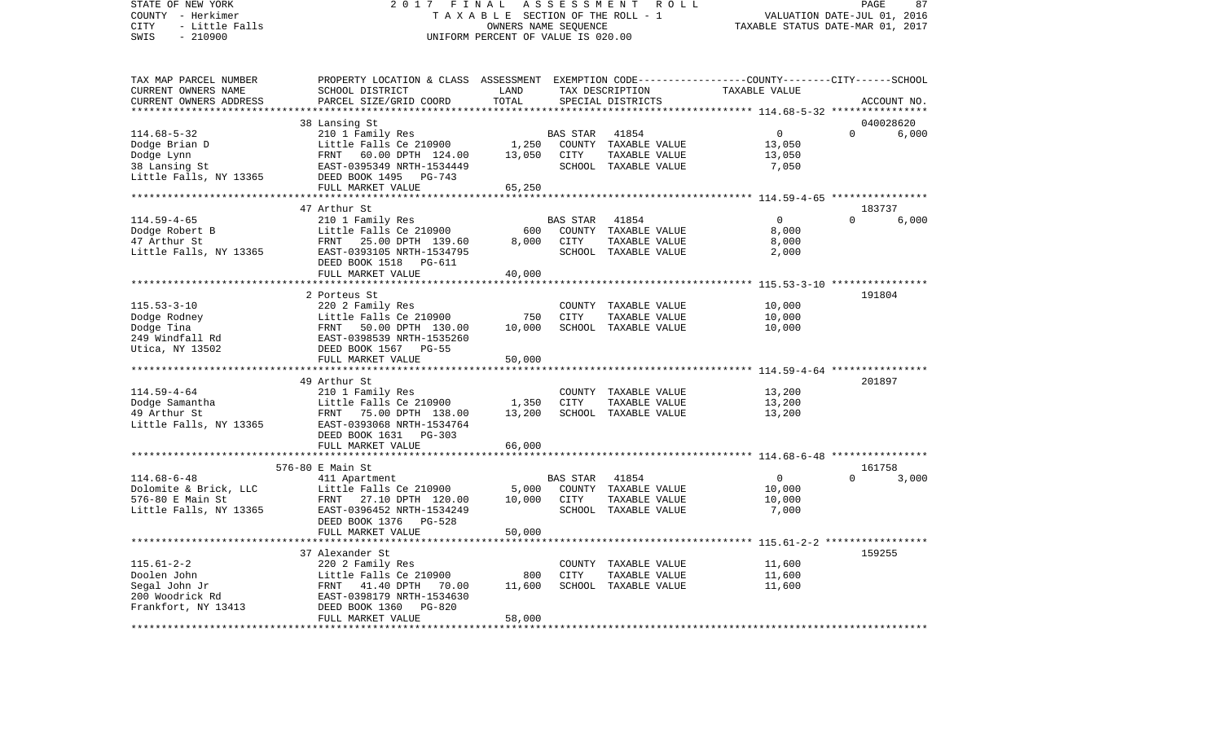STATE OF NEW YORK 2 0 1 7 F I N A L A S S E S S M E N T R O L L PAGE 87COUNTY - Herkimer **T A X A B L E** SECTION OF THE ROLL - 1 VALUATION DATE-JUL 01, 2016 CITY - Little Falls OWNERS NAME SEQUENCE TAXABLE STATUS DATE-MAR 01, 2017 SWIS - 210900 UNIFORM PERCENT OF VALUE IS 020.00TAX MAP PARCEL NUMBER PROPERTY LOCATION & CLASS ASSESSMENT EXEMPTION CODE------------------COUNTY--------CITY------SCHOOL CURRENT OWNERS NAME SCHOOL DISTRICT LAND TAX DESCRIPTION TAXABLE VALUECURRENT OWNERS ADDRESS PARCEL SIZE/GRID COORD TOTAL SPECIAL DISTRICTS ACCOUNT NO. \*\*\*\*\*\*\*\*\*\*\*\*\*\*\*\*\*\*\*\*\*\*\*\*\*\*\*\*\*\*\*\*\*\*\*\*\*\*\*\*\*\*\*\*\*\*\*\*\*\*\*\*\*\*\*\*\*\*\*\*\*\*\*\*\*\*\*\*\*\*\*\*\*\*\*\*\*\*\*\*\*\*\*\*\*\*\*\*\*\*\*\*\*\*\*\*\*\*\*\*\*\*\* 114.68-5-32 \*\*\*\*\*\*\*\*\*\*\*\*\*\*\*\* 38 Lansing St 040028620 114.68-5-32 210 1 Family Res BAS STAR 41854 0 0 6,000 Dodge Brian D Little Falls Ce 210900 1,250 COUNTY TAXABLE VALUE 13,050 Dodge Lynn FRNT 60.00 DPTH 124.00 13,050 CITY TAXABLE VALUE 13,050 38 Lansing St EAST-0395349 NRTH-1534449 SCHOOL TAXABLE VALUE 7,050 Little Falls, NY 13365 DEED BOOK 1495 PG-743 FULL MARKET VALUE 65,250 \*\*\*\*\*\*\*\*\*\*\*\*\*\*\*\*\*\*\*\*\*\*\*\*\*\*\*\*\*\*\*\*\*\*\*\*\*\*\*\*\*\*\*\*\*\*\*\*\*\*\*\*\*\*\*\*\*\*\*\*\*\*\*\*\*\*\*\*\*\*\*\*\*\*\*\*\*\*\*\*\*\*\*\*\*\*\*\*\*\*\*\*\*\*\*\*\*\*\*\*\*\*\* 114.59-4-65 \*\*\*\*\*\*\*\*\*\*\*\*\*\*\*\*47 Arthur St 183737 114.59-4-65 210 1 Family Res BAS STAR 41854 0 0 6,000 Dodge Robert B **Little Falls Ce 210900** 600 COUNTY TAXABLE VALUE 8,000 47 Arthur St FRNT 25.00 DPTH 139.60 8,000 CITY TAXABLE VALUE 8,000 Little Falls, NY 13365 EAST-0393105 NRTH-1534795 SCHOOL TAXABLE VALUE 2,000 DEED BOOK 1518 PG-611FULL MARKET VALUE 40,000 \*\*\*\*\*\*\*\*\*\*\*\*\*\*\*\*\*\*\*\*\*\*\*\*\*\*\*\*\*\*\*\*\*\*\*\*\*\*\*\*\*\*\*\*\*\*\*\*\*\*\*\*\*\*\*\*\*\*\*\*\*\*\*\*\*\*\*\*\*\*\*\*\*\*\*\*\*\*\*\*\*\*\*\*\*\*\*\*\*\*\*\*\*\*\*\*\*\*\*\*\*\*\* 115.53-3-10 \*\*\*\*\*\*\*\*\*\*\*\*\*\*\*\* 2 Porteus St 191804115.53-3-10 220 2 Family Res COUNTY TAXABLE VALUE 10,000 Dodge Rodney Little Falls Ce 210900 750 CITY TAXABLE VALUE 10,000 Dodge Tina FRNT 50.00 DPTH 130.00 10,000 SCHOOL TAXABLE VALUE 10,000 249 Windfall Rd EAST-0398539 NRTH-1535260Utica, NY 13502 DEED BOOK 1567 PG-55 FULL MARKET VALUE 50,000 \*\*\*\*\*\*\*\*\*\*\*\*\*\*\*\*\*\*\*\*\*\*\*\*\*\*\*\*\*\*\*\*\*\*\*\*\*\*\*\*\*\*\*\*\*\*\*\*\*\*\*\*\*\*\*\*\*\*\*\*\*\*\*\*\*\*\*\*\*\*\*\*\*\*\*\*\*\*\*\*\*\*\*\*\*\*\*\*\*\*\*\*\*\*\*\*\*\*\*\*\*\*\* 114.59-4-64 \*\*\*\*\*\*\*\*\*\*\*\*\*\*\*\* 49 Arthur St 201897114.59-4-64 210 1 Family Res COUNTY TAXABLE VALUE 13,200 Dodge Samantha Little Falls Ce 210900 1,350 CITY TAXABLE VALUE 13,200 49 Arthur St FRNT 75.00 DPTH 138.00 13,200 SCHOOL TAXABLE VALUE 13,200 Little Falls, NY 13365 EAST-0393068 NRTH-1534764 DEED BOOK 1631 PG-303 FULL MARKET VALUE 66,000 \*\*\*\*\*\*\*\*\*\*\*\*\*\*\*\*\*\*\*\*\*\*\*\*\*\*\*\*\*\*\*\*\*\*\*\*\*\*\*\*\*\*\*\*\*\*\*\*\*\*\*\*\*\*\*\*\*\*\*\*\*\*\*\*\*\*\*\*\*\*\*\*\*\*\*\*\*\*\*\*\*\*\*\*\*\*\*\*\*\*\*\*\*\*\*\*\*\*\*\*\*\*\* 114.68-6-48 \*\*\*\*\*\*\*\*\*\*\*\*\*\*\*\*576-80 E Main St 161758114.68-6-48 411 Apartment BAS STAR 41854 0 0 3,000 Dolomite & Brick, LLC Little Falls Ce 210900 5,000 COUNTY TAXABLE VALUE 10,000 576-80 E Main St FRNT 27.10 DPTH 120.00 10,000 CITY TAXABLE VALUE 10,000 Little Falls, NY 13365 EAST-0396452 NRTH-1534249 SCHOOL TAXABLE VALUE 7,000 DEED BOOK 1376 PG-528FULL MARKET VALUE 50,000 \*\*\*\*\*\*\*\*\*\*\*\*\*\*\*\*\*\*\*\*\*\*\*\*\*\*\*\*\*\*\*\*\*\*\*\*\*\*\*\*\*\*\*\*\*\*\*\*\*\*\*\*\*\*\*\*\*\*\*\*\*\*\*\*\*\*\*\*\*\*\*\*\*\*\*\*\*\*\*\*\*\*\*\*\*\*\*\*\*\*\*\*\*\*\*\*\*\*\*\*\*\*\* 115.61-2-2 \*\*\*\*\*\*\*\*\*\*\*\*\*\*\*\*\* 37 Alexander St 159255115.61-2-2 220 2 Family Res COUNTY TAXABLE VALUE 11,600 Doolen John 1988 1990 Little Falls Ce 210900 800 CITY TAXABLE VALUE Segal John Jr FRNT 41.40 DPTH 70.00 11.600 SCHOOL TAXABLE VALUE 11.600 200 Woodrick Rd EAST-0398179 NRTH-1534630Frankfort, NY 13413 DEED BOOK 1360 PG-820 FULL MARKET VALUE 58,000 \*\*\*\*\*\*\*\*\*\*\*\*\*\*\*\*\*\*\*\*\*\*\*\*\*\*\*\*\*\*\*\*\*\*\*\*\*\*\*\*\*\*\*\*\*\*\*\*\*\*\*\*\*\*\*\*\*\*\*\*\*\*\*\*\*\*\*\*\*\*\*\*\*\*\*\*\*\*\*\*\*\*\*\*\*\*\*\*\*\*\*\*\*\*\*\*\*\*\*\*\*\*\*\*\*\*\*\*\*\*\*\*\*\*\*\*\*\*\*\*\*\*\*\*\*\*\*\*\*\*\*\*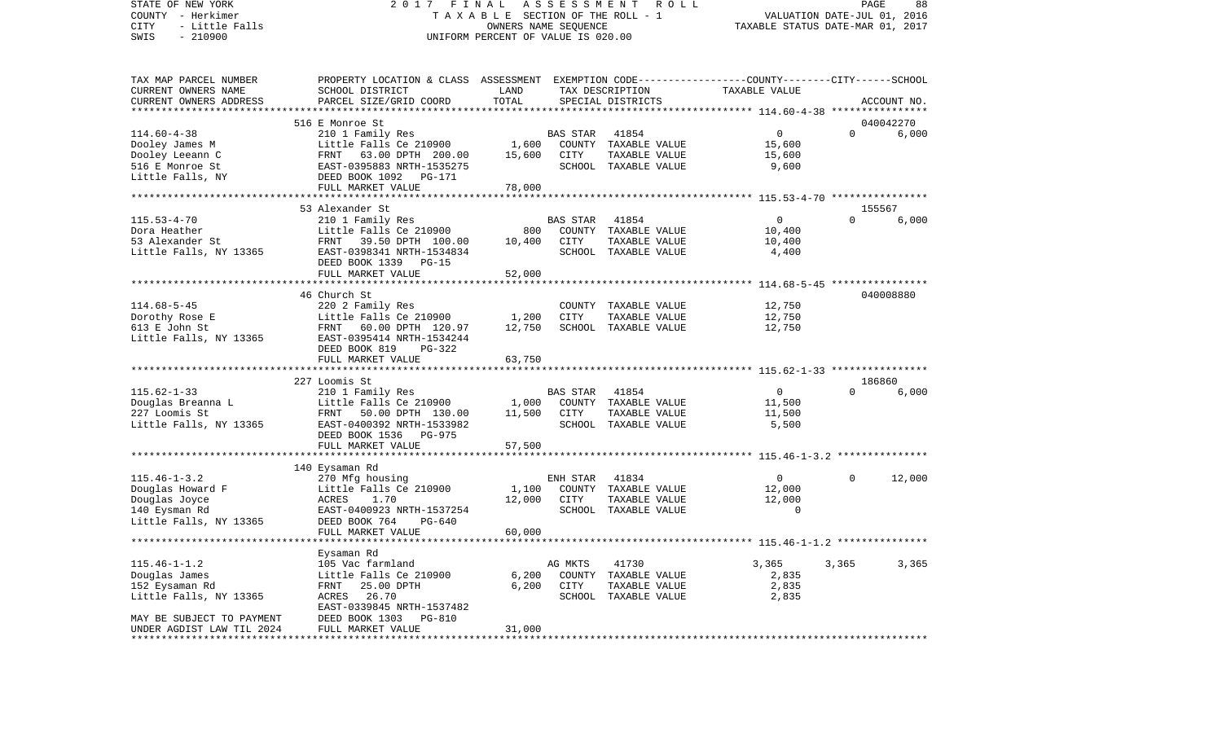STATE OF NEW YORK 2 0 1 7 F I N A L A S S E S S M E N T R O L L PAGE 88COUNTY - Herkimer **T A X A B L E SECTION OF THE ROLL - 1** VALUATION DATE-JUL 01, 2016 CITY - Little Falls OWNERS NAME SEQUENCE TAXABLE STATUS DATE-MAR 01, 2017 SWIS - 210900 UNIFORM PERCENT OF VALUE IS 020.00TAX MAP PARCEL NUMBER PROPERTY LOCATION & CLASS ASSESSMENT EXEMPTION CODE------------------COUNTY--------CITY------SCHOOL CURRENT OWNERS NAME SCHOOL DISTRICT LAND TAX DESCRIPTION TAXABLE VALUECURRENT OWNERS ADDRESS PARCEL SIZE/GRID COORD TOTAL SPECIAL DISTRICTS ACCOUNT NO. \*\*\*\*\*\*\*\*\*\*\*\*\*\*\*\*\*\*\*\*\*\*\*\*\*\*\*\*\*\*\*\*\*\*\*\*\*\*\*\*\*\*\*\*\*\*\*\*\*\*\*\*\*\*\*\*\*\*\*\*\*\*\*\*\*\*\*\*\*\*\*\*\*\*\*\*\*\*\*\*\*\*\*\*\*\*\*\*\*\*\*\*\*\*\*\*\*\*\*\*\*\*\* 114.60-4-38 \*\*\*\*\*\*\*\*\*\*\*\*\*\*\*\* 516 E Monroe St 040042270114.60-4-38 210 1 Family Res BAS STAR 41854 0 0 6,000 Dooley James M **Little Falls Ce 210900** 1,600 COUNTY TAXABLE VALUE 15,600 Dooley Leeann C 63.00 DPTH 200.00 15,600 CITY TAXABLE VALUE 15,600 516 E Monroe St EAST-0395883 NRTH-1535275 SCHOOL TAXABLE VALUE 9,600 Little Falls, NY DEED BOOK 1092 PG-171 FULL MARKET VALUE 78,000 \*\*\*\*\*\*\*\*\*\*\*\*\*\*\*\*\*\*\*\*\*\*\*\*\*\*\*\*\*\*\*\*\*\*\*\*\*\*\*\*\*\*\*\*\*\*\*\*\*\*\*\*\*\*\*\*\*\*\*\*\*\*\*\*\*\*\*\*\*\*\*\*\*\*\*\*\*\*\*\*\*\*\*\*\*\*\*\*\*\*\*\*\*\*\*\*\*\*\*\*\*\*\* 115.53-4-70 \*\*\*\*\*\*\*\*\*\*\*\*\*\*\*\* 53 Alexander St 155567115.53-4-70 210 1 Family Res BAS STAR 41854 0 0 6,000 Dora Heather Little Falls Ce 210900 800 COUNTY TAXABLE VALUE 10,400 53 Alexander St FRNT 39.50 DPTH 100.00 10,400 CITY TAXABLE VALUE 10,400 Little Falls, NY 13365 EAST-0398341 NRTH-1534834 SCHOOL TAXABLE VALUE 4,400 DEED BOOK 1339 PG-15FULL MARKET VALUE 52,000 \*\*\*\*\*\*\*\*\*\*\*\*\*\*\*\*\*\*\*\*\*\*\*\*\*\*\*\*\*\*\*\*\*\*\*\*\*\*\*\*\*\*\*\*\*\*\*\*\*\*\*\*\*\*\*\*\*\*\*\*\*\*\*\*\*\*\*\*\*\*\*\*\*\*\*\*\*\*\*\*\*\*\*\*\*\*\*\*\*\*\*\*\*\*\*\*\*\*\*\*\*\*\* 114.68-5-45 \*\*\*\*\*\*\*\*\*\*\*\*\*\*\*\* 46 Church St 040008880114.68-5-45 220 2 Family Res COUNTY TAXABLE VALUE 12,750 Dorothy Rose E Little Falls Ce 210900 1,200 CITY TAXABLE VALUE 12,750 613 E John St FRNT 60.00 DPTH 120.97 12,750 SCHOOL TAXABLE VALUE 12,750 Little Falls, NY 13365 EAST-0395414 NRTH-1534244 DEED BOOK 819 PG-322FULL MARKET VALUE 63,750 \*\*\*\*\*\*\*\*\*\*\*\*\*\*\*\*\*\*\*\*\*\*\*\*\*\*\*\*\*\*\*\*\*\*\*\*\*\*\*\*\*\*\*\*\*\*\*\*\*\*\*\*\*\*\*\*\*\*\*\*\*\*\*\*\*\*\*\*\*\*\*\*\*\*\*\*\*\*\*\*\*\*\*\*\*\*\*\*\*\*\*\*\*\*\*\*\*\*\*\*\*\*\* 115.62-1-33 \*\*\*\*\*\*\*\*\*\*\*\*\*\*\*\* 227 Loomis St 186860115.62-1-33 210 1 Family Res BAS STAR 41854 0 0 6,000 Douglas Breanna L 
Little Falls Ce 210900 1,000 COUNTY TAXABLE VALUE 11,500 227 Loomis St FRNT 50.00 DPTH 130.00 11,500 CITY TAXABLE VALUE 11,500 Little Falls, NY 13365 EAST-0400392 NRTH-1533982 SCHOOL TAXABLE VALUE 5,500 DEED BOOK 1536 PG-975FULL MARKET VALUE 57,500 \*\*\*\*\*\*\*\*\*\*\*\*\*\*\*\*\*\*\*\*\*\*\*\*\*\*\*\*\*\*\*\*\*\*\*\*\*\*\*\*\*\*\*\*\*\*\*\*\*\*\*\*\*\*\*\*\*\*\*\*\*\*\*\*\*\*\*\*\*\*\*\*\*\*\*\*\*\*\*\*\*\*\*\*\*\*\*\*\*\*\*\*\*\*\*\*\*\*\*\*\*\*\* 115.46-1-3.2 \*\*\*\*\*\*\*\*\*\*\*\*\*\*\* 140 Eysaman Rd 115.46-1-3.2 270 Mfg housing ENH STAR 41834 0 0 12,000 Douglas Howard F **Little Falls Ce 210900** 1,100 COUNTY TAXABLE VALUE 12,000 Douglas Joyce ACRES 1.70 12,000 CITY TAXABLE VALUE 12,000 EAST-0400923 NRTH-1537254 Little Falls, NY 13365 DEED BOOK 764 PG-640 FULL MARKET VALUE 60,000 \*\*\*\*\*\*\*\*\*\*\*\*\*\*\*\*\*\*\*\*\*\*\*\*\*\*\*\*\*\*\*\*\*\*\*\*\*\*\*\*\*\*\*\*\*\*\*\*\*\*\*\*\*\*\*\*\*\*\*\*\*\*\*\*\*\*\*\*\*\*\*\*\*\*\*\*\*\*\*\*\*\*\*\*\*\*\*\*\*\*\*\*\*\*\*\*\*\*\*\*\*\*\* 115.46-1-1.2 \*\*\*\*\*\*\*\*\*\*\*\*\*\*\* Eysaman Rd 115.46-1-1.2 105 Vac farmland AG MKTS 41730 3,365 3,365 3,365 3,365 Douglas James Little Falls Ce 210900 6,200 COUNTY TAXABLE VALUE 2,835 152 Eysaman Rd FRNT 25.00 DPTH 6,200 CITY TAXABLE VALUE 2,835

Little Falls, NY 13365 ACRES 26.70 SCHOOL TAXABLE VALUE 2,835 EAST-0339845 NRTH-1537482 MAY BE SUBJECT TO PAYMENT DEED BOOK 1303 PG-810UNDER AGDIST LAW TIL 2024 FULL MARKET VALUE 31,000 \*\*\*\*\*\*\*\*\*\*\*\*\*\*\*\*\*\*\*\*\*\*\*\*\*\*\*\*\*\*\*\*\*\*\*\*\*\*\*\*\*\*\*\*\*\*\*\*\*\*\*\*\*\*\*\*\*\*\*\*\*\*\*\*\*\*\*\*\*\*\*\*\*\*\*\*\*\*\*\*\*\*\*\*\*\*\*\*\*\*\*\*\*\*\*\*\*\*\*\*\*\*\*\*\*\*\*\*\*\*\*\*\*\*\*\*\*\*\*\*\*\*\*\*\*\*\*\*\*\*\*\*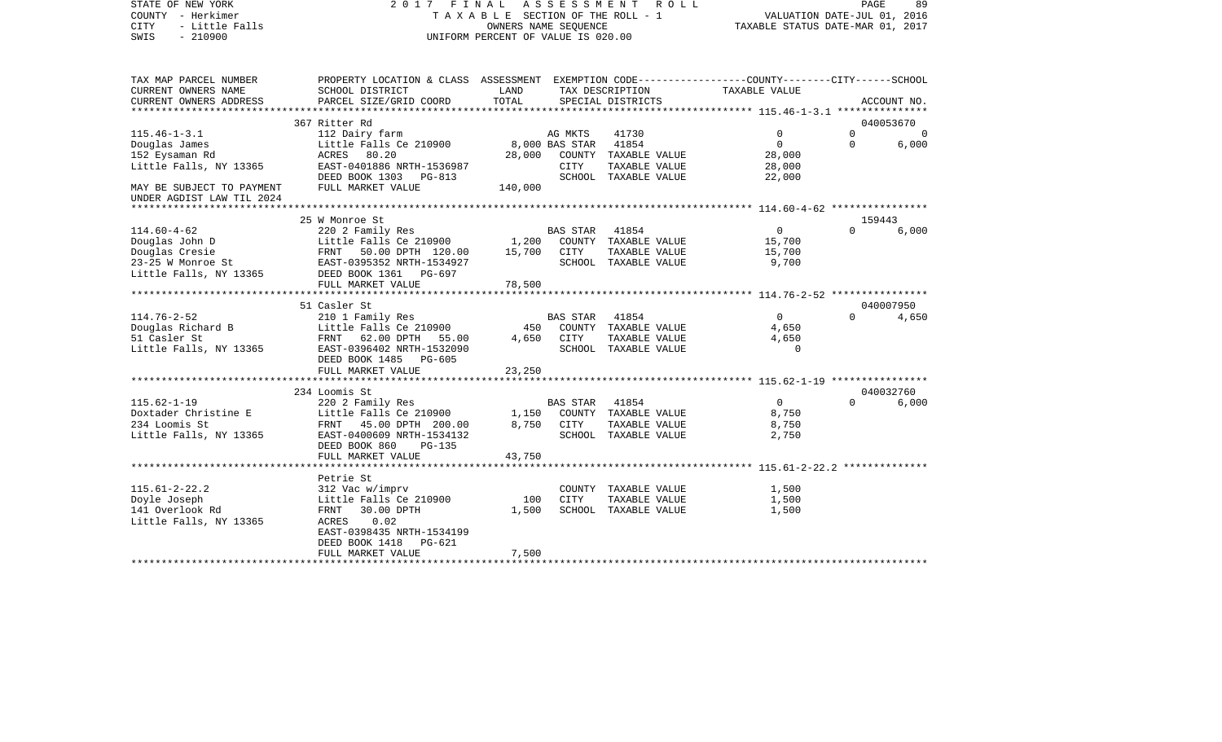STATE OF NEW YORK 2 0 1 7 F I N A L A S S E S S M E N T R O L L PAGE 89COUNTY - Herkimer **T A X A B L E SECTION OF THE ROLL - 1** VALUATION DATE-JUL 01, 2016 CITY - Little Falls OWNERS NAME SEQUENCE TAXABLE STATUS DATE-MAR 01, 2017 SWIS - 210900 UNIFORM PERCENT OF VALUE IS 020.00TAX MAP PARCEL NUMBER PROPERTY LOCATION & CLASS ASSESSMENT EXEMPTION CODE------------------COUNTY--------CITY------SCHOOL CURRENT OWNERS NAME SCHOOL DISTRICT LAND TAX DESCRIPTION TAXABLE VALUECURRENT OWNERS ADDRESS PARCEL SIZE/GRID COORD TOTAL SPECIAL DISTRICTS ACCOUNT NO. \*\*\*\*\*\*\*\*\*\*\*\*\*\*\*\*\*\*\*\*\*\*\*\*\*\*\*\*\*\*\*\*\*\*\*\*\*\*\*\*\*\*\*\*\*\*\*\*\*\*\*\*\*\*\*\*\*\*\*\*\*\*\*\*\*\*\*\*\*\*\*\*\*\*\*\*\*\*\*\*\*\*\*\*\*\*\*\*\*\*\*\*\*\*\*\*\*\*\*\*\*\*\* 115.46-1-3.1 \*\*\*\*\*\*\*\*\*\*\*\*\*\*\* 367 Ritter Rd 040053670115.46-1-3.1 112 Dairy farm AG MKTS 41730 0 0 0 Douglas James Little Falls Ce 210900 8,000 BAS STAR 41854 0 0 6,000 152 Eysaman Rd ACRES 80.20 28,000 COUNTY TAXABLE VALUE 28,000 Little Falls, NY 13365 EAST-0401886 NRTH-1536987 CITY TAXABLE VALUE 28,000 DEED BOOK 1303 PG-813 SCHOOL TAXABLE VALUE 22,000 MAY BE SUBJECT TO PAYMENT FULL MARKET VALUE  $140,000$ UNDER AGDIST LAW TIL 2024 \*\*\*\*\*\*\*\*\*\*\*\*\*\*\*\*\*\*\*\*\*\*\*\*\*\*\*\*\*\*\*\*\*\*\*\*\*\*\*\*\*\*\*\*\*\*\*\*\*\*\*\*\*\*\*\*\*\*\*\*\*\*\*\*\*\*\*\*\*\*\*\*\*\*\*\*\*\*\*\*\*\*\*\*\*\*\*\*\*\*\*\*\*\*\*\*\*\*\*\*\*\*\* 114.60-4-62 \*\*\*\*\*\*\*\*\*\*\*\*\*\*\*\* 25 W Monroe St 159443114.60-4-62 220 2 Family Res BAS STAR 41854 0 0 6,000 Douglas John D Little Falls Ce 210900 1,200 COUNTY TAXABLE VALUE 15,700 Douglas Cresie FRNT 50.00 DPTH 120.00 15,700 CITY TAXABLE VALUE 15,700 23-25 W Monroe St EAST-0395352 NRTH-1534927 SCHOOL TAXABLE VALUE 9,700 Little Falls, NY 13365 DEED BOOK 1361 PG-697 FULL MARKET VALUE 78,500 \*\*\*\*\*\*\*\*\*\*\*\*\*\*\*\*\*\*\*\*\*\*\*\*\*\*\*\*\*\*\*\*\*\*\*\*\*\*\*\*\*\*\*\*\*\*\*\*\*\*\*\*\*\*\*\*\*\*\*\*\*\*\*\*\*\*\*\*\*\*\*\*\*\*\*\*\*\*\*\*\*\*\*\*\*\*\*\*\*\*\*\*\*\*\*\*\*\*\*\*\*\*\* 114.76-2-52 \*\*\*\*\*\*\*\*\*\*\*\*\*\*\*\* 51 Casler St 040007950114.76-2-52 210 1 Family Res BAS STAR 41854 0 0 4,650 Douglas Richard B Little Falls Ce 210900 450 COUNTY TAXABLE VALUE 4,650 51 Casler St FRNT 62.00 DPTH 55.00 4,650 CITY TAXABLE VALUE 4,650 Little Falls, NY 13365 EAST-0396402 NRTH-1532090 SCHOOL TAXABLE VALUE 0 DEED BOOK 1485 PG-605FULL MARKET VALUE 23,250 \*\*\*\*\*\*\*\*\*\*\*\*\*\*\*\*\*\*\*\*\*\*\*\*\*\*\*\*\*\*\*\*\*\*\*\*\*\*\*\*\*\*\*\*\*\*\*\*\*\*\*\*\*\*\*\*\*\*\*\*\*\*\*\*\*\*\*\*\*\*\*\*\*\*\*\*\*\*\*\*\*\*\*\*\*\*\*\*\*\*\*\*\*\*\*\*\*\*\*\*\*\*\* 115.62-1-19 \*\*\*\*\*\*\*\*\*\*\*\*\*\*\*\* 234 Loomis St 040032760115.62-1-19 220 2 Family Res BAS STAR 41854 0 0 6,000 Doxtader Christine E Little Falls Ce 210900 1,150 COUNTY TAXABLE VALUE 8,750 234 Loomis St FRNT 45.00 DPTH 200.00 8,750 CITY TAXABLE VALUE 8,750 Little Falls, NY 13365 EAST-0400609 NRTH-1534132 SCHOOL TAXABLE VALUE 2,750 DEED BOOK 860 PG-135FULL MARKET VALUE 43,750 \*\*\*\*\*\*\*\*\*\*\*\*\*\*\*\*\*\*\*\*\*\*\*\*\*\*\*\*\*\*\*\*\*\*\*\*\*\*\*\*\*\*\*\*\*\*\*\*\*\*\*\*\*\*\*\*\*\*\*\*\*\*\*\*\*\*\*\*\*\*\*\*\*\*\*\*\*\*\*\*\*\*\*\*\*\*\*\*\*\*\*\*\*\*\*\*\*\*\*\*\*\*\* 115.61-2-22.2 \*\*\*\*\*\*\*\*\*\*\*\*\*\* Petrie St 115.61-2-22.2 312 Vac w/imprv COUNTY TAXABLE VALUE 1,500 Doyle Joseph Little Falls Ce 210900 100 CITY TAXABLE VALUE 1,500 SCHOOL TAXABLE VALUE Little Falls, NY 13365 ACRES 0.02 EAST-0398435 NRTH-1534199DEED BOOK 1418 PG-621

\*\*\*\*\*\*\*\*\*\*\*\*\*\*\*\*\*\*\*\*\*\*\*\*\*\*\*\*\*\*\*\*\*\*\*\*\*\*\*\*\*\*\*\*\*\*\*\*\*\*\*\*\*\*\*\*\*\*\*\*\*\*\*\*\*\*\*\*\*\*\*\*\*\*\*\*\*\*\*\*\*\*\*\*\*\*\*\*\*\*\*\*\*\*\*\*\*\*\*\*\*\*\*\*\*\*\*\*\*\*\*\*\*\*\*\*\*\*\*\*\*\*\*\*\*\*\*\*\*\*\*\*

FULL MARKET VALUE 7,500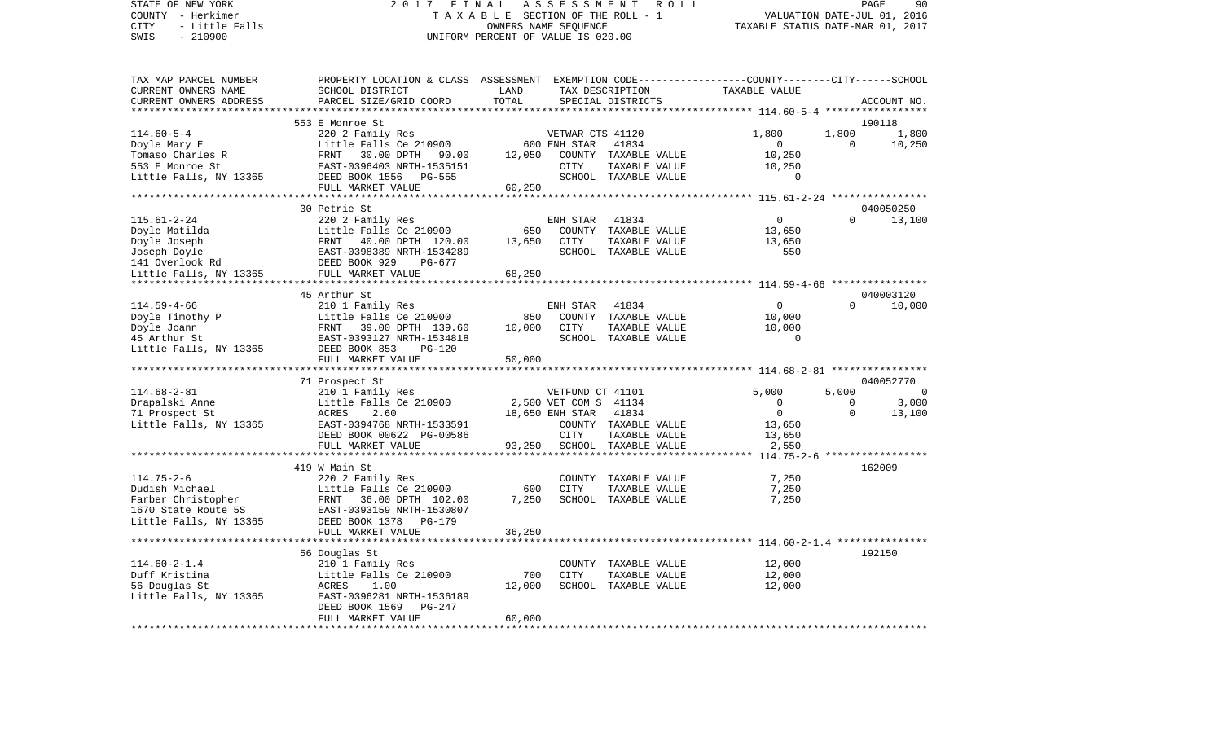## STATE OF NEW YORK 2 0 1 7 F I N A L A S S E S S M E N T R O L L PAGE 90COUNTY - Herkimer T A X A B L E SECTION OF THE ROLL - 1 CITY - Little Falls OWNERS NAME SEQUENCE TAXABLE STATUS DATE-MAR 01, 2017 UNIFORM PERCENT OF VALUE IS 020.00

TAX MAP PARCEL NUMBER PROPERTY LOCATION & CLASS ASSESSMENT EXEMPTION CODE------------------COUNTY--------CITY------SCHOOL

VALUATION DATE-JUL 01, 2016

| CURRENT OWNERS NAME    | SCHOOL DISTRICT                               | LAND   | TAX DESCRIPTION       |                      | TAXABLE VALUE                                            |          |             |
|------------------------|-----------------------------------------------|--------|-----------------------|----------------------|----------------------------------------------------------|----------|-------------|
| CURRENT OWNERS ADDRESS | PARCEL SIZE/GRID COORD                        | TOTAL  |                       | SPECIAL DISTRICTS    |                                                          |          | ACCOUNT NO. |
|                        |                                               |        |                       |                      | ********** 114.60-5-4 ***********                        |          |             |
|                        | 553 E Monroe St                               |        |                       |                      |                                                          |          | 190118      |
| $114.60 - 5 - 4$       | 220 2 Family Res                              |        | VETWAR CTS 41120      |                      | 1,800                                                    | 1,800    | 1,800       |
| Doyle Mary E           | Little Falls Ce 210900                        |        | 600 ENH STAR          | 41834                | 0                                                        | $\Omega$ | 10,250      |
| Tomaso Charles R       | FRNT<br>30.00 DPTH<br>90.00                   | 12,050 | COUNTY                | TAXABLE VALUE        | 10,250                                                   |          |             |
| 553 E Monroe St        | EAST-0396403 NRTH-1535151                     |        | CITY                  | TAXABLE VALUE        | 10,250                                                   |          |             |
| Little Falls, NY 13365 | DEED BOOK 1556<br><b>PG-555</b>               |        |                       | SCHOOL TAXABLE VALUE | 0                                                        |          |             |
|                        | FULL MARKET VALUE                             | 60,250 |                       |                      |                                                          |          |             |
|                        | 30 Petrie St                                  |        |                       |                      |                                                          |          | 040050250   |
| $115.61 - 2 - 24$      | 220 2 Family Res                              |        | ENH STAR              | 41834                | $\mathbf 0$                                              | $\Omega$ | 13,100      |
| Doyle Matilda          | Little Falls Ce 210900                        | 650    | COUNTY                | TAXABLE VALUE        | 13,650                                                   |          |             |
| Doyle Joseph           | FRNT<br>40.00 DPTH 120.00                     | 13,650 | CITY                  | TAXABLE VALUE        | 13,650                                                   |          |             |
| Joseph Doyle           | EAST-0398389 NRTH-1534289                     |        | SCHOOL                | TAXABLE VALUE        | 550                                                      |          |             |
| 141 Overlook Rd        | DEED BOOK 929<br>PG-677                       |        |                       |                      |                                                          |          |             |
| Little Falls, NY 13365 | FULL MARKET VALUE                             | 68,250 |                       |                      |                                                          |          |             |
|                        |                                               |        |                       |                      |                                                          |          |             |
|                        | 45 Arthur St                                  |        |                       |                      |                                                          |          | 040003120   |
| $114.59 - 4 - 66$      | 210 1 Family Res                              |        | ENH STAR              | 41834                | $\Omega$                                                 | $\Omega$ | 10,000      |
| Doyle Timothy P        | Little Falls Ce 210900                        | 850    | COUNTY                | TAXABLE VALUE        | 10,000                                                   |          |             |
| Doyle Joann            | 39.00 DPTH 139.60<br>FRNT                     | 10,000 | <b>CITY</b>           | TAXABLE VALUE        | 10,000                                                   |          |             |
| 45 Arthur St           | EAST-0393127 NRTH-1534818                     |        |                       | SCHOOL TAXABLE VALUE | $\Omega$                                                 |          |             |
| Little Falls, NY 13365 | DEED BOOK 853<br>$PG-120$                     |        |                       |                      |                                                          |          |             |
|                        | FULL MARKET VALUE                             | 50,000 |                       |                      |                                                          |          |             |
|                        | **************************                    |        |                       |                      |                                                          |          |             |
|                        | 71 Prospect St                                |        |                       |                      |                                                          |          | 040052770   |
| $114.68 - 2 - 81$      | 210 1 Family Res                              |        | VETFUND CT 41101      |                      | 5,000                                                    | 5,000    | $\Omega$    |
| Drapalski Anne         | Little Falls Ce 210900                        |        | 2,500 VET COM S 41134 |                      | 0                                                        | 0        | 3,000       |
| 71 Prospect St         | ACRES<br>2.60                                 |        | 18,650 ENH STAR       | 41834                | $\Omega$                                                 | $\Omega$ | 13,100      |
| Little Falls, NY 13365 | EAST-0394768 NRTH-1533591                     |        |                       | COUNTY TAXABLE VALUE | 13,650                                                   |          |             |
|                        | DEED BOOK 00622 PG-00586                      |        | CITY                  | TAXABLE VALUE        | 13,650                                                   |          |             |
|                        | FULL MARKET VALUE                             | 93,250 |                       | SCHOOL TAXABLE VALUE | 2,550                                                    |          |             |
|                        | *******************************               |        |                       |                      |                                                          |          |             |
|                        | 419 W Main St                                 |        |                       |                      |                                                          |          | 162009      |
| $114.75 - 2 - 6$       | 220 2 Family Res                              |        | COUNTY                | TAXABLE VALUE        | 7,250                                                    |          |             |
| Dudish Michael         | Little Falls Ce 210900                        | 600    | <b>CITY</b>           | TAXABLE VALUE        | 7,250                                                    |          |             |
| Farber Christopher     | 36.00 DPTH 102.00<br>FRNT                     | 7,250  |                       | SCHOOL TAXABLE VALUE | 7,250                                                    |          |             |
| 1670 State Route 5S    | EAST-0393159 NRTH-1530807                     |        |                       |                      |                                                          |          |             |
| Little Falls, NY 13365 | DEED BOOK 1378<br>PG-179<br>FULL MARKET VALUE |        |                       |                      |                                                          |          |             |
|                        |                                               | 36,250 |                       |                      | ******************************* 114.60-2-1.4 *********** |          |             |
|                        | 56 Douglas St                                 |        |                       |                      |                                                          |          | 192150      |
| $114.60 - 2 - 1.4$     | 210 1 Family Res                              |        | COUNTY                | TAXABLE VALUE        | 12,000                                                   |          |             |
| Duff Kristina          | Little Falls Ce 210900                        | 700    | <b>CITY</b>           | TAXABLE VALUE        | 12,000                                                   |          |             |
| 56 Douglas St          | ACRES<br>1.00                                 | 12,000 | SCHOOL                | TAXABLE VALUE        | 12,000                                                   |          |             |
| Little Falls, NY 13365 | EAST-0396281 NRTH-1536189                     |        |                       |                      |                                                          |          |             |
|                        | DEED BOOK 1569<br>PG-247                      |        |                       |                      |                                                          |          |             |
|                        | FULL MARKET VALUE                             | 60,000 |                       |                      |                                                          |          |             |
|                        |                                               |        |                       |                      |                                                          |          |             |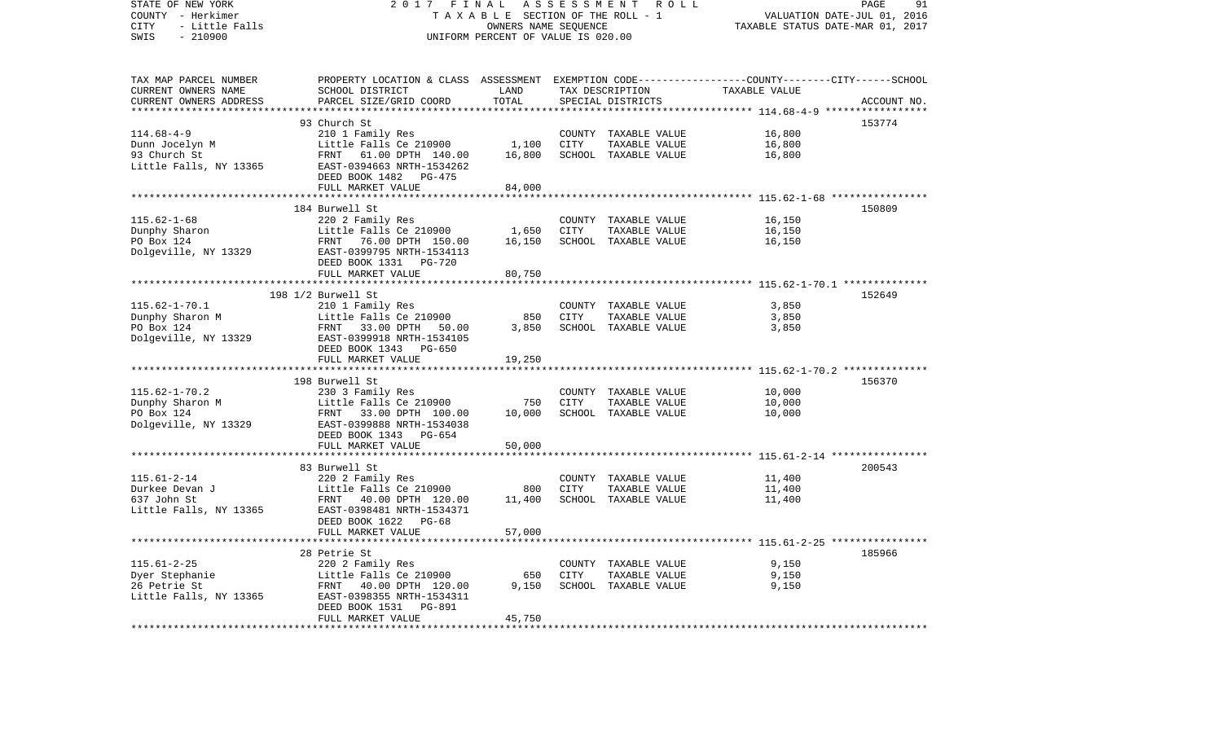| STATE OF NEW YORK<br>COUNTY - Herkimer<br>CITY<br>- Little Falls | 2017<br>FINAL<br>TAXABLE SECTION OF THE ROLL - 1                                                | ROLL<br>91<br>PAGE<br>VALUATION DATE-JUL 01, 2016<br>TAXABLE STATUS DATE-MAR 01, 2017 |             |                                       |                                                     |             |
|------------------------------------------------------------------|-------------------------------------------------------------------------------------------------|---------------------------------------------------------------------------------------|-------------|---------------------------------------|-----------------------------------------------------|-------------|
| $-210900$<br>SWIS                                                |                                                                                                 | UNIFORM PERCENT OF VALUE IS 020.00                                                    |             |                                       |                                                     |             |
| TAX MAP PARCEL NUMBER                                            | PROPERTY LOCATION & CLASS ASSESSMENT EXEMPTION CODE---------------COUNTY-------CITY------SCHOOL |                                                                                       |             |                                       |                                                     |             |
| CURRENT OWNERS NAME                                              | SCHOOL DISTRICT                                                                                 | LAND                                                                                  |             | TAX DESCRIPTION                       | TAXABLE VALUE                                       |             |
| CURRENT OWNERS ADDRESS                                           | PARCEL SIZE/GRID COORD                                                                          | TOTAL<br>**********                                                                   |             | SPECIAL DISTRICTS                     | ********** 114.68-4-9 *****                         | ACCOUNT NO. |
|                                                                  | 93 Church St                                                                                    |                                                                                       |             |                                       |                                                     | 153774      |
| $114.68 - 4 - 9$                                                 | 210 1 Family Res                                                                                |                                                                                       |             | COUNTY TAXABLE VALUE                  | 16,800                                              |             |
| Dunn Jocelyn M                                                   | Little Falls Ce 210900                                                                          | 1,100                                                                                 | CITY        | TAXABLE VALUE                         | 16,800                                              |             |
| 93 Church St                                                     | 61.00 DPTH 140.00<br>FRNT                                                                       | 16,800                                                                                |             | SCHOOL TAXABLE VALUE                  | 16,800                                              |             |
| Little Falls, NY 13365                                           | EAST-0394663 NRTH-1534262<br>DEED BOOK 1482<br>PG-475                                           |                                                                                       |             |                                       |                                                     |             |
|                                                                  | FULL MARKET VALUE                                                                               | 84,000                                                                                |             |                                       |                                                     |             |
|                                                                  | *************************                                                                       | ***********                                                                           |             |                                       | ********************* 115.62-1-68 ***************** |             |
|                                                                  | 184 Burwell St                                                                                  |                                                                                       |             |                                       |                                                     | 150809      |
| $115.62 - 1 - 68$<br>Dunphy Sharon                               | 220 2 Family Res                                                                                | 1,650                                                                                 | <b>CITY</b> | COUNTY TAXABLE VALUE                  | 16,150<br>16,150                                    |             |
| PO Box 124                                                       | Little Falls Ce 210900                                                                          |                                                                                       |             | TAXABLE VALUE                         |                                                     |             |
| Dolgeville, NY 13329                                             | 76.00 DPTH 150.00<br>FRNT<br>EAST-0399795 NRTH-1534113                                          | 16,150                                                                                |             | SCHOOL TAXABLE VALUE                  | 16,150                                              |             |
|                                                                  | DEED BOOK 1331<br>PG-720                                                                        |                                                                                       |             |                                       |                                                     |             |
|                                                                  | FULL MARKET VALUE                                                                               | 80,750                                                                                |             |                                       |                                                     |             |
|                                                                  |                                                                                                 |                                                                                       |             |                                       |                                                     |             |
|                                                                  | 198 1/2 Burwell St                                                                              |                                                                                       |             |                                       |                                                     | 152649      |
| $115.62 - 1 - 70.1$                                              | 210 1 Family Res                                                                                |                                                                                       | COUNTY      | TAXABLE VALUE                         | 3,850                                               |             |
| Dunphy Sharon M                                                  | Little Falls Ce 210900                                                                          | 850                                                                                   | CITY        | TAXABLE VALUE                         | 3,850                                               |             |
| PO Box 124                                                       | FRNT<br>33.00 DPTH 50.00                                                                        | 3,850                                                                                 |             | SCHOOL TAXABLE VALUE                  | 3,850                                               |             |
| Dolgeville, NY 13329                                             | EAST-0399918 NRTH-1534105<br>DEED BOOK 1343 PG-650                                              |                                                                                       |             |                                       |                                                     |             |
|                                                                  | FULL MARKET VALUE                                                                               | 19,250                                                                                |             |                                       |                                                     |             |
|                                                                  |                                                                                                 |                                                                                       |             |                                       |                                                     |             |
| $115.62 - 1 - 70.2$                                              | 198 Burwell St                                                                                  |                                                                                       |             |                                       |                                                     | 156370      |
| Dunphy Sharon M                                                  | 230 3 Family Res<br>Little Falls Ce 210900                                                      | 750                                                                                   | CITY        | COUNTY TAXABLE VALUE<br>TAXABLE VALUE | 10,000<br>10,000                                    |             |
| PO Box 124                                                       | FRNT 33.00 DPTH 100.00                                                                          | 10,000                                                                                |             | SCHOOL TAXABLE VALUE                  | 10,000                                              |             |
| Dolgeville, NY 13329                                             | EAST-0399888 NRTH-1534038                                                                       |                                                                                       |             |                                       |                                                     |             |
|                                                                  | PG-654<br>DEED BOOK 1343                                                                        |                                                                                       |             |                                       |                                                     |             |
|                                                                  | FULL MARKET VALUE                                                                               | 50,000                                                                                |             |                                       |                                                     |             |
|                                                                  |                                                                                                 |                                                                                       |             |                                       |                                                     |             |
|                                                                  | 83 Burwell St                                                                                   |                                                                                       |             |                                       |                                                     | 200543      |
| $115.61 - 2 - 14$                                                | 220 2 Family Res                                                                                |                                                                                       |             | COUNTY TAXABLE VALUE                  | 11,400                                              |             |
| Durkee Devan J                                                   | Little Falls Ce 210900                                                                          | 800                                                                                   | CITY        | TAXABLE VALUE                         | 11,400                                              |             |
| 637 John St                                                      | 40.00 DPTH 120.00<br>FRNT                                                                       | 11,400                                                                                |             | SCHOOL TAXABLE VALUE                  | 11,400                                              |             |
| Little Falls, NY 13365                                           | EAST-0398481 NRTH-1534371                                                                       |                                                                                       |             |                                       |                                                     |             |
|                                                                  | DEED BOOK 1622<br>PG-68                                                                         |                                                                                       |             |                                       |                                                     |             |
|                                                                  | FULL MARKET VALUE<br>* * * * * * * * * * * * * * * *                                            | 57,000<br>* * * * * * * * * * *                                                       |             |                                       |                                                     |             |
|                                                                  | 28 Petrie St                                                                                    |                                                                                       |             |                                       |                                                     | 185966      |
| $115.61 - 2 - 25$                                                | 220 2 Family Res                                                                                |                                                                                       |             | COUNTY TAXABLE VALUE                  | 9,150                                               |             |
| Dyer Stephanie                                                   | Little Falls Ce 210900                                                                          | 650                                                                                   | CITY        | TAXABLE VALUE                         | 9,150                                               |             |
| 26 Petrie St                                                     | FRNT<br>40.00 DPTH 120.00                                                                       | 9,150                                                                                 |             | SCHOOL TAXABLE VALUE                  | 9,150                                               |             |
| Little Falls, NY 13365                                           | EAST-0398355 NRTH-1534311                                                                       |                                                                                       |             |                                       |                                                     |             |
|                                                                  | DEED BOOK 1531<br>PG-891                                                                        |                                                                                       |             |                                       |                                                     |             |
|                                                                  | FULL MARKET VALUE                                                                               | 45,750                                                                                |             |                                       |                                                     |             |
|                                                                  |                                                                                                 |                                                                                       |             |                                       |                                                     |             |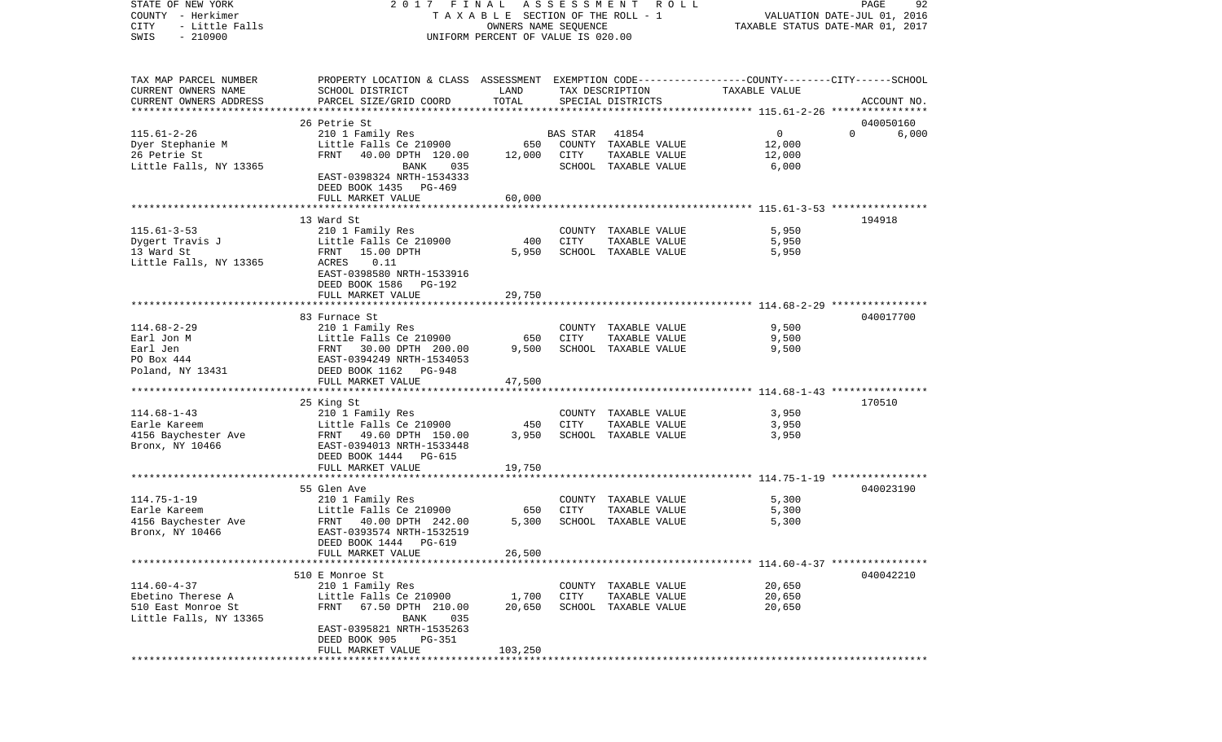| STATE OF NEW YORK          | 2017 FINAL                                                                                      |                                    | A S S E S S M E N T | R O L L                               |               | PAGE<br>92                       |
|----------------------------|-------------------------------------------------------------------------------------------------|------------------------------------|---------------------|---------------------------------------|---------------|----------------------------------|
| COUNTY - Herkimer          |                                                                                                 |                                    |                     | TAXABLE SECTION OF THE ROLL - 1       |               | VALUATION DATE-JUL 01, 2016      |
| CITY<br>- Little Falls     |                                                                                                 | OWNERS NAME SEQUENCE               |                     |                                       |               | TAXABLE STATUS DATE-MAR 01, 2017 |
| $-210900$<br>SWIS          |                                                                                                 | UNIFORM PERCENT OF VALUE IS 020.00 |                     |                                       |               |                                  |
|                            |                                                                                                 |                                    |                     |                                       |               |                                  |
| TAX MAP PARCEL NUMBER      | PROPERTY LOCATION & CLASS ASSESSMENT EXEMPTION CODE---------------COUNTY-------CITY------SCHOOL |                                    |                     |                                       |               |                                  |
| CURRENT OWNERS NAME        | SCHOOL DISTRICT                                                                                 | LAND                               |                     | TAX DESCRIPTION                       | TAXABLE VALUE |                                  |
| CURRENT OWNERS ADDRESS     | PARCEL SIZE/GRID COORD                                                                          | TOTAL                              |                     | SPECIAL DISTRICTS                     |               | ACCOUNT NO.                      |
| ************************** |                                                                                                 |                                    |                     |                                       |               |                                  |
|                            | 26 Petrie St                                                                                    |                                    |                     |                                       |               | 040050160                        |
| $115.61 - 2 - 26$          | 210 1 Family Res                                                                                |                                    | BAS STAR            | 41854                                 | 0             | $\Omega$<br>6,000                |
| Dyer Stephanie M           | Little Falls Ce 210900                                                                          | 650                                |                     | COUNTY TAXABLE VALUE                  | 12,000        |                                  |
| 26 Petrie St               | FRNT<br>40.00 DPTH 120.00                                                                       | 12,000                             | CITY                | TAXABLE VALUE                         | 12,000        |                                  |
| Little Falls, NY 13365     | BANK<br>035                                                                                     |                                    |                     | SCHOOL TAXABLE VALUE                  | 6,000         |                                  |
|                            | EAST-0398324 NRTH-1534333                                                                       |                                    |                     |                                       |               |                                  |
|                            | DEED BOOK 1435 PG-469                                                                           |                                    |                     |                                       |               |                                  |
|                            | FULL MARKET VALUE                                                                               | 60,000                             |                     |                                       |               |                                  |
|                            |                                                                                                 |                                    |                     |                                       |               |                                  |
|                            | 13 Ward St                                                                                      |                                    |                     |                                       |               | 194918                           |
| $115.61 - 3 - 53$          | 210 1 Family Res                                                                                |                                    |                     | COUNTY TAXABLE VALUE                  | 5,950         |                                  |
| Dygert Travis J            | Little Falls Ce 210900                                                                          | 400                                | CITY                | TAXABLE VALUE                         | 5,950         |                                  |
| 13 Ward St                 | 15.00 DPTH<br>FRNT                                                                              | 5,950                              |                     | SCHOOL TAXABLE VALUE                  | 5,950         |                                  |
| Little Falls, NY 13365     | ACRES<br>0.11                                                                                   |                                    |                     |                                       |               |                                  |
|                            | EAST-0398580 NRTH-1533916                                                                       |                                    |                     |                                       |               |                                  |
|                            | DEED BOOK 1586 PG-192                                                                           |                                    |                     |                                       |               |                                  |
|                            | FULL MARKET VALUE                                                                               | 29,750                             |                     |                                       |               |                                  |
|                            |                                                                                                 |                                    |                     |                                       |               |                                  |
|                            | 83 Furnace St                                                                                   |                                    |                     |                                       |               | 040017700                        |
| $114.68 - 2 - 29$          | 210 1 Family Res                                                                                |                                    |                     | COUNTY TAXABLE VALUE                  | 9,500         |                                  |
| Earl Jon M<br>Earl Jen     | Little Falls Ce 210900                                                                          | 650<br>9,500                       | CITY                | TAXABLE VALUE<br>SCHOOL TAXABLE VALUE | 9,500         |                                  |
| PO Box 444                 | FRNT 30.00 DPTH 200.00<br>EAST-0394249 NRTH-1534053                                             |                                    |                     |                                       | 9,500         |                                  |
| Poland, NY 13431           | DEED BOOK 1162 PG-948                                                                           |                                    |                     |                                       |               |                                  |
|                            | FULL MARKET VALUE                                                                               | 47,500                             |                     |                                       |               |                                  |
|                            |                                                                                                 |                                    |                     |                                       |               |                                  |
|                            | 25 King St                                                                                      |                                    |                     |                                       |               | 170510                           |
| $114.68 - 1 - 43$          | 210 1 Family Res                                                                                |                                    |                     | COUNTY TAXABLE VALUE                  | 3,950         |                                  |
| Earle Kareem               | Little Falls Ce 210900                                                                          | 450                                | CITY                | TAXABLE VALUE                         | 3,950         |                                  |
| 4156 Baychester Ave        | FRNT 49.60 DPTH 150.00                                                                          | 3,950                              |                     | SCHOOL TAXABLE VALUE                  | 3,950         |                                  |
| Bronx, NY 10466            | EAST-0394013 NRTH-1533448                                                                       |                                    |                     |                                       |               |                                  |
|                            | DEED BOOK 1444 PG-615                                                                           |                                    |                     |                                       |               |                                  |
|                            | FULL MARKET VALUE                                                                               | 19,750                             |                     |                                       |               |                                  |
|                            |                                                                                                 |                                    |                     |                                       |               |                                  |
|                            | 55 Glen Ave                                                                                     |                                    |                     |                                       |               | 040023190                        |
| $114.75 - 1 - 19$          | 210 1 Family Res                                                                                |                                    |                     | COUNTY TAXABLE VALUE                  | 5,300         |                                  |
| Earle Kareem               | Little Falls Ce 210900                                                                          | 650                                | CITY                | TAXABLE VALUE                         | 5,300         |                                  |
| 4156 Baychester Ave        | FRNT 40.00 DPTH 242.00                                                                          | 5,300                              |                     | SCHOOL TAXABLE VALUE                  | 5,300         |                                  |
| Bronx, NY 10466            | EAST-0393574 NRTH-1532519                                                                       |                                    |                     |                                       |               |                                  |
|                            | DEED BOOK 1444 PG-619                                                                           |                                    |                     |                                       |               |                                  |
|                            | FULL MARKET VALUE                                                                               | 26,500                             |                     |                                       |               |                                  |
|                            |                                                                                                 |                                    |                     |                                       |               |                                  |
|                            | 510 E Monroe St                                                                                 |                                    |                     |                                       |               | 040042210                        |
| $114.60 - 4 - 37$          | 210 1 Family Res                                                                                |                                    |                     | COUNTY TAXABLE VALUE                  | 20,650        |                                  |
| Ebetino Therese A          | Little Falls Ce 210900                                                                          | 1,700                              | CITY                | TAXABLE VALUE                         | 20,650        |                                  |
| 510 East Monroe St         | 67.50 DPTH 210.00<br>FRNT                                                                       | 20,650                             |                     | SCHOOL TAXABLE VALUE                  | 20,650        |                                  |
| Little Falls, NY 13365     | BANK<br>035                                                                                     |                                    |                     |                                       |               |                                  |
|                            | EAST-0395821 NRTH-1535263                                                                       |                                    |                     |                                       |               |                                  |
|                            | DEED BOOK 905<br>PG-351                                                                         |                                    |                     |                                       |               |                                  |
|                            | FULL MARKET VALUE                                                                               | 103,250                            |                     |                                       |               |                                  |
| *****************          |                                                                                                 |                                    |                     |                                       |               |                                  |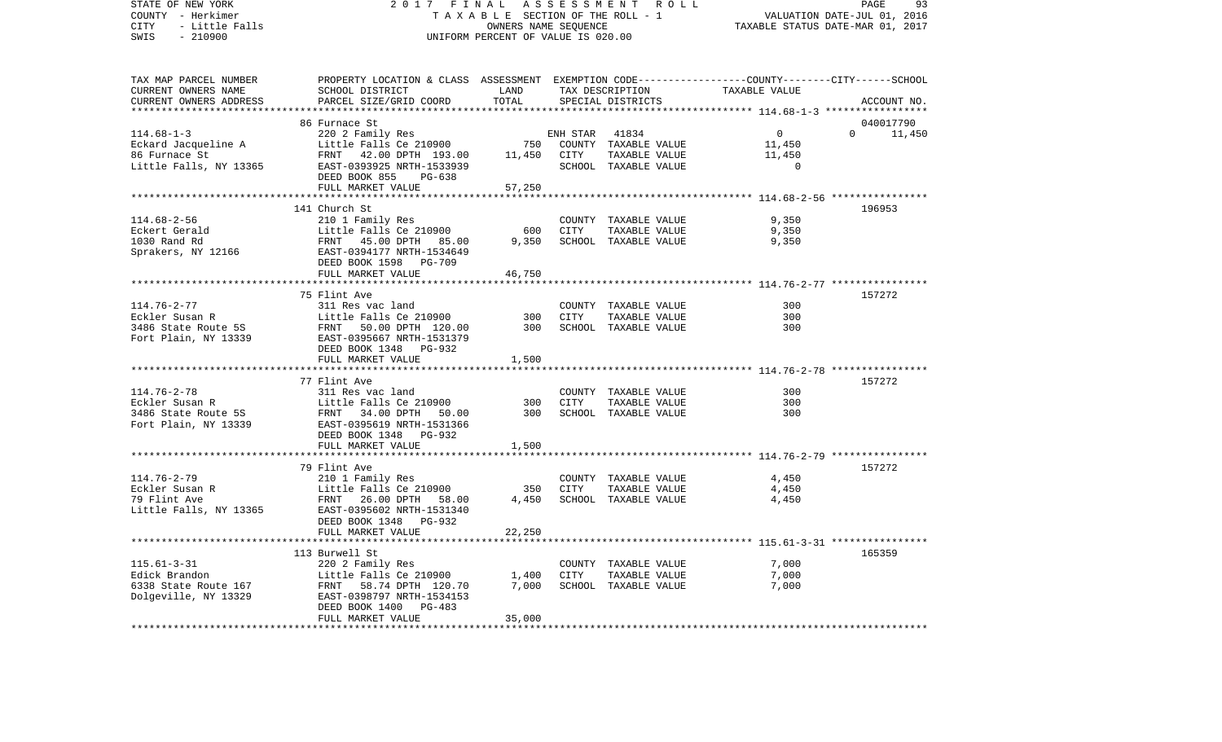STATE OF NEW YORK 2 0 1 7 F I N A L A S S E S S M E N T R O L L PAGE 93COUNTY - Herkimer T A X A B L E SECTION OF THE ROLL - 1 VALUATION DATE-JUL 01, 2016 CITY - Little Falls OWNERS NAME SEQUENCE TAXABLE STATUS DATE-MAR 01, 2017 SWIS - 210900 UNIFORM PERCENT OF VALUE IS 020.00TAX MAP PARCEL NUMBER PROPERTY LOCATION & CLASS ASSESSMENT EXEMPTION CODE------------------COUNTY--------CITY------SCHOOL CURRENT OWNERS NAME SCHOOL DISTRICT LAND TAX DESCRIPTION TAXABLE VALUECURRENT OWNERS ADDRESS PARCEL SIZE/GRID COORD TOTAL SPECIAL DISTRICTS ACCOUNT NO. \*\*\*\*\*\*\*\*\*\*\*\*\*\*\*\*\*\*\*\*\*\*\*\*\*\*\*\*\*\*\*\*\*\*\*\*\*\*\*\*\*\*\*\*\*\*\*\*\*\*\*\*\*\*\*\*\*\*\*\*\*\*\*\*\*\*\*\*\*\*\*\*\*\*\*\*\*\*\*\*\*\*\*\*\*\*\*\*\*\*\*\*\*\*\*\*\*\*\*\*\*\*\* 114.68-1-3 \*\*\*\*\*\*\*\*\*\*\*\*\*\*\*\*\* 86 Furnace St 040017790114.68-1-3 220 2 Family Res ENH STAR 41834 0 0 11,450 Eckard Jacqueline A 11,450 Little Falls Ce 210900 750 COUNTY TAXABLE VALUE 11,450 86 Furnace St FRNT 42.00 DPTH 193.00 11,450 CITY TAXABLE VALUE 11,450 Little Falls, NY 13365 EAST-0393925 NRTH-1533939 SCHOOL TAXABLE VALUE 0 DEED BOOK 855 PG-638FULL MARKET VALUE 57,250 \*\*\*\*\*\*\*\*\*\*\*\*\*\*\*\*\*\*\*\*\*\*\*\*\*\*\*\*\*\*\*\*\*\*\*\*\*\*\*\*\*\*\*\*\*\*\*\*\*\*\*\*\*\*\*\*\*\*\*\*\*\*\*\*\*\*\*\*\*\*\*\*\*\*\*\*\*\*\*\*\*\*\*\*\*\*\*\*\*\*\*\*\*\*\*\*\*\*\*\*\*\*\* 114.68-2-56 \*\*\*\*\*\*\*\*\*\*\*\*\*\*\*\* 141 Church St 196953114.68-2-56 210 1 Family Res COUNTY TAXABLE VALUE 9,350 Eckert Gerald Little Falls Ce 210900 600 CITY TAXABLE VALUE 9,350 1030 Rand Rd FRNT 45.00 DPTH 85.00 9,350 SCHOOL TAXABLE VALUE 9,350 Sprakers, NY 12166 EAST-0394177 NRTH-1534649 DEED BOOK 1598 PG-709FULL MARKET VALUE 46,750 \*\*\*\*\*\*\*\*\*\*\*\*\*\*\*\*\*\*\*\*\*\*\*\*\*\*\*\*\*\*\*\*\*\*\*\*\*\*\*\*\*\*\*\*\*\*\*\*\*\*\*\*\*\*\*\*\*\*\*\*\*\*\*\*\*\*\*\*\*\*\*\*\*\*\*\*\*\*\*\*\*\*\*\*\*\*\*\*\*\*\*\*\*\*\*\*\*\*\*\*\*\*\* 114.76-2-77 \*\*\*\*\*\*\*\*\*\*\*\*\*\*\*\* 75 Flint Ave 157272114.76-2-77 311 Res vac land COUNTY TAXABLE VALUE 300Eckler Susan R Little Falls Ce 210900 300 CITY TAXABLE VALUE 300300 3486 State Route 5S FRNT 50.00 DPTH 120.00 300 SCHOOL TAXABLE VALUE 300Fort Plain, NY 13339 EAST-0395667 NRTH-1531379 DEED BOOK 1348 PG-932FULL MARKET VALUE 1,500 \*\*\*\*\*\*\*\*\*\*\*\*\*\*\*\*\*\*\*\*\*\*\*\*\*\*\*\*\*\*\*\*\*\*\*\*\*\*\*\*\*\*\*\*\*\*\*\*\*\*\*\*\*\*\*\*\*\*\*\*\*\*\*\*\*\*\*\*\*\*\*\*\*\*\*\*\*\*\*\*\*\*\*\*\*\*\*\*\*\*\*\*\*\*\*\*\*\*\*\*\*\*\* 114.76-2-78 \*\*\*\*\*\*\*\*\*\*\*\*\*\*\*\* 77 Flint Ave 157272114.76-2-78 311 Res vac land COUNTY TAXABLE VALUE 300Eckler Susan R Little Falls Ce 210900 300 CITY TAXABLE VALUE 300 3486 State Route 5S FRNT 34.00 DPTH 50.00 300 SCHOOL TAXABLE VALUE 300Fort Plain, NY 13339 EAST-0395619 NRTH-1531366 DEED BOOK 1348 PG-932FULL MARKET VALUE 1,500 \*\*\*\*\*\*\*\*\*\*\*\*\*\*\*\*\*\*\*\*\*\*\*\*\*\*\*\*\*\*\*\*\*\*\*\*\*\*\*\*\*\*\*\*\*\*\*\*\*\*\*\*\*\*\*\*\*\*\*\*\*\*\*\*\*\*\*\*\*\*\*\*\*\*\*\*\*\*\*\*\*\*\*\*\*\*\*\*\*\*\*\*\*\*\*\*\*\*\*\*\*\*\* 114.76-2-79 \*\*\*\*\*\*\*\*\*\*\*\*\*\*\*\* 79 Flint Ave 157272114.76-2-79 210 1 Family Res COUNTY TAXABLE VALUE 4,450 Eckler Susan R Little Falls Ce 210900 350 CITY TAXABLE VALUE 4,450 79 Flint Ave FRNT 26.00 DPTH 58.00 4,450 SCHOOL TAXABLE VALUE 4,450 Little Falls, NY 13365 EAST-0395602 NRTH-1531340 DEED BOOK 1348 PG-932FULL MARKET VALUE 22,250 \*\*\*\*\*\*\*\*\*\*\*\*\*\*\*\*\*\*\*\*\*\*\*\*\*\*\*\*\*\*\*\*\*\*\*\*\*\*\*\*\*\*\*\*\*\*\*\*\*\*\*\*\*\*\*\*\*\*\*\*\*\*\*\*\*\*\*\*\*\*\*\*\*\*\*\*\*\*\*\*\*\*\*\*\*\*\*\*\*\*\*\*\*\*\*\*\*\*\*\*\*\*\* 115.61-3-31 \*\*\*\*\*\*\*\*\*\*\*\*\*\*\*\* 113 Burwell St 165359115.61-3-31 220 2 Family Res COUNTY TAXABLE VALUE 7,000 Little Falls Ce 210900 1,400 CITY TAXABLE VALUE 6338 State Route 167 FRNT 58.74 DPTH 120.70 7,000 SCHOOL TAXABLE VALUE 7,000 Dolgeville, NY 13329 EAST-0398797 NRTH-1534153 DEED BOOK 1400 PG-483 FULL MARKET VALUE 35,000 \*\*\*\*\*\*\*\*\*\*\*\*\*\*\*\*\*\*\*\*\*\*\*\*\*\*\*\*\*\*\*\*\*\*\*\*\*\*\*\*\*\*\*\*\*\*\*\*\*\*\*\*\*\*\*\*\*\*\*\*\*\*\*\*\*\*\*\*\*\*\*\*\*\*\*\*\*\*\*\*\*\*\*\*\*\*\*\*\*\*\*\*\*\*\*\*\*\*\*\*\*\*\*\*\*\*\*\*\*\*\*\*\*\*\*\*\*\*\*\*\*\*\*\*\*\*\*\*\*\*\*\*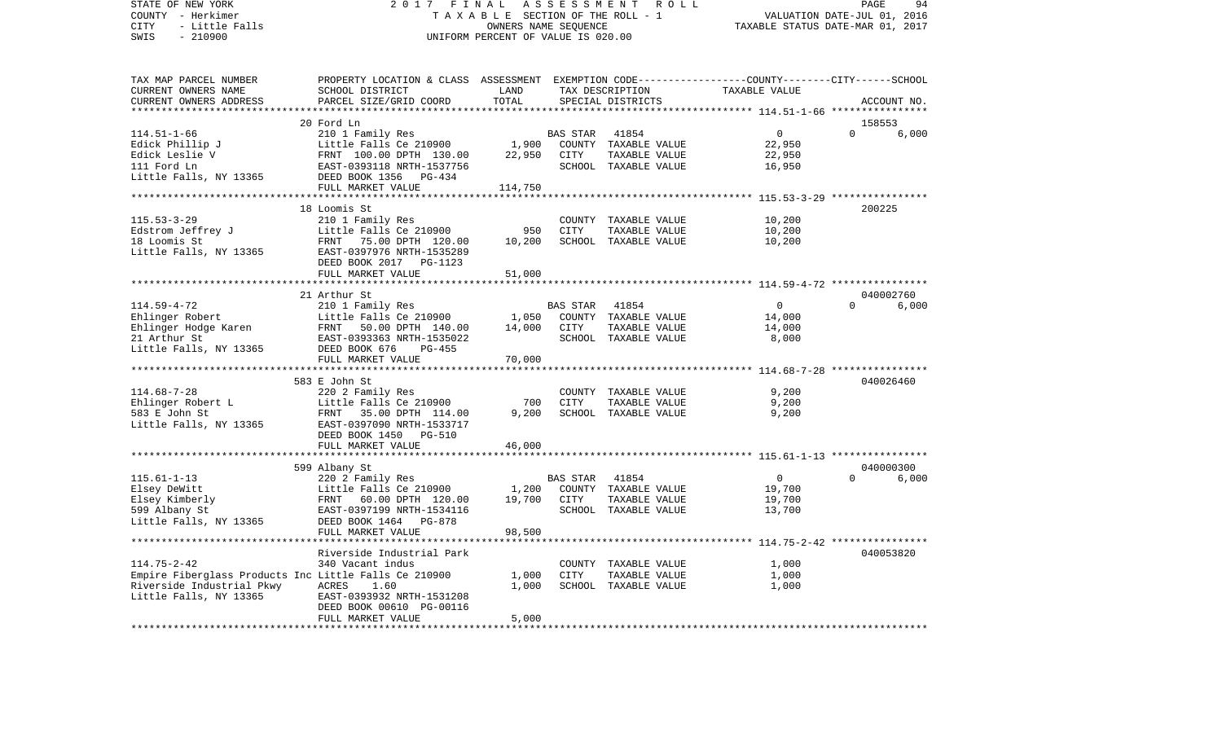STATE OF NEW YORK 2 0 1 7 F I N A L A S S E S S M E N T R O L L PAGE 94COUNTY - Herkimer T A X A B L E SECTION OF THE ROLL - 1 VALUATION DATE-JUL 01, 2016 CITY - Little Falls OWNERS NAME SEQUENCE TAXABLE STATUS DATE-MAR 01, 2017 SWIS - 210900 UNIFORM PERCENT OF VALUE IS 020.00TAX MAP PARCEL NUMBER PROPERTY LOCATION & CLASS ASSESSMENT EXEMPTION CODE------------------COUNTY--------CITY------SCHOOL CURRENT OWNERS NAME SCHOOL DISTRICT LAND TAX DESCRIPTION TAXABLE VALUECURRENT OWNERS ADDRESS PARCEL SIZE/GRID COORD TOTAL SPECIAL DISTRICTS ACCOUNT NO. \*\*\*\*\*\*\*\*\*\*\*\*\*\*\*\*\*\*\*\*\*\*\*\*\*\*\*\*\*\*\*\*\*\*\*\*\*\*\*\*\*\*\*\*\*\*\*\*\*\*\*\*\*\*\*\*\*\*\*\*\*\*\*\*\*\*\*\*\*\*\*\*\*\*\*\*\*\*\*\*\*\*\*\*\*\*\*\*\*\*\*\*\*\*\*\*\*\*\*\*\*\*\* 114.51-1-66 \*\*\*\*\*\*\*\*\*\*\*\*\*\*\*\* 20 Ford Ln 158553114.51-1-66 210 1 Family Res BAS STAR 41854 0 0 6,000 Edick Phillip J Little Falls Ce 210900 1,900 COUNTY TAXABLE VALUE 22,950 Edick Leslie V 62,950 FRNT 100.00 DPTH 130.00 22,950 CITY TAXABLE VALUE 22,950 111 Ford Ln EAST-0393118 NRTH-1537756 SCHOOL TAXABLE VALUE 16,950 Little Falls, NY 13365 DEED BOOK 1356 PG-434 FULL MARKET VALUE 114,750 \*\*\*\*\*\*\*\*\*\*\*\*\*\*\*\*\*\*\*\*\*\*\*\*\*\*\*\*\*\*\*\*\*\*\*\*\*\*\*\*\*\*\*\*\*\*\*\*\*\*\*\*\*\*\*\*\*\*\*\*\*\*\*\*\*\*\*\*\*\*\*\*\*\*\*\*\*\*\*\*\*\*\*\*\*\*\*\*\*\*\*\*\*\*\*\*\*\*\*\*\*\*\* 115.53-3-29 \*\*\*\*\*\*\*\*\*\*\*\*\*\*\*\* 18 Loomis St 200225115.53-3-29 210 1 Family Res COUNTY TAXABLE VALUE 10,200 Edstrom Jeffrey J Little Falls Ce 210900 950 CITY TAXABLE VALUE 18 Loomis St FRNT 75.00 DPTH 120.00 10,200 SCHOOL TAXABLE VALUE 10,200 Little Falls, NY 13365 EAST-0397976 NRTH-1535289 DEED BOOK 2017 PG-1123FULL MARKET VALUE 51,000 \*\*\*\*\*\*\*\*\*\*\*\*\*\*\*\*\*\*\*\*\*\*\*\*\*\*\*\*\*\*\*\*\*\*\*\*\*\*\*\*\*\*\*\*\*\*\*\*\*\*\*\*\*\*\*\*\*\*\*\*\*\*\*\*\*\*\*\*\*\*\*\*\*\*\*\*\*\*\*\*\*\*\*\*\*\*\*\*\*\*\*\*\*\*\*\*\*\*\*\*\*\*\* 114.59-4-72 \*\*\*\*\*\*\*\*\*\*\*\*\*\*\*\* 21 Arthur St 040002760 $6.000$ 114.59-4-72 210 1 Family Res BAS STAR 41854 0 0 6,000 Ehlinger Robert Little Falls Ce 210900 1,050 COUNTY TAXABLE VALUE 14,000 Ehlinger Hodge Karen FRNT 50.00 DPTH 140.00 14,000 CITY TAXABLE VALUE 14,000 21 Arthur St EAST-0393363 NRTH-1535022 SCHOOL TAXABLE VALUE 8,000 Little Falls, NY 13365 DEED BOOK 676 PG-455 FULL MARKET VALUE 70,000 \*\*\*\*\*\*\*\*\*\*\*\*\*\*\*\*\*\*\*\*\*\*\*\*\*\*\*\*\*\*\*\*\*\*\*\*\*\*\*\*\*\*\*\*\*\*\*\*\*\*\*\*\*\*\*\*\*\*\*\*\*\*\*\*\*\*\*\*\*\*\*\*\*\*\*\*\*\*\*\*\*\*\*\*\*\*\*\*\*\*\*\*\*\*\*\*\*\*\*\*\*\*\* 114.68-7-28 \*\*\*\*\*\*\*\*\*\*\*\*\*\*\*\* 583 E John St 040026460114.68-7-28 220 2 Family Res COUNTY TAXABLE VALUE 9,200 Ehlinger Robert L **Little Falls Ce 210900** 700 CITY TAXABLE VALUE 9,200 583 E John St FRNT 35.00 DPTH 114.00 9,200 SCHOOL TAXABLE VALUE 9,200 Little Falls, NY 13365 EAST-0397090 NRTH-1533717 DEED BOOK 1450 PG-510 FULL MARKET VALUE 46,000 \*\*\*\*\*\*\*\*\*\*\*\*\*\*\*\*\*\*\*\*\*\*\*\*\*\*\*\*\*\*\*\*\*\*\*\*\*\*\*\*\*\*\*\*\*\*\*\*\*\*\*\*\*\*\*\*\*\*\*\*\*\*\*\*\*\*\*\*\*\*\*\*\*\*\*\*\*\*\*\*\*\*\*\*\*\*\*\*\*\*\*\*\*\*\*\*\*\*\*\*\*\*\* 115.61-1-13 \*\*\*\*\*\*\*\*\*\*\*\*\*\*\*\* 599 Albany St 040000300 115.61-1-13 220 2 Family Res BAS STAR 41854 0 0 6,000 Elsey DeWitt Little Falls Ce 210900 1,200 COUNTY TAXABLE VALUE 19,700 Elsey Kimberly FRNT 60.00 DPTH 120.00 19,700 CITY TAXABLE VALUE 19,700 EAST-0397199 NRTH-1534116 Little Falls, NY 13365 DEED BOOK 1464 PG-878 FULL MARKET VALUE 98,500 \*\*\*\*\*\*\*\*\*\*\*\*\*\*\*\*\*\*\*\*\*\*\*\*\*\*\*\*\*\*\*\*\*\*\*\*\*\*\*\*\*\*\*\*\*\*\*\*\*\*\*\*\*\*\*\*\*\*\*\*\*\*\*\*\*\*\*\*\*\*\*\*\*\*\*\*\*\*\*\*\*\*\*\*\*\*\*\*\*\*\*\*\*\*\*\*\*\*\*\*\*\*\* 114.75-2-42 \*\*\*\*\*\*\*\*\*\*\*\*\*\*\*\* Riverside Industrial Park 040053820114.75-2-42 340 Vacant indus COUNTY TAXABLE VALUE 1,000 Empire Fiberglass Products Inc Little Falls Ce 210900 1,000 CITY TAXABLE VALUE 1,000 Riverside Industrial Pkwy ACRES 1.60 1,000 SCHOOL TAXABLE VALUE 1,000 Little Falls, NY 13365 EAST-0393932 NRTH-1531208 DEED BOOK 00610 PG-00116 FULL MARKET VALUE 5,000 \*\*\*\*\*\*\*\*\*\*\*\*\*\*\*\*\*\*\*\*\*\*\*\*\*\*\*\*\*\*\*\*\*\*\*\*\*\*\*\*\*\*\*\*\*\*\*\*\*\*\*\*\*\*\*\*\*\*\*\*\*\*\*\*\*\*\*\*\*\*\*\*\*\*\*\*\*\*\*\*\*\*\*\*\*\*\*\*\*\*\*\*\*\*\*\*\*\*\*\*\*\*\*\*\*\*\*\*\*\*\*\*\*\*\*\*\*\*\*\*\*\*\*\*\*\*\*\*\*\*\*\*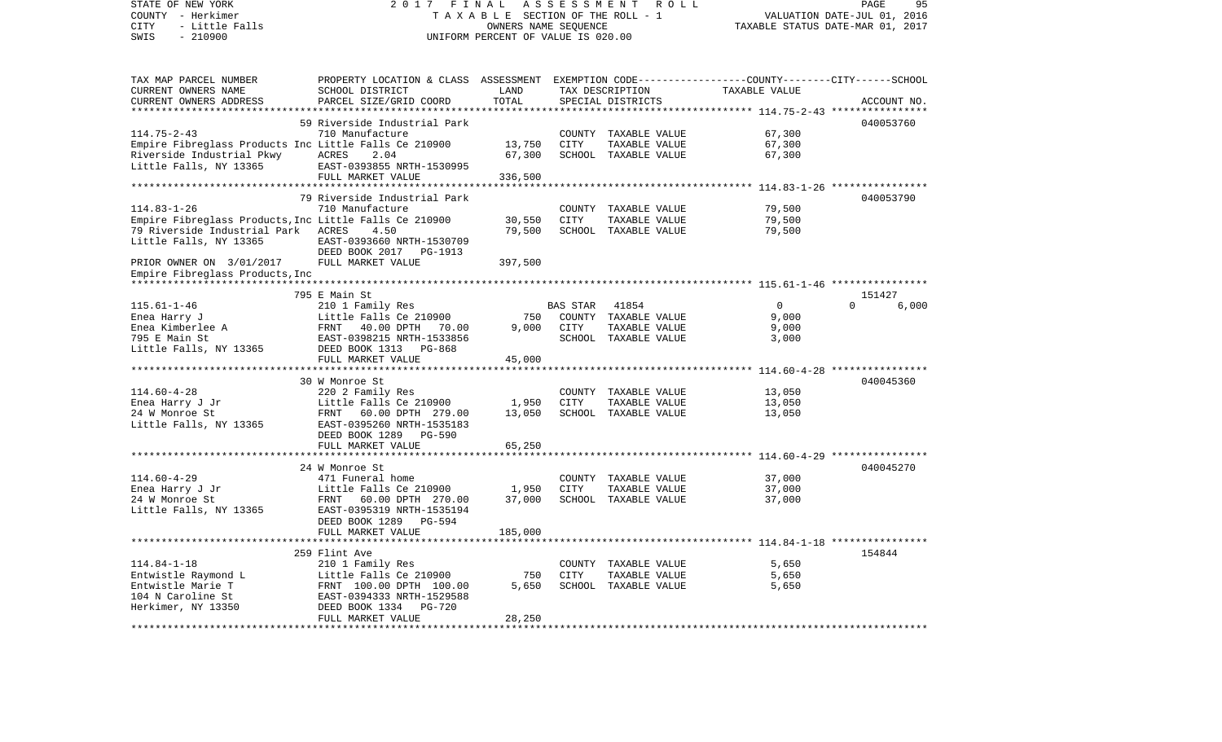| STATE OF NEW YORK<br>COUNTY - Herkimer<br>CITY<br>- Little Falls<br>$-210900$<br>SWIS                                                                                   | 2017 FINAL<br>TAXABLE SECTION OF THE ROLL - 1<br>UNIFORM PERCENT OF VALUE IS 020.00                                                                                    | ASSESSMENT ROLL<br>PAGE<br>95<br>VALUATION DATE-JUL 01, 2016<br>TAXABLE STATUS DATE-MAR 01, 2017 |                  |                                                                        |                              |                   |
|-------------------------------------------------------------------------------------------------------------------------------------------------------------------------|------------------------------------------------------------------------------------------------------------------------------------------------------------------------|--------------------------------------------------------------------------------------------------|------------------|------------------------------------------------------------------------|------------------------------|-------------------|
| TAX MAP PARCEL NUMBER<br>CURRENT OWNERS NAME<br>CURRENT OWNERS ADDRESS                                                                                                  | PROPERTY LOCATION & CLASS ASSESSMENT EXEMPTION CODE---------------COUNTY-------CITY------SCHOOL<br>SCHOOL DISTRICT<br>PARCEL SIZE/GRID COORD                           | LAND<br>TOTAL                                                                                    |                  | TAX DESCRIPTION<br>SPECIAL DISTRICTS                                   | TAXABLE VALUE                | ACCOUNT NO.       |
| *******************                                                                                                                                                     |                                                                                                                                                                        |                                                                                                  |                  |                                                                        |                              |                   |
| $114.75 - 2 - 43$<br>Empire Fibreglass Products Inc Little Falls Ce 210900<br>Riverside Industrial Pkwy<br>Little Falls, NY 13365                                       | 59 Riverside Industrial Park<br>710 Manufacture<br>ACRES<br>2.04<br>EAST-0393855 NRTH-1530995<br>FULL MARKET VALUE                                                     | 13,750<br>67,300<br>336,500                                                                      | CITY             | COUNTY TAXABLE VALUE<br>TAXABLE VALUE<br>SCHOOL TAXABLE VALUE          | 67,300<br>67,300<br>67,300   | 040053760         |
|                                                                                                                                                                         |                                                                                                                                                                        |                                                                                                  |                  |                                                                        |                              |                   |
| $114.83 - 1 - 26$<br>Empire Fibreglass Products, Inc Little Falls Ce 210900<br>79 Riverside Industrial Park ACRES<br>Little Falls, NY 13365<br>PRIOR OWNER ON 3/01/2017 | 79 Riverside Industrial Park<br>710 Manufacture<br>4.50<br>EAST-0393660 NRTH-1530709<br>DEED BOOK 2017 PG-1913<br>FULL MARKET VALUE                                    | 30,550<br>79,500<br>397,500                                                                      | CITY             | COUNTY TAXABLE VALUE<br>TAXABLE VALUE<br>SCHOOL TAXABLE VALUE          | 79,500<br>79,500<br>79,500   | 040053790         |
| Empire Fibreglass Products, Inc                                                                                                                                         |                                                                                                                                                                        |                                                                                                  |                  |                                                                        |                              |                   |
|                                                                                                                                                                         |                                                                                                                                                                        |                                                                                                  |                  |                                                                        |                              | 151427            |
| $115.61 - 1 - 46$<br>Enea Harry J<br>Enea Kimberlee A<br>795 E Main St<br>Little Falls, NY 13365                                                                        | 795 E Main St<br>210 1 Family Res<br>Little Falls Ce 210900<br>FRNT 40.00 DPTH 70.00<br>EAST-0398215 NRTH-1533856<br>DEED BOOK 1313 PG-868                             | 750<br>9,000                                                                                     | BAS STAR<br>CITY | 41854<br>COUNTY TAXABLE VALUE<br>TAXABLE VALUE<br>SCHOOL TAXABLE VALUE | 0<br>9,000<br>9,000<br>3,000 | $\Omega$<br>6,000 |
|                                                                                                                                                                         | FULL MARKET VALUE                                                                                                                                                      | 45,000                                                                                           |                  |                                                                        |                              |                   |
|                                                                                                                                                                         |                                                                                                                                                                        |                                                                                                  |                  |                                                                        |                              |                   |
| $114.60 - 4 - 28$<br>Enea Harry J Jr<br>24 W Monroe St<br>Little Falls, NY 13365                                                                                        | 30 W Monroe St<br>220 2 Family Res<br>Little Falls Ce 210900<br>FRNT 60.00 DPTH 279.00<br>EAST-0395260 NRTH-1535183<br>DEED BOOK 1289 PG-590                           | 1,950<br>13,050                                                                                  | CITY             | COUNTY TAXABLE VALUE<br>TAXABLE VALUE<br>SCHOOL TAXABLE VALUE          | 13,050<br>13,050<br>13,050   | 040045360         |
|                                                                                                                                                                         | FULL MARKET VALUE                                                                                                                                                      | 65,250                                                                                           |                  |                                                                        |                              |                   |
| $114.60 - 4 - 29$<br>Enea Harry J Jr<br>24 W Monroe St<br>Little Falls, NY 13365                                                                                        | 24 W Monroe St<br>471 Funeral home<br>Little Falls Ce 210900<br>FRNT 60.00 DPTH 270.00<br>EAST-0395319 NRTH-1535194<br>DEED BOOK 1289 PG-594<br>FULL MARKET VALUE      | 1,950<br>37,000<br>185,000                                                                       | CITY             | COUNTY TAXABLE VALUE<br>TAXABLE VALUE<br>SCHOOL TAXABLE VALUE          | 37,000<br>37,000<br>37,000   | 040045270         |
|                                                                                                                                                                         |                                                                                                                                                                        |                                                                                                  |                  |                                                                        |                              | 154844            |
| $114.84 - 1 - 18$<br>Entwistle Raymond L<br>Entwistle Marie T<br>104 N Caroline St<br>Herkimer, NY 13350                                                                | 259 Flint Ave<br>210 1 Family Res<br>Little Falls Ce 210900<br>FRNT 100.00 DPTH 100.00<br>EAST-0394333 NRTH-1529588<br>DEED BOOK 1334<br>$PG-720$<br>FULL MARKET VALUE | 750<br>5,650<br>28,250                                                                           | CITY             | COUNTY TAXABLE VALUE<br>TAXABLE VALUE<br>SCHOOL TAXABLE VALUE          | 5,650<br>5,650<br>5,650      |                   |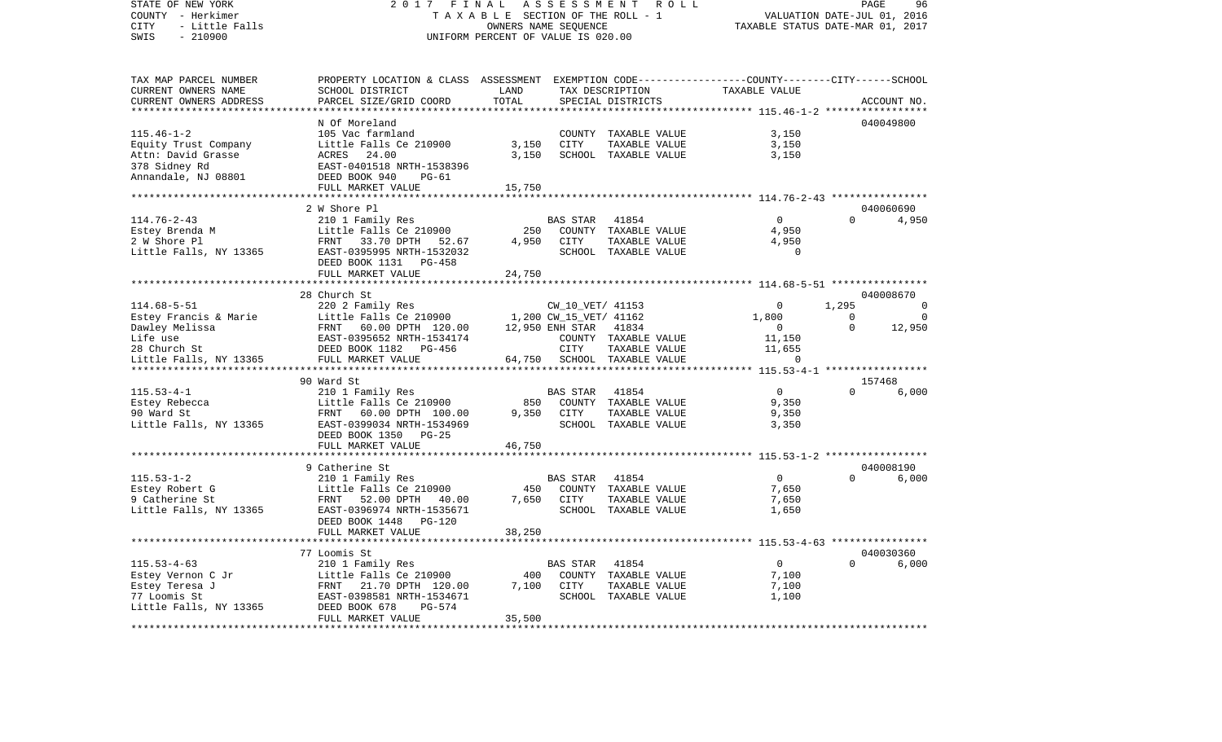## STATE OF NEW YORK 2 0 1 7 F I N A L A S S E S S M E N T R O L L PAGE 96COUNTY - Herkimer T A X A B L E SECTION OF THE ROLL - 1 CITY - Little Falls OWNERS NAME SEQUENCE TAXABLE STATUS DATE-MAR 01, 2017 UNIFORM PERCENT OF VALUE IS 020.00

VALUATION DATE-JUL 01, 2016

| TAX MAP PARCEL NUMBER  | PROPERTY LOCATION & CLASS ASSESSMENT |             |                        |                      | EXEMPTION CODE-----------------COUNTY-------CITY------SCHOOL                      |          |             |
|------------------------|--------------------------------------|-------------|------------------------|----------------------|-----------------------------------------------------------------------------------|----------|-------------|
| CURRENT OWNERS NAME    | SCHOOL DISTRICT                      | LAND        |                        | TAX DESCRIPTION      | TAXABLE VALUE                                                                     |          |             |
| CURRENT OWNERS ADDRESS | PARCEL SIZE/GRID COORD               | TOTAL       |                        | SPECIAL DISTRICTS    |                                                                                   |          | ACCOUNT NO. |
|                        |                                      |             |                        |                      |                                                                                   |          |             |
|                        | N Of Moreland                        |             |                        |                      |                                                                                   |          | 040049800   |
| $115.46 - 1 - 2$       | 105 Vac farmland                     |             |                        | COUNTY TAXABLE VALUE | 3,150                                                                             |          |             |
| Equity Trust Company   | Little Falls Ce 210900               | 3,150       | CITY                   | TAXABLE VALUE        | 3,150                                                                             |          |             |
| Attn: David Grasse     | 24.00<br>ACRES                       | 3,150       |                        | SCHOOL TAXABLE VALUE | 3,150                                                                             |          |             |
| 378 Sidney Rd          | EAST-0401518 NRTH-1538396            |             |                        |                      |                                                                                   |          |             |
| Annandale, NJ 08801    | DEED BOOK 940<br>PG-61               |             |                        |                      |                                                                                   |          |             |
|                        | FULL MARKET VALUE                    | 15,750      |                        |                      |                                                                                   |          |             |
|                        | ***********************              |             |                        |                      | *********************************** 114.76-2-43 ********************************* |          |             |
|                        | 2 W Shore Pl                         |             |                        |                      |                                                                                   |          | 040060690   |
| $114.76 - 2 - 43$      | 210 1 Family Res                     |             | <b>BAS STAR</b>        | 41854                | $\Omega$                                                                          | $\Omega$ | 4,950       |
| Estey Brenda M         | Little Falls Ce 210900               | 250         |                        | COUNTY TAXABLE VALUE | 4,950                                                                             |          |             |
| 2 W Shore Pl           | FRNT 33.70 DPTH 52.67                | 4,950       | <b>CITY</b>            | TAXABLE VALUE        | 4,950                                                                             |          |             |
| Little Falls, NY 13365 | EAST-0395995 NRTH-1532032            |             |                        | SCHOOL TAXABLE VALUE | $\mathbf 0$                                                                       |          |             |
|                        | DEED BOOK 1131 PG-458                |             |                        |                      |                                                                                   |          |             |
|                        | FULL MARKET VALUE                    | 24,750      |                        |                      |                                                                                   |          |             |
|                        |                                      |             |                        |                      |                                                                                   |          |             |
|                        | 28 Church St                         |             |                        |                      |                                                                                   |          | 040008670   |
| $114.68 - 5 - 51$      |                                      |             |                        |                      | $\Omega$                                                                          | 1,295    | $\Omega$    |
|                        | 220 2 Family Res                     |             | CW_10_VET/ 41153       |                      |                                                                                   |          |             |
| Estey Francis & Marie  | Little Falls Ce 210900               |             | 1,200 CW_15_VET/ 41162 |                      | 1,800                                                                             | 0        | - 0         |
| Dawley Melissa         | FRNT 60.00 DPTH 120.00               |             | 12,950 ENH STAR 41834  |                      | $\mathbf{0}$                                                                      | $\Omega$ | 12,950      |
| Life use               | EAST-0395652 NRTH-1534174            |             |                        | COUNTY TAXABLE VALUE | 11,150                                                                            |          |             |
| 28 Church St           | DEED BOOK 1182<br>PG-456             |             | CITY                   | TAXABLE VALUE        | 11,655                                                                            |          |             |
| Little Falls, NY 13365 | FULL MARKET VALUE                    | 64,750      |                        | SCHOOL TAXABLE VALUE | $\Omega$                                                                          |          |             |
|                        |                                      |             |                        |                      |                                                                                   |          |             |
|                        | 90 Ward St                           |             |                        |                      |                                                                                   |          | 157468      |
| $115.53 - 4 - 1$       | 210 1 Family Res                     |             | <b>BAS STAR</b>        | 41854                | $\overline{0}$                                                                    | $\Omega$ | 6,000       |
| Estey Rebecca          | Little Falls Ce 210900               | 850         |                        | COUNTY TAXABLE VALUE | 9,350                                                                             |          |             |
| 90 Ward St             | FRNT 60.00 DPTH 100.00               | 9,350       | CITY                   | TAXABLE VALUE        | 9,350                                                                             |          |             |
| Little Falls, NY 13365 | EAST-0399034 NRTH-1534969            |             |                        | SCHOOL TAXABLE VALUE | 3,350                                                                             |          |             |
|                        | DEED BOOK 1350<br>$PG-25$            |             |                        |                      |                                                                                   |          |             |
|                        | FULL MARKET VALUE                    | 46,750      |                        |                      |                                                                                   |          |             |
|                        | ********************                 | *********** |                        |                      |                                                                                   |          |             |
|                        | 9 Catherine St                       |             |                        |                      |                                                                                   |          | 040008190   |
| $115.53 - 1 - 2$       | 210 1 Family Res                     |             | <b>BAS STAR</b>        | 41854                | $\Omega$                                                                          | $\Omega$ | 6,000       |
| Estey Robert G         | Little Falls Ce 210900               | 450         |                        | COUNTY TAXABLE VALUE | 7,650                                                                             |          |             |
| 9 Catherine St         | FRNT 52.00 DPTH<br>40.00             | 7,650       | CITY                   | TAXABLE VALUE        | 7,650                                                                             |          |             |
| Little Falls, NY 13365 | EAST-0396974 NRTH-1535671            |             |                        | SCHOOL TAXABLE VALUE | 1,650                                                                             |          |             |
|                        | DEED BOOK 1448<br><b>PG-120</b>      |             |                        |                      |                                                                                   |          |             |
|                        | FULL MARKET VALUE                    | 38,250      |                        |                      |                                                                                   |          |             |
|                        |                                      |             |                        |                      |                                                                                   |          |             |
|                        | 77 Loomis St                         |             |                        |                      |                                                                                   |          | 040030360   |
| $115.53 - 4 - 63$      | 210 1 Family Res                     |             | <b>BAS STAR</b>        | 41854                | $\overline{0}$                                                                    | $\Omega$ | 6,000       |
| Estey Vernon C Jr      | Little Falls Ce 210900               | 400         | COUNTY                 | TAXABLE VALUE        | 7,100                                                                             |          |             |
| Estey Teresa J         | FRNT<br>21.70 DPTH 120.00            | 7,100       | CITY                   | TAXABLE VALUE        | 7,100                                                                             |          |             |
| 77 Loomis St           | EAST-0398581 NRTH-1534671            |             |                        | SCHOOL TAXABLE VALUE | 1,100                                                                             |          |             |
| Little Falls, NY 13365 | DEED BOOK 678<br>$PG-574$            |             |                        |                      |                                                                                   |          |             |
|                        | FULL MARKET VALUE                    | 35,500      |                        |                      |                                                                                   |          |             |
|                        |                                      |             |                        |                      |                                                                                   |          |             |
|                        |                                      |             |                        |                      |                                                                                   |          |             |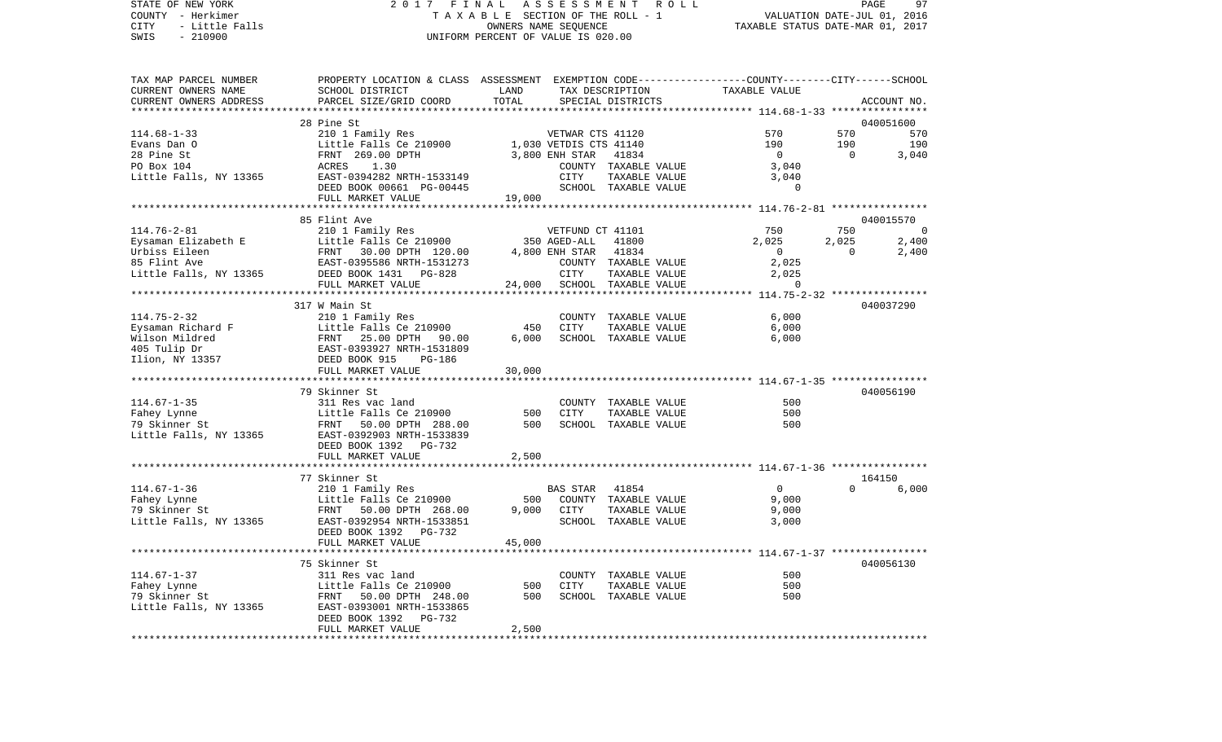STATE OF NEW YORK 2 0 1 7 F I N A L A S S E S S M E N T R O L L PAGE 97COUNTY - Herkimer T A X A B L E SECTION OF THE ROLL - 1 VALUATION DATE-JUL 01, 2016 CITY - Little Falls OWNERS NAME SEQUENCE TAXABLE STATUS DATE-MAR 01, 2017 SWIS - 210900 UNIFORM PERCENT OF VALUE IS 020.00TAX MAP PARCEL NUMBER PROPERTY LOCATION & CLASS ASSESSMENT EXEMPTION CODE------------------COUNTY--------CITY------SCHOOL CURRENT OWNERS NAME SCHOOL DISTRICT LAND TAX DESCRIPTION TAXABLE VALUECURRENT OWNERS ADDRESS PARCEL SIZE/GRID COORD TOTAL SPECIAL DISTRICTS ACCOUNT NO. \*\*\*\*\*\*\*\*\*\*\*\*\*\*\*\*\*\*\*\*\*\*\*\*\*\*\*\*\*\*\*\*\*\*\*\*\*\*\*\*\*\*\*\*\*\*\*\*\*\*\*\*\*\*\*\*\*\*\*\*\*\*\*\*\*\*\*\*\*\*\*\*\*\*\*\*\*\*\*\*\*\*\*\*\*\*\*\*\*\*\*\*\*\*\*\*\*\*\*\*\*\*\* 114.68-1-33 \*\*\*\*\*\*\*\*\*\*\*\*\*\*\*\* 28 Pine St 040051600040051600 114.68-1-33 210 1 Family Res VETWAR CTS 41120 570 570 570 Evans Dan O 190 Little Falls Ce 210900 1,030 VETDIS CTS 41140 190 190 190 190 28 Pine St FRNT 269.00 DPTH 3,800 ENH STAR 41834 0 0 3,040 PO Box 104 ACRES 1.30 COUNTY TAXABLE VALUE 3,040 Little Falls, NY 13365 EAST-0394282 NRTH-1533149 CITY TAXABLE VALUE 3,040 DEED BOOK 00661 PG-00445 SCHOOL TAXABLE VALUE 0 FULL MARKET VALUE 19,000 \*\*\*\*\*\*\*\*\*\*\*\*\*\*\*\*\*\*\*\*\*\*\*\*\*\*\*\*\*\*\*\*\*\*\*\*\*\*\*\*\*\*\*\*\*\*\*\*\*\*\*\*\*\*\*\*\*\*\*\*\*\*\*\*\*\*\*\*\*\*\*\*\*\*\*\*\*\*\*\*\*\*\*\*\*\*\*\*\*\*\*\*\*\*\*\*\*\*\*\*\*\*\* 114.76-2-81 \*\*\*\*\*\*\*\*\*\*\*\*\*\*\*\* 85 Flint Ave 040015570114.76-2-81 210 1 Family Res VETFUND CT 41101 750 750 0 Eysaman Elizabeth E Little Falls Ce 210900 350 AGED-ALL 41800 2,025 2,025 2,400 Urbiss Eileen FRNT 30.00 DPTH 120.00 4,800 ENH STAR 41834 0 0 2,400 85 Flint Ave EAST-0395586 NRTH-1531273 COUNTY TAXABLE VALUE 2,025 Little Falls, NY 13365 DEED BOOK 1431 PG-828 CITY TAXABLE VALUE 2,025 FULL MARKET VALUE 24,000 SCHOOL TAXABLE VALUE 0 \*\*\*\*\*\*\*\*\*\*\*\*\*\*\*\*\*\*\*\*\*\*\*\*\*\*\*\*\*\*\*\*\*\*\*\*\*\*\*\*\*\*\*\*\*\*\*\*\*\*\*\*\*\*\*\*\*\*\*\*\*\*\*\*\*\*\*\*\*\*\*\*\*\*\*\*\*\*\*\*\*\*\*\*\*\*\*\*\*\*\*\*\*\*\*\*\*\*\*\*\*\*\* 114.75-2-32 \*\*\*\*\*\*\*\*\*\*\*\*\*\*\*\* 317 W Main St 040037290114.75-2-32 210 1 Family Res COUNTY TAXABLE VALUE 6,000 Eysaman Richard F **Little Falls Ce 210900** 450 CITY TAXABLE VALUE 6,000 Wilson Mildred FRNT 25.00 DPTH 90.00 6,000 SCHOOL TAXABLE VALUE 6,000 405 Tulip Dr EAST-0393927 NRTH-1531809 Ilion, NY 13357 DEED BOOK 915 PG-186 FULL MARKET VALUE 30,000 \*\*\*\*\*\*\*\*\*\*\*\*\*\*\*\*\*\*\*\*\*\*\*\*\*\*\*\*\*\*\*\*\*\*\*\*\*\*\*\*\*\*\*\*\*\*\*\*\*\*\*\*\*\*\*\*\*\*\*\*\*\*\*\*\*\*\*\*\*\*\*\*\*\*\*\*\*\*\*\*\*\*\*\*\*\*\*\*\*\*\*\*\*\*\*\*\*\*\*\*\*\*\* 114.67-1-35 \*\*\*\*\*\*\*\*\*\*\*\*\*\*\*\* 79 Skinner St 040056190114.67-1-35 311 Res vac land COUNTY TAXABLE VALUE 500Fahey Lynne Little Falls Ce 210900 500 CITY TAXABLE VALUE 500 79 Skinner St FRNT 50.00 DPTH 288.00 500 SCHOOL TAXABLE VALUE 500 Little Falls, NY 13365 EAST-0392903 NRTH-1533839 DEED BOOK 1392 PG-732FULL MARKET VALUE 2,500 \*\*\*\*\*\*\*\*\*\*\*\*\*\*\*\*\*\*\*\*\*\*\*\*\*\*\*\*\*\*\*\*\*\*\*\*\*\*\*\*\*\*\*\*\*\*\*\*\*\*\*\*\*\*\*\*\*\*\*\*\*\*\*\*\*\*\*\*\*\*\*\*\*\*\*\*\*\*\*\*\*\*\*\*\*\*\*\*\*\*\*\*\*\*\*\*\*\*\*\*\*\*\* 114.67-1-36 \*\*\*\*\*\*\*\*\*\*\*\*\*\*\*\*77 Skinner St 164150 114.67-1-36 210 1 Family Res BAS STAR 41854 0 0 6,000 Fahey Lynne Little Falls Ce 210900 500 COUNTY TAXABLE VALUE 9,000 79 Skinner St FRNT 50.00 DPTH 268.00 9,000 CITY TAXABLE VALUE 9,000 Little Falls, NY 13365 EAST-0392954 NRTH-1533851 SCHOOL TAXABLE VALUE 3,000 DEED BOOK 1392 PG-732 FULL MARKET VALUE 45,000 \*\*\*\*\*\*\*\*\*\*\*\*\*\*\*\*\*\*\*\*\*\*\*\*\*\*\*\*\*\*\*\*\*\*\*\*\*\*\*\*\*\*\*\*\*\*\*\*\*\*\*\*\*\*\*\*\*\*\*\*\*\*\*\*\*\*\*\*\*\*\*\*\*\*\*\*\*\*\*\*\*\*\*\*\*\*\*\*\*\*\*\*\*\*\*\*\*\*\*\*\*\*\* 114.67-1-37 \*\*\*\*\*\*\*\*\*\*\*\*\*\*\*\* 75 Skinner St 040056130114.67-1-37 311 Res vac land COUNTY TAXABLE VALUE 500Fahey Lynne Little Falls Ce 210900 500 CITY TAXABLE VALUE 500 79 Skinner St FRNT 50.00 DPTH 248.00 500 SCHOOL TAXABLE VALUE 500Little Falls, NY 13365 EAST-0393001 NRTH-1533865 DEED BOOK 1392 PG-732FULL MARKET VALUE 2,500 \*\*\*\*\*\*\*\*\*\*\*\*\*\*\*\*\*\*\*\*\*\*\*\*\*\*\*\*\*\*\*\*\*\*\*\*\*\*\*\*\*\*\*\*\*\*\*\*\*\*\*\*\*\*\*\*\*\*\*\*\*\*\*\*\*\*\*\*\*\*\*\*\*\*\*\*\*\*\*\*\*\*\*\*\*\*\*\*\*\*\*\*\*\*\*\*\*\*\*\*\*\*\*\*\*\*\*\*\*\*\*\*\*\*\*\*\*\*\*\*\*\*\*\*\*\*\*\*\*\*\*\*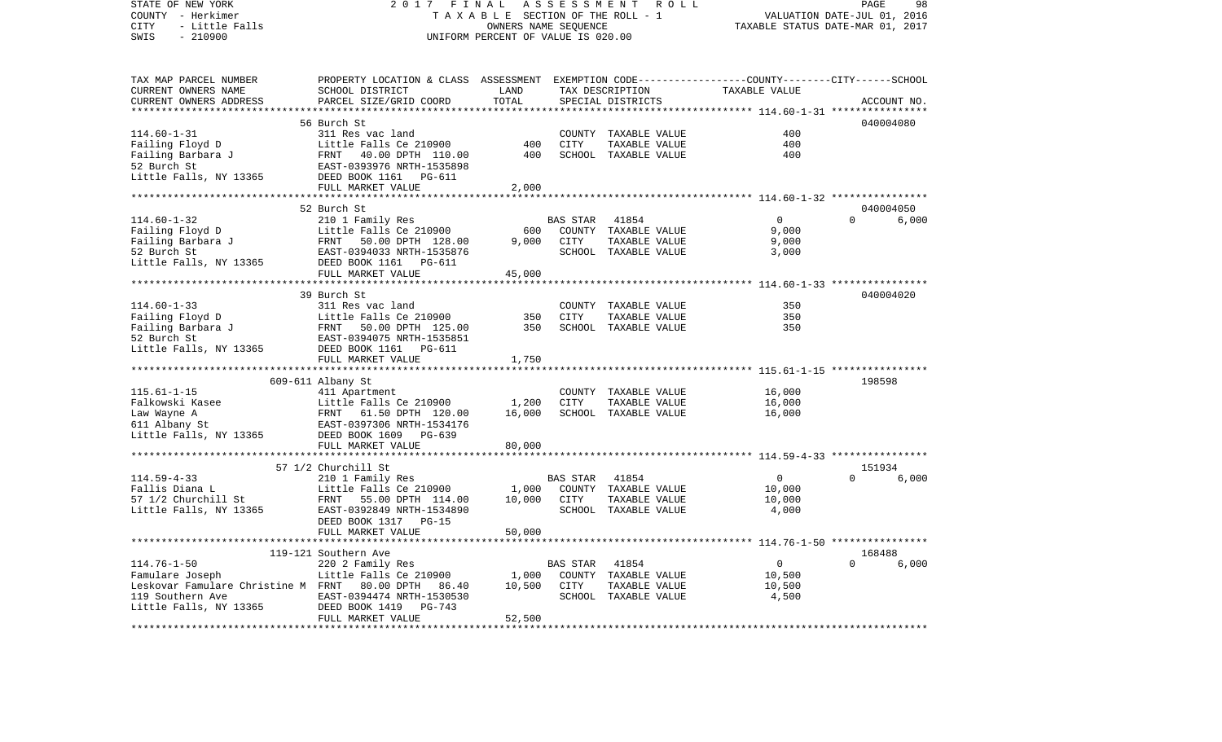COUNTY - Herkimer T A X A B L E SECTION OF THE ROLL - 1 VALUATION DATE-JUL 01, 2016 CITY - Little Falls OWNERS NAME SEQUENCE TAXABLE STATUS DATE-MAR 01, 2017 SWIS - 210900 UNIFORM PERCENT OF VALUE IS 020.00TAX MAP PARCEL NUMBER PROPERTY LOCATION & CLASS ASSESSMENT EXEMPTION CODE------------------COUNTY--------CITY------SCHOOL CURRENT OWNERS NAME SCHOOL DISTRICT LAND TAX DESCRIPTION TAXABLE VALUECURRENT OWNERS ADDRESS PARCEL SIZE/GRID COORD TOTAL SPECIAL DISTRICTS ACCOUNT NO. \*\*\*\*\*\*\*\*\*\*\*\*\*\*\*\*\*\*\*\*\*\*\*\*\*\*\*\*\*\*\*\*\*\*\*\*\*\*\*\*\*\*\*\*\*\*\*\*\*\*\*\*\*\*\*\*\*\*\*\*\*\*\*\*\*\*\*\*\*\*\*\*\*\*\*\*\*\*\*\*\*\*\*\*\*\*\*\*\*\*\*\*\*\*\*\*\*\*\*\*\*\*\* 114.60-1-31 \*\*\*\*\*\*\*\*\*\*\*\*\*\*\*\* 56 Burch St 040004080114.60-1-31 311 Res vac land COUNTY TAXABLE VALUE 400Failing Floyd D **Little Falls Ce 210900** 400 CITY TAXABLE VALUE 400 Failing Barbara J FRNT 40.00 DPTH 110.00 400 SCHOOL TAXABLE VALUE 400 52 Burch St EAST-0393976 NRTH-1535898Little Falls, NY 13365 DEED BOOK 1161 PG-611 FULL MARKET VALUE 2,000 \*\*\*\*\*\*\*\*\*\*\*\*\*\*\*\*\*\*\*\*\*\*\*\*\*\*\*\*\*\*\*\*\*\*\*\*\*\*\*\*\*\*\*\*\*\*\*\*\*\*\*\*\*\*\*\*\*\*\*\*\*\*\*\*\*\*\*\*\*\*\*\*\*\*\*\*\*\*\*\*\*\*\*\*\*\*\*\*\*\*\*\*\*\*\*\*\*\*\*\*\*\*\* 114.60-1-32 \*\*\*\*\*\*\*\*\*\*\*\*\*\*\*\* 52 Burch St 040004050114.60-1-32 210 1 Family Res BAS STAR 41854 0 0 6,000 Failing Floyd D **Little Falls Ce 210900** 600 COUNTY TAXABLE VALUE 9,000 Failing Barbara J FRNT 50.00 DPTH 128.00 9,000 CITY TAXABLE VALUE 9,000 52 Burch St EAST-0394033 NRTH-1535876 SCHOOL TAXABLE VALUE 3,000 Little Falls, NY 13365 DEED BOOK 1161 PG-611 FULL MARKET VALUE 45,000 \*\*\*\*\*\*\*\*\*\*\*\*\*\*\*\*\*\*\*\*\*\*\*\*\*\*\*\*\*\*\*\*\*\*\*\*\*\*\*\*\*\*\*\*\*\*\*\*\*\*\*\*\*\*\*\*\*\*\*\*\*\*\*\*\*\*\*\*\*\*\*\*\*\*\*\*\*\*\*\*\*\*\*\*\*\*\*\*\*\*\*\*\*\*\*\*\*\*\*\*\*\*\* 114.60-1-33 \*\*\*\*\*\*\*\*\*\*\*\*\*\*\*\* 39 Burch St 040004020114.60-1-33 311 Res vac land COUNTY TAXABLE VALUE 350Failing Floyd D Little Falls Ce 210900 350 CITY TAXABLE VALUE 350 Failing Barbara J FRNT 50.00 DPTH 125.00 350 SCHOOL TAXABLE VALUE 350 52 Burch St EAST-0394075 NRTH-1535851Little Falls, NY 13365 DEED BOOK 1161 PG-611 FULL MARKET VALUE 1,750 \*\*\*\*\*\*\*\*\*\*\*\*\*\*\*\*\*\*\*\*\*\*\*\*\*\*\*\*\*\*\*\*\*\*\*\*\*\*\*\*\*\*\*\*\*\*\*\*\*\*\*\*\*\*\*\*\*\*\*\*\*\*\*\*\*\*\*\*\*\*\*\*\*\*\*\*\*\*\*\*\*\*\*\*\*\*\*\*\*\*\*\*\*\*\*\*\*\*\*\*\*\*\* 115.61-1-15 \*\*\*\*\*\*\*\*\*\*\*\*\*\*\*\* 609-611 Albany St 198598 115.61-1-15 411 Apartment COUNTY TAXABLE VALUE 16,000 Falkowski Kasee Little Falls Ce 210900 1,200 CITY TAXABLE VALUE 16,000 Law Wayne A FRNT 61.50 DPTH 120.00 16,000 SCHOOL TAXABLE VALUE 16,000 611 Albany St EAST-0397306 NRTH-1534176 Little Falls, NY 13365 DEED BOOK 1609 PG-639 FULL MARKET VALUE 80,000 \*\*\*\*\*\*\*\*\*\*\*\*\*\*\*\*\*\*\*\*\*\*\*\*\*\*\*\*\*\*\*\*\*\*\*\*\*\*\*\*\*\*\*\*\*\*\*\*\*\*\*\*\*\*\*\*\*\*\*\*\*\*\*\*\*\*\*\*\*\*\*\*\*\*\*\*\*\*\*\*\*\*\*\*\*\*\*\*\*\*\*\*\*\*\*\*\*\*\*\*\*\*\* 114.59-4-33 \*\*\*\*\*\*\*\*\*\*\*\*\*\*\*\*57 1/2 Churchill St 151934 114.59-4-33 210 1 Family Res BAS STAR 41854 0 0 6,000 Fallis Diana L **Little Falls Ce 210900** 1,000 COUNTY TAXABLE VALUE 10,000 57 1/2 Churchill St FRNT 55.00 DPTH 114.00 10,000 CITY TAXABLE VALUE 10,000 Little Falls, NY 13365 EAST-0392849 NRTH-1534890 SCHOOL TAXABLE VALUE 4,000 DEED BOOK 1317 PG-15 FULL MARKET VALUE 50,000 \*\*\*\*\*\*\*\*\*\*\*\*\*\*\*\*\*\*\*\*\*\*\*\*\*\*\*\*\*\*\*\*\*\*\*\*\*\*\*\*\*\*\*\*\*\*\*\*\*\*\*\*\*\*\*\*\*\*\*\*\*\*\*\*\*\*\*\*\*\*\*\*\*\*\*\*\*\*\*\*\*\*\*\*\*\*\*\*\*\*\*\*\*\*\*\*\*\*\*\*\*\*\* 114.76-1-50 \*\*\*\*\*\*\*\*\*\*\*\*\*\*\*\* 119-121 Southern Ave 168488114.76-1-50 220 2 Family Res BAS STAR 41854 0 0 6,000 Famulare Joseph 1.000 COUNTY TAXABLE VALUE Leskovar Famulare Christine M FRNT 80.00 DPTH 86.40 10,500 CITY TAXABLE VALUE 10,500 119 Southern Ave EAST-0394474 NRTH-1530530 SCHOOL TAXABLE VALUE 4,500 Little Falls, NY 13365 DEED BOOK 1419 PG-743 FULL MARKET VALUE 52,500 \*\*\*\*\*\*\*\*\*\*\*\*\*\*\*\*\*\*\*\*\*\*\*\*\*\*\*\*\*\*\*\*\*\*\*\*\*\*\*\*\*\*\*\*\*\*\*\*\*\*\*\*\*\*\*\*\*\*\*\*\*\*\*\*\*\*\*\*\*\*\*\*\*\*\*\*\*\*\*\*\*\*\*\*\*\*\*\*\*\*\*\*\*\*\*\*\*\*\*\*\*\*\*\*\*\*\*\*\*\*\*\*\*\*\*\*\*\*\*\*\*\*\*\*\*\*\*\*\*\*\*\*

STATE OF NEW YORK 2 0 1 7 F I N A L A S S E S S M E N T R O L L PAGE 98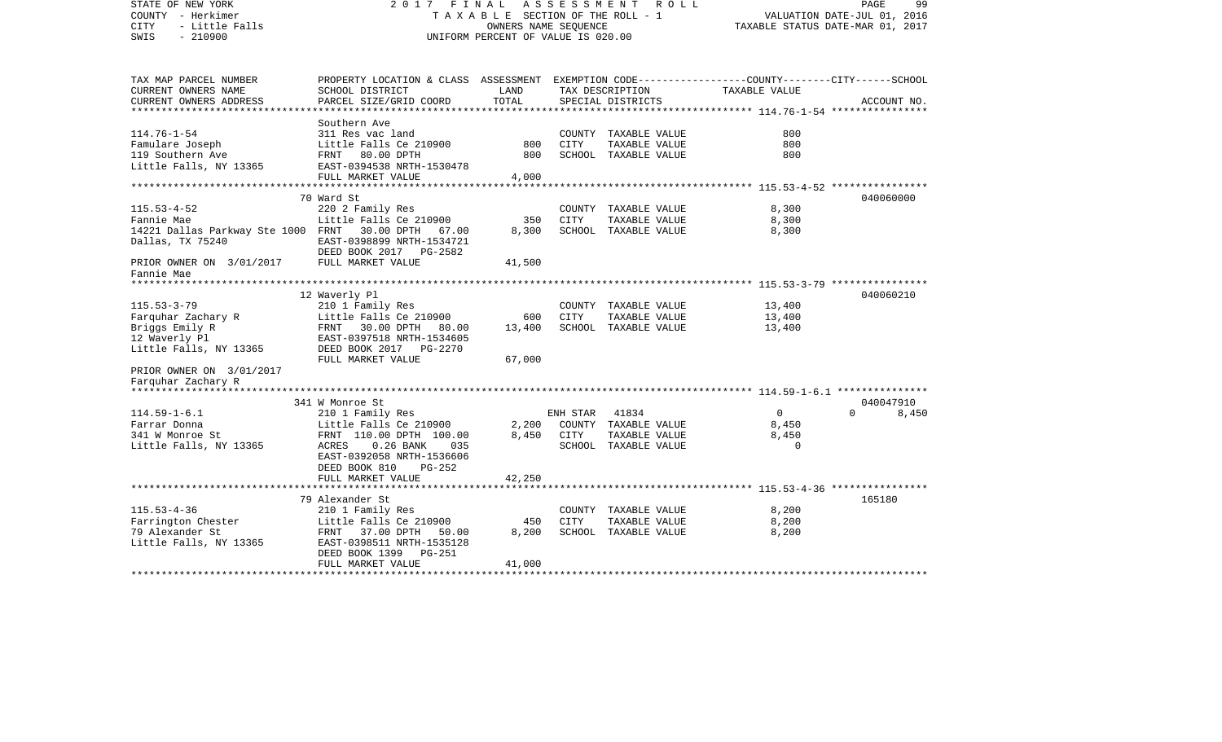| STATE OF NEW YORK<br>COUNTY - Herkimer<br><b>CITY</b><br>- Little Falls<br>$-210900$<br>SWIS | 2017 FINAL                                                                                                         | TAXABLE SECTION OF THE ROLL - 1<br>OWNERS NAME SEOUENCE<br>UNIFORM PERCENT OF VALUE IS 020.00 | ASSESSMENT  | R O L L              |                                                        | 99<br>PAGE<br>VALUATION DATE-JUL 01, 2016<br>TAXABLE STATUS DATE-MAR 01, 2017 |
|----------------------------------------------------------------------------------------------|--------------------------------------------------------------------------------------------------------------------|-----------------------------------------------------------------------------------------------|-------------|----------------------|--------------------------------------------------------|-------------------------------------------------------------------------------|
| TAX MAP PARCEL NUMBER<br>CURRENT OWNERS NAME                                                 | PROPERTY LOCATION & CLASS ASSESSMENT EXEMPTION CODE---------------COUNTY-------CITY------SCHOOL<br>SCHOOL DISTRICT | LAND                                                                                          |             | TAX DESCRIPTION      | TAXABLE VALUE                                          |                                                                               |
| CURRENT OWNERS ADDRESS                                                                       | PARCEL SIZE/GRID COORD                                                                                             | TOTAL                                                                                         |             | SPECIAL DISTRICTS    |                                                        | ACCOUNT NO.                                                                   |
| ************************                                                                     |                                                                                                                    |                                                                                               |             |                      |                                                        |                                                                               |
|                                                                                              | Southern Ave                                                                                                       |                                                                                               |             |                      |                                                        |                                                                               |
| $114.76 - 1 - 54$                                                                            | 311 Res vac land                                                                                                   |                                                                                               |             | COUNTY TAXABLE VALUE | 800                                                    |                                                                               |
| Famulare Joseph                                                                              | Little Falls Ce 210900                                                                                             | 800                                                                                           | <b>CITY</b> | TAXABLE VALUE        | 800                                                    |                                                                               |
| 119 Southern Ave                                                                             | FRNT 80.00 DPTH                                                                                                    | 800                                                                                           |             | SCHOOL TAXABLE VALUE | 800                                                    |                                                                               |
| Little Falls, NY 13365                                                                       | EAST-0394538 NRTH-1530478                                                                                          |                                                                                               |             |                      |                                                        |                                                                               |
|                                                                                              | FULL MARKET VALUE<br>*************************                                                                     | 4,000<br>* * * * * * * * * * *                                                                |             |                      | ********************* 115.53-4-52 *****************    |                                                                               |
|                                                                                              | 70 Ward St                                                                                                         |                                                                                               |             |                      |                                                        | 040060000                                                                     |
| $115.53 - 4 - 52$                                                                            | 220 2 Family Res                                                                                                   |                                                                                               |             | COUNTY TAXABLE VALUE | 8,300                                                  |                                                                               |
| Fannie Mae                                                                                   | Little Falls Ce 210900                                                                                             | 350                                                                                           | CITY        | TAXABLE VALUE        | 8,300                                                  |                                                                               |
| 14221 Dallas Parkway Ste 1000 FRNT 30.00 DPTH 67.00                                          |                                                                                                                    | 8,300                                                                                         |             | SCHOOL TAXABLE VALUE | 8,300                                                  |                                                                               |
| Dallas, TX 75240                                                                             | EAST-0398899 NRTH-1534721<br>DEED BOOK 2017 PG-2582                                                                |                                                                                               |             |                      |                                                        |                                                                               |
| PRIOR OWNER ON 3/01/2017<br>Fannie Mae                                                       | FULL MARKET VALUE                                                                                                  | 41,500                                                                                        |             |                      |                                                        |                                                                               |
|                                                                                              |                                                                                                                    |                                                                                               |             |                      |                                                        |                                                                               |
|                                                                                              | 12 Waverly Pl                                                                                                      |                                                                                               |             |                      |                                                        | 040060210                                                                     |
| $115.53 - 3 - 79$                                                                            | 210 1 Family Res                                                                                                   |                                                                                               |             | COUNTY TAXABLE VALUE | 13,400                                                 |                                                                               |
| Farquhar Zachary R                                                                           | Little Falls Ce 210900                                                                                             | 600                                                                                           | CITY        | TAXABLE VALUE        | 13,400                                                 |                                                                               |
| Briggs Emily R                                                                               | FRNT 30.00 DPTH 80.00                                                                                              | 13,400                                                                                        |             | SCHOOL TAXABLE VALUE | 13,400                                                 |                                                                               |
| 12 Waverly Pl                                                                                | EAST-0397518 NRTH-1534605                                                                                          |                                                                                               |             |                      |                                                        |                                                                               |
| Little Falls, NY 13365                                                                       | DEED BOOK 2017 PG-2270<br>FULL MARKET VALUE                                                                        | 67,000                                                                                        |             |                      |                                                        |                                                                               |
| PRIOR OWNER ON 3/01/2017<br>Farquhar Zachary R                                               |                                                                                                                    |                                                                                               |             |                      |                                                        |                                                                               |
| *****************                                                                            |                                                                                                                    |                                                                                               |             |                      |                                                        |                                                                               |
|                                                                                              | 341 W Monroe St                                                                                                    |                                                                                               |             |                      |                                                        | 040047910                                                                     |
| $114.59 - 1 - 6.1$                                                                           | 210 1 Family Res                                                                                                   |                                                                                               | ENH STAR    | 41834                | $\circ$                                                | $\Omega$<br>8,450                                                             |
| Farrar Donna                                                                                 | Little Falls Ce 210900                                                                                             | 2,200                                                                                         |             | COUNTY TAXABLE VALUE | 8,450                                                  |                                                                               |
| 341 W Monroe St                                                                              | FRNT 110.00 DPTH 100.00                                                                                            | 8,450                                                                                         | CITY        | TAXABLE VALUE        | 8,450<br>$\mathbf 0$                                   |                                                                               |
| Little Falls, NY 13365                                                                       | ACRES<br>$0.26$ BANK<br>035<br>EAST-0392058 NRTH-1536606<br>DEED BOOK 810<br>$PG-252$                              |                                                                                               |             | SCHOOL TAXABLE VALUE |                                                        |                                                                               |
|                                                                                              | FULL MARKET VALUE                                                                                                  | 42,250                                                                                        |             |                      |                                                        |                                                                               |
|                                                                                              |                                                                                                                    |                                                                                               |             |                      | ************************ 115.53-4-36 ***************** |                                                                               |
|                                                                                              | 79 Alexander St                                                                                                    |                                                                                               |             |                      |                                                        | 165180                                                                        |
| $115.53 - 4 - 36$                                                                            | 210 1 Family Res                                                                                                   |                                                                                               |             | COUNTY TAXABLE VALUE | 8,200                                                  |                                                                               |
| Farrington Chester                                                                           | Little Falls Ce 210900                                                                                             | 450                                                                                           | CITY        | TAXABLE VALUE        | 8,200                                                  |                                                                               |
| 79 Alexander St                                                                              | FRNT 37.00 DPTH<br>50.00                                                                                           | 8,200                                                                                         |             | SCHOOL TAXABLE VALUE | 8,200                                                  |                                                                               |
| Little Falls, NY 13365                                                                       | EAST-0398511 NRTH-1535128                                                                                          |                                                                                               |             |                      |                                                        |                                                                               |
|                                                                                              | DEED BOOK 1399<br>PG-251                                                                                           |                                                                                               |             |                      |                                                        |                                                                               |
|                                                                                              | FULL MARKET VALUE                                                                                                  | 41,000                                                                                        |             |                      |                                                        |                                                                               |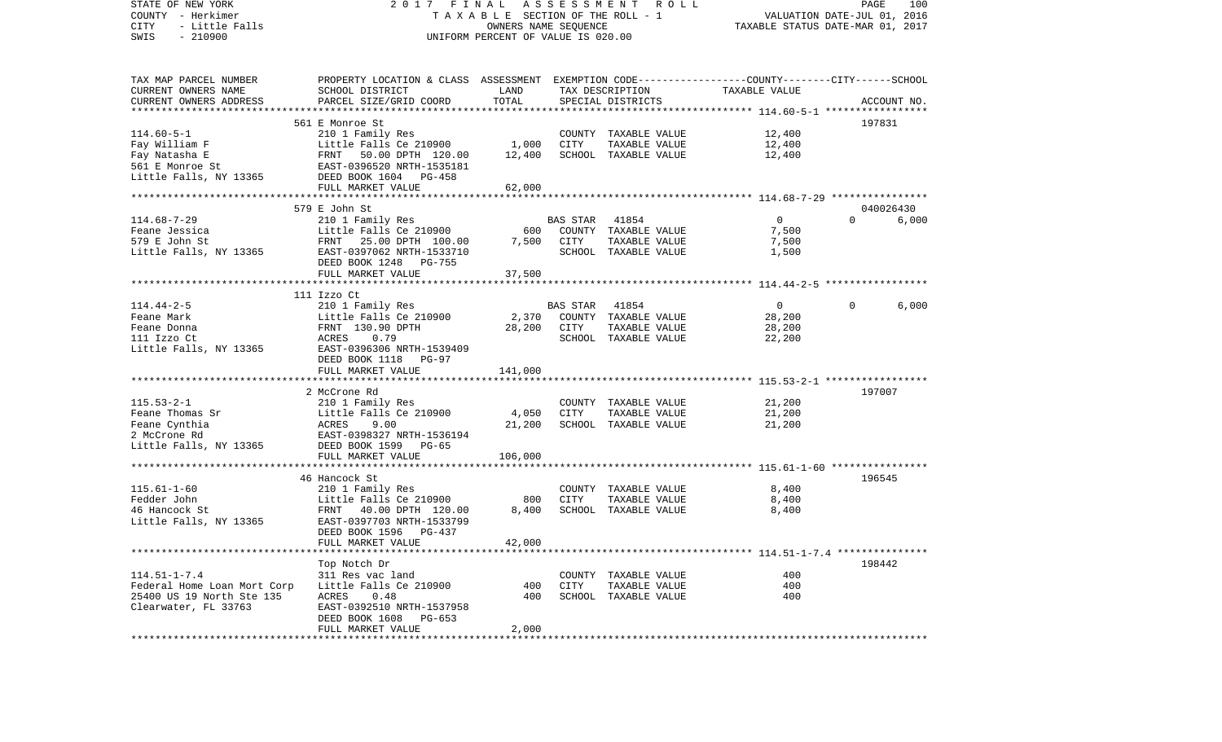STATE OF NEW YORK 2 0 1 7 F I N A L A S S E S S M E N T R O L L PAGE 100COUNTY - Herkimer T A X A B L E SECTION OF THE ROLL - 1 VALUATION DATE-JUL 01, 2016 CITY - Little Falls OWNERS NAME SEQUENCE TAXABLE STATUS DATE-MAR 01, 2017 SWIS - 210900 UNIFORM PERCENT OF VALUE IS 020.00TAX MAP PARCEL NUMBER PROPERTY LOCATION & CLASS ASSESSMENT EXEMPTION CODE------------------COUNTY--------CITY------SCHOOL CURRENT OWNERS NAME SCHOOL DISTRICT LAND TAX DESCRIPTION TAXABLE VALUECURRENT OWNERS ADDRESS PARCEL SIZE/GRID COORD TOTAL SPECIAL DISTRICTS ACCOUNT NO. \*\*\*\*\*\*\*\*\*\*\*\*\*\*\*\*\*\*\*\*\*\*\*\*\*\*\*\*\*\*\*\*\*\*\*\*\*\*\*\*\*\*\*\*\*\*\*\*\*\*\*\*\*\*\*\*\*\*\*\*\*\*\*\*\*\*\*\*\*\*\*\*\*\*\*\*\*\*\*\*\*\*\*\*\*\*\*\*\*\*\*\*\*\*\*\*\*\*\*\*\*\*\* 114.60-5-1 \*\*\*\*\*\*\*\*\*\*\*\*\*\*\*\*\* 561 E Monroe St 197831114.60-5-1 210 1 Family Res COUNTY TAXABLE VALUE 12,400 Fay William F The Little Falls Ce 210900 1,000 CITY TAXABLE VALUE 12,400 Fay Natasha E FRNT 50.00 DPTH 120.00 12,400 SCHOOL TAXABLE VALUE 12,400 561 E Monroe St EAST-0396520 NRTH-1535181Little Falls, NY 13365 DEED BOOK 1604 PG-458 FULL MARKET VALUE 62,000 \*\*\*\*\*\*\*\*\*\*\*\*\*\*\*\*\*\*\*\*\*\*\*\*\*\*\*\*\*\*\*\*\*\*\*\*\*\*\*\*\*\*\*\*\*\*\*\*\*\*\*\*\*\*\*\*\*\*\*\*\*\*\*\*\*\*\*\*\*\*\*\*\*\*\*\*\*\*\*\*\*\*\*\*\*\*\*\*\*\*\*\*\*\*\*\*\*\*\*\*\*\*\* 114.68-7-29 \*\*\*\*\*\*\*\*\*\*\*\*\*\*\*\* 579 E John St 040026430114.68-7-29 210 1 Family Res BAS STAR 41854 0 0 6,000 Feane Jessica Little Falls Ce 210900 600 COUNTY TAXABLE VALUE 7,500 579 E John St FRNT 25.00 DPTH 100.00 7,500 CITY TAXABLE VALUE 7,500 Little Falls, NY 13365 EAST-0397062 NRTH-1533710 SCHOOL TAXABLE VALUE 1,500 DEED BOOK 1248 PG-755FULL MARKET VALUE 37,500 \*\*\*\*\*\*\*\*\*\*\*\*\*\*\*\*\*\*\*\*\*\*\*\*\*\*\*\*\*\*\*\*\*\*\*\*\*\*\*\*\*\*\*\*\*\*\*\*\*\*\*\*\*\*\*\*\*\*\*\*\*\*\*\*\*\*\*\*\*\*\*\*\*\*\*\*\*\*\*\*\*\*\*\*\*\*\*\*\*\*\*\*\*\*\*\*\*\*\*\*\*\*\* 114.44-2-5 \*\*\*\*\*\*\*\*\*\*\*\*\*\*\*\*\* 111 Izzo Ct114.44-2-5 210 1 Family Res BAS STAR 41854 0 0 6,000 Feane Mark Little Falls Ce 210900 2,370 COUNTY TAXABLE VALUE 28,200 Feane Donna FRNT 130.90 DPTH 28,200 CITY TAXABLE VALUE 28,200 111 Izzo Ct ACRES 0.79 SCHOOL TAXABLE VALUE 22,200 Little Falls, NY 13365 EAST-0396306 NRTH-1539409 DEED BOOK 1118 PG-97FULL MARKET VALUE 141,000 \*\*\*\*\*\*\*\*\*\*\*\*\*\*\*\*\*\*\*\*\*\*\*\*\*\*\*\*\*\*\*\*\*\*\*\*\*\*\*\*\*\*\*\*\*\*\*\*\*\*\*\*\*\*\*\*\*\*\*\*\*\*\*\*\*\*\*\*\*\*\*\*\*\*\*\*\*\*\*\*\*\*\*\*\*\*\*\*\*\*\*\*\*\*\*\*\*\*\*\*\*\*\* 115.53-2-1 \*\*\*\*\*\*\*\*\*\*\*\*\*\*\*\*\* 2 McCrone Rd 197007115.53-2-1 210 1 Family Res COUNTY TAXABLE VALUE 21,200 Feane Thomas Sr Little Falls Ce 210900 4,050 CITY TAXABLE VALUE 21,200 Feane Cynthia ACRES 9.00 21,200 SCHOOL TAXABLE VALUE 21,200 2 McCrone Rd EAST-0398327 NRTH-1536194Little Falls, NY 13365 DEED BOOK 1599 PG-65 FULL MARKET VALUE 106,000 \*\*\*\*\*\*\*\*\*\*\*\*\*\*\*\*\*\*\*\*\*\*\*\*\*\*\*\*\*\*\*\*\*\*\*\*\*\*\*\*\*\*\*\*\*\*\*\*\*\*\*\*\*\*\*\*\*\*\*\*\*\*\*\*\*\*\*\*\*\*\*\*\*\*\*\*\*\*\*\*\*\*\*\*\*\*\*\*\*\*\*\*\*\*\*\*\*\*\*\*\*\*\* 115.61-1-60 \*\*\*\*\*\*\*\*\*\*\*\*\*\*\*\* 46 Hancock St 196545115.61-1-60 210 1 Family Res COUNTY TAXABLE VALUE 8,400 Fedder John Little Falls Ce 210900 800 CITY TAXABLE VALUE 8,400 46 Hancock St FRNT 40.00 DPTH 120.00 8,400 SCHOOL TAXABLE VALUE 8,400 Little Falls, NY 13365 EAST-0397703 NRTH-1533799 DEED BOOK 1596 PG-437FULL MARKET VALUE 42,000 \*\*\*\*\*\*\*\*\*\*\*\*\*\*\*\*\*\*\*\*\*\*\*\*\*\*\*\*\*\*\*\*\*\*\*\*\*\*\*\*\*\*\*\*\*\*\*\*\*\*\*\*\*\*\*\*\*\*\*\*\*\*\*\*\*\*\*\*\*\*\*\*\*\*\*\*\*\*\*\*\*\*\*\*\*\*\*\*\*\*\*\*\*\*\*\*\*\*\*\*\*\*\* 114.51-1-7.4 \*\*\*\*\*\*\*\*\*\*\*\*\*\*\* Top Notch Dr 198442 114.51-1-7.4 311 Res vac land COUNTY TAXABLE VALUE 400Federal Home Loan Mort Corp Little Falls Ce 210900 400 CITY TAXABLE VALUE 400 25400 US 19 North Ste 135 ACRES 0.48 400 SCHOOL TAXABLE VALUE 400Clearwater, FL 33763 EAST-0392510 NRTH-1537958 DEED BOOK 1608 PG-653FULL MARKET VALUE 2,000 \*\*\*\*\*\*\*\*\*\*\*\*\*\*\*\*\*\*\*\*\*\*\*\*\*\*\*\*\*\*\*\*\*\*\*\*\*\*\*\*\*\*\*\*\*\*\*\*\*\*\*\*\*\*\*\*\*\*\*\*\*\*\*\*\*\*\*\*\*\*\*\*\*\*\*\*\*\*\*\*\*\*\*\*\*\*\*\*\*\*\*\*\*\*\*\*\*\*\*\*\*\*\*\*\*\*\*\*\*\*\*\*\*\*\*\*\*\*\*\*\*\*\*\*\*\*\*\*\*\*\*\*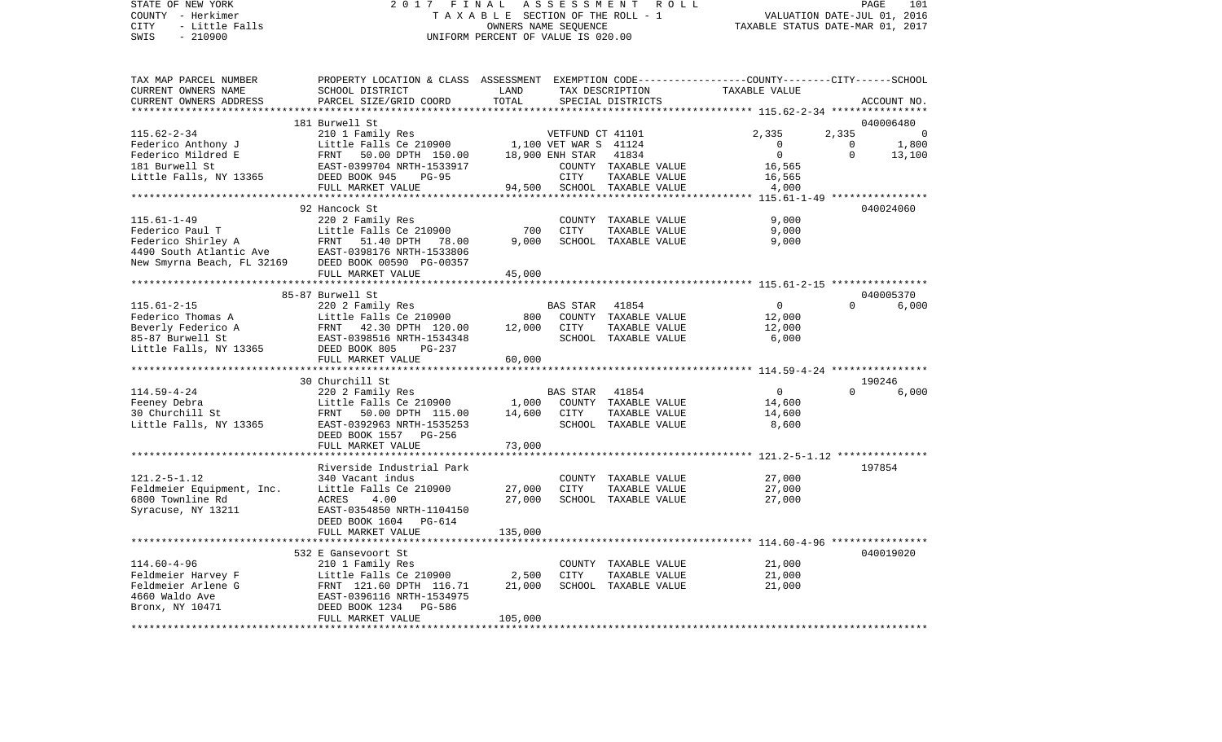STATE OF NEW YORK 2 0 1 7 F I N A L A S S E S S M E N T R O L L PAGE 101 COUNTY - Herkimer T A X A B L E SECTION OF THE ROLL - 1 VALUATION DATE-JUL 01, 2016 CITY - Little Falls OWNERS NAME SEQUENCE TAXABLE STATUS DATE-MAR 01, 2017 SWIS - 210900 UNIFORM PERCENT OF VALUE IS 020.00 TAX MAP PARCEL NUMBER PROPERTY LOCATION & CLASS ASSESSMENT EXEMPTION CODE------------------COUNTY--------CITY------SCHOOL

| IAA MAP PARCEL NUMBER                                                                                                                               | PROPERII DOCAIION & CLASS ASSESSMENI EAEMPIION CODE-----------------COONII--------CIII------SCHOOL |         |                 |                      |                |              |                          |
|-----------------------------------------------------------------------------------------------------------------------------------------------------|----------------------------------------------------------------------------------------------------|---------|-----------------|----------------------|----------------|--------------|--------------------------|
| CURRENT OWNERS NAME                                                                                                                                 | SCHOOL DISTRICT                                                                                    | LAND    |                 | TAX DESCRIPTION      | TAXABLE VALUE  |              |                          |
| CURRENT OWNERS ADDRESS                                                                                                                              | PARCEL SIZE/GRID COORD                                                                             | TOTAL   |                 | SPECIAL DISTRICTS    |                |              | ACCOUNT NO.              |
| **********************                                                                                                                              |                                                                                                    |         |                 |                      |                |              |                          |
|                                                                                                                                                     | 181 Burwell St                                                                                     |         |                 |                      |                |              | 040006480                |
| $115.62 - 2 - 34$                                                                                                                                   | 210 1 Family Res<br>Little Falls Ce 210900 1,100 VET WAR S 41124                                   |         |                 |                      | 2,335          | 2,335        | $\overline{\phantom{0}}$ |
| Federico Anthony J                                                                                                                                  |                                                                                                    |         |                 |                      | $\overline{0}$ | $\mathbf{0}$ | 1,800                    |
| Federico Mildred E                                                                                                                                  | FRNT 50.00 DPTH 150.00                                                                             |         | 18,900 ENH STAR | 41834                | 0              | $\Omega$     | 13,100                   |
| 181 Burwell St                                                                                                                                      | EAST-0399704 NRTH-1533917                                                                          |         |                 | COUNTY TAXABLE VALUE | 16,565         |              |                          |
| Little Falls, NY 13365                                                                                                                              | DEED BOOK 945<br>$PG-95$                                                                           |         | CITY            | TAXABLE VALUE        | 16,565         |              |                          |
|                                                                                                                                                     | FULL MARKET VALUE                                                                                  | 94,500  |                 | SCHOOL TAXABLE VALUE | 4,000          |              |                          |
|                                                                                                                                                     |                                                                                                    |         |                 |                      |                |              |                          |
|                                                                                                                                                     | 92 Hancock St                                                                                      |         |                 |                      |                |              | 040024060                |
| $115.61 - 1 - 49$                                                                                                                                   | 220 2 Family Res                                                                                   |         |                 | COUNTY TAXABLE VALUE | 9,000          |              |                          |
|                                                                                                                                                     | Little Falls Ce 210900                                                                             | 700     | <b>CITY</b>     | TAXABLE VALUE        | 9,000          |              |                          |
| Federico Paul T<br>Federico Shirley A<br>FRNT 51.40 DPTH 78.00<br>4490 South Atlantic Ave<br>New Smyrna Beach, FL 32169<br>DEED BOOK 00590 PG-00357 |                                                                                                    | 9,000   |                 | SCHOOL TAXABLE VALUE | 9,000          |              |                          |
|                                                                                                                                                     |                                                                                                    |         |                 |                      |                |              |                          |
|                                                                                                                                                     |                                                                                                    |         |                 |                      |                |              |                          |
|                                                                                                                                                     |                                                                                                    |         |                 |                      |                |              |                          |
|                                                                                                                                                     | FULL MARKET VALUE                                                                                  | 45,000  |                 |                      |                |              |                          |
|                                                                                                                                                     |                                                                                                    |         |                 |                      |                |              |                          |
|                                                                                                                                                     | 85-87 Burwell St                                                                                   |         |                 |                      |                |              | 040005370                |
| $115.61 - 2 - 15$                                                                                                                                   | 220 2 Family Res                                                                                   |         | BAS STAR        | 41854                | $\overline{0}$ | $\Omega$     | 6,000                    |
| Federico Thomas A                                                                                                                                   | Little Falls Ce 210900                                                                             | 800     |                 | COUNTY TAXABLE VALUE | 12,000         |              |                          |
| Beverly Federico A                                                                                                                                  | FRNT 42.30 DPTH 120.00<br>EAST-0398516 NRTH-1534348                                                | 12,000  | CITY            | TAXABLE VALUE        | 12,000         |              |                          |
| 85-87 Burwell St                                                                                                                                    |                                                                                                    |         |                 | SCHOOL TAXABLE VALUE | 6,000          |              |                          |
| Little Falls, NY 13365                                                                                                                              | DEED BOOK 805<br>$PG-237$                                                                          |         |                 |                      |                |              |                          |
|                                                                                                                                                     | FULL MARKET VALUE                                                                                  | 60,000  |                 |                      |                |              |                          |
|                                                                                                                                                     |                                                                                                    |         |                 |                      |                |              |                          |
|                                                                                                                                                     | 30 Churchill St                                                                                    |         |                 |                      |                |              | 190246                   |
| $114.59 - 4 - 24$                                                                                                                                   | 220 2 Family Res                                                                                   |         | <b>BAS STAR</b> | 41854                | 0              | $\Omega$     | 6,000                    |
| Feeney Debra                                                                                                                                        | Little Falls Ce 210900                                                                             | 1,000   |                 | COUNTY TAXABLE VALUE | 14,600         |              |                          |
| 30 Churchill St                                                                                                                                     | FRNT 50.00 DPTH 115.00                                                                             | 14,600  | CITY            | TAXABLE VALUE        | 14,600         |              |                          |
| Little Falls, NY 13365                                                                                                                              | EAST-0392963 NRTH-1535253                                                                          |         |                 | SCHOOL TAXABLE VALUE | 8,600          |              |                          |
|                                                                                                                                                     | DEED BOOK 1557 PG-256                                                                              |         |                 |                      |                |              |                          |
|                                                                                                                                                     | FULL MARKET VALUE                                                                                  | 73,000  |                 |                      |                |              |                          |
|                                                                                                                                                     |                                                                                                    |         |                 |                      |                |              |                          |
|                                                                                                                                                     | Riverside Industrial Park                                                                          |         |                 |                      |                |              | 197854                   |
| $121.2 - 5 - 1.12$                                                                                                                                  | 340 Vacant indus                                                                                   |         |                 | COUNTY TAXABLE VALUE | 27,000         |              |                          |
| Feldmeier Equipment, Inc.                                                                                                                           | Little Falls Ce 210900                                                                             | 27,000  | CITY            | TAXABLE VALUE        | 27,000         |              |                          |
| 6800 Townline Rd                                                                                                                                    | 4.00<br>ACRES                                                                                      | 27,000  |                 | SCHOOL TAXABLE VALUE | 27,000         |              |                          |
| Syracuse, NY 13211                                                                                                                                  | EAST-0354850 NRTH-1104150                                                                          |         |                 |                      |                |              |                          |
|                                                                                                                                                     | DEED BOOK 1604 PG-614                                                                              |         |                 |                      |                |              |                          |
|                                                                                                                                                     | FULL MARKET VALUE                                                                                  | 135,000 |                 |                      |                |              |                          |
|                                                                                                                                                     |                                                                                                    |         |                 |                      |                |              |                          |
|                                                                                                                                                     | 532 E Gansevoort St                                                                                |         |                 |                      |                |              | 040019020                |
| $114.60 - 4 - 96$                                                                                                                                   | 210 1 Family Res                                                                                   |         |                 | COUNTY TAXABLE VALUE | 21,000         |              |                          |
| Feldmeier Harvey F                                                                                                                                  | Little Falls Ce 210900                                                                             | 2,500   | <b>CITY</b>     | TAXABLE VALUE        | 21,000         |              |                          |
| Feldmeier Arlene G                                                                                                                                  | FRNT 121.60 DPTH 116.71                                                                            | 21,000  |                 | SCHOOL TAXABLE VALUE | 21,000         |              |                          |
| 4660 Waldo Ave                                                                                                                                      | EAST-0396116 NRTH-1534975                                                                          |         |                 |                      |                |              |                          |
|                                                                                                                                                     |                                                                                                    |         |                 |                      |                |              |                          |
| Bronx, NY 10471                                                                                                                                     | DEED BOOK 1234 PG-586                                                                              |         |                 |                      |                |              |                          |
|                                                                                                                                                     | FULL MARKET VALUE                                                                                  | 105,000 |                 |                      |                |              |                          |
|                                                                                                                                                     |                                                                                                    |         |                 |                      |                |              |                          |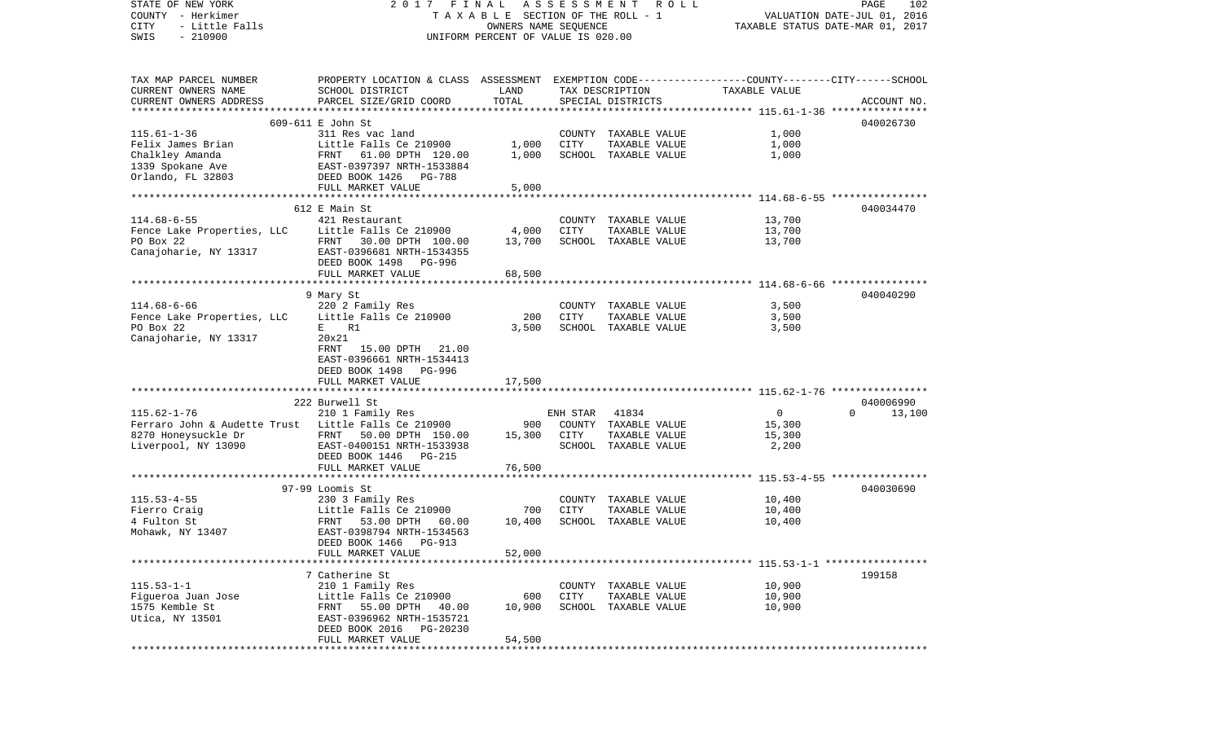| STATE OF NEW YORK<br>COUNTY - Herkimer              | 2017 FINAL                                                                                      | TAXABLE SECTION OF THE ROLL - 1                            | A S S E S S M E N T | ROLL                 |                | PAGE<br>102<br>VALUATION DATE-JUL 01, 2016 |
|-----------------------------------------------------|-------------------------------------------------------------------------------------------------|------------------------------------------------------------|---------------------|----------------------|----------------|--------------------------------------------|
| CITY<br>- Little Falls<br>$-210900$<br>SWIS         |                                                                                                 | OWNERS NAME SEQUENCE<br>UNIFORM PERCENT OF VALUE IS 020.00 |                     |                      |                | TAXABLE STATUS DATE-MAR 01, 2017           |
|                                                     |                                                                                                 |                                                            |                     |                      |                |                                            |
| TAX MAP PARCEL NUMBER                               | PROPERTY LOCATION & CLASS ASSESSMENT EXEMPTION CODE---------------COUNTY-------CITY------SCHOOL |                                                            |                     |                      |                |                                            |
| CURRENT OWNERS NAME                                 | SCHOOL DISTRICT                                                                                 | LAND                                                       |                     | TAX DESCRIPTION      | TAXABLE VALUE  |                                            |
| CURRENT OWNERS ADDRESS                              | PARCEL SIZE/GRID COORD                                                                          | TOTAL                                                      |                     | SPECIAL DISTRICTS    |                | ACCOUNT NO.                                |
|                                                     |                                                                                                 |                                                            |                     |                      |                |                                            |
|                                                     | 609-611 E John St                                                                               |                                                            |                     |                      |                | 040026730                                  |
| $115.61 - 1 - 36$                                   | 311 Res vac land                                                                                |                                                            | COUNTY              | TAXABLE VALUE        | 1,000          |                                            |
| Felix James Brian                                   | Little Falls Ce 210900<br>61.00 DPTH 120.00                                                     | 1,000<br>1,000                                             | CITY                | TAXABLE VALUE        | 1,000          |                                            |
| Chalkley Amanda                                     | FRNT                                                                                            |                                                            |                     | SCHOOL TAXABLE VALUE | 1,000          |                                            |
| 1339 Spokane Ave<br>Orlando, FL 32803               | EAST-0397397 NRTH-1533884<br>DEED BOOK 1426<br>PG-788                                           |                                                            |                     |                      |                |                                            |
|                                                     | FULL MARKET VALUE                                                                               | 5,000                                                      |                     |                      |                |                                            |
|                                                     |                                                                                                 | **************                                             |                     |                      |                |                                            |
|                                                     | 612 E Main St                                                                                   |                                                            |                     |                      |                | 040034470                                  |
| $114.68 - 6 - 55$                                   | 421 Restaurant                                                                                  |                                                            |                     | COUNTY TAXABLE VALUE | 13,700         |                                            |
| Fence Lake Properties, LLC                          | Little Falls Ce 210900                                                                          | 4,000                                                      | CITY                | TAXABLE VALUE        | 13,700         |                                            |
| PO Box 22                                           | FRNT 30.00 DPTH 100.00                                                                          | 13,700                                                     |                     | SCHOOL TAXABLE VALUE | 13,700         |                                            |
| Canajoharie, NY 13317                               | EAST-0396681 NRTH-1534355                                                                       |                                                            |                     |                      |                |                                            |
|                                                     | DEED BOOK 1498<br>PG-996                                                                        |                                                            |                     |                      |                |                                            |
|                                                     | FULL MARKET VALUE                                                                               | 68,500                                                     |                     |                      |                |                                            |
|                                                     |                                                                                                 |                                                            |                     |                      |                |                                            |
|                                                     | 9 Mary St                                                                                       |                                                            |                     |                      |                | 040040290                                  |
| $114.68 - 6 - 66$                                   | 220 2 Family Res                                                                                |                                                            |                     | COUNTY TAXABLE VALUE | 3,500          |                                            |
| Fence Lake Properties, LLC                          | Little Falls Ce 210900                                                                          | 200                                                        | CITY                | TAXABLE VALUE        | 3,500          |                                            |
| PO Box 22                                           | E<br>R1                                                                                         | 3,500                                                      |                     | SCHOOL TAXABLE VALUE | 3,500          |                                            |
| Canajoharie, NY 13317                               | 20x21                                                                                           |                                                            |                     |                      |                |                                            |
|                                                     | 15.00 DPTH 21.00<br>FRNT                                                                        |                                                            |                     |                      |                |                                            |
|                                                     | EAST-0396661 NRTH-1534413                                                                       |                                                            |                     |                      |                |                                            |
|                                                     | DEED BOOK 1498<br>PG-996<br>FULL MARKET VALUE                                                   | 17,500                                                     |                     |                      |                |                                            |
|                                                     |                                                                                                 |                                                            |                     |                      |                |                                            |
|                                                     | 222 Burwell St                                                                                  |                                                            |                     |                      |                | 040006990                                  |
| $115.62 - 1 - 76$                                   | 210 1 Family Res                                                                                |                                                            | ENH STAR            | 41834                | $\overline{0}$ | $\Omega$<br>13,100                         |
| Ferraro John & Audette Trust Little Falls Ce 210900 |                                                                                                 | 900                                                        | COUNTY              | TAXABLE VALUE        | 15,300         |                                            |
| 8270 Honeysuckle Dr                                 | FRNT 50.00 DPTH 150.00                                                                          | 15,300                                                     | CITY                | TAXABLE VALUE        | 15,300         |                                            |
| Liverpool, NY 13090                                 | EAST-0400151 NRTH-1533938                                                                       |                                                            | SCHOOL              | TAXABLE VALUE        | 2,200          |                                            |
|                                                     | DEED BOOK 1446 PG-215                                                                           |                                                            |                     |                      |                |                                            |
|                                                     | FULL MARKET VALUE                                                                               | 76,500                                                     |                     |                      |                |                                            |
|                                                     |                                                                                                 |                                                            |                     |                      |                |                                            |
|                                                     | 97-99 Loomis St                                                                                 |                                                            |                     |                      |                | 040030690                                  |
| $115.53 - 4 - 55$                                   | 230 3 Family Res                                                                                |                                                            |                     | COUNTY TAXABLE VALUE | 10,400         |                                            |
| Fierro Craig                                        | Little Falls Ce 210900                                                                          | 700                                                        | CITY                | TAXABLE VALUE        | 10,400         |                                            |
| 4 Fulton St                                         | FRNT<br>53.00 DPTH<br>60.00                                                                     | 10,400                                                     |                     | SCHOOL TAXABLE VALUE | 10,400         |                                            |
| Mohawk, NY 13407                                    | EAST-0398794 NRTH-1534563                                                                       |                                                            |                     |                      |                |                                            |
|                                                     | DEED BOOK 1466 PG-913                                                                           |                                                            |                     |                      |                |                                            |
|                                                     | FULL MARKET VALUE                                                                               | 52,000                                                     |                     |                      |                |                                            |
|                                                     |                                                                                                 |                                                            |                     |                      |                |                                            |
| $115.53 - 1 - 1$                                    | 7 Catherine St<br>210 1 Family Res                                                              |                                                            | COUNTY              | TAXABLE VALUE        | 10,900         | 199158                                     |
| Fiqueroa Juan Jose                                  | Little Falls Ce 210900                                                                          | 600                                                        | CITY                | TAXABLE VALUE        | 10,900         |                                            |
| 1575 Kemble St                                      | 55.00 DPTH<br>FRNT<br>40.00                                                                     | 10,900                                                     | SCHOOL              | TAXABLE VALUE        | 10,900         |                                            |
| Utica, NY 13501                                     | EAST-0396962 NRTH-1535721                                                                       |                                                            |                     |                      |                |                                            |
|                                                     | DEED BOOK 2016<br>PG-20230                                                                      |                                                            |                     |                      |                |                                            |
|                                                     | FULL MARKET VALUE                                                                               | 54,500                                                     |                     |                      |                |                                            |
|                                                     |                                                                                                 |                                                            |                     |                      |                |                                            |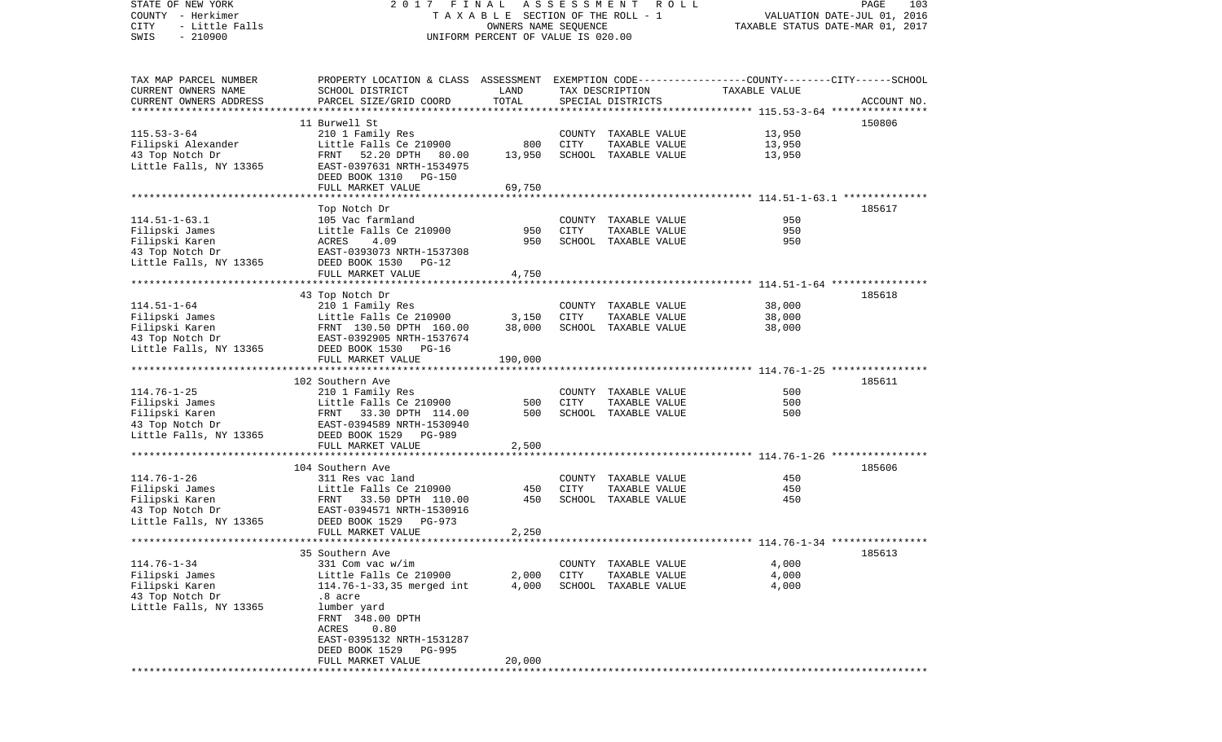STATE OF NEW YORK 2 0 1 7 F I N A L A S S E S S M E N T R O L L PAGE 103COUNTY - Herkimer T A X A B L E SECTION OF THE ROLL - 1 VALUATION DATE-JUL 01, 2016 CITY - Little Falls OWNERS NAME SEQUENCE TAXABLE STATUS DATE-MAR 01, 2017 SWIS - 210900 UNIFORM PERCENT OF VALUE IS 020.00TAX MAP PARCEL NUMBER PROPERTY LOCATION & CLASS ASSESSMENT EXEMPTION CODE------------------COUNTY--------CITY------SCHOOL CURRENT OWNERS NAME SCHOOL DISTRICT LAND TAX DESCRIPTION TAXABLE VALUECURRENT OWNERS ADDRESS PARCEL SIZE/GRID COORD TOTAL SPECIAL DISTRICTS ACCOUNT NO. \*\*\*\*\*\*\*\*\*\*\*\*\*\*\*\*\*\*\*\*\*\*\*\*\*\*\*\*\*\*\*\*\*\*\*\*\*\*\*\*\*\*\*\*\*\*\*\*\*\*\*\*\*\*\*\*\*\*\*\*\*\*\*\*\*\*\*\*\*\*\*\*\*\*\*\*\*\*\*\*\*\*\*\*\*\*\*\*\*\*\*\*\*\*\*\*\*\*\*\*\*\*\* 115.53-3-64 \*\*\*\*\*\*\*\*\*\*\*\*\*\*\*\* 11 Burwell St 150806115.53-3-64 210 1 Family Res COUNTY TAXABLE VALUE 13,950 Filipski Alexander Little Falls Ce 210900 800 CITY TAXABLE VALUE 13,950 43 Top Notch Dr FRNT 52.20 DPTH 80.00 13,950 SCHOOL TAXABLE VALUE 13,950 Little Falls, NY 13365 EAST-0397631 NRTH-1534975 DEED BOOK 1310 PG-150FULL MARKET VALUE 69,750 \*\*\*\*\*\*\*\*\*\*\*\*\*\*\*\*\*\*\*\*\*\*\*\*\*\*\*\*\*\*\*\*\*\*\*\*\*\*\*\*\*\*\*\*\*\*\*\*\*\*\*\*\*\*\*\*\*\*\*\*\*\*\*\*\*\*\*\*\*\*\*\*\*\*\*\*\*\*\*\*\*\*\*\*\*\*\*\*\*\*\*\*\*\*\*\*\*\*\*\*\*\*\* 114.51-1-63.1 \*\*\*\*\*\*\*\*\*\*\*\*\*\*Top Notch Dr 185617 114.51-1-63.1 105 Vac farmland COUNTY TAXABLE VALUE 950950 Filipski James Little Falls Ce 210900 950 CITY TAXABLE VALUE 950 Filipski Karen 68 - ACRES 4.09 1950 SCHOOL TAXABLE VALUE 43 Top Notch Dr EAST-0393073 NRTH-1537308 Little Falls, NY 13365 DEED BOOK 1530 PG-12 FULL MARKET VALUE 4,750 \*\*\*\*\*\*\*\*\*\*\*\*\*\*\*\*\*\*\*\*\*\*\*\*\*\*\*\*\*\*\*\*\*\*\*\*\*\*\*\*\*\*\*\*\*\*\*\*\*\*\*\*\*\*\*\*\*\*\*\*\*\*\*\*\*\*\*\*\*\*\*\*\*\*\*\*\*\*\*\*\*\*\*\*\*\*\*\*\*\*\*\*\*\*\*\*\*\*\*\*\*\*\* 114.51-1-64 \*\*\*\*\*\*\*\*\*\*\*\*\*\*\*\* 43 Top Notch Dr 185618 114.51-1-64 210 1 Family Res COUNTY TAXABLE VALUE 38,000 Filipski James Little Falls Ce 210900 3,150 CITY TAXABLE VALUE 38,000 Filipski Karen FRNT 130.50 DPTH 160.00 38,000 SCHOOL TAXABLE VALUE 38,000 43 Top Notch Dr EAST-0392905 NRTH-1537674 Little Falls, NY 13365 DEED BOOK 1530 PG-16 FULL MARKET VALUE 190,000 \*\*\*\*\*\*\*\*\*\*\*\*\*\*\*\*\*\*\*\*\*\*\*\*\*\*\*\*\*\*\*\*\*\*\*\*\*\*\*\*\*\*\*\*\*\*\*\*\*\*\*\*\*\*\*\*\*\*\*\*\*\*\*\*\*\*\*\*\*\*\*\*\*\*\*\*\*\*\*\*\*\*\*\*\*\*\*\*\*\*\*\*\*\*\*\*\*\*\*\*\*\*\* 114.76-1-25 \*\*\*\*\*\*\*\*\*\*\*\*\*\*\*\*102 Southern Ave 185611 114.76-1-25 210 1 Family Res COUNTY TAXABLE VALUE 500 Filipski James Little Falls Ce 210900 500 CITY TAXABLE VALUE 500 Filipski Karen FRNT 33.30 DPTH 114.00 500 SCHOOL TAXABLE VALUE 500 43 Top Notch Dr EAST-0394589 NRTH-1530940 Little Falls, NY 13365 DEED BOOK 1529 PG-989 FULL MARKET VALUE 2,500 \*\*\*\*\*\*\*\*\*\*\*\*\*\*\*\*\*\*\*\*\*\*\*\*\*\*\*\*\*\*\*\*\*\*\*\*\*\*\*\*\*\*\*\*\*\*\*\*\*\*\*\*\*\*\*\*\*\*\*\*\*\*\*\*\*\*\*\*\*\*\*\*\*\*\*\*\*\*\*\*\*\*\*\*\*\*\*\*\*\*\*\*\*\*\*\*\*\*\*\*\*\*\* 114.76-1-26 \*\*\*\*\*\*\*\*\*\*\*\*\*\*\*\* 104 Southern Ave 185606 $114.76 - 1 - 26$  311 Res vac land  $\sim$  COUNTY TAXABLE VALUE 450 Filipski James Little Falls Ce 210900 450 CITY TAXABLE VALUE 450 Filipski Karen FRNT 33.50 DPTH 110.00 450 SCHOOL TAXABLE VALUE 450 EAST-0394571 NRTH-1530916 Little Falls, NY 13365 DEED BOOK 1529 PG-973 FULL MARKET VALUE 2,250 \*\*\*\*\*\*\*\*\*\*\*\*\*\*\*\*\*\*\*\*\*\*\*\*\*\*\*\*\*\*\*\*\*\*\*\*\*\*\*\*\*\*\*\*\*\*\*\*\*\*\*\*\*\*\*\*\*\*\*\*\*\*\*\*\*\*\*\*\*\*\*\*\*\*\*\*\*\*\*\*\*\*\*\*\*\*\*\*\*\*\*\*\*\*\*\*\*\*\*\*\*\*\* 114.76-1-34 \*\*\*\*\*\*\*\*\*\*\*\*\*\*\*\* 35 Southern Ave 185613114.76-1-34 331 Com vac w/im COUNTY TAXABLE VALUE 4,000 Filipski James Little Falls Ce 210900 2,000 CITY TAXABLE VALUE 4,000 Filipski Karen 114.76-1-33,35 merged int 4,000 SCHOOL TAXABLE VALUE 4,000 43 Top Notch Dr .8 acre Little Falls, NY 13365 lumber yard FRNT 348.00 DPTH ACRES 0.80 EAST-0395132 NRTH-1531287 DEED BOOK 1529 PG-995 FULL MARKET VALUE 20,000 \*\*\*\*\*\*\*\*\*\*\*\*\*\*\*\*\*\*\*\*\*\*\*\*\*\*\*\*\*\*\*\*\*\*\*\*\*\*\*\*\*\*\*\*\*\*\*\*\*\*\*\*\*\*\*\*\*\*\*\*\*\*\*\*\*\*\*\*\*\*\*\*\*\*\*\*\*\*\*\*\*\*\*\*\*\*\*\*\*\*\*\*\*\*\*\*\*\*\*\*\*\*\*\*\*\*\*\*\*\*\*\*\*\*\*\*\*\*\*\*\*\*\*\*\*\*\*\*\*\*\*\*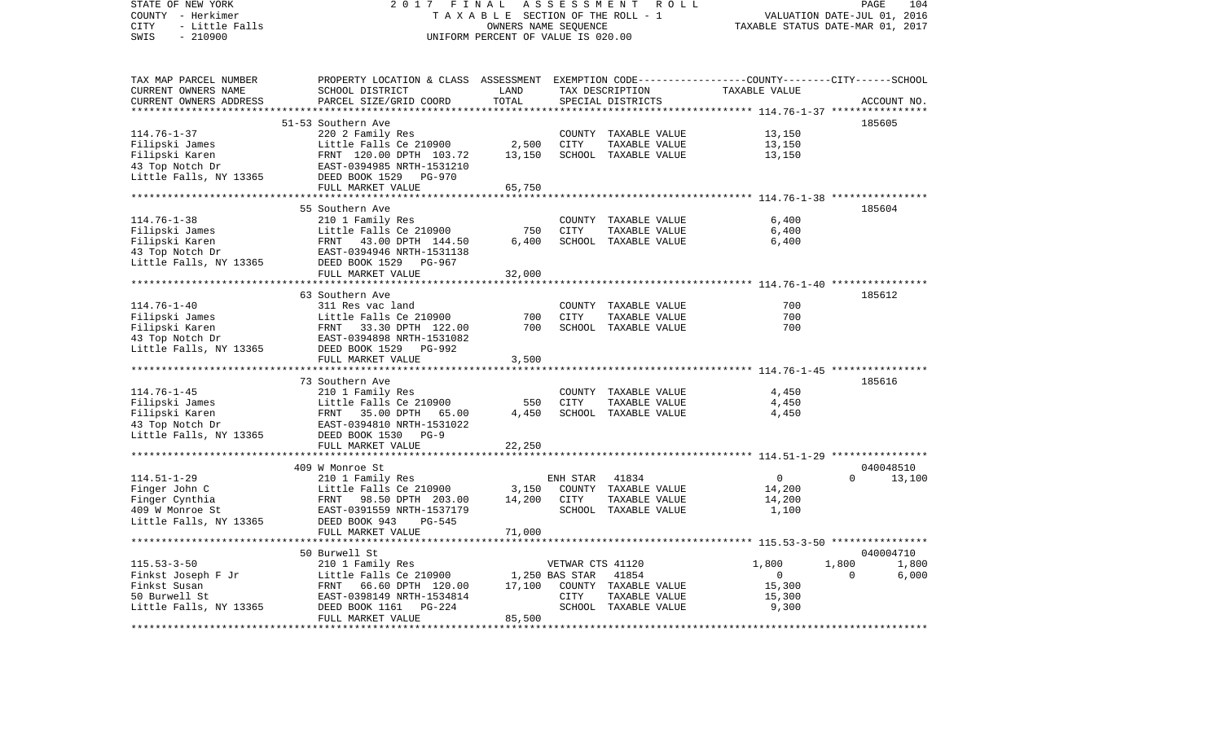| STATE OF NEW YORK                                                                                                                                                                                                                                        | 2017                                                                                            | FINAL                              |                  | ASSESSMENT ROLL                 |                                                              | PAGE                        | 104         |
|----------------------------------------------------------------------------------------------------------------------------------------------------------------------------------------------------------------------------------------------------------|-------------------------------------------------------------------------------------------------|------------------------------------|------------------|---------------------------------|--------------------------------------------------------------|-----------------------------|-------------|
| COUNTY - Herkimer                                                                                                                                                                                                                                        |                                                                                                 |                                    |                  | TAXABLE SECTION OF THE ROLL - 1 |                                                              | VALUATION DATE-JUL 01, 2016 |             |
| CITY<br>- Little Falls                                                                                                                                                                                                                                   |                                                                                                 | TAXABLE STATUS DATE-MAR 01, 2017   |                  |                                 |                                                              |                             |             |
| SWIS<br>$-210900$                                                                                                                                                                                                                                        |                                                                                                 | UNIFORM PERCENT OF VALUE IS 020.00 |                  |                                 |                                                              |                             |             |
|                                                                                                                                                                                                                                                          |                                                                                                 |                                    |                  |                                 |                                                              |                             |             |
|                                                                                                                                                                                                                                                          |                                                                                                 |                                    |                  |                                 |                                                              |                             |             |
| TAX MAP PARCEL NUMBER                                                                                                                                                                                                                                    | PROPERTY LOCATION & CLASS ASSESSMENT EXEMPTION CODE---------------COUNTY-------CITY------SCHOOL |                                    |                  |                                 |                                                              |                             |             |
| CURRENT OWNERS NAME                                                                                                                                                                                                                                      | SCHOOL DISTRICT                                                                                 | LAND                               |                  | TAX DESCRIPTION                 | TAXABLE VALUE                                                |                             |             |
| CURRENT OWNERS ADDRESS                                                                                                                                                                                                                                   | PARCEL SIZE/GRID COORD                                                                          | TOTAL                              |                  | SPECIAL DISTRICTS               |                                                              |                             | ACCOUNT NO. |
|                                                                                                                                                                                                                                                          |                                                                                                 | **************                     |                  |                                 |                                                              |                             |             |
|                                                                                                                                                                                                                                                          | 51-53 Southern Ave                                                                              |                                    |                  |                                 |                                                              |                             | 185605      |
|                                                                                                                                                                                                                                                          |                                                                                                 |                                    |                  | COUNTY TAXABLE VALUE            | 13,150                                                       |                             |             |
|                                                                                                                                                                                                                                                          |                                                                                                 | 2,500                              | CITY             | TAXABLE VALUE                   | 13,150                                                       |                             |             |
|                                                                                                                                                                                                                                                          |                                                                                                 | 13,150                             |                  | SCHOOL TAXABLE VALUE            | 13,150                                                       |                             |             |
|                                                                                                                                                                                                                                                          |                                                                                                 |                                    |                  |                                 |                                                              |                             |             |
| ------->--- J ramily Res<br>Filipski Karen<br>HRNT 120.00 DPTH 103.72<br>43 Top Notch Dr<br>Little Falls, NY 13365<br>EED BOOK 1529 PG-970<br>THING THE TRISS DEED BOOK 1529 PG-970                                                                      |                                                                                                 |                                    |                  |                                 |                                                              |                             |             |
|                                                                                                                                                                                                                                                          |                                                                                                 | 65,750                             |                  |                                 |                                                              |                             |             |
|                                                                                                                                                                                                                                                          |                                                                                                 |                                    |                  |                                 |                                                              |                             |             |
|                                                                                                                                                                                                                                                          | 55 Southern Ave                                                                                 |                                    |                  |                                 |                                                              |                             | 185604      |
| $114.76 - 1 - 38$                                                                                                                                                                                                                                        | 210 1 Family Res                                                                                |                                    |                  | COUNTY TAXABLE VALUE            | 6,400                                                        |                             |             |
|                                                                                                                                                                                                                                                          | Little Falls Ce 210900                                                                          | 750                                | CITY             | TAXABLE VALUE                   | 6,400                                                        |                             |             |
| Filipski James                                                                                                                                                                                                                                           | Little Falls Ce 210900<br>FRNT 43.00 DPTH 144.50<br>EAST-0394946 NRTH-1531138                   |                                    |                  |                                 |                                                              |                             |             |
| Filipski Karen                                                                                                                                                                                                                                           |                                                                                                 | 6,400                              |                  | SCHOOL TAXABLE VALUE            | 6,400                                                        |                             |             |
| 43 Top Notch Dr                                                                                                                                                                                                                                          |                                                                                                 |                                    |                  |                                 |                                                              |                             |             |
| Little Falls, NY 13365 DEED BOOK 1529 PG-967                                                                                                                                                                                                             |                                                                                                 |                                    |                  |                                 |                                                              |                             |             |
|                                                                                                                                                                                                                                                          | FULL MARKET VALUE                                                                               | 32,000                             |                  |                                 |                                                              |                             |             |
|                                                                                                                                                                                                                                                          |                                                                                                 |                                    |                  |                                 |                                                              |                             |             |
|                                                                                                                                                                                                                                                          | 63 Southern Ave                                                                                 |                                    |                  |                                 |                                                              |                             | 185612      |
| $114.76 - 1 - 40$                                                                                                                                                                                                                                        | 311 Res vac land                                                                                |                                    |                  | COUNTY TAXABLE VALUE            | 700                                                          |                             |             |
|                                                                                                                                                                                                                                                          |                                                                                                 | 700                                | CITY             | TAXABLE VALUE                   | 700                                                          |                             |             |
|                                                                                                                                                                                                                                                          |                                                                                                 | 700                                |                  | SCHOOL TAXABLE VALUE            | 700                                                          |                             |             |
|                                                                                                                                                                                                                                                          |                                                                                                 |                                    |                  |                                 |                                                              |                             |             |
| Filipski James<br>Filipski Karen (ERNT 13365)<br>ERNT 1334898 NRTH-1531082<br>Little Falls, NY 13365<br>ERST-0394898 NRTH-1531082<br>DEED BOOK 1529 PG-992                                                                                               |                                                                                                 |                                    |                  |                                 |                                                              |                             |             |
|                                                                                                                                                                                                                                                          | FULL MARKET VALUE                                                                               | 3,500                              |                  |                                 |                                                              |                             |             |
|                                                                                                                                                                                                                                                          |                                                                                                 |                                    |                  |                                 |                                                              |                             |             |
|                                                                                                                                                                                                                                                          | 73 Southern Ave                                                                                 |                                    |                  |                                 |                                                              |                             | 185616      |
| $114.76 - 1 - 45$                                                                                                                                                                                                                                        | 210 1 Family Res                                                                                |                                    |                  | COUNTY TAXABLE VALUE            | 4,450                                                        |                             |             |
|                                                                                                                                                                                                                                                          |                                                                                                 | 550                                | CITY             | TAXABLE VALUE                   | 4,450                                                        |                             |             |
|                                                                                                                                                                                                                                                          |                                                                                                 | 4,450                              |                  | SCHOOL TAXABLE VALUE            | 4,450                                                        |                             |             |
|                                                                                                                                                                                                                                                          |                                                                                                 |                                    |                  |                                 |                                                              |                             |             |
|                                                                                                                                                                                                                                                          |                                                                                                 |                                    |                  |                                 |                                                              |                             |             |
| 114.76-1-45<br>Filipski James<br>Filipski Karen<br>13 Top Notch Dr<br>13 Top Notch Dr<br>13 Top Notch Dr<br>13 Top Notch Dr<br>13 Top Notch Dr<br>13 Top Notch Dr<br>13 Top Notch Dr<br>13 Top Notch Dr<br>13 Top Notch Dr<br>13 DEED BOOK 1530<br>15 DE |                                                                                                 | 22,250                             |                  |                                 |                                                              |                             |             |
|                                                                                                                                                                                                                                                          | * * * * * * * * * * * * * * * * * * * *                                                         |                                    |                  |                                 | ******************************* 114.51-1-29 **************** |                             |             |
|                                                                                                                                                                                                                                                          | 409 W Monroe St                                                                                 |                                    |                  |                                 |                                                              |                             | 040048510   |
|                                                                                                                                                                                                                                                          |                                                                                                 |                                    | ENH STAR         | 41834                           | $\overline{0}$                                               | $\Omega$                    | 13,100      |
|                                                                                                                                                                                                                                                          |                                                                                                 | 3,150                              |                  | COUNTY TAXABLE VALUE            | 14,200                                                       |                             |             |
|                                                                                                                                                                                                                                                          |                                                                                                 | 14,200                             | CITY             | TAXABLE VALUE                   | 14,200                                                       |                             |             |
| 114.51-1-29 210 1 Family Res<br>Finger John C Little Falls Ce 210900<br>Finger Cynthia FRNT 98.50 DPTH 203.00<br>409 W Monroe St EAST-0391559 NRTH-1537179<br>Little Falls, NY 13365 DEED BOOK 943<br>FILI MABY TRILITY AND THE                          |                                                                                                 |                                    |                  | SCHOOL TAXABLE VALUE            | 1,100                                                        |                             |             |
|                                                                                                                                                                                                                                                          |                                                                                                 |                                    |                  |                                 |                                                              |                             |             |
|                                                                                                                                                                                                                                                          | FULL MARKET VALUE                                                                               | 71,000                             |                  |                                 |                                                              |                             |             |
|                                                                                                                                                                                                                                                          |                                                                                                 |                                    |                  |                                 |                                                              |                             |             |
|                                                                                                                                                                                                                                                          | 50 Burwell St                                                                                   |                                    |                  |                                 |                                                              |                             | 040004710   |
| $115.53 - 3 - 50$                                                                                                                                                                                                                                        | 210 1 Family Res                                                                                |                                    | VETWAR CTS 41120 |                                 | 1,800                                                        | 1,800                       | 1,800       |
| Finkst Joseph F Jr                                                                                                                                                                                                                                       | Little Falls Ce 210900 1,250 BAS STAR                                                           |                                    |                  | 41854                           | $\overline{0}$                                               | $\Omega$                    | 6,000       |
| Finkst Susan                                                                                                                                                                                                                                             |                                                                                                 | 17,100                             |                  | COUNTY TAXABLE VALUE            | 15,300                                                       |                             |             |
| 50 Burwell St                                                                                                                                                                                                                                            | Little Falls Ce 210900<br>FRNT 66.60 DPTH 120.00<br>EAST-0398149 NRTH-1534814                   |                                    | CITY             | TAXABLE VALUE                   | 15,300                                                       |                             |             |
| Little Falls, NY 13365                                                                                                                                                                                                                                   | DEED BOOK 1161 PG-224                                                                           |                                    |                  | SCHOOL TAXABLE VALUE            | 9,300                                                        |                             |             |
|                                                                                                                                                                                                                                                          | FULL MARKET VALUE                                                                               | 85,500                             |                  |                                 |                                                              |                             |             |
|                                                                                                                                                                                                                                                          |                                                                                                 |                                    |                  |                                 |                                                              |                             |             |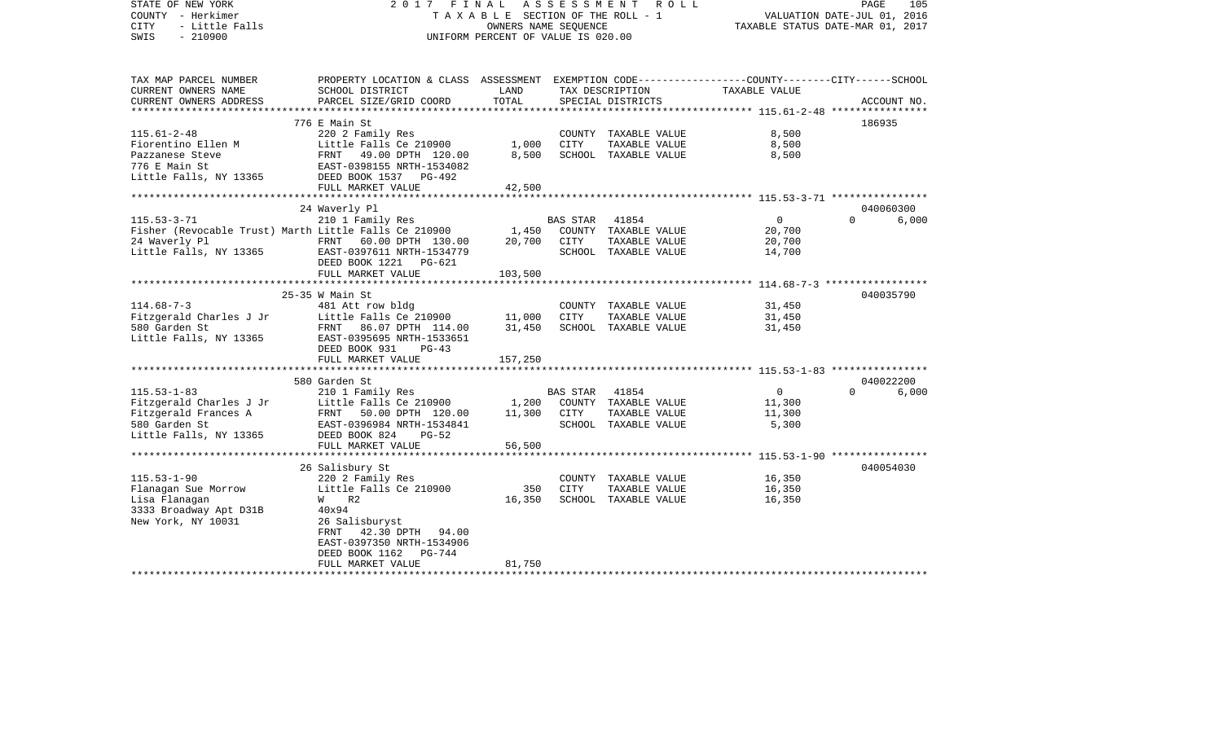| STATE OF NEW YORK<br>COUNTY - Herkimer<br>- Little Falls<br><b>CITY</b><br>$-210900$<br>SWIS                    | 2017 FINAL ASSESSMENT                                                                                                                                                                              | TAXABLE SECTION OF THE ROLL - 1<br>OWNERS NAME SEQUENCE<br>UNIFORM PERCENT OF VALUE IS 020.00 |                        | R O L L                                                                | VALUATION DATE-JUL 01, 2016<br>TAXABLE STATUS DATE-MAR 01, 2017 | PAGE      | 105                |
|-----------------------------------------------------------------------------------------------------------------|----------------------------------------------------------------------------------------------------------------------------------------------------------------------------------------------------|-----------------------------------------------------------------------------------------------|------------------------|------------------------------------------------------------------------|-----------------------------------------------------------------|-----------|--------------------|
| TAX MAP PARCEL NUMBER<br>CURRENT OWNERS NAME<br>CURRENT OWNERS ADDRESS                                          | PROPERTY LOCATION & CLASS ASSESSMENT EXEMPTION CODE---------------COUNTY-------CITY------SCHOOL<br>SCHOOL DISTRICT<br>PARCEL SIZE/GRID COORD                                                       | LAND<br>TOTAL                                                                                 |                        | TAX DESCRIPTION<br>SPECIAL DISTRICTS                                   | TAXABLE VALUE                                                   |           | ACCOUNT NO.        |
|                                                                                                                 |                                                                                                                                                                                                    |                                                                                               |                        |                                                                        |                                                                 |           |                    |
| $115.61 - 2 - 48$<br>Fiorentino Ellen M<br>Pazzanese Steve<br>776 E Main St<br>Little Falls, NY 13365           | 776 E Main St<br>220 2 Family Res<br>Little Falls Ce 210900<br>FRNT 49.00 DPTH 120.00<br>EAST-0398155 NRTH-1534082<br>DEED BOOK 1537 PG-492                                                        | 1,000<br>8,500                                                                                | CITY                   | COUNTY TAXABLE VALUE<br>TAXABLE VALUE<br>SCHOOL TAXABLE VALUE          | 8,500<br>8,500<br>8,500                                         | 186935    |                    |
|                                                                                                                 | FULL MARKET VALUE                                                                                                                                                                                  | 42,500                                                                                        |                        |                                                                        |                                                                 |           |                    |
| $115.53 - 3 - 71$<br>24 Waverly Pl<br>Little Falls, NY 13365                                                    | 24 Waverly Pl<br>210 1 Family Res<br>Fisher (Revocable Trust) Marth Little Falls Ce 210900<br>FRNT 60.00 DPTH 130.00<br>EAST-0397611 NRTH-1534779<br>DEED BOOK 1221<br>PG-621<br>FULL MARKET VALUE | 1,450<br>20,700<br>103,500                                                                    | BAS STAR<br>CITY       | 41854<br>COUNTY TAXABLE VALUE<br>TAXABLE VALUE<br>SCHOOL TAXABLE VALUE | $\overline{0}$<br>20,700<br>20,700<br>14,700                    | $\Omega$  | 040060300<br>6,000 |
|                                                                                                                 | $25-35$ W Main St                                                                                                                                                                                  |                                                                                               |                        |                                                                        |                                                                 | 040035790 |                    |
| $114.68 - 7 - 3$<br>Fitzgerald Charles J Jr<br>580 Garden St<br>Little Falls, NY 13365                          | 481 Att row bldg<br>Little Falls Ce $210900$<br>FRNT 86.07 DPTH 114.00<br>EAST-0395695 NRTH-1533651<br>DEED BOOK 931<br>PG-43                                                                      | 11,000<br>31,450                                                                              | CITY                   | COUNTY TAXABLE VALUE<br>TAXABLE VALUE<br>SCHOOL TAXABLE VALUE          | 31,450<br>31,450<br>31,450                                      |           |                    |
|                                                                                                                 | FULL MARKET VALUE                                                                                                                                                                                  | 157,250                                                                                       |                        |                                                                        |                                                                 |           |                    |
|                                                                                                                 | 580 Garden St                                                                                                                                                                                      |                                                                                               |                        |                                                                        |                                                                 |           | 040022200          |
| $115.53 - 1 - 83$<br>Fitzgerald Charles J Jr<br>Fitzgerald Frances A<br>580 Garden St<br>Little Falls, NY 13365 | 210 1 Family Res<br>Little Falls Ce 210900<br>FRNT 50.00 DPTH 120.00<br>EAST-0396984 NRTH-1534841<br>DEED BOOK 824<br>$PG-52$                                                                      | 1,200<br>11,300                                                                               | BAS STAR 41854<br>CITY | COUNTY TAXABLE VALUE<br>TAXABLE VALUE<br>SCHOOL TAXABLE VALUE          | $\overline{0}$<br>11,300<br>11,300<br>5,300                     | $\Omega$  | 6,000              |
|                                                                                                                 | FULL MARKET VALUE                                                                                                                                                                                  | 56,500                                                                                        |                        |                                                                        |                                                                 |           |                    |
| $115.53 - 1 - 90$<br>Flanagan Sue Morrow<br>Lisa Flanagan<br>3333 Broadway Apt D31B<br>New York, NY 10031       | 26 Salisbury St<br>220 2 Family Res<br>Little Falls Ce 210900<br>$W$ R2<br>40x94<br>26 Salisburyst<br>FRNT 42.30 DPTH 94.00<br>EAST-0397350 NRTH-1534906<br>DEED BOOK 1162 PG-744                  | 350<br>16,350                                                                                 | CITY                   | COUNTY TAXABLE VALUE<br>TAXABLE VALUE<br>SCHOOL TAXABLE VALUE          | 16,350<br>16,350<br>16,350                                      | 040054030 |                    |
| *********************                                                                                           | FULL MARKET VALUE                                                                                                                                                                                  | 81,750                                                                                        |                        |                                                                        |                                                                 |           |                    |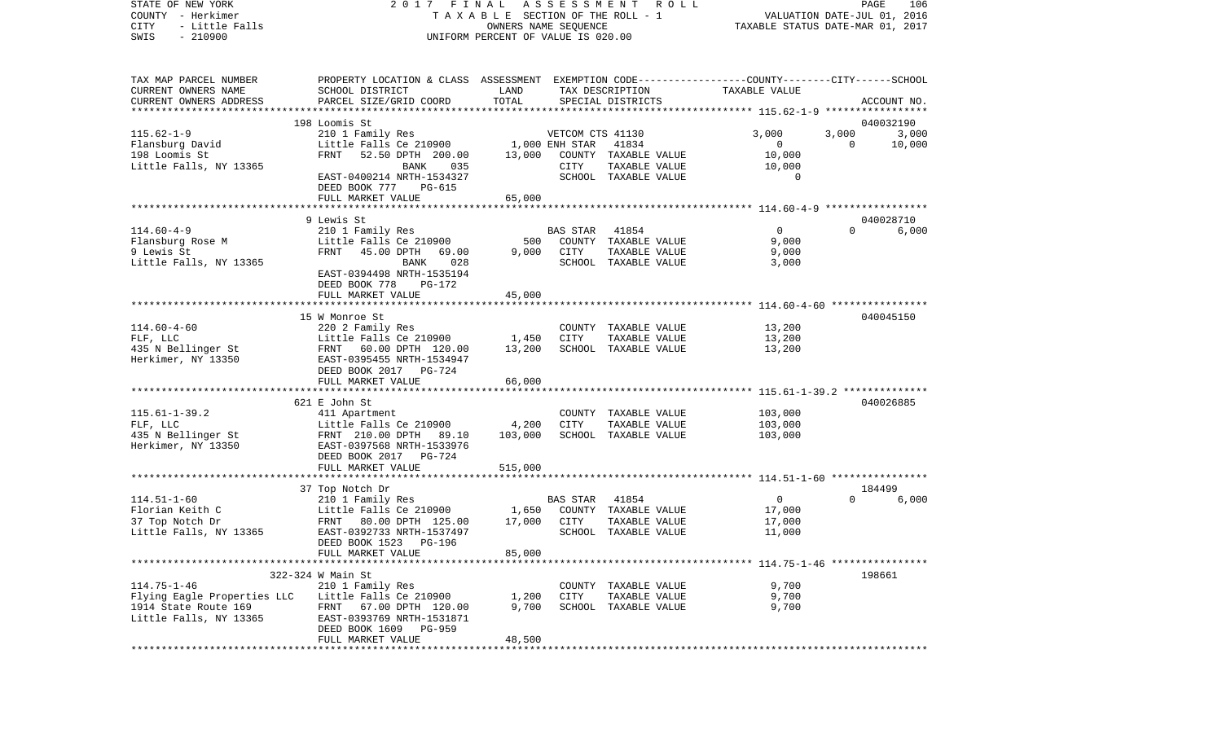COUNTY - Herkimer **T A X A B L E** SECTION OF THE ROLL - 1 VALUATION DATE-JUL 01, 2016 CITY - Little Falls OWNERS NAME SEQUENCE TAXABLE STATUS DATE-MAR 01, 2017 SWIS - 210900 UNIFORM PERCENT OF VALUE IS 020.00TAX MAP PARCEL NUMBER PROPERTY LOCATION & CLASS ASSESSMENT EXEMPTION CODE------------------COUNTY--------CITY------SCHOOL CURRENT OWNERS NAME SCHOOL DISTRICT LAND TAX DESCRIPTION TAXABLE VALUECURRENT OWNERS ADDRESS PARCEL SIZE/GRID COORD TOTAL SPECIAL DISTRICTS ACCOUNT NO. \*\*\*\*\*\*\*\*\*\*\*\*\*\*\*\*\*\*\*\*\*\*\*\*\*\*\*\*\*\*\*\*\*\*\*\*\*\*\*\*\*\*\*\*\*\*\*\*\*\*\*\*\*\*\*\*\*\*\*\*\*\*\*\*\*\*\*\*\*\*\*\*\*\*\*\*\*\*\*\*\*\*\*\*\*\*\*\*\*\*\*\*\*\*\*\*\*\*\*\*\*\*\* 115.62-1-9 \*\*\*\*\*\*\*\*\*\*\*\*\*\*\*\*\* 198 Loomis St 0400321903.000 115.62-1-9 210 1 Family Res VETCOM CTS 41130 3,000 3,000 3,000 Flansburg David Little Falls Ce 210900 1,000 ENH STAR 41834 0 0 10,000 198 Loomis St FRNT 52.50 DPTH 200.00 13,000 COUNTY TAXABLE VALUE 10,000 Little Falls, NY 13365 BANK 035 CITY TAXABLE VALUE 10,000 EAST-0400214 NRTH-1534327 SCHOOL TAXABLE VALUE 0 DEED BOOK 777 PG-615FULL MARKET VALUE 65,000 \*\*\*\*\*\*\*\*\*\*\*\*\*\*\*\*\*\*\*\*\*\*\*\*\*\*\*\*\*\*\*\*\*\*\*\*\*\*\*\*\*\*\*\*\*\*\*\*\*\*\*\*\*\*\*\*\*\*\*\*\*\*\*\*\*\*\*\*\*\*\*\*\*\*\*\*\*\*\*\*\*\*\*\*\*\*\*\*\*\*\*\*\*\*\*\*\*\*\*\*\*\*\* 114.60-4-9 \*\*\*\*\*\*\*\*\*\*\*\*\*\*\*\*\* 9 Lewis St 040028710114.60-4-9 210 1 Family Res BAS STAR 41854 0 0 6,000 Flansburg Rose M Little Falls Ce 210900 500 COUNTY TAXABLE VALUE 9,000 9 Lewis St FRNT 45.00 DPTH 69.00 9,000 CITY TAXABLE VALUE 9,000 Little Falls, NY 13365 BANK 028 SCHOOL TAXABLE VALUE 3,000 EAST-0394498 NRTH-1535194 DEED BOOK 778 PG-172 FULL MARKET VALUE 45,000 \*\*\*\*\*\*\*\*\*\*\*\*\*\*\*\*\*\*\*\*\*\*\*\*\*\*\*\*\*\*\*\*\*\*\*\*\*\*\*\*\*\*\*\*\*\*\*\*\*\*\*\*\*\*\*\*\*\*\*\*\*\*\*\*\*\*\*\*\*\*\*\*\*\*\*\*\*\*\*\*\*\*\*\*\*\*\*\*\*\*\*\*\*\*\*\*\*\*\*\*\*\*\* 114.60-4-60 \*\*\*\*\*\*\*\*\*\*\*\*\*\*\*\* 15 W Monroe St 040045150114.60-4-60 220 2 Family Res COUNTY TAXABLE VALUE 13,200 FLF, LLC Little Falls Ce 210900 1,450 CITY TAXABLE VALUE 13,200 435 N Bellinger St FRNT 60.00 DPTH 120.00 13,200 SCHOOL TAXABLE VALUE 13,200 Herkimer, NY 13350 EAST-0395455 NRTH-1534947 DEED BOOK 2017 PG-724FULL MARKET VALUE 66,000 \*\*\*\*\*\*\*\*\*\*\*\*\*\*\*\*\*\*\*\*\*\*\*\*\*\*\*\*\*\*\*\*\*\*\*\*\*\*\*\*\*\*\*\*\*\*\*\*\*\*\*\*\*\*\*\*\*\*\*\*\*\*\*\*\*\*\*\*\*\*\*\*\*\*\*\*\*\*\*\*\*\*\*\*\*\*\*\*\*\*\*\*\*\*\*\*\*\*\*\*\*\*\* 115.61-1-39.2 \*\*\*\*\*\*\*\*\*\*\*\*\*\* 621 E John St 040026885115.61-1-39.2 411 Apartment COUNTY TAXABLE VALUE 103,000 FLF, LLC Little Falls Ce 210900 4,200 CITY TAXABLE VALUE 103,000 435 N Bellinger St FRNT 210.00 DPTH 89.10 103,000 SCHOOL TAXABLE VALUE 103,000 Herkimer, NY 13350 EAST-0397568 NRTH-1533976 DEED BOOK 2017 PG-724FULL MARKET VALUE 515,000 \*\*\*\*\*\*\*\*\*\*\*\*\*\*\*\*\*\*\*\*\*\*\*\*\*\*\*\*\*\*\*\*\*\*\*\*\*\*\*\*\*\*\*\*\*\*\*\*\*\*\*\*\*\*\*\*\*\*\*\*\*\*\*\*\*\*\*\*\*\*\*\*\*\*\*\*\*\*\*\*\*\*\*\*\*\*\*\*\*\*\*\*\*\*\*\*\*\*\*\*\*\*\* 114.51-1-60 \*\*\*\*\*\*\*\*\*\*\*\*\*\*\*\* 37 Top Notch Dr 184499 114.51-1-60 210 1 Family Res BAS STAR 41854 0 0 6,000 Florian Keith C Little Falls Ce 210900 1,650 COUNTY TAXABLE VALUE 17,000 37 Top Notch Dr FRNT 80.00 DPTH 125.00 17,000 CITY TAXABLE VALUE 17,000 Little Falls, NY 13365 EAST-0392733 NRTH-1537497 SCHOOL TAXABLE VALUE 11,000 DEED BOOK 1523 PG-196FULL MARKET VALUE 85,000 \*\*\*\*\*\*\*\*\*\*\*\*\*\*\*\*\*\*\*\*\*\*\*\*\*\*\*\*\*\*\*\*\*\*\*\*\*\*\*\*\*\*\*\*\*\*\*\*\*\*\*\*\*\*\*\*\*\*\*\*\*\*\*\*\*\*\*\*\*\*\*\*\*\*\*\*\*\*\*\*\*\*\*\*\*\*\*\*\*\*\*\*\*\*\*\*\*\*\*\*\*\*\* 114.75-1-46 \*\*\*\*\*\*\*\*\*\*\*\*\*\*\*\* 322-324 W Main St 198661114.75-1-46 210 1 Family Res COUNTY TAXABLE VALUE 9,700 Flying Eagle Properties LLC Little Falls Ce 210900 1,200 CITY TAXABLE VALUE 9,700 1914 State Route 169 FRNT 67.00 DPTH 120.00 9,700 SCHOOL TAXABLE VALUE 9,700 Little Falls, NY 13365 EAST-0393769 NRTH-1531871 DEED BOOK 1609 PG-959 FULL MARKET VALUE 48,500 \*\*\*\*\*\*\*\*\*\*\*\*\*\*\*\*\*\*\*\*\*\*\*\*\*\*\*\*\*\*\*\*\*\*\*\*\*\*\*\*\*\*\*\*\*\*\*\*\*\*\*\*\*\*\*\*\*\*\*\*\*\*\*\*\*\*\*\*\*\*\*\*\*\*\*\*\*\*\*\*\*\*\*\*\*\*\*\*\*\*\*\*\*\*\*\*\*\*\*\*\*\*\*\*\*\*\*\*\*\*\*\*\*\*\*\*\*\*\*\*\*\*\*\*\*\*\*\*\*\*\*\*

STATE OF NEW YORK 2 0 1 7 F I N A L A S S E S S M E N T R O L L PAGE 106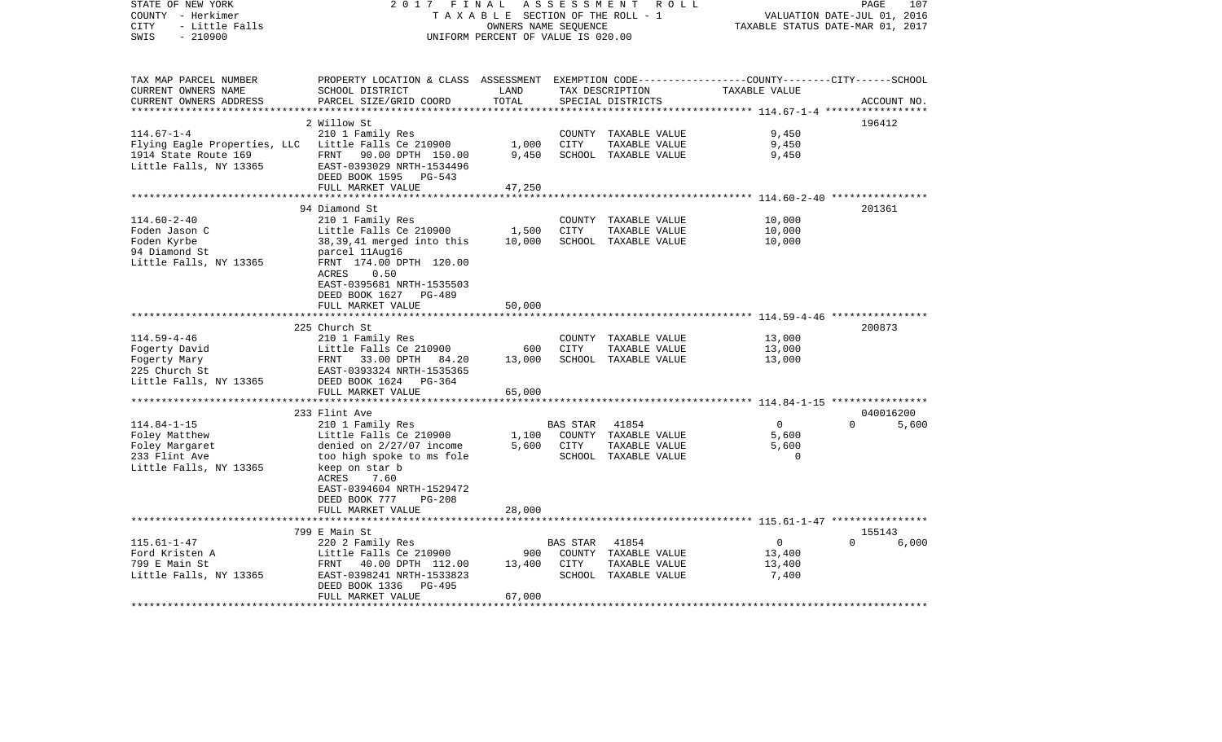| STATE OF NEW YORK<br>COUNTY - Herkimer<br>- Little Falls<br><b>CITY</b><br>$-210900$<br>SWIS    | 2017<br>FINAL<br>TAXABLE SECTION OF THE ROLL - 1<br>UNIFORM PERCENT OF VALUE IS 020.00                                                                                                                                               | PAGE<br>107<br>VALUATION DATE-JUL 01, 2016<br>TAXABLE STATUS DATE-MAR 01, 2017 |                                   |                                                                        |                                                                               |                   |
|-------------------------------------------------------------------------------------------------|--------------------------------------------------------------------------------------------------------------------------------------------------------------------------------------------------------------------------------------|--------------------------------------------------------------------------------|-----------------------------------|------------------------------------------------------------------------|-------------------------------------------------------------------------------|-------------------|
| TAX MAP PARCEL NUMBER<br>CURRENT OWNERS NAME<br>CURRENT OWNERS ADDRESS                          | PROPERTY LOCATION & CLASS ASSESSMENT<br>SCHOOL DISTRICT<br>PARCEL SIZE/GRID COORD                                                                                                                                                    | LAND<br>TOTAL                                                                  |                                   | TAX DESCRIPTION<br>SPECIAL DISTRICTS                                   | EXEMPTION CODE-----------------COUNTY-------CITY------SCHOOL<br>TAXABLE VALUE | ACCOUNT NO.       |
| $114.67 - 1 - 4$<br>Flying Eagle Properties, LLC<br>1914 State Route 169                        | 2 Willow St<br>210 1 Family Res<br>Little Falls Ce 210900<br>FRNT 90.00 DPTH 150.00                                                                                                                                                  | 1,000<br>9,450                                                                 | COUNTY<br>CITY                    | TAXABLE VALUE<br>TAXABLE VALUE<br>SCHOOL TAXABLE VALUE                 | 9,450<br>9,450<br>9,450                                                       | 196412            |
| Little Falls, NY 13365                                                                          | EAST-0393029 NRTH-1534496<br>DEED BOOK 1595 PG-543<br>FULL MARKET VALUE<br>*********************                                                                                                                                     | 47,250<br>***********                                                          |                                   |                                                                        | ************************ 114.60-2-40 ****************                         |                   |
| $114.60 - 2 - 40$<br>Foden Jason C<br>Foden Kyrbe<br>94 Diamond St<br>Little Falls, NY 13365    | 94 Diamond St<br>210 1 Family Res<br>Little Falls Ce 210900<br>38,39,41 merged into this<br>parcel 11Aug16<br>FRNT 174.00 DPTH 120.00<br>ACRES<br>0.50<br>EAST-0395681 NRTH-1535503<br>DEED BOOK 1627<br>PG-489<br>FULL MARKET VALUE | 1,500<br>10,000<br>50,000                                                      | CITY                              | COUNTY TAXABLE VALUE<br>TAXABLE VALUE<br>SCHOOL TAXABLE VALUE          | 10,000<br>10,000<br>10,000                                                    | 201361            |
|                                                                                                 |                                                                                                                                                                                                                                      |                                                                                |                                   |                                                                        |                                                                               |                   |
| $114.59 - 4 - 46$<br>Fogerty David<br>Fogerty Mary<br>225 Church St<br>Little Falls, NY 13365   | 225 Church St<br>210 1 Family Res<br>Little Falls Ce 210900<br>FRNT<br>33.00 DPTH 84.20<br>EAST-0393324 NRTH-1535365<br>DEED BOOK 1624 PG-364                                                                                        | 600<br>13,000                                                                  | CITY                              | COUNTY TAXABLE VALUE<br>TAXABLE VALUE<br>SCHOOL TAXABLE VALUE          | 13,000<br>13,000<br>13,000                                                    | 200873            |
|                                                                                                 | FULL MARKET VALUE<br>**********************                                                                                                                                                                                          | 65,000                                                                         |                                   |                                                                        | ******************** 114.84-1-15 *****************                            |                   |
|                                                                                                 | 233 Flint Ave                                                                                                                                                                                                                        |                                                                                |                                   |                                                                        |                                                                               | 040016200         |
| $114.84 - 1 - 15$<br>Foley Matthew<br>Foley Margaret<br>233 Flint Ave<br>Little Falls, NY 13365 | 210 1 Family Res<br>Little Falls Ce 210900<br>denied on 2/27/07 income<br>too high spoke to ms fole<br>keep on star b<br>ACRES<br>7.60<br>EAST-0394604 NRTH-1529472<br>DEED BOOK 777<br><b>PG-208</b>                                | 1,100<br>5,600                                                                 | BAS STAR<br>COUNTY<br><b>CITY</b> | 41854<br>TAXABLE VALUE<br>TAXABLE VALUE<br>SCHOOL TAXABLE VALUE        | $\mathbf 0$<br>5,600<br>5,600<br>0                                            | $\Omega$<br>5,600 |
|                                                                                                 | FULL MARKET VALUE                                                                                                                                                                                                                    | 28,000                                                                         |                                   |                                                                        |                                                                               |                   |
|                                                                                                 | 799 E Main St                                                                                                                                                                                                                        |                                                                                |                                   |                                                                        |                                                                               | 155143            |
| $115.61 - 1 - 47$<br>Ford Kristen A<br>799 E Main St<br>Little Falls, NY 13365                  | 220 2 Family Res<br>Little Falls Ce 210900<br>FRNT<br>40.00 DPTH 112.00<br>EAST-0398241 NRTH-1533823<br>DEED BOOK 1336<br>PG-495<br>FULL MARKET VALUE                                                                                | 900<br>13,400<br>67,000                                                        | BAS STAR<br>CITY                  | 41854<br>COUNTY TAXABLE VALUE<br>TAXABLE VALUE<br>SCHOOL TAXABLE VALUE | $\overline{0}$<br>13,400<br>13,400<br>7,400                                   | $\Omega$<br>6,000 |
|                                                                                                 | ************************                                                                                                                                                                                                             | ************                                                                   |                                   |                                                                        |                                                                               |                   |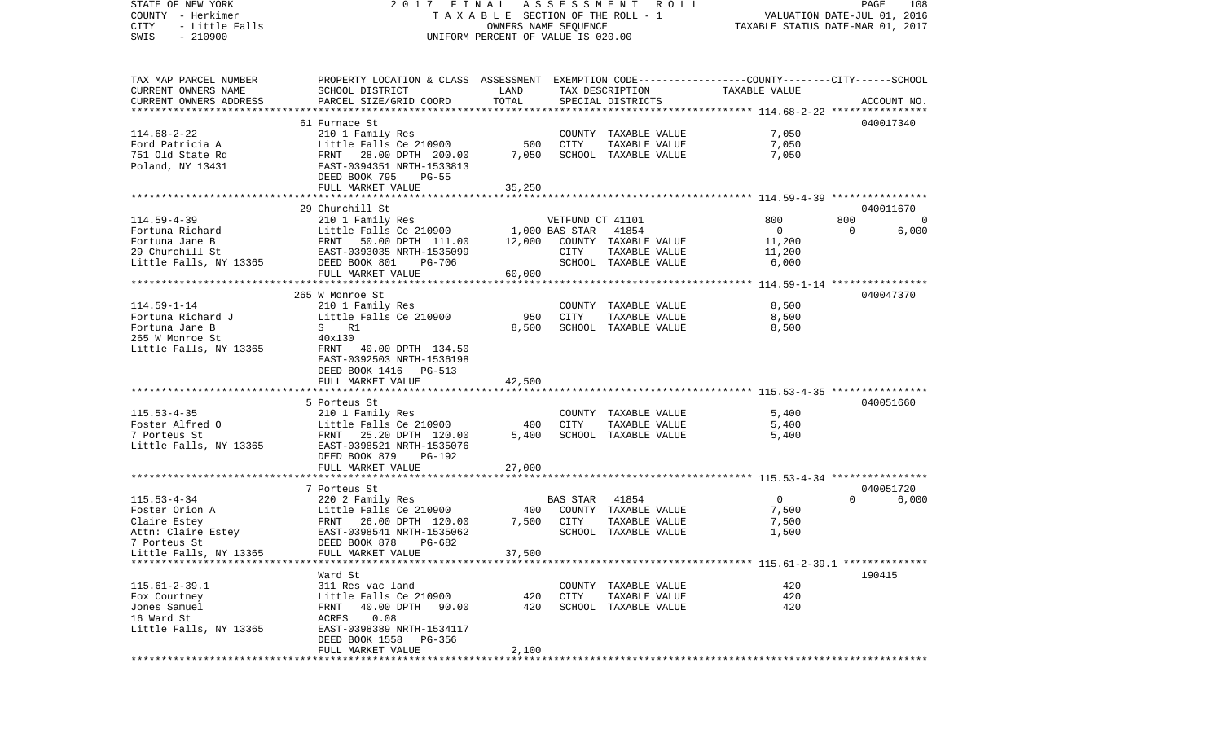STATE OF NEW YORK 2 0 1 7 F I N A L A S S E S S M E N T R O L L PAGE 108COUNTY - Herkimer **T A X A B L E** SECTION OF THE ROLL - 1 VALUATION DATE-JUL 01, 2016 CITY - Little Falls OWNERS NAME SEQUENCE TAXABLE STATUS DATE-MAR 01, 2017 SWIS - 210900 UNIFORM PERCENT OF VALUE IS 020.00TAX MAP PARCEL NUMBER PROPERTY LOCATION & CLASS ASSESSMENT EXEMPTION CODE------------------COUNTY--------CITY------SCHOOL CURRENT OWNERS NAME SCHOOL DISTRICT LAND TAX DESCRIPTION TAXABLE VALUECURRENT OWNERS ADDRESS PARCEL SIZE/GRID COORD TOTAL SPECIAL DISTRICTS ACCOUNT NO. \*\*\*\*\*\*\*\*\*\*\*\*\*\*\*\*\*\*\*\*\*\*\*\*\*\*\*\*\*\*\*\*\*\*\*\*\*\*\*\*\*\*\*\*\*\*\*\*\*\*\*\*\*\*\*\*\*\*\*\*\*\*\*\*\*\*\*\*\*\*\*\*\*\*\*\*\*\*\*\*\*\*\*\*\*\*\*\*\*\*\*\*\*\*\*\*\*\*\*\*\*\*\* 114.68-2-22 \*\*\*\*\*\*\*\*\*\*\*\*\*\*\*\*61 Furnace St 040017340 114.68-2-22 210 1 Family Res COUNTY TAXABLE VALUE 7,050 Ford Patricia A **Little Falls Ce 210900** 500 CITY TAXABLE VALUE 7,050 751 Old State Rd FRNT 28.00 DPTH 200.00 7,050 SCHOOL TAXABLE VALUE 7,050 Poland, NY 13431 EAST-0394351 NRTH-1533813 DEED BOOK 795 PG-55FULL MARKET VALUE 35,250 \*\*\*\*\*\*\*\*\*\*\*\*\*\*\*\*\*\*\*\*\*\*\*\*\*\*\*\*\*\*\*\*\*\*\*\*\*\*\*\*\*\*\*\*\*\*\*\*\*\*\*\*\*\*\*\*\*\*\*\*\*\*\*\*\*\*\*\*\*\*\*\*\*\*\*\*\*\*\*\*\*\*\*\*\*\*\*\*\*\*\*\*\*\*\*\*\*\*\*\*\*\*\* 114.59-4-39 \*\*\*\*\*\*\*\*\*\*\*\*\*\*\*\* 29 Churchill St 040011670114.59-4-39 210 1 Family Res VETFUND CT 41101 800 800 0 Fortuna Richard Little Falls Ce 210900 1,000 BAS STAR 41854 0 0 6,000 Fortuna Jane B FRNT 50.00 DPTH 111.00 12.000 COUNTY TAXABLE VALUE 11.200 29 Churchill St EAST-0393035 NRTH-1535099 CITY TAXABLE VALUE 11,200 Little Falls, NY 13365 DEED BOOK 801 PG-706 SCHOOL TAXABLE VALUE 6,000 FULL MARKET VALUE 60,000 \*\*\*\*\*\*\*\*\*\*\*\*\*\*\*\*\*\*\*\*\*\*\*\*\*\*\*\*\*\*\*\*\*\*\*\*\*\*\*\*\*\*\*\*\*\*\*\*\*\*\*\*\*\*\*\*\*\*\*\*\*\*\*\*\*\*\*\*\*\*\*\*\*\*\*\*\*\*\*\*\*\*\*\*\*\*\*\*\*\*\*\*\*\*\*\*\*\*\*\*\*\*\* 114.59-1-14 \*\*\*\*\*\*\*\*\*\*\*\*\*\*\*\* 265 W Monroe St 040047370114.59-1-14 210 1 Family Res COUNTY TAXABLE VALUE 8,500 Fortuna Richard J Little Falls Ce 210900 950 CITY TAXABLE VALUE 8,500 Fortuna Jane B S R1 8,500 SCHOOL TAXABLE VALUE 8,500 SCHOOL TAXABLE VALUE 8,500 265 W Monroe St 40x130 Little Falls, NY 13365 FRNT 40.00 DPTH 134.50 EAST-0392503 NRTH-1536198 DEED BOOK 1416 PG-513FULL MARKET VALUE 42,500 \*\*\*\*\*\*\*\*\*\*\*\*\*\*\*\*\*\*\*\*\*\*\*\*\*\*\*\*\*\*\*\*\*\*\*\*\*\*\*\*\*\*\*\*\*\*\*\*\*\*\*\*\*\*\*\*\*\*\*\*\*\*\*\*\*\*\*\*\*\*\*\*\*\*\*\*\*\*\*\*\*\*\*\*\*\*\*\*\*\*\*\*\*\*\*\*\*\*\*\*\*\*\* 115.53-4-35 \*\*\*\*\*\*\*\*\*\*\*\*\*\*\*\* 5 Porteus St 040051660115.53-4-35 210 1 Family Res COUNTY TAXABLE VALUE 5,400 Foster Alfred 0 6,400 Little Falls Ce 210900 400 CITY TAXABLE VALUE 5,400 7 Porteus St FRNT 25.20 DPTH 120.00 5,400 SCHOOL TAXABLE VALUE 5,400 Little Falls, NY 13365 EAST-0398521 NRTH-1535076 DEED BOOK 879 PG-192FULL MARKET VALUE 27,000 \*\*\*\*\*\*\*\*\*\*\*\*\*\*\*\*\*\*\*\*\*\*\*\*\*\*\*\*\*\*\*\*\*\*\*\*\*\*\*\*\*\*\*\*\*\*\*\*\*\*\*\*\*\*\*\*\*\*\*\*\*\*\*\*\*\*\*\*\*\*\*\*\*\*\*\*\*\*\*\*\*\*\*\*\*\*\*\*\*\*\*\*\*\*\*\*\*\*\*\*\*\*\* 115.53-4-34 \*\*\*\*\*\*\*\*\*\*\*\*\*\*\*\* 7 Porteus St 040051720115.53-4-34 220 2 Family Res BAS STAR 41854 0 0 6,000 Foster Orion A Little Falls Ce 210900 400 COUNTY TAXABLE VALUE 7,500 Claire Estey FRNT 26.00 DPTH 120.00 7,500 CITY TAXABLE VALUE 7,500 Attn: Claire Estey 6.5 EAST-0398541 NRTH-1535062 SCHOOL TAXABLE VALUE 1,500 7 Porteus St DEED BOOK 878 PG-682Little Falls, NY 13365 FULL MARKET VALUE 37,500 \*\*\*\*\*\*\*\*\*\*\*\*\*\*\*\*\*\*\*\*\*\*\*\*\*\*\*\*\*\*\*\*\*\*\*\*\*\*\*\*\*\*\*\*\*\*\*\*\*\*\*\*\*\*\*\*\*\*\*\*\*\*\*\*\*\*\*\*\*\*\*\*\*\*\*\*\*\*\*\*\*\*\*\*\*\*\*\*\*\*\*\*\*\*\*\*\*\*\*\*\*\*\* 115.61-2-39.1 \*\*\*\*\*\*\*\*\*\*\*\*\*\* Ward St 190415115.61-2-39.1 311 Res vac land COUNTY TAXABLE VALUE 420Fox Courtney Little Falls Ce 210900 420 CITY TAXABLE VALUE 420 Jones Samuel FRNT 40.00 DPTH 90.00 420 SCHOOL TAXABLE VALUE 42016 Ward St ACRES 0.08Little Falls, NY 13365 EAST-0398389 NRTH-1534117 DEED BOOK 1558 PG-356FULL MARKET VALUE 2,100 \*\*\*\*\*\*\*\*\*\*\*\*\*\*\*\*\*\*\*\*\*\*\*\*\*\*\*\*\*\*\*\*\*\*\*\*\*\*\*\*\*\*\*\*\*\*\*\*\*\*\*\*\*\*\*\*\*\*\*\*\*\*\*\*\*\*\*\*\*\*\*\*\*\*\*\*\*\*\*\*\*\*\*\*\*\*\*\*\*\*\*\*\*\*\*\*\*\*\*\*\*\*\*\*\*\*\*\*\*\*\*\*\*\*\*\*\*\*\*\*\*\*\*\*\*\*\*\*\*\*\*\*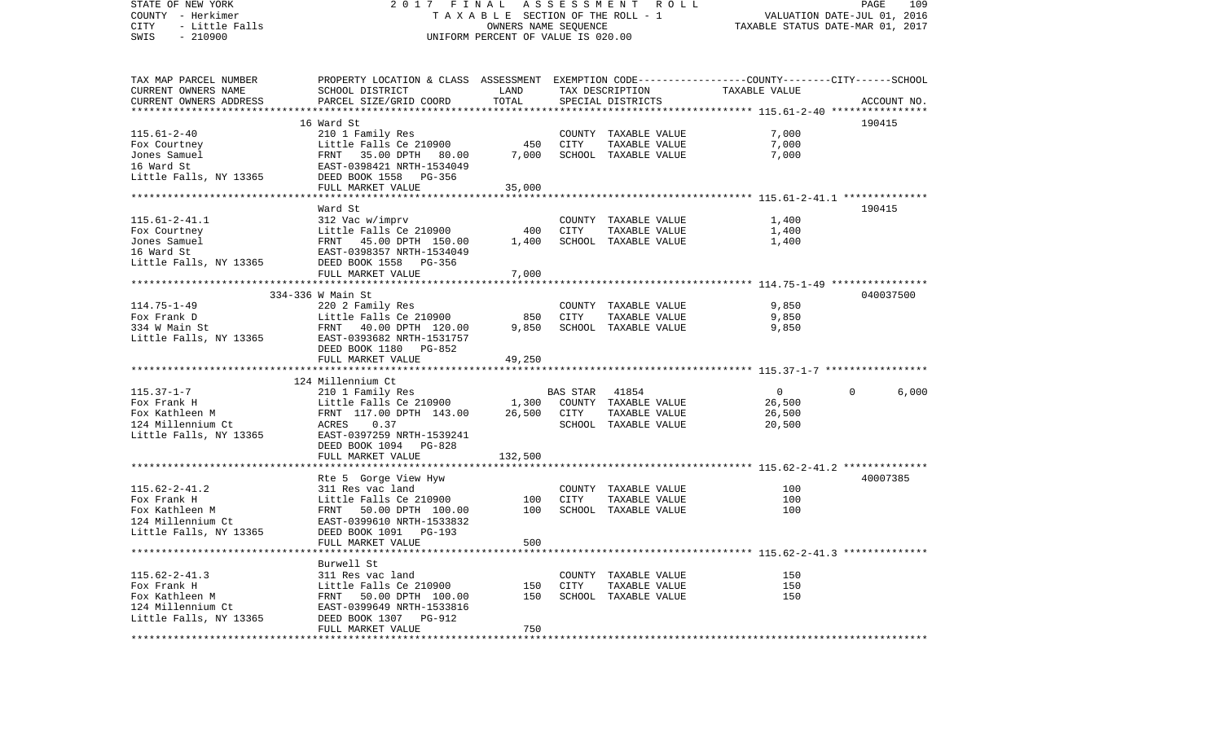STATE OF NEW YORK 2 0 1 7 F I N A L A S S E S S M E N T R O L L PAGE 109COUNTY - Herkimer **T A X A B L E** SECTION OF THE ROLL - 1 VALUATION DATE-JUL 01, 2016 CITY - Little Falls OWNERS NAME SEQUENCE TAXABLE STATUS DATE-MAR 01, 2017 SWIS - 210900 UNIFORM PERCENT OF VALUE IS 020.00TAX MAP PARCEL NUMBER PROPERTY LOCATION & CLASS ASSESSMENT EXEMPTION CODE------------------COUNTY--------CITY------SCHOOL CURRENT OWNERS NAME SCHOOL DISTRICT LAND TAX DESCRIPTION TAXABLE VALUECURRENT OWNERS ADDRESS PARCEL SIZE/GRID COORD TOTAL SPECIAL DISTRICTS ACCOUNT NO. \*\*\*\*\*\*\*\*\*\*\*\*\*\*\*\*\*\*\*\*\*\*\*\*\*\*\*\*\*\*\*\*\*\*\*\*\*\*\*\*\*\*\*\*\*\*\*\*\*\*\*\*\*\*\*\*\*\*\*\*\*\*\*\*\*\*\*\*\*\*\*\*\*\*\*\*\*\*\*\*\*\*\*\*\*\*\*\*\*\*\*\*\*\*\*\*\*\*\*\*\*\*\* 115.61-2-40 \*\*\*\*\*\*\*\*\*\*\*\*\*\*\*\* 16 Ward St 190415115.61-2-40 210 1 Family Res COUNTY TAXABLE VALUE 7,000 Fox Courtney Little Falls Ce 210900 450 CITY TAXABLE VALUE 7,000 Jones Samuel FRNT 35.00 DPTH 80.00 7,000 SCHOOL TAXABLE VALUE 7,000 16 Ward St EAST-0398421 NRTH-1534049Little Falls, NY 13365 DEED BOOK 1558 PG-356 FULL MARKET VALUE 35,000 \*\*\*\*\*\*\*\*\*\*\*\*\*\*\*\*\*\*\*\*\*\*\*\*\*\*\*\*\*\*\*\*\*\*\*\*\*\*\*\*\*\*\*\*\*\*\*\*\*\*\*\*\*\*\*\*\*\*\*\*\*\*\*\*\*\*\*\*\*\*\*\*\*\*\*\*\*\*\*\*\*\*\*\*\*\*\*\*\*\*\*\*\*\*\*\*\*\*\*\*\*\*\* 115.61-2-41.1 \*\*\*\*\*\*\*\*\*\*\*\*\*\* Ward St 190415115.61-2-41.1 312 Vac w/imprv COUNTY TAXABLE VALUE 1,400 Fox Courtney Little Falls Ce 210900 400 CITY TAXABLE VALUE 1,400 Jones Samuel FRNT 45.00 DPTH 150.00 1,400 SCHOOL TAXABLE VALUE 1,400 16 Ward St EAST-0398357 NRTH-1534049Little Falls, NY 13365 DEED BOOK 1558 PG-356 FULL MARKET VALUE 7,000 \*\*\*\*\*\*\*\*\*\*\*\*\*\*\*\*\*\*\*\*\*\*\*\*\*\*\*\*\*\*\*\*\*\*\*\*\*\*\*\*\*\*\*\*\*\*\*\*\*\*\*\*\*\*\*\*\*\*\*\*\*\*\*\*\*\*\*\*\*\*\*\*\*\*\*\*\*\*\*\*\*\*\*\*\*\*\*\*\*\*\*\*\*\*\*\*\*\*\*\*\*\*\* 114.75-1-49 \*\*\*\*\*\*\*\*\*\*\*\*\*\*\*\* 334-336 W Main St 040037500114.75-1-49 220 2 Family Res COUNTY TAXABLE VALUE 9,850 Fox Frank D Little Falls Ce 210900 850 CITY TAXABLE VALUE 9,850 334 W Main St FRNT 40.00 DPTH 120.00 9,850 SCHOOL TAXABLE VALUE 9,850 Little Falls, NY 13365 EAST-0393682 NRTH-1531757 DEED BOOK 1180 PG-852FULL MARKET VALUE 49,250 \*\*\*\*\*\*\*\*\*\*\*\*\*\*\*\*\*\*\*\*\*\*\*\*\*\*\*\*\*\*\*\*\*\*\*\*\*\*\*\*\*\*\*\*\*\*\*\*\*\*\*\*\*\*\*\*\*\*\*\*\*\*\*\*\*\*\*\*\*\*\*\*\*\*\*\*\*\*\*\*\*\*\*\*\*\*\*\*\*\*\*\*\*\*\*\*\*\*\*\*\*\*\* 115.37-1-7 \*\*\*\*\*\*\*\*\*\*\*\*\*\*\*\*\* 124 Millennium Ct115.37-1-7 210 1 Family Res BAS STAR 41854 0 0 6,000 Fox Frank H Correlation County Little Falls Ce 210900 1,300 COUNTY TAXABLE VALUE 26,500 Fox Kathleen M FRNT 117.00 DPTH 143.00 26,500 CITY TAXABLE VALUE 26,500 124 Millennium Ct ACRES 0.37 SCHOOL TAXABLE VALUE 20,500 Little Falls, NY 13365 EAST-0397259 NRTH-1539241 DEED BOOK 1094 PG-828FULL MARKET VALUE 132,500 \*\*\*\*\*\*\*\*\*\*\*\*\*\*\*\*\*\*\*\*\*\*\*\*\*\*\*\*\*\*\*\*\*\*\*\*\*\*\*\*\*\*\*\*\*\*\*\*\*\*\*\*\*\*\*\*\*\*\*\*\*\*\*\*\*\*\*\*\*\*\*\*\*\*\*\*\*\*\*\*\*\*\*\*\*\*\*\*\*\*\*\*\*\*\*\*\*\*\*\*\*\*\* 115.62-2-41.2 \*\*\*\*\*\*\*\*\*\*\*\*\*\*Rte 5 Gorge View Hyw 40007385 115.62-2-41.2 311 Res vac land COUNTY TAXABLE VALUE 100Fox Frank H Little Falls Ce 210900 100 CITY TAXABLE VALUE 100 100 Fox Kathleen M FRNT 50.00 DPTH 100.00 100 SCHOOL TAXABLE VALUE 124 Millennium Ct EAST-0399610 NRTH-1533832Little Falls, NY 13365 DEED BOOK 1091 PG-193 FULL MARKET VALUE 600 \*\*\*\*\*\*\*\*\*\*\*\*\*\*\*\*\*\*\*\*\*\*\*\*\*\*\*\*\*\*\*\*\*\*\*\*\*\*\*\*\*\*\*\*\*\*\*\*\*\*\*\*\*\*\*\*\*\*\*\*\*\*\*\*\*\*\*\*\*\*\*\*\*\*\*\*\*\*\*\*\*\*\*\*\*\*\*\*\*\*\*\*\*\*\*\*\*\*\*\*\*\*\* 115.62-2-41.3 \*\*\*\*\*\*\*\*\*\*\*\*\*\* Burwell St115.62-2-41.3 311 Res vac land COUNTY TAXABLE VALUE 150Fox Frank H Little Falls Ce 210900 150 CITY TAXABLE VALUE 150Fox Kathleen M FRNT 50.00 DPTH 100.00 150 SCHOOL TAXABLE VALUE 150124 Millennium Ct EAST-0399649 NRTH-1533816 Little Falls, NY 13365 DEED BOOK 1307 PG-912 FULL MARKET VALUE 750 \*\*\*\*\*\*\*\*\*\*\*\*\*\*\*\*\*\*\*\*\*\*\*\*\*\*\*\*\*\*\*\*\*\*\*\*\*\*\*\*\*\*\*\*\*\*\*\*\*\*\*\*\*\*\*\*\*\*\*\*\*\*\*\*\*\*\*\*\*\*\*\*\*\*\*\*\*\*\*\*\*\*\*\*\*\*\*\*\*\*\*\*\*\*\*\*\*\*\*\*\*\*\*\*\*\*\*\*\*\*\*\*\*\*\*\*\*\*\*\*\*\*\*\*\*\*\*\*\*\*\*\*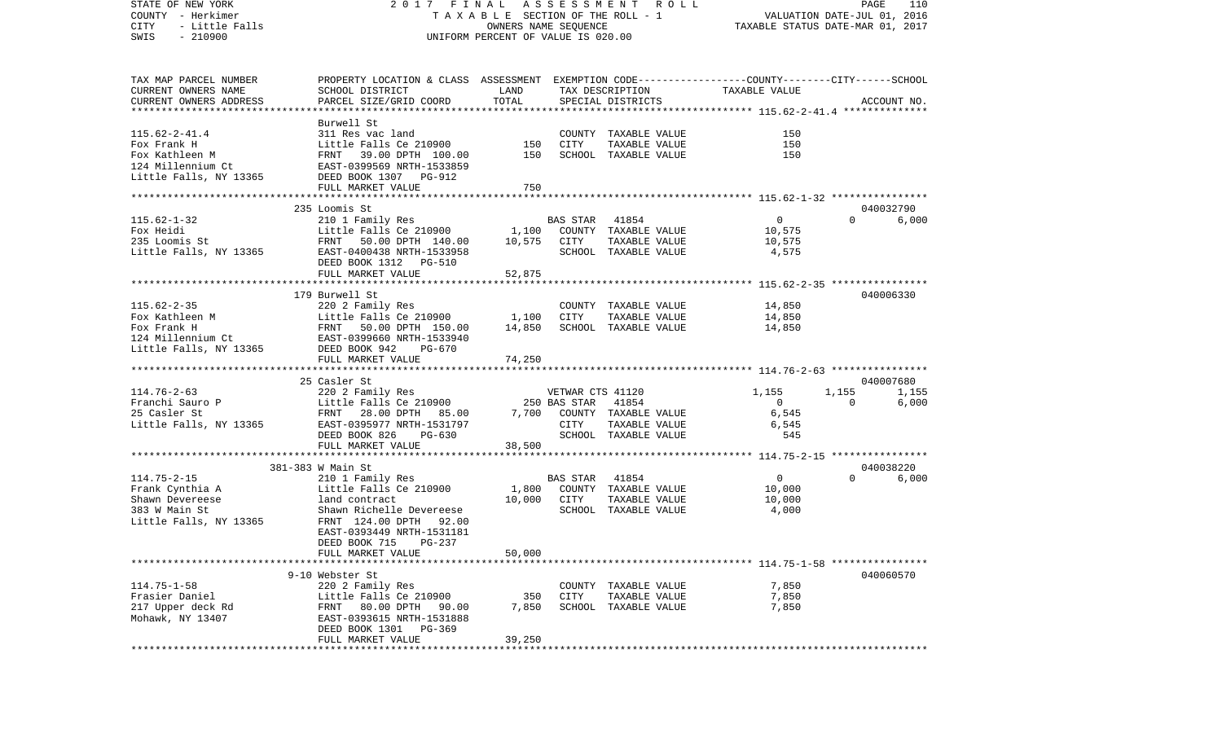| STATE OF NEW YORK<br>COUNTY - Herkimer                            | 2017 FINAL<br>T A X A B L E SECTION OF THE ROLL - 1<br>OWNERS NAME SEQUENCE                                                                                                                                                                                                  | A S S E S S M E N T R O L L<br>PAGE<br>110<br>VALUATION DATE-JUL 01, 2016 |          |                                              |                 |          |             |
|-------------------------------------------------------------------|------------------------------------------------------------------------------------------------------------------------------------------------------------------------------------------------------------------------------------------------------------------------------|---------------------------------------------------------------------------|----------|----------------------------------------------|-----------------|----------|-------------|
| CITY<br>- Little Falls                                            |                                                                                                                                                                                                                                                                              | TAXABLE STATUS DATE-MAR 01, 2017                                          |          |                                              |                 |          |             |
| $-210900$<br>SWIS                                                 |                                                                                                                                                                                                                                                                              | UNIFORM PERCENT OF VALUE IS 020.00                                        |          |                                              |                 |          |             |
| TAX MAP PARCEL NUMBER                                             | PROPERTY LOCATION & CLASS ASSESSMENT EXEMPTION CODE---------------COUNTY-------CITY------SCHOOL                                                                                                                                                                              |                                                                           |          |                                              |                 |          |             |
| CURRENT OWNERS NAME                                               | SCHOOL DISTRICT                                                                                                                                                                                                                                                              | LAND                                                                      |          | TAX DESCRIPTION TAXABLE VALUE                |                 |          |             |
| CURRENT OWNERS ADDRESS                                            | PARCEL SIZE/GRID COORD                                                                                                                                                                                                                                                       | TOTAL                                                                     |          | SPECIAL DISTRICTS                            |                 |          | ACCOUNT NO. |
|                                                                   | Burwell St                                                                                                                                                                                                                                                                   |                                                                           |          |                                              |                 |          |             |
| $115.62 - 2 - 41.4$                                               |                                                                                                                                                                                                                                                                              |                                                                           |          | COUNTY TAXABLE VALUE                         | 150             |          |             |
|                                                                   | 311 Res vac land<br>Little Falls Ce 210900                                                                                                                                                                                                                                   | COUNT<br>150 CITY                                                         |          | TAXABLE VALUE                                | 150             |          |             |
|                                                                   |                                                                                                                                                                                                                                                                              |                                                                           |          | SCHOOL TAXABLE VALUE                         | 150             |          |             |
|                                                                   |                                                                                                                                                                                                                                                                              |                                                                           |          |                                              |                 |          |             |
|                                                                   |                                                                                                                                                                                                                                                                              |                                                                           |          |                                              |                 |          |             |
|                                                                   | FULL MARKET VALUE                                                                                                                                                                                                                                                            | 750                                                                       |          |                                              |                 |          |             |
|                                                                   |                                                                                                                                                                                                                                                                              |                                                                           |          |                                              |                 |          |             |
|                                                                   | 235 Loomis St                                                                                                                                                                                                                                                                |                                                                           |          |                                              |                 |          | 040032790   |
| $115.62 - 1 - 32$                                                 | 210 1 Family Res                                                                                                                                                                                                                                                             |                                                                           |          | BAS STAR 41854<br>1,100 COUNTY TAXABLE VALUE | $\overline{0}$  | $\Omega$ | 6,000       |
| Fox Heidi<br>rox Heidi<br>235 Loomis St<br>Little Falls, NY 13365 | Example 1 2008 1,100<br>Little Falls Ce 210900 1,100 COUNT:<br>FRNT 50.00 DPTH 140.00 10,575 CITY<br>EAST-0400438 NRTH-1533958 SCHOOI                                                                                                                                        |                                                                           |          |                                              | 10,575          |          |             |
|                                                                   |                                                                                                                                                                                                                                                                              |                                                                           |          | TAXABLE VALUE                                | 10,575          |          |             |
|                                                                   | DEED BOOK 1312 PG-510                                                                                                                                                                                                                                                        |                                                                           |          | SCHOOL TAXABLE VALUE                         | 4,575           |          |             |
|                                                                   | FULL MARKET VALUE                                                                                                                                                                                                                                                            | 52,875                                                                    |          |                                              |                 |          |             |
|                                                                   |                                                                                                                                                                                                                                                                              |                                                                           |          |                                              |                 |          |             |
|                                                                   | 179 Burwell St                                                                                                                                                                                                                                                               |                                                                           |          |                                              |                 |          | 040006330   |
| $115.62 - 2 - 35$                                                 | 220 2 Family Res                                                                                                                                                                                                                                                             |                                                                           |          | COUNTY TAXABLE VALUE                         | 14,850          |          |             |
|                                                                   |                                                                                                                                                                                                                                                                              |                                                                           | CITY     | TAXABLE VALUE                                | 14,850          |          |             |
|                                                                   |                                                                                                                                                                                                                                                                              |                                                                           |          | SCHOOL TAXABLE VALUE                         | 14,850          |          |             |
|                                                                   |                                                                                                                                                                                                                                                                              |                                                                           |          |                                              |                 |          |             |
|                                                                   | Fox Kathleen M<br>Fox Frank H<br>FRINT 50.00 DPTH 150.00 14,850<br>14,850<br>14,850<br>14,850<br>14,850<br>14,850<br>14,850<br>14,850<br>14,850<br>14,850<br>14,850<br>14,850<br>14,850<br>14,850<br>150.00<br>14,850<br>150.00<br>14,850<br>150.00<br>14,850<br>150.00<br>1 |                                                                           |          |                                              |                 |          |             |
|                                                                   | FULL MARKET VALUE                                                                                                                                                                                                                                                            | 74,250                                                                    |          |                                              |                 |          |             |
|                                                                   | 25 Casler St                                                                                                                                                                                                                                                                 |                                                                           |          |                                              |                 |          | 040007680   |
| $114.76 - 2 - 63$                                                 | 220 2 Family Res                                                                                                                                                                                                                                                             |                                                                           |          | VETWAR CTS 41120                             | 1,155           | 1,155    | 1,155       |
|                                                                   |                                                                                                                                                                                                                                                                              |                                                                           |          | 41854                                        | $\overline{0}$  | $\Omega$ | 6,000       |
| Franchi Sauro P<br>25 Casler St<br>25 Casler St                   | Little Falls Ce 210900 250 BAS STAR<br>FRNT 28.00 DPTH 85.00 7,700 COUNTY                                                                                                                                                                                                    |                                                                           |          | 7,700 COUNTY TAXABLE VALUE                   | 6,545           |          |             |
|                                                                   | Little Falls, NY 13365 EAST-0395977 NRTH-1531797                                                                                                                                                                                                                             |                                                                           | CITY     | TAXABLE VALUE                                | 6,545           |          |             |
|                                                                   | DEED BOOK 826 PG-630                                                                                                                                                                                                                                                         |                                                                           |          | SCHOOL TAXABLE VALUE                         | 545             |          |             |
|                                                                   | FULL MARKET VALUE                                                                                                                                                                                                                                                            | 38,500                                                                    |          |                                              |                 |          |             |
|                                                                   |                                                                                                                                                                                                                                                                              |                                                                           |          |                                              |                 |          |             |
|                                                                   | 381-383 W Main St                                                                                                                                                                                                                                                            |                                                                           |          |                                              |                 |          | 040038220   |
| $114.75 - 2 - 15$                                                 | 210 1 Family Res                                                                                                                                                                                                                                                             |                                                                           | BAS STAR | 41854<br>1,800 COUNTY TAXABLE VALUE          | $\overline{0}$  | $\Omega$ | 6,000       |
| Frank Cynthia A                                                   | Little Falls Ce 210900<br>land contract                                                                                                                                                                                                                                      |                                                                           |          |                                              | 10,000          |          |             |
| Shawn Devereese<br>383 W Main St                                  |                                                                                                                                                                                                                                                                              | 10,000 CITY                                                               |          | TAXABLE VALUE<br>SCHOOL TAXABLE VALUE        | 10,000<br>4,000 |          |             |
| Little Falls, NY 13365                                            | Shawn Richelle Devereese<br>FRNT 124.00 DPTH 92.00                                                                                                                                                                                                                           |                                                                           |          |                                              |                 |          |             |
|                                                                   | EAST-0393449 NRTH-1531181                                                                                                                                                                                                                                                    |                                                                           |          |                                              |                 |          |             |
|                                                                   | DEED BOOK 715 PG-237                                                                                                                                                                                                                                                         |                                                                           |          |                                              |                 |          |             |
|                                                                   | FULL MARKET VALUE                                                                                                                                                                                                                                                            | 50,000                                                                    |          |                                              |                 |          |             |
|                                                                   |                                                                                                                                                                                                                                                                              |                                                                           |          |                                              |                 |          |             |
|                                                                   | 9-10 Webster St                                                                                                                                                                                                                                                              |                                                                           |          |                                              |                 |          | 040060570   |
| $114.75 - 1 - 58$                                                 | 220 2 Family Res                                                                                                                                                                                                                                                             |                                                                           |          | COUNTY TAXABLE VALUE                         | 7,850           |          |             |
| Frasier Daniel                                                    | Little Falls Ce 210900                                                                                                                                                                                                                                                       | 350                                                                       | CITY     | TAXABLE VALUE                                | 7,850           |          |             |
| 217 Upper deck Rd                                                 | 80.00 DPTH<br>FRNT<br>90.00                                                                                                                                                                                                                                                  | 7,850                                                                     |          | SCHOOL TAXABLE VALUE                         | 7,850           |          |             |
| Mohawk, NY 13407                                                  | EAST-0393615 NRTH-1531888                                                                                                                                                                                                                                                    |                                                                           |          |                                              |                 |          |             |
|                                                                   | DEED BOOK 1301<br>PG-369                                                                                                                                                                                                                                                     |                                                                           |          |                                              |                 |          |             |
|                                                                   | FULL MARKET VALUE                                                                                                                                                                                                                                                            | 39,250                                                                    |          |                                              |                 |          |             |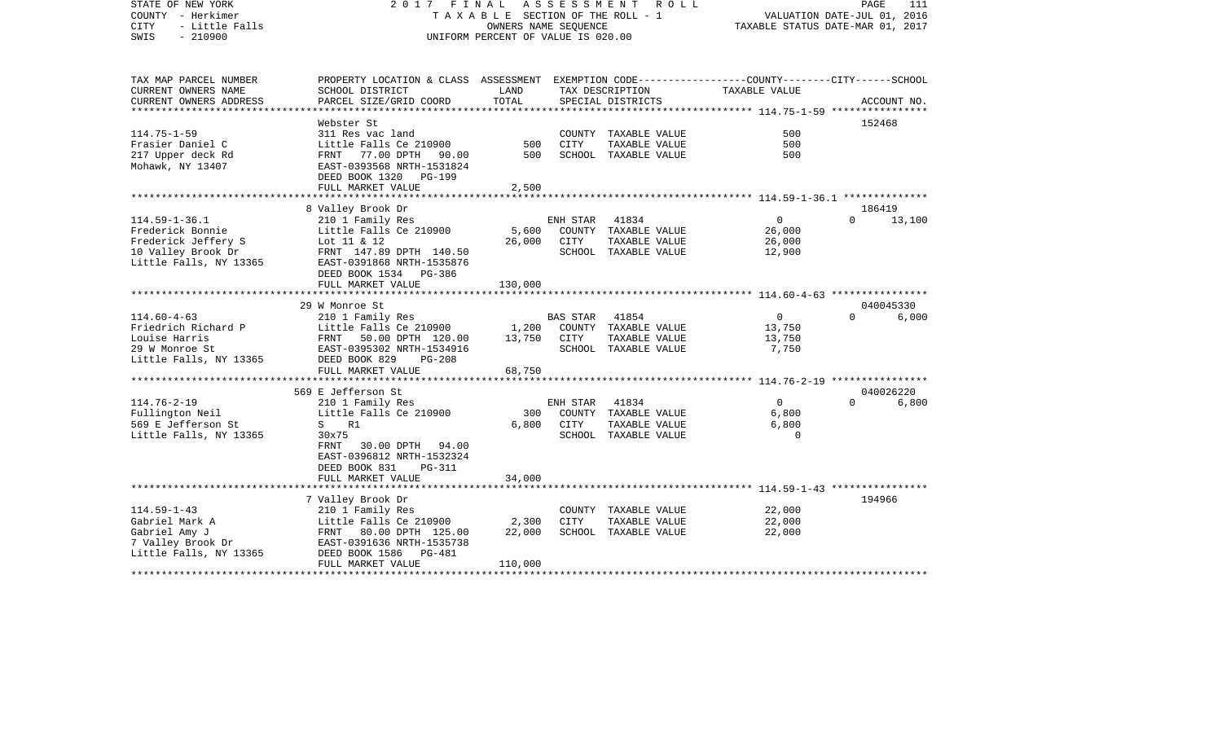| PROPERTY LOCATION & CLASS ASSESSMENT EXEMPTION CODE----------------COUNTY-------CITY------SCHOOL<br>TAX MAP PARCEL NUMBER<br>CURRENT OWNERS NAME<br>SCHOOL DISTRICT<br>LAND<br>TAXABLE VALUE<br>TAX DESCRIPTION<br>TOTAL<br>PARCEL SIZE/GRID COORD<br>CURRENT OWNERS ADDRESS<br>SPECIAL DISTRICTS<br>ACCOUNT NO.<br>**************<br>***************<br>***************** 114.75-1-59 ****************<br>Webster St<br>152468<br>$114.75 - 1 - 59$<br>500<br>311 Res vac land<br>COUNTY TAXABLE VALUE<br>Frasier Daniel C<br>Little Falls Ce 210900<br>500<br>CITY<br>TAXABLE VALUE<br>500<br>217 Upper deck Rd<br>500<br>FRNT 77.00 DPTH 90.00<br>SCHOOL TAXABLE VALUE<br>500<br>Mohawk, NY 13407<br>EAST-0393568 NRTH-1531824<br>DEED BOOK 1320 PG-199<br>FULL MARKET VALUE<br>2,500<br>8 Valley Brook Dr<br>186419<br>$114.59 - 1 - 36.1$<br>41834<br>$\overline{0}$<br>13,100<br>210 1 Family Res<br>ENH STAR<br>$\Omega$<br>Frederick Bonnie<br>Little Falls Ce 210900<br>5,600<br>26,000<br>COUNTY TAXABLE VALUE<br>Frederick Jeffery S<br>26,000<br>Lot 11 & 12<br>26,000<br><b>CITY</b><br>TAXABLE VALUE<br>10 Valley Brook Dr<br>FRNT 147.89 DPTH 140.50<br>SCHOOL TAXABLE VALUE<br>12,900<br>Little Falls, NY 13365<br>EAST-0391868 NRTH-1535876<br>DEED BOOK 1534 PG-386<br>FULL MARKET VALUE<br>130,000<br>****************************** 114.60-4-63 ****************<br>29 W Monroe St<br>040045330<br>$114.60 - 4 - 63$<br>$\overline{0}$<br>210 1 Family Res<br><b>BAS STAR</b><br>41854<br>$\Omega$<br>6,000<br>Friedrich Richard P<br>Little Falls Ce 210900<br>COUNTY TAXABLE VALUE<br>1,200<br>13,750<br>Louise Harris<br>13,750<br>CITY<br>TAXABLE VALUE<br>13,750<br>FRNT<br>50.00 DPTH 120.00<br>29 W Monroe St<br>EAST-0395302 NRTH-1534916<br>SCHOOL TAXABLE VALUE<br>7,750<br>Little Falls, NY 13365<br>DEED BOOK 829<br>$PG-208$<br>FULL MARKET VALUE<br>68,750<br>*********************** 114.76-2-19 *****************<br>040026220<br>569 E Jefferson St<br>$114.76 - 2 - 19$<br>210 1 Family Res<br>41834<br>$\overline{0}$<br>6,800<br>ENH STAR<br>$\Omega$<br>Fullington Neil<br>Little Falls Ce 210900<br>300<br>6,800<br>COUNTY TAXABLE VALUE<br>569 E Jefferson St<br>6,800<br>6,800<br>S<br>R1<br>CITY<br>TAXABLE VALUE<br>Little Falls, NY 13365<br>30x75<br>SCHOOL TAXABLE VALUE<br>$\Omega$<br>FRNT<br>30.00 DPTH 94.00<br>EAST-0396812 NRTH-1532324<br>DEED BOOK 831<br><b>PG-311</b><br>34,000<br>FULL MARKET VALUE<br>***********************<br>***********<br>194966<br>7 Valley Brook Dr<br>22,000<br>$114.59 - 1 - 43$<br>210 1 Family Res<br>COUNTY TAXABLE VALUE<br>Gabriel Mark A<br>2,300<br><b>CITY</b><br>22,000<br>Little Falls Ce 210900<br>TAXABLE VALUE<br>22,000<br>SCHOOL TAXABLE VALUE<br>Gabriel Amy J<br>FRNT<br>80.00 DPTH 125.00<br>22,000<br>7 Valley Brook Dr<br>EAST-0391636 NRTH-1535738<br>Little Falls, NY 13365<br>DEED BOOK 1586<br><b>PG-481</b><br>FULL MARKET VALUE<br>110,000 | STATE OF NEW YORK<br>COUNTY - Herkimer<br><b>CITY</b><br>- Little Falls<br>$-210900$<br>SWIS | 2017<br>FINAL<br>TAXABLE SECTION OF THE ROLL - 1<br>UNIFORM PERCENT OF VALUE IS 020.00 | VALUATION DATE-JUL 01, 2016<br>TAXABLE STATUS DATE-MAR 01, 2017 | PAGE | 111 |  |  |
|-------------------------------------------------------------------------------------------------------------------------------------------------------------------------------------------------------------------------------------------------------------------------------------------------------------------------------------------------------------------------------------------------------------------------------------------------------------------------------------------------------------------------------------------------------------------------------------------------------------------------------------------------------------------------------------------------------------------------------------------------------------------------------------------------------------------------------------------------------------------------------------------------------------------------------------------------------------------------------------------------------------------------------------------------------------------------------------------------------------------------------------------------------------------------------------------------------------------------------------------------------------------------------------------------------------------------------------------------------------------------------------------------------------------------------------------------------------------------------------------------------------------------------------------------------------------------------------------------------------------------------------------------------------------------------------------------------------------------------------------------------------------------------------------------------------------------------------------------------------------------------------------------------------------------------------------------------------------------------------------------------------------------------------------------------------------------------------------------------------------------------------------------------------------------------------------------------------------------------------------------------------------------------------------------------------------------------------------------------------------------------------------------------------------------------------------------------------------------------------------------------------------------------------------------------------------------------------------------------------------------------------------------------------------------------------------------------------------------------------------------------------------------------------------------------------------------------------------------------------------------------------------------------------------------------------------------------------|----------------------------------------------------------------------------------------------|----------------------------------------------------------------------------------------|-----------------------------------------------------------------|------|-----|--|--|
|                                                                                                                                                                                                                                                                                                                                                                                                                                                                                                                                                                                                                                                                                                                                                                                                                                                                                                                                                                                                                                                                                                                                                                                                                                                                                                                                                                                                                                                                                                                                                                                                                                                                                                                                                                                                                                                                                                                                                                                                                                                                                                                                                                                                                                                                                                                                                                                                                                                                                                                                                                                                                                                                                                                                                                                                                                                                                                                                                             |                                                                                              |                                                                                        |                                                                 |      |     |  |  |
|                                                                                                                                                                                                                                                                                                                                                                                                                                                                                                                                                                                                                                                                                                                                                                                                                                                                                                                                                                                                                                                                                                                                                                                                                                                                                                                                                                                                                                                                                                                                                                                                                                                                                                                                                                                                                                                                                                                                                                                                                                                                                                                                                                                                                                                                                                                                                                                                                                                                                                                                                                                                                                                                                                                                                                                                                                                                                                                                                             |                                                                                              |                                                                                        |                                                                 |      |     |  |  |
|                                                                                                                                                                                                                                                                                                                                                                                                                                                                                                                                                                                                                                                                                                                                                                                                                                                                                                                                                                                                                                                                                                                                                                                                                                                                                                                                                                                                                                                                                                                                                                                                                                                                                                                                                                                                                                                                                                                                                                                                                                                                                                                                                                                                                                                                                                                                                                                                                                                                                                                                                                                                                                                                                                                                                                                                                                                                                                                                                             |                                                                                              |                                                                                        |                                                                 |      |     |  |  |
|                                                                                                                                                                                                                                                                                                                                                                                                                                                                                                                                                                                                                                                                                                                                                                                                                                                                                                                                                                                                                                                                                                                                                                                                                                                                                                                                                                                                                                                                                                                                                                                                                                                                                                                                                                                                                                                                                                                                                                                                                                                                                                                                                                                                                                                                                                                                                                                                                                                                                                                                                                                                                                                                                                                                                                                                                                                                                                                                                             |                                                                                              |                                                                                        |                                                                 |      |     |  |  |
|                                                                                                                                                                                                                                                                                                                                                                                                                                                                                                                                                                                                                                                                                                                                                                                                                                                                                                                                                                                                                                                                                                                                                                                                                                                                                                                                                                                                                                                                                                                                                                                                                                                                                                                                                                                                                                                                                                                                                                                                                                                                                                                                                                                                                                                                                                                                                                                                                                                                                                                                                                                                                                                                                                                                                                                                                                                                                                                                                             |                                                                                              |                                                                                        |                                                                 |      |     |  |  |
|                                                                                                                                                                                                                                                                                                                                                                                                                                                                                                                                                                                                                                                                                                                                                                                                                                                                                                                                                                                                                                                                                                                                                                                                                                                                                                                                                                                                                                                                                                                                                                                                                                                                                                                                                                                                                                                                                                                                                                                                                                                                                                                                                                                                                                                                                                                                                                                                                                                                                                                                                                                                                                                                                                                                                                                                                                                                                                                                                             |                                                                                              |                                                                                        |                                                                 |      |     |  |  |
|                                                                                                                                                                                                                                                                                                                                                                                                                                                                                                                                                                                                                                                                                                                                                                                                                                                                                                                                                                                                                                                                                                                                                                                                                                                                                                                                                                                                                                                                                                                                                                                                                                                                                                                                                                                                                                                                                                                                                                                                                                                                                                                                                                                                                                                                                                                                                                                                                                                                                                                                                                                                                                                                                                                                                                                                                                                                                                                                                             |                                                                                              |                                                                                        |                                                                 |      |     |  |  |
|                                                                                                                                                                                                                                                                                                                                                                                                                                                                                                                                                                                                                                                                                                                                                                                                                                                                                                                                                                                                                                                                                                                                                                                                                                                                                                                                                                                                                                                                                                                                                                                                                                                                                                                                                                                                                                                                                                                                                                                                                                                                                                                                                                                                                                                                                                                                                                                                                                                                                                                                                                                                                                                                                                                                                                                                                                                                                                                                                             |                                                                                              |                                                                                        |                                                                 |      |     |  |  |
|                                                                                                                                                                                                                                                                                                                                                                                                                                                                                                                                                                                                                                                                                                                                                                                                                                                                                                                                                                                                                                                                                                                                                                                                                                                                                                                                                                                                                                                                                                                                                                                                                                                                                                                                                                                                                                                                                                                                                                                                                                                                                                                                                                                                                                                                                                                                                                                                                                                                                                                                                                                                                                                                                                                                                                                                                                                                                                                                                             |                                                                                              |                                                                                        |                                                                 |      |     |  |  |
|                                                                                                                                                                                                                                                                                                                                                                                                                                                                                                                                                                                                                                                                                                                                                                                                                                                                                                                                                                                                                                                                                                                                                                                                                                                                                                                                                                                                                                                                                                                                                                                                                                                                                                                                                                                                                                                                                                                                                                                                                                                                                                                                                                                                                                                                                                                                                                                                                                                                                                                                                                                                                                                                                                                                                                                                                                                                                                                                                             |                                                                                              |                                                                                        |                                                                 |      |     |  |  |
|                                                                                                                                                                                                                                                                                                                                                                                                                                                                                                                                                                                                                                                                                                                                                                                                                                                                                                                                                                                                                                                                                                                                                                                                                                                                                                                                                                                                                                                                                                                                                                                                                                                                                                                                                                                                                                                                                                                                                                                                                                                                                                                                                                                                                                                                                                                                                                                                                                                                                                                                                                                                                                                                                                                                                                                                                                                                                                                                                             |                                                                                              |                                                                                        |                                                                 |      |     |  |  |
|                                                                                                                                                                                                                                                                                                                                                                                                                                                                                                                                                                                                                                                                                                                                                                                                                                                                                                                                                                                                                                                                                                                                                                                                                                                                                                                                                                                                                                                                                                                                                                                                                                                                                                                                                                                                                                                                                                                                                                                                                                                                                                                                                                                                                                                                                                                                                                                                                                                                                                                                                                                                                                                                                                                                                                                                                                                                                                                                                             |                                                                                              |                                                                                        |                                                                 |      |     |  |  |
|                                                                                                                                                                                                                                                                                                                                                                                                                                                                                                                                                                                                                                                                                                                                                                                                                                                                                                                                                                                                                                                                                                                                                                                                                                                                                                                                                                                                                                                                                                                                                                                                                                                                                                                                                                                                                                                                                                                                                                                                                                                                                                                                                                                                                                                                                                                                                                                                                                                                                                                                                                                                                                                                                                                                                                                                                                                                                                                                                             |                                                                                              |                                                                                        |                                                                 |      |     |  |  |
|                                                                                                                                                                                                                                                                                                                                                                                                                                                                                                                                                                                                                                                                                                                                                                                                                                                                                                                                                                                                                                                                                                                                                                                                                                                                                                                                                                                                                                                                                                                                                                                                                                                                                                                                                                                                                                                                                                                                                                                                                                                                                                                                                                                                                                                                                                                                                                                                                                                                                                                                                                                                                                                                                                                                                                                                                                                                                                                                                             |                                                                                              |                                                                                        |                                                                 |      |     |  |  |
|                                                                                                                                                                                                                                                                                                                                                                                                                                                                                                                                                                                                                                                                                                                                                                                                                                                                                                                                                                                                                                                                                                                                                                                                                                                                                                                                                                                                                                                                                                                                                                                                                                                                                                                                                                                                                                                                                                                                                                                                                                                                                                                                                                                                                                                                                                                                                                                                                                                                                                                                                                                                                                                                                                                                                                                                                                                                                                                                                             |                                                                                              |                                                                                        |                                                                 |      |     |  |  |
|                                                                                                                                                                                                                                                                                                                                                                                                                                                                                                                                                                                                                                                                                                                                                                                                                                                                                                                                                                                                                                                                                                                                                                                                                                                                                                                                                                                                                                                                                                                                                                                                                                                                                                                                                                                                                                                                                                                                                                                                                                                                                                                                                                                                                                                                                                                                                                                                                                                                                                                                                                                                                                                                                                                                                                                                                                                                                                                                                             |                                                                                              |                                                                                        |                                                                 |      |     |  |  |
|                                                                                                                                                                                                                                                                                                                                                                                                                                                                                                                                                                                                                                                                                                                                                                                                                                                                                                                                                                                                                                                                                                                                                                                                                                                                                                                                                                                                                                                                                                                                                                                                                                                                                                                                                                                                                                                                                                                                                                                                                                                                                                                                                                                                                                                                                                                                                                                                                                                                                                                                                                                                                                                                                                                                                                                                                                                                                                                                                             |                                                                                              |                                                                                        |                                                                 |      |     |  |  |
|                                                                                                                                                                                                                                                                                                                                                                                                                                                                                                                                                                                                                                                                                                                                                                                                                                                                                                                                                                                                                                                                                                                                                                                                                                                                                                                                                                                                                                                                                                                                                                                                                                                                                                                                                                                                                                                                                                                                                                                                                                                                                                                                                                                                                                                                                                                                                                                                                                                                                                                                                                                                                                                                                                                                                                                                                                                                                                                                                             |                                                                                              |                                                                                        |                                                                 |      |     |  |  |
|                                                                                                                                                                                                                                                                                                                                                                                                                                                                                                                                                                                                                                                                                                                                                                                                                                                                                                                                                                                                                                                                                                                                                                                                                                                                                                                                                                                                                                                                                                                                                                                                                                                                                                                                                                                                                                                                                                                                                                                                                                                                                                                                                                                                                                                                                                                                                                                                                                                                                                                                                                                                                                                                                                                                                                                                                                                                                                                                                             |                                                                                              |                                                                                        |                                                                 |      |     |  |  |
|                                                                                                                                                                                                                                                                                                                                                                                                                                                                                                                                                                                                                                                                                                                                                                                                                                                                                                                                                                                                                                                                                                                                                                                                                                                                                                                                                                                                                                                                                                                                                                                                                                                                                                                                                                                                                                                                                                                                                                                                                                                                                                                                                                                                                                                                                                                                                                                                                                                                                                                                                                                                                                                                                                                                                                                                                                                                                                                                                             |                                                                                              |                                                                                        |                                                                 |      |     |  |  |
|                                                                                                                                                                                                                                                                                                                                                                                                                                                                                                                                                                                                                                                                                                                                                                                                                                                                                                                                                                                                                                                                                                                                                                                                                                                                                                                                                                                                                                                                                                                                                                                                                                                                                                                                                                                                                                                                                                                                                                                                                                                                                                                                                                                                                                                                                                                                                                                                                                                                                                                                                                                                                                                                                                                                                                                                                                                                                                                                                             |                                                                                              |                                                                                        |                                                                 |      |     |  |  |
|                                                                                                                                                                                                                                                                                                                                                                                                                                                                                                                                                                                                                                                                                                                                                                                                                                                                                                                                                                                                                                                                                                                                                                                                                                                                                                                                                                                                                                                                                                                                                                                                                                                                                                                                                                                                                                                                                                                                                                                                                                                                                                                                                                                                                                                                                                                                                                                                                                                                                                                                                                                                                                                                                                                                                                                                                                                                                                                                                             |                                                                                              |                                                                                        |                                                                 |      |     |  |  |
|                                                                                                                                                                                                                                                                                                                                                                                                                                                                                                                                                                                                                                                                                                                                                                                                                                                                                                                                                                                                                                                                                                                                                                                                                                                                                                                                                                                                                                                                                                                                                                                                                                                                                                                                                                                                                                                                                                                                                                                                                                                                                                                                                                                                                                                                                                                                                                                                                                                                                                                                                                                                                                                                                                                                                                                                                                                                                                                                                             |                                                                                              |                                                                                        |                                                                 |      |     |  |  |
|                                                                                                                                                                                                                                                                                                                                                                                                                                                                                                                                                                                                                                                                                                                                                                                                                                                                                                                                                                                                                                                                                                                                                                                                                                                                                                                                                                                                                                                                                                                                                                                                                                                                                                                                                                                                                                                                                                                                                                                                                                                                                                                                                                                                                                                                                                                                                                                                                                                                                                                                                                                                                                                                                                                                                                                                                                                                                                                                                             |                                                                                              |                                                                                        |                                                                 |      |     |  |  |
|                                                                                                                                                                                                                                                                                                                                                                                                                                                                                                                                                                                                                                                                                                                                                                                                                                                                                                                                                                                                                                                                                                                                                                                                                                                                                                                                                                                                                                                                                                                                                                                                                                                                                                                                                                                                                                                                                                                                                                                                                                                                                                                                                                                                                                                                                                                                                                                                                                                                                                                                                                                                                                                                                                                                                                                                                                                                                                                                                             |                                                                                              |                                                                                        |                                                                 |      |     |  |  |
|                                                                                                                                                                                                                                                                                                                                                                                                                                                                                                                                                                                                                                                                                                                                                                                                                                                                                                                                                                                                                                                                                                                                                                                                                                                                                                                                                                                                                                                                                                                                                                                                                                                                                                                                                                                                                                                                                                                                                                                                                                                                                                                                                                                                                                                                                                                                                                                                                                                                                                                                                                                                                                                                                                                                                                                                                                                                                                                                                             |                                                                                              |                                                                                        |                                                                 |      |     |  |  |
|                                                                                                                                                                                                                                                                                                                                                                                                                                                                                                                                                                                                                                                                                                                                                                                                                                                                                                                                                                                                                                                                                                                                                                                                                                                                                                                                                                                                                                                                                                                                                                                                                                                                                                                                                                                                                                                                                                                                                                                                                                                                                                                                                                                                                                                                                                                                                                                                                                                                                                                                                                                                                                                                                                                                                                                                                                                                                                                                                             |                                                                                              |                                                                                        |                                                                 |      |     |  |  |
|                                                                                                                                                                                                                                                                                                                                                                                                                                                                                                                                                                                                                                                                                                                                                                                                                                                                                                                                                                                                                                                                                                                                                                                                                                                                                                                                                                                                                                                                                                                                                                                                                                                                                                                                                                                                                                                                                                                                                                                                                                                                                                                                                                                                                                                                                                                                                                                                                                                                                                                                                                                                                                                                                                                                                                                                                                                                                                                                                             |                                                                                              |                                                                                        |                                                                 |      |     |  |  |
|                                                                                                                                                                                                                                                                                                                                                                                                                                                                                                                                                                                                                                                                                                                                                                                                                                                                                                                                                                                                                                                                                                                                                                                                                                                                                                                                                                                                                                                                                                                                                                                                                                                                                                                                                                                                                                                                                                                                                                                                                                                                                                                                                                                                                                                                                                                                                                                                                                                                                                                                                                                                                                                                                                                                                                                                                                                                                                                                                             |                                                                                              |                                                                                        |                                                                 |      |     |  |  |
|                                                                                                                                                                                                                                                                                                                                                                                                                                                                                                                                                                                                                                                                                                                                                                                                                                                                                                                                                                                                                                                                                                                                                                                                                                                                                                                                                                                                                                                                                                                                                                                                                                                                                                                                                                                                                                                                                                                                                                                                                                                                                                                                                                                                                                                                                                                                                                                                                                                                                                                                                                                                                                                                                                                                                                                                                                                                                                                                                             |                                                                                              |                                                                                        |                                                                 |      |     |  |  |
|                                                                                                                                                                                                                                                                                                                                                                                                                                                                                                                                                                                                                                                                                                                                                                                                                                                                                                                                                                                                                                                                                                                                                                                                                                                                                                                                                                                                                                                                                                                                                                                                                                                                                                                                                                                                                                                                                                                                                                                                                                                                                                                                                                                                                                                                                                                                                                                                                                                                                                                                                                                                                                                                                                                                                                                                                                                                                                                                                             |                                                                                              |                                                                                        |                                                                 |      |     |  |  |
|                                                                                                                                                                                                                                                                                                                                                                                                                                                                                                                                                                                                                                                                                                                                                                                                                                                                                                                                                                                                                                                                                                                                                                                                                                                                                                                                                                                                                                                                                                                                                                                                                                                                                                                                                                                                                                                                                                                                                                                                                                                                                                                                                                                                                                                                                                                                                                                                                                                                                                                                                                                                                                                                                                                                                                                                                                                                                                                                                             |                                                                                              |                                                                                        |                                                                 |      |     |  |  |
|                                                                                                                                                                                                                                                                                                                                                                                                                                                                                                                                                                                                                                                                                                                                                                                                                                                                                                                                                                                                                                                                                                                                                                                                                                                                                                                                                                                                                                                                                                                                                                                                                                                                                                                                                                                                                                                                                                                                                                                                                                                                                                                                                                                                                                                                                                                                                                                                                                                                                                                                                                                                                                                                                                                                                                                                                                                                                                                                                             |                                                                                              |                                                                                        |                                                                 |      |     |  |  |
|                                                                                                                                                                                                                                                                                                                                                                                                                                                                                                                                                                                                                                                                                                                                                                                                                                                                                                                                                                                                                                                                                                                                                                                                                                                                                                                                                                                                                                                                                                                                                                                                                                                                                                                                                                                                                                                                                                                                                                                                                                                                                                                                                                                                                                                                                                                                                                                                                                                                                                                                                                                                                                                                                                                                                                                                                                                                                                                                                             |                                                                                              |                                                                                        |                                                                 |      |     |  |  |
|                                                                                                                                                                                                                                                                                                                                                                                                                                                                                                                                                                                                                                                                                                                                                                                                                                                                                                                                                                                                                                                                                                                                                                                                                                                                                                                                                                                                                                                                                                                                                                                                                                                                                                                                                                                                                                                                                                                                                                                                                                                                                                                                                                                                                                                                                                                                                                                                                                                                                                                                                                                                                                                                                                                                                                                                                                                                                                                                                             |                                                                                              |                                                                                        |                                                                 |      |     |  |  |
|                                                                                                                                                                                                                                                                                                                                                                                                                                                                                                                                                                                                                                                                                                                                                                                                                                                                                                                                                                                                                                                                                                                                                                                                                                                                                                                                                                                                                                                                                                                                                                                                                                                                                                                                                                                                                                                                                                                                                                                                                                                                                                                                                                                                                                                                                                                                                                                                                                                                                                                                                                                                                                                                                                                                                                                                                                                                                                                                                             |                                                                                              |                                                                                        |                                                                 |      |     |  |  |
|                                                                                                                                                                                                                                                                                                                                                                                                                                                                                                                                                                                                                                                                                                                                                                                                                                                                                                                                                                                                                                                                                                                                                                                                                                                                                                                                                                                                                                                                                                                                                                                                                                                                                                                                                                                                                                                                                                                                                                                                                                                                                                                                                                                                                                                                                                                                                                                                                                                                                                                                                                                                                                                                                                                                                                                                                                                                                                                                                             |                                                                                              |                                                                                        |                                                                 |      |     |  |  |
|                                                                                                                                                                                                                                                                                                                                                                                                                                                                                                                                                                                                                                                                                                                                                                                                                                                                                                                                                                                                                                                                                                                                                                                                                                                                                                                                                                                                                                                                                                                                                                                                                                                                                                                                                                                                                                                                                                                                                                                                                                                                                                                                                                                                                                                                                                                                                                                                                                                                                                                                                                                                                                                                                                                                                                                                                                                                                                                                                             |                                                                                              |                                                                                        |                                                                 |      |     |  |  |
|                                                                                                                                                                                                                                                                                                                                                                                                                                                                                                                                                                                                                                                                                                                                                                                                                                                                                                                                                                                                                                                                                                                                                                                                                                                                                                                                                                                                                                                                                                                                                                                                                                                                                                                                                                                                                                                                                                                                                                                                                                                                                                                                                                                                                                                                                                                                                                                                                                                                                                                                                                                                                                                                                                                                                                                                                                                                                                                                                             |                                                                                              |                                                                                        |                                                                 |      |     |  |  |
|                                                                                                                                                                                                                                                                                                                                                                                                                                                                                                                                                                                                                                                                                                                                                                                                                                                                                                                                                                                                                                                                                                                                                                                                                                                                                                                                                                                                                                                                                                                                                                                                                                                                                                                                                                                                                                                                                                                                                                                                                                                                                                                                                                                                                                                                                                                                                                                                                                                                                                                                                                                                                                                                                                                                                                                                                                                                                                                                                             |                                                                                              |                                                                                        |                                                                 |      |     |  |  |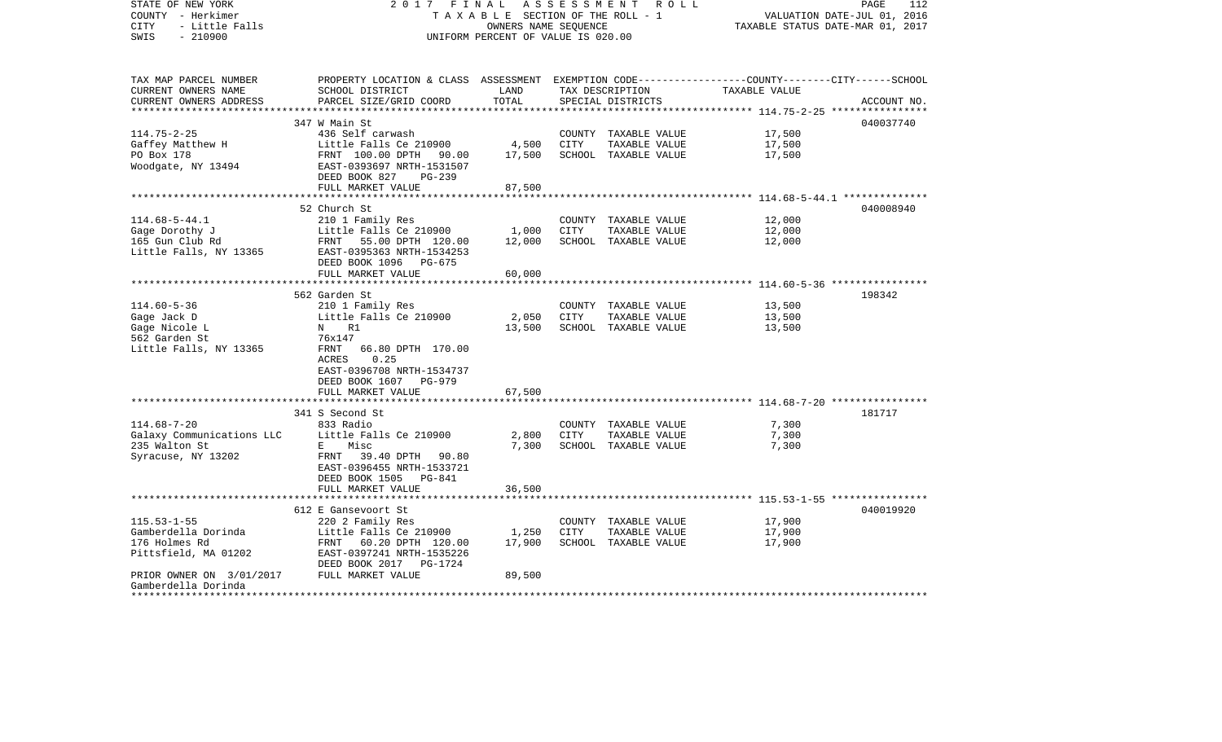| STATE OF NEW YORK<br>COUNTY - Herkimer<br><b>CITY</b><br>- Little Falls<br>SWIS<br>$-210900$ | 2017                                                                                                                                                                                                                                 | FINAL<br>A S S E S S M E N T<br>R O L L<br>TAXABLE SECTION OF THE ROLL - 1<br>OWNERS NAME SEQUENCE<br>UNIFORM PERCENT OF VALUE IS 020.00 |        |                                      |                                                        |             |  |
|----------------------------------------------------------------------------------------------|--------------------------------------------------------------------------------------------------------------------------------------------------------------------------------------------------------------------------------------|------------------------------------------------------------------------------------------------------------------------------------------|--------|--------------------------------------|--------------------------------------------------------|-------------|--|
| TAX MAP PARCEL NUMBER<br>CURRENT OWNERS NAME<br>CURRENT OWNERS ADDRESS                       | PROPERTY LOCATION & CLASS ASSESSMENT EXEMPTION CODE---------------COUNTY-------CITY------SCHOOL<br>SCHOOL DISTRICT<br>PARCEL SIZE/GRID COORD                                                                                         | LAND<br>TOTAL                                                                                                                            |        | TAX DESCRIPTION<br>SPECIAL DISTRICTS | TAXABLE VALUE                                          | ACCOUNT NO. |  |
|                                                                                              | 347 W Main St                                                                                                                                                                                                                        |                                                                                                                                          |        |                                      |                                                        | 040037740   |  |
| $114.75 - 2 - 25$                                                                            | 436 Self carwash                                                                                                                                                                                                                     |                                                                                                                                          |        | COUNTY TAXABLE VALUE                 | 17,500                                                 |             |  |
| Gaffey Matthew H                                                                             | Little Falls Ce 210900                                                                                                                                                                                                               | 4,500                                                                                                                                    | CITY   | TAXABLE VALUE                        | 17,500                                                 |             |  |
| PO Box 178<br>Woodgate, NY 13494                                                             | FRNT 100.00 DPTH 90.00<br>EAST-0393697 NRTH-1531507<br>DEED BOOK 827<br>$PG-239$                                                                                                                                                     | 17,500                                                                                                                                   |        | SCHOOL TAXABLE VALUE                 | 17,500                                                 |             |  |
|                                                                                              | FULL MARKET VALUE                                                                                                                                                                                                                    | 87,500                                                                                                                                   |        |                                      |                                                        |             |  |
|                                                                                              | 52 Church St                                                                                                                                                                                                                         |                                                                                                                                          |        |                                      |                                                        | 040008940   |  |
| $114.68 - 5 - 44.1$                                                                          | 210 1 Family Res                                                                                                                                                                                                                     |                                                                                                                                          |        | COUNTY TAXABLE VALUE                 | 12,000                                                 |             |  |
| Gage Dorothy J                                                                               | Little Falls Ce 210900                                                                                                                                                                                                               | 1,000                                                                                                                                    | CITY   | TAXABLE VALUE                        | 12,000                                                 |             |  |
| 165 Gun Club Rd                                                                              | FRNT<br>55.00 DPTH 120.00                                                                                                                                                                                                            | 12,000                                                                                                                                   |        | SCHOOL TAXABLE VALUE                 | 12,000                                                 |             |  |
| Little Falls, NY 13365                                                                       | EAST-0395363 NRTH-1534253<br>DEED BOOK 1096 PG-675                                                                                                                                                                                   |                                                                                                                                          |        |                                      |                                                        |             |  |
|                                                                                              | FULL MARKET VALUE                                                                                                                                                                                                                    | 60,000                                                                                                                                   |        |                                      | ************************ 114.60-5-36 ***************** |             |  |
|                                                                                              | 562 Garden St                                                                                                                                                                                                                        |                                                                                                                                          |        |                                      |                                                        | 198342      |  |
| $114.60 - 5 - 36$                                                                            | 210 1 Family Res                                                                                                                                                                                                                     |                                                                                                                                          |        | COUNTY TAXABLE VALUE                 | 13,500                                                 |             |  |
| Gage Jack D                                                                                  | Little Falls Ce 210900                                                                                                                                                                                                               | 2,050                                                                                                                                    | CITY   | TAXABLE VALUE                        | 13,500                                                 |             |  |
| Gage Nicole L                                                                                | N and the set of the set of the set of the set of the set of the set of the set of the set of the set of the set of the set of the set of the set of the set of the set of the set of the set of the set of the set of the set<br>R1 | 13,500                                                                                                                                   |        | SCHOOL TAXABLE VALUE                 | 13,500                                                 |             |  |
| 562 Garden St                                                                                | 76x147                                                                                                                                                                                                                               |                                                                                                                                          |        |                                      |                                                        |             |  |
| Little Falls, NY 13365                                                                       | FRNT<br>66.80 DPTH 170.00                                                                                                                                                                                                            |                                                                                                                                          |        |                                      |                                                        |             |  |
|                                                                                              | ACRES<br>0.25<br>EAST-0396708 NRTH-1534737<br>DEED BOOK 1607<br>PG-979                                                                                                                                                               |                                                                                                                                          |        |                                      |                                                        |             |  |
|                                                                                              | FULL MARKET VALUE                                                                                                                                                                                                                    | 67,500                                                                                                                                   |        |                                      |                                                        |             |  |
|                                                                                              |                                                                                                                                                                                                                                      |                                                                                                                                          |        |                                      |                                                        |             |  |
|                                                                                              | 341 S Second St                                                                                                                                                                                                                      |                                                                                                                                          |        |                                      |                                                        | 181717      |  |
| $114.68 - 7 - 20$                                                                            | 833 Radio                                                                                                                                                                                                                            |                                                                                                                                          |        | COUNTY TAXABLE VALUE                 | 7,300                                                  |             |  |
| Galaxy Communications LLC                                                                    | Little Falls Ce 210900                                                                                                                                                                                                               | 2,800                                                                                                                                    | CITY   | TAXABLE VALUE                        | 7,300                                                  |             |  |
| 235 Walton St                                                                                | E<br>Misc                                                                                                                                                                                                                            | 7,300                                                                                                                                    | SCHOOL | TAXABLE VALUE                        | 7,300                                                  |             |  |
| Syracuse, NY 13202                                                                           | FRNT<br>39.40 DPTH<br>90.80<br>EAST-0396455 NRTH-1533721<br>DEED BOOK 1505<br>PG-841                                                                                                                                                 |                                                                                                                                          |        |                                      |                                                        |             |  |
|                                                                                              | FULL MARKET VALUE                                                                                                                                                                                                                    | 36,500                                                                                                                                   |        |                                      |                                                        |             |  |
|                                                                                              |                                                                                                                                                                                                                                      |                                                                                                                                          |        |                                      |                                                        |             |  |
|                                                                                              | 612 E Gansevoort St                                                                                                                                                                                                                  |                                                                                                                                          |        |                                      |                                                        | 040019920   |  |
| $115.53 - 1 - 55$                                                                            | 220 2 Family Res                                                                                                                                                                                                                     |                                                                                                                                          |        | COUNTY TAXABLE VALUE                 | 17,900                                                 |             |  |
| Gamberdella Dorinda                                                                          | Little Falls Ce 210900                                                                                                                                                                                                               | 1,250                                                                                                                                    | CITY   | TAXABLE VALUE                        | 17,900                                                 |             |  |
| 176 Holmes Rd                                                                                | FRNT 60.20 DPTH 120.00                                                                                                                                                                                                               | 17,900                                                                                                                                   |        | SCHOOL TAXABLE VALUE                 | 17,900                                                 |             |  |
| Pittsfield, MA 01202                                                                         | EAST-0397241 NRTH-1535226                                                                                                                                                                                                            |                                                                                                                                          |        |                                      |                                                        |             |  |
|                                                                                              | DEED BOOK 2017 PG-1724                                                                                                                                                                                                               |                                                                                                                                          |        |                                      |                                                        |             |  |
| PRIOR OWNER ON 3/01/2017<br>Gamberdella Dorinda                                              | FULL MARKET VALUE                                                                                                                                                                                                                    | 89,500                                                                                                                                   |        |                                      |                                                        |             |  |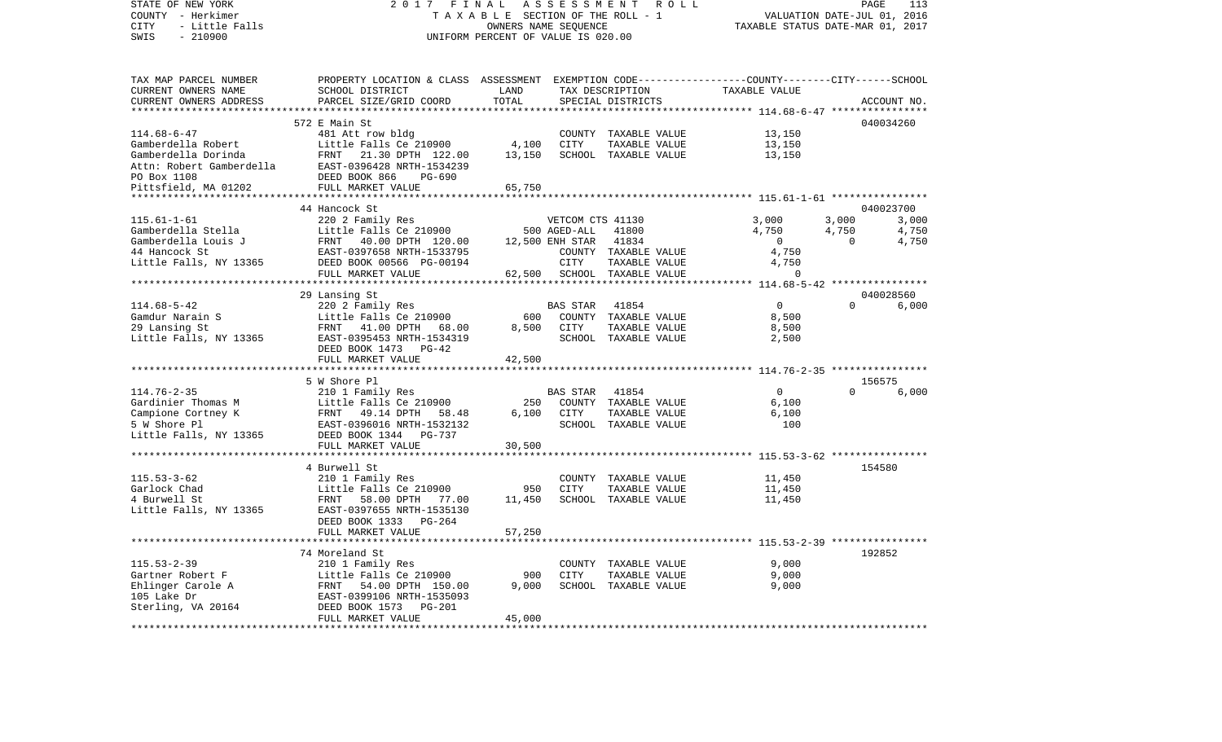STATE OF NEW YORK 2 0 1 7 F I N A L A S S E S S M E N T R O L L PAGE 113COUNTY - Herkimer **T A X A B L E** SECTION OF THE ROLL - 1 VALUATION DATE-JUL 01, 2016 CITY - Little Falls OWNERS NAME SEQUENCE TAXABLE STATUS DATE-MAR 01, 2017 SWIS - 210900 UNIFORM PERCENT OF VALUE IS 020.00TAX MAP PARCEL NUMBER PROPERTY LOCATION & CLASS ASSESSMENT EXEMPTION CODE------------------COUNTY--------CITY------SCHOOL CURRENT OWNERS NAME SCHOOL DISTRICT LAND TAX DESCRIPTION TAXABLE VALUECURRENT OWNERS ADDRESS PARCEL SIZE/GRID COORD TOTAL SPECIAL DISTRICTS ACCOUNT NO. \*\*\*\*\*\*\*\*\*\*\*\*\*\*\*\*\*\*\*\*\*\*\*\*\*\*\*\*\*\*\*\*\*\*\*\*\*\*\*\*\*\*\*\*\*\*\*\*\*\*\*\*\*\*\*\*\*\*\*\*\*\*\*\*\*\*\*\*\*\*\*\*\*\*\*\*\*\*\*\*\*\*\*\*\*\*\*\*\*\*\*\*\*\*\*\*\*\*\*\*\*\*\* 114.68-6-47 \*\*\*\*\*\*\*\*\*\*\*\*\*\*\*\* 572 E Main St 040034260114.68-6-47 481 Att row bldg COUNTY TAXABLE VALUE 13,150 Gamberdella Robert Little Falls Ce 210900 4,100 CITY TAXABLE VALUE 13,150 Gamberdella Dorinda FRNT 21.30 DPTH 122.00 13,150 SCHOOL TAXABLE VALUE 13,150 Attn: Robert Gamberdella EAST-0396428 NRTH-1534239PO Box 1108 DEED BOOK 866 PG-690Pittsfield, MA 01202 FULL MARKET VALUE 65,750 \*\*\*\*\*\*\*\*\*\*\*\*\*\*\*\*\*\*\*\*\*\*\*\*\*\*\*\*\*\*\*\*\*\*\*\*\*\*\*\*\*\*\*\*\*\*\*\*\*\*\*\*\*\*\*\*\*\*\*\*\*\*\*\*\*\*\*\*\*\*\*\*\*\*\*\*\*\*\*\*\*\*\*\*\*\*\*\*\*\*\*\*\*\*\*\*\*\*\*\*\*\*\* 115.61-1-61 \*\*\*\*\*\*\*\*\*\*\*\*\*\*\*\* 44 Hancock St 040023700115.61-1-61 220 2 Family Res VETCOM CTS 41130 3,000 3,000 3,000 Gamberdella Stella Little Falls Ce 210900 500 AGED-ALL 41800 4,750 4,750 4,750 4,750 Gamberdella Louis J FRNT 40.00 DPTH 120.00 12.500 ENH STAR 41834 0 0 0 4.750 44 Hancock St EAST-0397658 NRTH-1533795 COUNTY TAXABLE VALUE 4,750 Little Falls, NY 13365 DEED BOOK 00566 PG-00194 CITY TAXABLE VALUE 4,750 FULL MARKET VALUE  $62,500$  SCHOOL TAXABLE VALUE  $0$ \*\*\*\*\*\*\*\*\*\*\*\*\*\*\*\*\*\*\*\*\*\*\*\*\*\*\*\*\*\*\*\*\*\*\*\*\*\*\*\*\*\*\*\*\*\*\*\*\*\*\*\*\*\*\*\*\*\*\*\*\*\*\*\*\*\*\*\*\*\*\*\*\*\*\*\*\*\*\*\*\*\*\*\*\*\*\*\*\*\*\*\*\*\*\*\*\*\*\*\*\*\*\* 114.68-5-42 \*\*\*\*\*\*\*\*\*\*\*\*\*\*\*\* 29 Lansing St 040028560 114.68-5-42 220 2 Family Res BAS STAR 41854 Gamdur Narain S Little Falls Ce 210900 600 COUNTY TAXABLE VALUE 8,500 29 Lansing St FRNT 41.00 DPTH 68.00 8,500 CITY TAXABLE VALUE 8,500 Little Falls, NY 13365 EAST-0395453 NRTH-1534319 SCHOOL TAXABLE VALUE 2,500 DEED BOOK 1473 PG-42FULL MARKET VALUE 42,500 \*\*\*\*\*\*\*\*\*\*\*\*\*\*\*\*\*\*\*\*\*\*\*\*\*\*\*\*\*\*\*\*\*\*\*\*\*\*\*\*\*\*\*\*\*\*\*\*\*\*\*\*\*\*\*\*\*\*\*\*\*\*\*\*\*\*\*\*\*\*\*\*\*\*\*\*\*\*\*\*\*\*\*\*\*\*\*\*\*\*\*\*\*\*\*\*\*\*\*\*\*\*\* 114.76-2-35 \*\*\*\*\*\*\*\*\*\*\*\*\*\*\*\* 5 W Shore Pl 156575114.76-2-35 210 1 Family Res BAS STAR 41854 0 0 6,000 Gardinier Thomas M Little Falls Ce 210900 250 COUNTY TAXABLE VALUE 6,100 Campione Cortney K FRNT 49.14 DPTH 58.48 6,100 CITY TAXABLE VALUE 6,100 5 W Shore Pl EAST-0396016 NRTH-1532132 SCHOOL TAXABLE VALUE 100Little Falls, NY 13365 DEED BOOK 1344 PG-737 FULL MARKET VALUE 30,500 \*\*\*\*\*\*\*\*\*\*\*\*\*\*\*\*\*\*\*\*\*\*\*\*\*\*\*\*\*\*\*\*\*\*\*\*\*\*\*\*\*\*\*\*\*\*\*\*\*\*\*\*\*\*\*\*\*\*\*\*\*\*\*\*\*\*\*\*\*\*\*\*\*\*\*\*\*\*\*\*\*\*\*\*\*\*\*\*\*\*\*\*\*\*\*\*\*\*\*\*\*\*\* 115.53-3-62 \*\*\*\*\*\*\*\*\*\*\*\*\*\*\*\* 4 Burwell St 154580115.53-3-62 210 1 Family Res COUNTY TAXABLE VALUE 11,450 Garlock Chad Little Falls Ce 210900 950 CITY TAXABLE VALUE 11,450 4 Burwell St FRNT 58.00 DPTH 77.00 11,450 SCHOOL TAXABLE VALUE 11,450 Little Falls, NY 13365 EAST-0397655 NRTH-1535130 DEED BOOK 1333 PG-264FULL MARKET VALUE 57,250 \*\*\*\*\*\*\*\*\*\*\*\*\*\*\*\*\*\*\*\*\*\*\*\*\*\*\*\*\*\*\*\*\*\*\*\*\*\*\*\*\*\*\*\*\*\*\*\*\*\*\*\*\*\*\*\*\*\*\*\*\*\*\*\*\*\*\*\*\*\*\*\*\*\*\*\*\*\*\*\*\*\*\*\*\*\*\*\*\*\*\*\*\*\*\*\*\*\*\*\*\*\*\* 115.53-2-39 \*\*\*\*\*\*\*\*\*\*\*\*\*\*\*\* 74 Moreland St 192852115.53-2-39 210 1 Family Res COUNTY TAXABLE VALUE 9,000 Gartner Robert F **Callick** Earls Ce 210900 900 CITY TAXABLE VALUE Ehlinger Carole A FRNT 54.00 DPTH 150.00 9,000 SCHOOL TAXABLE VALUE 9,000 105 Lake Dr EAST-0399106 NRTH-1535093Sterling, VA 20164 DEED BOOK 1573 PG-201 FULL MARKET VALUE 45,000 \*\*\*\*\*\*\*\*\*\*\*\*\*\*\*\*\*\*\*\*\*\*\*\*\*\*\*\*\*\*\*\*\*\*\*\*\*\*\*\*\*\*\*\*\*\*\*\*\*\*\*\*\*\*\*\*\*\*\*\*\*\*\*\*\*\*\*\*\*\*\*\*\*\*\*\*\*\*\*\*\*\*\*\*\*\*\*\*\*\*\*\*\*\*\*\*\*\*\*\*\*\*\*\*\*\*\*\*\*\*\*\*\*\*\*\*\*\*\*\*\*\*\*\*\*\*\*\*\*\*\*\*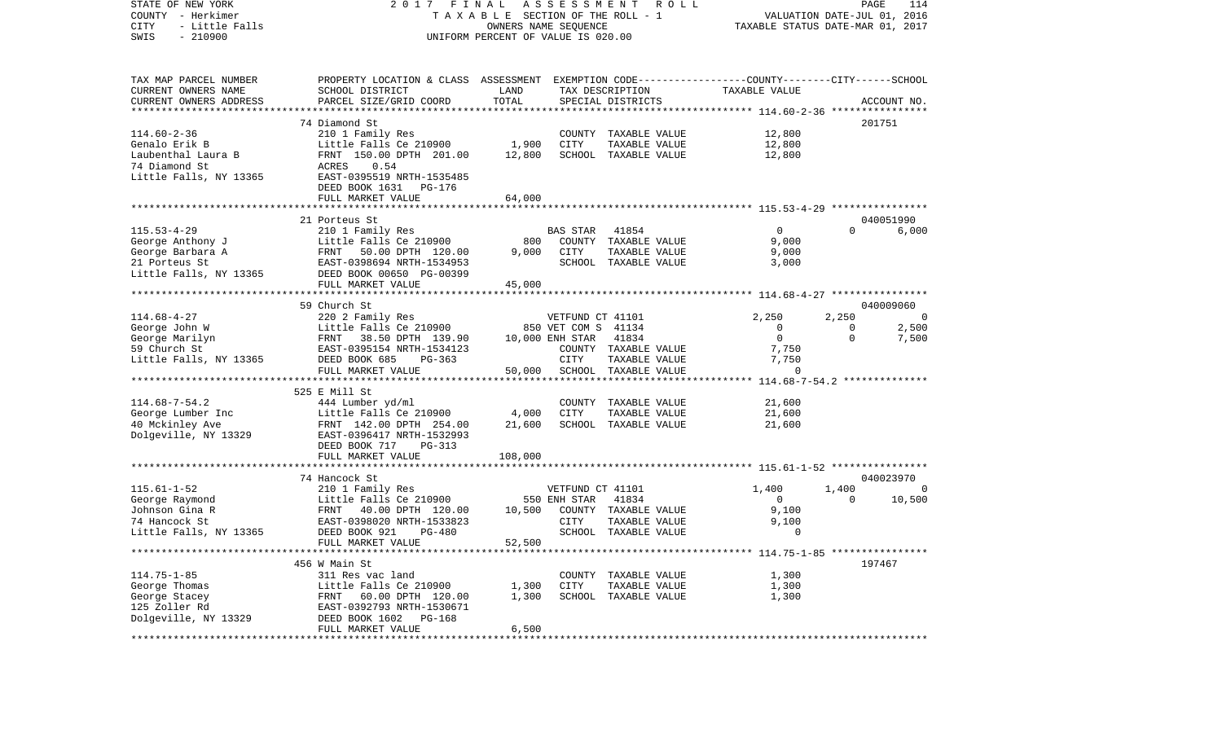| STATE OF NEW YORK<br>COUNTY - Herkimer<br>CITY<br>- Little Falls<br>$-210900$<br>SWIS | FINAL<br>2017<br>TAXABLE SECTION OF THE ROLL - 1<br>UNIFORM PERCENT OF VALUE IS 020.00          | TAXABLE STATUS DATE-MAR 01, 2017 | PAGE<br>VALUATION DATE-JUL 01, 2016           | 114                                                    |          |             |
|---------------------------------------------------------------------------------------|-------------------------------------------------------------------------------------------------|----------------------------------|-----------------------------------------------|--------------------------------------------------------|----------|-------------|
|                                                                                       |                                                                                                 |                                  |                                               |                                                        |          |             |
| TAX MAP PARCEL NUMBER                                                                 | PROPERTY LOCATION & CLASS ASSESSMENT EXEMPTION CODE---------------COUNTY-------CITY------SCHOOL |                                  |                                               |                                                        |          |             |
| CURRENT OWNERS NAME                                                                   | SCHOOL DISTRICT                                                                                 | LAND                             | TAX DESCRIPTION                               | TAXABLE VALUE                                          |          |             |
| CURRENT OWNERS ADDRESS                                                                | PARCEL SIZE/GRID COORD                                                                          | TOTAL                            | SPECIAL DISTRICTS                             |                                                        |          | ACCOUNT NO. |
| *********************                                                                 |                                                                                                 |                                  |                                               |                                                        |          |             |
|                                                                                       | 74 Diamond St                                                                                   |                                  |                                               |                                                        |          | 201751      |
| $114.60 - 2 - 36$<br>Genalo Erik B                                                    | 210 1 Family Res<br>Little Falls Ce 210900                                                      | 1,900                            | COUNTY TAXABLE VALUE<br>CITY<br>TAXABLE VALUE | 12,800<br>12,800                                       |          |             |
| Laubenthal Laura B                                                                    | FRNT 150.00 DPTH 201.00                                                                         | 12,800                           | SCHOOL TAXABLE VALUE                          | 12,800                                                 |          |             |
| 74 Diamond St                                                                         | ACRES<br>0.54                                                                                   |                                  |                                               |                                                        |          |             |
| Little Falls, NY 13365                                                                | EAST-0395519 NRTH-1535485                                                                       |                                  |                                               |                                                        |          |             |
|                                                                                       | DEED BOOK 1631<br>PG-176                                                                        |                                  |                                               |                                                        |          |             |
|                                                                                       | FULL MARKET VALUE                                                                               | 64,000                           |                                               |                                                        |          |             |
|                                                                                       |                                                                                                 |                                  |                                               |                                                        |          |             |
|                                                                                       | 21 Porteus St                                                                                   |                                  |                                               |                                                        |          | 040051990   |
| $115.53 - 4 - 29$                                                                     | 210 1 Family Res                                                                                |                                  | 41854<br>BAS STAR                             | $\mathbf{0}$                                           | $\Omega$ | 6,000       |
| George Anthony J                                                                      | Little Falls Ce 210900                                                                          | 800                              | COUNTY TAXABLE VALUE                          | 9,000                                                  |          |             |
| George Barbara A                                                                      | 50.00 DPTH 120.00<br>FRNT                                                                       | 9,000                            | CITY<br>TAXABLE VALUE                         | 9,000                                                  |          |             |
| 21 Porteus St                                                                         | EAST-0398694 NRTH-1534953                                                                       |                                  | SCHOOL TAXABLE VALUE                          | 3,000                                                  |          |             |
| Little Falls, NY 13365                                                                | DEED BOOK 00650 PG-00399                                                                        |                                  |                                               |                                                        |          |             |
|                                                                                       | FULL MARKET VALUE<br>**********************                                                     | 45,000                           |                                               | ***************** 114.68-4-27 *****************        |          |             |
|                                                                                       | 59 Church St                                                                                    |                                  |                                               |                                                        |          | 040009060   |
| $114.68 - 4 - 27$                                                                     | 220 2 Family Res                                                                                |                                  | VETFUND CT 41101                              | 2,250                                                  | 2,250    | - 0         |
| George John W                                                                         | Little Falls Ce 210900                                                                          |                                  | 850 VET COM S 41134                           | $\mathbf{0}$                                           | 0        | 2,500       |
| George Marilyn                                                                        | FRNT<br>38.50 DPTH 139.90                                                                       |                                  | 10,000 ENH STAR<br>41834                      | $\overline{0}$                                         | $\Omega$ | 7,500       |
| 59 Church St                                                                          | EAST-0395154 NRTH-1534123                                                                       |                                  | COUNTY TAXABLE VALUE                          | 7,750                                                  |          |             |
| Little Falls, NY 13365                                                                | DEED BOOK 685<br>$PG-363$                                                                       |                                  | CITY<br>TAXABLE VALUE                         | 7,750                                                  |          |             |
|                                                                                       | FULL MARKET VALUE                                                                               | 50,000                           | SCHOOL TAXABLE VALUE                          | $\Omega$                                               |          |             |
|                                                                                       |                                                                                                 |                                  |                                               | ************************* 114.68-7-54.2 ************** |          |             |
|                                                                                       | 525 E Mill St                                                                                   |                                  |                                               |                                                        |          |             |
| $114.68 - 7 - 54.2$                                                                   | 444 Lumber yd/ml                                                                                |                                  | COUNTY<br>TAXABLE VALUE                       | 21,600                                                 |          |             |
| George Lumber Inc                                                                     | Little Falls Ce 210900                                                                          | 4,000                            | <b>CITY</b><br>TAXABLE VALUE                  | 21,600                                                 |          |             |
| 40 Mckinley Ave                                                                       | FRNT 142.00 DPTH 254.00                                                                         | 21,600                           | SCHOOL TAXABLE VALUE                          | 21,600                                                 |          |             |
| Dolgeville, NY 13329                                                                  | EAST-0396417 NRTH-1532993                                                                       |                                  |                                               |                                                        |          |             |
|                                                                                       | DEED BOOK 717<br>PG-313<br>FULL MARKET VALUE                                                    | 108,000                          |                                               |                                                        |          |             |
|                                                                                       | ***********************                                                                         |                                  |                                               |                                                        |          |             |
|                                                                                       | 74 Hancock St                                                                                   |                                  |                                               |                                                        |          | 040023970   |
| $115.61 - 1 - 52$                                                                     | 210 1 Family Res                                                                                |                                  | VETFUND CT 41101                              | 1,400                                                  | 1,400    | $\Omega$    |
| George Raymond                                                                        | Little Falls Ce 210900                                                                          |                                  | 41834<br>550 ENH STAR                         | $\mathbf{0}$                                           | $\Omega$ | 10,500      |
| Johnson Gina R                                                                        | FRNT<br>40.00 DPTH 120.00                                                                       | 10,500                           | COUNTY TAXABLE VALUE                          | 9,100                                                  |          |             |
| 74 Hancock St                                                                         | EAST-0398020 NRTH-1533823                                                                       |                                  | CITY<br>TAXABLE VALUE                         | 9,100                                                  |          |             |
| Little Falls, NY 13365                                                                | DEED BOOK 921<br><b>PG-480</b>                                                                  |                                  | SCHOOL TAXABLE VALUE                          | 0                                                      |          |             |
|                                                                                       | FULL MARKET VALUE                                                                               | 52,500                           |                                               |                                                        |          |             |
|                                                                                       |                                                                                                 |                                  |                                               |                                                        |          |             |
|                                                                                       | 456 W Main St                                                                                   |                                  |                                               |                                                        |          | 197467      |
| $114.75 - 1 - 85$                                                                     | 311 Res vac land                                                                                |                                  | COUNTY TAXABLE VALUE                          | 1,300                                                  |          |             |
| George Thomas                                                                         | Little Falls Ce 210900                                                                          | 1,300                            | CITY<br>TAXABLE VALUE                         | 1,300                                                  |          |             |
| George Stacey<br>125 Zoller Rd                                                        | FRNT 60.00 DPTH 120.00<br>EAST-0392793 NRTH-1530671                                             | 1,300                            | SCHOOL TAXABLE VALUE                          | 1,300                                                  |          |             |
| Dolgeville, NY 13329                                                                  | DEED BOOK 1602 PG-168                                                                           |                                  |                                               |                                                        |          |             |
|                                                                                       | FULL MARKET VALUE                                                                               | 6,500                            |                                               |                                                        |          |             |
|                                                                                       |                                                                                                 |                                  |                                               |                                                        |          |             |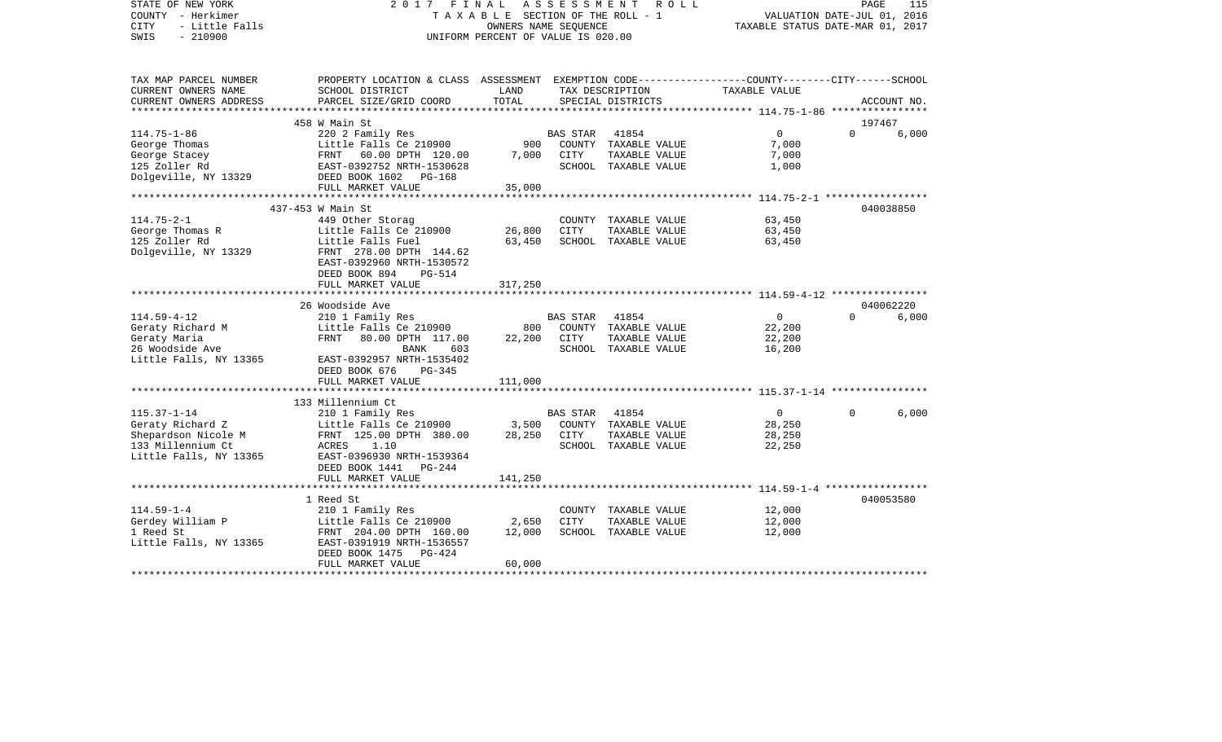| STATE OF NEW YORK<br>COUNTY - Herkimer<br>- Little Falls<br><b>CITY</b><br>$-210900$<br>SWIS | 2017 FINAL                                                                                      | TAXABLE SECTION OF THE ROLL - 1<br>OWNERS NAME SEOUENCE<br>UNIFORM PERCENT OF VALUE IS 020.00 | A S S E S S M E N T | R O L L                              | PAGE<br>115<br>VALUATION DATE-JUL 01, 2016<br>TAXABLE STATUS DATE-MAR 01, 2017 |          |             |
|----------------------------------------------------------------------------------------------|-------------------------------------------------------------------------------------------------|-----------------------------------------------------------------------------------------------|---------------------|--------------------------------------|--------------------------------------------------------------------------------|----------|-------------|
| TAX MAP PARCEL NUMBER                                                                        | PROPERTY LOCATION & CLASS ASSESSMENT EXEMPTION CODE---------------COUNTY-------CITY------SCHOOL | LAND                                                                                          |                     |                                      |                                                                                |          |             |
| CURRENT OWNERS NAME<br>CURRENT OWNERS ADDRESS                                                | SCHOOL DISTRICT<br>PARCEL SIZE/GRID COORD                                                       | TOTAL                                                                                         |                     | TAX DESCRIPTION<br>SPECIAL DISTRICTS | TAXABLE VALUE                                                                  |          | ACCOUNT NO. |
| ******************                                                                           |                                                                                                 |                                                                                               |                     |                                      | ******************** 114.75-1-86 *****************                             |          |             |
|                                                                                              | 458 W Main St                                                                                   |                                                                                               |                     |                                      |                                                                                |          | 197467      |
| $114.75 - 1 - 86$                                                                            | 220 2 Family Res                                                                                |                                                                                               | <b>BAS STAR</b>     | 41854                                | 0                                                                              | $\Omega$ | 6,000       |
| George Thomas                                                                                | Little Falls Ce 210900                                                                          | 900                                                                                           |                     | COUNTY TAXABLE VALUE                 | 7,000                                                                          |          |             |
| George Stacey                                                                                | FRNT 60.00 DPTH 120.00                                                                          | 7,000                                                                                         | CITY                | TAXABLE VALUE                        | 7,000                                                                          |          |             |
| 125 Zoller Rd                                                                                | EAST-0392752 NRTH-1530628                                                                       |                                                                                               |                     | SCHOOL TAXABLE VALUE                 | 1,000                                                                          |          |             |
| Dolgeville, NY 13329                                                                         | DEED BOOK 1602 PG-168<br>FULL MARKET VALUE                                                      | 35,000                                                                                        |                     |                                      |                                                                                |          |             |
|                                                                                              | **********************************                                                              |                                                                                               |                     |                                      |                                                                                |          |             |
|                                                                                              | 437-453 W Main St                                                                               |                                                                                               |                     |                                      |                                                                                |          | 040038850   |
| $114.75 - 2 - 1$                                                                             | 449 Other Storag                                                                                |                                                                                               |                     | COUNTY TAXABLE VALUE                 | 63,450                                                                         |          |             |
| George Thomas R                                                                              | Little Falls Ce 210900                                                                          | 26,800                                                                                        | CITY                | TAXABLE VALUE                        | 63,450                                                                         |          |             |
| 125 Zoller Rd                                                                                | Little Falls Fuel                                                                               | 63,450                                                                                        |                     | SCHOOL TAXABLE VALUE                 | 63,450                                                                         |          |             |
| Dolgeville, NY 13329                                                                         | FRNT 278.00 DPTH 144.62                                                                         |                                                                                               |                     |                                      |                                                                                |          |             |
|                                                                                              | EAST-0392960 NRTH-1530572                                                                       |                                                                                               |                     |                                      |                                                                                |          |             |
|                                                                                              | DEED BOOK 894<br><b>PG-514</b>                                                                  |                                                                                               |                     |                                      |                                                                                |          |             |
|                                                                                              | FULL MARKET VALUE<br>***********************                                                    | 317,250                                                                                       |                     |                                      | ******************************* 114.59-4-12 ****************                   |          |             |
|                                                                                              | 26 Woodside Ave                                                                                 |                                                                                               |                     |                                      |                                                                                |          | 040062220   |
| $114.59 - 4 - 12$                                                                            | 210 1 Family Res                                                                                |                                                                                               | <b>BAS STAR</b>     | 41854                                | $\overline{0}$                                                                 | $\Omega$ | 6,000       |
| Geraty Richard M                                                                             | Little Falls Ce 210900                                                                          | 800                                                                                           |                     | COUNTY TAXABLE VALUE                 | 22,200                                                                         |          |             |
| Geraty Maria                                                                                 | FRNT<br>80.00 DPTH 117.00                                                                       | 22,200                                                                                        | CITY                | TAXABLE VALUE                        | 22,200                                                                         |          |             |
| 26 Woodside Ave                                                                              | <b>BANK</b><br>603                                                                              |                                                                                               |                     | SCHOOL TAXABLE VALUE                 | 16,200                                                                         |          |             |
| Little Falls, NY 13365                                                                       | EAST-0392957 NRTH-1535402                                                                       |                                                                                               |                     |                                      |                                                                                |          |             |
|                                                                                              | DEED BOOK 676<br>PG-345                                                                         |                                                                                               |                     |                                      |                                                                                |          |             |
|                                                                                              | FULL MARKET VALUE                                                                               | 111,000                                                                                       |                     |                                      |                                                                                |          |             |
|                                                                                              | 133 Millennium Ct                                                                               |                                                                                               |                     |                                      |                                                                                |          |             |
| $115.37 - 1 - 14$                                                                            | 210 1 Family Res                                                                                |                                                                                               | <b>BAS STAR</b>     | 41854                                | $\mathbf{0}$                                                                   | $\Omega$ | 6,000       |
| Geraty Richard Z                                                                             | Little Falls Ce 210900                                                                          | 3,500                                                                                         |                     | COUNTY TAXABLE VALUE                 | 28,250                                                                         |          |             |
| Shepardson Nicole M                                                                          | FRNT 125.00 DPTH 380.00                                                                         | 28,250                                                                                        | CITY                | TAXABLE VALUE                        | 28,250                                                                         |          |             |
| 133 Millennium Ct                                                                            | ACRES<br>1.10                                                                                   |                                                                                               |                     | SCHOOL TAXABLE VALUE                 | 22,250                                                                         |          |             |
| Little Falls, NY 13365                                                                       | EAST-0396930 NRTH-1539364                                                                       |                                                                                               |                     |                                      |                                                                                |          |             |
|                                                                                              | DEED BOOK 1441 PG-244                                                                           |                                                                                               |                     |                                      |                                                                                |          |             |
|                                                                                              | FULL MARKET VALUE<br>**************************                                                 | 141,250                                                                                       |                     |                                      |                                                                                |          |             |
|                                                                                              |                                                                                                 |                                                                                               |                     |                                      | ******************************** 114.59-1-4 *****************                  |          | 040053580   |
| $114.59 - 1 - 4$                                                                             | 1 Reed St<br>210 1 Family Res                                                                   |                                                                                               |                     | COUNTY TAXABLE VALUE                 | 12,000                                                                         |          |             |
| Gerdey William P                                                                             | Little Falls Ce 210900                                                                          | 2,650                                                                                         | <b>CITY</b>         | TAXABLE VALUE                        | 12,000                                                                         |          |             |
| 1 Reed St                                                                                    | FRNT 204.00 DPTH 160.00                                                                         | 12,000                                                                                        |                     | SCHOOL TAXABLE VALUE                 | 12,000                                                                         |          |             |
| Little Falls, NY 13365                                                                       | EAST-0391919 NRTH-1536557                                                                       |                                                                                               |                     |                                      |                                                                                |          |             |
|                                                                                              | DEED BOOK 1475<br>PG-424                                                                        |                                                                                               |                     |                                      |                                                                                |          |             |
|                                                                                              | FULL MARKET VALUE                                                                               | 60,000                                                                                        |                     |                                      |                                                                                |          |             |
|                                                                                              |                                                                                                 |                                                                                               |                     |                                      |                                                                                |          |             |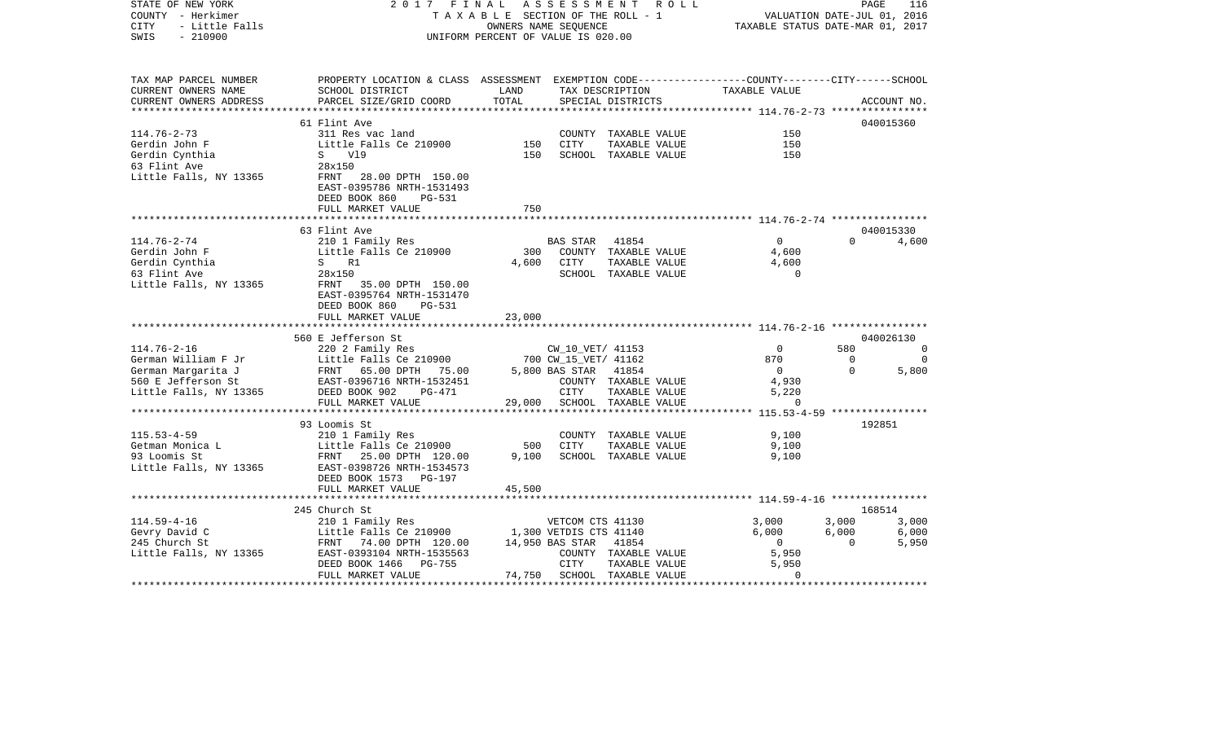| STATE OF NEW YORK<br>COUNTY - Herkimer<br>CITY<br>- Little Falls<br>$-210900$<br>SWIS          | 2017 FINAL                                                                                                                                   |               | A S S E S S M E N T<br>TAXABLE SECTION OF THE ROLL - 1<br>OWNERS NAME SEQUENCE<br>UNIFORM PERCENT OF VALUE IS 020.00 | R O L L                                                       | VALUATION DATE-JUL 01, 2016<br>TAXABLE STATUS DATE-MAR 01, 2017 | PAGE           | 116             |
|------------------------------------------------------------------------------------------------|----------------------------------------------------------------------------------------------------------------------------------------------|---------------|----------------------------------------------------------------------------------------------------------------------|---------------------------------------------------------------|-----------------------------------------------------------------|----------------|-----------------|
| TAX MAP PARCEL NUMBER<br>CURRENT OWNERS NAME<br>CURRENT OWNERS ADDRESS                         | PROPERTY LOCATION & CLASS ASSESSMENT EXEMPTION CODE---------------COUNTY-------CITY------SCHOOL<br>SCHOOL DISTRICT<br>PARCEL SIZE/GRID COORD | LAND<br>TOTAL | TAX DESCRIPTION<br>SPECIAL DISTRICTS                                                                                 |                                                               | TAXABLE VALUE                                                   |                | ACCOUNT NO.     |
| **********************                                                                         |                                                                                                                                              |               |                                                                                                                      |                                                               |                                                                 |                |                 |
|                                                                                                | 61 Flint Ave                                                                                                                                 |               |                                                                                                                      |                                                               |                                                                 |                | 040015360       |
| $114.76 - 2 - 73$<br>Gerdin John F<br>Gerdin Cynthia<br>63 Flint Ave<br>Little Falls, NY 13365 | 311 Res vac land<br>Little Falls Ce 210900<br>S V19<br>28x150<br>FRNT 28.00 DPTH 150.00<br>EAST-0395786 NRTH-1531493                         | 150<br>150    | CITY                                                                                                                 | COUNTY TAXABLE VALUE<br>TAXABLE VALUE<br>SCHOOL TAXABLE VALUE | 150<br>150<br>150                                               |                |                 |
|                                                                                                | DEED BOOK 860<br>PG-531<br>FULL MARKET VALUE                                                                                                 | 750           |                                                                                                                      |                                                               |                                                                 |                |                 |
|                                                                                                |                                                                                                                                              |               |                                                                                                                      |                                                               |                                                                 |                |                 |
|                                                                                                | 63 Flint Ave                                                                                                                                 |               |                                                                                                                      |                                                               |                                                                 |                | 040015330       |
| 114.76-2-74                                                                                    | 210 1 Family Res                                                                                                                             |               | BAS STAR 41854                                                                                                       |                                                               | $\overline{0}$                                                  | $\Omega$       | 4,600           |
| Gerdin John F                                                                                  | Little Falls Ce 210900                                                                                                                       |               |                                                                                                                      | 300 COUNTY TAXABLE VALUE                                      | 4,600                                                           |                |                 |
| Gerdin Cynthia                                                                                 | S<br>R1                                                                                                                                      |               | 4,600 CITY                                                                                                           | TAXABLE VALUE                                                 | 4,600                                                           |                |                 |
| 63 Flint Ave<br>Little Falls, NY 13365                                                         | 28x150<br>FRNT 35.00 DPTH 150.00                                                                                                             |               |                                                                                                                      | SCHOOL TAXABLE VALUE                                          | $\overline{0}$                                                  |                |                 |
|                                                                                                | EAST-0395764 NRTH-1531470<br>DEED BOOK 860<br><b>PG-531</b><br>FULL MARKET VALUE                                                             | 23,000        |                                                                                                                      |                                                               |                                                                 |                |                 |
|                                                                                                |                                                                                                                                              |               |                                                                                                                      |                                                               |                                                                 |                |                 |
|                                                                                                | 560 E Jefferson St                                                                                                                           |               |                                                                                                                      |                                                               |                                                                 |                | 040026130       |
| $114.76 - 2 - 16$                                                                              | 220 2 Family Res                                                                                                                             |               | CW_10_VET/ 41153                                                                                                     |                                                               | $\overline{0}$                                                  | 580            | $\Omega$        |
| German William F Jr                                                                            | Little Falls Ce 210900                                                                                                                       |               | 700 CW_15_VET/ 41162                                                                                                 |                                                               | 870                                                             | $\overline{0}$ | $\Omega$        |
| German Margarita J                                                                             | FRNT 65.00 DPTH 75.00                                                                                                                        |               | 5,800 BAS STAR 41854                                                                                                 |                                                               | $\overline{0}$                                                  | $\mathbf 0$    | 5,800           |
| 560 E Jefferson St                                                                             | EAST-0396716 NRTH-1532451                                                                                                                    |               |                                                                                                                      | COUNTY TAXABLE VALUE                                          | 4,930                                                           |                |                 |
| Little Falls, NY 13365                                                                         | DEED BOOK 902<br>PG-471<br>FULL MARKET VALUE                                                                                                 | 29,000        | CITY                                                                                                                 | TAXABLE VALUE<br>SCHOOL TAXABLE VALUE                         | 5,220<br>$\Omega$                                               |                |                 |
|                                                                                                | **************************                                                                                                                   |               |                                                                                                                      |                                                               |                                                                 |                |                 |
|                                                                                                | 93 Loomis St                                                                                                                                 |               |                                                                                                                      |                                                               |                                                                 |                | 192851          |
| $115.53 - 4 - 59$                                                                              | 210 1 Family Res                                                                                                                             |               |                                                                                                                      | COUNTY TAXABLE VALUE                                          | 9,100                                                           |                |                 |
|                                                                                                | Little Falls Ce 210900                                                                                                                       | 500           | CITY                                                                                                                 | TAXABLE VALUE                                                 | 9,100                                                           |                |                 |
| Getman Monica L<br>93 Loomis St                                                                | FRNT 25.00 DPTH 120.00                                                                                                                       | 9,100         |                                                                                                                      | SCHOOL TAXABLE VALUE                                          | 9,100                                                           |                |                 |
| Little Falls, NY 13365                                                                         | EAST-0398726 NRTH-1534573                                                                                                                    |               |                                                                                                                      |                                                               |                                                                 |                |                 |
|                                                                                                | DEED BOOK 1573 PG-197                                                                                                                        |               |                                                                                                                      |                                                               |                                                                 |                |                 |
|                                                                                                | FULL MARKET VALUE                                                                                                                            | 45,500        |                                                                                                                      |                                                               |                                                                 |                |                 |
|                                                                                                |                                                                                                                                              |               |                                                                                                                      |                                                               |                                                                 |                |                 |
| $114.59 - 4 - 16$                                                                              | 245 Church St<br>210 1 Family Res                                                                                                            |               | VETCOM CTS 41130                                                                                                     |                                                               | 3,000                                                           | 3,000          | 168514<br>3,000 |
| Gevry David C                                                                                  | Little Falls Ce 210900                                                                                                                       |               | 1,300 VETDIS CTS 41140                                                                                               |                                                               | 6,000                                                           | 6,000          | 6,000           |
| 245 Church St                                                                                  | FRNT 74.00 DPTH 120.00                                                                                                                       |               | 14,950 BAS STAR                                                                                                      | 41854                                                         | $\overline{0}$                                                  | $\overline{0}$ | 5,950           |
| Little Falls, NY 13365                                                                         | EAST-0393104 NRTH-1535563                                                                                                                    |               |                                                                                                                      | COUNTY TAXABLE VALUE                                          | 5,950                                                           |                |                 |
|                                                                                                | DEED BOOK 1466 PG-755                                                                                                                        |               | <b>CITY</b>                                                                                                          | TAXABLE VALUE                                                 | 5,950                                                           |                |                 |
|                                                                                                | FULL MARKET VALUE                                                                                                                            | 74,750        |                                                                                                                      | SCHOOL TAXABLE VALUE                                          | $\Omega$                                                        |                |                 |
|                                                                                                |                                                                                                                                              |               |                                                                                                                      |                                                               |                                                                 |                |                 |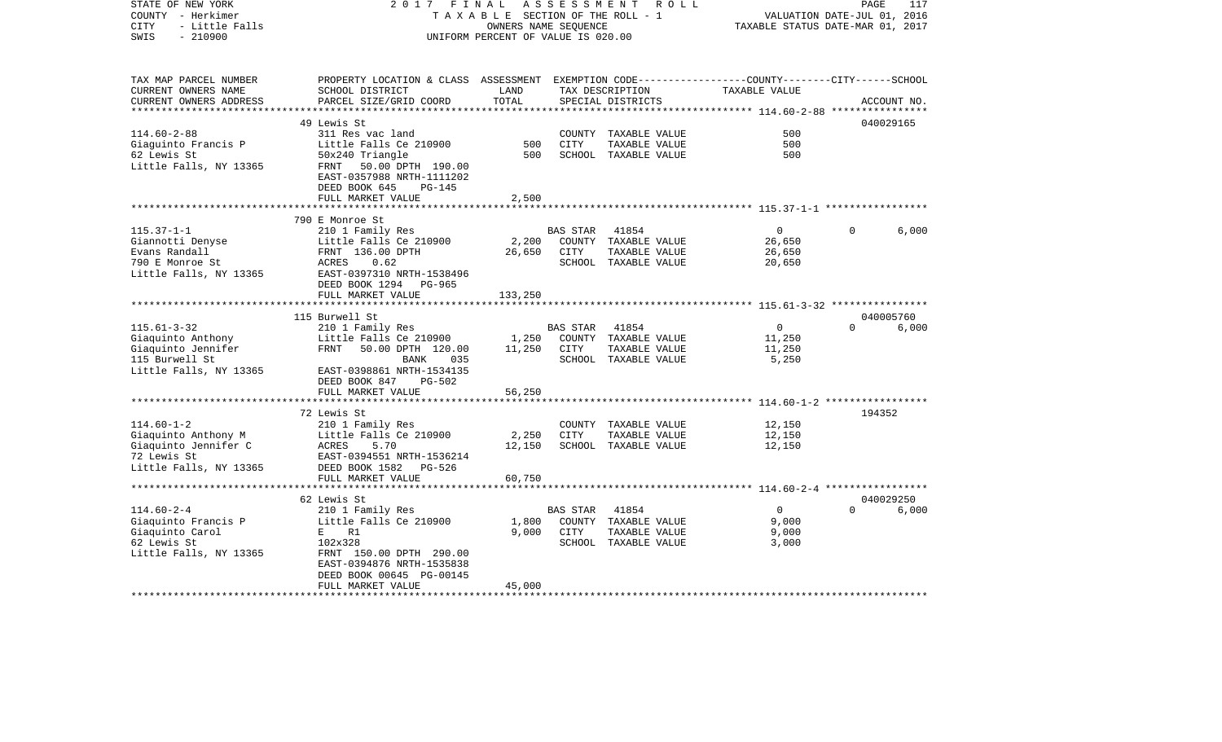| STATE OF NEW YORK<br>COUNTY - Herkimer<br>- Little Falls<br><b>CITY</b><br>$-210900$<br>SWIS | 2017 FINAL                                                                                                                                    | TAXABLE SECTION OF THE ROLL - 1<br>OWNERS NAME SEQUENCE<br>UNIFORM PERCENT OF VALUE IS 020.00 | A S S E S S M E N T | R O L L                               | TAXABLE STATUS DATE-MAR 01, 2017                | PAGE<br>VALUATION DATE-JUL 01, 2016 | 117         |
|----------------------------------------------------------------------------------------------|-----------------------------------------------------------------------------------------------------------------------------------------------|-----------------------------------------------------------------------------------------------|---------------------|---------------------------------------|-------------------------------------------------|-------------------------------------|-------------|
| TAX MAP PARCEL NUMBER<br>CURRENT OWNERS NAME<br>CURRENT OWNERS ADDRESS                       | PROPERTY LOCATION & CLASS ASSESSMENT EXEMPTION CODE----------------COUNTY-------CITY------SCHOOL<br>SCHOOL DISTRICT<br>PARCEL SIZE/GRID COORD | LAND<br>TOTAL                                                                                 |                     | TAX DESCRIPTION<br>SPECIAL DISTRICTS  | TAXABLE VALUE                                   |                                     | ACCOUNT NO. |
|                                                                                              | 49 Lewis St                                                                                                                                   |                                                                                               |                     |                                       |                                                 |                                     | 040029165   |
| $114.60 - 2 - 88$                                                                            | 311 Res vac land                                                                                                                              |                                                                                               |                     | COUNTY TAXABLE VALUE                  | 500                                             |                                     |             |
| Giaguinto Francis P                                                                          | Little Falls Ce 210900                                                                                                                        | 500                                                                                           | CITY                | TAXABLE VALUE                         | 500                                             |                                     |             |
| 62 Lewis St<br>Little Falls, NY 13365                                                        | 50x240 Triangle<br>FRNT 50.00 DPTH 190.00<br>EAST-0357988 NRTH-1111202<br>DEED BOOK 645<br>$PG-145$                                           | 500                                                                                           |                     | SCHOOL TAXABLE VALUE                  | 500                                             |                                     |             |
|                                                                                              | FULL MARKET VALUE                                                                                                                             | 2,500                                                                                         |                     |                                       |                                                 |                                     |             |
|                                                                                              |                                                                                                                                               |                                                                                               |                     |                                       |                                                 |                                     |             |
|                                                                                              | 790 E Monroe St                                                                                                                               |                                                                                               |                     |                                       |                                                 | $\Omega$                            |             |
| $115.37 - 1 - 1$                                                                             | 210 1 Family Res<br>Little Falls Ce 210900                                                                                                    | 2,200                                                                                         | BAS STAR            | 41854<br>COUNTY TAXABLE VALUE         | $\overline{0}$<br>26,650                        |                                     | 6,000       |
| Giannotti Denyse<br>Evans Randall                                                            | FRNT 136.00 DPTH                                                                                                                              | 26,650                                                                                        | CITY                | TAXABLE VALUE                         | 26,650                                          |                                     |             |
| 790 E Monroe St                                                                              | ACRES<br>0.62                                                                                                                                 |                                                                                               |                     | SCHOOL TAXABLE VALUE                  | 20,650                                          |                                     |             |
| Little Falls, NY 13365                                                                       | EAST-0397310 NRTH-1538496                                                                                                                     |                                                                                               |                     |                                       |                                                 |                                     |             |
|                                                                                              | DEED BOOK 1294 PG-965                                                                                                                         |                                                                                               |                     |                                       |                                                 |                                     |             |
|                                                                                              | FULL MARKET VALUE                                                                                                                             | 133,250                                                                                       |                     |                                       |                                                 |                                     |             |
|                                                                                              |                                                                                                                                               |                                                                                               |                     |                                       |                                                 |                                     |             |
|                                                                                              | 115 Burwell St                                                                                                                                |                                                                                               |                     |                                       |                                                 |                                     | 040005760   |
| $115.61 - 3 - 32$                                                                            | 210 1 Family Res                                                                                                                              |                                                                                               | BAS STAR            | 41854                                 | $\overline{0}$                                  | $\Omega$                            | 6,000       |
| Giaquinto Anthony                                                                            | Little Falls Ce 210900                                                                                                                        | 1,250                                                                                         |                     | COUNTY TAXABLE VALUE                  | 11,250                                          |                                     |             |
| Giaquinto Jennifer                                                                           | FRNT<br>50.00 DPTH 120.00                                                                                                                     | 11,250                                                                                        | CITY                | TAXABLE VALUE                         | 11,250                                          |                                     |             |
| 115 Burwell St                                                                               | BANK<br>035                                                                                                                                   |                                                                                               |                     | SCHOOL TAXABLE VALUE                  | 5,250                                           |                                     |             |
| Little Falls, NY 13365                                                                       | EAST-0398861 NRTH-1534135                                                                                                                     |                                                                                               |                     |                                       |                                                 |                                     |             |
|                                                                                              | DEED BOOK 847<br><b>PG-502</b><br>FULL MARKET VALUE                                                                                           | 56,250                                                                                        |                     |                                       |                                                 |                                     |             |
|                                                                                              | **************                                                                                                                                |                                                                                               |                     |                                       | ***************** 114.60-1-2 ****************** |                                     |             |
|                                                                                              | 72 Lewis St                                                                                                                                   |                                                                                               |                     |                                       |                                                 | 194352                              |             |
| $114.60 - 1 - 2$                                                                             | 210 1 Family Res                                                                                                                              |                                                                                               |                     | COUNTY TAXABLE VALUE                  | 12,150                                          |                                     |             |
| Giaquinto Anthony M                                                                          | Little Falls Ce 210900                                                                                                                        | 2,250                                                                                         | <b>CITY</b>         | TAXABLE VALUE                         | 12,150                                          |                                     |             |
| Giaquinto Jennifer C                                                                         | ACRES<br>5.70                                                                                                                                 | 12,150                                                                                        |                     | SCHOOL TAXABLE VALUE                  | 12,150                                          |                                     |             |
| 72 Lewis St                                                                                  | EAST-0394551 NRTH-1536214                                                                                                                     |                                                                                               |                     |                                       |                                                 |                                     |             |
| Little Falls, NY 13365                                                                       | DEED BOOK 1582 PG-526                                                                                                                         |                                                                                               |                     |                                       |                                                 |                                     |             |
|                                                                                              | FULL MARKET VALUE                                                                                                                             | 60,750                                                                                        |                     |                                       |                                                 |                                     |             |
|                                                                                              |                                                                                                                                               |                                                                                               |                     |                                       |                                                 |                                     |             |
|                                                                                              | 62 Lewis St                                                                                                                                   |                                                                                               |                     |                                       |                                                 |                                     | 040029250   |
| $114.60 - 2 - 4$                                                                             | 210 1 Family Res                                                                                                                              |                                                                                               | BAS STAR            | 41854                                 | $\overline{0}$                                  | $\Omega$                            | 6,000       |
| Giaquinto Francis P                                                                          | Little Falls Ce 210900<br>R1<br>E                                                                                                             | 1,800<br>9.000                                                                                | CITY                | COUNTY TAXABLE VALUE                  | 9,000                                           |                                     |             |
| Giaquinto Carol<br>62 Lewis St                                                               | 102x328                                                                                                                                       |                                                                                               |                     | TAXABLE VALUE<br>SCHOOL TAXABLE VALUE | 9,000<br>3,000                                  |                                     |             |
| Little Falls, NY 13365                                                                       | FRNT 150.00 DPTH 290.00                                                                                                                       |                                                                                               |                     |                                       |                                                 |                                     |             |
|                                                                                              | EAST-0394876 NRTH-1535838                                                                                                                     |                                                                                               |                     |                                       |                                                 |                                     |             |
|                                                                                              | DEED BOOK 00645 PG-00145                                                                                                                      |                                                                                               |                     |                                       |                                                 |                                     |             |
|                                                                                              | FULL MARKET VALUE                                                                                                                             | 45,000                                                                                        |                     |                                       |                                                 |                                     |             |
|                                                                                              |                                                                                                                                               |                                                                                               |                     |                                       |                                                 |                                     |             |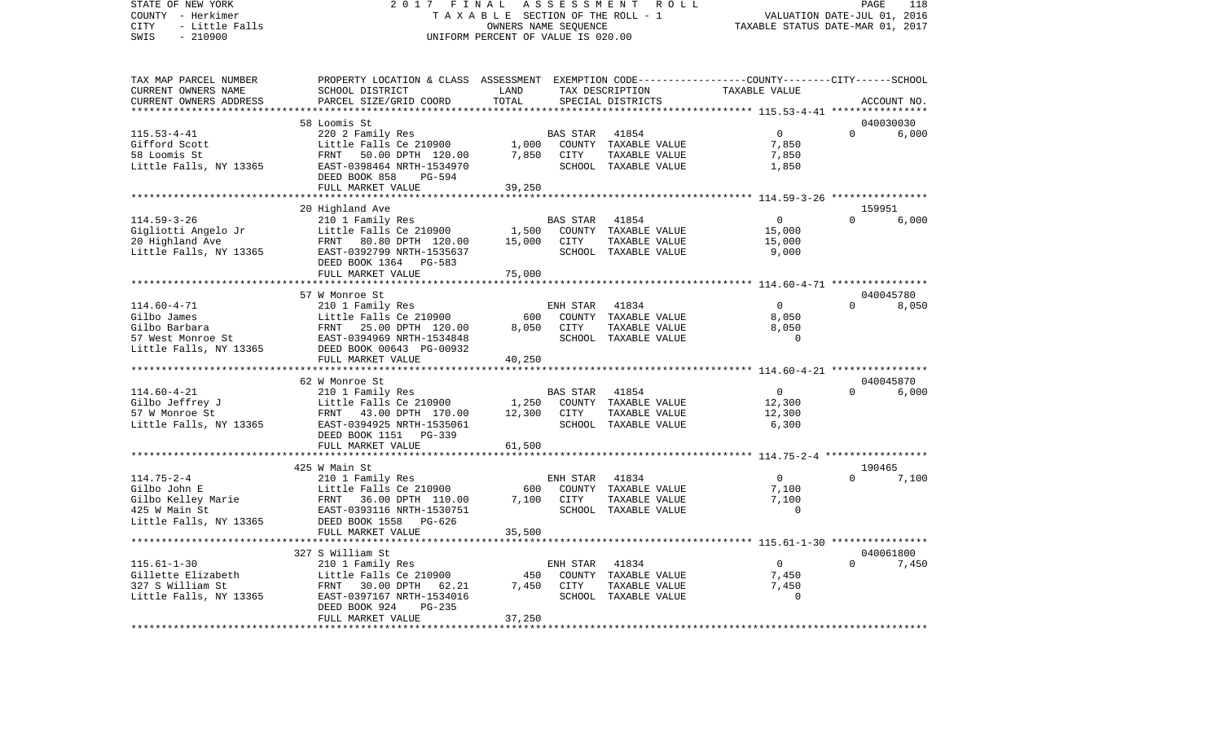STATE OF NEW YORK 2 0 1 7 F I N A L A S S E S S M E N T R O L L PAGE 118COUNTY - Herkimer **T A X A B L E** SECTION OF THE ROLL - 1 VALUATION DATE-JUL 01, 2016 CITY - Little Falls OWNERS NAME SEQUENCE TAXABLE STATUS DATE-MAR 01, 2017 SWIS - 210900 UNIFORM PERCENT OF VALUE IS 020.00TAX MAP PARCEL NUMBER PROPERTY LOCATION & CLASS ASSESSMENT EXEMPTION CODE------------------COUNTY--------CITY------SCHOOL CURRENT OWNERS NAME SCHOOL DISTRICT LAND TAX DESCRIPTION TAXABLE VALUECURRENT OWNERS ADDRESS PARCEL SIZE/GRID COORD TOTAL SPECIAL DISTRICTS ACCOUNT NO. \*\*\*\*\*\*\*\*\*\*\*\*\*\*\*\*\*\*\*\*\*\*\*\*\*\*\*\*\*\*\*\*\*\*\*\*\*\*\*\*\*\*\*\*\*\*\*\*\*\*\*\*\*\*\*\*\*\*\*\*\*\*\*\*\*\*\*\*\*\*\*\*\*\*\*\*\*\*\*\*\*\*\*\*\*\*\*\*\*\*\*\*\*\*\*\*\*\*\*\*\*\*\* 115.53-4-41 \*\*\*\*\*\*\*\*\*\*\*\*\*\*\*\* 58 Loomis St 040030030115.53-4-41 220 2 Family Res BAS STAR 41854 0 0 6,000 Gifford Scott Little Falls Ce 210900 1,000 COUNTY TAXABLE VALUE 7,850 58 Loomis St FRNT 50.00 DPTH 120.00 7,850 CITY TAXABLE VALUE 7,850 Little Falls, NY 13365 688 EAST-0398464 NRTH-1534970 68 SCHOOL TAXABLE VALUE 1,850 DEED BOOK 858 PG-594 FULL MARKET VALUE 39,250 \*\*\*\*\*\*\*\*\*\*\*\*\*\*\*\*\*\*\*\*\*\*\*\*\*\*\*\*\*\*\*\*\*\*\*\*\*\*\*\*\*\*\*\*\*\*\*\*\*\*\*\*\*\*\*\*\*\*\*\*\*\*\*\*\*\*\*\*\*\*\*\*\*\*\*\*\*\*\*\*\*\*\*\*\*\*\*\*\*\*\*\*\*\*\*\*\*\*\*\*\*\*\* 114.59-3-26 \*\*\*\*\*\*\*\*\*\*\*\*\*\*\*\* 20 Highland Ave 159951 114.59-3-26 210 1 Family Res BAS STAR 41854 0 0 6,000 Gigliotti Angelo Jr Little Falls Ce 210900 1,500 COUNTY TAXABLE VALUE 15,000 20 Highland Ave FRNT 80.80 DPTH 120.00 15,000 CITY TAXABLE VALUE 15,000 Little Falls, NY 13365 EAST-0392799 NRTH-1535637 SCHOOL TAXABLE VALUE 9,000 DEED BOOK 1364 PG-583FULL MARKET VALUE 75,000 \*\*\*\*\*\*\*\*\*\*\*\*\*\*\*\*\*\*\*\*\*\*\*\*\*\*\*\*\*\*\*\*\*\*\*\*\*\*\*\*\*\*\*\*\*\*\*\*\*\*\*\*\*\*\*\*\*\*\*\*\*\*\*\*\*\*\*\*\*\*\*\*\*\*\*\*\*\*\*\*\*\*\*\*\*\*\*\*\*\*\*\*\*\*\*\*\*\*\*\*\*\*\* 114.60-4-71 \*\*\*\*\*\*\*\*\*\*\*\*\*\*\*\* 57 W Monroe St 0400457808.050 114.60-4-71 210 1 Family Res ENH STAR 41834 0 0 0 Gilbo James Little Falls Ce 210900 600 COUNTY TAXABLE VALUE 8,050 Gilbo Barbara FRNT 25.00 DPTH 120.00 8,050 CITY TAXABLE VALUE 8,050 57 West Monroe St EAST-0394969 NRTH-1534848 SCHOOL TAXABLE VALUE 0Little Falls, NY 13365 DEED BOOK 00643 PG-00932 FULL MARKET VALUE 40,250 \*\*\*\*\*\*\*\*\*\*\*\*\*\*\*\*\*\*\*\*\*\*\*\*\*\*\*\*\*\*\*\*\*\*\*\*\*\*\*\*\*\*\*\*\*\*\*\*\*\*\*\*\*\*\*\*\*\*\*\*\*\*\*\*\*\*\*\*\*\*\*\*\*\*\*\*\*\*\*\*\*\*\*\*\*\*\*\*\*\*\*\*\*\*\*\*\*\*\*\*\*\*\* 114.60-4-21 \*\*\*\*\*\*\*\*\*\*\*\*\*\*\*\* 62 W Monroe St 040045870114.60-4-21 210 1 Family Res BAS STAR 41854 0 0 6,000 Gilbo Jeffrey J Little Falls Ce 210900 1,250 COUNTY TAXABLE VALUE 12,300 57 W Monroe St FRNT 43.00 DPTH 170.00 12,300 CITY TAXABLE VALUE 12,300 Little Falls, NY 13365 EAST-0394925 NRTH-1535061 SCHOOL TAXABLE VALUE 6,300 DEED BOOK 1151 PG-339FULL MARKET VALUE 61,500 \*\*\*\*\*\*\*\*\*\*\*\*\*\*\*\*\*\*\*\*\*\*\*\*\*\*\*\*\*\*\*\*\*\*\*\*\*\*\*\*\*\*\*\*\*\*\*\*\*\*\*\*\*\*\*\*\*\*\*\*\*\*\*\*\*\*\*\*\*\*\*\*\*\*\*\*\*\*\*\*\*\*\*\*\*\*\*\*\*\*\*\*\*\*\*\*\*\*\*\*\*\*\* 114.75-2-4 \*\*\*\*\*\*\*\*\*\*\*\*\*\*\*\*\* 425 W Main St 190465114.75-2-4 210 1 Family Res ENH STAR 41834 0 0 7,100 Gilbo John E Little Falls Ce 210900 600 COUNTY TAXABLE VALUE 7,100 Gilbo Kelley Marie FRNT 36.00 DPTH 110.00 7,100 CITY TAXABLE VALUE 7,100 EAST-0393116 NRTH-1530751 Little Falls, NY 13365 DEED BOOK 1558 PG-626 FULL MARKET VALUE 35,500 \*\*\*\*\*\*\*\*\*\*\*\*\*\*\*\*\*\*\*\*\*\*\*\*\*\*\*\*\*\*\*\*\*\*\*\*\*\*\*\*\*\*\*\*\*\*\*\*\*\*\*\*\*\*\*\*\*\*\*\*\*\*\*\*\*\*\*\*\*\*\*\*\*\*\*\*\*\*\*\*\*\*\*\*\*\*\*\*\*\*\*\*\*\*\*\*\*\*\*\*\*\*\* 115.61-1-30 \*\*\*\*\*\*\*\*\*\*\*\*\*\*\*\* 327 S William St 040061800115.61-1-30 210 1 Family Res ENH STAR 41834 0 0 7,450 Gillette Elizabeth Little Falls Ce 210900 450 COUNTY TAXABLE VALUE 7,450 327 S William St FRNT 30.00 DPTH 62.21 7,450 CITY TAXABLE VALUE 7,450 Little Falls, NY 13365 BAST-0397167 NRTH-1534016 SCHOOL TAXABLE VALUE 0 DEED BOOK 924 PG-235 FULL MARKET VALUE 37,250 \*\*\*\*\*\*\*\*\*\*\*\*\*\*\*\*\*\*\*\*\*\*\*\*\*\*\*\*\*\*\*\*\*\*\*\*\*\*\*\*\*\*\*\*\*\*\*\*\*\*\*\*\*\*\*\*\*\*\*\*\*\*\*\*\*\*\*\*\*\*\*\*\*\*\*\*\*\*\*\*\*\*\*\*\*\*\*\*\*\*\*\*\*\*\*\*\*\*\*\*\*\*\*\*\*\*\*\*\*\*\*\*\*\*\*\*\*\*\*\*\*\*\*\*\*\*\*\*\*\*\*\*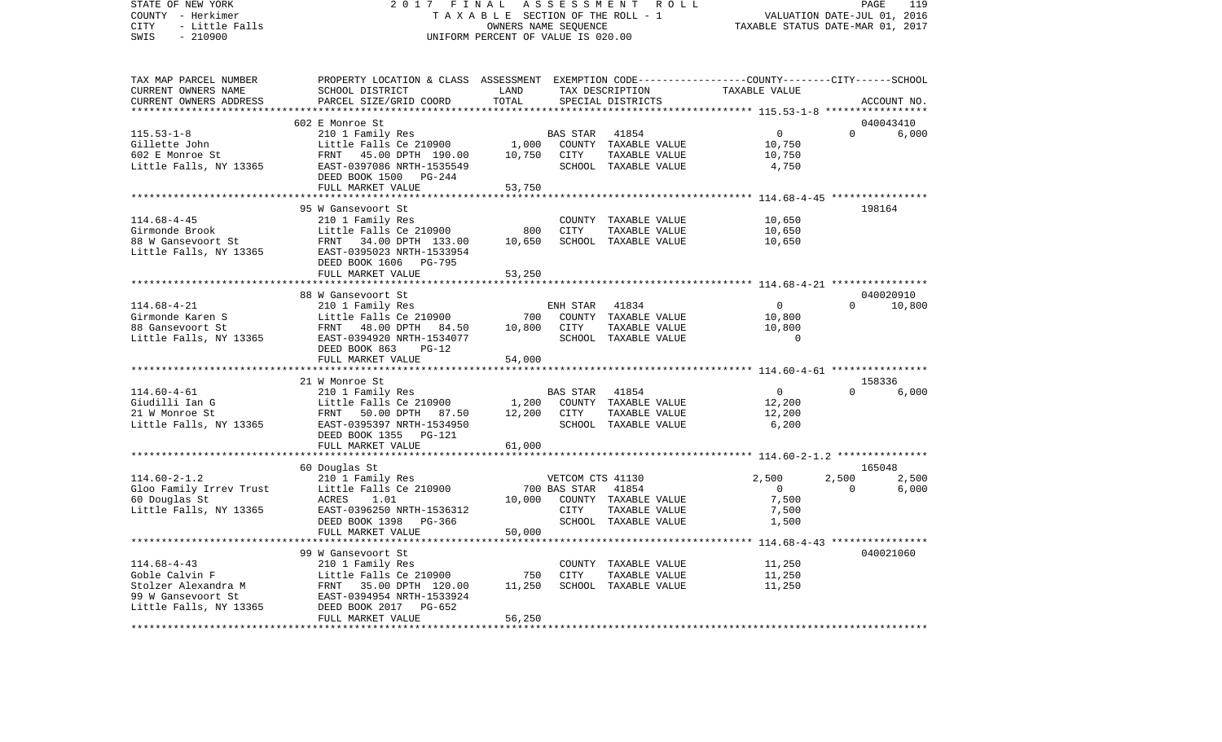| COUNTY<br>– Herkimer          | T A X A B L E SECTION OF THE ROLL - 1                                                           | VALUATION DATE-JUL 01, 2016        |                  |                                  |                                                             |          |             |
|-------------------------------|-------------------------------------------------------------------------------------------------|------------------------------------|------------------|----------------------------------|-------------------------------------------------------------|----------|-------------|
| <b>CITY</b><br>- Little Falls |                                                                                                 | OWNERS NAME SEQUENCE               |                  | TAXABLE STATUS DATE-MAR 01, 2017 |                                                             |          |             |
| SWIS<br>$-210900$             |                                                                                                 | UNIFORM PERCENT OF VALUE IS 020.00 |                  |                                  |                                                             |          |             |
|                               |                                                                                                 |                                    |                  |                                  |                                                             |          |             |
|                               |                                                                                                 |                                    |                  |                                  |                                                             |          |             |
|                               |                                                                                                 |                                    |                  |                                  |                                                             |          |             |
| TAX MAP PARCEL NUMBER         | PROPERTY LOCATION & CLASS ASSESSMENT EXEMPTION CODE---------------COUNTY-------CITY------SCHOOL |                                    |                  |                                  |                                                             |          |             |
| CURRENT OWNERS NAME           | SCHOOL DISTRICT                                                                                 | LAND                               |                  | TAX DESCRIPTION                  | TAXABLE VALUE                                               |          |             |
| CURRENT OWNERS ADDRESS        | PARCEL SIZE/GRID COORD                                                                          | TOTAL                              |                  | SPECIAL DISTRICTS                |                                                             |          | ACCOUNT NO. |
| ***********************       |                                                                                                 |                                    |                  |                                  |                                                             |          |             |
|                               |                                                                                                 |                                    |                  |                                  |                                                             |          |             |
|                               | 602 E Monroe St                                                                                 |                                    |                  |                                  |                                                             |          | 040043410   |
| $115.53 - 1 - 8$              | 210 1 Family Res                                                                                |                                    | BAS STAR         | 41854                            | $\overline{0}$                                              | $\Omega$ | 6,000       |
| Gillette John                 | Little Falls Ce 210900                                                                          | 1,000                              |                  | COUNTY TAXABLE VALUE             | 10,750                                                      |          |             |
| 602 E Monroe St               | FRNT 45.00 DPTH 190.00                                                                          | 10,750                             | CITY             | TAXABLE VALUE                    | 10,750                                                      |          |             |
| Little Falls, NY 13365        | EAST-0397086 NRTH-1535549                                                                       |                                    |                  | SCHOOL TAXABLE VALUE             | 4,750                                                       |          |             |
|                               | DEED BOOK 1500 PG-244                                                                           |                                    |                  |                                  |                                                             |          |             |
|                               | FULL MARKET VALUE                                                                               | 53,750                             |                  |                                  |                                                             |          |             |
|                               | *******************                                                                             |                                    |                  |                                  |                                                             |          |             |
|                               |                                                                                                 |                                    |                  |                                  |                                                             |          |             |
|                               | 95 W Gansevoort St                                                                              |                                    |                  |                                  |                                                             |          | 198164      |
| $114.68 - 4 - 45$             | 210 1 Family Res                                                                                |                                    |                  | COUNTY TAXABLE VALUE             | 10,650                                                      |          |             |
| Girmonde Brook                | Little Falls Ce 210900                                                                          | 800                                | CITY             | TAXABLE VALUE                    | 10,650                                                      |          |             |
| 88 W Gansevoort St            | FRNT 34.00 DPTH 133.00                                                                          | 10,650                             |                  | SCHOOL TAXABLE VALUE             | 10,650                                                      |          |             |
| Little Falls, NY 13365        | EAST-0395023 NRTH-1533954                                                                       |                                    |                  |                                  |                                                             |          |             |
|                               | DEED BOOK 1606 PG-795                                                                           |                                    |                  |                                  |                                                             |          |             |
|                               | FULL MARKET VALUE                                                                               | 53,250                             |                  |                                  |                                                             |          |             |
|                               | **********************                                                                          | ***********                        |                  |                                  | ****************************** 114.68-4-21 **************** |          |             |
|                               |                                                                                                 |                                    |                  |                                  |                                                             |          |             |
|                               | 88 W Gansevoort St                                                                              |                                    |                  |                                  |                                                             |          | 040020910   |
| $114.68 - 4 - 21$             | 210 1 Family Res                                                                                |                                    | ENH STAR         | 41834                            | $\mathbf{0}$                                                | $\Omega$ | 10,800      |
| Girmonde Karen S              | Little Falls Ce 210900                                                                          | 700                                |                  | COUNTY TAXABLE VALUE             | 10,800                                                      |          |             |
| 88 Gansevoort St              | FRNT 48.00 DPTH<br>84.50                                                                        | 10,800                             | CITY             | TAXABLE VALUE                    | 10,800                                                      |          |             |
| Little Falls, NY 13365        | EAST-0394920 NRTH-1534077                                                                       |                                    |                  | SCHOOL TAXABLE VALUE             | $\mathbf 0$                                                 |          |             |
|                               | DEED BOOK 863<br>$PG-12$                                                                        |                                    |                  |                                  |                                                             |          |             |
|                               | FULL MARKET VALUE                                                                               | 54,000                             |                  |                                  |                                                             |          |             |
|                               | **********************                                                                          | ***********                        |                  |                                  | ********************** 114.60-4-61 *****************        |          |             |
|                               | 21 W Monroe St                                                                                  |                                    |                  |                                  |                                                             |          | 158336      |
|                               |                                                                                                 |                                    |                  |                                  |                                                             | $\Omega$ |             |
| $114.60 - 4 - 61$             | 210 1 Family Res                                                                                |                                    | <b>BAS STAR</b>  | 41854                            | $\overline{0}$                                              |          | 6,000       |
| Giudilli Ian G                | Little Falls Ce 210900                                                                          | 1,200                              |                  | COUNTY TAXABLE VALUE             | 12,200                                                      |          |             |
| 21 W Monroe St                | FRNT 50.00 DPTH 87.50                                                                           | 12,200                             | CITY             | TAXABLE VALUE                    | 12,200                                                      |          |             |
| Little Falls, NY 13365        | EAST-0395397 NRTH-1534950                                                                       |                                    |                  | SCHOOL TAXABLE VALUE             | 6,200                                                       |          |             |
|                               | DEED BOOK 1355 PG-121                                                                           |                                    |                  |                                  |                                                             |          |             |
|                               | FULL MARKET VALUE                                                                               | 61,000                             |                  |                                  |                                                             |          |             |
|                               | ***********************                                                                         |                                    |                  |                                  |                                                             |          |             |
|                               | 60 Douglas St                                                                                   |                                    |                  |                                  |                                                             |          | 165048      |
| $114.60 - 2 - 1.2$            | 210 1 Family Res                                                                                |                                    | VETCOM CTS 41130 |                                  | 2,500                                                       | 2,500    | 2,500       |
|                               |                                                                                                 |                                    |                  | 41854                            | $\overline{0}$                                              | $\Omega$ |             |
| Gloo Family Irrev Trust       | Little Falls Ce 210900                                                                          |                                    | 700 BAS STAR     |                                  |                                                             |          | 6,000       |
| 60 Douglas St                 | ACRES<br>1.01                                                                                   | 10,000                             |                  | COUNTY TAXABLE VALUE             | 7,500                                                       |          |             |
| Little Falls, NY 13365        | EAST-0396250 NRTH-1536312                                                                       |                                    | CITY             | TAXABLE VALUE                    | 7,500                                                       |          |             |
|                               | DEED BOOK 1398 PG-366                                                                           |                                    |                  | SCHOOL TAXABLE VALUE             | 1,500                                                       |          |             |
|                               | FULL MARKET VALUE                                                                               | 50,000                             |                  |                                  |                                                             |          |             |
|                               | ***********************                                                                         | ***************                    |                  |                                  |                                                             |          |             |
|                               | 99 W Gansevoort St                                                                              |                                    |                  |                                  |                                                             |          | 040021060   |
| $114.68 - 4 - 43$             | 210 1 Family Res                                                                                |                                    |                  | COUNTY TAXABLE VALUE             | 11,250                                                      |          |             |
| Goble Calvin F                | Little Falls Ce 210900                                                                          | 750                                | CITY             | TAXABLE VALUE                    | 11,250                                                      |          |             |
|                               |                                                                                                 | 11,250                             |                  |                                  |                                                             |          |             |
| Stolzer Alexandra M           | FRNT 35.00 DPTH 120.00                                                                          |                                    |                  | SCHOOL TAXABLE VALUE             | 11,250                                                      |          |             |
| 99 W Gansevoort St            | EAST-0394954 NRTH-1533924                                                                       |                                    |                  |                                  |                                                             |          |             |
| Little Falls, NY 13365        | DEED BOOK 2017<br>PG-652                                                                        |                                    |                  |                                  |                                                             |          |             |
|                               | FULL MARKET VALUE                                                                               | 56,250                             |                  |                                  |                                                             |          |             |
|                               | ******************                                                                              | *******                            |                  |                                  |                                                             |          |             |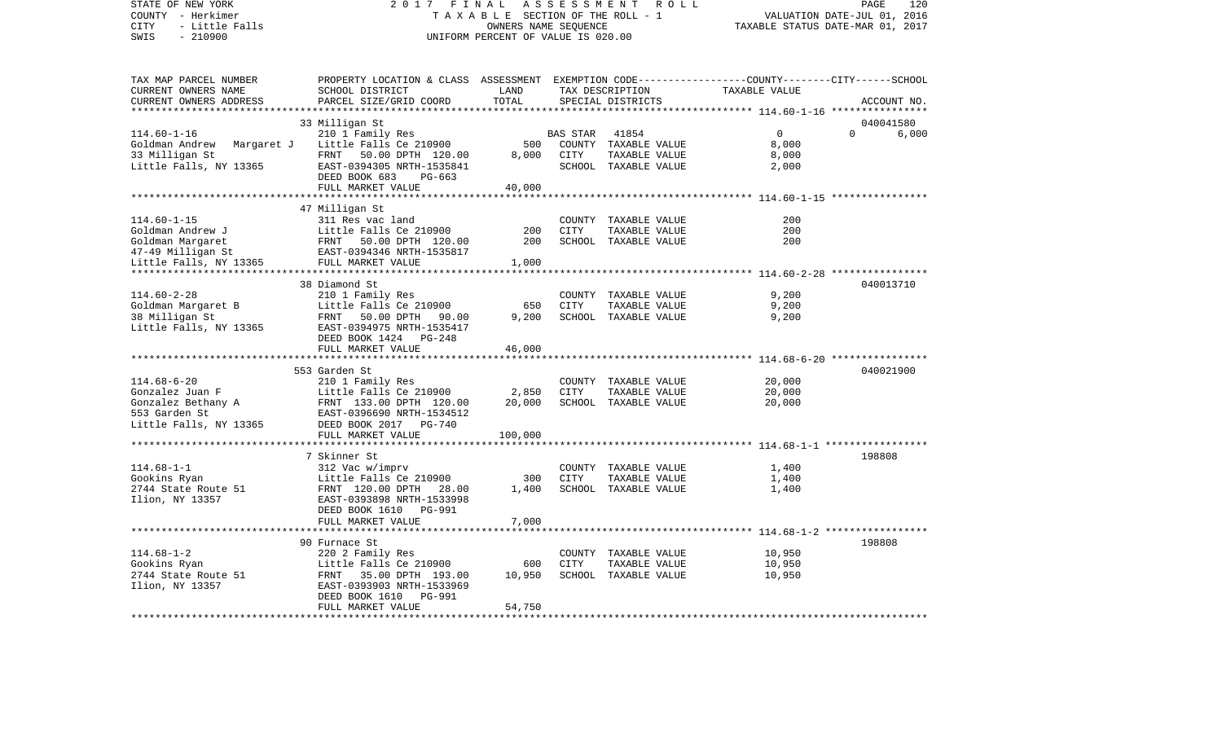VALUATION DATE-JUL 01, 2016 COUNTY - Herkimer T A X A B L E SECTION OF THE ROLL - 1 CITY - Little Falls OWNERS NAME SEQUENCE TAXABLE STATUS DATE-MAR 01, 2017 SWIS - 210900 UNIFORM PERCENT OF VALUE IS 020.00TAX MAP PARCEL NUMBER PROPERTY LOCATION & CLASS ASSESSMENT EXEMPTION CODE------------------COUNTY--------CITY------SCHOOL CURRENT OWNERS NAME SCHOOL DISTRICT LAND TAX DESCRIPTION TAXABLE VALUECURRENT OWNERS ADDRESS PARCEL SIZE/GRID COORD TOTAL SPECIAL DISTRICTS ACCOUNT NO. \*\*\*\*\*\*\*\*\*\*\*\*\*\*\*\*\*\*\*\*\*\*\*\*\*\*\*\*\*\*\*\*\*\*\*\*\*\*\*\*\*\*\*\*\*\*\*\*\*\*\*\*\*\*\*\*\*\*\*\*\*\*\*\*\*\*\*\*\*\*\*\*\*\*\*\*\*\*\*\*\*\*\*\*\*\*\*\*\*\*\*\*\*\*\*\*\*\*\*\*\*\*\* 114.60-1-16 \*\*\*\*\*\*\*\*\*\*\*\*\*\*\*\* 33 Milligan St 040041580 114.60-1-16 210 1 Family Res BAS STAR 41854 0 0 6,000 Goldman Andrew Margaret J Little Falls Ce 210900 500 COUNTY TAXABLE VALUE 8,000 33 Milligan St FRNT 50.00 DPTH 120.00 8,000 CITY TAXABLE VALUE 8,000 Little Falls, NY 13365 EAST-0394305 NRTH-1535841 SCHOOL TAXABLE VALUE 2,000 DEED BOOK 683 PG-663FULL MARKET VALUE 40,000 \*\*\*\*\*\*\*\*\*\*\*\*\*\*\*\*\*\*\*\*\*\*\*\*\*\*\*\*\*\*\*\*\*\*\*\*\*\*\*\*\*\*\*\*\*\*\*\*\*\*\*\*\*\*\*\*\*\*\*\*\*\*\*\*\*\*\*\*\*\*\*\*\*\*\*\*\*\*\*\*\*\*\*\*\*\*\*\*\*\*\*\*\*\*\*\*\*\*\*\*\*\*\* 114.60-1-15 \*\*\*\*\*\*\*\*\*\*\*\*\*\*\*\* 47 Milligan St 114.60-1-15 311 Res vac land COUNTY TAXABLE VALUE 200200 Goldman Andrew J Little Falls Ce 210900 200 CITY TAXABLE VALUE 200 $200$ Goldman Margaret **FRNT** 50.00 DPTH 120.00 200 SCHOOL TAXABLE VALUE 47-49 Milligan St EAST-0394346 NRTH-1535817 Little Falls, NY 13365 FULL MARKET VALUE 1,000 \*\*\*\*\*\*\*\*\*\*\*\*\*\*\*\*\*\*\*\*\*\*\*\*\*\*\*\*\*\*\*\*\*\*\*\*\*\*\*\*\*\*\*\*\*\*\*\*\*\*\*\*\*\*\*\*\*\*\*\*\*\*\*\*\*\*\*\*\*\*\*\*\*\*\*\*\*\*\*\*\*\*\*\*\*\*\*\*\*\*\*\*\*\*\*\*\*\*\*\*\*\*\* 114.60-2-28 \*\*\*\*\*\*\*\*\*\*\*\*\*\*\*\* 38 Diamond St 040013710114.60-2-28 210 1 Family Res COUNTY TAXABLE VALUE 9,200 Goldman Margaret B Goldman Margaret B Little Falls Ce 210900 650 CITY TAXABLE VALUE 38 Milligan St FRNT 50.00 DPTH 90.00 9,200 SCHOOL TAXABLE VALUE 9,200 Little Falls, NY 13365 EAST-0394975 NRTH-1535417 DEED BOOK 1424 PG-248FULL MARKET VALUE 46,000 \*\*\*\*\*\*\*\*\*\*\*\*\*\*\*\*\*\*\*\*\*\*\*\*\*\*\*\*\*\*\*\*\*\*\*\*\*\*\*\*\*\*\*\*\*\*\*\*\*\*\*\*\*\*\*\*\*\*\*\*\*\*\*\*\*\*\*\*\*\*\*\*\*\*\*\*\*\*\*\*\*\*\*\*\*\*\*\*\*\*\*\*\*\*\*\*\*\*\*\*\*\*\* 114.68-6-20 \*\*\*\*\*\*\*\*\*\*\*\*\*\*\*\* 553 Garden St 040021900114.68-6-20 210 1 Family Res COUNTY TAXABLE VALUE 20,000 Gonzalez Juan F Little Falls Ce 210900 2,850 CITY TAXABLE VALUE 20,000 Gonzalez Bethany A 6000 DPTH 120000 20000 SCHOOL TAXABLE VALUE 20,000 553 Garden St EAST-0396690 NRTH-1534512 Little Falls, NY 13365 DEED BOOK 2017 PG-740 FULL MARKET VALUE 100,000 \*\*\*\*\*\*\*\*\*\*\*\*\*\*\*\*\*\*\*\*\*\*\*\*\*\*\*\*\*\*\*\*\*\*\*\*\*\*\*\*\*\*\*\*\*\*\*\*\*\*\*\*\*\*\*\*\*\*\*\*\*\*\*\*\*\*\*\*\*\*\*\*\*\*\*\*\*\*\*\*\*\*\*\*\*\*\*\*\*\*\*\*\*\*\*\*\*\*\*\*\*\*\* 114.68-1-1 \*\*\*\*\*\*\*\*\*\*\*\*\*\*\*\*\* 7 Skinner St 198808114.68-1-1 312 Vac w/imprv COUNTY TAXABLE VALUE 1,400 Gookins Ryan and The Falls Ce 210900 300 CITY TAXABLE VALUE 1,400 2744 State Route 51 FRNT 120.00 DPTH 28.00 1,400 SCHOOL TAXABLE VALUE 1,400 Ilion, NY 13357 EAST-0393898 NRTH-1533998 DEED BOOK 1610 PG-991 FULL MARKET VALUE 7,000 \*\*\*\*\*\*\*\*\*\*\*\*\*\*\*\*\*\*\*\*\*\*\*\*\*\*\*\*\*\*\*\*\*\*\*\*\*\*\*\*\*\*\*\*\*\*\*\*\*\*\*\*\*\*\*\*\*\*\*\*\*\*\*\*\*\*\*\*\*\*\*\*\*\*\*\*\*\*\*\*\*\*\*\*\*\*\*\*\*\*\*\*\*\*\*\*\*\*\*\*\*\*\* 114.68-1-2 \*\*\*\*\*\*\*\*\*\*\*\*\*\*\*\*\* 90 Furnace St 198808114.68-1-2 220 2 Family Res COUNTY TAXABLE VALUE 10,950 Gookins Ryan Little Falls Ce 210900 600 CITY TAXABLE VALUE 10,950 2744 State Route 51 FRNT 35.00 DPTH 193.00 10,950 SCHOOL TAXABLE VALUE 10,950 Ilion, NY 13357 EAST-0393903 NRTH-1533969 DEED BOOK 1610 PG-991FULL MARKET VALUE 54,750 \*\*\*\*\*\*\*\*\*\*\*\*\*\*\*\*\*\*\*\*\*\*\*\*\*\*\*\*\*\*\*\*\*\*\*\*\*\*\*\*\*\*\*\*\*\*\*\*\*\*\*\*\*\*\*\*\*\*\*\*\*\*\*\*\*\*\*\*\*\*\*\*\*\*\*\*\*\*\*\*\*\*\*\*\*\*\*\*\*\*\*\*\*\*\*\*\*\*\*\*\*\*\*\*\*\*\*\*\*\*\*\*\*\*\*\*\*\*\*\*\*\*\*\*\*\*\*\*\*\*\*\*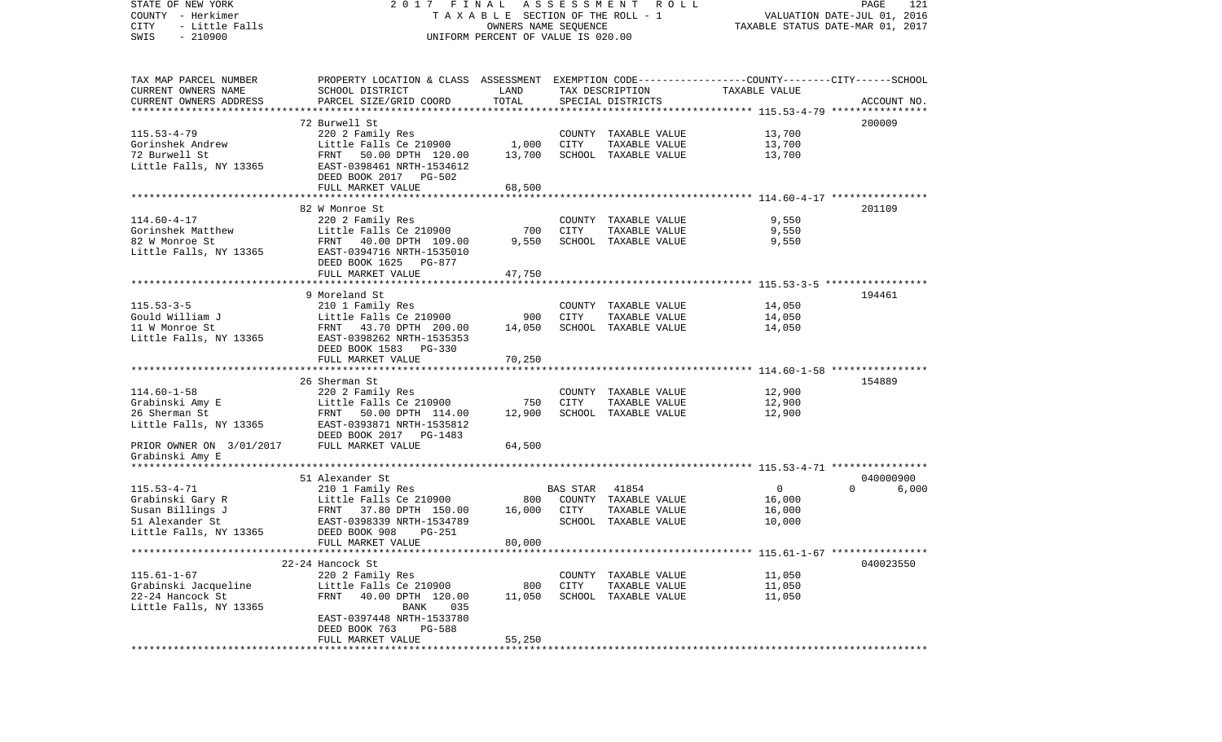| STATE OF NEW YORK<br>COUNTY - Herkimer | 2017 FINAL<br>TAXABLE SECTION OF THE ROLL - 1                                                   | A S S E S S M E N T R O L L<br>121<br>PAGE<br>VALUATION DATE-JUL 01, 2016 |                 |                                       |                  |                   |
|----------------------------------------|-------------------------------------------------------------------------------------------------|---------------------------------------------------------------------------|-----------------|---------------------------------------|------------------|-------------------|
| CITY<br>- Little Falls                 |                                                                                                 | TAXABLE STATUS DATE-MAR 01, 2017                                          |                 |                                       |                  |                   |
| $-210900$<br>SWIS                      |                                                                                                 | UNIFORM PERCENT OF VALUE IS 020.00                                        |                 |                                       |                  |                   |
| TAX MAP PARCEL NUMBER                  | PROPERTY LOCATION & CLASS ASSESSMENT EXEMPTION CODE---------------COUNTY-------CITY------SCHOOL |                                                                           |                 |                                       |                  |                   |
| CURRENT OWNERS NAME                    | SCHOOL DISTRICT                                                                                 | LAND                                                                      |                 | TAX DESCRIPTION                       | TAXABLE VALUE    |                   |
| CURRENT OWNERS ADDRESS                 | PARCEL SIZE/GRID COORD                                                                          | TOTAL                                                                     |                 | SPECIAL DISTRICTS                     |                  | ACCOUNT NO.       |
|                                        | 72 Burwell St                                                                                   |                                                                           |                 |                                       |                  | 200009            |
| $115.53 - 4 - 79$                      | 220 2 Family Res                                                                                |                                                                           |                 | COUNTY TAXABLE VALUE                  | 13,700           |                   |
| Gorinshek Andrew                       | Little Falls Ce 210900                                                                          | 1,000                                                                     | CITY            | TAXABLE VALUE                         | 13,700           |                   |
| 72 Burwell St                          | FRNT<br>50.00 DPTH 120.00                                                                       | 13,700                                                                    |                 | SCHOOL TAXABLE VALUE                  | 13,700           |                   |
| Little Falls, NY 13365                 | EAST-0398461 NRTH-1534612                                                                       |                                                                           |                 |                                       |                  |                   |
|                                        | DEED BOOK 2017 PG-502                                                                           |                                                                           |                 |                                       |                  |                   |
|                                        | FULL MARKET VALUE                                                                               | 68,500                                                                    |                 |                                       |                  |                   |
|                                        |                                                                                                 |                                                                           |                 |                                       |                  |                   |
|                                        | 82 W Monroe St                                                                                  |                                                                           |                 |                                       |                  | 201109            |
| $114.60 - 4 - 17$                      | 220 2 Family Res                                                                                |                                                                           |                 | COUNTY TAXABLE VALUE                  | 9,550            |                   |
| Gorinshek Matthew                      | Little Falls Ce 210900                                                                          | 700                                                                       | CITY            | TAXABLE VALUE                         | 9,550            |                   |
| 82 W Monroe St                         | FRNT 40.00 DPTH 109.00                                                                          | 9,550                                                                     |                 | SCHOOL TAXABLE VALUE                  | 9,550            |                   |
| Little Falls, NY 13365                 | EAST-0394716 NRTH-1535010                                                                       |                                                                           |                 |                                       |                  |                   |
|                                        | DEED BOOK 1625<br>PG-877<br>FULL MARKET VALUE                                                   | 47,750                                                                    |                 |                                       |                  |                   |
|                                        |                                                                                                 |                                                                           |                 |                                       |                  |                   |
|                                        | 9 Moreland St                                                                                   |                                                                           |                 |                                       |                  | 194461            |
| $115.53 - 3 - 5$                       | 210 1 Family Res                                                                                |                                                                           |                 | COUNTY TAXABLE VALUE                  | 14,050           |                   |
| Gould William J                        | Little Falls Ce 210900                                                                          | 900                                                                       | CITY            | TAXABLE VALUE                         | 14,050           |                   |
| 11 W Monroe St                         | FRNT 43.70 DPTH 200.00                                                                          | 14,050                                                                    |                 | SCHOOL TAXABLE VALUE                  | 14,050           |                   |
| Little Falls, NY 13365                 | EAST-0398262 NRTH-1535353                                                                       |                                                                           |                 |                                       |                  |                   |
|                                        | DEED BOOK 1583 PG-330                                                                           |                                                                           |                 |                                       |                  |                   |
|                                        | FULL MARKET VALUE                                                                               | 70,250                                                                    |                 |                                       |                  |                   |
|                                        |                                                                                                 |                                                                           |                 |                                       |                  |                   |
|                                        | 26 Sherman St                                                                                   |                                                                           |                 |                                       |                  | 154889            |
| $114.60 - 1 - 58$                      | 220 2 Family Res<br>Little Falls Ce 210900                                                      |                                                                           | <b>CITY</b>     | COUNTY TAXABLE VALUE                  | 12,900<br>12,900 |                   |
| Grabinski Amy E<br>26 Sherman St       | 50.00 DPTH 114.00<br>FRNT                                                                       | 750<br>12,900                                                             |                 | TAXABLE VALUE<br>SCHOOL TAXABLE VALUE | 12,900           |                   |
| Little Falls, NY 13365                 | EAST-0393871 NRTH-1535812                                                                       |                                                                           |                 |                                       |                  |                   |
|                                        | DEED BOOK 2017 PG-1483                                                                          |                                                                           |                 |                                       |                  |                   |
| PRIOR OWNER ON 3/01/2017               | FULL MARKET VALUE                                                                               | 64,500                                                                    |                 |                                       |                  |                   |
| Grabinski Amy E                        |                                                                                                 |                                                                           |                 |                                       |                  |                   |
|                                        |                                                                                                 |                                                                           |                 |                                       |                  |                   |
|                                        | 51 Alexander St                                                                                 |                                                                           |                 |                                       |                  | 040000900         |
| $115.53 - 4 - 71$                      | 210 1 Family Res                                                                                |                                                                           | <b>BAS STAR</b> | 41854                                 | $\overline{0}$   | $\Omega$<br>6,000 |
| Grabinski Gary R                       | Little Falls Ce 210900                                                                          | 800                                                                       |                 | COUNTY TAXABLE VALUE                  | 16,000           |                   |
| Susan Billings J                       | FRNT 37.80 DPTH 150.00                                                                          | 16,000                                                                    | CITY            | TAXABLE VALUE                         | 16,000           |                   |
| 51 Alexander St                        | EAST-0398339 NRTH-1534789                                                                       |                                                                           |                 | SCHOOL TAXABLE VALUE                  | 10,000           |                   |
| Little Falls, NY 13365                 | DEED BOOK 908<br><b>PG-251</b>                                                                  |                                                                           |                 |                                       |                  |                   |
|                                        | FULL MARKET VALUE                                                                               | 80,000                                                                    |                 |                                       |                  |                   |
|                                        | 22-24 Hancock St                                                                                |                                                                           |                 |                                       |                  | 040023550         |
| $115.61 - 1 - 67$                      | 220 2 Family Res                                                                                |                                                                           |                 | COUNTY TAXABLE VALUE                  | 11,050           |                   |
| Grabinski Jacqueline                   | Little Falls Ce 210900                                                                          | 800                                                                       | CITY            | TAXABLE VALUE                         | 11,050           |                   |
| 22-24 Hancock St                       | 40.00 DPTH 120.00<br>FRNT                                                                       | 11,050                                                                    |                 | SCHOOL TAXABLE VALUE                  | 11,050           |                   |
| Little Falls, NY 13365                 | BANK<br>035                                                                                     |                                                                           |                 |                                       |                  |                   |
|                                        | EAST-0397448 NRTH-1533780                                                                       |                                                                           |                 |                                       |                  |                   |
|                                        | DEED BOOK 763<br>PG-588                                                                         |                                                                           |                 |                                       |                  |                   |
|                                        | FULL MARKET VALUE                                                                               | 55,250                                                                    |                 |                                       |                  |                   |
| **********                             |                                                                                                 |                                                                           |                 |                                       |                  |                   |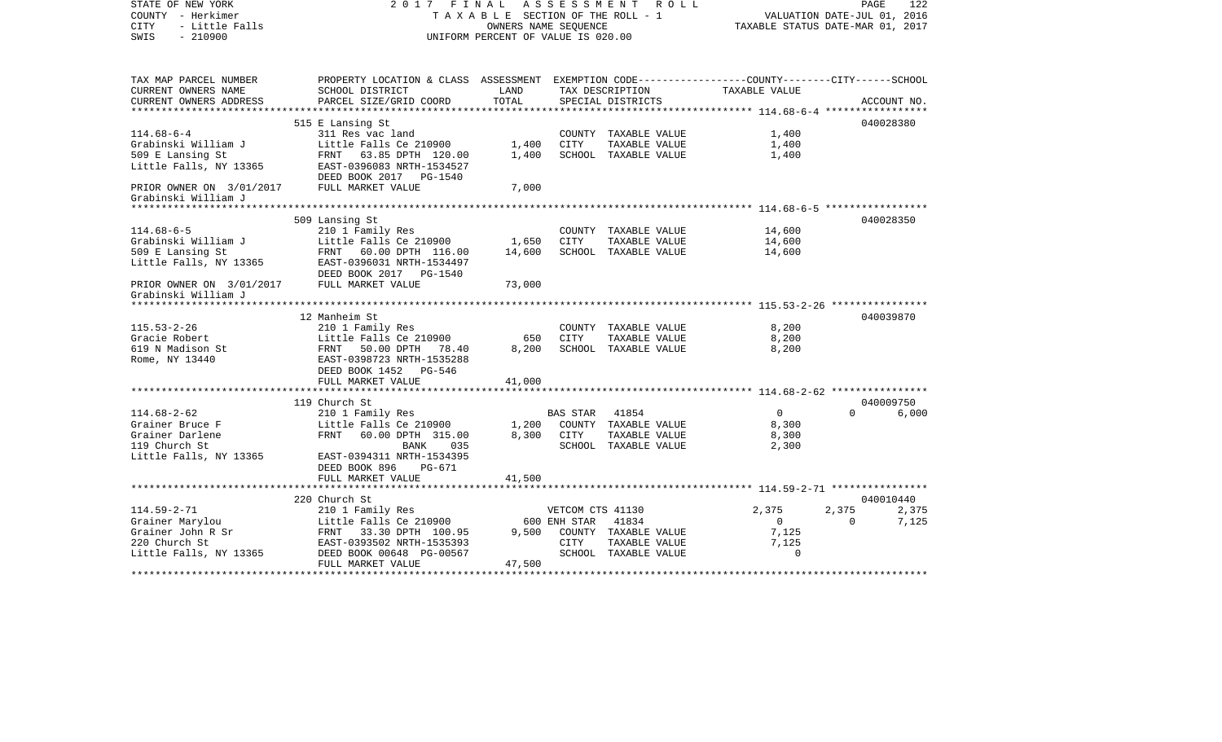| STATE OF NEW YORK<br>COUNTY - Herkimer<br>- Little Falls<br><b>CITY</b><br>$-210900$<br>SWIS | 2017 FINAL                                                                                      | TAXABLE SECTION OF THE ROLL - 1<br>OWNERS NAME SEOUENCE<br>UNIFORM PERCENT OF VALUE IS 020.00 | A S S E S S M E N T<br>R O L L         | VALUATION DATE-JUL 01, 2016<br>TAXABLE STATUS DATE-MAR 01, 2017 | PAGE                    | 122                     |                |
|----------------------------------------------------------------------------------------------|-------------------------------------------------------------------------------------------------|-----------------------------------------------------------------------------------------------|----------------------------------------|-----------------------------------------------------------------|-------------------------|-------------------------|----------------|
| TAX MAP PARCEL NUMBER                                                                        | PROPERTY LOCATION & CLASS ASSESSMENT EXEMPTION CODE---------------COUNTY-------CITY------SCHOOL |                                                                                               |                                        |                                                                 |                         |                         |                |
| CURRENT OWNERS NAME<br>CURRENT OWNERS ADDRESS                                                | SCHOOL DISTRICT<br>PARCEL SIZE/GRID COORD                                                       | LAND<br>TOTAL                                                                                 |                                        | TAX DESCRIPTION<br>SPECIAL DISTRICTS                            | TAXABLE VALUE           |                         | ACCOUNT NO.    |
|                                                                                              |                                                                                                 |                                                                                               |                                        |                                                                 |                         |                         | 040028380      |
| $114.68 - 6 - 4$                                                                             | 515 E Lansing St<br>311 Res vac land                                                            |                                                                                               |                                        | COUNTY TAXABLE VALUE                                            | 1,400                   |                         |                |
| Grabinski William J                                                                          | Little Falls Ce 210900                                                                          | 1,400                                                                                         | CITY                                   | TAXABLE VALUE                                                   | 1,400                   |                         |                |
| 509 E Lansing St                                                                             | FRNT 63.85 DPTH 120.00                                                                          | 1,400                                                                                         |                                        | SCHOOL TAXABLE VALUE                                            | 1,400                   |                         |                |
| Little Falls, NY 13365                                                                       | EAST-0396083 NRTH-1534527<br>DEED BOOK 2017    PG-1540                                          |                                                                                               |                                        |                                                                 |                         |                         |                |
| PRIOR OWNER ON 3/01/2017<br>Grabinski William J                                              | FULL MARKET VALUE                                                                               | 7,000                                                                                         |                                        |                                                                 |                         |                         |                |
|                                                                                              |                                                                                                 |                                                                                               |                                        |                                                                 |                         |                         |                |
|                                                                                              | 509 Lansing St                                                                                  |                                                                                               |                                        |                                                                 |                         |                         | 040028350      |
| $114.68 - 6 - 5$                                                                             | 210 1 Family Res                                                                                |                                                                                               |                                        | COUNTY TAXABLE VALUE                                            | 14,600                  |                         |                |
| Grabinski William J                                                                          | Little Falls Ce 210900                                                                          | 1,650                                                                                         | <b>CITY</b>                            | TAXABLE VALUE                                                   | 14,600                  |                         |                |
| 509 E Lansing St                                                                             | FRNT 60.00 DPTH 116.00                                                                          | 14,600                                                                                        |                                        | SCHOOL TAXABLE VALUE                                            | 14,600                  |                         |                |
| Little Falls, NY 13365                                                                       | EAST-0396031 NRTH-1534497                                                                       |                                                                                               |                                        |                                                                 |                         |                         |                |
|                                                                                              | DEED BOOK 2017 PG-1540                                                                          |                                                                                               |                                        |                                                                 |                         |                         |                |
| PRIOR OWNER ON 3/01/2017<br>Grabinski William J                                              | FULL MARKET VALUE                                                                               | 73,000                                                                                        |                                        |                                                                 |                         |                         |                |
|                                                                                              |                                                                                                 |                                                                                               |                                        |                                                                 |                         |                         |                |
|                                                                                              | 12 Manheim St                                                                                   |                                                                                               |                                        |                                                                 |                         |                         | 040039870      |
| $115.53 - 2 - 26$                                                                            | 210 1 Family Res                                                                                |                                                                                               |                                        | COUNTY TAXABLE VALUE                                            | 8,200                   |                         |                |
| Gracie Robert                                                                                | Little Falls Ce 210900                                                                          | 650                                                                                           | CITY                                   | TAXABLE VALUE                                                   | 8,200                   |                         |                |
| 619 N Madison St                                                                             | FRNT 50.00 DPTH 78.40                                                                           | 8,200                                                                                         |                                        | SCHOOL TAXABLE VALUE                                            | 8,200                   |                         |                |
| Rome, NY 13440                                                                               | EAST-0398723 NRTH-1535288                                                                       |                                                                                               |                                        |                                                                 |                         |                         |                |
|                                                                                              | DEED BOOK 1452 PG-546<br>FULL MARKET VALUE                                                      |                                                                                               |                                        |                                                                 |                         |                         |                |
|                                                                                              |                                                                                                 | 41,000                                                                                        |                                        |                                                                 |                         |                         |                |
|                                                                                              | 119 Church St                                                                                   |                                                                                               |                                        |                                                                 |                         |                         | 040009750      |
| $114.68 - 2 - 62$                                                                            | 210 1 Family Res                                                                                |                                                                                               | BAS STAR 41854                         |                                                                 | $\overline{0}$          | $\Omega$                | 6,000          |
| Grainer Bruce F                                                                              | Little Falls Ce 210900                                                                          | 1,200                                                                                         |                                        | COUNTY TAXABLE VALUE                                            | 8,300                   |                         |                |
| Grainer Darlene                                                                              | FRNT 60.00 DPTH 315.00                                                                          | 8,300                                                                                         | CITY                                   | TAXABLE VALUE                                                   | 8,300                   |                         |                |
| 119 Church St                                                                                | 035<br>BANK                                                                                     |                                                                                               |                                        | SCHOOL TAXABLE VALUE                                            | 2,300                   |                         |                |
| Little Falls, NY 13365                                                                       | EAST-0394311 NRTH-1534395                                                                       |                                                                                               |                                        |                                                                 |                         |                         |                |
|                                                                                              | DEED BOOK 896 PG-671                                                                            |                                                                                               |                                        |                                                                 |                         |                         |                |
|                                                                                              | FULL MARKET VALUE                                                                               | 41,500                                                                                        |                                        |                                                                 |                         |                         |                |
|                                                                                              |                                                                                                 |                                                                                               |                                        |                                                                 |                         |                         |                |
|                                                                                              | 220 Church St                                                                                   |                                                                                               |                                        |                                                                 |                         |                         | 040010440      |
| $114.59 - 2 - 71$<br>Grainer Marylou                                                         | 210 1 Family Res<br>Little Falls Ce 210900                                                      |                                                                                               | VETCOM CTS 41130<br>600 ENH STAR 41834 |                                                                 | 2,375<br>$\overline{0}$ | 2,375<br>$\overline{0}$ | 2,375<br>7,125 |
| Grainer John R Sr                                                                            | FRNT<br>33.30 DPTH 100.95                                                                       | 9,500                                                                                         |                                        | COUNTY TAXABLE VALUE                                            | 7,125                   |                         |                |
| 220 Church St                                                                                | EAST-0393502 NRTH-1535393                                                                       |                                                                                               | CITY                                   | TAXABLE VALUE                                                   | 7,125                   |                         |                |
| Little Falls, NY 13365                                                                       | DEED BOOK 00648 PG-00567                                                                        |                                                                                               |                                        | SCHOOL TAXABLE VALUE                                            | $\Omega$                |                         |                |
|                                                                                              | FULL MARKET VALUE                                                                               | 47,500                                                                                        |                                        |                                                                 |                         |                         |                |
|                                                                                              |                                                                                                 |                                                                                               |                                        |                                                                 |                         |                         |                |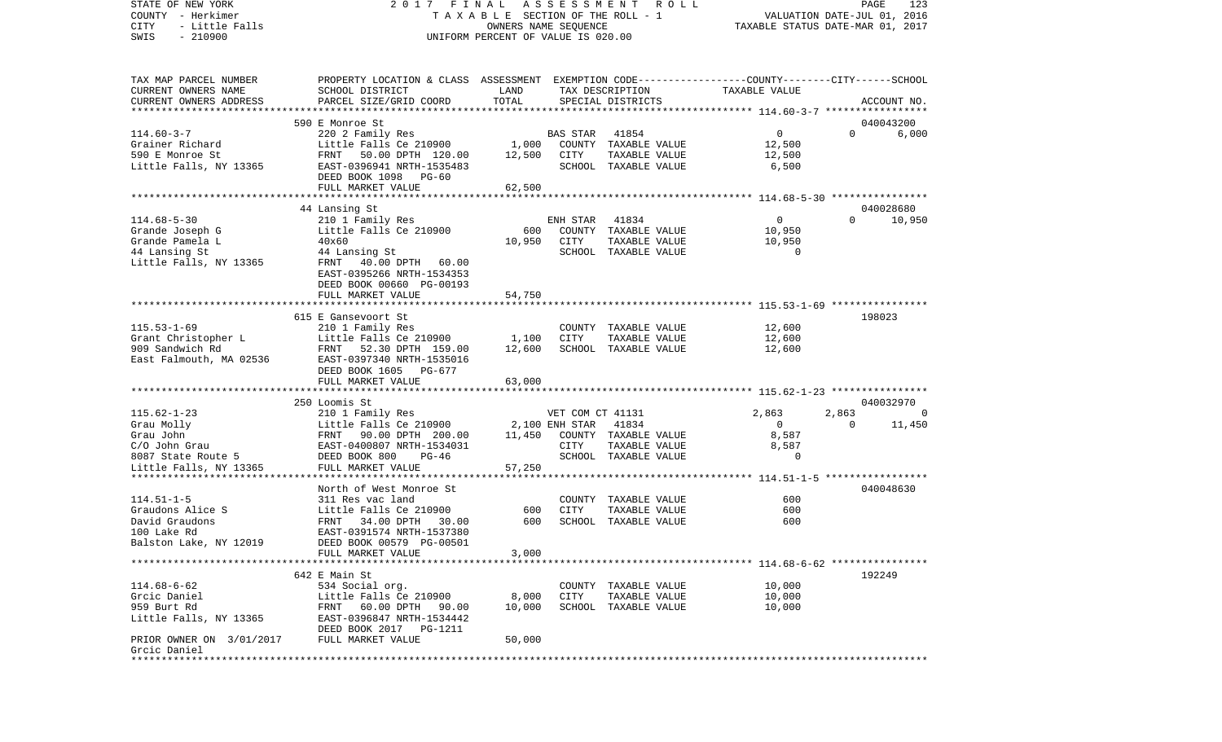STATE OF NEW YORK 2 0 1 7 F I N A L A S S E S S M E N T R O L L PAGE 123VALUATION DATE-JUL 01, 2016 COUNTY - Herkimer T A X A B L E SECTION OF THE ROLL - 1 CITY - Little Falls OWNERS NAME SEQUENCE TAXABLE STATUS DATE-MAR 01, 2017 SWIS - 210900 UNIFORM PERCENT OF VALUE IS 020.00TAX MAP PARCEL NUMBER PROPERTY LOCATION & CLASS ASSESSMENT EXEMPTION CODE------------------COUNTY--------CITY------SCHOOL CURRENT OWNERS NAME SCHOOL DISTRICT LAND TAX DESCRIPTION TAXABLE VALUECURRENT OWNERS ADDRESS PARCEL SIZE/GRID COORD TOTAL SPECIAL DISTRICTS ACCOUNT NO. \*\*\*\*\*\*\*\*\*\*\*\*\*\*\*\*\*\*\*\*\*\*\*\*\*\*\*\*\*\*\*\*\*\*\*\*\*\*\*\*\*\*\*\*\*\*\*\*\*\*\*\*\*\*\*\*\*\*\*\*\*\*\*\*\*\*\*\*\*\*\*\*\*\*\*\*\*\*\*\*\*\*\*\*\*\*\*\*\*\*\*\*\*\*\*\*\*\*\*\*\*\*\* 114.60-3-7 \*\*\*\*\*\*\*\*\*\*\*\*\*\*\*\*\* 590 E Monroe St 040043200114.60-3-7 220 2 Family Res BAS STAR 41854 0 0 6,000 Grainer Richard **Little Falls Ce 210900** 1,000 COUNTY TAXABLE VALUE 12,500 590 E Monroe St FRNT 50.00 DPTH 120.00 12,500 CITY TAXABLE VALUE 12,500 Little Falls, NY 13365 EAST-0396941 NRTH-1535483 SCHOOL TAXABLE VALUE 6,500 DEED BOOK 1098 PG-60 FULL MARKET VALUE 62,500 \*\*\*\*\*\*\*\*\*\*\*\*\*\*\*\*\*\*\*\*\*\*\*\*\*\*\*\*\*\*\*\*\*\*\*\*\*\*\*\*\*\*\*\*\*\*\*\*\*\*\*\*\*\*\*\*\*\*\*\*\*\*\*\*\*\*\*\*\*\*\*\*\*\*\*\*\*\*\*\*\*\*\*\*\*\*\*\*\*\*\*\*\*\*\*\*\*\*\*\*\*\*\* 114.68-5-30 \*\*\*\*\*\*\*\*\*\*\*\*\*\*\*\* 44 Lansing St 040028680 114.68-5-30 210 1 Family Res ENH STAR 41834 0 0 10,950 Grande Joseph G **Little Falls Ce 210900** 600 COUNTY TAXABLE VALUE Grande Pamela L 40x60 10,950 CITY TAXABLE VALUE 10,950 44 Lansing St 44 Lansing St SCHOOL TAXABLE VALUE 0 Little Falls, NY 13365 FRNT 40.00 DPTH 60.00 EAST-0395266 NRTH-1534353 DEED BOOK 00660 PG-00193FULL MARKET VALUE 54,750 \*\*\*\*\*\*\*\*\*\*\*\*\*\*\*\*\*\*\*\*\*\*\*\*\*\*\*\*\*\*\*\*\*\*\*\*\*\*\*\*\*\*\*\*\*\*\*\*\*\*\*\*\*\*\*\*\*\*\*\*\*\*\*\*\*\*\*\*\*\*\*\*\*\*\*\*\*\*\*\*\*\*\*\*\*\*\*\*\*\*\*\*\*\*\*\*\*\*\*\*\*\*\* 115.53-1-69 \*\*\*\*\*\*\*\*\*\*\*\*\*\*\*\* 615 E Gansevoort St 198023115.53-1-69 210 1 Family Res COUNTY TAXABLE VALUE 12,600 Grant Christopher L Little Falls Ce 210900 1,100 CITY TAXABLE VALUE 12,600 909 Sandwich Rd FRNT 52.30 DPTH 159.00 12,600 SCHOOL TAXABLE VALUE 12,600 East Falmouth, MA 02536 EAST-0397340 NRTH-1535016 DEED BOOK 1605 PG-677 FULL MARKET VALUE 63,000 \*\*\*\*\*\*\*\*\*\*\*\*\*\*\*\*\*\*\*\*\*\*\*\*\*\*\*\*\*\*\*\*\*\*\*\*\*\*\*\*\*\*\*\*\*\*\*\*\*\*\*\*\*\*\*\*\*\*\*\*\*\*\*\*\*\*\*\*\*\*\*\*\*\*\*\*\*\*\*\*\*\*\*\*\*\*\*\*\*\*\*\*\*\*\*\*\*\*\*\*\*\*\* 115.62-1-23 \*\*\*\*\*\*\*\*\*\*\*\*\*\*\*\* 250 Loomis St 040032970115.62-1-23 210 1 Family Res VET COM CT 41131 2,863 2,863 0 Grau Molly **Example 2008** Little Falls Ce 210900 2,100 ENH STAR 41834 0 0 0 11,450 Grau John FRNT 90.00 DPTH 200.00 11,450 COUNTY TAXABLE VALUE 8,587 C/O John Grau EAST-0400807 NRTH-1534031 CITY TAXABLE VALUE 8,587 8087 State Route 5 **DEED BOOK 800** PG-46 SCHOOL TAXABLE VALUE 0 Little Falls, NY 13365 FULL MARKET VALUE 57,250 \*\*\*\*\*\*\*\*\*\*\*\*\*\*\*\*\*\*\*\*\*\*\*\*\*\*\*\*\*\*\*\*\*\*\*\*\*\*\*\*\*\*\*\*\*\*\*\*\*\*\*\*\*\*\*\*\*\*\*\*\*\*\*\*\*\*\*\*\*\*\*\*\*\*\*\*\*\*\*\*\*\*\*\*\*\*\*\*\*\*\*\*\*\*\*\*\*\*\*\*\*\*\* 114.51-1-5 \*\*\*\*\*\*\*\*\*\*\*\*\*\*\*\*\* North of West Monroe St 040048630114.51-1-5 311 Res vac land COUNTY TAXABLE VALUE 600600 Graudons Alice S Little Falls Ce 210900 600 CITY TAXABLE VALUE David Graudons FRNT 34.00 DPTH 30.00 600 SCHOOL TAXABLE VALUE 600100 Lake Rd EAST-0391574 NRTH-1537380 Balston Lake, NY 12019 DEED BOOK 00579 PG-00501 FULL MARKET VALUE 3,000 \*\*\*\*\*\*\*\*\*\*\*\*\*\*\*\*\*\*\*\*\*\*\*\*\*\*\*\*\*\*\*\*\*\*\*\*\*\*\*\*\*\*\*\*\*\*\*\*\*\*\*\*\*\*\*\*\*\*\*\*\*\*\*\*\*\*\*\*\*\*\*\*\*\*\*\*\*\*\*\*\*\*\*\*\*\*\*\*\*\*\*\*\*\*\*\*\*\*\*\*\*\*\* 114.68-6-62 \*\*\*\*\*\*\*\*\*\*\*\*\*\*\*\*642 E Main St 192249 114.68-6-62 534 Social org. COUNTY TAXABLE VALUE 10,000 Grcic Daniel Little Falls Ce 210900 8,000 CITY TAXABLE VALUE 10,000 959 Burt Rd FRNT 60.00 DPTH 90.00 10,000 SCHOOL TAXABLE VALUE 10,000 Little Falls, NY 13365 EAST-0396847 NRTH-1534442 DEED BOOK 2017 PG-1211 PRIOR OWNER ON 3/01/2017 FULL MARKET VALUE 50,000 Grcic Daniel\*\*\*\*\*\*\*\*\*\*\*\*\*\*\*\*\*\*\*\*\*\*\*\*\*\*\*\*\*\*\*\*\*\*\*\*\*\*\*\*\*\*\*\*\*\*\*\*\*\*\*\*\*\*\*\*\*\*\*\*\*\*\*\*\*\*\*\*\*\*\*\*\*\*\*\*\*\*\*\*\*\*\*\*\*\*\*\*\*\*\*\*\*\*\*\*\*\*\*\*\*\*\*\*\*\*\*\*\*\*\*\*\*\*\*\*\*\*\*\*\*\*\*\*\*\*\*\*\*\*\*\*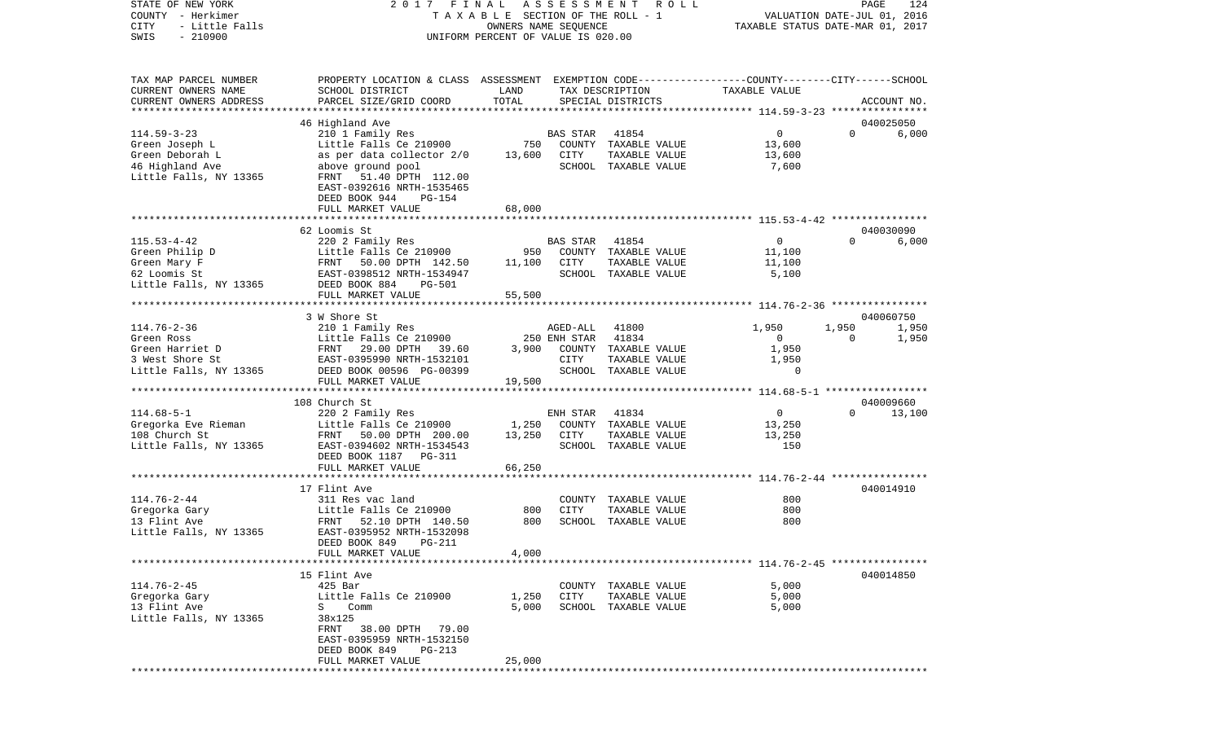STATE OF NEW YORK 2 0 1 7 F I N A L A S S E S S M E N T R O L L PAGE 124COUNTY - Herkimer T A X A B L E SECTION OF THE ROLL - 1 VALUATION DATE-JUL 01, 2016 CITY - Little Falls OWNERS NAME SEQUENCE TAXABLE STATUS DATE-MAR 01, 2017 SWIS - 210900 UNIFORM PERCENT OF VALUE IS 020.00TAX MAP PARCEL NUMBER PROPERTY LOCATION & CLASS ASSESSMENT EXEMPTION CODE------------------COUNTY--------CITY------SCHOOL CURRENT OWNERS NAME SCHOOL DISTRICT LAND TAX DESCRIPTION TAXABLE VALUECURRENT OWNERS ADDRESS PARCEL SIZE/GRID COORD TOTAL SPECIAL DISTRICTS ACCOUNT NO. \*\*\*\*\*\*\*\*\*\*\*\*\*\*\*\*\*\*\*\*\*\*\*\*\*\*\*\*\*\*\*\*\*\*\*\*\*\*\*\*\*\*\*\*\*\*\*\*\*\*\*\*\*\*\*\*\*\*\*\*\*\*\*\*\*\*\*\*\*\*\*\*\*\*\*\*\*\*\*\*\*\*\*\*\*\*\*\*\*\*\*\*\*\*\*\*\*\*\*\*\*\*\* 114.59-3-23 \*\*\*\*\*\*\*\*\*\*\*\*\*\*\*\* 46 Highland Ave 040025050 114.59-3-23 210 1 Family Res BAS STAR 41854 0 0 6,000 Green Joseph L Little Falls Ce 210900 750 COUNTY TAXABLE VALUE 13,600 Green Deborah L as per data collector  $2/0$  13,600 CITY TAXABLE VALUE 13,600 46 Highland Ave above ground pool SCHOOL TAXABLE VALUE 7,600 Little Falls, NY 13365 FRNT 51.40 DPTH 112.00 EAST-0392616 NRTH-1535465 DEED BOOK 944 PG-154 FULL MARKET VALUE 68,000 \*\*\*\*\*\*\*\*\*\*\*\*\*\*\*\*\*\*\*\*\*\*\*\*\*\*\*\*\*\*\*\*\*\*\*\*\*\*\*\*\*\*\*\*\*\*\*\*\*\*\*\*\*\*\*\*\*\*\*\*\*\*\*\*\*\*\*\*\*\*\*\*\*\*\*\*\*\*\*\*\*\*\*\*\*\*\*\*\*\*\*\*\*\*\*\*\*\*\*\*\*\*\* 115.53-4-42 \*\*\*\*\*\*\*\*\*\*\*\*\*\*\*\* 62 Loomis St 040030090115.53-4-42 220 2 Family Res BAS STAR 41854 0 0 6,000 Green Philip D Little Falls Ce 210900 950 COUNTY TAXABLE VALUE 11,100 Green Mary F 6 11,100 FRNT 50.00 DPTH 142.50 11,100 CITY TAXABLE VALUE 11,100 62 Loomis St EAST-0398512 NRTH-1534947 SCHOOL TAXABLE VALUE 5,100 Little Falls, NY 13365 DEED BOOK 884 PG-501 FULL MARKET VALUE 55,500 \*\*\*\*\*\*\*\*\*\*\*\*\*\*\*\*\*\*\*\*\*\*\*\*\*\*\*\*\*\*\*\*\*\*\*\*\*\*\*\*\*\*\*\*\*\*\*\*\*\*\*\*\*\*\*\*\*\*\*\*\*\*\*\*\*\*\*\*\*\*\*\*\*\*\*\*\*\*\*\*\*\*\*\*\*\*\*\*\*\*\*\*\*\*\*\*\*\*\*\*\*\*\* 114.76-2-36 \*\*\*\*\*\*\*\*\*\*\*\*\*\*\*\* 3 W Shore St 040060750114.76-2-36 210 1 Family Res AGED-ALL 41800 1,950 1,950 1,950 1,950 Green Ross Little Falls Ce 210900 250 ENH STAR 41834 0 0 1,950 Green Harriet D 61,950 FRNT 29.00 DPTH 39.60 3,900 COUNTY TAXABLE VALUE 3,950 3 West Shore St EAST-0395990 NRTH-1532101 CITY TAXABLE VALUE 1,950 Little Falls, NY 13365 DEED BOOK 00596 PG-00399 SCHOOL TAXABLE VALUE 0 FULL MARKET VALUE 19,500 \*\*\*\*\*\*\*\*\*\*\*\*\*\*\*\*\*\*\*\*\*\*\*\*\*\*\*\*\*\*\*\*\*\*\*\*\*\*\*\*\*\*\*\*\*\*\*\*\*\*\*\*\*\*\*\*\*\*\*\*\*\*\*\*\*\*\*\*\*\*\*\*\*\*\*\*\*\*\*\*\*\*\*\*\*\*\*\*\*\*\*\*\*\*\*\*\*\*\*\*\*\*\* 114.68-5-1 \*\*\*\*\*\*\*\*\*\*\*\*\*\*\*\*\* 108 Church St 040009660114.68-5-1 220 2 Family Res ENH STAR 41834 0 0 13,100 Gregorka Eve Rieman Little Falls Ce 210900 1,250 COUNTY TAXABLE VALUE 13,250 108 Church St FRNT 50.00 DPTH 200.00 13,250 CITY TAXABLE VALUE 13,250 Little Falls, NY 13365 EAST-0394602 NRTH-1534543 SCHOOL TAXABLE VALUE 150 DEED BOOK 1187 PG-311FULL MARKET VALUE 66,250 \*\*\*\*\*\*\*\*\*\*\*\*\*\*\*\*\*\*\*\*\*\*\*\*\*\*\*\*\*\*\*\*\*\*\*\*\*\*\*\*\*\*\*\*\*\*\*\*\*\*\*\*\*\*\*\*\*\*\*\*\*\*\*\*\*\*\*\*\*\*\*\*\*\*\*\*\*\*\*\*\*\*\*\*\*\*\*\*\*\*\*\*\*\*\*\*\*\*\*\*\*\*\* 114.76-2-44 \*\*\*\*\*\*\*\*\*\*\*\*\*\*\*\* 17 Flint Ave 040014910114.76-2-44 311 Res vac land COUNTY TAXABLE VALUE 800800 Gregorka Gary **Example 210900** 800 CITY TAXABLE VALUE 13 Flint Ave FRNT 52.10 DPTH 140.50 800 SCHOOL TAXABLE VALUE 800Little Falls, NY 13365 EAST-0395952 NRTH-1532098 DEED BOOK 849 PG-211FULL MARKET VALUE 4,000 \*\*\*\*\*\*\*\*\*\*\*\*\*\*\*\*\*\*\*\*\*\*\*\*\*\*\*\*\*\*\*\*\*\*\*\*\*\*\*\*\*\*\*\*\*\*\*\*\*\*\*\*\*\*\*\*\*\*\*\*\*\*\*\*\*\*\*\*\*\*\*\*\*\*\*\*\*\*\*\*\*\*\*\*\*\*\*\*\*\*\*\*\*\*\*\*\*\*\*\*\*\*\* 114.76-2-45 \*\*\*\*\*\*\*\*\*\*\*\*\*\*\*\* 15 Flint Ave 040014850114.76-2-45 425 Bar COUNTY TAXABLE VALUE 5,000 Gregorka Gary **Example 2008** Little Falls Ce 210900 1,250 CITY TAXABLE VALUE 5,000 13 Flint Ave S Comm 5,000 SCHOOL TAXABLE VALUE 5,000 Little Falls, NY 13365 38x125 FRNT 38.00 DPTH 79.00 EAST-0395959 NRTH-1532150

\*\*\*\*\*\*\*\*\*\*\*\*\*\*\*\*\*\*\*\*\*\*\*\*\*\*\*\*\*\*\*\*\*\*\*\*\*\*\*\*\*\*\*\*\*\*\*\*\*\*\*\*\*\*\*\*\*\*\*\*\*\*\*\*\*\*\*\*\*\*\*\*\*\*\*\*\*\*\*\*\*\*\*\*\*\*\*\*\*\*\*\*\*\*\*\*\*\*\*\*\*\*\*\*\*\*\*\*\*\*\*\*\*\*\*\*\*\*\*\*\*\*\*\*\*\*\*\*\*\*\*\*

DEED BOOK 849 PG-213

FULL MARKET VALUE 25,000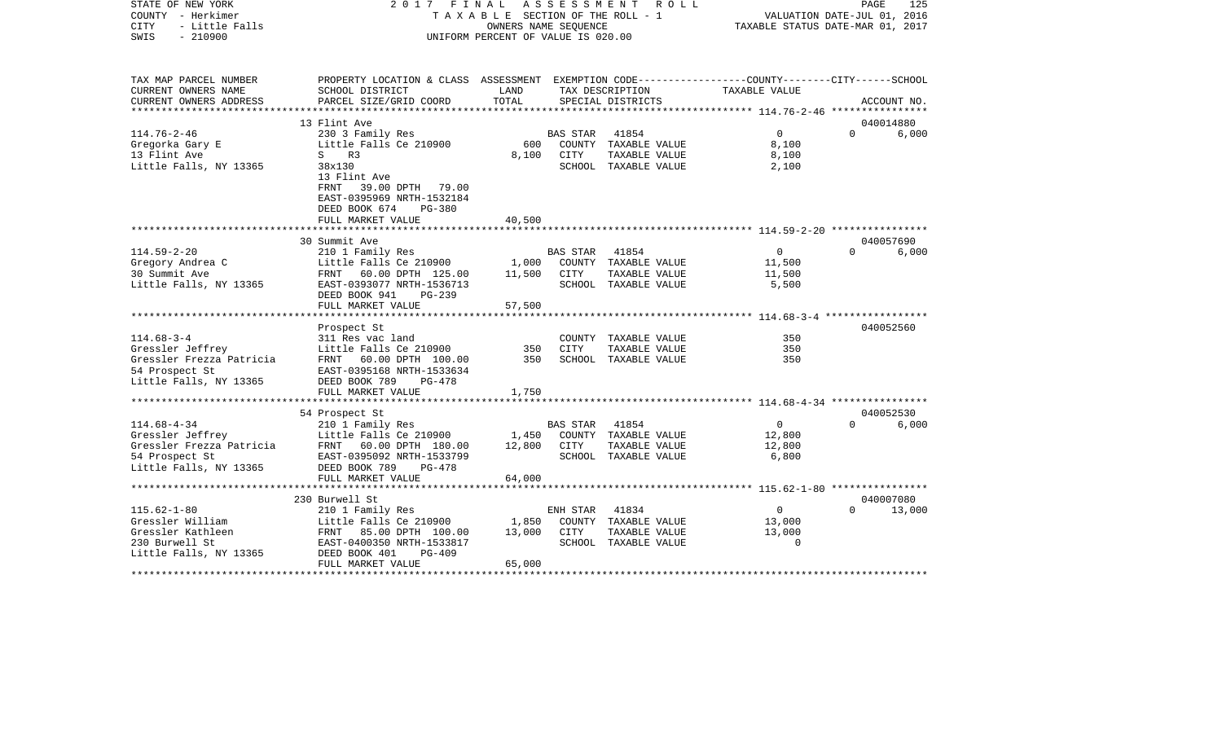| STATE OF NEW YORK<br>COUNTY - Herkimer<br><b>CITY</b><br>- Little Falls<br>$-210900$<br>SWIS | FINAL<br>2017<br>TAXABLE SECTION OF THE ROLL - 1<br>UNIFORM PERCENT OF VALUE IS 020.00          | 125<br>PAGE<br>VALUATION DATE-JUL 01, 2016<br>TAXABLE STATUS DATE-MAR 01, 2017 |                    |                                      |                                         |          |             |
|----------------------------------------------------------------------------------------------|-------------------------------------------------------------------------------------------------|--------------------------------------------------------------------------------|--------------------|--------------------------------------|-----------------------------------------|----------|-------------|
| TAX MAP PARCEL NUMBER                                                                        | PROPERTY LOCATION & CLASS ASSESSMENT EXEMPTION CODE---------------COUNTY-------CITY------SCHOOL |                                                                                |                    |                                      |                                         |          |             |
| CURRENT OWNERS NAME<br>CURRENT OWNERS ADDRESS                                                | SCHOOL DISTRICT<br>PARCEL SIZE/GRID COORD                                                       | LAND<br>TOTAL                                                                  |                    | TAX DESCRIPTION<br>SPECIAL DISTRICTS | TAXABLE VALUE                           |          | ACCOUNT NO. |
| ***************                                                                              |                                                                                                 |                                                                                |                    |                                      |                                         |          |             |
|                                                                                              | 13 Flint Ave                                                                                    |                                                                                |                    |                                      |                                         |          | 040014880   |
| $114.76 - 2 - 46$                                                                            | 230 3 Family Res                                                                                |                                                                                | <b>BAS STAR</b>    | 41854                                | $\overline{0}$                          | $\Omega$ | 6,000       |
| Gregorka Gary E                                                                              | Little Falls Ce 210900                                                                          | 600                                                                            |                    | COUNTY TAXABLE VALUE                 | 8,100                                   |          |             |
| 13 Flint Ave                                                                                 | S R3                                                                                            | 8,100                                                                          | CITY               | TAXABLE VALUE                        | 8,100                                   |          |             |
| Little Falls, NY 13365                                                                       | 38x130                                                                                          |                                                                                |                    | SCHOOL TAXABLE VALUE                 | 2,100                                   |          |             |
|                                                                                              | 13 Flint Ave                                                                                    |                                                                                |                    |                                      |                                         |          |             |
|                                                                                              | FRNT<br>39.00 DPTH<br>79.00<br>EAST-0395969 NRTH-1532184                                        |                                                                                |                    |                                      |                                         |          |             |
|                                                                                              | DEED BOOK 674<br>$PG-380$                                                                       |                                                                                |                    |                                      |                                         |          |             |
|                                                                                              | FULL MARKET VALUE                                                                               | 40,500                                                                         |                    |                                      |                                         |          |             |
|                                                                                              |                                                                                                 |                                                                                |                    |                                      |                                         |          |             |
|                                                                                              | 30 Summit Ave                                                                                   |                                                                                |                    |                                      |                                         |          | 040057690   |
| $114.59 - 2 - 20$                                                                            | 210 1 Family Res                                                                                |                                                                                | <b>BAS STAR</b>    | 41854                                | $\overline{0}$                          | $\Omega$ | 6,000       |
| Gregory Andrea C                                                                             | Little Falls Ce 210900                                                                          | 1,000                                                                          |                    | COUNTY TAXABLE VALUE                 | 11,500                                  |          |             |
| 30 Summit Ave                                                                                | 60.00 DPTH 125.00<br>FRNT                                                                       | 11,500                                                                         | CITY               | TAXABLE VALUE                        | 11,500                                  |          |             |
| Little Falls, NY 13365                                                                       | EAST-0393077 NRTH-1536713                                                                       |                                                                                |                    | SCHOOL TAXABLE VALUE                 | 5,500                                   |          |             |
|                                                                                              | DEED BOOK 941<br>PG-239                                                                         |                                                                                |                    |                                      |                                         |          |             |
|                                                                                              | FULL MARKET VALUE<br>*********************                                                      | 57,500                                                                         |                    |                                      |                                         |          |             |
|                                                                                              | Prospect St                                                                                     |                                                                                |                    |                                      |                                         |          | 040052560   |
| $114.68 - 3 - 4$                                                                             | 311 Res vac land                                                                                |                                                                                |                    | COUNTY TAXABLE VALUE                 | 350                                     |          |             |
| Gressler Jeffrey                                                                             | Little Falls Ce 210900                                                                          | 350                                                                            | <b>CITY</b>        | TAXABLE VALUE                        | 350                                     |          |             |
| Gressler Frezza Patricia                                                                     | FRNT<br>60.00 DPTH 100.00                                                                       | 350                                                                            |                    | SCHOOL TAXABLE VALUE                 | 350                                     |          |             |
| 54 Prospect St                                                                               | EAST-0395168 NRTH-1533634                                                                       |                                                                                |                    |                                      |                                         |          |             |
| Little Falls, NY 13365                                                                       | DEED BOOK 789<br>$PG-478$                                                                       |                                                                                |                    |                                      |                                         |          |             |
|                                                                                              | FULL MARKET VALUE                                                                               | 1,750                                                                          |                    |                                      |                                         |          |             |
|                                                                                              |                                                                                                 |                                                                                |                    |                                      |                                         |          |             |
|                                                                                              | 54 Prospect St                                                                                  |                                                                                |                    |                                      | $\Omega$                                | $\Omega$ | 040052530   |
| $114.68 - 4 - 34$<br>Gressler Jeffrey                                                        | 210 1 Family Res<br>Little Falls Ce 210900                                                      | 1,450                                                                          | BAS STAR<br>COUNTY | 41854<br>TAXABLE VALUE               | 12,800                                  |          | 6,000       |
| Gressler Frezza Patricia                                                                     | 60.00 DPTH 180.00<br>FRNT                                                                       | 12,800                                                                         | CITY               | TAXABLE VALUE                        | 12,800                                  |          |             |
| 54 Prospect St                                                                               | EAST-0395092 NRTH-1533799                                                                       |                                                                                |                    | SCHOOL TAXABLE VALUE                 | 6,800                                   |          |             |
| Little Falls, NY 13365                                                                       | DEED BOOK 789<br>$PG-478$                                                                       |                                                                                |                    |                                      |                                         |          |             |
|                                                                                              | FULL MARKET VALUE                                                                               | 64,000                                                                         |                    |                                      |                                         |          |             |
|                                                                                              |                                                                                                 |                                                                                |                    |                                      | ********* 115.62-1-80 ***************** |          |             |
|                                                                                              | 230 Burwell St                                                                                  |                                                                                |                    |                                      |                                         |          | 040007080   |
| $115.62 - 1 - 80$                                                                            | 210 1 Family Res                                                                                |                                                                                | ENH STAR           | 41834                                | $\Omega$                                | $\Omega$ | 13,000      |
| Gressler William                                                                             | Little Falls Ce 210900                                                                          | 1,850                                                                          |                    | COUNTY TAXABLE VALUE                 | 13,000                                  |          |             |
| Gressler Kathleen                                                                            | FRNT 85.00 DPTH 100.00                                                                          | 13,000                                                                         | CITY               | TAXABLE VALUE                        | 13,000                                  |          |             |
| 230 Burwell St                                                                               | EAST-0400350 NRTH-1533817<br>DEED BOOK 401<br>PG-409                                            |                                                                                |                    | SCHOOL TAXABLE VALUE                 | $\Omega$                                |          |             |
| Little Falls, NY 13365                                                                       | FULL MARKET VALUE                                                                               | 65,000                                                                         |                    |                                      |                                         |          |             |
|                                                                                              |                                                                                                 |                                                                                |                    |                                      |                                         |          |             |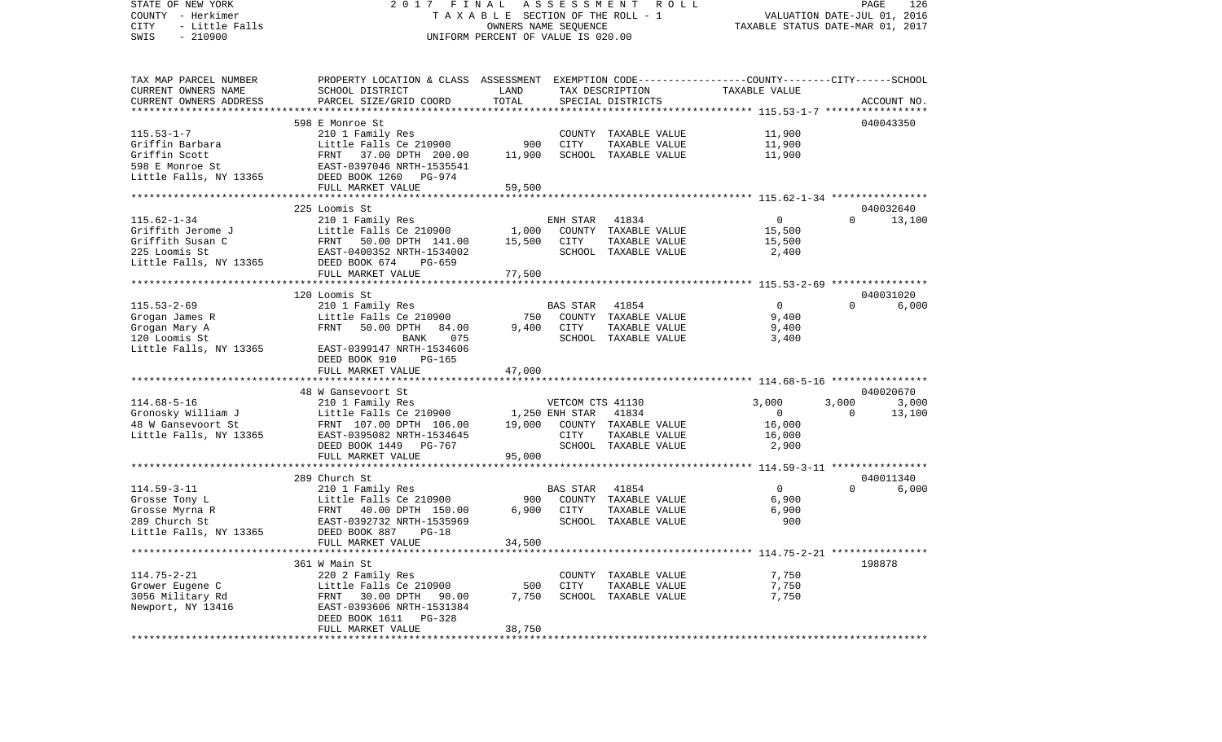STATE OF NEW YORK 2 0 1 7 F I N A L A S S E S S M E N T R O L L PAGE 126VALUATION DATE-JUL 01, 2016 COUNTY - Herkimer T A X A B L E SECTION OF THE ROLL - 1 CITY - Little Falls OWNERS NAME SEQUENCE TAXABLE STATUS DATE-MAR 01, 2017 SWIS - 210900 UNIFORM PERCENT OF VALUE IS 020.00TAX MAP PARCEL NUMBER PROPERTY LOCATION & CLASS ASSESSMENT EXEMPTION CODE------------------COUNTY--------CITY------SCHOOL CURRENT OWNERS NAME SCHOOL DISTRICT LAND TAX DESCRIPTION TAXABLE VALUECURRENT OWNERS ADDRESS PARCEL SIZE/GRID COORD TOTAL SPECIAL DISTRICTS ACCOUNT NO. \*\*\*\*\*\*\*\*\*\*\*\*\*\*\*\*\*\*\*\*\*\*\*\*\*\*\*\*\*\*\*\*\*\*\*\*\*\*\*\*\*\*\*\*\*\*\*\*\*\*\*\*\*\*\*\*\*\*\*\*\*\*\*\*\*\*\*\*\*\*\*\*\*\*\*\*\*\*\*\*\*\*\*\*\*\*\*\*\*\*\*\*\*\*\*\*\*\*\*\*\*\*\* 115.53-1-7 \*\*\*\*\*\*\*\*\*\*\*\*\*\*\*\*\* 598 E Monroe St 040043350115.53-1-7 210 1 Family Res COUNTY TAXABLE VALUE 11,900 Griffin Barbara Little Falls Ce 210900 900 CITY TAXABLE VALUE 11,900 Griffin Scott FRNT 37.00 DPTH 200.00 11,900 SCHOOL TAXABLE VALUE 11,900 598 E Monroe St EAST-0397046 NRTH-1535541Little Falls, NY 13365 DEED BOOK 1260 PG-974 FULL MARKET VALUE 59,500 \*\*\*\*\*\*\*\*\*\*\*\*\*\*\*\*\*\*\*\*\*\*\*\*\*\*\*\*\*\*\*\*\*\*\*\*\*\*\*\*\*\*\*\*\*\*\*\*\*\*\*\*\*\*\*\*\*\*\*\*\*\*\*\*\*\*\*\*\*\*\*\*\*\*\*\*\*\*\*\*\*\*\*\*\*\*\*\*\*\*\*\*\*\*\*\*\*\*\*\*\*\*\* 115.62-1-34 \*\*\*\*\*\*\*\*\*\*\*\*\*\*\*\* 225 Loomis St 040032640115.62-1-34 210 1 Family Res ENH STAR 41834 0 0 13,100 Little Falls Ce 210900 1,000 COUNTY TAXABLE VALUE 15,500 Griffith Susan C 6.00 FRNT 50.00 DPTH 141.00 15,500 CITY TAXABLE VALUE 15,500 225 Loomis St EAST-0400352 NRTH-1534002 SCHOOL TAXABLE VALUE 2,400 Little Falls, NY 13365 DEED BOOK 674 PG-659 FULL MARKET VALUE 77,500 \*\*\*\*\*\*\*\*\*\*\*\*\*\*\*\*\*\*\*\*\*\*\*\*\*\*\*\*\*\*\*\*\*\*\*\*\*\*\*\*\*\*\*\*\*\*\*\*\*\*\*\*\*\*\*\*\*\*\*\*\*\*\*\*\*\*\*\*\*\*\*\*\*\*\*\*\*\*\*\*\*\*\*\*\*\*\*\*\*\*\*\*\*\*\*\*\*\*\*\*\*\*\* 115.53-2-69 \*\*\*\*\*\*\*\*\*\*\*\*\*\*\*\* 120 Loomis St 040031020 $6.000$ 115.53-2-69 210 1 Family Res BAS STAR 41854 0 0 6,000 Grogan James R Little Falls Ce 210900 750 COUNTY TAXABLE VALUE 9,400 Grogan Mary A FRNT 50.00 DPTH 84.00 9,400 CITY TAXABLE VALUE 9,400 120 Loomis St BANK 075 SCHOOL TAXABLE VALUE 3,400 Little Falls, NY 13365 EAST-0399147 NRTH-1534606 DEED BOOK 910 PG-165 FULL MARKET VALUE 47,000 \*\*\*\*\*\*\*\*\*\*\*\*\*\*\*\*\*\*\*\*\*\*\*\*\*\*\*\*\*\*\*\*\*\*\*\*\*\*\*\*\*\*\*\*\*\*\*\*\*\*\*\*\*\*\*\*\*\*\*\*\*\*\*\*\*\*\*\*\*\*\*\*\*\*\*\*\*\*\*\*\*\*\*\*\*\*\*\*\*\*\*\*\*\*\*\*\*\*\*\*\*\*\* 114.68-5-16 \*\*\*\*\*\*\*\*\*\*\*\*\*\*\*\* 48 W Gansevoort St 040020670114.68-5-16 210 1 Family Res VETCOM CTS 41130 3,000 3,000 3,000 Gronosky William J Little Falls Ce 210900 1,250 ENH STAR 41834 0 0 0 13,100 48 W Gansevoort St FRNT 107.00 DPTH 106.00 19,000 COUNTY TAXABLE VALUE 16,000 Little Falls, NY 13365 EAST-0395082 NRTH-1534645 CITY TAXABLE VALUE 16,000 DEED BOOK 1449 PG-767 SCHOOL TAXABLE VALUE 2,900 FULL MARKET VALUE 95,000 \*\*\*\*\*\*\*\*\*\*\*\*\*\*\*\*\*\*\*\*\*\*\*\*\*\*\*\*\*\*\*\*\*\*\*\*\*\*\*\*\*\*\*\*\*\*\*\*\*\*\*\*\*\*\*\*\*\*\*\*\*\*\*\*\*\*\*\*\*\*\*\*\*\*\*\*\*\*\*\*\*\*\*\*\*\*\*\*\*\*\*\*\*\*\*\*\*\*\*\*\*\*\* 114.59-3-11 \*\*\*\*\*\*\*\*\*\*\*\*\*\*\*\* 289 Church St 040011340114.59-3-11 210 1 Family Res BAS STAR 41854 0 0 6,000 Grosse Tony L Little Falls Ce 210900 900 COUNTY TAXABLE VALUE 6,900 Grosse Myrna R  $FRT$  40.00 DPTH 150.00 6,900 CITY 289 Church St EAST-0392732 NRTH-1535969 SCHOOL TAXABLE VALUE 900Little Falls, NY 13365 DEED BOOK 887 PG-18 FULL MARKET VALUE 34,500 \*\*\*\*\*\*\*\*\*\*\*\*\*\*\*\*\*\*\*\*\*\*\*\*\*\*\*\*\*\*\*\*\*\*\*\*\*\*\*\*\*\*\*\*\*\*\*\*\*\*\*\*\*\*\*\*\*\*\*\*\*\*\*\*\*\*\*\*\*\*\*\*\*\*\*\*\*\*\*\*\*\*\*\*\*\*\*\*\*\*\*\*\*\*\*\*\*\*\*\*\*\*\* 114.75-2-21 \*\*\*\*\*\*\*\*\*\*\*\*\*\*\*\* 361 W Main St 198878114.75-2-21 220 2 Family Res COUNTY TAXABLE VALUE 7,750 Grower Eugene C Little Falls Ce 210900 500 CITY TAXABLE VALUE 7,750 3056 Military Rd FRNT 30.00 DPTH 90.00 7,750 SCHOOL TAXABLE VALUE 7,750 Newport, NY 13416 EAST-0393606 NRTH-1531384 DEED BOOK 1611 PG-328FULL MARKET VALUE 38,750 \*\*\*\*\*\*\*\*\*\*\*\*\*\*\*\*\*\*\*\*\*\*\*\*\*\*\*\*\*\*\*\*\*\*\*\*\*\*\*\*\*\*\*\*\*\*\*\*\*\*\*\*\*\*\*\*\*\*\*\*\*\*\*\*\*\*\*\*\*\*\*\*\*\*\*\*\*\*\*\*\*\*\*\*\*\*\*\*\*\*\*\*\*\*\*\*\*\*\*\*\*\*\*\*\*\*\*\*\*\*\*\*\*\*\*\*\*\*\*\*\*\*\*\*\*\*\*\*\*\*\*\*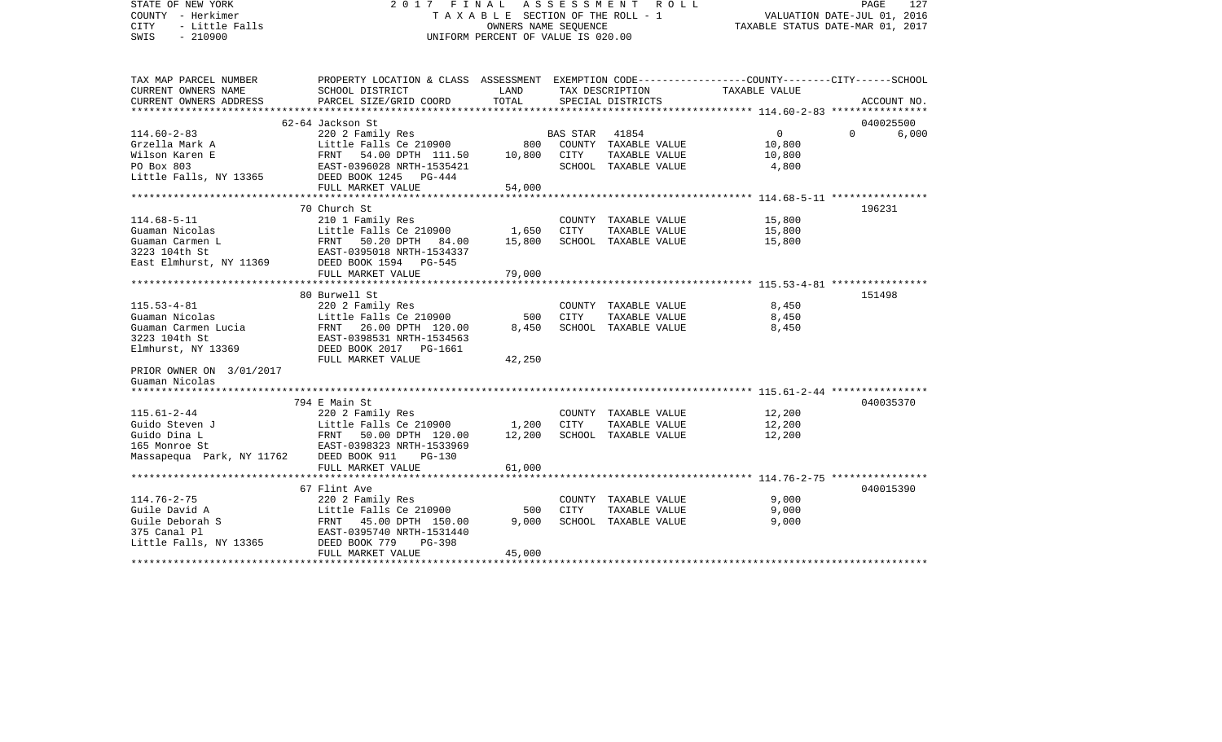| STATE OF NEW YORK<br>COUNTY - Herkimer<br>- Little Falls<br><b>CITY</b><br>$-210900$<br>SWIS | 2017 FINAL<br>TAXABLE SECTION OF THE ROLL - 1<br>UNIFORM PERCENT OF VALUE IS 020.00                                |           | PAGE<br>127<br>VALUATION DATE-JUL 01, 2016<br>TAXABLE STATUS DATE-MAR 01, 2017 |                      |                                                        |                   |
|----------------------------------------------------------------------------------------------|--------------------------------------------------------------------------------------------------------------------|-----------|--------------------------------------------------------------------------------|----------------------|--------------------------------------------------------|-------------------|
| TAX MAP PARCEL NUMBER<br>CURRENT OWNERS NAME                                                 | PROPERTY LOCATION & CLASS ASSESSMENT EXEMPTION CODE---------------COUNTY-------CITY------SCHOOL<br>SCHOOL DISTRICT | LAND      |                                                                                | TAX DESCRIPTION      | TAXABLE VALUE                                          |                   |
| CURRENT OWNERS ADDRESS                                                                       | PARCEL SIZE/GRID COORD                                                                                             | TOTAL     |                                                                                | SPECIAL DISTRICTS    |                                                        | ACCOUNT NO.       |
|                                                                                              | 62-64 Jackson St                                                                                                   |           |                                                                                |                      |                                                        | 040025500         |
| $114.60 - 2 - 83$                                                                            | 220 2 Family Res                                                                                                   |           | BAS STAR                                                                       | 41854                | $\mathbf{0}$                                           | $\Omega$<br>6,000 |
| Grzella Mark A                                                                               | Little Falls Ce 210900                                                                                             | 800       |                                                                                | COUNTY TAXABLE VALUE | 10,800                                                 |                   |
| Wilson Karen E                                                                               |                                                                                                                    | 10,800    | CITY                                                                           | TAXABLE VALUE        | 10,800                                                 |                   |
| PO Box 803                                                                                   | Little Falls Ce 210900<br>FRNT - 54.00 DPTH - 111.50<br>EAST-0396028 NRTH-1535421<br>EAST-0396028 NRTH-1535421     |           |                                                                                | SCHOOL TAXABLE VALUE | 4,800                                                  |                   |
| Little Falls, NY 13365                                                                       | DEED BOOK 1245 PG-444                                                                                              |           |                                                                                |                      |                                                        |                   |
|                                                                                              | FULL MARKET VALUE                                                                                                  | 54,000    |                                                                                |                      |                                                        |                   |
|                                                                                              |                                                                                                                    |           |                                                                                |                      |                                                        |                   |
|                                                                                              | 70 Church St                                                                                                       |           |                                                                                |                      |                                                        | 196231            |
| $114.68 - 5 - 11$                                                                            | 210 1 Family Res                                                                                                   |           |                                                                                | COUNTY TAXABLE VALUE | 15,800                                                 |                   |
| Guaman Nicolas                                                                               | Little Falls Ce 210900                                                                                             | 1,650     | CITY                                                                           | TAXABLE VALUE        | 15,800                                                 |                   |
| Guaman Carmen L<br>3223 104th St                                                             | FRNT 50.20 DPTH 84.00<br>EAST-0395018 NRTH-1534337                                                                 | 15,800    |                                                                                | SCHOOL TAXABLE VALUE | 15,800                                                 |                   |
| East Elmhurst, NY 11369                                                                      | DEED BOOK 1594 PG-545                                                                                              |           |                                                                                |                      |                                                        |                   |
|                                                                                              | FULL MARKET VALUE                                                                                                  | 79,000    |                                                                                |                      |                                                        |                   |
|                                                                                              |                                                                                                                    |           |                                                                                |                      |                                                        |                   |
|                                                                                              | 80 Burwell St                                                                                                      |           |                                                                                |                      |                                                        | 151498            |
| $115.53 - 4 - 81$                                                                            | 220 2 Family Res                                                                                                   |           |                                                                                | COUNTY TAXABLE VALUE | 8,450                                                  |                   |
| Guaman Nicolas                                                                               | Little Falls Ce 210900                                                                                             | 500       | CITY                                                                           | TAXABLE VALUE        | 8,450                                                  |                   |
| Guaman Carmen Lucia                                                                          | FRNT<br>26.00 DPTH 120.00                                                                                          | 8,450     |                                                                                | SCHOOL TAXABLE VALUE | 8,450                                                  |                   |
| 3223 104th St                                                                                | EAST-0398531 NRTH-1534563                                                                                          |           |                                                                                |                      |                                                        |                   |
| Elmhurst, NY 13369                                                                           | DEED BOOK 2017 PG-1661                                                                                             |           |                                                                                |                      |                                                        |                   |
|                                                                                              | FULL MARKET VALUE                                                                                                  | 42,250    |                                                                                |                      |                                                        |                   |
| PRIOR OWNER ON 3/01/2017                                                                     |                                                                                                                    |           |                                                                                |                      |                                                        |                   |
| Guaman Nicolas                                                                               |                                                                                                                    |           |                                                                                |                      |                                                        |                   |
|                                                                                              | 794 E Main St                                                                                                      |           |                                                                                |                      |                                                        | 040035370         |
| $115.61 - 2 - 44$                                                                            | 220 2 Family Res                                                                                                   |           |                                                                                | COUNTY TAXABLE VALUE | 12,200                                                 |                   |
| Guido Steven J                                                                               | Little Falls Ce 210900                                                                                             | 1,200     | CITY                                                                           | TAXABLE VALUE        | 12,200                                                 |                   |
| Guido Dina L                                                                                 |                                                                                                                    | 12,200    |                                                                                | SCHOOL TAXABLE VALUE | 12,200                                                 |                   |
| 165 Monroe St                                                                                | FRNT 50.00 DPTH 120.00<br>EAST-0398322 MPTH 120.00                                                                 |           |                                                                                |                      |                                                        |                   |
| Massapequa Park, NY 11762                                                                    | DEED BOOK 911<br>$PG-130$                                                                                          |           |                                                                                |                      |                                                        |                   |
|                                                                                              | FULL MARKET VALUE                                                                                                  | 61,000    |                                                                                |                      |                                                        |                   |
|                                                                                              | *****************************                                                                                      | ********* |                                                                                |                      | ************************ 114.76-2-75 ***************** |                   |
|                                                                                              | 67 Flint Ave                                                                                                       |           |                                                                                |                      |                                                        | 040015390         |
| 114.76-2-75                                                                                  | 220 2 Family Res                                                                                                   |           |                                                                                | COUNTY TAXABLE VALUE | 9,000                                                  |                   |
| Guile David A                                                                                | Little Falls Ce 210900                                                                                             | 500       | <b>CITY</b>                                                                    | TAXABLE VALUE        | 9,000                                                  |                   |
| Guile Deborah S<br>375 Canal Pl                                                              | FRNT 45.00 DPTH 150.00<br>EAST-0395740 NRTH-1531440                                                                | 9,000     |                                                                                | SCHOOL TAXABLE VALUE | 9,000                                                  |                   |
| Little Falls, NY 13365                                                                       | DEED BOOK 779<br>$PG-398$                                                                                          |           |                                                                                |                      |                                                        |                   |
|                                                                                              | FULL MARKET VALUE                                                                                                  | 45,000    |                                                                                |                      |                                                        |                   |
|                                                                                              |                                                                                                                    |           |                                                                                |                      |                                                        |                   |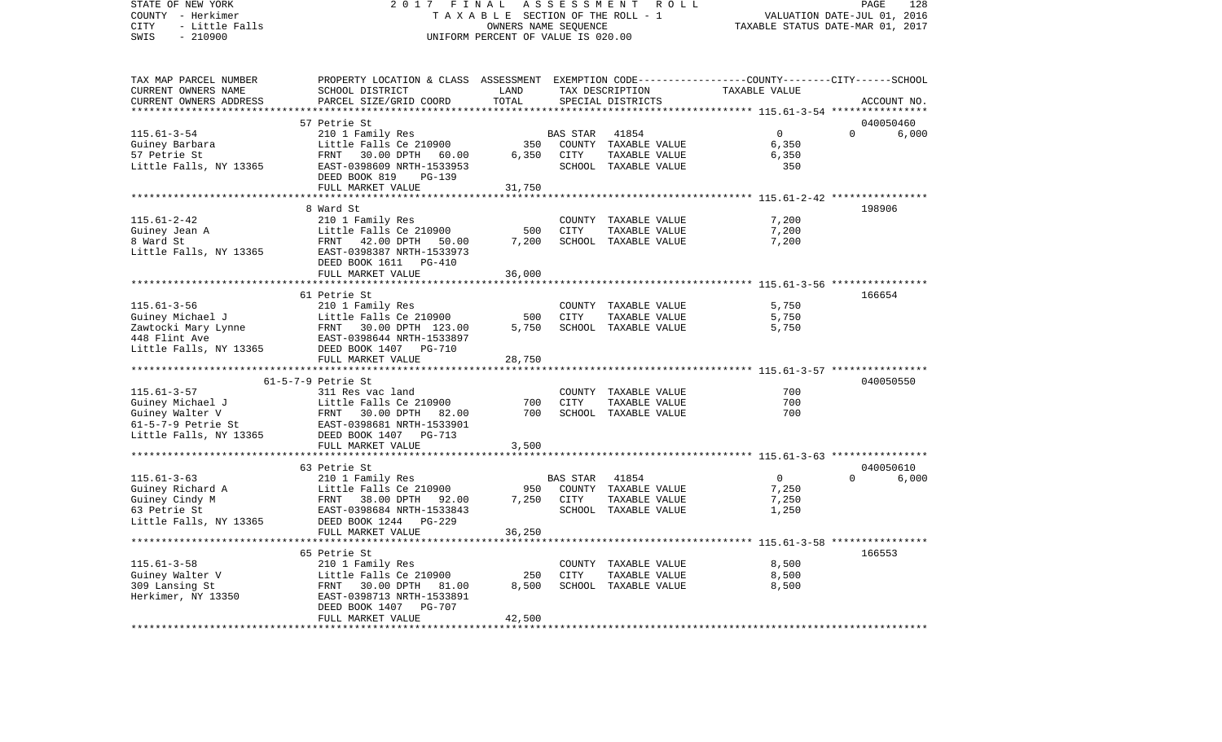COUNTY - Herkimer T A X A B L E SECTION OF THE ROLL - 1 VALUATION DATE-JUL 01, 2016 CITY - Little Falls OWNERS NAME SEQUENCE TAXABLE STATUS DATE-MAR 01, 2017 SWIS - 210900 UNIFORM PERCENT OF VALUE IS 020.00TAX MAP PARCEL NUMBER PROPERTY LOCATION & CLASS ASSESSMENT EXEMPTION CODE------------------COUNTY--------CITY------SCHOOL CURRENT OWNERS NAME SCHOOL DISTRICT LAND TAX DESCRIPTION TAXABLE VALUECURRENT OWNERS ADDRESS PARCEL SIZE/GRID COORD TOTAL SPECIAL DISTRICTS ACCOUNT NO. \*\*\*\*\*\*\*\*\*\*\*\*\*\*\*\*\*\*\*\*\*\*\*\*\*\*\*\*\*\*\*\*\*\*\*\*\*\*\*\*\*\*\*\*\*\*\*\*\*\*\*\*\*\*\*\*\*\*\*\*\*\*\*\*\*\*\*\*\*\*\*\*\*\*\*\*\*\*\*\*\*\*\*\*\*\*\*\*\*\*\*\*\*\*\*\*\*\*\*\*\*\*\* 115.61-3-54 \*\*\*\*\*\*\*\*\*\*\*\*\*\*\*\* 57 Petrie St 040050460115.61-3-54 210 1 Family Res BAS STAR 41854 0 0 6,000 Guiney Barbara Little Falls Ce 210900 350 COUNTY TAXABLE VALUE 6,350 57 Petrie St FRNT 30.00 DPTH 60.00 6,350 CITY TAXABLE VALUE 6,350 Little Falls, NY 13365 EAST-0398609 NRTH-1533953 SCHOOL TAXABLE VALUE 350 DEED BOOK 819 PG-139FULL MARKET VALUE 31,750 \*\*\*\*\*\*\*\*\*\*\*\*\*\*\*\*\*\*\*\*\*\*\*\*\*\*\*\*\*\*\*\*\*\*\*\*\*\*\*\*\*\*\*\*\*\*\*\*\*\*\*\*\*\*\*\*\*\*\*\*\*\*\*\*\*\*\*\*\*\*\*\*\*\*\*\*\*\*\*\*\*\*\*\*\*\*\*\*\*\*\*\*\*\*\*\*\*\*\*\*\*\*\* 115.61-2-42 \*\*\*\*\*\*\*\*\*\*\*\*\*\*\*\* 8 Ward St 198906115.61-2-42 210 1 Family Res COUNTY TAXABLE VALUE 7,200 Guiney Jean A **Little Falls Ce 210900** 500 CITY TAXABLE VALUE 8 Ward St. FRNT 42.00 DPTH 50.00 7.200 SCHOOL TAXABLE VALUE 7.200 Little Falls, NY 13365 EAST-0398387 NRTH-1533973 DEED BOOK 1611 PG-410FULL MARKET VALUE 36,000 \*\*\*\*\*\*\*\*\*\*\*\*\*\*\*\*\*\*\*\*\*\*\*\*\*\*\*\*\*\*\*\*\*\*\*\*\*\*\*\*\*\*\*\*\*\*\*\*\*\*\*\*\*\*\*\*\*\*\*\*\*\*\*\*\*\*\*\*\*\*\*\*\*\*\*\*\*\*\*\*\*\*\*\*\*\*\*\*\*\*\*\*\*\*\*\*\*\*\*\*\*\*\* 115.61-3-56 \*\*\*\*\*\*\*\*\*\*\*\*\*\*\*\* 61 Petrie St 166654115.61-3-56 210 1 Family Res COUNTY TAXABLE VALUE 5,750 Guiney Michael J Little Falls Ce 210900 500 CITY TAXABLE VALUE 5,750 Zawtocki Mary Lynne FRNT 30.00 DPTH 123.00 5,750 SCHOOL TAXABLE VALUE 5,750 448 Flint Ave EAST-0398644 NRTH-1533897Little Falls, NY 13365 DEED BOOK 1407 PG-710 FULL MARKET VALUE 28,750 \*\*\*\*\*\*\*\*\*\*\*\*\*\*\*\*\*\*\*\*\*\*\*\*\*\*\*\*\*\*\*\*\*\*\*\*\*\*\*\*\*\*\*\*\*\*\*\*\*\*\*\*\*\*\*\*\*\*\*\*\*\*\*\*\*\*\*\*\*\*\*\*\*\*\*\*\*\*\*\*\*\*\*\*\*\*\*\*\*\*\*\*\*\*\*\*\*\*\*\*\*\*\* 115.61-3-57 \*\*\*\*\*\*\*\*\*\*\*\*\*\*\*\* 61-5-7-9 Petrie St 040050550115.61-3-57 311 Res vac land COUNTY TAXABLE VALUE 700Guiney Michael J Little Falls Ce 210900 700 CITY TAXABLE VALUE 700 Guiney Walter V **FRNT 30.00 DPTH 82.00** 700 SCHOOL TAXABLE VALUE 700 61-5-7-9 Petrie St EAST-0398681 NRTH-1533901Little Falls, NY 13365 DEED BOOK 1407 PG-713 FULL MARKET VALUE 3,500 \*\*\*\*\*\*\*\*\*\*\*\*\*\*\*\*\*\*\*\*\*\*\*\*\*\*\*\*\*\*\*\*\*\*\*\*\*\*\*\*\*\*\*\*\*\*\*\*\*\*\*\*\*\*\*\*\*\*\*\*\*\*\*\*\*\*\*\*\*\*\*\*\*\*\*\*\*\*\*\*\*\*\*\*\*\*\*\*\*\*\*\*\*\*\*\*\*\*\*\*\*\*\* 115.61-3-63 \*\*\*\*\*\*\*\*\*\*\*\*\*\*\*\* 63 Petrie St 040050610115.61-3-63 210 1 Family Res BAS STAR 41854 0 0 6,000 Guiney Richard A **Little Falls Ce 210900** 950 COUNTY TAXABLE VALUE 7,250 Guiney Cindy M FRNT 38.00 DPTH 92.00 7,250 CITY TAXABLE VALUE 7,250 EAST-0398684 NRTH-1533843 Little Falls, NY 13365 DEED BOOK 1244 PG-229 FULL MARKET VALUE 36,250 \*\*\*\*\*\*\*\*\*\*\*\*\*\*\*\*\*\*\*\*\*\*\*\*\*\*\*\*\*\*\*\*\*\*\*\*\*\*\*\*\*\*\*\*\*\*\*\*\*\*\*\*\*\*\*\*\*\*\*\*\*\*\*\*\*\*\*\*\*\*\*\*\*\*\*\*\*\*\*\*\*\*\*\*\*\*\*\*\*\*\*\*\*\*\*\*\*\*\*\*\*\*\* 115.61-3-58 \*\*\*\*\*\*\*\*\*\*\*\*\*\*\*\* 65 Petrie St 166553115.61-3-58 210 1 Family Res COUNTY TAXABLE VALUE 8,500 Guiney Walter V **Little Falls Ce 210900** 250 CITY TAXABLE VALUE 309 Lansing St FRNT 30.00 DPTH 81.00 8,500 SCHOOL TAXABLE VALUE 8,500 Herkimer, NY 13350 EAST-0398713 NRTH-1533891 DEED BOOK 1407 PG-707 FULL MARKET VALUE 42,500 \*\*\*\*\*\*\*\*\*\*\*\*\*\*\*\*\*\*\*\*\*\*\*\*\*\*\*\*\*\*\*\*\*\*\*\*\*\*\*\*\*\*\*\*\*\*\*\*\*\*\*\*\*\*\*\*\*\*\*\*\*\*\*\*\*\*\*\*\*\*\*\*\*\*\*\*\*\*\*\*\*\*\*\*\*\*\*\*\*\*\*\*\*\*\*\*\*\*\*\*\*\*\*\*\*\*\*\*\*\*\*\*\*\*\*\*\*\*\*\*\*\*\*\*\*\*\*\*\*\*\*\*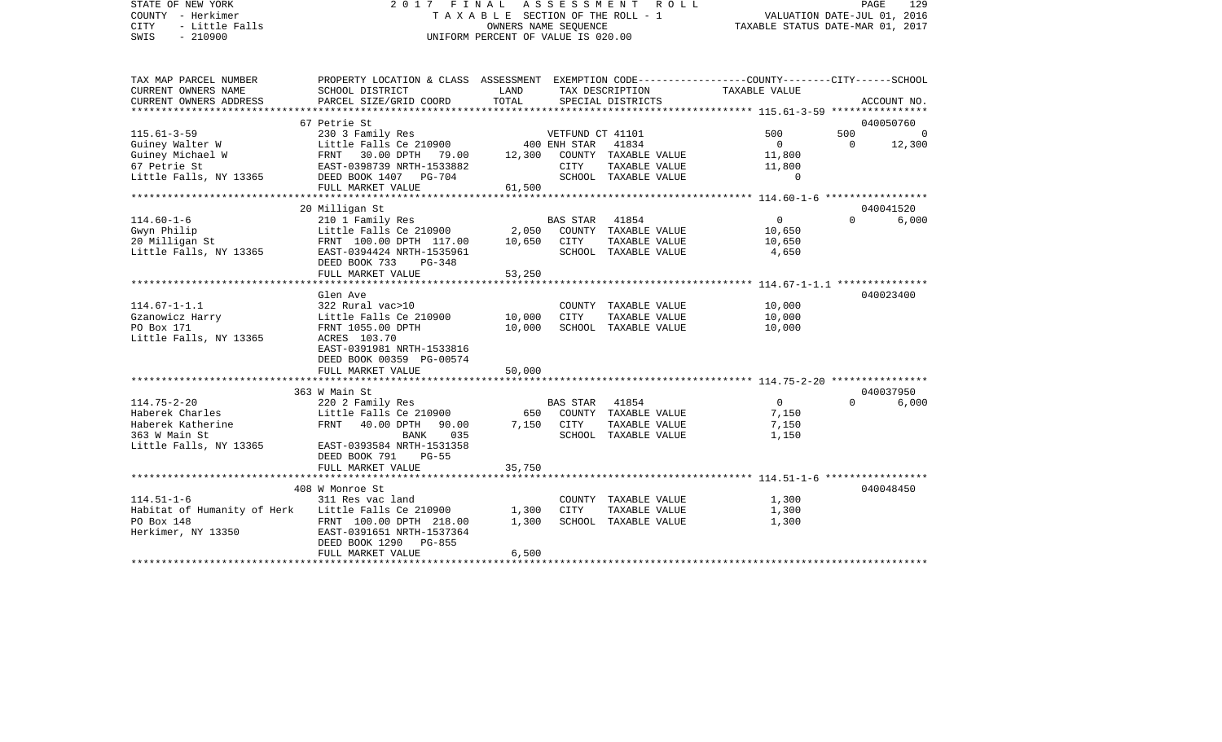| STATE OF NEW YORK<br>COUNTY - Herkimer<br><b>CITY</b><br>- Little Falls<br>$-210900$<br>SWIS | 2017 FINAL<br>ASSESSMENT<br>R O L L<br>TAXABLE SECTION OF THE ROLL - 1<br>OWNERS NAME SEQUENCE<br>UNIFORM PERCENT OF VALUE IS 020.00 |               |                  |                      | PAGE<br>129<br>VALUATION DATE-JUL 01, 2016<br>TAXABLE STATUS DATE-MAR 01, 2017 |                |                    |  |
|----------------------------------------------------------------------------------------------|--------------------------------------------------------------------------------------------------------------------------------------|---------------|------------------|----------------------|--------------------------------------------------------------------------------|----------------|--------------------|--|
| TAX MAP PARCEL NUMBER                                                                        | PROPERTY LOCATION & CLASS ASSESSMENT EXEMPTION CODE---------------COUNTY-------CITY------SCHOOL                                      |               |                  |                      |                                                                                |                |                    |  |
| CURRENT OWNERS NAME                                                                          | SCHOOL DISTRICT                                                                                                                      | LAND          |                  | TAX DESCRIPTION      | TAXABLE VALUE                                                                  |                |                    |  |
| CURRENT OWNERS ADDRESS                                                                       | PARCEL SIZE/GRID COORD                                                                                                               | TOTAL         |                  | SPECIAL DISTRICTS    |                                                                                |                | ACCOUNT NO.        |  |
| *********************                                                                        |                                                                                                                                      |               |                  |                      |                                                                                |                |                    |  |
| $115.61 - 3 - 59$                                                                            | 67 Petrie St<br>230 3 Family Res                                                                                                     |               | VETFUND CT 41101 |                      | 500                                                                            | 500            | 040050760<br>0     |  |
| Guiney Walter W                                                                              | Little Falls Ce 210900                                                                                                               |               | 400 ENH STAR     | 41834                | $\overline{0}$                                                                 | $\overline{0}$ | 12,300             |  |
| Guiney Michael W                                                                             | FRNT 30.00 DPTH 79.00                                                                                                                | 12,300        |                  | COUNTY TAXABLE VALUE | 11,800                                                                         |                |                    |  |
| 67 Petrie St                                                                                 | EAST-0398739 NRTH-1533882                                                                                                            |               | <b>CITY</b>      | TAXABLE VALUE        | 11,800                                                                         |                |                    |  |
| Little Falls, NY 13365                                                                       | DEED BOOK 1407 PG-704                                                                                                                |               |                  | SCHOOL TAXABLE VALUE | $\Omega$                                                                       |                |                    |  |
|                                                                                              | FULL MARKET VALUE                                                                                                                    | 61,500        |                  |                      |                                                                                |                |                    |  |
|                                                                                              |                                                                                                                                      | ************* |                  |                      |                                                                                |                |                    |  |
| $114.60 - 1 - 6$                                                                             | 20 Milligan St<br>210 1 Family Res                                                                                                   |               | <b>BAS STAR</b>  | 41854                | $\Omega$                                                                       | $\Omega$       | 040041520<br>6,000 |  |
| Gwyn Philip                                                                                  | Little Falls Ce 210900                                                                                                               | 2,050         |                  | COUNTY TAXABLE VALUE | 10,650                                                                         |                |                    |  |
| 20 Milligan St                                                                               | FRNT 100.00 DPTH 117.00                                                                                                              | 10,650        | CITY             | TAXABLE VALUE        | 10,650                                                                         |                |                    |  |
| Little Falls, NY 13365                                                                       | EAST-0394424 NRTH-1535961                                                                                                            |               |                  | SCHOOL TAXABLE VALUE | 4,650                                                                          |                |                    |  |
|                                                                                              | DEED BOOK 733<br>$PG-348$                                                                                                            |               |                  |                      |                                                                                |                |                    |  |
|                                                                                              | FULL MARKET VALUE                                                                                                                    | 53,250        |                  |                      |                                                                                |                |                    |  |
|                                                                                              | Glen Ave                                                                                                                             |               |                  |                      |                                                                                |                | 040023400          |  |
| $114.67 - 1 - 1.1$                                                                           | 322 Rural vac>10                                                                                                                     |               |                  | COUNTY TAXABLE VALUE | 10,000                                                                         |                |                    |  |
| Gzanowicz Harry                                                                              | Little Falls Ce 210900                                                                                                               | 10,000        | CITY             | TAXABLE VALUE        | 10,000                                                                         |                |                    |  |
| PO Box 171                                                                                   | FRNT 1055.00 DPTH                                                                                                                    | 10,000        |                  | SCHOOL TAXABLE VALUE | 10,000                                                                         |                |                    |  |
| Little Falls, NY 13365                                                                       | ACRES 103.70                                                                                                                         |               |                  |                      |                                                                                |                |                    |  |
|                                                                                              | EAST-0391981 NRTH-1533816                                                                                                            |               |                  |                      |                                                                                |                |                    |  |
|                                                                                              | DEED BOOK 00359 PG-00574<br>FULL MARKET VALUE                                                                                        | 50,000        |                  |                      |                                                                                |                |                    |  |
|                                                                                              | ***********************                                                                                                              |               |                  |                      |                                                                                |                |                    |  |
|                                                                                              | 363 W Main St                                                                                                                        |               |                  |                      |                                                                                |                | 040037950          |  |
| $114.75 - 2 - 20$                                                                            | 220 2 Family Res                                                                                                                     |               | <b>BAS STAR</b>  | 41854                | $\Omega$                                                                       | $\Omega$       | 6,000              |  |
| Haberek Charles                                                                              | Little Falls Ce 210900                                                                                                               | 650           |                  | COUNTY TAXABLE VALUE | 7,150                                                                          |                |                    |  |
| Haberek Katherine                                                                            | FRNT<br>40.00 DPTH<br>90.00                                                                                                          | 7,150         | CITY             | TAXABLE VALUE        | 7,150                                                                          |                |                    |  |
| 363 W Main St                                                                                | BANK<br>035                                                                                                                          |               |                  | SCHOOL TAXABLE VALUE | 1,150                                                                          |                |                    |  |
| Little Falls, NY 13365                                                                       | EAST-0393584 NRTH-1531358<br>DEED BOOK 791<br>$PG-55$                                                                                |               |                  |                      |                                                                                |                |                    |  |
|                                                                                              | FULL MARKET VALUE                                                                                                                    | 35,750        |                  |                      |                                                                                |                |                    |  |
|                                                                                              | ***********************************                                                                                                  |               |                  |                      |                                                                                |                |                    |  |
|                                                                                              | 408 W Monroe St                                                                                                                      |               |                  |                      |                                                                                |                | 040048450          |  |
| $114.51 - 1 - 6$                                                                             | 311 Res vac land                                                                                                                     |               |                  | COUNTY TAXABLE VALUE | 1,300                                                                          |                |                    |  |
| Habitat of Humanity of Herk                                                                  | Little Falls Ce 210900                                                                                                               | 1,300         | <b>CITY</b>      | TAXABLE VALUE        | 1,300                                                                          |                |                    |  |
| PO Box 148                                                                                   | FRNT 100.00 DPTH 218.00                                                                                                              | 1,300         |                  | SCHOOL TAXABLE VALUE | 1,300                                                                          |                |                    |  |
| Herkimer, NY 13350                                                                           | EAST-0391651 NRTH-1537364<br>DEED BOOK 1290<br>PG-855                                                                                |               |                  |                      |                                                                                |                |                    |  |
|                                                                                              | FULL MARKET VALUE                                                                                                                    | 6,500         |                  |                      |                                                                                |                |                    |  |
|                                                                                              |                                                                                                                                      |               |                  |                      |                                                                                |                |                    |  |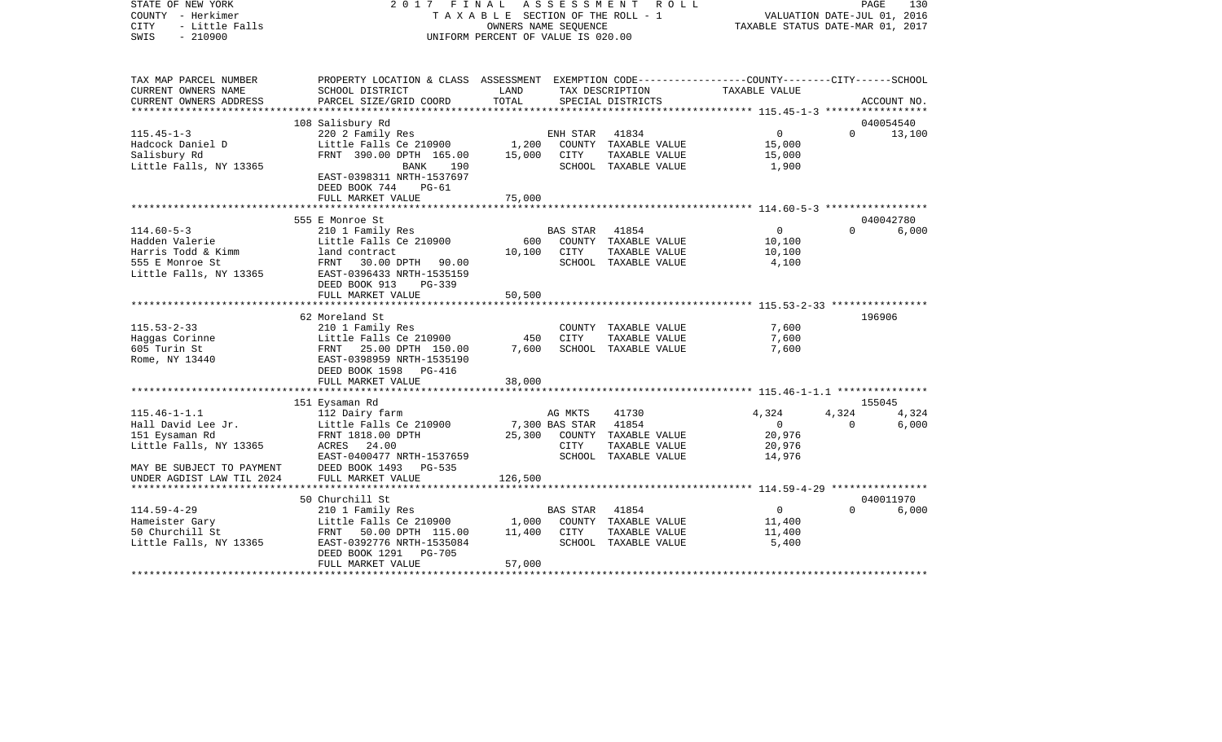| STATE OF NEW YORK<br>COUNTY - Herkimer<br>- Little Falls<br><b>CITY</b><br>$-210900$<br>SWIS | 2017 FINAL<br>TAXABLE SECTION OF THE ROLL - 1<br>UNIFORM PERCENT OF VALUE IS 020.00                                 | PAGE<br>130<br>VALUATION DATE-JUL 01, 2016<br>TAXABLE STATUS DATE-MAR 01, 2017 |                 |                                       |                          |          |                 |
|----------------------------------------------------------------------------------------------|---------------------------------------------------------------------------------------------------------------------|--------------------------------------------------------------------------------|-----------------|---------------------------------------|--------------------------|----------|-----------------|
| TAX MAP PARCEL NUMBER<br>CURRENT OWNERS NAME                                                 | PROPERTY LOCATION & CLASS ASSESSMENT EXEMPTION CODE----------------COUNTY-------CITY------SCHOOL<br>SCHOOL DISTRICT | LAND                                                                           |                 | TAX DESCRIPTION                       | TAXABLE VALUE            |          |                 |
| CURRENT OWNERS ADDRESS                                                                       | PARCEL SIZE/GRID COORD                                                                                              | TOTAL                                                                          |                 | SPECIAL DISTRICTS                     |                          |          | ACCOUNT NO.     |
|                                                                                              |                                                                                                                     |                                                                                |                 |                                       |                          |          |                 |
|                                                                                              | 108 Salisbury Rd                                                                                                    |                                                                                |                 |                                       |                          |          | 040054540       |
| $115.45 - 1 - 3$<br>Hadcock Daniel D                                                         | 220 2 Family Res<br>Little Falls Ce 210900                                                                          | 1,200                                                                          | ENH STAR        | 41834<br>COUNTY TAXABLE VALUE         | 0<br>15,000              | $\Omega$ | 13,100          |
| Salisbury Rd                                                                                 | FRNT 390.00 DPTH 165.00                                                                                             | 15,000                                                                         | CITY            | TAXABLE VALUE                         | 15,000                   |          |                 |
| Little Falls, NY 13365                                                                       | <b>BANK</b><br>190                                                                                                  |                                                                                |                 | SCHOOL TAXABLE VALUE                  | 1,900                    |          |                 |
|                                                                                              | EAST-0398311 NRTH-1537697<br>DEED BOOK 744<br>PG-61                                                                 |                                                                                |                 |                                       |                          |          |                 |
|                                                                                              | FULL MARKET VALUE                                                                                                   | 75,000                                                                         |                 |                                       |                          |          |                 |
|                                                                                              |                                                                                                                     |                                                                                |                 |                                       |                          |          |                 |
|                                                                                              | 555 E Monroe St                                                                                                     |                                                                                |                 |                                       |                          |          | 040042780       |
| $114.60 - 5 - 3$<br>Hadden Valerie                                                           | 210 1 Family Res<br>Little Falls Ce 210900                                                                          | 600                                                                            | BAS STAR        | 41854<br>COUNTY TAXABLE VALUE         | $\overline{0}$<br>10,100 | $\Omega$ | 6,000           |
| Harris Todd & Kimm                                                                           | land contract                                                                                                       | 10,100                                                                         | CITY            | TAXABLE VALUE                         | 10,100                   |          |                 |
| 555 E Monroe St                                                                              | FRNT 30.00 DPTH 90.00                                                                                               |                                                                                |                 | SCHOOL TAXABLE VALUE                  | 4,100                    |          |                 |
| Little Falls, NY 13365                                                                       | EAST-0396433 NRTH-1535159                                                                                           |                                                                                |                 |                                       |                          |          |                 |
|                                                                                              | DEED BOOK 913<br>$PG-339$                                                                                           |                                                                                |                 |                                       |                          |          |                 |
|                                                                                              | FULL MARKET VALUE                                                                                                   | 50,500                                                                         |                 |                                       |                          |          |                 |
|                                                                                              |                                                                                                                     |                                                                                |                 |                                       |                          |          |                 |
| $115.53 - 2 - 33$                                                                            | 62 Moreland St                                                                                                      |                                                                                |                 |                                       |                          |          | 196906          |
| Haggas Corinne                                                                               | 210 1 Family Res<br>Little Falls Ce 210900                                                                          | 450                                                                            | <b>CITY</b>     | COUNTY TAXABLE VALUE<br>TAXABLE VALUE | 7,600<br>7,600           |          |                 |
| 605 Turin St                                                                                 | FRNT 25.00 DPTH 150.00                                                                                              | 7,600                                                                          |                 | SCHOOL TAXABLE VALUE                  | 7,600                    |          |                 |
| Rome, NY 13440                                                                               | EAST-0398959 NRTH-1535190                                                                                           |                                                                                |                 |                                       |                          |          |                 |
|                                                                                              | DEED BOOK 1598 PG-416                                                                                               |                                                                                |                 |                                       |                          |          |                 |
|                                                                                              | FULL MARKET VALUE                                                                                                   | 38,000                                                                         |                 |                                       |                          |          |                 |
|                                                                                              |                                                                                                                     |                                                                                |                 |                                       |                          |          |                 |
| $115.46 - 1 - 1.1$                                                                           | 151 Eysaman Rd                                                                                                      |                                                                                | AG MKTS         | 41730                                 | 4,324                    | 4,324    | 155045<br>4,324 |
| Hall David Lee Jr.                                                                           | 112 Dairy farm<br>Little Falls Ce 210900                                                                            |                                                                                | 7,300 BAS STAR  | 41854                                 | $\overline{0}$           | $\Omega$ | 6,000           |
| 151 Eysaman Rd                                                                               | FRNT 1818.00 DPTH                                                                                                   | 25,300                                                                         |                 | COUNTY TAXABLE VALUE                  | 20,976                   |          |                 |
| Little Falls, NY 13365                                                                       | ACRES 24.00                                                                                                         |                                                                                | CITY            | TAXABLE VALUE                         | 20,976                   |          |                 |
|                                                                                              | EAST-0400477 NRTH-1537659                                                                                           |                                                                                |                 | SCHOOL TAXABLE VALUE                  | 14,976                   |          |                 |
| MAY BE SUBJECT TO PAYMENT                                                                    | DEED BOOK 1493 PG-535                                                                                               |                                                                                |                 |                                       |                          |          |                 |
| UNDER AGDIST LAW TIL 2024                                                                    | FULL MARKET VALUE                                                                                                   | 126,500                                                                        |                 |                                       |                          |          |                 |
|                                                                                              |                                                                                                                     |                                                                                |                 |                                       |                          |          |                 |
|                                                                                              | 50 Churchill St                                                                                                     |                                                                                |                 |                                       |                          |          | 040011970       |
| $114.59 - 4 - 29$<br>Hameister Gary                                                          | 210 1 Family Res<br>Little Falls Ce 210900                                                                          | 1,000                                                                          | <b>BAS STAR</b> | 41854<br>COUNTY TAXABLE VALUE         | $\circ$<br>11,400        | $\Omega$ | 6,000           |
| 50 Churchill St                                                                              | FRNT 50.00 DPTH 115.00                                                                                              | 11,400                                                                         | CITY            | TAXABLE VALUE                         | 11,400                   |          |                 |
| Little Falls, NY 13365                                                                       | EAST-0392776 NRTH-1535084                                                                                           |                                                                                |                 | SCHOOL TAXABLE VALUE                  | 5,400                    |          |                 |
|                                                                                              | DEED BOOK 1291<br><b>PG-705</b>                                                                                     |                                                                                |                 |                                       |                          |          |                 |
|                                                                                              | FULL MARKET VALUE                                                                                                   | 57,000                                                                         |                 |                                       |                          |          |                 |
|                                                                                              |                                                                                                                     |                                                                                |                 |                                       |                          |          |                 |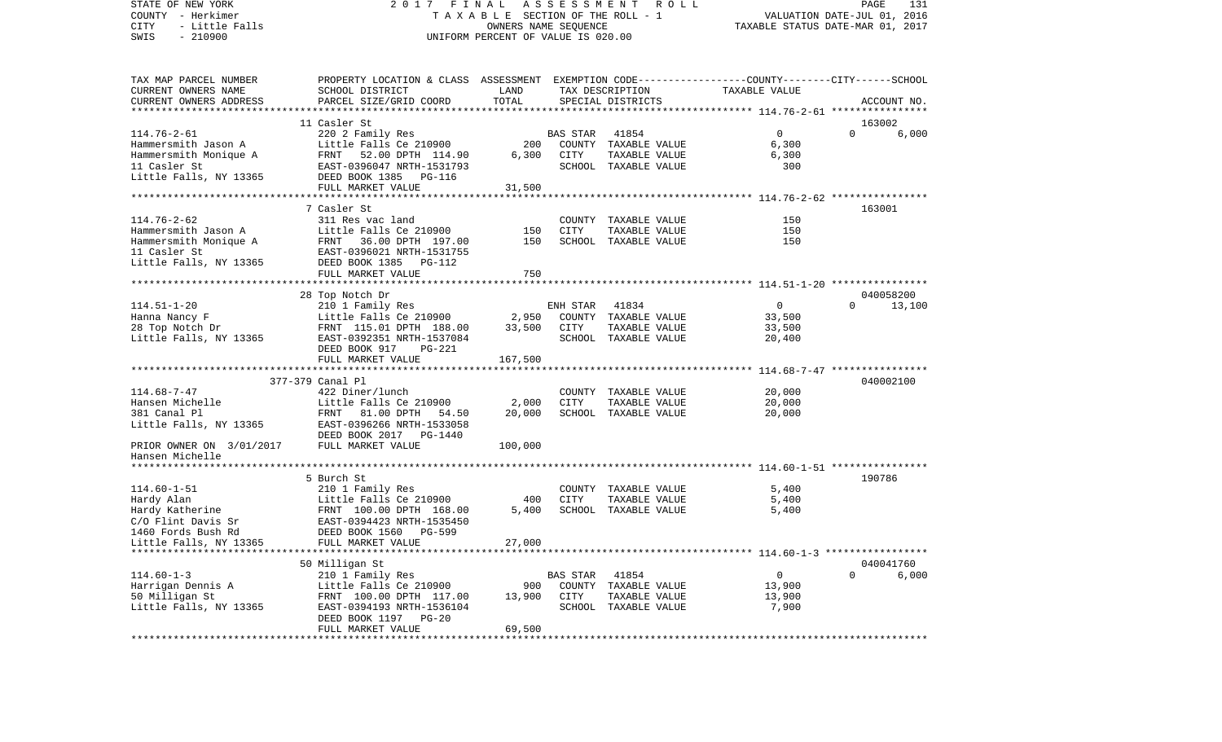VALUATION DATE-JUL 01, 2016 COUNTY - Herkimer T A X A B L E SECTION OF THE ROLL - 1 CITY - Little Falls OWNERS NAME SEQUENCE TAXABLE STATUS DATE-MAR 01, 2017 SWIS - 210900 UNIFORM PERCENT OF VALUE IS 020.00TAX MAP PARCEL NUMBER PROPERTY LOCATION & CLASS ASSESSMENT EXEMPTION CODE------------------COUNTY--------CITY------SCHOOL CURRENT OWNERS NAME SCHOOL DISTRICT LAND TAX DESCRIPTION TAXABLE VALUECURRENT OWNERS ADDRESS PARCEL SIZE/GRID COORD TOTAL SPECIAL DISTRICTS ACCOUNT NO. \*\*\*\*\*\*\*\*\*\*\*\*\*\*\*\*\*\*\*\*\*\*\*\*\*\*\*\*\*\*\*\*\*\*\*\*\*\*\*\*\*\*\*\*\*\*\*\*\*\*\*\*\*\*\*\*\*\*\*\*\*\*\*\*\*\*\*\*\*\*\*\*\*\*\*\*\*\*\*\*\*\*\*\*\*\*\*\*\*\*\*\*\*\*\*\*\*\*\*\*\*\*\* 114.76-2-61 \*\*\*\*\*\*\*\*\*\*\*\*\*\*\*\* 11 Casler St 163002114.76-2-61 220 2 Family Res BAS STAR 41854 0 0 6,000 Hammersmith Jason A Little Falls Ce 210900 200 COUNTY TAXABLE VALUE 6,300 Hammersmith Monique A FRNT 52.00 DPTH 114.90 6,300 CITY TAXABLE VALUE 6,300 11 Casler St EAST-0396047 NRTH-1531793 SCHOOL TAXABLE VALUE 300Little Falls, NY 13365 DEED BOOK 1385 PG-116 FULL MARKET VALUE 31,500 \*\*\*\*\*\*\*\*\*\*\*\*\*\*\*\*\*\*\*\*\*\*\*\*\*\*\*\*\*\*\*\*\*\*\*\*\*\*\*\*\*\*\*\*\*\*\*\*\*\*\*\*\*\*\*\*\*\*\*\*\*\*\*\*\*\*\*\*\*\*\*\*\*\*\*\*\*\*\*\*\*\*\*\*\*\*\*\*\*\*\*\*\*\*\*\*\*\*\*\*\*\*\* 114.76-2-62 \*\*\*\*\*\*\*\*\*\*\*\*\*\*\*\* 7 Casler St 163001114.76-2-62 311 Res vac land COUNTY TAXABLE VALUE 150150 Hammersmith Jason A Little Falls Ce 210900 150 CITY TAXABLE VALUE 150150 Hammersmith Monique A FRNT 36.00 DPTH 197.00 150 SCHOOL TAXABLE VALUE 11 Casler St EAST-0396021 NRTH-1531755Little Falls, NY 13365 DEED BOOK 1385 PG-112 FULL MARKET VALUE 750 \*\*\*\*\*\*\*\*\*\*\*\*\*\*\*\*\*\*\*\*\*\*\*\*\*\*\*\*\*\*\*\*\*\*\*\*\*\*\*\*\*\*\*\*\*\*\*\*\*\*\*\*\*\*\*\*\*\*\*\*\*\*\*\*\*\*\*\*\*\*\*\*\*\*\*\*\*\*\*\*\*\*\*\*\*\*\*\*\*\*\*\*\*\*\*\*\*\*\*\*\*\*\* 114.51-1-20 \*\*\*\*\*\*\*\*\*\*\*\*\*\*\*\* 28 Top Notch Dr 040058200 114.51-1-20 210 1 Family Res ENH STAR 41834 0 0 0 Hanna Nancy F Little Falls Ce 210900 2,950 COUNTY TAXABLE VALUE 33,500 28 Top Notch Dr FRNT 115.01 DPTH 188.00 33,500 CITY TAXABLE VALUE 33,500 Little Falls, NY 13365 EAST-0392351 NRTH-1537084 SCHOOL TAXABLE VALUE 20,400 DEED BOOK 917 PG-221FULL MARKET VALUE 167,500 \*\*\*\*\*\*\*\*\*\*\*\*\*\*\*\*\*\*\*\*\*\*\*\*\*\*\*\*\*\*\*\*\*\*\*\*\*\*\*\*\*\*\*\*\*\*\*\*\*\*\*\*\*\*\*\*\*\*\*\*\*\*\*\*\*\*\*\*\*\*\*\*\*\*\*\*\*\*\*\*\*\*\*\*\*\*\*\*\*\*\*\*\*\*\*\*\*\*\*\*\*\*\* 114.68-7-47 \*\*\*\*\*\*\*\*\*\*\*\*\*\*\*\* 377-379 Canal Pl 040002100114.68-7-47 422 Diner/lunch COUNTY TAXABLE VALUE 20,000 Hansen Michelle Little Falls Ce 210900 2,000 CITY TAXABLE VALUE 20,000 381 Canal Pl FRNT 81.00 DPTH 54.50 20,000 SCHOOL TAXABLE VALUE 20,000 Little Falls, NY 13365 EAST-0396266 NRTH-1533058 DEED BOOK 2017 PG-1440PRIOR OWNER ON 3/01/2017 FULL MARKET VALUE 100,000 Hansen Michelle \*\*\*\*\*\*\*\*\*\*\*\*\*\*\*\*\*\*\*\*\*\*\*\*\*\*\*\*\*\*\*\*\*\*\*\*\*\*\*\*\*\*\*\*\*\*\*\*\*\*\*\*\*\*\*\*\*\*\*\*\*\*\*\*\*\*\*\*\*\*\*\*\*\*\*\*\*\*\*\*\*\*\*\*\*\*\*\*\*\*\*\*\*\*\*\*\*\*\*\*\*\*\* 114.60-1-51 \*\*\*\*\*\*\*\*\*\*\*\*\*\*\*\* 5 Burch St 190786114.60-1-51 210 1 Family Res COUNTY TAXABLE VALUE 5,400 Hardy Alan Little Falls Ce 210900 400 CITY TAXABLE VALUE 5,400 Hardy Katherine FRNT 100.00 DPTH 168.00 C/O Flint Davis Sr EAST-0394423 NRTH-1535450 1460 Fords Bush Rd DEED BOOK 1560 PG-599Little Falls, NY 13365 FULL MARKET VALUE 27,000 \*\*\*\*\*\*\*\*\*\*\*\*\*\*\*\*\*\*\*\*\*\*\*\*\*\*\*\*\*\*\*\*\*\*\*\*\*\*\*\*\*\*\*\*\*\*\*\*\*\*\*\*\*\*\*\*\*\*\*\*\*\*\*\*\*\*\*\*\*\*\*\*\*\*\*\*\*\*\*\*\*\*\*\*\*\*\*\*\*\*\*\*\*\*\*\*\*\*\*\*\*\*\* 114.60-1-3 \*\*\*\*\*\*\*\*\*\*\*\*\*\*\*\*\* 50 Milligan St 040041760 114.60-1-3 210 1 Family Res BAS STAR 41854 0 0 6,000 Harrigan Dennis A Little Falls Ce 210900 900 COUNTY TAXABLE VALUE 13,900 50 Milligan St FRNT 100.00 DPTH 117.00 13,900 CITY TAXABLE VALUE 13,900 Little Falls, NY 13365 EAST-0394193 NRTH-1536104 SCHOOL TAXABLE VALUE 7,900 DEED BOOK 1197 PG-20FULL MARKET VALUE 69,500 \*\*\*\*\*\*\*\*\*\*\*\*\*\*\*\*\*\*\*\*\*\*\*\*\*\*\*\*\*\*\*\*\*\*\*\*\*\*\*\*\*\*\*\*\*\*\*\*\*\*\*\*\*\*\*\*\*\*\*\*\*\*\*\*\*\*\*\*\*\*\*\*\*\*\*\*\*\*\*\*\*\*\*\*\*\*\*\*\*\*\*\*\*\*\*\*\*\*\*\*\*\*\*\*\*\*\*\*\*\*\*\*\*\*\*\*\*\*\*\*\*\*\*\*\*\*\*\*\*\*\*\*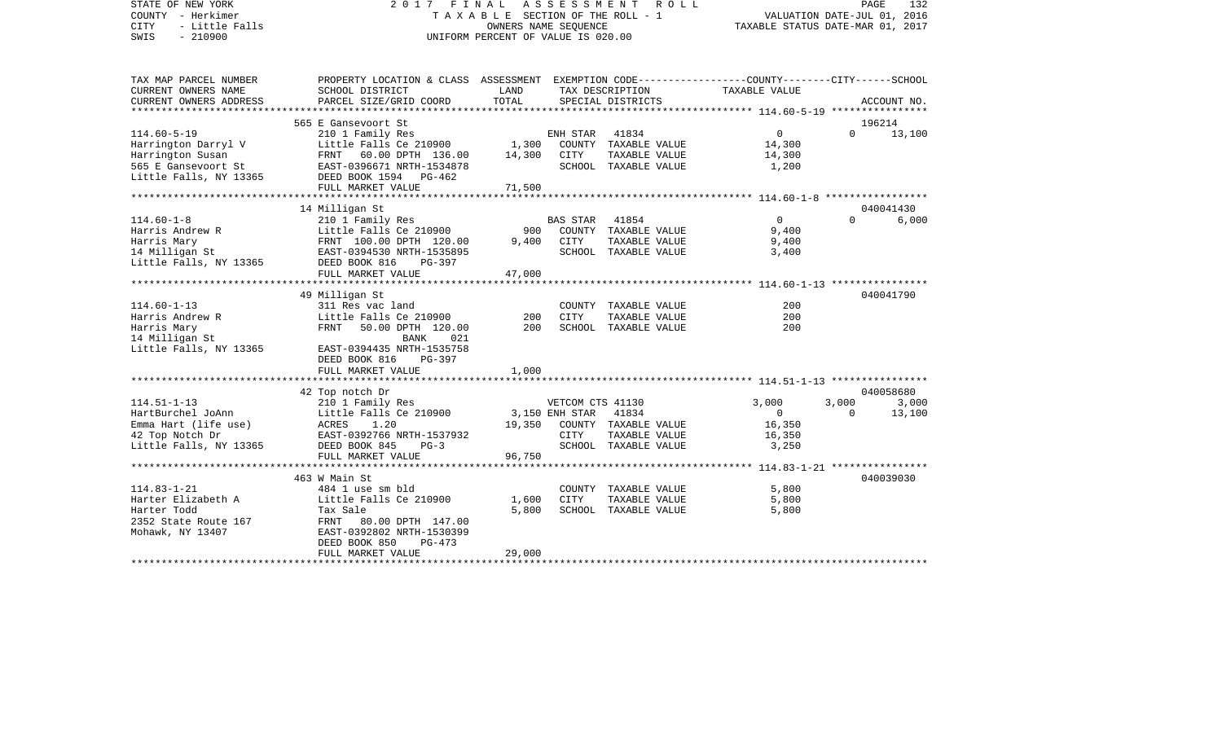STATE OF NEW YORK 2 0 1 7 F I N A L A S S E S S M E N T R O L L PAGE 132COUNTY - Herkimer **T A X A B L E** SECTION OF THE ROLL - 1 VALUATION DATE-JUL 01, 2016 CITY - Little Falls OWNERS NAME SEQUENCE TAXABLE STATUS DATE-MAR 01, 2017 SWIS - 210900 UNIFORM PERCENT OF VALUE IS 020.00TAX MAP PARCEL NUMBER PROPERTY LOCATION & CLASS ASSESSMENT EXEMPTION CODE------------------COUNTY--------CITY------SCHOOL CURRENT OWNERS NAME SCHOOL DISTRICT LAND TAX DESCRIPTION TAXABLE VALUECURRENT OWNERS ADDRESS PARCEL SIZE/GRID COORD TOTAL SPECIAL DISTRICTS ACCOUNT NO. \*\*\*\*\*\*\*\*\*\*\*\*\*\*\*\*\*\*\*\*\*\*\*\*\*\*\*\*\*\*\*\*\*\*\*\*\*\*\*\*\*\*\*\*\*\*\*\*\*\*\*\*\*\*\*\*\*\*\*\*\*\*\*\*\*\*\*\*\*\*\*\*\*\*\*\*\*\*\*\*\*\*\*\*\*\*\*\*\*\*\*\*\*\*\*\*\*\*\*\*\*\*\* 114.60-5-19 \*\*\*\*\*\*\*\*\*\*\*\*\*\*\*\* 565 E Gansevoort St 19621413,100 114.60-5-19 210 1 Family Res ENH STAR 41834 0 0 0 Harrington Darryl V Little Falls Ce 210900 1,300 COUNTY TAXABLE VALUE 14,300 Harrington Susan FRNT 60.00 DPTH 136.00 14,300 CITY TAXABLE VALUE 14,300 565 E Gansevoort St EAST-0396671 NRTH-1534878 SCHOOL TAXABLE VALUE 1,200 Little Falls, NY 13365 DEED BOOK 1594 PG-462 FULL MARKET VALUE 71,500 \*\*\*\*\*\*\*\*\*\*\*\*\*\*\*\*\*\*\*\*\*\*\*\*\*\*\*\*\*\*\*\*\*\*\*\*\*\*\*\*\*\*\*\*\*\*\*\*\*\*\*\*\*\*\*\*\*\*\*\*\*\*\*\*\*\*\*\*\*\*\*\*\*\*\*\*\*\*\*\*\*\*\*\*\*\*\*\*\*\*\*\*\*\*\*\*\*\*\*\*\*\*\* 114.60-1-8 \*\*\*\*\*\*\*\*\*\*\*\*\*\*\*\*\* 14 Milligan St 040041430 114.60-1-8 210 1 Family Res BAS STAR 41854 0 0 6,000 Harris Andrew R Little Falls Ce 210900 900 Harris Mary FRNT 100.00 DPTH 120.00 9,400 CITY TAXABLE VALUE 9,400 14 Milligan St EAST-0394530 NRTH-1535895 SCHOOL TAXABLE VALUE 3,400 Little Falls, NY 13365 DEED BOOK 816 PG-397 FULL MARKET VALUE 47,000 \*\*\*\*\*\*\*\*\*\*\*\*\*\*\*\*\*\*\*\*\*\*\*\*\*\*\*\*\*\*\*\*\*\*\*\*\*\*\*\*\*\*\*\*\*\*\*\*\*\*\*\*\*\*\*\*\*\*\*\*\*\*\*\*\*\*\*\*\*\*\*\*\*\*\*\*\*\*\*\*\*\*\*\*\*\*\*\*\*\*\*\*\*\*\*\*\*\*\*\*\*\*\* 114.60-1-13 \*\*\*\*\*\*\*\*\*\*\*\*\*\*\*\* 49 Milligan St 040041790 114.60-1-13 311 Res vac land COUNTY TAXABLE VALUE Harris Andrew R Little Falls Ce 210900 200 CITY TAXABLE VALUE 200 $200$ Harris Mary **FRNT 50.00 DPTH 120.00** 200 SCHOOL TAXABLE VALUE 14 Milligan St BANK 021 Little Falls, NY 13365 EAST-0394435 NRTH-1535758 DEED BOOK 816 PG-397FULL MARKET VALUE 1,000 \*\*\*\*\*\*\*\*\*\*\*\*\*\*\*\*\*\*\*\*\*\*\*\*\*\*\*\*\*\*\*\*\*\*\*\*\*\*\*\*\*\*\*\*\*\*\*\*\*\*\*\*\*\*\*\*\*\*\*\*\*\*\*\*\*\*\*\*\*\*\*\*\*\*\*\*\*\*\*\*\*\*\*\*\*\*\*\*\*\*\*\*\*\*\*\*\*\*\*\*\*\*\* 114.51-1-13 \*\*\*\*\*\*\*\*\*\*\*\*\*\*\*\* 42 Top notch Dr 040058680 114.51-1-13 210 1 Family Res VETCOM CTS 41130 3,000 3,000 3,000 Little Falls Ce 210900 3,150 ENH STAR 41834 0 0 13,100 Emma Hart (life use)  $ACRES$  1.20 19,350 COUNTY TAXABLE VALUE 16,350 42 Top Notch Dr EAST-0392766 NRTH-1537932 CITY TAXABLE VALUE 16,350 Little Falls, NY 13365 DEED BOOK 845 PG-3 SCHOOL TAXABLE VALUE 3,250 FULL MARKET VALUE 96,750 \*\*\*\*\*\*\*\*\*\*\*\*\*\*\*\*\*\*\*\*\*\*\*\*\*\*\*\*\*\*\*\*\*\*\*\*\*\*\*\*\*\*\*\*\*\*\*\*\*\*\*\*\*\*\*\*\*\*\*\*\*\*\*\*\*\*\*\*\*\*\*\*\*\*\*\*\*\*\*\*\*\*\*\*\*\*\*\*\*\*\*\*\*\*\*\*\*\*\*\*\*\*\* 114.83-1-21 \*\*\*\*\*\*\*\*\*\*\*\*\*\*\*\*463 W Main St 040039030 114.83-1-21 484 1 use sm bld COUNTY TAXABLE VALUE 5,800 Harter Elizabeth A Little Falls Ce 210900 1,600 CITY TAXABLE VALUE 5,800 Harter Todd Tax Sale 5,800 SCHOOL TAXABLE VALUE 5,800 2352 State Route 167 FRNT 80.00 DPTH 147.00Mohawk, NY 13407 EAST-0392802 NRTH-1530399 DEED BOOK 850 PG-473FULL MARKET VALUE 29,000 \*\*\*\*\*\*\*\*\*\*\*\*\*\*\*\*\*\*\*\*\*\*\*\*\*\*\*\*\*\*\*\*\*\*\*\*\*\*\*\*\*\*\*\*\*\*\*\*\*\*\*\*\*\*\*\*\*\*\*\*\*\*\*\*\*\*\*\*\*\*\*\*\*\*\*\*\*\*\*\*\*\*\*\*\*\*\*\*\*\*\*\*\*\*\*\*\*\*\*\*\*\*\*\*\*\*\*\*\*\*\*\*\*\*\*\*\*\*\*\*\*\*\*\*\*\*\*\*\*\*\*\*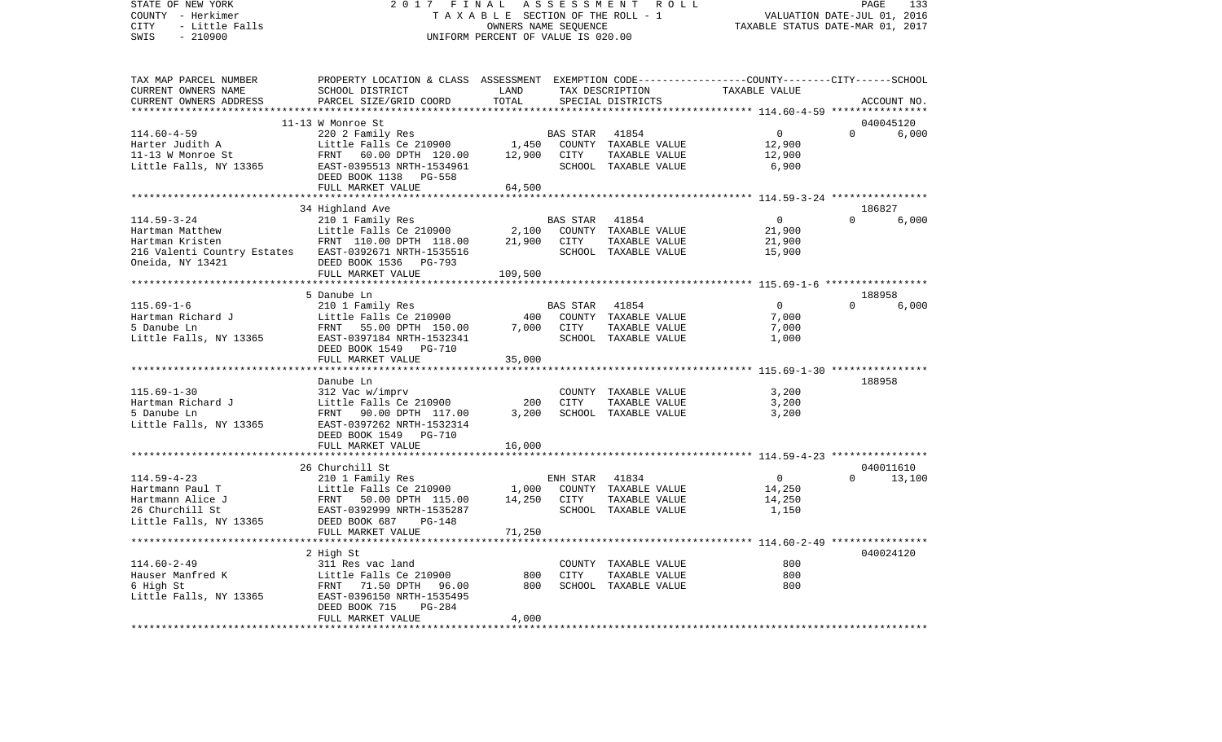COUNTY - Herkimer **T A X A B L E** SECTION OF THE ROLL - 1 VALUATION DATE-JUL 01, 2016 CITY - Little Falls OWNERS NAME SEQUENCE TAXABLE STATUS DATE-MAR 01, 2017 SWIS - 210900 UNIFORM PERCENT OF VALUE IS 020.00TAX MAP PARCEL NUMBER PROPERTY LOCATION & CLASS ASSESSMENT EXEMPTION CODE------------------COUNTY--------CITY------SCHOOL CURRENT OWNERS NAME SCHOOL DISTRICT LAND TAX DESCRIPTION TAXABLE VALUECURRENT OWNERS ADDRESS PARCEL SIZE/GRID COORD TOTAL SPECIAL DISTRICTS ACCOUNT NO. \*\*\*\*\*\*\*\*\*\*\*\*\*\*\*\*\*\*\*\*\*\*\*\*\*\*\*\*\*\*\*\*\*\*\*\*\*\*\*\*\*\*\*\*\*\*\*\*\*\*\*\*\*\*\*\*\*\*\*\*\*\*\*\*\*\*\*\*\*\*\*\*\*\*\*\*\*\*\*\*\*\*\*\*\*\*\*\*\*\*\*\*\*\*\*\*\*\*\*\*\*\*\* 114.60-4-59 \*\*\*\*\*\*\*\*\*\*\*\*\*\*\*\* 11-13 W Monroe St 040045120114.60-4-59 220 2 Family Res BAS STAR 41854 0 0 6,000 Harter Judith A **Little Falls Ce 210900** 1,450 COUNTY TAXABLE VALUE 12,900 11-13 W Monroe St FRNT 60.00 DPTH 120.00 12,900 CITY TAXABLE VALUE 12,900 Little Falls, NY 13365 EAST-0395513 NRTH-1534961 SCHOOL TAXABLE VALUE 6,900 DEED BOOK 1138 PG-558FULL MARKET VALUE 64,500 \*\*\*\*\*\*\*\*\*\*\*\*\*\*\*\*\*\*\*\*\*\*\*\*\*\*\*\*\*\*\*\*\*\*\*\*\*\*\*\*\*\*\*\*\*\*\*\*\*\*\*\*\*\*\*\*\*\*\*\*\*\*\*\*\*\*\*\*\*\*\*\*\*\*\*\*\*\*\*\*\*\*\*\*\*\*\*\*\*\*\*\*\*\*\*\*\*\*\*\*\*\*\* 114.59-3-24 \*\*\*\*\*\*\*\*\*\*\*\*\*\*\*\*34 Highland Ave 186827 114.59-3-24 210 1 Family Res BAS STAR 41854 0 0 6,000 Hartman Matthew Little Falls Ce 210900 2,100 COUNTY TAXABLE VALUE 21,900 Hartman Kristen FRNT 110.00 DPTH 118.00 21,900 CITY TAXABLE VALUE 21,900 216 Valenti Country Estates EAST-0392671 NRTH-1535516 SCHOOL TAXABLE VALUE 15,900 Oneida, NY 13421 DEED BOOK 1536 PG-793 FULL MARKET VALUE 109,500 \*\*\*\*\*\*\*\*\*\*\*\*\*\*\*\*\*\*\*\*\*\*\*\*\*\*\*\*\*\*\*\*\*\*\*\*\*\*\*\*\*\*\*\*\*\*\*\*\*\*\*\*\*\*\*\*\*\*\*\*\*\*\*\*\*\*\*\*\*\*\*\*\*\*\*\*\*\*\*\*\*\*\*\*\*\*\*\*\*\*\*\*\*\*\*\*\*\*\*\*\*\*\* 115.69-1-6 \*\*\*\*\*\*\*\*\*\*\*\*\*\*\*\*\* 5 Danube Ln 188958115.69-1-6 210 1 Family Res BAS STAR 41854 0 0 6,000 Hartman Richard J Little Falls Ce 210900 400 COUNTY TAXABLE VALUE 7,000 5 Danube Ln FRNT 55.00 DPTH 150.00 7,000 CITY TAXABLE VALUE 7,000 Little Falls, NY 13365 EAST-0397184 NRTH-1532341 SCHOOL TAXABLE VALUE 1,000 DEED BOOK 1549 PG-710FULL MARKET VALUE 35,000 \*\*\*\*\*\*\*\*\*\*\*\*\*\*\*\*\*\*\*\*\*\*\*\*\*\*\*\*\*\*\*\*\*\*\*\*\*\*\*\*\*\*\*\*\*\*\*\*\*\*\*\*\*\*\*\*\*\*\*\*\*\*\*\*\*\*\*\*\*\*\*\*\*\*\*\*\*\*\*\*\*\*\*\*\*\*\*\*\*\*\*\*\*\*\*\*\*\*\*\*\*\*\* 115.69-1-30 \*\*\*\*\*\*\*\*\*\*\*\*\*\*\*\* Danube Ln 188958115.69-1-30 312 Vac w/imprv COUNTY TAXABLE VALUE 3,200 Hartman Richard J Little Falls Ce 210900 200 CITY TAXABLE VALUE 3,200 5 Danube Ln FRNT 90.00 DPTH 117.00 3,200 SCHOOL TAXABLE VALUE 3,200 Little Falls, NY 13365 EAST-0397262 NRTH-1532314 DEED BOOK 1549 PG-710FULL MARKET VALUE 16,000 \*\*\*\*\*\*\*\*\*\*\*\*\*\*\*\*\*\*\*\*\*\*\*\*\*\*\*\*\*\*\*\*\*\*\*\*\*\*\*\*\*\*\*\*\*\*\*\*\*\*\*\*\*\*\*\*\*\*\*\*\*\*\*\*\*\*\*\*\*\*\*\*\*\*\*\*\*\*\*\*\*\*\*\*\*\*\*\*\*\*\*\*\*\*\*\*\*\*\*\*\*\*\* 114.59-4-23 \*\*\*\*\*\*\*\*\*\*\*\*\*\*\*\* 26 Churchill St 040011610114.59-4-23 210 1 Family Res ENH STAR 41834 0 0 13,100 Hartmann Paul T **Little Falls Ce 210900** 1,000 COUNTY TAXABLE VALUE 14,250 Hartmann Alice J FRNT 50.00 DPTH 115.00 14,250 CITY TAXABLE VALUE 14,250 26 Churchill St EAST-0392999 NRTH-1535287 SCHOOL TAXABLE VALUE 1,150 Little Falls, NY 13365 DEED BOOK 687 PG-148 FULL MARKET VALUE 71,250 \*\*\*\*\*\*\*\*\*\*\*\*\*\*\*\*\*\*\*\*\*\*\*\*\*\*\*\*\*\*\*\*\*\*\*\*\*\*\*\*\*\*\*\*\*\*\*\*\*\*\*\*\*\*\*\*\*\*\*\*\*\*\*\*\*\*\*\*\*\*\*\*\*\*\*\*\*\*\*\*\*\*\*\*\*\*\*\*\*\*\*\*\*\*\*\*\*\*\*\*\*\*\* 114.60-2-49 \*\*\*\*\*\*\*\*\*\*\*\*\*\*\*\* 2 High St 040024120 114.60-2-49 311 Res vac land COUNTY TAXABLE VALUE 800800 Hauser Manfred K **Little Falls Ce 210900** 800 CITY TAXABLE VALUE 6 High St FRNT 71.50 DPTH 96.00 800 SCHOOL TAXABLE VALUE 800 Little Falls, NY 13365 EAST-0396150 NRTH-1535495 DEED BOOK 715 PG-284 FULL MARKET VALUE 4,000 \*\*\*\*\*\*\*\*\*\*\*\*\*\*\*\*\*\*\*\*\*\*\*\*\*\*\*\*\*\*\*\*\*\*\*\*\*\*\*\*\*\*\*\*\*\*\*\*\*\*\*\*\*\*\*\*\*\*\*\*\*\*\*\*\*\*\*\*\*\*\*\*\*\*\*\*\*\*\*\*\*\*\*\*\*\*\*\*\*\*\*\*\*\*\*\*\*\*\*\*\*\*\*\*\*\*\*\*\*\*\*\*\*\*\*\*\*\*\*\*\*\*\*\*\*\*\*\*\*\*\*\*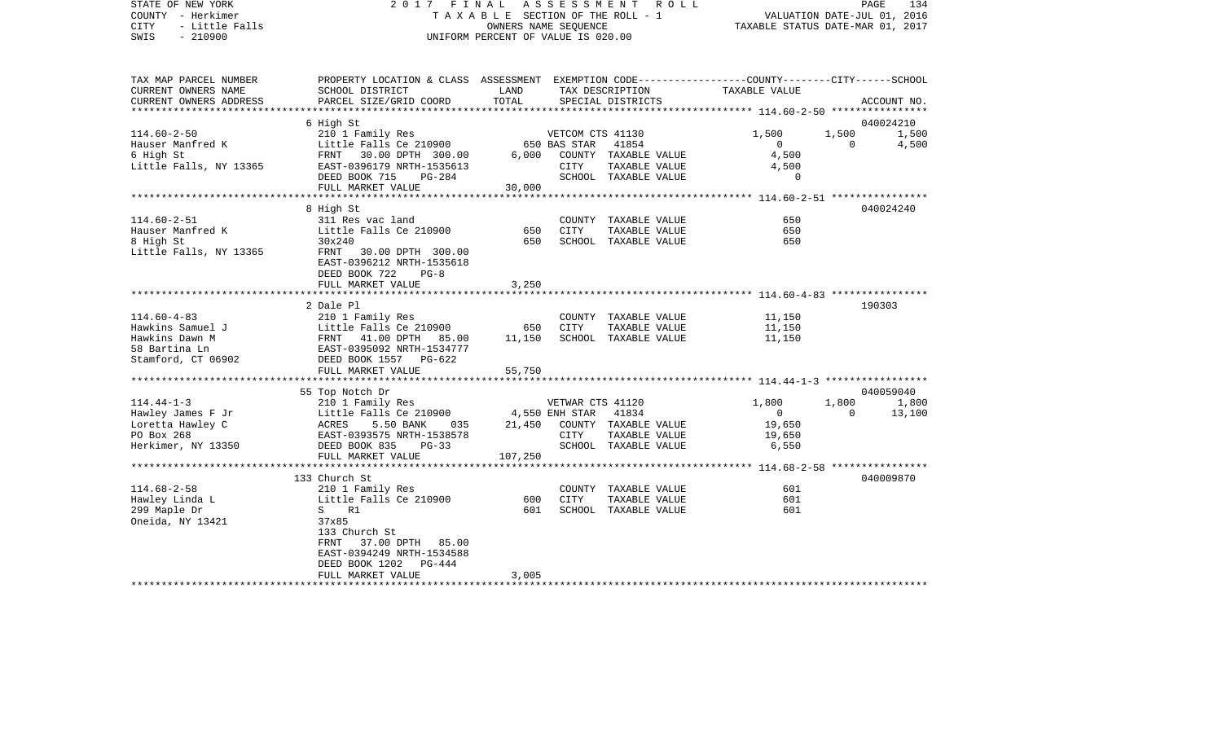| STATE OF NEW YORK<br>COUNTY - Herkimer<br><b>CITY</b><br>- Little Falls<br>SWIS<br>$-210900$ | 2017 FINAL<br>TAXABLE SECTION OF THE ROLL - 1<br>UNIFORM PERCENT OF VALUE IS 020.00             | PAGE<br>134<br>R O L L<br>VALUATION DATE-JUL 01, 2016<br>TAXABLE STATUS DATE-MAR 01, 2017 |                  |                            |                                                    |          |             |
|----------------------------------------------------------------------------------------------|-------------------------------------------------------------------------------------------------|-------------------------------------------------------------------------------------------|------------------|----------------------------|----------------------------------------------------|----------|-------------|
|                                                                                              |                                                                                                 |                                                                                           |                  |                            |                                                    |          |             |
| TAX MAP PARCEL NUMBER                                                                        | PROPERTY LOCATION & CLASS ASSESSMENT EXEMPTION CODE---------------COUNTY-------CITY------SCHOOL |                                                                                           |                  |                            |                                                    |          |             |
| CURRENT OWNERS NAME                                                                          | SCHOOL DISTRICT                                                                                 | LAND                                                                                      |                  | TAX DESCRIPTION            | TAXABLE VALUE                                      |          |             |
| CURRENT OWNERS ADDRESS                                                                       | PARCEL SIZE/GRID COORD                                                                          | TOTAL                                                                                     |                  | SPECIAL DISTRICTS          | ******************** 114.60-2-50 ***************** |          | ACCOUNT NO. |
|                                                                                              | 6 High St                                                                                       |                                                                                           |                  |                            |                                                    |          | 040024210   |
| $114.60 - 2 - 50$                                                                            | 210 1 Family Res                                                                                |                                                                                           | VETCOM CTS 41130 |                            | 1,500                                              | 1,500    | 1,500       |
| Hauser Manfred K                                                                             | Little Falls Ce 210900                                                                          |                                                                                           | 650 BAS STAR     | 41854                      | $\Omega$                                           | $\Omega$ | 4,500       |
| 6 High St                                                                                    | FRNT 30.00 DPTH 300.00                                                                          |                                                                                           |                  | 6,000 COUNTY TAXABLE VALUE | 4,500                                              |          |             |
| Little Falls, NY 13365                                                                       | EAST-0396179 NRTH-1535613                                                                       |                                                                                           | CITY             | TAXABLE VALUE              | 4,500                                              |          |             |
|                                                                                              | DEED BOOK 715<br>$PG-284$                                                                       |                                                                                           |                  | SCHOOL TAXABLE VALUE       | $\mathbf 0$                                        |          |             |
|                                                                                              | FULL MARKET VALUE                                                                               | 30,000                                                                                    |                  |                            |                                                    |          |             |
|                                                                                              |                                                                                                 |                                                                                           |                  |                            | ************** 114.60-2-51 *****************       |          |             |
|                                                                                              | 8 High St                                                                                       |                                                                                           |                  |                            |                                                    |          | 040024240   |
| $114.60 - 2 - 51$                                                                            | 311 Res vac land                                                                                |                                                                                           |                  | COUNTY TAXABLE VALUE       | 650                                                |          |             |
| Hauser Manfred K                                                                             | Little Falls Ce 210900                                                                          | 650                                                                                       | CITY             | TAXABLE VALUE              | 650                                                |          |             |
| 8 High St                                                                                    | 30x240                                                                                          | 650                                                                                       |                  | SCHOOL TAXABLE VALUE       | 650                                                |          |             |
| Little Falls, NY 13365                                                                       | FRNT<br>30.00 DPTH 300.00                                                                       |                                                                                           |                  |                            |                                                    |          |             |
|                                                                                              | EAST-0396212 NRTH-1535618                                                                       |                                                                                           |                  |                            |                                                    |          |             |
|                                                                                              | DEED BOOK 722<br>$PG-8$                                                                         |                                                                                           |                  |                            |                                                    |          |             |
|                                                                                              | FULL MARKET VALUE                                                                               | 3,250                                                                                     |                  |                            |                                                    |          |             |
|                                                                                              |                                                                                                 |                                                                                           |                  |                            |                                                    |          |             |
| $114.60 - 4 - 83$                                                                            | 2 Dale Pl<br>210 1 Family Res                                                                   |                                                                                           |                  | COUNTY TAXABLE VALUE       | 11,150                                             |          | 190303      |
| Hawkins Samuel J                                                                             | Little Falls Ce 210900                                                                          | 650                                                                                       | CITY             | TAXABLE VALUE              | 11,150                                             |          |             |
| Hawkins Dawn M                                                                               | FRNT 41.00 DPTH 85.00                                                                           | 11,150                                                                                    |                  | SCHOOL TAXABLE VALUE       | 11,150                                             |          |             |
| 58 Bartina Ln                                                                                | EAST-0395092 NRTH-1534777                                                                       |                                                                                           |                  |                            |                                                    |          |             |
| Stamford, CT 06902                                                                           | DEED BOOK 1557 PG-622                                                                           |                                                                                           |                  |                            |                                                    |          |             |
|                                                                                              | FULL MARKET VALUE                                                                               | 55,750                                                                                    |                  |                            |                                                    |          |             |
|                                                                                              |                                                                                                 |                                                                                           |                  |                            |                                                    |          |             |
|                                                                                              | 55 Top Notch Dr                                                                                 |                                                                                           |                  |                            |                                                    |          | 040059040   |
| $114.44 - 1 - 3$                                                                             | 210 1 Family Res                                                                                |                                                                                           | VETWAR CTS 41120 |                            | 1,800                                              | 1,800    | 1,800       |
| Hawley James F Jr                                                                            | Little Falls Ce 210900                                                                          |                                                                                           | 4,550 ENH STAR   | 41834                      | $\overline{0}$                                     | $\Omega$ | 13,100      |
| Loretta Hawley C                                                                             | ACRES<br>5.50 BANK<br>035                                                                       | 21,450                                                                                    |                  | COUNTY TAXABLE VALUE       | 19,650                                             |          |             |
| PO Box 268                                                                                   | EAST-0393575 NRTH-1538578                                                                       |                                                                                           | CITY             | TAXABLE VALUE              | 19,650                                             |          |             |
| Herkimer, NY 13350                                                                           | DEED BOOK 835<br>$PG-33$                                                                        |                                                                                           |                  | SCHOOL TAXABLE VALUE       | 6,550                                              |          |             |
|                                                                                              | FULL MARKET VALUE                                                                               | 107,250                                                                                   |                  |                            |                                                    |          |             |
|                                                                                              |                                                                                                 |                                                                                           |                  |                            |                                                    |          |             |
|                                                                                              | 133 Church St                                                                                   |                                                                                           |                  |                            |                                                    |          | 040009870   |
| $114.68 - 2 - 58$                                                                            | 210 1 Family Res                                                                                |                                                                                           |                  | COUNTY TAXABLE VALUE       | 601                                                |          |             |
| Hawley Linda L                                                                               | Little Falls Ce 210900                                                                          | 600                                                                                       | <b>CITY</b>      | TAXABLE VALUE              | 601                                                |          |             |
| 299 Maple Dr                                                                                 | S<br>R1                                                                                         | 601                                                                                       |                  | SCHOOL TAXABLE VALUE       | 601                                                |          |             |
| Oneida, NY 13421                                                                             | 37x85                                                                                           |                                                                                           |                  |                            |                                                    |          |             |
|                                                                                              | 133 Church St                                                                                   |                                                                                           |                  |                            |                                                    |          |             |
|                                                                                              | FRNT<br>37.00 DPTH 85.00                                                                        |                                                                                           |                  |                            |                                                    |          |             |
|                                                                                              | EAST-0394249 NRTH-1534588<br>PG-444                                                             |                                                                                           |                  |                            |                                                    |          |             |
|                                                                                              | DEED BOOK 1202<br>FULL MARKET VALUE                                                             | 3,005                                                                                     |                  |                            |                                                    |          |             |
| *************************                                                                    | *************************                                                                       | *********************                                                                     |                  |                            |                                                    |          |             |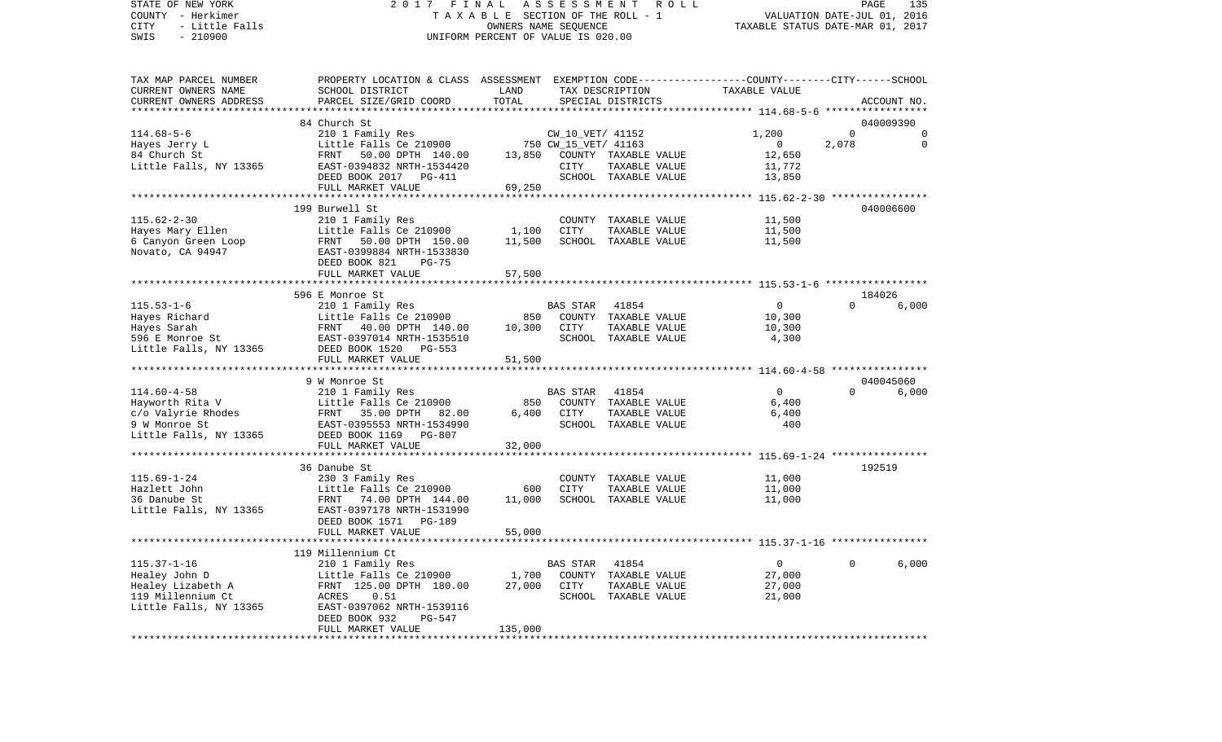VALUATION DATE-JUL 01, 2016 COUNTY - Herkimer T A X A B L E SECTION OF THE ROLL - 1 CITY - Little Falls OWNERS NAME SEQUENCE TAXABLE STATUS DATE-MAR 01, 2017 SWIS - 210900 UNIFORM PERCENT OF VALUE IS 020.00TAX MAP PARCEL NUMBER PROPERTY LOCATION & CLASS ASSESSMENT EXEMPTION CODE------------------COUNTY--------CITY------SCHOOL CURRENT OWNERS NAME SCHOOL DISTRICT LAND TAX DESCRIPTION TAXABLE VALUECURRENT OWNERS ADDRESS PARCEL SIZE/GRID COORD TOTAL SPECIAL DISTRICTS ACCOUNT NO. \*\*\*\*\*\*\*\*\*\*\*\*\*\*\*\*\*\*\*\*\*\*\*\*\*\*\*\*\*\*\*\*\*\*\*\*\*\*\*\*\*\*\*\*\*\*\*\*\*\*\*\*\*\*\*\*\*\*\*\*\*\*\*\*\*\*\*\*\*\*\*\*\*\*\*\*\*\*\*\*\*\*\*\*\*\*\*\*\*\*\*\*\*\*\*\*\*\*\*\*\*\*\* 114.68-5-6 \*\*\*\*\*\*\*\*\*\*\*\*\*\*\*\*\* 84 Church St 040009390114.68-5-6 210 1 Family Res CW\_10\_VET/ 41152 1,200 0 0 Hayes Jerry L **Example 2003** Little Falls Ce 210900 750 CW\_15\_VET/ 41163 0 2,078 0 84 Church St FRNT 50.00 DPTH 140.00 13,850 COUNTY TAXABLE VALUE 12,650 Little Falls, NY 13365 EAST-0394832 NRTH-1534420 CITY TAXABLE VALUE 11,772 DEED BOOK 2017 PG-411 SCHOOL TAXABLE VALUE 13,850 FULL MARKET VALUE 69,250 \*\*\*\*\*\*\*\*\*\*\*\*\*\*\*\*\*\*\*\*\*\*\*\*\*\*\*\*\*\*\*\*\*\*\*\*\*\*\*\*\*\*\*\*\*\*\*\*\*\*\*\*\*\*\*\*\*\*\*\*\*\*\*\*\*\*\*\*\*\*\*\*\*\*\*\*\*\*\*\*\*\*\*\*\*\*\*\*\*\*\*\*\*\*\*\*\*\*\*\*\*\*\* 115.62-2-30 \*\*\*\*\*\*\*\*\*\*\*\*\*\*\*\* 199 Burwell St 040006600115.62-2-30 210 1 Family Res COUNTY TAXABLE VALUE 11,500 Hayes Mary Ellen Taxable value Little Falls Ce 210900 1,100 CITY TAXABLE VALUE 6 Canyon Green Loop FRNT 50.00 DPTH 150.00 11,500 SCHOOL TAXABLE VALUE 11,500 Novato, CA 94947 EAST-0399884 NRTH-1533830 DEED BOOK 821 PG-75FULL MARKET VALUE 57,500 \*\*\*\*\*\*\*\*\*\*\*\*\*\*\*\*\*\*\*\*\*\*\*\*\*\*\*\*\*\*\*\*\*\*\*\*\*\*\*\*\*\*\*\*\*\*\*\*\*\*\*\*\*\*\*\*\*\*\*\*\*\*\*\*\*\*\*\*\*\*\*\*\*\*\*\*\*\*\*\*\*\*\*\*\*\*\*\*\*\*\*\*\*\*\*\*\*\*\*\*\*\*\* 115.53-1-6 \*\*\*\*\*\*\*\*\*\*\*\*\*\*\*\*\* 596 E Monroe St 184026115.53-1-6 210 1 Family Res BAS STAR 41854 0 0 6,000 Hayes Richard Little Falls Ce 210900 850 COUNTY TAXABLE VALUE 10,300 Hayes Sarah FRNT 40.00 DPTH 140.00 10,300 CITY TAXABLE VALUE 10,300 596 E Monroe St EAST-0397014 NRTH-1535510 SCHOOL TAXABLE VALUE 4,300 Little Falls, NY 13365 DEED BOOK 1520 PG-553 FULL MARKET VALUE 51,500 \*\*\*\*\*\*\*\*\*\*\*\*\*\*\*\*\*\*\*\*\*\*\*\*\*\*\*\*\*\*\*\*\*\*\*\*\*\*\*\*\*\*\*\*\*\*\*\*\*\*\*\*\*\*\*\*\*\*\*\*\*\*\*\*\*\*\*\*\*\*\*\*\*\*\*\*\*\*\*\*\*\*\*\*\*\*\*\*\*\*\*\*\*\*\*\*\*\*\*\*\*\*\* 114.60-4-58 \*\*\*\*\*\*\*\*\*\*\*\*\*\*\*\* 9 W Monroe St 040045060114.60-4-58 210 1 Family Res BAS STAR 41854 0 0 6,000 Hayworth Rita V Little Falls Ce 210900 850 COUNTY TAXABLE VALUE 6,400 c/o Valyrie Rhodes FRNT 35.00 DPTH 82.00 6,400 CITY TAXABLE VALUE 6,400 9 W Monroe St EAST-0395553 NRTH-1534990 SCHOOL TAXABLE VALUE 400 Little Falls, NY 13365 DEED BOOK 1169 PG-807 FULL MARKET VALUE 32,000 \*\*\*\*\*\*\*\*\*\*\*\*\*\*\*\*\*\*\*\*\*\*\*\*\*\*\*\*\*\*\*\*\*\*\*\*\*\*\*\*\*\*\*\*\*\*\*\*\*\*\*\*\*\*\*\*\*\*\*\*\*\*\*\*\*\*\*\*\*\*\*\*\*\*\*\*\*\*\*\*\*\*\*\*\*\*\*\*\*\*\*\*\*\*\*\*\*\*\*\*\*\*\* 115.69-1-24 \*\*\*\*\*\*\*\*\*\*\*\*\*\*\*\* 36 Danube St 192519115.69-1-24 230 3 Family Res COUNTY TAXABLE VALUE 11,000 Hazlett John Little Falls Ce 210900 600 CITY TAXABLE VALUE 11,000 36 Danube St FRNT 74.00 DPTH 144.00 11,000 SCHOOL TAXABLE VALUE 11,000 Little Falls, NY 13365 EAST-0397178 NRTH-1531990 DEED BOOK 1571 PG-189 FULL MARKET VALUE 55,000 \*\*\*\*\*\*\*\*\*\*\*\*\*\*\*\*\*\*\*\*\*\*\*\*\*\*\*\*\*\*\*\*\*\*\*\*\*\*\*\*\*\*\*\*\*\*\*\*\*\*\*\*\*\*\*\*\*\*\*\*\*\*\*\*\*\*\*\*\*\*\*\*\*\*\*\*\*\*\*\*\*\*\*\*\*\*\*\*\*\*\*\*\*\*\*\*\*\*\*\*\*\*\* 115.37-1-16 \*\*\*\*\*\*\*\*\*\*\*\*\*\*\*\* 119 Millennium Ct 115.37-1-16 210 1 Family Res BAS STAR 41854 0 0 6,000 Healey John D Little Falls Ce 210900 1,700 COUNTY TAXABLE VALUE 27,000 Healey Lizabeth A FRNT 125.00 DPTH 180.00 27,000 CITY TAXABLE VALUE 27,000 119 Millennium Ct ACRES 0.51 SCHOOL TAXABLE VALUE 21,000 Little Falls, NY 13365 EAST-0397062 NRTH-1539116 DEED BOOK 932 PG-547FULL MARKET VALUE 135,000 \*\*\*\*\*\*\*\*\*\*\*\*\*\*\*\*\*\*\*\*\*\*\*\*\*\*\*\*\*\*\*\*\*\*\*\*\*\*\*\*\*\*\*\*\*\*\*\*\*\*\*\*\*\*\*\*\*\*\*\*\*\*\*\*\*\*\*\*\*\*\*\*\*\*\*\*\*\*\*\*\*\*\*\*\*\*\*\*\*\*\*\*\*\*\*\*\*\*\*\*\*\*\*\*\*\*\*\*\*\*\*\*\*\*\*\*\*\*\*\*\*\*\*\*\*\*\*\*\*\*\*\*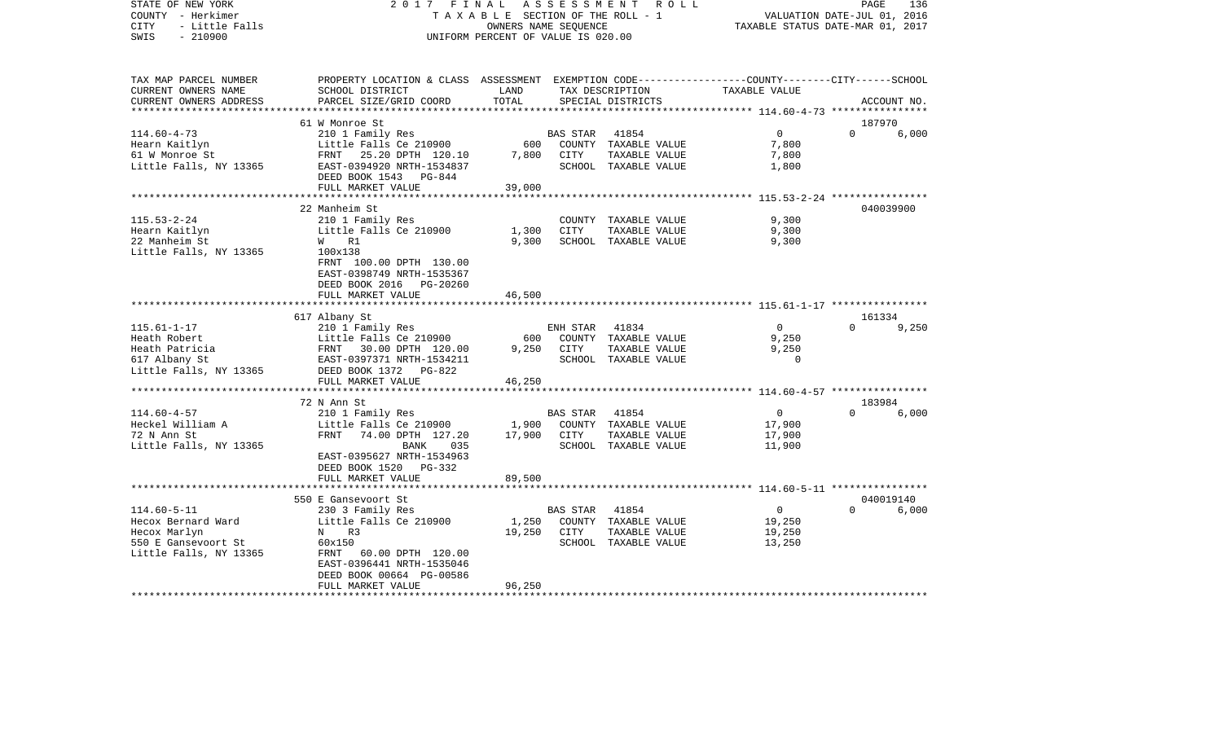| STATE OF NEW YORK<br>COUNTY - Herkimer<br>- Little Falls<br>CITY<br>$-210900$<br>SWIS                                |                                                                                                                                                                      | OWNERS NAME SEQUENCE<br>UNIFORM PERCENT OF VALUE IS 020.00 |                        | 2017 FINAL ASSESSMENT ROLL<br>TAXABLE SECTION OF THE ROLL - 1       | VALUATION DATE-JUL 01, 2016<br>TAXABLE STATUS DATE-MAR 01, 2017 | PAGE     | 136          |
|----------------------------------------------------------------------------------------------------------------------|----------------------------------------------------------------------------------------------------------------------------------------------------------------------|------------------------------------------------------------|------------------------|---------------------------------------------------------------------|-----------------------------------------------------------------|----------|--------------|
| TAX MAP PARCEL NUMBER<br>CURRENT OWNERS NAME<br>CURRENT OWNERS ADDRESS                                               | PROPERTY LOCATION & CLASS ASSESSMENT EXEMPTION CODE---------------COUNTY-------CITY------SCHOOL<br>SCHOOL DISTRICT<br>PARCEL SIZE/GRID COORD                         | LAND<br>TOTAL                                              |                        | TAX DESCRIPTION<br>SPECIAL DISTRICTS                                | TAXABLE VALUE                                                   |          | ACCOUNT NO.  |
|                                                                                                                      | 61 W Monroe St                                                                                                                                                       |                                                            |                        |                                                                     |                                                                 | 187970   |              |
| $114.60 - 4 - 73$                                                                                                    | 210 1 Family Res                                                                                                                                                     |                                                            | BAS STAR 41854         |                                                                     | $\overline{0}$                                                  | $\Omega$ | 6,000        |
| Hearn Kaitlyn<br>61 W Monroe St<br>Little Falls, NY 13365                                                            | Little Falls Ce 210900<br>FRNT 25.20 DPTH 120.10<br>EAST-0394920 NRTH-1534837<br>DEED BOOK 1543 PG-844<br>FULL MARKET VALUE                                          | 39,000                                                     | 7,800 CITY             | 600 COUNTY TAXABLE VALUE<br>TAXABLE VALUE<br>SCHOOL TAXABLE VALUE   | 7,800<br>7,800<br>1,800                                         |          |              |
|                                                                                                                      | **********************                                                                                                                                               |                                                            |                        |                                                                     |                                                                 |          |              |
| $115.53 - 2 - 24$<br>Hearn Kaitlyn<br>22 Manheim St<br>Little Falls, NY 13365                                        | 22 Manheim St<br>210 1 Family Res<br>Little Falls Ce 210900<br>W R1<br>100x138<br>FRNT 100.00 DPTH 130.00<br>EAST-0398749 NRTH-1535367<br>DEED BOOK 2016 PG-20260    | 1,300<br>9,300                                             | CITY                   | COUNTY TAXABLE VALUE<br>TAXABLE VALUE<br>SCHOOL TAXABLE VALUE       | 9,300<br>9,300<br>9,300                                         |          | 040039900    |
|                                                                                                                      | FULL MARKET VALUE<br>**********************                                                                                                                          | 46,500                                                     |                        |                                                                     |                                                                 |          |              |
|                                                                                                                      | 617 Albany St                                                                                                                                                        |                                                            |                        |                                                                     | ******************************* 115.61-1-17 ****************    | 161334   |              |
| $115.61 - 1 - 17$<br>Heath Robert<br>Heath Patricia<br>617 Albany St<br>Little Falls, NY 13365 DEED BOOK 1372 PG-822 | 210 1 Family Res<br>Little Falls ce 210000<br>FRNT 30.00 DPTH 120.00<br>EAST-0397371 NRTH-1534211<br>- 2007 1372 PG-822<br>FULL MARKET VALUE                         | 600<br>9,250<br>46,250                                     | ENH STAR 41834<br>CITY | COUNTY TAXABLE VALUE<br>TAXABLE VALUE<br>SCHOOL TAXABLE VALUE       | $\overline{0}$<br>9,250<br>9,250<br>$\Omega$                    |          | $0 \t 9,250$ |
|                                                                                                                      | **************************                                                                                                                                           |                                                            |                        |                                                                     |                                                                 |          |              |
|                                                                                                                      | 72 N Ann St                                                                                                                                                          |                                                            |                        |                                                                     |                                                                 | 183984   |              |
| $114.60 - 4 - 57$<br>Heckel William A<br>72 N Ann St<br>Little Falls, NY 13365                                       | 210 1 Family Res<br>Little Falls Ce 210900<br>FRNT 74.00 DPTH 127.20<br>BANK 035<br>EAST-0395627 NRTH-1534963<br>DEED BOOK 1520 PG-332<br>FULL MARKET VALUE          | 17,900 CITY<br>89,500                                      | BAS STAR 41854         | 1,900 COUNTY TAXABLE VALUE<br>TAXABLE VALUE<br>SCHOOL TAXABLE VALUE | $\overline{0}$<br>17,900<br>17,900<br>11,900                    | $\Omega$ | 6,000        |
|                                                                                                                      |                                                                                                                                                                      |                                                            |                        |                                                                     |                                                                 |          |              |
|                                                                                                                      | 550 E Gansevoort St                                                                                                                                                  |                                                            |                        |                                                                     |                                                                 |          | 040019140    |
| $114.60 - 5 - 11$<br>Hecox Bernard Ward<br>Hecox Marlyn<br>550 E Gansevoort St<br>Little Falls, NY 13365             | 230 3 Family Res<br>Little Falls Ce 210900<br>N R3<br>60x150<br>FRNT 60.00 DPTH 120.00<br>EAST-0396441 NRTH-1535046<br>DEED BOOK 00664 PG-00586<br>FULL MARKET VALUE | 1,250<br>19,250 CITY<br>96,250                             | BAS STAR 41854         | COUNTY TAXABLE VALUE<br>TAXABLE VALUE<br>SCHOOL TAXABLE VALUE       | $\overline{0}$<br>19,250<br>19,250<br>13,250                    | $\Omega$ | 6,000        |
|                                                                                                                      |                                                                                                                                                                      |                                                            |                        |                                                                     |                                                                 |          |              |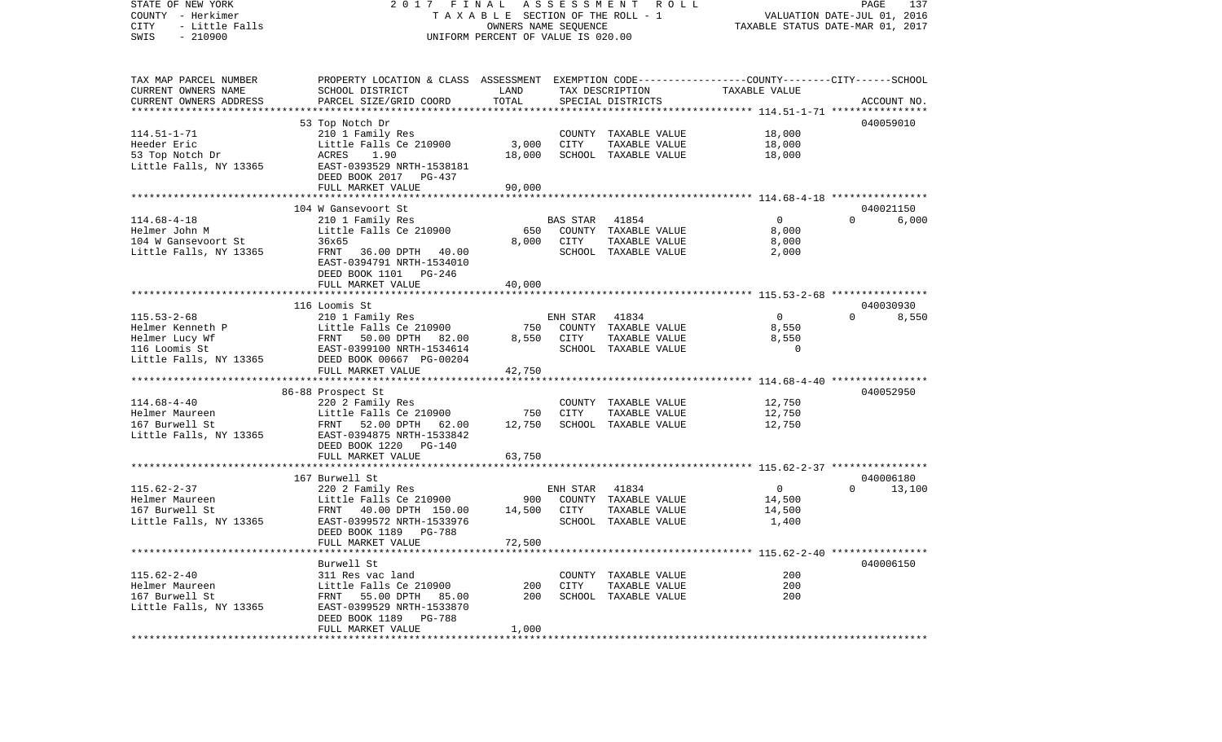| STATE OF NEW YORK<br>COUNTY - Herkimer<br>CITY<br>- Little Falls<br>$-210900$<br>SWIS | ASSESSMENT<br>2017 FINAL<br><b>ROLL</b><br>TAXABLE SECTION OF THE ROLL - 1<br>OWNERS NAME SEQUENCE<br>UNIFORM PERCENT OF VALUE IS 020.00 |                       |          |                                       | PAGE<br>137<br>VALUATION DATE-JUL 01, 2016<br>TAXABLE STATUS DATE-MAR 01, 2017 |                    |  |  |  |
|---------------------------------------------------------------------------------------|------------------------------------------------------------------------------------------------------------------------------------------|-----------------------|----------|---------------------------------------|--------------------------------------------------------------------------------|--------------------|--|--|--|
| TAX MAP PARCEL NUMBER                                                                 | PROPERTY LOCATION & CLASS ASSESSMENT EXEMPTION CODE----------------COUNTY-------CITY------SCHOOL                                         |                       |          |                                       |                                                                                |                    |  |  |  |
| CURRENT OWNERS NAME                                                                   | SCHOOL DISTRICT                                                                                                                          | LAND                  |          | TAX DESCRIPTION                       | TAXABLE VALUE                                                                  |                    |  |  |  |
| CURRENT OWNERS ADDRESS                                                                | PARCEL SIZE/GRID COORD                                                                                                                   | TOTAL                 |          | SPECIAL DISTRICTS                     |                                                                                | ACCOUNT NO.        |  |  |  |
| ***********************                                                               |                                                                                                                                          |                       |          |                                       |                                                                                |                    |  |  |  |
|                                                                                       | 53 Top Notch Dr                                                                                                                          |                       |          |                                       |                                                                                | 040059010          |  |  |  |
| $114.51 - 1 - 71$<br>Heeder Eric                                                      | 210 1 Family Res<br>Little Falls Ce 210900                                                                                               | 3,000                 | CITY     | COUNTY TAXABLE VALUE<br>TAXABLE VALUE | 18,000<br>18,000                                                               |                    |  |  |  |
| 53 Top Notch Dr                                                                       | ACRES<br>1.90                                                                                                                            | 18,000                |          | SCHOOL TAXABLE VALUE                  | 18,000                                                                         |                    |  |  |  |
| Little Falls, NY 13365                                                                | EAST-0393529 NRTH-1538181                                                                                                                |                       |          |                                       |                                                                                |                    |  |  |  |
|                                                                                       | DEED BOOK 2017 PG-437                                                                                                                    |                       |          |                                       |                                                                                |                    |  |  |  |
|                                                                                       | FULL MARKET VALUE                                                                                                                        | 90,000                |          |                                       |                                                                                |                    |  |  |  |
| *************************                                                             | *************************                                                                                                                | * * * * * * * * * * * |          |                                       | ****************************** 114.68-4-18 ****************                    |                    |  |  |  |
|                                                                                       | 104 W Gansevoort St                                                                                                                      |                       |          |                                       |                                                                                | 040021150          |  |  |  |
| $114.68 - 4 - 18$                                                                     | 210 1 Family Res                                                                                                                         |                       | BAS STAR | 41854                                 | $\overline{0}$                                                                 | $\Omega$<br>6,000  |  |  |  |
| Helmer John M                                                                         | Little Falls Ce 210900                                                                                                                   | 650                   |          | COUNTY TAXABLE VALUE                  | 8,000                                                                          |                    |  |  |  |
| 104 W Gansevoort St                                                                   | 36x65<br>40.00                                                                                                                           | 8,000                 | CITY     | TAXABLE VALUE                         | 8,000                                                                          |                    |  |  |  |
| Little Falls, NY 13365                                                                | FRNT 36.00 DPTH<br>EAST-0394791 NRTH-1534010                                                                                             |                       |          | SCHOOL TAXABLE VALUE                  | 2,000                                                                          |                    |  |  |  |
|                                                                                       | DEED BOOK 1101 PG-246                                                                                                                    |                       |          |                                       |                                                                                |                    |  |  |  |
|                                                                                       | FULL MARKET VALUE                                                                                                                        | 40,000                |          |                                       |                                                                                |                    |  |  |  |
|                                                                                       |                                                                                                                                          |                       |          |                                       |                                                                                |                    |  |  |  |
|                                                                                       | 116 Loomis St                                                                                                                            |                       |          |                                       |                                                                                | 040030930          |  |  |  |
| $115.53 - 2 - 68$                                                                     | 210 1 Family Res                                                                                                                         |                       | ENH STAR | 41834                                 | $\mathbf{0}$                                                                   | $\Omega$<br>8,550  |  |  |  |
| Helmer Kenneth P                                                                      | Little Falls Ce 210900                                                                                                                   | 750                   |          | COUNTY TAXABLE VALUE                  | 8,550                                                                          |                    |  |  |  |
| Helmer Lucy Wf                                                                        | FRNT<br>50.00 DPTH<br>82.00                                                                                                              | 8,550                 | CITY     | TAXABLE VALUE                         | 8,550                                                                          |                    |  |  |  |
| 116 Loomis St                                                                         | EAST-0399100 NRTH-1534614                                                                                                                |                       |          | SCHOOL TAXABLE VALUE                  | $\Omega$                                                                       |                    |  |  |  |
| Little Falls, NY 13365                                                                | DEED BOOK 00667 PG-00204<br>FULL MARKET VALUE                                                                                            | 42,750                |          |                                       |                                                                                |                    |  |  |  |
|                                                                                       |                                                                                                                                          |                       |          |                                       |                                                                                |                    |  |  |  |
|                                                                                       | 86-88 Prospect St                                                                                                                        |                       |          |                                       |                                                                                | 040052950          |  |  |  |
| $114.68 - 4 - 40$                                                                     | 220 2 Family Res                                                                                                                         |                       |          | COUNTY TAXABLE VALUE                  | 12,750                                                                         |                    |  |  |  |
| Helmer Maureen                                                                        | Little Falls Ce 210900                                                                                                                   | 750                   | CITY     | TAXABLE VALUE                         | 12,750                                                                         |                    |  |  |  |
| 167 Burwell St                                                                        | FRNT 52.00 DPTH 62.00                                                                                                                    | 12,750                |          | SCHOOL TAXABLE VALUE                  | 12,750                                                                         |                    |  |  |  |
| Little Falls, NY 13365                                                                | EAST-0394875 NRTH-1533842                                                                                                                |                       |          |                                       |                                                                                |                    |  |  |  |
|                                                                                       | DEED BOOK 1220 PG-140<br>FULL MARKET VALUE                                                                                               | 63,750                |          |                                       |                                                                                |                    |  |  |  |
|                                                                                       |                                                                                                                                          |                       |          |                                       |                                                                                |                    |  |  |  |
|                                                                                       | 167 Burwell St                                                                                                                           |                       |          |                                       |                                                                                | 040006180          |  |  |  |
| $115.62 - 2 - 37$                                                                     | 220 2 Family Res                                                                                                                         |                       | ENH STAR | 41834                                 | $\overline{0}$                                                                 | $\Omega$<br>13,100 |  |  |  |
| Helmer Maureen                                                                        | Little Falls Ce 210900                                                                                                                   | 900                   |          | COUNTY TAXABLE VALUE                  | 14,500                                                                         |                    |  |  |  |
| 167 Burwell St                                                                        | FRNT 40.00 DPTH 150.00                                                                                                                   | 14,500                | CITY     | TAXABLE VALUE                         | 14,500                                                                         |                    |  |  |  |
| Little Falls, NY 13365                                                                | EAST-0399572 NRTH-1533976                                                                                                                |                       |          | SCHOOL TAXABLE VALUE                  | 1,400                                                                          |                    |  |  |  |
|                                                                                       | DEED BOOK 1189<br>PG-788                                                                                                                 |                       |          |                                       |                                                                                |                    |  |  |  |
|                                                                                       | FULL MARKET VALUE                                                                                                                        | 72,500                |          |                                       |                                                                                |                    |  |  |  |
|                                                                                       | Burwell St                                                                                                                               |                       |          |                                       |                                                                                | 040006150          |  |  |  |
| $115.62 - 2 - 40$                                                                     | 311 Res vac land                                                                                                                         |                       |          | COUNTY TAXABLE VALUE                  | 200                                                                            |                    |  |  |  |
| Helmer Maureen                                                                        | Little Falls Ce 210900                                                                                                                   | 200                   | CITY     | TAXABLE VALUE                         | 200                                                                            |                    |  |  |  |
| 167 Burwell St                                                                        | FRNT 55.00 DPTH 85.00                                                                                                                    | 200                   |          | SCHOOL TAXABLE VALUE                  | 200                                                                            |                    |  |  |  |
| Little Falls, NY 13365                                                                | EAST-0399529 NRTH-1533870                                                                                                                |                       |          |                                       |                                                                                |                    |  |  |  |
|                                                                                       | DEED BOOK 1189 PG-788                                                                                                                    |                       |          |                                       |                                                                                |                    |  |  |  |
|                                                                                       | FULL MARKET VALUE                                                                                                                        | 1,000                 |          |                                       |                                                                                |                    |  |  |  |
|                                                                                       |                                                                                                                                          |                       |          |                                       |                                                                                |                    |  |  |  |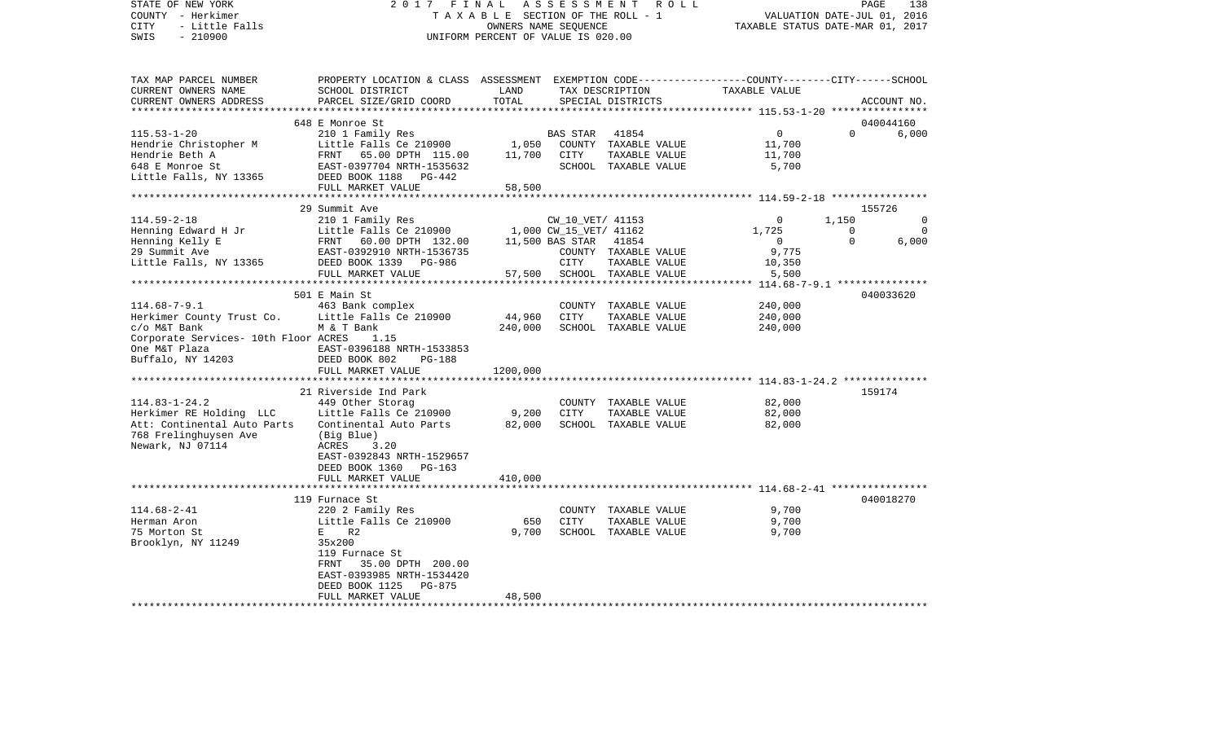STATE OF NEW YORK 2 0 1 7 F I N A L A S S E S S M E N T R O L L PAGE 138COUNTY - Herkimer **T A X A B L E** SECTION OF THE ROLL - 1 VALUATION DATE-JUL 01, 2016 CITY - Little Falls OWNERS NAME SEQUENCE TAXABLE STATUS DATE-MAR 01, 2017 SWIS - 210900 UNIFORM PERCENT OF VALUE IS 020.00TAX MAP PARCEL NUMBER PROPERTY LOCATION & CLASS ASSESSMENT EXEMPTION CODE------------------COUNTY--------CITY------SCHOOL CURRENT OWNERS NAME SCHOOL DISTRICT LAND TAX DESCRIPTION TAXABLE VALUECURRENT OWNERS ADDRESS PARCEL SIZE/GRID COORD TOTAL SPECIAL DISTRICTS ACCOUNT NO. \*\*\*\*\*\*\*\*\*\*\*\*\*\*\*\*\*\*\*\*\*\*\*\*\*\*\*\*\*\*\*\*\*\*\*\*\*\*\*\*\*\*\*\*\*\*\*\*\*\*\*\*\*\*\*\*\*\*\*\*\*\*\*\*\*\*\*\*\*\*\*\*\*\*\*\*\*\*\*\*\*\*\*\*\*\*\*\*\*\*\*\*\*\*\*\*\*\*\*\*\*\*\* 115.53-1-20 \*\*\*\*\*\*\*\*\*\*\*\*\*\*\*\* 648 E Monroe St 040044160115.53-1-20 210 1 Family Res BAS STAR 41854 0 0 6,000 Hendrie Christopher M Little Falls Ce 210900 1,050 COUNTY TAXABLE VALUE 11,700 Hendrie Beth A FRNT 65.00 DPTH 115.00 11,700 CITY TAXABLE VALUE 11,700 648 E Monroe St 6700 EAST-0397704 NRTH-1535632 SCHOOL TAXABLE VALUE 5,700 Little Falls, NY 13365 DEED BOOK 1188 PG-442 FULL MARKET VALUE 58,500 \*\*\*\*\*\*\*\*\*\*\*\*\*\*\*\*\*\*\*\*\*\*\*\*\*\*\*\*\*\*\*\*\*\*\*\*\*\*\*\*\*\*\*\*\*\*\*\*\*\*\*\*\*\*\*\*\*\*\*\*\*\*\*\*\*\*\*\*\*\*\*\*\*\*\*\*\*\*\*\*\*\*\*\*\*\*\*\*\*\*\*\*\*\*\*\*\*\*\*\*\*\*\* 114.59-2-18 \*\*\*\*\*\*\*\*\*\*\*\*\*\*\*\* 29 Summit Ave 155726114.59-2-18 210 1 Family Res CW\_10\_VET/ 41153 0 1,150 0 Henning Edward H Jr Little Falls Ce 210900 1,000 CW\_15\_VET/ 41162 1,725 0 0 Henning Kelly E FRNT 60.00 DPTH 132.00 11,500 BAS STAR 41854 0 0 6,000 29 Summit Ave EAST-0392910 NRTH-1536735 COUNTY TAXABLE VALUE 9,775 Little Falls, NY 13365 DEED BOOK 1339 PG-986 CITY TAXABLE VALUE 10,350 FULL MARKET VALUE  $57,500$  SCHOOL TAXABLE VALUE  $5,500$ \*\*\*\*\*\*\*\*\*\*\*\*\*\*\*\*\*\*\*\*\*\*\*\*\*\*\*\*\*\*\*\*\*\*\*\*\*\*\*\*\*\*\*\*\*\*\*\*\*\*\*\*\*\*\*\*\*\*\*\*\*\*\*\*\*\*\*\*\*\*\*\*\*\*\*\*\*\*\*\*\*\*\*\*\*\*\*\*\*\*\*\*\*\*\*\*\*\*\*\*\*\*\* 114.68-7-9.1 \*\*\*\*\*\*\*\*\*\*\*\*\*\*\* 501 E Main St 040033620114.68-7-9.1 14.68-7-9.1 463 Bank complex COUNTY TAXABLE VALUE 240,000<br>Herkimer County Trust Co. Little Falls Ce 210900 44,960 CITY TAXABLE VALUE 240,000 Herkimer County Trust Co. Little Falls Ce 210900 44,960 CITY TAXABLE VALUE 240,000  $c$ o M&T Bank M & T Bank 240,000 SCHOOL TAXABLE VALUE 240,000 Corporate Services- 10th Floor ACRES 1.15 One M&T Plaza EAST-0396188 NRTH-1533853Buffalo, NY 14203 DEED BOOK 802 PG-188 FULL MARKET VALUE 1200,000 \*\*\*\*\*\*\*\*\*\*\*\*\*\*\*\*\*\*\*\*\*\*\*\*\*\*\*\*\*\*\*\*\*\*\*\*\*\*\*\*\*\*\*\*\*\*\*\*\*\*\*\*\*\*\*\*\*\*\*\*\*\*\*\*\*\*\*\*\*\*\*\*\*\*\*\*\*\*\*\*\*\*\*\*\*\*\*\*\*\*\*\*\*\*\*\*\*\*\*\*\*\*\* 114.83-1-24.2 \*\*\*\*\*\*\*\*\*\*\*\*\*\* 21 Riverside Ind Park 159174114.83-1-24.2 449 Other Storag COUNTY TAXABLE VALUE 82,000 Herkimer RE Holding LLC Little Falls Ce 210900 9,200 CITY TAXABLE VALUE 82,000 Att: Continental Auto Parts Continental Auto Parts 82,000 SCHOOL TAXABLE VALUE 82,000 768 Frelinghuysen Ave (Big Blue) Newark, NJ 07114 ACRES 3.20 EAST-0392843 NRTH-1529657 DEED BOOK 1360 PG-163FULL MARKET VALUE 410,000 \*\*\*\*\*\*\*\*\*\*\*\*\*\*\*\*\*\*\*\*\*\*\*\*\*\*\*\*\*\*\*\*\*\*\*\*\*\*\*\*\*\*\*\*\*\*\*\*\*\*\*\*\*\*\*\*\*\*\*\*\*\*\*\*\*\*\*\*\*\*\*\*\*\*\*\*\*\*\*\*\*\*\*\*\*\*\*\*\*\*\*\*\*\*\*\*\*\*\*\*\*\*\* 114.68-2-41 \*\*\*\*\*\*\*\*\*\*\*\*\*\*\*\* 119 Furnace St 040018270114.68-2-41 220 2 Family Res COUNTY TAXABLE VALUE 9,700 Herman Aron Little Falls Ce 210900 650 CITY TAXABLE VALUE 9,700 75 Morton St E R2 9,700 SCHOOL TAXABLE VALUE 9,700 Brooklyn, NY 11249 35x200 119 Furnace St FRNT 35.00 DPTH 200.00 EAST-0393985 NRTH-1534420 DEED BOOK 1125 PG-875FULL MARKET VALUE 48,500 \*\*\*\*\*\*\*\*\*\*\*\*\*\*\*\*\*\*\*\*\*\*\*\*\*\*\*\*\*\*\*\*\*\*\*\*\*\*\*\*\*\*\*\*\*\*\*\*\*\*\*\*\*\*\*\*\*\*\*\*\*\*\*\*\*\*\*\*\*\*\*\*\*\*\*\*\*\*\*\*\*\*\*\*\*\*\*\*\*\*\*\*\*\*\*\*\*\*\*\*\*\*\*\*\*\*\*\*\*\*\*\*\*\*\*\*\*\*\*\*\*\*\*\*\*\*\*\*\*\*\*\*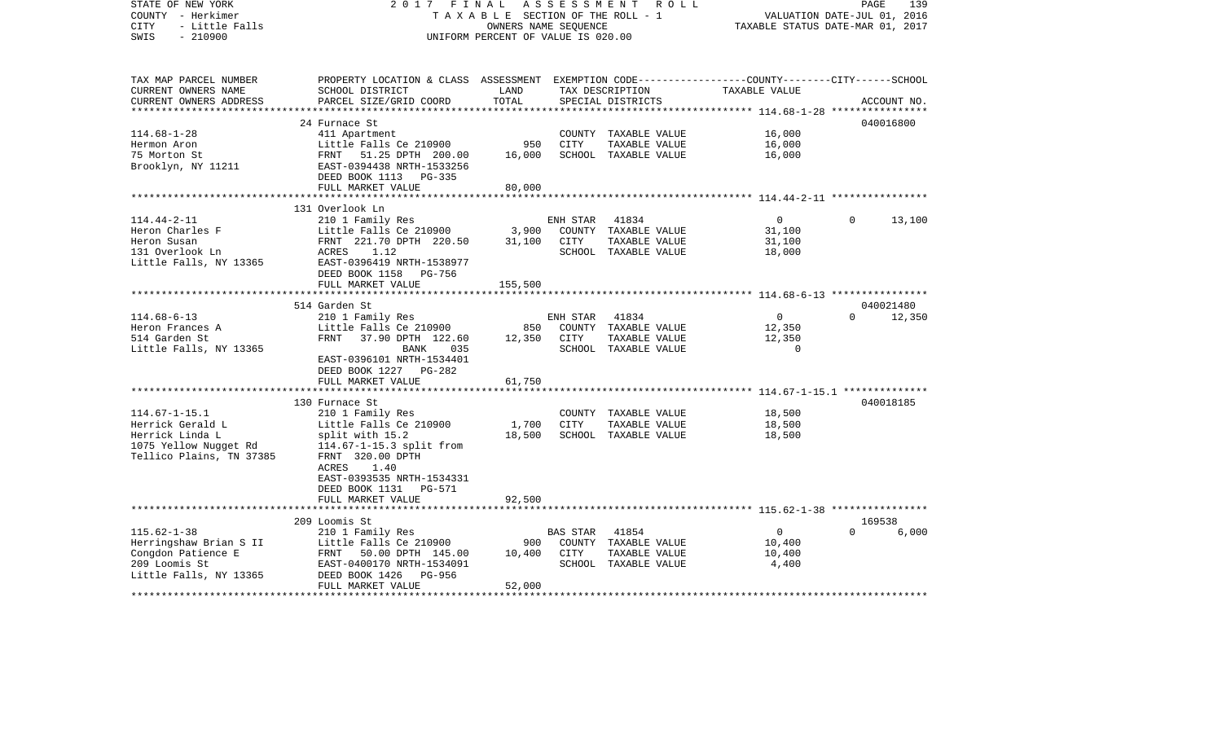| STATE OF NEW YORK<br>COUNTY - Herkimer<br>- Little Falls<br><b>CITY</b><br>$-210900$<br>SWIS                    | 2017 FINAL                                                                                                                                                                                             | TAXABLE SECTION OF THE ROLL - 1<br>OWNERS NAME SEQUENCE<br>UNIFORM PERCENT OF VALUE IS 020.00 |                  | ASSESSMENT ROLL                                                        | VALUATION DATE-JUL 01, 2016<br>TAXABLE STATUS DATE-MAR 01, 2017 | PAGE               | 139         |
|-----------------------------------------------------------------------------------------------------------------|--------------------------------------------------------------------------------------------------------------------------------------------------------------------------------------------------------|-----------------------------------------------------------------------------------------------|------------------|------------------------------------------------------------------------|-----------------------------------------------------------------|--------------------|-------------|
| TAX MAP PARCEL NUMBER<br>CURRENT OWNERS NAME<br>CURRENT OWNERS ADDRESS                                          | PROPERTY LOCATION & CLASS ASSESSMENT EXEMPTION CODE---------------COUNTY-------CITY------SCHOOL<br>SCHOOL DISTRICT<br>PARCEL SIZE/GRID COORD                                                           | LAND<br>TOTAL                                                                                 |                  | TAX DESCRIPTION<br>SPECIAL DISTRICTS                                   | TAXABLE VALUE                                                   |                    | ACCOUNT NO. |
|                                                                                                                 |                                                                                                                                                                                                        |                                                                                               |                  |                                                                        |                                                                 |                    |             |
|                                                                                                                 | 24 Furnace St                                                                                                                                                                                          |                                                                                               |                  |                                                                        |                                                                 |                    | 040016800   |
| $114.68 - 1 - 28$<br>Hermon Aron<br>75 Morton St<br>Brooklyn, NY 11211                                          | 411 Apartment<br>Little Falls Ce 210900<br>FRNT 51.25 DPTH 200.00<br>EAST-0394438 NRTH-1533256<br>DEED BOOK 1113 PG-335<br>FULL MARKET VALUE                                                           | 950<br>16,000<br>80,000                                                                       | CITY             | COUNTY TAXABLE VALUE<br>TAXABLE VALUE<br>SCHOOL TAXABLE VALUE          | 16,000<br>16,000<br>16,000                                      |                    |             |
|                                                                                                                 |                                                                                                                                                                                                        |                                                                                               |                  |                                                                        |                                                                 |                    |             |
| $114.44 - 2 - 11$<br>Heron Charles F<br>Heron Susan<br>131 Overlook Ln                                          | 131 Overlook Ln<br>210 1 Family Res<br>Little Falls Ce 210900<br>FRNT 221.70 DPTH 220.50<br>ACRES 1.12                                                                                                 | 3,900<br>31,100                                                                               | ENH STAR<br>CITY | 41834<br>COUNTY TAXABLE VALUE<br>TAXABLE VALUE<br>SCHOOL TAXABLE VALUE | $\overline{0}$<br>31,100<br>31,100<br>18,000                    | $\Omega$           | 13,100      |
| Little Falls, NY 13365                                                                                          | EAST-0396419 NRTH-1538977<br>DEED BOOK 1158 PG-756<br>FULL MARKET VALUE                                                                                                                                | 155,500                                                                                       |                  |                                                                        |                                                                 |                    |             |
|                                                                                                                 | 514 Garden St                                                                                                                                                                                          |                                                                                               |                  |                                                                        |                                                                 |                    | 040021480   |
| $114.68 - 6 - 13$<br>Heron Frances A<br>514 Garden St<br>Little Falls, NY 13365                                 | 210 1 Family Res<br>Little Falls Ce 210900<br>FRNT 37.90 DPTH 122.60<br>BANK<br>035<br>EAST-0396101 NRTH-1534401<br>DEED BOOK 1227 PG-282<br>FULL MARKET VALUE                                         | 850<br>12,350 CITY<br>61,750                                                                  | ENH STAR         | 41834<br>COUNTY TAXABLE VALUE<br>TAXABLE VALUE<br>SCHOOL TAXABLE VALUE | $\mathbf{0}$<br>12,350<br>12,350<br>$\Omega$                    | $\Omega$           | 12,350      |
|                                                                                                                 |                                                                                                                                                                                                        |                                                                                               |                  |                                                                        |                                                                 |                    |             |
| $114.67 - 1 - 15.1$<br>Herrick Gerald L<br>Herrick Linda L<br>1075 Yellow Nugget Rd<br>Tellico Plains, TN 37385 | 130 Furnace St<br>210 1 Family Res<br>Little Falls Ce 210900<br>split with 15.2<br>114.67-1-15.3 split from<br>FRNT 320.00 DPTH<br>ACRES<br>1.40<br>EAST-0393535 NRTH-1534331<br>DEED BOOK 1131 PG-571 | 1,700<br>18,500                                                                               | CITY             | COUNTY TAXABLE VALUE<br>TAXABLE VALUE<br>SCHOOL TAXABLE VALUE          | 18,500<br>18,500<br>18,500                                      |                    | 040018185   |
|                                                                                                                 | FULL MARKET VALUE                                                                                                                                                                                      | 92,500                                                                                        |                  |                                                                        |                                                                 |                    |             |
|                                                                                                                 |                                                                                                                                                                                                        |                                                                                               |                  |                                                                        |                                                                 |                    |             |
| $115.62 - 1 - 38$<br>Herringshaw Brian S II<br>Congdon Patience E<br>209 Loomis St<br>Little Falls, NY 13365    | 209 Loomis St<br>210 1 Family Res<br>Little Falls Ce 210900<br>FRNT 50.00 DPTH 145.00<br>EAST-0400170 NRTH-1534091<br>DEED BOOK 1426<br>PG-956                                                         | 900<br>10,400                                                                                 | BAS STAR<br>CITY | 41854<br>COUNTY TAXABLE VALUE<br>TAXABLE VALUE<br>SCHOOL TAXABLE VALUE | $\overline{0}$<br>10,400<br>10,400<br>4,400                     | 169538<br>$\Omega$ | 6,000       |
|                                                                                                                 | FULL MARKET VALUE                                                                                                                                                                                      | 52,000                                                                                        |                  |                                                                        |                                                                 |                    |             |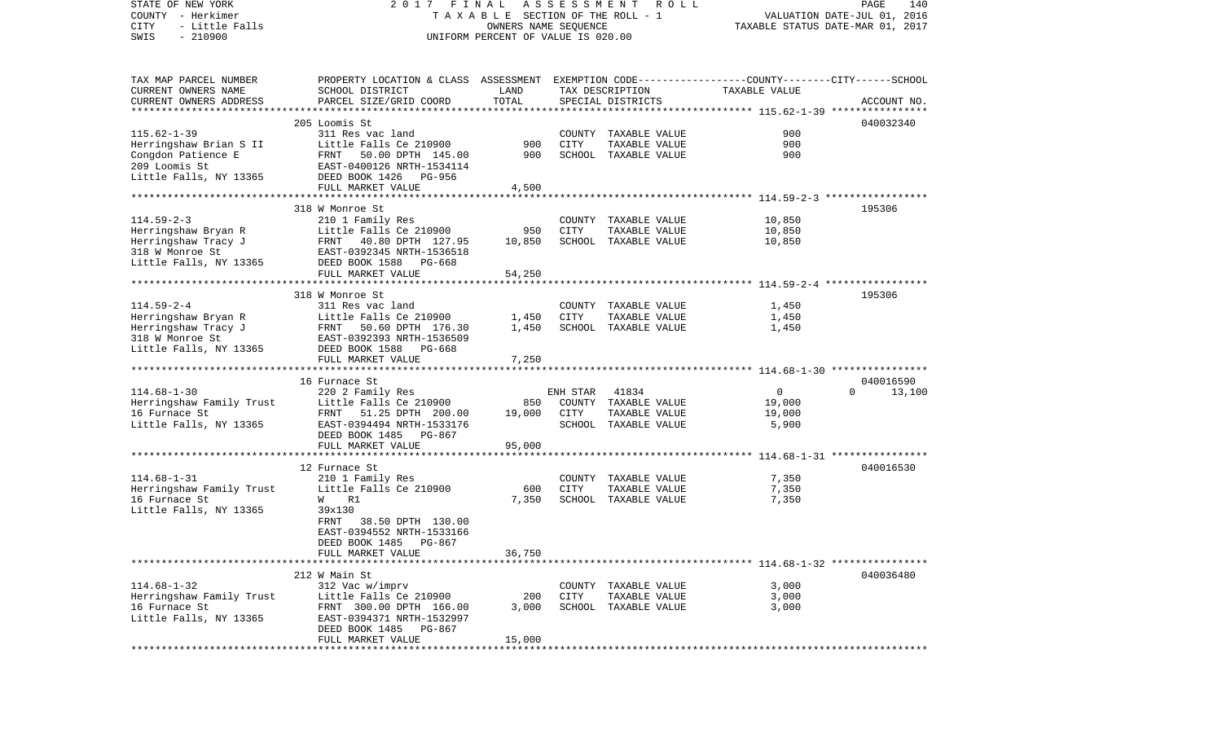| STATE OF NEW YORK<br>COUNTY - Herkimer<br>CITY<br>- Little Falls | 2017 FINAL<br>A S S E S S M E N T R O L L<br>PAGE<br>TAXABLE SECTION OF THE ROLL - 1<br>VALUATION DATE-JUL 01, 2016<br>OWNERS NAME SEQUENCE<br>TAXABLE STATUS DATE-MAR 01, 2017 |        |                                    |                                       |                  |                    |  |  |
|------------------------------------------------------------------|---------------------------------------------------------------------------------------------------------------------------------------------------------------------------------|--------|------------------------------------|---------------------------------------|------------------|--------------------|--|--|
| $-210900$<br>SWIS                                                |                                                                                                                                                                                 |        | UNIFORM PERCENT OF VALUE IS 020.00 |                                       |                  |                    |  |  |
| TAX MAP PARCEL NUMBER                                            | PROPERTY LOCATION & CLASS ASSESSMENT EXEMPTION CODE----------------COUNTY-------CITY------SCHOOL                                                                                |        |                                    |                                       |                  |                    |  |  |
| CURRENT OWNERS NAME                                              | SCHOOL DISTRICT                                                                                                                                                                 | LAND   |                                    | TAX DESCRIPTION                       | TAXABLE VALUE    |                    |  |  |
| CURRENT OWNERS ADDRESS                                           | PARCEL SIZE/GRID COORD                                                                                                                                                          | TOTAL  |                                    | SPECIAL DISTRICTS                     |                  | ACCOUNT NO.        |  |  |
|                                                                  | 205 Loomis St                                                                                                                                                                   |        |                                    |                                       |                  | 040032340          |  |  |
| $115.62 - 1 - 39$                                                | 311 Res vac land                                                                                                                                                                |        |                                    | COUNTY TAXABLE VALUE                  | 900              |                    |  |  |
| Herringshaw Brian S II                                           | Little Falls Ce 210900                                                                                                                                                          | 900    | CITY                               | TAXABLE VALUE                         | 900              |                    |  |  |
| Congdon Patience E                                               |                                                                                                                                                                                 | 900    |                                    | SCHOOL TAXABLE VALUE                  | 900              |                    |  |  |
| 209 Loomis St                                                    |                                                                                                                                                                                 |        |                                    |                                       |                  |                    |  |  |
| Little Falls, NY 13365                                           |                                                                                                                                                                                 |        |                                    |                                       |                  |                    |  |  |
|                                                                  | FULL MARKET VALUE                                                                                                                                                               | 4,500  |                                    |                                       |                  |                    |  |  |
|                                                                  |                                                                                                                                                                                 |        |                                    |                                       |                  |                    |  |  |
|                                                                  | 318 W Monroe St                                                                                                                                                                 |        |                                    |                                       |                  | 195306             |  |  |
| $114.59 - 2 - 3$                                                 | 210 1 Family Res                                                                                                                                                                | 950    | CITY                               | COUNTY TAXABLE VALUE                  | 10,850           |                    |  |  |
| Herringshaw Bryan R<br>Herringshaw Tracy J                       | Little Falls Ce 210900                                                                                                                                                          | 10,850 |                                    | TAXABLE VALUE<br>SCHOOL TAXABLE VALUE | 10,850<br>10,850 |                    |  |  |
| 318 W Monroe St                                                  | FRNT 40.80 DPTH 127.95<br>EAST-0392345 NRTH-1536518                                                                                                                             |        |                                    |                                       |                  |                    |  |  |
| Little Falls, NY 13365                                           | DEED BOOK 1588<br>PG-668                                                                                                                                                        |        |                                    |                                       |                  |                    |  |  |
|                                                                  | FULL MARKET VALUE                                                                                                                                                               | 54,250 |                                    |                                       |                  |                    |  |  |
|                                                                  |                                                                                                                                                                                 |        |                                    |                                       |                  |                    |  |  |
|                                                                  | 318 W Monroe St                                                                                                                                                                 |        |                                    |                                       |                  | 195306             |  |  |
| $114.59 - 2 - 4$                                                 | 311 Res vac land                                                                                                                                                                |        |                                    | COUNTY TAXABLE VALUE                  | 1,450            |                    |  |  |
| Herringshaw Bryan R                                              | Little Falls Ce 210900                                                                                                                                                          | 1,450  | CITY                               | TAXABLE VALUE                         | 1,450            |                    |  |  |
| Herringshaw Tracy J                                              | FRNT 50.60 DPTH 176.30<br>EAST-0392393 NRTH-1536509                                                                                                                             | 1,450  |                                    | SCHOOL TAXABLE VALUE                  | 1,450            |                    |  |  |
| 318 W Monroe St                                                  |                                                                                                                                                                                 |        |                                    |                                       |                  |                    |  |  |
| Little Falls, NY 13365                                           | DEED BOOK 1588<br>PG-668<br>FULL MARKET VALUE                                                                                                                                   | 7,250  |                                    |                                       |                  |                    |  |  |
|                                                                  |                                                                                                                                                                                 |        |                                    |                                       |                  |                    |  |  |
|                                                                  | 16 Furnace St                                                                                                                                                                   |        |                                    |                                       |                  | 040016590          |  |  |
| $114.68 - 1 - 30$                                                | 220 2 Family Res                                                                                                                                                                |        | ENH STAR                           | 41834                                 | $\overline{0}$   | $\Omega$<br>13,100 |  |  |
| Herringshaw Family Trust                                         | Little Falls Ce 210900                                                                                                                                                          | 850    |                                    | COUNTY TAXABLE VALUE                  | 19,000           |                    |  |  |
| 16 Furnace St                                                    | FRNT 51.25 DPTH 200.00                                                                                                                                                          | 19,000 | CITY                               | TAXABLE VALUE                         | 19,000           |                    |  |  |
| Little Falls, NY 13365                                           | EAST-0394494 NRTH-1533176                                                                                                                                                       |        |                                    | SCHOOL TAXABLE VALUE                  | 5,900            |                    |  |  |
|                                                                  | DEED BOOK 1485 PG-867                                                                                                                                                           |        |                                    |                                       |                  |                    |  |  |
|                                                                  | FULL MARKET VALUE                                                                                                                                                               | 95,000 |                                    |                                       |                  |                    |  |  |
|                                                                  |                                                                                                                                                                                 |        |                                    |                                       |                  |                    |  |  |
|                                                                  | 12 Furnace St                                                                                                                                                                   |        |                                    |                                       |                  | 040016530          |  |  |
| $114.68 - 1 - 31$<br>Herringshaw Family Trust                    | 210 1 Family Res<br>Little Falls Ce 210900                                                                                                                                      | 600    | CITY                               | COUNTY TAXABLE VALUE<br>TAXABLE VALUE | 7,350<br>7,350   |                    |  |  |
| 16 Furnace St                                                    | W R1                                                                                                                                                                            | 7,350  |                                    | SCHOOL TAXABLE VALUE                  | 7,350            |                    |  |  |
| Little Falls, NY 13365                                           | 39x130                                                                                                                                                                          |        |                                    |                                       |                  |                    |  |  |
|                                                                  | 38.50 DPTH 130.00<br>FRNT                                                                                                                                                       |        |                                    |                                       |                  |                    |  |  |
|                                                                  | EAST-0394552 NRTH-1533166                                                                                                                                                       |        |                                    |                                       |                  |                    |  |  |
|                                                                  | DEED BOOK 1485 PG-867                                                                                                                                                           |        |                                    |                                       |                  |                    |  |  |
|                                                                  | FULL MARKET VALUE                                                                                                                                                               | 36,750 |                                    |                                       |                  |                    |  |  |
|                                                                  |                                                                                                                                                                                 |        |                                    |                                       |                  |                    |  |  |
|                                                                  | 212 W Main St                                                                                                                                                                   |        |                                    |                                       |                  | 040036480          |  |  |
| $114.68 - 1 - 32$                                                | 312 Vac w/imprv                                                                                                                                                                 |        | COUNTY                             | TAXABLE VALUE                         | 3,000            |                    |  |  |
| Herringshaw Family Trust                                         | Little Falls Ce 210900                                                                                                                                                          | 200    | CITY                               | TAXABLE VALUE                         | 3,000            |                    |  |  |
| 16 Furnace St<br>Little Falls, NY 13365                          | FRNT 300.00 DPTH 166.00<br>EAST-0394371 NRTH-1532997                                                                                                                            | 3,000  |                                    | SCHOOL TAXABLE VALUE                  | 3,000            |                    |  |  |
|                                                                  | DEED BOOK 1485<br>PG-867                                                                                                                                                        |        |                                    |                                       |                  |                    |  |  |
|                                                                  | FULL MARKET VALUE                                                                                                                                                               | 15,000 |                                    |                                       |                  |                    |  |  |
|                                                                  |                                                                                                                                                                                 |        |                                    |                                       |                  |                    |  |  |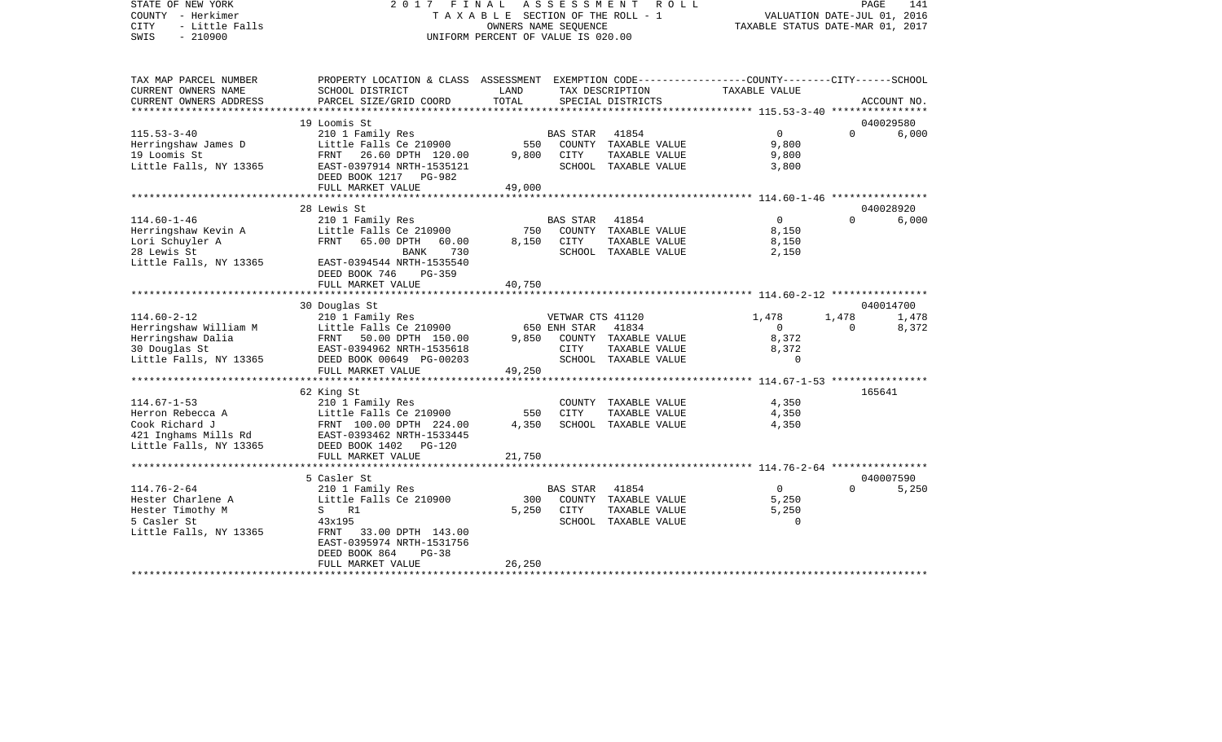| STATE OF NEW YORK<br>COUNTY - Herkimer                                 | 2017 FINAL ASSESSMENT                                                                                                                        | TAXABLE SECTION OF THE ROLL - 1                            |                                  | R O L L                              |                                  | PAGE<br>VALUATION DATE-JUL 01, 2016 | 141            |
|------------------------------------------------------------------------|----------------------------------------------------------------------------------------------------------------------------------------------|------------------------------------------------------------|----------------------------------|--------------------------------------|----------------------------------|-------------------------------------|----------------|
| <b>CITY</b><br>- Little Falls<br>SWIS<br>$-210900$                     |                                                                                                                                              | OWNERS NAME SEOUENCE<br>UNIFORM PERCENT OF VALUE IS 020.00 |                                  |                                      | TAXABLE STATUS DATE-MAR 01, 2017 |                                     |                |
| TAX MAP PARCEL NUMBER<br>CURRENT OWNERS NAME<br>CURRENT OWNERS ADDRESS | PROPERTY LOCATION & CLASS ASSESSMENT EXEMPTION CODE---------------COUNTY-------CITY------SCHOOL<br>SCHOOL DISTRICT<br>PARCEL SIZE/GRID COORD | LAND<br>TOTAL                                              |                                  | TAX DESCRIPTION<br>SPECIAL DISTRICTS | TAXABLE VALUE                    |                                     | ACCOUNT NO.    |
|                                                                        |                                                                                                                                              |                                                            |                                  |                                      |                                  |                                     |                |
|                                                                        | 19 Loomis St                                                                                                                                 |                                                            |                                  |                                      |                                  |                                     | 040029580      |
| $115.53 - 3 - 40$                                                      | 210 1 Family Res                                                                                                                             |                                                            | <b>BAS STAR</b>                  | 41854                                | $\Omega$                         | $\Omega$                            | 6,000          |
| Herringshaw James D                                                    | Little Falls Ce 210900                                                                                                                       | 550                                                        |                                  | COUNTY TAXABLE VALUE                 | 9,800                            |                                     |                |
| 19 Loomis St                                                           | FRNT<br>26.60 DPTH 120.00                                                                                                                    | 9,800                                                      | CITY                             | TAXABLE VALUE                        | 9,800                            |                                     |                |
| Little Falls, NY 13365                                                 | EAST-0397914 NRTH-1535121<br>DEED BOOK 1217 PG-982                                                                                           |                                                            |                                  | SCHOOL TAXABLE VALUE                 | 3,800                            |                                     |                |
|                                                                        | FULL MARKET VALUE                                                                                                                            | 49,000                                                     |                                  |                                      |                                  |                                     |                |
|                                                                        | 28 Lewis St                                                                                                                                  |                                                            |                                  |                                      |                                  |                                     | 040028920      |
| $114.60 - 1 - 46$                                                      | 210 1 Family Res                                                                                                                             |                                                            | <b>BAS STAR</b>                  | 41854                                | $\Omega$                         | $\Omega$                            | 6,000          |
| Herringshaw Kevin A                                                    | Little Falls Ce 210900                                                                                                                       | 750                                                        |                                  | COUNTY TAXABLE VALUE                 | 8,150                            |                                     |                |
| Lori Schuyler A                                                        | FRNT<br>65.00 DPTH<br>60.00                                                                                                                  | 8,150                                                      | CITY                             | TAXABLE VALUE                        | 8,150                            |                                     |                |
| 28 Lewis St                                                            | 730<br>BANK                                                                                                                                  |                                                            |                                  | SCHOOL TAXABLE VALUE                 | 2,150                            |                                     |                |
| Little Falls, NY 13365                                                 | EAST-0394544 NRTH-1535540                                                                                                                    |                                                            |                                  |                                      |                                  |                                     |                |
|                                                                        | DEED BOOK 746<br>$PG-359$                                                                                                                    |                                                            |                                  |                                      |                                  |                                     |                |
|                                                                        | FULL MARKET VALUE                                                                                                                            | 40,750                                                     |                                  |                                      |                                  |                                     |                |
|                                                                        |                                                                                                                                              |                                                            |                                  |                                      |                                  |                                     |                |
|                                                                        | 30 Douglas St                                                                                                                                |                                                            |                                  |                                      |                                  |                                     | 040014700      |
| $114.60 - 2 - 12$<br>Herringshaw William M                             | 210 1 Family Res<br>Little Falls Ce 210900                                                                                                   |                                                            | VETWAR CTS 41120<br>650 ENH STAR | 41834                                | 1,478<br>$\Omega$                | 1,478<br>$\Omega$                   | 1,478<br>8,372 |
| Herringshaw Dalia                                                      | FRNT<br>50.00 DPTH 150.00                                                                                                                    | 9,850                                                      |                                  | COUNTY TAXABLE VALUE                 | 8,372                            |                                     |                |
| 30 Douglas St                                                          | EAST-0394962 NRTH-1535618                                                                                                                    |                                                            | CITY                             | TAXABLE VALUE                        | 8,372                            |                                     |                |
| Little Falls, NY 13365                                                 | DEED BOOK 00649 PG-00203                                                                                                                     |                                                            |                                  | SCHOOL TAXABLE VALUE                 | $\mathbf 0$                      |                                     |                |
|                                                                        | FULL MARKET VALUE                                                                                                                            | 49,250                                                     |                                  |                                      |                                  |                                     |                |
|                                                                        |                                                                                                                                              |                                                            |                                  |                                      |                                  |                                     |                |
|                                                                        | 62 King St                                                                                                                                   |                                                            |                                  |                                      |                                  |                                     | 165641         |
| $114.67 - 1 - 53$                                                      | 210 1 Family Res                                                                                                                             |                                                            |                                  | COUNTY TAXABLE VALUE                 | 4,350                            |                                     |                |
| Herron Rebecca A                                                       | Little Falls Ce 210900                                                                                                                       | 550                                                        | CITY                             | TAXABLE VALUE                        | 4,350                            |                                     |                |
| Cook Richard J<br>421 Inghams Mills Rd                                 | FRNT 100.00 DPTH 224.00<br>EAST-0393462 NRTH-1533445                                                                                         | 4,350                                                      |                                  | SCHOOL TAXABLE VALUE                 | 4,350                            |                                     |                |

| Little Falls, NY 13365 | DEED BOOK 1402<br>PG-120  |        |          |               |       |           |
|------------------------|---------------------------|--------|----------|---------------|-------|-----------|
|                        | FULL MARKET VALUE         | 21,750 |          |               |       |           |
|                        |                           |        |          |               |       |           |
|                        | 5 Casler St               |        |          |               |       | 040007590 |
| 114.76-2-64            | 210 1 Family Res          |        | BAS STAR | 41854         |       | 5,250     |
| Hester Charlene A      | Little Falls Ce 210900    | 300    | COUNTY   | TAXABLE VALUE | 5,250 |           |
| Hester Timothy M       | R1                        | 5,250  | CITY     | TAXABLE VALUE | 5,250 |           |
| 5 Casler St            | 43x195                    |        | SCHOOL   | TAXABLE VALUE |       |           |
| Little Falls, NY 13365 | 33.00 DPTH 143.00<br>FRNT |        |          |               |       |           |
|                        | EAST-0395974 NRTH-1531756 |        |          |               |       |           |
|                        | DEED BOOK 864<br>PG-38    |        |          |               |       |           |
|                        | FULL MARKET VALUE         | 26,250 |          |               |       |           |

\*\*\*\*\*\*\*\*\*\*\*\*\*\*\*\*\*\*\*\*\*\*\*\*\*\*\*\*\*\*\*\*\*\*\*\*\*\*\*\*\*\*\*\*\*\*\*\*\*\*\*\*\*\*\*\*\*\*\*\*\*\*\*\*\*\*\*\*\*\*\*\*\*\*\*\*\*\*\*\*\*\*\*\*\*\*\*\*\*\*\*\*\*\*\*\*\*\*\*\*\*\*\*\*\*\*\*\*\*\*\*\*\*\*\*\*\*\*\*\*\*\*\*\*\*\*\*\*\*\*\*\*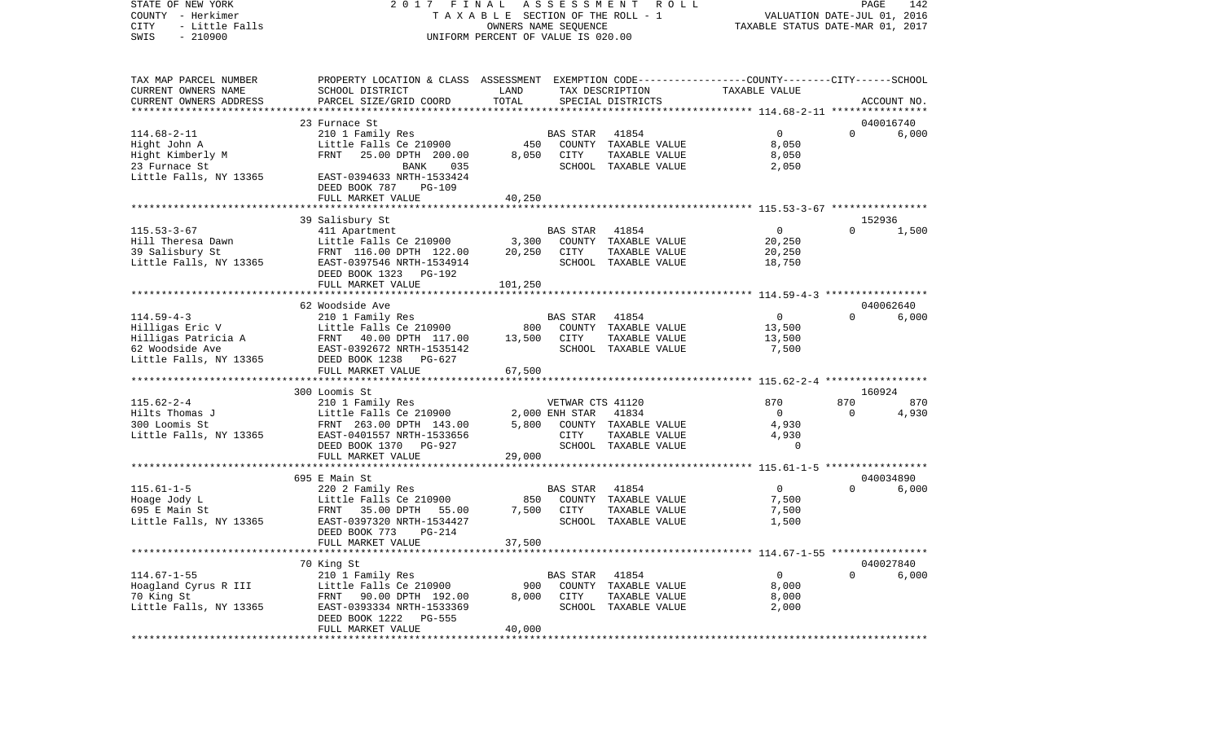STATE OF NEW YORK 2 0 1 7 F I N A L A S S E S S M E N T R O L L PAGE 142COUNTY - Herkimer **T A X A B L E** SECTION OF THE ROLL - 1 VALUATION DATE-JUL 01, 2016 CITY - Little Falls OWNERS NAME SEQUENCE TAXABLE STATUS DATE-MAR 01, 2017 SWIS - 210900 UNIFORM PERCENT OF VALUE IS 020.00TAX MAP PARCEL NUMBER PROPERTY LOCATION & CLASS ASSESSMENT EXEMPTION CODE------------------COUNTY--------CITY------SCHOOL CURRENT OWNERS NAME SCHOOL DISTRICT LAND TAX DESCRIPTION TAXABLE VALUECURRENT OWNERS ADDRESS PARCEL SIZE/GRID COORD TOTAL SPECIAL DISTRICTS ACCOUNT NO. \*\*\*\*\*\*\*\*\*\*\*\*\*\*\*\*\*\*\*\*\*\*\*\*\*\*\*\*\*\*\*\*\*\*\*\*\*\*\*\*\*\*\*\*\*\*\*\*\*\*\*\*\*\*\*\*\*\*\*\*\*\*\*\*\*\*\*\*\*\*\*\*\*\*\*\*\*\*\*\*\*\*\*\*\*\*\*\*\*\*\*\*\*\*\*\*\*\*\*\*\*\*\* 114.68-2-11 \*\*\*\*\*\*\*\*\*\*\*\*\*\*\*\* 23 Furnace St 040016740114.68-2-11 210 1 Family Res BAS STAR 41854 0 0 6,000 Hight John A Little Falls Ce 210900 450 COUNTY TAXABLE VALUE 8,050 Hight Kimberly M FRNT 25.00 DPTH 200.00 8,050 CITY TAXABLE VALUE 8,050 23 Furnace St BANK 035 SCHOOL TAXABLE VALUE 2,050 Little Falls, NY 13365 EAST-0394633 NRTH-1533424 DEED BOOK 787 PG-109FULL MARKET VALUE 40,250 \*\*\*\*\*\*\*\*\*\*\*\*\*\*\*\*\*\*\*\*\*\*\*\*\*\*\*\*\*\*\*\*\*\*\*\*\*\*\*\*\*\*\*\*\*\*\*\*\*\*\*\*\*\*\*\*\*\*\*\*\*\*\*\*\*\*\*\*\*\*\*\*\*\*\*\*\*\*\*\*\*\*\*\*\*\*\*\*\*\*\*\*\*\*\*\*\*\*\*\*\*\*\* 115.53-3-67 \*\*\*\*\*\*\*\*\*\*\*\*\*\*\*\*39 Salisbury St 152936<br>152936 152936 152936<br>1.500 1.500 1.500 1.500 1.500 1.500 115.53-3-67 411 Apartment BAS STAR 41854 0 0 1,500 Hill Theresa Dawn Little Falls Ce 210900 3,300 COUNTY TAXABLE VALUE 20,250 39 Salisbury St FRNT 116.00 DPTH 122.00 20,250 CITY TAXABLE VALUE 20,250 Little Falls, NY 13365 EAST-0397546 NRTH-1534914 SCHOOL TAXABLE VALUE 18,750 DEED BOOK 1323 PG-192 FULL MARKET VALUE 101,250 \*\*\*\*\*\*\*\*\*\*\*\*\*\*\*\*\*\*\*\*\*\*\*\*\*\*\*\*\*\*\*\*\*\*\*\*\*\*\*\*\*\*\*\*\*\*\*\*\*\*\*\*\*\*\*\*\*\*\*\*\*\*\*\*\*\*\*\*\*\*\*\*\*\*\*\*\*\*\*\*\*\*\*\*\*\*\*\*\*\*\*\*\*\*\*\*\*\*\*\*\*\*\* 114.59-4-3 \*\*\*\*\*\*\*\*\*\*\*\*\*\*\*\*\* 62 Woodside Ave 040062640114.59-4-3 210 1 Family Res BAS STAR 41854 0 0 6,000 Hilligas Eric V Little Falls Ce 210900 800 COUNTY TAXABLE VALUE 13,500 Hilligas Patricia A FRNT 40.00 DPTH 117.00 13,500 CITY TAXABLE VALUE 13,500 62 Woodside Ave EAST-0392672 NRTH-1535142 SCHOOL TAXABLE VALUE 7,500 Little Falls, NY 13365 DEED BOOK 1238 PG-627 FULL MARKET VALUE 67,500 \*\*\*\*\*\*\*\*\*\*\*\*\*\*\*\*\*\*\*\*\*\*\*\*\*\*\*\*\*\*\*\*\*\*\*\*\*\*\*\*\*\*\*\*\*\*\*\*\*\*\*\*\*\*\*\*\*\*\*\*\*\*\*\*\*\*\*\*\*\*\*\*\*\*\*\*\*\*\*\*\*\*\*\*\*\*\*\*\*\*\*\*\*\*\*\*\*\*\*\*\*\*\* 115.62-2-4 \*\*\*\*\*\*\*\*\*\*\*\*\*\*\*\*\* 300 Loomis St 160924115.62-2-4 210 1 Family Res VETWAR CTS 41120 870 870 870 Hilts Thomas J Little Falls Ce 210900 2,000 ENH STAR 41834 0 0 4,930 300 Loomis St FRNT 263.00 DPTH 143.00 5,800 COUNTY TAXABLE VALUE 4,930 Little Falls, NY 13365 EAST-0401557 NRTH-1533656 CITY TAXABLE VALUE 4,930 DEED BOOK 1370 PG-927 SCHOOL TAXABLE VALUE 0 FULL MARKET VALUE 29,000 \*\*\*\*\*\*\*\*\*\*\*\*\*\*\*\*\*\*\*\*\*\*\*\*\*\*\*\*\*\*\*\*\*\*\*\*\*\*\*\*\*\*\*\*\*\*\*\*\*\*\*\*\*\*\*\*\*\*\*\*\*\*\*\*\*\*\*\*\*\*\*\*\*\*\*\*\*\*\*\*\*\*\*\*\*\*\*\*\*\*\*\*\*\*\*\*\*\*\*\*\*\*\* 115.61-1-5 \*\*\*\*\*\*\*\*\*\*\*\*\*\*\*\*\* 695 E Main St 040034890115.61-1-5 220 2 Family Res BAS STAR 41854 0 0 6,000 Hoage Jody L Little Falls Ce 210900 850 COUNTY TAXABLE VALUE 7,500 FRNT 35.00 DPTH 55.00 Little Falls, NY 13365 EAST-0397320 NRTH-1534427 SCHOOL TAXABLE VALUE 1,500 DEED BOOK 773 PG-214FULL MARKET VALUE 37,500 \*\*\*\*\*\*\*\*\*\*\*\*\*\*\*\*\*\*\*\*\*\*\*\*\*\*\*\*\*\*\*\*\*\*\*\*\*\*\*\*\*\*\*\*\*\*\*\*\*\*\*\*\*\*\*\*\*\*\*\*\*\*\*\*\*\*\*\*\*\*\*\*\*\*\*\*\*\*\*\*\*\*\*\*\*\*\*\*\*\*\*\*\*\*\*\*\*\*\*\*\*\*\* 114.67-1-55 \*\*\*\*\*\*\*\*\*\*\*\*\*\*\*\* 70 King St 040027840 114.67-1-55 210 1 Family Res BAS STAR 41854 0 0 6,000 Hoagland Cyrus R III Little Falls Ce 210900 900 COUNTY TAXABLE VALUE 8,000 70 King St FRNT 90.00 DPTH 192.00 8,000 CITY TAXABLE VALUE 8,000 Little Falls, NY 13365 EAST-0393334 NRTH-1533369 SCHOOL TAXABLE VALUE 2,000 DEED BOOK 1222 PG-555

\*\*\*\*\*\*\*\*\*\*\*\*\*\*\*\*\*\*\*\*\*\*\*\*\*\*\*\*\*\*\*\*\*\*\*\*\*\*\*\*\*\*\*\*\*\*\*\*\*\*\*\*\*\*\*\*\*\*\*\*\*\*\*\*\*\*\*\*\*\*\*\*\*\*\*\*\*\*\*\*\*\*\*\*\*\*\*\*\*\*\*\*\*\*\*\*\*\*\*\*\*\*\*\*\*\*\*\*\*\*\*\*\*\*\*\*\*\*\*\*\*\*\*\*\*\*\*\*\*\*\*\*

FULL MARKET VALUE 40,000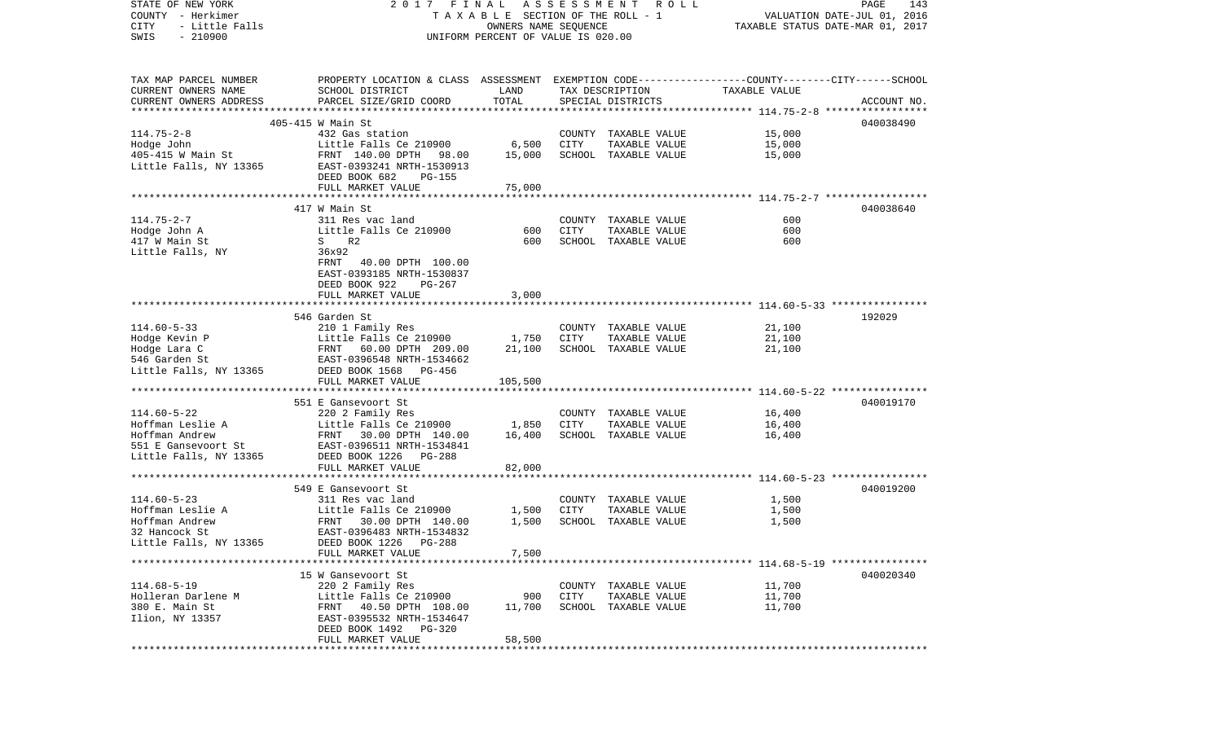| STATE OF NEW YORK<br>COUNTY - Herkimer      | 2017 FINAL                                                                                      | OWNERS NAME SEQUENCE               | A S S E S S M E N T R O L L<br>PAGE<br>143<br>T A X A B L E SECTION OF THE ROLL - 1<br>VALUATION DATE-JUL 01, 2016 |                                       |                  |             |
|---------------------------------------------|-------------------------------------------------------------------------------------------------|------------------------------------|--------------------------------------------------------------------------------------------------------------------|---------------------------------------|------------------|-------------|
| CITY<br>- Little Falls<br>$-210900$<br>SWIS |                                                                                                 |                                    | TAXABLE STATUS DATE-MAR 01, 2017                                                                                   |                                       |                  |             |
|                                             |                                                                                                 | UNIFORM PERCENT OF VALUE IS 020.00 |                                                                                                                    |                                       |                  |             |
| TAX MAP PARCEL NUMBER                       | PROPERTY LOCATION & CLASS ASSESSMENT EXEMPTION CODE---------------COUNTY-------CITY------SCHOOL |                                    |                                                                                                                    |                                       |                  |             |
| CURRENT OWNERS NAME                         | SCHOOL DISTRICT                                                                                 | LAND                               |                                                                                                                    | TAX DESCRIPTION                       | TAXABLE VALUE    |             |
| CURRENT OWNERS ADDRESS                      | PARCEL SIZE/GRID COORD                                                                          | TOTAL                              |                                                                                                                    | SPECIAL DISTRICTS                     |                  | ACCOUNT NO. |
|                                             | 405-415 W Main St                                                                               |                                    |                                                                                                                    |                                       |                  | 040038490   |
| $114.75 - 2 - 8$                            | 432 Gas station                                                                                 |                                    |                                                                                                                    | COUNTY TAXABLE VALUE                  | 15,000           |             |
| Hodge John                                  | Little Falls Ce 210900                                                                          | 6,500                              | CITY                                                                                                               | TAXABLE VALUE                         | 15,000           |             |
| 405-415 W Main St                           | FRNT 140.00 DPTH 98.00                                                                          | 15,000                             |                                                                                                                    | SCHOOL TAXABLE VALUE                  | 15,000           |             |
| Little Falls, NY 13365                      | EAST-0393241 NRTH-1530913                                                                       |                                    |                                                                                                                    |                                       |                  |             |
|                                             | DEED BOOK 682<br><b>PG-155</b>                                                                  |                                    |                                                                                                                    |                                       |                  |             |
|                                             | FULL MARKET VALUE                                                                               | 75,000                             |                                                                                                                    |                                       |                  |             |
|                                             |                                                                                                 |                                    |                                                                                                                    |                                       |                  |             |
| $114.75 - 2 - 7$                            | 417 W Main St<br>311 Res vac land                                                               |                                    |                                                                                                                    | COUNTY TAXABLE VALUE                  | 600              | 040038640   |
| Hodge John A                                | Little Falls Ce 210900                                                                          | 600                                | CITY                                                                                                               | TAXABLE VALUE                         | 600              |             |
| 417 W Main St                               | S R2                                                                                            | 600                                |                                                                                                                    | SCHOOL TAXABLE VALUE                  | 600              |             |
| Little Falls, NY                            | 36x92                                                                                           |                                    |                                                                                                                    |                                       |                  |             |
|                                             | FRNT 40.00 DPTH 100.00                                                                          |                                    |                                                                                                                    |                                       |                  |             |
|                                             | EAST-0393185 NRTH-1530837                                                                       |                                    |                                                                                                                    |                                       |                  |             |
|                                             | DEED BOOK 922<br>PG-267                                                                         |                                    |                                                                                                                    |                                       |                  |             |
|                                             | FULL MARKET VALUE                                                                               | 3,000                              |                                                                                                                    |                                       |                  |             |
|                                             |                                                                                                 |                                    |                                                                                                                    |                                       |                  |             |
|                                             | 546 Garden St                                                                                   |                                    |                                                                                                                    |                                       |                  | 192029      |
| $114.60 - 5 - 33$<br>Hodge Kevin P          | 210 1 Family Res<br>Little Falls Ce 210900                                                      | 1,750                              | CITY                                                                                                               | COUNTY TAXABLE VALUE<br>TAXABLE VALUE | 21,100<br>21,100 |             |
| Hodge Lara C                                | FRNT 60.00 DPTH 209.00                                                                          | 21,100                             |                                                                                                                    | SCHOOL TAXABLE VALUE                  | 21,100           |             |
| 546 Garden St                               | EAST-0396548 NRTH-1534662                                                                       |                                    |                                                                                                                    |                                       |                  |             |
| Little Falls, NY 13365                      | DEED BOOK 1568 PG-456                                                                           |                                    |                                                                                                                    |                                       |                  |             |
|                                             | FULL MARKET VALUE                                                                               | 105,500                            |                                                                                                                    |                                       |                  |             |
|                                             |                                                                                                 |                                    |                                                                                                                    |                                       |                  |             |
|                                             | 551 E Gansevoort St                                                                             |                                    |                                                                                                                    |                                       |                  | 040019170   |
| $114.60 - 5 - 22$                           | 220 2 Family Res                                                                                |                                    |                                                                                                                    | COUNTY TAXABLE VALUE                  | 16,400           |             |
| Hoffman Leslie A<br>Hoffman Andrew          | Little Falls Ce 210900                                                                          | 1,850                              | CITY                                                                                                               | TAXABLE VALUE                         | 16,400           |             |
| 551 E Gansevoort St                         | FRNT 30.00 DPTH 140.00<br>EAST-0396511 NRTH-1534841                                             | 16,400                             |                                                                                                                    | SCHOOL TAXABLE VALUE                  | 16,400           |             |
| Little Falls, NY 13365                      | DEED BOOK 1226 PG-288                                                                           |                                    |                                                                                                                    |                                       |                  |             |
|                                             | FULL MARKET VALUE                                                                               | 82,000                             |                                                                                                                    |                                       |                  |             |
|                                             |                                                                                                 |                                    |                                                                                                                    |                                       |                  |             |
|                                             | 549 E Gansevoort St                                                                             |                                    |                                                                                                                    |                                       |                  | 040019200   |
| $114.60 - 5 - 23$                           | 311 Res vac land                                                                                |                                    |                                                                                                                    | COUNTY TAXABLE VALUE                  | 1,500            |             |
| Hoffman Leslie A                            | Little Falls Ce 210900                                                                          | 1,500                              | CITY                                                                                                               | TAXABLE VALUE                         | 1,500            |             |
| Hoffman Andrew                              | FRNT 30.00 DPTH 140.00                                                                          | 1,500                              |                                                                                                                    | SCHOOL TAXABLE VALUE                  | 1,500            |             |
| 32 Hancock St                               | EAST-0396483 NRTH-1534832                                                                       |                                    |                                                                                                                    |                                       |                  |             |
| Little Falls, NY 13365                      | DEED BOOK 1226 PG-288<br>FULL MARKET VALUE                                                      | 7,500                              |                                                                                                                    |                                       |                  |             |
|                                             |                                                                                                 |                                    |                                                                                                                    |                                       |                  |             |
|                                             | 15 W Gansevoort St                                                                              |                                    |                                                                                                                    |                                       |                  | 040020340   |
| $114.68 - 5 - 19$                           | 220 2 Family Res                                                                                |                                    |                                                                                                                    | COUNTY TAXABLE VALUE                  | 11,700           |             |
| Holleran Darlene M                          | Little Falls Ce 210900                                                                          | 900                                | CITY                                                                                                               | TAXABLE VALUE                         | 11,700           |             |
| 380 E. Main St                              | 40.50 DPTH 108.00<br>FRNT                                                                       | 11,700                             |                                                                                                                    | SCHOOL TAXABLE VALUE                  | 11,700           |             |
| Ilion, NY 13357                             | EAST-0395532 NRTH-1534647                                                                       |                                    |                                                                                                                    |                                       |                  |             |
|                                             | DEED BOOK 1492 PG-320                                                                           |                                    |                                                                                                                    |                                       |                  |             |
|                                             | FULL MARKET VALUE                                                                               | 58,500                             |                                                                                                                    |                                       |                  |             |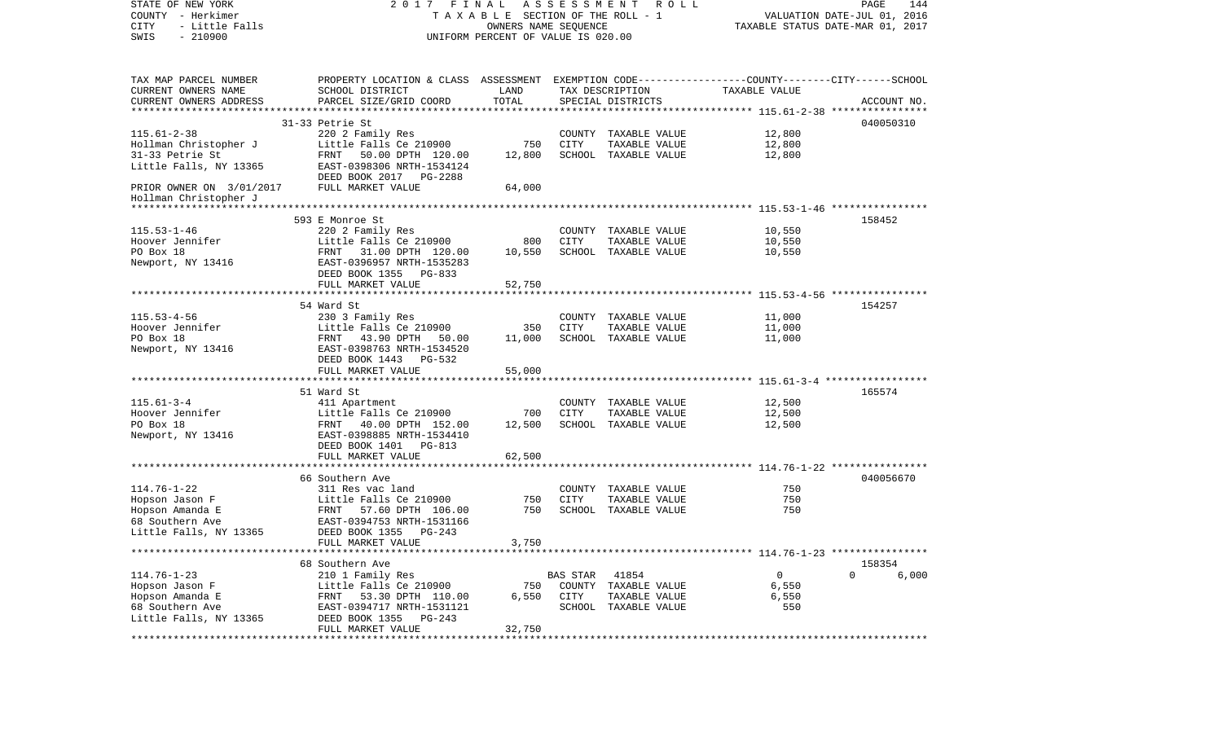| STATE OF NEW YORK<br>COUNTY - Herkimer<br><b>CITY</b><br>- Little Falls<br>$-210900$<br>SWIS | FINAL<br>2017<br>T A X A B L E SECTION OF THE ROLL - 1<br>UNIFORM PERCENT OF VALUE IS 020.00    | A S S E S S M E N T R O L L<br>PAGE<br>144<br>VALUATION DATE-JUL 01, 2016<br>TAXABLE STATUS DATE-MAR 01, 2017 |          |                                       |                  |                   |
|----------------------------------------------------------------------------------------------|-------------------------------------------------------------------------------------------------|---------------------------------------------------------------------------------------------------------------|----------|---------------------------------------|------------------|-------------------|
| TAX MAP PARCEL NUMBER                                                                        | PROPERTY LOCATION & CLASS ASSESSMENT EXEMPTION CODE---------------COUNTY-------CITY------SCHOOL |                                                                                                               |          |                                       |                  |                   |
| CURRENT OWNERS NAME<br>CURRENT OWNERS ADDRESS                                                | SCHOOL DISTRICT<br>PARCEL SIZE/GRID COORD                                                       | LAND<br>TOTAL                                                                                                 |          | TAX DESCRIPTION<br>SPECIAL DISTRICTS  | TAXABLE VALUE    | ACCOUNT NO.       |
|                                                                                              |                                                                                                 |                                                                                                               |          |                                       |                  |                   |
|                                                                                              | 31-33 Petrie St                                                                                 |                                                                                                               |          |                                       |                  | 040050310         |
| $115.61 - 2 - 38$                                                                            | 220 2 Family Res                                                                                |                                                                                                               |          | COUNTY TAXABLE VALUE                  | 12,800           |                   |
| Hollman Christopher J                                                                        | Little Falls Ce 210900                                                                          | 750                                                                                                           | CITY     | TAXABLE VALUE                         | 12,800           |                   |
| 31-33 Petrie St                                                                              | FRNT<br>50.00 DPTH 120.00                                                                       | 12,800                                                                                                        |          | SCHOOL TAXABLE VALUE                  | 12,800           |                   |
| Little Falls, NY 13365                                                                       | EAST-0398306 NRTH-1534124<br>DEED BOOK 2017 PG-2288                                             |                                                                                                               |          |                                       |                  |                   |
| PRIOR OWNER ON 3/01/2017                                                                     | FULL MARKET VALUE                                                                               | 64,000                                                                                                        |          |                                       |                  |                   |
| Hollman Christopher J<br>******************                                                  |                                                                                                 |                                                                                                               |          |                                       |                  |                   |
|                                                                                              | 593 E Monroe St                                                                                 |                                                                                                               |          |                                       |                  | 158452            |
| $115.53 - 1 - 46$                                                                            | 220 2 Family Res                                                                                |                                                                                                               |          | COUNTY TAXABLE VALUE                  | 10,550           |                   |
| Hoover Jennifer                                                                              | Little Falls Ce 210900                                                                          | 800                                                                                                           | CITY     | TAXABLE VALUE                         | 10,550           |                   |
| PO Box 18                                                                                    | FRNT 31.00 DPTH 120.00                                                                          | 10,550                                                                                                        |          | SCHOOL TAXABLE VALUE                  | 10,550           |                   |
| Newport, NY 13416                                                                            | EAST-0396957 NRTH-1535283                                                                       |                                                                                                               |          |                                       |                  |                   |
|                                                                                              | DEED BOOK 1355 PG-833                                                                           |                                                                                                               |          |                                       |                  |                   |
|                                                                                              | FULL MARKET VALUE                                                                               | 52,750                                                                                                        |          |                                       |                  |                   |
|                                                                                              |                                                                                                 |                                                                                                               |          |                                       |                  |                   |
|                                                                                              | 54 Ward St                                                                                      |                                                                                                               |          |                                       |                  | 154257            |
| $115.53 - 4 - 56$                                                                            | 230 3 Family Res                                                                                |                                                                                                               |          | COUNTY TAXABLE VALUE                  | 11,000           |                   |
| Hoover Jennifer                                                                              | Little Falls Ce 210900                                                                          | 350                                                                                                           | CITY     | TAXABLE VALUE                         | 11,000           |                   |
| PO Box 18                                                                                    | 43.90 DPTH<br>FRNT<br>50.00                                                                     | 11,000                                                                                                        |          | SCHOOL TAXABLE VALUE                  | 11,000           |                   |
| Newport, NY 13416                                                                            | EAST-0398763 NRTH-1534520                                                                       |                                                                                                               |          |                                       |                  |                   |
|                                                                                              | DEED BOOK 1443 PG-532                                                                           |                                                                                                               |          |                                       |                  |                   |
|                                                                                              | FULL MARKET VALUE                                                                               | 55,000                                                                                                        |          |                                       |                  |                   |
|                                                                                              |                                                                                                 |                                                                                                               |          |                                       |                  |                   |
| $115.61 - 3 - 4$                                                                             | 51 Ward St                                                                                      |                                                                                                               |          |                                       |                  | 165574            |
| Hoover Jennifer                                                                              | 411 Apartment<br>Little Falls Ce 210900                                                         | 700                                                                                                           | CITY     | COUNTY TAXABLE VALUE<br>TAXABLE VALUE | 12,500<br>12,500 |                   |
| PO Box 18                                                                                    | FRNT 40.00 DPTH 152.00                                                                          | 12,500                                                                                                        |          | SCHOOL TAXABLE VALUE                  | 12,500           |                   |
| Newport, NY 13416                                                                            | EAST-0398885 NRTH-1534410                                                                       |                                                                                                               |          |                                       |                  |                   |
|                                                                                              | DEED BOOK 1401 PG-813                                                                           |                                                                                                               |          |                                       |                  |                   |
|                                                                                              | FULL MARKET VALUE                                                                               | 62,500                                                                                                        |          |                                       |                  |                   |
|                                                                                              |                                                                                                 |                                                                                                               |          |                                       |                  |                   |
|                                                                                              | 66 Southern Ave                                                                                 |                                                                                                               |          |                                       |                  | 040056670         |
| $114.76 - 1 - 22$                                                                            | 311 Res vac land                                                                                |                                                                                                               |          | COUNTY TAXABLE VALUE                  | 750              |                   |
| Hopson Jason F                                                                               | Little Falls Ce 210900                                                                          | 750                                                                                                           | CITY     | TAXABLE VALUE                         | 750              |                   |
| Hopson Amanda E                                                                              | 57.60 DPTH 106.00<br>FRNT                                                                       | 750                                                                                                           |          | SCHOOL TAXABLE VALUE                  | 750              |                   |
| 68 Southern Ave                                                                              | EAST-0394753 NRTH-1531166                                                                       |                                                                                                               |          |                                       |                  |                   |
| Little Falls, NY 13365                                                                       | DEED BOOK 1355 PG-243                                                                           |                                                                                                               |          |                                       |                  |                   |
|                                                                                              | FULL MARKET VALUE                                                                               | 3,750                                                                                                         |          |                                       |                  |                   |
|                                                                                              | 68 Southern Ave                                                                                 |                                                                                                               |          |                                       |                  | 158354            |
| $114.76 - 1 - 23$                                                                            | 210 1 Family Res                                                                                |                                                                                                               | BAS STAR | 41854                                 | $\mathbf 0$      | $\Omega$<br>6,000 |
| Hopson Jason F                                                                               | Little Falls Ce 210900                                                                          | 750                                                                                                           |          | COUNTY TAXABLE VALUE                  | 6,550            |                   |
| Hopson Amanda E                                                                              | FRNT 53.30 DPTH 110.00                                                                          | 6,550                                                                                                         | CITY     | TAXABLE VALUE                         | 6,550            |                   |
| 68 Southern Ave                                                                              | EAST-0394717 NRTH-1531121                                                                       |                                                                                                               |          | SCHOOL TAXABLE VALUE                  | 550              |                   |
| Little Falls, NY 13365                                                                       | DEED BOOK 1355 PG-243                                                                           |                                                                                                               |          |                                       |                  |                   |
|                                                                                              | FULL MARKET VALUE                                                                               | 32,750                                                                                                        |          |                                       |                  |                   |
|                                                                                              |                                                                                                 |                                                                                                               |          |                                       |                  |                   |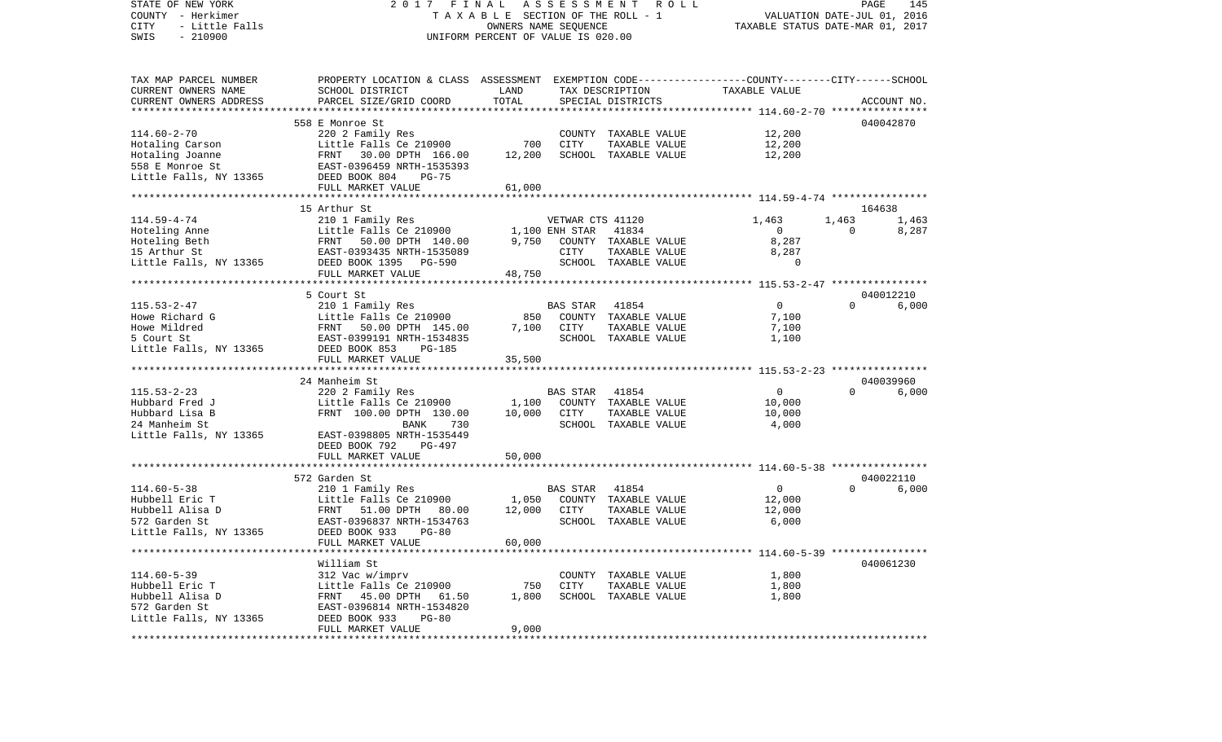VALUATION DATE-JUL 01, 2016 COUNTY - Herkimer T A X A B L E SECTION OF THE ROLL - 1 CITY - Little Falls OWNERS NAME SEQUENCE TAXABLE STATUS DATE-MAR 01, 2017 SWIS - 210900 UNIFORM PERCENT OF VALUE IS 020.00TAX MAP PARCEL NUMBER PROPERTY LOCATION & CLASS ASSESSMENT EXEMPTION CODE------------------COUNTY--------CITY------SCHOOL CURRENT OWNERS NAME SCHOOL DISTRICT LAND TAX DESCRIPTION TAXABLE VALUECURRENT OWNERS ADDRESS PARCEL SIZE/GRID COORD TOTAL SPECIAL DISTRICTS ACCOUNT NO. \*\*\*\*\*\*\*\*\*\*\*\*\*\*\*\*\*\*\*\*\*\*\*\*\*\*\*\*\*\*\*\*\*\*\*\*\*\*\*\*\*\*\*\*\*\*\*\*\*\*\*\*\*\*\*\*\*\*\*\*\*\*\*\*\*\*\*\*\*\*\*\*\*\*\*\*\*\*\*\*\*\*\*\*\*\*\*\*\*\*\*\*\*\*\*\*\*\*\*\*\*\*\* 114.60-2-70 \*\*\*\*\*\*\*\*\*\*\*\*\*\*\*\*558 E Monroe St 040042870 114.60-2-70 220 2 Family Res COUNTY TAXABLE VALUE 12,200 Hotaling Carson Little Falls Ce 210900 700 CITY TAXABLE VALUE 12,200 Hotaling Joanne FRNT 30.00 DPTH 166.00 12,200 SCHOOL TAXABLE VALUE 12,200 558 E Monroe St EAST-0396459 NRTH-1535393Little Falls, NY 13365 DEED BOOK 804 PG-75 FULL MARKET VALUE 61,000 \*\*\*\*\*\*\*\*\*\*\*\*\*\*\*\*\*\*\*\*\*\*\*\*\*\*\*\*\*\*\*\*\*\*\*\*\*\*\*\*\*\*\*\*\*\*\*\*\*\*\*\*\*\*\*\*\*\*\*\*\*\*\*\*\*\*\*\*\*\*\*\*\*\*\*\*\*\*\*\*\*\*\*\*\*\*\*\*\*\*\*\*\*\*\*\*\*\*\*\*\*\*\* 114.59-4-74 \*\*\*\*\*\*\*\*\*\*\*\*\*\*\*\* 15 Arthur St 164638114.59-4-74 210 1 Family Res VETWAR CTS 41120 1,463 1,463 1,463 1,463 Hoteling Anne Little Falls Ce 210900 1,100 ENH STAR 41834 0 0 8,287 Hoteling Beth FRNT 50.00 DPTH 140.00 9,750 COUNTY TAXABLE VALUE 8,287 15 Arthur St EAST-0393435 NRTH-1535089 CITY TAXABLE VALUE 8,287 Little Falls, NY 13365 DEED BOOK 1395 PG-590 SCHOOL TAXABLE VALUE 0 FULL MARKET VALUE 48,750 \*\*\*\*\*\*\*\*\*\*\*\*\*\*\*\*\*\*\*\*\*\*\*\*\*\*\*\*\*\*\*\*\*\*\*\*\*\*\*\*\*\*\*\*\*\*\*\*\*\*\*\*\*\*\*\*\*\*\*\*\*\*\*\*\*\*\*\*\*\*\*\*\*\*\*\*\*\*\*\*\*\*\*\*\*\*\*\*\*\*\*\*\*\*\*\*\*\*\*\*\*\*\* 115.53-2-47 \*\*\*\*\*\*\*\*\*\*\*\*\*\*\*\* 5 Court St 040012210 $6.000$ 115.53-2-47 210 1 Family Res BAS STAR 41854 0 0 6,000 Howe Richard G Little Falls Ce 210900 850 COUNTY TAXABLE VALUE 7,100 Howe Mildred FRNT 50.00 DPTH 145.00 7,100 CITY TAXABLE VALUE 7,100 5 Court St EAST-0399191 NRTH-1534835 SCHOOL TAXABLE VALUE 1,100 Little Falls, NY 13365 DEED BOOK 853 PG-185 FULL MARKET VALUE 35,500 \*\*\*\*\*\*\*\*\*\*\*\*\*\*\*\*\*\*\*\*\*\*\*\*\*\*\*\*\*\*\*\*\*\*\*\*\*\*\*\*\*\*\*\*\*\*\*\*\*\*\*\*\*\*\*\*\*\*\*\*\*\*\*\*\*\*\*\*\*\*\*\*\*\*\*\*\*\*\*\*\*\*\*\*\*\*\*\*\*\*\*\*\*\*\*\*\*\*\*\*\*\*\* 115.53-2-23 \*\*\*\*\*\*\*\*\*\*\*\*\*\*\*\* 24 Manheim St 040039960115.53-2-23 220 2 Family Res BAS STAR 41854 0 0 6,000 Hubbard Fred J Little Falls Ce 210900 1,100 COUNTY TAXABLE VALUE 10,000 Hubbard Lisa B FRNT 100.00 DPTH 130.00 10,000 CITY TAXABLE VALUE 10,000 24 Manheim St BANK 730 SCHOOL TAXABLE VALUE 4,000 Little Falls, NY 13365 EAST-0398805 NRTH-1535449 DEED BOOK 792 PG-497FULL MARKET VALUE 50,000 \*\*\*\*\*\*\*\*\*\*\*\*\*\*\*\*\*\*\*\*\*\*\*\*\*\*\*\*\*\*\*\*\*\*\*\*\*\*\*\*\*\*\*\*\*\*\*\*\*\*\*\*\*\*\*\*\*\*\*\*\*\*\*\*\*\*\*\*\*\*\*\*\*\*\*\*\*\*\*\*\*\*\*\*\*\*\*\*\*\*\*\*\*\*\*\*\*\*\*\*\*\*\* 114.60-5-38 \*\*\*\*\*\*\*\*\*\*\*\*\*\*\*\*572 Garden St 040022110 114.60-5-38 210 1 Family Res BAS STAR 41854 0 0 6,000 Hubbell Eric T Little Falls Ce 210900 1,050 COUNTY TAXABLE VALUE 12,000 Hubbell Alisa D FRNT 51.00 DPTH 80.00 12,000 CITY TAXABLE VALUE 12,000 572 Garden St EAST-0396837 NRTH-1534763 SCHOOL TAXABLE VALUE 6,000 Little Falls, NY 13365 DEED BOOK 933 PG-80 FULL MARKET VALUE 60,000 \*\*\*\*\*\*\*\*\*\*\*\*\*\*\*\*\*\*\*\*\*\*\*\*\*\*\*\*\*\*\*\*\*\*\*\*\*\*\*\*\*\*\*\*\*\*\*\*\*\*\*\*\*\*\*\*\*\*\*\*\*\*\*\*\*\*\*\*\*\*\*\*\*\*\*\*\*\*\*\*\*\*\*\*\*\*\*\*\*\*\*\*\*\*\*\*\*\*\*\*\*\*\* 114.60-5-39 \*\*\*\*\*\*\*\*\*\*\*\*\*\*\*\* William St 040061230114.60-5-39 312 Vac w/imprv COUNTY TAXABLE VALUE 1,800 Hubbell Eric T Little Falls Ce 210900 750 CITY TAXABLE VALUE 1,800 Hubbell Alisa D FRNT 45.00 DPTH 61.50 1,800 SCHOOL TAXABLE VALUE 1,800 572 Garden St EAST-0396814 NRTH-1534820 Little Falls, NY 13365 DEED BOOK 933 PG-80 FULL MARKET VALUE 9,000 \*\*\*\*\*\*\*\*\*\*\*\*\*\*\*\*\*\*\*\*\*\*\*\*\*\*\*\*\*\*\*\*\*\*\*\*\*\*\*\*\*\*\*\*\*\*\*\*\*\*\*\*\*\*\*\*\*\*\*\*\*\*\*\*\*\*\*\*\*\*\*\*\*\*\*\*\*\*\*\*\*\*\*\*\*\*\*\*\*\*\*\*\*\*\*\*\*\*\*\*\*\*\*\*\*\*\*\*\*\*\*\*\*\*\*\*\*\*\*\*\*\*\*\*\*\*\*\*\*\*\*\*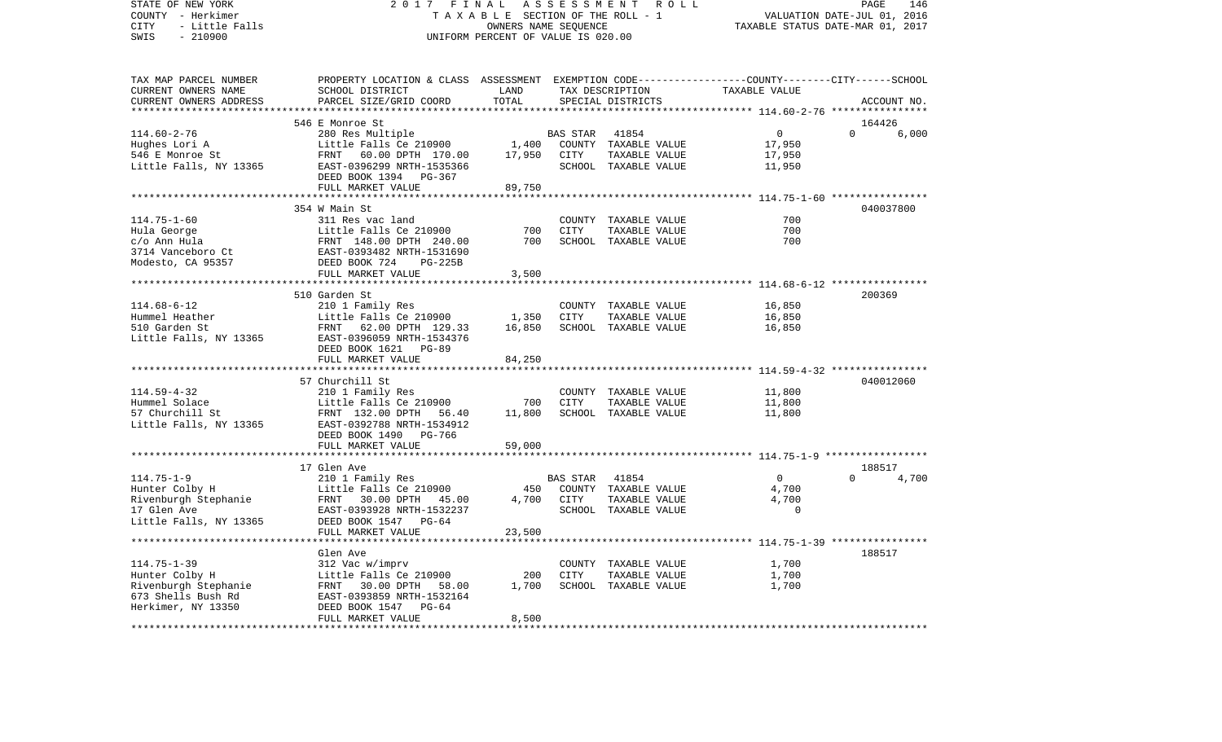STATE OF NEW YORK 2 0 1 7 F I N A L A S S E S S M E N T R O L L PAGE 146COUNTY - Herkimer T A X A B L E SECTION OF THE ROLL - 1 VALUATION DATE-JUL 01, 2016 CITY - Little Falls OWNERS NAME SEQUENCE TAXABLE STATUS DATE-MAR 01, 2017 SWIS - 210900 UNIFORM PERCENT OF VALUE IS 020.00TAX MAP PARCEL NUMBER PROPERTY LOCATION & CLASS ASSESSMENT EXEMPTION CODE------------------COUNTY--------CITY------SCHOOL CURRENT OWNERS NAME SCHOOL DISTRICT LAND TAX DESCRIPTION TAXABLE VALUECURRENT OWNERS ADDRESS PARCEL SIZE/GRID COORD TOTAL SPECIAL DISTRICTS ACCOUNT NO. \*\*\*\*\*\*\*\*\*\*\*\*\*\*\*\*\*\*\*\*\*\*\*\*\*\*\*\*\*\*\*\*\*\*\*\*\*\*\*\*\*\*\*\*\*\*\*\*\*\*\*\*\*\*\*\*\*\*\*\*\*\*\*\*\*\*\*\*\*\*\*\*\*\*\*\*\*\*\*\*\*\*\*\*\*\*\*\*\*\*\*\*\*\*\*\*\*\*\*\*\*\*\* 114.60-2-76 \*\*\*\*\*\*\*\*\*\*\*\*\*\*\*\* 546 E Monroe St 164426114.60-2-76 280 Res Multiple BAS STAR 41854 0 0 6,000 Hughes Lori A Little Falls Ce 210900 1,400 COUNTY TAXABLE VALUE 17,950 546 E Monroe St FRNT 60.00 DPTH 170.00 17,950 CITY TAXABLE VALUE 17,950 Little Falls, NY 13365 688 EAST-0396299 NRTH-1535366 688 SCHOOL TAXABLE VALUE 11,950 DEED BOOK 1394 PG-367FULL MARKET VALUE 89,750 \*\*\*\*\*\*\*\*\*\*\*\*\*\*\*\*\*\*\*\*\*\*\*\*\*\*\*\*\*\*\*\*\*\*\*\*\*\*\*\*\*\*\*\*\*\*\*\*\*\*\*\*\*\*\*\*\*\*\*\*\*\*\*\*\*\*\*\*\*\*\*\*\*\*\*\*\*\*\*\*\*\*\*\*\*\*\*\*\*\*\*\*\*\*\*\*\*\*\*\*\*\*\* 114.75-1-60 \*\*\*\*\*\*\*\*\*\*\*\*\*\*\*\* 354 W Main St 040037800114.75-1-60 311 Res vac land COUNTY TAXABLE VALUE 700700 Hula George Little Falls Ce 210900 700 CITY TAXABLE VALUE 700  $c/\text{o}$  Ann Hula  $F$ RNT  $148.00$  DPTH  $240.00$   $700$  SCHOOL TAXABLE VALUE 3714 Vanceboro Ct EAST-0393482 NRTH-1531690 Modesto, CA 95357 DEED BOOK 724 PG-225B FULL MARKET VALUE 3,500 \*\*\*\*\*\*\*\*\*\*\*\*\*\*\*\*\*\*\*\*\*\*\*\*\*\*\*\*\*\*\*\*\*\*\*\*\*\*\*\*\*\*\*\*\*\*\*\*\*\*\*\*\*\*\*\*\*\*\*\*\*\*\*\*\*\*\*\*\*\*\*\*\*\*\*\*\*\*\*\*\*\*\*\*\*\*\*\*\*\*\*\*\*\*\*\*\*\*\*\*\*\*\* 114.68-6-12 \*\*\*\*\*\*\*\*\*\*\*\*\*\*\*\* 510 Garden St 200369114.68-6-12 210 1 Family Res COUNTY TAXABLE VALUE 16,850 Hummel Heather Little Falls Ce 210900 1,350 CITY TAXABLE VALUE 16,850 510 Garden St FRNT 62.00 DPTH 129.33 16,850 SCHOOL TAXABLE VALUE 16,850 Little Falls, NY 13365 EAST-0396059 NRTH-1534376 DEED BOOK 1621 PG-89FULL MARKET VALUE 84,250 \*\*\*\*\*\*\*\*\*\*\*\*\*\*\*\*\*\*\*\*\*\*\*\*\*\*\*\*\*\*\*\*\*\*\*\*\*\*\*\*\*\*\*\*\*\*\*\*\*\*\*\*\*\*\*\*\*\*\*\*\*\*\*\*\*\*\*\*\*\*\*\*\*\*\*\*\*\*\*\*\*\*\*\*\*\*\*\*\*\*\*\*\*\*\*\*\*\*\*\*\*\*\* 114.59-4-32 \*\*\*\*\*\*\*\*\*\*\*\*\*\*\*\* 57 Churchill St 040012060114.59-4-32 210 1 Family Res COUNTY TAXABLE VALUE 11,800 Hummel Solace Little Falls Ce 210900 700 CITY TAXABLE VALUE 11,800 57 Churchill St FRNT 132.00 DPTH 56.40 11,800 SCHOOL TAXABLE VALUE 11,800 Little Falls, NY 13365 EAST-0392788 NRTH-1534912 DEED BOOK 1490 PG-766FULL MARKET VALUE 59,000 \*\*\*\*\*\*\*\*\*\*\*\*\*\*\*\*\*\*\*\*\*\*\*\*\*\*\*\*\*\*\*\*\*\*\*\*\*\*\*\*\*\*\*\*\*\*\*\*\*\*\*\*\*\*\*\*\*\*\*\*\*\*\*\*\*\*\*\*\*\*\*\*\*\*\*\*\*\*\*\*\*\*\*\*\*\*\*\*\*\*\*\*\*\*\*\*\*\*\*\*\*\*\* 114.75-1-9 \*\*\*\*\*\*\*\*\*\*\*\*\*\*\*\*\*17 Glen Ave 188517 114.75-1-9 210 1 Family Res BAS STAR 41854 0 0 4,700 Hunter Colby H Little Falls Ce 210900 450 COUNTY TAXABLE VALUE 4,700 Rivenburgh Stephanie FRNT 30.00 DPTH 45.00 4,700 CITY TAXABLE VALUE 4,700 17 Glen Ave **EAST-0393928 NRTH-1532237** Little Falls, NY 13365 DEED BOOK 1547 PG-64 FULL MARKET VALUE 23,500 \*\*\*\*\*\*\*\*\*\*\*\*\*\*\*\*\*\*\*\*\*\*\*\*\*\*\*\*\*\*\*\*\*\*\*\*\*\*\*\*\*\*\*\*\*\*\*\*\*\*\*\*\*\*\*\*\*\*\*\*\*\*\*\*\*\*\*\*\*\*\*\*\*\*\*\*\*\*\*\*\*\*\*\*\*\*\*\*\*\*\*\*\*\*\*\*\*\*\*\*\*\*\* 114.75-1-39 \*\*\*\*\*\*\*\*\*\*\*\*\*\*\*\* Glen Ave 188517114.75-1-39 312 Vac w/imprv COUNTY TAXABLE VALUE 1,700 Hunter Colby H Little Falls Ce 210900 200 CITY TAXABLE VALUE Rivenburgh Stephanie FRNT 30.00 DPTH 58.00 1,700 SCHOOL TAXABLE VALUE 1,700 673 Shells Bush Rd EAST-0393859 NRTH-1532164Herkimer, NY 13350 DEED BOOK 1547 PG-64 FULL MARKET VALUE 8,500 \*\*\*\*\*\*\*\*\*\*\*\*\*\*\*\*\*\*\*\*\*\*\*\*\*\*\*\*\*\*\*\*\*\*\*\*\*\*\*\*\*\*\*\*\*\*\*\*\*\*\*\*\*\*\*\*\*\*\*\*\*\*\*\*\*\*\*\*\*\*\*\*\*\*\*\*\*\*\*\*\*\*\*\*\*\*\*\*\*\*\*\*\*\*\*\*\*\*\*\*\*\*\*\*\*\*\*\*\*\*\*\*\*\*\*\*\*\*\*\*\*\*\*\*\*\*\*\*\*\*\*\*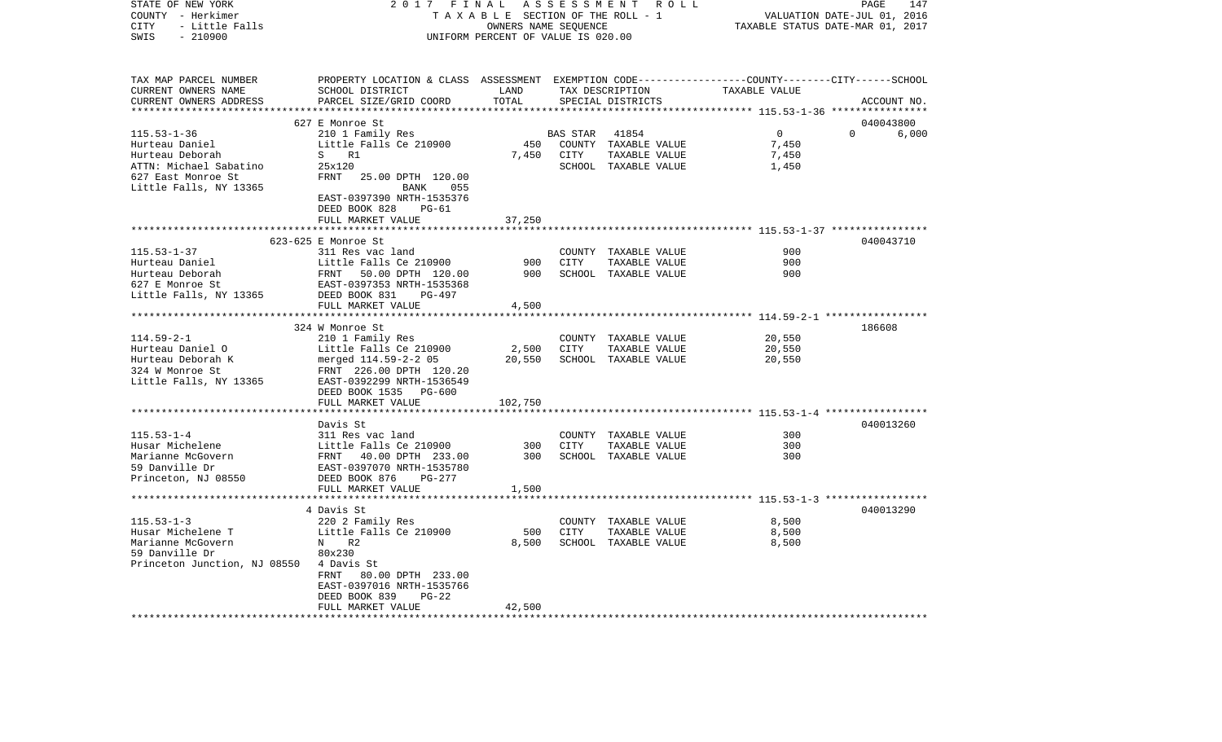| TAXABLE SECTION OF THE ROLL - 1<br>VALUATION DATE-JUL 01, 2016<br>- Little Falls<br>TAXABLE STATUS DATE-MAR 01, 2017<br>CITY<br>OWNERS NAME SEQUENCE<br>SWIS<br>$-210900$<br>UNIFORM PERCENT OF VALUE IS 020.00<br>TAX MAP PARCEL NUMBER<br>PROPERTY LOCATION & CLASS ASSESSMENT EXEMPTION CODE---------------COUNTY-------CITY------SCHOOL<br>CURRENT OWNERS NAME<br>SCHOOL DISTRICT<br>LAND<br>TAX DESCRIPTION<br>TAXABLE VALUE<br>PARCEL SIZE/GRID COORD<br>TOTAL<br>SPECIAL DISTRICTS<br>ACCOUNT NO.<br>627 E Monroe St<br>040043800<br>$\circ$<br>$\Omega$<br>210 1 Family Res<br>6,000<br>BAS STAR<br>41854<br>Little Falls Ce 210900<br>450<br>COUNTY TAXABLE VALUE<br>7,450<br>S R1<br>7,450<br>CITY<br>TAXABLE VALUE<br>7,450<br>ATTN: Michael Sabatino<br>25x120<br>SCHOOL TAXABLE VALUE<br>1,450<br>627 East Monroe St<br>FRNT<br>25.00 DPTH 120.00<br>Little Falls, NY 13365<br>055<br>BANK<br>EAST-0397390 NRTH-1535376<br>DEED BOOK 828<br>$PG-61$<br>FULL MARKET VALUE<br>37,250<br>****************************** 115.53-1-37 ****************<br>623-625 E Monroe St<br>040043710<br>900<br>$115.53 - 1 - 37$<br>311 Res vac land<br>COUNTY TAXABLE VALUE<br>900<br>Hurteau Daniel<br>Little Falls Ce 210900<br>900<br><b>CITY</b><br>TAXABLE VALUE<br>Hurteau Deborah<br>900<br>SCHOOL TAXABLE VALUE<br>900<br>FRNT 50.00 DPTH 120.00<br>627 E Monroe St<br>EAST-0397353 NRTH-1535368<br>Little Falls, NY 13365<br>DEED BOOK 831<br>PG-497<br>4,500<br>FULL MARKET VALUE<br>324 W Monroe St<br>186608<br>210 1 Family Res<br>20,550<br>COUNTY TAXABLE VALUE<br>Hurteau Daniel O<br>Little Falls Ce 210900<br>2,500<br>CITY<br>TAXABLE VALUE<br>20,550<br>merged 114.59-2-2 05<br>20,550<br>SCHOOL TAXABLE VALUE<br>20,550<br>324 W Monroe St<br>FRNT 226.00 DPTH 120.20<br>Little Falls, NY 13365<br>EAST-0392299 NRTH-1536549<br>DEED BOOK 1535 PG-600<br>FULL MARKET VALUE<br>102,750<br>040013260<br>Davis St<br>$115.53 - 1 - 4$<br>311 Res vac land<br>COUNTY TAXABLE VALUE<br>300<br>300<br>Husar Michelene<br>Little Falls Ce 210900<br>300<br>CITY<br>TAXABLE VALUE<br>300<br>300<br>Marianne McGovern<br>FRNT 40.00 DPTH 233.00<br>SCHOOL TAXABLE VALUE<br>59 Danville Dr<br>EAST-0397070 NRTH-1535780<br>Princeton, NJ 08550<br>DEED BOOK 876<br>$PG-277$<br>FULL MARKET VALUE<br>1,500<br>040013290<br>4 Davis St<br>8,500<br>220 2 Family Res<br>COUNTY TAXABLE VALUE<br>Little Falls Ce 210900<br>500<br><b>CITY</b><br>8,500<br>TAXABLE VALUE<br>8,500<br>N<br>R2<br>8,500<br>SCHOOL TAXABLE VALUE<br>80x230<br>Princeton Junction, NJ 08550<br>4 Davis St<br>80.00 DPTH 233.00<br>FRNT<br>EAST-0397016 NRTH-1535766<br>DEED BOOK 839<br>$PG-22$<br>FULL MARKET VALUE<br>42,500 | STATE OF NEW YORK       | 2017 FINAL | ASSESSMENT | R O L L | PAGE<br>147 |
|-----------------------------------------------------------------------------------------------------------------------------------------------------------------------------------------------------------------------------------------------------------------------------------------------------------------------------------------------------------------------------------------------------------------------------------------------------------------------------------------------------------------------------------------------------------------------------------------------------------------------------------------------------------------------------------------------------------------------------------------------------------------------------------------------------------------------------------------------------------------------------------------------------------------------------------------------------------------------------------------------------------------------------------------------------------------------------------------------------------------------------------------------------------------------------------------------------------------------------------------------------------------------------------------------------------------------------------------------------------------------------------------------------------------------------------------------------------------------------------------------------------------------------------------------------------------------------------------------------------------------------------------------------------------------------------------------------------------------------------------------------------------------------------------------------------------------------------------------------------------------------------------------------------------------------------------------------------------------------------------------------------------------------------------------------------------------------------------------------------------------------------------------------------------------------------------------------------------------------------------------------------------------------------------------------------------------------------------------------------------------------------------------------------------------------------------------------------------------------------------------------------------------------------------------------------------------------------------------------------------------------------------------------------------------------------------------------------------|-------------------------|------------|------------|---------|-------------|
|                                                                                                                                                                                                                                                                                                                                                                                                                                                                                                                                                                                                                                                                                                                                                                                                                                                                                                                                                                                                                                                                                                                                                                                                                                                                                                                                                                                                                                                                                                                                                                                                                                                                                                                                                                                                                                                                                                                                                                                                                                                                                                                                                                                                                                                                                                                                                                                                                                                                                                                                                                                                                                                                                                                 | COUNTY - Herkimer       |            |            |         |             |
|                                                                                                                                                                                                                                                                                                                                                                                                                                                                                                                                                                                                                                                                                                                                                                                                                                                                                                                                                                                                                                                                                                                                                                                                                                                                                                                                                                                                                                                                                                                                                                                                                                                                                                                                                                                                                                                                                                                                                                                                                                                                                                                                                                                                                                                                                                                                                                                                                                                                                                                                                                                                                                                                                                                 |                         |            |            |         |             |
|                                                                                                                                                                                                                                                                                                                                                                                                                                                                                                                                                                                                                                                                                                                                                                                                                                                                                                                                                                                                                                                                                                                                                                                                                                                                                                                                                                                                                                                                                                                                                                                                                                                                                                                                                                                                                                                                                                                                                                                                                                                                                                                                                                                                                                                                                                                                                                                                                                                                                                                                                                                                                                                                                                                 |                         |            |            |         |             |
|                                                                                                                                                                                                                                                                                                                                                                                                                                                                                                                                                                                                                                                                                                                                                                                                                                                                                                                                                                                                                                                                                                                                                                                                                                                                                                                                                                                                                                                                                                                                                                                                                                                                                                                                                                                                                                                                                                                                                                                                                                                                                                                                                                                                                                                                                                                                                                                                                                                                                                                                                                                                                                                                                                                 |                         |            |            |         |             |
|                                                                                                                                                                                                                                                                                                                                                                                                                                                                                                                                                                                                                                                                                                                                                                                                                                                                                                                                                                                                                                                                                                                                                                                                                                                                                                                                                                                                                                                                                                                                                                                                                                                                                                                                                                                                                                                                                                                                                                                                                                                                                                                                                                                                                                                                                                                                                                                                                                                                                                                                                                                                                                                                                                                 |                         |            |            |         |             |
|                                                                                                                                                                                                                                                                                                                                                                                                                                                                                                                                                                                                                                                                                                                                                                                                                                                                                                                                                                                                                                                                                                                                                                                                                                                                                                                                                                                                                                                                                                                                                                                                                                                                                                                                                                                                                                                                                                                                                                                                                                                                                                                                                                                                                                                                                                                                                                                                                                                                                                                                                                                                                                                                                                                 |                         |            |            |         |             |
|                                                                                                                                                                                                                                                                                                                                                                                                                                                                                                                                                                                                                                                                                                                                                                                                                                                                                                                                                                                                                                                                                                                                                                                                                                                                                                                                                                                                                                                                                                                                                                                                                                                                                                                                                                                                                                                                                                                                                                                                                                                                                                                                                                                                                                                                                                                                                                                                                                                                                                                                                                                                                                                                                                                 | CURRENT OWNERS ADDRESS  |            |            |         |             |
|                                                                                                                                                                                                                                                                                                                                                                                                                                                                                                                                                                                                                                                                                                                                                                                                                                                                                                                                                                                                                                                                                                                                                                                                                                                                                                                                                                                                                                                                                                                                                                                                                                                                                                                                                                                                                                                                                                                                                                                                                                                                                                                                                                                                                                                                                                                                                                                                                                                                                                                                                                                                                                                                                                                 | *********************** |            |            |         |             |
|                                                                                                                                                                                                                                                                                                                                                                                                                                                                                                                                                                                                                                                                                                                                                                                                                                                                                                                                                                                                                                                                                                                                                                                                                                                                                                                                                                                                                                                                                                                                                                                                                                                                                                                                                                                                                                                                                                                                                                                                                                                                                                                                                                                                                                                                                                                                                                                                                                                                                                                                                                                                                                                                                                                 |                         |            |            |         |             |
|                                                                                                                                                                                                                                                                                                                                                                                                                                                                                                                                                                                                                                                                                                                                                                                                                                                                                                                                                                                                                                                                                                                                                                                                                                                                                                                                                                                                                                                                                                                                                                                                                                                                                                                                                                                                                                                                                                                                                                                                                                                                                                                                                                                                                                                                                                                                                                                                                                                                                                                                                                                                                                                                                                                 | $115.53 - 1 - 36$       |            |            |         |             |
|                                                                                                                                                                                                                                                                                                                                                                                                                                                                                                                                                                                                                                                                                                                                                                                                                                                                                                                                                                                                                                                                                                                                                                                                                                                                                                                                                                                                                                                                                                                                                                                                                                                                                                                                                                                                                                                                                                                                                                                                                                                                                                                                                                                                                                                                                                                                                                                                                                                                                                                                                                                                                                                                                                                 | Hurteau Daniel          |            |            |         |             |
|                                                                                                                                                                                                                                                                                                                                                                                                                                                                                                                                                                                                                                                                                                                                                                                                                                                                                                                                                                                                                                                                                                                                                                                                                                                                                                                                                                                                                                                                                                                                                                                                                                                                                                                                                                                                                                                                                                                                                                                                                                                                                                                                                                                                                                                                                                                                                                                                                                                                                                                                                                                                                                                                                                                 | Hurteau Deborah         |            |            |         |             |
|                                                                                                                                                                                                                                                                                                                                                                                                                                                                                                                                                                                                                                                                                                                                                                                                                                                                                                                                                                                                                                                                                                                                                                                                                                                                                                                                                                                                                                                                                                                                                                                                                                                                                                                                                                                                                                                                                                                                                                                                                                                                                                                                                                                                                                                                                                                                                                                                                                                                                                                                                                                                                                                                                                                 |                         |            |            |         |             |
|                                                                                                                                                                                                                                                                                                                                                                                                                                                                                                                                                                                                                                                                                                                                                                                                                                                                                                                                                                                                                                                                                                                                                                                                                                                                                                                                                                                                                                                                                                                                                                                                                                                                                                                                                                                                                                                                                                                                                                                                                                                                                                                                                                                                                                                                                                                                                                                                                                                                                                                                                                                                                                                                                                                 |                         |            |            |         |             |
|                                                                                                                                                                                                                                                                                                                                                                                                                                                                                                                                                                                                                                                                                                                                                                                                                                                                                                                                                                                                                                                                                                                                                                                                                                                                                                                                                                                                                                                                                                                                                                                                                                                                                                                                                                                                                                                                                                                                                                                                                                                                                                                                                                                                                                                                                                                                                                                                                                                                                                                                                                                                                                                                                                                 |                         |            |            |         |             |
|                                                                                                                                                                                                                                                                                                                                                                                                                                                                                                                                                                                                                                                                                                                                                                                                                                                                                                                                                                                                                                                                                                                                                                                                                                                                                                                                                                                                                                                                                                                                                                                                                                                                                                                                                                                                                                                                                                                                                                                                                                                                                                                                                                                                                                                                                                                                                                                                                                                                                                                                                                                                                                                                                                                 |                         |            |            |         |             |
|                                                                                                                                                                                                                                                                                                                                                                                                                                                                                                                                                                                                                                                                                                                                                                                                                                                                                                                                                                                                                                                                                                                                                                                                                                                                                                                                                                                                                                                                                                                                                                                                                                                                                                                                                                                                                                                                                                                                                                                                                                                                                                                                                                                                                                                                                                                                                                                                                                                                                                                                                                                                                                                                                                                 |                         |            |            |         |             |
|                                                                                                                                                                                                                                                                                                                                                                                                                                                                                                                                                                                                                                                                                                                                                                                                                                                                                                                                                                                                                                                                                                                                                                                                                                                                                                                                                                                                                                                                                                                                                                                                                                                                                                                                                                                                                                                                                                                                                                                                                                                                                                                                                                                                                                                                                                                                                                                                                                                                                                                                                                                                                                                                                                                 |                         |            |            |         |             |
|                                                                                                                                                                                                                                                                                                                                                                                                                                                                                                                                                                                                                                                                                                                                                                                                                                                                                                                                                                                                                                                                                                                                                                                                                                                                                                                                                                                                                                                                                                                                                                                                                                                                                                                                                                                                                                                                                                                                                                                                                                                                                                                                                                                                                                                                                                                                                                                                                                                                                                                                                                                                                                                                                                                 |                         |            |            |         |             |
|                                                                                                                                                                                                                                                                                                                                                                                                                                                                                                                                                                                                                                                                                                                                                                                                                                                                                                                                                                                                                                                                                                                                                                                                                                                                                                                                                                                                                                                                                                                                                                                                                                                                                                                                                                                                                                                                                                                                                                                                                                                                                                                                                                                                                                                                                                                                                                                                                                                                                                                                                                                                                                                                                                                 |                         |            |            |         |             |
|                                                                                                                                                                                                                                                                                                                                                                                                                                                                                                                                                                                                                                                                                                                                                                                                                                                                                                                                                                                                                                                                                                                                                                                                                                                                                                                                                                                                                                                                                                                                                                                                                                                                                                                                                                                                                                                                                                                                                                                                                                                                                                                                                                                                                                                                                                                                                                                                                                                                                                                                                                                                                                                                                                                 |                         |            |            |         |             |
|                                                                                                                                                                                                                                                                                                                                                                                                                                                                                                                                                                                                                                                                                                                                                                                                                                                                                                                                                                                                                                                                                                                                                                                                                                                                                                                                                                                                                                                                                                                                                                                                                                                                                                                                                                                                                                                                                                                                                                                                                                                                                                                                                                                                                                                                                                                                                                                                                                                                                                                                                                                                                                                                                                                 |                         |            |            |         |             |
|                                                                                                                                                                                                                                                                                                                                                                                                                                                                                                                                                                                                                                                                                                                                                                                                                                                                                                                                                                                                                                                                                                                                                                                                                                                                                                                                                                                                                                                                                                                                                                                                                                                                                                                                                                                                                                                                                                                                                                                                                                                                                                                                                                                                                                                                                                                                                                                                                                                                                                                                                                                                                                                                                                                 |                         |            |            |         |             |
|                                                                                                                                                                                                                                                                                                                                                                                                                                                                                                                                                                                                                                                                                                                                                                                                                                                                                                                                                                                                                                                                                                                                                                                                                                                                                                                                                                                                                                                                                                                                                                                                                                                                                                                                                                                                                                                                                                                                                                                                                                                                                                                                                                                                                                                                                                                                                                                                                                                                                                                                                                                                                                                                                                                 |                         |            |            |         |             |
|                                                                                                                                                                                                                                                                                                                                                                                                                                                                                                                                                                                                                                                                                                                                                                                                                                                                                                                                                                                                                                                                                                                                                                                                                                                                                                                                                                                                                                                                                                                                                                                                                                                                                                                                                                                                                                                                                                                                                                                                                                                                                                                                                                                                                                                                                                                                                                                                                                                                                                                                                                                                                                                                                                                 |                         |            |            |         |             |
|                                                                                                                                                                                                                                                                                                                                                                                                                                                                                                                                                                                                                                                                                                                                                                                                                                                                                                                                                                                                                                                                                                                                                                                                                                                                                                                                                                                                                                                                                                                                                                                                                                                                                                                                                                                                                                                                                                                                                                                                                                                                                                                                                                                                                                                                                                                                                                                                                                                                                                                                                                                                                                                                                                                 |                         |            |            |         |             |
|                                                                                                                                                                                                                                                                                                                                                                                                                                                                                                                                                                                                                                                                                                                                                                                                                                                                                                                                                                                                                                                                                                                                                                                                                                                                                                                                                                                                                                                                                                                                                                                                                                                                                                                                                                                                                                                                                                                                                                                                                                                                                                                                                                                                                                                                                                                                                                                                                                                                                                                                                                                                                                                                                                                 |                         |            |            |         |             |
|                                                                                                                                                                                                                                                                                                                                                                                                                                                                                                                                                                                                                                                                                                                                                                                                                                                                                                                                                                                                                                                                                                                                                                                                                                                                                                                                                                                                                                                                                                                                                                                                                                                                                                                                                                                                                                                                                                                                                                                                                                                                                                                                                                                                                                                                                                                                                                                                                                                                                                                                                                                                                                                                                                                 | $114.59 - 2 - 1$        |            |            |         |             |
|                                                                                                                                                                                                                                                                                                                                                                                                                                                                                                                                                                                                                                                                                                                                                                                                                                                                                                                                                                                                                                                                                                                                                                                                                                                                                                                                                                                                                                                                                                                                                                                                                                                                                                                                                                                                                                                                                                                                                                                                                                                                                                                                                                                                                                                                                                                                                                                                                                                                                                                                                                                                                                                                                                                 |                         |            |            |         |             |
|                                                                                                                                                                                                                                                                                                                                                                                                                                                                                                                                                                                                                                                                                                                                                                                                                                                                                                                                                                                                                                                                                                                                                                                                                                                                                                                                                                                                                                                                                                                                                                                                                                                                                                                                                                                                                                                                                                                                                                                                                                                                                                                                                                                                                                                                                                                                                                                                                                                                                                                                                                                                                                                                                                                 | Hurteau Deborah K       |            |            |         |             |
|                                                                                                                                                                                                                                                                                                                                                                                                                                                                                                                                                                                                                                                                                                                                                                                                                                                                                                                                                                                                                                                                                                                                                                                                                                                                                                                                                                                                                                                                                                                                                                                                                                                                                                                                                                                                                                                                                                                                                                                                                                                                                                                                                                                                                                                                                                                                                                                                                                                                                                                                                                                                                                                                                                                 |                         |            |            |         |             |
|                                                                                                                                                                                                                                                                                                                                                                                                                                                                                                                                                                                                                                                                                                                                                                                                                                                                                                                                                                                                                                                                                                                                                                                                                                                                                                                                                                                                                                                                                                                                                                                                                                                                                                                                                                                                                                                                                                                                                                                                                                                                                                                                                                                                                                                                                                                                                                                                                                                                                                                                                                                                                                                                                                                 |                         |            |            |         |             |
|                                                                                                                                                                                                                                                                                                                                                                                                                                                                                                                                                                                                                                                                                                                                                                                                                                                                                                                                                                                                                                                                                                                                                                                                                                                                                                                                                                                                                                                                                                                                                                                                                                                                                                                                                                                                                                                                                                                                                                                                                                                                                                                                                                                                                                                                                                                                                                                                                                                                                                                                                                                                                                                                                                                 |                         |            |            |         |             |
|                                                                                                                                                                                                                                                                                                                                                                                                                                                                                                                                                                                                                                                                                                                                                                                                                                                                                                                                                                                                                                                                                                                                                                                                                                                                                                                                                                                                                                                                                                                                                                                                                                                                                                                                                                                                                                                                                                                                                                                                                                                                                                                                                                                                                                                                                                                                                                                                                                                                                                                                                                                                                                                                                                                 |                         |            |            |         |             |
|                                                                                                                                                                                                                                                                                                                                                                                                                                                                                                                                                                                                                                                                                                                                                                                                                                                                                                                                                                                                                                                                                                                                                                                                                                                                                                                                                                                                                                                                                                                                                                                                                                                                                                                                                                                                                                                                                                                                                                                                                                                                                                                                                                                                                                                                                                                                                                                                                                                                                                                                                                                                                                                                                                                 |                         |            |            |         |             |
|                                                                                                                                                                                                                                                                                                                                                                                                                                                                                                                                                                                                                                                                                                                                                                                                                                                                                                                                                                                                                                                                                                                                                                                                                                                                                                                                                                                                                                                                                                                                                                                                                                                                                                                                                                                                                                                                                                                                                                                                                                                                                                                                                                                                                                                                                                                                                                                                                                                                                                                                                                                                                                                                                                                 |                         |            |            |         |             |
|                                                                                                                                                                                                                                                                                                                                                                                                                                                                                                                                                                                                                                                                                                                                                                                                                                                                                                                                                                                                                                                                                                                                                                                                                                                                                                                                                                                                                                                                                                                                                                                                                                                                                                                                                                                                                                                                                                                                                                                                                                                                                                                                                                                                                                                                                                                                                                                                                                                                                                                                                                                                                                                                                                                 |                         |            |            |         |             |
|                                                                                                                                                                                                                                                                                                                                                                                                                                                                                                                                                                                                                                                                                                                                                                                                                                                                                                                                                                                                                                                                                                                                                                                                                                                                                                                                                                                                                                                                                                                                                                                                                                                                                                                                                                                                                                                                                                                                                                                                                                                                                                                                                                                                                                                                                                                                                                                                                                                                                                                                                                                                                                                                                                                 |                         |            |            |         |             |
|                                                                                                                                                                                                                                                                                                                                                                                                                                                                                                                                                                                                                                                                                                                                                                                                                                                                                                                                                                                                                                                                                                                                                                                                                                                                                                                                                                                                                                                                                                                                                                                                                                                                                                                                                                                                                                                                                                                                                                                                                                                                                                                                                                                                                                                                                                                                                                                                                                                                                                                                                                                                                                                                                                                 |                         |            |            |         |             |
|                                                                                                                                                                                                                                                                                                                                                                                                                                                                                                                                                                                                                                                                                                                                                                                                                                                                                                                                                                                                                                                                                                                                                                                                                                                                                                                                                                                                                                                                                                                                                                                                                                                                                                                                                                                                                                                                                                                                                                                                                                                                                                                                                                                                                                                                                                                                                                                                                                                                                                                                                                                                                                                                                                                 |                         |            |            |         |             |
|                                                                                                                                                                                                                                                                                                                                                                                                                                                                                                                                                                                                                                                                                                                                                                                                                                                                                                                                                                                                                                                                                                                                                                                                                                                                                                                                                                                                                                                                                                                                                                                                                                                                                                                                                                                                                                                                                                                                                                                                                                                                                                                                                                                                                                                                                                                                                                                                                                                                                                                                                                                                                                                                                                                 |                         |            |            |         |             |
|                                                                                                                                                                                                                                                                                                                                                                                                                                                                                                                                                                                                                                                                                                                                                                                                                                                                                                                                                                                                                                                                                                                                                                                                                                                                                                                                                                                                                                                                                                                                                                                                                                                                                                                                                                                                                                                                                                                                                                                                                                                                                                                                                                                                                                                                                                                                                                                                                                                                                                                                                                                                                                                                                                                 |                         |            |            |         |             |
|                                                                                                                                                                                                                                                                                                                                                                                                                                                                                                                                                                                                                                                                                                                                                                                                                                                                                                                                                                                                                                                                                                                                                                                                                                                                                                                                                                                                                                                                                                                                                                                                                                                                                                                                                                                                                                                                                                                                                                                                                                                                                                                                                                                                                                                                                                                                                                                                                                                                                                                                                                                                                                                                                                                 |                         |            |            |         |             |
|                                                                                                                                                                                                                                                                                                                                                                                                                                                                                                                                                                                                                                                                                                                                                                                                                                                                                                                                                                                                                                                                                                                                                                                                                                                                                                                                                                                                                                                                                                                                                                                                                                                                                                                                                                                                                                                                                                                                                                                                                                                                                                                                                                                                                                                                                                                                                                                                                                                                                                                                                                                                                                                                                                                 | $115.53 - 1 - 3$        |            |            |         |             |
|                                                                                                                                                                                                                                                                                                                                                                                                                                                                                                                                                                                                                                                                                                                                                                                                                                                                                                                                                                                                                                                                                                                                                                                                                                                                                                                                                                                                                                                                                                                                                                                                                                                                                                                                                                                                                                                                                                                                                                                                                                                                                                                                                                                                                                                                                                                                                                                                                                                                                                                                                                                                                                                                                                                 | Husar Michelene T       |            |            |         |             |
|                                                                                                                                                                                                                                                                                                                                                                                                                                                                                                                                                                                                                                                                                                                                                                                                                                                                                                                                                                                                                                                                                                                                                                                                                                                                                                                                                                                                                                                                                                                                                                                                                                                                                                                                                                                                                                                                                                                                                                                                                                                                                                                                                                                                                                                                                                                                                                                                                                                                                                                                                                                                                                                                                                                 | Marianne McGovern       |            |            |         |             |
|                                                                                                                                                                                                                                                                                                                                                                                                                                                                                                                                                                                                                                                                                                                                                                                                                                                                                                                                                                                                                                                                                                                                                                                                                                                                                                                                                                                                                                                                                                                                                                                                                                                                                                                                                                                                                                                                                                                                                                                                                                                                                                                                                                                                                                                                                                                                                                                                                                                                                                                                                                                                                                                                                                                 | 59 Danville Dr          |            |            |         |             |
|                                                                                                                                                                                                                                                                                                                                                                                                                                                                                                                                                                                                                                                                                                                                                                                                                                                                                                                                                                                                                                                                                                                                                                                                                                                                                                                                                                                                                                                                                                                                                                                                                                                                                                                                                                                                                                                                                                                                                                                                                                                                                                                                                                                                                                                                                                                                                                                                                                                                                                                                                                                                                                                                                                                 |                         |            |            |         |             |
|                                                                                                                                                                                                                                                                                                                                                                                                                                                                                                                                                                                                                                                                                                                                                                                                                                                                                                                                                                                                                                                                                                                                                                                                                                                                                                                                                                                                                                                                                                                                                                                                                                                                                                                                                                                                                                                                                                                                                                                                                                                                                                                                                                                                                                                                                                                                                                                                                                                                                                                                                                                                                                                                                                                 |                         |            |            |         |             |
|                                                                                                                                                                                                                                                                                                                                                                                                                                                                                                                                                                                                                                                                                                                                                                                                                                                                                                                                                                                                                                                                                                                                                                                                                                                                                                                                                                                                                                                                                                                                                                                                                                                                                                                                                                                                                                                                                                                                                                                                                                                                                                                                                                                                                                                                                                                                                                                                                                                                                                                                                                                                                                                                                                                 |                         |            |            |         |             |
|                                                                                                                                                                                                                                                                                                                                                                                                                                                                                                                                                                                                                                                                                                                                                                                                                                                                                                                                                                                                                                                                                                                                                                                                                                                                                                                                                                                                                                                                                                                                                                                                                                                                                                                                                                                                                                                                                                                                                                                                                                                                                                                                                                                                                                                                                                                                                                                                                                                                                                                                                                                                                                                                                                                 |                         |            |            |         |             |
| ******************                                                                                                                                                                                                                                                                                                                                                                                                                                                                                                                                                                                                                                                                                                                                                                                                                                                                                                                                                                                                                                                                                                                                                                                                                                                                                                                                                                                                                                                                                                                                                                                                                                                                                                                                                                                                                                                                                                                                                                                                                                                                                                                                                                                                                                                                                                                                                                                                                                                                                                                                                                                                                                                                                              |                         |            |            |         |             |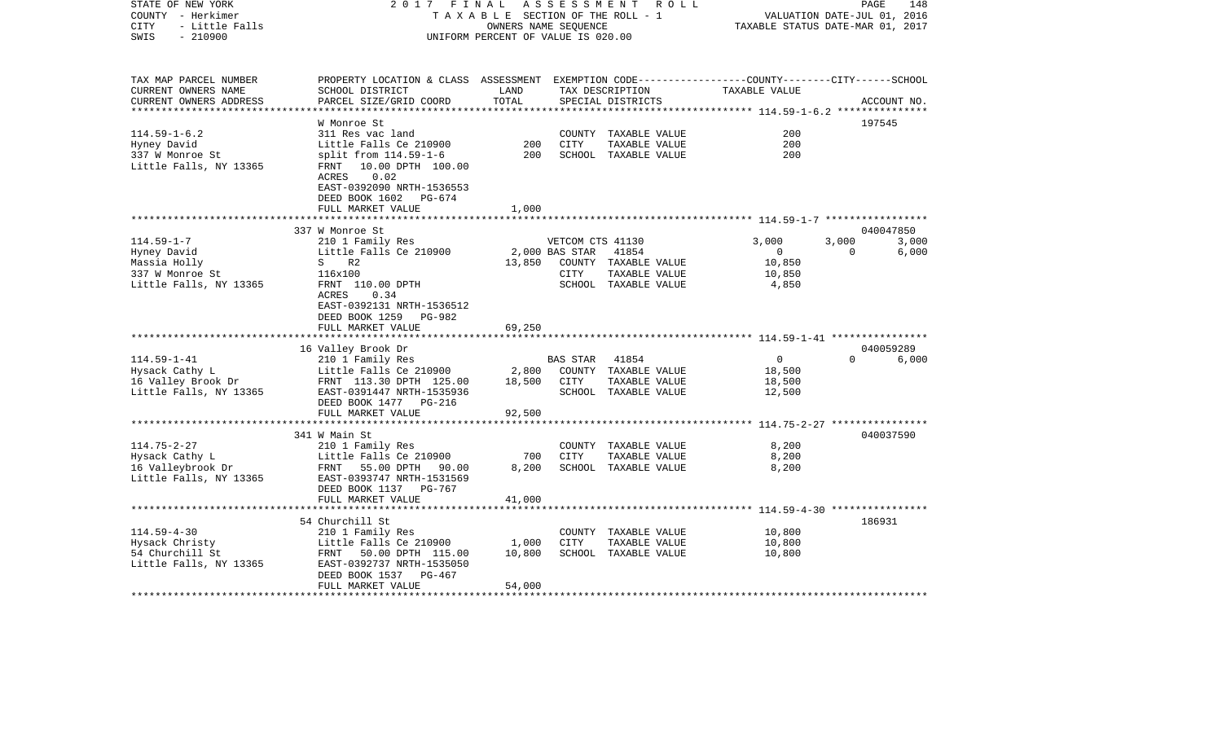COUNTY - Herkimer T A X A B L E SECTION OF THE ROLL - 1 VALUATION DATE-JUL 01, 2016 CITY - Little Falls OWNERS NAME SEQUENCE TAXABLE STATUS DATE-MAR 01, 2017 SWIS - 210900 UNIFORM PERCENT OF VALUE IS 020.00TAX MAP PARCEL NUMBER PROPERTY LOCATION & CLASS ASSESSMENT EXEMPTION CODE------------------COUNTY--------CITY------SCHOOL CURRENT OWNERS NAME SCHOOL DISTRICT LAND TAX DESCRIPTION TAXABLE VALUECURRENT OWNERS ADDRESS PARCEL SIZE/GRID COORD TOTAL SPECIAL DISTRICTS ACCOUNT NO. \*\*\*\*\*\*\*\*\*\*\*\*\*\*\*\*\*\*\*\*\*\*\*\*\*\*\*\*\*\*\*\*\*\*\*\*\*\*\*\*\*\*\*\*\*\*\*\*\*\*\*\*\*\*\*\*\*\*\*\*\*\*\*\*\*\*\*\*\*\*\*\*\*\*\*\*\*\*\*\*\*\*\*\*\*\*\*\*\*\*\*\*\*\*\*\*\*\*\*\*\*\*\* 114.59-1-6.2 \*\*\*\*\*\*\*\*\*\*\*\*\*\*\* W Monroe St 197545114.59-1-6.2 311 Res vac land COUNTY TAXABLE VALUE 200Hyney David Little Falls Ce 210900 200 CITY TAXABLE VALUE 200 337 W Monroe St split from 114.59-1-6 200 SCHOOL TAXABLE VALUE 200 Little Falls, NY 13365 FRNT 10.00 DPTH 100.00 ACRES 0.02 EAST-0392090 NRTH-1536553 DEED BOOK 1602 PG-674 FULL MARKET VALUE 1,000 \*\*\*\*\*\*\*\*\*\*\*\*\*\*\*\*\*\*\*\*\*\*\*\*\*\*\*\*\*\*\*\*\*\*\*\*\*\*\*\*\*\*\*\*\*\*\*\*\*\*\*\*\*\*\*\*\*\*\*\*\*\*\*\*\*\*\*\*\*\*\*\*\*\*\*\*\*\*\*\*\*\*\*\*\*\*\*\*\*\*\*\*\*\*\*\*\*\*\*\*\*\*\* 114.59-1-7 \*\*\*\*\*\*\*\*\*\*\*\*\*\*\*\*\* 337 W Monroe St 040047850114.59-1-7 210 1 Family Res VETCOM CTS 41130 3,000 3,000 3,000 Hyney David Little Falls Ce 210900 2,000 BAS STAR 41854 0 0 6,000 Massia Holly S R2 13,850 COUNTY TAXABLE VALUE 10,850 337 W Monroe St 116x100 CITY TAXABLE VALUE 10,850 Little Falls, NY 13365 FRNT 110.00 DPTH SCHOOL TAXABLE VALUE 4,850 ACRES 0.34 EAST-0392131 NRTH-1536512 DEED BOOK 1259 PG-982FULL MARKET VALUE 69,250 \*\*\*\*\*\*\*\*\*\*\*\*\*\*\*\*\*\*\*\*\*\*\*\*\*\*\*\*\*\*\*\*\*\*\*\*\*\*\*\*\*\*\*\*\*\*\*\*\*\*\*\*\*\*\*\*\*\*\*\*\*\*\*\*\*\*\*\*\*\*\*\*\*\*\*\*\*\*\*\*\*\*\*\*\*\*\*\*\*\*\*\*\*\*\*\*\*\*\*\*\*\*\* 114.59-1-41 \*\*\*\*\*\*\*\*\*\*\*\*\*\*\*\* 16 Valley Brook Dr 040059289 114.59-1-41 210 1 Family Res BAS STAR 41854 0 0 6,000 Hysack Cathy L Little Falls Ce 210900 2,800 COUNTY TAXABLE VALUE 18,500 16 Valley Brook Dr FRNT 113.30 DPTH 125.00 18,500 CITY TAXABLE VALUE 18,500 Little Falls, NY 13365 EAST-0391447 NRTH-1535936 SCHOOL TAXABLE VALUE 12,500 DEED BOOK 1477 PG-216FULL MARKET VALUE 92,500 \*\*\*\*\*\*\*\*\*\*\*\*\*\*\*\*\*\*\*\*\*\*\*\*\*\*\*\*\*\*\*\*\*\*\*\*\*\*\*\*\*\*\*\*\*\*\*\*\*\*\*\*\*\*\*\*\*\*\*\*\*\*\*\*\*\*\*\*\*\*\*\*\*\*\*\*\*\*\*\*\*\*\*\*\*\*\*\*\*\*\*\*\*\*\*\*\*\*\*\*\*\*\* 114.75-2-27 \*\*\*\*\*\*\*\*\*\*\*\*\*\*\*\* 341 W Main St 040037590114.75-2-27 210 1 Family Res COUNTY TAXABLE VALUE 8,200 Hysack Cathy L Little Falls Ce 210900 700 CITY TAXABLE VALUE 8,200 16 Valleybrook Dr FRNT 55.00 DPTH 90.00 8,200 SCHOOL TAXABLE VALUE 8,200 Little Falls, NY 13365 EAST-0393747 NRTH-1531569 DEED BOOK 1137 PG-767 FULL MARKET VALUE 41,000 \*\*\*\*\*\*\*\*\*\*\*\*\*\*\*\*\*\*\*\*\*\*\*\*\*\*\*\*\*\*\*\*\*\*\*\*\*\*\*\*\*\*\*\*\*\*\*\*\*\*\*\*\*\*\*\*\*\*\*\*\*\*\*\*\*\*\*\*\*\*\*\*\*\*\*\*\*\*\*\*\*\*\*\*\*\*\*\*\*\*\*\*\*\*\*\*\*\*\*\*\*\*\* 114.59-4-30 \*\*\*\*\*\*\*\*\*\*\*\*\*\*\*\* 54 Churchill St 186931114.59-4-30 210 1 Family Res COUNTY TAXABLE VALUE 10,800 Hysack Christy Little Falls Ce 210900 1,000 CITY TAXABLE VALUE 10,800 54 Churchill St FRNT 50.00 DPTH 115.00 10,800 SCHOOL TAXABLE VALUE 10,800 Little Falls, NY 13365 EAST-0392737 NRTH-1535050 DEED BOOK 1537 PG-467FULL MARKET VALUE 54,000 \*\*\*\*\*\*\*\*\*\*\*\*\*\*\*\*\*\*\*\*\*\*\*\*\*\*\*\*\*\*\*\*\*\*\*\*\*\*\*\*\*\*\*\*\*\*\*\*\*\*\*\*\*\*\*\*\*\*\*\*\*\*\*\*\*\*\*\*\*\*\*\*\*\*\*\*\*\*\*\*\*\*\*\*\*\*\*\*\*\*\*\*\*\*\*\*\*\*\*\*\*\*\*\*\*\*\*\*\*\*\*\*\*\*\*\*\*\*\*\*\*\*\*\*\*\*\*\*\*\*\*\*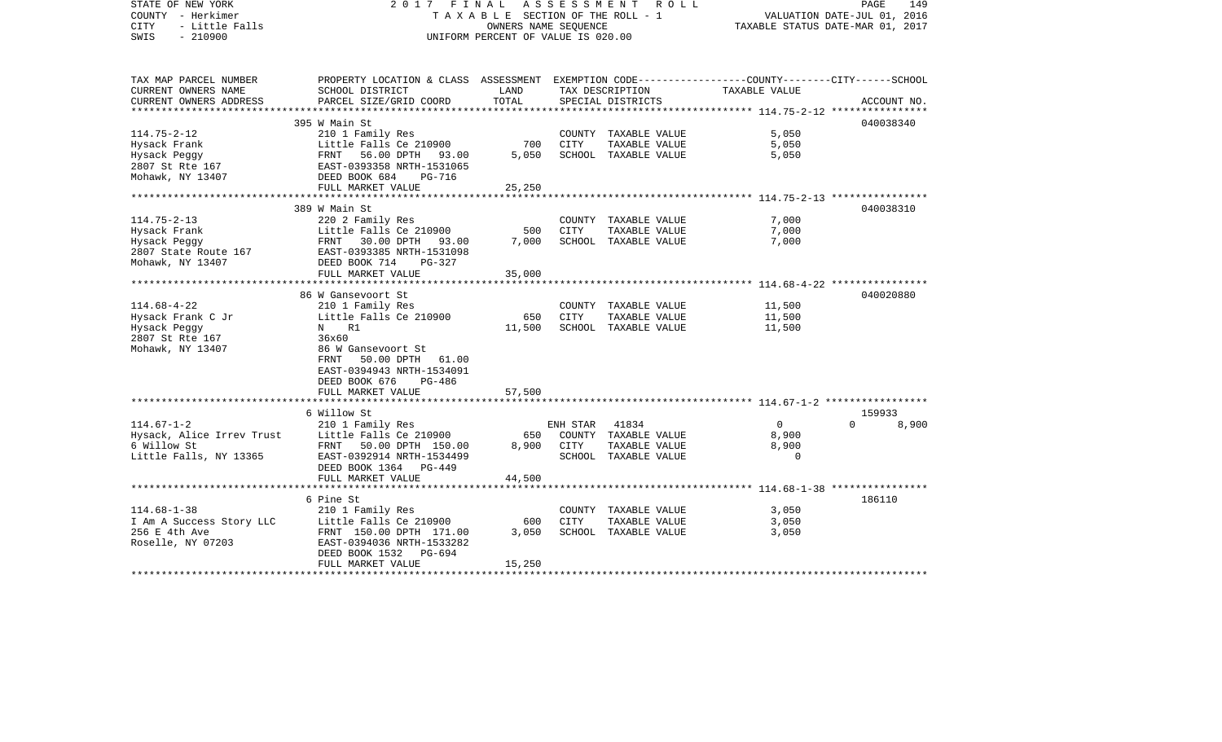| STATE OF NEW YORK<br>COUNTY - Herkimer<br><b>CITY</b><br>- Little Falls<br>$-210900$<br>SWIS  | 2017 FINAL                                                                                                                                                                                                       | T A X A B L E SECTION OF THE ROLL - 1<br>OWNERS NAME SEOUENCE<br>UNIFORM PERCENT OF VALUE IS 020.00 | A S S E S S M E N T R O L L | PAGE<br>149<br>VALUATION DATE-JUL 01, 2016<br>TAXABLE STATUS DATE-MAR 01, 2017 |                                                                 |                             |
|-----------------------------------------------------------------------------------------------|------------------------------------------------------------------------------------------------------------------------------------------------------------------------------------------------------------------|-----------------------------------------------------------------------------------------------------|-----------------------------|--------------------------------------------------------------------------------|-----------------------------------------------------------------|-----------------------------|
| TAX MAP PARCEL NUMBER<br>CURRENT OWNERS NAME<br>CURRENT OWNERS ADDRESS                        | PROPERTY LOCATION & CLASS ASSESSMENT EXEMPTION CODE----------------COUNTY-------CITY------SCHOOL<br>SCHOOL DISTRICT<br>PARCEL SIZE/GRID COORD                                                                    | LAND<br>TOTAL                                                                                       |                             | TAX DESCRIPTION<br>SPECIAL DISTRICTS                                           | TAXABLE VALUE                                                   | ACCOUNT NO.                 |
|                                                                                               |                                                                                                                                                                                                                  |                                                                                                     |                             |                                                                                |                                                                 |                             |
| $114.75 - 2 - 12$<br>Hysack Frank<br>Hysack Peggy<br>2807 St Rte 167<br>Mohawk, NY 13407      | 395 W Main St<br>210 1 Family Res<br>Little Falls Ce 210900<br>FRNT 56.00 DPTH 93.00<br>EAST-0393358 NRTH-1531065<br>DEED BOOK 684<br>PG-716                                                                     | 700<br>5,050                                                                                        | CITY                        | COUNTY TAXABLE VALUE<br>TAXABLE VALUE<br>SCHOOL TAXABLE VALUE                  | 5,050<br>5,050<br>5,050                                         | 040038340                   |
|                                                                                               | FULL MARKET VALUE                                                                                                                                                                                                | 25,250                                                                                              |                             |                                                                                |                                                                 |                             |
| $114.75 - 2 - 13$<br>Hysack Frank<br>Hysack Peggy<br>2807 State Route 167<br>Mohawk, NY 13407 | 389 W Main St<br>220 2 Family Res<br>Little Falls Ce 210900<br>FRNT 30.00 DPTH 93.00<br>EAST-0393385 NRTH-1531098<br>DEED BOOK 714<br>PG-327                                                                     | 500<br>7,000                                                                                        | CITY                        | COUNTY TAXABLE VALUE<br>TAXABLE VALUE<br>SCHOOL TAXABLE VALUE                  | 7,000<br>7,000<br>7,000                                         | 040038310                   |
|                                                                                               | FULL MARKET VALUE                                                                                                                                                                                                | 35,000                                                                                              |                             |                                                                                |                                                                 |                             |
|                                                                                               |                                                                                                                                                                                                                  |                                                                                                     |                             |                                                                                | **************************** 114.68-4-22 *****************      |                             |
| $114.68 - 4 - 22$<br>Hysack Frank C Jr<br>Hysack Peggy<br>2807 St Rte 167<br>Mohawk, NY 13407 | 86 W Gansevoort St<br>210 1 Family Res<br>Little Falls Ce 210900<br>N R1<br>36x60<br>86 W Gansevoort St<br>FRNT<br>50.00 DPTH 61.00<br>EAST-0394943 NRTH-1534091<br>DEED BOOK 676<br>PG-486<br>FULL MARKET VALUE | 650<br>11,500<br>57,500                                                                             | CITY                        | COUNTY TAXABLE VALUE<br>TAXABLE VALUE<br>SCHOOL TAXABLE VALUE                  | 11,500<br>11,500<br>11,500                                      | 040020880                   |
|                                                                                               |                                                                                                                                                                                                                  |                                                                                                     |                             |                                                                                |                                                                 |                             |
| $114.67 - 1 - 2$<br>Hysack, Alice Irrev Trust<br>6 Willow St<br>Little Falls, NY 13365        | 6 Willow St<br>210 1 Family Res<br>Little Falls Ce 210900<br>FRNT 50.00 DPTH 150.00<br>EAST-0392914 NRTH-1534499<br>DEED BOOK 1364 PG-449                                                                        | 650<br>8,900                                                                                        | ENH STAR<br>CITY            | 41834<br>COUNTY TAXABLE VALUE<br>TAXABLE VALUE<br>SCHOOL TAXABLE VALUE         | $\Omega$<br>8,900<br>8,900<br>$\Omega$                          | 159933<br>$\Omega$<br>8,900 |
|                                                                                               | FULL MARKET VALUE                                                                                                                                                                                                | 44,500                                                                                              |                             |                                                                                |                                                                 |                             |
| $114.68 - 1 - 38$                                                                             | 6 Pine St                                                                                                                                                                                                        |                                                                                                     |                             |                                                                                | ************************ 114.68-1-38 *****************<br>3,050 | 186110                      |
| I Am A Success Story LLC<br>256 E 4th Ave<br>Roselle, NY 07203                                | 210 1 Family Res<br>Little Falls Ce 210900<br>FRNT 150.00 DPTH 171.00<br>EAST-0394036 NRTH-1533282<br>DEED BOOK 1532<br>PG-694<br>FULL MARKET VALUE                                                              | 600<br>3,050<br>15,250                                                                              | CITY                        | COUNTY TAXABLE VALUE<br>TAXABLE VALUE<br>SCHOOL TAXABLE VALUE                  | 3,050<br>3,050                                                  |                             |
|                                                                                               |                                                                                                                                                                                                                  |                                                                                                     |                             |                                                                                |                                                                 |                             |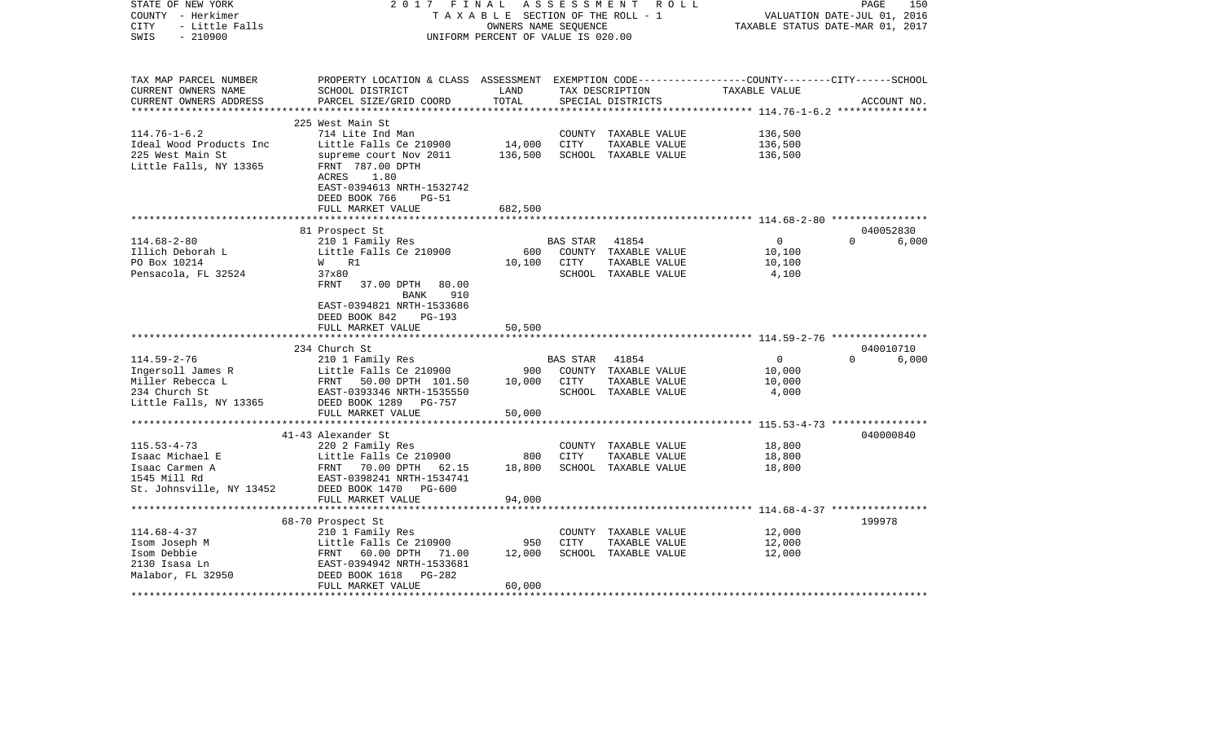| STATE OF NEW YORK<br>COUNTY - Herkimer<br>- Little Falls<br>CITY<br>$-210900$<br>SWIS | 2017 FINAL                                                                                                                                   | TAXABLE SECTION OF THE ROLL - 1<br>OWNERS NAME SEQUENCE<br>UNIFORM PERCENT OF VALUE IS 020.00 | ASSESSMENT  | R O L L                               | TAXABLE STATUS DATE-MAR 01, 2017                                     | 150<br>PAGE<br>VALUATION DATE-JUL 01, 2016 |
|---------------------------------------------------------------------------------------|----------------------------------------------------------------------------------------------------------------------------------------------|-----------------------------------------------------------------------------------------------|-------------|---------------------------------------|----------------------------------------------------------------------|--------------------------------------------|
| TAX MAP PARCEL NUMBER<br>CURRENT OWNERS NAME<br>CURRENT OWNERS ADDRESS                | PROPERTY LOCATION & CLASS ASSESSMENT EXEMPTION CODE---------------COUNTY-------CITY------SCHOOL<br>SCHOOL DISTRICT<br>PARCEL SIZE/GRID COORD | LAND<br>TOTAL                                                                                 |             | TAX DESCRIPTION<br>SPECIAL DISTRICTS  | TAXABLE VALUE                                                        | ACCOUNT NO.                                |
|                                                                                       | 225 West Main St                                                                                                                             |                                                                                               |             |                                       |                                                                      |                                            |
| $114.76 - 1 - 6.2$                                                                    | 714 Lite Ind Man                                                                                                                             |                                                                                               |             | COUNTY TAXABLE VALUE                  | 136,500                                                              |                                            |
| Ideal Wood Products Inc                                                               | Little Falls Ce 210900                                                                                                                       | 14,000                                                                                        | CITY        | TAXABLE VALUE                         | 136,500                                                              |                                            |
| 225 West Main St<br>Little Falls, NY 13365                                            | supreme court Nov 2011<br>FRNT 787.00 DPTH<br>1.80<br>ACRES<br>EAST-0394613 NRTH-1532742<br>DEED BOOK 766<br>$PG-51$                         | 136,500                                                                                       |             | SCHOOL TAXABLE VALUE                  | 136,500                                                              |                                            |
|                                                                                       | FULL MARKET VALUE                                                                                                                            | 682,500                                                                                       |             |                                       |                                                                      |                                            |
|                                                                                       |                                                                                                                                              |                                                                                               |             |                                       |                                                                      |                                            |
| $114.68 - 2 - 80$                                                                     | 81 Prospect St                                                                                                                               |                                                                                               | BAS STAR    | 41854                                 | $\overline{0}$                                                       | 040052830<br>$\Omega$<br>6,000             |
| Illich Deborah L                                                                      | 210 1 Family Res<br>Little Falls Ce 210900                                                                                                   | 600                                                                                           |             | COUNTY TAXABLE VALUE                  | 10,100                                                               |                                            |
| PO Box 10214                                                                          | W R1                                                                                                                                         | 10,100                                                                                        | <b>CITY</b> | TAXABLE VALUE                         | 10,100                                                               |                                            |
| Pensacola, FL 32524                                                                   | 37x80                                                                                                                                        |                                                                                               |             | SCHOOL TAXABLE VALUE                  | 4,100                                                                |                                            |
|                                                                                       | FRNT<br>37.00 DPTH<br>80.00<br>910<br>BANK<br>EAST-0394821 NRTH-1533686<br>DEED BOOK 842<br><b>PG-193</b>                                    |                                                                                               |             |                                       |                                                                      |                                            |
|                                                                                       | FULL MARKET VALUE<br>************************                                                                                                | 50,500                                                                                        |             |                                       |                                                                      |                                            |
|                                                                                       |                                                                                                                                              | ***********                                                                                   |             |                                       | ************************************** 114.59-2-76 ***************** | 040010710                                  |
| $114.59 - 2 - 76$                                                                     | 234 Church St<br>210 1 Family Res                                                                                                            |                                                                                               | BAS STAR    | 41854                                 | $\overline{0}$                                                       | $\Omega$<br>6,000                          |
| Ingersoll James R                                                                     | Little Falls Ce 210900                                                                                                                       | 900                                                                                           |             | COUNTY TAXABLE VALUE                  | 10,000                                                               |                                            |
| Miller Rebecca L                                                                      | FRNT 50.00 DPTH 101.50                                                                                                                       | 10,000                                                                                        | CITY        | TAXABLE VALUE                         | 10,000                                                               |                                            |
| 234 Church St                                                                         | EAST-0393346 NRTH-1535550                                                                                                                    |                                                                                               |             | SCHOOL TAXABLE VALUE                  | 4,000                                                                |                                            |
| Little Falls, NY 13365                                                                | DEED BOOK 1289 PG-757                                                                                                                        |                                                                                               |             |                                       |                                                                      |                                            |
|                                                                                       | FULL MARKET VALUE                                                                                                                            | 50,000                                                                                        |             |                                       |                                                                      |                                            |
|                                                                                       | *************************                                                                                                                    |                                                                                               |             |                                       |                                                                      |                                            |
|                                                                                       | 41-43 Alexander St                                                                                                                           |                                                                                               |             |                                       |                                                                      | 040000840                                  |
| $115.53 - 4 - 73$<br>Isaac Michael E                                                  | 220 2 Family Res<br>Little Falls Ce 210900                                                                                                   | 800                                                                                           | <b>CITY</b> | COUNTY TAXABLE VALUE<br>TAXABLE VALUE | 18,800<br>18,800                                                     |                                            |
| Isaac Carmen A                                                                        | FRNT<br>70.00 DPTH<br>62.15                                                                                                                  | 18,800                                                                                        |             | SCHOOL TAXABLE VALUE                  | 18,800                                                               |                                            |
| 1545 Mill Rd                                                                          | EAST-0398241 NRTH-1534741                                                                                                                    |                                                                                               |             |                                       |                                                                      |                                            |
| St. Johnsville, NY 13452                                                              | DEED BOOK 1470 PG-600                                                                                                                        |                                                                                               |             |                                       |                                                                      |                                            |
|                                                                                       | FULL MARKET VALUE                                                                                                                            | 94,000                                                                                        |             |                                       |                                                                      |                                            |
|                                                                                       | *****************************                                                                                                                |                                                                                               |             |                                       | ************************************ 114.68-4-37 *****************   |                                            |
|                                                                                       | 68-70 Prospect St                                                                                                                            |                                                                                               |             |                                       |                                                                      | 199978                                     |
| $114.68 - 4 - 37$                                                                     | 210 1 Family Res                                                                                                                             |                                                                                               |             | COUNTY TAXABLE VALUE                  | 12,000                                                               |                                            |
| Isom Joseph M                                                                         | Little Falls Ce 210900                                                                                                                       | 950                                                                                           | CITY        | TAXABLE VALUE                         | 12,000                                                               |                                            |
| Isom Debbie                                                                           | FRNT 60.00 DPTH 71.00                                                                                                                        | 12,000                                                                                        |             | SCHOOL TAXABLE VALUE                  | 12,000                                                               |                                            |
| 2130 Isasa Ln                                                                         | EAST-0394942 NRTH-1533681                                                                                                                    |                                                                                               |             |                                       |                                                                      |                                            |
| Malabor, FL 32950                                                                     | DEED BOOK 1618<br>$PG-282$<br>FULL MARKET VALUE                                                                                              | 60,000                                                                                        |             |                                       |                                                                      |                                            |
|                                                                                       |                                                                                                                                              |                                                                                               |             |                                       |                                                                      |                                            |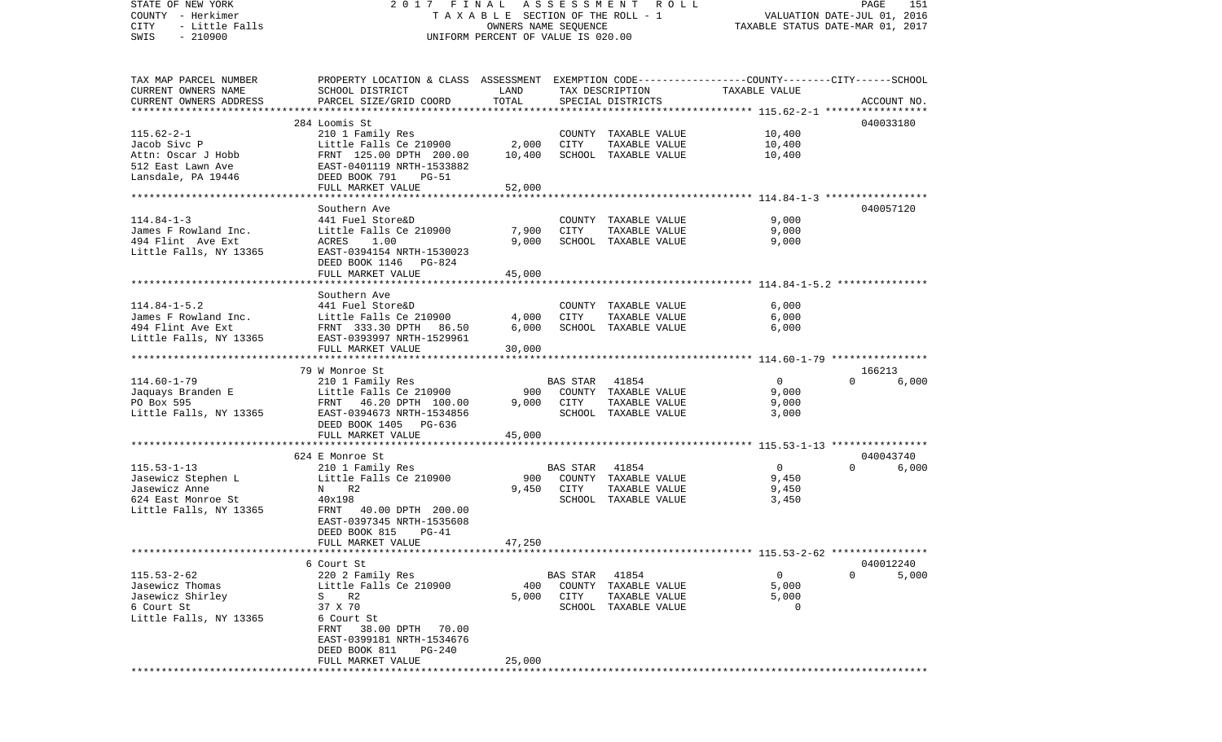| STATE OF NEW YORK<br>COUNTY - Herkimer<br>- Little Falls<br>CITY<br>$-210900$<br>SWIS | 2017 FINAL<br>TAXABLE SECTION OF THE ROLL - 1<br>UNIFORM PERCENT OF VALUE IS 020.00             | PAGE<br>VALUATION DATE-JUL 01, 2016<br>TAXABLE STATUS DATE-MAR 01, 2017 | 151            |                                       |                                                        |                   |  |
|---------------------------------------------------------------------------------------|-------------------------------------------------------------------------------------------------|-------------------------------------------------------------------------|----------------|---------------------------------------|--------------------------------------------------------|-------------------|--|
|                                                                                       |                                                                                                 |                                                                         |                |                                       |                                                        |                   |  |
| TAX MAP PARCEL NUMBER                                                                 | PROPERTY LOCATION & CLASS ASSESSMENT EXEMPTION CODE---------------COUNTY-------CITY------SCHOOL |                                                                         |                |                                       |                                                        |                   |  |
| CURRENT OWNERS NAME                                                                   | SCHOOL DISTRICT                                                                                 | LAND                                                                    |                | TAX DESCRIPTION                       | TAXABLE VALUE                                          |                   |  |
| CURRENT OWNERS ADDRESS<br>*************************                                   | PARCEL SIZE/GRID COORD                                                                          | TOTAL                                                                   |                | SPECIAL DISTRICTS                     |                                                        | ACCOUNT NO.       |  |
|                                                                                       | 284 Loomis St                                                                                   |                                                                         |                |                                       |                                                        | 040033180         |  |
| $115.62 - 2 - 1$                                                                      | 210 1 Family Res                                                                                |                                                                         |                | COUNTY TAXABLE VALUE                  | 10,400                                                 |                   |  |
| Jacob Sivc P                                                                          | Little Falls Ce 210900                                                                          | 2,000                                                                   | CITY           | TAXABLE VALUE                         | 10,400                                                 |                   |  |
| Attn: Oscar J Hobb                                                                    | FRNT 125.00 DPTH 200.00                                                                         | 10,400                                                                  |                | SCHOOL TAXABLE VALUE                  | 10,400                                                 |                   |  |
| 512 East Lawn Ave                                                                     | EAST-0401119 NRTH-1533882                                                                       |                                                                         |                |                                       |                                                        |                   |  |
| Lansdale, PA 19446                                                                    | DEED BOOK 791<br>PG-51                                                                          |                                                                         |                |                                       |                                                        |                   |  |
|                                                                                       | FULL MARKET VALUE                                                                               | 52,000                                                                  |                |                                       |                                                        |                   |  |
|                                                                                       | Southern Ave                                                                                    |                                                                         |                |                                       |                                                        | 040057120         |  |
| $114.84 - 1 - 3$                                                                      | 441 Fuel Store&D                                                                                |                                                                         |                | COUNTY TAXABLE VALUE                  | 9,000                                                  |                   |  |
| James F Rowland Inc.                                                                  | Little Falls Ce 210900                                                                          | 7,900                                                                   | CITY           | TAXABLE VALUE                         | 9,000                                                  |                   |  |
| 494 Flint Ave Ext                                                                     | ACRES<br>1.00                                                                                   | 9,000                                                                   |                | SCHOOL TAXABLE VALUE                  | 9,000                                                  |                   |  |
| Little Falls, NY 13365                                                                | EAST-0394154 NRTH-1530023                                                                       |                                                                         |                |                                       |                                                        |                   |  |
|                                                                                       | DEED BOOK 1146 PG-824<br>FULL MARKET VALUE                                                      | 45,000                                                                  |                |                                       |                                                        |                   |  |
|                                                                                       |                                                                                                 |                                                                         |                |                                       |                                                        |                   |  |
|                                                                                       | Southern Ave                                                                                    |                                                                         |                |                                       |                                                        |                   |  |
| $114.84 - 1 - 5.2$                                                                    | 441 Fuel Store&D                                                                                |                                                                         |                | COUNTY TAXABLE VALUE                  | 6,000                                                  |                   |  |
| James F Rowland Inc.                                                                  | Little Falls Ce 210900                                                                          | 4,000                                                                   | CITY           | TAXABLE VALUE                         | 6,000                                                  |                   |  |
| 494 Flint Ave Ext<br>Little Falls, NY 13365                                           | FRNT 333.30 DPTH 86.50                                                                          | 6,000                                                                   |                | SCHOOL TAXABLE VALUE                  | 6,000                                                  |                   |  |
|                                                                                       | EAST-0393997 NRTH-1529961<br>FULL MARKET VALUE                                                  | 30,000                                                                  |                |                                       |                                                        |                   |  |
|                                                                                       |                                                                                                 |                                                                         |                |                                       |                                                        |                   |  |
|                                                                                       | 79 W Monroe St                                                                                  |                                                                         |                |                                       |                                                        | 166213            |  |
| $114.60 - 1 - 79$                                                                     | 210 1 Family Res                                                                                |                                                                         | BAS STAR       | 41854                                 | $\mathbf{0}$                                           | 6,000<br>$\Omega$ |  |
| Jaquays Branden E                                                                     | Little Falls Ce 210900                                                                          | 900                                                                     |                | COUNTY TAXABLE VALUE                  | 9,000                                                  |                   |  |
| PO Box 595                                                                            | FRNT 46.20 DPTH 100.00<br>EAST-0394673 NRTH-1534856                                             | 9,000                                                                   | CITY           | TAXABLE VALUE<br>SCHOOL TAXABLE VALUE | 9,000<br>3,000                                         |                   |  |
| Little Falls, NY 13365                                                                | DEED BOOK 1405 PG-636                                                                           |                                                                         |                |                                       |                                                        |                   |  |
|                                                                                       | FULL MARKET VALUE                                                                               | 45,000                                                                  |                |                                       |                                                        |                   |  |
|                                                                                       | ************************                                                                        | *********                                                               |                |                                       | ************************ 115.53-1-13 ***************** |                   |  |
|                                                                                       | 624 E Monroe St                                                                                 |                                                                         |                |                                       |                                                        | 040043740         |  |
| $115.53 - 1 - 13$                                                                     | 210 1 Family Res                                                                                |                                                                         | BAS STAR       | 41854                                 | $\overline{0}$                                         | 6,000<br>$\Omega$ |  |
| Jasewicz Stephen L<br>Jasewicz Anne                                                   | Little Falls Ce 210900<br>N R2                                                                  | 900<br>9,450                                                            | CITY           | COUNTY TAXABLE VALUE<br>TAXABLE VALUE | 9,450<br>9,450                                         |                   |  |
| 624 East Monroe St                                                                    | 40x198                                                                                          |                                                                         |                | SCHOOL TAXABLE VALUE                  | 3,450                                                  |                   |  |
| Little Falls, NY 13365                                                                | FRNT 40.00 DPTH 200.00                                                                          |                                                                         |                |                                       |                                                        |                   |  |
|                                                                                       | EAST-0397345 NRTH-1535608                                                                       |                                                                         |                |                                       |                                                        |                   |  |
|                                                                                       | DEED BOOK 815<br>$PG-41$                                                                        |                                                                         |                |                                       |                                                        |                   |  |
|                                                                                       | FULL MARKET VALUE                                                                               | 47,250                                                                  |                |                                       |                                                        |                   |  |
|                                                                                       | 6 Court St                                                                                      |                                                                         |                |                                       |                                                        | 040012240         |  |
| $115.53 - 2 - 62$                                                                     | 220 2 Family Res                                                                                |                                                                         | BAS STAR 41854 |                                       | $\overline{0}$                                         | $\Omega$<br>5,000 |  |
| Jasewicz Thomas                                                                       | Little Falls Ce 210900                                                                          | 400                                                                     |                | COUNTY TAXABLE VALUE                  | 5,000                                                  |                   |  |
| Jasewicz Shirley                                                                      | $S$ R2                                                                                          | 5,000                                                                   | CITY           | TAXABLE VALUE                         | 5,000                                                  |                   |  |
| 6 Court St                                                                            | 37 X 70                                                                                         |                                                                         |                | SCHOOL TAXABLE VALUE                  | $\Omega$                                               |                   |  |
| Little Falls, NY 13365                                                                | 6 Court St                                                                                      |                                                                         |                |                                       |                                                        |                   |  |
|                                                                                       | FRNT 38.00 DPTH 70.00<br>EAST-0399181 NRTH-1534676                                              |                                                                         |                |                                       |                                                        |                   |  |
|                                                                                       | DEED BOOK 811<br><b>PG-240</b>                                                                  |                                                                         |                |                                       |                                                        |                   |  |
|                                                                                       | FULL MARKET VALUE                                                                               | 25,000                                                                  |                |                                       |                                                        |                   |  |
|                                                                                       |                                                                                                 |                                                                         |                |                                       |                                                        |                   |  |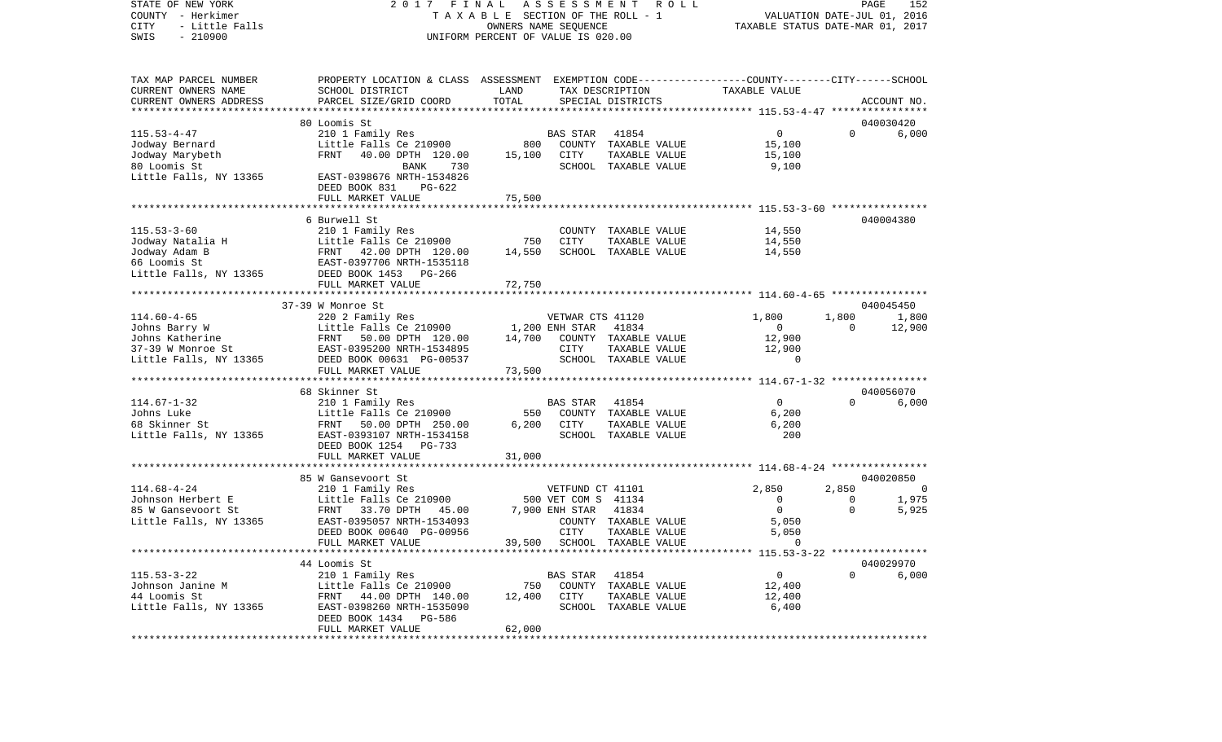STATE OF NEW YORK 2 0 1 7 F I N A L A S S E S S M E N T R O L L PAGE 152COUNTY - Herkimer **T A X A B L E** SECTION OF THE ROLL - 1 VALUATION DATE-JUL 01, 2016 CITY - Little Falls OWNERS NAME SEQUENCE TAXABLE STATUS DATE-MAR 01, 2017 SWIS - 210900 UNIFORM PERCENT OF VALUE IS 020.00TAX MAP PARCEL NUMBER PROPERTY LOCATION & CLASS ASSESSMENT EXEMPTION CODE------------------COUNTY--------CITY------SCHOOL CURRENT OWNERS NAME SCHOOL DISTRICT LAND TAX DESCRIPTION TAXABLE VALUECURRENT OWNERS ADDRESS PARCEL SIZE/GRID COORD TOTAL SPECIAL DISTRICTS ACCOUNT NO. \*\*\*\*\*\*\*\*\*\*\*\*\*\*\*\*\*\*\*\*\*\*\*\*\*\*\*\*\*\*\*\*\*\*\*\*\*\*\*\*\*\*\*\*\*\*\*\*\*\*\*\*\*\*\*\*\*\*\*\*\*\*\*\*\*\*\*\*\*\*\*\*\*\*\*\*\*\*\*\*\*\*\*\*\*\*\*\*\*\*\*\*\*\*\*\*\*\*\*\*\*\*\* 115.53-4-47 \*\*\*\*\*\*\*\*\*\*\*\*\*\*\*\* 80 Loomis St 040030420115.53-4-47 210 1 Family Res BAS STAR 41854 0 0 6,000 Jodway Bernard Little Falls Ce 210900 800 COUNTY TAXABLE VALUE 15,100 Jodway Marybeth FRNT 40.00 DPTH 120.00 15,100 CITY TAXABLE VALUE 15,100 80 Loomis St BANK 730 SCHOOL TAXABLE VALUE 9,100 Little Falls, NY 13365 EAST-0398676 NRTH-1534826 DEED BOOK 831 PG-622FULL MARKET VALUE 75,500 \*\*\*\*\*\*\*\*\*\*\*\*\*\*\*\*\*\*\*\*\*\*\*\*\*\*\*\*\*\*\*\*\*\*\*\*\*\*\*\*\*\*\*\*\*\*\*\*\*\*\*\*\*\*\*\*\*\*\*\*\*\*\*\*\*\*\*\*\*\*\*\*\*\*\*\*\*\*\*\*\*\*\*\*\*\*\*\*\*\*\*\*\*\*\*\*\*\*\*\*\*\*\* 115.53-3-60 \*\*\*\*\*\*\*\*\*\*\*\*\*\*\*\* 6 Burwell St 040004380115.53-3-60 210 1 Family Res COUNTY TAXABLE VALUE 14,550 Jodway Natalia H Little Falls Ce 210900 750 CITY TAXABLE VALUE 14,550 Jodway Adam B FRNT 42.00 DPTH 120.00 14,550 SCHOOL TAXABLE VALUE 14,550 66 Loomis St EAST-0397706 NRTH-1535118Little Falls, NY 13365 DEED BOOK 1453 PG-266 FULL MARKET VALUE 72,750 \*\*\*\*\*\*\*\*\*\*\*\*\*\*\*\*\*\*\*\*\*\*\*\*\*\*\*\*\*\*\*\*\*\*\*\*\*\*\*\*\*\*\*\*\*\*\*\*\*\*\*\*\*\*\*\*\*\*\*\*\*\*\*\*\*\*\*\*\*\*\*\*\*\*\*\*\*\*\*\*\*\*\*\*\*\*\*\*\*\*\*\*\*\*\*\*\*\*\*\*\*\*\* 114.60-4-65 \*\*\*\*\*\*\*\*\*\*\*\*\*\*\*\* 37-39 W Monroe St 040045450114.60-4-65 220 2 Family Res VETWAR CTS 41120 1,800 1,800 1,800 Johns Barry W Little Falls Ce 210900 1,200 ENH STAR 41834 0 0 0 0 Johns Katherine FRNT 50.00 DPTH 120.00 14,700 COUNTY TAXABLE VALUE 12,900 37-39 W Monroe St EAST-0395200 NRTH-1534895 CITY TAXABLE VALUE 12,900 Little Falls, NY 13365 DEED BOOK 00631 PG-00537 SCHOOL TAXABLE VALUE 0 FULL MARKET VALUE 73,500 \*\*\*\*\*\*\*\*\*\*\*\*\*\*\*\*\*\*\*\*\*\*\*\*\*\*\*\*\*\*\*\*\*\*\*\*\*\*\*\*\*\*\*\*\*\*\*\*\*\*\*\*\*\*\*\*\*\*\*\*\*\*\*\*\*\*\*\*\*\*\*\*\*\*\*\*\*\*\*\*\*\*\*\*\*\*\*\*\*\*\*\*\*\*\*\*\*\*\*\*\*\*\* 114.67-1-32 \*\*\*\*\*\*\*\*\*\*\*\*\*\*\*\* 68 Skinner St 040056070114.67-1-32 210 1 Family Res BAS STAR 41854 0 0 6,000 Johns Luke Little Falls Ce 210900 550 COUNTY TAXABLE VALUE 6,200 68 Skinner St FRNT 50.00 DPTH 250.00 6,200 CITY TAXABLE VALUE 6,200 Little Falls, NY 13365 EAST-0393107 NRTH-1534158 SCHOOL TAXABLE VALUE 200 DEED BOOK 1254 PG-733FULL MARKET VALUE 31,000 \*\*\*\*\*\*\*\*\*\*\*\*\*\*\*\*\*\*\*\*\*\*\*\*\*\*\*\*\*\*\*\*\*\*\*\*\*\*\*\*\*\*\*\*\*\*\*\*\*\*\*\*\*\*\*\*\*\*\*\*\*\*\*\*\*\*\*\*\*\*\*\*\*\*\*\*\*\*\*\*\*\*\*\*\*\*\*\*\*\*\*\*\*\*\*\*\*\*\*\*\*\*\* 114.68-4-24 \*\*\*\*\*\*\*\*\*\*\*\*\*\*\*\*85 W Gansevoort St 040020850 114.68-4-24 210 1 Family Res VETFUND CT 41101 2,850 2,850 0 Johnson Herbert E Little Falls Ce 210900 500 VET COM S 41134 0 0 0 0 85 W Gansevoort St FRNT 33.70 DPTH 45.00 7,900 ENH STAR 41834 0 0 5,925 Little Falls, NY 13365 EAST-0395057 NRTH-1534093 COUNTY TAXABLE VALUE 5,050 DEED BOOK 00640 PG-00956 CITY TAXABLE VALUE 5,050 FULL MARKET VALUE 39,500 SCHOOL TAXABLE VALUE 0 \*\*\*\*\*\*\*\*\*\*\*\*\*\*\*\*\*\*\*\*\*\*\*\*\*\*\*\*\*\*\*\*\*\*\*\*\*\*\*\*\*\*\*\*\*\*\*\*\*\*\*\*\*\*\*\*\*\*\*\*\*\*\*\*\*\*\*\*\*\*\*\*\*\*\*\*\*\*\*\*\*\*\*\*\*\*\*\*\*\*\*\*\*\*\*\*\*\*\*\*\*\*\* 115.53-3-22 \*\*\*\*\*\*\*\*\*\*\*\*\*\*\*\* 44 Loomis St 040029970115.53-3-22 210 1 Family Res BAS STAR 41854 0 0 6,000 Johnson Janine M Little Falls Ce 210900 750 COUNTY TAXABLE VALUE 12,400 44 Loomis St FRNT 44.00 DPTH 140.00 12,400 CITY TAXABLE VALUE 12,400 Little Falls, NY 13365 EAST-0398260 NRTH-1535090 SCHOOL TAXABLE VALUE 6,400 DEED BOOK 1434 PG-586FULL MARKET VALUE 62,000 \*\*\*\*\*\*\*\*\*\*\*\*\*\*\*\*\*\*\*\*\*\*\*\*\*\*\*\*\*\*\*\*\*\*\*\*\*\*\*\*\*\*\*\*\*\*\*\*\*\*\*\*\*\*\*\*\*\*\*\*\*\*\*\*\*\*\*\*\*\*\*\*\*\*\*\*\*\*\*\*\*\*\*\*\*\*\*\*\*\*\*\*\*\*\*\*\*\*\*\*\*\*\*\*\*\*\*\*\*\*\*\*\*\*\*\*\*\*\*\*\*\*\*\*\*\*\*\*\*\*\*\*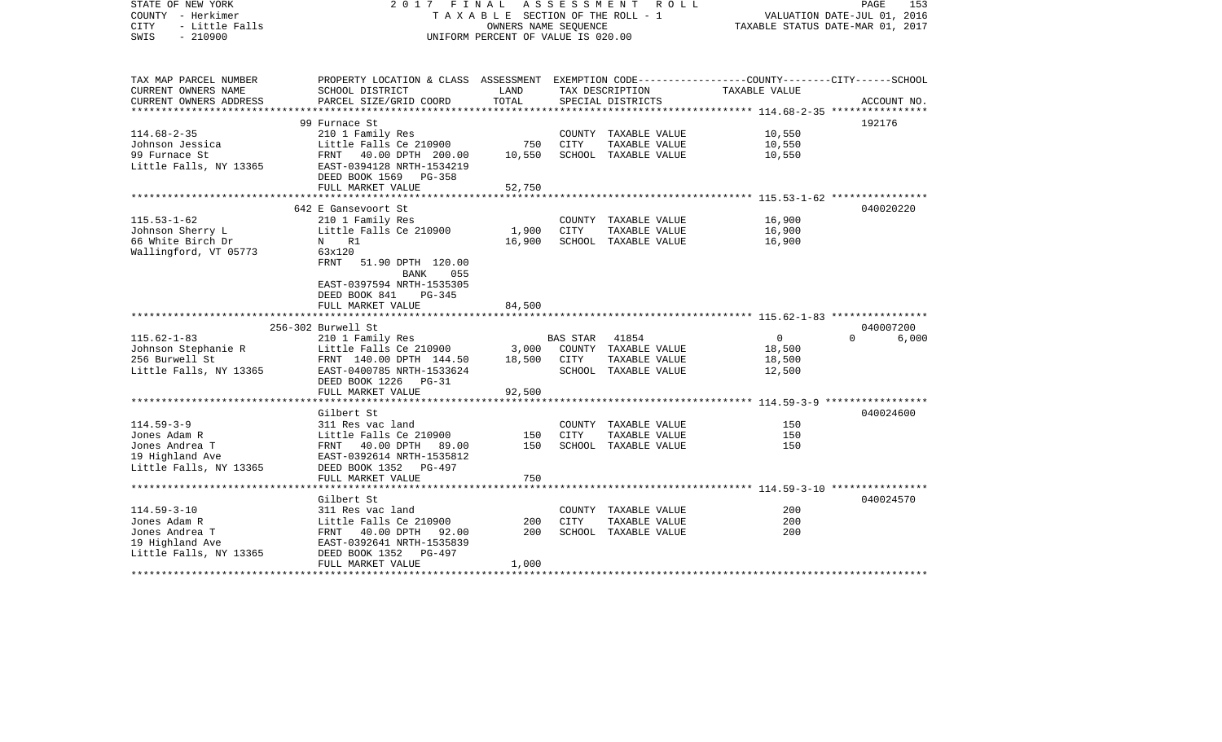| STATE OF NEW YORK      | 2017                                                                                            | FINAL                              | A S S E S S M E N T | R O L L                          |                                                                     | PAGE              | 153 |
|------------------------|-------------------------------------------------------------------------------------------------|------------------------------------|---------------------|----------------------------------|---------------------------------------------------------------------|-------------------|-----|
| COUNTY - Herkimer      |                                                                                                 | TAXABLE SECTION OF THE ROLL - 1    |                     | VALUATION DATE-JUL 01, 2016      |                                                                     |                   |     |
| - Little Falls<br>CITY |                                                                                                 | OWNERS NAME SEQUENCE               |                     | TAXABLE STATUS DATE-MAR 01, 2017 |                                                                     |                   |     |
| SWIS<br>$-210900$      |                                                                                                 | UNIFORM PERCENT OF VALUE IS 020.00 |                     |                                  |                                                                     |                   |     |
|                        |                                                                                                 |                                    |                     |                                  |                                                                     |                   |     |
|                        |                                                                                                 |                                    |                     |                                  |                                                                     |                   |     |
| TAX MAP PARCEL NUMBER  | PROPERTY LOCATION & CLASS ASSESSMENT EXEMPTION CODE---------------COUNTY-------CITY------SCHOOL |                                    |                     |                                  |                                                                     |                   |     |
| CURRENT OWNERS NAME    | SCHOOL DISTRICT                                                                                 | LAND                               |                     | TAX DESCRIPTION                  | TAXABLE VALUE                                                       |                   |     |
| CURRENT OWNERS ADDRESS | PARCEL SIZE/GRID COORD                                                                          | TOTAL                              |                     | SPECIAL DISTRICTS                |                                                                     | ACCOUNT NO.       |     |
| ********************   |                                                                                                 | ***************                    |                     |                                  | ****************** 114.68-2-35 *****************                    |                   |     |
|                        | 99 Furnace St                                                                                   |                                    |                     |                                  |                                                                     | 192176            |     |
| $114.68 - 2 - 35$      | 210 1 Family Res                                                                                |                                    |                     | COUNTY TAXABLE VALUE             | 10,550                                                              |                   |     |
| Johnson Jessica        | Little Falls Ce 210900                                                                          | 750                                | CITY                | TAXABLE VALUE                    | 10,550                                                              |                   |     |
| 99 Furnace St          | FRNT 40.00 DPTH 200.00                                                                          | 10,550                             |                     | SCHOOL TAXABLE VALUE             | 10,550                                                              |                   |     |
| Little Falls, NY 13365 | EAST-0394128 NRTH-1534219                                                                       |                                    |                     |                                  |                                                                     |                   |     |
|                        | DEED BOOK 1569<br><b>PG-358</b>                                                                 |                                    |                     |                                  |                                                                     |                   |     |
|                        | FULL MARKET VALUE                                                                               | 52,750                             |                     |                                  |                                                                     |                   |     |
|                        | **************************                                                                      | * * * * * * * * * * * * *          |                     |                                  | ************************************* 115.53-1-62 ***************** |                   |     |
|                        |                                                                                                 |                                    |                     |                                  |                                                                     |                   |     |
|                        | 642 E Gansevoort St                                                                             |                                    |                     |                                  |                                                                     | 040020220         |     |
| $115.53 - 1 - 62$      | 210 1 Family Res                                                                                |                                    |                     | COUNTY TAXABLE VALUE             | 16,900                                                              |                   |     |
| Johnson Sherry L       | Little Falls Ce 210900                                                                          | 1,900                              | CITY                | TAXABLE VALUE                    | 16,900                                                              |                   |     |
| 66 White Birch Dr      | N R1                                                                                            | 16,900                             |                     | SCHOOL TAXABLE VALUE             | 16,900                                                              |                   |     |
| Wallingford, VT 05773  | 63x120                                                                                          |                                    |                     |                                  |                                                                     |                   |     |
|                        | FRNT<br>51.90 DPTH 120.00                                                                       |                                    |                     |                                  |                                                                     |                   |     |
|                        | <b>BANK</b><br>055                                                                              |                                    |                     |                                  |                                                                     |                   |     |
|                        | EAST-0397594 NRTH-1535305                                                                       |                                    |                     |                                  |                                                                     |                   |     |
|                        | DEED BOOK 841<br>$PG-345$                                                                       |                                    |                     |                                  |                                                                     |                   |     |
|                        | FULL MARKET VALUE                                                                               | 84,500                             |                     |                                  |                                                                     |                   |     |
|                        |                                                                                                 |                                    |                     |                                  |                                                                     |                   |     |
|                        | 256-302 Burwell St                                                                              |                                    |                     |                                  |                                                                     | 040007200         |     |
| $115.62 - 1 - 83$      | 210 1 Family Res                                                                                |                                    | BAS STAR            | 41854                            | $\overline{0}$                                                      | $\Omega$<br>6,000 |     |
| Johnson Stephanie R    | Little Falls Ce 210900                                                                          | 3,000                              |                     | COUNTY TAXABLE VALUE             | 18,500                                                              |                   |     |
|                        |                                                                                                 |                                    |                     |                                  |                                                                     |                   |     |
| 256 Burwell St         | FRNT 140.00 DPTH 144.50                                                                         | 18,500                             | CITY                | TAXABLE VALUE                    | 18,500                                                              |                   |     |
| Little Falls, NY 13365 | EAST-0400785 NRTH-1533624                                                                       |                                    |                     | SCHOOL TAXABLE VALUE             | 12,500                                                              |                   |     |
|                        | DEED BOOK 1226 PG-31                                                                            |                                    |                     |                                  |                                                                     |                   |     |
|                        | FULL MARKET VALUE                                                                               | 92,500                             |                     |                                  |                                                                     |                   |     |
|                        |                                                                                                 |                                    |                     |                                  |                                                                     |                   |     |
|                        | Gilbert St                                                                                      |                                    |                     |                                  |                                                                     | 040024600         |     |
| $114.59 - 3 - 9$       | 311 Res vac land                                                                                |                                    |                     | COUNTY TAXABLE VALUE             | 150                                                                 |                   |     |
| Jones Adam R           | Little Falls Ce 210900                                                                          | 150                                | <b>CITY</b>         | TAXABLE VALUE                    | 150                                                                 |                   |     |
| Jones Andrea T         | FRNT 40.00 DPTH 89.00                                                                           | 150                                |                     | SCHOOL TAXABLE VALUE             | 150                                                                 |                   |     |
| 19 Highland Ave        | EAST-0392614 NRTH-1535812                                                                       |                                    |                     |                                  |                                                                     |                   |     |
| Little Falls, NY 13365 | DEED BOOK 1352 PG-497                                                                           |                                    |                     |                                  |                                                                     |                   |     |
|                        | FULL MARKET VALUE                                                                               | 750                                |                     |                                  |                                                                     |                   |     |
|                        |                                                                                                 | *****                              |                     |                                  | ******************** 114.59-3-10 *****************                  |                   |     |
|                        | Gilbert St                                                                                      |                                    |                     |                                  |                                                                     | 040024570         |     |
| $114.59 - 3 - 10$      | 311 Res vac land                                                                                |                                    |                     | COUNTY TAXABLE VALUE             | 200                                                                 |                   |     |
| Jones Adam R           |                                                                                                 | 200                                | CITY                | TAXABLE VALUE                    | 200                                                                 |                   |     |
|                        | Little Falls Ce 210900                                                                          |                                    |                     |                                  |                                                                     |                   |     |
| Jones Andrea T         | FRNT 40.00 DPTH<br>92.00                                                                        | 200                                |                     | SCHOOL TAXABLE VALUE             | 200                                                                 |                   |     |
| 19 Highland Ave        | EAST-0392641 NRTH-1535839                                                                       |                                    |                     |                                  |                                                                     |                   |     |
| Little Falls, NY 13365 | DEED BOOK 1352<br>$PG-497$                                                                      |                                    |                     |                                  |                                                                     |                   |     |
|                        | FULL MARKET VALUE                                                                               | 1,000                              |                     |                                  |                                                                     |                   |     |
|                        |                                                                                                 |                                    |                     |                                  |                                                                     |                   |     |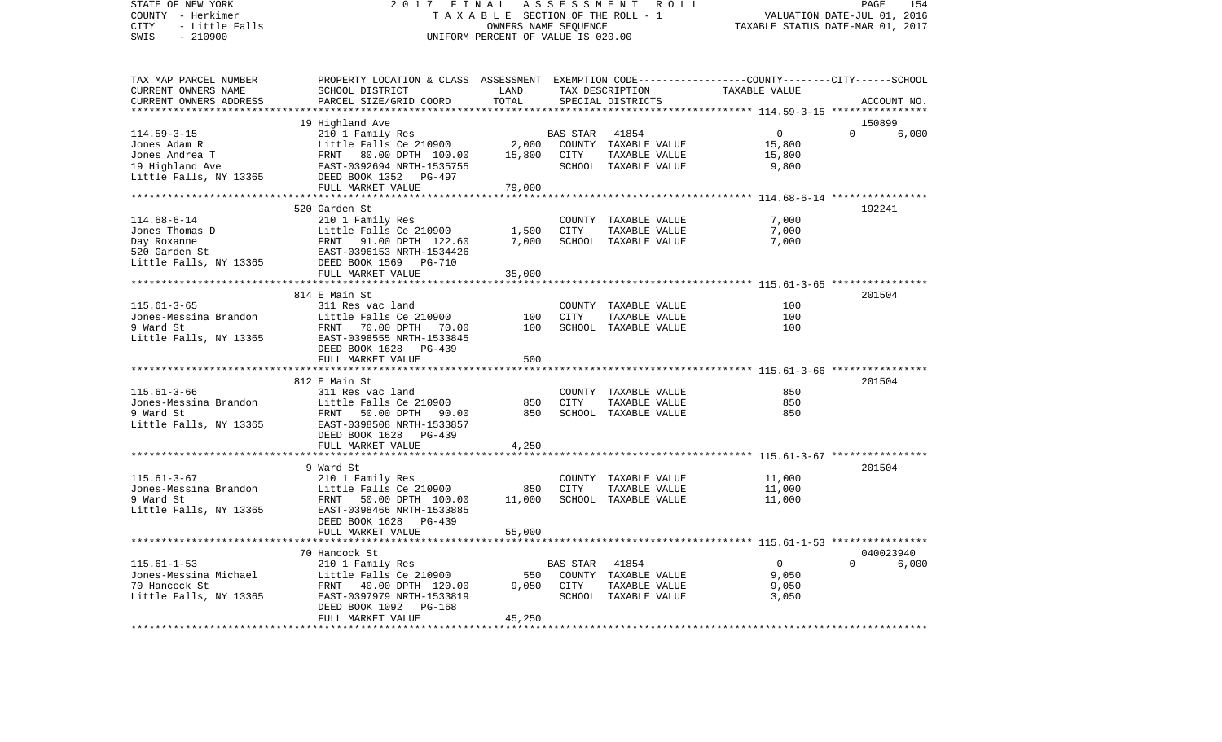COUNTY - Herkimer T A X A B L E SECTION OF THE ROLL - 1 VALUATION DATE-JUL 01, 2016 CITY - Little Falls OWNERS NAME SEQUENCE TAXABLE STATUS DATE-MAR 01, 2017 SWIS - 210900 UNIFORM PERCENT OF VALUE IS 020.00TAX MAP PARCEL NUMBER PROPERTY LOCATION & CLASS ASSESSMENT EXEMPTION CODE------------------COUNTY--------CITY------SCHOOL CURRENT OWNERS NAME SCHOOL DISTRICT LAND TAX DESCRIPTION TAXABLE VALUECURRENT OWNERS ADDRESS PARCEL SIZE/GRID COORD TOTAL SPECIAL DISTRICTS ACCOUNT NO. \*\*\*\*\*\*\*\*\*\*\*\*\*\*\*\*\*\*\*\*\*\*\*\*\*\*\*\*\*\*\*\*\*\*\*\*\*\*\*\*\*\*\*\*\*\*\*\*\*\*\*\*\*\*\*\*\*\*\*\*\*\*\*\*\*\*\*\*\*\*\*\*\*\*\*\*\*\*\*\*\*\*\*\*\*\*\*\*\*\*\*\*\*\*\*\*\*\*\*\*\*\*\* 114.59-3-15 \*\*\*\*\*\*\*\*\*\*\*\*\*\*\*\* 19 Highland Ave 150899 114.59-3-15 210 1 Family Res BAS STAR 41854 0 0 6,000 Jones Adam R Little Falls Ce 210900 2,000 COUNTY TAXABLE VALUE 15,800 Jones Andrea T FRNT 80.00 DPTH 100.00 15,800 CITY TAXABLE VALUE 15,800 19 Highland Ave EAST-0392694 NRTH-1535755 SCHOOL TAXABLE VALUE 9,800 Little Falls, NY 13365 DEED BOOK 1352 PG-497 FULL MARKET VALUE 79,000 \*\*\*\*\*\*\*\*\*\*\*\*\*\*\*\*\*\*\*\*\*\*\*\*\*\*\*\*\*\*\*\*\*\*\*\*\*\*\*\*\*\*\*\*\*\*\*\*\*\*\*\*\*\*\*\*\*\*\*\*\*\*\*\*\*\*\*\*\*\*\*\*\*\*\*\*\*\*\*\*\*\*\*\*\*\*\*\*\*\*\*\*\*\*\*\*\*\*\*\*\*\*\* 114.68-6-14 \*\*\*\*\*\*\*\*\*\*\*\*\*\*\*\* 520 Garden St 192241114.68-6-14 210 1 Family Res COUNTY TAXABLE VALUE 7,000 Jones Thomas D Little Falls Ce 210900 1,500 CITY TAXABLE VALUE 7,000 Day Roxanne FRNT 91.00 DPTH 122.60 7,000 SCHOOL TAXABLE VALUE 7,000 520 Garden St EAST-0396153 NRTH-1534426Little Falls, NY 13365 DEED BOOK 1569 PG-710 FULL MARKET VALUE 35,000 \*\*\*\*\*\*\*\*\*\*\*\*\*\*\*\*\*\*\*\*\*\*\*\*\*\*\*\*\*\*\*\*\*\*\*\*\*\*\*\*\*\*\*\*\*\*\*\*\*\*\*\*\*\*\*\*\*\*\*\*\*\*\*\*\*\*\*\*\*\*\*\*\*\*\*\*\*\*\*\*\*\*\*\*\*\*\*\*\*\*\*\*\*\*\*\*\*\*\*\*\*\*\* 115.61-3-65 \*\*\*\*\*\*\*\*\*\*\*\*\*\*\*\* 814 E Main St 201504115.61-3-65 311 Res vac land COUNTY TAXABLE VALUE 100Jones-Messina Brandon Little Falls Ce 210900 100 CITY TAXABLE VALUE 100100 9 Ward St **FRNT 70.00 DPTH 70.00** 100 SCHOOL TAXABLE VALUE Little Falls, NY 13365 EAST-0398555 NRTH-1533845 DEED BOOK 1628 PG-439FULL MARKET VALUE 500 \*\*\*\*\*\*\*\*\*\*\*\*\*\*\*\*\*\*\*\*\*\*\*\*\*\*\*\*\*\*\*\*\*\*\*\*\*\*\*\*\*\*\*\*\*\*\*\*\*\*\*\*\*\*\*\*\*\*\*\*\*\*\*\*\*\*\*\*\*\*\*\*\*\*\*\*\*\*\*\*\*\*\*\*\*\*\*\*\*\*\*\*\*\*\*\*\*\*\*\*\*\*\* 115.61-3-66 \*\*\*\*\*\*\*\*\*\*\*\*\*\*\*\*812 E Main St 201504 115.61-3-66 311 Res vac land COUNTY TAXABLE VALUE 850Jones-Messina Brandon Little Falls Ce 210900 850 CITY TAXABLE VALUE 8509 Ward St FRNT 50.00 DPTH 90.00 850 SCHOOL TAXABLE VALUE 850 Little Falls, NY 13365 EAST-0398508 NRTH-1533857 DEED BOOK 1628 PG-439FULL MARKET VALUE 4,250 \*\*\*\*\*\*\*\*\*\*\*\*\*\*\*\*\*\*\*\*\*\*\*\*\*\*\*\*\*\*\*\*\*\*\*\*\*\*\*\*\*\*\*\*\*\*\*\*\*\*\*\*\*\*\*\*\*\*\*\*\*\*\*\*\*\*\*\*\*\*\*\*\*\*\*\*\*\*\*\*\*\*\*\*\*\*\*\*\*\*\*\*\*\*\*\*\*\*\*\*\*\*\* 115.61-3-67 \*\*\*\*\*\*\*\*\*\*\*\*\*\*\*\* 9 Ward St 201504115.61-3-67 210 1 Family Res COUNTY TAXABLE VALUE 11,000 Jones-Messina Brandon Little Falls Ce 210900 850 CITY TAXABLE VALUE 11,000 9 Ward St FRNT 50.00 DPTH 100.00 11,000 SCHOOL TAXABLE VALUE 11,000 Little Falls, NY 13365 EAST-0398466 NRTH-1533885 DEED BOOK 1628 PG-439FULL MARKET VALUE 55,000 \*\*\*\*\*\*\*\*\*\*\*\*\*\*\*\*\*\*\*\*\*\*\*\*\*\*\*\*\*\*\*\*\*\*\*\*\*\*\*\*\*\*\*\*\*\*\*\*\*\*\*\*\*\*\*\*\*\*\*\*\*\*\*\*\*\*\*\*\*\*\*\*\*\*\*\*\*\*\*\*\*\*\*\*\*\*\*\*\*\*\*\*\*\*\*\*\*\*\*\*\*\*\* 115.61-1-53 \*\*\*\*\*\*\*\*\*\*\*\*\*\*\*\* 70 Hancock St 040023940115.61-1-53 210 1 Family Res BAS STAR 41854 0 0 6,000 Little Falls Ce 210900 550 COUNTY TAXABLE VALUE 9,050 70 Hancock St FRNT 40.00 DPTH 120.00 9,050 CITY TAXABLE VALUE 9,050 Little Falls, NY 13365 EAST-0397979 NRTH-1533819 SCHOOL TAXABLE VALUE 3,050 DEED BOOK 1092 PG-168 FULL MARKET VALUE 45,250 \*\*\*\*\*\*\*\*\*\*\*\*\*\*\*\*\*\*\*\*\*\*\*\*\*\*\*\*\*\*\*\*\*\*\*\*\*\*\*\*\*\*\*\*\*\*\*\*\*\*\*\*\*\*\*\*\*\*\*\*\*\*\*\*\*\*\*\*\*\*\*\*\*\*\*\*\*\*\*\*\*\*\*\*\*\*\*\*\*\*\*\*\*\*\*\*\*\*\*\*\*\*\*\*\*\*\*\*\*\*\*\*\*\*\*\*\*\*\*\*\*\*\*\*\*\*\*\*\*\*\*\*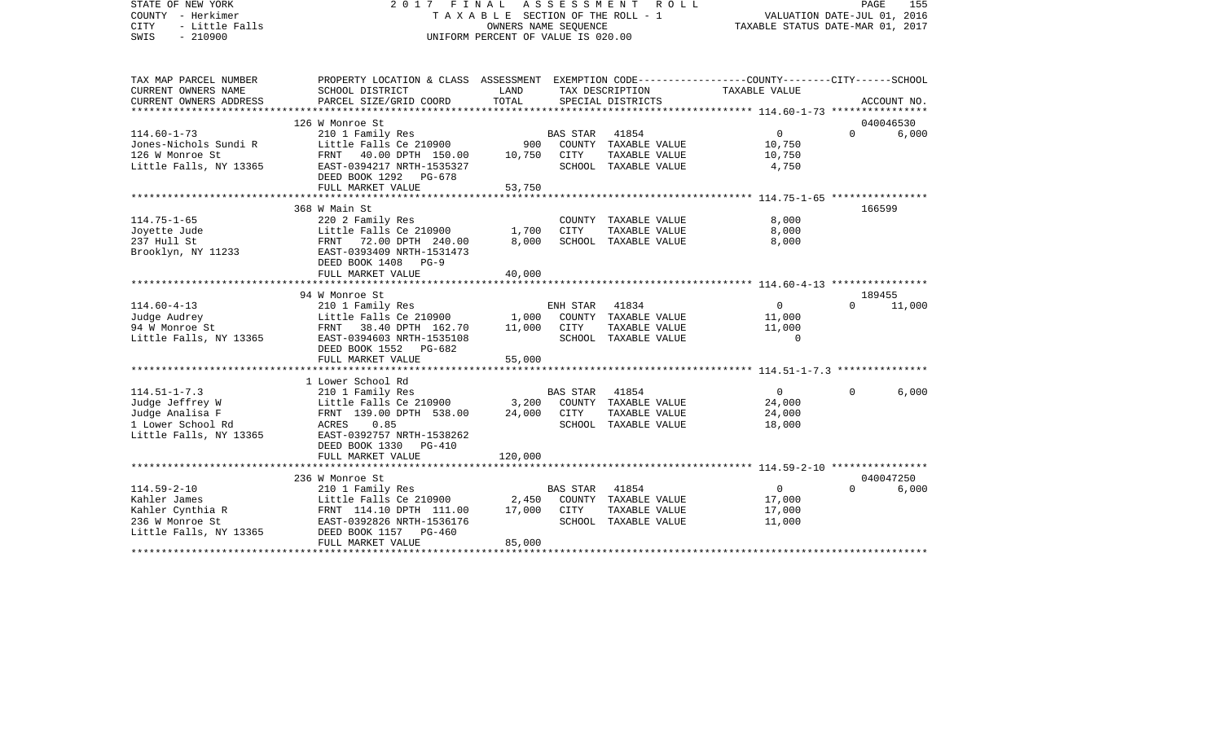| STATE OF NEW YORK<br>COUNTY - Herkimer<br>- Little Falls<br><b>CITY</b><br>SWIS<br>$-210900$ | FINAL<br>2017<br>T A X A B L E SECTION OF THE ROLL - 1<br>UNIFORM PERCENT OF VALUE IS 020.00                       | PAGE<br>155<br>VALUATION DATE-JUL 01, 2016<br>TAXABLE STATUS DATE-MAR 01, 2017 |                 |                      |                |          |             |
|----------------------------------------------------------------------------------------------|--------------------------------------------------------------------------------------------------------------------|--------------------------------------------------------------------------------|-----------------|----------------------|----------------|----------|-------------|
| TAX MAP PARCEL NUMBER<br>CURRENT OWNERS NAME                                                 | PROPERTY LOCATION & CLASS ASSESSMENT EXEMPTION CODE---------------COUNTY-------CITY------SCHOOL<br>SCHOOL DISTRICT | LAND                                                                           |                 | TAX DESCRIPTION      | TAXABLE VALUE  |          |             |
| CURRENT OWNERS ADDRESS                                                                       | PARCEL SIZE/GRID COORD                                                                                             | TOTAL                                                                          |                 | SPECIAL DISTRICTS    |                |          | ACCOUNT NO. |
|                                                                                              | 126 W Monroe St                                                                                                    |                                                                                |                 |                      |                |          | 040046530   |
| $114.60 - 1 - 73$                                                                            | 210 1 Family Res                                                                                                   |                                                                                | <b>BAS STAR</b> | 41854                | $\mathbf 0$    | $\Omega$ | 6,000       |
| Jones-Nichols Sundi R                                                                        | Little Falls Ce 210900                                                                                             | 900                                                                            |                 | COUNTY TAXABLE VALUE | 10,750         |          |             |
| 126 W Monroe St                                                                              | FRNT 40.00 DPTH 150.00                                                                                             | 10,750                                                                         | CITY            | TAXABLE VALUE        | 10,750         |          |             |
| Little Falls, NY 13365                                                                       | EAST-0394217 NRTH-1535327<br>DEED BOOK 1292 PG-678                                                                 |                                                                                |                 | SCHOOL TAXABLE VALUE | 4,750          |          |             |
|                                                                                              | FULL MARKET VALUE                                                                                                  | 53,750                                                                         |                 |                      |                |          |             |
|                                                                                              | **********************************                                                                                 |                                                                                |                 |                      |                |          |             |
|                                                                                              | 368 W Main St                                                                                                      |                                                                                |                 |                      |                |          | 166599      |
| $114.75 - 1 - 65$                                                                            | 220 2 Family Res                                                                                                   |                                                                                |                 | COUNTY TAXABLE VALUE | 8,000          |          |             |
| Joyette Jude                                                                                 | Little Falls Ce 210900                                                                                             | 1,700                                                                          | <b>CITY</b>     | TAXABLE VALUE        | 8,000          |          |             |
| 237 Hull St                                                                                  | FRNT 72.00 DPTH 240.00                                                                                             | 8,000                                                                          |                 | SCHOOL TAXABLE VALUE | 8,000          |          |             |
| Brooklyn, NY 11233                                                                           | EAST-0393409 NRTH-1531473                                                                                          |                                                                                |                 |                      |                |          |             |
|                                                                                              | DEED BOOK 1408 PG-9                                                                                                |                                                                                |                 |                      |                |          |             |
|                                                                                              | FULL MARKET VALUE                                                                                                  | 40,000                                                                         |                 |                      |                |          |             |
|                                                                                              | 94 W Monroe St                                                                                                     |                                                                                |                 |                      |                |          | 189455      |
| $114.60 - 4 - 13$                                                                            | 210 1 Family Res                                                                                                   |                                                                                | ENH STAR        | 41834                | $\overline{0}$ | $\Omega$ | 11,000      |
| Judge Audrey                                                                                 | Little Falls Ce 210900                                                                                             | 1,000                                                                          |                 | COUNTY TAXABLE VALUE | 11,000         |          |             |
| 94 W Monroe St                                                                               | FRNT 38.40 DPTH 162.70                                                                                             | 11,000                                                                         | CITY            | TAXABLE VALUE        | 11,000         |          |             |
| Little Falls, NY 13365                                                                       | EAST-0394603 NRTH-1535108                                                                                          |                                                                                |                 | SCHOOL TAXABLE VALUE | $\Omega$       |          |             |
|                                                                                              | DEED BOOK 1552 PG-682                                                                                              |                                                                                |                 |                      |                |          |             |
|                                                                                              | FULL MARKET VALUE                                                                                                  | 55,000                                                                         |                 |                      |                |          |             |
|                                                                                              | ************************                                                                                           |                                                                                |                 |                      |                |          |             |
|                                                                                              | 1 Lower School Rd                                                                                                  |                                                                                |                 |                      |                |          |             |
| $114.51 - 1 - 7.3$                                                                           | 210 1 Family Res                                                                                                   |                                                                                | <b>BAS STAR</b> | 41854                | $\overline{0}$ | $\Omega$ | 6,000       |
| Judge Jeffrey W                                                                              | Little Falls Ce 210900                                                                                             | 3,200                                                                          |                 | COUNTY TAXABLE VALUE | 24,000         |          |             |
| Judge Analisa F                                                                              | FRNT 139.00 DPTH 538.00                                                                                            | 24,000                                                                         | CITY            | TAXABLE VALUE        | 24,000         |          |             |
| 1 Lower School Rd                                                                            | ACRES<br>0.85                                                                                                      |                                                                                |                 | SCHOOL TAXABLE VALUE | 18,000         |          |             |
| Little Falls, NY 13365                                                                       | EAST-0392757 NRTH-1538262                                                                                          |                                                                                |                 |                      |                |          |             |
|                                                                                              | DEED BOOK 1330<br><b>PG-410</b>                                                                                    |                                                                                |                 |                      |                |          |             |
|                                                                                              | FULL MARKET VALUE                                                                                                  | 120,000                                                                        |                 |                      |                |          |             |
|                                                                                              |                                                                                                                    |                                                                                |                 |                      |                |          |             |
|                                                                                              | 236 W Monroe St                                                                                                    |                                                                                |                 |                      |                |          | 040047250   |
| $114.59 - 2 - 10$                                                                            | 210 1 Family Res                                                                                                   |                                                                                | <b>BAS STAR</b> | 41854                | $\overline{0}$ | $\Omega$ | 6,000       |
| Kahler James                                                                                 | Little Falls Ce 210900                                                                                             | 2,450                                                                          |                 | COUNTY TAXABLE VALUE | 17,000         |          |             |
| Kahler Cynthia R                                                                             | FRNT 114.10 DPTH 111.00                                                                                            | 17,000                                                                         | CITY            | TAXABLE VALUE        | 17,000         |          |             |
| 236 W Monroe St                                                                              | EAST-0392826 NRTH-1536176                                                                                          |                                                                                |                 | SCHOOL TAXABLE VALUE | 11,000         |          |             |
| Little Falls, NY 13365                                                                       | DEED BOOK 1157<br>PG-460                                                                                           |                                                                                |                 |                      |                |          |             |
|                                                                                              | FULL MARKET VALUE                                                                                                  | 85,000                                                                         |                 |                      |                |          |             |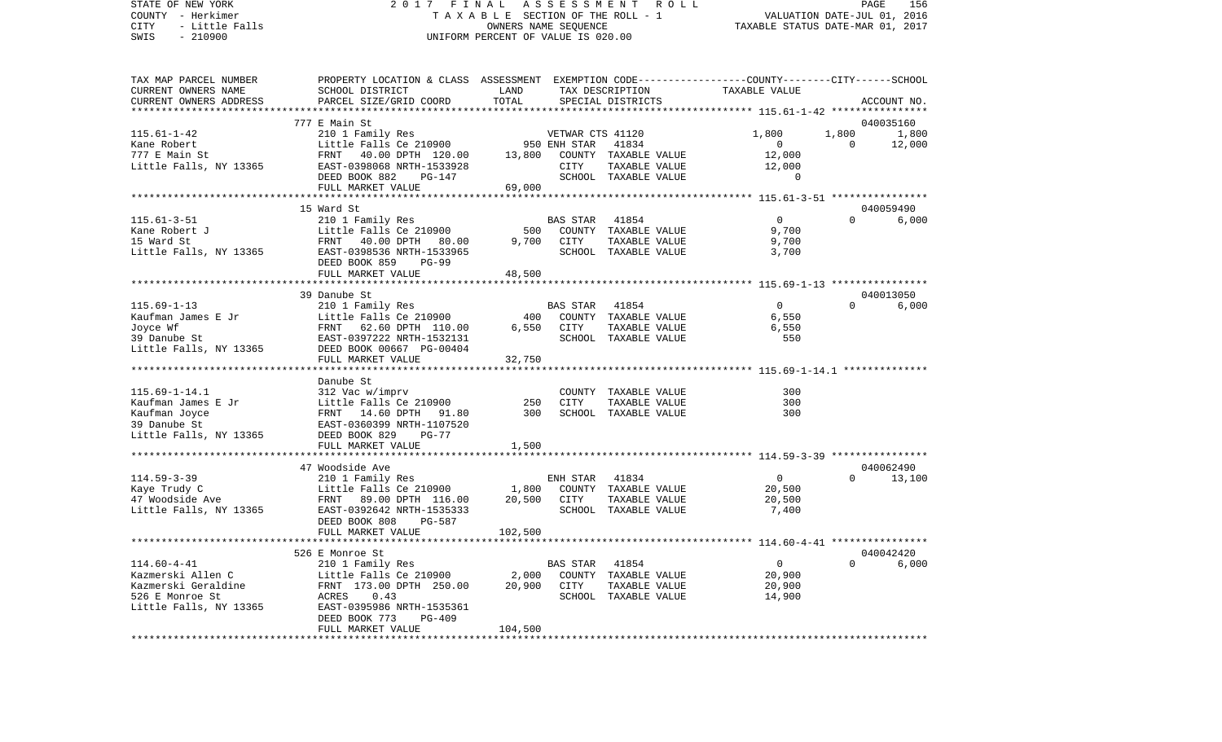STATE OF NEW YORK 2 0 1 7 F I N A L A S S E S S M E N T R O L L PAGE 156COUNTY - Herkimer **T A X A B L E** SECTION OF THE ROLL - 1 VALUATION DATE-JUL 01, 2016 CITY - Little Falls OWNERS NAME SEQUENCE TAXABLE STATUS DATE-MAR 01, 2017 SWIS - 210900 UNIFORM PERCENT OF VALUE IS 020.00TAX MAP PARCEL NUMBER PROPERTY LOCATION & CLASS ASSESSMENT EXEMPTION CODE------------------COUNTY--------CITY------SCHOOL CURRENT OWNERS NAME SCHOOL DISTRICT LAND TAX DESCRIPTION TAXABLE VALUECURRENT OWNERS ADDRESS PARCEL SIZE/GRID COORD TOTAL SPECIAL DISTRICTS ACCOUNT NO. \*\*\*\*\*\*\*\*\*\*\*\*\*\*\*\*\*\*\*\*\*\*\*\*\*\*\*\*\*\*\*\*\*\*\*\*\*\*\*\*\*\*\*\*\*\*\*\*\*\*\*\*\*\*\*\*\*\*\*\*\*\*\*\*\*\*\*\*\*\*\*\*\*\*\*\*\*\*\*\*\*\*\*\*\*\*\*\*\*\*\*\*\*\*\*\*\*\*\*\*\*\*\* 115.61-1-42 \*\*\*\*\*\*\*\*\*\*\*\*\*\*\*\* 777 E Main St 040035160115.61-1-42 210 1 Family Res VETWAR CTS 41120 1,800 1,800 1,800 Kane Robert **Example 2008** Little Falls Ce 210900 950 ENH STAR 41834 0 0 12,000 777 E Main St FRNT 40.00 DPTH 120.00 13,800 COUNTY TAXABLE VALUE 12,000 Little Falls, NY 13365 EAST-0398068 NRTH-1533928 CITY TAXABLE VALUE 12,000 DEED BOOK 882 PG-147 SCHOOL TAXABLE VALUE 0 FULL MARKET VALUE 69,000 \*\*\*\*\*\*\*\*\*\*\*\*\*\*\*\*\*\*\*\*\*\*\*\*\*\*\*\*\*\*\*\*\*\*\*\*\*\*\*\*\*\*\*\*\*\*\*\*\*\*\*\*\*\*\*\*\*\*\*\*\*\*\*\*\*\*\*\*\*\*\*\*\*\*\*\*\*\*\*\*\*\*\*\*\*\*\*\*\*\*\*\*\*\*\*\*\*\*\*\*\*\*\* 115.61-3-51 \*\*\*\*\*\*\*\*\*\*\*\*\*\*\*\*15 Ward St 040059490 115.61-3-51 210 1 Family Res BAS STAR 41854 0 0 6,000 Kane Robert J Little Falls Ce 210900 500 COUNTY TAXABLE VALUE 15 Ward St FRNT 40.00 DPTH 80.00 9,700 CITY TAXABLE VALUE 9,700 Little Falls, NY 13365 EAST-0398536 NRTH-1533965 SCHOOL TAXABLE VALUE 3,700 DEED BOOK 859 PG-99FULL MARKET VALUE 48,500 \*\*\*\*\*\*\*\*\*\*\*\*\*\*\*\*\*\*\*\*\*\*\*\*\*\*\*\*\*\*\*\*\*\*\*\*\*\*\*\*\*\*\*\*\*\*\*\*\*\*\*\*\*\*\*\*\*\*\*\*\*\*\*\*\*\*\*\*\*\*\*\*\*\*\*\*\*\*\*\*\*\*\*\*\*\*\*\*\*\*\*\*\*\*\*\*\*\*\*\*\*\*\* 115.69-1-13 \*\*\*\*\*\*\*\*\*\*\*\*\*\*\*\* 39 Danube St 0400130506,000 115.69-1-13 210 1 Family Res BAS STAR 41854 0 0 0 Kaufman James E Jr Little Falls Ce 210900 400 COUNTY TAXABLE VALUE 6,550 Joyce Wf **FRNT 62.60 DPTH 110.00** 6,550 CITY TAXABLE VALUE 6,550 6,550 39 Danube St EAST-0397222 NRTH-1532131 SCHOOL TAXABLE VALUE 550Little Falls, NY 13365 DEED BOOK 00667 PG-00404 FULL MARKET VALUE 32,750 \*\*\*\*\*\*\*\*\*\*\*\*\*\*\*\*\*\*\*\*\*\*\*\*\*\*\*\*\*\*\*\*\*\*\*\*\*\*\*\*\*\*\*\*\*\*\*\*\*\*\*\*\*\*\*\*\*\*\*\*\*\*\*\*\*\*\*\*\*\*\*\*\*\*\*\*\*\*\*\*\*\*\*\*\*\*\*\*\*\*\*\*\*\*\*\*\*\*\*\*\*\*\* 115.69-1-14.1 \*\*\*\*\*\*\*\*\*\*\*\*\*\* Danube St115.69-1-14.1 312 Vac w/imprv COUNTY TAXABLE VALUE 300 Kaufman James E Jr Little Falls Ce 210900 250 CITY TAXABLE VALUE 300 Kaufman Joyce FRNT 14.60 DPTH 91.80 300 SCHOOL TAXABLE VALUE 300 39 Danube St EAST-0360399 NRTH-1107520Little Falls, NY 13365 DEED BOOK 829 PG-77 FULL MARKET VALUE 1,500 \*\*\*\*\*\*\*\*\*\*\*\*\*\*\*\*\*\*\*\*\*\*\*\*\*\*\*\*\*\*\*\*\*\*\*\*\*\*\*\*\*\*\*\*\*\*\*\*\*\*\*\*\*\*\*\*\*\*\*\*\*\*\*\*\*\*\*\*\*\*\*\*\*\*\*\*\*\*\*\*\*\*\*\*\*\*\*\*\*\*\*\*\*\*\*\*\*\*\*\*\*\*\* 114.59-3-39 \*\*\*\*\*\*\*\*\*\*\*\*\*\*\*\* 47 Woodside Ave 040062490114.59-3-39 210 1 Family Res ENH STAR 41834 0 0 13,100 Kaye Trudy C Little Falls Ce 210900 1,800 COUNTY TAXABLE VALUE 20,500 47 Woodside Ave FRNT 89.00 DPTH 116.00 20,500 CITY TAXABLE VALUE 20,500 Little Falls, NY 13365 EAST-0392642 NRTH-1535333 SCHOOL TAXABLE VALUE 7,400 DEED BOOK 808 PG-587FULL MARKET VALUE 102,500 \*\*\*\*\*\*\*\*\*\*\*\*\*\*\*\*\*\*\*\*\*\*\*\*\*\*\*\*\*\*\*\*\*\*\*\*\*\*\*\*\*\*\*\*\*\*\*\*\*\*\*\*\*\*\*\*\*\*\*\*\*\*\*\*\*\*\*\*\*\*\*\*\*\*\*\*\*\*\*\*\*\*\*\*\*\*\*\*\*\*\*\*\*\*\*\*\*\*\*\*\*\*\* 114.60-4-41 \*\*\*\*\*\*\*\*\*\*\*\*\*\*\*\* 526 E Monroe St 040042420114.60-4-41 210 1 Family Res BAS STAR 41854 0 0 6,000

Kazmerski Allen C Little Falls Ce 210900 2,000 COUNTY TAXABLE VALUE 20,900 Kazmerski Geraldine FRNT 173.00 DPTH 250.00 20,900 CITY TAXABLE VALUE 20,900 526 E Monroe St ACRES 0.43 SCHOOL TAXABLE VALUE 14,900 Little Falls, NY 13365 EAST-0395986 NRTH-1535361 DEED BOOK 773 PG-409FULL MARKET VALUE 104,500 \*\*\*\*\*\*\*\*\*\*\*\*\*\*\*\*\*\*\*\*\*\*\*\*\*\*\*\*\*\*\*\*\*\*\*\*\*\*\*\*\*\*\*\*\*\*\*\*\*\*\*\*\*\*\*\*\*\*\*\*\*\*\*\*\*\*\*\*\*\*\*\*\*\*\*\*\*\*\*\*\*\*\*\*\*\*\*\*\*\*\*\*\*\*\*\*\*\*\*\*\*\*\*\*\*\*\*\*\*\*\*\*\*\*\*\*\*\*\*\*\*\*\*\*\*\*\*\*\*\*\*\*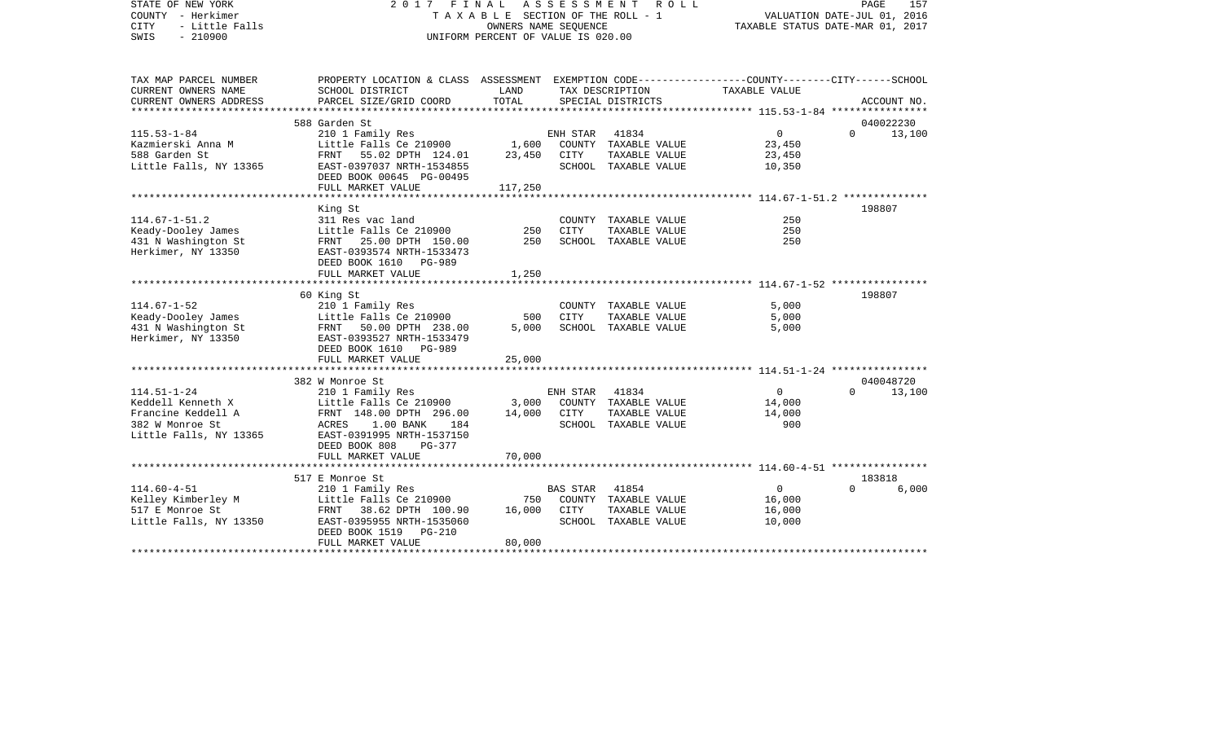| STATE OF NEW YORK<br>COUNTY - Herkimer<br>- Little Falls<br>CITY<br>SWIS<br>$-210900$ | 2017 FINAL                                                                                                          | T A X A B L E SECTION OF THE ROLL - 1<br>OWNERS NAME SEQUENCE<br>UNIFORM PERCENT OF VALUE IS 020.00 | ASSESSMENT<br>R O L L | PAGE<br>157<br>VALUATION DATE-JUL 01, 2016<br>TAXABLE STATUS DATE-MAR 01, 2017 |                                                |          |             |
|---------------------------------------------------------------------------------------|---------------------------------------------------------------------------------------------------------------------|-----------------------------------------------------------------------------------------------------|-----------------------|--------------------------------------------------------------------------------|------------------------------------------------|----------|-------------|
| TAX MAP PARCEL NUMBER<br>CURRENT OWNERS NAME                                          | PROPERTY LOCATION & CLASS ASSESSMENT EXEMPTION CODE----------------COUNTY-------CITY------SCHOOL<br>SCHOOL DISTRICT | LAND                                                                                                |                       | TAX DESCRIPTION                                                                | TAXABLE VALUE                                  |          |             |
| CURRENT OWNERS ADDRESS<br>***********************                                     | PARCEL SIZE/GRID COORD                                                                                              | TOTAL                                                                                               |                       | SPECIAL DISTRICTS                                                              |                                                |          | ACCOUNT NO. |
|                                                                                       | 588 Garden St                                                                                                       |                                                                                                     |                       |                                                                                |                                                |          | 040022230   |
| $115.53 - 1 - 84$                                                                     | 210 1 Family Res                                                                                                    |                                                                                                     | ENH STAR              | 41834                                                                          | $\mathbf 0$                                    | $\Omega$ | 13,100      |
| Kazmierski Anna M                                                                     | Little Falls Ce 210900                                                                                              | 1,600                                                                                               |                       | COUNTY TAXABLE VALUE                                                           | 23,450                                         |          |             |
| 588 Garden St                                                                         | FRNT 55.02 DPTH 124.01                                                                                              | 23,450                                                                                              | <b>CITY</b>           | TAXABLE VALUE                                                                  | 23,450                                         |          |             |
| Little Falls, NY 13365                                                                | EAST-0397037 NRTH-1534855<br>DEED BOOK 00645 PG-00495                                                               |                                                                                                     |                       | SCHOOL TAXABLE VALUE                                                           | 10,350                                         |          |             |
|                                                                                       | FULL MARKET VALUE                                                                                                   | 117,250                                                                                             |                       |                                                                                |                                                |          |             |
|                                                                                       |                                                                                                                     |                                                                                                     |                       |                                                                                |                                                |          |             |
|                                                                                       | King St                                                                                                             |                                                                                                     |                       |                                                                                |                                                |          | 198807      |
| $114.67 - 1 - 51.2$                                                                   | 311 Res vac land                                                                                                    |                                                                                                     |                       | COUNTY TAXABLE VALUE                                                           | 250                                            |          |             |
| Keady-Dooley James                                                                    | Little Falls Ce 210900                                                                                              | 250                                                                                                 | CITY                  | TAXABLE VALUE                                                                  | 250                                            |          |             |
| 431 N Washington St                                                                   | 25.00 DPTH 150.00<br>FRNT                                                                                           | 250                                                                                                 |                       | SCHOOL TAXABLE VALUE                                                           | 250                                            |          |             |
| Herkimer, NY 13350                                                                    | EAST-0393574 NRTH-1533473<br>DEED BOOK 1610 PG-989                                                                  |                                                                                                     |                       |                                                                                |                                                |          |             |
|                                                                                       | FULL MARKET VALUE                                                                                                   | 1,250                                                                                               |                       |                                                                                |                                                |          |             |
|                                                                                       | ********************                                                                                                |                                                                                                     |                       |                                                                                | **************** 114.67-1-52 ***************** |          |             |
|                                                                                       | 60 King St                                                                                                          |                                                                                                     |                       |                                                                                |                                                |          | 198807      |
| $114.67 - 1 - 52$                                                                     | 210 1 Family Res                                                                                                    |                                                                                                     |                       | COUNTY TAXABLE VALUE                                                           | 5,000                                          |          |             |
| Keady-Dooley James                                                                    | Little Falls Ce 210900                                                                                              | 500                                                                                                 | CITY                  | TAXABLE VALUE                                                                  | 5,000                                          |          |             |
| 431 N Washington St                                                                   | FRNT 50.00 DPTH 238.00                                                                                              | 5,000                                                                                               |                       | SCHOOL TAXABLE VALUE                                                           | 5,000                                          |          |             |
| Herkimer, NY 13350                                                                    | EAST-0393527 NRTH-1533479                                                                                           |                                                                                                     |                       |                                                                                |                                                |          |             |
|                                                                                       | DEED BOOK 1610 PG-989                                                                                               |                                                                                                     |                       |                                                                                |                                                |          |             |
|                                                                                       | FULL MARKET VALUE                                                                                                   | 25,000                                                                                              |                       |                                                                                |                                                |          |             |
|                                                                                       |                                                                                                                     |                                                                                                     |                       |                                                                                |                                                |          |             |
|                                                                                       | 382 W Monroe St                                                                                                     |                                                                                                     |                       |                                                                                |                                                |          | 040048720   |
| $114.51 - 1 - 24$                                                                     | 210 1 Family Res                                                                                                    |                                                                                                     | ENH STAR              | 41834                                                                          | $\overline{0}$                                 | $\Omega$ | 13,100      |
| Keddell Kenneth X                                                                     | Little Falls Ce 210900                                                                                              | 3,000                                                                                               |                       | COUNTY TAXABLE VALUE                                                           | 14,000                                         |          |             |
| Francine Keddell A                                                                    | FRNT 148.00 DPTH 296.00                                                                                             | 14,000                                                                                              | CITY                  | TAXABLE VALUE                                                                  | 14,000                                         |          |             |
| 382 W Monroe St                                                                       | $1.00$ BANK<br>184<br>ACRES                                                                                         |                                                                                                     |                       | SCHOOL TAXABLE VALUE                                                           | 900                                            |          |             |
| Little Falls, NY 13365                                                                | EAST-0391995 NRTH-1537150                                                                                           |                                                                                                     |                       |                                                                                |                                                |          |             |
|                                                                                       | DEED BOOK 808<br>PG-377<br>FULL MARKET VALUE                                                                        | 70,000                                                                                              |                       |                                                                                |                                                |          |             |
|                                                                                       |                                                                                                                     |                                                                                                     |                       |                                                                                |                                                |          |             |
|                                                                                       | 517 E Monroe St                                                                                                     |                                                                                                     |                       |                                                                                |                                                |          | 183818      |
| $114.60 - 4 - 51$                                                                     | 210 1 Family Res                                                                                                    |                                                                                                     | <b>BAS STAR</b>       | 41854                                                                          | $\mathbf 0$                                    | $\Omega$ | 6,000       |
| Kelley Kimberley M                                                                    | Little Falls Ce 210900                                                                                              | 750                                                                                                 |                       | COUNTY TAXABLE VALUE                                                           | 16,000                                         |          |             |
| 517 E Monroe St                                                                       | FRNT<br>38.62 DPTH 100.90                                                                                           | 16,000                                                                                              | CITY                  | TAXABLE VALUE                                                                  | 16,000                                         |          |             |
| Little Falls, NY 13350                                                                | EAST-0395955 NRTH-1535060                                                                                           |                                                                                                     |                       | SCHOOL TAXABLE VALUE                                                           | 10,000                                         |          |             |
|                                                                                       | DEED BOOK 1519<br><b>PG-210</b>                                                                                     |                                                                                                     |                       |                                                                                |                                                |          |             |
|                                                                                       | FULL MARKET VALUE                                                                                                   | 80,000                                                                                              |                       |                                                                                |                                                |          |             |
|                                                                                       |                                                                                                                     |                                                                                                     |                       |                                                                                |                                                |          |             |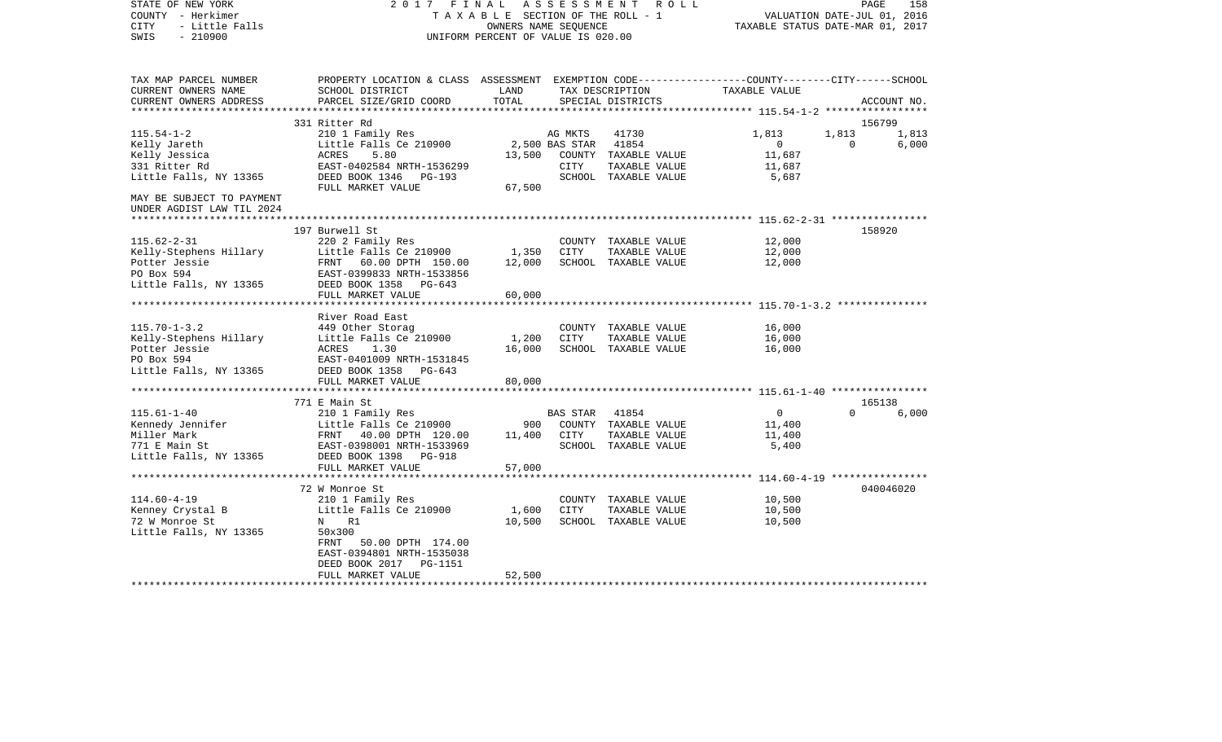| STATE OF NEW YORK<br>COUNTY - Herkimer<br><b>CITY</b><br>- Little Falls<br>$-210900$<br>SWIS | 2017<br>FINAL<br>UNIFORM PERCENT OF VALUE IS 020.00                                                                                          | ASSESSMENT ROLL<br>TAXABLE SECTION OF THE ROLL - 1<br>OWNERS NAME SEOUENCE | PAGE<br>158<br>VALUATION DATE-JUL 01, 2016<br>TAXABLE STATUS DATE-MAR 01, 2017 |                                       |                  |                             |
|----------------------------------------------------------------------------------------------|----------------------------------------------------------------------------------------------------------------------------------------------|----------------------------------------------------------------------------|--------------------------------------------------------------------------------|---------------------------------------|------------------|-----------------------------|
| TAX MAP PARCEL NUMBER<br>CURRENT OWNERS NAME<br>CURRENT OWNERS ADDRESS                       | PROPERTY LOCATION & CLASS ASSESSMENT EXEMPTION CODE---------------COUNTY-------CITY------SCHOOL<br>SCHOOL DISTRICT<br>PARCEL SIZE/GRID COORD | LAND<br>TOTAL                                                              |                                                                                | TAX DESCRIPTION<br>SPECIAL DISTRICTS  | TAXABLE VALUE    | ACCOUNT NO.                 |
|                                                                                              |                                                                                                                                              |                                                                            |                                                                                |                                       |                  |                             |
| $115.54 - 1 - 2$                                                                             | 331 Ritter Rd<br>210 1 Family Res                                                                                                            |                                                                            | AG MKTS                                                                        | 41730                                 | 1,813            | 156799<br>1,813<br>1,813    |
| Kelly Jareth                                                                                 | Little Falls Ce 210900                                                                                                                       |                                                                            | 2,500 BAS STAR                                                                 | 41854                                 | $\overline{0}$   | $\mathbf{0}$<br>6,000       |
| Kelly Jessica                                                                                | 5.80<br>ACRES                                                                                                                                | 13,500                                                                     |                                                                                | COUNTY TAXABLE VALUE                  | 11,687           |                             |
| 331 Ritter Rd                                                                                | EAST-0402584 NRTH-1536299                                                                                                                    |                                                                            | CITY                                                                           | TAXABLE VALUE                         | 11,687           |                             |
| Little Falls, NY 13365                                                                       | DEED BOOK 1346 PG-193                                                                                                                        |                                                                            |                                                                                | SCHOOL TAXABLE VALUE                  | 5,687            |                             |
|                                                                                              | FULL MARKET VALUE                                                                                                                            | 67,500                                                                     |                                                                                |                                       |                  |                             |
| MAY BE SUBJECT TO PAYMENT                                                                    |                                                                                                                                              |                                                                            |                                                                                |                                       |                  |                             |
| UNDER AGDIST LAW TIL 2024                                                                    |                                                                                                                                              |                                                                            |                                                                                |                                       |                  |                             |
|                                                                                              | 197 Burwell St                                                                                                                               |                                                                            |                                                                                |                                       |                  | 158920                      |
| $115.62 - 2 - 31$                                                                            | 220 2 Family Res                                                                                                                             |                                                                            |                                                                                | COUNTY TAXABLE VALUE                  | 12,000           |                             |
| Kelly-Stephens Hillary                                                                       | Little Falls Ce 210900                                                                                                                       | 1,350                                                                      | CITY                                                                           | TAXABLE VALUE                         | 12,000           |                             |
| Potter Jessie                                                                                | FRNT 60.00 DPTH 150.00                                                                                                                       | 12,000                                                                     |                                                                                | SCHOOL TAXABLE VALUE                  | 12,000           |                             |
| PO Box 594                                                                                   | EAST-0399833 NRTH-1533856                                                                                                                    |                                                                            |                                                                                |                                       |                  |                             |
| Little Falls, NY 13365                                                                       | DEED BOOK 1358<br>$PG-643$                                                                                                                   |                                                                            |                                                                                |                                       |                  |                             |
|                                                                                              | FULL MARKET VALUE                                                                                                                            | 60,000                                                                     |                                                                                |                                       |                  |                             |
|                                                                                              | River Road East                                                                                                                              |                                                                            |                                                                                |                                       |                  |                             |
| $115.70 - 1 - 3.2$                                                                           | 449 Other Storag                                                                                                                             |                                                                            |                                                                                | COUNTY TAXABLE VALUE                  | 16,000           |                             |
| Kelly-Stephens Hillary                                                                       | Little Falls Ce 210900                                                                                                                       | 1,200                                                                      | CITY                                                                           | TAXABLE VALUE                         | 16,000           |                             |
| Potter Jessie                                                                                | ACRES<br>1.30                                                                                                                                | 16,000                                                                     |                                                                                | SCHOOL TAXABLE VALUE                  | 16,000           |                             |
| PO Box 594                                                                                   | EAST-0401009 NRTH-1531845                                                                                                                    |                                                                            |                                                                                |                                       |                  |                             |
| Little Falls, NY 13365                                                                       | DEED BOOK 1358<br>PG-643                                                                                                                     |                                                                            |                                                                                |                                       |                  |                             |
|                                                                                              | FULL MARKET VALUE                                                                                                                            | 80,000                                                                     |                                                                                |                                       |                  |                             |
|                                                                                              |                                                                                                                                              |                                                                            |                                                                                |                                       |                  |                             |
| $115.61 - 1 - 40$                                                                            | 771 E Main St<br>210 1 Family Res                                                                                                            |                                                                            | BAS STAR                                                                       | 41854                                 | $\overline{0}$   | 165138<br>6,000<br>$\Omega$ |
|                                                                                              | Little Falls Ce 210900                                                                                                                       | 900                                                                        |                                                                                | COUNTY TAXABLE VALUE                  | 11,400           |                             |
|                                                                                              | FRNT 40.00 DPTH 120.00                                                                                                                       | 11,400                                                                     | CITY                                                                           | TAXABLE VALUE                         | 11,400           |                             |
| Kennedy Jennifer<br>Miller Mark<br>771 E Main St                                             | EAST-0398001 NRTH-1533969                                                                                                                    |                                                                            |                                                                                | SCHOOL TAXABLE VALUE                  | 5,400            |                             |
| Little Falls, NY 13365                                                                       | DEED BOOK 1398<br>PG-918                                                                                                                     |                                                                            |                                                                                |                                       |                  |                             |
|                                                                                              | FULL MARKET VALUE                                                                                                                            | 57,000                                                                     |                                                                                |                                       |                  |                             |
|                                                                                              |                                                                                                                                              |                                                                            |                                                                                |                                       |                  |                             |
|                                                                                              | 72 W Monroe St                                                                                                                               |                                                                            |                                                                                |                                       |                  | 040046020                   |
| $114.60 - 4 - 19$                                                                            | 210 1 Family Res                                                                                                                             |                                                                            |                                                                                | COUNTY TAXABLE VALUE                  | 10,500           |                             |
| Kenney Crystal B<br>72 W Monroe St                                                           | Little Falls Ce 210900<br>R1<br>$N$ and $N$                                                                                                  | 1,600<br>10,500                                                            | CITY                                                                           | TAXABLE VALUE<br>SCHOOL TAXABLE VALUE | 10,500<br>10,500 |                             |
| Little Falls, NY 13365                                                                       | 50x300                                                                                                                                       |                                                                            |                                                                                |                                       |                  |                             |
|                                                                                              | 50.00 DPTH 174.00<br>FRNT                                                                                                                    |                                                                            |                                                                                |                                       |                  |                             |
|                                                                                              | EAST-0394801 NRTH-1535038                                                                                                                    |                                                                            |                                                                                |                                       |                  |                             |
|                                                                                              | DEED BOOK 2017<br>PG-1151                                                                                                                    |                                                                            |                                                                                |                                       |                  |                             |
|                                                                                              | FULL MARKET VALUE                                                                                                                            | 52,500                                                                     |                                                                                |                                       |                  |                             |
|                                                                                              |                                                                                                                                              |                                                                            |                                                                                |                                       |                  |                             |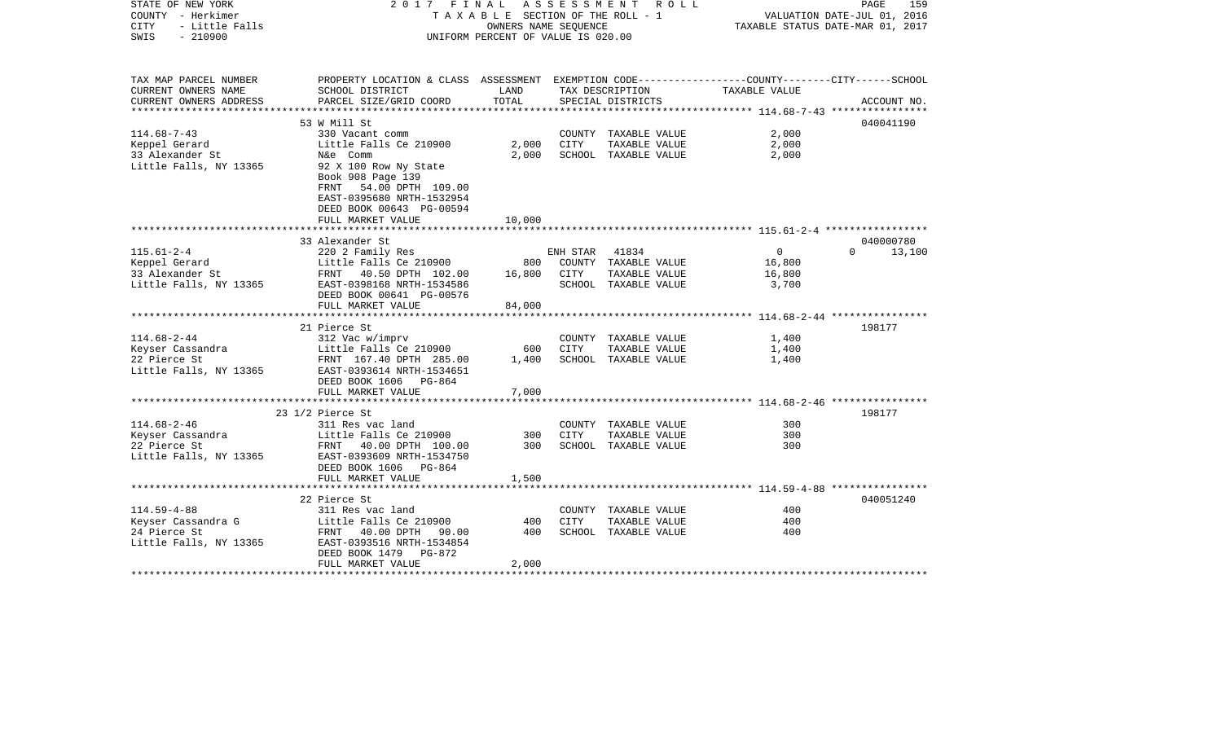| STATE OF NEW YORK<br>COUNTY - Herkimer<br>CITY<br>- Little Falls | 2017 FINAL ASSESSMENT ROLL<br>TAXABLE SECTION OF THE ROLL - 1                                   |                                    | PAGE<br>159<br>VALUATION DATE-JUL 01, 2016<br>TAXABLE STATUS DATE-MAR 01, 2017 |                      |                |                    |
|------------------------------------------------------------------|-------------------------------------------------------------------------------------------------|------------------------------------|--------------------------------------------------------------------------------|----------------------|----------------|--------------------|
| $-210900$<br>SWIS                                                |                                                                                                 | UNIFORM PERCENT OF VALUE IS 020.00 |                                                                                |                      |                |                    |
| TAX MAP PARCEL NUMBER                                            | PROPERTY LOCATION & CLASS ASSESSMENT EXEMPTION CODE---------------COUNTY-------CITY------SCHOOL |                                    |                                                                                |                      |                |                    |
| CURRENT OWNERS NAME                                              | SCHOOL DISTRICT                                                                                 | LAND                               |                                                                                | TAX DESCRIPTION      | TAXABLE VALUE  |                    |
| CURRENT OWNERS ADDRESS                                           | PARCEL SIZE/GRID COORD                                                                          | TOTAL                              |                                                                                | SPECIAL DISTRICTS    |                | ACCOUNT NO.        |
|                                                                  | 53 W Mill St                                                                                    |                                    |                                                                                |                      |                | 040041190          |
| $114.68 - 7 - 43$                                                | 330 Vacant comm                                                                                 |                                    |                                                                                | COUNTY TAXABLE VALUE | 2,000          |                    |
| Keppel Gerard                                                    | Little Falls Ce 210900                                                                          | 2,000                              | CITY                                                                           | TAXABLE VALUE        | 2,000          |                    |
| 33 Alexander St                                                  | N&e Comm                                                                                        | 2,000                              |                                                                                | SCHOOL TAXABLE VALUE | 2,000          |                    |
| Little Falls, NY 13365                                           | 92 X 100 Row Ny State                                                                           |                                    |                                                                                |                      |                |                    |
|                                                                  | Book 908 Page 139                                                                               |                                    |                                                                                |                      |                |                    |
|                                                                  | FRNT 54.00 DPTH 109.00                                                                          |                                    |                                                                                |                      |                |                    |
|                                                                  | EAST-0395680 NRTH-1532954                                                                       |                                    |                                                                                |                      |                |                    |
|                                                                  | DEED BOOK 00643 PG-00594                                                                        |                                    |                                                                                |                      |                |                    |
|                                                                  | FULL MARKET VALUE                                                                               | 10,000                             |                                                                                |                      |                |                    |
|                                                                  |                                                                                                 |                                    |                                                                                |                      |                |                    |
|                                                                  | 33 Alexander St                                                                                 |                                    |                                                                                |                      |                | 040000780          |
| $115.61 - 2 - 4$                                                 | 220 2 Family Res                                                                                |                                    | ENH STAR 41834                                                                 |                      | $\overline{0}$ | 13,100<br>$\Omega$ |
| Keppel Gerard                                                    | Little Falls Ce 210900                                                                          | 800                                |                                                                                | COUNTY TAXABLE VALUE | 16,800         |                    |
| 33 Alexander St                                                  | FRNT 40.50 DPTH 102.00                                                                          | 16,800                             | CITY                                                                           | TAXABLE VALUE        | 16,800         |                    |
| Little Falls, NY 13365                                           | EAST-0398168 NRTH-1534586                                                                       |                                    |                                                                                | SCHOOL TAXABLE VALUE | 3,700          |                    |
|                                                                  | DEED BOOK 00641 PG-00576                                                                        |                                    |                                                                                |                      |                |                    |
|                                                                  | FULL MARKET VALUE                                                                               | 84,000                             |                                                                                |                      |                |                    |
|                                                                  | 21 Pierce St                                                                                    |                                    |                                                                                |                      |                | 198177             |
| $114.68 - 2 - 44$                                                | 312 Vac w/imprv                                                                                 |                                    |                                                                                | COUNTY TAXABLE VALUE | 1,400          |                    |
|                                                                  | Little Falls Ce 210900                                                                          | 600                                | CITY                                                                           | TAXABLE VALUE        | 1,400          |                    |
| Keyser Cassandra<br>22 Pierce St<br>22 Pierce St                 | FRNT 167.40 DPTH 285.00                                                                         | 1,400                              |                                                                                | SCHOOL TAXABLE VALUE | 1,400          |                    |
| Little Falls, NY 13365                                           | EAST-0393614 NRTH-1534651                                                                       |                                    |                                                                                |                      |                |                    |
|                                                                  | DEED BOOK 1606 PG-864                                                                           |                                    |                                                                                |                      |                |                    |
|                                                                  | FULL MARKET VALUE                                                                               | 7,000                              |                                                                                |                      |                |                    |
|                                                                  |                                                                                                 |                                    |                                                                                |                      |                |                    |
|                                                                  | $23 \t1/2$ Pierce St                                                                            |                                    |                                                                                |                      |                | 198177             |
| $114.68 - 2 - 46$                                                | 311 Res vac land                                                                                |                                    |                                                                                | COUNTY TAXABLE VALUE | 300            |                    |
| Keyser Cassandra                                                 | Little Falls Ce 210900                                                                          | 300                                | CITY                                                                           | TAXABLE VALUE        | 300            |                    |
| 22 Pierce St                                                     | FRNT 40.00 DPTH 100.00                                                                          | 300                                |                                                                                | SCHOOL TAXABLE VALUE | 300            |                    |
| Little Falls, NY 13365                                           | EAST-0393609 NRTH-1534750                                                                       |                                    |                                                                                |                      |                |                    |
|                                                                  | DEED BOOK 1606 PG-864                                                                           |                                    |                                                                                |                      |                |                    |
|                                                                  | FULL MARKET VALUE                                                                               | 1,500                              |                                                                                |                      |                |                    |
|                                                                  | 22 Pierce St                                                                                    |                                    |                                                                                |                      |                | 040051240          |
| $114.59 - 4 - 88$                                                | 311 Res vac land                                                                                |                                    |                                                                                | COUNTY TAXABLE VALUE | 400            |                    |
| Keyser Cassandra G                                               | Little Falls Ce 210900                                                                          | 400                                | CITY                                                                           | TAXABLE VALUE        | 400            |                    |
| 24 Pierce St                                                     | FRNT 40.00 DPTH 90.00                                                                           | 400                                |                                                                                | SCHOOL TAXABLE VALUE | 400            |                    |
| Little Falls, NY 13365                                           | EAST-0393516 NRTH-1534854                                                                       |                                    |                                                                                |                      |                |                    |
|                                                                  | DEED BOOK 1479<br>PG-872                                                                        |                                    |                                                                                |                      |                |                    |
|                                                                  | FULL MARKET VALUE                                                                               | 2,000                              |                                                                                |                      |                |                    |
|                                                                  |                                                                                                 |                                    |                                                                                |                      |                |                    |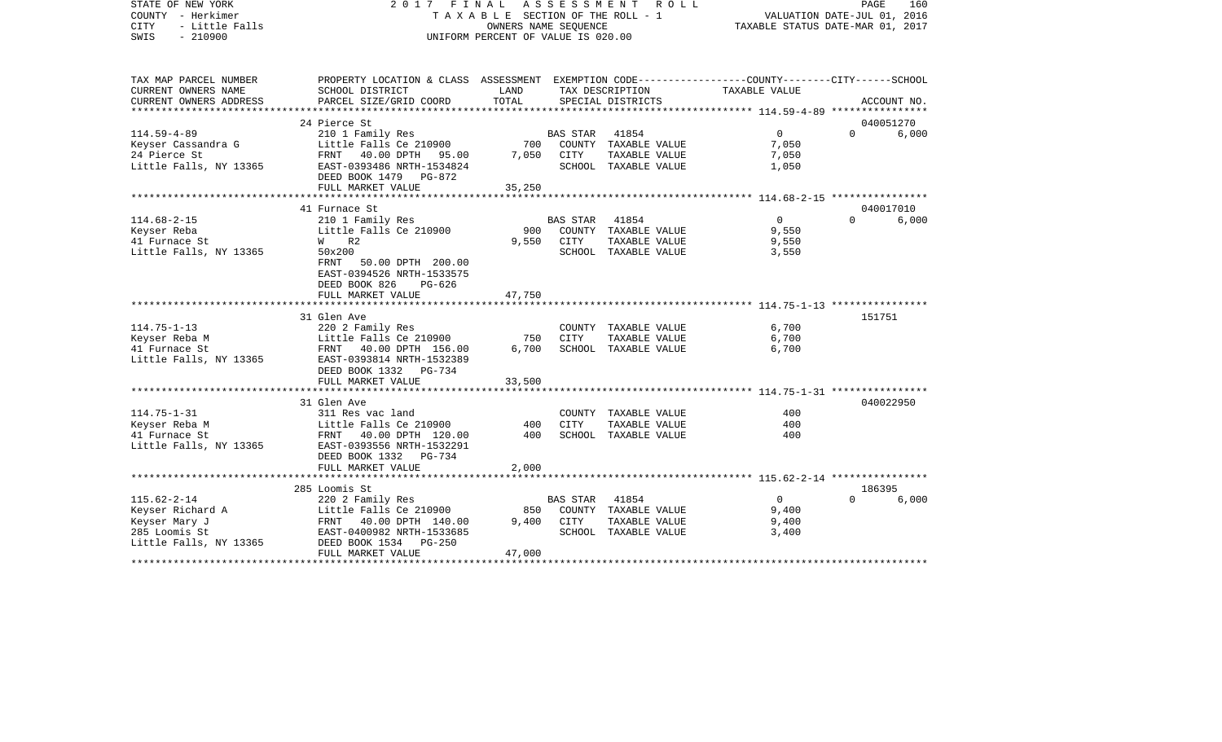| STATE OF NEW YORK<br>COUNTY - Herkimer<br><b>CITY</b><br>- Little Falls<br>$-210900$<br>SWIS | 2017 FINAL ASSESSMENT<br>TAXABLE SECTION OF THE ROLL - 1<br>UNIFORM PERCENT OF VALUE IS 020.00                     | ROLL ROLL<br>PAGE<br>160<br>VALUATION DATE-JUL 01, 2016<br>TAXABLE STATUS DATE-MAR 01, 2017 |                |                      |                                                        |          |             |
|----------------------------------------------------------------------------------------------|--------------------------------------------------------------------------------------------------------------------|---------------------------------------------------------------------------------------------|----------------|----------------------|--------------------------------------------------------|----------|-------------|
| TAX MAP PARCEL NUMBER<br>CURRENT OWNERS NAME                                                 | PROPERTY LOCATION & CLASS ASSESSMENT EXEMPTION CODE---------------COUNTY-------CITY------SCHOOL<br>SCHOOL DISTRICT | LAND                                                                                        |                | TAX DESCRIPTION      | TAXABLE VALUE                                          |          |             |
| CURRENT OWNERS ADDRESS                                                                       | PARCEL SIZE/GRID COORD                                                                                             | TOTAL                                                                                       |                | SPECIAL DISTRICTS    |                                                        |          | ACCOUNT NO. |
|                                                                                              |                                                                                                                    |                                                                                             |                |                      | ********************* 114.59-4-89 *****************    |          |             |
|                                                                                              | 24 Pierce St                                                                                                       |                                                                                             |                |                      |                                                        |          | 040051270   |
| $114.59 - 4 - 89$                                                                            | 210 1 Family Res                                                                                                   |                                                                                             | BAS STAR 41854 |                      | $\overline{0}$                                         | $\Omega$ | 6,000       |
| Keyser Cassandra G                                                                           | Little Falls Ce 210900                                                                                             | 700                                                                                         |                | COUNTY TAXABLE VALUE | 7,050                                                  |          |             |
| 24 Pierce St                                                                                 | FRNT 40.00 DPTH 95.00                                                                                              | 7,050                                                                                       | CITY           | TAXABLE VALUE        | 7,050                                                  |          |             |
| Little Falls, NY 13365                                                                       | EAST-0393486 NRTH-1534824<br>DEED BOOK 1479 PG-872                                                                 |                                                                                             |                | SCHOOL TAXABLE VALUE | 1,050                                                  |          |             |
|                                                                                              | FULL MARKET VALUE                                                                                                  | 35,250                                                                                      |                |                      |                                                        |          |             |
|                                                                                              | *********************                                                                                              |                                                                                             |                |                      | ************************ 114.68-2-15 ***************** |          |             |
|                                                                                              | 41 Furnace St                                                                                                      |                                                                                             |                |                      |                                                        |          | 040017010   |
| $114.68 - 2 - 15$                                                                            | 210 1 Family Res                                                                                                   |                                                                                             | BAS STAR       | 41854                | $\Omega$                                               | $\Omega$ | 6,000       |
| Keyser Reba                                                                                  | Little Falls Ce 210900                                                                                             | 900                                                                                         |                | COUNTY TAXABLE VALUE | 9,550                                                  |          |             |
| 41 Furnace St                                                                                | <b>W</b><br>R2                                                                                                     | 9,550                                                                                       | CITY           | TAXABLE VALUE        | 9,550                                                  |          |             |
| Little Falls, NY 13365                                                                       | 50x200<br>FRNT 50.00 DPTH 200.00                                                                                   |                                                                                             |                | SCHOOL TAXABLE VALUE | 3,550                                                  |          |             |
|                                                                                              | EAST-0394526 NRTH-1533575                                                                                          |                                                                                             |                |                      |                                                        |          |             |
|                                                                                              | DEED BOOK 826<br>PG-626                                                                                            |                                                                                             |                |                      |                                                        |          |             |
|                                                                                              | FULL MARKET VALUE                                                                                                  | 47,750                                                                                      |                |                      |                                                        |          |             |
|                                                                                              |                                                                                                                    |                                                                                             |                |                      |                                                        |          |             |
|                                                                                              | 31 Glen Ave                                                                                                        |                                                                                             |                |                      |                                                        | 151751   |             |
| $114.75 - 1 - 13$                                                                            | 220 2 Family Res                                                                                                   |                                                                                             |                | COUNTY TAXABLE VALUE | 6,700                                                  |          |             |
| Keyser Reba M                                                                                | Little Falls Ce 210900                                                                                             | 750                                                                                         | <b>CITY</b>    | TAXABLE VALUE        | 6,700                                                  |          |             |
| 41 Furnace St<br>Little Falls, NY 13365                                                      | FRNT 40.00 DPTH 156.00<br>EAST-0393814 NRTH-1532389                                                                | 6,700                                                                                       |                | SCHOOL TAXABLE VALUE | 6,700                                                  |          |             |
|                                                                                              | DEED BOOK 1332 PG-734                                                                                              |                                                                                             |                |                      |                                                        |          |             |
|                                                                                              | FULL MARKET VALUE                                                                                                  | 33,500                                                                                      |                |                      |                                                        |          |             |
|                                                                                              |                                                                                                                    |                                                                                             |                |                      |                                                        |          |             |
|                                                                                              | 31 Glen Ave                                                                                                        |                                                                                             |                |                      |                                                        |          | 040022950   |
| $114.75 - 1 - 31$                                                                            | 311 Res vac land                                                                                                   |                                                                                             |                | COUNTY TAXABLE VALUE | 400                                                    |          |             |
| Keyser Reba M                                                                                | Little Falls Ce 210900                                                                                             | 400                                                                                         | <b>CITY</b>    | TAXABLE VALUE        | 400                                                    |          |             |
| 41 Furnace St                                                                                | FRNT 40.00 DPTH 120.00                                                                                             | 400                                                                                         |                | SCHOOL TAXABLE VALUE | 400                                                    |          |             |
| Little Falls, NY 13365                                                                       | EAST-0393556 NRTH-1532291                                                                                          |                                                                                             |                |                      |                                                        |          |             |
|                                                                                              | DEED BOOK 1332<br>PG-734<br>FULL MARKET VALUE                                                                      | 2,000                                                                                       |                |                      |                                                        |          |             |
|                                                                                              | **********************************                                                                                 |                                                                                             |                |                      |                                                        |          |             |
|                                                                                              | 285 Loomis St                                                                                                      |                                                                                             |                |                      |                                                        | 186395   |             |
| $115.62 - 2 - 14$                                                                            | 220 2 Family Res                                                                                                   |                                                                                             | BAS STAR       | 41854                | $\overline{0}$                                         | $\Omega$ | 6,000       |
| Keyser Richard A                                                                             | Little Falls Ce 210900                                                                                             | 850                                                                                         |                | COUNTY TAXABLE VALUE | 9,400                                                  |          |             |
| Keyser Mary J                                                                                | FRNT 40.00 DPTH 140.00                                                                                             | 9,400                                                                                       | CITY           | TAXABLE VALUE        | 9,400                                                  |          |             |
| 285 Loomis St                                                                                | EAST-0400982 NRTH-1533685                                                                                          |                                                                                             |                | SCHOOL TAXABLE VALUE | 3,400                                                  |          |             |
| Little Falls, NY 13365                                                                       | DEED BOOK 1534<br>$PG-250$                                                                                         |                                                                                             |                |                      |                                                        |          |             |
| ***********                                                                                  | FULL MARKET VALUE                                                                                                  | 47,000                                                                                      |                |                      |                                                        |          |             |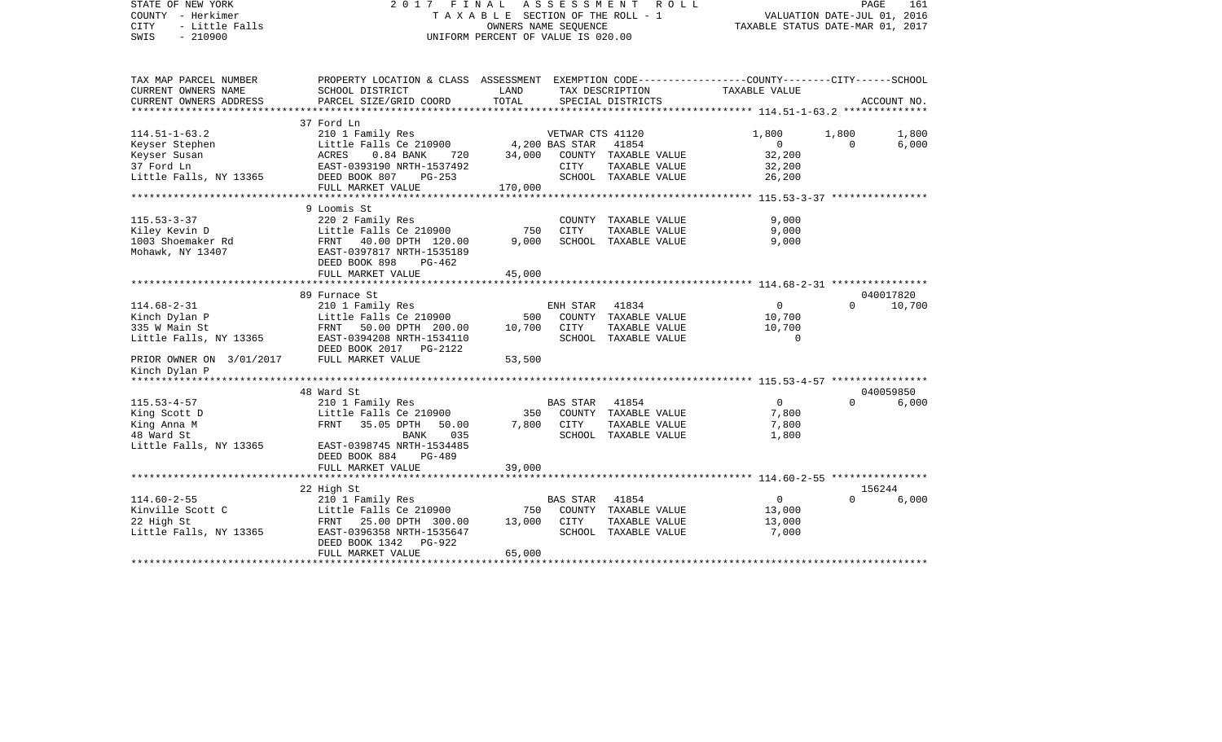| STATE OF NEW YORK<br>COUNTY - Herkimer<br><b>CITY</b><br>- Little Falls<br>SWIS<br>$-210900$ | 2017 FINAL ASSESSMENT ROLL                                                                                                                                                         | TAXABLE SECTION OF THE ROLL - 1<br>OWNERS NAME SEQUENCE<br>UNIFORM PERCENT OF VALUE IS 020.00 | PAGE<br>161<br>VALUATION DATE-JUL 01, 2016<br>TAXABLE STATUS DATE-MAR 01, 2017 |                                                                            |                                             |                         |                |
|----------------------------------------------------------------------------------------------|------------------------------------------------------------------------------------------------------------------------------------------------------------------------------------|-----------------------------------------------------------------------------------------------|--------------------------------------------------------------------------------|----------------------------------------------------------------------------|---------------------------------------------|-------------------------|----------------|
| TAX MAP PARCEL NUMBER<br>CURRENT OWNERS NAME                                                 | PROPERTY LOCATION & CLASS ASSESSMENT EXEMPTION CODE---------------COUNTY-------CITY------SCHOOL<br>SCHOOL DISTRICT                                                                 | LAND                                                                                          |                                                                                | TAX DESCRIPTION                                                            | TAXABLE VALUE                               |                         |                |
| CURRENT OWNERS ADDRESS                                                                       | PARCEL SIZE/GRID COORD                                                                                                                                                             | TOTAL                                                                                         |                                                                                | SPECIAL DISTRICTS                                                          |                                             |                         | ACCOUNT NO.    |
|                                                                                              | 37 Ford Ln                                                                                                                                                                         |                                                                                               |                                                                                |                                                                            |                                             |                         |                |
| $114.51 - 1 - 63.2$<br>Keyser Stephen<br>Keyser Susan<br>37 Ford Ln                          | 210 1 Family Res<br>Little Falls Ce 210900 4,200 BAS STAR 41854<br>ACRES 0.84 BANK 720 34,000 COUNTY TAXABLE VALUE<br>Litt.<br>ACRES<br>EAST-<br>DEED<br>EAST-0393190 NRTH-1537492 |                                                                                               | CITY                                                                           | TAXABLE VALUE                                                              | 1,800<br>$\overline{0}$<br>32,200<br>32,200 | 1,800<br>$\overline{0}$ | 1,800<br>6,000 |
| Little Falls, NY 13365 DEED BOOK 807                                                         | PG-253                                                                                                                                                                             |                                                                                               |                                                                                | SCHOOL TAXABLE VALUE                                                       | 26,200                                      |                         |                |
|                                                                                              | FULL MARKET VALUE                                                                                                                                                                  | 170,000                                                                                       |                                                                                |                                                                            |                                             |                         |                |
|                                                                                              | 9 Loomis St                                                                                                                                                                        |                                                                                               |                                                                                |                                                                            |                                             |                         |                |
| $115.53 - 3 - 37$<br>Kiley Kevin D<br>1003 Shoemaker Rd<br>Mohawk, NY 13407                  | 220 2 Family Res<br>Little Falls Ce 210900<br>Little Falls Ce 210900<br>FRNT 40.00 DPTH 120.00<br>EAST-0397817 NRTH-1535189                                                        | 750<br>9,000                                                                                  | <b>CITY</b>                                                                    | COUNTY TAXABLE VALUE<br>TAXABLE VALUE<br>SCHOOL TAXABLE VALUE              | 9,000<br>9,000<br>9,000                     |                         |                |
|                                                                                              | DEED BOOK 898<br>PG-462<br>FULL MARKET VALUE                                                                                                                                       | 45,000                                                                                        |                                                                                |                                                                            |                                             |                         |                |
|                                                                                              |                                                                                                                                                                                    |                                                                                               |                                                                                |                                                                            |                                             |                         |                |
|                                                                                              | 89 Furnace St                                                                                                                                                                      |                                                                                               |                                                                                |                                                                            |                                             |                         | 040017820      |
| $114.68 - 2 - 31$                                                                            | 210 1 Family Res<br>Little Falls Ce 210900                                                                                                                                         |                                                                                               | ENH STAR                                                                       | 41834                                                                      | $\Omega$                                    | $\Omega$                | 10,700         |
| Kinch Dylan P                                                                                |                                                                                                                                                                                    |                                                                                               |                                                                                | 500 COUNTY TAXABLE VALUE                                                   | 10,700                                      |                         |                |
| 335 W Main St<br>Little Falls, NY 13365                                                      | FRNT 50.00 DPTH 200.00<br>EAST-0394208 NRTH-1534110<br>DEED BOOK 2017    PG-2122                                                                                                   | 10,700                                                                                        | CITY                                                                           | TAXABLE VALUE<br>SCHOOL TAXABLE VALUE                                      | 10,700<br>$\overline{0}$                    |                         |                |
| PRIOR OWNER ON 3/01/2017<br>Kinch Dylan P                                                    | FULL MARKET VALUE                                                                                                                                                                  | 53,500                                                                                        |                                                                                |                                                                            |                                             |                         |                |
|                                                                                              |                                                                                                                                                                                    |                                                                                               |                                                                                |                                                                            |                                             |                         |                |
|                                                                                              | 48 Ward St                                                                                                                                                                         |                                                                                               |                                                                                |                                                                            |                                             |                         | 040059850      |
| $115.53 - 4 - 57$<br>King Scott D<br>King Anna M<br>48 Ward St<br>Little Falls, NY 13365     | 210 1 Family Res<br>Little Falls Ce 210900<br>FRNT 35.05 DPTH 50.00<br>BANK<br>035<br>EAST-0398745 NRTH-1534485<br>DEED BOOK 884<br>PG-489                                         |                                                                                               | BAS STAR<br>7,800 CITY                                                         | 41854<br>350 COUNTY TAXABLE VALUE<br>TAXABLE VALUE<br>SCHOOL TAXABLE VALUE | $\overline{0}$<br>7,800<br>7,800<br>1,800   | $\Omega$                | 6,000          |
|                                                                                              | FULL MARKET VALUE                                                                                                                                                                  | 39,000                                                                                        |                                                                                |                                                                            |                                             |                         |                |
|                                                                                              |                                                                                                                                                                                    |                                                                                               |                                                                                |                                                                            |                                             |                         |                |
|                                                                                              | 22 High St                                                                                                                                                                         |                                                                                               |                                                                                |                                                                            |                                             |                         | 156244         |
| $114.60 - 2 - 55$<br>Kinville Scott C<br>22 High St<br>Little Falls, NY 13365                | 210 1 Family Res<br>Little Falls Ce 210900<br>FRNT 25.00 DPTH 300.00<br>EAST-0396358 NRTH-1535647<br>DEED BOOK 1342<br>PG-922                                                      | 13,000 CITY                                                                                   | BAS STAR                                                                       | 41854<br>750 COUNTY TAXABLE VALUE<br>TAXABLE VALUE<br>SCHOOL TAXABLE VALUE | $\overline{0}$<br>13,000<br>13,000<br>7,000 | $\Omega$                | 6,000          |
|                                                                                              | FULL MARKET VALUE                                                                                                                                                                  | 65,000                                                                                        |                                                                                |                                                                            |                                             |                         |                |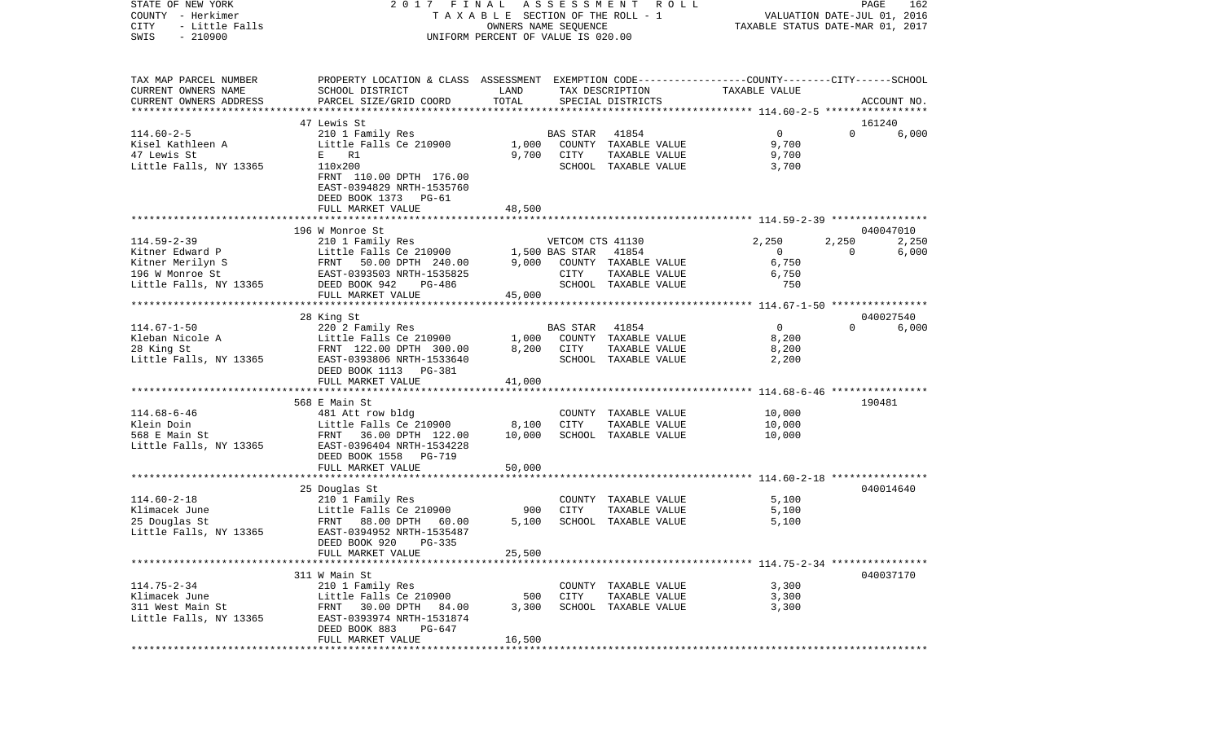| COUNTY            | – Herkimer             |                                                                                                | TAXABLE SECTION OF THE ROLL - 1    |                  |                      |                                  | VALUATION DATE-JUL 01, 2016 |             |
|-------------------|------------------------|------------------------------------------------------------------------------------------------|------------------------------------|------------------|----------------------|----------------------------------|-----------------------------|-------------|
| CITY              | - Little Falls         |                                                                                                | OWNERS NAME SEQUENCE               |                  |                      | TAXABLE STATUS DATE-MAR 01, 2017 |                             |             |
| SWIS              | $-210900$              |                                                                                                | UNIFORM PERCENT OF VALUE IS 020.00 |                  |                      |                                  |                             |             |
|                   |                        |                                                                                                |                                    |                  |                      |                                  |                             |             |
|                   | TAX MAP PARCEL NUMBER  | PROPERTY LOCATION & CLASS ASSESSMENT EXEMPTION CODE---------------COUNTY-------CITY-----SCHOOL |                                    |                  |                      |                                  |                             |             |
|                   | CURRENT OWNERS NAME    | SCHOOL DISTRICT                                                                                | LAND                               |                  | TAX DESCRIPTION      | TAXABLE VALUE                    |                             |             |
|                   | CURRENT OWNERS ADDRESS | PARCEL SIZE/GRID COORD                                                                         | TOTAL                              |                  | SPECIAL DISTRICTS    |                                  |                             | ACCOUNT NO. |
|                   |                        |                                                                                                |                                    |                  |                      |                                  |                             |             |
|                   |                        | 47 Lewis St                                                                                    |                                    |                  |                      |                                  |                             | 161240      |
| $114.60 - 2 - 5$  |                        | 210 1 Family Res                                                                               |                                    | <b>BAS STAR</b>  | 41854                | $\overline{0}$                   | $\Omega$                    | 6,000       |
|                   | Kisel Kathleen A       | Little Falls Ce 210900                                                                         | 1,000                              |                  | COUNTY TAXABLE VALUE | 9,700                            |                             |             |
| 47 Lewis St       |                        | E R1                                                                                           | 9,700                              | CITY             | TAXABLE VALUE        | 9,700                            |                             |             |
|                   |                        | 110x200                                                                                        |                                    |                  |                      |                                  |                             |             |
|                   | Little Falls, NY 13365 |                                                                                                |                                    |                  | SCHOOL TAXABLE VALUE | 3,700                            |                             |             |
|                   |                        | FRNT 110.00 DPTH 176.00                                                                        |                                    |                  |                      |                                  |                             |             |
|                   |                        | EAST-0394829 NRTH-1535760                                                                      |                                    |                  |                      |                                  |                             |             |
|                   |                        | DEED BOOK 1373 PG-61                                                                           |                                    |                  |                      |                                  |                             |             |
|                   |                        | FULL MARKET VALUE                                                                              | 48,500                             |                  |                      |                                  |                             |             |
|                   |                        |                                                                                                |                                    |                  |                      |                                  |                             |             |
|                   |                        | 196 W Monroe St                                                                                |                                    |                  |                      |                                  |                             | 040047010   |
| $114.59 - 2 - 39$ |                        | 210 1 Family Res                                                                               |                                    | VETCOM CTS 41130 |                      | 2,250                            | 2,250                       | 2,250       |
|                   | Kitner Edward P        | Little Falls Ce 210900                                                                         |                                    | 1,500 BAS STAR   | 41854                | $\overline{0}$                   | $\Omega$                    | 6,000       |
|                   | Kitner Merilyn S       | FRNT 50.00 DPTH 240.00                                                                         | 9,000                              |                  | COUNTY TAXABLE VALUE | 6,750                            |                             |             |
|                   | 196 W Monroe St        | EAST-0393503 NRTH-1535825                                                                      |                                    | CITY             | TAXABLE VALUE        | 6,750                            |                             |             |
|                   | Little Falls, NY 13365 | DEED BOOK 942<br>PG-486                                                                        |                                    |                  | SCHOOL TAXABLE VALUE | 750                              |                             |             |
|                   |                        | FULL MARKET VALUE                                                                              | 45,000                             |                  |                      |                                  |                             |             |
|                   |                        |                                                                                                |                                    |                  |                      |                                  |                             |             |
|                   |                        | 28 King St                                                                                     |                                    |                  |                      |                                  |                             | 040027540   |
| $114.67 - 1 - 50$ |                        | 220 2 Family Res                                                                               |                                    | BAS STAR         | 41854                | $\overline{0}$                   | $\Omega$                    | 6,000       |
|                   | Kleban Nicole A        | Little Falls Ce 210900                                                                         | 1,000                              |                  | COUNTY TAXABLE VALUE | 8,200                            |                             |             |
| 28 King St        |                        | FRNT 122.00 DPTH 300.00                                                                        | 8,200                              | CITY             | TAXABLE VALUE        | 8,200                            |                             |             |
|                   | Little Falls, NY 13365 | EAST-0393806 NRTH-1533640                                                                      |                                    |                  | SCHOOL TAXABLE VALUE | 2,200                            |                             |             |
|                   |                        | DEED BOOK 1113 PG-381                                                                          |                                    |                  |                      |                                  |                             |             |
|                   |                        | FULL MARKET VALUE                                                                              | 41,000                             |                  |                      |                                  |                             |             |
|                   |                        |                                                                                                |                                    |                  |                      |                                  |                             |             |
|                   |                        |                                                                                                |                                    |                  |                      |                                  |                             |             |
|                   |                        | 568 E Main St                                                                                  |                                    |                  |                      |                                  |                             | 190481      |
| $114.68 - 6 - 46$ |                        | 481 Att row bldg                                                                               |                                    |                  | COUNTY TAXABLE VALUE | 10,000                           |                             |             |
| Klein Doin        |                        | Little Falls Ce 210900                                                                         | 8,100                              | CITY             | TAXABLE VALUE        | 10,000                           |                             |             |
| 568 E Main St     |                        | FRNT 36.00 DPTH 122.00                                                                         | 10,000                             |                  | SCHOOL TAXABLE VALUE | 10,000                           |                             |             |
|                   | Little Falls, NY 13365 | EAST-0396404 NRTH-1534228                                                                      |                                    |                  |                      |                                  |                             |             |
|                   |                        | DEED BOOK 1558<br>PG-719                                                                       |                                    |                  |                      |                                  |                             |             |
|                   |                        | FULL MARKET VALUE                                                                              | 50,000                             |                  |                      |                                  |                             |             |
|                   |                        |                                                                                                |                                    |                  |                      |                                  |                             |             |
|                   |                        | 25 Douglas St                                                                                  |                                    |                  |                      |                                  |                             | 040014640   |
| $114.60 - 2 - 18$ |                        | 210 1 Family Res                                                                               |                                    |                  | COUNTY TAXABLE VALUE | 5,100                            |                             |             |
| Klimacek June     |                        | Little Falls Ce 210900                                                                         | 900                                | CITY             | TAXABLE VALUE        | 5,100                            |                             |             |
| 25 Douglas St     |                        | FRNT 88.00 DPTH 60.00                                                                          | 5,100                              |                  | SCHOOL TAXABLE VALUE | 5,100                            |                             |             |
|                   | Little Falls, NY 13365 | EAST-0394952 NRTH-1535487                                                                      |                                    |                  |                      |                                  |                             |             |
|                   |                        | DEED BOOK 920<br>PG-335                                                                        |                                    |                  |                      |                                  |                             |             |
|                   |                        | FULL MARKET VALUE                                                                              | 25,500                             |                  |                      |                                  |                             |             |
|                   |                        |                                                                                                |                                    |                  |                      |                                  |                             |             |
|                   |                        | 311 W Main St                                                                                  |                                    |                  |                      |                                  |                             | 040037170   |
| $114.75 - 2 - 34$ |                        | 210 1 Family Res                                                                               |                                    |                  | COUNTY TAXABLE VALUE | 3,300                            |                             |             |
| Klimacek June     |                        | Little Falls Ce 210900                                                                         | 500                                | CITY             | TAXABLE VALUE        | 3,300                            |                             |             |
|                   | 311 West Main St       | FRNT 30.00 DPTH 84.00                                                                          | 3,300                              |                  | SCHOOL TAXABLE VALUE | 3,300                            |                             |             |
|                   | Little Falls, NY 13365 | EAST-0393974 NRTH-1531874                                                                      |                                    |                  |                      |                                  |                             |             |
|                   |                        | DEED BOOK 883<br>PG-647                                                                        |                                    |                  |                      |                                  |                             |             |
|                   |                        | FULL MARKET VALUE                                                                              |                                    |                  |                      |                                  |                             |             |
|                   |                        |                                                                                                | 16,500                             |                  |                      |                                  |                             |             |

PAGE 162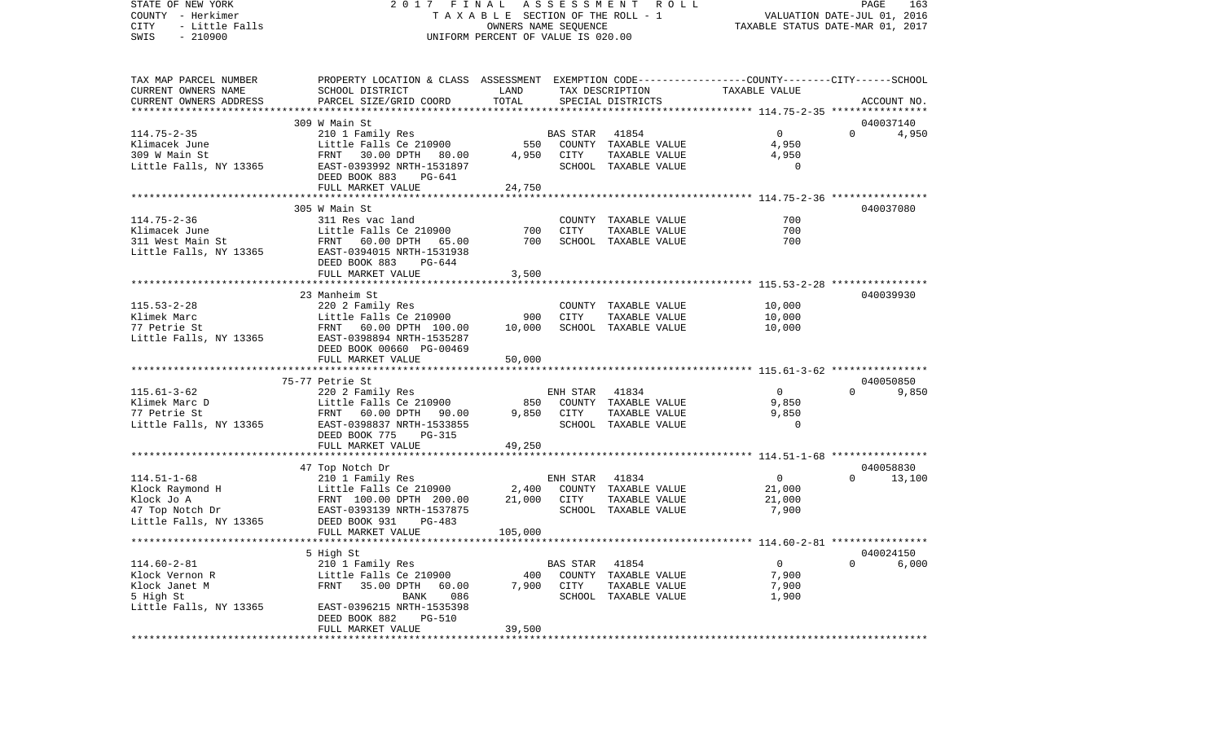COUNTY - Herkimer **T A X A B L E** SECTION OF THE ROLL - 1 VALUATION DATE-JUL 01, 2016 CITY - Little Falls OWNERS NAME SEQUENCE TAXABLE STATUS DATE-MAR 01, 2017 SWIS - 210900 UNIFORM PERCENT OF VALUE IS 020.00TAX MAP PARCEL NUMBER PROPERTY LOCATION & CLASS ASSESSMENT EXEMPTION CODE------------------COUNTY--------CITY------SCHOOL CURRENT OWNERS NAME SCHOOL DISTRICT LAND TAX DESCRIPTION TAXABLE VALUECURRENT OWNERS ADDRESS PARCEL SIZE/GRID COORD TOTAL SPECIAL DISTRICTS ACCOUNT NO. \*\*\*\*\*\*\*\*\*\*\*\*\*\*\*\*\*\*\*\*\*\*\*\*\*\*\*\*\*\*\*\*\*\*\*\*\*\*\*\*\*\*\*\*\*\*\*\*\*\*\*\*\*\*\*\*\*\*\*\*\*\*\*\*\*\*\*\*\*\*\*\*\*\*\*\*\*\*\*\*\*\*\*\*\*\*\*\*\*\*\*\*\*\*\*\*\*\*\*\*\*\*\* 114.75-2-35 \*\*\*\*\*\*\*\*\*\*\*\*\*\*\*\* 309 W Main St 040037140114.75-2-35 210 1 Family Res BAS STAR 41854 0 0 4,950 Klimacek June Little Falls Ce 210900 550 COUNTY TAXABLE VALUE 4,950 309 W Main St FRNT 30.00 DPTH 80.00 4,950 CITY TAXABLE VALUE 4,950 Little Falls, NY 13365 EAST-0393992 NRTH-1531897 SCHOOL TAXABLE VALUE 0 DEED BOOK 883 PG-641FULL MARKET VALUE 24,750 \*\*\*\*\*\*\*\*\*\*\*\*\*\*\*\*\*\*\*\*\*\*\*\*\*\*\*\*\*\*\*\*\*\*\*\*\*\*\*\*\*\*\*\*\*\*\*\*\*\*\*\*\*\*\*\*\*\*\*\*\*\*\*\*\*\*\*\*\*\*\*\*\*\*\*\*\*\*\*\*\*\*\*\*\*\*\*\*\*\*\*\*\*\*\*\*\*\*\*\*\*\*\* 114.75-2-36 \*\*\*\*\*\*\*\*\*\*\*\*\*\*\*\* 305 W Main St 040037080114.75-2-36 311 Res vac land COUNTY TAXABLE VALUE 700700 Klimacek June Little Falls Ce 210900 700 CITY TAXABLE VALUE 700 311 West Main St **FRNT** 60.00 DPTH 65.00 700 SCHOOL TAXABLE VALUE Little Falls, NY 13365 EAST-0394015 NRTH-1531938 DEED BOOK 883 PG-644FULL MARKET VALUE 3,500 \*\*\*\*\*\*\*\*\*\*\*\*\*\*\*\*\*\*\*\*\*\*\*\*\*\*\*\*\*\*\*\*\*\*\*\*\*\*\*\*\*\*\*\*\*\*\*\*\*\*\*\*\*\*\*\*\*\*\*\*\*\*\*\*\*\*\*\*\*\*\*\*\*\*\*\*\*\*\*\*\*\*\*\*\*\*\*\*\*\*\*\*\*\*\*\*\*\*\*\*\*\*\* 115.53-2-28 \*\*\*\*\*\*\*\*\*\*\*\*\*\*\*\* 23 Manheim St 040039930115.53-2-28 220 2 Family Res COUNTY TAXABLE VALUE 10,000 Klimek Marc Little Falls Ce 210900 900 CITY TAXABLE VALUE 10,000 77 Petrie St FRNT 60.00 DPTH 100.00 10,000 SCHOOL TAXABLE VALUE 10,000 Little Falls, NY 13365 EAST-0398894 NRTH-1535287 DEED BOOK 00660 PG-00469FULL MARKET VALUE 50,000 \*\*\*\*\*\*\*\*\*\*\*\*\*\*\*\*\*\*\*\*\*\*\*\*\*\*\*\*\*\*\*\*\*\*\*\*\*\*\*\*\*\*\*\*\*\*\*\*\*\*\*\*\*\*\*\*\*\*\*\*\*\*\*\*\*\*\*\*\*\*\*\*\*\*\*\*\*\*\*\*\*\*\*\*\*\*\*\*\*\*\*\*\*\*\*\*\*\*\*\*\*\*\* 115.61-3-62 \*\*\*\*\*\*\*\*\*\*\*\*\*\*\*\* 75-77 Petrie St 040050850115.61-3-62 220 2 Family Res ENH STAR 41834 0 0 9,850 Klimek Marc D Little Falls Ce 210900 850 COUNTY TAXABLE VALUE 9,850 77 Petrie St FRNT 60.00 DPTH 90.00 9,850 CITY TAXABLE VALUE 9,850 Little Falls, NY 13365 EAST-0398837 NRTH-1533855 SCHOOL TAXABLE VALUE 0 DEED BOOK 775 PG-315FULL MARKET VALUE 49,250 \*\*\*\*\*\*\*\*\*\*\*\*\*\*\*\*\*\*\*\*\*\*\*\*\*\*\*\*\*\*\*\*\*\*\*\*\*\*\*\*\*\*\*\*\*\*\*\*\*\*\*\*\*\*\*\*\*\*\*\*\*\*\*\*\*\*\*\*\*\*\*\*\*\*\*\*\*\*\*\*\*\*\*\*\*\*\*\*\*\*\*\*\*\*\*\*\*\*\*\*\*\*\* 114.51-1-68 \*\*\*\*\*\*\*\*\*\*\*\*\*\*\*\* 47 Top Notch Dr 040058830 114.51-1-68 210 1 Family Res ENH STAR 41834 0 0 13,100 Klock Raymond H Little Falls Ce 210900 2,400 COUNTY TAXABLE VALUE 21,000 Klock Jo A FRNT 100.00 DPTH 200.00 21,000 CITY TAXABLE VALUE 21,000 47 Top Notch Dr **EAST-0393139 NRTH-1537875** SCHOOL TAXABLE VALUE 7,900 Little Falls, NY 13365 DEED BOOK 931 PG-483 FULL MARKET VALUE 105,000 \*\*\*\*\*\*\*\*\*\*\*\*\*\*\*\*\*\*\*\*\*\*\*\*\*\*\*\*\*\*\*\*\*\*\*\*\*\*\*\*\*\*\*\*\*\*\*\*\*\*\*\*\*\*\*\*\*\*\*\*\*\*\*\*\*\*\*\*\*\*\*\*\*\*\*\*\*\*\*\*\*\*\*\*\*\*\*\*\*\*\*\*\*\*\*\*\*\*\*\*\*\*\* 114.60-2-81 \*\*\*\*\*\*\*\*\*\*\*\*\*\*\*\* 5 High St 040024150 114.60-2-81 210 1 Family Res BAS STAR 41854 0 0 6,000 Klock Vernon R Little Falls Ce 210900 400 COUNTY TAXABLE VALUE 7,900 Klock Janet M FRNT 35.00 DPTH 60.00 7.900 CITY TAXABLE VALUE 7.900 5 High St BANK 086 SCHOOL TAXABLE VALUE 1,900 Little Falls, NY 13365 EAST-0396215 NRTH-1535398 DEED BOOK 882 PG-510FULL MARKET VALUE 39,500 \*\*\*\*\*\*\*\*\*\*\*\*\*\*\*\*\*\*\*\*\*\*\*\*\*\*\*\*\*\*\*\*\*\*\*\*\*\*\*\*\*\*\*\*\*\*\*\*\*\*\*\*\*\*\*\*\*\*\*\*\*\*\*\*\*\*\*\*\*\*\*\*\*\*\*\*\*\*\*\*\*\*\*\*\*\*\*\*\*\*\*\*\*\*\*\*\*\*\*\*\*\*\*\*\*\*\*\*\*\*\*\*\*\*\*\*\*\*\*\*\*\*\*\*\*\*\*\*\*\*\*\*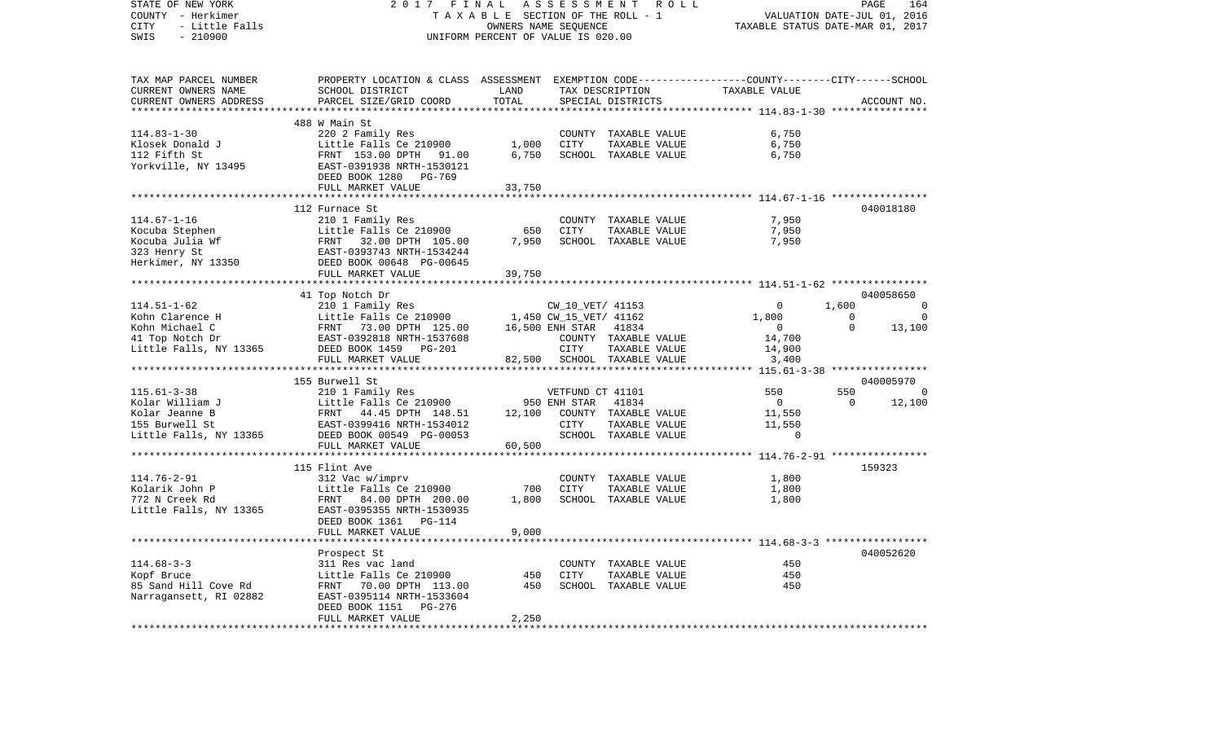| STATE OF NEW YORK<br>COUNTY - Herkimer<br>CITY<br>- Little Falls | 2017<br>FINAL<br>TAXABLE SECTION OF THE ROLL - 1                                                                                                                                                                                                     | R O L L<br>PAGE<br>164<br>VALUATION DATE-JUL 01, 2016<br>TAXABLE STATUS DATE-MAR 01, 2017 |                  |                                       |                                                       |                |                |
|------------------------------------------------------------------|------------------------------------------------------------------------------------------------------------------------------------------------------------------------------------------------------------------------------------------------------|-------------------------------------------------------------------------------------------|------------------|---------------------------------------|-------------------------------------------------------|----------------|----------------|
| SWIS<br>$-210900$                                                |                                                                                                                                                                                                                                                      | UNIFORM PERCENT OF VALUE IS 020.00                                                        |                  |                                       |                                                       |                |                |
| TAX MAP PARCEL NUMBER                                            | PROPERTY LOCATION & CLASS ASSESSMENT EXEMPTION CODE---------------COUNTY-------CITY------SCHOOL                                                                                                                                                      |                                                                                           |                  |                                       |                                                       |                |                |
| CURRENT OWNERS NAME                                              | SCHOOL DISTRICT                                                                                                                                                                                                                                      | LAND                                                                                      |                  | TAX DESCRIPTION                       | TAXABLE VALUE                                         |                |                |
| CURRENT OWNERS ADDRESS                                           | PARCEL SIZE/GRID COORD                                                                                                                                                                                                                               | TOTAL                                                                                     |                  | SPECIAL DISTRICTS                     |                                                       |                | ACCOUNT NO.    |
|                                                                  |                                                                                                                                                                                                                                                      | *************                                                                             |                  |                                       | ******************** 114.83-1-30 *****************    |                |                |
|                                                                  | 488 W Main St                                                                                                                                                                                                                                        |                                                                                           |                  |                                       |                                                       |                |                |
| $114.83 - 1 - 30$<br>Klosek Donald J                             | 220 2 Family Res<br>Little Falls Ce 210900                                                                                                                                                                                                           | 1,000                                                                                     | CITY             | COUNTY TAXABLE VALUE<br>TAXABLE VALUE | 6,750<br>6,750                                        |                |                |
| 112 Fifth St                                                     |                                                                                                                                                                                                                                                      | 6,750                                                                                     |                  | SCHOOL TAXABLE VALUE                  | 6,750                                                 |                |                |
| Yorkville, NY 13495                                              | FRNT 153.00 DPTH 91.00<br>EAST-0391938 NRTH-1530121                                                                                                                                                                                                  |                                                                                           |                  |                                       |                                                       |                |                |
|                                                                  | DEED BOOK 1280<br>PG-769                                                                                                                                                                                                                             |                                                                                           |                  |                                       |                                                       |                |                |
|                                                                  | FULL MARKET VALUE                                                                                                                                                                                                                                    | 33,750                                                                                    |                  |                                       |                                                       |                |                |
|                                                                  |                                                                                                                                                                                                                                                      |                                                                                           |                  |                                       |                                                       |                |                |
|                                                                  | 112 Furnace St                                                                                                                                                                                                                                       |                                                                                           |                  |                                       |                                                       |                | 040018180      |
| $114.67 - 1 - 16$                                                | 210 1 Family Res                                                                                                                                                                                                                                     |                                                                                           |                  | COUNTY TAXABLE VALUE                  | 7,950                                                 |                |                |
|                                                                  | Little Falls Ce 210900                                                                                                                                                                                                                               | 650                                                                                       | <b>CITY</b>      | TAXABLE VALUE                         | 7,950                                                 |                |                |
|                                                                  |                                                                                                                                                                                                                                                      | 7,950                                                                                     |                  | SCHOOL TAXABLE VALUE                  | 7,950                                                 |                |                |
|                                                                  |                                                                                                                                                                                                                                                      |                                                                                           |                  |                                       |                                                       |                |                |
|                                                                  | Kocuba Stephen Little Falls Ce 210900<br>Kocuba Julia Wf FRNT 32.00 DFTH 105.00<br>323 Henry St EAST-0393743 NRTH-1534244<br>Herkimer, NY 13350 DEED BOOK 00648 PG-00645<br>FULL MARKET VALUE                                                        |                                                                                           |                  |                                       |                                                       |                |                |
|                                                                  | *********************                                                                                                                                                                                                                                | 39,750                                                                                    |                  |                                       |                                                       |                |                |
|                                                                  |                                                                                                                                                                                                                                                      |                                                                                           |                  |                                       | ************************ 114.51-1-62 **************** |                | 040058650      |
| $114.51 - 1 - 62$                                                | 41 Top Notch Dr<br>210 1 Family Res                                                                                                                                                                                                                  |                                                                                           |                  | CW_10_VET/ 41153                      | $\overline{0}$                                        | 1,600          | 0              |
|                                                                  |                                                                                                                                                                                                                                                      |                                                                                           |                  |                                       | 1,800                                                 | $\overline{0}$ | $\overline{0}$ |
|                                                                  |                                                                                                                                                                                                                                                      |                                                                                           |                  |                                       | $\sim$ 0                                              | $\Omega$       | 13,100         |
|                                                                  |                                                                                                                                                                                                                                                      |                                                                                           |                  | COUNTY TAXABLE VALUE                  | 14,700                                                |                |                |
|                                                                  | 14.51-1-62<br>Kohn Clarence H<br>Kohn Michael C<br>Kohn Michael C<br>Hang Motch Dr<br>EAST-0392818 NRTH-1537608<br>EAST-0392818 NRTH-1537608<br>EAST-0392818 NRTH-1537608<br>COUNTY TAXABLE VA<br>COUNTY TAXABLE VA<br>COUNTY TAXABLE VA<br>COUNTY T |                                                                                           |                  | TAXABLE VALUE                         | 14,900                                                |                |                |
|                                                                  | FULL MARKET VALUE                                                                                                                                                                                                                                    |                                                                                           |                  | 82,500 SCHOOL TAXABLE VALUE           | 3,400                                                 |                |                |
|                                                                  | *************************                                                                                                                                                                                                                            |                                                                                           |                  |                                       |                                                       |                |                |
|                                                                  | 155 Burwell St                                                                                                                                                                                                                                       |                                                                                           |                  |                                       |                                                       |                | 040005970      |
| $115.61 - 3 - 38$                                                | 210 1 Family Res                                                                                                                                                                                                                                     |                                                                                           | VETFUND CT 41101 |                                       | 550                                                   |                | -0             |
| Kolar William J                                                  | Little Falls Ce 210900                                                                                                                                                                                                                               |                                                                                           | 950 ENH STAR     | 41834                                 | $\overline{0}$                                        | $\overline{0}$ | 12,100         |
| Kolar Jeanne B                                                   |                                                                                                                                                                                                                                                      | 12,100                                                                                    |                  | COUNTY TAXABLE VALUE                  | 11,550                                                |                |                |
| 155 Burwell St                                                   |                                                                                                                                                                                                                                                      |                                                                                           | CITY             | TAXABLE VALUE                         | 11,550                                                |                |                |
| Little Falls, NY 13365                                           | 210 1 Family Res<br>Little Falls Ce 210900<br>FRNT 44.45 DPTH 148.51<br>EAST-0399416 NRTH-1534012<br>Y 13365 DEED BOOK 00549 PG-00053<br>FIILL MARKET VALUE                                                                                          |                                                                                           |                  | SCHOOL TAXABLE VALUE                  | $\overline{0}$                                        |                |                |
|                                                                  | FULL MARKET VALUE<br>*****************                                                                                                                                                                                                               | 60,500                                                                                    |                  |                                       |                                                       |                |                |
|                                                                  | 115 Flint Ave                                                                                                                                                                                                                                        |                                                                                           |                  |                                       |                                                       |                | 159323         |
| 114.76-2-91                                                      | 312 Vac w/imprv                                                                                                                                                                                                                                      |                                                                                           |                  | COUNTY TAXABLE VALUE                  | 1,800                                                 |                |                |
| Kolarik John P                                                   | Little Falls Ce 210900                                                                                                                                                                                                                               | 700                                                                                       | CITY             | TAXABLE VALUE                         | 1,800                                                 |                |                |
| $\frac{1}{2}$<br>772 N Creek Rd                                  | FRNT 84.00 DPTH 200.00                                                                                                                                                                                                                               | 1,800                                                                                     |                  | SCHOOL TAXABLE VALUE                  | 1,800                                                 |                |                |
| Little Falls, NY 13365                                           | EAST-0395355 NRTH-1530935                                                                                                                                                                                                                            |                                                                                           |                  |                                       |                                                       |                |                |
|                                                                  | DEED BOOK 1361 PG-114                                                                                                                                                                                                                                |                                                                                           |                  |                                       |                                                       |                |                |
|                                                                  | FULL MARKET VALUE                                                                                                                                                                                                                                    | 9,000                                                                                     |                  |                                       |                                                       |                |                |
|                                                                  | **********************                                                                                                                                                                                                                               |                                                                                           |                  |                                       |                                                       |                |                |
|                                                                  | Prospect St                                                                                                                                                                                                                                          |                                                                                           |                  |                                       |                                                       |                | 040052620      |
| $114.68 - 3 - 3$                                                 | 311 Res vac land                                                                                                                                                                                                                                     |                                                                                           |                  | COUNTY TAXABLE VALUE                  | 450                                                   |                |                |
| Kopf Bruce                                                       | Little Falls Ce 210900                                                                                                                                                                                                                               | 450                                                                                       | <b>CITY</b>      | TAXABLE VALUE                         | 450                                                   |                |                |
| 85 Sand Hill Cove Rd                                             | FRNT 70.00 DPTH 113.00                                                                                                                                                                                                                               | 450                                                                                       |                  | SCHOOL TAXABLE VALUE                  | 450                                                   |                |                |
| Narragansett, RI 02882                                           | EAST-0395114 NRTH-1533604                                                                                                                                                                                                                            |                                                                                           |                  |                                       |                                                       |                |                |
|                                                                  | DEED BOOK 1151<br>PG-276                                                                                                                                                                                                                             |                                                                                           |                  |                                       |                                                       |                |                |
|                                                                  | FULL MARKET VALUE                                                                                                                                                                                                                                    | 2,250                                                                                     |                  |                                       |                                                       |                |                |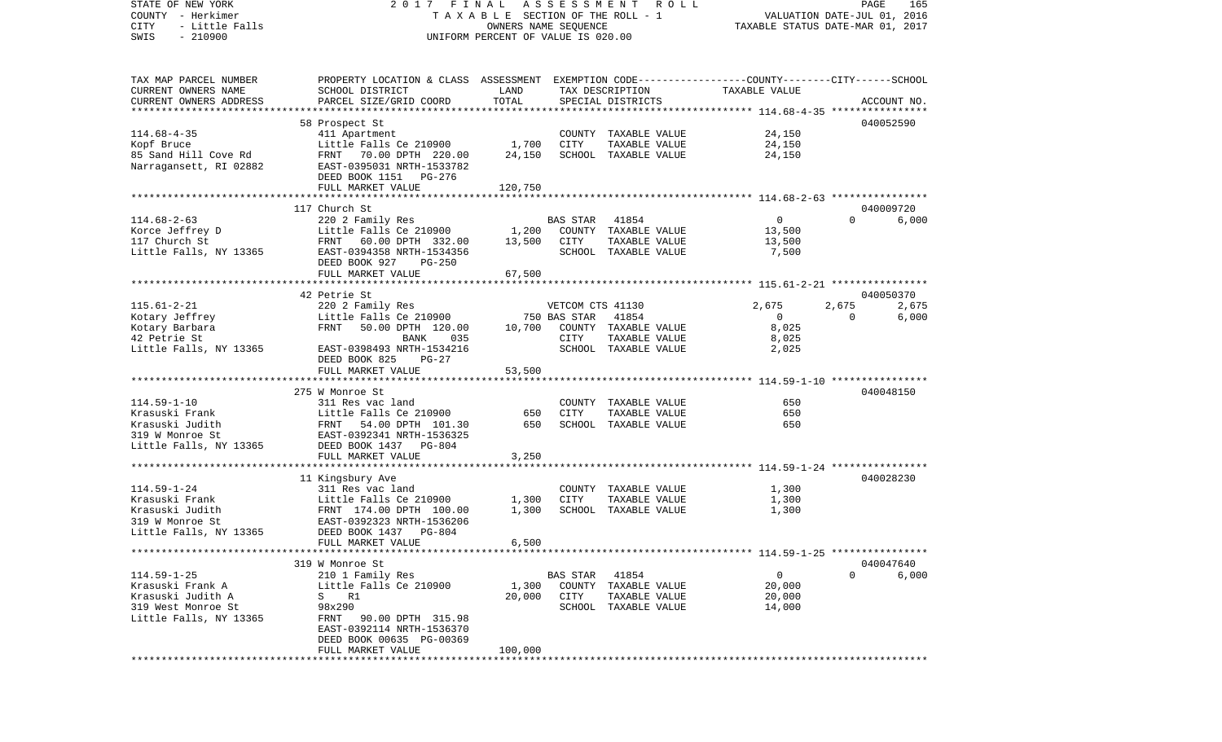| STATE OF NEW YORK                     | FINAL<br>2017                                                                                   |                                    | A S S E S S M E N T | ROLL                                  |                                  | PAGE                        | 165         |
|---------------------------------------|-------------------------------------------------------------------------------------------------|------------------------------------|---------------------|---------------------------------------|----------------------------------|-----------------------------|-------------|
| COUNTY - Herkimer                     |                                                                                                 |                                    |                     | TAXABLE SECTION OF THE ROLL - 1       |                                  | VALUATION DATE-JUL 01, 2016 |             |
| - Little Falls<br>CITY                |                                                                                                 | OWNERS NAME SEQUENCE               |                     |                                       | TAXABLE STATUS DATE-MAR 01, 2017 |                             |             |
| $-210900$<br>SWIS                     |                                                                                                 | UNIFORM PERCENT OF VALUE IS 020.00 |                     |                                       |                                  |                             |             |
| TAX MAP PARCEL NUMBER                 | PROPERTY LOCATION & CLASS ASSESSMENT EXEMPTION CODE---------------COUNTY-------CITY------SCHOOL |                                    |                     |                                       |                                  |                             |             |
| CURRENT OWNERS NAME                   | SCHOOL DISTRICT                                                                                 | LAND                               |                     | TAX DESCRIPTION                       | TAXABLE VALUE                    |                             |             |
| CURRENT OWNERS ADDRESS                | PARCEL SIZE/GRID COORD                                                                          | TOTAL                              |                     | SPECIAL DISTRICTS                     |                                  |                             | ACCOUNT NO. |
|                                       |                                                                                                 |                                    |                     |                                       |                                  |                             |             |
|                                       | 58 Prospect St                                                                                  |                                    |                     |                                       |                                  |                             | 040052590   |
| $114.68 - 4 - 35$<br>Kopf Bruce       | 411 Apartment<br>Little Falls Ce 210900                                                         | 1,700                              | CITY                | COUNTY TAXABLE VALUE<br>TAXABLE VALUE | 24,150<br>24,150                 |                             |             |
| 85 Sand Hill Cove Rd                  | FRNT 70.00 DPTH 220.00                                                                          | 24,150                             |                     | SCHOOL TAXABLE VALUE                  | 24,150                           |                             |             |
| Narragansett, RI 02882                | EAST-0395031 NRTH-1533782<br>DEED BOOK 1151 PG-276                                              |                                    |                     |                                       |                                  |                             |             |
|                                       | FULL MARKET VALUE                                                                               | 120,750                            |                     |                                       |                                  |                             |             |
|                                       |                                                                                                 |                                    |                     |                                       |                                  |                             |             |
|                                       | 117 Church St                                                                                   |                                    |                     |                                       |                                  |                             | 040009720   |
| $114.68 - 2 - 63$                     | 220 2 Family Res                                                                                |                                    | BAS STAR            | 41854                                 | $\overline{0}$                   | $\Omega$                    | 6,000       |
| Korce Jeffrey D<br>117 Church St      | Little Falls Ce 210900                                                                          | 1,200                              |                     | COUNTY TAXABLE VALUE                  | 13,500                           |                             |             |
| Little Falls, NY 13365                | FRNT 60.00 DPTH 332.00<br>EAST-0394358 NRTH-1534356                                             | 13,500                             | CITY                | TAXABLE VALUE<br>SCHOOL TAXABLE VALUE | 13,500<br>7,500                  |                             |             |
|                                       | DEED BOOK 927<br>$PG-250$                                                                       |                                    |                     |                                       |                                  |                             |             |
|                                       | FULL MARKET VALUE                                                                               | 67,500                             |                     |                                       |                                  |                             |             |
|                                       |                                                                                                 |                                    |                     |                                       |                                  |                             |             |
|                                       | 42 Petrie St                                                                                    |                                    |                     |                                       |                                  |                             | 040050370   |
| $115.61 - 2 - 21$                     | 220 2 Family Res                                                                                |                                    | VETCOM CTS 41130    |                                       | 2,675                            | 2,675                       | 2,675       |
| Kotary Jeffrey                        | Little Falls Ce 210900                                                                          |                                    | 750 BAS STAR        | 41854                                 | $\overline{0}$                   | $\Omega$                    | 6,000       |
| Kotary Barbara                        | FRNT<br>50.00 DPTH 120.00                                                                       | 10,700                             |                     | COUNTY TAXABLE VALUE                  | 8,025                            |                             |             |
| 42 Petrie St                          | BANK<br>035                                                                                     |                                    | CITY                | TAXABLE VALUE                         | 8,025                            |                             |             |
| Little Falls, NY 13365                | EAST-0398493 NRTH-1534216<br>DEED BOOK 825<br>$PG-27$                                           |                                    |                     | SCHOOL TAXABLE VALUE                  | 2,025                            |                             |             |
|                                       | FULL MARKET VALUE                                                                               | 53,500                             |                     |                                       |                                  |                             |             |
|                                       |                                                                                                 |                                    |                     |                                       |                                  |                             |             |
|                                       | 275 W Monroe St                                                                                 |                                    |                     |                                       |                                  |                             | 040048150   |
| $114.59 - 1 - 10$                     | 311 Res vac land                                                                                |                                    |                     | COUNTY TAXABLE VALUE                  | 650                              |                             |             |
| Krasuski Frank                        | Little Falls Ce 210900                                                                          | 650                                | CITY                | TAXABLE VALUE                         | 650                              |                             |             |
| Krasuski Judith                       | FRNT 54.00 DPTH 101.30                                                                          | 650                                |                     | SCHOOL TAXABLE VALUE                  | 650                              |                             |             |
| 319 W Monroe St                       | EAST-0392341 NRTH-1536325                                                                       |                                    |                     |                                       |                                  |                             |             |
| Little Falls, NY 13365                | DEED BOOK 1437 PG-804                                                                           |                                    |                     |                                       |                                  |                             |             |
|                                       | FULL MARKET VALUE                                                                               | 3,250                              |                     |                                       |                                  |                             |             |
|                                       | 11 Kingsbury Ave                                                                                |                                    |                     |                                       |                                  |                             | 040028230   |
| $114.59 - 1 - 24$                     | 311 Res vac land                                                                                |                                    |                     | COUNTY TAXABLE VALUE                  | 1,300                            |                             |             |
| Krasuski Frank                        | Little Falls Ce 210900                                                                          | 1,300                              | CITY                | TAXABLE VALUE                         | 1,300                            |                             |             |
| Krasuski Judith                       | FRNT 174.00 DPTH 100.00                                                                         | 1,300                              |                     | SCHOOL TAXABLE VALUE                  | 1,300                            |                             |             |
| 319 W Monroe St                       | EAST-0392323 NRTH-1536206                                                                       |                                    |                     |                                       |                                  |                             |             |
| Little Falls, NY 13365                | DEED BOOK 1437<br>PG-804                                                                        |                                    |                     |                                       |                                  |                             |             |
|                                       | FULL MARKET VALUE                                                                               | 6,500                              |                     |                                       |                                  |                             |             |
|                                       |                                                                                                 |                                    |                     |                                       |                                  |                             |             |
|                                       | 319 W Monroe St                                                                                 |                                    |                     |                                       |                                  | $\Omega$                    | 040047640   |
| $114.59 - 1 - 25$<br>Krasuski Frank A | 210 1 Family Res<br>Little Falls Ce 210900                                                      | 1,300                              | BAS STAR 41854      | COUNTY TAXABLE VALUE                  | $\overline{0}$<br>20,000         |                             | 6,000       |
| Krasuski Judith A                     | S R1                                                                                            | 20,000                             | CITY                | TAXABLE VALUE                         | 20,000                           |                             |             |
| 319 West Monroe St                    | 98x290                                                                                          |                                    |                     | SCHOOL TAXABLE VALUE                  | 14,000                           |                             |             |
| Little Falls, NY 13365                | FRNT 90.00 DPTH 315.98                                                                          |                                    |                     |                                       |                                  |                             |             |
|                                       | EAST-0392114 NRTH-1536370                                                                       |                                    |                     |                                       |                                  |                             |             |
|                                       | DEED BOOK 00635 PG-00369                                                                        |                                    |                     |                                       |                                  |                             |             |
|                                       | FULL MARKET VALUE                                                                               | 100,000                            |                     |                                       |                                  |                             |             |
|                                       |                                                                                                 |                                    |                     |                                       |                                  |                             |             |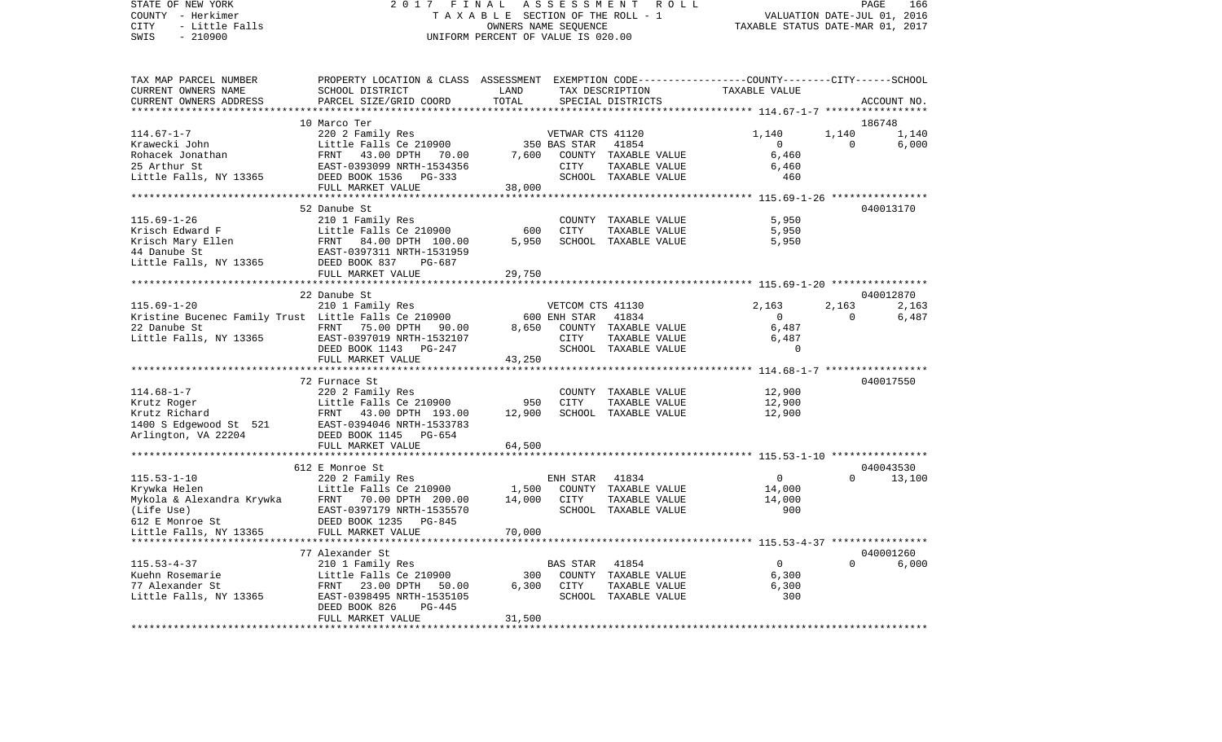STATE OF NEW YORK 2 0 1 7 F I N A L A S S E S S M E N T R O L L PAGE 166VALUATION DATE-JUL 01, 2016 COUNTY - Herkimer T A X A B L E SECTION OF THE ROLL - 1 CITY - Little Falls OWNERS NAME SEQUENCE TAXABLE STATUS DATE-MAR 01, 2017 SWIS - 210900 UNIFORM PERCENT OF VALUE IS 020.00TAX MAP PARCEL NUMBER PROPERTY LOCATION & CLASS ASSESSMENT EXEMPTION CODE------------------COUNTY--------CITY------SCHOOL CURRENT OWNERS NAME SCHOOL DISTRICT LAND TAX DESCRIPTION TAXABLE VALUECURRENT OWNERS ADDRESS PARCEL SIZE/GRID COORD TOTAL SPECIAL DISTRICTS ACCOUNT NO. \*\*\*\*\*\*\*\*\*\*\*\*\*\*\*\*\*\*\*\*\*\*\*\*\*\*\*\*\*\*\*\*\*\*\*\*\*\*\*\*\*\*\*\*\*\*\*\*\*\*\*\*\*\*\*\*\*\*\*\*\*\*\*\*\*\*\*\*\*\*\*\*\*\*\*\*\*\*\*\*\*\*\*\*\*\*\*\*\*\*\*\*\*\*\*\*\*\*\*\*\*\*\* 114.67-1-7 \*\*\*\*\*\*\*\*\*\*\*\*\*\*\*\*\* 10 Marco Ter 186748114.67-1-7 220 2 Family Res VETWAR CTS 41120 1,140 1,140 1,140 Krawecki John Little Falls Ce 210900 350 BAS STAR 41854 0 0 6,000 Rohacek Jonathan 6,460 FRNT 43.00 DPTH 70.00 7,600 COUNTY TAXABLE VALUE 6,460 25 Arthur St EAST-0393099 NRTH-1534356 CITY TAXABLE VALUE 6,460 Little Falls, NY 13365 DEED BOOK 1536 PG-333 SCHOOL TAXABLE VALUE 460 FULL MARKET VALUE 38,000 \*\*\*\*\*\*\*\*\*\*\*\*\*\*\*\*\*\*\*\*\*\*\*\*\*\*\*\*\*\*\*\*\*\*\*\*\*\*\*\*\*\*\*\*\*\*\*\*\*\*\*\*\*\*\*\*\*\*\*\*\*\*\*\*\*\*\*\*\*\*\*\*\*\*\*\*\*\*\*\*\*\*\*\*\*\*\*\*\*\*\*\*\*\*\*\*\*\*\*\*\*\*\* 115.69-1-26 \*\*\*\*\*\*\*\*\*\*\*\*\*\*\*\* 52 Danube St 040013170115.69-1-26 210 1 Family Res COUNTY TAXABLE VALUE 5,950 Krisch Edward F **Eduard F** Little Falls Ce 210900 600 CITY TAXABLE VALUE 5,950 Krisch Mary Ellen FRNT 84.00 DPTH 100.00 5,950 SCHOOL TAXABLE VALUE 5,950 44 Danube St EAST-0397311 NRTH-1531959Little Falls, NY 13365 DEED BOOK 837 PG-687 FULL MARKET VALUE 29,750 \*\*\*\*\*\*\*\*\*\*\*\*\*\*\*\*\*\*\*\*\*\*\*\*\*\*\*\*\*\*\*\*\*\*\*\*\*\*\*\*\*\*\*\*\*\*\*\*\*\*\*\*\*\*\*\*\*\*\*\*\*\*\*\*\*\*\*\*\*\*\*\*\*\*\*\*\*\*\*\*\*\*\*\*\*\*\*\*\*\*\*\*\*\*\*\*\*\*\*\*\*\*\* 115.69-1-20 \*\*\*\*\*\*\*\*\*\*\*\*\*\*\*\* 22 Danube St 0400128702.163 115.69-1-20 210 1 Family Res VETCOM CTS 41130 2,163 2,163 2,163 Kristine Bucenec Family Trust Little Falls Ce 210900 600 ENH STAR 41834 0 0 6,487 22 Danube St FRNT 75.00 DPTH 90.00 8,650 COUNTY TAXABLE VALUE 6,487 Little Falls, NY 13365 EAST-0397019 NRTH-1532107 CITY TAXABLE VALUE 6,487 DEED BOOK 1143 PG-247 SCHOOL TAXABLE VALUE 0 FULL MARKET VALUE 43,250 \*\*\*\*\*\*\*\*\*\*\*\*\*\*\*\*\*\*\*\*\*\*\*\*\*\*\*\*\*\*\*\*\*\*\*\*\*\*\*\*\*\*\*\*\*\*\*\*\*\*\*\*\*\*\*\*\*\*\*\*\*\*\*\*\*\*\*\*\*\*\*\*\*\*\*\*\*\*\*\*\*\*\*\*\*\*\*\*\*\*\*\*\*\*\*\*\*\*\*\*\*\*\* 114.68-1-7 \*\*\*\*\*\*\*\*\*\*\*\*\*\*\*\*\* 72 Furnace St 040017550114.68-1-7 220 2 Family Res COUNTY TAXABLE VALUE 12,900 Krutz Roger Little Falls Ce 210900 950 CITY TAXABLE VALUE 12,900 Krutz Richard **FRNT 43.00 DPTH 193.00** 12,900 SCHOOL TAXABLE VALUE 12,900 1400 S Edgewood St 521 EAST-0394046 NRTH-1533783 Arlington, VA 22204 DEED BOOK 1145 PG-654 FULL MARKET VALUE 64,500 \*\*\*\*\*\*\*\*\*\*\*\*\*\*\*\*\*\*\*\*\*\*\*\*\*\*\*\*\*\*\*\*\*\*\*\*\*\*\*\*\*\*\*\*\*\*\*\*\*\*\*\*\*\*\*\*\*\*\*\*\*\*\*\*\*\*\*\*\*\*\*\*\*\*\*\*\*\*\*\*\*\*\*\*\*\*\*\*\*\*\*\*\*\*\*\*\*\*\*\*\*\*\* 115.53-1-10 \*\*\*\*\*\*\*\*\*\*\*\*\*\*\*\* 612 E Monroe St 040043530115.53-1-10 220 2 Family Res ENH STAR 41834 0 0 13,100 Krywka Helen Little Falls Ce 210900 1,500 COUNTY TAXABLE VALUE 14,000 Mykola & Alexandra Krywka FRNT 70.00 DPTH 200.00 14,000 CITY TAXABLE VALUE 14,000  $(Life Use)$  EAST-0397179 NRTH-1535570 612 E Monroe St DEED BOOK 1235 PG-845Little Falls, NY 13365 FULL MARKET VALUE 70,000 \*\*\*\*\*\*\*\*\*\*\*\*\*\*\*\*\*\*\*\*\*\*\*\*\*\*\*\*\*\*\*\*\*\*\*\*\*\*\*\*\*\*\*\*\*\*\*\*\*\*\*\*\*\*\*\*\*\*\*\*\*\*\*\*\*\*\*\*\*\*\*\*\*\*\*\*\*\*\*\*\*\*\*\*\*\*\*\*\*\*\*\*\*\*\*\*\*\*\*\*\*\*\* 115.53-4-37 \*\*\*\*\*\*\*\*\*\*\*\*\*\*\*\* 77 Alexander St 040001260115.53-4-37 210 1 Family Res BAS STAR 41854 0 0 6,000 Kuehn Rosemarie Little Falls Ce 210900 300 COUNTY TAXABLE VALUE 6,300 77 Alexander St FRNT 23.00 DPTH 50.00 6,300 CITY TAXABLE VALUE 6,300 Little Falls, NY 13365 EAST-0398495 NRTH-1535105 SCHOOL TAXABLE VALUE 300 DEED BOOK 826 PG-445 FULL MARKET VALUE 31,500

\*\*\*\*\*\*\*\*\*\*\*\*\*\*\*\*\*\*\*\*\*\*\*\*\*\*\*\*\*\*\*\*\*\*\*\*\*\*\*\*\*\*\*\*\*\*\*\*\*\*\*\*\*\*\*\*\*\*\*\*\*\*\*\*\*\*\*\*\*\*\*\*\*\*\*\*\*\*\*\*\*\*\*\*\*\*\*\*\*\*\*\*\*\*\*\*\*\*\*\*\*\*\*\*\*\*\*\*\*\*\*\*\*\*\*\*\*\*\*\*\*\*\*\*\*\*\*\*\*\*\*\*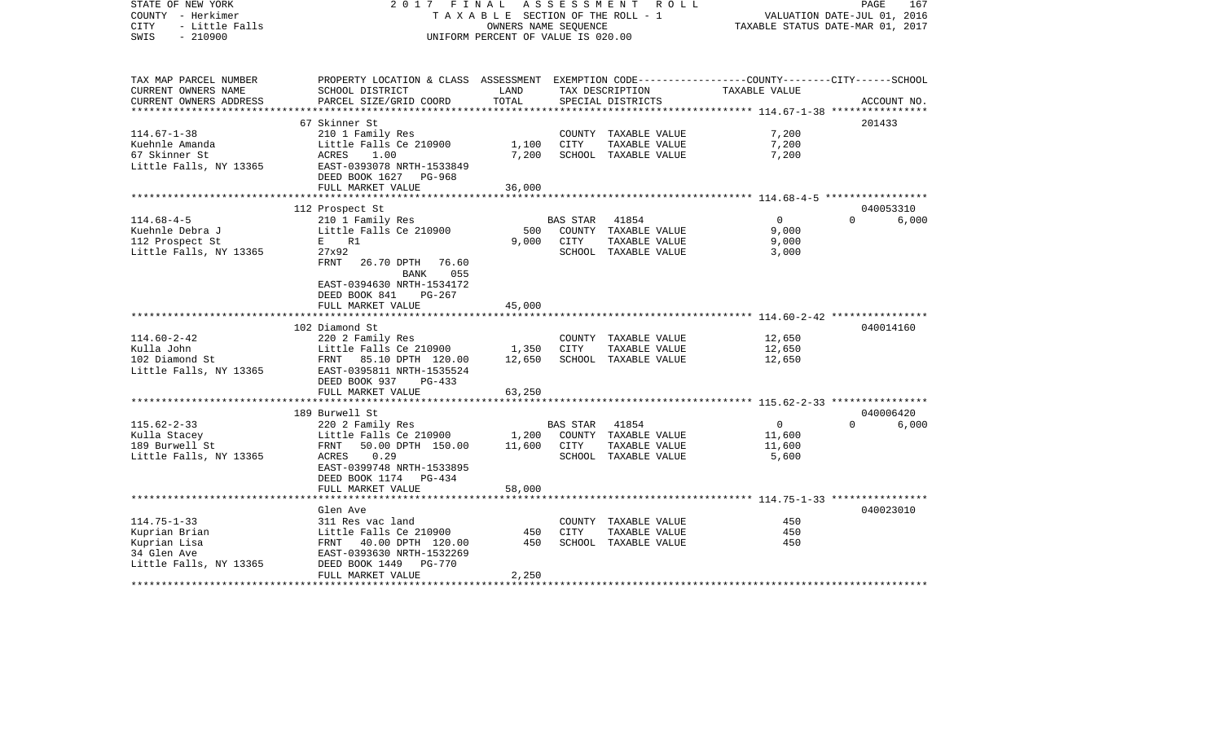| STATE OF NEW YORK<br>COUNTY - Herkimer<br>CITY<br>- Little Falls<br>SWIS<br>$-210900$       | 2017                                                                                                                                                             | FINAL<br>T A X A B L E SECTION OF THE ROLL - 1<br>OWNERS NAME SEQUENCE<br>UNIFORM PERCENT OF VALUE IS 020.00 | A S S E S S M E N T     | R O L L                                                                |                                                                    | PAGE<br>167<br>VALUATION DATE-JUL 01, 2016<br>TAXABLE STATUS DATE-MAR 01, 2017 |
|---------------------------------------------------------------------------------------------|------------------------------------------------------------------------------------------------------------------------------------------------------------------|--------------------------------------------------------------------------------------------------------------|-------------------------|------------------------------------------------------------------------|--------------------------------------------------------------------|--------------------------------------------------------------------------------|
| TAX MAP PARCEL NUMBER<br>CURRENT OWNERS NAME<br>CURRENT OWNERS ADDRESS                      | PROPERTY LOCATION & CLASS ASSESSMENT EXEMPTION CODE----------------COUNTY-------CITY------SCHOOL<br>SCHOOL DISTRICT<br>PARCEL SIZE/GRID COORD                    | LAND<br>TOTAL                                                                                                |                         | TAX DESCRIPTION<br>SPECIAL DISTRICTS                                   | TAXABLE VALUE                                                      | ACCOUNT NO.                                                                    |
|                                                                                             |                                                                                                                                                                  |                                                                                                              |                         |                                                                        |                                                                    |                                                                                |
| $114.67 - 1 - 38$<br>Kuehnle Amanda<br>67 Skinner St<br>Little Falls, NY 13365              | 67 Skinner St<br>210 1 Family Res<br>Little Falls Ce 210900<br>1.00<br>ACRES<br>EAST-0393078 NRTH-1533849<br>DEED BOOK 1627<br>PG-968                            | 1,100<br>7,200                                                                                               | CITY                    | COUNTY TAXABLE VALUE<br>TAXABLE VALUE<br>SCHOOL TAXABLE VALUE          | 7,200<br>7,200<br>7,200                                            | 201433                                                                         |
|                                                                                             | FULL MARKET VALUE                                                                                                                                                | 36,000                                                                                                       |                         |                                                                        |                                                                    |                                                                                |
| $114.68 - 4 - 5$                                                                            | 112 Prospect St<br>210 1 Family Res                                                                                                                              |                                                                                                              | BAS STAR                | 41854                                                                  | $\mathbf 0$                                                        | 040053310<br>$\Omega$<br>6,000                                                 |
| Kuehnle Debra J<br>112 Prospect St<br>Little Falls, NY 13365                                | Little Falls Ce 210900<br>E R1<br>27x92<br><b>FRNT</b><br>26.70 DPTH<br>76.60<br>BANK<br>055                                                                     | 500<br>9,000                                                                                                 | <b>CITY</b>             | COUNTY TAXABLE VALUE<br>TAXABLE VALUE<br>SCHOOL TAXABLE VALUE          | 9,000<br>9,000<br>3,000                                            |                                                                                |
|                                                                                             | EAST-0394630 NRTH-1534172<br>DEED BOOK 841<br>$PG-267$<br>FULL MARKET VALUE                                                                                      | 45,000                                                                                                       |                         |                                                                        | ************************************ 114.60-2-42 ***************** |                                                                                |
|                                                                                             | 102 Diamond St                                                                                                                                                   |                                                                                                              |                         |                                                                        |                                                                    | 040014160                                                                      |
| $114.60 - 2 - 42$<br>Kulla John<br>102 Diamond St<br>Little Falls, NY 13365                 | 220 2 Family Res<br>Little Falls Ce 210900<br>FRNT 85.10 DPTH 120.00<br>EAST-0395811 NRTH-1535524<br>DEED BOOK 937<br>$PG-433$                                   | 1,350<br>12,650                                                                                              | CITY                    | COUNTY TAXABLE VALUE<br>TAXABLE VALUE<br>SCHOOL TAXABLE VALUE          | 12,650<br>12,650<br>12,650                                         |                                                                                |
|                                                                                             | FULL MARKET VALUE                                                                                                                                                | 63,250                                                                                                       |                         |                                                                        |                                                                    |                                                                                |
|                                                                                             |                                                                                                                                                                  |                                                                                                              |                         |                                                                        | ******************** 115.62-2-33 ****************                  | 040006420                                                                      |
| $115.62 - 2 - 33$<br>Kulla Stacey<br>189 Burwell St<br>Little Falls, NY 13365               | 189 Burwell St<br>220 2 Family Res<br>Little Falls Ce 210900<br>50.00 DPTH 150.00<br>FRNT<br>ACRES<br>0.29<br>EAST-0399748 NRTH-1533895<br>DEED BOOK 1174 PG-434 | 1,200<br>11,600                                                                                              | <b>BAS STAR</b><br>CITY | 41854<br>COUNTY TAXABLE VALUE<br>TAXABLE VALUE<br>SCHOOL TAXABLE VALUE | $\mathbf 0$<br>11,600<br>11,600<br>5,600                           | $\Omega$<br>6,000                                                              |
|                                                                                             | FULL MARKET VALUE                                                                                                                                                | 58,000                                                                                                       |                         |                                                                        |                                                                    |                                                                                |
|                                                                                             | ****************************                                                                                                                                     |                                                                                                              |                         |                                                                        |                                                                    |                                                                                |
| $114.75 - 1 - 33$<br>Kuprian Brian<br>Kuprian Lisa<br>34 Glen Ave<br>Little Falls, NY 13365 | Glen Ave<br>311 Res vac land<br>Little Falls Ce 210900<br>40.00 DPTH 120.00<br>FRNT<br>EAST-0393630 NRTH-1532269<br>DEED BOOK 1449<br><b>PG-770</b>              | 450<br>450                                                                                                   | CITY                    | COUNTY TAXABLE VALUE<br>TAXABLE VALUE<br>SCHOOL TAXABLE VALUE          | 450<br>450<br>450                                                  | 040023010                                                                      |
|                                                                                             | FULL MARKET VALUE                                                                                                                                                | 2,250                                                                                                        |                         |                                                                        |                                                                    |                                                                                |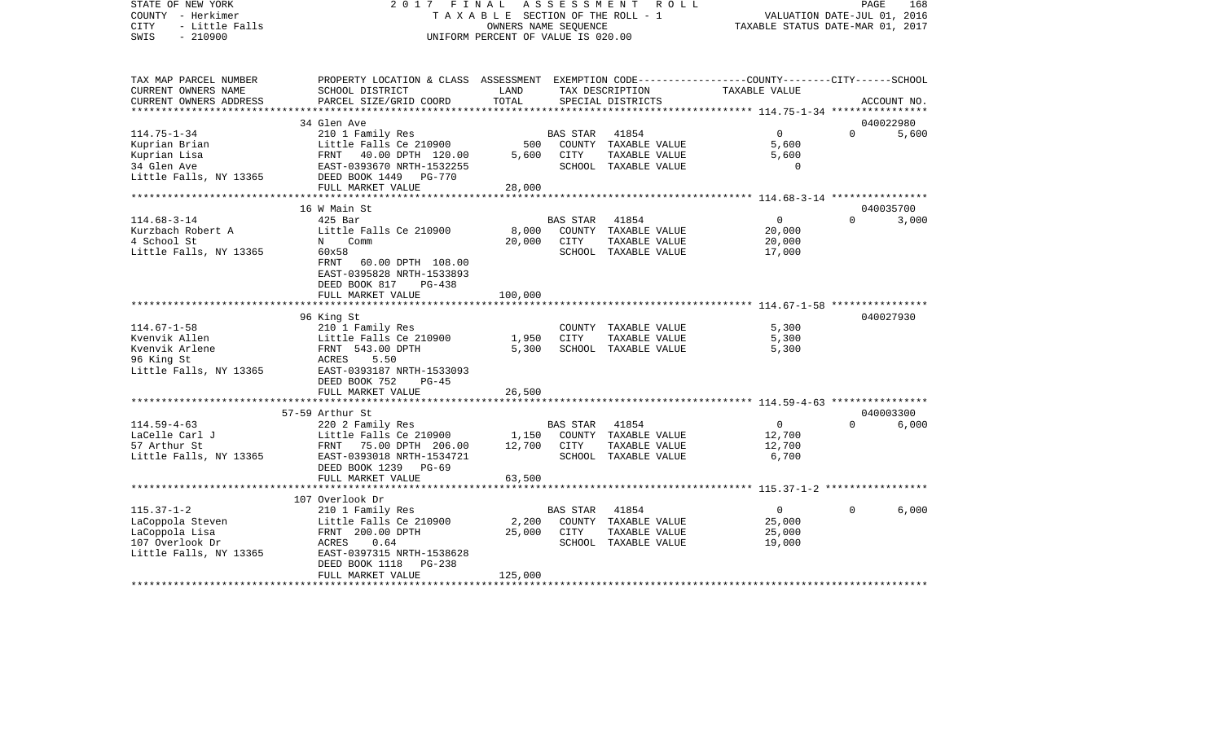| STATE OF NEW YORK<br>COUNTY - Herkimer<br><b>CITY</b><br>- Little Falls<br>$-210900$<br>SWIS | FINAL<br>2017                                                                                                                                | TAXABLE SECTION OF THE ROLL - 1<br>OWNERS NAME SEOUENCE<br>UNIFORM PERCENT OF VALUE IS 020.00 | ASSESSMENT      | R O L L                               | VALUATION DATE-JUL 01, 2016<br>TAXABLE STATUS DATE-MAR 01, 2017 | PAGE     | 168         |
|----------------------------------------------------------------------------------------------|----------------------------------------------------------------------------------------------------------------------------------------------|-----------------------------------------------------------------------------------------------|-----------------|---------------------------------------|-----------------------------------------------------------------|----------|-------------|
| TAX MAP PARCEL NUMBER<br>CURRENT OWNERS NAME<br>CURRENT OWNERS ADDRESS                       | PROPERTY LOCATION & CLASS ASSESSMENT EXEMPTION CODE---------------COUNTY-------CITY------SCHOOL<br>SCHOOL DISTRICT<br>PARCEL SIZE/GRID COORD | LAND<br>TOTAL                                                                                 |                 | TAX DESCRIPTION<br>SPECIAL DISTRICTS  | TAXABLE VALUE                                                   |          | ACCOUNT NO. |
| **********************                                                                       |                                                                                                                                              |                                                                                               |                 |                                       |                                                                 |          |             |
|                                                                                              | 34 Glen Ave                                                                                                                                  |                                                                                               |                 |                                       |                                                                 | $\Omega$ | 040022980   |
| $114.75 - 1 - 34$                                                                            | 210 1 Family Res                                                                                                                             | 500                                                                                           | <b>BAS STAR</b> | 41854                                 | $\overline{0}$<br>5,600                                         |          | 5,600       |
| Kuprian Brian<br>Kuprian Lisa                                                                | Little Falls Ce 210900<br>FRNT 40.00 DPTH 120.00                                                                                             | 5,600                                                                                         | CITY            | COUNTY TAXABLE VALUE<br>TAXABLE VALUE | 5,600                                                           |          |             |
| 34 Glen Ave                                                                                  | EAST-0393670 NRTH-1532255                                                                                                                    |                                                                                               |                 | SCHOOL TAXABLE VALUE                  | $\Omega$                                                        |          |             |
| Little Falls, NY 13365                                                                       | DEED BOOK 1449<br><b>PG-770</b>                                                                                                              |                                                                                               |                 |                                       |                                                                 |          |             |
|                                                                                              | FULL MARKET VALUE                                                                                                                            | 28,000                                                                                        |                 |                                       |                                                                 |          |             |
|                                                                                              | ***********************                                                                                                                      | * * * * * * * * * * * * *                                                                     |                 |                                       |                                                                 |          |             |
|                                                                                              | 16 W Main St                                                                                                                                 |                                                                                               |                 |                                       |                                                                 |          | 040035700   |
| $114.68 - 3 - 14$                                                                            | $425$ Bar                                                                                                                                    |                                                                                               | BAS STAR        | 41854                                 | $\mathbf{0}$                                                    | $\Omega$ | 3,000       |
| Kurzbach Robert A                                                                            | Little Falls Ce 210900                                                                                                                       | 8,000                                                                                         |                 | COUNTY TAXABLE VALUE                  | 20,000                                                          |          |             |
| 4 School St                                                                                  | Comm<br>$\mathbf N$                                                                                                                          | 20,000                                                                                        | CITY            | TAXABLE VALUE                         | 20,000                                                          |          |             |
| Little Falls, NY 13365                                                                       | 60x58<br>FRNT<br>60.00 DPTH 108.00<br>EAST-0395828 NRTH-1533893<br>DEED BOOK 817<br>$PG-438$<br>FULL MARKET VALUE                            | 100,000                                                                                       |                 | SCHOOL TAXABLE VALUE                  | 17,000                                                          |          |             |
|                                                                                              |                                                                                                                                              |                                                                                               |                 |                                       |                                                                 |          |             |
|                                                                                              | 96 King St                                                                                                                                   |                                                                                               |                 |                                       |                                                                 |          | 040027930   |
| $114.67 - 1 - 58$                                                                            | 210 1 Family Res                                                                                                                             |                                                                                               |                 | COUNTY TAXABLE VALUE                  | 5,300                                                           |          |             |
| Kvenvik Allen                                                                                | Little Falls Ce 210900                                                                                                                       | 1,950                                                                                         | <b>CITY</b>     | TAXABLE VALUE                         | 5,300                                                           |          |             |
| Kvenvik Arlene                                                                               | FRNT 543.00 DPTH                                                                                                                             | 5,300                                                                                         |                 | SCHOOL TAXABLE VALUE                  | 5,300                                                           |          |             |
| 96 King St                                                                                   | ACRES<br>5.50                                                                                                                                |                                                                                               |                 |                                       |                                                                 |          |             |
| Little Falls, NY 13365                                                                       | EAST-0393187 NRTH-1533093                                                                                                                    |                                                                                               |                 |                                       |                                                                 |          |             |
|                                                                                              | DEED BOOK 752<br>$PG-45$                                                                                                                     |                                                                                               |                 |                                       |                                                                 |          |             |
|                                                                                              | FULL MARKET VALUE<br>********************                                                                                                    | 26,500<br>* * * * * * * * *                                                                   |                 |                                       |                                                                 |          |             |
|                                                                                              | 57-59 Arthur St                                                                                                                              |                                                                                               |                 |                                       | **************************** 114.59-4-63 ****************       |          | 040003300   |
| $114.59 - 4 - 63$                                                                            | 220 2 Family Res                                                                                                                             |                                                                                               | <b>BAS STAR</b> | 41854                                 | $\overline{0}$                                                  | $\Omega$ | 6,000       |
| LaCelle Carl J                                                                               | Little Falls Ce 210900                                                                                                                       | 1,150                                                                                         | COUNTY          | TAXABLE VALUE                         | 12,700                                                          |          |             |
| 57 Arthur St                                                                                 | FRNT 75.00 DPTH 206.00                                                                                                                       | 12,700                                                                                        | CITY            | TAXABLE VALUE                         | 12,700                                                          |          |             |
| Little Falls, NY 13365                                                                       | EAST-0393018 NRTH-1534721                                                                                                                    |                                                                                               |                 | SCHOOL TAXABLE VALUE                  | 6,700                                                           |          |             |
|                                                                                              | DEED BOOK 1239<br>$PG-69$                                                                                                                    |                                                                                               |                 |                                       |                                                                 |          |             |
|                                                                                              | FULL MARKET VALUE                                                                                                                            | 63,500                                                                                        |                 |                                       |                                                                 |          |             |
|                                                                                              |                                                                                                                                              |                                                                                               |                 |                                       |                                                                 |          |             |
|                                                                                              | 107 Overlook Dr                                                                                                                              |                                                                                               |                 |                                       |                                                                 |          |             |
| $115.37 - 1 - 2$                                                                             | 210 1 Family Res                                                                                                                             |                                                                                               | <b>BAS STAR</b> | 41854                                 | $\overline{0}$                                                  | $\Omega$ | 6,000       |
| LaCoppola Steven                                                                             | Little Falls Ce 210900                                                                                                                       | 2,200                                                                                         |                 | COUNTY TAXABLE VALUE                  | 25,000                                                          |          |             |
| LaCoppola Lisa                                                                               | FRNT 200.00 DPTH                                                                                                                             | 25,000                                                                                        | CITY            | TAXABLE VALUE                         | 25,000                                                          |          |             |
| 107 Overlook Dr<br>Little Falls, NY 13365                                                    | ACRES<br>0.64<br>EAST-0397315 NRTH-1538628                                                                                                   |                                                                                               |                 | SCHOOL TAXABLE VALUE                  | 19,000                                                          |          |             |
|                                                                                              | DEED BOOK 1118<br><b>PG-238</b>                                                                                                              |                                                                                               |                 |                                       |                                                                 |          |             |
|                                                                                              | FULL MARKET VALUE                                                                                                                            | 125,000                                                                                       |                 |                                       |                                                                 |          |             |
|                                                                                              |                                                                                                                                              |                                                                                               |                 |                                       |                                                                 |          |             |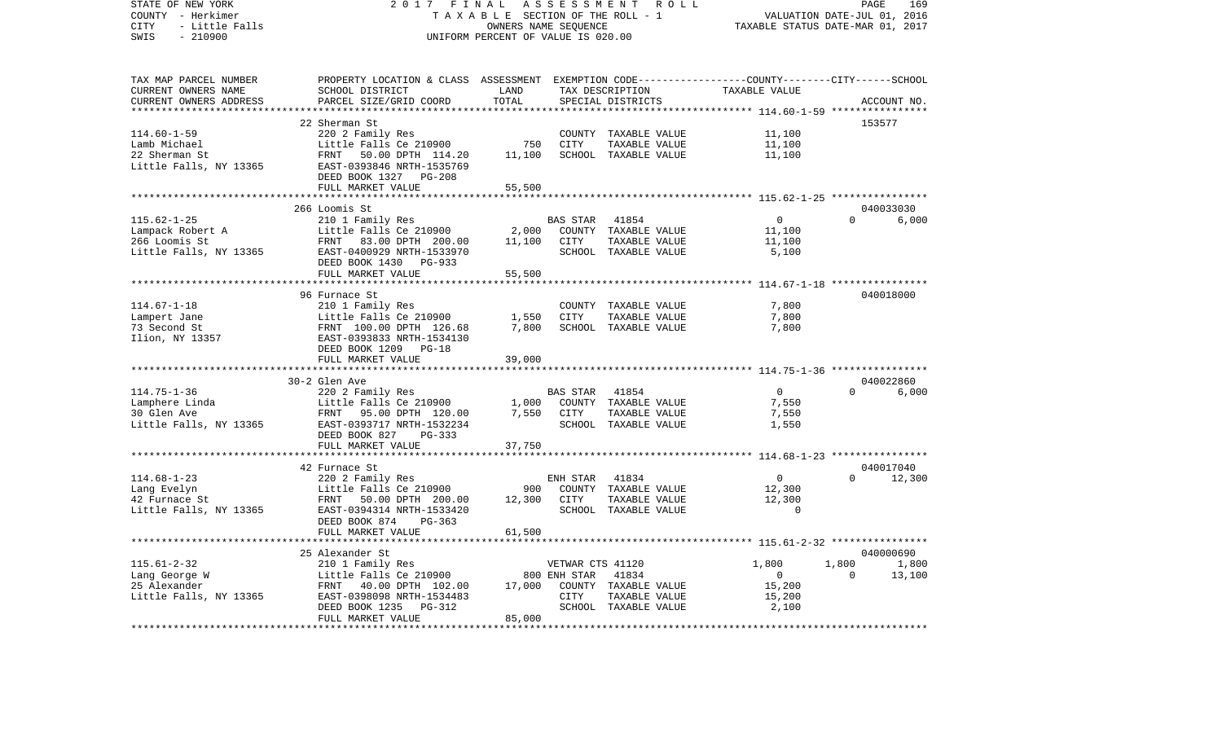| STATE OF NEW YORK<br>COUNTY - Herkimer<br>- Little Falls<br>CITY<br>SWIS<br>$-210900$ | 2017<br>FINAL                                                                                                      | TAXABLE SECTION OF THE ROLL - 1<br>OWNERS NAME SEQUENCE<br>UNIFORM PERCENT OF VALUE IS 020.00 | ASSESSMENT       | R O L L              | TAXABLE STATUS DATE-MAR 01, 2017               | PAGE<br>VALUATION DATE-JUL 01, 2016 | 169         |
|---------------------------------------------------------------------------------------|--------------------------------------------------------------------------------------------------------------------|-----------------------------------------------------------------------------------------------|------------------|----------------------|------------------------------------------------|-------------------------------------|-------------|
| TAX MAP PARCEL NUMBER<br>CURRENT OWNERS NAME                                          | PROPERTY LOCATION & CLASS ASSESSMENT EXEMPTION CODE---------------COUNTY-------CITY------SCHOOL<br>SCHOOL DISTRICT | LAND                                                                                          |                  | TAX DESCRIPTION      | TAXABLE VALUE                                  |                                     |             |
| CURRENT OWNERS ADDRESS                                                                | PARCEL SIZE/GRID COORD                                                                                             | TOTAL<br>*********                                                                            |                  | SPECIAL DISTRICTS    | *********** 114.60-1-59 *****************      |                                     | ACCOUNT NO. |
|                                                                                       | 22 Sherman St                                                                                                      |                                                                                               |                  |                      |                                                |                                     | 153577      |
| $114.60 - 1 - 59$                                                                     | 220 2 Family Res                                                                                                   |                                                                                               |                  | COUNTY TAXABLE VALUE | 11,100                                         |                                     |             |
| Lamb Michael                                                                          | Little Falls Ce 210900                                                                                             | 750                                                                                           | CITY             | TAXABLE VALUE        | 11,100                                         |                                     |             |
| 22 Sherman St                                                                         | FRNT<br>50.00 DPTH 114.20                                                                                          | 11,100                                                                                        |                  | SCHOOL TAXABLE VALUE | 11,100                                         |                                     |             |
| Little Falls, NY 13365                                                                | EAST-0393846 NRTH-1535769<br>DEED BOOK 1327 PG-208                                                                 |                                                                                               |                  |                      |                                                |                                     |             |
|                                                                                       | FULL MARKET VALUE                                                                                                  | 55,500                                                                                        |                  |                      |                                                |                                     |             |
|                                                                                       |                                                                                                                    |                                                                                               |                  |                      |                                                |                                     |             |
|                                                                                       | 266 Loomis St                                                                                                      |                                                                                               |                  |                      |                                                |                                     | 040033030   |
| $115.62 - 1 - 25$                                                                     | 210 1 Family Res                                                                                                   |                                                                                               | BAS STAR         | 41854                | 0                                              | $\Omega$                            | 6,000       |
| Lampack Robert A                                                                      | Little Falls Ce 210900                                                                                             | 2,000                                                                                         |                  | COUNTY TAXABLE VALUE | 11,100                                         |                                     |             |
| 266 Loomis St                                                                         | FRNT<br>83.00 DPTH 200.00                                                                                          | 11,100                                                                                        | CITY             | TAXABLE VALUE        | 11,100                                         |                                     |             |
| Little Falls, NY 13365                                                                | EAST-0400929 NRTH-1533970                                                                                          |                                                                                               |                  | SCHOOL TAXABLE VALUE | 5,100                                          |                                     |             |
|                                                                                       | DEED BOOK 1430 PG-933                                                                                              |                                                                                               |                  |                      |                                                |                                     |             |
|                                                                                       | FULL MARKET VALUE                                                                                                  | 55,500                                                                                        |                  |                      |                                                |                                     |             |
|                                                                                       |                                                                                                                    |                                                                                               |                  |                      | **************** 114.67-1-18 ***************** |                                     |             |
|                                                                                       | 96 Furnace St                                                                                                      |                                                                                               |                  |                      |                                                |                                     | 040018000   |
| $114.67 - 1 - 18$                                                                     | 210 1 Family Res                                                                                                   |                                                                                               |                  | COUNTY TAXABLE VALUE | 7,800                                          |                                     |             |
| Lampert Jane                                                                          | Little Falls Ce 210900                                                                                             | 1,550                                                                                         | CITY             | TAXABLE VALUE        | 7,800                                          |                                     |             |
| 73 Second St                                                                          | FRNT 100.00 DPTH 126.68                                                                                            | 7,800                                                                                         |                  | SCHOOL TAXABLE VALUE | 7,800                                          |                                     |             |
| Ilion, NY 13357                                                                       | EAST-0393833 NRTH-1534130                                                                                          |                                                                                               |                  |                      |                                                |                                     |             |
|                                                                                       | DEED BOOK 1209 PG-18                                                                                               |                                                                                               |                  |                      |                                                |                                     |             |
|                                                                                       | FULL MARKET VALUE                                                                                                  | 39,000                                                                                        |                  |                      |                                                |                                     |             |
|                                                                                       |                                                                                                                    |                                                                                               |                  |                      |                                                |                                     |             |
|                                                                                       | 30-2 Glen Ave                                                                                                      |                                                                                               |                  |                      |                                                |                                     | 040022860   |
| $114.75 - 1 - 36$                                                                     | 220 2 Family Res                                                                                                   |                                                                                               | BAS STAR         | 41854                | $\overline{0}$                                 | $\Omega$                            | 6,000       |
| Lamphere Linda                                                                        | Little Falls Ce 210900                                                                                             | 1,000                                                                                         |                  | COUNTY TAXABLE VALUE | 7,550                                          |                                     |             |
| 30 Glen Ave                                                                           | FRNT<br>95.00 DPTH 120.00                                                                                          | 7,550                                                                                         | CITY             | TAXABLE VALUE        | 7,550                                          |                                     |             |
| Little Falls, NY 13365                                                                | EAST-0393717 NRTH-1532234                                                                                          |                                                                                               |                  | SCHOOL TAXABLE VALUE | 1,550                                          |                                     |             |
|                                                                                       | DEED BOOK 827<br>PG-333                                                                                            |                                                                                               |                  |                      |                                                |                                     |             |
|                                                                                       | FULL MARKET VALUE                                                                                                  | 37,750                                                                                        |                  |                      |                                                |                                     |             |
|                                                                                       | 42 Furnace St                                                                                                      |                                                                                               |                  |                      | ************* 114.68-1-23 *****************    |                                     | 040017040   |
| $114.68 - 1 - 23$                                                                     | 220 2 Family Res                                                                                                   |                                                                                               | ENH STAR         | 41834                | $\overline{0}$                                 | $\Omega$                            | 12,300      |
| Lang Evelyn                                                                           | Little Falls Ce 210900                                                                                             | 900                                                                                           |                  | COUNTY TAXABLE VALUE | 12,300                                         |                                     |             |
| 42 Furnace St                                                                         | FRNT<br>50.00 DPTH 200.00                                                                                          | 12,300                                                                                        | CITY             | TAXABLE VALUE        | 12,300                                         |                                     |             |
| Little Falls, NY 13365                                                                | EAST-0394314 NRTH-1533420                                                                                          |                                                                                               |                  | SCHOOL TAXABLE VALUE | $\overline{0}$                                 |                                     |             |
|                                                                                       | DEED BOOK 874<br>PG-363                                                                                            |                                                                                               |                  |                      |                                                |                                     |             |
|                                                                                       | FULL MARKET VALUE                                                                                                  | 61,500                                                                                        |                  |                      |                                                |                                     |             |
|                                                                                       |                                                                                                                    |                                                                                               |                  |                      |                                                |                                     |             |
|                                                                                       | 25 Alexander St                                                                                                    |                                                                                               |                  |                      |                                                |                                     | 040000690   |
| $115.61 - 2 - 32$                                                                     | 210 1 Family Res                                                                                                   |                                                                                               | VETWAR CTS 41120 |                      | 1,800                                          | 1,800                               | 1,800       |
| Lang George W                                                                         | Little Falls Ce 210900                                                                                             |                                                                                               | 800 ENH STAR     | 41834                | $\overline{0}$                                 | $\Omega$                            | 13,100      |
| 25 Alexander                                                                          | FRNT<br>40.00 DPTH 102.00                                                                                          | 17,000                                                                                        |                  | COUNTY TAXABLE VALUE | 15,200                                         |                                     |             |
| Little Falls, NY 13365                                                                | EAST-0398098 NRTH-1534483                                                                                          |                                                                                               | CITY             | TAXABLE VALUE        | 15,200                                         |                                     |             |
|                                                                                       | DEED BOOK 1235<br>PG-312                                                                                           |                                                                                               |                  | SCHOOL TAXABLE VALUE | 2,100                                          |                                     |             |
|                                                                                       | FULL MARKET VALUE                                                                                                  | 85,000                                                                                        |                  |                      |                                                |                                     |             |
|                                                                                       | *************************                                                                                          | *************                                                                                 |                  |                      |                                                |                                     |             |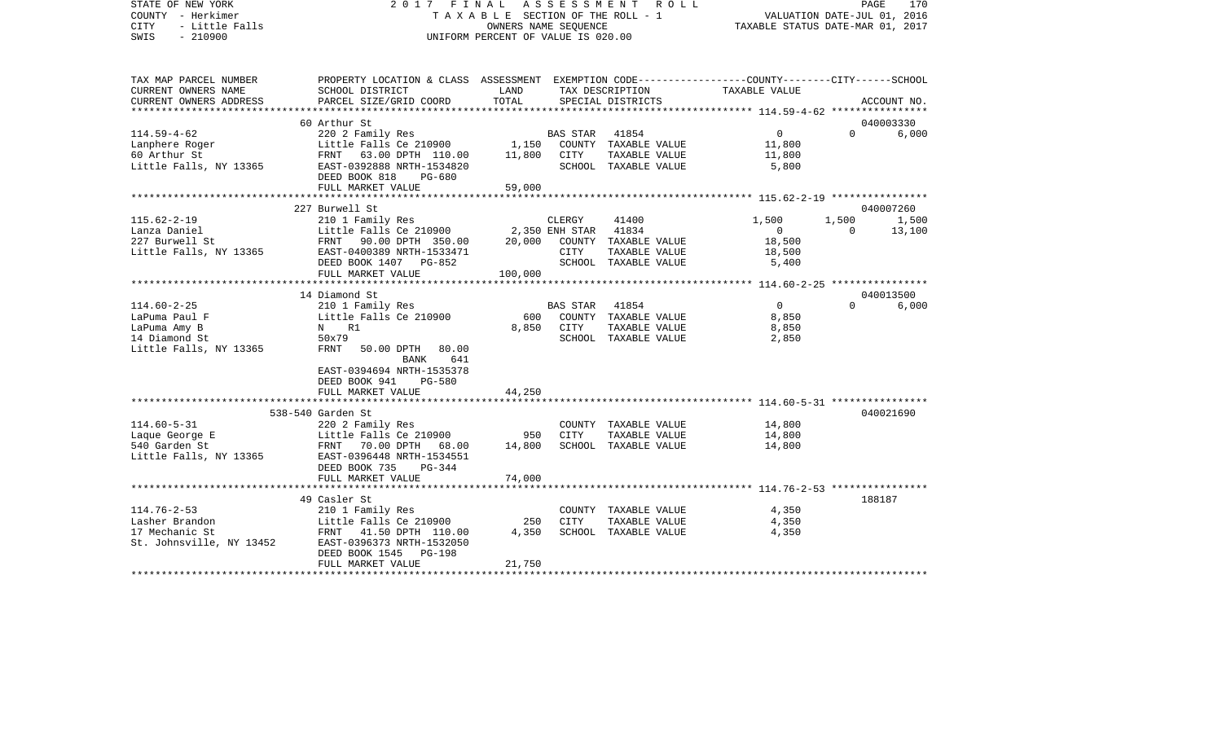| STATE OF NEW YORK<br>COUNTY - Herkimer<br><b>CITY</b><br>- Little Falls<br>$-210900$<br>SWIS |                                                                                                                                                                                                                                    | OWNERS NAME SEOUENCE<br>UNIFORM PERCENT OF VALUE IS 020.00 |                | 2017 FINAL ASSESSMENT ROLL<br>TAXABLE SECTION OF THE ROLL - 1 | VALUATION DATE-JUL 01, 2016<br>TAXABLE STATUS DATE-MAR 01, 2017 |                | PAGE<br>170 |
|----------------------------------------------------------------------------------------------|------------------------------------------------------------------------------------------------------------------------------------------------------------------------------------------------------------------------------------|------------------------------------------------------------|----------------|---------------------------------------------------------------|-----------------------------------------------------------------|----------------|-------------|
| TAX MAP PARCEL NUMBER<br>CURRENT OWNERS NAME                                                 | PROPERTY LOCATION & CLASS ASSESSMENT EXEMPTION CODE----------------COUNTY--------CITY------SCHOOL<br>SCHOOL DISTRICT                                                                                                               | LAND                                                       |                | TAX DESCRIPTION                                               | TAXABLE VALUE                                                   |                |             |
| CURRENT OWNERS ADDRESS                                                                       | PARCEL SIZE/GRID COORD                                                                                                                                                                                                             | TOTAL                                                      |                | SPECIAL DISTRICTS                                             |                                                                 |                | ACCOUNT NO. |
|                                                                                              |                                                                                                                                                                                                                                    |                                                            |                |                                                               | ******************** 114.59-4-62 *****************              |                |             |
|                                                                                              | 60 Arthur St                                                                                                                                                                                                                       |                                                            |                |                                                               |                                                                 |                | 040003330   |
|                                                                                              | 114.59-4-62<br>Lanphere Roger<br>Examples Examples Consumer State of Arthur State of Arthur State of Arthur State of Arthur State of Arthur State Consumer State of Arthur State Consumer State of Arthur State Consumer State Con |                                                            |                |                                                               | $0 \qquad \qquad$                                               | $\Omega$       | 6,000       |
|                                                                                              |                                                                                                                                                                                                                                    |                                                            |                |                                                               | 11,800                                                          |                |             |
|                                                                                              |                                                                                                                                                                                                                                    |                                                            |                |                                                               | 11,800                                                          |                |             |
|                                                                                              | DEED BOOK 818<br>PG-680                                                                                                                                                                                                            |                                                            |                |                                                               | 5,800                                                           |                |             |
|                                                                                              | FULL MARKET VALUE                                                                                                                                                                                                                  | 59,000                                                     |                |                                                               |                                                                 |                |             |
|                                                                                              |                                                                                                                                                                                                                                    |                                                            |                |                                                               |                                                                 |                |             |
|                                                                                              | 227 Burwell St                                                                                                                                                                                                                     |                                                            |                |                                                               |                                                                 |                | 040007260   |
| $115.62 - 2 - 19$                                                                            |                                                                                                                                                                                                                                    |                                                            |                | 41400                                                         | 1,500                                                           | 1,500          | 1,500       |
| Lanza Daniel                                                                                 | 210 1 Family Res CLERGY 41400<br>Little Falls Ce 210900 2,350 ENH STAR 41834                                                                                                                                                       |                                                            |                |                                                               | $\overline{0}$                                                  | $\overline{0}$ | 13,100      |
| Lanza Daniel<br>227 Burwell St                                                               | FRNT 90.00 DPTH 350.00                                                                                                                                                                                                             |                                                            |                | 20,000 COUNTY TAXABLE VALUE                                   | 18,500                                                          |                |             |
| Little Falls, NY 13365                                                                       | Little Falls Ce 210900<br>FRNT - 90.00 DPTH - 350.00<br>EAST-0400389 NRTH-1533471                                                                                                                                                  |                                                            | CITY           | TAXABLE VALUE                                                 | 18,500                                                          |                |             |
|                                                                                              | DEED BOOK 1407 PG-852                                                                                                                                                                                                              |                                                            |                | SCHOOL TAXABLE VALUE                                          | 5,400                                                           |                |             |
|                                                                                              | FULL MARKET VALUE                                                                                                                                                                                                                  | 100,000                                                    |                |                                                               |                                                                 |                |             |
|                                                                                              |                                                                                                                                                                                                                                    |                                                            |                |                                                               |                                                                 |                |             |
|                                                                                              | --amond St<br>210 1 Family Res<br>Little Falls Ce 210900<br>N R1<br>50-70                                                                                                                                                          |                                                            |                |                                                               |                                                                 |                | 040013500   |
| $114.60 - 2 - 25$                                                                            |                                                                                                                                                                                                                                    |                                                            | BAS STAR 41854 |                                                               | $\overline{0}$                                                  | $\Omega$       | 6,000       |
| LaPuma Paul F                                                                                |                                                                                                                                                                                                                                    |                                                            | 8,850 CITY     | 600 COUNTY TAXABLE VALUE<br>TAXABLE VALUE                     | 8,850                                                           |                |             |
| LaPuma Amy B<br>14 Diamond St                                                                | 50x79                                                                                                                                                                                                                              |                                                            |                | SCHOOL TAXABLE VALUE                                          | 8,850<br>2,850                                                  |                |             |
| Little Falls, NY 13365                                                                       | FRNT 50.00 DPTH 80.00                                                                                                                                                                                                              |                                                            |                |                                                               |                                                                 |                |             |
|                                                                                              | BANK<br>641                                                                                                                                                                                                                        |                                                            |                |                                                               |                                                                 |                |             |
|                                                                                              | EAST-0394694 NRTH-1535378                                                                                                                                                                                                          |                                                            |                |                                                               |                                                                 |                |             |
|                                                                                              | DEED BOOK 941 PG-580                                                                                                                                                                                                               |                                                            |                |                                                               |                                                                 |                |             |
|                                                                                              | FULL MARKET VALUE                                                                                                                                                                                                                  | 44,250                                                     |                |                                                               |                                                                 |                |             |
|                                                                                              | 538-540 Garden St                                                                                                                                                                                                                  |                                                            |                |                                                               |                                                                 |                | 040021690   |
| $114.60 - 5 - 31$                                                                            |                                                                                                                                                                                                                                    |                                                            |                | COUNTY TAXABLE VALUE                                          | 14,800                                                          |                |             |
|                                                                                              | 220 2 Family Res<br>Little Falls Ce 210900<br>FRNT 70.00 DPTH 68.00                                                                                                                                                                | 950                                                        | CITY           | TAXABLE VALUE                                                 | 14,800                                                          |                |             |
| Laque George E<br>540 Garden St                                                              |                                                                                                                                                                                                                                    | 14,800                                                     |                | SCHOOL TAXABLE VALUE                                          | 14,800                                                          |                |             |
|                                                                                              | Little Falls, NY 13365 EAST-0396448 NRTH-1534551                                                                                                                                                                                   |                                                            |                |                                                               |                                                                 |                |             |
|                                                                                              | DEED BOOK 735<br>PG-344                                                                                                                                                                                                            |                                                            |                |                                                               |                                                                 |                |             |
|                                                                                              | FULL MARKET VALUE                                                                                                                                                                                                                  | 74,000                                                     |                |                                                               |                                                                 |                |             |
|                                                                                              |                                                                                                                                                                                                                                    |                                                            |                |                                                               |                                                                 |                |             |
|                                                                                              | 49 Casler St                                                                                                                                                                                                                       |                                                            |                |                                                               |                                                                 |                | 188187      |
| $114.76 - 2 - 53$                                                                            | 210 1 Family Res<br>Little Falls Ce 210900                                                                                                                                                                                         |                                                            |                | COUNTY TAXABLE VALUE                                          | 4,350                                                           |                |             |
|                                                                                              |                                                                                                                                                                                                                                    | 250                                                        | CITY           | TAXABLE VALUE                                                 | 4,350                                                           |                |             |
|                                                                                              | 114./0-2-53<br>Lasher Brandon<br>17 Mechanic St<br>St. Johnsville, NY 13452<br>EAST-0396373 NRTH-1532050<br>FRNT 41.50 DPTH 110.00                                                                                                 | 4,350                                                      |                | SCHOOL TAXABLE VALUE                                          | 4,350                                                           |                |             |
|                                                                                              | DEED BOOK 1545 PG-198                                                                                                                                                                                                              |                                                            |                |                                                               |                                                                 |                |             |
|                                                                                              | FULL MARKET VALUE                                                                                                                                                                                                                  | 21,750                                                     |                |                                                               |                                                                 |                |             |
|                                                                                              |                                                                                                                                                                                                                                    |                                                            |                |                                                               |                                                                 |                |             |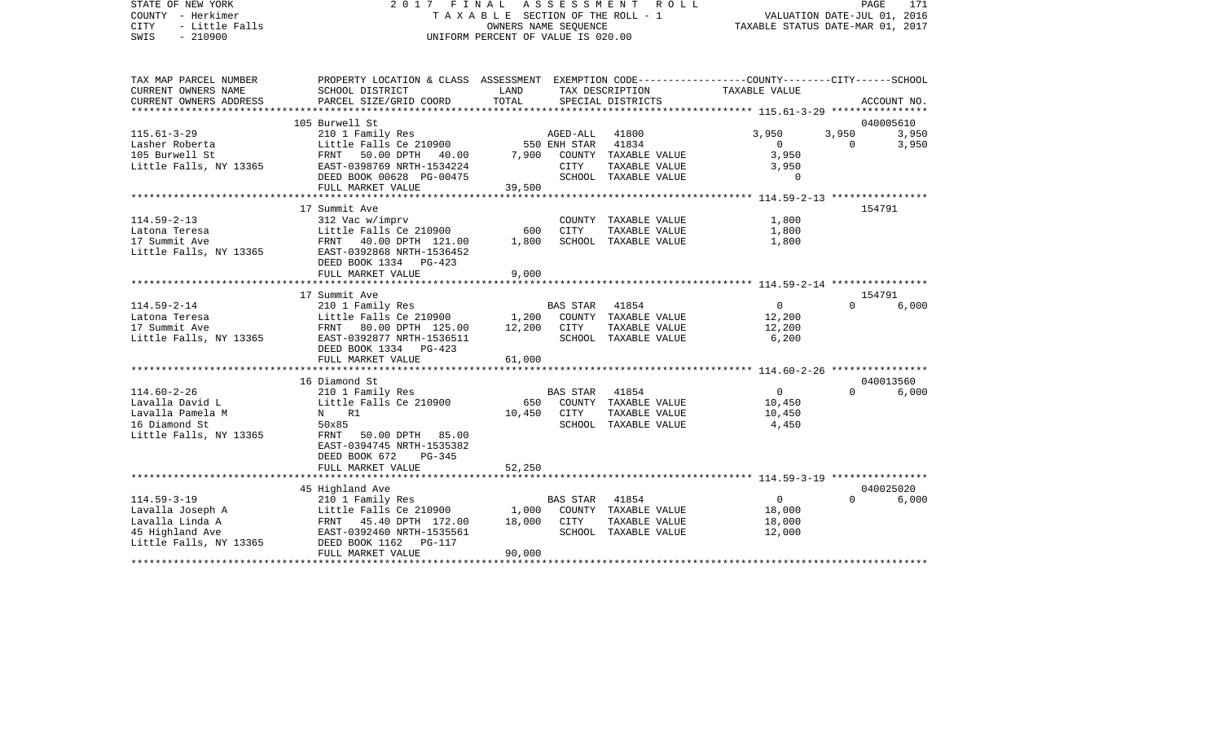| STATE OF NEW YORK<br>COUNTY - Herkimer<br><b>CITY</b><br>- Little Falls<br>$-210900$<br>SWIS | 2017 FINAL                                                                                                         | T A X A B L E SECTION OF THE ROLL - 1<br>OWNERS NAME SEOUENCE<br>UNIFORM PERCENT OF VALUE IS 020.00 | A S S E S S M E N T       | R O L L                               | TAXABLE STATUS DATE-MAR 01, 2017                        | VALUATION DATE-JUL 01, 2016 | PAGE<br>171    |
|----------------------------------------------------------------------------------------------|--------------------------------------------------------------------------------------------------------------------|-----------------------------------------------------------------------------------------------------|---------------------------|---------------------------------------|---------------------------------------------------------|-----------------------------|----------------|
| TAX MAP PARCEL NUMBER<br>CURRENT OWNERS NAME                                                 | PROPERTY LOCATION & CLASS ASSESSMENT EXEMPTION CODE---------------COUNTY-------CITY------SCHOOL<br>SCHOOL DISTRICT | LAND                                                                                                |                           | TAX DESCRIPTION                       | TAXABLE VALUE                                           |                             |                |
| CURRENT OWNERS ADDRESS                                                                       | PARCEL SIZE/GRID COORD                                                                                             | TOTAL                                                                                               |                           | SPECIAL DISTRICTS                     |                                                         |                             | ACCOUNT NO.    |
|                                                                                              |                                                                                                                    |                                                                                                     |                           |                                       | ************ 115.61-3-29 ****************               |                             |                |
|                                                                                              | 105 Burwell St                                                                                                     |                                                                                                     |                           |                                       |                                                         |                             | 040005610      |
| $115.61 - 3 - 29$<br>Lasher Roberta                                                          | 210 1 Family Res<br>Little Falls Ce 210900                                                                         |                                                                                                     | AGED-ALL<br>550 ENH STAR  | 41800<br>41834                        | 3,950<br>$\mathbf{0}$                                   | 3,950<br>$\Omega$           | 3,950<br>3,950 |
| 105 Burwell St                                                                               | FRNT<br>50.00 DPTH<br>40.00                                                                                        | 7,900                                                                                               |                           | COUNTY TAXABLE VALUE                  | 3,950                                                   |                             |                |
| Little Falls, NY 13365                                                                       | EAST-0398769 NRTH-1534224                                                                                          |                                                                                                     | CITY                      | TAXABLE VALUE                         | 3,950                                                   |                             |                |
|                                                                                              | DEED BOOK 00628 PG-00475                                                                                           |                                                                                                     |                           | SCHOOL TAXABLE VALUE                  | $\Omega$                                                |                             |                |
|                                                                                              | FULL MARKET VALUE                                                                                                  | 39,500                                                                                              |                           |                                       |                                                         |                             |                |
|                                                                                              |                                                                                                                    |                                                                                                     |                           |                                       |                                                         |                             |                |
|                                                                                              | 17 Summit Ave                                                                                                      |                                                                                                     |                           |                                       |                                                         |                             | 154791         |
| $114.59 - 2 - 13$<br>Latona Teresa                                                           | 312 Vac w/imprv<br>Little Falls Ce 210900                                                                          | 600                                                                                                 | CITY                      | COUNTY TAXABLE VALUE<br>TAXABLE VALUE | 1,800<br>1,800                                          |                             |                |
| 17 Summit Ave                                                                                | FRNT 40.00 DPTH 121.00                                                                                             | 1,800                                                                                               |                           | SCHOOL TAXABLE VALUE                  | 1,800                                                   |                             |                |
| Little Falls, NY 13365                                                                       | EAST-0392868 NRTH-1536452                                                                                          |                                                                                                     |                           |                                       |                                                         |                             |                |
|                                                                                              | DEED BOOK 1334 PG-423                                                                                              |                                                                                                     |                           |                                       |                                                         |                             |                |
|                                                                                              | FULL MARKET VALUE                                                                                                  | 9,000                                                                                               |                           |                                       |                                                         |                             |                |
|                                                                                              |                                                                                                                    |                                                                                                     |                           |                                       | ************************* 114.59-2-14 ***************** |                             |                |
|                                                                                              | 17 Summit Ave                                                                                                      |                                                                                                     |                           |                                       |                                                         |                             | 154791         |
| $114.59 - 2 - 14$<br>Latona Teresa                                                           | 210 1 Family Res<br>Little Falls Ce 210900                                                                         | 1,200                                                                                               | <b>BAS STAR</b>           | 41854<br>COUNTY TAXABLE VALUE         | $\mathbf{0}$<br>12,200                                  | $\Omega$                    | 6,000          |
| 17 Summit Ave                                                                                | 80.00 DPTH 125.00<br>FRNT                                                                                          | 12,200                                                                                              | CITY                      | TAXABLE VALUE                         | 12,200                                                  |                             |                |
| Little Falls, NY 13365                                                                       | EAST-0392877 NRTH-1536511                                                                                          |                                                                                                     |                           | SCHOOL TAXABLE VALUE                  | 6,200                                                   |                             |                |
|                                                                                              | DEED BOOK 1334<br>$PG-423$                                                                                         |                                                                                                     |                           |                                       |                                                         |                             |                |
|                                                                                              | FULL MARKET VALUE                                                                                                  | 61,000                                                                                              |                           |                                       |                                                         |                             |                |
|                                                                                              | **************************                                                                                         |                                                                                                     |                           |                                       |                                                         |                             |                |
|                                                                                              | 16 Diamond St                                                                                                      |                                                                                                     |                           |                                       |                                                         | $\Omega$                    | 040013560      |
| $114.60 - 2 - 26$<br>Lavalla David L                                                         | 210 1 Family Res<br>Little Falls Ce 210900                                                                         | 650                                                                                                 | <b>BAS STAR</b><br>COUNTY | 41854<br>TAXABLE VALUE                | $\mathsf{O}$<br>10,450                                  |                             | 6,000          |
| Lavalla Pamela M                                                                             | N R1                                                                                                               | 10,450                                                                                              | <b>CITY</b>               | TAXABLE VALUE                         | 10,450                                                  |                             |                |
| 16 Diamond St                                                                                | 50x85                                                                                                              |                                                                                                     |                           | SCHOOL TAXABLE VALUE                  | 4,450                                                   |                             |                |
| Little Falls, NY 13365                                                                       | 50.00 DPTH 85.00<br>FRNT                                                                                           |                                                                                                     |                           |                                       |                                                         |                             |                |
|                                                                                              | EAST-0394745 NRTH-1535382                                                                                          |                                                                                                     |                           |                                       |                                                         |                             |                |
|                                                                                              | DEED BOOK 672<br>$PG-345$                                                                                          |                                                                                                     |                           |                                       |                                                         |                             |                |
|                                                                                              | FULL MARKET VALUE<br>************************                                                                      | 52,250                                                                                              |                           |                                       |                                                         |                             |                |
|                                                                                              | 45 Highland Ave                                                                                                    |                                                                                                     |                           |                                       |                                                         |                             | 040025020      |
| $114.59 - 3 - 19$                                                                            | 210 1 Family Res                                                                                                   |                                                                                                     | <b>BAS STAR</b>           | 41854                                 | $\circ$                                                 | $\Omega$                    | 6,000          |
| Lavalla Joseph A                                                                             | Little Falls Ce 210900                                                                                             | 1,000                                                                                               |                           | COUNTY TAXABLE VALUE                  | 18,000                                                  |                             |                |
| Lavalla Linda A                                                                              | FRNT 45.40 DPTH 172.00                                                                                             | 18,000                                                                                              | CITY                      | TAXABLE VALUE                         | 18,000                                                  |                             |                |
| 45 Highland Ave                                                                              | EAST-0392460 NRTH-1535561                                                                                          |                                                                                                     |                           | SCHOOL TAXABLE VALUE                  | 12,000                                                  |                             |                |
| Little Falls, NY 13365                                                                       | DEED BOOK 1162<br><b>PG-117</b>                                                                                    |                                                                                                     |                           |                                       |                                                         |                             |                |
|                                                                                              | FULL MARKET VALUE                                                                                                  | 90,000                                                                                              |                           |                                       |                                                         |                             |                |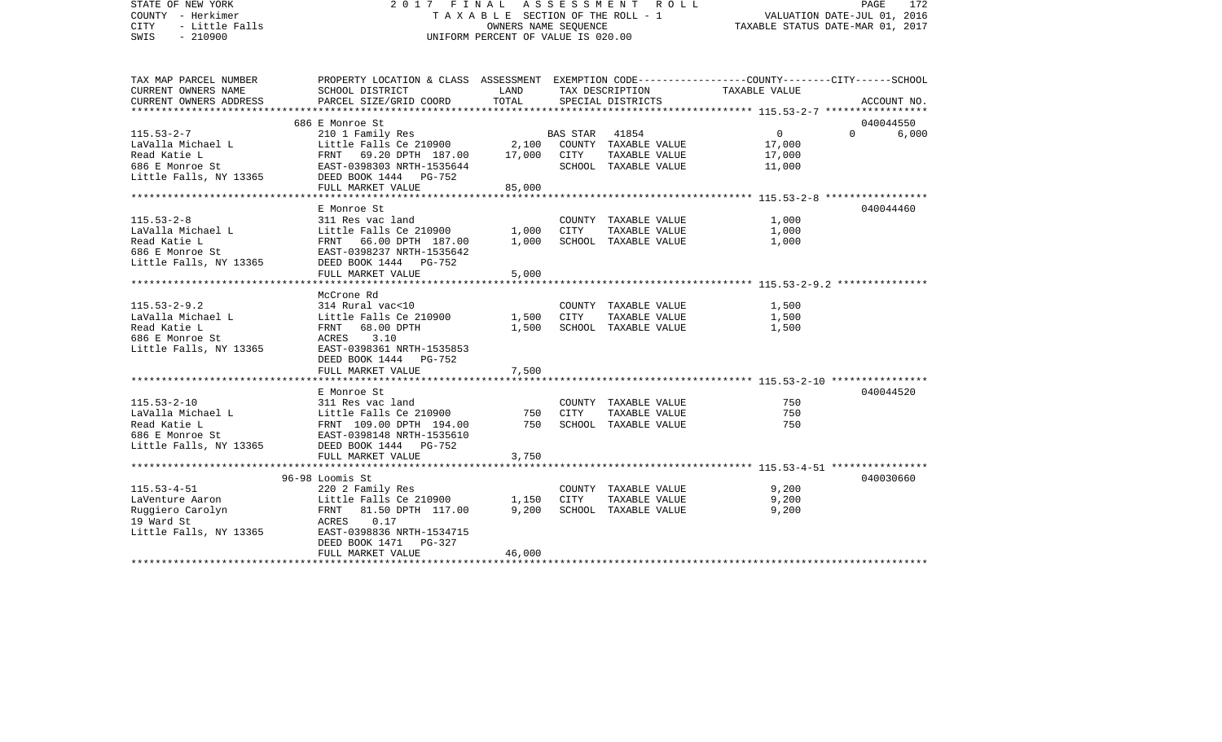| STATE OF NEW YORK<br>COUNTY - Herkimer<br>- Little Falls<br>CITY<br>$-210900$<br>SWIS | 2017 FINAL ASSESSMENT ROLL<br>T A X A B L E SECTION OF THE ROLL - 1<br>UNIFORM PERCENT OF VALUE IS 020.00          | PAGE<br>172<br>VALUATION DATE-JUL 01, 2016<br>TAXABLE STATUS DATE-MAR 01, 2017 |                |                                             |                  |                   |  |
|---------------------------------------------------------------------------------------|--------------------------------------------------------------------------------------------------------------------|--------------------------------------------------------------------------------|----------------|---------------------------------------------|------------------|-------------------|--|
| TAX MAP PARCEL NUMBER<br>CURRENT OWNERS NAME                                          | PROPERTY LOCATION & CLASS ASSESSMENT EXEMPTION CODE---------------COUNTY-------CITY------SCHOOL<br>SCHOOL DISTRICT | LAND                                                                           |                | TAX DESCRIPTION                             | TAXABLE VALUE    |                   |  |
| CURRENT OWNERS ADDRESS                                                                | PARCEL SIZE/GRID COORD                                                                                             | TOTAL                                                                          |                | SPECIAL DISTRICTS                           |                  | ACCOUNT NO.       |  |
|                                                                                       |                                                                                                                    |                                                                                |                |                                             |                  |                   |  |
|                                                                                       | 686 E Monroe St                                                                                                    |                                                                                |                |                                             |                  | 040044550         |  |
| $115.53 - 2 - 7$                                                                      | 210 1 Family Res                                                                                                   |                                                                                | BAS STAR 41854 |                                             | $\overline{0}$   | $\Omega$<br>6,000 |  |
| LaValla Michael L<br>Read Katie L                                                     | Little Falls Ce 210900<br>FRNT 69.20 DPTH 187.00 17,000 CITY                                                       |                                                                                |                | 2,100 COUNTY TAXABLE VALUE<br>TAXABLE VALUE | 17,000           |                   |  |
| 686 E Monroe St                                                                       | EAST-0398303 NRTH-1535644                                                                                          |                                                                                |                | SCHOOL TAXABLE VALUE                        | 17,000<br>11,000 |                   |  |
| Little Falls, NY 13365                                                                | DEED BOOK 1444    PG-752                                                                                           |                                                                                |                |                                             |                  |                   |  |
|                                                                                       | FULL MARKET VALUE                                                                                                  | 85,000                                                                         |                |                                             |                  |                   |  |
|                                                                                       |                                                                                                                    |                                                                                |                |                                             |                  |                   |  |
|                                                                                       | E Monroe St                                                                                                        |                                                                                |                |                                             |                  | 040044460         |  |
| $115.53 - 2 - 8$                                                                      | 311 Res vac land                                                                                                   |                                                                                |                | COUNTY TAXABLE VALUE                        | 1,000            |                   |  |
| LaValla Michael L                                                                     | Little Falls Ce 210900                                                                                             | 1,000                                                                          | CITY           | TAXABLE VALUE                               | 1,000            |                   |  |
| Read Katie L                                                                          | FRNT 66.00 DPTH 187.00                                                                                             | 1,000                                                                          |                | SCHOOL TAXABLE VALUE                        | 1,000            |                   |  |
| 686 E Monroe St<br>Little Falls, NY 13365                                             | EAST-0398237 NRTH-1535642<br>DEED BOOK 1444 PG-752                                                                 |                                                                                |                |                                             |                  |                   |  |
|                                                                                       | FULL MARKET VALUE                                                                                                  | 5,000                                                                          |                |                                             |                  |                   |  |
|                                                                                       |                                                                                                                    |                                                                                |                |                                             |                  |                   |  |
|                                                                                       | McCrone Rd                                                                                                         |                                                                                |                |                                             |                  |                   |  |
| $115.53 - 2 - 9.2$                                                                    | 314 Rural vac<10                                                                                                   |                                                                                |                | COUNTY TAXABLE VALUE                        | 1,500            |                   |  |
| LaValla Michael L                                                                     | Little Falls Ce 210900                                                                                             | 1,500                                                                          | CITY           | TAXABLE VALUE                               | 1,500            |                   |  |
| Read Katie L                                                                          | FRNT 68.00 DPTH                                                                                                    | 1,500                                                                          |                | SCHOOL TAXABLE VALUE                        | 1,500            |                   |  |
| 686 E Monroe St<br>Little Falls, NY 13365                                             | 3.10<br>ACRES<br>EAST-0398361 NRTH-1535853                                                                         |                                                                                |                |                                             |                  |                   |  |
|                                                                                       | DEED BOOK 1444 PG-752                                                                                              |                                                                                |                |                                             |                  |                   |  |
|                                                                                       | FULL MARKET VALUE                                                                                                  | 7,500                                                                          |                |                                             |                  |                   |  |
|                                                                                       |                                                                                                                    |                                                                                |                |                                             |                  |                   |  |
|                                                                                       | E Monroe St                                                                                                        |                                                                                |                |                                             |                  | 040044520         |  |
| $115.53 - 2 - 10$                                                                     | 311 Res vac land                                                                                                   |                                                                                |                | COUNTY TAXABLE VALUE                        | 750              |                   |  |
| LaValla Michael L                                                                     | Little Falls Ce 210900                                                                                             | 750                                                                            | CITY           | TAXABLE VALUE                               | 750              |                   |  |
| Read Katie L                                                                          | FRNT 109.00 DPTH 194.00                                                                                            | 750                                                                            |                | SCHOOL TAXABLE VALUE                        | 750              |                   |  |
| 686 E Monroe St                                                                       | EAST-0398148 NRTH-1535610                                                                                          |                                                                                |                |                                             |                  |                   |  |
| Little Falls, NY 13365                                                                | DEED BOOK 1444 PG-752<br>FULL MARKET VALUE                                                                         | 3,750                                                                          |                |                                             |                  |                   |  |
|                                                                                       |                                                                                                                    |                                                                                |                |                                             |                  |                   |  |
|                                                                                       | 96-98 Loomis St                                                                                                    |                                                                                |                |                                             |                  | 040030660         |  |
| $115.53 - 4 - 51$                                                                     | 220 2 Family Res                                                                                                   |                                                                                |                | COUNTY TAXABLE VALUE                        | 9,200            |                   |  |
| LaVenture Aaron                                                                       | Little Falls Ce 210900                                                                                             | 1,150                                                                          | CITY           | TAXABLE VALUE                               | 9,200            |                   |  |
| Ruggiero Carolyn                                                                      | FRNT 81.50 DPTH 117.00                                                                                             | 9,200                                                                          |                | SCHOOL TAXABLE VALUE                        | 9,200            |                   |  |
| 19 Ward St                                                                            | ACRES<br>0.17                                                                                                      |                                                                                |                |                                             |                  |                   |  |
| Little Falls, NY 13365                                                                | EAST-0398836 NRTH-1534715<br>DEED BOOK 1471<br>PG-327                                                              |                                                                                |                |                                             |                  |                   |  |
|                                                                                       | FULL MARKET VALUE                                                                                                  | 46,000                                                                         |                |                                             |                  |                   |  |
|                                                                                       |                                                                                                                    |                                                                                |                |                                             |                  |                   |  |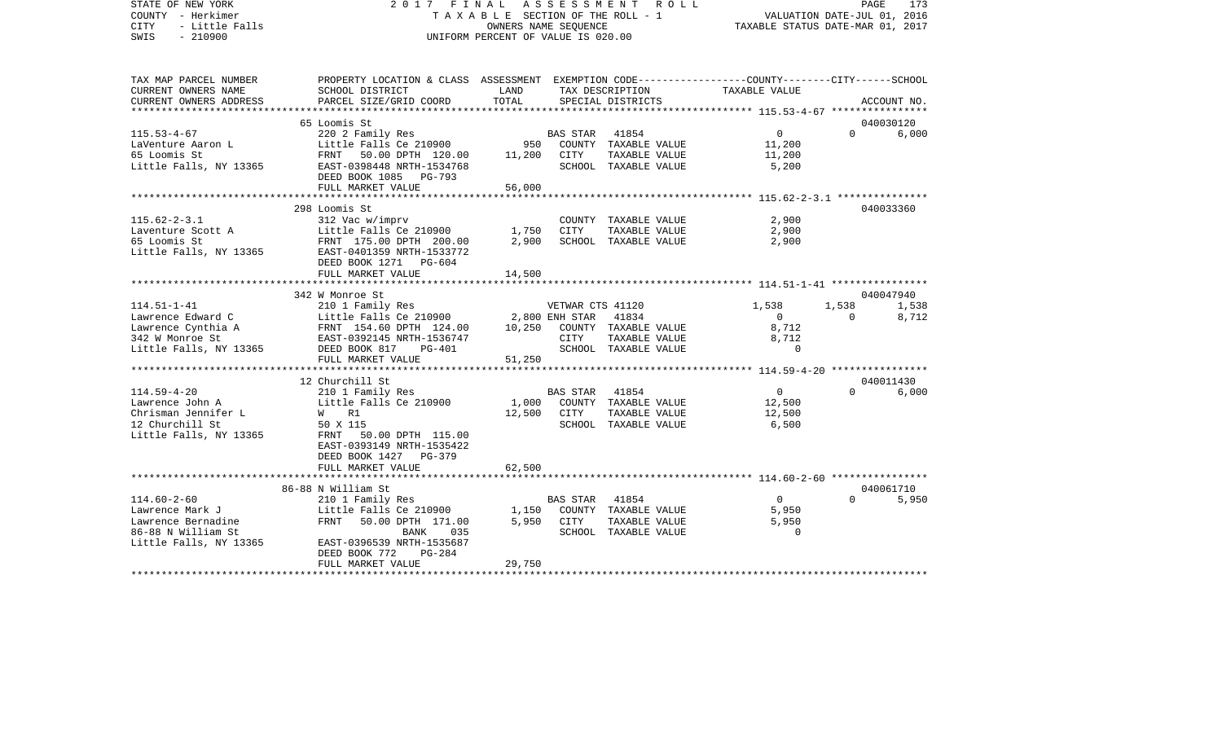| STATE OF NEW YORK<br>COUNTY - Herkimer<br>CITY<br>- Little Falls<br>$-210900$<br>SWIS |                                                                                                 | OWNERS NAME SEOUENCE<br>UNIFORM PERCENT OF VALUE IS 020.00 |                      | 2017 FINAL ASSESSMENT ROLL<br>TAXABLE SECTION OF THE ROLL - 1 | VALUATION DATE-JUL 01, 2016<br>TAXABLE STATUS DATE-MAR 01, 2017 | PAGE           | 173         |
|---------------------------------------------------------------------------------------|-------------------------------------------------------------------------------------------------|------------------------------------------------------------|----------------------|---------------------------------------------------------------|-----------------------------------------------------------------|----------------|-------------|
| TAX MAP PARCEL NUMBER                                                                 | PROPERTY LOCATION & CLASS ASSESSMENT EXEMPTION CODE---------------COUNTY-------CITY------SCHOOL |                                                            |                      |                                                               |                                                                 |                |             |
| CURRENT OWNERS NAME<br>CURRENT OWNERS ADDRESS<br>*****************                    | SCHOOL DISTRICT<br>PARCEL SIZE/GRID COORD                                                       | LAND<br>TOTAL                                              |                      | TAX DESCRIPTION<br>SPECIAL DISTRICTS                          | TAXABLE VALUE                                                   |                | ACCOUNT NO. |
|                                                                                       |                                                                                                 |                                                            |                      |                                                               | **************** 115.53-4-67 *****************                  |                |             |
|                                                                                       | 65 Loomis St                                                                                    |                                                            |                      |                                                               | $\Omega$                                                        | $\Omega$       | 040030120   |
| $115.53 - 4 - 67$                                                                     | 220 2 Family Res<br>Little Falls Ce $210900$                                                    |                                                            | BAS STAR 41854       |                                                               |                                                                 |                | 6,000       |
| LaVenture Aaron L<br>65 Loomis St                                                     |                                                                                                 |                                                            | 11,200 CITY          | 950 COUNTY TAXABLE VALUE<br>TAXABLE VALUE                     | 11,200                                                          |                |             |
| Little Falls, NY 13365                                                                | FRNT 50.00 DPTH 120.00<br>EAST-0398448 NRTH-1534768                                             |                                                            |                      | SCHOOL TAXABLE VALUE                                          | 11,200<br>5,200                                                 |                |             |
|                                                                                       | DEED BOOK 1085 PG-793                                                                           |                                                            |                      |                                                               |                                                                 |                |             |
|                                                                                       | FULL MARKET VALUE                                                                               | 56,000                                                     |                      |                                                               |                                                                 |                |             |
|                                                                                       |                                                                                                 |                                                            |                      |                                                               |                                                                 |                |             |
|                                                                                       | 298 Loomis St                                                                                   |                                                            |                      |                                                               |                                                                 |                | 040033360   |
| $115.62 - 2 - 3.1$                                                                    | 312 Vac w/imprv                                                                                 |                                                            |                      | COUNTY TAXABLE VALUE                                          | 2,900                                                           |                |             |
|                                                                                       | Little Falls Ce 210900                                                                          | 1,750                                                      | CITY                 | TAXABLE VALUE                                                 | 2,900                                                           |                |             |
| Laventure Scott A<br>65 Loomis St<br>65 Loomis St                                     | FRNT 175.00 DPTH 200.00                                                                         | 2,900                                                      |                      | SCHOOL TAXABLE VALUE                                          | 2,900                                                           |                |             |
| Little Falls, NY 13365                                                                | EAST-0401359 NRTH-1533772                                                                       |                                                            |                      |                                                               |                                                                 |                |             |
|                                                                                       | DEED BOOK 1271 PG-604                                                                           |                                                            |                      |                                                               |                                                                 |                |             |
|                                                                                       | FULL MARKET VALUE                                                                               | 14,500                                                     |                      |                                                               |                                                                 |                |             |
|                                                                                       |                                                                                                 |                                                            |                      |                                                               |                                                                 |                |             |
|                                                                                       | 342 W Monroe St                                                                                 |                                                            |                      |                                                               |                                                                 |                | 040047940   |
| $114.51 - 1 - 41$                                                                     | 210 1 Family Res                                                                                |                                                            | VETWAR CTS 41120     |                                                               | 1,538                                                           | 1,538          | 1,538       |
| Lawrence Edward C                                                                     |                                                                                                 |                                                            | 2,800 ENH STAR 41834 |                                                               | $\overline{0}$                                                  | $\overline{0}$ | 8,712       |
| Lawrence Cynthia A                                                                    |                                                                                                 | 10,250                                                     |                      | COUNTY TAXABLE VALUE                                          | 8,712                                                           |                |             |
|                                                                                       | 112000 - 12000<br>FRNT 154.60 DPTH 124.00<br>EAST-0392145 NRTH-1536747                          |                                                            | CITY                 | TAXABLE VALUE                                                 | 8,712                                                           |                |             |
| 342 W Monroe St EAST-0392145 N<br>Little Falls, NY 13365 DEED BOOK 817                | PG-401                                                                                          |                                                            |                      | SCHOOL TAXABLE VALUE                                          | $\Omega$                                                        |                |             |
|                                                                                       | FULL MARKET VALUE                                                                               | 51,250                                                     |                      |                                                               |                                                                 |                |             |
|                                                                                       | ************************                                                                        |                                                            |                      |                                                               |                                                                 |                |             |
|                                                                                       | 12 Churchill St                                                                                 |                                                            |                      |                                                               |                                                                 |                | 040011430   |
| $114.59 - 4 - 20$                                                                     | 210 1 Family Res                                                                                |                                                            | BAS STAR 41854       |                                                               | $\overline{0}$                                                  | $\Omega$       | 6,000       |
| Lawrence John A                                                                       | Little Falls Ce 210900                                                                          | 1,000                                                      |                      | COUNTY TAXABLE VALUE                                          | 12,500                                                          |                |             |
| Chrisman Jennifer L                                                                   | W R1                                                                                            |                                                            | 12,500 CITY          | TAXABLE VALUE                                                 | 12,500                                                          |                |             |
| 12 Churchill St                                                                       | 50 X 115                                                                                        |                                                            |                      | SCHOOL TAXABLE VALUE                                          | 6,500                                                           |                |             |
| Little Falls, NY 13365                                                                | FRNT 50.00 DPTH 115.00                                                                          |                                                            |                      |                                                               |                                                                 |                |             |
|                                                                                       | EAST-0393149 NRTH-1535422                                                                       |                                                            |                      |                                                               |                                                                 |                |             |
|                                                                                       | DEED BOOK 1427 PG-379                                                                           |                                                            |                      |                                                               |                                                                 |                |             |
|                                                                                       | FULL MARKET VALUE<br>**********************                                                     | 62,500                                                     |                      |                                                               |                                                                 |                |             |
|                                                                                       |                                                                                                 |                                                            |                      |                                                               |                                                                 |                |             |
|                                                                                       | 86-88 N William St                                                                              |                                                            |                      |                                                               |                                                                 |                | 040061710   |
| $114.60 - 2 - 60$                                                                     | 210 1 Family Res                                                                                |                                                            | BAS STAR 41854       |                                                               | $\overline{0}$                                                  | $\Omega$       | 5,950       |
| Lawrence Mark J                                                                       | Little Falls Ce 210900                                                                          | 1,150                                                      |                      | COUNTY TAXABLE VALUE                                          | 5,950                                                           |                |             |
| Lawrence Bernadine                                                                    | FRNT 50.00 DPTH 171.00                                                                          |                                                            | 5,950 CITY           | TAXABLE VALUE                                                 | 5,950<br>$\Omega$                                               |                |             |
| 86-88 N William St                                                                    | BANK<br>035                                                                                     |                                                            |                      | SCHOOL TAXABLE VALUE                                          |                                                                 |                |             |
| Little Falls, NY 13365                                                                | EAST-0396539 NRTH-1535687<br>DEED BOOK 772<br>PG-284                                            |                                                            |                      |                                                               |                                                                 |                |             |
|                                                                                       | FULL MARKET VALUE                                                                               | 29,750                                                     |                      |                                                               |                                                                 |                |             |
| ********************                                                                  |                                                                                                 |                                                            |                      |                                                               |                                                                 |                |             |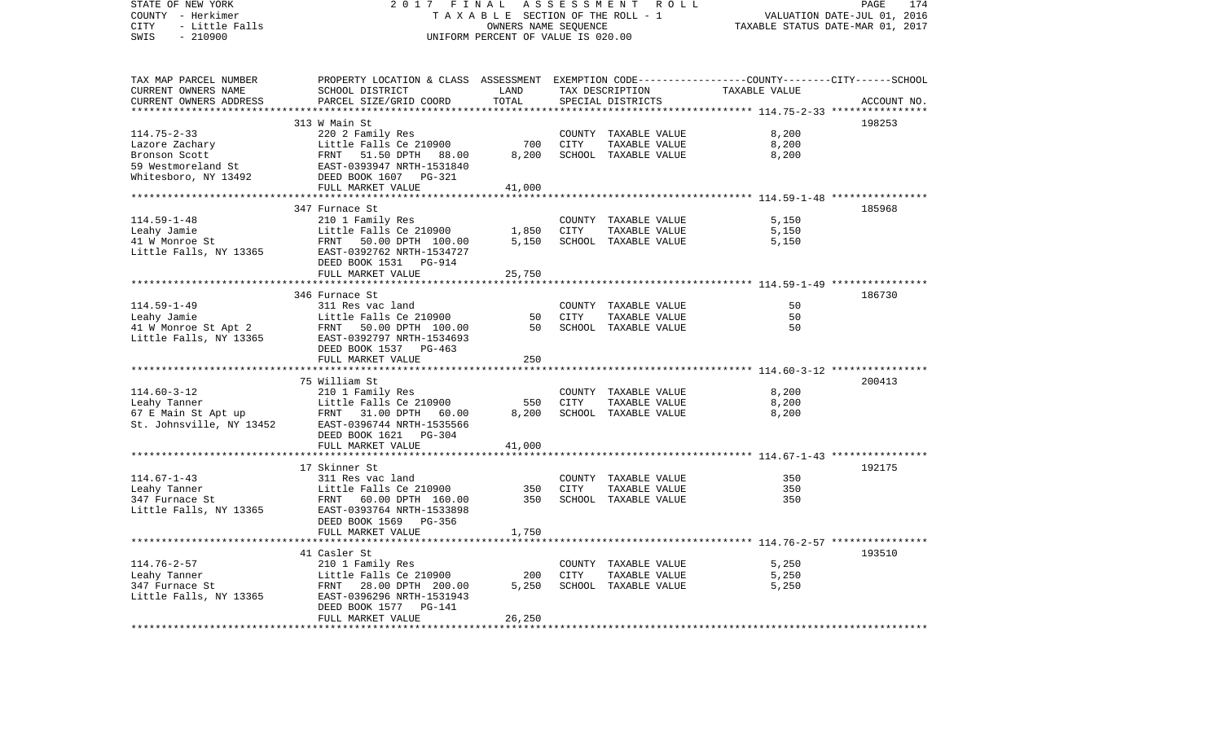| STATE OF NEW YORK<br>COUNTY - Herkimer<br>CITY<br>- Little Falls<br>SWIS<br>$-210900$ | 2 0 1 7                                                                                                                                      | FINAL<br>TAXABLE SECTION OF THE ROLL - 1<br>OWNERS NAME SEQUENCE<br>UNIFORM PERCENT OF VALUE IS 020.00 |             | ASSESSMENT ROLL                      | TAXABLE STATUS DATE-MAR 01, 2017                       | PAGE<br>174<br>VALUATION DATE-JUL 01, 2016 |
|---------------------------------------------------------------------------------------|----------------------------------------------------------------------------------------------------------------------------------------------|--------------------------------------------------------------------------------------------------------|-------------|--------------------------------------|--------------------------------------------------------|--------------------------------------------|
| TAX MAP PARCEL NUMBER<br>CURRENT OWNERS NAME<br>CURRENT OWNERS ADDRESS                | PROPERTY LOCATION & CLASS ASSESSMENT EXEMPTION CODE---------------COUNTY-------CITY------SCHOOL<br>SCHOOL DISTRICT<br>PARCEL SIZE/GRID COORD | LAND<br>TOTAL                                                                                          |             | TAX DESCRIPTION<br>SPECIAL DISTRICTS | TAXABLE VALUE                                          | ACCOUNT NO.                                |
|                                                                                       |                                                                                                                                              | * * * * * * * * * *                                                                                    |             |                                      | ********** 114.75-2-33 ****                            |                                            |
|                                                                                       | 313 W Main St                                                                                                                                |                                                                                                        |             |                                      |                                                        | 198253                                     |
| $114.75 - 2 - 33$                                                                     | 220 2 Family Res                                                                                                                             |                                                                                                        |             | COUNTY TAXABLE VALUE                 | 8,200                                                  |                                            |
| Lazore Zachary                                                                        | Little Falls Ce 210900                                                                                                                       | 700                                                                                                    | CITY        | TAXABLE VALUE                        | 8,200                                                  |                                            |
| Bronson Scott                                                                         | FRNT<br>51.50 DPTH<br>88.00                                                                                                                  | 8,200                                                                                                  |             | SCHOOL TAXABLE VALUE                 | 8,200                                                  |                                            |
| 59 Westmoreland St                                                                    | EAST-0393947 NRTH-1531840                                                                                                                    |                                                                                                        |             |                                      |                                                        |                                            |
| Whitesboro, NY 13492                                                                  | DEED BOOK 1607 PG-321                                                                                                                        |                                                                                                        |             |                                      |                                                        |                                            |
|                                                                                       | FULL MARKET VALUE                                                                                                                            | 41,000<br>***********                                                                                  |             |                                      | ************************ 114.59-1-48 ***************** |                                            |
|                                                                                       | 347 Furnace St                                                                                                                               |                                                                                                        |             |                                      |                                                        | 185968                                     |
| $114.59 - 1 - 48$                                                                     | 210 1 Family Res                                                                                                                             |                                                                                                        | COUNTY      | TAXABLE VALUE                        | 5,150                                                  |                                            |
| Leahy Jamie                                                                           | Little Falls Ce 210900                                                                                                                       | 1,850                                                                                                  | <b>CITY</b> | TAXABLE VALUE                        | 5,150                                                  |                                            |
| 41 W Monroe St                                                                        | FRNT<br>50.00 DPTH 100.00                                                                                                                    | 5,150                                                                                                  |             | SCHOOL TAXABLE VALUE                 | 5,150                                                  |                                            |
| Little Falls, NY 13365                                                                | EAST-0392762 NRTH-1534727                                                                                                                    |                                                                                                        |             |                                      |                                                        |                                            |
|                                                                                       | DEED BOOK 1531 PG-914                                                                                                                        |                                                                                                        |             |                                      |                                                        |                                            |
|                                                                                       | FULL MARKET VALUE                                                                                                                            | 25,750                                                                                                 |             |                                      |                                                        |                                            |
|                                                                                       |                                                                                                                                              |                                                                                                        |             |                                      |                                                        |                                            |
|                                                                                       | 346 Furnace St                                                                                                                               |                                                                                                        |             |                                      |                                                        | 186730                                     |
| $114.59 - 1 - 49$                                                                     | 311 Res vac land                                                                                                                             |                                                                                                        | COUNTY      | TAXABLE VALUE                        | 50                                                     |                                            |
| Leahy Jamie                                                                           | Little Falls Ce 210900                                                                                                                       | 50                                                                                                     | CITY        | TAXABLE VALUE                        | 50                                                     |                                            |
| 41 W Monroe St Apt 2                                                                  | FRNT<br>50.00 DPTH 100.00                                                                                                                    | 50                                                                                                     |             | SCHOOL TAXABLE VALUE                 | 50                                                     |                                            |
| Little Falls, NY 13365                                                                | EAST-0392797 NRTH-1534693<br>DEED BOOK 1537 PG-463                                                                                           |                                                                                                        |             |                                      |                                                        |                                            |
|                                                                                       | FULL MARKET VALUE                                                                                                                            | 250                                                                                                    |             |                                      |                                                        |                                            |
|                                                                                       |                                                                                                                                              |                                                                                                        |             |                                      |                                                        |                                            |
|                                                                                       | 75 William St                                                                                                                                |                                                                                                        |             |                                      |                                                        | 200413                                     |
| $114.60 - 3 - 12$                                                                     | 210 1 Family Res                                                                                                                             |                                                                                                        |             | COUNTY TAXABLE VALUE                 | 8,200                                                  |                                            |
| Leahy Tanner                                                                          | Little Falls Ce 210900                                                                                                                       | 550                                                                                                    | <b>CITY</b> | TAXABLE VALUE                        | 8,200                                                  |                                            |
| 67 E Main St Apt up                                                                   | FRNT<br>31.00 DPTH 60.00                                                                                                                     | 8,200                                                                                                  |             | SCHOOL TAXABLE VALUE                 | 8,200                                                  |                                            |
| St. Johnsville, NY 13452                                                              | EAST-0396744 NRTH-1535566                                                                                                                    |                                                                                                        |             |                                      |                                                        |                                            |
|                                                                                       | DEED BOOK 1621<br>PG-304                                                                                                                     |                                                                                                        |             |                                      |                                                        |                                            |
|                                                                                       | FULL MARKET VALUE                                                                                                                            | 41,000                                                                                                 |             |                                      |                                                        |                                            |
|                                                                                       |                                                                                                                                              |                                                                                                        |             |                                      |                                                        |                                            |
| $114.67 - 1 - 43$                                                                     | 17 Skinner St<br>311 Res vac land                                                                                                            |                                                                                                        |             | COUNTY TAXABLE VALUE                 | 350                                                    | 192175                                     |
| Leahy Tanner                                                                          | Little Falls Ce 210900                                                                                                                       | 350                                                                                                    | CITY        | TAXABLE VALUE                        | 350                                                    |                                            |
| 347 Furnace St                                                                        | FRNT<br>60.00 DPTH 160.00                                                                                                                    | 350                                                                                                    |             | SCHOOL TAXABLE VALUE                 | 350                                                    |                                            |
| Little Falls, NY 13365                                                                | EAST-0393764 NRTH-1533898                                                                                                                    |                                                                                                        |             |                                      |                                                        |                                            |
|                                                                                       | DEED BOOK 1569 PG-356                                                                                                                        |                                                                                                        |             |                                      |                                                        |                                            |
|                                                                                       | FULL MARKET VALUE                                                                                                                            | 1,750                                                                                                  |             |                                      |                                                        |                                            |
|                                                                                       |                                                                                                                                              |                                                                                                        |             |                                      |                                                        |                                            |
|                                                                                       | 41 Casler St                                                                                                                                 |                                                                                                        |             |                                      |                                                        | 193510                                     |
| $114.76 - 2 - 57$                                                                     | 210 1 Family Res                                                                                                                             |                                                                                                        |             | COUNTY TAXABLE VALUE                 | 5,250                                                  |                                            |
| Leahy Tanner                                                                          | Little Falls Ce 210900                                                                                                                       | 200                                                                                                    | CITY        | TAXABLE VALUE                        | 5,250                                                  |                                            |
| 347 Furnace St                                                                        | 28.00 DPTH 200.00<br>FRNT                                                                                                                    | 5,250                                                                                                  |             | SCHOOL TAXABLE VALUE                 | 5,250                                                  |                                            |
| Little Falls, NY 13365                                                                | EAST-0396296 NRTH-1531943<br>DEED BOOK 1577<br><b>PG-141</b>                                                                                 |                                                                                                        |             |                                      |                                                        |                                            |
|                                                                                       | FULL MARKET VALUE                                                                                                                            | 26,250                                                                                                 |             |                                      |                                                        |                                            |
|                                                                                       |                                                                                                                                              |                                                                                                        |             |                                      |                                                        |                                            |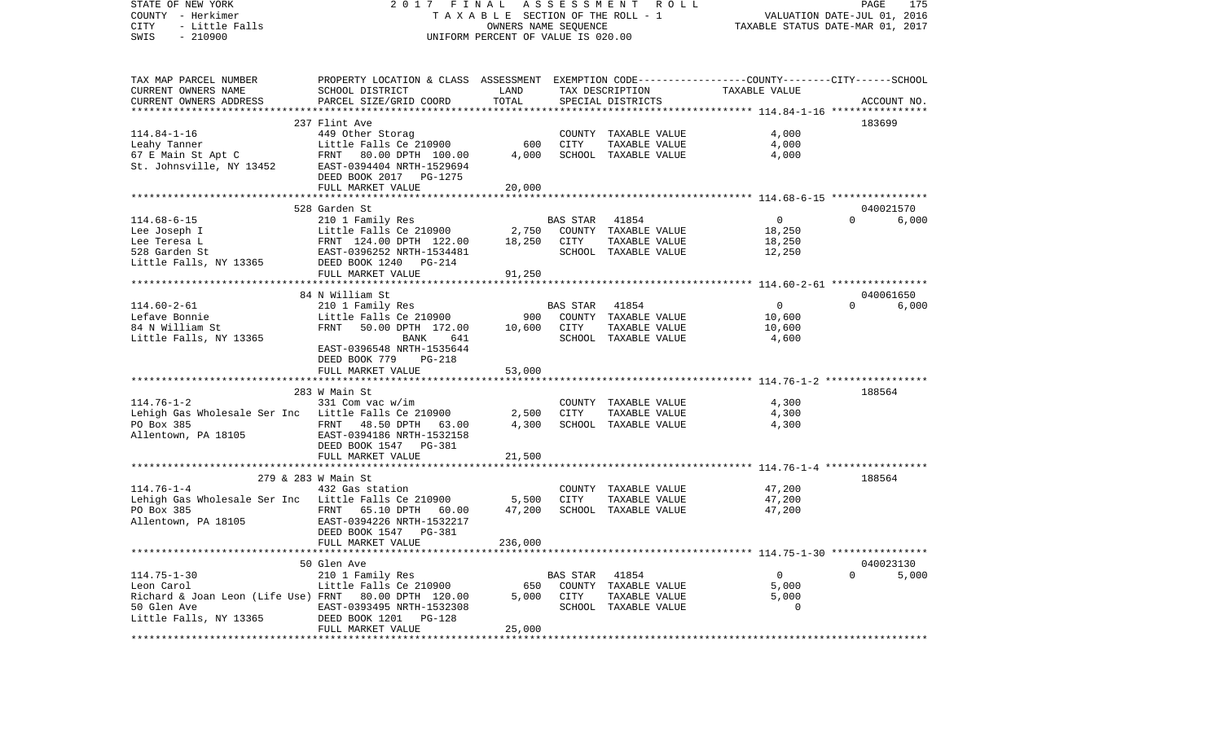STATE OF NEW YORK 2 0 1 7 F I N A L A S S E S S M E N T R O L L PAGE 175VALUATION DATE-JUL 01, 2016 COUNTY - Herkimer T A X A B L E SECTION OF THE ROLL - 1 CITY - Little Falls OWNERS NAME SEQUENCE TAXABLE STATUS DATE-MAR 01, 2017 SWIS - 210900 UNIFORM PERCENT OF VALUE IS 020.00TAX MAP PARCEL NUMBER PROPERTY LOCATION & CLASS ASSESSMENT EXEMPTION CODE------------------COUNTY--------CITY------SCHOOL CURRENT OWNERS NAME SCHOOL DISTRICT LAND TAX DESCRIPTION TAXABLE VALUECURRENT OWNERS ADDRESS PARCEL SIZE/GRID COORD TOTAL SPECIAL DISTRICTS ACCOUNT NO. \*\*\*\*\*\*\*\*\*\*\*\*\*\*\*\*\*\*\*\*\*\*\*\*\*\*\*\*\*\*\*\*\*\*\*\*\*\*\*\*\*\*\*\*\*\*\*\*\*\*\*\*\*\*\*\*\*\*\*\*\*\*\*\*\*\*\*\*\*\*\*\*\*\*\*\*\*\*\*\*\*\*\*\*\*\*\*\*\*\*\*\*\*\*\*\*\*\*\*\*\*\*\* 114.84-1-16 \*\*\*\*\*\*\*\*\*\*\*\*\*\*\*\*237 Flint Ave 183699 114.84-1-16 449 Other Storag COUNTY TAXABLE VALUE 4,000 Leahy Tanner and Little Falls Ce 210900 600 CITY TAXABLE VALUE 4,000 67 E Main St Apt C FRNT 80.00 DPTH 100.00 4,000 SCHOOL TAXABLE VALUE 4,000 St. Johnsville, NY 13452 EAST-0394404 NRTH-1529694 DEED BOOK 2017 PG-1275 FULL MARKET VALUE 20,000 \*\*\*\*\*\*\*\*\*\*\*\*\*\*\*\*\*\*\*\*\*\*\*\*\*\*\*\*\*\*\*\*\*\*\*\*\*\*\*\*\*\*\*\*\*\*\*\*\*\*\*\*\*\*\*\*\*\*\*\*\*\*\*\*\*\*\*\*\*\*\*\*\*\*\*\*\*\*\*\*\*\*\*\*\*\*\*\*\*\*\*\*\*\*\*\*\*\*\*\*\*\*\* 114.68-6-15 \*\*\*\*\*\*\*\*\*\*\*\*\*\*\*\* 528 Garden St 040021570114.68-6-15 210 1 Family Res BAS STAR 41854 0 0 6,000 Lee Joseph I Little Falls Ce 210900 2,750 COUNTY TAXABLE VALUE 18,250 Lee Teresa L 6 18,250 CITY TAXABLE VALUE 18,250 18,250 CITY TAXABLE VALUE 18,250 528 Garden St EAST-0396252 NRTH-1534481 SCHOOL TAXABLE VALUE 12,250 Little Falls, NY 13365 DEED BOOK 1240 PG-214 FULL MARKET VALUE 91,250 \*\*\*\*\*\*\*\*\*\*\*\*\*\*\*\*\*\*\*\*\*\*\*\*\*\*\*\*\*\*\*\*\*\*\*\*\*\*\*\*\*\*\*\*\*\*\*\*\*\*\*\*\*\*\*\*\*\*\*\*\*\*\*\*\*\*\*\*\*\*\*\*\*\*\*\*\*\*\*\*\*\*\*\*\*\*\*\*\*\*\*\*\*\*\*\*\*\*\*\*\*\*\* 114.60-2-61 \*\*\*\*\*\*\*\*\*\*\*\*\*\*\*\* 84 N William St 040061650 $6.000$ 114.60-2-61 210 1 Family Res BAS STAR 41854 0 0 6,000 Lefave Bonnie Little Falls Ce 210900 900 COUNTY TAXABLE VALUE 10,600 84 N William St FRNT 50.00 DPTH 172.00 10,600 CITY TAXABLE VALUE 10,600 Little Falls, NY 13365 BANK 641 SCHOOL TAXABLE VALUE 4,600 EAST-0396548 NRTH-1535644 DEED BOOK 779 PG-218FULL MARKET VALUE 53,000 \*\*\*\*\*\*\*\*\*\*\*\*\*\*\*\*\*\*\*\*\*\*\*\*\*\*\*\*\*\*\*\*\*\*\*\*\*\*\*\*\*\*\*\*\*\*\*\*\*\*\*\*\*\*\*\*\*\*\*\*\*\*\*\*\*\*\*\*\*\*\*\*\*\*\*\*\*\*\*\*\*\*\*\*\*\*\*\*\*\*\*\*\*\*\*\*\*\*\*\*\*\*\* 114.76-1-2 \*\*\*\*\*\*\*\*\*\*\*\*\*\*\*\*\* 283 W Main St 188564114.76-1-2 331 Com vac w/im COUNTY TAXABLE VALUE 4,300 Lehigh Gas Wholesale Ser Inc Little Falls Ce 210900 2,500 CITY TAXABLE VALUE 4,300 PO Box 385 **FRNT** 48.50 DPTH 63.00 4,300 SCHOOL TAXABLE VALUE 4,300 Allentown, PA 18105 EAST-0394186 NRTH-1532158 DEED BOOK 1547 PG-381FULL MARKET VALUE 21,500 \*\*\*\*\*\*\*\*\*\*\*\*\*\*\*\*\*\*\*\*\*\*\*\*\*\*\*\*\*\*\*\*\*\*\*\*\*\*\*\*\*\*\*\*\*\*\*\*\*\*\*\*\*\*\*\*\*\*\*\*\*\*\*\*\*\*\*\*\*\*\*\*\*\*\*\*\*\*\*\*\*\*\*\*\*\*\*\*\*\*\*\*\*\*\*\*\*\*\*\*\*\*\* 114.76-1-4 \*\*\*\*\*\*\*\*\*\*\*\*\*\*\*\*\*279 & 283 W Main St 188564 114.76-1-4 432 Gas station COUNTY TAXABLE VALUE 47,200 Lehigh Gas Wholesale Ser Inc Little Falls Ce 210900 5,500 CITY TAXABLE VALUE 47,200  $FRNT$  65.10 DPTH 60.00 Allentown, PA 18105 EAST-0394226 NRTH-1532217 DEED BOOK 1547 PG-381 FULL MARKET VALUE 236,000 \*\*\*\*\*\*\*\*\*\*\*\*\*\*\*\*\*\*\*\*\*\*\*\*\*\*\*\*\*\*\*\*\*\*\*\*\*\*\*\*\*\*\*\*\*\*\*\*\*\*\*\*\*\*\*\*\*\*\*\*\*\*\*\*\*\*\*\*\*\*\*\*\*\*\*\*\*\*\*\*\*\*\*\*\*\*\*\*\*\*\*\*\*\*\*\*\*\*\*\*\*\*\* 114.75-1-30 \*\*\*\*\*\*\*\*\*\*\*\*\*\*\*\* 50 Glen Ave 040023130114.75-1-30 210 1 Family Res BAS STAR 41854 0 0 5,000 Leon Carol Little Falls Ce 210900 650 COUNTY TAXABLE VALUE 5,000 Richard & Joan Leon (Life Use) FRNT 80.00 DPTH 120.00 5,000 CITY TAXABLE VALUE 5,000 50 Glen Ave EAST-0393495 NRTH-1532308 SCHOOL TAXABLE VALUE 0Little Falls, NY 13365 DEED BOOK 1201 PG-128 FULL MARKET VALUE 25,000 \*\*\*\*\*\*\*\*\*\*\*\*\*\*\*\*\*\*\*\*\*\*\*\*\*\*\*\*\*\*\*\*\*\*\*\*\*\*\*\*\*\*\*\*\*\*\*\*\*\*\*\*\*\*\*\*\*\*\*\*\*\*\*\*\*\*\*\*\*\*\*\*\*\*\*\*\*\*\*\*\*\*\*\*\*\*\*\*\*\*\*\*\*\*\*\*\*\*\*\*\*\*\*\*\*\*\*\*\*\*\*\*\*\*\*\*\*\*\*\*\*\*\*\*\*\*\*\*\*\*\*\*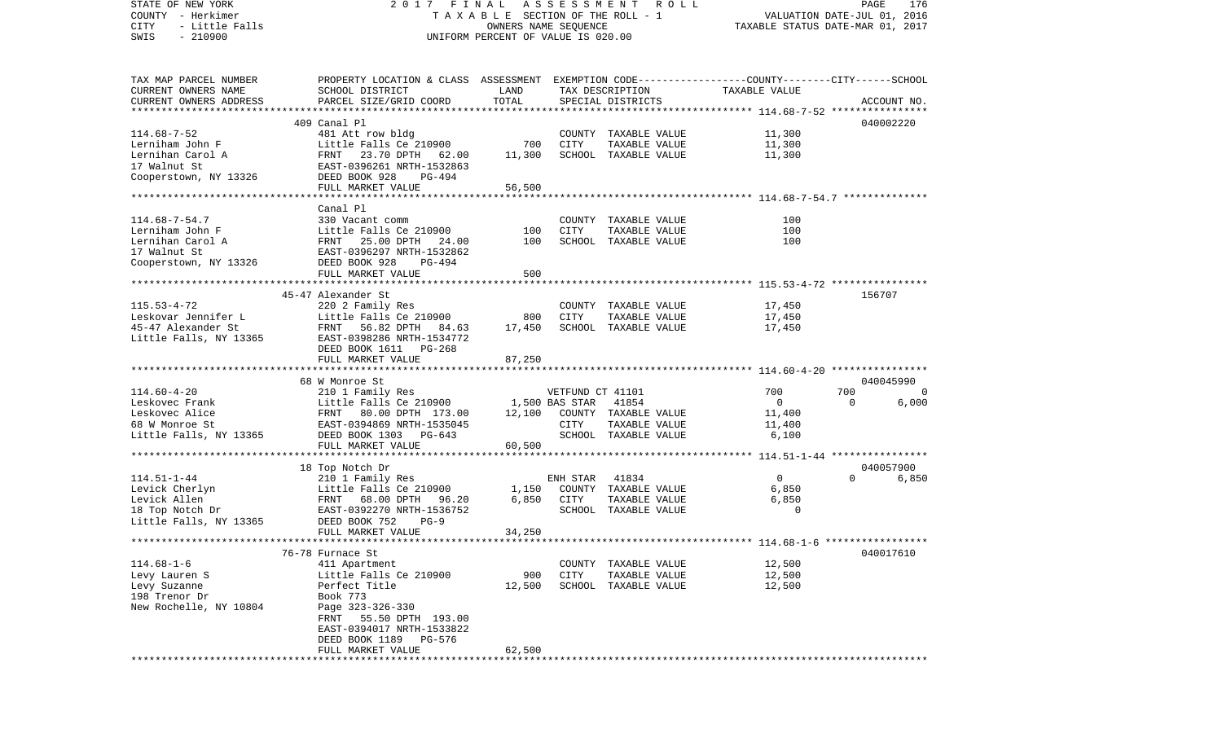| STATE OF NEW YORK                                   | 2017 FINAL                                                                                      |                                    | A S S E S S M E N T | R O L L                         |                                  | PAGE        | 176         |
|-----------------------------------------------------|-------------------------------------------------------------------------------------------------|------------------------------------|---------------------|---------------------------------|----------------------------------|-------------|-------------|
| COUNTY - Herkimer                                   |                                                                                                 |                                    |                     | TAXABLE SECTION OF THE ROLL - 1 | VALUATION DATE-JUL 01, 2016      |             |             |
| CITY<br>- Little Falls                              |                                                                                                 | OWNERS NAME SEQUENCE               |                     |                                 | TAXABLE STATUS DATE-MAR 01, 2017 |             |             |
| $-210900$<br>SWIS                                   |                                                                                                 | UNIFORM PERCENT OF VALUE IS 020.00 |                     |                                 |                                  |             |             |
|                                                     |                                                                                                 |                                    |                     |                                 |                                  |             |             |
|                                                     |                                                                                                 |                                    |                     |                                 |                                  |             |             |
| TAX MAP PARCEL NUMBER                               | PROPERTY LOCATION & CLASS ASSESSMENT EXEMPTION CODE---------------COUNTY-------CITY------SCHOOL |                                    |                     |                                 |                                  |             |             |
| CURRENT OWNERS NAME                                 | SCHOOL DISTRICT                                                                                 | LAND                               |                     | TAX DESCRIPTION                 | TAXABLE VALUE                    |             |             |
| CURRENT OWNERS ADDRESS<br>************************* | PARCEL SIZE/GRID COORD                                                                          | TOTAL                              |                     | SPECIAL DISTRICTS               |                                  |             | ACCOUNT NO. |
|                                                     | 409 Canal Pl                                                                                    |                                    |                     |                                 |                                  |             |             |
| $114.68 - 7 - 52$                                   | 481 Att row bldg                                                                                |                                    | COUNTY              | TAXABLE VALUE                   | 11,300                           |             | 040002220   |
| Lerniham John F                                     | Little Falls Ce 210900                                                                          | 700                                | CITY                | TAXABLE VALUE                   | 11,300                           |             |             |
| Lernihan Carol A                                    | 23.70 DPTH 62.00<br>FRNT                                                                        | 11,300                             |                     | SCHOOL TAXABLE VALUE            | 11,300                           |             |             |
| 17 Walnut St                                        | EAST-0396261 NRTH-1532863                                                                       |                                    |                     |                                 |                                  |             |             |
| Cooperstown, NY 13326                               | DEED BOOK 928<br>PG-494                                                                         |                                    |                     |                                 |                                  |             |             |
|                                                     | FULL MARKET VALUE                                                                               | 56,500                             |                     |                                 |                                  |             |             |
|                                                     |                                                                                                 |                                    |                     |                                 |                                  |             |             |
|                                                     | Canal Pl                                                                                        |                                    |                     |                                 |                                  |             |             |
| $114.68 - 7 - 54.7$                                 | 330 Vacant comm                                                                                 |                                    |                     | COUNTY TAXABLE VALUE            | 100                              |             |             |
| Lerniham John F                                     | Little Falls Ce 210900                                                                          | 100                                | CITY                | TAXABLE VALUE                   | 100                              |             |             |
| Lernihan Carol A                                    | FRNT 25.00 DPTH 24.00                                                                           | 100                                |                     | SCHOOL TAXABLE VALUE            | 100                              |             |             |
| 17 Walnut St                                        | EAST-0396297 NRTH-1532862                                                                       |                                    |                     |                                 |                                  |             |             |
| Cooperstown, NY 13326                               | DEED BOOK 928<br>PG-494                                                                         |                                    |                     |                                 |                                  |             |             |
|                                                     | FULL MARKET VALUE                                                                               | 500                                |                     |                                 |                                  |             |             |
|                                                     | ***************************                                                                     |                                    |                     |                                 |                                  |             |             |
|                                                     | 45-47 Alexander St                                                                              |                                    |                     |                                 |                                  |             | 156707      |
| $115.53 - 4 - 72$                                   | 220 2 Family Res                                                                                |                                    |                     | COUNTY TAXABLE VALUE            | 17,450                           |             |             |
| Leskovar Jennifer L                                 | Little Falls Ce 210900                                                                          | 800                                | CITY                | TAXABLE VALUE                   | 17,450                           |             |             |
| 45-47 Alexander St                                  | FRNT 56.82 DPTH<br>84.63                                                                        | 17,450                             |                     | SCHOOL TAXABLE VALUE            | 17,450                           |             |             |
| Little Falls, NY 13365                              | EAST-0398286 NRTH-1534772                                                                       |                                    |                     |                                 |                                  |             |             |
|                                                     | DEED BOOK 1611 PG-268                                                                           |                                    |                     |                                 |                                  |             |             |
|                                                     | FULL MARKET VALUE                                                                               | 87,250                             |                     |                                 |                                  |             |             |
|                                                     | 68 W Monroe St                                                                                  |                                    |                     |                                 |                                  |             | 040045990   |
| $114.60 - 4 - 20$                                   | 210 1 Family Res                                                                                |                                    | VETFUND CT 41101    |                                 | 700                              | 700         | $\mathbf 0$ |
| Leskovec Frank                                      | Little Falls Ce 210900                                                                          | 1,500 BAS STAR                     |                     | 41854                           | $\overline{0}$                   | $\mathbf 0$ | 6,000       |
| Leskovec Alice                                      | FRNT<br>80.00 DPTH 173.00                                                                       | 12,100                             |                     | COUNTY TAXABLE VALUE            | 11,400                           |             |             |
| 68 W Monroe St                                      | EAST-0394869 NRTH-1535045                                                                       |                                    | CITY                | TAXABLE VALUE                   | 11,400                           |             |             |
| Little Falls, NY 13365                              | DEED BOOK 1303 PG-643                                                                           |                                    |                     | SCHOOL TAXABLE VALUE            | 6,100                            |             |             |
|                                                     | FULL MARKET VALUE                                                                               | 60,500                             |                     |                                 |                                  |             |             |
|                                                     |                                                                                                 |                                    |                     |                                 |                                  |             |             |
|                                                     | 18 Top Notch Dr                                                                                 |                                    |                     |                                 |                                  |             | 040057900   |
| $114.51 - 1 - 44$                                   | 210 1 Family Res                                                                                |                                    | ENH STAR            | 41834                           | $\overline{0}$                   | $\Omega$    | 6,850       |
| Levick Cherlyn                                      | Little Falls Ce 210900                                                                          | 1,150                              | COUNTY              | TAXABLE VALUE                   | 6,850                            |             |             |
| Levick Allen                                        | FRNT 68.00 DPTH<br>96.20                                                                        | 6,850                              | CITY                | TAXABLE VALUE                   | 6,850                            |             |             |
| 18 Top Notch Dr                                     | EAST-0392270 NRTH-1536752                                                                       |                                    |                     | SCHOOL TAXABLE VALUE            | $\mathbf 0$                      |             |             |
| Little Falls, NY 13365                              | DEED BOOK 752<br>$PG-9$                                                                         |                                    |                     |                                 |                                  |             |             |
|                                                     | FULL MARKET VALUE                                                                               | 34,250                             |                     |                                 |                                  |             |             |
|                                                     |                                                                                                 |                                    |                     |                                 |                                  |             |             |
|                                                     | 76-78 Furnace St                                                                                |                                    |                     |                                 |                                  |             | 040017610   |
| $114.68 - 1 - 6$                                    | 411 Apartment                                                                                   |                                    | COUNTY              | TAXABLE VALUE                   | 12,500                           |             |             |
| Levy Lauren S                                       | Little Falls Ce 210900                                                                          | 900                                | <b>CITY</b>         | TAXABLE VALUE                   | 12,500                           |             |             |
| Levy Suzanne                                        | Perfect Title                                                                                   | 12,500                             | SCHOOL              | TAXABLE VALUE                   | 12,500                           |             |             |
| 198 Trenor Dr                                       | Book 773                                                                                        |                                    |                     |                                 |                                  |             |             |
| New Rochelle, NY 10804                              | Page 323-326-330                                                                                |                                    |                     |                                 |                                  |             |             |
|                                                     | FRNT<br>55.50 DPTH 193.00<br>EAST-0394017 NRTH-1533822                                          |                                    |                     |                                 |                                  |             |             |
|                                                     | DEED BOOK 1189<br>PG-576                                                                        |                                    |                     |                                 |                                  |             |             |
|                                                     | FULL MARKET VALUE                                                                               | 62,500                             |                     |                                 |                                  |             |             |
|                                                     |                                                                                                 |                                    |                     |                                 |                                  |             |             |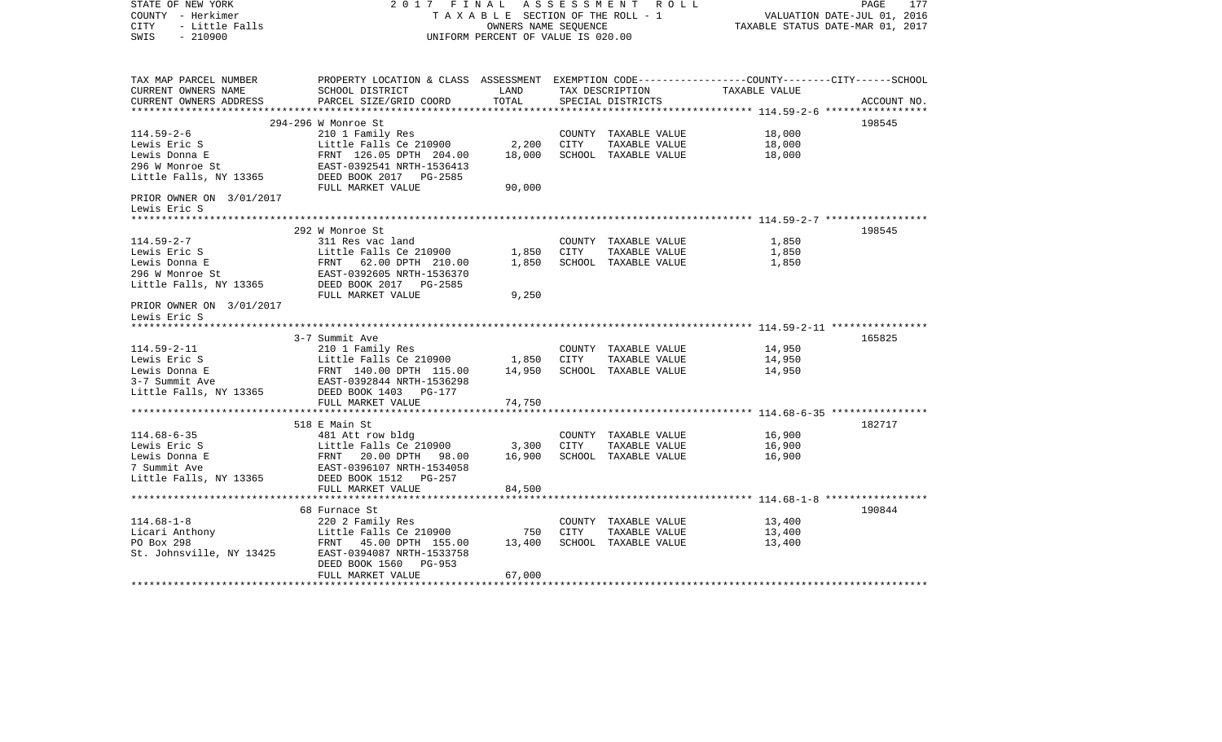| TAX MAP PARCEL NUMBER<br>PROPERTY LOCATION & CLASS ASSESSMENT EXEMPTION CODE---------------COUNTY-------CITY------SCHOOL<br>TAX DESCRIPTION TAXABLE VALUE<br>CURRENT OWNERS NAME<br>SCHOOL DISTRICT<br>LAND<br>TOTAL<br>CURRENT OWNERS ADDRESS<br>PARCEL SIZE/GRID COORD<br>SPECIAL DISTRICTS<br>ACCOUNT NO.<br>198545<br>294-296 W Monroe St<br>$114.59 - 2 - 6$<br>210 1 Family Res<br>18,000<br>COUNTY TAXABLE VALUE<br>Little Falls Ce 210900 2,200<br>18,000<br>CITY<br>Lewis Eric S<br>TAXABLE VALUE<br>18,000<br>SCHOOL TAXABLE VALUE<br>18,000<br>90,000<br>FULL MARKET VALUE<br>PRIOR OWNER ON 3/01/2017<br>Lewis Eric S<br>292 W Monroe St<br>198545<br>$114.59 - 2 - 7$<br>311 Res vac land<br>1,850<br>COUNTY TAXABLE VALUE<br>Little Falls Ce 210900 1,850 CITY<br>FRNT 62.00 DPTH 210.00 1,850 SCHOO<br>1,850<br>TAXABLE VALUE<br>Lewis Eric S<br>Little Falls Ce 210900<br>Lewis Donna E<br>296 W Monroe St<br>Little Falls, NY 13365<br>DEED BOOK 2017<br>DEED BOOK 2017<br>DEED BOOK 2017<br>DEED BOOK 2017<br>1,850<br>SCHOOL TAXABLE VALUE<br>9,250<br>FULL MARKET VALUE<br>PRIOR OWNER ON 3/01/2017<br>Lewis Eric S<br>165825<br>3-7 Summit Ave<br>114.59-2-11<br>210 1 Family Res<br>14,950<br>COUNTY TAXABLE VALUE<br>Little Falls Ce 210900 1,850 CITY<br>TAXABLE VALUE<br>14,950<br>Lewis Eric S<br>Lewis Eric S<br>Lewis Donna E<br>3-7 Summit Ave<br>FRNT 140.00 DPTH 115.00<br>EAST-0392844 NRTH-1536298<br>14,950<br>SCHOOL TAXABLE VALUE<br>14,950<br>3-7 Summine Ave<br>Little Falls, NY 13365<br>DEED BOOK 1403 PG-177<br>FULL MARKET VALUE<br>74,750<br>182717<br>518 E Main St<br>$114.68 - 6 - 35$<br>16,900<br>481 Att row bldg<br>COUNTY TAXABLE VALUE<br>Little Falls Ce 210900<br>FRNT 20.00 DPTH 98.00<br>EAST-0396107 NRTH-1534058<br>Little Falls Ce 210900<br>3,300<br>CITY<br>16,900<br>Lewis Eric S<br>TAXABLE VALUE<br>Lewis Donna E<br>16,900<br>SCHOOL TAXABLE VALUE<br>16,900<br>7 Summit Ave<br>Little Falls, NY 13365<br>DEED BOOK 1512 PG-257<br>84,500<br>FULL MARKET VALUE<br>190844<br>68 Furnace St<br>$114.68 - 1 - 8$<br>220 2 Family Res<br>13,400<br>COUNTY TAXABLE VALUE<br>Licari Anthony<br>PO Box 298<br>St. Johnsville, NY 13425<br>Little Falls Ce 210900<br>CITY<br>750<br>TAXABLE VALUE<br>13,400<br>13,400<br>SCHOOL TAXABLE VALUE<br>13,400<br>FRNT 45.00 DPTH 155.00<br>EAST-0394087 NRTH-1533758<br>DEED BOOK 1560 PG-953<br>FULL MARKET VALUE<br>67,000 | STATE OF NEW YORK<br>COUNTY - Herkimer<br><b>CITY</b><br>- Little Falls<br>$-210900$<br>SWIS | 2017 FINAL<br>A S S E S S M E N T R O L L<br>TAXABLE SECTION OF THE ROLL - 1<br>OWNERS NAME SEOUENCE<br>UNIFORM PERCENT OF VALUE IS 020.00 |  |  |  | 177<br>PAGE<br>VALUATION DATE-JUL 01, 2016<br>TAXABLE STATUS DATE-MAR 01, 2017 |  |  |
|---------------------------------------------------------------------------------------------------------------------------------------------------------------------------------------------------------------------------------------------------------------------------------------------------------------------------------------------------------------------------------------------------------------------------------------------------------------------------------------------------------------------------------------------------------------------------------------------------------------------------------------------------------------------------------------------------------------------------------------------------------------------------------------------------------------------------------------------------------------------------------------------------------------------------------------------------------------------------------------------------------------------------------------------------------------------------------------------------------------------------------------------------------------------------------------------------------------------------------------------------------------------------------------------------------------------------------------------------------------------------------------------------------------------------------------------------------------------------------------------------------------------------------------------------------------------------------------------------------------------------------------------------------------------------------------------------------------------------------------------------------------------------------------------------------------------------------------------------------------------------------------------------------------------------------------------------------------------------------------------------------------------------------------------------------------------------------------------------------------------------------------------------------------------------------------------------------------------------------------------------------------------------------------------------------------------------------------------------------------------------------------------------------------------------------|----------------------------------------------------------------------------------------------|--------------------------------------------------------------------------------------------------------------------------------------------|--|--|--|--------------------------------------------------------------------------------|--|--|
|                                                                                                                                                                                                                                                                                                                                                                                                                                                                                                                                                                                                                                                                                                                                                                                                                                                                                                                                                                                                                                                                                                                                                                                                                                                                                                                                                                                                                                                                                                                                                                                                                                                                                                                                                                                                                                                                                                                                                                                                                                                                                                                                                                                                                                                                                                                                                                                                                                 |                                                                                              |                                                                                                                                            |  |  |  |                                                                                |  |  |
|                                                                                                                                                                                                                                                                                                                                                                                                                                                                                                                                                                                                                                                                                                                                                                                                                                                                                                                                                                                                                                                                                                                                                                                                                                                                                                                                                                                                                                                                                                                                                                                                                                                                                                                                                                                                                                                                                                                                                                                                                                                                                                                                                                                                                                                                                                                                                                                                                                 |                                                                                              |                                                                                                                                            |  |  |  |                                                                                |  |  |
|                                                                                                                                                                                                                                                                                                                                                                                                                                                                                                                                                                                                                                                                                                                                                                                                                                                                                                                                                                                                                                                                                                                                                                                                                                                                                                                                                                                                                                                                                                                                                                                                                                                                                                                                                                                                                                                                                                                                                                                                                                                                                                                                                                                                                                                                                                                                                                                                                                 |                                                                                              |                                                                                                                                            |  |  |  |                                                                                |  |  |
|                                                                                                                                                                                                                                                                                                                                                                                                                                                                                                                                                                                                                                                                                                                                                                                                                                                                                                                                                                                                                                                                                                                                                                                                                                                                                                                                                                                                                                                                                                                                                                                                                                                                                                                                                                                                                                                                                                                                                                                                                                                                                                                                                                                                                                                                                                                                                                                                                                 |                                                                                              |                                                                                                                                            |  |  |  |                                                                                |  |  |
|                                                                                                                                                                                                                                                                                                                                                                                                                                                                                                                                                                                                                                                                                                                                                                                                                                                                                                                                                                                                                                                                                                                                                                                                                                                                                                                                                                                                                                                                                                                                                                                                                                                                                                                                                                                                                                                                                                                                                                                                                                                                                                                                                                                                                                                                                                                                                                                                                                 |                                                                                              |                                                                                                                                            |  |  |  |                                                                                |  |  |
|                                                                                                                                                                                                                                                                                                                                                                                                                                                                                                                                                                                                                                                                                                                                                                                                                                                                                                                                                                                                                                                                                                                                                                                                                                                                                                                                                                                                                                                                                                                                                                                                                                                                                                                                                                                                                                                                                                                                                                                                                                                                                                                                                                                                                                                                                                                                                                                                                                 |                                                                                              |                                                                                                                                            |  |  |  |                                                                                |  |  |
|                                                                                                                                                                                                                                                                                                                                                                                                                                                                                                                                                                                                                                                                                                                                                                                                                                                                                                                                                                                                                                                                                                                                                                                                                                                                                                                                                                                                                                                                                                                                                                                                                                                                                                                                                                                                                                                                                                                                                                                                                                                                                                                                                                                                                                                                                                                                                                                                                                 |                                                                                              |                                                                                                                                            |  |  |  |                                                                                |  |  |
|                                                                                                                                                                                                                                                                                                                                                                                                                                                                                                                                                                                                                                                                                                                                                                                                                                                                                                                                                                                                                                                                                                                                                                                                                                                                                                                                                                                                                                                                                                                                                                                                                                                                                                                                                                                                                                                                                                                                                                                                                                                                                                                                                                                                                                                                                                                                                                                                                                 |                                                                                              |                                                                                                                                            |  |  |  |                                                                                |  |  |
|                                                                                                                                                                                                                                                                                                                                                                                                                                                                                                                                                                                                                                                                                                                                                                                                                                                                                                                                                                                                                                                                                                                                                                                                                                                                                                                                                                                                                                                                                                                                                                                                                                                                                                                                                                                                                                                                                                                                                                                                                                                                                                                                                                                                                                                                                                                                                                                                                                 |                                                                                              |                                                                                                                                            |  |  |  |                                                                                |  |  |
|                                                                                                                                                                                                                                                                                                                                                                                                                                                                                                                                                                                                                                                                                                                                                                                                                                                                                                                                                                                                                                                                                                                                                                                                                                                                                                                                                                                                                                                                                                                                                                                                                                                                                                                                                                                                                                                                                                                                                                                                                                                                                                                                                                                                                                                                                                                                                                                                                                 |                                                                                              |                                                                                                                                            |  |  |  |                                                                                |  |  |
|                                                                                                                                                                                                                                                                                                                                                                                                                                                                                                                                                                                                                                                                                                                                                                                                                                                                                                                                                                                                                                                                                                                                                                                                                                                                                                                                                                                                                                                                                                                                                                                                                                                                                                                                                                                                                                                                                                                                                                                                                                                                                                                                                                                                                                                                                                                                                                                                                                 |                                                                                              |                                                                                                                                            |  |  |  |                                                                                |  |  |
|                                                                                                                                                                                                                                                                                                                                                                                                                                                                                                                                                                                                                                                                                                                                                                                                                                                                                                                                                                                                                                                                                                                                                                                                                                                                                                                                                                                                                                                                                                                                                                                                                                                                                                                                                                                                                                                                                                                                                                                                                                                                                                                                                                                                                                                                                                                                                                                                                                 |                                                                                              |                                                                                                                                            |  |  |  |                                                                                |  |  |
|                                                                                                                                                                                                                                                                                                                                                                                                                                                                                                                                                                                                                                                                                                                                                                                                                                                                                                                                                                                                                                                                                                                                                                                                                                                                                                                                                                                                                                                                                                                                                                                                                                                                                                                                                                                                                                                                                                                                                                                                                                                                                                                                                                                                                                                                                                                                                                                                                                 |                                                                                              |                                                                                                                                            |  |  |  |                                                                                |  |  |
|                                                                                                                                                                                                                                                                                                                                                                                                                                                                                                                                                                                                                                                                                                                                                                                                                                                                                                                                                                                                                                                                                                                                                                                                                                                                                                                                                                                                                                                                                                                                                                                                                                                                                                                                                                                                                                                                                                                                                                                                                                                                                                                                                                                                                                                                                                                                                                                                                                 |                                                                                              |                                                                                                                                            |  |  |  |                                                                                |  |  |
|                                                                                                                                                                                                                                                                                                                                                                                                                                                                                                                                                                                                                                                                                                                                                                                                                                                                                                                                                                                                                                                                                                                                                                                                                                                                                                                                                                                                                                                                                                                                                                                                                                                                                                                                                                                                                                                                                                                                                                                                                                                                                                                                                                                                                                                                                                                                                                                                                                 |                                                                                              |                                                                                                                                            |  |  |  |                                                                                |  |  |
|                                                                                                                                                                                                                                                                                                                                                                                                                                                                                                                                                                                                                                                                                                                                                                                                                                                                                                                                                                                                                                                                                                                                                                                                                                                                                                                                                                                                                                                                                                                                                                                                                                                                                                                                                                                                                                                                                                                                                                                                                                                                                                                                                                                                                                                                                                                                                                                                                                 |                                                                                              |                                                                                                                                            |  |  |  |                                                                                |  |  |
|                                                                                                                                                                                                                                                                                                                                                                                                                                                                                                                                                                                                                                                                                                                                                                                                                                                                                                                                                                                                                                                                                                                                                                                                                                                                                                                                                                                                                                                                                                                                                                                                                                                                                                                                                                                                                                                                                                                                                                                                                                                                                                                                                                                                                                                                                                                                                                                                                                 |                                                                                              |                                                                                                                                            |  |  |  |                                                                                |  |  |
|                                                                                                                                                                                                                                                                                                                                                                                                                                                                                                                                                                                                                                                                                                                                                                                                                                                                                                                                                                                                                                                                                                                                                                                                                                                                                                                                                                                                                                                                                                                                                                                                                                                                                                                                                                                                                                                                                                                                                                                                                                                                                                                                                                                                                                                                                                                                                                                                                                 |                                                                                              |                                                                                                                                            |  |  |  |                                                                                |  |  |
|                                                                                                                                                                                                                                                                                                                                                                                                                                                                                                                                                                                                                                                                                                                                                                                                                                                                                                                                                                                                                                                                                                                                                                                                                                                                                                                                                                                                                                                                                                                                                                                                                                                                                                                                                                                                                                                                                                                                                                                                                                                                                                                                                                                                                                                                                                                                                                                                                                 |                                                                                              |                                                                                                                                            |  |  |  |                                                                                |  |  |
|                                                                                                                                                                                                                                                                                                                                                                                                                                                                                                                                                                                                                                                                                                                                                                                                                                                                                                                                                                                                                                                                                                                                                                                                                                                                                                                                                                                                                                                                                                                                                                                                                                                                                                                                                                                                                                                                                                                                                                                                                                                                                                                                                                                                                                                                                                                                                                                                                                 |                                                                                              |                                                                                                                                            |  |  |  |                                                                                |  |  |
|                                                                                                                                                                                                                                                                                                                                                                                                                                                                                                                                                                                                                                                                                                                                                                                                                                                                                                                                                                                                                                                                                                                                                                                                                                                                                                                                                                                                                                                                                                                                                                                                                                                                                                                                                                                                                                                                                                                                                                                                                                                                                                                                                                                                                                                                                                                                                                                                                                 |                                                                                              |                                                                                                                                            |  |  |  |                                                                                |  |  |
|                                                                                                                                                                                                                                                                                                                                                                                                                                                                                                                                                                                                                                                                                                                                                                                                                                                                                                                                                                                                                                                                                                                                                                                                                                                                                                                                                                                                                                                                                                                                                                                                                                                                                                                                                                                                                                                                                                                                                                                                                                                                                                                                                                                                                                                                                                                                                                                                                                 |                                                                                              |                                                                                                                                            |  |  |  |                                                                                |  |  |
|                                                                                                                                                                                                                                                                                                                                                                                                                                                                                                                                                                                                                                                                                                                                                                                                                                                                                                                                                                                                                                                                                                                                                                                                                                                                                                                                                                                                                                                                                                                                                                                                                                                                                                                                                                                                                                                                                                                                                                                                                                                                                                                                                                                                                                                                                                                                                                                                                                 |                                                                                              |                                                                                                                                            |  |  |  |                                                                                |  |  |
|                                                                                                                                                                                                                                                                                                                                                                                                                                                                                                                                                                                                                                                                                                                                                                                                                                                                                                                                                                                                                                                                                                                                                                                                                                                                                                                                                                                                                                                                                                                                                                                                                                                                                                                                                                                                                                                                                                                                                                                                                                                                                                                                                                                                                                                                                                                                                                                                                                 |                                                                                              |                                                                                                                                            |  |  |  |                                                                                |  |  |
|                                                                                                                                                                                                                                                                                                                                                                                                                                                                                                                                                                                                                                                                                                                                                                                                                                                                                                                                                                                                                                                                                                                                                                                                                                                                                                                                                                                                                                                                                                                                                                                                                                                                                                                                                                                                                                                                                                                                                                                                                                                                                                                                                                                                                                                                                                                                                                                                                                 |                                                                                              |                                                                                                                                            |  |  |  |                                                                                |  |  |
|                                                                                                                                                                                                                                                                                                                                                                                                                                                                                                                                                                                                                                                                                                                                                                                                                                                                                                                                                                                                                                                                                                                                                                                                                                                                                                                                                                                                                                                                                                                                                                                                                                                                                                                                                                                                                                                                                                                                                                                                                                                                                                                                                                                                                                                                                                                                                                                                                                 |                                                                                              |                                                                                                                                            |  |  |  |                                                                                |  |  |
|                                                                                                                                                                                                                                                                                                                                                                                                                                                                                                                                                                                                                                                                                                                                                                                                                                                                                                                                                                                                                                                                                                                                                                                                                                                                                                                                                                                                                                                                                                                                                                                                                                                                                                                                                                                                                                                                                                                                                                                                                                                                                                                                                                                                                                                                                                                                                                                                                                 |                                                                                              |                                                                                                                                            |  |  |  |                                                                                |  |  |
|                                                                                                                                                                                                                                                                                                                                                                                                                                                                                                                                                                                                                                                                                                                                                                                                                                                                                                                                                                                                                                                                                                                                                                                                                                                                                                                                                                                                                                                                                                                                                                                                                                                                                                                                                                                                                                                                                                                                                                                                                                                                                                                                                                                                                                                                                                                                                                                                                                 |                                                                                              |                                                                                                                                            |  |  |  |                                                                                |  |  |
|                                                                                                                                                                                                                                                                                                                                                                                                                                                                                                                                                                                                                                                                                                                                                                                                                                                                                                                                                                                                                                                                                                                                                                                                                                                                                                                                                                                                                                                                                                                                                                                                                                                                                                                                                                                                                                                                                                                                                                                                                                                                                                                                                                                                                                                                                                                                                                                                                                 |                                                                                              |                                                                                                                                            |  |  |  |                                                                                |  |  |
|                                                                                                                                                                                                                                                                                                                                                                                                                                                                                                                                                                                                                                                                                                                                                                                                                                                                                                                                                                                                                                                                                                                                                                                                                                                                                                                                                                                                                                                                                                                                                                                                                                                                                                                                                                                                                                                                                                                                                                                                                                                                                                                                                                                                                                                                                                                                                                                                                                 |                                                                                              |                                                                                                                                            |  |  |  |                                                                                |  |  |
|                                                                                                                                                                                                                                                                                                                                                                                                                                                                                                                                                                                                                                                                                                                                                                                                                                                                                                                                                                                                                                                                                                                                                                                                                                                                                                                                                                                                                                                                                                                                                                                                                                                                                                                                                                                                                                                                                                                                                                                                                                                                                                                                                                                                                                                                                                                                                                                                                                 |                                                                                              |                                                                                                                                            |  |  |  |                                                                                |  |  |
|                                                                                                                                                                                                                                                                                                                                                                                                                                                                                                                                                                                                                                                                                                                                                                                                                                                                                                                                                                                                                                                                                                                                                                                                                                                                                                                                                                                                                                                                                                                                                                                                                                                                                                                                                                                                                                                                                                                                                                                                                                                                                                                                                                                                                                                                                                                                                                                                                                 |                                                                                              |                                                                                                                                            |  |  |  |                                                                                |  |  |
|                                                                                                                                                                                                                                                                                                                                                                                                                                                                                                                                                                                                                                                                                                                                                                                                                                                                                                                                                                                                                                                                                                                                                                                                                                                                                                                                                                                                                                                                                                                                                                                                                                                                                                                                                                                                                                                                                                                                                                                                                                                                                                                                                                                                                                                                                                                                                                                                                                 |                                                                                              |                                                                                                                                            |  |  |  |                                                                                |  |  |
|                                                                                                                                                                                                                                                                                                                                                                                                                                                                                                                                                                                                                                                                                                                                                                                                                                                                                                                                                                                                                                                                                                                                                                                                                                                                                                                                                                                                                                                                                                                                                                                                                                                                                                                                                                                                                                                                                                                                                                                                                                                                                                                                                                                                                                                                                                                                                                                                                                 |                                                                                              |                                                                                                                                            |  |  |  |                                                                                |  |  |
|                                                                                                                                                                                                                                                                                                                                                                                                                                                                                                                                                                                                                                                                                                                                                                                                                                                                                                                                                                                                                                                                                                                                                                                                                                                                                                                                                                                                                                                                                                                                                                                                                                                                                                                                                                                                                                                                                                                                                                                                                                                                                                                                                                                                                                                                                                                                                                                                                                 |                                                                                              |                                                                                                                                            |  |  |  |                                                                                |  |  |
|                                                                                                                                                                                                                                                                                                                                                                                                                                                                                                                                                                                                                                                                                                                                                                                                                                                                                                                                                                                                                                                                                                                                                                                                                                                                                                                                                                                                                                                                                                                                                                                                                                                                                                                                                                                                                                                                                                                                                                                                                                                                                                                                                                                                                                                                                                                                                                                                                                 |                                                                                              |                                                                                                                                            |  |  |  |                                                                                |  |  |
|                                                                                                                                                                                                                                                                                                                                                                                                                                                                                                                                                                                                                                                                                                                                                                                                                                                                                                                                                                                                                                                                                                                                                                                                                                                                                                                                                                                                                                                                                                                                                                                                                                                                                                                                                                                                                                                                                                                                                                                                                                                                                                                                                                                                                                                                                                                                                                                                                                 |                                                                                              |                                                                                                                                            |  |  |  |                                                                                |  |  |
|                                                                                                                                                                                                                                                                                                                                                                                                                                                                                                                                                                                                                                                                                                                                                                                                                                                                                                                                                                                                                                                                                                                                                                                                                                                                                                                                                                                                                                                                                                                                                                                                                                                                                                                                                                                                                                                                                                                                                                                                                                                                                                                                                                                                                                                                                                                                                                                                                                 |                                                                                              |                                                                                                                                            |  |  |  |                                                                                |  |  |
|                                                                                                                                                                                                                                                                                                                                                                                                                                                                                                                                                                                                                                                                                                                                                                                                                                                                                                                                                                                                                                                                                                                                                                                                                                                                                                                                                                                                                                                                                                                                                                                                                                                                                                                                                                                                                                                                                                                                                                                                                                                                                                                                                                                                                                                                                                                                                                                                                                 |                                                                                              |                                                                                                                                            |  |  |  |                                                                                |  |  |
|                                                                                                                                                                                                                                                                                                                                                                                                                                                                                                                                                                                                                                                                                                                                                                                                                                                                                                                                                                                                                                                                                                                                                                                                                                                                                                                                                                                                                                                                                                                                                                                                                                                                                                                                                                                                                                                                                                                                                                                                                                                                                                                                                                                                                                                                                                                                                                                                                                 |                                                                                              |                                                                                                                                            |  |  |  |                                                                                |  |  |
|                                                                                                                                                                                                                                                                                                                                                                                                                                                                                                                                                                                                                                                                                                                                                                                                                                                                                                                                                                                                                                                                                                                                                                                                                                                                                                                                                                                                                                                                                                                                                                                                                                                                                                                                                                                                                                                                                                                                                                                                                                                                                                                                                                                                                                                                                                                                                                                                                                 |                                                                                              |                                                                                                                                            |  |  |  |                                                                                |  |  |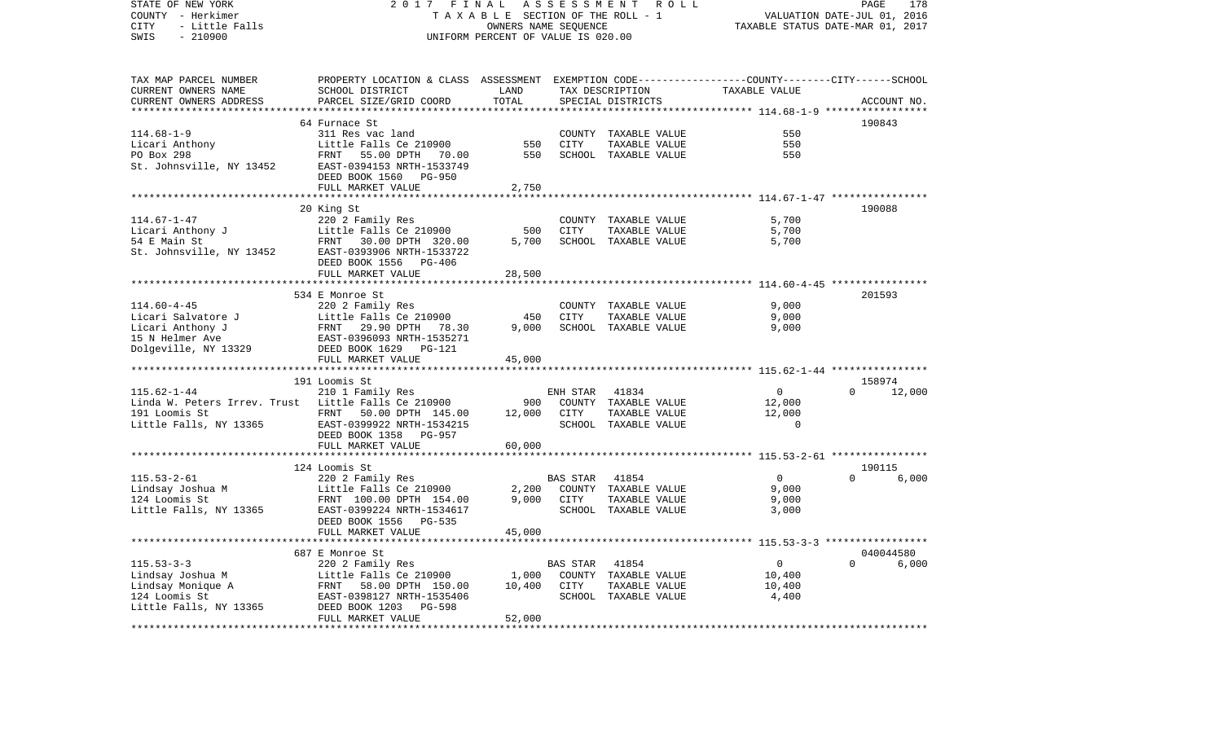| STATE OF NEW YORK<br>COUNTY - Herkimer<br>- Little Falls<br>CITY<br>$-210900$<br>SWIS | 2017 FINAL<br>TAXABLE SECTION OF THE ROLL - 1<br>UNIFORM PERCENT OF VALUE IS 020.00                                |               | PAGE<br>178<br>VALUATION DATE-JUL 01, 2016<br>TAXABLE STATUS DATE-MAR 01, 2017 |                      |                                                        |             |        |
|---------------------------------------------------------------------------------------|--------------------------------------------------------------------------------------------------------------------|---------------|--------------------------------------------------------------------------------|----------------------|--------------------------------------------------------|-------------|--------|
| TAX MAP PARCEL NUMBER<br>CURRENT OWNERS NAME                                          | PROPERTY LOCATION & CLASS ASSESSMENT EXEMPTION CODE---------------COUNTY-------CITY------SCHOOL<br>SCHOOL DISTRICT | LAND          |                                                                                | TAX DESCRIPTION      | TAXABLE VALUE                                          |             |        |
| CURRENT OWNERS ADDRESS                                                                | PARCEL SIZE/GRID COORD                                                                                             | TOTAL         |                                                                                | SPECIAL DISTRICTS    |                                                        | ACCOUNT NO. |        |
|                                                                                       |                                                                                                                    | ************* |                                                                                |                      | ******************* 114.68-1-9 *****                   |             |        |
|                                                                                       | 64 Furnace St                                                                                                      |               |                                                                                |                      |                                                        | 190843      |        |
| $114.68 - 1 - 9$                                                                      | 311 Res vac land                                                                                                   |               |                                                                                | COUNTY TAXABLE VALUE | 550                                                    |             |        |
| Licari Anthony                                                                        | Little Falls Ce 210900                                                                                             | 550           | CITY                                                                           | TAXABLE VALUE        | 550                                                    |             |        |
| PO Box 298<br>St. Johnsville, NY 13452                                                | FRNT 55.00 DPTH 70.00<br>EAST-0394153 NRTH-1533749<br>DEED BOOK 1560 PG-950                                        | 550           |                                                                                | SCHOOL TAXABLE VALUE | 550                                                    |             |        |
|                                                                                       | FULL MARKET VALUE                                                                                                  | 2,750         |                                                                                |                      |                                                        |             |        |
|                                                                                       |                                                                                                                    |               |                                                                                |                      |                                                        |             |        |
|                                                                                       | 20 King St                                                                                                         |               |                                                                                |                      |                                                        | 190088      |        |
| $114.67 - 1 - 47$                                                                     | 220 2 Family Res                                                                                                   |               |                                                                                | COUNTY TAXABLE VALUE | 5,700                                                  |             |        |
| Licari Anthony J<br>54 F Main St                                                      | Little Falls Ce 210900                                                                                             | 500           | <b>CITY</b>                                                                    | TAXABLE VALUE        | 5,700                                                  |             |        |
| EXECUTE 19900<br>St. Johnsville, NY 13452<br>EAST-0393906 NRTH-1522222                |                                                                                                                    | 5,700         |                                                                                | SCHOOL TAXABLE VALUE | 5,700                                                  |             |        |
|                                                                                       | FULL MARKET VALUE                                                                                                  | 28,500        |                                                                                |                      |                                                        |             |        |
|                                                                                       |                                                                                                                    |               |                                                                                |                      | .*********************** 114.60-4-45 ***************** |             |        |
|                                                                                       | 534 E Monroe St                                                                                                    |               |                                                                                |                      |                                                        | 201593      |        |
| $114.60 - 4 - 45$                                                                     | 220 2 Family Res                                                                                                   |               |                                                                                | COUNTY TAXABLE VALUE | 9,000                                                  |             |        |
| Licari Salvatore J                                                                    |                                                                                                                    | 450           | CITY                                                                           | TAXABLE VALUE        | 9,000                                                  |             |        |
| Licari Anthony J                                                                      |                                                                                                                    | 9,000         |                                                                                | SCHOOL TAXABLE VALUE | 9,000                                                  |             |        |
| 15 N Helmer Ave<br>Dolgeville, NY 13329                                               |                                                                                                                    |               |                                                                                |                      |                                                        |             |        |
|                                                                                       | FULL MARKET VALUE                                                                                                  | 45,000        |                                                                                |                      |                                                        |             |        |
|                                                                                       |                                                                                                                    |               |                                                                                |                      |                                                        |             |        |
|                                                                                       | 191 Loomis St                                                                                                      |               |                                                                                |                      |                                                        | 158974      |        |
| $115.62 - 1 - 44$                                                                     | 210 1 Family Res                                                                                                   |               | ENH STAR                                                                       | 41834                | $\mathbf 0$                                            | $\Omega$    | 12,000 |
| Linda W. Peters Irrev. Trust Little Falls Ce 210900                                   |                                                                                                                    | 900           |                                                                                | COUNTY TAXABLE VALUE | 12,000                                                 |             |        |
| 191 Loomis St                                                                         | FRNT 50.00 DPTH 145.00                                                                                             | 12,000        | CITY                                                                           | TAXABLE VALUE        | 12,000                                                 |             |        |
| Little Falls, NY 13365                                                                | EAST-0399922 NRTH-1534215                                                                                          |               |                                                                                | SCHOOL TAXABLE VALUE | $\Omega$                                               |             |        |
|                                                                                       | DEED BOOK 1358 PG-957                                                                                              |               |                                                                                |                      |                                                        |             |        |
|                                                                                       | FULL MARKET VALUE                                                                                                  | 60,000        |                                                                                |                      |                                                        |             |        |
|                                                                                       | *************************                                                                                          |               |                                                                                |                      |                                                        |             |        |
|                                                                                       | 124 Loomis St                                                                                                      |               |                                                                                |                      |                                                        | 190115      |        |
| $115.53 - 2 - 61$                                                                     | 220 2 Family Res                                                                                                   |               | <b>BAS STAR</b>                                                                | 41854                | $\overline{0}$                                         | $\Omega$    | 6,000  |
| Lindsay Joshua M<br>124 Loomis St                                                     | Little Falls Ce 210900                                                                                             | 2,200         |                                                                                | COUNTY TAXABLE VALUE | 9,000                                                  |             |        |
| 124 Loomis St                                                                         | FRNT 100.00 DPTH 154.00                                                                                            | 9,000         | CITY                                                                           | TAXABLE VALUE        | 9,000                                                  |             |        |
| Little Falls, NY 13365                                                                | EAST-0399224 NRTH-1534617<br>DEED BOOK 1556 PG-535                                                                 |               |                                                                                | SCHOOL TAXABLE VALUE | 3,000                                                  |             |        |
|                                                                                       | FULL MARKET VALUE                                                                                                  | 45,000        |                                                                                |                      |                                                        |             |        |
|                                                                                       |                                                                                                                    |               |                                                                                |                      |                                                        |             |        |
|                                                                                       | 687 E Monroe St                                                                                                    |               |                                                                                |                      |                                                        | 040044580   |        |
| $115.53 - 3 - 3$                                                                      | 220 2 Family Res                                                                                                   |               | BAS STAR                                                                       | 41854                | $\overline{0}$                                         | $\Omega$    | 6,000  |
| Lindsay Joshua M                                                                      | Little Falls Ce 210900                                                                                             | 1,000         |                                                                                | COUNTY TAXABLE VALUE | 10,400                                                 |             |        |
| Lindsay Monique A                                                                     | FRNT 58.00 DPTH 150.00                                                                                             | 10,400        | CITY                                                                           | TAXABLE VALUE        | 10,400                                                 |             |        |
| 124 Loomis St                                                                         | EAST-0398127 NRTH-1535406                                                                                          |               |                                                                                | SCHOOL TAXABLE VALUE | 4,400                                                  |             |        |
| Little Falls, NY 13365                                                                | DEED BOOK 1203<br>PG-598                                                                                           |               |                                                                                |                      |                                                        |             |        |
|                                                                                       | FULL MARKET VALUE                                                                                                  | 52,000        |                                                                                |                      |                                                        |             |        |
|                                                                                       |                                                                                                                    |               |                                                                                |                      |                                                        |             |        |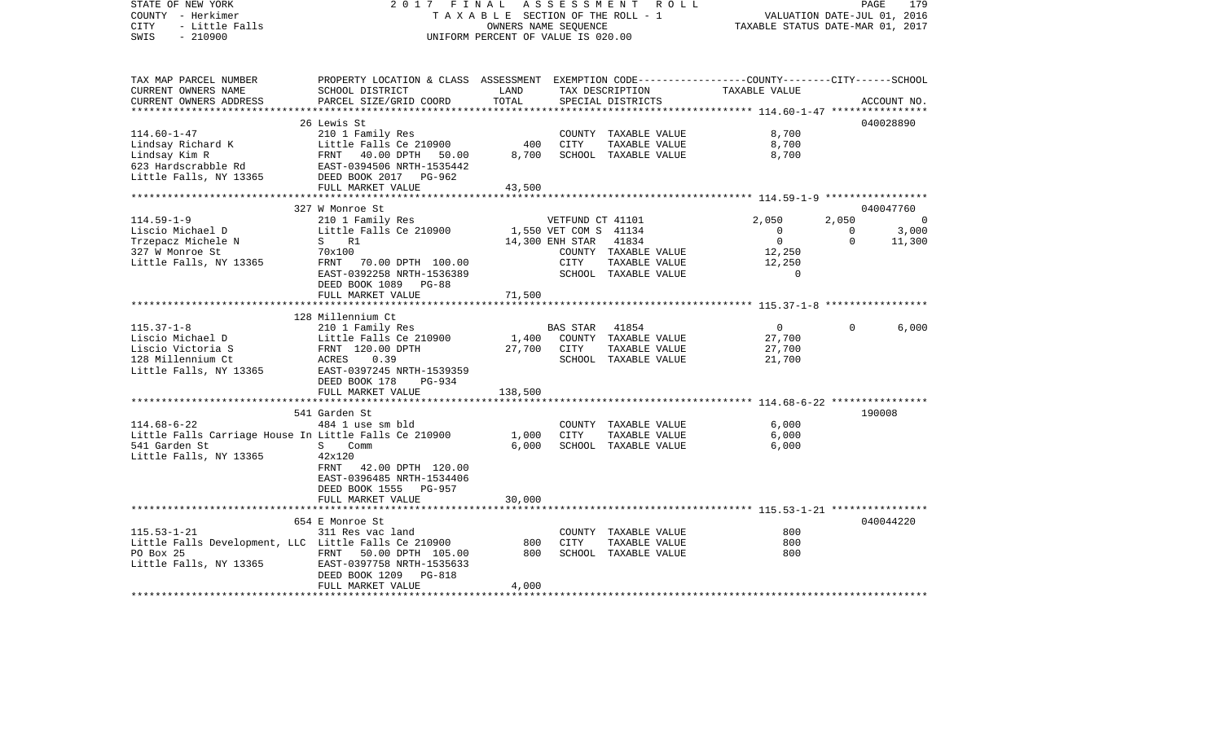| STATE OF NEW YORK<br>COUNTY - Herkimer<br>- Little Falls<br><b>CITY</b><br>$-210900$<br>SWIS                                                                             | 2017 FINAL                                                                                                                                   | OWNERS NAME SEQUENCE<br>UNIFORM PERCENT OF VALUE IS 020.00 |                       | ASSESSMENT ROLL<br>TAXABLE SECTION OF THE ROLL - 1 | VALUATION DATE-JUL 01, 2016<br>TAXABLE STATUS DATE-MAR 01, 2017 | PAGE           | 179         |
|--------------------------------------------------------------------------------------------------------------------------------------------------------------------------|----------------------------------------------------------------------------------------------------------------------------------------------|------------------------------------------------------------|-----------------------|----------------------------------------------------|-----------------------------------------------------------------|----------------|-------------|
| TAX MAP PARCEL NUMBER<br>CURRENT OWNERS NAME<br>CURRENT OWNERS ADDRESS                                                                                                   | PROPERTY LOCATION & CLASS ASSESSMENT EXEMPTION CODE---------------COUNTY-------CITY------SCHOOL<br>SCHOOL DISTRICT<br>PARCEL SIZE/GRID COORD | LAND<br>TOTAL                                              |                       | TAX DESCRIPTION TAXABLE VALUE<br>SPECIAL DISTRICTS |                                                                 |                | ACCOUNT NO. |
|                                                                                                                                                                          | 26 Lewis St                                                                                                                                  |                                                            |                       |                                                    |                                                                 |                | 040028890   |
| $114.60 - 1 - 47$                                                                                                                                                        |                                                                                                                                              |                                                            |                       | COUNTY TAXABLE VALUE                               | 8,700                                                           |                |             |
|                                                                                                                                                                          | 210 1 Family Res<br>Little Falls Ce 210900                                                                                                   | 400                                                        | CITY                  | TAXABLE VALUE                                      | 8,700                                                           |                |             |
| Lindsay Richard K<br>Lindsay Kim R<br>623 Hardscrabble Rd<br>EAST-0394506 NRTH-1535442<br>Little Falls, NY 13365<br>FULL MARKET VALUE<br>FULL MARKET VALUE               |                                                                                                                                              | 8,700                                                      |                       | SCHOOL TAXABLE VALUE                               | 8,700                                                           |                |             |
|                                                                                                                                                                          | FULL MARKET VALUE<br>********************************                                                                                        | 43,500                                                     |                       |                                                    |                                                                 |                |             |
|                                                                                                                                                                          | 327 W Monroe St                                                                                                                              |                                                            |                       |                                                    |                                                                 |                | 040047760   |
| $114.59 - 1 - 9$                                                                                                                                                         | 210 1 Family Res                                                                                                                             |                                                            | VETFUND CT 41101      |                                                    | 2,050                                                           | 2,050          |             |
| Liscio Michael D                                                                                                                                                         | Little Falls Ce 210900                                                                                                                       |                                                            | 1,550 VET COM S 41134 |                                                    | $\overline{0}$                                                  | $\overline{0}$ | 3,000       |
| Trzepacz Michele N<br>227 W Morroe St                                                                                                                                    | S R1                                                                                                                                         | 14,300 ENH STAR 41834                                      |                       |                                                    | $\overline{0}$                                                  | $\Omega$       | 11,300      |
| 327 W Monroe St                                                                                                                                                          | 70x100                                                                                                                                       |                                                            |                       | COUNTY TAXABLE VALUE                               | 12,250                                                          |                |             |
| Little Falls, NY 13365                                                                                                                                                   | FRNT 70.00 DPTH 100.00                                                                                                                       |                                                            | CITY                  | TAXABLE VALUE                                      | 12,250                                                          |                |             |
|                                                                                                                                                                          | EAST-0392258 NRTH-1536389                                                                                                                    |                                                            |                       | SCHOOL TAXABLE VALUE                               | $\mathbf 0$                                                     |                |             |
|                                                                                                                                                                          | DEED BOOK 1089 PG-88                                                                                                                         |                                                            |                       |                                                    |                                                                 |                |             |
|                                                                                                                                                                          | FULL MARKET VALUE                                                                                                                            | 71,500                                                     |                       |                                                    |                                                                 |                |             |
|                                                                                                                                                                          | 128 Millennium Ct                                                                                                                            |                                                            |                       |                                                    |                                                                 |                |             |
| $115.37 - 1 - 8$                                                                                                                                                         | 210 1 Family Res                                                                                                                             |                                                            | BAS STAR 41854        |                                                    | $\overline{0}$                                                  | $\Omega$       | 6,000       |
|                                                                                                                                                                          |                                                                                                                                              |                                                            |                       | COUNTY TAXABLE VALUE                               | 27,700                                                          |                |             |
|                                                                                                                                                                          |                                                                                                                                              | 1,400 COUNT<br>27,700 CITY                                 |                       | TAXABLE VALUE                                      | 27,700                                                          |                |             |
|                                                                                                                                                                          |                                                                                                                                              |                                                            |                       | SCHOOL TAXABLE VALUE                               | 21,700                                                          |                |             |
| Liscio Michael D<br>Little Falls Ce 210900<br>Liscio Victoria S<br>128 Millennium Ct<br>Little Falls, NY 13365<br>EAST-0397245 NRTH-1539359<br>EAST-0397245 NRTH-1539359 |                                                                                                                                              |                                                            |                       |                                                    |                                                                 |                |             |
|                                                                                                                                                                          | DEED BOOK 178<br>PG-934                                                                                                                      |                                                            |                       |                                                    |                                                                 |                |             |
|                                                                                                                                                                          | FULL MARKET VALUE                                                                                                                            | 138,500                                                    |                       |                                                    |                                                                 |                |             |
|                                                                                                                                                                          |                                                                                                                                              |                                                            |                       |                                                    |                                                                 |                |             |
|                                                                                                                                                                          | 541 Garden St                                                                                                                                |                                                            |                       |                                                    |                                                                 |                | 190008      |
| $114.68 - 6 - 22$                                                                                                                                                        | 484 1 use sm bld                                                                                                                             |                                                            |                       | COUNTY TAXABLE VALUE                               | 6.000                                                           |                |             |
| Little Falls Carriage House In Little Falls Ce 210900 1,000                                                                                                              |                                                                                                                                              |                                                            | CITY                  | TAXABLE VALUE                                      | 6,000                                                           |                |             |
| <b>S</b> Comm<br>541 Garden St<br>Little Falls, NY 13365                                                                                                                 | 42x120                                                                                                                                       | 6,000                                                      |                       | SCHOOL TAXABLE VALUE                               | 6,000                                                           |                |             |
|                                                                                                                                                                          | FRNT<br>42.00 DPTH 120.00                                                                                                                    |                                                            |                       |                                                    |                                                                 |                |             |
|                                                                                                                                                                          | EAST-0396485 NRTH-1534406                                                                                                                    |                                                            |                       |                                                    |                                                                 |                |             |
|                                                                                                                                                                          | DEED BOOK 1555 PG-957                                                                                                                        |                                                            |                       |                                                    |                                                                 |                |             |
|                                                                                                                                                                          | FULL MARKET VALUE                                                                                                                            | 30,000                                                     |                       |                                                    |                                                                 |                |             |
|                                                                                                                                                                          |                                                                                                                                              |                                                            |                       |                                                    |                                                                 |                |             |
|                                                                                                                                                                          | 654 E Monroe St                                                                                                                              |                                                            |                       |                                                    |                                                                 |                | 040044220   |
| $115.53 - 1 - 21$                                                                                                                                                        | 311 Res vac land                                                                                                                             |                                                            |                       | COUNTY TAXABLE VALUE                               | 800                                                             |                |             |
|                                                                                                                                                                          |                                                                                                                                              | 800                                                        | CITY                  | TAXABLE VALUE                                      | 800                                                             |                |             |
| PO Box 25                                                                                                                                                                | FRNT 50.00 DPTH 105.00 800                                                                                                                   |                                                            |                       | SCHOOL TAXABLE VALUE                               | 800                                                             |                |             |
| EU EU 25<br>Little Falls, NY 13365 EAST-0397758 NRTH-1535633                                                                                                             |                                                                                                                                              |                                                            |                       |                                                    |                                                                 |                |             |
|                                                                                                                                                                          | DEED BOOK 1209 PG-818                                                                                                                        |                                                            |                       |                                                    |                                                                 |                |             |
|                                                                                                                                                                          | FULL MARKET VALUE                                                                                                                            | 4,000                                                      |                       |                                                    |                                                                 |                |             |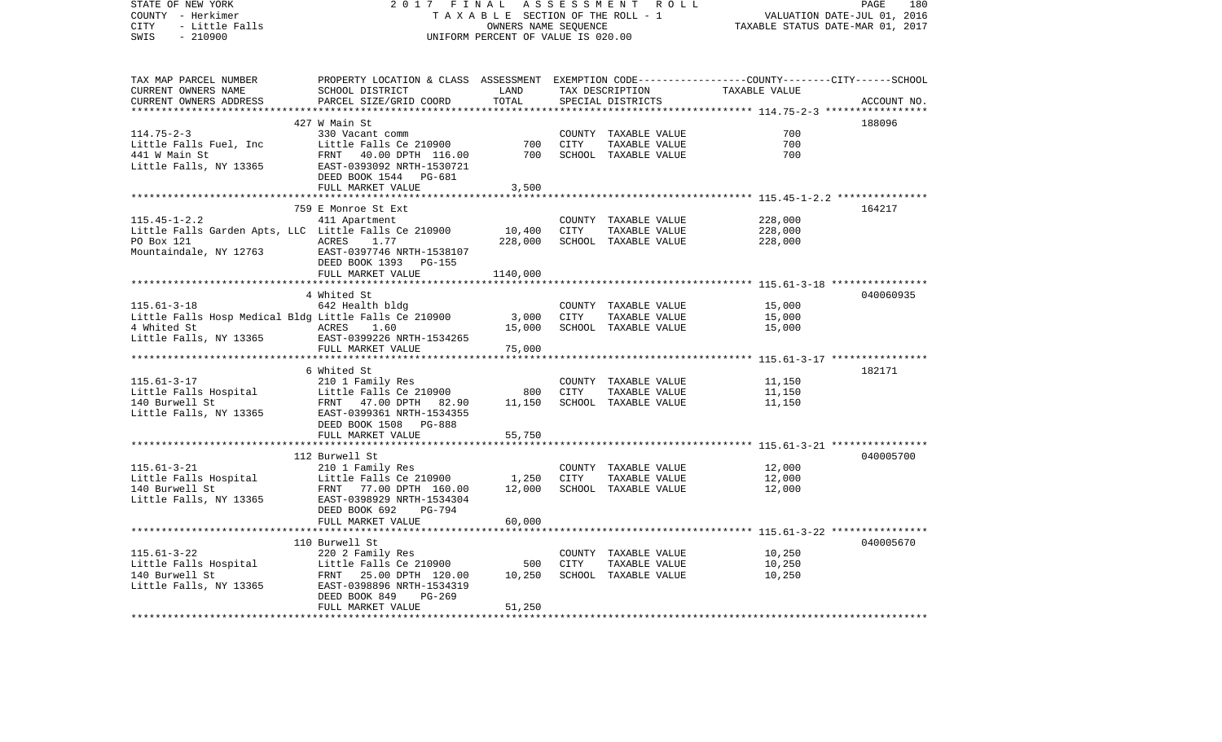| STATE OF NEW YORK<br>COUNTY - Herkimer<br>- Little Falls<br>CITY<br>SWIS<br>$-210900$ | 2017 FINAL<br>TAXABLE SECTION OF THE ROLL - 1<br>UNIFORM PERCENT OF VALUE IS 020.00             | PAGE<br>180<br>VALUATION DATE-JUL 01, 2016<br>TAXABLE STATUS DATE-MAR 01, 2017 |             |                                      |                                                                     |             |
|---------------------------------------------------------------------------------------|-------------------------------------------------------------------------------------------------|--------------------------------------------------------------------------------|-------------|--------------------------------------|---------------------------------------------------------------------|-------------|
| TAX MAP PARCEL NUMBER                                                                 | PROPERTY LOCATION & CLASS ASSESSMENT EXEMPTION CODE---------------COUNTY-------CITY------SCHOOL |                                                                                |             |                                      |                                                                     |             |
| CURRENT OWNERS NAME<br>CURRENT OWNERS ADDRESS<br>************************             | SCHOOL DISTRICT<br>PARCEL SIZE/GRID COORD                                                       | LAND<br>TOTAL                                                                  |             | TAX DESCRIPTION<br>SPECIAL DISTRICTS | TAXABLE VALUE                                                       | ACCOUNT NO. |
|                                                                                       | 427 W Main St                                                                                   |                                                                                |             |                                      |                                                                     | 188096      |
| $114.75 - 2 - 3$                                                                      | 330 Vacant comm                                                                                 |                                                                                |             | COUNTY TAXABLE VALUE                 | 700                                                                 |             |
| Little Falls Fuel, Inc                                                                | Little Falls Ce 210900                                                                          | 700                                                                            | <b>CITY</b> | TAXABLE VALUE                        | 700                                                                 |             |
| 441 W Main St                                                                         | FRNT 40.00 DPTH 116.00                                                                          | 700                                                                            |             | SCHOOL TAXABLE VALUE                 | 700                                                                 |             |
| Little Falls, NY 13365                                                                | EAST-0393092 NRTH-1530721<br>DEED BOOK 1544 PG-681                                              |                                                                                |             |                                      |                                                                     |             |
|                                                                                       | FULL MARKET VALUE                                                                               | 3,500                                                                          |             |                                      |                                                                     |             |
|                                                                                       |                                                                                                 |                                                                                |             |                                      |                                                                     |             |
|                                                                                       | 759 E Monroe St Ext                                                                             |                                                                                |             |                                      |                                                                     | 164217      |
| $115.45 - 1 - 2.2$                                                                    | 411 Apartment                                                                                   |                                                                                |             | COUNTY TAXABLE VALUE                 | 228,000                                                             |             |
| Little Falls Garden Apts, LLC Little Falls Ce 210900                                  |                                                                                                 | 10,400                                                                         | CITY        | TAXABLE VALUE                        | 228,000                                                             |             |
| PO Box 121                                                                            | ACRES<br>1.77                                                                                   | 228,000                                                                        |             | SCHOOL TAXABLE VALUE                 | 228,000                                                             |             |
| Mountaindale, NY 12763                                                                | EAST-0397746 NRTH-1538107<br>DEED BOOK 1393 PG-155                                              |                                                                                |             |                                      |                                                                     |             |
|                                                                                       | FULL MARKET VALUE                                                                               | 1140,000                                                                       |             |                                      |                                                                     |             |
|                                                                                       |                                                                                                 |                                                                                |             |                                      | ***************** 115.61-3-18 *****************                     |             |
|                                                                                       | 4 Whited St                                                                                     |                                                                                |             |                                      |                                                                     | 040060935   |
| $115.61 - 3 - 18$                                                                     | 642 Health bldg                                                                                 |                                                                                |             | COUNTY TAXABLE VALUE                 | 15,000                                                              |             |
| Little Falls Hosp Medical Bldg Little Falls Ce 210900                                 |                                                                                                 | 3,000                                                                          | CITY        | TAXABLE VALUE                        | 15,000                                                              |             |
| 4 Whited St                                                                           | ACRES<br>1.60                                                                                   | 15,000                                                                         |             | SCHOOL TAXABLE VALUE                 | 15,000                                                              |             |
| Little Falls, NY 13365                                                                | EAST-0399226 NRTH-1534265<br>FULL MARKET VALUE                                                  | 75,000                                                                         |             |                                      |                                                                     |             |
|                                                                                       |                                                                                                 | *********                                                                      |             |                                      | ************************************* 115.61-3-17 ***************** |             |
|                                                                                       | 6 Whited St                                                                                     |                                                                                |             |                                      |                                                                     | 182171      |
| $115.61 - 3 - 17$                                                                     | 210 1 Family Res                                                                                |                                                                                |             | COUNTY TAXABLE VALUE                 | 11,150                                                              |             |
| Little Falls Hospital                                                                 | Little Falls Ce 210900                                                                          | 800                                                                            | <b>CITY</b> | TAXABLE VALUE                        | 11,150                                                              |             |
| 140 Burwell St                                                                        | FRNT<br>47.00 DPTH 82.90                                                                        | 11,150                                                                         |             | SCHOOL TAXABLE VALUE                 | 11,150                                                              |             |
| Little Falls, NY 13365                                                                | EAST-0399361 NRTH-1534355                                                                       |                                                                                |             |                                      |                                                                     |             |
|                                                                                       | DEED BOOK 1508 PG-888                                                                           |                                                                                |             |                                      |                                                                     |             |
|                                                                                       | FULL MARKET VALUE                                                                               | 55,750                                                                         |             |                                      |                                                                     |             |
|                                                                                       |                                                                                                 |                                                                                |             |                                      | ************************************* 115.61-3-21 ***************** |             |
|                                                                                       | 112 Burwell St                                                                                  |                                                                                |             |                                      |                                                                     | 040005700   |
| $115.61 - 3 - 21$                                                                     | 210 1 Family Res                                                                                |                                                                                |             | COUNTY TAXABLE VALUE                 | 12,000                                                              |             |
| Little Falls Hospital                                                                 | Little Falls Ce 210900                                                                          | 1,250                                                                          | <b>CITY</b> | TAXABLE VALUE                        | 12,000                                                              |             |
| 140 Burwell St                                                                        | FRNT 77.00 DPTH 160.00                                                                          | 12,000                                                                         |             | SCHOOL TAXABLE VALUE                 | 12,000                                                              |             |
| Little Falls, NY 13365                                                                | EAST-0398929 NRTH-1534304                                                                       |                                                                                |             |                                      |                                                                     |             |
|                                                                                       | PG-794<br>DEED BOOK 692                                                                         |                                                                                |             |                                      |                                                                     |             |
|                                                                                       | FULL MARKET VALUE                                                                               | 60,000                                                                         |             |                                      |                                                                     |             |
|                                                                                       |                                                                                                 |                                                                                |             |                                      |                                                                     |             |
|                                                                                       | 110 Burwell St                                                                                  |                                                                                |             |                                      |                                                                     | 040005670   |
| $115.61 - 3 - 22$                                                                     | 220 2 Family Res                                                                                |                                                                                |             | COUNTY TAXABLE VALUE                 | 10,250                                                              |             |
| Little Falls Hospital                                                                 | Little Falls Ce 210900                                                                          | 500                                                                            | <b>CITY</b> | TAXABLE VALUE                        | 10,250                                                              |             |
| 140 Burwell St                                                                        | FRNT 25.00 DPTH 120.00                                                                          | 10,250                                                                         |             | SCHOOL TAXABLE VALUE                 | 10,250                                                              |             |
| Little Falls, NY 13365                                                                | EAST-0398896 NRTH-1534319                                                                       |                                                                                |             |                                      |                                                                     |             |
|                                                                                       | DEED BOOK 849<br>$PG-269$                                                                       |                                                                                |             |                                      |                                                                     |             |
| **********************                                                                | FULL MARKET VALUE                                                                               | 51,250                                                                         |             |                                      |                                                                     |             |
|                                                                                       |                                                                                                 |                                                                                |             |                                      |                                                                     |             |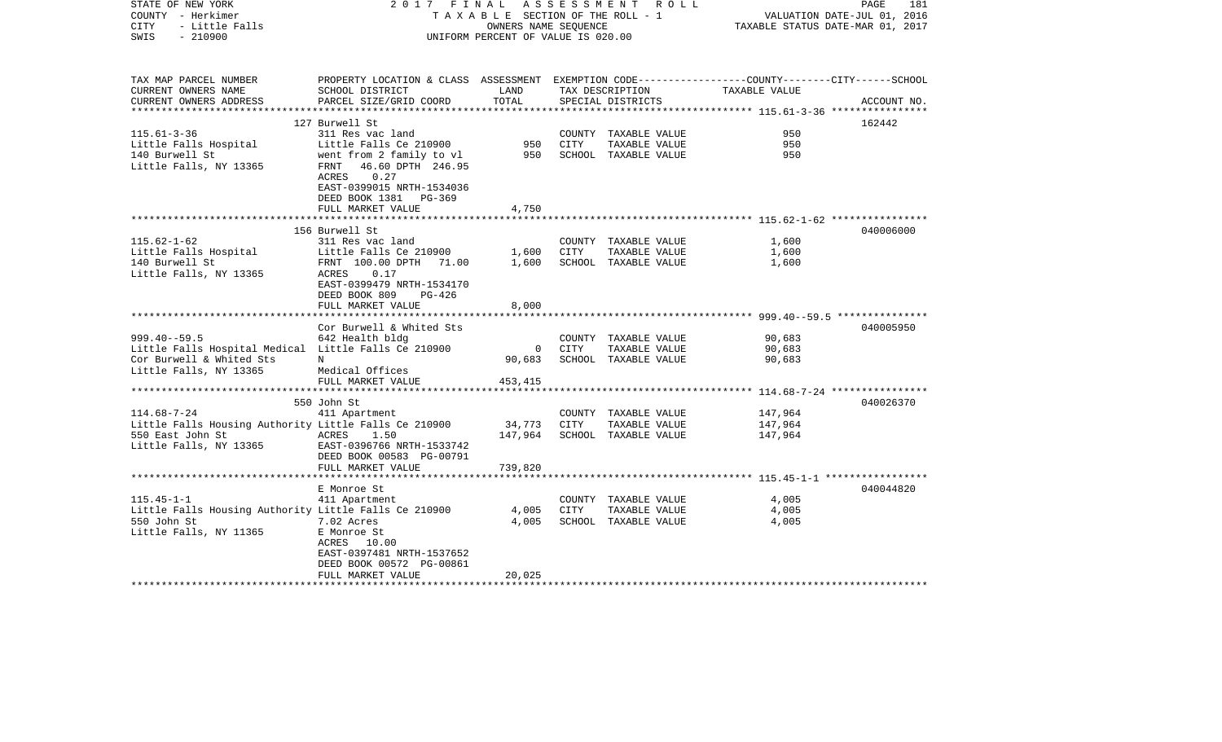| STATE OF NEW YORK<br>COUNTY - Herkimer<br>- Little Falls<br>CITY<br>$-210900$<br>SWIS  | 2017 FINAL                                                                                                                                    | TAXABLE SECTION OF THE ROLL - 1<br>OWNERS NAME SEOUENCE<br>UNIFORM PERCENT OF VALUE IS 020.00 |      | ASSESSMENT ROLL                                               | TAXABLE STATUS DATE-MAR 01, 2017                           | 181<br>PAGE<br>VALUATION DATE-JUL 01, 2016 |
|----------------------------------------------------------------------------------------|-----------------------------------------------------------------------------------------------------------------------------------------------|-----------------------------------------------------------------------------------------------|------|---------------------------------------------------------------|------------------------------------------------------------|--------------------------------------------|
| TAX MAP PARCEL NUMBER<br>CURRENT OWNERS NAME<br>CURRENT OWNERS ADDRESS                 | PROPERTY LOCATION & CLASS ASSESSMENT EXEMPTION CODE----------------COUNTY-------CITY------SCHOOL<br>SCHOOL DISTRICT<br>PARCEL SIZE/GRID COORD | LAND<br>TOTAL                                                                                 |      | TAX DESCRIPTION<br>SPECIAL DISTRICTS                          | TAXABLE VALUE                                              | ACCOUNT NO.                                |
|                                                                                        |                                                                                                                                               |                                                                                               |      |                                                               |                                                            |                                            |
|                                                                                        | 127 Burwell St                                                                                                                                |                                                                                               |      |                                                               |                                                            | 162442                                     |
| $115.61 - 3 - 36$<br>Little Falls Hospital<br>140 Burwell St<br>Little Falls, NY 13365 | 311 Res vac land<br>Little Falls Ce 210900<br>went from 2 family to vl<br>46.60 DPTH 246.95<br>FRNT<br>ACRES<br>0.27                          | 950<br>950                                                                                    | CITY | COUNTY TAXABLE VALUE<br>TAXABLE VALUE<br>SCHOOL TAXABLE VALUE | 950<br>950<br>950                                          |                                            |
|                                                                                        | EAST-0399015 NRTH-1534036<br>DEED BOOK 1381 PG-369                                                                                            |                                                                                               |      |                                                               |                                                            |                                            |
|                                                                                        | FULL MARKET VALUE                                                                                                                             | 4,750                                                                                         |      |                                                               |                                                            |                                            |
|                                                                                        |                                                                                                                                               |                                                                                               |      |                                                               |                                                            |                                            |
|                                                                                        | 156 Burwell St                                                                                                                                |                                                                                               |      |                                                               |                                                            | 040006000                                  |
| $115.62 - 1 - 62$                                                                      | 311 Res vac land                                                                                                                              | 1,600                                                                                         | CITY | COUNTY TAXABLE VALUE                                          | 1,600<br>1,600                                             |                                            |
| Little Falls Hospital<br>140 Burwell St                                                | Little Falls Ce 210900<br>FRNT 100.00 DPTH 71.00                                                                                              | 1,600                                                                                         |      | TAXABLE VALUE<br>SCHOOL TAXABLE VALUE                         | 1,600                                                      |                                            |
| Little Falls, NY 13365                                                                 | ACRES<br>0.17<br>EAST-0399479 NRTH-1534170<br>DEED BOOK 809<br>$PG-426$                                                                       |                                                                                               |      |                                                               |                                                            |                                            |
|                                                                                        | FULL MARKET VALUE                                                                                                                             | 8,000                                                                                         |      |                                                               |                                                            |                                            |
|                                                                                        |                                                                                                                                               |                                                                                               |      |                                                               | ***************************** 999.40--59.5 *************** | 040005950                                  |
| $999.40 - 59.5$                                                                        | Cor Burwell & Whited Sts<br>642 Health bldg                                                                                                   |                                                                                               |      | COUNTY TAXABLE VALUE                                          | 90,683                                                     |                                            |
| Little Falls Hospital Medical Little Falls Ce 210900                                   |                                                                                                                                               | $\mathbf 0$                                                                                   | CITY | TAXABLE VALUE                                                 | 90,683                                                     |                                            |
| Cor Burwell & Whited Sts                                                               | N                                                                                                                                             | 90,683                                                                                        |      | SCHOOL TAXABLE VALUE                                          | 90,683                                                     |                                            |
| Little Falls, NY 13365                                                                 | Medical Offices                                                                                                                               |                                                                                               |      |                                                               |                                                            |                                            |
|                                                                                        | FULL MARKET VALUE                                                                                                                             | 453,415                                                                                       |      |                                                               |                                                            |                                            |
|                                                                                        | 550 John St                                                                                                                                   |                                                                                               |      |                                                               |                                                            | 040026370                                  |
| $114.68 - 7 - 24$                                                                      | 411 Apartment                                                                                                                                 |                                                                                               |      | COUNTY TAXABLE VALUE                                          | 147,964                                                    |                                            |
| Little Falls Housing Authority Little Falls Ce 210900                                  |                                                                                                                                               | 34,773                                                                                        | CITY | TAXABLE VALUE                                                 | 147,964                                                    |                                            |
| 550 East John St<br>Little Falls, NY 13365                                             | ACRES<br>1.50<br>EAST-0396766 NRTH-1533742<br>DEED BOOK 00583 PG-00791                                                                        | 147,964                                                                                       |      | SCHOOL TAXABLE VALUE                                          | 147,964                                                    |                                            |
|                                                                                        | FULL MARKET VALUE                                                                                                                             | 739,820                                                                                       |      |                                                               |                                                            |                                            |
|                                                                                        | E Monroe St                                                                                                                                   |                                                                                               |      |                                                               |                                                            | 040044820                                  |
| $115.45 - 1 - 1$                                                                       | 411 Apartment                                                                                                                                 |                                                                                               |      | COUNTY TAXABLE VALUE                                          | 4,005                                                      |                                            |
| Little Falls Housing Authority Little Falls Ce 210900                                  |                                                                                                                                               | 4,005                                                                                         | CITY | TAXABLE VALUE                                                 | 4,005                                                      |                                            |
| 550 John St<br>Little Falls, NY 11365                                                  | 7.02 Acres<br>E Monroe St<br>ACRES 10.00<br>EAST-0397481 NRTH-1537652                                                                         | 4,005                                                                                         |      | SCHOOL TAXABLE VALUE                                          | 4,005                                                      |                                            |
|                                                                                        | DEED BOOK 00572 PG-00861                                                                                                                      |                                                                                               |      |                                                               |                                                            |                                            |
|                                                                                        | FULL MARKET VALUE                                                                                                                             | 20,025                                                                                        |      |                                                               |                                                            |                                            |
| ********************                                                                   |                                                                                                                                               |                                                                                               |      |                                                               |                                                            |                                            |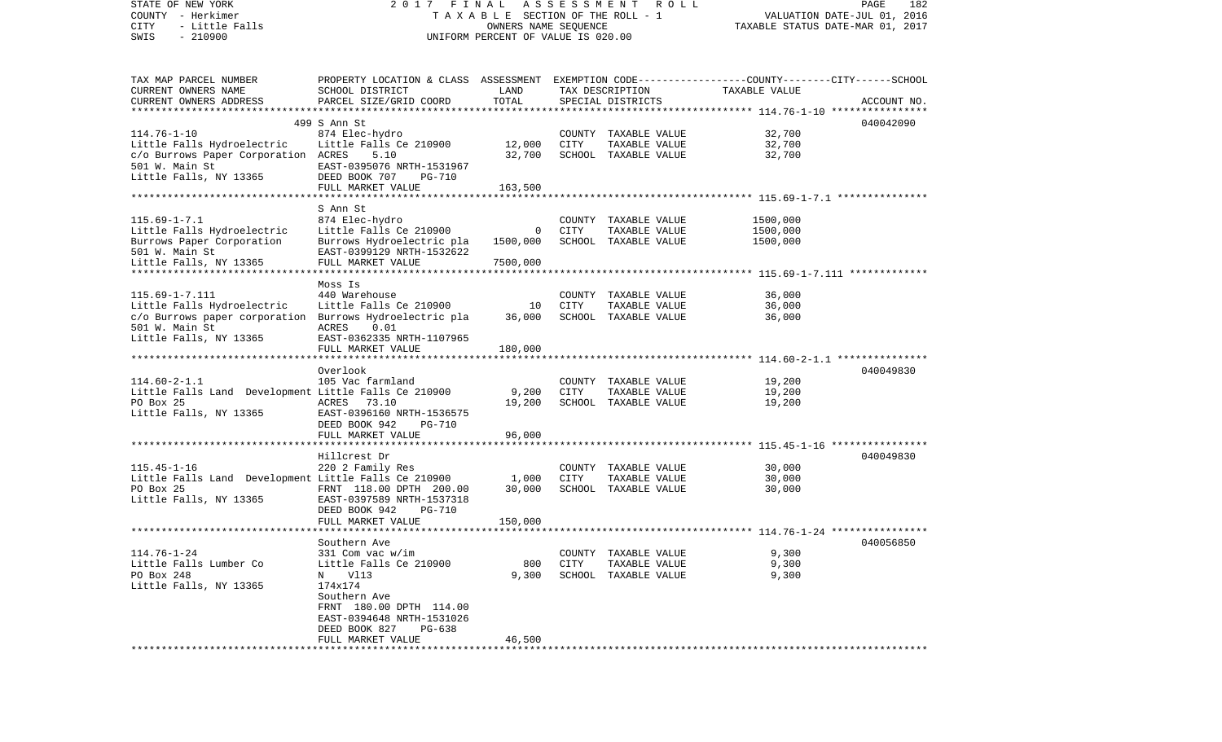| STATE OF NEW YORK                                       | 2017                                                                                            | FINAL                 | A S S E S S M E N T              | R O L L              |                                                        | PAGE<br>182 |
|---------------------------------------------------------|-------------------------------------------------------------------------------------------------|-----------------------|----------------------------------|----------------------|--------------------------------------------------------|-------------|
| COUNTY - Herkimer                                       | TAXABLE SECTION OF THE ROLL - 1                                                                 |                       | VALUATION DATE-JUL 01, 2016      |                      |                                                        |             |
| <b>CITY</b><br>- Little Falls                           |                                                                                                 |                       | TAXABLE STATUS DATE-MAR 01, 2017 |                      |                                                        |             |
| $-210900$<br>SWIS                                       | UNIFORM PERCENT OF VALUE IS 020.00                                                              |                       |                                  |                      |                                                        |             |
|                                                         |                                                                                                 |                       |                                  |                      |                                                        |             |
|                                                         |                                                                                                 |                       |                                  |                      |                                                        |             |
| TAX MAP PARCEL NUMBER                                   | PROPERTY LOCATION & CLASS ASSESSMENT EXEMPTION CODE---------------COUNTY-------CITY------SCHOOL |                       |                                  |                      |                                                        |             |
| CURRENT OWNERS NAME                                     | SCHOOL DISTRICT                                                                                 | LAND                  |                                  | TAX DESCRIPTION      | TAXABLE VALUE                                          |             |
| CURRENT OWNERS ADDRESS                                  | PARCEL SIZE/GRID COORD                                                                          |                       | TOTAL<br>SPECIAL DISTRICTS       |                      |                                                        | ACCOUNT NO. |
| **********************                                  |                                                                                                 |                       |                                  |                      |                                                        |             |
|                                                         | 499 S Ann St                                                                                    |                       |                                  |                      |                                                        | 040042090   |
| $114.76 - 1 - 10$                                       | 874 Elec-hydro                                                                                  |                       | COUNTY                           | TAXABLE VALUE        | 32,700                                                 |             |
| Little Falls Hydroelectric                              | Little Falls Ce 210900                                                                          | 12,000                | CITY                             | TAXABLE VALUE        | 32,700                                                 |             |
| c/o Burrows Paper Corporation ACRES                     | 5.10                                                                                            | 32,700                |                                  | SCHOOL TAXABLE VALUE | 32,700                                                 |             |
| 501 W. Main St                                          | EAST-0395076 NRTH-1531967                                                                       |                       |                                  |                      |                                                        |             |
| Little Falls, NY 13365                                  | DEED BOOK 707<br><b>PG-710</b>                                                                  |                       |                                  |                      |                                                        |             |
|                                                         | FULL MARKET VALUE                                                                               | 163,500               |                                  |                      |                                                        |             |
| **************************                              | *************************                                                                       | * * * * * * * * * * * |                                  |                      |                                                        |             |
|                                                         | S Ann St                                                                                        |                       |                                  |                      |                                                        |             |
| $115.69 - 1 - 7.1$                                      | 874 Elec-hydro                                                                                  |                       |                                  | COUNTY TAXABLE VALUE | 1500,000                                               |             |
| Little Falls Hydroelectric                              | Little Falls Ce 210900                                                                          | $\circ$               | CITY                             | TAXABLE VALUE        | 1500,000                                               |             |
| Burrows Paper Corporation                               | Burrows Hydroelectric pla                                                                       | 1500,000              |                                  | SCHOOL TAXABLE VALUE | 1500,000                                               |             |
| 501 W. Main St                                          | EAST-0399129 NRTH-1532622                                                                       |                       |                                  |                      |                                                        |             |
| Little Falls, NY 13365                                  | FULL MARKET VALUE                                                                               | 7500,000              |                                  |                      |                                                        |             |
|                                                         |                                                                                                 |                       |                                  |                      |                                                        |             |
|                                                         | Moss Is                                                                                         |                       |                                  |                      |                                                        |             |
| $115.69 - 1 - 7.111$                                    | 440 Warehouse                                                                                   |                       |                                  | COUNTY TAXABLE VALUE | 36,000                                                 |             |
| Little Falls Hydroelectric                              | Little Falls Ce 210900                                                                          | 10                    | CITY                             | TAXABLE VALUE        | 36,000                                                 |             |
| c/o Burrows paper corporation Burrows Hydroelectric pla |                                                                                                 | 36,000                |                                  | SCHOOL TAXABLE VALUE | 36,000                                                 |             |
| 501 W. Main St                                          | ACRES<br>0.01                                                                                   |                       |                                  |                      |                                                        |             |
| Little Falls, NY 13365                                  | EAST-0362335 NRTH-1107965                                                                       |                       |                                  |                      |                                                        |             |
|                                                         | FULL MARKET VALUE                                                                               | 180,000               |                                  |                      |                                                        |             |
|                                                         |                                                                                                 |                       |                                  |                      |                                                        |             |
|                                                         | Overlook                                                                                        |                       |                                  |                      |                                                        | 040049830   |
| $114.60 - 2 - 1.1$                                      | 105 Vac farmland                                                                                |                       |                                  | COUNTY TAXABLE VALUE | 19,200                                                 |             |
| Little Falls Land Development Little Falls Ce 210900    |                                                                                                 | 9,200                 | CITY                             | TAXABLE VALUE        | 19,200                                                 |             |
| PO Box 25                                               | ACRES<br>73.10                                                                                  | 19,200                |                                  | SCHOOL TAXABLE VALUE | 19,200                                                 |             |
| Little Falls, NY 13365                                  | EAST-0396160 NRTH-1536575                                                                       |                       |                                  |                      |                                                        |             |
|                                                         | DEED BOOK 942<br>PG-710                                                                         |                       |                                  |                      |                                                        |             |
|                                                         | FULL MARKET VALUE<br>******************                                                         | 96,000                |                                  |                      | ************************ 115.45-1-16 ***************** |             |
|                                                         | Hillcrest Dr                                                                                    |                       |                                  |                      |                                                        | 040049830   |
| $115.45 - 1 - 16$                                       | 220 2 Family Res                                                                                |                       |                                  | COUNTY TAXABLE VALUE | 30,000                                                 |             |
| Little Falls Land Development Little Falls Ce 210900    |                                                                                                 | 1,000                 | CITY                             | TAXABLE VALUE        | 30,000                                                 |             |
| PO Box 25                                               | FRNT 118.00 DPTH 200.00                                                                         | 30,000                |                                  | SCHOOL TAXABLE VALUE | 30,000                                                 |             |
| Little Falls, NY 13365                                  | EAST-0397589 NRTH-1537318                                                                       |                       |                                  |                      |                                                        |             |
|                                                         | DEED BOOK 942<br><b>PG-710</b>                                                                  |                       |                                  |                      |                                                        |             |
|                                                         | FULL MARKET VALUE                                                                               | 150,000               |                                  |                      |                                                        |             |
|                                                         |                                                                                                 |                       |                                  |                      |                                                        |             |
|                                                         | Southern Ave                                                                                    |                       |                                  |                      |                                                        | 040056850   |
| $114.76 - 1 - 24$                                       | 331 Com vac w/im                                                                                |                       |                                  | COUNTY TAXABLE VALUE | 9,300                                                  |             |
| Little Falls Lumber Co                                  | Little Falls Ce 210900                                                                          | 800                   | CITY                             | TAXABLE VALUE        | 9,300                                                  |             |
| PO Box 248                                              | V113<br>N                                                                                       | 9,300                 | SCHOOL                           | TAXABLE VALUE        | 9,300                                                  |             |
| Little Falls, NY 13365                                  | 174x174                                                                                         |                       |                                  |                      |                                                        |             |
|                                                         | Southern Ave                                                                                    |                       |                                  |                      |                                                        |             |
|                                                         | FRNT 180.00 DPTH 114.00                                                                         |                       |                                  |                      |                                                        |             |
|                                                         | EAST-0394648 NRTH-1531026                                                                       |                       |                                  |                      |                                                        |             |
|                                                         | DEED BOOK 827<br>PG-638                                                                         |                       |                                  |                      |                                                        |             |
|                                                         | FULL MARKET VALUE                                                                               | 46,500                |                                  |                      |                                                        |             |
|                                                         |                                                                                                 |                       |                                  |                      |                                                        |             |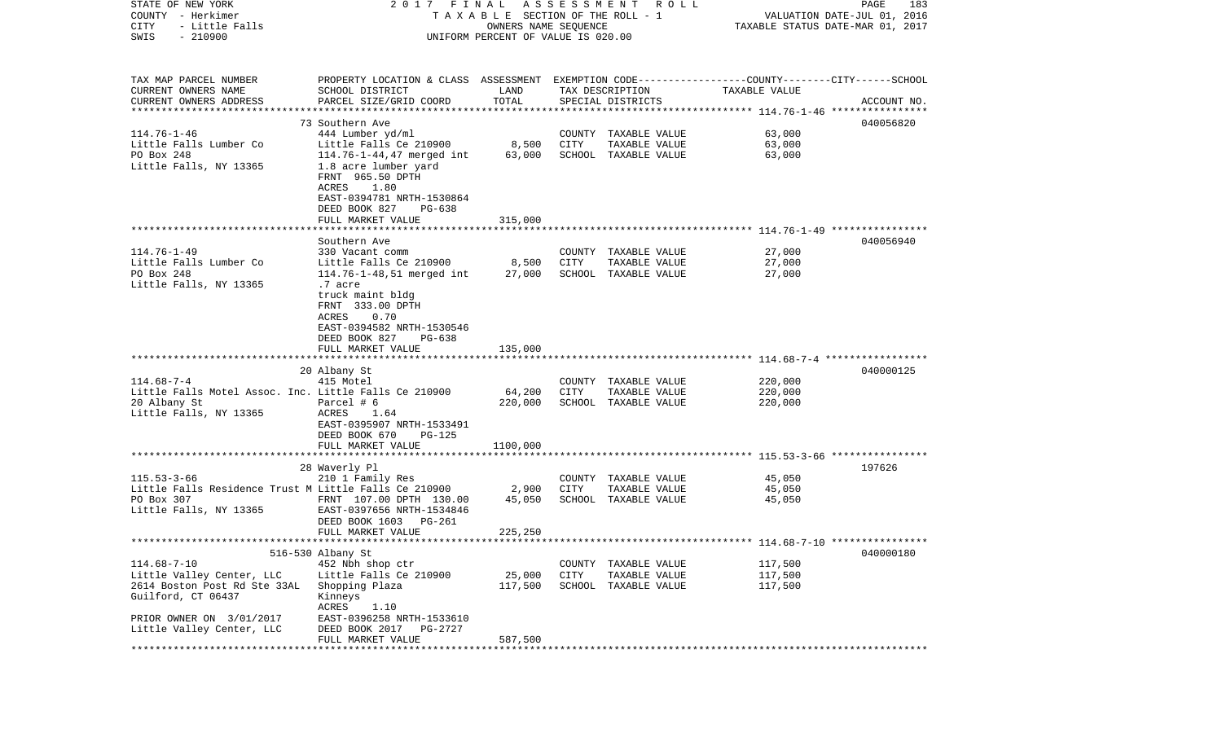| STATE OF NEW YORK<br>COUNTY - Herkimer<br>CITY<br>- Little Falls<br>SWIS<br>$-210900$ | 2017 FINAL<br>TAXABLE SECTION OF THE ROLL - 1<br>UNIFORM PERCENT OF VALUE IS 020.00             | PAGE<br>183<br>VALUATION DATE-JUL 01, 2016<br>TAXABLE STATUS DATE-MAR 01, 2017 |             |                                      |                                                             |             |
|---------------------------------------------------------------------------------------|-------------------------------------------------------------------------------------------------|--------------------------------------------------------------------------------|-------------|--------------------------------------|-------------------------------------------------------------|-------------|
|                                                                                       |                                                                                                 |                                                                                |             |                                      |                                                             |             |
| TAX MAP PARCEL NUMBER                                                                 | PROPERTY LOCATION & CLASS ASSESSMENT EXEMPTION CODE---------------COUNTY-------CITY------SCHOOL |                                                                                |             |                                      |                                                             |             |
| CURRENT OWNERS NAME<br>CURRENT OWNERS ADDRESS                                         | SCHOOL DISTRICT<br>PARCEL SIZE/GRID COORD                                                       | LAND<br>TOTAL                                                                  |             | TAX DESCRIPTION<br>SPECIAL DISTRICTS | TAXABLE VALUE                                               | ACCOUNT NO. |
| **********************                                                                | 73 Southern Ave                                                                                 |                                                                                |             |                                      |                                                             | 040056820   |
| $114.76 - 1 - 46$                                                                     | 444 Lumber yd/ml                                                                                |                                                                                | COUNTY      | TAXABLE VALUE                        | 63,000                                                      |             |
| Little Falls Lumber Co                                                                | Little Falls Ce 210900                                                                          | 8,500                                                                          | CITY        | TAXABLE VALUE                        | 63,000                                                      |             |
| PO Box 248                                                                            | 114.76-1-44,47 merged int                                                                       | 63,000                                                                         |             | SCHOOL TAXABLE VALUE                 | 63,000                                                      |             |
| Little Falls, NY 13365                                                                | 1.8 acre lumber yard<br>FRNT 965.50 DPTH<br>ACRES<br>1.80                                       |                                                                                |             |                                      |                                                             |             |
|                                                                                       | EAST-0394781 NRTH-1530864                                                                       |                                                                                |             |                                      |                                                             |             |
|                                                                                       | DEED BOOK 827<br>PG-638                                                                         |                                                                                |             |                                      |                                                             |             |
|                                                                                       | FULL MARKET VALUE                                                                               | 315,000                                                                        |             |                                      |                                                             |             |
|                                                                                       | Southern Ave                                                                                    |                                                                                |             |                                      |                                                             | 040056940   |
| $114.76 - 1 - 49$                                                                     | 330 Vacant comm                                                                                 |                                                                                |             | COUNTY TAXABLE VALUE                 | 27,000                                                      |             |
| Little Falls Lumber Co                                                                | Little Falls Ce 210900                                                                          | 8,500                                                                          | CITY        | TAXABLE VALUE                        | 27,000                                                      |             |
| PO Box 248                                                                            | 114.76-1-48,51 merged int                                                                       | 27,000                                                                         |             | SCHOOL TAXABLE VALUE                 | 27,000                                                      |             |
| Little Falls, NY 13365                                                                | .7 acre                                                                                         |                                                                                |             |                                      |                                                             |             |
|                                                                                       | truck maint bldg<br>FRNT 333.00 DPTH                                                            |                                                                                |             |                                      |                                                             |             |
|                                                                                       | 0.70<br>ACRES                                                                                   |                                                                                |             |                                      |                                                             |             |
|                                                                                       | EAST-0394582 NRTH-1530546                                                                       |                                                                                |             |                                      |                                                             |             |
|                                                                                       | DEED BOOK 827<br>$PG-638$                                                                       |                                                                                |             |                                      |                                                             |             |
|                                                                                       | FULL MARKET VALUE                                                                               | 135,000                                                                        |             |                                      |                                                             |             |
|                                                                                       |                                                                                                 |                                                                                |             |                                      |                                                             |             |
| $114.68 - 7 - 4$                                                                      | 20 Albany St<br>415 Motel                                                                       |                                                                                |             | COUNTY TAXABLE VALUE                 | 220,000                                                     | 040000125   |
| Little Falls Motel Assoc. Inc. Little Falls Ce 210900                                 |                                                                                                 | 64,200                                                                         | <b>CITY</b> | TAXABLE VALUE                        | 220,000                                                     |             |
| 20 Albany St                                                                          | Parcel # 6                                                                                      | 220,000                                                                        |             | SCHOOL TAXABLE VALUE                 | 220,000                                                     |             |
| Little Falls, NY 13365                                                                | ACRES<br>1.64                                                                                   |                                                                                |             |                                      |                                                             |             |
|                                                                                       | EAST-0395907 NRTH-1533491                                                                       |                                                                                |             |                                      |                                                             |             |
|                                                                                       | DEED BOOK 670<br>PG-125                                                                         |                                                                                |             |                                      |                                                             |             |
|                                                                                       | FULL MARKET VALUE                                                                               | 1100,000                                                                       |             |                                      |                                                             |             |
|                                                                                       | 28 Waverly Pl                                                                                   |                                                                                |             |                                      |                                                             | 197626      |
| $115.53 - 3 - 66$                                                                     | 210 1 Family Res                                                                                |                                                                                |             | COUNTY TAXABLE VALUE                 | 45,050                                                      |             |
| Little Falls Residence Trust M Little Falls Ce 210900                                 |                                                                                                 | 2,900                                                                          | CITY        | TAXABLE VALUE                        | 45,050                                                      |             |
| PO Box 307                                                                            | FRNT 107.00 DPTH 130.00                                                                         | 45,050                                                                         |             | SCHOOL TAXABLE VALUE                 | 45,050                                                      |             |
| Little Falls, NY 13365                                                                | EAST-0397656 NRTH-1534846                                                                       |                                                                                |             |                                      |                                                             |             |
|                                                                                       | DEED BOOK 1603<br>PG-261<br>FULL MARKET VALUE                                                   | 225,250                                                                        |             |                                      |                                                             |             |
|                                                                                       |                                                                                                 |                                                                                |             |                                      | ****************************** 114.68-7-10 **************** |             |
|                                                                                       | 516-530 Albany St                                                                               |                                                                                |             |                                      |                                                             | 040000180   |
| $114.68 - 7 - 10$                                                                     | 452 Nbh shop ctr                                                                                |                                                                                | COUNTY      | TAXABLE VALUE                        | 117,500                                                     |             |
| Little Valley Center, LLC                                                             | Little Falls Ce 210900                                                                          | 25,000                                                                         | CITY        | TAXABLE VALUE                        | 117,500                                                     |             |
| 2614 Boston Post Rd Ste 33AL<br>Guilford, CT 06437                                    | Shopping Plaza<br>Kinneys                                                                       | 117,500                                                                        |             | SCHOOL TAXABLE VALUE                 | 117,500                                                     |             |
|                                                                                       | ACRES<br>1.10                                                                                   |                                                                                |             |                                      |                                                             |             |
| PRIOR OWNER ON 3/01/2017                                                              | EAST-0396258 NRTH-1533610                                                                       |                                                                                |             |                                      |                                                             |             |
| Little Valley Center, LLC                                                             | DEED BOOK 2017<br>PG-2727                                                                       |                                                                                |             |                                      |                                                             |             |
| **********                                                                            | FULL MARKET VALUE                                                                               | 587,500                                                                        |             |                                      |                                                             |             |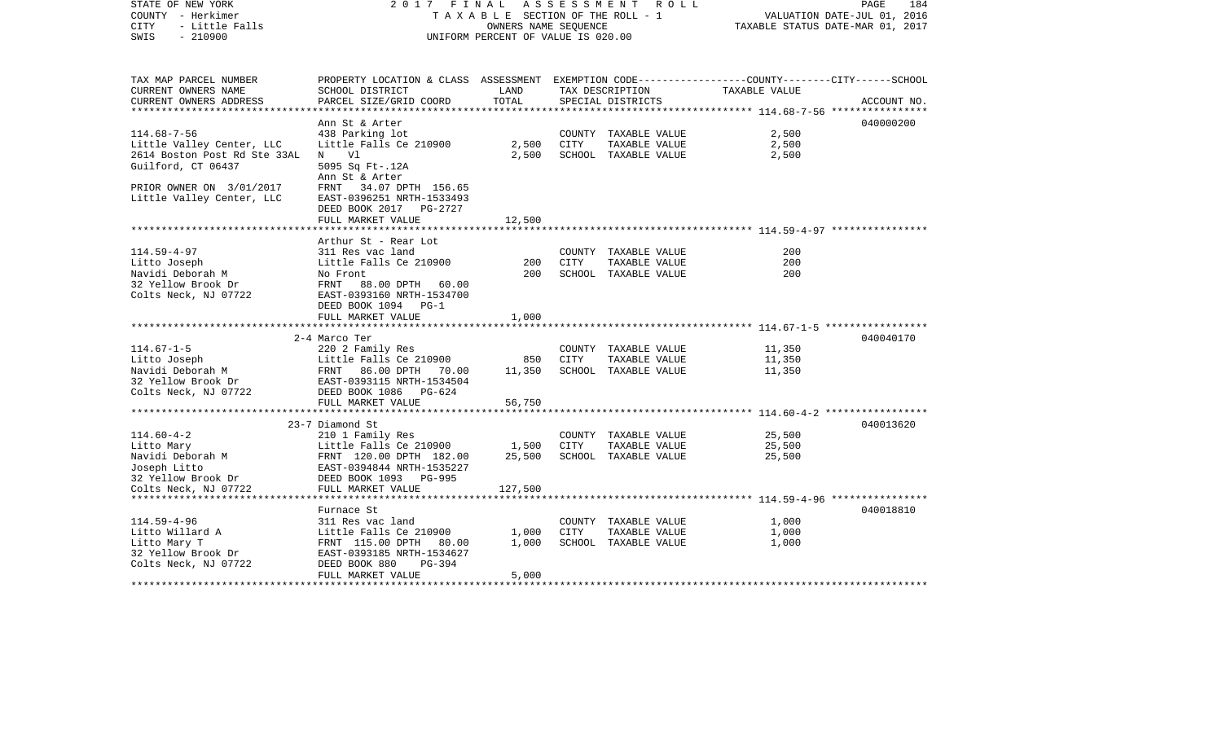| STATE OF NEW YORK                                  | 2017<br>FINAL                                                                                   | 184<br>PAGE                 |                                  |                      |                                                          |             |
|----------------------------------------------------|-------------------------------------------------------------------------------------------------|-----------------------------|----------------------------------|----------------------|----------------------------------------------------------|-------------|
| COUNTY - Herkimer                                  | T A X A B L E SECTION OF THE ROLL - 1                                                           | VALUATION DATE-JUL 01, 2016 |                                  |                      |                                                          |             |
| CITY<br>- Little Falls                             |                                                                                                 |                             | TAXABLE STATUS DATE-MAR 01, 2017 |                      |                                                          |             |
| SWIS<br>$-210900$                                  | UNIFORM PERCENT OF VALUE IS 020.00                                                              |                             |                                  |                      |                                                          |             |
| TAX MAP PARCEL NUMBER                              | PROPERTY LOCATION & CLASS ASSESSMENT EXEMPTION CODE---------------COUNTY-------CITY------SCHOOL |                             |                                  |                      |                                                          |             |
| CURRENT OWNERS NAME                                | SCHOOL DISTRICT                                                                                 | LAND                        |                                  | TAX DESCRIPTION      | TAXABLE VALUE                                            |             |
| CURRENT OWNERS ADDRESS                             | PARCEL SIZE/GRID COORD                                                                          | TOTAL                       |                                  | SPECIAL DISTRICTS    |                                                          | ACCOUNT NO. |
| *****************************                      |                                                                                                 |                             |                                  |                      |                                                          |             |
|                                                    | Ann St & Arter                                                                                  |                             |                                  |                      |                                                          | 040000200   |
| $114.68 - 7 - 56$                                  | 438 Parking lot                                                                                 |                             |                                  | COUNTY TAXABLE VALUE | 2,500                                                    |             |
| Little Valley Center, LLC                          | Little Falls Ce 210900                                                                          | 2,500                       | CITY                             | TAXABLE VALUE        | 2,500                                                    |             |
| 2614 Boston Post Rd Ste 33AL<br>Guilford, CT 06437 | N<br>Vl<br>5095 Sq Ft-.12A<br>Ann St & Arter                                                    | 2,500                       |                                  | SCHOOL TAXABLE VALUE | 2,500                                                    |             |
| PRIOR OWNER ON 3/01/2017                           | FRNT 34.07 DPTH 156.65                                                                          |                             |                                  |                      |                                                          |             |
| Little Valley Center, LLC                          | EAST-0396251 NRTH-1533493                                                                       |                             |                                  |                      |                                                          |             |
|                                                    | DEED BOOK 2017<br>PG-2727                                                                       |                             |                                  |                      |                                                          |             |
|                                                    | FULL MARKET VALUE                                                                               | 12,500                      |                                  |                      |                                                          |             |
|                                                    |                                                                                                 | *******                     |                                  |                      | ************************** 114.59-4-97 ***************** |             |
|                                                    | Arthur St - Rear Lot                                                                            |                             |                                  |                      |                                                          |             |
| $114.59 - 4 - 97$                                  | 311 Res vac land                                                                                |                             |                                  | COUNTY TAXABLE VALUE | 200                                                      |             |
| Litto Joseph                                       | Little Falls Ce 210900                                                                          | 200                         | CITY                             | TAXABLE VALUE        | 200                                                      |             |
| Navidi Deborah M                                   | No Front                                                                                        | 200                         |                                  | SCHOOL TAXABLE VALUE | 200                                                      |             |
| 32 Yellow Brook Dr                                 | FRNT<br>88.00 DPTH 60.00                                                                        |                             |                                  |                      |                                                          |             |
| Colts Neck, NJ 07722                               | EAST-0393160 NRTH-1534700<br>DEED BOOK 1094<br>$PG-1$                                           |                             |                                  |                      |                                                          |             |
|                                                    | FULL MARKET VALUE                                                                               | 1,000                       |                                  |                      |                                                          |             |
|                                                    |                                                                                                 |                             |                                  |                      |                                                          |             |
|                                                    | 2-4 Marco Ter                                                                                   |                             |                                  |                      |                                                          | 040040170   |
| $114.67 - 1 - 5$                                   | 220 2 Family Res                                                                                |                             |                                  | COUNTY TAXABLE VALUE | 11,350                                                   |             |
| Litto Joseph                                       | Little Falls Ce 210900                                                                          | 850                         | <b>CITY</b>                      | TAXABLE VALUE        | 11,350                                                   |             |
| Navidi Deborah M                                   | FRNT 86.00 DPTH 70.00                                                                           | 11,350                      |                                  | SCHOOL TAXABLE VALUE | 11,350                                                   |             |
| 32 Yellow Brook Dr                                 | EAST-0393115 NRTH-1534504                                                                       |                             |                                  |                      |                                                          |             |
| Colts Neck, NJ 07722                               | DEED BOOK 1086<br>PG-624                                                                        |                             |                                  |                      |                                                          |             |
|                                                    | FULL MARKET VALUE                                                                               | 56,750                      |                                  |                      |                                                          |             |
|                                                    | **************************                                                                      |                             |                                  |                      |                                                          |             |
|                                                    | 23-7 Diamond St                                                                                 |                             |                                  |                      |                                                          | 040013620   |
| $114.60 - 4 - 2$                                   | 210 1 Family Res                                                                                |                             |                                  | COUNTY TAXABLE VALUE | 25,500                                                   |             |
| Litto Mary                                         | Little Falls Ce 210900                                                                          | 1,500                       | CITY                             | TAXABLE VALUE        | 25,500                                                   |             |
| Navidi Deborah M                                   | FRNT 120.00 DPTH 182.00                                                                         | 25,500                      |                                  | SCHOOL TAXABLE VALUE | 25,500                                                   |             |
| Joseph Litto<br>32 Yellow Brook Dr                 | EAST-0394844 NRTH-1535227<br>DEED BOOK 1093<br>PG-995                                           |                             |                                  |                      |                                                          |             |
| Colts Neck, NJ 07722                               | FULL MARKET VALUE                                                                               | 127,500                     |                                  |                      |                                                          |             |
|                                                    | ***********                                                                                     |                             |                                  |                      |                                                          |             |
|                                                    | Furnace St                                                                                      |                             |                                  |                      |                                                          | 040018810   |
| $114.59 - 4 - 96$                                  | 311 Res vac land                                                                                |                             |                                  | COUNTY TAXABLE VALUE | 1,000                                                    |             |
| Litto Willard A                                    | Little Falls Ce 210900                                                                          | 1,000                       | CITY                             | TAXABLE VALUE        | 1,000                                                    |             |
| Litto Mary T                                       | FRNT 115.00 DPTH 80.00                                                                          | 1,000                       |                                  | SCHOOL TAXABLE VALUE | 1,000                                                    |             |
| 32 Yellow Brook Dr                                 | EAST-0393185 NRTH-1534627                                                                       |                             |                                  |                      |                                                          |             |
| Colts Neck, NJ 07722                               | PG-394<br>DEED BOOK 880                                                                         |                             |                                  |                      |                                                          |             |
|                                                    | FULL MARKET VALUE                                                                               | 5,000                       |                                  |                      |                                                          |             |
|                                                    |                                                                                                 |                             |                                  |                      |                                                          |             |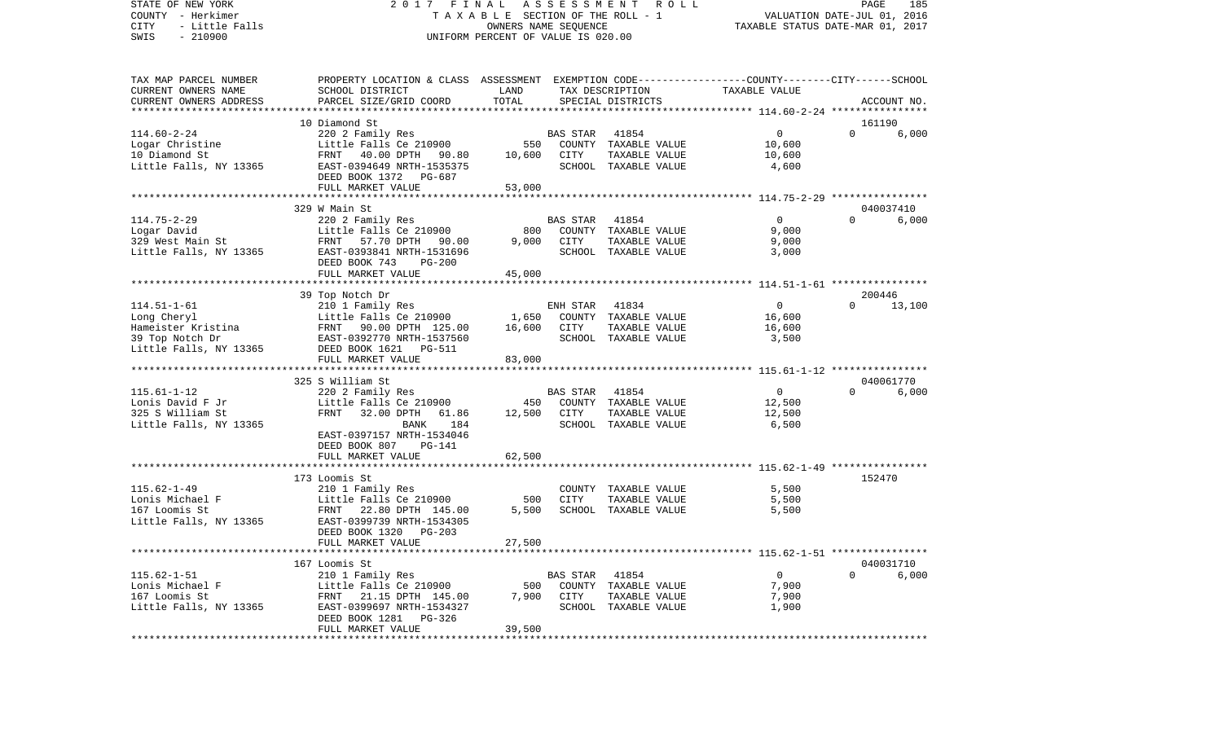STATE OF NEW YORK 2 0 1 7 F I N A L A S S E S S M E N T R O L L PAGE 185COUNTY - Herkimer T A X A B L E SECTION OF THE ROLL - 1 VALUATION DATE-JUL 01, 2016 CITY - Little Falls OWNERS NAME SEQUENCE TAXABLE STATUS DATE-MAR 01, 2017 SWIS - 210900 UNIFORM PERCENT OF VALUE IS 020.00TAX MAP PARCEL NUMBER PROPERTY LOCATION & CLASS ASSESSMENT EXEMPTION CODE------------------COUNTY--------CITY------SCHOOL CURRENT OWNERS NAME SCHOOL DISTRICT LAND TAX DESCRIPTION TAXABLE VALUECURRENT OWNERS ADDRESS PARCEL SIZE/GRID COORD TOTAL SPECIAL DISTRICTS ACCOUNT NO. \*\*\*\*\*\*\*\*\*\*\*\*\*\*\*\*\*\*\*\*\*\*\*\*\*\*\*\*\*\*\*\*\*\*\*\*\*\*\*\*\*\*\*\*\*\*\*\*\*\*\*\*\*\*\*\*\*\*\*\*\*\*\*\*\*\*\*\*\*\*\*\*\*\*\*\*\*\*\*\*\*\*\*\*\*\*\*\*\*\*\*\*\*\*\*\*\*\*\*\*\*\*\* 114.60-2-24 \*\*\*\*\*\*\*\*\*\*\*\*\*\*\*\* 10 Diamond St 161190114.60-2-24 220 2 Family Res BAS STAR 41854 0 0 6,000 Logar Christine **Little Falls Ce 210900** 550 COUNTY TAXABLE VALUE 10,600 10 Diamond St FRNT 40.00 DPTH 90.80 10,600 CITY TAXABLE VALUE 10,600 Little Falls, NY 13365 600 EAST-0394649 NRTH-1535375 SCHOOL TAXABLE VALUE 4,600 DEED BOOK 1372 PG-687FULL MARKET VALUE 53,000 \*\*\*\*\*\*\*\*\*\*\*\*\*\*\*\*\*\*\*\*\*\*\*\*\*\*\*\*\*\*\*\*\*\*\*\*\*\*\*\*\*\*\*\*\*\*\*\*\*\*\*\*\*\*\*\*\*\*\*\*\*\*\*\*\*\*\*\*\*\*\*\*\*\*\*\*\*\*\*\*\*\*\*\*\*\*\*\*\*\*\*\*\*\*\*\*\*\*\*\*\*\*\* 114.75-2-29 \*\*\*\*\*\*\*\*\*\*\*\*\*\*\*\*329 W Main St 114.75-2-29 220 2 Family Res BAS STAR 41854 0 0 6,000 800 COUNTY TAXABLE VALUE<br>9.000 CITY TAXABLE VALUE 329 West Main St FRNT 57.70 DPTH 90.00 9,000 CITY TAXABLE VALUE 9,000 Little Falls, NY 13365 EAST-0393841 NRTH-1531696 SCHOOL TAXABLE VALUE 3,000 DEED BOOK 743 PG-200FULL MARKET VALUE 45,000 \*\*\*\*\*\*\*\*\*\*\*\*\*\*\*\*\*\*\*\*\*\*\*\*\*\*\*\*\*\*\*\*\*\*\*\*\*\*\*\*\*\*\*\*\*\*\*\*\*\*\*\*\*\*\*\*\*\*\*\*\*\*\*\*\*\*\*\*\*\*\*\*\*\*\*\*\*\*\*\*\*\*\*\*\*\*\*\*\*\*\*\*\*\*\*\*\*\*\*\*\*\*\* 114.51-1-61 \*\*\*\*\*\*\*\*\*\*\*\*\*\*\*\* 39 Top Notch Dr 200446 114.51-1-61 210 1 Family Res ENH STAR 41834 Long Cheryl Little Falls Ce 210900 1,650 COUNTY TAXABLE VALUE 16,600 Hameister Kristina FRNT 90.00 DPTH 125.00 16,600 CITY TAXABLE VALUE 16,600 39 Top Notch Dr EAST-0392770 NRTH-1537560 SCHOOL TAXABLE VALUE 3,500 Little Falls, NY 13365 DEED BOOK 1621 PG-511 FULL MARKET VALUE 83,000 \*\*\*\*\*\*\*\*\*\*\*\*\*\*\*\*\*\*\*\*\*\*\*\*\*\*\*\*\*\*\*\*\*\*\*\*\*\*\*\*\*\*\*\*\*\*\*\*\*\*\*\*\*\*\*\*\*\*\*\*\*\*\*\*\*\*\*\*\*\*\*\*\*\*\*\*\*\*\*\*\*\*\*\*\*\*\*\*\*\*\*\*\*\*\*\*\*\*\*\*\*\*\* 115.61-1-12 \*\*\*\*\*\*\*\*\*\*\*\*\*\*\*\* 325 S William St 040061770115.61-1-12 220 2 Family Res BAS STAR 41854 0 0 0 Lonis David F Jr Little Falls Ce 210900 450 COUNTY TAXABLE VALUE 12,500 325 S William St FRNT 32.00 DPTH 61.86 12,500 CITY TAXABLE VALUE 12,500 Little Falls, NY 13365 BANK 184 SCHOOL TAXABLE VALUE 6,500 EAST-0397157 NRTH-1534046DEED BOOK 807 PG-141

040037410

 $6.000$ 

|                        | LASI-039/13/ NRIH-1334040<br>DEED BOOK 807 PG-141 |        |          |               |       |          |           |
|------------------------|---------------------------------------------------|--------|----------|---------------|-------|----------|-----------|
|                        | FULL MARKET VALUE                                 | 62,500 |          |               |       |          |           |
|                        |                                                   |        |          |               |       |          |           |
|                        | 173 Loomis St                                     |        |          |               |       | 152470   |           |
| $115.62 - 1 - 49$      | 210 1 Family Res                                  |        | COUNTY   | TAXABLE VALUE | 5,500 |          |           |
| Lonis Michael F        | Little Falls Ce 210900                            | 500    | CITY     | TAXABLE VALUE | 5,500 |          |           |
| 167 Loomis St          | FRNT 22.80 DPTH 145.00                            | 5,500  | SCHOOL   | TAXABLE VALUE | 5,500 |          |           |
| Little Falls, NY 13365 | EAST-0399739 NRTH-1534305                         |        |          |               |       |          |           |
|                        | DEED BOOK 1320<br>$PG-203$                        |        |          |               |       |          |           |
|                        | FULL MARKET VALUE                                 | 27,500 |          |               |       |          |           |
|                        |                                                   |        |          |               |       |          |           |
|                        | 167 Loomis St                                     |        |          |               |       |          | 040031710 |
| $115.62 - 1 - 51$      | 210 1 Family Res                                  |        | BAS STAR | 41854         |       | $\Omega$ | 6.000     |
| Lonis Michael F        | Little Falls Ce 210900                            | 500    | COUNTY   | TAXABLE VALUE | 7,900 |          |           |
| 167 Loomis St          | FRNT 21.15 DPTH 145.00                            | 7,900  | CITY     | TAXABLE VALUE | 7,900 |          |           |
| Little Falls, NY 13365 | EAST-0399697 NRTH-1534327                         |        | SCHOOL   | TAXABLE VALUE | 1,900 |          |           |
|                        | DEED BOOK 1281<br>PG-326                          |        |          |               |       |          |           |
|                        | FULL MARKET VALUE                                 | 39,500 |          |               |       |          |           |
|                        |                                                   |        |          |               |       |          |           |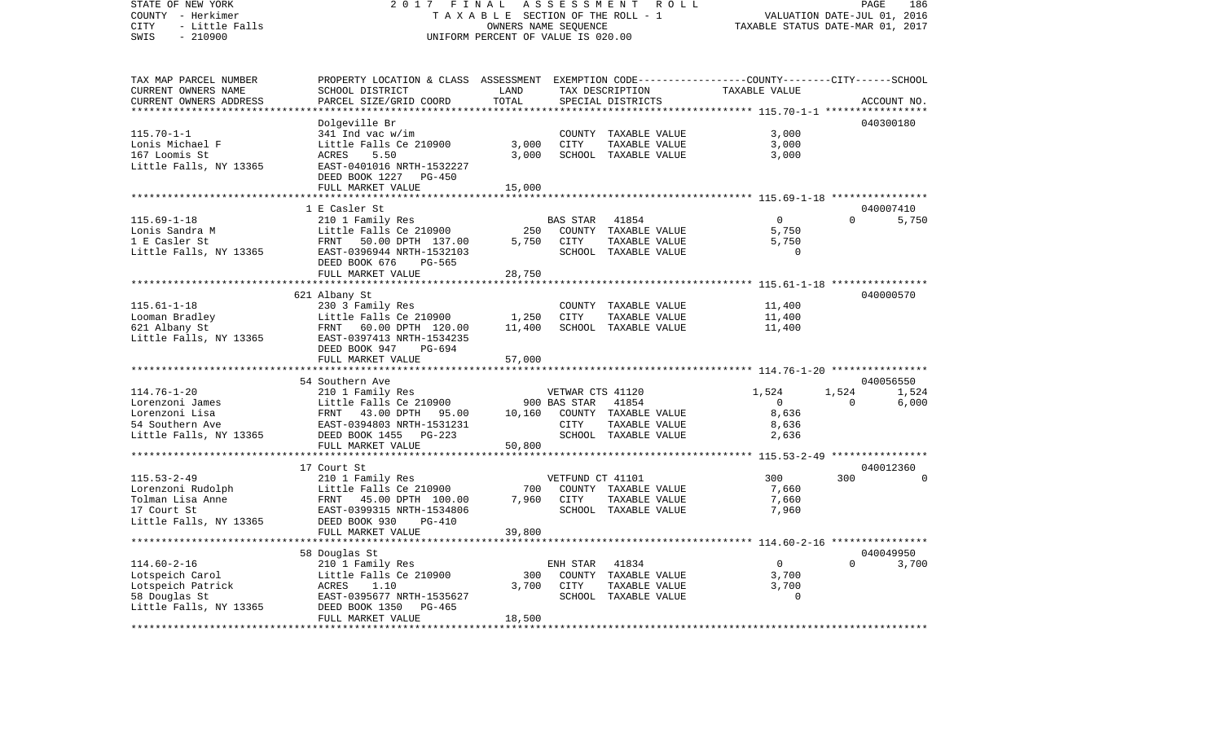COUNTY - Herkimer **T A X A B L E** SECTION OF THE ROLL - 1 VALUATION DATE-JUL 01, 2016 CITY - Little Falls OWNERS NAME SEQUENCE TAXABLE STATUS DATE-MAR 01, 2017 SWIS - 210900 UNIFORM PERCENT OF VALUE IS 020.00TAX MAP PARCEL NUMBER PROPERTY LOCATION & CLASS ASSESSMENT EXEMPTION CODE------------------COUNTY--------CITY------SCHOOL CURRENT OWNERS NAME SCHOOL DISTRICT LAND TAX DESCRIPTION TAXABLE VALUECURRENT OWNERS ADDRESS PARCEL SIZE/GRID COORD TOTAL SPECIAL DISTRICTS ACCOUNT NO. \*\*\*\*\*\*\*\*\*\*\*\*\*\*\*\*\*\*\*\*\*\*\*\*\*\*\*\*\*\*\*\*\*\*\*\*\*\*\*\*\*\*\*\*\*\*\*\*\*\*\*\*\*\*\*\*\*\*\*\*\*\*\*\*\*\*\*\*\*\*\*\*\*\*\*\*\*\*\*\*\*\*\*\*\*\*\*\*\*\*\*\*\*\*\*\*\*\*\*\*\*\*\* 115.70-1-1 \*\*\*\*\*\*\*\*\*\*\*\*\*\*\*\*\* Dolgeville Br 040300180 115.70-1-1 341 Ind vac w/im COUNTY TAXABLE VALUE 3,000 Lonis Michael F **Little Falls Ce 210900** 3,000 CITY TAXABLE VALUE 3,000 167 Loomis St ACRES 5.50 3,000 SCHOOL TAXABLE VALUE 3,000 Little Falls, NY 13365 EAST-0401016 NRTH-1532227 DEED BOOK 1227 PG-450FULL MARKET VALUE 15,000 \*\*\*\*\*\*\*\*\*\*\*\*\*\*\*\*\*\*\*\*\*\*\*\*\*\*\*\*\*\*\*\*\*\*\*\*\*\*\*\*\*\*\*\*\*\*\*\*\*\*\*\*\*\*\*\*\*\*\*\*\*\*\*\*\*\*\*\*\*\*\*\*\*\*\*\*\*\*\*\*\*\*\*\*\*\*\*\*\*\*\*\*\*\*\*\*\*\*\*\*\*\*\* 115.69-1-18 \*\*\*\*\*\*\*\*\*\*\*\*\*\*\*\* 1 E Casler St 040007410115.69-1-18 210 1 Family Res BAS STAR 41854 0 0 5,750 Lonis Sandra M 15 Mittle Falls Ce 210900 250 COUNTY TAXABLE VALUE 1 E Casler St FRNT 50.00 DPTH 137.00 5,750 CITY TAXABLE VALUE 5,750 Little Falls, NY 13365 BAST-0396944 NRTH-1532103 SCHOOL TAXABLE VALUE 0 DEED BOOK 676 PG-565FULL MARKET VALUE 28,750 \*\*\*\*\*\*\*\*\*\*\*\*\*\*\*\*\*\*\*\*\*\*\*\*\*\*\*\*\*\*\*\*\*\*\*\*\*\*\*\*\*\*\*\*\*\*\*\*\*\*\*\*\*\*\*\*\*\*\*\*\*\*\*\*\*\*\*\*\*\*\*\*\*\*\*\*\*\*\*\*\*\*\*\*\*\*\*\*\*\*\*\*\*\*\*\*\*\*\*\*\*\*\* 115.61-1-18 \*\*\*\*\*\*\*\*\*\*\*\*\*\*\*\* 621 Albany St 040000570 115.61-1-18 230 3 Family Res COUNTY TAXABLE VALUE 11,400 Looman Bradley Little Falls Ce 210900 1,250 CITY TAXABLE VALUE 11,400 621 Albany St FRNT 60.00 DPTH 120.00 11,400 SCHOOL TAXABLE VALUE 11,400 Little Falls, NY 13365 EAST-0397413 NRTH-1534235 DEED BOOK 947 PG-694FULL MARKET VALUE 57,000 \*\*\*\*\*\*\*\*\*\*\*\*\*\*\*\*\*\*\*\*\*\*\*\*\*\*\*\*\*\*\*\*\*\*\*\*\*\*\*\*\*\*\*\*\*\*\*\*\*\*\*\*\*\*\*\*\*\*\*\*\*\*\*\*\*\*\*\*\*\*\*\*\*\*\*\*\*\*\*\*\*\*\*\*\*\*\*\*\*\*\*\*\*\*\*\*\*\*\*\*\*\*\* 114.76-1-20 \*\*\*\*\*\*\*\*\*\*\*\*\*\*\*\* 54 Southern Ave 040056550114.76-1-20 210 1 Family Res VETWAR CTS 41120 1,524 1,524 1,524 Lorenzoni James Little Falls Ce 210900 900 BAS STAR 41854 0 0 6,000 Lorenzoni Lisa FRNT 43.00 DPTH 95.00 10,160 COUNTY TAXABLE VALUE 8,636 54 Southern Ave EAST-0394803 NRTH-1531231 CITY TAXABLE VALUE 8,636 Little Falls, NY 13365 DEED BOOK 1455 PG-223 SCHOOL TAXABLE VALUE 2,636 FULL MARKET VALUE 50,800 \*\*\*\*\*\*\*\*\*\*\*\*\*\*\*\*\*\*\*\*\*\*\*\*\*\*\*\*\*\*\*\*\*\*\*\*\*\*\*\*\*\*\*\*\*\*\*\*\*\*\*\*\*\*\*\*\*\*\*\*\*\*\*\*\*\*\*\*\*\*\*\*\*\*\*\*\*\*\*\*\*\*\*\*\*\*\*\*\*\*\*\*\*\*\*\*\*\*\*\*\*\*\* 115.53-2-49 \*\*\*\*\*\*\*\*\*\*\*\*\*\*\*\* 17 Court St 040012360115.53-2-49 210 1 Family Res VETFUND CT 41101 300 300 0 Lorenzoni Rudolph Little Falls Ce 210900 700 COUNTY TAXABLE VALUE 7,660 Tolman Lisa Anne FRNT 45.00 DPTH 100.00 7,960 CITY TAXABLE VALUE 7,660 17 Court St EAST-0399315 NRTH-1534806 SCHOOL TAXABLE VALUE 7,960 Little Falls, NY 13365 DEED BOOK 930 PG-410 FULL MARKET VALUE 39,800 \*\*\*\*\*\*\*\*\*\*\*\*\*\*\*\*\*\*\*\*\*\*\*\*\*\*\*\*\*\*\*\*\*\*\*\*\*\*\*\*\*\*\*\*\*\*\*\*\*\*\*\*\*\*\*\*\*\*\*\*\*\*\*\*\*\*\*\*\*\*\*\*\*\*\*\*\*\*\*\*\*\*\*\*\*\*\*\*\*\*\*\*\*\*\*\*\*\*\*\*\*\*\* 114.60-2-16 \*\*\*\*\*\*\*\*\*\*\*\*\*\*\*\* 58 Douglas St 040049950 114.60-2-16 210 1 Family Res ENH STAR 41834 0 0 3,700 Lotspeich Carol Little Falls Ce 210900 300 COUNTY TAXABLE VALUE 3,700 Lotspeich Patrick ACRES 1.10 3,700 CITY TAXABLE VALUE 3,700 58 Douglas St EAST-0395677 NRTH-1535627 SCHOOL TAXABLE VALUE 0 Little Falls, NY 13365 DEED BOOK 1350 PG-465 FULL MARKET VALUE 18,500 \*\*\*\*\*\*\*\*\*\*\*\*\*\*\*\*\*\*\*\*\*\*\*\*\*\*\*\*\*\*\*\*\*\*\*\*\*\*\*\*\*\*\*\*\*\*\*\*\*\*\*\*\*\*\*\*\*\*\*\*\*\*\*\*\*\*\*\*\*\*\*\*\*\*\*\*\*\*\*\*\*\*\*\*\*\*\*\*\*\*\*\*\*\*\*\*\*\*\*\*\*\*\*\*\*\*\*\*\*\*\*\*\*\*\*\*\*\*\*\*\*\*\*\*\*\*\*\*\*\*\*\*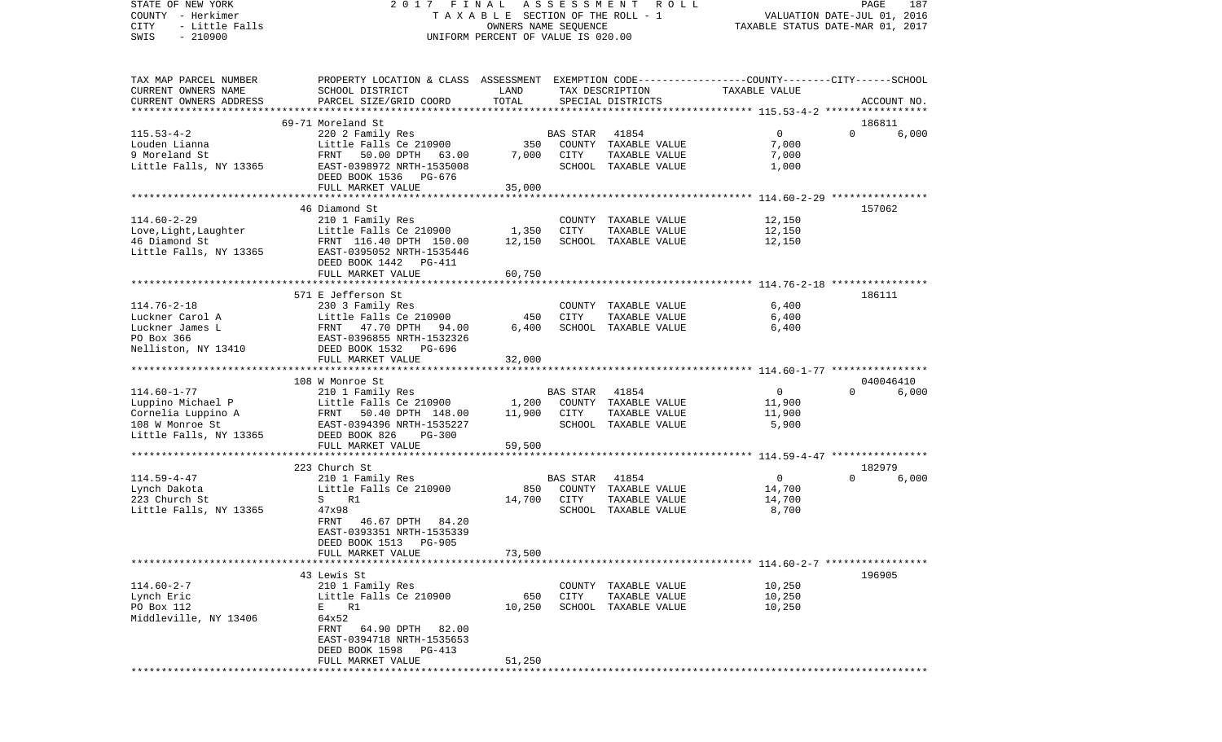COUNTY - Herkimer T A X A B L E SECTION OF THE ROLL - 1 VALUATION DATE-JUL 01, 2016 CITY - Little Falls OWNERS NAME SEQUENCE TAXABLE STATUS DATE-MAR 01, 2017 SWIS - 210900 UNIFORM PERCENT OF VALUE IS 020.00TAX MAP PARCEL NUMBER PROPERTY LOCATION & CLASS ASSESSMENT EXEMPTION CODE------------------COUNTY--------CITY------SCHOOL CURRENT OWNERS NAME SCHOOL DISTRICT LAND TAX DESCRIPTION TAXABLE VALUECURRENT OWNERS ADDRESS PARCEL SIZE/GRID COORD TOTAL SPECIAL DISTRICTS ACCOUNT NO. \*\*\*\*\*\*\*\*\*\*\*\*\*\*\*\*\*\*\*\*\*\*\*\*\*\*\*\*\*\*\*\*\*\*\*\*\*\*\*\*\*\*\*\*\*\*\*\*\*\*\*\*\*\*\*\*\*\*\*\*\*\*\*\*\*\*\*\*\*\*\*\*\*\*\*\*\*\*\*\*\*\*\*\*\*\*\*\*\*\*\*\*\*\*\*\*\*\*\*\*\*\*\* 115.53-4-2 \*\*\*\*\*\*\*\*\*\*\*\*\*\*\*\*\* 69-71 Moreland St 186811115.53-4-2 220 2 Family Res BAS STAR 41854 0 0 6,000 Louden Lianna Little Falls Ce 210900 350 COUNTY TAXABLE VALUE 7,000 9 Moreland St FRNT 50.00 DPTH 63.00 7,000 CITY TAXABLE VALUE 7,000 Little Falls, NY 13365 EAST-0398972 NRTH-1535008 SCHOOL TAXABLE VALUE 1,000 DEED BOOK 1536 PG-676 FULL MARKET VALUE 35,000 \*\*\*\*\*\*\*\*\*\*\*\*\*\*\*\*\*\*\*\*\*\*\*\*\*\*\*\*\*\*\*\*\*\*\*\*\*\*\*\*\*\*\*\*\*\*\*\*\*\*\*\*\*\*\*\*\*\*\*\*\*\*\*\*\*\*\*\*\*\*\*\*\*\*\*\*\*\*\*\*\*\*\*\*\*\*\*\*\*\*\*\*\*\*\*\*\*\*\*\*\*\*\* 114.60-2-29 \*\*\*\*\*\*\*\*\*\*\*\*\*\*\*\* 46 Diamond St 157062114.60-2-29 210 1 Family Res COUNTY TAXABLE VALUE 12,150 Love, Light, Laughter Little Falls Ce 210900 1,350 CITY TAXABLE VALUE 46 Diamond St FRNT 116.40 DPTH 150.00 12,150 SCHOOL TAXABLE VALUE 12,150 Little Falls, NY 13365 EAST-0395052 NRTH-1535446 DEED BOOK 1442 PG-411FULL MARKET VALUE 60,750 \*\*\*\*\*\*\*\*\*\*\*\*\*\*\*\*\*\*\*\*\*\*\*\*\*\*\*\*\*\*\*\*\*\*\*\*\*\*\*\*\*\*\*\*\*\*\*\*\*\*\*\*\*\*\*\*\*\*\*\*\*\*\*\*\*\*\*\*\*\*\*\*\*\*\*\*\*\*\*\*\*\*\*\*\*\*\*\*\*\*\*\*\*\*\*\*\*\*\*\*\*\*\* 114.76-2-18 \*\*\*\*\*\*\*\*\*\*\*\*\*\*\*\*571 E Jefferson St 186111 114.76-2-18 230 3 Family Res COUNTY TAXABLE VALUE 6,400 Luckner Carol A Little Falls Ce 210900 450 CITY TAXABLE VALUE 6,400 Luckner James L 6,400 FRNT 47.70 DPTH 94.00 6,400 SCHOOL TAXABLE VALUE 66,400 PO Box 366 EAST-0396855 NRTH-1532326Nelliston, NY 13410 DEED BOOK 1532 PG-696 FULL MARKET VALUE 32,000 \*\*\*\*\*\*\*\*\*\*\*\*\*\*\*\*\*\*\*\*\*\*\*\*\*\*\*\*\*\*\*\*\*\*\*\*\*\*\*\*\*\*\*\*\*\*\*\*\*\*\*\*\*\*\*\*\*\*\*\*\*\*\*\*\*\*\*\*\*\*\*\*\*\*\*\*\*\*\*\*\*\*\*\*\*\*\*\*\*\*\*\*\*\*\*\*\*\*\*\*\*\*\* 114.60-1-77 \*\*\*\*\*\*\*\*\*\*\*\*\*\*\*\* 108 W Monroe St 040046410114.60-1-77 210 1 Family Res BAS STAR 41854 0 0 6,000 Luppino Michael P Little Falls Ce 210900 1,200 COUNTY TAXABLE VALUE 11,900 Cornelia Luppino A FRNT 50.40 DPTH 148.00 11,900 CITY TAXABLE VALUE 11,900 108 W Monroe St EAST-0394396 NRTH-1535227 SCHOOL TAXABLE VALUE 5,900 Little Falls, NY 13365 DEED BOOK 826 PG-300 FULL MARKET VALUE 59,500 \*\*\*\*\*\*\*\*\*\*\*\*\*\*\*\*\*\*\*\*\*\*\*\*\*\*\*\*\*\*\*\*\*\*\*\*\*\*\*\*\*\*\*\*\*\*\*\*\*\*\*\*\*\*\*\*\*\*\*\*\*\*\*\*\*\*\*\*\*\*\*\*\*\*\*\*\*\*\*\*\*\*\*\*\*\*\*\*\*\*\*\*\*\*\*\*\*\*\*\*\*\*\* 114.59-4-47 \*\*\*\*\*\*\*\*\*\*\*\*\*\*\*\* 223 Church St 182979114.59-4-47 210 1 Family Res BAS STAR 41854 0 0 6,000 Lynch Dakota Little Falls Ce 210900 850 COUNTY TAXABLE VALUE 14,700 223 Church St S R1 14,700 CITY TAXABLE VALUE 14,700 Little Falls, NY 13365 47x98 47x98 47x98 SCHOOL TAXABLE VALUE 8,700 FRNT 46.67 DPTH 84.20 EAST-0393351 NRTH-1535339 DEED BOOK 1513 PG-905FULL MARKET VALUE 73,500 \*\*\*\*\*\*\*\*\*\*\*\*\*\*\*\*\*\*\*\*\*\*\*\*\*\*\*\*\*\*\*\*\*\*\*\*\*\*\*\*\*\*\*\*\*\*\*\*\*\*\*\*\*\*\*\*\*\*\*\*\*\*\*\*\*\*\*\*\*\*\*\*\*\*\*\*\*\*\*\*\*\*\*\*\*\*\*\*\*\*\*\*\*\*\*\*\*\*\*\*\*\*\* 114.60-2-7 \*\*\*\*\*\*\*\*\*\*\*\*\*\*\*\*\* 43 Lewis St 196905114.60-2-7 210 1 Family Res COUNTY TAXABLE VALUE 10,250 Lynch Eric Contract Little Falls Ce 210900 650 CITY TAXABLE VALUE 10,250 PO Box 112 **E** R1 10,250 SCHOOL TAXABLE VALUE 10,250 Middleville, NY 13406 64x52 FRNT 64.90 DPTH 82.00 EAST-0394718 NRTH-1535653 DEED BOOK 1598 PG-413FULL MARKET VALUE 51,250 \*\*\*\*\*\*\*\*\*\*\*\*\*\*\*\*\*\*\*\*\*\*\*\*\*\*\*\*\*\*\*\*\*\*\*\*\*\*\*\*\*\*\*\*\*\*\*\*\*\*\*\*\*\*\*\*\*\*\*\*\*\*\*\*\*\*\*\*\*\*\*\*\*\*\*\*\*\*\*\*\*\*\*\*\*\*\*\*\*\*\*\*\*\*\*\*\*\*\*\*\*\*\*\*\*\*\*\*\*\*\*\*\*\*\*\*\*\*\*\*\*\*\*\*\*\*\*\*\*\*\*\*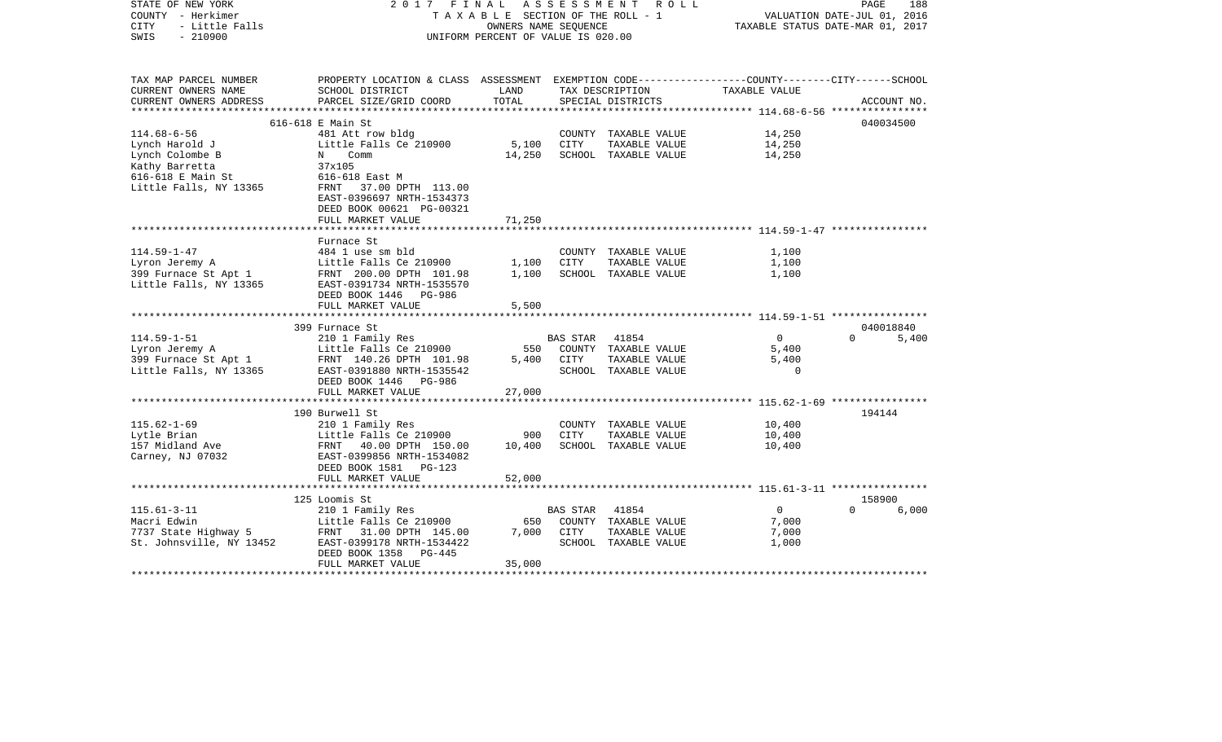| STATE OF NEW YORK        | 2017<br>FINAL                                                                                   |                                    | A S S E S S M E N T | R O L L              |                                                        | PAGE     | 188         |
|--------------------------|-------------------------------------------------------------------------------------------------|------------------------------------|---------------------|----------------------|--------------------------------------------------------|----------|-------------|
| COUNTY - Herkimer        | TAXABLE SECTION OF THE ROLL - 1                                                                 | VALUATION DATE-JUL 01, 2016        |                     |                      |                                                        |          |             |
| CITY<br>- Little Falls   |                                                                                                 | TAXABLE STATUS DATE-MAR 01, 2017   |                     |                      |                                                        |          |             |
| $-210900$<br>SWIS        |                                                                                                 | UNIFORM PERCENT OF VALUE IS 020.00 |                     |                      |                                                        |          |             |
|                          |                                                                                                 |                                    |                     |                      |                                                        |          |             |
| TAX MAP PARCEL NUMBER    | PROPERTY LOCATION & CLASS ASSESSMENT EXEMPTION CODE---------------COUNTY-------CITY------SCHOOL |                                    |                     |                      |                                                        |          |             |
| CURRENT OWNERS NAME      | SCHOOL DISTRICT                                                                                 | LAND                               |                     | TAX DESCRIPTION      | TAXABLE VALUE                                          |          |             |
| CURRENT OWNERS ADDRESS   | PARCEL SIZE/GRID COORD                                                                          | TOTAL                              |                     | SPECIAL DISTRICTS    | ***************** 114.68-6-56 *****************        |          | ACCOUNT NO. |
|                          | 616-618 E Main St                                                                               |                                    |                     |                      |                                                        |          | 040034500   |
| $114.68 - 6 - 56$        | 481 Att row bldg                                                                                |                                    |                     | COUNTY TAXABLE VALUE | 14,250                                                 |          |             |
| Lynch Harold J           | Little Falls Ce 210900                                                                          | 5,100                              | CITY                | TAXABLE VALUE        | 14,250                                                 |          |             |
| Lynch Colombe B          | N<br>Comm                                                                                       | 14,250                             |                     | SCHOOL TAXABLE VALUE | 14,250                                                 |          |             |
| Kathy Barretta           | 37x105                                                                                          |                                    |                     |                      |                                                        |          |             |
| 616-618 E Main St        | 616-618 East M                                                                                  |                                    |                     |                      |                                                        |          |             |
| Little Falls, NY 13365   | FRNT 37.00 DPTH 113.00                                                                          |                                    |                     |                      |                                                        |          |             |
|                          |                                                                                                 |                                    |                     |                      |                                                        |          |             |
|                          | EAST-0396697 NRTH-1534373                                                                       |                                    |                     |                      |                                                        |          |             |
|                          | DEED BOOK 00621 PG-00321                                                                        |                                    |                     |                      |                                                        |          |             |
|                          | FULL MARKET VALUE                                                                               | 71,250                             |                     |                      |                                                        |          |             |
|                          | Furnace St                                                                                      |                                    |                     |                      |                                                        |          |             |
| $114.59 - 1 - 47$        | 484 1 use sm bld                                                                                |                                    |                     | COUNTY TAXABLE VALUE | 1,100                                                  |          |             |
|                          |                                                                                                 |                                    | <b>CITY</b>         |                      |                                                        |          |             |
| Lyron Jeremy A           | Little Falls Ce 210900                                                                          | 1,100                              |                     | TAXABLE VALUE        | 1,100                                                  |          |             |
| 399 Furnace St Apt 1     | FRNT 200.00 DPTH 101.98                                                                         | 1,100                              |                     | SCHOOL TAXABLE VALUE | 1,100                                                  |          |             |
| Little Falls, NY 13365   | EAST-0391734 NRTH-1535570                                                                       |                                    |                     |                      |                                                        |          |             |
|                          | DEED BOOK 1446<br>PG-986                                                                        |                                    |                     |                      |                                                        |          |             |
|                          | FULL MARKET VALUE                                                                               | 5,500                              |                     |                      |                                                        |          |             |
|                          |                                                                                                 |                                    |                     |                      |                                                        |          |             |
|                          | 399 Furnace St                                                                                  |                                    |                     |                      |                                                        |          | 040018840   |
| $114.59 - 1 - 51$        | 210 1 Family Res                                                                                |                                    | BAS STAR            | 41854                | $\Omega$                                               | $\Omega$ | 5,400       |
| Lyron Jeremy A           | Little Falls Ce 210900                                                                          | 550                                |                     | COUNTY TAXABLE VALUE | 5,400                                                  |          |             |
| 399 Furnace St Apt 1     | FRNT 140.26 DPTH 101.98                                                                         | 5,400                              | CITY                | TAXABLE VALUE        | 5,400                                                  |          |             |
| Little Falls, NY 13365   | EAST-0391880 NRTH-1535542                                                                       |                                    |                     | SCHOOL TAXABLE VALUE | $\Omega$                                               |          |             |
|                          | DEED BOOK 1446 PG-986                                                                           |                                    |                     |                      |                                                        |          |             |
|                          | FULL MARKET VALUE                                                                               | 27,000                             |                     |                      |                                                        |          |             |
|                          |                                                                                                 |                                    |                     |                      |                                                        |          |             |
|                          | 190 Burwell St                                                                                  |                                    |                     |                      |                                                        |          | 194144      |
| $115.62 - 1 - 69$        | 210 1 Family Res                                                                                |                                    |                     | COUNTY TAXABLE VALUE | 10,400                                                 |          |             |
| Lytle Brian              | Little Falls Ce 210900                                                                          | 900                                | CITY                | TAXABLE VALUE        | 10,400                                                 |          |             |
| 157 Midland Ave          | FRNT 40.00 DPTH 150.00                                                                          | 10,400                             |                     | SCHOOL TAXABLE VALUE | 10,400                                                 |          |             |
| Carney, NJ 07032         | EAST-0399856 NRTH-1534082                                                                       |                                    |                     |                      |                                                        |          |             |
|                          | DEED BOOK 1581<br>PG-123                                                                        |                                    |                     |                      |                                                        |          |             |
|                          | FULL MARKET VALUE                                                                               | 52,000                             |                     |                      |                                                        |          |             |
|                          |                                                                                                 |                                    |                     |                      | ************************ 115.61-3-11 ***************** |          |             |
|                          | 125 Loomis St                                                                                   |                                    |                     |                      |                                                        |          | 158900      |
| $115.61 - 3 - 11$        | 210 1 Family Res                                                                                |                                    | <b>BAS STAR</b>     | 41854                | $\overline{0}$                                         | $\Omega$ | 6,000       |
| Macri Edwin              | Little Falls Ce 210900                                                                          | 650                                |                     | COUNTY TAXABLE VALUE | 7,000                                                  |          |             |
| 7737 State Highway 5     | FRNT 31.00 DPTH 145.00                                                                          | 7,000                              | CITY                | TAXABLE VALUE        | 7,000                                                  |          |             |
| St. Johnsville, NY 13452 | EAST-0399178 NRTH-1534422                                                                       |                                    |                     | SCHOOL TAXABLE VALUE | 1,000                                                  |          |             |
|                          |                                                                                                 |                                    |                     |                      |                                                        |          |             |
|                          | DEED BOOK 1358<br>PG-445                                                                        |                                    |                     |                      |                                                        |          |             |
|                          | FULL MARKET VALUE                                                                               | 35,000                             |                     |                      |                                                        |          |             |
|                          |                                                                                                 |                                    |                     |                      |                                                        |          |             |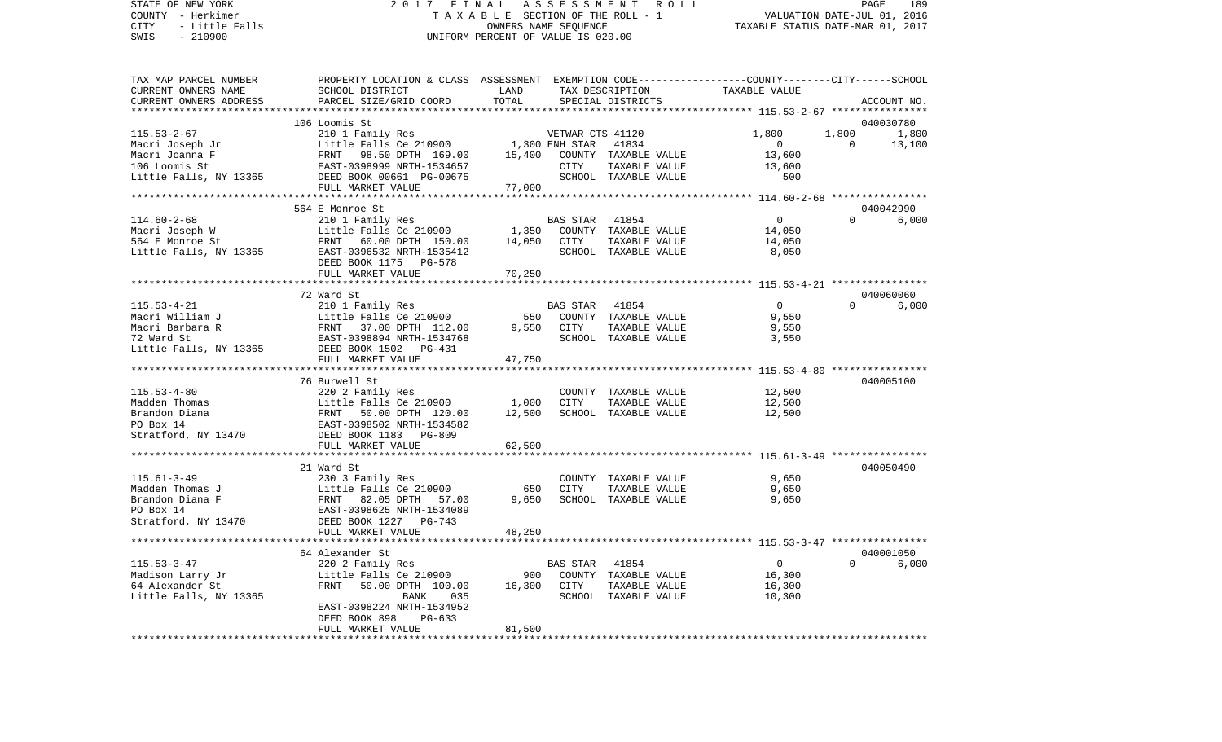## STATE OF NEW YORK 2 0 1 7 F I N A L A S S E S S M E N T R O L L PAGE 189 COUNTY - Herkimer T A X A B L E SECTION OF THE ROLL - 1 VALUATION DATE-JUL 01, 2016 CITY - Little Falls OWNERS NAME SEQUENCE TAXABLE STATUS DATE-MAR 01, 2017 SWIS - 210900 UNIFORM PERCENT OF VALUE IS 020.00

| PROPERTY LOCATION & CLASS ASSESSMENT EXEMPTION CODE----------------COUNTY-------CITY------SCHOOL |
|--------------------------------------------------------------------------------------------------|
|                                                                                                  |
| ACCOUNT NO.                                                                                      |
|                                                                                                  |
| 040030780                                                                                        |
| 1,800                                                                                            |
| 13,100                                                                                           |
|                                                                                                  |
|                                                                                                  |
|                                                                                                  |
|                                                                                                  |
|                                                                                                  |
| 040042990                                                                                        |
| 6,000                                                                                            |
|                                                                                                  |
|                                                                                                  |
|                                                                                                  |
|                                                                                                  |
|                                                                                                  |
| 040060060                                                                                        |
| 6,000                                                                                            |
|                                                                                                  |
|                                                                                                  |
|                                                                                                  |
|                                                                                                  |
|                                                                                                  |
| ********** 115.53-4-80 ****************                                                          |
| 040005100                                                                                        |
|                                                                                                  |
|                                                                                                  |
|                                                                                                  |
|                                                                                                  |
|                                                                                                  |
|                                                                                                  |
|                                                                                                  |
| 040050490                                                                                        |
|                                                                                                  |
|                                                                                                  |
|                                                                                                  |
|                                                                                                  |
|                                                                                                  |
|                                                                                                  |
|                                                                                                  |
| 040001050                                                                                        |
| 6,000                                                                                            |
|                                                                                                  |
|                                                                                                  |
|                                                                                                  |
|                                                                                                  |
|                                                                                                  |
|                                                                                                  |
|                                                                                                  |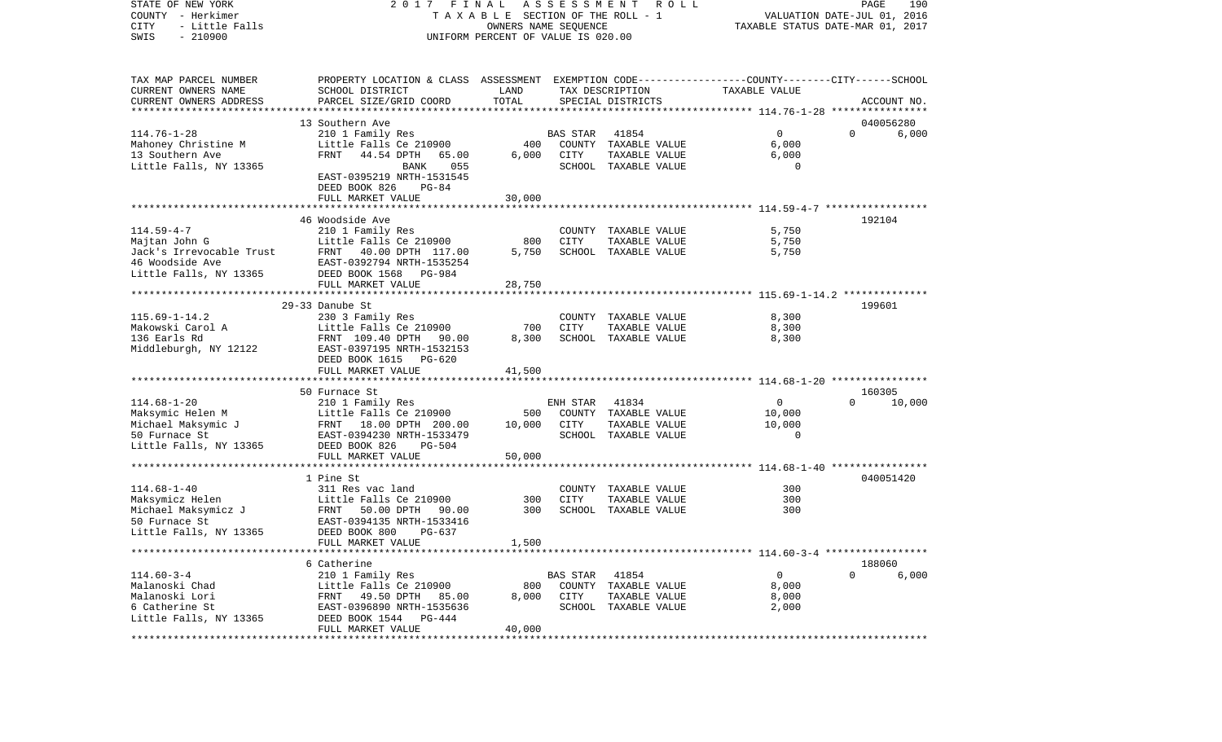COUNTY - Herkimer T A X A B L E SECTION OF THE ROLL - 1 VALUATION DATE-JUL 01, 2016 CITY - Little Falls OWNERS NAME SEQUENCE TAXABLE STATUS DATE-MAR 01, 2017 SWIS - 210900 UNIFORM PERCENT OF VALUE IS 020.00TAX MAP PARCEL NUMBER PROPERTY LOCATION & CLASS ASSESSMENT EXEMPTION CODE------------------COUNTY--------CITY------SCHOOL CURRENT OWNERS NAME SCHOOL DISTRICT LAND TAX DESCRIPTION TAXABLE VALUECURRENT OWNERS ADDRESS PARCEL SIZE/GRID COORD TOTAL SPECIAL DISTRICTS ACCOUNT NO. \*\*\*\*\*\*\*\*\*\*\*\*\*\*\*\*\*\*\*\*\*\*\*\*\*\*\*\*\*\*\*\*\*\*\*\*\*\*\*\*\*\*\*\*\*\*\*\*\*\*\*\*\*\*\*\*\*\*\*\*\*\*\*\*\*\*\*\*\*\*\*\*\*\*\*\*\*\*\*\*\*\*\*\*\*\*\*\*\*\*\*\*\*\*\*\*\*\*\*\*\*\*\* 114.76-1-28 \*\*\*\*\*\*\*\*\*\*\*\*\*\*\*\* 13 Southern Ave 040056280114.76-1-28 210 1 Family Res BAS STAR 41854 0 0 6,000 Mahoney Christine M  $L$ ittle Falls Ce 210900 400 COUNTY TAXABLE VALUE 6,000 13 Southern Ave FRNT 44.54 DPTH 65.00 6,000 CITY TAXABLE VALUE 6,000 Little Falls, NY 13365 BANK 055 SCHOOL TAXABLE VALUE 0 EAST-0395219 NRTH-1531545 DEED BOOK 826 PG-84 FULL MARKET VALUE 30,000 \*\*\*\*\*\*\*\*\*\*\*\*\*\*\*\*\*\*\*\*\*\*\*\*\*\*\*\*\*\*\*\*\*\*\*\*\*\*\*\*\*\*\*\*\*\*\*\*\*\*\*\*\*\*\*\*\*\*\*\*\*\*\*\*\*\*\*\*\*\*\*\*\*\*\*\*\*\*\*\*\*\*\*\*\*\*\*\*\*\*\*\*\*\*\*\*\*\*\*\*\*\*\* 114.59-4-7 \*\*\*\*\*\*\*\*\*\*\*\*\*\*\*\*\* 46 Woodside Ave 192104114.59-4-7 210 1 Family Res COUNTY TAXABLE VALUE 5,750 Majtan John G Little Falls Ce 210900 800 CITY TAXABLE VALUE 5,750 Jack's Irrevocable Trust FRNT 40.00 DPTH 117.00 5,750 SCHOOL TAXABLE VALUE 5,750 46 Woodside Ave EAST-0392794 NRTH-1535254Little Falls, NY 13365 DEED BOOK 1568 PG-984 FULL MARKET VALUE 28,750 \*\*\*\*\*\*\*\*\*\*\*\*\*\*\*\*\*\*\*\*\*\*\*\*\*\*\*\*\*\*\*\*\*\*\*\*\*\*\*\*\*\*\*\*\*\*\*\*\*\*\*\*\*\*\*\*\*\*\*\*\*\*\*\*\*\*\*\*\*\*\*\*\*\*\*\*\*\*\*\*\*\*\*\*\*\*\*\*\*\*\*\*\*\*\*\*\*\*\*\*\*\*\* 115.69-1-14.2 \*\*\*\*\*\*\*\*\*\*\*\*\*\* 29-33 Danube St 199601115.69-1-14.2 230 3 Family Res COUNTY TAXABLE VALUE 8,300 Makowski Carol A **Little Falls Ce 210900** 700 CITY TAXABLE VALUE 8,300 136 Earls Rd FRNT 109.40 DPTH 90.00 8,300 SCHOOL TAXABLE VALUE 8,300 Middleburgh, NY 12122 EAST-0397195 NRTH-1532153 DEED BOOK 1615 PG-620 FULL MARKET VALUE 41,500 \*\*\*\*\*\*\*\*\*\*\*\*\*\*\*\*\*\*\*\*\*\*\*\*\*\*\*\*\*\*\*\*\*\*\*\*\*\*\*\*\*\*\*\*\*\*\*\*\*\*\*\*\*\*\*\*\*\*\*\*\*\*\*\*\*\*\*\*\*\*\*\*\*\*\*\*\*\*\*\*\*\*\*\*\*\*\*\*\*\*\*\*\*\*\*\*\*\*\*\*\*\*\* 114.68-1-20 \*\*\*\*\*\*\*\*\*\*\*\*\*\*\*\* 50 Furnace St 160305114.68-1-20 210 1 Family Res ENH STAR 41834 0 0 10,000 Maksymic Helen M **Little Falls Ce 210900** 500 COUNTY TAXABLE VALUE 10,000 Michael Maksymic J FRNT 18.00 DPTH 200.00 10,000 CITY TAXABLE VALUE 10,000 50 Furnace St EAST-0394230 NRTH-1533479 SCHOOL TAXABLE VALUE 0Little Falls, NY 13365 DEED BOOK 826 PG-504 FULL MARKET VALUE 50,000 \*\*\*\*\*\*\*\*\*\*\*\*\*\*\*\*\*\*\*\*\*\*\*\*\*\*\*\*\*\*\*\*\*\*\*\*\*\*\*\*\*\*\*\*\*\*\*\*\*\*\*\*\*\*\*\*\*\*\*\*\*\*\*\*\*\*\*\*\*\*\*\*\*\*\*\*\*\*\*\*\*\*\*\*\*\*\*\*\*\*\*\*\*\*\*\*\*\*\*\*\*\*\* 114.68-1-40 \*\*\*\*\*\*\*\*\*\*\*\*\*\*\*\* 1 Pine St 040051420040051420 114.68-1-40 311 Res vac land COUNTY TAXABLE VALUE 300Maksymicz Helen Little Falls Ce 210900 300 CITY TAXABLE VALUE 300  $FRNT$  50.00 DPTH 90.00 50 Furnace St EAST-0394135 NRTH-1533416Little Falls, NY 13365 DEED BOOK 800 PG-637 FULL MARKET VALUE 1,500 \*\*\*\*\*\*\*\*\*\*\*\*\*\*\*\*\*\*\*\*\*\*\*\*\*\*\*\*\*\*\*\*\*\*\*\*\*\*\*\*\*\*\*\*\*\*\*\*\*\*\*\*\*\*\*\*\*\*\*\*\*\*\*\*\*\*\*\*\*\*\*\*\*\*\*\*\*\*\*\*\*\*\*\*\*\*\*\*\*\*\*\*\*\*\*\*\*\*\*\*\*\*\* 114.60-3-4 \*\*\*\*\*\*\*\*\*\*\*\*\*\*\*\*\* 6 Catherine 188060114.60-3-4 210 1 Family Res BAS STAR 41854 0 0 6,000 Malanoski Chad Little Falls Ce 210900 800 COUNTY TAXABLE VALUE 8,000 Malanoski Lori FRNT 49.50 DPTH 85.00 8,000 CITY TAXABLE VALUE 8,000 6 Catherine St EAST-0396890 NRTH-1535636 SCHOOL TAXABLE VALUE 2,000 Little Falls, NY 13365 DEED BOOK 1544 PG-444 FULL MARKET VALUE 40,000 \*\*\*\*\*\*\*\*\*\*\*\*\*\*\*\*\*\*\*\*\*\*\*\*\*\*\*\*\*\*\*\*\*\*\*\*\*\*\*\*\*\*\*\*\*\*\*\*\*\*\*\*\*\*\*\*\*\*\*\*\*\*\*\*\*\*\*\*\*\*\*\*\*\*\*\*\*\*\*\*\*\*\*\*\*\*\*\*\*\*\*\*\*\*\*\*\*\*\*\*\*\*\*\*\*\*\*\*\*\*\*\*\*\*\*\*\*\*\*\*\*\*\*\*\*\*\*\*\*\*\*\*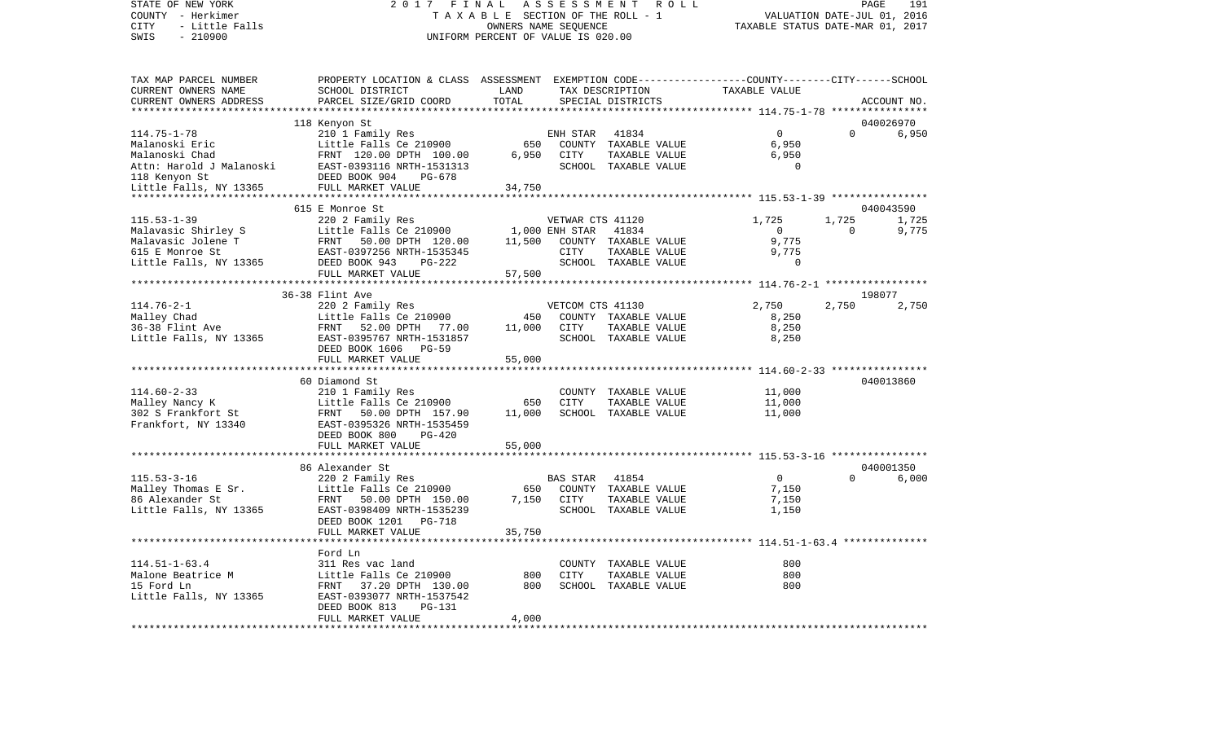STATE OF NEW YORK 2 0 1 7 F I N A L A S S E S S M E N T R O L L PAGE 191 COUNTY - Herkimer T A X A B L E SECTION OF THE ROLL - 1 VALUATION DATE-JUL 01, 2016 CITY - Little Falls OWNERS NAME SEQUENCE TAXABLE STATUS DATE-MAR 01, 2017 SWIS - Little Falls<br>
SWIS - 210900<br>
SWIS - 210900<br>
UNIFORM PERCENT OF VALUE IS 020.00

| TAX MAP PARCEL NUMBER<br>CURRENT OWNERS NAME<br>CURRENT OWNERS ADDRESS<br>*********************                                                                                      | PROPERTY LOCATION & CLASS ASSESSMENT EXEMPTION CODE----------------COUNTY-------CITY------SCHOOL<br>SCHOOL DISTRICT<br>PARCEL SIZE/GRID COORD                         | LAND<br>TOTAL            |                          | TAX DESCRIPTION<br>SPECIAL DISTRICTS                                   | TAXABLE VALUE                             |                   | ACCOUNT NO.                 |
|--------------------------------------------------------------------------------------------------------------------------------------------------------------------------------------|-----------------------------------------------------------------------------------------------------------------------------------------------------------------------|--------------------------|--------------------------|------------------------------------------------------------------------|-------------------------------------------|-------------------|-----------------------------|
|                                                                                                                                                                                      |                                                                                                                                                                       |                          |                          |                                                                        |                                           |                   |                             |
| $114.75 - 1 - 78$<br>Malanoski Eric<br>Malanoski Chad<br>Attn: Harold J Malanoski<br>118 Kenyon St                                                                                   | 118 Kenyon St<br>210 1 Family Res<br>Little Falls Ce 210900<br>FRNT 120.00 DPTH 100.00<br>EAST-0393116 NRTH-1531313<br>DEED BOOK 904<br>PG-678                        | 650<br>6,950             | ENH STAR<br>CITY         | 41834<br>COUNTY TAXABLE VALUE<br>TAXABLE VALUE<br>SCHOOL TAXABLE VALUE | 0<br>6,950<br>6,950<br>$\Omega$           | $\Omega$          | 040026970<br>6,950          |
| Little Falls, NY 13365                                                                                                                                                               | FULL MARKET VALUE                                                                                                                                                     | 34,750                   |                          |                                                                        |                                           |                   |                             |
|                                                                                                                                                                                      |                                                                                                                                                                       |                          |                          |                                                                        |                                           |                   |                             |
| $115.53 - 1 - 39$<br>Malavasic Shirley S<br>Malavasic Shirley S<br>Malavasic Jolene T<br>FRNT 50.00 DPTH 120.00<br>615 E Monroe St<br>Little Falls, NY 13365<br>DEED BOOK 943 PG-222 | 615 E Monroe St<br>220 2 Family Res<br>Little Falls Ce 210900                                                                                                         | 1,000 ENH STAR<br>11,500 | VETWAR CTS 41120<br>CITY | 41834<br>COUNTY TAXABLE VALUE<br>TAXABLE VALUE                         | 1,725<br>$\overline{0}$<br>9,775<br>9,775 | 1,725<br>$\Omega$ | 040043590<br>1,725<br>9,775 |
|                                                                                                                                                                                      |                                                                                                                                                                       |                          |                          | SCHOOL TAXABLE VALUE                                                   | $\Omega$                                  |                   |                             |
|                                                                                                                                                                                      | FULL MARKET VALUE                                                                                                                                                     | 57,500                   |                          |                                                                        |                                           |                   |                             |
|                                                                                                                                                                                      |                                                                                                                                                                       |                          |                          |                                                                        |                                           |                   |                             |
|                                                                                                                                                                                      | 36-38 Flint Ave                                                                                                                                                       |                          |                          |                                                                        |                                           |                   | 198077                      |
| $114.76 - 2 - 1$<br>Malley Chad<br>36-38 Flint Ave<br>Little Falls, NY 13365                                                                                                         | 220 2 Family Res<br>Little Falls Ce 210900<br>FRNT 52.00 DPTH 77.00<br>EAST-0395767 NRTH-1531857<br>DEED BOOK 1606 PG-59                                              | 450<br>11,000            | VETCOM CTS 41130<br>CITY | COUNTY TAXABLE VALUE<br>TAXABLE VALUE<br>SCHOOL TAXABLE VALUE          | 2,750<br>8,250<br>8,250<br>8,250          | 2,750             | 2,750                       |
|                                                                                                                                                                                      | FULL MARKET VALUE                                                                                                                                                     | 55,000                   |                          |                                                                        |                                           |                   |                             |
|                                                                                                                                                                                      |                                                                                                                                                                       |                          |                          |                                                                        |                                           |                   | 040013860                   |
| $114.60 - 2 - 33$<br>Malley Nancy K<br>302 S Frankfort St<br>Frankfort, NY 13340                                                                                                     | 60 Diamond St<br>210 1 Family Res<br>Little Falls Ce 210900<br>FRNT 50.00 DPTH 157.90<br>EAST-0395326 NRTH-1535459<br>DEED BOOK 800<br>$PG-420$<br>FULL MARKET VALUE  | 650<br>11,000<br>55,000  | CITY                     | COUNTY TAXABLE VALUE<br>TAXABLE VALUE<br>SCHOOL TAXABLE VALUE          | 11,000<br>11,000<br>11,000                |                   |                             |
|                                                                                                                                                                                      |                                                                                                                                                                       |                          |                          |                                                                        |                                           |                   |                             |
| $115.53 - 3 - 16$<br>Malley Thomas E Sr.<br>86 Alexander St<br>Little Falls, NY 13365                                                                                                | 86 Alexander St<br>220 2 Family Res<br>Little Falls Ce 210900<br>FRNT 50.00 DPTH 150.00<br>EAST-0398409 NRTH-1535239<br>DEED BOOK 1201<br>PG-718<br>FULL MARKET VALUE | 650<br>7,150<br>35,750   | <b>BAS STAR</b><br>CITY  | 41854<br>COUNTY TAXABLE VALUE<br>TAXABLE VALUE<br>SCHOOL TAXABLE VALUE | $\overline{0}$<br>7,150<br>7,150<br>1,150 | $\Omega$          | 040001350<br>6.000          |
|                                                                                                                                                                                      |                                                                                                                                                                       |                          |                          |                                                                        |                                           |                   |                             |
| $114.51 - 1 - 63.4$<br>Malone Beatrice M<br>15 Ford Ln<br>Little Falls, NY 13365                                                                                                     | Ford Ln<br>311 Res vac land<br>Little Falls Ce 210900<br>FRNT 37.20 DPTH 130.00<br>EAST-0393077 NRTH-1537542<br>DEED BOOK 813<br><b>PG-131</b><br>FULL MARKET VALUE   | 800<br>800<br>4,000      | <b>CITY</b>              | COUNTY TAXABLE VALUE<br>TAXABLE VALUE<br>SCHOOL TAXABLE VALUE          | 800<br>800<br>800                         |                   |                             |
|                                                                                                                                                                                      |                                                                                                                                                                       |                          |                          |                                                                        |                                           |                   |                             |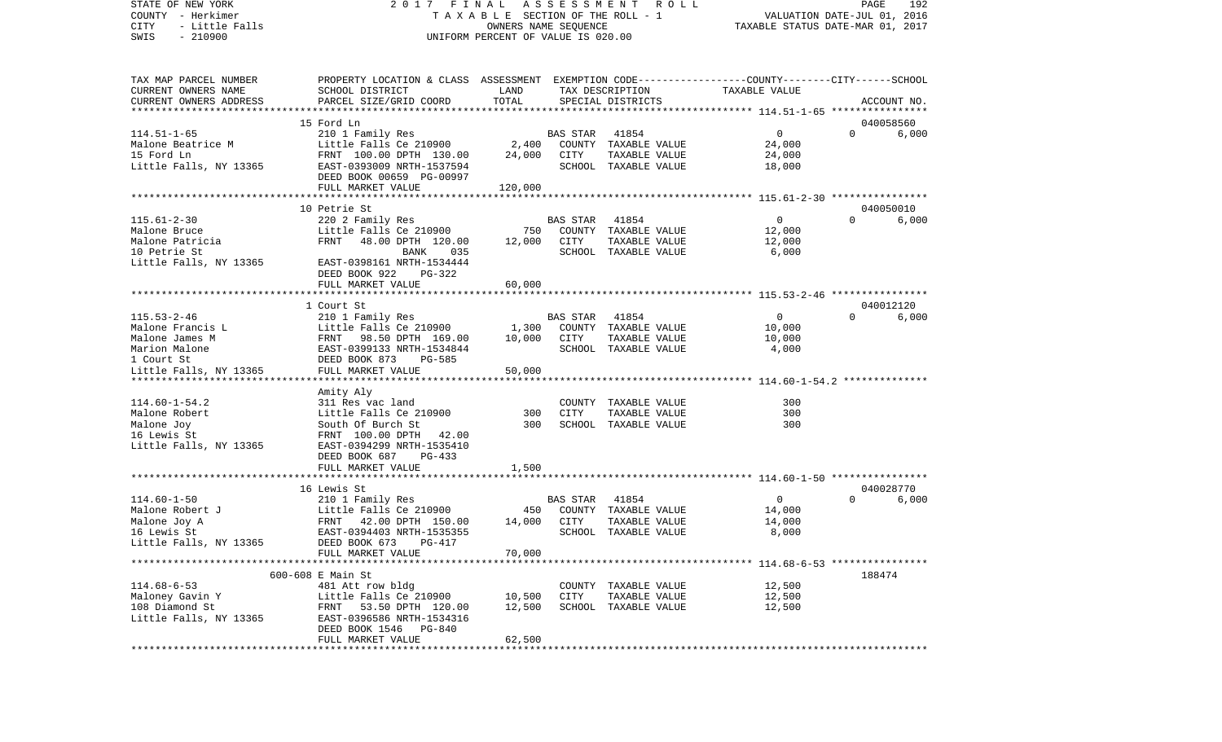STATE OF NEW YORK 2 0 1 7 F I N A L A S S E S S M E N T R O L L PAGE 192VALUATION DATE-JUL 01, 2016 COUNTY - Herkimer T A X A B L E SECTION OF THE ROLL - 1 CITY - Little Falls OWNERS NAME SEQUENCE TAXABLE STATUS DATE-MAR 01, 2017 SWIS - 210900 UNIFORM PERCENT OF VALUE IS 020.00TAX MAP PARCEL NUMBER PROPERTY LOCATION & CLASS ASSESSMENT EXEMPTION CODE------------------COUNTY--------CITY------SCHOOL CURRENT OWNERS NAME SCHOOL DISTRICT LAND TAX DESCRIPTION TAXABLE VALUECURRENT OWNERS ADDRESS PARCEL SIZE/GRID COORD TOTAL SPECIAL DISTRICTS ACCOUNT NO. \*\*\*\*\*\*\*\*\*\*\*\*\*\*\*\*\*\*\*\*\*\*\*\*\*\*\*\*\*\*\*\*\*\*\*\*\*\*\*\*\*\*\*\*\*\*\*\*\*\*\*\*\*\*\*\*\*\*\*\*\*\*\*\*\*\*\*\*\*\*\*\*\*\*\*\*\*\*\*\*\*\*\*\*\*\*\*\*\*\*\*\*\*\*\*\*\*\*\*\*\*\*\* 114.51-1-65 \*\*\*\*\*\*\*\*\*\*\*\*\*\*\*\* 15 Ford Ln 040058560114.51-1-65 210 1 Family Res BAS STAR 41854 0 0 6,000 Malone Beatrice M  $L$ ittle Falls Ce 210900 2,400 COUNTY TAXABLE VALUE 24,000 15 Ford Ln FRNT 100.00 DPTH 130.00 24,000 CITY TAXABLE VALUE 24,000 Little Falls, NY 13365 EAST-0393009 NRTH-1537594 SCHOOL TAXABLE VALUE 18,000 DEED BOOK 00659 PG-00997FULL MARKET VALUE 120,000 \*\*\*\*\*\*\*\*\*\*\*\*\*\*\*\*\*\*\*\*\*\*\*\*\*\*\*\*\*\*\*\*\*\*\*\*\*\*\*\*\*\*\*\*\*\*\*\*\*\*\*\*\*\*\*\*\*\*\*\*\*\*\*\*\*\*\*\*\*\*\*\*\*\*\*\*\*\*\*\*\*\*\*\*\*\*\*\*\*\*\*\*\*\*\*\*\*\*\*\*\*\*\* 115.61-2-30 \*\*\*\*\*\*\*\*\*\*\*\*\*\*\*\*10 Petrie St 040050010 115.61-2-30 220 2 Family Res BAS STAR 41854 0 0 6,000 Malone Bruce **Little Falls Ce 210900** 750 COUNTY TAXABLE VALUE 12,000 Malone Patricia FRNT 48.00 DPTH 120.00 12,000 CITY TAXABLE VALUE 12,000 10 Petrie St BANK 035 SCHOOL TAXABLE VALUE 6,000 Little Falls, NY 13365 EAST-0398161 NRTH-1534444 DEED BOOK 922 PG-322 FULL MARKET VALUE 60,000 \*\*\*\*\*\*\*\*\*\*\*\*\*\*\*\*\*\*\*\*\*\*\*\*\*\*\*\*\*\*\*\*\*\*\*\*\*\*\*\*\*\*\*\*\*\*\*\*\*\*\*\*\*\*\*\*\*\*\*\*\*\*\*\*\*\*\*\*\*\*\*\*\*\*\*\*\*\*\*\*\*\*\*\*\*\*\*\*\*\*\*\*\*\*\*\*\*\*\*\*\*\*\* 115.53-2-46 \*\*\*\*\*\*\*\*\*\*\*\*\*\*\*\* 1 Court St 040012120115.53-2-46 210 1 Family Res BAS STAR 41854 0 0 6,000 Malone Francis L **Little Falls Ce 210900** 1,300 COUNTY TAXABLE VALUE 10,000 Malone James M FRNT 98.50 DPTH 169.00 10,000 CITY TAXABLE VALUE 10,000 Marion Malone EAST-0399133 NRTH-1534844 SCHOOL TAXABLE VALUE 4,000 1 Court St DEED BOOK 873 PG-585Little Falls, NY 13365 FULL MARKET VALUE 50,000 \*\*\*\*\*\*\*\*\*\*\*\*\*\*\*\*\*\*\*\*\*\*\*\*\*\*\*\*\*\*\*\*\*\*\*\*\*\*\*\*\*\*\*\*\*\*\*\*\*\*\*\*\*\*\*\*\*\*\*\*\*\*\*\*\*\*\*\*\*\*\*\*\*\*\*\*\*\*\*\*\*\*\*\*\*\*\*\*\*\*\*\*\*\*\*\*\*\*\*\*\*\*\* 114.60-1-54.2 \*\*\*\*\*\*\*\*\*\*\*\*\*\* Amity Aly 114.60-1-54.2 311 Res vac land COUNTY TAXABLE VALUE 300Malone Robert Little Falls Ce 210900 300 CITY TAXABLE VALUE 300Malone Joy **South Of Burch St** 300 SCHOOL TAXABLE VALUE 300 16 Lewis St FRNT 100.00 DPTH 42.00Little Falls, NY 13365 EAST-0394299 NRTH-1535410 DEED BOOK 687 PG-433FULL MARKET VALUE 1,500 \*\*\*\*\*\*\*\*\*\*\*\*\*\*\*\*\*\*\*\*\*\*\*\*\*\*\*\*\*\*\*\*\*\*\*\*\*\*\*\*\*\*\*\*\*\*\*\*\*\*\*\*\*\*\*\*\*\*\*\*\*\*\*\*\*\*\*\*\*\*\*\*\*\*\*\*\*\*\*\*\*\*\*\*\*\*\*\*\*\*\*\*\*\*\*\*\*\*\*\*\*\*\* 114.60-1-50 \*\*\*\*\*\*\*\*\*\*\*\*\*\*\*\* 16 Lewis St 040028770114.60-1-50 210 1 Family Res BAS STAR 41854 0 0 6,000 Malone Robert J Little Falls Ce 210900 450 COUNTY TAXABLE VALUE 14,000 Malone Joy A FRNT 42.00 DPTH 150.00 14,000 CITY TAXABLE VALUE 14,000 16 Lewis St EAST-0394403 NRTH-1535355 SCHOOL TAXABLE VALUE 8,000 Little Falls, NY 13365 DEED BOOK 673 PG-417 FULL MARKET VALUE 70,000 \*\*\*\*\*\*\*\*\*\*\*\*\*\*\*\*\*\*\*\*\*\*\*\*\*\*\*\*\*\*\*\*\*\*\*\*\*\*\*\*\*\*\*\*\*\*\*\*\*\*\*\*\*\*\*\*\*\*\*\*\*\*\*\*\*\*\*\*\*\*\*\*\*\*\*\*\*\*\*\*\*\*\*\*\*\*\*\*\*\*\*\*\*\*\*\*\*\*\*\*\*\*\* 114.68-6-53 \*\*\*\*\*\*\*\*\*\*\*\*\*\*\*\* 600-608 E Main St 188474114.68-6-53 481 Att row bldg COUNTY TAXABLE VALUE 12,500 Maloney Gavin Y **Little Falls Ce 210900** 10,500 CITY TAXABLE VALUE 12,500 108 Diamond St FRNT 53.50 DPTH 120.00 12,500 SCHOOL TAXABLE VALUE 12,500 Little Falls, NY 13365 EAST-0396586 NRTH-1534316 DEED BOOK 1546 PG-840 FULL MARKET VALUE 62,500 \*\*\*\*\*\*\*\*\*\*\*\*\*\*\*\*\*\*\*\*\*\*\*\*\*\*\*\*\*\*\*\*\*\*\*\*\*\*\*\*\*\*\*\*\*\*\*\*\*\*\*\*\*\*\*\*\*\*\*\*\*\*\*\*\*\*\*\*\*\*\*\*\*\*\*\*\*\*\*\*\*\*\*\*\*\*\*\*\*\*\*\*\*\*\*\*\*\*\*\*\*\*\*\*\*\*\*\*\*\*\*\*\*\*\*\*\*\*\*\*\*\*\*\*\*\*\*\*\*\*\*\*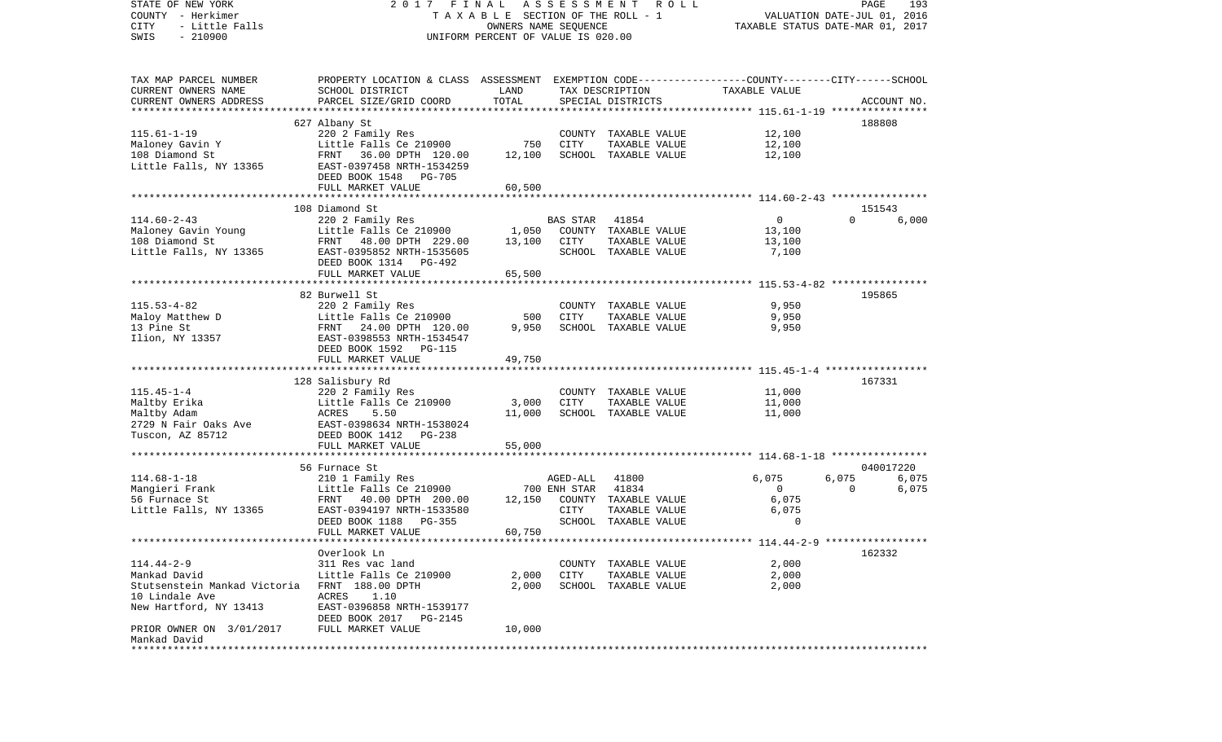| STATE OF NEW YORK<br>COUNTY - Herkimer         | 2017 FINAL<br>TAXABLE SECTION OF THE ROLL - 1                                                     | A S S E S S M E N T R O L L<br>PAGE<br>193<br>VALUATION DATE-JUL 01, 2016 |                          |                                       |                  |                         |                |
|------------------------------------------------|---------------------------------------------------------------------------------------------------|---------------------------------------------------------------------------|--------------------------|---------------------------------------|------------------|-------------------------|----------------|
| CITY<br>- Little Falls<br>$-210900$<br>SWIS    | UNIFORM PERCENT OF VALUE IS 020.00                                                                | TAXABLE STATUS DATE-MAR 01, 2017                                          |                          |                                       |                  |                         |                |
|                                                |                                                                                                   |                                                                           |                          |                                       |                  |                         |                |
| TAX MAP PARCEL NUMBER                          | PROPERTY LOCATION & CLASS ASSESSMENT EXEMPTION CODE----------------COUNTY--------CITY------SCHOOL |                                                                           |                          |                                       |                  |                         |                |
| CURRENT OWNERS NAME                            | SCHOOL DISTRICT                                                                                   | LAND                                                                      |                          | TAX DESCRIPTION                       | TAXABLE VALUE    |                         |                |
| CURRENT OWNERS ADDRESS                         | PARCEL SIZE/GRID COORD                                                                            | TOTAL                                                                     |                          | SPECIAL DISTRICTS                     |                  |                         | ACCOUNT NO.    |
|                                                | 627 Albany St                                                                                     |                                                                           |                          |                                       |                  | 188808                  |                |
| $115.61 - 1 - 19$                              | 220 2 Family Res                                                                                  |                                                                           |                          | COUNTY TAXABLE VALUE                  | 12,100           |                         |                |
| Maloney Gavin Y                                | Little Falls Ce 210900                                                                            | 750                                                                       | CITY                     | TAXABLE VALUE                         | 12,100           |                         |                |
| 108 Diamond St                                 | FRNT 36.00 DPTH 120.00                                                                            | 12,100                                                                    |                          | SCHOOL TAXABLE VALUE                  | 12,100           |                         |                |
| Little Falls, NY 13365                         | EAST-0397458 NRTH-1534259                                                                         |                                                                           |                          |                                       |                  |                         |                |
|                                                | DEED BOOK 1548<br>PG-705                                                                          |                                                                           |                          |                                       |                  |                         |                |
|                                                | FULL MARKET VALUE                                                                                 | 60,500                                                                    |                          |                                       |                  |                         |                |
|                                                |                                                                                                   |                                                                           |                          |                                       |                  |                         |                |
|                                                | 108 Diamond St                                                                                    |                                                                           |                          |                                       |                  | 151543                  |                |
| $114.60 - 2 - 43$                              | 220 2 Family Res                                                                                  |                                                                           | BAS STAR                 | 41854                                 | $\overline{0}$   | $\Omega$                | 6,000          |
| Maloney Gavin Young                            | Little Falls Ce 210900                                                                            | 1,050                                                                     |                          | COUNTY TAXABLE VALUE                  | 13,100           |                         |                |
| 108 Diamond St                                 | FRNT 48.00 DPTH 229.00                                                                            | 13,100                                                                    | CITY                     | TAXABLE VALUE                         | 13,100           |                         |                |
| Little Falls, NY 13365                         | EAST-0395852 NRTH-1535605                                                                         |                                                                           |                          | SCHOOL TAXABLE VALUE                  | 7,100            |                         |                |
|                                                | DEED BOOK 1314 PG-492                                                                             |                                                                           |                          |                                       |                  |                         |                |
|                                                | FULL MARKET VALUE                                                                                 | 65,500                                                                    |                          |                                       |                  |                         |                |
|                                                |                                                                                                   |                                                                           |                          |                                       |                  |                         |                |
|                                                | 82 Burwell St                                                                                     |                                                                           |                          |                                       |                  | 195865                  |                |
| $115.53 - 4 - 82$                              | 220 2 Family Res                                                                                  |                                                                           |                          | COUNTY TAXABLE VALUE                  | 9,950            |                         |                |
| Maloy Matthew D<br>13 Pine St                  | Little Falls Ce 210900<br>FRNT 24.00 DPTH 120.00                                                  | 500<br>9,950                                                              | CITY                     | TAXABLE VALUE<br>SCHOOL TAXABLE VALUE | 9,950<br>9,950   |                         |                |
| Ilion, NY 13357                                | EAST-0398553 NRTH-1534547                                                                         |                                                                           |                          |                                       |                  |                         |                |
|                                                | DEED BOOK 1592 PG-115                                                                             |                                                                           |                          |                                       |                  |                         |                |
|                                                | FULL MARKET VALUE                                                                                 | 49,750                                                                    |                          |                                       |                  |                         |                |
|                                                |                                                                                                   |                                                                           |                          |                                       |                  |                         |                |
|                                                | 128 Salisbury Rd                                                                                  |                                                                           |                          |                                       |                  | 167331                  |                |
| $115.45 - 1 - 4$                               | 220 2 Family Res                                                                                  |                                                                           |                          | COUNTY TAXABLE VALUE                  | 11,000           |                         |                |
| Maltby Erika                                   | Little Falls Ce 210900                                                                            | 3,000                                                                     | CITY                     | TAXABLE VALUE                         | 11,000           |                         |                |
| Maltby Adam                                    | ACRES<br>5.50                                                                                     | 11,000                                                                    |                          | SCHOOL TAXABLE VALUE                  | 11,000           |                         |                |
| 2729 N Fair Oaks Ave BAST-0398634 NRTH-1538024 |                                                                                                   |                                                                           |                          |                                       |                  |                         |                |
| Tuscon, AZ 85712                               | DEED BOOK 1412 PG-238                                                                             |                                                                           |                          |                                       |                  |                         |                |
|                                                | FULL MARKET VALUE                                                                                 | 55,000                                                                    |                          |                                       |                  |                         |                |
|                                                |                                                                                                   |                                                                           |                          |                                       |                  |                         |                |
|                                                | 56 Furnace St                                                                                     |                                                                           |                          |                                       |                  |                         | 040017220      |
| $114.68 - 1 - 18$<br>Mangieri Frank            | 210 1 Family Res<br>Little Falls Ce 210900                                                        |                                                                           | AGED-ALL<br>700 ENH STAR | 41800<br>41834                        | 6,075<br>$\circ$ | 6,075<br>$\overline{0}$ | 6,075<br>6,075 |
| 56 Furnace St                                  | FRNT 40.00 DPTH 200.00                                                                            | 12,150                                                                    |                          | COUNTY TAXABLE VALUE                  | 6,075            |                         |                |
| Little Falls, NY 13365                         | EAST-0394197 NRTH-1533580                                                                         |                                                                           | CITY                     | TAXABLE VALUE                         | 6,075            |                         |                |
|                                                | DEED BOOK 1188<br>PG-355                                                                          |                                                                           |                          | SCHOOL TAXABLE VALUE                  | $\Omega$         |                         |                |
|                                                | FULL MARKET VALUE                                                                                 | 60,750                                                                    |                          |                                       |                  |                         |                |
|                                                |                                                                                                   |                                                                           |                          |                                       |                  |                         |                |
|                                                | Overlook Ln                                                                                       |                                                                           |                          |                                       |                  | 162332                  |                |
| $114.44 - 2 - 9$                               | 311 Res vac land                                                                                  |                                                                           |                          | COUNTY TAXABLE VALUE                  | 2,000            |                         |                |
| Mankad David                                   | Little Falls Ce 210900                                                                            | 2,000                                                                     | CITY                     | TAXABLE VALUE                         | 2,000            |                         |                |
| Stutsenstein Mankad Victoria                   | FRNT 188.00 DPTH                                                                                  | 2,000                                                                     |                          | SCHOOL TAXABLE VALUE                  | 2,000            |                         |                |
| 10 Lindale Ave                                 | ACRES<br>1.10                                                                                     |                                                                           |                          |                                       |                  |                         |                |
| New Hartford, NY 13413                         | EAST-0396858 NRTH-1539177                                                                         |                                                                           |                          |                                       |                  |                         |                |
|                                                | DEED BOOK 2017<br>PG-2145                                                                         |                                                                           |                          |                                       |                  |                         |                |
| PRIOR OWNER ON 3/01/2017                       | FULL MARKET VALUE                                                                                 | 10,000                                                                    |                          |                                       |                  |                         |                |
| Mankad David<br>************                   |                                                                                                   |                                                                           |                          |                                       |                  |                         |                |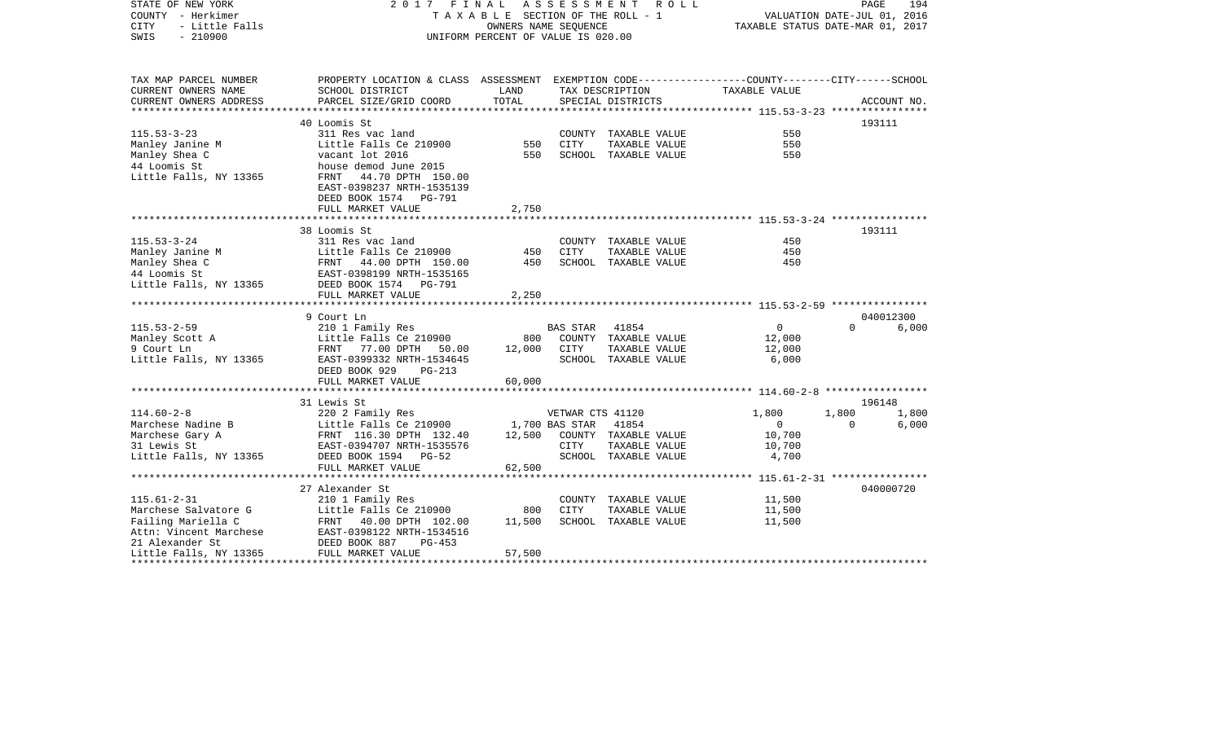| STATE OF NEW YORK<br>COUNTY - Herkimer<br><b>CITY</b><br>- Little Falls<br>$-210900$<br>SWIS |                                                                                                                    | 2017 FINAL<br>A S S E S S M E N T A O L L<br>T A X A B L E SECTION OF THE ROLL - 1<br>OWNERS NAME SEQUENCE<br>UNIFORM PERCENT OF VALUE IS 020.00 |                  |                      |                          |          |             |
|----------------------------------------------------------------------------------------------|--------------------------------------------------------------------------------------------------------------------|--------------------------------------------------------------------------------------------------------------------------------------------------|------------------|----------------------|--------------------------|----------|-------------|
| TAX MAP PARCEL NUMBER<br>CURRENT OWNERS NAME                                                 | PROPERTY LOCATION & CLASS ASSESSMENT EXEMPTION CODE---------------COUNTY-------CITY------SCHOOL<br>SCHOOL DISTRICT | LAND                                                                                                                                             |                  | TAX DESCRIPTION      | TAXABLE VALUE            |          |             |
| CURRENT OWNERS ADDRESS                                                                       | PARCEL SIZE/GRID COORD                                                                                             | TOTAL                                                                                                                                            |                  | SPECIAL DISTRICTS    |                          |          | ACCOUNT NO. |
|                                                                                              |                                                                                                                    |                                                                                                                                                  |                  |                      |                          |          |             |
|                                                                                              | 40 Loomis St                                                                                                       |                                                                                                                                                  |                  |                      |                          | 193111   |             |
| $115.53 - 3 - 23$                                                                            | 311 Res vac land                                                                                                   |                                                                                                                                                  |                  | COUNTY TAXABLE VALUE | 550                      |          |             |
| Manley Janine M                                                                              | Little Falls Ce 210900                                                                                             | 550                                                                                                                                              | CITY             | TAXABLE VALUE        | 550                      |          |             |
| Manley Shea C                                                                                | vacant lot 2016                                                                                                    | 550                                                                                                                                              |                  | SCHOOL TAXABLE VALUE | 550                      |          |             |
| 44 Loomis St<br>Little Falls, NY 13365                                                       | house demod June 2015<br>FRNT 44.70 DPTH 150.00                                                                    |                                                                                                                                                  |                  |                      |                          |          |             |
|                                                                                              | EAST-0398237 NRTH-1535139                                                                                          |                                                                                                                                                  |                  |                      |                          |          |             |
|                                                                                              | DEED BOOK 1574 PG-791                                                                                              |                                                                                                                                                  |                  |                      |                          |          |             |
|                                                                                              | FULL MARKET VALUE                                                                                                  | 2,750                                                                                                                                            |                  |                      |                          |          |             |
|                                                                                              |                                                                                                                    |                                                                                                                                                  |                  |                      |                          |          |             |
|                                                                                              | 38 Loomis St                                                                                                       |                                                                                                                                                  |                  |                      |                          | 193111   |             |
| $115.53 - 3 - 24$                                                                            | 311 Res vac land                                                                                                   |                                                                                                                                                  |                  | COUNTY TAXABLE VALUE | 450                      |          |             |
| Manley Janine M                                                                              | Little Falls Ce 210900                                                                                             | 450                                                                                                                                              | CITY             | TAXABLE VALUE        | 450                      |          |             |
| Manley Shea C                                                                                | FRNT 44.00 DPTH 150.00<br>EAST-0398199 NRTH-1535165                                                                | 450                                                                                                                                              |                  | SCHOOL TAXABLE VALUE | 450                      |          |             |
| 44 Loomis St<br>Little Falls, NY 13365                                                       | DEED BOOK 1574 PG-791                                                                                              |                                                                                                                                                  |                  |                      |                          |          |             |
|                                                                                              | FULL MARKET VALUE                                                                                                  | 2,250                                                                                                                                            |                  |                      |                          |          |             |
|                                                                                              |                                                                                                                    |                                                                                                                                                  |                  |                      |                          |          |             |
|                                                                                              | 9 Court Ln                                                                                                         |                                                                                                                                                  |                  |                      |                          |          | 040012300   |
| $115.53 - 2 - 59$                                                                            | 210 1 Family Res                                                                                                   |                                                                                                                                                  | BAS STAR         | 41854                | $\overline{0}$           | $\Omega$ | 6,000       |
| Manley Scott A                                                                               | Little Falls Ce 210900                                                                                             | 800                                                                                                                                              |                  | COUNTY TAXABLE VALUE | 12,000                   |          |             |
| 9 Court Ln                                                                                   | FRNT 77.00 DPTH 50.00                                                                                              | 12,000                                                                                                                                           | CITY             | TAXABLE VALUE        | 12,000                   |          |             |
| Little Falls, NY 13365                                                                       | EAST-0399332 NRTH-1534645<br>DEED BOOK 929<br>$PG-213$                                                             |                                                                                                                                                  |                  | SCHOOL TAXABLE VALUE | 6,000                    |          |             |
|                                                                                              | FULL MARKET VALUE                                                                                                  | 60,000                                                                                                                                           |                  |                      |                          |          |             |
|                                                                                              |                                                                                                                    |                                                                                                                                                  |                  |                      |                          |          |             |
|                                                                                              | 31 Lewis St                                                                                                        |                                                                                                                                                  |                  |                      |                          | 196148   |             |
| $114.60 - 2 - 8$                                                                             | 220 2 Family Res                                                                                                   |                                                                                                                                                  | VETWAR CTS 41120 |                      | 1,800                    | 1,800    | 1,800       |
| Marchese Nadine B                                                                            | Little Falls Ce 210900                                                                                             |                                                                                                                                                  | 1,700 BAS STAR   | 41854                | $\overline{\phantom{0}}$ | $\Omega$ | 6,000       |
| Marchese Gary A                                                                              | FRNT 116.30 DPTH 132.40                                                                                            | 12,500                                                                                                                                           |                  | COUNTY TAXABLE VALUE | 10,700                   |          |             |
| 31 Lewis St                                                                                  | EAST-0394707 NRTH-1535576                                                                                          |                                                                                                                                                  | CITY             | TAXABLE VALUE        | 10,700                   |          |             |
| Little Falls, NY 13365                                                                       | DEED BOOK 1594 PG-52                                                                                               |                                                                                                                                                  |                  | SCHOOL TAXABLE VALUE | 4,700                    |          |             |
|                                                                                              | FULL MARKET VALUE                                                                                                  | 62,500                                                                                                                                           |                  |                      |                          |          |             |
|                                                                                              | 27 Alexander St                                                                                                    |                                                                                                                                                  |                  |                      |                          |          | 040000720   |
| $115.61 - 2 - 31$                                                                            | 210 1 Family Res                                                                                                   |                                                                                                                                                  |                  | COUNTY TAXABLE VALUE | 11,500                   |          |             |
| Marchese Salvatore G                                                                         | Little Falls Ce 210900                                                                                             | 800                                                                                                                                              | <b>CITY</b>      | TAXABLE VALUE        | 11,500                   |          |             |
| Failing Mariella C                                                                           | FRNT 40.00 DPTH 102.00                                                                                             | 11,500                                                                                                                                           |                  | SCHOOL TAXABLE VALUE | 11,500                   |          |             |
| Attn: Vincent Marchese                                                                       | EAST-0398122 NRTH-1534516                                                                                          |                                                                                                                                                  |                  |                      |                          |          |             |
| 21 Alexander St                                                                              | DEED BOOK 887<br>$PG-453$                                                                                          |                                                                                                                                                  |                  |                      |                          |          |             |
| Little Falls, NY 13365                                                                       | FULL MARKET VALUE                                                                                                  | 57,500                                                                                                                                           |                  |                      |                          |          |             |
|                                                                                              |                                                                                                                    |                                                                                                                                                  |                  |                      |                          |          |             |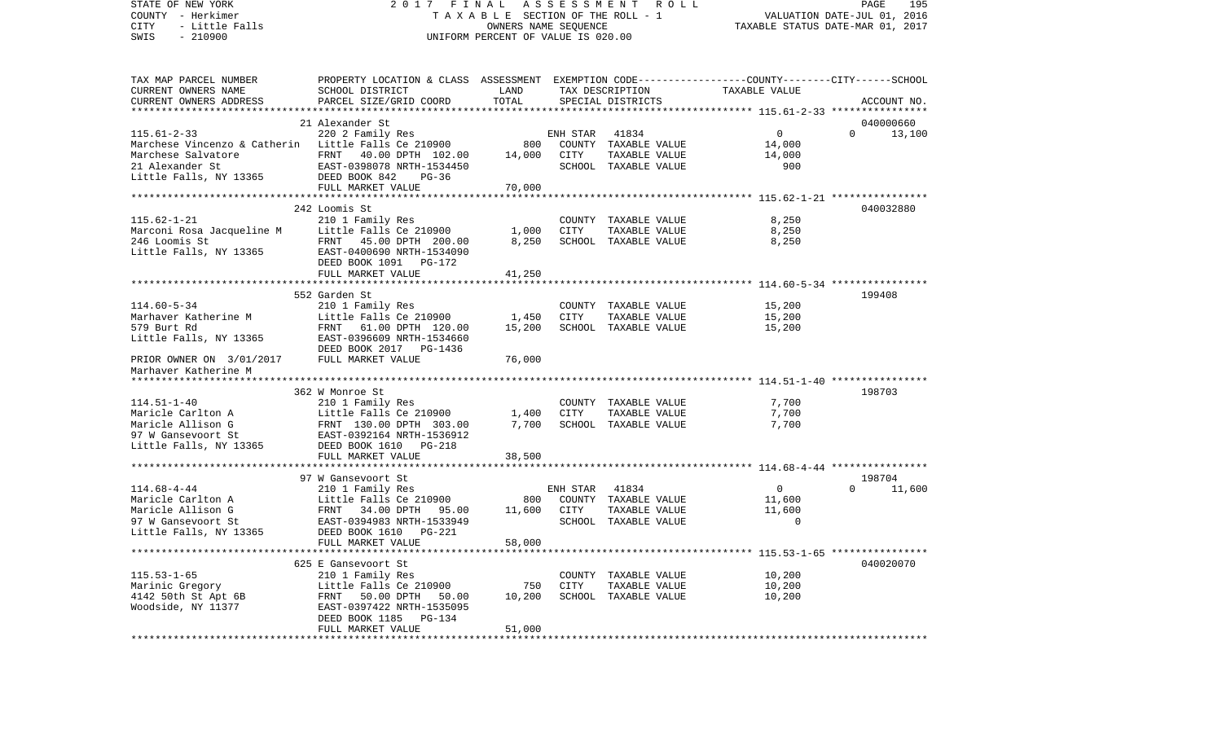VALUATION DATE-JUL 01, 2016 COUNTY - Herkimer T A X A B L E SECTION OF THE ROLL - 1 CITY - Little Falls OWNERS NAME SEQUENCE TAXABLE STATUS DATE-MAR 01, 2017 SWIS - 210900 UNIFORM PERCENT OF VALUE IS 020.00TAX MAP PARCEL NUMBER PROPERTY LOCATION & CLASS ASSESSMENT EXEMPTION CODE------------------COUNTY--------CITY------SCHOOL CURRENT OWNERS NAME SCHOOL DISTRICT LAND TAX DESCRIPTION TAXABLE VALUECURRENT OWNERS ADDRESS PARCEL SIZE/GRID COORD TOTAL SPECIAL DISTRICTS ACCOUNT NO. \*\*\*\*\*\*\*\*\*\*\*\*\*\*\*\*\*\*\*\*\*\*\*\*\*\*\*\*\*\*\*\*\*\*\*\*\*\*\*\*\*\*\*\*\*\*\*\*\*\*\*\*\*\*\*\*\*\*\*\*\*\*\*\*\*\*\*\*\*\*\*\*\*\*\*\*\*\*\*\*\*\*\*\*\*\*\*\*\*\*\*\*\*\*\*\*\*\*\*\*\*\*\* 115.61-2-33 \*\*\*\*\*\*\*\*\*\*\*\*\*\*\*\* 21 Alexander St 040000660115.61-2-33 220 2 Family Res ENH STAR 41834 0 0 13,100 Marchese Vincenzo & Catherin Little Falls Ce 210900 800 COUNTY TAXABLE VALUE 14,000 Marchese Salvatore 61.000 PTRNT 40.00 DPTH 102.00 14,000 CITY TAXABLE VALUE 14,000 21 Alexander St EAST-0398078 NRTH-1534450 SCHOOL TAXABLE VALUE 900Little Falls, NY 13365 DEED BOOK 842 PG-36 FULL MARKET VALUE 70,000 \*\*\*\*\*\*\*\*\*\*\*\*\*\*\*\*\*\*\*\*\*\*\*\*\*\*\*\*\*\*\*\*\*\*\*\*\*\*\*\*\*\*\*\*\*\*\*\*\*\*\*\*\*\*\*\*\*\*\*\*\*\*\*\*\*\*\*\*\*\*\*\*\*\*\*\*\*\*\*\*\*\*\*\*\*\*\*\*\*\*\*\*\*\*\*\*\*\*\*\*\*\*\* 115.62-1-21 \*\*\*\*\*\*\*\*\*\*\*\*\*\*\*\* 242 Loomis St 040032880115.62-1-21 210 1 Family Res COUNTY TAXABLE VALUE 8,250 Marconi Rosa Jacqueline M Little Falls Ce 210900 1,000 CITY TAXABLE VALUE 8,250 246 Loomis St FRNT 45.00 DPTH 200.00 8,250 SCHOOL TAXABLE VALUE 8,250 Little Falls, NY 13365 EAST-0400690 NRTH-1534090 DEED BOOK 1091 PG-172FULL MARKET VALUE 41,250 \*\*\*\*\*\*\*\*\*\*\*\*\*\*\*\*\*\*\*\*\*\*\*\*\*\*\*\*\*\*\*\*\*\*\*\*\*\*\*\*\*\*\*\*\*\*\*\*\*\*\*\*\*\*\*\*\*\*\*\*\*\*\*\*\*\*\*\*\*\*\*\*\*\*\*\*\*\*\*\*\*\*\*\*\*\*\*\*\*\*\*\*\*\*\*\*\*\*\*\*\*\*\* 114.60-5-34 \*\*\*\*\*\*\*\*\*\*\*\*\*\*\*\* 552 Garden St 199408114.60-5-34 210 1 Family Res COUNTY TAXABLE VALUE 15,200<br>Marhaver Katherine M Little Falls Ce 210900 1,450 CITY TAXABLE VALUE 15,200 Marhaver Katherine M and Little Falls Ce 210900 1.450 CITY TAXABLE VALUE 15,200 579 Burt Rd FRNT 61.00 DPTH 120.00 15,200 SCHOOL TAXABLE VALUE 15,200 Little Falls, NY 13365 EAST-0396609 NRTH-1534660 DEED BOOK 2017 PG-1436PRIOR OWNER ON 3/01/2017 FULL MARKET VALUE 76,000 Marhaver Katherine M \*\*\*\*\*\*\*\*\*\*\*\*\*\*\*\*\*\*\*\*\*\*\*\*\*\*\*\*\*\*\*\*\*\*\*\*\*\*\*\*\*\*\*\*\*\*\*\*\*\*\*\*\*\*\*\*\*\*\*\*\*\*\*\*\*\*\*\*\*\*\*\*\*\*\*\*\*\*\*\*\*\*\*\*\*\*\*\*\*\*\*\*\*\*\*\*\*\*\*\*\*\*\* 114.51-1-40 \*\*\*\*\*\*\*\*\*\*\*\*\*\*\*\* 362 W Monroe St 198703114.51-1-40 210 1 Family Res COUNTY TAXABLE VALUE 7,700 Maricle Carlton A 11ttle Falls Ce 210900 1,400 CITY TAXABLE VALUE 7,700 Maricle Allison G 6 6 7,700 PTH 303.00 7,700 SCHOOL TAXABLE VALUE 7,700 97 W Gansevoort St EAST-0392164 NRTH-1536912Little Falls, NY 13365 DEED BOOK 1610 PG-218 FULL MARKET VALUE 38,500 \*\*\*\*\*\*\*\*\*\*\*\*\*\*\*\*\*\*\*\*\*\*\*\*\*\*\*\*\*\*\*\*\*\*\*\*\*\*\*\*\*\*\*\*\*\*\*\*\*\*\*\*\*\*\*\*\*\*\*\*\*\*\*\*\*\*\*\*\*\*\*\*\*\*\*\*\*\*\*\*\*\*\*\*\*\*\*\*\*\*\*\*\*\*\*\*\*\*\*\*\*\*\* 114.68-4-44 \*\*\*\*\*\*\*\*\*\*\*\*\*\*\*\* 97 W Gansevoort St 198704114.68-4-44 210 1 Family Res ENH STAR 41834 0 0 11,600 Maricle Carlton A **Little Falls Ce 210900** 800 COUNTY TAXABLE VALUE 11,600 Maricle Allison G FRNT 34.00 DPTH 95.00 11,600 CITY TAXABLE VALUE 11,600 97 W Gansevoort St EAST-0394983 NRTH-1533949 SCHOOL TAXABLE VALUE 0 Little Falls, NY 13365 DEED BOOK 1610 PG-221 FULL MARKET VALUE 58,000 \*\*\*\*\*\*\*\*\*\*\*\*\*\*\*\*\*\*\*\*\*\*\*\*\*\*\*\*\*\*\*\*\*\*\*\*\*\*\*\*\*\*\*\*\*\*\*\*\*\*\*\*\*\*\*\*\*\*\*\*\*\*\*\*\*\*\*\*\*\*\*\*\*\*\*\*\*\*\*\*\*\*\*\*\*\*\*\*\*\*\*\*\*\*\*\*\*\*\*\*\*\*\* 115.53-1-65 \*\*\*\*\*\*\*\*\*\*\*\*\*\*\*\* 625 E Gansevoort St 040020070115.53-1-65 210 1 Family Res COUNTY TAXABLE VALUE 10,200 Marinic Gregory Little Falls Ce 210900 750 CITY TAXABLE VALUE 10,200 4142 50th St Apt 6B FRNT 50.00 DPTH 50.00 10,200 SCHOOL TAXABLE VALUE 10,200 Woodside, NY 11377 EAST-0397422 NRTH-1535095 DEED BOOK 1185 PG-134FULL MARKET VALUE 51,000 \*\*\*\*\*\*\*\*\*\*\*\*\*\*\*\*\*\*\*\*\*\*\*\*\*\*\*\*\*\*\*\*\*\*\*\*\*\*\*\*\*\*\*\*\*\*\*\*\*\*\*\*\*\*\*\*\*\*\*\*\*\*\*\*\*\*\*\*\*\*\*\*\*\*\*\*\*\*\*\*\*\*\*\*\*\*\*\*\*\*\*\*\*\*\*\*\*\*\*\*\*\*\*\*\*\*\*\*\*\*\*\*\*\*\*\*\*\*\*\*\*\*\*\*\*\*\*\*\*\*\*\*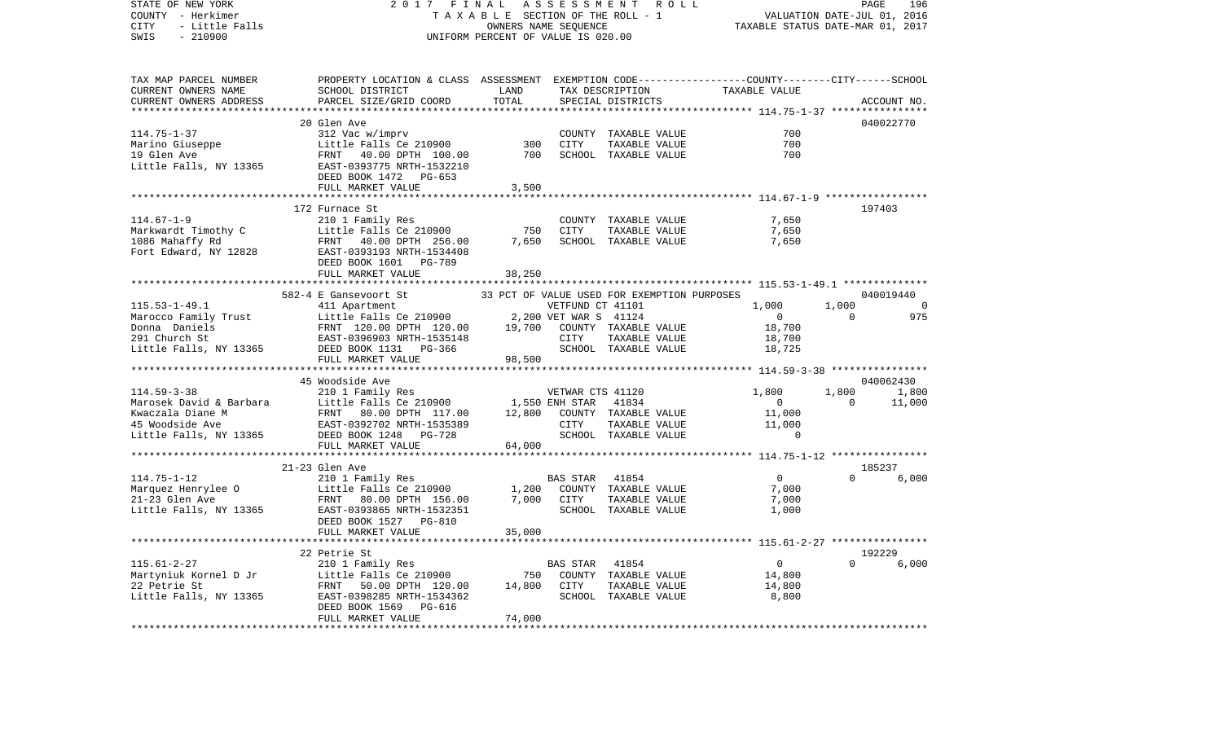| STATE OF NEW YORK<br>COUNTY - Herkimer<br>CITY<br>- Little Falls<br>SWIS<br>$-210900$ | 2017 FINAL<br>UNIFORM PERCENT OF VALUE IS 020.00                                                                                                                                                                                                       | FINAL ASSESSMENT ROLL<br>TAXABLE SECTION OF THE ROLL - 1 VALUATION DATE-JUL 01, 2016<br>OWNERS NAME SEQUENCE TAXABLE STATUS DATE-MAR 01, 2017 |            |                                             |                                                                                                                                                                                            |                |             |
|---------------------------------------------------------------------------------------|--------------------------------------------------------------------------------------------------------------------------------------------------------------------------------------------------------------------------------------------------------|-----------------------------------------------------------------------------------------------------------------------------------------------|------------|---------------------------------------------|--------------------------------------------------------------------------------------------------------------------------------------------------------------------------------------------|----------------|-------------|
| TAX MAP PARCEL NUMBER<br>CURRENT OWNERS NAME<br>CURRENT OWNERS ADDRESS                | PROPERTY LOCATION & CLASS ASSESSMENT EXEMPTION CODE-----------------COUNTY--------CITY------SCHOOL<br>SCHOOL DISTRICT<br>PARCEL SIZE/GRID COORD                                                                                                        | <b>Example 12</b><br>TOTAL                                                                                                                    |            | SPECIAL DISTRICTS                           | TAX DESCRIPTION TAXABLE VALUE                                                                                                                                                              |                | ACCOUNT NO. |
|                                                                                       |                                                                                                                                                                                                                                                        |                                                                                                                                               |            |                                             |                                                                                                                                                                                            |                |             |
|                                                                                       |                                                                                                                                                                                                                                                        |                                                                                                                                               |            |                                             |                                                                                                                                                                                            |                | 040022770   |
|                                                                                       |                                                                                                                                                                                                                                                        |                                                                                                                                               |            | COUNTY TAXABLE VALUE                        | 700                                                                                                                                                                                        |                |             |
|                                                                                       |                                                                                                                                                                                                                                                        | 300                                                                                                                                           | CITY       | TAXABLE VALUE                               | 700                                                                                                                                                                                        |                |             |
|                                                                                       |                                                                                                                                                                                                                                                        | 700                                                                                                                                           |            | SCHOOL TAXABLE VALUE                        | 700                                                                                                                                                                                        |                |             |
|                                                                                       |                                                                                                                                                                                                                                                        |                                                                                                                                               |            |                                             |                                                                                                                                                                                            |                |             |
|                                                                                       | FULL MARKET VALUE                                                                                                                                                                                                                                      | 3,500                                                                                                                                         |            |                                             |                                                                                                                                                                                            |                |             |
|                                                                                       |                                                                                                                                                                                                                                                        |                                                                                                                                               |            |                                             |                                                                                                                                                                                            |                |             |
|                                                                                       | 172 Furnace St                                                                                                                                                                                                                                         |                                                                                                                                               |            |                                             |                                                                                                                                                                                            |                | 197403      |
| $114.67 - 1 - 9$                                                                      | 210 1 Family Res                                                                                                                                                                                                                                       |                                                                                                                                               |            | COUNTY TAXABLE VALUE                        | 7,650                                                                                                                                                                                      |                |             |
|                                                                                       |                                                                                                                                                                                                                                                        | 750<br>7,650                                                                                                                                  | CITY       | TAXABLE VALUE                               | 7,650                                                                                                                                                                                      |                |             |
|                                                                                       | Markwardt Timothy C<br>1086 Mahaffy Rd<br>FRNT 40.00 DPTH 256.00<br>Fort Edward, NY 12828<br>FRNT 40.00 DPTH 256.00<br>EAST-0393193 NRTH-1534408                                                                                                       |                                                                                                                                               |            | SCHOOL TAXABLE VALUE                        | 7,650                                                                                                                                                                                      |                |             |
|                                                                                       |                                                                                                                                                                                                                                                        |                                                                                                                                               |            |                                             |                                                                                                                                                                                            |                |             |
|                                                                                       | DEED BOOK 1601 PG-789                                                                                                                                                                                                                                  |                                                                                                                                               |            |                                             |                                                                                                                                                                                            |                |             |
|                                                                                       | FULL MARKET VALUE                                                                                                                                                                                                                                      | 38,250                                                                                                                                        |            |                                             |                                                                                                                                                                                            |                |             |
|                                                                                       |                                                                                                                                                                                                                                                        |                                                                                                                                               |            | 33 PCT OF VALUE USED FOR EXEMPTION PURPOSES |                                                                                                                                                                                            |                | 040019440   |
|                                                                                       | 582-4 E Gansevoort St                                                                                                                                                                                                                                  |                                                                                                                                               |            |                                             | 1,000                                                                                                                                                                                      | 1,000          | $\sim$ 0    |
|                                                                                       |                                                                                                                                                                                                                                                        |                                                                                                                                               |            |                                             | $\overline{0}$                                                                                                                                                                             | $\overline{0}$ | 975         |
|                                                                                       |                                                                                                                                                                                                                                                        |                                                                                                                                               |            |                                             | 18,700                                                                                                                                                                                     |                |             |
|                                                                                       |                                                                                                                                                                                                                                                        |                                                                                                                                               |            |                                             |                                                                                                                                                                                            |                |             |
|                                                                                       | 33 FOI OF VALUE ON EXERCISE 115.53-1-49.1<br>Marocco Family Trust<br>Marocco Family Trust<br>Donna Daniels<br>291 Church St<br>291 Church St<br>291 Church St<br>291 Church St<br>291 Church St<br>291 Church St<br>291 Church St<br>291 Church St<br> |                                                                                                                                               |            |                                             | $\frac{-3}{18}, \frac{7}{700}$                                                                                                                                                             |                |             |
|                                                                                       |                                                                                                                                                                                                                                                        |                                                                                                                                               |            |                                             |                                                                                                                                                                                            |                |             |
|                                                                                       |                                                                                                                                                                                                                                                        |                                                                                                                                               |            |                                             |                                                                                                                                                                                            |                |             |
|                                                                                       | 45 Woodside Ave                                                                                                                                                                                                                                        |                                                                                                                                               |            |                                             |                                                                                                                                                                                            |                | 040062430   |
| $114.59 - 3 - 38$                                                                     |                                                                                                                                                                                                                                                        |                                                                                                                                               |            |                                             | 1,800                                                                                                                                                                                      |                | 1,800 1,800 |
|                                                                                       |                                                                                                                                                                                                                                                        |                                                                                                                                               |            |                                             | $\sim$ 0                                                                                                                                                                                   | $\overline{0}$ | 11,000      |
|                                                                                       |                                                                                                                                                                                                                                                        |                                                                                                                                               |            |                                             |                                                                                                                                                                                            |                |             |
|                                                                                       |                                                                                                                                                                                                                                                        |                                                                                                                                               |            |                                             | $\begin{tabular}{llllll} \multicolumn{2}{c}{\textbf{I A} A A B L E} & \textbf{VALUE} & & & 11,000 \\ \textbf{TAXABLE VALUE} & & & 11,000 \\ \textbf{TAXABLE VALUE} & & & \\ \end{tabular}$ |                |             |
|                                                                                       | XERANCES 41120<br>Marosek David & Barbara (110 1 Family Res)<br>Marosek David & Barbara (117.00 1,550 ENR TARABLE VALUE<br>Xwaczala Diane M FRNT 80.00 DFTH 117.00 12,800 COUNTY TAXABLE VALUE<br>45 Woodside Ave (13365 DEED BOOK 124                 |                                                                                                                                               |            |                                             |                                                                                                                                                                                            |                |             |
|                                                                                       |                                                                                                                                                                                                                                                        |                                                                                                                                               |            |                                             |                                                                                                                                                                                            |                |             |
|                                                                                       | ***********************                                                                                                                                                                                                                                |                                                                                                                                               |            |                                             |                                                                                                                                                                                            |                |             |
|                                                                                       |                                                                                                                                                                                                                                                        |                                                                                                                                               |            |                                             |                                                                                                                                                                                            |                | 185237      |
|                                                                                       |                                                                                                                                                                                                                                                        |                                                                                                                                               | BAS STAR   | 41854                                       | $\overline{0}$                                                                                                                                                                             |                | 0 6,000     |
|                                                                                       |                                                                                                                                                                                                                                                        |                                                                                                                                               |            | 1,200 COUNTY TAXABLE VALUE                  | 7,000                                                                                                                                                                                      |                |             |
|                                                                                       |                                                                                                                                                                                                                                                        |                                                                                                                                               | 7,000 CITY | TAXABLE VALUE                               | 7,000                                                                                                                                                                                      |                |             |
|                                                                                       |                                                                                                                                                                                                                                                        |                                                                                                                                               |            | SCHOOL TAXABLE VALUE                        | 1,000                                                                                                                                                                                      |                |             |
|                                                                                       |                                                                                                                                                                                                                                                        | 35,000                                                                                                                                        |            |                                             |                                                                                                                                                                                            |                |             |
|                                                                                       |                                                                                                                                                                                                                                                        |                                                                                                                                               |            |                                             |                                                                                                                                                                                            |                |             |
|                                                                                       | 22 Petrie St                                                                                                                                                                                                                                           |                                                                                                                                               |            |                                             |                                                                                                                                                                                            |                | 192229      |
|                                                                                       |                                                                                                                                                                                                                                                        |                                                                                                                                               | BAS STAR   | 41854                                       | $\overline{0}$                                                                                                                                                                             |                | 0 6,000     |
|                                                                                       |                                                                                                                                                                                                                                                        | 750                                                                                                                                           |            | COUNTY TAXABLE VALUE                        | 14,800                                                                                                                                                                                     |                |             |
|                                                                                       |                                                                                                                                                                                                                                                        | 14,800                                                                                                                                        | CITY       | TAXABLE VALUE                               | 14,800                                                                                                                                                                                     |                |             |
| Little Falls, NY 13365                                                                | FRNT 50.00 DPTH 120.00<br>EAST-0398285 NRTH-1534362                                                                                                                                                                                                    |                                                                                                                                               |            | SCHOOL TAXABLE VALUE                        | 8,800                                                                                                                                                                                      |                |             |
|                                                                                       | DEED BOOK 1569<br>PG-616                                                                                                                                                                                                                               |                                                                                                                                               |            |                                             |                                                                                                                                                                                            |                |             |
|                                                                                       | FULL MARKET VALUE                                                                                                                                                                                                                                      | 74,000                                                                                                                                        |            |                                             |                                                                                                                                                                                            |                |             |
|                                                                                       |                                                                                                                                                                                                                                                        |                                                                                                                                               |            |                                             |                                                                                                                                                                                            |                |             |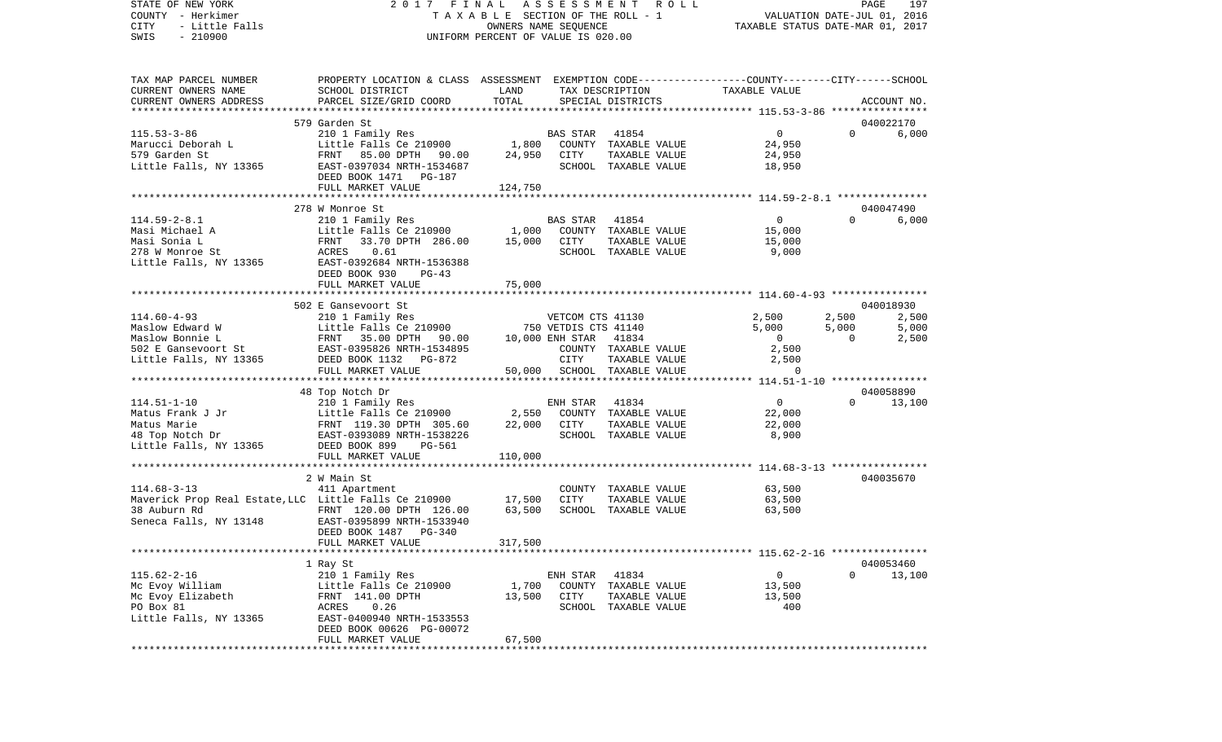STATE OF NEW YORK 2 0 1 7 F I N A L A S S E S S M E N T R O L L PAGE 197COUNTY - Herkimer **T A X A B L E** SECTION OF THE ROLL - 1 VALUATION DATE-JUL 01, 2016 CITY - Little Falls OWNERS NAME SEQUENCE TAXABLE STATUS DATE-MAR 01, 2017 SWIS - 210900 UNIFORM PERCENT OF VALUE IS 020.00TAX MAP PARCEL NUMBER PROPERTY LOCATION & CLASS ASSESSMENT EXEMPTION CODE------------------COUNTY--------CITY------SCHOOL CURRENT OWNERS NAME SCHOOL DISTRICT LAND TAX DESCRIPTION TAXABLE VALUECURRENT OWNERS ADDRESS PARCEL SIZE/GRID COORD TOTAL SPECIAL DISTRICTS ACCOUNT NO. \*\*\*\*\*\*\*\*\*\*\*\*\*\*\*\*\*\*\*\*\*\*\*\*\*\*\*\*\*\*\*\*\*\*\*\*\*\*\*\*\*\*\*\*\*\*\*\*\*\*\*\*\*\*\*\*\*\*\*\*\*\*\*\*\*\*\*\*\*\*\*\*\*\*\*\*\*\*\*\*\*\*\*\*\*\*\*\*\*\*\*\*\*\*\*\*\*\*\*\*\*\*\* 115.53-3-86 \*\*\*\*\*\*\*\*\*\*\*\*\*\*\*\* 579 Garden St 040022170115.53-3-86 210 1 Family Res BAS STAR 41854 0 0 6,000 Marucci Deborah L Little Falls Ce 210900 1,800 COUNTY TAXABLE VALUE 24,950 579 Garden St FRNT 85.00 DPTH 90.00 24,950 CITY TAXABLE VALUE 24,950 Little Falls, NY 13365 68857-0397034 NRTH-1534687 6881000L TAXABLE VALUE 18,950 DEED BOOK 1471 PG-187FULL MARKET VALUE 124,750 \*\*\*\*\*\*\*\*\*\*\*\*\*\*\*\*\*\*\*\*\*\*\*\*\*\*\*\*\*\*\*\*\*\*\*\*\*\*\*\*\*\*\*\*\*\*\*\*\*\*\*\*\*\*\*\*\*\*\*\*\*\*\*\*\*\*\*\*\*\*\*\*\*\*\*\*\*\*\*\*\*\*\*\*\*\*\*\*\*\*\*\*\*\*\*\*\*\*\*\*\*\*\* 114.59-2-8.1 \*\*\*\*\*\*\*\*\*\*\*\*\*\*\* 278 W Monroe St 040047490114.59-2-8.1 210 1 Family Res BAS STAR 41854 0 0 6,000 Masi Michael A **Little Falls Ce 210900** 1,000 COUNTY TAXABLE VALUE 15,000 Masi Sonia L FRNT 33.70 DPTH 286.00 15,000 CITY TAXABLE VALUE 15,000 278 W Monroe St ACRES 0.61 SCHOOL TAXABLE VALUE 9.000 Little Falls, NY 13365 EAST-0392684 NRTH-1536388 DEED BOOK 930 PG-43 FULL MARKET VALUE 75,000 \*\*\*\*\*\*\*\*\*\*\*\*\*\*\*\*\*\*\*\*\*\*\*\*\*\*\*\*\*\*\*\*\*\*\*\*\*\*\*\*\*\*\*\*\*\*\*\*\*\*\*\*\*\*\*\*\*\*\*\*\*\*\*\*\*\*\*\*\*\*\*\*\*\*\*\*\*\*\*\*\*\*\*\*\*\*\*\*\*\*\*\*\*\*\*\*\*\*\*\*\*\*\* 114.60-4-93 \*\*\*\*\*\*\*\*\*\*\*\*\*\*\*\* 502 E Gansevoort St 040018930114.60-4-93 210 1 Family Res VETCOM CTS 41130 2,500 2,500 2,500 Maslow Edward W **Little Falls Ce 210900** 750 VETDIS CTS 41140 5,000 5,000 5,000 5,000 Maslow Bonnie L FRNT 35.00 DPTH 90.00 10,000 ENH STAR 41834 0 0 2,500 502 E Gansevoort St EAST-0395826 NRTH-1534895 COUNTY TAXABLE VALUE 2,500 Little Falls, NY 13365 DEED BOOK 1132 PG-872 CITY TAXABLE VALUE 2,500 FULL MARKET VALUE  $50,000$  SCHOOL TAXABLE VALUE  $0$ \*\*\*\*\*\*\*\*\*\*\*\*\*\*\*\*\*\*\*\*\*\*\*\*\*\*\*\*\*\*\*\*\*\*\*\*\*\*\*\*\*\*\*\*\*\*\*\*\*\*\*\*\*\*\*\*\*\*\*\*\*\*\*\*\*\*\*\*\*\*\*\*\*\*\*\*\*\*\*\*\*\*\*\*\*\*\*\*\*\*\*\*\*\*\*\*\*\*\*\*\*\*\* 114.51-1-10 \*\*\*\*\*\*\*\*\*\*\*\*\*\*\*\* 48 Top Notch Dr 040058890 114.51-1-10 210 1 Family Res ENH STAR 41834 0 0 13,100 Matus Frank J Jr Little Falls Ce 210900 2,550 COUNTY TAXABLE VALUE 22,000 Matus Marie FRNT 119.30 DPTH 305.60 22,000 CITY TAXABLE VALUE 22,000 48 Top Notch Dr EAST-0393089 NRTH-1538226 SCHOOL TAXABLE VALUE 8,900 Little Falls, NY 13365 DEED BOOK 899 PG-561 FULL MARKET VALUE 110,000 \*\*\*\*\*\*\*\*\*\*\*\*\*\*\*\*\*\*\*\*\*\*\*\*\*\*\*\*\*\*\*\*\*\*\*\*\*\*\*\*\*\*\*\*\*\*\*\*\*\*\*\*\*\*\*\*\*\*\*\*\*\*\*\*\*\*\*\*\*\*\*\*\*\*\*\*\*\*\*\*\*\*\*\*\*\*\*\*\*\*\*\*\*\*\*\*\*\*\*\*\*\*\* 114.68-3-13 \*\*\*\*\*\*\*\*\*\*\*\*\*\*\*\*2 W Main St 040035670 114.68-3-13 411 Apartment COUNTY TAXABLE VALUE 63,500 Maverick Prop Real Estate,LLC Little Falls Ce 210900 17,500 CITY TAXABLE VALUE 63,500 FRNT 120.00 DPTH 126.00 Seneca Falls, NY 13148 EAST-0395899 NRTH-1533940 DEED BOOK 1487 PG-340FULL MARKET VALUE 317,500 \*\*\*\*\*\*\*\*\*\*\*\*\*\*\*\*\*\*\*\*\*\*\*\*\*\*\*\*\*\*\*\*\*\*\*\*\*\*\*\*\*\*\*\*\*\*\*\*\*\*\*\*\*\*\*\*\*\*\*\*\*\*\*\*\*\*\*\*\*\*\*\*\*\*\*\*\*\*\*\*\*\*\*\*\*\*\*\*\*\*\*\*\*\*\*\*\*\*\*\*\*\*\* 115.62-2-16 \*\*\*\*\*\*\*\*\*\*\*\*\*\*\*\* 1 Ray St 040053460 115.62-2-16 210 1 Family Res ENH STAR 41834 0 0 13,100 Mc Evoy William Charles Little Falls Ce 210900 1,700 COUNTY TAXABLE VALUE 13,500 Mc Evoy Elizabeth FRNT 141.00 DPTH 13,500 CITY TAXABLE VALUE 13,500 PO Box 81  $\text{ACRES}$  0.26  $\text{SCH OOL}$  TAXABLE VALUE 400 Little Falls, NY 13365 EAST-0400940 NRTH-1533553 DEED BOOK 00626 PG-00072 FULL MARKET VALUE 67,500 \*\*\*\*\*\*\*\*\*\*\*\*\*\*\*\*\*\*\*\*\*\*\*\*\*\*\*\*\*\*\*\*\*\*\*\*\*\*\*\*\*\*\*\*\*\*\*\*\*\*\*\*\*\*\*\*\*\*\*\*\*\*\*\*\*\*\*\*\*\*\*\*\*\*\*\*\*\*\*\*\*\*\*\*\*\*\*\*\*\*\*\*\*\*\*\*\*\*\*\*\*\*\*\*\*\*\*\*\*\*\*\*\*\*\*\*\*\*\*\*\*\*\*\*\*\*\*\*\*\*\*\*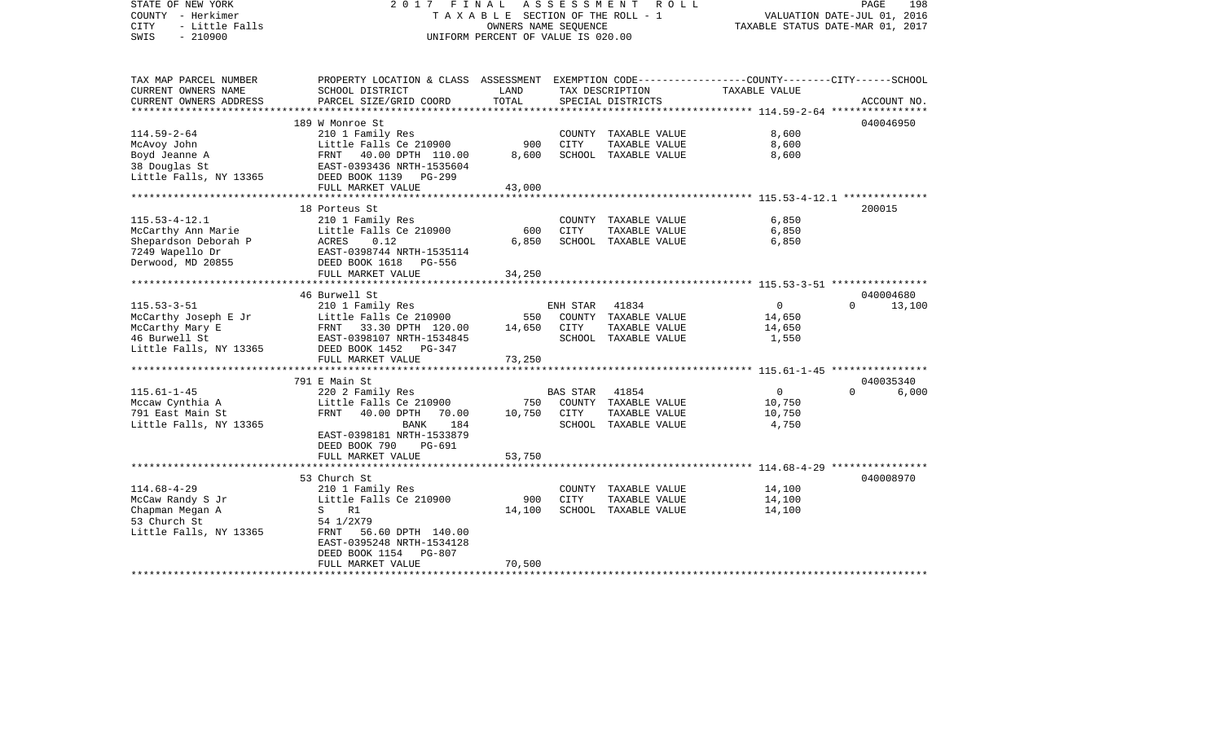| STATE OF NEW YORK<br>COUNTY - Herkimer<br>- Little Falls<br><b>CITY</b><br>$-210900$<br>SWIS              | 2017 FINAL ASSESSMENT<br>UNIFORM PERCENT OF VALUE IS 020.00                                                                                                        | R O L L<br>TAXABLE SECTION OF THE ROLL - 1<br>OWNERS NAME SEOUENCE | 198<br>PAGE<br>VALUATION DATE-JUL 01, 2016<br>TAXABLE STATUS DATE-MAR 01, 2017 |                                                                        |                                             |                                 |       |
|-----------------------------------------------------------------------------------------------------------|--------------------------------------------------------------------------------------------------------------------------------------------------------------------|--------------------------------------------------------------------|--------------------------------------------------------------------------------|------------------------------------------------------------------------|---------------------------------------------|---------------------------------|-------|
| TAX MAP PARCEL NUMBER<br>CURRENT OWNERS NAME<br>CURRENT OWNERS ADDRESS                                    | PROPERTY LOCATION & CLASS ASSESSMENT EXEMPTION CODE---------------COUNTY-------CITY------SCHOOL<br>SCHOOL DISTRICT<br>PARCEL SIZE/GRID COORD                       | LAND<br>TOTAL                                                      |                                                                                | TAX DESCRIPTION<br>SPECIAL DISTRICTS                                   | TAXABLE VALUE                               | ACCOUNT NO.                     |       |
| ***********************                                                                                   |                                                                                                                                                                    |                                                                    |                                                                                |                                                                        |                                             |                                 |       |
| $114.59 - 2 - 64$<br>McAvoy John<br>Boyd Jeanne A<br>38 Douglas St<br>Little Falls, NY 13365              | 189 W Monroe St<br>210 1 Family Res<br>Little Falls Ce 210900<br>FRNT 40.00 DPTH 110.00<br>EAST-0393436 NRTH-1535604<br>DEED BOOK 1139 PG-299                      | 900<br>8,600                                                       | CITY                                                                           | COUNTY TAXABLE VALUE<br>TAXABLE VALUE<br>SCHOOL TAXABLE VALUE          | 8,600<br>8,600<br>8,600                     | 040046950                       |       |
|                                                                                                           | FULL MARKET VALUE                                                                                                                                                  | 43,000                                                             |                                                                                |                                                                        |                                             |                                 |       |
| $115.53 - 4 - 12.1$<br>McCarthy Ann Marie<br>Shepardson Deborah P<br>7249 Wapello Dr<br>Derwood, MD 20855 | 18 Porteus St<br>210 1 Family Res<br>Little Falls Ce 210900<br>ACRES<br>0.12<br>EAST-0398744 NRTH-1535114<br>DEED BOOK 1618 PG-556<br>FULL MARKET VALUE            | 600<br>6,850<br>34,250                                             | CITY                                                                           | COUNTY TAXABLE VALUE<br>TAXABLE VALUE<br>SCHOOL TAXABLE VALUE          | 6,850<br>6,850<br>6,850                     | 200015                          |       |
|                                                                                                           |                                                                                                                                                                    |                                                                    |                                                                                |                                                                        |                                             |                                 |       |
| $115.53 - 3 - 51$<br>McCarthy Joseph E Jr<br>McCarthy Mary E<br>46 Burwell St<br>Little Falls, NY 13365   | 46 Burwell St<br>210 1 Family Res<br>Little Falls Ce 210900<br>FRNT 33.30 DPTH 120.00<br>EAST-0398107 NRTH-1534845<br>DEED BOOK 1452 PG-347<br>FULL MARKET VALUE   | 550<br>14,650<br>73,250                                            | ENH STAR<br>CITY                                                               | 41834<br>COUNTY TAXABLE VALUE<br>TAXABLE VALUE<br>SCHOOL TAXABLE VALUE | $\overline{0}$<br>14,650<br>14,650<br>1,550 | 040004680<br>$\Omega$<br>13,100 |       |
|                                                                                                           | 791 E Main St                                                                                                                                                      |                                                                    |                                                                                |                                                                        |                                             | 040035340                       |       |
| $115.61 - 1 - 45$<br>Mccaw Cynthia A<br>791 East Main St<br>Little Falls, NY 13365                        | 220 2 Family Res<br>Little Falls Ce 210900<br>FRNT<br>40.00 DPTH<br>70.00<br>BANK<br>184<br>EAST-0398181 NRTH-1533879<br>DEED BOOK 790<br>PG-691                   | 750<br>10,750                                                      | <b>BAS STAR</b><br>CITY                                                        | 41854<br>COUNTY TAXABLE VALUE<br>TAXABLE VALUE<br>SCHOOL TAXABLE VALUE | $\overline{0}$<br>10,750<br>10,750<br>4,750 | $\Omega$                        | 6,000 |
|                                                                                                           | FULL MARKET VALUE                                                                                                                                                  | 53,750                                                             |                                                                                |                                                                        |                                             |                                 |       |
| $114.68 - 4 - 29$<br>McCaw Randy S Jr<br>Chapman Megan A<br>53 Church St<br>Little Falls, NY 13365        | 53 Church St<br>210 1 Family Res<br>Little Falls Ce 210900<br>S<br>R1<br>54 1/2X79<br>FRNT 56.60 DPTH 140.00<br>EAST-0395248 NRTH-1534128<br>DEED BOOK 1154 PG-807 | 900<br>14,100                                                      | CITY                                                                           | COUNTY TAXABLE VALUE<br>TAXABLE VALUE<br>SCHOOL TAXABLE VALUE          | 14,100<br>14,100<br>14,100                  | 040008970                       |       |
|                                                                                                           | FULL MARKET VALUE<br>**************************************                                                                                                        | 70,500                                                             |                                                                                |                                                                        |                                             |                                 |       |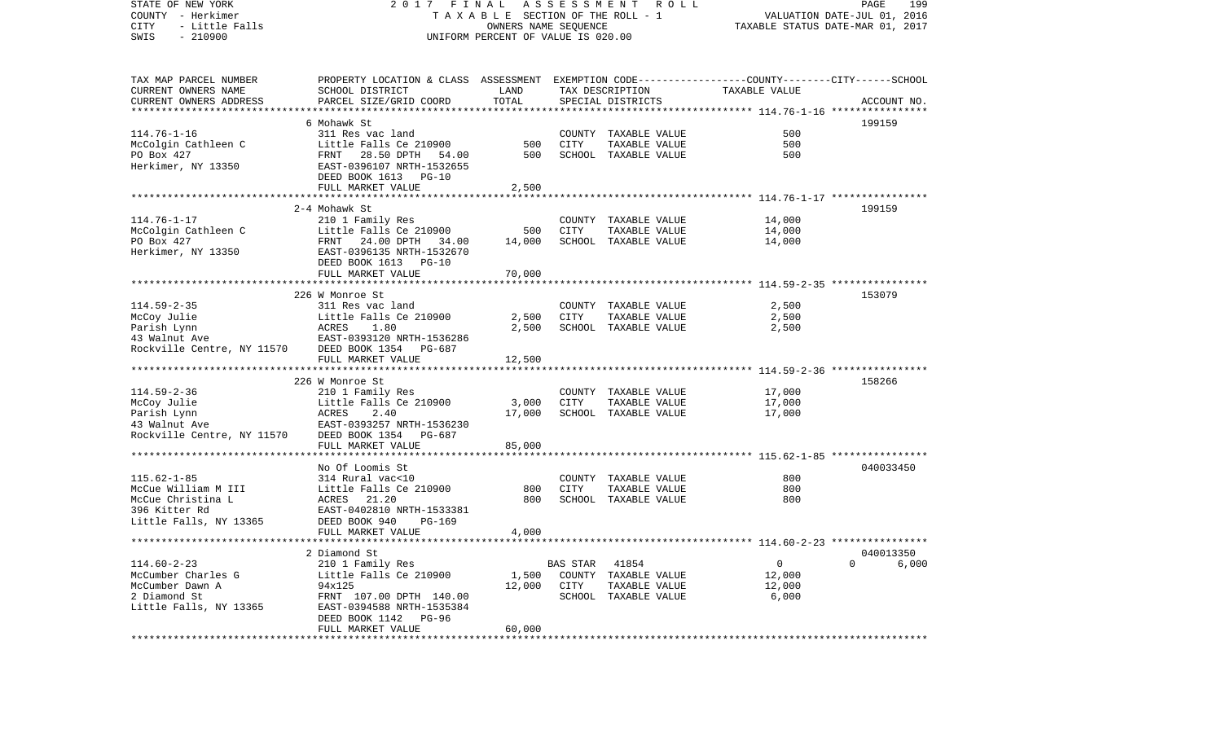STATE OF NEW YORK 2 0 1 7 F I N A L A S S E S S M E N T R O L L PAGE 199COUNTY - Herkimer T A X A B L E SECTION OF THE ROLL - 1 VALUATION DATE-JUL 01, 2016 CITY - Little Falls OWNERS NAME SEQUENCE TAXABLE STATUS DATE-MAR 01, 2017 SWIS - 210900 UNIFORM PERCENT OF VALUE IS 020.00TAX MAP PARCEL NUMBER PROPERTY LOCATION & CLASS ASSESSMENT EXEMPTION CODE------------------COUNTY--------CITY------SCHOOL CURRENT OWNERS NAME SCHOOL DISTRICT LAND TAX DESCRIPTION TAXABLE VALUECURRENT OWNERS ADDRESS PARCEL SIZE/GRID COORD TOTAL SPECIAL DISTRICTS ACCOUNT NO. \*\*\*\*\*\*\*\*\*\*\*\*\*\*\*\*\*\*\*\*\*\*\*\*\*\*\*\*\*\*\*\*\*\*\*\*\*\*\*\*\*\*\*\*\*\*\*\*\*\*\*\*\*\*\*\*\*\*\*\*\*\*\*\*\*\*\*\*\*\*\*\*\*\*\*\*\*\*\*\*\*\*\*\*\*\*\*\*\*\*\*\*\*\*\*\*\*\*\*\*\*\*\* 114.76-1-16 \*\*\*\*\*\*\*\*\*\*\*\*\*\*\*\* 6 Mohawk St 199159114.76-1-16 311 Res vac land COUNTY TAXABLE VALUE 500McColgin Cathleen C Little Falls Ce 210900 500 CITY TAXABLE VALUE 500 PO Box 427 **FRNT 28.50 DPTH 54.00** 500 SCHOOL TAXABLE VALUE 500 Herkimer, NY 13350 EAST-0396107 NRTH-1532655 DEED BOOK 1613 PG-10FULL MARKET VALUE 2,500 \*\*\*\*\*\*\*\*\*\*\*\*\*\*\*\*\*\*\*\*\*\*\*\*\*\*\*\*\*\*\*\*\*\*\*\*\*\*\*\*\*\*\*\*\*\*\*\*\*\*\*\*\*\*\*\*\*\*\*\*\*\*\*\*\*\*\*\*\*\*\*\*\*\*\*\*\*\*\*\*\*\*\*\*\*\*\*\*\*\*\*\*\*\*\*\*\*\*\*\*\*\*\* 114.76-1-17 \*\*\*\*\*\*\*\*\*\*\*\*\*\*\*\* 2-4 Mohawk St 199159114.76-1-17 210 1 Family Res COUNTY TAXABLE VALUE 14,000 McColgin Cathleen C 11ttle Falls Ce 210900 500 CITY TAXABLE VALUE PO Box 427 FRNT 24.00 DPTH 34.00 14,000 SCHOOL TAXABLE VALUE 14,000 Herkimer, NY 13350 EAST-0396135 NRTH-1532670 DEED BOOK 1613 PG-10FULL MARKET VALUE 70,000 \*\*\*\*\*\*\*\*\*\*\*\*\*\*\*\*\*\*\*\*\*\*\*\*\*\*\*\*\*\*\*\*\*\*\*\*\*\*\*\*\*\*\*\*\*\*\*\*\*\*\*\*\*\*\*\*\*\*\*\*\*\*\*\*\*\*\*\*\*\*\*\*\*\*\*\*\*\*\*\*\*\*\*\*\*\*\*\*\*\*\*\*\*\*\*\*\*\*\*\*\*\*\* 114.59-2-35 \*\*\*\*\*\*\*\*\*\*\*\*\*\*\*\* 226 W Monroe St 153079114.59-2-35 311 Res vac land COUNTY TAXABLE VALUE 2,500 McCoy Julie Little Falls Ce 210900 2,500 CITY TAXABLE VALUE 2,500 Parish Lynn ACRES 1.80 2,500 SCHOOL TAXABLE VALUE 2,500 43 Walnut Ave EAST-0393120 NRTH-1536286Rockville Centre, NY 11570 DEED BOOK 1354 PG-687 FULL MARKET VALUE 12,500 \*\*\*\*\*\*\*\*\*\*\*\*\*\*\*\*\*\*\*\*\*\*\*\*\*\*\*\*\*\*\*\*\*\*\*\*\*\*\*\*\*\*\*\*\*\*\*\*\*\*\*\*\*\*\*\*\*\*\*\*\*\*\*\*\*\*\*\*\*\*\*\*\*\*\*\*\*\*\*\*\*\*\*\*\*\*\*\*\*\*\*\*\*\*\*\*\*\*\*\*\*\*\* 114.59-2-36 \*\*\*\*\*\*\*\*\*\*\*\*\*\*\*\* 226 W Monroe St 158266114.59-2-36 210 1 Family Res COUNTY TAXABLE VALUE 17,000 McCoy Julie Little Falls Ce 210900 3,000 CITY TAXABLE VALUE 17,000 Parish Lynn ACRES 2.40 17,000 SCHOOL TAXABLE VALUE 17,000 43 Walnut Ave EAST-0393257 NRTH-1536230Rockville Centre, NY 11570 DEED BOOK 1354 PG-687 FULL MARKET VALUE 85,000 \*\*\*\*\*\*\*\*\*\*\*\*\*\*\*\*\*\*\*\*\*\*\*\*\*\*\*\*\*\*\*\*\*\*\*\*\*\*\*\*\*\*\*\*\*\*\*\*\*\*\*\*\*\*\*\*\*\*\*\*\*\*\*\*\*\*\*\*\*\*\*\*\*\*\*\*\*\*\*\*\*\*\*\*\*\*\*\*\*\*\*\*\*\*\*\*\*\*\*\*\*\*\* 115.62-1-85 \*\*\*\*\*\*\*\*\*\*\*\*\*\*\*\* No Of Loomis St 040033450115.62-1-85 314 Rural vac<10 COUNTY TAXABLE VALUE 800800 McCue William M III Little Falls Ce 210900 800 CITY TAXABLE VALUE 800 McCue Christina L ACRES 21.20 800 SCHOOL TAXABLE VALUE 800 396 Kitter Rd EAST-0402810 NRTH-1533381Little Falls, NY 13365 DEED BOOK 940 PG-169 FULL MARKET VALUE 4,000 \*\*\*\*\*\*\*\*\*\*\*\*\*\*\*\*\*\*\*\*\*\*\*\*\*\*\*\*\*\*\*\*\*\*\*\*\*\*\*\*\*\*\*\*\*\*\*\*\*\*\*\*\*\*\*\*\*\*\*\*\*\*\*\*\*\*\*\*\*\*\*\*\*\*\*\*\*\*\*\*\*\*\*\*\*\*\*\*\*\*\*\*\*\*\*\*\*\*\*\*\*\*\* 114.60-2-23 \*\*\*\*\*\*\*\*\*\*\*\*\*\*\*\* 2 Diamond St 040013350114.60-2-23 210 1 Family Res BAS STAR 41854 0 0 6,000 McCumber Charles G Little Falls Ce 210900 1,500 COUNTY TAXABLE VALUE 12,000 McCumber Dawn A 94x125 12,000 CITY TAXABLE VALUE 12,000 2 Diamond St FRNT 107.00 DPTH 140.00 SCHOOL TAXABLE VALUE 6,000 Little Falls, NY 13365 EAST-0394588 NRTH-1535384 DEED BOOK 1142 PG-96FULL MARKET VALUE 60,000 \*\*\*\*\*\*\*\*\*\*\*\*\*\*\*\*\*\*\*\*\*\*\*\*\*\*\*\*\*\*\*\*\*\*\*\*\*\*\*\*\*\*\*\*\*\*\*\*\*\*\*\*\*\*\*\*\*\*\*\*\*\*\*\*\*\*\*\*\*\*\*\*\*\*\*\*\*\*\*\*\*\*\*\*\*\*\*\*\*\*\*\*\*\*\*\*\*\*\*\*\*\*\*\*\*\*\*\*\*\*\*\*\*\*\*\*\*\*\*\*\*\*\*\*\*\*\*\*\*\*\*\*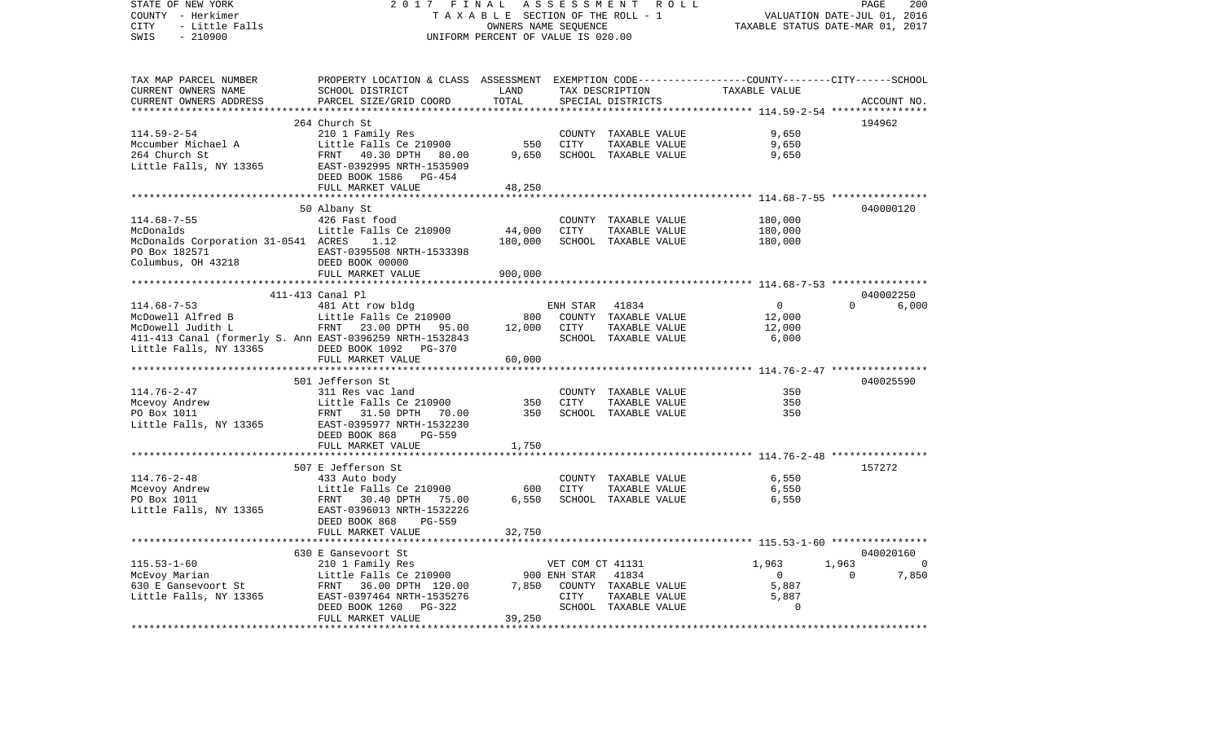| STATE OF NEW YORK<br>COUNTY - Herkimer<br>- Little Falls<br>CITY<br>SWIS<br>$-210900$ | 2017 FINAL                                                                                                         | TAXABLE SECTION OF THE ROLL - 1<br>OWNERS NAME SEQUENCE<br>UNIFORM PERCENT OF VALUE IS 020.00 | ASSESSMENT<br>ROLL | PAGE<br>200<br>VALUATION DATE-JUL 01, 2016<br>TAXABLE STATUS DATE-MAR 01, 2017 |                                                       |              |                             |
|---------------------------------------------------------------------------------------|--------------------------------------------------------------------------------------------------------------------|-----------------------------------------------------------------------------------------------|--------------------|--------------------------------------------------------------------------------|-------------------------------------------------------|--------------|-----------------------------|
| TAX MAP PARCEL NUMBER<br>CURRENT OWNERS NAME                                          | PROPERTY LOCATION & CLASS ASSESSMENT EXEMPTION CODE---------------COUNTY-------CITY------SCHOOL<br>SCHOOL DISTRICT | LAND                                                                                          |                    | TAX DESCRIPTION                                                                | TAXABLE VALUE                                         |              |                             |
| CURRENT OWNERS ADDRESS                                                                | PARCEL SIZE/GRID COORD                                                                                             | TOTAL                                                                                         |                    | SPECIAL DISTRICTS                                                              |                                                       |              | ACCOUNT NO.                 |
| ********************                                                                  | ***********************                                                                                            |                                                                                               |                    |                                                                                |                                                       |              |                             |
|                                                                                       | 264 Church St                                                                                                      |                                                                                               |                    |                                                                                |                                                       | 194962       |                             |
| 114.59-2-54                                                                           | 210 1 Family Res                                                                                                   |                                                                                               |                    | COUNTY TAXABLE VALUE                                                           | 9,650                                                 |              |                             |
| Mccumber Michael A                                                                    | Little Falls Ce 210900                                                                                             | 550                                                                                           | CITY               | TAXABLE VALUE                                                                  | 9,650                                                 |              |                             |
| 264 Church St<br>Little Falls, NY 13365                                               | FRNT<br>40.30 DPTH 80.00<br>EAST-0392995 NRTH-1535909<br>DEED BOOK 1586 PG-454                                     | 9,650                                                                                         |                    | SCHOOL TAXABLE VALUE                                                           | 9,650                                                 |              |                             |
|                                                                                       | FULL MARKET VALUE                                                                                                  | 48,250                                                                                        |                    |                                                                                |                                                       |              |                             |
|                                                                                       |                                                                                                                    | **************                                                                                |                    |                                                                                | *********************** 114.68-7-55 ***************** |              |                             |
|                                                                                       | 50 Albany St                                                                                                       |                                                                                               |                    |                                                                                |                                                       |              | 040000120                   |
| $114.68 - 7 - 55$<br>McDonalds                                                        | 426 Fast food<br>Little Falls Ce 210900                                                                            | 44,000                                                                                        | <b>CITY</b>        | COUNTY TAXABLE VALUE<br>TAXABLE VALUE                                          | 180,000<br>180,000                                    |              |                             |
| McDonalds Corporation 31-0541 ACRES                                                   | 1.12                                                                                                               | 180,000                                                                                       |                    | SCHOOL TAXABLE VALUE                                                           | 180,000                                               |              |                             |
| PO Box 182571                                                                         | EAST-0395508 NRTH-1533398                                                                                          |                                                                                               |                    |                                                                                |                                                       |              |                             |
| Columbus, OH 43218                                                                    | DEED BOOK 00000                                                                                                    |                                                                                               |                    |                                                                                |                                                       |              |                             |
|                                                                                       | FULL MARKET VALUE                                                                                                  | 900,000                                                                                       |                    |                                                                                |                                                       |              |                             |
|                                                                                       |                                                                                                                    |                                                                                               |                    |                                                                                |                                                       |              |                             |
|                                                                                       | 411-413 Canal Pl                                                                                                   |                                                                                               |                    |                                                                                |                                                       |              | 040002250                   |
| $114.68 - 7 - 53$<br>McDowell Alfred B                                                | 481 Att row bldg<br>Little Falls Ce 210900                                                                         | 800                                                                                           | ENH STAR           | 41834<br>COUNTY TAXABLE VALUE                                                  | $\overline{0}$<br>12,000                              | $\Omega$     | 6,000                       |
| McDowell Judith L                                                                     | FRNT 23.00 DPTH 95.00                                                                                              | 12,000                                                                                        | CITY               | TAXABLE VALUE                                                                  | 12,000                                                |              |                             |
| 411-413 Canal (formerly S. Ann EAST-0396259 NRTH-1532843                              |                                                                                                                    |                                                                                               |                    | SCHOOL TAXABLE VALUE                                                           | 6,000                                                 |              |                             |
| Little Falls, NY 13365 DEED BOOK 1092 PG-370                                          |                                                                                                                    |                                                                                               |                    |                                                                                |                                                       |              |                             |
|                                                                                       | FULL MARKET VALUE                                                                                                  | 60,000                                                                                        |                    |                                                                                |                                                       |              |                             |
|                                                                                       |                                                                                                                    |                                                                                               |                    |                                                                                |                                                       |              |                             |
|                                                                                       | 501 Jefferson St                                                                                                   |                                                                                               |                    |                                                                                |                                                       |              | 040025590                   |
| $114.76 - 2 - 47$<br>Mcevoy Andrew                                                    | 311 Res vac land<br>Little Falls Ce 210900                                                                         | 350                                                                                           | CITY               | COUNTY TAXABLE VALUE<br>TAXABLE VALUE                                          | 350<br>350                                            |              |                             |
| PO Box 1011                                                                           | FRNT 31.50 DPTH 70.00                                                                                              | 350                                                                                           |                    | SCHOOL TAXABLE VALUE                                                           | 350                                                   |              |                             |
| Little Falls, NY 13365                                                                | EAST-0395977 NRTH-1532230                                                                                          |                                                                                               |                    |                                                                                |                                                       |              |                             |
|                                                                                       | DEED BOOK 868<br>PG-559                                                                                            |                                                                                               |                    |                                                                                |                                                       |              |                             |
|                                                                                       | FULL MARKET VALUE                                                                                                  | 1,750                                                                                         |                    |                                                                                |                                                       |              |                             |
|                                                                                       |                                                                                                                    |                                                                                               |                    |                                                                                |                                                       |              |                             |
|                                                                                       | 507 E Jefferson St                                                                                                 |                                                                                               |                    |                                                                                | 6,550                                                 | 157272       |                             |
| $114.76 - 2 - 48$<br>Mcevoy Andrew                                                    | 433 Auto body<br>Little Falls Ce 210900                                                                            | 600                                                                                           | CITY               | COUNTY TAXABLE VALUE<br>TAXABLE VALUE                                          | 6,550                                                 |              |                             |
| PO Box 1011                                                                           | FRNT<br>30.40 DPTH 75.00                                                                                           | 6,550                                                                                         |                    | SCHOOL TAXABLE VALUE                                                           | 6,550                                                 |              |                             |
| Little Falls, NY 13365                                                                | EAST-0396013 NRTH-1532226                                                                                          |                                                                                               |                    |                                                                                |                                                       |              |                             |
|                                                                                       | DEED BOOK 868<br>PG-559                                                                                            |                                                                                               |                    |                                                                                |                                                       |              |                             |
|                                                                                       | FULL MARKET VALUE                                                                                                  | 32,750                                                                                        |                    |                                                                                |                                                       |              |                             |
|                                                                                       |                                                                                                                    |                                                                                               |                    |                                                                                |                                                       |              |                             |
| $115.53 - 1 - 60$                                                                     | 630 E Gansevoort St                                                                                                |                                                                                               | VET COM CT 41131   |                                                                                | 1,963                                                 | 1,963        | 040020160<br>$\overline{0}$ |
|                                                                                       | 210 1 Family Res<br>Little Falls Ce 210900                                                                         |                                                                                               | 900 ENH STAR       | 41834                                                                          | $\overline{0}$                                        | $\mathbf{0}$ | 7,850                       |
| McEvoy Marian<br>630 E Gansevoort St                                                  | FRNT 36.00 DPTH 120.00                                                                                             | 7,850                                                                                         |                    | COUNTY TAXABLE VALUE                                                           | 5,887                                                 |              |                             |
| Little Falls, NY 13365                                                                | EAST-0397464 NRTH-1535276                                                                                          |                                                                                               | CITY               | TAXABLE VALUE                                                                  | 5,887                                                 |              |                             |
|                                                                                       | $PG-322$<br>DEED BOOK 1260                                                                                         |                                                                                               |                    | SCHOOL TAXABLE VALUE                                                           | $\Omega$                                              |              |                             |
|                                                                                       | FULL MARKET VALUE                                                                                                  | 39,250                                                                                        |                    |                                                                                |                                                       |              |                             |
|                                                                                       |                                                                                                                    |                                                                                               |                    |                                                                                |                                                       |              |                             |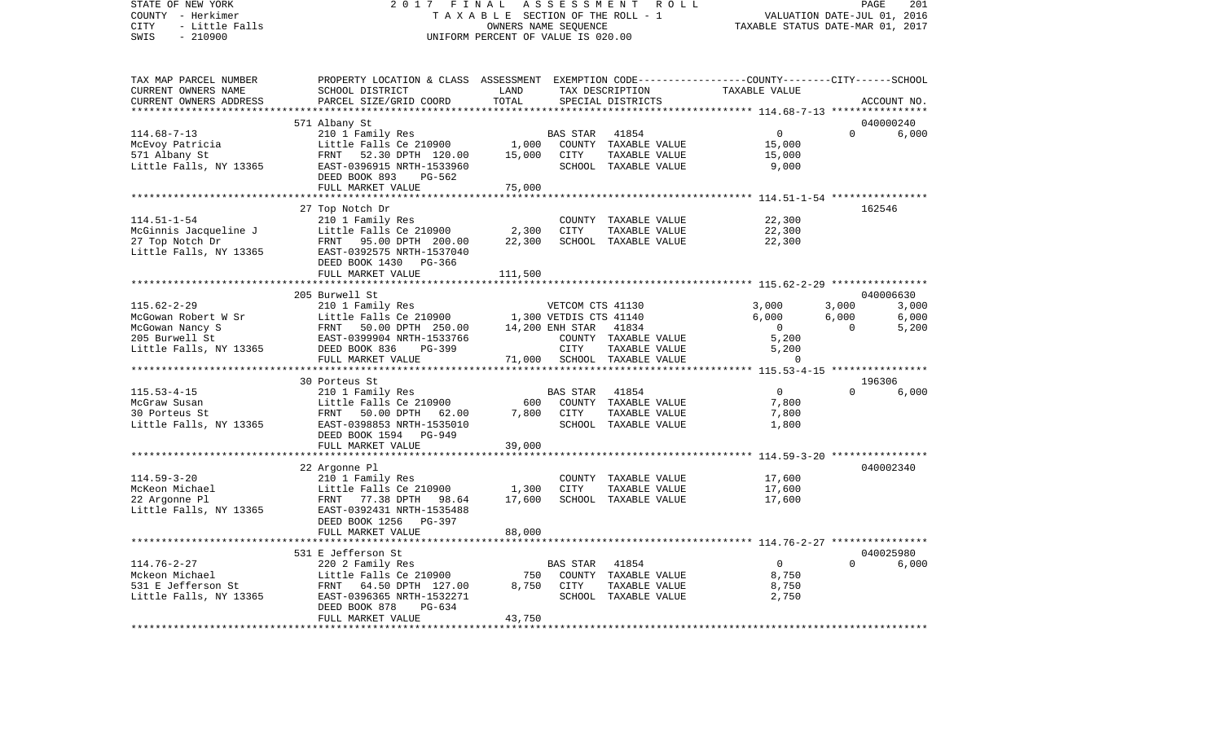| COUNTY - Herkimer<br>CITY<br>- Little Falls<br>SWIS<br>$-210900$                                                 | TAXABLE SECTION OF THE ROLL - 1<br>UNIFORM PERCENT OF VALUE IS 020.00                                                                                                                                                                                                                                                                          | VALUATION DATE-JUL 01, 2016<br>TAXABLE STATUS DATE-MAR 01, 2017 |                                                                             |                                                                        |                                                                           |                            |                         |
|------------------------------------------------------------------------------------------------------------------|------------------------------------------------------------------------------------------------------------------------------------------------------------------------------------------------------------------------------------------------------------------------------------------------------------------------------------------------|-----------------------------------------------------------------|-----------------------------------------------------------------------------|------------------------------------------------------------------------|---------------------------------------------------------------------------|----------------------------|-------------------------|
| TAX MAP PARCEL NUMBER<br>CURRENT OWNERS NAME<br>CURRENT OWNERS ADDRESS<br>**********************                 | PROPERTY LOCATION & CLASS ASSESSMENT EXEMPTION CODE---------------COUNTY-------CITY------SCHOOL<br>SCHOOL DISTRICT<br>PARCEL SIZE/GRID COORD                                                                                                                                                                                                   | LAND<br>TOTAL                                                   |                                                                             | TAX DESCRIPTION<br>SPECIAL DISTRICTS                                   | TAXABLE VALUE                                                             |                            | ACCOUNT NO.             |
|                                                                                                                  | 571 Albany St                                                                                                                                                                                                                                                                                                                                  |                                                                 |                                                                             |                                                                        |                                                                           |                            | 040000240               |
| $114.68 - 7 - 13$<br>McEvoy Patricia<br>571 Albany St<br>Little Falls, NY 13365                                  | 210 1 Family Res<br>Little Falls Ce 210900<br>FRNT 52.30 DPTH 120.00<br>EAST-0396915 NRTH-1533960<br>DEED BOOK 893<br>PG-562<br>FULL MARKET VALUE                                                                                                                                                                                              | 1,000<br>15,000<br>75,000                                       | BAS STAR<br>CITY                                                            | 41854<br>COUNTY TAXABLE VALUE<br>TAXABLE VALUE<br>SCHOOL TAXABLE VALUE | $\overline{0}$<br>15,000<br>15,000<br>9,000                               | $\Omega$                   | 6,000                   |
|                                                                                                                  |                                                                                                                                                                                                                                                                                                                                                |                                                                 |                                                                             |                                                                        |                                                                           |                            |                         |
| $114.51 - 1 - 54$                                                                                                | 27 Top Notch Dr<br>210 1 Family Res<br>McGinnis Jacqueline J<br>210 1 Family Res<br>27 Top Notch Dr<br>27 Top Notch Dr<br>210 1 Family Res<br>210 1 Family Res<br>210 1 Family Res<br>210 1 Family Res<br>210 1 Family Res<br>210 1 Family Res<br>210 1 Family Res<br>210 1 Family Res<br>210<br>DEED BOOK 1430<br>PG-366<br>FULL MARKET VALUE | 2,300<br>22,300<br>111,500                                      | CITY                                                                        | COUNTY TAXABLE VALUE<br>TAXABLE VALUE<br>SCHOOL TAXABLE VALUE          | 22,300<br>22,300<br>22,300                                                |                            | 162546                  |
|                                                                                                                  | 205 Burwell St                                                                                                                                                                                                                                                                                                                                 |                                                                 |                                                                             |                                                                        |                                                                           |                            | 040006630               |
| $115.62 - 2 - 29$                                                                                                | MCGowan Nancy State of Strategy McGowan Nancy Strategy of Text Captus Control of Strategy of Text Captus Control Captus Control Captus Captus Control Captus Captus Captus Control Captus Captus Captus Captus Captus Captus C                                                                                                                 |                                                                 | VETCOM CTS 41130<br>1,300 VETDIS CTS 41140<br>14,200 ENH STAR 41834<br>CITY | COUNTY TAXABLE VALUE<br>TAXABLE VALUE                                  | 3,000<br>6,000<br>$\overline{\mathbf{0}}$<br>5,200<br>5,200               | 3,000<br>6,000<br>$\Omega$ | 3,000<br>6,000<br>5,200 |
|                                                                                                                  | FULL MARKET VALUE                                                                                                                                                                                                                                                                                                                              |                                                                 |                                                                             | 71,000 SCHOOL TAXABLE VALUE                                            | $\Omega$                                                                  |                            |                         |
|                                                                                                                  |                                                                                                                                                                                                                                                                                                                                                |                                                                 |                                                                             |                                                                        |                                                                           |                            |                         |
| $115.53 - 4 - 15$<br>McGraw Susan<br>30 Porteus St<br>Little Falls, NY 13365                                     | 30 Porteus St<br>210 1 Family Res<br>Little Falls Ce 210900<br>FRNT 50.00 DPTH 62.00<br>EAST-0398853 NRTH-1535010<br>DEED BOOK 1594 PG-949                                                                                                                                                                                                     | 600                                                             | BAS STAR<br>7,800 CITY                                                      | 41854<br>COUNTY TAXABLE VALUE<br>TAXABLE VALUE<br>SCHOOL TAXABLE VALUE | $\overline{0}$<br>7,800<br>7,800<br>1,800                                 | $\Omega$                   | 196306<br>6,000         |
|                                                                                                                  | FULL MARKET VALUE                                                                                                                                                                                                                                                                                                                              | 39,000                                                          |                                                                             |                                                                        |                                                                           |                            |                         |
| $114.59 - 3 - 20$<br>McKeon Michael<br>22 Argonne Pl<br>Little Falls, NY 13365                                   | ************************<br>22 Argonne Pl<br>210 1 Family Res<br>Little Falls Ce 210900<br>FRNT 77.38 DPTH 98.64<br>EAST-0392431 NRTH-1535488<br>DEED BOOK 1256 PG-397<br>FULL MARKET VALUE                                                                                                                                                    | ***************<br>1,300<br>17,600<br>88,000                    | CITY                                                                        | COUNTY TAXABLE VALUE<br>TAXABLE VALUE<br>SCHOOL TAXABLE VALUE          | 17,600<br>17,600<br>17,600                                                |                            | 040002340               |
|                                                                                                                  |                                                                                                                                                                                                                                                                                                                                                |                                                                 |                                                                             |                                                                        |                                                                           |                            |                         |
| $114.76 - 2 - 27$<br>Mckeon Michael<br>531 E Jefferson St<br>Little Falls, NY 13365<br>************************* | 531 E Jefferson St<br>220 2 Family Res<br>Little Falls Ce 210900<br>FRNT 64.50 DPTH 127.00<br>EAST-0396365 NRTH-1532271<br>DEED BOOK 878<br>PG-634<br>FULL MARKET VALUE<br>*************************                                                                                                                                           | 750<br>8,750<br>43,750                                          | BAS STAR<br>CITY                                                            | 41854<br>COUNTY TAXABLE VALUE<br>TAXABLE VALUE<br>SCHOOL TAXABLE VALUE | $\Omega$<br>8,750<br>8,750<br>2,750<br>********************************** | $\Omega$                   | 040025980<br>6,000      |

PAGE 201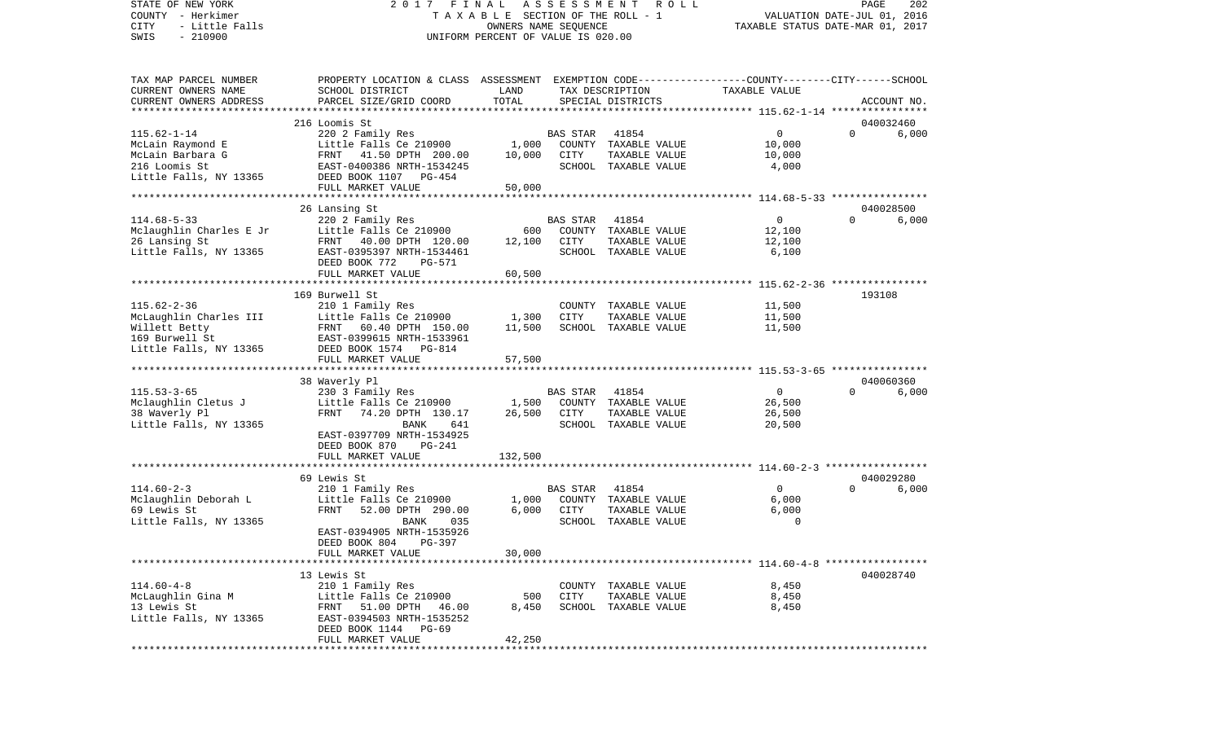STATE OF NEW YORK 2 0 1 7 F I N A L A S S E S S M E N T R O L L PAGE 202COUNTY - Herkimer **T A X A B L E** SECTION OF THE ROLL - 1 VALUATION DATE-JUL 01, 2016 CITY - Little Falls OWNERS NAME SEQUENCE TAXABLE STATUS DATE-MAR 01, 2017 SWIS - 210900 UNIFORM PERCENT OF VALUE IS 020.00TAX MAP PARCEL NUMBER PROPERTY LOCATION & CLASS ASSESSMENT EXEMPTION CODE------------------COUNTY--------CITY------SCHOOL CURRENT OWNERS NAME SCHOOL DISTRICT LAND TAX DESCRIPTION TAXABLE VALUECURRENT OWNERS ADDRESS PARCEL SIZE/GRID COORD TOTAL SPECIAL DISTRICTS ACCOUNT NO. \*\*\*\*\*\*\*\*\*\*\*\*\*\*\*\*\*\*\*\*\*\*\*\*\*\*\*\*\*\*\*\*\*\*\*\*\*\*\*\*\*\*\*\*\*\*\*\*\*\*\*\*\*\*\*\*\*\*\*\*\*\*\*\*\*\*\*\*\*\*\*\*\*\*\*\*\*\*\*\*\*\*\*\*\*\*\*\*\*\*\*\*\*\*\*\*\*\*\*\*\*\*\* 115.62-1-14 \*\*\*\*\*\*\*\*\*\*\*\*\*\*\*\* 216 Loomis St 040032460115.62-1-14 220 2 Family Res BAS STAR 41854 0 0 6,000 McLain Raymond E Little Falls Ce 210900 1,000 COUNTY TAXABLE VALUE 10,000 McLain Barbara G FRNT 41.50 DPTH 200.00 10,000 CITY TAXABLE VALUE 10,000 216 Loomis St EAST-0400386 NRTH-1534245 SCHOOL TAXABLE VALUE 4,000 Little Falls, NY 13365 DEED BOOK 1107 PG-454 FULL MARKET VALUE 50,000 \*\*\*\*\*\*\*\*\*\*\*\*\*\*\*\*\*\*\*\*\*\*\*\*\*\*\*\*\*\*\*\*\*\*\*\*\*\*\*\*\*\*\*\*\*\*\*\*\*\*\*\*\*\*\*\*\*\*\*\*\*\*\*\*\*\*\*\*\*\*\*\*\*\*\*\*\*\*\*\*\*\*\*\*\*\*\*\*\*\*\*\*\*\*\*\*\*\*\*\*\*\*\* 114.68-5-33 \*\*\*\*\*\*\*\*\*\*\*\*\*\*\*\* 26 Lansing St 040028500 114.68-5-33 220 2 Family Res BAS STAR 41854 0 0 6,000 MOCOON COUNTY TAXABLE VALUE 10000 COUNTY TAXABLE VALUE 26 Lansing St FRNT 40.00 DPTH 120.00 12,100 CITY TAXABLE VALUE 12,100 EAST-0395397 NRTH-1534461 SCHOOL TAXABLE VALUE 6,100 DEED BOOK 772 PG-571FULL MARKET VALUE 60,500 \*\*\*\*\*\*\*\*\*\*\*\*\*\*\*\*\*\*\*\*\*\*\*\*\*\*\*\*\*\*\*\*\*\*\*\*\*\*\*\*\*\*\*\*\*\*\*\*\*\*\*\*\*\*\*\*\*\*\*\*\*\*\*\*\*\*\*\*\*\*\*\*\*\*\*\*\*\*\*\*\*\*\*\*\*\*\*\*\*\*\*\*\*\*\*\*\*\*\*\*\*\*\* 115.62-2-36 \*\*\*\*\*\*\*\*\*\*\*\*\*\*\*\* 169 Burwell St 193108115.62-2-36 210 1 Family Res COUNTY TAXABLE VALUE 11,500 McLaughlin Charles III and Little Falls Ce 210900 1.300 CITY TAXABLE VALUE 11,500 Willett Betty FRNT 60.40 DPTH 150.00 11,500 SCHOOL TAXABLE VALUE 11,500 169 Burwell St EAST-0399615 NRTH-1533961Little Falls, NY 13365 DEED BOOK 1574 PG-814 FULL MARKET VALUE 57,500 \*\*\*\*\*\*\*\*\*\*\*\*\*\*\*\*\*\*\*\*\*\*\*\*\*\*\*\*\*\*\*\*\*\*\*\*\*\*\*\*\*\*\*\*\*\*\*\*\*\*\*\*\*\*\*\*\*\*\*\*\*\*\*\*\*\*\*\*\*\*\*\*\*\*\*\*\*\*\*\*\*\*\*\*\*\*\*\*\*\*\*\*\*\*\*\*\*\*\*\*\*\*\* 115.53-3-65 \*\*\*\*\*\*\*\*\*\*\*\*\*\*\*\* 38 Waverly Pl 040060360 115.53-3-65 230 3 Family Res BAS STAR 41854 0 0 6,000 Mclaughlin Cletus J Little Falls Ce 210900 1,500 COUNTY TAXABLE VALUE 26,500 38 Waverly Pl FRNT 74.20 DPTH 130.17 26,500 CITY TAXABLE VALUE 26,500 Little Falls, NY 13365 BANK 641 SCHOOL TAXABLE VALUE 20,500 EAST-0397709 NRTH-1534925 DEED BOOK 870 PG-241FULL MARKET VALUE 132,500 \*\*\*\*\*\*\*\*\*\*\*\*\*\*\*\*\*\*\*\*\*\*\*\*\*\*\*\*\*\*\*\*\*\*\*\*\*\*\*\*\*\*\*\*\*\*\*\*\*\*\*\*\*\*\*\*\*\*\*\*\*\*\*\*\*\*\*\*\*\*\*\*\*\*\*\*\*\*\*\*\*\*\*\*\*\*\*\*\*\*\*\*\*\*\*\*\*\*\*\*\*\*\* 114.60-2-3 \*\*\*\*\*\*\*\*\*\*\*\*\*\*\*\*\* 69 Lewis St 040029280114.60-2-3 210 1 Family Res BAS STAR 41854 0 0 6,000 Mclaughlin Deborah L Little Falls Ce 210900 1,000 COUNTY TAXABLE VALUE 6,000 FRNT 52.00 DPTH 290.00 Little Falls, NY 13365 BANK 035 SCHOOL TAXABLE VALUE 0 EAST-0394905 NRTH-1535926 DEED BOOK 804 PG-397FULL MARKET VALUE 30,000 \*\*\*\*\*\*\*\*\*\*\*\*\*\*\*\*\*\*\*\*\*\*\*\*\*\*\*\*\*\*\*\*\*\*\*\*\*\*\*\*\*\*\*\*\*\*\*\*\*\*\*\*\*\*\*\*\*\*\*\*\*\*\*\*\*\*\*\*\*\*\*\*\*\*\*\*\*\*\*\*\*\*\*\*\*\*\*\*\*\*\*\*\*\*\*\*\*\*\*\*\*\*\* 114.60-4-8 \*\*\*\*\*\*\*\*\*\*\*\*\*\*\*\*\* 13 Lewis St 040028740114.60-4-8 210 1 Family Res COUNTY TAXABLE VALUE 8,450 McLaughlin Gina M Chaudin Chittle Falls Ce 210900 500 CITY TAXABLE VALUE 8,450 13 Lewis St FRNT 51.00 DPTH 46.00 8,450 SCHOOL TAXABLE VALUE 8,450 Little Falls, NY 13365 EAST-0394503 NRTH-1535252 DEED BOOK 1144 PG-69 FULL MARKET VALUE 42.250 \*\*\*\*\*\*\*\*\*\*\*\*\*\*\*\*\*\*\*\*\*\*\*\*\*\*\*\*\*\*\*\*\*\*\*\*\*\*\*\*\*\*\*\*\*\*\*\*\*\*\*\*\*\*\*\*\*\*\*\*\*\*\*\*\*\*\*\*\*\*\*\*\*\*\*\*\*\*\*\*\*\*\*\*\*\*\*\*\*\*\*\*\*\*\*\*\*\*\*\*\*\*\*\*\*\*\*\*\*\*\*\*\*\*\*\*\*\*\*\*\*\*\*\*\*\*\*\*\*\*\*\*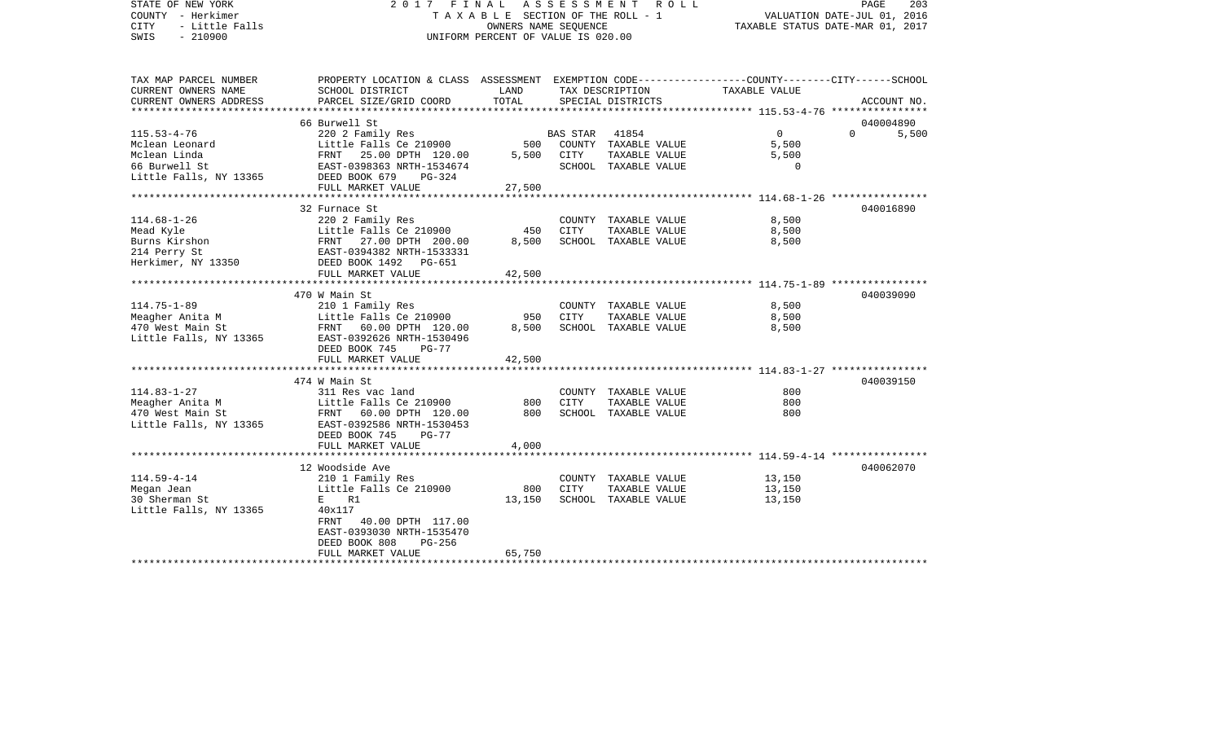STATE OF NEW YORK 2 0 1 7 F I N A L A S S E S S M E N T R O L L PAGE 203COUNTY - Herkimer T A X A B L E SECTION OF THE ROLL - 1 VALUATION DATE-JUL 01, 2016 CITY - Little Falls OWNERS NAME SEQUENCE TAXABLE STATUS DATE-MAR 01, 2017 SWIS - 210900 UNIFORM PERCENT OF VALUE IS 020.00TAX MAP PARCEL NUMBER PROPERTY LOCATION & CLASS ASSESSMENT EXEMPTION CODE------------------COUNTY--------CITY------SCHOOL CURRENT OWNERS NAME SCHOOL DISTRICT LAND TAX DESCRIPTION TAXABLE VALUECURRENT OWNERS ADDRESS PARCEL SIZE/GRID COORD TOTAL SPECIAL DISTRICTS ACCOUNT NO. \*\*\*\*\*\*\*\*\*\*\*\*\*\*\*\*\*\*\*\*\*\*\*\*\*\*\*\*\*\*\*\*\*\*\*\*\*\*\*\*\*\*\*\*\*\*\*\*\*\*\*\*\*\*\*\*\*\*\*\*\*\*\*\*\*\*\*\*\*\*\*\*\*\*\*\*\*\*\*\*\*\*\*\*\*\*\*\*\*\*\*\*\*\*\*\*\*\*\*\*\*\*\* 115.53-4-76 \*\*\*\*\*\*\*\*\*\*\*\*\*\*\*\*66 Burwell St 040004890 115.53-4-76 220 2 Family Res BAS STAR 41854 0 0 5,500 Mclean Leonard Little Falls Ce 210900 500 COUNTY TAXABLE VALUE 5,500 Mclean Linda FRNT 25.00 DPTH 120.00 5,500 CITY TAXABLE VALUE 5,500 66 Burwell St EAST-0398363 NRTH-1534674 SCHOOL TAXABLE VALUE 0Little Falls, NY 13365 DEED BOOK 679 PG-324 FULL MARKET VALUE 27,500 \*\*\*\*\*\*\*\*\*\*\*\*\*\*\*\*\*\*\*\*\*\*\*\*\*\*\*\*\*\*\*\*\*\*\*\*\*\*\*\*\*\*\*\*\*\*\*\*\*\*\*\*\*\*\*\*\*\*\*\*\*\*\*\*\*\*\*\*\*\*\*\*\*\*\*\*\*\*\*\*\*\*\*\*\*\*\*\*\*\*\*\*\*\*\*\*\*\*\*\*\*\*\* 114.68-1-26 \*\*\*\*\*\*\*\*\*\*\*\*\*\*\*\* 32 Furnace St 040016890114.68-1-26 220 2 Family Res COUNTY TAXABLE VALUE 8,500 Mead Kyle **Example 20** Little Falls Ce 210900 450 CITY TAXABLE VALUE Burns Kirshon FRNT 27.00 DPTH 200.00 8,500 SCHOOL TAXABLE VALUE 8,500 214 Perry St EAST-0394382 NRTH-1533331 Herkimer, NY 13350 DEED BOOK 1492 PG-651 FULL MARKET VALUE 42,500 \*\*\*\*\*\*\*\*\*\*\*\*\*\*\*\*\*\*\*\*\*\*\*\*\*\*\*\*\*\*\*\*\*\*\*\*\*\*\*\*\*\*\*\*\*\*\*\*\*\*\*\*\*\*\*\*\*\*\*\*\*\*\*\*\*\*\*\*\*\*\*\*\*\*\*\*\*\*\*\*\*\*\*\*\*\*\*\*\*\*\*\*\*\*\*\*\*\*\*\*\*\*\* 114.75-1-89 \*\*\*\*\*\*\*\*\*\*\*\*\*\*\*\* 470 W Main St 040039090114.75-1-89 210 1 Family Res COUNTY TAXABLE VALUE 8,500 Meagher Anita M Channel Control Communist Ce 210900 950 CITY TAXABLE VALUE 8,500 470 West Main St FRNT 60.00 DPTH 120.00 8,500 SCHOOL TAXABLE VALUE 8,500 Little Falls, NY 13365 EAST-0392626 NRTH-1530496 DEED BOOK 745 PG-77FULL MARKET VALUE 42,500 \*\*\*\*\*\*\*\*\*\*\*\*\*\*\*\*\*\*\*\*\*\*\*\*\*\*\*\*\*\*\*\*\*\*\*\*\*\*\*\*\*\*\*\*\*\*\*\*\*\*\*\*\*\*\*\*\*\*\*\*\*\*\*\*\*\*\*\*\*\*\*\*\*\*\*\*\*\*\*\*\*\*\*\*\*\*\*\*\*\*\*\*\*\*\*\*\*\*\*\*\*\*\* 114.83-1-27 \*\*\*\*\*\*\*\*\*\*\*\*\*\*\*\* 474 W Main St 040039150114.83-1-27 311 Res vac land COUNTY TAXABLE VALUE 800Meagher Anita M **Little Falls Ce 210900** 800 CITY TAXABLE VALUE 800 470 West Main St FRNT 60.00 DPTH 120.00 800 SCHOOL TAXABLE VALUE 800 Little Falls, NY 13365 EAST-0392586 NRTH-1530453 DEED BOOK 745 PG-77FULL MARKET VALUE 4,000 \*\*\*\*\*\*\*\*\*\*\*\*\*\*\*\*\*\*\*\*\*\*\*\*\*\*\*\*\*\*\*\*\*\*\*\*\*\*\*\*\*\*\*\*\*\*\*\*\*\*\*\*\*\*\*\*\*\*\*\*\*\*\*\*\*\*\*\*\*\*\*\*\*\*\*\*\*\*\*\*\*\*\*\*\*\*\*\*\*\*\*\*\*\*\*\*\*\*\*\*\*\*\* 114.59-4-14 \*\*\*\*\*\*\*\*\*\*\*\*\*\*\*\* 12 Woodside Ave 040062070114.59-4-14 210 1 Family Res COUNTY TAXABLE VALUE 13,150 Megan Jean 13,150 Central Little Falls Ce 210900 800 CITY TAXABLE VALUE 13,150 30 Sherman St. E R1 13,150 SCHOOL TAXABLE VALUE 13,150 Little Falls, NY 13365 40x117 FRNT 40.00 DPTH 117.00 EAST-0393030 NRTH-1535470 DEED BOOK 808 PG-256FULL MARKET VALUE 65,750 \*\*\*\*\*\*\*\*\*\*\*\*\*\*\*\*\*\*\*\*\*\*\*\*\*\*\*\*\*\*\*\*\*\*\*\*\*\*\*\*\*\*\*\*\*\*\*\*\*\*\*\*\*\*\*\*\*\*\*\*\*\*\*\*\*\*\*\*\*\*\*\*\*\*\*\*\*\*\*\*\*\*\*\*\*\*\*\*\*\*\*\*\*\*\*\*\*\*\*\*\*\*\*\*\*\*\*\*\*\*\*\*\*\*\*\*\*\*\*\*\*\*\*\*\*\*\*\*\*\*\*\*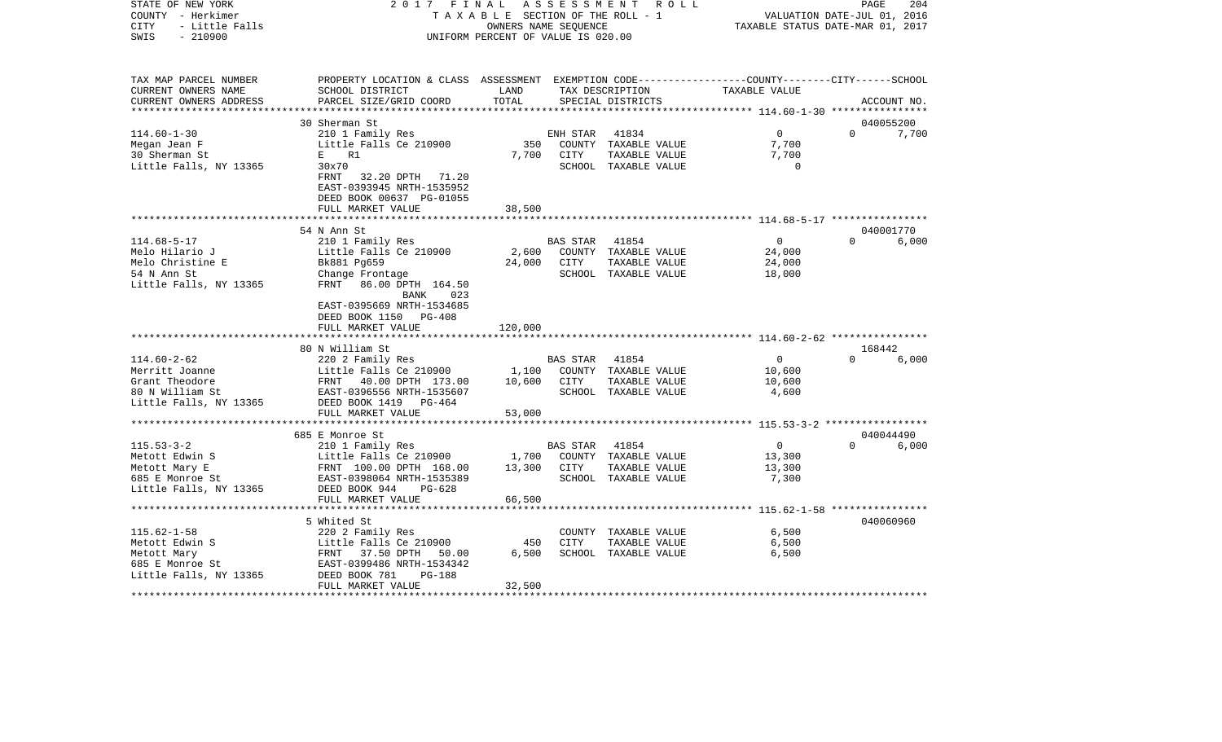| COUNTY<br>– Herkimer<br><b>CITY</b><br>- Little Falls<br>SWIS<br>$-210900$ | T A X A B L E SECTION OF THE ROLL - 1<br>UNIFORM PERCENT OF VALUE IS 020.00                                                                     | VALUATION DATE-JUL 01, 2016<br>TAXABLE STATUS DATE-MAR 01, 2017 |                 |                                       |                                                    |          |             |
|----------------------------------------------------------------------------|-------------------------------------------------------------------------------------------------------------------------------------------------|-----------------------------------------------------------------|-----------------|---------------------------------------|----------------------------------------------------|----------|-------------|
| TAX MAP PARCEL NUMBER                                                      | PROPERTY LOCATION & CLASS ASSESSMENT EXEMPTION CODE---------------COUNTY-------CITY------SCHOOL                                                 |                                                                 |                 |                                       |                                                    |          |             |
| CURRENT OWNERS NAME                                                        | SCHOOL DISTRICT                                                                                                                                 | LAND                                                            |                 | TAX DESCRIPTION                       | TAXABLE VALUE                                      |          |             |
| CURRENT OWNERS ADDRESS                                                     | PARCEL SIZE/GRID COORD<br>***************************                                                                                           | TOTAL<br>*************************                              |                 | SPECIAL DISTRICTS                     |                                                    |          | ACCOUNT NO. |
|                                                                            | 30 Sherman St                                                                                                                                   |                                                                 |                 |                                       | ******************** 114.60-1-30 ***************** |          | 040055200   |
| $114.60 - 1 - 30$                                                          | 210 1 Family Res                                                                                                                                |                                                                 | ENH STAR        | 41834                                 | $\Omega$                                           | $\Omega$ | 7,700       |
| Megan Jean F                                                               | Little Falls Ce 210900                                                                                                                          | 350                                                             |                 | COUNTY TAXABLE VALUE                  | 7,700                                              |          |             |
| 30 Sherman St                                                              | R1<br>$E =$                                                                                                                                     | 7,700                                                           | CITY            | TAXABLE VALUE                         | 7,700                                              |          |             |
| Little Falls, NY 13365                                                     | 30x70<br>32.20 DPTH 71.20<br>FRNT<br>EAST-0393945 NRTH-1535952<br>DEED BOOK 00637 PG-01055                                                      |                                                                 |                 | SCHOOL TAXABLE VALUE                  | $\Omega$                                           |          |             |
|                                                                            | FULL MARKET VALUE                                                                                                                               | 38,500                                                          |                 |                                       |                                                    |          |             |
|                                                                            | 54 N Ann St                                                                                                                                     |                                                                 |                 |                                       |                                                    |          | 040001770   |
| $114.68 - 5 - 17$                                                          | 210 1 Family Res                                                                                                                                |                                                                 | <b>BAS STAR</b> | 41854                                 | $\overline{0}$                                     | $\Omega$ | 6,000       |
| Melo Hilario J                                                             | Little Falls Ce 210900                                                                                                                          | 2,600                                                           |                 | COUNTY TAXABLE VALUE                  | 24,000                                             |          |             |
| Melo Christine E                                                           | Bk881 Pg659                                                                                                                                     | 24,000                                                          | CITY            | TAXABLE VALUE                         | 24,000                                             |          |             |
| 54 N Ann St                                                                | Change Frontage                                                                                                                                 |                                                                 |                 | SCHOOL TAXABLE VALUE                  | 18,000                                             |          |             |
| Little Falls, NY 13365                                                     | FRNT 86.00 DPTH 164.50<br>BANK<br>023<br>EAST-0395669 NRTH-1534685<br>DEED BOOK 1150 PG-408<br>FULL MARKET VALUE<br>*************************** | 120,000                                                         |                 |                                       |                                                    |          |             |
|                                                                            | 80 N William St                                                                                                                                 |                                                                 |                 |                                       |                                                    |          | 168442      |
| $114.60 - 2 - 62$                                                          | 220 2 Family Res                                                                                                                                |                                                                 | BAS STAR        | 41854                                 | $\mathbf 0$                                        | $\Omega$ | 6,000       |
| Merritt Joanne                                                             | Little Falls Ce 210900                                                                                                                          | 1,100                                                           |                 | COUNTY TAXABLE VALUE                  | 10,600                                             |          |             |
| Grant Theodore                                                             | FRNT 40.00 DPTH 173.00                                                                                                                          | 10,600                                                          | CITY            | TAXABLE VALUE                         | 10,600                                             |          |             |
| 80 N William St                                                            | EAST-0396556 NRTH-1535607                                                                                                                       |                                                                 |                 | SCHOOL TAXABLE VALUE                  | 4,600                                              |          |             |
| Little Falls, NY 13365                                                     | DEED BOOK 1419<br>PG-464                                                                                                                        |                                                                 |                 |                                       |                                                    |          |             |
|                                                                            | FULL MARKET VALUE                                                                                                                               | 53,000                                                          |                 |                                       |                                                    |          |             |
|                                                                            |                                                                                                                                                 |                                                                 |                 |                                       |                                                    |          |             |
|                                                                            | 685 E Monroe St                                                                                                                                 |                                                                 |                 |                                       |                                                    |          | 040044490   |
| $115.53 - 3 - 2$                                                           | 210 1 Family Res                                                                                                                                |                                                                 | <b>BAS STAR</b> | 41854                                 | $\mathsf{O}$                                       | $\Omega$ | 6,000       |
| Metott Edwin S                                                             | Little Falls Ce 210900                                                                                                                          | 1,700                                                           |                 | COUNTY TAXABLE VALUE                  | 13,300                                             |          |             |
| Metott Mary E<br>685 E Monroe St                                           | FRNT 100.00 DPTH 168.00<br>EAST-0398064 NRTH-1535389                                                                                            | 13,300                                                          | CITY            | TAXABLE VALUE<br>SCHOOL TAXABLE VALUE | 13,300<br>7,300                                    |          |             |
| Little Falls, NY 13365                                                     | DEED BOOK 944<br>PG-628                                                                                                                         |                                                                 |                 |                                       |                                                    |          |             |
|                                                                            | FULL MARKET VALUE                                                                                                                               | 66,500                                                          |                 |                                       |                                                    |          |             |
|                                                                            | *******************                                                                                                                             |                                                                 |                 |                                       | **************** 115.62-1-58 *****************     |          |             |
|                                                                            | 5 Whited St                                                                                                                                     |                                                                 |                 |                                       |                                                    |          | 040060960   |
| $115.62 - 1 - 58$                                                          | 220 2 Family Res                                                                                                                                |                                                                 |                 | COUNTY TAXABLE VALUE                  | 6,500                                              |          |             |
| Metott Edwin S                                                             | Little Falls Ce 210900                                                                                                                          | 450                                                             | CITY            | TAXABLE VALUE                         | 6,500                                              |          |             |
| Metott Mary                                                                | 37.50 DPTH<br>FRNT<br>50.00                                                                                                                     | 6,500                                                           |                 | SCHOOL TAXABLE VALUE                  | 6,500                                              |          |             |
| 685 E Monroe St                                                            | EAST-0399486 NRTH-1534342                                                                                                                       |                                                                 |                 |                                       |                                                    |          |             |
| Little Falls, NY 13365                                                     | DEED BOOK 781<br><b>PG-188</b><br>FULL MARKET VALUE                                                                                             | 32,500                                                          |                 |                                       |                                                    |          |             |

PAGE 204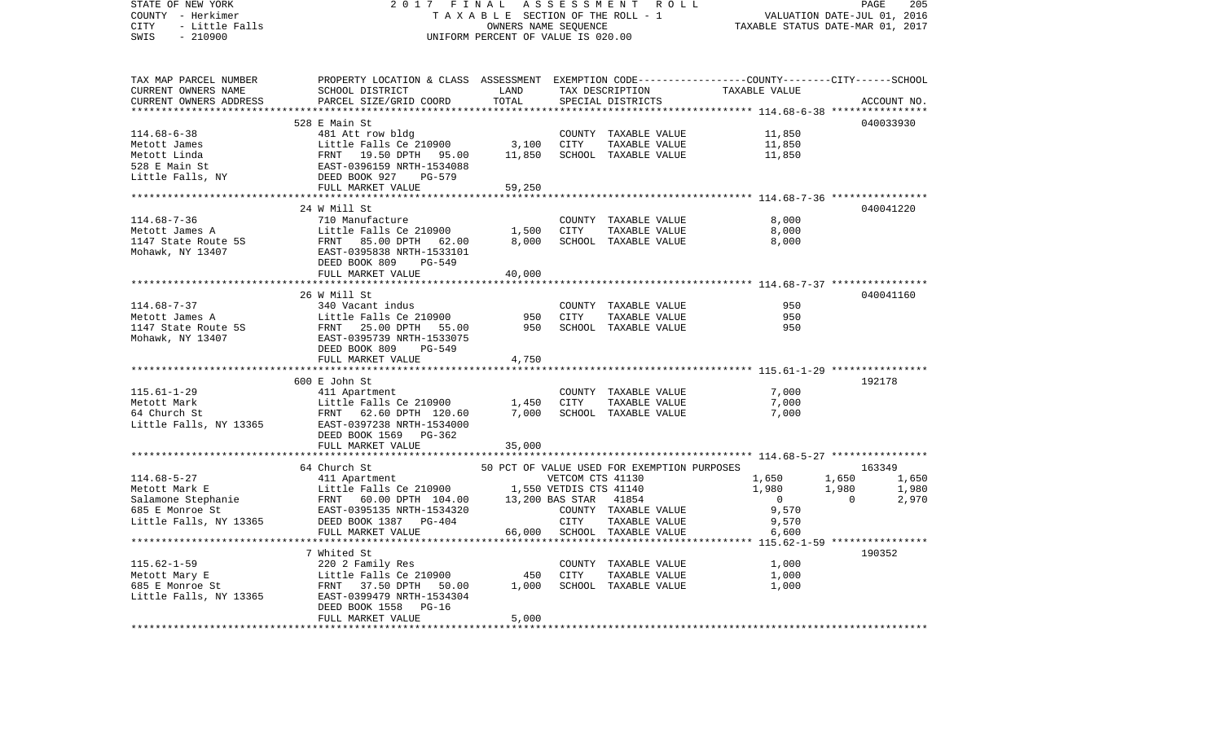| STATE OF NEW YORK                           | 2017<br>FINAL                                                                                                                                                                                                                                                                                                                                                                                                    | A S S E S S M E N T R O L L                 | PAGE<br>205<br>VALUATION DATE-JUL 01, 2016 |                                             |                                  |                |             |
|---------------------------------------------|------------------------------------------------------------------------------------------------------------------------------------------------------------------------------------------------------------------------------------------------------------------------------------------------------------------------------------------------------------------------------------------------------------------|---------------------------------------------|--------------------------------------------|---------------------------------------------|----------------------------------|----------------|-------------|
| COUNTY - Herkimer                           |                                                                                                                                                                                                                                                                                                                                                                                                                  |                                             |                                            | TAXABLE SECTION OF THE ROLL - 1             | TAXABLE STATUS DATE-MAR 01, 2017 |                |             |
| CITY<br>- Little Falls<br>SWIS<br>$-210900$ |                                                                                                                                                                                                                                                                                                                                                                                                                  | OWNERS NAME SEQUENCE                        |                                            |                                             |                                  |                |             |
|                                             |                                                                                                                                                                                                                                                                                                                                                                                                                  | UNIFORM PERCENT OF VALUE IS 020.00          |                                            |                                             |                                  |                |             |
| TAX MAP PARCEL NUMBER                       | PROPERTY LOCATION & CLASS ASSESSMENT EXEMPTION CODE---------------COUNTY-------CITY------SCHOOL                                                                                                                                                                                                                                                                                                                  |                                             |                                            |                                             |                                  |                |             |
| CURRENT OWNERS NAME                         | SCHOOL DISTRICT                                                                                                                                                                                                                                                                                                                                                                                                  | LAND                                        |                                            | TAX DESCRIPTION                             | TAXABLE VALUE                    |                |             |
| CURRENT OWNERS ADDRESS                      | PARCEL SIZE/GRID COORD                                                                                                                                                                                                                                                                                                                                                                                           | TOTAL                                       |                                            | SPECIAL DISTRICTS                           |                                  |                | ACCOUNT NO. |
|                                             |                                                                                                                                                                                                                                                                                                                                                                                                                  |                                             |                                            |                                             |                                  |                |             |
|                                             | 528 E Main St                                                                                                                                                                                                                                                                                                                                                                                                    |                                             |                                            |                                             |                                  |                | 040033930   |
| $114.68 - 6 - 38$                           | 481 Att row bldg                                                                                                                                                                                                                                                                                                                                                                                                 |                                             |                                            | COUNTY TAXABLE VALUE                        | 11,850                           |                |             |
| Metott James                                | Little Falls Ce 210900                                                                                                                                                                                                                                                                                                                                                                                           | 3,100                                       | CITY                                       | TAXABLE VALUE                               | 11,850                           |                |             |
| Metott Linda                                | Little Falls Ce 210900<br>FRNT 19.50 DPTH 95.00<br>EAST-0396159 NRTH-1534088<br>DEED BOOK 927 PG-579                                                                                                                                                                                                                                                                                                             | 11,850                                      |                                            | SCHOOL TAXABLE VALUE                        | 11,850                           |                |             |
| 528 E Main St                               |                                                                                                                                                                                                                                                                                                                                                                                                                  |                                             |                                            |                                             |                                  |                |             |
| 528 E Main St<br>Little Falls, NY           |                                                                                                                                                                                                                                                                                                                                                                                                                  |                                             |                                            |                                             |                                  |                |             |
|                                             | FULL MARKET VALUE                                                                                                                                                                                                                                                                                                                                                                                                | 59,250                                      |                                            |                                             |                                  |                |             |
|                                             |                                                                                                                                                                                                                                                                                                                                                                                                                  |                                             |                                            |                                             |                                  |                |             |
|                                             | 24 W Mill St                                                                                                                                                                                                                                                                                                                                                                                                     |                                             |                                            |                                             |                                  |                | 040041220   |
| $114.68 - 7 - 36$                           | 710 Manufacture                                                                                                                                                                                                                                                                                                                                                                                                  |                                             |                                            | COUNTY TAXABLE VALUE                        | 8,000                            |                |             |
| Metott James A                              | $1,500$<br>Little Falls Ce 210900 1,500                                                                                                                                                                                                                                                                                                                                                                          |                                             | CITY                                       | TAXABLE VALUE                               | 8,000                            |                |             |
|                                             | Little Falls Ce 210900<br>FRNT 85.00 DPTH 62.00<br>EAST-0395838 NRTH-1533101                                                                                                                                                                                                                                                                                                                                     | 8,000                                       |                                            | SCHOOL TAXABLE VALUE                        | 8,000                            |                |             |
| 1147 State Route 5S<br>Mohawk, NY 13407     |                                                                                                                                                                                                                                                                                                                                                                                                                  |                                             |                                            |                                             |                                  |                |             |
|                                             | DEED BOOK 809<br>PG-549                                                                                                                                                                                                                                                                                                                                                                                          |                                             |                                            |                                             |                                  |                |             |
|                                             | FULL MARKET VALUE                                                                                                                                                                                                                                                                                                                                                                                                | 40,000                                      |                                            |                                             |                                  |                |             |
|                                             |                                                                                                                                                                                                                                                                                                                                                                                                                  |                                             |                                            |                                             |                                  |                |             |
|                                             | 26 W Mill St                                                                                                                                                                                                                                                                                                                                                                                                     |                                             |                                            |                                             |                                  |                | 040041160   |
| $114.68 - 7 - 37$                           |                                                                                                                                                                                                                                                                                                                                                                                                                  |                                             |                                            | COUNTY TAXABLE VALUE                        | 950                              |                |             |
| Metott James A                              |                                                                                                                                                                                                                                                                                                                                                                                                                  |                                             | CITY                                       | TAXABLE VALUE                               | 950                              |                |             |
|                                             | FRNT 25.00 DPTH 55.00                                                                                                                                                                                                                                                                                                                                                                                            | 950                                         |                                            | SCHOOL TAXABLE VALUE                        | 950                              |                |             |
| 1147 State Route 5S<br>Mohawk, NY 13407     | EAST-0395739 NRTH-1533075                                                                                                                                                                                                                                                                                                                                                                                        |                                             |                                            |                                             |                                  |                |             |
|                                             | DEED BOOK 809 PG-549                                                                                                                                                                                                                                                                                                                                                                                             |                                             |                                            |                                             |                                  |                |             |
|                                             | FULL MARKET VALUE                                                                                                                                                                                                                                                                                                                                                                                                | 4,750                                       |                                            |                                             |                                  |                |             |
|                                             |                                                                                                                                                                                                                                                                                                                                                                                                                  |                                             |                                            |                                             |                                  |                |             |
|                                             | 600 E John St                                                                                                                                                                                                                                                                                                                                                                                                    |                                             |                                            |                                             |                                  |                | 192178      |
| $115.61 - 1 - 29$                           | 411 Apartment                                                                                                                                                                                                                                                                                                                                                                                                    |                                             |                                            | COUNTY TAXABLE VALUE                        | 7,000                            |                |             |
| Metott Mark                                 |                                                                                                                                                                                                                                                                                                                                                                                                                  | 1,450                                       | CITY                                       | TAXABLE VALUE                               | 7,000                            |                |             |
| 64 Church St                                | 411 Apartment<br>Little Falls Ce 210900<br>20 60 PPTH 120.60                                                                                                                                                                                                                                                                                                                                                     | 7,000                                       |                                            | SCHOOL TAXABLE VALUE                        | 7,000                            |                |             |
|                                             | Little Falls, NY 13365 EAST-0397238 NRTH-1534000                                                                                                                                                                                                                                                                                                                                                                 |                                             |                                            |                                             |                                  |                |             |
|                                             | DEED BOOK 1569 PG-362                                                                                                                                                                                                                                                                                                                                                                                            |                                             |                                            |                                             |                                  |                |             |
|                                             | FULL MARKET VALUE                                                                                                                                                                                                                                                                                                                                                                                                | 35,000                                      |                                            |                                             |                                  |                |             |
|                                             | *************************                                                                                                                                                                                                                                                                                                                                                                                        |                                             |                                            |                                             |                                  |                |             |
|                                             | 64 Church St                                                                                                                                                                                                                                                                                                                                                                                                     |                                             |                                            | 50 PCT OF VALUE USED FOR EXEMPTION PURPOSES |                                  |                | 163349      |
|                                             |                                                                                                                                                                                                                                                                                                                                                                                                                  |                                             |                                            | VETCOM CTS 41130                            | 1,650                            | 1,650          | 1,650       |
|                                             |                                                                                                                                                                                                                                                                                                                                                                                                                  |                                             |                                            | 1,550 VETDIS CTS 41140                      | 1,980                            | 1,980          | 1,980       |
|                                             |                                                                                                                                                                                                                                                                                                                                                                                                                  |                                             |                                            | 41854                                       | $\overline{0}$                   | $\overline{0}$ | 2,970       |
|                                             | $\begin{tabular}{lllllllllllllllllll} \rule{0pt}{2mm} \rule{0pt}{2mm} \rule{0pt}{2mm} \rule{0pt}{2mm} \rule{0pt}{2mm} \rule{0pt}{2mm} \rule{0pt}{2mm} \rule{0pt}{2mm} \rule{0pt}{2mm} \rule{0pt}{2mm} \rule{0pt}{2mm} \rule{0pt}{2mm} \rule{0pt}{2mm} \rule{0pt}{2mm} \rule{0pt}{2mm} \rule{0pt}{2mm} \rule{0pt}{2mm} \rule{0pt}{2mm} \rule{0pt}{2mm} \rule{0pt}{2mm} \rule{0pt}{2mm} \rule{0pt}{2mm} \rule{0pt$ |                                             |                                            | COUNTY TAXABLE VALUE                        | 9,570                            |                |             |
|                                             |                                                                                                                                                                                                                                                                                                                                                                                                                  |                                             |                                            | TAXABLE VALUE                               | 9,570                            |                |             |
|                                             | FULL MARKET VALUE                                                                                                                                                                                                                                                                                                                                                                                                | 66,000                                      |                                            | SCHOOL TAXABLE VALUE                        | 6,600                            |                |             |
|                                             |                                                                                                                                                                                                                                                                                                                                                                                                                  |                                             |                                            |                                             |                                  |                |             |
|                                             | 7 Whited St                                                                                                                                                                                                                                                                                                                                                                                                      |                                             |                                            |                                             |                                  |                | 190352      |
|                                             |                                                                                                                                                                                                                                                                                                                                                                                                                  |                                             |                                            | COUNTY TAXABLE VALUE                        | 1,000                            |                |             |
|                                             |                                                                                                                                                                                                                                                                                                                                                                                                                  |                                             | CITY                                       | TAXABLE VALUE                               | 1,000                            |                |             |
|                                             | 115.62-1-59<br>Metott Mary E<br>685 E Monroe St<br>685 E Monroe St<br>FRNT 37.50 DPTH 50.00<br>FRNT 37.50 DPTH 50.00                                                                                                                                                                                                                                                                                             | $\begin{array}{c} 450 \\ 1,000 \end{array}$ |                                            | SCHOOL TAXABLE VALUE                        | 1,000                            |                |             |
| Little Falls, NY 13365                      | EAST-0399479 NRTH-1534304                                                                                                                                                                                                                                                                                                                                                                                        |                                             |                                            |                                             |                                  |                |             |
|                                             | DEED BOOK 1558<br>$PG-16$                                                                                                                                                                                                                                                                                                                                                                                        |                                             |                                            |                                             |                                  |                |             |
|                                             | FULL MARKET VALUE                                                                                                                                                                                                                                                                                                                                                                                                | 5,000                                       |                                            |                                             |                                  |                |             |
|                                             |                                                                                                                                                                                                                                                                                                                                                                                                                  |                                             |                                            |                                             |                                  |                |             |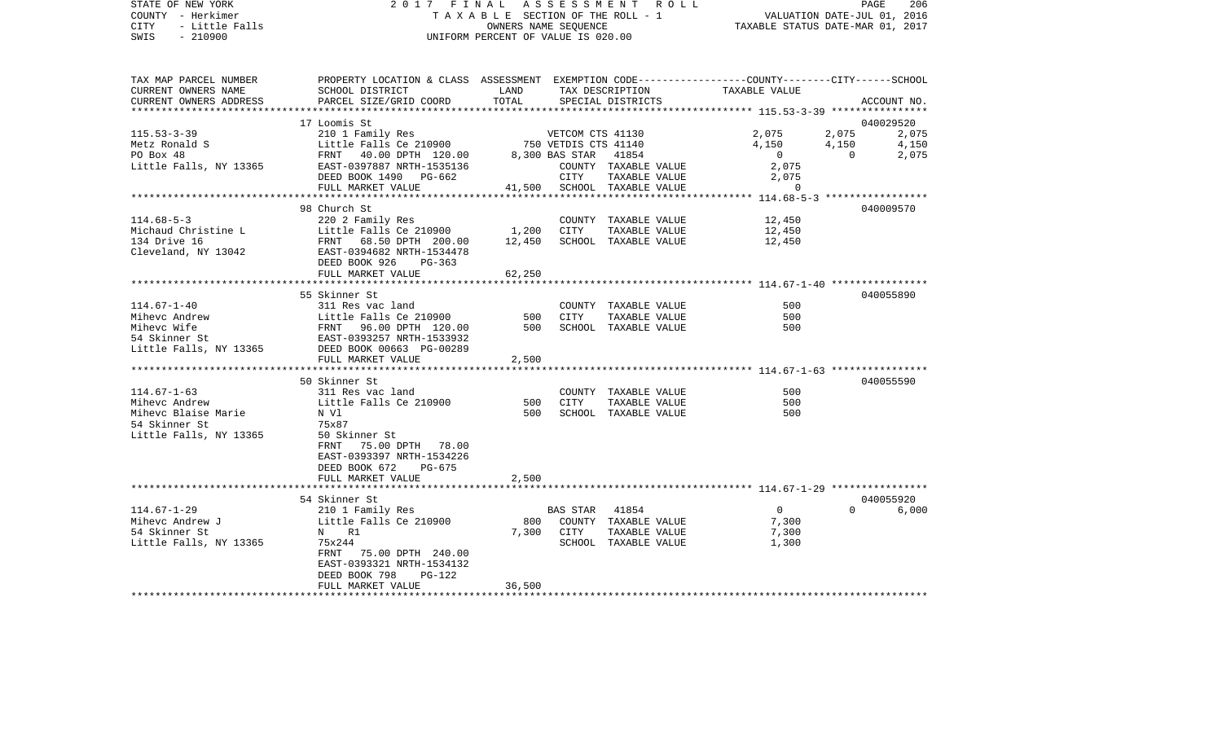| STATE OF NEW YORK<br>COUNTY - Herkimer | 2017 FINAL ASSESSMENT ROLL                                                                                                                                                                                                                   | PAGE<br>206<br>PAGE 206<br>TAXABLE SECTION OF THE ROLL - 1 VALUATION DATE-JUL 01, 2016 |            |                                              |                                  |                |             |
|----------------------------------------|----------------------------------------------------------------------------------------------------------------------------------------------------------------------------------------------------------------------------------------------|----------------------------------------------------------------------------------------|------------|----------------------------------------------|----------------------------------|----------------|-------------|
| CITY - Little Falls<br>SWIS - 210900   |                                                                                                                                                                                                                                              | OWNERS NAME SEQUENCE<br>UNIFORM PERCENT OF VALUE IS 020.00                             |            |                                              | TAXABLE STATUS DATE-MAR 01, 2017 |                |             |
|                                        |                                                                                                                                                                                                                                              |                                                                                        |            |                                              |                                  |                |             |
|                                        | TAX MAP PARCEL NUMBER       PROPERTY LOCATION & CLASS ASSESSMENT EXEMPTION CODE--------------COUNTY-------CITY------SCHOOL                                                                                                                   |                                                                                        |            |                                              |                                  |                |             |
| CURRENT OWNERS NAME                    | SCHOOL DISTRICT                                                                                                                                                                                                                              | LAND                                                                                   |            | TAX DESCRIPTION                              | TAXABLE VALUE                    |                |             |
| CURRENT OWNERS ADDRESS                 | PARCEL SIZE/GRID COORD                                                                                                                                                                                                                       | TOTAL                                                                                  |            | SPECIAL DISTRICTS                            |                                  |                | ACCOUNT NO. |
|                                        |                                                                                                                                                                                                                                              |                                                                                        |            |                                              |                                  |                | 040029520   |
|                                        | 115.53-3-39<br>Metz Ronald S<br>Metz Ronald S<br>Metz Ronald S<br>EAST-0397887 NRTH-1535136<br>Metz Ronald S<br>EAST-0397887 NRTH-1535136<br>EAST-0397887 NRTH-1535136<br>COUNTY TAXABLE VALUE<br>COUNTY TAXABLE VALUE                       |                                                                                        |            |                                              | 2,075 2,075                      |                | 2,075       |
|                                        |                                                                                                                                                                                                                                              |                                                                                        |            |                                              | 4,150                            | 4,150          | 4,150       |
|                                        |                                                                                                                                                                                                                                              |                                                                                        |            |                                              | $\overline{0}$                   | $\overline{0}$ | 2,075       |
|                                        |                                                                                                                                                                                                                                              |                                                                                        |            | COUNTY TAXABLE VALUE                         | 2,075<br>2,075                   |                |             |
|                                        | DEED BOOK 1490 PG-662                                                                                                                                                                                                                        |                                                                                        |            | CITY TAXABLE VALUE                           |                                  |                |             |
|                                        | FULL MARKET VALUE                                                                                                                                                                                                                            |                                                                                        |            | 41,500 SCHOOL TAXABLE VALUE                  | $\Omega$                         |                |             |
|                                        |                                                                                                                                                                                                                                              |                                                                                        |            |                                              |                                  |                |             |
|                                        | 98 Church St                                                                                                                                                                                                                                 |                                                                                        |            |                                              |                                  |                | 040009570   |
| $114.68 - 5 - 3$                       |                                                                                                                                                                                                                                              |                                                                                        |            | COUNTY TAXABLE VALUE                         | 12,450                           |                |             |
| Michaud Christine L<br>134 Drive 16    |                                                                                                                                                                                                                                              |                                                                                        |            | TAXABLE VALUE<br>12,450 SCHOOL TAXABLE VALUE | 12,450<br>12,450                 |                |             |
| Cleveland, NY 13042                    | 220 2 Family Res<br>Little Falls Ce 210900 1,200 CITY<br>FRNT 68.50 DPTH 200.00 12,450 SCHOOL<br>EAST-0394682 NRTH-1534478                                                                                                                   |                                                                                        |            |                                              |                                  |                |             |
|                                        | DEED BOOK 926 PG-363                                                                                                                                                                                                                         |                                                                                        |            |                                              |                                  |                |             |
|                                        | FULL MARKET VALUE                                                                                                                                                                                                                            | 62,250                                                                                 |            |                                              |                                  |                |             |
|                                        |                                                                                                                                                                                                                                              |                                                                                        |            |                                              |                                  |                |             |
|                                        | 55 Skinner St                                                                                                                                                                                                                                |                                                                                        |            |                                              |                                  |                | 040055890   |
| 114.67-1-40                            | 311 Res vac land                                                                                                                                                                                                                             |                                                                                        |            | COUNTY TAXABLE VALUE                         | 500                              |                |             |
|                                        |                                                                                                                                                                                                                                              |                                                                                        | 500 CITY   | TAXABLE VALUE                                | 500                              |                |             |
|                                        |                                                                                                                                                                                                                                              |                                                                                        |            | SCHOOL TAXABLE VALUE                         | 500                              |                |             |
|                                        |                                                                                                                                                                                                                                              |                                                                                        |            |                                              |                                  |                |             |
|                                        | Mihevc Andrew Either Ealls Ce 210900 500<br>Mihevc Wife FRNT 96.00 DPTH 120.00 500<br>500 EAST-0393257 NRTH-1533932<br>Little Falls, NY 13365 DEEN NORTH-0533932<br>EAST-0393257 NRTH-1533932<br>NET NORTH-1533932<br>THE NORTH-153932<br>TH |                                                                                        |            |                                              |                                  |                |             |
|                                        | FULL MARKET VALUE<br>**************************                                                                                                                                                                                              | 2,500                                                                                  |            |                                              |                                  |                |             |
|                                        | 50 Skinner St                                                                                                                                                                                                                                |                                                                                        |            |                                              |                                  |                | 040055590   |
| 114.67-1-63                            | 311 Res vac land                                                                                                                                                                                                                             |                                                                                        |            | COUNTY TAXABLE VALUE                         | 500                              |                |             |
| 114.67-1-63<br>Mihevc Andrew           | Little Falls Ce 210900                                                                                                                                                                                                                       |                                                                                        | 500 CITY   | TAXABLE VALUE                                | 500                              |                |             |
| Mihevc Blaise Marie                    | N Vl                                                                                                                                                                                                                                         | 500                                                                                    |            | SCHOOL TAXABLE VALUE                         | 500                              |                |             |
| 54 Skinner St                          | 75x87                                                                                                                                                                                                                                        |                                                                                        |            |                                              |                                  |                |             |
| Little Falls, NY 13365                 | 50 Skinner St                                                                                                                                                                                                                                |                                                                                        |            |                                              |                                  |                |             |
|                                        | FRNT 75.00 DPTH 78.00                                                                                                                                                                                                                        |                                                                                        |            |                                              |                                  |                |             |
|                                        | EAST-0393397 NRTH-1534226                                                                                                                                                                                                                    |                                                                                        |            |                                              |                                  |                |             |
|                                        | DEED BOOK 672 PG-675                                                                                                                                                                                                                         |                                                                                        |            |                                              |                                  |                |             |
|                                        | FULL MARKET VALUE                                                                                                                                                                                                                            | 2,500                                                                                  |            |                                              |                                  |                |             |
|                                        |                                                                                                                                                                                                                                              |                                                                                        |            |                                              |                                  |                |             |
|                                        | 54 Skinner St                                                                                                                                                                                                                                |                                                                                        |            |                                              |                                  |                | 040055920   |
| 114.67-1-29                            | 210 1 Family Res<br>Little Falls Ce 210900                                                                                                                                                                                                   |                                                                                        |            | BAS STAR 41854                               | $\Omega$                         | $\Omega$       | 6,000       |
| Mihevc Andrew J<br>54 Skinner St       | N R1                                                                                                                                                                                                                                         |                                                                                        | 7,300 CITY | 800 COUNTY TAXABLE VALUE<br>TAXABLE VALUE    | 7,300<br>7,300                   |                |             |
| Little Falls, NY 13365                 | 75x244                                                                                                                                                                                                                                       |                                                                                        |            | SCHOOL TAXABLE VALUE                         | 1,300                            |                |             |
|                                        | FRNT 75.00 DPTH 240.00                                                                                                                                                                                                                       |                                                                                        |            |                                              |                                  |                |             |
|                                        | EAST-0393321 NRTH-1534132                                                                                                                                                                                                                    |                                                                                        |            |                                              |                                  |                |             |
|                                        | DEED BOOK 798<br>PG-122                                                                                                                                                                                                                      |                                                                                        |            |                                              |                                  |                |             |
|                                        | FULL MARKET VALUE                                                                                                                                                                                                                            | 36,500                                                                                 |            |                                              |                                  |                |             |
|                                        |                                                                                                                                                                                                                                              |                                                                                        |            |                                              |                                  |                |             |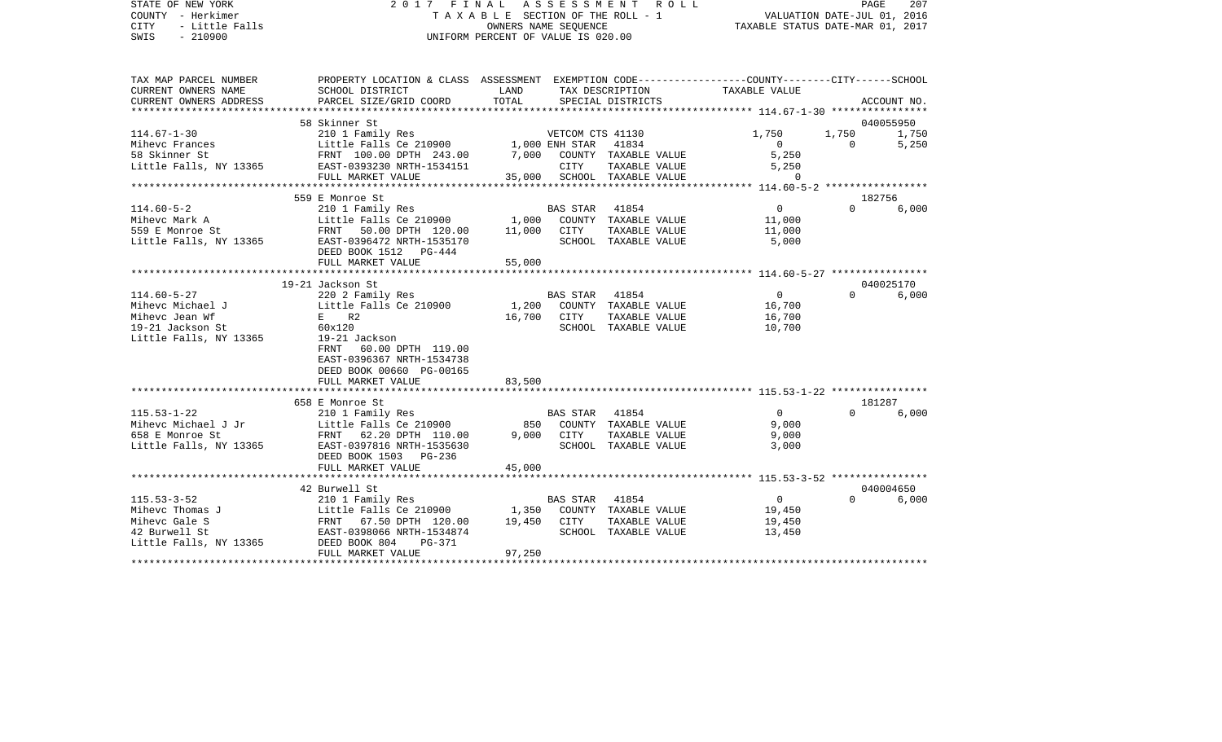| STATE OF NEW YORK<br>COUNTY - Herkimer<br>CITY<br>- Little Falls<br>SWIS<br>$-210900$ | 2017 FINAL ASSESSMENT                                                                                              | OWNERS NAME SEOUENCE<br>UNIFORM PERCENT OF VALUE IS 020.00 | R O L L<br>T A X A B L E SECTION OF THE ROLL - 1 | PAGE<br>207<br>VALUATION DATE-JUL 01, 2016<br>TAXABLE STATUS DATE-MAR 01, 2017 |                         |                               |             |
|---------------------------------------------------------------------------------------|--------------------------------------------------------------------------------------------------------------------|------------------------------------------------------------|--------------------------------------------------|--------------------------------------------------------------------------------|-------------------------|-------------------------------|-------------|
| TAX MAP PARCEL NUMBER<br>CURRENT OWNERS NAME                                          | PROPERTY LOCATION & CLASS ASSESSMENT EXEMPTION CODE---------------COUNTY-------CITY------SCHOOL<br>SCHOOL DISTRICT | LAND                                                       |                                                  | TAX DESCRIPTION                                                                | TAXABLE VALUE           |                               |             |
| CURRENT OWNERS ADDRESS                                                                | PARCEL SIZE/GRID COORD                                                                                             | TOTAL                                                      |                                                  | SPECIAL DISTRICTS                                                              |                         |                               | ACCOUNT NO. |
|                                                                                       |                                                                                                                    |                                                            |                                                  |                                                                                |                         |                               |             |
| $114.67 - 1 - 30$                                                                     | 58 Skinner St                                                                                                      |                                                            |                                                  |                                                                                |                         |                               | 040055950   |
|                                                                                       | 210 1 Family Res                                                                                                   |                                                            |                                                  | VETCOM CTS 41130                                                               | 1,750<br>$\overline{0}$ | 1,750 1,750<br>$\overline{0}$ | 5,250       |
| Mihevc Frances<br>58 Skinner St                                                       | Little Falls Ce 210900 1,000 ENH STAR 41834<br>FRNT 100.00 DPTH 243.00 7,000 COUNTY TAXABLE VALUE                  |                                                            |                                                  |                                                                                | 5,250                   |                               |             |
| Little Falls, NY 13365                                                                | EAST-0393230 NRTH-1534151                                                                                          |                                                            | CITY                                             | TAXABLE VALUE                                                                  | 5,250                   |                               |             |
|                                                                                       | FULL MARKET VALUE                                                                                                  |                                                            |                                                  | 35,000 SCHOOL TAXABLE VALUE                                                    | $\sim$ 0                |                               |             |
|                                                                                       |                                                                                                                    |                                                            |                                                  |                                                                                |                         |                               |             |
|                                                                                       | 559 E Monroe St                                                                                                    |                                                            |                                                  |                                                                                |                         | 182756                        |             |
| $114.60 - 5 - 2$                                                                      | 210 1 Family Res                                                                                                   |                                                            | BAS STAR                                         | 41854                                                                          | $\overline{0}$          | $\Omega$                      | 6,000       |
| Mihevc Mark A                                                                         | Little Falls Ce 210900                                                                                             |                                                            |                                                  | 1,000 COUNTY TAXABLE VALUE                                                     | 11,000                  |                               |             |
| 559 E Monroe St                                                                       | FRNT 50.00 DPTH 120.00                                                                                             | 11,000 CITY                                                |                                                  | TAXABLE VALUE                                                                  | 11,000                  |                               |             |
| Little Falls, NY 13365                                                                | EAST-0396472 NRTH-1535170<br>DEED BOOK 1512 PG-444                                                                 |                                                            |                                                  | SCHOOL TAXABLE VALUE                                                           | 5,000                   |                               |             |
|                                                                                       | FULL MARKET VALUE                                                                                                  | 55,000                                                     |                                                  |                                                                                |                         |                               |             |
|                                                                                       |                                                                                                                    |                                                            |                                                  |                                                                                |                         |                               |             |
|                                                                                       | 19-21 Jackson St                                                                                                   |                                                            |                                                  |                                                                                |                         |                               | 040025170   |
| $114.60 - 5 - 27$                                                                     | 220 2 Family Res                                                                                                   |                                                            | BAS STAR 41854                                   |                                                                                | $\overline{0}$          |                               | 0 6,000     |
| Mihevc Michael J                                                                      | Little Falls Ce 210900                                                                                             | 1,200                                                      |                                                  | COUNTY TAXABLE VALUE                                                           | 16,700                  |                               |             |
| Mihevc Jean Wf                                                                        | $E$ R2                                                                                                             |                                                            | 16,700 CITY                                      | TAXABLE VALUE                                                                  | 16,700                  |                               |             |
| 19-21 Jackson St                                                                      | 60x120                                                                                                             |                                                            |                                                  | SCHOOL TAXABLE VALUE                                                           | 10,700                  |                               |             |
| Little Falls, NY 13365                                                                | 19-21 Jackson<br>FRNT 60.00 DPTH 119.00<br>EAST-0396367 NRTH-1534738<br>DEED BOOK 00660 PG-00165                   |                                                            |                                                  |                                                                                |                         |                               |             |
|                                                                                       | FULL MARKET VALUE                                                                                                  | 83,500                                                     |                                                  |                                                                                |                         |                               |             |
|                                                                                       | 658 E Monroe St                                                                                                    |                                                            |                                                  |                                                                                |                         |                               | 181287      |
| $115.53 - 1 - 22$                                                                     | 210 1 Family Res                                                                                                   |                                                            | BAS STAR 41854                                   |                                                                                | $\overline{0}$          | $\Omega$                      | 6,000       |
| Mihevc Michael J Jr                                                                   | Little Falls Ce 210900                                                                                             |                                                            |                                                  | 850 COUNTY TAXABLE VALUE                                                       | 9,000                   |                               |             |
| 658 E Monroe St                                                                       | FRNT 62.20 DPTH 110.00                                                                                             |                                                            | 9,000 CITY                                       | TAXABLE VALUE                                                                  | 9,000                   |                               |             |
| Little Falls, NY 13365                                                                | EAST-0397816 NRTH-1535630                                                                                          |                                                            |                                                  | SCHOOL TAXABLE VALUE                                                           | 3,000                   |                               |             |
|                                                                                       | DEED BOOK 1503 PG-236                                                                                              |                                                            |                                                  |                                                                                |                         |                               |             |
|                                                                                       | FULL MARKET VALUE                                                                                                  | 45,000                                                     |                                                  |                                                                                |                         |                               |             |
|                                                                                       |                                                                                                                    |                                                            |                                                  |                                                                                |                         |                               |             |
|                                                                                       | 42 Burwell St                                                                                                      |                                                            |                                                  |                                                                                |                         | $\Omega$                      | 040004650   |
| $115.53 - 3 - 52$                                                                     | 210 1 Family Res                                                                                                   |                                                            | BAS STAR 41854                                   |                                                                                | $\overline{0}$          |                               | 6,000       |
| Mihevc Thomas J<br>Mihevc Gale S                                                      |                                                                                                                    | 19,450 CITY                                                |                                                  | COUNTY TAXABLE VALUE<br>TAXABLE VALUE                                          | 19,450<br>19,450        |                               |             |
| 42 Burwell St                                                                         |                                                                                                                    |                                                            |                                                  | SCHOOL TAXABLE VALUE                                                           | 13,450                  |                               |             |
| Little Falls, NY 13365                                                                | Little Falls Ce 210900 1,350<br>FRNT 67.50 DPTH 120.00 19,450<br>EAST-0398066 NRTH-1534874<br>DEED BOOK 804 PG-371 |                                                            |                                                  |                                                                                |                         |                               |             |
|                                                                                       | FULL MARKET VALUE                                                                                                  | 97,250                                                     |                                                  |                                                                                |                         |                               |             |
|                                                                                       |                                                                                                                    |                                                            |                                                  |                                                                                |                         |                               |             |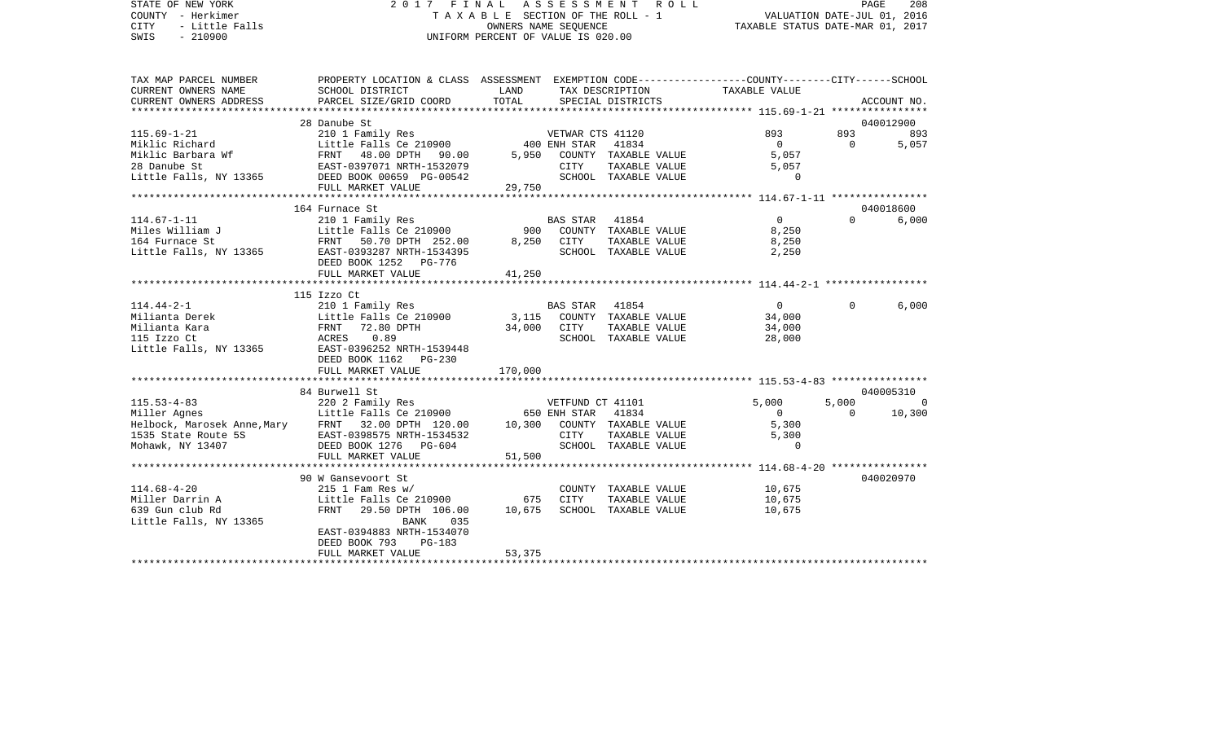STATE OF NEW YORK 2 0 1 7 F I N A L A S S E S S M E N T R O L L PAGE 208COUNTY - Herkimer **T A X A B L E** SECTION OF THE ROLL - 1 VALUATION DATE-JUL 01, 2016 CITY - Little Falls OWNERS NAME SEQUENCE TAXABLE STATUS DATE-MAR 01, 2017 SWIS - 210900 UNIFORM PERCENT OF VALUE IS 020.00TAX MAP PARCEL NUMBER PROPERTY LOCATION & CLASS ASSESSMENT EXEMPTION CODE------------------COUNTY--------CITY------SCHOOL CURRENT OWNERS NAME SCHOOL DISTRICT LAND TAX DESCRIPTION TAXABLE VALUECURRENT OWNERS ADDRESS PARCEL SIZE/GRID COORD TOTAL SPECIAL DISTRICTS ACCOUNT NO. \*\*\*\*\*\*\*\*\*\*\*\*\*\*\*\*\*\*\*\*\*\*\*\*\*\*\*\*\*\*\*\*\*\*\*\*\*\*\*\*\*\*\*\*\*\*\*\*\*\*\*\*\*\*\*\*\*\*\*\*\*\*\*\*\*\*\*\*\*\*\*\*\*\*\*\*\*\*\*\*\*\*\*\*\*\*\*\*\*\*\*\*\*\*\*\*\*\*\*\*\*\*\* 115.69-1-21 \*\*\*\*\*\*\*\*\*\*\*\*\*\*\*\* 28 Danube St 040012900115.69-1-21 210 1 Family Res VETWAR CTS 41120 893 893 893 Miklic Richard Little Falls Ce 210900 400 ENH STAR 41834 0 0 5,057 Miklic Barbara Wf **FRNT 48.00 DPTH 90.00** 5,950 COUNTY TAXABLE VALUE 5,057 28 Danube St EAST-0397071 NRTH-1532079 CITY TAXABLE VALUE 5,057 Little Falls, NY 13365 DEED BOOK 00659 PG-00542 SCHOOL TAXABLE VALUE 0 FULL MARKET VALUE 29,750 \*\*\*\*\*\*\*\*\*\*\*\*\*\*\*\*\*\*\*\*\*\*\*\*\*\*\*\*\*\*\*\*\*\*\*\*\*\*\*\*\*\*\*\*\*\*\*\*\*\*\*\*\*\*\*\*\*\*\*\*\*\*\*\*\*\*\*\*\*\*\*\*\*\*\*\*\*\*\*\*\*\*\*\*\*\*\*\*\*\*\*\*\*\*\*\*\*\*\*\*\*\*\* 114.67-1-11 \*\*\*\*\*\*\*\*\*\*\*\*\*\*\*\* 164 Furnace St 040018600114.67-1-11 210 1 Family Res BAS STAR 41854 0 0 6,000 Little Falls Ce 210900 900 COUNTY TAXABLE VALUE 164 Furnace St FRNT 50.70 DPTH 252.00 8,250 CITY TAXABLE VALUE 8,250 Little Falls, NY 13365 EAST-0393287 NRTH-1534395 SCHOOL TAXABLE VALUE 2,250 DEED BOOK 1252 PG-776FULL MARKET VALUE 41,250 \*\*\*\*\*\*\*\*\*\*\*\*\*\*\*\*\*\*\*\*\*\*\*\*\*\*\*\*\*\*\*\*\*\*\*\*\*\*\*\*\*\*\*\*\*\*\*\*\*\*\*\*\*\*\*\*\*\*\*\*\*\*\*\*\*\*\*\*\*\*\*\*\*\*\*\*\*\*\*\*\*\*\*\*\*\*\*\*\*\*\*\*\*\*\*\*\*\*\*\*\*\*\* 114.44-2-1 \*\*\*\*\*\*\*\*\*\*\*\*\*\*\*\*\* 115 Izzo Ct114.44-2-1 210 1 Family Res BAS STAR 41854 0 0 6,000 Milianta Derek Little Falls Ce 210900 3,115 COUNTY TAXABLE VALUE 34,000 Milianta Kara FRNT 72.80 DPTH 34,000 CITY TAXABLE VALUE 34,000 115 Izzo Ct ACRES 0.89 SCHOOL TAXABLE VALUE 28,000 Little Falls, NY 13365 EAST-0396252 NRTH-1539448 DEED BOOK 1162 PG-230FULL MARKET VALUE 170,000 \*\*\*\*\*\*\*\*\*\*\*\*\*\*\*\*\*\*\*\*\*\*\*\*\*\*\*\*\*\*\*\*\*\*\*\*\*\*\*\*\*\*\*\*\*\*\*\*\*\*\*\*\*\*\*\*\*\*\*\*\*\*\*\*\*\*\*\*\*\*\*\*\*\*\*\*\*\*\*\*\*\*\*\*\*\*\*\*\*\*\*\*\*\*\*\*\*\*\*\*\*\*\* 115.53-4-83 \*\*\*\*\*\*\*\*\*\*\*\*\*\*\*\*84 Burwell St 040005310 115.53-4-83 220 2 Family Res VETFUND CT 41101 5,000 5,000 0 Miller Agnes Little Falls Ce 210900 650 ENH STAR 41834 0 0 10,300 Helbock, Marosek Anne,Mary FRNT 32.00 DPTH 120.00 10,300 COUNTY TAXABLE VALUE 5,300 1535 State Route 5S EAST-0398575 NRTH-1534532 CITY TAXABLE VALUE 5,300 Mohawk, NY 13407 DEED BOOK 1276 PG-604 SCHOOL TAXABLE VALUE 0 FULL MARKET VALUE 51,500 \*\*\*\*\*\*\*\*\*\*\*\*\*\*\*\*\*\*\*\*\*\*\*\*\*\*\*\*\*\*\*\*\*\*\*\*\*\*\*\*\*\*\*\*\*\*\*\*\*\*\*\*\*\*\*\*\*\*\*\*\*\*\*\*\*\*\*\*\*\*\*\*\*\*\*\*\*\*\*\*\*\*\*\*\*\*\*\*\*\*\*\*\*\*\*\*\*\*\*\*\*\*\* 114.68-4-20 \*\*\*\*\*\*\*\*\*\*\*\*\*\*\*\*90 W Gansevoort St 040020970 114.68-4-20 215 1 Fam Res w/ COUNTY TAXABLE VALUE 10,675 Miller Darrin A Little Falls Ce 210900 675 CITY TAXABLE VALUE 10,675 639 Gun club Rd FRNT 29.50 DPTH 106.00 10,675 SCHOOL TAXABLE VALUE 10,675 Little Falls, NY 13365 BANK 035 EAST-0394883 NRTH-1534070 DEED BOOK 793 PG-183FULL MARKET VALUE 53,375 \*\*\*\*\*\*\*\*\*\*\*\*\*\*\*\*\*\*\*\*\*\*\*\*\*\*\*\*\*\*\*\*\*\*\*\*\*\*\*\*\*\*\*\*\*\*\*\*\*\*\*\*\*\*\*\*\*\*\*\*\*\*\*\*\*\*\*\*\*\*\*\*\*\*\*\*\*\*\*\*\*\*\*\*\*\*\*\*\*\*\*\*\*\*\*\*\*\*\*\*\*\*\*\*\*\*\*\*\*\*\*\*\*\*\*\*\*\*\*\*\*\*\*\*\*\*\*\*\*\*\*\*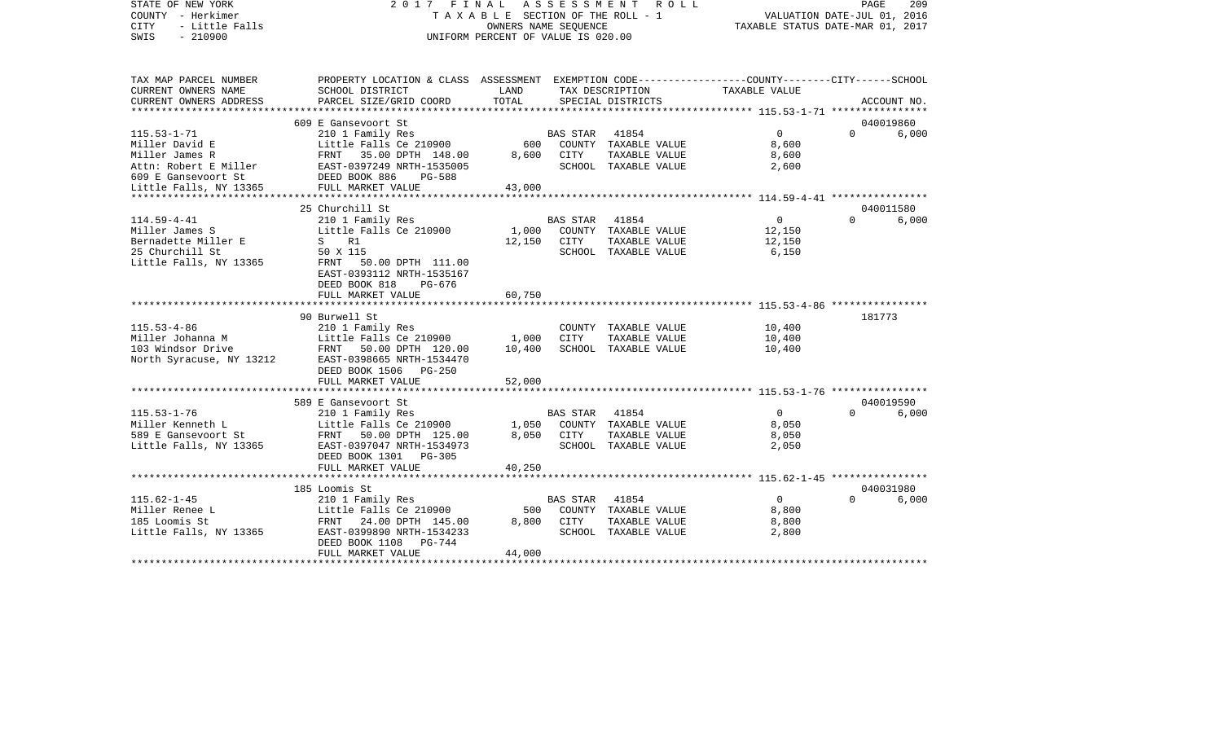| STATE OF NEW YORK<br>COUNTY - Herkimer<br>CITY<br>- Little Falls<br>SWIS<br>$-210900$ | FINAL<br>2017<br>TAXABLE SECTION OF THE ROLL - 1<br>UNIFORM PERCENT OF VALUE IS 020.00          | PAGE<br>209<br>VALUATION DATE-JUL 01, 2016<br>TAXABLE STATUS DATE-MAR 01, 2017 |                 |                                      |                |          |             |
|---------------------------------------------------------------------------------------|-------------------------------------------------------------------------------------------------|--------------------------------------------------------------------------------|-----------------|--------------------------------------|----------------|----------|-------------|
|                                                                                       |                                                                                                 |                                                                                |                 |                                      |                |          |             |
| TAX MAP PARCEL NUMBER                                                                 | PROPERTY LOCATION & CLASS ASSESSMENT EXEMPTION CODE---------------COUNTY-------CITY------SCHOOL |                                                                                |                 |                                      |                |          |             |
| CURRENT OWNERS NAME<br>CURRENT OWNERS ADDRESS                                         | SCHOOL DISTRICT<br>PARCEL SIZE/GRID COORD                                                       | LAND<br>TOTAL                                                                  |                 | TAX DESCRIPTION<br>SPECIAL DISTRICTS | TAXABLE VALUE  |          | ACCOUNT NO. |
| *****************                                                                     |                                                                                                 |                                                                                |                 |                                      |                |          |             |
|                                                                                       | 609 E Gansevoort St                                                                             |                                                                                |                 |                                      |                |          | 040019860   |
| $115.53 - 1 - 71$                                                                     | 210 1 Family Res                                                                                |                                                                                | BAS STAR        | 41854                                | $\Omega$       | $\Omega$ | 6,000       |
| Miller David E                                                                        | Little Falls Ce 210900                                                                          | 600                                                                            |                 | COUNTY TAXABLE VALUE                 | 8,600          |          |             |
| Miller James R                                                                        | FRNT 35.00 DPTH 148.00                                                                          | 8,600                                                                          | CITY            | TAXABLE VALUE                        | 8,600          |          |             |
|                                                                                       | EAST-0397249 NRTH-1535005                                                                       |                                                                                |                 | SCHOOL TAXABLE VALUE                 | 2,600          |          |             |
|                                                                                       | <b>PG-588</b>                                                                                   | 43,000                                                                         |                 |                                      |                |          |             |
| Attn: Robert E Miller<br>609 E Gansevoort St BEED BOOK 886 F<br>TULL MARKET VALUE     |                                                                                                 |                                                                                |                 |                                      |                |          |             |
|                                                                                       | 25 Churchill St                                                                                 |                                                                                |                 |                                      |                |          | 040011580   |
| $114.59 - 4 - 41$                                                                     | 210 1 Family Res                                                                                |                                                                                | <b>BAS STAR</b> | 41854                                | $\overline{0}$ | $\Omega$ | 6,000       |
| Miller James S                                                                        | Little Falls Ce 210900                                                                          | 1,000                                                                          |                 | COUNTY TAXABLE VALUE                 | 12,150         |          |             |
| Bernadette Miller E                                                                   | S R1                                                                                            | 12,150                                                                         | CITY            | TAXABLE VALUE                        | 12,150         |          |             |
| 25 Churchill St                                                                       | 50 X 115                                                                                        |                                                                                |                 | SCHOOL TAXABLE VALUE                 | 6,150          |          |             |
| Little Falls, NY 13365                                                                | FRNT 50.00 DPTH 111.00<br>EAST-0393112 NRTH-1535167                                             |                                                                                |                 |                                      |                |          |             |
|                                                                                       | DEED BOOK 818<br>PG-676                                                                         |                                                                                |                 |                                      |                |          |             |
|                                                                                       | FULL MARKET VALUE                                                                               | 60,750                                                                         |                 |                                      |                |          |             |
|                                                                                       |                                                                                                 |                                                                                |                 |                                      |                |          |             |
|                                                                                       | 90 Burwell St                                                                                   |                                                                                |                 |                                      |                |          | 181773      |
| $115.53 - 4 - 86$                                                                     | 210 1 Family Res                                                                                |                                                                                |                 | COUNTY TAXABLE VALUE                 | 10,400         |          |             |
| Miller Johanna M                                                                      | Little Falls Ce 210900                                                                          | 1,000                                                                          | CITY            | TAXABLE VALUE                        | 10,400         |          |             |
| 103 Windsor Drive                                                                     | FRNT 50.00 DPTH 120.00                                                                          | 10,400                                                                         |                 | SCHOOL TAXABLE VALUE                 | 10,400         |          |             |
| North Syracuse, NY 13212                                                              | EAST-0398665 NRTH-1534470<br>DEED BOOK 1506<br>$PG-250$                                         |                                                                                |                 |                                      |                |          |             |
|                                                                                       | FULL MARKET VALUE                                                                               | 52,000                                                                         |                 |                                      |                |          |             |
|                                                                                       |                                                                                                 |                                                                                |                 |                                      |                |          |             |
|                                                                                       | 589 E Gansevoort St                                                                             |                                                                                |                 |                                      |                |          | 040019590   |
| $115.53 - 1 - 76$                                                                     | 210 1 Family Res                                                                                |                                                                                | BAS STAR 41854  |                                      | $\overline{0}$ | $\Omega$ | 6,000       |
| Miller Kenneth L                                                                      | Little Falls Ce 210900                                                                          | 1,050                                                                          |                 | COUNTY TAXABLE VALUE                 | 8,050          |          |             |
| 589 E Gansevoort St                                                                   | FRNT 50.00 DPTH 125.00                                                                          | 8,050                                                                          | CITY            | TAXABLE VALUE                        | 8,050          |          |             |
| Little Falls, NY 13365                                                                | EAST-0397047 NRTH-1534973                                                                       |                                                                                |                 | SCHOOL TAXABLE VALUE                 | 2,050          |          |             |
|                                                                                       | DEED BOOK 1301<br>$PG-305$<br>FULL MARKET VALUE                                                 | 40,250                                                                         |                 |                                      |                |          |             |
|                                                                                       |                                                                                                 |                                                                                |                 |                                      |                |          |             |
|                                                                                       | 185 Loomis St                                                                                   |                                                                                |                 |                                      |                |          | 040031980   |
| $115.62 - 1 - 45$                                                                     | 210 1 Family Res                                                                                |                                                                                | BAS STAR        | 41854                                | $\overline{0}$ | $\Omega$ | 6,000       |
| Miller Renee L                                                                        | Little Falls Ce 210900                                                                          | 500                                                                            |                 | COUNTY TAXABLE VALUE                 | 8,800          |          |             |
| 185 Loomis St                                                                         | FRNT 24.00 DPTH 145.00                                                                          | 8,800                                                                          | CITY            | TAXABLE VALUE                        | 8,800          |          |             |
| Little Falls, NY 13365                                                                | EAST-0399890 NRTH-1534233                                                                       |                                                                                |                 | SCHOOL TAXABLE VALUE                 | 2,800          |          |             |
|                                                                                       | DEED BOOK 1108<br>$PG-744$                                                                      |                                                                                |                 |                                      |                |          |             |
|                                                                                       | FULL MARKET VALUE                                                                               | 44,000                                                                         |                 |                                      |                |          |             |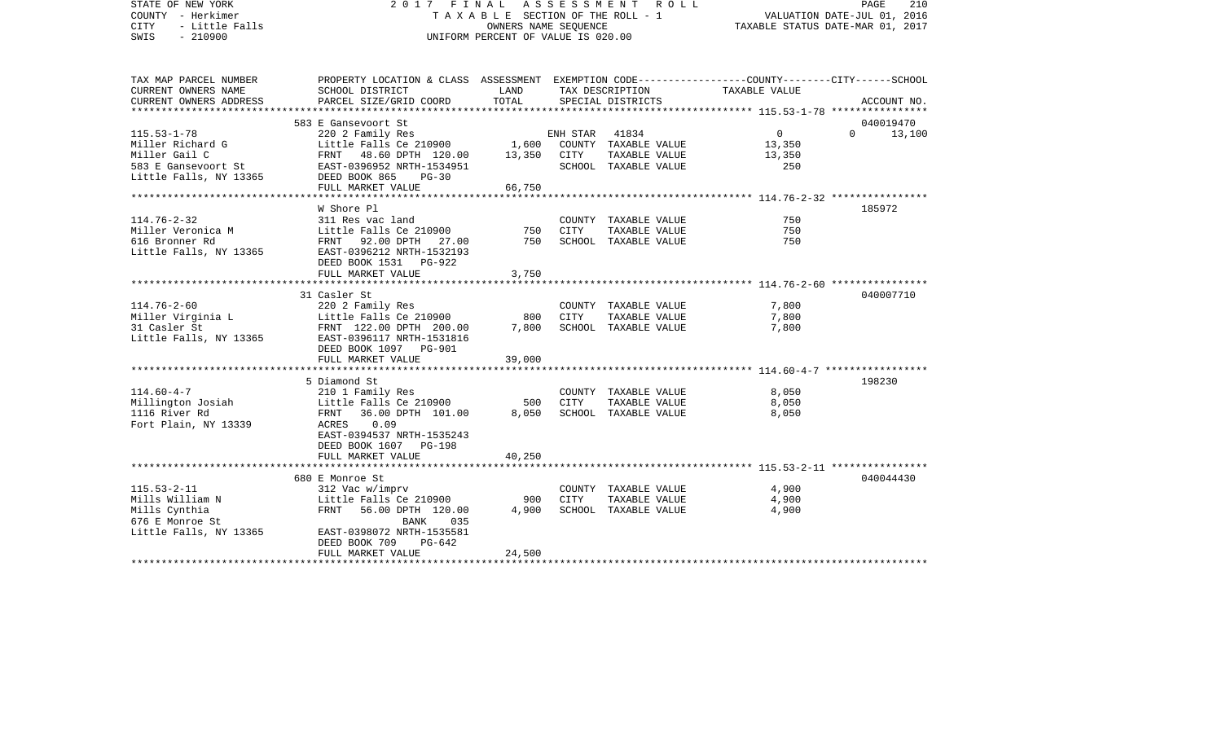| <b>CITY</b><br>- Little Falls<br>OWNERS NAME SEQUENCE<br>$-210900$<br>UNIFORM PERCENT OF VALUE IS 020.00<br>SWIS                                                                                               | PAGE<br>210<br>VALUATION DATE-JUL 01, 2016<br>TAXABLE STATUS DATE-MAR 01, 2017 |  |  |
|----------------------------------------------------------------------------------------------------------------------------------------------------------------------------------------------------------------|--------------------------------------------------------------------------------|--|--|
| TAX MAP PARCEL NUMBER<br>PROPERTY LOCATION & CLASS ASSESSMENT EXEMPTION CODE---------------COUNTY-------CITY------SCHOOL<br>CURRENT OWNERS NAME<br>SCHOOL DISTRICT<br>LAND<br>TAXABLE VALUE<br>TAX DESCRIPTION |                                                                                |  |  |
| TOTAL<br>CURRENT OWNERS ADDRESS<br>PARCEL SIZE/GRID COORD<br>SPECIAL DISTRICTS                                                                                                                                 | ACCOUNT NO.                                                                    |  |  |
|                                                                                                                                                                                                                |                                                                                |  |  |
| 583 E Gansevoort St                                                                                                                                                                                            | 040019470                                                                      |  |  |
| $115.53 - 1 - 78$<br>$\overline{0}$<br>220 2 Family Res<br>ENH STAR<br>41834<br>$\Omega$                                                                                                                       | 13,100                                                                         |  |  |
| Little Falls Ce 210900<br>1,600<br>Miller Richard G<br>COUNTY TAXABLE VALUE<br>13,350                                                                                                                          |                                                                                |  |  |
| Miller Gail C<br>FRNT 48.60 DPTH 120.00<br>13,350<br>CITY<br>TAXABLE VALUE<br>13,350<br>583 E Gansevoort St<br>EAST-0396952 NRTH-1534951<br>SCHOOL TAXABLE VALUE<br>250                                        |                                                                                |  |  |
| Little Falls, NY 13365<br>DEED BOOK 865<br>$PG-30$                                                                                                                                                             |                                                                                |  |  |
| FULL MARKET VALUE<br>66,750                                                                                                                                                                                    |                                                                                |  |  |
|                                                                                                                                                                                                                |                                                                                |  |  |
| W Shore Pl                                                                                                                                                                                                     | 185972                                                                         |  |  |
| $114.76 - 2 - 32$<br>750<br>311 Res vac land<br>COUNTY TAXABLE VALUE                                                                                                                                           |                                                                                |  |  |
| Little Falls Ce 210900<br>Miller Veronica M<br>TAXABLE VALUE<br>750<br>750<br>CITY                                                                                                                             |                                                                                |  |  |
| 616 Bronner Rd<br>FRNT 92.00 DPTH 27.00<br>750<br>SCHOOL TAXABLE VALUE<br>750                                                                                                                                  |                                                                                |  |  |
| Little Falls, NY 13365<br>EAST-0396212 NRTH-1532193                                                                                                                                                            |                                                                                |  |  |
| DEED BOOK 1531 PG-922<br>FULL MARKET VALUE<br>3,750                                                                                                                                                            |                                                                                |  |  |
|                                                                                                                                                                                                                |                                                                                |  |  |
| 31 Casler St                                                                                                                                                                                                   | 040007710                                                                      |  |  |
| $114.76 - 2 - 60$<br>7,800<br>220 2 Family Res<br>COUNTY TAXABLE VALUE                                                                                                                                         |                                                                                |  |  |
| Miller Virginia L<br>Little Falls Ce 210900<br>800<br>CITY<br>TAXABLE VALUE<br>7,800                                                                                                                           |                                                                                |  |  |
| 7,800<br>SCHOOL TAXABLE VALUE<br>7,800<br>31 Casler St<br>FRNT 122.00 DPTH 200.00                                                                                                                              |                                                                                |  |  |
| Little Falls, NY 13365<br>EAST-0396117 NRTH-1531816                                                                                                                                                            |                                                                                |  |  |
| DEED BOOK 1097 PG-901                                                                                                                                                                                          |                                                                                |  |  |
| FULL MARKET VALUE<br>39,000                                                                                                                                                                                    |                                                                                |  |  |
| 5 Diamond St                                                                                                                                                                                                   | 198230                                                                         |  |  |
| $114.60 - 4 - 7$<br>210 1 Family Res<br>8,050<br>COUNTY TAXABLE VALUE                                                                                                                                          |                                                                                |  |  |
| Millington Josiah<br><b>CITY</b><br>8,050<br>Little Falls Ce 210900<br>500<br>TAXABLE VALUE                                                                                                                    |                                                                                |  |  |
| 1116 River Rd<br>36.00 DPTH 101.00<br>8,050<br>SCHOOL TAXABLE VALUE<br>8,050<br>FRNT                                                                                                                           |                                                                                |  |  |
| Fort Plain, NY 13339<br>ACRES 0.09                                                                                                                                                                             |                                                                                |  |  |
| EAST-0394537 NRTH-1535243                                                                                                                                                                                      |                                                                                |  |  |
| DEED BOOK 1607 PG-198                                                                                                                                                                                          |                                                                                |  |  |
| 40,250<br>FULL MARKET VALUE                                                                                                                                                                                    |                                                                                |  |  |
|                                                                                                                                                                                                                |                                                                                |  |  |
| 680 E Monroe St<br>$115.53 - 2 - 11$<br>4,900<br>312 Vac w/imprv<br>COUNTY TAXABLE VALUE                                                                                                                       | 040044430                                                                      |  |  |
| Mills William N<br>CITY<br>TAXABLE VALUE<br>4,900<br>Little Falls Ce 210900<br>900                                                                                                                             |                                                                                |  |  |
| Mills Cynthia<br>FRNT<br>56.00 DPTH 120.00<br>4,900<br>4,900<br>SCHOOL TAXABLE VALUE                                                                                                                           |                                                                                |  |  |
| 676 E Monroe St<br>BANK<br>035                                                                                                                                                                                 |                                                                                |  |  |
| Little Falls, NY 13365<br>EAST-0398072 NRTH-1535581                                                                                                                                                            |                                                                                |  |  |
| DEED BOOK 709<br>$PG-642$                                                                                                                                                                                      |                                                                                |  |  |
| FULL MARKET VALUE<br>24,500                                                                                                                                                                                    |                                                                                |  |  |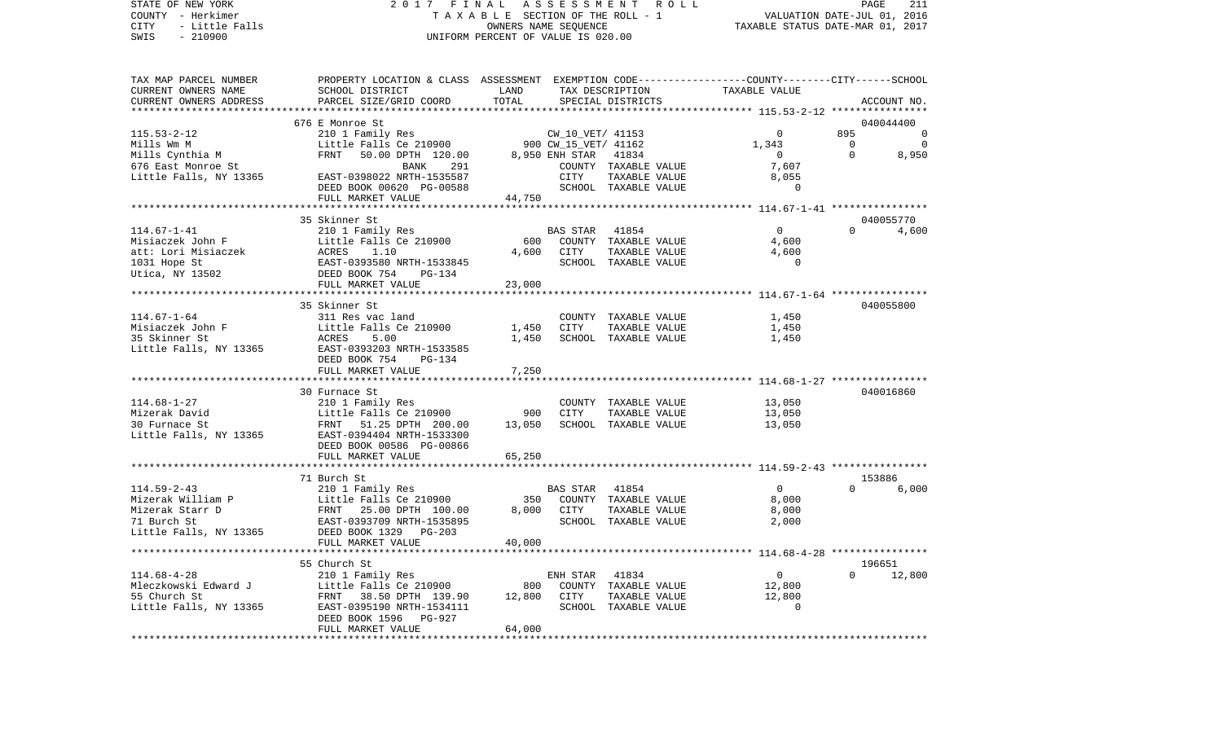| STATE OF NEW YORK<br>COUNTY - Herkimer                        |                                                                                                                                                                                                                                                                           |                                    |                | 2017 FINAL ASSESSMENT ROLL<br>TAXABLE SECTION OF THE ROLL - 1 | VALUATION DATE-JUL 01, 2016      | $\mathop{\mathtt{PAGE}}$ | 211            |
|---------------------------------------------------------------|---------------------------------------------------------------------------------------------------------------------------------------------------------------------------------------------------------------------------------------------------------------------------|------------------------------------|----------------|---------------------------------------------------------------|----------------------------------|--------------------------|----------------|
| CITY     - Little Falls                                       |                                                                                                                                                                                                                                                                           | OWNERS NAME SEQUENCE               |                |                                                               | TAXABLE STATUS DATE-MAR 01, 2017 |                          |                |
| SWIS - 210900                                                 |                                                                                                                                                                                                                                                                           | UNIFORM PERCENT OF VALUE IS 020.00 |                |                                                               |                                  |                          |                |
|                                                               |                                                                                                                                                                                                                                                                           |                                    |                |                                                               |                                  |                          |                |
|                                                               | TAX MAP PARCEL NUMBER THE PROPERTY LOCATION & CLASS ASSESSMENT EXEMPTION CODE---------------COUNTY-------CITY------SCHOOL                                                                                                                                                 |                                    |                |                                                               |                                  |                          |                |
| CURRENT OWNERS NAME                                           | SCHOOL DISTRICT                                                                                                                                                                                                                                                           | LAND                               |                | TAX DESCRIPTION                                               | TAXABLE VALUE                    |                          |                |
| CURRENT OWNERS ADDRESS                                        | PARCEL SIZE/GRID COORD                                                                                                                                                                                                                                                    | TOTAL                              |                | SPECIAL DISTRICTS                                             |                                  |                          | ACCOUNT NO.    |
| ***********************                                       | 676 E Monroe St                                                                                                                                                                                                                                                           |                                    |                |                                                               |                                  |                          | 040044400      |
| $115.53 - 2 - 12$                                             | 210 I Family Res<br>210 I Family Res<br>210 I Falls Ce 210900<br>200 CW_15_VET/ 41162<br>2010 BANK 2013<br>2013 PRNT 2013<br>2013<br>2014 2013<br>2014 2013<br>2014 2015<br>2014 2015<br>2015<br>2015<br>2015<br>2015<br>2015<br>2015<br>2015<br>2015<br>2015<br>2016<br> |                                    |                |                                                               | $\overline{0}$                   | 895                      | $\sim$ 0       |
| ------<br>Mills Wm M<br>Mills Cynthia M<br>676 East Monroe St |                                                                                                                                                                                                                                                                           |                                    |                |                                                               | 1,343                            | $\overline{\mathbf{0}}$  | $\overline{0}$ |
|                                                               |                                                                                                                                                                                                                                                                           |                                    |                |                                                               | $\overline{0}$                   | $\overline{0}$           | 8,950          |
|                                                               | <b>BANK</b> 291                                                                                                                                                                                                                                                           |                                    |                | COUNTY TAXABLE VALUE                                          | 7,607                            |                          |                |
|                                                               |                                                                                                                                                                                                                                                                           |                                    |                | CITY TAXABLE VALUE                                            | 8,055                            |                          |                |
|                                                               | DEED BOOK 00620 PG-00588                                                                                                                                                                                                                                                  |                                    |                | SCHOOL TAXABLE VALUE                                          | $\Omega$                         |                          |                |
|                                                               | FULL MARKET VALUE                                                                                                                                                                                                                                                         | 44,750                             |                |                                                               |                                  |                          |                |
|                                                               |                                                                                                                                                                                                                                                                           |                                    |                |                                                               |                                  |                          |                |
|                                                               | 35 Skinner St                                                                                                                                                                                                                                                             |                                    |                |                                                               |                                  |                          | 040055770      |
|                                                               |                                                                                                                                                                                                                                                                           |                                    | BAS STAR 41854 |                                                               | $\overline{0}$                   | $\Omega$                 | 4,600          |
|                                                               |                                                                                                                                                                                                                                                                           |                                    |                | 600 COUNTY TAXABLE VALUE                                      | 4,600                            |                          |                |
|                                                               |                                                                                                                                                                                                                                                                           |                                    | 4,600 CITY     | TAXABLE VALUE                                                 | 4,600                            |                          |                |
|                                                               |                                                                                                                                                                                                                                                                           |                                    |                | SCHOOL TAXABLE VALUE                                          | $\mathbf 0$                      |                          |                |
|                                                               |                                                                                                                                                                                                                                                                           |                                    |                |                                                               |                                  |                          |                |
|                                                               | 114.67-1-41 210 1 Family Res<br>Misiaczek John F Little Falls Ce 210900 60<br>act: Lori Misiaczek ACRES 1.10 4,60<br>1031 Hope St EAST-0393580 NRTH-1533845<br>Utica, NY 13502 DEED BOOK 754 PG-134<br>*********************************                                  | 23,000                             |                |                                                               |                                  |                          |                |
|                                                               |                                                                                                                                                                                                                                                                           |                                    |                |                                                               |                                  |                          | 040055800      |
| 114.67-1-64                                                   | 35 Skinner St<br>311 Res vac land                                                                                                                                                                                                                                         |                                    |                | COUNTY TAXABLE VALUE                                          | 1,450                            |                          |                |
|                                                               |                                                                                                                                                                                                                                                                           |                                    | 1,450 CITY     | TAXABLE VALUE                                                 | 1,450                            |                          |                |
|                                                               | Misiaczek John Falittle Falls Ce 210900<br>35 Skinner State († 1808)<br>Little Falls, NY 13365 – EAST-0393203 NRTH-1533585                                                                                                                                                | 1,450                              |                | SCHOOL TAXABLE VALUE                                          | 1,450                            |                          |                |
|                                                               |                                                                                                                                                                                                                                                                           |                                    |                |                                                               |                                  |                          |                |
|                                                               | DEED BOOK 754 PG-134                                                                                                                                                                                                                                                      |                                    |                |                                                               |                                  |                          |                |
|                                                               | FULL MARKET VALUE                                                                                                                                                                                                                                                         | 7,250                              |                |                                                               |                                  |                          |                |
|                                                               | * * * * * * * * * * * * * * * * * * * *                                                                                                                                                                                                                                   | * * * * * * * * * * *              |                |                                                               |                                  |                          |                |
|                                                               | 30 Furnace St                                                                                                                                                                                                                                                             |                                    |                |                                                               |                                  |                          | 040016860      |
|                                                               |                                                                                                                                                                                                                                                                           |                                    |                | COUNTY TAXABLE VALUE                                          | 13,050                           |                          |                |
|                                                               |                                                                                                                                                                                                                                                                           | 900                                | CITY           | TAXABLE VALUE                                                 | 13,050                           |                          |                |
|                                                               |                                                                                                                                                                                                                                                                           | 13,050                             |                | SCHOOL TAXABLE VALUE                                          | 13,050                           |                          |                |
|                                                               |                                                                                                                                                                                                                                                                           |                                    |                |                                                               |                                  |                          |                |
|                                                               | DEED BOOK 00586 PG-00866                                                                                                                                                                                                                                                  |                                    |                |                                                               |                                  |                          |                |
|                                                               | FULL MARKET VALUE                                                                                                                                                                                                                                                         | 65,250                             |                |                                                               |                                  |                          |                |
|                                                               |                                                                                                                                                                                                                                                                           |                                    |                |                                                               |                                  |                          |                |
|                                                               | 71 Burch St                                                                                                                                                                                                                                                               |                                    |                |                                                               |                                  | 153886                   |                |
|                                                               |                                                                                                                                                                                                                                                                           |                                    | BAS STAR 41854 |                                                               | $\overline{0}$                   |                          | $0 \t\t 6,000$ |
|                                                               |                                                                                                                                                                                                                                                                           | 350                                |                | COUNTY TAXABLE VALUE                                          | 8,000                            |                          |                |
|                                                               |                                                                                                                                                                                                                                                                           | 8,000                              | CITY           | TAXABLE VALUE                                                 | 8,000                            |                          |                |
|                                                               |                                                                                                                                                                                                                                                                           |                                    |                | SCHOOL TAXABLE VALUE                                          | 2,000                            |                          |                |
|                                                               | 1 Burch Sc<br>Little Falls, NY 13365 DEED BOOK 1329 PG-203                                                                                                                                                                                                                |                                    |                |                                                               |                                  |                          |                |
|                                                               |                                                                                                                                                                                                                                                                           | 40,000                             |                |                                                               |                                  |                          |                |
|                                                               |                                                                                                                                                                                                                                                                           |                                    |                |                                                               |                                  |                          |                |
|                                                               | 55 Church St                                                                                                                                                                                                                                                              |                                    |                |                                                               | $\overline{0}$                   | 196651                   | $0 \t 12,800$  |
|                                                               |                                                                                                                                                                                                                                                                           |                                    | ENH STAR 41834 | 800 COUNTY TAXABLE VALUE                                      | 12,800                           |                          |                |
| 55 Church St                                                  | FRNT 38.50 DPTH 139.90                                                                                                                                                                                                                                                    | 12,800 CITY                        |                | TAXABLE VALUE                                                 | 12,800                           |                          |                |
| Little Falls, NY 13365                                        | EAST-0395190 NRTH-1534111                                                                                                                                                                                                                                                 |                                    |                | SCHOOL TAXABLE VALUE                                          | $\overline{0}$                   |                          |                |
|                                                               | DEED BOOK 1596 PG-927                                                                                                                                                                                                                                                     |                                    |                |                                                               |                                  |                          |                |

FULL MARKET VALUE 64,000 \*\*\*\*\*\*\*\*\*\*\*\*\*\*\*\*\*\*\*\*\*\*\*\*\*\*\*\*\*\*\*\*\*\*\*\*\*\*\*\*\*\*\*\*\*\*\*\*\*\*\*\*\*\*\*\*\*\*\*\*\*\*\*\*\*\*\*\*\*\*\*\*\*\*\*\*\*\*\*\*\*\*\*\*\*\*\*\*\*\*\*\*\*\*\*\*\*\*\*\*\*\*\*\*\*\*\*\*\*\*\*\*\*\*\*\*\*\*\*\*\*\*\*\*\*\*\*\*\*\*\*\*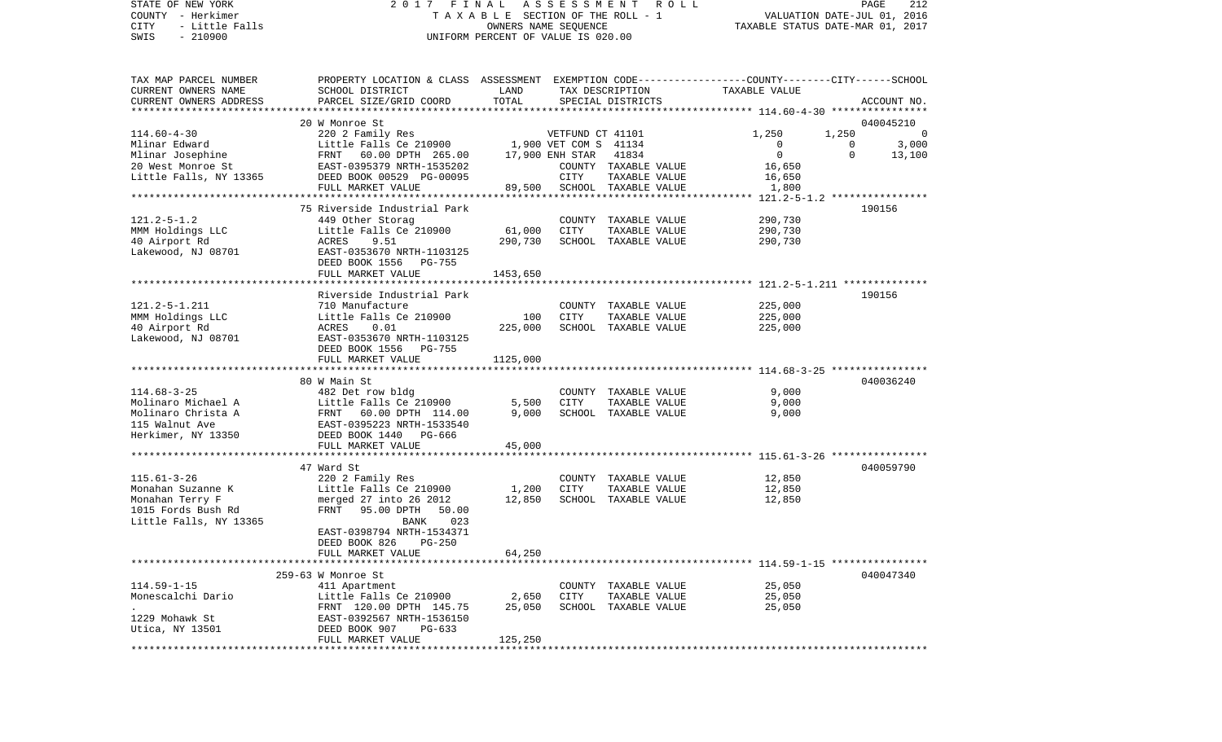## STATE OF NEW YORK 2017 FINAL ASSESSMENT ROLL COUNTY - Herkimer T A X A B L E SECTION OF THE ROLL - 1 COUNTY - Herkimer<br>COUNTY - Herkimer (1990) TAXABLE SECTION OF THE ROLL - 1<br>CITY - Little Falls (1, 2016) OWNERS NAME SEQUENCE (2019) TAXABLE STATUS DATE-JUL 01, 2016<br>SWIS - 210900 UNIFORM PERCENT OF VALUE IS 020.00

PAGE 212

| TAX MAP PARCEL NUMBER<br>CURRENT OWNERS NAME | PROPERTY LOCATION & CLASS ASSESSMENT EXEMPTION CODE----------------COUNTY-------CITY------SCHOOL<br>SCHOOL DISTRICT | LAND     |                       | TAX DESCRIPTION                       | TAXABLE VALUE                                                  |          |             |
|----------------------------------------------|---------------------------------------------------------------------------------------------------------------------|----------|-----------------------|---------------------------------------|----------------------------------------------------------------|----------|-------------|
| CURRENT OWNERS ADDRESS                       | PARCEL SIZE/GRID COORD                                                                                              | TOTAL    |                       | SPECIAL DISTRICTS                     |                                                                |          | ACCOUNT NO. |
|                                              | 20 W Monroe St                                                                                                      |          |                       |                                       |                                                                |          | 040045210   |
| $114.60 - 4 - 30$                            | 220 2 Family Res                                                                                                    |          | VETFUND CT 41101      |                                       | 1,250                                                          | 1,250    | $\Omega$    |
| Mlinar Edward                                | Little Falls Ce 210900                                                                                              |          | 1,900 VET COM S 41134 |                                       | 0                                                              | 0        | 3,000       |
| Mlinar Josephine                             | FRNT 60.00 DPTH 265.00                                                                                              |          | 17,900 ENH STAR       | 41834                                 | $\mathbf 0$                                                    | $\Omega$ | 13,100      |
| 20 West Monroe St                            | EAST-0395379 NRTH-1535202                                                                                           |          |                       | COUNTY TAXABLE VALUE                  | 16,650                                                         |          |             |
| Little Falls, NY 13365                       | DEED BOOK 00529 PG-00095                                                                                            |          | <b>CITY</b>           | TAXABLE VALUE                         | 16,650                                                         |          |             |
|                                              | FULL MARKET VALUE                                                                                                   | 89,500   |                       | SCHOOL TAXABLE VALUE                  | 1,800                                                          |          |             |
|                                              | **********************                                                                                              |          |                       |                                       | *** 121.2-5-1.2 ****************                               |          |             |
| $121.2 - 5 - 1.2$                            | 75 Riverside Industrial Park<br>449 Other Storag                                                                    |          |                       | COUNTY TAXABLE VALUE                  | 290,730                                                        |          | 190156      |
| MMM Holdings LLC                             | Little Falls Ce 210900                                                                                              | 61,000   | <b>CITY</b>           | TAXABLE VALUE                         | 290,730                                                        |          |             |
| 40 Airport Rd                                | ACRES<br>9.51                                                                                                       | 290,730  |                       | SCHOOL TAXABLE VALUE                  | 290,730                                                        |          |             |
| Lakewood, NJ 08701                           | EAST-0353670 NRTH-1103125                                                                                           |          |                       |                                       |                                                                |          |             |
|                                              | DEED BOOK 1556<br>PG-755                                                                                            |          |                       |                                       |                                                                |          |             |
|                                              | FULL MARKET VALUE                                                                                                   | 1453,650 |                       |                                       |                                                                |          |             |
|                                              |                                                                                                                     |          |                       |                                       |                                                                |          |             |
|                                              | Riverside Industrial Park                                                                                           |          |                       |                                       |                                                                |          | 190156      |
| $121.2 - 5 - 1.211$                          | 710 Manufacture                                                                                                     | 100      | <b>CITY</b>           | COUNTY TAXABLE VALUE                  | 225,000                                                        |          |             |
| MMM Holdings LLC<br>40 Airport Rd            | Little Falls Ce 210900<br>ACRES<br>0.01                                                                             | 225,000  |                       | TAXABLE VALUE<br>SCHOOL TAXABLE VALUE | 225,000<br>225,000                                             |          |             |
| Lakewood, NJ 08701                           | EAST-0353670 NRTH-1103125                                                                                           |          |                       |                                       |                                                                |          |             |
|                                              | DEED BOOK 1556 PG-755                                                                                               |          |                       |                                       |                                                                |          |             |
|                                              | FULL MARKET VALUE                                                                                                   | 1125,000 |                       |                                       |                                                                |          |             |
|                                              |                                                                                                                     |          |                       |                                       |                                                                |          |             |
|                                              | 80 W Main St                                                                                                        |          |                       |                                       |                                                                |          | 040036240   |
| $114.68 - 3 - 25$                            | 482 Det row bldg                                                                                                    |          |                       | COUNTY TAXABLE VALUE                  | 9,000                                                          |          |             |
| Molinaro Michael A                           | Little Falls Ce 210900                                                                                              | 5,500    | CITY                  | TAXABLE VALUE                         | 9,000                                                          |          |             |
| Molinaro Christa A                           | FRNT 60.00 DPTH 114.00                                                                                              | 9,000    |                       | SCHOOL TAXABLE VALUE                  | 9,000                                                          |          |             |
| 115 Walnut Ave<br>Herkimer, NY 13350         | EAST-0395223 NRTH-1533540<br>DEED BOOK 1440 PG-666                                                                  |          |                       |                                       |                                                                |          |             |
|                                              | FULL MARKET VALUE                                                                                                   | 45,000   |                       |                                       |                                                                |          |             |
|                                              |                                                                                                                     |          |                       |                                       |                                                                |          |             |
|                                              | 47 Ward St                                                                                                          |          |                       |                                       |                                                                |          | 040059790   |
| $115.61 - 3 - 26$                            | 220 2 Family Res                                                                                                    |          |                       | COUNTY TAXABLE VALUE                  | 12,850                                                         |          |             |
| Monahan Suzanne K                            | Little Falls Ce 210900                                                                                              | 1,200    | CITY                  | TAXABLE VALUE                         | 12,850                                                         |          |             |
| Monahan Terry F                              | merged 27 into 26 2012                                                                                              | 12,850   |                       | SCHOOL TAXABLE VALUE                  | 12,850                                                         |          |             |
| 1015 Fords Bush Rd                           | FRNT 95.00 DPTH<br>50.00                                                                                            |          |                       |                                       |                                                                |          |             |
| Little Falls, NY 13365                       | 023<br>BANK                                                                                                         |          |                       |                                       |                                                                |          |             |
|                                              | EAST-0398794 NRTH-1534371                                                                                           |          |                       |                                       |                                                                |          |             |
|                                              | DEED BOOK 826<br>$PG-250$<br>FULL MARKET VALUE                                                                      | 64,250   |                       |                                       |                                                                |          |             |
|                                              | ****************************                                                                                        |          |                       |                                       | *************************************59-1-15 ***************** |          |             |
|                                              | 259-63 W Monroe St                                                                                                  |          |                       |                                       |                                                                |          | 040047340   |
| $114.59 - 1 - 15$                            | 411 Apartment                                                                                                       |          |                       | COUNTY TAXABLE VALUE                  | 25,050                                                         |          |             |
| Monescalchi Dario                            | Little Falls Ce 210900                                                                                              | 2,650    | CITY                  | TAXABLE VALUE                         | 25,050                                                         |          |             |
|                                              | FRNT 120.00 DPTH 145.75                                                                                             | 25,050   |                       | SCHOOL TAXABLE VALUE                  | 25,050                                                         |          |             |
| 1229 Mohawk St                               | EAST-0392567 NRTH-1536150                                                                                           |          |                       |                                       |                                                                |          |             |
| Utica, NY 13501                              | DEED BOOK 907<br>$PG-633$                                                                                           |          |                       |                                       |                                                                |          |             |
|                                              | FULL MARKET VALUE                                                                                                   | 125,250  |                       |                                       |                                                                |          |             |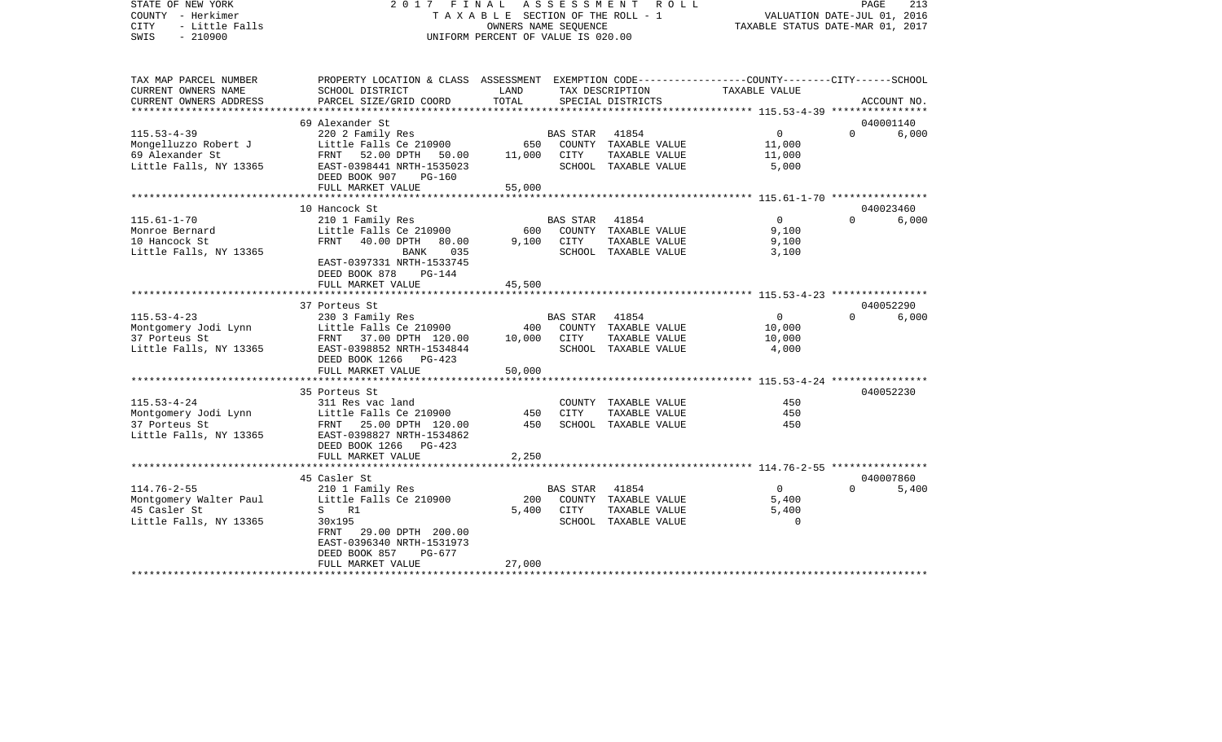| STATE OF NEW YORK<br>COUNTY - Herkimer<br><b>CITY</b><br>- Little Falls<br>$-210900$<br>SWIS | 2017 FINAL                                                                                                                                                            | TAXABLE SECTION OF THE ROLL - 1<br>OWNERS NAME SEQUENCE<br>UNIFORM PERCENT OF VALUE IS 020.00 | ASSESSMENT ROLL  | PAGE<br>213<br>VALUATION DATE-JUL 01, 2016<br>TAXABLE STATUS DATE-MAR 01, 2017 |                                                                 |          |                    |
|----------------------------------------------------------------------------------------------|-----------------------------------------------------------------------------------------------------------------------------------------------------------------------|-----------------------------------------------------------------------------------------------|------------------|--------------------------------------------------------------------------------|-----------------------------------------------------------------|----------|--------------------|
| TAX MAP PARCEL NUMBER                                                                        | PROPERTY LOCATION & CLASS ASSESSMENT EXEMPTION CODE---------------COUNTY-------CITY------SCHOOL                                                                       |                                                                                               |                  |                                                                                |                                                                 |          |                    |
| CURRENT OWNERS NAME<br>CURRENT OWNERS ADDRESS<br>*****************                           | SCHOOL DISTRICT<br>PARCEL SIZE/GRID COORD                                                                                                                             | LAND<br>TOTAL                                                                                 |                  | TAX DESCRIPTION<br>SPECIAL DISTRICTS                                           | TAXABLE VALUE<br>***************** 115.53-4-39 **************** |          | ACCOUNT NO.        |
|                                                                                              | 69 Alexander St                                                                                                                                                       |                                                                                               |                  |                                                                                |                                                                 |          | 040001140          |
| $115.53 - 4 - 39$<br>Mongelluzzo Robert J<br>69 Alexander St<br>Little Falls, NY 13365       | 220 2 Family Res<br>Little Falls Ce 210900<br>FRNT 52.00 DPTH 50.00<br>EAST-0398441 NRTH-1535023<br>DEED BOOK 907<br>PG-160                                           | 650<br>11,000                                                                                 | BAS STAR<br>CITY | 41854<br>COUNTY TAXABLE VALUE<br>TAXABLE VALUE<br>SCHOOL TAXABLE VALUE         | $\Omega$<br>11,000<br>11,000<br>5,000                           | $\Omega$ | 6,000              |
|                                                                                              | FULL MARKET VALUE                                                                                                                                                     | 55,000                                                                                        |                  |                                                                                |                                                                 |          |                    |
|                                                                                              |                                                                                                                                                                       |                                                                                               |                  |                                                                                |                                                                 |          |                    |
| $115.61 - 1 - 70$<br>Monroe Bernard<br>10 Hancock St<br>Little Falls, NY 13365               | 10 Hancock St<br>210 1 Family Res<br>Little Falls Ce 210900<br>FRNT<br>40.00 DPTH<br>80.00<br>BANK<br>035<br>EAST-0397331 NRTH-1533745<br>DEED BOOK 878<br>$PG-144$   | 600<br>9,100                                                                                  | BAS STAR<br>CITY | 41854<br>COUNTY TAXABLE VALUE<br>TAXABLE VALUE<br>SCHOOL TAXABLE VALUE         | $\overline{0}$<br>9,100<br>9,100<br>3,100                       | $\Omega$ | 040023460<br>6,000 |
|                                                                                              | FULL MARKET VALUE                                                                                                                                                     | 45,500                                                                                        |                  |                                                                                |                                                                 |          |                    |
|                                                                                              |                                                                                                                                                                       |                                                                                               |                  |                                                                                |                                                                 |          |                    |
|                                                                                              | 37 Porteus St                                                                                                                                                         |                                                                                               |                  |                                                                                |                                                                 |          | 040052290          |
| $115.53 - 4 - 23$<br>Montgomery Jodi Lynn<br>37 Porteus St<br>Little Falls, NY 13365         | 230 3 Family Res<br>Little Falls Ce 210900<br>FRNT 37.00 DPTH 120.00<br>EAST-0398852 NRTH-1534844<br>DEED BOOK 1266 PG-423                                            | 400<br>10,000                                                                                 | BAS STAR<br>CITY | 41854<br>COUNTY TAXABLE VALUE<br>TAXABLE VALUE<br>SCHOOL TAXABLE VALUE         | $\overline{0}$<br>10,000<br>10,000<br>4,000                     | $\Omega$ | 6,000              |
|                                                                                              | FULL MARKET VALUE                                                                                                                                                     | 50,000                                                                                        |                  |                                                                                |                                                                 |          |                    |
|                                                                                              |                                                                                                                                                                       |                                                                                               |                  |                                                                                |                                                                 |          |                    |
| $115.53 - 4 - 24$<br>Montgomery Jodi Lynn<br>37 Porteus St<br>Little Falls, NY 13365         | 35 Porteus St<br>311 Res vac land<br>Little Falls Ce 210900<br>FRNT 25.00 DPTH 120.00<br>EAST-0398827 NRTH-1534862<br>DEED BOOK 1266<br>$PG-423$<br>FULL MARKET VALUE | 450<br>450<br>2,250                                                                           | CITY             | COUNTY TAXABLE VALUE<br>TAXABLE VALUE<br>SCHOOL TAXABLE VALUE                  | 450<br>450<br>450                                               |          | 040052230          |
|                                                                                              |                                                                                                                                                                       |                                                                                               |                  |                                                                                |                                                                 |          |                    |
| $114.76 - 2 - 55$<br>Montgomery Walter Paul<br>45 Casler St<br>Little Falls, NY 13365        | 45 Casler St<br>210 1 Family Res<br>Little Falls Ce 210900<br>S<br>R1<br>30x195<br>FRNT<br>29.00 DPTH 200.00<br>EAST-0396340 NRTH-1531973<br>DEED BOOK 857<br>PG-677  | 200<br>5,400                                                                                  | BAS STAR<br>CITY | 41854<br>COUNTY TAXABLE VALUE<br>TAXABLE VALUE<br>SCHOOL TAXABLE VALUE         | $\overline{0}$<br>5,400<br>5,400<br>0                           | $\Omega$ | 040007860<br>5,400 |
| ************************                                                                     | FULL MARKET VALUE<br>*************************                                                                                                                        | 27,000<br>****************                                                                    |                  |                                                                                |                                                                 |          |                    |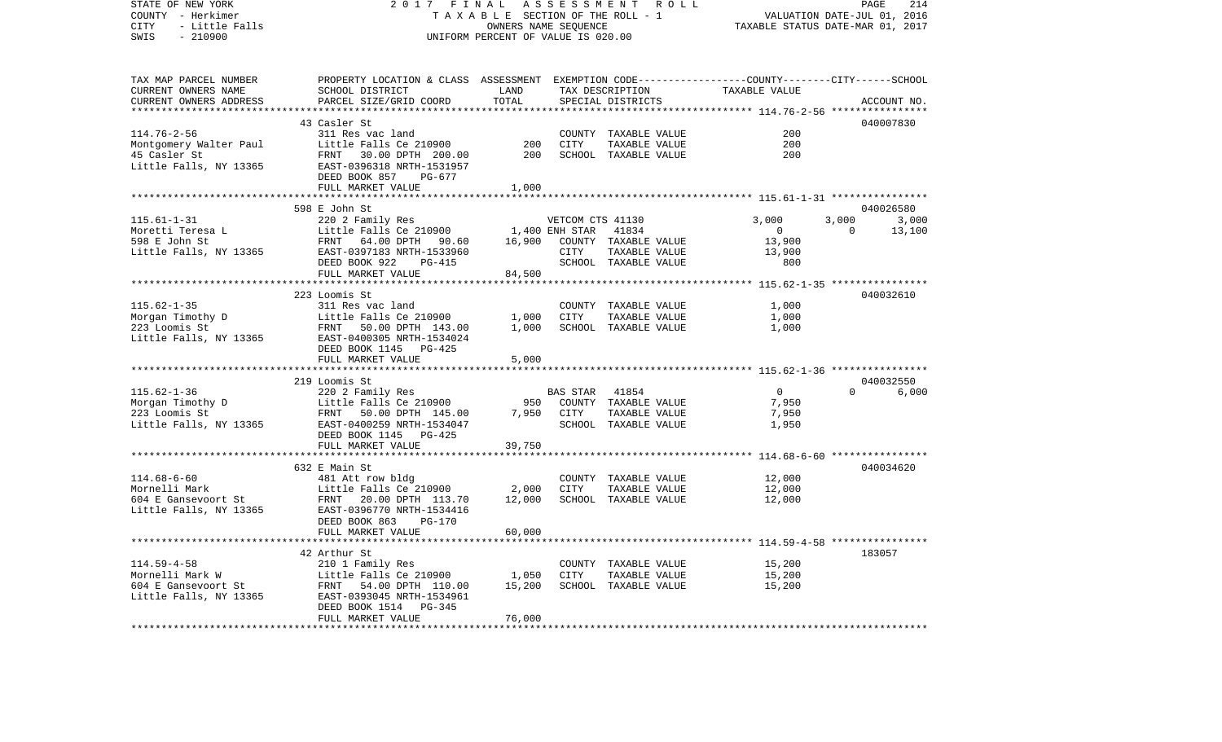| STATE OF NEW YORK<br>COUNTY - Herkimer<br>- Little Falls<br>CITY<br>SWIS<br>$-210900$ | 2017 FINAL<br>TAXABLE SECTION OF THE ROLL - 1<br>UNIFORM PERCENT OF VALUE IS 020.00                                | PAGE<br>214<br>VALUATION DATE-JUL 01, 2016<br>TAXABLE STATUS DATE-MAR 01, 2017 |                  |                                       |                                                         |          |                    |
|---------------------------------------------------------------------------------------|--------------------------------------------------------------------------------------------------------------------|--------------------------------------------------------------------------------|------------------|---------------------------------------|---------------------------------------------------------|----------|--------------------|
| TAX MAP PARCEL NUMBER<br>CURRENT OWNERS NAME                                          | PROPERTY LOCATION & CLASS ASSESSMENT EXEMPTION CODE---------------COUNTY-------CITY------SCHOOL<br>SCHOOL DISTRICT | LAND                                                                           |                  | TAX DESCRIPTION                       | TAXABLE VALUE                                           |          |                    |
| CURRENT OWNERS ADDRESS                                                                | PARCEL SIZE/GRID COORD                                                                                             | TOTAL<br>********************                                                  |                  | SPECIAL DISTRICTS                     | ************************** 114.76-2-56 **************** |          | ACCOUNT NO.        |
|                                                                                       | 43 Casler St                                                                                                       |                                                                                |                  |                                       |                                                         |          | 040007830          |
| $114.76 - 2 - 56$                                                                     | 311 Res vac land                                                                                                   |                                                                                |                  | COUNTY TAXABLE VALUE                  | 200                                                     |          |                    |
| Montgomery Walter Paul                                                                | Little Falls Ce 210900                                                                                             | 200                                                                            | CITY             | TAXABLE VALUE                         | 200                                                     |          |                    |
| 45 Casler St                                                                          | FRNT 30.00 DPTH 200.00                                                                                             | 200                                                                            |                  | SCHOOL TAXABLE VALUE                  | 200                                                     |          |                    |
| Little Falls, NY 13365                                                                | EAST-0396318 NRTH-1531957<br>DEED BOOK 857<br>PG-677                                                               |                                                                                |                  |                                       |                                                         |          |                    |
|                                                                                       | FULL MARKET VALUE                                                                                                  | 1,000                                                                          |                  |                                       |                                                         |          |                    |
|                                                                                       |                                                                                                                    |                                                                                |                  |                                       |                                                         |          |                    |
| $115.61 - 1 - 31$                                                                     | 598 E John St<br>220 2 Family Res                                                                                  |                                                                                | VETCOM CTS 41130 |                                       | 3,000                                                   | 3,000    | 040026580<br>3,000 |
| Moretti Teresa L                                                                      | Little Falls Ce 210900                                                                                             | 1,400 ENH STAR                                                                 |                  | 41834                                 | $\overline{0}$                                          | $\Omega$ | 13,100             |
| 598 E John St                                                                         | FRNT 64.00 DPTH 90.60                                                                                              | 16,900                                                                         |                  | COUNTY TAXABLE VALUE                  | 13,900                                                  |          |                    |
| Little Falls, NY 13365                                                                | EAST-0397183 NRTH-1533960                                                                                          |                                                                                | CITY             | TAXABLE VALUE                         | 13,900                                                  |          |                    |
|                                                                                       | DEED BOOK 922<br>PG-415                                                                                            |                                                                                |                  | SCHOOL TAXABLE VALUE                  | 800                                                     |          |                    |
|                                                                                       | FULL MARKET VALUE                                                                                                  | 84,500                                                                         |                  |                                       |                                                         |          |                    |
|                                                                                       |                                                                                                                    |                                                                                |                  |                                       |                                                         |          |                    |
|                                                                                       | 223 Loomis St                                                                                                      |                                                                                |                  |                                       |                                                         |          | 040032610          |
| $115.62 - 1 - 35$                                                                     | 311 Res vac land                                                                                                   |                                                                                |                  | COUNTY TAXABLE VALUE                  | 1,000                                                   |          |                    |
| Morgan Timothy D                                                                      | D<br>Little Falls Ce 210900<br>FRNT 50.00 DPTH 143.00                                                              | 1,000<br>1,000                                                                 | CITY             | TAXABLE VALUE<br>SCHOOL TAXABLE VALUE | 1,000<br>1,000                                          |          |                    |
| 223 Loomis St<br>Little Falls, NY 13365                                               | EAST-0400305 NRTH-1534024                                                                                          |                                                                                |                  |                                       |                                                         |          |                    |
|                                                                                       | DEED BOOK 1145 PG-425                                                                                              |                                                                                |                  |                                       |                                                         |          |                    |
|                                                                                       | FULL MARKET VALUE                                                                                                  | 5,000                                                                          |                  |                                       |                                                         |          |                    |
|                                                                                       |                                                                                                                    |                                                                                |                  |                                       |                                                         |          |                    |
|                                                                                       | Morgan Timothy D<br>220 2 Family Res<br>223 Loomis St<br>Little Falls NY 1226                                      |                                                                                |                  |                                       |                                                         |          | 040032550          |
|                                                                                       |                                                                                                                    |                                                                                | <b>BAS STAR</b>  | 41854                                 | $\overline{0}$                                          | $\Omega$ | 6,000              |
|                                                                                       |                                                                                                                    |                                                                                |                  | 950 COUNTY TAXABLE VALUE              | 7,950                                                   |          |                    |
|                                                                                       | FRNT 50.00 DPTH 145.00                                                                                             | 7,950                                                                          | CITY             | TAXABLE VALUE                         | 7,950                                                   |          |                    |
|                                                                                       | Little Falls, NY 13365 EAST-0400259 NRTH-1534047                                                                   |                                                                                |                  | SCHOOL TAXABLE VALUE                  | 1,950                                                   |          |                    |
|                                                                                       | DEED BOOK 1145 PG-425                                                                                              |                                                                                |                  |                                       |                                                         |          |                    |
|                                                                                       | FULL MARKET VALUE<br>***********************                                                                       | 39,750<br>* * * * * * * * * * *                                                |                  |                                       | ************************* 114.68-6-60 ***************** |          |                    |
|                                                                                       | 632 E Main St                                                                                                      |                                                                                |                  |                                       |                                                         |          | 040034620          |
| $114.68 - 6 - 60$                                                                     | 481 Att row bldg                                                                                                   |                                                                                |                  | COUNTY TAXABLE VALUE                  | 12,000                                                  |          |                    |
| Mornelli Mark                                                                         | Little Falls Ce 210900                                                                                             | 2,000                                                                          | CITY             | TAXABLE VALUE                         | 12,000                                                  |          |                    |
| Mornelli Mark<br>604 E Gansevoort St                                                  | FRNT 20.00 DPTH 113.70                                                                                             | 12,000                                                                         |                  | SCHOOL TAXABLE VALUE                  | 12,000                                                  |          |                    |
| Little Falls, NY 13365                                                                | EAST-0396770 NRTH-1534416                                                                                          |                                                                                |                  |                                       |                                                         |          |                    |
|                                                                                       | DEED BOOK 863 PG-170                                                                                               |                                                                                |                  |                                       |                                                         |          |                    |
|                                                                                       | FULL MARKET VALUE                                                                                                  | 60,000                                                                         |                  |                                       |                                                         |          |                    |
|                                                                                       | ************************                                                                                           |                                                                                |                  |                                       |                                                         |          |                    |
| $114.59 - 4 - 58$                                                                     | 42 Arthur St<br>210 1 Family Res                                                                                   |                                                                                |                  | COUNTY TAXABLE VALUE                  | 15,200                                                  |          | 183057             |
|                                                                                       | Little Falls Ce $210900$ 1,050                                                                                     |                                                                                | CITY             | TAXABLE VALUE                         | 15,200                                                  |          |                    |
| Mornelli Mark W<br>604 E Gansevoort St                                                | FRNT 54.00 DPTH 110.00                                                                                             | 15,200                                                                         |                  | SCHOOL TAXABLE VALUE                  | 15,200                                                  |          |                    |
| Little Falls, NY 13365                                                                | EAST-0393045 NRTH-1534961                                                                                          |                                                                                |                  |                                       |                                                         |          |                    |
|                                                                                       | DEED BOOK 1514 PG-345                                                                                              |                                                                                |                  |                                       |                                                         |          |                    |
|                                                                                       | FULL MARKET VALUE                                                                                                  | 76,000                                                                         |                  |                                       |                                                         |          |                    |
|                                                                                       |                                                                                                                    |                                                                                |                  |                                       |                                                         |          |                    |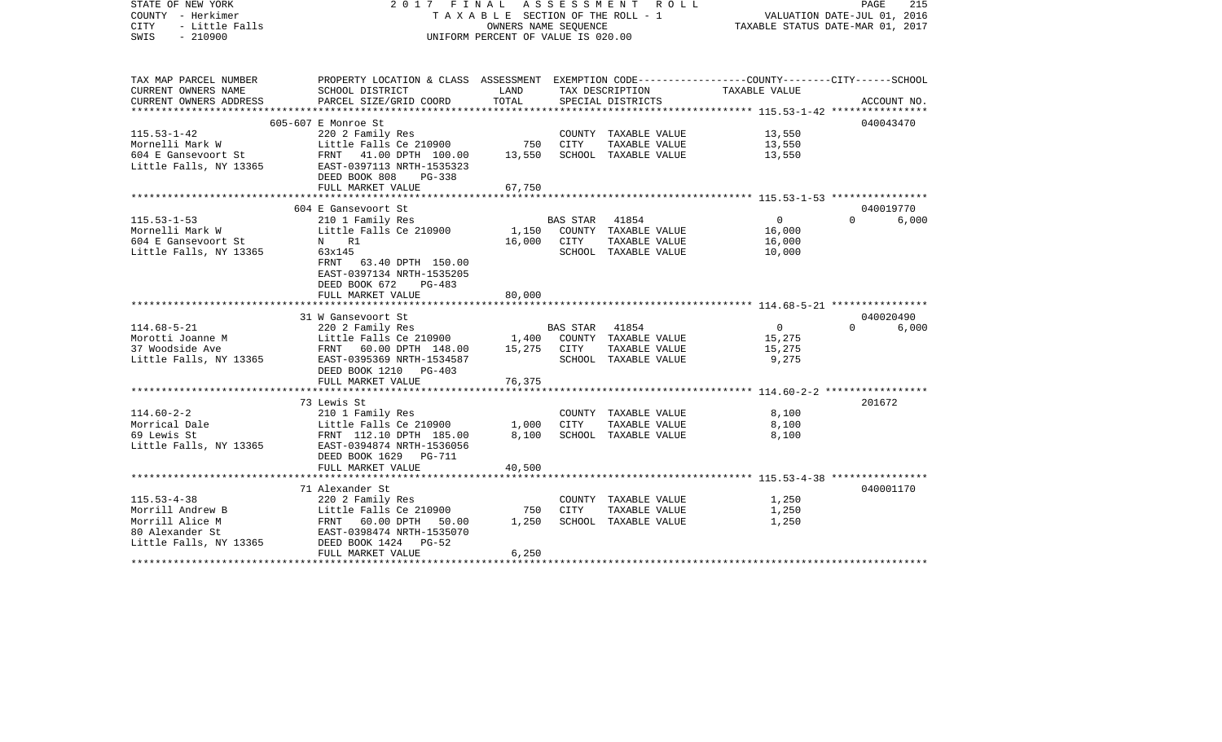| STATE OF NEW YORK<br>COUNTY - Herkimer<br><b>CITY</b><br>- Little Falls<br>SWIS<br>$-210900$ | 2017 FINAL ASSESSMENT ROLL<br>TAXABLE SECTION OF THE ROLL - 1<br>UNIFORM PERCENT OF VALUE IS 020.00                | 215<br>PAGE<br>VALUATION DATE-JUL 01, 2016<br>TAXABLE STATUS DATE-MAR 01, 2017 |                |                      |                |          |             |
|----------------------------------------------------------------------------------------------|--------------------------------------------------------------------------------------------------------------------|--------------------------------------------------------------------------------|----------------|----------------------|----------------|----------|-------------|
| TAX MAP PARCEL NUMBER<br>CURRENT OWNERS NAME                                                 | PROPERTY LOCATION & CLASS ASSESSMENT EXEMPTION CODE---------------COUNTY-------CITY------SCHOOL<br>SCHOOL DISTRICT | LAND                                                                           |                | TAX DESCRIPTION      | TAXABLE VALUE  |          |             |
| CURRENT OWNERS ADDRESS                                                                       | PARCEL SIZE/GRID COORD                                                                                             | TOTAL                                                                          |                | SPECIAL DISTRICTS    |                |          | ACCOUNT NO. |
|                                                                                              |                                                                                                                    |                                                                                |                |                      |                |          |             |
| $115.53 - 1 - 42$                                                                            | 605-607 E Monroe St<br>220 2 Family Res                                                                            |                                                                                |                | COUNTY TAXABLE VALUE | 13,550         |          | 040043470   |
| Mornelli Mark W                                                                              | Little Falls Ce 210900                                                                                             | 750                                                                            | CITY           | TAXABLE VALUE        | 13,550         |          |             |
| 604 E Gansevoort St                                                                          | FRNT 41.00 DPTH 100.00                                                                                             | 13,550                                                                         |                | SCHOOL TAXABLE VALUE | 13,550         |          |             |
| Little Falls, NY 13365                                                                       | EAST-0397113 NRTH-1535323                                                                                          |                                                                                |                |                      |                |          |             |
|                                                                                              | DEED BOOK 808<br>PG-338                                                                                            |                                                                                |                |                      |                |          |             |
|                                                                                              | FULL MARKET VALUE                                                                                                  | 67,750                                                                         |                |                      |                |          |             |
|                                                                                              |                                                                                                                    |                                                                                |                |                      |                |          | 040019770   |
| $115.53 - 1 - 53$                                                                            | 604 E Gansevoort St<br>210 1 Family Res                                                                            |                                                                                | BAS STAR 41854 |                      | $\overline{0}$ | $\Omega$ | 6,000       |
| Mornelli Mark W                                                                              | Little Falls Ce 210900                                                                                             | 1,150                                                                          |                | COUNTY TAXABLE VALUE | 16,000         |          |             |
| 604 E Gansevoort St                                                                          | N R1                                                                                                               |                                                                                | 16,000 CITY    | TAXABLE VALUE        | 16,000         |          |             |
| Little Falls, NY 13365                                                                       | 63x145                                                                                                             |                                                                                |                | SCHOOL TAXABLE VALUE | 10,000         |          |             |
|                                                                                              | FRNT 63.40 DPTH 150.00                                                                                             |                                                                                |                |                      |                |          |             |
|                                                                                              | EAST-0397134 NRTH-1535205                                                                                          |                                                                                |                |                      |                |          |             |
|                                                                                              | DEED BOOK 672<br>PG-483<br>FULL MARKET VALUE                                                                       | 80,000                                                                         |                |                      |                |          |             |
|                                                                                              |                                                                                                                    |                                                                                |                |                      |                |          |             |
|                                                                                              | 31 W Gansevoort St                                                                                                 |                                                                                |                |                      |                |          | 040020490   |
| $114.68 - 5 - 21$                                                                            | 220 2 Family Res                                                                                                   |                                                                                | BAS STAR 41854 |                      | $\overline{0}$ | $\Omega$ | 6,000       |
| Morotti Joanne M                                                                             | Little Falls Ce 210900 1,400 COUNTY TAXABLE VALUE                                                                  |                                                                                |                |                      | 15,275         |          |             |
| 37 Woodside Ave                                                                              | FRNT 60.00 DPTH 148.00                                                                                             |                                                                                | 15,275 CITY    | TAXABLE VALUE        | 15,275         |          |             |
| Little Falls, NY 13365                                                                       | EAST-0395369 NRTH-1534587                                                                                          |                                                                                |                | SCHOOL TAXABLE VALUE | 9,275          |          |             |
|                                                                                              | DEED BOOK 1210 PG-403<br>FULL MARKET VALUE                                                                         | 76,375                                                                         |                |                      |                |          |             |
|                                                                                              |                                                                                                                    |                                                                                |                |                      |                |          |             |
|                                                                                              | 73 Lewis St                                                                                                        |                                                                                |                |                      |                | 201672   |             |
| $114.60 - 2 - 2$                                                                             | 210 1 Family Res                                                                                                   |                                                                                |                | COUNTY TAXABLE VALUE | 8,100          |          |             |
| Morrical Dale                                                                                | Little Falls Ce 210900                                                                                             | 1,000                                                                          | CITY           | TAXABLE VALUE        | 8,100          |          |             |
| 69 Lewis St                                                                                  | FRNT 112.10 DPTH 185.00                                                                                            | 8,100                                                                          |                | SCHOOL TAXABLE VALUE | 8,100          |          |             |
| Little Falls, NY 13365                                                                       | EAST-0394874 NRTH-1536056                                                                                          |                                                                                |                |                      |                |          |             |
|                                                                                              | DEED BOOK 1629    PG-711<br>FULL MARKET VALUE                                                                      | 40,500                                                                         |                |                      |                |          |             |
|                                                                                              |                                                                                                                    |                                                                                |                |                      |                |          |             |
|                                                                                              | 71 Alexander St                                                                                                    |                                                                                |                |                      |                |          | 040001170   |
| $115.53 - 4 - 38$                                                                            | 220 2 Family Res                                                                                                   |                                                                                |                | COUNTY TAXABLE VALUE | 1,250          |          |             |
| Morrill Andrew B                                                                             | Little Falls Ce 210900                                                                                             | 750                                                                            | <b>CITY</b>    | TAXABLE VALUE        | 1,250          |          |             |
| Morrill Alice M                                                                              | FRNT 60.00 DPTH 50.00                                                                                              | 1,250                                                                          |                | SCHOOL TAXABLE VALUE | 1,250          |          |             |
| 80 Alexander St                                                                              | EAST-0398474 NRTH-1535070                                                                                          |                                                                                |                |                      |                |          |             |
| Little Falls, NY 13365                                                                       | DEED BOOK 1424<br>$PG-52$<br>FULL MARKET VALUE                                                                     | 6,250                                                                          |                |                      |                |          |             |
|                                                                                              |                                                                                                                    |                                                                                |                |                      |                |          |             |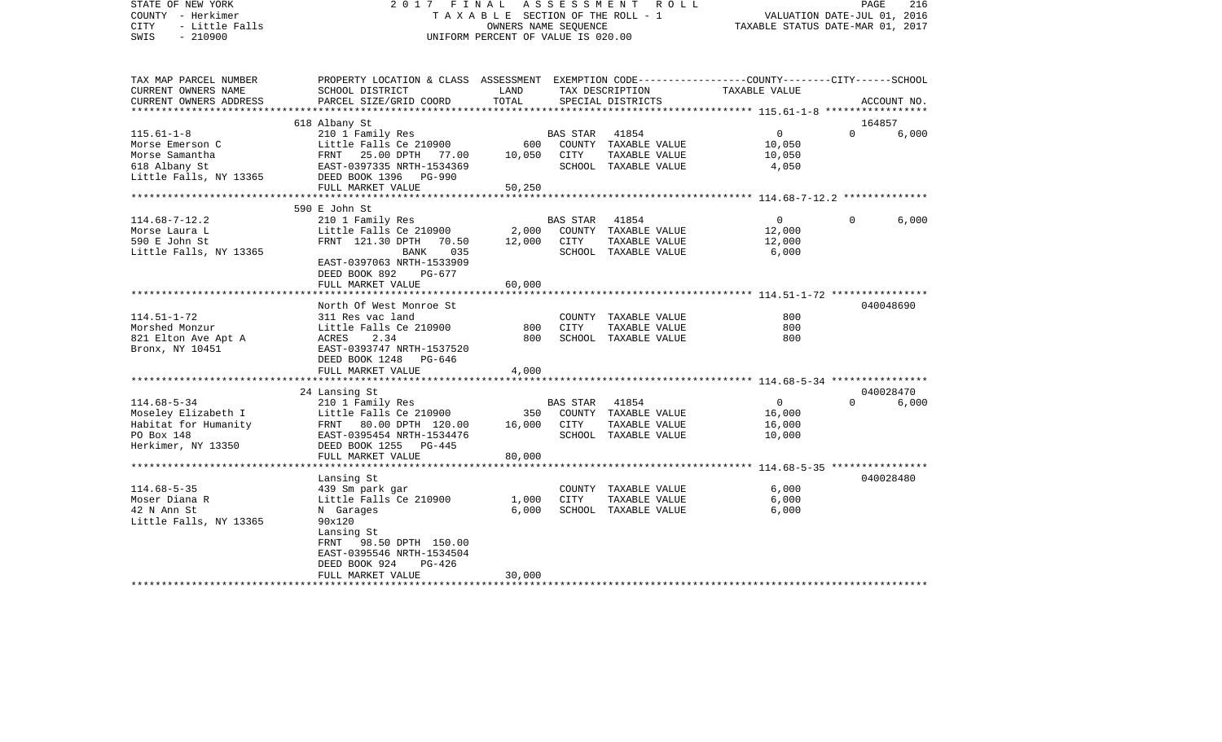| STATE OF NEW YORK<br>COUNTY - Herkimer<br>- Little Falls<br><b>CITY</b> | 2017                                                                                            | FINAL<br>TAXABLE SECTION OF THE ROLL - 1<br>OWNERS NAME SEQUENCE | ASSESSMENT      | R O L L              | TAXABLE STATUS DATE-MAR 01, 2017                | PAGE<br>VALUATION DATE-JUL 01, 2016 | 216         |
|-------------------------------------------------------------------------|-------------------------------------------------------------------------------------------------|------------------------------------------------------------------|-----------------|----------------------|-------------------------------------------------|-------------------------------------|-------------|
| $-210900$<br>SWIS                                                       |                                                                                                 | UNIFORM PERCENT OF VALUE IS 020.00                               |                 |                      |                                                 |                                     |             |
| TAX MAP PARCEL NUMBER                                                   | PROPERTY LOCATION & CLASS ASSESSMENT EXEMPTION CODE---------------COUNTY-------CITY------SCHOOL |                                                                  |                 |                      |                                                 |                                     |             |
| CURRENT OWNERS NAME                                                     | SCHOOL DISTRICT                                                                                 | LAND                                                             |                 | TAX DESCRIPTION      | TAXABLE VALUE                                   |                                     |             |
| CURRENT OWNERS ADDRESS                                                  | PARCEL SIZE/GRID COORD                                                                          | TOTAL                                                            |                 | SPECIAL DISTRICTS    | ***************** 115.61-1-8 ****************** |                                     | ACCOUNT NO. |
|                                                                         | 618 Albany St                                                                                   |                                                                  |                 |                      |                                                 | 164857                              |             |
| $115.61 - 1 - 8$                                                        | 210 1 Family Res                                                                                |                                                                  | <b>BAS STAR</b> | 41854                | $\overline{0}$                                  | $\Omega$                            | 6,000       |
| Morse Emerson C                                                         | Little Falls Ce 210900                                                                          | 600                                                              |                 | COUNTY TAXABLE VALUE | 10,050                                          |                                     |             |
| Morse Samantha                                                          | 25.00 DPTH 77.00<br>FRNT                                                                        | 10,050                                                           | CITY            | TAXABLE VALUE        | 10,050                                          |                                     |             |
| 618 Albany St                                                           | EAST-0397335 NRTH-1534369                                                                       |                                                                  |                 | SCHOOL TAXABLE VALUE | 4,050                                           |                                     |             |
| Little Falls, NY 13365                                                  | DEED BOOK 1396<br>PG-990                                                                        |                                                                  |                 |                      |                                                 |                                     |             |
|                                                                         | FULL MARKET VALUE                                                                               | 50,250<br>******                                                 |                 |                      | ********* 114.68-7-12.2 ***************         |                                     |             |
|                                                                         | 590 E John St                                                                                   |                                                                  |                 |                      |                                                 |                                     |             |
| $114.68 - 7 - 12.2$                                                     | 210 1 Family Res                                                                                |                                                                  | <b>BAS STAR</b> | 41854                | $\mathbf{0}$                                    | $\Omega$                            | 6,000       |
| Morse Laura L                                                           | Little Falls Ce 210900                                                                          | 2,000                                                            |                 | COUNTY TAXABLE VALUE | 12,000                                          |                                     |             |
| 590 E John St                                                           | FRNT 121.30 DPTH<br>70.50                                                                       | 12,000                                                           | CITY            | TAXABLE VALUE        | 12,000                                          |                                     |             |
| Little Falls, NY 13365                                                  | 035<br>BANK                                                                                     |                                                                  |                 | SCHOOL TAXABLE VALUE | 6,000                                           |                                     |             |
|                                                                         | EAST-0397063 NRTH-1533909                                                                       |                                                                  |                 |                      |                                                 |                                     |             |
|                                                                         | DEED BOOK 892<br>PG-677                                                                         |                                                                  |                 |                      |                                                 |                                     |             |
|                                                                         | FULL MARKET VALUE<br>***************************                                                | 60,000                                                           |                 |                      |                                                 |                                     |             |
|                                                                         | North Of West Monroe St                                                                         |                                                                  |                 |                      |                                                 |                                     | 040048690   |
| $114.51 - 1 - 72$                                                       | 311 Res vac land                                                                                |                                                                  |                 | COUNTY TAXABLE VALUE | 800                                             |                                     |             |
| Morshed Monzur                                                          | Little Falls Ce 210900                                                                          | 800                                                              | <b>CITY</b>     | TAXABLE VALUE        | 800                                             |                                     |             |
| 821 Elton Ave Apt A                                                     | ACRES<br>2.34                                                                                   | 800                                                              |                 | SCHOOL TAXABLE VALUE | 800                                             |                                     |             |
| Bronx, NY 10451                                                         | EAST-0393747 NRTH-1537520                                                                       |                                                                  |                 |                      |                                                 |                                     |             |
|                                                                         | DEED BOOK 1248<br>PG-646                                                                        |                                                                  |                 |                      |                                                 |                                     |             |
|                                                                         | FULL MARKET VALUE                                                                               | 4,000                                                            |                 |                      |                                                 |                                     |             |
|                                                                         | 24 Lansing St                                                                                   |                                                                  |                 |                      |                                                 |                                     | 040028470   |
| $114.68 - 5 - 34$                                                       | 210 1 Family Res                                                                                |                                                                  | BAS STAR        | 41854                | 0                                               | $\Omega$                            | 6,000       |
| Moseley Elizabeth I                                                     | Little Falls Ce 210900                                                                          | 350                                                              |                 | COUNTY TAXABLE VALUE | 16,000                                          |                                     |             |
| Habitat for Humanity                                                    | FRNT 80.00 DPTH 120.00                                                                          | 16,000                                                           | CITY            | TAXABLE VALUE        | 16,000                                          |                                     |             |
| PO Box 148                                                              | EAST-0395454 NRTH-1534476                                                                       |                                                                  |                 | SCHOOL TAXABLE VALUE | 10,000                                          |                                     |             |
| Herkimer, NY 13350                                                      | DEED BOOK 1255<br>$PG-445$                                                                      |                                                                  |                 |                      |                                                 |                                     |             |
|                                                                         | FULL MARKET VALUE<br>*************************                                                  | 80,000                                                           |                 |                      |                                                 |                                     |             |
|                                                                         |                                                                                                 |                                                                  |                 |                      |                                                 |                                     |             |
| $114.68 - 5 - 35$                                                       | Lansing St<br>439 Sm park gar                                                                   |                                                                  |                 | COUNTY TAXABLE VALUE | 6,000                                           |                                     | 040028480   |
| Moser Diana R                                                           | Little Falls Ce 210900                                                                          | 1,000                                                            | <b>CITY</b>     | TAXABLE VALUE        | 6,000                                           |                                     |             |
| 42 N Ann St                                                             | N Garages                                                                                       | 6,000                                                            |                 | SCHOOL TAXABLE VALUE | 6,000                                           |                                     |             |
| Little Falls, NY 13365                                                  | 90x120                                                                                          |                                                                  |                 |                      |                                                 |                                     |             |
|                                                                         | Lansing St                                                                                      |                                                                  |                 |                      |                                                 |                                     |             |
|                                                                         | FRNT<br>98.50 DPTH 150.00                                                                       |                                                                  |                 |                      |                                                 |                                     |             |
|                                                                         | EAST-0395546 NRTH-1534504                                                                       |                                                                  |                 |                      |                                                 |                                     |             |
|                                                                         | DEED BOOK 924<br>PG-426                                                                         |                                                                  |                 |                      |                                                 |                                     |             |
| **********************                                                  | FULL MARKET VALUE<br>*************************                                                  | 30,000<br>*****************                                      |                 |                      |                                                 |                                     |             |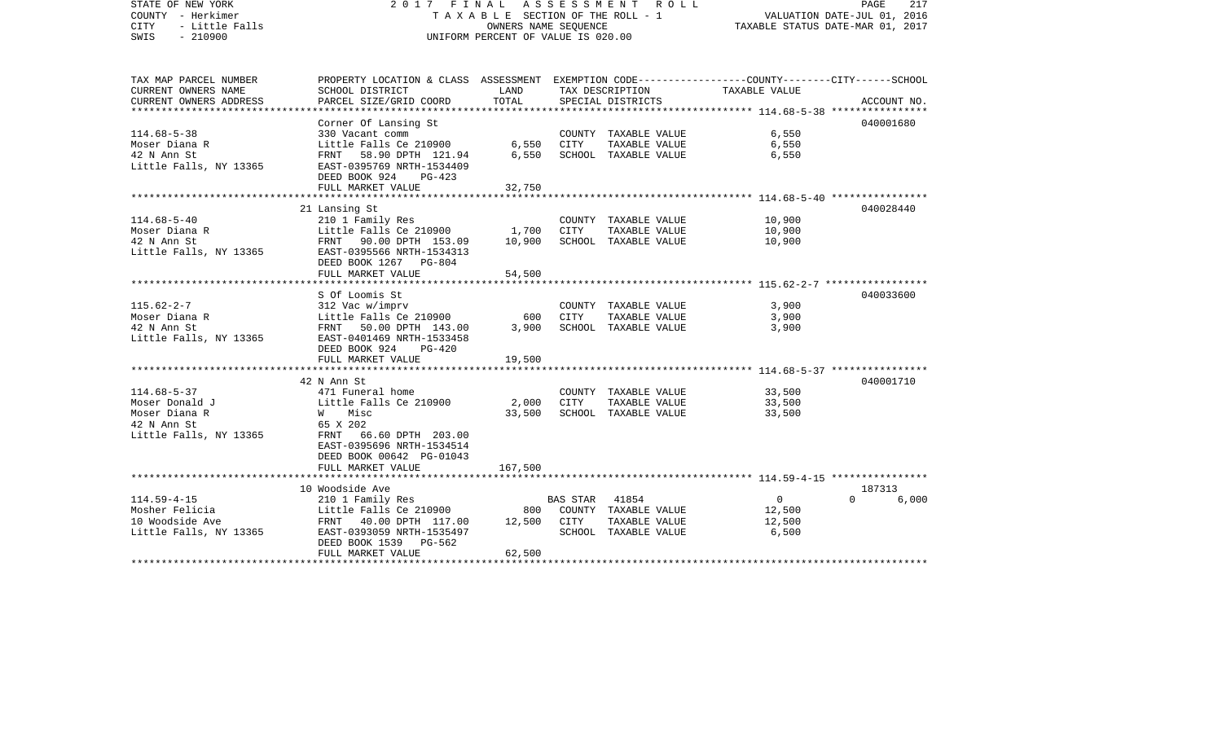| STATE OF NEW YORK<br>COUNTY - Herkimer<br>- Little Falls<br><b>CITY</b><br>$-210900$<br>SWIS | 2017 FINAL ASSESSMENT ROLL<br>T A X A B L E SECTION OF THE ROLL - 1<br>UNIFORM PERCENT OF VALUE IS 020.00          | PAGE<br>217<br>VALUATION DATE-JUL 01, 2016<br>TAXABLE STATUS DATE-MAR 01, 2017 |             |                                       |                 |           |             |
|----------------------------------------------------------------------------------------------|--------------------------------------------------------------------------------------------------------------------|--------------------------------------------------------------------------------|-------------|---------------------------------------|-----------------|-----------|-------------|
| TAX MAP PARCEL NUMBER<br>CURRENT OWNERS NAME                                                 | PROPERTY LOCATION & CLASS ASSESSMENT EXEMPTION CODE---------------COUNTY-------CITY------SCHOOL<br>SCHOOL DISTRICT | LAND                                                                           |             | TAX DESCRIPTION                       | TAXABLE VALUE   |           |             |
| CURRENT OWNERS ADDRESS                                                                       | PARCEL SIZE/GRID COORD                                                                                             | TOTAL                                                                          |             | SPECIAL DISTRICTS                     |                 |           | ACCOUNT NO. |
|                                                                                              | Corner Of Lansing St                                                                                               |                                                                                |             |                                       |                 | 040001680 |             |
| $114.68 - 5 - 38$                                                                            | 330 Vacant comm                                                                                                    |                                                                                |             | COUNTY TAXABLE VALUE                  | 6,550           |           |             |
| Moser Diana R                                                                                | Little Falls Ce 210900                                                                                             | 6,550                                                                          | CITY        | TAXABLE VALUE                         | 6,550           |           |             |
| 42 N Ann St                                                                                  | FRNT 58.90 DPTH 121.94                                                                                             | 6,550                                                                          |             | SCHOOL TAXABLE VALUE                  | 6,550           |           |             |
| Little Falls, NY 13365                                                                       | EAST-0395769 NRTH-1534409                                                                                          |                                                                                |             |                                       |                 |           |             |
|                                                                                              | DEED BOOK 924<br>$PG-423$<br>FULL MARKET VALUE                                                                     | 32,750                                                                         |             |                                       |                 |           |             |
|                                                                                              |                                                                                                                    |                                                                                |             |                                       |                 |           |             |
|                                                                                              | 21 Lansing St                                                                                                      |                                                                                |             |                                       |                 | 040028440 |             |
| $114.68 - 5 - 40$                                                                            | 210 1 Family Res                                                                                                   |                                                                                |             | COUNTY TAXABLE VALUE                  | 10,900          |           |             |
| Moser Diana R                                                                                | Little Falls Ce 210900                                                                                             | 1,700                                                                          | CITY        | TAXABLE VALUE                         | 10,900          |           |             |
| 42 N Ann St                                                                                  | FRNT 90.00 DPTH 153.09                                                                                             | 10,900                                                                         |             | SCHOOL TAXABLE VALUE                  | 10,900          |           |             |
| Little Falls, NY 13365 EAST-0395566 NRTH-1534313                                             | DEED BOOK 1267 PG-804                                                                                              |                                                                                |             |                                       |                 |           |             |
|                                                                                              | FULL MARKET VALUE                                                                                                  | 54,500                                                                         |             |                                       |                 |           |             |
|                                                                                              |                                                                                                                    |                                                                                |             |                                       |                 |           |             |
|                                                                                              | S Of Loomis St                                                                                                     |                                                                                |             |                                       |                 | 040033600 |             |
| $115.62 - 2 - 7$                                                                             | 312 Vac w/imprv                                                                                                    |                                                                                |             | COUNTY TAXABLE VALUE                  | 3,900           |           |             |
| Moser Diana R                                                                                | Little Falls Ce 210900                                                                                             | 600                                                                            | CITY        | TAXABLE VALUE                         | 3,900           |           |             |
| 42 N Ann St                                                                                  | FRNT 50.00 DPTH 143.00                                                                                             | 3,900                                                                          |             | SCHOOL TAXABLE VALUE                  | 3,900           |           |             |
| Little Falls, NY 13365                                                                       | EAST-0401469 NRTH-1533458<br>DEED BOOK 924<br>PG-420                                                               |                                                                                |             |                                       |                 |           |             |
|                                                                                              | FULL MARKET VALUE                                                                                                  | 19,500                                                                         |             |                                       |                 |           |             |
|                                                                                              |                                                                                                                    |                                                                                |             |                                       |                 |           |             |
|                                                                                              | 42 N Ann St                                                                                                        |                                                                                |             |                                       |                 | 040001710 |             |
| $114.68 - 5 - 37$                                                                            | 471 Funeral home                                                                                                   |                                                                                |             | COUNTY TAXABLE VALUE                  | 33,500          |           |             |
| Moser Donald J                                                                               | Little Falls Ce 210900                                                                                             | 2,000                                                                          | <b>CITY</b> | TAXABLE VALUE                         | 33,500          |           |             |
| Moser Diana R<br>42 N Ann St                                                                 | W Misc<br>65 X 202                                                                                                 | 33,500                                                                         |             | SCHOOL TAXABLE VALUE                  | 33,500          |           |             |
| Little Falls, NY 13365                                                                       | FRNT 66.60 DPTH 203.00                                                                                             |                                                                                |             |                                       |                 |           |             |
|                                                                                              | EAST-0395696 NRTH-1534514                                                                                          |                                                                                |             |                                       |                 |           |             |
|                                                                                              | DEED BOOK 00642 PG-01043                                                                                           |                                                                                |             |                                       |                 |           |             |
|                                                                                              | FULL MARKET VALUE                                                                                                  | 167,500                                                                        |             |                                       |                 |           |             |
|                                                                                              |                                                                                                                    |                                                                                |             |                                       |                 |           |             |
|                                                                                              | 10 Woodside Ave                                                                                                    |                                                                                |             |                                       |                 | 187313    |             |
| $114.59 - 4 - 15$                                                                            | 210 1 Family Res                                                                                                   |                                                                                | BAS STAR    | 41854                                 | $\overline{0}$  | $\Omega$  | 6,000       |
| Mosher Felicia                                                                               | Little Falls Ce 210900                                                                                             | 800                                                                            |             | COUNTY TAXABLE VALUE                  | 12,500          |           |             |
| 10 Woodside Ave<br>Little Falls, NY 13365                                                    | FRNT 40.00 DPTH 117.00<br>EAST-0393059 NRTH-1535497                                                                | 12,500 CITY                                                                    |             | TAXABLE VALUE<br>SCHOOL TAXABLE VALUE | 12,500<br>6,500 |           |             |
|                                                                                              | DEED BOOK 1539<br>PG-562                                                                                           |                                                                                |             |                                       |                 |           |             |
|                                                                                              | FULL MARKET VALUE                                                                                                  | 62,500                                                                         |             |                                       |                 |           |             |
|                                                                                              |                                                                                                                    |                                                                                |             |                                       |                 |           |             |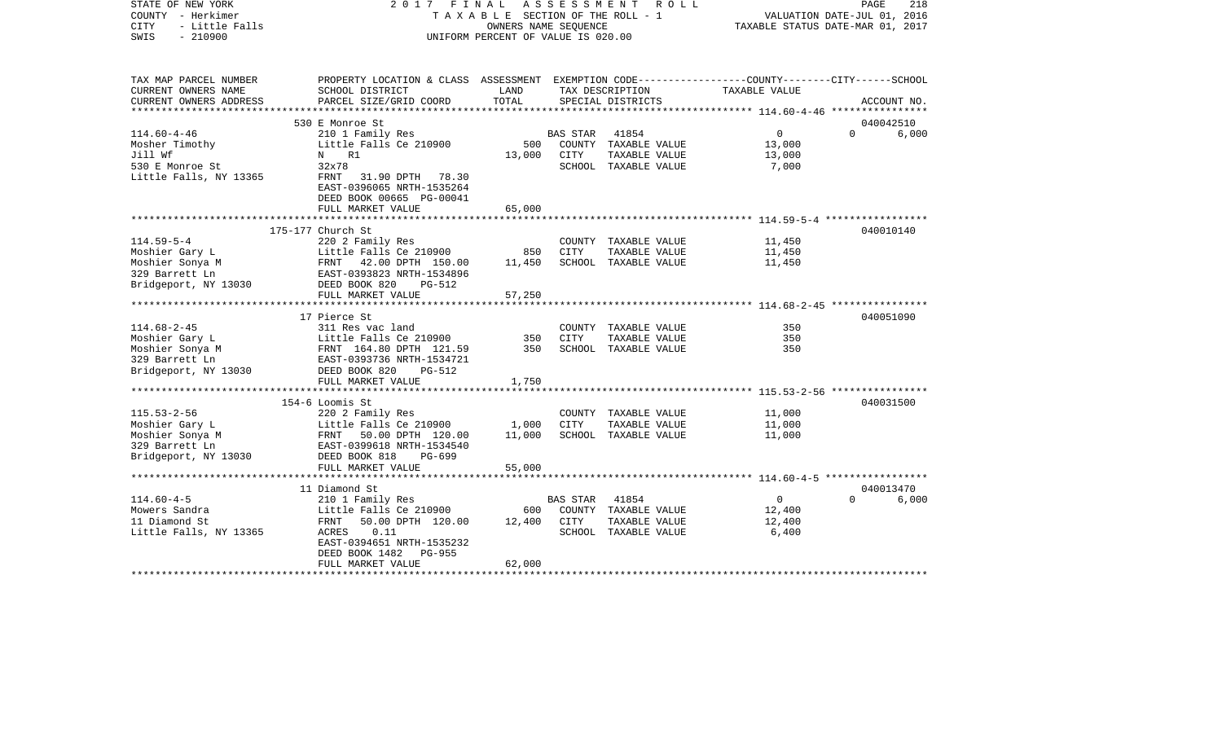| STATE OF NEW YORK<br>COUNTY - Herkimer<br><b>CITY</b><br>- Little Falls<br>$-210900$<br>SWIS | 2017 FINAL<br>TAXABLE SECTION OF THE ROLL - 1<br>UNIFORM PERCENT OF VALUE IS 020.00                 | A S S E S S M E N T R O L L<br>PAGE<br>218<br>VALUATION DATE-JUL 01, 2016<br>TAXABLE STATUS DATE-MAR 01, 2017 |                |                                      |                |             |       |
|----------------------------------------------------------------------------------------------|-----------------------------------------------------------------------------------------------------|---------------------------------------------------------------------------------------------------------------|----------------|--------------------------------------|----------------|-------------|-------|
| TAX MAP PARCEL NUMBER                                                                        | PROPERTY LOCATION & CLASS ASSESSMENT EXEMPTION CODE---------------COUNTY-------CITY------SCHOOL     |                                                                                                               |                |                                      |                |             |       |
| CURRENT OWNERS NAME<br>CURRENT OWNERS ADDRESS                                                | SCHOOL DISTRICT<br>PARCEL SIZE/GRID COORD                                                           | LAND<br>TOTAL                                                                                                 |                | TAX DESCRIPTION<br>SPECIAL DISTRICTS | TAXABLE VALUE  | ACCOUNT NO. |       |
|                                                                                              |                                                                                                     |                                                                                                               |                |                                      |                |             |       |
|                                                                                              | 530 E Monroe St                                                                                     |                                                                                                               |                |                                      |                | 040042510   |       |
| $114.60 - 4 - 46$                                                                            | 210 1 Family Res                                                                                    |                                                                                                               | BAS STAR       | 41854                                | $\overline{0}$ | $\Omega$    | 6,000 |
| Mosher Timothy                                                                               | Little Falls Ce 210900                                                                              | 500                                                                                                           |                | COUNTY TAXABLE VALUE                 | 13,000         |             |       |
| Jill Wf                                                                                      | N R1                                                                                                | 13,000                                                                                                        | CITY           | TAXABLE VALUE                        | 13,000         |             |       |
| 530 E Monroe St                                                                              | 32x78                                                                                               |                                                                                                               |                | SCHOOL TAXABLE VALUE                 | 7,000          |             |       |
| Little Falls, NY 13365                                                                       | FRNT 31.90 DPTH 78.30<br>EAST-0396065 NRTH-1535264<br>DEED BOOK 00665 PG-00041<br>FULL MARKET VALUE | 65,000                                                                                                        |                |                                      |                |             |       |
|                                                                                              |                                                                                                     |                                                                                                               |                |                                      |                |             |       |
|                                                                                              | 175-177 Church St                                                                                   |                                                                                                               |                |                                      |                | 040010140   |       |
| $114.59 - 5 - 4$                                                                             | 220 2 Family Res                                                                                    |                                                                                                               |                | COUNTY TAXABLE VALUE                 | 11,450         |             |       |
| Moshier Gary L                                                                               |                                                                                                     | 850                                                                                                           | CITY           | TAXABLE VALUE                        | 11,450         |             |       |
| Moshier Sonya M                                                                              |                                                                                                     | 11,450                                                                                                        |                | SCHOOL TAXABLE VALUE                 | 11,450         |             |       |
| 329 Barrett Ln                                                                               | Little Falls Ce 210900<br>FRNT 42.00 DPTH 150.00<br>EAST-0393823 NRTH-1534896                       |                                                                                                               |                |                                      |                |             |       |
| Bridgeport, NY 13030                                                                         | DEED BOOK 820<br>PG-512                                                                             |                                                                                                               |                |                                      |                |             |       |
|                                                                                              | FULL MARKET VALUE                                                                                   | 57,250                                                                                                        |                |                                      |                |             |       |
|                                                                                              |                                                                                                     |                                                                                                               |                |                                      |                |             |       |
|                                                                                              | 17 Pierce St                                                                                        |                                                                                                               |                |                                      |                | 040051090   |       |
| $114.68 - 2 - 45$                                                                            | 311 Res vac land                                                                                    |                                                                                                               |                | COUNTY TAXABLE VALUE                 | 350            |             |       |
| Moshier Gary L                                                                               |                                                                                                     | 350                                                                                                           | <b>CITY</b>    | TAXABLE VALUE                        | 350            |             |       |
| Moshier Sonya M                                                                              | Little Falls Ce 210900<br>FRNT 164.80 DPTH 121.59<br>EAST-0393736 NRTH-1534721                      | 350                                                                                                           |                | SCHOOL TAXABLE VALUE                 | 350            |             |       |
| 329 Barrett Ln                                                                               |                                                                                                     |                                                                                                               |                |                                      |                |             |       |
| Bridgeport, NY 13030                                                                         | DEED BOOK 820<br>PG-512                                                                             |                                                                                                               |                |                                      |                |             |       |
|                                                                                              | FULL MARKET VALUE                                                                                   | 1,750                                                                                                         |                |                                      |                |             |       |
|                                                                                              | 154-6 Loomis St                                                                                     |                                                                                                               |                |                                      |                | 040031500   |       |
| $115.53 - 2 - 56$                                                                            |                                                                                                     |                                                                                                               |                | COUNTY TAXABLE VALUE                 | 11,000         |             |       |
| Moshier Gary L                                                                               |                                                                                                     | 1,000                                                                                                         | CITY           | TAXABLE VALUE                        | 11,000         |             |       |
| Moshier Sonya M                                                                              | 220 2 Family Res<br>Little Falls Ce 210900<br>FRNT   50.00 DPTH  120.00                             | 11,000                                                                                                        |                | SCHOOL TAXABLE VALUE                 | 11,000         |             |       |
| 329 Barrett Ln                                                                               | EAST-0399618 NRTH-1534540                                                                           |                                                                                                               |                |                                      |                |             |       |
| 329 Barrett Ln<br>Bridgeport, NY 13030                                                       | DEED BOOK 818<br>PG-699                                                                             |                                                                                                               |                |                                      |                |             |       |
|                                                                                              | FULL MARKET VALUE                                                                                   | 55,000                                                                                                        |                |                                      |                |             |       |
|                                                                                              |                                                                                                     |                                                                                                               |                |                                      |                |             |       |
|                                                                                              | 11 Diamond St                                                                                       |                                                                                                               |                |                                      |                | 040013470   |       |
| $114.60 - 4 - 5$                                                                             | 210 1 Family Res                                                                                    |                                                                                                               | BAS STAR 41854 |                                      | $\overline{0}$ | $\Omega$    | 6,000 |
| Mowers Sandra                                                                                | Little Falls Ce 210900                                                                              | 600                                                                                                           |                | COUNTY TAXABLE VALUE                 | 12,400         |             |       |
| 11 Diamond St                                                                                | 50.00 DPTH 120.00<br>FRNT                                                                           | 12,400                                                                                                        | CITY           | TAXABLE VALUE                        | 12,400         |             |       |
| Little Falls, NY 13365                                                                       | ACRES<br>0.11                                                                                       |                                                                                                               |                | SCHOOL TAXABLE VALUE                 | 6,400          |             |       |
|                                                                                              | EAST-0394651 NRTH-1535232                                                                           |                                                                                                               |                |                                      |                |             |       |
|                                                                                              | DEED BOOK 1482<br>PG-955                                                                            |                                                                                                               |                |                                      |                |             |       |
|                                                                                              | FULL MARKET VALUE<br>**************************************                                         | 62,000                                                                                                        |                |                                      |                |             |       |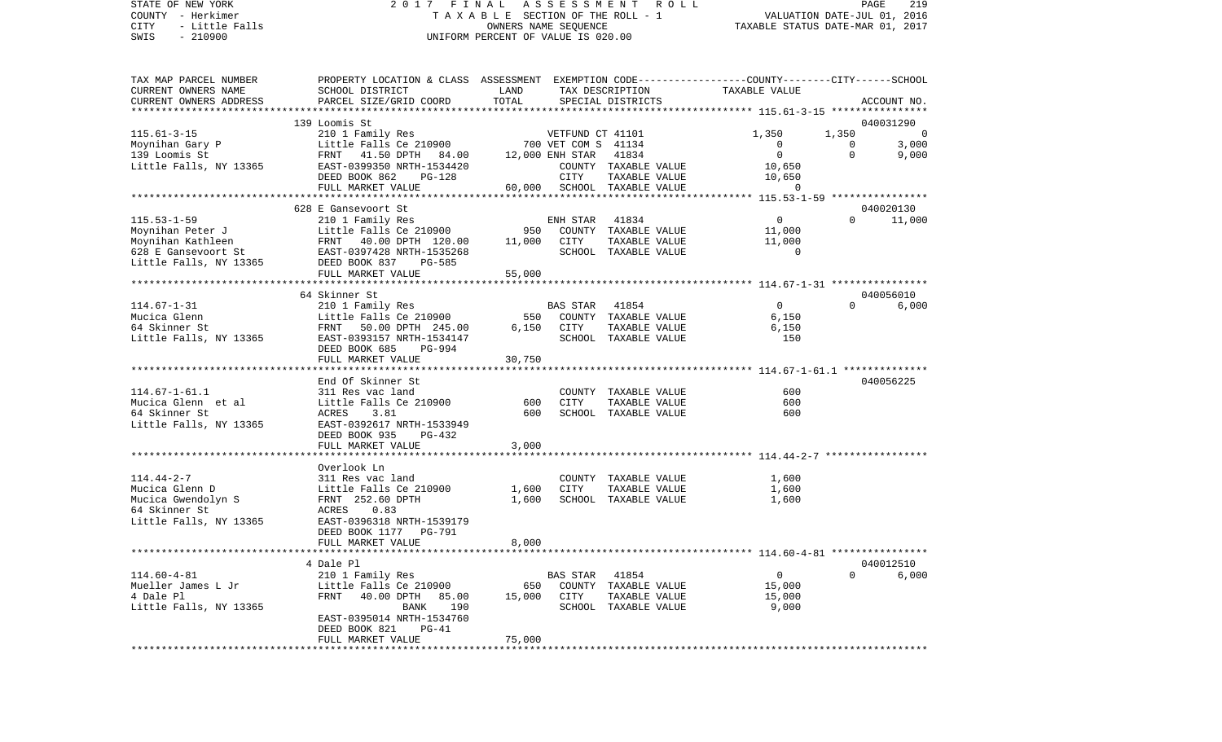STATE OF NEW YORK 2 0 1 7 F I N A L A S S E S S M E N T R O L L PAGE 219 COUNTY - Herkimer T A X A B L E SECTION OF THE ROLL - 1 VALUATION DATE-JUL 01, 2016 CITY - Little Falls OWNERS NAME SEQUENCE TAXABLE STATUS DATE-MAR 01, 2017 SWIS - 210900 UNIFORM PERCENT OF VALUE IS 020.00

| TAX MAP PARCEL NUMBER<br>CURRENT OWNERS NAME<br>CURRENT OWNERS ADDRESS                              | PROPERTY LOCATION & CLASS ASSESSMENT EXEMPTION CODE---------------COUNTY-------CITY------SCHOOL<br>SCHOOL DISTRICT<br>PARCEL SIZE/GRID COORD | LAND<br>TOTAL           |                                         | TAX DESCRIPTION<br>SPECIAL DISTRICTS                                   | TAXABLE VALUE                               |                      | ACCOUNT NO.          |
|-----------------------------------------------------------------------------------------------------|----------------------------------------------------------------------------------------------------------------------------------------------|-------------------------|-----------------------------------------|------------------------------------------------------------------------|---------------------------------------------|----------------------|----------------------|
|                                                                                                     |                                                                                                                                              |                         |                                         |                                                                        |                                             |                      |                      |
|                                                                                                     | 139 Loomis St                                                                                                                                |                         |                                         |                                                                        |                                             |                      | 040031290            |
| $115.61 - 3 - 15$<br>Moynihan Gary P                                                                | 210 1 Family Res<br>Little Falls Ce 210900                                                                                                   |                         | VETFUND CT 41101<br>700 VET COM S 41134 |                                                                        | 1,350<br>$\circ$                            | 1,350<br>$\mathbf 0$ | $\mathbf 0$<br>3,000 |
| 139 Loomis St<br>Little Falls, NY 13365                                                             | FRNT 41.50 DPTH 84.00<br>EAST-0399350 NRTH-1534420<br>DEED BOOK 862<br>PG-128                                                                |                         | 12,000 ENH STAR<br>CITY                 | 41834<br>COUNTY TAXABLE VALUE<br>TAXABLE VALUE                         | $\mathbf{0}$<br>10,650<br>10,650            | $\mathbf 0$          | 9,000                |
|                                                                                                     | FULL MARKET VALUE<br>***************************                                                                                             |                         |                                         | 60,000 SCHOOL TAXABLE VALUE                                            | $\overline{0}$                              |                      |                      |
|                                                                                                     |                                                                                                                                              | *********************** |                                         |                                                                        | ********** 115.53-1-59 ****************     |                      |                      |
| $115.53 - 1 - 59$                                                                                   | 628 E Gansevoort St<br>210 1 Family Res                                                                                                      |                         | ENH STAR                                | 41834                                                                  | $\overline{0}$                              | $\Omega$             | 040020130<br>11,000  |
| Moynihan Peter J<br>Moynihan Kathleen<br>628 E Gansevoort St<br>Little Falls, NY 13365              | Little Falls Ce 210900<br>FRNT 40.00 DPTH 120.00<br>EAST-0397428 NRTH-1535268<br>DEED BOOK 837<br><b>PG-585</b>                              | 950<br>11,000           | CITY                                    | COUNTY TAXABLE VALUE<br>TAXABLE VALUE<br>SCHOOL TAXABLE VALUE          | 11,000<br>11,000<br>$\Omega$                |                      |                      |
|                                                                                                     | FULL MARKET VALUE                                                                                                                            | 55,000                  |                                         |                                                                        |                                             |                      |                      |
|                                                                                                     |                                                                                                                                              |                         |                                         |                                                                        | ************* 114.67-1-31 ***************** |                      |                      |
|                                                                                                     | 64 Skinner St                                                                                                                                |                         |                                         |                                                                        |                                             |                      | 040056010            |
| $114.67 - 1 - 31$<br>Mucica Glenn<br>64 Skinner St<br>Little Falls, NY 13365                        | 210 1 Family Res<br>Little Falls Ce 210900<br>FRNT 50.00 DPTH 245.00<br>EAST-0393157 NRTH-1534147<br>DEED BOOK 685<br>PG-994                 | 550<br>6,150            | BAS STAR<br>CITY                        | 41854<br>COUNTY TAXABLE VALUE<br>TAXABLE VALUE<br>SCHOOL TAXABLE VALUE | $\overline{0}$<br>6,150<br>6,150<br>150     | $\Omega$             | 6,000                |
|                                                                                                     | FULL MARKET VALUE                                                                                                                            | 30,750                  |                                         |                                                                        |                                             |                      |                      |
|                                                                                                     |                                                                                                                                              |                         |                                         |                                                                        |                                             |                      |                      |
|                                                                                                     | End Of Skinner St                                                                                                                            |                         |                                         |                                                                        |                                             |                      | 040056225            |
| $114.67 - 1 - 61.1$                                                                                 | 311 Res vac land                                                                                                                             |                         |                                         | COUNTY TAXABLE VALUE                                                   | 600                                         |                      |                      |
| Mucica Glenn et al                                                                                  | Little Falls Ce 210900                                                                                                                       | 600                     | CITY                                    | TAXABLE VALUE                                                          | 600                                         |                      |                      |
| 64 Skinner St<br>Little Falls, NY 13365                                                             | ACRES<br>3.81<br>EAST-0392617 NRTH-1533949<br>DEED BOOK 935<br>PG-432                                                                        | 600                     |                                         | SCHOOL TAXABLE VALUE                                                   | 600                                         |                      |                      |
|                                                                                                     | FULL MARKET VALUE<br>*********************                                                                                                   | 3,000<br>***********    |                                         |                                                                        | ************************* 114.44-2-7        |                      |                      |
|                                                                                                     | Overlook Ln                                                                                                                                  |                         |                                         |                                                                        |                                             |                      |                      |
| $114.44 - 2 - 7$<br>Mucica Glenn D<br>Mucica Gwendolyn S<br>64 Skinner St<br>Little Falls, NY 13365 | 311 Res vac land<br>Little Falls Ce 210900<br>FRNT 252.60 DPTH<br>ACRES<br>0.83<br>EAST-0396318 NRTH-1539179                                 | 1,600<br>1,600          | CITY                                    | COUNTY TAXABLE VALUE<br>TAXABLE VALUE<br>SCHOOL TAXABLE VALUE          | 1,600<br>1,600<br>1,600                     |                      |                      |
|                                                                                                     | DEED BOOK 1177 PG-791                                                                                                                        |                         |                                         |                                                                        |                                             |                      |                      |
|                                                                                                     | FULL MARKET VALUE                                                                                                                            | 8,000                   |                                         |                                                                        |                                             |                      |                      |
|                                                                                                     |                                                                                                                                              |                         |                                         |                                                                        |                                             |                      |                      |
|                                                                                                     | 4 Dale Pl                                                                                                                                    |                         |                                         |                                                                        |                                             | $\Omega$             | 040012510            |
| $114.60 - 4 - 81$<br>Mueller James L Jr                                                             | 210 1 Family Res<br>Little Falls Ce 210900                                                                                                   | 650                     | <b>BAS STAR</b>                         | 41854<br>COUNTY TAXABLE VALUE                                          | $\overline{0}$<br>15,000                    |                      | 6,000                |
| 4 Dale Pl                                                                                           | FRNT<br>40.00 DPTH<br>85.00                                                                                                                  | 15,000                  | CITY                                    | TAXABLE VALUE                                                          | 15,000                                      |                      |                      |
| Little Falls, NY 13365                                                                              | BANK<br>190<br>EAST-0395014 NRTH-1534760<br>$PG-41$                                                                                          |                         |                                         | SCHOOL TAXABLE VALUE                                                   | 9,000                                       |                      |                      |
|                                                                                                     | DEED BOOK 821<br>FULL MARKET VALUE                                                                                                           | 75,000                  |                                         |                                                                        |                                             |                      |                      |
|                                                                                                     |                                                                                                                                              |                         |                                         |                                                                        |                                             |                      |                      |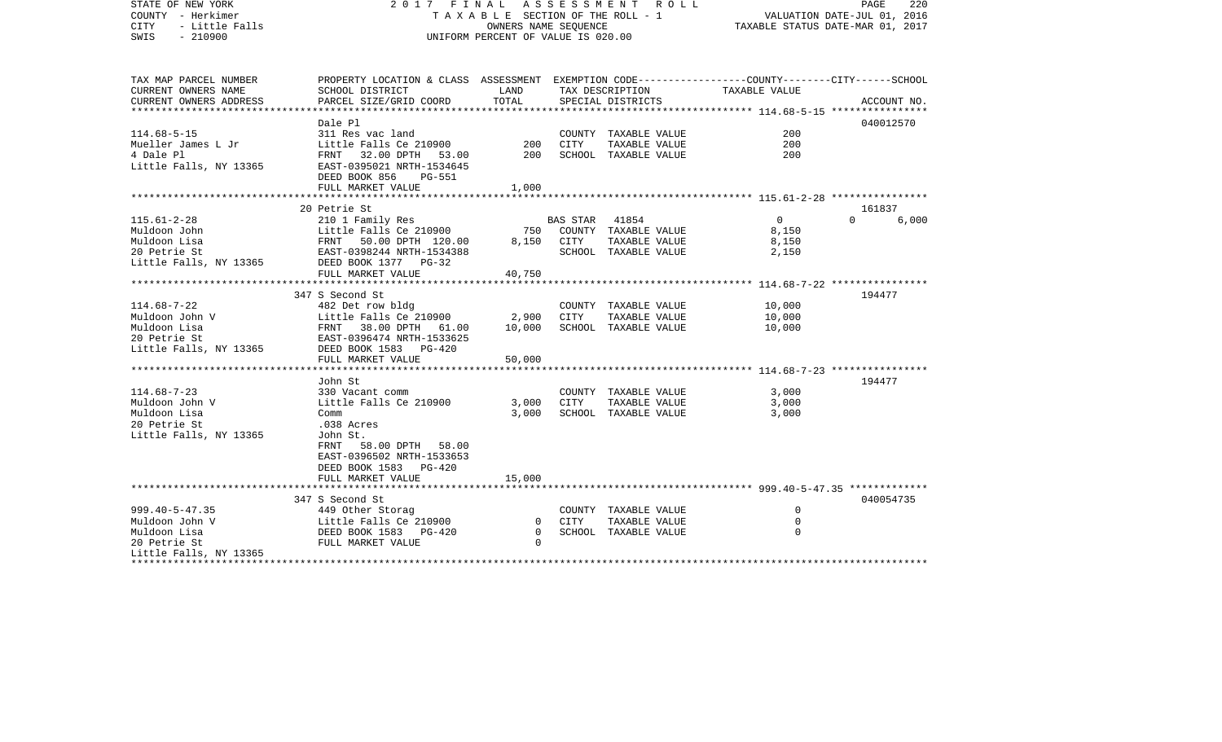STATE OF NEW YORK 2 0 1 7 F I N A L A S S E S S M E N T R O L L PAGE 220COUNTY - Herkimer T A X A B L E SECTION OF THE ROLL - 1 VALUATION DATE-JUL 01, 2016 CITY - Little Falls OWNERS NAME SEQUENCE TAXABLE STATUS DATE-MAR 01, 2017 SWIS - 210900 UNIFORM PERCENT OF VALUE IS 020.00TAX MAP PARCEL NUMBER PROPERTY LOCATION & CLASS ASSESSMENT EXEMPTION CODE------------------COUNTY--------CITY------SCHOOL CURRENT OWNERS NAME SCHOOL DISTRICT LAND TAX DESCRIPTION TAXABLE VALUECURRENT OWNERS ADDRESS PARCEL SIZE/GRID COORD TOTAL SPECIAL DISTRICTS ACCOUNT NO. \*\*\*\*\*\*\*\*\*\*\*\*\*\*\*\*\*\*\*\*\*\*\*\*\*\*\*\*\*\*\*\*\*\*\*\*\*\*\*\*\*\*\*\*\*\*\*\*\*\*\*\*\*\*\*\*\*\*\*\*\*\*\*\*\*\*\*\*\*\*\*\*\*\*\*\*\*\*\*\*\*\*\*\*\*\*\*\*\*\*\*\*\*\*\*\*\*\*\*\*\*\*\* 114.68-5-15 \*\*\*\*\*\*\*\*\*\*\*\*\*\*\*\* Dale Pl 040012570040012570 114.68-5-15 311 Res vac land COUNTY TAXABLE VALUE 200Mueller James L Jr Little Falls Ce 210900 200 CITY TAXABLE VALUE 2004 Dale Pl FRNT 32.00 DPTH 53.00 200 SCHOOL TAXABLE VALUE 200Little Falls, NY 13365 EAST-0395021 NRTH-1534645 DEED BOOK 856 PG-551FULL MARKET VALUE 1,000 \*\*\*\*\*\*\*\*\*\*\*\*\*\*\*\*\*\*\*\*\*\*\*\*\*\*\*\*\*\*\*\*\*\*\*\*\*\*\*\*\*\*\*\*\*\*\*\*\*\*\*\*\*\*\*\*\*\*\*\*\*\*\*\*\*\*\*\*\*\*\*\*\*\*\*\*\*\*\*\*\*\*\*\*\*\*\*\*\*\*\*\*\*\*\*\*\*\*\*\*\*\*\* 115.61-2-28 \*\*\*\*\*\*\*\*\*\*\*\*\*\*\*\* 20 Petrie St 161837115.61-2-28 210 1 Family Res BAS STAR 41854 0 0 6,000 Muldoon John Little Falls Ce 210900 750 COUNTY TAXABLE VALUE 8,150 Muldoon Lisa FRNT 50.00 DPTH 120.00 8,150 CITY TAXABLE VALUE 8,150 20 Petrie St EAST-0398244 NRTH-1534388 SCHOOL TAXABLE VALUE 2,150 Little Falls, NY 13365 DEED BOOK 1377 PG-32 FULL MARKET VALUE 40,750 \*\*\*\*\*\*\*\*\*\*\*\*\*\*\*\*\*\*\*\*\*\*\*\*\*\*\*\*\*\*\*\*\*\*\*\*\*\*\*\*\*\*\*\*\*\*\*\*\*\*\*\*\*\*\*\*\*\*\*\*\*\*\*\*\*\*\*\*\*\*\*\*\*\*\*\*\*\*\*\*\*\*\*\*\*\*\*\*\*\*\*\*\*\*\*\*\*\*\*\*\*\*\* 114.68-7-22 \*\*\*\*\*\*\*\*\*\*\*\*\*\*\*\*347 S Second St 194477 114.68-7-22 482 Det row bldg COUNTY TAXABLE VALUE 10,000 Muldoon John V Little Falls Ce 210900 2,900 CITY TAXABLE VALUE 10,000 Muldoon Lisa FRNT 38.00 DPTH 61.00 10,000 SCHOOL TAXABLE VALUE 10,000 20 Petrie St EAST-0396474 NRTH-1533625Little Falls, NY 13365 DEED BOOK 1583 PG-420 FULL MARKET VALUE 50,000 \*\*\*\*\*\*\*\*\*\*\*\*\*\*\*\*\*\*\*\*\*\*\*\*\*\*\*\*\*\*\*\*\*\*\*\*\*\*\*\*\*\*\*\*\*\*\*\*\*\*\*\*\*\*\*\*\*\*\*\*\*\*\*\*\*\*\*\*\*\*\*\*\*\*\*\*\*\*\*\*\*\*\*\*\*\*\*\*\*\*\*\*\*\*\*\*\*\*\*\*\*\*\* 114.68-7-23 \*\*\*\*\*\*\*\*\*\*\*\*\*\*\*\* John St 194477114.68-7-23 330 Vacant comm COUNTY TAXABLE VALUE 3,000 Muldoon John V Little Falls Ce 210900 3,000 CITY TAXABLE VALUE 3,000 Muldoon Lisa Comm 3,000 SCHOOL TAXABLE VALUE 3,000 20 Petrie St .038 Acres Little Falls, NY 13365 John St. FRNT 58.00 DPTH 58.00 EAST-0396502 NRTH-1533653 DEED BOOK 1583 PG-420FULL MARKET VALUE 15,000 \*\*\*\*\*\*\*\*\*\*\*\*\*\*\*\*\*\*\*\*\*\*\*\*\*\*\*\*\*\*\*\*\*\*\*\*\*\*\*\*\*\*\*\*\*\*\*\*\*\*\*\*\*\*\*\*\*\*\*\*\*\*\*\*\*\*\*\*\*\*\*\*\*\*\*\*\*\*\*\*\*\*\*\*\*\*\*\*\*\*\*\*\*\*\*\*\*\*\*\*\*\*\* 999.40-5-47.35 \*\*\*\*\*\*\*\*\*\*\*\*\* 347 S Second St 040054735999.40-5-47.35 449 Other Storag COUNTY TAXABLE VALUE 0 Muldoon John V Little Falls Ce 210900 0 CITY TAXABLE VALUE 0Muldoon Lisa DEED BOOK 1583 PG-420 0 SCHOOL TAXABLE VALUE 020 Petrie St FULL MARKET VALUE 0Little Falls, NY 13365 \*\*\*\*\*\*\*\*\*\*\*\*\*\*\*\*\*\*\*\*\*\*\*\*\*\*\*\*\*\*\*\*\*\*\*\*\*\*\*\*\*\*\*\*\*\*\*\*\*\*\*\*\*\*\*\*\*\*\*\*\*\*\*\*\*\*\*\*\*\*\*\*\*\*\*\*\*\*\*\*\*\*\*\*\*\*\*\*\*\*\*\*\*\*\*\*\*\*\*\*\*\*\*\*\*\*\*\*\*\*\*\*\*\*\*\*\*\*\*\*\*\*\*\*\*\*\*\*\*\*\*\*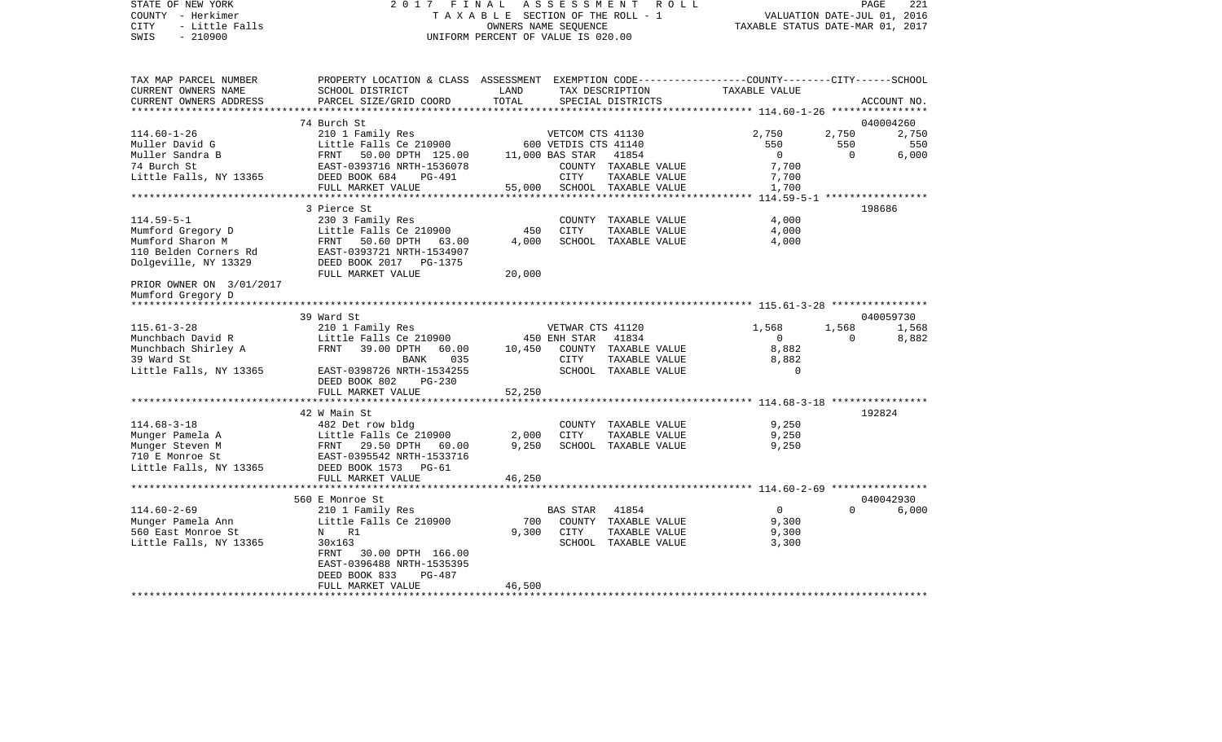| STATE OF NEW YORK<br>COUNTY - Herkimer<br>- Little Falls<br>CITY<br>$-210900$<br>SWIS                                   | 2017 FINAL                                                                                                                                                          | OWNERS NAME SEQUENCE<br>UNIFORM PERCENT OF VALUE IS 020.00 |                                                                     | ASSESSMENT ROLL<br>TAXABLE SECTION OF THE ROLL - 1                     | VALUATION DATE-JUL 01, 2016<br>TAXABLE STATUS DATE-MAR 01, 2017 |                                | PAGE<br>221                        |
|-------------------------------------------------------------------------------------------------------------------------|---------------------------------------------------------------------------------------------------------------------------------------------------------------------|------------------------------------------------------------|---------------------------------------------------------------------|------------------------------------------------------------------------|-----------------------------------------------------------------|--------------------------------|------------------------------------|
| TAX MAP PARCEL NUMBER<br>CURRENT OWNERS NAME<br>CURRENT OWNERS ADDRESS                                                  | PROPERTY LOCATION & CLASS ASSESSMENT EXEMPTION CODE---------------COUNTY-------CITY------SCHOOL<br>SCHOOL DISTRICT<br>PARCEL SIZE/GRID COORD                        | LAND<br>TOTAL                                              |                                                                     | TAX DESCRIPTION<br>SPECIAL DISTRICTS                                   | TAXABLE VALUE                                                   |                                | ACCOUNT NO.                        |
|                                                                                                                         |                                                                                                                                                                     |                                                            |                                                                     |                                                                        |                                                                 |                                |                                    |
| $114.60 - 1 - 26$<br>Muller David G<br>Muller Sandra B<br>74 Burch St<br>Little Falls, NY 13365 DEED BOOK 684           | 74 Burch St<br>210 1 Family Res<br>Little Falls Ce 210900<br>Little Falls Ce 210900<br>FRNT - 50.00 DPTH - 125.00<br>EAST-0393716 NRTH-1536078<br>PG-491            |                                                            | VETCOM CTS 41130<br>600 VETDIS CTS 41140<br>11,000 BAS STAR<br>CITY | 41854<br>COUNTY TAXABLE VALUE<br>TAXABLE VALUE                         | 2,750<br>550<br>$\overline{0}$<br>7,700<br>7,700                | 2,750<br>550<br>$\overline{0}$ | 040004260<br>2,750<br>550<br>6,000 |
|                                                                                                                         | FULL MARKET VALUE                                                                                                                                                   |                                                            |                                                                     | 55,000 SCHOOL TAXABLE VALUE                                            | 1,700                                                           |                                |                                    |
| $114.59 - 5 - 1$<br>Mumford Gregory D<br>Mumford Sharon M<br>110 Belden Corners Rd<br>Dolgeville, NY 13329              | 3 Pierce St<br>230 3 Family Res<br>Little Falls Ce 210900<br>FRNT 50.60 DPTH 63.00<br>EAST-0393721 NRTH-1534907<br>DEED BOOK 2017    PG-1375<br>FULL MARKET VALUE   | 450<br>4,000<br>20,000                                     | CITY                                                                | COUNTY TAXABLE VALUE<br>TAXABLE VALUE<br>SCHOOL TAXABLE VALUE          | 4,000<br>4,000<br>4,000                                         |                                | 198686                             |
| PRIOR OWNER ON 3/01/2017<br>Mumford Gregory D<br>******************                                                     |                                                                                                                                                                     |                                                            |                                                                     |                                                                        |                                                                 |                                |                                    |
|                                                                                                                         | 39 Ward St                                                                                                                                                          |                                                            |                                                                     |                                                                        |                                                                 |                                | 040059730                          |
| $115.61 - 3 - 28$<br>Munchbach David R<br>Munchbach Shirley A<br>39 Ward St<br>Little Falls, NY 13365                   | 210 1 Family Res<br>Little Falls Ce 210900<br>FRNT 39.00 DPTH 60.00 10,450 COUNTY TAXABLE VALUE<br>035<br>BANK<br>EAST-0398726 NRTH-1534255<br>DEED BOOK 802 PG-230 |                                                            | VETWAR CTS 41120<br>450 ENH STAR<br>CITY                            | 41834<br>TAXABLE VALUE<br>SCHOOL TAXABLE VALUE                         | 1,568<br>$\overline{0}$<br>8,882<br>8,882<br>$\Omega$           | 1,568<br>$\overline{0}$        | 1,568<br>8,882                     |
|                                                                                                                         | FULL MARKET VALUE                                                                                                                                                   | 52,250                                                     |                                                                     |                                                                        |                                                                 |                                |                                    |
|                                                                                                                         | 42 W Main St                                                                                                                                                        |                                                            |                                                                     |                                                                        |                                                                 |                                | 192824                             |
| $114.68 - 3 - 18$<br>Munger Pamela A<br>Munger Steven M<br>nanger Steven m<br>710 E Monroe St<br>Little Falls, NY 13365 | 482 Det row bldg<br>Little Falls Ce 210900<br>FRNT 29.50 DPTH 60.00<br>EAST-0395542 NRTH-1533716<br>DEED BOOK 1573 PG-61<br>FULL MARKET VALUE                       | 2,000<br>9,250<br>46,250                                   | CITY                                                                | COUNTY TAXABLE VALUE<br>TAXABLE VALUE<br>SCHOOL TAXABLE VALUE          | 9,250<br>9,250<br>9,250                                         |                                |                                    |
|                                                                                                                         |                                                                                                                                                                     |                                                            |                                                                     |                                                                        |                                                                 |                                |                                    |
|                                                                                                                         | 560 E Monroe St                                                                                                                                                     |                                                            |                                                                     |                                                                        |                                                                 |                                | 040042930                          |
| $114.60 - 2 - 69$<br>Munger Pamela Ann<br>560 East Monroe St<br>Little Falls, NY 13365                                  | 210 1 Family Res<br>Little Falls Ce 210900<br>N R1<br>30x163<br>FRNT<br>30.00 DPTH 166.00<br>EAST-0396488 NRTH-1535395<br>DEED BOOK 833<br>PG-487                   | 700<br>9,300                                               | BAS STAR<br>CITY                                                    | 41854<br>COUNTY TAXABLE VALUE<br>TAXABLE VALUE<br>SCHOOL TAXABLE VALUE | $\overline{0}$<br>9,300<br>9,300<br>3,300                       | $\Omega$                       | 6,000                              |
|                                                                                                                         | FULL MARKET VALUE                                                                                                                                                   | 46,500                                                     |                                                                     |                                                                        |                                                                 |                                |                                    |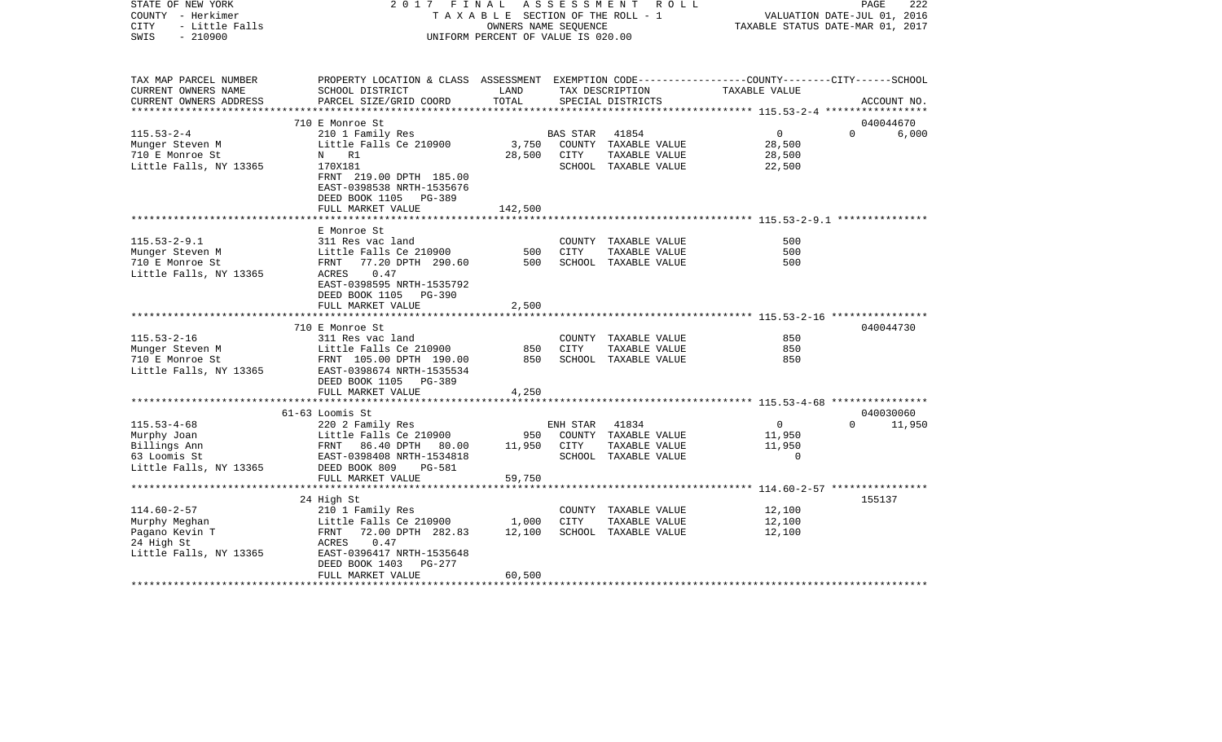| STATE OF NEW YORK<br>COUNTY - Herkimer<br><b>CITY</b><br>- Little Falls<br>$-210900$<br>SWIS                                                                                                                                                  |                                                                                                                                                                                                        | UNIFORM PERCENT OF VALUE IS 020.00 |          | 2017 FINAL ASSESSMENT ROLL  | T A X A B L E SECTION OF THE ROLL - 1 VALUATION DATE-JUL 01, 2016<br>OWNERS NAME SEQUENCE TAXABLE STATUS DATE-MAR 01, 2017 | PAGE<br>222   |
|-----------------------------------------------------------------------------------------------------------------------------------------------------------------------------------------------------------------------------------------------|--------------------------------------------------------------------------------------------------------------------------------------------------------------------------------------------------------|------------------------------------|----------|-----------------------------|----------------------------------------------------------------------------------------------------------------------------|---------------|
| TAX MAP PARCEL NUMBER<br>CURRENT OWNERS NAME                                                                                                                                                                                                  | PROPERTY LOCATION & CLASS ASSESSMENT EXEMPTION CODE----------------COUNTY--------CITY------SCHOOL<br>SCHOOL DISTRICT                       LAND         TAX DESCRIPTION                  TAXABLE VALUE |                                    |          |                             |                                                                                                                            |               |
| CURRENT OWNERS ADDRESS                                                                                                                                                                                                                        | PARCEL SIZE/GRID COORD                                                                                                                                                                                 | TOTAL                              |          | SPECIAL DISTRICTS           |                                                                                                                            | ACCOUNT NO.   |
|                                                                                                                                                                                                                                               | 710 E Monroe St                                                                                                                                                                                        |                                    |          |                             |                                                                                                                            | 040044670     |
| $115.53 - 2 - 4$                                                                                                                                                                                                                              | 210 1 Family Res                                                                                                                                                                                       |                                    | BAS STAR | 41854                       | $\overline{0}$                                                                                                             | 0 6,000       |
|                                                                                                                                                                                                                                               |                                                                                                                                                                                                        |                                    |          |                             | 28,500                                                                                                                     |               |
|                                                                                                                                                                                                                                               |                                                                                                                                                                                                        |                                    |          |                             | 28,500                                                                                                                     |               |
| Little Falls, NY 13365                                                                                                                                                                                                                        | 170X181<br>FRNT 219.00 DPTH 185.00<br>EAST-0398538 NRTH-1535676<br>DEED BOOK 1105 PG-389                                                                                                               |                                    |          | SCHOOL TAXABLE VALUE 22,500 |                                                                                                                            |               |
|                                                                                                                                                                                                                                               | FULL MARKET VALUE                                                                                                                                                                                      | 142,500                            |          |                             |                                                                                                                            |               |
|                                                                                                                                                                                                                                               |                                                                                                                                                                                                        |                                    |          |                             |                                                                                                                            |               |
| $115.53 - 2 - 9.1$                                                                                                                                                                                                                            | E Monroe St                                                                                                                                                                                            |                                    |          | COUNTY TAXABLE VALUE        | 500                                                                                                                        |               |
| Munger Steven M                                                                                                                                                                                                                               |                                                                                                                                                                                                        |                                    |          | TAXABLE VALUE               | 500                                                                                                                        |               |
| 710 E Monroe St                                                                                                                                                                                                                               |                                                                                                                                                                                                        |                                    |          |                             | 500                                                                                                                        |               |
| Little Falls, NY 13365                                                                                                                                                                                                                        | ACRES 0.47<br>EAST-0398595 NRTH-1535792<br>DEED BOOK 1105 PG-390                                                                                                                                       |                                    |          |                             |                                                                                                                            |               |
|                                                                                                                                                                                                                                               | FULL MARKET VALUE                                                                                                                                                                                      | 2,500                              |          |                             |                                                                                                                            |               |
|                                                                                                                                                                                                                                               | **************************                                                                                                                                                                             | *******************                |          |                             |                                                                                                                            |               |
|                                                                                                                                                                                                                                               | 710 E Monroe St                                                                                                                                                                                        |                                    |          |                             |                                                                                                                            | 040044730     |
| $115.53 - 2 - 16$                                                                                                                                                                                                                             | 311 Res vac land                                                                                                                                                                                       |                                    |          | COUNTY TAXABLE VALUE        | 850                                                                                                                        |               |
|                                                                                                                                                                                                                                               |                                                                                                                                                                                                        |                                    | CITY     | TAXABLE VALUE               | 850                                                                                                                        |               |
|                                                                                                                                                                                                                                               |                                                                                                                                                                                                        |                                    |          | SCHOOL TAXABLE VALUE        | 850                                                                                                                        |               |
|                                                                                                                                                                                                                                               | DEED BOOK 1105 PG-389                                                                                                                                                                                  |                                    |          |                             |                                                                                                                            |               |
|                                                                                                                                                                                                                                               | FULL MARKET VALUE                                                                                                                                                                                      | 4,250                              |          |                             |                                                                                                                            |               |
|                                                                                                                                                                                                                                               | *******************************                                                                                                                                                                        |                                    |          |                             |                                                                                                                            |               |
|                                                                                                                                                                                                                                               | 61-63 Loomis St                                                                                                                                                                                        |                                    |          |                             |                                                                                                                            | 040030060     |
| $115.53 - 4 - 68$                                                                                                                                                                                                                             | 220 2 Family Res                                                                                                                                                                                       |                                    |          | ENH STAR 41834              | $\overline{0}$                                                                                                             | $0 \t 11,950$ |
|                                                                                                                                                                                                                                               |                                                                                                                                                                                                        |                                    |          |                             | 11,950                                                                                                                     |               |
|                                                                                                                                                                                                                                               |                                                                                                                                                                                                        |                                    |          |                             | 11,950                                                                                                                     |               |
|                                                                                                                                                                                                                                               |                                                                                                                                                                                                        |                                    |          |                             | $\overline{0}$                                                                                                             |               |
| Murphy Joan<br>Murphy Joan<br>Billings Ann<br>Billings Ann<br>EXERICATE PARA EXERCISE VALUE<br>EXERICATE PARA EXERICATE PARABLE VALUE<br>EXERICATE PARA EXERICATE PARABLE VALUE<br>EXERICATE PARA EXERICATE PARABLE VALUE<br>Little Falls, NY |                                                                                                                                                                                                        |                                    |          |                             |                                                                                                                            |               |
|                                                                                                                                                                                                                                               | FULL MARKET VALUE                                                                                                                                                                                      | 59,750                             |          |                             |                                                                                                                            |               |
|                                                                                                                                                                                                                                               | **********************                                                                                                                                                                                 |                                    |          |                             |                                                                                                                            |               |
|                                                                                                                                                                                                                                               | 24 High St                                                                                                                                                                                             |                                    |          |                             |                                                                                                                            | 155137        |
| 114.60-2-57<br>Murphy Meghan 1,000 CITY TAXABLE VALUE<br>Pagano Kevin T FRNT 72.00 DPTH 282.83 12,100 SCHOOL TAXABLE VALUE<br>24 High St ACRES 0.47<br>Little Falls, NY 13365 EAST-0396417 NRTH-1535648<br>ETRNT 1000 CITY TAXABLE VALUE      |                                                                                                                                                                                                        |                                    |          |                             | TAXABLE VALUE 12,100<br>TAXABLE VALUE 12,100                                                                               |               |
|                                                                                                                                                                                                                                               |                                                                                                                                                                                                        |                                    |          |                             |                                                                                                                            |               |
|                                                                                                                                                                                                                                               |                                                                                                                                                                                                        |                                    |          |                             | 12,100                                                                                                                     |               |
|                                                                                                                                                                                                                                               |                                                                                                                                                                                                        |                                    |          |                             |                                                                                                                            |               |
|                                                                                                                                                                                                                                               |                                                                                                                                                                                                        |                                    |          |                             |                                                                                                                            |               |
|                                                                                                                                                                                                                                               | DEED BOOK 1403 PG-277                                                                                                                                                                                  |                                    |          |                             |                                                                                                                            |               |
|                                                                                                                                                                                                                                               | FULL MARKET VALUE                                                                                                                                                                                      | 60,500                             |          |                             |                                                                                                                            |               |
|                                                                                                                                                                                                                                               |                                                                                                                                                                                                        |                                    |          |                             |                                                                                                                            |               |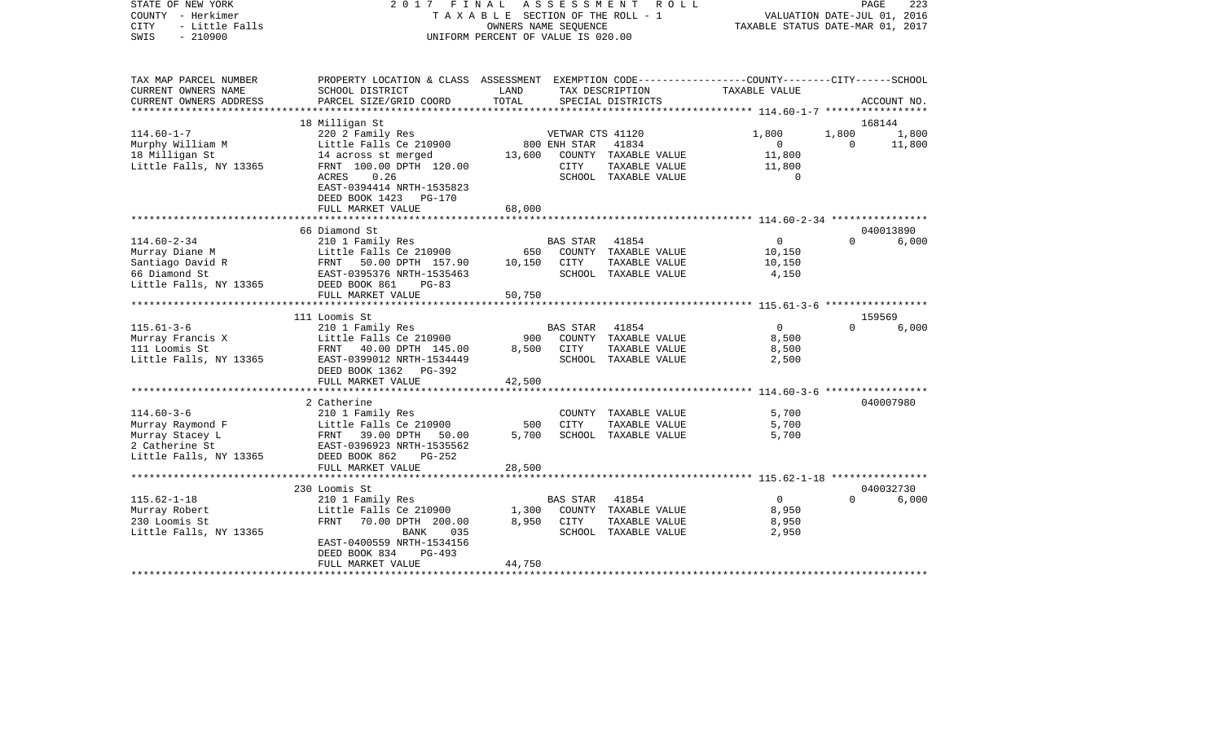COUNTY - Herkimer T A X A B L E SECTION OF THE ROLL - 1 VALUATION DATE-JUL 01, 2016 CITY - Little Falls OWNERS NAME SEQUENCE TAXABLE STATUS DATE-MAR 01, 2017 SWIS - 210900 UNIFORM PERCENT OF VALUE IS 020.00TAX MAP PARCEL NUMBER PROPERTY LOCATION & CLASS ASSESSMENT EXEMPTION CODE------------------COUNTY--------CITY------SCHOOL CURRENT OWNERS NAME SCHOOL DISTRICT LAND TAX DESCRIPTION TAXABLE VALUECURRENT OWNERS ADDRESS PARCEL SIZE/GRID COORD TOTAL SPECIAL DISTRICTS ACCOUNT NO. \*\*\*\*\*\*\*\*\*\*\*\*\*\*\*\*\*\*\*\*\*\*\*\*\*\*\*\*\*\*\*\*\*\*\*\*\*\*\*\*\*\*\*\*\*\*\*\*\*\*\*\*\*\*\*\*\*\*\*\*\*\*\*\*\*\*\*\*\*\*\*\*\*\*\*\*\*\*\*\*\*\*\*\*\*\*\*\*\*\*\*\*\*\*\*\*\*\*\*\*\*\*\* 114.60-1-7 \*\*\*\*\*\*\*\*\*\*\*\*\*\*\*\*\* 18 Milligan St 168144 114.60-1-7 220 2 Family Res VETWAR CTS 41120 1,800 1,800 1,800 Murphy William M Communication Communication Communication Communication Communication Communication Communication Communication Communication Communication Communication Communication Communication Communication Communica 18 Milligan St 14 across st merged 13,600 COUNTY TAXABLE VALUE 11,800 Little Falls, NY 13365 FRNT 100.00 DPTH 120.00 CITY TAXABLE VALUE 11,800 ACRES 0.26 SCHOOL TAXABLE VALUE 0 EAST-0394414 NRTH-1535823 DEED BOOK 1423 PG-170 FULL MARKET VALUE 68,000 \*\*\*\*\*\*\*\*\*\*\*\*\*\*\*\*\*\*\*\*\*\*\*\*\*\*\*\*\*\*\*\*\*\*\*\*\*\*\*\*\*\*\*\*\*\*\*\*\*\*\*\*\*\*\*\*\*\*\*\*\*\*\*\*\*\*\*\*\*\*\*\*\*\*\*\*\*\*\*\*\*\*\*\*\*\*\*\*\*\*\*\*\*\*\*\*\*\*\*\*\*\*\* 114.60-2-34 \*\*\*\*\*\*\*\*\*\*\*\*\*\*\*\* 66 Diamond St 040013890114.60-2-34 210 1 Family Res BAS STAR 41854 0 0 6,000 Murray Diane M The Little Falls Ce 210900 650 COUNTY TAXABLE VALUE 10,150 Santiago David R **FRNT 50.00 DPTH 157.90** 10,150 CITY TAXABLE VALUE 10,150 66 Diamond St EAST-0395376 NRTH-1535463 SCHOOL TAXABLE VALUE 4,150 Little Falls, NY 13365 DEED BOOK 861 PG-83 FULL MARKET VALUE 50.750 \*\*\*\*\*\*\*\*\*\*\*\*\*\*\*\*\*\*\*\*\*\*\*\*\*\*\*\*\*\*\*\*\*\*\*\*\*\*\*\*\*\*\*\*\*\*\*\*\*\*\*\*\*\*\*\*\*\*\*\*\*\*\*\*\*\*\*\*\*\*\*\*\*\*\*\*\*\*\*\*\*\*\*\*\*\*\*\*\*\*\*\*\*\*\*\*\*\*\*\*\*\*\* 115.61-3-6 \*\*\*\*\*\*\*\*\*\*\*\*\*\*\*\*\* 111 Loomis St 159569115.61-3-6 210 1 Family Res BAS STAR 41854 0 0 6,000 Murray Francis X Little Falls Ce 210900 900 COUNTY TAXABLE VALUE 8,500 111 Loomis St FRNT 40.00 DPTH 145.00 8,500 CITY TAXABLE VALUE 8,500 Little Falls, NY 13365 EAST-0399012 NRTH-1534449 SCHOOL TAXABLE VALUE 2,500 DEED BOOK 1362 PG-392FULL MARKET VALUE 42,500 \*\*\*\*\*\*\*\*\*\*\*\*\*\*\*\*\*\*\*\*\*\*\*\*\*\*\*\*\*\*\*\*\*\*\*\*\*\*\*\*\*\*\*\*\*\*\*\*\*\*\*\*\*\*\*\*\*\*\*\*\*\*\*\*\*\*\*\*\*\*\*\*\*\*\*\*\*\*\*\*\*\*\*\*\*\*\*\*\*\*\*\*\*\*\*\*\*\*\*\*\*\*\* 114.60-3-6 \*\*\*\*\*\*\*\*\*\*\*\*\*\*\*\*\* 2 Catherine 040007980114.60-3-6 210 1 Family Res COUNTY TAXABLE VALUE 5,700 Murray Raymond F **Example Falls Ce 210900** 500 CITY TAXABLE VALUE 5,700 Murray Stacey L **FRNT 39.00 DPTH 50.00 5,700 SCHOOL TAXABLE VALUE** 5,700 2 Catherine St EAST-0396923 NRTH-1535562Little Falls, NY 13365 DEED BOOK 862 PG-252 FULL MARKET VALUE 28,500 \*\*\*\*\*\*\*\*\*\*\*\*\*\*\*\*\*\*\*\*\*\*\*\*\*\*\*\*\*\*\*\*\*\*\*\*\*\*\*\*\*\*\*\*\*\*\*\*\*\*\*\*\*\*\*\*\*\*\*\*\*\*\*\*\*\*\*\*\*\*\*\*\*\*\*\*\*\*\*\*\*\*\*\*\*\*\*\*\*\*\*\*\*\*\*\*\*\*\*\*\*\*\* 115.62-1-18 \*\*\*\*\*\*\*\*\*\*\*\*\*\*\*\* 230 Loomis St 040032730115.62-1-18 210 1 Family Res BAS STAR 41854 0 0 6,000 Murray Robert Little Falls Ce 210900 1,300 COUNTY TAXABLE VALUE 8,950 230 Loomis St FRNT 70.00 DPTH 200.00 8,950 CITY TAXABLE VALUE 8,950 Little Falls, NY 13365 BANK 035 SCHOOL TAXABLE VALUE 2,950 EAST-0400559 NRTH-1534156 DEED BOOK 834 PG-493 FULL MARKET VALUE 44,750 \*\*\*\*\*\*\*\*\*\*\*\*\*\*\*\*\*\*\*\*\*\*\*\*\*\*\*\*\*\*\*\*\*\*\*\*\*\*\*\*\*\*\*\*\*\*\*\*\*\*\*\*\*\*\*\*\*\*\*\*\*\*\*\*\*\*\*\*\*\*\*\*\*\*\*\*\*\*\*\*\*\*\*\*\*\*\*\*\*\*\*\*\*\*\*\*\*\*\*\*\*\*\*\*\*\*\*\*\*\*\*\*\*\*\*\*\*\*\*\*\*\*\*\*\*\*\*\*\*\*\*\*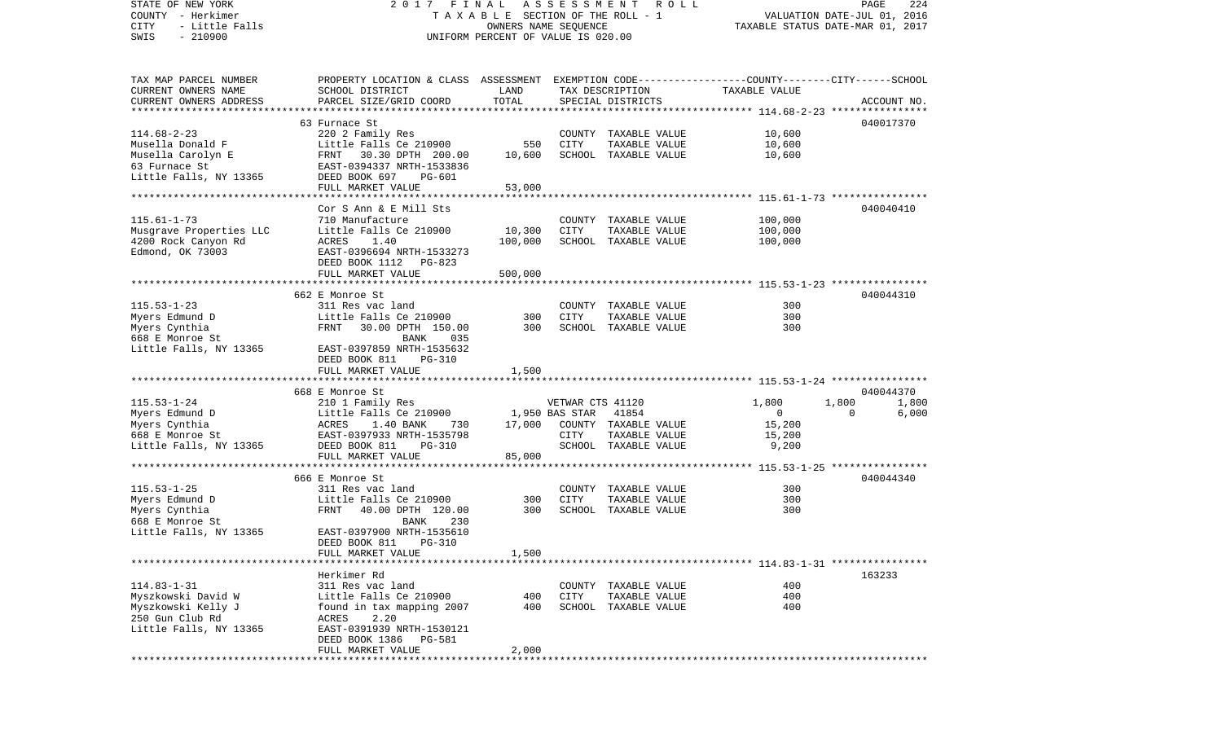| STATE OF NEW YORK                                     | FINAL<br>2017                                                                                   |                                                            | ASSESSMENT       | R O L L              |                                                                | PAGE                        | 224         |
|-------------------------------------------------------|-------------------------------------------------------------------------------------------------|------------------------------------------------------------|------------------|----------------------|----------------------------------------------------------------|-----------------------------|-------------|
| COUNTY - Herkimer<br><b>CITY</b><br>- Little Falls    |                                                                                                 | T A X A B L E SECTION OF THE ROLL - 1                      |                  |                      |                                                                | VALUATION DATE-JUL 01, 2016 |             |
| $-210900$<br>SWIS                                     |                                                                                                 | OWNERS NAME SEQUENCE<br>UNIFORM PERCENT OF VALUE IS 020.00 |                  |                      | TAXABLE STATUS DATE-MAR 01, 2017                               |                             |             |
|                                                       |                                                                                                 |                                                            |                  |                      |                                                                |                             |             |
|                                                       |                                                                                                 |                                                            |                  |                      |                                                                |                             |             |
|                                                       |                                                                                                 |                                                            |                  |                      |                                                                |                             |             |
| TAX MAP PARCEL NUMBER                                 | PROPERTY LOCATION & CLASS ASSESSMENT EXEMPTION CODE---------------COUNTY-------CITY------SCHOOL |                                                            |                  |                      |                                                                |                             |             |
| CURRENT OWNERS NAME                                   | SCHOOL DISTRICT                                                                                 | LAND<br>TOTAL                                              |                  | TAX DESCRIPTION      | TAXABLE VALUE                                                  |                             |             |
| CURRENT OWNERS ADDRESS<br>*************************** | PARCEL SIZE/GRID COORD                                                                          |                                                            |                  | SPECIAL DISTRICTS    |                                                                |                             | ACCOUNT NO. |
|                                                       | 63 Furnace St                                                                                   |                                                            |                  |                      |                                                                |                             | 040017370   |
| $114.68 - 2 - 23$                                     | 220 2 Family Res                                                                                |                                                            |                  | COUNTY TAXABLE VALUE | 10,600                                                         |                             |             |
| Musella Donald F                                      | Little Falls Ce 210900                                                                          | 550                                                        | CITY             | TAXABLE VALUE        | 10,600                                                         |                             |             |
| Musella Carolyn E                                     | FRNT 30.30 DPTH 200.00                                                                          | 10,600                                                     |                  | SCHOOL TAXABLE VALUE | 10,600                                                         |                             |             |
| 63 Furnace St                                         | EAST-0394337 NRTH-1533836                                                                       |                                                            |                  |                      |                                                                |                             |             |
| Little Falls, NY 13365                                | DEED BOOK 697<br>PG-601                                                                         |                                                            |                  |                      |                                                                |                             |             |
|                                                       | FULL MARKET VALUE                                                                               | 53,000                                                     |                  |                      |                                                                |                             |             |
|                                                       |                                                                                                 |                                                            |                  |                      |                                                                |                             |             |
|                                                       | Cor S Ann & E Mill Sts                                                                          |                                                            |                  |                      |                                                                | 040040410                   |             |
| $115.61 - 1 - 73$                                     | 710 Manufacture                                                                                 |                                                            |                  | COUNTY TAXABLE VALUE | 100,000                                                        |                             |             |
| Musgrave Properties LLC                               | Little Falls Ce 210900                                                                          | 10,300                                                     | CITY             | TAXABLE VALUE        | 100,000                                                        |                             |             |
| 4200 Rock Canyon Rd                                   | ACRES<br>1.40                                                                                   | 100,000                                                    |                  | SCHOOL TAXABLE VALUE | 100,000                                                        |                             |             |
| Edmond, OK 73003                                      | EAST-0396694 NRTH-1533273                                                                       |                                                            |                  |                      |                                                                |                             |             |
|                                                       | DEED BOOK 1112<br>PG-823                                                                        |                                                            |                  |                      |                                                                |                             |             |
|                                                       | FULL MARKET VALUE                                                                               | 500,000                                                    |                  |                      |                                                                |                             |             |
|                                                       |                                                                                                 |                                                            |                  |                      |                                                                |                             |             |
|                                                       | 662 E Monroe St                                                                                 |                                                            |                  |                      |                                                                |                             | 040044310   |
| $115.53 - 1 - 23$                                     | 311 Res vac land                                                                                |                                                            |                  | COUNTY TAXABLE VALUE | 300                                                            |                             |             |
| Myers Edmund D                                        | Little Falls Ce 210900                                                                          | 300                                                        | CITY             | TAXABLE VALUE        | 300                                                            |                             |             |
| Myers Cynthia                                         | FRNT<br>30.00 DPTH 150.00                                                                       | 300                                                        |                  | SCHOOL TAXABLE VALUE | 300                                                            |                             |             |
| 668 E Monroe St                                       | <b>BANK</b><br>035                                                                              |                                                            |                  |                      |                                                                |                             |             |
| Little Falls, NY 13365                                | EAST-0397859 NRTH-1535632                                                                       |                                                            |                  |                      |                                                                |                             |             |
|                                                       | DEED BOOK 811<br><b>PG-310</b>                                                                  |                                                            |                  |                      |                                                                |                             |             |
|                                                       | FULL MARKET VALUE                                                                               | 1,500                                                      |                  |                      |                                                                |                             |             |
|                                                       |                                                                                                 |                                                            |                  |                      |                                                                |                             |             |
|                                                       | 668 E Monroe St                                                                                 |                                                            |                  |                      |                                                                |                             | 040044370   |
| $115.53 - 1 - 24$                                     | 210 1 Family Res                                                                                |                                                            | VETWAR CTS 41120 |                      | 1,800                                                          | 1,800                       | 1,800       |
| Myers Edmund D                                        | Little Falls Ce 210900                                                                          |                                                            | 1,950 BAS STAR   | 41854                | $\mathbf 0$                                                    | $\Omega$                    | 6,000       |
| Myers Cynthia                                         | ACRES<br>1.40 BANK<br>730                                                                       | 17,000                                                     |                  | COUNTY TAXABLE VALUE | 15,200                                                         |                             |             |
| 668 E Monroe St                                       | EAST-0397933 NRTH-1535798                                                                       |                                                            | CITY             | TAXABLE VALUE        | 15,200                                                         |                             |             |
| Little Falls, NY 13365                                | DEED BOOK 811<br><b>PG-310</b>                                                                  |                                                            |                  | SCHOOL TAXABLE VALUE | 9,200                                                          |                             |             |
|                                                       | FULL MARKET VALUE                                                                               | 85,000                                                     |                  |                      |                                                                |                             |             |
|                                                       |                                                                                                 |                                                            |                  |                      |                                                                |                             |             |
|                                                       | 666 E Monroe St                                                                                 |                                                            |                  |                      |                                                                |                             | 040044340   |
| $115.53 - 1 - 25$                                     | 311 Res vac land                                                                                |                                                            |                  | COUNTY TAXABLE VALUE | 300                                                            |                             |             |
| Myers Edmund D                                        | Little Falls Ce 210900                                                                          | 300                                                        | CITY             | TAXABLE VALUE        | 300                                                            |                             |             |
| Myers Cynthia                                         | FRNT<br>40.00 DPTH 120.00<br>230                                                                | 300                                                        |                  | SCHOOL TAXABLE VALUE | 300                                                            |                             |             |
| 668 E Monroe St                                       | BANK<br>EAST-0397900 NRTH-1535610                                                               |                                                            |                  |                      |                                                                |                             |             |
| Little Falls, NY 13365                                | DEED BOOK 811 PG-310                                                                            |                                                            |                  |                      |                                                                |                             |             |
|                                                       | FULL MARKET VALUE                                                                               | 1,500                                                      |                  |                      |                                                                |                             |             |
|                                                       |                                                                                                 |                                                            |                  |                      | ******************************** 114.83-1-31 ***************** |                             |             |
|                                                       | Herkimer Rd                                                                                     |                                                            |                  |                      |                                                                | 163233                      |             |
| $114.83 - 1 - 31$                                     | 311 Res vac land                                                                                |                                                            | COUNTY           | TAXABLE VALUE        | 400                                                            |                             |             |
| Myszkowski David W                                    | Little Falls Ce 210900                                                                          | 400                                                        | CITY             | TAXABLE VALUE        | 400                                                            |                             |             |
| Myszkowski Kelly J                                    | found in tax mapping 2007                                                                       | 400                                                        |                  | SCHOOL TAXABLE VALUE | 400                                                            |                             |             |
| 250 Gun Club Rd                                       | 2.20<br>ACRES                                                                                   |                                                            |                  |                      |                                                                |                             |             |
| Little Falls, NY 13365                                | EAST-0391939 NRTH-1530121                                                                       |                                                            |                  |                      |                                                                |                             |             |
|                                                       | DEED BOOK 1386<br>PG-581                                                                        |                                                            |                  |                      |                                                                |                             |             |
|                                                       | FULL MARKET VALUE                                                                               | 2,000                                                      |                  |                      |                                                                |                             |             |
| ***********                                           |                                                                                                 |                                                            |                  |                      |                                                                |                             |             |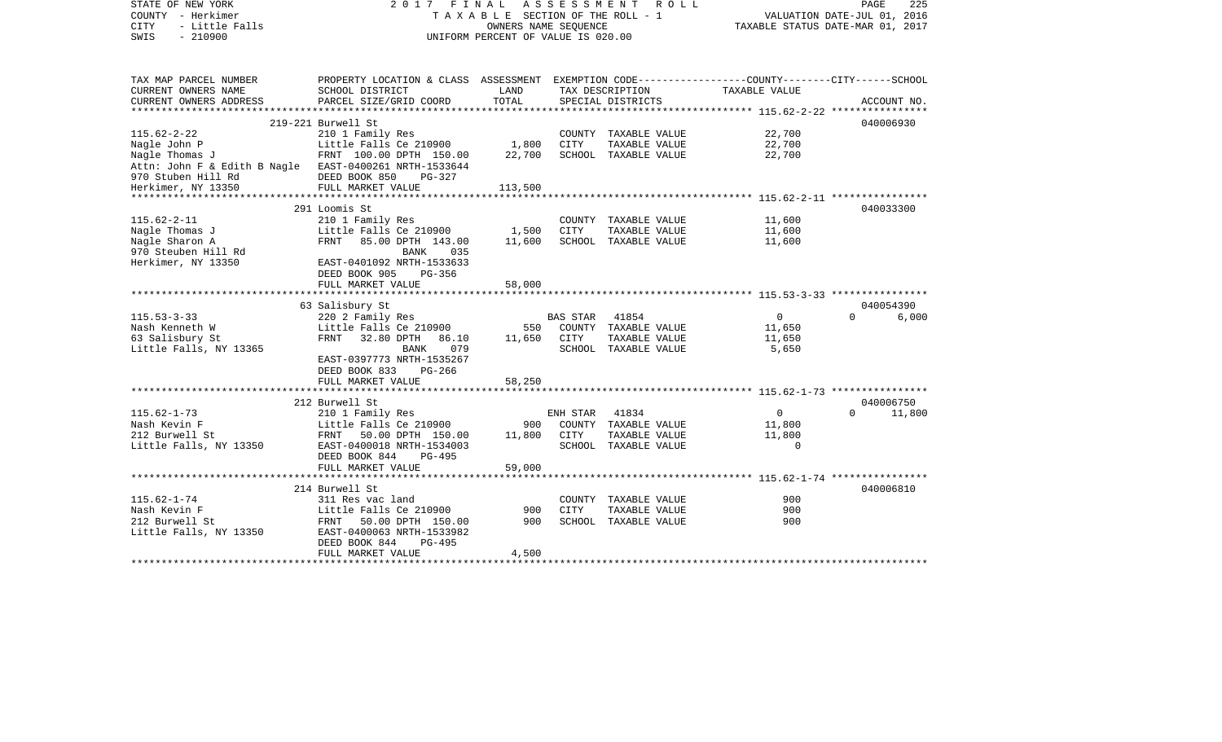| STATE OF NEW YORK                                      | 2017                                                                                            |                                    | FINAL ASSESSMENT ROLL           | 225<br>PAGE                 |                                  |                    |  |
|--------------------------------------------------------|-------------------------------------------------------------------------------------------------|------------------------------------|---------------------------------|-----------------------------|----------------------------------|--------------------|--|
| COUNTY - Herkimer                                      |                                                                                                 |                                    | TAXABLE SECTION OF THE ROLL - 1 | VALUATION DATE-JUL 01, 2016 |                                  |                    |  |
| <b>CITY</b><br>- Little Falls                          |                                                                                                 | OWNERS NAME SEQUENCE               |                                 |                             | TAXABLE STATUS DATE-MAR 01, 2017 |                    |  |
| $-210900$<br>SWIS                                      |                                                                                                 | UNIFORM PERCENT OF VALUE IS 020.00 |                                 |                             |                                  |                    |  |
|                                                        |                                                                                                 |                                    |                                 |                             |                                  |                    |  |
|                                                        |                                                                                                 |                                    |                                 |                             |                                  |                    |  |
| TAX MAP PARCEL NUMBER                                  | PROPERTY LOCATION & CLASS ASSESSMENT EXEMPTION CODE---------------COUNTY-------CITY------SCHOOL |                                    |                                 |                             |                                  |                    |  |
| CURRENT OWNERS NAME                                    | SCHOOL DISTRICT                                                                                 | LAND                               |                                 | TAX DESCRIPTION             | TAXABLE VALUE                    |                    |  |
| CURRENT OWNERS ADDRESS                                 | PARCEL SIZE/GRID COORD                                                                          | TOTAL                              |                                 | SPECIAL DISTRICTS           |                                  | ACCOUNT NO.        |  |
|                                                        |                                                                                                 |                                    |                                 |                             |                                  |                    |  |
|                                                        | 219-221 Burwell St                                                                              |                                    |                                 |                             |                                  | 040006930          |  |
| $115.62 - 2 - 22$                                      | 210 1 Family Res                                                                                |                                    |                                 | COUNTY TAXABLE VALUE        | 22,700                           |                    |  |
| Nagle John P                                           | Little Falls Ce 210900                                                                          | 1,800                              | CITY                            | TAXABLE VALUE               | 22,700                           |                    |  |
| Nagle Thomas J                                         | FRNT 100.00 DPTH 150.00                                                                         | 22,700                             |                                 | SCHOOL TAXABLE VALUE        | 22,700                           |                    |  |
| Attn: John F & Edith B Nagle EAST-0400261 NRTH-1533644 |                                                                                                 |                                    |                                 |                             |                                  |                    |  |
| 970 Stuben Hill Rd                                     | DEED BOOK 850<br>$PG-327$                                                                       |                                    |                                 |                             |                                  |                    |  |
| Herkimer, NY 13350                                     | FULL MARKET VALUE                                                                               | 113,500                            |                                 |                             |                                  |                    |  |
|                                                        |                                                                                                 |                                    |                                 |                             |                                  |                    |  |
|                                                        | 291 Loomis St                                                                                   |                                    |                                 |                             |                                  | 040033300          |  |
| $115.62 - 2 - 11$                                      | 210 1 Family Res                                                                                |                                    |                                 | COUNTY TAXABLE VALUE        | 11,600                           |                    |  |
| Nagle Thomas J                                         | Little Falls Ce 210900                                                                          | 1,500                              | CITY                            | TAXABLE VALUE               | 11,600                           |                    |  |
| Nagle Sharon A                                         | FRNT<br>85.00 DPTH 143.00                                                                       | 11,600                             |                                 | SCHOOL TAXABLE VALUE        | 11,600                           |                    |  |
| 970 Steuben Hill Rd                                    | BANK<br>035                                                                                     |                                    |                                 |                             |                                  |                    |  |
| Herkimer, NY 13350                                     | EAST-0401092 NRTH-1533633                                                                       |                                    |                                 |                             |                                  |                    |  |
|                                                        | DEED BOOK 905<br>PG-356                                                                         |                                    |                                 |                             |                                  |                    |  |
|                                                        | FULL MARKET VALUE                                                                               | 58,000                             |                                 |                             |                                  |                    |  |
|                                                        |                                                                                                 |                                    |                                 |                             |                                  |                    |  |
|                                                        | 63 Salisbury St                                                                                 |                                    |                                 |                             |                                  | 040054390          |  |
| $115.53 - 3 - 33$                                      | 220 2 Family Res                                                                                |                                    | BAS STAR                        | 41854                       | $\mathsf{O}$                     | $\Omega$<br>6,000  |  |
| Nash Kenneth W                                         | Little Falls Ce 210900                                                                          | 550                                |                                 | COUNTY TAXABLE VALUE        | 11,650                           |                    |  |
| 63 Salisbury St                                        | FRNT 32.80 DPTH 86.10                                                                           | 11,650                             | CITY                            | TAXABLE VALUE               | 11,650                           |                    |  |
| Little Falls, NY 13365                                 | 079<br>BANK                                                                                     |                                    |                                 | SCHOOL TAXABLE VALUE        | 5,650                            |                    |  |
|                                                        | EAST-0397773 NRTH-1535267                                                                       |                                    |                                 |                             |                                  |                    |  |
|                                                        | DEED BOOK 833<br>PG-266                                                                         |                                    |                                 |                             |                                  |                    |  |
|                                                        | FULL MARKET VALUE                                                                               | 58,250                             |                                 |                             |                                  |                    |  |
|                                                        | 212 Burwell St                                                                                  |                                    |                                 |                             |                                  | 040006750          |  |
| $115.62 - 1 - 73$                                      | 210 1 Family Res                                                                                |                                    | ENH STAR                        | 41834                       | $\circ$                          | $\Omega$<br>11,800 |  |
| Nash Kevin F                                           | Little Falls Ce 210900                                                                          | 900                                |                                 | COUNTY TAXABLE VALUE        | 11,800                           |                    |  |
| 212 Burwell St                                         | FRNT 50.00 DPTH 150.00                                                                          | 11,800                             | CITY                            | TAXABLE VALUE               | 11,800                           |                    |  |
| Little Falls, NY 13350                                 | EAST-0400018 NRTH-1534003                                                                       |                                    |                                 | SCHOOL TAXABLE VALUE        | $\overline{0}$                   |                    |  |
|                                                        | DEED BOOK 844<br>PG-495                                                                         |                                    |                                 |                             |                                  |                    |  |
|                                                        | FULL MARKET VALUE                                                                               | 59,000                             |                                 |                             |                                  |                    |  |
|                                                        |                                                                                                 |                                    |                                 |                             |                                  |                    |  |
|                                                        | 214 Burwell St                                                                                  |                                    |                                 |                             |                                  | 040006810          |  |
| $115.62 - 1 - 74$                                      | 311 Res vac land                                                                                |                                    |                                 | COUNTY TAXABLE VALUE        | 900                              |                    |  |
| Nash Kevin F                                           | Little Falls Ce 210900                                                                          | 900                                | <b>CITY</b>                     | TAXABLE VALUE               | 900                              |                    |  |
| 212 Burwell St                                         | FRNT 50.00 DPTH 150.00                                                                          | 900                                |                                 | SCHOOL TAXABLE VALUE        | 900                              |                    |  |
| Little Falls, NY 13350                                 | EAST-0400063 NRTH-1533982                                                                       |                                    |                                 |                             |                                  |                    |  |
|                                                        | DEED BOOK 844<br>PG-495                                                                         |                                    |                                 |                             |                                  |                    |  |
|                                                        | FULL MARKET VALUE                                                                               | 4,500                              |                                 |                             |                                  |                    |  |
|                                                        |                                                                                                 |                                    |                                 |                             |                                  |                    |  |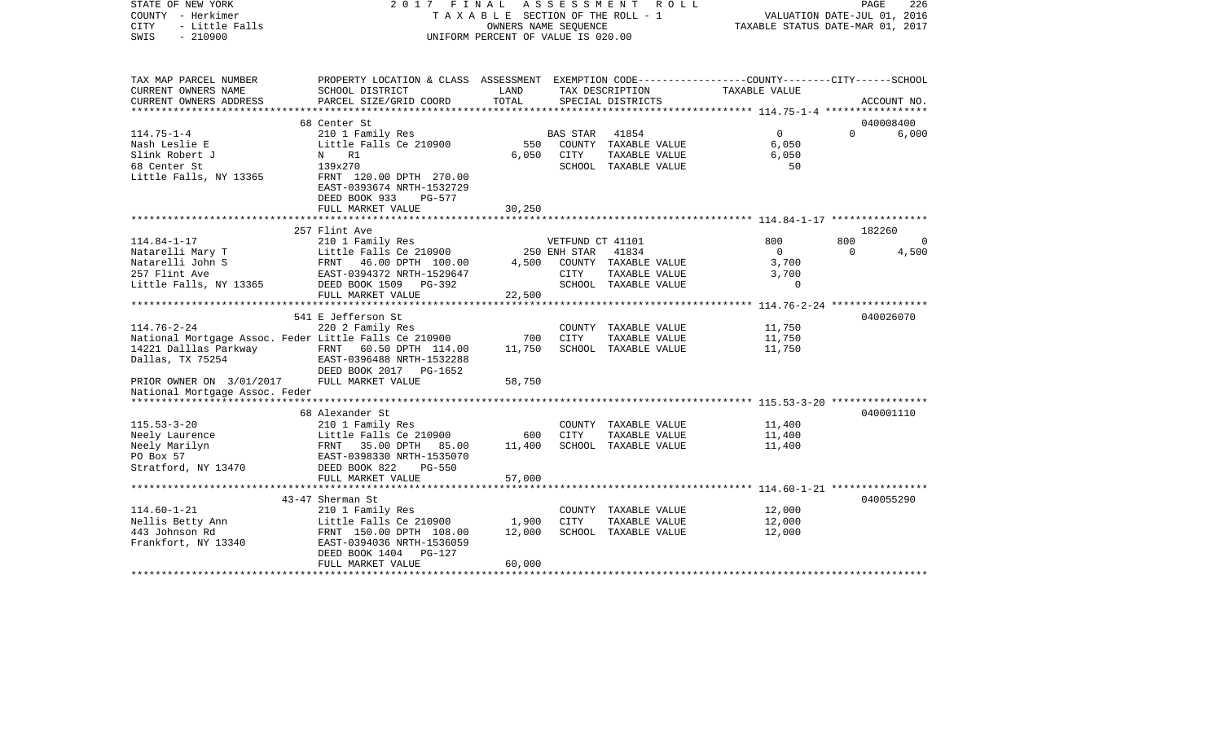| COUNTY - Herkimer<br><b>CITY</b><br>- Little Falls<br>SWIS<br>$-210900$ | TAXABLE SECTION OF THE ROLL - 1<br>OWNERS NAME SEQUENCE<br>UNIFORM PERCENT OF VALUE IS 020.00   |                      |                  |                                       | VALUATION DATE-JUL 01, 2016<br>TAXABLE STATUS DATE-MAR 01, 2017 |          |             |  |
|-------------------------------------------------------------------------|-------------------------------------------------------------------------------------------------|----------------------|------------------|---------------------------------------|-----------------------------------------------------------------|----------|-------------|--|
| TAX MAP PARCEL NUMBER                                                   | PROPERTY LOCATION & CLASS ASSESSMENT EXEMPTION CODE---------------COUNTY-------CITY------SCHOOL |                      |                  |                                       |                                                                 |          |             |  |
| CURRENT OWNERS NAME                                                     | SCHOOL DISTRICT                                                                                 | LAND                 |                  | TAX DESCRIPTION                       | TAXABLE VALUE                                                   |          |             |  |
| CURRENT OWNERS ADDRESS                                                  | PARCEL SIZE/GRID COORD                                                                          | TOTAL<br>*********** |                  | SPECIAL DISTRICTS                     |                                                                 |          | ACCOUNT NO. |  |
|                                                                         | 68 Center St                                                                                    |                      |                  |                                       |                                                                 |          | 040008400   |  |
| $114.75 - 1 - 4$                                                        | 210 1 Family Res                                                                                |                      | BAS STAR         | 41854                                 | $\mathbf{0}$                                                    | $\Omega$ | 6,000       |  |
| Nash Leslie E                                                           | Little Falls Ce 210900                                                                          | 550                  |                  | COUNTY TAXABLE VALUE                  | 6,050                                                           |          |             |  |
| Slink Robert J                                                          | R1<br>N                                                                                         | 6,050                | CITY             | TAXABLE VALUE                         | 6,050                                                           |          |             |  |
| 68 Center St                                                            | 139x270                                                                                         |                      |                  | SCHOOL TAXABLE VALUE                  | 50                                                              |          |             |  |
| Little Falls, NY 13365                                                  | FRNT 120.00 DPTH 270.00<br>EAST-0393674 NRTH-1532729<br>DEED BOOK 933<br>PG-577                 |                      |                  |                                       |                                                                 |          |             |  |
|                                                                         | FULL MARKET VALUE                                                                               | 30,250               |                  |                                       |                                                                 |          |             |  |
|                                                                         |                                                                                                 |                      |                  |                                       |                                                                 |          |             |  |
|                                                                         | 257 Flint Ave                                                                                   |                      |                  |                                       |                                                                 |          | 182260      |  |
| $114.84 - 1 - 17$                                                       | 210 1 Family Res                                                                                |                      | VETFUND CT 41101 |                                       | 800                                                             | 800      | $\Omega$    |  |
| Natarelli Mary T                                                        | Little Falls Ce 210900                                                                          |                      | 250 ENH STAR     | 41834                                 | $\mathbf{0}$                                                    | $\Omega$ | 4,500       |  |
| Natarelli John S<br>257 Flint Ave                                       | FRNT 46.00 DPTH 100.00<br>EAST-0394372 NRTH-1529647                                             | 4,500                | CITY             | COUNTY TAXABLE VALUE<br>TAXABLE VALUE | 3,700<br>3,700                                                  |          |             |  |
| Little Falls, NY 13365                                                  | DEED BOOK 1509<br>PG-392                                                                        |                      |                  | SCHOOL TAXABLE VALUE                  | $\mathbf 0$                                                     |          |             |  |
|                                                                         | FULL MARKET VALUE                                                                               | 22,500               |                  |                                       |                                                                 |          |             |  |
|                                                                         | ***************************                                                                     |                      |                  |                                       |                                                                 |          |             |  |
|                                                                         | 541 E Jefferson St                                                                              |                      |                  |                                       |                                                                 |          | 040026070   |  |
| $114.76 - 2 - 24$                                                       | 220 2 Family Res                                                                                |                      |                  | COUNTY TAXABLE VALUE                  | 11,750                                                          |          |             |  |
| National Mortgage Assoc. Feder Little Falls Ce 210900                   |                                                                                                 | 700                  | <b>CITY</b>      | TAXABLE VALUE                         | 11,750                                                          |          |             |  |
| 14221 Dalllas Parkway                                                   | FRNT 60.50 DPTH 114.00                                                                          | 11,750               |                  | SCHOOL TAXABLE VALUE                  | 11,750                                                          |          |             |  |
| Dallas, TX 75254                                                        | EAST-0396488 NRTH-1532288                                                                       |                      |                  |                                       |                                                                 |          |             |  |
|                                                                         | DEED BOOK 2017<br>PG-1652                                                                       |                      |                  |                                       |                                                                 |          |             |  |
| PRIOR OWNER ON 3/01/2017<br>National Mortgage Assoc. Feder              | FULL MARKET VALUE                                                                               | 58,750               |                  |                                       |                                                                 |          |             |  |
|                                                                         | 68 Alexander St                                                                                 |                      |                  |                                       |                                                                 |          | 040001110   |  |
| $115.53 - 3 - 20$                                                       | 210 1 Family Res                                                                                |                      |                  | COUNTY TAXABLE VALUE                  | 11,400                                                          |          |             |  |
| Neely Laurence                                                          | Little Falls Ce 210900                                                                          | 600                  | <b>CITY</b>      | TAXABLE VALUE                         | 11,400                                                          |          |             |  |
| Neely Marilyn                                                           | FRNT<br>35.00 DPTH<br>85.00                                                                     | 11,400               |                  | SCHOOL TAXABLE VALUE                  | 11,400                                                          |          |             |  |
| PO Box 57                                                               | EAST-0398330 NRTH-1535070                                                                       |                      |                  |                                       |                                                                 |          |             |  |
| Stratford, NY 13470                                                     | DEED BOOK 822<br>$PG-550$                                                                       |                      |                  |                                       |                                                                 |          |             |  |
|                                                                         | FULL MARKET VALUE                                                                               | 57,000               |                  |                                       |                                                                 |          |             |  |
|                                                                         |                                                                                                 |                      |                  |                                       |                                                                 |          |             |  |
|                                                                         | 43-47 Sherman St                                                                                |                      |                  |                                       |                                                                 |          | 040055290   |  |
| $114.60 - 1 - 21$                                                       | 210 1 Family Res                                                                                |                      |                  | COUNTY TAXABLE VALUE                  | 12,000                                                          |          |             |  |
| Nellis Betty Ann                                                        | Little Falls Ce 210900                                                                          | 1,900                | <b>CITY</b>      | TAXABLE VALUE                         | 12,000                                                          |          |             |  |
| 443 Johnson Rd<br>Frankfort, NY 13340                                   | FRNT 150.00 DPTH 108.00<br>EAST-0394036 NRTH-1536059                                            | 12,000               |                  | SCHOOL TAXABLE VALUE                  | 12,000                                                          |          |             |  |
|                                                                         | DEED BOOK 1404<br>PG-127                                                                        |                      |                  |                                       |                                                                 |          |             |  |
|                                                                         | FULL MARKET VALUE                                                                               | 60,000               |                  |                                       |                                                                 |          |             |  |
|                                                                         |                                                                                                 |                      |                  |                                       |                                                                 |          |             |  |

PAGE 226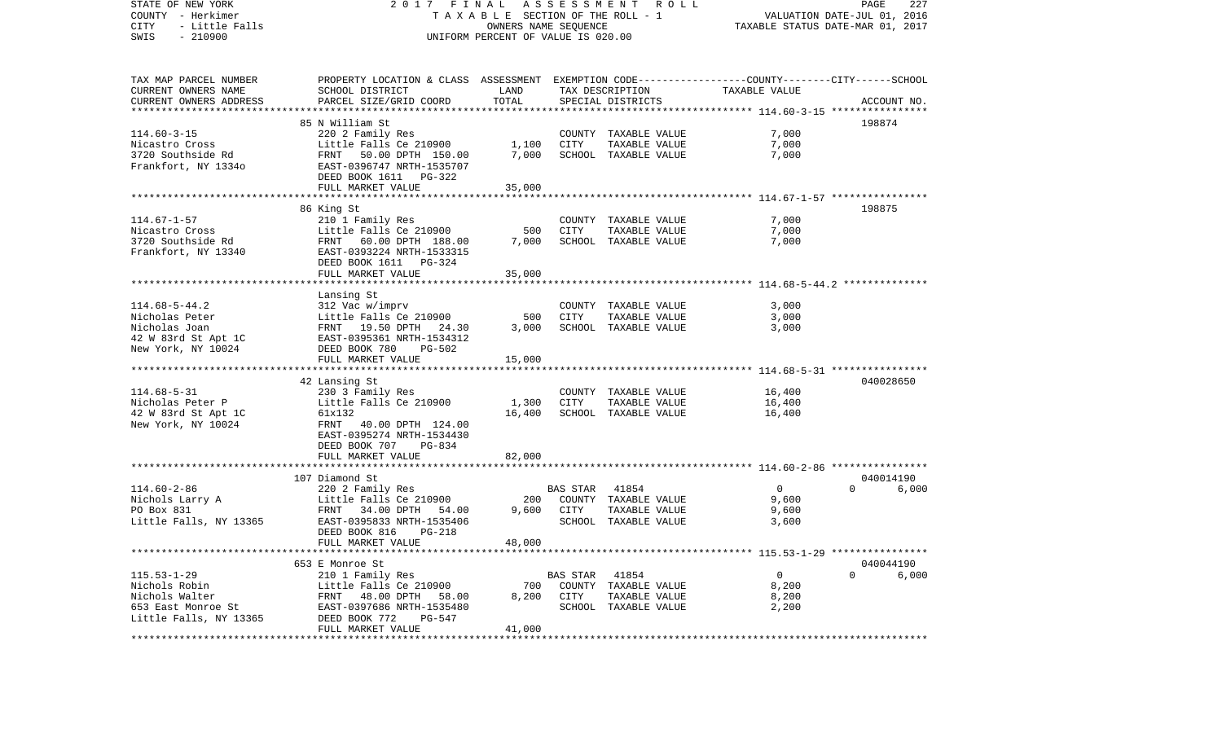| STATE OF NEW YORK<br>COUNTY - Herkimer<br>- Little Falls<br>CITY<br>$-210900$<br>SWIS | 2017 FINAL ASSESSMENT ROLL<br>TAXABLE SECTION OF THE ROLL - 1<br>OWNERS NAME SEQUENCE<br>UNIFORM PERCENT OF VALUE IS 020.00 |              |                |                                       | PAGE<br>227<br>VALUATION DATE-JUL 01, 2016<br>TAXABLE STATUS DATE-MAR 01, 2017 |             |       |  |
|---------------------------------------------------------------------------------------|-----------------------------------------------------------------------------------------------------------------------------|--------------|----------------|---------------------------------------|--------------------------------------------------------------------------------|-------------|-------|--|
| TAX MAP PARCEL NUMBER<br>CURRENT OWNERS NAME                                          | PROPERTY LOCATION & CLASS ASSESSMENT EXEMPTION CODE---------------COUNTY-------CITY------SCHOOL<br>SCHOOL DISTRICT          | LAND         |                | TAX DESCRIPTION                       | TAXABLE VALUE                                                                  |             |       |  |
| CURRENT OWNERS ADDRESS                                                                | PARCEL SIZE/GRID COORD                                                                                                      | TOTAL        |                | SPECIAL DISTRICTS                     |                                                                                | ACCOUNT NO. |       |  |
|                                                                                       |                                                                                                                             |              |                |                                       |                                                                                |             |       |  |
|                                                                                       | 85 N William St                                                                                                             |              |                | COUNTY TAXABLE VALUE                  |                                                                                | 198874      |       |  |
| $114.60 - 3 - 15$<br>Nicastro Cross                                                   | 220 2 Family Res<br>Little Falls Ce 210900                                                                                  | 1,100        | CITY           | TAXABLE VALUE                         | 7,000<br>7,000                                                                 |             |       |  |
| 3720 Southside Rd                                                                     | FRNT 50.00 DPTH 150.00                                                                                                      | 7,000        |                | SCHOOL TAXABLE VALUE                  | 7,000                                                                          |             |       |  |
| Frankfort, NY 1334o                                                                   | EAST-0396747 NRTH-1535707                                                                                                   |              |                |                                       |                                                                                |             |       |  |
|                                                                                       | DEED BOOK 1611 PG-322                                                                                                       |              |                |                                       |                                                                                |             |       |  |
|                                                                                       | FULL MARKET VALUE                                                                                                           | 35,000       |                |                                       |                                                                                |             |       |  |
|                                                                                       |                                                                                                                             |              |                |                                       |                                                                                |             |       |  |
|                                                                                       | 86 King St                                                                                                                  |              |                |                                       |                                                                                | 198875      |       |  |
| $114.67 - 1 - 57$                                                                     | 210 1 Family Res                                                                                                            |              |                | COUNTY TAXABLE VALUE                  | 7,000                                                                          |             |       |  |
| Nicastro Cross<br>3720 Southside Rd                                                   | Little Falls Ce 210900                                                                                                      | 500<br>7,000 | CITY           | TAXABLE VALUE<br>SCHOOL TAXABLE VALUE | 7,000                                                                          |             |       |  |
| Frankfort, NY 13340                                                                   | FRNT 60.00 DPTH 188.00<br>EAST-0393224 NRTH-1533315                                                                         |              |                |                                       | 7,000                                                                          |             |       |  |
|                                                                                       | DEED BOOK 1611 PG-324                                                                                                       |              |                |                                       |                                                                                |             |       |  |
|                                                                                       | FULL MARKET VALUE                                                                                                           | 35,000       |                |                                       |                                                                                |             |       |  |
|                                                                                       |                                                                                                                             |              |                |                                       |                                                                                |             |       |  |
|                                                                                       | Lansing St                                                                                                                  |              |                |                                       |                                                                                |             |       |  |
| $114.68 - 5 - 44.2$                                                                   | 312 Vac w/imprv                                                                                                             |              |                | COUNTY TAXABLE VALUE                  | 3,000                                                                          |             |       |  |
| Nicholas Peter                                                                        | Little Falls Ce 210900                                                                                                      | 500          | CITY           | TAXABLE VALUE                         | 3,000                                                                          |             |       |  |
| Nicholas Joan                                                                         | FRNT 19.50 DPTH 24.30<br>EAST-0395361 NRTH-1534312                                                                          | 3,000        |                | SCHOOL TAXABLE VALUE                  | 3,000                                                                          |             |       |  |
| 42 W 83rd St Apt 1C<br>New York, NY 10024                                             | DEED BOOK 780<br>PG-502                                                                                                     |              |                |                                       |                                                                                |             |       |  |
|                                                                                       | FULL MARKET VALUE                                                                                                           | 15,000       |                |                                       |                                                                                |             |       |  |
|                                                                                       |                                                                                                                             |              |                |                                       |                                                                                |             |       |  |
|                                                                                       | 42 Lansing St                                                                                                               |              |                |                                       |                                                                                | 040028650   |       |  |
| $114.68 - 5 - 31$                                                                     | 230 3 Family Res                                                                                                            |              |                | COUNTY TAXABLE VALUE                  | 16,400                                                                         |             |       |  |
| Nicholas Peter P                                                                      | Little Falls Ce 210900                                                                                                      | 1,300        | CITY           | TAXABLE VALUE                         | 16,400                                                                         |             |       |  |
| 42 W 83rd St Apt 1C                                                                   | 61x132                                                                                                                      | 16,400       |                | SCHOOL TAXABLE VALUE                  | 16,400                                                                         |             |       |  |
| New York, NY 10024                                                                    | FRNT<br>40.00 DPTH 124.00<br>EAST-0395274 NRTH-1534430                                                                      |              |                |                                       |                                                                                |             |       |  |
|                                                                                       | DEED BOOK 707<br>PG-834                                                                                                     |              |                |                                       |                                                                                |             |       |  |
|                                                                                       | FULL MARKET VALUE                                                                                                           | 82,000       |                |                                       |                                                                                |             |       |  |
|                                                                                       |                                                                                                                             |              |                |                                       |                                                                                |             |       |  |
|                                                                                       | 107 Diamond St                                                                                                              |              |                |                                       |                                                                                | 040014190   |       |  |
| $114.60 - 2 - 86$                                                                     | 220 2 Family Res                                                                                                            |              | BAS STAR       | 41854                                 | $\overline{0}$                                                                 | $\Omega$    | 6,000 |  |
| Nichols Larry A                                                                       | Little Falls Ce 210900                                                                                                      | 200          |                | COUNTY TAXABLE VALUE                  | 9,600                                                                          |             |       |  |
| PO Box 831                                                                            | FRNT 34.00 DPTH 54.00                                                                                                       | 9,600        | CITY           | TAXABLE VALUE<br>SCHOOL TAXABLE VALUE | 9,600                                                                          |             |       |  |
| Little Falls, NY 13365                                                                | EAST-0395833 NRTH-1535406<br>DEED BOOK 816<br>PG-218                                                                        |              |                |                                       | 3,600                                                                          |             |       |  |
|                                                                                       | FULL MARKET VALUE                                                                                                           | 48,000       |                |                                       |                                                                                |             |       |  |
|                                                                                       |                                                                                                                             |              |                |                                       |                                                                                |             |       |  |
|                                                                                       | 653 E Monroe St                                                                                                             |              |                |                                       |                                                                                | 040044190   |       |  |
| $115.53 - 1 - 29$                                                                     | 210 1 Family Res                                                                                                            |              | BAS STAR 41854 |                                       | $\mathbf{0}$                                                                   | $\Omega$    | 6,000 |  |
| Nichols Robin                                                                         | Little Falls Ce 210900                                                                                                      | 700          |                | COUNTY TAXABLE VALUE                  | 8,200                                                                          |             |       |  |
| Nichols Walter                                                                        | FRNT 48.00 DPTH 58.00                                                                                                       | 8,200        | CITY           | TAXABLE VALUE                         | 8,200                                                                          |             |       |  |
| 653 East Monroe St                                                                    | EAST-0397686 NRTH-1535480                                                                                                   |              |                | SCHOOL TAXABLE VALUE                  | 2,200                                                                          |             |       |  |
| Little Falls, NY 13365                                                                | DEED BOOK 772<br>PG-547<br>FULL MARKET VALUE                                                                                | 41,000       |                |                                       |                                                                                |             |       |  |
|                                                                                       |                                                                                                                             |              |                |                                       |                                                                                |             |       |  |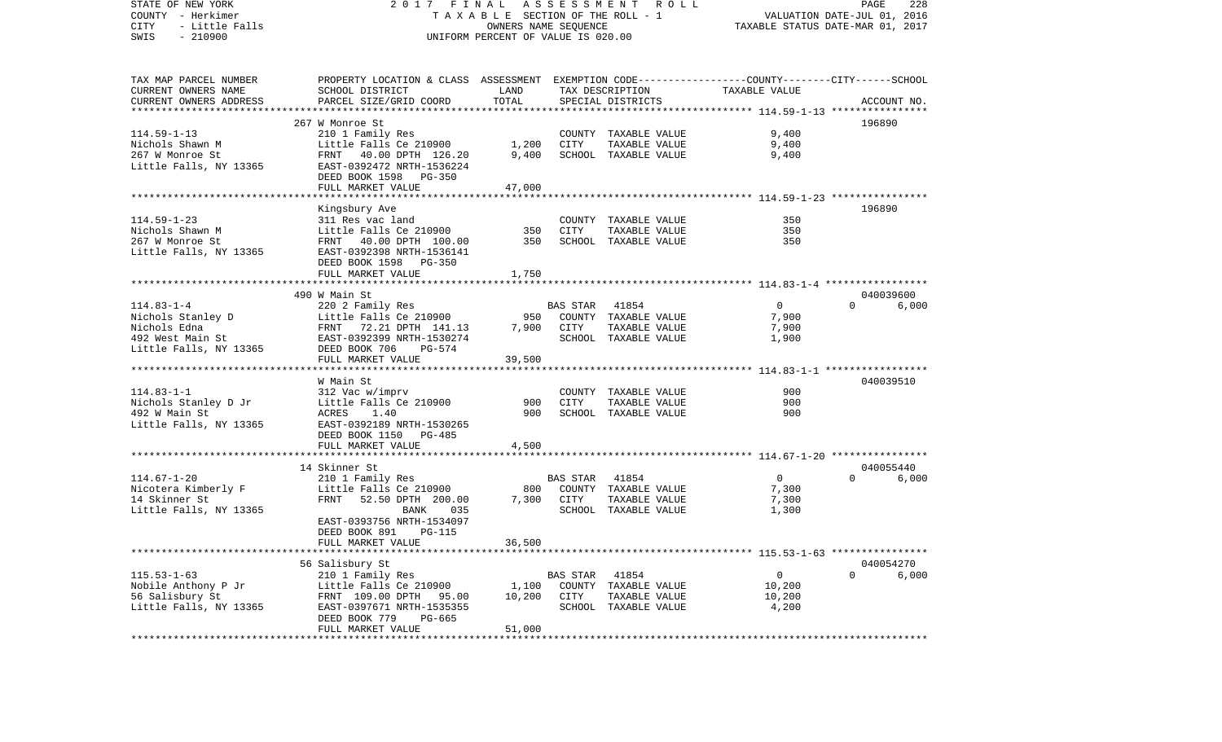| STATE OF NEW YORK<br>COUNTY - Herkimer<br>CITY<br>- Little Falls<br>$-210900$<br>SWIS | 2017 FINAL ASSESSMENT ROLL<br>TAXABLE SECTION OF THE ROLL - 1<br>OWNERS NAME SEQUENCE<br>UNIFORM PERCENT OF VALUE IS 020.00                      |        |            |                               | PAGE<br>228<br>VALUATION DATE-JUL 01, 2016<br>TAXABLE STATUS DATE-MAR 01, 2017 |                       |  |  |
|---------------------------------------------------------------------------------------|--------------------------------------------------------------------------------------------------------------------------------------------------|--------|------------|-------------------------------|--------------------------------------------------------------------------------|-----------------------|--|--|
| TAX MAP PARCEL NUMBER                                                                 | PROPERTY LOCATION & CLASS ASSESSMENT EXEMPTION CODE----------------COUNTY-------CITY------SCHOOL                                                 |        |            |                               |                                                                                |                       |  |  |
| CURRENT OWNERS NAME                                                                   | SCHOOL DISTRICT                                                                                                                                  | LAND   |            | TAX DESCRIPTION TAXABLE VALUE |                                                                                |                       |  |  |
| CURRENT OWNERS ADDRESS                                                                | PARCEL SIZE/GRID COORD                                                                                                                           | TOTAL  |            | SPECIAL DISTRICTS             |                                                                                | ACCOUNT NO.           |  |  |
|                                                                                       | 267 W Monroe St                                                                                                                                  |        |            |                               |                                                                                | 196890                |  |  |
| $114.59 - 1 - 13$                                                                     | 210 1 Family Res                                                                                                                                 |        |            | COUNTY TAXABLE VALUE          | 9,400                                                                          |                       |  |  |
| Nichols Shawn M                                                                       | Little Falls Ce 210900                                                                                                                           | 1,200  | CITY       | TAXABLE VALUE                 | 9,400                                                                          |                       |  |  |
| 267 W Monroe St                                                                       | FRNT 40.00 DPTH 126.20                                                                                                                           | 9,400  |            | SCHOOL TAXABLE VALUE          | 9,400                                                                          |                       |  |  |
| Little Falls, NY 13365                                                                | EAST-0392472 NRTH-1536224                                                                                                                        |        |            |                               |                                                                                |                       |  |  |
|                                                                                       | DEED BOOK 1598 PG-350                                                                                                                            |        |            |                               |                                                                                |                       |  |  |
|                                                                                       | FULL MARKET VALUE                                                                                                                                | 47,000 |            |                               |                                                                                |                       |  |  |
|                                                                                       | Kingsbury Ave                                                                                                                                    |        |            |                               |                                                                                | 196890                |  |  |
| $114.59 - 1 - 23$                                                                     | 311 Res vac land                                                                                                                                 |        |            | COUNTY TAXABLE VALUE          | 350                                                                            |                       |  |  |
| Nichols Shawn M                                                                       | Little Falls Ce 210900                                                                                                                           | 350    | CITY       | TAXABLE VALUE                 | 350                                                                            |                       |  |  |
| 267 W Monroe St                                                                       | FRNT 40.00 DPTH 100.00                                                                                                                           | 350    |            | SCHOOL TAXABLE VALUE          | 350                                                                            |                       |  |  |
| Little Falls, NY 13365                                                                | EAST-0392398 NRTH-1536141                                                                                                                        |        |            |                               |                                                                                |                       |  |  |
|                                                                                       | DEED BOOK 1598 PG-350                                                                                                                            |        |            |                               |                                                                                |                       |  |  |
|                                                                                       | FULL MARKET VALUE                                                                                                                                | 1,750  |            |                               |                                                                                |                       |  |  |
|                                                                                       | 490 W Main St                                                                                                                                    |        |            |                               |                                                                                | 040039600             |  |  |
| $114.83 - 1 - 4$                                                                      | 220 2 Family Res                                                                                                                                 |        | BAS STAR   | 41854                         | $\overline{0}$                                                                 | $\Omega$<br>6,000     |  |  |
|                                                                                       |                                                                                                                                                  |        |            | 950 COUNTY TAXABLE VALUE      | 7,900                                                                          |                       |  |  |
|                                                                                       | Nichols Stanley D<br>Nichols Edna<br>Nichols Edna<br>PENT 72.21 DPTH 141.13 7,900 COUNT!<br>492 West Main St<br>EAST-0392399 NRTH-1530274 SCHOOI |        |            | TAXABLE VALUE                 | 7,900                                                                          |                       |  |  |
|                                                                                       |                                                                                                                                                  |        |            | SCHOOL TAXABLE VALUE          | 1,900                                                                          |                       |  |  |
| Little Falls, NY 13365                                                                | DEED BOOK 706<br>PG-574                                                                                                                          |        |            |                               |                                                                                |                       |  |  |
|                                                                                       | FULL MARKET VALUE                                                                                                                                | 39,500 |            |                               |                                                                                |                       |  |  |
|                                                                                       | W Main St                                                                                                                                        |        |            |                               |                                                                                | 040039510             |  |  |
| $114.83 - 1 - 1$                                                                      | 312 Vac w/imprv                                                                                                                                  |        |            | COUNTY TAXABLE VALUE          | 900                                                                            |                       |  |  |
| Nichols Stanley D Jr                                                                  | Little Falls Ce 210900                                                                                                                           | 900    | CITY       | TAXABLE VALUE                 | 900                                                                            |                       |  |  |
| 492 W Main St                                                                         | ACRES<br>1.40                                                                                                                                    | 900    |            | SCHOOL TAXABLE VALUE          | 900                                                                            |                       |  |  |
| Little Falls, NY 13365                                                                | EAST-0392189 NRTH-1530265                                                                                                                        |        |            |                               |                                                                                |                       |  |  |
|                                                                                       | DEED BOOK 1150 PG-485<br>FULL MARKET VALUE                                                                                                       |        |            |                               |                                                                                |                       |  |  |
|                                                                                       |                                                                                                                                                  | 4,500  |            |                               |                                                                                |                       |  |  |
|                                                                                       | 14 Skinner St                                                                                                                                    |        |            |                               |                                                                                | 040055440             |  |  |
| $114.67 - 1 - 20$                                                                     | 210 1 Family Res                                                                                                                                 |        | BAS STAR   | 41854                         | $\overline{0}$                                                                 | $\Omega$<br>6,000     |  |  |
| Nicotera Kimberly F                                                                   | Little Falls Ce 210900                                                                                                                           |        |            | 800 COUNTY TAXABLE VALUE      | 7,300                                                                          |                       |  |  |
| 14 Skinner St                                                                         | FRNT 52.50 DPTH 200.00                                                                                                                           |        | 7,300 CITY | TAXABLE VALUE                 | 7,300                                                                          |                       |  |  |
| Little Falls, NY 13365                                                                | 035<br>BANK<br>EAST-0393756 NRTH-1534097                                                                                                         |        |            | SCHOOL TAXABLE VALUE          | 1,300                                                                          |                       |  |  |
|                                                                                       | DEED BOOK 891<br>PG-115                                                                                                                          |        |            |                               |                                                                                |                       |  |  |
|                                                                                       | FULL MARKET VALUE                                                                                                                                | 36,500 |            |                               |                                                                                |                       |  |  |
|                                                                                       |                                                                                                                                                  |        |            |                               |                                                                                |                       |  |  |
|                                                                                       | 56 Salisbury St                                                                                                                                  |        |            |                               |                                                                                | 040054270             |  |  |
| $115.53 - 1 - 63$                                                                     | 210 1 Family Res                                                                                                                                 |        | BAS STAR   | 41854                         | $\mathsf{O}$                                                                   | $\mathbf{0}$<br>6,000 |  |  |
| Nobile Anthony P Jr                                                                   | Little Falls Ce 210900                                                                                                                           | 1,100  |            | COUNTY TAXABLE VALUE          | 10,200                                                                         |                       |  |  |
| 56 Salisbury St                                                                       | FRNT 109.00 DPTH 95.00                                                                                                                           | 10,200 | CITY       | TAXABLE VALUE                 | 10,200                                                                         |                       |  |  |
| Little Falls, NY 13365                                                                | EAST-0397671 NRTH-1535355<br>DEED BOOK 779<br>PG-665                                                                                             |        |            | SCHOOL TAXABLE VALUE          | 4,200                                                                          |                       |  |  |
|                                                                                       | FULL MARKET VALUE                                                                                                                                | 51,000 |            |                               |                                                                                |                       |  |  |
|                                                                                       |                                                                                                                                                  |        |            |                               |                                                                                |                       |  |  |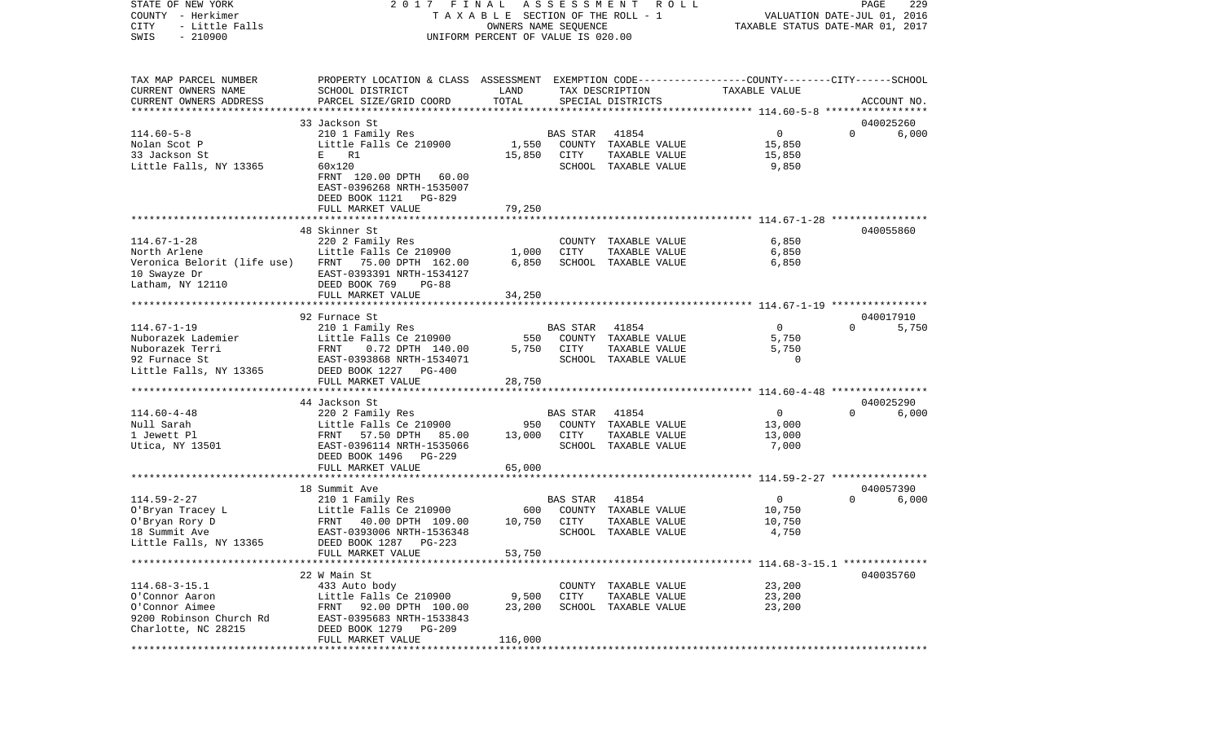| COUNTY<br>- Herkimer<br>CITY<br>- Little Falls<br>SWIS<br>$-210900$ |                                                                                                 | T A X A B L E SECTION OF THE ROLL - 1<br>OWNERS NAME SEQUENCE<br>UNIFORM PERCENT OF VALUE IS 020.00 |                 |                                       | VALUATION DATE-JUL 01, 2016<br>TAXABLE STATUS DATE-MAR 01, 2017 |          |             |
|---------------------------------------------------------------------|-------------------------------------------------------------------------------------------------|-----------------------------------------------------------------------------------------------------|-----------------|---------------------------------------|-----------------------------------------------------------------|----------|-------------|
| TAX MAP PARCEL NUMBER                                               | PROPERTY LOCATION & CLASS ASSESSMENT EXEMPTION CODE---------------COUNTY-------CITY------SCHOOL |                                                                                                     |                 |                                       |                                                                 |          |             |
| CURRENT OWNERS NAME                                                 | SCHOOL DISTRICT                                                                                 | LAND                                                                                                |                 | TAX DESCRIPTION                       | TAXABLE VALUE                                                   |          |             |
| CURRENT OWNERS ADDRESS                                              | PARCEL SIZE/GRID COORD                                                                          | TOTAL                                                                                               |                 | SPECIAL DISTRICTS                     |                                                                 |          | ACCOUNT NO. |
|                                                                     |                                                                                                 |                                                                                                     |                 |                                       |                                                                 |          |             |
|                                                                     | 33 Jackson St                                                                                   |                                                                                                     |                 |                                       |                                                                 |          | 040025260   |
| $114.60 - 5 - 8$                                                    | 210 1 Family Res                                                                                |                                                                                                     | BAS STAR        | 41854                                 | $\overline{0}$                                                  | $\Omega$ | 6,000       |
| Nolan Scot P<br>33 Jackson St                                       | Little Falls Ce 210900<br>$\mathbf{E}$ and $\mathbf{E}$<br>R1                                   | 1,550<br>15,850                                                                                     | CITY            | COUNTY TAXABLE VALUE                  | 15,850<br>15,850                                                |          |             |
| Little Falls, NY 13365                                              | 60x120                                                                                          |                                                                                                     |                 | TAXABLE VALUE<br>SCHOOL TAXABLE VALUE | 9,850                                                           |          |             |
|                                                                     | FRNT 120.00 DPTH 60.00<br>EAST-0396268 NRTH-1535007<br>DEED BOOK 1121 PG-829                    |                                                                                                     |                 |                                       |                                                                 |          |             |
|                                                                     | FULL MARKET VALUE                                                                               | 79,250                                                                                              |                 |                                       |                                                                 |          |             |
|                                                                     |                                                                                                 |                                                                                                     |                 |                                       |                                                                 |          |             |
|                                                                     | 48 Skinner St                                                                                   |                                                                                                     |                 |                                       |                                                                 |          | 040055860   |
| $114.67 - 1 - 28$<br>North Arlene                                   | 220 2 Family Res<br>Little Falls Ce 210900                                                      | 1,000                                                                                               | CITY            | COUNTY TAXABLE VALUE<br>TAXABLE VALUE | 6,850<br>6,850                                                  |          |             |
|                                                                     | Veronica Belorit (life use) FRNT 75.00 DPTH 162.00                                              | 6,850                                                                                               |                 | SCHOOL TAXABLE VALUE                  | 6,850                                                           |          |             |
| 10 Swayze Dr                                                        | EAST-0393391 NRTH-1534127                                                                       |                                                                                                     |                 |                                       |                                                                 |          |             |
| Latham, NY 12110                                                    | DEED BOOK 769<br>$PG-88$                                                                        |                                                                                                     |                 |                                       |                                                                 |          |             |
|                                                                     | FULL MARKET VALUE                                                                               | 34,250                                                                                              |                 |                                       |                                                                 |          |             |
|                                                                     |                                                                                                 |                                                                                                     |                 |                                       |                                                                 |          |             |
|                                                                     | 92 Furnace St                                                                                   |                                                                                                     |                 |                                       |                                                                 |          | 040017910   |
| $114.67 - 1 - 19$                                                   | 210 1 Family Res                                                                                |                                                                                                     | <b>BAS STAR</b> | 41854                                 | $\overline{0}$                                                  | $\Omega$ | 5,750       |
| Nuborazek Lademier                                                  | Little Falls Ce 210900                                                                          | 550                                                                                                 |                 | COUNTY TAXABLE VALUE                  | 5,750                                                           |          |             |
| Nuborazek Terri                                                     | FRNT<br>0.72 DPTH 140.00                                                                        | 5,750                                                                                               | CITY            | TAXABLE VALUE                         | 5,750                                                           |          |             |
| 92 Furnace St                                                       | EAST-0393868 NRTH-1534071                                                                       |                                                                                                     |                 | SCHOOL TAXABLE VALUE                  | 0                                                               |          |             |
| Little Falls, NY 13365                                              | DEED BOOK 1227 PG-400                                                                           |                                                                                                     |                 |                                       |                                                                 |          |             |
|                                                                     | FULL MARKET VALUE                                                                               | 28,750                                                                                              |                 |                                       |                                                                 |          |             |
|                                                                     | 44 Jackson St                                                                                   |                                                                                                     |                 |                                       |                                                                 |          | 040025290   |
| $114.60 - 4 - 48$                                                   | 220 2 Family Res                                                                                |                                                                                                     | <b>BAS STAR</b> | 41854                                 | $\overline{0}$                                                  | $\Omega$ | 6,000       |
| Null Sarah                                                          | Little Falls Ce 210900                                                                          | 950                                                                                                 |                 | COUNTY TAXABLE VALUE                  | 13,000                                                          |          |             |
| 1 Jewett Pl                                                         | FRNT 57.50 DPTH 85.00                                                                           | 13,000                                                                                              | CITY            | TAXABLE VALUE                         | 13,000                                                          |          |             |
| Utica, NY 13501                                                     | EAST-0396114 NRTH-1535066                                                                       |                                                                                                     |                 | SCHOOL TAXABLE VALUE                  | 7,000                                                           |          |             |
|                                                                     | DEED BOOK 1496<br>PG-229                                                                        |                                                                                                     |                 |                                       |                                                                 |          |             |
|                                                                     | FULL MARKET VALUE                                                                               | 65,000                                                                                              |                 |                                       |                                                                 |          |             |
|                                                                     |                                                                                                 |                                                                                                     |                 |                                       |                                                                 |          |             |
|                                                                     | 18 Summit Ave                                                                                   |                                                                                                     |                 |                                       |                                                                 | $\Omega$ | 040057390   |
| $114.59 - 2 - 27$<br>O'Bryan Tracey L                               | 210 1 Family Res                                                                                | 600                                                                                                 | <b>BAS STAR</b> | 41854                                 | $\overline{0}$                                                  |          | 6,000       |
| O'Bryan Rory D                                                      | Little Falls Ce 210900<br>FRNT 40.00 DPTH 109.00                                                | 10,750                                                                                              | CITY            | COUNTY TAXABLE VALUE<br>TAXABLE VALUE | 10,750<br>10,750                                                |          |             |
| 18 Summit Ave                                                       | EAST-0393006 NRTH-1536348                                                                       |                                                                                                     |                 | SCHOOL TAXABLE VALUE                  | 4,750                                                           |          |             |
| Little Falls, NY 13365                                              | DEED BOOK 1287<br>$PG-223$                                                                      |                                                                                                     |                 |                                       |                                                                 |          |             |
|                                                                     | FULL MARKET VALUE                                                                               | 53,750                                                                                              |                 |                                       |                                                                 |          |             |
|                                                                     |                                                                                                 |                                                                                                     |                 |                                       |                                                                 |          |             |
|                                                                     | 22 W Main St                                                                                    |                                                                                                     |                 |                                       |                                                                 |          | 040035760   |
| $114.68 - 3 - 15.1$                                                 | 433 Auto body                                                                                   |                                                                                                     |                 | COUNTY TAXABLE VALUE                  | 23,200                                                          |          |             |
| O'Connor Aaron                                                      | Little Falls Ce 210900                                                                          | 9,500                                                                                               | CITY            | TAXABLE VALUE                         | 23,200                                                          |          |             |
| O'Connor Aimee                                                      | FRNT 92.00 DPTH 100.00                                                                          | 23,200                                                                                              |                 | SCHOOL TAXABLE VALUE                  | 23,200                                                          |          |             |
| 9200 Robinson Church Rd                                             | EAST-0395683 NRTH-1533843                                                                       |                                                                                                     |                 |                                       |                                                                 |          |             |
| Charlotte, NC 28215                                                 | DEED BOOK 1279<br>$PG-209$                                                                      |                                                                                                     |                 |                                       |                                                                 |          |             |
|                                                                     | FULL MARKET VALUE                                                                               | 116,000                                                                                             |                 |                                       |                                                                 |          |             |

PAGE 229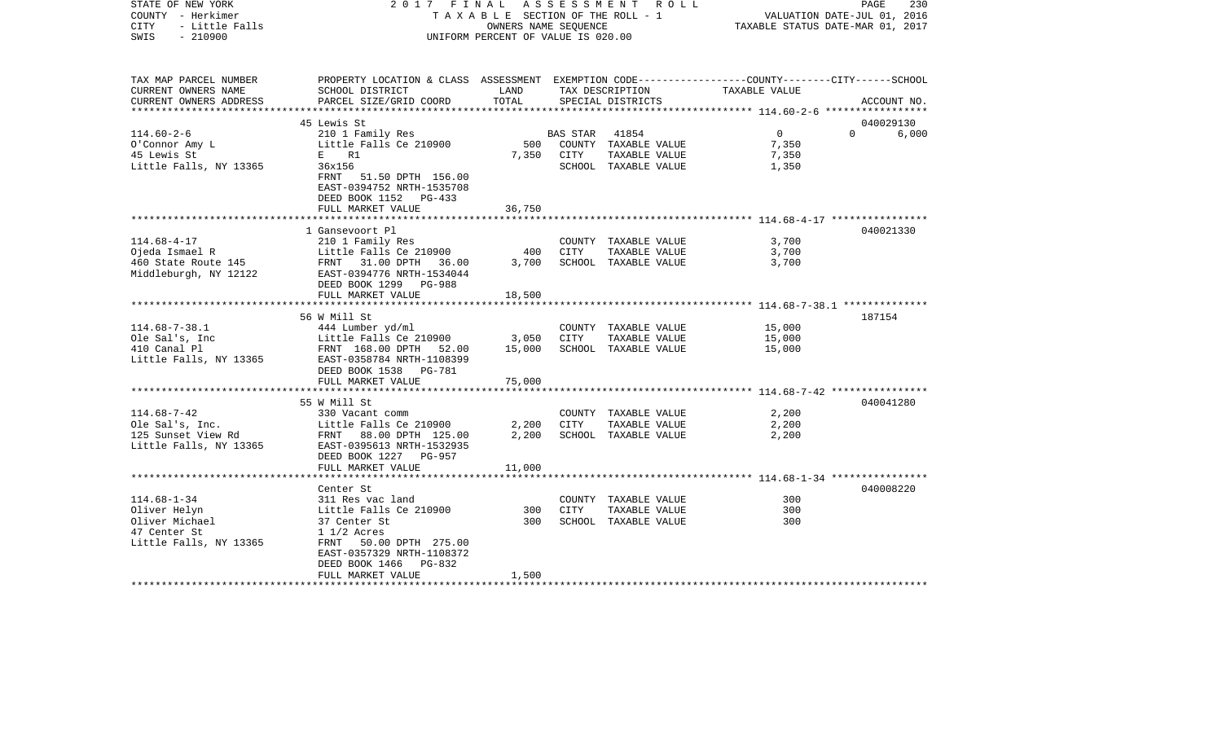| STATE OF NEW YORK<br>COUNTY - Herkimer<br><b>CITY</b><br>- Little Falls<br>$-210900$<br>SWIS |                                                                                                                                              | TAXABLE SECTION OF THE ROLL - 1<br>OWNERS NAME SEOUENCE<br>UNIFORM PERCENT OF VALUE IS 020.00 |          | 2017 FINAL ASSESSMENT ROLL                         | TAXABLE STATUS DATE-MAR 01, 2017 | PAGE<br>230<br>VALUATION DATE-JUL 01, 2016 |
|----------------------------------------------------------------------------------------------|----------------------------------------------------------------------------------------------------------------------------------------------|-----------------------------------------------------------------------------------------------|----------|----------------------------------------------------|----------------------------------|--------------------------------------------|
| TAX MAP PARCEL NUMBER<br>CURRENT OWNERS NAME<br>CURRENT OWNERS ADDRESS                       | PROPERTY LOCATION & CLASS ASSESSMENT EXEMPTION CODE---------------COUNTY-------CITY------SCHOOL<br>SCHOOL DISTRICT<br>PARCEL SIZE/GRID COORD | LAND<br>TOTAL                                                                                 |          | TAX DESCRIPTION TAXABLE VALUE<br>SPECIAL DISTRICTS |                                  | ACCOUNT NO.                                |
|                                                                                              |                                                                                                                                              |                                                                                               |          |                                                    |                                  |                                            |
| $114.60 - 2 - 6$                                                                             | 45 Lewis St<br>210 1 Family Res                                                                                                              |                                                                                               | BAS STAR | 41854                                              | $\overline{0}$                   | 040029130<br>$\Omega$<br>6,000             |
| O'Connor Amy L                                                                               | Little Falls Ce 210900                                                                                                                       | 500                                                                                           |          | COUNTY TAXABLE VALUE                               | 7,350                            |                                            |
| 45 Lewis St                                                                                  | E R1                                                                                                                                         | 7,350                                                                                         | CITY     | TAXABLE VALUE                                      | 7,350                            |                                            |
| Little Falls, NY 13365                                                                       | 36x156<br>FRNT<br>51.50 DPTH 156.00<br>EAST-0394752 NRTH-1535708<br>DEED BOOK 1152 PG-433                                                    |                                                                                               |          | SCHOOL TAXABLE VALUE                               | 1,350                            |                                            |
|                                                                                              | FULL MARKET VALUE                                                                                                                            | 36,750                                                                                        |          |                                                    |                                  |                                            |
|                                                                                              | 1 Gansevoort Pl                                                                                                                              |                                                                                               |          |                                                    |                                  | 040021330                                  |
| $114.68 - 4 - 17$                                                                            | 210 1 Family Res                                                                                                                             |                                                                                               |          | COUNTY TAXABLE VALUE                               | 3,700                            |                                            |
| Ojeda Ismael R                                                                               | Little Falls Ce 210900                                                                                                                       | 400                                                                                           | CITY     | TAXABLE VALUE                                      | 3,700                            |                                            |
| 460 State Route 145<br>Middleburgh, NY 12122                                                 | FRNT 31.00 DPTH 36.00<br>EAST-0394776 NRTH-1534044<br>DEED BOOK 1299 PG-988                                                                  | 3,700                                                                                         |          | SCHOOL TAXABLE VALUE                               | 3,700                            |                                            |
|                                                                                              | FULL MARKET VALUE                                                                                                                            | 18,500                                                                                        |          |                                                    |                                  |                                            |
|                                                                                              | 56 W Mill St                                                                                                                                 |                                                                                               |          |                                                    |                                  | 187154                                     |
| $114.68 - 7 - 38.1$                                                                          | 444 Lumber yd/ml                                                                                                                             |                                                                                               |          | COUNTY TAXABLE VALUE                               | 15,000                           |                                            |
| Ole Sal's, Inc                                                                               | Little Falls Ce 210900                                                                                                                       | 3,050                                                                                         | CITY     | TAXABLE VALUE                                      | 15,000                           |                                            |
| 410 Canal Pl<br>Little Falls, NY 13365                                                       | FRNT 168.00 DPTH 52.00<br>EAST-0358784 NRTH-1108399<br>DEED BOOK 1538 PG-781<br>FULL MARKET VALUE                                            | 15,000<br>75,000                                                                              |          | SCHOOL TAXABLE VALUE                               | 15,000                           |                                            |
|                                                                                              |                                                                                                                                              |                                                                                               |          |                                                    |                                  |                                            |
|                                                                                              | 55 W Mill St                                                                                                                                 |                                                                                               |          |                                                    |                                  | 040041280                                  |
| $114.68 - 7 - 42$                                                                            | 330 Vacant comm                                                                                                                              |                                                                                               |          | COUNTY TAXABLE VALUE                               | 2,200                            |                                            |
| Ole Sal's, Inc.                                                                              | Little Falls Ce 210900                                                                                                                       | 2,200                                                                                         | CITY     | TAXABLE VALUE                                      | 2,200                            |                                            |
| 125 Sunset View Rd<br>Little Falls, NY 13365                                                 | FRNT 88.00 DPTH 125.00<br>EAST-0395613 NRTH-1532935<br>DEED BOOK 1227 PG-957                                                                 | 2,200                                                                                         |          | SCHOOL TAXABLE VALUE                               | 2,200                            |                                            |
|                                                                                              | FULL MARKET VALUE                                                                                                                            | 11,000                                                                                        |          |                                                    |                                  |                                            |
|                                                                                              | Center St                                                                                                                                    |                                                                                               |          |                                                    |                                  | 040008220                                  |
| $114.68 - 1 - 34$                                                                            | 311 Res vac land                                                                                                                             |                                                                                               |          | COUNTY TAXABLE VALUE                               | 300                              |                                            |
| Oliver Helyn                                                                                 | Little Falls Ce 210900                                                                                                                       | 300                                                                                           | CITY     | TAXABLE VALUE                                      | 300                              |                                            |
| Oliver Michael                                                                               | 37 Center St                                                                                                                                 | 300                                                                                           |          | SCHOOL TAXABLE VALUE                               | 300                              |                                            |
| 47 Center St                                                                                 | $1 \frac{1}{2}$ Acres                                                                                                                        |                                                                                               |          |                                                    |                                  |                                            |
| Little Falls, NY 13365                                                                       | FRNT 50.00 DPTH 275.00<br>EAST-0357329 NRTH-1108372                                                                                          |                                                                                               |          |                                                    |                                  |                                            |
|                                                                                              | DEED BOOK 1466<br>PG-832                                                                                                                     |                                                                                               |          |                                                    |                                  |                                            |
|                                                                                              | FULL MARKET VALUE                                                                                                                            | 1,500                                                                                         |          |                                                    |                                  |                                            |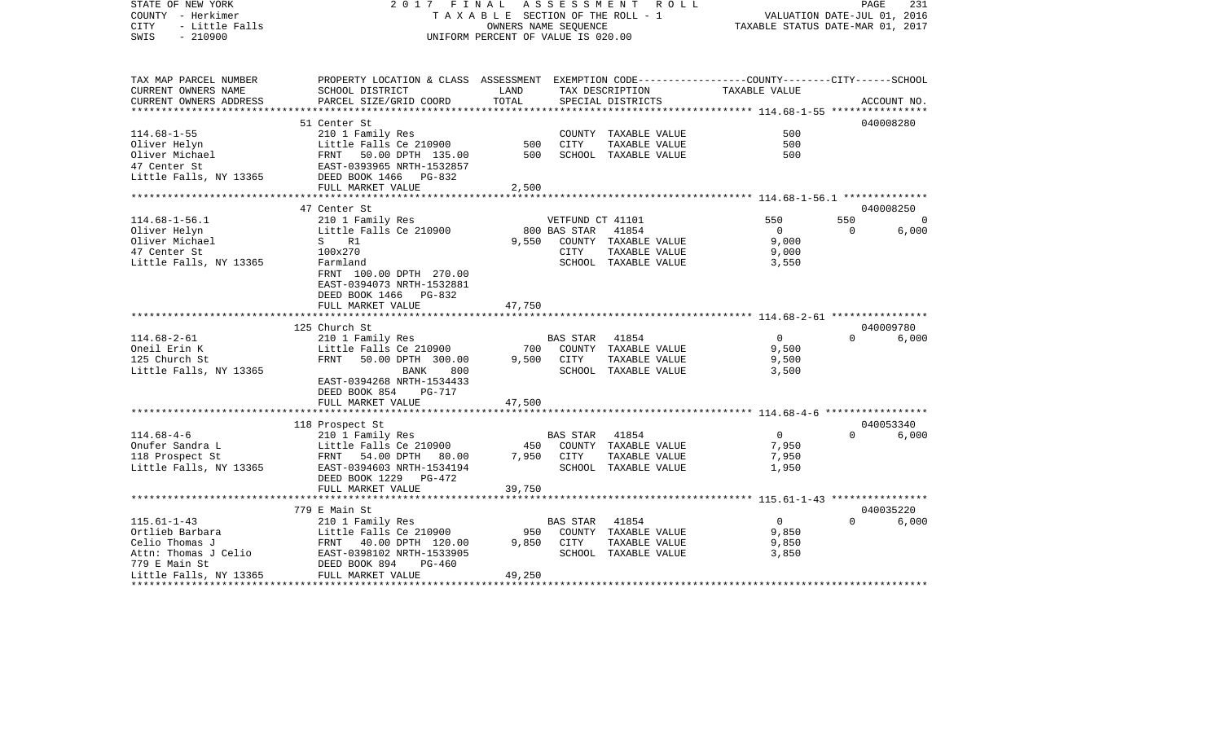| STATE OF NEW YORK      | 2017                                                                                            | FINAL                              | A S S E S S M E N T | R O L L                         |                                                                | PAGE           | 231         |
|------------------------|-------------------------------------------------------------------------------------------------|------------------------------------|---------------------|---------------------------------|----------------------------------------------------------------|----------------|-------------|
| COUNTY - Herkimer      |                                                                                                 |                                    |                     | TAXABLE SECTION OF THE ROLL - 1 | VALUATION DATE-JUL 01, 2016                                    |                |             |
| CITY<br>- Little Falls |                                                                                                 | OWNERS NAME SEQUENCE               |                     |                                 | TAXABLE STATUS DATE-MAR 01, 2017                               |                |             |
| SWIS<br>$-210900$      |                                                                                                 | UNIFORM PERCENT OF VALUE IS 020.00 |                     |                                 |                                                                |                |             |
|                        |                                                                                                 |                                    |                     |                                 |                                                                |                |             |
| TAX MAP PARCEL NUMBER  | PROPERTY LOCATION & CLASS ASSESSMENT EXEMPTION CODE---------------COUNTY-------CITY------SCHOOL |                                    |                     |                                 |                                                                |                |             |
| CURRENT OWNERS NAME    | SCHOOL DISTRICT                                                                                 | LAND                               |                     | TAX DESCRIPTION                 | TAXABLE VALUE                                                  |                |             |
| CURRENT OWNERS ADDRESS | PARCEL SIZE/GRID COORD                                                                          | TOTAL                              |                     | SPECIAL DISTRICTS               |                                                                |                | ACCOUNT NO. |
|                        |                                                                                                 |                                    |                     |                                 |                                                                |                |             |
|                        | 51 Center St                                                                                    |                                    |                     |                                 |                                                                |                | 040008280   |
| $114.68 - 1 - 55$      | 210 1 Family Res                                                                                |                                    |                     | COUNTY TAXABLE VALUE            | 500                                                            |                |             |
| Oliver Helyn           | Little Falls Ce 210900                                                                          | 500                                | <b>CITY</b>         | TAXABLE VALUE                   | 500                                                            |                |             |
| Oliver Michael         | FRNT 50.00 DPTH 135.00<br>FRNT 50.00 DPTH 135.00<br>EAST-0393965 NRTH-1532857                   | 500                                |                     | SCHOOL TAXABLE VALUE            | 500                                                            |                |             |
| 47 Center St           | EAST-0393965 NRTH-1532857                                                                       |                                    |                     |                                 |                                                                |                |             |
| Little Falls, NY 13365 | DEED BOOK 1466 PG-832                                                                           |                                    |                     |                                 |                                                                |                |             |
|                        | FULL MARKET VALUE                                                                               | 2,500                              |                     |                                 |                                                                |                |             |
|                        |                                                                                                 |                                    |                     |                                 |                                                                |                |             |
|                        | 47 Center St                                                                                    |                                    |                     |                                 |                                                                |                | 040008250   |
| $114.68 - 1 - 56.1$    | 210 1 Family Res                                                                                |                                    | VETFUND CT 41101    |                                 | 550                                                            | 550            |             |
| Oliver Helyn           | Little Falls Ce 210900                                                                          |                                    | 800 BAS STAR        | 41854                           | $\overline{0}$                                                 | $\overline{0}$ | 6,000       |
| Oliver Michael         | S R1                                                                                            | 9,550                              |                     | COUNTY TAXABLE VALUE            | 9,000                                                          |                |             |
| 47 Center St           | 100x270                                                                                         |                                    | CITY                | TAXABLE VALUE                   | 9,000                                                          |                |             |
| Little Falls, NY 13365 | Farmland                                                                                        |                                    |                     | SCHOOL TAXABLE VALUE            | 3,550                                                          |                |             |
|                        | FRNT 100.00 DPTH 270.00                                                                         |                                    |                     |                                 |                                                                |                |             |
|                        | EAST-0394073 NRTH-1532881                                                                       |                                    |                     |                                 |                                                                |                |             |
|                        | DEED BOOK 1466 PG-832                                                                           |                                    |                     |                                 |                                                                |                |             |
|                        | FULL MARKET VALUE                                                                               | 47,750                             |                     |                                 |                                                                |                |             |
|                        | *************************                                                                       |                                    |                     |                                 | **************************************68-2-61 **************** |                |             |
|                        | 125 Church St                                                                                   |                                    |                     |                                 |                                                                |                | 040009780   |
| $114.68 - 2 - 61$      | 210 1 Family Res                                                                                |                                    | BAS STAR            | 41854                           | $\overline{0}$                                                 | $\Omega$       | 6,000       |
| Oneil Erin K           | Little Falls Ce 210900                                                                          | 700                                |                     | COUNTY TAXABLE VALUE            | 9,500                                                          |                |             |
| 125 Church St          | FRNT 50.00 DPTH 300.00                                                                          | 9,500                              | CITY                | TAXABLE VALUE                   | 9,500                                                          |                |             |
| Little Falls, NY 13365 | BANK<br>800                                                                                     |                                    |                     | SCHOOL TAXABLE VALUE            | 3,500                                                          |                |             |
|                        | EAST-0394268 NRTH-1534433                                                                       |                                    |                     |                                 |                                                                |                |             |
|                        | DEED BOOK 854<br>PG-717                                                                         |                                    |                     |                                 |                                                                |                |             |
|                        | FULL MARKET VALUE                                                                               |                                    |                     |                                 |                                                                |                |             |
|                        |                                                                                                 | 47,500                             |                     |                                 |                                                                |                |             |
|                        |                                                                                                 |                                    |                     |                                 |                                                                |                | 040053340   |
| $114.68 - 4 - 6$       | 118 Prospect St                                                                                 |                                    |                     |                                 |                                                                | $\Omega$       |             |
|                        | 210 1 Family Res                                                                                |                                    | BAS STAR            | 41854                           | $\overline{0}$                                                 |                | 6,000       |
| Onufer Sandra L        | Little Falls Ce 210900                                                                          |                                    |                     | 450 COUNTY TAXABLE VALUE        | 7,950                                                          |                |             |
| 118 Prospect St        | FRNT 54.00 DPTH 80.00                                                                           | 7,950                              | CITY                | TAXABLE VALUE                   | 7,950                                                          |                |             |
| Little Falls, NY 13365 | EAST-0394603 NRTH-1534194                                                                       |                                    |                     | SCHOOL TAXABLE VALUE            | 1,950                                                          |                |             |
|                        | DEED BOOK 1229 PG-472                                                                           |                                    |                     |                                 |                                                                |                |             |
|                        | FULL MARKET VALUE                                                                               | 39,750                             |                     |                                 |                                                                |                |             |
|                        | ***********************                                                                         |                                    |                     |                                 |                                                                |                |             |
|                        | 779 E Main St                                                                                   |                                    |                     |                                 |                                                                |                | 040035220   |
| $115.61 - 1 - 43$      | 210 1 Family Res                                                                                |                                    | BAS STAR            | 41854                           | $\overline{0}$                                                 | $\Omega$       | 6,000       |
| Ortlieb Barbara        | Little Falls Ce 210900                                                                          | 950                                |                     | COUNTY TAXABLE VALUE            | 9,850                                                          |                |             |
| Celio Thomas J         | FRNT 40.00 DPTH 120.00                                                                          | 9,850                              | CITY                | TAXABLE VALUE                   | 9,850                                                          |                |             |
| Attn: Thomas J Celio   | EAST-0398102 NRTH-1533905                                                                       |                                    |                     | SCHOOL TAXABLE VALUE            | 3,850                                                          |                |             |
| 779 E Main St          | DEED BOOK 894<br>$PG-460$                                                                       |                                    |                     |                                 |                                                                |                |             |
| Little Falls, NY 13365 | FULL MARKET VALUE                                                                               | 49,250                             |                     |                                 |                                                                |                |             |
|                        |                                                                                                 |                                    |                     |                                 |                                                                |                |             |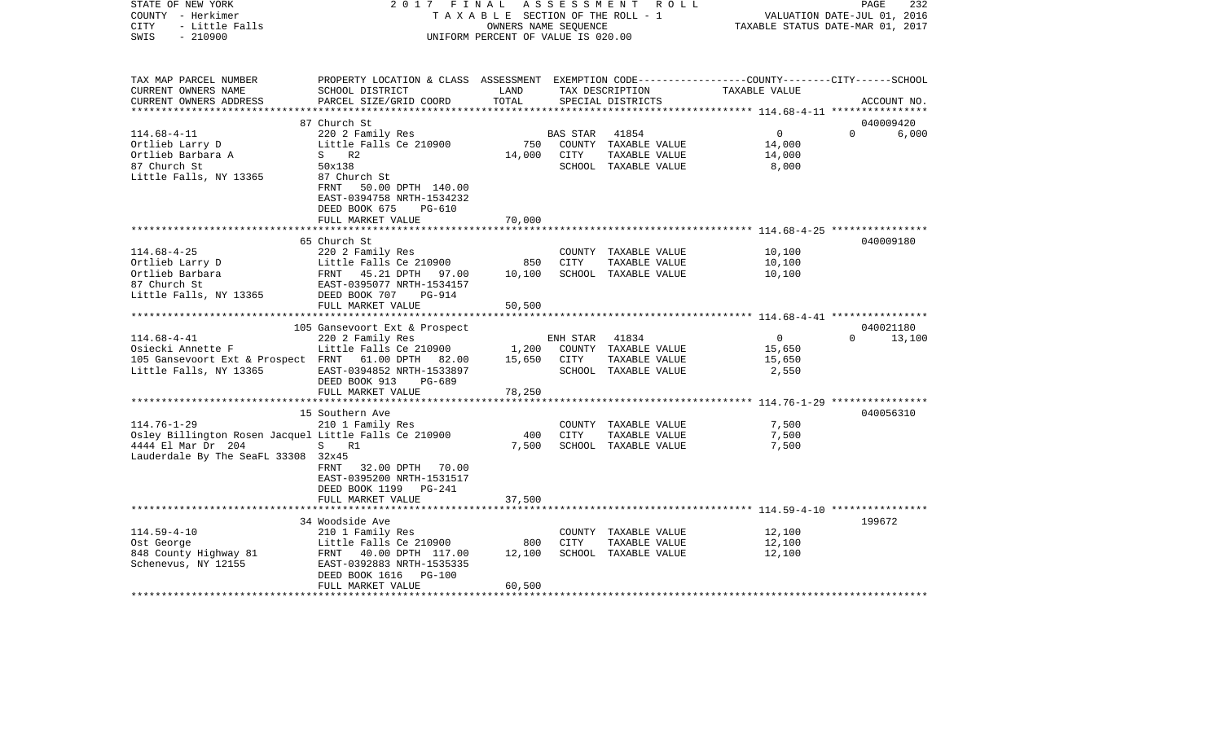| STATE OF NEW YORK<br>COUNTY - Herkimer<br>- Little Falls<br><b>CITY</b><br>$-210900$<br>SWIS |                                                                                                                    | OWNERS NAME SEQUENCE<br>UNIFORM PERCENT OF VALUE IS 020.00 |                 | 2017 FINAL ASSESSMENT ROLL<br>TAXABLE SECTION OF THE ROLL - 1 | TAXABLE STATUS DATE-MAR 01, 2017 | PAGE<br>232<br>VALUATION DATE-JUL 01, 2016 |  |
|----------------------------------------------------------------------------------------------|--------------------------------------------------------------------------------------------------------------------|------------------------------------------------------------|-----------------|---------------------------------------------------------------|----------------------------------|--------------------------------------------|--|
| TAX MAP PARCEL NUMBER<br>CURRENT OWNERS NAME                                                 | PROPERTY LOCATION & CLASS ASSESSMENT EXEMPTION CODE---------------COUNTY-------CITY------SCHOOL<br>SCHOOL DISTRICT | LAND                                                       |                 | TAX DESCRIPTION                                               | TAXABLE VALUE                    |                                            |  |
| CURRENT OWNERS ADDRESS                                                                       | PARCEL SIZE/GRID COORD                                                                                             | TOTAL                                                      |                 | SPECIAL DISTRICTS                                             |                                  | ACCOUNT NO.                                |  |
|                                                                                              |                                                                                                                    |                                                            |                 |                                                               |                                  |                                            |  |
|                                                                                              | 87 Church St                                                                                                       |                                                            |                 |                                                               |                                  | 040009420                                  |  |
| $114.68 - 4 - 11$                                                                            | 220 2 Family Res                                                                                                   |                                                            | <b>BAS STAR</b> | 41854                                                         | $\overline{0}$                   | 6,000<br>$\Omega$                          |  |
| Ortlieb Larry D                                                                              | Little Falls Ce 210900                                                                                             | 750                                                        |                 | COUNTY TAXABLE VALUE                                          | 14,000                           |                                            |  |
| Ortlieb Barbara A                                                                            | S R2                                                                                                               | 14,000                                                     | CITY            | TAXABLE VALUE                                                 | 14,000                           |                                            |  |
| 87 Church St                                                                                 | 50x138                                                                                                             |                                                            |                 | SCHOOL TAXABLE VALUE                                          | 8,000                            |                                            |  |
| Little Falls, NY 13365                                                                       | 87 Church St<br>FRNT 50.00 DPTH 140.00                                                                             |                                                            |                 |                                                               |                                  |                                            |  |
|                                                                                              | EAST-0394758 NRTH-1534232                                                                                          |                                                            |                 |                                                               |                                  |                                            |  |
|                                                                                              | DEED BOOK 675<br>PG-610                                                                                            |                                                            |                 |                                                               |                                  |                                            |  |
|                                                                                              | FULL MARKET VALUE                                                                                                  | 70,000                                                     |                 |                                                               |                                  |                                            |  |
|                                                                                              |                                                                                                                    |                                                            |                 |                                                               |                                  |                                            |  |
|                                                                                              | 65 Church St                                                                                                       |                                                            |                 |                                                               |                                  | 040009180                                  |  |
| $114.68 - 4 - 25$                                                                            | 220 2 Family Res                                                                                                   |                                                            |                 | COUNTY TAXABLE VALUE                                          | 10,100                           |                                            |  |
| Ortlieb Larry D                                                                              | Little Falls Ce 210900                                                                                             | 850                                                        | CITY            | TAXABLE VALUE                                                 | 10,100                           |                                            |  |
| Ortlieb Barbara                                                                              | FRNT 45.21 DPTH 97.00                                                                                              | 10,100                                                     |                 | SCHOOL TAXABLE VALUE                                          | 10,100                           |                                            |  |
| 87 Church St                                                                                 | EAST-0395077 NRTH-1534157                                                                                          |                                                            |                 |                                                               |                                  |                                            |  |
| Little Falls, NY 13365                                                                       | DEED BOOK 707<br>PG-914                                                                                            |                                                            |                 |                                                               |                                  |                                            |  |
|                                                                                              | FULL MARKET VALUE                                                                                                  | 50,500                                                     |                 |                                                               |                                  |                                            |  |
|                                                                                              |                                                                                                                    |                                                            |                 |                                                               |                                  |                                            |  |
|                                                                                              | 105 Gansevoort Ext & Prospect                                                                                      |                                                            |                 |                                                               |                                  | 040021180                                  |  |
| $114.68 - 4 - 41$                                                                            | 220 2 Family Res                                                                                                   |                                                            | ENH STAR        | 41834                                                         | $\overline{0}$                   | 13,100<br>$\Omega$                         |  |
| Osiecki Annette F<br>105 Gansevoort Ext & Prospect FRNT 61.00 DPTH 82.00                     | Little Falls Ce 210900                                                                                             | 15,650                                                     | CITY            | 1,200 COUNTY TAXABLE VALUE<br>TAXABLE VALUE                   | 15,650<br>15,650                 |                                            |  |
| Little Falls, NY 13365                                                                       | EAST-0394852 NRTH-1533897                                                                                          |                                                            |                 | SCHOOL TAXABLE VALUE                                          | 2,550                            |                                            |  |
|                                                                                              | DEED BOOK 913<br>PG-689                                                                                            |                                                            |                 |                                                               |                                  |                                            |  |
|                                                                                              | FULL MARKET VALUE                                                                                                  | 78,250                                                     |                 |                                                               |                                  |                                            |  |
|                                                                                              |                                                                                                                    |                                                            |                 |                                                               |                                  |                                            |  |
|                                                                                              | 15 Southern Ave                                                                                                    |                                                            |                 |                                                               |                                  | 040056310                                  |  |
| $114.76 - 1 - 29$                                                                            | 210 1 Family Res                                                                                                   |                                                            |                 | COUNTY TAXABLE VALUE                                          | 7,500                            |                                            |  |
| Osley Billington Rosen Jacquel Little Falls Ce 210900                                        |                                                                                                                    | 400                                                        | CITY            | TAXABLE VALUE                                                 | 7,500                            |                                            |  |
| 4444 El Mar Dr 204                                                                           | S R1                                                                                                               | 7,500                                                      |                 | SCHOOL TAXABLE VALUE                                          | 7,500                            |                                            |  |
| Lauderdale By The SeaFL 33308 32x45                                                          |                                                                                                                    |                                                            |                 |                                                               |                                  |                                            |  |
|                                                                                              | 32.00 DPTH 70.00<br>FRNT                                                                                           |                                                            |                 |                                                               |                                  |                                            |  |
|                                                                                              | EAST-0395200 NRTH-1531517                                                                                          |                                                            |                 |                                                               |                                  |                                            |  |
|                                                                                              | DEED BOOK 1199 PG-241                                                                                              |                                                            |                 |                                                               |                                  |                                            |  |
|                                                                                              | FULL MARKET VALUE                                                                                                  | 37,500                                                     |                 |                                                               |                                  |                                            |  |
|                                                                                              |                                                                                                                    |                                                            |                 |                                                               |                                  |                                            |  |
|                                                                                              | 34 Woodside Ave                                                                                                    |                                                            |                 |                                                               |                                  | 199672                                     |  |
| $114.59 - 4 - 10$<br>Ost George                                                              | 210 1 Family Res<br>Little Falls Ce 210900                                                                         | 800                                                        | CITY            | COUNTY TAXABLE VALUE<br>TAXABLE VALUE                         | 12,100<br>12,100                 |                                            |  |
| 848 County Highway 81                                                                        | FRNT 40.00 DPTH 117.00                                                                                             | 12,100                                                     |                 | SCHOOL TAXABLE VALUE                                          | 12,100                           |                                            |  |
| Schenevus, NY 12155                                                                          | EAST-0392883 NRTH-1535335                                                                                          |                                                            |                 |                                                               |                                  |                                            |  |
|                                                                                              | <b>PG-100</b><br>DEED BOOK 1616                                                                                    |                                                            |                 |                                                               |                                  |                                            |  |
|                                                                                              | FULL MARKET VALUE                                                                                                  | 60,500                                                     |                 |                                                               |                                  |                                            |  |
|                                                                                              |                                                                                                                    |                                                            |                 |                                                               |                                  |                                            |  |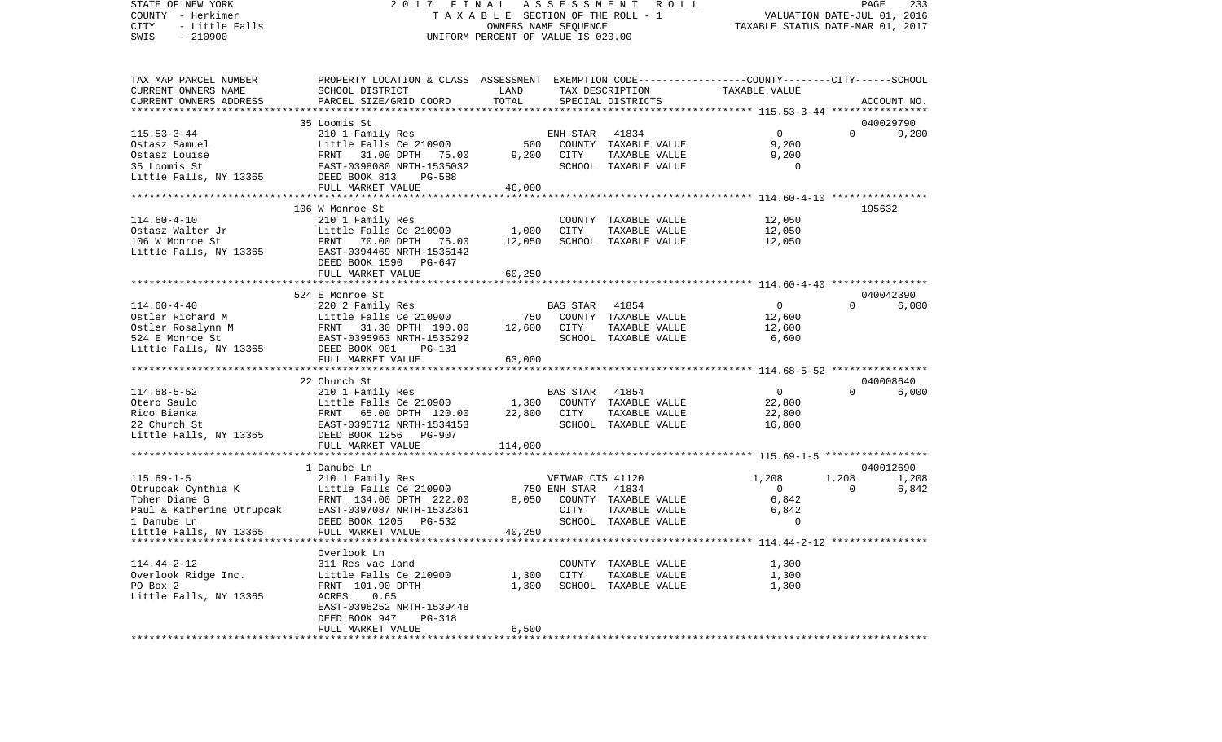VALUATION DATE-JUL 01, 2016 COUNTY - Herkimer T A X A B L E SECTION OF THE ROLL - 1 CITY - Little Falls OWNERS NAME SEQUENCE TAXABLE STATUS DATE-MAR 01, 2017 SWIS - 210900 UNIFORM PERCENT OF VALUE IS 020.00TAX MAP PARCEL NUMBER PROPERTY LOCATION & CLASS ASSESSMENT EXEMPTION CODE------------------COUNTY--------CITY------SCHOOL CURRENT OWNERS NAME SCHOOL DISTRICT LAND TAX DESCRIPTION TAXABLE VALUECURRENT OWNERS ADDRESS PARCEL SIZE/GRID COORD TOTAL SPECIAL DISTRICTS ACCOUNT NO. \*\*\*\*\*\*\*\*\*\*\*\*\*\*\*\*\*\*\*\*\*\*\*\*\*\*\*\*\*\*\*\*\*\*\*\*\*\*\*\*\*\*\*\*\*\*\*\*\*\*\*\*\*\*\*\*\*\*\*\*\*\*\*\*\*\*\*\*\*\*\*\*\*\*\*\*\*\*\*\*\*\*\*\*\*\*\*\*\*\*\*\*\*\*\*\*\*\*\*\*\*\*\* 115.53-3-44 \*\*\*\*\*\*\*\*\*\*\*\*\*\*\*\* 35 Loomis St 040029790115.53-3-44 210 1 Family Res ENH STAR 41834 0 0 9,200 Ostasz Samuel Little Falls Ce 210900 500 COUNTY TAXABLE VALUE 9,200 Ostasz Louise FRNT 31.00 DPTH 75.00 9,200 CITY TAXABLE VALUE 9,200 35 Loomis St EAST-0398080 NRTH-1535032 SCHOOL TAXABLE VALUE 0Little Falls, NY 13365 DEED BOOK 813 PG-588 FULL MARKET VALUE 46,000 \*\*\*\*\*\*\*\*\*\*\*\*\*\*\*\*\*\*\*\*\*\*\*\*\*\*\*\*\*\*\*\*\*\*\*\*\*\*\*\*\*\*\*\*\*\*\*\*\*\*\*\*\*\*\*\*\*\*\*\*\*\*\*\*\*\*\*\*\*\*\*\*\*\*\*\*\*\*\*\*\*\*\*\*\*\*\*\*\*\*\*\*\*\*\*\*\*\*\*\*\*\*\* 114.60-4-10 \*\*\*\*\*\*\*\*\*\*\*\*\*\*\*\* 106 W Monroe St 195632114.60-4-10 210 1 Family Res COUNTY TAXABLE VALUE 12,050 Ostasz Walter Jr **Little Falls Ce 210900** 1,000 CITY TAXABLE VALUE 12,050 106 W Monroe St FRNT 70.00 DPTH 75.00 12,050 SCHOOL TAXABLE VALUE 12,050 Little Falls, NY 13365 EAST-0394469 NRTH-1535142 DEED BOOK 1590 PG-647FULL MARKET VALUE 60,250 \*\*\*\*\*\*\*\*\*\*\*\*\*\*\*\*\*\*\*\*\*\*\*\*\*\*\*\*\*\*\*\*\*\*\*\*\*\*\*\*\*\*\*\*\*\*\*\*\*\*\*\*\*\*\*\*\*\*\*\*\*\*\*\*\*\*\*\*\*\*\*\*\*\*\*\*\*\*\*\*\*\*\*\*\*\*\*\*\*\*\*\*\*\*\*\*\*\*\*\*\*\*\* 114.60-4-40 \*\*\*\*\*\*\*\*\*\*\*\*\*\*\*\* 524 E Monroe St 0400423906,000 114.60-4-40 220 2 Family Res BAS STAR 41854 0 0 6,000 Ostler Richard M Little Falls Ce 210900 750 COUNTY TAXABLE VALUE 12,600 Ostler Rosalynn M FRNT 31.30 DPTH 190.00 12,600 CITY TAXABLE VALUE 12,600 524 E Monroe St EAST-0395963 NRTH-1535292 SCHOOL TAXABLE VALUE 6,600 Little Falls, NY 13365 DEED BOOK 901 PG-131 FULL MARKET VALUE 63,000 \*\*\*\*\*\*\*\*\*\*\*\*\*\*\*\*\*\*\*\*\*\*\*\*\*\*\*\*\*\*\*\*\*\*\*\*\*\*\*\*\*\*\*\*\*\*\*\*\*\*\*\*\*\*\*\*\*\*\*\*\*\*\*\*\*\*\*\*\*\*\*\*\*\*\*\*\*\*\*\*\*\*\*\*\*\*\*\*\*\*\*\*\*\*\*\*\*\*\*\*\*\*\* 114.68-5-52 \*\*\*\*\*\*\*\*\*\*\*\*\*\*\*\* 22 Church St 040008640114.68-5-52 210 1 Family Res BAS STAR 41854 0 0 6,000 Otero Saulo Little Falls Ce 210900 1,300 COUNTY TAXABLE VALUE 22,800 Rico Bianka FRNT 65.00 DPTH 120.00 22,800 CITY TAXABLE VALUE 22,800 22 Church St EAST-0395712 NRTH-1534153 SCHOOL TAXABLE VALUE 16,800 Little Falls, NY 13365 DEED BOOK 1256 PG-907 FULL MARKET VALUE 114,000 \*\*\*\*\*\*\*\*\*\*\*\*\*\*\*\*\*\*\*\*\*\*\*\*\*\*\*\*\*\*\*\*\*\*\*\*\*\*\*\*\*\*\*\*\*\*\*\*\*\*\*\*\*\*\*\*\*\*\*\*\*\*\*\*\*\*\*\*\*\*\*\*\*\*\*\*\*\*\*\*\*\*\*\*\*\*\*\*\*\*\*\*\*\*\*\*\*\*\*\*\*\*\* 115.69-1-5 \*\*\*\*\*\*\*\*\*\*\*\*\*\*\*\*\* 1 Danube Ln 040012690115.69-1-5 210 1 Family Res VETWAR CTS 41120 1,208 1,208 1,208 1,208 Otrupcak Cynthia K Little Falls Ce 210900 750 ENH STAR 41834 0 0 6,842 Toher Diane G FRNT 134.00 DPTH 222.00 8,050 COUNTY TAXABLE VALUE 6,842 Paul & Katherine Otrupcak EAST-0397087 NRTH-1532361 CITY TAXABLE VALUE 6,842 1 Danube Ln DEED BOOK 1205 PG-532 SCHOOL TAXABLE VALUE 0Little Falls, NY 13365 FULL MARKET VALUE 40,250 \*\*\*\*\*\*\*\*\*\*\*\*\*\*\*\*\*\*\*\*\*\*\*\*\*\*\*\*\*\*\*\*\*\*\*\*\*\*\*\*\*\*\*\*\*\*\*\*\*\*\*\*\*\*\*\*\*\*\*\*\*\*\*\*\*\*\*\*\*\*\*\*\*\*\*\*\*\*\*\*\*\*\*\*\*\*\*\*\*\*\*\*\*\*\*\*\*\*\*\*\*\*\* 114.44-2-12 \*\*\*\*\*\*\*\*\*\*\*\*\*\*\*\* Overlook Ln114.44-2-12 311 Res vac land COUNTY TAXABLE VALUE 1,300 Overlook Ridge Inc. Little Falls Ce 210900 1,300 CITY TAXABLE VALUE 1,300 PO Box 2 **FRNT 101.90 DPTH** 1,300 SCHOOL TAXABLE VALUE 1,300 Little Falls, NY 13365 ACRES 0.65 EAST-0396252 NRTH-1539448 DEED BOOK 947 PG-318FULL MARKET VALUE 6,500 \*\*\*\*\*\*\*\*\*\*\*\*\*\*\*\*\*\*\*\*\*\*\*\*\*\*\*\*\*\*\*\*\*\*\*\*\*\*\*\*\*\*\*\*\*\*\*\*\*\*\*\*\*\*\*\*\*\*\*\*\*\*\*\*\*\*\*\*\*\*\*\*\*\*\*\*\*\*\*\*\*\*\*\*\*\*\*\*\*\*\*\*\*\*\*\*\*\*\*\*\*\*\*\*\*\*\*\*\*\*\*\*\*\*\*\*\*\*\*\*\*\*\*\*\*\*\*\*\*\*\*\*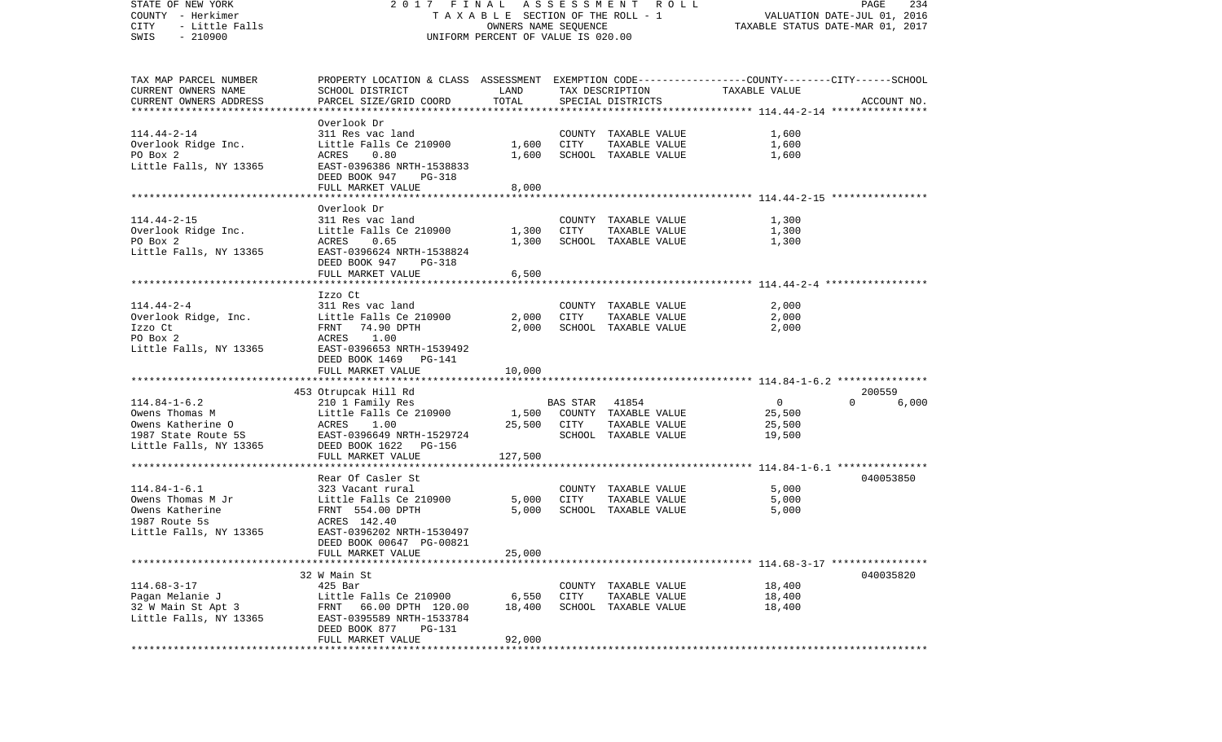| STATE OF NEW YORK                            | 2017 FINAL                                                                                      |                                    |                                  | ASSESSMENT ROLL                       |                | PAGE<br>234       |
|----------------------------------------------|-------------------------------------------------------------------------------------------------|------------------------------------|----------------------------------|---------------------------------------|----------------|-------------------|
| COUNTY - Herkimer                            | TAXABLE SECTION OF THE ROLL - 1                                                                 |                                    | VALUATION DATE-JUL 01, 2016      |                                       |                |                   |
| CITY<br>- Little Falls                       |                                                                                                 |                                    | TAXABLE STATUS DATE-MAR 01, 2017 |                                       |                |                   |
| SWIS<br>$-210900$                            |                                                                                                 | UNIFORM PERCENT OF VALUE IS 020.00 |                                  |                                       |                |                   |
|                                              |                                                                                                 |                                    |                                  |                                       |                |                   |
|                                              |                                                                                                 |                                    |                                  |                                       |                |                   |
| TAX MAP PARCEL NUMBER<br>CURRENT OWNERS NAME | PROPERTY LOCATION & CLASS ASSESSMENT EXEMPTION CODE---------------COUNTY-------CITY------SCHOOL | LAND                               |                                  |                                       | TAXABLE VALUE  |                   |
| CURRENT OWNERS ADDRESS                       | SCHOOL DISTRICT<br>PARCEL SIZE/GRID COORD                                                       | TOTAL                              |                                  | TAX DESCRIPTION                       |                | ACCOUNT NO.       |
| *************************                    |                                                                                                 |                                    |                                  | SPECIAL DISTRICTS                     |                |                   |
|                                              | Overlook Dr                                                                                     |                                    |                                  |                                       |                |                   |
| $114.44 - 2 - 14$                            | 311 Res vac land                                                                                |                                    |                                  | COUNTY TAXABLE VALUE                  | 1,600          |                   |
| Overlook Ridge Inc.                          | Little Falls Ce 210900                                                                          | 1,600                              | CITY                             | TAXABLE VALUE                         | 1,600          |                   |
| PO Box 2                                     | 0.80<br>ACRES                                                                                   | 1,600                              |                                  | SCHOOL TAXABLE VALUE                  | 1,600          |                   |
| Little Falls, NY 13365                       | EAST-0396386 NRTH-1538833                                                                       |                                    |                                  |                                       |                |                   |
|                                              | DEED BOOK 947<br>PG-318                                                                         |                                    |                                  |                                       |                |                   |
|                                              | FULL MARKET VALUE                                                                               | 8,000                              |                                  |                                       |                |                   |
|                                              |                                                                                                 | **********                         |                                  |                                       |                |                   |
|                                              | Overlook Dr                                                                                     |                                    |                                  |                                       |                |                   |
| $114.44 - 2 - 15$                            | 311 Res vac land                                                                                |                                    |                                  | COUNTY TAXABLE VALUE                  | 1,300          |                   |
| Overlook Ridge Inc.                          | Little Falls Ce 210900                                                                          | 1,300                              | CITY                             | TAXABLE VALUE                         | 1,300          |                   |
| PO Box 2                                     | ACRES<br>0.65                                                                                   | 1,300                              |                                  | SCHOOL TAXABLE VALUE                  | 1,300          |                   |
| Little Falls, NY 13365                       | EAST-0396624 NRTH-1538824                                                                       |                                    |                                  |                                       |                |                   |
|                                              | DEED BOOK 947<br>PG-318                                                                         |                                    |                                  |                                       |                |                   |
|                                              | FULL MARKET VALUE                                                                               | 6,500                              |                                  |                                       |                |                   |
|                                              |                                                                                                 |                                    |                                  |                                       |                |                   |
|                                              | Izzo Ct                                                                                         |                                    |                                  |                                       |                |                   |
| $114.44 - 2 - 4$<br>Overlook Ridge, Inc.     | 311 Res vac land                                                                                |                                    | CITY                             | COUNTY TAXABLE VALUE                  | 2,000          |                   |
| Izzo Ct                                      | Little Falls Ce 210900<br>FRNT 74.90 DPTH                                                       | 2,000<br>2,000                     |                                  | TAXABLE VALUE<br>SCHOOL TAXABLE VALUE | 2,000<br>2,000 |                   |
| PO Box 2                                     | ACRES<br>1.00                                                                                   |                                    |                                  |                                       |                |                   |
| Little Falls, NY 13365                       | EAST-0396653 NRTH-1539492                                                                       |                                    |                                  |                                       |                |                   |
|                                              | DEED BOOK 1469 PG-141                                                                           |                                    |                                  |                                       |                |                   |
|                                              | FULL MARKET VALUE                                                                               | 10,000                             |                                  |                                       |                |                   |
|                                              |                                                                                                 |                                    |                                  |                                       |                |                   |
|                                              | 453 Otrupcak Hill Rd                                                                            |                                    |                                  |                                       |                | 200559            |
| $114.84 - 1 - 6.2$                           | 210 1 Family Res                                                                                |                                    | <b>BAS STAR</b>                  | 41854                                 | $\circ$        | $\Omega$<br>6,000 |
| Owens Thomas M                               | Little Falls Ce 210900                                                                          | 1,500                              |                                  | COUNTY TAXABLE VALUE                  | 25,500         |                   |
| Owens Katherine O                            | ACRES<br>1.00                                                                                   | 25,500                             | CITY                             | TAXABLE VALUE                         | 25,500         |                   |
| 1987 State Route 5S                          | EAST-0396649 NRTH-1529724                                                                       |                                    |                                  | SCHOOL TAXABLE VALUE                  | 19,500         |                   |
| Little Falls, NY 13365                       | DEED BOOK 1622<br>PG-156                                                                        |                                    |                                  |                                       |                |                   |
|                                              | FULL MARKET VALUE                                                                               | 127,500                            |                                  |                                       |                |                   |
|                                              |                                                                                                 |                                    |                                  |                                       |                |                   |
|                                              | Rear Of Casler St                                                                               |                                    |                                  |                                       |                | 040053850         |
| $114.84 - 1 - 6.1$                           | 323 Vacant rural                                                                                |                                    |                                  | COUNTY TAXABLE VALUE                  | 5,000          |                   |
| Owens Thomas M Jr                            | Little Falls Ce 210900                                                                          | 5,000                              | CITY                             | TAXABLE VALUE                         | 5,000          |                   |
| Owens Katherine                              | FRNT 554.00 DPTH                                                                                | 5,000                              |                                  | SCHOOL TAXABLE VALUE                  | 5,000          |                   |
| 1987 Route 5s                                | ACRES 142.40                                                                                    |                                    |                                  |                                       |                |                   |
| Little Falls, NY 13365                       | EAST-0396202 NRTH-1530497                                                                       |                                    |                                  |                                       |                |                   |
|                                              | DEED BOOK 00647 PG-00821                                                                        |                                    |                                  |                                       |                |                   |
|                                              | FULL MARKET VALUE                                                                               | 25,000                             |                                  |                                       |                |                   |
|                                              |                                                                                                 |                                    |                                  |                                       |                |                   |
|                                              | 32 W Main St                                                                                    |                                    |                                  |                                       |                | 040035820         |
| $114.68 - 3 - 17$                            | $425$ Bar                                                                                       |                                    |                                  | COUNTY TAXABLE VALUE                  | 18,400         |                   |
| Pagan Melanie J                              | Little Falls Ce 210900                                                                          | 6,550                              | CITY                             | TAXABLE VALUE                         | 18,400         |                   |
| 32 W Main St Apt 3<br>Little Falls, NY 13365 | 66.00 DPTH 120.00<br>FRNT<br>EAST-0395589 NRTH-1533784                                          | 18,400                             | SCHOOL                           | TAXABLE VALUE                         | 18,400         |                   |
|                                              |                                                                                                 |                                    |                                  |                                       |                |                   |
|                                              | DEED BOOK 877<br>PG-131<br>FULL MARKET VALUE                                                    | 92,000                             |                                  |                                       |                |                   |
|                                              |                                                                                                 |                                    |                                  |                                       |                |                   |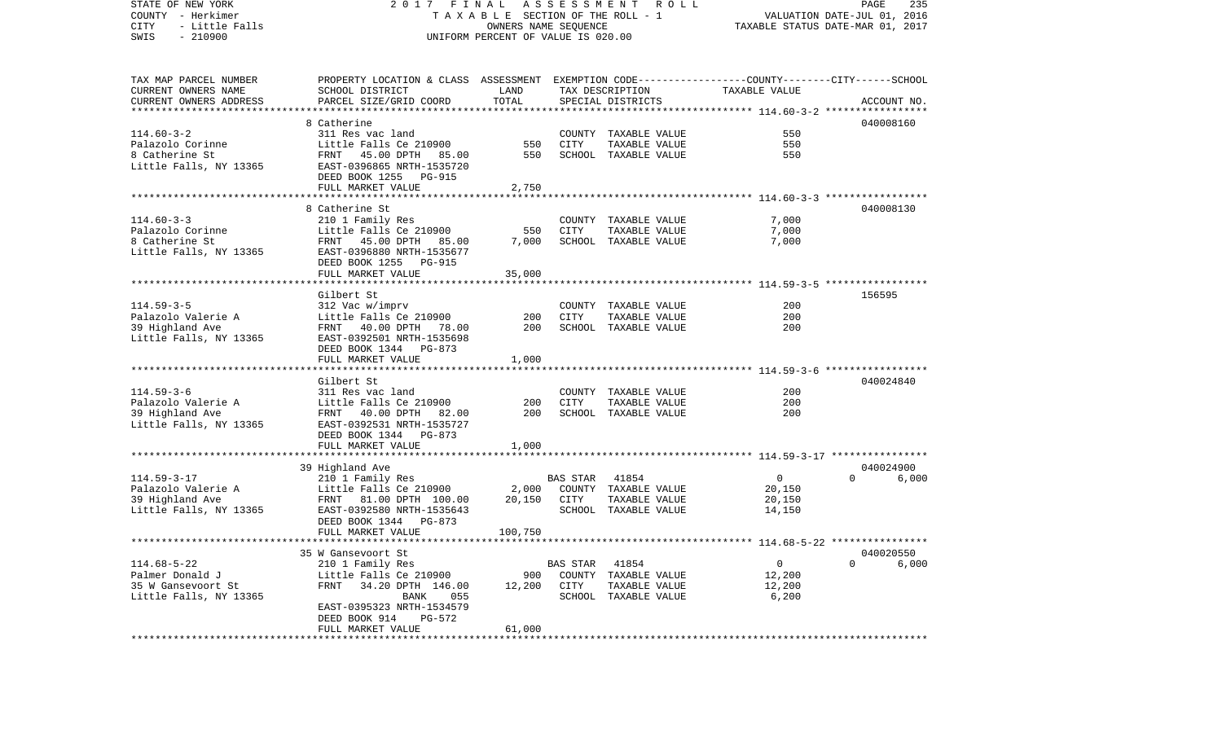| STATE OF NEW YORK<br>COUNTY - Herkimer<br>- Little Falls<br>CITY<br>$-210900$<br>SWIS | 2017 FINAL ASSESSMENT<br>R O L L<br>T A X A B L E SECTION OF THE ROLL - 1<br>OWNERS NAME SEQUENCE<br>UNIFORM PERCENT OF VALUE IS 020.00 |            |             |                                       |                | PAGE<br>235<br>VALUATION DATE-JUL 01, 2016<br>TAXABLE STATUS DATE-MAR 01, 2017 |             |  |  |
|---------------------------------------------------------------------------------------|-----------------------------------------------------------------------------------------------------------------------------------------|------------|-------------|---------------------------------------|----------------|--------------------------------------------------------------------------------|-------------|--|--|
| TAX MAP PARCEL NUMBER                                                                 | PROPERTY LOCATION & CLASS ASSESSMENT EXEMPTION CODE---------------COUNTY-------CITY------SCHOOL                                         |            |             |                                       |                |                                                                                |             |  |  |
| CURRENT OWNERS NAME                                                                   | SCHOOL DISTRICT                                                                                                                         | LAND       |             | TAX DESCRIPTION                       | TAXABLE VALUE  |                                                                                |             |  |  |
| CURRENT OWNERS ADDRESS                                                                | PARCEL SIZE/GRID COORD                                                                                                                  | TOTAL      |             | SPECIAL DISTRICTS                     |                |                                                                                | ACCOUNT NO. |  |  |
| **************************                                                            |                                                                                                                                         |            |             |                                       |                |                                                                                |             |  |  |
|                                                                                       | 8 Catherine                                                                                                                             |            |             |                                       |                | 040008160                                                                      |             |  |  |
| $114.60 - 3 - 2$                                                                      | 311 Res vac land                                                                                                                        |            |             | COUNTY TAXABLE VALUE                  | 550            |                                                                                |             |  |  |
| Palazolo Corinne                                                                      | Little Falls Ce 210900<br>FRNT 45.00 DPTH 85.00                                                                                         | 550<br>550 | CITY        | TAXABLE VALUE<br>SCHOOL TAXABLE VALUE | 550            |                                                                                |             |  |  |
| 8 Catherine St<br>Little Falls, NY 13365                                              | EAST-0396865 NRTH-1535720                                                                                                               |            |             |                                       | 550            |                                                                                |             |  |  |
|                                                                                       | DEED BOOK 1255 PG-915                                                                                                                   |            |             |                                       |                |                                                                                |             |  |  |
|                                                                                       | FULL MARKET VALUE                                                                                                                       | 2,750      |             |                                       |                |                                                                                |             |  |  |
|                                                                                       |                                                                                                                                         |            |             |                                       |                |                                                                                |             |  |  |
|                                                                                       | 8 Catherine St                                                                                                                          |            |             |                                       |                | 040008130                                                                      |             |  |  |
| $114.60 - 3 - 3$                                                                      | 210 1 Family Res                                                                                                                        |            |             | COUNTY TAXABLE VALUE                  | 7,000          |                                                                                |             |  |  |
| Palazolo Corinne                                                                      | Little Falls Ce 210900                                                                                                                  | 550        | CITY        | TAXABLE VALUE                         | 7,000          |                                                                                |             |  |  |
| 8 Catherine St                                                                        | FRNT 45.00 DPTH 85.00                                                                                                                   | 7,000      |             | SCHOOL TAXABLE VALUE                  | 7,000          |                                                                                |             |  |  |
| Little Falls, NY 13365                                                                | EAST-0396880 NRTH-1535677                                                                                                               |            |             |                                       |                |                                                                                |             |  |  |
|                                                                                       | DEED BOOK 1255 PG-915                                                                                                                   |            |             |                                       |                |                                                                                |             |  |  |
|                                                                                       | FULL MARKET VALUE                                                                                                                       | 35,000     |             |                                       |                |                                                                                |             |  |  |
|                                                                                       |                                                                                                                                         |            |             |                                       |                |                                                                                |             |  |  |
|                                                                                       | Gilbert St                                                                                                                              |            |             |                                       |                | 156595                                                                         |             |  |  |
| $114.59 - 3 - 5$                                                                      | 312 Vac w/imprv                                                                                                                         |            |             | COUNTY TAXABLE VALUE                  | 200            |                                                                                |             |  |  |
| Palazolo Valerie A                                                                    | Little Falls Ce 210900                                                                                                                  | 200        | CITY        | TAXABLE VALUE                         | 200            |                                                                                |             |  |  |
| 39 Highland Ave                                                                       | FRNT 40.00 DPTH 78.00                                                                                                                   | 200        |             | SCHOOL TAXABLE VALUE                  | 200            |                                                                                |             |  |  |
| Little Falls, NY 13365                                                                | EAST-0392501 NRTH-1535698                                                                                                               |            |             |                                       |                |                                                                                |             |  |  |
|                                                                                       | DEED BOOK 1344 PG-873<br>FULL MARKET VALUE                                                                                              | 1,000      |             |                                       |                |                                                                                |             |  |  |
|                                                                                       |                                                                                                                                         |            |             |                                       |                |                                                                                |             |  |  |
|                                                                                       | Gilbert St                                                                                                                              |            |             |                                       |                | 040024840                                                                      |             |  |  |
| $114.59 - 3 - 6$                                                                      | 311 Res vac land                                                                                                                        |            |             | COUNTY TAXABLE VALUE                  | 200            |                                                                                |             |  |  |
| Palazolo Valerie A                                                                    | Little Falls Ce 210900                                                                                                                  | 200        | <b>CITY</b> | TAXABLE VALUE                         | 200            |                                                                                |             |  |  |
| 39 Highland Ave                                                                       | FRNT 40.00 DPTH 82.00                                                                                                                   | 200        |             | SCHOOL TAXABLE VALUE                  | 200            |                                                                                |             |  |  |
| Little Falls, NY 13365                                                                | EAST-0392531 NRTH-1535727                                                                                                               |            |             |                                       |                |                                                                                |             |  |  |
|                                                                                       | DEED BOOK 1344 PG-873                                                                                                                   |            |             |                                       |                |                                                                                |             |  |  |
|                                                                                       | FULL MARKET VALUE                                                                                                                       | 1,000      |             |                                       |                |                                                                                |             |  |  |
|                                                                                       |                                                                                                                                         |            |             |                                       |                |                                                                                |             |  |  |
|                                                                                       | 39 Highland Ave                                                                                                                         |            |             |                                       |                | 040024900                                                                      |             |  |  |
| $114.59 - 3 - 17$                                                                     | 210 1 Family Res                                                                                                                        |            | BAS STAR    | 41854                                 | $\overline{0}$ | $\Omega$                                                                       | 6,000       |  |  |
| Palazolo Valerie A                                                                    | Little Falls Ce 210900                                                                                                                  | 2,000      |             | COUNTY TAXABLE VALUE                  | 20,150         |                                                                                |             |  |  |
| 39 Highland Ave                                                                       | FRNT 81.00 DPTH 100.00                                                                                                                  | 20,150     | CITY        | TAXABLE VALUE                         | 20,150         |                                                                                |             |  |  |
| Little Falls, NY 13365                                                                | EAST-0392580 NRTH-1535643                                                                                                               |            |             | SCHOOL TAXABLE VALUE                  | 14,150         |                                                                                |             |  |  |
|                                                                                       | DEED BOOK 1344 PG-873                                                                                                                   |            |             |                                       |                |                                                                                |             |  |  |
|                                                                                       | FULL MARKET VALUE                                                                                                                       | 100,750    |             |                                       |                |                                                                                |             |  |  |
|                                                                                       | 35 W Gansevoort St                                                                                                                      |            |             |                                       |                | 040020550                                                                      |             |  |  |
| $114.68 - 5 - 22$                                                                     | 210 1 Family Res                                                                                                                        |            | BAS STAR    | 41854                                 | 0              | $\Omega$                                                                       | 6,000       |  |  |
| Palmer Donald J                                                                       | Little Falls Ce 210900                                                                                                                  | 900        | COUNTY      | TAXABLE VALUE                         | 12,200         |                                                                                |             |  |  |
| 35 W Gansevoort St                                                                    | 34.20 DPTH 146.00<br>FRNT                                                                                                               | 12,200     | CITY        | TAXABLE VALUE                         | 12,200         |                                                                                |             |  |  |
| Little Falls, NY 13365                                                                | 055<br>BANK                                                                                                                             |            | SCHOOL      | TAXABLE VALUE                         | 6,200          |                                                                                |             |  |  |
|                                                                                       | EAST-0395323 NRTH-1534579                                                                                                               |            |             |                                       |                |                                                                                |             |  |  |
|                                                                                       | DEED BOOK 914<br>PG-572                                                                                                                 |            |             |                                       |                |                                                                                |             |  |  |
|                                                                                       | FULL MARKET VALUE                                                                                                                       | 61,000     |             |                                       |                |                                                                                |             |  |  |
|                                                                                       | ***************                                                                                                                         |            |             |                                       |                |                                                                                |             |  |  |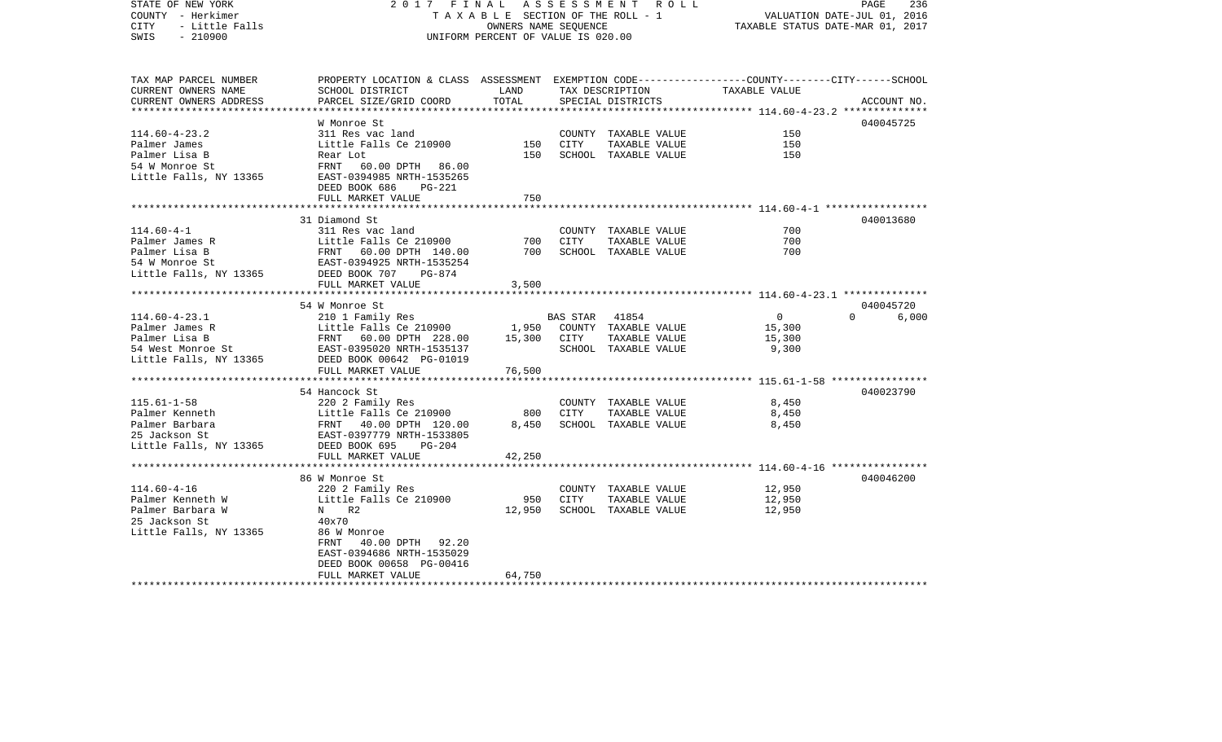| STATE OF NEW YORK<br>COUNTY - Herkimer<br>- Little Falls<br>CITY<br>$-210900$<br>SWIS | 2017 FINAL                                                                                      | TAXABLE SECTION OF THE ROLL - 1<br>OWNERS NAME SEOUENCE<br>UNIFORM PERCENT OF VALUE IS 020.00 |          | A S S E S S M E N T R O L L |                | PAGE<br>236<br>VALUATION DATE-JUL 01, 2016<br>TAXABLE STATUS DATE-MAR 01, 2017 |
|---------------------------------------------------------------------------------------|-------------------------------------------------------------------------------------------------|-----------------------------------------------------------------------------------------------|----------|-----------------------------|----------------|--------------------------------------------------------------------------------|
|                                                                                       |                                                                                                 |                                                                                               |          |                             |                |                                                                                |
| TAX MAP PARCEL NUMBER                                                                 | PROPERTY LOCATION & CLASS ASSESSMENT EXEMPTION CODE---------------COUNTY-------CITY------SCHOOL |                                                                                               |          |                             |                |                                                                                |
| CURRENT OWNERS NAME                                                                   | SCHOOL DISTRICT                                                                                 | LAND                                                                                          |          | TAX DESCRIPTION             | TAXABLE VALUE  |                                                                                |
| CURRENT OWNERS ADDRESS<br>**********************                                      | PARCEL SIZE/GRID COORD                                                                          | TOTAL                                                                                         |          | SPECIAL DISTRICTS           |                | ACCOUNT NO.                                                                    |
|                                                                                       | W Monroe St                                                                                     |                                                                                               |          |                             |                | 040045725                                                                      |
| $114.60 - 4 - 23.2$                                                                   | 311 Res vac land                                                                                |                                                                                               |          | COUNTY TAXABLE VALUE        | 150            |                                                                                |
| Palmer James                                                                          | Little Falls Ce 210900                                                                          | 150                                                                                           | CITY     | TAXABLE VALUE               | 150            |                                                                                |
| Palmer Lisa B                                                                         | Rear Lot                                                                                        | 150                                                                                           |          | SCHOOL TAXABLE VALUE        | 150            |                                                                                |
| 54 W Monroe St                                                                        | FRNT 60.00 DPTH 86.00                                                                           |                                                                                               |          |                             |                |                                                                                |
| Little Falls, NY 13365                                                                | EAST-0394985 NRTH-1535265                                                                       |                                                                                               |          |                             |                |                                                                                |
|                                                                                       | DEED BOOK 686<br>PG-221                                                                         |                                                                                               |          |                             |                |                                                                                |
|                                                                                       | FULL MARKET VALUE                                                                               | 750                                                                                           |          |                             |                |                                                                                |
|                                                                                       |                                                                                                 |                                                                                               |          |                             |                |                                                                                |
|                                                                                       | 31 Diamond St                                                                                   |                                                                                               |          |                             |                | 040013680                                                                      |
| $114.60 - 4 - 1$                                                                      | 311 Res vac land                                                                                |                                                                                               |          | COUNTY TAXABLE VALUE        | 700            |                                                                                |
| Palmer James R                                                                        | Little Falls Ce 210900                                                                          | 700                                                                                           | CITY     | TAXABLE VALUE               | 700            |                                                                                |
| Palmer Lisa B                                                                         | FRNT 60.00 DPTH 140.00                                                                          | 700                                                                                           |          | SCHOOL TAXABLE VALUE        | 700            |                                                                                |
| 54 W Monroe St                                                                        | EAST-0394925 NRTH-1535254                                                                       |                                                                                               |          |                             |                |                                                                                |
| Little Falls, NY 13365                                                                | DEED BOOK 707<br>PG-874<br>FULL MARKET VALUE                                                    | 3,500                                                                                         |          |                             |                |                                                                                |
|                                                                                       |                                                                                                 |                                                                                               |          |                             |                |                                                                                |
|                                                                                       | 54 W Monroe St                                                                                  |                                                                                               |          |                             |                | 040045720                                                                      |
| $114.60 - 4 - 23.1$                                                                   | 210 1 Family Res                                                                                |                                                                                               | BAS STAR | 41854                       | $\overline{0}$ | $\Omega$<br>6,000                                                              |
| Palmer James R                                                                        | Little Falls Ce 210900                                                                          | 1,950                                                                                         |          | COUNTY TAXABLE VALUE        | 15,300         |                                                                                |
| Palmer Lisa B                                                                         | FRNT 60.00 DPTH 228.00                                                                          | 15,300                                                                                        | CITY     | TAXABLE VALUE               | 15,300         |                                                                                |
| 54 West Monroe St                                                                     | EAST-0395020 NRTH-1535137                                                                       |                                                                                               |          | SCHOOL TAXABLE VALUE        | 9,300          |                                                                                |
| Little Falls, NY 13365                                                                | DEED BOOK 00642 PG-01019                                                                        |                                                                                               |          |                             |                |                                                                                |
|                                                                                       | FULL MARKET VALUE                                                                               | 76,500                                                                                        |          |                             |                |                                                                                |
|                                                                                       |                                                                                                 |                                                                                               |          |                             |                |                                                                                |
|                                                                                       | 54 Hancock St                                                                                   |                                                                                               |          |                             |                | 040023790                                                                      |
| $115.61 - 1 - 58$                                                                     | 220 2 Family Res                                                                                |                                                                                               |          | COUNTY TAXABLE VALUE        | 8,450          |                                                                                |
| Palmer Kenneth                                                                        | Little Falls Ce 210900                                                                          | 800                                                                                           | CITY     | TAXABLE VALUE               | 8,450          |                                                                                |
| Palmer Barbara                                                                        | FRNT 40.00 DPTH 120.00                                                                          | 8,450                                                                                         |          | SCHOOL TAXABLE VALUE        | 8,450          |                                                                                |
| 25 Jackson St                                                                         | EAST-0397779 NRTH-1533805                                                                       |                                                                                               |          |                             |                |                                                                                |
| Little Falls, NY 13365                                                                | DEED BOOK 695<br>$PG-204$                                                                       |                                                                                               |          |                             |                |                                                                                |
|                                                                                       | FULL MARKET VALUE                                                                               | 42,250                                                                                        |          |                             |                |                                                                                |
|                                                                                       | 86 W Monroe St                                                                                  |                                                                                               |          |                             |                | 040046200                                                                      |
| $114.60 - 4 - 16$                                                                     | 220 2 Family Res                                                                                |                                                                                               |          | COUNTY TAXABLE VALUE        | 12,950         |                                                                                |
| Palmer Kenneth W                                                                      | Little Falls Ce 210900                                                                          | 950                                                                                           | CITY     | TAXABLE VALUE               | 12,950         |                                                                                |
| Palmer Barbara W                                                                      | N R2                                                                                            | 12,950                                                                                        |          | SCHOOL TAXABLE VALUE        | 12,950         |                                                                                |
| 25 Jackson St                                                                         | 40x70                                                                                           |                                                                                               |          |                             |                |                                                                                |
| Little Falls, NY 13365                                                                | 86 W Monroe                                                                                     |                                                                                               |          |                             |                |                                                                                |
|                                                                                       | 40.00 DPTH 92.20<br>FRNT                                                                        |                                                                                               |          |                             |                |                                                                                |
|                                                                                       | EAST-0394686 NRTH-1535029                                                                       |                                                                                               |          |                             |                |                                                                                |
|                                                                                       | DEED BOOK 00658 PG-00416                                                                        |                                                                                               |          |                             |                |                                                                                |
|                                                                                       | FULL MARKET VALUE                                                                               | 64,750                                                                                        |          |                             |                |                                                                                |
|                                                                                       |                                                                                                 |                                                                                               |          |                             |                |                                                                                |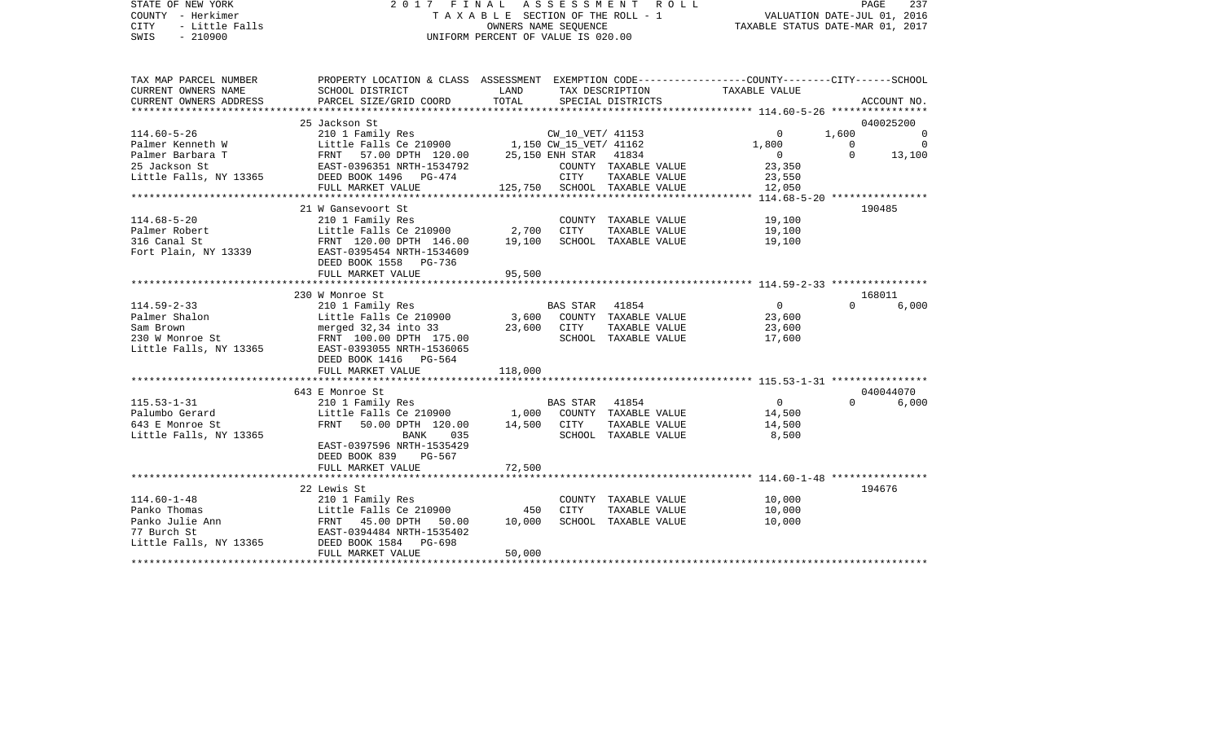| STATE OF NEW YORK<br>COUNTY - Herkimer<br><b>CITY</b><br>- Little Falls<br>$-210900$<br>SWIS | 2017 FINAL                                                                                                         | OWNERS NAME SEQUENCE<br>UNIFORM PERCENT OF VALUE IS 020.00 | A S S E S S M E N T A O L L<br>TAXABLE SECTION OF THE ROLL - 1 |                                                      | PAGE<br>237<br>VALUATION DATE-JUL 01, 2016<br>TAXABLE STATUS DATE-MAR 01, 2017 |
|----------------------------------------------------------------------------------------------|--------------------------------------------------------------------------------------------------------------------|------------------------------------------------------------|----------------------------------------------------------------|------------------------------------------------------|--------------------------------------------------------------------------------|
| TAX MAP PARCEL NUMBER<br>CURRENT OWNERS NAME                                                 | PROPERTY LOCATION & CLASS ASSESSMENT EXEMPTION CODE---------------COUNTY-------CITY------SCHOOL<br>SCHOOL DISTRICT | LAND                                                       | TAX DESCRIPTION                                                | TAXABLE VALUE                                        |                                                                                |
| CURRENT OWNERS ADDRESS                                                                       | PARCEL SIZE/GRID COORD                                                                                             | TOTAL                                                      | SPECIAL DISTRICTS                                              |                                                      | ACCOUNT NO.                                                                    |
| ****************                                                                             |                                                                                                                    |                                                            |                                                                | ******************** 114.60-5-26 *****************   |                                                                                |
| $114.60 - 5 - 26$                                                                            | 25 Jackson St<br>210 1 Family Res                                                                                  |                                                            | CW_10_VET/ 41153                                               | $\mathbf 0$                                          | 040025200<br>1,600<br>0                                                        |
| Palmer Kenneth W                                                                             | Little Falls Ce 210900                                                                                             | 1,150 CW_15_VET/ 41162                                     |                                                                | 1,800                                                | $\overline{0}$<br>$\Omega$                                                     |
| Palmer Barbara T                                                                             | EITTLE FAILS CE 210900<br>FRNT 57.00 DPTH 120.00<br>EAST-0396351 NRTH-1534792                                      | 25,150 ENH STAR                                            | 41834                                                          | $\overline{0}$                                       | $\Omega$<br>13,100                                                             |
| 25 Jackson St                                                                                | EAST-0396351 NRTH-1534792                                                                                          |                                                            | COUNTY TAXABLE VALUE                                           | 23,350                                               |                                                                                |
|                                                                                              | Little Falls, NY 13365 DEED BOOK 1496 PG-474                                                                       | CITY                                                       | TAXABLE VALUE                                                  | 23,550                                               |                                                                                |
|                                                                                              | FULL MARKET VALUE                                                                                                  |                                                            | 125,750 SCHOOL TAXABLE VALUE                                   | 12,050                                               |                                                                                |
|                                                                                              |                                                                                                                    |                                                            |                                                                |                                                      |                                                                                |
| $114.68 - 5 - 20$                                                                            | 21 W Gansevoort St<br>210 1 Family Res                                                                             |                                                            | COUNTY TAXABLE VALUE                                           | 19,100                                               | 190485                                                                         |
| Palmer Robert                                                                                | Little Falls Ce $210900$ 2,700                                                                                     | CITY                                                       | TAXABLE VALUE                                                  | 19,100                                               |                                                                                |
| 316 Canal St                                                                                 | FRNT 120.00 DPTH 146.00                                                                                            | 19,100                                                     | SCHOOL TAXABLE VALUE                                           | 19,100                                               |                                                                                |
|                                                                                              | Fort Plain, NY 13339 EAST-0395454 NRTH-1534609<br>DEED BOOK 1558 PG-736                                            |                                                            |                                                                |                                                      |                                                                                |
|                                                                                              | FULL MARKET VALUE                                                                                                  | 95,500                                                     |                                                                |                                                      |                                                                                |
|                                                                                              |                                                                                                                    |                                                            |                                                                |                                                      |                                                                                |
|                                                                                              | 230 W Monroe St                                                                                                    |                                                            |                                                                |                                                      | 168011                                                                         |
| $114.59 - 2 - 33$                                                                            | 210 1 Family Res                                                                                                   |                                                            | 41854<br>BAS STAR                                              | $\overline{0}$                                       | $\Omega$<br>6,000                                                              |
| Palmer Shalon                                                                                | Little Falls Ce 210900<br>merged 32,34 into 33 23,600                                                              | 3,600<br>CITY                                              | COUNTY TAXABLE VALUE<br>TAXABLE VALUE                          | 23,600<br>23,600                                     |                                                                                |
| waw Brown<br>230 W Monroe St<br>Little F II                                                  | FRNT 100.00 DPTH 175.00                                                                                            |                                                            | SCHOOL TAXABLE VALUE                                           | 17,600                                               |                                                                                |
| Little Falls, NY 13365                                                                       | EAST-0393055 NRTH-1536065                                                                                          |                                                            |                                                                |                                                      |                                                                                |
|                                                                                              | DEED BOOK 1416 PG-564                                                                                              |                                                            |                                                                |                                                      |                                                                                |
|                                                                                              | FULL MARKET VALUE                                                                                                  | 118,000                                                    |                                                                |                                                      |                                                                                |
|                                                                                              |                                                                                                                    |                                                            |                                                                |                                                      |                                                                                |
|                                                                                              | 643 E Monroe St                                                                                                    |                                                            |                                                                |                                                      | 040044070                                                                      |
| $115.53 - 1 - 31$                                                                            | 210 1 Family Res                                                                                                   |                                                            | 41854<br>BAS STAR                                              | $\overline{0}$                                       | $\Omega$<br>6,000                                                              |
| Palumbo Gerard<br>643 E Monroe St                                                            | Little Falls Ce 210900<br>FRNT 50.00 DPTH 120.00                                                                   | 14,500 CITY                                                | 1,000 COUNTY TAXABLE VALUE<br>TAXABLE VALUE                    | 14,500<br>14,500                                     |                                                                                |
| Little Falls, NY 13365                                                                       | BANK<br>035                                                                                                        |                                                            | SCHOOL TAXABLE VALUE                                           | 8,500                                                |                                                                                |
|                                                                                              | EAST-0397596 NRTH-1535429                                                                                          |                                                            |                                                                |                                                      |                                                                                |
|                                                                                              | DEED BOOK 839<br>PG-567                                                                                            |                                                            |                                                                |                                                      |                                                                                |
|                                                                                              | FULL MARKET VALUE                                                                                                  | 72,500                                                     |                                                                |                                                      |                                                                                |
|                                                                                              |                                                                                                                    | ********                                                   |                                                                | ********************** 114.60-1-48 ***************** |                                                                                |
|                                                                                              | 22 Lewis St                                                                                                        |                                                            |                                                                |                                                      | 194676                                                                         |
| $114.60 - 1 - 48$                                                                            | 210 1 Family Res                                                                                                   |                                                            | COUNTY TAXABLE VALUE                                           | 10,000                                               |                                                                                |
| Panko Thomas                                                                                 | Little Falls Ce 210900                                                                                             | 450<br>CITY                                                | TAXABLE VALUE                                                  | 10,000                                               |                                                                                |
| Panko Julie Ann<br>77 Burch St                                                               | FRNT 45.00 DPTH 50.00<br>EAST-0394484 NRTH-1535402                                                                 | 10,000                                                     | SCHOOL TAXABLE VALUE                                           | 10,000                                               |                                                                                |
| Little Falls, NY 13365                                                                       | DEED BOOK 1584<br>PG-698                                                                                           |                                                            |                                                                |                                                      |                                                                                |
|                                                                                              | FULL MARKET VALUE                                                                                                  | 50,000                                                     |                                                                |                                                      |                                                                                |
|                                                                                              |                                                                                                                    |                                                            |                                                                |                                                      |                                                                                |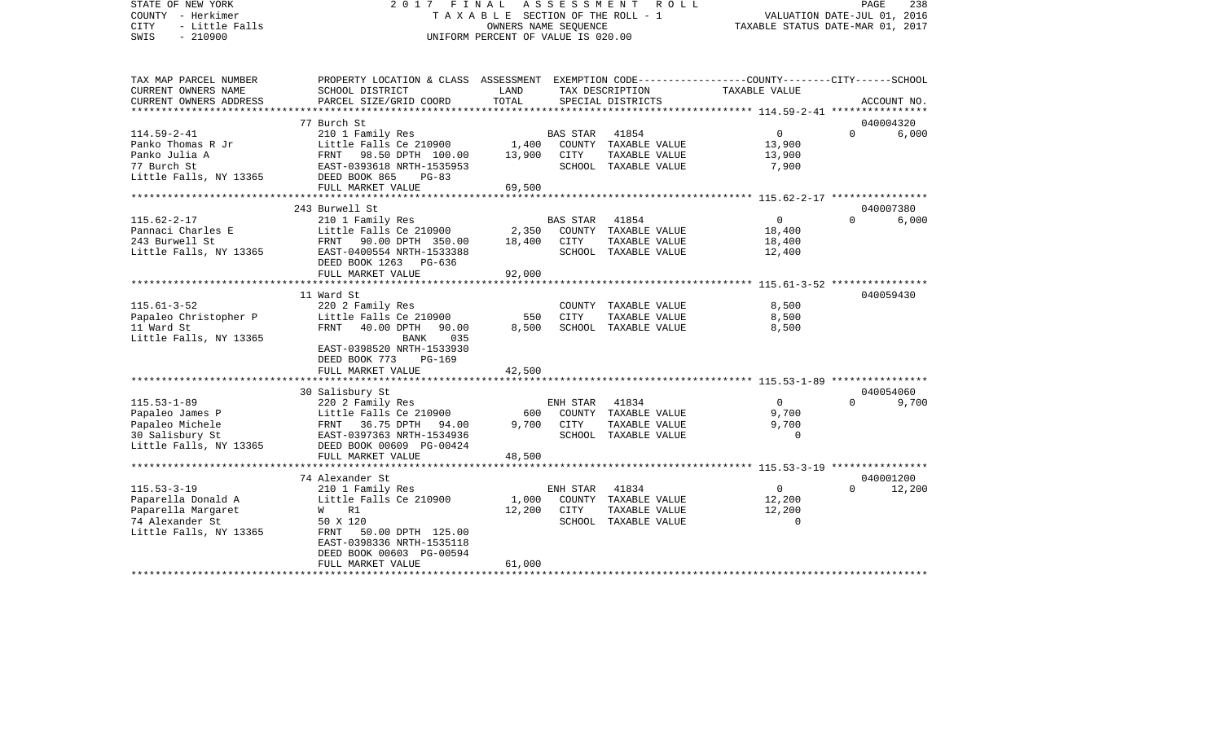STATE OF NEW YORK 2 0 1 7 F I N A L A S S E S S M E N T R O L L PAGE 238COUNTY - Herkimer T A X A B L E SECTION OF THE ROLL - 1 VALUATION DATE-JUL 01, 2016 CITY - Little Falls OWNERS NAME SEQUENCE TAXABLE STATUS DATE-MAR 01, 2017 SWIS - 210900 UNIFORM PERCENT OF VALUE IS 020.00TAX MAP PARCEL NUMBER PROPERTY LOCATION & CLASS ASSESSMENT EXEMPTION CODE------------------COUNTY--------CITY------SCHOOL CURRENT OWNERS NAME SCHOOL DISTRICT LAND TAX DESCRIPTION TAXABLE VALUECURRENT OWNERS ADDRESS PARCEL SIZE/GRID COORD TOTAL SPECIAL DISTRICTS ACCOUNT NO. \*\*\*\*\*\*\*\*\*\*\*\*\*\*\*\*\*\*\*\*\*\*\*\*\*\*\*\*\*\*\*\*\*\*\*\*\*\*\*\*\*\*\*\*\*\*\*\*\*\*\*\*\*\*\*\*\*\*\*\*\*\*\*\*\*\*\*\*\*\*\*\*\*\*\*\*\*\*\*\*\*\*\*\*\*\*\*\*\*\*\*\*\*\*\*\*\*\*\*\*\*\*\* 114.59-2-41 \*\*\*\*\*\*\*\*\*\*\*\*\*\*\*\* 77 Burch St 040004320114.59-2-41 210 1 Family Res BAS STAR 41854 0 0 6,000 Panko Thomas R Jr Little Falls Ce 210900 1,400 COUNTY TAXABLE VALUE 13,900 Panko Julia A 600 PRNT 98.50 DPTH 100.00 13,900 CITY TAXABLE VALUE 13,900 77 Burch St EAST-0393618 NRTH-1535953 SCHOOL TAXABLE VALUE 7,900 Little Falls, NY 13365 DEED BOOK 865 PG-83 FULL MARKET VALUE 69,500 \*\*\*\*\*\*\*\*\*\*\*\*\*\*\*\*\*\*\*\*\*\*\*\*\*\*\*\*\*\*\*\*\*\*\*\*\*\*\*\*\*\*\*\*\*\*\*\*\*\*\*\*\*\*\*\*\*\*\*\*\*\*\*\*\*\*\*\*\*\*\*\*\*\*\*\*\*\*\*\*\*\*\*\*\*\*\*\*\*\*\*\*\*\*\*\*\*\*\*\*\*\*\* 115.62-2-17 \*\*\*\*\*\*\*\*\*\*\*\*\*\*\*\* 243 Burwell St 040007380115.62-2-17 210 1 Family Res BAS STAR 41854 0 0 6,000 Little Falls Ce 210900 2,350 COUNTY TAXABLE VALUE 18,400 243 Burwell St FRNT 90.00 DPTH 350.00 18,400 CITY TAXABLE VALUE 18,400 Little Falls, NY 13365 BAST-0400554 NRTH-1533388 SCHOOL TAXABLE VALUE 12,400 DEED BOOK 1263 PG-636FULL MARKET VALUE 92,000 \*\*\*\*\*\*\*\*\*\*\*\*\*\*\*\*\*\*\*\*\*\*\*\*\*\*\*\*\*\*\*\*\*\*\*\*\*\*\*\*\*\*\*\*\*\*\*\*\*\*\*\*\*\*\*\*\*\*\*\*\*\*\*\*\*\*\*\*\*\*\*\*\*\*\*\*\*\*\*\*\*\*\*\*\*\*\*\*\*\*\*\*\*\*\*\*\*\*\*\*\*\*\* 115.61-3-52 \*\*\*\*\*\*\*\*\*\*\*\*\*\*\*\* 11 Ward St 040059430115.61-3-52 220 2 Family Res COUNTY TAXABLE VALUE 8,500 Papaleo Christopher P Little Falls Ce 210900 550 CITY TAXABLE VALUE 8,500 11 Ward St FRNT 40.00 DPTH 90.00 8,500 SCHOOL TAXABLE VALUE 8,500 Little Falls, NY 13365 BANK 035 EAST-0398520 NRTH-1533930 DEED BOOK 773 PG-169 FULL MARKET VALUE 42,500 \*\*\*\*\*\*\*\*\*\*\*\*\*\*\*\*\*\*\*\*\*\*\*\*\*\*\*\*\*\*\*\*\*\*\*\*\*\*\*\*\*\*\*\*\*\*\*\*\*\*\*\*\*\*\*\*\*\*\*\*\*\*\*\*\*\*\*\*\*\*\*\*\*\*\*\*\*\*\*\*\*\*\*\*\*\*\*\*\*\*\*\*\*\*\*\*\*\*\*\*\*\*\* 115.53-1-89 \*\*\*\*\*\*\*\*\*\*\*\*\*\*\*\* 30 Salisbury St 040054060 115.53-1-89 220 2 Family Res ENH STAR 41834 0 0 9,700 Papaleo James P Little Falls Ce 210900 600 COUNTY TAXABLE VALUE 9,700 Papaleo Michele FRNT 36.75 DPTH 94.00 9,700 CITY TAXABLE VALUE 9,700 30 Salisbury St EAST-0397363 NRTH-1534936 SCHOOL TAXABLE VALUE 0 Little Falls, NY 13365 DEED BOOK 00609 PG-00424 FULL MARKET VALUE 48,500 \*\*\*\*\*\*\*\*\*\*\*\*\*\*\*\*\*\*\*\*\*\*\*\*\*\*\*\*\*\*\*\*\*\*\*\*\*\*\*\*\*\*\*\*\*\*\*\*\*\*\*\*\*\*\*\*\*\*\*\*\*\*\*\*\*\*\*\*\*\*\*\*\*\*\*\*\*\*\*\*\*\*\*\*\*\*\*\*\*\*\*\*\*\*\*\*\*\*\*\*\*\*\* 115.53-3-19 \*\*\*\*\*\*\*\*\*\*\*\*\*\*\*\* 74 Alexander St 040001200115.53-3-19 210 1 Family Res ENH STAR 41834 0 0 12,200 Paparella Donald A Little Falls Ce 210900 1,000 COUNTY TAXABLE VALUE 12,200 Paparella Margaret W R1 12,200 CITY VALUE 2000 COMPARE 12,200 COMPARE 12,200 CITY 74 Alexander St 50 X 120 SCHOOL TAXABLE VALUE 0Little Falls, NY 13365 FRNT 50.00 DPTH 125.00 EAST-0398336 NRTH-1535118 DEED BOOK 00603 PG-00594FULL MARKET VALUE 61,000 \*\*\*\*\*\*\*\*\*\*\*\*\*\*\*\*\*\*\*\*\*\*\*\*\*\*\*\*\*\*\*\*\*\*\*\*\*\*\*\*\*\*\*\*\*\*\*\*\*\*\*\*\*\*\*\*\*\*\*\*\*\*\*\*\*\*\*\*\*\*\*\*\*\*\*\*\*\*\*\*\*\*\*\*\*\*\*\*\*\*\*\*\*\*\*\*\*\*\*\*\*\*\*\*\*\*\*\*\*\*\*\*\*\*\*\*\*\*\*\*\*\*\*\*\*\*\*\*\*\*\*\*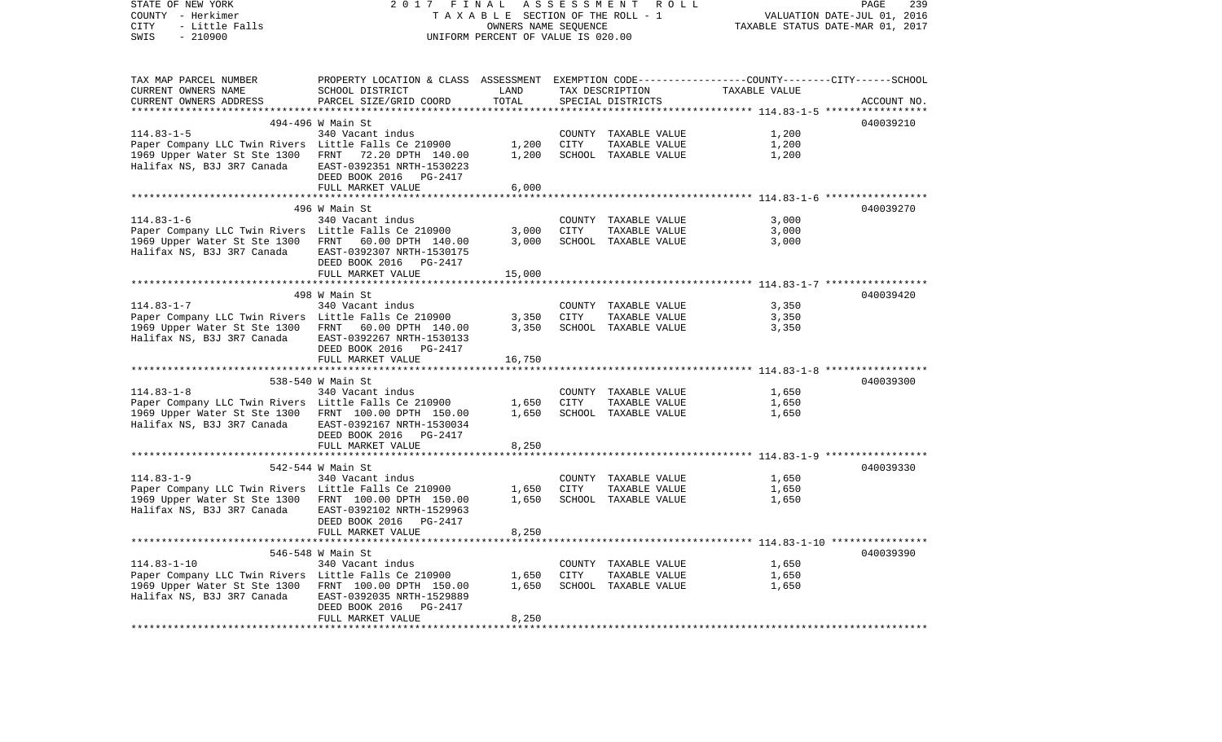| STATE OF NEW YORK<br>COUNTY - Herkimer<br>CITY<br>- Little Falls<br>$-210900$<br>SWIS | 2017 FINAL                                                                                      | ASSESSMENT<br>TAXABLE SECTION OF THE ROLL - 1<br>OWNERS NAME SEQUENCE<br>UNIFORM PERCENT OF VALUE IS 020.00 | ROLL<br>PAGE<br>239<br>VALUATION DATE-JUL 01, 2016<br>TAXABLE STATUS DATE-MAR 01, 2017 |                      |                                                                     |             |
|---------------------------------------------------------------------------------------|-------------------------------------------------------------------------------------------------|-------------------------------------------------------------------------------------------------------------|----------------------------------------------------------------------------------------|----------------------|---------------------------------------------------------------------|-------------|
| TAX MAP PARCEL NUMBER                                                                 | PROPERTY LOCATION & CLASS ASSESSMENT EXEMPTION CODE---------------COUNTY-------CITY------SCHOOL |                                                                                                             |                                                                                        |                      |                                                                     |             |
| CURRENT OWNERS NAME                                                                   | SCHOOL DISTRICT                                                                                 | LAND                                                                                                        |                                                                                        | TAX DESCRIPTION      | TAXABLE VALUE                                                       |             |
| CURRENT OWNERS ADDRESS                                                                | PARCEL SIZE/GRID COORD                                                                          | TOTAL                                                                                                       |                                                                                        | SPECIAL DISTRICTS    |                                                                     | ACCOUNT NO. |
| ********************                                                                  |                                                                                                 | **************                                                                                              |                                                                                        |                      |                                                                     |             |
|                                                                                       | 494-496 W Main St                                                                               |                                                                                                             |                                                                                        |                      |                                                                     | 040039210   |
| $114.83 - 1 - 5$                                                                      | 340 Vacant indus                                                                                |                                                                                                             |                                                                                        | COUNTY TAXABLE VALUE | 1,200                                                               |             |
| Paper Company LLC Twin Rivers Little Falls Ce 210900                                  |                                                                                                 | 1,200<br>1,200                                                                                              | CITY                                                                                   | TAXABLE VALUE        | 1,200                                                               |             |
| 1969 Upper Water St Ste 1300 FRNT<br>Halifax NS, B3J 3R7 Canada                       | 72.20 DPTH 140.00<br>EAST-0392351 NRTH-1530223<br>DEED BOOK 2016 PG-2417                        |                                                                                                             |                                                                                        | SCHOOL TAXABLE VALUE | 1,200                                                               |             |
|                                                                                       | FULL MARKET VALUE<br>*************************                                                  | 6,000                                                                                                       |                                                                                        |                      |                                                                     |             |
|                                                                                       |                                                                                                 |                                                                                                             |                                                                                        |                      | *********************** 114.83-1-6 ******************               |             |
| $114.83 - 1 - 6$                                                                      | 496 W Main St<br>340 Vacant indus                                                               |                                                                                                             | COUNTY                                                                                 | TAXABLE VALUE        | 3,000                                                               | 040039270   |
| Paper Company LLC Twin Rivers Little Falls Ce 210900                                  |                                                                                                 | 3,000                                                                                                       | <b>CITY</b>                                                                            | TAXABLE VALUE        | 3,000                                                               |             |
| 1969 Upper Water St Ste 1300<br>Halifax NS, B3J 3R7 Canada                            | FRNT<br>60.00 DPTH 140.00<br>EAST-0392307 NRTH-1530175<br>DEED BOOK 2016<br>PG-2417             | 3,000                                                                                                       |                                                                                        | SCHOOL TAXABLE VALUE | 3,000                                                               |             |
|                                                                                       | FULL MARKET VALUE                                                                               | 15,000                                                                                                      |                                                                                        |                      |                                                                     |             |
|                                                                                       |                                                                                                 |                                                                                                             |                                                                                        |                      |                                                                     |             |
|                                                                                       | 498 W Main St                                                                                   |                                                                                                             |                                                                                        |                      |                                                                     | 040039420   |
| $114.83 - 1 - 7$                                                                      | 340 Vacant indus                                                                                |                                                                                                             |                                                                                        | COUNTY TAXABLE VALUE | 3,350                                                               |             |
| Paper Company LLC Twin Rivers Little Falls Ce 210900                                  |                                                                                                 | 3,350                                                                                                       | <b>CITY</b>                                                                            | TAXABLE VALUE        | 3,350                                                               |             |
| 1969 Upper Water St Ste 1300<br>Halifax NS, B3J 3R7 Canada                            | FRNT<br>60.00 DPTH 140.00<br>EAST-0392267 NRTH-1530133<br>DEED BOOK 2016 PG-2417                | 3,350                                                                                                       |                                                                                        | SCHOOL TAXABLE VALUE | 3,350                                                               |             |
|                                                                                       | FULL MARKET VALUE                                                                               | 16,750                                                                                                      |                                                                                        |                      |                                                                     |             |
|                                                                                       |                                                                                                 |                                                                                                             |                                                                                        |                      |                                                                     |             |
|                                                                                       | 538-540 W Main St                                                                               |                                                                                                             |                                                                                        |                      |                                                                     | 040039300   |
| $114.83 - 1 - 8$                                                                      | 340 Vacant indus                                                                                |                                                                                                             |                                                                                        | COUNTY TAXABLE VALUE | 1,650                                                               |             |
| Paper Company LLC Twin Rivers Little Falls Ce 210900                                  |                                                                                                 | 1,650                                                                                                       | CITY                                                                                   | TAXABLE VALUE        | 1,650                                                               |             |
| 1969 Upper Water St Ste 1300 FRNT 100.00 DPTH 150.00<br>Halifax NS, B3J 3R7 Canada    | EAST-0392167 NRTH-1530034<br>DEED BOOK 2016<br>PG-2417                                          | 1,650                                                                                                       |                                                                                        | SCHOOL TAXABLE VALUE | 1,650                                                               |             |
|                                                                                       | FULL MARKET VALUE                                                                               | 8,250                                                                                                       |                                                                                        |                      |                                                                     |             |
|                                                                                       |                                                                                                 |                                                                                                             |                                                                                        |                      |                                                                     |             |
|                                                                                       | 542-544 W Main St                                                                               |                                                                                                             |                                                                                        |                      |                                                                     | 040039330   |
| $114.83 - 1 - 9$                                                                      | 340 Vacant indus                                                                                |                                                                                                             |                                                                                        | COUNTY TAXABLE VALUE | 1,650                                                               |             |
| Paper Company LLC Twin Rivers Little Falls Ce 210900                                  |                                                                                                 | 1,650                                                                                                       | CITY                                                                                   | TAXABLE VALUE        | 1,650                                                               |             |
| 1969 Upper Water St Ste 1300 FRNT 100.00 DPTH 150.00<br>Halifax NS, B3J 3R7 Canada    |                                                                                                 | 1,650                                                                                                       |                                                                                        | SCHOOL TAXABLE VALUE | 1,650                                                               |             |
|                                                                                       | EAST-0392102 NRTH-1529963<br>DEED BOOK 2016<br>PG-2417<br>FULL MARKET VALUE                     | 8,250                                                                                                       |                                                                                        |                      |                                                                     |             |
|                                                                                       |                                                                                                 | **************                                                                                              |                                                                                        |                      | ************************************* 114.83-1-10 ***************** |             |
|                                                                                       | 546-548 W Main St                                                                               |                                                                                                             |                                                                                        |                      |                                                                     | 040039390   |
| $114.83 - 1 - 10$                                                                     | 340 Vacant indus                                                                                |                                                                                                             |                                                                                        | COUNTY TAXABLE VALUE | 1,650                                                               |             |
| Paper Company LLC Twin Rivers Little Falls Ce 210900                                  |                                                                                                 | 1,650                                                                                                       | <b>CITY</b>                                                                            | TAXABLE VALUE        | 1,650                                                               |             |
| 1969 Upper Water St Ste 1300 FRNT 100.00 DPTH 150.00<br>Halifax NS, B3J 3R7 Canada    | EAST-0392035 NRTH-1529889<br>DEED BOOK 2016<br>PG-2417                                          | 1,650                                                                                                       |                                                                                        | SCHOOL TAXABLE VALUE | 1,650                                                               |             |
|                                                                                       | FULL MARKET VALUE                                                                               | 8,250                                                                                                       |                                                                                        |                      |                                                                     |             |
|                                                                                       |                                                                                                 |                                                                                                             |                                                                                        |                      |                                                                     |             |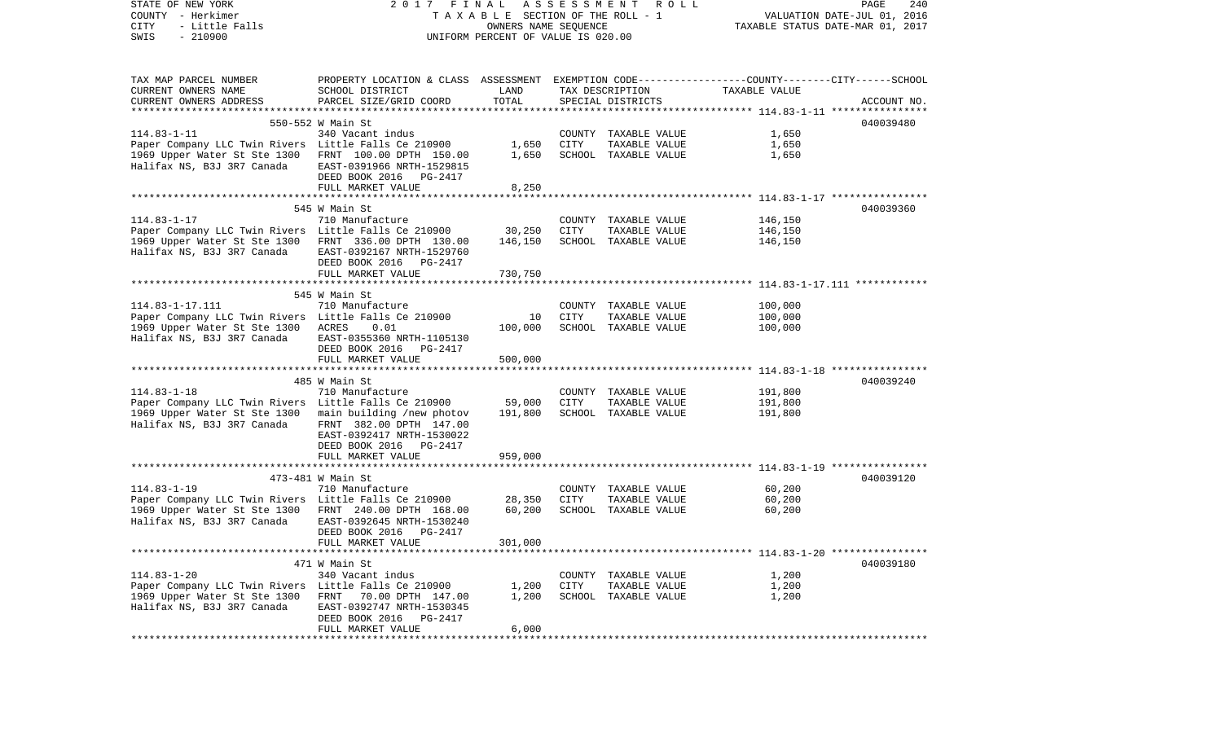| STATE OF NEW YORK<br>COUNTY - Herkimer<br>CITY<br>- Little Falls<br>$-210900$<br>SWIS | 2017 FINAL ASSESSMENT ROLL<br>TAXABLE SECTION OF THE ROLL - 1<br>UNIFORM PERCENT OF VALUE IS 020.00         | PAGE<br>240<br>VALUATION DATE-JUL 01, 2016<br>TAXABLE STATUS DATE-MAR 01, 2017 |             |                                      |                |             |
|---------------------------------------------------------------------------------------|-------------------------------------------------------------------------------------------------------------|--------------------------------------------------------------------------------|-------------|--------------------------------------|----------------|-------------|
| TAX MAP PARCEL NUMBER                                                                 | PROPERTY LOCATION & CLASS ASSESSMENT EXEMPTION CODE---------------COUNTY-------CITY------SCHOOL             |                                                                                |             |                                      |                |             |
| CURRENT OWNERS NAME<br>CURRENT OWNERS ADDRESS                                         | SCHOOL DISTRICT<br>PARCEL SIZE/GRID COORD                                                                   | LAND<br>TOTAL                                                                  |             | TAX DESCRIPTION<br>SPECIAL DISTRICTS | TAXABLE VALUE  | ACCOUNT NO. |
|                                                                                       | 550-552 W Main St                                                                                           |                                                                                |             |                                      |                | 040039480   |
| $114.83 - 1 - 11$                                                                     | 340 Vacant indus                                                                                            |                                                                                |             | COUNTY TAXABLE VALUE                 | 1,650          |             |
| Paper Company LLC Twin Rivers Little Falls Ce 210900                                  |                                                                                                             | 1,650                                                                          | CITY        | TAXABLE VALUE                        | 1,650          |             |
| 1969 Upper Water St Ste 1300<br>Halifax NS, B3J 3R7 Canada                            | FRNT 100.00 DPTH 150.00<br>EAST-0391966 NRTH-1529815<br>DEED BOOK 2016 PG-2417                              | 1,650                                                                          |             | SCHOOL TAXABLE VALUE                 | 1,650          |             |
|                                                                                       | FULL MARKET VALUE                                                                                           | 8,250                                                                          |             |                                      |                |             |
|                                                                                       | 545 W Main St                                                                                               |                                                                                |             |                                      |                | 040039360   |
| $114.83 - 1 - 17$                                                                     | 710 Manufacture                                                                                             |                                                                                |             | COUNTY TAXABLE VALUE                 | 146,150        |             |
| Paper Company LLC Twin Rivers Little Falls Ce 210900                                  |                                                                                                             | 30,250                                                                         | CITY        | TAXABLE VALUE                        | 146,150        |             |
| 1969 Upper Water St Ste 1300<br>Halifax NS, B3J 3R7 Canada                            | FRNT 336.00 DPTH 130.00<br>EAST-0392167 NRTH-1529760<br>DEED BOOK 2016 PG-2417                              | 146,150                                                                        |             | SCHOOL TAXABLE VALUE                 | 146,150        |             |
|                                                                                       | FULL MARKET VALUE                                                                                           | 730,750                                                                        |             |                                      |                |             |
|                                                                                       | 545 W Main St                                                                                               |                                                                                |             |                                      |                |             |
| 114.83-1-17.111                                                                       | 710 Manufacture                                                                                             |                                                                                |             | COUNTY TAXABLE VALUE                 | 100,000        |             |
| Paper Company LLC Twin Rivers Little Falls Ce 210900                                  |                                                                                                             | 10                                                                             | CITY        | TAXABLE VALUE                        | 100,000        |             |
| 1969 Upper Water St Ste 1300 ACRES<br>Halifax NS, B3J 3R7 Canada                      | 0.01<br>EAST-0355360 NRTH-1105130<br>DEED BOOK 2016 PG-2417                                                 | 100,000                                                                        |             | SCHOOL TAXABLE VALUE                 | 100,000        |             |
|                                                                                       | FULL MARKET VALUE                                                                                           | 500,000                                                                        |             |                                      |                |             |
|                                                                                       |                                                                                                             |                                                                                |             |                                      |                |             |
|                                                                                       | 485 W Main St                                                                                               |                                                                                |             |                                      |                | 040039240   |
| $114.83 - 1 - 18$                                                                     | 710 Manufacture                                                                                             |                                                                                |             | COUNTY TAXABLE VALUE                 | 191,800        |             |
| Paper Company LLC Twin Rivers Little Falls Ce 210900                                  |                                                                                                             | 59,000                                                                         | <b>CITY</b> | TAXABLE VALUE                        | 191,800        |             |
| 1969 Upper Water St Ste 1300<br>Halifax NS, B3J 3R7 Canada                            | main building /new photov<br>FRNT 382.00 DPTH 147.00<br>EAST-0392417 NRTH-1530022<br>DEED BOOK 2016 PG-2417 | 191,800                                                                        |             | SCHOOL TAXABLE VALUE                 | 191,800        |             |
|                                                                                       | FULL MARKET VALUE                                                                                           | 959,000                                                                        |             |                                      |                |             |
|                                                                                       | 473-481 W Main St                                                                                           |                                                                                |             |                                      |                | 040039120   |
| $114.83 - 1 - 19$                                                                     | 710 Manufacture                                                                                             |                                                                                |             | COUNTY TAXABLE VALUE                 | 60,200         |             |
| Paper Company LLC Twin Rivers Little Falls Ce 210900                                  |                                                                                                             | 28,350                                                                         | CITY        | TAXABLE VALUE                        | 60,200         |             |
| 1969 Upper Water St Ste 1300                                                          | FRNT 240.00 DPTH 168.00                                                                                     | 60,200                                                                         |             | SCHOOL TAXABLE VALUE                 | 60,200         |             |
| Halifax NS, B3J 3R7 Canada                                                            | EAST-0392645 NRTH-1530240<br>DEED BOOK 2016    PG-2417                                                      |                                                                                |             |                                      |                |             |
|                                                                                       | FULL MARKET VALUE                                                                                           | 301,000                                                                        |             |                                      |                |             |
|                                                                                       |                                                                                                             |                                                                                |             |                                      |                |             |
| $114.83 - 1 - 20$                                                                     | 471 W Main St                                                                                               |                                                                                |             | COUNTY TAXABLE VALUE                 |                | 040039180   |
| Paper Company LLC Twin Rivers Little Falls Ce 210900                                  | 340 Vacant indus                                                                                            | 1,200                                                                          | CITY        | TAXABLE VALUE                        | 1,200<br>1,200 |             |
| 1969 Upper Water St Ste 1300<br>Halifax NS, B3J 3R7 Canada                            | FRNT 70.00 DPTH 147.00<br>EAST-0392747 NRTH-1530345<br>DEED BOOK 2016 PG-2417                               | 1,200                                                                          |             | SCHOOL TAXABLE VALUE                 | 1,200          |             |
|                                                                                       | FULL MARKET VALUE                                                                                           | 6,000                                                                          |             |                                      |                |             |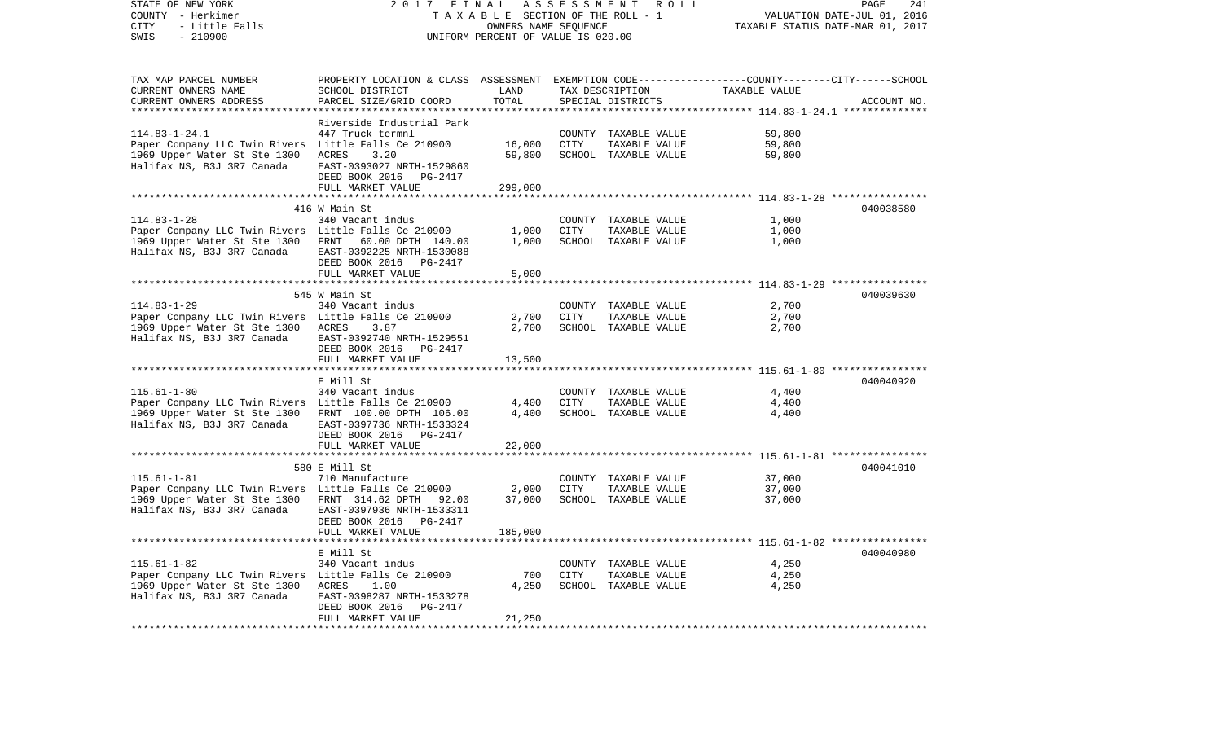| STATE OF NEW YORK<br>COUNTY - Herkimer<br>CITY<br>- Little Falls<br>SWIS<br>$-210900$ | 2017                                                                                            | FINAL<br>ASSESSMENT<br>TAXABLE SECTION OF THE ROLL - 1<br>OWNERS NAME SEQUENCE<br>UNIFORM PERCENT OF VALUE IS 020.00 | PAGE<br>241<br>VALUATION DATE-JUL 01, 2016<br>TAXABLE STATUS DATE-MAR 01, 2017 |                      |                                                        |             |
|---------------------------------------------------------------------------------------|-------------------------------------------------------------------------------------------------|----------------------------------------------------------------------------------------------------------------------|--------------------------------------------------------------------------------|----------------------|--------------------------------------------------------|-------------|
| TAX MAP PARCEL NUMBER                                                                 | PROPERTY LOCATION & CLASS ASSESSMENT EXEMPTION CODE---------------COUNTY-------CITY------SCHOOL |                                                                                                                      |                                                                                |                      |                                                        |             |
| CURRENT OWNERS NAME                                                                   | SCHOOL DISTRICT                                                                                 | LAND                                                                                                                 |                                                                                | TAX DESCRIPTION      | TAXABLE VALUE                                          |             |
| CURRENT OWNERS ADDRESS<br>********************                                        | PARCEL SIZE/GRID COORD                                                                          | TOTAL<br>*************                                                                                               |                                                                                | SPECIAL DISTRICTS    |                                                        | ACCOUNT NO. |
|                                                                                       | Riverside Industrial Park                                                                       |                                                                                                                      |                                                                                |                      |                                                        |             |
| $114.83 - 1 - 24.1$                                                                   | 447 Truck termnl                                                                                |                                                                                                                      |                                                                                | COUNTY TAXABLE VALUE | 59,800                                                 |             |
| Paper Company LLC Twin Rivers Little Falls Ce 210900                                  |                                                                                                 | 16,000                                                                                                               | CITY                                                                           | TAXABLE VALUE        | 59,800                                                 |             |
| 1969 Upper Water St Ste 1300                                                          | <b>ACRES</b><br>3.20                                                                            | 59,800                                                                                                               |                                                                                | SCHOOL TAXABLE VALUE | 59,800                                                 |             |
| Halifax NS, B3J 3R7 Canada                                                            | EAST-0393027 NRTH-1529860<br>DEED BOOK 2016 PG-2417                                             |                                                                                                                      |                                                                                |                      |                                                        |             |
| ********************                                                                  | FULL MARKET VALUE<br>*************************                                                  | 299,000                                                                                                              |                                                                                |                      |                                                        |             |
|                                                                                       | 416 W Main St                                                                                   | ***********                                                                                                          |                                                                                |                      | ************************ 114.83-1-28 ****************  | 040038580   |
| $114.83 - 1 - 28$                                                                     | 340 Vacant indus                                                                                |                                                                                                                      |                                                                                | COUNTY TAXABLE VALUE | 1,000                                                  |             |
| Paper Company LLC Twin Rivers Little Falls Ce 210900                                  |                                                                                                 | 1,000                                                                                                                | CITY                                                                           | TAXABLE VALUE        | 1,000                                                  |             |
| 1969 Upper Water St Ste 1300                                                          | FRNT<br>60.00 DPTH 140.00                                                                       | 1,000                                                                                                                |                                                                                | SCHOOL TAXABLE VALUE | 1,000                                                  |             |
| Halifax NS, B3J 3R7 Canada                                                            | EAST-0392225 NRTH-1530088                                                                       |                                                                                                                      |                                                                                |                      |                                                        |             |
|                                                                                       | DEED BOOK 2016<br>PG-2417                                                                       |                                                                                                                      |                                                                                |                      |                                                        |             |
|                                                                                       | FULL MARKET VALUE                                                                               | 5,000                                                                                                                |                                                                                |                      |                                                        |             |
|                                                                                       | 545 W Main St                                                                                   |                                                                                                                      |                                                                                |                      |                                                        | 040039630   |
| $114.83 - 1 - 29$                                                                     | 340 Vacant indus                                                                                |                                                                                                                      |                                                                                | COUNTY TAXABLE VALUE | 2,700                                                  |             |
| Paper Company LLC Twin Rivers Little Falls Ce 210900                                  |                                                                                                 | 2,700                                                                                                                | CITY                                                                           | TAXABLE VALUE        | 2,700                                                  |             |
| 1969 Upper Water St Ste 1300                                                          | ACRES<br>3.87                                                                                   | 2,700                                                                                                                |                                                                                | SCHOOL TAXABLE VALUE | 2,700                                                  |             |
| Halifax NS, B3J 3R7 Canada                                                            | EAST-0392740 NRTH-1529551                                                                       |                                                                                                                      |                                                                                |                      |                                                        |             |
|                                                                                       | DEED BOOK 2016 PG-2417                                                                          |                                                                                                                      |                                                                                |                      |                                                        |             |
|                                                                                       | FULL MARKET VALUE                                                                               | 13,500                                                                                                               |                                                                                |                      |                                                        |             |
|                                                                                       | E Mill St                                                                                       |                                                                                                                      |                                                                                |                      |                                                        | 040040920   |
| $115.61 - 1 - 80$                                                                     | 340 Vacant indus                                                                                |                                                                                                                      |                                                                                | COUNTY TAXABLE VALUE | 4,400                                                  |             |
| Paper Company LLC Twin Rivers Little Falls Ce 210900                                  |                                                                                                 | 4,400                                                                                                                | CITY                                                                           | TAXABLE VALUE        | 4,400                                                  |             |
| 1969 Upper Water St Ste 1300                                                          | FRNT 100.00 DPTH 106.00                                                                         | 4,400                                                                                                                |                                                                                | SCHOOL TAXABLE VALUE | 4,400                                                  |             |
| Halifax NS, B3J 3R7 Canada                                                            | EAST-0397736 NRTH-1533324                                                                       |                                                                                                                      |                                                                                |                      |                                                        |             |
|                                                                                       | PG-2417<br>DEED BOOK 2016                                                                       |                                                                                                                      |                                                                                |                      |                                                        |             |
| ********************                                                                  | FULL MARKET VALUE                                                                               | 22,000                                                                                                               |                                                                                |                      |                                                        |             |
|                                                                                       | 580 E Mill St                                                                                   |                                                                                                                      |                                                                                |                      |                                                        | 040041010   |
| $115.61 - 1 - 81$                                                                     | 710 Manufacture                                                                                 |                                                                                                                      |                                                                                | COUNTY TAXABLE VALUE | 37,000                                                 |             |
| Paper Company LLC Twin Rivers Little Falls Ce 210900                                  |                                                                                                 | 2,000                                                                                                                | CITY                                                                           | TAXABLE VALUE        | 37,000                                                 |             |
| 1969 Upper Water St Ste 1300                                                          | FRNT 314.62 DPTH 92.00                                                                          | 37,000                                                                                                               |                                                                                | SCHOOL TAXABLE VALUE | 37,000                                                 |             |
| Halifax NS, B3J 3R7 Canada                                                            | EAST-0397936 NRTH-1533311                                                                       |                                                                                                                      |                                                                                |                      |                                                        |             |
|                                                                                       | DEED BOOK 2016 PG-2417                                                                          |                                                                                                                      |                                                                                |                      |                                                        |             |
|                                                                                       | FULL MARKET VALUE                                                                               | 185,000                                                                                                              |                                                                                |                      | ************************ 115.61-1-82 ***************** |             |
|                                                                                       | E Mill St                                                                                       |                                                                                                                      |                                                                                |                      |                                                        | 040040980   |
| $115.61 - 1 - 82$                                                                     | 340 Vacant indus                                                                                |                                                                                                                      |                                                                                | COUNTY TAXABLE VALUE | 4,250                                                  |             |
| Paper Company LLC Twin Rivers Little Falls Ce 210900                                  |                                                                                                 | 700                                                                                                                  | CITY                                                                           | TAXABLE VALUE        | 4,250                                                  |             |
| 1969 Upper Water St Ste 1300                                                          | ACRES<br>1.00                                                                                   | 4,250                                                                                                                |                                                                                | SCHOOL TAXABLE VALUE | 4,250                                                  |             |
| Halifax NS, B3J 3R7 Canada                                                            | EAST-0398287 NRTH-1533278                                                                       |                                                                                                                      |                                                                                |                      |                                                        |             |
|                                                                                       | DEED BOOK 2016<br>PG-2417                                                                       |                                                                                                                      |                                                                                |                      |                                                        |             |
|                                                                                       | FULL MARKET VALUE                                                                               | 21,250                                                                                                               |                                                                                |                      |                                                        |             |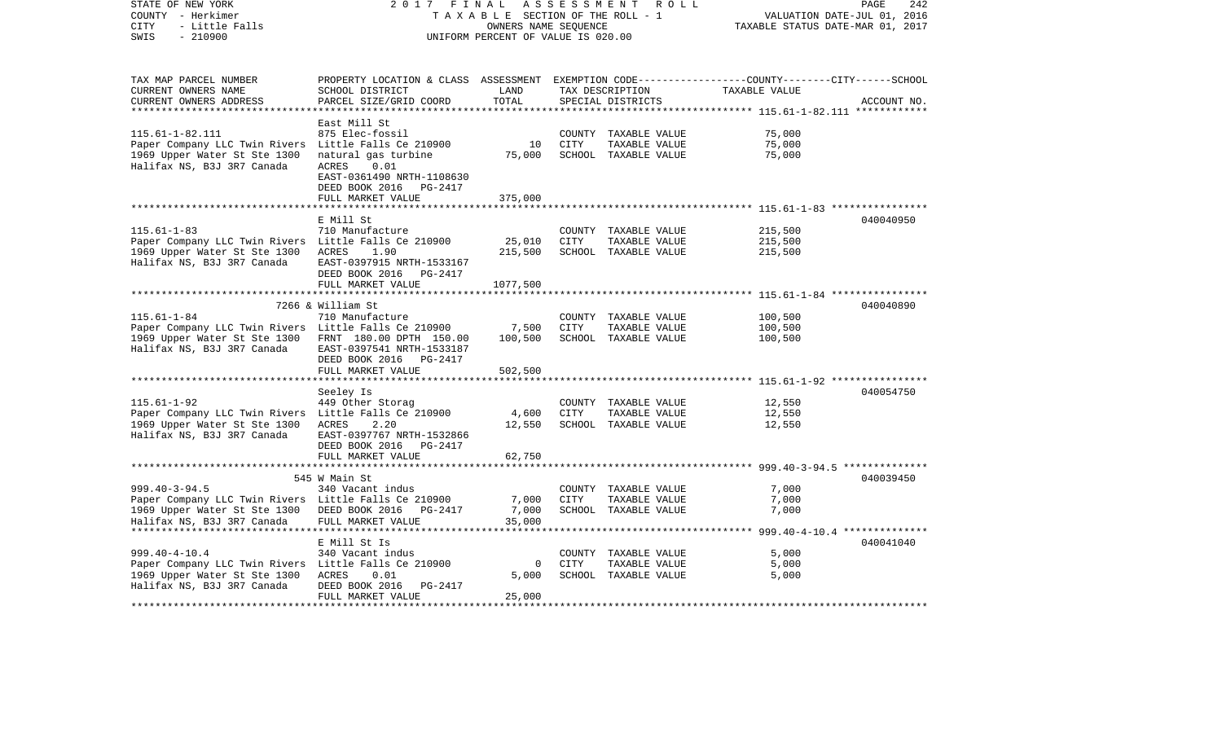| STATE OF NEW YORK<br>COUNTY - Herkimer<br><b>CITY</b><br>- Little Falls<br>$-210900$<br>SWIS                                                                      | 2017 FINAL                                                                                                                                                    | TAXABLE SECTION OF THE ROLL - 1<br>OWNERS NAME SEQUENCE<br>UNIFORM PERCENT OF VALUE IS 020.00 | ASSESSMENT            | ROLL                                                          |                                                                     | PAGE<br>242<br>VALUATION DATE-JUL 01, 2016<br>TAXABLE STATUS DATE-MAR 01, 2017 |
|-------------------------------------------------------------------------------------------------------------------------------------------------------------------|---------------------------------------------------------------------------------------------------------------------------------------------------------------|-----------------------------------------------------------------------------------------------|-----------------------|---------------------------------------------------------------|---------------------------------------------------------------------|--------------------------------------------------------------------------------|
| TAX MAP PARCEL NUMBER<br>CURRENT OWNERS NAME<br>CURRENT OWNERS ADDRESS<br>**********************                                                                  | PROPERTY LOCATION & CLASS ASSESSMENT EXEMPTION CODE----------------COUNTY-------CITY------SCHOOL<br>SCHOOL DISTRICT<br>PARCEL SIZE/GRID COORD                 | LAND<br>TOTAL                                                                                 |                       | TAX DESCRIPTION<br>SPECIAL DISTRICTS                          | TAXABLE VALUE                                                       | ACCOUNT NO.                                                                    |
| $115.61 - 1 - 82.111$<br>Paper Company LLC Twin Rivers Little Falls Ce 210900<br>1969 Upper Water St Ste 1300<br>Halifax NS, B3J 3R7 Canada                       | East Mill St<br>875 Elec-fossil<br>natural gas turbine<br><b>ACRES</b><br>0.01<br>EAST-0361490 NRTH-1108630<br>DEED BOOK 2016<br>PG-2417<br>FULL MARKET VALUE | 10<br>75,000<br>375,000                                                                       | <b>CITY</b>           | COUNTY TAXABLE VALUE<br>TAXABLE VALUE<br>SCHOOL TAXABLE VALUE | 75,000<br>75,000<br>75,000                                          |                                                                                |
|                                                                                                                                                                   | *****************************                                                                                                                                 |                                                                                               |                       |                                                               |                                                                     |                                                                                |
| $115.61 - 1 - 83$<br>Paper Company LLC Twin Rivers Little Falls Ce 210900<br>1969 Upper Water St Ste 1300<br>Halifax NS, B3J 3R7 Canada                           | E Mill St<br>710 Manufacture<br>ACRES<br>1.90<br>EAST-0397915 NRTH-1533167<br>DEED BOOK 2016<br>PG-2417<br>FULL MARKET VALUE                                  | 25,010<br>215,500<br>1077,500                                                                 | COUNTY<br>CITY        | TAXABLE VALUE<br>TAXABLE VALUE<br>SCHOOL TAXABLE VALUE        | 215,500<br>215,500<br>215,500                                       | 040040950                                                                      |
|                                                                                                                                                                   | 7266 & William St                                                                                                                                             |                                                                                               |                       |                                                               | ********************* 115.61-1-84 *****************                 | 040040890                                                                      |
| $115.61 - 1 - 84$<br>Paper Company LLC Twin Rivers Little Falls Ce 210900<br>1969 Upper Water St Ste 1300<br>Halifax NS, B3J 3R7 Canada                           | 710 Manufacture<br>FRNT 180.00 DPTH 150.00<br>EAST-0397541 NRTH-1533187<br>DEED BOOK 2016 PG-2417                                                             | 7,500<br>100,500                                                                              | CITY                  | COUNTY TAXABLE VALUE<br>TAXABLE VALUE<br>SCHOOL TAXABLE VALUE | 100,500<br>100,500<br>100,500                                       |                                                                                |
|                                                                                                                                                                   | FULL MARKET VALUE                                                                                                                                             | 502,500<br>* * * * * * * * * * *                                                              |                       |                                                               |                                                                     |                                                                                |
|                                                                                                                                                                   | Seeley Is                                                                                                                                                     |                                                                                               |                       |                                                               | ************************************* 115.61-1-92 ***************** | 040054750                                                                      |
| $115.61 - 1 - 92$<br>Paper Company LLC Twin Rivers Little Falls Ce 210900<br>1969 Upper Water St Ste 1300<br>Halifax NS, B3J 3R7 Canada                           | 449 Other Storag<br>ACRES<br>2.20<br>EAST-0397767 NRTH-1532866<br>DEED BOOK 2016 PG-2417                                                                      | 4,600<br>12,550                                                                               | CITY                  | COUNTY TAXABLE VALUE<br>TAXABLE VALUE<br>SCHOOL TAXABLE VALUE | 12,550<br>12,550<br>12,550                                          |                                                                                |
|                                                                                                                                                                   | FULL MARKET VALUE<br>************************                                                                                                                 | 62,750<br>* * * * * * * * * *                                                                 |                       |                                                               | ************************** 999.40-3-94.5 **************             |                                                                                |
| $999.40 - 3 - 94.5$<br>Paper Company LLC Twin Rivers Little Falls Ce 210900<br>1969 Upper Water St Ste 1300<br>Halifax NS, B3J 3R7 Canada                         | 545 W Main St<br>340 Vacant indus<br>DEED BOOK 2016 PG-2417<br>FULL MARKET VALUE                                                                              | 7,000<br>7,000<br>35,000                                                                      | COUNTY<br><b>CITY</b> | TAXABLE VALUE<br>TAXABLE VALUE<br>SCHOOL TAXABLE VALUE        | 7,000<br>7,000<br>7,000                                             | 040039450                                                                      |
|                                                                                                                                                                   |                                                                                                                                                               |                                                                                               |                       |                                                               |                                                                     |                                                                                |
| $999.40 - 4 - 10.4$<br>Paper Company LLC Twin Rivers Little Falls Ce 210900<br>1969 Upper Water St Ste 1300<br>Halifax NS, B3J 3R7 Canada<br>******************** | E Mill St Is<br>340 Vacant indus<br>ACRES<br>0.01<br>DEED BOOK 2016<br>PG-2417<br>FULL MARKET VALUE                                                           | 0<br>5,000<br>25,000                                                                          | <b>CITY</b>           | COUNTY TAXABLE VALUE<br>TAXABLE VALUE<br>SCHOOL TAXABLE VALUE | 5,000<br>5,000<br>5,000                                             | 040041040                                                                      |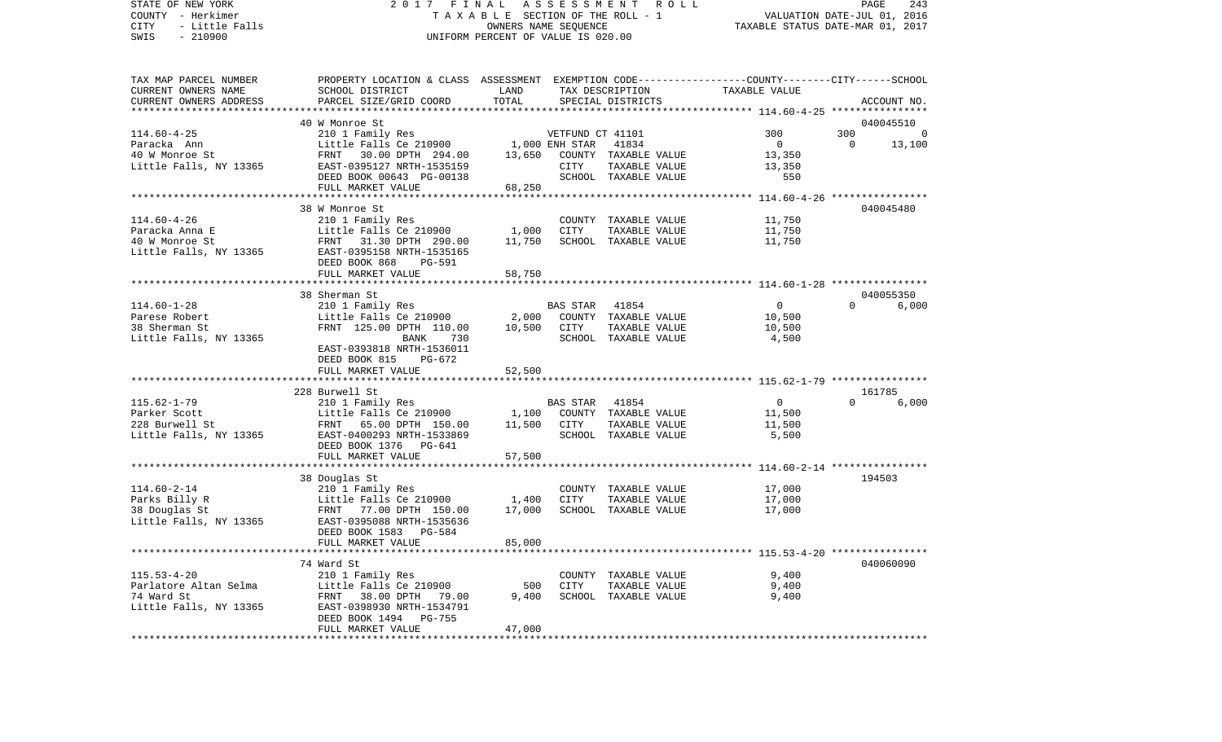VALUATION DATE-JUL 01, 2016 COUNTY - Herkimer T A X A B L E SECTION OF THE ROLL - 1 CITY - Little Falls OWNERS NAME SEQUENCE TAXABLE STATUS DATE-MAR 01, 2017 SWIS - 210900 UNIFORM PERCENT OF VALUE IS 020.00TAX MAP PARCEL NUMBER PROPERTY LOCATION & CLASS ASSESSMENT EXEMPTION CODE------------------COUNTY--------CITY------SCHOOL CURRENT OWNERS NAME SCHOOL DISTRICT LAND TAX DESCRIPTION TAXABLE VALUECURRENT OWNERS ADDRESS PARCEL SIZE/GRID COORD TOTAL SPECIAL DISTRICTS ACCOUNT NO. \*\*\*\*\*\*\*\*\*\*\*\*\*\*\*\*\*\*\*\*\*\*\*\*\*\*\*\*\*\*\*\*\*\*\*\*\*\*\*\*\*\*\*\*\*\*\*\*\*\*\*\*\*\*\*\*\*\*\*\*\*\*\*\*\*\*\*\*\*\*\*\*\*\*\*\*\*\*\*\*\*\*\*\*\*\*\*\*\*\*\*\*\*\*\*\*\*\*\*\*\*\*\* 114.60-4-25 \*\*\*\*\*\*\*\*\*\*\*\*\*\*\*\*40 W Monroe St 040045510 114.60-4-25 210 1 Family Res VETFUND CT 41101 300 300 0 Paracka Ann Little Falls Ce 210900 1,000 ENH STAR 41834 0 0 13,100 40 W Monroe St FRNT 30.00 DPTH 294.00 13,650 COUNTY TAXABLE VALUE 13,350 Little Falls, NY 13365 EAST-0395127 NRTH-1535159 CITY TAXABLE VALUE 13,350 DEED BOOK 00643 PG-00138 SCHOOL TAXABLE VALUE 550 FULL MARKET VALUE 68,250 \*\*\*\*\*\*\*\*\*\*\*\*\*\*\*\*\*\*\*\*\*\*\*\*\*\*\*\*\*\*\*\*\*\*\*\*\*\*\*\*\*\*\*\*\*\*\*\*\*\*\*\*\*\*\*\*\*\*\*\*\*\*\*\*\*\*\*\*\*\*\*\*\*\*\*\*\*\*\*\*\*\*\*\*\*\*\*\*\*\*\*\*\*\*\*\*\*\*\*\*\*\*\* 114.60-4-26 \*\*\*\*\*\*\*\*\*\*\*\*\*\*\*\* 38 W Monroe St 040045480114.60-4-26 210 1 Family Res COUNTY TAXABLE VALUE 11,750 Paracka Anna E Little Falls Ce 210900 1,000 CITY TAXABLE VALUE 11,750 40 W Monroe St FRNT 31.30 DPTH 290.00 11,750 SCHOOL TAXABLE VALUE 11,750 Little Falls, NY 13365 EAST-0395158 NRTH-1535165 DEED BOOK 868 PG-591FULL MARKET VALUE 58,750 \*\*\*\*\*\*\*\*\*\*\*\*\*\*\*\*\*\*\*\*\*\*\*\*\*\*\*\*\*\*\*\*\*\*\*\*\*\*\*\*\*\*\*\*\*\*\*\*\*\*\*\*\*\*\*\*\*\*\*\*\*\*\*\*\*\*\*\*\*\*\*\*\*\*\*\*\*\*\*\*\*\*\*\*\*\*\*\*\*\*\*\*\*\*\*\*\*\*\*\*\*\*\* 114.60-1-28 \*\*\*\*\*\*\*\*\*\*\*\*\*\*\*\* 38 Sherman St 0400553506,000 114.60-1-28 210 1 Family Res BAS STAR 41854 0 0 0 Parese Robert Little Falls Ce 210900 2,000 COUNTY TAXABLE VALUE 10,500 38 Sherman St FRNT 125.00 DPTH 110.00 10,500 CITY TAXABLE VALUE 10,500 Little Falls, NY 13365 BANK 730 SCHOOL TAXABLE VALUE 4,500 EAST-0393818 NRTH-1536011 DEED BOOK 815 PG-672 FULL MARKET VALUE 52,500 \*\*\*\*\*\*\*\*\*\*\*\*\*\*\*\*\*\*\*\*\*\*\*\*\*\*\*\*\*\*\*\*\*\*\*\*\*\*\*\*\*\*\*\*\*\*\*\*\*\*\*\*\*\*\*\*\*\*\*\*\*\*\*\*\*\*\*\*\*\*\*\*\*\*\*\*\*\*\*\*\*\*\*\*\*\*\*\*\*\*\*\*\*\*\*\*\*\*\*\*\*\*\* 115.62-1-79 \*\*\*\*\*\*\*\*\*\*\*\*\*\*\*\* 228 Burwell St 161785115.62-1-79 210 1 Family Res BAS STAR 41854 0 0 6,000 Parker Scott Little Falls Ce 210900 1,100 COUNTY TAXABLE VALUE 11,500 228 Burwell St FRNT 65.00 DPTH 150.00 11,500 CITY TAXABLE VALUE 11,500 Little Falls, NY 13365 EAST-0400293 NRTH-1533869 SCHOOL TAXABLE VALUE 5,500 DEED BOOK 1376 PG-641FULL MARKET VALUE 57,500 \*\*\*\*\*\*\*\*\*\*\*\*\*\*\*\*\*\*\*\*\*\*\*\*\*\*\*\*\*\*\*\*\*\*\*\*\*\*\*\*\*\*\*\*\*\*\*\*\*\*\*\*\*\*\*\*\*\*\*\*\*\*\*\*\*\*\*\*\*\*\*\*\*\*\*\*\*\*\*\*\*\*\*\*\*\*\*\*\*\*\*\*\*\*\*\*\*\*\*\*\*\*\* 114.60-2-14 \*\*\*\*\*\*\*\*\*\*\*\*\*\*\*\* 38 Douglas St 194503 114.60-2-14 210 1 Family Res COUNTY TAXABLE VALUE 17,000 Parks Billy R Little Falls Ce 210900 1,400 CITY TAXABLE VALUE 17,000 FRNT 77.00 DPTH 150.00 Little Falls, NY 13365 EAST-0395088 NRTH-1535636 DEED BOOK 1583 PG-584FULL MARKET VALUE 85,000 \*\*\*\*\*\*\*\*\*\*\*\*\*\*\*\*\*\*\*\*\*\*\*\*\*\*\*\*\*\*\*\*\*\*\*\*\*\*\*\*\*\*\*\*\*\*\*\*\*\*\*\*\*\*\*\*\*\*\*\*\*\*\*\*\*\*\*\*\*\*\*\*\*\*\*\*\*\*\*\*\*\*\*\*\*\*\*\*\*\*\*\*\*\*\*\*\*\*\*\*\*\*\* 115.53-4-20 \*\*\*\*\*\*\*\*\*\*\*\*\*\*\*\* 74 Ward St 040060090115.53-4-20 210 1 Family Res COUNTY TAXABLE VALUE 9,400 Parlatore Altan Selma Little Falls Ce 210900 500 CITY TAXABLE VALUE 9,400 74 Ward St FRNT 38.00 DPTH 79.00 9,400 SCHOOL TAXABLE VALUE 9,400 Little Falls, NY 13365 EAST-0398930 NRTH-1534791 DEED BOOK 1494 PG-755FULL MARKET VALUE 47,000 \*\*\*\*\*\*\*\*\*\*\*\*\*\*\*\*\*\*\*\*\*\*\*\*\*\*\*\*\*\*\*\*\*\*\*\*\*\*\*\*\*\*\*\*\*\*\*\*\*\*\*\*\*\*\*\*\*\*\*\*\*\*\*\*\*\*\*\*\*\*\*\*\*\*\*\*\*\*\*\*\*\*\*\*\*\*\*\*\*\*\*\*\*\*\*\*\*\*\*\*\*\*\*\*\*\*\*\*\*\*\*\*\*\*\*\*\*\*\*\*\*\*\*\*\*\*\*\*\*\*\*\*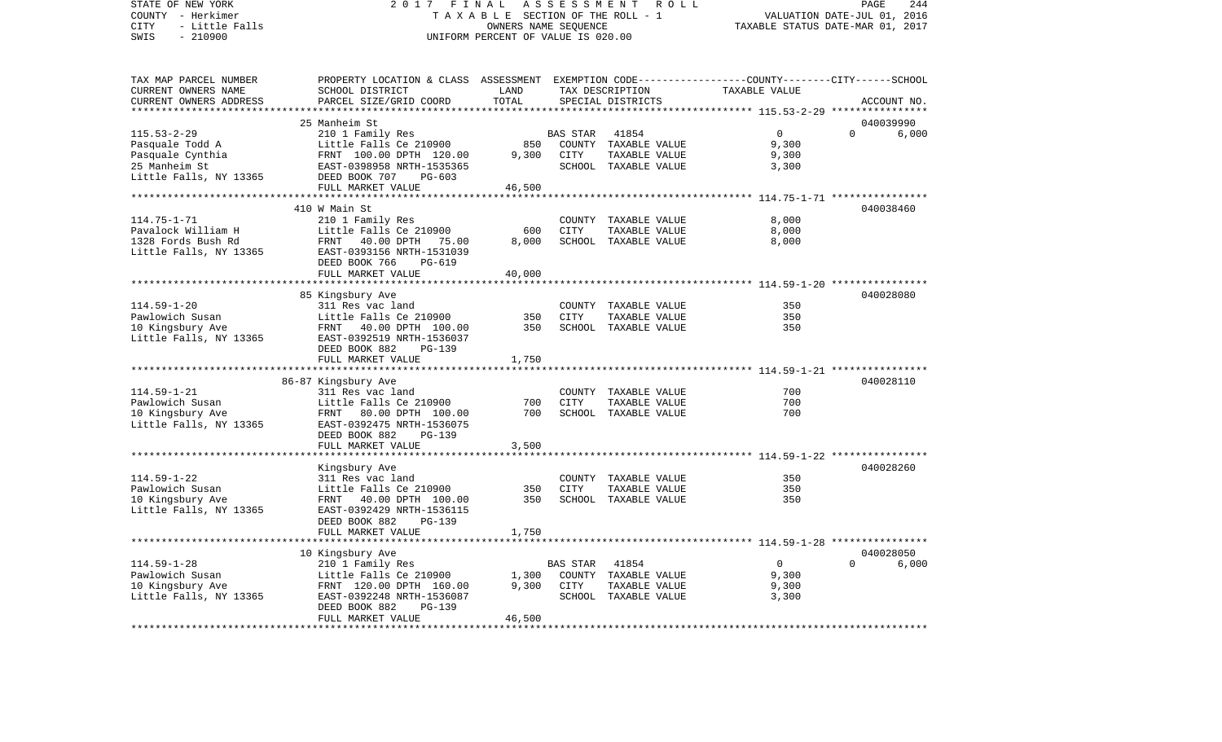COUNTY - Herkimer T A X A B L E SECTION OF THE ROLL - 1 VALUATION DATE-JUL 01, 2016 CITY - Little Falls OWNERS NAME SEQUENCE TAXABLE STATUS DATE-MAR 01, 2017 SWIS - 210900 UNIFORM PERCENT OF VALUE IS 020.00TAX MAP PARCEL NUMBER PROPERTY LOCATION & CLASS ASSESSMENT EXEMPTION CODE------------------COUNTY--------CITY------SCHOOL CURRENT OWNERS NAME SCHOOL DISTRICT LAND TAX DESCRIPTION TAXABLE VALUECURRENT OWNERS ADDRESS PARCEL SIZE/GRID COORD TOTAL SPECIAL DISTRICTS ACCOUNT NO. \*\*\*\*\*\*\*\*\*\*\*\*\*\*\*\*\*\*\*\*\*\*\*\*\*\*\*\*\*\*\*\*\*\*\*\*\*\*\*\*\*\*\*\*\*\*\*\*\*\*\*\*\*\*\*\*\*\*\*\*\*\*\*\*\*\*\*\*\*\*\*\*\*\*\*\*\*\*\*\*\*\*\*\*\*\*\*\*\*\*\*\*\*\*\*\*\*\*\*\*\*\*\* 115.53-2-29 \*\*\*\*\*\*\*\*\*\*\*\*\*\*\*\* 25 Manheim St 040039990115.53-2-29 210 1 Family Res BAS STAR 41854 0 0 6,000 Pasquale Todd A **Little Falls Ce 210900** 850 COUNTY TAXABLE VALUE 9,300 Pasquale Cynthia FRNT 100.00 DPTH 120.00 9,300 CITY TAXABLE VALUE 9,300 25 Manheim St EAST-0398958 NRTH-1535365 SCHOOL TAXABLE VALUE 3,300 Little Falls, NY 13365 DEED BOOK 707 PG-603 FULL MARKET VALUE 46,500 \*\*\*\*\*\*\*\*\*\*\*\*\*\*\*\*\*\*\*\*\*\*\*\*\*\*\*\*\*\*\*\*\*\*\*\*\*\*\*\*\*\*\*\*\*\*\*\*\*\*\*\*\*\*\*\*\*\*\*\*\*\*\*\*\*\*\*\*\*\*\*\*\*\*\*\*\*\*\*\*\*\*\*\*\*\*\*\*\*\*\*\*\*\*\*\*\*\*\*\*\*\*\* 114.75-1-71 \*\*\*\*\*\*\*\*\*\*\*\*\*\*\*\* 410 W Main St 040038460114.75-1-71 210 1 Family Res COUNTY TAXABLE VALUE 8,000 Pavalock William H Little Falls Ce 210900 600 CITY TAXABLE VALUE 1328 Fords Bush Rd FRNT 40.00 DPTH 75.00 8,000 SCHOOL TAXABLE VALUE 8,000 Little Falls, NY 13365 EAST-0393156 NRTH-1531039 DEED BOOK 766 PG-619FULL MARKET VALUE 40,000 \*\*\*\*\*\*\*\*\*\*\*\*\*\*\*\*\*\*\*\*\*\*\*\*\*\*\*\*\*\*\*\*\*\*\*\*\*\*\*\*\*\*\*\*\*\*\*\*\*\*\*\*\*\*\*\*\*\*\*\*\*\*\*\*\*\*\*\*\*\*\*\*\*\*\*\*\*\*\*\*\*\*\*\*\*\*\*\*\*\*\*\*\*\*\*\*\*\*\*\*\*\*\* 114.59-1-20 \*\*\*\*\*\*\*\*\*\*\*\*\*\*\*\* 85 Kingsbury Ave 040028080 114.59-1-20 311 Res vac land COUNTY TAXABLE VALUE Pawlowich Susan Little Falls Ce 210900 350 CITY TAXABLE VALUE 350350 10 Kingsbury Ave FRNT 40.00 DPTH 100.00 350 SCHOOL TAXABLE VALUE Little Falls, NY 13365 EAST-0392519 NRTH-1536037 DEED BOOK 882 PG-139FULL MARKET VALUE 1,750 \*\*\*\*\*\*\*\*\*\*\*\*\*\*\*\*\*\*\*\*\*\*\*\*\*\*\*\*\*\*\*\*\*\*\*\*\*\*\*\*\*\*\*\*\*\*\*\*\*\*\*\*\*\*\*\*\*\*\*\*\*\*\*\*\*\*\*\*\*\*\*\*\*\*\*\*\*\*\*\*\*\*\*\*\*\*\*\*\*\*\*\*\*\*\*\*\*\*\*\*\*\*\* 114.59-1-21 \*\*\*\*\*\*\*\*\*\*\*\*\*\*\*\* 86-87 Kingsbury Ave 040028110 114.59-1-21 311 Res vac land COUNTY TAXABLE VALUE 700Pawlowich Susan Little Falls Ce 210900 700 CITY TAXABLE VALUE 700 10 Kingsbury Ave FRNT 80.00 DPTH 100.00 700 SCHOOL TAXABLE VALUE 700 Little Falls, NY 13365 EAST-0392475 NRTH-1536075 DEED BOOK 882 PG-139FULL MARKET VALUE 3,500 \*\*\*\*\*\*\*\*\*\*\*\*\*\*\*\*\*\*\*\*\*\*\*\*\*\*\*\*\*\*\*\*\*\*\*\*\*\*\*\*\*\*\*\*\*\*\*\*\*\*\*\*\*\*\*\*\*\*\*\*\*\*\*\*\*\*\*\*\*\*\*\*\*\*\*\*\*\*\*\*\*\*\*\*\*\*\*\*\*\*\*\*\*\*\*\*\*\*\*\*\*\*\* 114.59-1-22 \*\*\*\*\*\*\*\*\*\*\*\*\*\*\*\* Kingsbury Ave 040028260 114.59-1-22 311 Res vac land COUNTY TAXABLE VALUE 350 Pawlowich Susan Little Falls Ce 210900 350 CITY TAXABLE VALUE 350 10 Kingsbury Ave FRNT 40.00 DPTH 100.00 350 SCHOOL TAXABLE VALUE 350 Little Falls, NY 13365 EAST-0392429 NRTH-1536115 DEED BOOK 882 PG-139 FULL MARKET VALUE 1,750 \*\*\*\*\*\*\*\*\*\*\*\*\*\*\*\*\*\*\*\*\*\*\*\*\*\*\*\*\*\*\*\*\*\*\*\*\*\*\*\*\*\*\*\*\*\*\*\*\*\*\*\*\*\*\*\*\*\*\*\*\*\*\*\*\*\*\*\*\*\*\*\*\*\*\*\*\*\*\*\*\*\*\*\*\*\*\*\*\*\*\*\*\*\*\*\*\*\*\*\*\*\*\* 114.59-1-28 \*\*\*\*\*\*\*\*\*\*\*\*\*\*\*\* 10 Kingsbury Ave 040028050 114.59-1-28 210 1 Family Res BAS STAR 41854 0 0 6,000 Pawlowich Susan Little Falls Ce 210900 1,300 COUNTY TAXABLE VALUE 10 Kingsbury Ave FRNT 120.00 DPTH 160.00 9,300 CITY TAXABLE VALUE 9,300 Little Falls, NY 13365 EAST-0392248 NRTH-1536087 SCHOOL TAXABLE VALUE 3,300 DEED BOOK 882 PG-139FULL MARKET VALUE 46,500 \*\*\*\*\*\*\*\*\*\*\*\*\*\*\*\*\*\*\*\*\*\*\*\*\*\*\*\*\*\*\*\*\*\*\*\*\*\*\*\*\*\*\*\*\*\*\*\*\*\*\*\*\*\*\*\*\*\*\*\*\*\*\*\*\*\*\*\*\*\*\*\*\*\*\*\*\*\*\*\*\*\*\*\*\*\*\*\*\*\*\*\*\*\*\*\*\*\*\*\*\*\*\*\*\*\*\*\*\*\*\*\*\*\*\*\*\*\*\*\*\*\*\*\*\*\*\*\*\*\*\*\*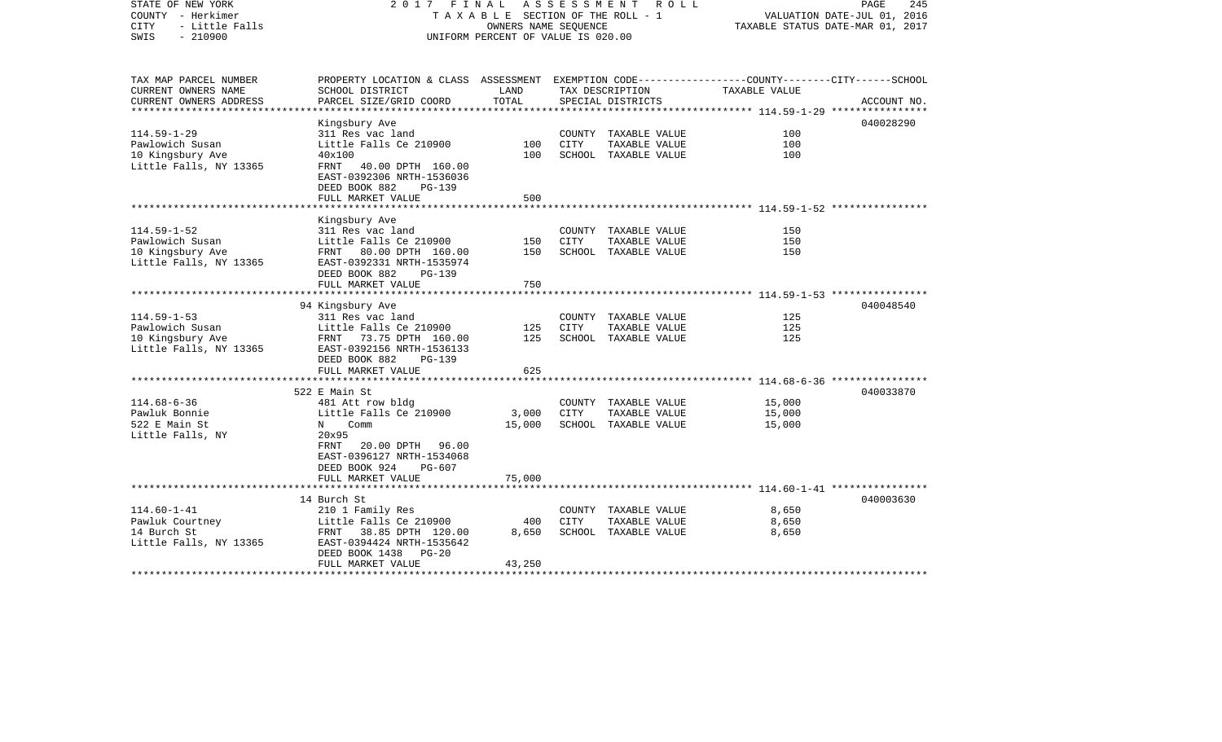| STATE OF NEW YORK<br>COUNTY - Herkimer<br><b>CITY</b><br>- Little Falls<br>$-210900$<br>SWIS | 2017 FINAL                                                                                                                                                              | TAXABLE SECTION OF THE ROLL - 1<br>OWNERS NAME SEOUENCE<br>UNIFORM PERCENT OF VALUE IS 020.00 | ASSESSMENT  | R O L L                                                       | TAXABLE STATUS DATE-MAR 01, 2017 | 245<br>PAGE<br>VALUATION DATE-JUL 01, 2016 |
|----------------------------------------------------------------------------------------------|-------------------------------------------------------------------------------------------------------------------------------------------------------------------------|-----------------------------------------------------------------------------------------------|-------------|---------------------------------------------------------------|----------------------------------|--------------------------------------------|
| TAX MAP PARCEL NUMBER<br>CURRENT OWNERS NAME<br>CURRENT OWNERS ADDRESS                       | PROPERTY LOCATION & CLASS ASSESSMENT EXEMPTION CODE---------------COUNTY-------CITY------SCHOOL<br>SCHOOL DISTRICT<br>PARCEL SIZE/GRID COORD                            | LAND<br>TOTAL                                                                                 |             | TAX DESCRIPTION<br>SPECIAL DISTRICTS                          | TAXABLE VALUE                    | ACCOUNT NO.                                |
| **********************                                                                       |                                                                                                                                                                         |                                                                                               |             |                                                               |                                  |                                            |
| $114.59 - 1 - 29$<br>Pawlowich Susan<br>10 Kingsbury Ave<br>Little Falls, NY 13365           | Kingsbury Ave<br>311 Res vac land<br>Little Falls Ce 210900<br>40x100<br>40.00 DPTH 160.00<br>FRNT<br>EAST-0392306 NRTH-1536036<br>DEED BOOK 882<br>PG-139              | 100<br>100                                                                                    | CITY        | COUNTY TAXABLE VALUE<br>TAXABLE VALUE<br>SCHOOL TAXABLE VALUE | 100<br>100<br>100                | 040028290                                  |
|                                                                                              | FULL MARKET VALUE                                                                                                                                                       | 500                                                                                           |             |                                                               |                                  |                                            |
|                                                                                              |                                                                                                                                                                         |                                                                                               |             |                                                               |                                  |                                            |
| $114.59 - 1 - 52$<br>Pawlowich Susan<br>10 Kingsbury Ave<br>Little Falls, NY 13365           | Kingsbury Ave<br>311 Res vac land<br>Little Falls Ce 210900<br>FRNT 80.00 DPTH 160.00<br>EAST-0392331 NRTH-1535974                                                      | 150<br>150                                                                                    | <b>CITY</b> | COUNTY TAXABLE VALUE<br>TAXABLE VALUE<br>SCHOOL TAXABLE VALUE | 150<br>150<br>150                |                                            |
|                                                                                              | DEED BOOK 882<br>PG-139<br>FULL MARKET VALUE                                                                                                                            | 750                                                                                           |             |                                                               |                                  |                                            |
|                                                                                              | ***********************                                                                                                                                                 |                                                                                               |             |                                                               |                                  |                                            |
|                                                                                              | 94 Kingsbury Ave                                                                                                                                                        |                                                                                               |             |                                                               |                                  | 040048540                                  |
| $114.59 - 1 - 53$<br>Pawlowich Susan<br>10 Kingsbury Ave<br>Little Falls, NY 13365           | 311 Res vac land<br>Little Falls Ce 210900<br>FRNT 73.75 DPTH 160.00<br>EAST-0392156 NRTH-1536133<br>DEED BOOK 882<br>$PG-139$                                          | 125<br>125                                                                                    | <b>CITY</b> | COUNTY TAXABLE VALUE<br>TAXABLE VALUE<br>SCHOOL TAXABLE VALUE | 125<br>125<br>125                |                                            |
|                                                                                              | FULL MARKET VALUE                                                                                                                                                       | 625                                                                                           |             |                                                               |                                  |                                            |
|                                                                                              |                                                                                                                                                                         | ********                                                                                      |             |                                                               |                                  |                                            |
| $114.68 - 6 - 36$<br>Pawluk Bonnie<br>522 E Main St<br>Little Falls, NY                      | 522 E Main St<br>481 Att row bldg<br>Little Falls Ce 210900<br>Comm<br>N<br>20x95<br>FRNT<br>20.00 DPTH 96.00<br>EAST-0396127 NRTH-1534068<br>DEED BOOK 924<br>$PG-607$ | 3,000<br>15,000                                                                               | <b>CITY</b> | COUNTY TAXABLE VALUE<br>TAXABLE VALUE<br>SCHOOL TAXABLE VALUE | 15,000<br>15,000<br>15,000       | 040033870                                  |
|                                                                                              | FULL MARKET VALUE                                                                                                                                                       | 75,000                                                                                        |             |                                                               |                                  |                                            |
|                                                                                              |                                                                                                                                                                         |                                                                                               |             |                                                               |                                  |                                            |
| $114.60 - 1 - 41$<br>Pawluk Courtney<br>14 Burch St<br>Little Falls, NY 13365                | 14 Burch St<br>210 1 Family Res<br>Little Falls Ce 210900<br>FRNT 38.85 DPTH 120.00<br>EAST-0394424 NRTH-1535642<br>DEED BOOK 1438<br>$PG-20$<br>FULL MARKET VALUE      | 400<br>8,650<br>43,250                                                                        | CITY        | COUNTY TAXABLE VALUE<br>TAXABLE VALUE<br>SCHOOL TAXABLE VALUE | 8,650<br>8,650<br>8,650          | 040003630                                  |
|                                                                                              |                                                                                                                                                                         |                                                                                               |             |                                                               |                                  |                                            |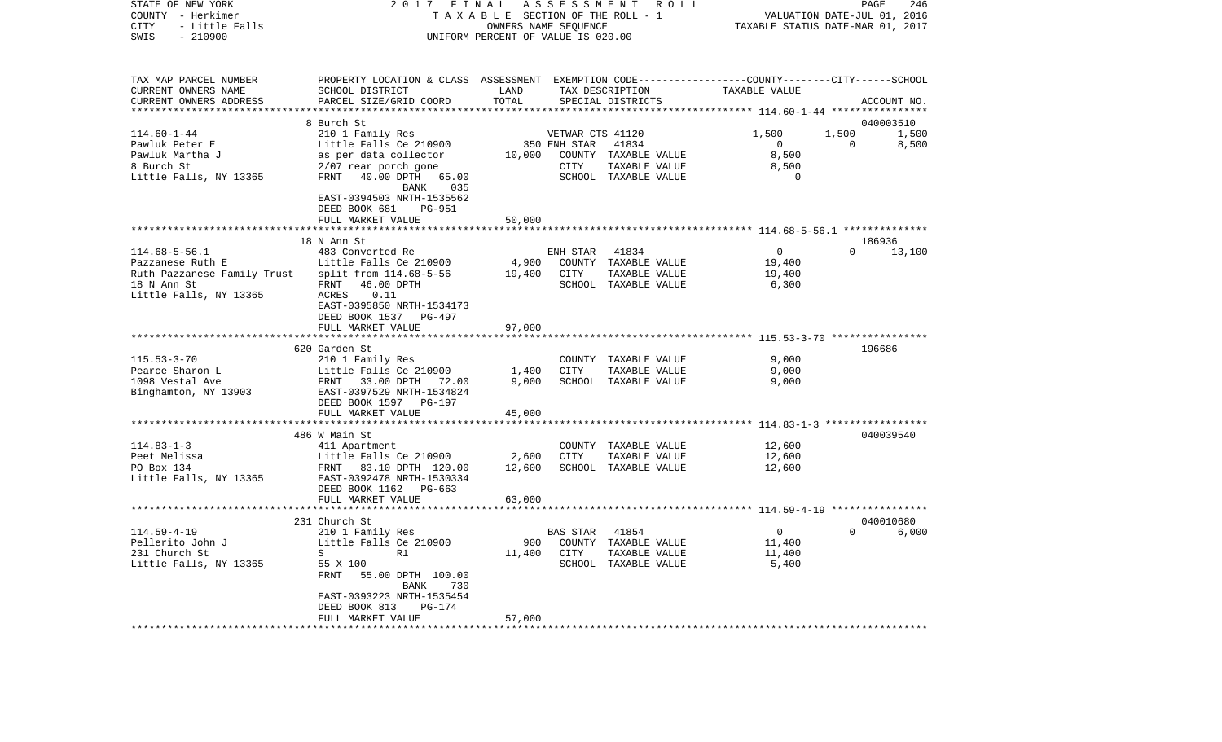| COUNTY<br>– Herkimer<br>CITY<br>- Little Falls                                                     | T A X A B L E SECTION OF THE ROLL - 1                                                                                                                           | VALUATION DATE-JUL 01, 2016<br>TAXABLE STATUS DATE-MAR 01, 2017 |                                          |                                                                        |                                                       |                   |                |
|----------------------------------------------------------------------------------------------------|-----------------------------------------------------------------------------------------------------------------------------------------------------------------|-----------------------------------------------------------------|------------------------------------------|------------------------------------------------------------------------|-------------------------------------------------------|-------------------|----------------|
| SWIS<br>$-210900$                                                                                  |                                                                                                                                                                 | UNIFORM PERCENT OF VALUE IS 020.00                              |                                          |                                                                        |                                                       |                   |                |
| TAX MAP PARCEL NUMBER<br>CURRENT OWNERS NAME<br>CURRENT OWNERS ADDRESS<br>************************ | PROPERTY LOCATION & CLASS ASSESSMENT EXEMPTION CODE---------------COUNTY-------CITY------SCHOOL<br>SCHOOL DISTRICT<br>PARCEL SIZE/GRID COORD                    | LAND<br>TOTAL                                                   |                                          | TAX DESCRIPTION<br>SPECIAL DISTRICTS                                   | TAXABLE VALUE                                         |                   | ACCOUNT NO.    |
|                                                                                                    | 8 Burch St                                                                                                                                                      |                                                                 |                                          |                                                                        |                                                       |                   | 040003510      |
| $114.60 - 1 - 44$<br>Pawluk Peter E<br>Pawluk Martha J<br>8 Burch St<br>Little Falls, NY 13365     | 210 1 Family Res<br>Little Falls Ce 210900<br>as per data collector<br>2/07 rear porch gone<br>FRNT 40.00 DPTH 65.00<br>BANK<br>035                             | 10,000                                                          | VETWAR CTS 41120<br>350 ENH STAR<br>CITY | 41834<br>COUNTY TAXABLE VALUE<br>TAXABLE VALUE<br>SCHOOL TAXABLE VALUE | 1,500<br>$\overline{0}$<br>8,500<br>8,500<br>$\Omega$ | 1,500<br>$\Omega$ | 1,500<br>8,500 |
|                                                                                                    | EAST-0394503 NRTH-1535562<br>DEED BOOK 681<br>PG-951<br>FULL MARKET VALUE                                                                                       | 50,000                                                          |                                          |                                                                        |                                                       |                   |                |
|                                                                                                    | *****************                                                                                                                                               |                                                                 |                                          |                                                                        |                                                       |                   |                |
|                                                                                                    | 18 N Ann St                                                                                                                                                     |                                                                 |                                          |                                                                        |                                                       |                   | 186936         |
| $114.68 - 5 - 56.1$<br>Pazzanese Ruth E<br>Ruth Pazzanese Family Trust<br>18 N Ann St              | 483 Converted Re<br>Little Falls Ce 210900<br>split from 114.68-5-56<br>FRNT<br>46.00 DPTH                                                                      | 4,900<br>19,400                                                 | ENH STAR<br>CITY                         | 41834<br>COUNTY TAXABLE VALUE<br>TAXABLE VALUE<br>SCHOOL TAXABLE VALUE | $\mathbf{0}$<br>19,400<br>19,400<br>6,300             | $\Omega$          | 13,100         |
| Little Falls, NY 13365                                                                             | 0.11<br>ACRES<br>EAST-0395850 NRTH-1534173<br>DEED BOOK 1537<br>PG-497<br>FULL MARKET VALUE                                                                     | 97,000                                                          |                                          |                                                                        |                                                       |                   |                |
|                                                                                                    | *****************************                                                                                                                                   |                                                                 |                                          |                                                                        |                                                       |                   |                |
| $115.53 - 3 - 70$<br>Pearce Sharon L<br>1098 Vestal Ave<br>Binghamton, NY 13903                    | 620 Garden St<br>210 1 Family Res<br>Little Falls Ce 210900<br>FRNT 33.00 DPTH 72.00<br>EAST-0397529 NRTH-1534824<br>DEED BOOK 1597 PG-197<br>FULL MARKET VALUE | 1,400<br>9,000<br>45,000                                        | <b>CITY</b>                              | COUNTY TAXABLE VALUE<br>TAXABLE VALUE<br>SCHOOL TAXABLE VALUE          | 9,000<br>9,000<br>9,000                               |                   | 196686         |
|                                                                                                    | *********************                                                                                                                                           |                                                                 |                                          |                                                                        |                                                       |                   |                |
|                                                                                                    | 486 W Main St                                                                                                                                                   |                                                                 |                                          |                                                                        |                                                       |                   | 040039540      |
| $114.83 - 1 - 3$<br>Peet Melissa<br>PO Box 134<br>Little Falls, NY 13365                           | 411 Apartment<br>Little Falls Ce 210900<br>FRNT 83.10 DPTH 120.00<br>EAST-0392478 NRTH-1530334<br>DEED BOOK 1162 PG-663                                         | 2,600<br>12,600                                                 | CITY                                     | COUNTY TAXABLE VALUE<br>TAXABLE VALUE<br>SCHOOL TAXABLE VALUE          | 12,600<br>12,600<br>12,600                            |                   |                |
|                                                                                                    | FULL MARKET VALUE                                                                                                                                               | 63,000                                                          |                                          |                                                                        |                                                       |                   |                |
|                                                                                                    |                                                                                                                                                                 |                                                                 |                                          |                                                                        |                                                       |                   |                |
|                                                                                                    | 231 Church St                                                                                                                                                   |                                                                 |                                          |                                                                        |                                                       |                   | 040010680      |
| $114.59 - 4 - 19$<br>Pellerito John J<br>231 Church St<br>Little Falls, NY 13365                   | 210 1 Family Res<br>Little Falls Ce 210900<br>S<br>R1<br>55 X 100<br><b>FRNT</b><br>55.00 DPTH 100.00<br>BANK<br>730<br>EAST-0393223 NRTH-1535454               | 900<br>11,400                                                   | <b>BAS STAR</b><br>CITY                  | 41854<br>COUNTY TAXABLE VALUE<br>TAXABLE VALUE<br>SCHOOL TAXABLE VALUE | $\Omega$<br>11,400<br>11,400<br>5,400                 | $\Omega$          | 6,000          |
| ************************                                                                           | DEED BOOK 813<br><b>PG-174</b><br>FULL MARKET VALUE<br>*******************                                                                                      | 57,000<br>******                                                |                                          |                                                                        |                                                       |                   |                |

PAGE 246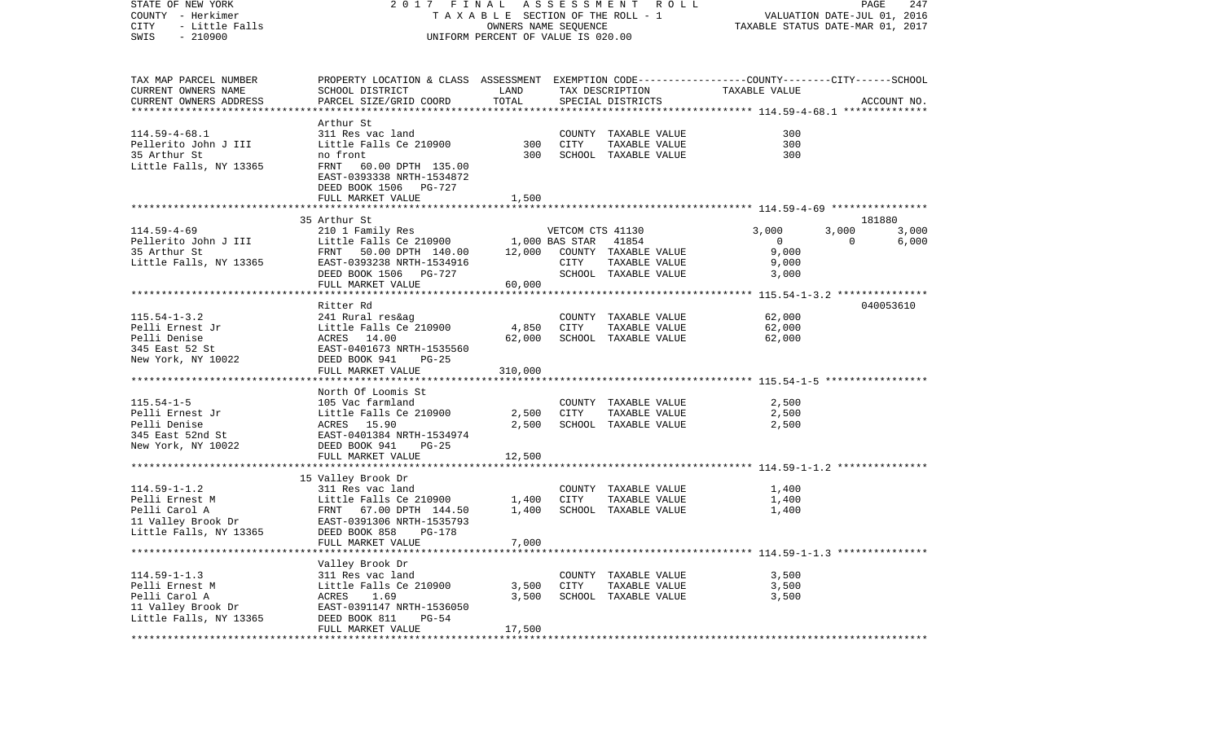| STATE OF NEW YORK<br>COUNTY - Herkimer<br>CITY<br>- Little Falls<br>$-210900$<br>SWIS | A S S E S S M E N T A O L L<br>2017 FINAL<br>TAXABLE SECTION OF THE ROLL - 1<br>OWNERS NAME SEQUENCE<br>UNIFORM PERCENT OF VALUE IS 020.00 |                          |                  |                               | PAGE<br>247<br>VALUATION DATE-JUL 01, 2016<br>TAXABLE STATUS DATE-MAR 01, 2017 |                |           |  |
|---------------------------------------------------------------------------------------|--------------------------------------------------------------------------------------------------------------------------------------------|--------------------------|------------------|-------------------------------|--------------------------------------------------------------------------------|----------------|-----------|--|
| TAX MAP PARCEL NUMBER                                                                 | PROPERTY LOCATION & CLASS ASSESSMENT EXEMPTION CODE---------------COUNTY-------CITY------SCHOOL                                            |                          |                  |                               |                                                                                |                |           |  |
| CURRENT OWNERS NAME<br>CURRENT OWNERS ADDRESS                                         | SCHOOL DISTRICT<br>LAND<br>TAX DESCRIPTION<br>TOTAL<br>SPECIAL DISTRICTS                                                                   |                          |                  |                               | TAXABLE VALUE<br>ACCOUNT NO.                                                   |                |           |  |
|                                                                                       | PARCEL SIZE/GRID COORD                                                                                                                     |                          |                  |                               |                                                                                |                |           |  |
|                                                                                       | Arthur St                                                                                                                                  |                          |                  |                               |                                                                                |                |           |  |
| $114.59 - 4 - 68.1$                                                                   | 311 Res vac land                                                                                                                           |                          |                  | COUNTY TAXABLE VALUE          | 300                                                                            |                |           |  |
| Pellerito John J III                                                                  | Little Falls Ce 210900                                                                                                                     | 300                      | CITY             | TAXABLE VALUE                 | 300                                                                            |                |           |  |
| 35 Arthur St                                                                          | no front                                                                                                                                   | 300                      |                  | SCHOOL TAXABLE VALUE          | 300                                                                            |                |           |  |
| Little Falls, NY 13365                                                                | FRNT<br>60.00 DPTH 135.00<br>EAST-0393338 NRTH-1534872                                                                                     |                          |                  |                               |                                                                                |                |           |  |
|                                                                                       | DEED BOOK 1506 PG-727                                                                                                                      |                          |                  |                               |                                                                                |                |           |  |
|                                                                                       | FULL MARKET VALUE                                                                                                                          | 1,500                    |                  |                               |                                                                                |                |           |  |
|                                                                                       |                                                                                                                                            |                          |                  |                               |                                                                                |                |           |  |
|                                                                                       | 35 Arthur St                                                                                                                               |                          |                  |                               |                                                                                |                | 181880    |  |
| $114.59 - 4 - 69$                                                                     | 210 1 Family Res                                                                                                                           |                          | VETCOM CTS 41130 |                               | 3,000                                                                          | 3,000          | 3,000     |  |
| Pellerito John J III<br>35 Arthur St                                                  | Little Falls Ce 210900<br>FRNT 50.00 DPTH 140.00                                                                                           | 1,000 BAS STAR<br>12,000 |                  | 41854<br>COUNTY TAXABLE VALUE | $\overline{0}$<br>9,000                                                        | $\overline{0}$ | 6,000     |  |
| Little Falls, NY 13365                                                                | EAST-0393238 NRTH-1534916                                                                                                                  |                          | CITY             | TAXABLE VALUE                 | 9,000                                                                          |                |           |  |
|                                                                                       | DEED BOOK 1506 PG-727                                                                                                                      |                          |                  | SCHOOL TAXABLE VALUE          | 3,000                                                                          |                |           |  |
|                                                                                       | FULL MARKET VALUE                                                                                                                          | 60,000                   |                  |                               |                                                                                |                |           |  |
|                                                                                       |                                                                                                                                            |                          |                  |                               |                                                                                |                |           |  |
|                                                                                       | Ritter Rd                                                                                                                                  |                          |                  |                               |                                                                                |                | 040053610 |  |
| $115.54 - 1 - 3.2$                                                                    | 241 Rural res&ag                                                                                                                           |                          |                  | COUNTY TAXABLE VALUE          | 62,000                                                                         |                |           |  |
| Pelli Ernest Jr                                                                       | Little Falls Ce 210900                                                                                                                     | 4,850                    | CITY             | TAXABLE VALUE                 | 62,000                                                                         |                |           |  |
| Pelli Denise<br>345 East 52 St                                                        | ACRES 14.00<br>EAST-0401673 NRTH-1535560                                                                                                   | 62,000                   |                  | SCHOOL TAXABLE VALUE          | 62,000                                                                         |                |           |  |
| New York, NY 10022                                                                    | DEED BOOK 941<br>PG-25                                                                                                                     |                          |                  |                               |                                                                                |                |           |  |
|                                                                                       | FULL MARKET VALUE                                                                                                                          | 310,000                  |                  |                               |                                                                                |                |           |  |
|                                                                                       |                                                                                                                                            |                          |                  |                               |                                                                                |                |           |  |
|                                                                                       | North Of Loomis St                                                                                                                         |                          |                  |                               |                                                                                |                |           |  |
| $115.54 - 1 - 5$                                                                      | 105 Vac farmland                                                                                                                           |                          |                  | COUNTY TAXABLE VALUE          | 2,500                                                                          |                |           |  |
| Pelli Ernest Jr                                                                       | Little Falls Ce 210900                                                                                                                     | 2,500                    | CITY             | TAXABLE VALUE                 | 2,500                                                                          |                |           |  |
| Pelli Denise                                                                          | ACRES 15.90                                                                                                                                | 2,500                    |                  | SCHOOL TAXABLE VALUE          | 2,500                                                                          |                |           |  |
| 345 East 52nd St<br>New York, NY 10022                                                | EAST-0401384 NRTH-1534974<br>DEED BOOK 941<br>PG-25                                                                                        |                          |                  |                               |                                                                                |                |           |  |
|                                                                                       | FULL MARKET VALUE                                                                                                                          | 12,500                   |                  |                               |                                                                                |                |           |  |
|                                                                                       |                                                                                                                                            |                          |                  |                               |                                                                                |                |           |  |
|                                                                                       | 15 Valley Brook Dr                                                                                                                         |                          |                  |                               |                                                                                |                |           |  |
| $114.59 - 1 - 1.2$                                                                    | 311 Res vac land                                                                                                                           |                          |                  | COUNTY TAXABLE VALUE          | 1,400                                                                          |                |           |  |
| Pelli Ernest M                                                                        | Little Falls Ce 210900                                                                                                                     | 1,400                    | CITY             | TAXABLE VALUE                 | 1,400                                                                          |                |           |  |
| Pelli Carol A                                                                         | FRNT 67.00 DPTH 144.50                                                                                                                     | 1,400                    |                  | SCHOOL TAXABLE VALUE          | 1,400                                                                          |                |           |  |
| 11 Valley Brook Dr                                                                    | EAST-0391306 NRTH-1535793                                                                                                                  |                          |                  |                               |                                                                                |                |           |  |
| Little Falls, NY 13365                                                                | PG-178<br>DEED BOOK 858<br>FULL MARKET VALUE                                                                                               | 7,000                    |                  |                               |                                                                                |                |           |  |
|                                                                                       |                                                                                                                                            |                          |                  |                               |                                                                                |                |           |  |
|                                                                                       | Valley Brook Dr                                                                                                                            |                          |                  |                               |                                                                                |                |           |  |
| $114.59 - 1 - 1.3$                                                                    | 311 Res vac land                                                                                                                           |                          |                  | COUNTY TAXABLE VALUE          | 3,500                                                                          |                |           |  |
| Pelli Ernest M                                                                        | Little Falls Ce 210900                                                                                                                     | 3,500                    | CITY             | TAXABLE VALUE                 | 3,500                                                                          |                |           |  |
| Pelli Carol A                                                                         | ACRES 1.69                                                                                                                                 | 3,500                    |                  | SCHOOL TAXABLE VALUE          | 3,500                                                                          |                |           |  |
| 11 Valley Brook Dr                                                                    | EAST-0391147 NRTH-1536050                                                                                                                  |                          |                  |                               |                                                                                |                |           |  |
| Little Falls, NY 13365                                                                | DEED BOOK 811<br>PG-54                                                                                                                     |                          |                  |                               |                                                                                |                |           |  |
|                                                                                       | FULL MARKET VALUE                                                                                                                          | 17,500                   |                  |                               |                                                                                |                |           |  |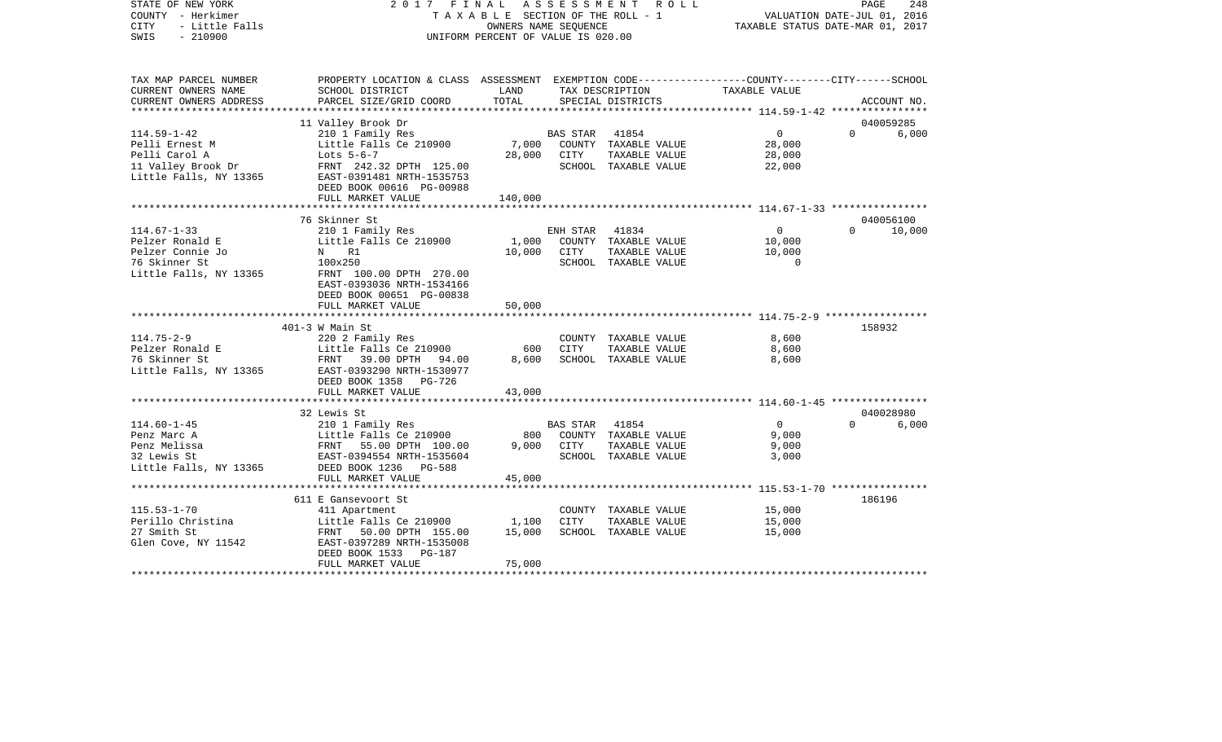| STATE OF NEW YORK<br>COUNTY - Herkimer<br><b>CITY</b><br>- Little Falls<br>$-210900$<br>SWIS | 2017 FINAL<br>TAXABLE SECTION OF THE ROLL - 1<br>UNIFORM PERCENT OF VALUE IS 020.00              | PAGE<br>248<br>VALUATION DATE-JUL 01, 2016<br>TAXABLE STATUS DATE-MAR 01, 2017 |                 |                                      |                                                        |          |             |
|----------------------------------------------------------------------------------------------|--------------------------------------------------------------------------------------------------|--------------------------------------------------------------------------------|-----------------|--------------------------------------|--------------------------------------------------------|----------|-------------|
| TAX MAP PARCEL NUMBER                                                                        | PROPERTY LOCATION & CLASS ASSESSMENT EXEMPTION CODE----------------COUNTY-------CITY------SCHOOL | LAND                                                                           |                 |                                      |                                                        |          |             |
| CURRENT OWNERS NAME<br>CURRENT OWNERS ADDRESS                                                | SCHOOL DISTRICT<br>PARCEL SIZE/GRID COORD                                                        | TOTAL                                                                          |                 | TAX DESCRIPTION<br>SPECIAL DISTRICTS | TAXABLE VALUE                                          |          | ACCOUNT NO. |
| **********************                                                                       |                                                                                                  |                                                                                |                 |                                      | ******************** 114.59-1-42 ****************      |          |             |
|                                                                                              | 11 Valley Brook Dr                                                                               |                                                                                |                 |                                      |                                                        |          | 040059285   |
| $114.59 - 1 - 42$                                                                            | 210 1 Family Res                                                                                 |                                                                                | <b>BAS STAR</b> | 41854                                | 0                                                      | $\Omega$ | 6,000       |
| Pelli Ernest M                                                                               | Little Falls Ce 210900                                                                           | 7,000                                                                          |                 | COUNTY TAXABLE VALUE                 | 28,000                                                 |          |             |
| Pelli Carol A                                                                                | Lots 5-6-7                                                                                       | 28,000                                                                         | CITY            | TAXABLE VALUE                        | 28,000                                                 |          |             |
| 11 Valley Brook Dr                                                                           | FRNT 242.32 DPTH 125.00                                                                          |                                                                                |                 | SCHOOL TAXABLE VALUE                 | 22,000                                                 |          |             |
| Little Falls, NY 13365                                                                       | EAST-0391481 NRTH-1535753                                                                        |                                                                                |                 |                                      |                                                        |          |             |
|                                                                                              | DEED BOOK 00616 PG-00988                                                                         |                                                                                |                 |                                      |                                                        |          |             |
|                                                                                              | FULL MARKET VALUE                                                                                | 140,000                                                                        |                 |                                      |                                                        |          |             |
|                                                                                              | 76 Skinner St                                                                                    |                                                                                |                 |                                      |                                                        |          | 040056100   |
| $114.67 - 1 - 33$                                                                            | 210 1 Family Res                                                                                 |                                                                                | ENH STAR        | 41834                                | $\overline{0}$                                         | $\Omega$ | 10,000      |
| Pelzer Ronald E                                                                              | Little Falls Ce 210900                                                                           | 1,000                                                                          |                 | COUNTY TAXABLE VALUE                 | 10,000                                                 |          |             |
| Pelzer Connie Jo                                                                             | N R1                                                                                             | 10,000                                                                         | CITY            | TAXABLE VALUE                        | 10,000                                                 |          |             |
| 76 Skinner St                                                                                | 100x250                                                                                          |                                                                                |                 | SCHOOL TAXABLE VALUE                 | $\Omega$                                               |          |             |
| Little Falls, NY 13365                                                                       | FRNT 100.00 DPTH 270.00                                                                          |                                                                                |                 |                                      |                                                        |          |             |
|                                                                                              | EAST-0393036 NRTH-1534166                                                                        |                                                                                |                 |                                      |                                                        |          |             |
|                                                                                              | DEED BOOK 00651 PG-00838                                                                         |                                                                                |                 |                                      |                                                        |          |             |
|                                                                                              | FULL MARKET VALUE                                                                                | 50,000                                                                         |                 |                                      |                                                        |          |             |
|                                                                                              |                                                                                                  |                                                                                |                 |                                      |                                                        |          |             |
|                                                                                              | $401-3$ W Main St                                                                                |                                                                                |                 |                                      |                                                        |          | 158932      |
| $114.75 - 2 - 9$                                                                             | 220 2 Family Res                                                                                 |                                                                                |                 | COUNTY TAXABLE VALUE                 | 8,600                                                  |          |             |
| Pelzer Ronald E                                                                              | Little Falls Ce 210900                                                                           | 600                                                                            | <b>CITY</b>     | TAXABLE VALUE                        | 8,600                                                  |          |             |
| 76 Skinner St                                                                                | FRNT 39.00 DPTH 94.00<br>EAST-0393290 NRTH-1530977                                               | 8,600                                                                          |                 | SCHOOL TAXABLE VALUE                 | 8,600                                                  |          |             |
| Little Falls, NY 13365                                                                       | DEED BOOK 1358 PG-726                                                                            |                                                                                |                 |                                      |                                                        |          |             |
|                                                                                              | FULL MARKET VALUE                                                                                | 43,000                                                                         |                 |                                      |                                                        |          |             |
|                                                                                              |                                                                                                  |                                                                                |                 |                                      |                                                        |          |             |
|                                                                                              | 32 Lewis St                                                                                      |                                                                                |                 |                                      |                                                        |          | 040028980   |
| $114.60 - 1 - 45$                                                                            | 210 1 Family Res                                                                                 |                                                                                | <b>BAS STAR</b> | 41854                                | $\overline{0}$                                         | $\Omega$ | 6,000       |
| Penz Marc A                                                                                  | Little Falls Ce 210900                                                                           | 800                                                                            |                 | COUNTY TAXABLE VALUE                 | 9,000                                                  |          |             |
| Penz Melissa                                                                                 | FRNT 55.00 DPTH 100.00                                                                           | 9,000                                                                          | CITY            | TAXABLE VALUE                        | 9,000                                                  |          |             |
| 32 Lewis St                                                                                  | EAST-0394554 NRTH-1535604                                                                        |                                                                                |                 | SCHOOL TAXABLE VALUE                 | 3,000                                                  |          |             |
| Little Falls, NY 13365                                                                       | DEED BOOK 1236 PG-588                                                                            |                                                                                |                 |                                      |                                                        |          |             |
|                                                                                              | FULL MARKET VALUE                                                                                | 45,000                                                                         |                 |                                      |                                                        |          |             |
|                                                                                              | **************************                                                                       | ***********                                                                    |                 |                                      | ************************ 115.53-1-70 ***************** |          |             |
|                                                                                              | 611 E Gansevoort St                                                                              |                                                                                |                 |                                      |                                                        |          | 186196      |
| $115.53 - 1 - 70$                                                                            | 411 Apartment                                                                                    |                                                                                |                 | COUNTY TAXABLE VALUE                 | 15,000                                                 |          |             |
| Perillo Christina<br>27 Smith St                                                             | Little Falls Ce 210900                                                                           | 1,100                                                                          | CITY            | TAXABLE VALUE                        | 15,000                                                 |          |             |
| Glen Cove, NY 11542                                                                          | FRNT 50.00 DPTH 155.00<br>EAST-0397289 NRTH-1535008                                              | 15,000                                                                         |                 | SCHOOL TAXABLE VALUE                 | 15,000                                                 |          |             |
|                                                                                              | DEED BOOK 1533 PG-187                                                                            |                                                                                |                 |                                      |                                                        |          |             |
|                                                                                              | FULL MARKET VALUE                                                                                | 75,000                                                                         |                 |                                      |                                                        |          |             |
|                                                                                              |                                                                                                  |                                                                                |                 |                                      |                                                        |          |             |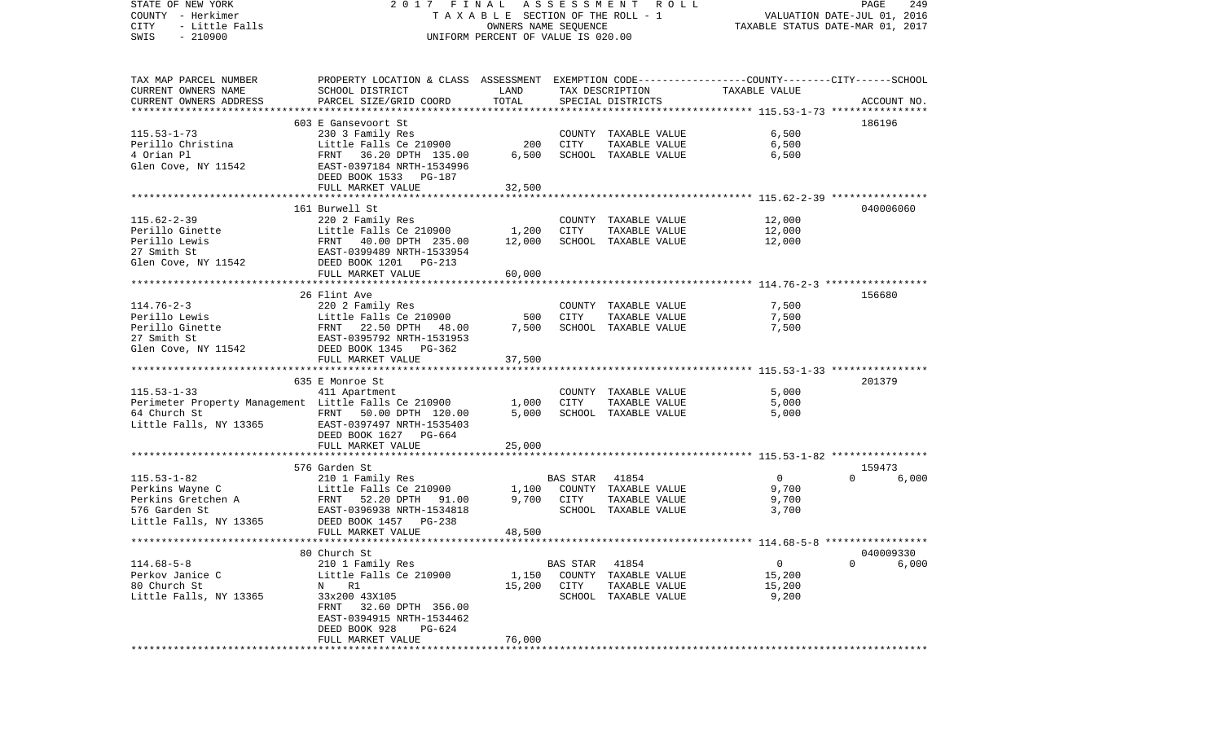STATE OF NEW YORK 2 0 1 7 F I N A L A S S E S S M E N T R O L L PAGE 249VALUATION DATE-JUL 01, 2016 COUNTY - Herkimer T A X A B L E SECTION OF THE ROLL - 1 CITY - Little Falls OWNERS NAME SEQUENCE TAXABLE STATUS DATE-MAR 01, 2017 SWIS - 210900 UNIFORM PERCENT OF VALUE IS 020.00TAX MAP PARCEL NUMBER PROPERTY LOCATION & CLASS ASSESSMENT EXEMPTION CODE------------------COUNTY--------CITY------SCHOOL CURRENT OWNERS NAME SCHOOL DISTRICT LAND TAX DESCRIPTION TAXABLE VALUECURRENT OWNERS ADDRESS PARCEL SIZE/GRID COORD TOTAL SPECIAL DISTRICTS ACCOUNT NO. \*\*\*\*\*\*\*\*\*\*\*\*\*\*\*\*\*\*\*\*\*\*\*\*\*\*\*\*\*\*\*\*\*\*\*\*\*\*\*\*\*\*\*\*\*\*\*\*\*\*\*\*\*\*\*\*\*\*\*\*\*\*\*\*\*\*\*\*\*\*\*\*\*\*\*\*\*\*\*\*\*\*\*\*\*\*\*\*\*\*\*\*\*\*\*\*\*\*\*\*\*\*\* 115.53-1-73 \*\*\*\*\*\*\*\*\*\*\*\*\*\*\*\* 603 E Gansevoort St 186196115.53-1-73 230 3 Family Res COUNTY TAXABLE VALUE 6,500 Perillo Christina Little Falls Ce 210900 200 CITY TAXABLE VALUE 6,500 4 Orian Pl FRNT 36.20 DPTH 135.00 6,500 SCHOOL TAXABLE VALUE 6,500 Glen Cove, NY 11542 EAST-0397184 NRTH-1534996 DEED BOOK 1533 PG-187FULL MARKET VALUE 32,500 \*\*\*\*\*\*\*\*\*\*\*\*\*\*\*\*\*\*\*\*\*\*\*\*\*\*\*\*\*\*\*\*\*\*\*\*\*\*\*\*\*\*\*\*\*\*\*\*\*\*\*\*\*\*\*\*\*\*\*\*\*\*\*\*\*\*\*\*\*\*\*\*\*\*\*\*\*\*\*\*\*\*\*\*\*\*\*\*\*\*\*\*\*\*\*\*\*\*\*\*\*\*\* 115.62-2-39 \*\*\*\*\*\*\*\*\*\*\*\*\*\*\*\* 161 Burwell St 040006060115.62-2-39 220 2 Family Res COUNTY TAXABLE VALUE 12,000 Perillo Ginette Little Falls Ce 210900 1,200 CITY TAXABLE VALUE Perillo Lewis **FRNT** 40.00 DPTH 235.00 12.000 SCHOOL TAXABLE VALUE 12.000 27 Smith St EAST-0399489 NRTH-1533954Glen Cove, NY 11542 DEED BOOK 1201 PG-213 FULL MARKET VALUE 60,000 \*\*\*\*\*\*\*\*\*\*\*\*\*\*\*\*\*\*\*\*\*\*\*\*\*\*\*\*\*\*\*\*\*\*\*\*\*\*\*\*\*\*\*\*\*\*\*\*\*\*\*\*\*\*\*\*\*\*\*\*\*\*\*\*\*\*\*\*\*\*\*\*\*\*\*\*\*\*\*\*\*\*\*\*\*\*\*\*\*\*\*\*\*\*\*\*\*\*\*\*\*\*\* 114.76-2-3 \*\*\*\*\*\*\*\*\*\*\*\*\*\*\*\*\*26 Flint Ave 156680 114.76-2-3 220 2 Family Res COUNTY TAXABLE VALUE 7,500 Perillo Lewis Little Falls Ce 210900 500 CITY TAXABLE VALUE 7,500 Perillo Ginette FRNT 22.50 DPTH 48.00 7,500 SCHOOL TAXABLE VALUE 7,500 27 Smith St EAST-0395792 NRTH-1531953Glen Cove, NY 11542 DEED BOOK 1345 PG-362 FULL MARKET VALUE 37,500 \*\*\*\*\*\*\*\*\*\*\*\*\*\*\*\*\*\*\*\*\*\*\*\*\*\*\*\*\*\*\*\*\*\*\*\*\*\*\*\*\*\*\*\*\*\*\*\*\*\*\*\*\*\*\*\*\*\*\*\*\*\*\*\*\*\*\*\*\*\*\*\*\*\*\*\*\*\*\*\*\*\*\*\*\*\*\*\*\*\*\*\*\*\*\*\*\*\*\*\*\*\*\* 115.53-1-33 \*\*\*\*\*\*\*\*\*\*\*\*\*\*\*\* 635 E Monroe St 201379115.53-1-33 411 Apartment COUNTY TAXABLE VALUE 5,000 Perimeter Property Management Little Falls Ce 210900 1,000 CITY TAXABLE VALUE 5,000 64 Church St FRNT 50.00 DPTH 120.00 5,000 SCHOOL TAXABLE VALUE 5,000 Little Falls, NY 13365 EAST-0397497 NRTH-1535403 DEED BOOK 1627 PG-664 FULL MARKET VALUE 25,000 \*\*\*\*\*\*\*\*\*\*\*\*\*\*\*\*\*\*\*\*\*\*\*\*\*\*\*\*\*\*\*\*\*\*\*\*\*\*\*\*\*\*\*\*\*\*\*\*\*\*\*\*\*\*\*\*\*\*\*\*\*\*\*\*\*\*\*\*\*\*\*\*\*\*\*\*\*\*\*\*\*\*\*\*\*\*\*\*\*\*\*\*\*\*\*\*\*\*\*\*\*\*\* 115.53-1-82 \*\*\*\*\*\*\*\*\*\*\*\*\*\*\*\* 576 Garden St 159473115.53-1-82 210 1 Family Res BAS STAR 41854 0 0 6,000 Perkins Wayne C  $L$ ittle Falls Ce 210900 1,100 COUNTY TAXABLE VALUE 9,700 Perkins Gretchen A FRNT 52.20 DPTH 91.00 9,700 CITY TAXABLE VALUE 9,700 576 Garden St EAST-0396938 NRTH-1534818 SCHOOL TAXABLE VALUE 3,700 Little Falls, NY 13365 DEED BOOK 1457 PG-238 FULL MARKET VALUE 48,500 \*\*\*\*\*\*\*\*\*\*\*\*\*\*\*\*\*\*\*\*\*\*\*\*\*\*\*\*\*\*\*\*\*\*\*\*\*\*\*\*\*\*\*\*\*\*\*\*\*\*\*\*\*\*\*\*\*\*\*\*\*\*\*\*\*\*\*\*\*\*\*\*\*\*\*\*\*\*\*\*\*\*\*\*\*\*\*\*\*\*\*\*\*\*\*\*\*\*\*\*\*\*\* 114.68-5-8 \*\*\*\*\*\*\*\*\*\*\*\*\*\*\*\*\* 80 Church St 040009330114.68-5-8 210 1 Family Res BAS STAR 41854 0 0 6,000 Perkov Janice C <sup>Little</sup> Falls Ce 210900 1,150 COUNTY TAXABLE VALUE 15,200 80 Church St N R1 15,200 CITY TAXABLE VALUE 15,200 Little Falls, NY 13365 33x200 43X105 SCHOOL TAXABLE VALUE 9,200 FRNT 32.60 DPTH 356.00 EAST-0394915 NRTH-1534462 DEED BOOK 928 PG-624 FULL MARKET VALUE 76,000 \*\*\*\*\*\*\*\*\*\*\*\*\*\*\*\*\*\*\*\*\*\*\*\*\*\*\*\*\*\*\*\*\*\*\*\*\*\*\*\*\*\*\*\*\*\*\*\*\*\*\*\*\*\*\*\*\*\*\*\*\*\*\*\*\*\*\*\*\*\*\*\*\*\*\*\*\*\*\*\*\*\*\*\*\*\*\*\*\*\*\*\*\*\*\*\*\*\*\*\*\*\*\*\*\*\*\*\*\*\*\*\*\*\*\*\*\*\*\*\*\*\*\*\*\*\*\*\*\*\*\*\*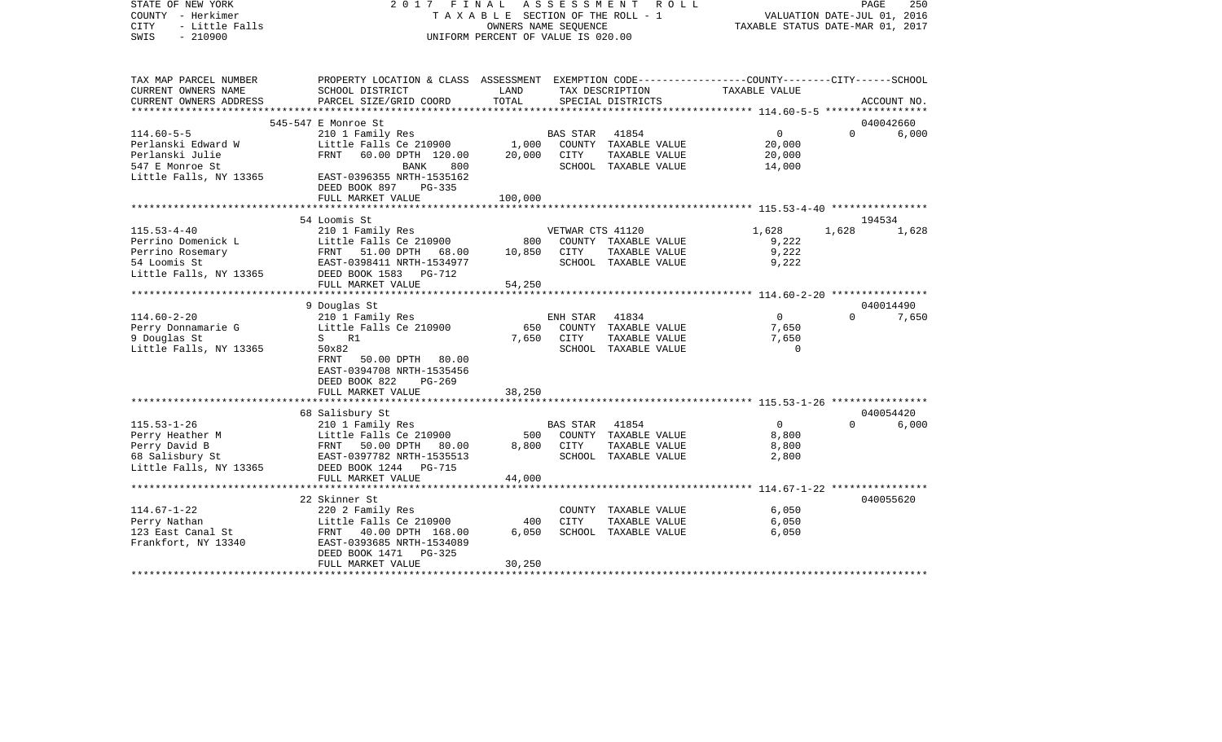| STATE OF NEW YORK<br>COUNTY - Herkimer<br><b>CITY</b><br>- Little Falls<br>$-210900$<br>SWIS | 2017<br>FINAL<br>TAXABLE SECTION OF THE ROLL - 1<br>UNIFORM PERCENT OF VALUE IS 020.00          | PAGE<br>250<br>VALUATION DATE-JUL 01, 2016<br>TAXABLE STATUS DATE-MAR 01, 2017 |                  |                                       |                   |          |             |
|----------------------------------------------------------------------------------------------|-------------------------------------------------------------------------------------------------|--------------------------------------------------------------------------------|------------------|---------------------------------------|-------------------|----------|-------------|
| TAX MAP PARCEL NUMBER                                                                        | PROPERTY LOCATION & CLASS ASSESSMENT EXEMPTION CODE---------------COUNTY-------CITY------SCHOOL |                                                                                |                  |                                       |                   |          |             |
| CURRENT OWNERS NAME<br>CURRENT OWNERS ADDRESS                                                | SCHOOL DISTRICT<br>PARCEL SIZE/GRID COORD                                                       | LAND<br>TOTAL                                                                  |                  | TAX DESCRIPTION<br>SPECIAL DISTRICTS  | TAXABLE VALUE     |          | ACCOUNT NO. |
| *****************                                                                            |                                                                                                 |                                                                                |                  |                                       |                   |          |             |
|                                                                                              | 545-547 E Monroe St                                                                             |                                                                                |                  |                                       |                   |          | 040042660   |
| $114.60 - 5 - 5$                                                                             | 210 1 Family Res                                                                                |                                                                                | <b>BAS STAR</b>  | 41854                                 | $\Omega$          | $\Omega$ | 6,000       |
| Perlanski Edward W                                                                           | Little Falls Ce 210900                                                                          | 1,000                                                                          |                  | COUNTY TAXABLE VALUE                  | 20,000            |          |             |
| Perlanski Julie                                                                              | FRNT<br>60.00 DPTH 120.00                                                                       | 20,000                                                                         | CITY             | TAXABLE VALUE                         | 20,000            |          |             |
| 547 E Monroe St<br>Little Falls, NY 13365                                                    | 800<br>BANK<br>EAST-0396355 NRTH-1535162<br>DEED BOOK 897<br>PG-335                             |                                                                                |                  | SCHOOL TAXABLE VALUE                  | 14,000            |          |             |
|                                                                                              | FULL MARKET VALUE                                                                               | 100,000                                                                        |                  |                                       |                   |          |             |
|                                                                                              |                                                                                                 |                                                                                |                  |                                       |                   |          |             |
|                                                                                              | 54 Loomis St                                                                                    |                                                                                |                  |                                       |                   |          | 194534      |
| $115.53 - 4 - 40$                                                                            | 210 1 Family Res                                                                                | 800                                                                            | VETWAR CTS 41120 |                                       | 1,628             | 1,628    | 1,628       |
| Perrino Domenick L<br>Perrino Rosemary                                                       | Little Falls Ce 210900<br>FRNT<br>51.00 DPTH 68.00                                              | 10,850                                                                         | CITY             | COUNTY TAXABLE VALUE<br>TAXABLE VALUE | 9,222<br>9,222    |          |             |
| 54 Loomis St                                                                                 | EAST-0398411 NRTH-1534977                                                                       |                                                                                |                  | SCHOOL TAXABLE VALUE                  | 9,222             |          |             |
| Little Falls, NY 13365                                                                       | DEED BOOK 1583 PG-712                                                                           |                                                                                |                  |                                       |                   |          |             |
|                                                                                              | FULL MARKET VALUE                                                                               | 54,250                                                                         |                  |                                       |                   |          |             |
|                                                                                              |                                                                                                 |                                                                                |                  |                                       |                   |          |             |
|                                                                                              | 9 Douglas St                                                                                    |                                                                                |                  |                                       |                   |          | 040014490   |
| $114.60 - 2 - 20$                                                                            | 210 1 Family Res                                                                                |                                                                                | ENH STAR         | 41834                                 | $\overline{0}$    | $\Omega$ | 7,650       |
| Perry Donnamarie G                                                                           | Little Falls Ce 210900                                                                          | 650                                                                            |                  | COUNTY TAXABLE VALUE                  | 7,650             |          |             |
| 9 Douglas St<br>Little Falls, NY 13365                                                       | S R1<br>50x82                                                                                   | 7,650                                                                          | CITY             | TAXABLE VALUE<br>SCHOOL TAXABLE VALUE | 7,650<br>$\Omega$ |          |             |
|                                                                                              | FRNT<br>50.00 DPTH 80.00                                                                        |                                                                                |                  |                                       |                   |          |             |
|                                                                                              | EAST-0394708 NRTH-1535456                                                                       |                                                                                |                  |                                       |                   |          |             |
|                                                                                              | DEED BOOK 822<br>$PG-269$                                                                       |                                                                                |                  |                                       |                   |          |             |
|                                                                                              | FULL MARKET VALUE                                                                               | 38,250                                                                         |                  |                                       |                   |          |             |
|                                                                                              |                                                                                                 |                                                                                |                  |                                       |                   |          |             |
|                                                                                              | 68 Salisbury St                                                                                 |                                                                                |                  |                                       |                   |          | 040054420   |
| $115.53 - 1 - 26$                                                                            | 210 1 Family Res                                                                                |                                                                                | <b>BAS STAR</b>  | 41854                                 | $\overline{0}$    | $\Omega$ | 6,000       |
| Perry Heather M<br>Perry David B                                                             | Little Falls Ce 210900<br>FRNT<br>50.00 DPTH<br>80.00                                           | 500<br>8,800                                                                   | CITY             | COUNTY TAXABLE VALUE<br>TAXABLE VALUE | 8,800<br>8,800    |          |             |
| 68 Salisbury St                                                                              | EAST-0397782 NRTH-1535513                                                                       |                                                                                |                  | SCHOOL TAXABLE VALUE                  | 2,800             |          |             |
| Little Falls, NY 13365                                                                       | DEED BOOK 1244 PG-715                                                                           |                                                                                |                  |                                       |                   |          |             |
|                                                                                              | FULL MARKET VALUE                                                                               | 44,000                                                                         |                  |                                       |                   |          |             |
|                                                                                              |                                                                                                 |                                                                                |                  |                                       |                   |          |             |
|                                                                                              | 22 Skinner St                                                                                   |                                                                                |                  |                                       |                   |          | 040055620   |
| $114.67 - 1 - 22$                                                                            | 220 2 Family Res                                                                                |                                                                                |                  | COUNTY TAXABLE VALUE                  | 6,050             |          |             |
| Perry Nathan                                                                                 | Little Falls Ce 210900                                                                          | 400                                                                            | <b>CITY</b>      | TAXABLE VALUE                         | 6,050             |          |             |
| 123 East Canal St                                                                            | FRNT<br>40.00 DPTH 168.00                                                                       | 6,050                                                                          |                  | SCHOOL TAXABLE VALUE                  | 6,050             |          |             |
| Frankfort, NY 13340                                                                          | EAST-0393685 NRTH-1534089<br>DEED BOOK 1471<br>PG-325<br>FULL MARKET VALUE                      | 30,250                                                                         |                  |                                       |                   |          |             |
|                                                                                              |                                                                                                 | ****************                                                               |                  |                                       |                   |          |             |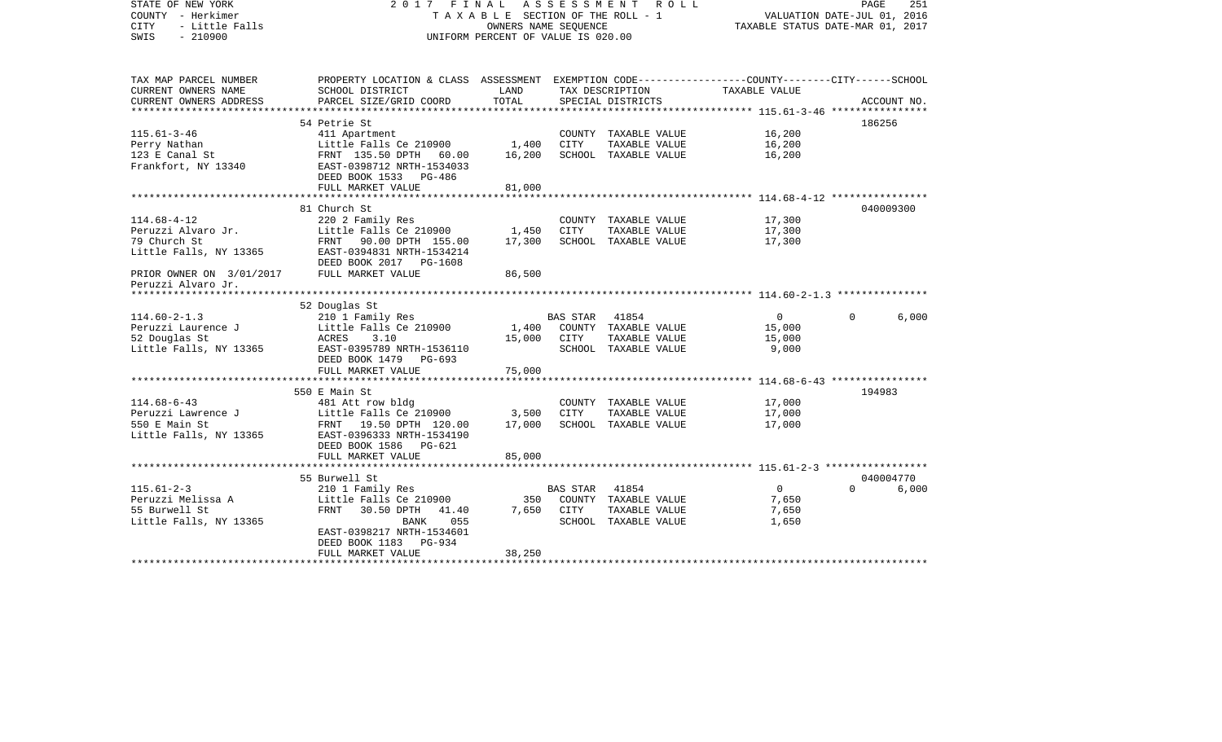| STATE OF NEW YORK<br>COUNTY - Herkimer<br><b>CITY</b><br>- Little Falls<br>SWIS<br>$-210900$ | 2017 FINAL ASSESSMENT<br>TAXABLE SECTION OF THE ROLL - 1<br>UNIFORM PERCENT OF VALUE IS 020.00                     | PAGE<br>251<br>VALUATION DATE-JUL 01, 2016<br>TAXABLE STATUS DATE-MAR 01, 2017 |          |                                       |                                                 |                   |
|----------------------------------------------------------------------------------------------|--------------------------------------------------------------------------------------------------------------------|--------------------------------------------------------------------------------|----------|---------------------------------------|-------------------------------------------------|-------------------|
| TAX MAP PARCEL NUMBER<br>CURRENT OWNERS NAME                                                 | PROPERTY LOCATION & CLASS ASSESSMENT EXEMPTION CODE---------------COUNTY-------CITY------SCHOOL<br>SCHOOL DISTRICT | LAND                                                                           |          | TAX DESCRIPTION                       | TAXABLE VALUE                                   |                   |
| CURRENT OWNERS ADDRESS                                                                       | PARCEL SIZE/GRID COORD                                                                                             | TOTAL                                                                          |          | SPECIAL DISTRICTS                     |                                                 | ACCOUNT NO.       |
|                                                                                              | ***************************                                                                                        | *********************                                                          |          |                                       | **************** 115.61-3-46 *************      |                   |
| $115.61 - 3 - 46$                                                                            | 54 Petrie St                                                                                                       |                                                                                |          |                                       |                                                 | 186256            |
| Perry Nathan                                                                                 | 411 Apartment<br>Little Falls Ce 210900                                                                            | 1,400                                                                          | CITY     | COUNTY TAXABLE VALUE<br>TAXABLE VALUE | 16,200<br>16,200                                |                   |
| 123 E Canal St                                                                               | FRNT 135.50 DPTH 60.00                                                                                             | 16,200                                                                         |          | SCHOOL TAXABLE VALUE                  | 16,200                                          |                   |
| Frankfort, NY 13340                                                                          | EAST-0398712 NRTH-1534033<br>DEED BOOK 1533 PG-486                                                                 |                                                                                |          |                                       |                                                 |                   |
|                                                                                              | FULL MARKET VALUE                                                                                                  | 81,000                                                                         |          |                                       |                                                 |                   |
|                                                                                              | 81 Church St                                                                                                       |                                                                                |          |                                       |                                                 | 040009300         |
| $114.68 - 4 - 12$                                                                            | 220 2 Family Res                                                                                                   |                                                                                |          | COUNTY TAXABLE VALUE                  | 17,300                                          |                   |
| Peruzzi Alvaro Jr.                                                                           | Little Falls Ce 210900                                                                                             | 1,450                                                                          | CITY     | TAXABLE VALUE                         | 17,300                                          |                   |
| 79 Church St                                                                                 | FRNT 90.00 DPTH 155.00                                                                                             | 17,300                                                                         |          | SCHOOL TAXABLE VALUE                  | 17,300                                          |                   |
| Little Falls, NY 13365                                                                       | EAST-0394831 NRTH-1534214<br>DEED BOOK 2017    PG-1608                                                             |                                                                                |          |                                       |                                                 |                   |
| PRIOR OWNER ON 3/01/2017                                                                     | FULL MARKET VALUE                                                                                                  | 86,500                                                                         |          |                                       |                                                 |                   |
| Peruzzi Alvaro Jr.                                                                           |                                                                                                                    |                                                                                |          |                                       |                                                 |                   |
|                                                                                              |                                                                                                                    |                                                                                |          |                                       |                                                 |                   |
|                                                                                              | 52 Douglas St                                                                                                      |                                                                                |          |                                       |                                                 |                   |
| $114.60 - 2 - 1.3$                                                                           | 210 1 Family Res                                                                                                   |                                                                                | BAS STAR | 41854                                 | $\overline{0}$                                  | 6,000<br>$\Omega$ |
| Peruzzi Laurence J                                                                           | Little Falls Ce 210900                                                                                             | 1,400                                                                          |          | COUNTY TAXABLE VALUE                  | 15,000                                          |                   |
| 52 Douglas St                                                                                | ACRES<br>3.10                                                                                                      | 15,000                                                                         | CITY     | TAXABLE VALUE                         | 15,000                                          |                   |
| Little Falls, NY 13365                                                                       | EAST-0395789 NRTH-1536110<br>DEED BOOK 1479 PG-693                                                                 |                                                                                |          | SCHOOL TAXABLE VALUE                  | 9,000                                           |                   |
|                                                                                              | FULL MARKET VALUE<br>**********************                                                                        | 75,000<br>* * * * * * * * * * * *                                              |          |                                       |                                                 |                   |
|                                                                                              |                                                                                                                    |                                                                                |          |                                       | ***************** 114.68-6-43 ***************** |                   |
| $114.68 - 6 - 43$                                                                            | 550 E Main St                                                                                                      |                                                                                |          |                                       | 17,000                                          | 194983            |
| Peruzzi Lawrence J                                                                           | 481 Att row bldg<br>Little Falls Ce 210900                                                                         | 3,500                                                                          | CITY     | COUNTY TAXABLE VALUE<br>TAXABLE VALUE | 17,000                                          |                   |
| 550 E Main St                                                                                | FRNT 19.50 DPTH 120.00                                                                                             | 17,000                                                                         |          | SCHOOL TAXABLE VALUE                  | 17,000                                          |                   |
| Little Falls, NY 13365                                                                       | EAST-0396333 NRTH-1534190                                                                                          |                                                                                |          |                                       |                                                 |                   |
|                                                                                              | DEED BOOK 1586 PG-621                                                                                              |                                                                                |          |                                       |                                                 |                   |
|                                                                                              | FULL MARKET VALUE                                                                                                  | 85,000                                                                         |          |                                       |                                                 |                   |
|                                                                                              |                                                                                                                    |                                                                                |          |                                       |                                                 |                   |
|                                                                                              | 55 Burwell St                                                                                                      |                                                                                |          |                                       |                                                 | 040004770         |
| $115.61 - 2 - 3$                                                                             | 210 1 Family Res                                                                                                   |                                                                                | BAS STAR | 41854                                 | $\overline{0}$                                  | $\Omega$<br>6,000 |
| Peruzzi Melissa A                                                                            | Little Falls Ce 210900                                                                                             | 350                                                                            |          | COUNTY TAXABLE VALUE                  | 7,650                                           |                   |
| 55 Burwell St                                                                                | <b>FRNT</b><br>30.50 DPTH<br>41.40                                                                                 | 7,650                                                                          | CITY     | TAXABLE VALUE                         | 7,650                                           |                   |
| Little Falls, NY 13365                                                                       | BANK<br>055                                                                                                        |                                                                                |          | SCHOOL TAXABLE VALUE                  | 1,650                                           |                   |
|                                                                                              | EAST-0398217 NRTH-1534601                                                                                          |                                                                                |          |                                       |                                                 |                   |
|                                                                                              | PG-934<br>DEED BOOK 1183                                                                                           |                                                                                |          |                                       |                                                 |                   |
| ************************                                                                     | FULL MARKET VALUE                                                                                                  | 38,250                                                                         |          |                                       |                                                 |                   |
|                                                                                              |                                                                                                                    |                                                                                |          |                                       |                                                 |                   |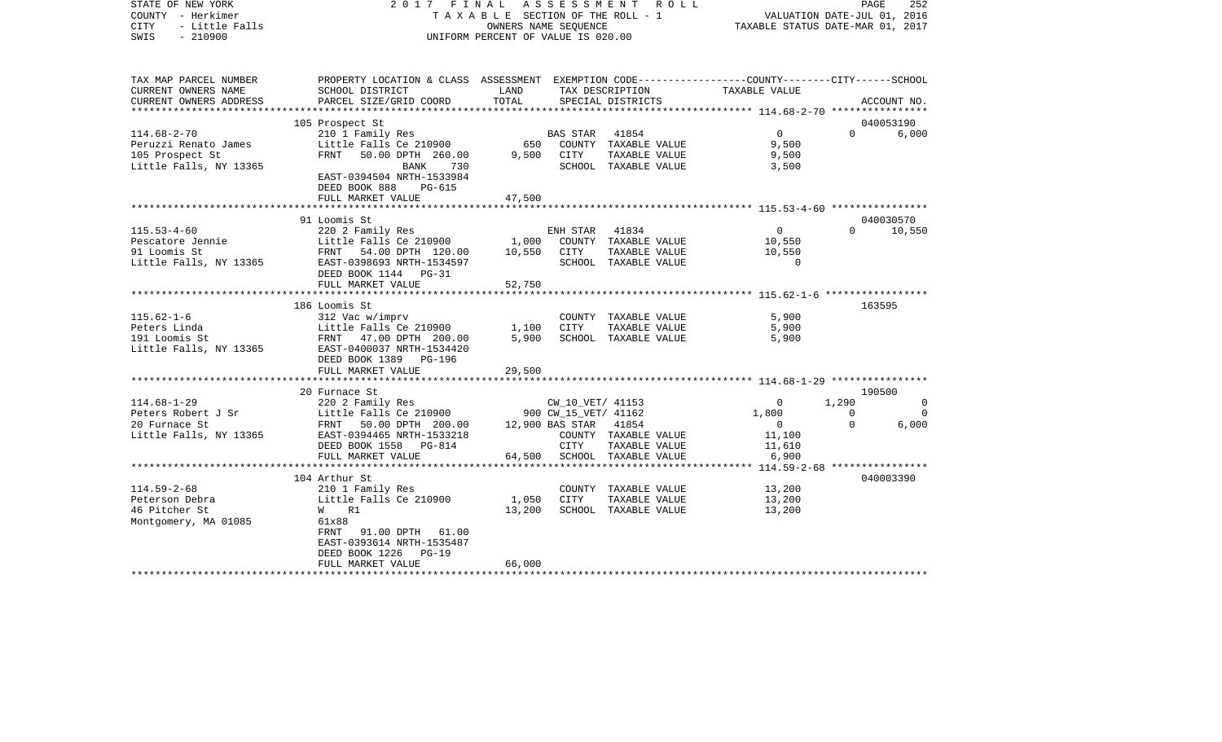| STATE OF NEW YORK<br>COUNTY - Herkimer<br><b>CITY</b><br>- Little Falls<br>$-210900$<br>SWIS | 2017 FINAL                                                                                       | ASSESSMENT<br>T A X A B L E SECTION OF THE ROLL - 1<br>OWNERS NAME SEQUENCE<br>UNIFORM PERCENT OF VALUE IS 020.00 | PAGE<br>252<br>VALUATION DATE-JUL 01, 2016<br>TAXABLE STATUS DATE-MAR 01, 2017 |                                      |                |             |             |
|----------------------------------------------------------------------------------------------|--------------------------------------------------------------------------------------------------|-------------------------------------------------------------------------------------------------------------------|--------------------------------------------------------------------------------|--------------------------------------|----------------|-------------|-------------|
| TAX MAP PARCEL NUMBER                                                                        | PROPERTY LOCATION & CLASS ASSESSMENT EXEMPTION CODE----------------COUNTY-------CITY------SCHOOL | LAND                                                                                                              |                                                                                |                                      |                |             |             |
| CURRENT OWNERS NAME<br>CURRENT OWNERS ADDRESS                                                | SCHOOL DISTRICT<br>PARCEL SIZE/GRID COORD                                                        | TOTAL                                                                                                             |                                                                                | TAX DESCRIPTION<br>SPECIAL DISTRICTS | TAXABLE VALUE  |             | ACCOUNT NO. |
|                                                                                              |                                                                                                  |                                                                                                                   |                                                                                |                                      |                |             |             |
|                                                                                              | 105 Prospect St                                                                                  |                                                                                                                   |                                                                                |                                      |                |             | 040053190   |
| $114.68 - 2 - 70$                                                                            | 210 1 Family Res                                                                                 |                                                                                                                   | <b>BAS STAR</b>                                                                | 41854                                | $\Omega$       | $\Omega$    | 6,000       |
| Peruzzi Renato James                                                                         | Little Falls Ce 210900                                                                           |                                                                                                                   |                                                                                | 650 COUNTY TAXABLE VALUE             | 9,500          |             |             |
| 105 Prospect St                                                                              | FRNT 50.00 DPTH 260.00                                                                           | 9,500                                                                                                             | CITY                                                                           | TAXABLE VALUE                        | 9,500          |             |             |
| Little Falls, NY 13365                                                                       | 730<br>BANK                                                                                      |                                                                                                                   |                                                                                | SCHOOL TAXABLE VALUE                 | 3,500          |             |             |
|                                                                                              | EAST-0394504 NRTH-1533984                                                                        |                                                                                                                   |                                                                                |                                      |                |             |             |
|                                                                                              | DEED BOOK 888<br>PG-615<br>FULL MARKET VALUE                                                     | 47,500                                                                                                            |                                                                                |                                      |                |             |             |
|                                                                                              |                                                                                                  |                                                                                                                   |                                                                                |                                      |                |             |             |
|                                                                                              | 91 Loomis St                                                                                     |                                                                                                                   |                                                                                |                                      |                |             | 040030570   |
| $115.53 - 4 - 60$                                                                            | 220 2 Family Res                                                                                 |                                                                                                                   | ENH STAR                                                                       | 41834                                | $\overline{0}$ | $\Omega$    | 10,550      |
| Pescatore Jennie                                                                             | Little Falls Ce 210900                                                                           | 1,000                                                                                                             |                                                                                | COUNTY TAXABLE VALUE                 | 10,550         |             |             |
| 91 Loomis St                                                                                 | FRNT 54.00 DPTH 120.00                                                                           | 10,550 CITY                                                                                                       |                                                                                | TAXABLE VALUE                        | 10,550         |             |             |
| Little Falls, NY 13365                                                                       | EAST-0398693 NRTH-1534597                                                                        |                                                                                                                   |                                                                                | SCHOOL TAXABLE VALUE                 | $\Omega$       |             |             |
|                                                                                              | DEED BOOK 1144 PG-31                                                                             |                                                                                                                   |                                                                                |                                      |                |             |             |
|                                                                                              | FULL MARKET VALUE                                                                                | 52,750                                                                                                            |                                                                                |                                      |                |             |             |
|                                                                                              | 186 Loomis St                                                                                    |                                                                                                                   |                                                                                |                                      |                |             | 163595      |
| $115.62 - 1 - 6$                                                                             | 312 Vac w/imprv                                                                                  |                                                                                                                   |                                                                                | COUNTY TAXABLE VALUE                 | 5,900          |             |             |
| Peters Linda                                                                                 | Little Falls Ce 210900                                                                           | 1,100                                                                                                             | CITY                                                                           | TAXABLE VALUE                        | 5,900          |             |             |
| 191 Loomis St                                                                                | Little rails CC --<br>FRNT 47.00 DPTH 200.00<br>C100027 NPTH-1534420                             | 5,900                                                                                                             |                                                                                | SCHOOL TAXABLE VALUE                 | 5,900          |             |             |
|                                                                                              | Little Falls, NY 13365 EAST-0400037 NRTH-1534420                                                 |                                                                                                                   |                                                                                |                                      |                |             |             |
|                                                                                              | DEED BOOK 1389 PG-196                                                                            |                                                                                                                   |                                                                                |                                      |                |             |             |
|                                                                                              | FULL MARKET VALUE                                                                                | 29,500                                                                                                            |                                                                                |                                      |                |             |             |
|                                                                                              |                                                                                                  |                                                                                                                   |                                                                                |                                      |                |             | 190500      |
| $114.68 - 1 - 29$                                                                            | 20 Furnace St<br>220 2 Family Res                                                                |                                                                                                                   | CW_10_VET/ 41153                                                               |                                      | $\mathbf{0}$   | 1,290       | $\mathbf 0$ |
| Peters Robert J Sr                                                                           | Little Falls Ce 210900                                                                           |                                                                                                                   | 900 CW_15_VET/ 41162                                                           |                                      | 1,800          | $\mathbf 0$ | $\Omega$    |
| 20 Furnace St                                                                                | FRNT 50.00 DPTH 200.00                                                                           |                                                                                                                   | 12,900 BAS STAR 41854                                                          |                                      | $\overline{0}$ | $\Omega$    | 6,000       |
| Little Falls, NY 13365                                                                       | EAST-0394465 NRTH-1533218                                                                        |                                                                                                                   |                                                                                | COUNTY TAXABLE VALUE                 | 11,100         |             |             |
|                                                                                              | DEED BOOK 1558 PG-814                                                                            |                                                                                                                   | CITY                                                                           | TAXABLE VALUE                        | 11,610         |             |             |
|                                                                                              | FULL MARKET VALUE                                                                                |                                                                                                                   |                                                                                | 64,500 SCHOOL TAXABLE VALUE          | 6,900          |             |             |
|                                                                                              |                                                                                                  |                                                                                                                   |                                                                                |                                      |                |             |             |
|                                                                                              | 104 Arthur St                                                                                    |                                                                                                                   |                                                                                |                                      |                |             | 040003390   |
| $114.59 - 2 - 68$                                                                            | 210 1 Family Res                                                                                 | 1,050                                                                                                             |                                                                                | COUNTY TAXABLE VALUE                 | 13,200         |             |             |
| Peterson Debra<br>46 Pitcher St                                                              | Little Falls Ce 210900<br>W R1                                                                   |                                                                                                                   | CITY                                                                           | TAXABLE VALUE                        | 13,200         |             |             |
| Montgomery, MA 01085                                                                         | 61x88                                                                                            | 13,200                                                                                                            |                                                                                | SCHOOL TAXABLE VALUE                 | 13,200         |             |             |
|                                                                                              | FRNT<br>91.00 DPTH 61.00                                                                         |                                                                                                                   |                                                                                |                                      |                |             |             |
|                                                                                              | EAST-0393614 NRTH-1535487                                                                        |                                                                                                                   |                                                                                |                                      |                |             |             |
|                                                                                              | DEED BOOK 1226<br>$PG-19$                                                                        |                                                                                                                   |                                                                                |                                      |                |             |             |
|                                                                                              | FULL MARKET VALUE                                                                                | 66,000                                                                                                            |                                                                                |                                      |                |             |             |
| ************************                                                                     |                                                                                                  |                                                                                                                   |                                                                                |                                      |                |             |             |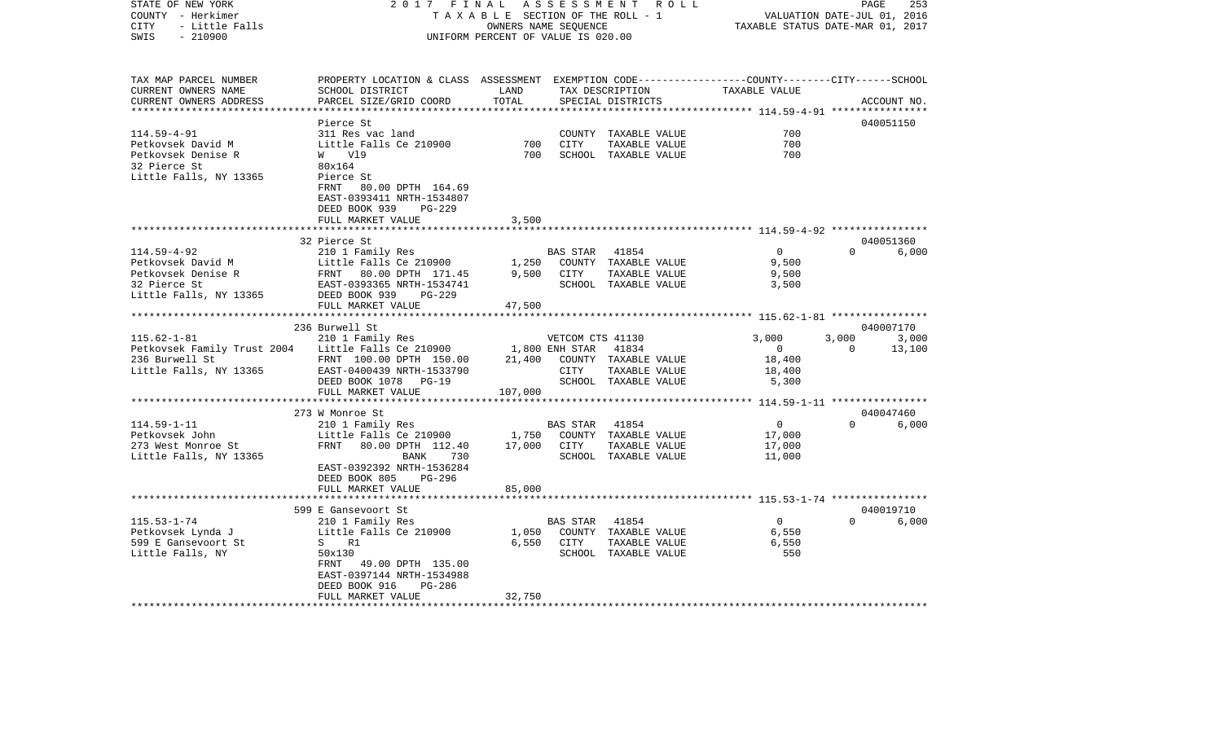| STATE OF NEW YORK<br>COUNTY - Herkimer<br><b>CITY</b><br>- Little Falls | 2 0 1 7<br>FINAL<br>TAXABLE SECTION OF THE ROLL - 1                                                                                           | R O L L<br>253<br>PAGE<br>VALUATION DATE-JUL 01, 2016<br>TAXABLE STATUS DATE-MAR 01, 2017 |                  |                                      |                                                                      |              |             |
|-------------------------------------------------------------------------|-----------------------------------------------------------------------------------------------------------------------------------------------|-------------------------------------------------------------------------------------------|------------------|--------------------------------------|----------------------------------------------------------------------|--------------|-------------|
| SWIS<br>$-210900$                                                       |                                                                                                                                               | UNIFORM PERCENT OF VALUE IS 020.00                                                        |                  |                                      |                                                                      |              |             |
| TAX MAP PARCEL NUMBER<br>CURRENT OWNERS NAME<br>CURRENT OWNERS ADDRESS  | PROPERTY LOCATION & CLASS ASSESSMENT EXEMPTION CODE----------------COUNTY-------CITY------SCHOOL<br>SCHOOL DISTRICT<br>PARCEL SIZE/GRID COORD | LAND<br>TOTAL                                                                             |                  | TAX DESCRIPTION<br>SPECIAL DISTRICTS | TAXABLE VALUE                                                        |              | ACCOUNT NO. |
|                                                                         | Pierce St                                                                                                                                     |                                                                                           |                  |                                      | ************************************** 114.59-4-91 ***************** |              | 040051150   |
| $114.59 - 4 - 91$                                                       | 311 Res vac land                                                                                                                              |                                                                                           |                  | COUNTY TAXABLE VALUE                 | 700                                                                  |              |             |
| Petkovsek David M                                                       | Little Falls Ce 210900                                                                                                                        | 700                                                                                       | CITY             | TAXABLE VALUE                        | 700                                                                  |              |             |
| Petkovsek Denise R                                                      | W V19                                                                                                                                         | 700                                                                                       |                  | SCHOOL TAXABLE VALUE                 | 700                                                                  |              |             |
| 32 Pierce St                                                            | 80x164                                                                                                                                        |                                                                                           |                  |                                      |                                                                      |              |             |
| Little Falls, NY 13365                                                  | Pierce St                                                                                                                                     |                                                                                           |                  |                                      |                                                                      |              |             |
|                                                                         | 80.00 DPTH 164.69<br>FRNT<br>EAST-0393411 NRTH-1534807                                                                                        |                                                                                           |                  |                                      |                                                                      |              |             |
|                                                                         | DEED BOOK 939<br>PG-229                                                                                                                       |                                                                                           |                  |                                      |                                                                      |              |             |
|                                                                         | FULL MARKET VALUE                                                                                                                             | 3,500<br>*******                                                                          |                  |                                      | ****************************** 114.59-4-92 ****************          |              |             |
|                                                                         |                                                                                                                                               |                                                                                           |                  |                                      |                                                                      |              | 040051360   |
| $114.59 - 4 - 92$                                                       | 32 Pierce St<br>210 1 Family Res                                                                                                              |                                                                                           | <b>BAS STAR</b>  | 41854                                | $\overline{0}$                                                       | $\Omega$     | 6,000       |
| Petkovsek David M                                                       | Little Falls Ce 210900                                                                                                                        | 1,250                                                                                     |                  | COUNTY TAXABLE VALUE                 | 9,500                                                                |              |             |
| Petkovsek Denise R                                                      | 80.00 DPTH 171.45<br>FRNT                                                                                                                     | 9,500                                                                                     | CITY             | TAXABLE VALUE                        | 9,500                                                                |              |             |
| 32 Pierce St                                                            | EAST-0393365 NRTH-1534741                                                                                                                     |                                                                                           |                  | SCHOOL TAXABLE VALUE                 | 3,500                                                                |              |             |
| Little Falls, NY 13365                                                  | DEED BOOK 939<br>PG-229                                                                                                                       |                                                                                           |                  |                                      |                                                                      |              |             |
|                                                                         | FULL MARKET VALUE                                                                                                                             | 47,500                                                                                    |                  |                                      |                                                                      |              |             |
|                                                                         | *******************************                                                                                                               |                                                                                           |                  |                                      |                                                                      |              |             |
|                                                                         | 236 Burwell St                                                                                                                                |                                                                                           |                  |                                      |                                                                      |              | 040007170   |
| $115.62 - 1 - 81$                                                       | 210 1 Family Res                                                                                                                              |                                                                                           | VETCOM CTS 41130 |                                      | 3,000                                                                | 3,000        | 3,000       |
| Petkovsek Family Trust 2004                                             | Little Falls Ce 210900                                                                                                                        |                                                                                           | 1,800 ENH STAR   | 41834                                | $\circ$                                                              | $\mathbf{0}$ | 13,100      |
| 236 Burwell St                                                          | FRNT 100.00 DPTH 150.00                                                                                                                       | 21,400                                                                                    |                  | COUNTY TAXABLE VALUE                 | 18,400                                                               |              |             |
| Little Falls, NY 13365                                                  | EAST-0400439 NRTH-1533790                                                                                                                     |                                                                                           | CITY             | TAXABLE VALUE                        | 18,400                                                               |              |             |
|                                                                         | DEED BOOK 1078<br>$PG-19$                                                                                                                     |                                                                                           |                  | SCHOOL TAXABLE VALUE                 | 5,300                                                                |              |             |
|                                                                         | FULL MARKET VALUE                                                                                                                             | 107,000                                                                                   |                  |                                      |                                                                      |              |             |
|                                                                         | ***********************                                                                                                                       |                                                                                           |                  |                                      |                                                                      |              |             |
|                                                                         | 273 W Monroe St                                                                                                                               |                                                                                           |                  |                                      |                                                                      |              | 040047460   |
| $114.59 - 1 - 11$                                                       | 210 1 Family Res                                                                                                                              |                                                                                           | BAS STAR         | 41854                                | $\mathbf 0$                                                          | $\Omega$     | 6,000       |
| Petkovsek John                                                          | Little Falls Ce 210900                                                                                                                        | 1,750                                                                                     | COUNTY           | TAXABLE VALUE                        | 17,000                                                               |              |             |
| 273 West Monroe St                                                      | FRNT<br>80.00 DPTH 112.40                                                                                                                     | 17,000                                                                                    | CITY             | TAXABLE VALUE                        | 17,000                                                               |              |             |
| Little Falls, NY 13365                                                  | 730<br>BANK<br>EAST-0392392 NRTH-1536284<br>DEED BOOK 805<br><b>PG-296</b>                                                                    |                                                                                           |                  | SCHOOL TAXABLE VALUE                 | 11,000                                                               |              |             |
|                                                                         | FULL MARKET VALUE                                                                                                                             | 85,000                                                                                    |                  |                                      |                                                                      |              |             |
|                                                                         | *****************************                                                                                                                 |                                                                                           |                  |                                      |                                                                      |              |             |
|                                                                         | 599 E Gansevoort St                                                                                                                           |                                                                                           |                  |                                      |                                                                      |              | 040019710   |
| $115.53 - 1 - 74$                                                       | 210 1 Family Res                                                                                                                              |                                                                                           | BAS STAR         | 41854                                | $\mathsf{O}$                                                         | $\Omega$     | 6,000       |
| Petkovsek Lynda J                                                       | Little Falls Ce 210900                                                                                                                        | 1,050                                                                                     |                  | COUNTY TAXABLE VALUE                 | 6,550                                                                |              |             |
| 599 E Gansevoort St                                                     | S<br>R1                                                                                                                                       | 6,550                                                                                     | CITY             | TAXABLE VALUE                        | 6,550                                                                |              |             |
| Little Falls, NY                                                        | 50x130                                                                                                                                        |                                                                                           |                  | SCHOOL TAXABLE VALUE                 | 550                                                                  |              |             |
|                                                                         | FRNT<br>49.00 DPTH 135.00                                                                                                                     |                                                                                           |                  |                                      |                                                                      |              |             |
|                                                                         | EAST-0397144 NRTH-1534988                                                                                                                     |                                                                                           |                  |                                      |                                                                      |              |             |
|                                                                         | DEED BOOK 916<br>PG-286                                                                                                                       |                                                                                           |                  |                                      |                                                                      |              |             |
|                                                                         | FULL MARKET VALUE                                                                                                                             | 32,750                                                                                    |                  |                                      |                                                                      |              |             |
|                                                                         |                                                                                                                                               |                                                                                           |                  |                                      |                                                                      |              |             |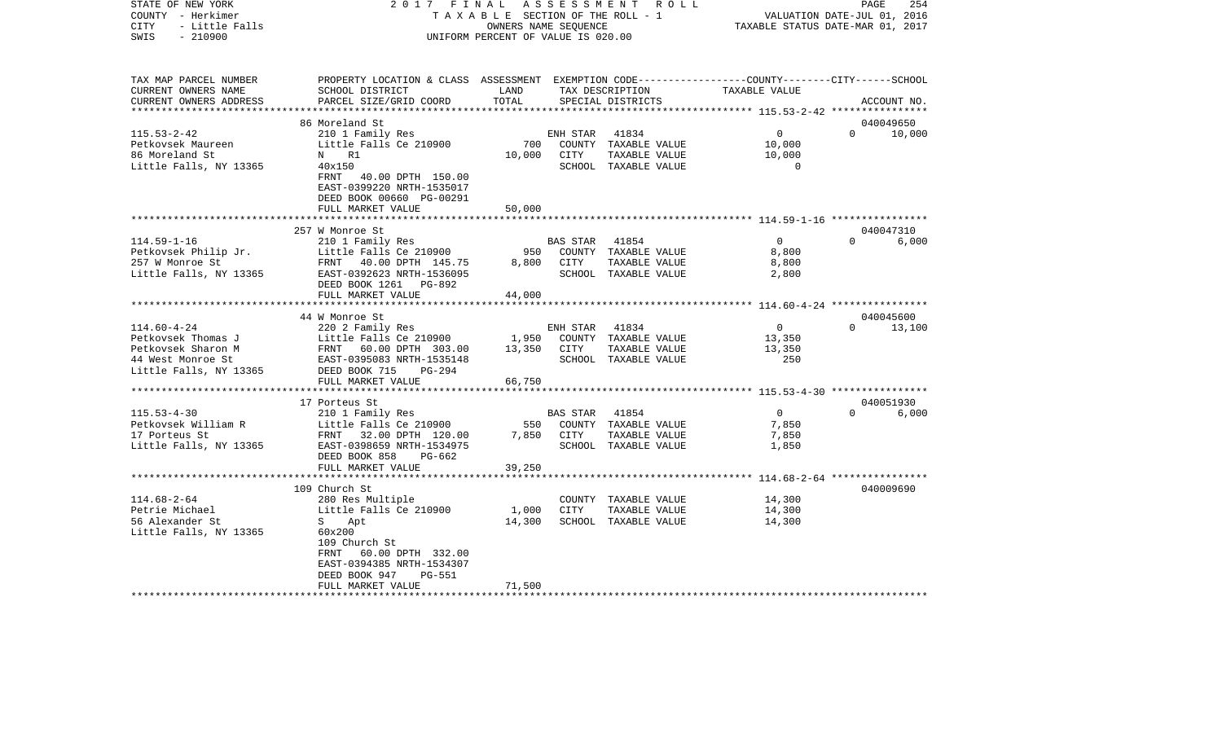| COUNTY - Herkimer<br><b>CITY</b><br>- Little Falls<br>SWIS<br>$-210900$ | T A X A B L E SECTION OF THE ROLL - 1<br>OWNERS NAME SEQUENCE<br>UNIFORM PERCENT OF VALUE IS 020.00 |        |                 |                      | VALUATION DATE-JUL 01, 2016<br>TAXABLE STATUS DATE-MAR 01, 2017 |                        |  |
|-------------------------------------------------------------------------|-----------------------------------------------------------------------------------------------------|--------|-----------------|----------------------|-----------------------------------------------------------------|------------------------|--|
|                                                                         |                                                                                                     |        |                 |                      |                                                                 |                        |  |
| TAX MAP PARCEL NUMBER                                                   | PROPERTY LOCATION & CLASS ASSESSMENT EXEMPTION CODE---------------COUNTY-------CITY------SCHOOL     |        |                 |                      |                                                                 |                        |  |
| CURRENT OWNERS NAME                                                     | SCHOOL DISTRICT                                                                                     | LAND   |                 | TAX DESCRIPTION      | TAXABLE VALUE                                                   |                        |  |
| CURRENT OWNERS ADDRESS                                                  | PARCEL SIZE/GRID COORD                                                                              | TOTAL  |                 | SPECIAL DISTRICTS    |                                                                 | ACCOUNT NO.            |  |
|                                                                         | 86 Moreland St                                                                                      |        |                 |                      |                                                                 | 040049650              |  |
| $115.53 - 2 - 42$                                                       | 210 1 Family Res                                                                                    |        | ENH STAR        | 41834                | $\mathbf{0}$                                                    | $\Omega$<br>10,000     |  |
| Petkovsek Maureen                                                       | Little Falls Ce 210900                                                                              | 700    |                 | COUNTY TAXABLE VALUE | 10,000                                                          |                        |  |
| 86 Moreland St                                                          | R1<br>N                                                                                             | 10,000 | CITY            | TAXABLE VALUE        | 10,000                                                          |                        |  |
| Little Falls, NY 13365                                                  | 40x150                                                                                              |        |                 | SCHOOL TAXABLE VALUE | 0                                                               |                        |  |
|                                                                         | 40.00 DPTH 150.00<br>FRNT<br>EAST-0399220 NRTH-1535017<br>DEED BOOK 00660 PG-00291                  |        |                 |                      |                                                                 |                        |  |
|                                                                         | FULL MARKET VALUE<br>**********************                                                         | 50,000 |                 |                      |                                                                 |                        |  |
|                                                                         | 257 W Monroe St                                                                                     |        |                 |                      |                                                                 | 040047310              |  |
| $114.59 - 1 - 16$                                                       | 210 1 Family Res                                                                                    |        | <b>BAS STAR</b> | 41854                | $\overline{0}$                                                  | 6,000<br>$\Omega$      |  |
| Petkovsek Philip Jr.                                                    | Little Falls Ce 210900                                                                              | 950    |                 | COUNTY TAXABLE VALUE | 8,800                                                           |                        |  |
| 257 W Monroe St                                                         | FRNT 40.00 DPTH 145.75                                                                              | 8,800  | CITY            | TAXABLE VALUE        | 8,800                                                           |                        |  |
| Little Falls, NY 13365                                                  | EAST-0392623 NRTH-1536095                                                                           |        |                 | SCHOOL TAXABLE VALUE | 2,800                                                           |                        |  |
|                                                                         | DEED BOOK 1261<br>PG-892                                                                            |        |                 |                      |                                                                 |                        |  |
|                                                                         | FULL MARKET VALUE                                                                                   | 44,000 |                 |                      |                                                                 |                        |  |
|                                                                         | ************************                                                                            |        |                 |                      |                                                                 |                        |  |
|                                                                         | 44 W Monroe St                                                                                      |        |                 |                      |                                                                 | 040045600              |  |
| $114.60 - 4 - 24$                                                       | 220 2 Family Res                                                                                    |        | ENH STAR        | 41834                | 0                                                               | 13,100<br>$\mathbf{0}$ |  |
| Petkovsek Thomas J                                                      | Little Falls Ce 210900                                                                              | 1,950  |                 | COUNTY TAXABLE VALUE | 13,350                                                          |                        |  |
| Petkovsek Sharon M                                                      | FRNT 60.00 DPTH 303.00                                                                              | 13,350 | CITY            | TAXABLE VALUE        | 13,350                                                          |                        |  |
| 44 West Monroe St                                                       | EAST-0395083 NRTH-1535148                                                                           |        |                 | SCHOOL TAXABLE VALUE | 250                                                             |                        |  |
| Little Falls, NY 13365                                                  | DEED BOOK 715<br>PG-294                                                                             |        |                 |                      |                                                                 |                        |  |
|                                                                         | FULL MARKET VALUE                                                                                   | 66,750 |                 |                      |                                                                 |                        |  |
|                                                                         | 17 Porteus St                                                                                       |        |                 |                      |                                                                 | 040051930              |  |
| $115.53 - 4 - 30$                                                       | 210 1 Family Res                                                                                    |        | BAS STAR        | 41854                | $\overline{0}$                                                  | $\Omega$<br>6,000      |  |
| Petkovsek William R                                                     | Little Falls Ce 210900                                                                              | 550    |                 | COUNTY TAXABLE VALUE | 7,850                                                           |                        |  |
| 17 Porteus St                                                           | FRNT 32.00 DPTH 120.00                                                                              | 7,850  | CITY            | TAXABLE VALUE        | 7,850                                                           |                        |  |
| Little Falls, NY 13365                                                  | EAST-0398659 NRTH-1534975                                                                           |        |                 | SCHOOL TAXABLE VALUE | 1,850                                                           |                        |  |
|                                                                         | DEED BOOK 858<br>PG-662                                                                             |        |                 |                      |                                                                 |                        |  |
|                                                                         | FULL MARKET VALUE                                                                                   | 39,250 |                 |                      |                                                                 |                        |  |
|                                                                         | ***********************                                                                             |        |                 |                      | *********************** 114.68-2-64 *****************           |                        |  |
|                                                                         | 109 Church St                                                                                       |        |                 |                      |                                                                 | 040009690              |  |
| $114.68 - 2 - 64$                                                       | 280 Res Multiple                                                                                    |        | COUNTY          | TAXABLE VALUE        | 14,300                                                          |                        |  |
| Petrie Michael                                                          | Little Falls Ce 210900                                                                              | 1,000  | CITY            | TAXABLE VALUE        | 14,300                                                          |                        |  |
| 56 Alexander St                                                         | S<br>Apt                                                                                            | 14,300 |                 | SCHOOL TAXABLE VALUE | 14,300                                                          |                        |  |
| Little Falls, NY 13365                                                  | 60x200                                                                                              |        |                 |                      |                                                                 |                        |  |
|                                                                         | 109 Church St                                                                                       |        |                 |                      |                                                                 |                        |  |
|                                                                         | 60.00 DPTH 332.00<br>FRNT<br>EAST-0394385 NRTH-1534307                                              |        |                 |                      |                                                                 |                        |  |
|                                                                         | DEED BOOK 947<br><b>PG-551</b>                                                                      |        |                 |                      |                                                                 |                        |  |
|                                                                         | FULL MARKET VALUE                                                                                   | 71,500 |                 |                      |                                                                 |                        |  |
|                                                                         |                                                                                                     |        |                 |                      |                                                                 |                        |  |

PAGE 254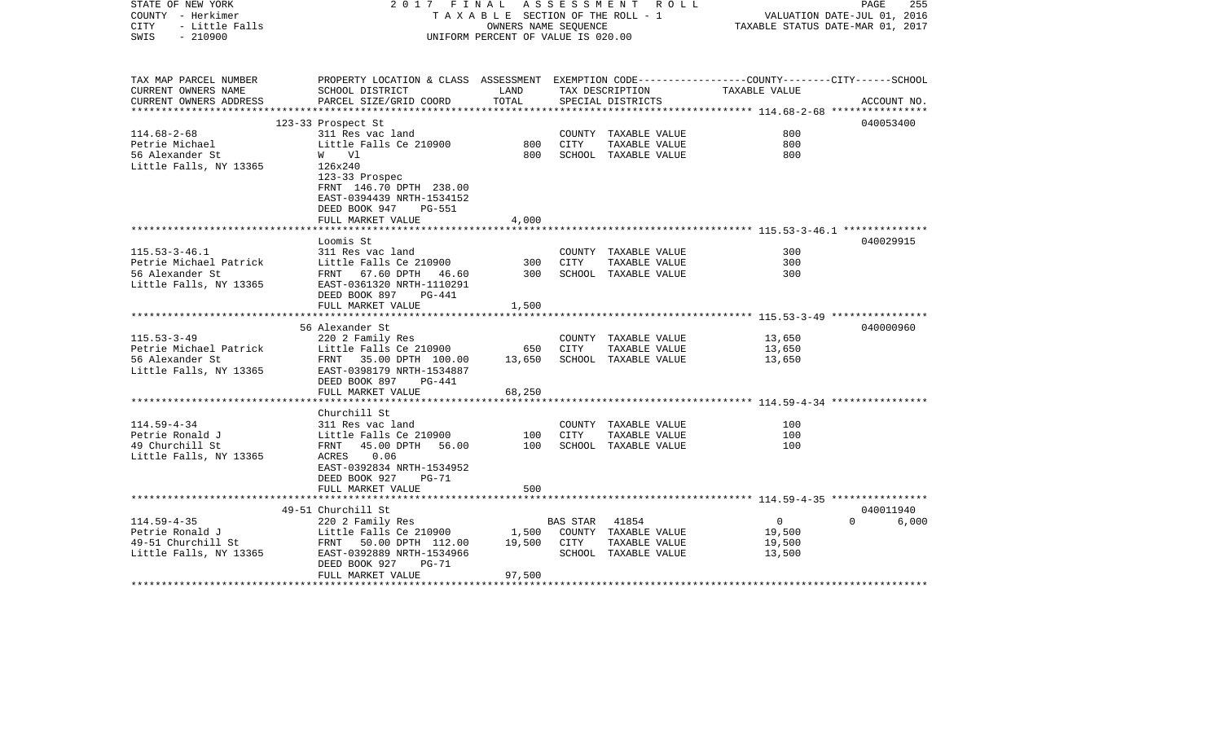| STATE OF NEW YORK<br>COUNTY - Herkimer<br>- Little Falls<br>CITY<br>SWIS<br>$-210900$      | 2017 FINAL                                                                                                                                       | TAXABLE SECTION OF THE ROLL - 1<br>OWNERS NAME SEOUENCE<br>UNIFORM PERCENT OF VALUE IS 020.00 |                  | ASSESSMENT ROLL                                                        |                                              | PAGE<br>255<br>VALUATION DATE-JUL 01, 2016<br>TAXABLE STATUS DATE-MAR 01, 2017 |
|--------------------------------------------------------------------------------------------|--------------------------------------------------------------------------------------------------------------------------------------------------|-----------------------------------------------------------------------------------------------|------------------|------------------------------------------------------------------------|----------------------------------------------|--------------------------------------------------------------------------------|
| TAX MAP PARCEL NUMBER<br>CURRENT OWNERS NAME                                               | PROPERTY LOCATION & CLASS ASSESSMENT EXEMPTION CODE---------------COUNTY-------CITY------SCHOOL<br>SCHOOL DISTRICT                               | LAND                                                                                          |                  | TAX DESCRIPTION                                                        | TAXABLE VALUE                                |                                                                                |
| CURRENT OWNERS ADDRESS<br>***********************                                          | PARCEL SIZE/GRID COORD                                                                                                                           | TOTAL                                                                                         |                  | SPECIAL DISTRICTS                                                      |                                              | ACCOUNT NO.                                                                    |
|                                                                                            | 123-33 Prospect St                                                                                                                               |                                                                                               |                  |                                                                        |                                              | 040053400                                                                      |
| $114.68 - 2 - 68$<br>Petrie Michael<br>56 Alexander St<br>Little Falls, NY 13365           | 311 Res vac land<br>Little Falls Ce 210900<br>W Vl<br>126x240<br>123-33 Prospec                                                                  | 800<br>800                                                                                    | CITY             | COUNTY TAXABLE VALUE<br>TAXABLE VALUE<br>SCHOOL TAXABLE VALUE          | 800<br>800<br>800                            |                                                                                |
|                                                                                            | FRNT 146.70 DPTH 238.00<br>EAST-0394439 NRTH-1534152<br>DEED BOOK 947<br>PG-551<br>FULL MARKET VALUE                                             | 4,000                                                                                         |                  |                                                                        |                                              |                                                                                |
|                                                                                            | Loomis St                                                                                                                                        |                                                                                               |                  |                                                                        |                                              | 040029915                                                                      |
| $115.53 - 3 - 46.1$<br>Petrie Michael Patrick<br>56 Alexander St<br>Little Falls, NY 13365 | 311 Res vac land<br>Little Falls Ce 210900<br>FRNT 67.60 DPTH 46.60<br>EAST-0361320 NRTH-1110291                                                 | 300<br>300                                                                                    | CITY             | COUNTY TAXABLE VALUE<br>TAXABLE VALUE<br>SCHOOL TAXABLE VALUE          | 300<br>300<br>300                            |                                                                                |
|                                                                                            | DEED BOOK 897<br>PG-441<br>FULL MARKET VALUE                                                                                                     | 1,500                                                                                         |                  |                                                                        |                                              |                                                                                |
|                                                                                            |                                                                                                                                                  |                                                                                               |                  |                                                                        |                                              |                                                                                |
|                                                                                            | 56 Alexander St                                                                                                                                  |                                                                                               |                  |                                                                        |                                              | 040000960                                                                      |
| $115.53 - 3 - 49$<br>Petrie Michael Patrick<br>56 Alexander St<br>Little Falls, NY 13365   | 220 2 Family Res<br>Little Falls Ce 210900<br>FRNT 35.00 DPTH 100.00<br>EAST-0398179 NRTH-1534887<br>DEED BOOK 897<br>PG-441                     | 650<br>13,650                                                                                 | CITY             | COUNTY TAXABLE VALUE<br>TAXABLE VALUE<br>SCHOOL TAXABLE VALUE          | 13,650<br>13,650<br>13,650                   |                                                                                |
|                                                                                            | FULL MARKET VALUE                                                                                                                                | 68,250                                                                                        |                  |                                                                        |                                              |                                                                                |
|                                                                                            | Churchill St                                                                                                                                     |                                                                                               |                  |                                                                        |                                              |                                                                                |
| $114.59 - 4 - 34$<br>Petrie Ronald J<br>49 Churchill St<br>Little Falls, NY 13365          | 311 Res vac land<br>Little Falls Ce 210900<br>FRNT<br>45.00 DPTH 56.00<br>ACRES<br>0.06<br>EAST-0392834 NRTH-1534952<br>DEED BOOK 927<br>$PG-71$ | 100<br>100                                                                                    | CITY             | COUNTY TAXABLE VALUE<br>TAXABLE VALUE<br>SCHOOL TAXABLE VALUE          | 100<br>100<br>100                            |                                                                                |
|                                                                                            | FULL MARKET VALUE                                                                                                                                | 500                                                                                           |                  |                                                                        |                                              |                                                                                |
|                                                                                            | 49-51 Churchill St                                                                                                                               |                                                                                               |                  |                                                                        |                                              | 040011940                                                                      |
| $114.59 - 4 - 35$<br>Petrie Ronald J<br>49-51 Churchill St<br>Little Falls, NY 13365       | 220 2 Family Res<br>Little Falls Ce 210900<br>FRNT 50.00 DPTH 112.00<br>EAST-0392889 NRTH-1534966<br>DEED BOOK 927<br>PG-71<br>FULL MARKET VALUE | 1,500<br>19,500<br>97,500                                                                     | BAS STAR<br>CITY | 41854<br>COUNTY TAXABLE VALUE<br>TAXABLE VALUE<br>SCHOOL TAXABLE VALUE | $\overline{0}$<br>19,500<br>19,500<br>13,500 | 6,000<br>$\Omega$                                                              |
|                                                                                            |                                                                                                                                                  |                                                                                               |                  |                                                                        |                                              |                                                                                |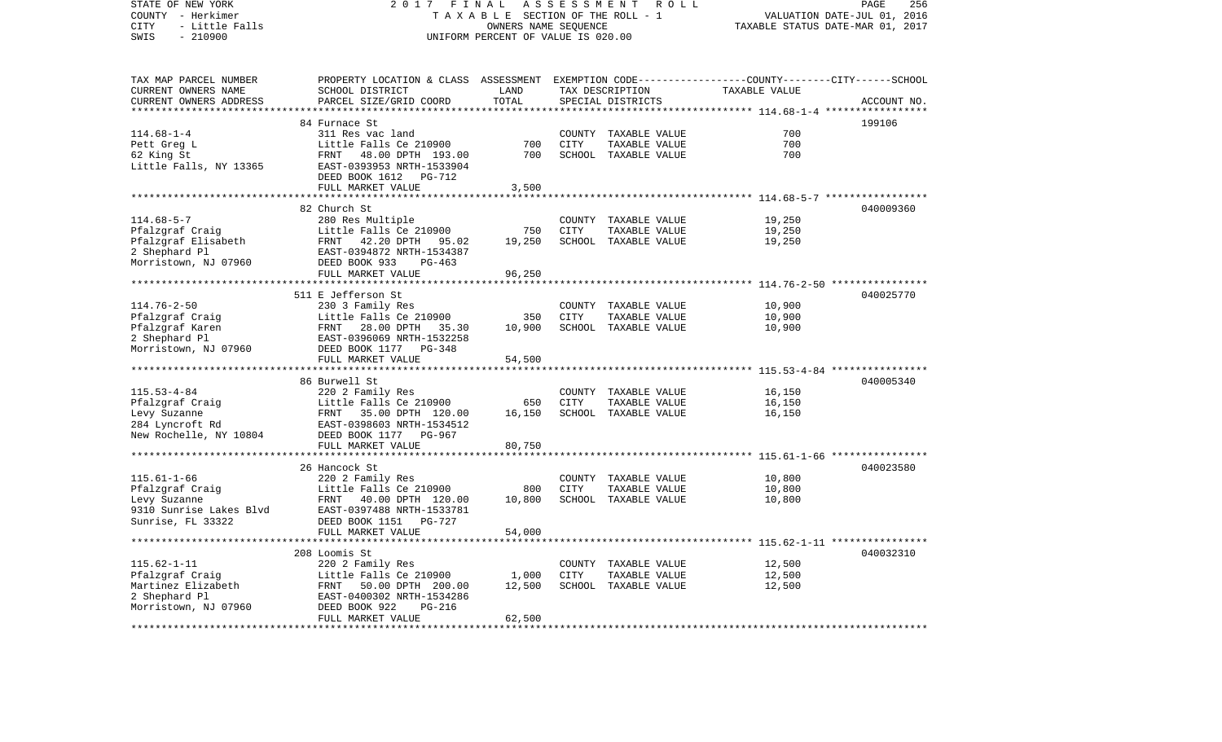STATE OF NEW YORK 2 0 1 7 F I N A L A S S E S S M E N T R O L L PAGE 256COUNTY - Herkimer T A X A B L E SECTION OF THE ROLL - 1 VALUATION DATE-JUL 01, 2016 CITY - Little Falls OWNERS NAME SEQUENCE TAXABLE STATUS DATE-MAR 01, 2017 SWIS - 210900 UNIFORM PERCENT OF VALUE IS 020.00TAX MAP PARCEL NUMBER PROPERTY LOCATION & CLASS ASSESSMENT EXEMPTION CODE------------------COUNTY--------CITY------SCHOOL CURRENT OWNERS NAME SCHOOL DISTRICT LAND TAX DESCRIPTION TAXABLE VALUECURRENT OWNERS ADDRESS PARCEL SIZE/GRID COORD TOTAL SPECIAL DISTRICTS ACCOUNT NO. \*\*\*\*\*\*\*\*\*\*\*\*\*\*\*\*\*\*\*\*\*\*\*\*\*\*\*\*\*\*\*\*\*\*\*\*\*\*\*\*\*\*\*\*\*\*\*\*\*\*\*\*\*\*\*\*\*\*\*\*\*\*\*\*\*\*\*\*\*\*\*\*\*\*\*\*\*\*\*\*\*\*\*\*\*\*\*\*\*\*\*\*\*\*\*\*\*\*\*\*\*\*\* 114.68-1-4 \*\*\*\*\*\*\*\*\*\*\*\*\*\*\*\*\* 84 Furnace St 199106114.68-1-4 311 Res vac land COUNTY TAXABLE VALUE 700Pett Greg L Control Cittle Falls Ce 210900 700 CITY TAXABLE VALUE 700 700 62 King St FRNT 48.00 DPTH 193.00 700 SCHOOL TAXABLE VALUE 700 Little Falls, NY 13365 EAST-0393953 NRTH-1533904 DEED BOOK 1612 PG-712FULL MARKET VALUE 3,500 \*\*\*\*\*\*\*\*\*\*\*\*\*\*\*\*\*\*\*\*\*\*\*\*\*\*\*\*\*\*\*\*\*\*\*\*\*\*\*\*\*\*\*\*\*\*\*\*\*\*\*\*\*\*\*\*\*\*\*\*\*\*\*\*\*\*\*\*\*\*\*\*\*\*\*\*\*\*\*\*\*\*\*\*\*\*\*\*\*\*\*\*\*\*\*\*\*\*\*\*\*\*\* 114.68-5-7 \*\*\*\*\*\*\*\*\*\*\*\*\*\*\*\*\* 82 Church St 040009360114.68-5-7 280 Res Multiple 200 COUNTY TAXABLE VALUE 19,250<br>19.250 19.250 2750 CITY TAXABLE VALUE Pfalzgraf Craig Little Falls Ce 210900 750 CITY TAXABLE VALUE 19,250 Pfalzgraf Elisabeth FRNT 42.20 DPTH 95.02 19.250 SCHOOL TAXABLE VALUE 2 Shephard Pl EAST-0394872 NRTH-1534387 Morristown, NJ 07960 DEED BOOK 933 PG-463 FULL MARKET VALUE 96,250 \*\*\*\*\*\*\*\*\*\*\*\*\*\*\*\*\*\*\*\*\*\*\*\*\*\*\*\*\*\*\*\*\*\*\*\*\*\*\*\*\*\*\*\*\*\*\*\*\*\*\*\*\*\*\*\*\*\*\*\*\*\*\*\*\*\*\*\*\*\*\*\*\*\*\*\*\*\*\*\*\*\*\*\*\*\*\*\*\*\*\*\*\*\*\*\*\*\*\*\*\*\*\* 114.76-2-50 \*\*\*\*\*\*\*\*\*\*\*\*\*\*\*\* 511 E Jefferson St 040025770114.76-2-50 230 3 Family Res COUNTY TAXABLE VALUE 10,900 Pfalzgraf Craig and Tittle Falls Ce 210900 350 CITY TAXABLE VALUE 300 Pfalzgraf Karen 10,900 ERNT 28.00 DPTH 35.30 10,900 SCHOOL TAXABLE VALUE 10,900 2 Shephard Pl EAST-0396069 NRTH-1532258 Morristown, NJ 07960 DEED BOOK 1177 PG-348 FULL MARKET VALUE 54,500 \*\*\*\*\*\*\*\*\*\*\*\*\*\*\*\*\*\*\*\*\*\*\*\*\*\*\*\*\*\*\*\*\*\*\*\*\*\*\*\*\*\*\*\*\*\*\*\*\*\*\*\*\*\*\*\*\*\*\*\*\*\*\*\*\*\*\*\*\*\*\*\*\*\*\*\*\*\*\*\*\*\*\*\*\*\*\*\*\*\*\*\*\*\*\*\*\*\*\*\*\*\*\* 115.53-4-84 \*\*\*\*\*\*\*\*\*\*\*\*\*\*\*\* 86 Burwell St 040005340115.53-4-84 220 2 Family Res COUNTY TAXABLE VALUE 16,150 Pfalzgraf Craig and Little Falls Ce 210900 650 CITY TAXABLE VALUE 16,150 Levy Suzanne FRNT 35.00 DPTH 120.00 16,150 SCHOOL TAXABLE VALUE 16,150 284 Lyncroft Rd EAST-0398603 NRTH-1534512 New Rochelle, NY 10804 DEED BOOK 1177 PG-967 FULL MARKET VALUE 80.750 \*\*\*\*\*\*\*\*\*\*\*\*\*\*\*\*\*\*\*\*\*\*\*\*\*\*\*\*\*\*\*\*\*\*\*\*\*\*\*\*\*\*\*\*\*\*\*\*\*\*\*\*\*\*\*\*\*\*\*\*\*\*\*\*\*\*\*\*\*\*\*\*\*\*\*\*\*\*\*\*\*\*\*\*\*\*\*\*\*\*\*\*\*\*\*\*\*\*\*\*\*\*\* 115.61-1-66 \*\*\*\*\*\*\*\*\*\*\*\*\*\*\*\* 26 Hancock St 040023580115.61-1-66 220 2 Family Res COUNTY TAXABLE VALUE 10,800 Pfalzgraf Craig and Cittle Falls Ce 210900 800 CITY TAXABLE VALUE 10,800 Levy Suzanne FRNT 40.00 DPTH 120.00 10,800 SCHOOL TAXABLE VALUE 10,800 EAST-0397488 NRTH-1533781 Sunrise, FL 33322 DEED BOOK 1151 PG-727 FULL MARKET VALUE 54,000 \*\*\*\*\*\*\*\*\*\*\*\*\*\*\*\*\*\*\*\*\*\*\*\*\*\*\*\*\*\*\*\*\*\*\*\*\*\*\*\*\*\*\*\*\*\*\*\*\*\*\*\*\*\*\*\*\*\*\*\*\*\*\*\*\*\*\*\*\*\*\*\*\*\*\*\*\*\*\*\*\*\*\*\*\*\*\*\*\*\*\*\*\*\*\*\*\*\*\*\*\*\*\* 115.62-1-11 \*\*\*\*\*\*\*\*\*\*\*\*\*\*\*\* 208 Loomis St 040032310115.62-1-11 220 2 Family Res COUNTY TAXABLE VALUE 12,500 Little Falls Ce 210900 1,000 CITY TAXABLE VALUE Martinez Elizabeth FRNT 50.00 DPTH 200.00 12,500 SCHOOL TAXABLE VALUE 12,500 2 Shephard Pl EAST-0400302 NRTH-1534286 Morristown, NJ 07960 DEED BOOK 922 PG-216 FULL MARKET VALUE 62,500 \*\*\*\*\*\*\*\*\*\*\*\*\*\*\*\*\*\*\*\*\*\*\*\*\*\*\*\*\*\*\*\*\*\*\*\*\*\*\*\*\*\*\*\*\*\*\*\*\*\*\*\*\*\*\*\*\*\*\*\*\*\*\*\*\*\*\*\*\*\*\*\*\*\*\*\*\*\*\*\*\*\*\*\*\*\*\*\*\*\*\*\*\*\*\*\*\*\*\*\*\*\*\*\*\*\*\*\*\*\*\*\*\*\*\*\*\*\*\*\*\*\*\*\*\*\*\*\*\*\*\*\*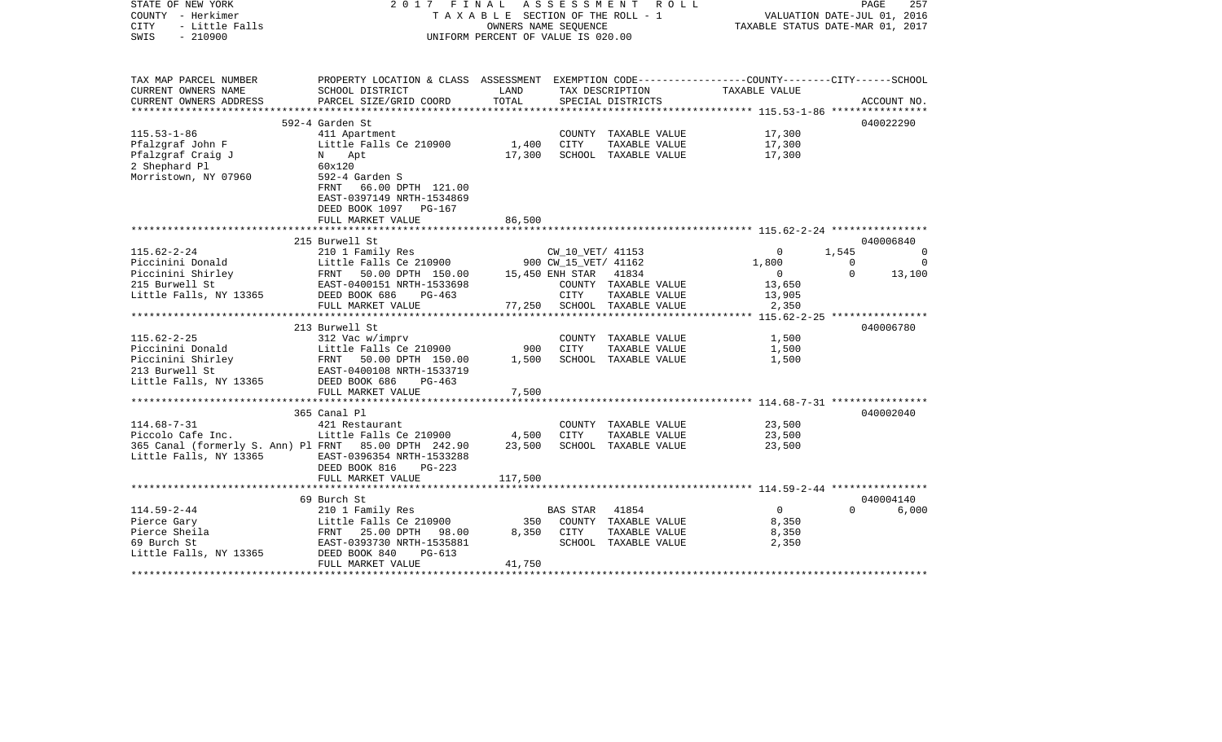| STATE OF NEW YORK<br>COUNTY - Herkimer<br><b>CITY</b><br>- Little Falls<br>SWIS<br>$-210900$                                                                                                                           | 2017 FINAL ASSESSMENT ROLL                                                                      | TAXABLE SECTION OF THE ROLL - 1<br>OWNERS NAME SEQUENCE<br>UNIFORM PERCENT OF VALUE IS 020.00 | 257<br>PAGE<br>VALUATION DATE-JUL 01, 2016<br>TAXABLE STATUS DATE-MAR 01, 2017 |                             |                |                |             |
|------------------------------------------------------------------------------------------------------------------------------------------------------------------------------------------------------------------------|-------------------------------------------------------------------------------------------------|-----------------------------------------------------------------------------------------------|--------------------------------------------------------------------------------|-----------------------------|----------------|----------------|-------------|
|                                                                                                                                                                                                                        |                                                                                                 |                                                                                               |                                                                                |                             |                |                |             |
| TAX MAP PARCEL NUMBER                                                                                                                                                                                                  | PROPERTY LOCATION & CLASS ASSESSMENT EXEMPTION CODE---------------COUNTY-------CITY------SCHOOL |                                                                                               |                                                                                |                             |                |                |             |
| CURRENT OWNERS NAME                                                                                                                                                                                                    | SCHOOL DISTRICT                                                                                 | LAND                                                                                          |                                                                                | TAX DESCRIPTION             | TAXABLE VALUE  |                |             |
| CURRENT OWNERS ADDRESS                                                                                                                                                                                                 | PARCEL SIZE/GRID COORD                                                                          | TOTAL                                                                                         |                                                                                | SPECIAL DISTRICTS           |                |                | ACCOUNT NO. |
| ***********************                                                                                                                                                                                                | 592-4 Garden St                                                                                 |                                                                                               |                                                                                |                             |                |                | 040022290   |
| $115.53 - 1 - 86$                                                                                                                                                                                                      | 411 Apartment                                                                                   |                                                                                               |                                                                                | COUNTY TAXABLE VALUE        | 17,300         |                |             |
| Pfalzgraf John F                                                                                                                                                                                                       | Little Falls Ce 210900                                                                          | 1,400                                                                                         | CITY                                                                           | TAXABLE VALUE               | 17,300         |                |             |
| Pfalzgraf Craig J                                                                                                                                                                                                      | N Apt                                                                                           | 17,300                                                                                        |                                                                                | SCHOOL TAXABLE VALUE        | 17,300         |                |             |
| 2 Shephard Pl                                                                                                                                                                                                          | 60x120                                                                                          |                                                                                               |                                                                                |                             |                |                |             |
| Morristown, NY 07960                                                                                                                                                                                                   | 592-4 Garden S                                                                                  |                                                                                               |                                                                                |                             |                |                |             |
|                                                                                                                                                                                                                        | FRNT 66.00 DPTH 121.00                                                                          |                                                                                               |                                                                                |                             |                |                |             |
|                                                                                                                                                                                                                        | EAST-0397149 NRTH-1534869                                                                       |                                                                                               |                                                                                |                             |                |                |             |
|                                                                                                                                                                                                                        | DEED BOOK 1097 PG-167                                                                           |                                                                                               |                                                                                |                             |                |                |             |
|                                                                                                                                                                                                                        | FULL MARKET VALUE                                                                               | 86,500                                                                                        |                                                                                |                             |                |                |             |
|                                                                                                                                                                                                                        |                                                                                                 |                                                                                               |                                                                                |                             |                |                |             |
|                                                                                                                                                                                                                        | 215 Burwell St                                                                                  |                                                                                               |                                                                                |                             |                |                | 040006840   |
| $115.62 - 2 - 24$                                                                                                                                                                                                      | 210 1 Family Res                                                                                |                                                                                               |                                                                                | CW_10_VET/ 41153            | $\mathbf{0}$   | 1,545          | - 0         |
|                                                                                                                                                                                                                        | Little Falls Ce 210900                                                                          |                                                                                               | 900 CW_15_VET/ 41162                                                           |                             | 1,800          | $\overline{0}$ | $\Omega$    |
|                                                                                                                                                                                                                        |                                                                                                 |                                                                                               | 15,450 ENH STAR 41834                                                          |                             | $\overline{0}$ | $\Omega$       | 13,100      |
| Piccinini Donald Little Falls Ce 210900<br>Piccinini Shirley FRNT 50.00 DPTH 150.00<br>215 Burwell St EAST-0400151 NRTH-1533698                                                                                        |                                                                                                 |                                                                                               |                                                                                | COUNTY TAXABLE VALUE        | 13,650         |                |             |
| Little Falls, NY 13365                                                                                                                                                                                                 | DEED BOOK 686<br>PG-463                                                                         |                                                                                               | CITY                                                                           | TAXABLE VALUE               | 13,905         |                |             |
|                                                                                                                                                                                                                        | FULL MARKET VALUE                                                                               |                                                                                               |                                                                                | 77,250 SCHOOL TAXABLE VALUE | 2,350          |                |             |
|                                                                                                                                                                                                                        |                                                                                                 |                                                                                               |                                                                                |                             |                |                |             |
|                                                                                                                                                                                                                        | 213 Burwell St                                                                                  |                                                                                               |                                                                                |                             |                |                | 040006780   |
| $115.62 - 2 - 25$                                                                                                                                                                                                      | 312 Vac w/imprv                                                                                 | 900                                                                                           |                                                                                | COUNTY TAXABLE VALUE        | 1,500          |                |             |
|                                                                                                                                                                                                                        |                                                                                                 | 1,500                                                                                         | CITY                                                                           | TAXABLE VALUE               | 1,500          |                |             |
| Piccinini Donald<br>Piccinini Shirley<br>213 Burwell St<br>213 Burwell St<br>213 Burwell St<br>213 Burwell St<br>213 Burwell St<br>213 Burwell St<br>213 Burwell St<br>22 Burwell St<br>22 Burwell St<br>22 Burwell St | EAST-0400108 NRTH-1533719                                                                       |                                                                                               |                                                                                | SCHOOL TAXABLE VALUE        | 1,500          |                |             |
| Little Falls, NY 13365 DEED BOOK 686                                                                                                                                                                                   | PG-463                                                                                          |                                                                                               |                                                                                |                             |                |                |             |
|                                                                                                                                                                                                                        | FULL MARKET VALUE                                                                               | 7,500                                                                                         |                                                                                |                             |                |                |             |
|                                                                                                                                                                                                                        |                                                                                                 |                                                                                               |                                                                                |                             |                |                |             |
|                                                                                                                                                                                                                        | 365 Canal Pl                                                                                    |                                                                                               |                                                                                |                             |                |                | 040002040   |
| $114.68 - 7 - 31$                                                                                                                                                                                                      | 421 Restaurant                                                                                  |                                                                                               |                                                                                | COUNTY TAXABLE VALUE        | 23,500         |                |             |
| Piccolo Cafe Inc.                                                                                                                                                                                                      | Little Falls Ce 210900                                                                          | 4,500                                                                                         | CITY                                                                           | TAXABLE VALUE               | 23,500         |                |             |
| 365 Canal (formerly S. Ann) Pl FRNT 85.00 DPTH 242.90                                                                                                                                                                  |                                                                                                 | 23,500                                                                                        |                                                                                | SCHOOL TAXABLE VALUE        | 23,500         |                |             |
| Little Falls, NY 13365                                                                                                                                                                                                 | EAST-0396354 NRTH-1533288                                                                       |                                                                                               |                                                                                |                             |                |                |             |
|                                                                                                                                                                                                                        | DEED BOOK 816<br>$PG-223$                                                                       |                                                                                               |                                                                                |                             |                |                |             |
|                                                                                                                                                                                                                        | FULL MARKET VALUE                                                                               | 117,500                                                                                       |                                                                                |                             |                |                |             |
|                                                                                                                                                                                                                        |                                                                                                 |                                                                                               |                                                                                |                             |                |                |             |
|                                                                                                                                                                                                                        | 69 Burch St                                                                                     |                                                                                               |                                                                                |                             |                |                | 040004140   |
| $114.59 - 2 - 44$                                                                                                                                                                                                      | 210 1 Family Res                                                                                |                                                                                               | BAS STAR                                                                       | 41854                       | $\overline{0}$ | $\Omega$       | 6,000       |
| Pierce Gary                                                                                                                                                                                                            | Little Falls Ce 210900                                                                          | 350                                                                                           |                                                                                | COUNTY TAXABLE VALUE        | 8,350          |                |             |
| Pierce Sheila                                                                                                                                                                                                          | FRNT 25.00 DPTH 98.00                                                                           | 8,350                                                                                         | CITY                                                                           | TAXABLE VALUE               | 8,350          |                |             |
| 69 Burch St                                                                                                                                                                                                            | EAST-0393730 NRTH-1535881                                                                       |                                                                                               |                                                                                | SCHOOL TAXABLE VALUE        | 2,350          |                |             |
| Little Falls, NY 13365                                                                                                                                                                                                 | DEED BOOK 840<br>$PG-613$                                                                       |                                                                                               |                                                                                |                             |                |                |             |
|                                                                                                                                                                                                                        | FULL MARKET VALUE                                                                               | 41,750                                                                                        |                                                                                |                             |                |                |             |
|                                                                                                                                                                                                                        |                                                                                                 |                                                                                               |                                                                                |                             |                |                |             |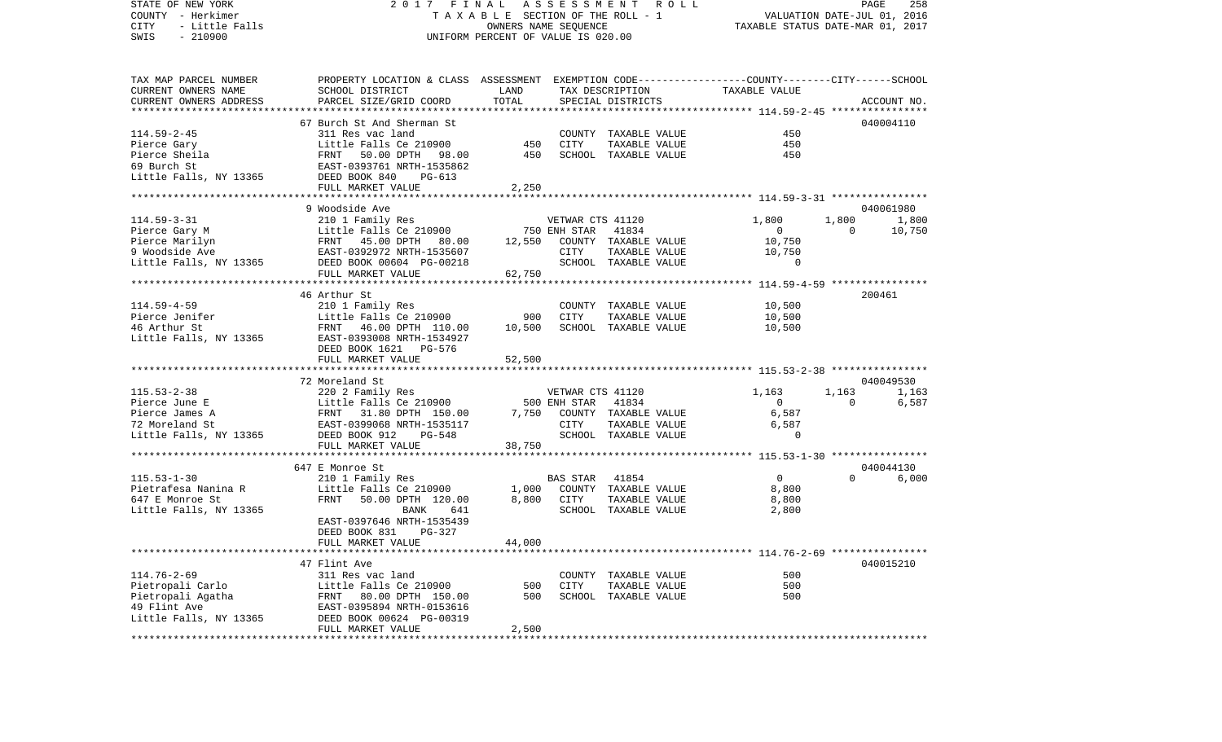VALUATION DATE-JUL 01, 2016 COUNTY - Herkimer T A X A B L E SECTION OF THE ROLL - 1 CITY - Little Falls OWNERS NAME SEQUENCE TAXABLE STATUS DATE-MAR 01, 2017 SWIS - 210900 UNIFORM PERCENT OF VALUE IS 020.00TAX MAP PARCEL NUMBER PROPERTY LOCATION & CLASS ASSESSMENT EXEMPTION CODE------------------COUNTY--------CITY------SCHOOL CURRENT OWNERS NAME SCHOOL DISTRICT LAND TAX DESCRIPTION TAXABLE VALUECURRENT OWNERS ADDRESS PARCEL SIZE/GRID COORD TOTAL SPECIAL DISTRICTS ACCOUNT NO. \*\*\*\*\*\*\*\*\*\*\*\*\*\*\*\*\*\*\*\*\*\*\*\*\*\*\*\*\*\*\*\*\*\*\*\*\*\*\*\*\*\*\*\*\*\*\*\*\*\*\*\*\*\*\*\*\*\*\*\*\*\*\*\*\*\*\*\*\*\*\*\*\*\*\*\*\*\*\*\*\*\*\*\*\*\*\*\*\*\*\*\*\*\*\*\*\*\*\*\*\*\*\* 114.59-2-45 \*\*\*\*\*\*\*\*\*\*\*\*\*\*\*\* 67 Burch St And Sherman St 040004110114.59-2-45 311 Res vac land COUNTY TAXABLE VALUE 450Pierce Gary **Example 2010 Example 210900** 450 CITY TAXABLE VALUE 450 Pierce Sheila FRNT 50.00 DPTH 98.00 450 SCHOOL TAXABLE VALUE 45069 Burch St EAST-0393761 NRTH-1535862Little Falls, NY 13365 DEED BOOK 840 PG-613 FULL MARKET VALUE 2,250 \*\*\*\*\*\*\*\*\*\*\*\*\*\*\*\*\*\*\*\*\*\*\*\*\*\*\*\*\*\*\*\*\*\*\*\*\*\*\*\*\*\*\*\*\*\*\*\*\*\*\*\*\*\*\*\*\*\*\*\*\*\*\*\*\*\*\*\*\*\*\*\*\*\*\*\*\*\*\*\*\*\*\*\*\*\*\*\*\*\*\*\*\*\*\*\*\*\*\*\*\*\*\* 114.59-3-31 \*\*\*\*\*\*\*\*\*\*\*\*\*\*\*\* 9 Woodside Ave 040061980114.59-3-31 210 1 Family Res VETWAR CTS 41120 1,800 1,800 1,800 Pierce Gary M **Little Falls Ce 210900** 750 ENH STAR 41834 0 0 0 10,750 Pierce Marilyn FRNT 45.00 DPTH 80.00 12.550 COUNTY TAXABLE VALUE 10.750 9 Woodside Ave EAST-0392972 NRTH-1535607 CITY TAXABLE VALUE 10,750 Little Falls, NY 13365 DEED BOOK 00604 PG-00218 SCHOOL TAXABLE VALUE 0 FULL MARKET VALUE 62,750 \*\*\*\*\*\*\*\*\*\*\*\*\*\*\*\*\*\*\*\*\*\*\*\*\*\*\*\*\*\*\*\*\*\*\*\*\*\*\*\*\*\*\*\*\*\*\*\*\*\*\*\*\*\*\*\*\*\*\*\*\*\*\*\*\*\*\*\*\*\*\*\*\*\*\*\*\*\*\*\*\*\*\*\*\*\*\*\*\*\*\*\*\*\*\*\*\*\*\*\*\*\*\* 114.59-4-59 \*\*\*\*\*\*\*\*\*\*\*\*\*\*\*\* 46 Arthur St 200461114.59-4-59 210 1 Family Res COUNTY TAXABLE VALUE 10,500 Pierce Jenifer Little Falls Ce 210900 900 CITY TAXABLE VALUE 10,500 46 Arthur St FRNT 46.00 DPTH 110.00 10,500 SCHOOL TAXABLE VALUE 10,500 Little Falls, NY 13365 EAST-0393008 NRTH-1534927 DEED BOOK 1621 PG-576FULL MARKET VALUE 52,500 \*\*\*\*\*\*\*\*\*\*\*\*\*\*\*\*\*\*\*\*\*\*\*\*\*\*\*\*\*\*\*\*\*\*\*\*\*\*\*\*\*\*\*\*\*\*\*\*\*\*\*\*\*\*\*\*\*\*\*\*\*\*\*\*\*\*\*\*\*\*\*\*\*\*\*\*\*\*\*\*\*\*\*\*\*\*\*\*\*\*\*\*\*\*\*\*\*\*\*\*\*\*\* 115.53-2-38 \*\*\*\*\*\*\*\*\*\*\*\*\*\*\*\* 72 Moreland St 040049530115.53-2-38 220 2 Family Res VETWAR CTS 41120 1,163 1,163 1,163 Pierce June E Contract Contract Little Falls Ce 210900 500 ENH STAR 41834 0 0 0 6,587 Pierce James A FRNT 31.80 DPTH 150.00 7,750 COUNTY TAXABLE VALUE 6,587 72 Moreland St EAST-0399068 NRTH-1535117 CITY TAXABLE VALUE 6,587 Little Falls, NY 13365 DEED BOOK 912 PG-548 SCHOOL TAXABLE VALUE 0 FULL MARKET VALUE 38,750 \*\*\*\*\*\*\*\*\*\*\*\*\*\*\*\*\*\*\*\*\*\*\*\*\*\*\*\*\*\*\*\*\*\*\*\*\*\*\*\*\*\*\*\*\*\*\*\*\*\*\*\*\*\*\*\*\*\*\*\*\*\*\*\*\*\*\*\*\*\*\*\*\*\*\*\*\*\*\*\*\*\*\*\*\*\*\*\*\*\*\*\*\*\*\*\*\*\*\*\*\*\*\* 115.53-1-30 \*\*\*\*\*\*\*\*\*\*\*\*\*\*\*\* 647 E Monroe St 040044130115.53-1-30 210 1 Family Res BAS STAR 41854 0 0 6,000 Pietrafesa Nanina R Little Falls Ce 210900 1,000 COUNTY TAXABLE VALUE 8,800 647 E Monroe St FRNT 50.00 DPTH 120.00 8,800 CITY TAXABLE VALUE 8,800 Little Falls, NY 13365 BANK 641 SCHOOL TAXABLE VALUE 2,800 EAST-0397646 NRTH-1535439 DEED BOOK 831 PG-327 FULL MARKET VALUE 44,000 \*\*\*\*\*\*\*\*\*\*\*\*\*\*\*\*\*\*\*\*\*\*\*\*\*\*\*\*\*\*\*\*\*\*\*\*\*\*\*\*\*\*\*\*\*\*\*\*\*\*\*\*\*\*\*\*\*\*\*\*\*\*\*\*\*\*\*\*\*\*\*\*\*\*\*\*\*\*\*\*\*\*\*\*\*\*\*\*\*\*\*\*\*\*\*\*\*\*\*\*\*\*\* 114.76-2-69 \*\*\*\*\*\*\*\*\*\*\*\*\*\*\*\* 47 Flint Ave 040015210114.76-2-69 311 Res vac land COUNTY TAXABLE VALUE 500Pietropali Carlo Little Falls Ce 210900 500 CITY TAXABLE VALUE 500 Pietropali Agatha FRNT 80.00 DPTH 150.00 500 SCHOOL TAXABLE VALUE 500 49 Flint Ave EAST-0395894 NRTH-0153616 Little Falls, NY 13365 DEED BOOK 00624 PG-00319 FULL MARKET VALUE 2,500 \*\*\*\*\*\*\*\*\*\*\*\*\*\*\*\*\*\*\*\*\*\*\*\*\*\*\*\*\*\*\*\*\*\*\*\*\*\*\*\*\*\*\*\*\*\*\*\*\*\*\*\*\*\*\*\*\*\*\*\*\*\*\*\*\*\*\*\*\*\*\*\*\*\*\*\*\*\*\*\*\*\*\*\*\*\*\*\*\*\*\*\*\*\*\*\*\*\*\*\*\*\*\*\*\*\*\*\*\*\*\*\*\*\*\*\*\*\*\*\*\*\*\*\*\*\*\*\*\*\*\*\*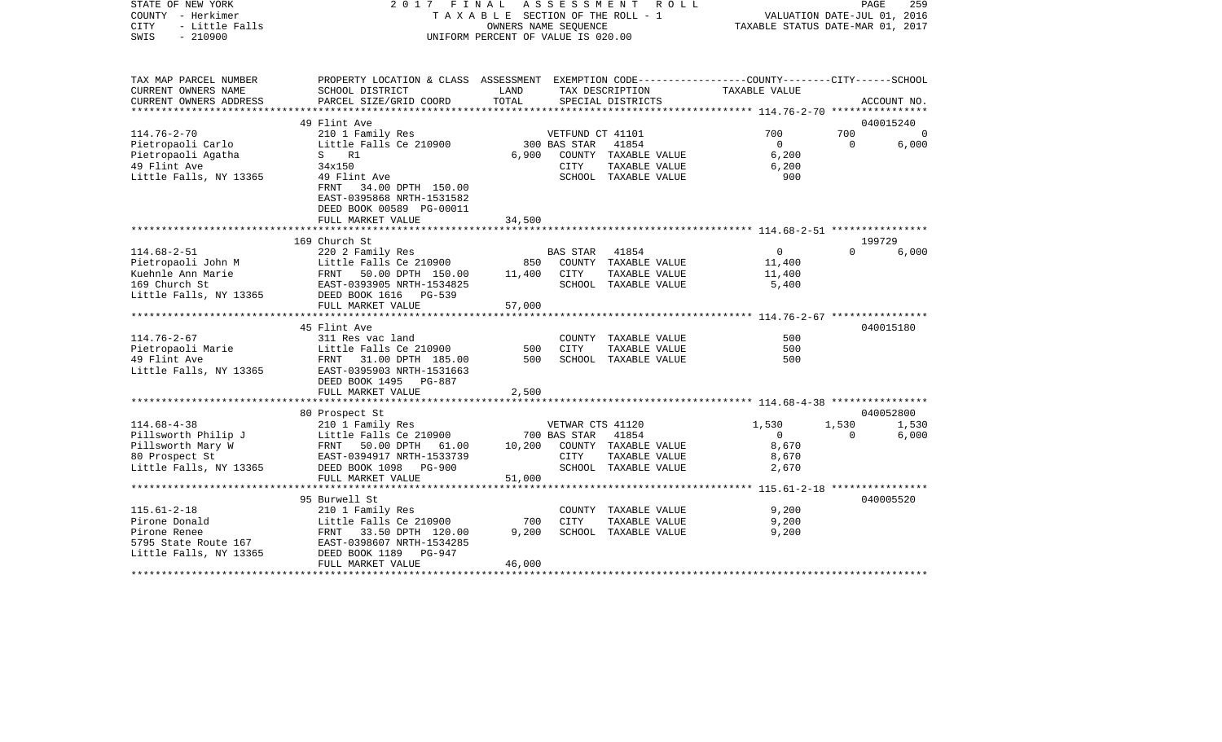| – Herkimer<br>COUNTY<br><b>CITY</b><br>- Little Falls<br>$-210900$<br>SWIS | TAXABLE                                                                                                            | OWNERS NAME SEQUENCE<br>UNIFORM PERCENT OF VALUE IS 020.00 | SECTION OF THE ROLL - 1 | VALUATION DATE-JUL 01, 2016<br>TAXABLE STATUS DATE-MAR 01, 2017 |                 |          |             |
|----------------------------------------------------------------------------|--------------------------------------------------------------------------------------------------------------------|------------------------------------------------------------|-------------------------|-----------------------------------------------------------------|-----------------|----------|-------------|
| TAX MAP PARCEL NUMBER<br>CURRENT OWNERS NAME                               | PROPERTY LOCATION & CLASS ASSESSMENT EXEMPTION CODE---------------COUNTY-------CITY------SCHOOL<br>SCHOOL DISTRICT | LAND                                                       |                         | TAX DESCRIPTION                                                 | TAXABLE VALUE   |          |             |
| CURRENT OWNERS ADDRESS                                                     | PARCEL SIZE/GRID COORD                                                                                             | TOTAL                                                      |                         | SPECIAL DISTRICTS                                               |                 |          | ACCOUNT NO. |
|                                                                            |                                                                                                                    |                                                            |                         |                                                                 |                 |          |             |
|                                                                            | 49 Flint Ave                                                                                                       |                                                            |                         |                                                                 |                 |          | 040015240   |
| $114.76 - 2 - 70$                                                          | 210 1 Family Res                                                                                                   |                                                            | VETFUND CT 41101        |                                                                 | 700             | 700      |             |
| Pietropaoli Carlo                                                          | Little Falls Ce 210900                                                                                             |                                                            | 300 BAS STAR            | 41854                                                           | $\Omega$        | $\Omega$ | 6,000       |
| Pietropaoli Agatha                                                         | S R1                                                                                                               | 6,900                                                      |                         | COUNTY TAXABLE VALUE                                            | 6,200           |          |             |
| 49 Flint Ave                                                               | 34x150                                                                                                             |                                                            | <b>CITY</b>             | TAXABLE VALUE                                                   | 6,200<br>900    |          |             |
| Little Falls, NY 13365                                                     | 49 Flint Ave<br>FRNT 34.00 DPTH 150.00                                                                             |                                                            |                         | SCHOOL TAXABLE VALUE                                            |                 |          |             |
|                                                                            | EAST-0395868 NRTH-1531582                                                                                          |                                                            |                         |                                                                 |                 |          |             |
|                                                                            | DEED BOOK 00589 PG-00011                                                                                           |                                                            |                         |                                                                 |                 |          |             |
|                                                                            | FULL MARKET VALUE                                                                                                  | 34,500                                                     |                         |                                                                 |                 |          |             |
|                                                                            | ************************                                                                                           |                                                            |                         |                                                                 |                 |          |             |
|                                                                            | 169 Church St                                                                                                      |                                                            |                         |                                                                 |                 |          | 199729      |
| $114.68 - 2 - 51$                                                          | 220 2 Family Res                                                                                                   |                                                            | BAS STAR                | 41854                                                           | 0               | $\cap$   | 6,000       |
| Pietropaoli John M                                                         | Little Falls Ce 210900                                                                                             | 850                                                        |                         | COUNTY TAXABLE VALUE                                            | 11,400          |          |             |
| Kuehnle Ann Marie<br>169 Church St                                         | FRNT 50.00 DPTH 150.00<br>EAST-0393905 NRTH-1534825                                                                | 11,400                                                     | <b>CITY</b>             | TAXABLE VALUE<br>SCHOOL TAXABLE VALUE                           | 11,400<br>5,400 |          |             |
| Little Falls, NY 13365                                                     | DEED BOOK 1616<br>PG-539                                                                                           |                                                            |                         |                                                                 |                 |          |             |
|                                                                            | FULL MARKET VALUE                                                                                                  | 57,000                                                     |                         |                                                                 |                 |          |             |
|                                                                            | **********************                                                                                             |                                                            |                         |                                                                 |                 |          |             |
|                                                                            | 45 Flint Ave                                                                                                       |                                                            |                         |                                                                 |                 |          | 040015180   |
| $114.76 - 2 - 67$                                                          | 311 Res vac land                                                                                                   |                                                            |                         | COUNTY TAXABLE VALUE                                            | 500             |          |             |
| Pietropaoli Marie                                                          | Little Falls Ce 210900                                                                                             | 500                                                        | <b>CITY</b>             | TAXABLE VALUE                                                   | 500             |          |             |
| 49 Flint Ave                                                               | FRNT 31.00 DPTH 185.00                                                                                             | 500                                                        |                         | SCHOOL TAXABLE VALUE                                            | 500             |          |             |
| Little Falls, NY 13365                                                     | EAST-0395903 NRTH-1531663<br>DEED BOOK 1495<br>PG-887                                                              |                                                            |                         |                                                                 |                 |          |             |
|                                                                            | FULL MARKET VALUE                                                                                                  | 2,500                                                      |                         |                                                                 |                 |          |             |
|                                                                            |                                                                                                                    |                                                            |                         |                                                                 |                 |          |             |
|                                                                            | 80 Prospect St                                                                                                     |                                                            |                         |                                                                 |                 |          | 040052800   |
| $114.68 - 4 - 38$                                                          | 210 1 Family Res                                                                                                   |                                                            | VETWAR CTS 41120        |                                                                 | 1,530           | 1,530    | 1,530       |
| Pillsworth Philip J                                                        | Little Falls Ce 210900                                                                                             |                                                            | 700 BAS STAR            | 41854                                                           | $\Omega$        | $\Omega$ | 6,000       |
| Pillsworth Mary W                                                          | FRNT 50.00 DPTH 61.00                                                                                              | 10,200                                                     |                         | COUNTY TAXABLE VALUE                                            | 8,670           |          |             |
| 80 Prospect St                                                             | EAST-0394917 NRTH-1533739                                                                                          |                                                            | CITY                    | TAXABLE VALUE                                                   | 8,670           |          |             |
| Little Falls, NY 13365                                                     | DEED BOOK 1098<br><b>PG-900</b><br>FULL MARKET VALUE                                                               | 51,000                                                     |                         | SCHOOL TAXABLE VALUE                                            | 2,670           |          |             |
|                                                                            | *************************                                                                                          |                                                            |                         |                                                                 |                 |          |             |
|                                                                            | 95 Burwell St                                                                                                      |                                                            |                         |                                                                 |                 |          | 040005520   |
| $115.61 - 2 - 18$                                                          | 210 1 Family Res                                                                                                   |                                                            |                         | COUNTY TAXABLE VALUE                                            | 9,200           |          |             |
| Pirone Donald                                                              | Little Falls Ce 210900                                                                                             | 700                                                        | <b>CITY</b>             | TAXABLE VALUE                                                   | 9,200           |          |             |
| Pirone Renee                                                               | FRNT 33.50 DPTH 120.00                                                                                             | 9,200                                                      |                         | SCHOOL TAXABLE VALUE                                            | 9,200           |          |             |
| 5795 State Route 167                                                       | EAST-0398607 NRTH-1534285                                                                                          |                                                            |                         |                                                                 |                 |          |             |
| Little Falls, NY 13365                                                     | DEED BOOK 1189<br>PG-947                                                                                           |                                                            |                         |                                                                 |                 |          |             |
|                                                                            | FULL MARKET VALUE                                                                                                  | 46,000                                                     |                         |                                                                 |                 |          |             |

PAGE 259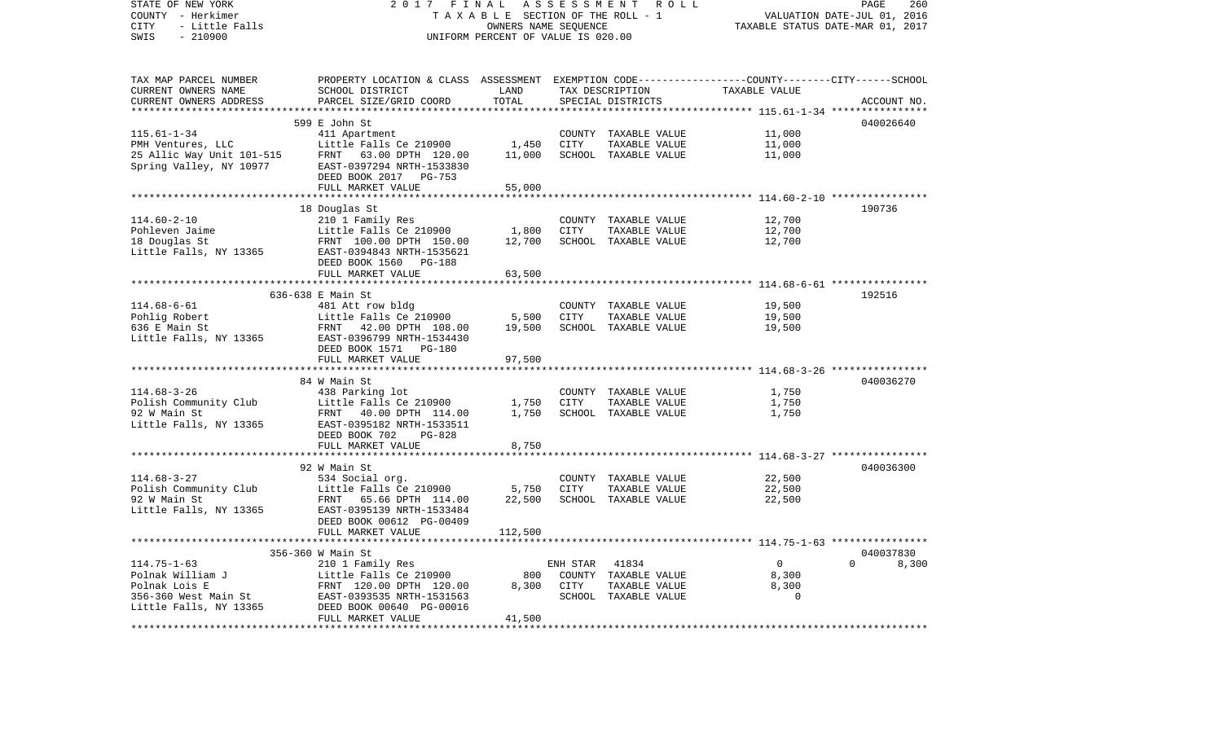| STATE OF NEW YORK<br>COUNTY - Herkimer<br>CITY<br>- Little Falls<br>$-210900$<br>SWIS | 2017                                                                                            | FINAL<br>TAXABLE SECTION OF THE ROLL - 1<br>OWNERS NAME SEQUENCE<br>UNIFORM PERCENT OF VALUE IS 020.00 | ASSESSMENT ROLL | PAGE<br>260<br>VALUATION DATE-JUL 01, 2016<br>TAXABLE STATUS DATE-MAR 01, 2017 |                                                                      |                   |  |
|---------------------------------------------------------------------------------------|-------------------------------------------------------------------------------------------------|--------------------------------------------------------------------------------------------------------|-----------------|--------------------------------------------------------------------------------|----------------------------------------------------------------------|-------------------|--|
| TAX MAP PARCEL NUMBER                                                                 | PROPERTY LOCATION & CLASS ASSESSMENT EXEMPTION CODE---------------COUNTY-------CITY------SCHOOL |                                                                                                        |                 |                                                                                |                                                                      |                   |  |
| CURRENT OWNERS NAME                                                                   | SCHOOL DISTRICT                                                                                 | LAND                                                                                                   |                 | TAX DESCRIPTION                                                                | TAXABLE VALUE                                                        |                   |  |
| CURRENT OWNERS ADDRESS                                                                | PARCEL SIZE/GRID COORD                                                                          | TOTAL<br>***********                                                                                   |                 | SPECIAL DISTRICTS                                                              |                                                                      | ACCOUNT NO.       |  |
|                                                                                       |                                                                                                 |                                                                                                        |                 |                                                                                | *********** 115.61-1-34 *****************                            | 040026640         |  |
| $115.61 - 1 - 34$                                                                     | 599 E John St<br>411 Apartment                                                                  |                                                                                                        |                 | COUNTY TAXABLE VALUE                                                           | 11,000                                                               |                   |  |
| PMH Ventures, LLC                                                                     | Little Falls Ce 210900                                                                          | 1,450                                                                                                  | CITY            | TAXABLE VALUE                                                                  | 11,000                                                               |                   |  |
| 25 Allic Way Unit 101-515                                                             | FRNT 63.00 DPTH 120.00                                                                          | 11,000                                                                                                 |                 | SCHOOL TAXABLE VALUE                                                           | 11,000                                                               |                   |  |
| Spring Valley, NY 10977                                                               | EAST-0397294 NRTH-1533830<br>DEED BOOK 2017 PG-753                                              |                                                                                                        |                 |                                                                                |                                                                      |                   |  |
|                                                                                       | FULL MARKET VALUE                                                                               | 55,000                                                                                                 |                 |                                                                                |                                                                      |                   |  |
|                                                                                       |                                                                                                 | * * * * * * * * * * * *                                                                                |                 |                                                                                | *********************** 114.60-2-10 *****************                |                   |  |
| $114.60 - 2 - 10$                                                                     | 18 Douglas St<br>210 1 Family Res                                                               |                                                                                                        |                 | COUNTY TAXABLE VALUE                                                           | 12,700                                                               | 190736            |  |
| Pohleven Jaime                                                                        | Little Falls Ce 210900                                                                          | 1,800                                                                                                  | <b>CITY</b>     | TAXABLE VALUE                                                                  | 12,700                                                               |                   |  |
| 18 Douglas St                                                                         | FRNT 100.00 DPTH 150.00                                                                         | 12,700                                                                                                 |                 | SCHOOL TAXABLE VALUE                                                           | 12,700                                                               |                   |  |
| Little Falls, NY 13365                                                                | EAST-0394843 NRTH-1535621<br>DEED BOOK 1560<br>PG-188                                           |                                                                                                        |                 |                                                                                |                                                                      |                   |  |
|                                                                                       | FULL MARKET VALUE                                                                               | 63,500                                                                                                 |                 |                                                                                |                                                                      |                   |  |
|                                                                                       |                                                                                                 |                                                                                                        |                 |                                                                                |                                                                      |                   |  |
| $114.68 - 6 - 61$                                                                     | 636-638 E Main St                                                                               |                                                                                                        | COUNTY          | TAXABLE VALUE                                                                  | 19,500                                                               | 192516            |  |
| Pohlig Robert                                                                         | 481 Att row bldg<br>Little Falls Ce 210900                                                      | 5,500                                                                                                  | <b>CITY</b>     | TAXABLE VALUE                                                                  | 19,500                                                               |                   |  |
| 636 E Main St                                                                         | 42.00 DPTH 108.00<br>FRNT                                                                       | 19,500                                                                                                 |                 | SCHOOL TAXABLE VALUE                                                           | 19,500                                                               |                   |  |
| Little Falls, NY 13365                                                                | EAST-0396799 NRTH-1534430<br>DEED BOOK 1571 PG-180                                              |                                                                                                        |                 |                                                                                |                                                                      |                   |  |
|                                                                                       | FULL MARKET VALUE                                                                               | 97,500                                                                                                 |                 |                                                                                |                                                                      |                   |  |
|                                                                                       |                                                                                                 |                                                                                                        |                 |                                                                                |                                                                      |                   |  |
| $114.68 - 3 - 26$                                                                     | 84 W Main St                                                                                    |                                                                                                        |                 |                                                                                |                                                                      | 040036270         |  |
| Polish Community Club                                                                 | 438 Parking lot<br>Little Falls Ce 210900                                                       | 1,750                                                                                                  | CITY            | COUNTY TAXABLE VALUE<br>TAXABLE VALUE                                          | 1,750<br>1,750                                                       |                   |  |
| 92 W Main St                                                                          | FRNT 40.00 DPTH 114.00                                                                          | 1,750                                                                                                  |                 | SCHOOL TAXABLE VALUE                                                           | 1,750                                                                |                   |  |
| Little Falls, NY 13365                                                                | EAST-0395182 NRTH-1533511                                                                       |                                                                                                        |                 |                                                                                |                                                                      |                   |  |
|                                                                                       | DEED BOOK 702<br>$PG-828$                                                                       |                                                                                                        |                 |                                                                                |                                                                      |                   |  |
|                                                                                       | FULL MARKET VALUE                                                                               | 8,750                                                                                                  |                 |                                                                                |                                                                      |                   |  |
|                                                                                       |                                                                                                 |                                                                                                        |                 |                                                                                |                                                                      |                   |  |
|                                                                                       | 92 W Main St                                                                                    |                                                                                                        |                 |                                                                                |                                                                      | 040036300         |  |
| $114.68 - 3 - 27$                                                                     | 534 Social org.                                                                                 |                                                                                                        |                 | COUNTY TAXABLE VALUE                                                           | 22,500                                                               |                   |  |
| Polish Community Club<br>92 W Main St                                                 | Little Falls Ce 210900<br>65.66 DPTH 114.00<br>FRNT                                             | 5,750<br>22,500                                                                                        | CITY            | TAXABLE VALUE<br>SCHOOL TAXABLE VALUE                                          | 22,500<br>22,500                                                     |                   |  |
| Little Falls, NY 13365                                                                | EAST-0395139 NRTH-1533484                                                                       |                                                                                                        |                 |                                                                                |                                                                      |                   |  |
|                                                                                       | DEED BOOK 00612 PG-00409<br>FULL MARKET VALUE                                                   | 112,500                                                                                                |                 |                                                                                |                                                                      |                   |  |
|                                                                                       | ****************                                                                                | * * * * * * * * * *                                                                                    |                 |                                                                                | ************************************** 114.75-1-63 ***************** |                   |  |
|                                                                                       | 356-360 W Main St                                                                               |                                                                                                        |                 |                                                                                |                                                                      | 040037830         |  |
| $114.75 - 1 - 63$                                                                     | 210 1 Family Res                                                                                |                                                                                                        | ENH STAR        | 41834                                                                          | $\overline{0}$                                                       | $\Omega$<br>8,300 |  |
| Polnak William J                                                                      | Little Falls Ce 210900                                                                          | 800                                                                                                    | COUNTY          | TAXABLE VALUE                                                                  | 8,300                                                                |                   |  |
| Polnak Lois E                                                                         | FRNT 120.00 DPTH 120.00                                                                         | 8,300                                                                                                  | CITY            | TAXABLE VALUE                                                                  | 8,300<br>$\Omega$                                                    |                   |  |
| 356-360 West Main St<br>Little Falls, NY 13365                                        | EAST-0393535 NRTH-1531563<br>DEED BOOK 00640 PG-00016<br>FULL MARKET VALUE                      | 41,500                                                                                                 |                 | SCHOOL TAXABLE VALUE                                                           |                                                                      |                   |  |
|                                                                                       |                                                                                                 |                                                                                                        |                 |                                                                                |                                                                      |                   |  |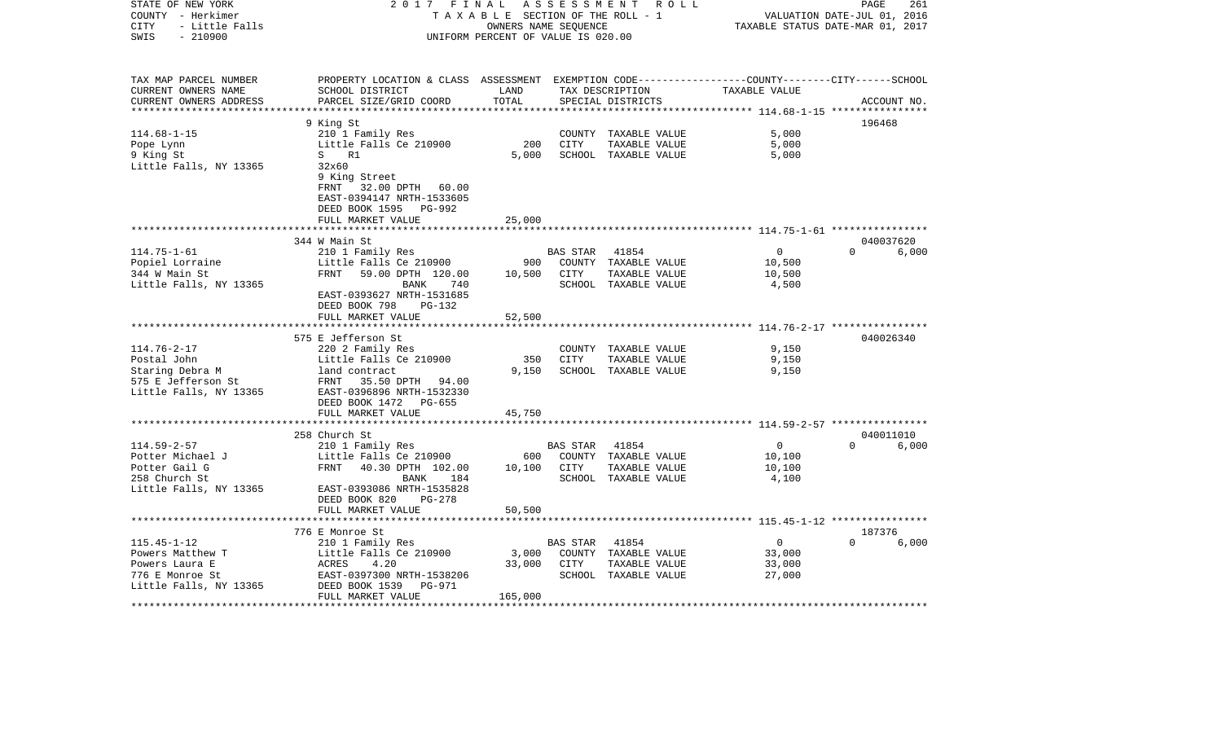| STATE OF NEW YORK<br>COUNTY - Herkimer<br><b>CITY</b><br>- Little Falls<br>SWIS<br>$-210900$ | 2 0 1 7<br>FINAL                                                                                | TAXABLE SECTION OF THE ROLL - 1<br>OWNERS NAME SEQUENCE<br>UNIFORM PERCENT OF VALUE IS 020.00 |          | ASSESSMENT ROLL                      |                                                | 261<br>PAGE<br>VALUATION DATE-JUL 01, 2016<br>TAXABLE STATUS DATE-MAR 01, 2017 |
|----------------------------------------------------------------------------------------------|-------------------------------------------------------------------------------------------------|-----------------------------------------------------------------------------------------------|----------|--------------------------------------|------------------------------------------------|--------------------------------------------------------------------------------|
| TAX MAP PARCEL NUMBER                                                                        | PROPERTY LOCATION & CLASS ASSESSMENT EXEMPTION CODE---------------COUNTY-------CITY------SCHOOL |                                                                                               |          |                                      |                                                |                                                                                |
| CURRENT OWNERS NAME<br>CURRENT OWNERS ADDRESS                                                | SCHOOL DISTRICT<br>PARCEL SIZE/GRID COORD                                                       | LAND<br>TOTAL                                                                                 |          | TAX DESCRIPTION<br>SPECIAL DISTRICTS | TAXABLE VALUE                                  | ACCOUNT NO.                                                                    |
|                                                                                              |                                                                                                 |                                                                                               |          |                                      |                                                |                                                                                |
|                                                                                              | 9 King St                                                                                       |                                                                                               |          |                                      |                                                | 196468                                                                         |
| $114.68 - 1 - 15$                                                                            | 210 1 Family Res                                                                                |                                                                                               |          | COUNTY TAXABLE VALUE                 | 5,000                                          |                                                                                |
| Pope Lynn                                                                                    | Little Falls Ce 210900                                                                          | 200                                                                                           | CITY     | TAXABLE VALUE                        | 5,000                                          |                                                                                |
| 9 King St                                                                                    | S<br>R1                                                                                         | 5,000                                                                                         |          | SCHOOL TAXABLE VALUE                 | 5,000                                          |                                                                                |
| Little Falls, NY 13365                                                                       | 32x60                                                                                           |                                                                                               |          |                                      |                                                |                                                                                |
|                                                                                              | 9 King Street                                                                                   |                                                                                               |          |                                      |                                                |                                                                                |
|                                                                                              | FRNT 32.00 DPTH 60.00                                                                           |                                                                                               |          |                                      |                                                |                                                                                |
|                                                                                              | EAST-0394147 NRTH-1533605                                                                       |                                                                                               |          |                                      |                                                |                                                                                |
|                                                                                              | DEED BOOK 1595 PG-992                                                                           |                                                                                               |          |                                      |                                                |                                                                                |
|                                                                                              | FULL MARKET VALUE                                                                               | 25,000                                                                                        |          |                                      |                                                |                                                                                |
|                                                                                              |                                                                                                 |                                                                                               |          |                                      |                                                | 040037620                                                                      |
| $114.75 - 1 - 61$                                                                            | 344 W Main St<br>210 1 Family Res                                                               |                                                                                               | BAS STAR | 41854                                | $\overline{0}$                                 | $\Omega$<br>6,000                                                              |
| Popiel Lorraine                                                                              | Little Falls Ce 210900                                                                          | 900                                                                                           | COUNTY   | TAXABLE VALUE                        | 10,500                                         |                                                                                |
| 344 W Main St                                                                                | FRNT<br>59.00 DPTH 120.00                                                                       | 10,500                                                                                        | CITY     | TAXABLE VALUE                        | 10,500                                         |                                                                                |
| Little Falls, NY 13365                                                                       | BANK<br>740                                                                                     |                                                                                               |          | SCHOOL TAXABLE VALUE                 | 4,500                                          |                                                                                |
|                                                                                              | EAST-0393627 NRTH-1531685                                                                       |                                                                                               |          |                                      |                                                |                                                                                |
|                                                                                              | DEED BOOK 798<br>PG-132                                                                         |                                                                                               |          |                                      |                                                |                                                                                |
|                                                                                              | FULL MARKET VALUE                                                                               | 52,500                                                                                        |          |                                      |                                                |                                                                                |
|                                                                                              |                                                                                                 |                                                                                               |          |                                      | **************** 114.76-2-17 ***************** |                                                                                |
|                                                                                              | 575 E Jefferson St                                                                              |                                                                                               |          |                                      |                                                | 040026340                                                                      |
| $114.76 - 2 - 17$                                                                            | 220 2 Family Res                                                                                |                                                                                               |          | COUNTY TAXABLE VALUE                 | 9,150                                          |                                                                                |
| Postal John                                                                                  | Little Falls Ce 210900                                                                          | 350                                                                                           | CITY     | TAXABLE VALUE                        | 9,150                                          |                                                                                |
| Staring Debra M                                                                              | land contract                                                                                   | 9,150                                                                                         |          | SCHOOL TAXABLE VALUE                 | 9,150                                          |                                                                                |
| 575 E Jefferson St                                                                           | FRNT 35.50 DPTH 94.00                                                                           |                                                                                               |          |                                      |                                                |                                                                                |
| Little Falls, NY 13365                                                                       | EAST-0396896 NRTH-1532330                                                                       |                                                                                               |          |                                      |                                                |                                                                                |
|                                                                                              | DEED BOOK 1472 PG-655                                                                           |                                                                                               |          |                                      |                                                |                                                                                |
|                                                                                              | FULL MARKET VALUE                                                                               | 45,750                                                                                        |          |                                      |                                                |                                                                                |
|                                                                                              |                                                                                                 |                                                                                               |          |                                      |                                                |                                                                                |
|                                                                                              | 258 Church St                                                                                   |                                                                                               |          |                                      |                                                | 040011010                                                                      |
| $114.59 - 2 - 57$                                                                            | 210 1 Family Res                                                                                |                                                                                               | BAS STAR | 41854                                | $\overline{0}$                                 | $\Omega$<br>6,000                                                              |
| Potter Michael J                                                                             | Little Falls Ce 210900                                                                          | 600                                                                                           |          | COUNTY TAXABLE VALUE                 | 10,100                                         |                                                                                |
| Potter Gail G                                                                                | FRNT<br>40.30 DPTH 102.00                                                                       | 10,100                                                                                        | CITY     | TAXABLE VALUE                        | 10,100                                         |                                                                                |
| 258 Church St                                                                                | BANK<br>184<br>EAST-0393086 NRTH-1535828                                                        |                                                                                               |          | SCHOOL TAXABLE VALUE                 | 4,100                                          |                                                                                |
| Little Falls, NY 13365                                                                       | DEED BOOK 820<br>$PG-278$                                                                       |                                                                                               |          |                                      |                                                |                                                                                |
|                                                                                              | FULL MARKET VALUE                                                                               | 50,500                                                                                        |          |                                      |                                                |                                                                                |
|                                                                                              | 776 E Monroe St                                                                                 |                                                                                               |          |                                      |                                                | 187376                                                                         |
| $115.45 - 1 - 12$                                                                            | 210 1 Family Res                                                                                |                                                                                               | BAS STAR | 41854                                | $\overline{0}$                                 | $\Omega$<br>6,000                                                              |
| Powers Matthew T                                                                             | Little Falls Ce 210900                                                                          | 3,000                                                                                         |          | COUNTY TAXABLE VALUE                 | 33,000                                         |                                                                                |
| Powers Laura E                                                                               | ACRES<br>4.20                                                                                   | 33,000                                                                                        | CITY     | TAXABLE VALUE                        | 33,000                                         |                                                                                |
| 776 E Monroe St                                                                              | EAST-0397300 NRTH-1538206                                                                       |                                                                                               |          | SCHOOL TAXABLE VALUE                 | 27,000                                         |                                                                                |
| Little Falls, NY 13365                                                                       | DEED BOOK 1539<br>PG-971                                                                        |                                                                                               |          |                                      |                                                |                                                                                |
|                                                                                              | FULL MARKET VALUE                                                                               | 165,000                                                                                       |          |                                      |                                                |                                                                                |
|                                                                                              |                                                                                                 |                                                                                               |          |                                      |                                                |                                                                                |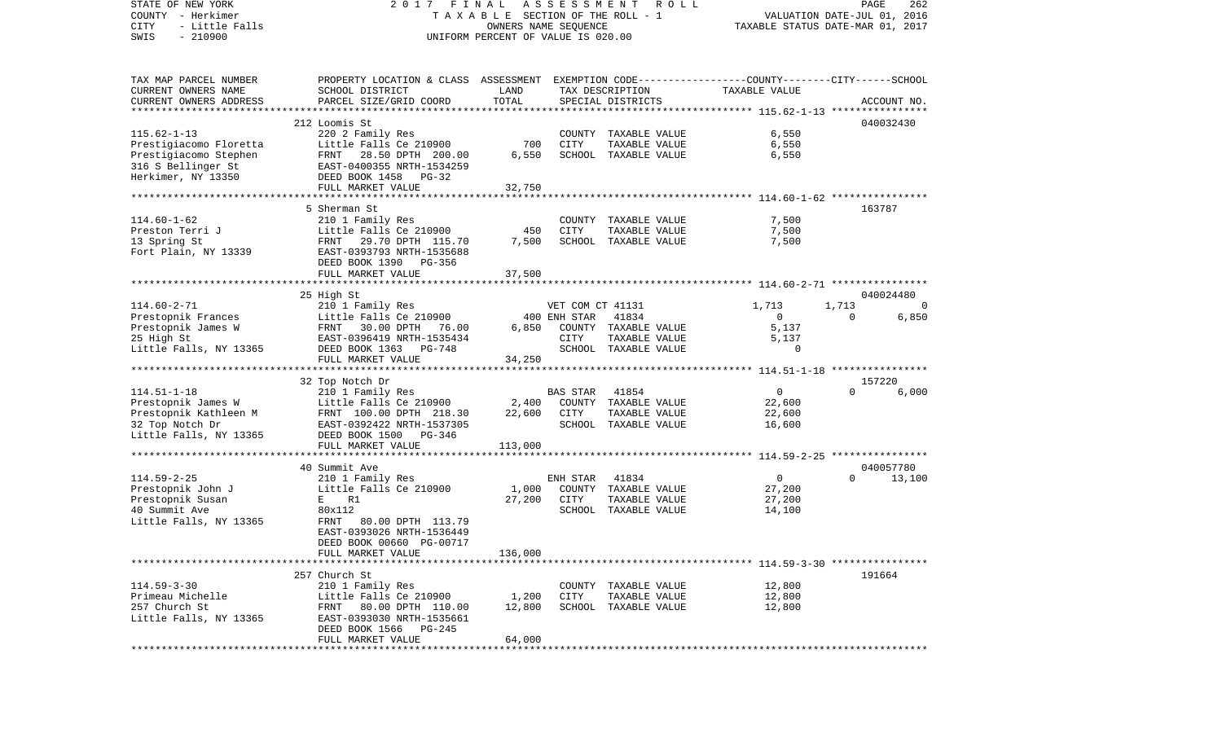| STATE OF NEW YORK<br>COUNTY - Herkimer<br>CITY<br>- Little Falls | 2017<br>FINAL<br>TAXABLE SECTION OF THE ROLL - 1                                               | <b>ROLL</b><br>PAGE<br>262<br>VALUATION DATE-JUL 01, 2016<br>TAXABLE STATUS DATE-MAR 01, 2017 |                  |                                       |                   |          |                     |
|------------------------------------------------------------------|------------------------------------------------------------------------------------------------|-----------------------------------------------------------------------------------------------|------------------|---------------------------------------|-------------------|----------|---------------------|
| $-210900$<br>SWIS                                                |                                                                                                | OWNERS NAME SEQUENCE<br>UNIFORM PERCENT OF VALUE IS 020.00                                    |                  |                                       |                   |          |                     |
| TAX MAP PARCEL NUMBER                                            | PROPERTY LOCATION & CLASS ASSESSMENT EXEMPTION CODE---------------COUNTY-------CITY-----SCHOOL |                                                                                               |                  |                                       |                   |          |                     |
| CURRENT OWNERS NAME                                              | SCHOOL DISTRICT                                                                                | LAND                                                                                          |                  | TAX DESCRIPTION                       | TAXABLE VALUE     |          |                     |
| CURRENT OWNERS ADDRESS<br>**************************             | PARCEL SIZE/GRID COORD                                                                         | TOTAL                                                                                         |                  | SPECIAL DISTRICTS                     |                   |          | ACCOUNT NO.         |
|                                                                  | 212 Loomis St                                                                                  |                                                                                               |                  |                                       |                   |          | 040032430           |
| $115.62 - 1 - 13$                                                | 220 2 Family Res                                                                               |                                                                                               |                  | COUNTY TAXABLE VALUE                  | 6,550             |          |                     |
| Prestigiacomo Floretta                                           | Little Falls Ce 210900                                                                         | 700                                                                                           | CITY             | TAXABLE VALUE                         | 6,550             |          |                     |
| Prestigiacomo Stephen                                            | FRNT<br>28.50 DPTH 200.00                                                                      | 6,550                                                                                         |                  | SCHOOL TAXABLE VALUE                  | 6,550             |          |                     |
| 316 S Bellinger St                                               | EAST-0400355 NRTH-1534259                                                                      |                                                                                               |                  |                                       |                   |          |                     |
| Herkimer, NY 13350                                               | DEED BOOK 1458<br>PG-32                                                                        |                                                                                               |                  |                                       |                   |          |                     |
|                                                                  | FULL MARKET VALUE                                                                              | 32,750                                                                                        |                  |                                       |                   |          |                     |
|                                                                  |                                                                                                |                                                                                               |                  |                                       |                   |          |                     |
|                                                                  | 5 Sherman St                                                                                   |                                                                                               |                  |                                       |                   |          | 163787              |
| $114.60 - 1 - 62$                                                | 210 1 Family Res                                                                               |                                                                                               |                  | COUNTY TAXABLE VALUE                  | 7,500             |          |                     |
| Preston Terri J                                                  | Little Falls Ce 210900                                                                         | 450                                                                                           | CITY             | TAXABLE VALUE                         | 7,500             |          |                     |
| 13 Spring St<br>Fort Plain, NY 13339                             | FRNT 29.70 DPTH 115.70<br>EAST-0393793 NRTH-1535688                                            | 7,500                                                                                         |                  | SCHOOL TAXABLE VALUE                  | 7,500             |          |                     |
|                                                                  | DEED BOOK 1390<br>PG-356                                                                       |                                                                                               |                  |                                       |                   |          |                     |
|                                                                  | FULL MARKET VALUE                                                                              | 37,500                                                                                        |                  |                                       |                   |          |                     |
|                                                                  |                                                                                                |                                                                                               |                  |                                       |                   |          |                     |
|                                                                  | 25 High St                                                                                     |                                                                                               |                  |                                       |                   |          | 040024480           |
| $114.60 - 2 - 71$                                                | 210 1 Family Res                                                                               |                                                                                               | VET COM CT 41131 |                                       | 1,713             | 1,713    | $\Omega$            |
| Prestopnik Frances                                               | Little Falls Ce 210900                                                                         |                                                                                               | 400 ENH STAR     | 41834                                 | $\overline{0}$    | $\Omega$ | 6,850               |
| Prestopnik James W                                               | FRNT 30.00 DPTH 76.00                                                                          | 6.850                                                                                         |                  | COUNTY TAXABLE VALUE                  | 5,137             |          |                     |
| 25 High St                                                       | EAST-0396419 NRTH-1535434                                                                      |                                                                                               | CITY             | TAXABLE VALUE                         | 5,137<br>$\Omega$ |          |                     |
| Little Falls, NY 13365                                           | DEED BOOK 1363<br>PG-748<br>FULL MARKET VALUE                                                  | 34,250                                                                                        |                  | SCHOOL TAXABLE VALUE                  |                   |          |                     |
|                                                                  |                                                                                                |                                                                                               |                  |                                       |                   |          |                     |
|                                                                  | 32 Top Notch Dr                                                                                |                                                                                               |                  |                                       |                   |          | 157220              |
| $114.51 - 1 - 18$                                                | 210 1 Family Res                                                                               |                                                                                               | BAS STAR         | 41854                                 | $\overline{0}$    | $\Omega$ | 6,000               |
| Prestopnik James W                                               | Little Falls Ce 210900                                                                         | 2,400                                                                                         |                  | COUNTY TAXABLE VALUE                  | 22,600            |          |                     |
| Prestopnik Kathleen M                                            | FRNT 100.00 DPTH 218.30                                                                        | 22,600                                                                                        | CITY             | TAXABLE VALUE                         | 22,600            |          |                     |
| 32 Top Notch Dr                                                  | EAST-0392422 NRTH-1537305                                                                      |                                                                                               |                  | SCHOOL TAXABLE VALUE                  | 16,600            |          |                     |
| Little Falls, NY 13365                                           | DEED BOOK 1500<br>PG-346                                                                       |                                                                                               |                  |                                       |                   |          |                     |
|                                                                  | FULL MARKET VALUE                                                                              | 113,000                                                                                       |                  |                                       |                   |          |                     |
|                                                                  |                                                                                                |                                                                                               |                  |                                       |                   |          |                     |
| $114.59 - 2 - 25$                                                | 40 Summit Ave                                                                                  |                                                                                               |                  | 41834                                 | $\overline{0}$    | $\Omega$ | 040057780<br>13,100 |
| Prestopnik John J                                                | 210 1 Family Res<br>Little Falls Ce 210900                                                     | 1,000                                                                                         | ENH STAR         | COUNTY TAXABLE VALUE                  | 27,200            |          |                     |
| Prestopnik Susan                                                 | E R1                                                                                           | 27,200                                                                                        | CITY             | TAXABLE VALUE                         | 27,200            |          |                     |
| 40 Summit Ave                                                    | 80x112                                                                                         |                                                                                               |                  | SCHOOL TAXABLE VALUE                  | 14,100            |          |                     |
| Little Falls, NY 13365                                           | FRNT<br>80.00 DPTH 113.79                                                                      |                                                                                               |                  |                                       |                   |          |                     |
|                                                                  | EAST-0393026 NRTH-1536449                                                                      |                                                                                               |                  |                                       |                   |          |                     |
|                                                                  | DEED BOOK 00660 PG-00717                                                                       |                                                                                               |                  |                                       |                   |          |                     |
|                                                                  | FULL MARKET VALUE                                                                              | 136,000                                                                                       |                  |                                       |                   |          |                     |
|                                                                  |                                                                                                |                                                                                               |                  |                                       |                   |          |                     |
|                                                                  | 257 Church St                                                                                  |                                                                                               |                  |                                       |                   |          | 191664              |
| $114.59 - 3 - 30$<br>Primeau Michelle                            | 210 1 Family Res<br>Little Falls Ce 210900                                                     |                                                                                               |                  | COUNTY TAXABLE VALUE                  | 12,800            |          |                     |
| 257 Church St                                                    | 80.00 DPTH 110.00<br>FRNT                                                                      | 1,200<br>12,800                                                                               | CITY             | TAXABLE VALUE<br>SCHOOL TAXABLE VALUE | 12,800<br>12,800  |          |                     |
| Little Falls, NY 13365                                           | EAST-0393030 NRTH-1535661                                                                      |                                                                                               |                  |                                       |                   |          |                     |
|                                                                  | DEED BOOK 1566<br>PG-245                                                                       |                                                                                               |                  |                                       |                   |          |                     |
|                                                                  | FULL MARKET VALUE                                                                              | 64,000                                                                                        |                  |                                       |                   |          |                     |
| ************                                                     |                                                                                                |                                                                                               |                  |                                       |                   |          |                     |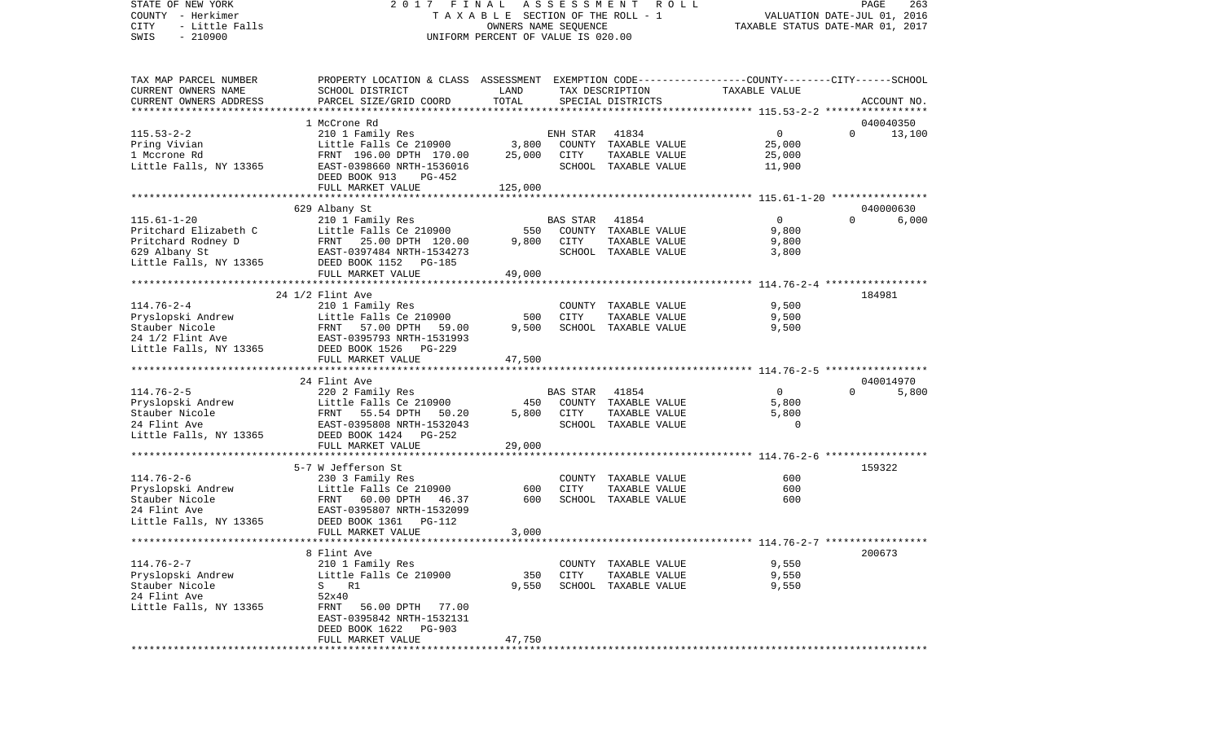STATE OF NEW YORK 2 0 1 7 F I N A L A S S E S S M E N T R O L L PAGE 263COUNTY - Herkimer **T A X A B L E** SECTION OF THE ROLL - 1 VALUATION DATE-JUL 01, 2016 CITY - Little Falls OWNERS NAME SEQUENCE TAXABLE STATUS DATE-MAR 01, 2017 SWIS - 210900 UNIFORM PERCENT OF VALUE IS 020.00TAX MAP PARCEL NUMBER PROPERTY LOCATION & CLASS ASSESSMENT EXEMPTION CODE------------------COUNTY--------CITY------SCHOOL CURRENT OWNERS NAME SCHOOL DISTRICT LAND TAX DESCRIPTION TAXABLE VALUECURRENT OWNERS ADDRESS PARCEL SIZE/GRID COORD TOTAL SPECIAL DISTRICTS ACCOUNT NO. \*\*\*\*\*\*\*\*\*\*\*\*\*\*\*\*\*\*\*\*\*\*\*\*\*\*\*\*\*\*\*\*\*\*\*\*\*\*\*\*\*\*\*\*\*\*\*\*\*\*\*\*\*\*\*\*\*\*\*\*\*\*\*\*\*\*\*\*\*\*\*\*\*\*\*\*\*\*\*\*\*\*\*\*\*\*\*\*\*\*\*\*\*\*\*\*\*\*\*\*\*\*\* 115.53-2-2 \*\*\*\*\*\*\*\*\*\*\*\*\*\*\*\*\* 1 McCrone Rd 04004035013,100 115.53-2-2 210 1 Family Res ENH STAR 41834 0 0 0 Pring Vivian and Little Falls Ce 210900 3,800 COUNTY TAXABLE VALUE 25,000 1 Mccrone Rd FRNT 196.00 DPTH 170.00 25,000 CITY TAXABLE VALUE 25,000 Little Falls, NY 13365 68 EAST-0398660 NRTH-1536016 68 SCHOOL TAXABLE VALUE 11,900 DEED BOOK 913 PG-452FULL MARKET VALUE 125,000 \*\*\*\*\*\*\*\*\*\*\*\*\*\*\*\*\*\*\*\*\*\*\*\*\*\*\*\*\*\*\*\*\*\*\*\*\*\*\*\*\*\*\*\*\*\*\*\*\*\*\*\*\*\*\*\*\*\*\*\*\*\*\*\*\*\*\*\*\*\*\*\*\*\*\*\*\*\*\*\*\*\*\*\*\*\*\*\*\*\*\*\*\*\*\*\*\*\*\*\*\*\*\* 115.61-1-20 \*\*\*\*\*\*\*\*\*\*\*\*\*\*\*\* 629 Albany St 040000630 115.61-1-20 210 1 Family Res BAS STAR 41854 0 0 6,000 Pritchard Elizabeth C Little Falls Ce 210900 550 COUNTY TAXABLE VALUE 9,800 Pritchard Rodney D FRNT 25.00 DPTH 120.00 9,800 CITY TAXABLE VALUE 9,800 629 Albany St EAST-0397484 NRTH-1534273 SCHOOL TAXABLE VALUE 3,800 Little Falls, NY 13365 DEED BOOK 1152 PG-185 FULL MARKET VALUE 49,000 \*\*\*\*\*\*\*\*\*\*\*\*\*\*\*\*\*\*\*\*\*\*\*\*\*\*\*\*\*\*\*\*\*\*\*\*\*\*\*\*\*\*\*\*\*\*\*\*\*\*\*\*\*\*\*\*\*\*\*\*\*\*\*\*\*\*\*\*\*\*\*\*\*\*\*\*\*\*\*\*\*\*\*\*\*\*\*\*\*\*\*\*\*\*\*\*\*\*\*\*\*\*\* 114.76-2-4 \*\*\*\*\*\*\*\*\*\*\*\*\*\*\*\*\*24 1/2 Flint Ave 184981 114.76-2-4 210 1 Family Res COUNTY TAXABLE VALUE 9,500 Pryslopski Andrew Little Falls Ce 210900 500 CITY TAXABLE VALUE 9,500 Stauber Nicole FRNT 57.00 DPTH 59.00 9,500 SCHOOL TAXABLE VALUE 9,500 24 1/2 Flint Ave EAST-0395793 NRTH-1531993 Little Falls, NY 13365 DEED BOOK 1526 PG-229 FULL MARKET VALUE 47,500 \*\*\*\*\*\*\*\*\*\*\*\*\*\*\*\*\*\*\*\*\*\*\*\*\*\*\*\*\*\*\*\*\*\*\*\*\*\*\*\*\*\*\*\*\*\*\*\*\*\*\*\*\*\*\*\*\*\*\*\*\*\*\*\*\*\*\*\*\*\*\*\*\*\*\*\*\*\*\*\*\*\*\*\*\*\*\*\*\*\*\*\*\*\*\*\*\*\*\*\*\*\*\* 114.76-2-5 \*\*\*\*\*\*\*\*\*\*\*\*\*\*\*\*\* 24 Flint Ave 0400149705,800 114.76-2-5 220 2 Family Res BAS STAR 41854 0 0 0 Pryslopski Andrew Little Falls Ce 210900 450 COUNTY TAXABLE VALUE 5,800 Stauber Nicole FRNT 55.54 DPTH 50.20 5,800 CITY TAXABLE VALUE 5,800 24 Flint Ave EAST-0395808 NRTH-1532043 SCHOOL TAXABLE VALUE 0Little Falls, NY 13365 DEED BOOK 1424 PG-252 FULL MARKET VALUE 29,000 \*\*\*\*\*\*\*\*\*\*\*\*\*\*\*\*\*\*\*\*\*\*\*\*\*\*\*\*\*\*\*\*\*\*\*\*\*\*\*\*\*\*\*\*\*\*\*\*\*\*\*\*\*\*\*\*\*\*\*\*\*\*\*\*\*\*\*\*\*\*\*\*\*\*\*\*\*\*\*\*\*\*\*\*\*\*\*\*\*\*\*\*\*\*\*\*\*\*\*\*\*\*\* 114.76-2-6 \*\*\*\*\*\*\*\*\*\*\*\*\*\*\*\*\* 5-7 W Jefferson St 159322114.76-2-6 230 3 Family Res COUNTY TAXABLE VALUE 600 Pryslopski Andrew Little Falls Ce 210900 600 CITY TAXABLE VALUE 600 Stauber Nicole FRNT 60.00 DPTH 46.37 600 SCHOOL TAXABLE VALUE 60024 Flint Ave EAST-0395807 NRTH-1532099Little Falls, NY 13365 DEED BOOK 1361 PG-112 FULL MARKET VALUE 3,000 \*\*\*\*\*\*\*\*\*\*\*\*\*\*\*\*\*\*\*\*\*\*\*\*\*\*\*\*\*\*\*\*\*\*\*\*\*\*\*\*\*\*\*\*\*\*\*\*\*\*\*\*\*\*\*\*\*\*\*\*\*\*\*\*\*\*\*\*\*\*\*\*\*\*\*\*\*\*\*\*\*\*\*\*\*\*\*\*\*\*\*\*\*\*\*\*\*\*\*\*\*\*\* 114.76-2-7 \*\*\*\*\*\*\*\*\*\*\*\*\*\*\*\*\* 8 Flint Ave 200673114.76-2-7 210 1 Family Res COUNTY TAXABLE VALUE 9,550 Principal Andrew Little Falls Ce 210900 350 CITY<br>S R1 9,550 SCHOC Stauber Nicole S R1 9,550 SCHOOL TAXABLE VALUE 9,550  $24$  Flint Ave  $52x40$ Little Falls, NY 13365 FRNT 56.00 DPTH 77.00 EAST-0395842 NRTH-1532131 DEED BOOK 1622 PG-903 FULL MARKET VALUE 47.750

\*\*\*\*\*\*\*\*\*\*\*\*\*\*\*\*\*\*\*\*\*\*\*\*\*\*\*\*\*\*\*\*\*\*\*\*\*\*\*\*\*\*\*\*\*\*\*\*\*\*\*\*\*\*\*\*\*\*\*\*\*\*\*\*\*\*\*\*\*\*\*\*\*\*\*\*\*\*\*\*\*\*\*\*\*\*\*\*\*\*\*\*\*\*\*\*\*\*\*\*\*\*\*\*\*\*\*\*\*\*\*\*\*\*\*\*\*\*\*\*\*\*\*\*\*\*\*\*\*\*\*\*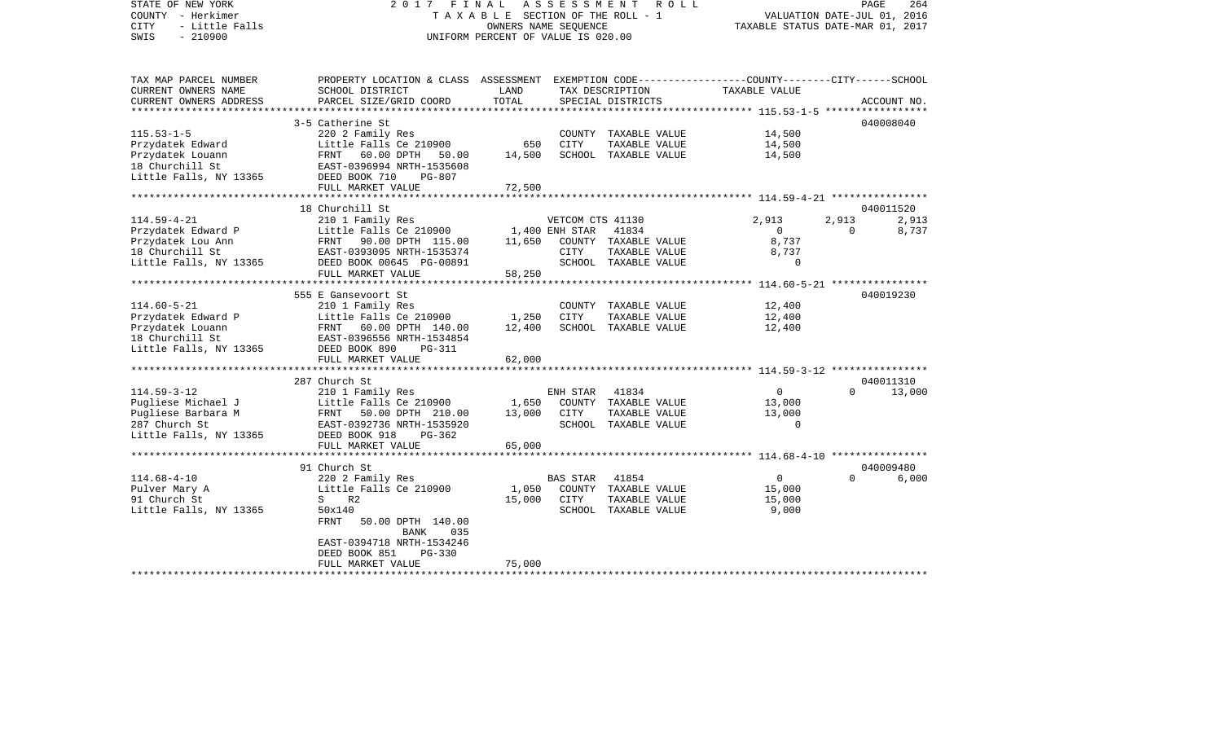STATE OF NEW YORK 2 0 1 7 F I N A L A S S E S S M E N T R O L L PAGE 264COUNTY - Herkimer T A X A B L E SECTION OF THE ROLL - 1 VALUATION DATE-JUL 01, 2016 CITY - Little Falls OWNERS NAME SEQUENCE TAXABLE STATUS DATE-MAR 01, 2017 SWIS - 210900 UNIFORM PERCENT OF VALUE IS 020.00TAX MAP PARCEL NUMBER PROPERTY LOCATION & CLASS ASSESSMENT EXEMPTION CODE------------------COUNTY--------CITY------SCHOOL CURRENT OWNERS NAME SCHOOL DISTRICT LAND TAX DESCRIPTION TAXABLE VALUECURRENT OWNERS ADDRESS PARCEL SIZE/GRID COORD TOTAL SPECIAL DISTRICTS ACCOUNT NO. \*\*\*\*\*\*\*\*\*\*\*\*\*\*\*\*\*\*\*\*\*\*\*\*\*\*\*\*\*\*\*\*\*\*\*\*\*\*\*\*\*\*\*\*\*\*\*\*\*\*\*\*\*\*\*\*\*\*\*\*\*\*\*\*\*\*\*\*\*\*\*\*\*\*\*\*\*\*\*\*\*\*\*\*\*\*\*\*\*\*\*\*\*\*\*\*\*\*\*\*\*\*\* 115.53-1-5 \*\*\*\*\*\*\*\*\*\*\*\*\*\*\*\*\*3-5 Catherine St 040008040 115.53-1-5 220 2 Family Res COUNTY TAXABLE VALUE 14,500 Przydatek Edward Little Falls Ce 210900 650 CITY TAXABLE VALUE 14,500 Przydatek Louann FRNT 60.00 DPTH 50.00 14,500 SCHOOL TAXABLE VALUE 14,500 18 Churchill St EAST-0396994 NRTH-1535608Little Falls, NY 13365 DEED BOOK 710 PG-807 FULL MARKET VALUE 72,500 \*\*\*\*\*\*\*\*\*\*\*\*\*\*\*\*\*\*\*\*\*\*\*\*\*\*\*\*\*\*\*\*\*\*\*\*\*\*\*\*\*\*\*\*\*\*\*\*\*\*\*\*\*\*\*\*\*\*\*\*\*\*\*\*\*\*\*\*\*\*\*\*\*\*\*\*\*\*\*\*\*\*\*\*\*\*\*\*\*\*\*\*\*\*\*\*\*\*\*\*\*\*\* 114.59-4-21 \*\*\*\*\*\*\*\*\*\*\*\*\*\*\*\* 18 Churchill St 040011520114.59-4-21 210 1 Family Res VETCOM CTS 41130 2,913 2,913 2,913 Przydatek Edward P Little Falls Ce 210900 1,400 ENH STAR 41834 0 0 0 0 Przydatek Lou Ann FRNT 90.00 DPTH 115.00 11,650 COUNTY TAXABLE VALUE 8,737 18 Churchill St EAST-0393095 NRTH-1535374 CITY TAXABLE VALUE 8,737 Little Falls, NY 13365 DEED BOOK 00645 PG-00891 SCHOOL TAXABLE VALUE 0 FULL MARKET VALUE 58,250 \*\*\*\*\*\*\*\*\*\*\*\*\*\*\*\*\*\*\*\*\*\*\*\*\*\*\*\*\*\*\*\*\*\*\*\*\*\*\*\*\*\*\*\*\*\*\*\*\*\*\*\*\*\*\*\*\*\*\*\*\*\*\*\*\*\*\*\*\*\*\*\*\*\*\*\*\*\*\*\*\*\*\*\*\*\*\*\*\*\*\*\*\*\*\*\*\*\*\*\*\*\*\* 114.60-5-21 \*\*\*\*\*\*\*\*\*\*\*\*\*\*\*\* 555 E Gansevoort St 040019230114.60-5-21 210 1 Family Res COUNTY TAXABLE VALUE 12,400 Przydatek Edward P Little Falls Ce 210900 1,250 CITY TAXABLE VALUE 12,400 Przydatek Louann FRNT 60.00 DPTH 140.00 12,400 SCHOOL TAXABLE VALUE 12,400 18 Churchill St EAST-0396556 NRTH-1534854Little Falls, NY 13365 DEED BOOK 890 PG-311 FULL MARKET VALUE 62,000 \*\*\*\*\*\*\*\*\*\*\*\*\*\*\*\*\*\*\*\*\*\*\*\*\*\*\*\*\*\*\*\*\*\*\*\*\*\*\*\*\*\*\*\*\*\*\*\*\*\*\*\*\*\*\*\*\*\*\*\*\*\*\*\*\*\*\*\*\*\*\*\*\*\*\*\*\*\*\*\*\*\*\*\*\*\*\*\*\*\*\*\*\*\*\*\*\*\*\*\*\*\*\* 114.59-3-12 \*\*\*\*\*\*\*\*\*\*\*\*\*\*\*\* 287 Church St 040011310114.59-3-12 210 1 Family Res ENH STAR 41834 0 0 13,000 Pugliese Michael J **Little Falls Ce 210900** 1,650 COUNTY TAXABLE VALUE 13,000 Pugliese Barbara M FRNT 50.00 DPTH 210.00 13,000 CITY TAXABLE VALUE 13,000 287 Church St EAST-0392736 NRTH-1535920 SCHOOL TAXABLE VALUE 0Little Falls, NY 13365 DEED BOOK 918 PG-362 FULL MARKET VALUE 65,000 \*\*\*\*\*\*\*\*\*\*\*\*\*\*\*\*\*\*\*\*\*\*\*\*\*\*\*\*\*\*\*\*\*\*\*\*\*\*\*\*\*\*\*\*\*\*\*\*\*\*\*\*\*\*\*\*\*\*\*\*\*\*\*\*\*\*\*\*\*\*\*\*\*\*\*\*\*\*\*\*\*\*\*\*\*\*\*\*\*\*\*\*\*\*\*\*\*\*\*\*\*\*\* 114.68-4-10 \*\*\*\*\*\*\*\*\*\*\*\*\*\*\*\* 91 Church St 040009480114.68-4-10 220 2 Family Res BAS STAR 41854 0 0 6,000 Pulver Mary A **Example 2111 CE 210900** 1,050 COUNTY TAXABLE VALUE 15,000 91 Church St S R2 S R2 15,000 CITY TAXABLE VALUE 15,000 Little Falls, NY 13365 50x140 50x140 SCHOOL TAXABLE VALUE 9,000 FRNT 50.00 DPTH 140.00 BANK 035 EAST-0394718 NRTH-1534246 DEED BOOK 851 PG-330FULL MARKET VALUE 75,000 \*\*\*\*\*\*\*\*\*\*\*\*\*\*\*\*\*\*\*\*\*\*\*\*\*\*\*\*\*\*\*\*\*\*\*\*\*\*\*\*\*\*\*\*\*\*\*\*\*\*\*\*\*\*\*\*\*\*\*\*\*\*\*\*\*\*\*\*\*\*\*\*\*\*\*\*\*\*\*\*\*\*\*\*\*\*\*\*\*\*\*\*\*\*\*\*\*\*\*\*\*\*\*\*\*\*\*\*\*\*\*\*\*\*\*\*\*\*\*\*\*\*\*\*\*\*\*\*\*\*\*\*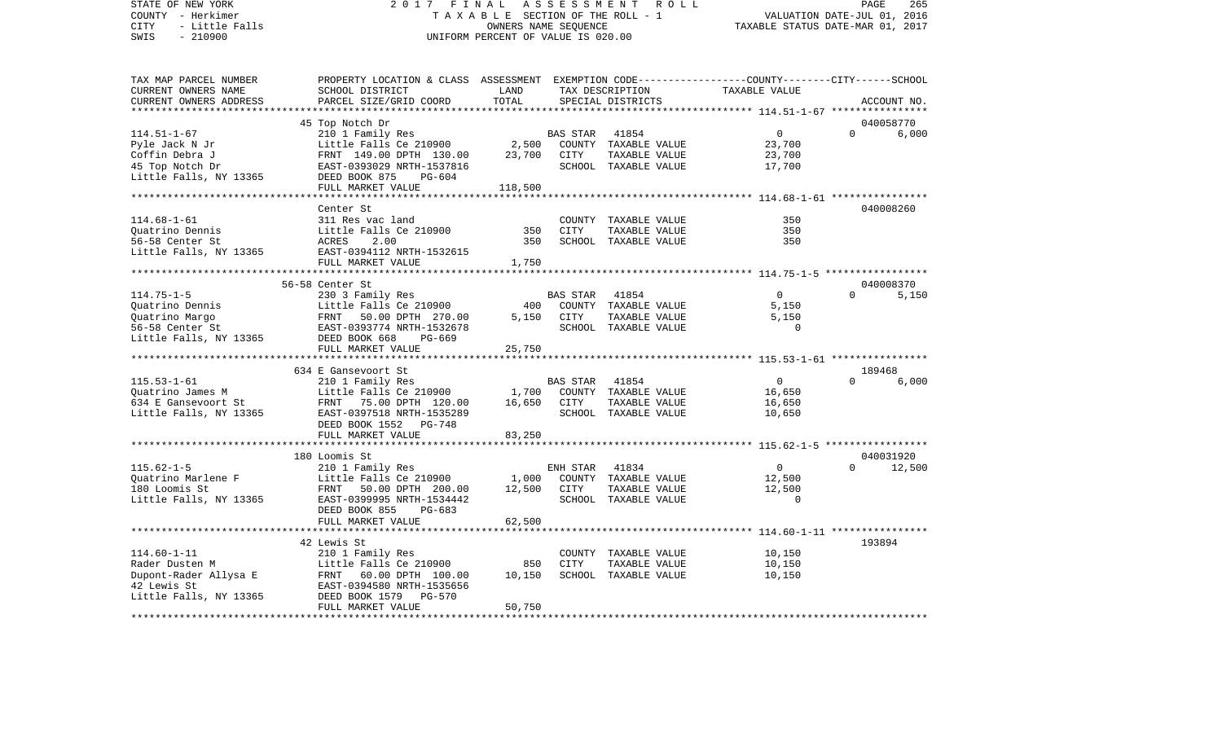STATE OF NEW YORK 2 0 1 7 F I N A L A S S E S S M E N T R O L L PAGE 265COUNTY - Herkimer **T A X A B L E** SECTION OF THE ROLL - 1 VALUATION DATE-JUL 01, 2016 CITY - Little Falls OWNERS NAME SEQUENCE TAXABLE STATUS DATE-MAR 01, 2017 SWIS - 210900 UNIFORM PERCENT OF VALUE IS 020.00TAX MAP PARCEL NUMBER PROPERTY LOCATION & CLASS ASSESSMENT EXEMPTION CODE------------------COUNTY--------CITY------SCHOOL CURRENT OWNERS NAME SCHOOL DISTRICT LAND TAX DESCRIPTION TAXABLE VALUECURRENT OWNERS ADDRESS PARCEL SIZE/GRID COORD TOTAL SPECIAL DISTRICTS ACCOUNT NO. \*\*\*\*\*\*\*\*\*\*\*\*\*\*\*\*\*\*\*\*\*\*\*\*\*\*\*\*\*\*\*\*\*\*\*\*\*\*\*\*\*\*\*\*\*\*\*\*\*\*\*\*\*\*\*\*\*\*\*\*\*\*\*\*\*\*\*\*\*\*\*\*\*\*\*\*\*\*\*\*\*\*\*\*\*\*\*\*\*\*\*\*\*\*\*\*\*\*\*\*\*\*\* 114.51-1-67 \*\*\*\*\*\*\*\*\*\*\*\*\*\*\*\* 45 Top Notch Dr 040058770 114.51-1-67 210 1 Family Res BAS STAR 41854 0 0 6,000 Pyle Jack N Jr Little Falls Ce 210900 2,500 COUNTY TAXABLE VALUE 23,700 Coffin Debra J **FRNT 149.00 DPTH 130.00** 23,700 CITY TAXABLE VALUE 23,700 45 Top Notch Dr EAST-0393029 NRTH-1537816 SCHOOL TAXABLE VALUE 17,700 Little Falls, NY 13365 DEED BOOK 875 PG-604 FULL MARKET VALUE 118,500 \*\*\*\*\*\*\*\*\*\*\*\*\*\*\*\*\*\*\*\*\*\*\*\*\*\*\*\*\*\*\*\*\*\*\*\*\*\*\*\*\*\*\*\*\*\*\*\*\*\*\*\*\*\*\*\*\*\*\*\*\*\*\*\*\*\*\*\*\*\*\*\*\*\*\*\*\*\*\*\*\*\*\*\*\*\*\*\*\*\*\*\*\*\*\*\*\*\*\*\*\*\*\* 114.68-1-61 \*\*\*\*\*\*\*\*\*\*\*\*\*\*\*\* Center St 040008260114.68-1-61 311 Res vac land COUNTY TAXABLE VALUE 350350 Quatrino Dennis Little Falls Ce 210900 350 CITY TAXABLE VALUE 350 56-58 Center St ACRES 2.00 350 SCHOOL TAXABLE VALUE 350Little Falls, NY 13365 EAST-0394112 NRTH-1532615 FULL MARKET VALUE 1,750 \*\*\*\*\*\*\*\*\*\*\*\*\*\*\*\*\*\*\*\*\*\*\*\*\*\*\*\*\*\*\*\*\*\*\*\*\*\*\*\*\*\*\*\*\*\*\*\*\*\*\*\*\*\*\*\*\*\*\*\*\*\*\*\*\*\*\*\*\*\*\*\*\*\*\*\*\*\*\*\*\*\*\*\*\*\*\*\*\*\*\*\*\*\*\*\*\*\*\*\*\*\*\* 114.75-1-5 \*\*\*\*\*\*\*\*\*\*\*\*\*\*\*\*\* 56-58 Center St 040008370114.75-1-5 230 3 Family Res BAS STAR 41854 0 0 5,150 Ouatrino Dennis Little Falls Ce 210900 400 COUNTY TAXABLE VALUE Quatrino Margo FRNT 50.00 DPTH 270.00 5,150 CITY TAXABLE VALUE 5,150 56-58 Center St EAST-0393774 NRTH-1532678 SCHOOL TAXABLE VALUE 0Little Falls, NY 13365 DEED BOOK 668 PG-669 FULL MARKET VALUE 25,750 \*\*\*\*\*\*\*\*\*\*\*\*\*\*\*\*\*\*\*\*\*\*\*\*\*\*\*\*\*\*\*\*\*\*\*\*\*\*\*\*\*\*\*\*\*\*\*\*\*\*\*\*\*\*\*\*\*\*\*\*\*\*\*\*\*\*\*\*\*\*\*\*\*\*\*\*\*\*\*\*\*\*\*\*\*\*\*\*\*\*\*\*\*\*\*\*\*\*\*\*\*\*\* 115.53-1-61 \*\*\*\*\*\*\*\*\*\*\*\*\*\*\*\* 634 E Gansevoort St 189468115.53-1-61 210 1 Family Res BAS STAR 41854 0 0 6,000 Quatrino James M Little Falls Ce 210900 1,700 COUNTY TAXABLE VALUE 16,650 634 E Gansevoort St FRNT 75.00 DPTH 120.00 16,650 CITY TAXABLE VALUE 16,650 Little Falls, NY 13365 EAST-0397518 NRTH-1535289 SCHOOL TAXABLE VALUE 10,650 DEED BOOK 1552 PG-748FULL MARKET VALUE 83,250 \*\*\*\*\*\*\*\*\*\*\*\*\*\*\*\*\*\*\*\*\*\*\*\*\*\*\*\*\*\*\*\*\*\*\*\*\*\*\*\*\*\*\*\*\*\*\*\*\*\*\*\*\*\*\*\*\*\*\*\*\*\*\*\*\*\*\*\*\*\*\*\*\*\*\*\*\*\*\*\*\*\*\*\*\*\*\*\*\*\*\*\*\*\*\*\*\*\*\*\*\*\*\* 115.62-1-5 \*\*\*\*\*\*\*\*\*\*\*\*\*\*\*\*\* 180 Loomis St 040031920115.62-1-5 210 1 Family Res ENH STAR 41834 0 0 12,500 Quatrino Marlene F Little Falls Ce 210900 1,000 COUNTY TAXABLE VALUE 12,500 180 Loomis St FRNT 50.00 DPTH 200.00 12,500 CITY TAXABLE VALUE 12,500 Little Falls, NY 13365 EAST-0399995 NRTH-1534442 SCHOOL TAXABLE VALUE 0 DEED BOOK 855 PG-683FULL MARKET VALUE 62,500 \*\*\*\*\*\*\*\*\*\*\*\*\*\*\*\*\*\*\*\*\*\*\*\*\*\*\*\*\*\*\*\*\*\*\*\*\*\*\*\*\*\*\*\*\*\*\*\*\*\*\*\*\*\*\*\*\*\*\*\*\*\*\*\*\*\*\*\*\*\*\*\*\*\*\*\*\*\*\*\*\*\*\*\*\*\*\*\*\*\*\*\*\*\*\*\*\*\*\*\*\*\*\* 114.60-1-11 \*\*\*\*\*\*\*\*\*\*\*\*\*\*\*\* 42 Lewis St 193894114.60-1-11 210 1 Family Res COUNTY TAXABLE VALUE 10,150 Rader Dusten M **Little Falls Ce 210900** 850 CITY TAXABLE VALUE 10,150 Dupont-Rader Allysa E FRNT 60.00 DPTH 100.00 10,150 SCHOOL TAXABLE VALUE 10,150 42 Lewis St EAST-0394580 NRTH-1535656Little Falls, NY 13365 DEED BOOK 1579 PG-570 FULL MARKET VALUE 50,750 \*\*\*\*\*\*\*\*\*\*\*\*\*\*\*\*\*\*\*\*\*\*\*\*\*\*\*\*\*\*\*\*\*\*\*\*\*\*\*\*\*\*\*\*\*\*\*\*\*\*\*\*\*\*\*\*\*\*\*\*\*\*\*\*\*\*\*\*\*\*\*\*\*\*\*\*\*\*\*\*\*\*\*\*\*\*\*\*\*\*\*\*\*\*\*\*\*\*\*\*\*\*\*\*\*\*\*\*\*\*\*\*\*\*\*\*\*\*\*\*\*\*\*\*\*\*\*\*\*\*\*\*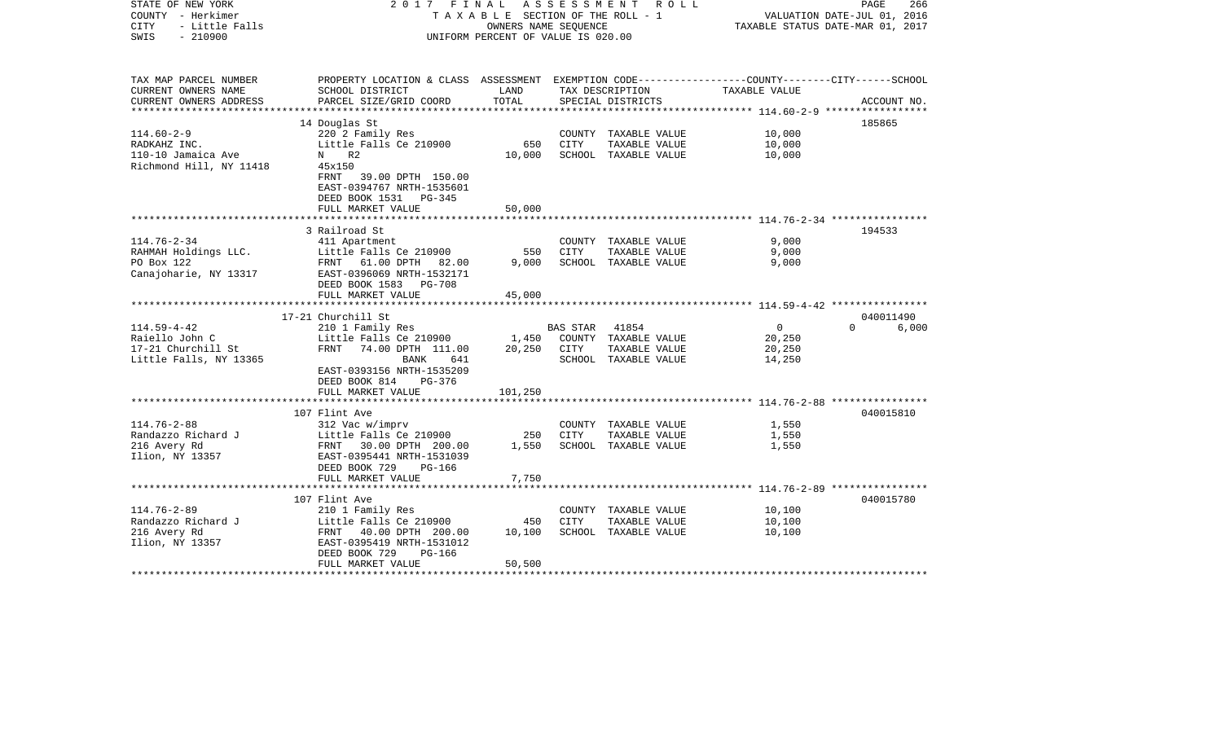| STATE OF NEW YORK<br>COUNTY - Herkimer<br>- Little Falls<br><b>CITY</b><br>$-210900$<br>SWIS | 2017 FINAL<br>TAXABLE SECTION OF THE ROLL - 1<br>UNIFORM PERCENT OF VALUE IS 020.00                                 | A S S E S S M E N T R O L L<br>PAGE<br>266<br>VALUATION DATE-JUL 01, 2016<br>TAXABLE STATUS DATE-MAR 01, 2017 |             |                      |               |                   |
|----------------------------------------------------------------------------------------------|---------------------------------------------------------------------------------------------------------------------|---------------------------------------------------------------------------------------------------------------|-------------|----------------------|---------------|-------------------|
|                                                                                              |                                                                                                                     |                                                                                                               |             |                      |               |                   |
| TAX MAP PARCEL NUMBER<br>CURRENT OWNERS NAME                                                 | PROPERTY LOCATION & CLASS ASSESSMENT EXEMPTION CODE----------------COUNTY-------CITY------SCHOOL<br>SCHOOL DISTRICT | LAND                                                                                                          |             | TAX DESCRIPTION      | TAXABLE VALUE |                   |
| CURRENT OWNERS ADDRESS                                                                       | PARCEL SIZE/GRID COORD                                                                                              | TOTAL                                                                                                         |             | SPECIAL DISTRICTS    |               | ACCOUNT NO.       |
|                                                                                              |                                                                                                                     |                                                                                                               |             |                      |               |                   |
|                                                                                              | 14 Douglas St                                                                                                       |                                                                                                               |             |                      |               | 185865            |
| $114.60 - 2 - 9$                                                                             | 220 2 Family Res                                                                                                    |                                                                                                               |             | COUNTY TAXABLE VALUE | 10,000        |                   |
| RADKAHZ INC.                                                                                 | Little Falls Ce 210900                                                                                              | 650                                                                                                           | CITY        | TAXABLE VALUE        | 10,000        |                   |
| 110-10 Jamaica Ave                                                                           | N R2                                                                                                                | 10,000                                                                                                        |             | SCHOOL TAXABLE VALUE | 10,000        |                   |
| Richmond Hill, NY 11418                                                                      | 45x150                                                                                                              |                                                                                                               |             |                      |               |                   |
|                                                                                              | FRNT<br>39.00 DPTH 150.00<br>EAST-0394767 NRTH-1535601                                                              |                                                                                                               |             |                      |               |                   |
|                                                                                              | DEED BOOK 1531 PG-345                                                                                               |                                                                                                               |             |                      |               |                   |
|                                                                                              | FULL MARKET VALUE                                                                                                   | 50,000                                                                                                        |             |                      |               |                   |
|                                                                                              |                                                                                                                     |                                                                                                               |             |                      |               |                   |
|                                                                                              | 3 Railroad St                                                                                                       |                                                                                                               |             |                      |               | 194533            |
| $114.76 - 2 - 34$                                                                            | 411 Apartment                                                                                                       |                                                                                                               |             | COUNTY TAXABLE VALUE | 9,000         |                   |
| RAHMAH Holdings LLC.                                                                         | Little Falls Ce 210900                                                                                              | 550                                                                                                           | CITY        | TAXABLE VALUE        | 9,000         |                   |
| PO Box 122                                                                                   | FRNT 61.00 DPTH 82.00                                                                                               | 9,000                                                                                                         |             | SCHOOL TAXABLE VALUE | 9,000         |                   |
| Canajoharie, NY 13317                                                                        | EAST-0396069 NRTH-1532171                                                                                           |                                                                                                               |             |                      |               |                   |
|                                                                                              | DEED BOOK 1583<br><b>PG-708</b>                                                                                     |                                                                                                               |             |                      |               |                   |
|                                                                                              | FULL MARKET VALUE<br>*******************************                                                                | 45,000                                                                                                        |             |                      |               |                   |
|                                                                                              | 17-21 Churchill St                                                                                                  |                                                                                                               |             |                      |               | 040011490         |
| $114.59 - 4 - 42$                                                                            | 210 1 Family Res                                                                                                    |                                                                                                               | BAS STAR    | 41854                | $\mathbf 0$   | $\Omega$<br>6,000 |
| Raiello John C                                                                               | Little Falls Ce 210900                                                                                              | 1,450                                                                                                         |             | COUNTY TAXABLE VALUE | 20,250        |                   |
| 17-21 Churchill St                                                                           | FRNT<br>74.00 DPTH 111.00                                                                                           | 20,250                                                                                                        | CITY        | TAXABLE VALUE        | 20,250        |                   |
| Little Falls, NY 13365                                                                       | BANK<br>641                                                                                                         |                                                                                                               |             | SCHOOL TAXABLE VALUE | 14,250        |                   |
|                                                                                              | EAST-0393156 NRTH-1535209                                                                                           |                                                                                                               |             |                      |               |                   |
|                                                                                              | DEED BOOK 814<br>PG-376                                                                                             |                                                                                                               |             |                      |               |                   |
|                                                                                              | FULL MARKET VALUE                                                                                                   | 101,250                                                                                                       |             |                      |               |                   |
|                                                                                              |                                                                                                                     |                                                                                                               |             |                      |               |                   |
| $114.76 - 2 - 88$                                                                            | 107 Flint Ave<br>312 Vac w/imprv                                                                                    |                                                                                                               |             | COUNTY TAXABLE VALUE | 1,550         | 040015810         |
| Randazzo Richard J                                                                           | Little Falls Ce 210900                                                                                              | 250                                                                                                           | CITY        | TAXABLE VALUE        | 1,550         |                   |
| 216 Avery Rd                                                                                 | FRNT 30.00 DPTH 200.00                                                                                              | 1,550                                                                                                         |             | SCHOOL TAXABLE VALUE | 1,550         |                   |
| Ilion, NY 13357                                                                              | EAST-0395441 NRTH-1531039                                                                                           |                                                                                                               |             |                      |               |                   |
|                                                                                              | DEED BOOK 729<br>$PG-166$                                                                                           |                                                                                                               |             |                      |               |                   |
|                                                                                              | FULL MARKET VALUE                                                                                                   | 7,750                                                                                                         |             |                      |               |                   |
|                                                                                              |                                                                                                                     |                                                                                                               |             |                      |               |                   |
|                                                                                              | 107 Flint Ave                                                                                                       |                                                                                                               |             |                      |               | 040015780         |
| $114.76 - 2 - 89$                                                                            | 210 1 Family Res                                                                                                    |                                                                                                               |             | COUNTY TAXABLE VALUE | 10,100        |                   |
| Randazzo Richard J                                                                           | Little Falls Ce 210900                                                                                              | 450                                                                                                           | <b>CITY</b> | TAXABLE VALUE        | 10,100        |                   |
| 216 Avery Rd                                                                                 | FRNT 40.00 DPTH 200.00                                                                                              | 10,100                                                                                                        |             | SCHOOL TAXABLE VALUE | 10,100        |                   |
| Ilion, NY 13357                                                                              | EAST-0395419 NRTH-1531012<br>DEED BOOK 729<br>$PG-166$                                                              |                                                                                                               |             |                      |               |                   |
|                                                                                              | FULL MARKET VALUE                                                                                                   | 50,500                                                                                                        |             |                      |               |                   |
|                                                                                              |                                                                                                                     |                                                                                                               |             |                      |               |                   |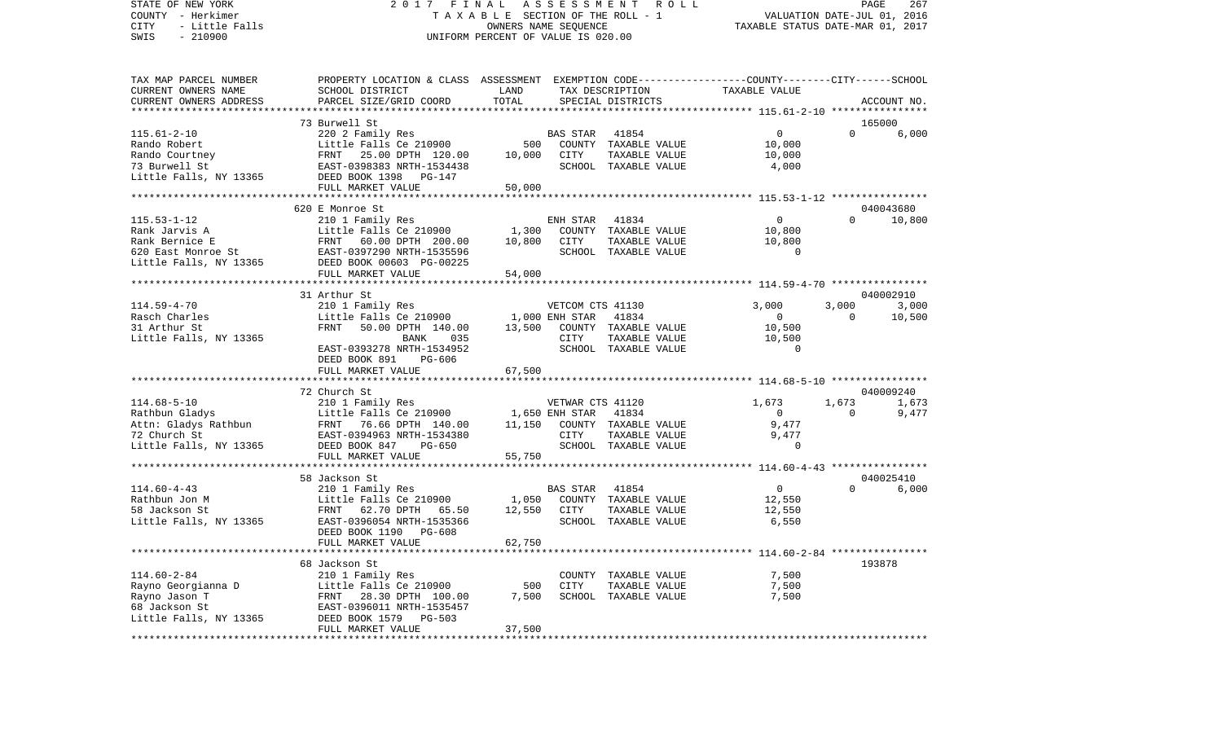## STATE OF NEW YORK 2017 FINAL ASSESSMENT ROLL  $C\text{COUNTY}$  - Herkimer  $T A X A B L E$  SECTION OF THE ROLL - 1 COUNTY - Herkimer<br>COUNTY - Herkimer (1, 2016)<br>CITY - Little Falls (1, 2017) OWNERS NAME SEQUENCE (210900 OWNERS NAME SEQUENCE TAXABLE STATUS DATE-MAR 01, 2017<br>SWIS - 210900 OWNERS NAME SEQUENCE TO SALUE IS 020.00 UNIFORM PERCENT OF VALUE IS 020.00

PAGE 267

| TAX MAP PARCEL NUMBER<br>CURRENT OWNERS NAME        | PROPERTY LOCATION & CLASS ASSESSMENT EXEMPTION CODE---------------COUNTY-------CITY------SCHOOL<br>SCHOOL DISTRICT | LAND           |                         | TAX DESCRIPTION                                | TAXABLE VALUE                    |          |                 |
|-----------------------------------------------------|--------------------------------------------------------------------------------------------------------------------|----------------|-------------------------|------------------------------------------------|----------------------------------|----------|-----------------|
| CURRENT OWNERS ADDRESS                              | PARCEL SIZE/GRID COORD                                                                                             | TOTAL          |                         | SPECIAL DISTRICTS                              |                                  |          | ACCOUNT NO.     |
|                                                     |                                                                                                                    |                |                         |                                                |                                  |          |                 |
| $115.61 - 2 - 10$<br>Rando Robert<br>Rando Courtney | 73 Burwell St<br>220 2 Family Res<br>Little Falls Ce 210900<br>FRNT 25.00 DPTH 120.00                              | 500<br>10,000  | BAS STAR<br><b>CITY</b> | 41854<br>COUNTY TAXABLE VALUE<br>TAXABLE VALUE | $\mathbf{0}$<br>10,000<br>10,000 | $\Omega$ | 165000<br>6,000 |
| 73 Burwell St<br>Little Falls, NY 13365             | EAST-0398383 NRTH-1534438<br>DEED BOOK 1398 PG-147<br>FULL MARKET VALUE                                            | 50,000         |                         | SCHOOL TAXABLE VALUE                           | 4,000                            |          |                 |
|                                                     |                                                                                                                    |                |                         |                                                |                                  |          |                 |
|                                                     | 620 E Monroe St                                                                                                    |                |                         |                                                |                                  |          | 040043680       |
| $115.53 - 1 - 12$                                   | 210 1 Family Res                                                                                                   |                | ENH STAR                | 41834                                          | $\mathbf 0$                      | $\Omega$ | 10,800          |
| Rank Jarvis A                                       | Little Falls Ce 210900                                                                                             | 1,300          |                         | COUNTY TAXABLE VALUE                           | 10,800                           |          |                 |
| Rank Bernice E                                      | FRNT<br>60.00 DPTH 200.00                                                                                          | 10,800         | CITY                    | TAXABLE VALUE                                  | 10,800                           |          |                 |
| 620 East Monroe St                                  | EAST-0397290 NRTH-1535596                                                                                          |                |                         | SCHOOL TAXABLE VALUE                           |                                  | $\Omega$ |                 |
| Little Falls, NY 13365                              | DEED BOOK 00603 PG-00225                                                                                           |                |                         |                                                |                                  |          |                 |
|                                                     | FULL MARKET VALUE                                                                                                  | 54,000         |                         |                                                |                                  |          |                 |
|                                                     |                                                                                                                    |                |                         |                                                |                                  |          |                 |
|                                                     | 31 Arthur St                                                                                                       |                |                         |                                                |                                  |          | 040002910       |
| $114.59 - 4 - 70$                                   | 210 1 Family Res                                                                                                   |                | VETCOM CTS 41130        |                                                | 3.000                            | 3,000    | 3,000           |
| Rasch Charles                                       | Little Falls Ce 210900                                                                                             |                | 1,000 ENH STAR          | 41834                                          | $\overline{0}$                   | $\Omega$ | 10,500          |
| 31 Arthur St                                        | FRNT<br>50.00 DPTH 140.00                                                                                          | 13,500         |                         | COUNTY TAXABLE VALUE                           | 10,500                           |          |                 |
| Little Falls, NY 13365                              | BANK<br>035                                                                                                        |                | CITY                    | TAXABLE VALUE<br>SCHOOL TAXABLE VALUE          | 10,500                           | $\Omega$ |                 |
|                                                     | EAST-0393278 NRTH-1534952<br>DEED BOOK 891<br>PG-606                                                               |                |                         |                                                |                                  |          |                 |
|                                                     | FULL MARKET VALUE                                                                                                  | 67,500         |                         |                                                |                                  |          |                 |
|                                                     |                                                                                                                    |                |                         |                                                |                                  |          |                 |
|                                                     | 72 Church St                                                                                                       |                |                         |                                                |                                  |          | 040009240       |
| $114.68 - 5 - 10$                                   | 210 1 Family Res                                                                                                   |                | VETWAR CTS 41120        |                                                | 1,673                            | 1,673    | 1,673           |
| Rathbun Gladys                                      | Little Falls Ce 210900                                                                                             | 1,650 ENH STAR |                         | 41834                                          | $\Omega$                         | $\Omega$ | 9,477           |
|                                                     | Attn: Gladys Rathbun FRNT 76.66 DPTH 140.00                                                                        | 11,150         |                         | COUNTY TAXABLE VALUE                           | 9,477                            |          |                 |
| 72 Church St                                        | EAST-0394963 NRTH-1534380                                                                                          |                | CITY                    | TAXABLE VALUE                                  | 9,477                            |          |                 |
| Little Falls, NY 13365                              | DEED BOOK 847<br>PG-650                                                                                            |                |                         | SCHOOL TAXABLE VALUE                           |                                  | $\Omega$ |                 |
|                                                     | FULL MARKET VALUE                                                                                                  | 55,750         |                         |                                                |                                  |          |                 |
|                                                     |                                                                                                                    |                |                         |                                                |                                  |          |                 |
|                                                     | 58 Jackson St                                                                                                      |                |                         |                                                |                                  |          | 040025410       |
| $114.60 - 4 - 43$                                   | 210 1 Family Res                                                                                                   |                | BAS STAR                | 41854                                          | $\Omega$                         | $\Omega$ | 6,000           |
| Rathbun Jon M                                       | Little Falls Ce 210900                                                                                             | 1,050          |                         | COUNTY TAXABLE VALUE                           | 12,550                           |          |                 |
| 58 Jackson St                                       | FRNT 62.70 DPTH 65.50                                                                                              | 12,550         | CITY                    | TAXABLE VALUE                                  | 12,550                           |          |                 |
| Little Falls, NY 13365                              | EAST-0396054 NRTH-1535366                                                                                          |                |                         | SCHOOL TAXABLE VALUE                           | 6,550                            |          |                 |
|                                                     | DEED BOOK 1190<br>PG-608                                                                                           |                |                         |                                                |                                  |          |                 |
|                                                     | FULL MARKET VALUE                                                                                                  | 62,750         |                         |                                                |                                  |          |                 |
|                                                     |                                                                                                                    |                |                         |                                                |                                  |          |                 |
| $114.60 - 2 - 84$                                   | 68 Jackson St                                                                                                      |                |                         |                                                |                                  |          | 193878          |
| Rayno Georgianna D                                  | 210 1 Family Res<br>Little Falls Ce 210900                                                                         | 500            | CITY                    | COUNTY TAXABLE VALUE<br>TAXABLE VALUE          | 7,500<br>7,500                   |          |                 |
| Rayno Jason T                                       | FRNT 28.30 DPTH 100.00                                                                                             | 7,500          |                         | SCHOOL TAXABLE VALUE                           | 7,500                            |          |                 |
| 68 Jackson St                                       | EAST-0396011 NRTH-1535457                                                                                          |                |                         |                                                |                                  |          |                 |
| Little Falls, NY 13365                              | DEED BOOK 1579<br><b>PG-503</b>                                                                                    |                |                         |                                                |                                  |          |                 |
|                                                     | FULL MARKET VALUE                                                                                                  | 37,500         |                         |                                                |                                  |          |                 |
|                                                     |                                                                                                                    |                |                         |                                                |                                  |          |                 |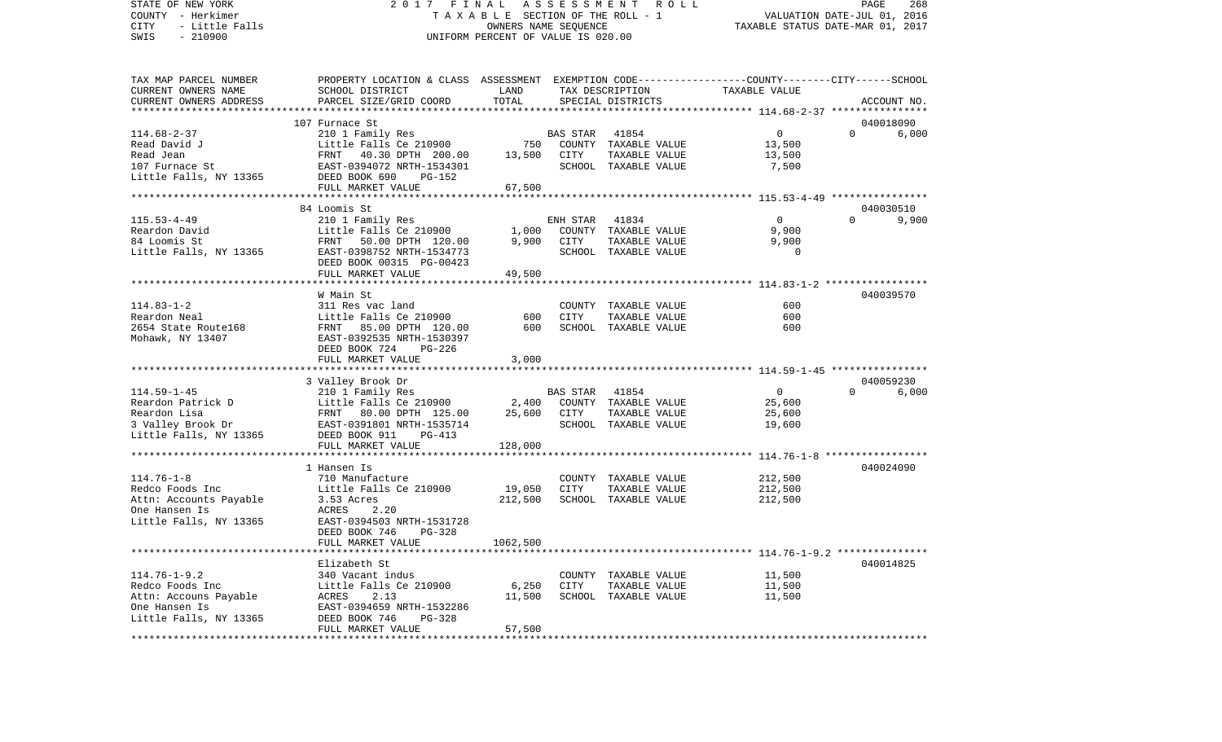STATE OF NEW YORK 2 0 1 7 F I N A L A S S E S S M E N T R O L L PAGE 268COUNTY - Herkimer T A X A B L E SECTION OF THE ROLL - 1 VALUATION DATE-JUL 01, 2016 CITY - Little Falls OWNERS NAME SEQUENCE TAXABLE STATUS DATE-MAR 01, 2017 SWIS - 210900 UNIFORM PERCENT OF VALUE IS 020.00TAX MAP PARCEL NUMBER PROPERTY LOCATION & CLASS ASSESSMENT EXEMPTION CODE------------------COUNTY--------CITY------SCHOOL CURRENT OWNERS NAME SCHOOL DISTRICT LAND TAX DESCRIPTION TAXABLE VALUECURRENT OWNERS ADDRESS PARCEL SIZE/GRID COORD TOTAL SPECIAL DISTRICTS ACCOUNT NO. \*\*\*\*\*\*\*\*\*\*\*\*\*\*\*\*\*\*\*\*\*\*\*\*\*\*\*\*\*\*\*\*\*\*\*\*\*\*\*\*\*\*\*\*\*\*\*\*\*\*\*\*\*\*\*\*\*\*\*\*\*\*\*\*\*\*\*\*\*\*\*\*\*\*\*\*\*\*\*\*\*\*\*\*\*\*\*\*\*\*\*\*\*\*\*\*\*\*\*\*\*\*\* 114.68-2-37 \*\*\*\*\*\*\*\*\*\*\*\*\*\*\*\* 107 Furnace St 040018090114.68-2-37 210 1 Family Res BAS STAR 41854 0 0 6,000 Read David J Little Falls Ce 210900 750 COUNTY TAXABLE VALUE 13,500 Read Jean FRNT 40.30 DPTH 200.00 13,500 CITY TAXABLE VALUE 13,500 107 Furnace St EAST-0394072 NRTH-1534301 SCHOOL TAXABLE VALUE 7,500 Little Falls, NY 13365 DEED BOOK 690 PG-152 FULL MARKET VALUE 67,500 \*\*\*\*\*\*\*\*\*\*\*\*\*\*\*\*\*\*\*\*\*\*\*\*\*\*\*\*\*\*\*\*\*\*\*\*\*\*\*\*\*\*\*\*\*\*\*\*\*\*\*\*\*\*\*\*\*\*\*\*\*\*\*\*\*\*\*\*\*\*\*\*\*\*\*\*\*\*\*\*\*\*\*\*\*\*\*\*\*\*\*\*\*\*\*\*\*\*\*\*\*\*\* 115.53-4-49 \*\*\*\*\*\*\*\*\*\*\*\*\*\*\*\* 84 Loomis St 040030510115.53-4-49 210 1 Family Res ENH STAR 41834 0 0 9,900 Reardon David Little Falls Ce 210900 1,000 COUNTY TAXABLE VALUE 9,900 84 Loomis St FRNT 50.00 DPTH 120.00 9,900 CITY TAXABLE VALUE 9,900 Little Falls, NY 13365 EAST-0398752 NRTH-1534773 SCHOOL TAXABLE VALUE 0 DEED BOOK 00315 PG-00423FULL MARKET VALUE 49,500 \*\*\*\*\*\*\*\*\*\*\*\*\*\*\*\*\*\*\*\*\*\*\*\*\*\*\*\*\*\*\*\*\*\*\*\*\*\*\*\*\*\*\*\*\*\*\*\*\*\*\*\*\*\*\*\*\*\*\*\*\*\*\*\*\*\*\*\*\*\*\*\*\*\*\*\*\*\*\*\*\*\*\*\*\*\*\*\*\*\*\*\*\*\*\*\*\*\*\*\*\*\*\* 114.83-1-2 \*\*\*\*\*\*\*\*\*\*\*\*\*\*\*\*\* W Main St 040039570114.83-1-2 311 Res vac land COUNTY TAXABLE VALUE 600Reardon Neal Little Falls Ce 210900 600 CITY TAXABLE VALUE 600600 2654 State Route168 FRNT 85.00 DPTH 120.00 600 SCHOOL TAXABLE VALUE Mohawk, NY 13407 EAST-0392535 NRTH-1530397 DEED BOOK 724 PG-226FULL MARKET VALUE 3,000 \*\*\*\*\*\*\*\*\*\*\*\*\*\*\*\*\*\*\*\*\*\*\*\*\*\*\*\*\*\*\*\*\*\*\*\*\*\*\*\*\*\*\*\*\*\*\*\*\*\*\*\*\*\*\*\*\*\*\*\*\*\*\*\*\*\*\*\*\*\*\*\*\*\*\*\*\*\*\*\*\*\*\*\*\*\*\*\*\*\*\*\*\*\*\*\*\*\*\*\*\*\*\* 114.59-1-45 \*\*\*\*\*\*\*\*\*\*\*\*\*\*\*\* 3 Valley Brook Dr 040059230 114.59-1-45 210 1 Family Res BAS STAR 41854 0 0 6,000 Reardon Patrick D **Little Falls Ce 210900** 2,400 COUNTY TAXABLE VALUE 25,600 Reardon Lisa FRNT 80.00 DPTH 125.00 25,600 CITY TAXABLE VALUE 25,600 3 Valley Brook Dr EAST-0391801 NRTH-1535714 SCHOOL TAXABLE VALUE 19,600 Little Falls, NY 13365 DEED BOOK 911 PG-413 FULL MARKET VALUE 128,000 \*\*\*\*\*\*\*\*\*\*\*\*\*\*\*\*\*\*\*\*\*\*\*\*\*\*\*\*\*\*\*\*\*\*\*\*\*\*\*\*\*\*\*\*\*\*\*\*\*\*\*\*\*\*\*\*\*\*\*\*\*\*\*\*\*\*\*\*\*\*\*\*\*\*\*\*\*\*\*\*\*\*\*\*\*\*\*\*\*\*\*\*\*\*\*\*\*\*\*\*\*\*\* 114.76-1-8 \*\*\*\*\*\*\*\*\*\*\*\*\*\*\*\*\* 1 Hansen Is 040024090114.76-1-8 710 Manufacture COUNTY TAXABLE VALUE 212,500 Redco Foods Inc Little Falls Ce 210900 19,050 CITY TAXABLE VALUE 212,500 Attn: Accounts Payable 3.53 Acres 2.20<br>
212,500 SCHOOL TAXABLE VALUE 212,500<br>
212,500 Payable 212,500 One Hansen Is Little Falls, NY 13365 EAST-0394503 NRTH-1531728 DEED BOOK 746 PG-328FULL MARKET VALUE 1062,500 \*\*\*\*\*\*\*\*\*\*\*\*\*\*\*\*\*\*\*\*\*\*\*\*\*\*\*\*\*\*\*\*\*\*\*\*\*\*\*\*\*\*\*\*\*\*\*\*\*\*\*\*\*\*\*\*\*\*\*\*\*\*\*\*\*\*\*\*\*\*\*\*\*\*\*\*\*\*\*\*\*\*\*\*\*\*\*\*\*\*\*\*\*\*\*\*\*\*\*\*\*\*\* 114.76-1-9.2 \*\*\*\*\*\*\*\*\*\*\*\*\*\*\* Elizabeth St 040014825114.76-1-9.2 340 Vacant indus COUNTY TAXABLE VALUE 11,500 Redco Foods Inc Little Falls Ce 210900 6.250 CITY TAXABLE VALUE 11,500 Attn: Accouns Payable  $ACRES$  2.13 11,500 SCHOOL TAXABLE VALUE 11,500 One Hansen Is EAST-0394659 NRTH-1532286 Little Falls, NY 13365 DEED BOOK 746 PG-328 FULL MARKET VALUE 57,500 \*\*\*\*\*\*\*\*\*\*\*\*\*\*\*\*\*\*\*\*\*\*\*\*\*\*\*\*\*\*\*\*\*\*\*\*\*\*\*\*\*\*\*\*\*\*\*\*\*\*\*\*\*\*\*\*\*\*\*\*\*\*\*\*\*\*\*\*\*\*\*\*\*\*\*\*\*\*\*\*\*\*\*\*\*\*\*\*\*\*\*\*\*\*\*\*\*\*\*\*\*\*\*\*\*\*\*\*\*\*\*\*\*\*\*\*\*\*\*\*\*\*\*\*\*\*\*\*\*\*\*\*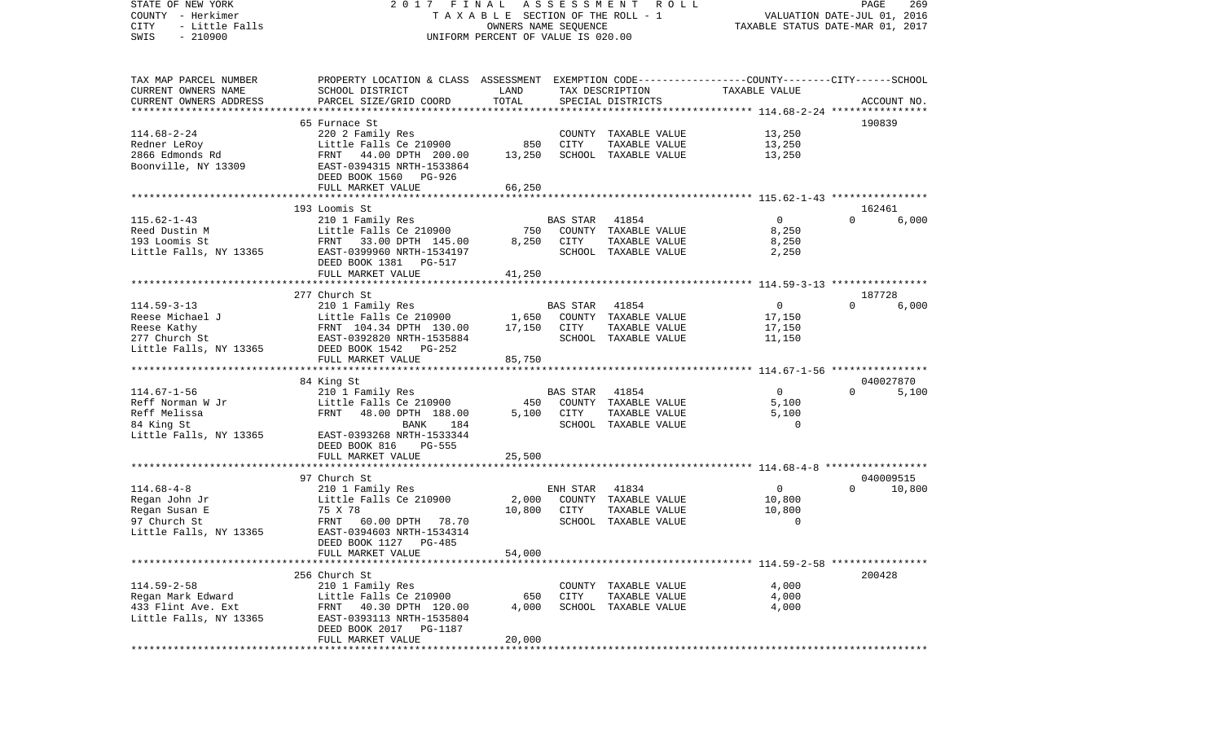| STATE OF NEW YORK<br>COUNTY - Herkimer<br>- Little Falls<br>CITY | 2017                                                                                             | FINAL<br>TAXABLE SECTION OF THE ROLL - 1<br>OWNERS NAME SEQUENCE | ASSESSMENT      | R O L L                       | TAXABLE STATUS DATE-MAR 01, 2017                             | PAGE<br>VALUATION DATE-JUL 01, 2016 | 269         |
|------------------------------------------------------------------|--------------------------------------------------------------------------------------------------|------------------------------------------------------------------|-----------------|-------------------------------|--------------------------------------------------------------|-------------------------------------|-------------|
| $-210900$<br>SWIS                                                |                                                                                                  | UNIFORM PERCENT OF VALUE IS 020.00                               |                 |                               |                                                              |                                     |             |
| TAX MAP PARCEL NUMBER                                            | PROPERTY LOCATION & CLASS ASSESSMENT EXEMPTION CODE----------------COUNTY-------CITY------SCHOOL |                                                                  |                 |                               |                                                              |                                     |             |
| CURRENT OWNERS NAME                                              | SCHOOL DISTRICT                                                                                  | LAND                                                             |                 | TAX DESCRIPTION               | TAXABLE VALUE                                                |                                     |             |
| CURRENT OWNERS ADDRESS                                           | PARCEL SIZE/GRID COORD                                                                           | TOTAL                                                            |                 | SPECIAL DISTRICTS             |                                                              |                                     | ACCOUNT NO. |
| *************************                                        |                                                                                                  |                                                                  |                 |                               |                                                              |                                     |             |
|                                                                  | 65 Furnace St                                                                                    |                                                                  |                 |                               |                                                              | 190839                              |             |
| $114.68 - 2 - 24$                                                | 220 2 Family Res                                                                                 |                                                                  |                 | COUNTY TAXABLE VALUE          | 13,250                                                       |                                     |             |
| Redner LeRoy                                                     | Little Falls Ce 210900                                                                           | 850                                                              | CITY            | TAXABLE VALUE                 | 13,250                                                       |                                     |             |
| 2866 Edmonds Rd                                                  | FRNT<br>44.00 DPTH 200.00                                                                        | 13,250                                                           |                 | SCHOOL TAXABLE VALUE          | 13,250                                                       |                                     |             |
| Boonville, NY 13309                                              | EAST-0394315 NRTH-1533864                                                                        |                                                                  |                 |                               |                                                              |                                     |             |
|                                                                  | DEED BOOK 1560<br>PG-926                                                                         |                                                                  |                 |                               |                                                              |                                     |             |
|                                                                  | FULL MARKET VALUE                                                                                | 66,250<br>************                                           |                 |                               | ******************************* 115.62-1-43 **************** |                                     |             |
|                                                                  | 193 Loomis St                                                                                    |                                                                  |                 |                               |                                                              | 162461                              |             |
| $115.62 - 1 - 43$                                                | 210 1 Family Res                                                                                 |                                                                  | BAS STAR        | 41854                         | $\overline{0}$                                               | $\Omega$                            | 6,000       |
| Reed Dustin M                                                    | Little Falls Ce 210900                                                                           | 750                                                              |                 | COUNTY TAXABLE VALUE          | 8,250                                                        |                                     |             |
| 193 Loomis St                                                    | FRNT 33.00 DPTH 145.00                                                                           | 8,250                                                            | CITY            | TAXABLE VALUE                 | 8,250                                                        |                                     |             |
| Little Falls, NY 13365                                           | EAST-0399960 NRTH-1534197                                                                        |                                                                  |                 | SCHOOL TAXABLE VALUE          | 2,250                                                        |                                     |             |
|                                                                  | DEED BOOK 1381 PG-517                                                                            |                                                                  |                 |                               |                                                              |                                     |             |
|                                                                  | FULL MARKET VALUE                                                                                | 41,250                                                           |                 |                               |                                                              |                                     |             |
|                                                                  |                                                                                                  |                                                                  |                 |                               |                                                              |                                     |             |
|                                                                  | 277 Church St                                                                                    |                                                                  |                 |                               |                                                              | 187728                              |             |
| $114.59 - 3 - 13$                                                | 210 1 Family Res                                                                                 |                                                                  | <b>BAS STAR</b> | 41854                         | $\overline{0}$                                               | $\Omega$                            | 6,000       |
| Reese Michael J                                                  | Little Falls Ce 210900                                                                           | 1,650                                                            |                 | COUNTY TAXABLE VALUE          | 17,150                                                       |                                     |             |
| Reese Kathy                                                      | FRNT 104.34 DPTH 130.00                                                                          | 17,150                                                           | CITY            | TAXABLE VALUE                 | 17,150                                                       |                                     |             |
| 277 Church St                                                    | EAST-0392820 NRTH-1535884                                                                        |                                                                  |                 | SCHOOL TAXABLE VALUE          | 11,150                                                       |                                     |             |
| Little Falls, NY 13365                                           | DEED BOOK 1542<br>PG-252                                                                         |                                                                  |                 |                               |                                                              |                                     |             |
|                                                                  | FULL MARKET VALUE                                                                                | 85,750                                                           |                 |                               |                                                              |                                     |             |
|                                                                  |                                                                                                  |                                                                  |                 |                               |                                                              |                                     |             |
| $114.67 - 1 - 56$                                                | 84 King St                                                                                       |                                                                  |                 |                               | $\mathbf 0$                                                  | $\Omega$                            | 040027870   |
| Reff Norman W Jr                                                 | 210 1 Family Res<br>Little Falls Ce 210900                                                       | 450                                                              | BAS STAR        | 41854<br>COUNTY TAXABLE VALUE | 5,100                                                        |                                     | 5,100       |
| Reff Melissa                                                     | FRNT<br>48.00 DPTH 188.00                                                                        | 5,100                                                            | CITY            | TAXABLE VALUE                 | 5,100                                                        |                                     |             |
| 84 King St                                                       | <b>BANK</b><br>184                                                                               |                                                                  |                 | SCHOOL TAXABLE VALUE          | 0                                                            |                                     |             |
| Little Falls, NY 13365                                           | EAST-0393268 NRTH-1533344                                                                        |                                                                  |                 |                               |                                                              |                                     |             |
|                                                                  | DEED BOOK 816<br><b>PG-555</b>                                                                   |                                                                  |                 |                               |                                                              |                                     |             |
|                                                                  | FULL MARKET VALUE                                                                                | 25,500                                                           |                 |                               |                                                              |                                     |             |
|                                                                  |                                                                                                  |                                                                  |                 |                               |                                                              |                                     |             |
|                                                                  | 97 Church St                                                                                     |                                                                  |                 |                               |                                                              |                                     | 040009515   |
| $114.68 - 4 - 8$                                                 | 210 1 Family Res                                                                                 |                                                                  | ENH STAR        | 41834                         | $\overline{0}$                                               | $\Omega$                            | 10,800      |
| Regan John Jr                                                    | Little Falls Ce 210900                                                                           | 2,000                                                            |                 | COUNTY TAXABLE VALUE          | 10,800                                                       |                                     |             |
| Regan Susan E                                                    | 75 X 78                                                                                          | 10,800                                                           | CITY            | TAXABLE VALUE                 | 10,800                                                       |                                     |             |
| 97 Church St                                                     | 60.00 DPTH 78.70<br>FRNT                                                                         |                                                                  |                 | SCHOOL TAXABLE VALUE          | 0                                                            |                                     |             |
| Little Falls, NY 13365                                           | EAST-0394603 NRTH-1534314                                                                        |                                                                  |                 |                               |                                                              |                                     |             |
|                                                                  | DEED BOOK 1127 PG-485                                                                            |                                                                  |                 |                               |                                                              |                                     |             |
|                                                                  | FULL MARKET VALUE                                                                                | 54,000                                                           |                 |                               |                                                              |                                     |             |
|                                                                  |                                                                                                  |                                                                  |                 |                               |                                                              |                                     |             |
| $114.59 - 2 - 58$                                                | 256 Church St<br>210 1 Family Res                                                                |                                                                  |                 | COUNTY TAXABLE VALUE          | 4,000                                                        | 200428                              |             |
| Regan Mark Edward                                                | Little Falls Ce 210900                                                                           | 650                                                              | CITY            | TAXABLE VALUE                 | 4,000                                                        |                                     |             |
| 433 Flint Ave. Ext                                               | 40.30 DPTH 120.00<br>FRNT                                                                        | 4,000                                                            |                 | SCHOOL TAXABLE VALUE          | 4,000                                                        |                                     |             |
| Little Falls, NY 13365                                           | EAST-0393113 NRTH-1535804                                                                        |                                                                  |                 |                               |                                                              |                                     |             |
|                                                                  | DEED BOOK 2017 PG-1187                                                                           |                                                                  |                 |                               |                                                              |                                     |             |
|                                                                  | FULL MARKET VALUE                                                                                | 20,000                                                           |                 |                               |                                                              |                                     |             |
| ***********                                                      |                                                                                                  |                                                                  |                 |                               |                                                              |                                     |             |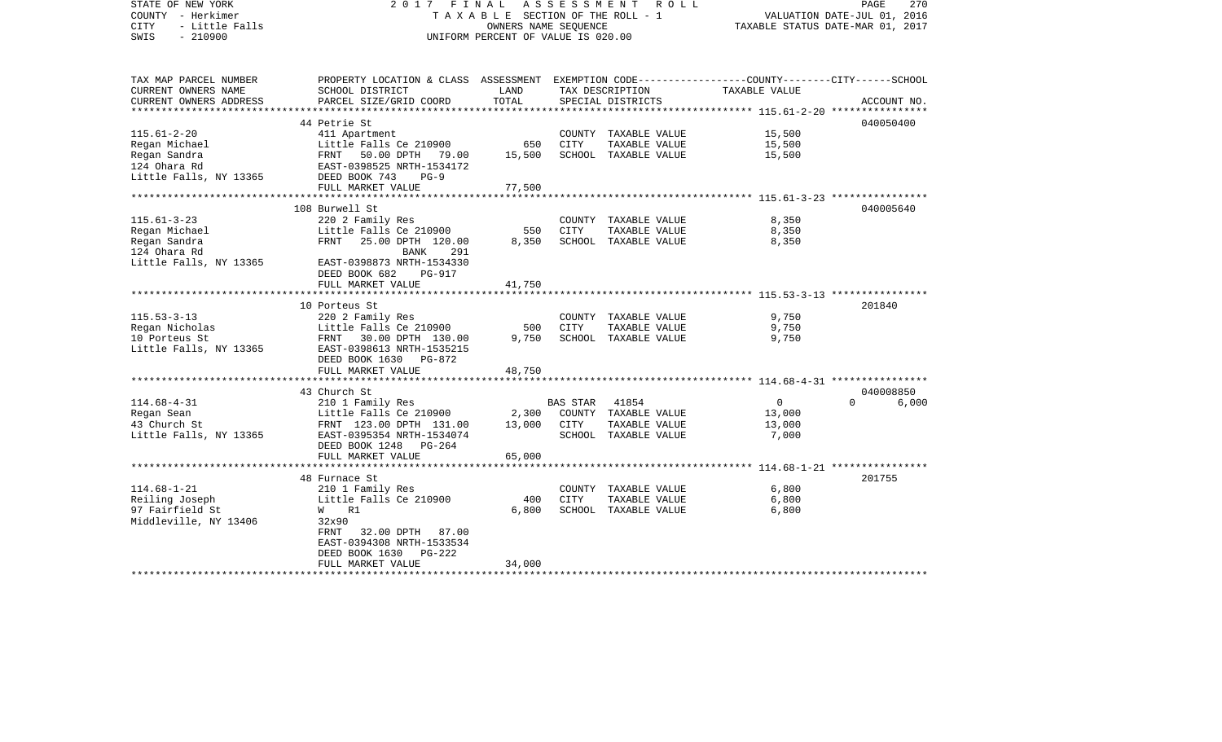| STATE OF NEW YORK<br>COUNTY - Herkimer<br><b>CITY</b><br>- Little Falls<br>$-210900$<br>SWIS | 2017<br>FINAL<br>A S S E S S M E N T R O L L<br>270<br>PAGE<br>TAXABLE SECTION OF THE ROLL - 1<br>VALUATION DATE-JUL 01, 2016<br>OWNERS NAME SEOUENCE<br>TAXABLE STATUS DATE-MAR 01, 2017<br>UNIFORM PERCENT OF VALUE IS 020.00 |                         |                 |                                       |                |                   |  |
|----------------------------------------------------------------------------------------------|---------------------------------------------------------------------------------------------------------------------------------------------------------------------------------------------------------------------------------|-------------------------|-----------------|---------------------------------------|----------------|-------------------|--|
|                                                                                              |                                                                                                                                                                                                                                 |                         |                 |                                       |                |                   |  |
| TAX MAP PARCEL NUMBER                                                                        | PROPERTY LOCATION & CLASS ASSESSMENT EXEMPTION CODE---------------COUNTY-------CITY------SCHOOL                                                                                                                                 |                         |                 |                                       |                |                   |  |
| CURRENT OWNERS NAME                                                                          | SCHOOL DISTRICT                                                                                                                                                                                                                 | LAND                    |                 | TAX DESCRIPTION                       | TAXABLE VALUE  |                   |  |
| CURRENT OWNERS ADDRESS<br>***********************                                            | PARCEL SIZE/GRID COORD                                                                                                                                                                                                          | TOTAL                   |                 | SPECIAL DISTRICTS                     |                | ACCOUNT NO.       |  |
|                                                                                              | 44 Petrie St                                                                                                                                                                                                                    |                         |                 |                                       |                | 040050400         |  |
| $115.61 - 2 - 20$                                                                            | 411 Apartment                                                                                                                                                                                                                   |                         |                 | COUNTY TAXABLE VALUE                  | 15,500         |                   |  |
| Regan Michael                                                                                | Little Falls Ce 210900                                                                                                                                                                                                          | 650                     | CITY            | TAXABLE VALUE                         | 15,500         |                   |  |
| Regan Sandra                                                                                 | FRNT 50.00 DPTH 79.00                                                                                                                                                                                                           | 15,500                  |                 | SCHOOL TAXABLE VALUE                  | 15,500         |                   |  |
| 124 Ohara Rd                                                                                 | EAST-0398525 NRTH-1534172                                                                                                                                                                                                       |                         |                 |                                       |                |                   |  |
| Little Falls, NY 13365                                                                       | DEED BOOK 743<br>$PG-9$                                                                                                                                                                                                         |                         |                 |                                       |                |                   |  |
|                                                                                              | FULL MARKET VALUE                                                                                                                                                                                                               | 77,500                  |                 |                                       |                |                   |  |
|                                                                                              |                                                                                                                                                                                                                                 |                         |                 |                                       |                |                   |  |
| $115.61 - 3 - 23$                                                                            | 108 Burwell St<br>220 2 Family Res                                                                                                                                                                                              |                         |                 | COUNTY TAXABLE VALUE                  | 8,350          | 040005640         |  |
| Regan Michael                                                                                | Little Falls Ce 210900                                                                                                                                                                                                          | 550                     | CITY            | TAXABLE VALUE                         | 8,350          |                   |  |
| Regan Sandra                                                                                 | FRNT<br>25.00 DPTH 120.00                                                                                                                                                                                                       | 8,350                   |                 | SCHOOL TAXABLE VALUE                  | 8,350          |                   |  |
| 124 Ohara Rd                                                                                 | 291<br>BANK                                                                                                                                                                                                                     |                         |                 |                                       |                |                   |  |
| Little Falls, NY 13365                                                                       | EAST-0398873 NRTH-1534330                                                                                                                                                                                                       |                         |                 |                                       |                |                   |  |
|                                                                                              | DEED BOOK 682<br><b>PG-917</b>                                                                                                                                                                                                  |                         |                 |                                       |                |                   |  |
|                                                                                              | FULL MARKET VALUE                                                                                                                                                                                                               | 41,750                  |                 |                                       |                |                   |  |
|                                                                                              | ***********************                                                                                                                                                                                                         | * * * * * * * * * * * * |                 |                                       |                |                   |  |
|                                                                                              | 10 Porteus St                                                                                                                                                                                                                   |                         |                 |                                       |                | 201840            |  |
| $115.53 - 3 - 13$                                                                            | 220 2 Family Res                                                                                                                                                                                                                |                         |                 | COUNTY TAXABLE VALUE                  | 9,750          |                   |  |
| Regan Nicholas                                                                               | Little Falls Ce 210900                                                                                                                                                                                                          | 500                     | CITY            | TAXABLE VALUE                         | 9,750          |                   |  |
| 10 Porteus St                                                                                | FRNT 30.00 DPTH 130.00                                                                                                                                                                                                          | 9,750                   |                 | SCHOOL TAXABLE VALUE                  | 9,750          |                   |  |
| Little Falls, NY 13365                                                                       | EAST-0398613 NRTH-1535215<br>PG-872                                                                                                                                                                                             |                         |                 |                                       |                |                   |  |
|                                                                                              | DEED BOOK 1630<br>FULL MARKET VALUE                                                                                                                                                                                             | 48,750                  |                 |                                       |                |                   |  |
|                                                                                              |                                                                                                                                                                                                                                 |                         |                 |                                       |                |                   |  |
|                                                                                              | 43 Church St                                                                                                                                                                                                                    |                         |                 |                                       |                | 040008850         |  |
| $114.68 - 4 - 31$                                                                            | 210 1 Family Res                                                                                                                                                                                                                |                         | <b>BAS STAR</b> | 41854                                 | $\mathbf{0}$   | $\Omega$<br>6,000 |  |
| Regan Sean                                                                                   | Little Falls Ce 210900                                                                                                                                                                                                          | 2,300                   |                 | COUNTY TAXABLE VALUE                  | 13,000         |                   |  |
| 43 Church St                                                                                 | FRNT 123.00 DPTH 131.00                                                                                                                                                                                                         | 13,000                  | CITY            | TAXABLE VALUE                         | 13,000         |                   |  |
| Little Falls, NY 13365                                                                       | EAST-0395354 NRTH-1534074                                                                                                                                                                                                       |                         |                 | SCHOOL TAXABLE VALUE                  | 7,000          |                   |  |
|                                                                                              | DEED BOOK 1248<br>PG-264                                                                                                                                                                                                        |                         |                 |                                       |                |                   |  |
|                                                                                              | FULL MARKET VALUE                                                                                                                                                                                                               | 65,000                  |                 |                                       |                |                   |  |
|                                                                                              |                                                                                                                                                                                                                                 |                         |                 |                                       |                |                   |  |
|                                                                                              | 48 Furnace St                                                                                                                                                                                                                   |                         |                 |                                       |                | 201755            |  |
| $114.68 - 1 - 21$<br>Reiling Joseph                                                          | 210 1 Family Res<br>Little Falls Ce 210900                                                                                                                                                                                      | 400                     | CITY            | COUNTY TAXABLE VALUE<br>TAXABLE VALUE | 6,800<br>6,800 |                   |  |
| 97 Fairfield St                                                                              | W R1                                                                                                                                                                                                                            | 6,800                   |                 | SCHOOL TAXABLE VALUE                  | 6,800          |                   |  |
| Middleville, NY 13406                                                                        | 32x90                                                                                                                                                                                                                           |                         |                 |                                       |                |                   |  |
|                                                                                              | FRNT<br>32.00 DPTH 87.00                                                                                                                                                                                                        |                         |                 |                                       |                |                   |  |
|                                                                                              | EAST-0394308 NRTH-1533534                                                                                                                                                                                                       |                         |                 |                                       |                |                   |  |
|                                                                                              | DEED BOOK 1630<br>PG-222                                                                                                                                                                                                        |                         |                 |                                       |                |                   |  |
|                                                                                              | FULL MARKET VALUE                                                                                                                                                                                                               | 34,000                  |                 |                                       |                |                   |  |
|                                                                                              | **********************                                                                                                                                                                                                          |                         |                 |                                       |                |                   |  |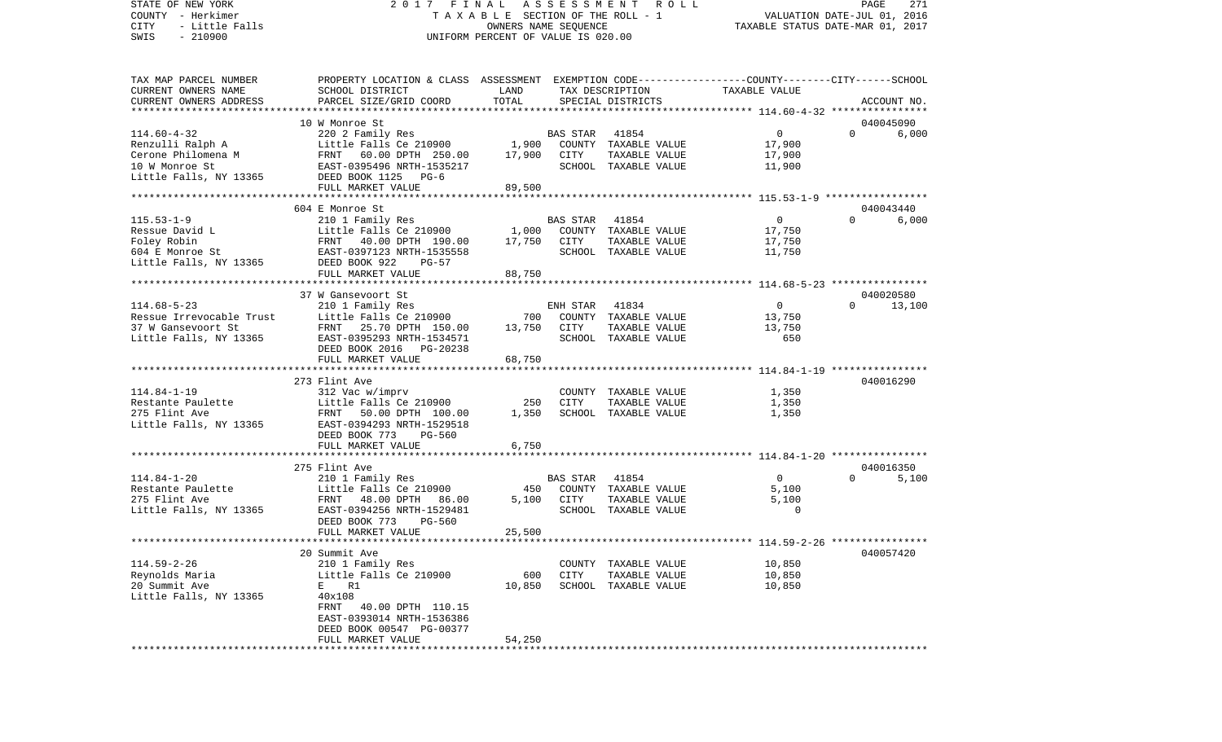STATE OF NEW YORK 2 0 1 7 F I N A L A S S E S S M E N T R O L L PAGE 271COUNTY - Herkimer **T A X A B L E** SECTION OF THE ROLL - 1 VALUATION DATE-JUL 01, 2016 CITY - Little Falls OWNERS NAME SEQUENCE TAXABLE STATUS DATE-MAR 01, 2017 SWIS - 210900 UNIFORM PERCENT OF VALUE IS 020.00TAX MAP PARCEL NUMBER PROPERTY LOCATION & CLASS ASSESSMENT EXEMPTION CODE------------------COUNTY--------CITY------SCHOOL CURRENT OWNERS NAME SCHOOL DISTRICT LAND TAX DESCRIPTION TAXABLE VALUECURRENT OWNERS ADDRESS PARCEL SIZE/GRID COORD TOTAL SPECIAL DISTRICTS ACCOUNT NO. \*\*\*\*\*\*\*\*\*\*\*\*\*\*\*\*\*\*\*\*\*\*\*\*\*\*\*\*\*\*\*\*\*\*\*\*\*\*\*\*\*\*\*\*\*\*\*\*\*\*\*\*\*\*\*\*\*\*\*\*\*\*\*\*\*\*\*\*\*\*\*\*\*\*\*\*\*\*\*\*\*\*\*\*\*\*\*\*\*\*\*\*\*\*\*\*\*\*\*\*\*\*\* 114.60-4-32 \*\*\*\*\*\*\*\*\*\*\*\*\*\*\*\* 10 W Monroe St 040045090114.60-4-32 220 2 Family Res BAS STAR 41854 0 0 6,000 Renzulli Ralph A  $L$ ittle Falls Ce 210900 1,900 COUNTY TAXABLE VALUE 17,900 Cerone Philomena M 60.00 DPTH 250.00 17,900 CITY TAXABLE VALUE 17,900 10 W Monroe St EAST-0395496 NRTH-1535217 SCHOOL TAXABLE VALUE 11,900 Little Falls, NY 13365 DEED BOOK 1125 PG-6 FULL MARKET VALUE 89,500 \*\*\*\*\*\*\*\*\*\*\*\*\*\*\*\*\*\*\*\*\*\*\*\*\*\*\*\*\*\*\*\*\*\*\*\*\*\*\*\*\*\*\*\*\*\*\*\*\*\*\*\*\*\*\*\*\*\*\*\*\*\*\*\*\*\*\*\*\*\*\*\*\*\*\*\*\*\*\*\*\*\*\*\*\*\*\*\*\*\*\*\*\*\*\*\*\*\*\*\*\*\*\* 115.53-1-9 \*\*\*\*\*\*\*\*\*\*\*\*\*\*\*\*\* 604 E Monroe St 040043440115.53-1-9 210 1 Family Res BAS STAR 41854 0 0 6,000 Ressue David L **Little Falls Ce 210900** 1,000 COUNTY TAXABLE VALUE Foley Robin FRNT 40.00 DPTH 190.00 17,750 CITY TAXABLE VALUE 17,750 604 E Monroe St EAST-0397123 NRTH-1535558 SCHOOL TAXABLE VALUE 11,750 Little Falls, NY 13365 DEED BOOK 922 PG-57 FULL MARKET VALUE 88,750 \*\*\*\*\*\*\*\*\*\*\*\*\*\*\*\*\*\*\*\*\*\*\*\*\*\*\*\*\*\*\*\*\*\*\*\*\*\*\*\*\*\*\*\*\*\*\*\*\*\*\*\*\*\*\*\*\*\*\*\*\*\*\*\*\*\*\*\*\*\*\*\*\*\*\*\*\*\*\*\*\*\*\*\*\*\*\*\*\*\*\*\*\*\*\*\*\*\*\*\*\*\*\* 114.68-5-23 \*\*\*\*\*\*\*\*\*\*\*\*\*\*\*\* 37 W Gansevoort St 04002058013,100 114.68-5-23 210 1 Family Res ENH STAR 41834 0 0 0 Ressue Irrevocable Trust and Little Falls Ce 210900 700 COUNTY TAXABLE VALUE 13,750 37 W Gansevoort St FRNT 25.70 DPTH 150.00 13,750 CITY TAXABLE VALUE 13,750 Little Falls, NY 13365 EAST-0395293 NRTH-1534571 SCHOOL TAXABLE VALUE 650 DEED BOOK 2016 PG-20238FULL MARKET VALUE 68,750 \*\*\*\*\*\*\*\*\*\*\*\*\*\*\*\*\*\*\*\*\*\*\*\*\*\*\*\*\*\*\*\*\*\*\*\*\*\*\*\*\*\*\*\*\*\*\*\*\*\*\*\*\*\*\*\*\*\*\*\*\*\*\*\*\*\*\*\*\*\*\*\*\*\*\*\*\*\*\*\*\*\*\*\*\*\*\*\*\*\*\*\*\*\*\*\*\*\*\*\*\*\*\* 114.84-1-19 \*\*\*\*\*\*\*\*\*\*\*\*\*\*\*\* 273 Flint Ave 040016290114.84-1-19 312 Vac w/imprv COUNTY TAXABLE VALUE 1,350 Restante Paulette Little Falls Ce 210900 250 CITY TAXABLE VALUE 1,350 275 Flint Ave FRNT 50.00 DPTH 100.00 1,350 SCHOOL TAXABLE VALUE 1,350 Little Falls, NY 13365 EAST-0394293 NRTH-1529518 DEED BOOK 773 PG-560FULL MARKET VALUE 6,750 \*\*\*\*\*\*\*\*\*\*\*\*\*\*\*\*\*\*\*\*\*\*\*\*\*\*\*\*\*\*\*\*\*\*\*\*\*\*\*\*\*\*\*\*\*\*\*\*\*\*\*\*\*\*\*\*\*\*\*\*\*\*\*\*\*\*\*\*\*\*\*\*\*\*\*\*\*\*\*\*\*\*\*\*\*\*\*\*\*\*\*\*\*\*\*\*\*\*\*\*\*\*\* 114.84-1-20 \*\*\*\*\*\*\*\*\*\*\*\*\*\*\*\* 275 Flint Ave 040016350114.84-1-20 210 1 Family Res BAS STAR 41854 0 0 5,100 Restante Paulette Little Falls Ce 210900 450 COUNTY TAXABLE VALUE 5,100 275 Flint Ave FRNT 48.00 DPTH 86.00 5,100 CITY TAXABLE VALUE 5,100 Little Falls, NY 13365 EAST-0394256 NRTH-1529481 SCHOOL TAXABLE VALUE 0 DEED BOOK 773 PG-560FULL MARKET VALUE 25,500 \*\*\*\*\*\*\*\*\*\*\*\*\*\*\*\*\*\*\*\*\*\*\*\*\*\*\*\*\*\*\*\*\*\*\*\*\*\*\*\*\*\*\*\*\*\*\*\*\*\*\*\*\*\*\*\*\*\*\*\*\*\*\*\*\*\*\*\*\*\*\*\*\*\*\*\*\*\*\*\*\*\*\*\*\*\*\*\*\*\*\*\*\*\*\*\*\*\*\*\*\*\*\* 114.59-2-26 \*\*\*\*\*\*\*\*\*\*\*\*\*\*\*\* 20 Summit Ave 040057420114.59-2-26 210 1 Family Res COUNTY TAXABLE VALUE 10,850 Reynolds Maria Little Falls Ce 210900 600 CITY TAXABLE VALUE 10,850 10,850 SCHOOL TAXABLE VALUE 10,850 Little Falls, NY 13365 40x108 FRNT 40.00 DPTH 110.15 EAST-0393014 NRTH-1536386 DEED BOOK 00547 PG-00377 FULL MARKET VALUE 54,250 \*\*\*\*\*\*\*\*\*\*\*\*\*\*\*\*\*\*\*\*\*\*\*\*\*\*\*\*\*\*\*\*\*\*\*\*\*\*\*\*\*\*\*\*\*\*\*\*\*\*\*\*\*\*\*\*\*\*\*\*\*\*\*\*\*\*\*\*\*\*\*\*\*\*\*\*\*\*\*\*\*\*\*\*\*\*\*\*\*\*\*\*\*\*\*\*\*\*\*\*\*\*\*\*\*\*\*\*\*\*\*\*\*\*\*\*\*\*\*\*\*\*\*\*\*\*\*\*\*\*\*\*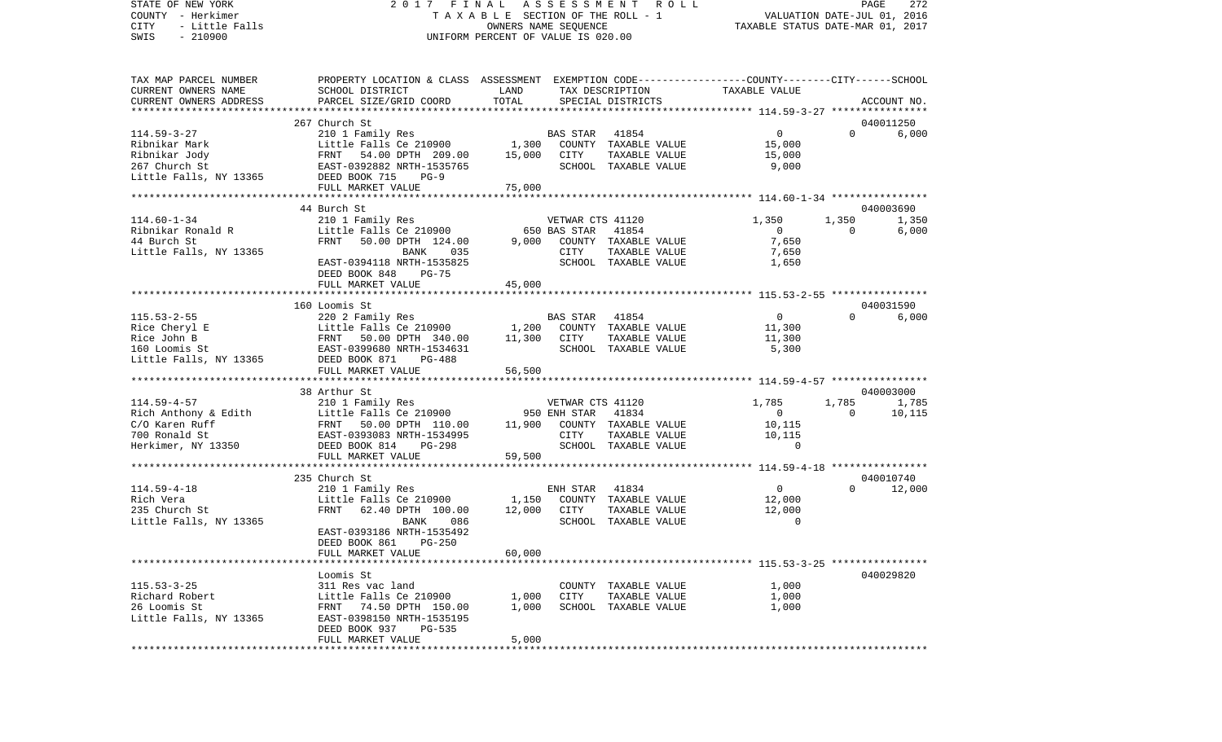STATE OF NEW YORK 2 0 1 7 F I N A L A S S E S S M E N T R O L L PAGE 272COUNTY - Herkimer **T A X A B L E** SECTION OF THE ROLL - 1 VALUATION DATE-JUL 01, 2016 CITY - Little Falls OWNERS NAME SEQUENCE TAXABLE STATUS DATE-MAR 01, 2017 SWIS - 210900 UNIFORM PERCENT OF VALUE IS 020.00TAX MAP PARCEL NUMBER PROPERTY LOCATION & CLASS ASSESSMENT EXEMPTION CODE------------------COUNTY--------CITY------SCHOOL CURRENT OWNERS NAME SCHOOL DISTRICT LAND TAX DESCRIPTION TAXABLE VALUECURRENT OWNERS ADDRESS PARCEL SIZE/GRID COORD TOTAL SPECIAL DISTRICTS ACCOUNT NO. \*\*\*\*\*\*\*\*\*\*\*\*\*\*\*\*\*\*\*\*\*\*\*\*\*\*\*\*\*\*\*\*\*\*\*\*\*\*\*\*\*\*\*\*\*\*\*\*\*\*\*\*\*\*\*\*\*\*\*\*\*\*\*\*\*\*\*\*\*\*\*\*\*\*\*\*\*\*\*\*\*\*\*\*\*\*\*\*\*\*\*\*\*\*\*\*\*\*\*\*\*\*\* 114.59-3-27 \*\*\*\*\*\*\*\*\*\*\*\*\*\*\*\* 267 Church St 040011250114.59-3-27 210 1 Family Res BAS STAR 41854 0 0 6,000 Ribnikar Mark Little Falls Ce 210900 1,300 COUNTY TAXABLE VALUE 15,000 Ribnikar Jody FRNT 54.00 DPTH 209.00 15,000 CITY TAXABLE VALUE 15,000 267 Church St EAST-0392882 NRTH-1535765 SCHOOL TAXABLE VALUE 9,000 Little Falls, NY 13365 DEED BOOK 715 PG-9 FULL MARKET VALUE 75,000 \*\*\*\*\*\*\*\*\*\*\*\*\*\*\*\*\*\*\*\*\*\*\*\*\*\*\*\*\*\*\*\*\*\*\*\*\*\*\*\*\*\*\*\*\*\*\*\*\*\*\*\*\*\*\*\*\*\*\*\*\*\*\*\*\*\*\*\*\*\*\*\*\*\*\*\*\*\*\*\*\*\*\*\*\*\*\*\*\*\*\*\*\*\*\*\*\*\*\*\*\*\*\* 114.60-1-34 \*\*\*\*\*\*\*\*\*\*\*\*\*\*\*\* 44 Burch St 040003690114.60-1-34 210 1 Family Res VETWAR CTS 41120 1,350 1,350 1,350 Little Falls Ce 210900 650 BAS STAR  $41854$  0 0 0 44 Burch St FRNT 50.00 DPTH 124.00 9,000 COUNTY TAXABLE VALUE 7,650 Little Falls, NY 13365 BANK 035 CITY TAXABLE VALUE 7,650 EAST-0394118 NRTH-1535825 SCHOOL TAXABLE VALUE 1,650 DEED BOOK 848 PG-75 FULL MARKET VALUE 45,000 \*\*\*\*\*\*\*\*\*\*\*\*\*\*\*\*\*\*\*\*\*\*\*\*\*\*\*\*\*\*\*\*\*\*\*\*\*\*\*\*\*\*\*\*\*\*\*\*\*\*\*\*\*\*\*\*\*\*\*\*\*\*\*\*\*\*\*\*\*\*\*\*\*\*\*\*\*\*\*\*\*\*\*\*\*\*\*\*\*\*\*\*\*\*\*\*\*\*\*\*\*\*\* 115.53-2-55 \*\*\*\*\*\*\*\*\*\*\*\*\*\*\*\* 160 Loomis St 040031590115.53-2-55 220 2 Family Res BAS STAR 41854 0 0 6,000 Rice Cheryl E **Little Falls Ce 210900** 1,200 COUNTY TAXABLE VALUE 11,300 Rice John B FRNT 50.00 DPTH 340.00 11,300 CITY TAXABLE VALUE 11,300 160 Loomis St EAST-0399680 NRTH-1534631 SCHOOL TAXABLE VALUE 5,300 Little Falls, NY 13365 DEED BOOK 871 PG-488 FULL MARKET VALUE 56,500 \*\*\*\*\*\*\*\*\*\*\*\*\*\*\*\*\*\*\*\*\*\*\*\*\*\*\*\*\*\*\*\*\*\*\*\*\*\*\*\*\*\*\*\*\*\*\*\*\*\*\*\*\*\*\*\*\*\*\*\*\*\*\*\*\*\*\*\*\*\*\*\*\*\*\*\*\*\*\*\*\*\*\*\*\*\*\*\*\*\*\*\*\*\*\*\*\*\*\*\*\*\*\* 114.59-4-57 \*\*\*\*\*\*\*\*\*\*\*\*\*\*\*\*38 Arthur St 040003000 114.59-4-57 210 1 Family Res VETWAR CTS 41120 1,785 1,785 1,785 1,785 Rich Anthony & Edith Little Falls Ce 210900 950 ENH STAR 41834 0 0 10,115  $C/O$  Karen Ruff  $FRT$  50.00 DPTH  $110.00$   $11,900$  COUNTY TAXABLE VALUE  $10,115$ 700 Ronald St EAST-0393083 NRTH-1534995 CITY TAXABLE VALUE 10,115 Herkimer, NY 13350 DEED BOOK 814 PG-298 SCHOOL TAXABLE VALUE 0 FULL MARKET VALUE 59,500 \*\*\*\*\*\*\*\*\*\*\*\*\*\*\*\*\*\*\*\*\*\*\*\*\*\*\*\*\*\*\*\*\*\*\*\*\*\*\*\*\*\*\*\*\*\*\*\*\*\*\*\*\*\*\*\*\*\*\*\*\*\*\*\*\*\*\*\*\*\*\*\*\*\*\*\*\*\*\*\*\*\*\*\*\*\*\*\*\*\*\*\*\*\*\*\*\*\*\*\*\*\*\* 114.59-4-18 \*\*\*\*\*\*\*\*\*\*\*\*\*\*\*\* 235 Church St 040010740114.59-4-18 210 1 Family Res ENH STAR 41834 0 0 12,000 Rich Vera **Little Falls Ce 210900** 1,150 COUNTY TAXABLE VALUE 235 Church St FRNT 62.40 DPTH 100.00 12,000 CITY TAXABLE VALUE 12,000 Little Falls, NY 13365 BANK 086 SCHOOL TAXABLE VALUE 0 EAST-0393186 NRTH-1535492 DEED BOOK 861 PG-250FULL MARKET VALUE 60,000 \*\*\*\*\*\*\*\*\*\*\*\*\*\*\*\*\*\*\*\*\*\*\*\*\*\*\*\*\*\*\*\*\*\*\*\*\*\*\*\*\*\*\*\*\*\*\*\*\*\*\*\*\*\*\*\*\*\*\*\*\*\*\*\*\*\*\*\*\*\*\*\*\*\*\*\*\*\*\*\*\*\*\*\*\*\*\*\*\*\*\*\*\*\*\*\*\*\*\*\*\*\*\* 115.53-3-25 \*\*\*\*\*\*\*\*\*\*\*\*\*\*\*\* Loomis St 040029820115.53-3-25 311 Res vac land COUNTY TAXABLE VALUE 1,000 Richard Robert **Little Falls Ce 210900** 1,000 CITY TAXABLE VALUE 1,000 26 Loomis St FRNT 74.50 DPTH 150.00 1,000 SCHOOL TAXABLE VALUE 1,000 Little Falls, NY 13365 EAST-0398150 NRTH-1535195 DEED BOOK 937 PG-535 FULL MARKET VALUE 5,000 \*\*\*\*\*\*\*\*\*\*\*\*\*\*\*\*\*\*\*\*\*\*\*\*\*\*\*\*\*\*\*\*\*\*\*\*\*\*\*\*\*\*\*\*\*\*\*\*\*\*\*\*\*\*\*\*\*\*\*\*\*\*\*\*\*\*\*\*\*\*\*\*\*\*\*\*\*\*\*\*\*\*\*\*\*\*\*\*\*\*\*\*\*\*\*\*\*\*\*\*\*\*\*\*\*\*\*\*\*\*\*\*\*\*\*\*\*\*\*\*\*\*\*\*\*\*\*\*\*\*\*\*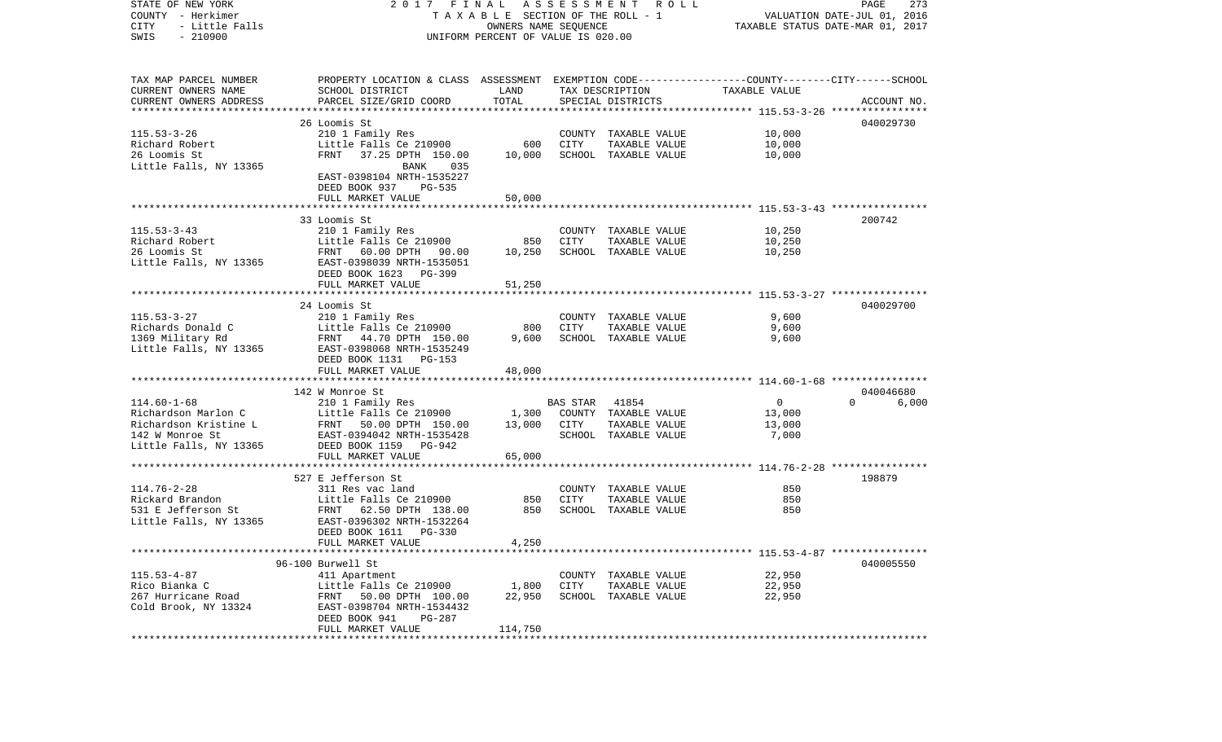| TAX MAP PARCEL NUMBER<br>PROPERTY LOCATION & CLASS ASSESSMENT EXEMPTION CODE---------------COUNTY-------CITY------SCHOOL<br>CURRENT OWNERS NAME<br>LAND<br>SCHOOL DISTRICT<br>TAX DESCRIPTION<br>TAXABLE VALUE<br>TOTAL<br>CURRENT OWNERS ADDRESS<br>PARCEL SIZE/GRID COORD<br>SPECIAL DISTRICTS<br>ACCOUNT NO.<br>*************************<br>26 Loomis St<br>040029730<br>$115.53 - 3 - 26$<br>10,000<br>210 1 Family Res<br>COUNTY TAXABLE VALUE<br>Richard Robert<br>Little Falls Ce 210900<br>600<br>CITY<br>TAXABLE VALUE<br>10,000<br>26 Loomis St<br>FRNT<br>37.25 DPTH 150.00<br>10,000<br>SCHOOL TAXABLE VALUE<br>10,000<br>Little Falls, NY 13365<br>BANK<br>035<br>EAST-0398104 NRTH-1535227<br>DEED BOOK 937 PG-535<br>FULL MARKET VALUE<br>50,000<br>33 Loomis St<br>200742<br>$115.53 - 3 - 43$<br>210 1 Family Res<br>10,250<br>COUNTY TAXABLE VALUE<br>850<br>10,250<br>Richard Robert<br>Little Falls Ce 210900<br>CITY<br>TAXABLE VALUE<br>26 Loomis St<br>FRNT 60.00 DPTH 90.00<br>10,250<br>SCHOOL TAXABLE VALUE<br>10,250<br>Little Falls, NY 13365<br>EAST-0398039 NRTH-1535051<br>DEED BOOK 1623 PG-399<br>FULL MARKET VALUE<br>51,250<br>24 Loomis St<br>040029700<br>$115.53 - 3 - 27$<br>210 1 Family Res<br>COUNTY TAXABLE VALUE<br>9,600<br>Richards Donald C<br>Little Falls Ce 210900<br>800<br>CITY<br>TAXABLE VALUE<br>9,600<br>1369 Military Rd<br>FRNT 44.70 DPTH 150.00<br>9,600<br>SCHOOL TAXABLE VALUE<br>9,600<br>Little Falls, NY 13365<br>EAST-0398068 NRTH-1535249<br>DEED BOOK 1131 PG-153<br>FULL MARKET VALUE<br>48,000<br>142 W Monroe St<br>040046680<br>$114.60 - 1 - 68$<br>$\overline{0}$<br>210 1 Family Res<br><b>BAS STAR</b><br>41854<br>$\Omega$<br>6,000<br>Richardson Marlon C<br>Little Falls Ce 210900<br>1,300<br>COUNTY TAXABLE VALUE<br>13,000<br>13,000<br>Richardson Kristine L<br>FRNT 50.00 DPTH 150.00<br>CITY<br>TAXABLE VALUE<br>13,000<br>142 W Monroe St<br>EAST-0394042 NRTH-1535428<br>SCHOOL TAXABLE VALUE<br>7,000<br>DEED BOOK 1159 PG-942<br>Little Falls, NY 13365<br>FULL MARKET VALUE<br>65,000<br>198879<br>527 E Jefferson St<br>$114.76 - 2 - 28$<br>COUNTY TAXABLE VALUE<br>850<br>311 Res vac land<br>Rickard Brandon<br>850<br>Little Falls Ce 210900<br>850<br>CITY<br>TAXABLE VALUE<br>531 E Jefferson St<br>FRNT 62.50 DPTH 138.00<br>850<br>SCHOOL TAXABLE VALUE<br>850<br>Little Falls, NY 13365<br>EAST-0396302 NRTH-1532264<br>DEED BOOK 1611 PG-330<br>4,250<br>FULL MARKET VALUE<br>040005550<br>96-100 Burwell St<br>$115.53 - 4 - 87$<br>22,950<br>411 Apartment<br>COUNTY TAXABLE VALUE<br>Rico Bianka C<br>Little Falls Ce 210900<br>1,800<br>CITY<br>22,950<br>TAXABLE VALUE<br>267 Hurricane Road<br>22,950<br>SCHOOL TAXABLE VALUE<br>22,950<br>FRNT 50.00 DPTH 100.00<br>Cold Brook, NY 13324<br>EAST-0398704 NRTH-1534432<br>DEED BOOK 941<br>PG-287<br>FULL MARKET VALUE<br>114,750 | STATE OF NEW YORK<br>COUNTY - Herkimer<br>CITY<br>- Little Falls<br>$-210900$<br>SWIS | 2017 FINAL | TAXABLE SECTION OF THE ROLL - 1<br>OWNERS NAME SEQUENCE<br>UNIFORM PERCENT OF VALUE IS 020.00 | A S S E S S M E N T R O L L | PAGE<br>273<br>VALUATION DATE-JUL 01, 2016<br>TAXABLE STATUS DATE-MAR 01, 2017 |  |  |
|-----------------------------------------------------------------------------------------------------------------------------------------------------------------------------------------------------------------------------------------------------------------------------------------------------------------------------------------------------------------------------------------------------------------------------------------------------------------------------------------------------------------------------------------------------------------------------------------------------------------------------------------------------------------------------------------------------------------------------------------------------------------------------------------------------------------------------------------------------------------------------------------------------------------------------------------------------------------------------------------------------------------------------------------------------------------------------------------------------------------------------------------------------------------------------------------------------------------------------------------------------------------------------------------------------------------------------------------------------------------------------------------------------------------------------------------------------------------------------------------------------------------------------------------------------------------------------------------------------------------------------------------------------------------------------------------------------------------------------------------------------------------------------------------------------------------------------------------------------------------------------------------------------------------------------------------------------------------------------------------------------------------------------------------------------------------------------------------------------------------------------------------------------------------------------------------------------------------------------------------------------------------------------------------------------------------------------------------------------------------------------------------------------------------------------------------------------------------------------------------------------------------------------------------------------------------------------------------------------------------------------------------------------------------------------------------------------------------------------------------------------------------------------------------------------------------------------------------------------------------------------------------------|---------------------------------------------------------------------------------------|------------|-----------------------------------------------------------------------------------------------|-----------------------------|--------------------------------------------------------------------------------|--|--|
|                                                                                                                                                                                                                                                                                                                                                                                                                                                                                                                                                                                                                                                                                                                                                                                                                                                                                                                                                                                                                                                                                                                                                                                                                                                                                                                                                                                                                                                                                                                                                                                                                                                                                                                                                                                                                                                                                                                                                                                                                                                                                                                                                                                                                                                                                                                                                                                                                                                                                                                                                                                                                                                                                                                                                                                                                                                                                               |                                                                                       |            |                                                                                               |                             |                                                                                |  |  |
|                                                                                                                                                                                                                                                                                                                                                                                                                                                                                                                                                                                                                                                                                                                                                                                                                                                                                                                                                                                                                                                                                                                                                                                                                                                                                                                                                                                                                                                                                                                                                                                                                                                                                                                                                                                                                                                                                                                                                                                                                                                                                                                                                                                                                                                                                                                                                                                                                                                                                                                                                                                                                                                                                                                                                                                                                                                                                               |                                                                                       |            |                                                                                               |                             |                                                                                |  |  |
|                                                                                                                                                                                                                                                                                                                                                                                                                                                                                                                                                                                                                                                                                                                                                                                                                                                                                                                                                                                                                                                                                                                                                                                                                                                                                                                                                                                                                                                                                                                                                                                                                                                                                                                                                                                                                                                                                                                                                                                                                                                                                                                                                                                                                                                                                                                                                                                                                                                                                                                                                                                                                                                                                                                                                                                                                                                                                               |                                                                                       |            |                                                                                               |                             |                                                                                |  |  |
|                                                                                                                                                                                                                                                                                                                                                                                                                                                                                                                                                                                                                                                                                                                                                                                                                                                                                                                                                                                                                                                                                                                                                                                                                                                                                                                                                                                                                                                                                                                                                                                                                                                                                                                                                                                                                                                                                                                                                                                                                                                                                                                                                                                                                                                                                                                                                                                                                                                                                                                                                                                                                                                                                                                                                                                                                                                                                               |                                                                                       |            |                                                                                               |                             |                                                                                |  |  |
|                                                                                                                                                                                                                                                                                                                                                                                                                                                                                                                                                                                                                                                                                                                                                                                                                                                                                                                                                                                                                                                                                                                                                                                                                                                                                                                                                                                                                                                                                                                                                                                                                                                                                                                                                                                                                                                                                                                                                                                                                                                                                                                                                                                                                                                                                                                                                                                                                                                                                                                                                                                                                                                                                                                                                                                                                                                                                               |                                                                                       |            |                                                                                               |                             |                                                                                |  |  |
|                                                                                                                                                                                                                                                                                                                                                                                                                                                                                                                                                                                                                                                                                                                                                                                                                                                                                                                                                                                                                                                                                                                                                                                                                                                                                                                                                                                                                                                                                                                                                                                                                                                                                                                                                                                                                                                                                                                                                                                                                                                                                                                                                                                                                                                                                                                                                                                                                                                                                                                                                                                                                                                                                                                                                                                                                                                                                               |                                                                                       |            |                                                                                               |                             |                                                                                |  |  |
|                                                                                                                                                                                                                                                                                                                                                                                                                                                                                                                                                                                                                                                                                                                                                                                                                                                                                                                                                                                                                                                                                                                                                                                                                                                                                                                                                                                                                                                                                                                                                                                                                                                                                                                                                                                                                                                                                                                                                                                                                                                                                                                                                                                                                                                                                                                                                                                                                                                                                                                                                                                                                                                                                                                                                                                                                                                                                               |                                                                                       |            |                                                                                               |                             |                                                                                |  |  |
|                                                                                                                                                                                                                                                                                                                                                                                                                                                                                                                                                                                                                                                                                                                                                                                                                                                                                                                                                                                                                                                                                                                                                                                                                                                                                                                                                                                                                                                                                                                                                                                                                                                                                                                                                                                                                                                                                                                                                                                                                                                                                                                                                                                                                                                                                                                                                                                                                                                                                                                                                                                                                                                                                                                                                                                                                                                                                               |                                                                                       |            |                                                                                               |                             |                                                                                |  |  |
|                                                                                                                                                                                                                                                                                                                                                                                                                                                                                                                                                                                                                                                                                                                                                                                                                                                                                                                                                                                                                                                                                                                                                                                                                                                                                                                                                                                                                                                                                                                                                                                                                                                                                                                                                                                                                                                                                                                                                                                                                                                                                                                                                                                                                                                                                                                                                                                                                                                                                                                                                                                                                                                                                                                                                                                                                                                                                               |                                                                                       |            |                                                                                               |                             |                                                                                |  |  |
|                                                                                                                                                                                                                                                                                                                                                                                                                                                                                                                                                                                                                                                                                                                                                                                                                                                                                                                                                                                                                                                                                                                                                                                                                                                                                                                                                                                                                                                                                                                                                                                                                                                                                                                                                                                                                                                                                                                                                                                                                                                                                                                                                                                                                                                                                                                                                                                                                                                                                                                                                                                                                                                                                                                                                                                                                                                                                               |                                                                                       |            |                                                                                               |                             |                                                                                |  |  |
|                                                                                                                                                                                                                                                                                                                                                                                                                                                                                                                                                                                                                                                                                                                                                                                                                                                                                                                                                                                                                                                                                                                                                                                                                                                                                                                                                                                                                                                                                                                                                                                                                                                                                                                                                                                                                                                                                                                                                                                                                                                                                                                                                                                                                                                                                                                                                                                                                                                                                                                                                                                                                                                                                                                                                                                                                                                                                               |                                                                                       |            |                                                                                               |                             |                                                                                |  |  |
|                                                                                                                                                                                                                                                                                                                                                                                                                                                                                                                                                                                                                                                                                                                                                                                                                                                                                                                                                                                                                                                                                                                                                                                                                                                                                                                                                                                                                                                                                                                                                                                                                                                                                                                                                                                                                                                                                                                                                                                                                                                                                                                                                                                                                                                                                                                                                                                                                                                                                                                                                                                                                                                                                                                                                                                                                                                                                               |                                                                                       |            |                                                                                               |                             |                                                                                |  |  |
|                                                                                                                                                                                                                                                                                                                                                                                                                                                                                                                                                                                                                                                                                                                                                                                                                                                                                                                                                                                                                                                                                                                                                                                                                                                                                                                                                                                                                                                                                                                                                                                                                                                                                                                                                                                                                                                                                                                                                                                                                                                                                                                                                                                                                                                                                                                                                                                                                                                                                                                                                                                                                                                                                                                                                                                                                                                                                               |                                                                                       |            |                                                                                               |                             |                                                                                |  |  |
|                                                                                                                                                                                                                                                                                                                                                                                                                                                                                                                                                                                                                                                                                                                                                                                                                                                                                                                                                                                                                                                                                                                                                                                                                                                                                                                                                                                                                                                                                                                                                                                                                                                                                                                                                                                                                                                                                                                                                                                                                                                                                                                                                                                                                                                                                                                                                                                                                                                                                                                                                                                                                                                                                                                                                                                                                                                                                               |                                                                                       |            |                                                                                               |                             |                                                                                |  |  |
|                                                                                                                                                                                                                                                                                                                                                                                                                                                                                                                                                                                                                                                                                                                                                                                                                                                                                                                                                                                                                                                                                                                                                                                                                                                                                                                                                                                                                                                                                                                                                                                                                                                                                                                                                                                                                                                                                                                                                                                                                                                                                                                                                                                                                                                                                                                                                                                                                                                                                                                                                                                                                                                                                                                                                                                                                                                                                               |                                                                                       |            |                                                                                               |                             |                                                                                |  |  |
|                                                                                                                                                                                                                                                                                                                                                                                                                                                                                                                                                                                                                                                                                                                                                                                                                                                                                                                                                                                                                                                                                                                                                                                                                                                                                                                                                                                                                                                                                                                                                                                                                                                                                                                                                                                                                                                                                                                                                                                                                                                                                                                                                                                                                                                                                                                                                                                                                                                                                                                                                                                                                                                                                                                                                                                                                                                                                               |                                                                                       |            |                                                                                               |                             |                                                                                |  |  |
|                                                                                                                                                                                                                                                                                                                                                                                                                                                                                                                                                                                                                                                                                                                                                                                                                                                                                                                                                                                                                                                                                                                                                                                                                                                                                                                                                                                                                                                                                                                                                                                                                                                                                                                                                                                                                                                                                                                                                                                                                                                                                                                                                                                                                                                                                                                                                                                                                                                                                                                                                                                                                                                                                                                                                                                                                                                                                               |                                                                                       |            |                                                                                               |                             |                                                                                |  |  |
|                                                                                                                                                                                                                                                                                                                                                                                                                                                                                                                                                                                                                                                                                                                                                                                                                                                                                                                                                                                                                                                                                                                                                                                                                                                                                                                                                                                                                                                                                                                                                                                                                                                                                                                                                                                                                                                                                                                                                                                                                                                                                                                                                                                                                                                                                                                                                                                                                                                                                                                                                                                                                                                                                                                                                                                                                                                                                               |                                                                                       |            |                                                                                               |                             |                                                                                |  |  |
|                                                                                                                                                                                                                                                                                                                                                                                                                                                                                                                                                                                                                                                                                                                                                                                                                                                                                                                                                                                                                                                                                                                                                                                                                                                                                                                                                                                                                                                                                                                                                                                                                                                                                                                                                                                                                                                                                                                                                                                                                                                                                                                                                                                                                                                                                                                                                                                                                                                                                                                                                                                                                                                                                                                                                                                                                                                                                               |                                                                                       |            |                                                                                               |                             |                                                                                |  |  |
|                                                                                                                                                                                                                                                                                                                                                                                                                                                                                                                                                                                                                                                                                                                                                                                                                                                                                                                                                                                                                                                                                                                                                                                                                                                                                                                                                                                                                                                                                                                                                                                                                                                                                                                                                                                                                                                                                                                                                                                                                                                                                                                                                                                                                                                                                                                                                                                                                                                                                                                                                                                                                                                                                                                                                                                                                                                                                               |                                                                                       |            |                                                                                               |                             |                                                                                |  |  |
|                                                                                                                                                                                                                                                                                                                                                                                                                                                                                                                                                                                                                                                                                                                                                                                                                                                                                                                                                                                                                                                                                                                                                                                                                                                                                                                                                                                                                                                                                                                                                                                                                                                                                                                                                                                                                                                                                                                                                                                                                                                                                                                                                                                                                                                                                                                                                                                                                                                                                                                                                                                                                                                                                                                                                                                                                                                                                               |                                                                                       |            |                                                                                               |                             |                                                                                |  |  |
|                                                                                                                                                                                                                                                                                                                                                                                                                                                                                                                                                                                                                                                                                                                                                                                                                                                                                                                                                                                                                                                                                                                                                                                                                                                                                                                                                                                                                                                                                                                                                                                                                                                                                                                                                                                                                                                                                                                                                                                                                                                                                                                                                                                                                                                                                                                                                                                                                                                                                                                                                                                                                                                                                                                                                                                                                                                                                               |                                                                                       |            |                                                                                               |                             |                                                                                |  |  |
|                                                                                                                                                                                                                                                                                                                                                                                                                                                                                                                                                                                                                                                                                                                                                                                                                                                                                                                                                                                                                                                                                                                                                                                                                                                                                                                                                                                                                                                                                                                                                                                                                                                                                                                                                                                                                                                                                                                                                                                                                                                                                                                                                                                                                                                                                                                                                                                                                                                                                                                                                                                                                                                                                                                                                                                                                                                                                               |                                                                                       |            |                                                                                               |                             |                                                                                |  |  |
|                                                                                                                                                                                                                                                                                                                                                                                                                                                                                                                                                                                                                                                                                                                                                                                                                                                                                                                                                                                                                                                                                                                                                                                                                                                                                                                                                                                                                                                                                                                                                                                                                                                                                                                                                                                                                                                                                                                                                                                                                                                                                                                                                                                                                                                                                                                                                                                                                                                                                                                                                                                                                                                                                                                                                                                                                                                                                               |                                                                                       |            |                                                                                               |                             |                                                                                |  |  |
|                                                                                                                                                                                                                                                                                                                                                                                                                                                                                                                                                                                                                                                                                                                                                                                                                                                                                                                                                                                                                                                                                                                                                                                                                                                                                                                                                                                                                                                                                                                                                                                                                                                                                                                                                                                                                                                                                                                                                                                                                                                                                                                                                                                                                                                                                                                                                                                                                                                                                                                                                                                                                                                                                                                                                                                                                                                                                               |                                                                                       |            |                                                                                               |                             |                                                                                |  |  |
|                                                                                                                                                                                                                                                                                                                                                                                                                                                                                                                                                                                                                                                                                                                                                                                                                                                                                                                                                                                                                                                                                                                                                                                                                                                                                                                                                                                                                                                                                                                                                                                                                                                                                                                                                                                                                                                                                                                                                                                                                                                                                                                                                                                                                                                                                                                                                                                                                                                                                                                                                                                                                                                                                                                                                                                                                                                                                               |                                                                                       |            |                                                                                               |                             |                                                                                |  |  |
|                                                                                                                                                                                                                                                                                                                                                                                                                                                                                                                                                                                                                                                                                                                                                                                                                                                                                                                                                                                                                                                                                                                                                                                                                                                                                                                                                                                                                                                                                                                                                                                                                                                                                                                                                                                                                                                                                                                                                                                                                                                                                                                                                                                                                                                                                                                                                                                                                                                                                                                                                                                                                                                                                                                                                                                                                                                                                               |                                                                                       |            |                                                                                               |                             |                                                                                |  |  |
|                                                                                                                                                                                                                                                                                                                                                                                                                                                                                                                                                                                                                                                                                                                                                                                                                                                                                                                                                                                                                                                                                                                                                                                                                                                                                                                                                                                                                                                                                                                                                                                                                                                                                                                                                                                                                                                                                                                                                                                                                                                                                                                                                                                                                                                                                                                                                                                                                                                                                                                                                                                                                                                                                                                                                                                                                                                                                               |                                                                                       |            |                                                                                               |                             |                                                                                |  |  |
|                                                                                                                                                                                                                                                                                                                                                                                                                                                                                                                                                                                                                                                                                                                                                                                                                                                                                                                                                                                                                                                                                                                                                                                                                                                                                                                                                                                                                                                                                                                                                                                                                                                                                                                                                                                                                                                                                                                                                                                                                                                                                                                                                                                                                                                                                                                                                                                                                                                                                                                                                                                                                                                                                                                                                                                                                                                                                               |                                                                                       |            |                                                                                               |                             |                                                                                |  |  |
|                                                                                                                                                                                                                                                                                                                                                                                                                                                                                                                                                                                                                                                                                                                                                                                                                                                                                                                                                                                                                                                                                                                                                                                                                                                                                                                                                                                                                                                                                                                                                                                                                                                                                                                                                                                                                                                                                                                                                                                                                                                                                                                                                                                                                                                                                                                                                                                                                                                                                                                                                                                                                                                                                                                                                                                                                                                                                               |                                                                                       |            |                                                                                               |                             |                                                                                |  |  |
|                                                                                                                                                                                                                                                                                                                                                                                                                                                                                                                                                                                                                                                                                                                                                                                                                                                                                                                                                                                                                                                                                                                                                                                                                                                                                                                                                                                                                                                                                                                                                                                                                                                                                                                                                                                                                                                                                                                                                                                                                                                                                                                                                                                                                                                                                                                                                                                                                                                                                                                                                                                                                                                                                                                                                                                                                                                                                               |                                                                                       |            |                                                                                               |                             |                                                                                |  |  |
|                                                                                                                                                                                                                                                                                                                                                                                                                                                                                                                                                                                                                                                                                                                                                                                                                                                                                                                                                                                                                                                                                                                                                                                                                                                                                                                                                                                                                                                                                                                                                                                                                                                                                                                                                                                                                                                                                                                                                                                                                                                                                                                                                                                                                                                                                                                                                                                                                                                                                                                                                                                                                                                                                                                                                                                                                                                                                               |                                                                                       |            |                                                                                               |                             |                                                                                |  |  |
|                                                                                                                                                                                                                                                                                                                                                                                                                                                                                                                                                                                                                                                                                                                                                                                                                                                                                                                                                                                                                                                                                                                                                                                                                                                                                                                                                                                                                                                                                                                                                                                                                                                                                                                                                                                                                                                                                                                                                                                                                                                                                                                                                                                                                                                                                                                                                                                                                                                                                                                                                                                                                                                                                                                                                                                                                                                                                               |                                                                                       |            |                                                                                               |                             |                                                                                |  |  |
|                                                                                                                                                                                                                                                                                                                                                                                                                                                                                                                                                                                                                                                                                                                                                                                                                                                                                                                                                                                                                                                                                                                                                                                                                                                                                                                                                                                                                                                                                                                                                                                                                                                                                                                                                                                                                                                                                                                                                                                                                                                                                                                                                                                                                                                                                                                                                                                                                                                                                                                                                                                                                                                                                                                                                                                                                                                                                               |                                                                                       |            |                                                                                               |                             |                                                                                |  |  |
|                                                                                                                                                                                                                                                                                                                                                                                                                                                                                                                                                                                                                                                                                                                                                                                                                                                                                                                                                                                                                                                                                                                                                                                                                                                                                                                                                                                                                                                                                                                                                                                                                                                                                                                                                                                                                                                                                                                                                                                                                                                                                                                                                                                                                                                                                                                                                                                                                                                                                                                                                                                                                                                                                                                                                                                                                                                                                               |                                                                                       |            |                                                                                               |                             |                                                                                |  |  |
|                                                                                                                                                                                                                                                                                                                                                                                                                                                                                                                                                                                                                                                                                                                                                                                                                                                                                                                                                                                                                                                                                                                                                                                                                                                                                                                                                                                                                                                                                                                                                                                                                                                                                                                                                                                                                                                                                                                                                                                                                                                                                                                                                                                                                                                                                                                                                                                                                                                                                                                                                                                                                                                                                                                                                                                                                                                                                               |                                                                                       |            |                                                                                               |                             |                                                                                |  |  |
|                                                                                                                                                                                                                                                                                                                                                                                                                                                                                                                                                                                                                                                                                                                                                                                                                                                                                                                                                                                                                                                                                                                                                                                                                                                                                                                                                                                                                                                                                                                                                                                                                                                                                                                                                                                                                                                                                                                                                                                                                                                                                                                                                                                                                                                                                                                                                                                                                                                                                                                                                                                                                                                                                                                                                                                                                                                                                               |                                                                                       |            |                                                                                               |                             |                                                                                |  |  |
|                                                                                                                                                                                                                                                                                                                                                                                                                                                                                                                                                                                                                                                                                                                                                                                                                                                                                                                                                                                                                                                                                                                                                                                                                                                                                                                                                                                                                                                                                                                                                                                                                                                                                                                                                                                                                                                                                                                                                                                                                                                                                                                                                                                                                                                                                                                                                                                                                                                                                                                                                                                                                                                                                                                                                                                                                                                                                               |                                                                                       |            |                                                                                               |                             |                                                                                |  |  |
|                                                                                                                                                                                                                                                                                                                                                                                                                                                                                                                                                                                                                                                                                                                                                                                                                                                                                                                                                                                                                                                                                                                                                                                                                                                                                                                                                                                                                                                                                                                                                                                                                                                                                                                                                                                                                                                                                                                                                                                                                                                                                                                                                                                                                                                                                                                                                                                                                                                                                                                                                                                                                                                                                                                                                                                                                                                                                               |                                                                                       |            |                                                                                               |                             |                                                                                |  |  |
|                                                                                                                                                                                                                                                                                                                                                                                                                                                                                                                                                                                                                                                                                                                                                                                                                                                                                                                                                                                                                                                                                                                                                                                                                                                                                                                                                                                                                                                                                                                                                                                                                                                                                                                                                                                                                                                                                                                                                                                                                                                                                                                                                                                                                                                                                                                                                                                                                                                                                                                                                                                                                                                                                                                                                                                                                                                                                               |                                                                                       |            |                                                                                               |                             |                                                                                |  |  |
|                                                                                                                                                                                                                                                                                                                                                                                                                                                                                                                                                                                                                                                                                                                                                                                                                                                                                                                                                                                                                                                                                                                                                                                                                                                                                                                                                                                                                                                                                                                                                                                                                                                                                                                                                                                                                                                                                                                                                                                                                                                                                                                                                                                                                                                                                                                                                                                                                                                                                                                                                                                                                                                                                                                                                                                                                                                                                               |                                                                                       |            |                                                                                               |                             |                                                                                |  |  |
|                                                                                                                                                                                                                                                                                                                                                                                                                                                                                                                                                                                                                                                                                                                                                                                                                                                                                                                                                                                                                                                                                                                                                                                                                                                                                                                                                                                                                                                                                                                                                                                                                                                                                                                                                                                                                                                                                                                                                                                                                                                                                                                                                                                                                                                                                                                                                                                                                                                                                                                                                                                                                                                                                                                                                                                                                                                                                               |                                                                                       |            |                                                                                               |                             |                                                                                |  |  |
|                                                                                                                                                                                                                                                                                                                                                                                                                                                                                                                                                                                                                                                                                                                                                                                                                                                                                                                                                                                                                                                                                                                                                                                                                                                                                                                                                                                                                                                                                                                                                                                                                                                                                                                                                                                                                                                                                                                                                                                                                                                                                                                                                                                                                                                                                                                                                                                                                                                                                                                                                                                                                                                                                                                                                                                                                                                                                               |                                                                                       |            |                                                                                               |                             |                                                                                |  |  |
|                                                                                                                                                                                                                                                                                                                                                                                                                                                                                                                                                                                                                                                                                                                                                                                                                                                                                                                                                                                                                                                                                                                                                                                                                                                                                                                                                                                                                                                                                                                                                                                                                                                                                                                                                                                                                                                                                                                                                                                                                                                                                                                                                                                                                                                                                                                                                                                                                                                                                                                                                                                                                                                                                                                                                                                                                                                                                               |                                                                                       |            |                                                                                               |                             |                                                                                |  |  |
|                                                                                                                                                                                                                                                                                                                                                                                                                                                                                                                                                                                                                                                                                                                                                                                                                                                                                                                                                                                                                                                                                                                                                                                                                                                                                                                                                                                                                                                                                                                                                                                                                                                                                                                                                                                                                                                                                                                                                                                                                                                                                                                                                                                                                                                                                                                                                                                                                                                                                                                                                                                                                                                                                                                                                                                                                                                                                               |                                                                                       |            |                                                                                               |                             |                                                                                |  |  |
|                                                                                                                                                                                                                                                                                                                                                                                                                                                                                                                                                                                                                                                                                                                                                                                                                                                                                                                                                                                                                                                                                                                                                                                                                                                                                                                                                                                                                                                                                                                                                                                                                                                                                                                                                                                                                                                                                                                                                                                                                                                                                                                                                                                                                                                                                                                                                                                                                                                                                                                                                                                                                                                                                                                                                                                                                                                                                               |                                                                                       |            |                                                                                               |                             |                                                                                |  |  |
|                                                                                                                                                                                                                                                                                                                                                                                                                                                                                                                                                                                                                                                                                                                                                                                                                                                                                                                                                                                                                                                                                                                                                                                                                                                                                                                                                                                                                                                                                                                                                                                                                                                                                                                                                                                                                                                                                                                                                                                                                                                                                                                                                                                                                                                                                                                                                                                                                                                                                                                                                                                                                                                                                                                                                                                                                                                                                               |                                                                                       |            |                                                                                               |                             |                                                                                |  |  |
|                                                                                                                                                                                                                                                                                                                                                                                                                                                                                                                                                                                                                                                                                                                                                                                                                                                                                                                                                                                                                                                                                                                                                                                                                                                                                                                                                                                                                                                                                                                                                                                                                                                                                                                                                                                                                                                                                                                                                                                                                                                                                                                                                                                                                                                                                                                                                                                                                                                                                                                                                                                                                                                                                                                                                                                                                                                                                               |                                                                                       |            |                                                                                               |                             |                                                                                |  |  |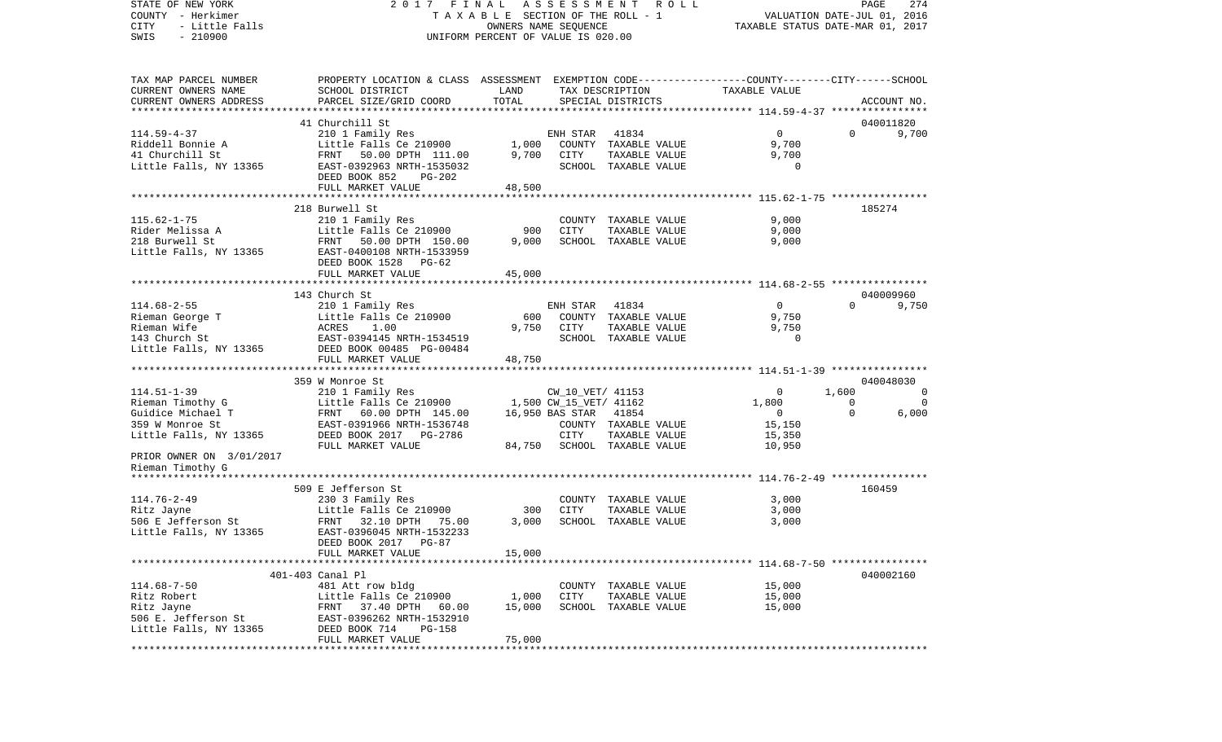COUNTY - Herkimer **T A X A B L E** SECTION OF THE ROLL - 1 VALUATION DATE-JUL 01, 2016 CITY - Little Falls OWNERS NAME SEQUENCE TAXABLE STATUS DATE-MAR 01, 2017 SWIS - 210900 UNIFORM PERCENT OF VALUE IS 020.00TAX MAP PARCEL NUMBER PROPERTY LOCATION & CLASS ASSESSMENT EXEMPTION CODE------------------COUNTY--------CITY------SCHOOL CURRENT OWNERS NAME SCHOOL DISTRICT LAND TAX DESCRIPTION TAXABLE VALUECURRENT OWNERS ADDRESS PARCEL SIZE/GRID COORD TOTAL SPECIAL DISTRICTS ACCOUNT NO. \*\*\*\*\*\*\*\*\*\*\*\*\*\*\*\*\*\*\*\*\*\*\*\*\*\*\*\*\*\*\*\*\*\*\*\*\*\*\*\*\*\*\*\*\*\*\*\*\*\*\*\*\*\*\*\*\*\*\*\*\*\*\*\*\*\*\*\*\*\*\*\*\*\*\*\*\*\*\*\*\*\*\*\*\*\*\*\*\*\*\*\*\*\*\*\*\*\*\*\*\*\*\* 114.59-4-37 \*\*\*\*\*\*\*\*\*\*\*\*\*\*\*\* 41 Churchill St 040011820114.59-4-37 210 1 Family Res ENH STAR 41834 0 0 9,700 Riddell Bonnie A **Little Falls Ce 210900** 1,000 COUNTY TAXABLE VALUE 9,700 41 Churchill St FRNT 50.00 DPTH 111.00 9,700 CITY TAXABLE VALUE 9,700 Little Falls, NY 13365 EAST-0392963 NRTH-1535032 SCHOOL TAXABLE VALUE 0 DEED BOOK 852 PG-202FULL MARKET VALUE 48,500 \*\*\*\*\*\*\*\*\*\*\*\*\*\*\*\*\*\*\*\*\*\*\*\*\*\*\*\*\*\*\*\*\*\*\*\*\*\*\*\*\*\*\*\*\*\*\*\*\*\*\*\*\*\*\*\*\*\*\*\*\*\*\*\*\*\*\*\*\*\*\*\*\*\*\*\*\*\*\*\*\*\*\*\*\*\*\*\*\*\*\*\*\*\*\*\*\*\*\*\*\*\*\* 115.62-1-75 \*\*\*\*\*\*\*\*\*\*\*\*\*\*\*\* 218 Burwell St 185274115.62-1-75 210 1 Family Res COUNTY TAXABLE VALUE 9,000 Rider Melissa A Little Falls Ce 210900 900 CITY TAXABLE VALUE 9,000 218 Burwell St FRNT 50.00 DPTH 150.00 9,000 SCHOOL TAXABLE VALUE 9,000 Little Falls, NY 13365 EAST-0400108 NRTH-1533959 DEED BOOK 1528 PG-62FULL MARKET VALUE 45,000 \*\*\*\*\*\*\*\*\*\*\*\*\*\*\*\*\*\*\*\*\*\*\*\*\*\*\*\*\*\*\*\*\*\*\*\*\*\*\*\*\*\*\*\*\*\*\*\*\*\*\*\*\*\*\*\*\*\*\*\*\*\*\*\*\*\*\*\*\*\*\*\*\*\*\*\*\*\*\*\*\*\*\*\*\*\*\*\*\*\*\*\*\*\*\*\*\*\*\*\*\*\*\* 114.68-2-55 \*\*\*\*\*\*\*\*\*\*\*\*\*\*\*\* 143 Church St 0400099609.750 114.68-2-55 210 1 Family Res ENH STAR 41834 0 0 0 Rieman George T Little Falls Ce 210900 600 COUNTY TAXABLE VALUE 9,750 Rieman Wife ACRES 1.00 9,750 CITY TAXABLE VALUE 9,750 143 Church St EAST-0394145 NRTH-1534519 SCHOOL TAXABLE VALUE 0Little Falls, NY 13365 DEED BOOK 00485 PG-00484 FULL MARKET VALUE 48,750 \*\*\*\*\*\*\*\*\*\*\*\*\*\*\*\*\*\*\*\*\*\*\*\*\*\*\*\*\*\*\*\*\*\*\*\*\*\*\*\*\*\*\*\*\*\*\*\*\*\*\*\*\*\*\*\*\*\*\*\*\*\*\*\*\*\*\*\*\*\*\*\*\*\*\*\*\*\*\*\*\*\*\*\*\*\*\*\*\*\*\*\*\*\*\*\*\*\*\*\*\*\*\* 114.51-1-39 \*\*\*\*\*\*\*\*\*\*\*\*\*\*\*\* 359 W Monroe St 040048030114.51-1-39 210 1 Family Res CW\_10\_VET/ 41153 0 1,600 0 Rieman Timothy G Little Falls Ce 210900 1,500 CW\_15\_VET/ 41162 1,800 0 0 Guidice Michael T 60.00 DPTH 145.00 16,950 BAS STAR 41854 0 0 0 6,000 359 W Monroe St EAST-0391966 NRTH-1536748 COUNTY TAXABLE VALUE 15,150 Little Falls, NY 13365 DEED BOOK 2017 PG-2786 CITY TAXABLE VALUE 15,350 FULL MARKET VALUE  $84,750$  SCHOOL TAXABLE VALUE  $10,950$ PRIOR OWNER ON 3/01/2017 Rieman Timothy G \*\*\*\*\*\*\*\*\*\*\*\*\*\*\*\*\*\*\*\*\*\*\*\*\*\*\*\*\*\*\*\*\*\*\*\*\*\*\*\*\*\*\*\*\*\*\*\*\*\*\*\*\*\*\*\*\*\*\*\*\*\*\*\*\*\*\*\*\*\*\*\*\*\*\*\*\*\*\*\*\*\*\*\*\*\*\*\*\*\*\*\*\*\*\*\*\*\*\*\*\*\*\* 114.76-2-49 \*\*\*\*\*\*\*\*\*\*\*\*\*\*\*\* 509 E Jefferson St 160459114.76-2-49 230 3 Family Res COUNTY TAXABLE VALUE 3,000 Little Falls Ce  $210900$ 506 E Jefferson St FRNT 32.10 DPTH 75.00 3,000 SCHOOL TAXABLE VALUE 3,000 Little Falls, NY 13365 EAST-0396045 NRTH-1532233 DEED BOOK 2017 PG-87FULL MARKET VALUE 15,000 \*\*\*\*\*\*\*\*\*\*\*\*\*\*\*\*\*\*\*\*\*\*\*\*\*\*\*\*\*\*\*\*\*\*\*\*\*\*\*\*\*\*\*\*\*\*\*\*\*\*\*\*\*\*\*\*\*\*\*\*\*\*\*\*\*\*\*\*\*\*\*\*\*\*\*\*\*\*\*\*\*\*\*\*\*\*\*\*\*\*\*\*\*\*\*\*\*\*\*\*\*\*\* 114.68-7-50 \*\*\*\*\*\*\*\*\*\*\*\*\*\*\*\* 401-403 Canal Pl 040002160114.68-7-50 481 Att row bldg COUNTY TAXABLE VALUE 15,000 Ritz Robert Little Falls Ce 210900 1,000 CITY TAXABLE VALUE 15,000 Ritz Jayne FRNT 37.40 DPTH 60.00 15,000 SCHOOL TAXABLE VALUE 15,000 506 E. Jefferson St EAST-0396262 NRTH-1532910Little Falls, NY 13365 DEED BOOK 714 PG-158 FULL MARKET VALUE 75,000 \*\*\*\*\*\*\*\*\*\*\*\*\*\*\*\*\*\*\*\*\*\*\*\*\*\*\*\*\*\*\*\*\*\*\*\*\*\*\*\*\*\*\*\*\*\*\*\*\*\*\*\*\*\*\*\*\*\*\*\*\*\*\*\*\*\*\*\*\*\*\*\*\*\*\*\*\*\*\*\*\*\*\*\*\*\*\*\*\*\*\*\*\*\*\*\*\*\*\*\*\*\*\*\*\*\*\*\*\*\*\*\*\*\*\*\*\*\*\*\*\*\*\*\*\*\*\*\*\*\*\*\*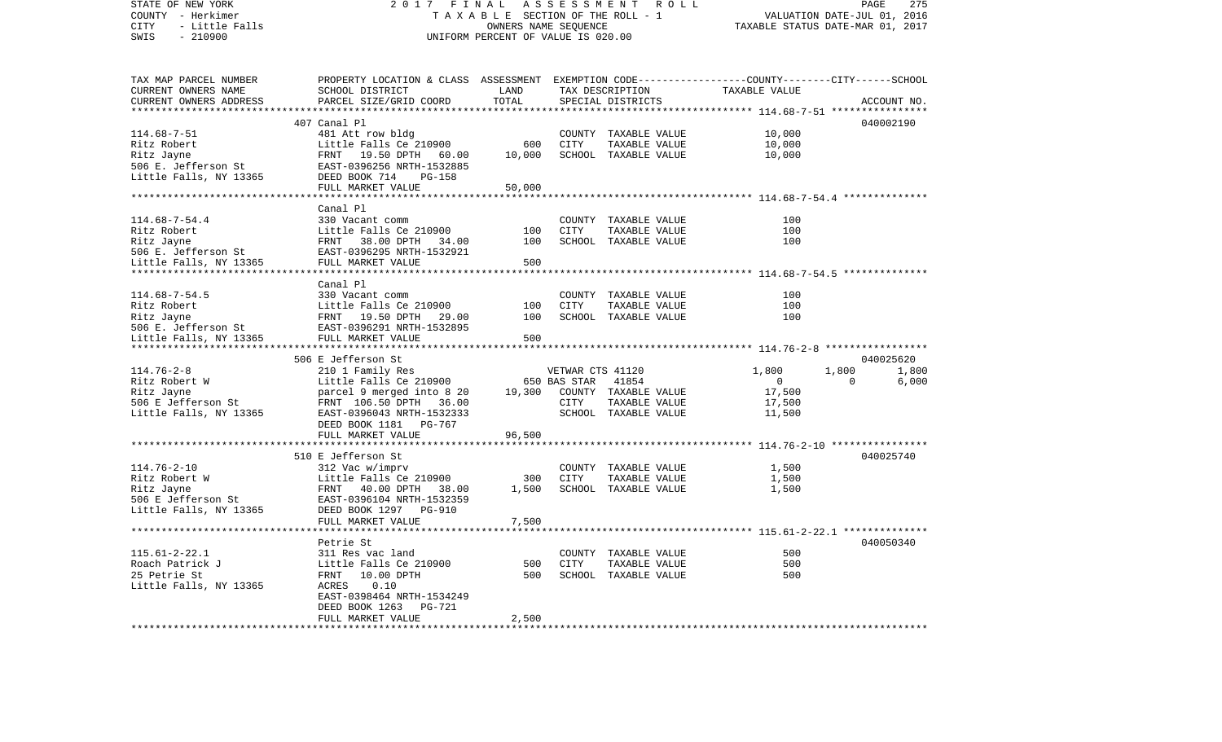| STATE OF NEW YORK<br>COUNTY - Herkimer<br>CITY<br>- Little Falls<br>SWIS<br>$-210900$ | 2017<br>FINAL<br>A S S E S S M E N T R O L L<br>TAXABLE SECTION OF THE ROLL - 1<br>OWNERS NAME SEQUENCE<br>UNIFORM PERCENT OF VALUE IS 020.00 |                     |                  | PAGE<br>275<br>VALUATION DATE-JUL 01, 2016<br>TAXABLE STATUS DATE-MAR 01, 2017 |               |                |             |
|---------------------------------------------------------------------------------------|-----------------------------------------------------------------------------------------------------------------------------------------------|---------------------|------------------|--------------------------------------------------------------------------------|---------------|----------------|-------------|
| TAX MAP PARCEL NUMBER                                                                 | PROPERTY LOCATION & CLASS ASSESSMENT EXEMPTION CODE---------------COUNTY-------CITY------SCHOOL                                               |                     |                  |                                                                                |               |                |             |
| CURRENT OWNERS NAME                                                                   | SCHOOL DISTRICT                                                                                                                               | LAND                |                  | TAX DESCRIPTION                                                                | TAXABLE VALUE |                |             |
| CURRENT OWNERS ADDRESS                                                                | PARCEL SIZE/GRID COORD                                                                                                                        | TOTAL               |                  | SPECIAL DISTRICTS                                                              |               |                | ACCOUNT NO. |
|                                                                                       |                                                                                                                                               | ******************* |                  |                                                                                |               |                | 040002190   |
| $114.68 - 7 - 51$                                                                     | 407 Canal Pl<br>481 Att row bldg                                                                                                              |                     |                  | COUNTY TAXABLE VALUE                                                           | 10,000        |                |             |
| Ritz Robert                                                                           | Little Falls Ce 210900                                                                                                                        | 600                 | CITY             | TAXABLE VALUE                                                                  | 10,000        |                |             |
| Ritz Jayne                                                                            | FRNT 19.50 DPTH 60.00                                                                                                                         | 10,000              |                  | SCHOOL TAXABLE VALUE                                                           | 10,000        |                |             |
| 506 E. Jefferson St                                                                   | EAST-0396256 NRTH-1532885                                                                                                                     |                     |                  |                                                                                |               |                |             |
| Little Falls, NY 13365                                                                | DEED BOOK 714<br>PG-158                                                                                                                       |                     |                  |                                                                                |               |                |             |
|                                                                                       | FULL MARKET VALUE                                                                                                                             | 50,000              |                  |                                                                                |               |                |             |
|                                                                                       |                                                                                                                                               |                     |                  |                                                                                |               |                |             |
|                                                                                       | Canal Pl                                                                                                                                      |                     |                  |                                                                                |               |                |             |
| $114.68 - 7 - 54.4$<br>Ritz Robert                                                    | 330 Vacant comm                                                                                                                               | 100                 | CITY             | COUNTY TAXABLE VALUE<br>TAXABLE VALUE                                          | 100<br>100    |                |             |
| Ritz Jayne                                                                            | Little Falls Ce 210900<br>FRNT 38.00 DPTH 34.00<br>EAST-0396295 NRTH-1532921                                                                  | 100                 |                  | SCHOOL TAXABLE VALUE                                                           | 100           |                |             |
| 506 E. Jefferson St                                                                   | EAST-0396295 NRTH-1532921                                                                                                                     |                     |                  |                                                                                |               |                |             |
| Little Falls, NY 13365 FULL MARKET VALUE                                              |                                                                                                                                               | 500                 |                  |                                                                                |               |                |             |
|                                                                                       |                                                                                                                                               |                     |                  |                                                                                |               |                |             |
|                                                                                       | Canal Pl                                                                                                                                      |                     |                  |                                                                                |               |                |             |
| $114.68 - 7 - 54.5$                                                                   | 330 Vacant comm                                                                                                                               |                     |                  | COUNTY TAXABLE VALUE                                                           | 100           |                |             |
| Ritz Robert                                                                           |                                                                                                                                               | 100                 | CITY             | TAXABLE VALUE                                                                  | 100           |                |             |
| Ritz Jayne<br>506 E. Jefferson St                                                     | Little Falls Ce 210900<br>FRNT   19.50 DPTH   29.00<br>EAST-0396291 NRTH-1532895                                                              | 100                 |                  | SCHOOL TAXABLE VALUE                                                           | 100           |                |             |
| Little Falls, NY 13365                                                                | EAST-0396291 NRTH-1532895<br>FULL MARKET VALUE                                                                                                | 500                 |                  |                                                                                |               |                |             |
|                                                                                       |                                                                                                                                               |                     |                  |                                                                                |               |                |             |
|                                                                                       | 506 E Jefferson St                                                                                                                            |                     |                  |                                                                                |               |                | 040025620   |
| $114.76 - 2 - 8$                                                                      | 210 1 Family Res                                                                                                                              |                     | VETWAR CTS 41120 |                                                                                | 1,800         | 1,800          | 1,800       |
| Ritz Robert W                                                                         | Little Falls Ce 210900                                                                                                                        |                     | 650 BAS STAR     | 41854                                                                          | $\bigcirc$    | $\overline{0}$ | 6,000       |
| Ritz Jayne                                                                            | parcel 9 merged into 8 20                                                                                                                     | 19,300              |                  | COUNTY TAXABLE VALUE                                                           | 17,500        |                |             |
| 506 E Jefferson St                                                                    | FRNT 106.50 DPTH 36.00                                                                                                                        |                     | CITY             | TAXABLE VALUE                                                                  | 17,500        |                |             |
| Little Falls, NY 13365                                                                | EAST-0396043 NRTH-1532333<br>DEED BOOK 1181 PG-767                                                                                            |                     |                  | SCHOOL TAXABLE VALUE                                                           | 11,500        |                |             |
|                                                                                       | FULL MARKET VALUE                                                                                                                             | 96,500              |                  |                                                                                |               |                |             |
|                                                                                       |                                                                                                                                               |                     |                  |                                                                                |               |                |             |
|                                                                                       | 510 E Jefferson St                                                                                                                            |                     |                  |                                                                                |               |                | 040025740   |
| $114.76 - 2 - 10$                                                                     | 312 Vac w/imprv                                                                                                                               |                     |                  | COUNTY TAXABLE VALUE                                                           | 1,500         |                |             |
| Ritz Robert W                                                                         | Little Falls Ce 210900                                                                                                                        | 300                 | CITY             | TAXABLE VALUE                                                                  | 1,500         |                |             |
| Ritz Jayne                                                                            | FRNT 40.00 DPTH 38.00                                                                                                                         | 1,500               |                  | SCHOOL TAXABLE VALUE                                                           | 1,500         |                |             |
| 506 E Jefferson St<br>Little Falls, NY 13365                                          | EAST-0396104 NRTH-1532359                                                                                                                     |                     |                  |                                                                                |               |                |             |
|                                                                                       | DEED BOOK 1297<br><b>PG-910</b><br>FULL MARKET VALUE                                                                                          | 7,500               |                  |                                                                                |               |                |             |
|                                                                                       |                                                                                                                                               |                     |                  |                                                                                |               |                |             |
|                                                                                       | Petrie St                                                                                                                                     |                     |                  |                                                                                |               |                | 040050340   |
| $115.61 - 2 - 22.1$                                                                   | 311 Res vac land                                                                                                                              |                     |                  | COUNTY TAXABLE VALUE                                                           | 500           |                |             |
| Roach Patrick J                                                                       | Little Falls Ce 210900                                                                                                                        | 500                 | CITY             | TAXABLE VALUE                                                                  | 500           |                |             |
| 25 Petrie St                                                                          | FRNT<br>10.00 DPTH                                                                                                                            | 500                 |                  | SCHOOL TAXABLE VALUE                                                           | 500           |                |             |
| Little Falls, NY 13365                                                                | ACRES<br>0.10                                                                                                                                 |                     |                  |                                                                                |               |                |             |
|                                                                                       | EAST-0398464 NRTH-1534249                                                                                                                     |                     |                  |                                                                                |               |                |             |
|                                                                                       | DEED BOOK 1263<br>PG-721<br>FULL MARKET VALUE                                                                                                 | 2,500               |                  |                                                                                |               |                |             |
|                                                                                       |                                                                                                                                               |                     |                  |                                                                                |               |                |             |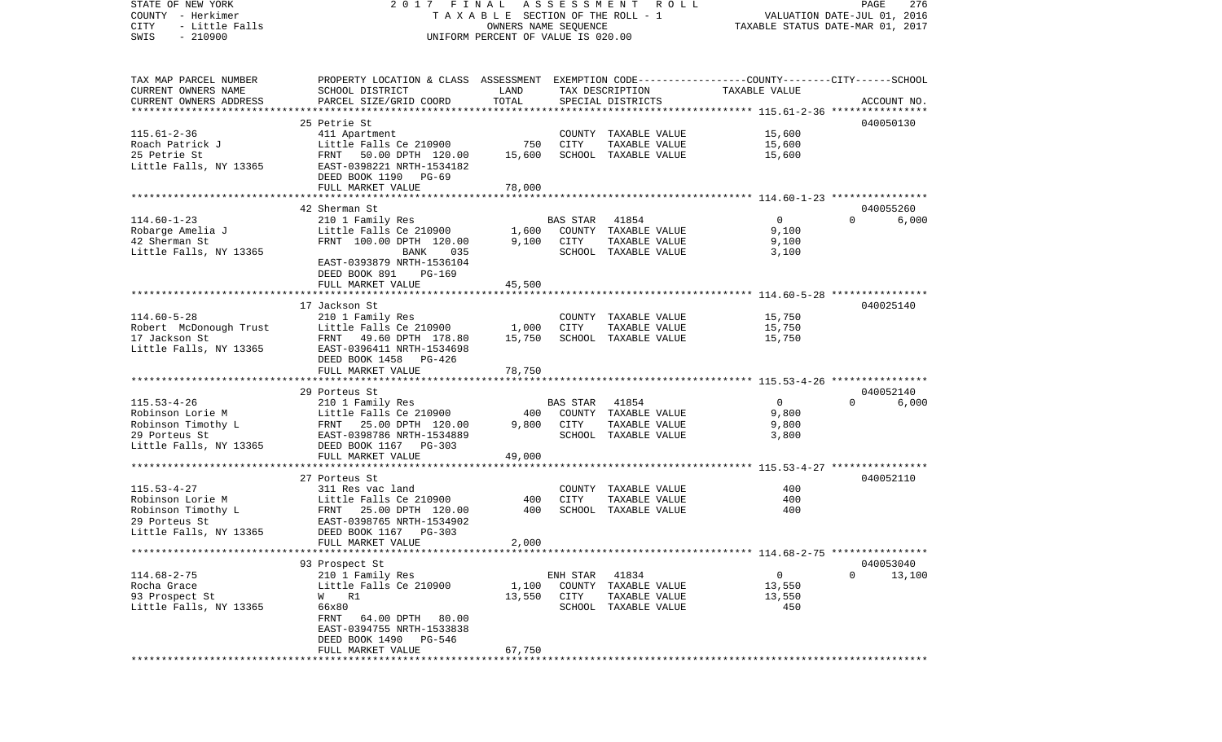| STATE OF NEW YORK<br>COUNTY - Herkimer      | 2017 FINAL                                                                                      | TAXABLE SECTION OF THE ROLL - 1                            | ASSESSMENT      | R O L L                               |                  | PAGE<br>276<br>VALUATION DATE-JUL 01, 2016 |
|---------------------------------------------|-------------------------------------------------------------------------------------------------|------------------------------------------------------------|-----------------|---------------------------------------|------------------|--------------------------------------------|
| CITY<br>- Little Falls<br>$-210900$<br>SWIS |                                                                                                 | OWNERS NAME SEQUENCE<br>UNIFORM PERCENT OF VALUE IS 020.00 |                 |                                       |                  | TAXABLE STATUS DATE-MAR 01, 2017           |
|                                             |                                                                                                 |                                                            |                 |                                       |                  |                                            |
| TAX MAP PARCEL NUMBER                       | PROPERTY LOCATION & CLASS ASSESSMENT EXEMPTION CODE---------------COUNTY-------CITY------SCHOOL |                                                            |                 |                                       |                  |                                            |
| CURRENT OWNERS NAME                         | SCHOOL DISTRICT                                                                                 | LAND                                                       |                 | TAX DESCRIPTION                       | TAXABLE VALUE    |                                            |
| CURRENT OWNERS ADDRESS                      | PARCEL SIZE/GRID COORD                                                                          | TOTAL                                                      |                 | SPECIAL DISTRICTS                     |                  | ACCOUNT NO.                                |
| ***********************                     |                                                                                                 |                                                            |                 |                                       |                  |                                            |
|                                             | 25 Petrie St                                                                                    |                                                            |                 |                                       |                  | 040050130                                  |
| $115.61 - 2 - 36$<br>Roach Patrick J        | 411 Apartment<br>Little Falls Ce 210900                                                         | 750                                                        | CITY            | COUNTY TAXABLE VALUE<br>TAXABLE VALUE | 15,600<br>15,600 |                                            |
| 25 Petrie St                                | FRNT<br>50.00 DPTH 120.00                                                                       | 15,600                                                     |                 | SCHOOL TAXABLE VALUE                  | 15,600           |                                            |
| Little Falls, NY 13365                      | EAST-0398221 NRTH-1534182                                                                       |                                                            |                 |                                       |                  |                                            |
|                                             | DEED BOOK 1190 PG-69                                                                            |                                                            |                 |                                       |                  |                                            |
|                                             | FULL MARKET VALUE                                                                               | 78,000                                                     |                 |                                       |                  |                                            |
|                                             | ************************                                                                        | ***********                                                |                 |                                       |                  |                                            |
|                                             | 42 Sherman St                                                                                   |                                                            |                 |                                       |                  | 040055260                                  |
| $114.60 - 1 - 23$                           | 210 1 Family Res                                                                                |                                                            | BAS STAR        | 41854                                 | $\overline{0}$   | $\Omega$<br>6,000                          |
| Robarge Amelia J                            | Little Falls Ce 210900                                                                          | 1,600                                                      |                 | COUNTY TAXABLE VALUE                  | 9,100            |                                            |
| 42 Sherman St                               | FRNT 100.00 DPTH 120.00                                                                         | 9,100                                                      | CITY            | TAXABLE VALUE                         | 9,100            |                                            |
| Little Falls, NY 13365                      | BANK<br>035                                                                                     |                                                            |                 | SCHOOL TAXABLE VALUE                  | 3,100            |                                            |
|                                             | EAST-0393879 NRTH-1536104                                                                       |                                                            |                 |                                       |                  |                                            |
|                                             | DEED BOOK 891<br>PG-169                                                                         |                                                            |                 |                                       |                  |                                            |
|                                             | FULL MARKET VALUE<br>******************************                                             | 45,500                                                     |                 |                                       |                  |                                            |
|                                             | 17 Jackson St                                                                                   |                                                            |                 |                                       |                  |                                            |
| $114.60 - 5 - 28$                           | 210 1 Family Res                                                                                |                                                            |                 | COUNTY TAXABLE VALUE                  | 15,750           | 040025140                                  |
| Robert McDonough Trust                      | Little Falls Ce 210900                                                                          | 1,000                                                      | CITY            | TAXABLE VALUE                         | 15,750           |                                            |
| 17 Jackson St                               | FRNT 49.60 DPTH 178.80                                                                          | 15,750                                                     |                 | SCHOOL TAXABLE VALUE                  | 15,750           |                                            |
| Little Falls, NY 13365                      | EAST-0396411 NRTH-1534698                                                                       |                                                            |                 |                                       |                  |                                            |
|                                             | DEED BOOK 1458<br>PG-426                                                                        |                                                            |                 |                                       |                  |                                            |
|                                             | FULL MARKET VALUE                                                                               | 78,750                                                     |                 |                                       |                  |                                            |
|                                             |                                                                                                 |                                                            |                 |                                       |                  |                                            |
|                                             | 29 Porteus St                                                                                   |                                                            |                 |                                       |                  | 040052140                                  |
| $115.53 - 4 - 26$                           | 210 1 Family Res                                                                                |                                                            | <b>BAS STAR</b> | 41854                                 | $\mathbf{0}$     | $\Omega$<br>6,000                          |
| Robinson Lorie M                            | Little Falls Ce 210900                                                                          | 400                                                        |                 | COUNTY TAXABLE VALUE                  | 9,800            |                                            |
| Robinson Timothy L                          | FRNT 25.00 DPTH 120.00                                                                          | 9,800                                                      | CITY            | TAXABLE VALUE                         | 9,800            |                                            |
| 29 Porteus St                               | EAST-0398786 NRTH-1534889                                                                       |                                                            |                 | SCHOOL TAXABLE VALUE                  | 3,800            |                                            |
| Little Falls, NY 13365                      | DEED BOOK 1167 PG-303                                                                           |                                                            |                 |                                       |                  |                                            |
|                                             | FULL MARKET VALUE                                                                               | 49,000                                                     |                 |                                       |                  |                                            |
|                                             | 27 Porteus St                                                                                   |                                                            |                 |                                       |                  | 040052110                                  |
| $115.53 - 4 - 27$                           | 311 Res vac land                                                                                |                                                            |                 | COUNTY TAXABLE VALUE                  | 400              |                                            |
| Robinson Lorie M                            | Little Falls Ce 210900                                                                          | 400                                                        | CITY            | TAXABLE VALUE                         | 400              |                                            |
| Robinson Timothy L                          | 25.00 DPTH 120.00<br>FRNT                                                                       | 400                                                        |                 | SCHOOL TAXABLE VALUE                  | 400              |                                            |
| 29 Porteus St                               | EAST-0398765 NRTH-1534902                                                                       |                                                            |                 |                                       |                  |                                            |
| Little Falls, NY 13365                      | DEED BOOK 1167 PG-303                                                                           |                                                            |                 |                                       |                  |                                            |
|                                             | FULL MARKET VALUE                                                                               | 2,000                                                      |                 |                                       |                  |                                            |
|                                             |                                                                                                 |                                                            |                 |                                       |                  |                                            |
|                                             | 93 Prospect St                                                                                  |                                                            |                 |                                       |                  | 040053040                                  |
| $114.68 - 2 - 75$                           | 210 1 Family Res                                                                                |                                                            | ENH STAR 41834  |                                       | $\overline{0}$   | $\Omega$<br>13,100                         |
| Rocha Grace                                 | Little Falls Ce 210900                                                                          | 1,100                                                      |                 | COUNTY TAXABLE VALUE                  | 13,550           |                                            |
| 93 Prospect St                              | W R1                                                                                            | 13,550                                                     | CITY            | TAXABLE VALUE                         | 13,550<br>450    |                                            |
| Little Falls, NY 13365                      | 66x80<br>FRNT 64.00 DPTH 80.00                                                                  |                                                            |                 | SCHOOL TAXABLE VALUE                  |                  |                                            |
|                                             | EAST-0394755 NRTH-1533838                                                                       |                                                            |                 |                                       |                  |                                            |
|                                             | DEED BOOK 1490 PG-546                                                                           |                                                            |                 |                                       |                  |                                            |
|                                             | FULL MARKET VALUE                                                                               | 67,750                                                     |                 |                                       |                  |                                            |
|                                             |                                                                                                 |                                                            |                 |                                       |                  |                                            |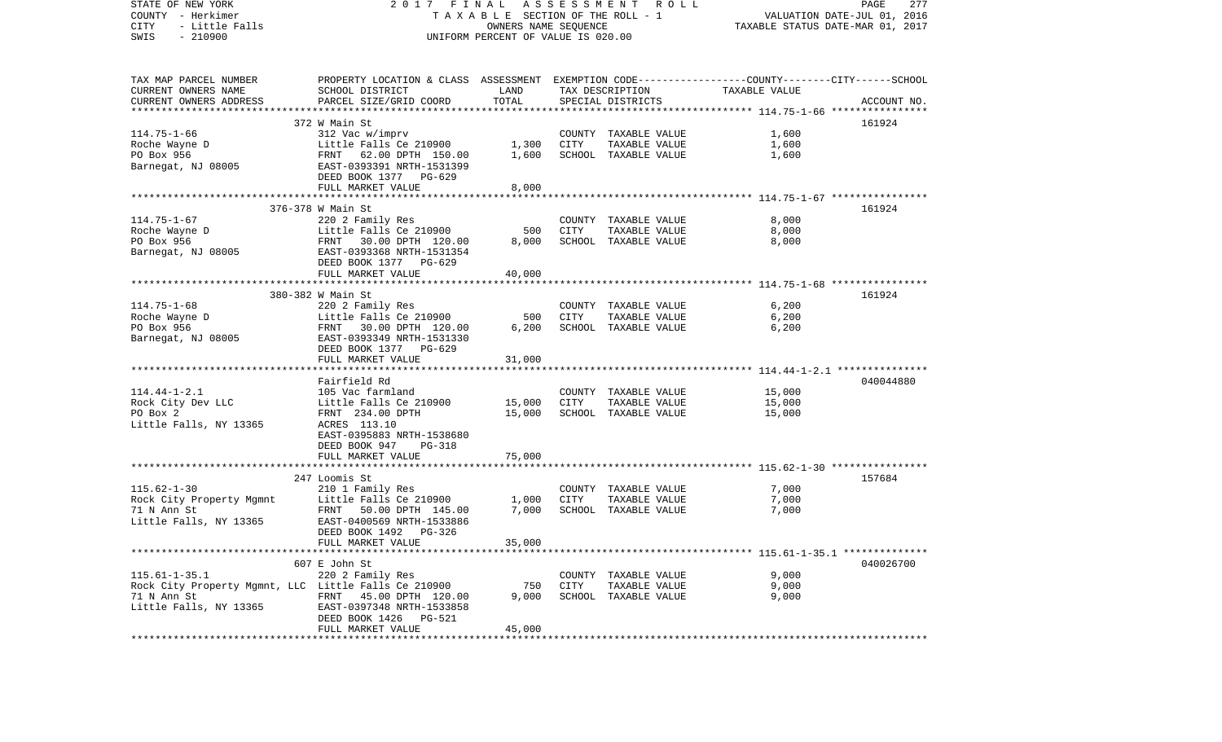STATE OF NEW YORK 2 0 1 7 F I N A L A S S E S S M E N T R O L L PAGE 277COUNTY - Herkimer **T A X A B L E SECTION OF THE ROLL - 1** VALUATION DATE-JUL 01, 2016 CITY - Little Falls OWNERS NAME SEQUENCE TAXABLE STATUS DATE-MAR 01, 2017 SWIS - 210900 UNIFORM PERCENT OF VALUE IS 020.00TAX MAP PARCEL NUMBER PROPERTY LOCATION & CLASS ASSESSMENT EXEMPTION CODE------------------COUNTY--------CITY------SCHOOL CURRENT OWNERS NAME SCHOOL DISTRICT LAND TAX DESCRIPTION TAXABLE VALUECURRENT OWNERS ADDRESS PARCEL SIZE/GRID COORD TOTAL SPECIAL DISTRICTS ACCOUNT NO. \*\*\*\*\*\*\*\*\*\*\*\*\*\*\*\*\*\*\*\*\*\*\*\*\*\*\*\*\*\*\*\*\*\*\*\*\*\*\*\*\*\*\*\*\*\*\*\*\*\*\*\*\*\*\*\*\*\*\*\*\*\*\*\*\*\*\*\*\*\*\*\*\*\*\*\*\*\*\*\*\*\*\*\*\*\*\*\*\*\*\*\*\*\*\*\*\*\*\*\*\*\*\* 114.75-1-66 \*\*\*\*\*\*\*\*\*\*\*\*\*\*\*\*372 W Main St 161924 114.75-1-66 312 Vac w/imprv COUNTY TAXABLE VALUE 1,600 Roche Wayne D Little Falls Ce 210900 1,300 CITY TAXABLE VALUE 1,600 PO Box 956 FRNT 62.00 DPTH 150.00 1,600 SCHOOL TAXABLE VALUE 1,600 Barnegat, NJ 08005 EAST-0393391 NRTH-1531399 DEED BOOK 1377 PG-629FULL MARKET VALUE 8,000 \*\*\*\*\*\*\*\*\*\*\*\*\*\*\*\*\*\*\*\*\*\*\*\*\*\*\*\*\*\*\*\*\*\*\*\*\*\*\*\*\*\*\*\*\*\*\*\*\*\*\*\*\*\*\*\*\*\*\*\*\*\*\*\*\*\*\*\*\*\*\*\*\*\*\*\*\*\*\*\*\*\*\*\*\*\*\*\*\*\*\*\*\*\*\*\*\*\*\*\*\*\*\* 114.75-1-67 \*\*\*\*\*\*\*\*\*\*\*\*\*\*\*\*376-378 W Main St 161924 114.75-1-67 220 2 Family Res COUNTY TAXABLE VALUE 8,000 Roche Wayne D **Little Falls Ce 210900** 500 CITY TAXABLE VALUE PO Box 956 FRNT 30.00 DPTH 120.00 8,000 SCHOOL TAXABLE VALUE 8,000 Barnegat, NJ 08005 EAST-0393368 NRTH-1531354 DEED BOOK 1377 PG-629FULL MARKET VALUE 40,000 \*\*\*\*\*\*\*\*\*\*\*\*\*\*\*\*\*\*\*\*\*\*\*\*\*\*\*\*\*\*\*\*\*\*\*\*\*\*\*\*\*\*\*\*\*\*\*\*\*\*\*\*\*\*\*\*\*\*\*\*\*\*\*\*\*\*\*\*\*\*\*\*\*\*\*\*\*\*\*\*\*\*\*\*\*\*\*\*\*\*\*\*\*\*\*\*\*\*\*\*\*\*\* 114.75-1-68 \*\*\*\*\*\*\*\*\*\*\*\*\*\*\*\* 380-382 W Main St 161924114.75-1-68 220 2 Family Res COUNTY TAXABLE VALUE 6,200 Roche Wayne D Little Falls Ce 210900 500 CITY TAXABLE VALUE 6,200 PO Box 956 FRNT 30.00 DPTH 120.00 6,200 SCHOOL TAXABLE VALUE 6,200 Barnegat, NJ 08005 EAST-0393349 NRTH-1531330 DEED BOOK 1377 PG-629FULL MARKET VALUE 31,000 \*\*\*\*\*\*\*\*\*\*\*\*\*\*\*\*\*\*\*\*\*\*\*\*\*\*\*\*\*\*\*\*\*\*\*\*\*\*\*\*\*\*\*\*\*\*\*\*\*\*\*\*\*\*\*\*\*\*\*\*\*\*\*\*\*\*\*\*\*\*\*\*\*\*\*\*\*\*\*\*\*\*\*\*\*\*\*\*\*\*\*\*\*\*\*\*\*\*\*\*\*\*\* 114.44-1-2.1 \*\*\*\*\*\*\*\*\*\*\*\*\*\*\* Fairfield Rd 040044880114.44-1-2.1 105 Vac farmland COUNTY TAXABLE VALUE 15,000 Rock City Dev LLC **Little Falls Ce 210900** 15,000 CITY TAXABLE VALUE 15,000 PO Box 2 FRNT 234.00 DPTH 15,000 SCHOOL TAXABLE VALUE 15,000 Little Falls, NY 13365 ACRES 113.10 EAST-0395883 NRTH-1538680 DEED BOOK 947 PG-318FULL MARKET VALUE 75,000 \*\*\*\*\*\*\*\*\*\*\*\*\*\*\*\*\*\*\*\*\*\*\*\*\*\*\*\*\*\*\*\*\*\*\*\*\*\*\*\*\*\*\*\*\*\*\*\*\*\*\*\*\*\*\*\*\*\*\*\*\*\*\*\*\*\*\*\*\*\*\*\*\*\*\*\*\*\*\*\*\*\*\*\*\*\*\*\*\*\*\*\*\*\*\*\*\*\*\*\*\*\*\* 115.62-1-30 \*\*\*\*\*\*\*\*\*\*\*\*\*\*\*\* 247 Loomis St 157684115.62-1-30 210 1 Family Res COUNTY TAXABLE VALUE 7,000 Rock City Property Mgmnt Little Falls Ce 210900 1,000 CITY TAXABLE VALUE 7,000 FRNT 50.00 DPTH 145.00 Little Falls, NY 13365 EAST-0400569 NRTH-1533886 DEED BOOK 1492 PG-326 FULL MARKET VALUE 35,000 \*\*\*\*\*\*\*\*\*\*\*\*\*\*\*\*\*\*\*\*\*\*\*\*\*\*\*\*\*\*\*\*\*\*\*\*\*\*\*\*\*\*\*\*\*\*\*\*\*\*\*\*\*\*\*\*\*\*\*\*\*\*\*\*\*\*\*\*\*\*\*\*\*\*\*\*\*\*\*\*\*\*\*\*\*\*\*\*\*\*\*\*\*\*\*\*\*\*\*\*\*\*\* 115.61-1-35.1 \*\*\*\*\*\*\*\*\*\*\*\*\*\* 607 E John St 040026700115.61-1-35.1 220 2 Family Res COUNTY TAXABLE VALUE 9,000 Rock City Property Mgmnt, LLC Little Falls Ce 210900 750 CITY TAXABLE VALUE 9,000 71 N Ann St FRNT 45.00 DPTH 120.00 9,000 SCHOOL TAXABLE VALUE 9,000 Little Falls, NY 13365 EAST-0397348 NRTH-1533858 DEED BOOK 1426 PG-521FULL MARKET VALUE 45,000 \*\*\*\*\*\*\*\*\*\*\*\*\*\*\*\*\*\*\*\*\*\*\*\*\*\*\*\*\*\*\*\*\*\*\*\*\*\*\*\*\*\*\*\*\*\*\*\*\*\*\*\*\*\*\*\*\*\*\*\*\*\*\*\*\*\*\*\*\*\*\*\*\*\*\*\*\*\*\*\*\*\*\*\*\*\*\*\*\*\*\*\*\*\*\*\*\*\*\*\*\*\*\*\*\*\*\*\*\*\*\*\*\*\*\*\*\*\*\*\*\*\*\*\*\*\*\*\*\*\*\*\*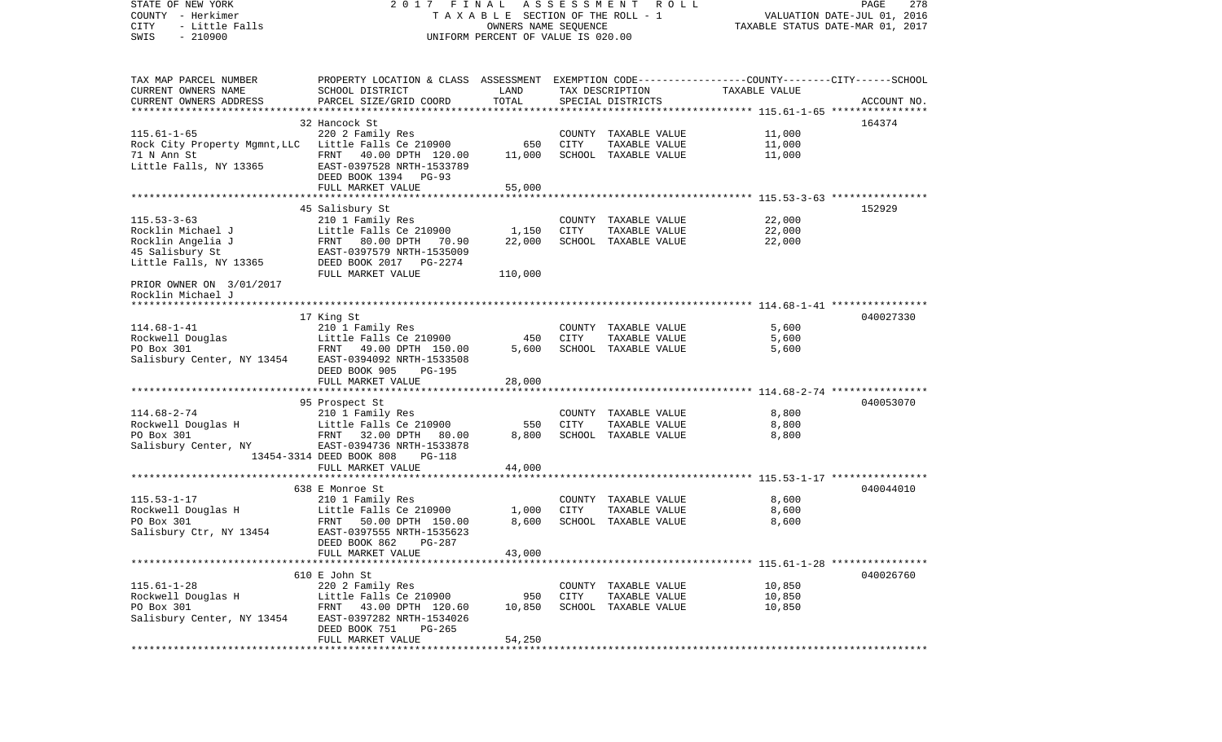STATE OF NEW YORK 2 0 1 7 F I N A L A S S E S S M E N T R O L L PAGE 278COUNTY - Herkimer **T A X A B L E SECTION OF THE ROLL - 1** VALUATION DATE-JUL 01, 2016 CITY - Little Falls OWNERS NAME SEQUENCE TAXABLE STATUS DATE-MAR 01, 2017 SWIS - 210900 UNIFORM PERCENT OF VALUE IS 020.00TAX MAP PARCEL NUMBER PROPERTY LOCATION & CLASS ASSESSMENT EXEMPTION CODE------------------COUNTY--------CITY------SCHOOL CURRENT OWNERS NAME SCHOOL DISTRICT LAND TAX DESCRIPTION TAXABLE VALUECURRENT OWNERS ADDRESS PARCEL SIZE/GRID COORD TOTAL SPECIAL DISTRICTS ACCOUNT NO. \*\*\*\*\*\*\*\*\*\*\*\*\*\*\*\*\*\*\*\*\*\*\*\*\*\*\*\*\*\*\*\*\*\*\*\*\*\*\*\*\*\*\*\*\*\*\*\*\*\*\*\*\*\*\*\*\*\*\*\*\*\*\*\*\*\*\*\*\*\*\*\*\*\*\*\*\*\*\*\*\*\*\*\*\*\*\*\*\*\*\*\*\*\*\*\*\*\*\*\*\*\*\* 115.61-1-65 \*\*\*\*\*\*\*\*\*\*\*\*\*\*\*\* 32 Hancock St 164374115.61-1-65 220 2 Family Res COUNTY TAXABLE VALUE 11,000 Rock City Property Mgmnt, LLC Little Falls Ce 210900 650 CITY TAXABLE VALUE 11,000 71 N Ann St FRNT 40.00 DPTH 120.00 11,000 SCHOOL TAXABLE VALUE 11,000 Little Falls, NY 13365 EAST-0397528 NRTH-1533789 DEED BOOK 1394 PG-93FULL MARKET VALUE 55,000 \*\*\*\*\*\*\*\*\*\*\*\*\*\*\*\*\*\*\*\*\*\*\*\*\*\*\*\*\*\*\*\*\*\*\*\*\*\*\*\*\*\*\*\*\*\*\*\*\*\*\*\*\*\*\*\*\*\*\*\*\*\*\*\*\*\*\*\*\*\*\*\*\*\*\*\*\*\*\*\*\*\*\*\*\*\*\*\*\*\*\*\*\*\*\*\*\*\*\*\*\*\*\* 115.53-3-63 \*\*\*\*\*\*\*\*\*\*\*\*\*\*\*\* 45 Salisbury St 152929 115.53-3-63 210 1 Family Res COUNTY TAXABLE VALUE 22,000 Little Falls Ce 210900 1,150 CITY TAXABLE VALUE Rocklin Angelia J **FRNT 80.00 DPTH 70.90** 22,000 SCHOOL TAXABLE VALUE 22,000 45 Salisbury St EAST-0397579 NRTH-1535009 Little Falls, NY 13365 DEED BOOK 2017 PG-2274 FULL MARKET VALUE 110,000 PRIOR OWNER ON 3/01/2017 Rocklin Michael J \*\*\*\*\*\*\*\*\*\*\*\*\*\*\*\*\*\*\*\*\*\*\*\*\*\*\*\*\*\*\*\*\*\*\*\*\*\*\*\*\*\*\*\*\*\*\*\*\*\*\*\*\*\*\*\*\*\*\*\*\*\*\*\*\*\*\*\*\*\*\*\*\*\*\*\*\*\*\*\*\*\*\*\*\*\*\*\*\*\*\*\*\*\*\*\*\*\*\*\*\*\*\* 114.68-1-41 \*\*\*\*\*\*\*\*\*\*\*\*\*\*\*\* 17 King St 040027330 114.68-1-41 210 1 Family Res COUNTY TAXABLE VALUE 5,600 Rockwell Douglas Little Falls Ce 210900 450 CITY TAXABLE VALUE 5,600 PO Box 301 **FRNT 49.00 DPTH 150.00** 5,600 SCHOOL TAXABLE VALUE 5,600 Salisbury Center, NY 13454 EAST-0394092 NRTH-1533508 DEED BOOK 905 PG-195 FULL MARKET VALUE 28,000 \*\*\*\*\*\*\*\*\*\*\*\*\*\*\*\*\*\*\*\*\*\*\*\*\*\*\*\*\*\*\*\*\*\*\*\*\*\*\*\*\*\*\*\*\*\*\*\*\*\*\*\*\*\*\*\*\*\*\*\*\*\*\*\*\*\*\*\*\*\*\*\*\*\*\*\*\*\*\*\*\*\*\*\*\*\*\*\*\*\*\*\*\*\*\*\*\*\*\*\*\*\*\* 114.68-2-74 \*\*\*\*\*\*\*\*\*\*\*\*\*\*\*\* 95 Prospect St 040053070 114.68-2-74 210 1 Family Res COUNTY TAXABLE VALUE 8,800 Rockwell Douglas H and Little Falls Ce 210900 550 CITY TAXABLE VALUE 8,800 PO Box 301 FRNT 32.00 DPTH 80.00 8,800 SCHOOL TAXABLE VALUE 8,800 Salisbury Center, NY EAST-0394736 NRTH-1533878 13454-3314 DEED BOOK 808 PG-118 FULL MARKET VALUE 44,000 \*\*\*\*\*\*\*\*\*\*\*\*\*\*\*\*\*\*\*\*\*\*\*\*\*\*\*\*\*\*\*\*\*\*\*\*\*\*\*\*\*\*\*\*\*\*\*\*\*\*\*\*\*\*\*\*\*\*\*\*\*\*\*\*\*\*\*\*\*\*\*\*\*\*\*\*\*\*\*\*\*\*\*\*\*\*\*\*\*\*\*\*\*\*\*\*\*\*\*\*\*\*\* 115.53-1-17 \*\*\*\*\*\*\*\*\*\*\*\*\*\*\*\* 638 E Monroe St 040044010115.53-1-17 210 1 Family Res COUNTY TAXABLE VALUE 8,600 Little Falls Ce  $210900$  1,000 CITY PO Box 301 FRNT 50.00 DPTH 150.00 8,600 SCHOOL TAXABLE VALUE 8,600 Salisbury Ctr, NY 13454 EAST-0397555 NRTH-1535623 DEED BOOK 862 PG-287FULL MARKET VALUE 43,000 \*\*\*\*\*\*\*\*\*\*\*\*\*\*\*\*\*\*\*\*\*\*\*\*\*\*\*\*\*\*\*\*\*\*\*\*\*\*\*\*\*\*\*\*\*\*\*\*\*\*\*\*\*\*\*\*\*\*\*\*\*\*\*\*\*\*\*\*\*\*\*\*\*\*\*\*\*\*\*\*\*\*\*\*\*\*\*\*\*\*\*\*\*\*\*\*\*\*\*\*\*\*\* 115.61-1-28 \*\*\*\*\*\*\*\*\*\*\*\*\*\*\*\* 610 E John St 040026760115.61-1-28 220 2 Family Res COUNTY TAXABLE VALUE 10,850 Rockwell Douglas H Little Falls Ce 210900 950 CITY TAXABLE VALUE 10,850 PO Box 301 FRNT 43.00 DPTH 120.60 10,850 SCHOOL TAXABLE VALUE 10,850 Salisbury Center, NY 13454 EAST-0397282 NRTH-1534026 DEED BOOK 751 PG-265FULL MARKET VALUE 54,250 \*\*\*\*\*\*\*\*\*\*\*\*\*\*\*\*\*\*\*\*\*\*\*\*\*\*\*\*\*\*\*\*\*\*\*\*\*\*\*\*\*\*\*\*\*\*\*\*\*\*\*\*\*\*\*\*\*\*\*\*\*\*\*\*\*\*\*\*\*\*\*\*\*\*\*\*\*\*\*\*\*\*\*\*\*\*\*\*\*\*\*\*\*\*\*\*\*\*\*\*\*\*\*\*\*\*\*\*\*\*\*\*\*\*\*\*\*\*\*\*\*\*\*\*\*\*\*\*\*\*\*\*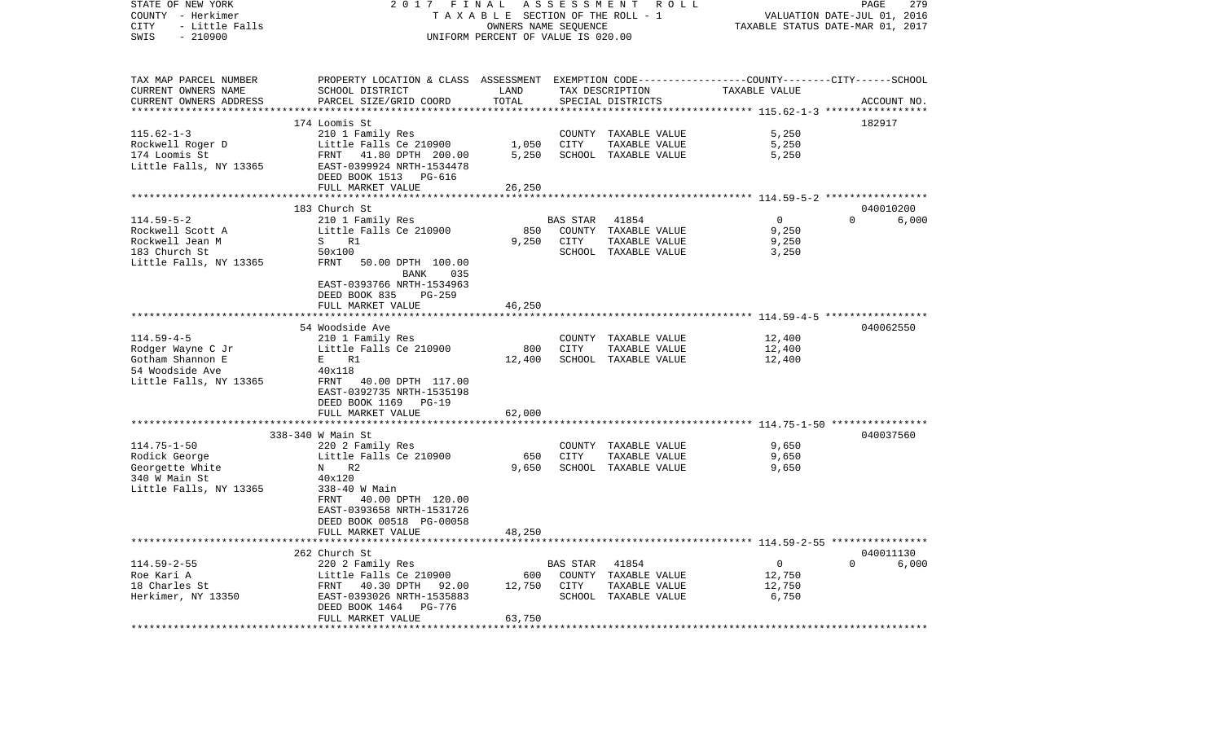| STATE OF NEW YORK      | 2017 FINAL                                                                                      |                                    | A S S E S S M E N T | R O L L              |                                                            | 279<br>PAGE                      |
|------------------------|-------------------------------------------------------------------------------------------------|------------------------------------|---------------------|----------------------|------------------------------------------------------------|----------------------------------|
| COUNTY - Herkimer      |                                                                                                 | TAXABLE SECTION OF THE ROLL - 1    |                     |                      |                                                            | VALUATION DATE-JUL 01, 2016      |
| CITY<br>- Little Falls |                                                                                                 | OWNERS NAME SEQUENCE               |                     |                      |                                                            | TAXABLE STATUS DATE-MAR 01, 2017 |
| $-210900$<br>SWIS      |                                                                                                 | UNIFORM PERCENT OF VALUE IS 020.00 |                     |                      |                                                            |                                  |
|                        |                                                                                                 |                                    |                     |                      |                                                            |                                  |
| TAX MAP PARCEL NUMBER  | PROPERTY LOCATION & CLASS ASSESSMENT EXEMPTION CODE---------------COUNTY-------CITY------SCHOOL |                                    |                     |                      |                                                            |                                  |
| CURRENT OWNERS NAME    | SCHOOL DISTRICT                                                                                 | LAND                               |                     | TAX DESCRIPTION      | TAXABLE VALUE                                              |                                  |
| CURRENT OWNERS ADDRESS | PARCEL SIZE/GRID COORD                                                                          | TOTAL                              |                     | SPECIAL DISTRICTS    |                                                            | ACCOUNT NO.                      |
|                        |                                                                                                 |                                    |                     |                      |                                                            |                                  |
|                        | 174 Loomis St                                                                                   |                                    |                     |                      |                                                            | 182917                           |
| $115.62 - 1 - 3$       | 210 1 Family Res                                                                                |                                    |                     | COUNTY TAXABLE VALUE | 5,250                                                      |                                  |
| Rockwell Roger D       | Little Falls Ce 210900                                                                          | 1,050                              | CITY                | TAXABLE VALUE        | 5,250                                                      |                                  |
| 174 Loomis St          | FRNT 41.80 DPTH 200.00                                                                          | 5,250                              |                     | SCHOOL TAXABLE VALUE | 5,250                                                      |                                  |
| Little Falls, NY 13365 | EAST-0399924 NRTH-1534478                                                                       |                                    |                     |                      |                                                            |                                  |
|                        | DEED BOOK 1513<br>PG-616                                                                        |                                    |                     |                      |                                                            |                                  |
|                        | FULL MARKET VALUE                                                                               | 26,250                             |                     |                      |                                                            |                                  |
|                        |                                                                                                 | *********                          |                     |                      | *********************** 114.59-5-2 ******************      |                                  |
|                        | 183 Church St                                                                                   |                                    |                     |                      |                                                            | 040010200                        |
| $114.59 - 5 - 2$       | 210 1 Family Res                                                                                |                                    | BAS STAR            | 41854                | $\mathbf 0$                                                | $\Omega$<br>6,000                |
| Rockwell Scott A       | Little Falls Ce 210900                                                                          | 850                                |                     | COUNTY TAXABLE VALUE | 9,250                                                      |                                  |
| Rockwell Jean M        | $S_{\rm}$<br>R1                                                                                 | 9,250                              | CITY                | TAXABLE VALUE        | 9,250                                                      |                                  |
| 183 Church St          | 50x100                                                                                          |                                    |                     | SCHOOL TAXABLE VALUE | 3,250                                                      |                                  |
| Little Falls, NY 13365 | FRNT<br>50.00 DPTH 100.00                                                                       |                                    |                     |                      |                                                            |                                  |
|                        | BANK<br>035                                                                                     |                                    |                     |                      |                                                            |                                  |
|                        | EAST-0393766 NRTH-1534963                                                                       |                                    |                     |                      |                                                            |                                  |
|                        | DEED BOOK 835<br>PG-259                                                                         |                                    |                     |                      |                                                            |                                  |
|                        | FULL MARKET VALUE                                                                               | 46,250                             |                     |                      |                                                            |                                  |
|                        | **********************                                                                          | * * * * * * * * * * *              |                     |                      | ***************************** 114.59-4-5 ***************** |                                  |
|                        | 54 Woodside Ave                                                                                 |                                    |                     |                      |                                                            | 040062550                        |
| $114.59 - 4 - 5$       | 210 1 Family Res                                                                                |                                    |                     | COUNTY TAXABLE VALUE | 12,400                                                     |                                  |
| Rodger Wayne C Jr      | Little Falls Ce 210900                                                                          | 800                                | <b>CITY</b>         | TAXABLE VALUE        | 12,400                                                     |                                  |
| Gotham Shannon E       | E<br>R1                                                                                         | 12,400                             |                     | SCHOOL TAXABLE VALUE | 12,400                                                     |                                  |
| 54 Woodside Ave        | 40x118                                                                                          |                                    |                     |                      |                                                            |                                  |
| Little Falls, NY 13365 | FRNT 40.00 DPTH 117.00                                                                          |                                    |                     |                      |                                                            |                                  |
|                        | EAST-0392735 NRTH-1535198                                                                       |                                    |                     |                      |                                                            |                                  |
|                        | DEED BOOK 1169<br>PG-19                                                                         |                                    |                     |                      |                                                            |                                  |
|                        | FULL MARKET VALUE                                                                               | 62,000                             |                     |                      | **************** 114.75-1-50 ************                  |                                  |
|                        |                                                                                                 |                                    |                     |                      |                                                            | 040037560                        |
| $114.75 - 1 - 50$      | 338-340 W Main St<br>220 2 Family Res                                                           |                                    |                     | COUNTY TAXABLE VALUE | 9,650                                                      |                                  |
| Rodick George          | Little Falls Ce 210900                                                                          | 650                                | <b>CITY</b>         | TAXABLE VALUE        | 9,650                                                      |                                  |
| Georgette White        | R <sub>2</sub><br>N                                                                             | 9,650                              |                     | SCHOOL TAXABLE VALUE | 9,650                                                      |                                  |
| 340 W Main St          | 40x120                                                                                          |                                    |                     |                      |                                                            |                                  |
| Little Falls, NY 13365 | 338-40 W Main                                                                                   |                                    |                     |                      |                                                            |                                  |
|                        | FRNT 40.00 DPTH 120.00                                                                          |                                    |                     |                      |                                                            |                                  |
|                        | EAST-0393658 NRTH-1531726                                                                       |                                    |                     |                      |                                                            |                                  |
|                        | DEED BOOK 00518 PG-00058                                                                        |                                    |                     |                      |                                                            |                                  |
|                        | FULL MARKET VALUE                                                                               | 48,250                             |                     |                      |                                                            |                                  |
|                        |                                                                                                 |                                    |                     |                      |                                                            |                                  |
|                        | 262 Church St                                                                                   |                                    |                     |                      |                                                            | 040011130                        |
| $114.59 - 2 - 55$      | 220 2 Family Res                                                                                |                                    | BAS STAR            | 41854                | $\overline{0}$                                             | $\Omega$<br>6,000                |
| Roe Kari A             | Little Falls Ce 210900                                                                          | 600                                |                     | COUNTY TAXABLE VALUE | 12,750                                                     |                                  |
| 18 Charles St          | FRNT 40.30 DPTH 92.00                                                                           | 12,750                             | CITY                | TAXABLE VALUE        | 12,750                                                     |                                  |
| Herkimer, NY 13350     | EAST-0393026 NRTH-1535883                                                                       |                                    |                     | SCHOOL TAXABLE VALUE | 6,750                                                      |                                  |
|                        | DEED BOOK 1464<br>PG-776                                                                        |                                    |                     |                      |                                                            |                                  |
|                        | FULL MARKET VALUE                                                                               | 63,750                             |                     |                      |                                                            |                                  |
|                        |                                                                                                 |                                    |                     |                      |                                                            |                                  |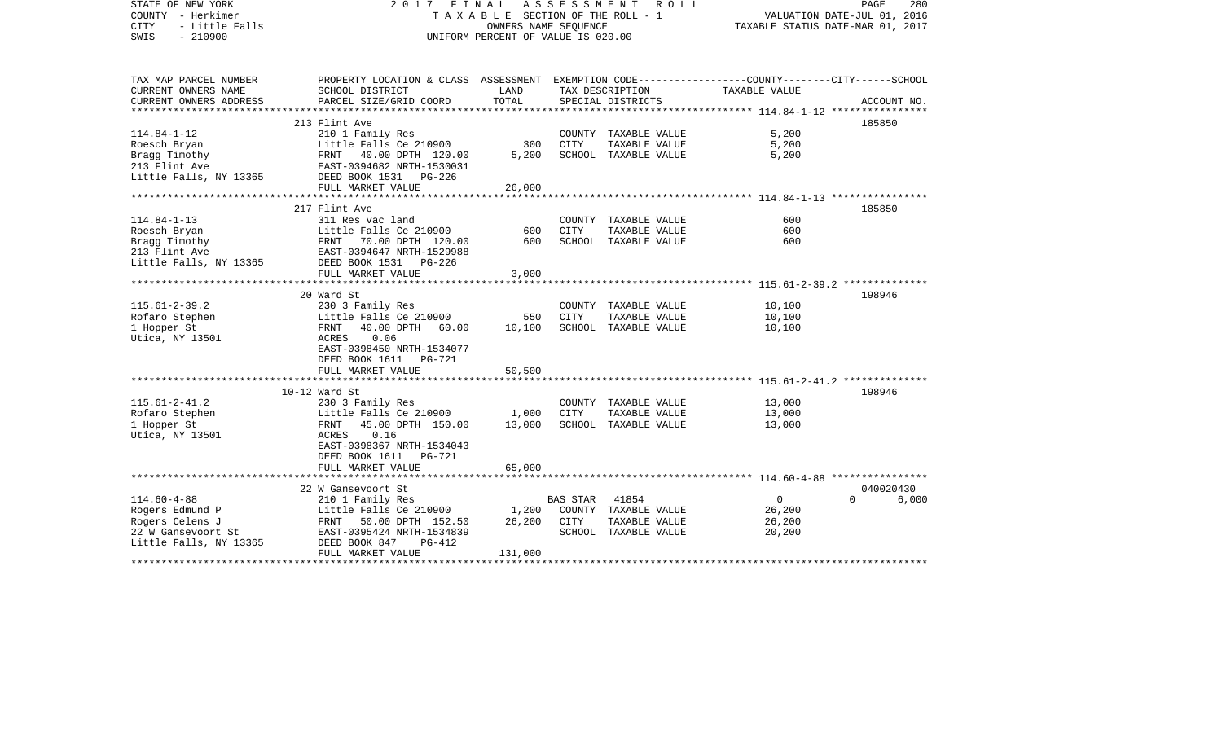| STATE OF NEW YORK<br>COUNTY - Herkimer<br><b>CITY</b><br>- Little Falls<br>$-210900$<br>SWIS | 2017<br>FINAL<br>A S S E S S M E N T<br>ROLL ROLL<br>PAGE<br>TAXABLE SECTION OF THE ROLL - 1<br>VALUATION DATE-JUL 01, 2016<br>OWNERS NAME SEQUENCE<br>TAXABLE STATUS DATE-MAR 01, 2017<br>UNIFORM PERCENT OF VALUE IS 020.00 |            |                 |                                       |                                                             |                       |       |
|----------------------------------------------------------------------------------------------|-------------------------------------------------------------------------------------------------------------------------------------------------------------------------------------------------------------------------------|------------|-----------------|---------------------------------------|-------------------------------------------------------------|-----------------------|-------|
| TAX MAP PARCEL NUMBER<br>CURRENT OWNERS NAME                                                 | PROPERTY LOCATION & CLASS ASSESSMENT EXEMPTION CODE---------------COUNTY-------CITY------SCHOOL<br>SCHOOL DISTRICT                                                                                                            | LAND       |                 | TAX DESCRIPTION                       | TAXABLE VALUE                                               |                       |       |
| CURRENT OWNERS ADDRESS                                                                       | PARCEL SIZE/GRID COORD                                                                                                                                                                                                        | TOTAL      |                 | SPECIAL DISTRICTS                     |                                                             | ACCOUNT NO.           |       |
|                                                                                              |                                                                                                                                                                                                                               |            |                 |                                       |                                                             |                       |       |
|                                                                                              | 213 Flint Ave                                                                                                                                                                                                                 |            |                 |                                       |                                                             | 185850                |       |
| $114.84 - 1 - 12$<br>Roesch Bryan                                                            | 210 1 Family Res<br>Little Falls Ce 210900                                                                                                                                                                                    | 300        | CITY            | COUNTY TAXABLE VALUE<br>TAXABLE VALUE | 5,200<br>5,200                                              |                       |       |
| Bragg Timothy                                                                                | FRNT<br>40.00 DPTH 120.00                                                                                                                                                                                                     | 5,200      |                 | SCHOOL TAXABLE VALUE                  | 5,200                                                       |                       |       |
| 213 Flint Ave                                                                                | EAST-0394682 NRTH-1530031                                                                                                                                                                                                     |            |                 |                                       |                                                             |                       |       |
| Little Falls, NY 13365                                                                       | DEED BOOK 1531 PG-226                                                                                                                                                                                                         |            |                 |                                       |                                                             |                       |       |
|                                                                                              | FULL MARKET VALUE                                                                                                                                                                                                             | 26,000     |                 |                                       |                                                             |                       |       |
|                                                                                              |                                                                                                                                                                                                                               |            |                 |                                       |                                                             |                       |       |
|                                                                                              | 217 Flint Ave                                                                                                                                                                                                                 |            |                 |                                       |                                                             | 185850                |       |
| $114.84 - 1 - 13$                                                                            | 311 Res vac land                                                                                                                                                                                                              |            |                 | COUNTY TAXABLE VALUE                  | 600                                                         |                       |       |
| Roesch Bryan                                                                                 | Little Falls Ce 210900<br>FRNT 70.00 DPTH 120.00                                                                                                                                                                              | 600<br>600 | CITY            | TAXABLE VALUE<br>SCHOOL TAXABLE VALUE | 600<br>600                                                  |                       |       |
| Bragg Timothy<br>213 Flint Ave                                                               | EAST-0394647 NRTH-1529988                                                                                                                                                                                                     |            |                 |                                       |                                                             |                       |       |
| Little Falls, NY 13365                                                                       | DEED BOOK 1531<br>PG-226                                                                                                                                                                                                      |            |                 |                                       |                                                             |                       |       |
|                                                                                              | FULL MARKET VALUE                                                                                                                                                                                                             | 3,000      |                 |                                       |                                                             |                       |       |
|                                                                                              |                                                                                                                                                                                                                               |            |                 |                                       |                                                             |                       |       |
|                                                                                              | 20 Ward St                                                                                                                                                                                                                    |            |                 |                                       |                                                             | 198946                |       |
| $115.61 - 2 - 39.2$                                                                          | 230 3 Family Res                                                                                                                                                                                                              |            |                 | COUNTY TAXABLE VALUE                  | 10,100                                                      |                       |       |
| Rofaro Stephen                                                                               | Little Falls Ce 210900                                                                                                                                                                                                        | 550        | CITY            | TAXABLE VALUE                         | 10,100                                                      |                       |       |
| 1 Hopper St                                                                                  | FRNT<br>40.00 DPTH 60.00                                                                                                                                                                                                      | 10,100     |                 | SCHOOL TAXABLE VALUE                  | 10,100                                                      |                       |       |
| Utica, NY 13501                                                                              | 0.06<br>ACRES<br>EAST-0398450 NRTH-1534077                                                                                                                                                                                    |            |                 |                                       |                                                             |                       |       |
|                                                                                              | DEED BOOK 1611<br>PG-721                                                                                                                                                                                                      |            |                 |                                       |                                                             |                       |       |
|                                                                                              | FULL MARKET VALUE<br>***********************                                                                                                                                                                                  | 50,500     |                 |                                       | ****************************** 115.61-2-41.2 ************** |                       |       |
|                                                                                              | $10-12$ Ward St                                                                                                                                                                                                               |            |                 |                                       |                                                             | 198946                |       |
| $115.61 - 2 - 41.2$                                                                          | 230 3 Family Res                                                                                                                                                                                                              |            |                 | COUNTY TAXABLE VALUE                  | 13,000                                                      |                       |       |
| Rofaro Stephen                                                                               | Little Falls Ce 210900                                                                                                                                                                                                        | 1,000      | CITY            | TAXABLE VALUE                         | 13,000                                                      |                       |       |
| 1 Hopper St                                                                                  | FRNT<br>45.00 DPTH 150.00                                                                                                                                                                                                     | 13,000     |                 | SCHOOL TAXABLE VALUE                  | 13,000                                                      |                       |       |
| Utica, NY 13501                                                                              | 0.16<br>ACRES                                                                                                                                                                                                                 |            |                 |                                       |                                                             |                       |       |
|                                                                                              | EAST-0398367 NRTH-1534043                                                                                                                                                                                                     |            |                 |                                       |                                                             |                       |       |
|                                                                                              | DEED BOOK 1611<br>PG-721                                                                                                                                                                                                      |            |                 |                                       |                                                             |                       |       |
|                                                                                              | FULL MARKET VALUE                                                                                                                                                                                                             | 65,000     |                 |                                       |                                                             |                       |       |
|                                                                                              |                                                                                                                                                                                                                               |            |                 |                                       |                                                             |                       |       |
| $114.60 - 4 - 88$                                                                            | 22 W Gansevoort St                                                                                                                                                                                                            |            |                 |                                       | $\mathbf 0$                                                 | 040020430<br>$\Omega$ |       |
| Rogers Edmund P                                                                              | 210 1 Family Res<br>Little Falls Ce 210900                                                                                                                                                                                    | 1,200      | <b>BAS STAR</b> | 41854<br>COUNTY TAXABLE VALUE         | 26,200                                                      |                       | 6,000 |
| Rogers Celens J                                                                              | FRNT<br>50.00 DPTH 152.50                                                                                                                                                                                                     | 26,200     | CITY            | TAXABLE VALUE                         | 26,200                                                      |                       |       |
| 22 W Gansevoort St                                                                           | EAST-0395424 NRTH-1534839                                                                                                                                                                                                     |            |                 | SCHOOL TAXABLE VALUE                  | 20,200                                                      |                       |       |
| Little Falls, NY 13365                                                                       | DEED BOOK 847<br>PG-412<br>FULL MARKET VALUE                                                                                                                                                                                  | 131,000    |                 |                                       |                                                             |                       |       |
|                                                                                              |                                                                                                                                                                                                                               |            |                 |                                       |                                                             |                       |       |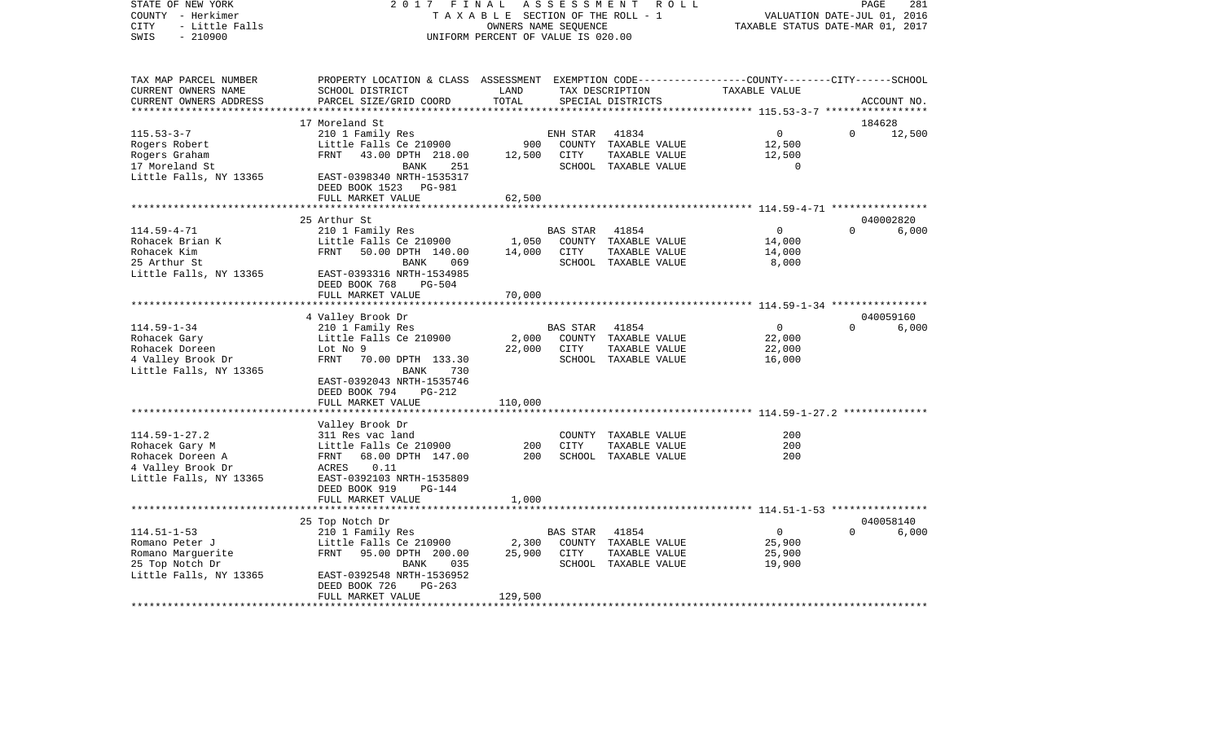| STATE OF NEW YORK<br>COUNTY - Herkimer<br><b>CITY</b><br>- Little Falls | 2017<br>FINAL<br>TAXABLE SECTION OF THE ROLL - 1            | PAGE<br>VALUATION DATE-JUL 01, 2016<br>TAXABLE STATUS DATE-MAR 01, 2017 | 281             |                                |                                                                                          |          |             |
|-------------------------------------------------------------------------|-------------------------------------------------------------|-------------------------------------------------------------------------|-----------------|--------------------------------|------------------------------------------------------------------------------------------|----------|-------------|
| $-210900$<br>SWIS                                                       |                                                             | UNIFORM PERCENT OF VALUE IS 020.00                                      |                 |                                |                                                                                          |          |             |
| TAX MAP PARCEL NUMBER<br>CURRENT OWNERS NAME                            | PROPERTY LOCATION & CLASS<br>SCHOOL DISTRICT                | LAND                                                                    |                 | TAX DESCRIPTION                | ASSESSMENT EXEMPTION CODE-----------------COUNTY-------CITY------SCHOOL<br>TAXABLE VALUE |          |             |
| CURRENT OWNERS ADDRESS                                                  | PARCEL SIZE/GRID COORD                                      | TOTAL                                                                   |                 | SPECIAL DISTRICTS              |                                                                                          |          | ACCOUNT NO. |
|                                                                         |                                                             |                                                                         |                 |                                |                                                                                          |          |             |
|                                                                         | 17 Moreland St                                              |                                                                         |                 |                                |                                                                                          | 184628   |             |
| $115.53 - 3 - 7$                                                        | 210 1 Family Res                                            |                                                                         | ENH STAR        | 41834                          | 0                                                                                        | $\Omega$ | 12,500      |
| Rogers Robert                                                           | Little Falls Ce 210900                                      | 900                                                                     |                 | COUNTY TAXABLE VALUE           | 12,500                                                                                   |          |             |
| Rogers Graham                                                           | FRNT<br>43.00 DPTH 218.00                                   | 12,500                                                                  | CITY            | TAXABLE VALUE                  | 12,500                                                                                   |          |             |
| 17 Moreland St                                                          | BANK<br>251<br>EAST-0398340 NRTH-1535317                    |                                                                         |                 | SCHOOL TAXABLE VALUE           | $\mathbf 0$                                                                              |          |             |
| Little Falls, NY 13365                                                  | DEED BOOK 1523 PG-981                                       |                                                                         |                 |                                |                                                                                          |          |             |
|                                                                         | FULL MARKET VALUE                                           | 62,500                                                                  |                 |                                |                                                                                          |          |             |
|                                                                         |                                                             |                                                                         |                 |                                |                                                                                          |          |             |
|                                                                         | 25 Arthur St                                                |                                                                         |                 |                                |                                                                                          |          | 040002820   |
| $114.59 - 4 - 71$                                                       | 210 1 Family Res                                            |                                                                         | <b>BAS STAR</b> | 41854                          | 0                                                                                        | $\Omega$ | 6,000       |
| Rohacek Brian K                                                         | Little Falls Ce 210900                                      | 1,050                                                                   |                 | COUNTY TAXABLE VALUE           | 14,000                                                                                   |          |             |
| Rohacek Kim                                                             | 50.00 DPTH 140.00<br>FRNT                                   | 14,000                                                                  | CITY            | TAXABLE VALUE                  | 14,000                                                                                   |          |             |
| 25 Arthur St                                                            | <b>BANK</b><br>069                                          |                                                                         |                 | SCHOOL TAXABLE VALUE           | 8,000                                                                                    |          |             |
| Little Falls, NY 13365                                                  | EAST-0393316 NRTH-1534985<br>DEED BOOK 768<br><b>PG-504</b> |                                                                         |                 |                                |                                                                                          |          |             |
|                                                                         | FULL MARKET VALUE                                           | 70,000                                                                  |                 |                                |                                                                                          |          |             |
|                                                                         | *****************************                               |                                                                         |                 |                                |                                                                                          |          |             |
|                                                                         | 4 Valley Brook Dr                                           |                                                                         |                 |                                |                                                                                          |          | 040059160   |
| $114.59 - 1 - 34$                                                       | 210 1 Family Res                                            |                                                                         | <b>BAS STAR</b> | 41854                          | $\mathbf 0$                                                                              | $\Omega$ | 6,000       |
| Rohacek Gary<br>Rohacek Doreen                                          | Little Falls Ce 210900<br>Lot No 9                          | 2,000<br>22,000                                                         | COUNTY<br>CITY  | TAXABLE VALUE<br>TAXABLE VALUE | 22,000<br>22,000                                                                         |          |             |
| 4 Valley Brook Dr                                                       | FRNT<br>70.00 DPTH 133.30                                   |                                                                         |                 | SCHOOL TAXABLE VALUE           | 16,000                                                                                   |          |             |
| Little Falls, NY 13365                                                  | <b>BANK</b><br>730                                          |                                                                         |                 |                                |                                                                                          |          |             |
|                                                                         | EAST-0392043 NRTH-1535746                                   |                                                                         |                 |                                |                                                                                          |          |             |
|                                                                         | DEED BOOK 794<br><b>PG-212</b>                              |                                                                         |                 |                                |                                                                                          |          |             |
|                                                                         | FULL MARKET VALUE                                           | 110,000                                                                 |                 |                                |                                                                                          |          |             |
|                                                                         |                                                             |                                                                         |                 |                                | ************************* 114.59-1-27.2 *********                                        |          |             |
|                                                                         | Valley Brook Dr                                             |                                                                         |                 |                                |                                                                                          |          |             |
| $114.59 - 1 - 27.2$                                                     | 311 Res vac land                                            |                                                                         |                 | COUNTY TAXABLE VALUE           | 200                                                                                      |          |             |
| Rohacek Gary M                                                          | Little Falls Ce 210900                                      | 200                                                                     | <b>CITY</b>     | TAXABLE VALUE                  | 200                                                                                      |          |             |
| Rohacek Doreen A                                                        | 68.00 DPTH 147.00<br>FRNT                                   | 200                                                                     |                 | SCHOOL TAXABLE VALUE           | 200                                                                                      |          |             |
| 4 Valley Brook Dr<br>Little Falls, NY 13365                             | 0.11<br>ACRES<br>EAST-0392103 NRTH-1535809                  |                                                                         |                 |                                |                                                                                          |          |             |
|                                                                         | DEED BOOK 919<br>PG-144                                     |                                                                         |                 |                                |                                                                                          |          |             |
|                                                                         | FULL MARKET VALUE                                           | 1,000                                                                   |                 |                                |                                                                                          |          |             |
|                                                                         |                                                             |                                                                         |                 |                                | ·********************************* 114.51-1-53 *****************                         |          |             |
|                                                                         | 25 Top Notch Dr                                             |                                                                         |                 |                                |                                                                                          |          | 040058140   |
| $114.51 - 1 - 53$                                                       | 210 1 Family Res                                            |                                                                         | BAS STAR        | 41854                          | 0                                                                                        | $\Omega$ | 6,000       |
| Romano Peter J                                                          | Little Falls Ce 210900                                      | 2,300                                                                   |                 | COUNTY TAXABLE VALUE           | 25,900                                                                                   |          |             |
| Romano Marquerite                                                       | FRNT<br>95.00 DPTH 200.00                                   | 25,900                                                                  | CITY            | TAXABLE VALUE                  | 25,900                                                                                   |          |             |
| 25 Top Notch Dr                                                         | BANK<br>035                                                 |                                                                         |                 | SCHOOL TAXABLE VALUE           | 19,900                                                                                   |          |             |
| Little Falls, NY 13365                                                  | EAST-0392548 NRTH-1536952                                   |                                                                         |                 |                                |                                                                                          |          |             |
|                                                                         | DEED BOOK 726<br>$PG-263$                                   |                                                                         |                 |                                |                                                                                          |          |             |
| **********************                                                  | FULL MARKET VALUE                                           | 129,500                                                                 |                 |                                |                                                                                          |          |             |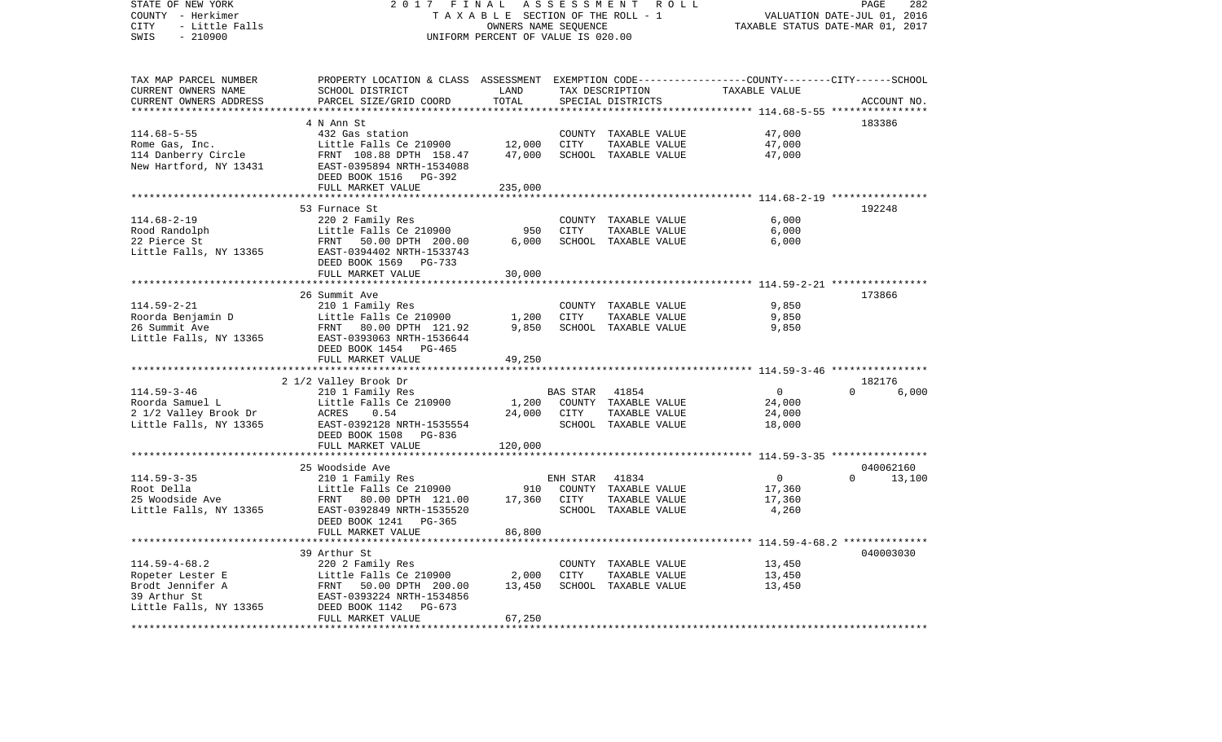| TAX MAP PARCEL NUMBER<br>PROPERTY LOCATION & CLASS ASSESSMENT EXEMPTION CODE---------------COUNTY-------CITY------SCHOOL<br>CURRENT OWNERS NAME<br>SCHOOL DISTRICT<br>LAND<br>TAX DESCRIPTION<br>TAXABLE VALUE<br>PARCEL SIZE/GRID COORD<br>TOTAL<br>CURRENT OWNERS ADDRESS<br>SPECIAL DISTRICTS<br>ACCOUNT NO.<br>********* 114.68-5-55 ****<br>4 N Ann St<br>183386<br>$114.68 - 5 - 55$<br>432 Gas station<br>47,000<br>COUNTY TAXABLE VALUE<br>12,000<br>Rome Gas, Inc.<br>Little Falls Ce 210900<br>CITY<br>TAXABLE VALUE<br>47,000<br>114 Danberry Circle<br>47,000<br>SCHOOL TAXABLE VALUE<br>47,000<br>FRNT 108.88 DPTH 158.47<br>New Hartford, NY 13431<br>EAST-0395894 NRTH-1534088<br>DEED BOOK 1516 PG-392<br>FULL MARKET VALUE<br>235,000<br>**********************<br>*********************** 114.68-2-19 *****************<br>* * * * * * * * *<br>192248<br>53 Furnace St<br>$114.68 - 2 - 19$<br>6,000<br>220 2 Family Res<br>COUNTY<br>TAXABLE VALUE<br>950<br><b>CITY</b><br>6,000<br>Rood Randolph<br>Little Falls Ce 210900<br>TAXABLE VALUE<br>22 Pierce St<br>6,000<br>6,000<br>FRNT<br>50.00 DPTH 200.00<br>SCHOOL TAXABLE VALUE<br>Little Falls, NY 13365<br>EAST-0394402 NRTH-1533743<br>DEED BOOK 1569<br>PG-733<br>30,000<br>FULL MARKET VALUE<br>26 Summit Ave<br>173866<br>$114.59 - 2 - 21$<br>9,850<br>210 1 Family Res<br>COUNTY<br>TAXABLE VALUE<br>1,200<br>9,850<br>Roorda Benjamin D<br>Little Falls Ce 210900<br>CITY<br>TAXABLE VALUE<br>26 Summit Ave<br>9,850<br>SCHOOL TAXABLE VALUE<br>9,850<br>FRNT 80.00 DPTH 121.92<br>Little Falls, NY 13365<br>EAST-0393063 NRTH-1536644<br>DEED BOOK 1454 PG-465<br>FULL MARKET VALUE<br>49,250<br>2 1/2 Valley Brook Dr<br>182176<br>$114.59 - 3 - 46$<br>41854<br>6,000<br><b>BAS STAR</b><br>$\Omega$<br>$\Omega$<br>210 1 Family Res<br>1,200<br>COUNTY TAXABLE VALUE<br>24,000<br>Roorda Samuel L<br>Little Falls Ce 210900<br>24,000<br>24,000<br>2 1/2 Valley Brook Dr<br>ACRES<br>0.54<br>CITY<br>TAXABLE VALUE<br>Little Falls, NY 13365<br>SCHOOL TAXABLE VALUE<br>18,000<br>EAST-0392128 NRTH-1535554<br>DEED BOOK 1508<br>PG-836<br>FULL MARKET VALUE<br>120,000<br>25 Woodside Ave<br>040062160<br>$\overline{0}$<br>$114.59 - 3 - 35$<br>210 1 Family Res<br>ENH STAR<br>41834<br>$\Omega$<br>13,100<br>Root Della<br>Little Falls Ce 210900<br>910<br>COUNTY TAXABLE VALUE<br>17,360<br>17,360<br>17,360<br>25 Woodside Ave<br>FRNT<br>80.00 DPTH 121.00<br>CITY<br>TAXABLE VALUE<br>Little Falls, NY 13365<br>4,260<br>EAST-0392849 NRTH-1535520<br>SCHOOL TAXABLE VALUE<br>DEED BOOK 1241<br>PG-365<br>86,800<br>FULL MARKET VALUE<br>***********************<br>******************<br>************************************** 114.59-4-68.2 ***************<br>040003030<br>39 Arthur St<br>$114.59 - 4 - 68.2$<br>13,450<br>220 2 Family Res<br>COUNTY TAXABLE VALUE<br>2,000<br>13,450<br>Ropeter Lester E<br>Little Falls Ce 210900<br>CITY<br>TAXABLE VALUE<br>13,450<br>Brodt Jennifer A<br>50.00 DPTH 200.00<br>SCHOOL TAXABLE VALUE<br>13,450<br>FRNT<br>39 Arthur St<br>EAST-0393224 NRTH-1534856<br>Little Falls, NY 13365<br>DEED BOOK 1142<br>$PG-673$<br>67,250<br>FULL MARKET VALUE | STATE OF NEW YORK<br>COUNTY - Herkimer<br>CITY<br>- Little Falls<br>$-210900$<br>SWIS | 2 0 1 7                   | FINAL<br>TAXABLE SECTION OF THE ROLL - 1<br>OWNERS NAME SEQUENCE<br>UNIFORM PERCENT OF VALUE IS 020.00 | ASSESSMENT | R O L L | PAGE<br>282<br>VALUATION DATE-JUL 01, 2016<br>TAXABLE STATUS DATE-MAR 01, 2017 |
|----------------------------------------------------------------------------------------------------------------------------------------------------------------------------------------------------------------------------------------------------------------------------------------------------------------------------------------------------------------------------------------------------------------------------------------------------------------------------------------------------------------------------------------------------------------------------------------------------------------------------------------------------------------------------------------------------------------------------------------------------------------------------------------------------------------------------------------------------------------------------------------------------------------------------------------------------------------------------------------------------------------------------------------------------------------------------------------------------------------------------------------------------------------------------------------------------------------------------------------------------------------------------------------------------------------------------------------------------------------------------------------------------------------------------------------------------------------------------------------------------------------------------------------------------------------------------------------------------------------------------------------------------------------------------------------------------------------------------------------------------------------------------------------------------------------------------------------------------------------------------------------------------------------------------------------------------------------------------------------------------------------------------------------------------------------------------------------------------------------------------------------------------------------------------------------------------------------------------------------------------------------------------------------------------------------------------------------------------------------------------------------------------------------------------------------------------------------------------------------------------------------------------------------------------------------------------------------------------------------------------------------------------------------------------------------------------------------------------------------------------------------------------------------------------------------------------------------------------------------------------------------------------------------------------------------------------------------------------------------------------------------------------------------------------------------------------------------------------------------------------------------------------------------------------------------------------|---------------------------------------------------------------------------------------|---------------------------|--------------------------------------------------------------------------------------------------------|------------|---------|--------------------------------------------------------------------------------|
|                                                                                                                                                                                                                                                                                                                                                                                                                                                                                                                                                                                                                                                                                                                                                                                                                                                                                                                                                                                                                                                                                                                                                                                                                                                                                                                                                                                                                                                                                                                                                                                                                                                                                                                                                                                                                                                                                                                                                                                                                                                                                                                                                                                                                                                                                                                                                                                                                                                                                                                                                                                                                                                                                                                                                                                                                                                                                                                                                                                                                                                                                                                                                                                                    |                                                                                       |                           |                                                                                                        |            |         |                                                                                |
|                                                                                                                                                                                                                                                                                                                                                                                                                                                                                                                                                                                                                                                                                                                                                                                                                                                                                                                                                                                                                                                                                                                                                                                                                                                                                                                                                                                                                                                                                                                                                                                                                                                                                                                                                                                                                                                                                                                                                                                                                                                                                                                                                                                                                                                                                                                                                                                                                                                                                                                                                                                                                                                                                                                                                                                                                                                                                                                                                                                                                                                                                                                                                                                                    |                                                                                       |                           |                                                                                                        |            |         |                                                                                |
|                                                                                                                                                                                                                                                                                                                                                                                                                                                                                                                                                                                                                                                                                                                                                                                                                                                                                                                                                                                                                                                                                                                                                                                                                                                                                                                                                                                                                                                                                                                                                                                                                                                                                                                                                                                                                                                                                                                                                                                                                                                                                                                                                                                                                                                                                                                                                                                                                                                                                                                                                                                                                                                                                                                                                                                                                                                                                                                                                                                                                                                                                                                                                                                                    |                                                                                       |                           |                                                                                                        |            |         |                                                                                |
|                                                                                                                                                                                                                                                                                                                                                                                                                                                                                                                                                                                                                                                                                                                                                                                                                                                                                                                                                                                                                                                                                                                                                                                                                                                                                                                                                                                                                                                                                                                                                                                                                                                                                                                                                                                                                                                                                                                                                                                                                                                                                                                                                                                                                                                                                                                                                                                                                                                                                                                                                                                                                                                                                                                                                                                                                                                                                                                                                                                                                                                                                                                                                                                                    |                                                                                       |                           |                                                                                                        |            |         |                                                                                |
|                                                                                                                                                                                                                                                                                                                                                                                                                                                                                                                                                                                                                                                                                                                                                                                                                                                                                                                                                                                                                                                                                                                                                                                                                                                                                                                                                                                                                                                                                                                                                                                                                                                                                                                                                                                                                                                                                                                                                                                                                                                                                                                                                                                                                                                                                                                                                                                                                                                                                                                                                                                                                                                                                                                                                                                                                                                                                                                                                                                                                                                                                                                                                                                                    |                                                                                       |                           |                                                                                                        |            |         |                                                                                |
|                                                                                                                                                                                                                                                                                                                                                                                                                                                                                                                                                                                                                                                                                                                                                                                                                                                                                                                                                                                                                                                                                                                                                                                                                                                                                                                                                                                                                                                                                                                                                                                                                                                                                                                                                                                                                                                                                                                                                                                                                                                                                                                                                                                                                                                                                                                                                                                                                                                                                                                                                                                                                                                                                                                                                                                                                                                                                                                                                                                                                                                                                                                                                                                                    |                                                                                       |                           |                                                                                                        |            |         |                                                                                |
|                                                                                                                                                                                                                                                                                                                                                                                                                                                                                                                                                                                                                                                                                                                                                                                                                                                                                                                                                                                                                                                                                                                                                                                                                                                                                                                                                                                                                                                                                                                                                                                                                                                                                                                                                                                                                                                                                                                                                                                                                                                                                                                                                                                                                                                                                                                                                                                                                                                                                                                                                                                                                                                                                                                                                                                                                                                                                                                                                                                                                                                                                                                                                                                                    |                                                                                       |                           |                                                                                                        |            |         |                                                                                |
|                                                                                                                                                                                                                                                                                                                                                                                                                                                                                                                                                                                                                                                                                                                                                                                                                                                                                                                                                                                                                                                                                                                                                                                                                                                                                                                                                                                                                                                                                                                                                                                                                                                                                                                                                                                                                                                                                                                                                                                                                                                                                                                                                                                                                                                                                                                                                                                                                                                                                                                                                                                                                                                                                                                                                                                                                                                                                                                                                                                                                                                                                                                                                                                                    |                                                                                       |                           |                                                                                                        |            |         |                                                                                |
|                                                                                                                                                                                                                                                                                                                                                                                                                                                                                                                                                                                                                                                                                                                                                                                                                                                                                                                                                                                                                                                                                                                                                                                                                                                                                                                                                                                                                                                                                                                                                                                                                                                                                                                                                                                                                                                                                                                                                                                                                                                                                                                                                                                                                                                                                                                                                                                                                                                                                                                                                                                                                                                                                                                                                                                                                                                                                                                                                                                                                                                                                                                                                                                                    |                                                                                       |                           |                                                                                                        |            |         |                                                                                |
|                                                                                                                                                                                                                                                                                                                                                                                                                                                                                                                                                                                                                                                                                                                                                                                                                                                                                                                                                                                                                                                                                                                                                                                                                                                                                                                                                                                                                                                                                                                                                                                                                                                                                                                                                                                                                                                                                                                                                                                                                                                                                                                                                                                                                                                                                                                                                                                                                                                                                                                                                                                                                                                                                                                                                                                                                                                                                                                                                                                                                                                                                                                                                                                                    |                                                                                       |                           |                                                                                                        |            |         |                                                                                |
|                                                                                                                                                                                                                                                                                                                                                                                                                                                                                                                                                                                                                                                                                                                                                                                                                                                                                                                                                                                                                                                                                                                                                                                                                                                                                                                                                                                                                                                                                                                                                                                                                                                                                                                                                                                                                                                                                                                                                                                                                                                                                                                                                                                                                                                                                                                                                                                                                                                                                                                                                                                                                                                                                                                                                                                                                                                                                                                                                                                                                                                                                                                                                                                                    |                                                                                       |                           |                                                                                                        |            |         |                                                                                |
|                                                                                                                                                                                                                                                                                                                                                                                                                                                                                                                                                                                                                                                                                                                                                                                                                                                                                                                                                                                                                                                                                                                                                                                                                                                                                                                                                                                                                                                                                                                                                                                                                                                                                                                                                                                                                                                                                                                                                                                                                                                                                                                                                                                                                                                                                                                                                                                                                                                                                                                                                                                                                                                                                                                                                                                                                                                                                                                                                                                                                                                                                                                                                                                                    |                                                                                       |                           |                                                                                                        |            |         |                                                                                |
|                                                                                                                                                                                                                                                                                                                                                                                                                                                                                                                                                                                                                                                                                                                                                                                                                                                                                                                                                                                                                                                                                                                                                                                                                                                                                                                                                                                                                                                                                                                                                                                                                                                                                                                                                                                                                                                                                                                                                                                                                                                                                                                                                                                                                                                                                                                                                                                                                                                                                                                                                                                                                                                                                                                                                                                                                                                                                                                                                                                                                                                                                                                                                                                                    |                                                                                       |                           |                                                                                                        |            |         |                                                                                |
|                                                                                                                                                                                                                                                                                                                                                                                                                                                                                                                                                                                                                                                                                                                                                                                                                                                                                                                                                                                                                                                                                                                                                                                                                                                                                                                                                                                                                                                                                                                                                                                                                                                                                                                                                                                                                                                                                                                                                                                                                                                                                                                                                                                                                                                                                                                                                                                                                                                                                                                                                                                                                                                                                                                                                                                                                                                                                                                                                                                                                                                                                                                                                                                                    |                                                                                       |                           |                                                                                                        |            |         |                                                                                |
|                                                                                                                                                                                                                                                                                                                                                                                                                                                                                                                                                                                                                                                                                                                                                                                                                                                                                                                                                                                                                                                                                                                                                                                                                                                                                                                                                                                                                                                                                                                                                                                                                                                                                                                                                                                                                                                                                                                                                                                                                                                                                                                                                                                                                                                                                                                                                                                                                                                                                                                                                                                                                                                                                                                                                                                                                                                                                                                                                                                                                                                                                                                                                                                                    |                                                                                       |                           |                                                                                                        |            |         |                                                                                |
|                                                                                                                                                                                                                                                                                                                                                                                                                                                                                                                                                                                                                                                                                                                                                                                                                                                                                                                                                                                                                                                                                                                                                                                                                                                                                                                                                                                                                                                                                                                                                                                                                                                                                                                                                                                                                                                                                                                                                                                                                                                                                                                                                                                                                                                                                                                                                                                                                                                                                                                                                                                                                                                                                                                                                                                                                                                                                                                                                                                                                                                                                                                                                                                                    |                                                                                       |                           |                                                                                                        |            |         |                                                                                |
|                                                                                                                                                                                                                                                                                                                                                                                                                                                                                                                                                                                                                                                                                                                                                                                                                                                                                                                                                                                                                                                                                                                                                                                                                                                                                                                                                                                                                                                                                                                                                                                                                                                                                                                                                                                                                                                                                                                                                                                                                                                                                                                                                                                                                                                                                                                                                                                                                                                                                                                                                                                                                                                                                                                                                                                                                                                                                                                                                                                                                                                                                                                                                                                                    |                                                                                       |                           |                                                                                                        |            |         |                                                                                |
|                                                                                                                                                                                                                                                                                                                                                                                                                                                                                                                                                                                                                                                                                                                                                                                                                                                                                                                                                                                                                                                                                                                                                                                                                                                                                                                                                                                                                                                                                                                                                                                                                                                                                                                                                                                                                                                                                                                                                                                                                                                                                                                                                                                                                                                                                                                                                                                                                                                                                                                                                                                                                                                                                                                                                                                                                                                                                                                                                                                                                                                                                                                                                                                                    |                                                                                       |                           |                                                                                                        |            |         |                                                                                |
|                                                                                                                                                                                                                                                                                                                                                                                                                                                                                                                                                                                                                                                                                                                                                                                                                                                                                                                                                                                                                                                                                                                                                                                                                                                                                                                                                                                                                                                                                                                                                                                                                                                                                                                                                                                                                                                                                                                                                                                                                                                                                                                                                                                                                                                                                                                                                                                                                                                                                                                                                                                                                                                                                                                                                                                                                                                                                                                                                                                                                                                                                                                                                                                                    |                                                                                       |                           |                                                                                                        |            |         |                                                                                |
|                                                                                                                                                                                                                                                                                                                                                                                                                                                                                                                                                                                                                                                                                                                                                                                                                                                                                                                                                                                                                                                                                                                                                                                                                                                                                                                                                                                                                                                                                                                                                                                                                                                                                                                                                                                                                                                                                                                                                                                                                                                                                                                                                                                                                                                                                                                                                                                                                                                                                                                                                                                                                                                                                                                                                                                                                                                                                                                                                                                                                                                                                                                                                                                                    |                                                                                       |                           |                                                                                                        |            |         |                                                                                |
|                                                                                                                                                                                                                                                                                                                                                                                                                                                                                                                                                                                                                                                                                                                                                                                                                                                                                                                                                                                                                                                                                                                                                                                                                                                                                                                                                                                                                                                                                                                                                                                                                                                                                                                                                                                                                                                                                                                                                                                                                                                                                                                                                                                                                                                                                                                                                                                                                                                                                                                                                                                                                                                                                                                                                                                                                                                                                                                                                                                                                                                                                                                                                                                                    |                                                                                       |                           |                                                                                                        |            |         |                                                                                |
|                                                                                                                                                                                                                                                                                                                                                                                                                                                                                                                                                                                                                                                                                                                                                                                                                                                                                                                                                                                                                                                                                                                                                                                                                                                                                                                                                                                                                                                                                                                                                                                                                                                                                                                                                                                                                                                                                                                                                                                                                                                                                                                                                                                                                                                                                                                                                                                                                                                                                                                                                                                                                                                                                                                                                                                                                                                                                                                                                                                                                                                                                                                                                                                                    |                                                                                       |                           |                                                                                                        |            |         |                                                                                |
|                                                                                                                                                                                                                                                                                                                                                                                                                                                                                                                                                                                                                                                                                                                                                                                                                                                                                                                                                                                                                                                                                                                                                                                                                                                                                                                                                                                                                                                                                                                                                                                                                                                                                                                                                                                                                                                                                                                                                                                                                                                                                                                                                                                                                                                                                                                                                                                                                                                                                                                                                                                                                                                                                                                                                                                                                                                                                                                                                                                                                                                                                                                                                                                                    |                                                                                       |                           |                                                                                                        |            |         |                                                                                |
|                                                                                                                                                                                                                                                                                                                                                                                                                                                                                                                                                                                                                                                                                                                                                                                                                                                                                                                                                                                                                                                                                                                                                                                                                                                                                                                                                                                                                                                                                                                                                                                                                                                                                                                                                                                                                                                                                                                                                                                                                                                                                                                                                                                                                                                                                                                                                                                                                                                                                                                                                                                                                                                                                                                                                                                                                                                                                                                                                                                                                                                                                                                                                                                                    |                                                                                       |                           |                                                                                                        |            |         |                                                                                |
|                                                                                                                                                                                                                                                                                                                                                                                                                                                                                                                                                                                                                                                                                                                                                                                                                                                                                                                                                                                                                                                                                                                                                                                                                                                                                                                                                                                                                                                                                                                                                                                                                                                                                                                                                                                                                                                                                                                                                                                                                                                                                                                                                                                                                                                                                                                                                                                                                                                                                                                                                                                                                                                                                                                                                                                                                                                                                                                                                                                                                                                                                                                                                                                                    |                                                                                       |                           |                                                                                                        |            |         |                                                                                |
|                                                                                                                                                                                                                                                                                                                                                                                                                                                                                                                                                                                                                                                                                                                                                                                                                                                                                                                                                                                                                                                                                                                                                                                                                                                                                                                                                                                                                                                                                                                                                                                                                                                                                                                                                                                                                                                                                                                                                                                                                                                                                                                                                                                                                                                                                                                                                                                                                                                                                                                                                                                                                                                                                                                                                                                                                                                                                                                                                                                                                                                                                                                                                                                                    |                                                                                       |                           |                                                                                                        |            |         |                                                                                |
|                                                                                                                                                                                                                                                                                                                                                                                                                                                                                                                                                                                                                                                                                                                                                                                                                                                                                                                                                                                                                                                                                                                                                                                                                                                                                                                                                                                                                                                                                                                                                                                                                                                                                                                                                                                                                                                                                                                                                                                                                                                                                                                                                                                                                                                                                                                                                                                                                                                                                                                                                                                                                                                                                                                                                                                                                                                                                                                                                                                                                                                                                                                                                                                                    |                                                                                       |                           |                                                                                                        |            |         |                                                                                |
|                                                                                                                                                                                                                                                                                                                                                                                                                                                                                                                                                                                                                                                                                                                                                                                                                                                                                                                                                                                                                                                                                                                                                                                                                                                                                                                                                                                                                                                                                                                                                                                                                                                                                                                                                                                                                                                                                                                                                                                                                                                                                                                                                                                                                                                                                                                                                                                                                                                                                                                                                                                                                                                                                                                                                                                                                                                                                                                                                                                                                                                                                                                                                                                                    |                                                                                       |                           |                                                                                                        |            |         |                                                                                |
|                                                                                                                                                                                                                                                                                                                                                                                                                                                                                                                                                                                                                                                                                                                                                                                                                                                                                                                                                                                                                                                                                                                                                                                                                                                                                                                                                                                                                                                                                                                                                                                                                                                                                                                                                                                                                                                                                                                                                                                                                                                                                                                                                                                                                                                                                                                                                                                                                                                                                                                                                                                                                                                                                                                                                                                                                                                                                                                                                                                                                                                                                                                                                                                                    |                                                                                       |                           |                                                                                                        |            |         |                                                                                |
|                                                                                                                                                                                                                                                                                                                                                                                                                                                                                                                                                                                                                                                                                                                                                                                                                                                                                                                                                                                                                                                                                                                                                                                                                                                                                                                                                                                                                                                                                                                                                                                                                                                                                                                                                                                                                                                                                                                                                                                                                                                                                                                                                                                                                                                                                                                                                                                                                                                                                                                                                                                                                                                                                                                                                                                                                                                                                                                                                                                                                                                                                                                                                                                                    |                                                                                       |                           |                                                                                                        |            |         |                                                                                |
|                                                                                                                                                                                                                                                                                                                                                                                                                                                                                                                                                                                                                                                                                                                                                                                                                                                                                                                                                                                                                                                                                                                                                                                                                                                                                                                                                                                                                                                                                                                                                                                                                                                                                                                                                                                                                                                                                                                                                                                                                                                                                                                                                                                                                                                                                                                                                                                                                                                                                                                                                                                                                                                                                                                                                                                                                                                                                                                                                                                                                                                                                                                                                                                                    |                                                                                       |                           |                                                                                                        |            |         |                                                                                |
|                                                                                                                                                                                                                                                                                                                                                                                                                                                                                                                                                                                                                                                                                                                                                                                                                                                                                                                                                                                                                                                                                                                                                                                                                                                                                                                                                                                                                                                                                                                                                                                                                                                                                                                                                                                                                                                                                                                                                                                                                                                                                                                                                                                                                                                                                                                                                                                                                                                                                                                                                                                                                                                                                                                                                                                                                                                                                                                                                                                                                                                                                                                                                                                                    |                                                                                       |                           |                                                                                                        |            |         |                                                                                |
|                                                                                                                                                                                                                                                                                                                                                                                                                                                                                                                                                                                                                                                                                                                                                                                                                                                                                                                                                                                                                                                                                                                                                                                                                                                                                                                                                                                                                                                                                                                                                                                                                                                                                                                                                                                                                                                                                                                                                                                                                                                                                                                                                                                                                                                                                                                                                                                                                                                                                                                                                                                                                                                                                                                                                                                                                                                                                                                                                                                                                                                                                                                                                                                                    |                                                                                       |                           |                                                                                                        |            |         |                                                                                |
|                                                                                                                                                                                                                                                                                                                                                                                                                                                                                                                                                                                                                                                                                                                                                                                                                                                                                                                                                                                                                                                                                                                                                                                                                                                                                                                                                                                                                                                                                                                                                                                                                                                                                                                                                                                                                                                                                                                                                                                                                                                                                                                                                                                                                                                                                                                                                                                                                                                                                                                                                                                                                                                                                                                                                                                                                                                                                                                                                                                                                                                                                                                                                                                                    |                                                                                       |                           |                                                                                                        |            |         |                                                                                |
|                                                                                                                                                                                                                                                                                                                                                                                                                                                                                                                                                                                                                                                                                                                                                                                                                                                                                                                                                                                                                                                                                                                                                                                                                                                                                                                                                                                                                                                                                                                                                                                                                                                                                                                                                                                                                                                                                                                                                                                                                                                                                                                                                                                                                                                                                                                                                                                                                                                                                                                                                                                                                                                                                                                                                                                                                                                                                                                                                                                                                                                                                                                                                                                                    |                                                                                       |                           |                                                                                                        |            |         |                                                                                |
|                                                                                                                                                                                                                                                                                                                                                                                                                                                                                                                                                                                                                                                                                                                                                                                                                                                                                                                                                                                                                                                                                                                                                                                                                                                                                                                                                                                                                                                                                                                                                                                                                                                                                                                                                                                                                                                                                                                                                                                                                                                                                                                                                                                                                                                                                                                                                                                                                                                                                                                                                                                                                                                                                                                                                                                                                                                                                                                                                                                                                                                                                                                                                                                                    |                                                                                       |                           |                                                                                                        |            |         |                                                                                |
|                                                                                                                                                                                                                                                                                                                                                                                                                                                                                                                                                                                                                                                                                                                                                                                                                                                                                                                                                                                                                                                                                                                                                                                                                                                                                                                                                                                                                                                                                                                                                                                                                                                                                                                                                                                                                                                                                                                                                                                                                                                                                                                                                                                                                                                                                                                                                                                                                                                                                                                                                                                                                                                                                                                                                                                                                                                                                                                                                                                                                                                                                                                                                                                                    |                                                                                       |                           |                                                                                                        |            |         |                                                                                |
|                                                                                                                                                                                                                                                                                                                                                                                                                                                                                                                                                                                                                                                                                                                                                                                                                                                                                                                                                                                                                                                                                                                                                                                                                                                                                                                                                                                                                                                                                                                                                                                                                                                                                                                                                                                                                                                                                                                                                                                                                                                                                                                                                                                                                                                                                                                                                                                                                                                                                                                                                                                                                                                                                                                                                                                                                                                                                                                                                                                                                                                                                                                                                                                                    |                                                                                       | ************************* |                                                                                                        |            |         |                                                                                |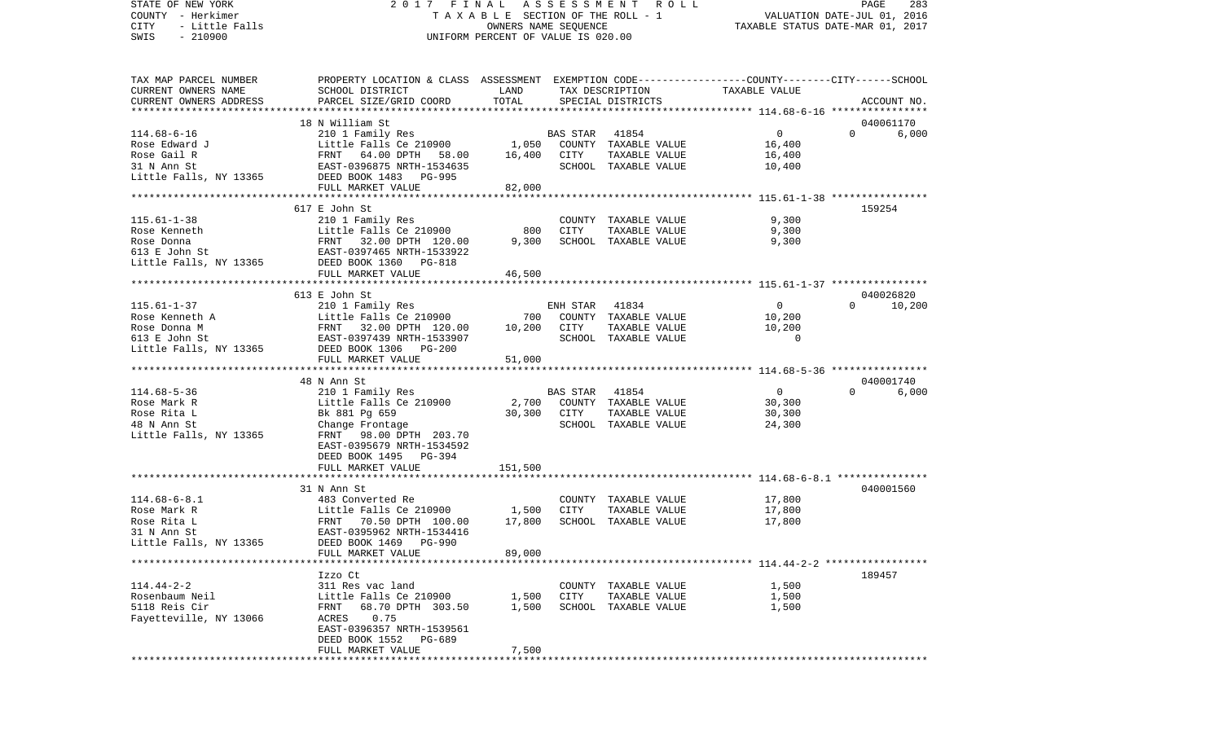STATE OF NEW YORK 2 0 1 7 F I N A L A S S E S S M E N T R O L L PAGE 283COUNTY - Herkimer **T A X A B L E** SECTION OF THE ROLL - 1 VALUATION DATE-JUL 01, 2016 CITY - Little Falls OWNERS NAME SEQUENCE TAXABLE STATUS DATE-MAR 01, 2017 SWIS - 210900 UNIFORM PERCENT OF VALUE IS 020.00TAX MAP PARCEL NUMBER PROPERTY LOCATION & CLASS ASSESSMENT EXEMPTION CODE------------------COUNTY--------CITY------SCHOOL CURRENT OWNERS NAME SCHOOL DISTRICT LAND TAX DESCRIPTION TAXABLE VALUECURRENT OWNERS ADDRESS PARCEL SIZE/GRID COORD TOTAL SPECIAL DISTRICTS ACCOUNT NO. \*\*\*\*\*\*\*\*\*\*\*\*\*\*\*\*\*\*\*\*\*\*\*\*\*\*\*\*\*\*\*\*\*\*\*\*\*\*\*\*\*\*\*\*\*\*\*\*\*\*\*\*\*\*\*\*\*\*\*\*\*\*\*\*\*\*\*\*\*\*\*\*\*\*\*\*\*\*\*\*\*\*\*\*\*\*\*\*\*\*\*\*\*\*\*\*\*\*\*\*\*\*\* 114.68-6-16 \*\*\*\*\*\*\*\*\*\*\*\*\*\*\*\* 18 N William St 040061170114.68-6-16 210 1 Family Res BAS STAR 41854 0 0 6,000 Rose Edward J Little Falls Ce 210900 1,050 COUNTY TAXABLE VALUE 16,400 Rose Gail R FRNT 64.00 DPTH 58.00 16,400 CITY TAXABLE VALUE 16,400 31 N Ann St EAST-0396875 NRTH-1534635 SCHOOL TAXABLE VALUE 10,400 Little Falls, NY 13365 DEED BOOK 1483 PG-995 FULL MARKET VALUE 82,000 \*\*\*\*\*\*\*\*\*\*\*\*\*\*\*\*\*\*\*\*\*\*\*\*\*\*\*\*\*\*\*\*\*\*\*\*\*\*\*\*\*\*\*\*\*\*\*\*\*\*\*\*\*\*\*\*\*\*\*\*\*\*\*\*\*\*\*\*\*\*\*\*\*\*\*\*\*\*\*\*\*\*\*\*\*\*\*\*\*\*\*\*\*\*\*\*\*\*\*\*\*\*\* 115.61-1-38 \*\*\*\*\*\*\*\*\*\*\*\*\*\*\*\* 617 E John St 159254115.61-1-38 210 1 Family Res COUNTY TAXABLE VALUE 9,300 Rose Kenneth Little Falls Ce 210900 800 CITY TAXABLE VALUE Rose Donna FRNT 32.00 DPTH 120.00 9,300 SCHOOL TAXABLE VALUE 9,300 613 E John St EAST-0397465 NRTH-1533922Little Falls, NY 13365 DEED BOOK 1360 PG-818 FULL MARKET VALUE 46,500 \*\*\*\*\*\*\*\*\*\*\*\*\*\*\*\*\*\*\*\*\*\*\*\*\*\*\*\*\*\*\*\*\*\*\*\*\*\*\*\*\*\*\*\*\*\*\*\*\*\*\*\*\*\*\*\*\*\*\*\*\*\*\*\*\*\*\*\*\*\*\*\*\*\*\*\*\*\*\*\*\*\*\*\*\*\*\*\*\*\*\*\*\*\*\*\*\*\*\*\*\*\*\* 115.61-1-37 \*\*\*\*\*\*\*\*\*\*\*\*\*\*\*\* 613 E John St 04002682010.200 115.61-1-37 210 1 Family Res ENH STAR 41834 0 0 10,200 Rose Kenneth A Little Falls Ce 210900 700 COUNTY TAXABLE VALUE 10,200 Rose Donna M FRNT 32.00 DPTH 120.00 10,200 CITY TAXABLE VALUE 10,200 613 E John St EAST-0397439 NRTH-1533907 SCHOOL TAXABLE VALUE 0Little Falls, NY 13365 DEED BOOK 1306 PG-200 FULL MARKET VALUE 51,000 \*\*\*\*\*\*\*\*\*\*\*\*\*\*\*\*\*\*\*\*\*\*\*\*\*\*\*\*\*\*\*\*\*\*\*\*\*\*\*\*\*\*\*\*\*\*\*\*\*\*\*\*\*\*\*\*\*\*\*\*\*\*\*\*\*\*\*\*\*\*\*\*\*\*\*\*\*\*\*\*\*\*\*\*\*\*\*\*\*\*\*\*\*\*\*\*\*\*\*\*\*\*\* 114.68-5-36 \*\*\*\*\*\*\*\*\*\*\*\*\*\*\*\* 48 N Ann St 040001740114.68-5-36 210 1 Family Res BAS STAR 41854 0 0 6,000 Rose Mark R 
and the Little Falls Ce 210900 (2,700 COUNTY TAXABLE VALUE 30,300 Rose Rita L Bk 881 Pg 659 30,300 CITY TAXABLE VALUE 30,300 48 N Ann St Change Frontage SCHOOL TAXABLE VALUE 24,300 Little Falls, NY 13365 FRNT 98.00 DPTH 203.70 EAST-0395679 NRTH-1534592 DEED BOOK 1495 PG-394FULL MARKET VALUE 151,500 \*\*\*\*\*\*\*\*\*\*\*\*\*\*\*\*\*\*\*\*\*\*\*\*\*\*\*\*\*\*\*\*\*\*\*\*\*\*\*\*\*\*\*\*\*\*\*\*\*\*\*\*\*\*\*\*\*\*\*\*\*\*\*\*\*\*\*\*\*\*\*\*\*\*\*\*\*\*\*\*\*\*\*\*\*\*\*\*\*\*\*\*\*\*\*\*\*\*\*\*\*\*\* 114.68-6-8.1 \*\*\*\*\*\*\*\*\*\*\*\*\*\*\* 31 N Ann St 040001560114.68-6-8.1 483 Converted Re COUNTY TAXABLE VALUE 17,800 Rose Mark R **Rose Mark R** Little Falls Ce 210900 1,500 CITY TAXABLE VALUE 17,800 Rose Rita L FRNT 70.50 DPTH 100.00 17,800 SCHOOL TAXABLE VALUE 17,800 31 N Ann St EAST-0395962 NRTH-1534416Little Falls, NY 13365 DEED BOOK 1469 PG-990 FULL MARKET VALUE 89,000 \*\*\*\*\*\*\*\*\*\*\*\*\*\*\*\*\*\*\*\*\*\*\*\*\*\*\*\*\*\*\*\*\*\*\*\*\*\*\*\*\*\*\*\*\*\*\*\*\*\*\*\*\*\*\*\*\*\*\*\*\*\*\*\*\*\*\*\*\*\*\*\*\*\*\*\*\*\*\*\*\*\*\*\*\*\*\*\*\*\*\*\*\*\*\*\*\*\*\*\*\*\*\* 114.44-2-2 \*\*\*\*\*\*\*\*\*\*\*\*\*\*\*\*\* Izzo Ct 189457114.44-2-2 311 Res vac land COUNTY TAXABLE VALUE 1,500 Rosenbaum Neil Little Falls Ce 210900 1,500 CITY TAXABLE VALUE 1,500 5118 Reis Cir FRNT 68.70 DPTH 303.50 1,500 SCHOOL TAXABLE VALUE 1,500 Fayetteville, NY 13066 ACRES 0.75 EAST-0396357 NRTH-1539561 DEED BOOK 1552 PG-689FULL MARKET VALUE 7,500

\*\*\*\*\*\*\*\*\*\*\*\*\*\*\*\*\*\*\*\*\*\*\*\*\*\*\*\*\*\*\*\*\*\*\*\*\*\*\*\*\*\*\*\*\*\*\*\*\*\*\*\*\*\*\*\*\*\*\*\*\*\*\*\*\*\*\*\*\*\*\*\*\*\*\*\*\*\*\*\*\*\*\*\*\*\*\*\*\*\*\*\*\*\*\*\*\*\*\*\*\*\*\*\*\*\*\*\*\*\*\*\*\*\*\*\*\*\*\*\*\*\*\*\*\*\*\*\*\*\*\*\*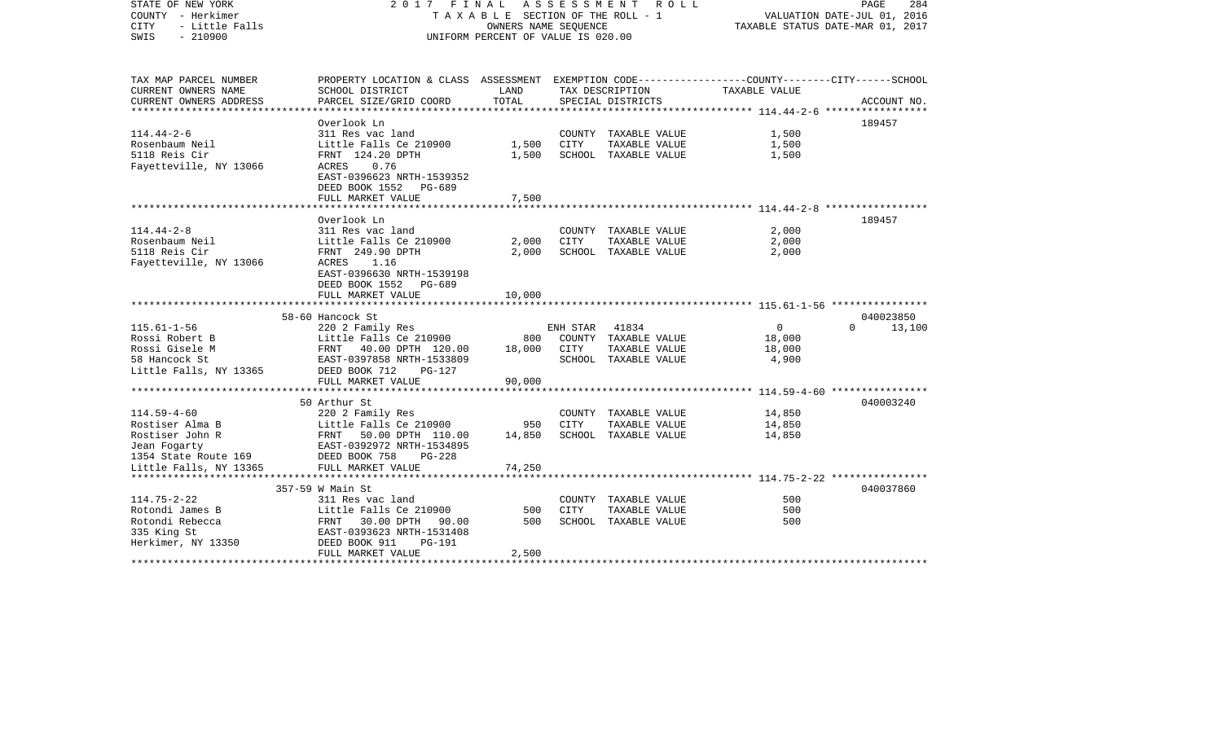| STATE OF NEW YORK<br>COUNTY - Herkimer<br><b>CITY</b><br>- Little Falls<br>$-210900$<br>SWIS | 2017 FINAL<br>ASSESSMENT<br>R O L L<br>PAGE<br>284<br>T A X A B L E SECTION OF THE ROLL - 1<br>VALUATION DATE-JUL 01, 2016<br>OWNERS NAME SEQUENCE<br>TAXABLE STATUS DATE-MAR 01, 2017<br>UNIFORM PERCENT OF VALUE IS 020.00 |        |             |                               |                                              |                       |
|----------------------------------------------------------------------------------------------|------------------------------------------------------------------------------------------------------------------------------------------------------------------------------------------------------------------------------|--------|-------------|-------------------------------|----------------------------------------------|-----------------------|
| TAX MAP PARCEL NUMBER<br>CURRENT OWNERS NAME                                                 | PROPERTY LOCATION & CLASS ASSESSMENT EXEMPTION CODE---------------COUNTY-------CITY------SCHOOL<br>SCHOOL DISTRICT                                                                                                           | LAND   |             | TAX DESCRIPTION               | TAXABLE VALUE                                |                       |
| CURRENT OWNERS ADDRESS                                                                       | PARCEL SIZE/GRID COORD                                                                                                                                                                                                       | TOTAL  |             | SPECIAL DISTRICTS             |                                              | ACCOUNT NO.           |
| *********************                                                                        | **********************                                                                                                                                                                                                       |        |             |                               | ************** 114.44-2-6 ****************** |                       |
| $114.44 - 2 - 6$                                                                             | Overlook Ln<br>311 Res vac land                                                                                                                                                                                              |        |             | COUNTY TAXABLE VALUE          | 1,500                                        | 189457                |
| Rosenbaum Neil                                                                               | Little Falls Ce 210900                                                                                                                                                                                                       | 1,500  | CITY        | TAXABLE VALUE                 | 1,500                                        |                       |
| 5118 Reis Cir                                                                                | FRNT 124.20 DPTH                                                                                                                                                                                                             | 1,500  |             | SCHOOL TAXABLE VALUE          | 1,500                                        |                       |
| Fayetteville, NY 13066                                                                       | 0.76<br>ACRES<br>EAST-0396623 NRTH-1539352<br>DEED BOOK 1552 PG-689                                                                                                                                                          |        |             |                               |                                              |                       |
|                                                                                              | FULL MARKET VALUE                                                                                                                                                                                                            | 7,500  |             |                               |                                              |                       |
|                                                                                              | Overlook Ln                                                                                                                                                                                                                  |        |             |                               |                                              | 189457                |
| $114.44 - 2 - 8$                                                                             | 311 Res vac land                                                                                                                                                                                                             |        |             | COUNTY TAXABLE VALUE          | 2,000                                        |                       |
| Rosenbaum Neil                                                                               | Little Falls Ce 210900                                                                                                                                                                                                       | 2,000  | <b>CITY</b> | TAXABLE VALUE                 | 2,000                                        |                       |
| 5118 Reis Cir                                                                                | FRNT 249.90 DPTH                                                                                                                                                                                                             | 2,000  |             | SCHOOL TAXABLE VALUE          | 2,000                                        |                       |
| Fayetteville, NY 13066                                                                       | ACRES 1.16                                                                                                                                                                                                                   |        |             |                               |                                              |                       |
|                                                                                              | EAST-0396630 NRTH-1539198                                                                                                                                                                                                    |        |             |                               |                                              |                       |
|                                                                                              | DEED BOOK 1552 PG-689                                                                                                                                                                                                        |        |             |                               |                                              |                       |
|                                                                                              | FULL MARKET VALUE                                                                                                                                                                                                            | 10,000 |             |                               |                                              |                       |
|                                                                                              |                                                                                                                                                                                                                              |        |             |                               |                                              |                       |
|                                                                                              | 58-60 Hancock St                                                                                                                                                                                                             |        |             |                               |                                              | 040023850<br>$\Omega$ |
| $115.61 - 1 - 56$<br>Rossi Robert B                                                          | 220 2 Family Res                                                                                                                                                                                                             | 800    | ENH STAR    | 41834<br>COUNTY TAXABLE VALUE | $\mathbf{0}$                                 | 13,100                |
| Rossi Gisele M                                                                               | Little Falls Ce 210900<br>FRNT 40.00 DPTH 120.00                                                                                                                                                                             | 18,000 | CITY        | TAXABLE VALUE                 | 18,000<br>18,000                             |                       |
| 58 Hancock St                                                                                | EAST-0397858 NRTH-1533809                                                                                                                                                                                                    |        |             | SCHOOL TAXABLE VALUE          | 4,900                                        |                       |
| Little Falls, NY 13365                                                                       | DEED BOOK 712<br>$PG-127$                                                                                                                                                                                                    |        |             |                               |                                              |                       |
|                                                                                              | FULL MARKET VALUE                                                                                                                                                                                                            | 90,000 |             |                               |                                              |                       |
|                                                                                              | *************************                                                                                                                                                                                                    |        |             |                               |                                              |                       |
|                                                                                              | 50 Arthur St                                                                                                                                                                                                                 |        |             |                               |                                              | 040003240             |
| $114.59 - 4 - 60$                                                                            | 220 2 Family Res                                                                                                                                                                                                             |        |             | COUNTY TAXABLE VALUE          | 14,850                                       |                       |
| Rostiser Alma B                                                                              | Little Falls Ce 210900                                                                                                                                                                                                       | 950    | <b>CITY</b> | TAXABLE VALUE                 | 14,850                                       |                       |
| Rostiser John R                                                                              | FRNT 50.00 DPTH 110.00                                                                                                                                                                                                       | 14,850 |             | SCHOOL TAXABLE VALUE          | 14,850                                       |                       |
| Jean Fogarty                                                                                 | EAST-0392972 NRTH-1534895                                                                                                                                                                                                    |        |             |                               |                                              |                       |
| 1354 State Route 169                                                                         | DEED BOOK 758<br>$PG-228$                                                                                                                                                                                                    |        |             |                               |                                              |                       |
| Little Falls, NY 13365                                                                       | FULL MARKET VALUE                                                                                                                                                                                                            | 74,250 |             |                               |                                              |                       |
|                                                                                              | 357-59 W Main St                                                                                                                                                                                                             |        |             |                               |                                              | 040037860             |
| $114.75 - 2 - 22$                                                                            | 311 Res vac land                                                                                                                                                                                                             |        |             | COUNTY TAXABLE VALUE          | 500                                          |                       |
| Rotondi James B                                                                              | Little Falls Ce 210900                                                                                                                                                                                                       | 500    | CITY        | TAXABLE VALUE                 | 500                                          |                       |
| Rotondi Rebecca                                                                              | 30.00 DPTH<br>FRNT<br>90.00                                                                                                                                                                                                  | 500    |             | SCHOOL TAXABLE VALUE          | 500                                          |                       |
| 335 King St                                                                                  | EAST-0393623 NRTH-1531408                                                                                                                                                                                                    |        |             |                               |                                              |                       |
| Herkimer, NY 13350                                                                           | DEED BOOK 911<br><b>PG-191</b>                                                                                                                                                                                               |        |             |                               |                                              |                       |
|                                                                                              | FULL MARKET VALUE                                                                                                                                                                                                            | 2,500  |             |                               |                                              |                       |
|                                                                                              |                                                                                                                                                                                                                              |        |             |                               |                                              |                       |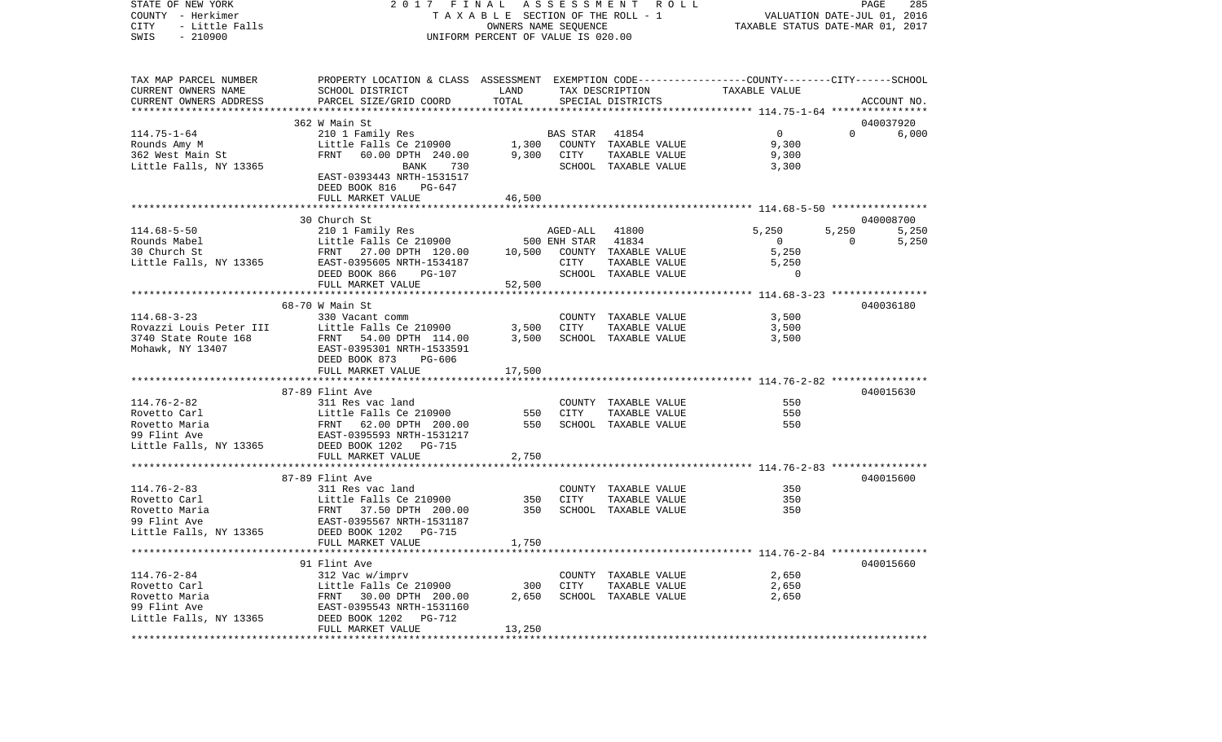STATE OF NEW YORK 2 0 1 7 F I N A L A S S E S S M E N T R O L L PAGE 285COUNTY - Herkimer **T A X A B L E SECTION OF THE ROLL - 1** VALUATION DATE-JUL 01, 2016 CITY - Little Falls OWNERS NAME SEQUENCE TAXABLE STATUS DATE-MAR 01, 2017 SWIS - 210900 UNIFORM PERCENT OF VALUE IS 020.00TAX MAP PARCEL NUMBER PROPERTY LOCATION & CLASS ASSESSMENT EXEMPTION CODE------------------COUNTY--------CITY------SCHOOL CURRENT OWNERS NAME SCHOOL DISTRICT LAND TAX DESCRIPTION TAXABLE VALUECURRENT OWNERS ADDRESS PARCEL SIZE/GRID COORD TOTAL SPECIAL DISTRICTS ACCOUNT NO. \*\*\*\*\*\*\*\*\*\*\*\*\*\*\*\*\*\*\*\*\*\*\*\*\*\*\*\*\*\*\*\*\*\*\*\*\*\*\*\*\*\*\*\*\*\*\*\*\*\*\*\*\*\*\*\*\*\*\*\*\*\*\*\*\*\*\*\*\*\*\*\*\*\*\*\*\*\*\*\*\*\*\*\*\*\*\*\*\*\*\*\*\*\*\*\*\*\*\*\*\*\*\* 114.75-1-64 \*\*\*\*\*\*\*\*\*\*\*\*\*\*\*\* 362 W Main St 040037920114.75-1-64 210 1 Family Res BAS STAR 41854 0 0 6,000 Rounds Amy M **Little Falls Ce 210900** 1,300 COUNTY TAXABLE VALUE 9,300 362 West Main St FRNT 60.00 DPTH 240.00 9,300 CITY TAXABLE VALUE 9,300 Little Falls, NY 13365 BANK 730 SCHOOL TAXABLE VALUE 3,300 EAST-0393443 NRTH-1531517 DEED BOOK 816 PG-647FULL MARKET VALUE 46,500 \*\*\*\*\*\*\*\*\*\*\*\*\*\*\*\*\*\*\*\*\*\*\*\*\*\*\*\*\*\*\*\*\*\*\*\*\*\*\*\*\*\*\*\*\*\*\*\*\*\*\*\*\*\*\*\*\*\*\*\*\*\*\*\*\*\*\*\*\*\*\*\*\*\*\*\*\*\*\*\*\*\*\*\*\*\*\*\*\*\*\*\*\*\*\*\*\*\*\*\*\*\*\* 114.68-5-50 \*\*\*\*\*\*\*\*\*\*\*\*\*\*\*\* 30 Church St 040008700114.68-5-50 210 1 Family Res AGED-ALL 41800 5,250 5,250 5,250 5,250 Rounds Mabel Little Falls Ce 210900 500 ENH STAR 41834 0 0 5,250 30 Church St FRNT 27.00 DPTH 120.00 10,500 COUNTY TAXABLE VALUE 5,250 Little Falls, NY 13365 EAST-0395605 NRTH-1534187 CITY TAXABLE VALUE 5,250 DEED BOOK 866 PG-107 SCHOOL TAXABLE VALUE 0 FULL MARKET VALUE 52,500 \*\*\*\*\*\*\*\*\*\*\*\*\*\*\*\*\*\*\*\*\*\*\*\*\*\*\*\*\*\*\*\*\*\*\*\*\*\*\*\*\*\*\*\*\*\*\*\*\*\*\*\*\*\*\*\*\*\*\*\*\*\*\*\*\*\*\*\*\*\*\*\*\*\*\*\*\*\*\*\*\*\*\*\*\*\*\*\*\*\*\*\*\*\*\*\*\*\*\*\*\*\*\* 114.68-3-23 \*\*\*\*\*\*\*\*\*\*\*\*\*\*\*\* 68-70 W Main St 040036180114.68-3-23 330 Vacant comm COUNTY TAXABLE VALUE 3,500 Rovazzi Louis Peter III Little Falls Ce 210900 3,500 CITY TAXABLE VALUE 3,500 3740 State Route 168 FRNT 54.00 DPTH 114.00 3,500 SCHOOL TAXABLE VALUE 3,500 Mohawk, NY 13407 EAST-0395301 NRTH-1533591 DEED BOOK 873 PG-606 FULL MARKET VALUE 17,500 \*\*\*\*\*\*\*\*\*\*\*\*\*\*\*\*\*\*\*\*\*\*\*\*\*\*\*\*\*\*\*\*\*\*\*\*\*\*\*\*\*\*\*\*\*\*\*\*\*\*\*\*\*\*\*\*\*\*\*\*\*\*\*\*\*\*\*\*\*\*\*\*\*\*\*\*\*\*\*\*\*\*\*\*\*\*\*\*\*\*\*\*\*\*\*\*\*\*\*\*\*\*\* 114.76-2-82 \*\*\*\*\*\*\*\*\*\*\*\*\*\*\*\*87-89 Flint Ave 040015630 114.76-2-82 311 Res vac land COUNTY TAXABLE VALUE 550Rovetto Carl Little Falls Ce 210900 550 CITY TAXABLE VALUE 550 Rovetto Maria  $F\rightarrow$  FRNT 62.00 DPTH 200.00 550 SCHOOL TAXABLE VALUE 550 99 Flint Ave EAST-0395593 NRTH-1531217Little Falls, NY 13365 DEED BOOK 1202 PG-715 FULL MARKET VALUE 2,750 \*\*\*\*\*\*\*\*\*\*\*\*\*\*\*\*\*\*\*\*\*\*\*\*\*\*\*\*\*\*\*\*\*\*\*\*\*\*\*\*\*\*\*\*\*\*\*\*\*\*\*\*\*\*\*\*\*\*\*\*\*\*\*\*\*\*\*\*\*\*\*\*\*\*\*\*\*\*\*\*\*\*\*\*\*\*\*\*\*\*\*\*\*\*\*\*\*\*\*\*\*\*\* 114.76-2-83 \*\*\*\*\*\*\*\*\*\*\*\*\*\*\*\*87-89 Flint Ave 040015600 114.76-2-83 311 Res vac land COUNTY TAXABLE VALUE 350Rovetto Carl **Example 211 Carl Carl Example 210900** 350 CITY TAXABLE VALUE 350 350 350 Rovetto Maria 6 TRNT 37.50 DPTH 200.00 350 SCHOOL TAXABLE VALUE 99 Flint Ave EAST-0395567 NRTH-1531187Little Falls, NY 13365 DEED BOOK 1202 PG-715 FULL MARKET VALUE 1,750 \*\*\*\*\*\*\*\*\*\*\*\*\*\*\*\*\*\*\*\*\*\*\*\*\*\*\*\*\*\*\*\*\*\*\*\*\*\*\*\*\*\*\*\*\*\*\*\*\*\*\*\*\*\*\*\*\*\*\*\*\*\*\*\*\*\*\*\*\*\*\*\*\*\*\*\*\*\*\*\*\*\*\*\*\*\*\*\*\*\*\*\*\*\*\*\*\*\*\*\*\*\*\* 114.76-2-84 \*\*\*\*\*\*\*\*\*\*\*\*\*\*\*\*91 Flint Ave 040015660 114.76-2-84 312 Vac w/imprv COUNTY TAXABLE VALUE 2,650 Rovetto Carl Little Falls Ce 210900 300 CITY TAXABLE VALUE 2,650 Rovetto Maria 6 1980 FRNT 30.00 DPTH 200.00 2.650 SCHOOL TAXABLE VALUE 2,650 99 Flint Ave EAST-0395543 NRTH-1531160 Little Falls, NY 13365 DEED BOOK 1202 PG-712 FULL MARKET VALUE 13,250 \*\*\*\*\*\*\*\*\*\*\*\*\*\*\*\*\*\*\*\*\*\*\*\*\*\*\*\*\*\*\*\*\*\*\*\*\*\*\*\*\*\*\*\*\*\*\*\*\*\*\*\*\*\*\*\*\*\*\*\*\*\*\*\*\*\*\*\*\*\*\*\*\*\*\*\*\*\*\*\*\*\*\*\*\*\*\*\*\*\*\*\*\*\*\*\*\*\*\*\*\*\*\*\*\*\*\*\*\*\*\*\*\*\*\*\*\*\*\*\*\*\*\*\*\*\*\*\*\*\*\*\*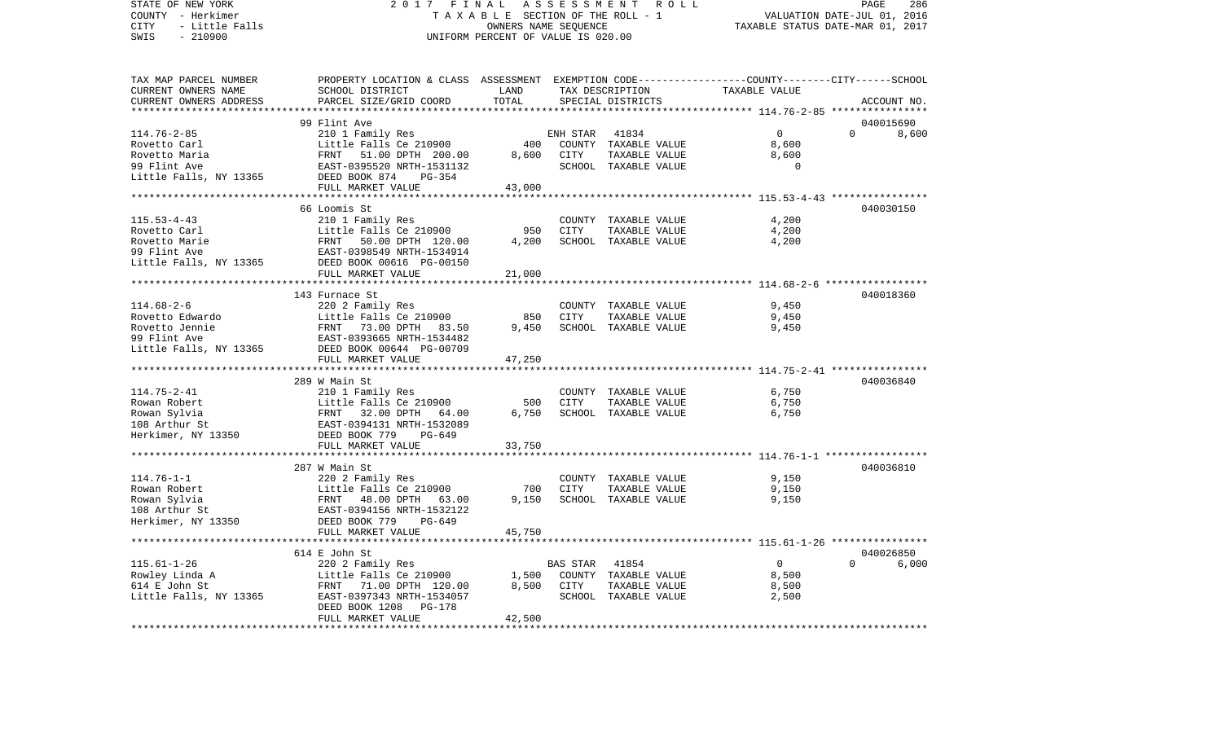STATE OF NEW YORK 2 0 1 7 F I N A L A S S E S S M E N T R O L L PAGE 286COUNTY - Herkimer **T A X A B L E SECTION OF THE ROLL - 1** VALUATION DATE-JUL 01, 2016 CITY - Little Falls OWNERS NAME SEQUENCE TAXABLE STATUS DATE-MAR 01, 2017 SWIS - 210900 UNIFORM PERCENT OF VALUE IS 020.00TAX MAP PARCEL NUMBER PROPERTY LOCATION & CLASS ASSESSMENT EXEMPTION CODE------------------COUNTY--------CITY------SCHOOL CURRENT OWNERS NAME SCHOOL DISTRICT LAND TAX DESCRIPTION TAXABLE VALUECURRENT OWNERS ADDRESS PARCEL SIZE/GRID COORD TOTAL SPECIAL DISTRICTS ACCOUNT NO. \*\*\*\*\*\*\*\*\*\*\*\*\*\*\*\*\*\*\*\*\*\*\*\*\*\*\*\*\*\*\*\*\*\*\*\*\*\*\*\*\*\*\*\*\*\*\*\*\*\*\*\*\*\*\*\*\*\*\*\*\*\*\*\*\*\*\*\*\*\*\*\*\*\*\*\*\*\*\*\*\*\*\*\*\*\*\*\*\*\*\*\*\*\*\*\*\*\*\*\*\*\*\* 114.76-2-85 \*\*\*\*\*\*\*\*\*\*\*\*\*\*\*\* 99 Flint Ave 040015690114.76-2-85 210 1 Family Res ENH STAR 41834 0 0 8,600 Rovetto Carl **Example 2010 Example 210900** 400 COUNTY TAXABLE VALUE 8,600 Rovetto Maria 61 1991 PRNT 51.00 DPTH 200.00 8,600 CITY TAXABLE VALUE 8,600 99 Flint Ave EAST-0395520 NRTH-1531132 SCHOOL TAXABLE VALUE 0 Little Falls, NY 13365 DEED BOOK 874 PG-354 FULL MARKET VALUE 43,000 \*\*\*\*\*\*\*\*\*\*\*\*\*\*\*\*\*\*\*\*\*\*\*\*\*\*\*\*\*\*\*\*\*\*\*\*\*\*\*\*\*\*\*\*\*\*\*\*\*\*\*\*\*\*\*\*\*\*\*\*\*\*\*\*\*\*\*\*\*\*\*\*\*\*\*\*\*\*\*\*\*\*\*\*\*\*\*\*\*\*\*\*\*\*\*\*\*\*\*\*\*\*\* 115.53-4-43 \*\*\*\*\*\*\*\*\*\*\*\*\*\*\*\* 66 Loomis St 040030150115.53-4-43 210 1 Family Res COUNTY TAXABLE VALUE 4,200 Rovetto Carl **Example 210900** 11ttle Falls Ce 210900 950 CITY TAXABLE VALUE Rovetto Marie 6.200 FRNT 50.00 DPTH 120.00 4.200 SCHOOL TAXABLE VALUE 4.200 99 Flint Ave EAST-0398549 NRTH-1534914 Little Falls, NY 13365 DEED BOOK 00616 PG-00150 FULL MARKET VALUE 21,000 \*\*\*\*\*\*\*\*\*\*\*\*\*\*\*\*\*\*\*\*\*\*\*\*\*\*\*\*\*\*\*\*\*\*\*\*\*\*\*\*\*\*\*\*\*\*\*\*\*\*\*\*\*\*\*\*\*\*\*\*\*\*\*\*\*\*\*\*\*\*\*\*\*\*\*\*\*\*\*\*\*\*\*\*\*\*\*\*\*\*\*\*\*\*\*\*\*\*\*\*\*\*\* 114.68-2-6 \*\*\*\*\*\*\*\*\*\*\*\*\*\*\*\*\* 143 Furnace St 040018360114.68-2-6 220 2 Family Res COUNTY TAXABLE VALUE 9,450 Rovetto Edwardo Little Falls Ce 210900 850 CITY TAXABLE VALUE 9,450 Rovetto Jennie 6 (FRNT 73.00 DPTH 83.50 9,450 SCHOOL TAXABLE VALUE 9,450 9,450 99 Flint Ave EAST-0393665 NRTH-1534482Little Falls, NY 13365 DEED BOOK 00644 PG-00709 FULL MARKET VALUE 47,250 \*\*\*\*\*\*\*\*\*\*\*\*\*\*\*\*\*\*\*\*\*\*\*\*\*\*\*\*\*\*\*\*\*\*\*\*\*\*\*\*\*\*\*\*\*\*\*\*\*\*\*\*\*\*\*\*\*\*\*\*\*\*\*\*\*\*\*\*\*\*\*\*\*\*\*\*\*\*\*\*\*\*\*\*\*\*\*\*\*\*\*\*\*\*\*\*\*\*\*\*\*\*\* 114.75-2-41 \*\*\*\*\*\*\*\*\*\*\*\*\*\*\*\* 289 W Main St 040036840114.75-2-41 210 1 Family Res COUNTY TAXABLE VALUE 6,750 Rowan Robert **1988** Little Falls Ce 210900 500 CITY TAXABLE VALUE 6,750 Rowan Sylvia  $F(RNT 32.00 DPTH 64.00 6,750 SCHOOL TAXABLE VALUE 6,750 6,750$ 108 Arthur St EAST-0394131 NRTH-1532089Herkimer, NY 13350 DEED BOOK 779 PG-649 FULL MARKET VALUE 33,750 \*\*\*\*\*\*\*\*\*\*\*\*\*\*\*\*\*\*\*\*\*\*\*\*\*\*\*\*\*\*\*\*\*\*\*\*\*\*\*\*\*\*\*\*\*\*\*\*\*\*\*\*\*\*\*\*\*\*\*\*\*\*\*\*\*\*\*\*\*\*\*\*\*\*\*\*\*\*\*\*\*\*\*\*\*\*\*\*\*\*\*\*\*\*\*\*\*\*\*\*\*\*\* 114.76-1-1 \*\*\*\*\*\*\*\*\*\*\*\*\*\*\*\*\* 287 W Main St 040036810114.76-1-1 220 2 Family Res COUNTY TAXABLE VALUE 9,150 Rowan Robert **19 Communist Communist Communist Communist Communist Communist Communist Communist Communist Communist Communist Communist Communist Communist Communist Communist Communist Communist Communist Communist Commu** Rowan Sylvia FRNT 48.00 DPTH 63.00 9,150 SCHOOL TAXABLE VALUE 9,150 EAST-0394156 NRTH-1532122 Herkimer, NY 13350 DEED BOOK 779 PG-649 FULL MARKET VALUE 45,750 \*\*\*\*\*\*\*\*\*\*\*\*\*\*\*\*\*\*\*\*\*\*\*\*\*\*\*\*\*\*\*\*\*\*\*\*\*\*\*\*\*\*\*\*\*\*\*\*\*\*\*\*\*\*\*\*\*\*\*\*\*\*\*\*\*\*\*\*\*\*\*\*\*\*\*\*\*\*\*\*\*\*\*\*\*\*\*\*\*\*\*\*\*\*\*\*\*\*\*\*\*\*\* 115.61-1-26 \*\*\*\*\*\*\*\*\*\*\*\*\*\*\*\* 614 E John St 040026850115.61-1-26 220 2 Family Res BAS STAR 41854 0 0 6,000 Little Falls Ce 210900 1,500 COUNTY TAXABLE VALUE 614 E John St FRNT 71.00 DPTH 120.00 8,500 CITY TAXABLE VALUE 8,500 Little Falls, NY 13365 EAST-0397343 NRTH-1534057 SCHOOL TAXABLE VALUE 2,500 DEED BOOK 1208 PG-178 FULL MARKET VALUE 42,500 \*\*\*\*\*\*\*\*\*\*\*\*\*\*\*\*\*\*\*\*\*\*\*\*\*\*\*\*\*\*\*\*\*\*\*\*\*\*\*\*\*\*\*\*\*\*\*\*\*\*\*\*\*\*\*\*\*\*\*\*\*\*\*\*\*\*\*\*\*\*\*\*\*\*\*\*\*\*\*\*\*\*\*\*\*\*\*\*\*\*\*\*\*\*\*\*\*\*\*\*\*\*\*\*\*\*\*\*\*\*\*\*\*\*\*\*\*\*\*\*\*\*\*\*\*\*\*\*\*\*\*\*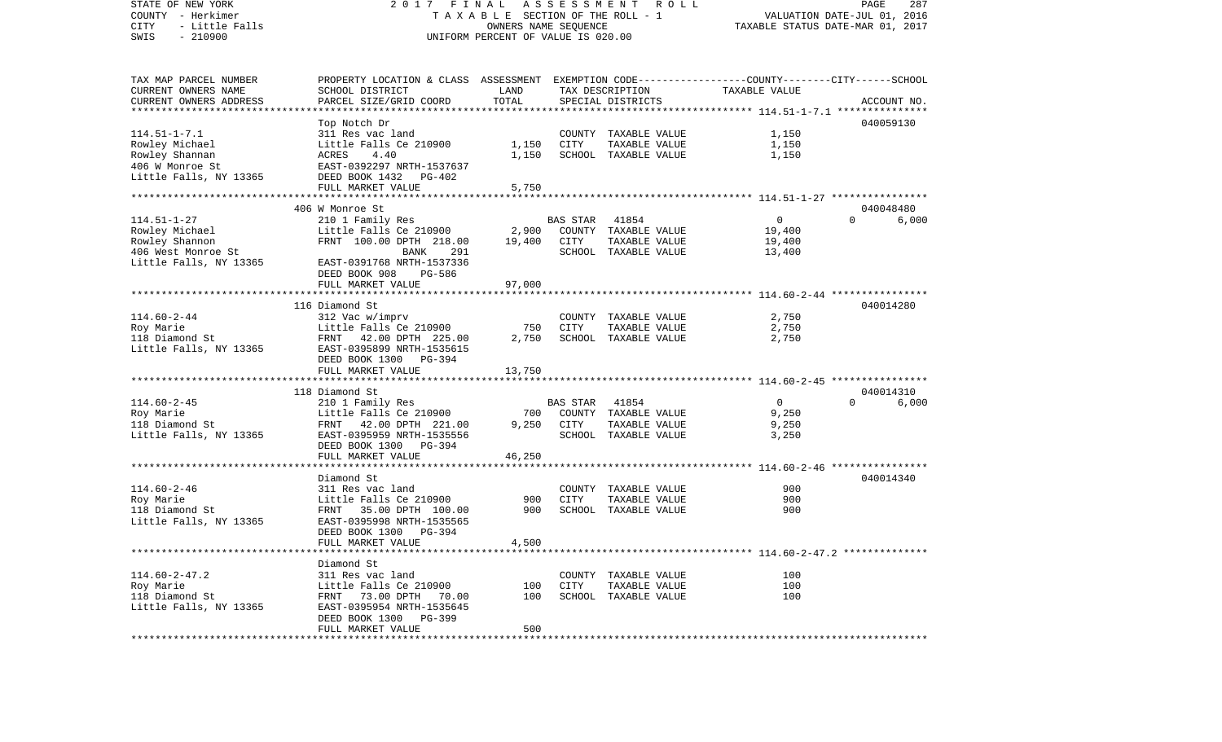| STATE OF NEW YORK<br>COUNTY - Herkimer<br>CITY<br>- Little Falls<br>$-210900$<br>SWIS | FINAL<br>2017<br>TAXABLE SECTION OF THE ROLL - 1<br>UNIFORM PERCENT OF VALUE IS 020.00          | PAGE<br>287<br>VALUATION DATE-JUL 01, 2016<br>TAXABLE STATUS DATE-MAR 01, 2017 |                 |                      |               |                   |
|---------------------------------------------------------------------------------------|-------------------------------------------------------------------------------------------------|--------------------------------------------------------------------------------|-----------------|----------------------|---------------|-------------------|
| TAX MAP PARCEL NUMBER                                                                 | PROPERTY LOCATION & CLASS ASSESSMENT EXEMPTION CODE---------------COUNTY-------CITY------SCHOOL |                                                                                |                 |                      |               |                   |
| CURRENT OWNERS NAME                                                                   | SCHOOL DISTRICT                                                                                 | LAND                                                                           |                 | TAX DESCRIPTION      | TAXABLE VALUE |                   |
| CURRENT OWNERS ADDRESS<br>**********************                                      | PARCEL SIZE/GRID COORD                                                                          | TOTAL                                                                          |                 | SPECIAL DISTRICTS    |               | ACCOUNT NO.       |
|                                                                                       |                                                                                                 |                                                                                |                 |                      |               | 040059130         |
| $114.51 - 1 - 7.1$                                                                    | Top Notch Dr<br>311 Res vac land                                                                |                                                                                |                 | COUNTY TAXABLE VALUE | 1,150         |                   |
| Rowley Michael                                                                        | Little Falls Ce 210900                                                                          | 1,150                                                                          | CITY            | TAXABLE VALUE        | 1,150         |                   |
| Rowley Shannan                                                                        | ACRES<br>4.40                                                                                   | 1,150                                                                          |                 | SCHOOL TAXABLE VALUE | 1,150         |                   |
| 406 W Monroe St                                                                       | EAST-0392297 NRTH-1537637                                                                       |                                                                                |                 |                      |               |                   |
| Little Falls, NY 13365                                                                | DEED BOOK 1432<br>PG-402                                                                        |                                                                                |                 |                      |               |                   |
|                                                                                       | FULL MARKET VALUE                                                                               | 5,750                                                                          |                 |                      |               |                   |
|                                                                                       |                                                                                                 |                                                                                |                 |                      |               |                   |
|                                                                                       | 406 W Monroe St                                                                                 |                                                                                |                 |                      |               | 040048480         |
| $114.51 - 1 - 27$                                                                     | 210 1 Family Res                                                                                |                                                                                | BAS STAR        | 41854                | 0             | $\Omega$<br>6,000 |
| Rowley Michael                                                                        | Little Falls Ce 210900                                                                          | 2,900                                                                          |                 | COUNTY TAXABLE VALUE | 19,400        |                   |
| Rowley Shannon                                                                        | FRNT 100.00 DPTH 218.00                                                                         | 19,400                                                                         | CITY            | TAXABLE VALUE        | 19,400        |                   |
| 406 West Monroe St                                                                    | 291<br>BANK                                                                                     |                                                                                |                 | SCHOOL TAXABLE VALUE | 13,400        |                   |
| Little Falls, NY 13365                                                                | EAST-0391768 NRTH-1537336                                                                       |                                                                                |                 |                      |               |                   |
|                                                                                       | DEED BOOK 908<br>PG-586                                                                         |                                                                                |                 |                      |               |                   |
|                                                                                       | FULL MARKET VALUE                                                                               | 97,000                                                                         |                 |                      |               |                   |
|                                                                                       | 116 Diamond St                                                                                  |                                                                                |                 |                      |               | 040014280         |
| $114.60 - 2 - 44$                                                                     | 312 Vac w/imprv                                                                                 |                                                                                |                 | COUNTY TAXABLE VALUE | 2,750         |                   |
| Roy Marie                                                                             | Little Falls Ce 210900                                                                          | 750                                                                            | CITY            | TAXABLE VALUE        | 2,750         |                   |
| 118 Diamond St                                                                        | FRNT 42.00 DPTH 225.00                                                                          | 2,750                                                                          |                 | SCHOOL TAXABLE VALUE | 2,750         |                   |
| Little Falls, NY 13365                                                                | EAST-0395899 NRTH-1535615                                                                       |                                                                                |                 |                      |               |                   |
|                                                                                       | DEED BOOK 1300<br>PG-394                                                                        |                                                                                |                 |                      |               |                   |
|                                                                                       | FULL MARKET VALUE                                                                               | 13,750                                                                         |                 |                      |               |                   |
|                                                                                       |                                                                                                 |                                                                                |                 |                      |               |                   |
|                                                                                       | 118 Diamond St                                                                                  |                                                                                |                 |                      |               | 040014310         |
| $114.60 - 2 - 45$                                                                     | 210 1 Family Res                                                                                |                                                                                | <b>BAS STAR</b> | 41854                | $\mathbf{0}$  | $\Omega$<br>6,000 |
| Roy Marie                                                                             | Little Falls Ce 210900                                                                          | 700                                                                            |                 | COUNTY TAXABLE VALUE | 9,250         |                   |
| 118 Diamond St                                                                        | FRNT 42.00 DPTH 221.00                                                                          | 9,250                                                                          | CITY            | TAXABLE VALUE        | 9,250         |                   |
| Little Falls, NY 13365                                                                | EAST-0395959 NRTH-1535556                                                                       |                                                                                |                 | SCHOOL TAXABLE VALUE | 3,250         |                   |
|                                                                                       | DEED BOOK 1300<br>PG-394                                                                        |                                                                                |                 |                      |               |                   |
|                                                                                       | FULL MARKET VALUE                                                                               | 46,250                                                                         |                 |                      |               |                   |
|                                                                                       | Diamond St                                                                                      |                                                                                |                 |                      |               | 040014340         |
| $114.60 - 2 - 46$                                                                     | 311 Res vac land                                                                                |                                                                                |                 | COUNTY TAXABLE VALUE | 900           |                   |
| Roy Marie                                                                             | Little Falls Ce 210900                                                                          | 900                                                                            | CITY            | TAXABLE VALUE        | 900           |                   |
| 118 Diamond St                                                                        | FRNT 35.00 DPTH 100.00                                                                          | 900                                                                            |                 | SCHOOL TAXABLE VALUE | 900           |                   |
| Little Falls, NY 13365                                                                | EAST-0395998 NRTH-1535565                                                                       |                                                                                |                 |                      |               |                   |
|                                                                                       | DEED BOOK 1300<br>PG-394                                                                        |                                                                                |                 |                      |               |                   |
|                                                                                       | FULL MARKET VALUE                                                                               | 4,500                                                                          |                 |                      |               |                   |
|                                                                                       |                                                                                                 |                                                                                |                 |                      |               |                   |
|                                                                                       | Diamond St                                                                                      |                                                                                |                 |                      |               |                   |
| $114.60 - 2 - 47.2$                                                                   | 311 Res vac land                                                                                |                                                                                |                 | COUNTY TAXABLE VALUE | 100           |                   |
| Roy Marie                                                                             | Little Falls Ce 210900                                                                          | 100                                                                            | CITY            | TAXABLE VALUE        | 100           |                   |
| 118 Diamond St                                                                        | FRNT 73.00 DPTH 70.00                                                                           | 100                                                                            |                 | SCHOOL TAXABLE VALUE | 100           |                   |
| Little Falls, NY 13365                                                                | EAST-0395954 NRTH-1535645                                                                       |                                                                                |                 |                      |               |                   |
|                                                                                       | DEED BOOK 1300 PG-399                                                                           |                                                                                |                 |                      |               |                   |
|                                                                                       | FULL MARKET VALUE                                                                               | 500                                                                            |                 |                      |               |                   |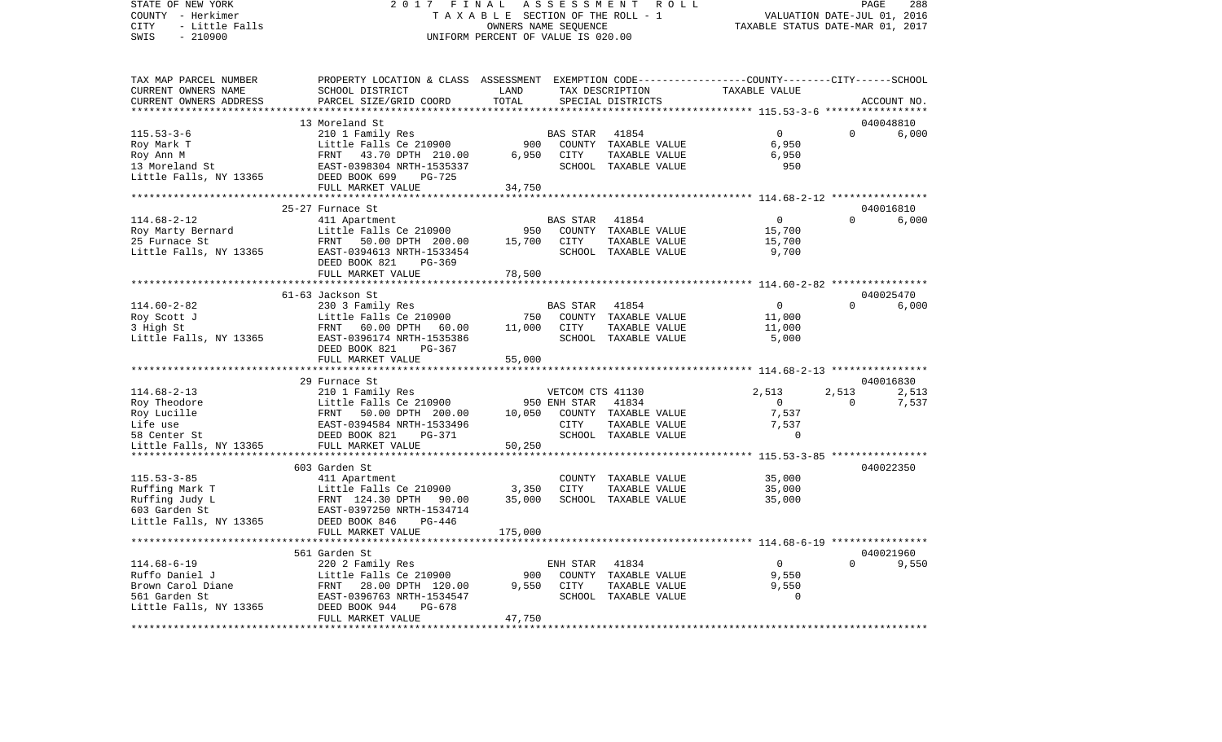STATE OF NEW YORK 2 0 1 7 F I N A L A S S E S S M E N T R O L L PAGE 288 COUNTY - Herkimer T A X A B L E SECTION OF THE ROLL - 1 VALUATION DATE-JUL 01, 2016 CITY - Little Falls OWNERS NAME SEQUENCE TAXABLE STATUS DATE-MAR 01, 2017 SWIS - 210900 UNIFORM PERCENT OF VALUE IS 020.00

| TAX MAP PARCEL NUMBER                              | PROPERTY LOCATION & CLASS ASSESSMENT EXEMPTION CODE----------------COUNTY-------CITY------SCHOOL |         |                  |                      |                |                |                   |
|----------------------------------------------------|--------------------------------------------------------------------------------------------------|---------|------------------|----------------------|----------------|----------------|-------------------|
| CURRENT OWNERS NAME                                | SCHOOL DISTRICT                                                                                  | LAND    |                  | TAX DESCRIPTION      | TAXABLE VALUE  |                |                   |
| CURRENT OWNERS ADDRESS<br>************************ | PARCEL SIZE/GRID COORD                                                                           | TOTAL   |                  | SPECIAL DISTRICTS    |                |                | ACCOUNT NO.       |
|                                                    | 13 Moreland St                                                                                   |         |                  |                      |                |                | 040048810         |
| $115.53 - 3 - 6$                                   | 210 1 Family Res                                                                                 |         | BAS STAR         | 41854                | $\Omega$       | $\Omega$       | 6,000             |
| Roy Mark T                                         | Little Falls Ce 210900                                                                           | 900     |                  | COUNTY TAXABLE VALUE | 6,950          |                |                   |
| Roy Ann M                                          | FRNT 43.70 DPTH 210.00                                                                           | 6,950   | CITY             | TAXABLE VALUE        | 6,950          |                |                   |
| 13 Moreland St                                     | EAST-0398304 NRTH-1535337                                                                        |         |                  | SCHOOL TAXABLE VALUE | 950            |                |                   |
| Little Falls, NY 13365                             | DEED BOOK 699<br>PG-725                                                                          |         |                  |                      |                |                |                   |
|                                                    | FULL MARKET VALUE                                                                                | 34,750  |                  |                      |                |                |                   |
|                                                    |                                                                                                  |         |                  |                      |                |                |                   |
|                                                    | 25-27 Furnace St                                                                                 |         |                  |                      |                |                | 040016810         |
| $114.68 - 2 - 12$                                  | 411 Apartment                                                                                    |         | BAS STAR         | 41854                | $\overline{0}$ |                | $\Omega$<br>6,000 |
| Roy Marty Bernard                                  | Little Falls Ce 210900                                                                           | 950     |                  | COUNTY TAXABLE VALUE | 15,700         |                |                   |
| 25 Furnace St                                      | FRNT 50.00 DPTH 200.00                                                                           | 15,700  | CITY             | TAXABLE VALUE        | 15,700         |                |                   |
| Little Falls, NY 13365                             | EAST-0394613 NRTH-1533454                                                                        |         |                  | SCHOOL TAXABLE VALUE | 9,700          |                |                   |
|                                                    | DEED BOOK 821<br>PG-369                                                                          |         |                  |                      |                |                |                   |
|                                                    | FULL MARKET VALUE                                                                                | 78,500  |                  |                      |                |                |                   |
|                                                    |                                                                                                  |         |                  |                      |                |                |                   |
|                                                    | 61-63 Jackson St                                                                                 |         |                  |                      |                |                | 040025470         |
| $114.60 - 2 - 82$                                  | 230 3 Family Res                                                                                 |         | <b>BAS STAR</b>  | 41854                | $\Omega$       | $\Omega$       | 6,000             |
| Roy Scott J                                        | Little Falls Ce 210900<br>EPNT 60.00 DPTH 60.00                                                  | 750     |                  | COUNTY TAXABLE VALUE | 11,000         |                |                   |
| 3 High St                                          | FRNT 60.00 DPTH 60.00                                                                            | 11,000  | CITY             | TAXABLE VALUE        | 11,000         |                |                   |
| Little Falls, NY 13365                             | EAST-0396174 NRTH-1535386                                                                        |         |                  | SCHOOL TAXABLE VALUE | 5,000          |                |                   |
|                                                    | DEED BOOK 821<br>PG-367                                                                          |         |                  |                      |                |                |                   |
|                                                    | FULL MARKET VALUE                                                                                | 55,000  |                  |                      |                |                |                   |
|                                                    |                                                                                                  |         |                  |                      |                |                |                   |
|                                                    | 29 Furnace St                                                                                    |         |                  |                      |                |                | 040016830         |
| $114.68 - 2 - 13$                                  | 210 1 Family Res                                                                                 |         | VETCOM CTS 41130 |                      | 2,513          | 2,513          | 2,513             |
| Roy Theodore                                       | Little Falls Ce 210900                                                                           |         | 950 ENH STAR     | 41834                | $\overline{0}$ | $\Omega$       | 7,537             |
| Roy Lucille                                        | FRNT 50.00 DPTH 200.00                                                                           | 10,050  |                  | COUNTY TAXABLE VALUE | 7,537          |                |                   |
| Life use                                           | EAST-0394584 NRTH-1533496                                                                        |         | CITY             | TAXABLE VALUE        | 7,537          |                |                   |
| 58 Center St                                       | DEED BOOK 821<br>PG-371                                                                          |         |                  | SCHOOL TAXABLE VALUE |                | $\Omega$       |                   |
| Little Falls, NY 13365                             | FULL MARKET VALUE                                                                                | 50,250  |                  |                      |                |                |                   |
|                                                    |                                                                                                  |         |                  |                      |                |                |                   |
|                                                    | 603 Garden St                                                                                    |         |                  |                      |                |                | 040022350         |
| $115.53 - 3 - 85$                                  | 411 Apartment                                                                                    |         |                  | COUNTY TAXABLE VALUE | 35,000         |                |                   |
| Ruffing Mark T                                     | Little Falls Ce 210900 3,350                                                                     |         | CITY             | TAXABLE VALUE        | 35,000         |                |                   |
| Ruffing Judy L                                     | FRNT 124.30 DPTH 90.00                                                                           | 35,000  |                  | SCHOOL TAXABLE VALUE | 35,000         |                |                   |
| 603 Garden St                                      | EAST-0397250 NRTH-1534714                                                                        |         |                  |                      |                |                |                   |
| Little Falls, NY 13365                             | DEED BOOK 846<br>PG-446                                                                          |         |                  |                      |                |                |                   |
|                                                    | FULL MARKET VALUE                                                                                | 175,000 |                  |                      |                |                |                   |
|                                                    |                                                                                                  |         |                  |                      |                |                |                   |
|                                                    | 561 Garden St                                                                                    |         |                  |                      |                |                | 040021960         |
| $114.68 - 6 - 19$                                  | 220 2 Family Res                                                                                 |         | ENH STAR         | 41834                | $\overline{0}$ | $\Omega$       | 9,550             |
| Ruffo Daniel J                                     | Little Falls Ce 210900                                                                           | 900     |                  | COUNTY TAXABLE VALUE | 9.550          |                |                   |
| Brown Carol Diane                                  | FRNT 28.00 DPTH 120.00                                                                           | 9,550   | CITY             | TAXABLE VALUE        | 9,550          |                |                   |
| 561 Garden St                                      | EAST-0396763 NRTH-1534547                                                                        |         |                  | SCHOOL TAXABLE VALUE |                | $\overline{0}$ |                   |
| Little Falls, NY 13365                             | DEED BOOK 944<br>$PG-678$                                                                        |         |                  |                      |                |                |                   |
|                                                    | FULL MARKET VALUE                                                                                | 47,750  |                  |                      |                |                |                   |
|                                                    |                                                                                                  |         |                  |                      |                |                |                   |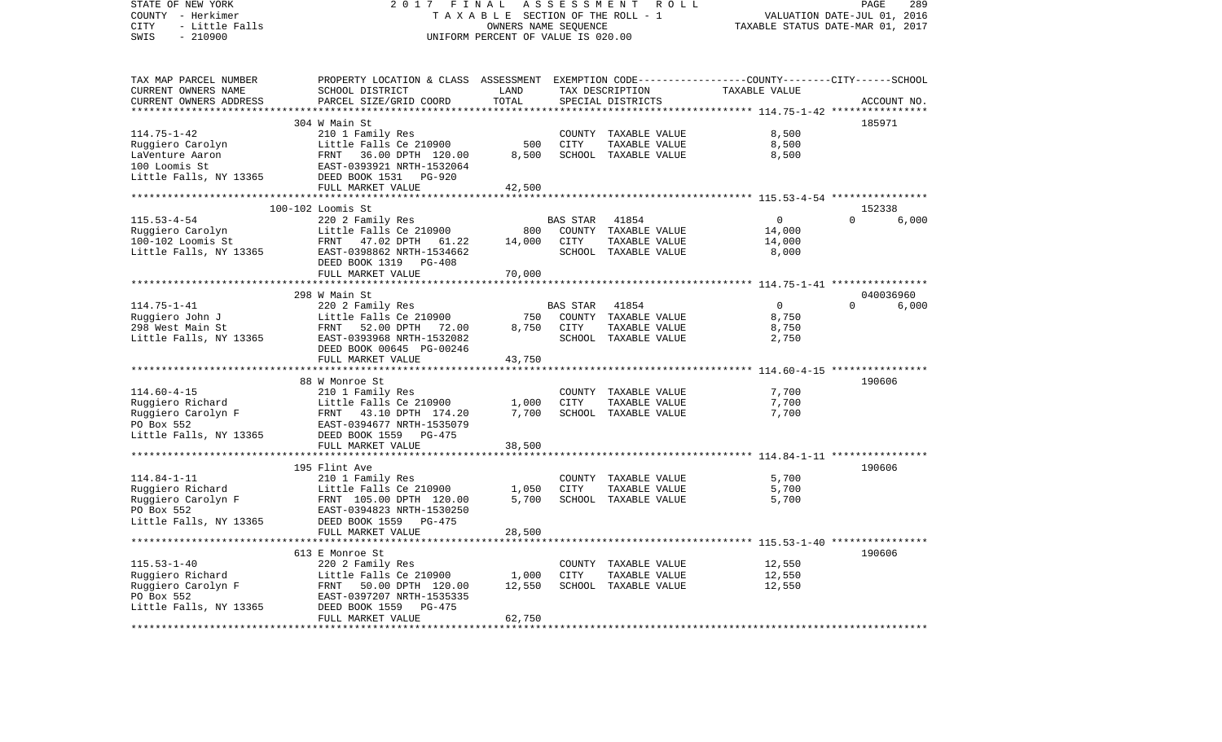| STATE OF NEW YORK<br>COUNTY - Herkimer<br>- Little Falls<br>CITY<br>SWIS<br>$-210900$ |                                                                                                                                                        | ASSESSMENT<br>2017 FINAL<br>R O L L<br>TAXABLE SECTION OF THE ROLL - 1<br>OWNERS NAME SEQUENCE<br>UNIFORM PERCENT OF VALUE IS 020.00 |          |                                       |                                                          |                       |
|---------------------------------------------------------------------------------------|--------------------------------------------------------------------------------------------------------------------------------------------------------|--------------------------------------------------------------------------------------------------------------------------------------|----------|---------------------------------------|----------------------------------------------------------|-----------------------|
| TAX MAP PARCEL NUMBER                                                                 | PROPERTY LOCATION & CLASS ASSESSMENT EXEMPTION CODE---------------COUNTY-------CITY------SCHOOL                                                        |                                                                                                                                      |          |                                       |                                                          |                       |
| CURRENT OWNERS NAME                                                                   | SCHOOL DISTRICT                                                                                                                                        | LAND                                                                                                                                 |          | TAX DESCRIPTION                       | TAXABLE VALUE                                            |                       |
| CURRENT OWNERS ADDRESS                                                                | PARCEL SIZE/GRID COORD                                                                                                                                 | TOTAL<br>* * * * * * * * * * * * * *                                                                                                 |          | SPECIAL DISTRICTS                     | *************************** 114.75-1-42 **************** | ACCOUNT NO.           |
|                                                                                       | 304 W Main St                                                                                                                                          |                                                                                                                                      |          |                                       |                                                          | 185971                |
| $114.75 - 1 - 42$                                                                     | 210 1 Family Res                                                                                                                                       |                                                                                                                                      |          | COUNTY TAXABLE VALUE                  | 8,500                                                    |                       |
| Ruggiero Carolyn                                                                      | Little Falls Ce 210900                                                                                                                                 | 500                                                                                                                                  | CITY     | TAXABLE VALUE                         | 8,500                                                    |                       |
|                                                                                       | FRNT 36.00 DPTH 120.00                                                                                                                                 | 8,500                                                                                                                                |          | SCHOOL TAXABLE VALUE                  | 8,500                                                    |                       |
| LaVenture Aaron<br>100 Loomis St<br>100 Loomis St                                     | EAST-0393921 NRTH-1532064                                                                                                                              |                                                                                                                                      |          |                                       |                                                          |                       |
| Little Falls, NY 13365                                                                | DEED BOOK 1531 PG-920                                                                                                                                  |                                                                                                                                      |          |                                       |                                                          |                       |
|                                                                                       | FULL MARKET VALUE                                                                                                                                      | 42,500                                                                                                                               |          |                                       |                                                          |                       |
|                                                                                       |                                                                                                                                                        |                                                                                                                                      |          |                                       |                                                          |                       |
|                                                                                       | 100-102 Loomis St                                                                                                                                      |                                                                                                                                      |          |                                       |                                                          | 152338                |
| $115.53 - 4 - 54$                                                                     | 220 2 Family Res                                                                                                                                       |                                                                                                                                      | BAS STAR | 41854                                 | $\overline{0}$                                           | $\Omega$<br>6,000     |
| Ruggiero Carolyn<br>100-102 Loomis St                                                 | Little Falls Ce 210900                                                                                                                                 | 800                                                                                                                                  |          | COUNTY TAXABLE VALUE                  | 14,000                                                   |                       |
|                                                                                       | FRNT 47.02 DPTH 61.22                                                                                                                                  | 14,000                                                                                                                               | CITY     | TAXABLE VALUE                         | 14,000                                                   |                       |
| Little Falls, NY 13365                                                                | EAST-0398862 NRTH-1534662                                                                                                                              |                                                                                                                                      |          | SCHOOL TAXABLE VALUE                  | 8,000                                                    |                       |
|                                                                                       | DEED BOOK 1319 PG-408                                                                                                                                  |                                                                                                                                      |          |                                       |                                                          |                       |
|                                                                                       | FULL MARKET VALUE                                                                                                                                      | 70,000                                                                                                                               |          |                                       |                                                          |                       |
|                                                                                       |                                                                                                                                                        |                                                                                                                                      |          |                                       | ************************ 114.75-1-41 *****************   |                       |
|                                                                                       | 298 W Main St                                                                                                                                          |                                                                                                                                      |          |                                       |                                                          | 040036960             |
| $114.75 - 1 - 41$                                                                     | 220 2 Family Res<br>Little Falls Ce 210900                                                                                                             | 750                                                                                                                                  | BAS STAR | 41854                                 | $\overline{0}$<br>8,750                                  | 6,000<br>$\mathbf{0}$ |
| Ruggiero John J<br>$298$ West Main St                                                 |                                                                                                                                                        | 8,750                                                                                                                                | CITY     | COUNTY TAXABLE VALUE<br>TAXABLE VALUE | 8,750                                                    |                       |
| Little Falls, NY 13365                                                                | FRNT 52.00 DPTH 72.00<br>EAST-0393968 NRTH-1532082                                                                                                     |                                                                                                                                      |          | SCHOOL TAXABLE VALUE                  | 2,750                                                    |                       |
|                                                                                       | DEED BOOK 00645 PG-00246                                                                                                                               |                                                                                                                                      |          |                                       |                                                          |                       |
|                                                                                       | FULL MARKET VALUE                                                                                                                                      | 43,750                                                                                                                               |          |                                       |                                                          |                       |
|                                                                                       |                                                                                                                                                        |                                                                                                                                      |          |                                       |                                                          |                       |
|                                                                                       | 88 W Monroe St                                                                                                                                         |                                                                                                                                      |          |                                       |                                                          | 190606                |
| $114.60 - 4 - 15$                                                                     | 210 1 Family Res                                                                                                                                       |                                                                                                                                      |          | COUNTY TAXABLE VALUE                  | 7,700                                                    |                       |
|                                                                                       | Little Falls Ce 210900                                                                                                                                 | 1,000                                                                                                                                | CITY     | TAXABLE VALUE                         | 7,700                                                    |                       |
|                                                                                       |                                                                                                                                                        | 7,700                                                                                                                                |          | SCHOOL TAXABLE VALUE                  | 7,700                                                    |                       |
|                                                                                       | Example 1999<br>Ruggiero Carolyn F (Example 210900)<br>PO Box 552 (Example 21091012)<br>PO Box 552 (Example 21091427)<br>PO Box 552 (Example 21091427) |                                                                                                                                      |          |                                       |                                                          |                       |
| Little Falls, NY 13365                                                                | DEED BOOK 1559 PG-475                                                                                                                                  |                                                                                                                                      |          |                                       |                                                          |                       |
|                                                                                       | FULL MARKET VALUE                                                                                                                                      | 38,500                                                                                                                               |          |                                       |                                                          |                       |
|                                                                                       | ***************                                                                                                                                        |                                                                                                                                      |          |                                       |                                                          |                       |
|                                                                                       | 195 Flint Ave                                                                                                                                          |                                                                                                                                      |          |                                       |                                                          | 190606                |
| $114.84 - 1 - 11$                                                                     | 210 1 Family Res                                                                                                                                       |                                                                                                                                      |          | COUNTY TAXABLE VALUE                  | 5,700                                                    |                       |
| Ruggiero Richard                                                                      | Little Falls Ce 210900<br>Little Falls Ce 210900<br>FRNT 105.00 DPTH 120.00                                                                            | 1,050                                                                                                                                | CITY     | TAXABLE VALUE                         | 5,700                                                    |                       |
| Ruggiero Carolyn F<br>PO Box 552                                                      |                                                                                                                                                        | 5,700                                                                                                                                |          | SCHOOL TAXABLE VALUE                  | 5,700                                                    |                       |
|                                                                                       | EAST-0394823 NRTH-1530250                                                                                                                              |                                                                                                                                      |          |                                       |                                                          |                       |
| Little Falls, NY 13365                                                                | DEED BOOK 1559 PG-475<br>FULL MARKET VALUE                                                                                                             | 28,500                                                                                                                               |          |                                       |                                                          |                       |
|                                                                                       | *************************                                                                                                                              |                                                                                                                                      |          |                                       |                                                          |                       |
|                                                                                       | 613 E Monroe St                                                                                                                                        |                                                                                                                                      |          |                                       |                                                          | 190606                |
| $115.53 - 1 - 40$                                                                     | 220 2 Family Res                                                                                                                                       |                                                                                                                                      |          | COUNTY TAXABLE VALUE                  | 12,550                                                   |                       |
| Ruggiero Richard                                                                      | Little Falls Ce 210900                                                                                                                                 | 1,000                                                                                                                                | CITY     | TAXABLE VALUE                         | 12,550                                                   |                       |
| Ruggiero Carolyn F                                                                    | FRNT 50.00 DPTH 120.00                                                                                                                                 | 12,550                                                                                                                               |          | SCHOOL TAXABLE VALUE                  | 12,550                                                   |                       |
| PO Box 552                                                                            | EAST-0397207 NRTH-1535335                                                                                                                              |                                                                                                                                      |          |                                       |                                                          |                       |
| Little Falls, NY 13365                                                                | DEED BOOK 1559<br>PG-475                                                                                                                               |                                                                                                                                      |          |                                       |                                                          |                       |
|                                                                                       | FULL MARKET VALUE                                                                                                                                      | 62,750                                                                                                                               |          |                                       |                                                          |                       |
|                                                                                       |                                                                                                                                                        |                                                                                                                                      |          |                                       |                                                          |                       |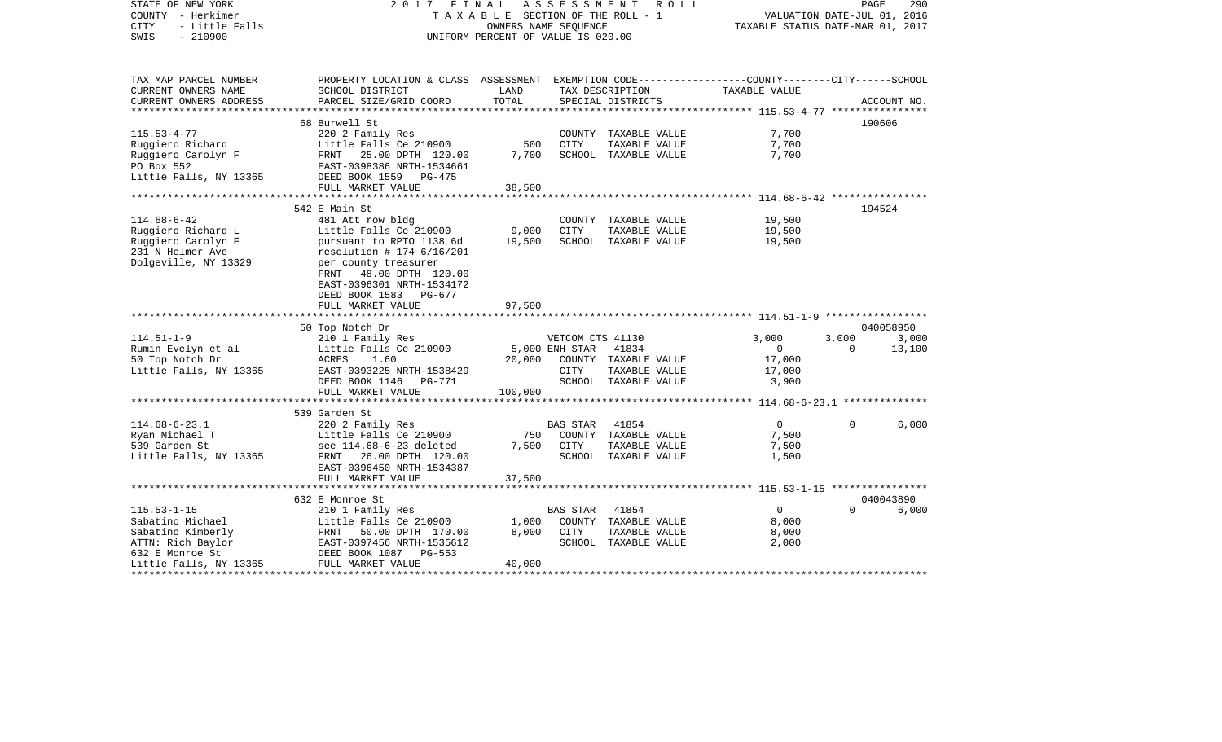| TAXABLE SECTION OF THE ROLL - 1<br>VALUATION DATE-JUL 01, 2016<br>- Little Falls<br>TAXABLE STATUS DATE-MAR 01, 2017<br>OWNERS NAME SEQUENCE<br>$-210900$<br>UNIFORM PERCENT OF VALUE IS 020.00<br>PROPERTY LOCATION & CLASS ASSESSMENT EXEMPTION CODE---------------COUNTY-------CITY------SCHOOL<br>SCHOOL DISTRICT<br>LAND<br>TAXABLE VALUE<br>TAX DESCRIPTION<br>TOTAL<br>CURRENT OWNERS ADDRESS<br>PARCEL SIZE/GRID COORD<br>SPECIAL DISTRICTS<br>ACCOUNT NO.<br>**********************<br>68 Burwell St<br>190606<br>$115.53 - 4 - 77$<br>220 2 Family Res<br>7,700<br>COUNTY TAXABLE VALUE<br>Little Falls Ce 210900<br>500<br>7,700<br>Ruggiero Richard<br>CITY<br>TAXABLE VALUE<br>Ruggiero Carolyn F<br>7,700<br>SCHOOL TAXABLE VALUE<br>7,700<br>FRNT 25.00 DPTH 120.00<br>PO Box 552<br>EAST-0398386 NRTH-1534661<br>Little Falls, NY 13365<br>DEED BOOK 1559 PG-475<br>FULL MARKET VALUE<br>38,500<br>194524<br>542 E Main St<br>$114.68 - 6 - 42$<br>19,500<br>481 Att row bldg<br>COUNTY TAXABLE VALUE<br>Little Falls Ce 210900<br>9,000<br><b>CITY</b><br>19,500<br>Ruggiero Richard L<br>TAXABLE VALUE<br>Ruggiero Carolyn F<br>19,500<br>SCHOOL TAXABLE VALUE<br>19,500<br>pursuant to RPTO 1138 6d<br>231 N Helmer Ave<br>resolution # 174 $6/16/201$<br>Dolgeville, NY 13329<br>per county treasurer<br>48.00 DPTH 120.00<br>FRNT<br>EAST-0396301 NRTH-1534172<br>DEED BOOK 1583<br>PG-677<br>97,500<br>FULL MARKET VALUE<br>*************************<br>50 Top Notch Dr<br>040058950<br>$114.51 - 1 - 9$<br>3,000<br>3,000<br>210 1 Family Res<br>VETCOM CTS 41130<br>3,000<br>Rumin Evelyn et al<br>Little Falls Ce 210900<br>5,000 ENH STAR<br>13,100<br>41834<br>0<br>$\mathbf{0}$<br>50 Top Notch Dr<br>1.60<br>20,000<br>17,000<br>ACRES<br>COUNTY TAXABLE VALUE<br>Little Falls, NY 13365<br>EAST-0393225 NRTH-1538429<br>CITY<br>TAXABLE VALUE<br>17,000<br>SCHOOL TAXABLE VALUE<br>DEED BOOK 1146 PG-771<br>3,900<br>FULL MARKET VALUE<br>100,000<br>***********************<br>539 Garden St<br>$114.68 - 6 - 23.1$<br>$\Omega$<br>220 2 Family Res<br><b>BAS STAR</b><br>41854<br>$\Omega$<br>6,000<br>Ryan Michael T<br>Little Falls Ce 210900<br>COUNTY TAXABLE VALUE<br>7,500<br>750<br>7,500<br>539 Garden St<br>see 114.68-6-23 deleted<br>CITY<br>TAXABLE VALUE<br>7,500<br>SCHOOL TAXABLE VALUE<br>Little Falls, NY 13365<br>FRNT 26.00 DPTH 120.00<br>1,500<br>EAST-0396450 NRTH-1534387<br>37,500<br>FULL MARKET VALUE<br>************************<br>040043890<br>632 E Monroe St<br>$115.53 - 1 - 15$<br>$\overline{0}$<br><b>BAS STAR</b><br>41854<br>$\Omega$<br>6,000<br>210 1 Family Res<br>Sabatino Michael<br>Little Falls Ce 210900<br>1,000<br>COUNTY TAXABLE VALUE<br>8,000<br>8,000<br>TAXABLE VALUE<br>8,000<br>Sabatino Kimberly<br>FRNT 50.00 DPTH 170.00<br>CITY<br>ATTN: Rich Baylor<br>EAST-0397456 NRTH-1535612<br>SCHOOL TAXABLE VALUE<br>2,000<br>632 E Monroe St<br>DEED BOOK 1087 PG-553<br>FULL MARKET VALUE<br>Little Falls, NY 13365<br>40,000 | STATE OF NEW YORK     | 2 0 1 7 | FINAL | ASSESSMENT | R O L L |  | PAGE<br>290 |
|--------------------------------------------------------------------------------------------------------------------------------------------------------------------------------------------------------------------------------------------------------------------------------------------------------------------------------------------------------------------------------------------------------------------------------------------------------------------------------------------------------------------------------------------------------------------------------------------------------------------------------------------------------------------------------------------------------------------------------------------------------------------------------------------------------------------------------------------------------------------------------------------------------------------------------------------------------------------------------------------------------------------------------------------------------------------------------------------------------------------------------------------------------------------------------------------------------------------------------------------------------------------------------------------------------------------------------------------------------------------------------------------------------------------------------------------------------------------------------------------------------------------------------------------------------------------------------------------------------------------------------------------------------------------------------------------------------------------------------------------------------------------------------------------------------------------------------------------------------------------------------------------------------------------------------------------------------------------------------------------------------------------------------------------------------------------------------------------------------------------------------------------------------------------------------------------------------------------------------------------------------------------------------------------------------------------------------------------------------------------------------------------------------------------------------------------------------------------------------------------------------------------------------------------------------------------------------------------------------------------------------------------------------------------------------------------------------------------------------------------------------------------------------------------------------------------------------------------------------------------------------------------------------------------------------------------------------------------------------------------------------------------|-----------------------|---------|-------|------------|---------|--|-------------|
|                                                                                                                                                                                                                                                                                                                                                                                                                                                                                                                                                                                                                                                                                                                                                                                                                                                                                                                                                                                                                                                                                                                                                                                                                                                                                                                                                                                                                                                                                                                                                                                                                                                                                                                                                                                                                                                                                                                                                                                                                                                                                                                                                                                                                                                                                                                                                                                                                                                                                                                                                                                                                                                                                                                                                                                                                                                                                                                                                                                                                    | COUNTY - Herkimer     |         |       |            |         |  |             |
|                                                                                                                                                                                                                                                                                                                                                                                                                                                                                                                                                                                                                                                                                                                                                                                                                                                                                                                                                                                                                                                                                                                                                                                                                                                                                                                                                                                                                                                                                                                                                                                                                                                                                                                                                                                                                                                                                                                                                                                                                                                                                                                                                                                                                                                                                                                                                                                                                                                                                                                                                                                                                                                                                                                                                                                                                                                                                                                                                                                                                    | CITY                  |         |       |            |         |  |             |
|                                                                                                                                                                                                                                                                                                                                                                                                                                                                                                                                                                                                                                                                                                                                                                                                                                                                                                                                                                                                                                                                                                                                                                                                                                                                                                                                                                                                                                                                                                                                                                                                                                                                                                                                                                                                                                                                                                                                                                                                                                                                                                                                                                                                                                                                                                                                                                                                                                                                                                                                                                                                                                                                                                                                                                                                                                                                                                                                                                                                                    | SWIS                  |         |       |            |         |  |             |
|                                                                                                                                                                                                                                                                                                                                                                                                                                                                                                                                                                                                                                                                                                                                                                                                                                                                                                                                                                                                                                                                                                                                                                                                                                                                                                                                                                                                                                                                                                                                                                                                                                                                                                                                                                                                                                                                                                                                                                                                                                                                                                                                                                                                                                                                                                                                                                                                                                                                                                                                                                                                                                                                                                                                                                                                                                                                                                                                                                                                                    |                       |         |       |            |         |  |             |
|                                                                                                                                                                                                                                                                                                                                                                                                                                                                                                                                                                                                                                                                                                                                                                                                                                                                                                                                                                                                                                                                                                                                                                                                                                                                                                                                                                                                                                                                                                                                                                                                                                                                                                                                                                                                                                                                                                                                                                                                                                                                                                                                                                                                                                                                                                                                                                                                                                                                                                                                                                                                                                                                                                                                                                                                                                                                                                                                                                                                                    | TAX MAP PARCEL NUMBER |         |       |            |         |  |             |
|                                                                                                                                                                                                                                                                                                                                                                                                                                                                                                                                                                                                                                                                                                                                                                                                                                                                                                                                                                                                                                                                                                                                                                                                                                                                                                                                                                                                                                                                                                                                                                                                                                                                                                                                                                                                                                                                                                                                                                                                                                                                                                                                                                                                                                                                                                                                                                                                                                                                                                                                                                                                                                                                                                                                                                                                                                                                                                                                                                                                                    | CURRENT OWNERS NAME   |         |       |            |         |  |             |
|                                                                                                                                                                                                                                                                                                                                                                                                                                                                                                                                                                                                                                                                                                                                                                                                                                                                                                                                                                                                                                                                                                                                                                                                                                                                                                                                                                                                                                                                                                                                                                                                                                                                                                                                                                                                                                                                                                                                                                                                                                                                                                                                                                                                                                                                                                                                                                                                                                                                                                                                                                                                                                                                                                                                                                                                                                                                                                                                                                                                                    |                       |         |       |            |         |  |             |
|                                                                                                                                                                                                                                                                                                                                                                                                                                                                                                                                                                                                                                                                                                                                                                                                                                                                                                                                                                                                                                                                                                                                                                                                                                                                                                                                                                                                                                                                                                                                                                                                                                                                                                                                                                                                                                                                                                                                                                                                                                                                                                                                                                                                                                                                                                                                                                                                                                                                                                                                                                                                                                                                                                                                                                                                                                                                                                                                                                                                                    |                       |         |       |            |         |  |             |
|                                                                                                                                                                                                                                                                                                                                                                                                                                                                                                                                                                                                                                                                                                                                                                                                                                                                                                                                                                                                                                                                                                                                                                                                                                                                                                                                                                                                                                                                                                                                                                                                                                                                                                                                                                                                                                                                                                                                                                                                                                                                                                                                                                                                                                                                                                                                                                                                                                                                                                                                                                                                                                                                                                                                                                                                                                                                                                                                                                                                                    |                       |         |       |            |         |  |             |
|                                                                                                                                                                                                                                                                                                                                                                                                                                                                                                                                                                                                                                                                                                                                                                                                                                                                                                                                                                                                                                                                                                                                                                                                                                                                                                                                                                                                                                                                                                                                                                                                                                                                                                                                                                                                                                                                                                                                                                                                                                                                                                                                                                                                                                                                                                                                                                                                                                                                                                                                                                                                                                                                                                                                                                                                                                                                                                                                                                                                                    |                       |         |       |            |         |  |             |
|                                                                                                                                                                                                                                                                                                                                                                                                                                                                                                                                                                                                                                                                                                                                                                                                                                                                                                                                                                                                                                                                                                                                                                                                                                                                                                                                                                                                                                                                                                                                                                                                                                                                                                                                                                                                                                                                                                                                                                                                                                                                                                                                                                                                                                                                                                                                                                                                                                                                                                                                                                                                                                                                                                                                                                                                                                                                                                                                                                                                                    |                       |         |       |            |         |  |             |
|                                                                                                                                                                                                                                                                                                                                                                                                                                                                                                                                                                                                                                                                                                                                                                                                                                                                                                                                                                                                                                                                                                                                                                                                                                                                                                                                                                                                                                                                                                                                                                                                                                                                                                                                                                                                                                                                                                                                                                                                                                                                                                                                                                                                                                                                                                                                                                                                                                                                                                                                                                                                                                                                                                                                                                                                                                                                                                                                                                                                                    |                       |         |       |            |         |  |             |
|                                                                                                                                                                                                                                                                                                                                                                                                                                                                                                                                                                                                                                                                                                                                                                                                                                                                                                                                                                                                                                                                                                                                                                                                                                                                                                                                                                                                                                                                                                                                                                                                                                                                                                                                                                                                                                                                                                                                                                                                                                                                                                                                                                                                                                                                                                                                                                                                                                                                                                                                                                                                                                                                                                                                                                                                                                                                                                                                                                                                                    |                       |         |       |            |         |  |             |
|                                                                                                                                                                                                                                                                                                                                                                                                                                                                                                                                                                                                                                                                                                                                                                                                                                                                                                                                                                                                                                                                                                                                                                                                                                                                                                                                                                                                                                                                                                                                                                                                                                                                                                                                                                                                                                                                                                                                                                                                                                                                                                                                                                                                                                                                                                                                                                                                                                                                                                                                                                                                                                                                                                                                                                                                                                                                                                                                                                                                                    |                       |         |       |            |         |  |             |
|                                                                                                                                                                                                                                                                                                                                                                                                                                                                                                                                                                                                                                                                                                                                                                                                                                                                                                                                                                                                                                                                                                                                                                                                                                                                                                                                                                                                                                                                                                                                                                                                                                                                                                                                                                                                                                                                                                                                                                                                                                                                                                                                                                                                                                                                                                                                                                                                                                                                                                                                                                                                                                                                                                                                                                                                                                                                                                                                                                                                                    |                       |         |       |            |         |  |             |
|                                                                                                                                                                                                                                                                                                                                                                                                                                                                                                                                                                                                                                                                                                                                                                                                                                                                                                                                                                                                                                                                                                                                                                                                                                                                                                                                                                                                                                                                                                                                                                                                                                                                                                                                                                                                                                                                                                                                                                                                                                                                                                                                                                                                                                                                                                                                                                                                                                                                                                                                                                                                                                                                                                                                                                                                                                                                                                                                                                                                                    |                       |         |       |            |         |  |             |
|                                                                                                                                                                                                                                                                                                                                                                                                                                                                                                                                                                                                                                                                                                                                                                                                                                                                                                                                                                                                                                                                                                                                                                                                                                                                                                                                                                                                                                                                                                                                                                                                                                                                                                                                                                                                                                                                                                                                                                                                                                                                                                                                                                                                                                                                                                                                                                                                                                                                                                                                                                                                                                                                                                                                                                                                                                                                                                                                                                                                                    |                       |         |       |            |         |  |             |
|                                                                                                                                                                                                                                                                                                                                                                                                                                                                                                                                                                                                                                                                                                                                                                                                                                                                                                                                                                                                                                                                                                                                                                                                                                                                                                                                                                                                                                                                                                                                                                                                                                                                                                                                                                                                                                                                                                                                                                                                                                                                                                                                                                                                                                                                                                                                                                                                                                                                                                                                                                                                                                                                                                                                                                                                                                                                                                                                                                                                                    |                       |         |       |            |         |  |             |
|                                                                                                                                                                                                                                                                                                                                                                                                                                                                                                                                                                                                                                                                                                                                                                                                                                                                                                                                                                                                                                                                                                                                                                                                                                                                                                                                                                                                                                                                                                                                                                                                                                                                                                                                                                                                                                                                                                                                                                                                                                                                                                                                                                                                                                                                                                                                                                                                                                                                                                                                                                                                                                                                                                                                                                                                                                                                                                                                                                                                                    |                       |         |       |            |         |  |             |
|                                                                                                                                                                                                                                                                                                                                                                                                                                                                                                                                                                                                                                                                                                                                                                                                                                                                                                                                                                                                                                                                                                                                                                                                                                                                                                                                                                                                                                                                                                                                                                                                                                                                                                                                                                                                                                                                                                                                                                                                                                                                                                                                                                                                                                                                                                                                                                                                                                                                                                                                                                                                                                                                                                                                                                                                                                                                                                                                                                                                                    |                       |         |       |            |         |  |             |
|                                                                                                                                                                                                                                                                                                                                                                                                                                                                                                                                                                                                                                                                                                                                                                                                                                                                                                                                                                                                                                                                                                                                                                                                                                                                                                                                                                                                                                                                                                                                                                                                                                                                                                                                                                                                                                                                                                                                                                                                                                                                                                                                                                                                                                                                                                                                                                                                                                                                                                                                                                                                                                                                                                                                                                                                                                                                                                                                                                                                                    |                       |         |       |            |         |  |             |
|                                                                                                                                                                                                                                                                                                                                                                                                                                                                                                                                                                                                                                                                                                                                                                                                                                                                                                                                                                                                                                                                                                                                                                                                                                                                                                                                                                                                                                                                                                                                                                                                                                                                                                                                                                                                                                                                                                                                                                                                                                                                                                                                                                                                                                                                                                                                                                                                                                                                                                                                                                                                                                                                                                                                                                                                                                                                                                                                                                                                                    |                       |         |       |            |         |  |             |
|                                                                                                                                                                                                                                                                                                                                                                                                                                                                                                                                                                                                                                                                                                                                                                                                                                                                                                                                                                                                                                                                                                                                                                                                                                                                                                                                                                                                                                                                                                                                                                                                                                                                                                                                                                                                                                                                                                                                                                                                                                                                                                                                                                                                                                                                                                                                                                                                                                                                                                                                                                                                                                                                                                                                                                                                                                                                                                                                                                                                                    |                       |         |       |            |         |  |             |
|                                                                                                                                                                                                                                                                                                                                                                                                                                                                                                                                                                                                                                                                                                                                                                                                                                                                                                                                                                                                                                                                                                                                                                                                                                                                                                                                                                                                                                                                                                                                                                                                                                                                                                                                                                                                                                                                                                                                                                                                                                                                                                                                                                                                                                                                                                                                                                                                                                                                                                                                                                                                                                                                                                                                                                                                                                                                                                                                                                                                                    |                       |         |       |            |         |  |             |
|                                                                                                                                                                                                                                                                                                                                                                                                                                                                                                                                                                                                                                                                                                                                                                                                                                                                                                                                                                                                                                                                                                                                                                                                                                                                                                                                                                                                                                                                                                                                                                                                                                                                                                                                                                                                                                                                                                                                                                                                                                                                                                                                                                                                                                                                                                                                                                                                                                                                                                                                                                                                                                                                                                                                                                                                                                                                                                                                                                                                                    |                       |         |       |            |         |  |             |
|                                                                                                                                                                                                                                                                                                                                                                                                                                                                                                                                                                                                                                                                                                                                                                                                                                                                                                                                                                                                                                                                                                                                                                                                                                                                                                                                                                                                                                                                                                                                                                                                                                                                                                                                                                                                                                                                                                                                                                                                                                                                                                                                                                                                                                                                                                                                                                                                                                                                                                                                                                                                                                                                                                                                                                                                                                                                                                                                                                                                                    |                       |         |       |            |         |  |             |
|                                                                                                                                                                                                                                                                                                                                                                                                                                                                                                                                                                                                                                                                                                                                                                                                                                                                                                                                                                                                                                                                                                                                                                                                                                                                                                                                                                                                                                                                                                                                                                                                                                                                                                                                                                                                                                                                                                                                                                                                                                                                                                                                                                                                                                                                                                                                                                                                                                                                                                                                                                                                                                                                                                                                                                                                                                                                                                                                                                                                                    |                       |         |       |            |         |  |             |
|                                                                                                                                                                                                                                                                                                                                                                                                                                                                                                                                                                                                                                                                                                                                                                                                                                                                                                                                                                                                                                                                                                                                                                                                                                                                                                                                                                                                                                                                                                                                                                                                                                                                                                                                                                                                                                                                                                                                                                                                                                                                                                                                                                                                                                                                                                                                                                                                                                                                                                                                                                                                                                                                                                                                                                                                                                                                                                                                                                                                                    |                       |         |       |            |         |  |             |
|                                                                                                                                                                                                                                                                                                                                                                                                                                                                                                                                                                                                                                                                                                                                                                                                                                                                                                                                                                                                                                                                                                                                                                                                                                                                                                                                                                                                                                                                                                                                                                                                                                                                                                                                                                                                                                                                                                                                                                                                                                                                                                                                                                                                                                                                                                                                                                                                                                                                                                                                                                                                                                                                                                                                                                                                                                                                                                                                                                                                                    |                       |         |       |            |         |  |             |
|                                                                                                                                                                                                                                                                                                                                                                                                                                                                                                                                                                                                                                                                                                                                                                                                                                                                                                                                                                                                                                                                                                                                                                                                                                                                                                                                                                                                                                                                                                                                                                                                                                                                                                                                                                                                                                                                                                                                                                                                                                                                                                                                                                                                                                                                                                                                                                                                                                                                                                                                                                                                                                                                                                                                                                                                                                                                                                                                                                                                                    |                       |         |       |            |         |  |             |
|                                                                                                                                                                                                                                                                                                                                                                                                                                                                                                                                                                                                                                                                                                                                                                                                                                                                                                                                                                                                                                                                                                                                                                                                                                                                                                                                                                                                                                                                                                                                                                                                                                                                                                                                                                                                                                                                                                                                                                                                                                                                                                                                                                                                                                                                                                                                                                                                                                                                                                                                                                                                                                                                                                                                                                                                                                                                                                                                                                                                                    |                       |         |       |            |         |  |             |
|                                                                                                                                                                                                                                                                                                                                                                                                                                                                                                                                                                                                                                                                                                                                                                                                                                                                                                                                                                                                                                                                                                                                                                                                                                                                                                                                                                                                                                                                                                                                                                                                                                                                                                                                                                                                                                                                                                                                                                                                                                                                                                                                                                                                                                                                                                                                                                                                                                                                                                                                                                                                                                                                                                                                                                                                                                                                                                                                                                                                                    |                       |         |       |            |         |  |             |
|                                                                                                                                                                                                                                                                                                                                                                                                                                                                                                                                                                                                                                                                                                                                                                                                                                                                                                                                                                                                                                                                                                                                                                                                                                                                                                                                                                                                                                                                                                                                                                                                                                                                                                                                                                                                                                                                                                                                                                                                                                                                                                                                                                                                                                                                                                                                                                                                                                                                                                                                                                                                                                                                                                                                                                                                                                                                                                                                                                                                                    |                       |         |       |            |         |  |             |
|                                                                                                                                                                                                                                                                                                                                                                                                                                                                                                                                                                                                                                                                                                                                                                                                                                                                                                                                                                                                                                                                                                                                                                                                                                                                                                                                                                                                                                                                                                                                                                                                                                                                                                                                                                                                                                                                                                                                                                                                                                                                                                                                                                                                                                                                                                                                                                                                                                                                                                                                                                                                                                                                                                                                                                                                                                                                                                                                                                                                                    |                       |         |       |            |         |  |             |
|                                                                                                                                                                                                                                                                                                                                                                                                                                                                                                                                                                                                                                                                                                                                                                                                                                                                                                                                                                                                                                                                                                                                                                                                                                                                                                                                                                                                                                                                                                                                                                                                                                                                                                                                                                                                                                                                                                                                                                                                                                                                                                                                                                                                                                                                                                                                                                                                                                                                                                                                                                                                                                                                                                                                                                                                                                                                                                                                                                                                                    |                       |         |       |            |         |  |             |
|                                                                                                                                                                                                                                                                                                                                                                                                                                                                                                                                                                                                                                                                                                                                                                                                                                                                                                                                                                                                                                                                                                                                                                                                                                                                                                                                                                                                                                                                                                                                                                                                                                                                                                                                                                                                                                                                                                                                                                                                                                                                                                                                                                                                                                                                                                                                                                                                                                                                                                                                                                                                                                                                                                                                                                                                                                                                                                                                                                                                                    |                       |         |       |            |         |  |             |
|                                                                                                                                                                                                                                                                                                                                                                                                                                                                                                                                                                                                                                                                                                                                                                                                                                                                                                                                                                                                                                                                                                                                                                                                                                                                                                                                                                                                                                                                                                                                                                                                                                                                                                                                                                                                                                                                                                                                                                                                                                                                                                                                                                                                                                                                                                                                                                                                                                                                                                                                                                                                                                                                                                                                                                                                                                                                                                                                                                                                                    |                       |         |       |            |         |  |             |
|                                                                                                                                                                                                                                                                                                                                                                                                                                                                                                                                                                                                                                                                                                                                                                                                                                                                                                                                                                                                                                                                                                                                                                                                                                                                                                                                                                                                                                                                                                                                                                                                                                                                                                                                                                                                                                                                                                                                                                                                                                                                                                                                                                                                                                                                                                                                                                                                                                                                                                                                                                                                                                                                                                                                                                                                                                                                                                                                                                                                                    |                       |         |       |            |         |  |             |
|                                                                                                                                                                                                                                                                                                                                                                                                                                                                                                                                                                                                                                                                                                                                                                                                                                                                                                                                                                                                                                                                                                                                                                                                                                                                                                                                                                                                                                                                                                                                                                                                                                                                                                                                                                                                                                                                                                                                                                                                                                                                                                                                                                                                                                                                                                                                                                                                                                                                                                                                                                                                                                                                                                                                                                                                                                                                                                                                                                                                                    |                       |         |       |            |         |  |             |
|                                                                                                                                                                                                                                                                                                                                                                                                                                                                                                                                                                                                                                                                                                                                                                                                                                                                                                                                                                                                                                                                                                                                                                                                                                                                                                                                                                                                                                                                                                                                                                                                                                                                                                                                                                                                                                                                                                                                                                                                                                                                                                                                                                                                                                                                                                                                                                                                                                                                                                                                                                                                                                                                                                                                                                                                                                                                                                                                                                                                                    |                       |         |       |            |         |  |             |
|                                                                                                                                                                                                                                                                                                                                                                                                                                                                                                                                                                                                                                                                                                                                                                                                                                                                                                                                                                                                                                                                                                                                                                                                                                                                                                                                                                                                                                                                                                                                                                                                                                                                                                                                                                                                                                                                                                                                                                                                                                                                                                                                                                                                                                                                                                                                                                                                                                                                                                                                                                                                                                                                                                                                                                                                                                                                                                                                                                                                                    |                       |         |       |            |         |  |             |
|                                                                                                                                                                                                                                                                                                                                                                                                                                                                                                                                                                                                                                                                                                                                                                                                                                                                                                                                                                                                                                                                                                                                                                                                                                                                                                                                                                                                                                                                                                                                                                                                                                                                                                                                                                                                                                                                                                                                                                                                                                                                                                                                                                                                                                                                                                                                                                                                                                                                                                                                                                                                                                                                                                                                                                                                                                                                                                                                                                                                                    |                       |         |       |            |         |  |             |
|                                                                                                                                                                                                                                                                                                                                                                                                                                                                                                                                                                                                                                                                                                                                                                                                                                                                                                                                                                                                                                                                                                                                                                                                                                                                                                                                                                                                                                                                                                                                                                                                                                                                                                                                                                                                                                                                                                                                                                                                                                                                                                                                                                                                                                                                                                                                                                                                                                                                                                                                                                                                                                                                                                                                                                                                                                                                                                                                                                                                                    |                       |         |       |            |         |  |             |
|                                                                                                                                                                                                                                                                                                                                                                                                                                                                                                                                                                                                                                                                                                                                                                                                                                                                                                                                                                                                                                                                                                                                                                                                                                                                                                                                                                                                                                                                                                                                                                                                                                                                                                                                                                                                                                                                                                                                                                                                                                                                                                                                                                                                                                                                                                                                                                                                                                                                                                                                                                                                                                                                                                                                                                                                                                                                                                                                                                                                                    |                       |         |       |            |         |  |             |
|                                                                                                                                                                                                                                                                                                                                                                                                                                                                                                                                                                                                                                                                                                                                                                                                                                                                                                                                                                                                                                                                                                                                                                                                                                                                                                                                                                                                                                                                                                                                                                                                                                                                                                                                                                                                                                                                                                                                                                                                                                                                                                                                                                                                                                                                                                                                                                                                                                                                                                                                                                                                                                                                                                                                                                                                                                                                                                                                                                                                                    |                       |         |       |            |         |  |             |
|                                                                                                                                                                                                                                                                                                                                                                                                                                                                                                                                                                                                                                                                                                                                                                                                                                                                                                                                                                                                                                                                                                                                                                                                                                                                                                                                                                                                                                                                                                                                                                                                                                                                                                                                                                                                                                                                                                                                                                                                                                                                                                                                                                                                                                                                                                                                                                                                                                                                                                                                                                                                                                                                                                                                                                                                                                                                                                                                                                                                                    |                       |         |       |            |         |  |             |
|                                                                                                                                                                                                                                                                                                                                                                                                                                                                                                                                                                                                                                                                                                                                                                                                                                                                                                                                                                                                                                                                                                                                                                                                                                                                                                                                                                                                                                                                                                                                                                                                                                                                                                                                                                                                                                                                                                                                                                                                                                                                                                                                                                                                                                                                                                                                                                                                                                                                                                                                                                                                                                                                                                                                                                                                                                                                                                                                                                                                                    |                       |         |       |            |         |  |             |
|                                                                                                                                                                                                                                                                                                                                                                                                                                                                                                                                                                                                                                                                                                                                                                                                                                                                                                                                                                                                                                                                                                                                                                                                                                                                                                                                                                                                                                                                                                                                                                                                                                                                                                                                                                                                                                                                                                                                                                                                                                                                                                                                                                                                                                                                                                                                                                                                                                                                                                                                                                                                                                                                                                                                                                                                                                                                                                                                                                                                                    |                       |         |       |            |         |  |             |
|                                                                                                                                                                                                                                                                                                                                                                                                                                                                                                                                                                                                                                                                                                                                                                                                                                                                                                                                                                                                                                                                                                                                                                                                                                                                                                                                                                                                                                                                                                                                                                                                                                                                                                                                                                                                                                                                                                                                                                                                                                                                                                                                                                                                                                                                                                                                                                                                                                                                                                                                                                                                                                                                                                                                                                                                                                                                                                                                                                                                                    |                       |         |       |            |         |  |             |
|                                                                                                                                                                                                                                                                                                                                                                                                                                                                                                                                                                                                                                                                                                                                                                                                                                                                                                                                                                                                                                                                                                                                                                                                                                                                                                                                                                                                                                                                                                                                                                                                                                                                                                                                                                                                                                                                                                                                                                                                                                                                                                                                                                                                                                                                                                                                                                                                                                                                                                                                                                                                                                                                                                                                                                                                                                                                                                                                                                                                                    |                       |         |       |            |         |  |             |
|                                                                                                                                                                                                                                                                                                                                                                                                                                                                                                                                                                                                                                                                                                                                                                                                                                                                                                                                                                                                                                                                                                                                                                                                                                                                                                                                                                                                                                                                                                                                                                                                                                                                                                                                                                                                                                                                                                                                                                                                                                                                                                                                                                                                                                                                                                                                                                                                                                                                                                                                                                                                                                                                                                                                                                                                                                                                                                                                                                                                                    |                       |         |       |            |         |  |             |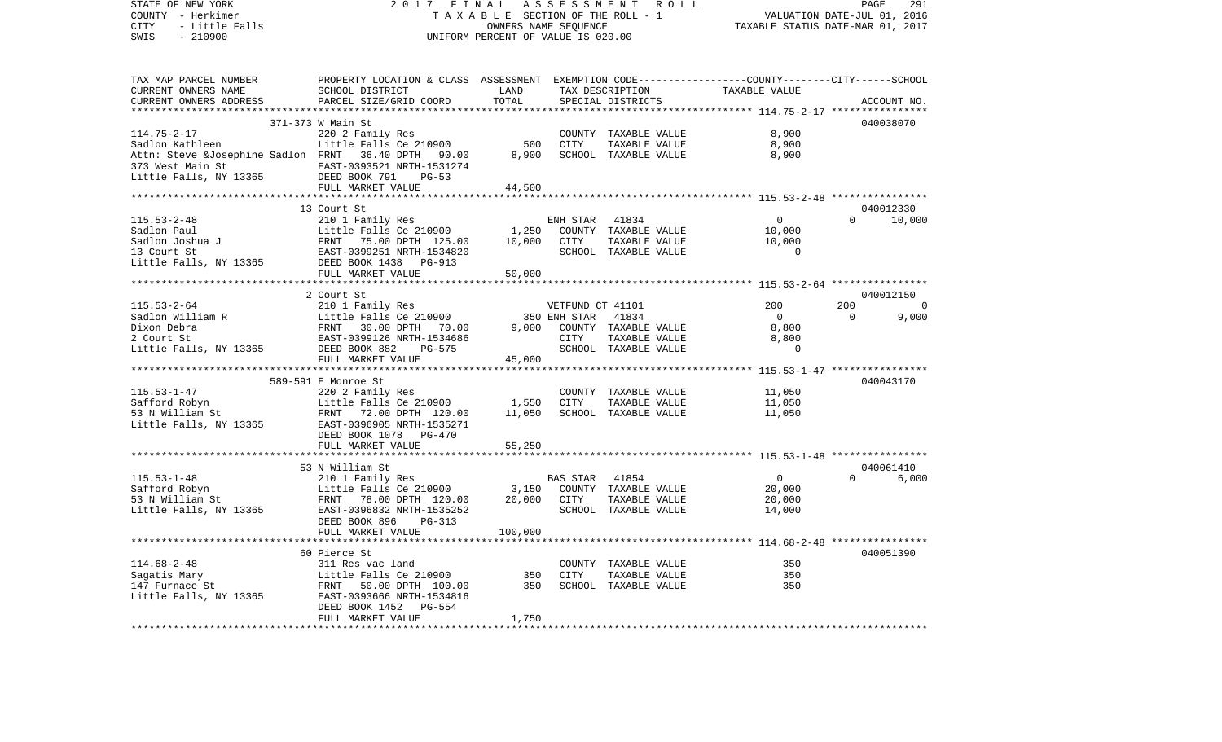COUNTY - Herkimer **T A X A B L E** SECTION OF THE ROLL - 1 VALUATION DATE-JUL 01, 2016 CITY - Little Falls OWNERS NAME SEQUENCE TAXABLE STATUS DATE-MAR 01, 2017 SWIS - 210900 UNIFORM PERCENT OF VALUE IS 020.00TAX MAP PARCEL NUMBER PROPERTY LOCATION & CLASS ASSESSMENT EXEMPTION CODE------------------COUNTY--------CITY------SCHOOL CURRENT OWNERS NAME SCHOOL DISTRICT LAND TAX DESCRIPTION TAXABLE VALUECURRENT OWNERS ADDRESS PARCEL SIZE/GRID COORD TOTAL SPECIAL DISTRICTS ACCOUNT NO. \*\*\*\*\*\*\*\*\*\*\*\*\*\*\*\*\*\*\*\*\*\*\*\*\*\*\*\*\*\*\*\*\*\*\*\*\*\*\*\*\*\*\*\*\*\*\*\*\*\*\*\*\*\*\*\*\*\*\*\*\*\*\*\*\*\*\*\*\*\*\*\*\*\*\*\*\*\*\*\*\*\*\*\*\*\*\*\*\*\*\*\*\*\*\*\*\*\*\*\*\*\*\* 114.75-2-17 \*\*\*\*\*\*\*\*\*\*\*\*\*\*\*\* 371-373 W Main St 040038070114.75-2-17 220 2 Family Res COUNTY TAXABLE VALUE 8,900 Sadlon Kathleen Little Falls Ce 210900 500 CITY TAXABLE VALUE 8,900 Attn: Steve &Josephine Sadlon FRNT 36.40 DPTH 90.00 8,900 SCHOOL TAXABLE VALUE 8,900 373 West Main St EAST-0393521 NRTH-1531274Little Falls, NY 13365 DEED BOOK 791 PG-53 FULL MARKET VALUE 44,500 \*\*\*\*\*\*\*\*\*\*\*\*\*\*\*\*\*\*\*\*\*\*\*\*\*\*\*\*\*\*\*\*\*\*\*\*\*\*\*\*\*\*\*\*\*\*\*\*\*\*\*\*\*\*\*\*\*\*\*\*\*\*\*\*\*\*\*\*\*\*\*\*\*\*\*\*\*\*\*\*\*\*\*\*\*\*\*\*\*\*\*\*\*\*\*\*\*\*\*\*\*\*\* 115.53-2-48 \*\*\*\*\*\*\*\*\*\*\*\*\*\*\*\* 13 Court St 040012330115.53-2-48 210 1 Family Res ENH STAR 41834 0 0 10,000 Sadlon Paul **Little Falls Ce 210900** 1,250 COUNTY TAXABLE VALUE 10,000 Sadlon Joshua J FRNT 75.00 DPTH 125.00 10,000 CITY TAXABLE VALUE 10,000 13 Court St EAST-0399251 NRTH-1534820 SCHOOL TAXABLE VALUE 0Little Falls, NY 13365 DEED BOOK 1438 PG-913 FULL MARKET VALUE 50,000 \*\*\*\*\*\*\*\*\*\*\*\*\*\*\*\*\*\*\*\*\*\*\*\*\*\*\*\*\*\*\*\*\*\*\*\*\*\*\*\*\*\*\*\*\*\*\*\*\*\*\*\*\*\*\*\*\*\*\*\*\*\*\*\*\*\*\*\*\*\*\*\*\*\*\*\*\*\*\*\*\*\*\*\*\*\*\*\*\*\*\*\*\*\*\*\*\*\*\*\*\*\*\* 115.53-2-64 \*\*\*\*\*\*\*\*\*\*\*\*\*\*\*\* 2 Court St 040012150115.53-2-64 210 1 Family Res VETFUND CT 41101 200 200 0 Sadlon William R Little Falls Ce 210900 350 ENH STAR 41834 0 0 9,000 Dixon Debra FRNT 30.00 DPTH 70.00 9,000 COUNTY TAXABLE VALUE 8,800 2 Court St EAST-0399126 NRTH-1534686 CITY TAXABLE VALUE 8,800 Little Falls, NY 13365 DEED BOOK 882 PG-575 SCHOOL TAXABLE VALUE 0 FULL MARKET VALUE 45,000 \*\*\*\*\*\*\*\*\*\*\*\*\*\*\*\*\*\*\*\*\*\*\*\*\*\*\*\*\*\*\*\*\*\*\*\*\*\*\*\*\*\*\*\*\*\*\*\*\*\*\*\*\*\*\*\*\*\*\*\*\*\*\*\*\*\*\*\*\*\*\*\*\*\*\*\*\*\*\*\*\*\*\*\*\*\*\*\*\*\*\*\*\*\*\*\*\*\*\*\*\*\*\* 115.53-1-47 \*\*\*\*\*\*\*\*\*\*\*\*\*\*\*\* 589-591 E Monroe St 040043170115.53-1-47 220 2 Family Res COUNTY TAXABLE VALUE 11,050 Safford Robyn Little Falls Ce 210900 1,550 CITY TAXABLE VALUE 11,050 53 N William St FRNT 72.00 DPTH 120.00 11,050 SCHOOL TAXABLE VALUE 11,050 Little Falls, NY 13365 EAST-0396905 NRTH-1535271 DEED BOOK 1078 PG-470FULL MARKET VALUE 55,250 \*\*\*\*\*\*\*\*\*\*\*\*\*\*\*\*\*\*\*\*\*\*\*\*\*\*\*\*\*\*\*\*\*\*\*\*\*\*\*\*\*\*\*\*\*\*\*\*\*\*\*\*\*\*\*\*\*\*\*\*\*\*\*\*\*\*\*\*\*\*\*\*\*\*\*\*\*\*\*\*\*\*\*\*\*\*\*\*\*\*\*\*\*\*\*\*\*\*\*\*\*\*\* 115.53-1-48 \*\*\*\*\*\*\*\*\*\*\*\*\*\*\*\* 53 N William St 040061410115.53-1-48 210 1 Family Res BAS STAR 41854 0 0 6,000 Safford Robyn Little Falls Ce 210900 3,150 COUNTY TAXABLE VALUE 20,000 53 N William St FRNT 78.00 DPTH 120.00 20,000 CITY TAXABLE VALUE 20,000 Little Falls, NY 13365 EAST-0396832 NRTH-1535252 SCHOOL TAXABLE VALUE 14,000 DEED BOOK 896 PG-313FULL MARKET VALUE 100,000 \*\*\*\*\*\*\*\*\*\*\*\*\*\*\*\*\*\*\*\*\*\*\*\*\*\*\*\*\*\*\*\*\*\*\*\*\*\*\*\*\*\*\*\*\*\*\*\*\*\*\*\*\*\*\*\*\*\*\*\*\*\*\*\*\*\*\*\*\*\*\*\*\*\*\*\*\*\*\*\*\*\*\*\*\*\*\*\*\*\*\*\*\*\*\*\*\*\*\*\*\*\*\* 114.68-2-48 \*\*\*\*\*\*\*\*\*\*\*\*\*\*\*\* 60 Pierce St 040051390114.68-2-48 311 Res vac land COUNTY TAXABLE VALUE 350350 Sagatis Mary Little Falls Ce 210900 350 CITY TAXABLE VALUE 350 147 Furnace St FRNT 50.00 DPTH 100.00 350 SCHOOL TAXABLE VALUE Little Falls, NY 13365 EAST-0393666 NRTH-1534816 DEED BOOK 1452 PG-554 FULL MARKET VALUE 1,750 \*\*\*\*\*\*\*\*\*\*\*\*\*\*\*\*\*\*\*\*\*\*\*\*\*\*\*\*\*\*\*\*\*\*\*\*\*\*\*\*\*\*\*\*\*\*\*\*\*\*\*\*\*\*\*\*\*\*\*\*\*\*\*\*\*\*\*\*\*\*\*\*\*\*\*\*\*\*\*\*\*\*\*\*\*\*\*\*\*\*\*\*\*\*\*\*\*\*\*\*\*\*\*\*\*\*\*\*\*\*\*\*\*\*\*\*\*\*\*\*\*\*\*\*\*\*\*\*\*\*\*\*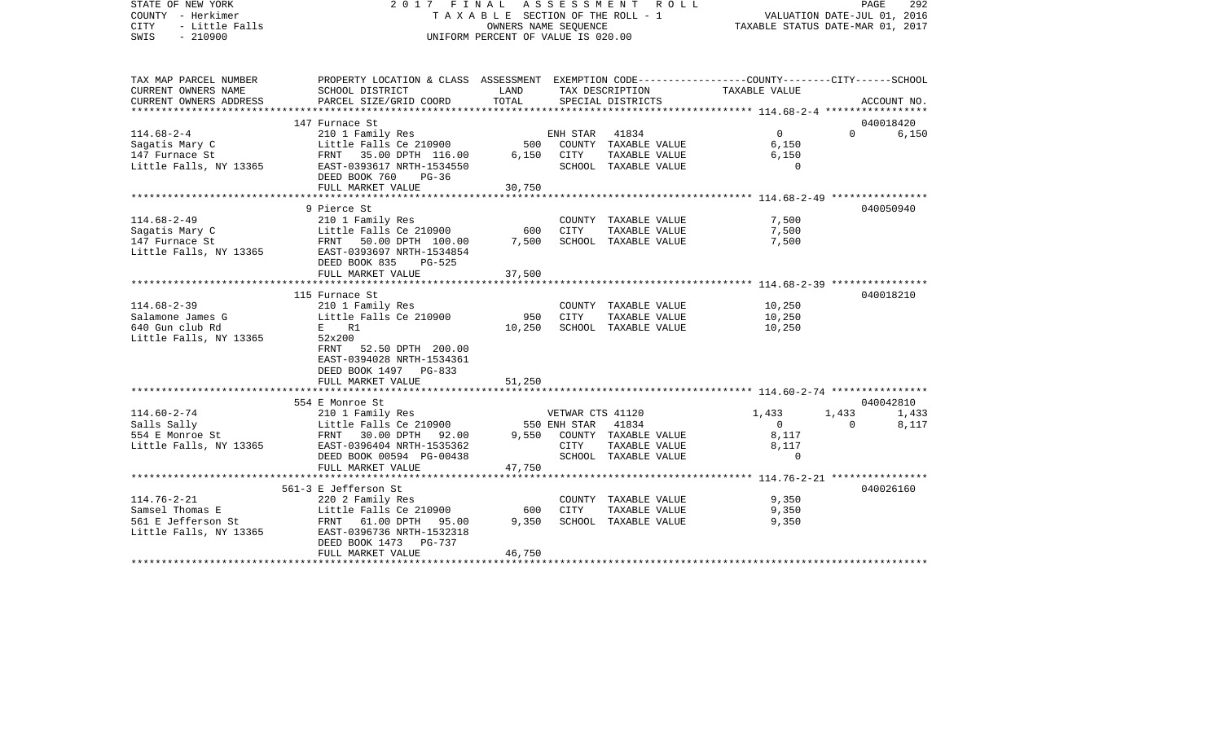| STATE OF NEW YORK<br>COUNTY - Herkimer<br><b>CITY</b><br>- Little Falls<br>SWIS<br>$-210900$ | 2017 FINAL ASSESSMENT ROLL<br>TAXABLE SECTION OF THE ROLL - 1<br>UNIFORM PERCENT OF VALUE IS 020.00                 | PAGE<br>292<br>VALUATION DATE-JUL 01, 2016<br>TAXABLE STATUS DATE-MAR 01, 2017 |                  |                            |                |                       |             |
|----------------------------------------------------------------------------------------------|---------------------------------------------------------------------------------------------------------------------|--------------------------------------------------------------------------------|------------------|----------------------------|----------------|-----------------------|-------------|
| TAX MAP PARCEL NUMBER<br>CURRENT OWNERS NAME                                                 | PROPERTY LOCATION & CLASS ASSESSMENT EXEMPTION CODE----------------COUNTY-------CITY------SCHOOL<br>SCHOOL DISTRICT | LAND                                                                           |                  | TAX DESCRIPTION            | TAXABLE VALUE  |                       |             |
| CURRENT OWNERS ADDRESS                                                                       | PARCEL SIZE/GRID COORD                                                                                              | TOTAL                                                                          |                  | SPECIAL DISTRICTS          |                |                       | ACCOUNT NO. |
|                                                                                              | 147 Furnace St                                                                                                      |                                                                                |                  |                            |                |                       | 040018420   |
| $114.68 - 2 - 4$                                                                             | 210 1 Family Res                                                                                                    |                                                                                | ENH STAR         | 41834                      | $\Omega$       | $\Omega$ and $\Omega$ | 6,150       |
|                                                                                              | Little Falls Ce 210900                                                                                              | 500                                                                            |                  | COUNTY TAXABLE VALUE       | 6,150          |                       |             |
| Sagatis Mary C<br>147 Furnace St                                                             | FRNT 35.00 DPTH 116.00                                                                                              | 6,150                                                                          | CITY             | TAXABLE VALUE              | 6,150          |                       |             |
| Little Falls, NY 13365                                                                       | EAST-0393617 NRTH-1534550<br>DEED BOOK 760<br>$PG-36$                                                               |                                                                                |                  | SCHOOL TAXABLE VALUE       | $\Omega$       |                       |             |
|                                                                                              | FULL MARKET VALUE                                                                                                   | 30,750                                                                         |                  |                            |                |                       |             |
|                                                                                              | 9 Pierce St                                                                                                         |                                                                                |                  |                            |                |                       | 040050940   |
| $114.68 - 2 - 49$                                                                            | 210 1 Family Res                                                                                                    |                                                                                |                  | COUNTY TAXABLE VALUE       | 7,500          |                       |             |
| Sagatis Mary C                                                                               | Little Falls Ce 210900                                                                                              | 600                                                                            | CITY             | TAXABLE VALUE              | 7,500          |                       |             |
| 147 Furnace St<br>Little Falls, NY 13365                                                     | FRNT 50.00 DPTH 100.00<br>EAST-0393697 NRTH-1534854<br>DEED BOOK 835<br><b>PG-525</b>                               | 7,500                                                                          |                  | SCHOOL TAXABLE VALUE       | 7,500          |                       |             |
|                                                                                              | FULL MARKET VALUE                                                                                                   | 37,500                                                                         |                  |                            |                |                       |             |
|                                                                                              | **********************************                                                                                  |                                                                                |                  |                            |                |                       |             |
|                                                                                              | 115 Furnace St                                                                                                      |                                                                                |                  |                            |                |                       | 040018210   |
| $114.68 - 2 - 39$                                                                            | 210 1 Family Res                                                                                                    |                                                                                |                  | COUNTY TAXABLE VALUE       | 10,250         |                       |             |
| Salamone James G                                                                             | Little Falls Ce 210900                                                                                              | 950                                                                            | CITY             | TAXABLE VALUE              | 10,250         |                       |             |
| 640 Gun club Rd                                                                              | $E =$<br>R1                                                                                                         | 10,250                                                                         |                  | SCHOOL TAXABLE VALUE       | 10,250         |                       |             |
| Little Falls, NY 13365                                                                       | 52x200<br>FRNT 52.50 DPTH 200.00<br>EAST-0394028 NRTH-1534361<br>DEED BOOK 1497 PG-833<br>FULL MARKET VALUE         | 51,250                                                                         |                  |                            |                |                       |             |
|                                                                                              | *****************************                                                                                       |                                                                                |                  |                            |                |                       |             |
|                                                                                              | 554 E Monroe St                                                                                                     |                                                                                |                  |                            |                |                       | 040042810   |
| $114.60 - 2 - 74$                                                                            | 210 1 Family Res                                                                                                    |                                                                                | VETWAR CTS 41120 |                            | 1,433          | 1,433                 | 1,433       |
| Salls Sally                                                                                  | Little Falls Ce 210900                                                                                              |                                                                                | 550 ENH STAR     | 41834                      | $\overline{0}$ | $\cap$                | 8,117       |
| $554$ E Monroe St                                                                            | FRNT 30.00 DPTH 92.00                                                                                               |                                                                                |                  | 9,550 COUNTY TAXABLE VALUE | 8,117          |                       |             |
| Little Falls, NY 13365                                                                       | EAST-0396404 NRTH-1535362                                                                                           |                                                                                | CITY             | TAXABLE VALUE              | 8,117          |                       |             |
|                                                                                              | DEED BOOK 00594 PG-00438                                                                                            |                                                                                |                  | SCHOOL TAXABLE VALUE       | $\Omega$       |                       |             |
|                                                                                              | FULL MARKET VALUE                                                                                                   | 47,750                                                                         |                  |                            |                |                       |             |
|                                                                                              | 561-3 E Jefferson St                                                                                                |                                                                                |                  |                            |                |                       | 040026160   |
| $114.76 - 2 - 21$                                                                            | 220 2 Family Res                                                                                                    |                                                                                |                  | COUNTY TAXABLE VALUE       | 9,350          |                       |             |
| Samsel Thomas E                                                                              | Little Falls Ce 210900                                                                                              | 600                                                                            | <b>CITY</b>      | TAXABLE VALUE              | 9,350          |                       |             |
| 561 E Jefferson St                                                                           | FRNT 61.00 DPTH 95.00                                                                                               | 9,350                                                                          |                  | SCHOOL TAXABLE VALUE       | 9,350          |                       |             |
| Little Falls, NY 13365                                                                       | EAST-0396736 NRTH-1532318<br>DEED BOOK 1473<br>PG-737                                                               |                                                                                |                  |                            |                |                       |             |
|                                                                                              | FULL MARKET VALUE                                                                                                   | 46,750                                                                         |                  |                            |                |                       |             |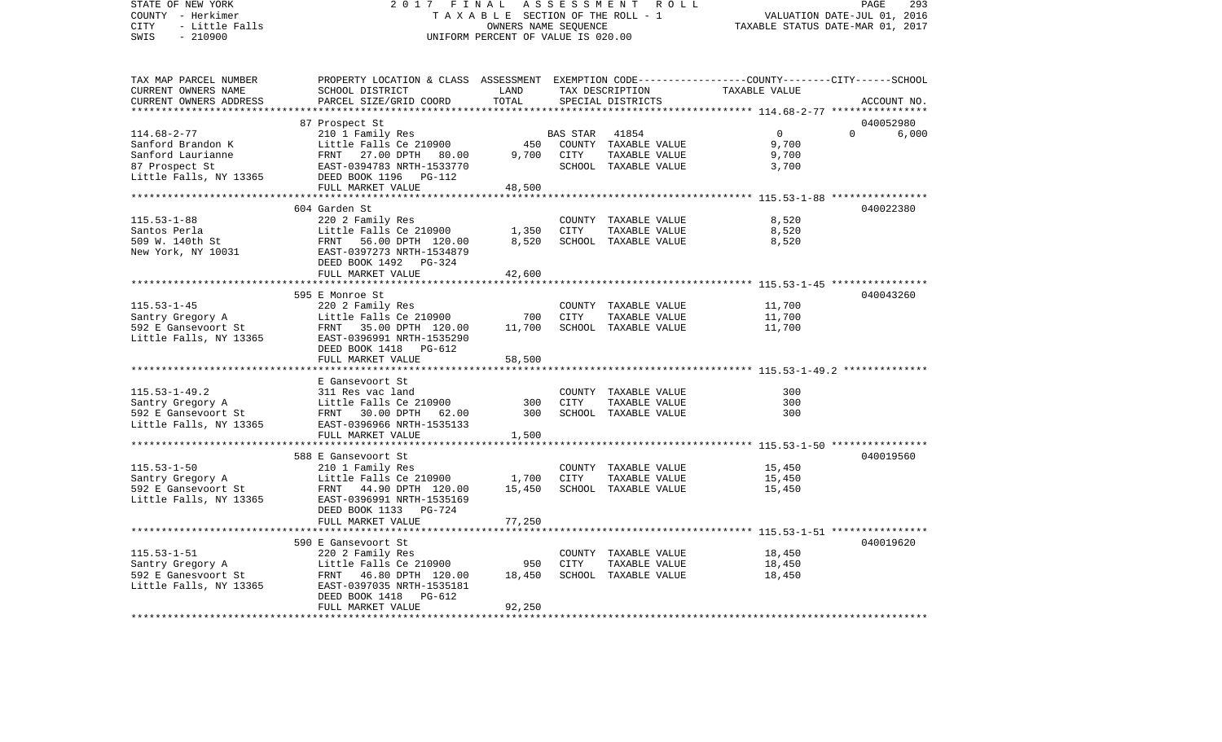STATE OF NEW YORK 2 0 1 7 F I N A L A S S E S S M E N T R O L L PAGE 293VALUATION DATE-JUL 01, 2016 COUNTY - Herkimer T A X A B L E SECTION OF THE ROLL - 1 CITY - Little Falls OWNERS NAME SEQUENCE TAXABLE STATUS DATE-MAR 01, 2017 SWIS - 210900 UNIFORM PERCENT OF VALUE IS 020.00TAX MAP PARCEL NUMBER PROPERTY LOCATION & CLASS ASSESSMENT EXEMPTION CODE------------------COUNTY--------CITY------SCHOOL CURRENT OWNERS NAME SCHOOL DISTRICT LAND TAX DESCRIPTION TAXABLE VALUECURRENT OWNERS ADDRESS PARCEL SIZE/GRID COORD TOTAL SPECIAL DISTRICTS ACCOUNT NO. \*\*\*\*\*\*\*\*\*\*\*\*\*\*\*\*\*\*\*\*\*\*\*\*\*\*\*\*\*\*\*\*\*\*\*\*\*\*\*\*\*\*\*\*\*\*\*\*\*\*\*\*\*\*\*\*\*\*\*\*\*\*\*\*\*\*\*\*\*\*\*\*\*\*\*\*\*\*\*\*\*\*\*\*\*\*\*\*\*\*\*\*\*\*\*\*\*\*\*\*\*\*\* 114.68-2-77 \*\*\*\*\*\*\*\*\*\*\*\*\*\*\*\* 87 Prospect St 040052980 114.68-2-77 210 1 Family Res BAS STAR 41854 0 0 6,000 Sanford Brandon K Little Falls Ce 210900 450 COUNTY TAXABLE VALUE 9,700 Sanford Laurianne FRNT 27.00 DPTH 80.00 9,700 CITY TAXABLE VALUE 9,700 87 Prospect St EAST-0394783 NRTH-1533770 SCHOOL TAXABLE VALUE 3,700 DEED BOOK 1196 PG-112 FULL MARKET VALUE 48,500 \*\*\*\*\*\*\*\*\*\*\*\*\*\*\*\*\*\*\*\*\*\*\*\*\*\*\*\*\*\*\*\*\*\*\*\*\*\*\*\*\*\*\*\*\*\*\*\*\*\*\*\*\*\*\*\*\*\*\*\*\*\*\*\*\*\*\*\*\*\*\*\*\*\*\*\*\*\*\*\*\*\*\*\*\*\*\*\*\*\*\*\*\*\*\*\*\*\*\*\*\*\*\* 115.53-1-88 \*\*\*\*\*\*\*\*\*\*\*\*\*\*\*\* 604 Garden St 040022380115.53-1-88 220 2 Family Res COUNTY TAXABLE VALUE 8,520 Santos Perla Little Falls Ce 210900 1,350 CITY TAXABLE VALUE 509 W. 140th St FRNT 56.00 DPTH 120.00 8,520 SCHOOL TAXABLE VALUE 8,520 New York, NY 10031 EAST-0397273 NRTH-1534879 DEED BOOK 1492 PG-324FULL MARKET VALUE 42,600 \*\*\*\*\*\*\*\*\*\*\*\*\*\*\*\*\*\*\*\*\*\*\*\*\*\*\*\*\*\*\*\*\*\*\*\*\*\*\*\*\*\*\*\*\*\*\*\*\*\*\*\*\*\*\*\*\*\*\*\*\*\*\*\*\*\*\*\*\*\*\*\*\*\*\*\*\*\*\*\*\*\*\*\*\*\*\*\*\*\*\*\*\*\*\*\*\*\*\*\*\*\*\* 115.53-1-45 \*\*\*\*\*\*\*\*\*\*\*\*\*\*\*\* 595 E Monroe St 040043260115.53-1-45 220 2 Family Res COUNTY TAXABLE VALUE 11,700 Santry Gregory A 11,700 Little Falls Ce 210900 700 CITY TAXABLE VALUE 11,700 592 E Gansevoort St FRNT 35.00 DPTH 120.00 11,700 SCHOOL TAXABLE VALUE 11,700 Little Falls, NY 13365 EAST-0396991 NRTH-1535290 DEED BOOK 1418 PG-612FULL MARKET VALUE 58,500 \*\*\*\*\*\*\*\*\*\*\*\*\*\*\*\*\*\*\*\*\*\*\*\*\*\*\*\*\*\*\*\*\*\*\*\*\*\*\*\*\*\*\*\*\*\*\*\*\*\*\*\*\*\*\*\*\*\*\*\*\*\*\*\*\*\*\*\*\*\*\*\*\*\*\*\*\*\*\*\*\*\*\*\*\*\*\*\*\*\*\*\*\*\*\*\*\*\*\*\*\*\*\* 115.53-1-49.2 \*\*\*\*\*\*\*\*\*\*\*\*\*\* E Gansevoort St115.53-1-49.2 311 Res vac land COUNTY TAXABLE VALUE 300Santry Gregory A **Little Falls Ce 210900** 300 CITY TAXABLE VALUE 300 592 E Gansevoort St FRNT 30.00 DPTH 62.00 300 SCHOOL TAXABLE VALUE 300Little Falls, NY 13365 EAST-0396966 NRTH-1535133 FULL MARKET VALUE 1,500 \*\*\*\*\*\*\*\*\*\*\*\*\*\*\*\*\*\*\*\*\*\*\*\*\*\*\*\*\*\*\*\*\*\*\*\*\*\*\*\*\*\*\*\*\*\*\*\*\*\*\*\*\*\*\*\*\*\*\*\*\*\*\*\*\*\*\*\*\*\*\*\*\*\*\*\*\*\*\*\*\*\*\*\*\*\*\*\*\*\*\*\*\*\*\*\*\*\*\*\*\*\*\* 115.53-1-50 \*\*\*\*\*\*\*\*\*\*\*\*\*\*\*\* 588 E Gansevoort St 040019560115.53-1-50 210 1 Family Res COUNTY TAXABLE VALUE 15,450 Santry Gregory A 15,450 Little Falls Ce 210900 1,700 CITY TAXABLE VALUE 15,450 592 E Gansevoort St FRNT 44.90 DPTH 120.00 15,450 SCHOOL TAXABLE VALUE 15,450 Little Falls, NY 13365 EAST-0396991 NRTH-1535169 DEED BOOK 1133 PG-724FULL MARKET VALUE 77,250 \*\*\*\*\*\*\*\*\*\*\*\*\*\*\*\*\*\*\*\*\*\*\*\*\*\*\*\*\*\*\*\*\*\*\*\*\*\*\*\*\*\*\*\*\*\*\*\*\*\*\*\*\*\*\*\*\*\*\*\*\*\*\*\*\*\*\*\*\*\*\*\*\*\*\*\*\*\*\*\*\*\*\*\*\*\*\*\*\*\*\*\*\*\*\*\*\*\*\*\*\*\*\* 115.53-1-51 \*\*\*\*\*\*\*\*\*\*\*\*\*\*\*\* 590 E Gansevoort St 040019620115.53-1-51 220 2 Family Res COUNTY TAXABLE VALUE 18,450 Santry Gregory A Little Falls Ce 210900 950 CITY TAXABLE VALUE 18,450 592 E Ganesvoort St FRNT 46.80 DPTH 120.00 18,450 SCHOOL TAXABLE VALUE Little Falls, NY 13365 EAST-0397035 NRTH-1535181 DEED BOOK 1418 PG-612FULL MARKET VALUE 92,250 \*\*\*\*\*\*\*\*\*\*\*\*\*\*\*\*\*\*\*\*\*\*\*\*\*\*\*\*\*\*\*\*\*\*\*\*\*\*\*\*\*\*\*\*\*\*\*\*\*\*\*\*\*\*\*\*\*\*\*\*\*\*\*\*\*\*\*\*\*\*\*\*\*\*\*\*\*\*\*\*\*\*\*\*\*\*\*\*\*\*\*\*\*\*\*\*\*\*\*\*\*\*\*\*\*\*\*\*\*\*\*\*\*\*\*\*\*\*\*\*\*\*\*\*\*\*\*\*\*\*\*\*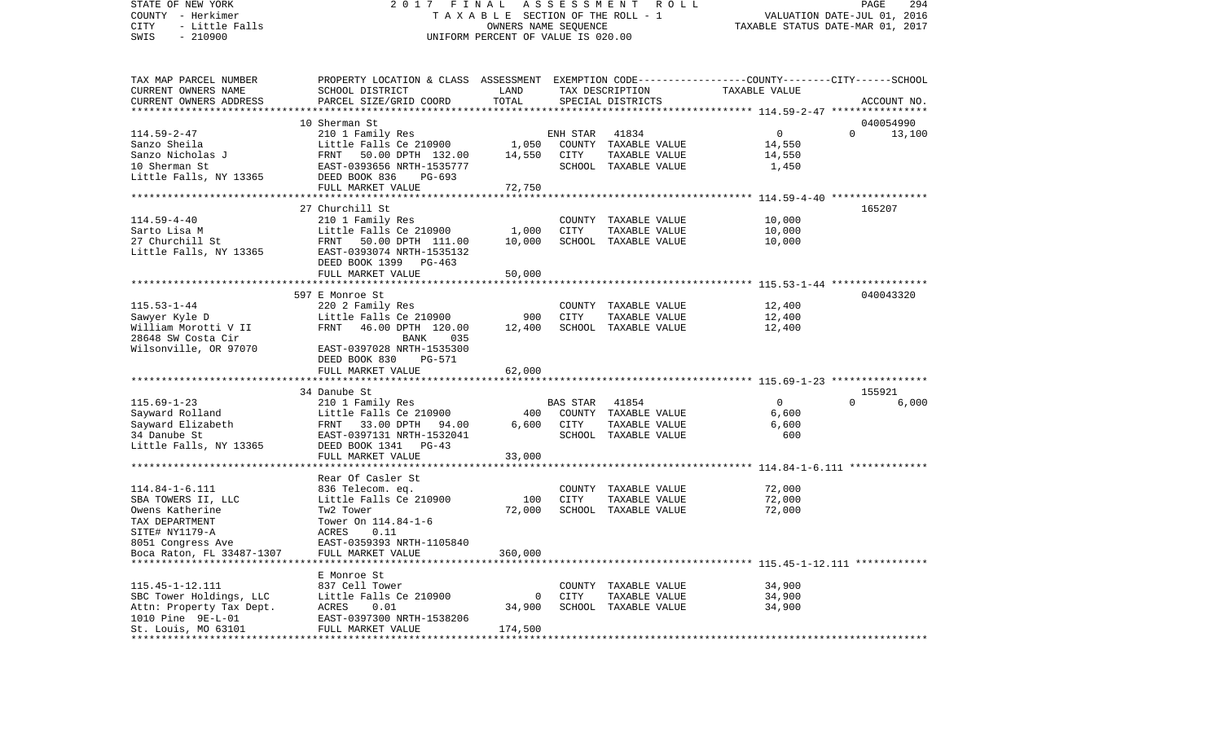COUNTY - Herkimer T A X A B L E SECTION OF THE ROLL - 1 VALUATION DATE-JUL 01, 2016 CITY - Little Falls OWNERS NAME SEQUENCE TAXABLE STATUS DATE-MAR 01, 2017 SWIS - 210900 UNIFORM PERCENT OF VALUE IS 020.00TAX MAP PARCEL NUMBER PROPERTY LOCATION & CLASS ASSESSMENT EXEMPTION CODE------------------COUNTY--------CITY------SCHOOL CURRENT OWNERS NAME SCHOOL DISTRICT LAND TAX DESCRIPTION TAXABLE VALUECURRENT OWNERS ADDRESS PARCEL SIZE/GRID COORD TOTAL SPECIAL DISTRICTS ACCOUNT NO. \*\*\*\*\*\*\*\*\*\*\*\*\*\*\*\*\*\*\*\*\*\*\*\*\*\*\*\*\*\*\*\*\*\*\*\*\*\*\*\*\*\*\*\*\*\*\*\*\*\*\*\*\*\*\*\*\*\*\*\*\*\*\*\*\*\*\*\*\*\*\*\*\*\*\*\*\*\*\*\*\*\*\*\*\*\*\*\*\*\*\*\*\*\*\*\*\*\*\*\*\*\*\* 114.59-2-47 \*\*\*\*\*\*\*\*\*\*\*\*\*\*\*\* 10 Sherman St 040054990114.59-2-47 210 1 Family Res ENH STAR 41834 0 0 13,100 Sanzo Sheila Little Falls Ce 210900 1,050 COUNTY TAXABLE VALUE 14,550 Sanzo Nicholas J FRNT 50.00 DPTH 132.00 14,550 CITY TAXABLE VALUE 14,550 10 Sherman St EAST-0393656 NRTH-1535777 SCHOOL TAXABLE VALUE 1,450 Little Falls, NY 13365 DEED BOOK 836 PG-693 FULL MARKET VALUE 72,750 \*\*\*\*\*\*\*\*\*\*\*\*\*\*\*\*\*\*\*\*\*\*\*\*\*\*\*\*\*\*\*\*\*\*\*\*\*\*\*\*\*\*\*\*\*\*\*\*\*\*\*\*\*\*\*\*\*\*\*\*\*\*\*\*\*\*\*\*\*\*\*\*\*\*\*\*\*\*\*\*\*\*\*\*\*\*\*\*\*\*\*\*\*\*\*\*\*\*\*\*\*\*\* 114.59-4-40 \*\*\*\*\*\*\*\*\*\*\*\*\*\*\*\* 27 Churchill St 165207114.59-4-40 210 1 Family Res COUNTY TAXABLE VALUE 10,000 Sarto Lisa M **Little Falls Ce 210900** 1,000 CITY TAXABLE VALUE 27 Churchill St FRNT 50.00 DPTH 111.00 10,000 SCHOOL TAXABLE VALUE 10,000 Little Falls, NY 13365 EAST-0393074 NRTH-1535132 DEED BOOK 1399 PG-463FULL MARKET VALUE 50,000 \*\*\*\*\*\*\*\*\*\*\*\*\*\*\*\*\*\*\*\*\*\*\*\*\*\*\*\*\*\*\*\*\*\*\*\*\*\*\*\*\*\*\*\*\*\*\*\*\*\*\*\*\*\*\*\*\*\*\*\*\*\*\*\*\*\*\*\*\*\*\*\*\*\*\*\*\*\*\*\*\*\*\*\*\*\*\*\*\*\*\*\*\*\*\*\*\*\*\*\*\*\*\* 115.53-1-44 \*\*\*\*\*\*\*\*\*\*\*\*\*\*\*\* 597 E Monroe St 040043320115.53-1-44 220 2 Family Res COUNTY TAXABLE VALUE 12,400 Sawyer Kyle D Little Falls Ce 210900 900 CITY TAXABLE VALUE 12,400 William Morotti V II FRNT 46.00 DPTH 120.00 12,400 SCHOOL TAXABLE VALUE 12,400 28648 SW Costa Cir BANK 035Wilsonville, OR 97070 EAST-0397028 NRTH-1535300 DEED BOOK 830 PG-571 FULL MARKET VALUE 62,000 \*\*\*\*\*\*\*\*\*\*\*\*\*\*\*\*\*\*\*\*\*\*\*\*\*\*\*\*\*\*\*\*\*\*\*\*\*\*\*\*\*\*\*\*\*\*\*\*\*\*\*\*\*\*\*\*\*\*\*\*\*\*\*\*\*\*\*\*\*\*\*\*\*\*\*\*\*\*\*\*\*\*\*\*\*\*\*\*\*\*\*\*\*\*\*\*\*\*\*\*\*\*\* 115.69-1-23 \*\*\*\*\*\*\*\*\*\*\*\*\*\*\*\* 34 Danube St 155921115.69-1-23 210 1 Family Res BAS STAR 41854 0 0 6,000 Sayward Rolland Little Falls Ce 210900 400 COUNTY TAXABLE VALUE 6,600 Sayward Elizabeth FRNT 33.00 DPTH 94.00 6,600 CITY TAXABLE VALUE 6,600 34 Danube St EAST-0397131 NRTH-1532041 SCHOOL TAXABLE VALUE 600Little Falls, NY 13365 DEED BOOK 1341 PG-43 FULL MARKET VALUE 33,000 \*\*\*\*\*\*\*\*\*\*\*\*\*\*\*\*\*\*\*\*\*\*\*\*\*\*\*\*\*\*\*\*\*\*\*\*\*\*\*\*\*\*\*\*\*\*\*\*\*\*\*\*\*\*\*\*\*\*\*\*\*\*\*\*\*\*\*\*\*\*\*\*\*\*\*\*\*\*\*\*\*\*\*\*\*\*\*\*\*\*\*\*\*\*\*\*\*\*\*\*\*\*\* 114.84-1-6.111 \*\*\*\*\*\*\*\*\*\*\*\*\* Rear Of Casler St 114.84-1-6.111 836 Telecom. eq. COUNTY TAXABLE VALUE 72,000 SBA TOWERS II, LLC Little Falls Ce 210900 100 CITY TAXABLE VALUE 72,000 Owens Katherine Tw2 Tower 72,000 SCHOOL TAXABLE VALUE 72,000 TAX DEPARTMENT TOWER On 114.84-1-6 SITE# NY1179-A ACRES 0.11 8051 Congress Ave EAST-0359393 NRTH-1105840 Boca Raton, FL 33487-1307 FULL MARKET VALUE 360,000 \*\*\*\*\*\*\*\*\*\*\*\*\*\*\*\*\*\*\*\*\*\*\*\*\*\*\*\*\*\*\*\*\*\*\*\*\*\*\*\*\*\*\*\*\*\*\*\*\*\*\*\*\*\*\*\*\*\*\*\*\*\*\*\*\*\*\*\*\*\*\*\*\*\*\*\*\*\*\*\*\*\*\*\*\*\*\*\*\*\*\*\*\*\*\*\*\*\*\*\*\*\*\* 115.45-1-12.111 \*\*\*\*\*\*\*\*\*\*\*\* E Monroe St115.45-1-12.111 837 Cell Tower COUNTY TAXABLE VALUE 34,900 SBC Tower Holdings, LLC bittle Falls Ce 210900 0 0 CITY TAXABLE VALUE 34,900 Attn: Property Tax Dept. ACRES 0.01 34,900 SCHOOL TAXABLE VALUE 34,900 1010 Pine 9E-L-01 EAST-0397300 NRTH-1538206St. Louis, MO 63101 FULL MARKET VALUE 174,500 \*\*\*\*\*\*\*\*\*\*\*\*\*\*\*\*\*\*\*\*\*\*\*\*\*\*\*\*\*\*\*\*\*\*\*\*\*\*\*\*\*\*\*\*\*\*\*\*\*\*\*\*\*\*\*\*\*\*\*\*\*\*\*\*\*\*\*\*\*\*\*\*\*\*\*\*\*\*\*\*\*\*\*\*\*\*\*\*\*\*\*\*\*\*\*\*\*\*\*\*\*\*\*\*\*\*\*\*\*\*\*\*\*\*\*\*\*\*\*\*\*\*\*\*\*\*\*\*\*\*\*\*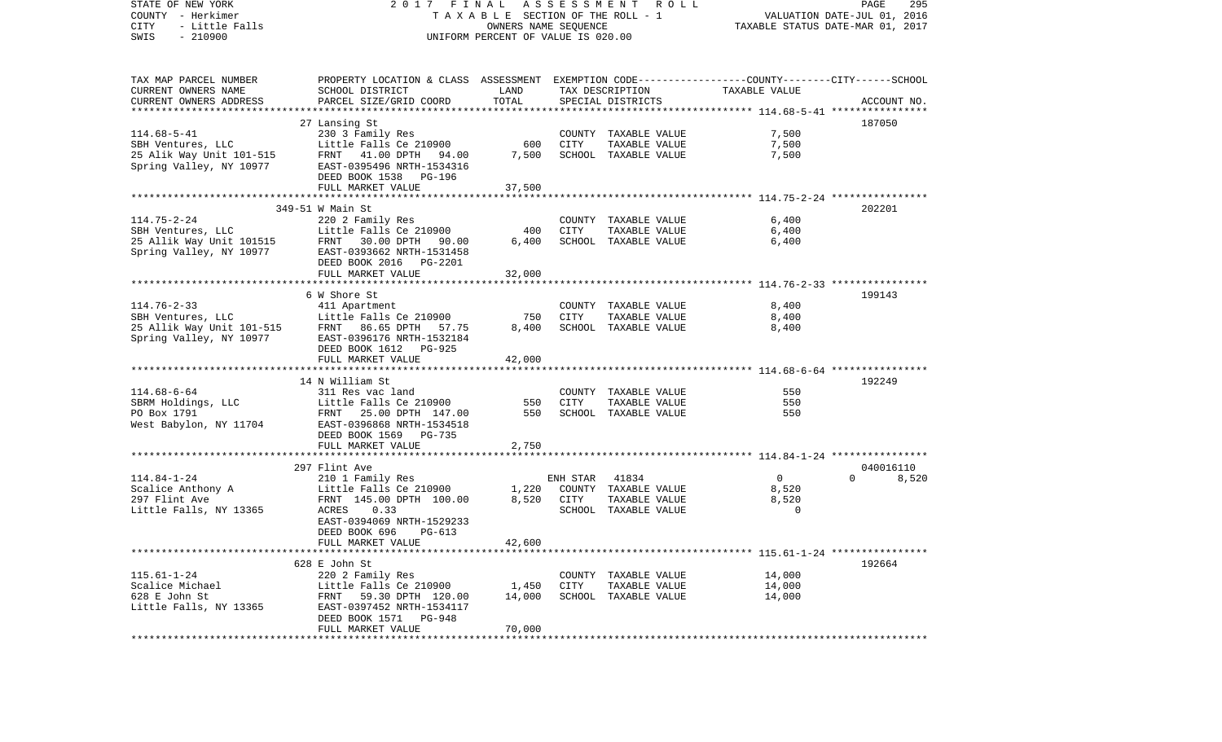| STATE OF NEW YORK<br>COUNTY - Herkimer<br>CITY<br>- Little Falls<br>$-210900$<br>SWIS | 2017 FINAL ASSESSMENT ROLL<br>T A X A B L E SECTION OF THE ROLL - 1<br>OWNERS NAME SEQUENCE<br>UNIFORM PERCENT OF VALUE IS 020.00 |        |             |                      | PAGE<br>295<br>VALUATION DATE-JUL 01, 2016<br>TAXABLE STATUS DATE-MAR 01, 2017 |                   |  |
|---------------------------------------------------------------------------------------|-----------------------------------------------------------------------------------------------------------------------------------|--------|-------------|----------------------|--------------------------------------------------------------------------------|-------------------|--|
| TAX MAP PARCEL NUMBER                                                                 | PROPERTY LOCATION & CLASS ASSESSMENT EXEMPTION CODE---------------COUNTY-------CITY------SCHOOL                                   |        |             |                      |                                                                                |                   |  |
| CURRENT OWNERS NAME                                                                   | SCHOOL DISTRICT                                                                                                                   | LAND   |             | TAX DESCRIPTION      | TAXABLE VALUE                                                                  |                   |  |
| CURRENT OWNERS ADDRESS                                                                | PARCEL SIZE/GRID COORD                                                                                                            | TOTAL  |             | SPECIAL DISTRICTS    |                                                                                | ACCOUNT NO.       |  |
|                                                                                       | 27 Lansing St                                                                                                                     |        |             |                      |                                                                                | 187050            |  |
| $114.68 - 5 - 41$                                                                     | 230 3 Family Res                                                                                                                  |        |             | COUNTY TAXABLE VALUE | 7,500                                                                          |                   |  |
| SBH Ventures, LLC                                                                     | Little Falls Ce 210900                                                                                                            | 600    | CITY        | TAXABLE VALUE        | 7,500                                                                          |                   |  |
|                                                                                       | 25 Alik Way Unit 101-515 FRNT 41.00 DPTH 94.00<br>Spring Valley, NY 10977 EAST-0395496 NRTH-1534316                               | 7,500  |             | SCHOOL TAXABLE VALUE | 7,500                                                                          |                   |  |
| Spring Valley, NY 10977                                                               | EAST-0395496 NRTH-1534316                                                                                                         |        |             |                      |                                                                                |                   |  |
|                                                                                       | DEED BOOK 1538 PG-196                                                                                                             |        |             |                      |                                                                                |                   |  |
|                                                                                       | FULL MARKET VALUE                                                                                                                 | 37,500 |             |                      |                                                                                |                   |  |
|                                                                                       | 349-51 W Main St                                                                                                                  |        |             |                      |                                                                                | 202201            |  |
| $114.75 - 2 - 24$                                                                     | 220 2 Family Res                                                                                                                  |        |             | COUNTY TAXABLE VALUE | 6,400                                                                          |                   |  |
| SBH Ventures, LLC                                                                     | Little Falls Ce 210900                                                                                                            | 400    | CITY        | TAXABLE VALUE        | 6,400                                                                          |                   |  |
|                                                                                       |                                                                                                                                   | 6,400  |             | SCHOOL TAXABLE VALUE | 6,400                                                                          |                   |  |
| Spring Valley, NY 10977                                                               | 25 Allik Way Unit 101515 FRNT 30.00 DPTH 90.00<br>Spring Valley, NY 10977 EAST-0393662 NRTH-1531458<br>EAST-0393662 NRTH-1531458  |        |             |                      |                                                                                |                   |  |
|                                                                                       | DEED BOOK 2016    PG-2201                                                                                                         |        |             |                      |                                                                                |                   |  |
|                                                                                       | FULL MARKET VALUE                                                                                                                 | 32,000 |             |                      |                                                                                |                   |  |
|                                                                                       |                                                                                                                                   |        |             |                      |                                                                                | 199143            |  |
| $114.76 - 2 - 33$                                                                     | 6 W Shore St<br>411 Apartment                                                                                                     |        |             | COUNTY TAXABLE VALUE | 8,400                                                                          |                   |  |
|                                                                                       | Little Falls Ce 210900                                                                                                            | 750    | CITY        | TAXABLE VALUE        | 8,400                                                                          |                   |  |
| SBH Ventures, LLC<br>25 Allik Way Unit 101-515<br>Spring Valley, NY 10977             | FRNT 86.65 DPTH 57.75                                                                                                             | 8,400  |             | SCHOOL TAXABLE VALUE | 8,400                                                                          |                   |  |
| Spring Valley, NY 10977                                                               | EAST-0396176 NRTH-1532184                                                                                                         |        |             |                      |                                                                                |                   |  |
|                                                                                       | DEED BOOK 1612 PG-925                                                                                                             |        |             |                      |                                                                                |                   |  |
|                                                                                       | FULL MARKET VALUE                                                                                                                 | 42,000 |             |                      |                                                                                |                   |  |
|                                                                                       | 14 N William St                                                                                                                   |        |             |                      |                                                                                | 192249            |  |
| $114.68 - 6 - 64$                                                                     | 311 Res vac land                                                                                                                  |        |             | COUNTY TAXABLE VALUE | 550                                                                            |                   |  |
| SBRM Holdings, LLC                                                                    | Little Falls Ce 210900                                                                                                            | 550    | <b>CITY</b> | TAXABLE VALUE        | 550                                                                            |                   |  |
| PO Box 1791                                                                           | FRNT 25.00 DPTH 147.00                                                                                                            | 550    |             | SCHOOL TAXABLE VALUE | 550                                                                            |                   |  |
| West Babylon, NY 11704                                                                | EAST-0396868 NRTH-1534518                                                                                                         |        |             |                      |                                                                                |                   |  |
|                                                                                       | DEED BOOK 1569 PG-735                                                                                                             |        |             |                      |                                                                                |                   |  |
|                                                                                       | FULL MARKET VALUE                                                                                                                 | 2,750  |             |                      |                                                                                |                   |  |
|                                                                                       | 297 Flint Ave                                                                                                                     |        |             |                      |                                                                                | 040016110         |  |
| $114.84 - 1 - 24$                                                                     | 210 1 Family Res                                                                                                                  |        | ENH STAR    | 41834                | $\overline{0}$                                                                 | $\Omega$<br>8,520 |  |
| Scalice Anthony A                                                                     | Little Falls Ce 210900                                                                                                            | 1,220  |             | COUNTY TAXABLE VALUE | 8,520                                                                          |                   |  |
| 297 Flint Ave                                                                         | FRNT 145.00 DPTH 100.00                                                                                                           |        | 8,520 CITY  | TAXABLE VALUE        | 8,520                                                                          |                   |  |
| Little Falls, NY 13365                                                                | 0.33<br>ACRES                                                                                                                     |        |             | SCHOOL TAXABLE VALUE | $\mathbf 0$                                                                    |                   |  |
|                                                                                       | EAST-0394069 NRTH-1529233                                                                                                         |        |             |                      |                                                                                |                   |  |
|                                                                                       | DEED BOOK 696<br>PG-613                                                                                                           |        |             |                      |                                                                                |                   |  |
|                                                                                       | FULL MARKET VALUE                                                                                                                 | 42,600 |             |                      |                                                                                |                   |  |
|                                                                                       | 628 E John St                                                                                                                     |        |             |                      |                                                                                | 192664            |  |
| $115.61 - 1 - 24$                                                                     | 220 2 Family Res                                                                                                                  |        |             | COUNTY TAXABLE VALUE | 14,000                                                                         |                   |  |
| Scalice Michael                                                                       | Little Falls Ce 210900                                                                                                            | 1,450  | CITY        | TAXABLE VALUE        | 14,000                                                                         |                   |  |
| 628 E John St                                                                         | FRNT 59.30 DPTH 120.00                                                                                                            | 14,000 |             | SCHOOL TAXABLE VALUE | 14,000                                                                         |                   |  |
| Little Falls, NY 13365                                                                | EAST-0397452 NRTH-1534117                                                                                                         |        |             |                      |                                                                                |                   |  |
|                                                                                       | DEED BOOK 1571 PG-948                                                                                                             |        |             |                      |                                                                                |                   |  |
|                                                                                       | FULL MARKET VALUE                                                                                                                 | 70,000 |             |                      |                                                                                |                   |  |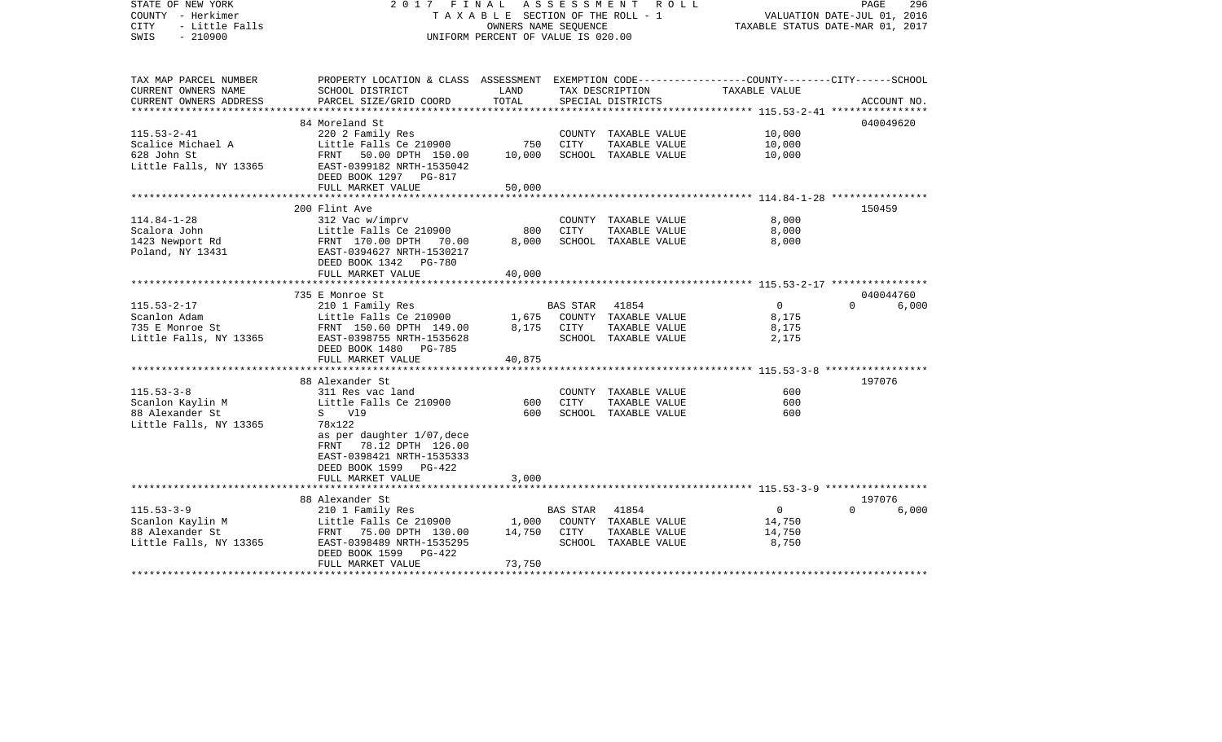| STATE OF NEW YORK<br>COUNTY - Herkimer<br>- Little Falls<br><b>CITY</b><br>$-210900$<br>SWIS     | 2017 FINAL<br>TAXABLE SECTION OF THE ROLL - 1<br>UNIFORM PERCENT OF VALUE IS 020.00                                                                                                            | PAGE<br>296<br>VALUATION DATE-JUL 01, 2016<br>TAXABLE STATUS DATE-MAR 01, 2017 |                  |                                                                        |                                                                                                           |                    |             |
|--------------------------------------------------------------------------------------------------|------------------------------------------------------------------------------------------------------------------------------------------------------------------------------------------------|--------------------------------------------------------------------------------|------------------|------------------------------------------------------------------------|-----------------------------------------------------------------------------------------------------------|--------------------|-------------|
| TAX MAP PARCEL NUMBER<br>CURRENT OWNERS NAME<br>CURRENT OWNERS ADDRESS<br>********************** | PROPERTY LOCATION & CLASS ASSESSMENT EXEMPTION CODE---------------COUNTY-------CITY------SCHOOL<br>SCHOOL DISTRICT<br>PARCEL SIZE/GRID COORD                                                   | LAND<br>TOTAL                                                                  |                  | TAX DESCRIPTION<br>SPECIAL DISTRICTS                                   | TAXABLE VALUE                                                                                             |                    | ACCOUNT NO. |
| $115.53 - 2 - 41$<br>Scalice Michael A<br>628 John St<br>Little Falls, NY 13365                  | 84 Moreland St<br>220 2 Family Res<br>Little Falls Ce 210900<br>FRNT 50.00 DPTH 150.00<br>EAST-0399182 NRTH-1535042<br>DEED BOOK 1297 PG-817<br>FULL MARKET VALUE                              | 750<br>10,000<br>50,000                                                        | CITY             | COUNTY TAXABLE VALUE<br>TAXABLE VALUE<br>SCHOOL TAXABLE VALUE          | 10,000<br>10,000<br>10,000                                                                                | 040049620          |             |
| $114.84 - 1 - 28$<br>Scalora John<br>1423 Newport Rd<br>Poland, NY 13431                         | 200 Flint Ave<br>312 Vac w/imprv<br>Little Falls Ce 210900<br>FRNT 170.00 DPTH 70.00<br>EAST-0394627 NRTH-1530217                                                                              | 800<br>8,000                                                                   | CITY             | COUNTY TAXABLE VALUE<br>TAXABLE VALUE<br>SCHOOL TAXABLE VALUE          | 8,000<br>8,000<br>8,000                                                                                   | 150459             |             |
|                                                                                                  | DEED BOOK 1342 PG-780<br>FULL MARKET VALUE<br>**********************<br>735 E Monroe St                                                                                                        | 40,000                                                                         |                  |                                                                        |                                                                                                           | 040044760          |             |
| $115.53 - 2 - 17$<br>Scanlon Adam<br>735 E Monroe St<br>Little Falls, NY 13365                   | 210 1 Family Res<br>Little Falls Ce 210900<br>FRNT 150.60 DPTH 149.00<br>EAST-0398755 NRTH-1535628<br>DEED BOOK 1480 PG-785<br>FULL MARKET VALUE                                               | 1,675<br>8,175<br>40,875                                                       | BAS STAR<br>CITY | 41854<br>COUNTY TAXABLE VALUE<br>TAXABLE VALUE<br>SCHOOL TAXABLE VALUE | $\overline{0}$<br>8,175<br>8,175<br>2,175                                                                 | $\Omega$           | 6,000       |
|                                                                                                  |                                                                                                                                                                                                |                                                                                |                  |                                                                        | ************************* 115.53-3-8 ******************                                                   |                    |             |
| $115.53 - 3 - 8$<br>Scanlon Kaylin M<br>88 Alexander St<br>Little Falls, NY 13365                | 88 Alexander St<br>311 Res vac land<br>Little Falls Ce 210900<br>S V19<br>78x122<br>as per daughter 1/07, dece<br>FRNT 78.12 DPTH 126.00<br>EAST-0398421 NRTH-1535333<br>DEED BOOK 1599 PG-422 | 600<br>600                                                                     | <b>CITY</b>      | COUNTY TAXABLE VALUE<br>TAXABLE VALUE<br>SCHOOL TAXABLE VALUE          | 600<br>600<br>600                                                                                         | 197076             |             |
|                                                                                                  | FULL MARKET VALUE                                                                                                                                                                              | 3,000                                                                          |                  |                                                                        |                                                                                                           |                    |             |
| $115.53 - 3 - 9$<br>Scanlon Kaylin M<br>88 Alexander St<br>Little Falls, NY 13365                | 88 Alexander St<br>210 1 Family Res<br>Little Falls Ce 210900<br>FRNT 75.00 DPTH 130.00<br>EAST-0398489 NRTH-1535295<br>DEED BOOK 1599<br>PG-422<br>FULL MARKET VALUE                          | 1,000<br>14,750<br>73,750                                                      | BAS STAR<br>CITY | 41854<br>COUNTY TAXABLE VALUE<br>TAXABLE VALUE<br>SCHOOL TAXABLE VALUE | ***************************** 115.53-3-9 *****************<br>$\overline{0}$<br>14,750<br>14,750<br>8,750 | 197076<br>$\Omega$ | 6,000       |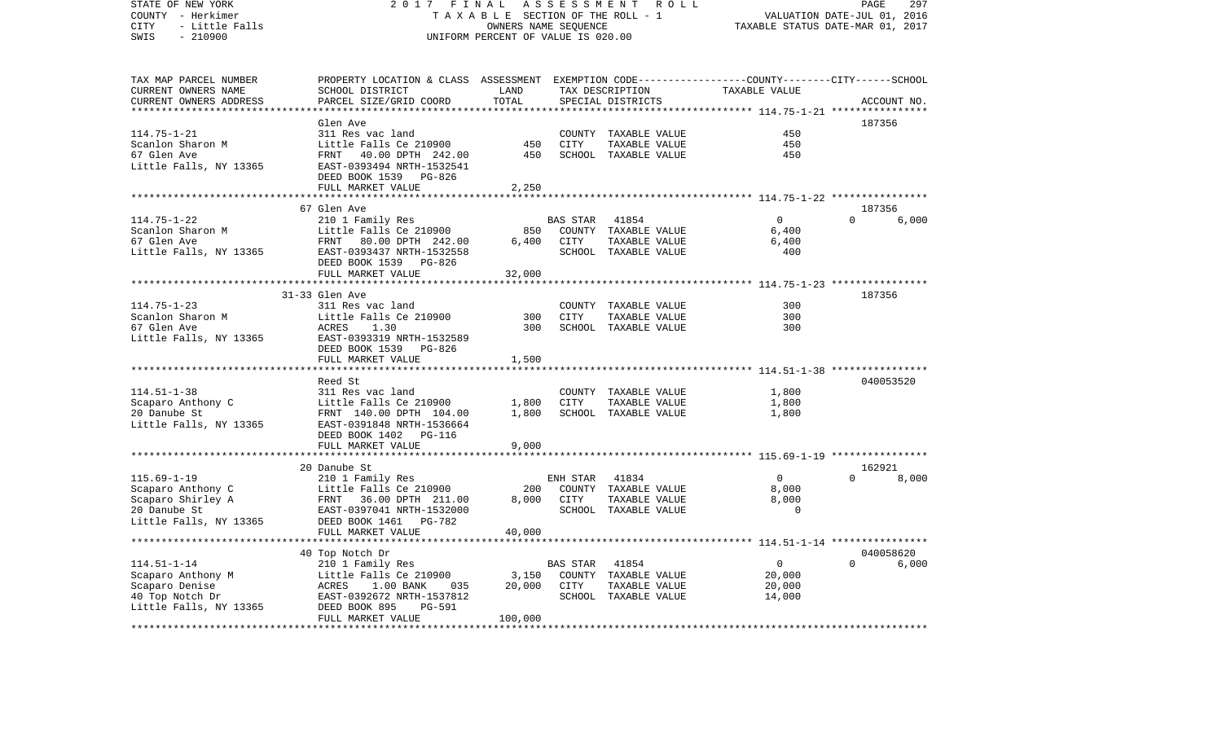COUNTY - Herkimer T A X A B L E SECTION OF THE ROLL - 1 VALUATION DATE-JUL 01, 2016 CITY - Little Falls OWNERS NAME SEQUENCE TAXABLE STATUS DATE-MAR 01, 2017 SWIS - 210900 UNIFORM PERCENT OF VALUE IS 020.00TAX MAP PARCEL NUMBER PROPERTY LOCATION & CLASS ASSESSMENT EXEMPTION CODE------------------COUNTY--------CITY------SCHOOL CURRENT OWNERS NAME SCHOOL DISTRICT LAND TAX DESCRIPTION TAXABLE VALUECURRENT OWNERS ADDRESS PARCEL SIZE/GRID COORD TOTAL SPECIAL DISTRICTS ACCOUNT NO. \*\*\*\*\*\*\*\*\*\*\*\*\*\*\*\*\*\*\*\*\*\*\*\*\*\*\*\*\*\*\*\*\*\*\*\*\*\*\*\*\*\*\*\*\*\*\*\*\*\*\*\*\*\*\*\*\*\*\*\*\*\*\*\*\*\*\*\*\*\*\*\*\*\*\*\*\*\*\*\*\*\*\*\*\*\*\*\*\*\*\*\*\*\*\*\*\*\*\*\*\*\*\* 114.75-1-21 \*\*\*\*\*\*\*\*\*\*\*\*\*\*\*\* Glen Ave 187356114.75-1-21 311 Res vac land COUNTY TAXABLE VALUE 450Scanlon Sharon M Little Falls Ce 210900 450 CITY TAXABLE VALUE 450 67 Glen Ave FRNT 40.00 DPTH 242.00 450 SCHOOL TAXABLE VALUE 450Little Falls, NY 13365 EAST-0393494 NRTH-1532541 DEED BOOK 1539 PG-826FULL MARKET VALUE 2,250 \*\*\*\*\*\*\*\*\*\*\*\*\*\*\*\*\*\*\*\*\*\*\*\*\*\*\*\*\*\*\*\*\*\*\*\*\*\*\*\*\*\*\*\*\*\*\*\*\*\*\*\*\*\*\*\*\*\*\*\*\*\*\*\*\*\*\*\*\*\*\*\*\*\*\*\*\*\*\*\*\*\*\*\*\*\*\*\*\*\*\*\*\*\*\*\*\*\*\*\*\*\*\* 114.75-1-22 \*\*\*\*\*\*\*\*\*\*\*\*\*\*\*\* 67 Glen Ave 187356114.75-1-22 210 1 Family Res BAS STAR 41854 0 0 6,000 Little Falls Ce 210900 850 COUNTY TAXABLE VALUE 6,400 67 Glen Ave FRNT 80.00 DPTH 242.00 6,400 CITY TAXABLE VALUE 6,400 Little Falls, NY 13365 EAST-0393437 NRTH-1532558 SCHOOL TAXABLE VALUE 400 DEED BOOK 1539 PG-826FULL MARKET VALUE 32,000 \*\*\*\*\*\*\*\*\*\*\*\*\*\*\*\*\*\*\*\*\*\*\*\*\*\*\*\*\*\*\*\*\*\*\*\*\*\*\*\*\*\*\*\*\*\*\*\*\*\*\*\*\*\*\*\*\*\*\*\*\*\*\*\*\*\*\*\*\*\*\*\*\*\*\*\*\*\*\*\*\*\*\*\*\*\*\*\*\*\*\*\*\*\*\*\*\*\*\*\*\*\*\* 114.75-1-23 \*\*\*\*\*\*\*\*\*\*\*\*\*\*\*\* 31-33 Glen Ave 187356114.75-1-23 311 Res vac land COUNTY TAXABLE VALUE 300Scanlon Sharon M Little Falls Ce 210900 300 CITY TAXABLE VALUE 300300 67 Glen Ave ACRES 1.30 300 SCHOOL TAXABLE VALUE Little Falls, NY 13365 EAST-0393319 NRTH-1532589 DEED BOOK 1539 PG-826 FULL MARKET VALUE 1,500 \*\*\*\*\*\*\*\*\*\*\*\*\*\*\*\*\*\*\*\*\*\*\*\*\*\*\*\*\*\*\*\*\*\*\*\*\*\*\*\*\*\*\*\*\*\*\*\*\*\*\*\*\*\*\*\*\*\*\*\*\*\*\*\*\*\*\*\*\*\*\*\*\*\*\*\*\*\*\*\*\*\*\*\*\*\*\*\*\*\*\*\*\*\*\*\*\*\*\*\*\*\*\* 114.51-1-38 \*\*\*\*\*\*\*\*\*\*\*\*\*\*\*\* Reed St 040053520114.51-1-38 311 Res vac land COUNTY TAXABLE VALUE 1,800 Scaparo Anthony C 60 Little Falls Ce 210900 1,800 CITY TAXABLE VALUE 1,800 20 Danube St FRNT 140.00 DPTH 104.00 1,800 SCHOOL TAXABLE VALUE 1,800 Little Falls, NY 13365 EAST-0391848 NRTH-1536664 DEED BOOK 1402 PG-116FULL MARKET VALUE 9,000 \*\*\*\*\*\*\*\*\*\*\*\*\*\*\*\*\*\*\*\*\*\*\*\*\*\*\*\*\*\*\*\*\*\*\*\*\*\*\*\*\*\*\*\*\*\*\*\*\*\*\*\*\*\*\*\*\*\*\*\*\*\*\*\*\*\*\*\*\*\*\*\*\*\*\*\*\*\*\*\*\*\*\*\*\*\*\*\*\*\*\*\*\*\*\*\*\*\*\*\*\*\*\* 115.69-1-19 \*\*\*\*\*\*\*\*\*\*\*\*\*\*\*\* 20 Danube St 162921115.69-1-19 210 1 Family Res ENH STAR 41834 0 0 8,000 Scaparo Anthony C 6,000 Little Falls Ce 210900 200 COUNTY TAXABLE VALUE 8,000 Scaparo Shirley A FRNT 36.00 DPTH 211.00 8,000 CITY TAXABLE VALUE 8,000 EAST-0397041 NRTH-1532000 SCHOOL TAXABLE VALUE Little Falls, NY 13365 DEED BOOK 1461 PG-782 FULL MARKET VALUE 40,000 \*\*\*\*\*\*\*\*\*\*\*\*\*\*\*\*\*\*\*\*\*\*\*\*\*\*\*\*\*\*\*\*\*\*\*\*\*\*\*\*\*\*\*\*\*\*\*\*\*\*\*\*\*\*\*\*\*\*\*\*\*\*\*\*\*\*\*\*\*\*\*\*\*\*\*\*\*\*\*\*\*\*\*\*\*\*\*\*\*\*\*\*\*\*\*\*\*\*\*\*\*\*\* 114.51-1-14 \*\*\*\*\*\*\*\*\*\*\*\*\*\*\*\* 40 Top Notch Dr 040058620 114.51-1-14 210 1 Family Res BAS STAR 41854 0 0 6,000 Scaparo Anthony M <sup>Little</sup> Falls Ce 210900 3,150 COUNTY TAXABLE VALUE Scaparo Denise ACRES 1.00 BANK 035 20,000 CITY TAXABLE VALUE 20,000 40 Top Notch Dr EAST-0392672 NRTH-1537812 SCHOOL TAXABLE VALUE 14,000 Little Falls, NY 13365 DEED BOOK 895 PG-591 FULL MARKET VALUE 100,000 \*\*\*\*\*\*\*\*\*\*\*\*\*\*\*\*\*\*\*\*\*\*\*\*\*\*\*\*\*\*\*\*\*\*\*\*\*\*\*\*\*\*\*\*\*\*\*\*\*\*\*\*\*\*\*\*\*\*\*\*\*\*\*\*\*\*\*\*\*\*\*\*\*\*\*\*\*\*\*\*\*\*\*\*\*\*\*\*\*\*\*\*\*\*\*\*\*\*\*\*\*\*\*\*\*\*\*\*\*\*\*\*\*\*\*\*\*\*\*\*\*\*\*\*\*\*\*\*\*\*\*\*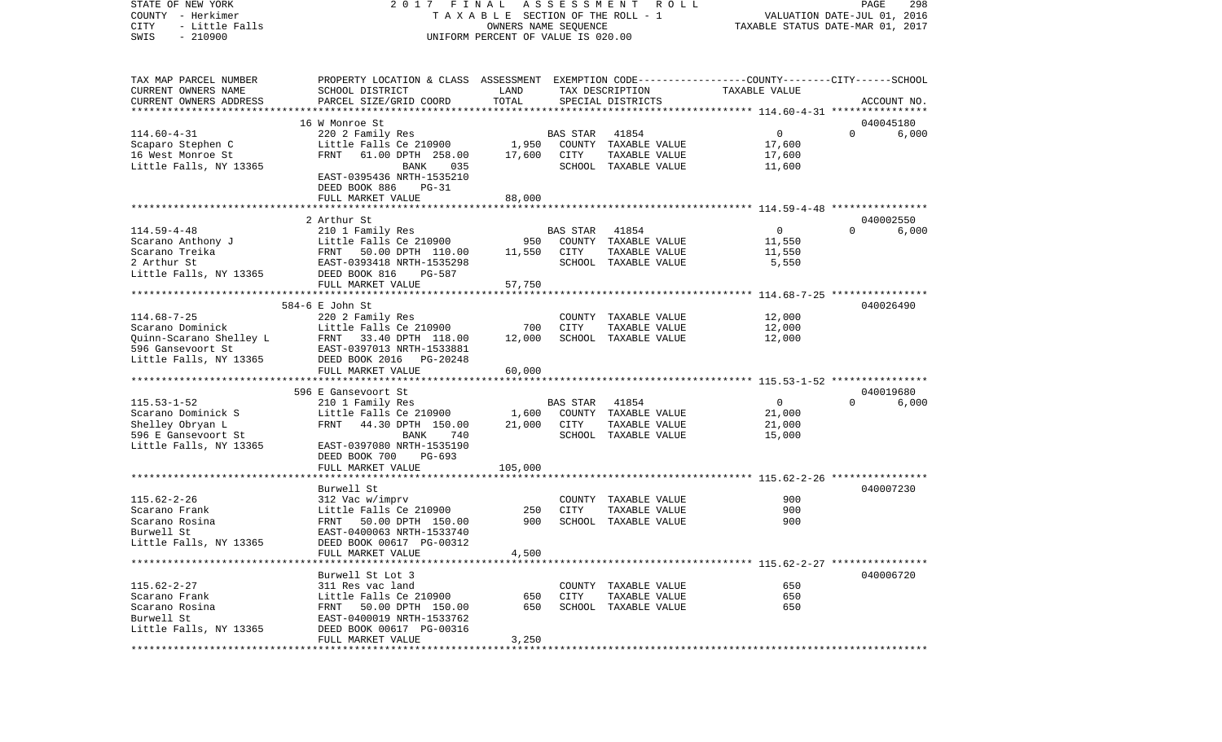STATE OF NEW YORK 2 0 1 7 F I N A L A S S E S S M E N T R O L L PAGE 298COUNTY - Herkimer T A X A B L E SECTION OF THE ROLL - 1 VALUATION DATE-JUL 01, 2016 CITY - Little Falls OWNERS NAME SEQUENCE TAXABLE STATUS DATE-MAR 01, 2017 SWIS - 210900 UNIFORM PERCENT OF VALUE IS 020.00TAX MAP PARCEL NUMBER PROPERTY LOCATION & CLASS ASSESSMENT EXEMPTION CODE------------------COUNTY--------CITY------SCHOOL CURRENT OWNERS NAME SCHOOL DISTRICT LAND TAX DESCRIPTION TAXABLE VALUECURRENT OWNERS ADDRESS PARCEL SIZE/GRID COORD TOTAL SPECIAL DISTRICTS ACCOUNT NO. \*\*\*\*\*\*\*\*\*\*\*\*\*\*\*\*\*\*\*\*\*\*\*\*\*\*\*\*\*\*\*\*\*\*\*\*\*\*\*\*\*\*\*\*\*\*\*\*\*\*\*\*\*\*\*\*\*\*\*\*\*\*\*\*\*\*\*\*\*\*\*\*\*\*\*\*\*\*\*\*\*\*\*\*\*\*\*\*\*\*\*\*\*\*\*\*\*\*\*\*\*\*\* 114.60-4-31 \*\*\*\*\*\*\*\*\*\*\*\*\*\*\*\* 16 W Monroe St 040045180114.60-4-31 220 2 Family Res BAS STAR 41854 0 0 6,000 Scaparo Stephen C 600 Little Falls Ce 210900 1,950 COUNTY TAXABLE VALUE 17,600 16 West Monroe St FRNT 61.00 DPTH 258.00 17,600 CITY TAXABLE VALUE 17,600 Little Falls, NY 13365 BANK 035 SCHOOL TAXABLE VALUE 11,600 EAST-0395436 NRTH-1535210 DEED BOOK 886 PG-31FULL MARKET VALUE 88,000 \*\*\*\*\*\*\*\*\*\*\*\*\*\*\*\*\*\*\*\*\*\*\*\*\*\*\*\*\*\*\*\*\*\*\*\*\*\*\*\*\*\*\*\*\*\*\*\*\*\*\*\*\*\*\*\*\*\*\*\*\*\*\*\*\*\*\*\*\*\*\*\*\*\*\*\*\*\*\*\*\*\*\*\*\*\*\*\*\*\*\*\*\*\*\*\*\*\*\*\*\*\*\* 114.59-4-48 \*\*\*\*\*\*\*\*\*\*\*\*\*\*\*\* 2 Arthur St 040002550114.59-4-48 210 1 Family Res BAS STAR 41854 0 0 6,000 Scarano Anthony J Little Falls Ce 210900 950 COUNTY TAXABLE VALUE 11,550 Scarano Treika **FRNT 50.00 DPTH 110.00** 11,550 CITY TAXABLE VALUE 11,550 2 Arthur St EAST-0393418 NRTH-1535298 SCHOOL TAXABLE VALUE 5,550 Little Falls, NY 13365 DEED BOOK 816 PG-587 FULL MARKET VALUE 57,750 \*\*\*\*\*\*\*\*\*\*\*\*\*\*\*\*\*\*\*\*\*\*\*\*\*\*\*\*\*\*\*\*\*\*\*\*\*\*\*\*\*\*\*\*\*\*\*\*\*\*\*\*\*\*\*\*\*\*\*\*\*\*\*\*\*\*\*\*\*\*\*\*\*\*\*\*\*\*\*\*\*\*\*\*\*\*\*\*\*\*\*\*\*\*\*\*\*\*\*\*\*\*\* 114.68-7-25 \*\*\*\*\*\*\*\*\*\*\*\*\*\*\*\* 584-6 E John St 040026490114.68-7-25 220 2 Family Res COUNTY TAXABLE VALUE 12,000 Scarano Dominick and Little Falls Ce 210900 700 CITY TAXABLE VALUE 12,000 Quinn-Scarano Shelley L FRNT 33.40 DPTH 118.00 12,000 SCHOOL TAXABLE VALUE 12,000 596 Gansevoort St EAST-0397013 NRTH-1533881Little Falls, NY 13365 DEED BOOK 2016 PG-20248 FULL MARKET VALUE 60,000 \*\*\*\*\*\*\*\*\*\*\*\*\*\*\*\*\*\*\*\*\*\*\*\*\*\*\*\*\*\*\*\*\*\*\*\*\*\*\*\*\*\*\*\*\*\*\*\*\*\*\*\*\*\*\*\*\*\*\*\*\*\*\*\*\*\*\*\*\*\*\*\*\*\*\*\*\*\*\*\*\*\*\*\*\*\*\*\*\*\*\*\*\*\*\*\*\*\*\*\*\*\*\* 115.53-1-52 \*\*\*\*\*\*\*\*\*\*\*\*\*\*\*\* 596 E Gansevoort St 040019680115.53-1-52 210 1 Family Res BAS STAR 41854 0 0 6,000 Scarano Dominick S **Little Falls Ce 210900** 1,600 COUNTY TAXABLE VALUE 21,000 Shelley Obryan L **FRNT** 44.30 DPTH 150.00 21,000 CITY TAXABLE VALUE 21,000 596 E Gansevoort St. BANK 740 SCHOOL TAXABLE VALUE 15,000 Little Falls, NY 13365 EAST-0397080 NRTH-1535190 DEED BOOK 700 PG-693FULL MARKET VALUE 105,000 \*\*\*\*\*\*\*\*\*\*\*\*\*\*\*\*\*\*\*\*\*\*\*\*\*\*\*\*\*\*\*\*\*\*\*\*\*\*\*\*\*\*\*\*\*\*\*\*\*\*\*\*\*\*\*\*\*\*\*\*\*\*\*\*\*\*\*\*\*\*\*\*\*\*\*\*\*\*\*\*\*\*\*\*\*\*\*\*\*\*\*\*\*\*\*\*\*\*\*\*\*\*\* 115.62-2-26 \*\*\*\*\*\*\*\*\*\*\*\*\*\*\*\* Burwell St 040007230115.62-2-26 312 Vac w/imprv COUNTY TAXABLE VALUE 900 Little Falls Ce 210900 250 CITY TAXABLE VALUE Scarano Rosina FRNT 50.00 DPTH 150.00 900 SCHOOL TAXABLE VALUE 900Burwell St EAST-0400063 NRTH-1533740 Little Falls, NY 13365 DEED BOOK 00617 PG-00312 FULL MARKET VALUE 4,500 \*\*\*\*\*\*\*\*\*\*\*\*\*\*\*\*\*\*\*\*\*\*\*\*\*\*\*\*\*\*\*\*\*\*\*\*\*\*\*\*\*\*\*\*\*\*\*\*\*\*\*\*\*\*\*\*\*\*\*\*\*\*\*\*\*\*\*\*\*\*\*\*\*\*\*\*\*\*\*\*\*\*\*\*\*\*\*\*\*\*\*\*\*\*\*\*\*\*\*\*\*\*\* 115.62-2-27 \*\*\*\*\*\*\*\*\*\*\*\*\*\*\*\* Burwell St Lot 3 040006720115.62-2-27 311 Res vac land COUNTY TAXABLE VALUE 650Scarano Frank Little Falls Ce 210900 650 CITY TAXABLE VALUE 650 650 Scarano Rosina FRNT 50.00 DPTH 150.00 650 SCHOOL TAXABLE VALUE Burwell St EAST-0400019 NRTH-1533762Little Falls, NY 13365 DEED BOOK 00617 PG-00316 FULL MARKET VALUE 3,250 \*\*\*\*\*\*\*\*\*\*\*\*\*\*\*\*\*\*\*\*\*\*\*\*\*\*\*\*\*\*\*\*\*\*\*\*\*\*\*\*\*\*\*\*\*\*\*\*\*\*\*\*\*\*\*\*\*\*\*\*\*\*\*\*\*\*\*\*\*\*\*\*\*\*\*\*\*\*\*\*\*\*\*\*\*\*\*\*\*\*\*\*\*\*\*\*\*\*\*\*\*\*\*\*\*\*\*\*\*\*\*\*\*\*\*\*\*\*\*\*\*\*\*\*\*\*\*\*\*\*\*\*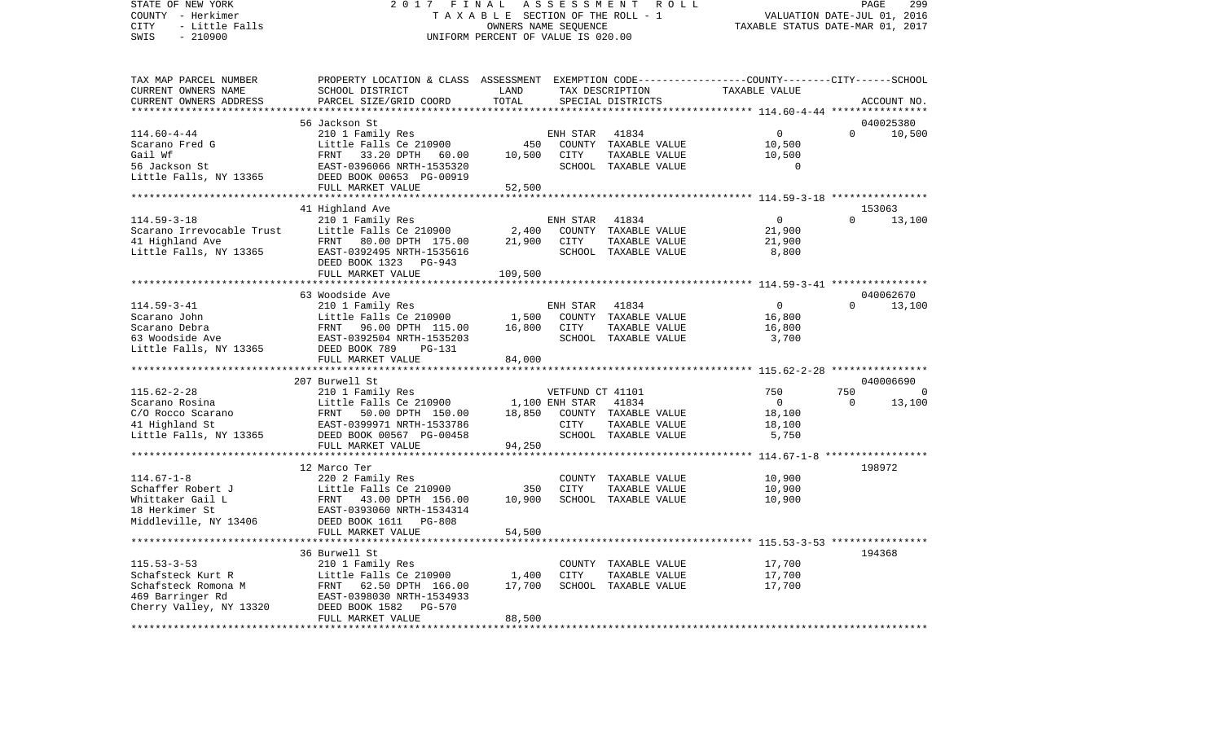STATE OF NEW YORK 2017 FINAL ASSESSMENT ROLL COUNTY - Herkimer T A X A B L E SECTION OF THE ROLL - 1 COUNTY - Herkimer<br>COUNTY - Herkimer<br>CITY - Little Falls TAXABLE STATUS DATE-JUL 01, 2016<br>SWIS - 210900<br>SWIS - 210900 TAX MAP PARCEL NUMBER PROPERTY LOCATION & CLASS ASSESSMENT EXEMPTION CODE------------------COUNTY--------CITY------SCHOOL

## UNIFORM PERCENT OF VALUE IS 020.00

PAGE 299

| CURRENT OWNERS NAME                          | SCHOOL DISTRICT                                        | LAND       |                  | TAX DESCRIPTION                       | TAXABLE VALUE   |          |             |
|----------------------------------------------|--------------------------------------------------------|------------|------------------|---------------------------------------|-----------------|----------|-------------|
| CURRENT OWNERS ADDRESS                       | PARCEL SIZE/GRID COORD                                 | TOTAL      |                  | SPECIAL DISTRICTS                     |                 |          | ACCOUNT NO. |
|                                              |                                                        |            |                  |                                       |                 |          |             |
|                                              | 56 Jackson St                                          |            |                  |                                       |                 |          | 040025380   |
| $114.60 - 4 - 44$                            | 210 1 Family Res                                       |            | ENH STAR         | 41834                                 | $\mathbf 0$     | $\Omega$ | 10,500      |
| Scarano Fred G                               | Little Falls Ce 210900                                 | 450        |                  | COUNTY TAXABLE VALUE                  | 10,500          |          |             |
| Gail Wf                                      | 33.20 DPTH<br>FRNT<br>60.00                            | 10,500     | <b>CITY</b>      | TAXABLE VALUE                         | 10,500          |          |             |
| 56 Jackson St                                | EAST-0396066 NRTH-1535320                              |            |                  | SCHOOL TAXABLE VALUE                  | $\Omega$        |          |             |
| Little Falls, NY 13365                       | DEED BOOK 00653 PG-00919                               |            |                  |                                       |                 |          |             |
|                                              | FULL MARKET VALUE                                      | 52,500     |                  |                                       |                 |          |             |
|                                              |                                                        |            |                  |                                       |                 |          |             |
|                                              | 41 Highland Ave                                        |            |                  |                                       |                 | $\Omega$ | 153063      |
| $114.59 - 3 - 18$                            | 210 1 Family Res                                       |            | ENH STAR         | 41834                                 | $\circ$         |          | 13,100      |
| Scarano Irrevocable Trust<br>41 Highland Ave | Little Falls Ce 210900                                 | 2,400      |                  | COUNTY TAXABLE VALUE                  | 21,900          |          |             |
| Little Falls, NY 13365                       | 80.00 DPTH 175.00<br>FRNT<br>EAST-0392495 NRTH-1535616 | 21,900     | CITY             | TAXABLE VALUE<br>SCHOOL TAXABLE VALUE | 21,900<br>8,800 |          |             |
|                                              | DEED BOOK 1323 PG-943                                  |            |                  |                                       |                 |          |             |
|                                              | FULL MARKET VALUE                                      | 109,500    |                  |                                       |                 |          |             |
|                                              |                                                        |            |                  |                                       |                 |          |             |
|                                              | 63 Woodside Ave                                        |            |                  |                                       |                 |          | 040062670   |
| $114.59 - 3 - 41$                            | 210 1 Family Res                                       |            | ENH STAR         | 41834                                 | $\overline{0}$  | $\Omega$ | 13,100      |
| Scarano John                                 | Little Falls Ce 210900                                 | 1,500      |                  | COUNTY TAXABLE VALUE                  | 16,800          |          |             |
| Scarano Debra                                | 96.00 DPTH 115.00<br>FRNT                              | 16,800     | CITY             | TAXABLE VALUE                         | 16,800          |          |             |
| 63 Woodside Ave                              | EAST-0392504 NRTH-1535203                              |            |                  | SCHOOL TAXABLE VALUE                  | 3,700           |          |             |
| Little Falls, NY 13365                       | DEED BOOK 789<br>PG-131                                |            |                  |                                       |                 |          |             |
|                                              | FULL MARKET VALUE                                      | 84,000     |                  |                                       |                 |          |             |
|                                              |                                                        |            |                  |                                       |                 |          |             |
|                                              | 207 Burwell St                                         |            |                  |                                       |                 |          | 040006690   |
| $115.62 - 2 - 28$                            | 210 1 Family Res                                       |            | VETFUND CT 41101 |                                       | 750             | 750      | $\Omega$    |
| Scarano Rosina                               | Little Falls Ce 210900                                 |            | 1,100 ENH STAR   | 41834                                 | $\Omega$        | $\Omega$ | 13,100      |
| C/O Rocco Scarano                            | FRNT<br>50.00 DPTH 150.00                              | 18,850     |                  | COUNTY TAXABLE VALUE                  | 18,100          |          |             |
| 41 Highland St                               | EAST-0399971 NRTH-1533786                              |            | CITY             | TAXABLE VALUE                         | 18,100          |          |             |
| Little Falls, NY 13365                       | DEED BOOK 00567 PG-00458                               |            |                  | SCHOOL TAXABLE VALUE                  | 5,750           |          |             |
|                                              | FULL MARKET VALUE                                      | 94,250     |                  |                                       |                 |          |             |
|                                              | **************************                             | ********** |                  |                                       |                 |          |             |
|                                              | 12 Marco Ter                                           |            |                  |                                       |                 |          | 198972      |
| $114.67 - 1 - 8$                             | 220 2 Family Res                                       |            |                  | COUNTY TAXABLE VALUE                  | 10,900          |          |             |
| Schaffer Robert J                            | Little Falls Ce 210900                                 | 350        | <b>CITY</b>      | TAXABLE VALUE                         | 10,900          |          |             |
| Whittaker Gail L                             | FRNT<br>43.00 DPTH 156.00                              | 10,900     |                  | SCHOOL TAXABLE VALUE                  | 10,900          |          |             |
| 18 Herkimer St                               | EAST-0393060 NRTH-1534314                              |            |                  |                                       |                 |          |             |
| Middleville, NY 13406                        | DEED BOOK 1611 PG-808                                  |            |                  |                                       |                 |          |             |
|                                              | FULL MARKET VALUE<br>***************************       | 54,500     |                  |                                       |                 |          |             |
|                                              | 36 Burwell St                                          |            |                  |                                       |                 |          | 194368      |
| $115.53 - 3 - 53$                            | 210 1 Family Res                                       |            |                  |                                       | 17,700          |          |             |
| Schafsteck Kurt R                            | Little Falls Ce 210900                                 | 1,400      | <b>CITY</b>      | COUNTY TAXABLE VALUE<br>TAXABLE VALUE | 17,700          |          |             |
| Schafsteck Romona M                          | 62.50 DPTH 166.00<br>FRNT                              | 17,700     |                  | SCHOOL TAXABLE VALUE                  | 17,700          |          |             |
| 469 Barringer Rd                             | EAST-0398030 NRTH-1534933                              |            |                  |                                       |                 |          |             |
| Cherry Valley, NY 13320                      | DEED BOOK 1582<br>PG-570                               |            |                  |                                       |                 |          |             |
|                                              | FULL MARKET VALUE                                      | 88,500     |                  |                                       |                 |          |             |
|                                              |                                                        |            |                  |                                       |                 |          |             |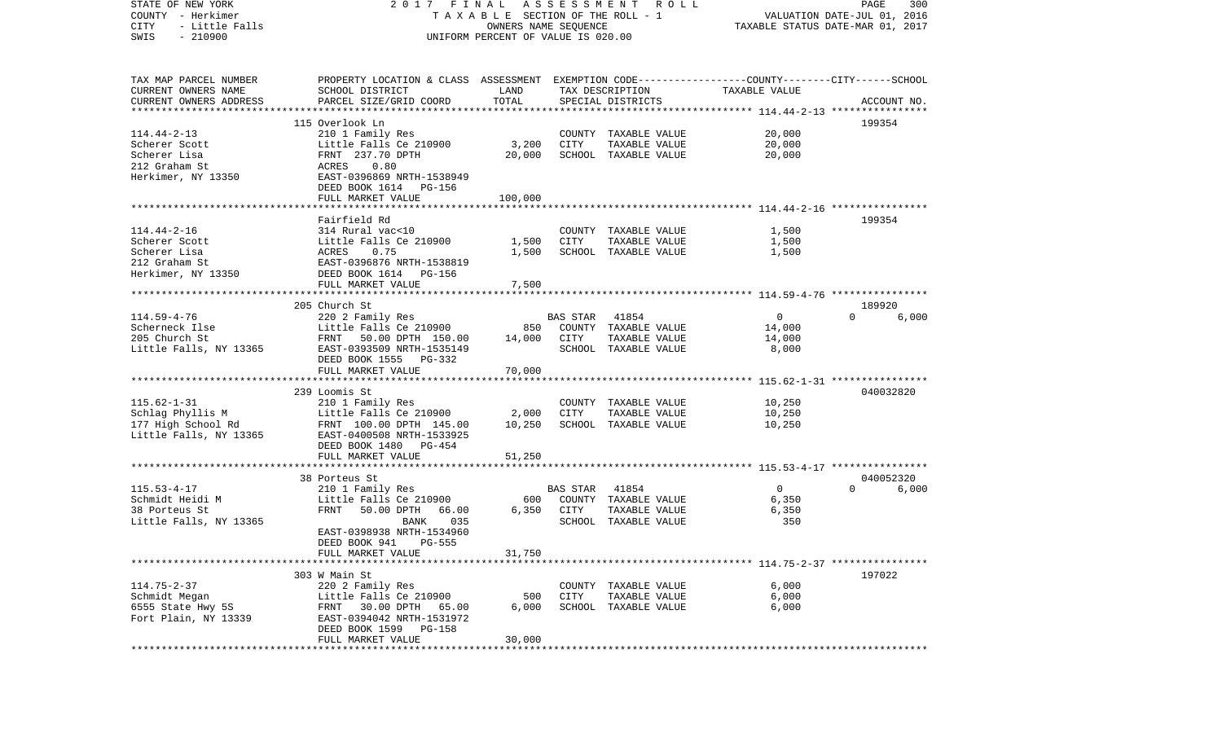| STATE OF NEW YORK<br>COUNTY - Herkimer<br>CITY<br>- Little Falls | FINAL<br>2017<br>TAXABLE SECTION OF THE ROLL - 1                                                | ASSESSMENT ROLL<br>PAGE<br>300<br>VALUATION DATE-JUL 01, 2016<br>TAXABLE STATUS DATE-MAR 01, 2017 |          |                                       |                |                                |
|------------------------------------------------------------------|-------------------------------------------------------------------------------------------------|---------------------------------------------------------------------------------------------------|----------|---------------------------------------|----------------|--------------------------------|
| $-210900$<br>SWIS                                                | UNIFORM PERCENT OF VALUE IS 020.00                                                              |                                                                                                   |          |                                       |                |                                |
| TAX MAP PARCEL NUMBER                                            | PROPERTY LOCATION & CLASS ASSESSMENT EXEMPTION CODE---------------COUNTY-------CITY------SCHOOL |                                                                                                   |          |                                       |                |                                |
| CURRENT OWNERS NAME                                              | SCHOOL DISTRICT                                                                                 | LAND                                                                                              |          | TAX DESCRIPTION                       | TAXABLE VALUE  |                                |
| CURRENT OWNERS ADDRESS                                           | PARCEL SIZE/GRID COORD                                                                          | TOTAL                                                                                             |          | SPECIAL DISTRICTS                     |                | ACCOUNT NO.                    |
| *********************                                            |                                                                                                 |                                                                                                   |          |                                       |                |                                |
| $114.44 - 2 - 13$                                                | 115 Overlook Ln<br>210 1 Family Res                                                             |                                                                                                   |          |                                       | 20,000         | 199354                         |
| Scherer Scott                                                    | Little Falls Ce 210900                                                                          | 3,200                                                                                             | CITY     | COUNTY TAXABLE VALUE<br>TAXABLE VALUE | 20,000         |                                |
| Scherer Lisa                                                     | FRNT 237.70 DPTH                                                                                | 20,000                                                                                            |          | SCHOOL TAXABLE VALUE                  | 20,000         |                                |
| 212 Graham St                                                    | 0.80<br>ACRES                                                                                   |                                                                                                   |          |                                       |                |                                |
| Herkimer, NY 13350                                               | EAST-0396869 NRTH-1538949                                                                       |                                                                                                   |          |                                       |                |                                |
|                                                                  | DEED BOOK 1614 PG-156                                                                           |                                                                                                   |          |                                       |                |                                |
|                                                                  | FULL MARKET VALUE                                                                               | 100,000                                                                                           |          |                                       |                |                                |
|                                                                  |                                                                                                 |                                                                                                   |          |                                       |                |                                |
|                                                                  | Fairfield Rd                                                                                    |                                                                                                   |          |                                       |                | 199354                         |
| $114.44 - 2 - 16$                                                | 314 Rural vac<10                                                                                |                                                                                                   |          | COUNTY TAXABLE VALUE                  | 1,500          |                                |
| Scherer Scott<br>Scherer Lisa                                    | Little Falls Ce 210900<br>0.75<br>ACRES                                                         | 1,500<br>1,500                                                                                    | CITY     | TAXABLE VALUE<br>SCHOOL TAXABLE VALUE | 1,500<br>1,500 |                                |
| 212 Graham St                                                    | EAST-0396876 NRTH-1538819                                                                       |                                                                                                   |          |                                       |                |                                |
| Herkimer, NY 13350                                               | DEED BOOK 1614 PG-156                                                                           |                                                                                                   |          |                                       |                |                                |
|                                                                  | FULL MARKET VALUE                                                                               | 7,500                                                                                             |          |                                       |                |                                |
|                                                                  | ******************************                                                                  |                                                                                                   |          |                                       |                |                                |
|                                                                  | 205 Church St                                                                                   |                                                                                                   |          |                                       |                | 189920                         |
| $114.59 - 4 - 76$                                                | 220 2 Family Res                                                                                |                                                                                                   | BAS STAR | 41854                                 | 0              | $\Omega$<br>6,000              |
| Scherneck Ilse                                                   | Little Falls Ce 210900                                                                          | 850                                                                                               |          | COUNTY TAXABLE VALUE                  | 14,000         |                                |
| 205 Church St                                                    | FRNT<br>50.00 DPTH 150.00                                                                       | 14,000                                                                                            | CITY     | TAXABLE VALUE                         | 14,000         |                                |
| Little Falls, NY 13365                                           | EAST-0393509 NRTH-1535149                                                                       |                                                                                                   |          | SCHOOL TAXABLE VALUE                  | 8,000          |                                |
|                                                                  | DEED BOOK 1555 PG-332<br>FULL MARKET VALUE                                                      | 70,000                                                                                            |          |                                       |                |                                |
|                                                                  |                                                                                                 |                                                                                                   |          |                                       |                |                                |
|                                                                  | 239 Loomis St                                                                                   |                                                                                                   |          |                                       |                | 040032820                      |
| $115.62 - 1 - 31$                                                | 210 1 Family Res                                                                                |                                                                                                   |          | COUNTY TAXABLE VALUE                  | 10,250         |                                |
| Schlag Phyllis M                                                 | Little Falls Ce 210900                                                                          | 2,000                                                                                             | CITY     | TAXABLE VALUE                         | 10,250         |                                |
| 177 High School Rd                                               | FRNT 100.00 DPTH 145.00                                                                         | 10,250                                                                                            |          | SCHOOL TAXABLE VALUE                  | 10,250         |                                |
| Little Falls, NY 13365                                           | EAST-0400508 NRTH-1533925                                                                       |                                                                                                   |          |                                       |                |                                |
|                                                                  | DEED BOOK 1480 PG-454                                                                           |                                                                                                   |          |                                       |                |                                |
|                                                                  | FULL MARKET VALUE<br>***********************                                                    | 51,250                                                                                            |          |                                       |                |                                |
|                                                                  |                                                                                                 |                                                                                                   |          |                                       |                |                                |
| $115.53 - 4 - 17$                                                | 38 Porteus St                                                                                   |                                                                                                   | BAS STAR | 41854                                 | 0              | 040052320<br>$\Omega$<br>6,000 |
| Schmidt Heidi M                                                  | 210 1 Family Res<br>Little Falls Ce 210900                                                      | 600                                                                                               |          | COUNTY TAXABLE VALUE                  | 6,350          |                                |
| 38 Porteus St                                                    | FRNT<br>50.00 DPTH<br>66.00                                                                     | 6,350                                                                                             | CITY     | TAXABLE VALUE                         | 6,350          |                                |
| Little Falls, NY 13365                                           | 035<br>BANK                                                                                     |                                                                                                   |          | SCHOOL TAXABLE VALUE                  | 350            |                                |
|                                                                  | EAST-0398938 NRTH-1534960                                                                       |                                                                                                   |          |                                       |                |                                |
|                                                                  | DEED BOOK 941 PG-555                                                                            |                                                                                                   |          |                                       |                |                                |
|                                                                  | FULL MARKET VALUE                                                                               | 31,750                                                                                            |          |                                       |                |                                |
|                                                                  |                                                                                                 |                                                                                                   |          |                                       |                |                                |
|                                                                  | 303 W Main St                                                                                   |                                                                                                   |          |                                       |                | 197022                         |
| $114.75 - 2 - 37$<br>Schmidt Megan                               | 220 2 Family Res                                                                                |                                                                                                   |          | COUNTY TAXABLE VALUE                  | 6,000          |                                |
| 6555 State Hwy 5S                                                | Little Falls Ce 210900<br>30.00 DPTH<br>FRNT<br>65.00                                           | 500<br>6,000                                                                                      | CITY     | TAXABLE VALUE<br>SCHOOL TAXABLE VALUE | 6,000<br>6,000 |                                |
| Fort Plain, NY 13339                                             | EAST-0394042 NRTH-1531972                                                                       |                                                                                                   |          |                                       |                |                                |
|                                                                  | DEED BOOK 1599<br>PG-158                                                                        |                                                                                                   |          |                                       |                |                                |
|                                                                  | FULL MARKET VALUE                                                                               | 30,000                                                                                            |          |                                       |                |                                |
| ************                                                     |                                                                                                 |                                                                                                   |          |                                       |                |                                |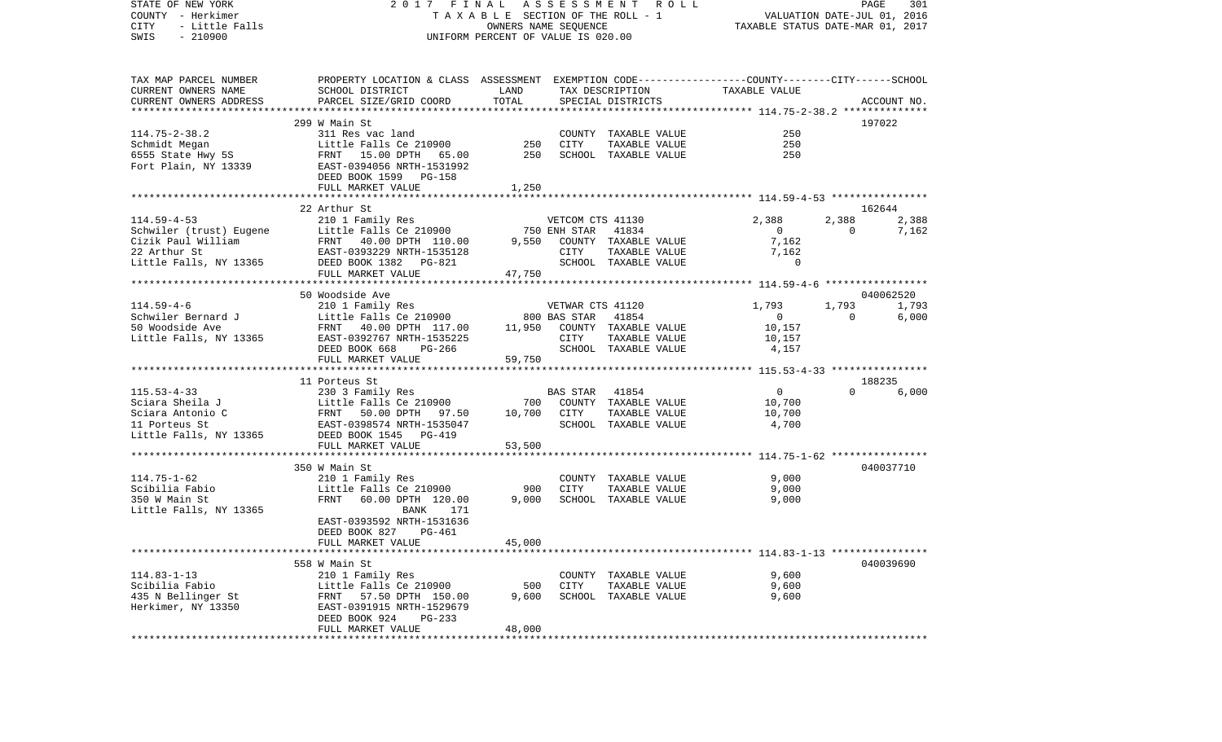VALUATION DATE-JUL 01, 2016 COUNTY - Herkimer T A X A B L E SECTION OF THE ROLL - 1 CITY - Little Falls OWNERS NAME SEQUENCE TAXABLE STATUS DATE-MAR 01, 2017 SWIS - 210900 UNIFORM PERCENT OF VALUE IS 020.00TAX MAP PARCEL NUMBER PROPERTY LOCATION & CLASS ASSESSMENT EXEMPTION CODE------------------COUNTY--------CITY------SCHOOL CURRENT OWNERS NAME SCHOOL DISTRICT LAND TAX DESCRIPTION TAXABLE VALUECURRENT OWNERS ADDRESS PARCEL SIZE/GRID COORD TOTAL SPECIAL DISTRICTS ACCOUNT NO. \*\*\*\*\*\*\*\*\*\*\*\*\*\*\*\*\*\*\*\*\*\*\*\*\*\*\*\*\*\*\*\*\*\*\*\*\*\*\*\*\*\*\*\*\*\*\*\*\*\*\*\*\*\*\*\*\*\*\*\*\*\*\*\*\*\*\*\*\*\*\*\*\*\*\*\*\*\*\*\*\*\*\*\*\*\*\*\*\*\*\*\*\*\*\*\*\*\*\*\*\*\*\* 114.75-2-38.2 \*\*\*\*\*\*\*\*\*\*\*\*\*\* 299 W Main St 197022114.75-2-38.2 311 Res vac land COUNTY TAXABLE VALUE 250Schmidt Megan Little Falls Ce 210900 250 CITY TAXABLE VALUE 250 6555 State Hwy 5S FRNT 15.00 DPTH 65.00 250 SCHOOL TAXABLE VALUE 250 Fort Plain, NY 13339 EAST-0394056 NRTH-1531992 DEED BOOK 1599 PG-158FULL MARKET VALUE 1,250 \*\*\*\*\*\*\*\*\*\*\*\*\*\*\*\*\*\*\*\*\*\*\*\*\*\*\*\*\*\*\*\*\*\*\*\*\*\*\*\*\*\*\*\*\*\*\*\*\*\*\*\*\*\*\*\*\*\*\*\*\*\*\*\*\*\*\*\*\*\*\*\*\*\*\*\*\*\*\*\*\*\*\*\*\*\*\*\*\*\*\*\*\*\*\*\*\*\*\*\*\*\*\* 114.59-4-53 \*\*\*\*\*\*\*\*\*\*\*\*\*\*\*\* 22 Arthur St 162644114.59-4-53 210 1 Family Res VETCOM CTS 41130 2,388 2,388 2,388 Schwiler (trust) Eugene Little Falls Ce 210900 750 ENH STAR 41834 0 0 7,162 Cizik Paul William FRNT 40.00 DPTH 110.00 9,550 COUNTY TAXABLE VALUE 7,162 22 Arthur St EAST-0393229 NRTH-1535128 CITY TAXABLE VALUE 7,162 Little Falls, NY 13365 DEED BOOK 1382 PG-821 SCHOOL TAXABLE VALUE 0 FULL MARKET VALUE 47,750 \*\*\*\*\*\*\*\*\*\*\*\*\*\*\*\*\*\*\*\*\*\*\*\*\*\*\*\*\*\*\*\*\*\*\*\*\*\*\*\*\*\*\*\*\*\*\*\*\*\*\*\*\*\*\*\*\*\*\*\*\*\*\*\*\*\*\*\*\*\*\*\*\*\*\*\*\*\*\*\*\*\*\*\*\*\*\*\*\*\*\*\*\*\*\*\*\*\*\*\*\*\*\* 114.59-4-6 \*\*\*\*\*\*\*\*\*\*\*\*\*\*\*\*\* 50 Woodside Ave 0400625201.793 114.59-4-6 210 1 Family Res VETWAR CTS 41120 1,793 1,793 1,793 Schwiler Bernard J Little Falls Ce 210900 800 BAS STAR 41854 0 0 6,000 50 Woodside Ave FRNT 40.00 DPTH 117.00 11,950 COUNTY TAXABLE VALUE 10,157 Little Falls, NY 13365 EAST-0392767 NRTH-1535225 CITY TAXABLE VALUE 10,157 DEED BOOK 668 PG-266 SCHOOL TAXABLE VALUE 4,157 FULL MARKET VALUE 59,750 \*\*\*\*\*\*\*\*\*\*\*\*\*\*\*\*\*\*\*\*\*\*\*\*\*\*\*\*\*\*\*\*\*\*\*\*\*\*\*\*\*\*\*\*\*\*\*\*\*\*\*\*\*\*\*\*\*\*\*\*\*\*\*\*\*\*\*\*\*\*\*\*\*\*\*\*\*\*\*\*\*\*\*\*\*\*\*\*\*\*\*\*\*\*\*\*\*\*\*\*\*\*\* 115.53-4-33 \*\*\*\*\*\*\*\*\*\*\*\*\*\*\*\* 11 Porteus St 188235115.53-4-33 230 3 Family Res BAS STAR 41854 0 0 6,000 Sciara Sheila J Little Falls Ce 210900 700 COUNTY TAXABLE VALUE 10,700 Sciara Antonio C 60 7 7 8 8 8 9 FRNT 50.00 DPTH 97.50 10,700 CITY TAXABLE VALUE 10,700 11 Porteus St EAST-0398574 NRTH-1535047 SCHOOL TAXABLE VALUE 4,700 Little Falls, NY 13365 DEED BOOK 1545 PG-419 FULL MARKET VALUE 53,500 \*\*\*\*\*\*\*\*\*\*\*\*\*\*\*\*\*\*\*\*\*\*\*\*\*\*\*\*\*\*\*\*\*\*\*\*\*\*\*\*\*\*\*\*\*\*\*\*\*\*\*\*\*\*\*\*\*\*\*\*\*\*\*\*\*\*\*\*\*\*\*\*\*\*\*\*\*\*\*\*\*\*\*\*\*\*\*\*\*\*\*\*\*\*\*\*\*\*\*\*\*\*\* 114.75-1-62 \*\*\*\*\*\*\*\*\*\*\*\*\*\*\*\* 350 W Main St 040037710114.75-1-62 210 1 Family Res COUNTY TAXABLE VALUE 9,000 Scibilia Fabio Little Falls Ce 210900 900 CITY TAXABLE VALUE 9,000 350 W Main St FRNT 60.00 DPTH 120.00 9,000 SCHOOL TAXABLE VALUE 9,000 Little Falls, NY 13365 BANK 171 EAST-0393592 NRTH-1531636 DEED BOOK 827 PG-461FULL MARKET VALUE 45,000 \*\*\*\*\*\*\*\*\*\*\*\*\*\*\*\*\*\*\*\*\*\*\*\*\*\*\*\*\*\*\*\*\*\*\*\*\*\*\*\*\*\*\*\*\*\*\*\*\*\*\*\*\*\*\*\*\*\*\*\*\*\*\*\*\*\*\*\*\*\*\*\*\*\*\*\*\*\*\*\*\*\*\*\*\*\*\*\*\*\*\*\*\*\*\*\*\*\*\*\*\*\*\* 114.83-1-13 \*\*\*\*\*\*\*\*\*\*\*\*\*\*\*\* 558 W Main St 040039690114.83-1-13 210 1 Family Res COUNTY TAXABLE VALUE 9,600 Scibilia Fabio Little Falls Ce 210900 500 CITY TAXABLE VALUE 9,600 435 N Bellinger St FRNT 57.50 DPTH 150.00 9,600 SCHOOL TAXABLE VALUE 9,600 Herkimer, NY 13350 EAST-0391915 NRTH-1529679 DEED BOOK 924 PG-233FULL MARKET VALUE 48,000 \*\*\*\*\*\*\*\*\*\*\*\*\*\*\*\*\*\*\*\*\*\*\*\*\*\*\*\*\*\*\*\*\*\*\*\*\*\*\*\*\*\*\*\*\*\*\*\*\*\*\*\*\*\*\*\*\*\*\*\*\*\*\*\*\*\*\*\*\*\*\*\*\*\*\*\*\*\*\*\*\*\*\*\*\*\*\*\*\*\*\*\*\*\*\*\*\*\*\*\*\*\*\*\*\*\*\*\*\*\*\*\*\*\*\*\*\*\*\*\*\*\*\*\*\*\*\*\*\*\*\*\*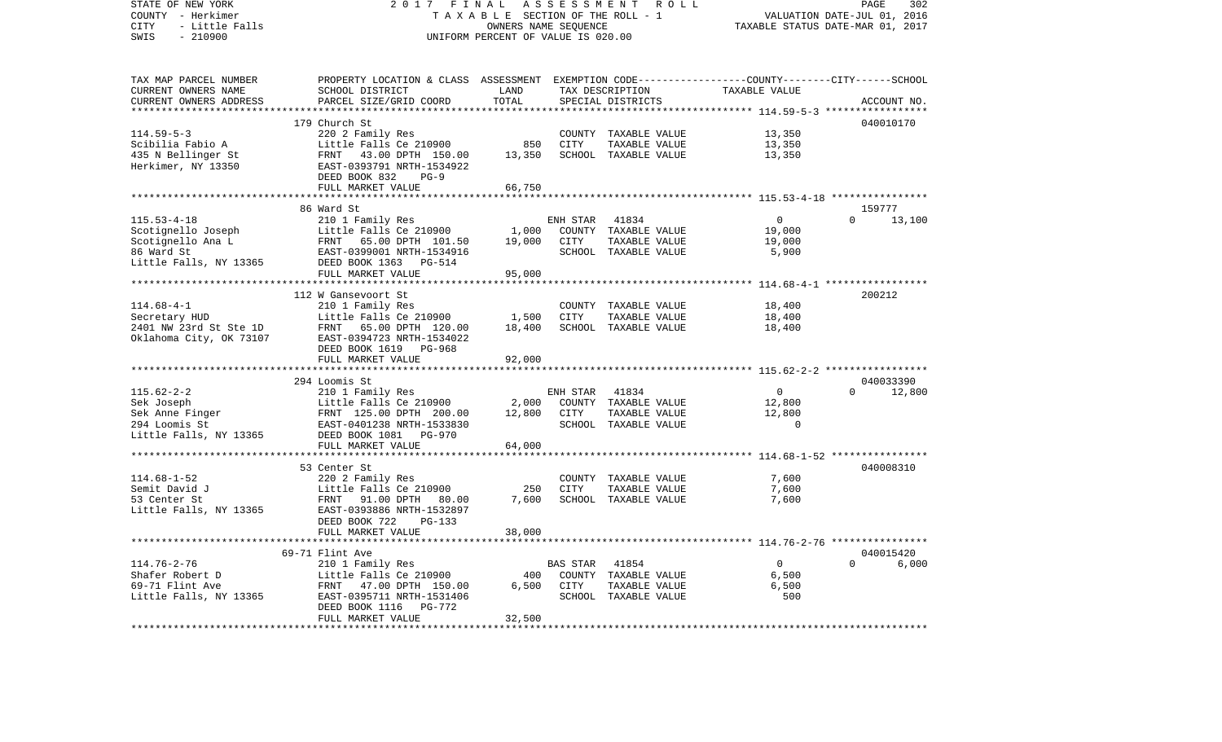| STATE OF NEW YORK<br>COUNTY - Herkimer | 2017                                                                                                                                                                       | FINAL                              |             | ASSESSMENT ROLL<br>TAXABLE SECTION OF THE ROLL - 1 | PAGE<br>302<br>VALUATION DATE-JUL 01, 2016                |                                  |  |
|----------------------------------------|----------------------------------------------------------------------------------------------------------------------------------------------------------------------------|------------------------------------|-------------|----------------------------------------------------|-----------------------------------------------------------|----------------------------------|--|
| CITY<br>- Little Falls                 |                                                                                                                                                                            | OWNERS NAME SEQUENCE               |             |                                                    |                                                           | TAXABLE STATUS DATE-MAR 01, 2017 |  |
| SWIS<br>$-210900$                      |                                                                                                                                                                            | UNIFORM PERCENT OF VALUE IS 020.00 |             |                                                    |                                                           |                                  |  |
|                                        |                                                                                                                                                                            |                                    |             |                                                    |                                                           |                                  |  |
| TAX MAP PARCEL NUMBER                  | PROPERTY LOCATION & CLASS ASSESSMENT EXEMPTION CODE---------------COUNTY-------CITY------SCHOOL                                                                            |                                    |             |                                                    |                                                           |                                  |  |
| CURRENT OWNERS NAME                    | SCHOOL DISTRICT                                                                                                                                                            | LAND                               |             | TAX DESCRIPTION                                    | TAXABLE VALUE                                             |                                  |  |
| CURRENT OWNERS ADDRESS                 | PARCEL SIZE/GRID COORD                                                                                                                                                     | TOTAL                              |             | SPECIAL DISTRICTS                                  |                                                           | ACCOUNT NO.                      |  |
|                                        |                                                                                                                                                                            | ************                       |             |                                                    | **************************** 114.59-5-3 ***************** |                                  |  |
|                                        | 179 Church St                                                                                                                                                              |                                    |             |                                                    |                                                           | 040010170                        |  |
| $114.59 - 5 - 3$                       | 220 2 Family Res                                                                                                                                                           |                                    |             | COUNTY TAXABLE VALUE                               | 13,350                                                    |                                  |  |
| Scibilia Fabio A                       | Little Falls Ce 210900                                                                                                                                                     | 850                                | CITY        | TAXABLE VALUE                                      | 13,350                                                    |                                  |  |
| 435 N Bellinger St                     | FRNT 43.00 DPTH 150.00                                                                                                                                                     | 13,350                             |             | SCHOOL TAXABLE VALUE                               | 13,350                                                    |                                  |  |
| Herkimer, NY 13350                     | EAST-0393791 NRTH-1534922<br>DEED BOOK 832<br>$PG-9$                                                                                                                       |                                    |             |                                                    |                                                           |                                  |  |
|                                        | FULL MARKET VALUE                                                                                                                                                          | 66,750                             |             |                                                    |                                                           |                                  |  |
|                                        |                                                                                                                                                                            |                                    |             |                                                    |                                                           |                                  |  |
|                                        | 86 Ward St                                                                                                                                                                 |                                    |             |                                                    |                                                           | 159777                           |  |
| $115.53 - 4 - 18$                      | 210 1 Family Res                                                                                                                                                           |                                    | ENH STAR    | 41834                                              | $\overline{0}$                                            | $\Omega$<br>13,100               |  |
| Scotignello Joseph                     | Little Falls Ce 210900                                                                                                                                                     | 1,000                              |             | COUNTY TAXABLE VALUE                               | 19,000                                                    |                                  |  |
| Scotignello Ana L                      | FRNT<br>65.00 DPTH 101.50                                                                                                                                                  | 19,000                             | CITY        | TAXABLE VALUE                                      | 19,000                                                    |                                  |  |
| 86 Ward St                             | EAST-0399001 NRTH-1534916                                                                                                                                                  |                                    |             | SCHOOL TAXABLE VALUE                               | 5,900                                                     |                                  |  |
| Little Falls, NY 13365                 | DEED BOOK 1363 PG-514                                                                                                                                                      |                                    |             |                                                    |                                                           |                                  |  |
|                                        | FULL MARKET VALUE                                                                                                                                                          | 95,000                             |             |                                                    |                                                           |                                  |  |
|                                        |                                                                                                                                                                            |                                    |             |                                                    | ************************ 114.68-4-1 ******************    |                                  |  |
|                                        | 112 W Gansevoort St                                                                                                                                                        |                                    |             |                                                    |                                                           | 200212                           |  |
| $114.68 - 4 - 1$                       | 210 1 Family Res                                                                                                                                                           |                                    |             | COUNTY TAXABLE VALUE                               | 18,400                                                    |                                  |  |
| Secretary HUD                          | Little Falls Ce 210900                                                                                                                                                     | 1,500                              | CITY        | TAXABLE VALUE                                      | 18,400                                                    |                                  |  |
| 2401 NW 23rd St Ste 1D                 | FRNT 65.00 DPTH 120.00                                                                                                                                                     | 18,400                             |             | SCHOOL TAXABLE VALUE                               | 18,400                                                    |                                  |  |
| Oklahoma City, OK 73107                | EAST-0394723 NRTH-1534022                                                                                                                                                  |                                    |             |                                                    |                                                           |                                  |  |
|                                        | DEED BOOK 1619 PG-968                                                                                                                                                      |                                    |             |                                                    |                                                           |                                  |  |
|                                        | FULL MARKET VALUE                                                                                                                                                          | 92,000                             |             |                                                    |                                                           |                                  |  |
|                                        |                                                                                                                                                                            |                                    |             |                                                    |                                                           |                                  |  |
|                                        | 294 Loomis St                                                                                                                                                              |                                    |             |                                                    |                                                           | 040033390<br>$\Omega$            |  |
| $115.62 - 2 - 2$                       | 210 1 Family Res                                                                                                                                                           |                                    | ENH STAR    | 41834                                              | $\overline{0}$                                            | 12,800                           |  |
|                                        |                                                                                                                                                                            | 2,000                              |             | COUNTY TAXABLE VALUE                               | 12,800                                                    |                                  |  |
|                                        |                                                                                                                                                                            | 12,800                             | CITY        | TAXABLE VALUE                                      | 12,800<br>$\Omega$                                        |                                  |  |
|                                        | Example 2000<br>Sek Anne Finger<br>294 Loomis St<br>Little Falls Ce 210900<br>294 Loomis St<br>Little Falls NY 10065<br>EAST-0401238 NRTH-1533830<br>DEED BOOK 1081 PG-970 |                                    |             | SCHOOL TAXABLE VALUE                               |                                                           |                                  |  |
| Little Falls, NY 13365                 |                                                                                                                                                                            |                                    |             |                                                    |                                                           |                                  |  |
|                                        | FULL MARKET VALUE<br>*************************                                                                                                                             | 64,000<br>************             |             |                                                    |                                                           |                                  |  |
|                                        | 53 Center St                                                                                                                                                               |                                    |             |                                                    |                                                           | 040008310                        |  |
| $114.68 - 1 - 52$                      | 220 2 Family Res                                                                                                                                                           |                                    |             | COUNTY TAXABLE VALUE                               | 7,600                                                     |                                  |  |
| Semit David J                          | Little Falls Ce 210900                                                                                                                                                     | 250                                | <b>CITY</b> | TAXABLE VALUE                                      | 7,600                                                     |                                  |  |
| 53 Center St                           | FRNT 91.00 DPTH<br>80.00                                                                                                                                                   | 7,600                              |             | SCHOOL TAXABLE VALUE                               | 7,600                                                     |                                  |  |
| Little Falls, NY 13365                 | EAST-0393886 NRTH-1532897                                                                                                                                                  |                                    |             |                                                    |                                                           |                                  |  |
|                                        | DEED BOOK 722<br>PG-133                                                                                                                                                    |                                    |             |                                                    |                                                           |                                  |  |
|                                        | FULL MARKET VALUE                                                                                                                                                          | 38,000                             |             |                                                    |                                                           |                                  |  |
|                                        |                                                                                                                                                                            |                                    |             |                                                    |                                                           |                                  |  |
|                                        | 69-71 Flint Ave                                                                                                                                                            |                                    |             |                                                    |                                                           | 040015420                        |  |
| $114.76 - 2 - 76$                      | 210 1 Family Res                                                                                                                                                           |                                    | BAS STAR    | 41854                                              | $\overline{0}$                                            | $\Omega$<br>6,000                |  |
| Shafer Robert D                        | Little Falls Ce 210900                                                                                                                                                     | 400                                |             | COUNTY TAXABLE VALUE                               | 6,500                                                     |                                  |  |
| 69-71 Flint Ave                        | FRNT 47.00 DPTH 150.00                                                                                                                                                     | 6,500                              | CITY        | TAXABLE VALUE                                      | 6,500                                                     |                                  |  |
| Little Falls, NY 13365                 | EAST-0395711 NRTH-1531406                                                                                                                                                  |                                    |             | SCHOOL TAXABLE VALUE                               | 500                                                       |                                  |  |
|                                        | DEED BOOK 1116<br>PG-772                                                                                                                                                   |                                    |             |                                                    |                                                           |                                  |  |
|                                        | FULL MARKET VALUE                                                                                                                                                          | 32,500                             |             |                                                    |                                                           |                                  |  |
|                                        |                                                                                                                                                                            |                                    |             |                                                    |                                                           |                                  |  |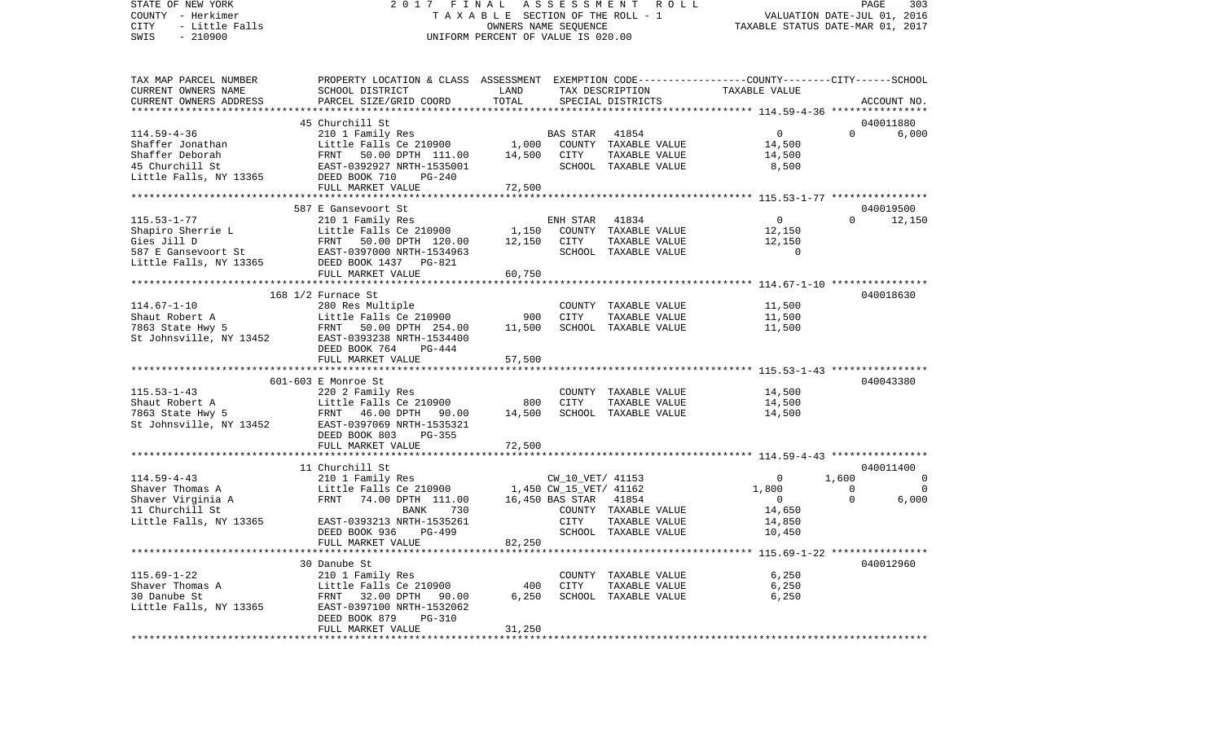STATE OF NEW YORK 2 0 1 7 F I N A L A S S E S S M E N T R O L L PAGE 303VALUATION DATE-JUL 01, 2016 COUNTY - Herkimer T A X A B L E SECTION OF THE ROLL - 1 CITY - Little Falls OWNERS NAME SEQUENCE TAXABLE STATUS DATE-MAR 01, 2017 SWIS - 210900 UNIFORM PERCENT OF VALUE IS 020.00TAX MAP PARCEL NUMBER PROPERTY LOCATION & CLASS ASSESSMENT EXEMPTION CODE------------------COUNTY--------CITY------SCHOOL CURRENT OWNERS NAME SCHOOL DISTRICT LAND TAX DESCRIPTION TAXABLE VALUECURRENT OWNERS ADDRESS PARCEL SIZE/GRID COORD TOTAL SPECIAL DISTRICTS ACCOUNT NO. \*\*\*\*\*\*\*\*\*\*\*\*\*\*\*\*\*\*\*\*\*\*\*\*\*\*\*\*\*\*\*\*\*\*\*\*\*\*\*\*\*\*\*\*\*\*\*\*\*\*\*\*\*\*\*\*\*\*\*\*\*\*\*\*\*\*\*\*\*\*\*\*\*\*\*\*\*\*\*\*\*\*\*\*\*\*\*\*\*\*\*\*\*\*\*\*\*\*\*\*\*\*\* 114.59-4-36 \*\*\*\*\*\*\*\*\*\*\*\*\*\*\*\* 45 Churchill St 040011880114.59-4-36 210 1 Family Res BAS STAR 41854 0 0 6,000 Shaffer Jonathan Little Falls Ce 210900 1,000 COUNTY TAXABLE VALUE 14,500 Shaffer Deborah FRNT 50.00 DPTH 111.00 14,500 CITY TAXABLE VALUE 14,500 45 Churchill St EAST-0392927 NRTH-1535001 SCHOOL TAXABLE VALUE 8,500 Little Falls, NY 13365 DEED BOOK 710 PG-240 FULL MARKET VALUE 72,500 \*\*\*\*\*\*\*\*\*\*\*\*\*\*\*\*\*\*\*\*\*\*\*\*\*\*\*\*\*\*\*\*\*\*\*\*\*\*\*\*\*\*\*\*\*\*\*\*\*\*\*\*\*\*\*\*\*\*\*\*\*\*\*\*\*\*\*\*\*\*\*\*\*\*\*\*\*\*\*\*\*\*\*\*\*\*\*\*\*\*\*\*\*\*\*\*\*\*\*\*\*\*\* 115.53-1-77 \*\*\*\*\*\*\*\*\*\*\*\*\*\*\*\*587 E Gansevoort St 040019500 115.53-1-77 210 1 Family Res ENH STAR 41834 0 0 12,150 Shapiro Sherrie L **Little Falls Ce 210900** 1,150 COUNTY TAXABLE VALUE 12,150 Gies Jill D FRNT 50.00 DPTH 120.00 12,150 CITY TAXABLE VALUE 12,150 587 E Gansevoort St EAST-0397000 NRTH-1534963 SCHOOL TAXABLE VALUE 0Little Falls, NY 13365 DEED BOOK 1437 PG-821 FULL MARKET VALUE 60,750 \*\*\*\*\*\*\*\*\*\*\*\*\*\*\*\*\*\*\*\*\*\*\*\*\*\*\*\*\*\*\*\*\*\*\*\*\*\*\*\*\*\*\*\*\*\*\*\*\*\*\*\*\*\*\*\*\*\*\*\*\*\*\*\*\*\*\*\*\*\*\*\*\*\*\*\*\*\*\*\*\*\*\*\*\*\*\*\*\*\*\*\*\*\*\*\*\*\*\*\*\*\*\* 114.67-1-10 \*\*\*\*\*\*\*\*\*\*\*\*\*\*\*\* 168 1/2 Furnace St 040018630 114.67-1-10 280 Res Multiple COUNTY TAXABLE VALUE 11,500 Shaut Robert A Little Falls Ce 210900 900 CITY TAXABLE VALUE 11,500 7863 State Hwy 5 FRNT 50.00 DPTH 254.00 11,500 SCHOOL TAXABLE VALUE 11,500 St Johnsville, NY 13452 EAST-0393238 NRTH-1534400 DEED BOOK 764 PG-444FULL MARKET VALUE 57,500 \*\*\*\*\*\*\*\*\*\*\*\*\*\*\*\*\*\*\*\*\*\*\*\*\*\*\*\*\*\*\*\*\*\*\*\*\*\*\*\*\*\*\*\*\*\*\*\*\*\*\*\*\*\*\*\*\*\*\*\*\*\*\*\*\*\*\*\*\*\*\*\*\*\*\*\*\*\*\*\*\*\*\*\*\*\*\*\*\*\*\*\*\*\*\*\*\*\*\*\*\*\*\* 115.53-1-43 \*\*\*\*\*\*\*\*\*\*\*\*\*\*\*\* 601-603 E Monroe St 040043380115.53-1-43 220 2 Family Res COUNTY TAXABLE VALUE 14,500 Shaut Robert A **Little Falls Ce 210900** 800 CITY TAXABLE VALUE 14,500 7863 State Hwy 5 FRNT 46.00 DPTH 90.00 14,500 SCHOOL TAXABLE VALUE 14,500 St Johnsville, NY 13452 EAST-0397069 NRTH-1535321 DEED BOOK 803 PG-355FULL MARKET VALUE 72,500 \*\*\*\*\*\*\*\*\*\*\*\*\*\*\*\*\*\*\*\*\*\*\*\*\*\*\*\*\*\*\*\*\*\*\*\*\*\*\*\*\*\*\*\*\*\*\*\*\*\*\*\*\*\*\*\*\*\*\*\*\*\*\*\*\*\*\*\*\*\*\*\*\*\*\*\*\*\*\*\*\*\*\*\*\*\*\*\*\*\*\*\*\*\*\*\*\*\*\*\*\*\*\* 114.59-4-43 \*\*\*\*\*\*\*\*\*\*\*\*\*\*\*\* 11 Churchill St 040011400114.59-4-43 210 1 Family Res CW\_10\_VET/ 41153 0 1,600 0 Shaver Thomas A Little Falls Ce 210900 1,450 CW\_15\_VET/ 41162 1,800 0 0 Shaver Virginia A FRNT 74.00 DPTH 111.00 16,450 BAS STAR 41854 0 0 6,000 11 BANK 730 COUNTY TAXABLE VALUE Little Falls, NY 13365 EAST-0393213 NRTH-1535261 CITY TAXABLE VALUE 14,850 DEED BOOK 936 PG-499 SCHOOL TAXABLE VALUE 10,450 FULL MARKET VALUE 82,250 \*\*\*\*\*\*\*\*\*\*\*\*\*\*\*\*\*\*\*\*\*\*\*\*\*\*\*\*\*\*\*\*\*\*\*\*\*\*\*\*\*\*\*\*\*\*\*\*\*\*\*\*\*\*\*\*\*\*\*\*\*\*\*\*\*\*\*\*\*\*\*\*\*\*\*\*\*\*\*\*\*\*\*\*\*\*\*\*\*\*\*\*\*\*\*\*\*\*\*\*\*\*\* 115.69-1-22 \*\*\*\*\*\*\*\*\*\*\*\*\*\*\*\* 30 Danube St 040012960115.69-1-22 210 1 Family Res COUNTY TAXABLE VALUE 6,250 Shaver Thomas A Little Falls Ce 210900 400 CITY TAXABLE VALUE 6,250 30 Danube St FRNT 32.00 DPTH 90.00 6,250 SCHOOL TAXABLE VALUE 6,250 Little Falls, NY 13365 EAST-0397100 NRTH-1532062 DEED BOOK 879 PG-310FULL MARKET VALUE 31,250 \*\*\*\*\*\*\*\*\*\*\*\*\*\*\*\*\*\*\*\*\*\*\*\*\*\*\*\*\*\*\*\*\*\*\*\*\*\*\*\*\*\*\*\*\*\*\*\*\*\*\*\*\*\*\*\*\*\*\*\*\*\*\*\*\*\*\*\*\*\*\*\*\*\*\*\*\*\*\*\*\*\*\*\*\*\*\*\*\*\*\*\*\*\*\*\*\*\*\*\*\*\*\*\*\*\*\*\*\*\*\*\*\*\*\*\*\*\*\*\*\*\*\*\*\*\*\*\*\*\*\*\*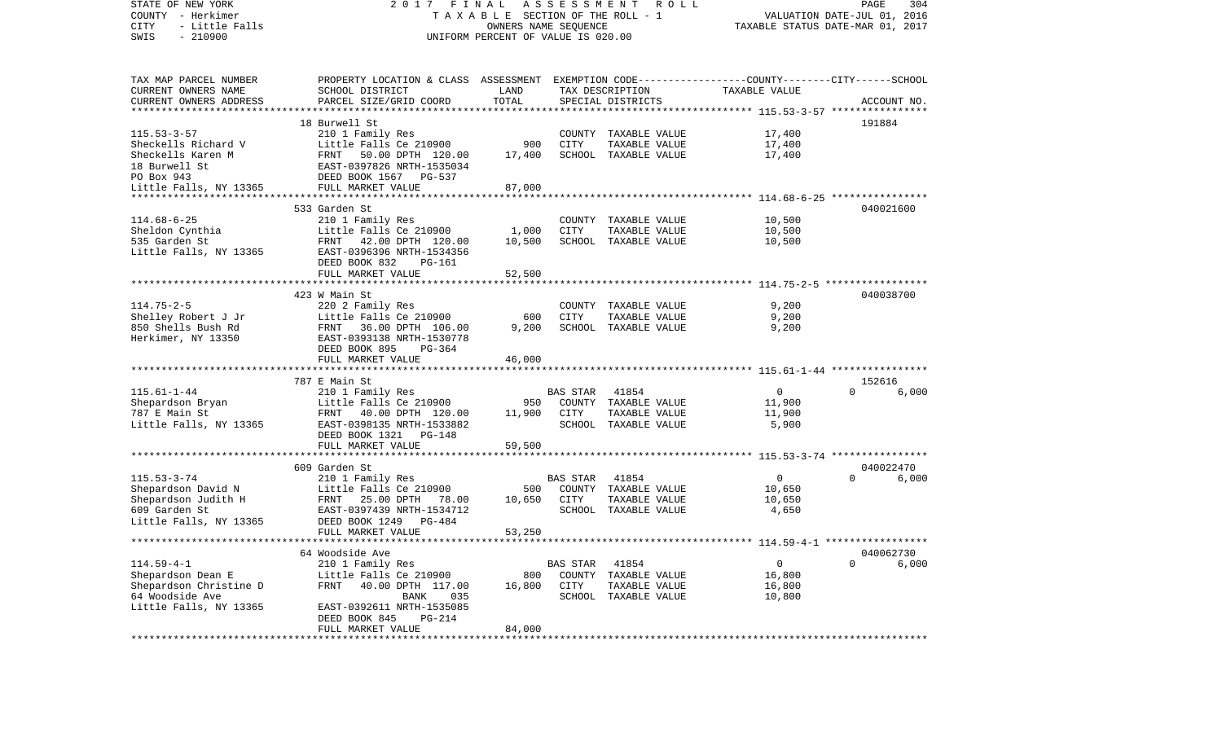| STATE OF NEW YORK<br>COUNTY - Herkimer<br>- Little Falls<br>CITY<br>$-210900$<br>SWIS | A S S E S S M E N T<br>2017 FINAL<br>ROLL<br>TAXABLE SECTION OF THE ROLL - 1<br>OWNERS NAME SEQUENCE<br>UNIFORM PERCENT OF VALUE IS 020.00 |                        |                 |                      |               | 304<br>PAGE<br>VALUATION DATE-JUL 01, 2016<br>TAXABLE STATUS DATE-MAR 01, 2017 |             |  |  |
|---------------------------------------------------------------------------------------|--------------------------------------------------------------------------------------------------------------------------------------------|------------------------|-----------------|----------------------|---------------|--------------------------------------------------------------------------------|-------------|--|--|
| TAX MAP PARCEL NUMBER                                                                 | PROPERTY LOCATION & CLASS ASSESSMENT EXEMPTION CODE----------------COUNTY--------CITY------SCHOOL                                          |                        |                 |                      |               |                                                                                |             |  |  |
| CURRENT OWNERS NAME                                                                   | SCHOOL DISTRICT                                                                                                                            | LAND                   |                 | TAX DESCRIPTION      | TAXABLE VALUE |                                                                                |             |  |  |
| CURRENT OWNERS ADDRESS                                                                | PARCEL SIZE/GRID COORD                                                                                                                     | TOTAL                  |                 | SPECIAL DISTRICTS    |               |                                                                                | ACCOUNT NO. |  |  |
| **************************                                                            |                                                                                                                                            |                        |                 |                      |               |                                                                                |             |  |  |
|                                                                                       | 18 Burwell St                                                                                                                              |                        |                 |                      |               | 191884                                                                         |             |  |  |
| $115.53 - 3 - 57$                                                                     | 210 1 Family Res                                                                                                                           |                        |                 | COUNTY TAXABLE VALUE | 17,400        |                                                                                |             |  |  |
| Sheckells Richard V                                                                   | Little Falls Ce 210900                                                                                                                     | 900                    | CITY            | TAXABLE VALUE        | 17,400        |                                                                                |             |  |  |
| Sheckells Karen M                                                                     | FRNT 50.00 DPTH 120.00                                                                                                                     | 17,400                 |                 | SCHOOL TAXABLE VALUE | 17,400        |                                                                                |             |  |  |
| 18 Burwell St                                                                         | EAST-0397826 NRTH-1535034                                                                                                                  |                        |                 |                      |               |                                                                                |             |  |  |
| PO Box 943                                                                            | DEED BOOK 1567 PG-537                                                                                                                      |                        |                 |                      |               |                                                                                |             |  |  |
| Little Falls, NY 13365                                                                | FULL MARKET VALUE                                                                                                                          | 87,000<br>************ |                 |                      |               |                                                                                |             |  |  |
|                                                                                       | 533 Garden St                                                                                                                              |                        |                 |                      |               |                                                                                | 040021600   |  |  |
| $114.68 - 6 - 25$                                                                     | 210 1 Family Res                                                                                                                           |                        |                 | COUNTY TAXABLE VALUE | 10,500        |                                                                                |             |  |  |
| Sheldon Cynthia                                                                       | Little Falls Ce 210900                                                                                                                     | 1,000                  | CITY            | TAXABLE VALUE        | 10,500        |                                                                                |             |  |  |
| 535 Garden St                                                                         | FRNT 42.00 DPTH 120.00                                                                                                                     | 10,500                 |                 | SCHOOL TAXABLE VALUE | 10,500        |                                                                                |             |  |  |
| Little Falls, NY 13365                                                                | EAST-0396396 NRTH-1534356                                                                                                                  |                        |                 |                      |               |                                                                                |             |  |  |
|                                                                                       | DEED BOOK 832<br>PG-161                                                                                                                    |                        |                 |                      |               |                                                                                |             |  |  |
|                                                                                       | FULL MARKET VALUE                                                                                                                          | 52,500                 |                 |                      |               |                                                                                |             |  |  |
|                                                                                       |                                                                                                                                            |                        |                 |                      |               |                                                                                |             |  |  |
|                                                                                       | 423 W Main St                                                                                                                              |                        |                 |                      |               |                                                                                | 040038700   |  |  |
| $114.75 - 2 - 5$                                                                      | 220 2 Family Res                                                                                                                           |                        |                 | COUNTY TAXABLE VALUE | 9,200         |                                                                                |             |  |  |
| Shelley Robert J Jr                                                                   | Little Falls Ce 210900                                                                                                                     | 600                    | CITY            | TAXABLE VALUE        | 9,200         |                                                                                |             |  |  |
| 850 Shells Bush Rd                                                                    | FRNT 36.00 DPTH 106.00                                                                                                                     | 9,200                  |                 | SCHOOL TAXABLE VALUE | 9,200         |                                                                                |             |  |  |
| Herkimer, NY 13350                                                                    | EAST-0393138 NRTH-1530778                                                                                                                  |                        |                 |                      |               |                                                                                |             |  |  |
|                                                                                       | DEED BOOK 895<br>PG-364                                                                                                                    |                        |                 |                      |               |                                                                                |             |  |  |
|                                                                                       | FULL MARKET VALUE                                                                                                                          | 46,000                 |                 |                      |               |                                                                                |             |  |  |
|                                                                                       | 787 E Main St                                                                                                                              |                        |                 |                      |               | 152616                                                                         |             |  |  |
| $115.61 - 1 - 44$                                                                     | 210 1 Family Res                                                                                                                           |                        | BAS STAR        | 41854                | $\mathbf 0$   | $\Omega$                                                                       | 6,000       |  |  |
| Shepardson Bryan                                                                      | Little Falls Ce 210900                                                                                                                     | 950                    |                 | COUNTY TAXABLE VALUE | 11,900        |                                                                                |             |  |  |
| 787 E Main St                                                                         | FRNT 40.00 DPTH 120.00                                                                                                                     | 11,900                 | CITY            | TAXABLE VALUE        | 11,900        |                                                                                |             |  |  |
| Little Falls, NY 13365                                                                | EAST-0398135 NRTH-1533882                                                                                                                  |                        |                 | SCHOOL TAXABLE VALUE | 5,900         |                                                                                |             |  |  |
|                                                                                       | DEED BOOK 1321 PG-148                                                                                                                      |                        |                 |                      |               |                                                                                |             |  |  |
|                                                                                       | FULL MARKET VALUE                                                                                                                          | 59,500                 |                 |                      |               |                                                                                |             |  |  |
|                                                                                       |                                                                                                                                            |                        |                 |                      |               |                                                                                |             |  |  |
|                                                                                       | 609 Garden St                                                                                                                              |                        |                 |                      |               |                                                                                | 040022470   |  |  |
| $115.53 - 3 - 74$                                                                     | 210 1 Family Res                                                                                                                           |                        | <b>BAS STAR</b> | 41854                | $\mathbf 0$   | $\Omega$                                                                       | 6,000       |  |  |
| Shepardson David N                                                                    | Little Falls Ce 210900                                                                                                                     | 500                    |                 | COUNTY TAXABLE VALUE | 10,650        |                                                                                |             |  |  |
| Shepardson Judith H                                                                   | FRNT 25.00 DPTH<br>78.00                                                                                                                   | 10,650                 | CITY            | TAXABLE VALUE        | 10,650        |                                                                                |             |  |  |
| 609 Garden St                                                                         | EAST-0397439 NRTH-1534712                                                                                                                  |                        |                 | SCHOOL TAXABLE VALUE | 4,650         |                                                                                |             |  |  |
| Little Falls, NY 13365                                                                | DEED BOOK 1249<br>$PG-484$                                                                                                                 |                        |                 |                      |               |                                                                                |             |  |  |
|                                                                                       | FULL MARKET VALUE                                                                                                                          | 53,250                 |                 |                      |               |                                                                                |             |  |  |
|                                                                                       | 64 Woodside Ave                                                                                                                            |                        |                 |                      |               |                                                                                | 040062730   |  |  |
| $114.59 - 4 - 1$                                                                      | 210 1 Family Res                                                                                                                           |                        | BAS STAR        | 41854                | 0             | $\mathbf 0$                                                                    | 6,000       |  |  |
| Shepardson Dean E                                                                     | Little Falls Ce 210900                                                                                                                     | 800                    | COUNTY          | TAXABLE VALUE        | 16,800        |                                                                                |             |  |  |
| Shepardson Christine D                                                                | 40.00 DPTH 117.00<br>FRNT                                                                                                                  | 16,800                 | CITY            | TAXABLE VALUE        | 16,800        |                                                                                |             |  |  |
| 64 Woodside Ave                                                                       | 035<br>BANK                                                                                                                                |                        | SCHOOL          | TAXABLE VALUE        | 10,800        |                                                                                |             |  |  |
| Little Falls, NY 13365                                                                | EAST-0392611 NRTH-1535085                                                                                                                  |                        |                 |                      |               |                                                                                |             |  |  |
|                                                                                       | DEED BOOK 845<br>PG-214                                                                                                                    |                        |                 |                      |               |                                                                                |             |  |  |
|                                                                                       | FULL MARKET VALUE                                                                                                                          | 84,000                 |                 |                      |               |                                                                                |             |  |  |
|                                                                                       | **************                                                                                                                             |                        |                 |                      |               |                                                                                |             |  |  |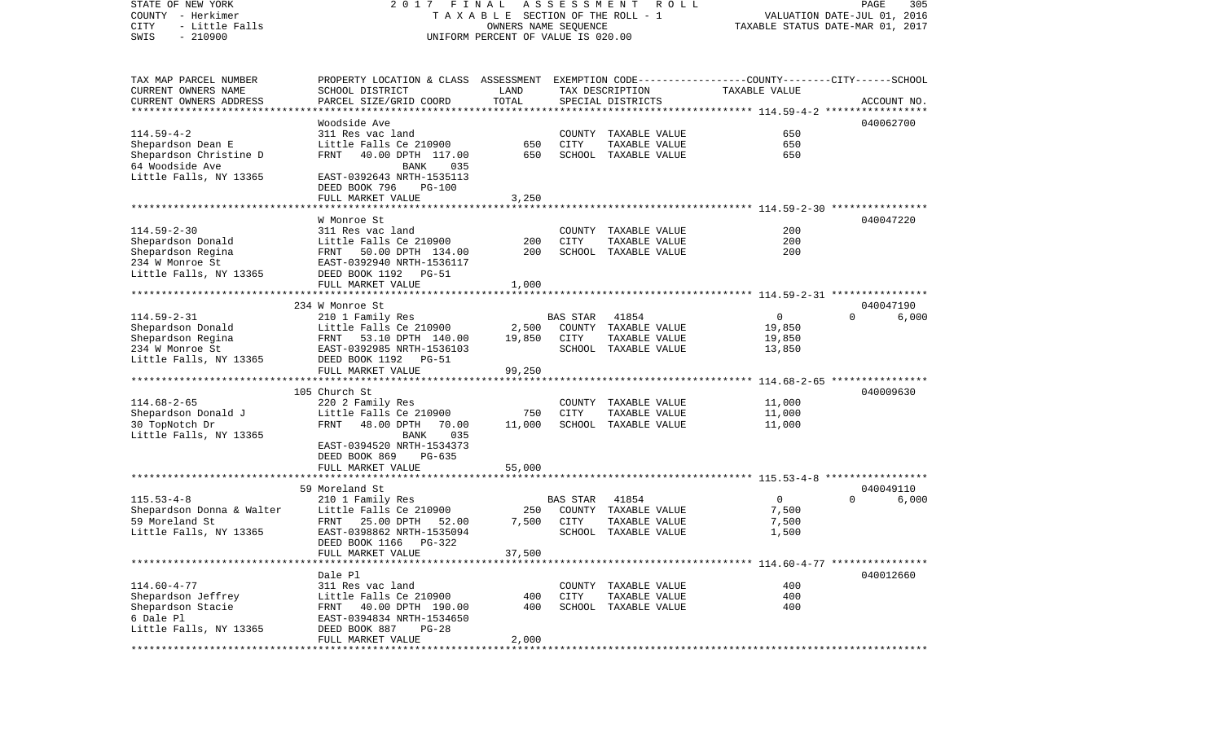STATE OF NEW YORK 2 0 1 7 F I N A L A S S E S S M E N T R O L L PAGE 305COUNTY - Herkimer **T A X A B L E SECTION OF THE ROLL - 1** VALUATION DATE-JUL 01, 2016 CITY - Little Falls OWNERS NAME SEQUENCE TAXABLE STATUS DATE-MAR 01, 2017 SWIS - 210900 UNIFORM PERCENT OF VALUE IS 020.00TAX MAP PARCEL NUMBER PROPERTY LOCATION & CLASS ASSESSMENT EXEMPTION CODE------------------COUNTY--------CITY------SCHOOL CURRENT OWNERS NAME SCHOOL DISTRICT LAND TAX DESCRIPTION TAXABLE VALUECURRENT OWNERS ADDRESS PARCEL SIZE/GRID COORD TOTAL SPECIAL DISTRICTS ACCOUNT NO. \*\*\*\*\*\*\*\*\*\*\*\*\*\*\*\*\*\*\*\*\*\*\*\*\*\*\*\*\*\*\*\*\*\*\*\*\*\*\*\*\*\*\*\*\*\*\*\*\*\*\*\*\*\*\*\*\*\*\*\*\*\*\*\*\*\*\*\*\*\*\*\*\*\*\*\*\*\*\*\*\*\*\*\*\*\*\*\*\*\*\*\*\*\*\*\*\*\*\*\*\*\*\* 114.59-4-2 \*\*\*\*\*\*\*\*\*\*\*\*\*\*\*\*\*Woodside Ave 040062700 114.59-4-2 311 Res vac land COUNTY TAXABLE VALUE 650Shepardson Dean E Little Falls Ce 210900 650 CITY TAXABLE VALUE 650 Shepardson Christine D FRNT 40.00 DPTH 117.00 650 SCHOOL TAXABLE VALUE 650 64 Woodside Ave **BANK** 035 Little Falls, NY 13365 EAST-0392643 NRTH-1535113 DEED BOOK 796 PG-100FULL MARKET VALUE 3,250 \*\*\*\*\*\*\*\*\*\*\*\*\*\*\*\*\*\*\*\*\*\*\*\*\*\*\*\*\*\*\*\*\*\*\*\*\*\*\*\*\*\*\*\*\*\*\*\*\*\*\*\*\*\*\*\*\*\*\*\*\*\*\*\*\*\*\*\*\*\*\*\*\*\*\*\*\*\*\*\*\*\*\*\*\*\*\*\*\*\*\*\*\*\*\*\*\*\*\*\*\*\*\* 114.59-2-30 \*\*\*\*\*\*\*\*\*\*\*\*\*\*\*\* W Monroe St 040047220114.59-2-30 311 Res vac land COUNTY TAXABLE VALUE 200Shepardson Donald Little Falls Ce 210900 200 CITY TAXABLE VALUE 200 Shepardson Regina **FRNT 50.00 DPTH 134.00** 200 SCHOOL TAXABLE VALUE 234 W Monroe St EAST-0392940 NRTH-1536117Little Falls, NY 13365 DEED BOOK 1192 PG-51 FULL MARKET VALUE 1,000 \*\*\*\*\*\*\*\*\*\*\*\*\*\*\*\*\*\*\*\*\*\*\*\*\*\*\*\*\*\*\*\*\*\*\*\*\*\*\*\*\*\*\*\*\*\*\*\*\*\*\*\*\*\*\*\*\*\*\*\*\*\*\*\*\*\*\*\*\*\*\*\*\*\*\*\*\*\*\*\*\*\*\*\*\*\*\*\*\*\*\*\*\*\*\*\*\*\*\*\*\*\*\* 114.59-2-31 \*\*\*\*\*\*\*\*\*\*\*\*\*\*\*\* 234 W Monroe St 040047190114.59-2-31 210 1 Family Res BAS STAR 41854 0 0 6,000 Shepardson Donald **Little Falls Ce 210900** 2,500 COUNTY TAXABLE VALUE 19,850 Shepardson Regina FRNT 53.10 DPTH 140.00 19.850 CITY TAXABLE VALUE 19.850 234 W Monroe St EAST-0392985 NRTH-1536103 SCHOOL TAXABLE VALUE 13,850 Little Falls, NY 13365 DEED BOOK 1192 PG-51 FULL MARKET VALUE 99,250 \*\*\*\*\*\*\*\*\*\*\*\*\*\*\*\*\*\*\*\*\*\*\*\*\*\*\*\*\*\*\*\*\*\*\*\*\*\*\*\*\*\*\*\*\*\*\*\*\*\*\*\*\*\*\*\*\*\*\*\*\*\*\*\*\*\*\*\*\*\*\*\*\*\*\*\*\*\*\*\*\*\*\*\*\*\*\*\*\*\*\*\*\*\*\*\*\*\*\*\*\*\*\* 114.68-2-65 \*\*\*\*\*\*\*\*\*\*\*\*\*\*\*\* 105 Church St 040009630114.68-2-65 220 2 Family Res COUNTY TAXABLE VALUE 11,000 Shepardson Donald J **Little Falls Ce 210900** 750 CITY TAXABLE VALUE 11,000 30 TopNotch Dr FRNT 48.00 DPTH 70.00 11,000 SCHOOL TAXABLE VALUE 11,000 Little Falls, NY 13365 BANK 035 EAST-0394520 NRTH-1534373 DEED BOOK 869 PG-635FULL MARKET VALUE 55,000 \*\*\*\*\*\*\*\*\*\*\*\*\*\*\*\*\*\*\*\*\*\*\*\*\*\*\*\*\*\*\*\*\*\*\*\*\*\*\*\*\*\*\*\*\*\*\*\*\*\*\*\*\*\*\*\*\*\*\*\*\*\*\*\*\*\*\*\*\*\*\*\*\*\*\*\*\*\*\*\*\*\*\*\*\*\*\*\*\*\*\*\*\*\*\*\*\*\*\*\*\*\*\* 115.53-4-8 \*\*\*\*\*\*\*\*\*\*\*\*\*\*\*\*\* 59 Moreland St 040049110115.53-4-8 210 1 Family Res BAS STAR 41854 0 0 6,000 Shepardson Donna & Walter Little Falls Ce 210900 250 59 Moreland St FRNT 25.00 DPTH 52.00 7,500 CITY TAXABLE VALUE 7,500 Little Falls, NY 13365 EAST-0398862 NRTH-1535094 SCHOOL TAXABLE VALUE 1,500 DEED BOOK 1166 PG-322FULL MARKET VALUE 37,500 \*\*\*\*\*\*\*\*\*\*\*\*\*\*\*\*\*\*\*\*\*\*\*\*\*\*\*\*\*\*\*\*\*\*\*\*\*\*\*\*\*\*\*\*\*\*\*\*\*\*\*\*\*\*\*\*\*\*\*\*\*\*\*\*\*\*\*\*\*\*\*\*\*\*\*\*\*\*\*\*\*\*\*\*\*\*\*\*\*\*\*\*\*\*\*\*\*\*\*\*\*\*\* 114.60-4-77 \*\*\*\*\*\*\*\*\*\*\*\*\*\*\*\* Dale Pl 040012660114.60-4-77 311 Res vac land COUNTY TAXABLE VALUE 400Shepardson Jeffrey **Little Falls Ce 210900** 400 CITY TAXABLE VALUE 400 Shepardson Stacie 61 FRNT 40.00 DPTH 190.00 400 SCHOOL TAXABLE VALUE 400 6 Dale Pl EAST-0394834 NRTH-1534650Little Falls, NY 13365 DEED BOOK 887 PG-28 FULL MARKET VALUE 2.000 \*\*\*\*\*\*\*\*\*\*\*\*\*\*\*\*\*\*\*\*\*\*\*\*\*\*\*\*\*\*\*\*\*\*\*\*\*\*\*\*\*\*\*\*\*\*\*\*\*\*\*\*\*\*\*\*\*\*\*\*\*\*\*\*\*\*\*\*\*\*\*\*\*\*\*\*\*\*\*\*\*\*\*\*\*\*\*\*\*\*\*\*\*\*\*\*\*\*\*\*\*\*\*\*\*\*\*\*\*\*\*\*\*\*\*\*\*\*\*\*\*\*\*\*\*\*\*\*\*\*\*\*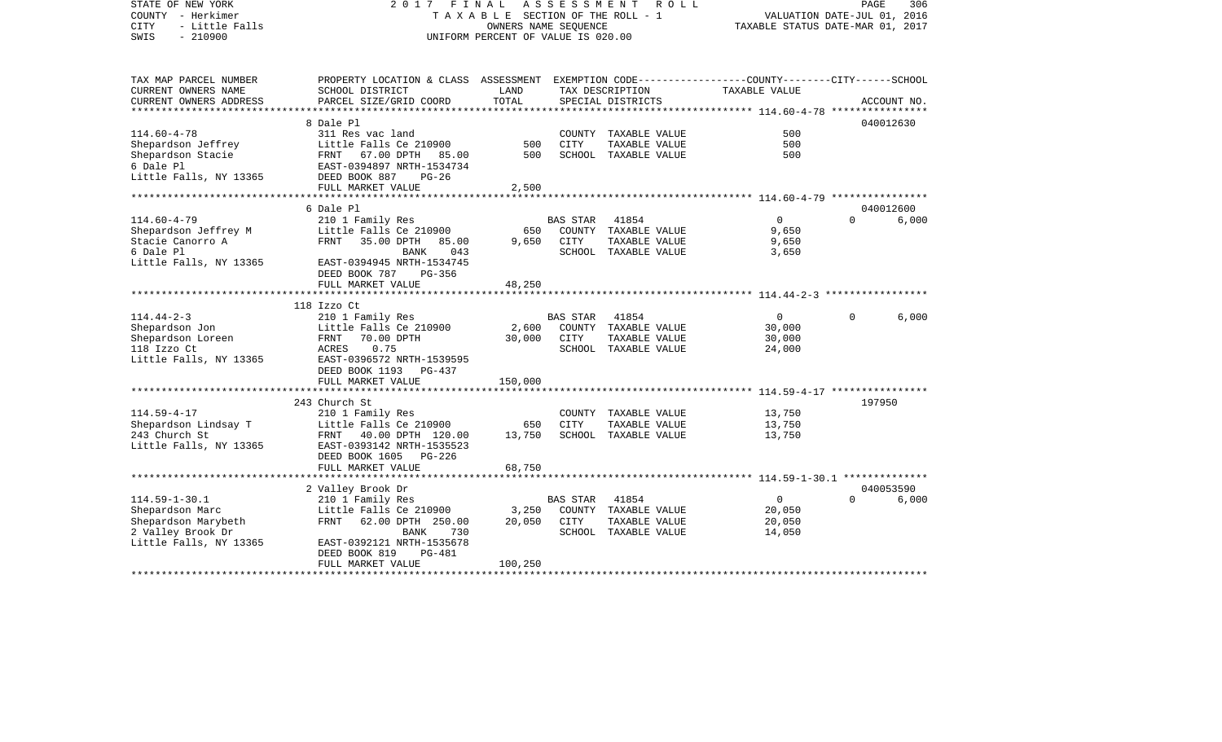| STATE OF NEW YORK<br>COUNTY - Herkimer<br><b>CITY</b><br>- Little Falls<br>$-210900$<br>SWIS                 | 2017<br>FINAL<br>TAXABLE SECTION OF THE ROLL - 1<br>UNIFORM PERCENT OF VALUE IS 020.00                                                                                                          | ROLL<br>PAGE<br>306<br>VALUATION DATE-JUL 01, 2016<br>TAXABLE STATUS DATE-MAR 01, 2017 |                         |                                                                        |                                                                      |          |                    |
|--------------------------------------------------------------------------------------------------------------|-------------------------------------------------------------------------------------------------------------------------------------------------------------------------------------------------|----------------------------------------------------------------------------------------|-------------------------|------------------------------------------------------------------------|----------------------------------------------------------------------|----------|--------------------|
| TAX MAP PARCEL NUMBER<br>CURRENT OWNERS NAME                                                                 | PROPERTY LOCATION & CLASS ASSESSMENT EXEMPTION CODE----------------COUNTY-------CITY------SCHOOL<br>SCHOOL DISTRICT                                                                             | LAND<br>TOTAL                                                                          |                         | TAX DESCRIPTION                                                        | TAXABLE VALUE                                                        |          |                    |
| CURRENT OWNERS ADDRESS                                                                                       | PARCEL SIZE/GRID COORD                                                                                                                                                                          |                                                                                        |                         | SPECIAL DISTRICTS                                                      | ********************* 114.60-4-78 *****************                  |          | ACCOUNT NO.        |
|                                                                                                              | 8 Dale Pl                                                                                                                                                                                       |                                                                                        |                         |                                                                        |                                                                      |          | 040012630          |
| $114.60 - 4 - 78$<br>Shepardson Jeffrey<br>Shepardson Stacie<br>6 Dale Pl<br>Little Falls, NY 13365          | 311 Res vac land<br>Little Falls Ce 210900<br>FRNT<br>67.00 DPTH 85.00<br>EAST-0394897 NRTH-1534734<br>DEED BOOK 887<br>$PG-26$                                                                 | 500<br>500                                                                             | CITY                    | COUNTY TAXABLE VALUE<br>TAXABLE VALUE<br>SCHOOL TAXABLE VALUE          | 500<br>500<br>500                                                    |          |                    |
|                                                                                                              | FULL MARKET VALUE                                                                                                                                                                               | 2,500                                                                                  |                         |                                                                        |                                                                      |          |                    |
|                                                                                                              |                                                                                                                                                                                                 |                                                                                        |                         |                                                                        |                                                                      |          |                    |
| $114.60 - 4 - 79$<br>Shepardson Jeffrey M<br>Stacie Canorro A<br>6 Dale Pl<br>Little Falls, NY 13365         | 6 Dale Pl<br>210 1 Family Res<br>Little Falls Ce 210900<br>FRNT<br>35.00 DPTH<br>85.00<br>BANK<br>043<br>EAST-0394945 NRTH-1534745<br>$PG-356$                                                  | 650<br>9,650                                                                           | <b>BAS STAR</b><br>CITY | 41854<br>COUNTY TAXABLE VALUE<br>TAXABLE VALUE<br>SCHOOL TAXABLE VALUE | $\mathbf{0}$<br>9,650<br>9,650<br>3,650                              | $\Omega$ | 040012600<br>6,000 |
|                                                                                                              | DEED BOOK 787<br>FULL MARKET VALUE                                                                                                                                                              | 48,250                                                                                 |                         |                                                                        |                                                                      |          |                    |
|                                                                                                              | *********************                                                                                                                                                                           | * * * * * * * * * * *                                                                  |                         |                                                                        | ************************************** 114.44-2-3 ****************** |          |                    |
|                                                                                                              | 118 Izzo Ct                                                                                                                                                                                     |                                                                                        |                         |                                                                        |                                                                      |          |                    |
| $114.44 - 2 - 3$<br>Shepardson Jon<br>Shepardson Loreen<br>118 Izzo Ct<br>Little Falls, NY 13365             | 210 1 Family Res<br>Little Falls Ce 210900<br>70.00 DPTH<br>FRNT<br>0.75<br>ACRES<br>EAST-0396572 NRTH-1539595<br>DEED BOOK 1193<br>PG-437                                                      | 2,600<br>30,000                                                                        | <b>BAS STAR</b><br>CITY | 41854<br>COUNTY TAXABLE VALUE<br>TAXABLE VALUE<br>SCHOOL TAXABLE VALUE | $\overline{0}$<br>30,000<br>30,000<br>24,000                         | $\Omega$ | 6,000              |
|                                                                                                              | FULL MARKET VALUE                                                                                                                                                                               | 150,000                                                                                |                         |                                                                        |                                                                      |          |                    |
|                                                                                                              | 243 Church St                                                                                                                                                                                   |                                                                                        |                         |                                                                        |                                                                      | 197950   |                    |
| $114.59 - 4 - 17$<br>Shepardson Lindsay T<br>243 Church St<br>Little Falls, NY 13365                         | 210 1 Family Res<br>Little Falls Ce 210900<br>FRNT<br>40.00 DPTH 120.00<br>EAST-0393142 NRTH-1535523<br>DEED BOOK 1605<br>PG-226<br>FULL MARKET VALUE                                           | 650<br>13,750<br>68,750                                                                | CITY                    | COUNTY TAXABLE VALUE<br>TAXABLE VALUE<br>SCHOOL TAXABLE VALUE          | 13,750<br>13,750<br>13,750                                           |          |                    |
|                                                                                                              |                                                                                                                                                                                                 |                                                                                        |                         |                                                                        |                                                                      |          |                    |
| $114.59 - 1 - 30.1$<br>Shepardson Marc<br>Shepardson Marybeth<br>2 Valley Brook Dr<br>Little Falls, NY 13365 | 2 Valley Brook Dr<br>210 1 Family Res<br>Little Falls Ce 210900<br>FRNT<br>62.00 DPTH 250.00<br><b>BANK</b><br>730<br>EAST-0392121 NRTH-1535678<br>DEED BOOK 819<br>PG-481<br>FULL MARKET VALUE | 3,250<br>20,050<br>100,250                                                             | <b>BAS STAR</b><br>CITY | 41854<br>COUNTY TAXABLE VALUE<br>TAXABLE VALUE<br>SCHOOL TAXABLE VALUE | $\mathbf{0}$<br>20,050<br>20,050<br>14,050                           | $\Omega$ | 040053590<br>6,000 |
|                                                                                                              |                                                                                                                                                                                                 |                                                                                        |                         |                                                                        |                                                                      |          |                    |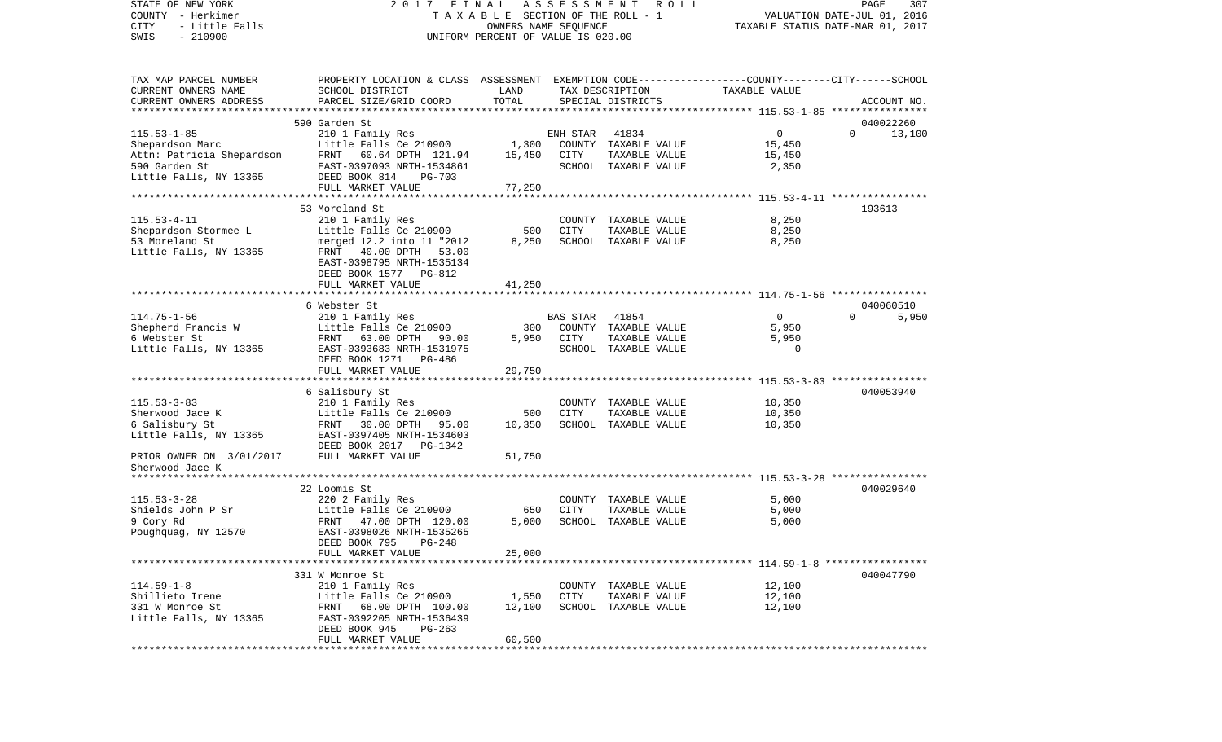| STATE OF NEW YORK<br>COUNTY - Herkimer<br>CITY<br>- Little Falls<br>$-210900$<br>SWIS | FINAL<br>2017<br>TAXABLE SECTION OF THE ROLL - 1<br>UNIFORM PERCENT OF VALUE IS 020.00          | PAGE<br>307<br>VALUATION DATE-JUL 01, 2016<br>TAXABLE STATUS DATE-MAR 01, 2017 |          |                               |                |                    |
|---------------------------------------------------------------------------------------|-------------------------------------------------------------------------------------------------|--------------------------------------------------------------------------------|----------|-------------------------------|----------------|--------------------|
| TAX MAP PARCEL NUMBER                                                                 | PROPERTY LOCATION & CLASS ASSESSMENT EXEMPTION CODE---------------COUNTY-------CITY------SCHOOL |                                                                                |          |                               |                |                    |
| CURRENT OWNERS NAME                                                                   | SCHOOL DISTRICT                                                                                 | LAND                                                                           |          | TAX DESCRIPTION               | TAXABLE VALUE  |                    |
| CURRENT OWNERS ADDRESS                                                                | PARCEL SIZE/GRID COORD                                                                          | TOTAL                                                                          |          | SPECIAL DISTRICTS             |                | ACCOUNT NO.        |
|                                                                                       |                                                                                                 |                                                                                |          |                               |                |                    |
|                                                                                       | 590 Garden St                                                                                   |                                                                                |          |                               |                | 040022260          |
| $115.53 - 1 - 85$<br>Shepardson Marc                                                  | 210 1 Family Res<br>Little Falls Ce 210900                                                      | 1,300                                                                          | ENH STAR | 41834<br>COUNTY TAXABLE VALUE | 0<br>15,450    | $\Omega$<br>13,100 |
| Attn: Patricia Shepardson                                                             | FRNT 60.64 DPTH 121.94                                                                          | 15,450                                                                         | CITY     | TAXABLE VALUE                 | 15,450         |                    |
| 590 Garden St                                                                         | EAST-0397093 NRTH-1534861                                                                       |                                                                                |          | SCHOOL TAXABLE VALUE          | 2,350          |                    |
| Little Falls, NY 13365                                                                | DEED BOOK 814<br>PG-703                                                                         |                                                                                |          |                               |                |                    |
|                                                                                       | FULL MARKET VALUE                                                                               | 77,250                                                                         |          |                               |                |                    |
|                                                                                       |                                                                                                 |                                                                                |          |                               |                |                    |
|                                                                                       | 53 Moreland St                                                                                  |                                                                                |          |                               |                | 193613             |
| $115.53 - 4 - 11$                                                                     | 210 1 Family Res                                                                                |                                                                                |          | COUNTY TAXABLE VALUE          | 8,250          |                    |
| Shepardson Stormee L                                                                  | Little Falls Ce 210900                                                                          | 500                                                                            | CITY     | TAXABLE VALUE                 | 8,250          |                    |
| 53 Moreland St                                                                        | merged 12.2 into 11 "2012                                                                       | 8,250                                                                          |          | SCHOOL TAXABLE VALUE          | 8,250          |                    |
| Little Falls, NY 13365                                                                | FRNT 40.00 DPTH 53.00<br>EAST-0398795 NRTH-1535134                                              |                                                                                |          |                               |                |                    |
|                                                                                       | DEED BOOK 1577 PG-812                                                                           |                                                                                |          |                               |                |                    |
|                                                                                       | FULL MARKET VALUE                                                                               | 41,250                                                                         |          |                               |                |                    |
|                                                                                       |                                                                                                 |                                                                                |          |                               |                |                    |
|                                                                                       | 6 Webster St                                                                                    |                                                                                |          |                               |                | 040060510          |
| $114.75 - 1 - 56$                                                                     | 210 1 Family Res                                                                                |                                                                                | BAS STAR | 41854                         | $\overline{0}$ | 5,950<br>$\Omega$  |
| Shepherd Francis W                                                                    | Little Falls Ce 210900                                                                          | 300                                                                            |          | COUNTY TAXABLE VALUE          | 5,950          |                    |
| 6 Webster St                                                                          | FRNT<br>63.00 DPTH<br>90.00                                                                     | 5,950                                                                          | CITY     | TAXABLE VALUE                 | 5,950          |                    |
| Little Falls, NY 13365                                                                | EAST-0393683 NRTH-1531975                                                                       |                                                                                |          | SCHOOL TAXABLE VALUE          | $\Omega$       |                    |
|                                                                                       | DEED BOOK 1271 PG-486                                                                           |                                                                                |          |                               |                |                    |
|                                                                                       | FULL MARKET VALUE                                                                               | 29,750                                                                         |          |                               |                |                    |
|                                                                                       | 6 Salisbury St                                                                                  |                                                                                |          |                               |                | 040053940          |
| $115.53 - 3 - 83$                                                                     | 210 1 Family Res                                                                                |                                                                                |          | COUNTY TAXABLE VALUE          | 10,350         |                    |
| Sherwood Jace K                                                                       | Little Falls Ce 210900                                                                          | 500                                                                            | CITY     | TAXABLE VALUE                 | 10,350         |                    |
| 6 Salisbury St                                                                        | FRNT 30.00 DPTH 95.00                                                                           | 10,350                                                                         |          | SCHOOL TAXABLE VALUE          | 10,350         |                    |
| Little Falls, NY 13365                                                                | EAST-0397405 NRTH-1534603                                                                       |                                                                                |          |                               |                |                    |
|                                                                                       | DEED BOOK 2017 PG-1342                                                                          |                                                                                |          |                               |                |                    |
| PRIOR OWNER ON 3/01/2017                                                              | FULL MARKET VALUE                                                                               | 51,750                                                                         |          |                               |                |                    |
| Sherwood Jace K                                                                       |                                                                                                 |                                                                                |          |                               |                |                    |
|                                                                                       |                                                                                                 |                                                                                |          |                               |                |                    |
| $115.53 - 3 - 28$                                                                     | 22 Loomis St                                                                                    |                                                                                |          | COUNTY TAXABLE VALUE          | 5,000          | 040029640          |
| Shields John P Sr                                                                     | 220 2 Family Res<br>Little Falls Ce 210900                                                      | 650                                                                            | CITY     | TAXABLE VALUE                 | 5,000          |                    |
| 9 Cory Rd                                                                             | FRNT<br>47.00 DPTH 120.00                                                                       | 5,000                                                                          |          | SCHOOL TAXABLE VALUE          | 5,000          |                    |
| Poughquag, NY 12570                                                                   | EAST-0398026 NRTH-1535265                                                                       |                                                                                |          |                               |                |                    |
|                                                                                       | DEED BOOK 795 PG-248                                                                            |                                                                                |          |                               |                |                    |
|                                                                                       | FULL MARKET VALUE                                                                               | 25,000                                                                         |          |                               |                |                    |
|                                                                                       |                                                                                                 |                                                                                |          |                               |                |                    |
|                                                                                       | 331 W Monroe St                                                                                 |                                                                                |          |                               |                | 040047790          |
| $114.59 - 1 - 8$                                                                      | 210 1 Family Res                                                                                |                                                                                |          | COUNTY TAXABLE VALUE          | 12,100         |                    |
| Shillieto Irene                                                                       | Little Falls Ce 210900                                                                          | 1,550                                                                          | CITY     | TAXABLE VALUE                 | 12,100         |                    |
| 331 W Monroe St<br>Little Falls, NY 13365                                             | 68.00 DPTH 100.00<br>FRNT<br>EAST-0392205 NRTH-1536439                                          | 12,100                                                                         |          | SCHOOL TAXABLE VALUE          | 12,100         |                    |
|                                                                                       | DEED BOOK 945<br>$PG-263$                                                                       |                                                                                |          |                               |                |                    |
|                                                                                       | FULL MARKET VALUE                                                                               | 60,500                                                                         |          |                               |                |                    |
|                                                                                       |                                                                                                 |                                                                                |          |                               |                |                    |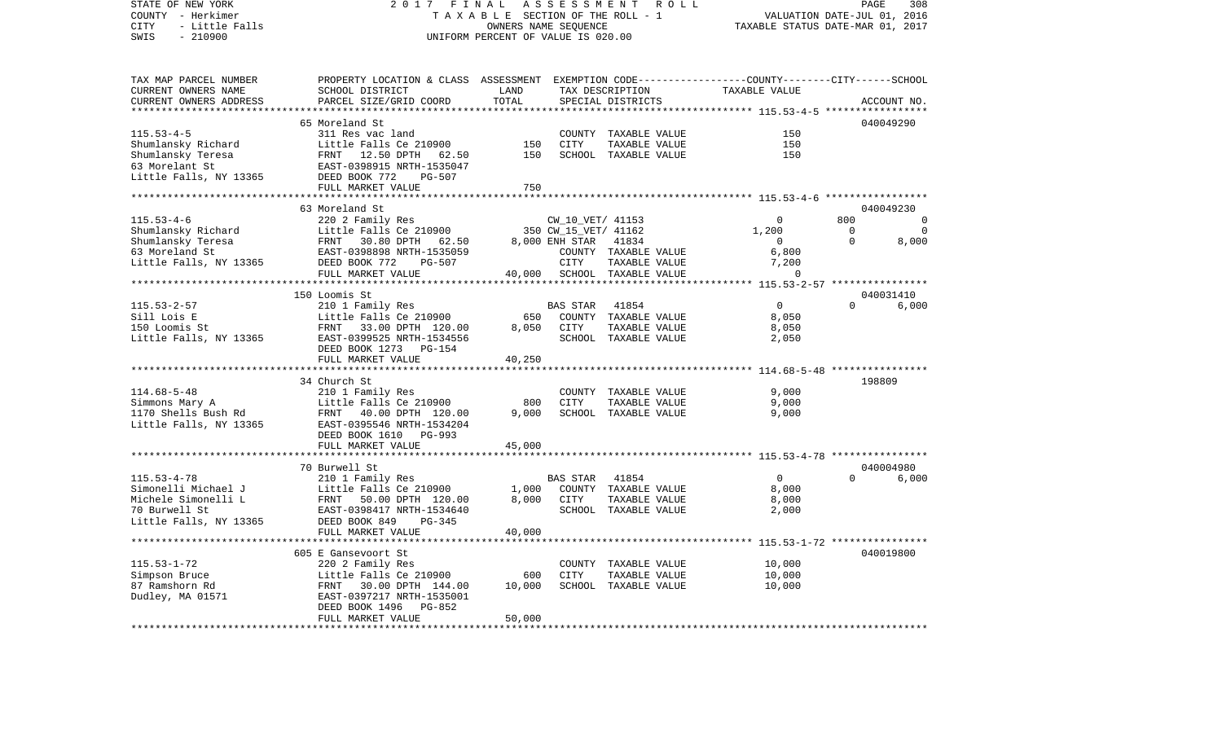VALUATION DATE-JUL 01, 2016 COUNTY - Herkimer T A X A B L E SECTION OF THE ROLL - 1 CITY - Little Falls OWNERS NAME SEQUENCE TAXABLE STATUS DATE-MAR 01, 2017 SWIS - 210900 UNIFORM PERCENT OF VALUE IS 020.00TAX MAP PARCEL NUMBER PROPERTY LOCATION & CLASS ASSESSMENT EXEMPTION CODE------------------COUNTY--------CITY------SCHOOL CURRENT OWNERS NAME SCHOOL DISTRICT LAND TAX DESCRIPTION TAXABLE VALUECURRENT OWNERS ADDRESS PARCEL SIZE/GRID COORD TOTAL SPECIAL DISTRICTS ACCOUNT NO. \*\*\*\*\*\*\*\*\*\*\*\*\*\*\*\*\*\*\*\*\*\*\*\*\*\*\*\*\*\*\*\*\*\*\*\*\*\*\*\*\*\*\*\*\*\*\*\*\*\*\*\*\*\*\*\*\*\*\*\*\*\*\*\*\*\*\*\*\*\*\*\*\*\*\*\*\*\*\*\*\*\*\*\*\*\*\*\*\*\*\*\*\*\*\*\*\*\*\*\*\*\*\* 115.53-4-5 \*\*\*\*\*\*\*\*\*\*\*\*\*\*\*\*\* 65 Moreland St 040049290115.53-4-5 311 Res vac land COUNTY TAXABLE VALUE 150Shumlansky Richard Little Falls Ce 210900 150 CITY TAXABLE VALUE 150 Shumlansky Teresa FRNT 12.50 DPTH 62.50 150 SCHOOL TAXABLE VALUE 150 63 Morelant St EAST-0398915 NRTH-1535047Little Falls, NY 13365 DEED BOOK 772 PG-507 FULL MARKET VALUE 750 \*\*\*\*\*\*\*\*\*\*\*\*\*\*\*\*\*\*\*\*\*\*\*\*\*\*\*\*\*\*\*\*\*\*\*\*\*\*\*\*\*\*\*\*\*\*\*\*\*\*\*\*\*\*\*\*\*\*\*\*\*\*\*\*\*\*\*\*\*\*\*\*\*\*\*\*\*\*\*\*\*\*\*\*\*\*\*\*\*\*\*\*\*\*\*\*\*\*\*\*\*\*\* 115.53-4-6 \*\*\*\*\*\*\*\*\*\*\*\*\*\*\*\*\* 63 Moreland St 040049230115.53-4-6 220 2 Family Res CW\_10\_VET/ 41153 0 800 0 Shumlansky Richard Little Falls Ce 210900 350 CW\_15\_VET/ 41162 1,200 0 Shumlansky Teresa FRNT 30.80 DPTH 62.50 8,000 ENH STAR 41834 0 0 8,000 63 Moreland St EAST-0398898 NRTH-1535059 COUNTY TAXABLE VALUE 6,800 Little Falls, NY 13365 DEED BOOK 772 PG-507 CITY TAXABLE VALUE 7,200 FULL MARKET VALUE  $40,000$  SCHOOL TAXABLE VALUE 0 \*\*\*\*\*\*\*\*\*\*\*\*\*\*\*\*\*\*\*\*\*\*\*\*\*\*\*\*\*\*\*\*\*\*\*\*\*\*\*\*\*\*\*\*\*\*\*\*\*\*\*\*\*\*\*\*\*\*\*\*\*\*\*\*\*\*\*\*\*\*\*\*\*\*\*\*\*\*\*\*\*\*\*\*\*\*\*\*\*\*\*\*\*\*\*\*\*\*\*\*\*\*\* 115.53-2-57 \*\*\*\*\*\*\*\*\*\*\*\*\*\*\*\* 150 Loomis St 040031410 $6.000$ 115.53-2-57 210 1 Family Res BAS STAR 41854 0 0 6,000 Sill Lois E Little Falls Ce 210900 650 COUNTY TAXABLE VALUE 8,050 150 Loomis St FRNT 33.00 DPTH 120.00 8,050 CITY TAXABLE VALUE 8,050 Little Falls, NY 13365 EAST-0399525 NRTH-1534556 SCHOOL TAXABLE VALUE 2,050 DEED BOOK 1273 PG-154FULL MARKET VALUE 40,250 \*\*\*\*\*\*\*\*\*\*\*\*\*\*\*\*\*\*\*\*\*\*\*\*\*\*\*\*\*\*\*\*\*\*\*\*\*\*\*\*\*\*\*\*\*\*\*\*\*\*\*\*\*\*\*\*\*\*\*\*\*\*\*\*\*\*\*\*\*\*\*\*\*\*\*\*\*\*\*\*\*\*\*\*\*\*\*\*\*\*\*\*\*\*\*\*\*\*\*\*\*\*\* 114.68-5-48 \*\*\*\*\*\*\*\*\*\*\*\*\*\*\*\* 34 Church St 198809114.68-5-48 210 1 Family Res COUNTY TAXABLE VALUE 9,000 Simmons Mary A **Example Falls Ce 210900** 800 CITY TAXABLE VALUE 9,000 1170 Shells Bush Rd FRNT 40.00 DPTH 120.00 9,000 SCHOOL TAXABLE VALUE 9,000 Little Falls, NY 13365 EAST-0395546 NRTH-1534204 DEED BOOK 1610 PG-993 FULL MARKET VALUE 45,000 \*\*\*\*\*\*\*\*\*\*\*\*\*\*\*\*\*\*\*\*\*\*\*\*\*\*\*\*\*\*\*\*\*\*\*\*\*\*\*\*\*\*\*\*\*\*\*\*\*\*\*\*\*\*\*\*\*\*\*\*\*\*\*\*\*\*\*\*\*\*\*\*\*\*\*\*\*\*\*\*\*\*\*\*\*\*\*\*\*\*\*\*\*\*\*\*\*\*\*\*\*\*\* 115.53-4-78 \*\*\*\*\*\*\*\*\*\*\*\*\*\*\*\* 70 Burwell St 040004980115.53-4-78 210 1 Family Res BAS STAR 41854 0 0 6,000 Simonelli Michael J Little Falls Ce 210900 1,000 COUNTY TAXABLE VALUE 8,000 Michele Simonelli L FRNT 50.00 DPTH 120.00 8,000 CITY TAXABLE VALUE 8,000 70 Burwell St EAST-0398417 NRTH-1534640 SCHOOL TAXABLE VALUE 2,000 Little Falls, NY 13365 DEED BOOK 849 PG-345 FULL MARKET VALUE 40,000 \*\*\*\*\*\*\*\*\*\*\*\*\*\*\*\*\*\*\*\*\*\*\*\*\*\*\*\*\*\*\*\*\*\*\*\*\*\*\*\*\*\*\*\*\*\*\*\*\*\*\*\*\*\*\*\*\*\*\*\*\*\*\*\*\*\*\*\*\*\*\*\*\*\*\*\*\*\*\*\*\*\*\*\*\*\*\*\*\*\*\*\*\*\*\*\*\*\*\*\*\*\*\* 115.53-1-72 \*\*\*\*\*\*\*\*\*\*\*\*\*\*\*\* 605 E Gansevoort St 040019800115.53-1-72 220 2 Family Res COUNTY TAXABLE VALUE 10,000 Simpson Bruce 1988 Little Falls Ce 210900 600 CITY TAXABLE VALUE 87 Ramshorn Rd FRNT 30.00 DPTH 144.00 10,000 SCHOOL TAXABLE VALUE 10,000 Dudley, MA 01571 EAST-0397217 NRTH-1535001 DEED BOOK 1496 PG-852 FULL MARKET VALUE 50,000 \*\*\*\*\*\*\*\*\*\*\*\*\*\*\*\*\*\*\*\*\*\*\*\*\*\*\*\*\*\*\*\*\*\*\*\*\*\*\*\*\*\*\*\*\*\*\*\*\*\*\*\*\*\*\*\*\*\*\*\*\*\*\*\*\*\*\*\*\*\*\*\*\*\*\*\*\*\*\*\*\*\*\*\*\*\*\*\*\*\*\*\*\*\*\*\*\*\*\*\*\*\*\*\*\*\*\*\*\*\*\*\*\*\*\*\*\*\*\*\*\*\*\*\*\*\*\*\*\*\*\*\*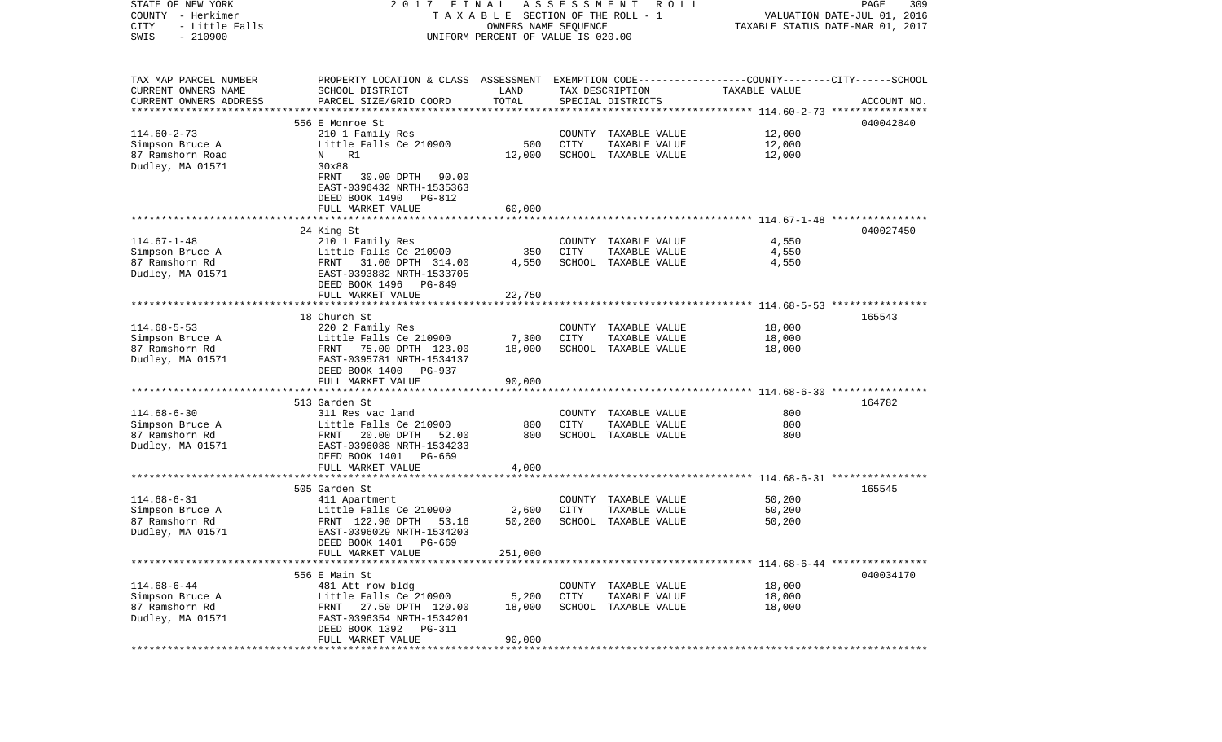| STATE OF NEW YORK      | FINAL<br>2017                                                                                   |                                    | ASSESSMENT                       | ROLL                 |               | 309<br>PAGE                 |
|------------------------|-------------------------------------------------------------------------------------------------|------------------------------------|----------------------------------|----------------------|---------------|-----------------------------|
| COUNTY - Herkimer      |                                                                                                 | TAXABLE SECTION OF THE ROLL - 1    |                                  |                      |               | VALUATION DATE-JUL 01, 2016 |
| CITY<br>- Little Falls |                                                                                                 |                                    | TAXABLE STATUS DATE-MAR 01, 2017 |                      |               |                             |
| $-210900$<br>SWIS      |                                                                                                 | UNIFORM PERCENT OF VALUE IS 020.00 |                                  |                      |               |                             |
|                        |                                                                                                 |                                    |                                  |                      |               |                             |
| TAX MAP PARCEL NUMBER  | PROPERTY LOCATION & CLASS ASSESSMENT EXEMPTION CODE---------------COUNTY-------CITY------SCHOOL |                                    |                                  |                      |               |                             |
| CURRENT OWNERS NAME    | SCHOOL DISTRICT                                                                                 | LAND                               |                                  | TAX DESCRIPTION      | TAXABLE VALUE |                             |
| CURRENT OWNERS ADDRESS | PARCEL SIZE/GRID COORD                                                                          | TOTAL                              |                                  | SPECIAL DISTRICTS    |               | ACCOUNT NO.                 |
| ********************** |                                                                                                 |                                    |                                  |                      |               |                             |
|                        | 556 E Monroe St                                                                                 |                                    |                                  |                      |               | 040042840                   |
| $114.60 - 2 - 73$      | 210 1 Family Res                                                                                |                                    | COUNTY                           | TAXABLE VALUE        | 12,000        |                             |
| Simpson Bruce A        | Little Falls Ce 210900                                                                          | 500                                | CITY                             | TAXABLE VALUE        | 12,000        |                             |
| 87 Ramshorn Road       | R1<br>N                                                                                         | 12,000                             |                                  | SCHOOL TAXABLE VALUE | 12,000        |                             |
| Dudley, MA 01571       | 30x88                                                                                           |                                    |                                  |                      |               |                             |
|                        | FRNT<br>30.00 DPTH<br>90.00                                                                     |                                    |                                  |                      |               |                             |
|                        | EAST-0396432 NRTH-1535363                                                                       |                                    |                                  |                      |               |                             |
|                        | DEED BOOK 1490<br>PG-812                                                                        |                                    |                                  |                      |               |                             |
|                        | FULL MARKET VALUE                                                                               | 60,000                             |                                  |                      |               |                             |
|                        |                                                                                                 |                                    |                                  |                      |               |                             |
|                        | 24 King St                                                                                      |                                    |                                  |                      |               | 040027450                   |
| $114.67 - 1 - 48$      | 210 1 Family Res                                                                                |                                    |                                  | COUNTY TAXABLE VALUE | 4,550         |                             |
| Simpson Bruce A        | Little Falls Ce 210900                                                                          | 350                                | CITY                             | TAXABLE VALUE        | 4,550         |                             |
| 87 Ramshorn Rd         | FRNT 31.00 DPTH 314.00                                                                          | 4,550                              |                                  | SCHOOL TAXABLE VALUE | 4,550         |                             |
| Dudley, MA 01571       | EAST-0393882 NRTH-1533705                                                                       |                                    |                                  |                      |               |                             |
|                        | DEED BOOK 1496<br>PG-849                                                                        |                                    |                                  |                      |               |                             |
|                        | FULL MARKET VALUE                                                                               | 22,750                             |                                  |                      |               |                             |
|                        |                                                                                                 |                                    |                                  |                      |               |                             |
|                        | 18 Church St                                                                                    |                                    |                                  |                      |               | 165543                      |
| $114.68 - 5 - 53$      | 220 2 Family Res                                                                                |                                    |                                  | COUNTY TAXABLE VALUE | 18,000        |                             |
| Simpson Bruce A        | Little Falls Ce 210900                                                                          | 7,300                              | CITY                             | TAXABLE VALUE        | 18,000        |                             |
| 87 Ramshorn Rd         | FRNT 75.00 DPTH 123.00                                                                          | 18,000                             |                                  | SCHOOL TAXABLE VALUE | 18,000        |                             |
| Dudley, MA 01571       | EAST-0395781 NRTH-1534137                                                                       |                                    |                                  |                      |               |                             |
|                        | DEED BOOK 1400<br>PG-937                                                                        |                                    |                                  |                      |               |                             |
|                        | FULL MARKET VALUE                                                                               | 90,000                             |                                  |                      |               |                             |
|                        |                                                                                                 |                                    |                                  |                      |               |                             |
|                        | 513 Garden St                                                                                   |                                    |                                  |                      |               | 164782                      |
| $114.68 - 6 - 30$      | 311 Res vac land                                                                                |                                    | COUNTY                           | TAXABLE VALUE        | 800           |                             |
| Simpson Bruce A        | Little Falls Ce 210900                                                                          | 800                                | CITY                             | TAXABLE VALUE        | 800           |                             |
| 87 Ramshorn Rd         | 20.00 DPTH<br>FRNT<br>52.00                                                                     | 800                                | SCHOOL                           | TAXABLE VALUE        | 800           |                             |
| Dudley, MA 01571       | EAST-0396088 NRTH-1534233                                                                       |                                    |                                  |                      |               |                             |
|                        | DEED BOOK 1401<br>PG-669                                                                        |                                    |                                  |                      |               |                             |
|                        | FULL MARKET VALUE                                                                               | 4,000                              |                                  |                      |               |                             |
|                        |                                                                                                 |                                    |                                  |                      |               |                             |
|                        | 505 Garden St                                                                                   |                                    |                                  |                      |               | 165545                      |
| $114.68 - 6 - 31$      | 411 Apartment                                                                                   |                                    |                                  | COUNTY TAXABLE VALUE | 50,200        |                             |
| Simpson Bruce A        | Little Falls Ce 210900                                                                          | 2,600                              | CITY                             | TAXABLE VALUE        | 50,200        |                             |
| 87 Ramshorn Rd         | FRNT 122.90 DPTH<br>53.16                                                                       | 50,200                             |                                  | SCHOOL TAXABLE VALUE | 50,200        |                             |
| Dudley, MA 01571       | EAST-0396029 NRTH-1534203                                                                       |                                    |                                  |                      |               |                             |
|                        | DEED BOOK 1401 PG-669                                                                           |                                    |                                  |                      |               |                             |
|                        | FULL MARKET VALUE                                                                               | 251,000                            |                                  |                      |               |                             |
|                        |                                                                                                 |                                    |                                  |                      |               |                             |
|                        | 556 E Main St                                                                                   |                                    |                                  |                      |               | 040034170                   |
| $114.68 - 6 - 44$      | 481 Att row bldg                                                                                |                                    | COUNTY                           | TAXABLE VALUE        | 18,000        |                             |
| Simpson Bruce A        | Little Falls Ce 210900                                                                          | 5,200                              | CITY                             | TAXABLE VALUE        | 18,000        |                             |
| 87 Ramshorn Rd         | 27.50 DPTH 120.00<br>FRNT                                                                       | 18,000                             | SCHOOL                           | TAXABLE VALUE        | 18,000        |                             |
| Dudley, MA 01571       | EAST-0396354 NRTH-1534201                                                                       |                                    |                                  |                      |               |                             |
|                        | DEED BOOK 1392<br>PG-311                                                                        |                                    |                                  |                      |               |                             |
|                        | FULL MARKET VALUE                                                                               | 90,000                             |                                  |                      |               |                             |
|                        |                                                                                                 |                                    |                                  |                      |               |                             |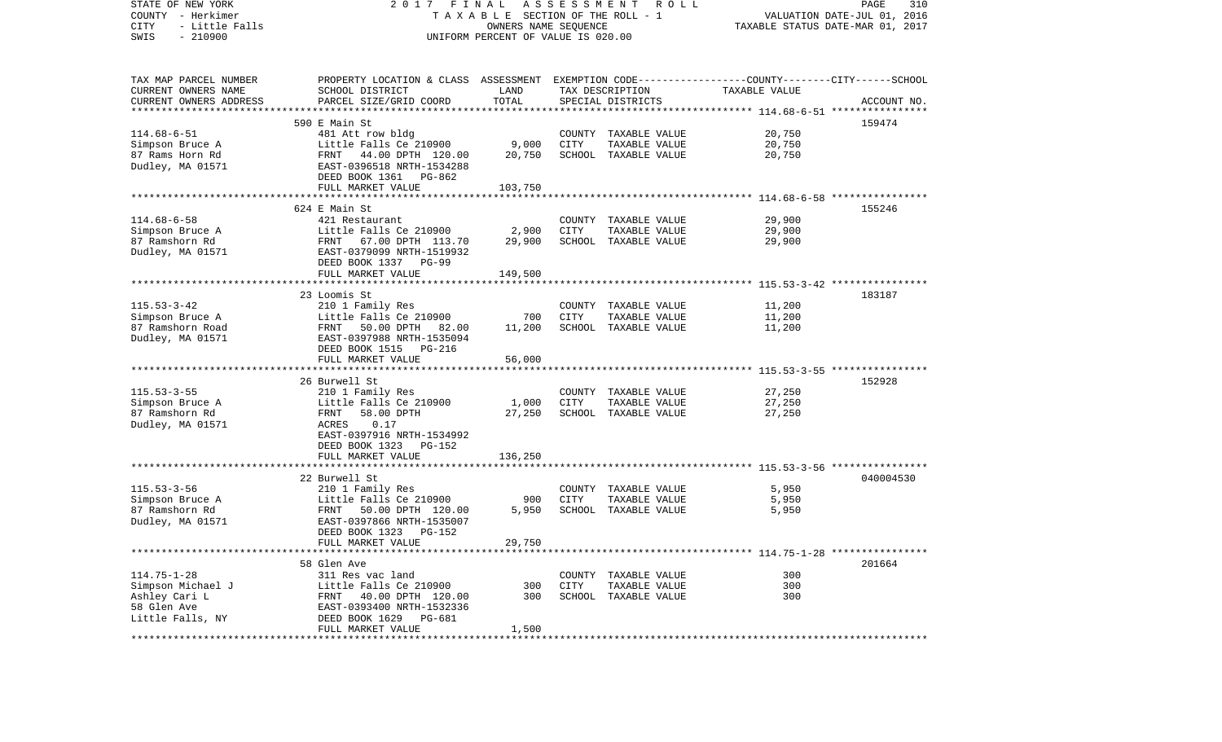| STATE OF NEW YORK<br>COUNTY - Herkimer<br>CITY<br>- Little Falls<br>$-210900$<br>SWIS | 2017 FINAL                                                                                                         | TAXABLE SECTION OF THE ROLL - 1<br>OWNERS NAME SEQUENCE<br>UNIFORM PERCENT OF VALUE IS 020.00 |             | A S S E S S M E N T R O L L           |                  | PAGE<br>310<br>VALUATION DATE-JUL 01, 2016<br>TAXABLE STATUS DATE-MAR 01, 2017 |
|---------------------------------------------------------------------------------------|--------------------------------------------------------------------------------------------------------------------|-----------------------------------------------------------------------------------------------|-------------|---------------------------------------|------------------|--------------------------------------------------------------------------------|
| TAX MAP PARCEL NUMBER<br>CURRENT OWNERS NAME                                          | PROPERTY LOCATION & CLASS ASSESSMENT EXEMPTION CODE---------------COUNTY-------CITY------SCHOOL<br>SCHOOL DISTRICT | LAND                                                                                          |             | TAX DESCRIPTION                       | TAXABLE VALUE    |                                                                                |
| CURRENT OWNERS ADDRESS                                                                | PARCEL SIZE/GRID COORD                                                                                             | TOTAL                                                                                         |             | SPECIAL DISTRICTS                     |                  | ACCOUNT NO.                                                                    |
|                                                                                       |                                                                                                                    |                                                                                               |             |                                       |                  |                                                                                |
| $114.68 - 6 - 51$                                                                     | 590 E Main St<br>481 Att row bldg                                                                                  |                                                                                               |             | COUNTY TAXABLE VALUE                  | 20,750           | 159474                                                                         |
| Simpson Bruce A                                                                       | Little Falls Ce 210900                                                                                             | 9,000                                                                                         | CITY        | TAXABLE VALUE                         | 20,750           |                                                                                |
| 87 Rams Horn Rd                                                                       | FRNT 44.00 DPTH 120.00                                                                                             | 20,750                                                                                        |             | SCHOOL TAXABLE VALUE                  | 20,750           |                                                                                |
| Dudley, MA 01571                                                                      | EAST-0396518 NRTH-1534288                                                                                          |                                                                                               |             |                                       |                  |                                                                                |
|                                                                                       | DEED BOOK 1361 PG-862                                                                                              |                                                                                               |             |                                       |                  |                                                                                |
|                                                                                       | FULL MARKET VALUE                                                                                                  | 103,750                                                                                       |             |                                       |                  |                                                                                |
|                                                                                       | 624 E Main St                                                                                                      |                                                                                               |             |                                       |                  | 155246                                                                         |
| $114.68 - 6 - 58$                                                                     | 421 Restaurant                                                                                                     |                                                                                               |             | COUNTY TAXABLE VALUE                  | 29,900           |                                                                                |
| Simpson Bruce A                                                                       | Little Falls Ce 210900                                                                                             | 2,900                                                                                         | CITY        | TAXABLE VALUE                         | 29,900           |                                                                                |
| 87 Ramshorn Rd                                                                        | FRNT 67.00 DPTH 113.70                                                                                             | 29,900                                                                                        |             | SCHOOL TAXABLE VALUE                  | 29,900           |                                                                                |
| Dudley, MA 01571                                                                      | EAST-0379099 NRTH-1519932<br>DEED BOOK 1337 PG-99                                                                  |                                                                                               |             |                                       |                  |                                                                                |
|                                                                                       | FULL MARKET VALUE                                                                                                  | 149,500                                                                                       |             |                                       |                  |                                                                                |
|                                                                                       |                                                                                                                    |                                                                                               |             |                                       |                  |                                                                                |
|                                                                                       | 23 Loomis St                                                                                                       |                                                                                               |             |                                       |                  | 183187                                                                         |
| $115.53 - 3 - 42$                                                                     | 210 1 Family Res                                                                                                   |                                                                                               |             | COUNTY TAXABLE VALUE                  | 11,200           |                                                                                |
| Simpson Bruce A                                                                       | Little Falls Ce 210900                                                                                             | 700                                                                                           | CITY        | TAXABLE VALUE                         | 11,200           |                                                                                |
| 87 Ramshorn Road                                                                      | FRNT 50.00 DPTH 82.00                                                                                              | 11,200                                                                                        |             | SCHOOL TAXABLE VALUE                  | 11,200           |                                                                                |
| Dudley, MA 01571                                                                      | EAST-0397988 NRTH-1535094<br>DEED BOOK 1515 PG-216                                                                 |                                                                                               |             |                                       |                  |                                                                                |
|                                                                                       | FULL MARKET VALUE                                                                                                  | 56,000                                                                                        |             |                                       |                  |                                                                                |
|                                                                                       |                                                                                                                    |                                                                                               |             |                                       |                  |                                                                                |
|                                                                                       | 26 Burwell St                                                                                                      |                                                                                               |             |                                       |                  | 152928                                                                         |
| $115.53 - 3 - 55$                                                                     | 210 1 Family Res<br>Little Falls Ce 210900                                                                         | 1,000                                                                                         | <b>CITY</b> | COUNTY TAXABLE VALUE                  | 27,250<br>27,250 |                                                                                |
| Simpson Bruce A<br>87 Ramshorn Rd                                                     | FRNT<br>58.00 DPTH                                                                                                 | 27,250                                                                                        |             | TAXABLE VALUE<br>SCHOOL TAXABLE VALUE | 27,250           |                                                                                |
| Dudley, MA 01571                                                                      | ACRES<br>0.17                                                                                                      |                                                                                               |             |                                       |                  |                                                                                |
|                                                                                       | EAST-0397916 NRTH-1534992                                                                                          |                                                                                               |             |                                       |                  |                                                                                |
|                                                                                       | DEED BOOK 1323 PG-152                                                                                              |                                                                                               |             |                                       |                  |                                                                                |
|                                                                                       | FULL MARKET VALUE                                                                                                  | 136,250                                                                                       |             |                                       |                  |                                                                                |
|                                                                                       | 22 Burwell St                                                                                                      |                                                                                               |             |                                       |                  | 040004530                                                                      |
| $115.53 - 3 - 56$                                                                     | 210 1 Family Res                                                                                                   |                                                                                               |             | COUNTY TAXABLE VALUE                  | 5,950            |                                                                                |
| Simpson Bruce A                                                                       | Little Falls Ce 210900                                                                                             | 900                                                                                           | CITY        | TAXABLE VALUE                         | 5,950            |                                                                                |
| 87 Ramshorn Rd                                                                        | FRNT 50.00 DPTH 120.00                                                                                             | 5,950                                                                                         |             | SCHOOL TAXABLE VALUE                  | 5,950            |                                                                                |
| Dudley, MA 01571                                                                      | EAST-0397866 NRTH-1535007                                                                                          |                                                                                               |             |                                       |                  |                                                                                |
|                                                                                       | DEED BOOK 1323 PG-152<br>FULL MARKET VALUE                                                                         | 29,750                                                                                        |             |                                       |                  |                                                                                |
|                                                                                       |                                                                                                                    |                                                                                               |             |                                       |                  |                                                                                |
|                                                                                       | 58 Glen Ave                                                                                                        |                                                                                               |             |                                       |                  | 201664                                                                         |
| $114.75 - 1 - 28$                                                                     | 311 Res vac land                                                                                                   |                                                                                               |             | COUNTY TAXABLE VALUE                  | 300              |                                                                                |
| Simpson Michael J                                                                     | Little Falls Ce 210900                                                                                             | 300                                                                                           | CITY        | TAXABLE VALUE                         | 300              |                                                                                |
| Ashley Cari L<br>58 Glen Ave                                                          | FRNT 40.00 DPTH 120.00<br>EAST-0393400 NRTH-1532336                                                                | 300                                                                                           |             | SCHOOL TAXABLE VALUE                  | 300              |                                                                                |
| Little Falls, NY                                                                      | DEED BOOK 1629 PG-681                                                                                              |                                                                                               |             |                                       |                  |                                                                                |
|                                                                                       | FULL MARKET VALUE                                                                                                  | 1,500                                                                                         |             |                                       |                  |                                                                                |
|                                                                                       |                                                                                                                    |                                                                                               |             |                                       |                  |                                                                                |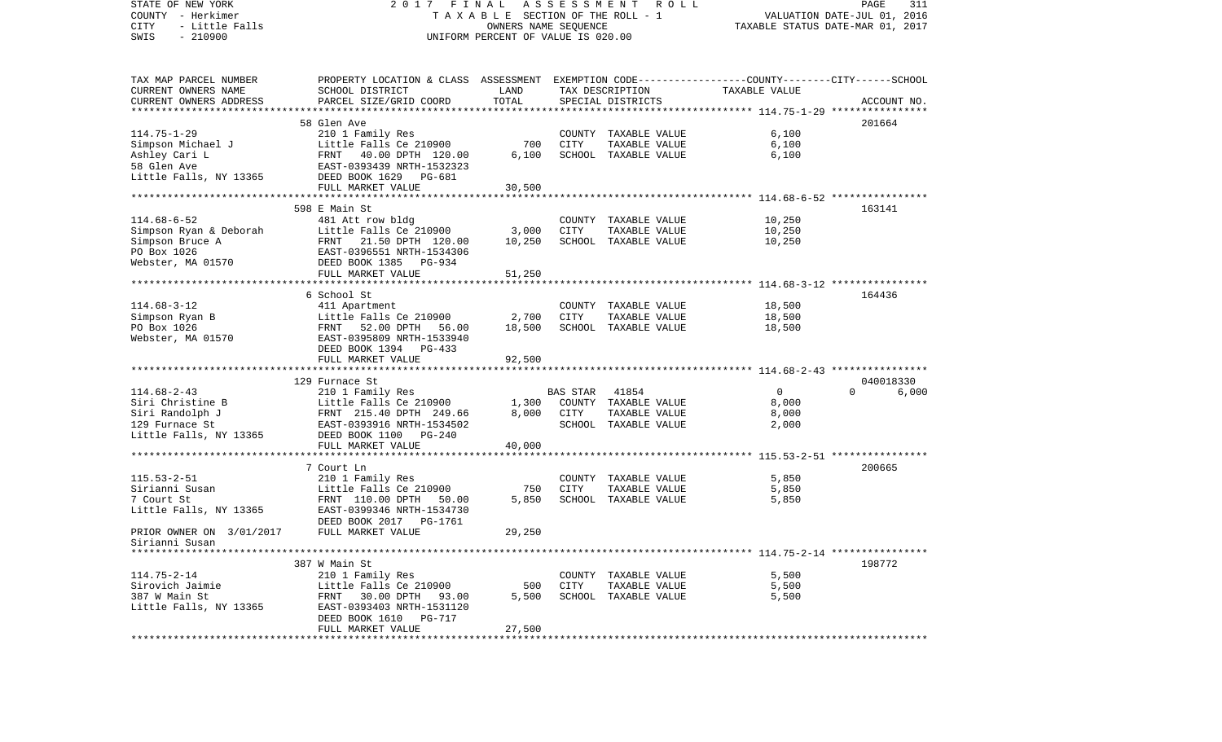| STATE OF NEW YORK<br>COUNTY - Herkimer<br>CITY<br>- Little Falls<br>$-210900$<br>SWIS                                                                   | FINAL<br>ASSESSMENT ROLL<br>2017<br>T A X A B L E SECTION OF THE ROLL - 1<br>OWNERS NAME SEQUENCE<br>UNIFORM PERCENT OF VALUE IS 020.00 |                |          |                                       | PAGE<br>311<br>VALUATION DATE-JUL 01, 2016<br>TAXABLE STATUS DATE-MAR 01, 2017 |                   |  |  |
|---------------------------------------------------------------------------------------------------------------------------------------------------------|-----------------------------------------------------------------------------------------------------------------------------------------|----------------|----------|---------------------------------------|--------------------------------------------------------------------------------|-------------------|--|--|
| TAX MAP PARCEL NUMBER                                                                                                                                   | PROPERTY LOCATION & CLASS ASSESSMENT EXEMPTION CODE---------------COUNTY-------CITY------SCHOOL                                         |                |          |                                       |                                                                                |                   |  |  |
| CURRENT OWNERS NAME                                                                                                                                     | SCHOOL DISTRICT                                                                                                                         | LAND           |          | TAX DESCRIPTION                       | TAXABLE VALUE                                                                  |                   |  |  |
| CURRENT OWNERS ADDRESS                                                                                                                                  | PARCEL SIZE/GRID COORD                                                                                                                  | TOTAL          |          | SPECIAL DISTRICTS                     |                                                                                | ACCOUNT NO.       |  |  |
|                                                                                                                                                         |                                                                                                                                         |                |          |                                       |                                                                                |                   |  |  |
|                                                                                                                                                         | 58 Glen Ave                                                                                                                             |                |          |                                       |                                                                                | 201664            |  |  |
| $114.75 - 1 - 29$                                                                                                                                       | 210 1 Family Res                                                                                                                        |                |          | COUNTY TAXABLE VALUE                  | 6,100                                                                          |                   |  |  |
| Simpson Michael J<br>Ashley Cari L<br>58 Glen Ave                                                                                                       | Little Falls Ce 210900                                                                                                                  | 700            | CITY     | TAXABLE VALUE                         | 6,100                                                                          |                   |  |  |
|                                                                                                                                                         | FRNT 40.00 DPTH 120.00                                                                                                                  | 6,100          |          | SCHOOL TAXABLE VALUE                  | 6,100                                                                          |                   |  |  |
|                                                                                                                                                         | EAST-0393439 NRTH-1532323                                                                                                               |                |          |                                       |                                                                                |                   |  |  |
| Little Falls, NY 13365                                                                                                                                  | DEED BOOK 1629 PG-681                                                                                                                   |                |          |                                       |                                                                                |                   |  |  |
|                                                                                                                                                         | FULL MARKET VALUE                                                                                                                       | 30,500         |          |                                       |                                                                                |                   |  |  |
|                                                                                                                                                         | 598 E Main St                                                                                                                           |                |          |                                       |                                                                                | 163141            |  |  |
| $114.68 - 6 - 52$                                                                                                                                       | 481 Att row bldg                                                                                                                        |                |          | COUNTY TAXABLE VALUE                  | 10,250                                                                         |                   |  |  |
| Simpson Ryan & Deborah                                                                                                                                  | Little Falls Ce 210900                                                                                                                  | 3,000          | CITY     | TAXABLE VALUE                         | 10,250                                                                         |                   |  |  |
| Simpson Bruce A                                                                                                                                         | FRNT 21.50 DPTH 120.00                                                                                                                  | 10,250         |          | SCHOOL TAXABLE VALUE                  | 10,250                                                                         |                   |  |  |
| PO Box 1026                                                                                                                                             | EAST-0396551 NRTH-1534306                                                                                                               |                |          |                                       |                                                                                |                   |  |  |
| Webster, MA 01570                                                                                                                                       | DEED BOOK 1385 PG-934                                                                                                                   |                |          |                                       |                                                                                |                   |  |  |
|                                                                                                                                                         | FULL MARKET VALUE                                                                                                                       | 51,250         |          |                                       |                                                                                |                   |  |  |
|                                                                                                                                                         |                                                                                                                                         |                |          |                                       |                                                                                |                   |  |  |
|                                                                                                                                                         | 6 School St                                                                                                                             |                |          |                                       |                                                                                | 164436            |  |  |
| $114.68 - 3 - 12$                                                                                                                                       | 411 Apartment                                                                                                                           |                |          | COUNTY TAXABLE VALUE                  | 18,500                                                                         |                   |  |  |
| Simpson Ryan B                                                                                                                                          | Little Falls Ce 210900                                                                                                                  | 2,700          | CITY     | TAXABLE VALUE                         | 18,500                                                                         |                   |  |  |
| PO Box 1026                                                                                                                                             | FRNT 52.00 DPTH 56.00                                                                                                                   | 18,500         |          | SCHOOL TAXABLE VALUE                  | 18,500                                                                         |                   |  |  |
| Webster, MA 01570                                                                                                                                       | EAST-0395809 NRTH-1533940                                                                                                               |                |          |                                       |                                                                                |                   |  |  |
|                                                                                                                                                         | DEED BOOK 1394 PG-433                                                                                                                   |                |          |                                       |                                                                                |                   |  |  |
|                                                                                                                                                         | FULL MARKET VALUE                                                                                                                       | 92,500         |          |                                       |                                                                                |                   |  |  |
|                                                                                                                                                         |                                                                                                                                         |                |          |                                       |                                                                                |                   |  |  |
|                                                                                                                                                         | 129 Furnace St                                                                                                                          |                |          |                                       |                                                                                | 040018330         |  |  |
| $114.68 - 2 - 43$                                                                                                                                       | 210 1 Family Res                                                                                                                        |                | BAS STAR | 41854                                 | $\circ$                                                                        | $\Omega$<br>6,000 |  |  |
| Siri Christine B                                                                                                                                        | Little Falls Ce 210900                                                                                                                  | 1,300<br>8,000 |          | COUNTY TAXABLE VALUE                  | 8,000                                                                          |                   |  |  |
| Siri Randolph J<br>129 Furnace St                                                                                                                       | FRNT 215.40 DPTH 249.66<br>EAST-0393916 NRTH-1534502                                                                                    |                | CITY     | TAXABLE VALUE<br>SCHOOL TAXABLE VALUE | 8,000<br>2,000                                                                 |                   |  |  |
| $\label{eq:2.1} \frac{1}{\sqrt{2\pi}}\int_{0}^{\infty}\frac{1}{\sqrt{2\pi}}\left(\frac{1}{\sqrt{2\pi}}\right)^{2\alpha}d\mu.$<br>Little Falls, NY 13365 | DEED BOOK 1100<br>$PG-240$                                                                                                              |                |          |                                       |                                                                                |                   |  |  |
|                                                                                                                                                         | FULL MARKET VALUE                                                                                                                       | 40,000         |          |                                       |                                                                                |                   |  |  |
|                                                                                                                                                         |                                                                                                                                         |                |          |                                       |                                                                                |                   |  |  |
|                                                                                                                                                         | 7 Court Ln                                                                                                                              |                |          |                                       |                                                                                | 200665            |  |  |
| $115.53 - 2 - 51$                                                                                                                                       | 210 1 Family Res                                                                                                                        |                |          | COUNTY TAXABLE VALUE                  | 5,850                                                                          |                   |  |  |
| Sirianni Susan                                                                                                                                          | Little Falls Ce 210900                                                                                                                  | 750            | CITY     | TAXABLE VALUE                         | 5,850                                                                          |                   |  |  |
| 7 Court St                                                                                                                                              | FRNT 110.00 DPTH 50.00                                                                                                                  | 5,850          |          | SCHOOL TAXABLE VALUE                  | 5,850                                                                          |                   |  |  |
| Little Falls, NY 13365                                                                                                                                  | EAST-0399346 NRTH-1534730                                                                                                               |                |          |                                       |                                                                                |                   |  |  |
|                                                                                                                                                         | DEED BOOK 2017<br>PG-1761                                                                                                               |                |          |                                       |                                                                                |                   |  |  |
| PRIOR OWNER ON 3/01/2017                                                                                                                                | FULL MARKET VALUE                                                                                                                       | 29,250         |          |                                       |                                                                                |                   |  |  |
| Sirianni Susan                                                                                                                                          |                                                                                                                                         |                |          |                                       |                                                                                |                   |  |  |
|                                                                                                                                                         |                                                                                                                                         |                |          |                                       |                                                                                |                   |  |  |
|                                                                                                                                                         | 387 W Main St                                                                                                                           |                |          |                                       |                                                                                | 198772            |  |  |
| $114.75 - 2 - 14$                                                                                                                                       | 210 1 Family Res                                                                                                                        |                |          | COUNTY TAXABLE VALUE                  | 5,500                                                                          |                   |  |  |
| Sirovich Jaimie                                                                                                                                         | Little Falls Ce 210900                                                                                                                  | 500            | CITY     | TAXABLE VALUE                         | 5,500                                                                          |                   |  |  |
| 387 W Main St                                                                                                                                           | FRNT 30.00 DPTH 93.00                                                                                                                   | 5,500          |          | SCHOOL TAXABLE VALUE                  | 5,500                                                                          |                   |  |  |
| Little Falls, NY 13365                                                                                                                                  | EAST-0393403 NRTH-1531120                                                                                                               |                |          |                                       |                                                                                |                   |  |  |
|                                                                                                                                                         | DEED BOOK 1610 PG-717                                                                                                                   |                |          |                                       |                                                                                |                   |  |  |
|                                                                                                                                                         | FULL MARKET VALUE                                                                                                                       | 27,500         |          |                                       |                                                                                |                   |  |  |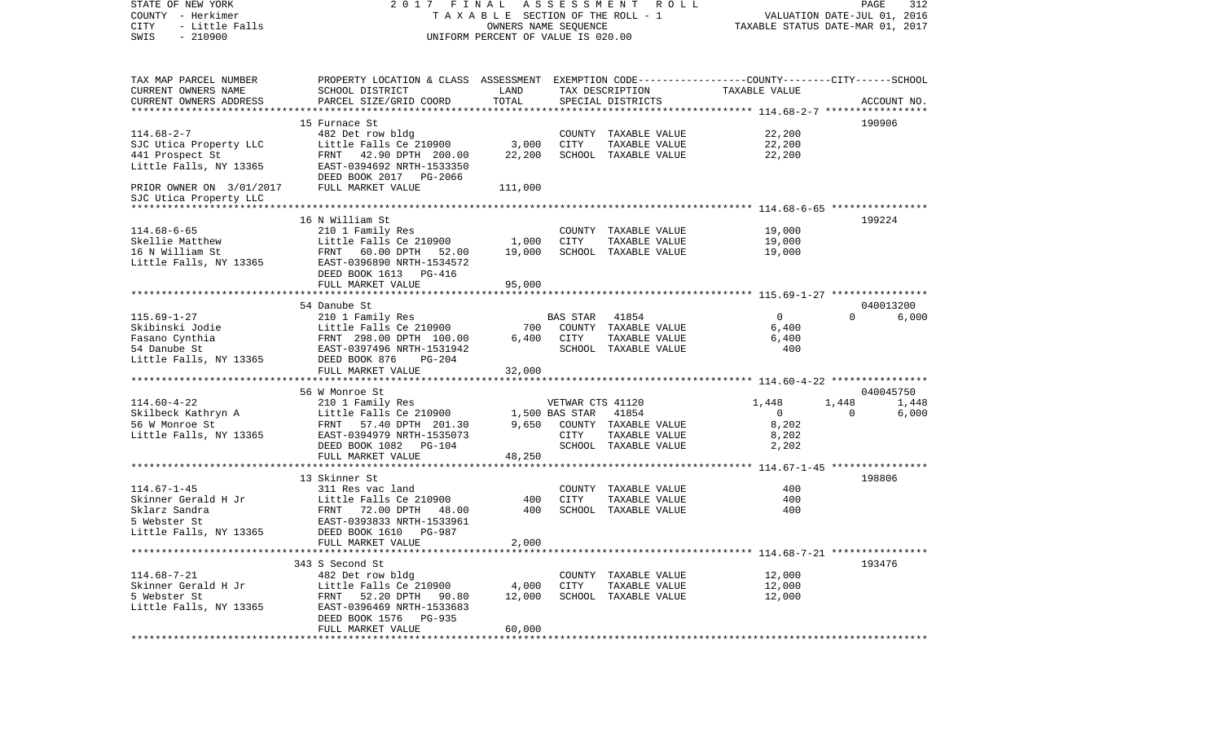| STATE OF NEW YORK<br>COUNTY - Herkimer<br>CITY<br>- Little Falls<br>$-210900$<br>SWIS | 2017 FINAL<br>TAXABLE SECTION OF THE ROLL - 1<br>UNIFORM PERCENT OF VALUE IS 020.00              | PAGE<br>312<br>VALUATION DATE-JUL 01, 2016<br>TAXABLE STATUS DATE-MAR 01, 2017 |                  |                                       |                         |                   |             |
|---------------------------------------------------------------------------------------|--------------------------------------------------------------------------------------------------|--------------------------------------------------------------------------------|------------------|---------------------------------------|-------------------------|-------------------|-------------|
|                                                                                       |                                                                                                  |                                                                                |                  |                                       |                         |                   |             |
| TAX MAP PARCEL NUMBER                                                                 | PROPERTY LOCATION & CLASS ASSESSMENT EXEMPTION CODE----------------COUNTY-------CITY------SCHOOL |                                                                                |                  |                                       |                         |                   |             |
| CURRENT OWNERS NAME                                                                   | SCHOOL DISTRICT                                                                                  | LAND                                                                           |                  | TAX DESCRIPTION                       | TAXABLE VALUE           |                   |             |
| CURRENT OWNERS ADDRESS                                                                | PARCEL SIZE/GRID COORD                                                                           | TOTAL                                                                          |                  | SPECIAL DISTRICTS                     |                         |                   | ACCOUNT NO. |
|                                                                                       |                                                                                                  |                                                                                |                  |                                       |                         |                   |             |
|                                                                                       | 15 Furnace St                                                                                    |                                                                                |                  |                                       |                         |                   | 190906      |
| $114.68 - 2 - 7$                                                                      | 482 Det row bldg                                                                                 |                                                                                |                  | COUNTY TAXABLE VALUE                  | 22,200                  |                   |             |
| SJC Utica Property LLC                                                                | Little Falls Ce 210900                                                                           | 3,000                                                                          | CITY             | TAXABLE VALUE                         | 22,200                  |                   |             |
| 441 Prospect St                                                                       | FRNT 42.90 DPTH 200.00                                                                           | 22,200                                                                         |                  | SCHOOL TAXABLE VALUE                  | 22,200                  |                   |             |
| Little Falls, NY 13365                                                                | EAST-0394692 NRTH-1533350<br>DEED BOOK 2017 PG-2066                                              |                                                                                |                  |                                       |                         |                   |             |
| PRIOR OWNER ON 3/01/2017                                                              | FULL MARKET VALUE                                                                                | 111,000                                                                        |                  |                                       |                         |                   |             |
| SJC Utica Property LLC                                                                |                                                                                                  |                                                                                |                  |                                       |                         |                   |             |
|                                                                                       |                                                                                                  |                                                                                |                  |                                       |                         |                   |             |
|                                                                                       | 16 N William St                                                                                  |                                                                                |                  |                                       |                         |                   | 199224      |
| $114.68 - 6 - 65$                                                                     | 210 1 Family Res                                                                                 |                                                                                |                  | COUNTY TAXABLE VALUE                  | 19,000                  |                   |             |
| Skellie Matthew                                                                       | Little Falls Ce 210900 1,000                                                                     |                                                                                | CITY             | TAXABLE VALUE                         | 19,000                  |                   |             |
| 16 N William St                                                                       | FRNT 60.00 DPTH 52.00<br>EAST-0396890 NRTH-1534572                                               | 19,000                                                                         |                  | SCHOOL TAXABLE VALUE                  | 19,000                  |                   |             |
| Little Falls, NY 13365                                                                | DEED BOOK 1613 PG-416                                                                            |                                                                                |                  |                                       |                         |                   |             |
|                                                                                       | FULL MARKET VALUE                                                                                | 95,000                                                                         |                  |                                       |                         |                   |             |
|                                                                                       |                                                                                                  |                                                                                |                  |                                       |                         |                   |             |
|                                                                                       | 54 Danube St                                                                                     |                                                                                |                  |                                       |                         |                   | 040013200   |
| $115.69 - 1 - 27$                                                                     | 210 1 Family Res                                                                                 |                                                                                | BAS STAR         | 41854                                 | $\overline{0}$          | $\Omega$          | 6,000       |
| Skibinski Jodie                                                                       | Little Falls Ce 210900                                                                           |                                                                                |                  | 700 COUNTY TAXABLE VALUE              | 6,400                   |                   |             |
| Fasano Cynthia                                                                        | Little Falls Ce 210900<br>FRNT 298.00 DPTH 100.00<br>EAST-0397496 NRTH-1531942                   | 6,400                                                                          | CITY             | TAXABLE VALUE                         | 6,400                   |                   |             |
| 54 Danube St                                                                          |                                                                                                  |                                                                                |                  | SCHOOL TAXABLE VALUE                  | 400                     |                   |             |
| Little Falls, NY 13365                                                                | DEED BOOK 876<br>$PG-204$                                                                        |                                                                                |                  |                                       |                         |                   |             |
|                                                                                       | FULL MARKET VALUE                                                                                | 32,000                                                                         |                  |                                       |                         |                   |             |
|                                                                                       |                                                                                                  |                                                                                |                  |                                       |                         |                   |             |
|                                                                                       | 210 1 Family Res<br>Little Falls Ce 210900<br>FRNT 57 40 DRESS                                   |                                                                                |                  |                                       |                         |                   | 040045750   |
| $114.60 - 4 - 22$                                                                     |                                                                                                  | $1,500$ BAS STAR                                                               | VETWAR CTS 41120 |                                       | 1,448<br>$\overline{0}$ | 1,448<br>$\Omega$ | 1,448       |
| Skilbeck Kathryn A<br>56 W Monroe St                                                  |                                                                                                  |                                                                                |                  | 41854<br>9,650 COUNTY TAXABLE VALUE   | 8,202                   |                   | 6,000       |
| Little Falls, NY 13365                                                                | EAST-0394979 NRTH-1535073                                                                        |                                                                                | CITY             | TAXABLE VALUE                         | 8,202                   |                   |             |
|                                                                                       | DEED BOOK 1082 PG-104                                                                            |                                                                                |                  | SCHOOL TAXABLE VALUE                  | 2,202                   |                   |             |
|                                                                                       | FULL MARKET VALUE                                                                                | 48,250                                                                         |                  |                                       |                         |                   |             |
|                                                                                       |                                                                                                  |                                                                                |                  |                                       |                         |                   |             |
|                                                                                       | 13 Skinner St                                                                                    |                                                                                |                  |                                       |                         |                   | 198806      |
| $114.67 - 1 - 45$                                                                     | 311 Res vac land                                                                                 |                                                                                |                  | COUNTY TAXABLE VALUE                  | 400                     |                   |             |
| Skinner Gerald H Jr                                                                   | Little Falls Ce 210900                                                                           | 400                                                                            | CITY             | TAXABLE VALUE                         | 400                     |                   |             |
| Sklarz Sandra                                                                         | FRNT 72.00 DPTH 48.00                                                                            | 400                                                                            |                  | SCHOOL TAXABLE VALUE                  | 400                     |                   |             |
| 5 Webster St                                                                          | EAST-0393833 NRTH-1533961                                                                        |                                                                                |                  |                                       |                         |                   |             |
| Little Falls, NY 13365                                                                | DEED BOOK 1610<br>PG-987                                                                         |                                                                                |                  |                                       |                         |                   |             |
|                                                                                       | FULL MARKET VALUE                                                                                | 2,000                                                                          |                  |                                       |                         |                   |             |
|                                                                                       |                                                                                                  |                                                                                |                  |                                       |                         |                   |             |
| $114.68 - 7 - 21$                                                                     | 343 S Second St                                                                                  |                                                                                |                  |                                       |                         |                   | 193476      |
|                                                                                       | 482 Det row bldg                                                                                 |                                                                                |                  | COUNTY TAXABLE VALUE                  | 12,000                  |                   |             |
| Skinner Gerald H Jr<br>5 Webster St                                                   | Little Falls Ce 210900<br>FRNT 52.20 DPTH 90.80                                                  | 4,000<br>12,000                                                                | CITY             | TAXABLE VALUE<br>SCHOOL TAXABLE VALUE | 12,000<br>12,000        |                   |             |
| Little Falls, NY 13365                                                                | EAST-0396469 NRTH-1533683                                                                        |                                                                                |                  |                                       |                         |                   |             |
|                                                                                       | DEED BOOK 1576 PG-935                                                                            |                                                                                |                  |                                       |                         |                   |             |
|                                                                                       | FULL MARKET VALUE                                                                                | 60,000                                                                         |                  |                                       |                         |                   |             |
|                                                                                       |                                                                                                  |                                                                                |                  |                                       |                         |                   |             |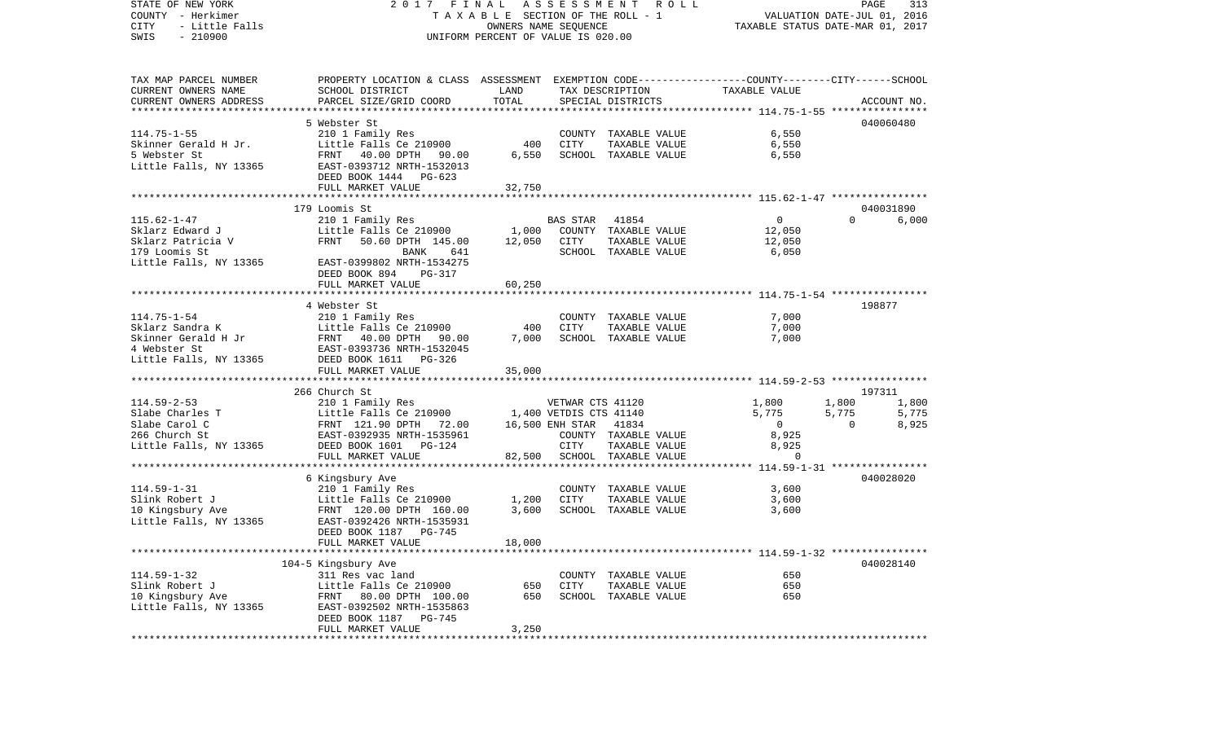| STATE OF NEW YORK<br>COUNTY - Herkimer<br>- Little Falls<br>CITY<br>$-210900$<br>SWIS | 2017 FINAL<br>T A X A B L E SECTION OF THE ROLL - 1<br>UNIFORM PERCENT OF VALUE IS 020.00       | ROLL<br>PAGE<br>313<br>VALUATION DATE-JUL 01, 2016<br>TAXABLE STATUS DATE-MAR 01, 2017 |                        |                                       |                |          |                 |
|---------------------------------------------------------------------------------------|-------------------------------------------------------------------------------------------------|----------------------------------------------------------------------------------------|------------------------|---------------------------------------|----------------|----------|-----------------|
| TAX MAP PARCEL NUMBER                                                                 | PROPERTY LOCATION & CLASS ASSESSMENT EXEMPTION CODE---------------COUNTY-------CITY------SCHOOL |                                                                                        |                        |                                       |                |          |                 |
| CURRENT OWNERS NAME                                                                   | SCHOOL DISTRICT                                                                                 | LAND                                                                                   | TAX DESCRIPTION        |                                       | TAXABLE VALUE  |          |                 |
| CURRENT OWNERS ADDRESS                                                                | PARCEL SIZE/GRID COORD                                                                          | TOTAL                                                                                  |                        | SPECIAL DISTRICTS                     |                |          | ACCOUNT NO.     |
| *************************                                                             |                                                                                                 |                                                                                        |                        |                                       |                |          |                 |
|                                                                                       | 5 Webster St                                                                                    |                                                                                        |                        |                                       |                |          | 040060480       |
| $114.75 - 1 - 55$<br>Skinner Gerald H Jr.                                             | 210 1 Family Res<br>Little Falls Ce 210900                                                      | 400                                                                                    | CITY                   | COUNTY TAXABLE VALUE<br>TAXABLE VALUE | 6,550<br>6,550 |          |                 |
| 5 Webster St                                                                          | FRNT<br>40.00 DPTH 90.00                                                                        | 6,550                                                                                  |                        | SCHOOL TAXABLE VALUE                  | 6,550          |          |                 |
| Little Falls, NY 13365                                                                | EAST-0393712 NRTH-1532013                                                                       |                                                                                        |                        |                                       |                |          |                 |
|                                                                                       | DEED BOOK 1444 PG-623                                                                           |                                                                                        |                        |                                       |                |          |                 |
|                                                                                       | FULL MARKET VALUE                                                                               | 32,750                                                                                 |                        |                                       |                |          |                 |
|                                                                                       |                                                                                                 |                                                                                        |                        |                                       |                |          |                 |
|                                                                                       | 179 Loomis St                                                                                   |                                                                                        |                        |                                       |                |          | 040031890       |
| $115.62 - 1 - 47$                                                                     | 210 1 Family Res                                                                                |                                                                                        | <b>BAS STAR</b>        | 41854                                 | $\overline{0}$ | $\Omega$ | 6,000           |
| Sklarz Edward J                                                                       | Little Falls Ce 210900                                                                          | 1,000                                                                                  |                        | COUNTY TAXABLE VALUE                  | 12,050         |          |                 |
| Sklarz Patricia V                                                                     | FRNT<br>50.60 DPTH 145.00                                                                       | 12,050                                                                                 | CITY                   | TAXABLE VALUE                         | 12,050         |          |                 |
| 179 Loomis St                                                                         | BANK<br>641                                                                                     |                                                                                        |                        | SCHOOL TAXABLE VALUE                  | 6,050          |          |                 |
| Little Falls, NY 13365                                                                | EAST-0399802 NRTH-1534275<br>$PG-317$                                                           |                                                                                        |                        |                                       |                |          |                 |
|                                                                                       | DEED BOOK 894<br>FULL MARKET VALUE                                                              | 60,250                                                                                 |                        |                                       |                |          |                 |
|                                                                                       |                                                                                                 |                                                                                        |                        |                                       |                |          |                 |
|                                                                                       | 4 Webster St                                                                                    |                                                                                        |                        |                                       |                |          | 198877          |
| $114.75 - 1 - 54$                                                                     | 210 1 Family Res                                                                                |                                                                                        |                        | COUNTY TAXABLE VALUE                  | 7,000          |          |                 |
| Sklarz Sandra K                                                                       | Little Falls Ce 210900                                                                          | 400                                                                                    | CITY                   | TAXABLE VALUE                         | 7,000          |          |                 |
| Skinner Gerald H Jr                                                                   | FRNT 40.00 DPTH<br>90.00                                                                        | 7,000                                                                                  |                        | SCHOOL TAXABLE VALUE                  | 7,000          |          |                 |
| 4 Webster St                                                                          | EAST-0393736 NRTH-1532045                                                                       |                                                                                        |                        |                                       |                |          |                 |
| Little Falls, NY 13365                                                                | DEED BOOK 1611 PG-326                                                                           |                                                                                        |                        |                                       |                |          |                 |
|                                                                                       | FULL MARKET VALUE                                                                               | 35,000                                                                                 |                        |                                       |                |          |                 |
|                                                                                       |                                                                                                 |                                                                                        |                        |                                       |                |          |                 |
| $114.59 - 2 - 53$                                                                     | 266 Church St                                                                                   |                                                                                        | VETWAR CTS 41120       |                                       |                | 1,800    | 197311<br>1,800 |
| Slabe Charles T                                                                       | 210 1 Family Res<br>Little Falls Ce 210900                                                      |                                                                                        | 1,400 VETDIS CTS 41140 |                                       | 1,800<br>5,775 | 5,775    | 5,775           |
| Slabe Carol C                                                                         | FRNT 121.90 DPTH 72.00                                                                          |                                                                                        | 16,500 ENH STAR        | 41834                                 | 0              | $\Omega$ | 8,925           |
| 266 Church St                                                                         | EAST-0392935 NRTH-1535961                                                                       |                                                                                        |                        | COUNTY TAXABLE VALUE                  | 8,925          |          |                 |
| Little Falls, NY 13365                                                                | DEED BOOK 1601 PG-124                                                                           |                                                                                        | <b>CITY</b>            | TAXABLE VALUE                         | 8,925          |          |                 |
|                                                                                       | FULL MARKET VALUE                                                                               | 82,500                                                                                 |                        | SCHOOL TAXABLE VALUE                  | $\Omega$       |          |                 |
|                                                                                       | ***************************                                                                     |                                                                                        |                        |                                       |                |          |                 |
|                                                                                       | 6 Kingsbury Ave                                                                                 |                                                                                        |                        |                                       |                |          | 040028020       |
| $114.59 - 1 - 31$                                                                     | 210 1 Family Res                                                                                |                                                                                        |                        | COUNTY TAXABLE VALUE                  | 3,600          |          |                 |
| Slink Robert J                                                                        | Little Falls Ce 210900                                                                          | 1,200                                                                                  | CITY                   | TAXABLE VALUE                         | 3,600          |          |                 |
| 10 Kingsbury Ave<br>Little Falls, NY 13365                                            | FRNT 120.00 DPTH 160.00                                                                         | 3,600                                                                                  |                        | SCHOOL TAXABLE VALUE                  | 3,600          |          |                 |
|                                                                                       | EAST-0392426 NRTH-1535931<br>DEED BOOK 1187 PG-745                                              |                                                                                        |                        |                                       |                |          |                 |
|                                                                                       | FULL MARKET VALUE                                                                               | 18,000                                                                                 |                        |                                       |                |          |                 |
|                                                                                       |                                                                                                 |                                                                                        |                        |                                       |                |          |                 |
|                                                                                       | 104-5 Kingsbury Ave                                                                             |                                                                                        |                        |                                       |                |          | 040028140       |
| $114.59 - 1 - 32$                                                                     | 311 Res vac land                                                                                |                                                                                        |                        | COUNTY TAXABLE VALUE                  | 650            |          |                 |
| Slink Robert J                                                                        | Little Falls Ce 210900                                                                          | 650                                                                                    | CITY                   | TAXABLE VALUE                         | 650            |          |                 |
| 10 Kingsbury Ave                                                                      | FRNT 80.00 DPTH 100.00                                                                          | 650                                                                                    |                        | SCHOOL TAXABLE VALUE                  | 650            |          |                 |
| Little Falls, NY 13365                                                                | EAST-0392502 NRTH-1535863                                                                       |                                                                                        |                        |                                       |                |          |                 |
|                                                                                       | DEED BOOK 1187 PG-745                                                                           |                                                                                        |                        |                                       |                |          |                 |
|                                                                                       | FULL MARKET VALUE                                                                               | 3,250                                                                                  |                        |                                       |                |          |                 |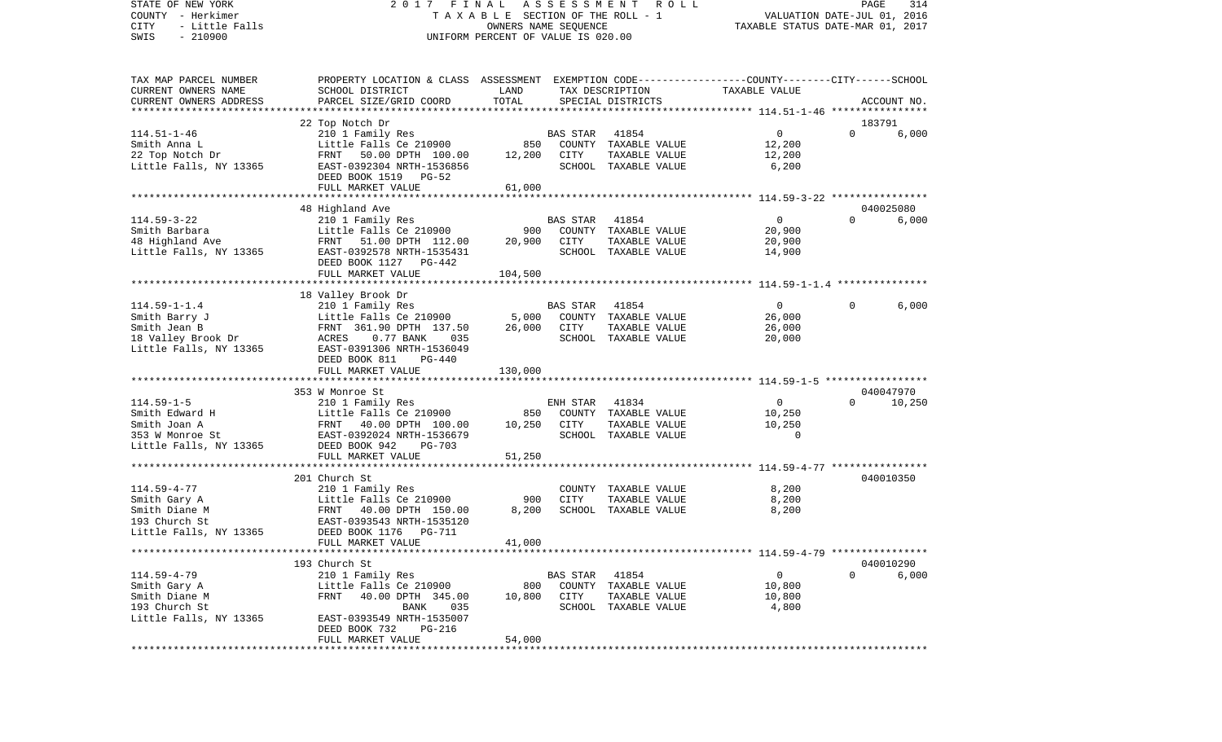STATE OF NEW YORK 2 0 1 7 F I N A L A S S E S S M E N T R O L L PAGE 314COUNTY - Herkimer **T A X A B L E** SECTION OF THE ROLL - 1 VALUATION DATE-JUL 01, 2016 CITY - Little Falls OWNERS NAME SEQUENCE TAXABLE STATUS DATE-MAR 01, 2017 SWIS - 210900 UNIFORM PERCENT OF VALUE IS 020.00TAX MAP PARCEL NUMBER PROPERTY LOCATION & CLASS ASSESSMENT EXEMPTION CODE------------------COUNTY--------CITY------SCHOOL CURRENT OWNERS NAME SCHOOL DISTRICT LAND TAX DESCRIPTION TAXABLE VALUECURRENT OWNERS ADDRESS PARCEL SIZE/GRID COORD TOTAL SPECIAL DISTRICTS ACCOUNT NO. \*\*\*\*\*\*\*\*\*\*\*\*\*\*\*\*\*\*\*\*\*\*\*\*\*\*\*\*\*\*\*\*\*\*\*\*\*\*\*\*\*\*\*\*\*\*\*\*\*\*\*\*\*\*\*\*\*\*\*\*\*\*\*\*\*\*\*\*\*\*\*\*\*\*\*\*\*\*\*\*\*\*\*\*\*\*\*\*\*\*\*\*\*\*\*\*\*\*\*\*\*\*\* 114.51-1-46 \*\*\*\*\*\*\*\*\*\*\*\*\*\*\*\* 22 Top Notch Dr 183791 114.51-1-46 210 1 Family Res BAS STAR 41854 0 0 6,000 Smith Anna L Little Falls Ce 210900 850 COUNTY TAXABLE VALUE 12,200 22 Top Notch Dr FRNT 50.00 DPTH 100.00 12,200 CITY TAXABLE VALUE 12,200 Little Falls, NY 13365 EAST-0392304 NRTH-1536856 SCHOOL TAXABLE VALUE 6,200 DEED BOOK 1519 PG-52FULL MARKET VALUE 61,000 \*\*\*\*\*\*\*\*\*\*\*\*\*\*\*\*\*\*\*\*\*\*\*\*\*\*\*\*\*\*\*\*\*\*\*\*\*\*\*\*\*\*\*\*\*\*\*\*\*\*\*\*\*\*\*\*\*\*\*\*\*\*\*\*\*\*\*\*\*\*\*\*\*\*\*\*\*\*\*\*\*\*\*\*\*\*\*\*\*\*\*\*\*\*\*\*\*\*\*\*\*\*\* 114.59-3-22 \*\*\*\*\*\*\*\*\*\*\*\*\*\*\*\* 48 Highland Ave 040025080 114.59-3-22 210 1 Family Res BAS STAR 41854 0 0 6,000 900 COUNTY TAXABLE VALUE 48 Highland Ave FRNT 51.00 DPTH 112.00 20,900 CITY TAXABLE VALUE 20,900 Little Falls, NY 13365 EAST-0392578 NRTH-1535431 SCHOOL TAXABLE VALUE 14,900 DEED BOOK 1127 PG-442FULL MARKET VALUE 104,500 \*\*\*\*\*\*\*\*\*\*\*\*\*\*\*\*\*\*\*\*\*\*\*\*\*\*\*\*\*\*\*\*\*\*\*\*\*\*\*\*\*\*\*\*\*\*\*\*\*\*\*\*\*\*\*\*\*\*\*\*\*\*\*\*\*\*\*\*\*\*\*\*\*\*\*\*\*\*\*\*\*\*\*\*\*\*\*\*\*\*\*\*\*\*\*\*\*\*\*\*\*\*\* 114.59-1-1.4 \*\*\*\*\*\*\*\*\*\*\*\*\*\*\* 18 Valley Brook Dr 114.59-1-1.4 210 1 Family Res BAS STAR 41854 0 0 6,000 Smith Barry J Little Falls Ce 210900 5,000 COUNTY TAXABLE VALUE 26,000 Smith Jean B 6,000 FRNT 361.90 DPTH 137.50 26,000 CITY TAXABLE VALUE 26,000 18 Valley Brook Dr ACRES 0.77 BANK 035 SCHOOL TAXABLE VALUE 20,000 Little Falls, NY 13365 EAST-0391306 NRTH-1536049 DEED BOOK 811 PG-440FULL MARKET VALUE 130,000 \*\*\*\*\*\*\*\*\*\*\*\*\*\*\*\*\*\*\*\*\*\*\*\*\*\*\*\*\*\*\*\*\*\*\*\*\*\*\*\*\*\*\*\*\*\*\*\*\*\*\*\*\*\*\*\*\*\*\*\*\*\*\*\*\*\*\*\*\*\*\*\*\*\*\*\*\*\*\*\*\*\*\*\*\*\*\*\*\*\*\*\*\*\*\*\*\*\*\*\*\*\*\* 114.59-1-5 \*\*\*\*\*\*\*\*\*\*\*\*\*\*\*\*\* 353 W Monroe St 040047970114.59-1-5 210 1 Family Res ENH STAR 41834 0 0 10,250 Smith Edward H Communicated H Little Falls Ce 210900 850 COUNTY TAXABLE VALUE 10,250 Smith Joan A 6 6 10, 250 FRNT 40.00 DPTH 100.00 10,250 CITY TAXABLE VALUE 10,250 353 W Monroe St EAST-0392024 NRTH-1536679 SCHOOL TAXABLE VALUE 0Little Falls, NY 13365 DEED BOOK 942 PG-703 FULL MARKET VALUE 51,250 \*\*\*\*\*\*\*\*\*\*\*\*\*\*\*\*\*\*\*\*\*\*\*\*\*\*\*\*\*\*\*\*\*\*\*\*\*\*\*\*\*\*\*\*\*\*\*\*\*\*\*\*\*\*\*\*\*\*\*\*\*\*\*\*\*\*\*\*\*\*\*\*\*\*\*\*\*\*\*\*\*\*\*\*\*\*\*\*\*\*\*\*\*\*\*\*\*\*\*\*\*\*\* 114.59-4-77 \*\*\*\*\*\*\*\*\*\*\*\*\*\*\*\*201 Church St 040010350 114.59-4-77 210 1 Family Res COUNTY TAXABLE VALUE 8,200 Smith Gary A Little Falls Ce 210900 900 CITY TAXABLE VALUE 8,200 FRNT 40.00 DPTH 150.00 193 Church St EAST-0393543 NRTH-1535120Little Falls, NY 13365 DEED BOOK 1176 PG-711 FULL MARKET VALUE 41,000 \*\*\*\*\*\*\*\*\*\*\*\*\*\*\*\*\*\*\*\*\*\*\*\*\*\*\*\*\*\*\*\*\*\*\*\*\*\*\*\*\*\*\*\*\*\*\*\*\*\*\*\*\*\*\*\*\*\*\*\*\*\*\*\*\*\*\*\*\*\*\*\*\*\*\*\*\*\*\*\*\*\*\*\*\*\*\*\*\*\*\*\*\*\*\*\*\*\*\*\*\*\*\* 114.59-4-79 \*\*\*\*\*\*\*\*\*\*\*\*\*\*\*\* 193 Church St 040010290114.59-4-79 210 1 Family Res BAS STAR 41854 0 0 6,000 Smith Gary A Communicated Centrally Ce 210900 800 COUNTY TAXABLE VALUE 300,800 Smith Diane M 6 600 PRNT 40.00 DPTH 345.00 10.800 CITY TAXABLE VALUE 10,800 193 Church St BANK 035 SCHOOL TAXABLE VALUE 4,800 Little Falls, NY 13365 EAST-0393549 NRTH-1535007 DEED BOOK 732 PG-216 FULL MARKET VALUE 54,000 \*\*\*\*\*\*\*\*\*\*\*\*\*\*\*\*\*\*\*\*\*\*\*\*\*\*\*\*\*\*\*\*\*\*\*\*\*\*\*\*\*\*\*\*\*\*\*\*\*\*\*\*\*\*\*\*\*\*\*\*\*\*\*\*\*\*\*\*\*\*\*\*\*\*\*\*\*\*\*\*\*\*\*\*\*\*\*\*\*\*\*\*\*\*\*\*\*\*\*\*\*\*\*\*\*\*\*\*\*\*\*\*\*\*\*\*\*\*\*\*\*\*\*\*\*\*\*\*\*\*\*\*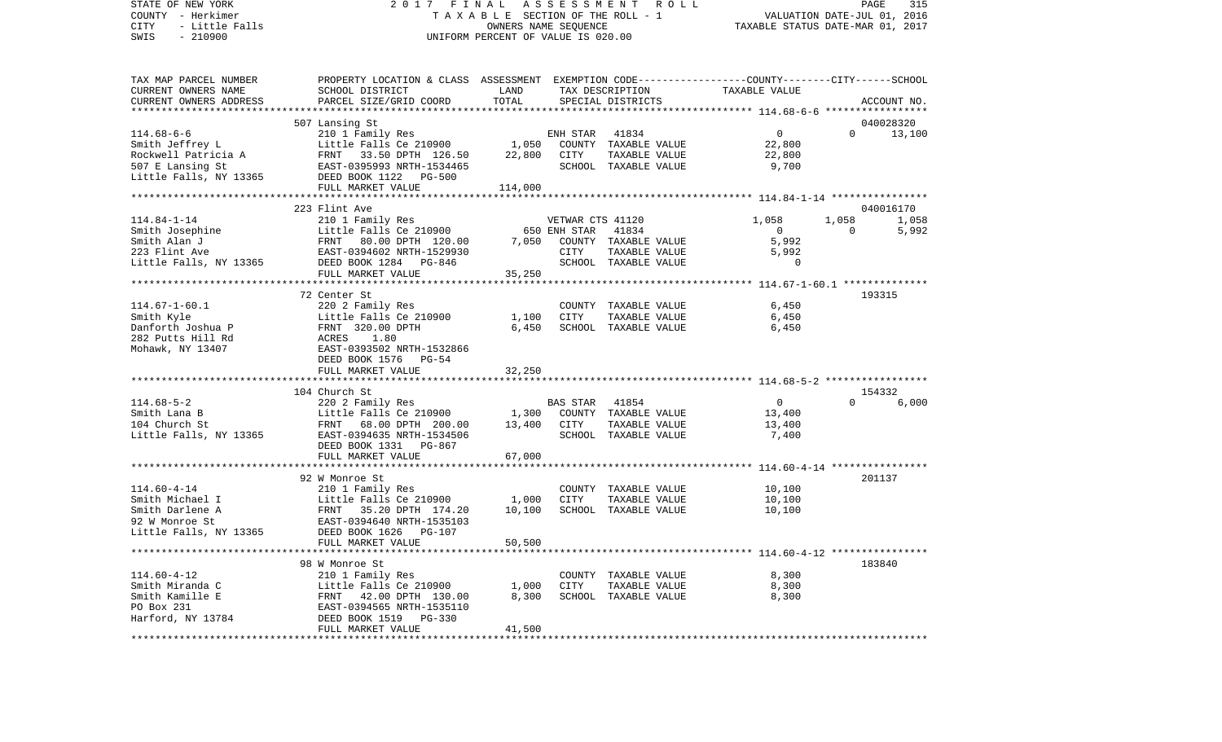STATE OF NEW YORK 2 0 1 7 F I N A L A S S E S S M E N T R O L L PAGE 315VALUATION DATE-JUL 01, 2016 COUNTY - Herkimer T A X A B L E SECTION OF THE ROLL - 1 CITY - Little Falls OWNERS NAME SEQUENCE TAXABLE STATUS DATE-MAR 01, 2017 SWIS - 210900 UNIFORM PERCENT OF VALUE IS 020.00TAX MAP PARCEL NUMBER PROPERTY LOCATION & CLASS ASSESSMENT EXEMPTION CODE------------------COUNTY--------CITY------SCHOOL CURRENT OWNERS NAME SCHOOL DISTRICT LAND TAX DESCRIPTION TAXABLE VALUECURRENT OWNERS ADDRESS PARCEL SIZE/GRID COORD TOTAL SPECIAL DISTRICTS ACCOUNT NO. \*\*\*\*\*\*\*\*\*\*\*\*\*\*\*\*\*\*\*\*\*\*\*\*\*\*\*\*\*\*\*\*\*\*\*\*\*\*\*\*\*\*\*\*\*\*\*\*\*\*\*\*\*\*\*\*\*\*\*\*\*\*\*\*\*\*\*\*\*\*\*\*\*\*\*\*\*\*\*\*\*\*\*\*\*\*\*\*\*\*\*\*\*\*\*\*\*\*\*\*\*\*\* 114.68-6-6 \*\*\*\*\*\*\*\*\*\*\*\*\*\*\*\*\* 507 Lansing St 040028320 114.68-6-6 210 1 Family Res ENH STAR 41834 0 0 13,100 Smith Jeffrey L **Little Falls Ce 210900** 1,050 COUNTY TAXABLE VALUE 22,800 Rockwell Patricia A 62,800 RNT 33.50 DPTH 126.50 22,800 CITY TAXABLE VALUE 22,800 507 E Lansing St EAST-0395993 NRTH-1534465 SCHOOL TAXABLE VALUE 9,700 Little Falls, NY 13365 DEED BOOK 1122 PG-500 FULL MARKET VALUE 114,000 \*\*\*\*\*\*\*\*\*\*\*\*\*\*\*\*\*\*\*\*\*\*\*\*\*\*\*\*\*\*\*\*\*\*\*\*\*\*\*\*\*\*\*\*\*\*\*\*\*\*\*\*\*\*\*\*\*\*\*\*\*\*\*\*\*\*\*\*\*\*\*\*\*\*\*\*\*\*\*\*\*\*\*\*\*\*\*\*\*\*\*\*\*\*\*\*\*\*\*\*\*\*\* 114.84-1-14 \*\*\*\*\*\*\*\*\*\*\*\*\*\*\*\* 223 Flint Ave 040016170114.84-1-14 210 1 Family Res VETWAR CTS 41120 1,058 1,058 1,058 1,058 Smith Josephine **Little Falls Ce 210900** 650 ENH STAR 41834 0 0 5,992 Smith Alan J FRNT 80.00 DPTH 120.00 7,050 COUNTY TAXABLE VALUE 5,992 223 Flint Ave EAST-0394602 NRTH-1529930 CITY TAXABLE VALUE 5,992 Little Falls, NY 13365 DEED BOOK 1284 PG-846 SCHOOL TAXABLE VALUE 0 FULL MARKET VALUE 35,250 \*\*\*\*\*\*\*\*\*\*\*\*\*\*\*\*\*\*\*\*\*\*\*\*\*\*\*\*\*\*\*\*\*\*\*\*\*\*\*\*\*\*\*\*\*\*\*\*\*\*\*\*\*\*\*\*\*\*\*\*\*\*\*\*\*\*\*\*\*\*\*\*\*\*\*\*\*\*\*\*\*\*\*\*\*\*\*\*\*\*\*\*\*\*\*\*\*\*\*\*\*\*\* 114.67-1-60.1 \*\*\*\*\*\*\*\*\*\*\*\*\*\* 72 Center St 193315114.67-1-60.1 220 2 Family Res COUNTY TAXABLE VALUE 6,450 Smith Kyle Little Falls Ce 210900 1,100 CITY TAXABLE VALUE 6,450 Danforth Joshua P 6,450 FRNT 320.00 DPTH 6,450 SCHOOL TAXABLE VALUE 6,450 6,450 282 Putts Hill Rd **ACRES** 1.80 Mohawk, NY 13407 EAST-0393502 NRTH-1532866 DEED BOOK 1576 PG-54FULL MARKET VALUE 32,250 \*\*\*\*\*\*\*\*\*\*\*\*\*\*\*\*\*\*\*\*\*\*\*\*\*\*\*\*\*\*\*\*\*\*\*\*\*\*\*\*\*\*\*\*\*\*\*\*\*\*\*\*\*\*\*\*\*\*\*\*\*\*\*\*\*\*\*\*\*\*\*\*\*\*\*\*\*\*\*\*\*\*\*\*\*\*\*\*\*\*\*\*\*\*\*\*\*\*\*\*\*\*\* 114.68-5-2 \*\*\*\*\*\*\*\*\*\*\*\*\*\*\*\*\* 104 Church St 154332114.68-5-2 220 2 Family Res BAS STAR 41854 0 0 6,000 Smith Lana B Little Falls Ce 210900 1,300 COUNTY TAXABLE VALUE 13,400 104 Church St FRNT 68.00 DPTH 200.00 13,400 CITY TAXABLE VALUE 13,400 Little Falls, NY 13365 EAST-0394635 NRTH-1534506 SCHOOL TAXABLE VALUE 7,400 DEED BOOK 1331 PG-867FULL MARKET VALUE 67,000 \*\*\*\*\*\*\*\*\*\*\*\*\*\*\*\*\*\*\*\*\*\*\*\*\*\*\*\*\*\*\*\*\*\*\*\*\*\*\*\*\*\*\*\*\*\*\*\*\*\*\*\*\*\*\*\*\*\*\*\*\*\*\*\*\*\*\*\*\*\*\*\*\*\*\*\*\*\*\*\*\*\*\*\*\*\*\*\*\*\*\*\*\*\*\*\*\*\*\*\*\*\*\* 114.60-4-14 \*\*\*\*\*\*\*\*\*\*\*\*\*\*\*\* 92 W Monroe St 201137114.60-4-14 210 1 Family Res COUNTY TAXABLE VALUE 10,100 Smith Michael I Little Falls Ce 210900 1,000 CITY TAXABLE VALUE 10,100 Smith Darlene A FRNT 35.20 DPTH 174.20 10,100 SCHOOL TAXABLE VALUE 10,100 92 W Monroe St EAST-0394640 NRTH-1535103Little Falls, NY 13365 DEED BOOK 1626 PG-107 FULL MARKET VALUE 50,500 \*\*\*\*\*\*\*\*\*\*\*\*\*\*\*\*\*\*\*\*\*\*\*\*\*\*\*\*\*\*\*\*\*\*\*\*\*\*\*\*\*\*\*\*\*\*\*\*\*\*\*\*\*\*\*\*\*\*\*\*\*\*\*\*\*\*\*\*\*\*\*\*\*\*\*\*\*\*\*\*\*\*\*\*\*\*\*\*\*\*\*\*\*\*\*\*\*\*\*\*\*\*\* 114.60-4-12 \*\*\*\*\*\*\*\*\*\*\*\*\*\*\*\* 98 W Monroe St 183840114.60-4-12 210 1 Family Res COUNTY TAXABLE VALUE 8,300 Smith Miranda C 6,300 Little Falls Ce 210900 1,000 CITY TAXABLE VALUE 8,300 Smith Kamille E 6,300 ERNT 42.00 DPTH 130.00 8,300 SCHOOL TAXABLE VALUE 8,300 PO Box 231 EAST-0394565 NRTH-1535110 Harford, NY 13784 DEED BOOK 1519 PG-330 FULL MARKET VALUE 41,500 \*\*\*\*\*\*\*\*\*\*\*\*\*\*\*\*\*\*\*\*\*\*\*\*\*\*\*\*\*\*\*\*\*\*\*\*\*\*\*\*\*\*\*\*\*\*\*\*\*\*\*\*\*\*\*\*\*\*\*\*\*\*\*\*\*\*\*\*\*\*\*\*\*\*\*\*\*\*\*\*\*\*\*\*\*\*\*\*\*\*\*\*\*\*\*\*\*\*\*\*\*\*\*\*\*\*\*\*\*\*\*\*\*\*\*\*\*\*\*\*\*\*\*\*\*\*\*\*\*\*\*\*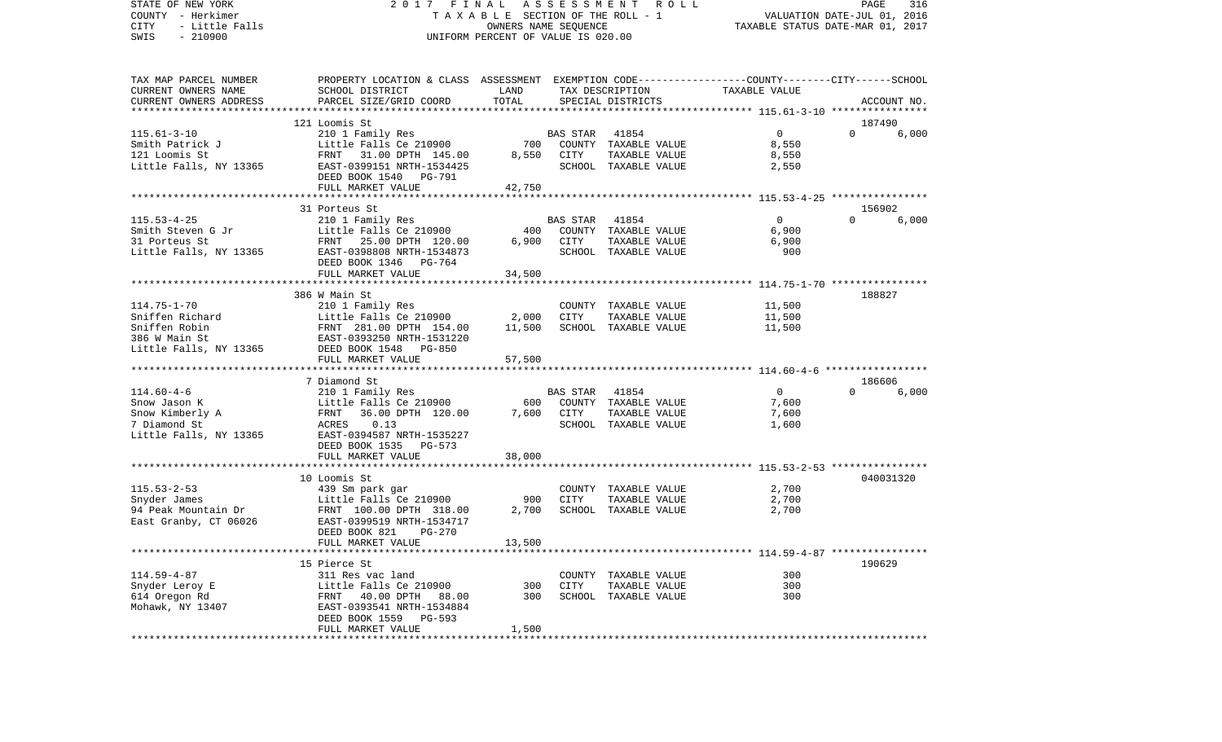STATE OF NEW YORK 2 0 1 7 F I N A L A S S E S S M E N T R O L L PAGE 316COUNTY - Herkimer **T A X A B L E SECTION OF THE ROLL - 1** VALUATION DATE-JUL 01, 2016 CITY - Little Falls OWNERS NAME SEQUENCE TAXABLE STATUS DATE-MAR 01, 2017 SWIS - 210900 UNIFORM PERCENT OF VALUE IS 020.00TAX MAP PARCEL NUMBER PROPERTY LOCATION & CLASS ASSESSMENT EXEMPTION CODE------------------COUNTY--------CITY------SCHOOL CURRENT OWNERS NAME SCHOOL DISTRICT LAND TAX DESCRIPTION TAXABLE VALUECURRENT OWNERS ADDRESS PARCEL SIZE/GRID COORD TOTAL SPECIAL DISTRICTS ACCOUNT NO. \*\*\*\*\*\*\*\*\*\*\*\*\*\*\*\*\*\*\*\*\*\*\*\*\*\*\*\*\*\*\*\*\*\*\*\*\*\*\*\*\*\*\*\*\*\*\*\*\*\*\*\*\*\*\*\*\*\*\*\*\*\*\*\*\*\*\*\*\*\*\*\*\*\*\*\*\*\*\*\*\*\*\*\*\*\*\*\*\*\*\*\*\*\*\*\*\*\*\*\*\*\*\* 115.61-3-10 \*\*\*\*\*\*\*\*\*\*\*\*\*\*\*\* 121 Loomis St 187490115.61-3-10 210 1 Family Res BAS STAR 41854 0 0 6,000 Smith Patrick J Little Falls Ce 210900 700 COUNTY TAXABLE VALUE 8,550 121 Loomis St FRNT 31.00 DPTH 145.00 8,550 CITY TAXABLE VALUE 8,550 Little Falls, NY 13365 688 EAST-0399151 NRTH-1534425 688 SCHOOL TAXABLE VALUE 2,550 DEED BOOK 1540 PG-791FULL MARKET VALUE 42,750 \*\*\*\*\*\*\*\*\*\*\*\*\*\*\*\*\*\*\*\*\*\*\*\*\*\*\*\*\*\*\*\*\*\*\*\*\*\*\*\*\*\*\*\*\*\*\*\*\*\*\*\*\*\*\*\*\*\*\*\*\*\*\*\*\*\*\*\*\*\*\*\*\*\*\*\*\*\*\*\*\*\*\*\*\*\*\*\*\*\*\*\*\*\*\*\*\*\*\*\*\*\*\* 115.53-4-25 \*\*\*\*\*\*\*\*\*\*\*\*\*\*\*\* 31 Porteus St 156902115.53-4-25 210 1 Family Res BAS STAR 41854 0 0 6,000 Smith Steven G Jr **Little Falls Ce 210900** 400 COUNTY TAXABLE VALUE 6,900 31 Porteus St FRNT 25.00 DPTH 120.00 6,900 CITY TAXABLE VALUE 6,900 Little Falls, NY 13365 EAST-0398808 NRTH-1534873 SCHOOL TAXABLE VALUE 900 DEED BOOK 1346 PG-764FULL MARKET VALUE 34,500 \*\*\*\*\*\*\*\*\*\*\*\*\*\*\*\*\*\*\*\*\*\*\*\*\*\*\*\*\*\*\*\*\*\*\*\*\*\*\*\*\*\*\*\*\*\*\*\*\*\*\*\*\*\*\*\*\*\*\*\*\*\*\*\*\*\*\*\*\*\*\*\*\*\*\*\*\*\*\*\*\*\*\*\*\*\*\*\*\*\*\*\*\*\*\*\*\*\*\*\*\*\*\* 114.75-1-70 \*\*\*\*\*\*\*\*\*\*\*\*\*\*\*\* 386 W Main St 188827114.75-1-70 210 1 Family Res COUNTY TAXABLE VALUE 11,500 Sniffen Richard Little Falls Ce 210900 2,000 CITY TAXABLE VALUE 11,500 Sniffen Robin 61,500 ERNT 281.00 DPTH 154.00 11,500 SCHOOL TAXABLE VALUE 11,500 386 W Main St EAST-0393250 NRTH-1531220Little Falls, NY 13365 DEED BOOK 1548 PG-850 FULL MARKET VALUE 57,500 \*\*\*\*\*\*\*\*\*\*\*\*\*\*\*\*\*\*\*\*\*\*\*\*\*\*\*\*\*\*\*\*\*\*\*\*\*\*\*\*\*\*\*\*\*\*\*\*\*\*\*\*\*\*\*\*\*\*\*\*\*\*\*\*\*\*\*\*\*\*\*\*\*\*\*\*\*\*\*\*\*\*\*\*\*\*\*\*\*\*\*\*\*\*\*\*\*\*\*\*\*\*\* 114.60-4-6 \*\*\*\*\*\*\*\*\*\*\*\*\*\*\*\*\* 7 Diamond St 186606114.60-4-6 210 1 Family Res BAS STAR 41854 0 0 6,000 Snow Jason K **Example 2001** Little Falls Ce 210900 600 COUNTY TAXABLE VALUE 7,600 Snow Kimberly A 600 FRNT 36.00 DPTH 120.00 7,600 CITY TAXABLE VALUE 7,600 7 Diamond St ACRES 0.13 SCHOOL TAXABLE VALUE 1,600 Little Falls, NY 13365 EAST-0394587 NRTH-1535227 DEED BOOK 1535 PG-573 FULL MARKET VALUE 38,000 \*\*\*\*\*\*\*\*\*\*\*\*\*\*\*\*\*\*\*\*\*\*\*\*\*\*\*\*\*\*\*\*\*\*\*\*\*\*\*\*\*\*\*\*\*\*\*\*\*\*\*\*\*\*\*\*\*\*\*\*\*\*\*\*\*\*\*\*\*\*\*\*\*\*\*\*\*\*\*\*\*\*\*\*\*\*\*\*\*\*\*\*\*\*\*\*\*\*\*\*\*\*\* 115.53-2-53 \*\*\*\*\*\*\*\*\*\*\*\*\*\*\*\*10 Loomis St 040031320 115.53-2-53 439 Sm park gar COUNTY TAXABLE VALUE 2,700 Snyder James Little Falls Ce 210900 900 CITY TAXABLE VALUE 2,700 FRNT 100.00 DPTH 318.00 East Granby, CT 06026 EAST-0399519 NRTH-1534717 DEED BOOK 821 PG-270FULL MARKET VALUE 13,500 \*\*\*\*\*\*\*\*\*\*\*\*\*\*\*\*\*\*\*\*\*\*\*\*\*\*\*\*\*\*\*\*\*\*\*\*\*\*\*\*\*\*\*\*\*\*\*\*\*\*\*\*\*\*\*\*\*\*\*\*\*\*\*\*\*\*\*\*\*\*\*\*\*\*\*\*\*\*\*\*\*\*\*\*\*\*\*\*\*\*\*\*\*\*\*\*\*\*\*\*\*\*\* 114.59-4-87 \*\*\*\*\*\*\*\*\*\*\*\*\*\*\*\* 15 Pierce St 190629114.59-4-87 311 Res vac land COUNTY TAXABLE VALUE 300Snyder Leroy E The Little Falls Ce 210900 300 CITY TAXABLE VALUE 300 614 Oregon Rd FRNT 40.00 DPTH 88.00 300 SCHOOL TAXABLE VALUE 300 Mohawk, NY 13407 EAST-0393541 NRTH-1534884 DEED BOOK 1559 PG-593FULL MARKET VALUE 1,500 \*\*\*\*\*\*\*\*\*\*\*\*\*\*\*\*\*\*\*\*\*\*\*\*\*\*\*\*\*\*\*\*\*\*\*\*\*\*\*\*\*\*\*\*\*\*\*\*\*\*\*\*\*\*\*\*\*\*\*\*\*\*\*\*\*\*\*\*\*\*\*\*\*\*\*\*\*\*\*\*\*\*\*\*\*\*\*\*\*\*\*\*\*\*\*\*\*\*\*\*\*\*\*\*\*\*\*\*\*\*\*\*\*\*\*\*\*\*\*\*\*\*\*\*\*\*\*\*\*\*\*\*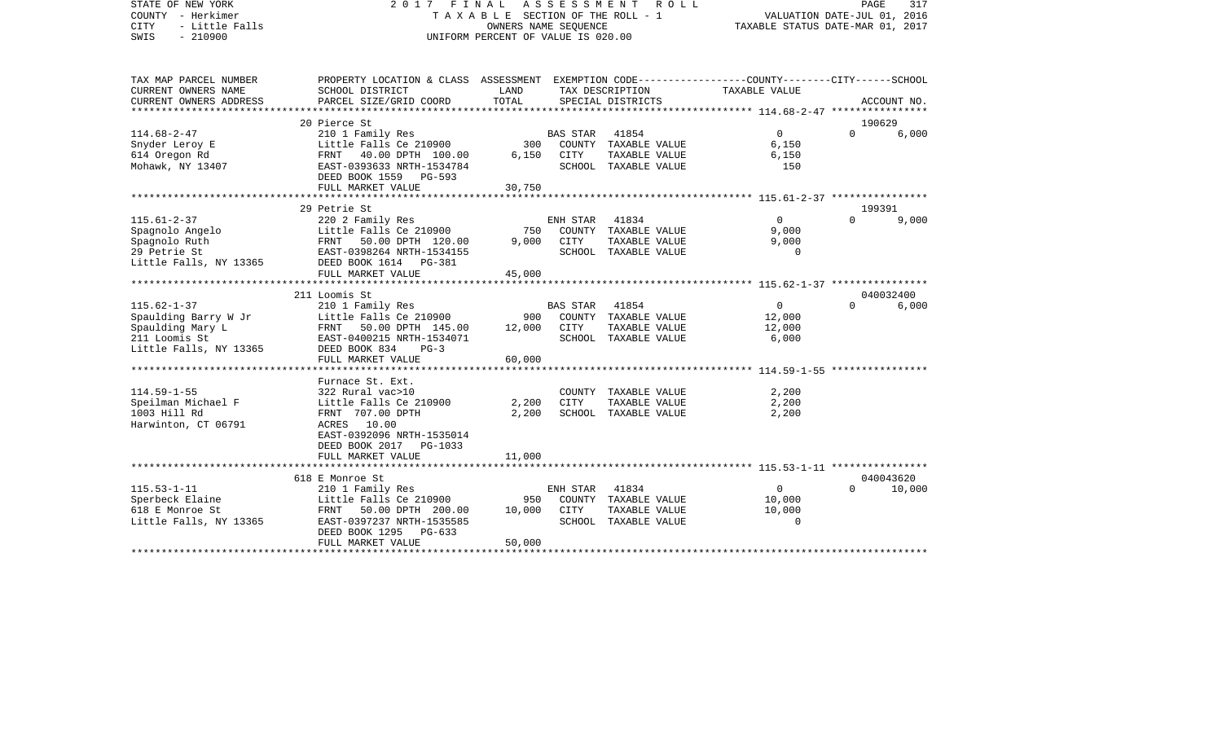STATE OF NEW YORK 2 0 1 7 F I N A L A S S E S S M E N T R O L L PAGE 317COUNTY - Herkimer **T A X A B L E SECTION OF THE ROLL - 1** VALUATION DATE-JUL 01, 2016 CITY - Little Falls OWNERS NAME SEQUENCE TAXABLE STATUS DATE-MAR 01, 2017 SWIS - 210900 UNIFORM PERCENT OF VALUE IS 020.00TAX MAP PARCEL NUMBER PROPERTY LOCATION & CLASS ASSESSMENT EXEMPTION CODE------------------COUNTY--------CITY------SCHOOL CURRENT OWNERS NAME SCHOOL DISTRICT LAND TAX DESCRIPTION TAXABLE VALUECURRENT OWNERS ADDRESS PARCEL SIZE/GRID COORD TOTAL SPECIAL DISTRICTS ACCOUNT NO. \*\*\*\*\*\*\*\*\*\*\*\*\*\*\*\*\*\*\*\*\*\*\*\*\*\*\*\*\*\*\*\*\*\*\*\*\*\*\*\*\*\*\*\*\*\*\*\*\*\*\*\*\*\*\*\*\*\*\*\*\*\*\*\*\*\*\*\*\*\*\*\*\*\*\*\*\*\*\*\*\*\*\*\*\*\*\*\*\*\*\*\*\*\*\*\*\*\*\*\*\*\*\* 114.68-2-47 \*\*\*\*\*\*\*\*\*\*\*\*\*\*\*\* 20 Pierce St 190629114.68-2-47 210 1 Family Res BAS STAR 41854 0 0 6,000 Snyder Leroy E Little Falls Ce 210900 300 COUNTY TAXABLE VALUE 6,150 614 Oregon Rd FRNT 40.00 DPTH 100.00 6,150 CITY TAXABLE VALUE 6,150 Mohawk, NY 13407 EAST-0393633 NRTH-1534784 SCHOOL TAXABLE VALUE 150 DEED BOOK 1559 PG-593FULL MARKET VALUE 30,750 \*\*\*\*\*\*\*\*\*\*\*\*\*\*\*\*\*\*\*\*\*\*\*\*\*\*\*\*\*\*\*\*\*\*\*\*\*\*\*\*\*\*\*\*\*\*\*\*\*\*\*\*\*\*\*\*\*\*\*\*\*\*\*\*\*\*\*\*\*\*\*\*\*\*\*\*\*\*\*\*\*\*\*\*\*\*\*\*\*\*\*\*\*\*\*\*\*\*\*\*\*\*\* 115.61-2-37 \*\*\*\*\*\*\*\*\*\*\*\*\*\*\*\* 29 Petrie St 199391115.61-2-37 220 2 Family Res ENH STAR 41834 0 0 9,000 Spagnolo Angelo County Taxable Falls Ce 210900 750 COUNTY TAXABLE VALUE Spagnolo Ruth FRNT 50.00 DPTH 120.00 9,000 CITY TAXABLE VALUE 9,000 29 Petrie St EAST-0398264 NRTH-1534155 SCHOOL TAXABLE VALUE 0Little Falls, NY 13365 DEED BOOK 1614 PG-381 FULL MARKET VALUE 45,000 \*\*\*\*\*\*\*\*\*\*\*\*\*\*\*\*\*\*\*\*\*\*\*\*\*\*\*\*\*\*\*\*\*\*\*\*\*\*\*\*\*\*\*\*\*\*\*\*\*\*\*\*\*\*\*\*\*\*\*\*\*\*\*\*\*\*\*\*\*\*\*\*\*\*\*\*\*\*\*\*\*\*\*\*\*\*\*\*\*\*\*\*\*\*\*\*\*\*\*\*\*\*\* 115.62-1-37 \*\*\*\*\*\*\*\*\*\*\*\*\*\*\*\* 211 Loomis St 0400324006,000 115.62-1-37 210 1 Family Res BAS STAR 41854 0 0 6,000 Spaulding Barry W Jr Little Falls Ce 210900 900 COUNTY TAXABLE VALUE 12,000 Spaulding Mary L **FRNT 50.00 DPTH 145.00** 12,000 CITY TAXABLE VALUE 12,000 211 Loomis St EAST-0400215 NRTH-1534071 SCHOOL TAXABLE VALUE 6,000 Little Falls, NY 13365 DEED BOOK 834 PG-3 FULL MARKET VALUE 60,000 \*\*\*\*\*\*\*\*\*\*\*\*\*\*\*\*\*\*\*\*\*\*\*\*\*\*\*\*\*\*\*\*\*\*\*\*\*\*\*\*\*\*\*\*\*\*\*\*\*\*\*\*\*\*\*\*\*\*\*\*\*\*\*\*\*\*\*\*\*\*\*\*\*\*\*\*\*\*\*\*\*\*\*\*\*\*\*\*\*\*\*\*\*\*\*\*\*\*\*\*\*\*\* 114.59-1-55 \*\*\*\*\*\*\*\*\*\*\*\*\*\*\*\* Furnace St. Ext.114.59-1-55 322 Rural vac>10 COUNTY TAXABLE VALUE 2,200 Speilman Michael F 6.2101 Little Falls Ce 210900 2,200 CITY TAXABLE VALUE 2,200 1003 Hill Rd FRNT 707.00 DPTH 2,200 SCHOOL TAXABLE VALUE 2,200 Harwinton, CT 06791 ACRES 10.00 EAST-0392096 NRTH-1535014 DEED BOOK 2017 PG-1033FULL MARKET VALUE 11,000 \*\*\*\*\*\*\*\*\*\*\*\*\*\*\*\*\*\*\*\*\*\*\*\*\*\*\*\*\*\*\*\*\*\*\*\*\*\*\*\*\*\*\*\*\*\*\*\*\*\*\*\*\*\*\*\*\*\*\*\*\*\*\*\*\*\*\*\*\*\*\*\*\*\*\*\*\*\*\*\*\*\*\*\*\*\*\*\*\*\*\*\*\*\*\*\*\*\*\*\*\*\*\* 115.53-1-11 \*\*\*\*\*\*\*\*\*\*\*\*\*\*\*\*618 E Monroe St 040043620 115.53-1-11 210 1 Family Res ENH STAR 41834 0 0 10,000 Sperbeck Elaine Little Falls Ce 210900 950 COUNTY TAXABLE VALUE 10,000 FRNT 50.00 DPTH 200.00 10.000 CITY Little Falls, NY 13365 EAST-0397237 NRTH-1535585 SCHOOL TAXABLE VALUE 0 DEED BOOK 1295 PG-633 FULL MARKET VALUE 50,000 \*\*\*\*\*\*\*\*\*\*\*\*\*\*\*\*\*\*\*\*\*\*\*\*\*\*\*\*\*\*\*\*\*\*\*\*\*\*\*\*\*\*\*\*\*\*\*\*\*\*\*\*\*\*\*\*\*\*\*\*\*\*\*\*\*\*\*\*\*\*\*\*\*\*\*\*\*\*\*\*\*\*\*\*\*\*\*\*\*\*\*\*\*\*\*\*\*\*\*\*\*\*\*\*\*\*\*\*\*\*\*\*\*\*\*\*\*\*\*\*\*\*\*\*\*\*\*\*\*\*\*\*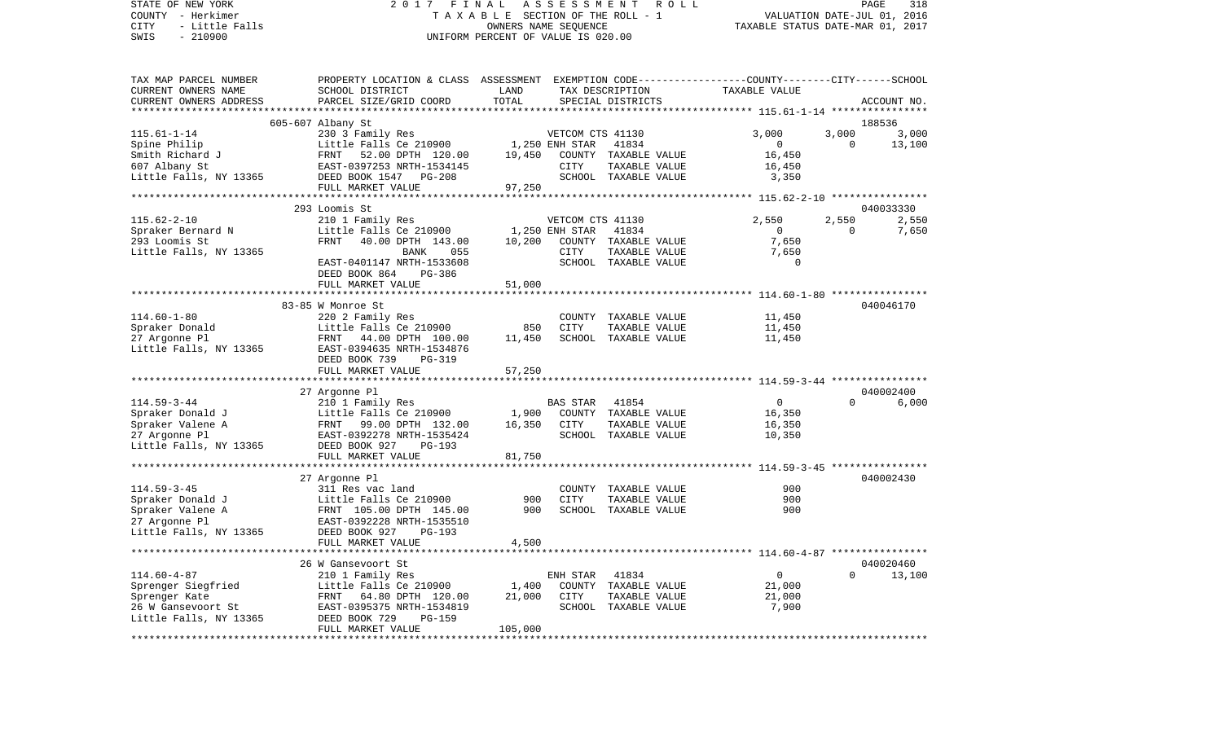COUNTY - Herkimer **T A X A B L E SECTION OF THE ROLL - 1** VALUATION DATE-JUL 01, 2016 CITY - Little Falls OWNERS NAME SEQUENCE TAXABLE STATUS DATE-MAR 01, 2017 SWIS - 210900 UNIFORM PERCENT OF VALUE IS 020.00TAX MAP PARCEL NUMBER PROPERTY LOCATION & CLASS ASSESSMENT EXEMPTION CODE------------------COUNTY--------CITY------SCHOOL CURRENT OWNERS NAME SCHOOL DISTRICT LAND TAX DESCRIPTION TAXABLE VALUECURRENT OWNERS ADDRESS PARCEL SIZE/GRID COORD TOTAL SPECIAL DISTRICTS ACCOUNT NO. \*\*\*\*\*\*\*\*\*\*\*\*\*\*\*\*\*\*\*\*\*\*\*\*\*\*\*\*\*\*\*\*\*\*\*\*\*\*\*\*\*\*\*\*\*\*\*\*\*\*\*\*\*\*\*\*\*\*\*\*\*\*\*\*\*\*\*\*\*\*\*\*\*\*\*\*\*\*\*\*\*\*\*\*\*\*\*\*\*\*\*\*\*\*\*\*\*\*\*\*\*\*\* 115.61-1-14 \*\*\*\*\*\*\*\*\*\*\*\*\*\*\*\* 605-607 Albany St 188536 115.61-1-14 230 3 Family Res VETCOM CTS 41130 3,000 3,000 3,000 Spine Philip Contract Contract Little Falls Ce 210900 1,250 ENH STAR 41834 0 0 0 13,100 Smith Richard J FRNT 52.00 DPTH 120.00 19,450 COUNTY TAXABLE VALUE 16,450 607 Albany St EAST-0397253 NRTH-1534145 CITY TAXABLE VALUE 16,450 Little Falls, NY 13365 DEED BOOK 1547 PG-208 SCHOOL TAXABLE VALUE FULL MARKET VALUE 97,250 \*\*\*\*\*\*\*\*\*\*\*\*\*\*\*\*\*\*\*\*\*\*\*\*\*\*\*\*\*\*\*\*\*\*\*\*\*\*\*\*\*\*\*\*\*\*\*\*\*\*\*\*\*\*\*\*\*\*\*\*\*\*\*\*\*\*\*\*\*\*\*\*\*\*\*\*\*\*\*\*\*\*\*\*\*\*\*\*\*\*\*\*\*\*\*\*\*\*\*\*\*\*\* 115.62-2-10 \*\*\*\*\*\*\*\*\*\*\*\*\*\*\*\* 293 Loomis St 040033330115.62-2-10 210 1 Family Res VETCOM CTS 41130 2,550 2,550 2,550 Spraker Bernard N Little Falls Ce 210900 1,250 ENH STAR 41834 0 0 0 7,650 293 Loomis St FRNT 40.00 DPTH 143.00 10,200 COUNTY TAXABLE VALUE 7,650 Little Falls, NY 13365 BANK 055 CITY TAXABLE VALUE 7,650 EAST-0401147 NRTH-1533608 SCHOOL TAXABLE VALUE 0 DEED BOOK 864 PG-386 FULL MARKET VALUE 51,000 \*\*\*\*\*\*\*\*\*\*\*\*\*\*\*\*\*\*\*\*\*\*\*\*\*\*\*\*\*\*\*\*\*\*\*\*\*\*\*\*\*\*\*\*\*\*\*\*\*\*\*\*\*\*\*\*\*\*\*\*\*\*\*\*\*\*\*\*\*\*\*\*\*\*\*\*\*\*\*\*\*\*\*\*\*\*\*\*\*\*\*\*\*\*\*\*\*\*\*\*\*\*\* 114.60-1-80 \*\*\*\*\*\*\*\*\*\*\*\*\*\*\*\* 83-85 W Monroe St 040046170114.60-1-80 220 2 Family Res COUNTY TAXABLE VALUE 11,450 Spraker Donald **Little Falls Ce 210900** 850 CITY TAXABLE VALUE 11,450 27 Argonne Pl FRNT 44.00 DPTH 100.00 11.450 SCHOOL TAXABLE VALUE 11.450 Little Falls, NY 13365 EAST-0394635 NRTH-1534876 DEED BOOK 739 PG-319 FULL MARKET VALUE 57,250 \*\*\*\*\*\*\*\*\*\*\*\*\*\*\*\*\*\*\*\*\*\*\*\*\*\*\*\*\*\*\*\*\*\*\*\*\*\*\*\*\*\*\*\*\*\*\*\*\*\*\*\*\*\*\*\*\*\*\*\*\*\*\*\*\*\*\*\*\*\*\*\*\*\*\*\*\*\*\*\*\*\*\*\*\*\*\*\*\*\*\*\*\*\*\*\*\*\*\*\*\*\*\* 114.59-3-44 \*\*\*\*\*\*\*\*\*\*\*\*\*\*\*\* 27 Argonne Pl 040002400 114.59-3-44 210 1 Family Res BAS STAR 41854 0 0 6,000 Spraker Donald J Little Falls Ce 210900 1,900 COUNTY TAXABLE VALUE 16,350 Spraker Valene A FRNT 99.00 DPTH 132.00 16,350 CITY TAXABLE VALUE 16,350 27 Argonne Pl EAST-0392278 NRTH-1535424 SCHOOL TAXABLE VALUE 10,350 Little Falls, NY 13365 DEED BOOK 927 PG-193 FULL MARKET VALUE 81,750 \*\*\*\*\*\*\*\*\*\*\*\*\*\*\*\*\*\*\*\*\*\*\*\*\*\*\*\*\*\*\*\*\*\*\*\*\*\*\*\*\*\*\*\*\*\*\*\*\*\*\*\*\*\*\*\*\*\*\*\*\*\*\*\*\*\*\*\*\*\*\*\*\*\*\*\*\*\*\*\*\*\*\*\*\*\*\*\*\*\*\*\*\*\*\*\*\*\*\*\*\*\*\* 114.59-3-45 \*\*\*\*\*\*\*\*\*\*\*\*\*\*\*\* 27 Argonne Pl 040002430 114.59-3-45 311 Res vac land COUNTY TAXABLE VALUE 900Spraker Donald January 1. Spraker Donald June 1. 1990 1. Little Falls Ce 210900 1. 1990 CITY TAXABLE VALUE 1990<br>Spraker Valene A. Spraker 1990 FRNT 105.00 DPTH 145.00 1990 1. SCHOOL TAXABLE VALUE 1990 1990 FRNT 105.00 DPTH 145.00 27 Argonne Pl EAST-0392228 NRTH-1535510 Little Falls, NY 13365 DEED BOOK 927 PG-193 FULL MARKET VALUE 4,500 \*\*\*\*\*\*\*\*\*\*\*\*\*\*\*\*\*\*\*\*\*\*\*\*\*\*\*\*\*\*\*\*\*\*\*\*\*\*\*\*\*\*\*\*\*\*\*\*\*\*\*\*\*\*\*\*\*\*\*\*\*\*\*\*\*\*\*\*\*\*\*\*\*\*\*\*\*\*\*\*\*\*\*\*\*\*\*\*\*\*\*\*\*\*\*\*\*\*\*\*\*\*\* 114.60-4-87 \*\*\*\*\*\*\*\*\*\*\*\*\*\*\*\* 26 W Gansevoort St 040020460114.60-4-87 210 1 Family Res ENH STAR 41834 0 0 13,100 Sprenger Siegfried 1,000 Little Falls Ce 210900 1,400 COUNTY TAXABLE VALUE 21,000 Sprenger Kate FRNT 64.80 DPTH 120.00 21,000 CITY TAXABLE VALUE 21,000 26 W Gansevoort St EAST-0395375 NRTH-1534819 SCHOOL TAXABLE VALUE 7,900 Little Falls, NY 13365 DEED BOOK 729 PG-159 FULL MARKET VALUE 105,000 \*\*\*\*\*\*\*\*\*\*\*\*\*\*\*\*\*\*\*\*\*\*\*\*\*\*\*\*\*\*\*\*\*\*\*\*\*\*\*\*\*\*\*\*\*\*\*\*\*\*\*\*\*\*\*\*\*\*\*\*\*\*\*\*\*\*\*\*\*\*\*\*\*\*\*\*\*\*\*\*\*\*\*\*\*\*\*\*\*\*\*\*\*\*\*\*\*\*\*\*\*\*\*\*\*\*\*\*\*\*\*\*\*\*\*\*\*\*\*\*\*\*\*\*\*\*\*\*\*\*\*\*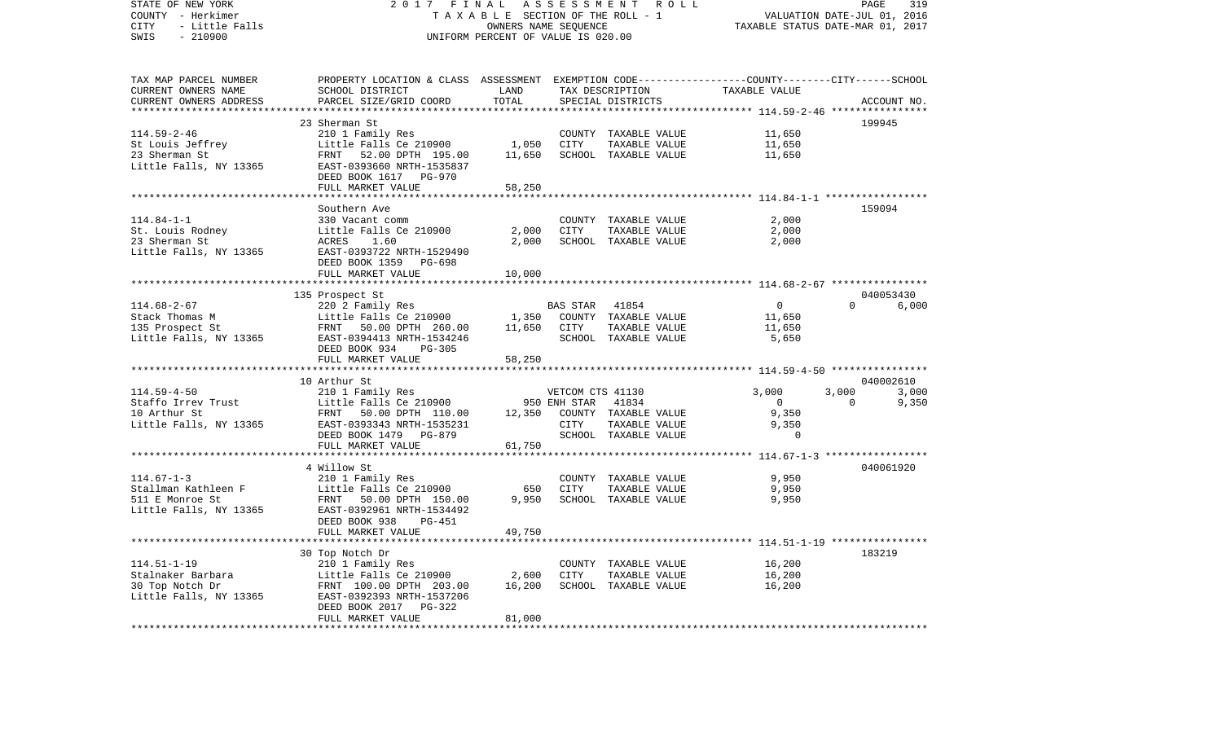| TAX MAP PARCEL NUMBER<br>PROPERTY LOCATION & CLASS ASSESSMENT EXEMPTION CODE---------------COUNTY-------CITY------SCHOOL<br>LAND<br>TAXABLE VALUE<br>CURRENT OWNERS NAME<br>SCHOOL DISTRICT<br>TAX DESCRIPTION<br>CURRENT OWNERS ADDRESS<br>PARCEL SIZE/GRID COORD<br>TOTAL<br>SPECIAL DISTRICTS<br>ACCOUNT NO.<br>* * * * * * * * * *<br>*********** 114.59-2-46 *****************<br>199945<br>23 Sherman St<br>210 1 Family Res<br>$114.59 - 2 - 46$<br>11,650<br>COUNTY TAXABLE VALUE<br>1,050<br>11,650<br>St Louis Jeffrey<br>Little Falls Ce 210900<br>CITY<br>TAXABLE VALUE<br>23 Sherman St<br>FRNT<br>52.00 DPTH 195.00<br>11,650<br>SCHOOL TAXABLE VALUE<br>11,650<br>Little Falls, NY 13365<br>EAST-0393660 NRTH-1535837<br>DEED BOOK 1617 PG-970<br>58,250<br>FULL MARKET VALUE<br>*******************<br>*********<br>********************** 114.84-1-1 ******************<br>159094<br>Southern Ave<br>$114.84 - 1 - 1$<br>2,000<br>330 Vacant comm<br>COUNTY TAXABLE VALUE<br>Little Falls Ce 210900<br>2,000<br><b>CITY</b><br>2,000<br>St. Louis Rodney<br>TAXABLE VALUE<br>23 Sherman St<br>2,000<br>2,000<br>ACRES<br>1.60<br>SCHOOL TAXABLE VALUE<br>Little Falls, NY 13365<br>EAST-0393722 NRTH-1529490<br>DEED BOOK 1359 PG-698<br>FULL MARKET VALUE<br>10,000<br>040053430<br>135 Prospect St<br>$114.68 - 2 - 67$<br>$\circ$<br>220 2 Family Res<br>BAS STAR<br>41854<br>$\Omega$<br>6,000<br>Stack Thomas M<br>Little Falls Ce 210900<br>1,350<br>COUNTY TAXABLE VALUE<br>11,650<br>135 Prospect St<br>11,650<br>CITY<br>TAXABLE VALUE<br>11,650<br>FRNT 50.00 DPTH 260.00<br>Little Falls, NY 13365<br>EAST-0394413 NRTH-1534246<br>SCHOOL TAXABLE VALUE<br>5,650<br>DEED BOOK 934<br>$PG-305$<br>58,250<br>FULL MARKET VALUE<br>*************************<br>10 Arthur St<br>040002610<br>$114.59 - 4 - 50$<br>3,000<br>3,000<br>210 1 Family Res<br>VETCOM CTS 41130<br>3,000<br>Little Falls Ce 210900<br>950 ENH STAR<br>41834<br>$\Omega$<br>9,350<br>Staffo Irrev Trust<br>$\overline{0}$<br>10 Arthur St<br>9,350<br>FRNT 50.00 DPTH 110.00<br>12,350<br>COUNTY TAXABLE VALUE<br>Little Falls, NY 13365<br>EAST-0393343 NRTH-1535231<br>CITY<br>TAXABLE VALUE<br>9,350<br>$\Omega$<br>DEED BOOK 1479 PG-879<br>SCHOOL TAXABLE VALUE<br>FULL MARKET VALUE<br>61,750<br>040061920<br>4 Willow St<br>9,950<br>$114.67 - 1 - 3$<br>210 1 Family Res<br>COUNTY TAXABLE VALUE<br>9,950<br>Stallman Kathleen F<br>Little Falls Ce 210900<br>650<br>CITY<br>TAXABLE VALUE<br>9,950<br>SCHOOL TAXABLE VALUE<br>9,950<br>511 E Monroe St<br>FRNT<br>50.00 DPTH 150.00<br>Little Falls, NY 13365<br>EAST-0392961 NRTH-1534492<br>DEED BOOK 938<br>PG-451<br>FULL MARKET VALUE<br>49,750<br>***********************<br>183219<br>30 Top Notch Dr<br>$114.51 - 1 - 19$<br>210 1 Family Res<br>16,200<br>COUNTY TAXABLE VALUE<br>2,600<br>16,200<br>Stalnaker Barbara<br>Little Falls Ce 210900<br>CITY<br>TAXABLE VALUE<br>16,200<br>16,200<br>30 Top Notch Dr<br>FRNT 100.00 DPTH 203.00<br>SCHOOL TAXABLE VALUE<br>EAST-0392393 NRTH-1537206<br>DEED BOOK 2017<br>PG-322<br>81,000<br>FULL MARKET VALUE | STATE OF NEW YORK<br>COUNTY - Herkimer<br>CITY<br>- Little Falls<br>SWIS<br>$-210900$ | 2017 FINAL<br>TAXABLE SECTION OF THE ROLL - 1<br>UNIFORM PERCENT OF VALUE IS 020.00 | PAGE<br>319<br>VALUATION DATE-JUL 01, 2016<br>TAXABLE STATUS DATE-MAR 01, 2017 |  |  |  |  |
|--------------------------------------------------------------------------------------------------------------------------------------------------------------------------------------------------------------------------------------------------------------------------------------------------------------------------------------------------------------------------------------------------------------------------------------------------------------------------------------------------------------------------------------------------------------------------------------------------------------------------------------------------------------------------------------------------------------------------------------------------------------------------------------------------------------------------------------------------------------------------------------------------------------------------------------------------------------------------------------------------------------------------------------------------------------------------------------------------------------------------------------------------------------------------------------------------------------------------------------------------------------------------------------------------------------------------------------------------------------------------------------------------------------------------------------------------------------------------------------------------------------------------------------------------------------------------------------------------------------------------------------------------------------------------------------------------------------------------------------------------------------------------------------------------------------------------------------------------------------------------------------------------------------------------------------------------------------------------------------------------------------------------------------------------------------------------------------------------------------------------------------------------------------------------------------------------------------------------------------------------------------------------------------------------------------------------------------------------------------------------------------------------------------------------------------------------------------------------------------------------------------------------------------------------------------------------------------------------------------------------------------------------------------------------------------------------------------------------------------------------------------------------------------------------------------------------------------------------------------------------------------------------------------------------------------------------------------------------------------------------------------------------------------------------------------------------------------------------------------------------------|---------------------------------------------------------------------------------------|-------------------------------------------------------------------------------------|--------------------------------------------------------------------------------|--|--|--|--|
|                                                                                                                                                                                                                                                                                                                                                                                                                                                                                                                                                                                                                                                                                                                                                                                                                                                                                                                                                                                                                                                                                                                                                                                                                                                                                                                                                                                                                                                                                                                                                                                                                                                                                                                                                                                                                                                                                                                                                                                                                                                                                                                                                                                                                                                                                                                                                                                                                                                                                                                                                                                                                                                                                                                                                                                                                                                                                                                                                                                                                                                                                                                                |                                                                                       |                                                                                     |                                                                                |  |  |  |  |
|                                                                                                                                                                                                                                                                                                                                                                                                                                                                                                                                                                                                                                                                                                                                                                                                                                                                                                                                                                                                                                                                                                                                                                                                                                                                                                                                                                                                                                                                                                                                                                                                                                                                                                                                                                                                                                                                                                                                                                                                                                                                                                                                                                                                                                                                                                                                                                                                                                                                                                                                                                                                                                                                                                                                                                                                                                                                                                                                                                                                                                                                                                                                |                                                                                       |                                                                                     |                                                                                |  |  |  |  |
|                                                                                                                                                                                                                                                                                                                                                                                                                                                                                                                                                                                                                                                                                                                                                                                                                                                                                                                                                                                                                                                                                                                                                                                                                                                                                                                                                                                                                                                                                                                                                                                                                                                                                                                                                                                                                                                                                                                                                                                                                                                                                                                                                                                                                                                                                                                                                                                                                                                                                                                                                                                                                                                                                                                                                                                                                                                                                                                                                                                                                                                                                                                                |                                                                                       |                                                                                     |                                                                                |  |  |  |  |
|                                                                                                                                                                                                                                                                                                                                                                                                                                                                                                                                                                                                                                                                                                                                                                                                                                                                                                                                                                                                                                                                                                                                                                                                                                                                                                                                                                                                                                                                                                                                                                                                                                                                                                                                                                                                                                                                                                                                                                                                                                                                                                                                                                                                                                                                                                                                                                                                                                                                                                                                                                                                                                                                                                                                                                                                                                                                                                                                                                                                                                                                                                                                |                                                                                       |                                                                                     |                                                                                |  |  |  |  |
|                                                                                                                                                                                                                                                                                                                                                                                                                                                                                                                                                                                                                                                                                                                                                                                                                                                                                                                                                                                                                                                                                                                                                                                                                                                                                                                                                                                                                                                                                                                                                                                                                                                                                                                                                                                                                                                                                                                                                                                                                                                                                                                                                                                                                                                                                                                                                                                                                                                                                                                                                                                                                                                                                                                                                                                                                                                                                                                                                                                                                                                                                                                                |                                                                                       |                                                                                     |                                                                                |  |  |  |  |
|                                                                                                                                                                                                                                                                                                                                                                                                                                                                                                                                                                                                                                                                                                                                                                                                                                                                                                                                                                                                                                                                                                                                                                                                                                                                                                                                                                                                                                                                                                                                                                                                                                                                                                                                                                                                                                                                                                                                                                                                                                                                                                                                                                                                                                                                                                                                                                                                                                                                                                                                                                                                                                                                                                                                                                                                                                                                                                                                                                                                                                                                                                                                |                                                                                       |                                                                                     |                                                                                |  |  |  |  |
|                                                                                                                                                                                                                                                                                                                                                                                                                                                                                                                                                                                                                                                                                                                                                                                                                                                                                                                                                                                                                                                                                                                                                                                                                                                                                                                                                                                                                                                                                                                                                                                                                                                                                                                                                                                                                                                                                                                                                                                                                                                                                                                                                                                                                                                                                                                                                                                                                                                                                                                                                                                                                                                                                                                                                                                                                                                                                                                                                                                                                                                                                                                                |                                                                                       |                                                                                     |                                                                                |  |  |  |  |
|                                                                                                                                                                                                                                                                                                                                                                                                                                                                                                                                                                                                                                                                                                                                                                                                                                                                                                                                                                                                                                                                                                                                                                                                                                                                                                                                                                                                                                                                                                                                                                                                                                                                                                                                                                                                                                                                                                                                                                                                                                                                                                                                                                                                                                                                                                                                                                                                                                                                                                                                                                                                                                                                                                                                                                                                                                                                                                                                                                                                                                                                                                                                |                                                                                       |                                                                                     |                                                                                |  |  |  |  |
|                                                                                                                                                                                                                                                                                                                                                                                                                                                                                                                                                                                                                                                                                                                                                                                                                                                                                                                                                                                                                                                                                                                                                                                                                                                                                                                                                                                                                                                                                                                                                                                                                                                                                                                                                                                                                                                                                                                                                                                                                                                                                                                                                                                                                                                                                                                                                                                                                                                                                                                                                                                                                                                                                                                                                                                                                                                                                                                                                                                                                                                                                                                                |                                                                                       |                                                                                     |                                                                                |  |  |  |  |
|                                                                                                                                                                                                                                                                                                                                                                                                                                                                                                                                                                                                                                                                                                                                                                                                                                                                                                                                                                                                                                                                                                                                                                                                                                                                                                                                                                                                                                                                                                                                                                                                                                                                                                                                                                                                                                                                                                                                                                                                                                                                                                                                                                                                                                                                                                                                                                                                                                                                                                                                                                                                                                                                                                                                                                                                                                                                                                                                                                                                                                                                                                                                |                                                                                       |                                                                                     |                                                                                |  |  |  |  |
|                                                                                                                                                                                                                                                                                                                                                                                                                                                                                                                                                                                                                                                                                                                                                                                                                                                                                                                                                                                                                                                                                                                                                                                                                                                                                                                                                                                                                                                                                                                                                                                                                                                                                                                                                                                                                                                                                                                                                                                                                                                                                                                                                                                                                                                                                                                                                                                                                                                                                                                                                                                                                                                                                                                                                                                                                                                                                                                                                                                                                                                                                                                                |                                                                                       |                                                                                     |                                                                                |  |  |  |  |
|                                                                                                                                                                                                                                                                                                                                                                                                                                                                                                                                                                                                                                                                                                                                                                                                                                                                                                                                                                                                                                                                                                                                                                                                                                                                                                                                                                                                                                                                                                                                                                                                                                                                                                                                                                                                                                                                                                                                                                                                                                                                                                                                                                                                                                                                                                                                                                                                                                                                                                                                                                                                                                                                                                                                                                                                                                                                                                                                                                                                                                                                                                                                |                                                                                       |                                                                                     |                                                                                |  |  |  |  |
|                                                                                                                                                                                                                                                                                                                                                                                                                                                                                                                                                                                                                                                                                                                                                                                                                                                                                                                                                                                                                                                                                                                                                                                                                                                                                                                                                                                                                                                                                                                                                                                                                                                                                                                                                                                                                                                                                                                                                                                                                                                                                                                                                                                                                                                                                                                                                                                                                                                                                                                                                                                                                                                                                                                                                                                                                                                                                                                                                                                                                                                                                                                                |                                                                                       |                                                                                     |                                                                                |  |  |  |  |
|                                                                                                                                                                                                                                                                                                                                                                                                                                                                                                                                                                                                                                                                                                                                                                                                                                                                                                                                                                                                                                                                                                                                                                                                                                                                                                                                                                                                                                                                                                                                                                                                                                                                                                                                                                                                                                                                                                                                                                                                                                                                                                                                                                                                                                                                                                                                                                                                                                                                                                                                                                                                                                                                                                                                                                                                                                                                                                                                                                                                                                                                                                                                |                                                                                       |                                                                                     |                                                                                |  |  |  |  |
|                                                                                                                                                                                                                                                                                                                                                                                                                                                                                                                                                                                                                                                                                                                                                                                                                                                                                                                                                                                                                                                                                                                                                                                                                                                                                                                                                                                                                                                                                                                                                                                                                                                                                                                                                                                                                                                                                                                                                                                                                                                                                                                                                                                                                                                                                                                                                                                                                                                                                                                                                                                                                                                                                                                                                                                                                                                                                                                                                                                                                                                                                                                                |                                                                                       |                                                                                     |                                                                                |  |  |  |  |
|                                                                                                                                                                                                                                                                                                                                                                                                                                                                                                                                                                                                                                                                                                                                                                                                                                                                                                                                                                                                                                                                                                                                                                                                                                                                                                                                                                                                                                                                                                                                                                                                                                                                                                                                                                                                                                                                                                                                                                                                                                                                                                                                                                                                                                                                                                                                                                                                                                                                                                                                                                                                                                                                                                                                                                                                                                                                                                                                                                                                                                                                                                                                |                                                                                       |                                                                                     |                                                                                |  |  |  |  |
|                                                                                                                                                                                                                                                                                                                                                                                                                                                                                                                                                                                                                                                                                                                                                                                                                                                                                                                                                                                                                                                                                                                                                                                                                                                                                                                                                                                                                                                                                                                                                                                                                                                                                                                                                                                                                                                                                                                                                                                                                                                                                                                                                                                                                                                                                                                                                                                                                                                                                                                                                                                                                                                                                                                                                                                                                                                                                                                                                                                                                                                                                                                                |                                                                                       |                                                                                     |                                                                                |  |  |  |  |
|                                                                                                                                                                                                                                                                                                                                                                                                                                                                                                                                                                                                                                                                                                                                                                                                                                                                                                                                                                                                                                                                                                                                                                                                                                                                                                                                                                                                                                                                                                                                                                                                                                                                                                                                                                                                                                                                                                                                                                                                                                                                                                                                                                                                                                                                                                                                                                                                                                                                                                                                                                                                                                                                                                                                                                                                                                                                                                                                                                                                                                                                                                                                |                                                                                       |                                                                                     |                                                                                |  |  |  |  |
|                                                                                                                                                                                                                                                                                                                                                                                                                                                                                                                                                                                                                                                                                                                                                                                                                                                                                                                                                                                                                                                                                                                                                                                                                                                                                                                                                                                                                                                                                                                                                                                                                                                                                                                                                                                                                                                                                                                                                                                                                                                                                                                                                                                                                                                                                                                                                                                                                                                                                                                                                                                                                                                                                                                                                                                                                                                                                                                                                                                                                                                                                                                                |                                                                                       |                                                                                     |                                                                                |  |  |  |  |
|                                                                                                                                                                                                                                                                                                                                                                                                                                                                                                                                                                                                                                                                                                                                                                                                                                                                                                                                                                                                                                                                                                                                                                                                                                                                                                                                                                                                                                                                                                                                                                                                                                                                                                                                                                                                                                                                                                                                                                                                                                                                                                                                                                                                                                                                                                                                                                                                                                                                                                                                                                                                                                                                                                                                                                                                                                                                                                                                                                                                                                                                                                                                |                                                                                       |                                                                                     |                                                                                |  |  |  |  |
|                                                                                                                                                                                                                                                                                                                                                                                                                                                                                                                                                                                                                                                                                                                                                                                                                                                                                                                                                                                                                                                                                                                                                                                                                                                                                                                                                                                                                                                                                                                                                                                                                                                                                                                                                                                                                                                                                                                                                                                                                                                                                                                                                                                                                                                                                                                                                                                                                                                                                                                                                                                                                                                                                                                                                                                                                                                                                                                                                                                                                                                                                                                                |                                                                                       |                                                                                     |                                                                                |  |  |  |  |
|                                                                                                                                                                                                                                                                                                                                                                                                                                                                                                                                                                                                                                                                                                                                                                                                                                                                                                                                                                                                                                                                                                                                                                                                                                                                                                                                                                                                                                                                                                                                                                                                                                                                                                                                                                                                                                                                                                                                                                                                                                                                                                                                                                                                                                                                                                                                                                                                                                                                                                                                                                                                                                                                                                                                                                                                                                                                                                                                                                                                                                                                                                                                |                                                                                       |                                                                                     |                                                                                |  |  |  |  |
|                                                                                                                                                                                                                                                                                                                                                                                                                                                                                                                                                                                                                                                                                                                                                                                                                                                                                                                                                                                                                                                                                                                                                                                                                                                                                                                                                                                                                                                                                                                                                                                                                                                                                                                                                                                                                                                                                                                                                                                                                                                                                                                                                                                                                                                                                                                                                                                                                                                                                                                                                                                                                                                                                                                                                                                                                                                                                                                                                                                                                                                                                                                                |                                                                                       |                                                                                     |                                                                                |  |  |  |  |
|                                                                                                                                                                                                                                                                                                                                                                                                                                                                                                                                                                                                                                                                                                                                                                                                                                                                                                                                                                                                                                                                                                                                                                                                                                                                                                                                                                                                                                                                                                                                                                                                                                                                                                                                                                                                                                                                                                                                                                                                                                                                                                                                                                                                                                                                                                                                                                                                                                                                                                                                                                                                                                                                                                                                                                                                                                                                                                                                                                                                                                                                                                                                |                                                                                       |                                                                                     |                                                                                |  |  |  |  |
|                                                                                                                                                                                                                                                                                                                                                                                                                                                                                                                                                                                                                                                                                                                                                                                                                                                                                                                                                                                                                                                                                                                                                                                                                                                                                                                                                                                                                                                                                                                                                                                                                                                                                                                                                                                                                                                                                                                                                                                                                                                                                                                                                                                                                                                                                                                                                                                                                                                                                                                                                                                                                                                                                                                                                                                                                                                                                                                                                                                                                                                                                                                                |                                                                                       |                                                                                     |                                                                                |  |  |  |  |
|                                                                                                                                                                                                                                                                                                                                                                                                                                                                                                                                                                                                                                                                                                                                                                                                                                                                                                                                                                                                                                                                                                                                                                                                                                                                                                                                                                                                                                                                                                                                                                                                                                                                                                                                                                                                                                                                                                                                                                                                                                                                                                                                                                                                                                                                                                                                                                                                                                                                                                                                                                                                                                                                                                                                                                                                                                                                                                                                                                                                                                                                                                                                |                                                                                       |                                                                                     |                                                                                |  |  |  |  |
|                                                                                                                                                                                                                                                                                                                                                                                                                                                                                                                                                                                                                                                                                                                                                                                                                                                                                                                                                                                                                                                                                                                                                                                                                                                                                                                                                                                                                                                                                                                                                                                                                                                                                                                                                                                                                                                                                                                                                                                                                                                                                                                                                                                                                                                                                                                                                                                                                                                                                                                                                                                                                                                                                                                                                                                                                                                                                                                                                                                                                                                                                                                                |                                                                                       |                                                                                     |                                                                                |  |  |  |  |
|                                                                                                                                                                                                                                                                                                                                                                                                                                                                                                                                                                                                                                                                                                                                                                                                                                                                                                                                                                                                                                                                                                                                                                                                                                                                                                                                                                                                                                                                                                                                                                                                                                                                                                                                                                                                                                                                                                                                                                                                                                                                                                                                                                                                                                                                                                                                                                                                                                                                                                                                                                                                                                                                                                                                                                                                                                                                                                                                                                                                                                                                                                                                |                                                                                       |                                                                                     |                                                                                |  |  |  |  |
|                                                                                                                                                                                                                                                                                                                                                                                                                                                                                                                                                                                                                                                                                                                                                                                                                                                                                                                                                                                                                                                                                                                                                                                                                                                                                                                                                                                                                                                                                                                                                                                                                                                                                                                                                                                                                                                                                                                                                                                                                                                                                                                                                                                                                                                                                                                                                                                                                                                                                                                                                                                                                                                                                                                                                                                                                                                                                                                                                                                                                                                                                                                                |                                                                                       |                                                                                     |                                                                                |  |  |  |  |
|                                                                                                                                                                                                                                                                                                                                                                                                                                                                                                                                                                                                                                                                                                                                                                                                                                                                                                                                                                                                                                                                                                                                                                                                                                                                                                                                                                                                                                                                                                                                                                                                                                                                                                                                                                                                                                                                                                                                                                                                                                                                                                                                                                                                                                                                                                                                                                                                                                                                                                                                                                                                                                                                                                                                                                                                                                                                                                                                                                                                                                                                                                                                |                                                                                       |                                                                                     |                                                                                |  |  |  |  |
|                                                                                                                                                                                                                                                                                                                                                                                                                                                                                                                                                                                                                                                                                                                                                                                                                                                                                                                                                                                                                                                                                                                                                                                                                                                                                                                                                                                                                                                                                                                                                                                                                                                                                                                                                                                                                                                                                                                                                                                                                                                                                                                                                                                                                                                                                                                                                                                                                                                                                                                                                                                                                                                                                                                                                                                                                                                                                                                                                                                                                                                                                                                                |                                                                                       |                                                                                     |                                                                                |  |  |  |  |
|                                                                                                                                                                                                                                                                                                                                                                                                                                                                                                                                                                                                                                                                                                                                                                                                                                                                                                                                                                                                                                                                                                                                                                                                                                                                                                                                                                                                                                                                                                                                                                                                                                                                                                                                                                                                                                                                                                                                                                                                                                                                                                                                                                                                                                                                                                                                                                                                                                                                                                                                                                                                                                                                                                                                                                                                                                                                                                                                                                                                                                                                                                                                |                                                                                       |                                                                                     |                                                                                |  |  |  |  |
|                                                                                                                                                                                                                                                                                                                                                                                                                                                                                                                                                                                                                                                                                                                                                                                                                                                                                                                                                                                                                                                                                                                                                                                                                                                                                                                                                                                                                                                                                                                                                                                                                                                                                                                                                                                                                                                                                                                                                                                                                                                                                                                                                                                                                                                                                                                                                                                                                                                                                                                                                                                                                                                                                                                                                                                                                                                                                                                                                                                                                                                                                                                                |                                                                                       |                                                                                     |                                                                                |  |  |  |  |
|                                                                                                                                                                                                                                                                                                                                                                                                                                                                                                                                                                                                                                                                                                                                                                                                                                                                                                                                                                                                                                                                                                                                                                                                                                                                                                                                                                                                                                                                                                                                                                                                                                                                                                                                                                                                                                                                                                                                                                                                                                                                                                                                                                                                                                                                                                                                                                                                                                                                                                                                                                                                                                                                                                                                                                                                                                                                                                                                                                                                                                                                                                                                |                                                                                       |                                                                                     |                                                                                |  |  |  |  |
|                                                                                                                                                                                                                                                                                                                                                                                                                                                                                                                                                                                                                                                                                                                                                                                                                                                                                                                                                                                                                                                                                                                                                                                                                                                                                                                                                                                                                                                                                                                                                                                                                                                                                                                                                                                                                                                                                                                                                                                                                                                                                                                                                                                                                                                                                                                                                                                                                                                                                                                                                                                                                                                                                                                                                                                                                                                                                                                                                                                                                                                                                                                                |                                                                                       |                                                                                     |                                                                                |  |  |  |  |
|                                                                                                                                                                                                                                                                                                                                                                                                                                                                                                                                                                                                                                                                                                                                                                                                                                                                                                                                                                                                                                                                                                                                                                                                                                                                                                                                                                                                                                                                                                                                                                                                                                                                                                                                                                                                                                                                                                                                                                                                                                                                                                                                                                                                                                                                                                                                                                                                                                                                                                                                                                                                                                                                                                                                                                                                                                                                                                                                                                                                                                                                                                                                |                                                                                       |                                                                                     |                                                                                |  |  |  |  |
|                                                                                                                                                                                                                                                                                                                                                                                                                                                                                                                                                                                                                                                                                                                                                                                                                                                                                                                                                                                                                                                                                                                                                                                                                                                                                                                                                                                                                                                                                                                                                                                                                                                                                                                                                                                                                                                                                                                                                                                                                                                                                                                                                                                                                                                                                                                                                                                                                                                                                                                                                                                                                                                                                                                                                                                                                                                                                                                                                                                                                                                                                                                                |                                                                                       |                                                                                     |                                                                                |  |  |  |  |
|                                                                                                                                                                                                                                                                                                                                                                                                                                                                                                                                                                                                                                                                                                                                                                                                                                                                                                                                                                                                                                                                                                                                                                                                                                                                                                                                                                                                                                                                                                                                                                                                                                                                                                                                                                                                                                                                                                                                                                                                                                                                                                                                                                                                                                                                                                                                                                                                                                                                                                                                                                                                                                                                                                                                                                                                                                                                                                                                                                                                                                                                                                                                |                                                                                       |                                                                                     |                                                                                |  |  |  |  |
|                                                                                                                                                                                                                                                                                                                                                                                                                                                                                                                                                                                                                                                                                                                                                                                                                                                                                                                                                                                                                                                                                                                                                                                                                                                                                                                                                                                                                                                                                                                                                                                                                                                                                                                                                                                                                                                                                                                                                                                                                                                                                                                                                                                                                                                                                                                                                                                                                                                                                                                                                                                                                                                                                                                                                                                                                                                                                                                                                                                                                                                                                                                                |                                                                                       |                                                                                     |                                                                                |  |  |  |  |
|                                                                                                                                                                                                                                                                                                                                                                                                                                                                                                                                                                                                                                                                                                                                                                                                                                                                                                                                                                                                                                                                                                                                                                                                                                                                                                                                                                                                                                                                                                                                                                                                                                                                                                                                                                                                                                                                                                                                                                                                                                                                                                                                                                                                                                                                                                                                                                                                                                                                                                                                                                                                                                                                                                                                                                                                                                                                                                                                                                                                                                                                                                                                |                                                                                       |                                                                                     |                                                                                |  |  |  |  |
|                                                                                                                                                                                                                                                                                                                                                                                                                                                                                                                                                                                                                                                                                                                                                                                                                                                                                                                                                                                                                                                                                                                                                                                                                                                                                                                                                                                                                                                                                                                                                                                                                                                                                                                                                                                                                                                                                                                                                                                                                                                                                                                                                                                                                                                                                                                                                                                                                                                                                                                                                                                                                                                                                                                                                                                                                                                                                                                                                                                                                                                                                                                                |                                                                                       |                                                                                     |                                                                                |  |  |  |  |
|                                                                                                                                                                                                                                                                                                                                                                                                                                                                                                                                                                                                                                                                                                                                                                                                                                                                                                                                                                                                                                                                                                                                                                                                                                                                                                                                                                                                                                                                                                                                                                                                                                                                                                                                                                                                                                                                                                                                                                                                                                                                                                                                                                                                                                                                                                                                                                                                                                                                                                                                                                                                                                                                                                                                                                                                                                                                                                                                                                                                                                                                                                                                | Little Falls, NY 13365                                                                |                                                                                     |                                                                                |  |  |  |  |
|                                                                                                                                                                                                                                                                                                                                                                                                                                                                                                                                                                                                                                                                                                                                                                                                                                                                                                                                                                                                                                                                                                                                                                                                                                                                                                                                                                                                                                                                                                                                                                                                                                                                                                                                                                                                                                                                                                                                                                                                                                                                                                                                                                                                                                                                                                                                                                                                                                                                                                                                                                                                                                                                                                                                                                                                                                                                                                                                                                                                                                                                                                                                |                                                                                       |                                                                                     |                                                                                |  |  |  |  |
|                                                                                                                                                                                                                                                                                                                                                                                                                                                                                                                                                                                                                                                                                                                                                                                                                                                                                                                                                                                                                                                                                                                                                                                                                                                                                                                                                                                                                                                                                                                                                                                                                                                                                                                                                                                                                                                                                                                                                                                                                                                                                                                                                                                                                                                                                                                                                                                                                                                                                                                                                                                                                                                                                                                                                                                                                                                                                                                                                                                                                                                                                                                                |                                                                                       |                                                                                     |                                                                                |  |  |  |  |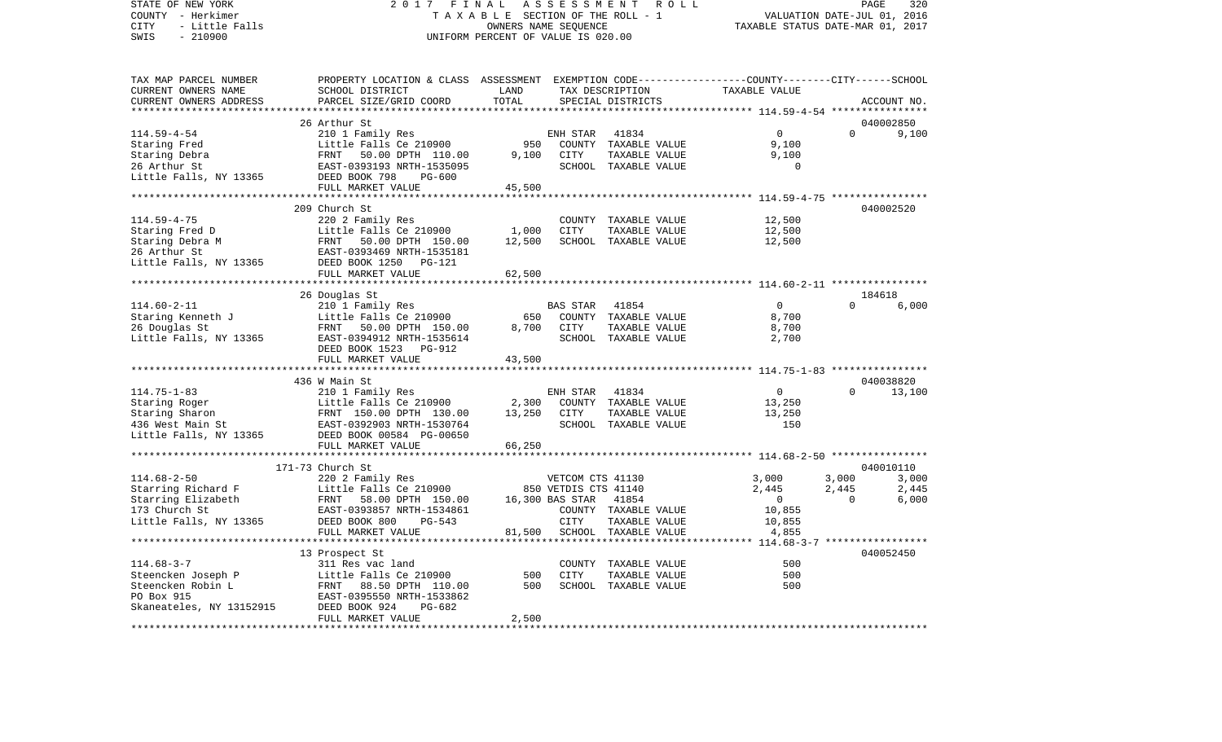COUNTY - Herkimer **T A X A B L E** SECTION OF THE ROLL - 1 VALUATION DATE-JUL 01, 2016 CITY - Little Falls OWNERS NAME SEQUENCE TAXABLE STATUS DATE-MAR 01, 2017 SWIS - 210900 UNIFORM PERCENT OF VALUE IS 020.00TAX MAP PARCEL NUMBER PROPERTY LOCATION & CLASS ASSESSMENT EXEMPTION CODE------------------COUNTY--------CITY------SCHOOL CURRENT OWNERS NAME SCHOOL DISTRICT LAND TAX DESCRIPTION TAXABLE VALUECURRENT OWNERS ADDRESS PARCEL SIZE/GRID COORD TOTAL SPECIAL DISTRICTS ACCOUNT NO. \*\*\*\*\*\*\*\*\*\*\*\*\*\*\*\*\*\*\*\*\*\*\*\*\*\*\*\*\*\*\*\*\*\*\*\*\*\*\*\*\*\*\*\*\*\*\*\*\*\*\*\*\*\*\*\*\*\*\*\*\*\*\*\*\*\*\*\*\*\*\*\*\*\*\*\*\*\*\*\*\*\*\*\*\*\*\*\*\*\*\*\*\*\*\*\*\*\*\*\*\*\*\* 114.59-4-54 \*\*\*\*\*\*\*\*\*\*\*\*\*\*\*\* 26 Arthur St 040002850114.59-4-54 210 1 Family Res ENH STAR 41834 0 0 9,100 Staring Fred The Little Falls Ce 210900 950 COUNTY TAXABLE VALUE 9,100 Staring Debra FRNT 50.00 DPTH 110.00 9,100 CITY TAXABLE VALUE 9,100 26 Arthur St EAST-0393193 NRTH-1535095 SCHOOL TAXABLE VALUE 0 Little Falls, NY 13365 DEED BOOK 798 PG-600 FULL MARKET VALUE 45,500 \*\*\*\*\*\*\*\*\*\*\*\*\*\*\*\*\*\*\*\*\*\*\*\*\*\*\*\*\*\*\*\*\*\*\*\*\*\*\*\*\*\*\*\*\*\*\*\*\*\*\*\*\*\*\*\*\*\*\*\*\*\*\*\*\*\*\*\*\*\*\*\*\*\*\*\*\*\*\*\*\*\*\*\*\*\*\*\*\*\*\*\*\*\*\*\*\*\*\*\*\*\*\* 114.59-4-75 \*\*\*\*\*\*\*\*\*\*\*\*\*\*\*\* 209 Church St 040002520114.59-4-75 220 2 Family Res COUNTY TAXABLE VALUE 12,500 Staring Fred D Little Falls Ce 210900 1,000 CITY TAXABLE VALUE 12,500 Staring Debra M FRNT 50.00 DPTH 150.00 12.500 SCHOOL TAXABLE VALUE 26 Arthur St EAST-0393469 NRTH-1535181Little Falls, NY 13365 DEED BOOK 1250 PG-121 FULL MARKET VALUE 62,500 \*\*\*\*\*\*\*\*\*\*\*\*\*\*\*\*\*\*\*\*\*\*\*\*\*\*\*\*\*\*\*\*\*\*\*\*\*\*\*\*\*\*\*\*\*\*\*\*\*\*\*\*\*\*\*\*\*\*\*\*\*\*\*\*\*\*\*\*\*\*\*\*\*\*\*\*\*\*\*\*\*\*\*\*\*\*\*\*\*\*\*\*\*\*\*\*\*\*\*\*\*\*\* 114.60-2-11 \*\*\*\*\*\*\*\*\*\*\*\*\*\*\*\* 26 Douglas St 184618 114.60-2-11 210 1 Family Res BAS STAR 41854 Staring Kenneth J Little Falls Ce 210900 650 COUNTY TAXABLE VALUE 8,700 26 Douglas St FRNT 50.00 DPTH 150.00 8,700 CITY TAXABLE VALUE 8,700 Little Falls, NY 13365 EAST-0394912 NRTH-1535614 SCHOOL TAXABLE VALUE 2,700 DEED BOOK 1523 PG-912FULL MARKET VALUE 43,500 \*\*\*\*\*\*\*\*\*\*\*\*\*\*\*\*\*\*\*\*\*\*\*\*\*\*\*\*\*\*\*\*\*\*\*\*\*\*\*\*\*\*\*\*\*\*\*\*\*\*\*\*\*\*\*\*\*\*\*\*\*\*\*\*\*\*\*\*\*\*\*\*\*\*\*\*\*\*\*\*\*\*\*\*\*\*\*\*\*\*\*\*\*\*\*\*\*\*\*\*\*\*\* 114.75-1-83 \*\*\*\*\*\*\*\*\*\*\*\*\*\*\*\* 436 W Main St 040038820114.75-1-83 210 1 Family Res ENH STAR 41834 0 0 13,100 Staring Roger and Little Falls Ce 210900 2,300 COUNTY TAXABLE VALUE 13,250 Staring Sharon 6 13,250 CITY TAXABLE VALUE 13,250 CITY 130.00 13,250 CITY TAXABLE VALUE 436 West Main St EAST-0392903 NRTH-1530764 SCHOOL TAXABLE VALUE 150Little Falls, NY 13365 DEED BOOK 00584 PG-00650 FULL MARKET VALUE 66,250 \*\*\*\*\*\*\*\*\*\*\*\*\*\*\*\*\*\*\*\*\*\*\*\*\*\*\*\*\*\*\*\*\*\*\*\*\*\*\*\*\*\*\*\*\*\*\*\*\*\*\*\*\*\*\*\*\*\*\*\*\*\*\*\*\*\*\*\*\*\*\*\*\*\*\*\*\*\*\*\*\*\*\*\*\*\*\*\*\*\*\*\*\*\*\*\*\*\*\*\*\*\*\* 114.68-2-50 \*\*\*\*\*\*\*\*\*\*\*\*\*\*\*\*171-73 Church St 040010110114.68-2-50 220 2 Family Res VETCOM CTS 41130 3,000 3,000 3,000 Starring Richard F **Little Falls Ce 210900** 850 VETDIS CTS 41140 2,445 2,445 2,445 Starring Elizabeth FRNT 58.00 DPTH 150.00 16,300 BAS STAR 41854 0 0 6,000 EAST-0393857 NRTH-1534861 Little Falls, NY 13365 DEED BOOK 800 PG-543 CITY TAXABLE VALUE 10,855 FULL MARKET VALUE  $81,500$  SCHOOL TAXABLE VALUE  $4,855$ \*\*\*\*\*\*\*\*\*\*\*\*\*\*\*\*\*\*\*\*\*\*\*\*\*\*\*\*\*\*\*\*\*\*\*\*\*\*\*\*\*\*\*\*\*\*\*\*\*\*\*\*\*\*\*\*\*\*\*\*\*\*\*\*\*\*\*\*\*\*\*\*\*\*\*\*\*\*\*\*\*\*\*\*\*\*\*\*\*\*\*\*\*\*\*\*\*\*\*\*\*\*\* 114.68-3-7 \*\*\*\*\*\*\*\*\*\*\*\*\*\*\*\*\* 13 Prospect St 040052450 114.68-3-7 311 Res vac land COUNTY TAXABLE VALUE 500500 Steencken Joseph P Little Falls Ce 210900 500 CITY TAXABLE VALUE 500 FRNT 88.50 DPTH 110.00 PO Box 915 EAST-0395550 NRTH-1533862Skaneateles, NY 13152915 DEED BOOK 924 PG-682 FULL MARKET VALUE 2,500 \*\*\*\*\*\*\*\*\*\*\*\*\*\*\*\*\*\*\*\*\*\*\*\*\*\*\*\*\*\*\*\*\*\*\*\*\*\*\*\*\*\*\*\*\*\*\*\*\*\*\*\*\*\*\*\*\*\*\*\*\*\*\*\*\*\*\*\*\*\*\*\*\*\*\*\*\*\*\*\*\*\*\*\*\*\*\*\*\*\*\*\*\*\*\*\*\*\*\*\*\*\*\*\*\*\*\*\*\*\*\*\*\*\*\*\*\*\*\*\*\*\*\*\*\*\*\*\*\*\*\*\*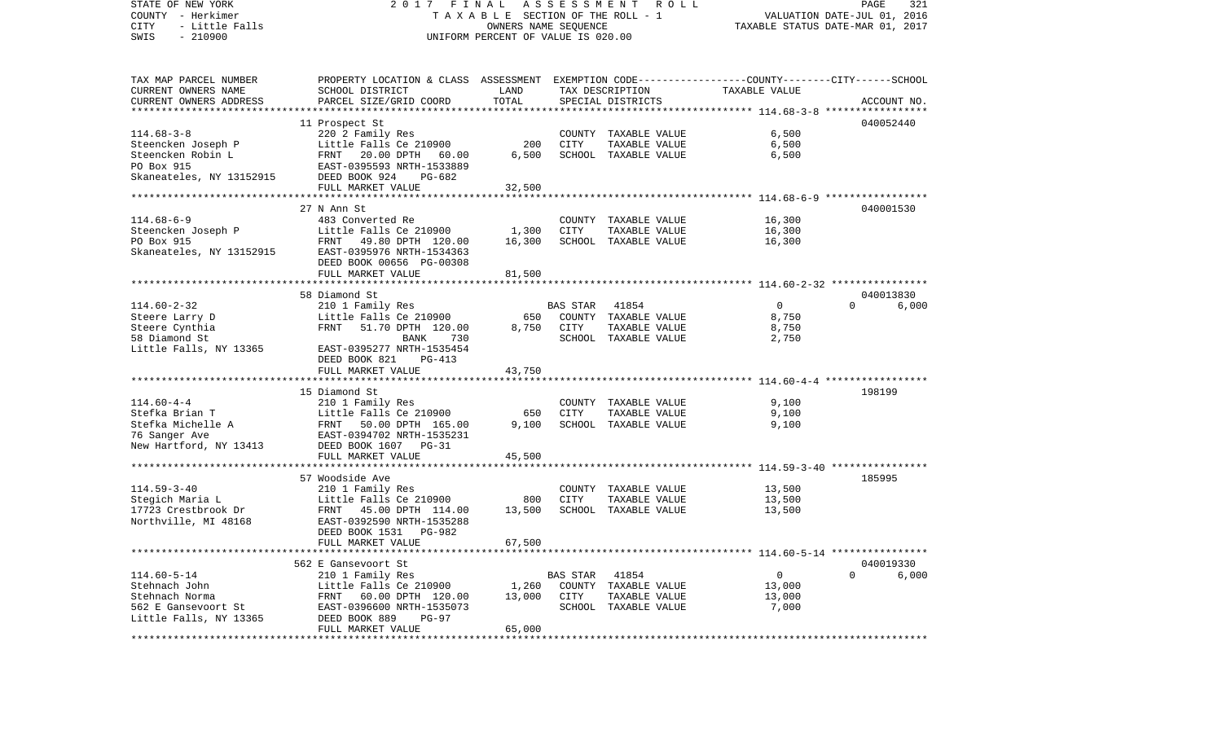| STATE OF NEW YORK<br>COUNTY - Herkimer<br>CITY<br>- Little Falls<br>$-210900$<br>SWIS | FINAL<br>2017<br>T A X A B L E SECTION OF THE ROLL - 1<br>UNIFORM PERCENT OF VALUE IS 020.00    | ASSESSMENT ROLL<br>PAGE<br>321<br>VALUATION DATE-JUL 01, 2016<br>TAXABLE STATUS DATE-MAR 01, 2017 |                 |                      |                |                                |
|---------------------------------------------------------------------------------------|-------------------------------------------------------------------------------------------------|---------------------------------------------------------------------------------------------------|-----------------|----------------------|----------------|--------------------------------|
| TAX MAP PARCEL NUMBER                                                                 | PROPERTY LOCATION & CLASS ASSESSMENT EXEMPTION CODE---------------COUNTY-------CITY------SCHOOL |                                                                                                   |                 |                      |                |                                |
| CURRENT OWNERS NAME                                                                   | SCHOOL DISTRICT                                                                                 | LAND                                                                                              |                 | TAX DESCRIPTION      | TAXABLE VALUE  |                                |
| CURRENT OWNERS ADDRESS<br>*************************                                   | PARCEL SIZE/GRID COORD                                                                          | TOTAL                                                                                             |                 | SPECIAL DISTRICTS    |                | ACCOUNT NO.                    |
|                                                                                       |                                                                                                 |                                                                                                   |                 |                      |                | 040052440                      |
| $114.68 - 3 - 8$                                                                      | 11 Prospect St<br>220 2 Family Res                                                              |                                                                                                   |                 | COUNTY TAXABLE VALUE | 6,500          |                                |
| Steencken Joseph P                                                                    | Little Falls Ce 210900                                                                          | 200                                                                                               | CITY            | TAXABLE VALUE        | 6,500          |                                |
| Steencken Robin L                                                                     | FRNT 20.00 DPTH 60.00                                                                           | 6,500                                                                                             |                 | SCHOOL TAXABLE VALUE | 6,500          |                                |
| PO Box 915                                                                            | EAST-0395593 NRTH-1533889                                                                       |                                                                                                   |                 |                      |                |                                |
| Skaneateles, NY 13152915                                                              | DEED BOOK 924<br>PG-682                                                                         |                                                                                                   |                 |                      |                |                                |
|                                                                                       | FULL MARKET VALUE                                                                               | 32,500                                                                                            |                 |                      |                |                                |
|                                                                                       |                                                                                                 | * * * * * * * * * * * * *                                                                         |                 |                      |                |                                |
|                                                                                       | 27 N Ann St                                                                                     |                                                                                                   |                 |                      |                | 040001530                      |
| $114.68 - 6 - 9$                                                                      | 483 Converted Re                                                                                |                                                                                                   |                 | COUNTY TAXABLE VALUE | 16,300         |                                |
| Steencken Joseph P<br>PO Box 915                                                      | Little Falls Ce 210900                                                                          | 1,300                                                                                             | CITY            | TAXABLE VALUE        | 16,300         |                                |
| Skaneateles, NY 13152915                                                              | FRNT 49.80 DPTH 120.00<br>EAST-0395976 NRTH-1534363                                             | 16,300                                                                                            |                 | SCHOOL TAXABLE VALUE | 16,300         |                                |
|                                                                                       | DEED BOOK 00656 PG-00308                                                                        |                                                                                                   |                 |                      |                |                                |
|                                                                                       | FULL MARKET VALUE                                                                               | 81,500                                                                                            |                 |                      |                |                                |
|                                                                                       |                                                                                                 |                                                                                                   |                 |                      |                |                                |
|                                                                                       | 58 Diamond St                                                                                   |                                                                                                   |                 |                      |                | 040013830                      |
| $114.60 - 2 - 32$                                                                     | 210 1 Family Res                                                                                |                                                                                                   | <b>BAS STAR</b> | 41854                | $\overline{0}$ | $\Omega$<br>6,000              |
| Steere Larry D                                                                        | Little Falls Ce 210900                                                                          | 650                                                                                               |                 | COUNTY TAXABLE VALUE | 8,750          |                                |
| Steere Cynthia                                                                        | FRNT<br>51.70 DPTH 120.00                                                                       | 8,750                                                                                             | CITY            | TAXABLE VALUE        | 8,750          |                                |
| 58 Diamond St                                                                         | <b>BANK</b><br>730                                                                              |                                                                                                   |                 | SCHOOL TAXABLE VALUE | 2,750          |                                |
| Little Falls, NY 13365                                                                | EAST-0395277 NRTH-1535454<br>DEED BOOK 821<br>PG-413                                            |                                                                                                   |                 |                      |                |                                |
|                                                                                       | FULL MARKET VALUE                                                                               | 43,750                                                                                            |                 |                      |                |                                |
|                                                                                       |                                                                                                 |                                                                                                   |                 |                      |                |                                |
|                                                                                       | 15 Diamond St                                                                                   |                                                                                                   |                 |                      |                | 198199                         |
| $114.60 - 4 - 4$                                                                      | 210 1 Family Res                                                                                |                                                                                                   |                 | COUNTY TAXABLE VALUE | 9,100          |                                |
| Stefka Brian T                                                                        | Little Falls Ce 210900                                                                          | 650                                                                                               | CITY            | TAXABLE VALUE        | 9,100          |                                |
| Stefka Michelle A                                                                     | FRNT 50.00 DPTH 165.00                                                                          | 9,100                                                                                             |                 | SCHOOL TAXABLE VALUE | 9,100          |                                |
| 76 Sanger Ave                                                                         | EAST-0394702 NRTH-1535231                                                                       |                                                                                                   |                 |                      |                |                                |
| New Hartford, NY 13413                                                                | DEED BOOK 1607 PG-31                                                                            |                                                                                                   |                 |                      |                |                                |
|                                                                                       | FULL MARKET VALUE                                                                               | 45,500                                                                                            |                 |                      |                |                                |
|                                                                                       | 57 Woodside Ave                                                                                 |                                                                                                   |                 |                      |                | 185995                         |
| $114.59 - 3 - 40$                                                                     | 210 1 Family Res                                                                                |                                                                                                   |                 | COUNTY TAXABLE VALUE | 13,500         |                                |
| Stegich Maria L                                                                       | Little Falls Ce 210900                                                                          | 800                                                                                               | CITY            | TAXABLE VALUE        | 13,500         |                                |
| 17723 Crestbrook Dr                                                                   | FRNT 45.00 DPTH 114.00                                                                          | 13,500                                                                                            |                 | SCHOOL TAXABLE VALUE | 13,500         |                                |
| Northville, MI 48168                                                                  | EAST-0392590 NRTH-1535288                                                                       |                                                                                                   |                 |                      |                |                                |
|                                                                                       | DEED BOOK 1531<br>PG-982                                                                        |                                                                                                   |                 |                      |                |                                |
|                                                                                       | FULL MARKET VALUE                                                                               | 67,500                                                                                            |                 |                      |                |                                |
|                                                                                       |                                                                                                 |                                                                                                   |                 |                      |                |                                |
| $114.60 - 5 - 14$                                                                     | 562 E Gansevoort St<br>210 1 Family Res                                                         |                                                                                                   | BAS STAR        | 41854                | $\mathsf{O}$   | 040019330<br>$\Omega$<br>6,000 |
| Stehnach John                                                                         | Little Falls Ce 210900                                                                          | 1,260                                                                                             |                 | COUNTY TAXABLE VALUE | 13,000         |                                |
| Stehnach Norma                                                                        | FRNT 60.00 DPTH 120.00                                                                          | 13,000                                                                                            | CITY            | TAXABLE VALUE        | 13,000         |                                |
| 562 E Gansevoort St                                                                   | EAST-0396600 NRTH-1535073                                                                       |                                                                                                   |                 | SCHOOL TAXABLE VALUE | 7,000          |                                |
| Little Falls, NY 13365                                                                | DEED BOOK 889<br>$PG-97$                                                                        |                                                                                                   |                 |                      |                |                                |
|                                                                                       | FULL MARKET VALUE                                                                               | 65,000                                                                                            |                 |                      |                |                                |
|                                                                                       |                                                                                                 |                                                                                                   |                 |                      |                |                                |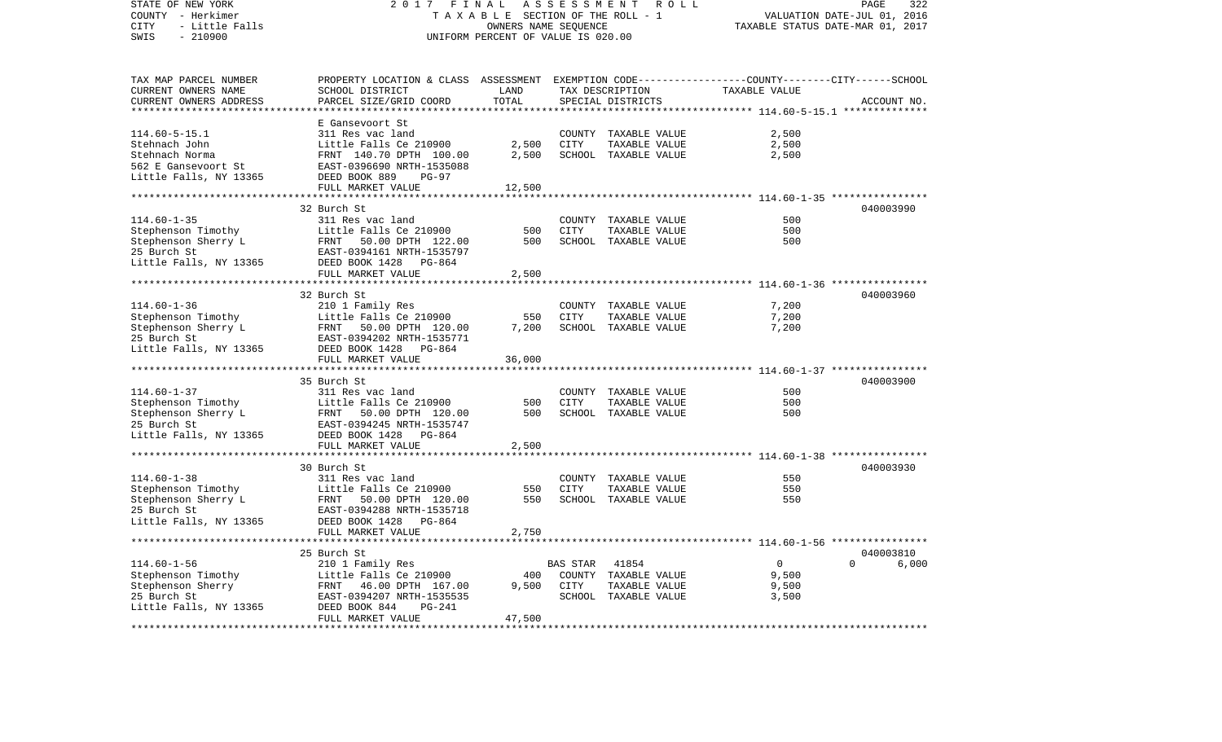| STATE OF NEW YORK<br>COUNTY - Herkimer<br>CITY<br>- Little Falls<br>$-210900$<br>SWIS | 2 0 1 7<br>FINAL<br>TAXABLE SECTION OF THE ROLL - 1<br>UNIFORM PERCENT OF VALUE IS 020.00        | ROLL<br>PAGE<br>322<br>VALUATION DATE-JUL 01, 2016<br>TAXABLE STATUS DATE-MAR 01, 2017 |             |                                       |                                                        |                   |
|---------------------------------------------------------------------------------------|--------------------------------------------------------------------------------------------------|----------------------------------------------------------------------------------------|-------------|---------------------------------------|--------------------------------------------------------|-------------------|
| TAX MAP PARCEL NUMBER                                                                 | PROPERTY LOCATION & CLASS ASSESSMENT EXEMPTION CODE----------------COUNTY-------CITY------SCHOOL |                                                                                        |             |                                       |                                                        |                   |
| CURRENT OWNERS NAME<br>CURRENT OWNERS ADDRESS                                         | SCHOOL DISTRICT<br>PARCEL SIZE/GRID COORD                                                        | LAND<br>TOTAL                                                                          |             | TAX DESCRIPTION<br>SPECIAL DISTRICTS  | TAXABLE VALUE                                          | ACCOUNT NO.       |
|                                                                                       |                                                                                                  | **********                                                                             |             |                                       |                                                        |                   |
|                                                                                       | E Gansevoort St                                                                                  |                                                                                        |             |                                       |                                                        |                   |
| $114.60 - 5 - 15.1$                                                                   | 311 Res vac land                                                                                 |                                                                                        |             | COUNTY TAXABLE VALUE                  | 2,500                                                  |                   |
| Stehnach John                                                                         | Little Falls Ce 210900                                                                           | 2,500                                                                                  | CITY        | TAXABLE VALUE                         | 2,500                                                  |                   |
| Stehnach Norma                                                                        | FRNT 140.70 DPTH 100.00                                                                          | 2,500                                                                                  |             | SCHOOL TAXABLE VALUE                  | 2,500                                                  |                   |
| 562 E Gansevoort St<br>Little Falls, NY 13365                                         | EAST-0396690 NRTH-1535088<br>DEED BOOK 889<br>$PG-97$                                            |                                                                                        |             |                                       |                                                        |                   |
|                                                                                       | FULL MARKET VALUE                                                                                | 12,500                                                                                 |             |                                       |                                                        |                   |
|                                                                                       |                                                                                                  | * * * * * * * * * * *                                                                  |             |                                       | ************************ 114.60-1-35 ***************** |                   |
|                                                                                       | 32 Burch St                                                                                      |                                                                                        |             |                                       |                                                        | 040003990         |
| $114.60 - 1 - 35$                                                                     | 311 Res vac land                                                                                 |                                                                                        | COUNTY      | TAXABLE VALUE                         | 500                                                    |                   |
| Stephenson Timothy                                                                    | Little Falls Ce 210900                                                                           | 500                                                                                    | <b>CITY</b> | TAXABLE VALUE                         | 500                                                    |                   |
| Stephenson Sherry L<br>25 Burch St                                                    | FRNT<br>50.00 DPTH 122.00<br>EAST-0394161 NRTH-1535797                                           | 500                                                                                    |             | SCHOOL TAXABLE VALUE                  | 500                                                    |                   |
| Little Falls, NY 13365                                                                | DEED BOOK 1428 PG-864                                                                            |                                                                                        |             |                                       |                                                        |                   |
|                                                                                       | FULL MARKET VALUE                                                                                | 2,500                                                                                  |             |                                       |                                                        |                   |
|                                                                                       |                                                                                                  |                                                                                        |             |                                       |                                                        |                   |
|                                                                                       | 32 Burch St                                                                                      |                                                                                        |             |                                       |                                                        | 040003960         |
| $114.60 - 1 - 36$                                                                     | 210 1 Family Res                                                                                 |                                                                                        | COUNTY      | TAXABLE VALUE                         | 7,200                                                  |                   |
| Stephenson Timothy<br>Stephenson Sherry L                                             | Little Falls Ce 210900<br>FRNT<br>50.00 DPTH 120.00                                              | 550<br>7,200                                                                           | CITY        | TAXABLE VALUE<br>SCHOOL TAXABLE VALUE | 7,200<br>7,200                                         |                   |
| 25 Burch St                                                                           | EAST-0394202 NRTH-1535771                                                                        |                                                                                        |             |                                       |                                                        |                   |
| Little Falls, NY 13365                                                                | DEED BOOK 1428 PG-864                                                                            |                                                                                        |             |                                       |                                                        |                   |
|                                                                                       | FULL MARKET VALUE                                                                                | 36,000                                                                                 |             |                                       |                                                        |                   |
|                                                                                       |                                                                                                  |                                                                                        |             |                                       |                                                        |                   |
| $114.60 - 1 - 37$                                                                     | 35 Burch St                                                                                      |                                                                                        |             |                                       | 500                                                    | 040003900         |
| Stephenson Timothy                                                                    | 311 Res vac land<br>Little Falls Ce 210900                                                       | 500                                                                                    | <b>CITY</b> | COUNTY TAXABLE VALUE<br>TAXABLE VALUE | 500                                                    |                   |
| Stephenson Sherry L                                                                   | FRNT<br>50.00 DPTH 120.00                                                                        | 500                                                                                    |             | SCHOOL TAXABLE VALUE                  | 500                                                    |                   |
| 25 Burch St                                                                           | EAST-0394245 NRTH-1535747                                                                        |                                                                                        |             |                                       |                                                        |                   |
| Little Falls, NY 13365                                                                | DEED BOOK 1428<br>PG-864                                                                         |                                                                                        |             |                                       |                                                        |                   |
|                                                                                       | FULL MARKET VALUE                                                                                | 2,500                                                                                  |             |                                       |                                                        |                   |
|                                                                                       | 30 Burch St                                                                                      |                                                                                        |             |                                       |                                                        | 040003930         |
| $114.60 - 1 - 38$                                                                     | 311 Res vac land                                                                                 |                                                                                        |             | COUNTY TAXABLE VALUE                  | 550                                                    |                   |
| Stephenson Timothy                                                                    | Little Falls Ce 210900                                                                           | 550                                                                                    | CITY        | TAXABLE VALUE                         | 550                                                    |                   |
| Stephenson Sherry L                                                                   | FRNT<br>50.00 DPTH 120.00                                                                        | 550                                                                                    |             | SCHOOL TAXABLE VALUE                  | 550                                                    |                   |
| 25 Burch St                                                                           | EAST-0394288 NRTH-1535718                                                                        |                                                                                        |             |                                       |                                                        |                   |
| Little Falls, NY 13365                                                                | DEED BOOK 1428 PG-864                                                                            |                                                                                        |             |                                       |                                                        |                   |
|                                                                                       | FULL MARKET VALUE                                                                                | 2,750                                                                                  |             |                                       |                                                        |                   |
|                                                                                       | 25 Burch St                                                                                      |                                                                                        |             |                                       |                                                        | 040003810         |
| $114.60 - 1 - 56$                                                                     | 210 1 Family Res                                                                                 |                                                                                        | BAS STAR    | 41854                                 | $\overline{0}$                                         | $\Omega$<br>6,000 |
| Stephenson Timothy                                                                    | Little Falls Ce 210900                                                                           | 400                                                                                    | COUNTY      | TAXABLE VALUE                         | 9,500                                                  |                   |
| Stephenson Sherry                                                                     | 46.00 DPTH 167.00<br>FRNT                                                                        | 9,500                                                                                  | CITY        | TAXABLE VALUE                         | 9,500                                                  |                   |
| 25 Burch St                                                                           | EAST-0394207 NRTH-1535535                                                                        |                                                                                        |             | SCHOOL TAXABLE VALUE                  | 3,500                                                  |                   |
| Little Falls, NY 13365                                                                | DEED BOOK 844<br>$PG-241$<br>FULL MARKET VALUE                                                   | 47,500                                                                                 |             |                                       |                                                        |                   |
|                                                                                       |                                                                                                  |                                                                                        |             |                                       |                                                        |                   |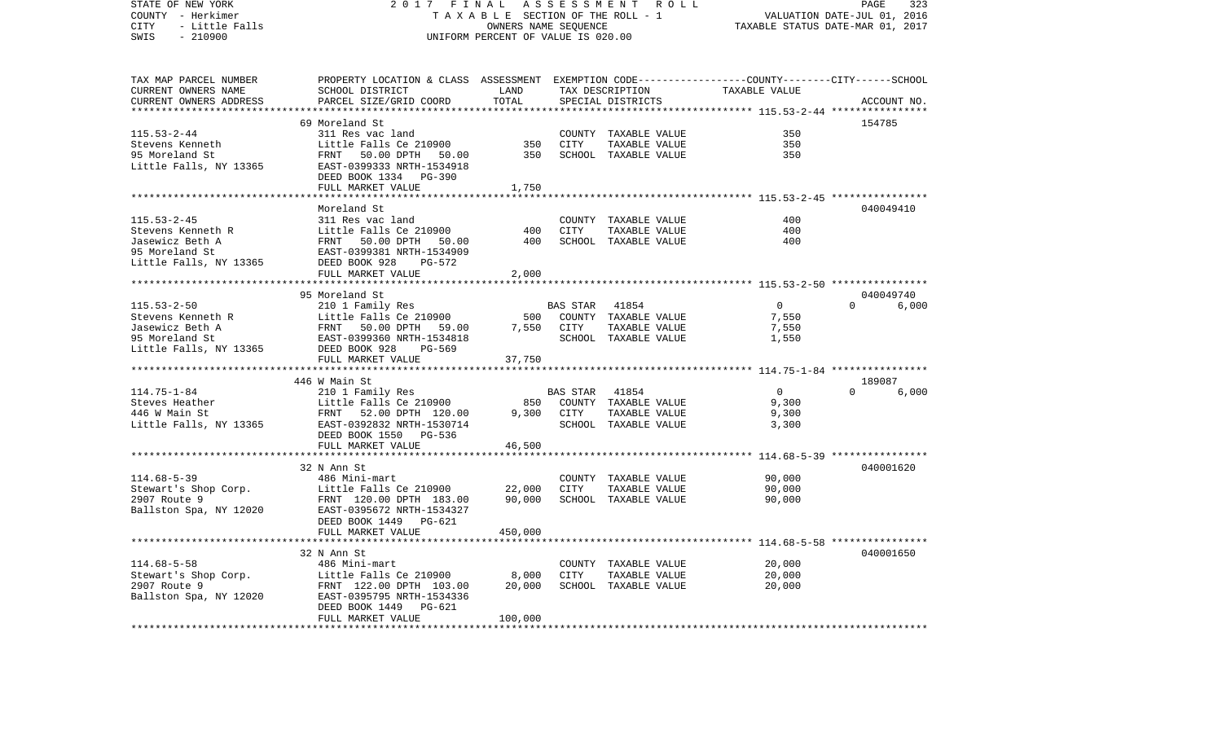STATE OF NEW YORK 2 0 1 7 F I N A L A S S E S S M E N T R O L L PAGE 323COUNTY - Herkimer **T A X A B L E SECTION OF THE ROLL - 1** VALUATION DATE-JUL 01, 2016 CITY - Little Falls OWNERS NAME SEQUENCE TAXABLE STATUS DATE-MAR 01, 2017 SWIS - 210900 UNIFORM PERCENT OF VALUE IS 020.00TAX MAP PARCEL NUMBER PROPERTY LOCATION & CLASS ASSESSMENT EXEMPTION CODE------------------COUNTY--------CITY------SCHOOL CURRENT OWNERS NAME SCHOOL DISTRICT LAND TAX DESCRIPTION TAXABLE VALUECURRENT OWNERS ADDRESS PARCEL SIZE/GRID COORD TOTAL SPECIAL DISTRICTS ACCOUNT NO. \*\*\*\*\*\*\*\*\*\*\*\*\*\*\*\*\*\*\*\*\*\*\*\*\*\*\*\*\*\*\*\*\*\*\*\*\*\*\*\*\*\*\*\*\*\*\*\*\*\*\*\*\*\*\*\*\*\*\*\*\*\*\*\*\*\*\*\*\*\*\*\*\*\*\*\*\*\*\*\*\*\*\*\*\*\*\*\*\*\*\*\*\*\*\*\*\*\*\*\*\*\*\* 115.53-2-44 \*\*\*\*\*\*\*\*\*\*\*\*\*\*\*\* 69 Moreland St 154785115.53-2-44 311 Res vac land COUNTY TAXABLE VALUE 350Stevens Kenneth Little Falls Ce 210900 350 CITY TAXABLE VALUE 350 95 Moreland St FRNT 50.00 DPTH 50.00 350 SCHOOL TAXABLE VALUE 350Little Falls, NY 13365 EAST-0399333 NRTH-1534918 DEED BOOK 1334 PG-390FULL MARKET VALUE 1,750 \*\*\*\*\*\*\*\*\*\*\*\*\*\*\*\*\*\*\*\*\*\*\*\*\*\*\*\*\*\*\*\*\*\*\*\*\*\*\*\*\*\*\*\*\*\*\*\*\*\*\*\*\*\*\*\*\*\*\*\*\*\*\*\*\*\*\*\*\*\*\*\*\*\*\*\*\*\*\*\*\*\*\*\*\*\*\*\*\*\*\*\*\*\*\*\*\*\*\*\*\*\*\* 115.53-2-45 \*\*\*\*\*\*\*\*\*\*\*\*\*\*\*\*Moreland St 040049410 115.53-2-45 311 Res vac land COUNTY TAXABLE VALUE 400Stevens Kenneth R Little Falls Ce 210900 400 CITY TAXABLE VALUE 400400 Jasewicz Beth A FRNT 50.00 DPTH 50.00 400 SCHOOL TAXABLE VALUE 40095 Moreland St EAST-0399381 NRTH-1534909Little Falls, NY 13365 DEED BOOK 928 PG-572 FULL MARKET VALUE 2,000 \*\*\*\*\*\*\*\*\*\*\*\*\*\*\*\*\*\*\*\*\*\*\*\*\*\*\*\*\*\*\*\*\*\*\*\*\*\*\*\*\*\*\*\*\*\*\*\*\*\*\*\*\*\*\*\*\*\*\*\*\*\*\*\*\*\*\*\*\*\*\*\*\*\*\*\*\*\*\*\*\*\*\*\*\*\*\*\*\*\*\*\*\*\*\*\*\*\*\*\*\*\*\* 115.53-2-50 \*\*\*\*\*\*\*\*\*\*\*\*\*\*\*\* 95 Moreland St 040049740 $6.000$ 115.53-2-50 210 1 Family Res BAS STAR 41854 0 0 0 Stevens Kenneth R Little Falls Ce 210900 500 COUNTY TAXABLE VALUE 7,550 Jasewicz Beth A FRNT 50.00 DPTH 59.00 7,550 CITY TAXABLE VALUE 7,550 95 Moreland St EAST-0399360 NRTH-1534818 SCHOOL TAXABLE VALUE 1,550 Little Falls, NY 13365 DEED BOOK 928 PG-569 FULL MARKET VALUE 37,750 \*\*\*\*\*\*\*\*\*\*\*\*\*\*\*\*\*\*\*\*\*\*\*\*\*\*\*\*\*\*\*\*\*\*\*\*\*\*\*\*\*\*\*\*\*\*\*\*\*\*\*\*\*\*\*\*\*\*\*\*\*\*\*\*\*\*\*\*\*\*\*\*\*\*\*\*\*\*\*\*\*\*\*\*\*\*\*\*\*\*\*\*\*\*\*\*\*\*\*\*\*\*\* 114.75-1-84 \*\*\*\*\*\*\*\*\*\*\*\*\*\*\*\* 446 W Main St 189087114.75-1-84 210 1 Family Res BAS STAR 41854 0 0 6,000 Steves Heather Little Falls Ce 210900 850 COUNTY TAXABLE VALUE 9,300 446 W Main St FRNT 52.00 DPTH 120.00 9,300 CITY TAXABLE VALUE 9,300 Little Falls, NY 13365 EAST-0392832 NRTH-1530714 SCHOOL TAXABLE VALUE 3,300 DEED BOOK 1550 PG-536 FULL MARKET VALUE 46,500 \*\*\*\*\*\*\*\*\*\*\*\*\*\*\*\*\*\*\*\*\*\*\*\*\*\*\*\*\*\*\*\*\*\*\*\*\*\*\*\*\*\*\*\*\*\*\*\*\*\*\*\*\*\*\*\*\*\*\*\*\*\*\*\*\*\*\*\*\*\*\*\*\*\*\*\*\*\*\*\*\*\*\*\*\*\*\*\*\*\*\*\*\*\*\*\*\*\*\*\*\*\*\* 114.68-5-39 \*\*\*\*\*\*\*\*\*\*\*\*\*\*\*\* 32 N Ann St 040001620114.68-5-39 486 Mini-mart COUNTY TAXABLE VALUE 90,000 Stewart's Shop Corp. Little Falls Ce 210900 22,000 CITY TAXABLE VALUE 90,000 2907 Route 9 FRNT 120.00 DPTH 183.00 90,000 SCHOOL TAXABLE VALUE 90,000 Ballston Spa, NY 12020 EAST-0395672 NRTH-1534327 DEED BOOK 1449 PG-621 FULL MARKET VALUE 450,000 \*\*\*\*\*\*\*\*\*\*\*\*\*\*\*\*\*\*\*\*\*\*\*\*\*\*\*\*\*\*\*\*\*\*\*\*\*\*\*\*\*\*\*\*\*\*\*\*\*\*\*\*\*\*\*\*\*\*\*\*\*\*\*\*\*\*\*\*\*\*\*\*\*\*\*\*\*\*\*\*\*\*\*\*\*\*\*\*\*\*\*\*\*\*\*\*\*\*\*\*\*\*\* 114.68-5-58 \*\*\*\*\*\*\*\*\*\*\*\*\*\*\*\* 32 N Ann St 040001650114.68-5-58 486 Mini-mart COUNTY TAXABLE VALUE 20,000 Stewart's Shop Corp. Little Falls Ce 210900 8,000 CITY TAXABLE VALUE 20,000 2907 Route 9 FRNT 122.00 DPTH 103.00 20,000 SCHOOL TAXABLE VALUE 20,000 Ballston Spa, NY 12020 EAST-0395795 NRTH-1534336 DEED BOOK 1449 PG-621 FULL MARKET VALUE 100,000 \*\*\*\*\*\*\*\*\*\*\*\*\*\*\*\*\*\*\*\*\*\*\*\*\*\*\*\*\*\*\*\*\*\*\*\*\*\*\*\*\*\*\*\*\*\*\*\*\*\*\*\*\*\*\*\*\*\*\*\*\*\*\*\*\*\*\*\*\*\*\*\*\*\*\*\*\*\*\*\*\*\*\*\*\*\*\*\*\*\*\*\*\*\*\*\*\*\*\*\*\*\*\*\*\*\*\*\*\*\*\*\*\*\*\*\*\*\*\*\*\*\*\*\*\*\*\*\*\*\*\*\*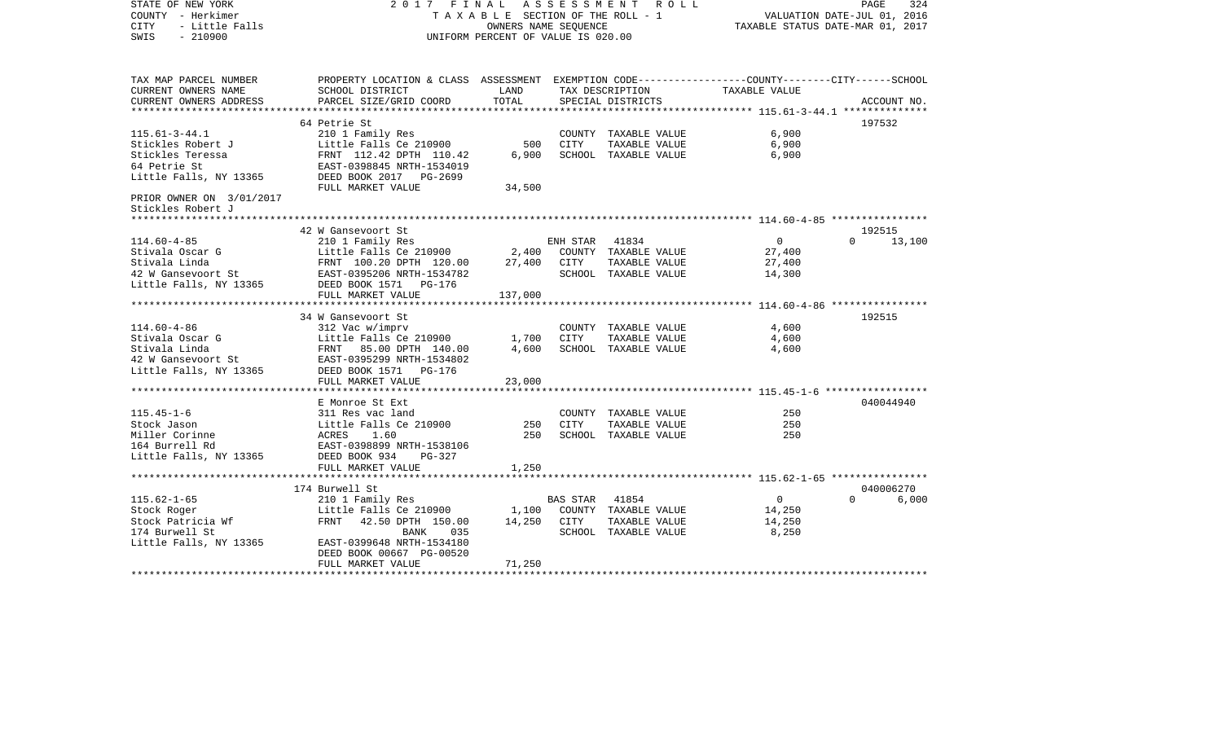| STATE OF NEW YORK<br>COUNTY - Herkimer<br>- Little Falls<br>CITY<br>$-210900$<br>SWIS | 2017 FINAL                                                                                      | TAXABLE SECTION OF THE ROLL - 1<br>OWNERS NAME SEOUENCE<br>UNIFORM PERCENT OF VALUE IS 020.00 | ASSESSMENT<br>R O L L |                                       | 324<br>PAGE<br>VALUATION DATE-JUL 01, 2016<br>TAXABLE STATUS DATE-MAR 01, 2017 |                    |
|---------------------------------------------------------------------------------------|-------------------------------------------------------------------------------------------------|-----------------------------------------------------------------------------------------------|-----------------------|---------------------------------------|--------------------------------------------------------------------------------|--------------------|
| TAX MAP PARCEL NUMBER                                                                 | PROPERTY LOCATION & CLASS ASSESSMENT EXEMPTION CODE---------------COUNTY-------CITY------SCHOOL |                                                                                               |                       |                                       |                                                                                |                    |
| CURRENT OWNERS NAME<br>CURRENT OWNERS ADDRESS                                         | SCHOOL DISTRICT<br>PARCEL SIZE/GRID COORD                                                       | LAND<br>TOTAL                                                                                 |                       | TAX DESCRIPTION<br>SPECIAL DISTRICTS  | TAXABLE VALUE                                                                  | ACCOUNT NO.        |
|                                                                                       |                                                                                                 |                                                                                               |                       |                                       |                                                                                |                    |
|                                                                                       | 64 Petrie St                                                                                    |                                                                                               |                       |                                       |                                                                                | 197532             |
| $115.61 - 3 - 44.1$                                                                   | 210 1 Family Res                                                                                |                                                                                               |                       | COUNTY TAXABLE VALUE                  | 6,900                                                                          |                    |
| Stickles Robert J                                                                     | Little Falls Ce 210900                                                                          | 500                                                                                           | CITY                  | TAXABLE VALUE                         | 6,900                                                                          |                    |
| Stickles Teressa<br>64 Petrie St                                                      | FRNT 112.42 DPTH 110.42<br>EAST-0398845 NRTH-1534019                                            | 6,900                                                                                         |                       | SCHOOL TAXABLE VALUE                  | 6,900                                                                          |                    |
| Little Falls, NY 13365                                                                | DEED BOOK 2017 PG-2699                                                                          |                                                                                               |                       |                                       |                                                                                |                    |
|                                                                                       | FULL MARKET VALUE                                                                               | 34,500                                                                                        |                       |                                       |                                                                                |                    |
| PRIOR OWNER ON 3/01/2017<br>Stickles Robert J                                         |                                                                                                 |                                                                                               |                       |                                       |                                                                                |                    |
| ******************                                                                    |                                                                                                 |                                                                                               |                       |                                       |                                                                                |                    |
|                                                                                       | 42 W Gansevoort St                                                                              |                                                                                               |                       |                                       |                                                                                | 192515             |
| $114.60 - 4 - 85$                                                                     | 210 1 Family Res                                                                                |                                                                                               | ENH STAR              | 41834                                 | $\overline{0}$                                                                 | $\Omega$<br>13,100 |
| Stivala Oscar G                                                                       | Little Falls Ce 210900                                                                          | 2,400                                                                                         |                       | COUNTY TAXABLE VALUE                  | 27,400                                                                         |                    |
| Stivala Linda                                                                         | FRNT 100.20 DPTH 120.00                                                                         | 27,400                                                                                        | CITY                  | TAXABLE VALUE                         | 27,400                                                                         |                    |
| 42 W Gansevoort St<br>Little Falls, NY 13365                                          | EAST-0395206 NRTH-1534782<br>DEED BOOK 1571 PG-176                                              |                                                                                               |                       | SCHOOL TAXABLE VALUE                  | 14,300                                                                         |                    |
|                                                                                       | FULL MARKET VALUE                                                                               | 137,000                                                                                       |                       |                                       |                                                                                |                    |
|                                                                                       |                                                                                                 |                                                                                               |                       |                                       |                                                                                |                    |
|                                                                                       | 34 W Gansevoort St                                                                              |                                                                                               |                       |                                       |                                                                                | 192515             |
| $114.60 - 4 - 86$                                                                     | 312 Vac w/imprv                                                                                 |                                                                                               |                       | COUNTY TAXABLE VALUE                  | 4,600                                                                          |                    |
| Stivala Oscar G                                                                       | Little Falls Ce 210900                                                                          | 1,700                                                                                         | CITY                  | TAXABLE VALUE                         | 4,600                                                                          |                    |
| Stivala Linda                                                                         | FRNT 85.00 DPTH 140.00                                                                          | 4,600                                                                                         |                       | SCHOOL TAXABLE VALUE                  | 4,600                                                                          |                    |
| 42 W Gansevoort St                                                                    | EAST-0395299 NRTH-1534802                                                                       |                                                                                               |                       |                                       |                                                                                |                    |
| Little Falls, NY 13365                                                                | DEED BOOK 1571 PG-176                                                                           |                                                                                               |                       |                                       |                                                                                |                    |
|                                                                                       | FULL MARKET VALUE                                                                               | 23,000                                                                                        |                       |                                       |                                                                                |                    |
|                                                                                       | E Monroe St Ext                                                                                 |                                                                                               |                       |                                       |                                                                                | 040044940          |
| $115.45 - 1 - 6$                                                                      | 311 Res vac land                                                                                |                                                                                               |                       | COUNTY TAXABLE VALUE                  | 250                                                                            |                    |
| Stock Jason                                                                           | Little Falls Ce 210900                                                                          | 250                                                                                           | <b>CITY</b>           | TAXABLE VALUE                         | 250                                                                            |                    |
| Miller Corinne                                                                        | ACRES<br>1.60                                                                                   | 250                                                                                           |                       | SCHOOL TAXABLE VALUE                  | 250                                                                            |                    |
| 164 Burrell Rd                                                                        | EAST-0398899 NRTH-1538106                                                                       |                                                                                               |                       |                                       |                                                                                |                    |
| Little Falls, NY 13365                                                                | DEED BOOK 934<br>PG-327                                                                         |                                                                                               |                       |                                       |                                                                                |                    |
|                                                                                       | FULL MARKET VALUE                                                                               | 1,250                                                                                         |                       |                                       |                                                                                |                    |
|                                                                                       |                                                                                                 |                                                                                               |                       |                                       |                                                                                |                    |
|                                                                                       | 174 Burwell St                                                                                  |                                                                                               |                       |                                       |                                                                                | 040006270          |
| $115.62 - 1 - 65$                                                                     | 210 1 Family Res                                                                                |                                                                                               | BAS STAR              | 41854                                 | $\overline{0}$                                                                 | $\Omega$<br>6,000  |
| Stock Roger<br>Stock Patricia Wf                                                      | Little Falls Ce 210900<br>FRNT<br>42.50 DPTH 150.00                                             | 1,100<br>14,250                                                                               | CITY                  | COUNTY TAXABLE VALUE<br>TAXABLE VALUE | 14,250<br>14,250                                                               |                    |
| 174 Burwell St                                                                        | BANK<br>035                                                                                     |                                                                                               |                       | SCHOOL TAXABLE VALUE                  | 8,250                                                                          |                    |
| Little Falls, NY 13365                                                                | EAST-0399648 NRTH-1534180                                                                       |                                                                                               |                       |                                       |                                                                                |                    |
|                                                                                       | DEED BOOK 00667 PG-00520                                                                        |                                                                                               |                       |                                       |                                                                                |                    |
|                                                                                       | FULL MARKET VALUE                                                                               | 71,250                                                                                        |                       |                                       |                                                                                |                    |
|                                                                                       |                                                                                                 |                                                                                               |                       |                                       |                                                                                |                    |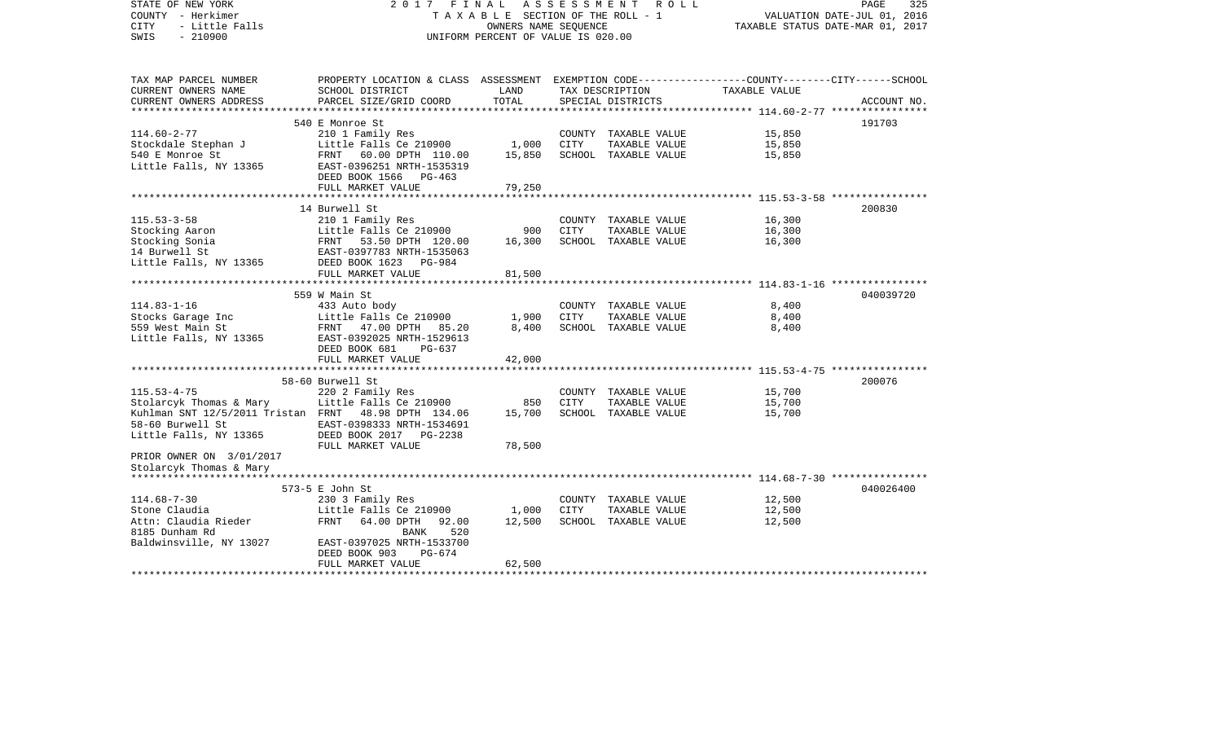| STATE OF NEW YORK                                    | 2017                                                                                            | FINAL                           | A S S E S S M E N T | R O L L              |                                                    | 325<br>PAGE                      |
|------------------------------------------------------|-------------------------------------------------------------------------------------------------|---------------------------------|---------------------|----------------------|----------------------------------------------------|----------------------------------|
| COUNTY - Herkimer                                    |                                                                                                 | TAXABLE SECTION OF THE ROLL - 1 |                     |                      |                                                    | VALUATION DATE-JUL 01, 2016      |
| - Little Falls<br>CITY                               |                                                                                                 | OWNERS NAME SEQUENCE            |                     |                      |                                                    | TAXABLE STATUS DATE-MAR 01, 2017 |
| SWIS<br>$-210900$                                    | UNIFORM PERCENT OF VALUE IS 020.00                                                              |                                 |                     |                      |                                                    |                                  |
|                                                      |                                                                                                 |                                 |                     |                      |                                                    |                                  |
| TAX MAP PARCEL NUMBER                                | PROPERTY LOCATION & CLASS ASSESSMENT EXEMPTION CODE---------------COUNTY-------CITY------SCHOOL |                                 |                     |                      |                                                    |                                  |
| CURRENT OWNERS NAME                                  | SCHOOL DISTRICT                                                                                 | LAND                            |                     | TAX DESCRIPTION      | TAXABLE VALUE                                      |                                  |
| CURRENT OWNERS ADDRESS                               | PARCEL SIZE/GRID COORD                                                                          | TOTAL                           |                     | SPECIAL DISTRICTS    | ******************** 114.60-2-77 ***************** | ACCOUNT NO.                      |
|                                                      | 540 E Monroe St                                                                                 |                                 |                     |                      |                                                    | 191703                           |
| $114.60 - 2 - 77$                                    | 210 1 Family Res                                                                                |                                 |                     | COUNTY TAXABLE VALUE | 15,850                                             |                                  |
| Stockdale Stephan J                                  | Little Falls Ce 210900                                                                          | 1,000                           | CITY                | TAXABLE VALUE        | 15,850                                             |                                  |
| 540 E Monroe St                                      | FRNT 60.00 DPTH 110.00                                                                          | 15,850                          |                     | SCHOOL TAXABLE VALUE | 15,850                                             |                                  |
| Little Falls, NY 13365                               | EAST-0396251 NRTH-1535319                                                                       |                                 |                     |                      |                                                    |                                  |
|                                                      | DEED BOOK 1566 PG-463                                                                           |                                 |                     |                      |                                                    |                                  |
|                                                      | FULL MARKET VALUE                                                                               | 79,250                          |                     |                      |                                                    |                                  |
|                                                      | *************************                                                                       | ***********                     |                     |                      |                                                    |                                  |
|                                                      | 14 Burwell St                                                                                   |                                 |                     |                      |                                                    | 200830                           |
| $115.53 - 3 - 58$                                    | 210 1 Family Res                                                                                |                                 |                     | COUNTY TAXABLE VALUE | 16,300                                             |                                  |
| Stocking Aaron                                       | Little Falls Ce 210900                                                                          | 900                             | CITY                | TAXABLE VALUE        | 16,300                                             |                                  |
| Stocking Sonia                                       | FRNT 53.50 DPTH 120.00                                                                          | 16,300                          |                     | SCHOOL TAXABLE VALUE | 16,300                                             |                                  |
| 14 Burwell St                                        | EAST-0397783 NRTH-1535063                                                                       |                                 |                     |                      |                                                    |                                  |
| Little Falls, NY 13365                               | DEED BOOK 1623 PG-984                                                                           |                                 |                     |                      |                                                    |                                  |
|                                                      | FULL MARKET VALUE<br>******************************                                             | 81,500                          |                     |                      |                                                    |                                  |
|                                                      |                                                                                                 |                                 |                     |                      |                                                    |                                  |
| $114.83 - 1 - 16$                                    | 559 W Main St<br>433 Auto body                                                                  |                                 |                     | COUNTY TAXABLE VALUE | 8,400                                              | 040039720                        |
| Stocks Garage Inc                                    | Little Falls Ce 210900                                                                          | 1,900                           | CITY                | TAXABLE VALUE        | 8,400                                              |                                  |
| 559 West Main St                                     | FRNT 47.00 DPTH 85.20                                                                           | 8,400                           |                     | SCHOOL TAXABLE VALUE | 8,400                                              |                                  |
| Little Falls, NY 13365                               | EAST-0392025 NRTH-1529613                                                                       |                                 |                     |                      |                                                    |                                  |
|                                                      | DEED BOOK 681<br>PG-637                                                                         |                                 |                     |                      |                                                    |                                  |
|                                                      | FULL MARKET VALUE                                                                               | 42,000                          |                     |                      |                                                    |                                  |
|                                                      |                                                                                                 |                                 |                     |                      |                                                    |                                  |
|                                                      | 58-60 Burwell St                                                                                |                                 |                     |                      |                                                    | 200076                           |
| $115.53 - 4 - 75$                                    | 220 2 Family Res                                                                                |                                 |                     | COUNTY TAXABLE VALUE | 15,700                                             |                                  |
| Stolarcyk Thomas & Mary                              | Little Falls Ce 210900                                                                          | 850                             | <b>CITY</b>         | TAXABLE VALUE        | 15,700                                             |                                  |
| Kuhlman SNT 12/5/2011 Tristan FRNT 48.98 DPTH 134.06 |                                                                                                 | 15,700                          |                     | SCHOOL TAXABLE VALUE | 15,700                                             |                                  |
| 58-60 Burwell St                                     | EAST-0398333 NRTH-1534691                                                                       |                                 |                     |                      |                                                    |                                  |
| Little Falls, NY 13365                               | DEED BOOK 2017 PG-2238                                                                          |                                 |                     |                      |                                                    |                                  |
|                                                      | FULL MARKET VALUE                                                                               | 78,500                          |                     |                      |                                                    |                                  |
| PRIOR OWNER ON 3/01/2017                             |                                                                                                 |                                 |                     |                      |                                                    |                                  |
| Stolarcyk Thomas & Mary                              |                                                                                                 |                                 |                     |                      |                                                    |                                  |
| *************************                            |                                                                                                 |                                 |                     |                      |                                                    |                                  |
|                                                      | 573-5 E John St                                                                                 |                                 |                     |                      |                                                    | 040026400                        |
| $114.68 - 7 - 30$                                    | 230 3 Family Res                                                                                |                                 |                     | COUNTY TAXABLE VALUE | 12,500                                             |                                  |
| Stone Claudia                                        | Little Falls Ce 210900                                                                          | 1,000                           | CITY                | TAXABLE VALUE        | 12,500                                             |                                  |
| Attn: Claudia Rieder                                 | FRNT<br>64.00 DPTH<br>92.00                                                                     | 12,500                          |                     | SCHOOL TAXABLE VALUE | 12,500                                             |                                  |
| 8185 Dunham Rd                                       | BANK<br>520                                                                                     |                                 |                     |                      |                                                    |                                  |
| Baldwinsville, NY 13027                              | EAST-0397025 NRTH-1533700<br>DEED BOOK 903<br>PG-674                                            |                                 |                     |                      |                                                    |                                  |
|                                                      | FULL MARKET VALUE                                                                               | 62,500                          |                     |                      |                                                    |                                  |
|                                                      |                                                                                                 |                                 |                     |                      |                                                    |                                  |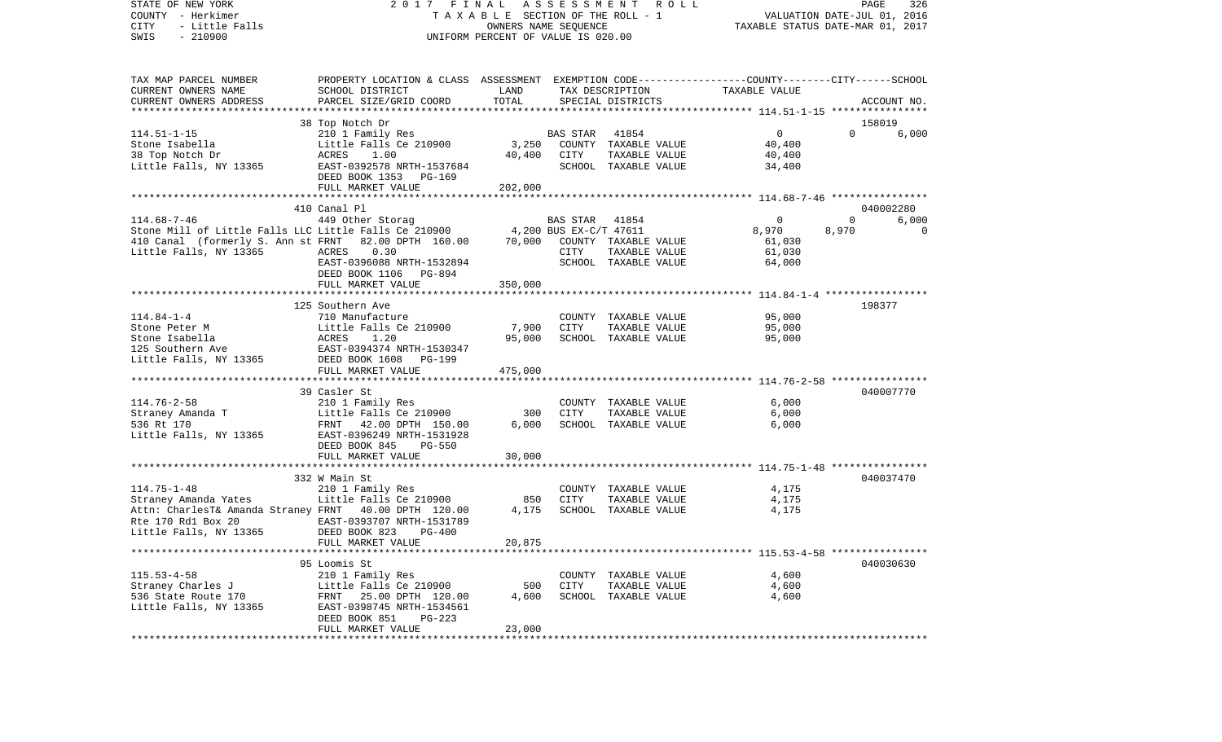COUNTY - Herkimer T A X A B L E SECTION OF THE ROLL - 1 VALUATION DATE-JUL 01, 2016 CITY - Little Falls OWNERS NAME SEQUENCE TAXABLE STATUS DATE-MAR 01, 2017 SWIS - 210900 UNIFORM PERCENT OF VALUE IS 020.00TAX MAP PARCEL NUMBER PROPERTY LOCATION & CLASS ASSESSMENT EXEMPTION CODE------------------COUNTY--------CITY------SCHOOL CURRENT OWNERS NAME SCHOOL DISTRICT LAND TAX DESCRIPTION TAXABLE VALUECURRENT OWNERS ADDRESS PARCEL SIZE/GRID COORD TOTAL SPECIAL DISTRICTS ACCOUNT NO. \*\*\*\*\*\*\*\*\*\*\*\*\*\*\*\*\*\*\*\*\*\*\*\*\*\*\*\*\*\*\*\*\*\*\*\*\*\*\*\*\*\*\*\*\*\*\*\*\*\*\*\*\*\*\*\*\*\*\*\*\*\*\*\*\*\*\*\*\*\*\*\*\*\*\*\*\*\*\*\*\*\*\*\*\*\*\*\*\*\*\*\*\*\*\*\*\*\*\*\*\*\*\* 114.51-1-15 \*\*\*\*\*\*\*\*\*\*\*\*\*\*\*\* 38 Top Notch Dr 158019 114.51-1-15 210 1 Family Res BAS STAR 41854 0 0 6,000 Stone Isabella Little Falls Ce 210900 3,250 COUNTY TAXABLE VALUE 40,400 38 Top Notch Dr ACRES 1.00 40,400 CITY TAXABLE VALUE 40,400 Little Falls, NY 13365 EAST-0392578 NRTH-1537684 SCHOOL TAXABLE VALUE 34,400 DEED BOOK 1353 PG-169 FULL MARKET VALUE 202,000 \*\*\*\*\*\*\*\*\*\*\*\*\*\*\*\*\*\*\*\*\*\*\*\*\*\*\*\*\*\*\*\*\*\*\*\*\*\*\*\*\*\*\*\*\*\*\*\*\*\*\*\*\*\*\*\*\*\*\*\*\*\*\*\*\*\*\*\*\*\*\*\*\*\*\*\*\*\*\*\*\*\*\*\*\*\*\*\*\*\*\*\*\*\*\*\*\*\*\*\*\*\*\* 114.68-7-46 \*\*\*\*\*\*\*\*\*\*\*\*\*\*\*\* 410 Canal Pl 040002280114.68-7-46 449 Other Storag BAS STAR 41854 0 0 6,000 Stone Mill of Little Falls LLC Little Falls Ce 210900  $\begin{array}{cccc} 4,200 \, \mathrm{BUS} \, \mathrm{EX-}\mathrm{C/T}} \, \mathrm{47611} & 8,970 & 8,970 \end{array}$ 410 Canal (formerly S. Ann st FRNT 82.00 DPTH 160.00 70,000 COUNTY TAXABLE VALUE 61,030 Little Falls, NY 13365 ACRES 0.30 CITY TAXABLE VALUE 61,030 EAST-0396088 NRTH-1532894 SCHOOL TAXABLE VALUE 64,000 DEED BOOK 1106 PG-894 FULL MARKET VALUE 350,000 \*\*\*\*\*\*\*\*\*\*\*\*\*\*\*\*\*\*\*\*\*\*\*\*\*\*\*\*\*\*\*\*\*\*\*\*\*\*\*\*\*\*\*\*\*\*\*\*\*\*\*\*\*\*\*\*\*\*\*\*\*\*\*\*\*\*\*\*\*\*\*\*\*\*\*\*\*\*\*\*\*\*\*\*\*\*\*\*\*\*\*\*\*\*\*\*\*\*\*\*\*\*\* 114.84-1-4 \*\*\*\*\*\*\*\*\*\*\*\*\*\*\*\*\* 125 Southern Ave 198377114.84-1-4 710 Manufacture COUNTY TAXABLE VALUE 95,000 Stone Peter M Little Falls Ce 210900 7,900 CITY TAXABLE VALUE 95,000 Stone Isabella ACRES 1.20 95,000 SCHOOL TAXABLE VALUE 95,000 125 Southern Ave EAST-0394374 NRTH-1530347Little Falls, NY 13365 DEED BOOK 1608 PG-199 FULL MARKET VALUE 475,000 \*\*\*\*\*\*\*\*\*\*\*\*\*\*\*\*\*\*\*\*\*\*\*\*\*\*\*\*\*\*\*\*\*\*\*\*\*\*\*\*\*\*\*\*\*\*\*\*\*\*\*\*\*\*\*\*\*\*\*\*\*\*\*\*\*\*\*\*\*\*\*\*\*\*\*\*\*\*\*\*\*\*\*\*\*\*\*\*\*\*\*\*\*\*\*\*\*\*\*\*\*\*\* 114.76-2-58 \*\*\*\*\*\*\*\*\*\*\*\*\*\*\*\* 39 Casler St 040007770114.76-2-58 210 1 Family Res COUNTY TAXABLE VALUE 6,000 Straney Amanda T 6,000 Little Falls Ce 210900 300 CITY TAXABLE VALUE 6,000 536 Rt 170 FRNT 42.00 DPTH 150.00 6,000 SCHOOL TAXABLE VALUE 6,000 Little Falls, NY 13365 EAST-0396249 NRTH-1531928 DEED BOOK 845 PG-550FULL MARKET VALUE 30,000 \*\*\*\*\*\*\*\*\*\*\*\*\*\*\*\*\*\*\*\*\*\*\*\*\*\*\*\*\*\*\*\*\*\*\*\*\*\*\*\*\*\*\*\*\*\*\*\*\*\*\*\*\*\*\*\*\*\*\*\*\*\*\*\*\*\*\*\*\*\*\*\*\*\*\*\*\*\*\*\*\*\*\*\*\*\*\*\*\*\*\*\*\*\*\*\*\*\*\*\*\*\*\* 114.75-1-48 \*\*\*\*\*\*\*\*\*\*\*\*\*\*\*\*332 W Main St 040037470 114.75-1-48 210 1 Family Res COUNTY TAXABLE VALUE 4,175 Straney Amanda Yates Little Falls Ce 210900 850 CITY TAXABLE VALUE 4,175 Attn: CharlesT& Amanda Straney FRNT 40.00 DPTH 120.00 Rte 170 Rd1 Box 20 EAST-0393707 NRTH-1531789Little Falls, NY 13365 DEED BOOK 823 PG-400 FULL MARKET VALUE 20,875 \*\*\*\*\*\*\*\*\*\*\*\*\*\*\*\*\*\*\*\*\*\*\*\*\*\*\*\*\*\*\*\*\*\*\*\*\*\*\*\*\*\*\*\*\*\*\*\*\*\*\*\*\*\*\*\*\*\*\*\*\*\*\*\*\*\*\*\*\*\*\*\*\*\*\*\*\*\*\*\*\*\*\*\*\*\*\*\*\*\*\*\*\*\*\*\*\*\*\*\*\*\*\* 115.53-4-58 \*\*\*\*\*\*\*\*\*\*\*\*\*\*\*\* 95 Loomis St 040030630115.53-4-58 210 1 Family Res COUNTY TAXABLE VALUE 4,600 Straney Charles J Little Falls Ce 210900 500 CITY TAXABLE VALUE 4,600 536 State Route 170 FRNT 25.00 DPTH 120.00 4,600 SCHOOL TAXABLE VALUE 4,600 Little Falls, NY 13365 EAST-0398745 NRTH-1534561 DEED BOOK 851 PG-223FULL MARKET VALUE 23,000 \*\*\*\*\*\*\*\*\*\*\*\*\*\*\*\*\*\*\*\*\*\*\*\*\*\*\*\*\*\*\*\*\*\*\*\*\*\*\*\*\*\*\*\*\*\*\*\*\*\*\*\*\*\*\*\*\*\*\*\*\*\*\*\*\*\*\*\*\*\*\*\*\*\*\*\*\*\*\*\*\*\*\*\*\*\*\*\*\*\*\*\*\*\*\*\*\*\*\*\*\*\*\*\*\*\*\*\*\*\*\*\*\*\*\*\*\*\*\*\*\*\*\*\*\*\*\*\*\*\*\*\*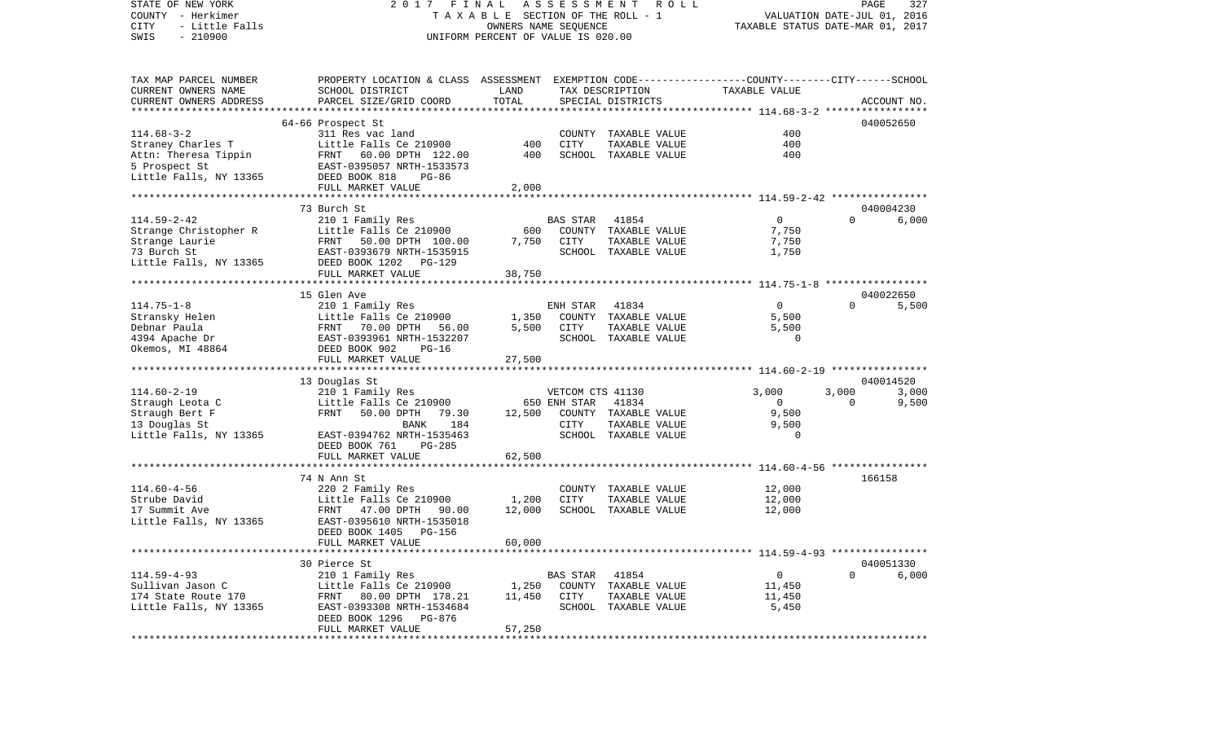VALUATION DATE-JUL 01, 2016 COUNTY - Herkimer T A X A B L E SECTION OF THE ROLL - 1 CITY - Little Falls OWNERS NAME SEQUENCE TAXABLE STATUS DATE-MAR 01, 2017 SWIS - 210900 UNIFORM PERCENT OF VALUE IS 020.00TAX MAP PARCEL NUMBER PROPERTY LOCATION & CLASS ASSESSMENT EXEMPTION CODE------------------COUNTY--------CITY------SCHOOL CURRENT OWNERS NAME SCHOOL DISTRICT LAND TAX DESCRIPTION TAXABLE VALUECURRENT OWNERS ADDRESS PARCEL SIZE/GRID COORD TOTAL SPECIAL DISTRICTS ACCOUNT NO. \*\*\*\*\*\*\*\*\*\*\*\*\*\*\*\*\*\*\*\*\*\*\*\*\*\*\*\*\*\*\*\*\*\*\*\*\*\*\*\*\*\*\*\*\*\*\*\*\*\*\*\*\*\*\*\*\*\*\*\*\*\*\*\*\*\*\*\*\*\*\*\*\*\*\*\*\*\*\*\*\*\*\*\*\*\*\*\*\*\*\*\*\*\*\*\*\*\*\*\*\*\*\* 114.68-3-2 \*\*\*\*\*\*\*\*\*\*\*\*\*\*\*\*\* 64-66 Prospect St 040052650 114.68-3-2 311 Res vac land COUNTY TAXABLE VALUE 400Straney Charles T 600 Little Falls Ce 210900 400 CITY TAXABLE VALUE 400 Attn: Theresa Tippin FRNT 60.00 DPTH 122.00 400 SCHOOL TAXABLE VALUE 400 5 Prospect St<br>
Little Falls, NY 13365 DEED BOOK 818 PG-86 DEED BOOK 818 PG-86 FULL MARKET VALUE 2,000 \*\*\*\*\*\*\*\*\*\*\*\*\*\*\*\*\*\*\*\*\*\*\*\*\*\*\*\*\*\*\*\*\*\*\*\*\*\*\*\*\*\*\*\*\*\*\*\*\*\*\*\*\*\*\*\*\*\*\*\*\*\*\*\*\*\*\*\*\*\*\*\*\*\*\*\*\*\*\*\*\*\*\*\*\*\*\*\*\*\*\*\*\*\*\*\*\*\*\*\*\*\*\* 114.59-2-42 \*\*\*\*\*\*\*\*\*\*\*\*\*\*\*\* 73 Burch St 040004230114.59-2-42 210 1 Family Res BAS STAR 41854 0 0 6,000 Strange Christopher R Little Falls Ce 210900 600 COUNTY TAXABLE VALUE Strange Laurie 6 1,750 FRNT 50.00 DPTH 100.00 7,750 CITY TAXABLE VALUE 7,750 73 Burch St EAST-0393679 NRTH-1535915 SCHOOL TAXABLE VALUE 1,750 Little Falls, NY 13365 DEED BOOK 1202 PG-129 FULL MARKET VALUE 38,750 \*\*\*\*\*\*\*\*\*\*\*\*\*\*\*\*\*\*\*\*\*\*\*\*\*\*\*\*\*\*\*\*\*\*\*\*\*\*\*\*\*\*\*\*\*\*\*\*\*\*\*\*\*\*\*\*\*\*\*\*\*\*\*\*\*\*\*\*\*\*\*\*\*\*\*\*\*\*\*\*\*\*\*\*\*\*\*\*\*\*\*\*\*\*\*\*\*\*\*\*\*\*\* 114.75-1-8 \*\*\*\*\*\*\*\*\*\*\*\*\*\*\*\*\* 15 Glen Ave 0400226505,500 114.75-1-8 210 1 Family Res ENH STAR 41834 0 0 0 Stransky Helen Little Falls Ce 210900 1,350 COUNTY TAXABLE VALUE 5,500 Debnar Paula FRNT 70.00 DPTH 56.00 5,500 CITY TAXABLE VALUE 5,500 4394 Apache Dr EAST-0393961 NRTH-1532207 SCHOOL TAXABLE VALUE 0 Okemos, MI 48864 DEED BOOK 902 PG-16 FULL MARKET VALUE 27,500 \*\*\*\*\*\*\*\*\*\*\*\*\*\*\*\*\*\*\*\*\*\*\*\*\*\*\*\*\*\*\*\*\*\*\*\*\*\*\*\*\*\*\*\*\*\*\*\*\*\*\*\*\*\*\*\*\*\*\*\*\*\*\*\*\*\*\*\*\*\*\*\*\*\*\*\*\*\*\*\*\*\*\*\*\*\*\*\*\*\*\*\*\*\*\*\*\*\*\*\*\*\*\* 114.60-2-19 \*\*\*\*\*\*\*\*\*\*\*\*\*\*\*\* 13 Douglas St 040014520 114.60-2-19 210 1 Family Res VETCOM CTS 41130 3,000 3,000 3,000 Straugh Leota C 650 ENH STAR 41834 0 0 0 9,500 Straugh Bert F FRNT 50.00 DPTH 79.30 12,500 COUNTY TAXABLE VALUE 9,500 13 Douglas St BANK 184 CITY TAXABLE VALUE 9,500 Little Falls, NY 13365 EAST-0394762 NRTH-1535463 SCHOOL TAXABLE VALUE 0 DEED BOOK 761 PG-285FULL MARKET VALUE 62,500 \*\*\*\*\*\*\*\*\*\*\*\*\*\*\*\*\*\*\*\*\*\*\*\*\*\*\*\*\*\*\*\*\*\*\*\*\*\*\*\*\*\*\*\*\*\*\*\*\*\*\*\*\*\*\*\*\*\*\*\*\*\*\*\*\*\*\*\*\*\*\*\*\*\*\*\*\*\*\*\*\*\*\*\*\*\*\*\*\*\*\*\*\*\*\*\*\*\*\*\*\*\*\* 114.60-4-56 \*\*\*\*\*\*\*\*\*\*\*\*\*\*\*\* 74 N Ann St 166158114.60-4-56 220 2 Family Res COUNTY TAXABLE VALUE 12,000 Strube David Little Falls Ce 210900 1,200 CITY TAXABLE VALUE 12,000 17 Summit Ave FRNT 47.00 DPTH 90.00 12,000 SCHOOL TAXABLE VALUE 12,000 Little Falls, NY 13365 EAST-0395610 NRTH-1535018 DEED BOOK 1405 PG-156 FULL MARKET VALUE 60,000 \*\*\*\*\*\*\*\*\*\*\*\*\*\*\*\*\*\*\*\*\*\*\*\*\*\*\*\*\*\*\*\*\*\*\*\*\*\*\*\*\*\*\*\*\*\*\*\*\*\*\*\*\*\*\*\*\*\*\*\*\*\*\*\*\*\*\*\*\*\*\*\*\*\*\*\*\*\*\*\*\*\*\*\*\*\*\*\*\*\*\*\*\*\*\*\*\*\*\*\*\*\*\* 114.59-4-93 \*\*\*\*\*\*\*\*\*\*\*\*\*\*\*\* 30 Pierce St 040051330114.59-4-93 210 1 Family Res BAS STAR 41854 0 0 6,000 Sullivan Jason C Little Falls Ce 210900 1,250 COUNTY TAXABLE VALUE 11,450 174 State Route 170 **FRNT** 80.00 DPTH 178.21 11.450 CITY TAXABLE VALUE 11.450 Little Falls, NY 13365 EAST-0393308 NRTH-1534684 SCHOOL TAXABLE VALUE 5,450 DEED BOOK 1296 PG-876FULL MARKET VALUE 57,250 \*\*\*\*\*\*\*\*\*\*\*\*\*\*\*\*\*\*\*\*\*\*\*\*\*\*\*\*\*\*\*\*\*\*\*\*\*\*\*\*\*\*\*\*\*\*\*\*\*\*\*\*\*\*\*\*\*\*\*\*\*\*\*\*\*\*\*\*\*\*\*\*\*\*\*\*\*\*\*\*\*\*\*\*\*\*\*\*\*\*\*\*\*\*\*\*\*\*\*\*\*\*\*\*\*\*\*\*\*\*\*\*\*\*\*\*\*\*\*\*\*\*\*\*\*\*\*\*\*\*\*\*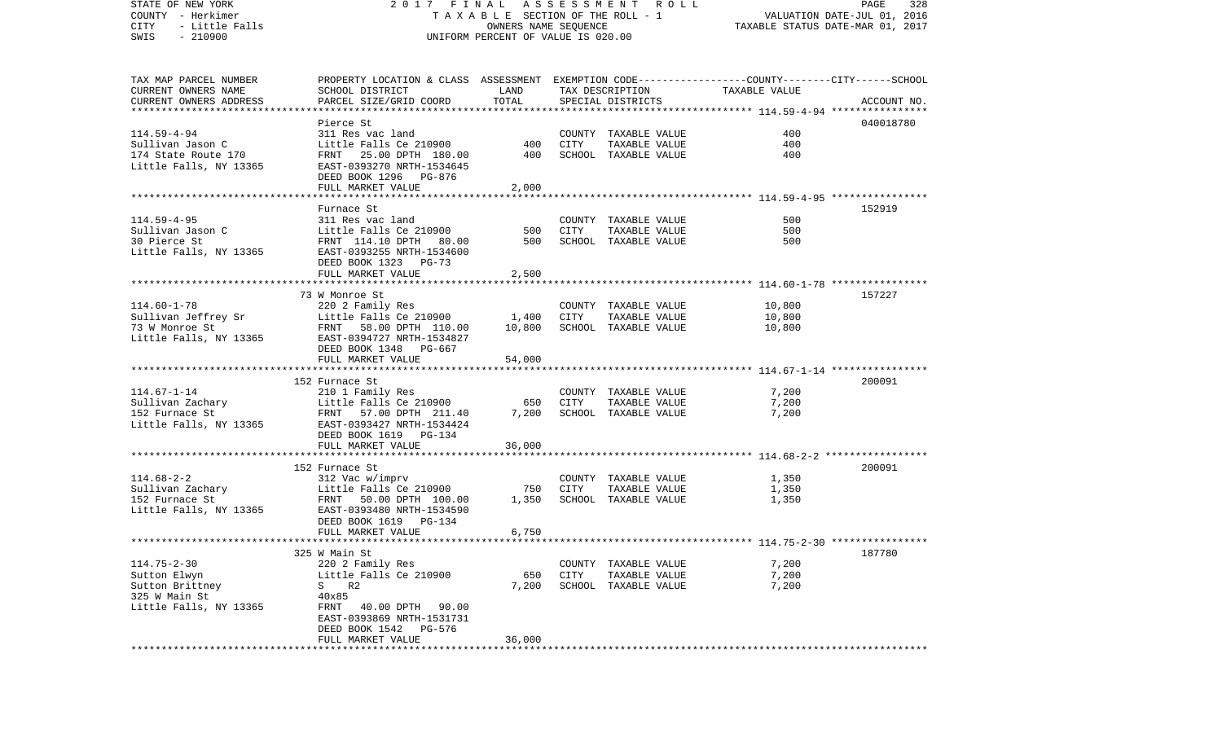| STATE OF NEW YORK<br>COUNTY - Herkimer<br>- Little Falls<br>CITY<br>$-210900$<br>SWIS | 2017 FINAL<br>TAXABLE SECTION OF THE ROLL - 1<br>UNIFORM PERCENT OF VALUE IS 020.00                                 | A S S E S S M E N T A O L L<br>PAGE<br>328<br>VALUATION DATE-JUL 01, 2016<br>TAXABLE STATUS DATE-MAR 01, 2017 |             |                                       |               |             |
|---------------------------------------------------------------------------------------|---------------------------------------------------------------------------------------------------------------------|---------------------------------------------------------------------------------------------------------------|-------------|---------------------------------------|---------------|-------------|
|                                                                                       |                                                                                                                     |                                                                                                               |             |                                       |               |             |
| TAX MAP PARCEL NUMBER<br>CURRENT OWNERS NAME                                          | PROPERTY LOCATION & CLASS ASSESSMENT EXEMPTION CODE----------------COUNTY-------CITY------SCHOOL<br>SCHOOL DISTRICT | LAND                                                                                                          |             | TAX DESCRIPTION                       | TAXABLE VALUE |             |
| CURRENT OWNERS ADDRESS                                                                | PARCEL SIZE/GRID COORD                                                                                              | TOTAL                                                                                                         |             | SPECIAL DISTRICTS                     |               | ACCOUNT NO. |
|                                                                                       |                                                                                                                     |                                                                                                               |             |                                       |               |             |
| $114.59 - 4 - 94$                                                                     | Pierce St<br>311 Res vac land                                                                                       |                                                                                                               |             |                                       | 400           | 040018780   |
| Sullivan Jason C                                                                      | Little Falls Ce 210900                                                                                              | 400                                                                                                           | CITY        | COUNTY TAXABLE VALUE<br>TAXABLE VALUE | 400           |             |
| 174 State Route 170                                                                   | FRNT 25.00 DPTH 180.00                                                                                              | 400                                                                                                           |             | SCHOOL TAXABLE VALUE                  | 400           |             |
| Little Falls, NY 13365                                                                | EAST-0393270 NRTH-1534645                                                                                           |                                                                                                               |             |                                       |               |             |
|                                                                                       | DEED BOOK 1296 PG-876                                                                                               |                                                                                                               |             |                                       |               |             |
|                                                                                       | FULL MARKET VALUE                                                                                                   | 2,000                                                                                                         |             |                                       |               |             |
|                                                                                       |                                                                                                                     |                                                                                                               |             |                                       |               |             |
|                                                                                       | Furnace St                                                                                                          |                                                                                                               |             |                                       |               | 152919      |
| $114.59 - 4 - 95$                                                                     | 311 Res vac land                                                                                                    |                                                                                                               |             | COUNTY TAXABLE VALUE                  | 500<br>500    |             |
| Sullivan Jason C<br>30 Pierce St                                                      | Little Falls Ce 210900<br>FRNT 114.10 DPTH 80.00                                                                    | 500<br>500                                                                                                    | CITY        | TAXABLE VALUE<br>SCHOOL TAXABLE VALUE | 500           |             |
| Little Falls, NY 13365                                                                | EAST-0393255 NRTH-1534600                                                                                           |                                                                                                               |             |                                       |               |             |
|                                                                                       | DEED BOOK 1323 PG-73                                                                                                |                                                                                                               |             |                                       |               |             |
|                                                                                       | FULL MARKET VALUE                                                                                                   | 2,500                                                                                                         |             |                                       |               |             |
|                                                                                       |                                                                                                                     |                                                                                                               |             |                                       |               |             |
|                                                                                       | 73 W Monroe St                                                                                                      |                                                                                                               |             |                                       |               | 157227      |
| $114.60 - 1 - 78$                                                                     | 220 2 Family Res                                                                                                    |                                                                                                               |             | COUNTY TAXABLE VALUE                  | 10,800        |             |
| Sullivan Jeffrey Sr                                                                   | Little Falls Ce 210900                                                                                              | 1,400                                                                                                         | CITY        | TAXABLE VALUE                         | 10,800        |             |
| 73 W Monroe St<br>Little Falls, NY 13365                                              | FRNT 58.00 DPTH 110.00<br>EAST-0394727 NRTH-1534827                                                                 | 10,800                                                                                                        |             | SCHOOL TAXABLE VALUE                  | 10,800        |             |
|                                                                                       | DEED BOOK 1348 PG-667                                                                                               |                                                                                                               |             |                                       |               |             |
|                                                                                       | FULL MARKET VALUE                                                                                                   | 54,000                                                                                                        |             |                                       |               |             |
|                                                                                       |                                                                                                                     |                                                                                                               |             |                                       |               |             |
|                                                                                       | 152 Furnace St                                                                                                      |                                                                                                               |             |                                       |               | 200091      |
| $114.67 - 1 - 14$                                                                     | 210 1 Family Res                                                                                                    |                                                                                                               |             | COUNTY TAXABLE VALUE                  | 7,200         |             |
| Sullivan Zachary                                                                      | Little Falls Ce 210900                                                                                              | 650                                                                                                           | <b>CITY</b> | TAXABLE VALUE                         | 7,200         |             |
| 152 Furnace St<br>Little Falls, NY 13365                                              | FRNT 57.00 DPTH 211.40                                                                                              | 7,200                                                                                                         |             | SCHOOL TAXABLE VALUE                  | 7,200         |             |
|                                                                                       | EAST-0393427 NRTH-1534424<br>DEED BOOK 1619 PG-134                                                                  |                                                                                                               |             |                                       |               |             |
|                                                                                       | FULL MARKET VALUE                                                                                                   | 36,000                                                                                                        |             |                                       |               |             |
|                                                                                       |                                                                                                                     |                                                                                                               |             |                                       |               |             |
|                                                                                       | 152 Furnace St                                                                                                      |                                                                                                               |             |                                       |               | 200091      |
| $114.68 - 2 - 2$                                                                      | 312 Vac w/imprv                                                                                                     |                                                                                                               |             | COUNTY TAXABLE VALUE                  | 1,350         |             |
| Sullivan Zachary<br>152 Euroace St                                                    | Little Falls Ce 210900                                                                                              | 750                                                                                                           | CITY        | TAXABLE VALUE                         | 1,350         |             |
| 152 Furnace St                                                                        | FRNT 50.00 DPTH 100.00                                                                                              | 1,350                                                                                                         |             | SCHOOL TAXABLE VALUE                  | 1,350         |             |
| Little Falls, NY 13365                                                                | EAST-0393480 NRTH-1534590<br>DEED BOOK 1619 PG-134                                                                  |                                                                                                               |             |                                       |               |             |
|                                                                                       | FULL MARKET VALUE                                                                                                   | 6,750                                                                                                         |             |                                       |               |             |
|                                                                                       |                                                                                                                     |                                                                                                               |             |                                       |               |             |
|                                                                                       | 325 W Main St                                                                                                       |                                                                                                               |             |                                       |               | 187780      |
| $114.75 - 2 - 30$                                                                     | 220 2 Family Res                                                                                                    |                                                                                                               |             | COUNTY TAXABLE VALUE                  | 7,200         |             |
| Sutton Elwyn                                                                          | Little Falls Ce 210900                                                                                              | 650                                                                                                           | <b>CITY</b> | TAXABLE VALUE                         | 7,200         |             |
| Sutton Brittney                                                                       | R2<br>S                                                                                                             | 7,200                                                                                                         |             | SCHOOL TAXABLE VALUE                  | 7,200         |             |
| 325 W Main St<br>Little Falls, NY 13365                                               | 40x85<br>40.00 DPTH<br>90.00                                                                                        |                                                                                                               |             |                                       |               |             |
|                                                                                       | FRNT<br>EAST-0393869 NRTH-1531731                                                                                   |                                                                                                               |             |                                       |               |             |
|                                                                                       | DEED BOOK 1542<br>PG-576                                                                                            |                                                                                                               |             |                                       |               |             |
|                                                                                       | FULL MARKET VALUE                                                                                                   | 36,000                                                                                                        |             |                                       |               |             |
|                                                                                       |                                                                                                                     |                                                                                                               |             |                                       |               |             |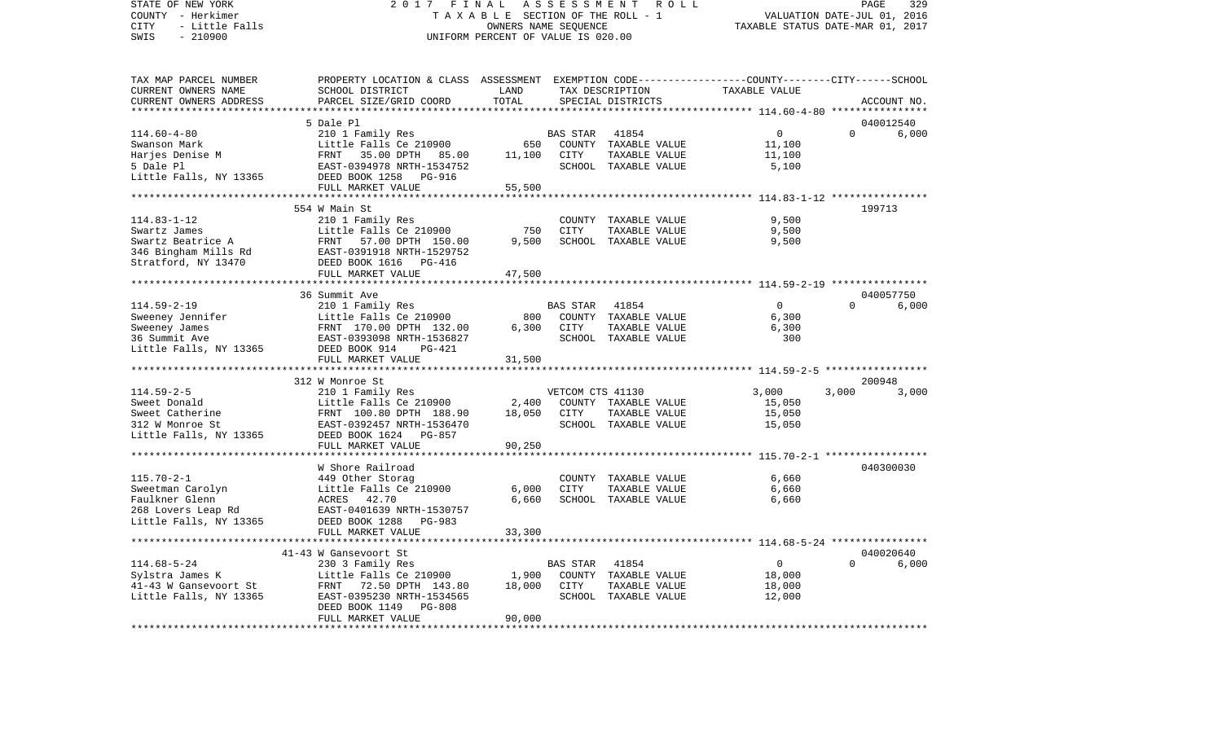VALUATION DATE-JUL 01, 2016 COUNTY - Herkimer T A X A B L E SECTION OF THE ROLL - 1 CITY - Little Falls OWNERS NAME SEQUENCE TAXABLE STATUS DATE-MAR 01, 2017 SWIS - 210900 UNIFORM PERCENT OF VALUE IS 020.00TAX MAP PARCEL NUMBER PROPERTY LOCATION & CLASS ASSESSMENT EXEMPTION CODE------------------COUNTY--------CITY------SCHOOL CURRENT OWNERS NAME SCHOOL DISTRICT LAND TAX DESCRIPTION TAXABLE VALUECURRENT OWNERS ADDRESS PARCEL SIZE/GRID COORD TOTAL SPECIAL DISTRICTS ACCOUNT NO. \*\*\*\*\*\*\*\*\*\*\*\*\*\*\*\*\*\*\*\*\*\*\*\*\*\*\*\*\*\*\*\*\*\*\*\*\*\*\*\*\*\*\*\*\*\*\*\*\*\*\*\*\*\*\*\*\*\*\*\*\*\*\*\*\*\*\*\*\*\*\*\*\*\*\*\*\*\*\*\*\*\*\*\*\*\*\*\*\*\*\*\*\*\*\*\*\*\*\*\*\*\*\* 114.60-4-80 \*\*\*\*\*\*\*\*\*\*\*\*\*\*\*\* 5 Dale Pl 040012540114.60-4-80 210 1 Family Res BAS STAR 41854 0 0 6,000 Swanson Mark **Little Falls Ce 210900** 650 COUNTY TAXABLE VALUE 11,100 Harjes Denise M FRNT 35.00 DPTH 85.00 11,100 CITY TAXABLE VALUE 11,100 5 Dale Pl EAST-0394978 NRTH-1534752 SCHOOL TAXABLE VALUE 5,100 Little Falls, NY 13365 DEED BOOK 1258 PG-916 FULL MARKET VALUE 55,500 \*\*\*\*\*\*\*\*\*\*\*\*\*\*\*\*\*\*\*\*\*\*\*\*\*\*\*\*\*\*\*\*\*\*\*\*\*\*\*\*\*\*\*\*\*\*\*\*\*\*\*\*\*\*\*\*\*\*\*\*\*\*\*\*\*\*\*\*\*\*\*\*\*\*\*\*\*\*\*\*\*\*\*\*\*\*\*\*\*\*\*\*\*\*\*\*\*\*\*\*\*\*\* 114.83-1-12 \*\*\*\*\*\*\*\*\*\*\*\*\*\*\*\* 554 W Main St 199713114.83-1-12 210 1 Family Res COUNTY TAXABLE VALUE 9,500 Swartz James Little Falls Ce 210900 750 CITY TAXABLE VALUE Swartz Beatrice A FRNT 57.00 DPTH 150.00 9,500 SCHOOL TAXABLE VALUE 9,500 346 Bingham Mills Rd EAST-0391918 NRTH-1529752 Stratford, NY 13470 DEED BOOK 1616 PG-416 FULL MARKET VALUE 47,500 \*\*\*\*\*\*\*\*\*\*\*\*\*\*\*\*\*\*\*\*\*\*\*\*\*\*\*\*\*\*\*\*\*\*\*\*\*\*\*\*\*\*\*\*\*\*\*\*\*\*\*\*\*\*\*\*\*\*\*\*\*\*\*\*\*\*\*\*\*\*\*\*\*\*\*\*\*\*\*\*\*\*\*\*\*\*\*\*\*\*\*\*\*\*\*\*\*\*\*\*\*\*\* 114.59-2-19 \*\*\*\*\*\*\*\*\*\*\*\*\*\*\*\* 36 Summit Ave 040057750 $6.000$ 114.59-2-19 210 1 Family Res BAS STAR 41854 0 0 6,000 Sweeney Jennifer 6,300 Little Falls Ce 210900 800 COUNTY TAXABLE VALUE 6,300 Sweeney James 6,300 FRNT 170.00 DPTH 132.00 6,300 CITY TAXABLE VALUE 6,300 36 Summit Ave EAST-0393098 NRTH-1536827 SCHOOL TAXABLE VALUE 300Little Falls, NY 13365 DEED BOOK 914 PG-421 FULL MARKET VALUE 31,500 \*\*\*\*\*\*\*\*\*\*\*\*\*\*\*\*\*\*\*\*\*\*\*\*\*\*\*\*\*\*\*\*\*\*\*\*\*\*\*\*\*\*\*\*\*\*\*\*\*\*\*\*\*\*\*\*\*\*\*\*\*\*\*\*\*\*\*\*\*\*\*\*\*\*\*\*\*\*\*\*\*\*\*\*\*\*\*\*\*\*\*\*\*\*\*\*\*\*\*\*\*\*\* 114.59-2-5 \*\*\*\*\*\*\*\*\*\*\*\*\*\*\*\*\* 312 W Monroe St 200948114.59-2-5 210 1 Family Res VETCOM CTS 41130 3,000 3,000 3,000 Sweet Donald Little Falls Ce 210900 2,400 COUNTY TAXABLE VALUE 15,050 Sweet Catherine 6 6 FRNT 100.80 DPTH 188.90 18,050 CITY TAXABLE VALUE 15,050 312 W Monroe St EAST-0392457 NRTH-1536470 SCHOOL TAXABLE VALUE 15,050 Little Falls, NY 13365 DEED BOOK 1624 PG-857 FULL MARKET VALUE 90,250 \*\*\*\*\*\*\*\*\*\*\*\*\*\*\*\*\*\*\*\*\*\*\*\*\*\*\*\*\*\*\*\*\*\*\*\*\*\*\*\*\*\*\*\*\*\*\*\*\*\*\*\*\*\*\*\*\*\*\*\*\*\*\*\*\*\*\*\*\*\*\*\*\*\*\*\*\*\*\*\*\*\*\*\*\*\*\*\*\*\*\*\*\*\*\*\*\*\*\*\*\*\*\* 115.70-2-1 \*\*\*\*\*\*\*\*\*\*\*\*\*\*\*\*\* W Shore Railroad 040300030115.70-2-1 449 Other Storag COUNTY TAXABLE VALUE 6,660 Sweetman Carolyn Little Falls Ce 210900 6,000 CITY TAXABLE VALUE 6,660 Faulkner Glenn ACRES 42.70 6,660 SCHOOL TAXABLE VALUE 6,660 268 Lovers Leap Rd EAST-0401639 NRTH-1530757 Little Falls, NY 13365 DEED BOOK 1288 PG-983 FULL MARKET VALUE 33,300 \*\*\*\*\*\*\*\*\*\*\*\*\*\*\*\*\*\*\*\*\*\*\*\*\*\*\*\*\*\*\*\*\*\*\*\*\*\*\*\*\*\*\*\*\*\*\*\*\*\*\*\*\*\*\*\*\*\*\*\*\*\*\*\*\*\*\*\*\*\*\*\*\*\*\*\*\*\*\*\*\*\*\*\*\*\*\*\*\*\*\*\*\*\*\*\*\*\*\*\*\*\*\* 114.68-5-24 \*\*\*\*\*\*\*\*\*\*\*\*\*\*\*\* 41-43 W Gansevoort St 040020640114.68-5-24 230 3 Family Res BAS STAR 41854 0 0 6,000 Sylstra James K Little Falls Ce 210900 1,900 COUNTY TAXABLE VALUE 18,000 41-43 W Gansevoort St FRNT 72.50 DPTH 143.80 18,000 CITY TAXABLE VALUE 18,000 Little Falls, NY 13365 EAST-0395230 NRTH-1534565 SCHOOL TAXABLE VALUE 12,000 DEED BOOK 1149 PG-808 FULL MARKET VALUE 90,000 \*\*\*\*\*\*\*\*\*\*\*\*\*\*\*\*\*\*\*\*\*\*\*\*\*\*\*\*\*\*\*\*\*\*\*\*\*\*\*\*\*\*\*\*\*\*\*\*\*\*\*\*\*\*\*\*\*\*\*\*\*\*\*\*\*\*\*\*\*\*\*\*\*\*\*\*\*\*\*\*\*\*\*\*\*\*\*\*\*\*\*\*\*\*\*\*\*\*\*\*\*\*\*\*\*\*\*\*\*\*\*\*\*\*\*\*\*\*\*\*\*\*\*\*\*\*\*\*\*\*\*\*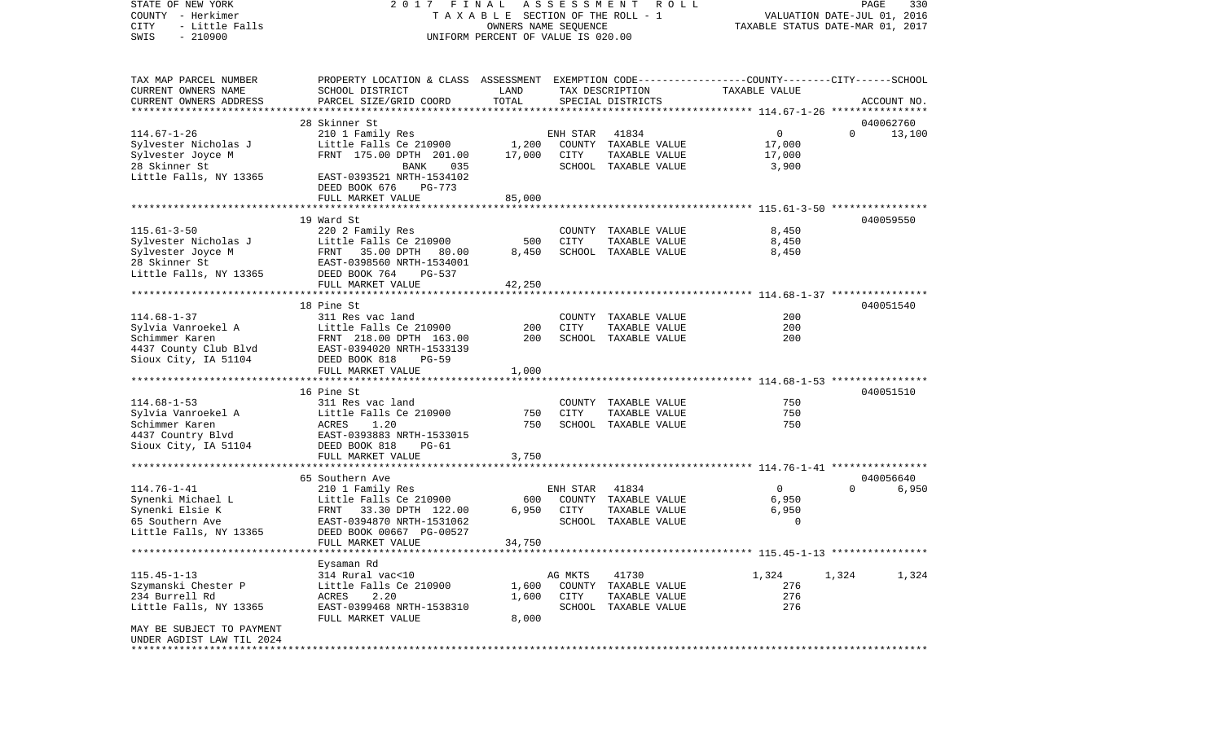COUNTY - Herkimer **T A X A B L E SECTION OF THE ROLL - 1** VALUATION DATE-JUL 01, 2016 CITY - Little Falls OWNERS NAME SEQUENCE TAXABLE STATUS DATE-MAR 01, 2017 SWIS - 210900 UNIFORM PERCENT OF VALUE IS 020.00TAX MAP PARCEL NUMBER PROPERTY LOCATION & CLASS ASSESSMENT EXEMPTION CODE------------------COUNTY--------CITY------SCHOOL CURRENT OWNERS NAME SCHOOL DISTRICT LAND TAX DESCRIPTION TAXABLE VALUECURRENT OWNERS ADDRESS PARCEL SIZE/GRID COORD TOTAL SPECIAL DISTRICTS ACCOUNT NO. \*\*\*\*\*\*\*\*\*\*\*\*\*\*\*\*\*\*\*\*\*\*\*\*\*\*\*\*\*\*\*\*\*\*\*\*\*\*\*\*\*\*\*\*\*\*\*\*\*\*\*\*\*\*\*\*\*\*\*\*\*\*\*\*\*\*\*\*\*\*\*\*\*\*\*\*\*\*\*\*\*\*\*\*\*\*\*\*\*\*\*\*\*\*\*\*\*\*\*\*\*\*\* 114.67-1-26 \*\*\*\*\*\*\*\*\*\*\*\*\*\*\*\* 28 Skinner St 040062760114.67-1-26 210 1 Family Res ENH STAR 41834 0 0 13,100 Sylvester Nicholas J Little Falls Ce 210900 1,200 COUNTY TAXABLE VALUE 17,000 Sylvester Joyce M FRNT 175.00 DPTH 201.00 17,000 CITY TAXABLE VALUE 17,000 28 Skinner St BANK 035 SCHOOL TAXABLE VALUE 3,900 Little Falls, NY 13365 EAST-0393521 NRTH-1534102 DEED BOOK 676 PG-773FULL MARKET VALUE 85,000 \*\*\*\*\*\*\*\*\*\*\*\*\*\*\*\*\*\*\*\*\*\*\*\*\*\*\*\*\*\*\*\*\*\*\*\*\*\*\*\*\*\*\*\*\*\*\*\*\*\*\*\*\*\*\*\*\*\*\*\*\*\*\*\*\*\*\*\*\*\*\*\*\*\*\*\*\*\*\*\*\*\*\*\*\*\*\*\*\*\*\*\*\*\*\*\*\*\*\*\*\*\*\* 115.61-3-50 \*\*\*\*\*\*\*\*\*\*\*\*\*\*\*\* 19 Ward St 040059550115.61-3-50 220 2 Family Res COUNTY TAXABLE VALUE 8,450 Sylvester Nicholas J Little Falls Ce 210900 500 CITY TAXABLE VALUE 8,450 Sylvester Joyce M FRNT 35.00 DPTH 80.00 8,450 SCHOOL TAXABLE VALUE 8,450 28 Skinner St EAST-0398560 NRTH-1534001Little Falls, NY 13365 DEED BOOK 764 PG-537 FULL MARKET VALUE 42,250 \*\*\*\*\*\*\*\*\*\*\*\*\*\*\*\*\*\*\*\*\*\*\*\*\*\*\*\*\*\*\*\*\*\*\*\*\*\*\*\*\*\*\*\*\*\*\*\*\*\*\*\*\*\*\*\*\*\*\*\*\*\*\*\*\*\*\*\*\*\*\*\*\*\*\*\*\*\*\*\*\*\*\*\*\*\*\*\*\*\*\*\*\*\*\*\*\*\*\*\*\*\*\* 114.68-1-37 \*\*\*\*\*\*\*\*\*\*\*\*\*\*\*\* 18 Pine St 040051540114.68-1-37 311 Res vac land COUNTY TAXABLE VALUE 200200 Sylvia Vanroekel A Little Falls Ce 210900 200 CITY TAXABLE VALUE Schimmer Karen 1982 ERNT 2000 DPTH 163.00 2000 SCHOOL TAXABLE VALUE 200 4437 County Club Blvd EAST-0394020 NRTH-1533139 Sioux City, IA 51104 DEED BOOK 818 PG-59 FULL MARKET VALUE 1,000 \*\*\*\*\*\*\*\*\*\*\*\*\*\*\*\*\*\*\*\*\*\*\*\*\*\*\*\*\*\*\*\*\*\*\*\*\*\*\*\*\*\*\*\*\*\*\*\*\*\*\*\*\*\*\*\*\*\*\*\*\*\*\*\*\*\*\*\*\*\*\*\*\*\*\*\*\*\*\*\*\*\*\*\*\*\*\*\*\*\*\*\*\*\*\*\*\*\*\*\*\*\*\* 114.68-1-53 \*\*\*\*\*\*\*\*\*\*\*\*\*\*\*\* 16 Pine St 040051510114.68-1-53 311 Res vac land COUNTY TAXABLE VALUE 750Sylvia Vanroekel A Little Falls Ce 210900 750 CITY TAXABLE VALUE 750 Schimmer Karen ACRES 1.20 750 SCHOOL TAXABLE VALUE 750 4437 Country Blvd EAST-0393883 NRTH-1533015 Sioux City, IA 51104 DEED BOOK 818 PG-61 FULL MARKET VALUE 3,750 \*\*\*\*\*\*\*\*\*\*\*\*\*\*\*\*\*\*\*\*\*\*\*\*\*\*\*\*\*\*\*\*\*\*\*\*\*\*\*\*\*\*\*\*\*\*\*\*\*\*\*\*\*\*\*\*\*\*\*\*\*\*\*\*\*\*\*\*\*\*\*\*\*\*\*\*\*\*\*\*\*\*\*\*\*\*\*\*\*\*\*\*\*\*\*\*\*\*\*\*\*\*\* 114.76-1-41 \*\*\*\*\*\*\*\*\*\*\*\*\*\*\*\* 65 Southern Ave 040056640114.76-1-41 210 1 Family Res ENH STAR 41834 0 0 6,950 Synenki Michael L Little Falls Ce 210900 600 COUNTY TAXABLE VALUE 6,950 FRNT 33.30 DPTH 122.00 6,950 CITY TAXABLE VALUE 65 Southern Ave EAST-0394870 NRTH-1531062 SCHOOL TAXABLE VALUE 0Little Falls, NY 13365 DEED BOOK 00667 PG-00527 FULL MARKET VALUE 34,750 \*\*\*\*\*\*\*\*\*\*\*\*\*\*\*\*\*\*\*\*\*\*\*\*\*\*\*\*\*\*\*\*\*\*\*\*\*\*\*\*\*\*\*\*\*\*\*\*\*\*\*\*\*\*\*\*\*\*\*\*\*\*\*\*\*\*\*\*\*\*\*\*\*\*\*\*\*\*\*\*\*\*\*\*\*\*\*\*\*\*\*\*\*\*\*\*\*\*\*\*\*\*\* 115.45-1-13 \*\*\*\*\*\*\*\*\*\*\*\*\*\*\*\* Eysaman Rd 115.45-1-13 314 Rural vac<10 AG MKTS 41730 1,324 1,324 1,324 Szymanski Chester P Little Falls Ce 210900 1,600 COUNTY TAXABLE VALUE 276 234 Burrell Rd ACRES 2.20 1,600 CITY TAXABLE VALUE 276 Little Falls, NY 13365 68 EAST-0399468 NRTH-1538310 SCHOOL TAXABLE VALUE 276 FULL MARKET VALUE 8,000 MAY BE SUBJECT TO PAYMENT UNDER AGDIST LAW TIL 2024\*\*\*\*\*\*\*\*\*\*\*\*\*\*\*\*\*\*\*\*\*\*\*\*\*\*\*\*\*\*\*\*\*\*\*\*\*\*\*\*\*\*\*\*\*\*\*\*\*\*\*\*\*\*\*\*\*\*\*\*\*\*\*\*\*\*\*\*\*\*\*\*\*\*\*\*\*\*\*\*\*\*\*\*\*\*\*\*\*\*\*\*\*\*\*\*\*\*\*\*\*\*\*\*\*\*\*\*\*\*\*\*\*\*\*\*\*\*\*\*\*\*\*\*\*\*\*\*\*\*\*\*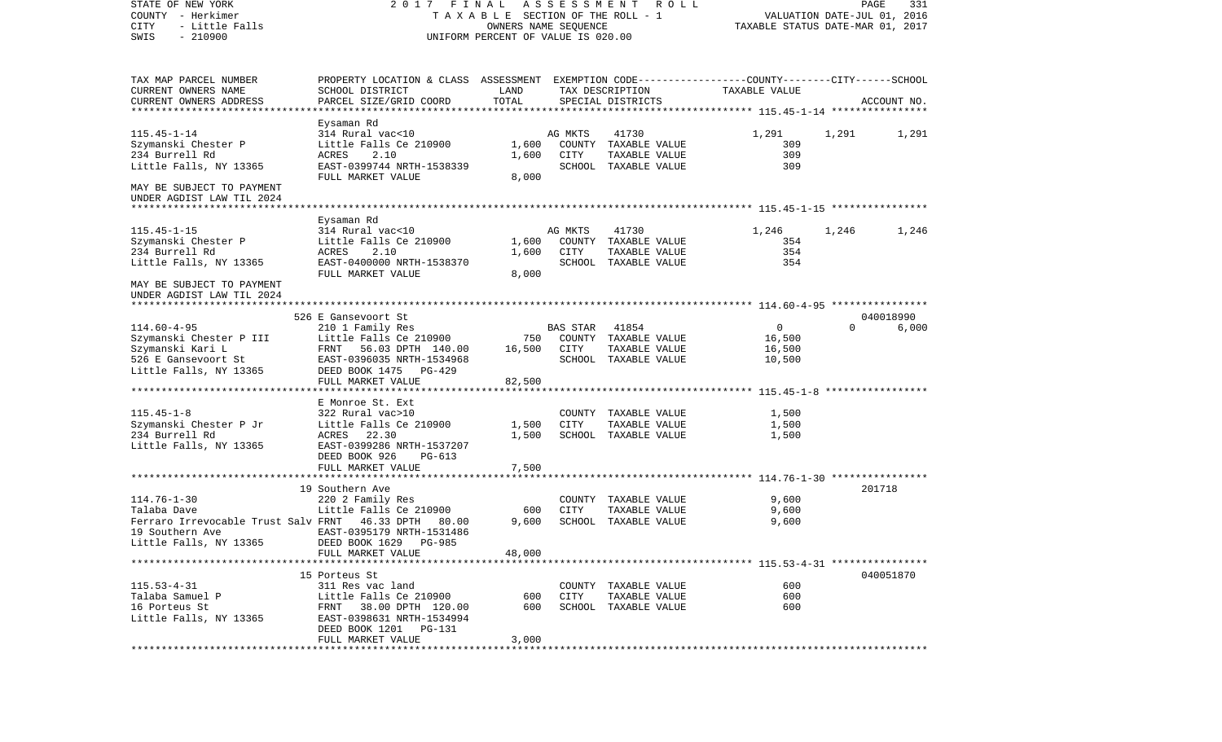| STATE OF NEW YORK<br>COUNTY - Herkimer<br>CITY<br>- Little Falls<br>$-210900$<br>SWIS | 2017 FINAL ASSESSMENT<br>TAXABLE SECTION OF THE ROLL - 1<br>UNIFORM PERCENT OF VALUE IS 020.00  | R O L L      | PAGE<br>331<br>VALUATION DATE-JUL 01, 2016<br>TAXABLE STATUS DATE-MAR 01, 2017 |                                       |                |          |             |
|---------------------------------------------------------------------------------------|-------------------------------------------------------------------------------------------------|--------------|--------------------------------------------------------------------------------|---------------------------------------|----------------|----------|-------------|
| TAX MAP PARCEL NUMBER                                                                 | PROPERTY LOCATION & CLASS ASSESSMENT EXEMPTION CODE---------------COUNTY-------CITY------SCHOOL |              |                                                                                |                                       |                |          |             |
| CURRENT OWNERS NAME                                                                   | SCHOOL DISTRICT                                                                                 | LAND         |                                                                                | TAX DESCRIPTION                       | TAXABLE VALUE  |          |             |
| CURRENT OWNERS ADDRESS<br>************************                                    | PARCEL SIZE/GRID COORD                                                                          | TOTAL        |                                                                                | SPECIAL DISTRICTS                     |                |          | ACCOUNT NO. |
|                                                                                       | Eysaman Rd                                                                                      |              |                                                                                |                                       |                |          |             |
| $115.45 - 1 - 14$                                                                     | 314 Rural vac<10                                                                                |              | AG MKTS                                                                        | 41730                                 | 1,291          | 1,291    | 1,291       |
| Szymanski Chester P                                                                   | Little Falls Ce 210900                                                                          | 1,600        |                                                                                | COUNTY TAXABLE VALUE                  | 309            |          |             |
| 234 Burrell Rd                                                                        | ACRES<br>2.10                                                                                   | 1,600        | CITY                                                                           | TAXABLE VALUE                         | 309            |          |             |
| Little Falls, NY 13365                                                                | EAST-0399744 NRTH-1538339                                                                       |              |                                                                                | SCHOOL TAXABLE VALUE                  | 309            |          |             |
| MAY BE SUBJECT TO PAYMENT<br>UNDER AGDIST LAW TIL 2024                                | FULL MARKET VALUE                                                                               | 8,000        |                                                                                |                                       |                |          |             |
|                                                                                       |                                                                                                 |              |                                                                                |                                       |                |          |             |
|                                                                                       | Eysaman Rd                                                                                      |              |                                                                                |                                       |                |          |             |
| $115.45 - 1 - 15$                                                                     | 314 Rural vac<10                                                                                |              | AG MKTS                                                                        | 41730                                 | 1,246          | 1,246    | 1,246       |
| Szymanski Chester P                                                                   | Little Falls Ce 210900                                                                          | 1,600        |                                                                                | COUNTY TAXABLE VALUE                  | 354            |          |             |
| 234 Burrell Rd                                                                        | 2.10<br>ACRES                                                                                   | 1,600        | CITY                                                                           | TAXABLE VALUE                         | 354            |          |             |
| Little Falls, NY 13365                                                                | EAST-0400000 NRTH-1538370<br>FULL MARKET VALUE                                                  | 8,000        |                                                                                | SCHOOL TAXABLE VALUE                  | 354            |          |             |
| MAY BE SUBJECT TO PAYMENT                                                             |                                                                                                 |              |                                                                                |                                       |                |          |             |
| UNDER AGDIST LAW TIL 2024<br>*****************************                            |                                                                                                 |              |                                                                                |                                       |                |          |             |
|                                                                                       | 526 E Gansevoort St                                                                             |              |                                                                                |                                       |                |          | 040018990   |
| $114.60 - 4 - 95$                                                                     | 210 1 Family Res                                                                                |              | BAS STAR                                                                       | 41854                                 | $\mathbf{0}$   | $\Omega$ | 6,000       |
| Szymanski Chester P III                                                               | Little Falls Ce 210900                                                                          | 750          |                                                                                | COUNTY TAXABLE VALUE                  | 16,500         |          |             |
| Szymanski Kari L                                                                      | FRNT 56.03 DPTH 140.00                                                                          | 16,500       | CITY                                                                           | TAXABLE VALUE                         | 16,500         |          |             |
| 526 E Gansevoort St                                                                   | EAST-0396035 NRTH-1534968                                                                       |              |                                                                                | SCHOOL TAXABLE VALUE                  | 10,500         |          |             |
| Little Falls, NY 13365                                                                | DEED BOOK 1475 PG-429                                                                           |              |                                                                                |                                       |                |          |             |
|                                                                                       | FULL MARKET VALUE                                                                               | 82,500       |                                                                                |                                       |                |          |             |
|                                                                                       | E Monroe St. Ext                                                                                |              |                                                                                |                                       |                |          |             |
| $115.45 - 1 - 8$                                                                      | 322 Rural vac>10                                                                                |              |                                                                                | COUNTY TAXABLE VALUE                  | 1,500          |          |             |
| Szymanski Chester P Jr                                                                | Little Falls Ce 210900                                                                          | 1,500        | CITY                                                                           | TAXABLE VALUE                         | 1,500          |          |             |
| 234 Burrell Rd                                                                        | ACRES 22.30                                                                                     | 1,500        |                                                                                | SCHOOL TAXABLE VALUE                  | 1,500          |          |             |
| Little Falls, NY 13365                                                                | EAST-0399286 NRTH-1537207<br>DEED BOOK 926<br>PG-613                                            |              |                                                                                |                                       |                |          |             |
|                                                                                       | FULL MARKET VALUE                                                                               | 7,500        |                                                                                |                                       |                |          |             |
|                                                                                       |                                                                                                 |              |                                                                                |                                       |                |          |             |
|                                                                                       | 19 Southern Ave                                                                                 |              |                                                                                |                                       |                |          | 201718      |
| $114.76 - 1 - 30$                                                                     | 220 2 Family Res                                                                                |              |                                                                                | COUNTY TAXABLE VALUE                  | 9,600          |          |             |
| Talaba Dave<br>Ferraro Irrevocable Trust Salv FRNT 46.33 DPTH                         | Little Falls Ce 210900<br>80.00                                                                 | 600<br>9,600 | CITY                                                                           | TAXABLE VALUE<br>SCHOOL TAXABLE VALUE | 9,600<br>9,600 |          |             |
| 19 Southern Ave                                                                       | EAST-0395179 NRTH-1531486                                                                       |              |                                                                                |                                       |                |          |             |
| Little Falls, NY 13365                                                                | DEED BOOK 1629 PG-985                                                                           |              |                                                                                |                                       |                |          |             |
|                                                                                       | FULL MARKET VALUE                                                                               | 48,000       |                                                                                |                                       |                |          |             |
|                                                                                       |                                                                                                 |              |                                                                                |                                       |                |          |             |
|                                                                                       | 15 Porteus St                                                                                   |              |                                                                                |                                       |                |          | 040051870   |
| $115.53 - 4 - 31$                                                                     | 311 Res vac land                                                                                |              |                                                                                | COUNTY TAXABLE VALUE                  | 600            |          |             |
| Talaba Samuel P                                                                       | Little Falls Ce 210900                                                                          | 600          | CITY                                                                           | TAXABLE VALUE                         | 600            |          |             |
| 16 Porteus St                                                                         | FRNT 38.00 DPTH 120.00                                                                          | 600          |                                                                                | SCHOOL TAXABLE VALUE                  | 600            |          |             |
| Little Falls, NY 13365                                                                | EAST-0398631 NRTH-1534994                                                                       |              |                                                                                |                                       |                |          |             |
|                                                                                       | DEED BOOK 1201 PG-131                                                                           |              |                                                                                |                                       |                |          |             |
|                                                                                       | FULL MARKET VALUE                                                                               | 3,000        |                                                                                |                                       |                |          |             |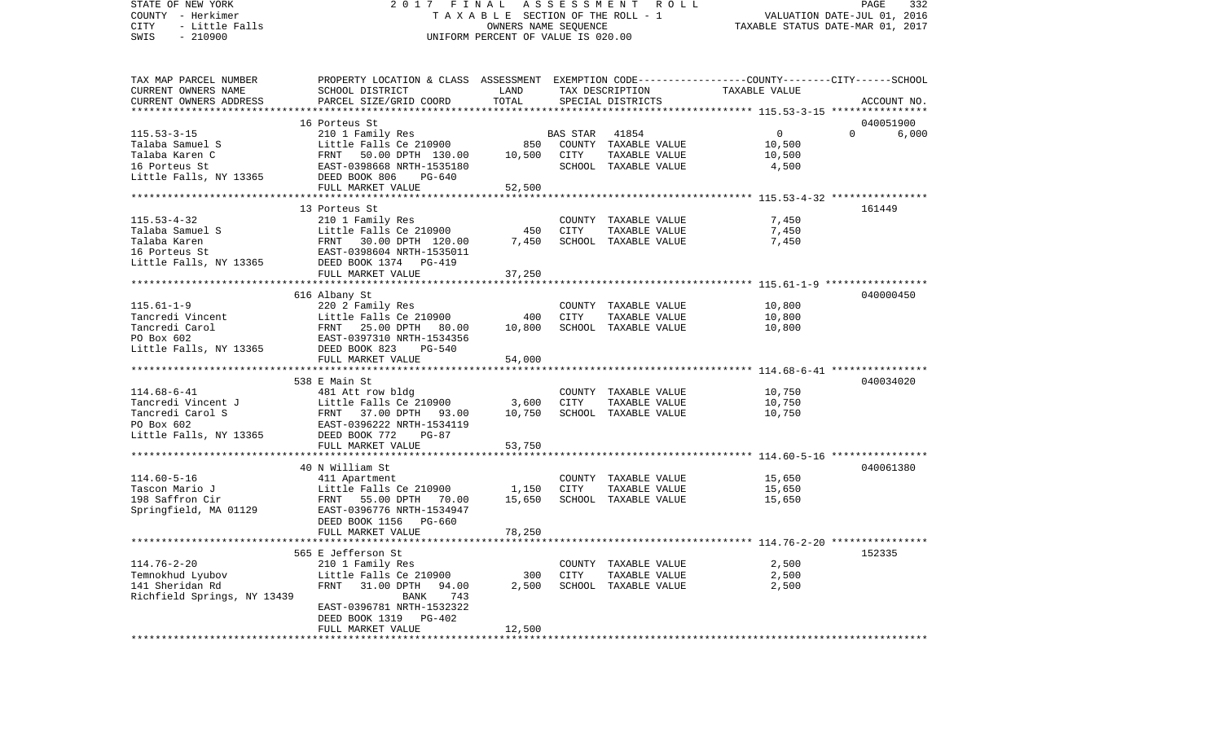STATE OF NEW YORK 2 0 1 7 F I N A L A S S E S S M E N T R O L L PAGE 332COUNTY - Herkimer **T A X A B L E** SECTION OF THE ROLL - 1 VALUATION DATE-JUL 01, 2016 CITY - Little Falls OWNERS NAME SEQUENCE TAXABLE STATUS DATE-MAR 01, 2017 SWIS - 210900 UNIFORM PERCENT OF VALUE IS 020.00TAX MAP PARCEL NUMBER PROPERTY LOCATION & CLASS ASSESSMENT EXEMPTION CODE------------------COUNTY--------CITY------SCHOOL CURRENT OWNERS NAME SCHOOL DISTRICT LAND TAX DESCRIPTION TAXABLE VALUECURRENT OWNERS ADDRESS PARCEL SIZE/GRID COORD TOTAL SPECIAL DISTRICTS ACCOUNT NO. \*\*\*\*\*\*\*\*\*\*\*\*\*\*\*\*\*\*\*\*\*\*\*\*\*\*\*\*\*\*\*\*\*\*\*\*\*\*\*\*\*\*\*\*\*\*\*\*\*\*\*\*\*\*\*\*\*\*\*\*\*\*\*\*\*\*\*\*\*\*\*\*\*\*\*\*\*\*\*\*\*\*\*\*\*\*\*\*\*\*\*\*\*\*\*\*\*\*\*\*\*\*\* 115.53-3-15 \*\*\*\*\*\*\*\*\*\*\*\*\*\*\*\* 16 Porteus St 040051900115.53-3-15 210 1 Family Res BAS STAR 41854 0 0 6,000 Talaba Samuel S Little Falls Ce 210900 850 COUNTY TAXABLE VALUE 10,500 Talaba Karen C FRNT 50.00 DPTH 130.00 10,500 CITY TAXABLE VALUE 10,500 16 Porteus St EAST-0398668 NRTH-1535180 SCHOOL TAXABLE VALUE 4,500 Little Falls, NY 13365 DEED BOOK 806 PG-640 FULL MARKET VALUE 52,500 \*\*\*\*\*\*\*\*\*\*\*\*\*\*\*\*\*\*\*\*\*\*\*\*\*\*\*\*\*\*\*\*\*\*\*\*\*\*\*\*\*\*\*\*\*\*\*\*\*\*\*\*\*\*\*\*\*\*\*\*\*\*\*\*\*\*\*\*\*\*\*\*\*\*\*\*\*\*\*\*\*\*\*\*\*\*\*\*\*\*\*\*\*\*\*\*\*\*\*\*\*\*\* 115.53-4-32 \*\*\*\*\*\*\*\*\*\*\*\*\*\*\*\* 13 Porteus St 161449115.53-4-32 210 1 Family Res COUNTY TAXABLE VALUE 7,450 Talaba Samuel S **Little Falls Ce 210900** 450 CITY TAXABLE VALUE Talaba Karen FRNT 30.00 DPTH 120.00 7,450 SCHOOL TAXABLE VALUE 7,450 16 Porteus St EAST-0398604 NRTH-1535011Little Falls, NY 13365 DEED BOOK 1374 PG-419 FULL MARKET VALUE 37,250 \*\*\*\*\*\*\*\*\*\*\*\*\*\*\*\*\*\*\*\*\*\*\*\*\*\*\*\*\*\*\*\*\*\*\*\*\*\*\*\*\*\*\*\*\*\*\*\*\*\*\*\*\*\*\*\*\*\*\*\*\*\*\*\*\*\*\*\*\*\*\*\*\*\*\*\*\*\*\*\*\*\*\*\*\*\*\*\*\*\*\*\*\*\*\*\*\*\*\*\*\*\*\* 115.61-1-9 \*\*\*\*\*\*\*\*\*\*\*\*\*\*\*\*\* 616 Albany St 040000450 115.61-1-9 220 2 Family Res COUNTY TAXABLE VALUE 10,800 Tancredi Vincent Little Falls Ce 210900 400 CITY TAXABLE VALUE 10,800 Tancredi Carol FRNT 25.00 DPTH 80.00 10,800 SCHOOL TAXABLE VALUE 10,800 PO Box 602 EAST-0397310 NRTH-1534356Little Falls, NY 13365 DEED BOOK 823 PG-540 FULL MARKET VALUE 54,000 \*\*\*\*\*\*\*\*\*\*\*\*\*\*\*\*\*\*\*\*\*\*\*\*\*\*\*\*\*\*\*\*\*\*\*\*\*\*\*\*\*\*\*\*\*\*\*\*\*\*\*\*\*\*\*\*\*\*\*\*\*\*\*\*\*\*\*\*\*\*\*\*\*\*\*\*\*\*\*\*\*\*\*\*\*\*\*\*\*\*\*\*\*\*\*\*\*\*\*\*\*\*\* 114.68-6-41 \*\*\*\*\*\*\*\*\*\*\*\*\*\*\*\* 538 E Main St 040034020114.68-6-41 481 Att row bldg COUNTY TAXABLE VALUE 10,750 Tancredi Vincent J Little Falls Ce 210900 3,600 CITY TAXABLE VALUE 10,750 Tancredi Carol S FRNT 37.00 DPTH 93.00 10,750 SCHOOL TAXABLE VALUE 10,750 PO Box 602 EAST-0396222 NRTH-1534119Little Falls, NY 13365 DEED BOOK 772 PG-87 FULL MARKET VALUE 53,750 \*\*\*\*\*\*\*\*\*\*\*\*\*\*\*\*\*\*\*\*\*\*\*\*\*\*\*\*\*\*\*\*\*\*\*\*\*\*\*\*\*\*\*\*\*\*\*\*\*\*\*\*\*\*\*\*\*\*\*\*\*\*\*\*\*\*\*\*\*\*\*\*\*\*\*\*\*\*\*\*\*\*\*\*\*\*\*\*\*\*\*\*\*\*\*\*\*\*\*\*\*\*\* 114.60-5-16 \*\*\*\*\*\*\*\*\*\*\*\*\*\*\*\* 40 N William St 040061380114.60-5-16 411 Apartment COUNTY TAXABLE VALUE 15,650 Tascon Mario J Little Falls Ce 210900 1,150 CITY TAXABLE VALUE 15,650 198 Saffron Cir FRNT 55.00 DPTH 70.00 15,650 SCHOOL TAXABLE VALUE 15,650 Springfield, MA 01129 EAST-0396776 NRTH-1534947 DEED BOOK 1156 PG-660FULL MARKET VALUE 78,250 \*\*\*\*\*\*\*\*\*\*\*\*\*\*\*\*\*\*\*\*\*\*\*\*\*\*\*\*\*\*\*\*\*\*\*\*\*\*\*\*\*\*\*\*\*\*\*\*\*\*\*\*\*\*\*\*\*\*\*\*\*\*\*\*\*\*\*\*\*\*\*\*\*\*\*\*\*\*\*\*\*\*\*\*\*\*\*\*\*\*\*\*\*\*\*\*\*\*\*\*\*\*\* 114.76-2-20 \*\*\*\*\*\*\*\*\*\*\*\*\*\*\*\* 565 E Jefferson St 152335114.76-2-20 210 1 Family Res COUNTY TAXABLE VALUE 2,500 Temnokhud Lyubov Little Falls Ce 210900 300 CITY TAXABLE VALUE 141 Sheridan Rd FRNT 31.00 DPTH 94.00 2,500 SCHOOL TAXABLE VALUE 2,500 Richfield Springs, NY 13439 BANK 743 EAST-0396781 NRTH-1532322 DEED BOOK 1319 PG-402FULL MARKET VALUE 12,500 \*\*\*\*\*\*\*\*\*\*\*\*\*\*\*\*\*\*\*\*\*\*\*\*\*\*\*\*\*\*\*\*\*\*\*\*\*\*\*\*\*\*\*\*\*\*\*\*\*\*\*\*\*\*\*\*\*\*\*\*\*\*\*\*\*\*\*\*\*\*\*\*\*\*\*\*\*\*\*\*\*\*\*\*\*\*\*\*\*\*\*\*\*\*\*\*\*\*\*\*\*\*\*\*\*\*\*\*\*\*\*\*\*\*\*\*\*\*\*\*\*\*\*\*\*\*\*\*\*\*\*\*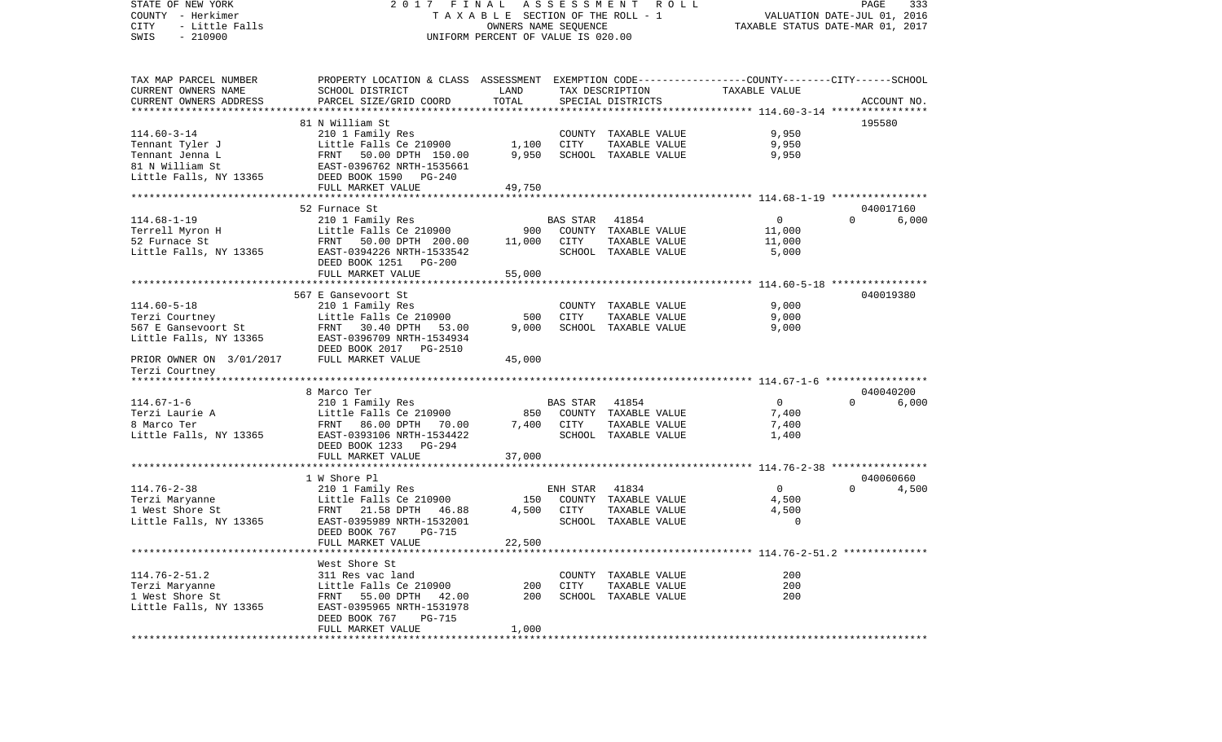COUNTY - Herkimer **T A X A B L E** SECTION OF THE ROLL - 1 VALUATION DATE-JUL 01, 2016 CITY - Little Falls OWNERS NAME SEQUENCE TAXABLE STATUS DATE-MAR 01, 2017 SWIS - 210900 UNIFORM PERCENT OF VALUE IS 020.00TAX MAP PARCEL NUMBER PROPERTY LOCATION & CLASS ASSESSMENT EXEMPTION CODE------------------COUNTY--------CITY------SCHOOL CURRENT OWNERS NAME SCHOOL DISTRICT LAND TAX DESCRIPTION TAXABLE VALUECURRENT OWNERS ADDRESS PARCEL SIZE/GRID COORD TOTAL SPECIAL DISTRICTS ACCOUNT NO. \*\*\*\*\*\*\*\*\*\*\*\*\*\*\*\*\*\*\*\*\*\*\*\*\*\*\*\*\*\*\*\*\*\*\*\*\*\*\*\*\*\*\*\*\*\*\*\*\*\*\*\*\*\*\*\*\*\*\*\*\*\*\*\*\*\*\*\*\*\*\*\*\*\*\*\*\*\*\*\*\*\*\*\*\*\*\*\*\*\*\*\*\*\*\*\*\*\*\*\*\*\*\* 114.60-3-14 \*\*\*\*\*\*\*\*\*\*\*\*\*\*\*\* 81 N William St 195580114.60-3-14 210 1 Family Res COUNTY TAXABLE VALUE 9,950 Tennant Tyler J Little Falls Ce 210900 1,100 CITY TAXABLE VALUE 9,950 Tennant Jenna L FRNT 50.00 DPTH 150.00 9,950 SCHOOL TAXABLE VALUE 9,950 81 N William St EAST-0396762 NRTH-1535661Little Falls, NY 13365 DEED BOOK 1590 PG-240 FULL MARKET VALUE 49,750 \*\*\*\*\*\*\*\*\*\*\*\*\*\*\*\*\*\*\*\*\*\*\*\*\*\*\*\*\*\*\*\*\*\*\*\*\*\*\*\*\*\*\*\*\*\*\*\*\*\*\*\*\*\*\*\*\*\*\*\*\*\*\*\*\*\*\*\*\*\*\*\*\*\*\*\*\*\*\*\*\*\*\*\*\*\*\*\*\*\*\*\*\*\*\*\*\*\*\*\*\*\*\* 114.68-1-19 \*\*\*\*\*\*\*\*\*\*\*\*\*\*\*\*52 Furnace St 040017160 114.68-1-19 210 1 Family Res BAS STAR 41854 0 0 6,000 Terrell Myron H Control Cittle Falls Ce 210900 900 COUNTY TAXABLE VALUE 11,000 52 Furnace St FRNT 50.00 DPTH 200.00 11,000 CITY TAXABLE VALUE 11,000 Little Falls, NY 13365 EAST-0394226 NRTH-1533542 SCHOOL TAXABLE VALUE 5,000 DEED BOOK 1251 PG-200FULL MARKET VALUE 55,000 \*\*\*\*\*\*\*\*\*\*\*\*\*\*\*\*\*\*\*\*\*\*\*\*\*\*\*\*\*\*\*\*\*\*\*\*\*\*\*\*\*\*\*\*\*\*\*\*\*\*\*\*\*\*\*\*\*\*\*\*\*\*\*\*\*\*\*\*\*\*\*\*\*\*\*\*\*\*\*\*\*\*\*\*\*\*\*\*\*\*\*\*\*\*\*\*\*\*\*\*\*\*\* 114.60-5-18 \*\*\*\*\*\*\*\*\*\*\*\*\*\*\*\* 567 E Gansevoort St 040019380114.60-5-18 210 1 Family Res COUNTY TAXABLE VALUE 9,000 Terzi Courtney Little Falls Ce 210900 500 CITY TAXABLE VALUE 9,000 567 E Gansevoort St FRNT 30.40 DPTH 53.00 9,000 SCHOOL TAXABLE VALUE 9,000 Little Falls, NY 13365 EAST-0396709 NRTH-1534934 DEED BOOK 2017 PG-2510PRIOR OWNER ON 3/01/2017 FULL MARKET VALUE 45,000 Terzi Courtney \*\*\*\*\*\*\*\*\*\*\*\*\*\*\*\*\*\*\*\*\*\*\*\*\*\*\*\*\*\*\*\*\*\*\*\*\*\*\*\*\*\*\*\*\*\*\*\*\*\*\*\*\*\*\*\*\*\*\*\*\*\*\*\*\*\*\*\*\*\*\*\*\*\*\*\*\*\*\*\*\*\*\*\*\*\*\*\*\*\*\*\*\*\*\*\*\*\*\*\*\*\*\* 114.67-1-6 \*\*\*\*\*\*\*\*\*\*\*\*\*\*\*\*\* 8 Marco Ter 040040200114.67-1-6 210 1 Family Res BAS STAR 41854 0 0 6,000 Terzi Laurie A Little Falls Ce 210900 850 COUNTY TAXABLE VALUE 7,400 8 Marco Ter FRNT 86.00 DPTH 70.00 7,400 CITY TAXABLE VALUE 7,400 Little Falls, NY 13365 EAST-0393106 NRTH-1534422 SCHOOL TAXABLE VALUE 1,400 DEED BOOK 1233 PG-294FULL MARKET VALUE 37,000 \*\*\*\*\*\*\*\*\*\*\*\*\*\*\*\*\*\*\*\*\*\*\*\*\*\*\*\*\*\*\*\*\*\*\*\*\*\*\*\*\*\*\*\*\*\*\*\*\*\*\*\*\*\*\*\*\*\*\*\*\*\*\*\*\*\*\*\*\*\*\*\*\*\*\*\*\*\*\*\*\*\*\*\*\*\*\*\*\*\*\*\*\*\*\*\*\*\*\*\*\*\*\* 114.76-2-38 \*\*\*\*\*\*\*\*\*\*\*\*\*\*\*\*1 W Shore Pl 040060660 114.76-2-38 210 1 Family Res ENH STAR 41834 0 0 4,500 Terzi Maryanne Little Falls Ce 210900 150 COUNTY TAXABLE VALUE 4,500 1 West Shore St FRNT 21.58 DPTH 46.88 4,500 CITY TAXABLE VALUE Little Falls, NY 13365 EAST-0395989 NRTH-1532001 SCHOOL TAXABLE VALUE 0 DEED BOOK 767 PG-715FULL MARKET VALUE 22,500 \*\*\*\*\*\*\*\*\*\*\*\*\*\*\*\*\*\*\*\*\*\*\*\*\*\*\*\*\*\*\*\*\*\*\*\*\*\*\*\*\*\*\*\*\*\*\*\*\*\*\*\*\*\*\*\*\*\*\*\*\*\*\*\*\*\*\*\*\*\*\*\*\*\*\*\*\*\*\*\*\*\*\*\*\*\*\*\*\*\*\*\*\*\*\*\*\*\*\*\*\*\*\* 114.76-2-51.2 \*\*\*\*\*\*\*\*\*\*\*\*\*\* West Shore St114.76-2-51.2 311 Res vac land COUNTY TAXABLE VALUE 200Terzi Maryanne Little Falls Ce 210900 200 CITY TAXABLE VALUE 200 1 West Shore St FRNT 55.00 DPTH 42.00 200 SCHOOL TAXABLE VALUE 200Little Falls, NY 13365 EAST-0395965 NRTH-1531978 DEED BOOK 767 PG-715FULL MARKET VALUE 1,000 \*\*\*\*\*\*\*\*\*\*\*\*\*\*\*\*\*\*\*\*\*\*\*\*\*\*\*\*\*\*\*\*\*\*\*\*\*\*\*\*\*\*\*\*\*\*\*\*\*\*\*\*\*\*\*\*\*\*\*\*\*\*\*\*\*\*\*\*\*\*\*\*\*\*\*\*\*\*\*\*\*\*\*\*\*\*\*\*\*\*\*\*\*\*\*\*\*\*\*\*\*\*\*\*\*\*\*\*\*\*\*\*\*\*\*\*\*\*\*\*\*\*\*\*\*\*\*\*\*\*\*\*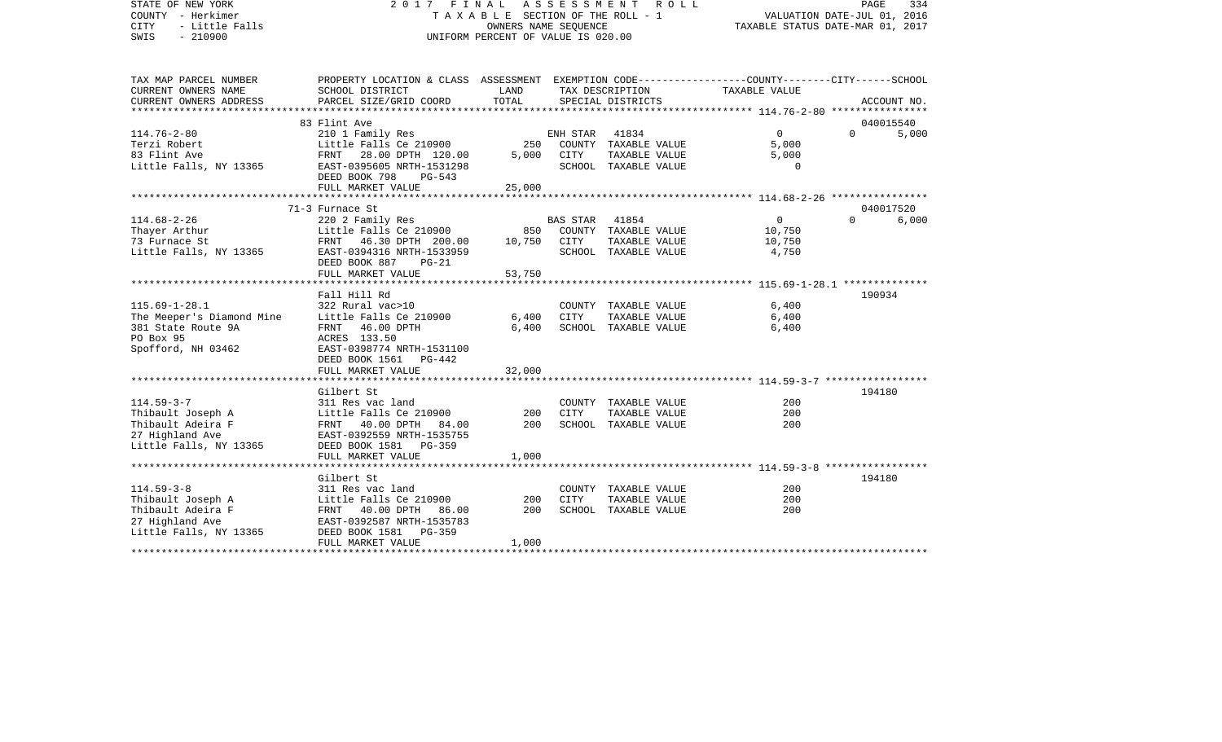STATE OF NEW YORK 2 0 1 7 F I N A L A S S E S S M E N T R O L L PAGE 334COUNTY - Herkimer **T A X A B L E SECTION OF THE ROLL - 1** VALUATION DATE-JUL 01, 2016 CITY - Little Falls OWNERS NAME SEQUENCE TAXABLE STATUS DATE-MAR 01, 2017 SWIS - 210900 UNIFORM PERCENT OF VALUE IS 020.00TAX MAP PARCEL NUMBER PROPERTY LOCATION & CLASS ASSESSMENT EXEMPTION CODE------------------COUNTY--------CITY------SCHOOL CURRENT OWNERS NAME SCHOOL DISTRICT LAND TAX DESCRIPTION TAXABLE VALUECURRENT OWNERS ADDRESS PARCEL SIZE/GRID COORD TOTAL SPECIAL DISTRICTS ACCOUNT NO. \*\*\*\*\*\*\*\*\*\*\*\*\*\*\*\*\*\*\*\*\*\*\*\*\*\*\*\*\*\*\*\*\*\*\*\*\*\*\*\*\*\*\*\*\*\*\*\*\*\*\*\*\*\*\*\*\*\*\*\*\*\*\*\*\*\*\*\*\*\*\*\*\*\*\*\*\*\*\*\*\*\*\*\*\*\*\*\*\*\*\*\*\*\*\*\*\*\*\*\*\*\*\* 114.76-2-80 \*\*\*\*\*\*\*\*\*\*\*\*\*\*\*\* 83 Flint Ave 040015540114.76-2-80 210 1 Family Res ENH STAR 41834 0 0 5,000 Terzi Robert Little Falls Ce 210900 250 COUNTY TAXABLE VALUE 5,000 83 Flint Ave FRNT 28.00 DPTH 120.00 5,000 CITY TAXABLE VALUE 5,000 Little Falls, NY 13365 EAST-0395605 NRTH-1531298 SCHOOL TAXABLE VALUE 0 DEED BOOK 798 PG-543 FULL MARKET VALUE 25,000 \*\*\*\*\*\*\*\*\*\*\*\*\*\*\*\*\*\*\*\*\*\*\*\*\*\*\*\*\*\*\*\*\*\*\*\*\*\*\*\*\*\*\*\*\*\*\*\*\*\*\*\*\*\*\*\*\*\*\*\*\*\*\*\*\*\*\*\*\*\*\*\*\*\*\*\*\*\*\*\*\*\*\*\*\*\*\*\*\*\*\*\*\*\*\*\*\*\*\*\*\*\*\* 114.68-2-26 \*\*\*\*\*\*\*\*\*\*\*\*\*\*\*\*71-3 Furnace St 040017520 114.68-2-26 220 2 Family Res BAS STAR 41854 0 0 6,000 Thayer Arthur 1000 COUNTY TAXABLE VALUE Little Falls Ce 210900 850 COUNTY TAXABLE VALUE 73 Furnace St FRNT 46.30 DPTH 200.00 10,750 CITY TAXABLE VALUE 10,750 Little Falls, NY 13365 BAST-0394316 NRTH-1533959 SCHOOL TAXABLE VALUE 4,750 DEED BOOK 887 PG-21 FULL MARKET VALUE 53,750 \*\*\*\*\*\*\*\*\*\*\*\*\*\*\*\*\*\*\*\*\*\*\*\*\*\*\*\*\*\*\*\*\*\*\*\*\*\*\*\*\*\*\*\*\*\*\*\*\*\*\*\*\*\*\*\*\*\*\*\*\*\*\*\*\*\*\*\*\*\*\*\*\*\*\*\*\*\*\*\*\*\*\*\*\*\*\*\*\*\*\*\*\*\*\*\*\*\*\*\*\*\*\* 115.69-1-28.1 \*\*\*\*\*\*\*\*\*\*\*\*\*\* Fall Hill Rd 190934115.69-1-28.1 322 Rural vac>10 COUNTY TAXABLE VALUE 6,400 The Meeper's Diamond Mine Little Falls Ce 210900 6,400 CITY TAXABLE VALUE 6,400 381 State Route 9A FRNT 46.00 DPTH 6,400 SCHOOL TAXABLE VALUE 6,400 PO Box 95 ACRES 133.50 Spofford, NH 03462 EAST-0398774 NRTH-1531100 DEED BOOK 1561 PG-442 FULL MARKET VALUE 32,000 \*\*\*\*\*\*\*\*\*\*\*\*\*\*\*\*\*\*\*\*\*\*\*\*\*\*\*\*\*\*\*\*\*\*\*\*\*\*\*\*\*\*\*\*\*\*\*\*\*\*\*\*\*\*\*\*\*\*\*\*\*\*\*\*\*\*\*\*\*\*\*\*\*\*\*\*\*\*\*\*\*\*\*\*\*\*\*\*\*\*\*\*\*\*\*\*\*\*\*\*\*\*\* 114.59-3-7 \*\*\*\*\*\*\*\*\*\*\*\*\*\*\*\*\* Gilbert St 194180114.59-3-7 311 Res vac land COUNTY TAXABLE VALUE 200Thibault Joseph A Little Falls Ce 210900 200 CITY TAXABLE VALUE 200 Thibault Adeira F 60 PRNT 40.00 DPTH 84.00 200 SCHOOL TAXABLE VALUE 200 27 Highland Ave EAST-0392559 NRTH-1535755 Little Falls, NY 13365 DEED BOOK 1581 PG-359 FULL MARKET VALUE 1,000 \*\*\*\*\*\*\*\*\*\*\*\*\*\*\*\*\*\*\*\*\*\*\*\*\*\*\*\*\*\*\*\*\*\*\*\*\*\*\*\*\*\*\*\*\*\*\*\*\*\*\*\*\*\*\*\*\*\*\*\*\*\*\*\*\*\*\*\*\*\*\*\*\*\*\*\*\*\*\*\*\*\*\*\*\*\*\*\*\*\*\*\*\*\*\*\*\*\*\*\*\*\*\* 114.59-3-8 \*\*\*\*\*\*\*\*\*\*\*\*\*\*\*\*\*Gilbert St 194180 114.59-3-8 311 Res vac land COUNTY TAXABLE VALUE 200Thibault Joseph A Little Falls Ce 210900 200 CITY TAXABLE VALUE 200 FRNT 40.00 DPTH 86.00 27 Highland Ave EAST-0392587 NRTH-1535783 Little Falls, NY 13365 DEED BOOK 1581 PG-359 FULL MARKET VALUE 1,000

\*\*\*\*\*\*\*\*\*\*\*\*\*\*\*\*\*\*\*\*\*\*\*\*\*\*\*\*\*\*\*\*\*\*\*\*\*\*\*\*\*\*\*\*\*\*\*\*\*\*\*\*\*\*\*\*\*\*\*\*\*\*\*\*\*\*\*\*\*\*\*\*\*\*\*\*\*\*\*\*\*\*\*\*\*\*\*\*\*\*\*\*\*\*\*\*\*\*\*\*\*\*\*\*\*\*\*\*\*\*\*\*\*\*\*\*\*\*\*\*\*\*\*\*\*\*\*\*\*\*\*\*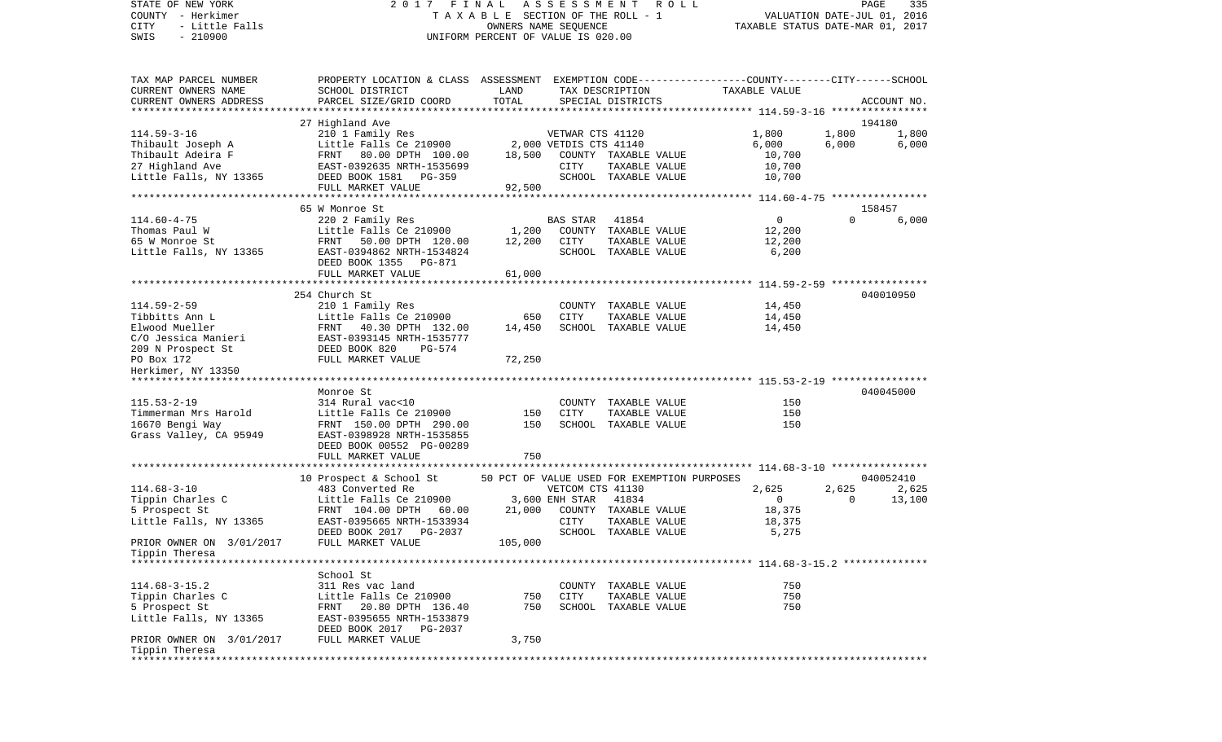COUNTY - Herkimer **T A X A B L E SECTION OF THE ROLL - 1** VALUATION DATE-JUL 01, 2016 CITY - Little Falls OWNERS NAME SEQUENCE TAXABLE STATUS DATE-MAR 01, 2017 SWIS - 210900 UNIFORM PERCENT OF VALUE IS 020.00TAX MAP PARCEL NUMBER PROPERTY LOCATION & CLASS ASSESSMENT EXEMPTION CODE------------------COUNTY--------CITY------SCHOOL CURRENT OWNERS NAME SCHOOL DISTRICT LAND TAX DESCRIPTION TAXABLE VALUECURRENT OWNERS ADDRESS PARCEL SIZE/GRID COORD TOTAL SPECIAL DISTRICTS ACCOUNT NO. \*\*\*\*\*\*\*\*\*\*\*\*\*\*\*\*\*\*\*\*\*\*\*\*\*\*\*\*\*\*\*\*\*\*\*\*\*\*\*\*\*\*\*\*\*\*\*\*\*\*\*\*\*\*\*\*\*\*\*\*\*\*\*\*\*\*\*\*\*\*\*\*\*\*\*\*\*\*\*\*\*\*\*\*\*\*\*\*\*\*\*\*\*\*\*\*\*\*\*\*\*\*\* 114.59-3-16 \*\*\*\*\*\*\*\*\*\*\*\*\*\*\*\*27 Highland Ave 194180 114.59-3-16 210 1 Family Res VETWAR CTS 41120 1,800 1,800 1,800 Thibault Joseph A Little Falls Ce 210900 2,000 VETDIS CTS 41140 6,000 6,000 6,000 6,000 Thibault Adeira F 60.700 FRNT 80.00 DPTH 100.00 18,500 COUNTY TAXABLE VALUE 10,700 27 Highland Ave EAST-0392635 NRTH-1535699 CITY TAXABLE VALUE 10,700 Little Falls, NY 13365 DEED BOOK 1581 PG-359 SCHOOL TAXABLE VALUE FULL MARKET VALUE 92,500 \*\*\*\*\*\*\*\*\*\*\*\*\*\*\*\*\*\*\*\*\*\*\*\*\*\*\*\*\*\*\*\*\*\*\*\*\*\*\*\*\*\*\*\*\*\*\*\*\*\*\*\*\*\*\*\*\*\*\*\*\*\*\*\*\*\*\*\*\*\*\*\*\*\*\*\*\*\*\*\*\*\*\*\*\*\*\*\*\*\*\*\*\*\*\*\*\*\*\*\*\*\*\* 114.60-4-75 \*\*\*\*\*\*\*\*\*\*\*\*\*\*\*\* 65 W Monroe St 158457114.60-4-75 220 2 Family Res BAS STAR 41854 0 0 6,000 Thomas Paul W **Little Falls Ce 210900** 1,200 COUNTY TAXABLE VALUE 12,200 65 W Monroe St FRNT 50.00 DPTH 120.00 12,200 CITY TAXABLE VALUE 12,200 Little Falls, NY 13365 EAST-0394862 NRTH-1534824 SCHOOL TAXABLE VALUE 6,200 DEED BOOK 1355 PG-871FULL MARKET VALUE 61,000 \*\*\*\*\*\*\*\*\*\*\*\*\*\*\*\*\*\*\*\*\*\*\*\*\*\*\*\*\*\*\*\*\*\*\*\*\*\*\*\*\*\*\*\*\*\*\*\*\*\*\*\*\*\*\*\*\*\*\*\*\*\*\*\*\*\*\*\*\*\*\*\*\*\*\*\*\*\*\*\*\*\*\*\*\*\*\*\*\*\*\*\*\*\*\*\*\*\*\*\*\*\*\* 114.59-2-59 \*\*\*\*\*\*\*\*\*\*\*\*\*\*\*\* 254 Church St 040010950114.59-2-59 210 1 Family Res COUNTY TAXABLE VALUE 14,450 Tibbitts Ann Lettle Falls Ce 210900 650 CITY TAXABLE VALUE 14,450 Elwood Mueller FRNT 40.30 DPTH 132.00 14,450 SCHOOL TAXABLE VALUE 14,450 C/O Jessica Manieri EAST-0393145 NRTH-1535777 209 N Prospect St DEED BOOK 820 PG-574 PO Box 172 **FULL MARKET VALUE** 72,250 Herkimer, NY 13350 \*\*\*\*\*\*\*\*\*\*\*\*\*\*\*\*\*\*\*\*\*\*\*\*\*\*\*\*\*\*\*\*\*\*\*\*\*\*\*\*\*\*\*\*\*\*\*\*\*\*\*\*\*\*\*\*\*\*\*\*\*\*\*\*\*\*\*\*\*\*\*\*\*\*\*\*\*\*\*\*\*\*\*\*\*\*\*\*\*\*\*\*\*\*\*\*\*\*\*\*\*\*\* 115.53-2-19 \*\*\*\*\*\*\*\*\*\*\*\*\*\*\*\* Monroe St 040045000115.53-2-19 314 Rural vac<10 COUNTY TAXABLE VALUE 150Timmerman Mrs Harold Little Falls Ce 210900 150 CITY TAXABLE VALUE 15016670 Bengi Way FRNT 150.00 DPTH 290.00 150 SCHOOL TAXABLE VALUE 150 Grass Valley, CA 95949 EAST-0398928 NRTH-1535855 DEED BOOK 00552 PG-00289FULL MARKET VALUE 750 \*\*\*\*\*\*\*\*\*\*\*\*\*\*\*\*\*\*\*\*\*\*\*\*\*\*\*\*\*\*\*\*\*\*\*\*\*\*\*\*\*\*\*\*\*\*\*\*\*\*\*\*\*\*\*\*\*\*\*\*\*\*\*\*\*\*\*\*\*\*\*\*\*\*\*\*\*\*\*\*\*\*\*\*\*\*\*\*\*\*\*\*\*\*\*\*\*\*\*\*\*\*\* 114.68-3-10 \*\*\*\*\*\*\*\*\*\*\*\*\*\*\*\*10 Prospect & School St 50 PCT OF VALUE USED FOR EXEMPTION PURPOSES 040052410 114.68-3-10 483 Converted Re VETCOM CTS 41130 2,625 2,625 2,625 Tippin Charles C Little Falls Ce 210900 3,600 ENH STAR 41834 0 0 13,100 5 Prospect St FRNT 104.00 DPTH 60.00 21,000 COUNTY TAXABLE VALUE Little Falls, NY 13365 EAST-0395665 NRTH-1533934 CITY TAXABLE VALUE 18,375 DEED BOOK 2017 PG-2037 SCHOOL TAXABLE VALUE 5,275 PRIOR OWNER ON 3/01/2017 FULL MARKET VALUE 105,000 Tippin Theresa \*\*\*\*\*\*\*\*\*\*\*\*\*\*\*\*\*\*\*\*\*\*\*\*\*\*\*\*\*\*\*\*\*\*\*\*\*\*\*\*\*\*\*\*\*\*\*\*\*\*\*\*\*\*\*\*\*\*\*\*\*\*\*\*\*\*\*\*\*\*\*\*\*\*\*\*\*\*\*\*\*\*\*\*\*\*\*\*\*\*\*\*\*\*\*\*\*\*\*\*\*\*\* 114.68-3-15.2 \*\*\*\*\*\*\*\*\*\*\*\*\*\* School St114.68-3-15.2 311 Res vac land COUNTY TAXABLE VALUE 750Tippin Charles C Little Falls Ce 210900 750 CITY TAXABLE VALUE 750 5 Prospect St FRNT 20.80 DPTH 136.40 750 SCHOOL TAXABLE VALUE 750 Little Falls, NY 13365 EAST-0395655 NRTH-1533879 DEED BOOK 2017 PG-2037 PRIOR OWNER ON  $3/01/2017$  FULL MARKET VALUE 3,750 Tippin Theresa \*\*\*\*\*\*\*\*\*\*\*\*\*\*\*\*\*\*\*\*\*\*\*\*\*\*\*\*\*\*\*\*\*\*\*\*\*\*\*\*\*\*\*\*\*\*\*\*\*\*\*\*\*\*\*\*\*\*\*\*\*\*\*\*\*\*\*\*\*\*\*\*\*\*\*\*\*\*\*\*\*\*\*\*\*\*\*\*\*\*\*\*\*\*\*\*\*\*\*\*\*\*\*\*\*\*\*\*\*\*\*\*\*\*\*\*\*\*\*\*\*\*\*\*\*\*\*\*\*\*\*\*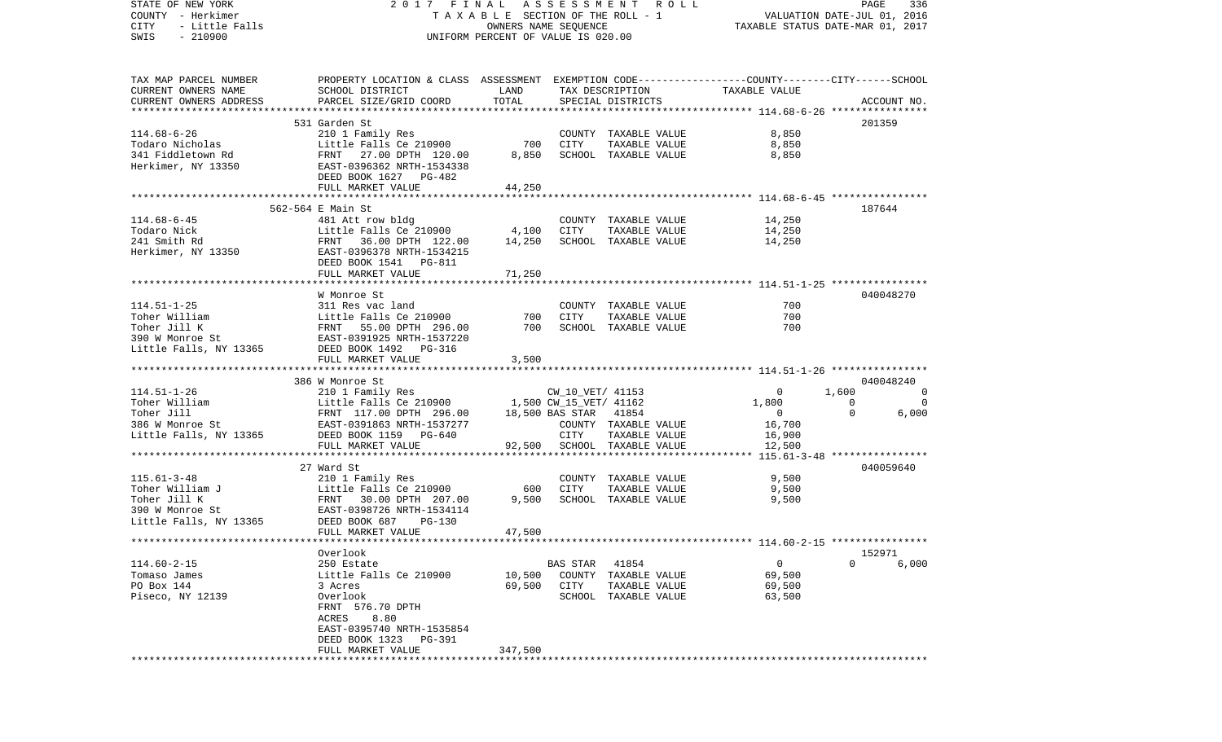| STATE OF NEW YORK      | 2017 FINAL                                                                                                                                                                                                                           |                                    |          | ASSESSMENT ROLL                 |                                  | PAGE                     | 336         |
|------------------------|--------------------------------------------------------------------------------------------------------------------------------------------------------------------------------------------------------------------------------------|------------------------------------|----------|---------------------------------|----------------------------------|--------------------------|-------------|
| COUNTY - Herkimer      |                                                                                                                                                                                                                                      |                                    |          | TAXABLE SECTION OF THE ROLL - 1 | VALUATION DATE-JUL 01, 2016      |                          |             |
| CITY<br>- Little Falls |                                                                                                                                                                                                                                      | OWNERS NAME SEQUENCE               |          |                                 | TAXABLE STATUS DATE-MAR 01, 2017 |                          |             |
| $-210900$<br>SWIS      |                                                                                                                                                                                                                                      | UNIFORM PERCENT OF VALUE IS 020.00 |          |                                 |                                  |                          |             |
|                        |                                                                                                                                                                                                                                      |                                    |          |                                 |                                  |                          |             |
|                        |                                                                                                                                                                                                                                      |                                    |          |                                 |                                  |                          |             |
| TAX MAP PARCEL NUMBER  | PROPERTY LOCATION & CLASS ASSESSMENT EXEMPTION CODE----------------COUNTY--------CITY------SCHOOL                                                                                                                                    |                                    |          |                                 |                                  |                          |             |
| CURRENT OWNERS NAME    | SCHOOL DISTRICT                                                                                                                                                                                                                      | LAND                               |          | TAX DESCRIPTION                 | TAXABLE VALUE                    |                          |             |
| CURRENT OWNERS ADDRESS | PARCEL SIZE/GRID COORD                                                                                                                                                                                                               | TOTAL                              |          | SPECIAL DISTRICTS               |                                  |                          | ACCOUNT NO. |
|                        |                                                                                                                                                                                                                                      |                                    |          |                                 |                                  |                          |             |
|                        | 531 Garden St                                                                                                                                                                                                                        |                                    |          |                                 |                                  |                          | 201359      |
| $114.68 - 6 - 26$      | 210 1 Family Res                                                                                                                                                                                                                     |                                    |          | COUNTY TAXABLE VALUE            | 8,850                            |                          |             |
| Todaro Nicholas        | Little Falls Ce 210900                                                                                                                                                                                                               | 700                                | CITY     | TAXABLE VALUE                   | 8,850                            |                          |             |
| 341 Fiddletown Rd      | FRNT 27.00 DPTH 120.00                                                                                                                                                                                                               | 8,850                              |          | SCHOOL TAXABLE VALUE            | 8,850                            |                          |             |
| Herkimer, NY 13350     | EAST-0396362 NRTH-1534338                                                                                                                                                                                                            |                                    |          |                                 |                                  |                          |             |
|                        | DEED BOOK 1627 PG-482                                                                                                                                                                                                                |                                    |          |                                 |                                  |                          |             |
|                        | FULL MARKET VALUE                                                                                                                                                                                                                    | 44,250                             |          |                                 |                                  |                          |             |
|                        |                                                                                                                                                                                                                                      |                                    |          |                                 |                                  |                          |             |
|                        | 562-564 E Main St                                                                                                                                                                                                                    |                                    |          |                                 |                                  | 187644                   |             |
| $114.68 - 6 - 45$      | 481 Att row bldg                                                                                                                                                                                                                     |                                    |          | COUNTY TAXABLE VALUE            | 14,250                           |                          |             |
| Todaro Nick            |                                                                                                                                                                                                                                      | 4,100                              | CITY     | TAXABLE VALUE                   | 14,250                           |                          |             |
| 241 Smith Rd           | Little Falls Ce <sup>-</sup> 210900<br>FRNT - 36.00 DPTH - 122.00<br>EAST-0396378 NRTH-1534215                                                                                                                                       | 14,250                             |          | SCHOOL TAXABLE VALUE            | 14,250                           |                          |             |
| Herkimer, NY 13350     |                                                                                                                                                                                                                                      |                                    |          |                                 |                                  |                          |             |
|                        | DEED BOOK 1541    PG-811                                                                                                                                                                                                             |                                    |          |                                 |                                  |                          |             |
|                        | FULL MARKET VALUE                                                                                                                                                                                                                    | 71,250                             |          |                                 |                                  |                          |             |
|                        |                                                                                                                                                                                                                                      |                                    |          |                                 |                                  |                          |             |
| $114.51 - 1 - 25$      | W Monroe St<br>311 Res vac land                                                                                                                                                                                                      |                                    |          | COUNTY TAXABLE VALUE            | 700                              |                          | 040048270   |
|                        |                                                                                                                                                                                                                                      | 700                                | CITY     | TAXABLE VALUE                   | 700                              |                          |             |
|                        |                                                                                                                                                                                                                                      | 700                                |          | SCHOOL TAXABLE VALUE            | 700                              |                          |             |
|                        | 114.51-1-25<br>Toher William<br>Toher Jill K<br>Toher Jill K<br>Superved Strategy PRNT<br>The FRNT<br>S5.00 DPTH<br>296.00<br>THE 296.00<br>S90 W Monroe Strategy RRT-0391925 NRTH-1537220                                           |                                    |          |                                 |                                  |                          |             |
| Little Falls, NY 13365 | DEED BOOK 1492 PG-316                                                                                                                                                                                                                |                                    |          |                                 |                                  |                          |             |
|                        | FULL MARKET VALUE                                                                                                                                                                                                                    | 3,500                              |          |                                 |                                  |                          |             |
|                        |                                                                                                                                                                                                                                      |                                    |          |                                 |                                  |                          |             |
|                        | 386 W Monroe St                                                                                                                                                                                                                      |                                    |          |                                 |                                  |                          | 040048240   |
| $114.51 - 1 - 26$      | 210 1 Family Res                                                                                                                                                                                                                     |                                    |          | CW_10_VET/ 41153                | $\mathbf 0$                      | 1,600                    | 0           |
|                        | Toher William FRNT 117.00 DPTH 296.00 1,500 CW_15_VET/ 41162<br>Toher Jill FRNT 117.00 DPTH 296.00 18,500 BAS STAR 41854<br>386 W Monroe St EAST-0391863 NRTH-1537277 COUNTY TAXABLE<br>Little Falls, NY 13365 DEED BOOK 1159 PG-640 |                                    |          |                                 | 1,800                            | $\overline{\phantom{0}}$ | $\Omega$    |
|                        |                                                                                                                                                                                                                                      |                                    |          |                                 | $\overline{0}$                   | $\overline{0}$           | 6,000       |
|                        |                                                                                                                                                                                                                                      |                                    |          | COUNTY TAXABLE VALUE            | 16,700                           |                          |             |
|                        |                                                                                                                                                                                                                                      |                                    |          | TAXABLE VALUE                   | 16,900                           |                          |             |
|                        | FULL MARKET VALUE                                                                                                                                                                                                                    | 92,500                             |          | SCHOOL TAXABLE VALUE            | 12,500                           |                          |             |
|                        |                                                                                                                                                                                                                                      |                                    |          |                                 |                                  |                          |             |
|                        | 27 Ward St                                                                                                                                                                                                                           |                                    |          |                                 |                                  |                          | 040059640   |
| $115.61 - 3 - 48$      | 210 1 Family Res                                                                                                                                                                                                                     |                                    |          | COUNTY TAXABLE VALUE            | 9,500                            |                          |             |
| Toher William J        | Little Falls Ce 210900<br>FRNT 30.00 DPTH 207.00<br>EAST-0398726 NRTH-1534114<br>DEED BOOK 687 PG-130                                                                                                                                | 600                                | CITY     | TAXABLE VALUE                   | 9,500                            |                          |             |
| Toher Jill K           |                                                                                                                                                                                                                                      | 9,500                              |          | SCHOOL TAXABLE VALUE            | 9,500                            |                          |             |
| 390 W Monroe St        |                                                                                                                                                                                                                                      |                                    |          |                                 |                                  |                          |             |
| Little Falls, NY 13365 |                                                                                                                                                                                                                                      |                                    |          |                                 |                                  |                          |             |
|                        | FULL MARKET VALUE                                                                                                                                                                                                                    | 47,500                             |          |                                 |                                  |                          |             |
|                        |                                                                                                                                                                                                                                      |                                    |          |                                 |                                  |                          |             |
|                        | Overlook                                                                                                                                                                                                                             |                                    |          |                                 |                                  | 152971                   |             |
| $114.60 - 2 - 15$      | 250 Estate                                                                                                                                                                                                                           |                                    | BAS STAR | 41854                           | 0                                | 0                        | 6,000       |
| Tomaso James           | Little Falls Ce 210900                                                                                                                                                                                                               | 10,500                             | COUNTY   | TAXABLE VALUE                   | 69,500                           |                          |             |
| PO Box 144             | 3 Acres                                                                                                                                                                                                                              | 69,500                             | CITY     | TAXABLE VALUE                   | 69,500                           |                          |             |
| Piseco, NY 12139       | Overlook                                                                                                                                                                                                                             |                                    | SCHOOL   | TAXABLE VALUE                   | 63,500                           |                          |             |
|                        | FRNT 576.70 DPTH                                                                                                                                                                                                                     |                                    |          |                                 |                                  |                          |             |
|                        | 8.80<br>ACRES                                                                                                                                                                                                                        |                                    |          |                                 |                                  |                          |             |
|                        | EAST-0395740 NRTH-1535854                                                                                                                                                                                                            |                                    |          |                                 |                                  |                          |             |
|                        | DEED BOOK 1323<br>PG-391<br>FULL MARKET VALUE                                                                                                                                                                                        | 347,500                            |          |                                 |                                  |                          |             |
|                        |                                                                                                                                                                                                                                      |                                    |          |                                 |                                  |                          |             |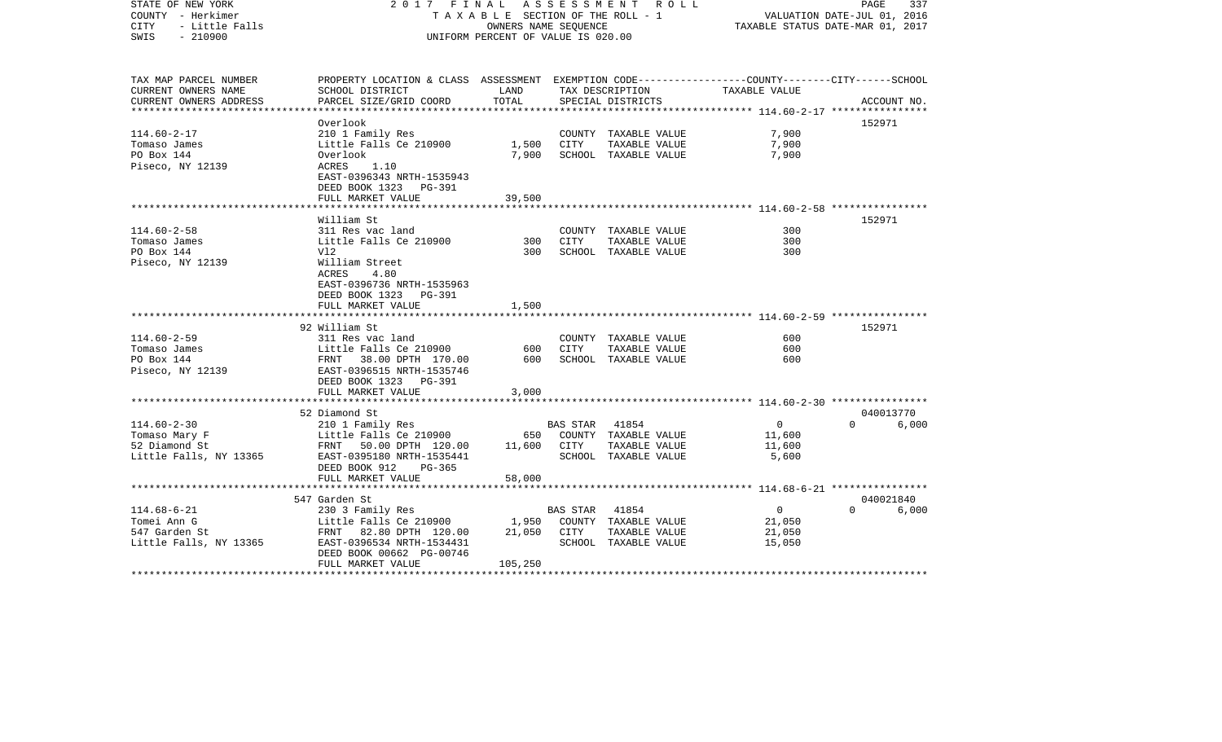| STATE OF NEW YORK<br>COUNTY - Herkimer<br><b>CITY</b><br>- Little Falls<br>$-210900$<br>SWIS | 2017 FINAL<br>TAXABLE SECTION OF THE ROLL - 1<br>UNIFORM PERCENT OF VALUE IS 020.00                                | PAGE<br>337<br>VALUATION DATE-JUL 01, 2016<br>TAXABLE STATUS DATE-MAR 01, 2017 |                |                                       |                          |          |             |
|----------------------------------------------------------------------------------------------|--------------------------------------------------------------------------------------------------------------------|--------------------------------------------------------------------------------|----------------|---------------------------------------|--------------------------|----------|-------------|
| TAX MAP PARCEL NUMBER<br>CURRENT OWNERS NAME                                                 | PROPERTY LOCATION & CLASS ASSESSMENT EXEMPTION CODE---------------COUNTY-------CITY------SCHOOL<br>SCHOOL DISTRICT | LAND                                                                           |                | TAX DESCRIPTION                       | TAXABLE VALUE            |          |             |
| CURRENT OWNERS ADDRESS                                                                       | PARCEL SIZE/GRID COORD                                                                                             | TOTAL                                                                          |                | SPECIAL DISTRICTS                     |                          |          | ACCOUNT NO. |
| **********************                                                                       |                                                                                                                    |                                                                                |                |                                       |                          |          |             |
|                                                                                              | Overlook                                                                                                           |                                                                                |                |                                       |                          | 152971   |             |
| $114.60 - 2 - 17$                                                                            | 210 1 Family Res                                                                                                   |                                                                                |                | COUNTY TAXABLE VALUE                  | 7,900                    |          |             |
| Tomaso James<br>PO Box 144                                                                   | Little Falls Ce 210900<br>Overlook                                                                                 | 1,500<br>7,900                                                                 | CITY           | TAXABLE VALUE<br>SCHOOL TAXABLE VALUE | 7,900<br>7,900           |          |             |
| Piseco, NY 12139                                                                             | ACRES<br>1.10                                                                                                      |                                                                                |                |                                       |                          |          |             |
|                                                                                              | EAST-0396343 NRTH-1535943                                                                                          |                                                                                |                |                                       |                          |          |             |
|                                                                                              | DEED BOOK 1323 PG-391                                                                                              |                                                                                |                |                                       |                          |          |             |
|                                                                                              | FULL MARKET VALUE                                                                                                  | 39,500                                                                         |                |                                       |                          |          |             |
|                                                                                              |                                                                                                                    |                                                                                |                |                                       |                          |          |             |
|                                                                                              | William St                                                                                                         |                                                                                |                |                                       |                          | 152971   |             |
| $114.60 - 2 - 58$                                                                            | 311 Res vac land                                                                                                   |                                                                                |                | COUNTY TAXABLE VALUE                  | 300                      |          |             |
| Tomaso James                                                                                 | Little Falls Ce 210900                                                                                             | 300                                                                            | <b>CITY</b>    | TAXABLE VALUE                         | 300                      |          |             |
| PO Box 144                                                                                   | Vl2                                                                                                                | 300                                                                            |                | SCHOOL TAXABLE VALUE                  | 300                      |          |             |
| Piseco, NY 12139                                                                             | William Street<br>ACRES<br>4.80                                                                                    |                                                                                |                |                                       |                          |          |             |
|                                                                                              | EAST-0396736 NRTH-1535963                                                                                          |                                                                                |                |                                       |                          |          |             |
|                                                                                              | DEED BOOK 1323 PG-391                                                                                              |                                                                                |                |                                       |                          |          |             |
|                                                                                              | FULL MARKET VALUE                                                                                                  | 1,500                                                                          |                |                                       |                          |          |             |
|                                                                                              | **************************                                                                                         |                                                                                |                |                                       |                          |          |             |
|                                                                                              | 92 William St                                                                                                      |                                                                                |                |                                       |                          | 152971   |             |
| $114.60 - 2 - 59$                                                                            | 311 Res vac land                                                                                                   |                                                                                |                | COUNTY TAXABLE VALUE                  | 600                      |          |             |
| Tomaso James                                                                                 | Little Falls Ce 210900                                                                                             | 600                                                                            | CITY           | TAXABLE VALUE                         | 600                      |          |             |
| PO Box 144                                                                                   | FRNT 38.00 DPTH 170.00                                                                                             | 600                                                                            |                | SCHOOL TAXABLE VALUE                  | 600                      |          |             |
| Piseco, NY 12139                                                                             | EAST-0396515 NRTH-1535746                                                                                          |                                                                                |                |                                       |                          |          |             |
|                                                                                              | DEED BOOK 1323 PG-391<br>FULL MARKET VALUE                                                                         | 3,000                                                                          |                |                                       |                          |          |             |
|                                                                                              |                                                                                                                    |                                                                                |                |                                       |                          |          |             |
|                                                                                              | 52 Diamond St                                                                                                      |                                                                                |                |                                       |                          |          | 040013770   |
| $114.60 - 2 - 30$                                                                            | 210 1 Family Res                                                                                                   |                                                                                | BAS STAR 41854 |                                       | $\overline{0}$           | $\Omega$ | 6,000       |
| Tomaso Mary F                                                                                | Little Falls Ce 210900                                                                                             | 650                                                                            |                | COUNTY TAXABLE VALUE                  | 11,600                   |          |             |
| 52 Diamond St                                                                                | FRNT 50.00 DPTH 120.00                                                                                             | 11,600                                                                         | CITY           | TAXABLE VALUE                         | 11,600                   |          |             |
| Little Falls, NY 13365                                                                       | EAST-0395180 NRTH-1535441                                                                                          |                                                                                |                | SCHOOL TAXABLE VALUE                  | 5,600                    |          |             |
|                                                                                              | DEED BOOK 912<br>$PG-365$                                                                                          |                                                                                |                |                                       |                          |          |             |
|                                                                                              | FULL MARKET VALUE                                                                                                  | 58,000                                                                         |                |                                       |                          |          |             |
|                                                                                              |                                                                                                                    |                                                                                |                |                                       |                          |          |             |
|                                                                                              | 547 Garden St                                                                                                      |                                                                                |                |                                       |                          |          | 040021840   |
| $114.68 - 6 - 21$<br>Tomei Ann G                                                             | 230 3 Family Res<br>Little Falls Ce 210900                                                                         | 1,950                                                                          | BAS STAR       | 41854<br>COUNTY TAXABLE VALUE         | $\overline{0}$<br>21,050 | $\Omega$ | 6,000       |
| 547 Garden St                                                                                | FRNT 82.80 DPTH 120.00                                                                                             | 21,050                                                                         | CITY           | TAXABLE VALUE                         | 21,050                   |          |             |
| Little Falls, NY 13365                                                                       | EAST-0396534 NRTH-1534431                                                                                          |                                                                                |                | SCHOOL TAXABLE VALUE                  | 15,050                   |          |             |
|                                                                                              | DEED BOOK 00662 PG-00746                                                                                           |                                                                                |                |                                       |                          |          |             |
|                                                                                              | FULL MARKET VALUE                                                                                                  | 105,250                                                                        |                |                                       |                          |          |             |
|                                                                                              |                                                                                                                    |                                                                                |                |                                       |                          |          |             |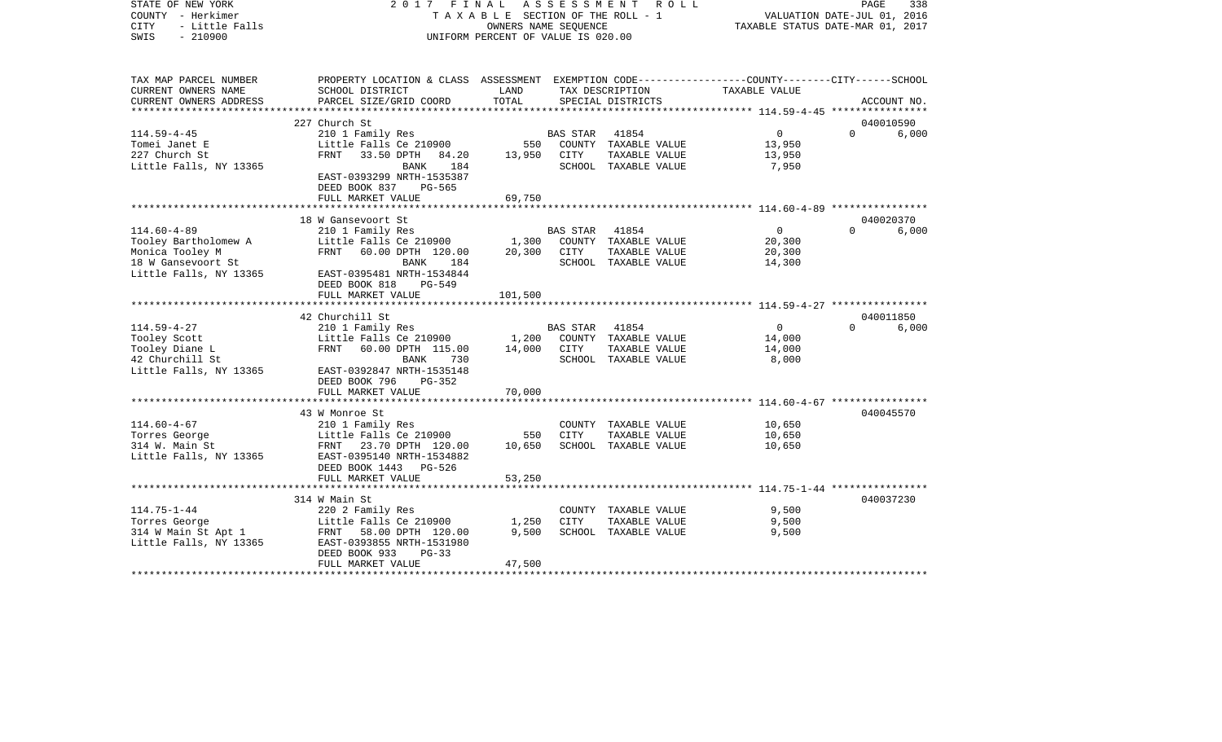| STATE OF NEW YORK<br>COUNTY - Herkimer<br>- Little Falls<br><b>CITY</b><br>$-210900$<br>SWIS | 2017 FINAL                                                                                      | TAXABLE SECTION OF THE ROLL - 1<br>OWNERS NAME SEOUENCE<br>UNIFORM PERCENT OF VALUE IS 020.00 | ASSESSMENT      | ROLL                                 | TAXABLE STATUS DATE-MAR 01, 2017 | PAGE<br>VALUATION DATE-JUL 01, 2016 | 338                |
|----------------------------------------------------------------------------------------------|-------------------------------------------------------------------------------------------------|-----------------------------------------------------------------------------------------------|-----------------|--------------------------------------|----------------------------------|-------------------------------------|--------------------|
| TAX MAP PARCEL NUMBER                                                                        | PROPERTY LOCATION & CLASS ASSESSMENT EXEMPTION CODE---------------COUNTY-------CITY------SCHOOL | LAND                                                                                          |                 |                                      |                                  |                                     |                    |
| CURRENT OWNERS NAME<br>CURRENT OWNERS ADDRESS                                                | SCHOOL DISTRICT<br>PARCEL SIZE/GRID COORD                                                       | TOTAL                                                                                         |                 | TAX DESCRIPTION<br>SPECIAL DISTRICTS | TAXABLE VALUE                    |                                     | ACCOUNT NO.        |
| ***********************                                                                      |                                                                                                 |                                                                                               |                 |                                      |                                  |                                     |                    |
|                                                                                              | 227 Church St                                                                                   |                                                                                               |                 |                                      |                                  |                                     | 040010590          |
| $114.59 - 4 - 45$                                                                            | 210 1 Family Res                                                                                |                                                                                               | <b>BAS STAR</b> | 41854                                | $\Omega$                         | $\Omega$                            | 6,000              |
| Tomei Janet E                                                                                | Little Falls Ce 210900                                                                          | 550                                                                                           |                 | COUNTY TAXABLE VALUE                 | 13,950                           |                                     |                    |
| 227 Church St                                                                                | FRNT<br>33.50 DPTH<br>84.20                                                                     | 13,950                                                                                        | CITY            | TAXABLE VALUE                        | 13,950                           |                                     |                    |
| Little Falls, NY 13365                                                                       | 184<br>BANK                                                                                     |                                                                                               |                 | SCHOOL TAXABLE VALUE                 | 7,950                            |                                     |                    |
|                                                                                              | EAST-0393299 NRTH-1535387<br>DEED BOOK 837<br>PG-565                                            |                                                                                               |                 |                                      |                                  |                                     |                    |
|                                                                                              | FULL MARKET VALUE<br>*************************                                                  | 69,750<br>* * * * * * * * * * * * * *                                                         |                 |                                      |                                  |                                     |                    |
|                                                                                              |                                                                                                 |                                                                                               |                 |                                      |                                  |                                     |                    |
| $114.60 - 4 - 89$                                                                            | 18 W Gansevoort St<br>210 1 Family Res                                                          |                                                                                               | BAS STAR        | 41854                                | $\mathbf{0}$                     | $\Omega$                            | 040020370<br>6,000 |
| Tooley Bartholomew A                                                                         | Little Falls Ce 210900                                                                          | 1,300                                                                                         |                 | COUNTY TAXABLE VALUE                 | 20,300                           |                                     |                    |
| Monica Tooley M                                                                              | FRNT<br>60.00 DPTH 120.00                                                                       | 20,300                                                                                        | CITY            | TAXABLE VALUE                        | 20,300                           |                                     |                    |
| 18 W Gansevoort St                                                                           | 184<br>BANK                                                                                     |                                                                                               |                 | SCHOOL TAXABLE VALUE                 | 14,300                           |                                     |                    |
| Little Falls, NY 13365                                                                       | EAST-0395481 NRTH-1534844                                                                       |                                                                                               |                 |                                      |                                  |                                     |                    |
|                                                                                              | DEED BOOK 818<br><b>PG-549</b>                                                                  |                                                                                               |                 |                                      |                                  |                                     |                    |
|                                                                                              | FULL MARKET VALUE                                                                               | 101,500                                                                                       |                 |                                      |                                  |                                     |                    |
|                                                                                              | **********************                                                                          |                                                                                               |                 |                                      |                                  |                                     |                    |
| $114.59 - 4 - 27$                                                                            | 42 Churchill St<br>210 1 Family Res                                                             |                                                                                               | <b>BAS STAR</b> | 41854                                | $\overline{0}$                   | $\Omega$                            | 040011850<br>6,000 |
| Tooley Scott                                                                                 | Little Falls Ce 210900                                                                          | 1,200                                                                                         |                 | COUNTY TAXABLE VALUE                 | 14,000                           |                                     |                    |
| Tooley Diane L                                                                               | <b>FRNT</b><br>60.00 DPTH 115.00                                                                | 14,000                                                                                        | CITY            | TAXABLE VALUE                        | 14,000                           |                                     |                    |
| 42 Churchill St                                                                              | <b>BANK</b><br>730                                                                              |                                                                                               |                 | SCHOOL TAXABLE VALUE                 | 8,000                            |                                     |                    |
| Little Falls, NY 13365                                                                       | EAST-0392847 NRTH-1535148<br>DEED BOOK 796<br>$PG-352$                                          |                                                                                               |                 |                                      |                                  |                                     |                    |
|                                                                                              | FULL MARKET VALUE                                                                               | 70,000                                                                                        |                 |                                      |                                  |                                     |                    |
|                                                                                              |                                                                                                 |                                                                                               |                 |                                      |                                  |                                     |                    |
|                                                                                              | 43 W Monroe St                                                                                  |                                                                                               |                 |                                      |                                  |                                     | 040045570          |
| $114.60 - 4 - 67$                                                                            | 210 1 Family Res                                                                                |                                                                                               |                 | COUNTY TAXABLE VALUE                 | 10,650                           |                                     |                    |
| Torres George                                                                                | Little Falls Ce 210900                                                                          | 550                                                                                           | CITY            | TAXABLE VALUE                        | 10,650                           |                                     |                    |
| 314 W. Main St                                                                               | FRNT 23.70 DPTH 120.00                                                                          | 10,650                                                                                        |                 | SCHOOL TAXABLE VALUE                 | 10,650                           |                                     |                    |
| Little Falls, NY 13365                                                                       | EAST-0395140 NRTH-1534882                                                                       |                                                                                               |                 |                                      |                                  |                                     |                    |
|                                                                                              | DEED BOOK 1443 PG-526<br>FULL MARKET VALUE                                                      | 53,250                                                                                        |                 |                                      |                                  |                                     |                    |
|                                                                                              |                                                                                                 |                                                                                               |                 |                                      |                                  |                                     |                    |
|                                                                                              | 314 W Main St                                                                                   |                                                                                               |                 |                                      |                                  |                                     | 040037230          |
| $114.75 - 1 - 44$                                                                            | 220 2 Family Res                                                                                |                                                                                               |                 | COUNTY TAXABLE VALUE                 | 9,500                            |                                     |                    |
| Torres George                                                                                | Little Falls Ce 210900                                                                          | 1,250                                                                                         | CITY            | TAXABLE VALUE                        | 9,500                            |                                     |                    |
| 314 W Main St Apt 1                                                                          | FRNT<br>58.00 DPTH 120.00                                                                       | 9,500                                                                                         |                 | SCHOOL TAXABLE VALUE                 | 9,500                            |                                     |                    |
| Little Falls, NY 13365                                                                       | EAST-0393855 NRTH-1531980                                                                       |                                                                                               |                 |                                      |                                  |                                     |                    |
|                                                                                              | DEED BOOK 933<br>$PG-33$                                                                        |                                                                                               |                 |                                      |                                  |                                     |                    |
| ********************                                                                         | FULL MARKET VALUE                                                                               | 47,500<br>*************                                                                       |                 |                                      |                                  |                                     |                    |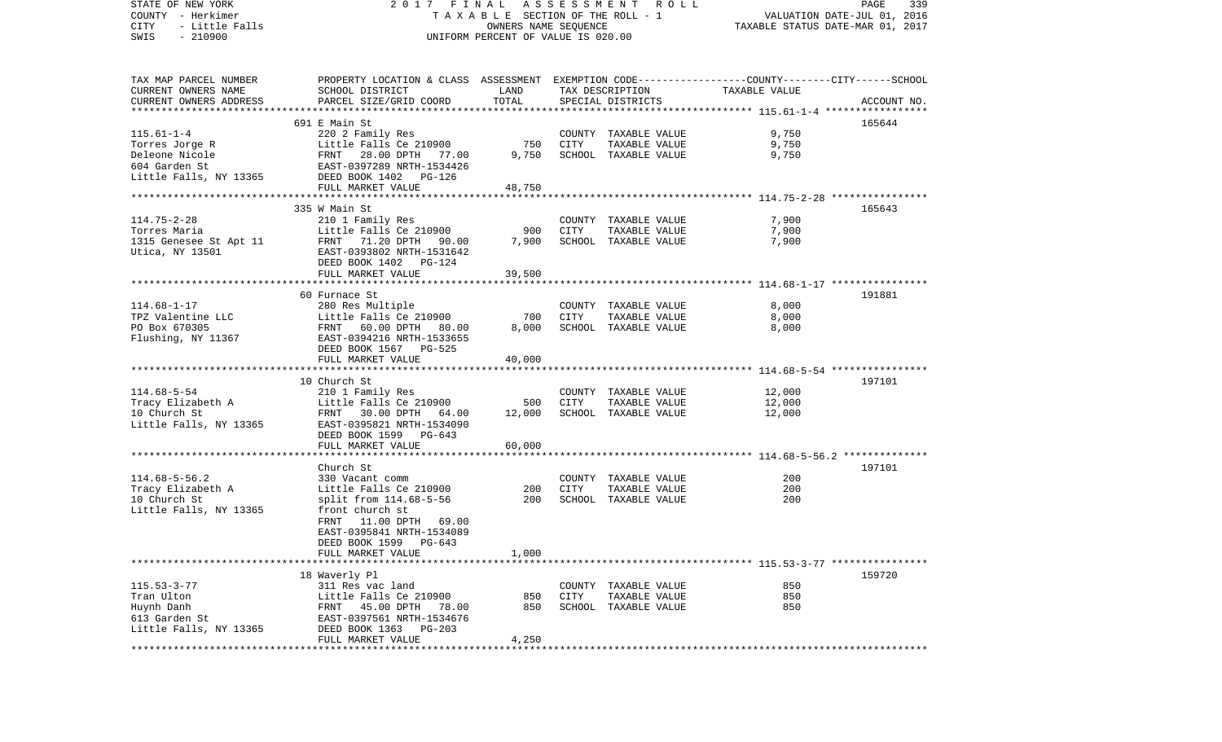| STATE OF NEW YORK<br>COUNTY - Herkimer            |                                                                                                  |                                                            |        | 2017 FINAL ASSESSMENT ROLL<br>TAXABLE SECTION OF THE ROLL - 1 |                                  | PAGE<br>339<br>VALUATION DATE-JUL 01, 2016 |
|---------------------------------------------------|--------------------------------------------------------------------------------------------------|------------------------------------------------------------|--------|---------------------------------------------------------------|----------------------------------|--------------------------------------------|
| CITY<br>- Little Falls<br>$-210900$<br>SWIS       |                                                                                                  | OWNERS NAME SEQUENCE<br>UNIFORM PERCENT OF VALUE IS 020.00 |        |                                                               | TAXABLE STATUS DATE-MAR 01, 2017 |                                            |
| TAX MAP PARCEL NUMBER                             | PROPERTY LOCATION & CLASS ASSESSMENT EXEMPTION CODE----------------COUNTY-------CITY------SCHOOL |                                                            |        |                                                               |                                  |                                            |
| CURRENT OWNERS NAME                               | SCHOOL DISTRICT                                                                                  | LAND                                                       |        | TAX DESCRIPTION                                               | TAXABLE VALUE                    |                                            |
| CURRENT OWNERS ADDRESS                            | PARCEL SIZE/GRID COORD                                                                           | TOTAL                                                      |        | SPECIAL DISTRICTS                                             |                                  | ACCOUNT NO.                                |
|                                                   |                                                                                                  |                                                            |        |                                                               |                                  |                                            |
|                                                   | 691 E Main St                                                                                    |                                                            |        |                                                               |                                  | 165644                                     |
| $115.61 - 1 - 4$                                  | 220 2 Family Res                                                                                 | 750                                                        |        | COUNTY TAXABLE VALUE                                          | 9,750                            |                                            |
| Torres Jorge R<br>Deleone Nicole<br>And Garden St | Little Falls Ce 210900                                                                           | 9,750                                                      | CITY   | TAXABLE VALUE<br>SCHOOL TAXABLE VALUE                         | 9,750<br>9,750                   |                                            |
|                                                   | FRNT 28.00 DPTH 77.00<br>EAST-0397289 NRTH-1534426                                               |                                                            |        |                                                               |                                  |                                            |
|                                                   | Little Falls, NY 13365 DEED BOOK 1402 PG-126                                                     |                                                            |        |                                                               |                                  |                                            |
|                                                   | FULL MARKET VALUE                                                                                | 48,750                                                     |        |                                                               |                                  |                                            |
|                                                   |                                                                                                  |                                                            |        |                                                               |                                  |                                            |
|                                                   | 335 W Main St                                                                                    |                                                            |        |                                                               |                                  | 165643                                     |
| $114.75 - 2 - 28$                                 | 210 1 Family Res                                                                                 |                                                            |        | COUNTY TAXABLE VALUE                                          | 7,900                            |                                            |
| Torres Maria                                      | Little Falls Ce 210900                                                                           | 900                                                        | CITY   | TAXABLE VALUE                                                 | 7,900                            |                                            |
| 1315 Genesee St Apt 11                            | FRNT 71.20 DPTH 90.00                                                                            | 7,900                                                      |        | SCHOOL TAXABLE VALUE                                          | 7,900                            |                                            |
| Utica, NY 13501                                   | EAST-0393802 NRTH-1531642                                                                        |                                                            |        |                                                               |                                  |                                            |
|                                                   | DEED BOOK 1402 PG-124                                                                            |                                                            |        |                                                               |                                  |                                            |
|                                                   | FULL MARKET VALUE                                                                                | 39,500                                                     |        |                                                               |                                  |                                            |
|                                                   |                                                                                                  |                                                            |        |                                                               |                                  |                                            |
|                                                   | 60 Furnace St                                                                                    |                                                            |        |                                                               |                                  | 191881                                     |
| $114.68 - 1 - 17$                                 | 280 Res Multiple                                                                                 |                                                            |        | COUNTY TAXABLE VALUE                                          | 8,000                            |                                            |
| TPZ Valentine LLC                                 | Little Falls Ce 210900<br>FRNT 60.00 DPTH 80.00                                                  | 700                                                        | CITY   | TAXABLE VALUE                                                 | 8,000                            |                                            |
| PO Box 670305<br>Flushing, NY 11367               | EAST-0394216 NRTH-1533655                                                                        | 8,000                                                      |        | SCHOOL TAXABLE VALUE                                          | 8,000                            |                                            |
|                                                   | DEED BOOK 1567 PG-525                                                                            |                                                            |        |                                                               |                                  |                                            |
|                                                   | FULL MARKET VALUE                                                                                | 40,000                                                     |        |                                                               |                                  |                                            |
|                                                   |                                                                                                  |                                                            |        |                                                               |                                  |                                            |
|                                                   | 10 Church St                                                                                     |                                                            |        |                                                               |                                  | 197101                                     |
| $114.68 - 5 - 54$                                 | 210 1 Family Res                                                                                 |                                                            |        | COUNTY TAXABLE VALUE                                          | 12,000                           |                                            |
| Tracy Elizabeth A                                 | Little Falls Ce 210900                                                                           | 500                                                        | CITY   | TAXABLE VALUE                                                 | 12,000                           |                                            |
| 10 Church St                                      | FRNT 30.00 DPTH 64.00                                                                            | 12,000                                                     |        | SCHOOL TAXABLE VALUE                                          | 12,000                           |                                            |
| Little Falls, NY 13365                            | EAST-0395821 NRTH-1534090                                                                        |                                                            |        |                                                               |                                  |                                            |
|                                                   | DEED BOOK 1599 PG-643                                                                            |                                                            |        |                                                               |                                  |                                            |
|                                                   | FULL MARKET VALUE                                                                                | 60,000                                                     |        |                                                               |                                  |                                            |
|                                                   |                                                                                                  |                                                            |        |                                                               |                                  |                                            |
|                                                   | Church St                                                                                        |                                                            |        |                                                               |                                  | 197101                                     |
| $114.68 - 5 - 56.2$                               | 330 Vacant comm                                                                                  |                                                            |        | COUNTY TAXABLE VALUE                                          | 200                              |                                            |
| Tracy Elizabeth A                                 | Little Falls Ce 210900                                                                           | 200                                                        | CITY   | TAXABLE VALUE                                                 | 200                              |                                            |
| 10 Church St                                      | split from 114.68-5-56                                                                           | 200                                                        |        | SCHOOL TAXABLE VALUE                                          | 200                              |                                            |
| Little Falls, NY 13365                            | front church st                                                                                  |                                                            |        |                                                               |                                  |                                            |
|                                                   | FRNT 11.00 DPTH 69.00<br>EAST-0395841 NRTH-1534089                                               |                                                            |        |                                                               |                                  |                                            |
|                                                   | DEED BOOK 1599 PG-643                                                                            |                                                            |        |                                                               |                                  |                                            |
|                                                   | FULL MARKET VALUE                                                                                | 1,000                                                      |        |                                                               |                                  |                                            |
|                                                   |                                                                                                  |                                                            |        |                                                               |                                  |                                            |
|                                                   | 18 Waverly Pl                                                                                    |                                                            |        |                                                               |                                  | 159720                                     |
| $115.53 - 3 - 77$                                 | 311 Res vac land                                                                                 |                                                            | COUNTY | TAXABLE VALUE                                                 | 850                              |                                            |
| Tran Ulton                                        | Little Falls Ce 210900                                                                           | 850                                                        | CITY   | TAXABLE VALUE                                                 | 850                              |                                            |
| Huynh Danh                                        | 45.00 DPTH<br>78.00<br>FRNT                                                                      | 850                                                        |        | SCHOOL TAXABLE VALUE                                          | 850                              |                                            |
| 613 Garden St                                     | EAST-0397561 NRTH-1534676                                                                        |                                                            |        |                                                               |                                  |                                            |
| Little Falls, NY 13365                            | DEED BOOK 1363<br>$PG-203$                                                                       |                                                            |        |                                                               |                                  |                                            |
|                                                   | FULL MARKET VALUE                                                                                | 4,250                                                      |        |                                                               |                                  |                                            |
|                                                   |                                                                                                  |                                                            |        |                                                               |                                  |                                            |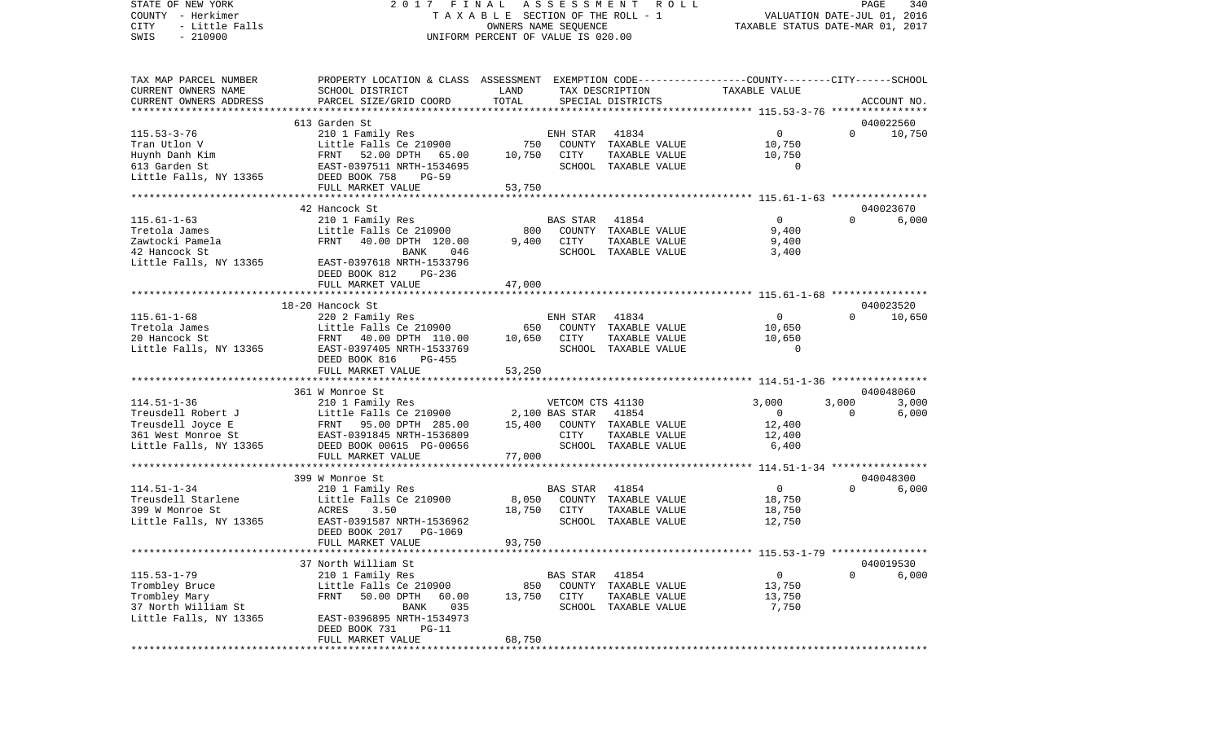STATE OF NEW YORK 2 0 1 7 F I N A L A S S E S S M E N T R O L L PAGE 340COUNTY - Herkimer **T A X A B L E** SECTION OF THE ROLL - 1 VALUATION DATE-JUL 01, 2016 CITY - Little Falls OWNERS NAME SEQUENCE TAXABLE STATUS DATE-MAR 01, 2017 SWIS - 210900 UNIFORM PERCENT OF VALUE IS 020.00TAX MAP PARCEL NUMBER PROPERTY LOCATION & CLASS ASSESSMENT EXEMPTION CODE------------------COUNTY--------CITY------SCHOOL CURRENT OWNERS NAME SCHOOL DISTRICT LAND TAX DESCRIPTION TAXABLE VALUECURRENT OWNERS ADDRESS PARCEL SIZE/GRID COORD TOTAL SPECIAL DISTRICTS ACCOUNT NO. \*\*\*\*\*\*\*\*\*\*\*\*\*\*\*\*\*\*\*\*\*\*\*\*\*\*\*\*\*\*\*\*\*\*\*\*\*\*\*\*\*\*\*\*\*\*\*\*\*\*\*\*\*\*\*\*\*\*\*\*\*\*\*\*\*\*\*\*\*\*\*\*\*\*\*\*\*\*\*\*\*\*\*\*\*\*\*\*\*\*\*\*\*\*\*\*\*\*\*\*\*\*\* 115.53-3-76 \*\*\*\*\*\*\*\*\*\*\*\*\*\*\*\* 613 Garden St 04002256010.750 115.53-3-76 210 1 Family Res ENH STAR 41834 0 0 10,750 Tran Utlon V Little Falls Ce 210900 750 COUNTY TAXABLE VALUE 10,750 Huynh Danh Kim FRNT 52.00 DPTH 65.00 10,750 CITY TAXABLE VALUE 10,750 613 Garden St EAST-0397511 NRTH-1534695 SCHOOL TAXABLE VALUE 0Little Falls, NY 13365 DEED BOOK 758 PG-59 FULL MARKET VALUE 53,750 \*\*\*\*\*\*\*\*\*\*\*\*\*\*\*\*\*\*\*\*\*\*\*\*\*\*\*\*\*\*\*\*\*\*\*\*\*\*\*\*\*\*\*\*\*\*\*\*\*\*\*\*\*\*\*\*\*\*\*\*\*\*\*\*\*\*\*\*\*\*\*\*\*\*\*\*\*\*\*\*\*\*\*\*\*\*\*\*\*\*\*\*\*\*\*\*\*\*\*\*\*\*\* 115.61-1-63 \*\*\*\*\*\*\*\*\*\*\*\*\*\*\*\* 42 Hancock St 040023670115.61-1-63 210 1 Family Res BAS STAR 41854 0 0 6,000 Tretola James Little Falls Ce 210900 800 COUNTY TAXABLE VALUE Zawtocki Pamela FRNT 40.00 DPTH 120.00 9,400 CITY TAXABLE VALUE 9,400 42 Hancock St BANK 046 SCHOOL TAXABLE VALUE 3,400 Little Falls, NY 13365 EAST-0397618 NRTH-1533796 DEED BOOK 812 PG-236 FULL MARKET VALUE 47,000 \*\*\*\*\*\*\*\*\*\*\*\*\*\*\*\*\*\*\*\*\*\*\*\*\*\*\*\*\*\*\*\*\*\*\*\*\*\*\*\*\*\*\*\*\*\*\*\*\*\*\*\*\*\*\*\*\*\*\*\*\*\*\*\*\*\*\*\*\*\*\*\*\*\*\*\*\*\*\*\*\*\*\*\*\*\*\*\*\*\*\*\*\*\*\*\*\*\*\*\*\*\*\* 115.61-1-68 \*\*\*\*\*\*\*\*\*\*\*\*\*\*\*\* 18-20 Hancock St 040023520115.61-1-68 220 2 Family Res ENH STAR 41834 0 0 10,650 Tretola James Little Falls Ce 210900 650 COUNTY TAXABLE VALUE 10,650 20 Hancock St FRNT 40.00 DPTH 110.00 10,650 CITY TAXABLE VALUE 10,650 Little Falls, NY 13365 EAST-0397405 NRTH-1533769 SCHOOL TAXABLE VALUE 0 DEED BOOK 816 PG-455FULL MARKET VALUE 53,250 \*\*\*\*\*\*\*\*\*\*\*\*\*\*\*\*\*\*\*\*\*\*\*\*\*\*\*\*\*\*\*\*\*\*\*\*\*\*\*\*\*\*\*\*\*\*\*\*\*\*\*\*\*\*\*\*\*\*\*\*\*\*\*\*\*\*\*\*\*\*\*\*\*\*\*\*\*\*\*\*\*\*\*\*\*\*\*\*\*\*\*\*\*\*\*\*\*\*\*\*\*\*\* 114.51-1-36 \*\*\*\*\*\*\*\*\*\*\*\*\*\*\*\* 361 W Monroe St 040048060114.51-1-36 210 1 Family Res VETCOM CTS 41130 3,000 3,000 3,000 Treusdell Robert J Little Falls Ce 210900 2,100 BAS STAR 41854 0 0 6,000 Treusdell Joyce E FRNT 95.00 DPTH 285.00 15,400 COUNTY TAXABLE VALUE 12,400 361 West Monroe St EAST-0391845 NRTH-1536809 CITY TAXABLE VALUE 12,400 Little Falls, NY 13365 DEED BOOK 00615 PG-00656 SCHOOL TAXABLE VALUE 6,400 FULL MARKET VALUE 77,000 \*\*\*\*\*\*\*\*\*\*\*\*\*\*\*\*\*\*\*\*\*\*\*\*\*\*\*\*\*\*\*\*\*\*\*\*\*\*\*\*\*\*\*\*\*\*\*\*\*\*\*\*\*\*\*\*\*\*\*\*\*\*\*\*\*\*\*\*\*\*\*\*\*\*\*\*\*\*\*\*\*\*\*\*\*\*\*\*\*\*\*\*\*\*\*\*\*\*\*\*\*\*\* 114.51-1-34 \*\*\*\*\*\*\*\*\*\*\*\*\*\*\*\* 399 W Monroe St 040048300114.51-1-34 210 1 Family Res BAS STAR 41854 0 0 6,000 Treusdell Starlene 1.1ttle Falls Ce 210900 8,050 COUNTY TAXABLE VALUE 399 W Monroe St ACRES 3.50 18,750 CITY TAXABLE VALUE 18,750 Little Falls, NY 13365 EAST-0391587 NRTH-1536962 SCHOOL TAXABLE VALUE 12,750 DEED BOOK 2017 PG-1069FULL MARKET VALUE 93,750 \*\*\*\*\*\*\*\*\*\*\*\*\*\*\*\*\*\*\*\*\*\*\*\*\*\*\*\*\*\*\*\*\*\*\*\*\*\*\*\*\*\*\*\*\*\*\*\*\*\*\*\*\*\*\*\*\*\*\*\*\*\*\*\*\*\*\*\*\*\*\*\*\*\*\*\*\*\*\*\*\*\*\*\*\*\*\*\*\*\*\*\*\*\*\*\*\*\*\*\*\*\*\* 115.53-1-79 \*\*\*\*\*\*\*\*\*\*\*\*\*\*\*\* 37 North William St 040019530115.53-1-79 210 1 Family Res BAS STAR 41854 0 0 6,000 Trombley Bruce  $L$ ittle Falls Ce 210900 850 COUNTY TAXABLE VALUE 13,750 Trombley Mary 60 PRNT 50.00 DPTH 60.00 13,750 CITY TAXABLE VALUE 13,750 37 North William St BANK 035 SCHOOL TAXABLE VALUE 7,750 Little Falls, NY 13365 EAST-0396895 NRTH-1534973 DEED BOOK 731 PG-11

\*\*\*\*\*\*\*\*\*\*\*\*\*\*\*\*\*\*\*\*\*\*\*\*\*\*\*\*\*\*\*\*\*\*\*\*\*\*\*\*\*\*\*\*\*\*\*\*\*\*\*\*\*\*\*\*\*\*\*\*\*\*\*\*\*\*\*\*\*\*\*\*\*\*\*\*\*\*\*\*\*\*\*\*\*\*\*\*\*\*\*\*\*\*\*\*\*\*\*\*\*\*\*\*\*\*\*\*\*\*\*\*\*\*\*\*\*\*\*\*\*\*\*\*\*\*\*\*\*\*\*\*

FULL MARKET VALUE 68.750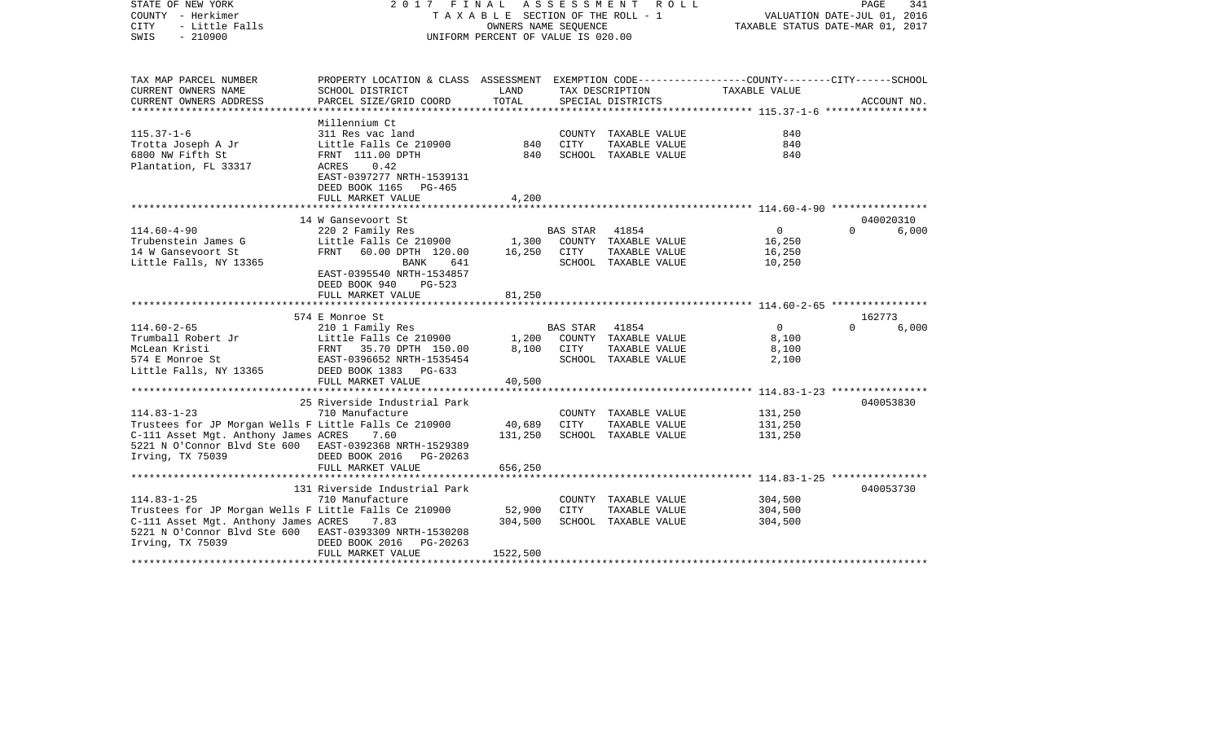| STATE OF NEW YORK<br>COUNTY - Herkimer<br>- Little Falls<br><b>CITY</b><br>SWIS<br>$-210900$ | 2017 FINAL<br>A S S E S S M E N T<br>R O L L<br>TAXABLE SECTION OF THE ROLL - 1<br>OWNERS NAME SEOUENCE<br>UNIFORM PERCENT OF VALUE IS 020.00<br>PROPERTY LOCATION & CLASS ASSESSMENT EXEMPTION CODE---------------COUNTY-------CITY------SCHOOL<br>CURRENT OWNERS NAME<br>SCHOOL DISTRICT<br>LAND<br>TAX DESCRIPTION<br>CURRENT OWNERS ADDRESS<br>PARCEL SIZE/GRID COORD<br>TOTAL<br>SPECIAL DISTRICTS |          |                 |                      |                |                    |             |
|----------------------------------------------------------------------------------------------|---------------------------------------------------------------------------------------------------------------------------------------------------------------------------------------------------------------------------------------------------------------------------------------------------------------------------------------------------------------------------------------------------------|----------|-----------------|----------------------|----------------|--------------------|-------------|
| TAX MAP PARCEL NUMBER                                                                        |                                                                                                                                                                                                                                                                                                                                                                                                         |          |                 |                      | TAXABLE VALUE  |                    |             |
|                                                                                              |                                                                                                                                                                                                                                                                                                                                                                                                         |          |                 |                      |                |                    | ACCOUNT NO. |
|                                                                                              |                                                                                                                                                                                                                                                                                                                                                                                                         |          |                 |                      |                |                    |             |
|                                                                                              | Millennium Ct                                                                                                                                                                                                                                                                                                                                                                                           |          |                 |                      |                |                    |             |
| $115.37 - 1 - 6$                                                                             | 311 Res vac land                                                                                                                                                                                                                                                                                                                                                                                        |          |                 | COUNTY TAXABLE VALUE | 840            |                    |             |
| Trotta Joseph A Jr                                                                           | Little Falls Ce 210900                                                                                                                                                                                                                                                                                                                                                                                  | 840      | CITY            | TAXABLE VALUE        | 840            |                    |             |
| 6800 NW Fifth St                                                                             | FRNT 111.00 DPTH                                                                                                                                                                                                                                                                                                                                                                                        | 840      |                 | SCHOOL TAXABLE VALUE | 840            |                    |             |
| Plantation, FL 33317                                                                         | ACRES<br>0.42                                                                                                                                                                                                                                                                                                                                                                                           |          |                 |                      |                |                    |             |
|                                                                                              | EAST-0397277 NRTH-1539131                                                                                                                                                                                                                                                                                                                                                                               |          |                 |                      |                |                    |             |
|                                                                                              | DEED BOOK 1165<br>PG-465                                                                                                                                                                                                                                                                                                                                                                                |          |                 |                      |                |                    |             |
|                                                                                              | FULL MARKET VALUE<br>*****************************                                                                                                                                                                                                                                                                                                                                                      | 4,200    |                 |                      |                |                    |             |
|                                                                                              | 14 W Gansevoort St                                                                                                                                                                                                                                                                                                                                                                                      |          |                 |                      |                |                    | 040020310   |
| $114.60 - 4 - 90$                                                                            | 220 2 Family Res                                                                                                                                                                                                                                                                                                                                                                                        |          | <b>BAS STAR</b> | 41854                | $\mathbf 0$    | $\Omega$           | 6,000       |
| Trubenstein James G                                                                          | Little Falls Ce 210900                                                                                                                                                                                                                                                                                                                                                                                  | 1,300    |                 | COUNTY TAXABLE VALUE | 16,250         |                    |             |
| 14 W Gansevoort St                                                                           | FRNT<br>60.00 DPTH 120.00                                                                                                                                                                                                                                                                                                                                                                               | 16,250   | CITY            | TAXABLE VALUE        | 16,250         |                    |             |
| Little Falls, NY 13365                                                                       | BANK<br>641                                                                                                                                                                                                                                                                                                                                                                                             |          |                 | SCHOOL TAXABLE VALUE | 10,250         |                    |             |
|                                                                                              | EAST-0395540 NRTH-1534857                                                                                                                                                                                                                                                                                                                                                                               |          |                 |                      |                |                    |             |
|                                                                                              | DEED BOOK 940<br>$PG-523$                                                                                                                                                                                                                                                                                                                                                                               |          |                 |                      |                |                    |             |
|                                                                                              | FULL MARKET VALUE                                                                                                                                                                                                                                                                                                                                                                                       | 81,250   |                 |                      |                |                    |             |
|                                                                                              | ***********************                                                                                                                                                                                                                                                                                                                                                                                 |          |                 |                      |                |                    |             |
| $114.60 - 2 - 65$                                                                            | 574 E Monroe St<br>210 1 Family Res                                                                                                                                                                                                                                                                                                                                                                     |          | <b>BAS STAR</b> | 41854                | $\overline{0}$ | 162773<br>$\Omega$ | 6,000       |
| Trumball Robert Jr                                                                           | Little Falls Ce 210900                                                                                                                                                                                                                                                                                                                                                                                  | 1,200    |                 | COUNTY TAXABLE VALUE | 8,100          |                    |             |
| McLean Kristi                                                                                | FRNT 35.70 DPTH 150.00                                                                                                                                                                                                                                                                                                                                                                                  | 8,100    | CITY            | TAXABLE VALUE        | 8,100          |                    |             |
| 574 E Monroe St                                                                              | EAST-0396652 NRTH-1535454                                                                                                                                                                                                                                                                                                                                                                               |          |                 | SCHOOL TAXABLE VALUE | 2,100          |                    |             |
| Little Falls, NY 13365                                                                       | DEED BOOK 1383 PG-633                                                                                                                                                                                                                                                                                                                                                                                   |          |                 |                      |                |                    |             |
|                                                                                              | FULL MARKET VALUE                                                                                                                                                                                                                                                                                                                                                                                       | 40,500   |                 |                      |                |                    |             |
|                                                                                              |                                                                                                                                                                                                                                                                                                                                                                                                         |          |                 |                      |                |                    |             |
|                                                                                              | 25 Riverside Industrial Park                                                                                                                                                                                                                                                                                                                                                                            |          |                 |                      |                |                    | 040053830   |
| $114.83 - 1 - 23$                                                                            | 710 Manufacture                                                                                                                                                                                                                                                                                                                                                                                         |          |                 | COUNTY TAXABLE VALUE | 131,250        |                    |             |
| Trustees for JP Morgan Wells F Little Falls Ce 210900                                        |                                                                                                                                                                                                                                                                                                                                                                                                         | 40,689   | CITY            | TAXABLE VALUE        | 131,250        |                    |             |
| C-111 Asset Mgt. Anthony James ACRES                                                         | 7.60                                                                                                                                                                                                                                                                                                                                                                                                    | 131,250  |                 | SCHOOL TAXABLE VALUE | 131,250        |                    |             |
| 5221 N O'Connor Blvd Ste 600 EAST-0392368 NRTH-1529389                                       |                                                                                                                                                                                                                                                                                                                                                                                                         |          |                 |                      |                |                    |             |
| Irving, TX 75039                                                                             | DEED BOOK 2016<br>PG-20263                                                                                                                                                                                                                                                                                                                                                                              |          |                 |                      |                |                    |             |
|                                                                                              | FULL MARKET VALUE                                                                                                                                                                                                                                                                                                                                                                                       | 656,250  |                 |                      |                |                    |             |
|                                                                                              | 131 Riverside Industrial Park                                                                                                                                                                                                                                                                                                                                                                           |          |                 |                      |                |                    | 040053730   |
| $114.83 - 1 - 25$                                                                            | 710 Manufacture                                                                                                                                                                                                                                                                                                                                                                                         |          |                 | COUNTY TAXABLE VALUE | 304,500        |                    |             |
| Trustees for JP Morgan Wells F Little Falls Ce 210900                                        |                                                                                                                                                                                                                                                                                                                                                                                                         | 52,900   | CITY            | TAXABLE VALUE        | 304,500        |                    |             |
| C-111 Asset Mgt. Anthony James ACRES                                                         | 7.83                                                                                                                                                                                                                                                                                                                                                                                                    | 304,500  |                 | SCHOOL TAXABLE VALUE | 304,500        |                    |             |
| 5221 N O'Connor Blvd Ste 600 EAST-0393309 NRTH-1530208                                       |                                                                                                                                                                                                                                                                                                                                                                                                         |          |                 |                      |                |                    |             |
| Irving, TX 75039                                                                             | DEED BOOK 2016<br>PG-20263                                                                                                                                                                                                                                                                                                                                                                              |          |                 |                      |                |                    |             |
|                                                                                              | FULL MARKET VALUE                                                                                                                                                                                                                                                                                                                                                                                       | 1522,500 |                 |                      |                |                    |             |
|                                                                                              |                                                                                                                                                                                                                                                                                                                                                                                                         |          |                 |                      |                |                    |             |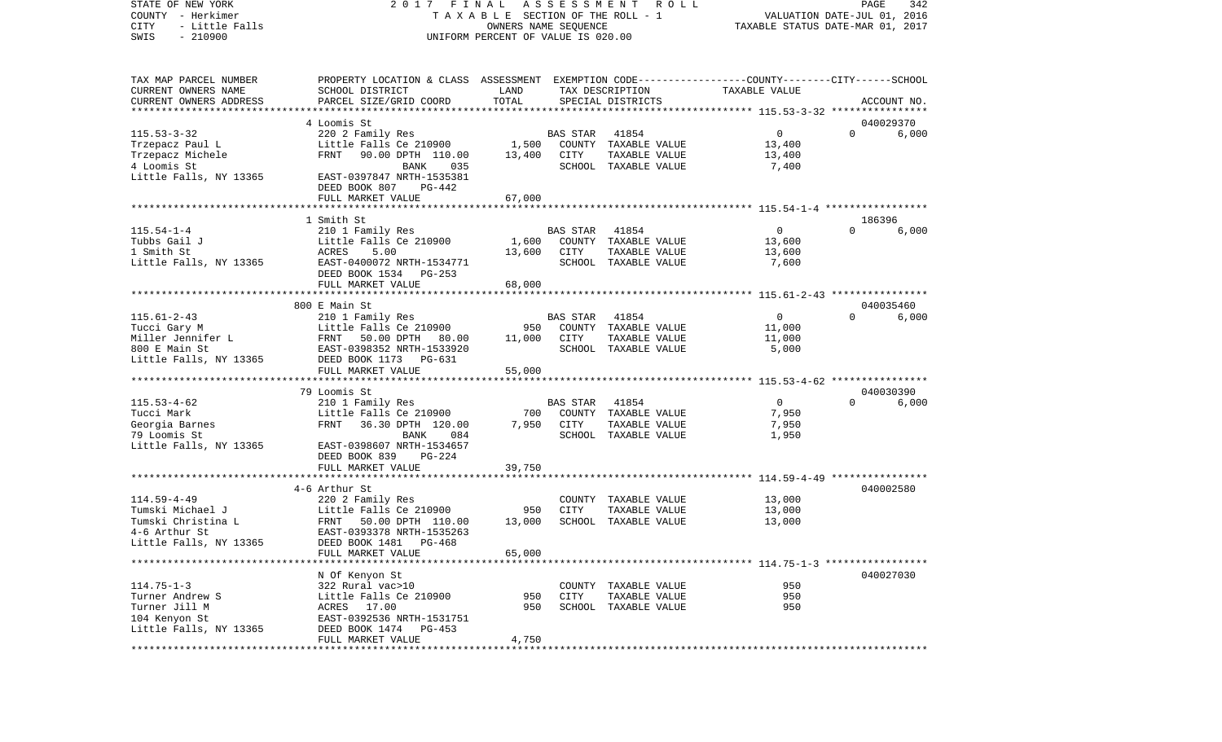STATE OF NEW YORK 2 0 1 7 F I N A L A S S E S S M E N T R O L L PAGE 342COUNTY - Herkimer **T A X A B L E** SECTION OF THE ROLL - 1 VALUATION DATE-JUL 01, 2016 CITY - Little Falls OWNERS NAME SEQUENCE TAXABLE STATUS DATE-MAR 01, 2017 SWIS - 210900 UNIFORM PERCENT OF VALUE IS 020.00TAX MAP PARCEL NUMBER PROPERTY LOCATION & CLASS ASSESSMENT EXEMPTION CODE------------------COUNTY--------CITY------SCHOOL CURRENT OWNERS NAME SCHOOL DISTRICT LAND TAX DESCRIPTION TAXABLE VALUECURRENT OWNERS ADDRESS PARCEL SIZE/GRID COORD TOTAL SPECIAL DISTRICTS ACCOUNT NO. \*\*\*\*\*\*\*\*\*\*\*\*\*\*\*\*\*\*\*\*\*\*\*\*\*\*\*\*\*\*\*\*\*\*\*\*\*\*\*\*\*\*\*\*\*\*\*\*\*\*\*\*\*\*\*\*\*\*\*\*\*\*\*\*\*\*\*\*\*\*\*\*\*\*\*\*\*\*\*\*\*\*\*\*\*\*\*\*\*\*\*\*\*\*\*\*\*\*\*\*\*\*\* 115.53-3-32 \*\*\*\*\*\*\*\*\*\*\*\*\*\*\*\* 4 Loomis St 040029370115.53-3-32 220 2 Family Res BAS STAR 41854 0 0 6,000 Trzepacz Paul L **Little Falls Ce 210900** 1,500 COUNTY TAXABLE VALUE 13,400 Trzepacz Michele FRNT 90.00 DPTH 110.00 13,400 CITY TAXABLE VALUE 13,400 4 Loomis St BANK 035 SCHOOL TAXABLE VALUE 7,400 Little Falls, NY 13365 EAST-0397847 NRTH-1535381 DEED BOOK 807 PG-442FULL MARKET VALUE 67,000 \*\*\*\*\*\*\*\*\*\*\*\*\*\*\*\*\*\*\*\*\*\*\*\*\*\*\*\*\*\*\*\*\*\*\*\*\*\*\*\*\*\*\*\*\*\*\*\*\*\*\*\*\*\*\*\*\*\*\*\*\*\*\*\*\*\*\*\*\*\*\*\*\*\*\*\*\*\*\*\*\*\*\*\*\*\*\*\*\*\*\*\*\*\*\*\*\*\*\*\*\*\*\* 115.54-1-4 \*\*\*\*\*\*\*\*\*\*\*\*\*\*\*\*\* 1 Smith St 186396115.54-1-4 210 1 Family Res BAS STAR 41854 0 0 6,000 Tubbs Gail J Little Falls Ce 210900 1,600 COUNTY TAXABLE VALUE 13,600 1 Smith St ACRES 5.00 13,600 CITY TAXABLE VALUE 13,600 Little Falls, NY 13365 EAST-0400072 NRTH-1534771 SCHOOL TAXABLE VALUE 7,600 DEED BOOK 1534 PG-253 FULL MARKET VALUE 68,000 \*\*\*\*\*\*\*\*\*\*\*\*\*\*\*\*\*\*\*\*\*\*\*\*\*\*\*\*\*\*\*\*\*\*\*\*\*\*\*\*\*\*\*\*\*\*\*\*\*\*\*\*\*\*\*\*\*\*\*\*\*\*\*\*\*\*\*\*\*\*\*\*\*\*\*\*\*\*\*\*\*\*\*\*\*\*\*\*\*\*\*\*\*\*\*\*\*\*\*\*\*\*\* 115.61-2-43 \*\*\*\*\*\*\*\*\*\*\*\*\*\*\*\* 800 E Main St 040035460115.61-2-43 210 1 Family Res BAS STAR 41854 0 0 6,000 Tucci Gary M Little Falls Ce 210900 950 COUNTY TAXABLE VALUE 11,000 Miller Jennifer L FRNT 50.00 DPTH 80.00 11,000 CITY TAXABLE VALUE 11,000 800 E Main St EAST-0398352 NRTH-1533920 SCHOOL TAXABLE VALUE 5,000 Little Falls, NY 13365 DEED BOOK 1173 PG-631 FULL MARKET VALUE 55,000 \*\*\*\*\*\*\*\*\*\*\*\*\*\*\*\*\*\*\*\*\*\*\*\*\*\*\*\*\*\*\*\*\*\*\*\*\*\*\*\*\*\*\*\*\*\*\*\*\*\*\*\*\*\*\*\*\*\*\*\*\*\*\*\*\*\*\*\*\*\*\*\*\*\*\*\*\*\*\*\*\*\*\*\*\*\*\*\*\*\*\*\*\*\*\*\*\*\*\*\*\*\*\* 115.53-4-62 \*\*\*\*\*\*\*\*\*\*\*\*\*\*\*\* 79 Loomis St 040030390115.53-4-62 210 1 Family Res BAS STAR 41854 0 0 6,000 Tucci Mark **Little Falls Ce 210900** 700 COUNTY TAXABLE VALUE 7,950 Georgia Barnes 6 1950 FRNT 36.30 DPTH 120.00 7,950 CITY TAXABLE VALUE 7,950 79 Loomis St BANK 084 SCHOOL TAXABLE VALUE 1,950 Little Falls, NY 13365 EAST-0398607 NRTH-1534657 DEED BOOK 839 PG-224FULL MARKET VALUE 39,750 \*\*\*\*\*\*\*\*\*\*\*\*\*\*\*\*\*\*\*\*\*\*\*\*\*\*\*\*\*\*\*\*\*\*\*\*\*\*\*\*\*\*\*\*\*\*\*\*\*\*\*\*\*\*\*\*\*\*\*\*\*\*\*\*\*\*\*\*\*\*\*\*\*\*\*\*\*\*\*\*\*\*\*\*\*\*\*\*\*\*\*\*\*\*\*\*\*\*\*\*\*\*\* 114.59-4-49 \*\*\*\*\*\*\*\*\*\*\*\*\*\*\*\* 4-6 Arthur St 040002580114.59-4-49 220 2 Family Res COUNTY TAXABLE VALUE 13,000  $Little$  Falls Ce 210900 950 CITY Tumski Christina L FRNT 50.00 DPTH 110.00 13,000 SCHOOL TAXABLE VALUE 13,000 4-6 Arthur St EAST-0393378 NRTH-1535263Little Falls, NY 13365 DEED BOOK 1481 PG-468 FULL MARKET VALUE 65,000 \*\*\*\*\*\*\*\*\*\*\*\*\*\*\*\*\*\*\*\*\*\*\*\*\*\*\*\*\*\*\*\*\*\*\*\*\*\*\*\*\*\*\*\*\*\*\*\*\*\*\*\*\*\*\*\*\*\*\*\*\*\*\*\*\*\*\*\*\*\*\*\*\*\*\*\*\*\*\*\*\*\*\*\*\*\*\*\*\*\*\*\*\*\*\*\*\*\*\*\*\*\*\* 114.75-1-3 \*\*\*\*\*\*\*\*\*\*\*\*\*\*\*\*\*

 N Of Kenyon St 040027030 114.75-1-3 322 Rural vac>10 COUNTY TAXABLE VALUE 950Turner Andrew S Little Falls Ce 210900 950 CITY TAXABLE VALUE 950950 Turner Jill M **ACRES** 17.00 950 SCHOOL TAXABLE VALUE 104 Kenyon St EAST-0392536 NRTH-1531751 Little Falls, NY 13365 DEED BOOK 1474 PG-453 FULL MARKET VALUE 4,750

\*\*\*\*\*\*\*\*\*\*\*\*\*\*\*\*\*\*\*\*\*\*\*\*\*\*\*\*\*\*\*\*\*\*\*\*\*\*\*\*\*\*\*\*\*\*\*\*\*\*\*\*\*\*\*\*\*\*\*\*\*\*\*\*\*\*\*\*\*\*\*\*\*\*\*\*\*\*\*\*\*\*\*\*\*\*\*\*\*\*\*\*\*\*\*\*\*\*\*\*\*\*\*\*\*\*\*\*\*\*\*\*\*\*\*\*\*\*\*\*\*\*\*\*\*\*\*\*\*\*\*\*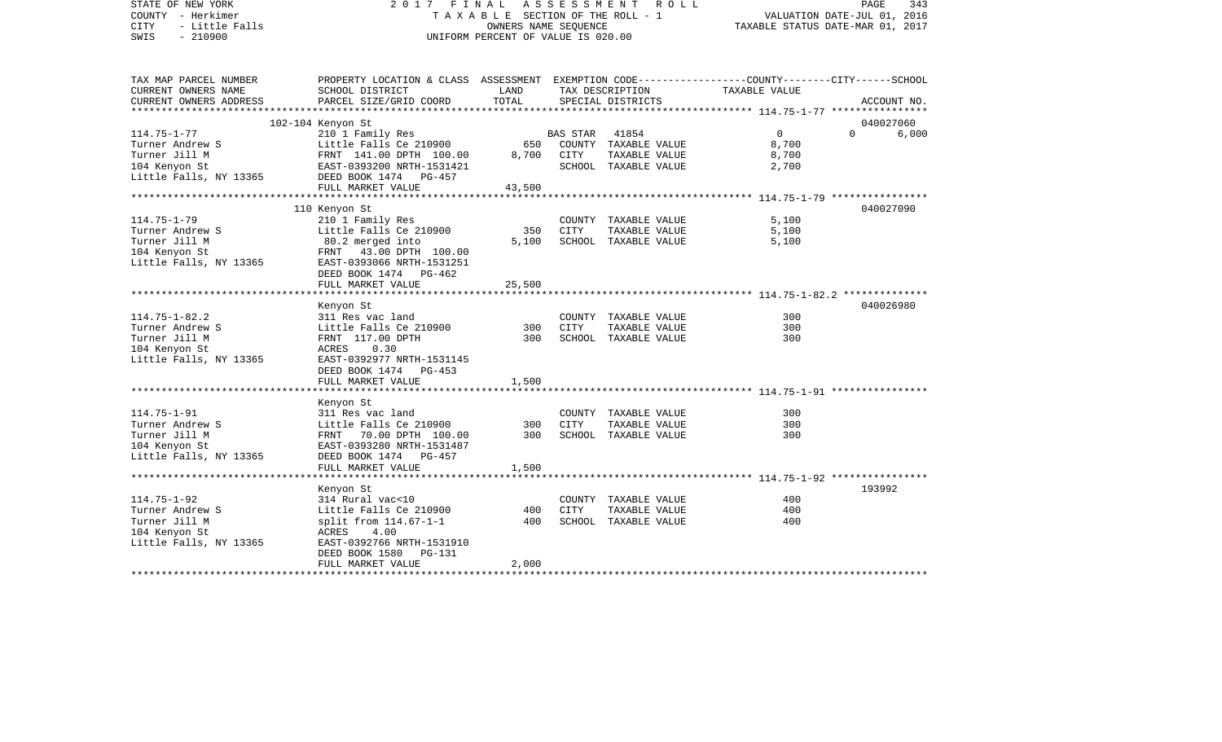| STATE OF NEW YORK<br>COUNTY - Herkimer<br><b>CITY</b><br>- Little Falls<br>$-210900$<br>SWIS | 2017                                                                                                               | FINAL ASSESSMENT<br>TAXABLE SECTION OF THE ROLL - 1<br>OWNERS NAME SEQUENCE<br>UNIFORM PERCENT OF VALUE IS 020.00 | R O L L         |                                       | PAGE<br>343<br>VALUATION DATE-JUL 01, 2016<br>TAXABLE STATUS DATE-MAR 01, 2017 |                   |
|----------------------------------------------------------------------------------------------|--------------------------------------------------------------------------------------------------------------------|-------------------------------------------------------------------------------------------------------------------|-----------------|---------------------------------------|--------------------------------------------------------------------------------|-------------------|
| TAX MAP PARCEL NUMBER<br>CURRENT OWNERS NAME                                                 | PROPERTY LOCATION & CLASS ASSESSMENT EXEMPTION CODE---------------COUNTY-------CITY------SCHOOL<br>SCHOOL DISTRICT | LAND                                                                                                              |                 | TAX DESCRIPTION                       | TAXABLE VALUE                                                                  |                   |
| CURRENT OWNERS ADDRESS                                                                       | PARCEL SIZE/GRID COORD                                                                                             | TOTAL                                                                                                             |                 | SPECIAL DISTRICTS                     |                                                                                | ACCOUNT NO.       |
| *********************                                                                        |                                                                                                                    |                                                                                                                   |                 |                                       |                                                                                |                   |
|                                                                                              | 102-104 Kenyon St                                                                                                  |                                                                                                                   |                 |                                       |                                                                                | 040027060         |
| $114.75 - 1 - 77$                                                                            | 210 1 Family Res                                                                                                   |                                                                                                                   | <b>BAS STAR</b> | 41854                                 | $\Omega$                                                                       | $\Omega$<br>6,000 |
| Turner Andrew S                                                                              | Little Falls Ce 210900                                                                                             | 650                                                                                                               |                 | COUNTY TAXABLE VALUE                  | 8,700                                                                          |                   |
| Turner Jill M                                                                                | FRNT 141.00 DPTH 100.00                                                                                            | 8,700                                                                                                             | CITY            | TAXABLE VALUE                         | 8,700                                                                          |                   |
| 104 Kenyon St                                                                                | EAST-0393200 NRTH-1531421                                                                                          |                                                                                                                   |                 | SCHOOL TAXABLE VALUE                  | 2,700                                                                          |                   |
| Little Falls, NY 13365                                                                       | DEED BOOK 1474 PG-457                                                                                              |                                                                                                                   |                 |                                       |                                                                                |                   |
|                                                                                              | FULL MARKET VALUE                                                                                                  | 43,500                                                                                                            |                 |                                       |                                                                                |                   |
|                                                                                              | 110 Kenyon St                                                                                                      |                                                                                                                   |                 |                                       |                                                                                | 040027090         |
| $114.75 - 1 - 79$                                                                            | 210 1 Family Res                                                                                                   |                                                                                                                   |                 | COUNTY TAXABLE VALUE                  | 5,100                                                                          |                   |
| Turner Andrew S                                                                              | Little Falls Ce 210900                                                                                             | 350                                                                                                               | CITY            | TAXABLE VALUE                         | 5,100                                                                          |                   |
| Turner Jill M                                                                                | 80.2 merged into                                                                                                   | 5,100                                                                                                             |                 | SCHOOL TAXABLE VALUE                  | 5,100                                                                          |                   |
| 104 Kenyon St                                                                                | FRNT 43.00 DPTH 100.00                                                                                             |                                                                                                                   |                 |                                       |                                                                                |                   |
| Little Falls, NY 13365                                                                       | EAST-0393066 NRTH-1531251                                                                                          |                                                                                                                   |                 |                                       |                                                                                |                   |
|                                                                                              | DEED BOOK 1474 PG-462                                                                                              |                                                                                                                   |                 |                                       |                                                                                |                   |
|                                                                                              | FULL MARKET VALUE                                                                                                  | 25,500                                                                                                            |                 |                                       |                                                                                |                   |
|                                                                                              |                                                                                                                    |                                                                                                                   |                 |                                       |                                                                                |                   |
|                                                                                              | Kenyon St                                                                                                          |                                                                                                                   |                 |                                       |                                                                                | 040026980         |
| $114.75 - 1 - 82.2$                                                                          | 311 Res vac land                                                                                                   | 300                                                                                                               | <b>CITY</b>     | COUNTY TAXABLE VALUE                  | 300<br>300                                                                     |                   |
| Turner Andrew S<br>Turner Jill M                                                             | Little Falls Ce 210900<br>FRNT 117.00 DPTH                                                                         | 300                                                                                                               |                 | TAXABLE VALUE<br>SCHOOL TAXABLE VALUE | 300                                                                            |                   |
| 104 Kenyon St                                                                                | 0.30<br>ACRES                                                                                                      |                                                                                                                   |                 |                                       |                                                                                |                   |
| Little Falls, NY 13365                                                                       | EAST-0392977 NRTH-1531145                                                                                          |                                                                                                                   |                 |                                       |                                                                                |                   |
|                                                                                              | DEED BOOK 1474 PG-453                                                                                              |                                                                                                                   |                 |                                       |                                                                                |                   |
|                                                                                              | FULL MARKET VALUE                                                                                                  | 1,500                                                                                                             |                 |                                       |                                                                                |                   |
|                                                                                              |                                                                                                                    |                                                                                                                   |                 |                                       |                                                                                |                   |
|                                                                                              | Kenyon St                                                                                                          |                                                                                                                   |                 |                                       |                                                                                |                   |
| $114.75 - 1 - 91$                                                                            | 311 Res vac land                                                                                                   |                                                                                                                   |                 | COUNTY TAXABLE VALUE                  | 300                                                                            |                   |
| Turner Andrew S                                                                              | Little Falls Ce 210900                                                                                             | 300                                                                                                               | CITY            | TAXABLE VALUE                         | 300                                                                            |                   |
| Turner Jill M                                                                                | FRNT 70.00 DPTH 100.00                                                                                             | 300                                                                                                               |                 | SCHOOL TAXABLE VALUE                  | 300                                                                            |                   |
| 104 Kenyon St                                                                                | EAST-0393280 NRTH-1531487<br>DEED BOOK 1474 PG-457                                                                 |                                                                                                                   |                 |                                       |                                                                                |                   |
| Little Falls, NY 13365                                                                       | FULL MARKET VALUE                                                                                                  | 1,500                                                                                                             |                 |                                       |                                                                                |                   |
|                                                                                              |                                                                                                                    |                                                                                                                   |                 |                                       |                                                                                |                   |
|                                                                                              | Kenyon St                                                                                                          |                                                                                                                   |                 |                                       |                                                                                | 193992            |
| $114.75 - 1 - 92$                                                                            | 314 Rural vac<10                                                                                                   |                                                                                                                   |                 | COUNTY TAXABLE VALUE                  | 400                                                                            |                   |
| Turner Andrew S                                                                              | Little Falls Ce 210900                                                                                             | 400                                                                                                               | CITY            | TAXABLE VALUE                         | 400                                                                            |                   |
| Turner Jill M                                                                                | split from $114.67 - 1 - 1$                                                                                        | 400                                                                                                               |                 | SCHOOL TAXABLE VALUE                  | 400                                                                            |                   |
| 104 Kenyon St                                                                                | ACRES<br>4.00                                                                                                      |                                                                                                                   |                 |                                       |                                                                                |                   |
| Little Falls, NY 13365                                                                       | EAST-0392766 NRTH-1531910                                                                                          |                                                                                                                   |                 |                                       |                                                                                |                   |
|                                                                                              | DEED BOOK 1580<br>PG-131                                                                                           |                                                                                                                   |                 |                                       |                                                                                |                   |
| ************************                                                                     | FULL MARKET VALUE                                                                                                  | 2,000                                                                                                             |                 |                                       |                                                                                |                   |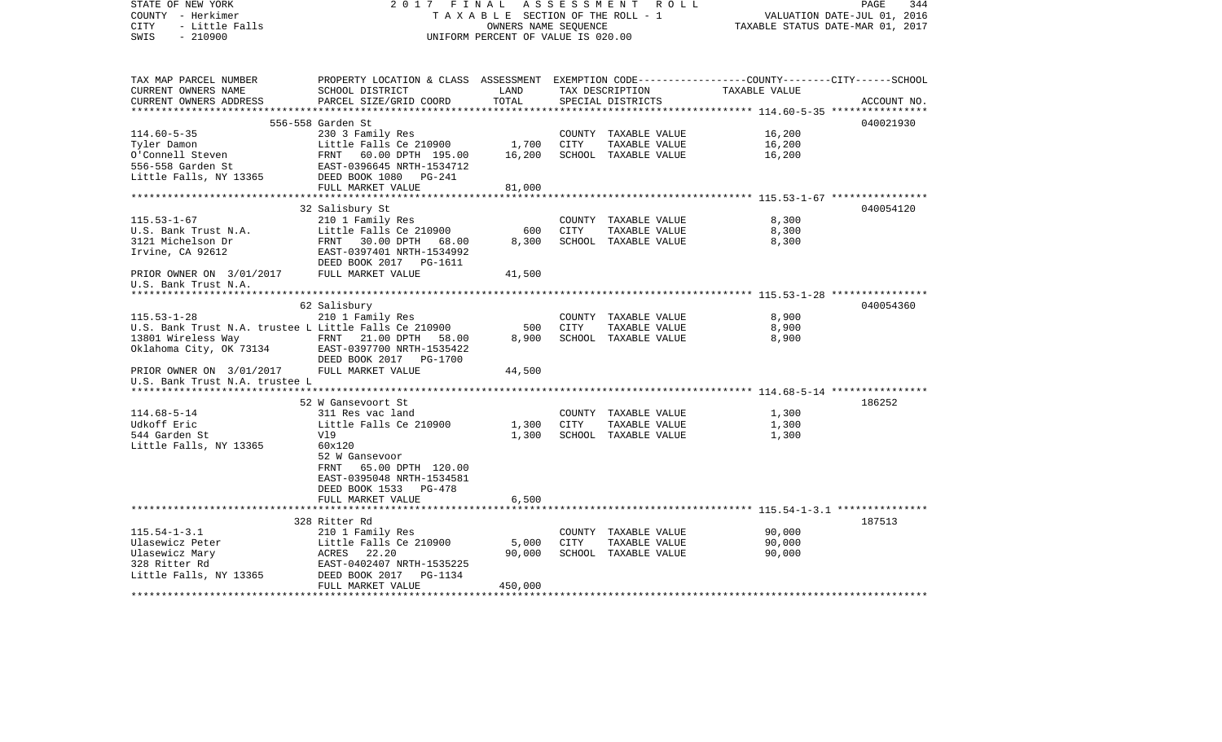| STATE OF NEW YORK<br>COUNTY - Herkimer<br>- Little Falls<br><b>CITY</b><br>$-210900$<br>SWIS  | 2017 FINAL<br>TAXABLE SECTION OF THE ROLL - 1<br>UNIFORM PERCENT OF VALUE IS 020.00                                                          | 344<br>PAGE<br>VALUATION DATE-JUL 01, 2016<br>TAXABLE STATUS DATE-MAR 01, 2017 |      |                                       |                  |             |
|-----------------------------------------------------------------------------------------------|----------------------------------------------------------------------------------------------------------------------------------------------|--------------------------------------------------------------------------------|------|---------------------------------------|------------------|-------------|
| TAX MAP PARCEL NUMBER<br>CURRENT OWNERS NAME<br>CURRENT OWNERS ADDRESS                        | PROPERTY LOCATION & CLASS ASSESSMENT EXEMPTION CODE---------------COUNTY-------CITY------SCHOOL<br>SCHOOL DISTRICT<br>PARCEL SIZE/GRID COORD | LAND<br>TOTAL                                                                  |      | TAX DESCRIPTION<br>SPECIAL DISTRICTS  | TAXABLE VALUE    | ACCOUNT NO. |
|                                                                                               |                                                                                                                                              |                                                                                |      |                                       |                  |             |
|                                                                                               | 556-558 Garden St                                                                                                                            |                                                                                |      |                                       |                  | 040021930   |
| $114.60 - 5 - 35$                                                                             | 230 3 Family Res                                                                                                                             |                                                                                |      | COUNTY TAXABLE VALUE                  | 16,200           |             |
| Tyler Damon<br>0'Connell Steven                                                               | Little Falls Ce 210900                                                                                                                       | 1,700                                                                          | CITY | TAXABLE VALUE                         | 16,200<br>16,200 |             |
| 556–558 Garden St<br>Little Falls, NY 13365                                                   | FRNT 60.00 DPTH 195.00<br>EAST-0396645 NRTH-1534712<br>DEED BOOK 1080 PG-241                                                                 | 16,200                                                                         |      | SCHOOL TAXABLE VALUE                  |                  |             |
|                                                                                               | FULL MARKET VALUE                                                                                                                            | 81,000                                                                         |      |                                       |                  |             |
|                                                                                               |                                                                                                                                              |                                                                                |      |                                       |                  |             |
|                                                                                               | 32 Salisbury St                                                                                                                              |                                                                                |      |                                       |                  | 040054120   |
| $115.53 - 1 - 67$                                                                             | 210 1 Family Res                                                                                                                             |                                                                                |      | COUNTY TAXABLE VALUE                  | 8,300            |             |
| U.S. Bank Trust N.A.                                                                          | Little Falls Ce 210900                                                                                                                       | 600                                                                            | CITY | TAXABLE VALUE                         | 8,300            |             |
| 3121 Michelson Dr<br>Irvine, CA 92612                                                         | FRNT 30.00 DPTH 68.00<br>EAST-0397401 NRTH-1534992                                                                                           | 8,300                                                                          |      | SCHOOL TAXABLE VALUE                  | 8,300            |             |
|                                                                                               | DEED BOOK 2017 PG-1611                                                                                                                       |                                                                                |      |                                       |                  |             |
| PRIOR OWNER ON 3/01/2017<br>U.S. Bank Trust N.A.                                              | FULL MARKET VALUE                                                                                                                            | 41,500                                                                         |      |                                       |                  |             |
|                                                                                               |                                                                                                                                              |                                                                                |      |                                       |                  |             |
|                                                                                               | 62 Salisbury                                                                                                                                 |                                                                                |      |                                       |                  | 040054360   |
| $115.53 - 1 - 28$                                                                             | 210 1 Family Res                                                                                                                             |                                                                                |      | COUNTY TAXABLE VALUE                  | 8,900            |             |
| U.S. Bank Trust N.A. trustee L Little Falls Ce 210900                                         |                                                                                                                                              | 500<br>8,900                                                                   | CITY | TAXABLE VALUE<br>SCHOOL TAXABLE VALUE | 8,900<br>8,900   |             |
| 13801 Wireless Way FRNT 21.00 DPTH 58.00<br>Oklahoma City, OK 73134 EAST-0397700 NRTH-1535422 | DEED BOOK 2017 PG-1700                                                                                                                       |                                                                                |      |                                       |                  |             |
| PRIOR OWNER ON 3/01/2017 FULL MARKET VALUE<br>U.S. Bank Trust N.A. trustee L                  |                                                                                                                                              | 44,500                                                                         |      |                                       |                  |             |
|                                                                                               |                                                                                                                                              |                                                                                |      |                                       |                  |             |
| $114.68 - 5 - 14$                                                                             | 52 W Gansevoort St<br>311 Res vac land                                                                                                       |                                                                                |      | COUNTY TAXABLE VALUE                  | 1,300            | 186252      |
| Udkoff Eric                                                                                   | Little Falls Ce 210900                                                                                                                       | 1,300                                                                          | CITY | TAXABLE VALUE                         | 1,300            |             |
| 544 Garden St                                                                                 | Vl9                                                                                                                                          | 1,300                                                                          |      | SCHOOL TAXABLE VALUE                  | 1,300            |             |
| Little Falls, NY 13365                                                                        | 60x120<br>52 W Gansevoor<br>65.00 DPTH 120.00<br>FRNT<br>EAST-0395048 NRTH-1534581<br>DEED BOOK 1533 PG-478                                  |                                                                                |      |                                       |                  |             |
|                                                                                               | FULL MARKET VALUE                                                                                                                            | 6,500                                                                          |      |                                       |                  |             |
|                                                                                               |                                                                                                                                              |                                                                                |      |                                       |                  | 187513      |
| $115.54 - 1 - 3.1$                                                                            | 328 Ritter Rd<br>210 1 Family Res                                                                                                            |                                                                                |      | COUNTY TAXABLE VALUE                  | 90,000           |             |
| Ulasewicz Peter                                                                               | Little Falls Ce 210900                                                                                                                       | 5,000                                                                          | CITY | TAXABLE VALUE                         | 90,000           |             |
| Ulasewicz Mary                                                                                | ACRES 22.20                                                                                                                                  | 90,000                                                                         |      | SCHOOL TAXABLE VALUE                  | 90,000           |             |
| 328 Ritter Rd                                                                                 | EAST-0402407 NRTH-1535225                                                                                                                    |                                                                                |      |                                       |                  |             |
| Little Falls, NY 13365                                                                        | DEED BOOK 2017<br>PG-1134<br>FULL MARKET VALUE                                                                                               | 450,000                                                                        |      |                                       |                  |             |
|                                                                                               |                                                                                                                                              |                                                                                |      |                                       |                  |             |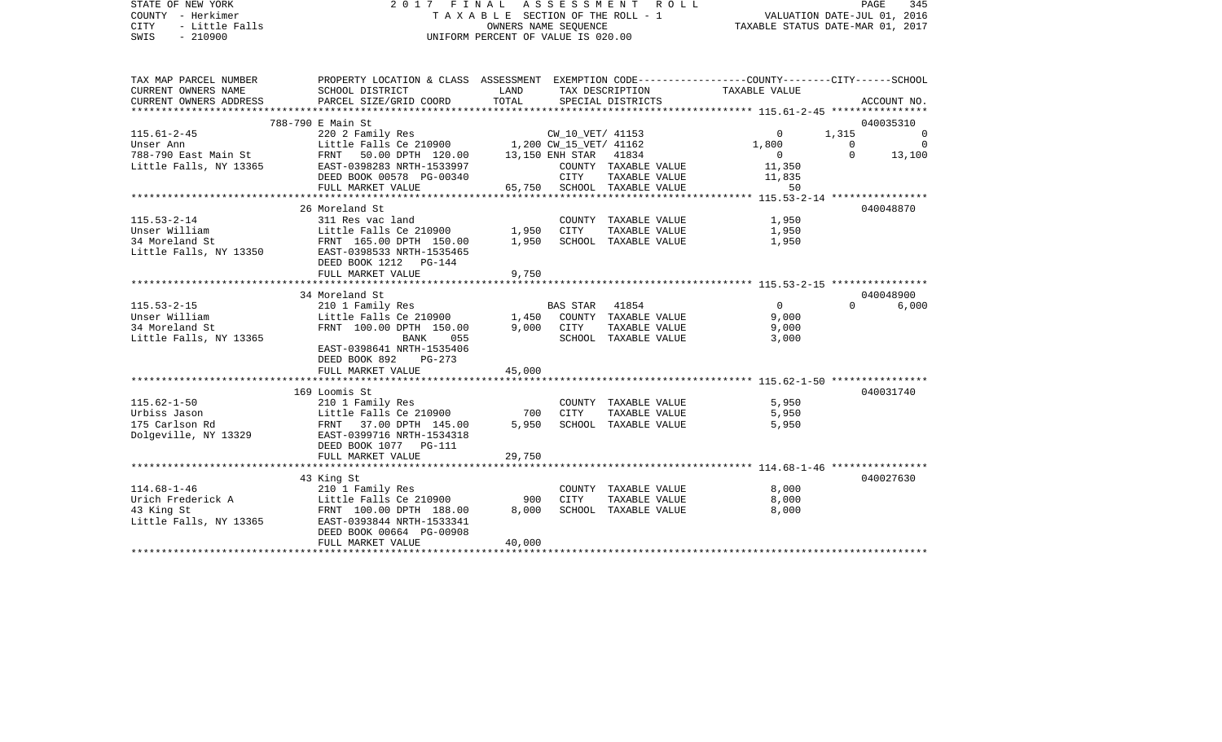|                                                                              |                                                                                                                                 |                                                                                                                                                          |                                                                                                                                                                                                                                                                             |                                                                                                                                                                                                          | PAGE                                                                                                                                                                                                                                                                                                                                                                                                                   |                                                                                                                                                                                                                                                                        |
|------------------------------------------------------------------------------|---------------------------------------------------------------------------------------------------------------------------------|----------------------------------------------------------------------------------------------------------------------------------------------------------|-----------------------------------------------------------------------------------------------------------------------------------------------------------------------------------------------------------------------------------------------------------------------------|----------------------------------------------------------------------------------------------------------------------------------------------------------------------------------------------------------|------------------------------------------------------------------------------------------------------------------------------------------------------------------------------------------------------------------------------------------------------------------------------------------------------------------------------------------------------------------------------------------------------------------------|------------------------------------------------------------------------------------------------------------------------------------------------------------------------------------------------------------------------------------------------------------------------|
|                                                                              |                                                                                                                                 |                                                                                                                                                          |                                                                                                                                                                                                                                                                             |                                                                                                                                                                                                          |                                                                                                                                                                                                                                                                                                                                                                                                                        |                                                                                                                                                                                                                                                                        |
|                                                                              |                                                                                                                                 |                                                                                                                                                          |                                                                                                                                                                                                                                                                             |                                                                                                                                                                                                          |                                                                                                                                                                                                                                                                                                                                                                                                                        |                                                                                                                                                                                                                                                                        |
|                                                                              |                                                                                                                                 |                                                                                                                                                          |                                                                                                                                                                                                                                                                             |                                                                                                                                                                                                          |                                                                                                                                                                                                                                                                                                                                                                                                                        |                                                                                                                                                                                                                                                                        |
|                                                                              | TOTAL                                                                                                                           |                                                                                                                                                          |                                                                                                                                                                                                                                                                             |                                                                                                                                                                                                          |                                                                                                                                                                                                                                                                                                                                                                                                                        | ACCOUNT NO.                                                                                                                                                                                                                                                            |
|                                                                              |                                                                                                                                 |                                                                                                                                                          |                                                                                                                                                                                                                                                                             |                                                                                                                                                                                                          |                                                                                                                                                                                                                                                                                                                                                                                                                        |                                                                                                                                                                                                                                                                        |
|                                                                              |                                                                                                                                 |                                                                                                                                                          |                                                                                                                                                                                                                                                                             |                                                                                                                                                                                                          |                                                                                                                                                                                                                                                                                                                                                                                                                        |                                                                                                                                                                                                                                                                        |
|                                                                              |                                                                                                                                 |                                                                                                                                                          |                                                                                                                                                                                                                                                                             |                                                                                                                                                                                                          |                                                                                                                                                                                                                                                                                                                                                                                                                        |                                                                                                                                                                                                                                                                        |
|                                                                              |                                                                                                                                 |                                                                                                                                                          |                                                                                                                                                                                                                                                                             |                                                                                                                                                                                                          | $\Omega$                                                                                                                                                                                                                                                                                                                                                                                                               | 13,100                                                                                                                                                                                                                                                                 |
|                                                                              |                                                                                                                                 |                                                                                                                                                          |                                                                                                                                                                                                                                                                             |                                                                                                                                                                                                          |                                                                                                                                                                                                                                                                                                                                                                                                                        |                                                                                                                                                                                                                                                                        |
|                                                                              |                                                                                                                                 | CITY                                                                                                                                                     |                                                                                                                                                                                                                                                                             | 11,835                                                                                                                                                                                                   |                                                                                                                                                                                                                                                                                                                                                                                                                        |                                                                                                                                                                                                                                                                        |
| FULL MARKET VALUE                                                            |                                                                                                                                 |                                                                                                                                                          |                                                                                                                                                                                                                                                                             | 50                                                                                                                                                                                                       |                                                                                                                                                                                                                                                                                                                                                                                                                        |                                                                                                                                                                                                                                                                        |
|                                                                              |                                                                                                                                 |                                                                                                                                                          |                                                                                                                                                                                                                                                                             |                                                                                                                                                                                                          |                                                                                                                                                                                                                                                                                                                                                                                                                        |                                                                                                                                                                                                                                                                        |
| 26 Moreland St                                                               |                                                                                                                                 |                                                                                                                                                          |                                                                                                                                                                                                                                                                             |                                                                                                                                                                                                          |                                                                                                                                                                                                                                                                                                                                                                                                                        | 040048870                                                                                                                                                                                                                                                              |
| 311 Res vac land                                                             |                                                                                                                                 |                                                                                                                                                          |                                                                                                                                                                                                                                                                             | 1,950                                                                                                                                                                                                    |                                                                                                                                                                                                                                                                                                                                                                                                                        |                                                                                                                                                                                                                                                                        |
|                                                                              |                                                                                                                                 |                                                                                                                                                          |                                                                                                                                                                                                                                                                             | 1,950                                                                                                                                                                                                    |                                                                                                                                                                                                                                                                                                                                                                                                                        |                                                                                                                                                                                                                                                                        |
|                                                                              |                                                                                                                                 |                                                                                                                                                          |                                                                                                                                                                                                                                                                             |                                                                                                                                                                                                          |                                                                                                                                                                                                                                                                                                                                                                                                                        |                                                                                                                                                                                                                                                                        |
|                                                                              |                                                                                                                                 |                                                                                                                                                          |                                                                                                                                                                                                                                                                             |                                                                                                                                                                                                          |                                                                                                                                                                                                                                                                                                                                                                                                                        |                                                                                                                                                                                                                                                                        |
|                                                                              |                                                                                                                                 |                                                                                                                                                          |                                                                                                                                                                                                                                                                             |                                                                                                                                                                                                          |                                                                                                                                                                                                                                                                                                                                                                                                                        |                                                                                                                                                                                                                                                                        |
|                                                                              |                                                                                                                                 |                                                                                                                                                          |                                                                                                                                                                                                                                                                             |                                                                                                                                                                                                          |                                                                                                                                                                                                                                                                                                                                                                                                                        |                                                                                                                                                                                                                                                                        |
|                                                                              |                                                                                                                                 |                                                                                                                                                          |                                                                                                                                                                                                                                                                             |                                                                                                                                                                                                          |                                                                                                                                                                                                                                                                                                                                                                                                                        | 040048900                                                                                                                                                                                                                                                              |
|                                                                              |                                                                                                                                 |                                                                                                                                                          |                                                                                                                                                                                                                                                                             |                                                                                                                                                                                                          | $\Omega$ and $\Omega$                                                                                                                                                                                                                                                                                                                                                                                                  |                                                                                                                                                                                                                                                                        |
|                                                                              |                                                                                                                                 |                                                                                                                                                          |                                                                                                                                                                                                                                                                             |                                                                                                                                                                                                          |                                                                                                                                                                                                                                                                                                                                                                                                                        |                                                                                                                                                                                                                                                                        |
|                                                                              |                                                                                                                                 |                                                                                                                                                          |                                                                                                                                                                                                                                                                             | 9,000                                                                                                                                                                                                    |                                                                                                                                                                                                                                                                                                                                                                                                                        |                                                                                                                                                                                                                                                                        |
| BANK 055                                                                     |                                                                                                                                 |                                                                                                                                                          |                                                                                                                                                                                                                                                                             | 3,000                                                                                                                                                                                                    |                                                                                                                                                                                                                                                                                                                                                                                                                        |                                                                                                                                                                                                                                                                        |
| EAST-0398641 NRTH-1535406                                                    |                                                                                                                                 |                                                                                                                                                          |                                                                                                                                                                                                                                                                             |                                                                                                                                                                                                          |                                                                                                                                                                                                                                                                                                                                                                                                                        |                                                                                                                                                                                                                                                                        |
| DEED BOOK 892 PG-273                                                         |                                                                                                                                 |                                                                                                                                                          |                                                                                                                                                                                                                                                                             |                                                                                                                                                                                                          |                                                                                                                                                                                                                                                                                                                                                                                                                        |                                                                                                                                                                                                                                                                        |
| FULL MARKET VALUE                                                            | 45,000                                                                                                                          |                                                                                                                                                          |                                                                                                                                                                                                                                                                             |                                                                                                                                                                                                          |                                                                                                                                                                                                                                                                                                                                                                                                                        |                                                                                                                                                                                                                                                                        |
|                                                                              |                                                                                                                                 |                                                                                                                                                          |                                                                                                                                                                                                                                                                             |                                                                                                                                                                                                          |                                                                                                                                                                                                                                                                                                                                                                                                                        |                                                                                                                                                                                                                                                                        |
| 169 Loomis St                                                                |                                                                                                                                 |                                                                                                                                                          |                                                                                                                                                                                                                                                                             |                                                                                                                                                                                                          |                                                                                                                                                                                                                                                                                                                                                                                                                        | 040031740                                                                                                                                                                                                                                                              |
|                                                                              |                                                                                                                                 |                                                                                                                                                          |                                                                                                                                                                                                                                                                             |                                                                                                                                                                                                          |                                                                                                                                                                                                                                                                                                                                                                                                                        |                                                                                                                                                                                                                                                                        |
|                                                                              |                                                                                                                                 |                                                                                                                                                          |                                                                                                                                                                                                                                                                             |                                                                                                                                                                                                          |                                                                                                                                                                                                                                                                                                                                                                                                                        |                                                                                                                                                                                                                                                                        |
|                                                                              |                                                                                                                                 |                                                                                                                                                          |                                                                                                                                                                                                                                                                             |                                                                                                                                                                                                          |                                                                                                                                                                                                                                                                                                                                                                                                                        |                                                                                                                                                                                                                                                                        |
|                                                                              |                                                                                                                                 |                                                                                                                                                          | 5,950 SCHOOL TAXABLE VALUE                                                                                                                                                                                                                                                  | 5,950                                                                                                                                                                                                    |                                                                                                                                                                                                                                                                                                                                                                                                                        |                                                                                                                                                                                                                                                                        |
| FRNT 37.00 DPTH 145.00<br>EAST-0399716 NRTH-1534318                          |                                                                                                                                 |                                                                                                                                                          |                                                                                                                                                                                                                                                                             |                                                                                                                                                                                                          |                                                                                                                                                                                                                                                                                                                                                                                                                        |                                                                                                                                                                                                                                                                        |
| DEED BOOK 1077 PG-111                                                        |                                                                                                                                 |                                                                                                                                                          |                                                                                                                                                                                                                                                                             |                                                                                                                                                                                                          |                                                                                                                                                                                                                                                                                                                                                                                                                        |                                                                                                                                                                                                                                                                        |
| FULL MARKET VALUE                                                            | 29,750                                                                                                                          |                                                                                                                                                          |                                                                                                                                                                                                                                                                             |                                                                                                                                                                                                          |                                                                                                                                                                                                                                                                                                                                                                                                                        |                                                                                                                                                                                                                                                                        |
|                                                                              |                                                                                                                                 |                                                                                                                                                          |                                                                                                                                                                                                                                                                             |                                                                                                                                                                                                          |                                                                                                                                                                                                                                                                                                                                                                                                                        |                                                                                                                                                                                                                                                                        |
| 43 King St                                                                   |                                                                                                                                 |                                                                                                                                                          |                                                                                                                                                                                                                                                                             |                                                                                                                                                                                                          |                                                                                                                                                                                                                                                                                                                                                                                                                        |                                                                                                                                                                                                                                                                        |
| 210 1 Family Res                                                             |                                                                                                                                 |                                                                                                                                                          | COUNTY TAXABLE VALUE                                                                                                                                                                                                                                                        | 8,000                                                                                                                                                                                                    |                                                                                                                                                                                                                                                                                                                                                                                                                        |                                                                                                                                                                                                                                                                        |
|                                                                              | 900                                                                                                                             | <b>CITY</b>                                                                                                                                              | TAXABLE VALUE                                                                                                                                                                                                                                                               | 8,000                                                                                                                                                                                                    |                                                                                                                                                                                                                                                                                                                                                                                                                        |                                                                                                                                                                                                                                                                        |
| Little Falls Ce 210900<br>FRNT 100.00 DPTH 188.00                            | 8,000                                                                                                                           |                                                                                                                                                          | SCHOOL TAXABLE VALUE                                                                                                                                                                                                                                                        | 8,000                                                                                                                                                                                                    |                                                                                                                                                                                                                                                                                                                                                                                                                        |                                                                                                                                                                                                                                                                        |
| Little Falls, NY 13365 EAST-0393844 NRTH-1533341<br>DEED BOOK 00664 PG-00908 |                                                                                                                                 |                                                                                                                                                          |                                                                                                                                                                                                                                                                             |                                                                                                                                                                                                          |                                                                                                                                                                                                                                                                                                                                                                                                                        | 040027630                                                                                                                                                                                                                                                              |
| CURRENT OWNERS NAME                                                          | Y - Herkimer<br>- Little Falls<br>- 210900<br>788-790 E Main St<br>DEED BOOK 1212 PG-144<br>FULL MARKET VALUE<br>34 Moreland St | SCHOOL DISTRICT<br>PARCEL SIZE/GRID COORD<br><b>Example 12</b><br>FRNT 50.00 DPTH 120.00<br>DEED BOOK 00578 PG-00340<br>9,750<br>FRNT 100.00 DPTH 150.00 | 788-790 East Main St<br>Little Falls, NY 13365 EAST-0398283 NRTH-1533997<br>DOOK 00578 PG-00340<br>Unser William Little Falls Ce 210900 1,950 COON1<br>34 Moreland St FRNT 165.00 DPTH 150.00 1,950 SCHOC<br>Little Falls, NY 13350 EAST-0398533 NRTH-1535465<br>9,000 CITY | UNIFORM PERCENT OF VALUE IS 020.00<br>SPECIAL DISTRICTS<br>13,150 ENH STAR 41834<br>TAXABLE VALUE<br>65,750 SCHOOL TAXABLE VALUE<br>COUNTY TAXABLE VALUE<br>SCHOOL TAXABLE VALUE<br>SCHOOL TAXABLE VALUE | 2017 FINAL ASSESSMENT ROLL<br>TAX DESCRIPTION TAXABLE VALUE<br>$\Omega$<br>1,800<br>$\overline{0}$<br>11,350<br>COUNTY TAXABLE VALUE<br>TAXABLE VALUE<br>1,950<br>210 1 Family Res<br>210 1 Family Res<br>Little Falls Ce 210900 1,450 COUNTY TAXABLE VALUE<br>$\Omega$<br>9,000<br>TAXABLE VALUE<br>210 1 Family Res<br>Little Falls Ce 210900<br>5,950<br>COUNTY TAXABLE VALUE<br>700 CITY<br>TAXABLE VALUE<br>5,950 | T A X A B L E SECTION OF THE ROLL - 1 VALUATION DATE-JUL 01, 2016<br>OWNERS NAME SEQUENCE TAXABLE STATUS DATE-MAR 01, 2017<br>PROPERTY LOCATION & CLASS ASSESSMENT EXEMPTION CODE----------------COUNTY-------CITY------SCHOOL<br>040035310<br>1,315<br>$\overline{0}$ |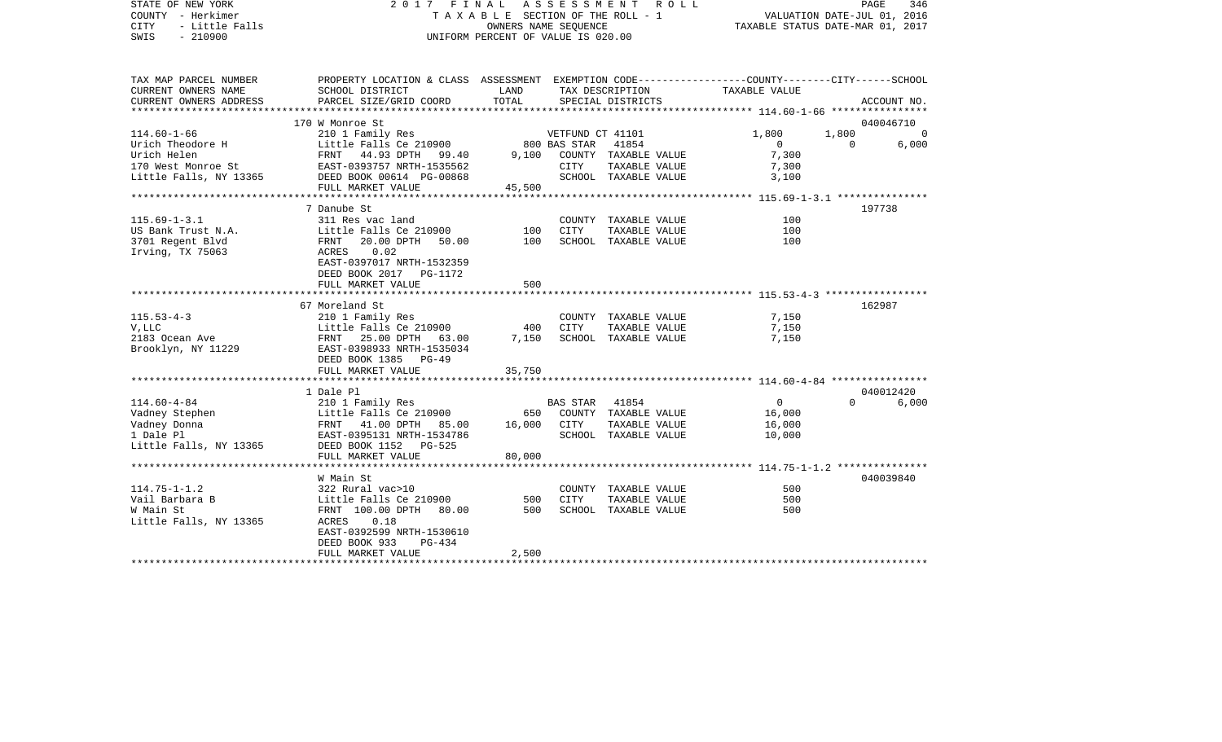| COUNTY<br>- Herkimer<br><b>CITY</b><br>- Little Falls<br>SWIS<br>$-210900$                        | T A X A B L E SECTION OF THE ROLL - 1<br>OWNERS NAME SEQUENCE<br>UNIFORM PERCENT OF VALUE IS 020.00                                          |                     |                  | VALUATION DATE-JUL 01, 2016<br>TAXABLE STATUS DATE-MAR 01, 2017 |                                                               |          |             |
|---------------------------------------------------------------------------------------------------|----------------------------------------------------------------------------------------------------------------------------------------------|---------------------|------------------|-----------------------------------------------------------------|---------------------------------------------------------------|----------|-------------|
| TAX MAP PARCEL NUMBER<br>CURRENT OWNERS NAME<br>CURRENT OWNERS ADDRESS<br>*********************** | PROPERTY LOCATION & CLASS ASSESSMENT EXEMPTION CODE---------------COUNTY-------CITY------SCHOOL<br>SCHOOL DISTRICT<br>PARCEL SIZE/GRID COORD | LAND<br>TOTAL       |                  | TAX DESCRIPTION<br>SPECIAL DISTRICTS                            | <b>TAXABLE VALUE</b>                                          |          | ACCOUNT NO. |
|                                                                                                   | 170 W Monroe St                                                                                                                              |                     |                  |                                                                 |                                                               |          | 040046710   |
| $114.60 - 1 - 66$                                                                                 | 210 1 Family Res                                                                                                                             |                     | VETFUND CT 41101 |                                                                 | 1,800                                                         | 1,800    |             |
| Urich Theodore H                                                                                  | Little Falls Ce 210900                                                                                                                       |                     | 800 BAS STAR     | 41854                                                           | $\Omega$                                                      | $\Omega$ | 6,000       |
| Urich Helen                                                                                       | FRNT<br>44.93 DPTH<br>99.40                                                                                                                  | 9,100               |                  | COUNTY TAXABLE VALUE                                            | 7,300                                                         |          |             |
| 170 West Monroe St                                                                                | EAST-0393757 NRTH-1535562                                                                                                                    |                     | <b>CITY</b>      | TAXABLE VALUE                                                   | 7,300                                                         |          |             |
| Little Falls, NY 13365                                                                            | DEED BOOK 00614 PG-00868                                                                                                                     |                     |                  | SCHOOL TAXABLE VALUE                                            | 3,100                                                         |          |             |
|                                                                                                   | FULL MARKET VALUE<br>*****************                                                                                                       | 45,500<br>********* |                  |                                                                 | ************** 115.69-1-3.1 ****************                  |          |             |
|                                                                                                   | 7 Danube St                                                                                                                                  |                     |                  |                                                                 |                                                               |          | 197738      |
| $115.69 - 1 - 3.1$                                                                                | 311 Res vac land                                                                                                                             |                     |                  | COUNTY TAXABLE VALUE                                            | 100                                                           |          |             |
| US Bank Trust N.A.                                                                                | Little Falls Ce 210900                                                                                                                       | 100                 | <b>CITY</b>      | TAXABLE VALUE                                                   | 100                                                           |          |             |
| 3701 Regent Blvd                                                                                  | FRNT<br>20.00 DPTH<br>50.00                                                                                                                  | 100                 |                  | SCHOOL TAXABLE VALUE                                            | 100                                                           |          |             |
| Irving, TX 75063                                                                                  | 0.02<br>ACRES                                                                                                                                |                     |                  |                                                                 |                                                               |          |             |
|                                                                                                   | EAST-0397017 NRTH-1532359                                                                                                                    |                     |                  |                                                                 |                                                               |          |             |
|                                                                                                   | DEED BOOK 2017 PG-1172                                                                                                                       |                     |                  |                                                                 |                                                               |          |             |
|                                                                                                   | FULL MARKET VALUE                                                                                                                            | 500                 |                  |                                                                 |                                                               |          |             |
|                                                                                                   |                                                                                                                                              |                     |                  |                                                                 | ******************************** 115.53-4-3 ***************** |          | 162987      |
| $115.53 - 4 - 3$                                                                                  | 67 Moreland St<br>210 1 Family Res                                                                                                           |                     |                  | COUNTY TAXABLE VALUE                                            | 7,150                                                         |          |             |
| V, LLC                                                                                            | Little Falls Ce 210900                                                                                                                       | 400                 | CITY             | TAXABLE VALUE                                                   | 7,150                                                         |          |             |
| 2183 Ocean Ave                                                                                    | FRNT<br>25.00 DPTH<br>63.00                                                                                                                  | 7,150               |                  | SCHOOL TAXABLE VALUE                                            | 7,150                                                         |          |             |
| Brooklyn, NY 11229                                                                                | EAST-0398933 NRTH-1535034                                                                                                                    |                     |                  |                                                                 |                                                               |          |             |
|                                                                                                   | DEED BOOK 1385 PG-49                                                                                                                         |                     |                  |                                                                 |                                                               |          |             |
|                                                                                                   | FULL MARKET VALUE                                                                                                                            | 35,750              |                  |                                                                 |                                                               |          |             |
|                                                                                                   | ************************                                                                                                                     |                     |                  |                                                                 |                                                               |          |             |
|                                                                                                   | 1 Dale Pl                                                                                                                                    |                     |                  |                                                                 |                                                               |          | 040012420   |
| $114.60 - 4 - 84$                                                                                 | 210 1 Family Res                                                                                                                             |                     | <b>BAS STAR</b>  | 41854                                                           | $\overline{0}$                                                | $\Omega$ | 6,000       |
| Vadney Stephen                                                                                    | Little Falls Ce 210900                                                                                                                       | 650                 |                  | COUNTY TAXABLE VALUE                                            | 16,000                                                        |          |             |
| Vadney Donna<br>1 Dale Pl                                                                         | FRNT 41.00 DPTH<br>85.00<br>EAST-0395131 NRTH-1534786                                                                                        | 16,000              | CITY             | TAXABLE VALUE<br>SCHOOL TAXABLE VALUE                           | 16,000<br>10,000                                              |          |             |
| Little Falls, NY 13365                                                                            | DEED BOOK 1152 PG-525                                                                                                                        |                     |                  |                                                                 |                                                               |          |             |
|                                                                                                   | FULL MARKET VALUE                                                                                                                            | 80,000              |                  |                                                                 |                                                               |          |             |
|                                                                                                   | ***********************                                                                                                                      |                     |                  |                                                                 | ************************ 114.75-1-1.2 ***************         |          |             |
|                                                                                                   | W Main St                                                                                                                                    |                     |                  |                                                                 |                                                               |          | 040039840   |
| $114.75 - 1 - 1.2$                                                                                | 322 Rural vac>10                                                                                                                             |                     |                  | COUNTY TAXABLE VALUE                                            | 500                                                           |          |             |
| Vail Barbara B                                                                                    | Little Falls Ce 210900                                                                                                                       | 500                 | <b>CITY</b>      | TAXABLE VALUE                                                   | 500                                                           |          |             |
| W Main St                                                                                         | FRNT 100.00 DPTH<br>80.00                                                                                                                    | 500                 |                  | SCHOOL TAXABLE VALUE                                            | 500                                                           |          |             |
| Little Falls, NY 13365                                                                            | 0.18<br>ACRES                                                                                                                                |                     |                  |                                                                 |                                                               |          |             |
|                                                                                                   | EAST-0392599 NRTH-1530610                                                                                                                    |                     |                  |                                                                 |                                                               |          |             |
|                                                                                                   | DEED BOOK 933<br>PG-434<br>FULL MARKET VALUE                                                                                                 | 2,500               |                  |                                                                 |                                                               |          |             |
|                                                                                                   |                                                                                                                                              |                     |                  |                                                                 |                                                               |          |             |

PAGE 346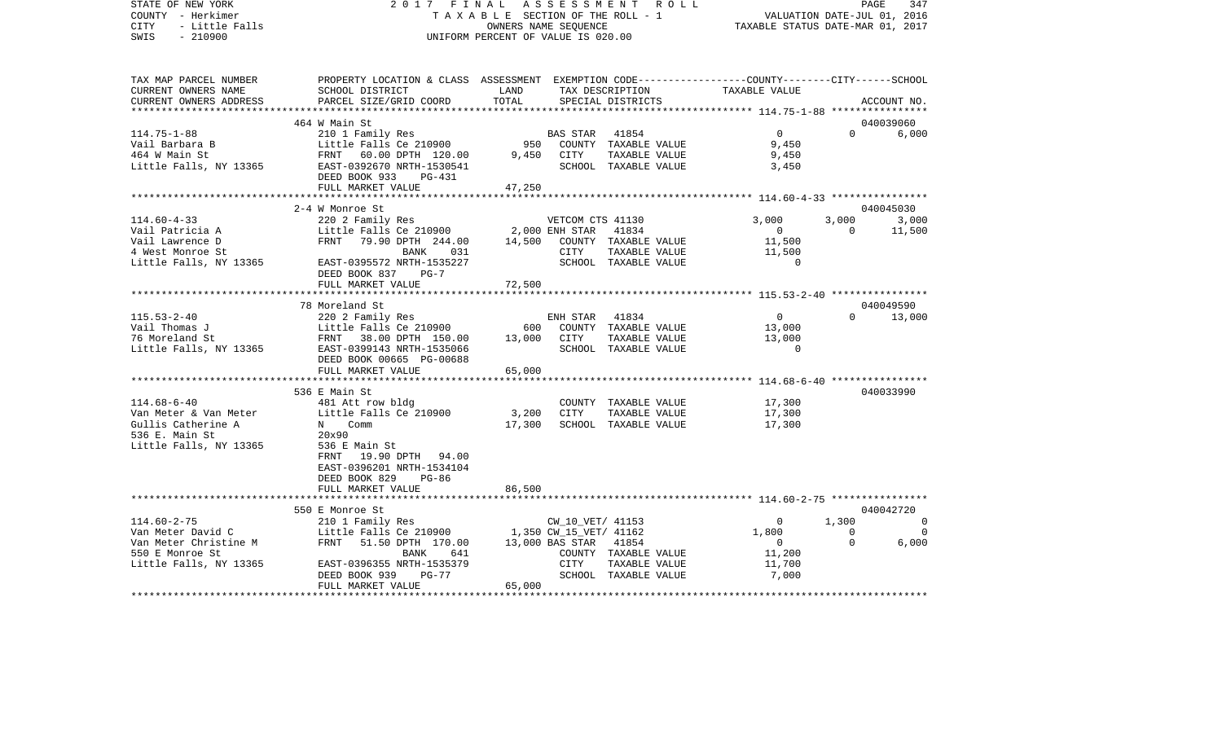STATE OF NEW YORK 2 0 1 7 F I N A L A S S E S S M E N T R O L L PAGE 347COUNTY - Herkimer **T A X A B L E** SECTION OF THE ROLL - 1 VALUATION DATE-JUL 01, 2016 CITY - Little Falls OWNERS NAME SEQUENCE TAXABLE STATUS DATE-MAR 01, 2017 SWIS - 210900 UNIFORM PERCENT OF VALUE IS 020.00TAX MAP PARCEL NUMBER PROPERTY LOCATION & CLASS ASSESSMENT EXEMPTION CODE------------------COUNTY--------CITY------SCHOOL CURRENT OWNERS NAME SCHOOL DISTRICT LAND TAX DESCRIPTION TAXABLE VALUECURRENT OWNERS ADDRESS PARCEL SIZE/GRID COORD TOTAL SPECIAL DISTRICTS ACCOUNT NO. \*\*\*\*\*\*\*\*\*\*\*\*\*\*\*\*\*\*\*\*\*\*\*\*\*\*\*\*\*\*\*\*\*\*\*\*\*\*\*\*\*\*\*\*\*\*\*\*\*\*\*\*\*\*\*\*\*\*\*\*\*\*\*\*\*\*\*\*\*\*\*\*\*\*\*\*\*\*\*\*\*\*\*\*\*\*\*\*\*\*\*\*\*\*\*\*\*\*\*\*\*\*\* 114.75-1-88 \*\*\*\*\*\*\*\*\*\*\*\*\*\*\*\* 464 W Main St 040039060114.75-1-88 210 1 Family Res BAS STAR 41854 0 0 6,000 Vail Barbara B Little Falls Ce 210900 950 COUNTY TAXABLE VALUE 9,450 464 W Main St FRNT 60.00 DPTH 120.00 9,450 CITY TAXABLE VALUE 9,450 Little Falls, NY 13365 EAST-0392670 NRTH-1530541 SCHOOL TAXABLE VALUE 3,450 DEED BOOK 933 PG-431FULL MARKET VALUE 47,250 \*\*\*\*\*\*\*\*\*\*\*\*\*\*\*\*\*\*\*\*\*\*\*\*\*\*\*\*\*\*\*\*\*\*\*\*\*\*\*\*\*\*\*\*\*\*\*\*\*\*\*\*\*\*\*\*\*\*\*\*\*\*\*\*\*\*\*\*\*\*\*\*\*\*\*\*\*\*\*\*\*\*\*\*\*\*\*\*\*\*\*\*\*\*\*\*\*\*\*\*\*\*\* 114.60-4-33 \*\*\*\*\*\*\*\*\*\*\*\*\*\*\*\* 2-4 W Monroe St 040045030114.60-4-33 220 2 Family Res VETCOM CTS 41130 3,000 3,000 3,000 Vail Patricia A **Little Falls Ce 210900** 2,000 ENH STAR 41834 0 0 11,500 Vail Lawrence D FRNT 79.90 DPTH 244.00 14,500 COUNTY TAXABLE VALUE 11,500 4 West Monroe St 6 11,500 EXAME 631 CITY TAXABLE VALUE 11,500 Little Falls, NY 13365 EAST-0395572 NRTH-1535227 SCHOOL TAXABLE VALUE 0 DEED BOOK 837 PG-7 FULL MARKET VALUE 72,500 \*\*\*\*\*\*\*\*\*\*\*\*\*\*\*\*\*\*\*\*\*\*\*\*\*\*\*\*\*\*\*\*\*\*\*\*\*\*\*\*\*\*\*\*\*\*\*\*\*\*\*\*\*\*\*\*\*\*\*\*\*\*\*\*\*\*\*\*\*\*\*\*\*\*\*\*\*\*\*\*\*\*\*\*\*\*\*\*\*\*\*\*\*\*\*\*\*\*\*\*\*\*\* 115.53-2-40 \*\*\*\*\*\*\*\*\*\*\*\*\*\*\*\* 78 Moreland St 040049590115.53-2-40 220 2 Family Res ENH STAR 41834 0 0 13,000 Vail Thomas J Little Falls Ce 210900 600 COUNTY TAXABLE VALUE 13,000 76 Moreland St FRNT 38.00 DPTH 150.00 13,000 CITY TAXABLE VALUE 13,000 Little Falls, NY 13365 EAST-0399143 NRTH-1535066 SCHOOL TAXABLE VALUE 0 DEED BOOK 00665 PG-00688FULL MARKET VALUE 65,000 \*\*\*\*\*\*\*\*\*\*\*\*\*\*\*\*\*\*\*\*\*\*\*\*\*\*\*\*\*\*\*\*\*\*\*\*\*\*\*\*\*\*\*\*\*\*\*\*\*\*\*\*\*\*\*\*\*\*\*\*\*\*\*\*\*\*\*\*\*\*\*\*\*\*\*\*\*\*\*\*\*\*\*\*\*\*\*\*\*\*\*\*\*\*\*\*\*\*\*\*\*\*\* 114.68-6-40 \*\*\*\*\*\*\*\*\*\*\*\*\*\*\*\* 536 E Main St 040033990114.68-6-40 481 Att row bldg COUNTY TAXABLE VALUE 17,300 Van Meter & Van Meter Little Falls Ce 210900 3,200 CITY TAXABLE VALUE 17,300 Gullis Catherine A  $N$  Comm  $17,300$  SCHOOL TAXABLE VALUE  $17,300$ 536 E. Main St. 20x90 Little Falls, NY 13365 536 E Main St FRNT 19.90 DPTH 94.00 EAST-0396201 NRTH-1534104 DEED BOOK 829 PG-86 FULL MARKET VALUE 86,500 \*\*\*\*\*\*\*\*\*\*\*\*\*\*\*\*\*\*\*\*\*\*\*\*\*\*\*\*\*\*\*\*\*\*\*\*\*\*\*\*\*\*\*\*\*\*\*\*\*\*\*\*\*\*\*\*\*\*\*\*\*\*\*\*\*\*\*\*\*\*\*\*\*\*\*\*\*\*\*\*\*\*\*\*\*\*\*\*\*\*\*\*\*\*\*\*\*\*\*\*\*\*\* 114.60-2-75 \*\*\*\*\*\*\*\*\*\*\*\*\*\*\*\* 550 E Monroe St 040042720114.60-2-75 210 1 Family Res CW\_10\_VET/ 41153 0 1,300 0 Van Meter David C **Little Falls Ce 210900** 1,350 CW\_15\_VET/ 41162 1,800 0 0 0 0 Van Meter Christine M FRNT 51.50 DPTH 170.00 13,000 BAS STAR 41854 0 0 6,000 550 E Monroe St BANK 641 COUNTY TAXABLE VALUE 11,200 Little Falls, NY 13365 EAST-0396355 NRTH-1535379 CITY TAXABLE VALUE 11,700 DEED BOOK 939 PG-77 SCHOOL TAXABLE VALUE 7,000 FULL MARKET VALUE 65,000 \*\*\*\*\*\*\*\*\*\*\*\*\*\*\*\*\*\*\*\*\*\*\*\*\*\*\*\*\*\*\*\*\*\*\*\*\*\*\*\*\*\*\*\*\*\*\*\*\*\*\*\*\*\*\*\*\*\*\*\*\*\*\*\*\*\*\*\*\*\*\*\*\*\*\*\*\*\*\*\*\*\*\*\*\*\*\*\*\*\*\*\*\*\*\*\*\*\*\*\*\*\*\*\*\*\*\*\*\*\*\*\*\*\*\*\*\*\*\*\*\*\*\*\*\*\*\*\*\*\*\*\*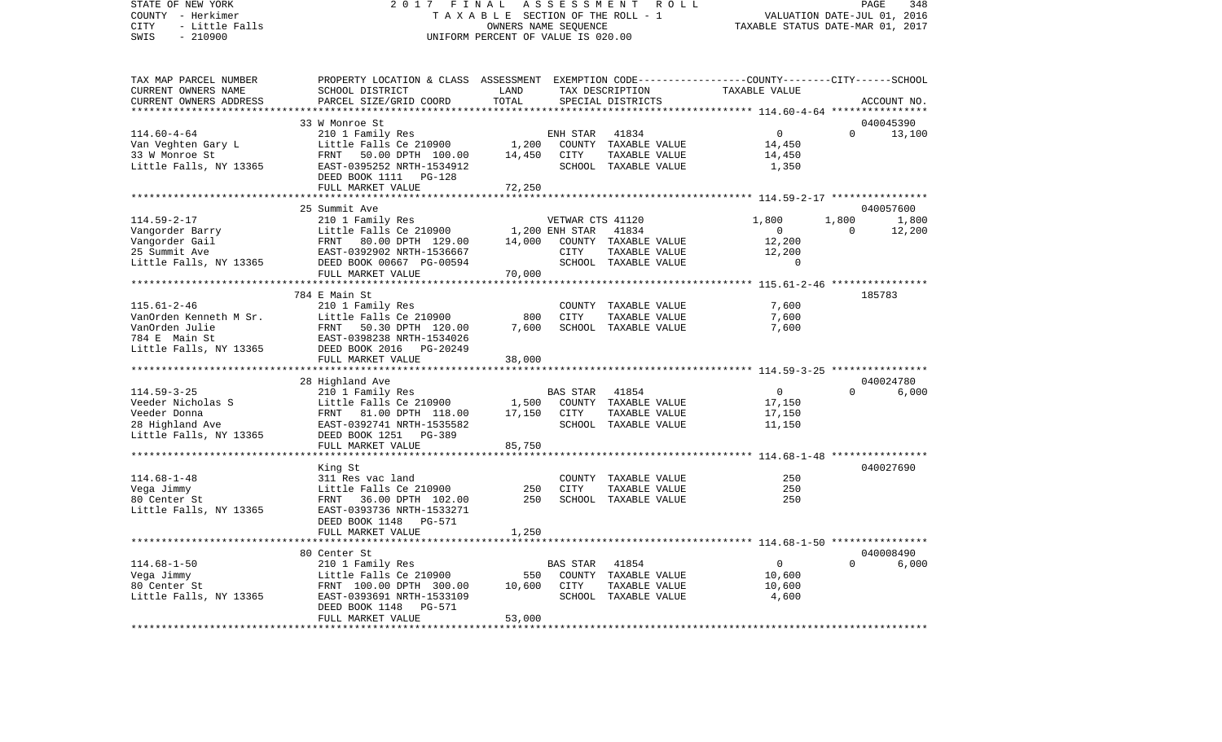STATE OF NEW YORK 2 0 1 7 F I N A L A S S E S S M E N T R O L L PAGE 348VALUATION DATE-JUL 01, 2016 COUNTY - Herkimer T A X A B L E SECTION OF THE ROLL - 1 CITY - Little Falls OWNERS NAME SEQUENCE TAXABLE STATUS DATE-MAR 01, 2017 SWIS - 210900 UNIFORM PERCENT OF VALUE IS 020.00TAX MAP PARCEL NUMBER PROPERTY LOCATION & CLASS ASSESSMENT EXEMPTION CODE------------------COUNTY--------CITY------SCHOOL CURRENT OWNERS NAME SCHOOL DISTRICT LAND TAX DESCRIPTION TAXABLE VALUECURRENT OWNERS ADDRESS PARCEL SIZE/GRID COORD TOTAL SPECIAL DISTRICTS ACCOUNT NO. \*\*\*\*\*\*\*\*\*\*\*\*\*\*\*\*\*\*\*\*\*\*\*\*\*\*\*\*\*\*\*\*\*\*\*\*\*\*\*\*\*\*\*\*\*\*\*\*\*\*\*\*\*\*\*\*\*\*\*\*\*\*\*\*\*\*\*\*\*\*\*\*\*\*\*\*\*\*\*\*\*\*\*\*\*\*\*\*\*\*\*\*\*\*\*\*\*\*\*\*\*\*\* 114.60-4-64 \*\*\*\*\*\*\*\*\*\*\*\*\*\*\*\* 33 W Monroe St 040045390114.60-4-64 210 1 Family Res ENH STAR 41834 0 0 13,100 Van Veghten Gary L ittle Falls Ce 210900 1,200 COUNTY TAXABLE VALUE 14,450 33 W Monroe St FRNT 50.00 DPTH 100.00 14,450 CITY TAXABLE VALUE 14,450 Little Falls, NY 13365 EAST-0395252 NRTH-1534912 SCHOOL TAXABLE VALUE 1,350 DEED BOOK 1111 PG-128FULL MARKET VALUE 72,250 \*\*\*\*\*\*\*\*\*\*\*\*\*\*\*\*\*\*\*\*\*\*\*\*\*\*\*\*\*\*\*\*\*\*\*\*\*\*\*\*\*\*\*\*\*\*\*\*\*\*\*\*\*\*\*\*\*\*\*\*\*\*\*\*\*\*\*\*\*\*\*\*\*\*\*\*\*\*\*\*\*\*\*\*\*\*\*\*\*\*\*\*\*\*\*\*\*\*\*\*\*\*\* 114.59-2-17 \*\*\*\*\*\*\*\*\*\*\*\*\*\*\*\* 25 Summit Ave 040057600114.59-2-17 210 1 Family Res VETWAR CTS 41120 1,800 1,800 1,800 Vangorder Barry **Little Falls Ce 210900** 1,200 ENH STAR 41834 0 0 12,200 Vangorder Gail **FRNT** 80.00 DPTH 129.00 14,000 COUNTY TAXABLE VALUE 12,200 25 Summit Ave EAST-0392902 NRTH-1536667 CITY TAXABLE VALUE 12,200 Little Falls, NY 13365 DEED BOOK 00667 PG-00594 SCHOOL TAXABLE VALUE 0 FULL MARKET VALUE 70,000 \*\*\*\*\*\*\*\*\*\*\*\*\*\*\*\*\*\*\*\*\*\*\*\*\*\*\*\*\*\*\*\*\*\*\*\*\*\*\*\*\*\*\*\*\*\*\*\*\*\*\*\*\*\*\*\*\*\*\*\*\*\*\*\*\*\*\*\*\*\*\*\*\*\*\*\*\*\*\*\*\*\*\*\*\*\*\*\*\*\*\*\*\*\*\*\*\*\*\*\*\*\*\* 115.61-2-46 \*\*\*\*\*\*\*\*\*\*\*\*\*\*\*\* 784 E Main St 185783115.61-2-46 210 1 Family Res COUNTY TAXABLE VALUE 7,600 VanOrden Kenneth M Sr. Little Falls Ce 210900 800 CITY TAXABLE VALUE 7,600 VanOrden Julie FRNT 50.30 DPTH 120.00 7,600 SCHOOL TAXABLE VALUE 7,600 784 E Main St EAST-0398238 NRTH-1534026Little Falls, NY 13365 DEED BOOK 2016 PG-20249 FULL MARKET VALUE 38,000 \*\*\*\*\*\*\*\*\*\*\*\*\*\*\*\*\*\*\*\*\*\*\*\*\*\*\*\*\*\*\*\*\*\*\*\*\*\*\*\*\*\*\*\*\*\*\*\*\*\*\*\*\*\*\*\*\*\*\*\*\*\*\*\*\*\*\*\*\*\*\*\*\*\*\*\*\*\*\*\*\*\*\*\*\*\*\*\*\*\*\*\*\*\*\*\*\*\*\*\*\*\*\* 114.59-3-25 \*\*\*\*\*\*\*\*\*\*\*\*\*\*\*\* 28 Highland Ave 040024780 114.59-3-25 210 1 Family Res BAS STAR 41854 0 0 6,000 Veeder Nicholas S Little Falls Ce 210900 1,500 COUNTY TAXABLE VALUE 17,150 Veeder Donna FRNT 81.00 DPTH 118.00 17,150 CITY TAXABLE VALUE 17,150 28 Highland Ave EAST-0392741 NRTH-1535582 SCHOOL TAXABLE VALUE 11,150 Little Falls, NY 13365 DEED BOOK 1251 PG-389 FULL MARKET VALUE 85,750 \*\*\*\*\*\*\*\*\*\*\*\*\*\*\*\*\*\*\*\*\*\*\*\*\*\*\*\*\*\*\*\*\*\*\*\*\*\*\*\*\*\*\*\*\*\*\*\*\*\*\*\*\*\*\*\*\*\*\*\*\*\*\*\*\*\*\*\*\*\*\*\*\*\*\*\*\*\*\*\*\*\*\*\*\*\*\*\*\*\*\*\*\*\*\*\*\*\*\*\*\*\*\* 114.68-1-48 \*\*\*\*\*\*\*\*\*\*\*\*\*\*\*\* King St 040027690 114.68-1-48 311 Res vac land COUNTY TAXABLE VALUE 250250 Vega Jimmy Little Falls Ce 210900 250 CITY TAXABLE VALUE 250 80 Center St FRNT 36.00 DPTH 102.00 250 SCHOOL TAXABLE VALUE 250Little Falls, NY 13365 EAST-0393736 NRTH-1533271 DEED BOOK 1148 PG-571FULL MARKET VALUE 1,250 \*\*\*\*\*\*\*\*\*\*\*\*\*\*\*\*\*\*\*\*\*\*\*\*\*\*\*\*\*\*\*\*\*\*\*\*\*\*\*\*\*\*\*\*\*\*\*\*\*\*\*\*\*\*\*\*\*\*\*\*\*\*\*\*\*\*\*\*\*\*\*\*\*\*\*\*\*\*\*\*\*\*\*\*\*\*\*\*\*\*\*\*\*\*\*\*\*\*\*\*\*\*\* 114.68-1-50 \*\*\*\*\*\*\*\*\*\*\*\*\*\*\*\* 80 Center St 040008490114.68-1-50 210 1 Family Res BAS STAR 41854 0 0 6,000 Vega Jimmy 1988 Control County County County County Paxable Value 80 Center St FRNT 100.00 DPTH 300.00 10,600 CITY TAXABLE VALUE 10,600 Little Falls, NY 13365 EAST-0393691 NRTH-1533109 SCHOOL TAXABLE VALUE 4,600 DEED BOOK 1148 PG-571 FULL MARKET VALUE 53,000 \*\*\*\*\*\*\*\*\*\*\*\*\*\*\*\*\*\*\*\*\*\*\*\*\*\*\*\*\*\*\*\*\*\*\*\*\*\*\*\*\*\*\*\*\*\*\*\*\*\*\*\*\*\*\*\*\*\*\*\*\*\*\*\*\*\*\*\*\*\*\*\*\*\*\*\*\*\*\*\*\*\*\*\*\*\*\*\*\*\*\*\*\*\*\*\*\*\*\*\*\*\*\*\*\*\*\*\*\*\*\*\*\*\*\*\*\*\*\*\*\*\*\*\*\*\*\*\*\*\*\*\*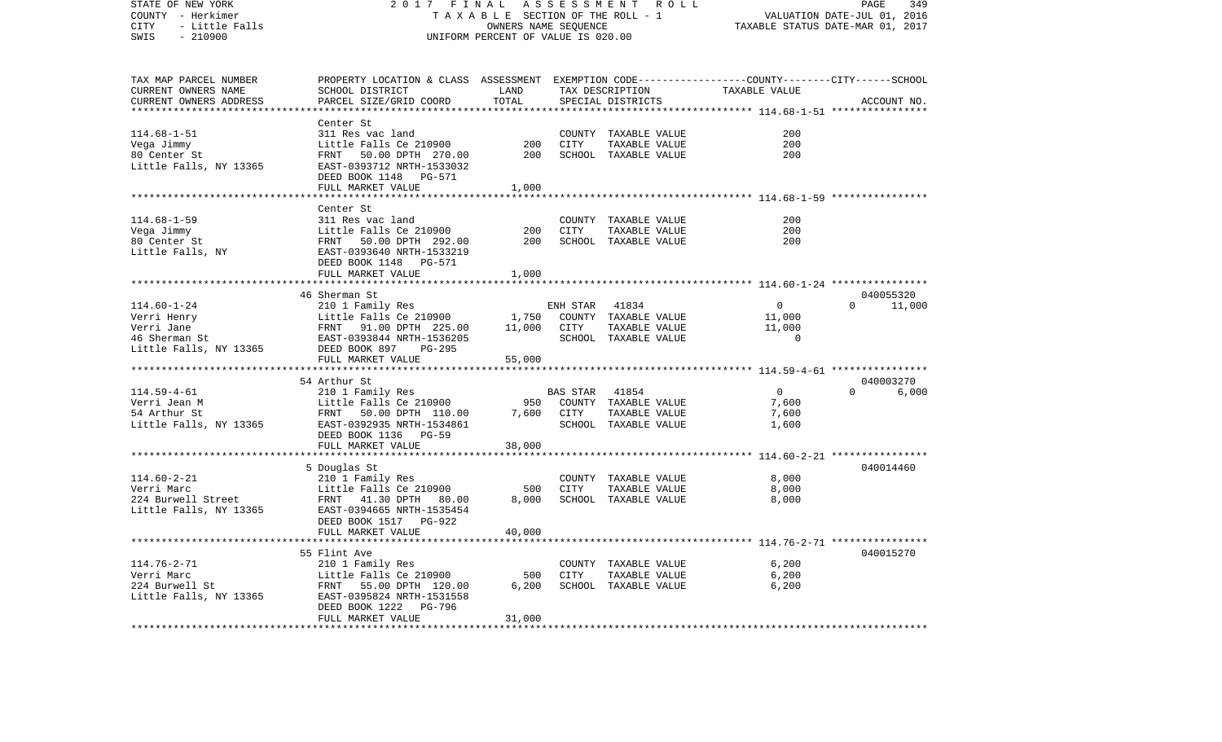| STATE OF NEW YORK<br>COUNTY - Herkimer<br>CITY<br>- Little Falls<br>$-210900$<br>SWIS | 2 0 1 7<br>FINAL<br>TAXABLE SECTION OF THE ROLL - 1<br>UNIFORM PERCENT OF VALUE IS 020.00                           | ASSESSMENT ROLL<br>PAGE<br>349<br>VALUATION DATE-JUL 01, 2016<br>TAXABLE STATUS DATE-MAR 01, 2017 |                 |                                       |                                                        |                    |
|---------------------------------------------------------------------------------------|---------------------------------------------------------------------------------------------------------------------|---------------------------------------------------------------------------------------------------|-----------------|---------------------------------------|--------------------------------------------------------|--------------------|
| TAX MAP PARCEL NUMBER<br>CURRENT OWNERS NAME                                          | PROPERTY LOCATION & CLASS ASSESSMENT EXEMPTION CODE----------------COUNTY-------CITY------SCHOOL<br>SCHOOL DISTRICT | LAND                                                                                              |                 | TAX DESCRIPTION                       | TAXABLE VALUE                                          |                    |
| CURRENT OWNERS ADDRESS                                                                | PARCEL SIZE/GRID COORD                                                                                              | TOTAL                                                                                             |                 | SPECIAL DISTRICTS                     |                                                        | ACCOUNT NO.        |
|                                                                                       |                                                                                                                     | * * * * * * * * * *                                                                               |                 |                                       | ********** 114.68-1-51 *****************               |                    |
|                                                                                       | Center St                                                                                                           |                                                                                                   |                 |                                       |                                                        |                    |
| $114.68 - 1 - 51$                                                                     | 311 Res vac land                                                                                                    |                                                                                                   |                 | COUNTY TAXABLE VALUE                  | 200                                                    |                    |
| Vega Jimmy                                                                            | Little Falls Ce 210900                                                                                              | 200                                                                                               | CITY            | TAXABLE VALUE                         | 200                                                    |                    |
| 80 Center St<br>Little Falls, NY 13365                                                | FRNT 50.00 DPTH 270.00<br>EAST-0393712 NRTH-1533032<br>DEED BOOK 1148 PG-571                                        | 200                                                                                               |                 | SCHOOL TAXABLE VALUE                  | 200                                                    |                    |
|                                                                                       | FULL MARKET VALUE<br>*************************                                                                      | 1,000<br>*********                                                                                |                 |                                       | ************************ 114.68-1-59 ***************** |                    |
|                                                                                       | Center St                                                                                                           |                                                                                                   |                 |                                       |                                                        |                    |
| $114.68 - 1 - 59$                                                                     | 311 Res vac land                                                                                                    |                                                                                                   |                 | COUNTY TAXABLE VALUE                  | 200                                                    |                    |
| Vega Jimmy                                                                            | Little Falls Ce 210900                                                                                              | 200                                                                                               | <b>CITY</b>     | TAXABLE VALUE                         | 200                                                    |                    |
| 80 Center St<br>Little Falls, NY                                                      | FRNT<br>50.00 DPTH 292.00<br>EAST-0393640 NRTH-1533219<br>DEED BOOK 1148 PG-571                                     | 200                                                                                               |                 | SCHOOL TAXABLE VALUE                  | 200                                                    |                    |
|                                                                                       | FULL MARKET VALUE                                                                                                   | 1,000                                                                                             |                 |                                       |                                                        |                    |
|                                                                                       |                                                                                                                     |                                                                                                   |                 |                                       |                                                        |                    |
|                                                                                       | 46 Sherman St                                                                                                       |                                                                                                   |                 |                                       |                                                        | 040055320          |
| $114.60 - 1 - 24$                                                                     | 210 1 Family Res                                                                                                    |                                                                                                   | ENH STAR        | 41834                                 | $\mathbf 0$                                            | $\Omega$<br>11,000 |
| Verri Henry<br>Verri Jane                                                             | Little Falls Ce 210900<br>FRNT 91.00 DPTH 225.00                                                                    | 1,750<br>11,000                                                                                   | CITY            | COUNTY TAXABLE VALUE<br>TAXABLE VALUE | 11,000<br>11,000                                       |                    |
| 46 Sherman St                                                                         | EAST-0393844 NRTH-1536205                                                                                           |                                                                                                   |                 | SCHOOL TAXABLE VALUE                  | $\overline{0}$                                         |                    |
| Little Falls, NY 13365                                                                | DEED BOOK 897<br>PG-295<br>FULL MARKET VALUE                                                                        | 55,000                                                                                            |                 |                                       |                                                        |                    |
|                                                                                       |                                                                                                                     |                                                                                                   |                 |                                       |                                                        |                    |
|                                                                                       | 54 Arthur St                                                                                                        |                                                                                                   |                 |                                       |                                                        | 040003270          |
| $114.59 - 4 - 61$                                                                     | 210 1 Family Res                                                                                                    |                                                                                                   | <b>BAS STAR</b> | 41854                                 | $\Omega$                                               | $\Omega$<br>6,000  |
| Verri Jean M                                                                          | Little Falls Ce 210900                                                                                              | 950<br>7,600                                                                                      |                 | COUNTY TAXABLE VALUE                  | 7,600                                                  |                    |
| 54 Arthur St<br>Little Falls, NY 13365                                                | FRNT<br>50.00 DPTH 110.00<br>EAST-0392935 NRTH-1534861                                                              |                                                                                                   | CITY            | TAXABLE VALUE<br>SCHOOL TAXABLE VALUE | 7,600<br>1,600                                         |                    |
|                                                                                       | DEED BOOK 1136 PG-59                                                                                                |                                                                                                   |                 |                                       |                                                        |                    |
|                                                                                       | FULL MARKET VALUE                                                                                                   | 38,000                                                                                            |                 |                                       |                                                        |                    |
|                                                                                       |                                                                                                                     |                                                                                                   |                 |                                       |                                                        |                    |
|                                                                                       | 5 Douglas St                                                                                                        |                                                                                                   |                 |                                       |                                                        | 040014460          |
| $114.60 - 2 - 21$                                                                     | 210 1 Family Res                                                                                                    |                                                                                                   |                 | COUNTY TAXABLE VALUE                  | 8,000                                                  |                    |
| Verri Marc<br>224 Burwell Street                                                      | Little Falls Ce 210900<br>FRNT<br>41.30 DPTH 80.00                                                                  | 500<br>8,000                                                                                      | CITY            | TAXABLE VALUE<br>SCHOOL TAXABLE VALUE | 8,000<br>8,000                                         |                    |
| Little Falls, NY 13365                                                                | EAST-0394665 NRTH-1535454                                                                                           |                                                                                                   |                 |                                       |                                                        |                    |
|                                                                                       | DEED BOOK 1517 PG-922<br>FULL MARKET VALUE                                                                          | 40,000                                                                                            |                 |                                       |                                                        |                    |
|                                                                                       |                                                                                                                     |                                                                                                   |                 |                                       |                                                        |                    |
|                                                                                       | 55 Flint Ave                                                                                                        |                                                                                                   |                 |                                       |                                                        | 040015270          |
| $114.76 - 2 - 71$                                                                     | 210 1 Family Res                                                                                                    |                                                                                                   |                 | COUNTY TAXABLE VALUE                  | 6,200                                                  |                    |
| Verri Marc                                                                            | Little Falls Ce 210900                                                                                              | 500                                                                                               | CITY            | TAXABLE VALUE                         | 6,200                                                  |                    |
| 224 Burwell St<br>Little Falls, NY 13365                                              | FRNT 55.00 DPTH 120.00<br>EAST-0395824 NRTH-1531558<br>DEED BOOK 1222<br>PG-796                                     | 6,200                                                                                             |                 | SCHOOL TAXABLE VALUE                  | 6,200                                                  |                    |
|                                                                                       | FULL MARKET VALUE                                                                                                   | 31,000                                                                                            |                 |                                       |                                                        |                    |
|                                                                                       |                                                                                                                     |                                                                                                   |                 |                                       |                                                        |                    |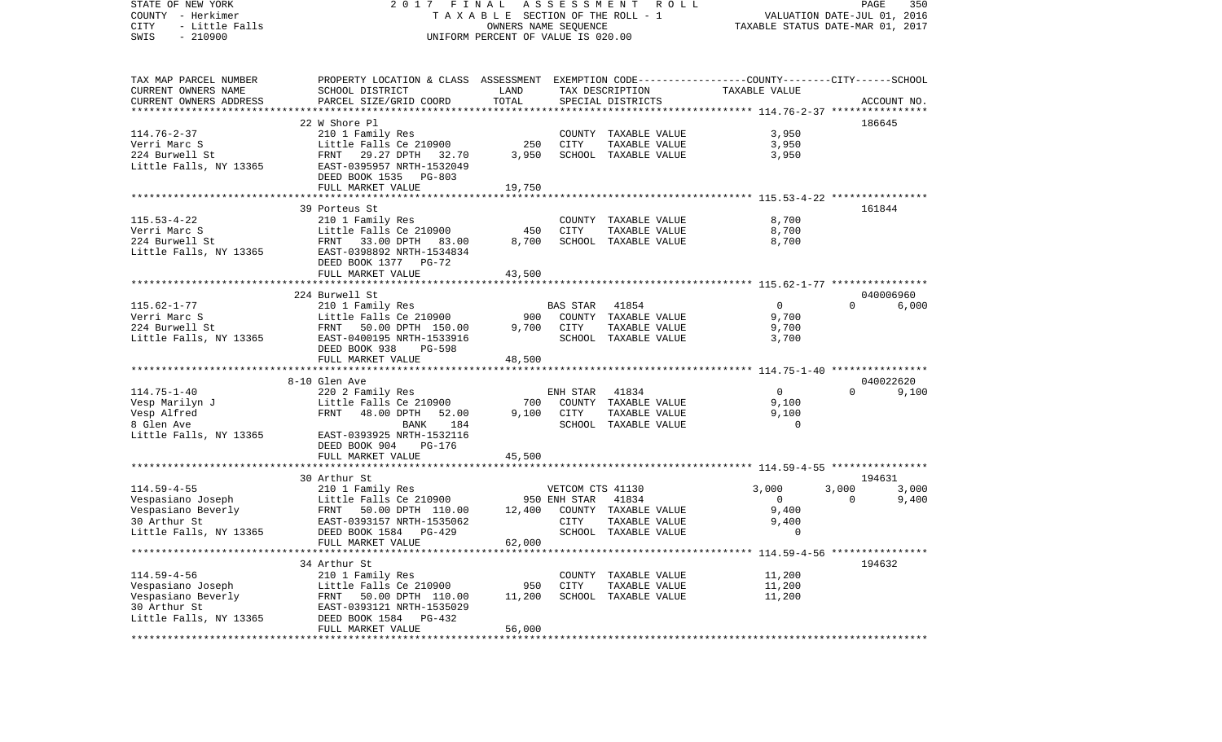| STATE OF NEW YORK<br>COUNTY - Herkimer<br>CITY<br>- Little Falls<br>$-210900$<br>SWIS | FINAL<br>2017<br>TAXABLE SECTION OF THE ROLL - 1<br>UNIFORM PERCENT OF VALUE IS 020.00          | R O L L<br>PAGE<br>350<br>VALUATION DATE-JUL 01, 2016<br>TAXABLE STATUS DATE-MAR 01, 2017 |                  |                                       |                   |          |             |
|---------------------------------------------------------------------------------------|-------------------------------------------------------------------------------------------------|-------------------------------------------------------------------------------------------|------------------|---------------------------------------|-------------------|----------|-------------|
| TAX MAP PARCEL NUMBER                                                                 | PROPERTY LOCATION & CLASS ASSESSMENT EXEMPTION CODE---------------COUNTY-------CITY------SCHOOL |                                                                                           |                  |                                       |                   |          |             |
| CURRENT OWNERS NAME                                                                   | SCHOOL DISTRICT                                                                                 | LAND                                                                                      |                  | TAX DESCRIPTION                       | TAXABLE VALUE     |          |             |
| CURRENT OWNERS ADDRESS<br>***************************                                 | PARCEL SIZE/GRID COORD                                                                          | TOTAL                                                                                     |                  | SPECIAL DISTRICTS                     |                   |          | ACCOUNT NO. |
|                                                                                       | 22 W Shore Pl                                                                                   |                                                                                           |                  |                                       |                   |          | 186645      |
| $114.76 - 2 - 37$                                                                     | 210 1 Family Res                                                                                |                                                                                           |                  | COUNTY TAXABLE VALUE                  | 3,950             |          |             |
| Verri Marc S                                                                          | Little Falls Ce 210900                                                                          | 250                                                                                       | CITY             | TAXABLE VALUE                         | 3,950             |          |             |
| 224 Burwell St                                                                        | 29.27 DPTH 32.70<br>FRNT                                                                        | 3,950                                                                                     |                  | SCHOOL TAXABLE VALUE                  | 3,950             |          |             |
| Little Falls, NY 13365                                                                | EAST-0395957 NRTH-1532049                                                                       |                                                                                           |                  |                                       |                   |          |             |
|                                                                                       | DEED BOOK 1535<br>PG-803                                                                        |                                                                                           |                  |                                       |                   |          |             |
|                                                                                       | FULL MARKET VALUE                                                                               | 19,750                                                                                    |                  |                                       |                   |          |             |
|                                                                                       |                                                                                                 |                                                                                           |                  |                                       |                   |          |             |
| $115.53 - 4 - 22$                                                                     | 39 Porteus St                                                                                   |                                                                                           |                  |                                       | 8,700             |          | 161844      |
| Verri Marc S                                                                          | 210 1 Family Res<br>Little Falls Ce 210900                                                      | 450                                                                                       | CITY             | COUNTY TAXABLE VALUE<br>TAXABLE VALUE | 8,700             |          |             |
| 224 Burwell St                                                                        | FRNT 33.00 DPTH 83.00                                                                           | 8,700                                                                                     |                  | SCHOOL TAXABLE VALUE                  | 8,700             |          |             |
| Little Falls, NY 13365                                                                | EAST-0398892 NRTH-1534834                                                                       |                                                                                           |                  |                                       |                   |          |             |
|                                                                                       | DEED BOOK 1377 PG-72                                                                            |                                                                                           |                  |                                       |                   |          |             |
|                                                                                       | FULL MARKET VALUE                                                                               | 43,500                                                                                    |                  |                                       |                   |          |             |
|                                                                                       |                                                                                                 |                                                                                           |                  |                                       |                   |          |             |
|                                                                                       | 224 Burwell St                                                                                  |                                                                                           |                  |                                       |                   |          | 040006960   |
| $115.62 - 1 - 77$                                                                     | 210 1 Family Res                                                                                |                                                                                           | BAS STAR         | 41854                                 | $0 \qquad \qquad$ | $\Omega$ | 6,000       |
| Verri Marc S<br>224 Burwell St                                                        | Little Falls Ce 210900<br>FRNT 50.00 DPTH 150.00                                                | 900<br>9,700                                                                              | CITY             | COUNTY TAXABLE VALUE<br>TAXABLE VALUE | 9,700<br>9,700    |          |             |
| Little Falls, NY 13365                                                                | EAST-0400195 NRTH-1533916                                                                       |                                                                                           |                  | SCHOOL TAXABLE VALUE                  | 3,700             |          |             |
|                                                                                       | DEED BOOK 938<br>PG-598                                                                         |                                                                                           |                  |                                       |                   |          |             |
|                                                                                       | FULL MARKET VALUE                                                                               | 48,500                                                                                    |                  |                                       |                   |          |             |
|                                                                                       |                                                                                                 |                                                                                           |                  |                                       |                   |          |             |
|                                                                                       | 8-10 Glen Ave                                                                                   |                                                                                           |                  |                                       |                   |          | 040022620   |
| $114.75 - 1 - 40$                                                                     | 220 2 Family Res                                                                                |                                                                                           | ENH STAR         | 41834                                 | $\circ$           | $\Omega$ | 9,100       |
| Vesp Marilyn J                                                                        | Little Falls Ce 210900                                                                          | 700                                                                                       |                  | COUNTY TAXABLE VALUE                  | 9,100             |          |             |
| Vesp Alfred<br>8 Glen Ave                                                             | FRNT<br>48.00 DPTH 52.00<br>BANK<br>184                                                         | 9,100                                                                                     | CITY             | TAXABLE VALUE<br>SCHOOL TAXABLE VALUE | 9,100<br>$\Omega$ |          |             |
| Little Falls, NY 13365                                                                | EAST-0393925 NRTH-1532116                                                                       |                                                                                           |                  |                                       |                   |          |             |
|                                                                                       | DEED BOOK 904<br>PG-176                                                                         |                                                                                           |                  |                                       |                   |          |             |
|                                                                                       | FULL MARKET VALUE                                                                               | 45,500                                                                                    |                  |                                       |                   |          |             |
|                                                                                       |                                                                                                 |                                                                                           |                  |                                       |                   |          |             |
|                                                                                       | 30 Arthur St                                                                                    |                                                                                           |                  |                                       |                   |          | 194631      |
| $114.59 - 4 - 55$                                                                     | 210 1 Family Res<br>Little Falls Ce 210900<br>-----                                             |                                                                                           | VETCOM CTS 41130 |                                       | 3,000             | 3,000    | 3,000       |
| Vespasiano Joseph                                                                     |                                                                                                 |                                                                                           | 950 ENH STAR     | 41834                                 | $\Omega$          | $\Omega$ | 9,400       |
| Vespasiano Beverly<br>30 Arthur St                                                    | FRNT 50.00 DPTH 110.00<br>EAST-0393157 NRTH-1535062                                             | 12,400                                                                                    | CITY             | COUNTY TAXABLE VALUE<br>TAXABLE VALUE | 9,400<br>9,400    |          |             |
| Little Falls, NY 13365                                                                | DEED BOOK 1584<br>PG-429                                                                        |                                                                                           |                  | SCHOOL TAXABLE VALUE                  | 0                 |          |             |
|                                                                                       | FULL MARKET VALUE                                                                               | 62,000                                                                                    |                  |                                       |                   |          |             |
|                                                                                       |                                                                                                 |                                                                                           |                  |                                       |                   |          |             |
|                                                                                       | 34 Arthur St                                                                                    |                                                                                           |                  |                                       |                   |          | 194632      |
| $114.59 - 4 - 56$                                                                     | 210 1 Family Res                                                                                |                                                                                           |                  | COUNTY TAXABLE VALUE                  | 11,200            |          |             |
| Vespasiano Joseph                                                                     | Little Falls Ce 210900                                                                          | 950                                                                                       | CITY             | TAXABLE VALUE                         | 11,200            |          |             |
| Vespasiano Beverly                                                                    | FRNT 50.00 DPTH 110.00                                                                          | 11,200                                                                                    |                  | SCHOOL TAXABLE VALUE                  | 11,200            |          |             |
| 30 Arthur St                                                                          | EAST-0393121 NRTH-1535029                                                                       |                                                                                           |                  |                                       |                   |          |             |
| Little Falls, NY 13365                                                                | DEED BOOK 1584 PG-432                                                                           |                                                                                           |                  |                                       |                   |          |             |
|                                                                                       | FULL MARKET VALUE                                                                               | 56,000                                                                                    |                  |                                       |                   |          |             |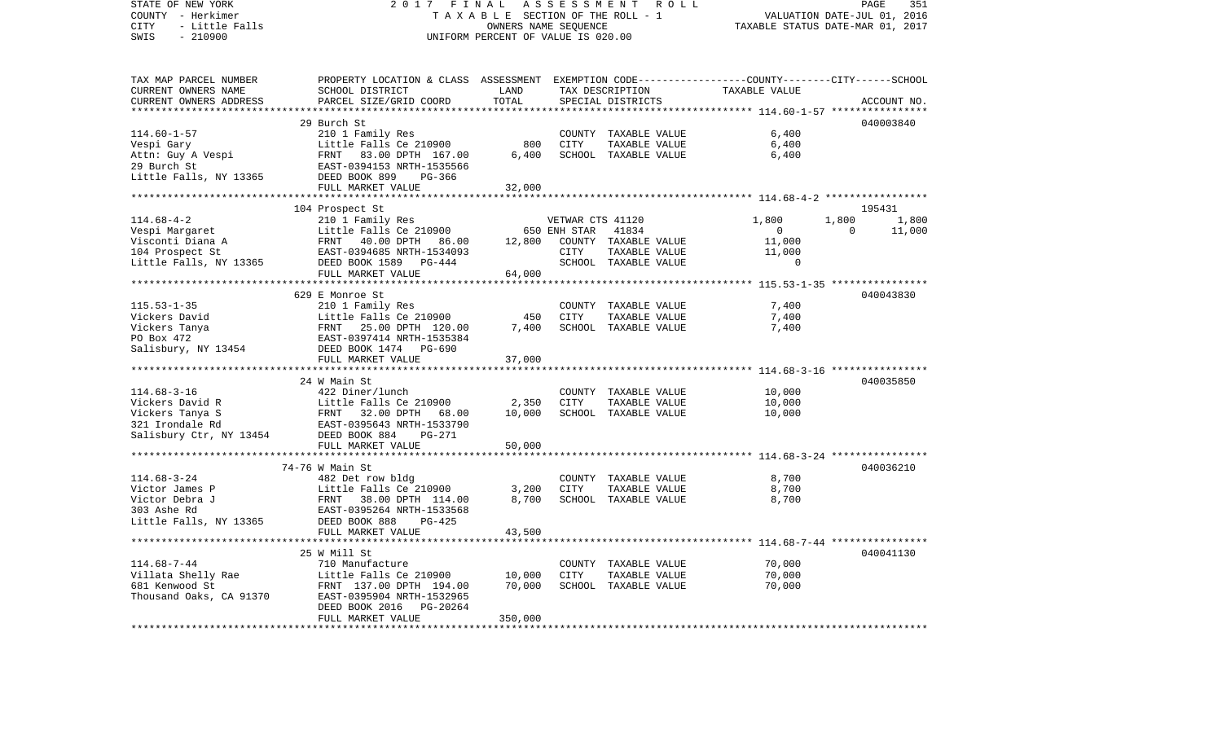STATE OF NEW YORK 2 0 1 7 F I N A L A S S E S S M E N T R O L L PAGE 351COUNTY - Herkimer **T A X A B L E** SECTION OF THE ROLL - 1 VALUATION DATE-JUL 01, 2016 CITY - Little Falls OWNERS NAME SEQUENCE TAXABLE STATUS DATE-MAR 01, 2017 SWIS - 210900 UNIFORM PERCENT OF VALUE IS 020.00TAX MAP PARCEL NUMBER PROPERTY LOCATION & CLASS ASSESSMENT EXEMPTION CODE------------------COUNTY--------CITY------SCHOOL CURRENT OWNERS NAME SCHOOL DISTRICT LAND TAX DESCRIPTION TAXABLE VALUECURRENT OWNERS ADDRESS PARCEL SIZE/GRID COORD TOTAL SPECIAL DISTRICTS ACCOUNT NO. \*\*\*\*\*\*\*\*\*\*\*\*\*\*\*\*\*\*\*\*\*\*\*\*\*\*\*\*\*\*\*\*\*\*\*\*\*\*\*\*\*\*\*\*\*\*\*\*\*\*\*\*\*\*\*\*\*\*\*\*\*\*\*\*\*\*\*\*\*\*\*\*\*\*\*\*\*\*\*\*\*\*\*\*\*\*\*\*\*\*\*\*\*\*\*\*\*\*\*\*\*\*\* 114.60-1-57 \*\*\*\*\*\*\*\*\*\*\*\*\*\*\*\* 29 Burch St 040003840114.60-1-57 210 1 Family Res COUNTY TAXABLE VALUE 6,400 Vespi Gary **Little Falls Ce 210900** 800 CITY TAXABLE VALUE 6,400 Attn: Guy A Vespi 6,400 FRNT 83.00 DPTH 167.00 6,400 SCHOOL TAXABLE VALUE 66,400 29 Burch St EAST-0394153 NRTH-1535566Little Falls, NY 13365 DEED BOOK 899 PG-366 FULL MARKET VALUE 32,000 \*\*\*\*\*\*\*\*\*\*\*\*\*\*\*\*\*\*\*\*\*\*\*\*\*\*\*\*\*\*\*\*\*\*\*\*\*\*\*\*\*\*\*\*\*\*\*\*\*\*\*\*\*\*\*\*\*\*\*\*\*\*\*\*\*\*\*\*\*\*\*\*\*\*\*\*\*\*\*\*\*\*\*\*\*\*\*\*\*\*\*\*\*\*\*\*\*\*\*\*\*\*\* 114.68-4-2 \*\*\*\*\*\*\*\*\*\*\*\*\*\*\*\*\*104 Prospect St 195431 114.68-4-2 210 1 Family Res VETWAR CTS 41120 1,800 1,800 1,800 Vespi Margaret a Controlled Little Falls Ce 210900 650 ENH STAR 41834 0 0 0 11,000 Visconti Diana A FRNT 40.00 DPTH 86.00 12,800 COUNTY TAXABLE VALUE 11,000 104 Prospect St EAST-0394685 NRTH-1534093 CITY TAXABLE VALUE 11,000 Little Falls, NY 13365 DEED BOOK 1589 PG-444 SCHOOL TAXABLE VALUE 0 FULL MARKET VALUE 64,000 \*\*\*\*\*\*\*\*\*\*\*\*\*\*\*\*\*\*\*\*\*\*\*\*\*\*\*\*\*\*\*\*\*\*\*\*\*\*\*\*\*\*\*\*\*\*\*\*\*\*\*\*\*\*\*\*\*\*\*\*\*\*\*\*\*\*\*\*\*\*\*\*\*\*\*\*\*\*\*\*\*\*\*\*\*\*\*\*\*\*\*\*\*\*\*\*\*\*\*\*\*\*\* 115.53-1-35 \*\*\*\*\*\*\*\*\*\*\*\*\*\*\*\* 629 E Monroe St 040043830115.53-1-35 210 1 Family Res COUNTY TAXABLE VALUE 7,400 Vickers David Little Falls Ce 210900 450 CITY TAXABLE VALUE 7,400 Vickers Tanya FRNT 25.00 DPTH 120.00 7,400 SCHOOL TAXABLE VALUE 7,400 PO Box 472 EAST-0397414 NRTH-1535384Salisbury, NY 13454 DEED BOOK 1474 PG-690 FULL MARKET VALUE 37,000 \*\*\*\*\*\*\*\*\*\*\*\*\*\*\*\*\*\*\*\*\*\*\*\*\*\*\*\*\*\*\*\*\*\*\*\*\*\*\*\*\*\*\*\*\*\*\*\*\*\*\*\*\*\*\*\*\*\*\*\*\*\*\*\*\*\*\*\*\*\*\*\*\*\*\*\*\*\*\*\*\*\*\*\*\*\*\*\*\*\*\*\*\*\*\*\*\*\*\*\*\*\*\* 114.68-3-16 \*\*\*\*\*\*\*\*\*\*\*\*\*\*\*\* 24 W Main St 040035850114.68-3-16 422 Diner/lunch COUNTY TAXABLE VALUE 10,000 Vickers David R **Little Falls Ce 210900** 2,350 CITY TAXABLE VALUE 10,000 Vickers Tanya S FRNT 32.00 DPTH 68.00 10,000 SCHOOL TAXABLE VALUE 10,000 321 Irondale Rd EAST-0395643 NRTH-1533790Salisbury Ctr, NY 13454 DEED BOOK 884 PG-271 FULL MARKET VALUE 50,000 \*\*\*\*\*\*\*\*\*\*\*\*\*\*\*\*\*\*\*\*\*\*\*\*\*\*\*\*\*\*\*\*\*\*\*\*\*\*\*\*\*\*\*\*\*\*\*\*\*\*\*\*\*\*\*\*\*\*\*\*\*\*\*\*\*\*\*\*\*\*\*\*\*\*\*\*\*\*\*\*\*\*\*\*\*\*\*\*\*\*\*\*\*\*\*\*\*\*\*\*\*\*\* 114.68-3-24 \*\*\*\*\*\*\*\*\*\*\*\*\*\*\*\* 74-76 W Main St 040036210114.68-3-24 482 Det row bldg COUNTY TAXABLE VALUE 8,700 Victor James P Little Falls Ce 210900 3,200 CITY TAXABLE VALUE 8,700 Victor Debra J FRNT 38.00 DPTH 114.00 8.700 SCHOOL TAXABLE VALUE 8.700 303 Ashe Rd EAST-0395264 NRTH-1533568Little Falls, NY 13365 DEED BOOK 888 PG-425 FULL MARKET VALUE 43,500 \*\*\*\*\*\*\*\*\*\*\*\*\*\*\*\*\*\*\*\*\*\*\*\*\*\*\*\*\*\*\*\*\*\*\*\*\*\*\*\*\*\*\*\*\*\*\*\*\*\*\*\*\*\*\*\*\*\*\*\*\*\*\*\*\*\*\*\*\*\*\*\*\*\*\*\*\*\*\*\*\*\*\*\*\*\*\*\*\*\*\*\*\*\*\*\*\*\*\*\*\*\*\* 114.68-7-44 \*\*\*\*\*\*\*\*\*\*\*\*\*\*\*\* 25 W Mill St 040041130114.68-7-44 710 Manufacture COUNTY TAXABLE VALUE 70,000 Villata Shelly Rae  $L$  Little Falls Ce 210900 10,000 CITY TAXABLE VALUE 70,000 681 Kenwood St FRNT 137.00 DPTH 194.00 70,000 SCHOOL TAXABLE VALUE 70,000 Thousand Oaks, CA 91370 EAST-0395904 NRTH-1532965 DEED BOOK 2016 PG-20264 FULL MARKET VALUE 350,000 \*\*\*\*\*\*\*\*\*\*\*\*\*\*\*\*\*\*\*\*\*\*\*\*\*\*\*\*\*\*\*\*\*\*\*\*\*\*\*\*\*\*\*\*\*\*\*\*\*\*\*\*\*\*\*\*\*\*\*\*\*\*\*\*\*\*\*\*\*\*\*\*\*\*\*\*\*\*\*\*\*\*\*\*\*\*\*\*\*\*\*\*\*\*\*\*\*\*\*\*\*\*\*\*\*\*\*\*\*\*\*\*\*\*\*\*\*\*\*\*\*\*\*\*\*\*\*\*\*\*\*\*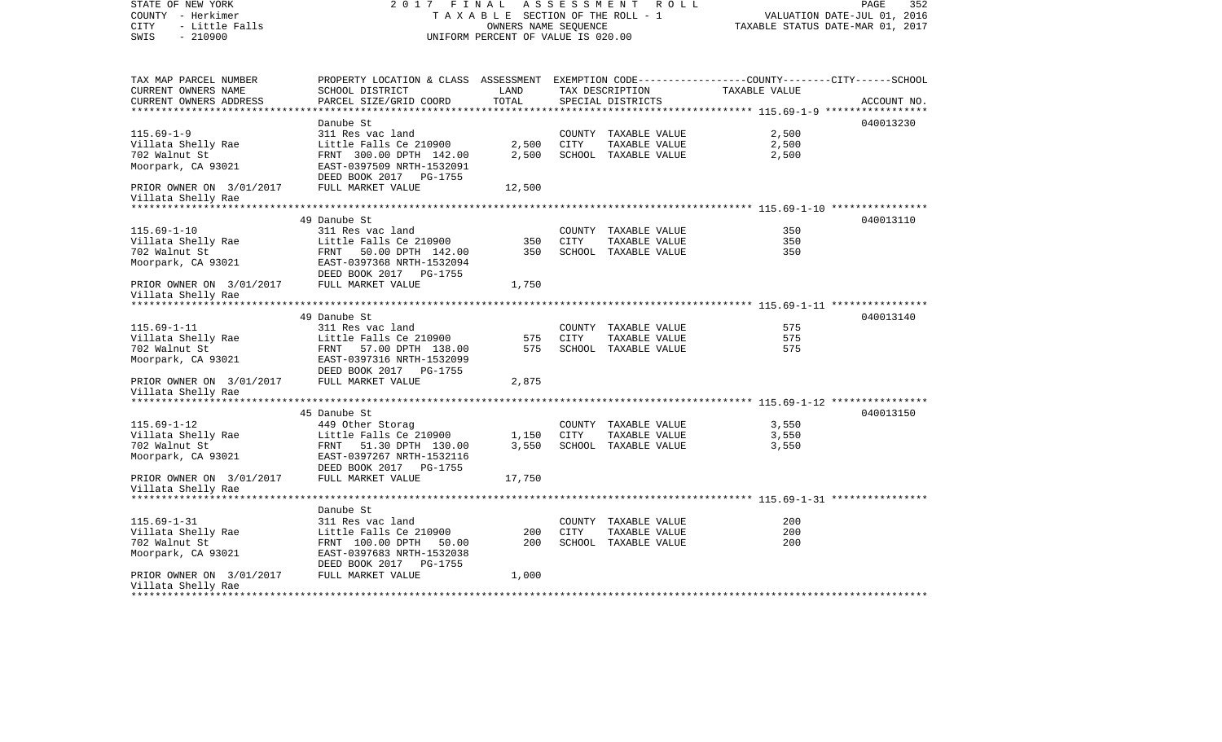| STATE OF NEW YORK<br>COUNTY - Herkimer<br>- Little Falls<br>CITY |                                                                                                 | OWNERS NAME SEQUENCE               |      | 2017 FINAL ASSESSMENT ROLL<br>TAXABLE SECTION OF THE ROLL - 1 | TAXABLE STATUS DATE-MAR 01, 2017 | PAGE<br>352<br>VALUATION DATE-JUL 01, 2016 |
|------------------------------------------------------------------|-------------------------------------------------------------------------------------------------|------------------------------------|------|---------------------------------------------------------------|----------------------------------|--------------------------------------------|
| $-210900$<br>SWIS                                                |                                                                                                 | UNIFORM PERCENT OF VALUE IS 020.00 |      |                                                               |                                  |                                            |
| TAX MAP PARCEL NUMBER                                            | PROPERTY LOCATION & CLASS ASSESSMENT EXEMPTION CODE---------------COUNTY-------CITY------SCHOOL |                                    |      |                                                               |                                  |                                            |
| CURRENT OWNERS NAME                                              | <b>LAND</b><br>SCHOOL DISTRICT                                                                  |                                    |      | TAX DESCRIPTION TAXABLE VALUE                                 |                                  |                                            |
| CURRENT OWNERS ADDRESS                                           | PARCEL SIZE/GRID COORD                                                                          | TOTAL                              |      | SPECIAL DISTRICTS                                             |                                  | ACCOUNT NO.                                |
|                                                                  | Danube St                                                                                       |                                    |      |                                                               |                                  | 040013230                                  |
| $115.69 - 1 - 9$                                                 | 311 Res vac land                                                                                |                                    |      | COUNTY TAXABLE VALUE                                          | 2,500                            |                                            |
|                                                                  | Little Falls Ce 210900                                                                          |                                    |      | 2,500 CITY TAXABLE VALUE                                      | 2,500                            |                                            |
| Villata Shelly Rae<br>702 Walnut St<br>702 Walnut St             | FRNT 300.00 DPTH 142.00                                                                         | 2,500                              |      | SCHOOL TAXABLE VALUE                                          | 2,500                            |                                            |
| Moorpark, CA 93021                                               | EAST-0397509 NRTH-1532091<br>DEED BOOK 2017 PG-1755                                             |                                    |      |                                                               |                                  |                                            |
| PRIOR OWNER ON 3/01/2017<br>Villata Shelly Rae                   | FULL MARKET VALUE                                                                               | 12,500                             |      |                                                               |                                  |                                            |
|                                                                  |                                                                                                 |                                    |      |                                                               |                                  |                                            |
|                                                                  | 49 Danube St                                                                                    |                                    |      |                                                               |                                  | 040013110                                  |
| $115.69 - 1 - 10$                                                | 311 Res vac land                                                                                |                                    |      | COUNTY TAXABLE VALUE                                          | 350                              |                                            |
| Villata Shelly Rae<br>702 Walnut St                              | Little Falls Ce 210900<br>FRNT 50.00 DPTH 142.00<br>EAST-0397368 NRTH-1532094                   | 350<br>350                         | CITY | TAXABLE VALUE<br>SCHOOL TAXABLE VALUE                         | 350<br>350                       |                                            |
| Moorpark, CA 93021                                               |                                                                                                 |                                    |      |                                                               |                                  |                                            |
|                                                                  | DEED BOOK 2017 PG-1755                                                                          |                                    |      |                                                               |                                  |                                            |
| PRIOR OWNER ON 3/01/2017 FULL MARKET VALUE<br>Villata Shelly Rae |                                                                                                 | 1,750                              |      |                                                               |                                  |                                            |
|                                                                  |                                                                                                 |                                    |      |                                                               |                                  |                                            |
|                                                                  | 49 Danube St                                                                                    |                                    |      |                                                               |                                  | 040013140                                  |
| $115.69 - 1 - 11$                                                | 311 Res vac land                                                                                |                                    |      | COUNTY TAXABLE VALUE                                          | 575                              |                                            |
| Villata Shelly Rae                                               | Little Falls Ce 210900                                                                          | 575                                | CITY | TAXABLE VALUE                                                 | 575                              |                                            |
|                                                                  |                                                                                                 | 575                                |      | SCHOOL TAXABLE VALUE                                          | 575                              |                                            |
|                                                                  |                                                                                                 |                                    |      |                                                               |                                  |                                            |
| Villata Shelly Rae                                               |                                                                                                 | 2,875                              |      |                                                               |                                  |                                            |
|                                                                  |                                                                                                 |                                    |      |                                                               |                                  |                                            |
| $115.69 - 1 - 12$                                                | 45 Danube St<br>449 Other Storag                                                                |                                    |      | COUNTY TAXABLE VALUE                                          | 3,550                            | 040013150                                  |
| villata Shelly Rae                                               | Little Falls Ce 210900 1,150 CITY                                                               |                                    |      | TAXABLE VALUE                                                 | 3,550                            |                                            |
| 702 Walnut St                                                    | FRNT 51.30 DPTH 130.00                                                                          |                                    |      | 3,550 SCHOOL TAXABLE VALUE                                    | 3,550                            |                                            |
| Moorpark, CA 93021                                               | EAST-0397267 NRTH-1532116<br>DEED BOOK 2017    PG-1755                                          |                                    |      |                                                               |                                  |                                            |
| PRIOR OWNER ON 3/01/2017 FULL MARKET VALUE<br>Villata Shelly Rae |                                                                                                 | 17,750                             |      |                                                               |                                  |                                            |
| **********************                                           |                                                                                                 |                                    |      |                                                               |                                  |                                            |
|                                                                  | Danube St                                                                                       |                                    |      |                                                               |                                  |                                            |
| $115.69 - 1 - 31$                                                | 311 Res vac land                                                                                |                                    |      | COUNTY TAXABLE VALUE                                          | 200                              |                                            |
| Villata Shelly Rae                                               | Little Falls Ce $210900$                                                                        | 200                                | CITY | TAXABLE VALUE                                                 | 200                              |                                            |
| 702 Walnut St                                                    | FRNT 100.00 DPTH 50.00                                                                          | 200                                |      | SCHOOL TAXABLE VALUE                                          | 200                              |                                            |
| Moorpark, CA 93021                                               | EAST-0397683 NRTH-1532038<br>DEED BOOK 2017 PG-1755                                             |                                    |      |                                                               |                                  |                                            |
| PRIOR OWNER ON 3/01/2017 FULL MARKET VALUE                       |                                                                                                 | 1,000                              |      |                                                               |                                  |                                            |
| Villata Shelly Rae                                               |                                                                                                 |                                    |      |                                                               |                                  |                                            |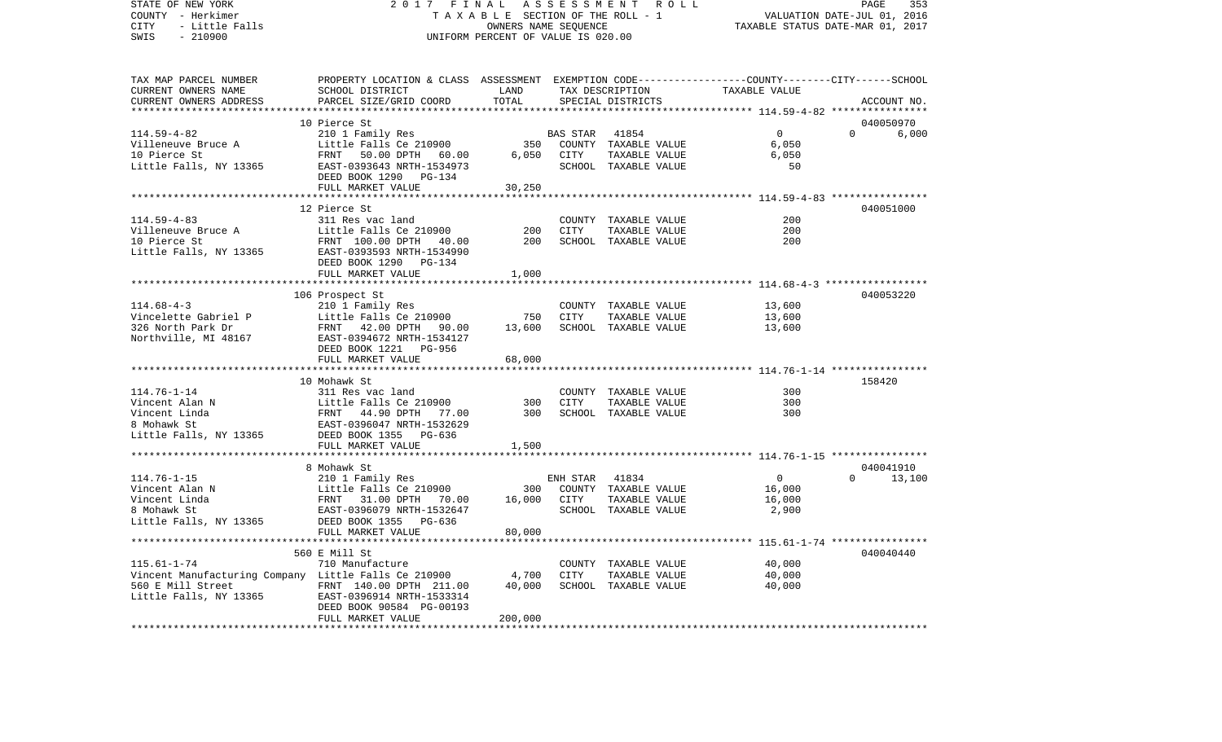COUNTY - Herkimer T A X A B L E SECTION OF THE ROLL - 1 VALUATION DATE-JUL 01, 2016 CITY - Little Falls OWNERS NAME SEQUENCE TAXABLE STATUS DATE-MAR 01, 2017 SWIS - 210900 UNIFORM PERCENT OF VALUE IS 020.00TAX MAP PARCEL NUMBER PROPERTY LOCATION & CLASS ASSESSMENT EXEMPTION CODE------------------COUNTY--------CITY------SCHOOL CURRENT OWNERS NAME SCHOOL DISTRICT LAND TAX DESCRIPTION TAXABLE VALUECURRENT OWNERS ADDRESS PARCEL SIZE/GRID COORD TOTAL SPECIAL DISTRICTS ACCOUNT NO. \*\*\*\*\*\*\*\*\*\*\*\*\*\*\*\*\*\*\*\*\*\*\*\*\*\*\*\*\*\*\*\*\*\*\*\*\*\*\*\*\*\*\*\*\*\*\*\*\*\*\*\*\*\*\*\*\*\*\*\*\*\*\*\*\*\*\*\*\*\*\*\*\*\*\*\*\*\*\*\*\*\*\*\*\*\*\*\*\*\*\*\*\*\*\*\*\*\*\*\*\*\*\* 114.59-4-82 \*\*\*\*\*\*\*\*\*\*\*\*\*\*\*\* 10 Pierce St 040050970114.59-4-82 210 1 Family Res BAS STAR 41854 0 0 6,000 Villeneuve Bruce A Little Falls Ce 210900 350 COUNTY TAXABLE VALUE 6,050 10 Pierce St FRNT 50.00 DPTH 60.00 6,050 CITY TAXABLE VALUE 6,050 Little Falls, NY 13365 EAST-0393643 NRTH-1534973 SCHOOL TAXABLE VALUE 50 DEED BOOK 1290 PG-134FULL MARKET VALUE 30,250 \*\*\*\*\*\*\*\*\*\*\*\*\*\*\*\*\*\*\*\*\*\*\*\*\*\*\*\*\*\*\*\*\*\*\*\*\*\*\*\*\*\*\*\*\*\*\*\*\*\*\*\*\*\*\*\*\*\*\*\*\*\*\*\*\*\*\*\*\*\*\*\*\*\*\*\*\*\*\*\*\*\*\*\*\*\*\*\*\*\*\*\*\*\*\*\*\*\*\*\*\*\*\* 114.59-4-83 \*\*\*\*\*\*\*\*\*\*\*\*\*\*\*\* 12 Pierce St 040051000114.59-4-83 311 Res vac land COUNTY TAXABLE VALUE 200200 Villeneuve Bruce A 11ttle Falls Ce 210900 200 CITY TAXABLE VALUE 200 10 Pierce St FRNT 100.00 DPTH 40.00 200 SCHOOL TAXABLE VALUE 200Little Falls, NY 13365 EAST-0393593 NRTH-1534990 DEED BOOK 1290 PG-134FULL MARKET VALUE 1,000 \*\*\*\*\*\*\*\*\*\*\*\*\*\*\*\*\*\*\*\*\*\*\*\*\*\*\*\*\*\*\*\*\*\*\*\*\*\*\*\*\*\*\*\*\*\*\*\*\*\*\*\*\*\*\*\*\*\*\*\*\*\*\*\*\*\*\*\*\*\*\*\*\*\*\*\*\*\*\*\*\*\*\*\*\*\*\*\*\*\*\*\*\*\*\*\*\*\*\*\*\*\*\* 114.68-4-3 \*\*\*\*\*\*\*\*\*\*\*\*\*\*\*\*\* 106 Prospect St 040053220 114.68-4-3 210 1 Family Res COUNTY TAXABLE VALUE 13,600 Vincelette Gabriel P 13,600 CITY TAXABLE VALUE 13,600 326 North Park Dr FRNT 42.00 DPTH 90.00 13,600 SCHOOL TAXABLE VALUE 13,600 Northville, MI 48167 EAST-0394672 NRTH-1534127 DEED BOOK 1221 PG-956FULL MARKET VALUE 68,000 \*\*\*\*\*\*\*\*\*\*\*\*\*\*\*\*\*\*\*\*\*\*\*\*\*\*\*\*\*\*\*\*\*\*\*\*\*\*\*\*\*\*\*\*\*\*\*\*\*\*\*\*\*\*\*\*\*\*\*\*\*\*\*\*\*\*\*\*\*\*\*\*\*\*\*\*\*\*\*\*\*\*\*\*\*\*\*\*\*\*\*\*\*\*\*\*\*\*\*\*\*\*\* 114.76-1-14 \*\*\*\*\*\*\*\*\*\*\*\*\*\*\*\* 10 Mohawk St 158420114.76-1-14 311 Res vac land COUNTY TAXABLE VALUE 300Vincent Alan N 1986 Control Control Control City Control City Control City Control City Control City Control City Control City Control City Control City Control City Control City Control City Control City Control City Cont Vincent Linda FRNT 44.90 DPTH 77.00 300 SCHOOL TAXABLE VALUE 3008 Mohawk St EAST-0396047 NRTH-1532629Little Falls, NY 13365 DEED BOOK 1355 PG-636 FULL MARKET VALUE 1,500 \*\*\*\*\*\*\*\*\*\*\*\*\*\*\*\*\*\*\*\*\*\*\*\*\*\*\*\*\*\*\*\*\*\*\*\*\*\*\*\*\*\*\*\*\*\*\*\*\*\*\*\*\*\*\*\*\*\*\*\*\*\*\*\*\*\*\*\*\*\*\*\*\*\*\*\*\*\*\*\*\*\*\*\*\*\*\*\*\*\*\*\*\*\*\*\*\*\*\*\*\*\*\* 114.76-1-15 \*\*\*\*\*\*\*\*\*\*\*\*\*\*\*\* 8 Mohawk St 040041910114.76-1-15 210 1 Family Res ENH STAR 41834 0 0 13,100 Vincent Alan N 16,000 Little Falls Ce 210900 300 COUNTY TAXABLE VALUE 16,000 Vincent Linda FRNT 31.00 DPTH 70.00 16,000 CITY TAXABLE VALUE 16,000 8 Mohawk St EAST-0396079 NRTH-1532647 SCHOOL TAXABLE VALUE 2,900 Little Falls, NY 13365 DEED BOOK 1355 PG-636 FULL MARKET VALUE 80,000 \*\*\*\*\*\*\*\*\*\*\*\*\*\*\*\*\*\*\*\*\*\*\*\*\*\*\*\*\*\*\*\*\*\*\*\*\*\*\*\*\*\*\*\*\*\*\*\*\*\*\*\*\*\*\*\*\*\*\*\*\*\*\*\*\*\*\*\*\*\*\*\*\*\*\*\*\*\*\*\*\*\*\*\*\*\*\*\*\*\*\*\*\*\*\*\*\*\*\*\*\*\*\* 115.61-1-74 \*\*\*\*\*\*\*\*\*\*\*\*\*\*\*\* 560 E Mill St 040040440115.61-1-74 710 Manufacture COUNTY TAXABLE VALUE 40,000 Vincent Manufacturing Company Little Falls Ce 210900 4,700 CITY TAXABLE VALUE 40,000 560 E Mill Street FRNT 140.00 DPTH 211.00 40,000 SCHOOL TAXABLE VALUE 40,000 Little Falls, NY 13365 EAST-0396914 NRTH-1533314 DEED BOOK 90584 PG-00193 FULL MARKET VALUE 200,000 \*\*\*\*\*\*\*\*\*\*\*\*\*\*\*\*\*\*\*\*\*\*\*\*\*\*\*\*\*\*\*\*\*\*\*\*\*\*\*\*\*\*\*\*\*\*\*\*\*\*\*\*\*\*\*\*\*\*\*\*\*\*\*\*\*\*\*\*\*\*\*\*\*\*\*\*\*\*\*\*\*\*\*\*\*\*\*\*\*\*\*\*\*\*\*\*\*\*\*\*\*\*\*\*\*\*\*\*\*\*\*\*\*\*\*\*\*\*\*\*\*\*\*\*\*\*\*\*\*\*\*\*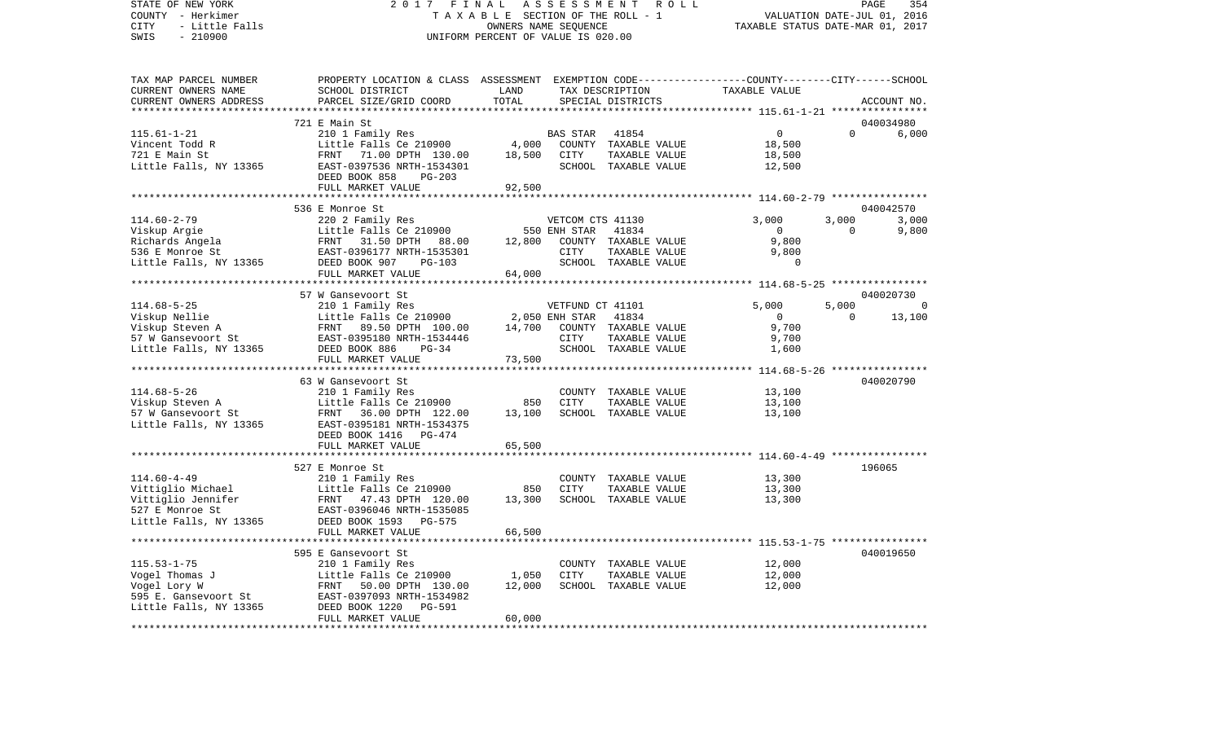## STATE OF NEW YORK 2 0 1 7 F I N A L A S S E S S M E N T R O L L PAGE 354COUNTY - Herkimer  $T A X A B L E$  SECTION OF THE ROLL - 1 CITY - Little Falls OWNERS NAME SEQUENCE TAXABLE STATUS DATE-MAR 01, 2017 UNIFORM PERCENT OF VALUE IS 020.00

PAGE 354

| TAX DESCRIPTION<br>TOTAL<br>PARCEL SIZE/GRID COORD<br>CURRENT OWNERS ADDRESS<br>SPECIAL DISTRICTS<br>ACCOUNT NO.<br>040034980<br>721 E Main St<br>$115.61 - 1 - 21$<br>210 1 Family Res<br>$\Omega$<br>$\Omega$<br>6.000<br>41854<br>BAS STAR<br>Little Falls Ce 210900<br>4,000<br>COUNTY TAXABLE VALUE<br>Vincent Todd R<br>18,500<br>721 E Main St<br>18,500<br>TAXABLE VALUE<br>FRNT 71.00 DPTH 130.00<br>CITY<br>18,500<br>EAST-0397536 NRTH-1534301<br>Little Falls, NY 13365<br>SCHOOL TAXABLE VALUE<br>12,500<br>DEED BOOK 858<br>PG-203<br>FULL MARKET VALUE<br>92,500<br>536 E Monroe St<br>040042570<br>$114.60 - 2 - 79$<br>3,000<br>3,000<br>3,000<br>220 2 Family Res<br>VETCOM CTS 41130<br>Little Falls Ce 210900<br>41834<br>$\overline{0}$<br>$\Omega$<br>9,800<br>COUNTY TAXABLE VALUE<br>9,800<br>TAXADILE<br>TAXABLE VALUE<br>ALL LITTUR<br>9,800<br>SCHOOL TAXABLE VALUE<br>$\Omega$<br>FULL MARKET VALUE<br>64,000<br>57 W Gansevoort St<br>040020730<br>5,000<br>5,000<br>$\bigcap$<br>$\Omega$<br>$\Omega$<br>13,100<br>9,700<br>9,700<br>SCHOOL TAXABLE VALUE<br>DEED BOOK 886<br>Little Falls, NY 13365<br>$PG-34$<br>1,600<br>73,500<br>FULL MARKET VALUE<br>63 W Gansevoort St<br>040020790<br>210 1 Family Res<br>$114.68 - 5 - 26$<br>COUNTY TAXABLE VALUE<br>13,100<br>Viskup Steven A 111tle Falls Ce 210900<br>57 W Gansevoort St 122.00<br>Little Falls Ce 210900<br>850<br>CITY<br>TAXABLE VALUE<br>13,100<br>13,100<br>SCHOOL TAXABLE VALUE<br>13,100<br>Little Falls, NY 13365<br>EAST-0395181 NRTH-1534375<br>DEED BOOK 1416 PG-474<br>FULL MARKET VALUE<br>65,500<br>196065<br>527 E Monroe St<br>$114.60 - 4 - 49$<br>210 1 Family Res<br>COUNTY TAXABLE VALUE<br>13,300<br>Little Falls Ce 210900<br>CITY<br>Vittiglio Michael<br>850<br>TAXABLE VALUE<br>13,300<br>FRNT 47.43 DPTH 120.00<br>EAST-0396046 NRTH-1535085<br>Vittiglio Jennifer<br>13,300<br>SCHOOL TAXABLE VALUE<br>13,300<br>527 E Monroe St<br>Little Falls, NY 13365 DEED BOOK 1593 PG-575<br>FULL MARKET VALUE<br>66,500<br>595 E Gansevoort St<br>040019650<br>$115.53 - 1 - 75$<br>210 1 Family Res<br>COUNTY TAXABLE VALUE<br>12,000<br>Little Falls Ce 210900 1,050<br>Vogel Thomas J<br>Vogel Lory W<br>CITY<br>TAXABLE VALUE<br>12,000<br>12,000<br>SCHOOL TAXABLE VALUE<br>12,000<br>Vogel Lory W<br>FRNT<br>50.00 DPTH 130.00<br>595 E. Gansevoort St<br>EAST-0397093 NRTH-1534982<br>Little Falls, NY 13365<br>DEED BOOK 1220 PG-591<br>60,000<br>FULL MARKET VALUE | TAX MAP PARCEL NUMBER | PROPERTY LOCATION & CLASS ASSESSMENT EXEMPTION CODE---------------COUNTY-------CITY------SCHOOL |      |  |               |  |
|-------------------------------------------------------------------------------------------------------------------------------------------------------------------------------------------------------------------------------------------------------------------------------------------------------------------------------------------------------------------------------------------------------------------------------------------------------------------------------------------------------------------------------------------------------------------------------------------------------------------------------------------------------------------------------------------------------------------------------------------------------------------------------------------------------------------------------------------------------------------------------------------------------------------------------------------------------------------------------------------------------------------------------------------------------------------------------------------------------------------------------------------------------------------------------------------------------------------------------------------------------------------------------------------------------------------------------------------------------------------------------------------------------------------------------------------------------------------------------------------------------------------------------------------------------------------------------------------------------------------------------------------------------------------------------------------------------------------------------------------------------------------------------------------------------------------------------------------------------------------------------------------------------------------------------------------------------------------------------------------------------------------------------------------------------------------------------------------------------------------------------------------------------------------------------------------------------------------------------------------------------------------------------------------------------------------------------------------------------------------------------------------------------------------------------------------------------------------------------------------|-----------------------|-------------------------------------------------------------------------------------------------|------|--|---------------|--|
|                                                                                                                                                                                                                                                                                                                                                                                                                                                                                                                                                                                                                                                                                                                                                                                                                                                                                                                                                                                                                                                                                                                                                                                                                                                                                                                                                                                                                                                                                                                                                                                                                                                                                                                                                                                                                                                                                                                                                                                                                                                                                                                                                                                                                                                                                                                                                                                                                                                                                           | CURRENT OWNERS NAME   | SCHOOL DISTRICT                                                                                 | LAND |  | TAXABLE VALUE |  |
|                                                                                                                                                                                                                                                                                                                                                                                                                                                                                                                                                                                                                                                                                                                                                                                                                                                                                                                                                                                                                                                                                                                                                                                                                                                                                                                                                                                                                                                                                                                                                                                                                                                                                                                                                                                                                                                                                                                                                                                                                                                                                                                                                                                                                                                                                                                                                                                                                                                                                           |                       |                                                                                                 |      |  |               |  |
|                                                                                                                                                                                                                                                                                                                                                                                                                                                                                                                                                                                                                                                                                                                                                                                                                                                                                                                                                                                                                                                                                                                                                                                                                                                                                                                                                                                                                                                                                                                                                                                                                                                                                                                                                                                                                                                                                                                                                                                                                                                                                                                                                                                                                                                                                                                                                                                                                                                                                           |                       |                                                                                                 |      |  |               |  |
|                                                                                                                                                                                                                                                                                                                                                                                                                                                                                                                                                                                                                                                                                                                                                                                                                                                                                                                                                                                                                                                                                                                                                                                                                                                                                                                                                                                                                                                                                                                                                                                                                                                                                                                                                                                                                                                                                                                                                                                                                                                                                                                                                                                                                                                                                                                                                                                                                                                                                           |                       |                                                                                                 |      |  |               |  |
|                                                                                                                                                                                                                                                                                                                                                                                                                                                                                                                                                                                                                                                                                                                                                                                                                                                                                                                                                                                                                                                                                                                                                                                                                                                                                                                                                                                                                                                                                                                                                                                                                                                                                                                                                                                                                                                                                                                                                                                                                                                                                                                                                                                                                                                                                                                                                                                                                                                                                           |                       |                                                                                                 |      |  |               |  |
|                                                                                                                                                                                                                                                                                                                                                                                                                                                                                                                                                                                                                                                                                                                                                                                                                                                                                                                                                                                                                                                                                                                                                                                                                                                                                                                                                                                                                                                                                                                                                                                                                                                                                                                                                                                                                                                                                                                                                                                                                                                                                                                                                                                                                                                                                                                                                                                                                                                                                           |                       |                                                                                                 |      |  |               |  |
|                                                                                                                                                                                                                                                                                                                                                                                                                                                                                                                                                                                                                                                                                                                                                                                                                                                                                                                                                                                                                                                                                                                                                                                                                                                                                                                                                                                                                                                                                                                                                                                                                                                                                                                                                                                                                                                                                                                                                                                                                                                                                                                                                                                                                                                                                                                                                                                                                                                                                           |                       |                                                                                                 |      |  |               |  |
|                                                                                                                                                                                                                                                                                                                                                                                                                                                                                                                                                                                                                                                                                                                                                                                                                                                                                                                                                                                                                                                                                                                                                                                                                                                                                                                                                                                                                                                                                                                                                                                                                                                                                                                                                                                                                                                                                                                                                                                                                                                                                                                                                                                                                                                                                                                                                                                                                                                                                           |                       |                                                                                                 |      |  |               |  |
|                                                                                                                                                                                                                                                                                                                                                                                                                                                                                                                                                                                                                                                                                                                                                                                                                                                                                                                                                                                                                                                                                                                                                                                                                                                                                                                                                                                                                                                                                                                                                                                                                                                                                                                                                                                                                                                                                                                                                                                                                                                                                                                                                                                                                                                                                                                                                                                                                                                                                           |                       |                                                                                                 |      |  |               |  |
|                                                                                                                                                                                                                                                                                                                                                                                                                                                                                                                                                                                                                                                                                                                                                                                                                                                                                                                                                                                                                                                                                                                                                                                                                                                                                                                                                                                                                                                                                                                                                                                                                                                                                                                                                                                                                                                                                                                                                                                                                                                                                                                                                                                                                                                                                                                                                                                                                                                                                           |                       |                                                                                                 |      |  |               |  |
|                                                                                                                                                                                                                                                                                                                                                                                                                                                                                                                                                                                                                                                                                                                                                                                                                                                                                                                                                                                                                                                                                                                                                                                                                                                                                                                                                                                                                                                                                                                                                                                                                                                                                                                                                                                                                                                                                                                                                                                                                                                                                                                                                                                                                                                                                                                                                                                                                                                                                           |                       |                                                                                                 |      |  |               |  |
|                                                                                                                                                                                                                                                                                                                                                                                                                                                                                                                                                                                                                                                                                                                                                                                                                                                                                                                                                                                                                                                                                                                                                                                                                                                                                                                                                                                                                                                                                                                                                                                                                                                                                                                                                                                                                                                                                                                                                                                                                                                                                                                                                                                                                                                                                                                                                                                                                                                                                           |                       |                                                                                                 |      |  |               |  |
|                                                                                                                                                                                                                                                                                                                                                                                                                                                                                                                                                                                                                                                                                                                                                                                                                                                                                                                                                                                                                                                                                                                                                                                                                                                                                                                                                                                                                                                                                                                                                                                                                                                                                                                                                                                                                                                                                                                                                                                                                                                                                                                                                                                                                                                                                                                                                                                                                                                                                           |                       |                                                                                                 |      |  |               |  |
|                                                                                                                                                                                                                                                                                                                                                                                                                                                                                                                                                                                                                                                                                                                                                                                                                                                                                                                                                                                                                                                                                                                                                                                                                                                                                                                                                                                                                                                                                                                                                                                                                                                                                                                                                                                                                                                                                                                                                                                                                                                                                                                                                                                                                                                                                                                                                                                                                                                                                           |                       |                                                                                                 |      |  |               |  |
|                                                                                                                                                                                                                                                                                                                                                                                                                                                                                                                                                                                                                                                                                                                                                                                                                                                                                                                                                                                                                                                                                                                                                                                                                                                                                                                                                                                                                                                                                                                                                                                                                                                                                                                                                                                                                                                                                                                                                                                                                                                                                                                                                                                                                                                                                                                                                                                                                                                                                           |                       |                                                                                                 |      |  |               |  |
|                                                                                                                                                                                                                                                                                                                                                                                                                                                                                                                                                                                                                                                                                                                                                                                                                                                                                                                                                                                                                                                                                                                                                                                                                                                                                                                                                                                                                                                                                                                                                                                                                                                                                                                                                                                                                                                                                                                                                                                                                                                                                                                                                                                                                                                                                                                                                                                                                                                                                           |                       |                                                                                                 |      |  |               |  |
|                                                                                                                                                                                                                                                                                                                                                                                                                                                                                                                                                                                                                                                                                                                                                                                                                                                                                                                                                                                                                                                                                                                                                                                                                                                                                                                                                                                                                                                                                                                                                                                                                                                                                                                                                                                                                                                                                                                                                                                                                                                                                                                                                                                                                                                                                                                                                                                                                                                                                           |                       |                                                                                                 |      |  |               |  |
|                                                                                                                                                                                                                                                                                                                                                                                                                                                                                                                                                                                                                                                                                                                                                                                                                                                                                                                                                                                                                                                                                                                                                                                                                                                                                                                                                                                                                                                                                                                                                                                                                                                                                                                                                                                                                                                                                                                                                                                                                                                                                                                                                                                                                                                                                                                                                                                                                                                                                           |                       |                                                                                                 |      |  |               |  |
|                                                                                                                                                                                                                                                                                                                                                                                                                                                                                                                                                                                                                                                                                                                                                                                                                                                                                                                                                                                                                                                                                                                                                                                                                                                                                                                                                                                                                                                                                                                                                                                                                                                                                                                                                                                                                                                                                                                                                                                                                                                                                                                                                                                                                                                                                                                                                                                                                                                                                           |                       |                                                                                                 |      |  |               |  |
|                                                                                                                                                                                                                                                                                                                                                                                                                                                                                                                                                                                                                                                                                                                                                                                                                                                                                                                                                                                                                                                                                                                                                                                                                                                                                                                                                                                                                                                                                                                                                                                                                                                                                                                                                                                                                                                                                                                                                                                                                                                                                                                                                                                                                                                                                                                                                                                                                                                                                           |                       |                                                                                                 |      |  |               |  |
|                                                                                                                                                                                                                                                                                                                                                                                                                                                                                                                                                                                                                                                                                                                                                                                                                                                                                                                                                                                                                                                                                                                                                                                                                                                                                                                                                                                                                                                                                                                                                                                                                                                                                                                                                                                                                                                                                                                                                                                                                                                                                                                                                                                                                                                                                                                                                                                                                                                                                           |                       |                                                                                                 |      |  |               |  |
|                                                                                                                                                                                                                                                                                                                                                                                                                                                                                                                                                                                                                                                                                                                                                                                                                                                                                                                                                                                                                                                                                                                                                                                                                                                                                                                                                                                                                                                                                                                                                                                                                                                                                                                                                                                                                                                                                                                                                                                                                                                                                                                                                                                                                                                                                                                                                                                                                                                                                           |                       |                                                                                                 |      |  |               |  |
|                                                                                                                                                                                                                                                                                                                                                                                                                                                                                                                                                                                                                                                                                                                                                                                                                                                                                                                                                                                                                                                                                                                                                                                                                                                                                                                                                                                                                                                                                                                                                                                                                                                                                                                                                                                                                                                                                                                                                                                                                                                                                                                                                                                                                                                                                                                                                                                                                                                                                           |                       |                                                                                                 |      |  |               |  |
|                                                                                                                                                                                                                                                                                                                                                                                                                                                                                                                                                                                                                                                                                                                                                                                                                                                                                                                                                                                                                                                                                                                                                                                                                                                                                                                                                                                                                                                                                                                                                                                                                                                                                                                                                                                                                                                                                                                                                                                                                                                                                                                                                                                                                                                                                                                                                                                                                                                                                           |                       |                                                                                                 |      |  |               |  |
|                                                                                                                                                                                                                                                                                                                                                                                                                                                                                                                                                                                                                                                                                                                                                                                                                                                                                                                                                                                                                                                                                                                                                                                                                                                                                                                                                                                                                                                                                                                                                                                                                                                                                                                                                                                                                                                                                                                                                                                                                                                                                                                                                                                                                                                                                                                                                                                                                                                                                           |                       |                                                                                                 |      |  |               |  |
|                                                                                                                                                                                                                                                                                                                                                                                                                                                                                                                                                                                                                                                                                                                                                                                                                                                                                                                                                                                                                                                                                                                                                                                                                                                                                                                                                                                                                                                                                                                                                                                                                                                                                                                                                                                                                                                                                                                                                                                                                                                                                                                                                                                                                                                                                                                                                                                                                                                                                           |                       |                                                                                                 |      |  |               |  |
|                                                                                                                                                                                                                                                                                                                                                                                                                                                                                                                                                                                                                                                                                                                                                                                                                                                                                                                                                                                                                                                                                                                                                                                                                                                                                                                                                                                                                                                                                                                                                                                                                                                                                                                                                                                                                                                                                                                                                                                                                                                                                                                                                                                                                                                                                                                                                                                                                                                                                           |                       |                                                                                                 |      |  |               |  |
|                                                                                                                                                                                                                                                                                                                                                                                                                                                                                                                                                                                                                                                                                                                                                                                                                                                                                                                                                                                                                                                                                                                                                                                                                                                                                                                                                                                                                                                                                                                                                                                                                                                                                                                                                                                                                                                                                                                                                                                                                                                                                                                                                                                                                                                                                                                                                                                                                                                                                           |                       |                                                                                                 |      |  |               |  |
|                                                                                                                                                                                                                                                                                                                                                                                                                                                                                                                                                                                                                                                                                                                                                                                                                                                                                                                                                                                                                                                                                                                                                                                                                                                                                                                                                                                                                                                                                                                                                                                                                                                                                                                                                                                                                                                                                                                                                                                                                                                                                                                                                                                                                                                                                                                                                                                                                                                                                           |                       |                                                                                                 |      |  |               |  |
|                                                                                                                                                                                                                                                                                                                                                                                                                                                                                                                                                                                                                                                                                                                                                                                                                                                                                                                                                                                                                                                                                                                                                                                                                                                                                                                                                                                                                                                                                                                                                                                                                                                                                                                                                                                                                                                                                                                                                                                                                                                                                                                                                                                                                                                                                                                                                                                                                                                                                           |                       |                                                                                                 |      |  |               |  |
|                                                                                                                                                                                                                                                                                                                                                                                                                                                                                                                                                                                                                                                                                                                                                                                                                                                                                                                                                                                                                                                                                                                                                                                                                                                                                                                                                                                                                                                                                                                                                                                                                                                                                                                                                                                                                                                                                                                                                                                                                                                                                                                                                                                                                                                                                                                                                                                                                                                                                           |                       |                                                                                                 |      |  |               |  |
|                                                                                                                                                                                                                                                                                                                                                                                                                                                                                                                                                                                                                                                                                                                                                                                                                                                                                                                                                                                                                                                                                                                                                                                                                                                                                                                                                                                                                                                                                                                                                                                                                                                                                                                                                                                                                                                                                                                                                                                                                                                                                                                                                                                                                                                                                                                                                                                                                                                                                           |                       |                                                                                                 |      |  |               |  |
|                                                                                                                                                                                                                                                                                                                                                                                                                                                                                                                                                                                                                                                                                                                                                                                                                                                                                                                                                                                                                                                                                                                                                                                                                                                                                                                                                                                                                                                                                                                                                                                                                                                                                                                                                                                                                                                                                                                                                                                                                                                                                                                                                                                                                                                                                                                                                                                                                                                                                           |                       |                                                                                                 |      |  |               |  |
|                                                                                                                                                                                                                                                                                                                                                                                                                                                                                                                                                                                                                                                                                                                                                                                                                                                                                                                                                                                                                                                                                                                                                                                                                                                                                                                                                                                                                                                                                                                                                                                                                                                                                                                                                                                                                                                                                                                                                                                                                                                                                                                                                                                                                                                                                                                                                                                                                                                                                           |                       |                                                                                                 |      |  |               |  |
|                                                                                                                                                                                                                                                                                                                                                                                                                                                                                                                                                                                                                                                                                                                                                                                                                                                                                                                                                                                                                                                                                                                                                                                                                                                                                                                                                                                                                                                                                                                                                                                                                                                                                                                                                                                                                                                                                                                                                                                                                                                                                                                                                                                                                                                                                                                                                                                                                                                                                           |                       |                                                                                                 |      |  |               |  |
|                                                                                                                                                                                                                                                                                                                                                                                                                                                                                                                                                                                                                                                                                                                                                                                                                                                                                                                                                                                                                                                                                                                                                                                                                                                                                                                                                                                                                                                                                                                                                                                                                                                                                                                                                                                                                                                                                                                                                                                                                                                                                                                                                                                                                                                                                                                                                                                                                                                                                           |                       |                                                                                                 |      |  |               |  |
|                                                                                                                                                                                                                                                                                                                                                                                                                                                                                                                                                                                                                                                                                                                                                                                                                                                                                                                                                                                                                                                                                                                                                                                                                                                                                                                                                                                                                                                                                                                                                                                                                                                                                                                                                                                                                                                                                                                                                                                                                                                                                                                                                                                                                                                                                                                                                                                                                                                                                           |                       |                                                                                                 |      |  |               |  |
|                                                                                                                                                                                                                                                                                                                                                                                                                                                                                                                                                                                                                                                                                                                                                                                                                                                                                                                                                                                                                                                                                                                                                                                                                                                                                                                                                                                                                                                                                                                                                                                                                                                                                                                                                                                                                                                                                                                                                                                                                                                                                                                                                                                                                                                                                                                                                                                                                                                                                           |                       |                                                                                                 |      |  |               |  |
|                                                                                                                                                                                                                                                                                                                                                                                                                                                                                                                                                                                                                                                                                                                                                                                                                                                                                                                                                                                                                                                                                                                                                                                                                                                                                                                                                                                                                                                                                                                                                                                                                                                                                                                                                                                                                                                                                                                                                                                                                                                                                                                                                                                                                                                                                                                                                                                                                                                                                           |                       |                                                                                                 |      |  |               |  |
|                                                                                                                                                                                                                                                                                                                                                                                                                                                                                                                                                                                                                                                                                                                                                                                                                                                                                                                                                                                                                                                                                                                                                                                                                                                                                                                                                                                                                                                                                                                                                                                                                                                                                                                                                                                                                                                                                                                                                                                                                                                                                                                                                                                                                                                                                                                                                                                                                                                                                           |                       |                                                                                                 |      |  |               |  |
|                                                                                                                                                                                                                                                                                                                                                                                                                                                                                                                                                                                                                                                                                                                                                                                                                                                                                                                                                                                                                                                                                                                                                                                                                                                                                                                                                                                                                                                                                                                                                                                                                                                                                                                                                                                                                                                                                                                                                                                                                                                                                                                                                                                                                                                                                                                                                                                                                                                                                           |                       |                                                                                                 |      |  |               |  |
|                                                                                                                                                                                                                                                                                                                                                                                                                                                                                                                                                                                                                                                                                                                                                                                                                                                                                                                                                                                                                                                                                                                                                                                                                                                                                                                                                                                                                                                                                                                                                                                                                                                                                                                                                                                                                                                                                                                                                                                                                                                                                                                                                                                                                                                                                                                                                                                                                                                                                           |                       |                                                                                                 |      |  |               |  |
|                                                                                                                                                                                                                                                                                                                                                                                                                                                                                                                                                                                                                                                                                                                                                                                                                                                                                                                                                                                                                                                                                                                                                                                                                                                                                                                                                                                                                                                                                                                                                                                                                                                                                                                                                                                                                                                                                                                                                                                                                                                                                                                                                                                                                                                                                                                                                                                                                                                                                           |                       |                                                                                                 |      |  |               |  |
|                                                                                                                                                                                                                                                                                                                                                                                                                                                                                                                                                                                                                                                                                                                                                                                                                                                                                                                                                                                                                                                                                                                                                                                                                                                                                                                                                                                                                                                                                                                                                                                                                                                                                                                                                                                                                                                                                                                                                                                                                                                                                                                                                                                                                                                                                                                                                                                                                                                                                           |                       |                                                                                                 |      |  |               |  |
|                                                                                                                                                                                                                                                                                                                                                                                                                                                                                                                                                                                                                                                                                                                                                                                                                                                                                                                                                                                                                                                                                                                                                                                                                                                                                                                                                                                                                                                                                                                                                                                                                                                                                                                                                                                                                                                                                                                                                                                                                                                                                                                                                                                                                                                                                                                                                                                                                                                                                           |                       |                                                                                                 |      |  |               |  |
|                                                                                                                                                                                                                                                                                                                                                                                                                                                                                                                                                                                                                                                                                                                                                                                                                                                                                                                                                                                                                                                                                                                                                                                                                                                                                                                                                                                                                                                                                                                                                                                                                                                                                                                                                                                                                                                                                                                                                                                                                                                                                                                                                                                                                                                                                                                                                                                                                                                                                           |                       |                                                                                                 |      |  |               |  |
|                                                                                                                                                                                                                                                                                                                                                                                                                                                                                                                                                                                                                                                                                                                                                                                                                                                                                                                                                                                                                                                                                                                                                                                                                                                                                                                                                                                                                                                                                                                                                                                                                                                                                                                                                                                                                                                                                                                                                                                                                                                                                                                                                                                                                                                                                                                                                                                                                                                                                           |                       |                                                                                                 |      |  |               |  |
|                                                                                                                                                                                                                                                                                                                                                                                                                                                                                                                                                                                                                                                                                                                                                                                                                                                                                                                                                                                                                                                                                                                                                                                                                                                                                                                                                                                                                                                                                                                                                                                                                                                                                                                                                                                                                                                                                                                                                                                                                                                                                                                                                                                                                                                                                                                                                                                                                                                                                           |                       |                                                                                                 |      |  |               |  |
|                                                                                                                                                                                                                                                                                                                                                                                                                                                                                                                                                                                                                                                                                                                                                                                                                                                                                                                                                                                                                                                                                                                                                                                                                                                                                                                                                                                                                                                                                                                                                                                                                                                                                                                                                                                                                                                                                                                                                                                                                                                                                                                                                                                                                                                                                                                                                                                                                                                                                           |                       |                                                                                                 |      |  |               |  |
|                                                                                                                                                                                                                                                                                                                                                                                                                                                                                                                                                                                                                                                                                                                                                                                                                                                                                                                                                                                                                                                                                                                                                                                                                                                                                                                                                                                                                                                                                                                                                                                                                                                                                                                                                                                                                                                                                                                                                                                                                                                                                                                                                                                                                                                                                                                                                                                                                                                                                           |                       |                                                                                                 |      |  |               |  |
|                                                                                                                                                                                                                                                                                                                                                                                                                                                                                                                                                                                                                                                                                                                                                                                                                                                                                                                                                                                                                                                                                                                                                                                                                                                                                                                                                                                                                                                                                                                                                                                                                                                                                                                                                                                                                                                                                                                                                                                                                                                                                                                                                                                                                                                                                                                                                                                                                                                                                           |                       |                                                                                                 |      |  |               |  |
|                                                                                                                                                                                                                                                                                                                                                                                                                                                                                                                                                                                                                                                                                                                                                                                                                                                                                                                                                                                                                                                                                                                                                                                                                                                                                                                                                                                                                                                                                                                                                                                                                                                                                                                                                                                                                                                                                                                                                                                                                                                                                                                                                                                                                                                                                                                                                                                                                                                                                           |                       |                                                                                                 |      |  |               |  |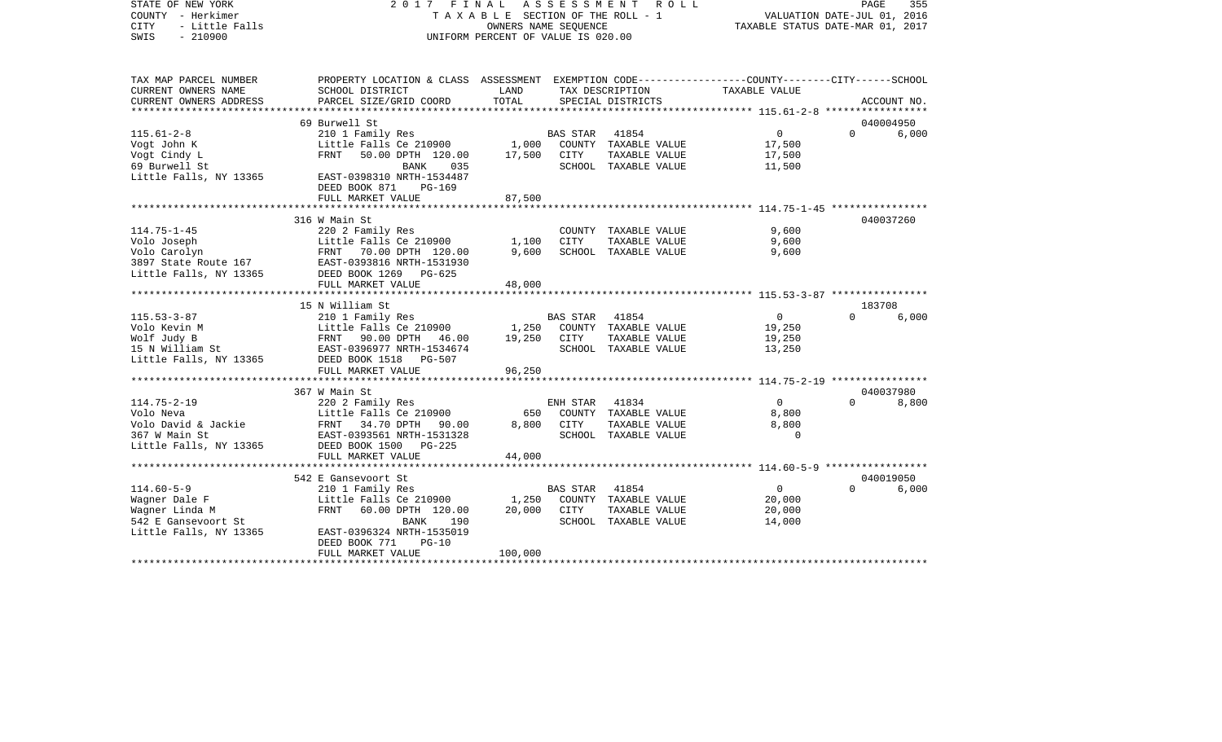| STATE OF NEW YORK<br>COUNTY - Herkimer<br><b>CITY</b><br>- Little Falls<br>SWIS<br>$-210900$ | 2017<br>FINAL<br>TAXABLE SECTION OF THE ROLL - 1<br>UNIFORM PERCENT OF VALUE IS 020.00                             | 355<br>PAGE<br>VALUATION DATE-JUL 01, 2016<br>TAXABLE STATUS DATE-MAR 01, 2017 |                 |                      |                |          |             |
|----------------------------------------------------------------------------------------------|--------------------------------------------------------------------------------------------------------------------|--------------------------------------------------------------------------------|-----------------|----------------------|----------------|----------|-------------|
|                                                                                              |                                                                                                                    |                                                                                |                 |                      |                |          |             |
| TAX MAP PARCEL NUMBER<br>CURRENT OWNERS NAME                                                 | PROPERTY LOCATION & CLASS ASSESSMENT EXEMPTION CODE---------------COUNTY-------CITY------SCHOOL<br>SCHOOL DISTRICT | LAND                                                                           |                 | TAX DESCRIPTION      | TAXABLE VALUE  |          |             |
| CURRENT OWNERS ADDRESS                                                                       | PARCEL SIZE/GRID COORD                                                                                             | TOTAL                                                                          |                 | SPECIAL DISTRICTS    |                |          | ACCOUNT NO. |
|                                                                                              |                                                                                                                    |                                                                                |                 |                      |                |          |             |
|                                                                                              | 69 Burwell St                                                                                                      |                                                                                |                 |                      |                |          | 040004950   |
| $115.61 - 2 - 8$                                                                             | 210 1 Family Res                                                                                                   |                                                                                | <b>BAS STAR</b> | 41854                | $\overline{0}$ | $\Omega$ | 6,000       |
| Vogt John K                                                                                  | Little Falls Ce 210900                                                                                             | 1,000                                                                          |                 | COUNTY TAXABLE VALUE | 17,500         |          |             |
| Vogt Cindy L                                                                                 | FRNT<br>50.00 DPTH 120.00                                                                                          | 17,500                                                                         | CITY            | TAXABLE VALUE        | 17,500         |          |             |
| 69 Burwell St                                                                                | BANK<br>035                                                                                                        |                                                                                |                 | SCHOOL TAXABLE VALUE | 11,500         |          |             |
| Little Falls, NY 13365                                                                       | EAST-0398310 NRTH-1534487                                                                                          |                                                                                |                 |                      |                |          |             |
|                                                                                              | DEED BOOK 871<br>PG-169                                                                                            |                                                                                |                 |                      |                |          |             |
|                                                                                              | FULL MARKET VALUE                                                                                                  | 87,500                                                                         |                 |                      |                |          |             |
|                                                                                              | 316 W Main St                                                                                                      |                                                                                |                 |                      |                |          | 040037260   |
| $114.75 - 1 - 45$                                                                            | 220 2 Family Res                                                                                                   |                                                                                |                 | COUNTY TAXABLE VALUE | 9,600          |          |             |
| Volo Joseph                                                                                  | Little Falls Ce 210900                                                                                             | 1,100                                                                          | <b>CITY</b>     | TAXABLE VALUE        | 9,600          |          |             |
| Volo Carolyn                                                                                 | FRNT 70.00 DPTH 120.00                                                                                             | 9,600                                                                          |                 | SCHOOL TAXABLE VALUE | 9,600          |          |             |
| 3897 State Route 167                                                                         | EAST-0393816 NRTH-1531930                                                                                          |                                                                                |                 |                      |                |          |             |
| Little Falls, NY 13365                                                                       | DEED BOOK 1269<br>$PG-625$                                                                                         |                                                                                |                 |                      |                |          |             |
|                                                                                              | FULL MARKET VALUE                                                                                                  | 48,000                                                                         |                 |                      |                |          |             |
|                                                                                              |                                                                                                                    |                                                                                |                 |                      |                |          |             |
|                                                                                              | 15 N William St                                                                                                    |                                                                                |                 |                      |                | 183708   |             |
| $115.53 - 3 - 87$                                                                            | 210 1 Family Res                                                                                                   |                                                                                | <b>BAS STAR</b> | 41854                | $\overline{0}$ | $\Omega$ | 6,000       |
| Volo Kevin M                                                                                 |                                                                                                                    | 1,250                                                                          |                 | COUNTY TAXABLE VALUE | 19,250         |          |             |
| Wolf Judy B                                                                                  | Little Falls Ce 210900<br>FRNT 90.00 DPTH 46.00<br>EAST-0396977 NRTH-1534674                                       | 19,250                                                                         | CITY            | TAXABLE VALUE        | 19,250         |          |             |
| 15 N William St                                                                              | DEED BOOK 1518                                                                                                     |                                                                                |                 | SCHOOL TAXABLE VALUE | 13,250         |          |             |
| Little Falls, NY 13365                                                                       | PG-507                                                                                                             |                                                                                |                 |                      |                |          |             |
|                                                                                              | FULL MARKET VALUE<br>*********************                                                                         | 96,250                                                                         |                 |                      |                |          |             |
|                                                                                              | 367 W Main St                                                                                                      |                                                                                |                 |                      |                |          | 040037980   |
| $114.75 - 2 - 19$                                                                            | 220 2 Family Res                                                                                                   |                                                                                | ENH STAR        | 41834                | $\overline{0}$ | $\Omega$ | 8,800       |
| Volo Neva                                                                                    | Little Falls Ce 210900                                                                                             | 650                                                                            |                 | COUNTY TAXABLE VALUE | 8,800          |          |             |
| Volo David & Jackie                                                                          | FRNT 34.70 DPTH 90.00                                                                                              | 8,800                                                                          | CITY            | TAXABLE VALUE        | 8,800          |          |             |
| 367 W Main St                                                                                | EAST-0393561 NRTH-1531328                                                                                          |                                                                                |                 | SCHOOL TAXABLE VALUE | $\Omega$       |          |             |
| Little Falls, NY 13365                                                                       | DEED BOOK 1500<br>PG-225                                                                                           |                                                                                |                 |                      |                |          |             |
|                                                                                              | FULL MARKET VALUE                                                                                                  | 44,000                                                                         |                 |                      |                |          |             |
|                                                                                              |                                                                                                                    |                                                                                |                 |                      |                |          |             |
|                                                                                              | 542 E Gansevoort St                                                                                                |                                                                                |                 |                      |                |          | 040019050   |
| $114.60 - 5 - 9$                                                                             | 210 1 Family Res                                                                                                   |                                                                                | BAS STAR        | 41854                | $\overline{0}$ | $\Omega$ | 6,000       |
| Wagner Dale F                                                                                | Little Falls Ce 210900                                                                                             | 1,250                                                                          |                 | COUNTY TAXABLE VALUE | 20,000         |          |             |
| Waqner Linda M                                                                               | FRNT<br>60.00 DPTH 120.00                                                                                          | 20,000                                                                         | CITY            | TAXABLE VALUE        | 20,000         |          |             |
| 542 E Gansevoort St                                                                          | BANK<br>190                                                                                                        |                                                                                |                 | SCHOOL TAXABLE VALUE | 14,000         |          |             |
| Little Falls, NY 13365                                                                       | EAST-0396324 NRTH-1535019<br>DEED BOOK 771<br>$PG-10$                                                              |                                                                                |                 |                      |                |          |             |
|                                                                                              | FULL MARKET VALUE                                                                                                  | 100,000                                                                        |                 |                      |                |          |             |
|                                                                                              |                                                                                                                    |                                                                                |                 |                      |                |          |             |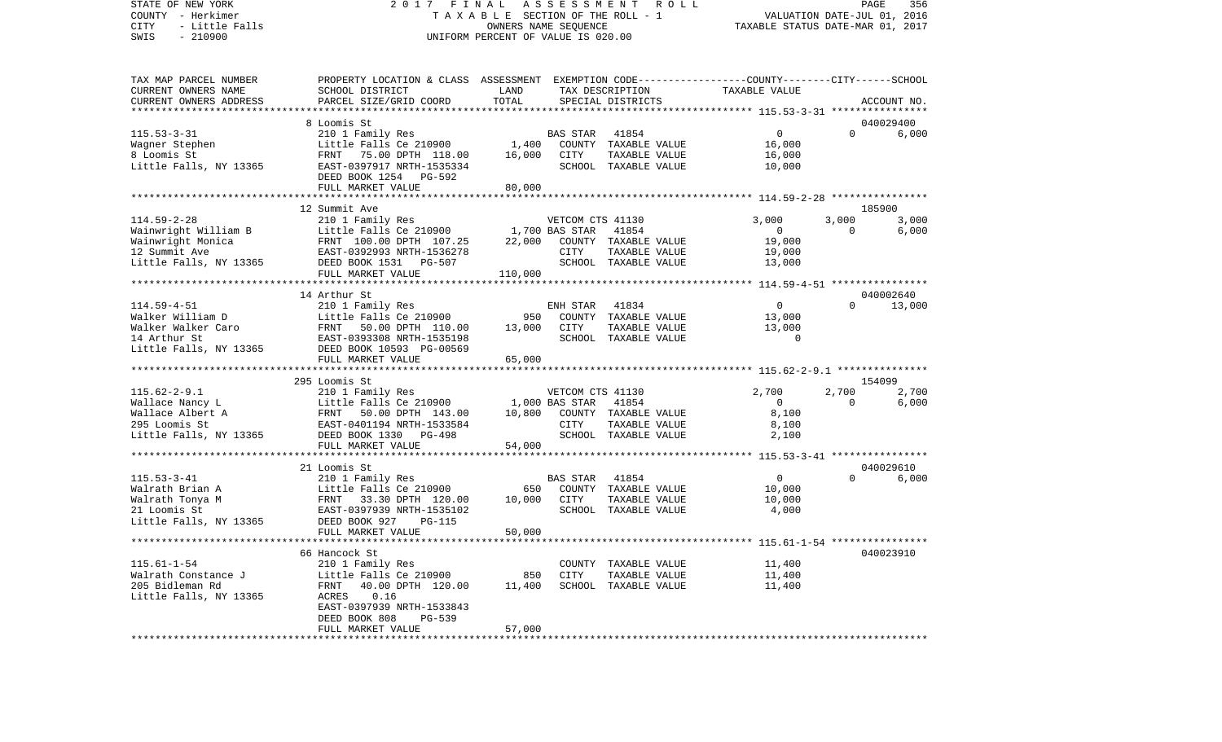## STATE OF NEW YORK 2017 FINAL ASSESSMENT ROLL COUNTY - Herkimer T A X A B L E SECTION OF THE ROLL - 1 VALUATION DATE-JUL 01, 2016 CITY - Little Falls OWNERS NAME SEQUENCE TAXABLE STATUS DATE-MAR 01, 2017 UNIFORM PERCENT OF VALUE IS 020.00

PAGE 356

| CURRENT OWNERS NAME<br>SCHOOL DISTRICT<br>LAND<br>TOTAL<br>PARCEL SIZE/GRID COORD<br>CURRENT OWNERS ADDRESS | PROPERTY LOCATION & CLASS ASSESSMENT   | EXEMPTION CODE-----------------COUNTY-------CITY------SCHOOL |
|-------------------------------------------------------------------------------------------------------------|----------------------------------------|--------------------------------------------------------------|
|                                                                                                             | TAX DESCRIPTION                        | TAXABLE VALUE                                                |
| ***********************                                                                                     | SPECIAL DISTRICTS                      | ACCOUNT NO.                                                  |
|                                                                                                             |                                        |                                                              |
| 8 Loomis St                                                                                                 |                                        | 040029400                                                    |
| $115.53 - 3 - 31$<br>210 1 Family Res                                                                       | <b>BAS STAR</b><br>41854               | $\Omega$<br>$\Omega$<br>6,000                                |
| Little Falls Ce 210900<br>1,400<br>Wagner Stephen                                                           | COUNTY TAXABLE VALUE                   | 16,000                                                       |
| 8 Loomis St<br>FRNT 75.00 DPTH 118.00                                                                       | 16,000<br><b>CITY</b><br>TAXABLE VALUE | 16,000                                                       |
| Little Falls, NY 13365<br>EAST-0397917 NRTH-1535334                                                         | SCHOOL TAXABLE VALUE                   | 10,000                                                       |
| DEED BOOK 1254 PG-592                                                                                       |                                        |                                                              |
| FULL MARKET VALUE                                                                                           | 80,000                                 |                                                              |
|                                                                                                             |                                        |                                                              |
| 12 Summit Ave                                                                                               |                                        | 185900                                                       |
| $114.59 - 2 - 28$<br>210 1 Family Res                                                                       | VETCOM CTS 41130                       | 3,000<br>3,000<br>3,000                                      |
| Little Falls Ce 210900<br>Wainwright William B                                                              | 1,700 BAS STAR<br>41854                | 6,000<br>$\overline{0}$<br>$\Omega$                          |
| Wainwright Monica<br>FRNT 100.00 DPTH 107.25                                                                | 22,000<br>COUNTY TAXABLE VALUE         | 19,000                                                       |
| 12 Summit Ave<br>EAST-0392993 NRTH-1536278                                                                  | CITY<br>TAXABLE VALUE                  | 19,000                                                       |
| Little Falls, NY 13365<br>DEED BOOK 1531 PG-507                                                             | SCHOOL TAXABLE VALUE                   | 13,000                                                       |
| FULL MARKET VALUE<br>110,000                                                                                |                                        |                                                              |
| ***********************                                                                                     |                                        |                                                              |
| 14 Arthur St                                                                                                |                                        | 040002640                                                    |
| $114.59 - 4 - 51$<br>210 1 Family Res                                                                       | ENH STAR<br>41834                      | 13,000<br>$\overline{0}$<br>$\Omega$                         |
| Walker William D<br>Little Falls Ce 210900                                                                  | 950<br>COUNTY TAXABLE VALUE            | 13,000                                                       |
| Walker Walker Caro<br>FRNT<br>50.00 DPTH 110.00                                                             | 13,000<br>CITY<br>TAXABLE VALUE        | 13,000                                                       |
| 14 Arthur St<br>EAST-0393308 NRTH-1535198                                                                   | SCHOOL TAXABLE VALUE                   | $\Omega$                                                     |
| Little Falls, NY 13365<br>DEED BOOK 10593 PG-00569                                                          |                                        |                                                              |
| FULL MARKET VALUE                                                                                           | 65,000                                 |                                                              |
|                                                                                                             |                                        |                                                              |
| 295 Loomis St                                                                                               |                                        | 154099                                                       |
| $115.62 - 2 - 9.1$<br>210 1 Family Res                                                                      | VETCOM CTS 41130                       | 2,700<br>2,700<br>2,700                                      |
| Wallace Nancy L<br>Little Falls Ce 210900                                                                   | 41854<br>1,000 BAS STAR                |                                                              |
|                                                                                                             |                                        |                                                              |
|                                                                                                             |                                        | $\overline{0}$<br>$\Omega$<br>6,000                          |
| Wallace Albert A<br>FRNT<br>50.00 DPTH 143.00                                                               | COUNTY TAXABLE VALUE<br>10,800         | 8,100                                                        |
| 295 Loomis St<br>EAST-0401194 NRTH-1533584                                                                  | CITY<br>TAXABLE VALUE                  | 8,100                                                        |
| Little Falls, NY 13365<br>DEED BOOK 1330 PG-498                                                             | SCHOOL TAXABLE VALUE                   | 2,100                                                        |
| FULL MARKET VALUE                                                                                           | 54,000                                 |                                                              |
|                                                                                                             |                                        |                                                              |
| 21 Loomis St                                                                                                |                                        | 040029610                                                    |
| $115.53 - 3 - 41$<br>210 1 Family Res                                                                       | <b>BAS STAR</b><br>41854               | $\mathbf 0$<br>$\Omega$<br>6,000                             |
| Little Falls Ce 210900<br>Walrath Brian A                                                                   | 650<br>COUNTY TAXABLE VALUE            | 10,000                                                       |
| Walrath Tonya M<br>FRNT 33.30 DPTH 120.00                                                                   | 10,000<br><b>CITY</b><br>TAXABLE VALUE | 10,000                                                       |
| 21 Loomis St<br>EAST-0397939 NRTH-1535102                                                                   | SCHOOL TAXABLE VALUE                   | 4,000                                                        |
| Little Falls, NY 13365<br>DEED BOOK 927<br><b>PG-115</b>                                                    |                                        |                                                              |
| FULL MARKET VALUE                                                                                           | 50,000                                 |                                                              |
|                                                                                                             |                                        |                                                              |
| 66 Hancock St                                                                                               |                                        | 040023910                                                    |
| $115.61 - 1 - 54$<br>210 1 Family Res                                                                       | COUNTY TAXABLE VALUE                   | 11,400                                                       |
| Walrath Constance J<br>Little Falls Ce 210900                                                               | 850<br><b>CITY</b><br>TAXABLE VALUE    | 11,400                                                       |
| 205 Bidleman Rd<br>FRNT<br>40.00 DPTH 120.00                                                                | 11,400<br>SCHOOL TAXABLE VALUE         | 11,400                                                       |
| Little Falls, NY 13365<br>ACRES<br>0.16                                                                     |                                        |                                                              |
| EAST-0397939 NRTH-1533843                                                                                   |                                        |                                                              |
| DEED BOOK 808<br>PG-539<br>FULL MARKET VALUE                                                                | 57,000                                 |                                                              |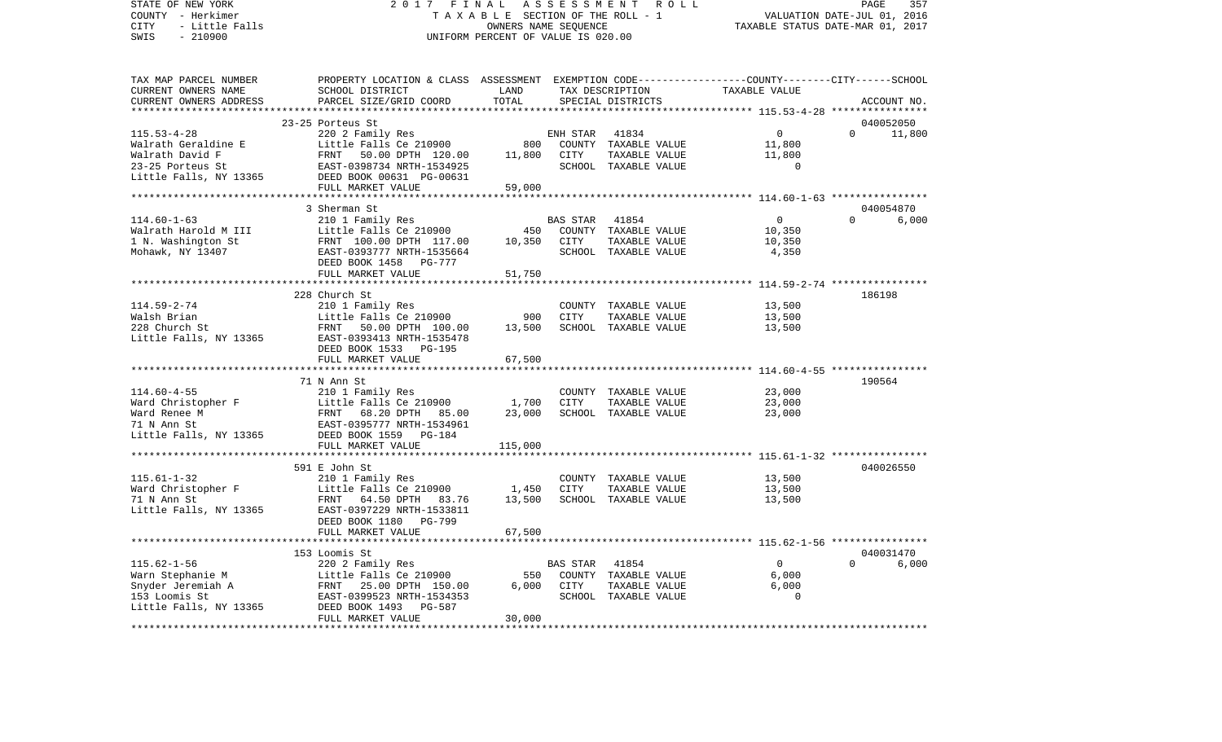COUNTY - Herkimer **T A X A B L E** SECTION OF THE ROLL - 1 VALUATION DATE-JUL 01, 2016 CITY - Little Falls OWNERS NAME SEQUENCE TAXABLE STATUS DATE-MAR 01, 2017 SWIS - 210900 UNIFORM PERCENT OF VALUE IS 020.00TAX MAP PARCEL NUMBER PROPERTY LOCATION & CLASS ASSESSMENT EXEMPTION CODE------------------COUNTY--------CITY------SCHOOL CURRENT OWNERS NAME SCHOOL DISTRICT LAND TAX DESCRIPTION TAXABLE VALUECURRENT OWNERS ADDRESS PARCEL SIZE/GRID COORD TOTAL SPECIAL DISTRICTS ACCOUNT NO. \*\*\*\*\*\*\*\*\*\*\*\*\*\*\*\*\*\*\*\*\*\*\*\*\*\*\*\*\*\*\*\*\*\*\*\*\*\*\*\*\*\*\*\*\*\*\*\*\*\*\*\*\*\*\*\*\*\*\*\*\*\*\*\*\*\*\*\*\*\*\*\*\*\*\*\*\*\*\*\*\*\*\*\*\*\*\*\*\*\*\*\*\*\*\*\*\*\*\*\*\*\*\* 115.53-4-28 \*\*\*\*\*\*\*\*\*\*\*\*\*\*\*\* 23-25 Porteus St 040052050115.53-4-28 220 2 Family Res ENH STAR 41834 0 0 11,800 Walrath Geraldine E Little Falls Ce 210900 800 COUNTY TAXABLE VALUE 11,800 Walrath David F **FRNT 50.00 DPTH 120.00** 11,800 CITY TAXABLE VALUE 11,800 23-25 Porteus St EAST-0398734 NRTH-1534925 SCHOOL TAXABLE VALUE 0Little Falls, NY 13365 DEED BOOK 00631 PG-00631 FULL MARKET VALUE 59,000 \*\*\*\*\*\*\*\*\*\*\*\*\*\*\*\*\*\*\*\*\*\*\*\*\*\*\*\*\*\*\*\*\*\*\*\*\*\*\*\*\*\*\*\*\*\*\*\*\*\*\*\*\*\*\*\*\*\*\*\*\*\*\*\*\*\*\*\*\*\*\*\*\*\*\*\*\*\*\*\*\*\*\*\*\*\*\*\*\*\*\*\*\*\*\*\*\*\*\*\*\*\*\* 114.60-1-63 \*\*\*\*\*\*\*\*\*\*\*\*\*\*\*\* 3 Sherman St 040054870114.60-1-63 210 1 Family Res BAS STAR 41854 0 0 6,000 Walrath Harold M III Little Falls Ce 210900 450 COUNTY TAXABLE VALUE 10,350 1 N. Washington St FRNT 100.00 DPTH 117.00 10,350 CITY TAXABLE VALUE 10,350 Mohawk, NY 13407 EAST-0393777 NRTH-1535664 SCHOOL TAXABLE VALUE 4,350 DEED BOOK 1458 PG-777FULL MARKET VALUE 51,750 \*\*\*\*\*\*\*\*\*\*\*\*\*\*\*\*\*\*\*\*\*\*\*\*\*\*\*\*\*\*\*\*\*\*\*\*\*\*\*\*\*\*\*\*\*\*\*\*\*\*\*\*\*\*\*\*\*\*\*\*\*\*\*\*\*\*\*\*\*\*\*\*\*\*\*\*\*\*\*\*\*\*\*\*\*\*\*\*\*\*\*\*\*\*\*\*\*\*\*\*\*\*\* 114.59-2-74 \*\*\*\*\*\*\*\*\*\*\*\*\*\*\*\* 228 Church St 186198114.59-2-74 210 1 Family Res COUNTY TAXABLE VALUE 13,500 Walsh Brian Little Falls Ce 210900 900 CITY TAXABLE VALUE 13,500 228 Church St FRNT 50.00 DPTH 100.00 13,500 SCHOOL TAXABLE VALUE 13,500 Little Falls, NY 13365 EAST-0393413 NRTH-1535478 DEED BOOK 1533 PG-195FULL MARKET VALUE 67,500 \*\*\*\*\*\*\*\*\*\*\*\*\*\*\*\*\*\*\*\*\*\*\*\*\*\*\*\*\*\*\*\*\*\*\*\*\*\*\*\*\*\*\*\*\*\*\*\*\*\*\*\*\*\*\*\*\*\*\*\*\*\*\*\*\*\*\*\*\*\*\*\*\*\*\*\*\*\*\*\*\*\*\*\*\*\*\*\*\*\*\*\*\*\*\*\*\*\*\*\*\*\*\* 114.60-4-55 \*\*\*\*\*\*\*\*\*\*\*\*\*\*\*\* 71 N Ann St 190564114.60-4-55 210 1 Family Res COUNTY TAXABLE VALUE 23,000 Ward Christopher F Little Falls Ce 210900 1,700 CITY TAXABLE VALUE 23,000 Ward Renee M 68.20 DPTH 85.00 23,000 SCHOOL TAXABLE VALUE 23,000 71 N Ann St EAST-0395777 NRTH-1534961Little Falls, NY 13365 DEED BOOK 1559 PG-184 FULL MARKET VALUE 115,000 \*\*\*\*\*\*\*\*\*\*\*\*\*\*\*\*\*\*\*\*\*\*\*\*\*\*\*\*\*\*\*\*\*\*\*\*\*\*\*\*\*\*\*\*\*\*\*\*\*\*\*\*\*\*\*\*\*\*\*\*\*\*\*\*\*\*\*\*\*\*\*\*\*\*\*\*\*\*\*\*\*\*\*\*\*\*\*\*\*\*\*\*\*\*\*\*\*\*\*\*\*\*\* 115.61-1-32 \*\*\*\*\*\*\*\*\*\*\*\*\*\*\*\* 591 E John St 040026550115.61-1-32 210 1 Family Res COUNTY TAXABLE VALUE 13,500 Ward Christopher F The Little Falls Ce 210900 1,450 CITY TAXABLE VALUE 13,500 71 N Ann St FRNT 64.50 DPTH 83.76 13,500 SCHOOL TAXABLE VALUE 13,500 Little Falls, NY 13365 EAST-0397229 NRTH-1533811 DEED BOOK 1180 PG-799FULL MARKET VALUE 67,500 \*\*\*\*\*\*\*\*\*\*\*\*\*\*\*\*\*\*\*\*\*\*\*\*\*\*\*\*\*\*\*\*\*\*\*\*\*\*\*\*\*\*\*\*\*\*\*\*\*\*\*\*\*\*\*\*\*\*\*\*\*\*\*\*\*\*\*\*\*\*\*\*\*\*\*\*\*\*\*\*\*\*\*\*\*\*\*\*\*\*\*\*\*\*\*\*\*\*\*\*\*\*\* 115.62-1-56 \*\*\*\*\*\*\*\*\*\*\*\*\*\*\*\* 153 Loomis St 040031470115.62-1-56 220 2 Family Res BAS STAR 41854 0 0 6,000 Warn Stephanie M Little Falls Ce 210900 550 COUNTY TAXABLE VALUE 6,000 Snyder Jeremiah A FRNT 25.00 DPTH 150.00 6,000 CITY TAXABLE VALUE 6,000 153 Loomis St EAST-0399523 NRTH-1534353 SCHOOL TAXABLE VALUE 0Little Falls, NY 13365 DEED BOOK 1493 PG-587 FULL MARKET VALUE 30,000 \*\*\*\*\*\*\*\*\*\*\*\*\*\*\*\*\*\*\*\*\*\*\*\*\*\*\*\*\*\*\*\*\*\*\*\*\*\*\*\*\*\*\*\*\*\*\*\*\*\*\*\*\*\*\*\*\*\*\*\*\*\*\*\*\*\*\*\*\*\*\*\*\*\*\*\*\*\*\*\*\*\*\*\*\*\*\*\*\*\*\*\*\*\*\*\*\*\*\*\*\*\*\*\*\*\*\*\*\*\*\*\*\*\*\*\*\*\*\*\*\*\*\*\*\*\*\*\*\*\*\*\*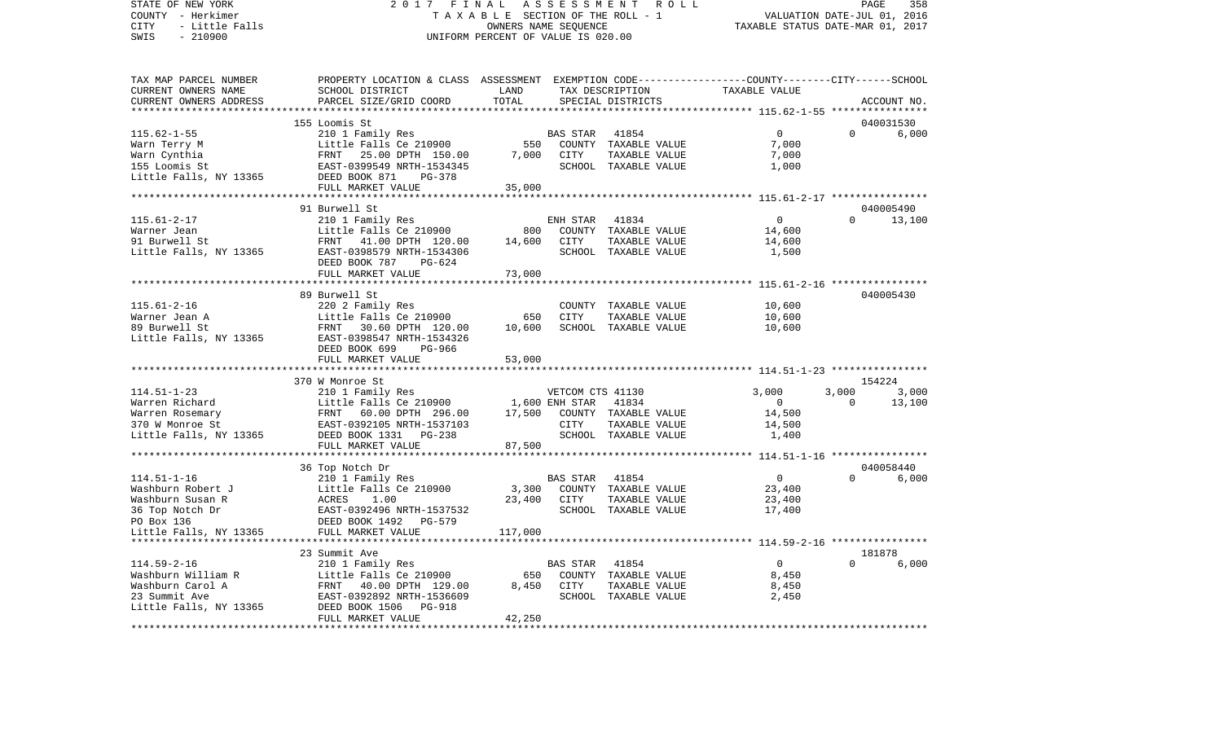STATE OF NEW YORK 2 0 1 7 F I N A L A S S E S S M E N T R O L L PAGE 358COUNTY - Herkimer **T A X A B L E** SECTION OF THE ROLL - 1 VALUATION DATE-JUL 01, 2016 CITY - Little Falls OWNERS NAME SEQUENCE TAXABLE STATUS DATE-MAR 01, 2017 SWIS - 210900 UNIFORM PERCENT OF VALUE IS 020.00TAX MAP PARCEL NUMBER PROPERTY LOCATION & CLASS ASSESSMENT EXEMPTION CODE------------------COUNTY--------CITY------SCHOOL CURRENT OWNERS NAME SCHOOL DISTRICT LAND TAX DESCRIPTION TAXABLE VALUECURRENT OWNERS ADDRESS PARCEL SIZE/GRID COORD TOTAL SPECIAL DISTRICTS ACCOUNT NO. \*\*\*\*\*\*\*\*\*\*\*\*\*\*\*\*\*\*\*\*\*\*\*\*\*\*\*\*\*\*\*\*\*\*\*\*\*\*\*\*\*\*\*\*\*\*\*\*\*\*\*\*\*\*\*\*\*\*\*\*\*\*\*\*\*\*\*\*\*\*\*\*\*\*\*\*\*\*\*\*\*\*\*\*\*\*\*\*\*\*\*\*\*\*\*\*\*\*\*\*\*\*\* 115.62-1-55 \*\*\*\*\*\*\*\*\*\*\*\*\*\*\*\* 155 Loomis St 040031530115.62-1-55 210 1 Family Res BAS STAR 41854 0 0 6,000 Warn Terry M **Example 2010 COUNTY TAXABLE VALUE** 7,000 Warn Cynthia FRNT 25.00 DPTH 150.00 7,000 CITY TAXABLE VALUE 7,000 155 Loomis St EAST-0399549 NRTH-1534345 SCHOOL TAXABLE VALUE 1,000 Little Falls, NY 13365 DEED BOOK 871 PG-378 FULL MARKET VALUE 35,000 \*\*\*\*\*\*\*\*\*\*\*\*\*\*\*\*\*\*\*\*\*\*\*\*\*\*\*\*\*\*\*\*\*\*\*\*\*\*\*\*\*\*\*\*\*\*\*\*\*\*\*\*\*\*\*\*\*\*\*\*\*\*\*\*\*\*\*\*\*\*\*\*\*\*\*\*\*\*\*\*\*\*\*\*\*\*\*\*\*\*\*\*\*\*\*\*\*\*\*\*\*\*\* 115.61-2-17 \*\*\*\*\*\*\*\*\*\*\*\*\*\*\*\*91 Burwell St 040005490 115.61-2-17 210 1 Family Res ENH STAR 41834 0 0 13,100 Warner Jean Little Falls Ce 210900 800 COUNTY TAXABLE VALUE 14,600 91 Burwell St **FRNT** 41.00 DPTH 120.00 14.600 CITY TAXABLE VALUE 14.600 Little Falls, NY 13365 EAST-0398579 NRTH-1534306 SCHOOL TAXABLE VALUE 1,500 DEED BOOK 787 PG-624FULL MARKET VALUE 73,000 \*\*\*\*\*\*\*\*\*\*\*\*\*\*\*\*\*\*\*\*\*\*\*\*\*\*\*\*\*\*\*\*\*\*\*\*\*\*\*\*\*\*\*\*\*\*\*\*\*\*\*\*\*\*\*\*\*\*\*\*\*\*\*\*\*\*\*\*\*\*\*\*\*\*\*\*\*\*\*\*\*\*\*\*\*\*\*\*\*\*\*\*\*\*\*\*\*\*\*\*\*\*\* 115.61-2-16 \*\*\*\*\*\*\*\*\*\*\*\*\*\*\*\* 89 Burwell St 040005430115.61-2-16 220 2 Family Res COUNTY TAXABLE VALUE 10,600 Warner Jean A Little Falls Ce 210900 650 CITY TAXABLE VALUE 10,600 89 Burwell St FRNT 30.60 DPTH 120.00 10,600 SCHOOL TAXABLE VALUE 10,600 Little Falls, NY 13365 EAST-0398547 NRTH-1534326 DEED BOOK 699 PG-966FULL MARKET VALUE 53,000 \*\*\*\*\*\*\*\*\*\*\*\*\*\*\*\*\*\*\*\*\*\*\*\*\*\*\*\*\*\*\*\*\*\*\*\*\*\*\*\*\*\*\*\*\*\*\*\*\*\*\*\*\*\*\*\*\*\*\*\*\*\*\*\*\*\*\*\*\*\*\*\*\*\*\*\*\*\*\*\*\*\*\*\*\*\*\*\*\*\*\*\*\*\*\*\*\*\*\*\*\*\*\* 114.51-1-23 \*\*\*\*\*\*\*\*\*\*\*\*\*\*\*\* 370 W Monroe St 154224114.51-1-23 210 1 Family Res VETCOM CTS 41130 3,000 3,000 3,000 Warren Richard Little Falls Ce 210900 1,600 ENH STAR 41834 0 13,100 Warren Rosemary FRNT 60.00 DPTH 296.00 17,500 COUNTY TAXABLE VALUE 14,500 370 W Monroe St EAST-0392105 NRTH-1537103 CITY TAXABLE VALUE 14,500 Little Falls, NY 13365 DEED BOOK 1331 PG-238 SCHOOL TAXABLE VALUE 1,400 FULL MARKET VALUE 87,500 \*\*\*\*\*\*\*\*\*\*\*\*\*\*\*\*\*\*\*\*\*\*\*\*\*\*\*\*\*\*\*\*\*\*\*\*\*\*\*\*\*\*\*\*\*\*\*\*\*\*\*\*\*\*\*\*\*\*\*\*\*\*\*\*\*\*\*\*\*\*\*\*\*\*\*\*\*\*\*\*\*\*\*\*\*\*\*\*\*\*\*\*\*\*\*\*\*\*\*\*\*\*\* 114.51-1-16 \*\*\*\*\*\*\*\*\*\*\*\*\*\*\*\* 36 Top Notch Dr 040058440 114.51-1-16 210 1 Family Res BAS STAR 41854 0 0 6,000 Washburn Robert J Little Falls Ce 210900 3,300 COUNTY TAXABLE VALUE 23,400 Washburn Susan R ACRES 1.00 23,400 CITY TAXABLE VALUE 23,400 36 Top Notch Dr EAST-0392496 NRTH-1537532 SCHOOL TAXABLE VALUE 17,400 PO Box 136 DEED BOOK 1492 PG-579Little Falls, NY 13365 FULL MARKET VALUE 117,000 \*\*\*\*\*\*\*\*\*\*\*\*\*\*\*\*\*\*\*\*\*\*\*\*\*\*\*\*\*\*\*\*\*\*\*\*\*\*\*\*\*\*\*\*\*\*\*\*\*\*\*\*\*\*\*\*\*\*\*\*\*\*\*\*\*\*\*\*\*\*\*\*\*\*\*\*\*\*\*\*\*\*\*\*\*\*\*\*\*\*\*\*\*\*\*\*\*\*\*\*\*\*\* 114.59-2-16 \*\*\*\*\*\*\*\*\*\*\*\*\*\*\*\* 23 Summit Ave 181878114.59-2-16 210 1 Family Res BAS STAR 41854 0 0 6,000 Washburn William R Little Falls Ce 210900 650 COUNTY TAXABLE VALUE 8,450 Washburn Carol A **FRNT** 40.00 DPTH 129.00 8.450 CITY TAXABLE VALUE 8,450 23 Summit Ave EAST-0392892 NRTH-1536609 SCHOOL TAXABLE VALUE 2,450

\*\*\*\*\*\*\*\*\*\*\*\*\*\*\*\*\*\*\*\*\*\*\*\*\*\*\*\*\*\*\*\*\*\*\*\*\*\*\*\*\*\*\*\*\*\*\*\*\*\*\*\*\*\*\*\*\*\*\*\*\*\*\*\*\*\*\*\*\*\*\*\*\*\*\*\*\*\*\*\*\*\*\*\*\*\*\*\*\*\*\*\*\*\*\*\*\*\*\*\*\*\*\*\*\*\*\*\*\*\*\*\*\*\*\*\*\*\*\*\*\*\*\*\*\*\*\*\*\*\*\*\*

Little Falls, NY 13365 DEED BOOK 1506 PG-918

FULL MARKET VALUE 42,250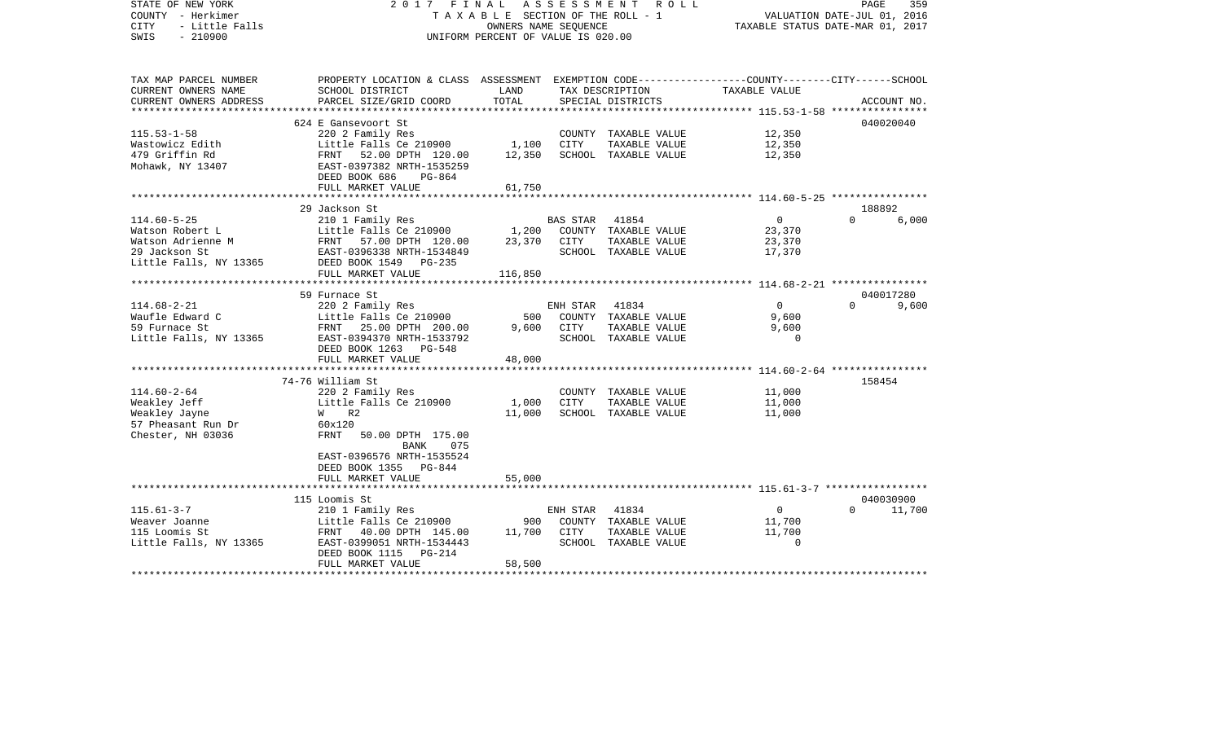| STATE OF NEW YORK<br>COUNTY - Herkimer<br>- Little Falls<br><b>CITY</b><br>$-210900$<br>SWIS | 2017 FINAL<br>TAXABLE SECTION OF THE ROLL - 1<br>UNIFORM PERCENT OF VALUE IS 020.00              | R O L L<br>PAGE<br>VALUATION DATE-JUL 01, 2016<br>TAXABLE STATUS DATE-MAR 01, 2017 |          |                               |                                                   |           |             |
|----------------------------------------------------------------------------------------------|--------------------------------------------------------------------------------------------------|------------------------------------------------------------------------------------|----------|-------------------------------|---------------------------------------------------|-----------|-------------|
| TAX MAP PARCEL NUMBER                                                                        | PROPERTY LOCATION & CLASS ASSESSMENT EXEMPTION CODE----------------COUNTY-------CITY------SCHOOL |                                                                                    |          |                               |                                                   |           |             |
| CURRENT OWNERS NAME                                                                          | SCHOOL DISTRICT                                                                                  | LAND<br>TOTAL                                                                      |          | TAX DESCRIPTION               | TAXABLE VALUE                                     |           |             |
| CURRENT OWNERS ADDRESS<br>******************                                                 | PARCEL SIZE/GRID COORD                                                                           |                                                                                    |          | SPECIAL DISTRICTS             | ******************* 115.53-1-58 ***************** |           | ACCOUNT NO. |
|                                                                                              | 624 E Gansevoort St                                                                              |                                                                                    |          |                               |                                                   | 040020040 |             |
| $115.53 - 1 - 58$                                                                            | 220 2 Family Res                                                                                 |                                                                                    |          | COUNTY TAXABLE VALUE          | 12,350                                            |           |             |
| Wastowicz Edith                                                                              | Little Falls Ce 210900                                                                           | 1,100                                                                              | CITY     | TAXABLE VALUE                 | 12,350                                            |           |             |
| 479 Griffin Rd                                                                               | FRNT 52.00 DPTH 120.00                                                                           | 12,350                                                                             |          | SCHOOL TAXABLE VALUE          | 12,350                                            |           |             |
| Mohawk, NY 13407                                                                             | EAST-0397382 NRTH-1535259                                                                        |                                                                                    |          |                               |                                                   |           |             |
|                                                                                              | DEED BOOK 686<br>PG-864                                                                          |                                                                                    |          |                               |                                                   |           |             |
|                                                                                              | FULL MARKET VALUE                                                                                | 61,750                                                                             |          |                               |                                                   |           |             |
|                                                                                              | 29 Jackson St                                                                                    |                                                                                    |          |                               |                                                   | 188892    |             |
| $114.60 - 5 - 25$                                                                            | 210 1 Family Res                                                                                 |                                                                                    | BAS STAR | 41854                         | $\overline{0}$                                    | $\cap$    | 6,000       |
| Watson Robert L                                                                              | Little Falls Ce 210900                                                                           | 1,200                                                                              |          | COUNTY TAXABLE VALUE          | 23,370                                            |           |             |
| Watson Adrienne M                                                                            | FRNT 57.00 DPTH 120.00                                                                           | 23,370                                                                             | CITY     | TAXABLE VALUE                 | 23,370                                            |           |             |
| 29 Jackson St                                                                                | EAST-0396338 NRTH-1534849                                                                        |                                                                                    |          | SCHOOL TAXABLE VALUE          | 17,370                                            |           |             |
| Little Falls, NY 13365                                                                       | DEED BOOK 1549<br>$PG-235$                                                                       |                                                                                    |          |                               |                                                   |           |             |
|                                                                                              | FULL MARKET VALUE                                                                                | 116,850                                                                            |          |                               |                                                   |           |             |
|                                                                                              |                                                                                                  |                                                                                    |          |                               |                                                   |           |             |
|                                                                                              | 59 Furnace St                                                                                    |                                                                                    |          |                               |                                                   |           | 040017280   |
| $114.68 - 2 - 21$<br>Waufle Edward C                                                         | 220 2 Family Res<br>Little Falls Ce 210900                                                       | 500                                                                                | ENH STAR | 41834<br>COUNTY TAXABLE VALUE | $\overline{0}$<br>9,600                           | $\Omega$  | 9,600       |
| 59 Furnace St                                                                                | FRNT 25.00 DPTH 200.00                                                                           | 9,600                                                                              | CITY     | TAXABLE VALUE                 | 9,600                                             |           |             |
| Little Falls, NY 13365                                                                       | EAST-0394370 NRTH-1533792                                                                        |                                                                                    |          | SCHOOL TAXABLE VALUE          | $\Omega$                                          |           |             |
|                                                                                              | DEED BOOK 1263 PG-548                                                                            |                                                                                    |          |                               |                                                   |           |             |
|                                                                                              | FULL MARKET VALUE                                                                                | 48,000                                                                             |          |                               |                                                   |           |             |
|                                                                                              |                                                                                                  |                                                                                    |          |                               |                                                   |           |             |
|                                                                                              | 74-76 William St                                                                                 |                                                                                    |          |                               |                                                   | 158454    |             |
| $114.60 - 2 - 64$                                                                            | 220 2 Family Res                                                                                 |                                                                                    |          | COUNTY TAXABLE VALUE          | 11,000                                            |           |             |
| Weakley Jeff                                                                                 | Little Falls Ce 210900                                                                           | 1,000                                                                              | CITY     | TAXABLE VALUE                 | 11,000                                            |           |             |
| Weakley Jayne                                                                                | $W$ R2                                                                                           | 11,000                                                                             |          | SCHOOL TAXABLE VALUE          | 11,000                                            |           |             |
| 57 Pheasant Run Dr<br>Chester, NH 03036                                                      | 60x120<br>FRNT<br>50.00 DPTH 175.00                                                              |                                                                                    |          |                               |                                                   |           |             |
|                                                                                              | <b>BANK</b><br>075                                                                               |                                                                                    |          |                               |                                                   |           |             |
|                                                                                              | EAST-0396576 NRTH-1535524                                                                        |                                                                                    |          |                               |                                                   |           |             |
|                                                                                              | DEED BOOK 1355 PG-844                                                                            |                                                                                    |          |                               |                                                   |           |             |
|                                                                                              | FULL MARKET VALUE                                                                                | 55,000                                                                             |          |                               |                                                   |           |             |
|                                                                                              |                                                                                                  |                                                                                    |          |                               |                                                   |           |             |
|                                                                                              | 115 Loomis St                                                                                    |                                                                                    |          |                               |                                                   |           | 040030900   |
| $115.61 - 3 - 7$                                                                             | 210 1 Family Res                                                                                 |                                                                                    | ENH STAR | 41834                         | $\overline{0}$                                    | $\Omega$  | 11,700      |
| Weaver Joanne                                                                                | Little Falls Ce 210900                                                                           | 900                                                                                |          | COUNTY TAXABLE VALUE          | 11,700                                            |           |             |
| 115 Loomis St                                                                                | FRNT 40.00 DPTH 145.00                                                                           | 11,700                                                                             | CITY     | TAXABLE VALUE                 | 11,700<br>$\Omega$                                |           |             |
| Little Falls, NY 13365                                                                       | EAST-0399051 NRTH-1534443<br>DEED BOOK 1115 PG-214                                               |                                                                                    |          | SCHOOL TAXABLE VALUE          |                                                   |           |             |
|                                                                                              | FULL MARKET VALUE                                                                                | 58,500                                                                             |          |                               |                                                   |           |             |
|                                                                                              |                                                                                                  |                                                                                    |          |                               |                                                   |           |             |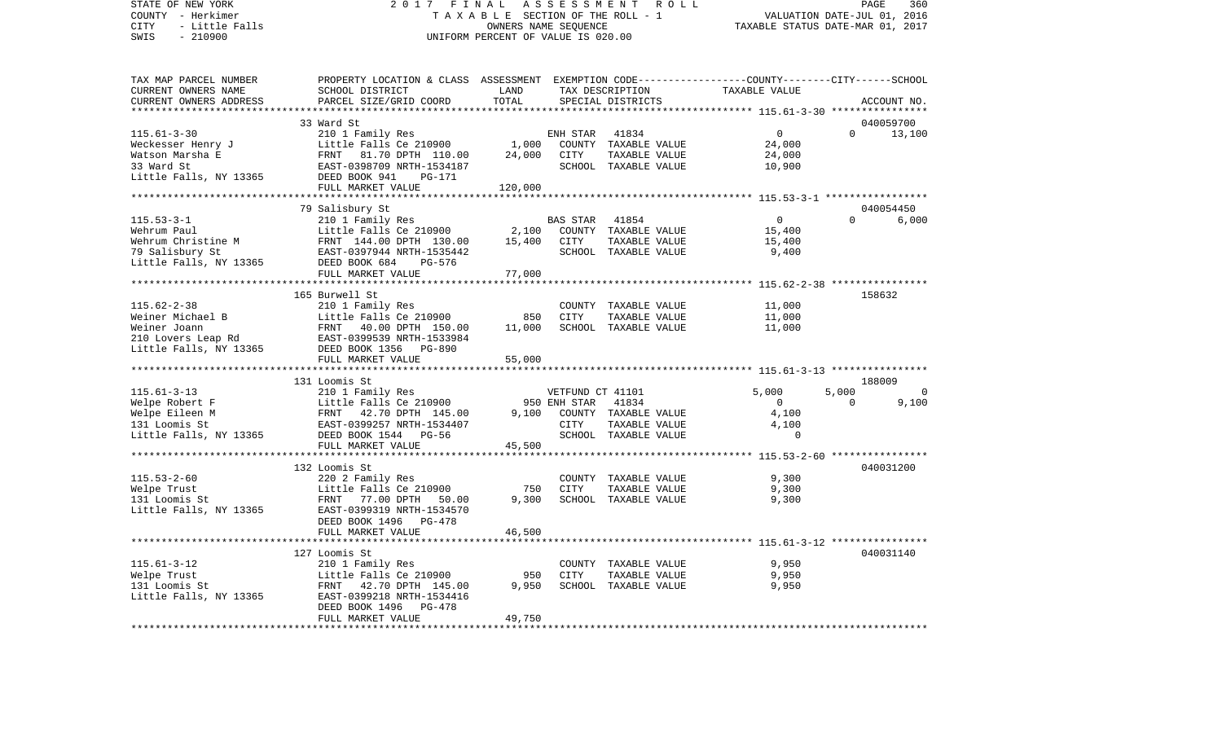STATE OF NEW YORK 2 0 1 7 F I N A L A S S E S S M E N T R O L L PAGE 360COUNTY - Herkimer **T A X A B L E** SECTION OF THE ROLL - 1 VALUATION DATE-JUL 01, 2016 CITY - Little Falls OWNERS NAME SEQUENCE TAXABLE STATUS DATE-MAR 01, 2017 SWIS - 210900 UNIFORM PERCENT OF VALUE IS 020.00TAX MAP PARCEL NUMBER PROPERTY LOCATION & CLASS ASSESSMENT EXEMPTION CODE------------------COUNTY--------CITY------SCHOOL CURRENT OWNERS NAME SCHOOL DISTRICT LAND TAX DESCRIPTION TAXABLE VALUECURRENT OWNERS ADDRESS PARCEL SIZE/GRID COORD TOTAL SPECIAL DISTRICTS ACCOUNT NO. \*\*\*\*\*\*\*\*\*\*\*\*\*\*\*\*\*\*\*\*\*\*\*\*\*\*\*\*\*\*\*\*\*\*\*\*\*\*\*\*\*\*\*\*\*\*\*\*\*\*\*\*\*\*\*\*\*\*\*\*\*\*\*\*\*\*\*\*\*\*\*\*\*\*\*\*\*\*\*\*\*\*\*\*\*\*\*\*\*\*\*\*\*\*\*\*\*\*\*\*\*\*\* 115.61-3-30 \*\*\*\*\*\*\*\*\*\*\*\*\*\*\*\* 33 Ward St 040059700115.61-3-30 210 1 Family Res ENH STAR 41834 0 0 13,100 Weckesser Henry J Little Falls Ce 210900 1,000 COUNTY TAXABLE VALUE 24,000 Watson Marsha E FRNT 81.70 DPTH 110.00 24,000 CITY TAXABLE VALUE 24,000 33 Ward St EAST-0398709 NRTH-1534187 SCHOOL TAXABLE VALUE 10,900 Little Falls, NY 13365 DEED BOOK 941 PG-171 FULL MARKET VALUE 120,000 \*\*\*\*\*\*\*\*\*\*\*\*\*\*\*\*\*\*\*\*\*\*\*\*\*\*\*\*\*\*\*\*\*\*\*\*\*\*\*\*\*\*\*\*\*\*\*\*\*\*\*\*\*\*\*\*\*\*\*\*\*\*\*\*\*\*\*\*\*\*\*\*\*\*\*\*\*\*\*\*\*\*\*\*\*\*\*\*\*\*\*\*\*\*\*\*\*\*\*\*\*\*\* 115.53-3-1 \*\*\*\*\*\*\*\*\*\*\*\*\*\*\*\*\* 79 Salisbury St 040054450 115.53-3-1 210 1 Family Res BAS STAR 41854 0 0 6,000 Wehrum Paul 1988 Collective Falls Ce 210900 2,100 COUNTY TAXABLE VALUE Wehrum Christine M FRNT 144.00 DPTH 130.00 15.400 CITY TAXABLE VALUE 15.400 79 Salisbury St EAST-0397944 NRTH-1535442 SCHOOL TAXABLE VALUE 9,400 Little Falls, NY 13365 DEED BOOK 684 PG-576 FULL MARKET VALUE 77,000 \*\*\*\*\*\*\*\*\*\*\*\*\*\*\*\*\*\*\*\*\*\*\*\*\*\*\*\*\*\*\*\*\*\*\*\*\*\*\*\*\*\*\*\*\*\*\*\*\*\*\*\*\*\*\*\*\*\*\*\*\*\*\*\*\*\*\*\*\*\*\*\*\*\*\*\*\*\*\*\*\*\*\*\*\*\*\*\*\*\*\*\*\*\*\*\*\*\*\*\*\*\*\* 115.62-2-38 \*\*\*\*\*\*\*\*\*\*\*\*\*\*\*\* 165 Burwell St 158632115.62-2-38 210 1 Family Res COUNTY TAXABLE VALUE 11,000 Weiner Michael B Little Falls Ce 210900 850 CITY TAXABLE VALUE 11,000 Weiner Joann 11,000 FRNT 40.00 DPTH 150.00 11,000 SCHOOL TAXABLE VALUE 11,000 210 Lovers Leap Rd EAST-0399539 NRTH-1533984 Little Falls, NY 13365 DEED BOOK 1356 PG-890 FULL MARKET VALUE 55,000 \*\*\*\*\*\*\*\*\*\*\*\*\*\*\*\*\*\*\*\*\*\*\*\*\*\*\*\*\*\*\*\*\*\*\*\*\*\*\*\*\*\*\*\*\*\*\*\*\*\*\*\*\*\*\*\*\*\*\*\*\*\*\*\*\*\*\*\*\*\*\*\*\*\*\*\*\*\*\*\*\*\*\*\*\*\*\*\*\*\*\*\*\*\*\*\*\*\*\*\*\*\*\* 115.61-3-13 \*\*\*\*\*\*\*\*\*\*\*\*\*\*\*\* 131 Loomis St 188009115.61-3-13 210 1 Family Res VETFUND CT 41101 5,000 5,000 0 Welpe Robert F **Little Falls Ce 210900** 950 ENH STAR 41834 0 0 9,100 Welpe Eileen M FRNT 42.70 DPTH 145.00 9,100 COUNTY TAXABLE VALUE 4,100 131 Loomis St EAST-0399257 NRTH-1534407 CITY TAXABLE VALUE 4,100 Little Falls, NY 13365 DEED BOOK 1544 PG-56 SCHOOL TAXABLE VALUE 0 FULL MARKET VALUE 45,500 \*\*\*\*\*\*\*\*\*\*\*\*\*\*\*\*\*\*\*\*\*\*\*\*\*\*\*\*\*\*\*\*\*\*\*\*\*\*\*\*\*\*\*\*\*\*\*\*\*\*\*\*\*\*\*\*\*\*\*\*\*\*\*\*\*\*\*\*\*\*\*\*\*\*\*\*\*\*\*\*\*\*\*\*\*\*\*\*\*\*\*\*\*\*\*\*\*\*\*\*\*\*\* 115.53-2-60 \*\*\*\*\*\*\*\*\*\*\*\*\*\*\*\* 132 Loomis St 040031200115.53-2-60 220 2 Family Res COUNTY TAXABLE VALUE 9,300 Welpe Trust Little Falls Ce 210900 750 CITY TAXABLE VALUE 9,300 131 Loomis St FRNT 77.00 DPTH 50.00 9,300 SCHOOL TAXABLE VALUE 9,300 Little Falls, NY 13365 EAST-0399319 NRTH-1534570 DEED BOOK 1496 PG-478FULL MARKET VALUE 46,500 \*\*\*\*\*\*\*\*\*\*\*\*\*\*\*\*\*\*\*\*\*\*\*\*\*\*\*\*\*\*\*\*\*\*\*\*\*\*\*\*\*\*\*\*\*\*\*\*\*\*\*\*\*\*\*\*\*\*\*\*\*\*\*\*\*\*\*\*\*\*\*\*\*\*\*\*\*\*\*\*\*\*\*\*\*\*\*\*\*\*\*\*\*\*\*\*\*\*\*\*\*\*\* 115.61-3-12 \*\*\*\*\*\*\*\*\*\*\*\*\*\*\*\* 127 Loomis St 040031140115.61-3-12 210 1 Family Res COUNTY TAXABLE VALUE 9,950 Little Falls Ce 210900 950 CITY<br>FRNT 42.70 DPTH 145.00 9,950 SCHOO 131 Loomis St FRNT 42.70 DPTH 145.00 9,950 SCHOOL TAXABLE VALUE 9,950 Little Falls, NY 13365 EAST-0399218 NRTH-1534416 DEED BOOK 1496 PG-478 FULL MARKET VALUE 49,750 \*\*\*\*\*\*\*\*\*\*\*\*\*\*\*\*\*\*\*\*\*\*\*\*\*\*\*\*\*\*\*\*\*\*\*\*\*\*\*\*\*\*\*\*\*\*\*\*\*\*\*\*\*\*\*\*\*\*\*\*\*\*\*\*\*\*\*\*\*\*\*\*\*\*\*\*\*\*\*\*\*\*\*\*\*\*\*\*\*\*\*\*\*\*\*\*\*\*\*\*\*\*\*\*\*\*\*\*\*\*\*\*\*\*\*\*\*\*\*\*\*\*\*\*\*\*\*\*\*\*\*\*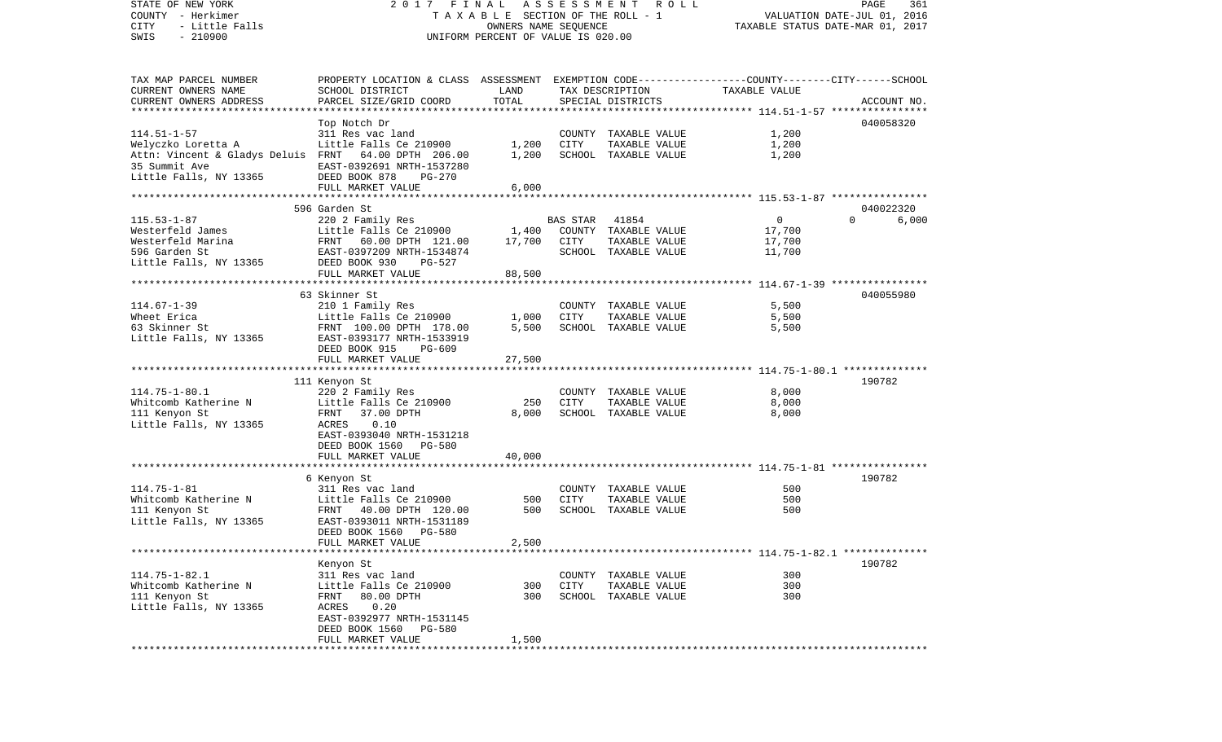COUNTY - Herkimer T A X A B L E SECTION OF THE ROLL - 1 VALUATION DATE-JUL 01, 2016 CITY - Little Falls OWNERS NAME SEQUENCE TAXABLE STATUS DATE-MAR 01, 2017 SWIS - 210900 UNIFORM PERCENT OF VALUE IS 020.00TAX MAP PARCEL NUMBER PROPERTY LOCATION & CLASS ASSESSMENT EXEMPTION CODE------------------COUNTY--------CITY------SCHOOL CURRENT OWNERS NAME SCHOOL DISTRICT LAND TAX DESCRIPTION TAXABLE VALUECURRENT OWNERS ADDRESS PARCEL SIZE/GRID COORD TOTAL SPECIAL DISTRICTS ACCOUNT NO. \*\*\*\*\*\*\*\*\*\*\*\*\*\*\*\*\*\*\*\*\*\*\*\*\*\*\*\*\*\*\*\*\*\*\*\*\*\*\*\*\*\*\*\*\*\*\*\*\*\*\*\*\*\*\*\*\*\*\*\*\*\*\*\*\*\*\*\*\*\*\*\*\*\*\*\*\*\*\*\*\*\*\*\*\*\*\*\*\*\*\*\*\*\*\*\*\*\*\*\*\*\*\* 114.51-1-57 \*\*\*\*\*\*\*\*\*\*\*\*\*\*\*\* Top Notch Dr 040058320 114.51-1-57 311 Res vac land COUNTY TAXABLE VALUE 1,200 Welyczko Loretta A Little Falls Ce 210900 1,200 CITY TAXABLE VALUE 1,200 Attn: Vincent & Gladys Deluis FRNT 64.00 DPTH 206.00 1,200 SCHOOL TAXABLE VALUE 1,200 35 Summit Ave EAST-0392691 NRTH-1537280Little Falls, NY 13365 DEED BOOK 878 PG-270 FULL MARKET VALUE 6,000 \*\*\*\*\*\*\*\*\*\*\*\*\*\*\*\*\*\*\*\*\*\*\*\*\*\*\*\*\*\*\*\*\*\*\*\*\*\*\*\*\*\*\*\*\*\*\*\*\*\*\*\*\*\*\*\*\*\*\*\*\*\*\*\*\*\*\*\*\*\*\*\*\*\*\*\*\*\*\*\*\*\*\*\*\*\*\*\*\*\*\*\*\*\*\*\*\*\*\*\*\*\*\* 115.53-1-87 \*\*\*\*\*\*\*\*\*\*\*\*\*\*\*\* 596 Garden St 040022320115.53-1-87 220 2 Family Res BAS STAR 41854 0 0 6,000 Little Falls Ce 210900 1,400 COUNTY TAXABLE VALUE Westerfeld Marina **FRNT 60.00 DPTH 121.00** 17.700 CITY TAXABLE VALUE 17.700 596 Garden St EAST-0397209 NRTH-1534874 SCHOOL TAXABLE VALUE 11,700 Little Falls, NY 13365 DEED BOOK 930 PG-527 FULL MARKET VALUE 88,500 \*\*\*\*\*\*\*\*\*\*\*\*\*\*\*\*\*\*\*\*\*\*\*\*\*\*\*\*\*\*\*\*\*\*\*\*\*\*\*\*\*\*\*\*\*\*\*\*\*\*\*\*\*\*\*\*\*\*\*\*\*\*\*\*\*\*\*\*\*\*\*\*\*\*\*\*\*\*\*\*\*\*\*\*\*\*\*\*\*\*\*\*\*\*\*\*\*\*\*\*\*\*\* 114.67-1-39 \*\*\*\*\*\*\*\*\*\*\*\*\*\*\*\* 63 Skinner St 040055980114.67-1-39 210 1 Family Res COUNTY TAXABLE VALUE 5,500 Wheet Erica Little Falls Ce 210900 1,000 CITY TAXABLE VALUE 5,500 63 Skinner St FRNT 100.00 DPTH 178.00 5,500 SCHOOL TAXABLE VALUE 5,500 Little Falls, NY 13365 EAST-0393177 NRTH-1533919 DEED BOOK 915 PG-609FULL MARKET VALUE 27,500 \*\*\*\*\*\*\*\*\*\*\*\*\*\*\*\*\*\*\*\*\*\*\*\*\*\*\*\*\*\*\*\*\*\*\*\*\*\*\*\*\*\*\*\*\*\*\*\*\*\*\*\*\*\*\*\*\*\*\*\*\*\*\*\*\*\*\*\*\*\*\*\*\*\*\*\*\*\*\*\*\*\*\*\*\*\*\*\*\*\*\*\*\*\*\*\*\*\*\*\*\*\*\* 114.75-1-80.1 \*\*\*\*\*\*\*\*\*\*\*\*\*\* 111 Kenyon St 190782 114.75-1-80.1 220 2 Family Res COUNTY TAXABLE VALUE 8,000 Whitcomb Katherine N Little Falls Ce 210900 250 CITY TAXABLE VALUE 8,000 111 Kenyon St 6,000 FRNT 37.00 DPTH 8,000 SCHOOL TAXABLE VALUE 8,000 Little Falls, NY 13365 ACRES 0.10 EAST-0393040 NRTH-1531218 DEED BOOK 1560 PG-580FULL MARKET VALUE 40,000 \*\*\*\*\*\*\*\*\*\*\*\*\*\*\*\*\*\*\*\*\*\*\*\*\*\*\*\*\*\*\*\*\*\*\*\*\*\*\*\*\*\*\*\*\*\*\*\*\*\*\*\*\*\*\*\*\*\*\*\*\*\*\*\*\*\*\*\*\*\*\*\*\*\*\*\*\*\*\*\*\*\*\*\*\*\*\*\*\*\*\*\*\*\*\*\*\*\*\*\*\*\*\* 114.75-1-81 \*\*\*\*\*\*\*\*\*\*\*\*\*\*\*\* 6 Kenyon St 190782 114.75-1-81 311 Res vac land COUNTY TAXABLE VALUE 500Whitcomb Katherine N Little Falls Ce 210900 500 CITY TAXABLE VALUE 500 500 111 Kenyon St FRNT 40.00 DPTH 120.00 500 SCHOOL TAXABLE VALUE Little Falls, NY 13365 EAST-0393011 NRTH-1531189 DEED BOOK 1560 PG-580FULL MARKET VALUE 2,500 \*\*\*\*\*\*\*\*\*\*\*\*\*\*\*\*\*\*\*\*\*\*\*\*\*\*\*\*\*\*\*\*\*\*\*\*\*\*\*\*\*\*\*\*\*\*\*\*\*\*\*\*\*\*\*\*\*\*\*\*\*\*\*\*\*\*\*\*\*\*\*\*\*\*\*\*\*\*\*\*\*\*\*\*\*\*\*\*\*\*\*\*\*\*\*\*\*\*\*\*\*\*\* 114.75-1-82.1 \*\*\*\*\*\*\*\*\*\*\*\*\*\* Kenyon St 190782 114.75-1-82.1 311 Res vac land COUNTY TAXABLE VALUE 300Whitcomb Katherine N Little Falls Ce 210900 300 CITY TAXABLE VALUE 300 111 Kenyon St FRNT 80.00 DPTH 300 SCHOOL TAXABLE VALUE 300 Little Falls, NY 13365 ACRES 0.20 EAST-0392977 NRTH-1531145 DEED BOOK 1560 PG-580 FULL MARKET VALUE 1,500 \*\*\*\*\*\*\*\*\*\*\*\*\*\*\*\*\*\*\*\*\*\*\*\*\*\*\*\*\*\*\*\*\*\*\*\*\*\*\*\*\*\*\*\*\*\*\*\*\*\*\*\*\*\*\*\*\*\*\*\*\*\*\*\*\*\*\*\*\*\*\*\*\*\*\*\*\*\*\*\*\*\*\*\*\*\*\*\*\*\*\*\*\*\*\*\*\*\*\*\*\*\*\*\*\*\*\*\*\*\*\*\*\*\*\*\*\*\*\*\*\*\*\*\*\*\*\*\*\*\*\*\*

STATE OF NEW YORK 2 0 1 7 F I N A L A S S E S S M E N T R O L L PAGE 361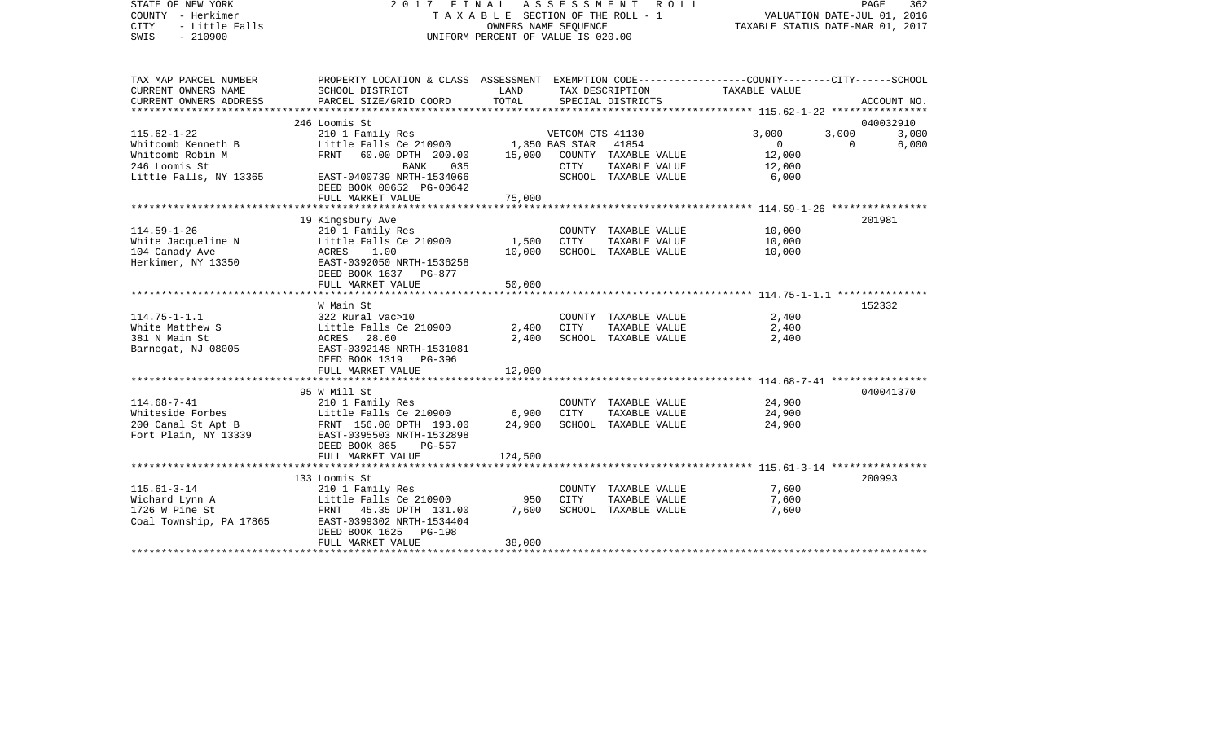| STATE OF NEW YORK<br>COUNTY - Herkimer<br>- Little Falls<br><b>CITY</b><br>SWIS<br>$-210900$ | 2017 FINAL ASSESSMENT                                                                                              | T A X A B L E SECTION OF THE ROLL - 1<br>OWNERS NAME SEQUENCE<br>UNIFORM PERCENT OF VALUE IS 020.00 | R O L L          | TAXABLE STATUS DATE-MAR 01, 2017 |               | PAGE<br>362<br>VALUATION DATE-JUL 01, 2016 |             |
|----------------------------------------------------------------------------------------------|--------------------------------------------------------------------------------------------------------------------|-----------------------------------------------------------------------------------------------------|------------------|----------------------------------|---------------|--------------------------------------------|-------------|
| TAX MAP PARCEL NUMBER<br>CURRENT OWNERS NAME                                                 | PROPERTY LOCATION & CLASS ASSESSMENT EXEMPTION CODE---------------COUNTY-------CITY------SCHOOL<br>SCHOOL DISTRICT | LAND                                                                                                |                  | TAX DESCRIPTION                  | TAXABLE VALUE |                                            |             |
| CURRENT OWNERS ADDRESS                                                                       | PARCEL SIZE/GRID COORD                                                                                             | TOTAL                                                                                               |                  | SPECIAL DISTRICTS                |               |                                            | ACCOUNT NO. |
|                                                                                              | 246 Loomis St                                                                                                      |                                                                                                     |                  |                                  |               |                                            | 040032910   |
| $115.62 - 1 - 22$                                                                            | 210 1 Family Res                                                                                                   |                                                                                                     | VETCOM CTS 41130 |                                  | 3,000         | 3,000                                      | 3,000       |
| Whitcomb Kenneth B                                                                           | Little Falls Ce 210900                                                                                             |                                                                                                     | 1,350 BAS STAR   | 41854                            | $\Omega$      | $\Omega$                                   | 6,000       |
| Whitcomb Robin M                                                                             | 60.00 DPTH 200.00<br>FRNT                                                                                          | 15,000                                                                                              |                  | COUNTY TAXABLE VALUE             | 12,000        |                                            |             |
| 246 Loomis St                                                                                | BANK<br>035                                                                                                        |                                                                                                     | CITY             | TAXABLE VALUE                    | 12,000        |                                            |             |
| Little Falls, NY 13365                                                                       | EAST-0400739 NRTH-1534066<br>DEED BOOK 00652 PG-00642                                                              |                                                                                                     |                  | SCHOOL TAXABLE VALUE             | 6,000         |                                            |             |
|                                                                                              | FULL MARKET VALUE                                                                                                  | 75,000                                                                                              |                  |                                  |               |                                            |             |
|                                                                                              |                                                                                                                    |                                                                                                     |                  |                                  |               |                                            |             |
|                                                                                              | 19 Kingsbury Ave                                                                                                   |                                                                                                     |                  |                                  |               |                                            | 201981      |
| $114.59 - 1 - 26$                                                                            | 210 1 Family Res                                                                                                   |                                                                                                     |                  | COUNTY TAXABLE VALUE             | 10,000        |                                            |             |
| White Jacqueline N                                                                           | Little Falls Ce 210900                                                                                             | 1,500                                                                                               | CITY             | TAXABLE VALUE                    | 10,000        |                                            |             |
| 104 Canady Ave                                                                               | ACRES<br>1.00                                                                                                      | 10,000                                                                                              |                  | SCHOOL TAXABLE VALUE             | 10,000        |                                            |             |
| Herkimer, NY 13350                                                                           | EAST-0392050 NRTH-1536258<br>DEED BOOK 1637 PG-877                                                                 |                                                                                                     |                  |                                  |               |                                            |             |
|                                                                                              | FULL MARKET VALUE                                                                                                  | 50,000                                                                                              |                  |                                  |               |                                            |             |
|                                                                                              | *******************************                                                                                    |                                                                                                     |                  |                                  |               |                                            |             |
|                                                                                              | W Main St                                                                                                          |                                                                                                     |                  |                                  |               |                                            | 152332      |
| $114.75 - 1 - 1.1$                                                                           | 322 Rural vac>10                                                                                                   |                                                                                                     |                  | COUNTY TAXABLE VALUE             | 2,400         |                                            |             |
| White Matthew S                                                                              | Little Falls Ce 210900                                                                                             | 2,400                                                                                               | CITY             | TAXABLE VALUE                    | 2,400         |                                            |             |
| 381 N Main St                                                                                | 28.60<br>ACRES                                                                                                     | 2,400                                                                                               |                  | SCHOOL TAXABLE VALUE             | 2,400         |                                            |             |
| Barnegat, NJ 08005                                                                           | EAST-0392148 NRTH-1531081                                                                                          |                                                                                                     |                  |                                  |               |                                            |             |
|                                                                                              | DEED BOOK 1319 PG-396                                                                                              |                                                                                                     |                  |                                  |               |                                            |             |
|                                                                                              | FULL MARKET VALUE                                                                                                  | 12,000                                                                                              |                  |                                  |               |                                            |             |
|                                                                                              | 95 W Mill St                                                                                                       |                                                                                                     |                  |                                  |               |                                            | 040041370   |
| $114.68 - 7 - 41$                                                                            | 210 1 Family Res                                                                                                   |                                                                                                     |                  | COUNTY TAXABLE VALUE             | 24,900        |                                            |             |
| Whiteside Forbes                                                                             | Little Falls Ce 210900                                                                                             | 6,900                                                                                               | CITY             | TAXABLE VALUE                    | 24,900        |                                            |             |
| 200 Canal St Apt B                                                                           | FRNT 156.00 DPTH 193.00                                                                                            | 24,900                                                                                              |                  | SCHOOL TAXABLE VALUE             | 24,900        |                                            |             |
| Fort Plain, NY 13339                                                                         | EAST-0395503 NRTH-1532898                                                                                          |                                                                                                     |                  |                                  |               |                                            |             |
|                                                                                              | DEED BOOK 865<br>PG-557                                                                                            |                                                                                                     |                  |                                  |               |                                            |             |
|                                                                                              | FULL MARKET VALUE                                                                                                  | 124,500                                                                                             |                  |                                  |               |                                            |             |
|                                                                                              |                                                                                                                    |                                                                                                     |                  |                                  |               |                                            |             |
|                                                                                              | 133 Loomis St                                                                                                      |                                                                                                     |                  |                                  |               |                                            | 200993      |
| $115.61 - 3 - 14$                                                                            | 210 1 Family Res                                                                                                   |                                                                                                     |                  | COUNTY TAXABLE VALUE             | 7,600         |                                            |             |
| Wichard Lynn A                                                                               | Little Falls Ce 210900                                                                                             | 950                                                                                                 | <b>CITY</b>      | TAXABLE VALUE                    | 7,600         |                                            |             |
| 1726 W Pine St                                                                               | FRNT 45.35 DPTH 131.00                                                                                             | 7,600                                                                                               |                  | SCHOOL TAXABLE VALUE             | 7,600         |                                            |             |
| Coal Township, PA 17865                                                                      | EAST-0399302 NRTH-1534404                                                                                          |                                                                                                     |                  |                                  |               |                                            |             |
|                                                                                              | DEED BOOK 1625<br><b>PG-198</b>                                                                                    |                                                                                                     |                  |                                  |               |                                            |             |
|                                                                                              | FULL MARKET VALUE                                                                                                  | 38,000                                                                                              |                  |                                  |               |                                            |             |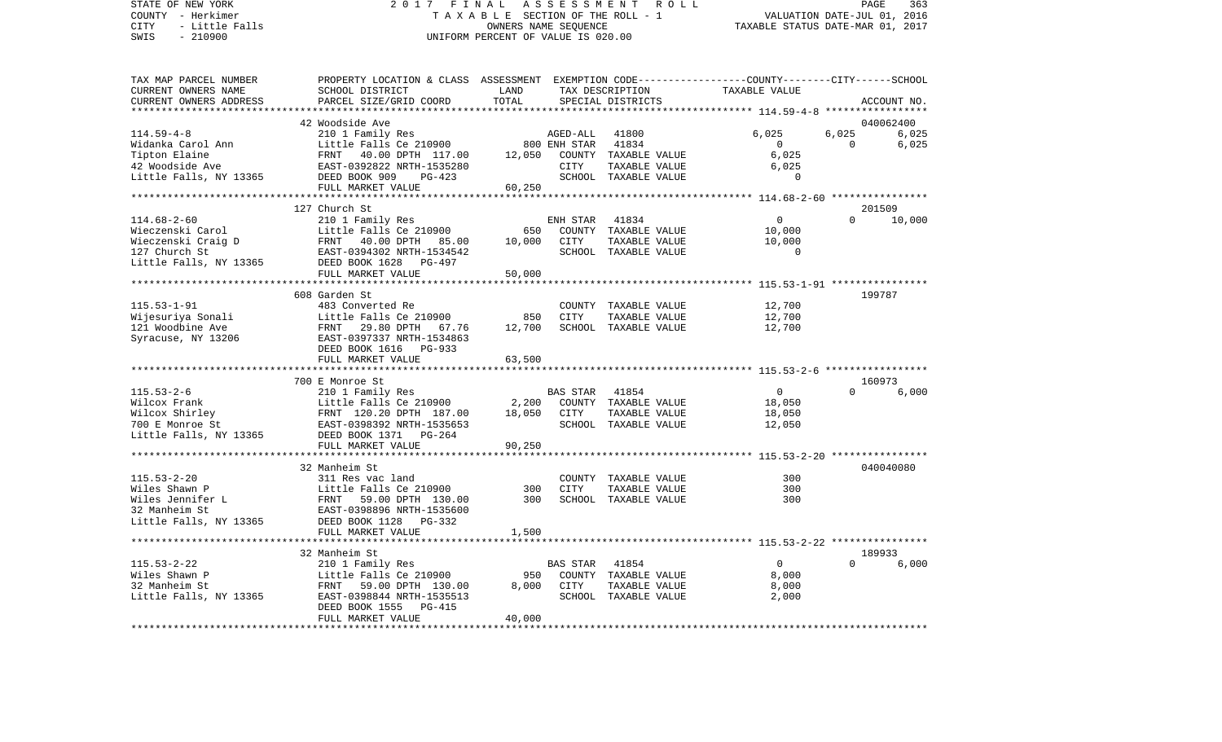## STATE OF NEW YORK 2 0 1 7 F I N A L A S S E S S M E N T R O L L PAGE 363 COUNTY - Herkimer T A X A B L E SECTION OF THE ROLL - 1 VALUATION DATE-JUL 01, 2016 CITY - Little Falls OWNERS NAME SEQUENCE TAXABLE STATUS DATE-MAR 01, 2017 SWIS - Little Falls<br>
SWIS - 210900<br>
SWIS - 210900<br>
UNIFORM PERCENT OF VALUE IS 020.00

| TAX MAP PARCEL NUMBER<br>CURRENT OWNERS NAME<br>CURRENT OWNERS ADDRESS                                  | PROPERTY LOCATION & CLASS ASSESSMENT<br>SCHOOL DISTRICT<br>PARCEL SIZE/GRID COORD                                                                                             | LAND<br>TOTAL             |                                  | TAX DESCRIPTION<br>SPECIAL DISTRICTS                                            | EXEMPTION CODE-----------------COUNTY-------CITY------SCHOOL<br>TAXABLE VALUE |                   | ACCOUNT NO.                 |
|---------------------------------------------------------------------------------------------------------|-------------------------------------------------------------------------------------------------------------------------------------------------------------------------------|---------------------------|----------------------------------|---------------------------------------------------------------------------------|-------------------------------------------------------------------------------|-------------------|-----------------------------|
| *******************                                                                                     |                                                                                                                                                                               |                           |                                  |                                                                                 |                                                                               |                   |                             |
| $114.59 - 4 - 8$<br>Widanka Carol Ann<br>Tipton Elaine<br>42 Woodside Ave<br>Little Falls, NY 13365     | 42 Woodside Ave<br>210 1 Family Res<br>Little Falls Ce 210900<br>FRNT<br>40.00 DPTH 117.00<br>EAST-0392822 NRTH-1535280<br>DEED BOOK 909<br>$PG-423$<br>FULL MARKET VALUE     | 12,050<br>60,250          | AGED-ALL<br>800 ENH STAR<br>CITY | 41800<br>41834<br>COUNTY TAXABLE VALUE<br>TAXABLE VALUE<br>SCHOOL TAXABLE VALUE | 6,025<br>$\Omega$<br>6,025<br>6,025<br>$\overline{0}$                         | 6,025<br>$\Omega$ | 040062400<br>6,025<br>6,025 |
|                                                                                                         | *******************************                                                                                                                                               |                           |                                  |                                                                                 |                                                                               |                   |                             |
| $114.68 - 2 - 60$<br>Wieczenski Carol<br>Wieczenski Craig D<br>127 Church St<br>Little Falls, NY 13365  | 127 Church St<br>210 1 Family Res<br>Little Falls Ce 210900<br>40.00 DPTH 85.00<br>FRNT<br>EAST-0394302 NRTH-1534542<br>DEED BOOK 1628 PG-497<br>FULL MARKET VALUE            | 650<br>10,000<br>50,000   | ENH STAR<br>COUNTY<br>CITY       | 41834<br>TAXABLE VALUE<br>TAXABLE VALUE<br>SCHOOL TAXABLE VALUE                 | $\mathbf 0$<br>10,000<br>10,000<br>$\mathbf 0$                                | $\Omega$          | 201509<br>10,000            |
|                                                                                                         | ****************************                                                                                                                                                  |                           |                                  |                                                                                 |                                                                               |                   |                             |
| $115.53 - 1 - 91$<br>Wijesuriya Sonali<br>121 Woodbine Ave<br>Syracuse, NY 13206                        | 608 Garden St<br>483 Converted Re<br>Little Falls Ce 210900<br>29.80 DPTH<br>FRNT<br>67.76<br>EAST-0397337 NRTH-1534863<br>DEED BOOK 1616 PG-933<br>FULL MARKET VALUE         | 850<br>12,700<br>63,500   | CITY                             | COUNTY TAXABLE VALUE<br>TAXABLE VALUE<br>SCHOOL TAXABLE VALUE                   | 12,700<br>12,700<br>12,700                                                    |                   | 199787                      |
|                                                                                                         |                                                                                                                                                                               |                           |                                  |                                                                                 |                                                                               |                   |                             |
| $115.53 - 2 - 6$<br>Wilcox Frank<br>Wilcox Shirley<br>700 E Monroe St<br>Little Falls, NY 13365         | 700 E Monroe St<br>210 1 Family Res<br>Little Falls Ce 210900<br>FRNT 120.20 DPTH 187.00<br>EAST-0398392 NRTH-1535653<br>DEED BOOK 1371 PG-264<br>FULL MARKET VALUE           | 2,200<br>18,050<br>90,250 | <b>BAS STAR</b><br>CITY          | 41854<br>COUNTY TAXABLE VALUE<br>TAXABLE VALUE<br>SCHOOL TAXABLE VALUE          | $\Omega$<br>18,050<br>18,050<br>12,050                                        | $\Omega$          | 160973<br>6,000             |
|                                                                                                         |                                                                                                                                                                               |                           |                                  |                                                                                 |                                                                               |                   |                             |
| $115.53 - 2 - 20$<br>Wiles Shawn P<br>Wiles Jennifer L<br>32 Manheim St<br>Little Falls, NY 13365       | 32 Manheim St<br>311 Res vac land<br>Little Falls Ce 210900<br>FRNT<br>59.00 DPTH 130.00<br>EAST-0398896 NRTH-1535600<br>DEED BOOK 1128<br>PG-332                             | 300<br>300                | CITY                             | COUNTY TAXABLE VALUE<br>TAXABLE VALUE<br>SCHOOL TAXABLE VALUE                   | 300<br>300<br>300                                                             |                   | 040040080                   |
|                                                                                                         | FULL MARKET VALUE                                                                                                                                                             | 1,500                     |                                  |                                                                                 |                                                                               |                   |                             |
|                                                                                                         | **********************                                                                                                                                                        | ************              |                                  |                                                                                 |                                                                               |                   |                             |
| $115.53 - 2 - 22$<br>Wiles Shawn P<br>32 Manheim St<br>Little Falls, NY 13365<br>********************** | 32 Manheim St<br>210 1 Family Res<br>Little Falls Ce 210900<br>FRNT<br>59.00 DPTH 130.00<br>EAST-0398844 NRTH-1535513<br>DEED BOOK 1555<br><b>PG-415</b><br>FULL MARKET VALUE | 950<br>8,000<br>40,000    | BAS STAR<br>CITY                 | 41854<br>COUNTY TAXABLE VALUE<br>TAXABLE VALUE<br>SCHOOL TAXABLE VALUE          | $\Omega$<br>8,000<br>8,000<br>2,000                                           | $\Omega$          | 189933<br>6.000             |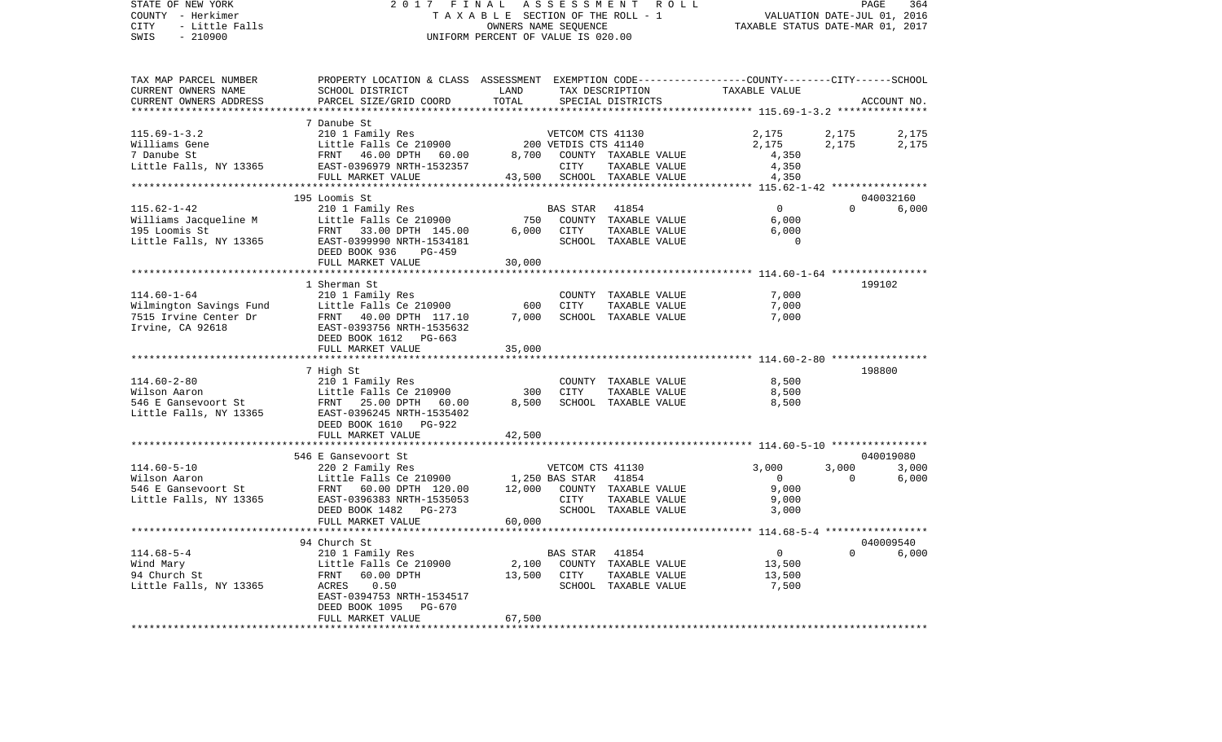| STATE OF NEW YORK<br>COUNTY - Herkimer<br>CITY<br>- Little Falls<br>SWIS<br>$-210900$ | 2017 FINAL<br>TAXABLE SECTION OF THE ROLL - 1<br>UNIFORM PERCENT OF VALUE IS 020.00                                                                                                                                    | VALUATION DATE-JUL 01, 2016<br>TAXABLE STATUS DATE-MAR 01, 2017 | PAGE             | 364                         |                         |                |                |
|---------------------------------------------------------------------------------------|------------------------------------------------------------------------------------------------------------------------------------------------------------------------------------------------------------------------|-----------------------------------------------------------------|------------------|-----------------------------|-------------------------|----------------|----------------|
| TAX MAP PARCEL NUMBER<br>CURRENT OWNERS NAME                                          | PROPERTY LOCATION & CLASS ASSESSMENT EXEMPTION CODE---------------COUNTY-------CITY------SCHOOL<br>SCHOOL DISTRICT                                                                                                     | LAND                                                            |                  | TAX DESCRIPTION             | TAXABLE VALUE           |                |                |
| CURRENT OWNERS ADDRESS                                                                | PARCEL SIZE/GRID COORD                                                                                                                                                                                                 | TOTAL                                                           |                  | SPECIAL DISTRICTS           |                         |                | ACCOUNT NO.    |
| **********************                                                                |                                                                                                                                                                                                                        |                                                                 |                  |                             |                         |                |                |
| $115.69 - 1 - 3.2$                                                                    | 7 Danube St<br>210 1 Family Res<br>210 1 Family Res<br>ERNT 46.00 PRNT                                                                                                                                                 |                                                                 |                  |                             |                         |                |                |
| Williams Gene                                                                         |                                                                                                                                                                                                                        |                                                                 |                  |                             | 2,175<br>2,175          | 2,175<br>2,175 | 2,175<br>2,175 |
| 7 Danube St                                                                           |                                                                                                                                                                                                                        |                                                                 |                  |                             | 4,350                   |                |                |
| Little Falls, NY 13365                                                                | VETCOM CTS 41130<br>FRNT 46.00 DPTH 60.00 200 VETDIS CTS 41140<br>FRNT 46.00 DPTH 60.00 8,700 COUNTY TAXABLE VALUE<br>EAST-0396979 NRTH-1532357 CITY TAYABLE VALUE<br>FULL MARKET WATER                                |                                                                 |                  | TAXABLE VALUE               | 4,350                   |                |                |
|                                                                                       | FULL MARKET VALUE                                                                                                                                                                                                      |                                                                 |                  | 43,500 SCHOOL TAXABLE VALUE | 4,350                   |                |                |
| ***********************                                                               | ****************************                                                                                                                                                                                           |                                                                 |                  |                             |                         |                |                |
|                                                                                       | 195 Loomis St                                                                                                                                                                                                          |                                                                 |                  |                             |                         |                | 040032160      |
| $115.62 - 1 - 42$                                                                     | 210 1 Family Res                                                                                                                                                                                                       |                                                                 | BAS STAR 41854   |                             | $\overline{0}$          | $\Omega$       | 6,000          |
|                                                                                       | Williams Jacqueline M<br>195 Loomis St<br>195 Loomis St<br>195 Loomis St<br>196 EAST -0399900 NRTH-1534181<br>197 POST -0399900 NRTH-1534181<br>197 POST -0399900 NRTH-1534181                                         |                                                                 |                  | 750 COUNTY TAXABLE VALUE    | 6,000                   |                |                |
|                                                                                       |                                                                                                                                                                                                                        |                                                                 | 6,000 CITY       | TAXABLE VALUE               | 6.000<br>$\overline{0}$ |                |                |
|                                                                                       | DEED BOOK 936<br>PG-459                                                                                                                                                                                                |                                                                 |                  | SCHOOL TAXABLE VALUE        |                         |                |                |
|                                                                                       | FULL MARKET VALUE                                                                                                                                                                                                      | 30,000                                                          |                  |                             |                         |                |                |
|                                                                                       |                                                                                                                                                                                                                        |                                                                 |                  |                             |                         |                |                |
|                                                                                       | 1 Sherman St                                                                                                                                                                                                           |                                                                 |                  |                             |                         |                | 199102         |
| $114.60 - 1 - 64$                                                                     | 210 1 Family Res                                                                                                                                                                                                       |                                                                 |                  | COUNTY TAXABLE VALUE        | 7,000                   |                |                |
|                                                                                       |                                                                                                                                                                                                                        | 600                                                             | CITY             | TAXABLE VALUE               | 7,000                   |                |                |
|                                                                                       | Wilmington Savings Fund<br>7515 Irvine Center Dr<br>77515 Irvine Center Dr<br>77815 Irvine Center Dr<br>77815 Irvine, CA 92618<br>7825 ISBN 2008756 NRTH-1535632<br>2008 DEED BOOK 1612 PG-663<br>781111. MARKET VALUE | 7,000                                                           |                  | SCHOOL TAXABLE VALUE        | 7,000                   |                |                |
|                                                                                       |                                                                                                                                                                                                                        |                                                                 |                  |                             |                         |                |                |
|                                                                                       | FULL MARKET VALUE                                                                                                                                                                                                      | 35,000                                                          |                  |                             |                         |                |                |
|                                                                                       |                                                                                                                                                                                                                        |                                                                 |                  |                             |                         |                |                |
|                                                                                       | 7 High St                                                                                                                                                                                                              |                                                                 |                  |                             |                         |                | 198800         |
|                                                                                       |                                                                                                                                                                                                                        |                                                                 |                  | COUNTY TAXABLE VALUE        | 8,500                   |                |                |
|                                                                                       |                                                                                                                                                                                                                        | 300                                                             | CITY             | TAXABLE VALUE               | 8,500                   |                |                |
|                                                                                       |                                                                                                                                                                                                                        | 8,500                                                           |                  | SCHOOL TAXABLE VALUE        | 8,500                   |                |                |
|                                                                                       |                                                                                                                                                                                                                        |                                                                 |                  |                             |                         |                |                |
|                                                                                       | DEED BOOK 1610 PG-922<br>FULL MARKET VALUE                                                                                                                                                                             | 42,500                                                          |                  |                             |                         |                |                |
|                                                                                       |                                                                                                                                                                                                                        |                                                                 |                  |                             |                         |                |                |
|                                                                                       | 546 E Gansevoort St                                                                                                                                                                                                    |                                                                 |                  |                             |                         |                | 040019080      |
|                                                                                       | 114.60-5-10<br>Wilson Aaron 220 2 Family Res<br>546 E Gansevoort St FRNT 60.00 DPTH 120.00<br>Little Falls, NY 13365 EAST-0396383 NRTH-1535053                                                                         |                                                                 | VETCOM CTS 41130 |                             | 3,000                   | 3,000          | 3,000          |
|                                                                                       |                                                                                                                                                                                                                        | 1,250 BAS STAR                                                  |                  | 41854                       | $\overline{0}$          | $\overline{0}$ | 6,000          |
|                                                                                       | FRNT 60.00 DPTH 120.00 12,000 COUNTY TAXABLE VALUE                                                                                                                                                                     |                                                                 |                  |                             | 9,000                   |                |                |
|                                                                                       |                                                                                                                                                                                                                        |                                                                 | CITY             | TAXABLE VALUE               | 9,000                   |                |                |
|                                                                                       | DEED BOOK 1482 PG-273                                                                                                                                                                                                  |                                                                 |                  | SCHOOL TAXABLE VALUE        | 3,000                   |                |                |
|                                                                                       | FULL MARKET VALUE                                                                                                                                                                                                      | 60,000                                                          |                  |                             |                         |                |                |
|                                                                                       | 94 Church St                                                                                                                                                                                                           |                                                                 |                  |                             |                         |                | 040009540      |
| $114.68 - 5 - 4$                                                                      | 210 1 Family Res                                                                                                                                                                                                       |                                                                 | BAS STAR         | 41854                       | $\overline{0}$          | $\Omega$       | 6,000          |
| Wind Mary                                                                             | Little Falls Ce 210900                                                                                                                                                                                                 |                                                                 |                  | 2,100 COUNTY TAXABLE VALUE  | 13,500                  |                |                |
| 94 Church St                                                                          | FRNT<br>60.00 DPTH                                                                                                                                                                                                     | 13,500 CITY                                                     |                  | TAXABLE VALUE               | 13,500                  |                |                |
| Little Falls, NY 13365                                                                | ACRES<br>0.50                                                                                                                                                                                                          |                                                                 |                  | SCHOOL TAXABLE VALUE        | 7,500                   |                |                |
|                                                                                       | EAST-0394753 NRTH-1534517                                                                                                                                                                                              |                                                                 |                  |                             |                         |                |                |
|                                                                                       | DEED BOOK 1095 PG-670<br>FULL MARKET VALUE                                                                                                                                                                             |                                                                 |                  |                             |                         |                |                |
|                                                                                       |                                                                                                                                                                                                                        | 67,500                                                          |                  |                             |                         |                |                |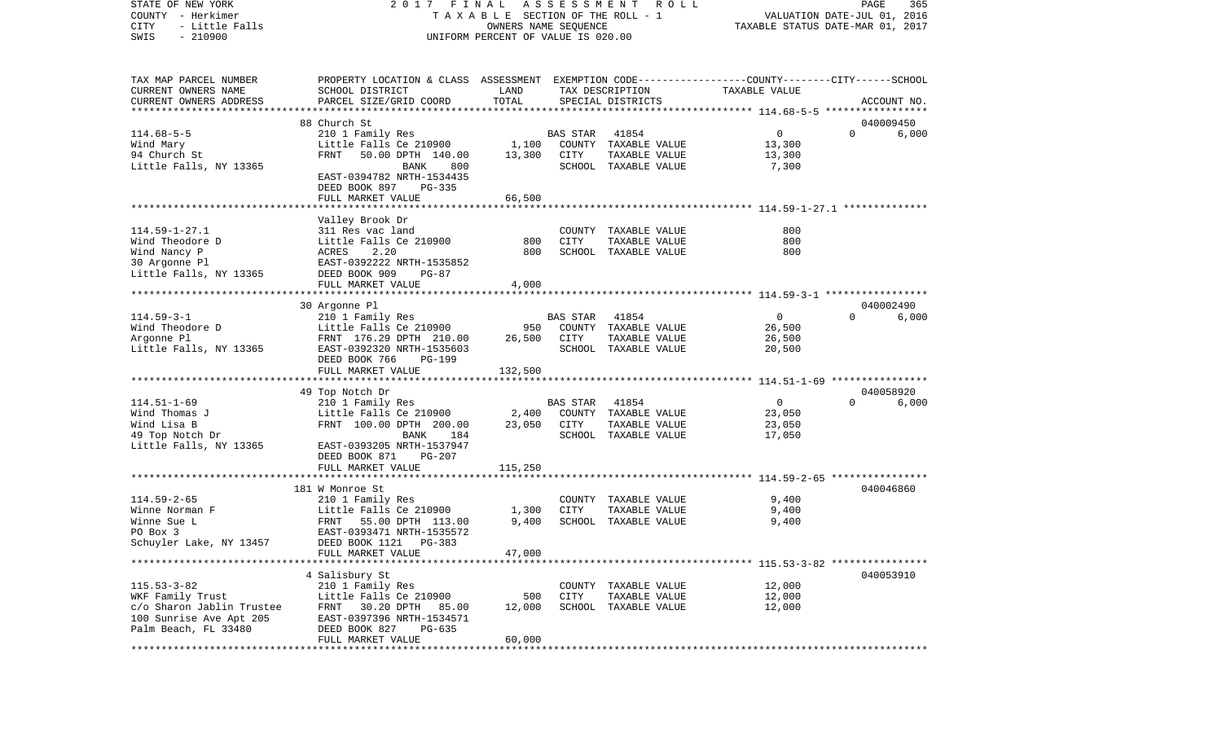STATE OF NEW YORK 2 0 1 7 F I N A L A S S E S S M E N T R O L L PAGE 365COUNTY - Herkimer T A X A B L E SECTION OF THE ROLL - 1 VALUATION DATE-JUL 01, 2016 CITY - Little Falls OWNERS NAME SEQUENCE TAXABLE STATUS DATE-MAR 01, 2017 SWIS - 210900 UNIFORM PERCENT OF VALUE IS 020.00TAX MAP PARCEL NUMBER PROPERTY LOCATION & CLASS ASSESSMENT EXEMPTION CODE------------------COUNTY--------CITY------SCHOOL CURRENT OWNERS NAME SCHOOL DISTRICT LAND TAX DESCRIPTION TAXABLE VALUECURRENT OWNERS ADDRESS PARCEL SIZE/GRID COORD TOTAL SPECIAL DISTRICTS ACCOUNT NO. \*\*\*\*\*\*\*\*\*\*\*\*\*\*\*\*\*\*\*\*\*\*\*\*\*\*\*\*\*\*\*\*\*\*\*\*\*\*\*\*\*\*\*\*\*\*\*\*\*\*\*\*\*\*\*\*\*\*\*\*\*\*\*\*\*\*\*\*\*\*\*\*\*\*\*\*\*\*\*\*\*\*\*\*\*\*\*\*\*\*\*\*\*\*\*\*\*\*\*\*\*\*\* 114.68-5-5 \*\*\*\*\*\*\*\*\*\*\*\*\*\*\*\*\* 88 Church St 040009450114.68-5-5 210 1 Family Res BAS STAR 41854 0 0 6,000 Wind Mary **Example 2008** Little Falls Ce 210900 1,100 COUNTY TAXABLE VALUE 13,300 94 Church St FRNT 50.00 DPTH 140.00 13,300 CITY TAXABLE VALUE 13,300 Little Falls, NY 13365 BANK 800 SCHOOL TAXABLE VALUE 7,300 EAST-0394782 NRTH-1534435 DEED BOOK 897 PG-335FULL MARKET VALUE 66,500 \*\*\*\*\*\*\*\*\*\*\*\*\*\*\*\*\*\*\*\*\*\*\*\*\*\*\*\*\*\*\*\*\*\*\*\*\*\*\*\*\*\*\*\*\*\*\*\*\*\*\*\*\*\*\*\*\*\*\*\*\*\*\*\*\*\*\*\*\*\*\*\*\*\*\*\*\*\*\*\*\*\*\*\*\*\*\*\*\*\*\*\*\*\*\*\*\*\*\*\*\*\*\* 114.59-1-27.1 \*\*\*\*\*\*\*\*\*\*\*\*\*\* Valley Brook Dr 114.59-1-27.1 311 Res vac land COUNTY TAXABLE VALUE 800800 Wind Theodore D Little Falls Ce 210900 800 CITY TAXABLE VALUE 800 Wind Nancy P ACRES 2.20 800 SCHOOL TAXABLE VALUE 800 30 Argonne Pl EAST-0392222 NRTH-1535852 Little Falls, NY 13365 DEED BOOK 909 PG-87 FULL MARKET VALUE 4,000 \*\*\*\*\*\*\*\*\*\*\*\*\*\*\*\*\*\*\*\*\*\*\*\*\*\*\*\*\*\*\*\*\*\*\*\*\*\*\*\*\*\*\*\*\*\*\*\*\*\*\*\*\*\*\*\*\*\*\*\*\*\*\*\*\*\*\*\*\*\*\*\*\*\*\*\*\*\*\*\*\*\*\*\*\*\*\*\*\*\*\*\*\*\*\*\*\*\*\*\*\*\*\* 114.59-3-1 \*\*\*\*\*\*\*\*\*\*\*\*\*\*\*\*\* 30 Argonne Pl 040002490 114.59-3-1 210 1 Family Res BAS STAR 41854 0 0 6,000 Wind Theodore D **Little Falls Ce 210900** 950 COUNTY TAXABLE VALUE 26,500 Argonne Pl FRNT 176.29 DPTH 210.00 26.500 CITY TAXABLE VALUE 26.500 Little Falls, NY 13365 EAST-0392320 NRTH-1535603 SCHOOL TAXABLE VALUE 20,500 DEED BOOK 766 PG-199 FULL MARKET VALUE 132,500 \*\*\*\*\*\*\*\*\*\*\*\*\*\*\*\*\*\*\*\*\*\*\*\*\*\*\*\*\*\*\*\*\*\*\*\*\*\*\*\*\*\*\*\*\*\*\*\*\*\*\*\*\*\*\*\*\*\*\*\*\*\*\*\*\*\*\*\*\*\*\*\*\*\*\*\*\*\*\*\*\*\*\*\*\*\*\*\*\*\*\*\*\*\*\*\*\*\*\*\*\*\*\* 114.51-1-69 \*\*\*\*\*\*\*\*\*\*\*\*\*\*\*\* 49 Top Notch Dr 040058920 114.51-1-69 210 1 Family Res BAS STAR 41854 0 0 6,000 Wind Thomas J Little Falls Ce 210900 2,400 COUNTY TAXABLE VALUE 23,050 Wind Lisa B 62,050 CITY TAXABLE VALUE 23,050 COMPRESSES 23,050 CITY TAXABLE VALUE 49 Top Notch Dr BANK 184 SCHOOL TAXABLE VALUE 17,050 Little Falls, NY 13365 EAST-0393205 NRTH-1537947 DEED BOOK 871 PG-207FULL MARKET VALUE 115,250 \*\*\*\*\*\*\*\*\*\*\*\*\*\*\*\*\*\*\*\*\*\*\*\*\*\*\*\*\*\*\*\*\*\*\*\*\*\*\*\*\*\*\*\*\*\*\*\*\*\*\*\*\*\*\*\*\*\*\*\*\*\*\*\*\*\*\*\*\*\*\*\*\*\*\*\*\*\*\*\*\*\*\*\*\*\*\*\*\*\*\*\*\*\*\*\*\*\*\*\*\*\*\* 114.59-2-65 \*\*\*\*\*\*\*\*\*\*\*\*\*\*\*\* 181 W Monroe St 040046860114.59-2-65 210 1 Family Res COUNTY TAXABLE VALUE 9,400 Little Falls Ce  $210900$  1,300 CITY TAXABLE VALUE Winne Sue L 6 March 155.00 DPTH 113.00 9,400 SCHOOL TAXABLE VALUE 9,400 PO Box 3 EAST-0393471 NRTH-1535572 Schuyler Lake, NY 13457 DEED BOOK 1121 PG-383 FULL MARKET VALUE 47,000 \*\*\*\*\*\*\*\*\*\*\*\*\*\*\*\*\*\*\*\*\*\*\*\*\*\*\*\*\*\*\*\*\*\*\*\*\*\*\*\*\*\*\*\*\*\*\*\*\*\*\*\*\*\*\*\*\*\*\*\*\*\*\*\*\*\*\*\*\*\*\*\*\*\*\*\*\*\*\*\*\*\*\*\*\*\*\*\*\*\*\*\*\*\*\*\*\*\*\*\*\*\*\* 115.53-3-82 \*\*\*\*\*\*\*\*\*\*\*\*\*\*\*\* 4 Salisbury St 040053910 115.53-3-82 210 1 Family Res COUNTY TAXABLE VALUE 12,000 WKF Family Trust The Little Falls Ce 210900 500 CITY TAXABLE VALUE 12,000 c/o Sharon Jablin Trustee FRNT 30.20 DPTH 85.00 12,000 SCHOOL TAXABLE VALUE 12,000 100 Sunrise Ave Apt 205 EAST-0397396 NRTH-1534571 Palm Beach, FL 33480 DEED BOOK 827 PG-635

\*\*\*\*\*\*\*\*\*\*\*\*\*\*\*\*\*\*\*\*\*\*\*\*\*\*\*\*\*\*\*\*\*\*\*\*\*\*\*\*\*\*\*\*\*\*\*\*\*\*\*\*\*\*\*\*\*\*\*\*\*\*\*\*\*\*\*\*\*\*\*\*\*\*\*\*\*\*\*\*\*\*\*\*\*\*\*\*\*\*\*\*\*\*\*\*\*\*\*\*\*\*\*\*\*\*\*\*\*\*\*\*\*\*\*\*\*\*\*\*\*\*\*\*\*\*\*\*\*\*\*\*

FULL MARKET VALUE 60,000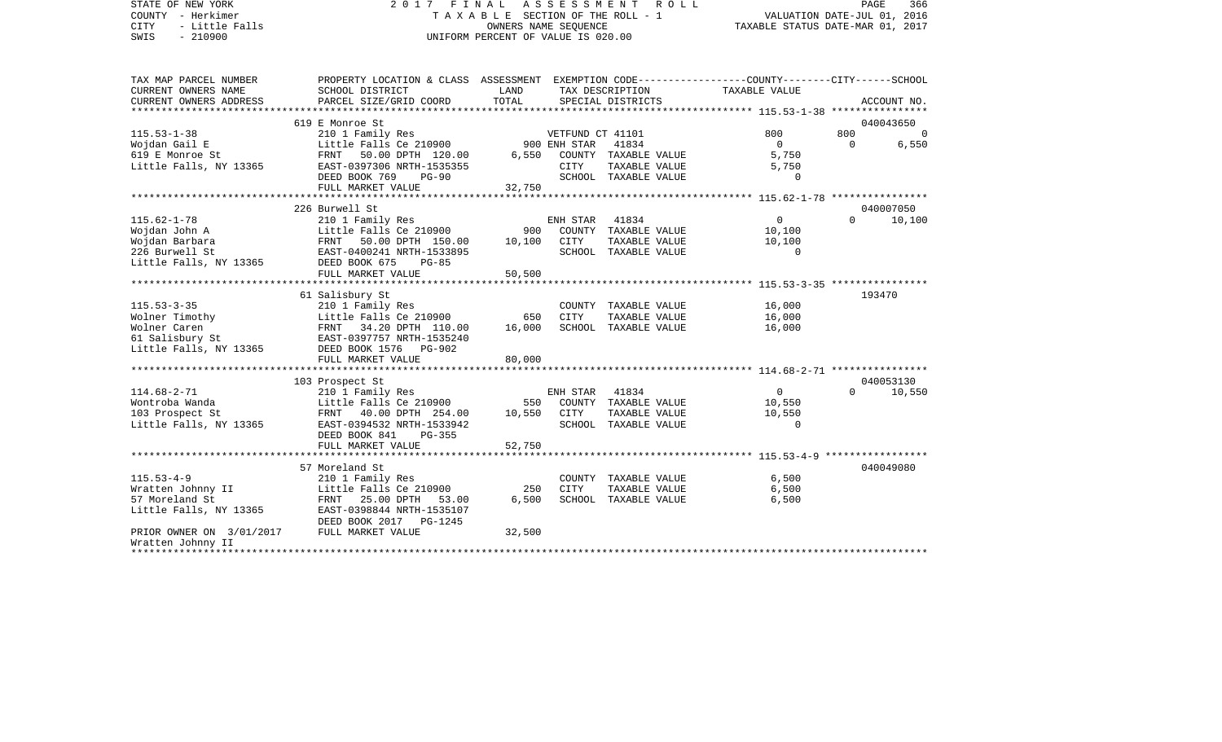STATE OF NEW YORK 2 0 1 7 F I N A L A S S E S S M E N T R O L L PAGE 366COUNTY - Herkimer T A X A B L E SECTION OF THE ROLL - 1 CITY - Little Falls OWNERS NAME SEQUENCE TAXABLE STATUS DATE-MAR 01, 2017 UNIFORM PERCENT OF VALUE IS 020.00

PAGE 366

| TAX MAP PARCEL NUMBER                     | PROPERTY LOCATION & CLASS ASSESSMENT EXEMPTION CODE---------------COUNTY-------CITY------SCHOOL |                   |          |                          |                |          |                |
|-------------------------------------------|-------------------------------------------------------------------------------------------------|-------------------|----------|--------------------------|----------------|----------|----------------|
| CURRENT OWNERS NAME                       | SCHOOL DISTRICT                                                                                 | <b>Example 12</b> |          | TAX DESCRIPTION          | TAXABLE VALUE  |          |                |
| CURRENT OWNERS ADDRESS                    | PARCEL SIZE/GRID COORD                                                                          | TOTAL             |          | SPECIAL DISTRICTS        |                |          | ACCOUNT NO.    |
|                                           |                                                                                                 |                   |          |                          |                |          |                |
|                                           | 619 E Monroe St                                                                                 |                   |          |                          |                |          | 040043650      |
| $115.53 - 1 - 38$                         | 210 1 Family Res<br>Little Falls Ce 210900 900 ENH STAR 41834                                   |                   |          |                          | 800            | 800      | $\overline{0}$ |
| Wojdan Gail E                             |                                                                                                 |                   |          |                          | $\Omega$       | $\Omega$ | 6,550          |
| 619 E Monroe St                           | FRNT 50.00 DPTH 120.00                                                                          | 6,550             |          | COUNTY TAXABLE VALUE     | 5,750          |          |                |
| Little Falls, NY 13365                    | EAST-0397306 NRTH-1535355                                                                       |                   | CITY     | TAXABLE VALUE            | 5,750          |          |                |
|                                           | DEED BOOK 769<br>PG-90                                                                          |                   |          | SCHOOL TAXABLE VALUE     | $\Omega$       |          |                |
|                                           | FULL MARKET VALUE                                                                               | 32,750            |          |                          |                |          |                |
|                                           | 226 Burwell St                                                                                  |                   |          |                          |                |          | 040007050      |
| $115.62 - 1 - 78$                         | 210 1 Family Res                                                                                |                   | ENH STAR | 41834                    | $\overline{0}$ | $\Omega$ | 10,100         |
| Wojdan John A                             | Little Falls Ce 210900                                                                          | 900               |          | COUNTY TAXABLE VALUE     | 10,100         |          |                |
| Wojdan Barbara                            | FRNT 50.00 DPTH 150.00                                                                          | 10,100 CITY       |          | TAXABLE VALUE            | 10,100         |          |                |
| 226 Burwell St                            | Little Falls Ce 210900<br>FRNT 50.00 DPTH 150.00<br>EAST-0400241 NRTH-1533895                   |                   |          | SCHOOL TAXABLE VALUE     | $\Omega$       |          |                |
| Little Falls, NY 13365                    | DEED BOOK 675<br>$PG-85$                                                                        |                   |          |                          |                |          |                |
|                                           |                                                                                                 |                   |          |                          |                |          |                |
|                                           |                                                                                                 |                   |          |                          |                |          |                |
|                                           | 61 Salisbury St                                                                                 |                   |          |                          |                |          | 193470         |
| $115.53 - 3 - 35$                         | 210 1 Family Res                                                                                |                   |          | COUNTY TAXABLE VALUE     | 16,000         |          |                |
|                                           |                                                                                                 | 650               | CITY     | TAXABLE VALUE            | 16,000         |          |                |
| Wolner Caren                              | FRNT 34.20 DPTH 110.00                                                                          | 16,000            |          | SCHOOL TAXABLE VALUE     | 16,000         |          |                |
|                                           | EAST-0397757 NRTH-1535240                                                                       |                   |          |                          |                |          |                |
| 61 Salisbury St<br>Little Falls, NY 13365 | DEED BOOK 1576 PG-902                                                                           |                   |          |                          |                |          |                |
|                                           | FULL MARKET VALUE                                                                               | 80,000            |          |                          |                |          |                |
|                                           |                                                                                                 |                   |          |                          |                |          |                |
|                                           | 103 Prospect St                                                                                 |                   |          |                          |                |          | 040053130      |
| $114.68 - 2 - 71$                         | 210 1 Family Res                                                                                |                   | ENH STAR | 41834                    | $\overline{0}$ | $\Omega$ | 10,550         |
| Wontroba Wanda                            | Little Falls Ce 210900                                                                          |                   |          | 550 COUNTY TAXABLE VALUE | 10,550         |          |                |
| 103 Prospect St                           | FRNT 40.00 DPTH 254.00                                                                          | 10,550            | CITY     | TAXABLE VALUE            | 10,550         |          |                |
| Little Falls, NY 13365                    | EAST-0394532 NRTH-1533942                                                                       |                   |          | SCHOOL TAXABLE VALUE     | $\Omega$       |          |                |
|                                           | DEED BOOK 841<br>PG-355                                                                         |                   |          |                          |                |          |                |
|                                           | FULL MARKET VALUE                                                                               | 52,750            |          |                          |                |          |                |
|                                           | 57 Moreland St                                                                                  |                   |          |                          |                |          | 040049080      |
| $115.53 - 4 - 9$                          | 210 1 Family Res                                                                                |                   |          | COUNTY TAXABLE VALUE     | 6,500          |          |                |
| Wratten Johnny II                         | Little Falls Ce 210900                                                                          | 250               | CITY     | TAXABLE VALUE            | 6,500          |          |                |
| 57 Moreland St                            | FRNT 25.00 DPTH 53.00                                                                           | 6,500             |          | SCHOOL TAXABLE VALUE     | 6,500          |          |                |
| Little Falls, NY 13365                    | EAST-0398844 NRTH-1535107                                                                       |                   |          |                          |                |          |                |
|                                           | DEED BOOK 2017 PG-1245                                                                          |                   |          |                          |                |          |                |
| PRIOR OWNER ON 3/01/2017                  | FULL MARKET VALUE                                                                               | 32,500            |          |                          |                |          |                |
| Wratten Johnny II                         |                                                                                                 |                   |          |                          |                |          |                |
|                                           |                                                                                                 |                   |          |                          |                |          |                |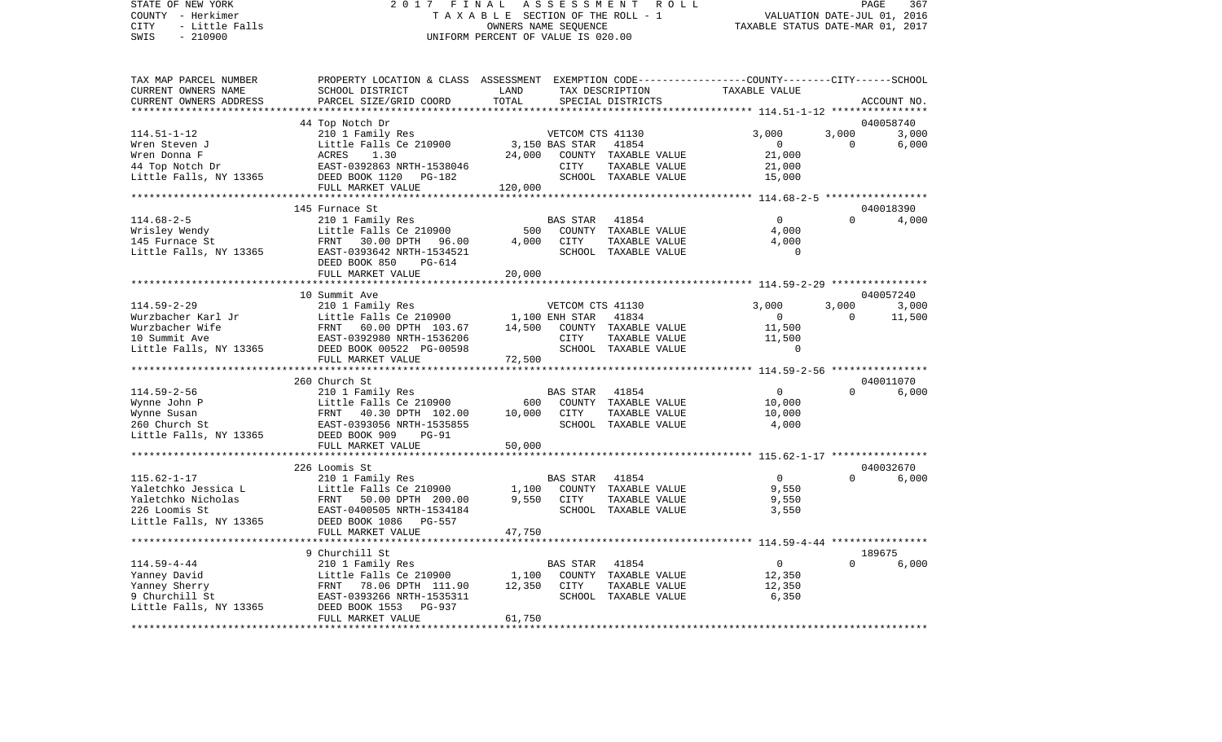STATE OF NEW YORK 2 0 1 7 F I N A L A S S E S S M E N T R O L L PAGE 367VALUATION DATE-JUL 01, 2016 COUNTY - Herkimer T A X A B L E SECTION OF THE ROLL - 1 CITY - Little Falls OWNERS NAME SEQUENCE TAXABLE STATUS DATE-MAR 01, 2017 SWIS - 210900 UNIFORM PERCENT OF VALUE IS 020.00TAX MAP PARCEL NUMBER PROPERTY LOCATION & CLASS ASSESSMENT EXEMPTION CODE------------------COUNTY--------CITY------SCHOOL CURRENT OWNERS NAME SCHOOL DISTRICT LAND TAX DESCRIPTION TAXABLE VALUECURRENT OWNERS ADDRESS PARCEL SIZE/GRID COORD TOTAL SPECIAL DISTRICTS ACCOUNT NO. \*\*\*\*\*\*\*\*\*\*\*\*\*\*\*\*\*\*\*\*\*\*\*\*\*\*\*\*\*\*\*\*\*\*\*\*\*\*\*\*\*\*\*\*\*\*\*\*\*\*\*\*\*\*\*\*\*\*\*\*\*\*\*\*\*\*\*\*\*\*\*\*\*\*\*\*\*\*\*\*\*\*\*\*\*\*\*\*\*\*\*\*\*\*\*\*\*\*\*\*\*\*\* 114.51-1-12 \*\*\*\*\*\*\*\*\*\*\*\*\*\*\*\* 44 Top Notch Dr 040058740 114.51-1-12 210 1 Family Res VETCOM CTS 41130 3,000 3,000 3,000 Wren Steven J Little Falls Ce 210900 3,150 BAS STAR 41854 0 6,000 Wren Donna F ACRES 1.30 24,000 COUNTY TAXABLE VALUE 21,000 44 Top Notch Dr EAST-0392863 NRTH-1538046 CITY TAXABLE VALUE 21,000 Little Falls, NY 13365  $DEED BOOK 1120 PG-182$ FULL MARKET VALUE 120,000 \*\*\*\*\*\*\*\*\*\*\*\*\*\*\*\*\*\*\*\*\*\*\*\*\*\*\*\*\*\*\*\*\*\*\*\*\*\*\*\*\*\*\*\*\*\*\*\*\*\*\*\*\*\*\*\*\*\*\*\*\*\*\*\*\*\*\*\*\*\*\*\*\*\*\*\*\*\*\*\*\*\*\*\*\*\*\*\*\*\*\*\*\*\*\*\*\*\*\*\*\*\*\* 114.68-2-5 \*\*\*\*\*\*\*\*\*\*\*\*\*\*\*\*\* 145 Furnace St 040018390114.68-2-5 210 1 Family Res BAS STAR 41854 0 0 4,000 Wrisley Wendy **Example 2001** Little Falls Ce 210900 500 COUNTY TAXABLE VALUE 4,000 145 Furnace St FRNT 30.00 DPTH 96.00 4,000 CITY TAXABLE VALUE 4,000 Little Falls, NY 13365 BAST-0393642 NRTH-1534521 SCHOOL TAXABLE VALUE 0 DEED BOOK 850 PG-614FULL MARKET VALUE 20,000 \*\*\*\*\*\*\*\*\*\*\*\*\*\*\*\*\*\*\*\*\*\*\*\*\*\*\*\*\*\*\*\*\*\*\*\*\*\*\*\*\*\*\*\*\*\*\*\*\*\*\*\*\*\*\*\*\*\*\*\*\*\*\*\*\*\*\*\*\*\*\*\*\*\*\*\*\*\*\*\*\*\*\*\*\*\*\*\*\*\*\*\*\*\*\*\*\*\*\*\*\*\*\* 114.59-2-29 \*\*\*\*\*\*\*\*\*\*\*\*\*\*\*\* 10 Summit Ave 040057240114.59-2-29 210 1 Family Res VETCOM CTS 41130 3,000 3,000 3,000 Wurzbacher Karl Jr Little Falls Ce 210900 1,100 ENH STAR 41834 0 11,500 Wurzbacher Wife FRNT 60.00 DPTH 103.67 14,500 COUNTY TAXABLE VALUE 11,500 10 Summit Ave EAST-0392980 NRTH-1536206 CITY TAXABLE VALUE 11,500 Little Falls, NY 13365 DEED BOOK 00522 PG-00598 SCHOOL TAXABLE VALUE 0 FULL MARKET VALUE 72,500 \*\*\*\*\*\*\*\*\*\*\*\*\*\*\*\*\*\*\*\*\*\*\*\*\*\*\*\*\*\*\*\*\*\*\*\*\*\*\*\*\*\*\*\*\*\*\*\*\*\*\*\*\*\*\*\*\*\*\*\*\*\*\*\*\*\*\*\*\*\*\*\*\*\*\*\*\*\*\*\*\*\*\*\*\*\*\*\*\*\*\*\*\*\*\*\*\*\*\*\*\*\*\* 114.59-2-56 \*\*\*\*\*\*\*\*\*\*\*\*\*\*\*\* 260 Church St 040011070114.59-2-56 210 1 Family Res BAS STAR 41854 0 0 6,000 Wynne John P Little Falls Ce 210900 600 COUNTY TAXABLE VALUE 10,000 Wynne Susan FRNT 40.30 DPTH 102.00 10,000 CITY TAXABLE VALUE 10,000 260 Church St EAST-0393056 NRTH-1535855 SCHOOL TAXABLE VALUE 4,000 Little Falls, NY 13365 DEED BOOK 909 PG-91 FULL MARKET VALUE 50,000 \*\*\*\*\*\*\*\*\*\*\*\*\*\*\*\*\*\*\*\*\*\*\*\*\*\*\*\*\*\*\*\*\*\*\*\*\*\*\*\*\*\*\*\*\*\*\*\*\*\*\*\*\*\*\*\*\*\*\*\*\*\*\*\*\*\*\*\*\*\*\*\*\*\*\*\*\*\*\*\*\*\*\*\*\*\*\*\*\*\*\*\*\*\*\*\*\*\*\*\*\*\*\* 115.62-1-17 \*\*\*\*\*\*\*\*\*\*\*\*\*\*\*\* 226 Loomis St 040032670115.62-1-17 210 1 Family Res BAS STAR 41854 0 0 6,000 Yaletchko Jessica L <sup>Little</sup> Falls Ce 210900 1,100 COUNTY TAXABLE VALUE 9,550 Yaletchko Nicholas FRNT 50.00 DPTH 200.00 9,550 CITY TAXABLE VALUE 9,550 226 Loomis St EAST-0400505 NRTH-1534184 SCHOOL TAXABLE VALUE 3,550 Little Falls, NY 13365 DEED BOOK 1086 PG-557 FULL MARKET VALUE 47,750 \*\*\*\*\*\*\*\*\*\*\*\*\*\*\*\*\*\*\*\*\*\*\*\*\*\*\*\*\*\*\*\*\*\*\*\*\*\*\*\*\*\*\*\*\*\*\*\*\*\*\*\*\*\*\*\*\*\*\*\*\*\*\*\*\*\*\*\*\*\*\*\*\*\*\*\*\*\*\*\*\*\*\*\*\*\*\*\*\*\*\*\*\*\*\*\*\*\*\*\*\*\*\* 114.59-4-44 \*\*\*\*\*\*\*\*\*\*\*\*\*\*\*\*9 Churchill St 189675 114.59-4-44 210 1 Family Res BAS STAR 41854 0 0 6,000 Yanney David Little Falls Ce 210900 1,100 COUNTY TAXABLE VALUE 12,350 Yanney Sherry **FRNT 78.06 DPTH 111.90** 12.350 CITY TAXABLE VALUE 12.350 9 Churchill St EAST-0393266 NRTH-1535311 SCHOOL TAXABLE VALUE 6,350

\*\*\*\*\*\*\*\*\*\*\*\*\*\*\*\*\*\*\*\*\*\*\*\*\*\*\*\*\*\*\*\*\*\*\*\*\*\*\*\*\*\*\*\*\*\*\*\*\*\*\*\*\*\*\*\*\*\*\*\*\*\*\*\*\*\*\*\*\*\*\*\*\*\*\*\*\*\*\*\*\*\*\*\*\*\*\*\*\*\*\*\*\*\*\*\*\*\*\*\*\*\*\*\*\*\*\*\*\*\*\*\*\*\*\*\*\*\*\*\*\*\*\*\*\*\*\*\*\*\*\*\*

Little Falls, NY 13365 DEED BOOK 1553 PG-937

FULL MARKET VALUE 61,750

3.000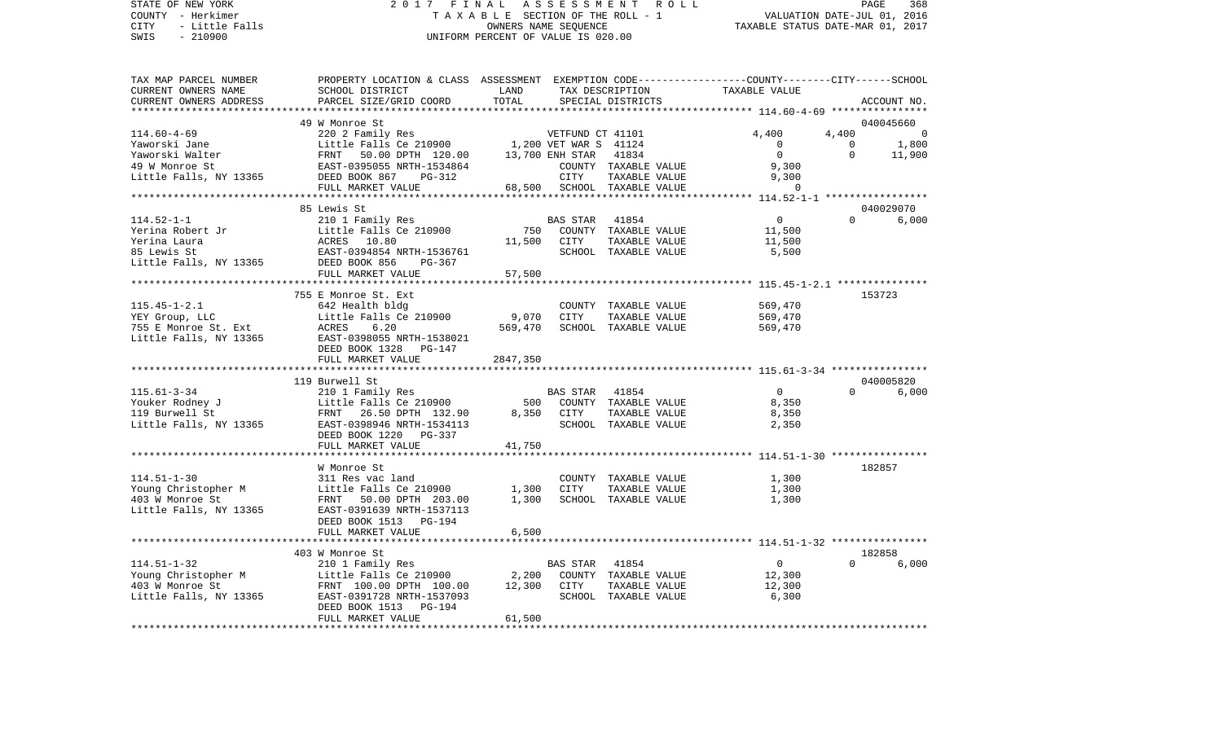# STATE OF NEW YORK 2 0 1 7 F I N A L A S S E S S M E N T R O L L PAGE 368 COUNTY - Herkimer T A X A B L E SECTION OF THE ROLL - 1 VALUATION DATE-JUL 01, 2016 CITY - Little Falls OWNERS NAME SEQUENCE TAXABLE STATUS DATE-MAR 01, 2017 SWIS - 210900 UNIFORM PERCENT OF VALUE IS 020.00

| TAX MAP PARCEL NUMBER<br>CURRENT OWNERS NAME<br>CURRENT OWNERS ADDRESS                                                                                                        | PROPERTY LOCATION & CLASS ASSESSMENT EXEMPTION CODE----------------COUNTY-------CITY------SCHOOL<br>SCHOOL DISTRICT<br>PARCEL SIZE/GRID COORD | LAND<br>TOTAL |                       | TAX DESCRIPTION<br>SPECIAL DISTRICTS  | TAXABLE VALUE              |                         | ACCOUNT NO.                    |
|-------------------------------------------------------------------------------------------------------------------------------------------------------------------------------|-----------------------------------------------------------------------------------------------------------------------------------------------|---------------|-----------------------|---------------------------------------|----------------------------|-------------------------|--------------------------------|
| ************************                                                                                                                                                      |                                                                                                                                               |               |                       |                                       |                            |                         |                                |
|                                                                                                                                                                               | 49 W Monroe St                                                                                                                                |               |                       |                                       |                            |                         | 040045660                      |
| $114.60 - 4 - 69$<br>Yaworski Jane                                                                                                                                            | 220 2 Family Res<br>Little Falls Ce 210900 1,200 VET WAR S 41124                                                                              |               |                       |                                       | 4,400<br>$\overline{0}$    | 4,400<br>$\overline{0}$ | 1,800                          |
|                                                                                                                                                                               |                                                                                                                                               |               | 13,700 ENH STAR 41834 |                                       | $\Omega$                   | $\Omega$                | 11,900                         |
|                                                                                                                                                                               |                                                                                                                                               |               |                       | COUNTY TAXABLE VALUE                  | 9,300                      |                         |                                |
| Yaworski Walter<br>49 W Monroe St<br>Little Falls, NY 13365<br>EAST-0395055 NRTH-1534864<br>DEED BOOK 867<br>PEED BOOK 867<br>PEED BOOK 867<br>PEED BOOK 867<br>PEED BOOK 867 |                                                                                                                                               |               | CITY                  | TAXABLE VALUE                         | 9,300                      |                         |                                |
|                                                                                                                                                                               | FULL MARKET VALUE                                                                                                                             |               |                       | 68,500 SCHOOL TAXABLE VALUE           | $\Omega$                   |                         |                                |
|                                                                                                                                                                               |                                                                                                                                               |               |                       |                                       |                            |                         |                                |
| $114.52 - 1 - 1$                                                                                                                                                              | 85 Lewis St<br>210 1 Family Res                                                                                                               |               | BAS STAR 41854        |                                       | $\overline{0}$             |                         | 040029070<br>$\Omega$<br>6,000 |
|                                                                                                                                                                               |                                                                                                                                               |               |                       | 750 COUNTY TAXABLE VALUE              | 11,500                     |                         |                                |
|                                                                                                                                                                               |                                                                                                                                               | 11,500 CITY   |                       | TAXABLE VALUE                         | 11,500                     |                         |                                |
|                                                                                                                                                                               |                                                                                                                                               |               |                       | SCHOOL TAXABLE VALUE                  | 5,500                      |                         |                                |
|                                                                                                                                                                               |                                                                                                                                               |               |                       |                                       |                            |                         |                                |
|                                                                                                                                                                               | FULL MARKET VALUE                                                                                                                             | 57,500        |                       |                                       |                            |                         |                                |
|                                                                                                                                                                               |                                                                                                                                               |               |                       |                                       |                            |                         |                                |
|                                                                                                                                                                               | 755 E Monroe St. Ext                                                                                                                          |               |                       |                                       |                            |                         | 153723                         |
| $115.45 - 1 - 2.1$                                                                                                                                                            | 642 Health bldg<br>Little Falls Ce 210900                                                                                                     | 9,070         | CITY                  | COUNTY TAXABLE VALUE                  | 569,470                    |                         |                                |
| YEY Group, LLC                                                                                                                                                                | ACRES<br>6.20                                                                                                                                 | 569,470       |                       | TAXABLE VALUE<br>SCHOOL TAXABLE VALUE | 569,470<br>569,470         |                         |                                |
| 755 E Monroe St. Ext<br>Little Falls, NY 13365<br>Little Falls, NY 13365                                                                                                      | EAST-0398055 NRTH-1538021                                                                                                                     |               |                       |                                       |                            |                         |                                |
|                                                                                                                                                                               | DEED BOOK 1328 PG-147                                                                                                                         |               |                       |                                       |                            |                         |                                |
|                                                                                                                                                                               | FULL MARKET VALUE                                                                                                                             | 2847,350      |                       |                                       |                            |                         |                                |
|                                                                                                                                                                               |                                                                                                                                               |               |                       |                                       |                            |                         |                                |
|                                                                                                                                                                               | 119 Burwell St                                                                                                                                |               |                       |                                       |                            |                         | 040005820                      |
| $115.61 - 3 - 34$                                                                                                                                                             | 210 1 Family Res                                                                                                                              |               | BAS STAR 41854        |                                       | $\Omega$                   | $\Omega$                | 6,000                          |
| Youker Rodney J                                                                                                                                                               | Little Falls Ce 210900 500<br>Example Falls Ce 210900 500<br>FRNT 26.50 DPTH 132.90 8,350                                                     |               |                       | COUNTY TAXABLE VALUE                  | 8,350                      |                         |                                |
| 119 Burwell St<br>Little Falls, NY 13365 EAST-0398946 NRTH-1534113                                                                                                            |                                                                                                                                               |               | 8,350 CITY            | TAXABLE VALUE<br>SCHOOL TAXABLE VALUE | 8,350<br>2,350             |                         |                                |
|                                                                                                                                                                               | DEED BOOK 1220 PG-337                                                                                                                         |               |                       |                                       |                            |                         |                                |
|                                                                                                                                                                               | FULL MARKET VALUE                                                                                                                             | 41,750        |                       |                                       |                            |                         |                                |
|                                                                                                                                                                               |                                                                                                                                               |               |                       |                                       |                            |                         |                                |
|                                                                                                                                                                               | W Monroe St                                                                                                                                   |               |                       |                                       |                            |                         | 182857                         |
| $114.51 - 1 - 30$                                                                                                                                                             | 311 Res vac land                                                                                                                              |               |                       |                                       | COUNTY TAXABLE VALUE 1,300 |                         |                                |
| Young Christopher M<br>202 M Marroc St                                                                                                                                        | Little Falls Ce 210900                                                                                                                        | 1,300         | CITY                  | TAXABLE VALUE                         | 1,300                      |                         |                                |
| 403 W Monroe St                                                                                                                                                               | FRNT 50.00 DPTH 203.00                                                                                                                        | 1,300         |                       | SCHOOL TAXABLE VALUE                  | 1,300                      |                         |                                |
| Little Falls, NY 13365                                                                                                                                                        | EAST-0391639 NRTH-1537113                                                                                                                     |               |                       |                                       |                            |                         |                                |
|                                                                                                                                                                               | DEED BOOK 1513 PG-194<br>FULL MARKET VALUE                                                                                                    | 6,500         |                       |                                       |                            |                         |                                |
|                                                                                                                                                                               |                                                                                                                                               |               |                       |                                       |                            |                         |                                |
|                                                                                                                                                                               | 403 W Monroe St                                                                                                                               |               |                       |                                       |                            |                         | 182858                         |
| $114.51 - 1 - 32$                                                                                                                                                             | 210 1 Family Res                                                                                                                              |               | BAS STAR 41854        |                                       | $\overline{0}$             |                         | 6,000                          |
| Young Christopher M                                                                                                                                                           | Little Falls Ce 210900 2,200                                                                                                                  |               |                       | COUNTY TAXABLE VALUE                  | 12,300                     |                         |                                |
| 403 W Monroe St                                                                                                                                                               | FRNT 100.00 DPTH 100.00 12,300                                                                                                                |               | CITY                  | TAXABLE VALUE                         | 12,300                     |                         |                                |
| Little Falls, NY 13365                                                                                                                                                        | EAST-0391728 NRTH-1537093                                                                                                                     |               |                       | SCHOOL TAXABLE VALUE                  | 6,300                      |                         |                                |
|                                                                                                                                                                               | DEED BOOK 1513<br>PG-194                                                                                                                      |               |                       |                                       |                            |                         |                                |
|                                                                                                                                                                               | FULL MARKET VALUE                                                                                                                             | 61,500        |                       |                                       |                            |                         |                                |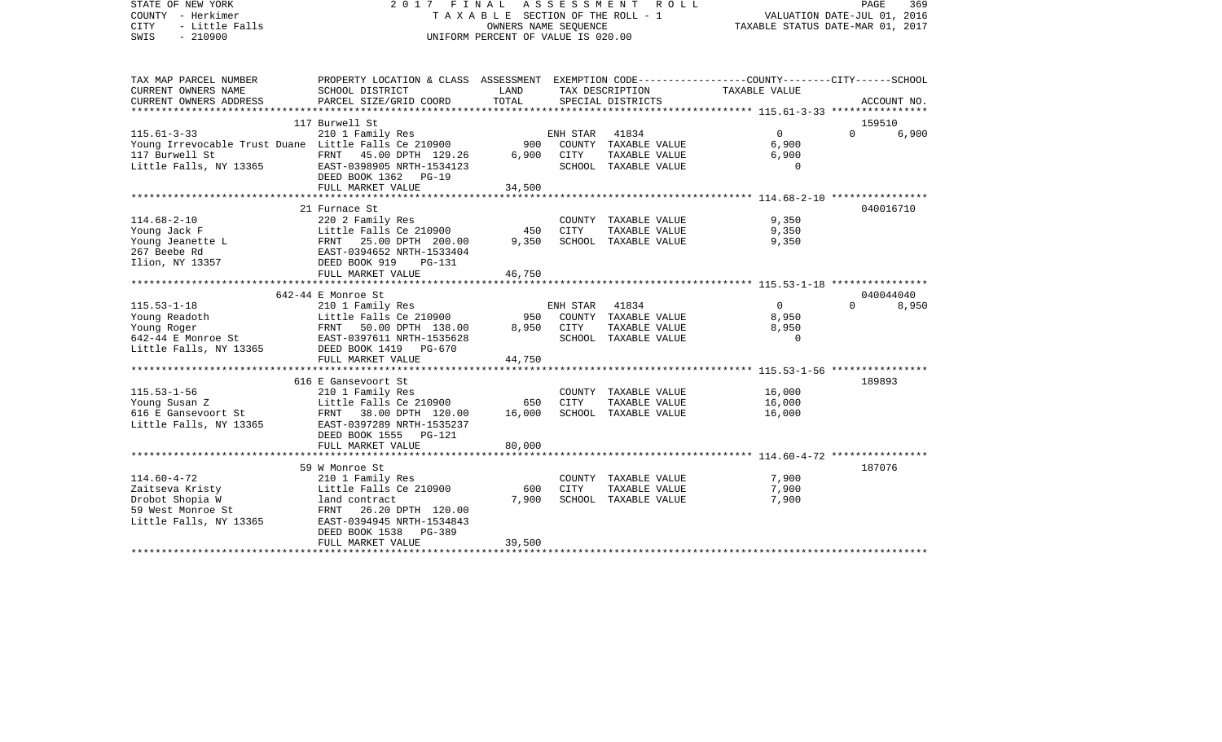| STATE OF NEW YORK<br>COUNTY - Herkimer<br><b>CITY</b><br>- Little Falls<br>$-210900$<br>SWIS | 2017 FINAL ASSESSMENT<br>T A X A B L E SECTION OF THE ROLL - 1<br>UNIFORM PERCENT OF VALUE IS 020.00               | PAGE<br>369<br>VALUATION DATE-JUL 01, 2016<br>TAXABLE STATUS DATE-MAR 01, 2017 |          |                      |               |          |             |
|----------------------------------------------------------------------------------------------|--------------------------------------------------------------------------------------------------------------------|--------------------------------------------------------------------------------|----------|----------------------|---------------|----------|-------------|
| TAX MAP PARCEL NUMBER<br>CURRENT OWNERS NAME                                                 | PROPERTY LOCATION & CLASS ASSESSMENT EXEMPTION CODE---------------COUNTY-------CITY------SCHOOL<br>SCHOOL DISTRICT | LAND                                                                           |          | TAX DESCRIPTION      | TAXABLE VALUE |          |             |
| CURRENT OWNERS ADDRESS                                                                       | PARCEL SIZE/GRID COORD                                                                                             | TOTAL                                                                          |          | SPECIAL DISTRICTS    |               |          | ACCOUNT NO. |
|                                                                                              | 117 Burwell St                                                                                                     |                                                                                |          |                      |               | 159510   |             |
| $115.61 - 3 - 33$                                                                            | 210 1 Family Res                                                                                                   |                                                                                | ENH STAR | 41834                | $\Omega$      | $\Omega$ | 6,900       |
| Young Irrevocable Trust Duane Little Falls Ce 210900                                         |                                                                                                                    | 900                                                                            |          | COUNTY TAXABLE VALUE | 6,900         |          |             |
| 117 Burwell St                                                                               | FRNT 45.00 DPTH 129.26                                                                                             | 6,900                                                                          | CITY     | TAXABLE VALUE        | 6,900         |          |             |
| Little Falls, NY 13365                                                                       | EAST-0398905 NRTH-1534123<br>DEED BOOK 1362<br>$PG-19$                                                             |                                                                                |          | SCHOOL TAXABLE VALUE | $\Omega$      |          |             |
|                                                                                              | FULL MARKET VALUE                                                                                                  | 34,500                                                                         |          |                      |               |          |             |
|                                                                                              |                                                                                                                    |                                                                                |          |                      |               |          |             |
| $114.68 - 2 - 10$                                                                            | 21 Furnace St<br>220 2 Family Res                                                                                  |                                                                                |          | COUNTY TAXABLE VALUE | 9,350         |          | 040016710   |
| Young Jack F                                                                                 | Little Falls Ce 210900                                                                                             | 450                                                                            | CITY     | TAXABLE VALUE        | 9,350         |          |             |
| Young Jeanette L                                                                             | FRNT 25.00 DPTH 200.00                                                                                             | 9,350                                                                          |          | SCHOOL TAXABLE VALUE | 9,350         |          |             |
| 267 Beebe Rd                                                                                 | EAST-0394652 NRTH-1533404                                                                                          |                                                                                |          |                      |               |          |             |
| Ilion, NY 13357                                                                              | DEED BOOK 919<br>$PG-131$                                                                                          |                                                                                |          |                      |               |          |             |
|                                                                                              | FULL MARKET VALUE                                                                                                  | 46,750                                                                         |          |                      |               |          |             |
|                                                                                              |                                                                                                                    |                                                                                |          |                      |               |          |             |
|                                                                                              | 642-44 E Monroe St                                                                                                 |                                                                                |          |                      |               |          | 040044040   |
| $115.53 - 1 - 18$                                                                            | 210 1 Family Res                                                                                                   |                                                                                | ENH STAR | 41834                | $\Omega$      | $\Omega$ | 8,950       |
| Young Readoth                                                                                | Little Falls Ce 210900                                                                                             | 950                                                                            |          | COUNTY TAXABLE VALUE | 8,950         |          |             |
| Young Roger                                                                                  | FRNT 50.00 DPTH 138.00                                                                                             | 8,950                                                                          | CITY     | TAXABLE VALUE        | 8,950         |          |             |
| 642-44 E Monroe St                                                                           | EAST-0397611 NRTH-1535628                                                                                          |                                                                                |          | SCHOOL TAXABLE VALUE | $\Omega$      |          |             |
| Little Falls, NY 13365                                                                       | DEED BOOK 1419 PG-670<br>FULL MARKET VALUE                                                                         | 44,750                                                                         |          |                      |               |          |             |
|                                                                                              |                                                                                                                    |                                                                                |          |                      |               |          |             |
|                                                                                              | 616 E Gansevoort St                                                                                                |                                                                                |          |                      |               | 189893   |             |
| $115.53 - 1 - 56$                                                                            | 210 1 Family Res                                                                                                   |                                                                                |          | COUNTY TAXABLE VALUE | 16,000        |          |             |
| Young Susan Z                                                                                | Little Falls Ce 210900                                                                                             | 650                                                                            | CITY     | TAXABLE VALUE        | 16,000        |          |             |
| 616 E Gansevoort St                                                                          | FRNT 38.00 DPTH 120.00                                                                                             | 16,000                                                                         |          | SCHOOL TAXABLE VALUE | 16,000        |          |             |
| Little Falls, NY 13365                                                                       | EAST-0397289 NRTH-1535237                                                                                          |                                                                                |          |                      |               |          |             |
|                                                                                              | DEED BOOK 1555<br><b>PG-121</b>                                                                                    |                                                                                |          |                      |               |          |             |
|                                                                                              | FULL MARKET VALUE                                                                                                  | 80,000                                                                         |          |                      |               |          |             |
|                                                                                              |                                                                                                                    |                                                                                |          |                      |               |          |             |
|                                                                                              | 59 W Monroe St                                                                                                     |                                                                                |          |                      |               | 187076   |             |
| $114.60 - 4 - 72$                                                                            | 210 1 Family Res                                                                                                   |                                                                                |          | COUNTY TAXABLE VALUE | 7,900         |          |             |
| Zaitseva Kristy                                                                              | Little Falls Ce 210900                                                                                             | 600                                                                            | CITY     | TAXABLE VALUE        | 7,900         |          |             |
| Drobot Shopia W<br>59 West Monroe St                                                         | land contract<br>26.20 DPTH 120.00<br>FRNT                                                                         | 7,900                                                                          |          | SCHOOL TAXABLE VALUE | 7,900         |          |             |
| Little Falls, NY 13365                                                                       | EAST-0394945 NRTH-1534843                                                                                          |                                                                                |          |                      |               |          |             |
|                                                                                              | DEED BOOK 1538<br>$PG-389$                                                                                         |                                                                                |          |                      |               |          |             |
|                                                                                              | FULL MARKET VALUE                                                                                                  | 39,500                                                                         |          |                      |               |          |             |
|                                                                                              |                                                                                                                    |                                                                                |          |                      |               |          |             |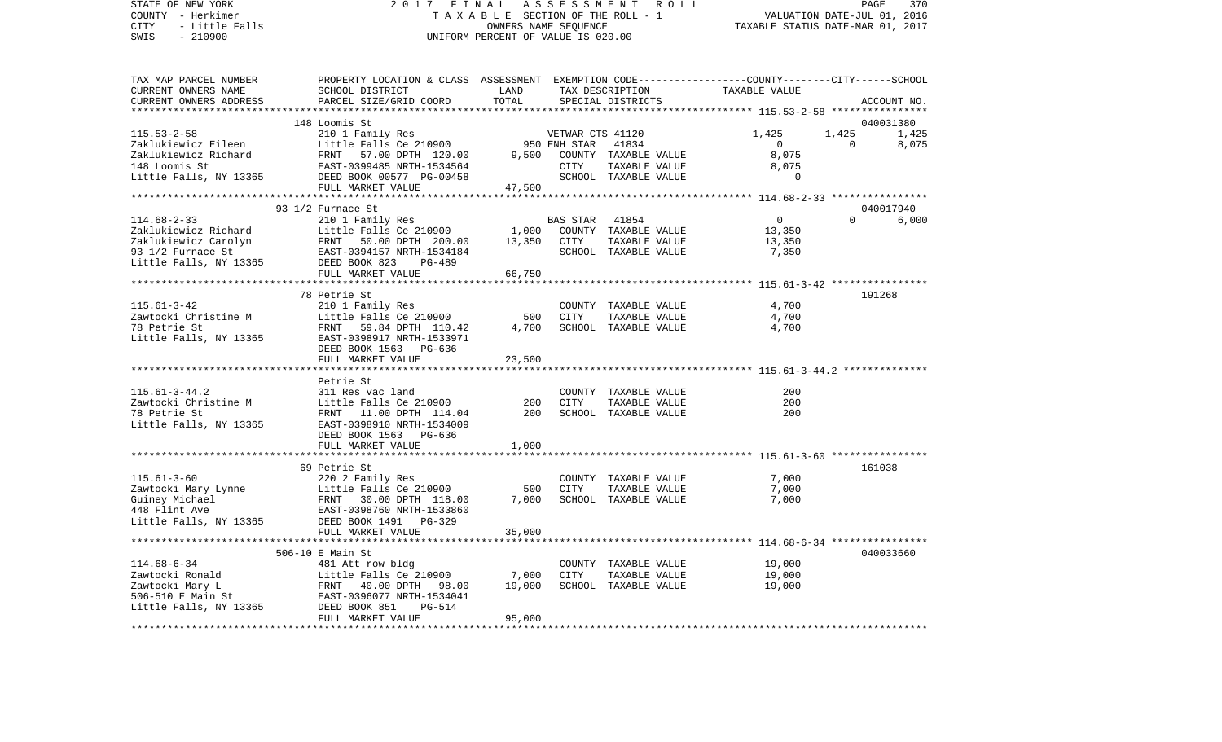COUNTY - Herkimer **T A X A B L E** SECTION OF THE ROLL - 1 VALUATION DATE-JUL 01, 2016 CITY - Little Falls OWNERS NAME SEQUENCE TAXABLE STATUS DATE-MAR 01, 2017 SWIS - 210900 UNIFORM PERCENT OF VALUE IS 020.00TAX MAP PARCEL NUMBER PROPERTY LOCATION & CLASS ASSESSMENT EXEMPTION CODE------------------COUNTY--------CITY------SCHOOL CURRENT OWNERS NAME SCHOOL DISTRICT LAND TAX DESCRIPTION TAXABLE VALUECURRENT OWNERS ADDRESS PARCEL SIZE/GRID COORD TOTAL SPECIAL DISTRICTS ACCOUNT NO. \*\*\*\*\*\*\*\*\*\*\*\*\*\*\*\*\*\*\*\*\*\*\*\*\*\*\*\*\*\*\*\*\*\*\*\*\*\*\*\*\*\*\*\*\*\*\*\*\*\*\*\*\*\*\*\*\*\*\*\*\*\*\*\*\*\*\*\*\*\*\*\*\*\*\*\*\*\*\*\*\*\*\*\*\*\*\*\*\*\*\*\*\*\*\*\*\*\*\*\*\*\*\* 115.53-2-58 \*\*\*\*\*\*\*\*\*\*\*\*\*\*\*\* 148 Loomis St 0400313801.425 115.53-2-58 210 1 Family Res VETWAR CTS 41120 1,425 1,425 1,425 Zaklukiewicz Eileen and Little Falls Ce 210900 950 ENH STAR 41834 0 0 0 8,075 Zaklukiewicz Richard FRNT 57.00 DPTH 120.00 9,500 COUNTY TAXABLE VALUE 8,075 148 Loomis St EAST-0399485 NRTH-1534564 CITY TAXABLE VALUE 8,075 Little Falls, NY 13365 DEED BOOK 00577 PG-00458 SCHOOL TAXABLE VALUE 0 FULL MARKET VALUE 47,500 \*\*\*\*\*\*\*\*\*\*\*\*\*\*\*\*\*\*\*\*\*\*\*\*\*\*\*\*\*\*\*\*\*\*\*\*\*\*\*\*\*\*\*\*\*\*\*\*\*\*\*\*\*\*\*\*\*\*\*\*\*\*\*\*\*\*\*\*\*\*\*\*\*\*\*\*\*\*\*\*\*\*\*\*\*\*\*\*\*\*\*\*\*\*\*\*\*\*\*\*\*\*\* 114.68-2-33 \*\*\*\*\*\*\*\*\*\*\*\*\*\*\*\*93 1/2 Furnace St 040017940 114.68-2-33 210 1 Family Res BAS STAR 41854 0 0 6,000 Zaklukiewicz Richard Little Falls Ce 210900 1,000 COUNTY TAXABLE VALUE 13,350 Zaklukiewicz Carolyn **FRNT 50.00 DPTH 200.00** 13,350 CITY TAXABLE VALUE 13,350 93 1/2 Furnace St EAST-0394157 NRTH-1534184 SCHOOL TAXABLE VALUE 7,350 Little Falls, NY 13365 DEED BOOK 823 PG-489 FULL MARKET VALUE 66,750 \*\*\*\*\*\*\*\*\*\*\*\*\*\*\*\*\*\*\*\*\*\*\*\*\*\*\*\*\*\*\*\*\*\*\*\*\*\*\*\*\*\*\*\*\*\*\*\*\*\*\*\*\*\*\*\*\*\*\*\*\*\*\*\*\*\*\*\*\*\*\*\*\*\*\*\*\*\*\*\*\*\*\*\*\*\*\*\*\*\*\*\*\*\*\*\*\*\*\*\*\*\*\* 115.61-3-42 \*\*\*\*\*\*\*\*\*\*\*\*\*\*\*\* 78 Petrie St 191268115.61-3-42 210 1 Family Res COUNTY TAXABLE VALUE 4,700 Zawtocki Christine M Little Falls Ce 210900 500 CITY TAXABLE VALUE 4,700 78 Petrie St FRNT 59.84 DPTH 110.42 4,700 SCHOOL TAXABLE VALUE 4,700 Little Falls, NY 13365 EAST-0398917 NRTH-1533971 DEED BOOK 1563 PG-636FULL MARKET VALUE 23,500 \*\*\*\*\*\*\*\*\*\*\*\*\*\*\*\*\*\*\*\*\*\*\*\*\*\*\*\*\*\*\*\*\*\*\*\*\*\*\*\*\*\*\*\*\*\*\*\*\*\*\*\*\*\*\*\*\*\*\*\*\*\*\*\*\*\*\*\*\*\*\*\*\*\*\*\*\*\*\*\*\*\*\*\*\*\*\*\*\*\*\*\*\*\*\*\*\*\*\*\*\*\*\* 115.61-3-44.2 \*\*\*\*\*\*\*\*\*\*\*\*\*\* Petrie St115.61-3-44.2 311 Res vac land COUNTY TAXABLE VALUE 200Zawtocki Christine M Little Falls Ce 210900 200 CITY TAXABLE VALUE 20078 Petrie St FRNT 11.00 DPTH 114.04 200 SCHOOL TAXABLE VALUE 200Little Falls, NY 13365 EAST-0398910 NRTH-1534009 DEED BOOK 1563 PG-636FULL MARKET VALUE 1,000 \*\*\*\*\*\*\*\*\*\*\*\*\*\*\*\*\*\*\*\*\*\*\*\*\*\*\*\*\*\*\*\*\*\*\*\*\*\*\*\*\*\*\*\*\*\*\*\*\*\*\*\*\*\*\*\*\*\*\*\*\*\*\*\*\*\*\*\*\*\*\*\*\*\*\*\*\*\*\*\*\*\*\*\*\*\*\*\*\*\*\*\*\*\*\*\*\*\*\*\*\*\*\* 115.61-3-60 \*\*\*\*\*\*\*\*\*\*\*\*\*\*\*\* 69 Petrie St 161038115.61-3-60 220 2 Family Res COUNTY TAXABLE VALUE 7,000 Zawtocki Mary Lynne Little Falls Ce 210900 500 CITY TAXABLE VALUE 7,000 Guiney Michael FRNT 30.00 DPTH 118.00 7,000 SCHOOL TAXABLE VALUE 7,000 EAST-0398760 NRTH-1533860 Little Falls, NY 13365 DEED BOOK 1491 PG-329 FULL MARKET VALUE 35,000 \*\*\*\*\*\*\*\*\*\*\*\*\*\*\*\*\*\*\*\*\*\*\*\*\*\*\*\*\*\*\*\*\*\*\*\*\*\*\*\*\*\*\*\*\*\*\*\*\*\*\*\*\*\*\*\*\*\*\*\*\*\*\*\*\*\*\*\*\*\*\*\*\*\*\*\*\*\*\*\*\*\*\*\*\*\*\*\*\*\*\*\*\*\*\*\*\*\*\*\*\*\*\* 114.68-6-34 \*\*\*\*\*\*\*\*\*\*\*\*\*\*\*\*506-10 E Main St 040033660114.68-6-34 481 Att row bldg COUNTY TAXABLE VALUE 19,000 Zawtocki Ronald Little Falls Ce 210900 7,000 CITY TAXABLE VALUE Zawtocki Mary L FRNT 40.00 DPTH 98.00 19,000 SCHOOL TAXABLE VALUE 19,000 506-510 E Main St EAST-0396077 NRTH-1534041Little Falls, NY 13365 DEED BOOK 851 PG-514 FULL MARKET VALUE 95,000 \*\*\*\*\*\*\*\*\*\*\*\*\*\*\*\*\*\*\*\*\*\*\*\*\*\*\*\*\*\*\*\*\*\*\*\*\*\*\*\*\*\*\*\*\*\*\*\*\*\*\*\*\*\*\*\*\*\*\*\*\*\*\*\*\*\*\*\*\*\*\*\*\*\*\*\*\*\*\*\*\*\*\*\*\*\*\*\*\*\*\*\*\*\*\*\*\*\*\*\*\*\*\*\*\*\*\*\*\*\*\*\*\*\*\*\*\*\*\*\*\*\*\*\*\*\*\*\*\*\*\*\*

STATE OF NEW YORK 2 0 1 7 F I N A L A S S E S S M E N T R O L L PAGE 370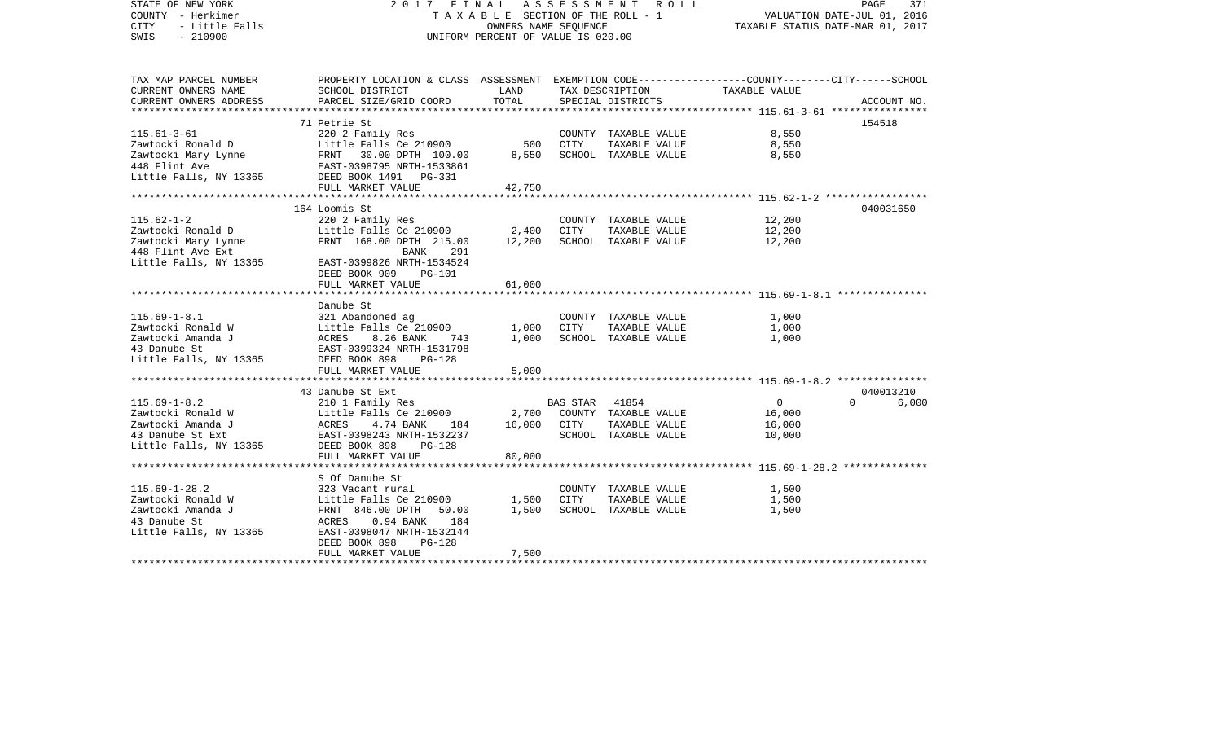| STATE OF NEW YORK<br>COUNTY - Herkimer<br><b>CITY</b><br>- Little Falls<br>$-210900$<br>SWIS                | 2017 FINAL<br>UNIFORM PERCENT OF VALUE IS 020.00                                                                                                          | A S S E S S M E N T A O L L<br>T A X A B L E SECTION OF THE ROLL - 1<br>OWNERS NAME SEQUENCE | PAGE<br>371<br>VALUATION DATE-JUL 01, 2016<br>TAXABLE STATUS DATE-MAR 01, 2017 |                                                                              |                                              |                   |
|-------------------------------------------------------------------------------------------------------------|-----------------------------------------------------------------------------------------------------------------------------------------------------------|----------------------------------------------------------------------------------------------|--------------------------------------------------------------------------------|------------------------------------------------------------------------------|----------------------------------------------|-------------------|
| TAX MAP PARCEL NUMBER<br>CURRENT OWNERS NAME                                                                | PROPERTY LOCATION & CLASS ASSESSMENT EXEMPTION CODE----------------COUNTY-------CITY------SCHOOL<br>SCHOOL DISTRICT                                       | LAND                                                                                         |                                                                                | TAX DESCRIPTION                                                              | TAXABLE VALUE                                |                   |
| CURRENT OWNERS ADDRESS                                                                                      | PARCEL SIZE/GRID COORD                                                                                                                                    | TOTAL                                                                                        |                                                                                | SPECIAL DISTRICTS                                                            |                                              | ACCOUNT NO.       |
|                                                                                                             | 71 Petrie St                                                                                                                                              |                                                                                              |                                                                                |                                                                              |                                              | 154518            |
| $115.61 - 3 - 61$<br>Zawtocki Ronald D<br>Zawtocki Mary Lynne<br>448 Flint Ave<br>Little Falls, NY 13365    | 220 2 Family Res<br>Little Falls Ce 210900<br>FRNT 30.00 DPTH 100.00<br>EAST-0398795 NRTH-1533861<br>EAST-0398795 NRTH-1533861<br>DEED BOOK 1491   PG-331 | 500<br>8,550                                                                                 | CITY                                                                           | COUNTY TAXABLE VALUE<br>TAXABLE VALUE<br>SCHOOL TAXABLE VALUE                | 8,550<br>8,550<br>8,550                      |                   |
|                                                                                                             | FULL MARKET VALUE                                                                                                                                         | 42,750                                                                                       |                                                                                |                                                                              |                                              |                   |
|                                                                                                             |                                                                                                                                                           |                                                                                              |                                                                                |                                                                              |                                              |                   |
| $115.62 - 1 - 2$<br>Zawtocki Ronald D<br>Zawtocki Mary Lynne<br>448 Flint Ave Ext<br>Little Falls, NY 13365 | 164 Loomis St<br>220 2 Family Res<br>Little Falls Ce $210900$ 2,400<br>FRNT 168.00 DPTH 215.00<br>BANK<br>291<br>EAST-0399826 NRTH-1534524                | 12,200                                                                                       | CITY                                                                           | COUNTY TAXABLE VALUE<br>TAXABLE VALUE<br>SCHOOL TAXABLE VALUE                | 12,200<br>12,200<br>12,200                   | 040031650         |
|                                                                                                             | DEED BOOK 909<br>PG-101<br>FULL MARKET VALUE                                                                                                              | 61,000                                                                                       |                                                                                |                                                                              |                                              |                   |
|                                                                                                             |                                                                                                                                                           |                                                                                              |                                                                                |                                                                              |                                              |                   |
|                                                                                                             | Danube St                                                                                                                                                 |                                                                                              |                                                                                |                                                                              |                                              |                   |
| $115.69 - 1 - 8.1$                                                                                          | 321 Abandoned ag                                                                                                                                          |                                                                                              |                                                                                | COUNTY TAXABLE VALUE                                                         | 1,000                                        |                   |
| Zawtocki Ronald W<br>Zawtocki Amanda J<br>43 Danube St<br>Little Falls, NY 13365                            | Little Falls Ce 210900<br>ACRES<br>8.26 BANK<br>743<br>EAST-0399324 NRTH-1531798<br>DEED BOOK 898<br>$PG-128$                                             | 1,000<br>1,000                                                                               | CITY                                                                           | TAXABLE VALUE<br>SCHOOL TAXABLE VALUE                                        | 1,000<br>1,000                               |                   |
|                                                                                                             | FULL MARKET VALUE                                                                                                                                         | 5,000                                                                                        |                                                                                |                                                                              |                                              |                   |
|                                                                                                             |                                                                                                                                                           | *************                                                                                |                                                                                |                                                                              |                                              |                   |
|                                                                                                             | 43 Danube St Ext                                                                                                                                          |                                                                                              |                                                                                |                                                                              |                                              | 040013210         |
| $115.69 - 1 - 8.2$<br>Zawtocki Ronald W<br>Zawtocki Amanda J<br>43 Danube St Ext<br>Little Falls, NY 13365  | 210 1 Family Res<br>Little Falls Ce 210900<br>ACRES 4.74 BANK<br>184<br>EAST-0398243 NRTH-1532237<br>DEED BOOK 898<br><b>PG-128</b><br>FULL MARKET VALUE  | 16,000<br>80,000                                                                             | <b>BAS STAR</b><br>CITY                                                        | 41854<br>2,700 COUNTY TAXABLE VALUE<br>TAXABLE VALUE<br>SCHOOL TAXABLE VALUE | $\overline{0}$<br>16,000<br>16,000<br>10,000 | $\Omega$<br>6,000 |
|                                                                                                             | ****************************                                                                                                                              |                                                                                              |                                                                                |                                                                              |                                              |                   |
|                                                                                                             | S Of Danube St                                                                                                                                            |                                                                                              |                                                                                |                                                                              |                                              |                   |
| $115.69 - 1 - 28.2$<br>Zawtocki Ronald W<br>Zawtocki Amanda J<br>43 Danube St<br>Little Falls, NY 13365     | 323 Vacant rural<br>Little Falls Ce 210900<br>FRNT 846.00 DPTH<br>50.00<br>ACRES<br>$0.94$ BANK<br>184<br>EAST-0398047 NRTH-1532144                       | 1,500<br>1,500                                                                               | CITY                                                                           | COUNTY TAXABLE VALUE<br>TAXABLE VALUE<br>SCHOOL TAXABLE VALUE                | 1,500<br>1,500<br>1,500                      |                   |
|                                                                                                             | DEED BOOK 898<br>PG-128<br>FULL MARKET VALUE                                                                                                              | 7,500                                                                                        |                                                                                |                                                                              |                                              |                   |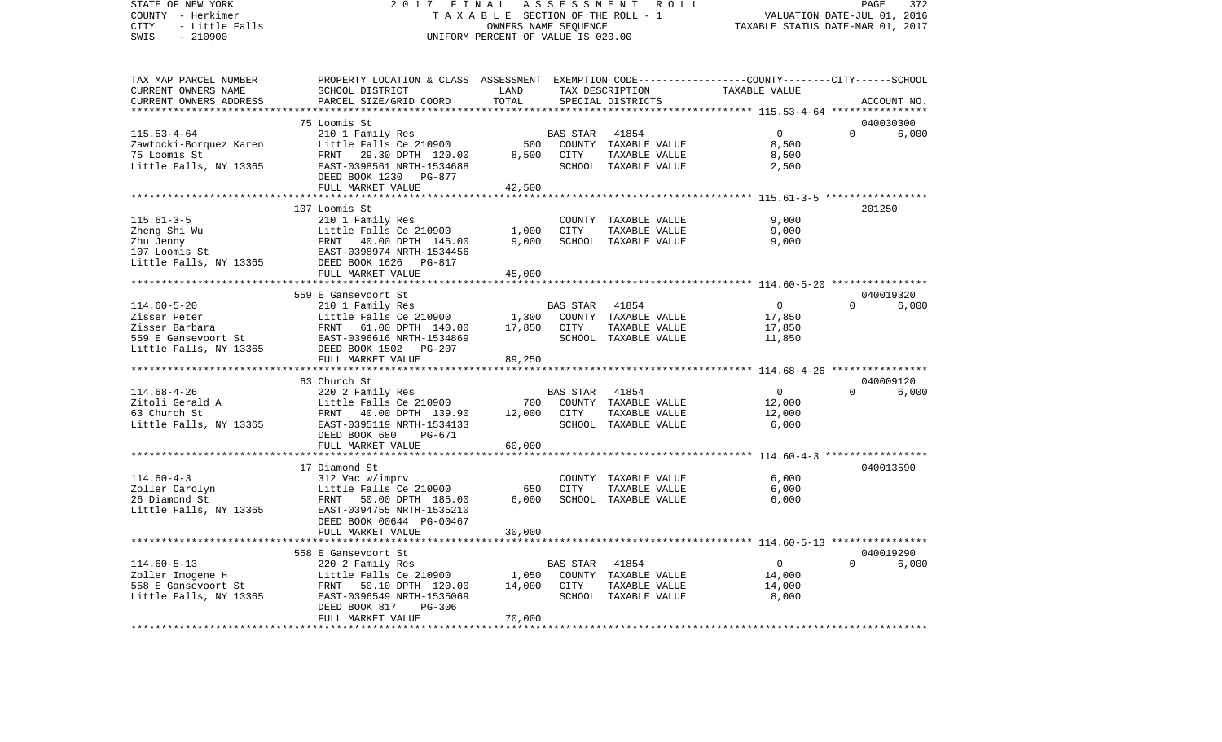STATE OF NEW YORK 2 0 1 7 F I N A L A S S E S S M E N T R O L L PAGE 372COUNTY - Herkimer **T A X A B L E** SECTION OF THE ROLL - 1 VALUATION DATE-JUL 01, 2016 CITY - Little Falls OWNERS NAME SEQUENCE TAXABLE STATUS DATE-MAR 01, 2017 SWIS - 210900 UNIFORM PERCENT OF VALUE IS 020.00TAX MAP PARCEL NUMBER PROPERTY LOCATION & CLASS ASSESSMENT EXEMPTION CODE------------------COUNTY--------CITY------SCHOOL CURRENT OWNERS NAME SCHOOL DISTRICT LAND TAX DESCRIPTION TAXABLE VALUECURRENT OWNERS ADDRESS PARCEL SIZE/GRID COORD TOTAL SPECIAL DISTRICTS ACCOUNT NO. \*\*\*\*\*\*\*\*\*\*\*\*\*\*\*\*\*\*\*\*\*\*\*\*\*\*\*\*\*\*\*\*\*\*\*\*\*\*\*\*\*\*\*\*\*\*\*\*\*\*\*\*\*\*\*\*\*\*\*\*\*\*\*\*\*\*\*\*\*\*\*\*\*\*\*\*\*\*\*\*\*\*\*\*\*\*\*\*\*\*\*\*\*\*\*\*\*\*\*\*\*\*\* 115.53-4-64 \*\*\*\*\*\*\*\*\*\*\*\*\*\*\*\* 75 Loomis St 040030300115.53-4-64 210 1 Family Res BAS STAR 41854 0 0 6,000 Zawtocki-Borquez Karen and Little Falls Ce 210900 500 COUNTY TAXABLE VALUE 8,500 75 Loomis St FRNT 29.30 DPTH 120.00 8,500 CITY TAXABLE VALUE 8,500 Little Falls, NY 13365 688 EAST-0398561 NRTH-1534688 688 SCHOOL TAXABLE VALUE 2,500 DEED BOOK 1230 PG-877FULL MARKET VALUE 42,500 \*\*\*\*\*\*\*\*\*\*\*\*\*\*\*\*\*\*\*\*\*\*\*\*\*\*\*\*\*\*\*\*\*\*\*\*\*\*\*\*\*\*\*\*\*\*\*\*\*\*\*\*\*\*\*\*\*\*\*\*\*\*\*\*\*\*\*\*\*\*\*\*\*\*\*\*\*\*\*\*\*\*\*\*\*\*\*\*\*\*\*\*\*\*\*\*\*\*\*\*\*\*\* 115.61-3-5 \*\*\*\*\*\*\*\*\*\*\*\*\*\*\*\*\* 107 Loomis St 201250115.61-3-5 210 1 Family Res COUNTY TAXABLE VALUE 9,000 Zheng Shi Wu **Little Falls Ce 210900** 1,000 CITY TAXABLE VALUE Zhu Jenny FRNT 40.00 DPTH 145.00 9,000 SCHOOL TAXABLE VALUE 9,000 107 Loomis St EAST-0398974 NRTH-1534456Little Falls, NY 13365 DEED BOOK 1626 PG-817 FULL MARKET VALUE 45,000 \*\*\*\*\*\*\*\*\*\*\*\*\*\*\*\*\*\*\*\*\*\*\*\*\*\*\*\*\*\*\*\*\*\*\*\*\*\*\*\*\*\*\*\*\*\*\*\*\*\*\*\*\*\*\*\*\*\*\*\*\*\*\*\*\*\*\*\*\*\*\*\*\*\*\*\*\*\*\*\*\*\*\*\*\*\*\*\*\*\*\*\*\*\*\*\*\*\*\*\*\*\*\* 114.60-5-20 \*\*\*\*\*\*\*\*\*\*\*\*\*\*\*\* 559 E Gansevoort St 040019320 $6.000$ 114.60-5-20 210 1 Family Res BAS STAR 41854 0 0 0 Zisser Peter Little Falls Ce 210900 1,300 COUNTY TAXABLE VALUE 17,850 Zisser Barbara FRNT 61.00 DPTH 140.00 17,850 CITY TAXABLE VALUE 17,850 559 E Gansevoort St EAST-0396616 NRTH-1534869 SCHOOL TAXABLE VALUE 11,850 Little Falls, NY 13365 DEED BOOK 1502 PG-207 FULL MARKET VALUE 89,250 \*\*\*\*\*\*\*\*\*\*\*\*\*\*\*\*\*\*\*\*\*\*\*\*\*\*\*\*\*\*\*\*\*\*\*\*\*\*\*\*\*\*\*\*\*\*\*\*\*\*\*\*\*\*\*\*\*\*\*\*\*\*\*\*\*\*\*\*\*\*\*\*\*\*\*\*\*\*\*\*\*\*\*\*\*\*\*\*\*\*\*\*\*\*\*\*\*\*\*\*\*\*\* 114.68-4-26 \*\*\*\*\*\*\*\*\*\*\*\*\*\*\*\* 63 Church St 040009120114.68-4-26 220 2 Family Res BAS STAR 41854 0 0 6,000 Zitoli Gerald A Little Falls Ce 210900 700 COUNTY TAXABLE VALUE 12,000 63 Church St FRNT 40.00 DPTH 139.90 12,000 CITY TAXABLE VALUE 12,000 Little Falls, NY 13365 EAST-0395119 NRTH-1534133 SCHOOL TAXABLE VALUE 6,000 DEED BOOK 680 PG-671 FULL MARKET VALUE 60,000 \*\*\*\*\*\*\*\*\*\*\*\*\*\*\*\*\*\*\*\*\*\*\*\*\*\*\*\*\*\*\*\*\*\*\*\*\*\*\*\*\*\*\*\*\*\*\*\*\*\*\*\*\*\*\*\*\*\*\*\*\*\*\*\*\*\*\*\*\*\*\*\*\*\*\*\*\*\*\*\*\*\*\*\*\*\*\*\*\*\*\*\*\*\*\*\*\*\*\*\*\*\*\* 114.60-4-3 \*\*\*\*\*\*\*\*\*\*\*\*\*\*\*\*\* 17 Diamond St 040013590114.60-4-3 312 Vac w/imprv COUNTY TAXABLE VALUE 6,000 Zoller Carolyn Little Falls Ce 210900 650 CITY TAXABLE VALUE 6,000 26 Diamond St FRNT 50.00 DPTH 185.00 6,000 SCHOOL TAXABLE VALUE 6,000 Little Falls, NY 13365 EAST-0394755 NRTH-1535210 DEED BOOK 00644 PG-00467 FULL MARKET VALUE 30,000 \*\*\*\*\*\*\*\*\*\*\*\*\*\*\*\*\*\*\*\*\*\*\*\*\*\*\*\*\*\*\*\*\*\*\*\*\*\*\*\*\*\*\*\*\*\*\*\*\*\*\*\*\*\*\*\*\*\*\*\*\*\*\*\*\*\*\*\*\*\*\*\*\*\*\*\*\*\*\*\*\*\*\*\*\*\*\*\*\*\*\*\*\*\*\*\*\*\*\*\*\*\*\* 114.60-5-13 \*\*\*\*\*\*\*\*\*\*\*\*\*\*\*\* 558 E Gansevoort St 040019290114.60-5-13 220 2 Family Res BAS STAR 41854 0 0 6,000 Zoller Imogene H Little Falls Ce 210900 1,050 COUNTY TAXABLE VALUE 14,000 558 E Gansevoort St FRNT 50.10 DPTH 120.00 14,000 CITY TAXABLE VALUE 14,000 Little Falls, NY 13365 EAST-0396549 NRTH-1535069 SCHOOL TAXABLE VALUE 8,000 DEED BOOK 817 PG-306 FULL MARKET VALUE 70,000 \*\*\*\*\*\*\*\*\*\*\*\*\*\*\*\*\*\*\*\*\*\*\*\*\*\*\*\*\*\*\*\*\*\*\*\*\*\*\*\*\*\*\*\*\*\*\*\*\*\*\*\*\*\*\*\*\*\*\*\*\*\*\*\*\*\*\*\*\*\*\*\*\*\*\*\*\*\*\*\*\*\*\*\*\*\*\*\*\*\*\*\*\*\*\*\*\*\*\*\*\*\*\*\*\*\*\*\*\*\*\*\*\*\*\*\*\*\*\*\*\*\*\*\*\*\*\*\*\*\*\*\*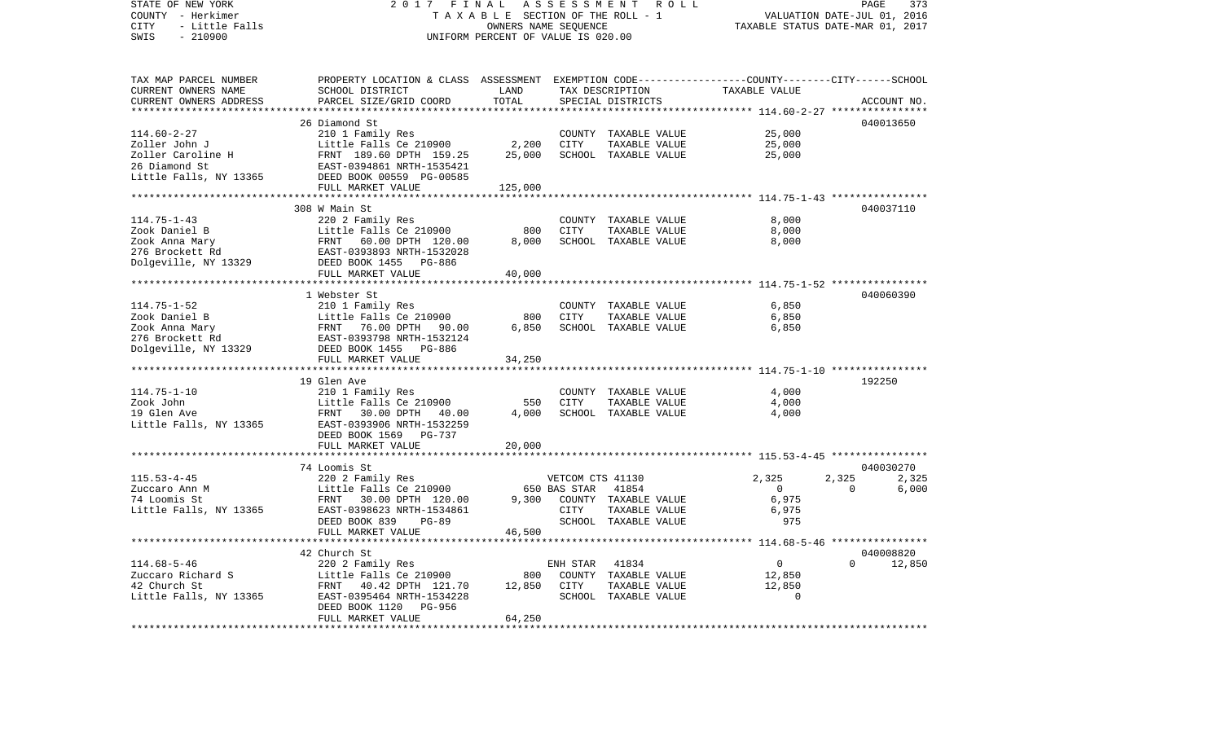| STATE OF NEW YORK<br>COUNTY - Herkimer      | 2017<br>FINAL                                                                                              | ASSESSMENT ROLL<br>TAXABLE SECTION OF THE ROLL - 1         | PAGE<br>373<br>VALUATION DATE-JUL 01, 2016<br>TAXABLE STATUS DATE-MAR 01, 2017 |                                       |                                                           |                |             |
|---------------------------------------------|------------------------------------------------------------------------------------------------------------|------------------------------------------------------------|--------------------------------------------------------------------------------|---------------------------------------|-----------------------------------------------------------|----------------|-------------|
| - Little Falls<br>CITY<br>SWIS<br>$-210900$ |                                                                                                            | OWNERS NAME SEQUENCE<br>UNIFORM PERCENT OF VALUE IS 020.00 |                                                                                |                                       |                                                           |                |             |
| TAX MAP PARCEL NUMBER                       | PROPERTY LOCATION & CLASS ASSESSMENT EXEMPTION CODE---------------COUNTY-------CITY------SCHOOL            |                                                            |                                                                                |                                       |                                                           |                |             |
| CURRENT OWNERS NAME                         | SCHOOL DISTRICT                                                                                            | LAND                                                       |                                                                                | TAX DESCRIPTION                       | TAXABLE VALUE                                             |                |             |
| CURRENT OWNERS ADDRESS                      | PARCEL SIZE/GRID COORD                                                                                     | TOTAL<br>**************                                    |                                                                                | SPECIAL DISTRICTS                     |                                                           |                | ACCOUNT NO. |
|                                             | 26 Diamond St                                                                                              |                                                            |                                                                                |                                       | **************************** 114.60-2-27 **************** |                | 040013650   |
| $114.60 - 2 - 27$                           | 210 1 Family Res                                                                                           |                                                            |                                                                                | COUNTY TAXABLE VALUE                  | 25,000                                                    |                |             |
| Zoller John J                               | Little Falls Ce 210900                                                                                     | 2,200                                                      | CITY                                                                           | TAXABLE VALUE                         | 25,000                                                    |                |             |
| Zoller Caroline H                           | FRNT 189.60 DPTH 159.25                                                                                    | 25,000                                                     |                                                                                | SCHOOL TAXABLE VALUE                  | 25,000                                                    |                |             |
| 26 Diamond St                               | EAST-0394861 NRTH-1535421                                                                                  |                                                            |                                                                                |                                       |                                                           |                |             |
| Little Falls, NY 13365                      | DEED BOOK 00559 PG-00585                                                                                   |                                                            |                                                                                |                                       |                                                           |                |             |
|                                             | FULL MARKET VALUE                                                                                          | 125,000                                                    |                                                                                |                                       |                                                           |                |             |
|                                             |                                                                                                            |                                                            |                                                                                |                                       |                                                           |                |             |
|                                             | 308 W Main St                                                                                              |                                                            |                                                                                |                                       |                                                           |                | 040037110   |
| $114.75 - 1 - 43$                           | 220 2 Family Res                                                                                           |                                                            |                                                                                | COUNTY TAXABLE VALUE                  | 8,000                                                     |                |             |
| Zook Daniel B                               | Little Falls Ce 210900<br>Little Falls Ce 210900<br>FRNT   60.00 DPTH  120.00<br>EAST-0393893 NRTH-1532028 | 800                                                        | <b>CITY</b>                                                                    | TAXABLE VALUE                         | 8,000                                                     |                |             |
| Zook Anna Mary                              |                                                                                                            | 8,000                                                      |                                                                                | SCHOOL TAXABLE VALUE                  | 8,000                                                     |                |             |
| 276 Brockett Rd                             |                                                                                                            |                                                            |                                                                                |                                       |                                                           |                |             |
| Dolgeville, NY 13329                        | DEED BOOK 1455 PG-886<br>FULL MARKET VALUE                                                                 | 40,000                                                     |                                                                                |                                       |                                                           |                |             |
|                                             | ****************************                                                                               |                                                            |                                                                                |                                       | ************************ 114.75-1-52 *****************    |                |             |
|                                             | 1 Webster St                                                                                               |                                                            |                                                                                |                                       |                                                           |                | 040060390   |
| $114.75 - 1 - 52$                           | 210 1 Family Res                                                                                           |                                                            |                                                                                | COUNTY TAXABLE VALUE                  | 6,850                                                     |                |             |
| Zook Daniel B                               |                                                                                                            | 800                                                        | CITY                                                                           | TAXABLE VALUE                         | 6,850                                                     |                |             |
| Zook Anna Mary                              | Little Falls Ce 210900<br>FRNT 76.00 DPTH 90.00                                                            | 6,850                                                      |                                                                                | SCHOOL TAXABLE VALUE                  | 6,850                                                     |                |             |
| 276 Brockett Rd                             | EAST-0393798 NRTH-1532124                                                                                  |                                                            |                                                                                |                                       |                                                           |                |             |
| Dolgeville, NY 13329                        | DEED BOOK 1455 PG-886                                                                                      |                                                            |                                                                                |                                       |                                                           |                |             |
|                                             | FULL MARKET VALUE                                                                                          | 34,250                                                     |                                                                                |                                       |                                                           |                |             |
|                                             | 19 Glen Ave                                                                                                |                                                            |                                                                                |                                       |                                                           | 192250         |             |
| $114.75 - 1 - 10$                           | 210 1 Family Res                                                                                           |                                                            |                                                                                | COUNTY TAXABLE VALUE                  | 4,000                                                     |                |             |
| Zook John                                   | Little Falls Ce 210900                                                                                     | 550                                                        | CITY                                                                           | TAXABLE VALUE                         | 4,000                                                     |                |             |
| 19 Glen Ave                                 | FRNT<br>30.00 DPTH 40.00                                                                                   | 4,000                                                      |                                                                                | SCHOOL TAXABLE VALUE                  | 4,000                                                     |                |             |
| Little Falls, NY 13365                      | EAST-0393906 NRTH-1532259                                                                                  |                                                            |                                                                                |                                       |                                                           |                |             |
|                                             | DEED BOOK 1569 PG-737                                                                                      |                                                            |                                                                                |                                       |                                                           |                |             |
|                                             | FULL MARKET VALUE                                                                                          | 20,000                                                     |                                                                                |                                       |                                                           |                |             |
|                                             | **************                                                                                             |                                                            |                                                                                |                                       |                                                           |                |             |
|                                             | 74 Loomis St                                                                                               |                                                            |                                                                                |                                       |                                                           |                | 040030270   |
| $115.53 - 4 - 45$                           | 220 2 Family Res                                                                                           |                                                            | VETCOM CTS 41130                                                               |                                       | 2,325                                                     | 2,325          | 2,325       |
| Zuccaro Ann M                               | Little Falls Ce 210900                                                                                     |                                                            | 650 BAS STAR                                                                   | 41854                                 | $\overline{0}$<br>6,975                                   | $\overline{0}$ | 6,000       |
| 74 Loomis St                                | FRNT 30.00 DPTH 120.00                                                                                     | 9,300                                                      | CITY                                                                           | COUNTY TAXABLE VALUE                  | 6,975                                                     |                |             |
| Little Falls, NY 13365                      | EAST-0398623 NRTH-1534861<br>DEED BOOK 839<br>PG-89                                                        |                                                            |                                                                                | TAXABLE VALUE<br>SCHOOL TAXABLE VALUE | 975                                                       |                |             |
|                                             | FULL MARKET VALUE                                                                                          | 46,500                                                     |                                                                                |                                       |                                                           |                |             |
|                                             | ************************                                                                                   |                                                            |                                                                                |                                       |                                                           |                |             |
|                                             | 42 Church St                                                                                               |                                                            |                                                                                |                                       |                                                           |                | 040008820   |
| $114.68 - 5 - 46$                           | 220 2 Family Res                                                                                           |                                                            | ENH STAR                                                                       | 41834                                 | $\overline{0}$                                            | $\Omega$       | 12,850      |
| Zuccaro Richard S<br>42 Church St           | Little Falls Ce 210900                                                                                     | 800                                                        |                                                                                | COUNTY TAXABLE VALUE                  | 12,850                                                    |                |             |
| 42 Church St                                | FRNT 40.42 DPTH 121.70                                                                                     | 12,850                                                     | CITY                                                                           | TAXABLE VALUE                         | 12,850                                                    |                |             |
| Little Falls, NY 13365                      | EAST-0395464 NRTH-1534228                                                                                  |                                                            |                                                                                | SCHOOL TAXABLE VALUE                  | $\Omega$                                                  |                |             |
|                                             | DEED BOOK 1120<br>PG-956                                                                                   |                                                            |                                                                                |                                       |                                                           |                |             |
|                                             | FULL MARKET VALUE                                                                                          | 64,250                                                     |                                                                                |                                       |                                                           |                |             |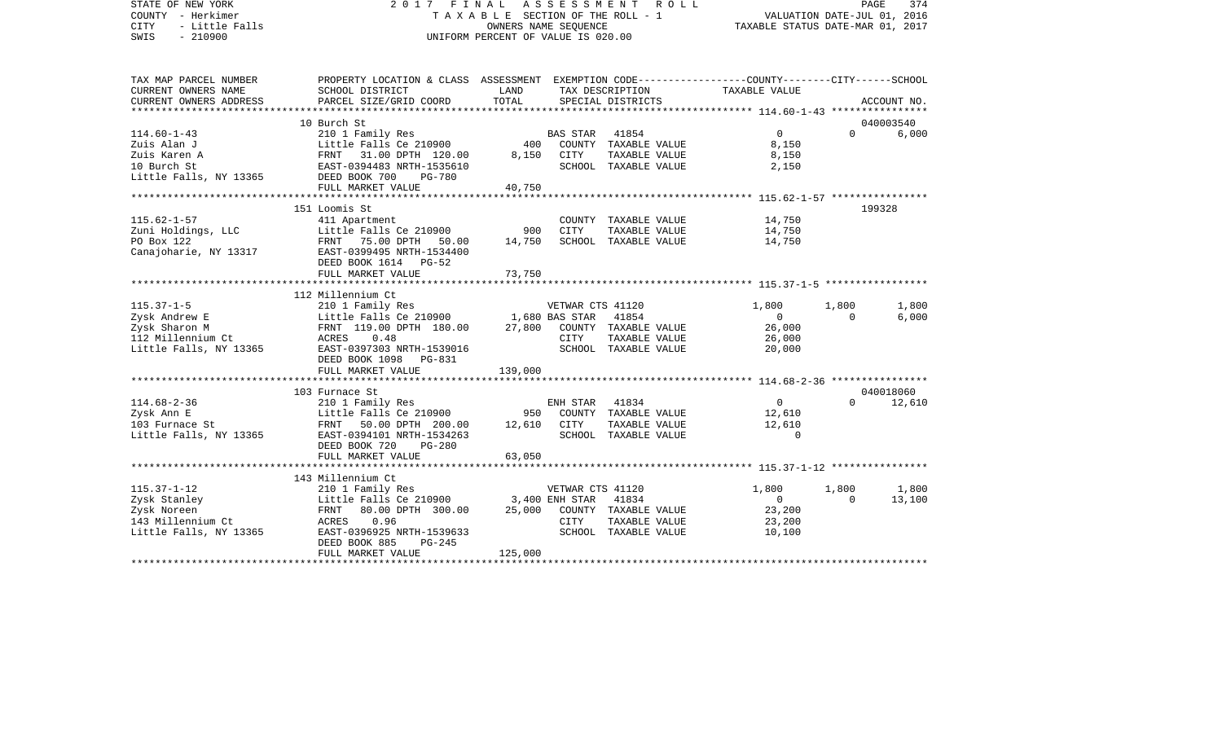STATE OF NEW YORK 2 0 1 7 F I N A L A S S E S S M E N T R O L L PAGE 374VALUATION DATE-JUL 01, 2016 COUNTY - Herkimer T A X A B L E SECTION OF THE ROLL - 1 CITY - Little Falls OWNERS NAME SEQUENCE TAXABLE STATUS DATE-MAR 01, 2017 SWIS - 210900 UNIFORM PERCENT OF VALUE IS 020.00TAX MAP PARCEL NUMBER PROPERTY LOCATION & CLASS ASSESSMENT EXEMPTION CODE------------------COUNTY--------CITY------SCHOOL CURRENT OWNERS NAME SCHOOL DISTRICT LAND TAX DESCRIPTION TAXABLE VALUECURRENT OWNERS ADDRESS PARCEL SIZE/GRID COORD TOTAL SPECIAL DISTRICTS ACCOUNT NO. \*\*\*\*\*\*\*\*\*\*\*\*\*\*\*\*\*\*\*\*\*\*\*\*\*\*\*\*\*\*\*\*\*\*\*\*\*\*\*\*\*\*\*\*\*\*\*\*\*\*\*\*\*\*\*\*\*\*\*\*\*\*\*\*\*\*\*\*\*\*\*\*\*\*\*\*\*\*\*\*\*\*\*\*\*\*\*\*\*\*\*\*\*\*\*\*\*\*\*\*\*\*\* 114.60-1-43 \*\*\*\*\*\*\*\*\*\*\*\*\*\*\*\* 10 Burch St 040003540114.60-1-43 210 1 Family Res BAS STAR 41854 0 0 6,000 Zuis Alan J Little Falls Ce 210900 400 COUNTY TAXABLE VALUE 8,150 Zuis Karen A FRNT 31.00 DPTH 120.00 8,150 CITY TAXABLE VALUE 8,150 10 Burch St EAST-0394483 NRTH-1535610 SCHOOL TAXABLE VALUE 2,150 Little Falls, NY 13365 DEED BOOK 700 PG-780 FULL MARKET VALUE 40,750 \*\*\*\*\*\*\*\*\*\*\*\*\*\*\*\*\*\*\*\*\*\*\*\*\*\*\*\*\*\*\*\*\*\*\*\*\*\*\*\*\*\*\*\*\*\*\*\*\*\*\*\*\*\*\*\*\*\*\*\*\*\*\*\*\*\*\*\*\*\*\*\*\*\*\*\*\*\*\*\*\*\*\*\*\*\*\*\*\*\*\*\*\*\*\*\*\*\*\*\*\*\*\* 115.62-1-57 \*\*\*\*\*\*\*\*\*\*\*\*\*\*\*\* 151 Loomis St 199328115.62-1-57 411 Apartment COUNTY TAXABLE VALUE 14,750 Zuni Holdings, LLC Little Falls Ce 210900 900 CITY TAXABLE VALUE PO Box 122 FRNT 75.00 DPTH 50.00 14,750 SCHOOL TAXABLE VALUE 14,750 Canajoharie, NY 13317 EAST-0399495 NRTH-1534400 DEED BOOK 1614 PG-52FULL MARKET VALUE 73,750 \*\*\*\*\*\*\*\*\*\*\*\*\*\*\*\*\*\*\*\*\*\*\*\*\*\*\*\*\*\*\*\*\*\*\*\*\*\*\*\*\*\*\*\*\*\*\*\*\*\*\*\*\*\*\*\*\*\*\*\*\*\*\*\*\*\*\*\*\*\*\*\*\*\*\*\*\*\*\*\*\*\*\*\*\*\*\*\*\*\*\*\*\*\*\*\*\*\*\*\*\*\*\* 115.37-1-5 \*\*\*\*\*\*\*\*\*\*\*\*\*\*\*\*\* 112 Millennium Ct115.37-1-5 210 1 Family Res VETWAR CTS 41120 1,800 1,800 1,800 Zysk Andrew E Little Falls Ce 210900 1,680 BAS STAR 41854 0 0 6,000 Zysk Sharon M FRNT 119.00 DPTH 180.00 27,800 COUNTY TAXABLE VALUE 26,000 112 Millennium Ct ACRES 0.48 CITY TAXABLE VALUE 26,000 Little Falls, NY 13365 EAST-0397303 NRTH-1539016 SCHOOL TAXABLE VALUE 20,000 DEED BOOK 1098 PG-831FULL MARKET VALUE 139,000 \*\*\*\*\*\*\*\*\*\*\*\*\*\*\*\*\*\*\*\*\*\*\*\*\*\*\*\*\*\*\*\*\*\*\*\*\*\*\*\*\*\*\*\*\*\*\*\*\*\*\*\*\*\*\*\*\*\*\*\*\*\*\*\*\*\*\*\*\*\*\*\*\*\*\*\*\*\*\*\*\*\*\*\*\*\*\*\*\*\*\*\*\*\*\*\*\*\*\*\*\*\*\* 114.68-2-36 \*\*\*\*\*\*\*\*\*\*\*\*\*\*\*\*103 Furnace St 040018060 114.68-2-36 210 1 Family Res ENH STAR 41834 0 0 12,610 Zysk Ann E Little Falls Ce 210900 950 COUNTY TAXABLE VALUE 12,610 103 Furnace St FRNT 50.00 DPTH 200.00 12,610 CITY TAXABLE VALUE 12,610 Little Falls, NY 13365 EAST-0394101 NRTH-1534263 SCHOOL TAXABLE VALUE 0 DEED BOOK 720 PG-280FULL MARKET VALUE 63,050 \*\*\*\*\*\*\*\*\*\*\*\*\*\*\*\*\*\*\*\*\*\*\*\*\*\*\*\*\*\*\*\*\*\*\*\*\*\*\*\*\*\*\*\*\*\*\*\*\*\*\*\*\*\*\*\*\*\*\*\*\*\*\*\*\*\*\*\*\*\*\*\*\*\*\*\*\*\*\*\*\*\*\*\*\*\*\*\*\*\*\*\*\*\*\*\*\*\*\*\*\*\*\* 115.37-1-12 \*\*\*\*\*\*\*\*\*\*\*\*\*\*\*\* 143 Millennium Ct 115.37-1-12 210 1 Family Res VETWAR CTS 41120 1,800 1,800 1,800 Zysk Stanley Little Falls Ce 210900 3,400 ENH STAR 41834 0 0 13,100 25,000 COUNTY TAXABLE VALUE 143 Millennium Ct ACRES 0.96 CITY TAXABLE VALUE 23,200 Little Falls, NY 13365 EAST-0396925 NRTH-1539633 SCHOOL TAXABLE VALUE 10,100 DEED BOOK 885 PG-245FULL MARKET VALUE 125,000 \*\*\*\*\*\*\*\*\*\*\*\*\*\*\*\*\*\*\*\*\*\*\*\*\*\*\*\*\*\*\*\*\*\*\*\*\*\*\*\*\*\*\*\*\*\*\*\*\*\*\*\*\*\*\*\*\*\*\*\*\*\*\*\*\*\*\*\*\*\*\*\*\*\*\*\*\*\*\*\*\*\*\*\*\*\*\*\*\*\*\*\*\*\*\*\*\*\*\*\*\*\*\*\*\*\*\*\*\*\*\*\*\*\*\*\*\*\*\*\*\*\*\*\*\*\*\*\*\*\*\*\*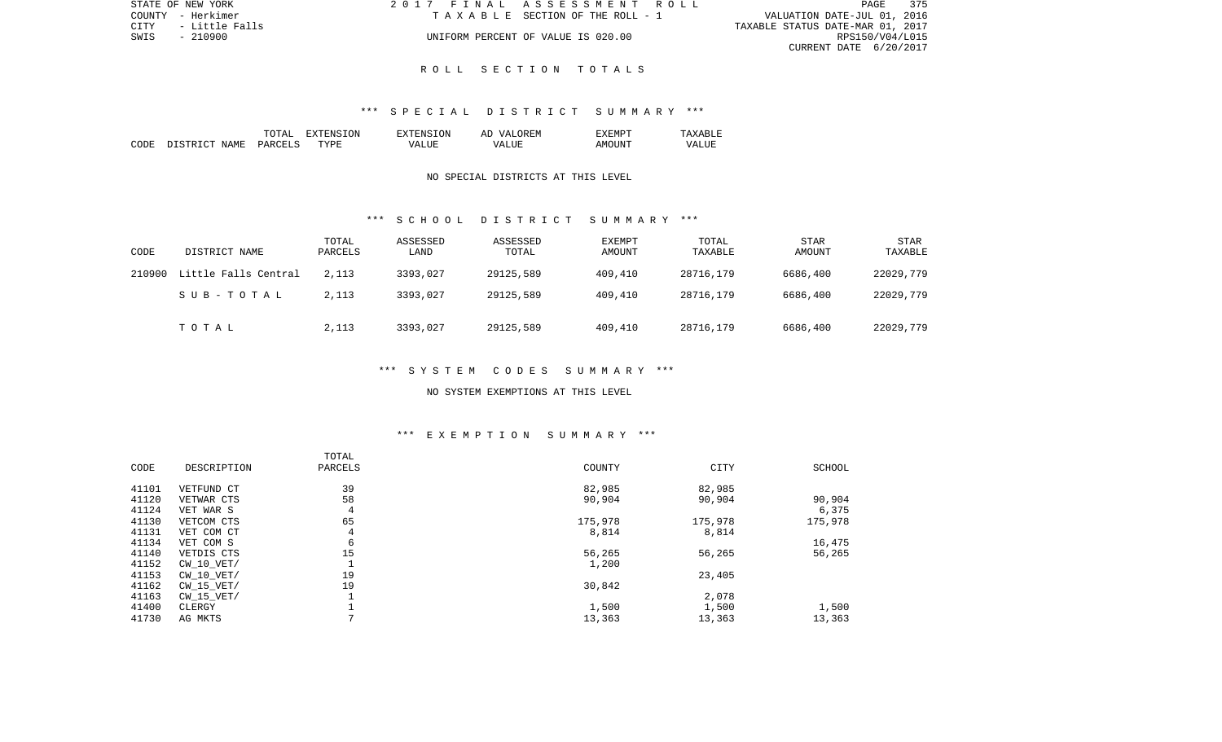| STATE OF NEW YORK        | 2017 FINAL ASSESSMENT ROLL            | 375<br>PAGE                      |
|--------------------------|---------------------------------------|----------------------------------|
| COUNTY - Herkimer        | T A X A B L E SECTION OF THE ROLL - 1 | VALUATION DATE-JUL 01, 2016      |
| CITY      - Little Falls |                                       | TAXABLE STATUS DATE-MAR 01, 2017 |
| SWIS<br>- 210900         | UNIFORM PERCENT OF VALUE IS 020.00    | RPS150/V04/L015                  |
|                          |                                       | CURRENT DATE 6/20/2017           |

#### \*\*\* S P E C I A L D I S T R I C T S U M M A R Y \*\*\*

|       |                                     | ͲϪͳ           | ON<br>. А | <b>TON</b><br>H'NS | EN.<br>MΔ<br>AF   | 5.555<br>.⊦:MP`    |             |
|-------|-------------------------------------|---------------|-----------|--------------------|-------------------|--------------------|-------------|
| CODE: | <b>NAME</b><br>$\sim$<br><b>RTP</b> | <b>PARCET</b> | TVDF      | $- - - -$<br>ı Δ   | - ---<br>V ∆<br>. | <b>INT</b><br>A MC | 7 Z<br>וחדד |

## NO SPECIAL DISTRICTS AT THIS LEVEL

#### \*\*\* S C H O O L D I S T R I C T S U M M A R Y \*\*\*

| CODE   | DISTRICT NAME        | TOTAL<br>PARCELS | ASSESSED<br>LAND | ASSESSED<br>TOTAL | EXEMPT<br>AMOUNT | TOTAL<br>TAXABLE | STAR<br>AMOUNT | <b>STAR</b><br>TAXABLE |
|--------|----------------------|------------------|------------------|-------------------|------------------|------------------|----------------|------------------------|
| 210900 | Little Falls Central | 2,113            | 3393,027         | 29125,589         | 409,410          | 28716,179        | 6686,400       | 22029,779              |
|        | SUB-TOTAL            | 2,113            | 3393,027         | 29125,589         | 409,410          | 28716,179        | 6686,400       | 22029,779              |
|        | TOTAL                | 2,113            | 3393,027         | 29125,589         | 409,410          | 28716,179        | 6686,400       | 22029,779              |

## \*\*\* S Y S T E M C O D E S S U M M A R Y \*\*\*

#### NO SYSTEM EXEMPTIONS AT THIS LEVEL

## \*\*\* E X E M P T I O N S U M M A R Y \*\*\*

|       |                | TOTAL   |         |         |         |
|-------|----------------|---------|---------|---------|---------|
| CODE  | DESCRIPTION    | PARCELS | COUNTY  | CITY    | SCHOOL  |
| 41101 | VETFUND CT     | 39      | 82,985  | 82,985  |         |
| 41120 | VETWAR CTS     | 58      | 90,904  | 90,904  | 90,904  |
| 41124 | VET WAR S      | 4       |         |         | 6,375   |
| 41130 | VETCOM CTS     | 65      | 175,978 | 175,978 | 175,978 |
| 41131 | VET COM CT     | 4       | 8,814   | 8,814   |         |
| 41134 | VET COM S      | 6       |         |         | 16,475  |
| 41140 | VETDIS CTS     | 15      | 56,265  | 56,265  | 56,265  |
| 41152 | $CW$ 10 $VET/$ | -11     | 1,200   |         |         |
| 41153 | $CW$ 10 $VET/$ | 19      |         | 23,405  |         |
| 41162 | $CW$ 15 $VET/$ | 19      | 30,842  |         |         |
| 41163 | $CW$ 15 $VET/$ |         |         | 2,078   |         |
| 41400 | CLERGY         |         | 1,500   | 1,500   | 1,500   |
| 41730 | AG MKTS        |         | 13,363  | 13,363  | 13,363  |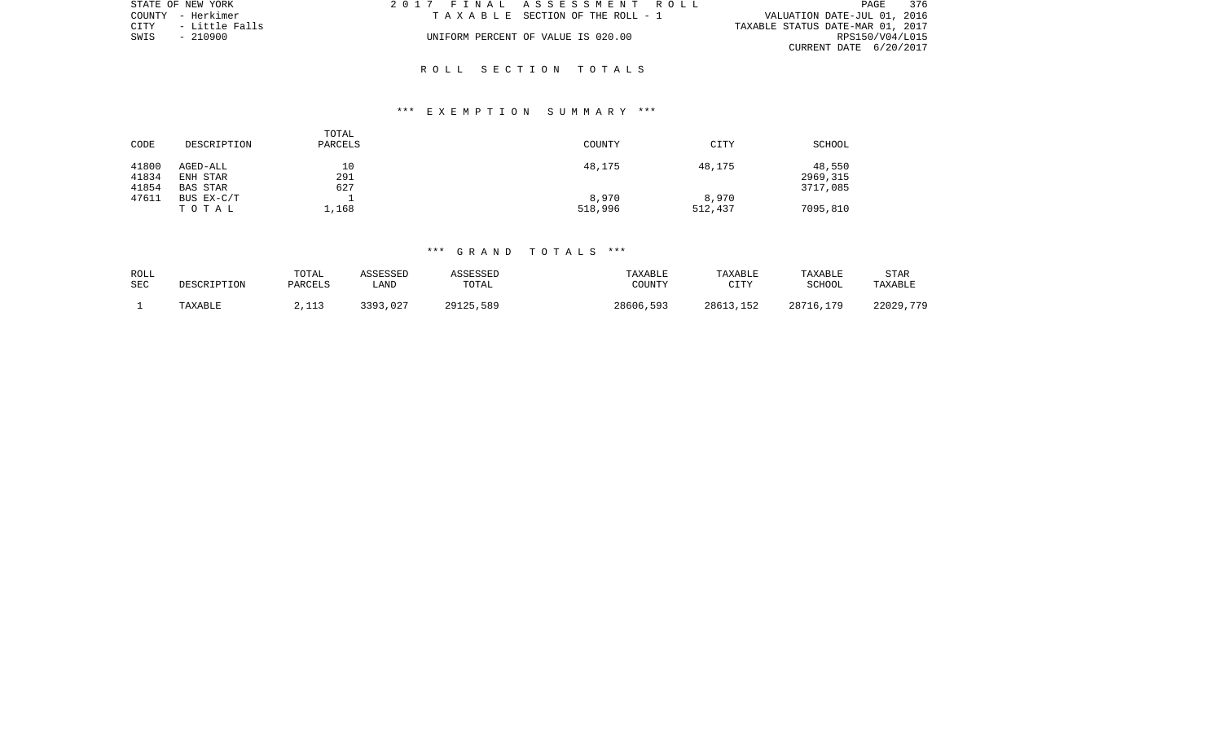| STATE OF NEW YORK   | 2017 FINAL ASSESSMENT ROLL |                                       | PAGE                             | 376             |
|---------------------|----------------------------|---------------------------------------|----------------------------------|-----------------|
| COUNTY - Herkimer   |                            | T A X A B L E SECTION OF THE ROLL - 1 | VALUATION DATE-JUL 01, 2016      |                 |
| CITY - Little Falls |                            |                                       | TAXABLE STATUS DATE-MAR 01, 2017 |                 |
| SWIS - 210900       |                            | UNIFORM PERCENT OF VALUE IS 020.00    |                                  | RPS150/V04/L015 |
|                     |                            |                                       | CURRENT DATE $6/20/2017$         |                 |

#### \*\*\* E X E M P T I O N S U M M A R Y \*\*\*

| CODE           | DESCRIPTION          | TOTAL<br>PARCELS | <b>COUNTY</b> | CITY    | SCHOOL             |
|----------------|----------------------|------------------|---------------|---------|--------------------|
| 41800<br>41834 | AGED-ALL<br>ENH STAR | 10<br>291        | 48,175        | 48,175  | 48,550<br>2969,315 |
| 41854          | BAS STAR             | 627              |               |         | 3717,085           |
| 47611          | BUS EX-C/T           |                  | 8,970         | 8,970   |                    |
|                | TOTAL                | 1,168            | 518,996       | 512,437 | 7095,810           |

| ROLL<br>SEC | DESCRIPTION | TOTAL<br>PARCELS | <b>ASSESSED</b><br>LAND | <b>\SSESSED</b><br>TOTAL | TAXABLE<br>COUNTY | TAXABLE<br>CTTV | TAXABLE<br>SCHOOL | <b>STAR</b><br>TAXABLE |
|-------------|-------------|------------------|-------------------------|--------------------------|-------------------|-----------------|-------------------|------------------------|
|             | TAXABLE     | 2112<br>ب⊥⊥ به   | 3393<br>,027            | 29125,589                | 28606,593         | 28613,152       | 28716,179         | 22029,779              |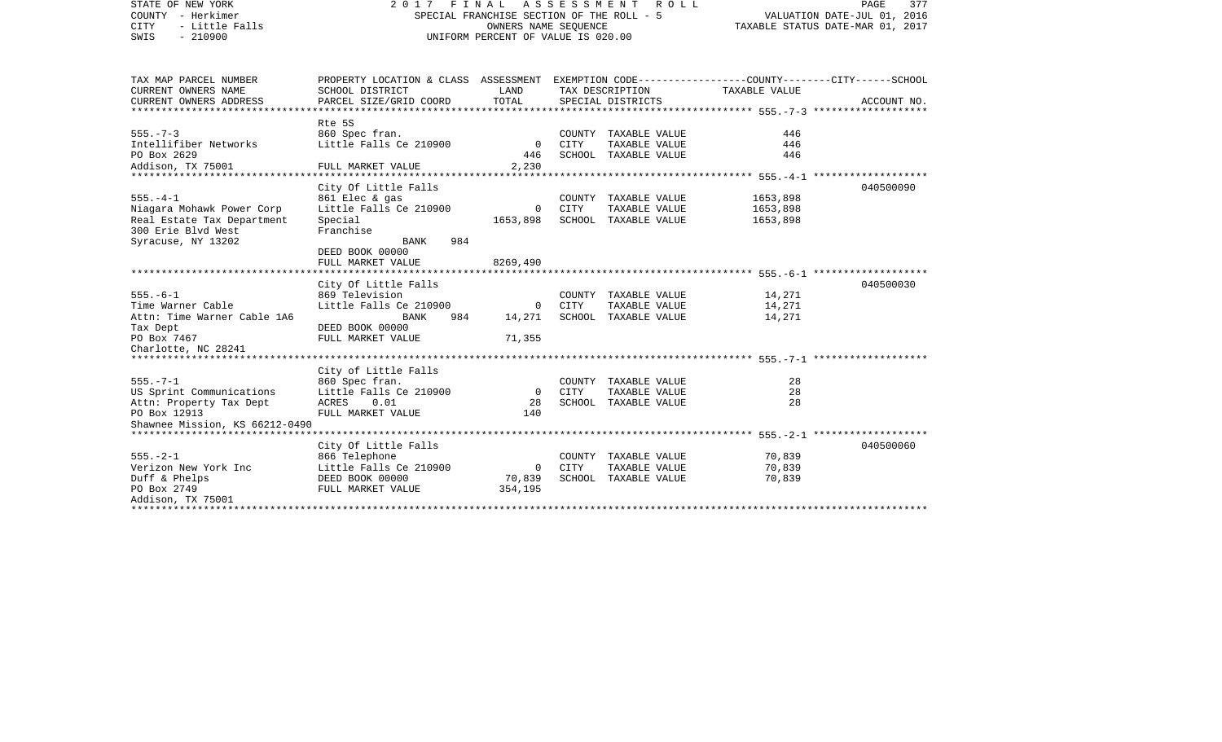| STATE OF NEW YORK<br>COUNTY - Herkimer<br><b>CITY</b><br>- Little Falls<br>SWIS<br>$-210900$ | 2017 FINAL ASSESSMENT<br>R O L L<br>SPECIAL FRANCHISE SECTION OF THE ROLL - 5<br>OWNERS NAME SEOUENCE<br>UNIFORM PERCENT OF VALUE IS 020.00 |                       |             |                                       | PAGE<br>377<br>VALUATION DATE-JUL 01, 2016<br>TAXABLE STATUS DATE-MAR 01, 2017 |             |  |
|----------------------------------------------------------------------------------------------|---------------------------------------------------------------------------------------------------------------------------------------------|-----------------------|-------------|---------------------------------------|--------------------------------------------------------------------------------|-------------|--|
| TAX MAP PARCEL NUMBER                                                                        | PROPERTY LOCATION & CLASS ASSESSMENT EXEMPTION CODE---------------COUNTY-------CITY------SCHOOL                                             |                       |             |                                       |                                                                                |             |  |
| CURRENT OWNERS NAME<br>CURRENT OWNERS ADDRESS                                                | SCHOOL DISTRICT<br>PARCEL SIZE/GRID COORD                                                                                                   | LAND<br>TOTAL         |             | TAX DESCRIPTION<br>SPECIAL DISTRICTS  | TAXABLE VALUE                                                                  | ACCOUNT NO. |  |
|                                                                                              |                                                                                                                                             |                       |             |                                       |                                                                                |             |  |
| $555. - 7 - 3$                                                                               | Rte 5S<br>860 Spec fran.                                                                                                                    |                       |             | COUNTY TAXABLE VALUE                  | 446                                                                            |             |  |
| Intellifiber Networks                                                                        | Little Falls Ce 210900                                                                                                                      | $\mathbf 0$           | CITY        | TAXABLE VALUE                         | 446                                                                            |             |  |
| PO Box 2629                                                                                  |                                                                                                                                             | 446                   |             | SCHOOL TAXABLE VALUE                  | 446                                                                            |             |  |
| Addison, TX 75001<br>**************************                                              | FULL MARKET VALUE                                                                                                                           | 2,230                 |             |                                       |                                                                                |             |  |
|                                                                                              | City Of Little Falls                                                                                                                        |                       |             |                                       |                                                                                | 040500090   |  |
| $555. - 4 - 1$                                                                               | 861 Elec & gas                                                                                                                              |                       |             | COUNTY TAXABLE VALUE                  | 1653,898                                                                       |             |  |
| Niagara Mohawk Power Corp                                                                    | Little Falls Ce 210900                                                                                                                      | $\Omega$              | CITY        | TAXABLE VALUE                         | 1653,898                                                                       |             |  |
| Real Estate Tax Department                                                                   | Special                                                                                                                                     | 1653,898              |             | SCHOOL TAXABLE VALUE                  | 1653,898                                                                       |             |  |
| 300 Erie Blvd West                                                                           | Franchise                                                                                                                                   |                       |             |                                       |                                                                                |             |  |
| Syracuse, NY 13202                                                                           | 984<br>BANK<br>DEED BOOK 00000                                                                                                              |                       |             |                                       |                                                                                |             |  |
|                                                                                              | FULL MARKET VALUE                                                                                                                           | 8269,490              |             |                                       |                                                                                |             |  |
|                                                                                              |                                                                                                                                             |                       |             |                                       |                                                                                |             |  |
|                                                                                              | City Of Little Falls                                                                                                                        |                       |             |                                       |                                                                                | 040500030   |  |
| $555. - 6 - 1$                                                                               | 869 Television                                                                                                                              |                       |             | COUNTY TAXABLE VALUE                  | 14,271                                                                         |             |  |
| Time Warner Cable<br>Attn: Time Warner Cable 1A6                                             | Little Falls Ce 210900<br>BANK<br>984                                                                                                       | $\mathbf 0$<br>14,271 | CITY        | TAXABLE VALUE<br>SCHOOL TAXABLE VALUE | 14,271<br>14,271                                                               |             |  |
| Tax Dept                                                                                     | DEED BOOK 00000                                                                                                                             |                       |             |                                       |                                                                                |             |  |
| PO Box 7467                                                                                  | FULL MARKET VALUE                                                                                                                           | 71,355                |             |                                       |                                                                                |             |  |
| Charlotte, NC 28241                                                                          |                                                                                                                                             |                       |             |                                       |                                                                                |             |  |
|                                                                                              |                                                                                                                                             |                       |             |                                       |                                                                                |             |  |
| $555. - 7 - 1$                                                                               | City of Little Falls<br>860 Spec fran.                                                                                                      |                       |             | COUNTY TAXABLE VALUE                  | 28                                                                             |             |  |
| US Sprint Communications                                                                     | Little Falls Ce 210900                                                                                                                      | $\Omega$              | <b>CITY</b> | TAXABLE VALUE                         | 28                                                                             |             |  |
| Attn: Property Tax Dept                                                                      | ACRES<br>0.01                                                                                                                               | 28                    |             | SCHOOL TAXABLE VALUE                  | 28                                                                             |             |  |
| PO Box 12913                                                                                 | FULL MARKET VALUE                                                                                                                           | 140                   |             |                                       |                                                                                |             |  |
| Shawnee Mission, KS 66212-0490                                                               |                                                                                                                                             |                       |             |                                       |                                                                                |             |  |
|                                                                                              | City Of Little Falls                                                                                                                        |                       |             |                                       |                                                                                | 040500060   |  |
| $555. - 2 - 1$                                                                               | 866 Telephone                                                                                                                               |                       |             | COUNTY TAXABLE VALUE                  | 70,839                                                                         |             |  |
| Verizon New York Inc                                                                         | Little Falls Ce 210900                                                                                                                      | $\circ$               | <b>CITY</b> | TAXABLE VALUE                         | 70,839                                                                         |             |  |
| Duff & Phelps                                                                                | DEED BOOK 00000                                                                                                                             | 70,839                |             | SCHOOL TAXABLE VALUE                  | 70,839                                                                         |             |  |
| PO Box 2749                                                                                  | FULL MARKET VALUE                                                                                                                           | 354,195               |             |                                       |                                                                                |             |  |
| Addison, TX 75001                                                                            |                                                                                                                                             |                       |             |                                       |                                                                                |             |  |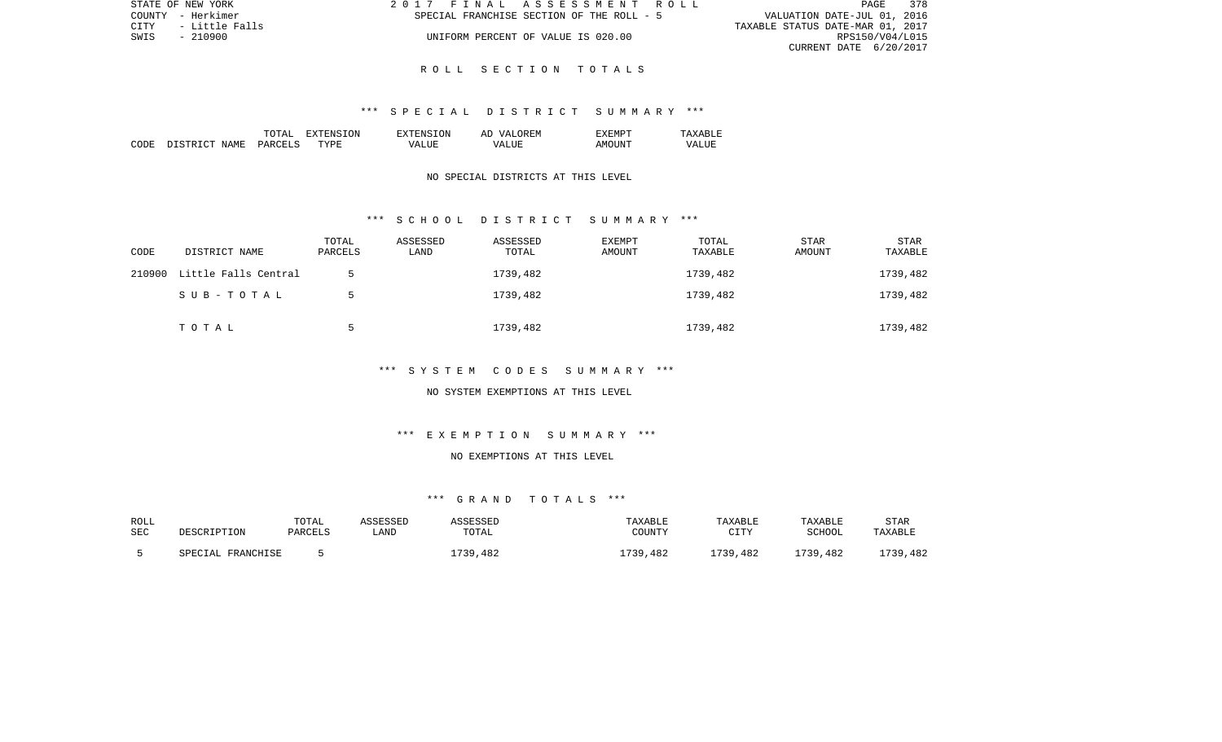| STATE OF NEW YORK        | 2017 FINAL ASSESSMENT ROLL                | 378<br>PAGE                      |
|--------------------------|-------------------------------------------|----------------------------------|
| COUNTY - Herkimer        | SPECIAL FRANCHISE SECTION OF THE ROLL - 5 | VALUATION DATE-JUL 01, 2016      |
| CITY      - Little Falls |                                           | TAXABLE STATUS DATE-MAR 01, 2017 |
| SWIS - 210900            | UNIFORM PERCENT OF VALUE IS 020.00        | RPS150/V04/L015                  |
|                          |                                           | CURRENT DATE 6/20/2017           |

#### \*\*\* S P E C I A L D I S T R I C T S U M M A R Y \*\*\*

|      |                   | TOTAT         | .ON<br>. А  | TON.<br>$T^{\mathrm{v}}$ T $F$ NS. | OR EN<br>77 D<br>AΓ | "XFMPT          |             |
|------|-------------------|---------------|-------------|------------------------------------|---------------------|-----------------|-------------|
| CODE | . STRICT<br>NAME. | <b>PARCFT</b> | <b>TYPE</b> | vд                                 | - ---<br>∖7∆<br>.   | דוחד<br>A M() I | 7∆<br>7 N N |

## NO SPECIAL DISTRICTS AT THIS LEVEL

#### \*\*\* S C H O O L D I S T R I C T S U M M A R Y \*\*\*

| CODE   | DISTRICT NAME        | TOTAL<br>PARCELS | ASSESSED<br>LAND | ASSESSED<br>TOTAL | <b>EXEMPT</b><br>AMOUNT | TOTAL<br>TAXABLE | STAR<br>AMOUNT | STAR<br>TAXABLE |
|--------|----------------------|------------------|------------------|-------------------|-------------------------|------------------|----------------|-----------------|
| 210900 | Little Falls Central |                  |                  | 1739,482          |                         | 1739,482         |                | 1739,482        |
|        | SUB-TOTAL            |                  |                  | 1739,482          |                         | 1739,482         |                | 1739,482        |
|        | TOTAL                |                  |                  | 1739,482          |                         | 1739,482         |                | 1739,482        |

## \*\*\* S Y S T E M C O D E S S U M M A R Y \*\*\*

#### NO SYSTEM EXEMPTIONS AT THIS LEVEL

## \*\*\* E X E M P T I O N S U M M A R Y \*\*\*

## NO EXEMPTIONS AT THIS LEVEL

| ROLL |                      | TOTAL   | ASSESSED | SSESSED  | TAXABLE  | TAXABLE      | TAXABLE  | <b>STAR</b> |
|------|----------------------|---------|----------|----------|----------|--------------|----------|-------------|
| SEC  | DESCRIPTION          | PARCELS | LAND     | TOTAL    | COUNTY   | CTTV<br>____ | SCHOOL   | TAXABLE     |
|      | FRANCHISE<br>SPECTAL |         |          | 1739,482 | .739,482 | 1739,482     | 1739,482 | L739,482    |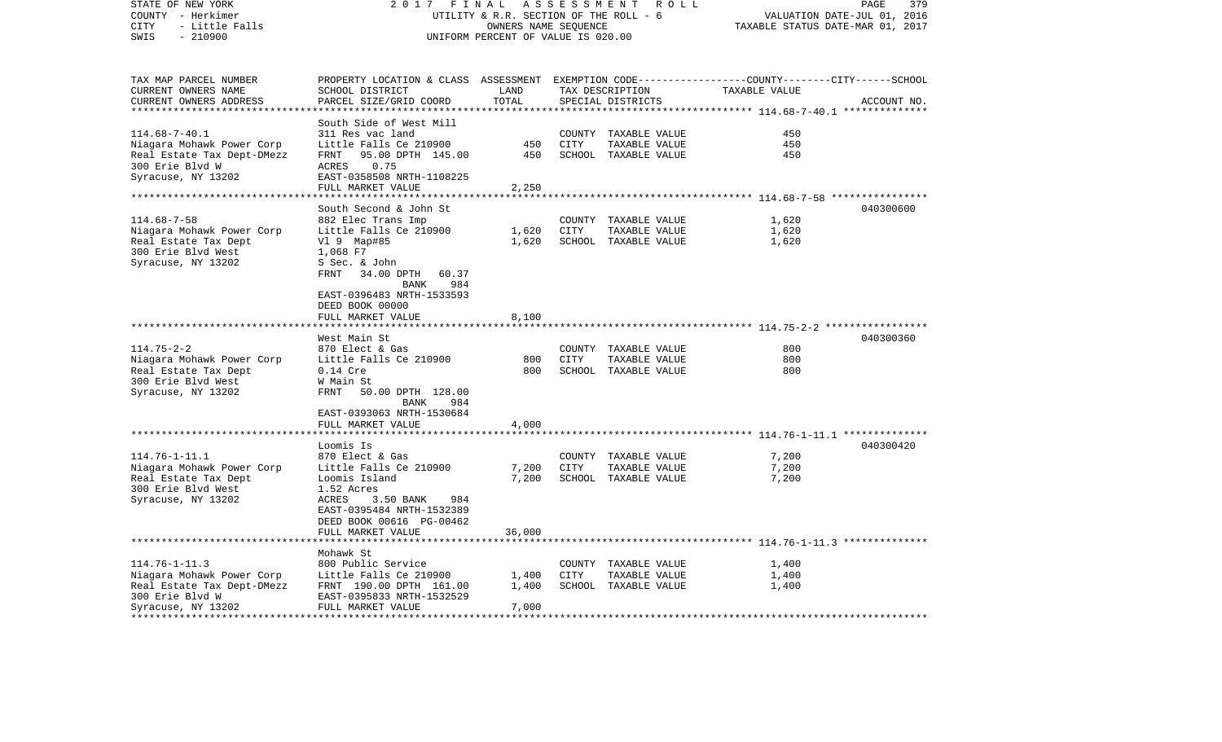| STATE OF NEW YORK<br>COUNTY - Herkimer<br>- Little Falls<br>CITY<br>SWIS<br>$-210900$                                                           | 2 0 1 7                                                                                                                                                                                          | FINAL<br>UTILITY & R.R. SECTION OF THE ROLL - 6<br>OWNERS NAME SEQUENCE<br>UNIFORM PERCENT OF VALUE IS 020.00 | ASSESSMENT            | R O L L                                                       | 379<br>PAGE<br>VALUATION DATE-JUL 01, 2016<br>TAXABLE STATUS DATE-MAR 01, 2017            |             |  |
|-------------------------------------------------------------------------------------------------------------------------------------------------|--------------------------------------------------------------------------------------------------------------------------------------------------------------------------------------------------|---------------------------------------------------------------------------------------------------------------|-----------------------|---------------------------------------------------------------|-------------------------------------------------------------------------------------------|-------------|--|
| TAX MAP PARCEL NUMBER<br>CURRENT OWNERS NAME<br>CURRENT OWNERS ADDRESS                                                                          | PROPERTY LOCATION & CLASS<br>SCHOOL DISTRICT<br>PARCEL SIZE/GRID COORD                                                                                                                           | LAND<br>TOTAL                                                                                                 |                       | TAX DESCRIPTION<br>SPECIAL DISTRICTS                          | ASSESSMENT EXEMPTION CODE------------------COUNTY-------CITY------SCHOOL<br>TAXABLE VALUE | ACCOUNT NO. |  |
| **********************                                                                                                                          | ************************                                                                                                                                                                         | ***************                                                                                               |                       |                                                               |                                                                                           |             |  |
| $114.68 - 7 - 40.1$<br>Niagara Mohawk Power Corp<br>Real Estate Tax Dept-DMezz<br>300 Erie Blvd W<br>Syracuse, NY 13202                         | South Side of West Mill<br>311 Res vac land<br>Little Falls Ce 210900<br>FRNT<br>95.00 DPTH 145.00<br><b>ACRES</b><br>0.75<br>EAST-0358508 NRTH-1108225<br>FULL MARKET VALUE                     | 450<br>450<br>2,250                                                                                           | COUNTY<br><b>CITY</b> | TAXABLE VALUE<br>TAXABLE VALUE<br>SCHOOL TAXABLE VALUE        | 450<br>450<br>450                                                                         |             |  |
| **********************                                                                                                                          |                                                                                                                                                                                                  |                                                                                                               |                       |                                                               |                                                                                           |             |  |
| $114.68 - 7 - 58$<br>Niagara Mohawk Power Corp<br>Real Estate Tax Dept<br>300 Erie Blvd West<br>Syracuse, NY 13202                              | South Second & John St<br>882 Elec Trans Imp<br>Little Falls Ce 210900<br>$V1$ 9 Map#85<br>1,068 F7<br>S Sec. & John<br>34.00 DPTH<br>FRNT<br>60.37<br>984<br>BANK                               | 1,620<br>1,620                                                                                                | <b>CITY</b>           | COUNTY TAXABLE VALUE<br>TAXABLE VALUE<br>SCHOOL TAXABLE VALUE | 1,620<br>1,620<br>1,620                                                                   | 040300600   |  |
|                                                                                                                                                 | EAST-0396483 NRTH-1533593<br>DEED BOOK 00000<br>FULL MARKET VALUE<br>******************                                                                                                          | 8,100                                                                                                         |                       |                                                               | ************************* 114.75-2-2 ******************                                   |             |  |
|                                                                                                                                                 | West Main St                                                                                                                                                                                     |                                                                                                               |                       |                                                               |                                                                                           | 040300360   |  |
| $114.75 - 2 - 2$<br>Niagara Mohawk Power Corp<br>Real Estate Tax Dept<br>300 Erie Blvd West<br>Syracuse, NY 13202                               | 870 Elect & Gas<br>Little Falls Ce 210900<br>$0.14$ Cre<br>W Main St<br>FRNT<br>50.00 DPTH 128.00<br>BANK<br>984                                                                                 | 800<br>800                                                                                                    | COUNTY<br>CITY        | TAXABLE VALUE<br>TAXABLE VALUE<br>SCHOOL TAXABLE VALUE        | 800<br>800<br>800                                                                         |             |  |
|                                                                                                                                                 | EAST-0393063 NRTH-1530684<br>FULL MARKET VALUE                                                                                                                                                   |                                                                                                               |                       |                                                               |                                                                                           |             |  |
|                                                                                                                                                 |                                                                                                                                                                                                  | 4,000                                                                                                         |                       |                                                               | ****************************** 114.76-1-11.1 **************                               |             |  |
| $114.76 - 1 - 11.1$<br>Niagara Mohawk Power Corp<br>Real Estate Tax Dept<br>300 Erie Blvd West<br>Syracuse, NY 13202                            | Loomis Is<br>870 Elect & Gas<br>Little Falls Ce 210900<br>Loomis Island<br>1.52 Acres<br>ACRES<br>3.50 BANK<br>984<br>EAST-0395484 NRTH-1532389<br>DEED BOOK 00616 PG-00462<br>FULL MARKET VALUE | 7,200<br>7,200<br>36,000                                                                                      | CITY                  | COUNTY TAXABLE VALUE<br>TAXABLE VALUE<br>SCHOOL TAXABLE VALUE | 7,200<br>7,200<br>7,200                                                                   | 040300420   |  |
|                                                                                                                                                 | *********************                                                                                                                                                                            |                                                                                                               |                       |                                                               | ***************************** 114.76-1-11.3 **************                                |             |  |
| $114.76 - 1 - 11.3$<br>Niagara Mohawk Power Corp<br>Real Estate Tax Dept-DMezz<br>300 Erie Blvd W<br>Syracuse, NY 13202<br>******************** | Mohawk St<br>800 Public Service<br>Little Falls Ce 210900<br>FRNT 190.00 DPTH 161.00<br>EAST-0395833 NRTH-1532529<br>FULL MARKET VALUE                                                           | 1,400<br>1,400<br>7,000                                                                                       | <b>CITY</b>           | COUNTY TAXABLE VALUE<br>TAXABLE VALUE<br>SCHOOL TAXABLE VALUE | 1,400<br>1,400<br>1,400                                                                   |             |  |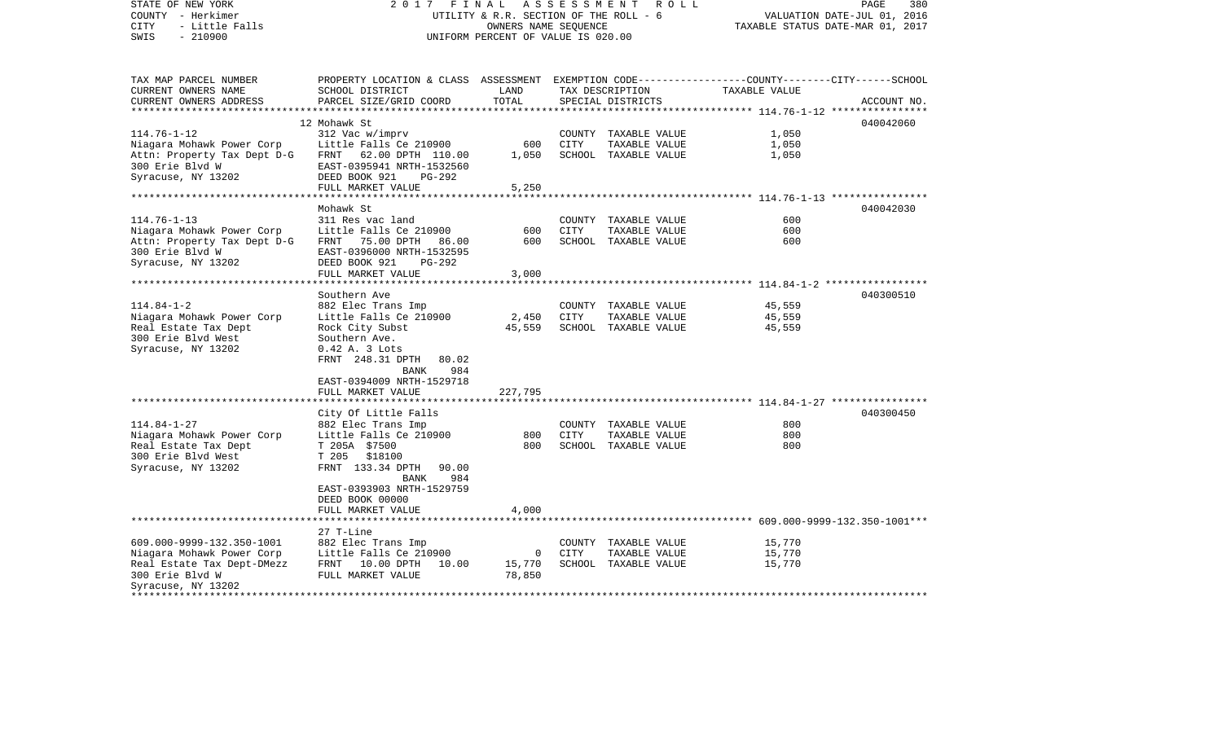| STATE OF NEW YORK<br>COUNTY - Herkimer<br>- Little Falls<br><b>CITY</b><br>$-210900$<br>SWIS                                  | FINAL<br>2017                                                                                                                                                                                                                     |                       | A S S E S S M E N T<br>PAGE<br>380<br>R O L L<br>UTILITY & R.R. SECTION OF THE ROLL - 6<br>VALUATION DATE-JUL 01, 2016<br>OWNERS NAME SEQUENCE<br>TAXABLE STATUS DATE-MAR 01, 2017<br>UNIFORM PERCENT OF VALUE IS 020.00 |                                                               |                            |             |  |
|-------------------------------------------------------------------------------------------------------------------------------|-----------------------------------------------------------------------------------------------------------------------------------------------------------------------------------------------------------------------------------|-----------------------|--------------------------------------------------------------------------------------------------------------------------------------------------------------------------------------------------------------------------|---------------------------------------------------------------|----------------------------|-------------|--|
| TAX MAP PARCEL NUMBER<br>CURRENT OWNERS NAME<br>CURRENT OWNERS ADDRESS                                                        | PROPERTY LOCATION & CLASS ASSESSMENT EXEMPTION CODE----------------COUNTY-------CITY------SCHOOL<br>SCHOOL DISTRICT<br>PARCEL SIZE/GRID COORD                                                                                     | LAND<br>TOTAL         |                                                                                                                                                                                                                          | TAX DESCRIPTION<br>SPECIAL DISTRICTS                          | TAXABLE VALUE              | ACCOUNT NO. |  |
| *************************                                                                                                     |                                                                                                                                                                                                                                   |                       |                                                                                                                                                                                                                          |                                                               |                            |             |  |
| $114.76 - 1 - 12$<br>Niagara Mohawk Power Corp<br>Attn: Property Tax Dept D-G<br>300 Erie Blvd W<br>Syracuse, NY 13202        | 12 Mohawk St<br>312 Vac w/imprv<br>Little Falls Ce 210900<br>62.00 DPTH 110.00<br>FRNT<br>EAST-0395941 NRTH-1532560<br>DEED BOOK 921<br>PG-292<br>FULL MARKET VALUE                                                               | 600<br>1,050<br>5,250 | CITY                                                                                                                                                                                                                     | COUNTY TAXABLE VALUE<br>TAXABLE VALUE<br>SCHOOL TAXABLE VALUE | 1,050<br>1,050<br>1,050    | 040042060   |  |
|                                                                                                                               |                                                                                                                                                                                                                                   |                       |                                                                                                                                                                                                                          |                                                               |                            |             |  |
| $114.76 - 1 - 13$<br>Niagara Mohawk Power Corp<br>Attn: Property Tax Dept D-G<br>300 Erie Blvd W<br>Syracuse, NY 13202        | Mohawk St<br>311 Res vac land<br>Little Falls Ce 210900<br>75.00 DPTH<br>FRNT<br>86.00<br>EAST-0396000 NRTH-1532595<br>DEED BOOK 921<br>$PG-292$<br>FULL MARKET VALUE                                                             | 600<br>600<br>3,000   | CITY                                                                                                                                                                                                                     | COUNTY TAXABLE VALUE<br>TAXABLE VALUE<br>SCHOOL TAXABLE VALUE | 600<br>600<br>600          | 040042030   |  |
|                                                                                                                               |                                                                                                                                                                                                                                   |                       |                                                                                                                                                                                                                          |                                                               |                            |             |  |
| $114.84 - 1 - 2$<br>Niagara Mohawk Power Corp<br>Real Estate Tax Dept<br>300 Erie Blvd West<br>Syracuse, NY 13202             | Southern Ave<br>882 Elec Trans Imp<br>Little Falls Ce 210900<br>Rock City Subst<br>Southern Ave.<br>$0.42$ A. 3 Lots<br>FRNT 248.31 DPTH<br>80.02<br>984<br><b>BANK</b><br>EAST-0394009 NRTH-1529718                              | 2,450<br>45,559       | CITY                                                                                                                                                                                                                     | COUNTY TAXABLE VALUE<br>TAXABLE VALUE<br>SCHOOL TAXABLE VALUE | 45,559<br>45,559<br>45,559 | 040300510   |  |
|                                                                                                                               | FULL MARKET VALUE                                                                                                                                                                                                                 | 227,795               |                                                                                                                                                                                                                          |                                                               |                            |             |  |
| $114.84 - 1 - 27$<br>Niagara Mohawk Power Corp<br>Real Estate Tax Dept<br>300 Erie Blvd West<br>Syracuse, NY 13202            | City Of Little Falls<br>882 Elec Trans Imp<br>Little Falls Ce 210900<br>T 205A \$7500<br>T 205<br>\$18100<br>FRNT 133.34 DPTH<br>90.00<br>984<br><b>BANK</b><br>EAST-0393903 NRTH-1529759<br>DEED BOOK 00000<br>FULL MARKET VALUE | 800<br>800<br>4,000   | CITY                                                                                                                                                                                                                     | COUNTY TAXABLE VALUE<br>TAXABLE VALUE<br>SCHOOL TAXABLE VALUE | 800<br>800<br>800          | 040300450   |  |
|                                                                                                                               | **************************                                                                                                                                                                                                        | ************          |                                                                                                                                                                                                                          |                                                               |                            |             |  |
| 609.000-9999-132.350-1001<br>Niagara Mohawk Power Corp<br>Real Estate Tax Dept-DMezz<br>300 Erie Blvd W<br>Syracuse, NY 13202 | 27 T-Line<br>882 Elec Trans Imp<br>Little Falls Ce 210900<br>FRNT 10.00 DPTH<br>10.00<br>FULL MARKET VALUE                                                                                                                        | 0<br>15,770<br>78,850 | CITY                                                                                                                                                                                                                     | COUNTY TAXABLE VALUE<br>TAXABLE VALUE<br>SCHOOL TAXABLE VALUE | 15,770<br>15,770<br>15,770 |             |  |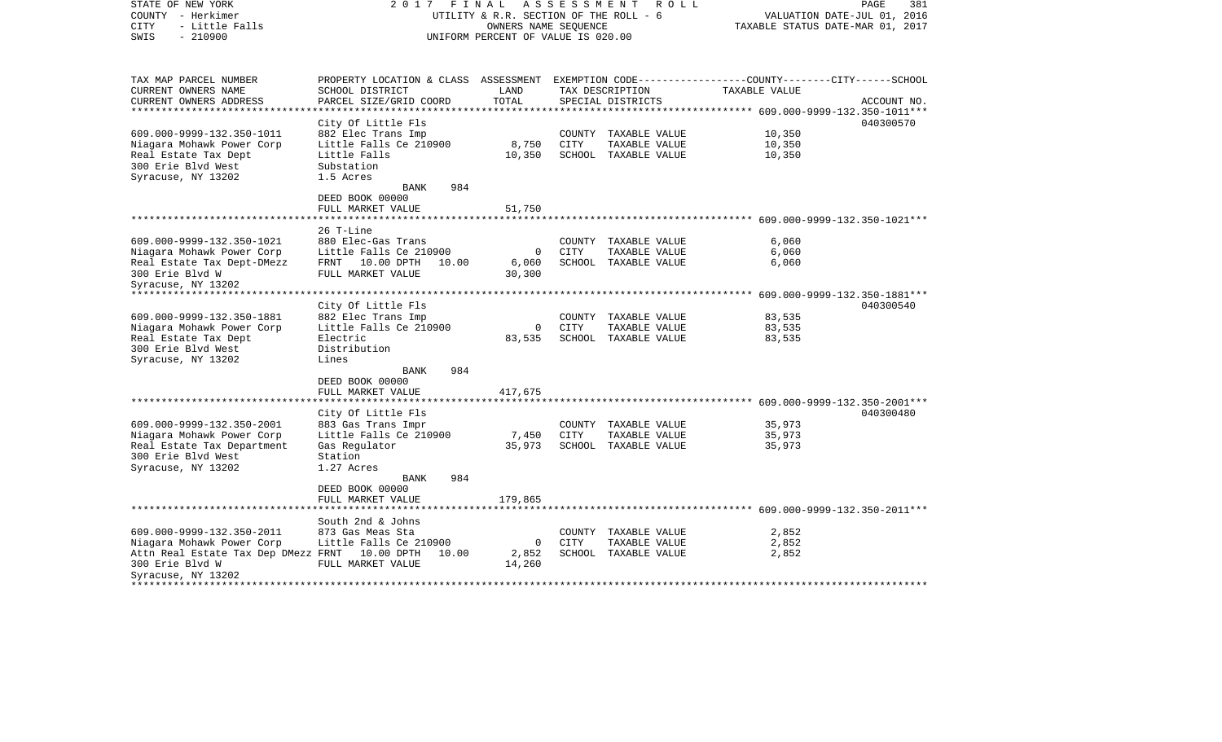| STATE OF NEW YORK<br>COUNTY - Herkimer<br>- Little Falls<br><b>CITY</b><br>$-210900$<br>SWIS | FINAL<br>2017                                                                                                       | UTILITY & R.R. SECTION OF THE ROLL - 6<br>OWNERS NAME SEOUENCE<br>UNIFORM PERCENT OF VALUE IS 020.00 |      | ASSESSMENT ROLL                      | TAXABLE STATUS DATE-MAR 01, 2017 | PAGE<br>381<br>VALUATION DATE-JUL 01, 2016 |
|----------------------------------------------------------------------------------------------|---------------------------------------------------------------------------------------------------------------------|------------------------------------------------------------------------------------------------------|------|--------------------------------------|----------------------------------|--------------------------------------------|
| TAX MAP PARCEL NUMBER<br>CURRENT OWNERS NAME                                                 | PROPERTY LOCATION & CLASS ASSESSMENT EXEMPTION CODE----------------COUNTY-------CITY------SCHOOL<br>SCHOOL DISTRICT | LAND                                                                                                 |      |                                      | TAXABLE VALUE                    |                                            |
| CURRENT OWNERS ADDRESS                                                                       | PARCEL SIZE/GRID COORD                                                                                              | TOTAL                                                                                                |      | TAX DESCRIPTION<br>SPECIAL DISTRICTS |                                  | ACCOUNT NO.                                |
| **********************                                                                       |                                                                                                                     |                                                                                                      |      |                                      |                                  |                                            |
| 609.000-9999-132.350-1011                                                                    | City Of Little Fls<br>882 Elec Trans Imp                                                                            |                                                                                                      |      | COUNTY TAXABLE VALUE                 | 10,350                           | 040300570                                  |
| Niagara Mohawk Power Corp                                                                    | Little Falls Ce 210900                                                                                              | 8,750                                                                                                | CITY | TAXABLE VALUE                        | 10,350                           |                                            |
| Real Estate Tax Dept                                                                         | Little Falls                                                                                                        | 10,350                                                                                               |      | SCHOOL TAXABLE VALUE                 | 10,350                           |                                            |
| 300 Erie Blvd West                                                                           | Substation                                                                                                          |                                                                                                      |      |                                      |                                  |                                            |
| Syracuse, NY 13202                                                                           | 1.5 Acres                                                                                                           |                                                                                                      |      |                                      |                                  |                                            |
|                                                                                              | 984<br>BANK                                                                                                         |                                                                                                      |      |                                      |                                  |                                            |
|                                                                                              | DEED BOOK 00000                                                                                                     |                                                                                                      |      |                                      |                                  |                                            |
|                                                                                              | FULL MARKET VALUE                                                                                                   | 51,750                                                                                               |      |                                      |                                  |                                            |
|                                                                                              |                                                                                                                     |                                                                                                      |      |                                      |                                  |                                            |
| 609.000-9999-132.350-1021                                                                    | 26 T-Line<br>880 Elec-Gas Trans                                                                                     |                                                                                                      |      | COUNTY TAXABLE VALUE                 | 6,060                            |                                            |
| Niagara Mohawk Power Corp                                                                    | Little Falls Ce 210900                                                                                              | $\overline{0}$                                                                                       | CITY | TAXABLE VALUE                        | 6,060                            |                                            |
| Real Estate Tax Dept-DMezz                                                                   | FRNT 10.00 DPTH<br>10.00                                                                                            | 6,060                                                                                                |      | SCHOOL TAXABLE VALUE                 | 6,060                            |                                            |
| 300 Erie Blvd W                                                                              | FULL MARKET VALUE                                                                                                   | 30,300                                                                                               |      |                                      |                                  |                                            |
| Syracuse, NY 13202                                                                           |                                                                                                                     |                                                                                                      |      |                                      |                                  |                                            |
|                                                                                              |                                                                                                                     |                                                                                                      |      |                                      |                                  |                                            |
|                                                                                              | City Of Little Fls                                                                                                  |                                                                                                      |      |                                      |                                  | 040300540                                  |
| 609.000-9999-132.350-1881                                                                    | 882 Elec Trans Imp                                                                                                  |                                                                                                      |      | COUNTY TAXABLE VALUE                 | 83,535                           |                                            |
| Niagara Mohawk Power Corp                                                                    | Little Falls Ce 210900                                                                                              | $\overline{0}$                                                                                       | CITY | TAXABLE VALUE                        | 83,535                           |                                            |
| Real Estate Tax Dept                                                                         | Electric                                                                                                            | 83,535                                                                                               |      | SCHOOL TAXABLE VALUE                 | 83,535                           |                                            |
| 300 Erie Blvd West                                                                           | Distribution                                                                                                        |                                                                                                      |      |                                      |                                  |                                            |
| Syracuse, NY 13202                                                                           | Lines<br>BANK<br>984                                                                                                |                                                                                                      |      |                                      |                                  |                                            |
|                                                                                              | DEED BOOK 00000                                                                                                     |                                                                                                      |      |                                      |                                  |                                            |
|                                                                                              | FULL MARKET VALUE                                                                                                   | 417,675                                                                                              |      |                                      |                                  |                                            |
| ************************                                                                     |                                                                                                                     |                                                                                                      |      |                                      |                                  |                                            |
|                                                                                              | City Of Little Fls                                                                                                  |                                                                                                      |      |                                      |                                  | 040300480                                  |
| 609.000-9999-132.350-2001                                                                    | 883 Gas Trans Impr                                                                                                  |                                                                                                      |      | COUNTY TAXABLE VALUE                 | 35,973                           |                                            |
| Niagara Mohawk Power Corp                                                                    | Little Falls Ce 210900                                                                                              | 7,450                                                                                                | CITY | TAXABLE VALUE                        | 35,973                           |                                            |
| Real Estate Tax Department<br>300 Erie Blvd West                                             | Gas Regulator<br>Station                                                                                            | 35,973                                                                                               |      | SCHOOL TAXABLE VALUE                 | 35,973                           |                                            |
| Syracuse, NY 13202                                                                           | 1.27 Acres                                                                                                          |                                                                                                      |      |                                      |                                  |                                            |
|                                                                                              | BANK<br>984                                                                                                         |                                                                                                      |      |                                      |                                  |                                            |
|                                                                                              | DEED BOOK 00000                                                                                                     |                                                                                                      |      |                                      |                                  |                                            |
|                                                                                              | FULL MARKET VALUE                                                                                                   | 179,865                                                                                              |      |                                      |                                  |                                            |
|                                                                                              |                                                                                                                     |                                                                                                      |      |                                      |                                  |                                            |
|                                                                                              | South 2nd & Johns                                                                                                   |                                                                                                      |      |                                      |                                  |                                            |
| 609.000-9999-132.350-2011                                                                    | 873 Gas Meas Sta                                                                                                    |                                                                                                      |      | COUNTY TAXABLE VALUE                 | 2,852                            |                                            |
| Niagara Mohawk Power Corp                                                                    | Little Falls Ce 210900                                                                                              | $\overline{0}$                                                                                       | CITY | TAXABLE VALUE                        | 2,852                            |                                            |
| Attn Real Estate Tax Dep DMezz FRNT 10.00 DPTH                                               | 10.00                                                                                                               | 2,852                                                                                                |      | SCHOOL TAXABLE VALUE                 | 2,852                            |                                            |
| 300 Erie Blvd W                                                                              | FULL MARKET VALUE                                                                                                   | 14,260                                                                                               |      |                                      |                                  |                                            |
| Syracuse, NY 13202                                                                           |                                                                                                                     |                                                                                                      |      |                                      |                                  |                                            |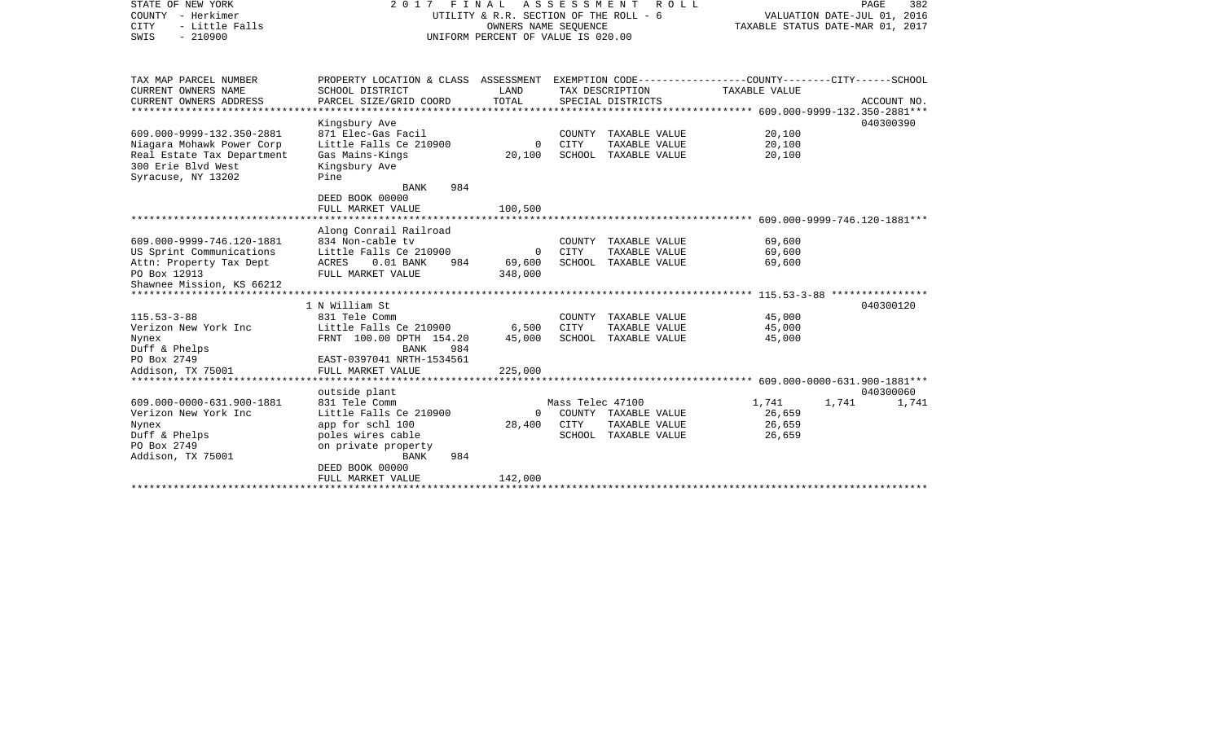| STATE OF NEW YORK<br>COUNTY - Herkimer<br>- Little Falls<br>CITY<br>$-210900$<br>SWIS | 2017 FINAL                                                                                                         | UTILITY & R.R. SECTION OF THE ROLL - 6<br>OWNERS NAME SEOUENCE<br>UNIFORM PERCENT OF VALUE IS 020.00 | A S S E S S M E N T | ROLL                 | PAGE<br>382<br>VALUATION DATE-JUL 01, 2016<br>TAXABLE STATUS DATE-MAR 01, 2017 |                |  |
|---------------------------------------------------------------------------------------|--------------------------------------------------------------------------------------------------------------------|------------------------------------------------------------------------------------------------------|---------------------|----------------------|--------------------------------------------------------------------------------|----------------|--|
| TAX MAP PARCEL NUMBER<br>CURRENT OWNERS NAME                                          | PROPERTY LOCATION & CLASS ASSESSMENT EXEMPTION CODE---------------COUNTY-------CITY------SCHOOL<br>SCHOOL DISTRICT | LAND                                                                                                 |                     | TAX DESCRIPTION      | TAXABLE VALUE                                                                  |                |  |
| CURRENT OWNERS ADDRESS                                                                | PARCEL SIZE/GRID COORD                                                                                             | TOTAL                                                                                                |                     | SPECIAL DISTRICTS    |                                                                                | ACCOUNT NO.    |  |
|                                                                                       | Kingsbury Ave                                                                                                      |                                                                                                      |                     |                      |                                                                                | 040300390      |  |
| 609.000-9999-132.350-2881                                                             | 871 Elec-Gas Facil                                                                                                 |                                                                                                      |                     | COUNTY TAXABLE VALUE | 20,100                                                                         |                |  |
| Niagara Mohawk Power Corp                                                             | Little Falls Ce 210900                                                                                             | $\mathbf 0$                                                                                          | CITY                | TAXABLE VALUE        | 20,100                                                                         |                |  |
| Real Estate Tax Department<br>300 Erie Blvd West<br>Syracuse, NY 13202                | Gas Mains-Kings<br>Kingsbury Ave<br>Pine<br>984<br><b>BANK</b>                                                     | 20,100                                                                                               |                     | SCHOOL TAXABLE VALUE | 20,100                                                                         |                |  |
|                                                                                       | DEED BOOK 00000                                                                                                    |                                                                                                      |                     |                      |                                                                                |                |  |
|                                                                                       | FULL MARKET VALUE                                                                                                  | 100,500                                                                                              |                     |                      |                                                                                |                |  |
|                                                                                       |                                                                                                                    |                                                                                                      |                     |                      |                                                                                |                |  |
|                                                                                       | Along Conrail Railroad                                                                                             |                                                                                                      |                     |                      |                                                                                |                |  |
| 609.000-9999-746.120-1881                                                             | 834 Non-cable tv                                                                                                   |                                                                                                      |                     | COUNTY TAXABLE VALUE | 69,600                                                                         |                |  |
| US Sprint Communications                                                              | Little Falls Ce 210900                                                                                             | 0                                                                                                    | CITY                | TAXABLE VALUE        | 69,600                                                                         |                |  |
| Attn: Property Tax Dept                                                               | ACRES<br>$0.01$ BANK<br>984                                                                                        | 69,600                                                                                               |                     | SCHOOL TAXABLE VALUE | 69,600                                                                         |                |  |
| PO Box 12913                                                                          | FULL MARKET VALUE                                                                                                  | 348,000                                                                                              |                     |                      |                                                                                |                |  |
| Shawnee Mission, KS 66212                                                             |                                                                                                                    |                                                                                                      |                     |                      |                                                                                |                |  |
|                                                                                       |                                                                                                                    |                                                                                                      |                     |                      |                                                                                |                |  |
|                                                                                       | 1 N William St                                                                                                     |                                                                                                      |                     |                      |                                                                                | 040300120      |  |
| $115.53 - 3 - 88$                                                                     | 831 Tele Comm                                                                                                      |                                                                                                      |                     | COUNTY TAXABLE VALUE | 45,000                                                                         |                |  |
| Verizon New York Inc                                                                  | Little Falls Ce 210900                                                                                             | 6,500                                                                                                | CITY                | TAXABLE VALUE        | 45,000                                                                         |                |  |
| Nynex                                                                                 | FRNT 100.00 DPTH 154.20                                                                                            | 45,000                                                                                               |                     | SCHOOL TAXABLE VALUE | 45,000                                                                         |                |  |
| Duff & Phelps                                                                         | BANK<br>984                                                                                                        |                                                                                                      |                     |                      |                                                                                |                |  |
| PO Box 2749                                                                           | EAST-0397041 NRTH-1534561                                                                                          |                                                                                                      |                     |                      |                                                                                |                |  |
| Addison, TX 75001                                                                     | FULL MARKET VALUE                                                                                                  | 225,000                                                                                              |                     |                      |                                                                                |                |  |
|                                                                                       |                                                                                                                    |                                                                                                      |                     |                      |                                                                                |                |  |
|                                                                                       | outside plant                                                                                                      |                                                                                                      |                     |                      |                                                                                | 040300060      |  |
| 609.000-0000-631.900-1881                                                             | 831 Tele Comm                                                                                                      |                                                                                                      | Mass Telec 47100    |                      | 1,741                                                                          | 1,741<br>1,741 |  |
| Verizon New York Inc                                                                  | Little Falls Ce 210900                                                                                             | $\mathbf{0}$                                                                                         |                     | COUNTY TAXABLE VALUE | 26,659                                                                         |                |  |
| Nynex                                                                                 | app for schl 100                                                                                                   | 28,400                                                                                               | CITY                | TAXABLE VALUE        | 26,659                                                                         |                |  |
| Duff & Phelps                                                                         | poles wires cable                                                                                                  |                                                                                                      |                     | SCHOOL TAXABLE VALUE | 26,659                                                                         |                |  |
| PO Box 2749                                                                           | on private property                                                                                                |                                                                                                      |                     |                      |                                                                                |                |  |
| Addison, TX 75001                                                                     | 984<br>BANK                                                                                                        |                                                                                                      |                     |                      |                                                                                |                |  |
|                                                                                       | DEED BOOK 00000                                                                                                    |                                                                                                      |                     |                      |                                                                                |                |  |
|                                                                                       | FULL MARKET VALUE                                                                                                  | 142,000                                                                                              |                     |                      |                                                                                |                |  |
|                                                                                       | ********************************                                                                                   |                                                                                                      |                     |                      |                                                                                |                |  |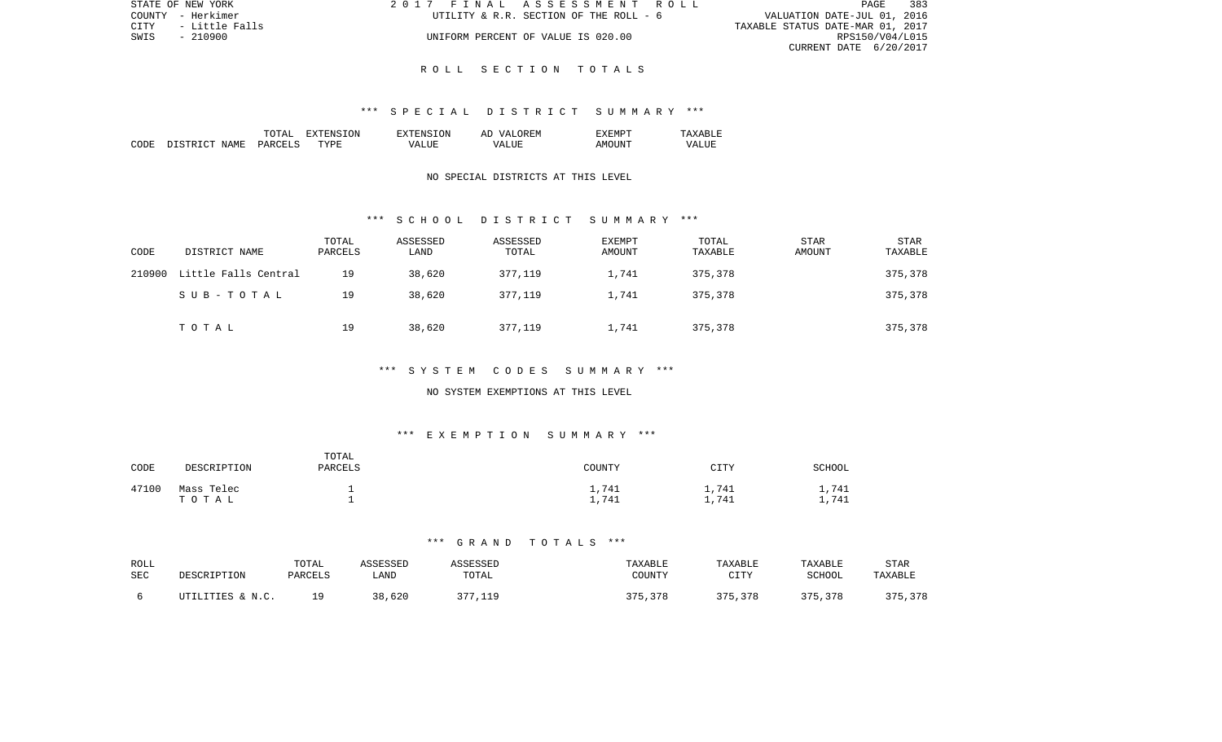| STATE OF NEW YORK      | 2017 FINAL ASSESSMENT ROLL             | 383<br>PAGE                      |
|------------------------|----------------------------------------|----------------------------------|
| COUNTY - Herkimer      | UTILITY & R.R. SECTION OF THE ROLL - 6 | VALUATION DATE-JUL 01, 2016      |
| CITY<br>- Little Falls |                                        | TAXABLE STATUS DATE-MAR 01, 2017 |
| SWIS<br>- 210900       | UNIFORM PERCENT OF VALUE IS 020.00     | RPS150/V04/L015                  |
|                        |                                        | CURRENT DATE 6/20/2017           |

#### \*\*\* S P E C I A L D I S T R I C T S U M M A R Y \*\*\*

|      |                   | TOTAT         | .ON<br>. А  | TON.<br>$T^{\mathrm{v}}$ T $F$ NS. | OR EN<br>77 D<br>AΓ | "XFMPT          |             |
|------|-------------------|---------------|-------------|------------------------------------|---------------------|-----------------|-------------|
| CODE | . STRICT<br>NAME. | <b>PARCFT</b> | <b>TYPE</b> | vд                                 | - ---<br>∖7∆<br>.   | דוחד<br>A M() I | 7∆<br>7 N N |

## NO SPECIAL DISTRICTS AT THIS LEVEL

#### \*\*\* S C H O O L D I S T R I C T S U M M A R Y \*\*\*

| CODE   | DISTRICT NAME        | TOTAL<br>PARCELS | ASSESSED<br>LAND | ASSESSED<br>TOTAL | <b>EXEMPT</b><br>AMOUNT | TOTAL<br>TAXABLE | <b>STAR</b><br>AMOUNT | <b>STAR</b><br>TAXABLE |
|--------|----------------------|------------------|------------------|-------------------|-------------------------|------------------|-----------------------|------------------------|
| 210900 | Little Falls Central | 19               | 38,620           | 377,119           | 1,741                   | 375,378          |                       | 375,378                |
|        | SUB-TOTAL            | 19               | 38,620           | 377,119           | 1,741                   | 375,378          |                       | 375,378                |
|        | TOTAL                | 19               | 38,620           | 377,119           | 1,741                   | 375,378          |                       | 375,378                |

## \*\*\* S Y S T E M C O D E S S U M M A R Y \*\*\*

#### NO SYSTEM EXEMPTIONS AT THIS LEVEL

## \*\*\* E X E M P T I O N S U M M A R Y \*\*\*

| CODE  | DESCRIPTION         | TOTAL<br>PARCELS | COUNTY              | CITY                  | SCHOOL        |
|-------|---------------------|------------------|---------------------|-----------------------|---------------|
| 47100 | Mass Telec<br>TOTAL |                  | 1,741<br>747<br>--- | 741<br>--<br>741<br>— | 1,741<br>,741 |

| ROLL<br>SEC | DESCRIPTION      | TOTAL<br>PARCELS | ASSESSED<br>LAND | SSESSED<br>TOTAL             | TAXABLE<br>COUNTY | TAXABLE<br>CITTV<br>---- | TAXABLE<br><b>SCHOOL</b> | <b>STAR</b><br>TAXABLE |
|-------------|------------------|------------------|------------------|------------------------------|-------------------|--------------------------|--------------------------|------------------------|
|             | UTILITIES & N.C. | 1 Q              | 20<br>620        | $\cap$ $\cap$ $\cap$<br>11 Q | つワロ<br>,378       | マワに<br>5,378             | 375,378                  | 375,378                |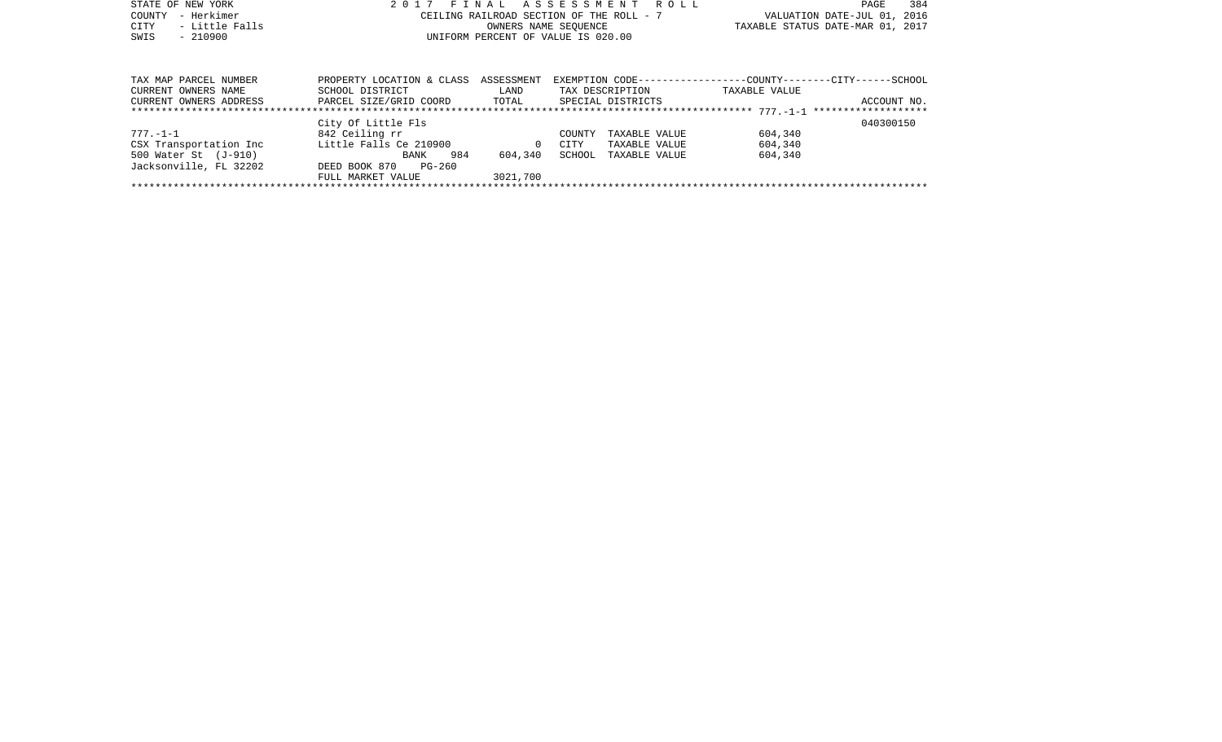| STATE OF NEW YORK      | 2017                      |            | FINAL ASSESSMENT<br>R O L L              | 384<br>PAGE                                                   |
|------------------------|---------------------------|------------|------------------------------------------|---------------------------------------------------------------|
| - Herkimer<br>COUNTY   |                           |            | CEILING RAILROAD SECTION OF THE ROLL - 7 | VALUATION DATE-JUL 01, 2016                                   |
| - Little Falls<br>CITY |                           |            | OWNERS NAME SEOUENCE                     | TAXABLE STATUS DATE-MAR 01, 2017                              |
| $-210900$<br>SWIS      |                           |            | UNIFORM PERCENT OF VALUE IS 020.00       |                                                               |
|                        |                           |            |                                          |                                                               |
|                        |                           |            |                                          |                                                               |
|                        |                           |            |                                          |                                                               |
| TAX MAP PARCEL NUMBER  | PROPERTY LOCATION & CLASS | ASSESSMENT |                                          | EXEMPTION CODE-----------------COUNTY--------CITY------SCHOOL |
| CURRENT OWNERS NAME    | SCHOOL DISTRICT           | LAND       | TAX DESCRIPTION                          | TAXABLE VALUE                                                 |
| CURRENT OWNERS ADDRESS | PARCEL SIZE/GRID COORD    | TOTAL      | SPECIAL DISTRICTS                        | ACCOUNT NO.                                                   |
|                        |                           |            |                                          |                                                               |
|                        | City Of Little Fls        |            |                                          | 040300150                                                     |
| $777. - 1 - 1$         | 842 Ceiling rr            |            | COUNTY<br>TAXABLE VALUE                  | 604,340                                                       |
| CSX Transportation Inc | Little Falls Ce 210900    | $\Omega$   | CITY<br>TAXABLE VALUE                    | 604,340                                                       |
| 500 Water St (J-910)   | 984<br>BANK               | 604,340    | SCHOOL<br>TAXABLE VALUE                  | 604,340                                                       |
| Jacksonville, FL 32202 | DEED BOOK 870<br>PG-260   |            |                                          |                                                               |
|                        | FULL MARKET VALUE         | 3021,700   |                                          |                                                               |
|                        |                           |            |                                          |                                                               |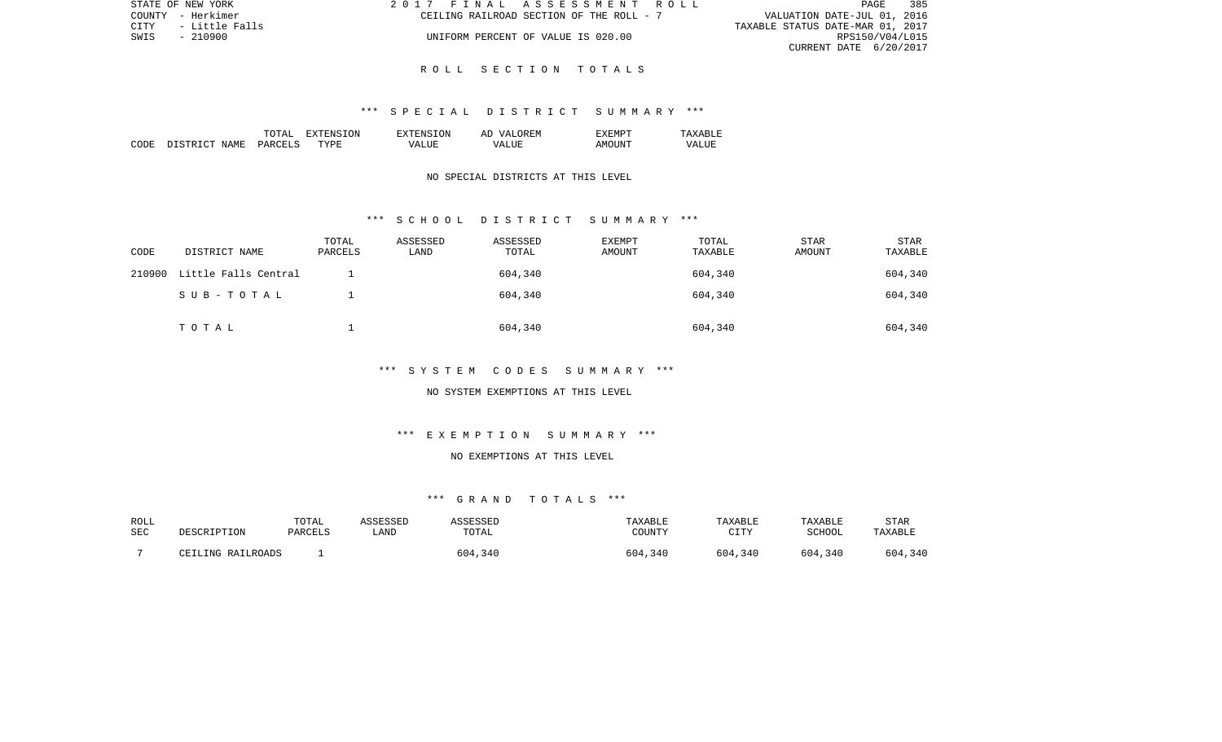|      | STATE OF NEW YORK | 2017 FINAL ASSESSMENT ROLL               |                                  | PAGE            | 385 |
|------|-------------------|------------------------------------------|----------------------------------|-----------------|-----|
|      | COUNTY - Herkimer | CEILING RAILROAD SECTION OF THE ROLL - 7 | VALUATION DATE-JUL 01, 2016      |                 |     |
| CITY | - Little Falls    |                                          | TAXABLE STATUS DATE-MAR 01, 2017 |                 |     |
| SWIS | $-210900$         | UNIFORM PERCENT OF VALUE IS 020.00       |                                  | RPS150/V04/L015 |     |
|      |                   |                                          | CURRENT DATE 6/20/2017           |                 |     |

#### \*\*\* S P E C I A L D I S T R I C T S U M M A R Y \*\*\*

|      |                  | ד בידר.<br>m <sup>o</sup><br>---- | .ON.<br>. . | TON.<br>' IN I | $\sqrt{2}$<br>$\mathbf{v}$<br>A. | EXEMPT                                 |                                 |
|------|------------------|-----------------------------------|-------------|----------------|----------------------------------|----------------------------------------|---------------------------------|
| CODE | NAME.<br>STR TOT | <b>PARCET</b>                     | TYPR:       | , Δ            | <b>TTTD</b><br>$\sqrt{4}$<br>.   | $\cdot$ TNT $^{\rm{m}}$<br>$\Delta$ M. | $- - - -$<br><b>VAT</b><br>ALUI |

### NO SPECIAL DISTRICTS AT THIS LEVEL

#### \*\*\* S C H O O L D I S T R I C T S U M M A R Y \*\*\*

| CODE   | DISTRICT NAME        | TOTAL<br>PARCELS | ASSESSED<br>LAND | ASSESSED<br>TOTAL | <b>EXEMPT</b><br>AMOUNT | TOTAL<br>TAXABLE | STAR<br>AMOUNT | STAR<br>TAXABLE |
|--------|----------------------|------------------|------------------|-------------------|-------------------------|------------------|----------------|-----------------|
| 210900 | Little Falls Central |                  |                  | 604,340           |                         | 604,340          |                | 604,340         |
|        | SUB-TOTAL            |                  |                  | 604,340           |                         | 604,340          |                | 604,340         |
|        | TOTAL                |                  |                  | 604,340           |                         | 604,340          |                | 604,340         |

## \*\*\* S Y S T E M C O D E S S U M M A R Y \*\*\*

#### NO SYSTEM EXEMPTIONS AT THIS LEVEL

#### \*\*\* E X E M P T I O N S U M M A R Y \*\*\*

## NO EXEMPTIONS AT THIS LEVEL

| ROLL       |                   | TOTAL   | ASSESSED | SSESSED | TAXABLE | TAXABLE                | TAXABLE | STAR    |
|------------|-------------------|---------|----------|---------|---------|------------------------|---------|---------|
| <b>SEC</b> | DESCRIPTION       | PARCELS | LAND     | TOTAL   | COUNTY  | $\cap$ T $\Box$<br>--- | SCHOOL  | TAXABLE |
|            | CEILING RAILROADS |         |          | 604,340 | 604,340 | 604,340                | 604,340 | 604,340 |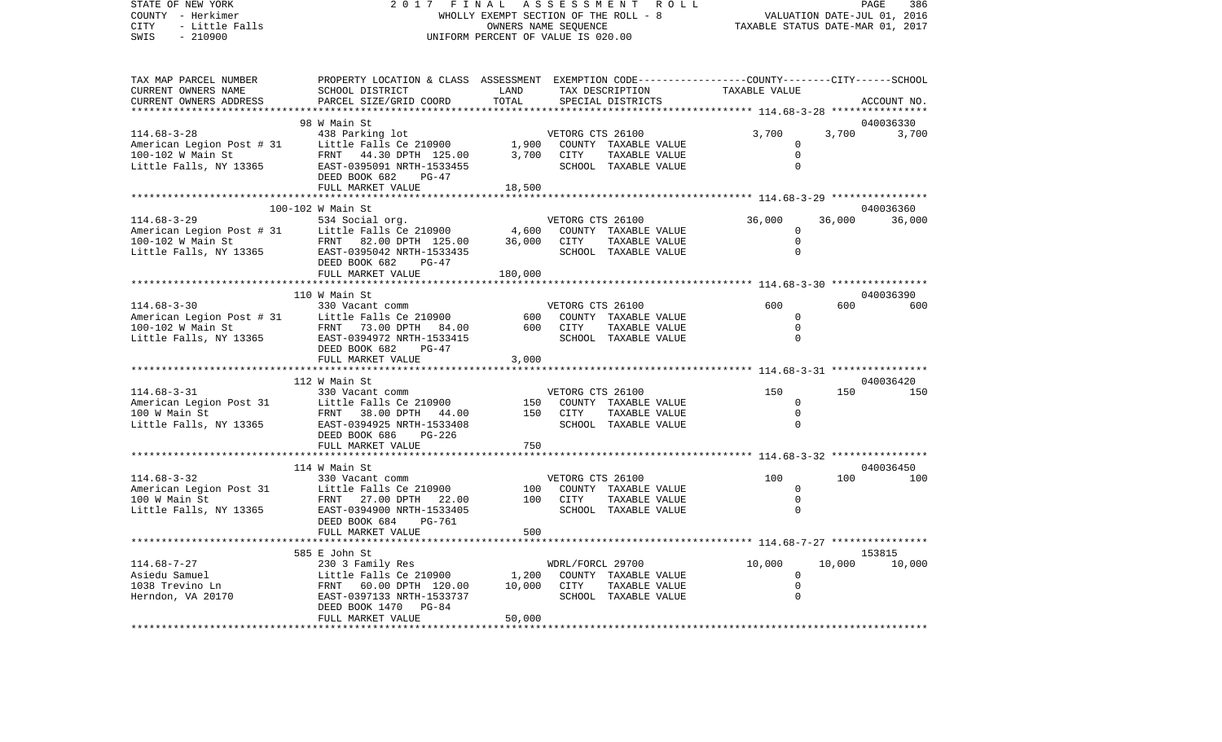STATE OF NEW YORK 2 0 1 7 F I N A L A S S E S S M E N T R O L L PAGE 386VALUATION DATE-JUL 01, 2016 COUNTY - Herkimer WHOLLY EXEMPT SECTION OF THE ROLL - 8 CITY - Little Falls OWNERS NAME SEQUENCE TAXABLE STATUS DATE-MAR 01, 2017 SWIS - 210900 UNIFORM PERCENT OF VALUE IS 020.00TAX MAP PARCEL NUMBER PROPERTY LOCATION & CLASS ASSESSMENT EXEMPTION CODE------------------COUNTY--------CITY------SCHOOL CURRENT OWNERS NAME SCHOOL DISTRICT LAND TAX DESCRIPTION TAXABLE VALUECURRENT OWNERS ADDRESS PARCEL SIZE/GRID COORD TOTAL SPECIAL DISTRICTS ACCOUNT NO. \*\*\*\*\*\*\*\*\*\*\*\*\*\*\*\*\*\*\*\*\*\*\*\*\*\*\*\*\*\*\*\*\*\*\*\*\*\*\*\*\*\*\*\*\*\*\*\*\*\*\*\*\*\*\*\*\*\*\*\*\*\*\*\*\*\*\*\*\*\*\*\*\*\*\*\*\*\*\*\*\*\*\*\*\*\*\*\*\*\*\*\*\*\*\*\*\*\*\*\*\*\*\* 114.68-3-28 \*\*\*\*\*\*\*\*\*\*\*\*\*\*\*\* 98 W Main St 040036330114.68-3-28 438 Parking lot VETORG CTS 26100 3,700 3,700 3,700 American Legion Post # 31 Little Falls Ce 210900 1,900 COUNTY TAXABLE VALUE 0 100-102 W Main St FRNT 44.30 DPTH 125.00 3,700 CITY TAXABLE VALUE 0 Little Falls, NY 13365 EAST-0395091 NRTH-1533455 SCHOOL TAXABLE VALUE 0 DEED BOOK 682 PG-47FULL MARKET VALUE 18,500 \*\*\*\*\*\*\*\*\*\*\*\*\*\*\*\*\*\*\*\*\*\*\*\*\*\*\*\*\*\*\*\*\*\*\*\*\*\*\*\*\*\*\*\*\*\*\*\*\*\*\*\*\*\*\*\*\*\*\*\*\*\*\*\*\*\*\*\*\*\*\*\*\*\*\*\*\*\*\*\*\*\*\*\*\*\*\*\*\*\*\*\*\*\*\*\*\*\*\*\*\*\*\* 114.68-3-29 \*\*\*\*\*\*\*\*\*\*\*\*\*\*\*\* 100-102 W Main St 040036360114.68-3-29 534 Social org. VETORG CTS 26100 36,000 36,000 36,000 American Legion Post # 31 Little Falls Ce 210900 4,600 COUNTY TAXABLE VALUE 0 100-102 W Main St FRNT 82.00 DPTH 125.00 36,000 CITY TAXABLE VALUE 0 Little Falls, NY 13365 BAST-0395042 NRTH-1533435 SCHOOL TAXABLE VALUE 0 DEED BOOK 682 PG-47FULL MARKET VALUE 180,000 \*\*\*\*\*\*\*\*\*\*\*\*\*\*\*\*\*\*\*\*\*\*\*\*\*\*\*\*\*\*\*\*\*\*\*\*\*\*\*\*\*\*\*\*\*\*\*\*\*\*\*\*\*\*\*\*\*\*\*\*\*\*\*\*\*\*\*\*\*\*\*\*\*\*\*\*\*\*\*\*\*\*\*\*\*\*\*\*\*\*\*\*\*\*\*\*\*\*\*\*\*\*\* 114.68-3-30 \*\*\*\*\*\*\*\*\*\*\*\*\*\*\*\* 110 W Main St 040036390114.68-3-30 330 Vacant comm VETORG CTS 26100 600 600 600American Legion Post # 31 Little Falls Ce 210900 600 COUNTY TAXABLE VALUE 600 COUNTY TAXABLE VALUE 100-102 W Main St FRNT 73.00 DPTH 84.00 600 CITY TAXABLE VALUE 0Little Falls, NY 13365 EAST-0394972 NRTH-1533415 SCHOOL TAXABLE VALUE 0 DEED BOOK 682 PG-47FULL MARKET VALUE 3,000 \*\*\*\*\*\*\*\*\*\*\*\*\*\*\*\*\*\*\*\*\*\*\*\*\*\*\*\*\*\*\*\*\*\*\*\*\*\*\*\*\*\*\*\*\*\*\*\*\*\*\*\*\*\*\*\*\*\*\*\*\*\*\*\*\*\*\*\*\*\*\*\*\*\*\*\*\*\*\*\*\*\*\*\*\*\*\*\*\*\*\*\*\*\*\*\*\*\*\*\*\*\*\* 114.68-3-31 \*\*\*\*\*\*\*\*\*\*\*\*\*\*\*\* 112 W Main St 040036420114.68-3-31 330 Vacant comm VETORG CTS 26100 150 150 150American Legion Post 31 Little Falls Ce 210900 150 COUNTY TAXABLE VALUE 0 100 W Main St FRNT 38.00 DPTH 44.00 150 CITY TAXABLE VALUE 0Little Falls, NY 13365 EAST-0394925 NRTH-1533408 SCHOOL TAXABLE VALUE 0 DEED BOOK 686 PG-226FULL MARKET VALUE 750 \*\*\*\*\*\*\*\*\*\*\*\*\*\*\*\*\*\*\*\*\*\*\*\*\*\*\*\*\*\*\*\*\*\*\*\*\*\*\*\*\*\*\*\*\*\*\*\*\*\*\*\*\*\*\*\*\*\*\*\*\*\*\*\*\*\*\*\*\*\*\*\*\*\*\*\*\*\*\*\*\*\*\*\*\*\*\*\*\*\*\*\*\*\*\*\*\*\*\*\*\*\*\* 114.68-3-32 \*\*\*\*\*\*\*\*\*\*\*\*\*\*\*\* 114 W Main St 040036450114.68-3-32 330 Vacant comm VETORG CTS 26100 100 100 100American Legion Post 31 Little Falls Ce 210900 100 COUNTY TAXABLE VALUE 0 100 W Main St FRNT 27.00 DPTH 22.00 100 CITY TAXABLE VALUE 0 $\cap$ Little Falls, NY 13365 EAST-0394900 NRTH-1533405 SCHOOL TAXABLE VALUE DEED BOOK 684 PG-761FULL MARKET VALUE 600 \*\*\*\*\*\*\*\*\*\*\*\*\*\*\*\*\*\*\*\*\*\*\*\*\*\*\*\*\*\*\*\*\*\*\*\*\*\*\*\*\*\*\*\*\*\*\*\*\*\*\*\*\*\*\*\*\*\*\*\*\*\*\*\*\*\*\*\*\*\*\*\*\*\*\*\*\*\*\*\*\*\*\*\*\*\*\*\*\*\*\*\*\*\*\*\*\*\*\*\*\*\*\* 114.68-7-27 \*\*\*\*\*\*\*\*\*\*\*\*\*\*\*\* 585 E John St 153815114.68-7-27 230 3 Family Res WDRL/FORCL 29700 10,000 10,000 10,000 Asiedu Samuel Little Falls Ce 210900 1,200 COUNTY TAXABLE VALUE 0 1038 Trevino Ln FRNT 60.00 DPTH 120.00 10,000 CITY TAXABLE VALUE 0 Herndon, VA 20170 EAST-0397133 NRTH-1533737 SCHOOL TAXABLE VALUE 0 DEED BOOK 1470 PG-84 FULL MARKET VALUE 50,000 \*\*\*\*\*\*\*\*\*\*\*\*\*\*\*\*\*\*\*\*\*\*\*\*\*\*\*\*\*\*\*\*\*\*\*\*\*\*\*\*\*\*\*\*\*\*\*\*\*\*\*\*\*\*\*\*\*\*\*\*\*\*\*\*\*\*\*\*\*\*\*\*\*\*\*\*\*\*\*\*\*\*\*\*\*\*\*\*\*\*\*\*\*\*\*\*\*\*\*\*\*\*\*\*\*\*\*\*\*\*\*\*\*\*\*\*\*\*\*\*\*\*\*\*\*\*\*\*\*\*\*\*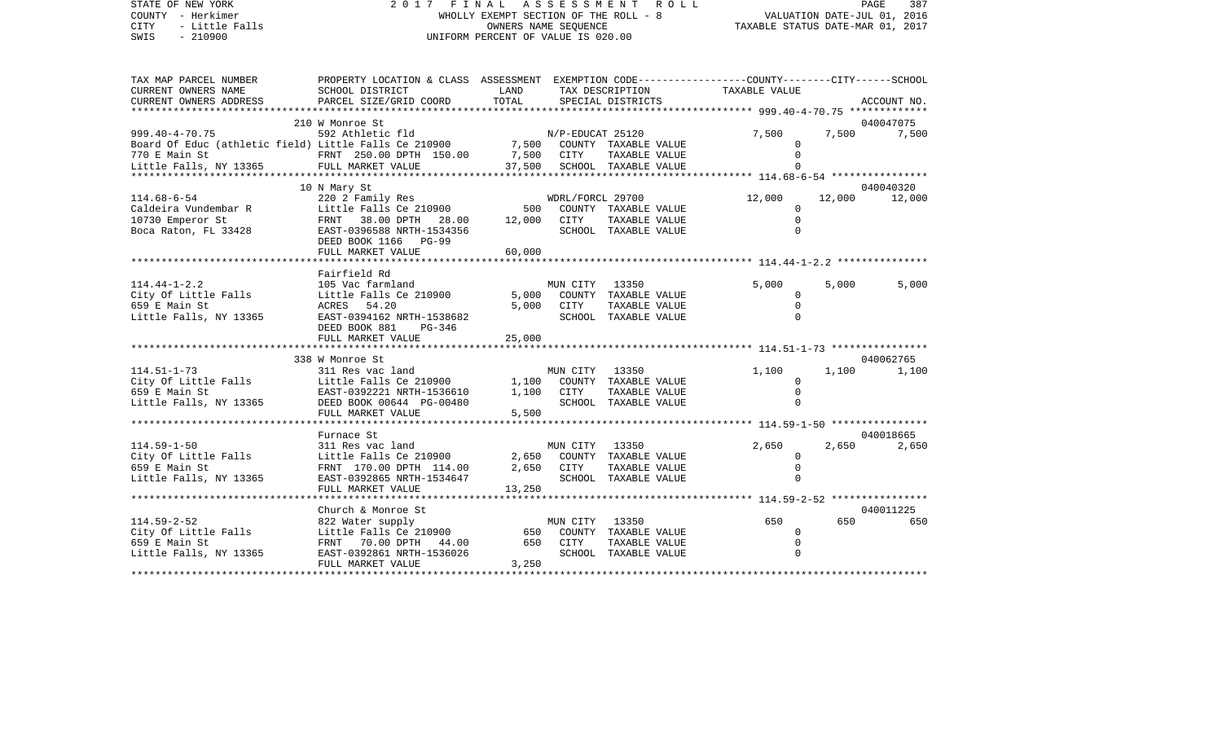| STATE OF NEW YORK<br>COUNTY - Herkimer<br>CITY<br>- Little Falls<br>SWIS<br>$-210900$                                    | 2017 FINAL ASSESSMENT                                                                                                                                  | OWNERS NAME SEQUENCE<br>UNIFORM PERCENT OF VALUE IS 020.00 |                          | R O L L<br>WHOLLY EXEMPT SECTION OF THE ROLL - 8                       | TAXABLE STATUS DATE-MAR 01, 2017                                      |       | PAGE<br>387<br>VALUATION DATE-JUL 01, 2016 |
|--------------------------------------------------------------------------------------------------------------------------|--------------------------------------------------------------------------------------------------------------------------------------------------------|------------------------------------------------------------|--------------------------|------------------------------------------------------------------------|-----------------------------------------------------------------------|-------|--------------------------------------------|
| TAX MAP PARCEL NUMBER<br>CURRENT OWNERS NAME<br>CURRENT OWNERS ADDRESS                                                   | PROPERTY LOCATION & CLASS ASSESSMENT EXEMPTION CODE---------------COUNTY-------CITY------SCHOOL<br>SCHOOL DISTRICT<br>PARCEL SIZE/GRID COORD           | LAND<br>TOTAL                                              |                          | TAX DESCRIPTION<br>SPECIAL DISTRICTS                                   | TAXABLE VALUE                                                         |       | ACCOUNT NO.                                |
|                                                                                                                          |                                                                                                                                                        |                                                            |                          |                                                                        | ***************** 999.40-4-70.75 **************                       |       |                                            |
|                                                                                                                          | 210 W Monroe St                                                                                                                                        |                                                            |                          |                                                                        |                                                                       |       | 040047075                                  |
| $999.40 - 4 - 70.75$<br>Board Of Educ (athletic field) Little Falls Ce 210900<br>770 E Main St<br>Little Falls, NY 13365 | 592 Athletic fld<br>FRNT 250.00 DPTH 150.00<br>FULL MARKET VALUE                                                                                       | 7,500 CITY<br>37,500                                       | N/P-EDUCAT 25120         | 7,500 COUNTY TAXABLE VALUE<br>TAXABLE VALUE<br>SCHOOL TAXABLE VALUE    | 7,500<br><sup>n</sup><br>************** 114.68-6-54 ***************** |       | 7,500 7,500                                |
|                                                                                                                          | 10 N Mary St                                                                                                                                           |                                                            |                          |                                                                        |                                                                       |       | 040040320                                  |
| $114.68 - 6 - 54$<br>Caldeira Vundembar R<br>10730 Emperor St<br>Boca Raton, FL 33428                                    | 220 2 Family Res<br>Little Falls Ce 210900<br>FRNT 38.00 DPTH 28.00<br>EAST-0396588 NRTH-1534356<br>DEED BOOK 1166 PG-99<br>FULL MARKET VALUE          | 500<br>12,000<br>60,000                                    | WDRL/FORCL 29700<br>CITY | COUNTY TAXABLE VALUE<br>TAXABLE VALUE<br>SCHOOL TAXABLE VALUE          | 12,000<br>$\Omega$<br>$\mathbf 0$<br>$\Omega$                         |       | 12,000 12,000                              |
|                                                                                                                          |                                                                                                                                                        |                                                            |                          |                                                                        |                                                                       |       |                                            |
| $114.44 - 1 - 2.2$<br>City Of Little Falls<br>659 E Main St<br>Little Falls, NY 13365                                    | Fairfield Rd<br>105 Vac farmland<br>Little Falls Ce 210900<br>ACRES 54.20<br>EAST-0394162 NRTH-1538682<br>DEED BOOK 881<br>PG-346<br>FULL MARKET VALUE | 5,000<br>5,000<br>25,000                                   | MUN CITY 13350<br>CITY   | COUNTY TAXABLE VALUE<br>TAXABLE VALUE<br>SCHOOL TAXABLE VALUE          | 5,000<br>0<br>$\mathbf 0$<br>$\Omega$                                 | 5,000 | 5,000                                      |
|                                                                                                                          | ******************************                                                                                                                         |                                                            |                          |                                                                        |                                                                       |       |                                            |
| $114.51 - 1 - 73$<br>City Of Little Falls<br>659 E Main St<br>Little Falls, NY 13365                                     | 338 W Monroe St<br>311 Res vac land<br>Little Falls Ce 210900<br>EAST-0392221 NRTH-1536610<br>DEED BOOK 00644 PG-00480<br>FULL MARKET VALUE            | 1,100<br>1,100<br>5,500                                    | MUN CITY<br>CITY         | 13350<br>COUNTY TAXABLE VALUE<br>TAXABLE VALUE<br>SCHOOL TAXABLE VALUE | 1,100<br>$\Omega$<br>$\mathbf 0$<br>$\Omega$                          | 1,100 | 040062765<br>1,100                         |
|                                                                                                                          | ***********************                                                                                                                                |                                                            |                          |                                                                        |                                                                       |       |                                            |
| $114.59 - 1 - 50$<br>City Of Little Falls<br>659 E Main St<br>Little Falls, NY 13365                                     | Furnace St<br>311 Res vac land<br>Little Falls Ce 210900<br>FRNT 170.00 DPTH 114.00<br>EAST-0392865 NRTH-1534647<br>FULL MARKET VALUE                  | 2,650<br>2,650<br>13,250                                   | MUN CITY 13350<br>CITY   | COUNTY TAXABLE VALUE<br>TAXABLE VALUE<br>SCHOOL TAXABLE VALUE          | 2,650<br>$\Omega$<br>$\Omega$                                         | 2,650 | 040018665<br>2,650                         |
|                                                                                                                          | ***************************                                                                                                                            |                                                            |                          |                                                                        |                                                                       |       |                                            |
| $114.59 - 2 - 52$<br>City Of Little Falls<br>659 E Main St<br>Little Falls, NY 13365                                     | Church & Monroe St<br>822 Water supply<br>Little Falls Ce 210900<br>FRNT 70.00 DPTH<br>44.00<br>EAST-0392861 NRTH-1536026<br>FULL MARKET VALUE         | 650<br>650<br>3,250                                        | MUN CITY 13350<br>CITY   | COUNTY TAXABLE VALUE<br>TAXABLE VALUE<br>SCHOOL TAXABLE VALUE          | 650<br>0<br>$\Omega$<br>$\Omega$                                      | 650   | 040011225<br>650                           |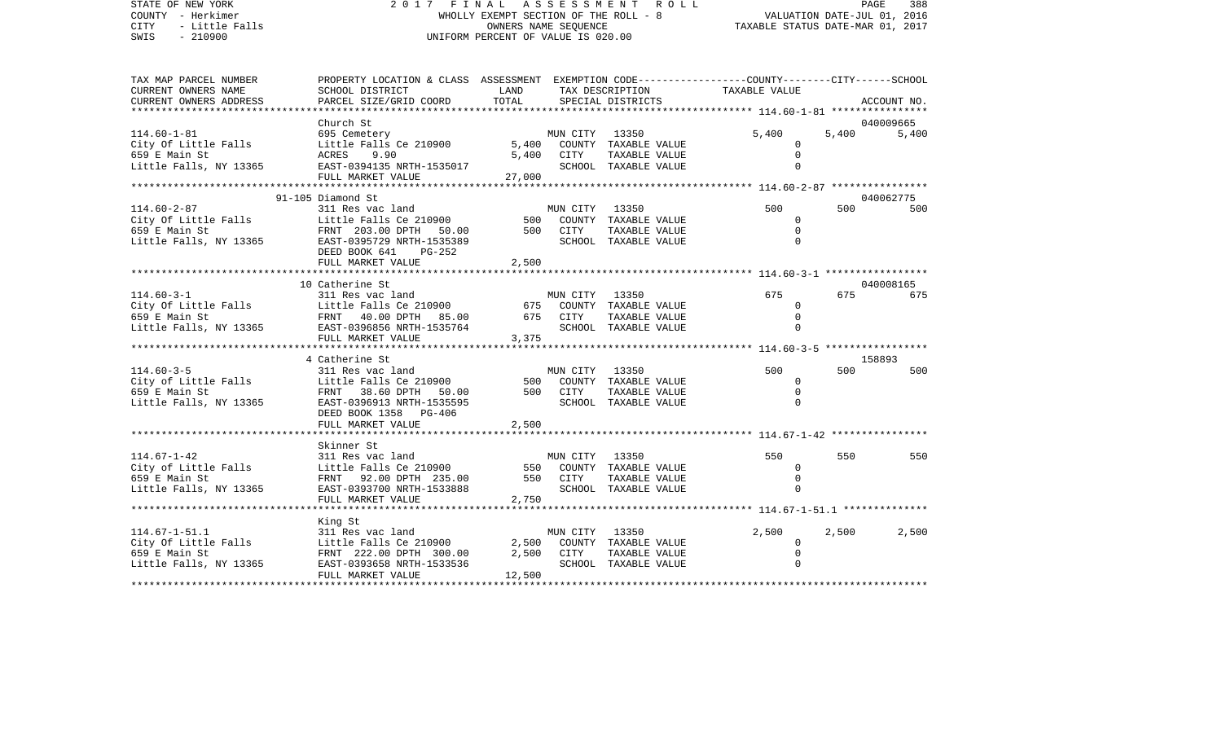| STATE OF NEW YORK<br>COUNTY - Herkimer<br><b>CITY</b><br>- Little Falls<br>$-210900$<br>SWIS                                                                                 | 2017 FINAL ASSESSMENT ROLL<br>WHOLLY EXEMPT SECTION OF THE ROLL - 8<br>VALUATION DATE-JUL 01, 2016<br>TAXABLE STATUS DATE-MAR 01, 2017<br>OWNERS NAME SEOUENCE<br>UNIFORM PERCENT OF VALUE IS 020.00 |               |                |                                      |                   |       | PAGE<br>388      |
|------------------------------------------------------------------------------------------------------------------------------------------------------------------------------|------------------------------------------------------------------------------------------------------------------------------------------------------------------------------------------------------|---------------|----------------|--------------------------------------|-------------------|-------|------------------|
| TAX MAP PARCEL NUMBER<br>CURRENT OWNERS NAME<br>CURRENT OWNERS ADDRESS                                                                                                       | PROPERTY LOCATION & CLASS ASSESSMENT EXEMPTION CODE---------------COUNTY-------CITY------SCHOOL<br>SCHOOL DISTRICT<br>PARCEL SIZE/GRID COORD                                                         | LAND<br>TOTAL |                | TAX DESCRIPTION<br>SPECIAL DISTRICTS | TAXABLE VALUE     |       | ACCOUNT NO.      |
|                                                                                                                                                                              |                                                                                                                                                                                                      |               |                |                                      |                   |       |                  |
|                                                                                                                                                                              | Church St                                                                                                                                                                                            |               |                |                                      |                   |       | 040009665        |
| $114.60 - 1 - 81$<br>City Of Little Falls                                                                                                                                    | 695 Cemetery<br>Little Falls Ce 210900                                                                                                                                                               | 5,400         | MUN CITY 13350 | COUNTY TAXABLE VALUE                 | 5,400<br>$\Omega$ | 5,400 | 5,400            |
| 659 E Main St                                                                                                                                                                | ACRES 9.90                                                                                                                                                                                           | 5,400         | CITY           | TAXABLE VALUE                        | $\Omega$          |       |                  |
| Little Falls, NY 13365                                                                                                                                                       | EAST-0394135 NRTH-1535017                                                                                                                                                                            |               |                | SCHOOL TAXABLE VALUE                 | $\Omega$          |       |                  |
|                                                                                                                                                                              | FULL MARKET VALUE                                                                                                                                                                                    | 27,000        |                |                                      |                   |       |                  |
|                                                                                                                                                                              |                                                                                                                                                                                                      |               |                |                                      |                   |       |                  |
|                                                                                                                                                                              | 91-105 Diamond St                                                                                                                                                                                    |               |                |                                      | 500               | 500   | 040062775<br>500 |
| 114.60-2-87<br>City Of Little Falls                                                                                                                                          | 311 Res vac land<br>Little Falls Ce 210900                                                                                                                                                           |               | MUN CITY 13350 | 500 COUNTY TAXABLE VALUE             | $\Omega$          |       |                  |
| $\label{eq:2.1} \begin{split} \mathcal{L}_{\text{max}}(\mathbf{r}) = \mathcal{L}_{\text{max}}(\mathbf{r}) \mathcal{L}_{\text{max}}(\mathbf{r}) \end{split}$<br>659 E Main St | FRNT 203.00 DPTH 50.00                                                                                                                                                                               | 500           | CITY           | TAXABLE VALUE                        | $\Omega$          |       |                  |
| Little Falls, NY 13365                                                                                                                                                       | EAST-0395729 NRTH-1535389                                                                                                                                                                            |               |                | SCHOOL TAXABLE VALUE                 | $\Omega$          |       |                  |
|                                                                                                                                                                              | DEED BOOK 641<br>PG-252                                                                                                                                                                              |               |                |                                      |                   |       |                  |
|                                                                                                                                                                              | FULL MARKET VALUE                                                                                                                                                                                    | 2,500         |                |                                      |                   |       |                  |
|                                                                                                                                                                              | 10 Catherine St                                                                                                                                                                                      |               |                |                                      |                   |       | 040008165        |
| $114.60 - 3 - 1$                                                                                                                                                             | 311 Res vac land                                                                                                                                                                                     |               | MUN CITY 13350 |                                      | 675               | 675   | 675              |
| City Of Little Falls                                                                                                                                                         | Little Falls Ce 210900                                                                                                                                                                               |               |                | 675 COUNTY TAXABLE VALUE             | 0                 |       |                  |
| 659 E Main St                                                                                                                                                                | FRNT 40.00 DPTH 85.00                                                                                                                                                                                | 675           | CITY           | TAXABLE VALUE                        | $\Omega$          |       |                  |
| Little Falls, NY 13365                                                                                                                                                       | EAST-0396856 NRTH-1535764                                                                                                                                                                            |               |                | SCHOOL TAXABLE VALUE                 | $\Omega$          |       |                  |
|                                                                                                                                                                              | FULL MARKET VALUE                                                                                                                                                                                    | 3,375         |                |                                      |                   |       |                  |
|                                                                                                                                                                              | ***********************<br>4 Catherine St                                                                                                                                                            |               |                |                                      |                   |       | 158893           |
| $114.60 - 3 - 5$                                                                                                                                                             | 311 Res vac land                                                                                                                                                                                     |               | MUN CITY 13350 |                                      | 500               | 500   | 500              |
| City of Little Falls                                                                                                                                                         | Little Falls Ce 210900                                                                                                                                                                               | 500           |                | COUNTY TAXABLE VALUE                 | $\Omega$          |       |                  |
| 659 E Main St                                                                                                                                                                | FRNT 38.60 DPTH 50.00                                                                                                                                                                                | 500           | CITY           | TAXABLE VALUE                        | $\Omega$          |       |                  |
| Little Falls, NY 13365                                                                                                                                                       | EAST-0396913 NRTH-1535595                                                                                                                                                                            |               |                | SCHOOL TAXABLE VALUE                 | $\cap$            |       |                  |
|                                                                                                                                                                              | DEED BOOK 1358 PG-406                                                                                                                                                                                |               |                |                                      |                   |       |                  |
|                                                                                                                                                                              | FULL MARKET VALUE                                                                                                                                                                                    | 2,500         |                |                                      |                   |       |                  |
|                                                                                                                                                                              | Skinner St                                                                                                                                                                                           |               |                |                                      |                   |       |                  |
| $114.67 - 1 - 42$                                                                                                                                                            | 311 Res vac land                                                                                                                                                                                     |               | MUN CITY       | 13350                                | 550               | 550   | 550              |
| City of Little Falls                                                                                                                                                         | Little Falls Ce 210900                                                                                                                                                                               | 550           |                | COUNTY TAXABLE VALUE                 | $\Omega$          |       |                  |
| 659 E Main St                                                                                                                                                                | FRNT 92.00 DPTH 235.00                                                                                                                                                                               | 550           | CITY           | TAXABLE VALUE                        | $\mathbf{0}$      |       |                  |
| Little Falls, NY 13365                                                                                                                                                       | EAST-0393700 NRTH-1533888                                                                                                                                                                            |               |                | SCHOOL TAXABLE VALUE                 |                   |       |                  |
|                                                                                                                                                                              | FULL MARKET VALUE<br>***********************                                                                                                                                                         | 2,750         |                |                                      |                   |       |                  |
|                                                                                                                                                                              | King St                                                                                                                                                                                              |               |                |                                      |                   |       |                  |
| $114.67 - 1 - 51.1$                                                                                                                                                          | 311 Res vac land                                                                                                                                                                                     |               | MUN CITY       | 13350                                | 2,500             | 2,500 | 2,500            |
| City Of Little Falls                                                                                                                                                         | Little Falls Ce 210900                                                                                                                                                                               | 2,500         |                | COUNTY TAXABLE VALUE                 | $\mathbf 0$       |       |                  |
| 659 E Main St                                                                                                                                                                | FRNT 222.00 DPTH 300.00                                                                                                                                                                              | 2,500         | CITY           | TAXABLE VALUE                        | $\mathbf 0$       |       |                  |
| Little Falls, NY 13365                                                                                                                                                       | EAST-0393658 NRTH-1533536                                                                                                                                                                            |               |                | SCHOOL TAXABLE VALUE                 | 0                 |       |                  |
|                                                                                                                                                                              | FULL MARKET VALUE                                                                                                                                                                                    | 12,500        |                |                                      |                   |       |                  |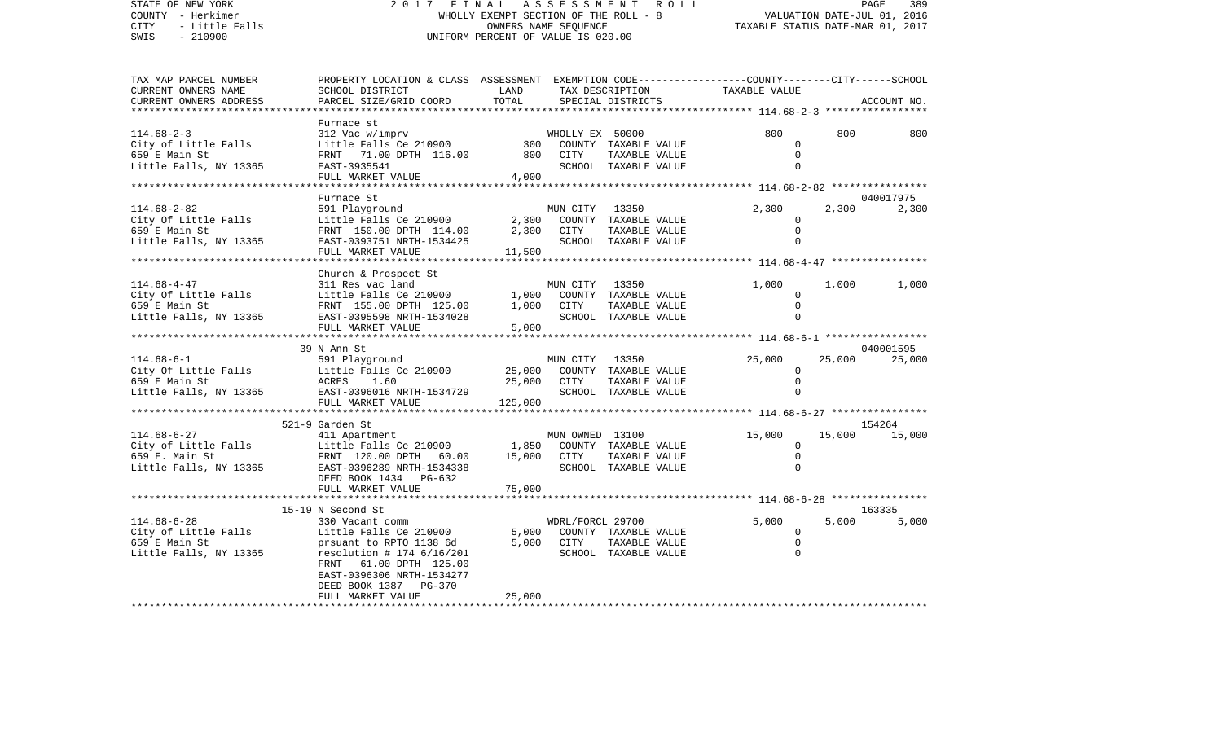| STATE OF NEW YORK<br>COUNTY - Herkimer<br>- Little Falls<br>CITY<br>$-210900$<br>SWIS | 2017<br>FINAL<br>ASSESSMENT<br>ROLL<br>WHOLLY EXEMPT SECTION OF THE ROLL - 8<br>OWNERS NAME SEQUENCE<br>UNIFORM PERCENT OF VALUE IS 020.00                                                                            |                             |                                |                                                                        |                                                     | PAGE<br>389<br>VALUATION DATE-JUL 01, 2016<br>TAXABLE STATUS DATE-MAR 01, 2017 |                    |  |  |
|---------------------------------------------------------------------------------------|-----------------------------------------------------------------------------------------------------------------------------------------------------------------------------------------------------------------------|-----------------------------|--------------------------------|------------------------------------------------------------------------|-----------------------------------------------------|--------------------------------------------------------------------------------|--------------------|--|--|
| TAX MAP PARCEL NUMBER<br>CURRENT OWNERS NAME<br>CURRENT OWNERS ADDRESS                | PROPERTY LOCATION & CLASS ASSESSMENT EXEMPTION CODE--------------COUNTY-------CITY------SCHOOL<br>SCHOOL DISTRICT<br>PARCEL SIZE/GRID COORD                                                                           | LAND<br>TOTAL               |                                | TAX DESCRIPTION<br>SPECIAL DISTRICTS                                   | TAXABLE VALUE                                       |                                                                                | ACCOUNT NO.        |  |  |
|                                                                                       | Furnace st                                                                                                                                                                                                            |                             |                                |                                                                        |                                                     |                                                                                |                    |  |  |
| $114.68 - 2 - 3$<br>City of Little Falls<br>659 E Main St<br>Little Falls, NY 13365   | 312 Vac w/imprv<br>Little Falls Ce 210900<br>FRNT 71.00 DPTH 116.00<br>EAST-3935541<br>FULL MARKET VALUE                                                                                                              | 300<br>800<br>4,000         | WHOLLY EX 50000<br><b>CITY</b> | COUNTY TAXABLE VALUE<br>TAXABLE VALUE<br>SCHOOL TAXABLE VALUE          | 800<br>$\Omega$<br>$\mathbf 0$<br>$\Omega$          | 800                                                                            | 800                |  |  |
|                                                                                       | ******************                                                                                                                                                                                                    |                             | ******************             |                                                                        | ************* 114.68-2-82 *****************         |                                                                                |                    |  |  |
| $114.68 - 2 - 82$<br>City Of Little Falls<br>659 E Main St<br>Little Falls, NY 13365  | Furnace St<br>591 Playground<br>Little Falls Ce 210900<br>FRNT 150.00 DPTH 114.00<br>EAST-0393751 NRTH-1534425<br>FULL MARKET VALUE                                                                                   | 2,300<br>2,300<br>11,500    | MUN CITY<br>CITY               | 13350<br>COUNTY TAXABLE VALUE<br>TAXABLE VALUE<br>SCHOOL TAXABLE VALUE | 2,300<br>$\Omega$<br>$\mathsf{O}$<br>$\Omega$       | 2,300                                                                          | 040017975<br>2,300 |  |  |
|                                                                                       |                                                                                                                                                                                                                       |                             |                                |                                                                        | *********************** 114.68-4-47 *************** |                                                                                |                    |  |  |
| $114.68 - 4 - 47$<br>City Of Little Falls<br>659 E Main St<br>Little Falls, NY 13365  | Church & Prospect St<br>311 Res vac land<br>Little Falls Ce 210900<br>FRNT 155.00 DPTH 125.00<br>EAST-0395598 NRTH-1534028<br>FULL MARKET VALUE                                                                       | 1,000<br>1,000<br>5,000     | MUN CITY<br>COUNTY<br>CITY     | 13350<br>TAXABLE VALUE<br>TAXABLE VALUE<br>SCHOOL TAXABLE VALUE        | 1,000<br>$\mathbf 0$<br>$\mathbf 0$<br>$\mathbf 0$  | 1,000                                                                          | 1,000              |  |  |
|                                                                                       | ********************                                                                                                                                                                                                  |                             | ******************             |                                                                        | ********************* 114.68-6-1 ****************** |                                                                                |                    |  |  |
|                                                                                       | 39 N Ann St                                                                                                                                                                                                           |                             |                                |                                                                        |                                                     |                                                                                | 040001595          |  |  |
| $114.68 - 6 - 1$<br>City Of Little Falls<br>659 E Main St<br>Little Falls, NY 13365   | 591 Playground<br>Little Falls Ce 210900<br>ACRES<br>1.60<br>EAST-0396016 NRTH-1534729<br>FULL MARKET VALUE                                                                                                           | 25,000<br>25,000<br>125,000 | MUN CITY<br>COUNTY<br>CITY     | 13350<br>TAXABLE VALUE<br>TAXABLE VALUE<br>SCHOOL TAXABLE VALUE        | 25,000<br>0<br>$\mathsf 0$<br>$\mathbf 0$           | 25,000                                                                         | 25,000             |  |  |
|                                                                                       | **********************                                                                                                                                                                                                |                             |                                | ******************************                                         | ************** 114.68-6-27 *****************        |                                                                                |                    |  |  |
| $114.68 - 6 - 27$<br>City of Little Falls<br>659 E. Main St<br>Little Falls, NY 13365 | 521-9 Garden St<br>411 Apartment<br>Little Falls Ce 210900<br>FRNT 120.00 DPTH 60.00<br>EAST-0396289 NRTH-1534338<br>DEED BOOK 1434 PG-632<br>FULL MARKET VALUE                                                       | 1,850<br>15,000<br>75,000   | MUN OWNED 13100<br>CITY        | COUNTY TAXABLE VALUE<br>TAXABLE VALUE<br>SCHOOL TAXABLE VALUE          | 15,000<br>0<br>$\mathbf 0$<br>$\mathbf 0$           | 15,000                                                                         | 154264<br>15,000   |  |  |
|                                                                                       | 15-19 N Second St                                                                                                                                                                                                     |                             |                                |                                                                        | ******** 114.68-6-28 *****************              |                                                                                | 163335             |  |  |
| $114.68 - 6 - 28$<br>City of Little Falls<br>659 E Main St<br>Little Falls, NY 13365  | 330 Vacant comm<br>Little Falls Ce 210900<br>prsuant to RPTO 1138 6d<br>resolution # 174 $6/16/201$<br>FRNT<br>61.00 DPTH 125.00<br>EAST-0396306 NRTH-1534277<br>DEED BOOK 1387<br><b>PG-370</b><br>FULL MARKET VALUE | 5,000<br>5,000<br>25,000    | WDRL/FORCL 29700<br>CITY       | COUNTY TAXABLE VALUE<br>TAXABLE VALUE<br>SCHOOL TAXABLE VALUE          | 5,000<br>$\mathbf 0$<br>$\mathbf 0$<br>$\mathbf 0$  | 5,000                                                                          | 5,000              |  |  |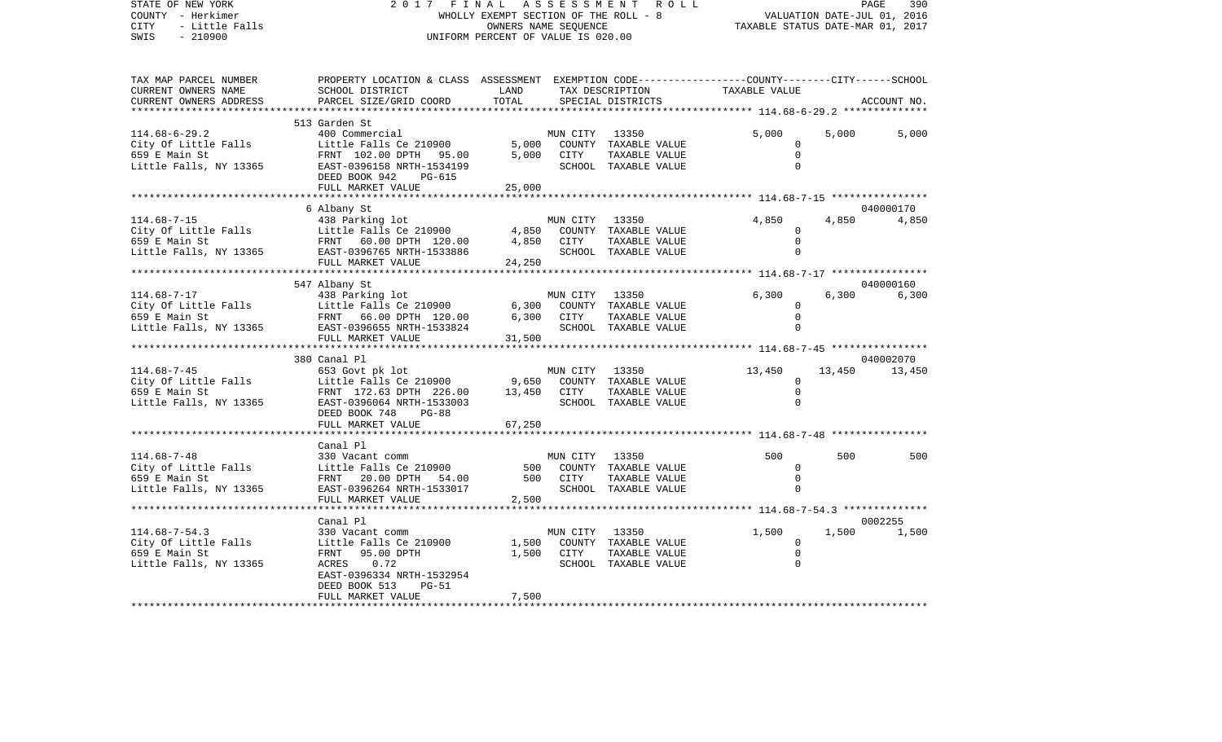STATE OF NEW YORK 2 0 1 7 F I N A L A S S E S S M E N T R O L L PAGE 390VALUATION DATE-JUL 01, 2016 COUNTY - Herkimer WHOLLY EXEMPT SECTION OF THE ROLL - 8 CITY - Little Falls OWNERS NAME SEQUENCE TAXABLE STATUS DATE-MAR 01, 2017 SWIS - 210900 UNIFORM PERCENT OF VALUE IS 020.00TAX MAP PARCEL NUMBER PROPERTY LOCATION & CLASS ASSESSMENT EXEMPTION CODE------------------COUNTY--------CITY------SCHOOL CURRENT OWNERS NAME SCHOOL DISTRICT LAND TAX DESCRIPTION TAXABLE VALUECURRENT OWNERS ADDRESS PARCEL SIZE/GRID COORD TOTAL SPECIAL DISTRICTS ACCOUNT NO. \*\*\*\*\*\*\*\*\*\*\*\*\*\*\*\*\*\*\*\*\*\*\*\*\*\*\*\*\*\*\*\*\*\*\*\*\*\*\*\*\*\*\*\*\*\*\*\*\*\*\*\*\*\*\*\*\*\*\*\*\*\*\*\*\*\*\*\*\*\*\*\*\*\*\*\*\*\*\*\*\*\*\*\*\*\*\*\*\*\*\*\*\*\*\*\*\*\*\*\*\*\*\* 114.68-6-29.2 \*\*\*\*\*\*\*\*\*\*\*\*\*\* 513 Garden St114.68-6-29.2 400 Commercial MUN CITY 13350 5,000 5,000 5,000 City Of Little Falls Little Falls Ce 210900 5,000 COUNTY TAXABLE VALUE 0 659 E Main St FRNT 102.00 DPTH 95.00 5,000 CITY TAXABLE VALUE 0 Little Falls, NY 13365 EAST-0396158 NRTH-1534199 SCHOOL TAXABLE VALUE 0 DEED BOOK 942 PG-615 FULL MARKET VALUE 25,000 \*\*\*\*\*\*\*\*\*\*\*\*\*\*\*\*\*\*\*\*\*\*\*\*\*\*\*\*\*\*\*\*\*\*\*\*\*\*\*\*\*\*\*\*\*\*\*\*\*\*\*\*\*\*\*\*\*\*\*\*\*\*\*\*\*\*\*\*\*\*\*\*\*\*\*\*\*\*\*\*\*\*\*\*\*\*\*\*\*\*\*\*\*\*\*\*\*\*\*\*\*\*\* 114.68-7-15 \*\*\*\*\*\*\*\*\*\*\*\*\*\*\*\* 6 Albany St 040000170 114.68-7-15 438 Parking lot MUN CITY 13350 4,850 4,850 4,850 City Of Little Falls Little Falls Ce 210900 4,850 COUNTY TAXABLE VALUE 0 659 E Main St FRNT 60.00 DPTH 120.00 4,850 CITY TAXABLE VALUE 0 Little Falls, NY 13365 BAST-0396765 NRTH-1533886 SCHOOL TAXABLE VALUE O FULL MARKET VALUE 24,250 \*\*\*\*\*\*\*\*\*\*\*\*\*\*\*\*\*\*\*\*\*\*\*\*\*\*\*\*\*\*\*\*\*\*\*\*\*\*\*\*\*\*\*\*\*\*\*\*\*\*\*\*\*\*\*\*\*\*\*\*\*\*\*\*\*\*\*\*\*\*\*\*\*\*\*\*\*\*\*\*\*\*\*\*\*\*\*\*\*\*\*\*\*\*\*\*\*\*\*\*\*\*\* 114.68-7-17 \*\*\*\*\*\*\*\*\*\*\*\*\*\*\*\* 547 Albany St 040000160 114.68-7-17 438 Parking lot MUN CITY 13350 6,300 6,300 6,300 City Of Little Falls Little Falls Ce 210900 6,300 COUNTY TAXABLE VALUE 0 659 E Main St FRNT 66.00 DPTH 120.00 6,300 CITY TAXABLE VALUE 0 Little Falls, NY 13365 EAST-0396655 NRTH-1533824 SCHOOL TAXABLE VALUE 0 FULL MARKET VALUE 31,500 \*\*\*\*\*\*\*\*\*\*\*\*\*\*\*\*\*\*\*\*\*\*\*\*\*\*\*\*\*\*\*\*\*\*\*\*\*\*\*\*\*\*\*\*\*\*\*\*\*\*\*\*\*\*\*\*\*\*\*\*\*\*\*\*\*\*\*\*\*\*\*\*\*\*\*\*\*\*\*\*\*\*\*\*\*\*\*\*\*\*\*\*\*\*\*\*\*\*\*\*\*\*\* 114.68-7-45 \*\*\*\*\*\*\*\*\*\*\*\*\*\*\*\* 380 Canal Pl 040002070114.68-7-45 653 Govt pk lot MUN CITY 13350 13,450 13,450 13,450 Little Falls Ce 210900 9,650 COUNTY TAXABLE VALUE 0 659 E Main St FRNT 172.63 DPTH 226.00 13,450 CITY TAXABLE VALUE 0 Little Falls, NY 13365 BAST-0396064 NRTH-1533003 SCHOOL TAXABLE VALUE 0 DEED BOOK 748 PG-88FULL MARKET VALUE 67,250 \*\*\*\*\*\*\*\*\*\*\*\*\*\*\*\*\*\*\*\*\*\*\*\*\*\*\*\*\*\*\*\*\*\*\*\*\*\*\*\*\*\*\*\*\*\*\*\*\*\*\*\*\*\*\*\*\*\*\*\*\*\*\*\*\*\*\*\*\*\*\*\*\*\*\*\*\*\*\*\*\*\*\*\*\*\*\*\*\*\*\*\*\*\*\*\*\*\*\*\*\*\*\* 114.68-7-48 \*\*\*\*\*\*\*\*\*\*\*\*\*\*\*\* Canal Pl114.68-7-48 330 Vacant comm MUN CITY 13350 500 500 500City of Little Falls Little Falls Ce 210900 500 COUNTY TAXABLE VALUE 0 659 E Main St FRNT 20.00 DPTH 54.00 500 CITY TAXABLE VALUE 0Little Falls, NY 13365 EAST-0396264 NRTH-1533017 SCHOOL TAXABLE VALUE 0 FULL MARKET VALUE 2,500 \*\*\*\*\*\*\*\*\*\*\*\*\*\*\*\*\*\*\*\*\*\*\*\*\*\*\*\*\*\*\*\*\*\*\*\*\*\*\*\*\*\*\*\*\*\*\*\*\*\*\*\*\*\*\*\*\*\*\*\*\*\*\*\*\*\*\*\*\*\*\*\*\*\*\*\*\*\*\*\*\*\*\*\*\*\*\*\*\*\*\*\*\*\*\*\*\*\*\*\*\*\*\* 114.68-7-54.3 \*\*\*\*\*\*\*\*\*\*\*\*\*\* Canal Pl 0002255114.68-7-54.3 330 Vacant comm MUN CITY 13350 1,500 1,500 1,500 City Of Little Falls  $\begin{array}{ccc} \text{Little} & \text{False} & \text{E} \\ \text{D} & \text{E} & \text{E} \\ \text{E} & \text{E} & \text{E} \end{array}$ 659 E Main St FRNT 95.00 DPTH 1,500 CITY TAXABLE VALUE 0 Little Falls, NY 13365 ACRES 0.72 SCHOOL TAXABLE VALUE 0 EAST-0396334 NRTH-1532954 DEED BOOK 513 PG-51FULL MARKET VALUE 7,500 \*\*\*\*\*\*\*\*\*\*\*\*\*\*\*\*\*\*\*\*\*\*\*\*\*\*\*\*\*\*\*\*\*\*\*\*\*\*\*\*\*\*\*\*\*\*\*\*\*\*\*\*\*\*\*\*\*\*\*\*\*\*\*\*\*\*\*\*\*\*\*\*\*\*\*\*\*\*\*\*\*\*\*\*\*\*\*\*\*\*\*\*\*\*\*\*\*\*\*\*\*\*\*\*\*\*\*\*\*\*\*\*\*\*\*\*\*\*\*\*\*\*\*\*\*\*\*\*\*\*\*\*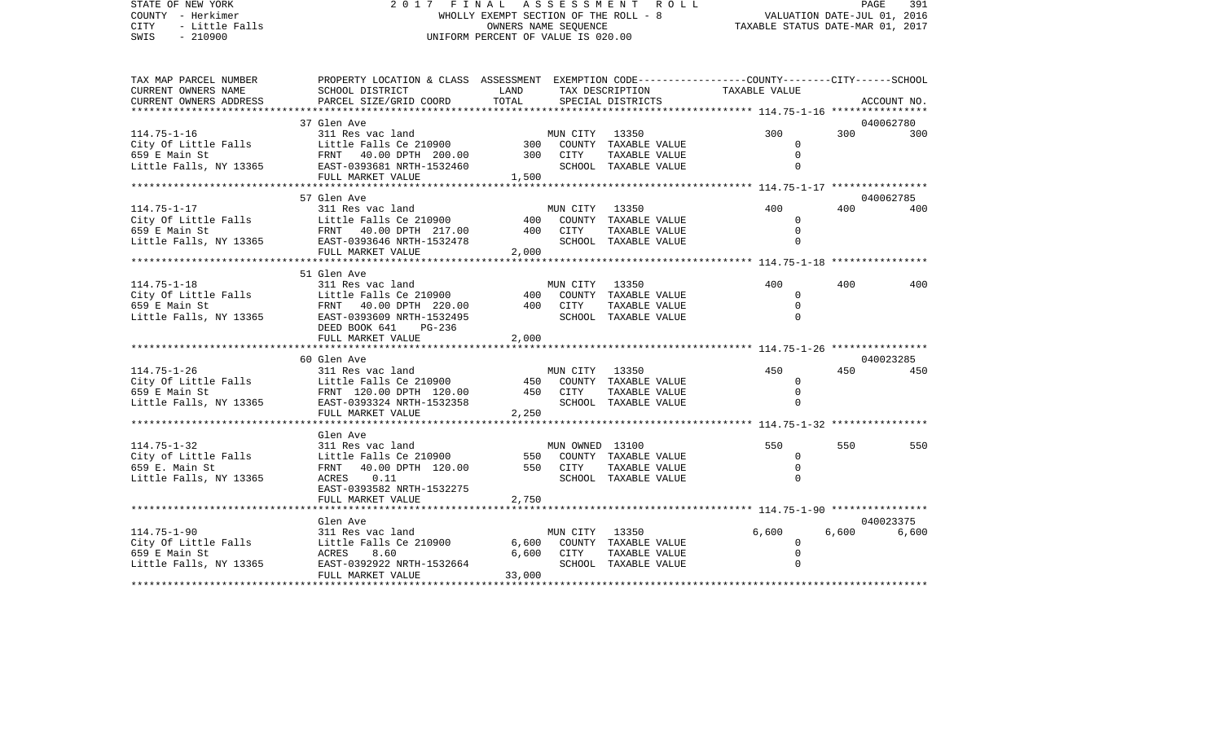STATE OF NEW YORK 2 0 1 7 F I N A L A S S E S S M E N T R O L L PAGE 391COUNTY - Herkimer WHOLLY EXEMPT SECTION OF THE ROLL - 8 VALUATION DATE-JUL 01, 2016 CITY - Little Falls OWNERS NAME SEQUENCE TAXABLE STATUS DATE-MAR 01, 2017 SWIS - 210900 UNIFORM PERCENT OF VALUE IS 020.00TAX MAP PARCEL NUMBER PROPERTY LOCATION & CLASS ASSESSMENT EXEMPTION CODE------------------COUNTY--------CITY------SCHOOL CURRENT OWNERS NAME SCHOOL DISTRICT LAND TAX DESCRIPTION TAXABLE VALUECURRENT OWNERS ADDRESS PARCEL SIZE/GRID COORD TOTAL SPECIAL DISTRICTS ACCOUNT NO. \*\*\*\*\*\*\*\*\*\*\*\*\*\*\*\*\*\*\*\*\*\*\*\*\*\*\*\*\*\*\*\*\*\*\*\*\*\*\*\*\*\*\*\*\*\*\*\*\*\*\*\*\*\*\*\*\*\*\*\*\*\*\*\*\*\*\*\*\*\*\*\*\*\*\*\*\*\*\*\*\*\*\*\*\*\*\*\*\*\*\*\*\*\*\*\*\*\*\*\*\*\*\* 114.75-1-16 \*\*\*\*\*\*\*\*\*\*\*\*\*\*\*\*37 Glen Ave 040062780 114.75-1-16 311 Res vac land MUN CITY 13350 300 300 300City Of Little Falls Little Falls Ce 210900 300 COUNTY TAXABLE VALUE 0 659 E Main St FRNT 40.00 DPTH 200.00 300 CITY TAXABLE VALUE 0Little Falls, NY 13365 BAST-0393681 NRTH-1532460 SCHOOL TAXABLE VALUE 0 FULL MARKET VALUE 1,500 \*\*\*\*\*\*\*\*\*\*\*\*\*\*\*\*\*\*\*\*\*\*\*\*\*\*\*\*\*\*\*\*\*\*\*\*\*\*\*\*\*\*\*\*\*\*\*\*\*\*\*\*\*\*\*\*\*\*\*\*\*\*\*\*\*\*\*\*\*\*\*\*\*\*\*\*\*\*\*\*\*\*\*\*\*\*\*\*\*\*\*\*\*\*\*\*\*\*\*\*\*\*\* 114.75-1-17 \*\*\*\*\*\*\*\*\*\*\*\*\*\*\*\* 57 Glen Ave 040062785114.75-1-17 311 Res vac land MUN CITY 13350 400 400 400City Of Little Falls Little Falls Ce 210900 400 COUNTY TAXABLE VALUE 0 659 E Main St FRNT 40.00 DPTH 217.00 400 CITY TAXABLE VALUE 0 Little Falls, NY 13365 EAST-0393646 NRTH-1532478 SCHOOL TAXABLE VALUE 0 FULL MARKET VALUE 2,000 \*\*\*\*\*\*\*\*\*\*\*\*\*\*\*\*\*\*\*\*\*\*\*\*\*\*\*\*\*\*\*\*\*\*\*\*\*\*\*\*\*\*\*\*\*\*\*\*\*\*\*\*\*\*\*\*\*\*\*\*\*\*\*\*\*\*\*\*\*\*\*\*\*\*\*\*\*\*\*\*\*\*\*\*\*\*\*\*\*\*\*\*\*\*\*\*\*\*\*\*\*\*\* 114.75-1-18 \*\*\*\*\*\*\*\*\*\*\*\*\*\*\*\* 51 Glen Ave 114.75-1-18 311 Res vac land MUN CITY 13350 400 400 400City Of Little Falls Little Falls Ce 210900 400 COUNTY TAXABLE VALUE 0 659 E Main St FRNT 40.00 DPTH 220.00 400 CITY TAXABLE VALUE 0Little Falls, NY 13365 BAST-0393609 NRTH-1532495 SCHOOL TAXABLE VALUE 0 DEED BOOK 641 PG-236FULL MARKET VALUE 2,000 \*\*\*\*\*\*\*\*\*\*\*\*\*\*\*\*\*\*\*\*\*\*\*\*\*\*\*\*\*\*\*\*\*\*\*\*\*\*\*\*\*\*\*\*\*\*\*\*\*\*\*\*\*\*\*\*\*\*\*\*\*\*\*\*\*\*\*\*\*\*\*\*\*\*\*\*\*\*\*\*\*\*\*\*\*\*\*\*\*\*\*\*\*\*\*\*\*\*\*\*\*\*\* 114.75-1-26 \*\*\*\*\*\*\*\*\*\*\*\*\*\*\*\* 60 Glen Ave 040023285114.75-1-26 311 Res vac land MUN CITY 13350 450 450 450City Of Little Falls Little Falls Ce 210900 450 COUNTY TAXABLE VALUE 0 659 E Main St FRNT 120.00 DPTH 120.00 450 CITY TAXABLE VALUE 0Little Falls, NY 13365 BAST-0393324 NRTH-1532358 SCHOOL TAXABLE VALUE 0 FULL MARKET VALUE 2,250 \*\*\*\*\*\*\*\*\*\*\*\*\*\*\*\*\*\*\*\*\*\*\*\*\*\*\*\*\*\*\*\*\*\*\*\*\*\*\*\*\*\*\*\*\*\*\*\*\*\*\*\*\*\*\*\*\*\*\*\*\*\*\*\*\*\*\*\*\*\*\*\*\*\*\*\*\*\*\*\*\*\*\*\*\*\*\*\*\*\*\*\*\*\*\*\*\*\*\*\*\*\*\* 114.75-1-32 \*\*\*\*\*\*\*\*\*\*\*\*\*\*\*\* Glen Ave114.75-1-32 311 Res vac land MUN OWNED 13100 550 550 550City of Little Falls Little Falls Ce 210900 550 COUNTY TAXABLE VALUE 0 659 E. Main St FRNT 40.00 DPTH 120.00 550 CITY TAXABLE VALUE 0Little Falls, NY 13365 ACRES 0.11 CHOOL SCHOOL TAXABLE VALUE 0 EAST-0393582 NRTH-1532275FULL MARKET VALUE 2,750 \*\*\*\*\*\*\*\*\*\*\*\*\*\*\*\*\*\*\*\*\*\*\*\*\*\*\*\*\*\*\*\*\*\*\*\*\*\*\*\*\*\*\*\*\*\*\*\*\*\*\*\*\*\*\*\*\*\*\*\*\*\*\*\*\*\*\*\*\*\*\*\*\*\*\*\*\*\*\*\*\*\*\*\*\*\*\*\*\*\*\*\*\*\*\*\*\*\*\*\*\*\*\* 114.75-1-90 \*\*\*\*\*\*\*\*\*\*\*\*\*\*\*\* Glen Ave 040023375114.75-1-90 311 Res vac land MUN CITY 13350 6,600 6,600 6,600 City Of Little Falls  $L$  Little Falls Ce 210900 6,600 COUNTY TAXABLE VALUE 0 659 E Main St ACRES 8.60 6,600 CITY TAXABLE VALUE 0 Little Falls, NY 13365 EAST-0392922 NRTH-1532664 SCHOOL TAXABLE VALUE 0 FULL MARKET VALUE 33,000

\*\*\*\*\*\*\*\*\*\*\*\*\*\*\*\*\*\*\*\*\*\*\*\*\*\*\*\*\*\*\*\*\*\*\*\*\*\*\*\*\*\*\*\*\*\*\*\*\*\*\*\*\*\*\*\*\*\*\*\*\*\*\*\*\*\*\*\*\*\*\*\*\*\*\*\*\*\*\*\*\*\*\*\*\*\*\*\*\*\*\*\*\*\*\*\*\*\*\*\*\*\*\*\*\*\*\*\*\*\*\*\*\*\*\*\*\*\*\*\*\*\*\*\*\*\*\*\*\*\*\*\*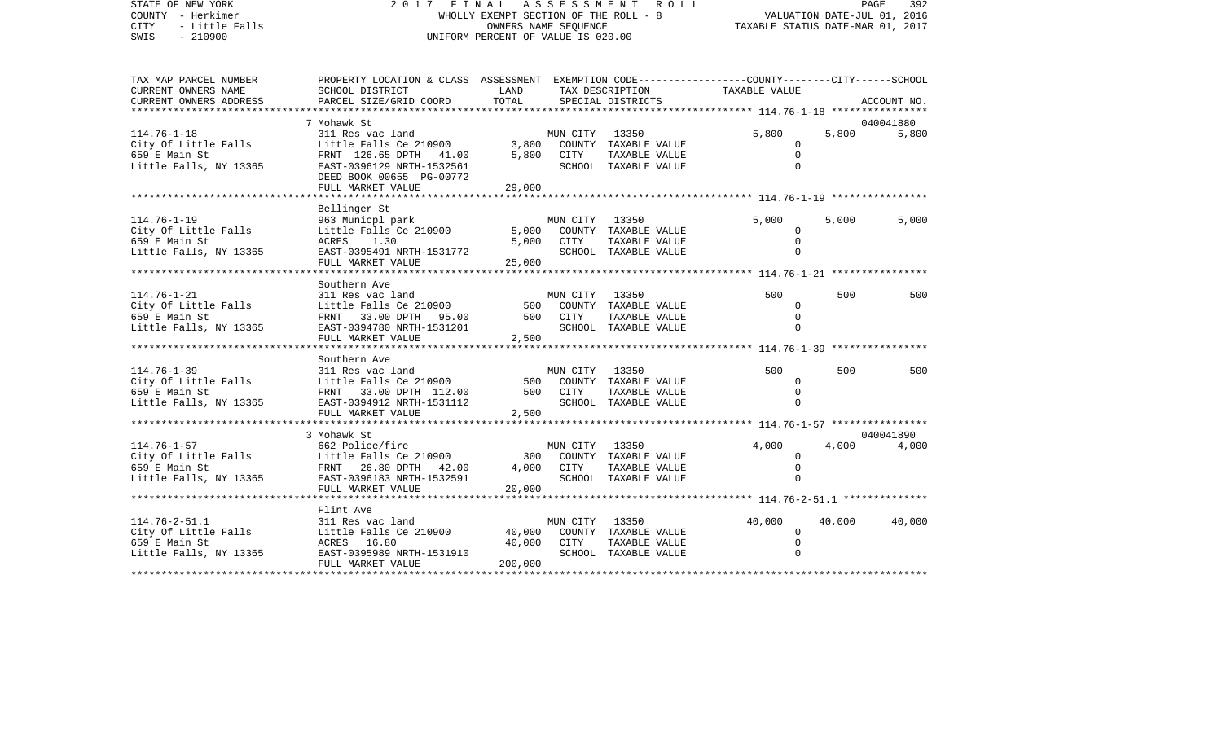## STATE OF NEW YORK 2 0 1 7 F I N A L A S S E S S M E N T R O L L PAGE 392COUNTY - Herkimer **WHOLLY EXEMPT SECTION OF THE ROLL - 8** VALUATION DATE-JUL 01, 2016 CITY - Little Falls OWNERS NAME SEQUENCE TAXABLE STATUS DATE-MAR 01, 2017 SWIS - 210900 UNIFORM PERCENT OF VALUE IS 020.00

392

| TAX MAP PARCEL NUMBER    | PROPERTY LOCATION & CLASS ASSESSMENT EXEMPTION CODE---------------COUNTY-------CITY------SCHOOL |          |                |                                            |               |        |             |
|--------------------------|-------------------------------------------------------------------------------------------------|----------|----------------|--------------------------------------------|---------------|--------|-------------|
| CURRENT OWNERS NAME      | SCHOOL DISTRICT                                                                                 | LAND     |                | TAX DESCRIPTION                            | TAXABLE VALUE |        |             |
| CURRENT OWNERS ADDRESS   | PARCEL SIZE/GRID COORD                                                                          | TOTAL    |                | SPECIAL DISTRICTS                          |               |        | ACCOUNT NO. |
| ************************ |                                                                                                 |          |                |                                            |               |        |             |
|                          | 7 Mohawk St                                                                                     |          |                |                                            |               |        | 040041880   |
| $114.76 - 1 - 18$        | 311 Res vac land                                                                                |          | MUN CITY       | 13350                                      | 5,800         | 5,800  | 5,800       |
| City Of Little Falls     | Little Falls Ce 210900                                                                          |          |                | 3,800 COUNTY TAXABLE VALUE                 | $\Omega$      |        |             |
| 659 E Main St            | FRNT 126.65 DPTH 41.00                                                                          |          | 5,800 CITY     | TAXABLE VALUE                              |               |        |             |
| Little Falls, NY 13365   | EAST-0396129 NRTH-1532561                                                                       |          |                | SCHOOL TAXABLE VALUE                       |               |        |             |
|                          | DEED BOOK 00655 PG-00772                                                                        |          |                |                                            |               |        |             |
|                          | FULL MARKET VALUE                                                                               | 29,000   |                |                                            |               |        |             |
|                          |                                                                                                 |          |                |                                            |               |        |             |
|                          | Bellinger St                                                                                    |          |                |                                            |               |        |             |
| $114.76 - 1 - 19$        | 963 Municpl park                                                                                |          | MUN CITY 13350 |                                            | 5,000         | 5,000  | 5,000       |
| City Of Little Falls     | Little Falls Ce 210900                                                                          |          |                | 5,000 COUNTY TAXABLE VALUE                 | $\Omega$      |        |             |
| 659 E Main St            | ACRES 1.30                                                                                      | 5,000    | CITY           | TAXABLE VALUE                              | $\Omega$      |        |             |
| Little Falls, NY 13365   | EAST-0395491 NRTH-1531772                                                                       |          |                | SCHOOL TAXABLE VALUE                       |               |        |             |
|                          |                                                                                                 |          |                |                                            |               |        |             |
|                          | FULL MARKET VALUE                                                                               | 25,000   |                |                                            |               |        |             |
|                          |                                                                                                 |          |                |                                            |               |        |             |
|                          | Southern Ave                                                                                    |          |                |                                            |               |        |             |
| $114.76 - 1 - 21$        | 311 Res vac land                                                                                |          | MUN CITY 13350 |                                            | 500           | 500    | 500         |
| City Of Little Falls     | Little Falls Ce 210900                                                                          |          |                | 500 COUNTY TAXABLE VALUE                   | $\Omega$      |        |             |
| 659 E Main St            | FRNT 33.00 DPTH 95.00                                                                           |          | 500 CITY       | TAXABLE VALUE                              | $\Omega$      |        |             |
| Little Falls, NY 13365   | EAST-0394780 NRTH-1531201                                                                       |          |                | SCHOOL TAXABLE VALUE                       |               |        |             |
|                          | FULL MARKET VALUE                                                                               | 2,500    |                |                                            |               |        |             |
|                          |                                                                                                 |          |                |                                            |               |        |             |
|                          | Southern Ave                                                                                    |          |                |                                            |               |        |             |
| $114.76 - 1 - 39$        | 311 Res vac land                                                                                |          |                | MUN CITY 13350<br>500 COUNTY TAXABLE VALUE | 500           | 500    | 500         |
| City Of Little Falls     | Little Falls Ce 210900                                                                          |          |                |                                            | $\Omega$      |        |             |
| 659 E Main St            | FRNT 33.00 DPTH 112.00                                                                          | 500 CITY |                | TAXABLE VALUE                              |               |        |             |
| Little Falls, NY 13365   | EAST-0394912 NRTH-1531112                                                                       |          |                | SCHOOL TAXABLE VALUE                       | $\Omega$      |        |             |
|                          | FULL MARKET VALUE                                                                               | 2,500    |                |                                            |               |        |             |
|                          |                                                                                                 |          |                |                                            |               |        |             |
|                          | 3 Mohawk St                                                                                     |          |                |                                            |               |        | 040041890   |
| $114.76 - 1 - 57$        | 662 Police/fire                                                                                 |          | MUN CITY 13350 |                                            | 4,000         | 4,000  | 4,000       |
| City Of Little Falls     | Little Falls Ce 210900                                                                          |          |                | 300 COUNTY TAXABLE VALUE                   | $\mathbf{0}$  |        |             |
| 659 E Main St            | FRNT 26.80 DPTH 42.00                                                                           |          | 4,000 CITY     | TAXABLE VALUE                              | $\Omega$      |        |             |
| Little Falls, NY 13365   | EAST-0396183 NRTH-1532591                                                                       |          |                | SCHOOL TAXABLE VALUE                       |               |        |             |
|                          | FULL MARKET VALUE                                                                               | 20,000   |                |                                            |               |        |             |
|                          |                                                                                                 |          |                |                                            |               |        |             |
|                          | Flint Ave                                                                                       |          |                |                                            |               |        |             |
| $114.76 - 2 - 51.1$      | 311 Res vac land                                                                                |          | MUN CITY 13350 |                                            | 40,000        | 40,000 | 40,000      |
| City Of Little Falls     | Little Falls Ce 210900                                                                          | 40,000   |                | COUNTY TAXABLE VALUE                       | $\mathbf 0$   |        |             |
| 659 E Main St            | ACRES 16.80                                                                                     | 40,000   | CITY           | TAXABLE VALUE                              | $\Omega$      |        |             |
| Little Falls, NY 13365   | EAST-0395989 NRTH-1531910                                                                       |          |                | SCHOOL TAXABLE VALUE                       | $\Omega$      |        |             |
|                          | FULL MARKET VALUE                                                                               | 200,000  |                |                                            |               |        |             |
|                          |                                                                                                 |          |                |                                            |               |        |             |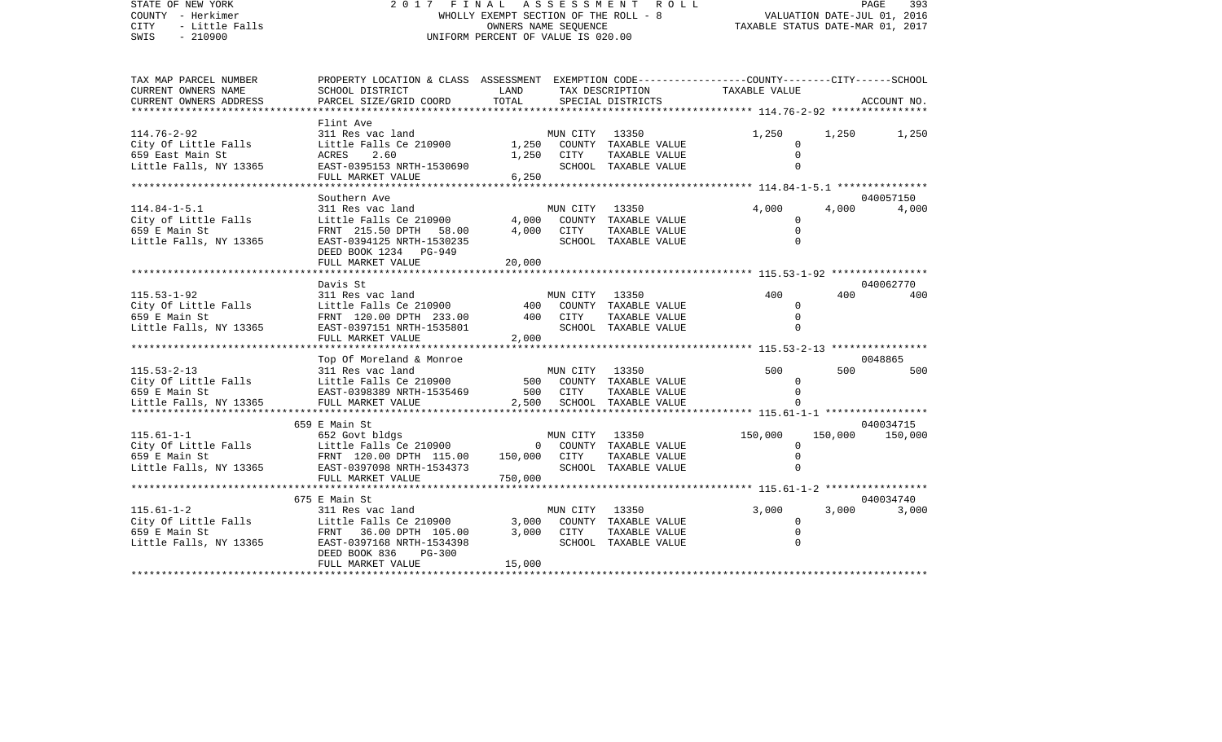| STATE OF NEW YORK<br>COUNTY - Herkimer<br><b>CITY</b><br>- Little Falls<br>SWIS<br>$-210900$ | 2017<br>FINAL ASSESSMENT<br>WHOLLY EXEMPT SECTION OF THE ROLL - 8<br>UNIFORM PERCENT OF VALUE IS 020.00 | PAGE<br>393<br>VALUATION DATE-JUL 01, 2016<br>TAXABLE STATUS DATE-MAR 01, 2017 |                       |                                |                                                              |         |                    |
|----------------------------------------------------------------------------------------------|---------------------------------------------------------------------------------------------------------|--------------------------------------------------------------------------------|-----------------------|--------------------------------|--------------------------------------------------------------|---------|--------------------|
| TAX MAP PARCEL NUMBER                                                                        | PROPERTY LOCATION & CLASS ASSESSMENT                                                                    |                                                                                |                       |                                | EXEMPTION CODE-----------------COUNTY-------CITY------SCHOOL |         |                    |
| CURRENT OWNERS NAME                                                                          | SCHOOL DISTRICT                                                                                         | LAND                                                                           |                       | TAX DESCRIPTION                | TAXABLE VALUE                                                |         |                    |
| CURRENT OWNERS ADDRESS<br>********************                                               | PARCEL SIZE/GRID COORD                                                                                  | TOTAL                                                                          |                       | SPECIAL DISTRICTS              |                                                              |         | ACCOUNT NO.        |
|                                                                                              | Flint Ave                                                                                               |                                                                                |                       |                                |                                                              |         |                    |
| $114.76 - 2 - 92$                                                                            | 311 Res vac land                                                                                        |                                                                                | MUN CITY              | 13350                          | 1,250                                                        | 1,250   | 1,250              |
| City Of Little Falls                                                                         | Little Falls Ce 210900                                                                                  | 1,250                                                                          |                       | COUNTY TAXABLE VALUE           | $\Omega$                                                     |         |                    |
| 659 East Main St                                                                             | ACRES<br>2.60                                                                                           | 1,250                                                                          | CITY                  | TAXABLE VALUE                  | $\Omega$                                                     |         |                    |
| Little Falls, NY 13365                                                                       | EAST-0395153 NRTH-1530690                                                                               |                                                                                |                       | SCHOOL TAXABLE VALUE           | $\cap$                                                       |         |                    |
|                                                                                              | FULL MARKET VALUE                                                                                       | 6,250                                                                          |                       |                                |                                                              |         |                    |
|                                                                                              | **************************                                                                              |                                                                                |                       |                                |                                                              |         |                    |
| $114.84 - 1 - 5.1$                                                                           | Southern Ave<br>311 Res vac land                                                                        |                                                                                | MUN CITY              | 13350                          | 4,000                                                        | 4,000   | 040057150<br>4,000 |
| City of Little Falls                                                                         | Little Falls Ce 210900                                                                                  | 4,000                                                                          |                       | COUNTY TAXABLE VALUE           | $\Omega$                                                     |         |                    |
| 659 E Main St                                                                                | FRNT 215.50 DPTH 58.00                                                                                  | 4,000                                                                          | CITY                  | TAXABLE VALUE                  | $\mathbf 0$                                                  |         |                    |
| Little Falls, NY 13365                                                                       | EAST-0394125 NRTH-1530235                                                                               |                                                                                |                       | SCHOOL TAXABLE VALUE           | $\Omega$                                                     |         |                    |
|                                                                                              | DEED BOOK 1234 PG-949                                                                                   |                                                                                |                       |                                |                                                              |         |                    |
|                                                                                              | FULL MARKET VALUE                                                                                       | 20,000                                                                         |                       |                                |                                                              |         |                    |
|                                                                                              | ************************                                                                                |                                                                                |                       |                                |                                                              |         |                    |
|                                                                                              | Davis St                                                                                                |                                                                                |                       |                                | 400                                                          |         | 040062770          |
| $115.53 - 1 - 92$<br>City Of Little Falls                                                    | 311 Res vac land<br>Little Falls Ce 210900                                                              | 400                                                                            | MUN CITY              | 13350<br>COUNTY TAXABLE VALUE  | 0                                                            | 400     | 400                |
| 659 E Main St                                                                                | FRNT 120.00 DPTH 233.00                                                                                 | 400                                                                            | <b>CITY</b>           | TAXABLE VALUE                  | $\Omega$                                                     |         |                    |
| Little Falls, NY 13365                                                                       | EAST-0397151 NRTH-1535801                                                                               |                                                                                |                       | SCHOOL TAXABLE VALUE           | $\Omega$                                                     |         |                    |
|                                                                                              | FULL MARKET VALUE                                                                                       | 2,000                                                                          |                       |                                |                                                              |         |                    |
|                                                                                              | ***********************                                                                                 |                                                                                |                       |                                |                                                              |         |                    |
|                                                                                              | Top Of Moreland & Monroe                                                                                |                                                                                |                       |                                |                                                              |         | 0048865            |
| $115.53 - 2 - 13$                                                                            | 311 Res vac land                                                                                        |                                                                                | MUN CITY              | 13350                          | 500                                                          | 500     | 500                |
| City Of Little Falls                                                                         | Little Falls Ce 210900                                                                                  | 500                                                                            | COUNTY                | TAXABLE VALUE                  | $\Omega$<br>$\Omega$                                         |         |                    |
| 659 E Main St<br>Little Falls, NY 13365                                                      | EAST-0398389 NRTH-1535469<br>FULL MARKET VALUE                                                          | 500<br>2,500                                                                   | CITY<br>SCHOOL        | TAXABLE VALUE<br>TAXABLE VALUE |                                                              |         |                    |
|                                                                                              |                                                                                                         | *********                                                                      |                       |                                |                                                              |         |                    |
|                                                                                              | 659 E Main St                                                                                           |                                                                                |                       |                                |                                                              |         | 040034715          |
| $115.61 - 1 - 1$                                                                             | 652 Govt bldgs                                                                                          |                                                                                | MUN CITY              | 13350                          | 150,000                                                      | 150,000 | 150,000            |
| City Of Little Falls                                                                         | Little Falls Ce 210900                                                                                  | 0                                                                              |                       | COUNTY TAXABLE VALUE           | 0                                                            |         |                    |
| 659 E Main St                                                                                | FRNT 120.00 DPTH 115.00                                                                                 | 150,000                                                                        | CITY                  | TAXABLE VALUE                  | $\mathbf 0$                                                  |         |                    |
| Little Falls, NY 13365                                                                       | EAST-0397098 NRTH-1534373                                                                               |                                                                                |                       | SCHOOL TAXABLE VALUE           | $\cap$                                                       |         |                    |
|                                                                                              | FULL MARKET VALUE<br>**********************                                                             | 750,000                                                                        | ********************* |                                | ************ 115.61-1-2 ******************                   |         |                    |
|                                                                                              | 675 E Main St                                                                                           |                                                                                |                       |                                |                                                              |         | 040034740          |
| $115.61 - 1 - 2$                                                                             | 311 Res vac land                                                                                        |                                                                                | MUN CITY              | 13350                          | 3,000                                                        | 3,000   | 3,000              |
| City Of Little Falls                                                                         | Little Falls Ce 210900                                                                                  | 3,000                                                                          | COUNTY                | TAXABLE VALUE                  | $\Omega$                                                     |         |                    |
| 659 E Main St                                                                                | FRNT 36.00 DPTH 105.00                                                                                  | 3,000                                                                          | CITY                  | TAXABLE VALUE                  | $\mathbf 0$                                                  |         |                    |
| Little Falls, NY 13365                                                                       | EAST-0397168 NRTH-1534398                                                                               |                                                                                |                       | SCHOOL TAXABLE VALUE           | $\Omega$                                                     |         |                    |
|                                                                                              | DEED BOOK 836<br><b>PG-300</b>                                                                          |                                                                                |                       |                                |                                                              |         |                    |
|                                                                                              | FULL MARKET VALUE                                                                                       | 15,000                                                                         |                       |                                |                                                              |         |                    |
|                                                                                              |                                                                                                         |                                                                                |                       |                                |                                                              |         |                    |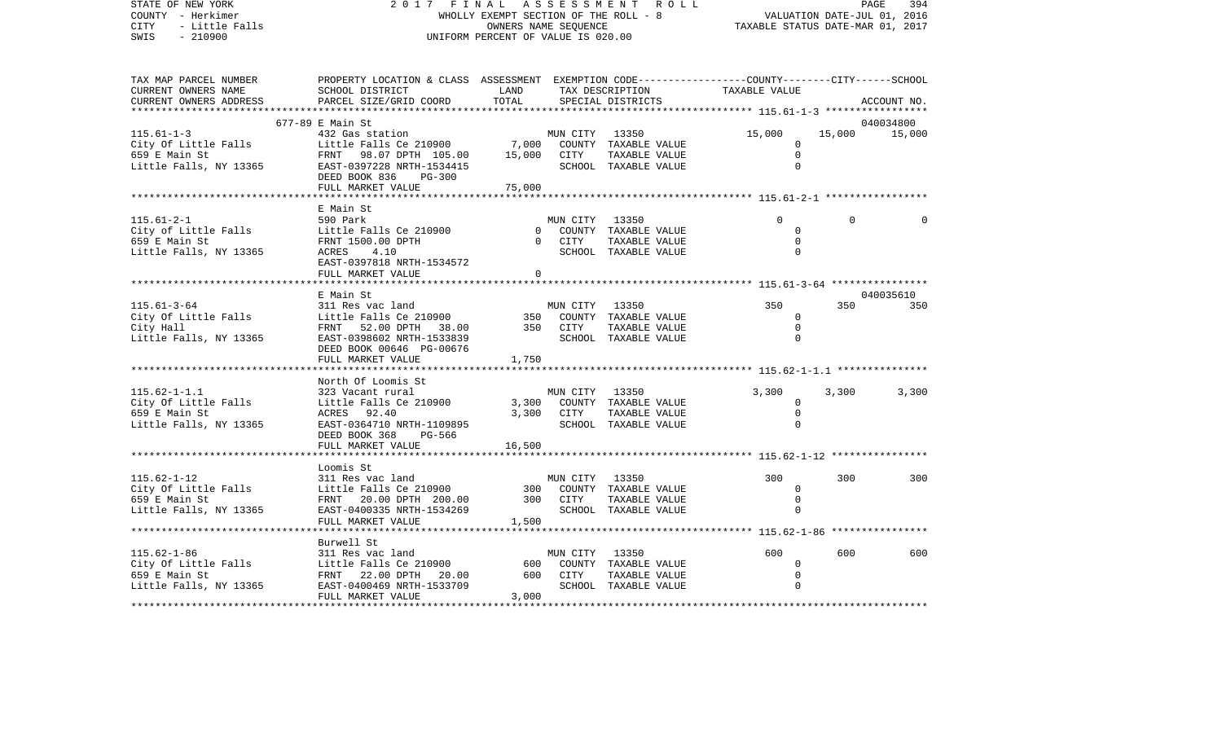| STATE OF NEW YORK<br>COUNTY - Herkimer<br>CITY<br>- Little Falls<br>$-210900$<br>SWIS | 2017<br>FINAL<br>WHOLLY EXEMPT SECTION OF THE ROLL - 8<br>UNIFORM PERCENT OF VALUE IS 020.00                                                                   | PAGE<br>394<br>VALUATION DATE-JUL 01, 2016<br>TAXABLE STATUS DATE-MAR 01, 2017 |                        |                                                                              |                                                    |          |             |
|---------------------------------------------------------------------------------------|----------------------------------------------------------------------------------------------------------------------------------------------------------------|--------------------------------------------------------------------------------|------------------------|------------------------------------------------------------------------------|----------------------------------------------------|----------|-------------|
| TAX MAP PARCEL NUMBER<br>CURRENT OWNERS NAME<br>CURRENT OWNERS ADDRESS                | PROPERTY LOCATION & CLASS ASSESSMENT EXEMPTION CODE---------------COUNTY-------CITY------SCHOOL<br>SCHOOL DISTRICT<br>PARCEL SIZE/GRID COORD                   | LAND<br>TOTAL                                                                  |                        | TAX DESCRIPTION<br>SPECIAL DISTRICTS                                         | TAXABLE VALUE                                      |          | ACCOUNT NO. |
|                                                                                       | 677-89 E Main St                                                                                                                                               |                                                                                |                        |                                                                              |                                                    |          | 040034800   |
| $115.61 - 1 - 3$<br>City Of Little Falls<br>659 E Main St<br>Little Falls, NY 13365   | 432 Gas station<br>Little Falls Ce 210900<br>FRNT 98.07 DPTH 105.00<br>EAST-0397228 NRTH-1534415<br>DEED BOOK 836<br>PG-300<br>FULL MARKET VALUE               | 15,000<br>75,000                                                               | MUN CITY<br>CITY       | 13350<br>7,000 COUNTY TAXABLE VALUE<br>TAXABLE VALUE<br>SCHOOL TAXABLE VALUE | 15,000<br>0<br>$\mathsf{O}$<br>$\Omega$            | 15,000   | 15,000      |
|                                                                                       |                                                                                                                                                                |                                                                                |                        |                                                                              |                                                    |          |             |
| $115.61 - 2 - 1$<br>City of Little Falls<br>659 E Main St<br>Little Falls, NY 13365   | E Main St<br>590 Park<br>Little Falls Ce 210900<br>FRNT 1500.00 DPTH<br>ACRES<br>4.10<br>EAST-0397818 NRTH-1534572<br>FULL MARKET VALUE<br>******************* | $\mathbf{0}$<br>$\Omega$<br>$\Omega$                                           | MUN CITY 13350<br>CITY | COUNTY TAXABLE VALUE<br>TAXABLE VALUE<br>SCHOOL TAXABLE VALUE                | $\Omega$<br>$\mathbf 0$<br>$\mathbf 0$<br>$\Omega$ | $\Omega$ | $\cap$      |
|                                                                                       | E Main St                                                                                                                                                      |                                                                                |                        |                                                                              |                                                    |          | 040035610   |
| $115.61 - 3 - 64$<br>City Of Little Falls<br>City Hall<br>Little Falls, NY 13365      | 311 Res vac land<br>Little Falls Ce 210900<br>FRNT 52.00 DPTH 38.00<br>EAST-0398602 NRTH-1533839<br>DEED BOOK 00646 PG-00676<br>FULL MARKET VALUE              | 350<br>1,750                                                                   | MUN CITY<br>350 CITY   | 13350<br>COUNTY TAXABLE VALUE<br>TAXABLE VALUE<br>SCHOOL TAXABLE VALUE       | 350<br>0<br>$\mathsf{O}$<br>$\Omega$               | 350      | 350         |
|                                                                                       | North Of Loomis St                                                                                                                                             |                                                                                |                        |                                                                              |                                                    |          |             |
| $115.62 - 1 - 1.1$<br>City Of Little Falls<br>659 E Main St<br>Little Falls, NY 13365 | 323 Vacant rural<br>Little Falls Ce 210900<br>ACRES 92.40<br>EAST-0364710 NRTH-1109895<br>DEED BOOK 368<br>PG-566                                              | 3,300<br>3,300                                                                 | MUN CITY<br>CITY       | 13350<br>COUNTY TAXABLE VALUE<br>TAXABLE VALUE<br>SCHOOL TAXABLE VALUE       | 3,300<br>$\mathbf{0}$<br>$\mathbf 0$<br>0          | 3,300    | 3,300       |
|                                                                                       | FULL MARKET VALUE                                                                                                                                              | 16,500                                                                         |                        | ****************************** 115.62-1-12 ****************                  |                                                    |          |             |
| $115.62 - 1 - 12$<br>City Of Little Falls<br>659 E Main St<br>Little Falls, NY 13365  | Loomis St<br>311 Res vac land<br>Little Falls Ce 210900<br>FRNT 20.00 DPTH 200.00<br>EAST-0400335 NRTH-1534269<br>FULL MARKET VALUE<br>*********************   | 300<br>300<br>1,500                                                            | MUN CITY<br>CITY       | 13350<br>COUNTY TAXABLE VALUE<br>TAXABLE VALUE<br>SCHOOL TAXABLE VALUE       | 300<br>$\mathbf{0}$<br>$\mathbf 0$<br>$\Omega$     | 300      | 300         |
|                                                                                       | Burwell St                                                                                                                                                     |                                                                                |                        |                                                                              |                                                    |          |             |
| $115.62 - 1 - 86$<br>City Of Little Falls<br>659 E Main St<br>Little Falls, NY 13365  | 311 Res vac land<br>Little Falls Ce 210900<br>FRNT 22.00 DPTH 20.00<br>EAST-0400469 NRTH-1533709<br>FULL MARKET VALUE                                          | 600<br>600<br>3,000                                                            | MUN CITY<br>CITY       | 13350<br>COUNTY TAXABLE VALUE<br>TAXABLE VALUE<br>SCHOOL TAXABLE VALUE       | 600<br>$\mathbf 0$<br>$\mathbf 0$<br>$\Omega$      | 600      | 600         |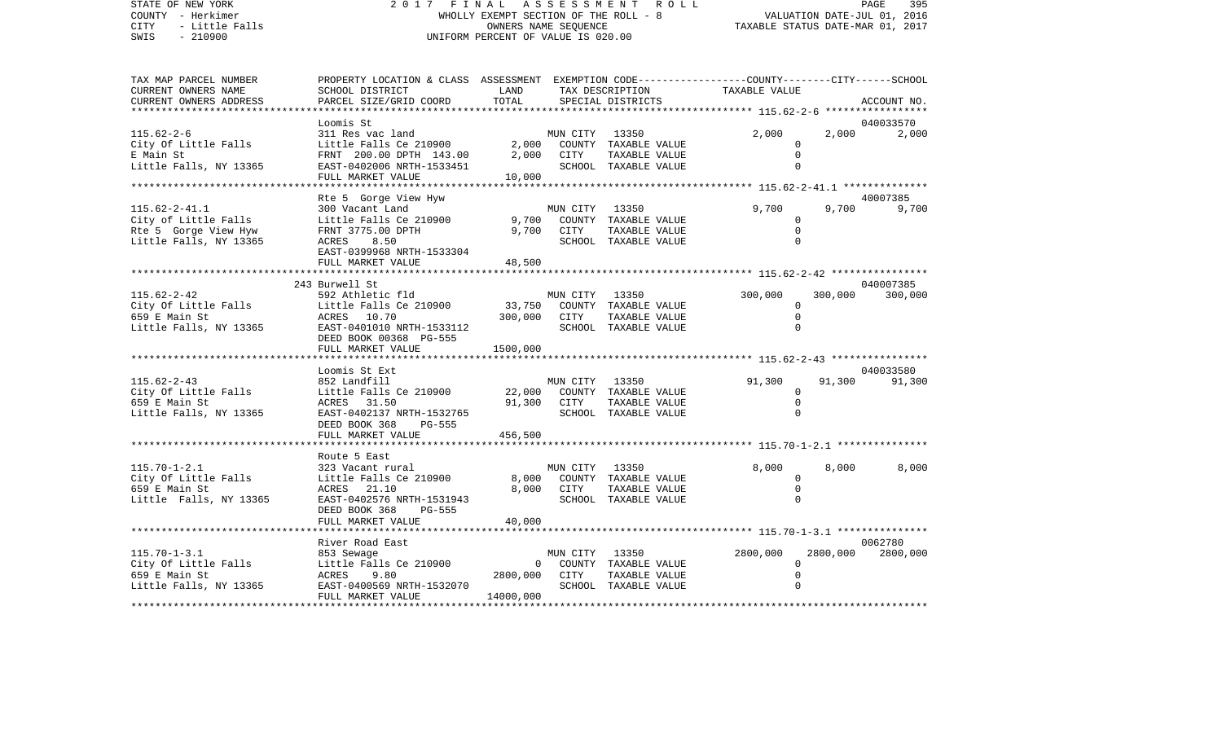STATE OF NEW YORK 2 0 1 7 F I N A L A S S E S S M E N T R O L L PAGE 395COUNTY - Herkimer WHOLLY EXEMPT SECTION OF THE ROLL - 8 VALUATION DATE-JUL 01, 2016 CITY - Little Falls OWNERS NAME SEQUENCE TAXABLE STATUS DATE-MAR 01, 2017 SWIS - 210900 UNIFORM PERCENT OF VALUE IS 020.00TAX MAP PARCEL NUMBER PROPERTY LOCATION & CLASS ASSESSMENT EXEMPTION CODE------------------COUNTY--------CITY------SCHOOL CURRENT OWNERS NAME SCHOOL DISTRICT LAND TAX DESCRIPTION TAXABLE VALUECURRENT OWNERS ADDRESS PARCEL SIZE/GRID COORD TOTAL SPECIAL DISTRICTS ACCOUNT NO. \*\*\*\*\*\*\*\*\*\*\*\*\*\*\*\*\*\*\*\*\*\*\*\*\*\*\*\*\*\*\*\*\*\*\*\*\*\*\*\*\*\*\*\*\*\*\*\*\*\*\*\*\*\*\*\*\*\*\*\*\*\*\*\*\*\*\*\*\*\*\*\*\*\*\*\*\*\*\*\*\*\*\*\*\*\*\*\*\*\*\*\*\*\*\*\*\*\*\*\*\*\*\* 115.62-2-6 \*\*\*\*\*\*\*\*\*\*\*\*\*\*\*\*\* Loomis St 040033570115.62-2-6 311 Res vac land MUN CITY 13350 2,000 2,000 2,000 City Of Little Falls  $\qquad \qquad$  Little Falls Ce 210900 2,000 COUNTY TAXABLE VALUE 0 E Main St FRNT 200.00 DPTH 143.00 2,000 CITY TAXABLE VALUE 0 Little Falls, NY 13365 EAST-0402006 NRTH-1533451 SCHOOL TAXABLE VALUE 0 FULL MARKET VALUE 10,000 \*\*\*\*\*\*\*\*\*\*\*\*\*\*\*\*\*\*\*\*\*\*\*\*\*\*\*\*\*\*\*\*\*\*\*\*\*\*\*\*\*\*\*\*\*\*\*\*\*\*\*\*\*\*\*\*\*\*\*\*\*\*\*\*\*\*\*\*\*\*\*\*\*\*\*\*\*\*\*\*\*\*\*\*\*\*\*\*\*\*\*\*\*\*\*\*\*\*\*\*\*\*\* 115.62-2-41.1 \*\*\*\*\*\*\*\*\*\*\*\*\*\*Rte 5 Gorge View Hyw 40007385 115.62-2-41.1 300 Vacant Land MUN CITY 13350 9,700 9,700 9,700 City of Little Falls  $\qquad \qquad$  Little Falls Ce 210900 9,700 COUNTY TAXABLE VALUE 0 Rte 5 Gorge View Hyw FRNT 3775.00 DPTH 9,700 CITY TAXABLE VALUE 0 Little Falls, NY 13365 ACRES 8.50 SCHOOL TAXABLE VALUE 0 EAST-0399968 NRTH-1533304FULL MARKET VALUE 48,500 \*\*\*\*\*\*\*\*\*\*\*\*\*\*\*\*\*\*\*\*\*\*\*\*\*\*\*\*\*\*\*\*\*\*\*\*\*\*\*\*\*\*\*\*\*\*\*\*\*\*\*\*\*\*\*\*\*\*\*\*\*\*\*\*\*\*\*\*\*\*\*\*\*\*\*\*\*\*\*\*\*\*\*\*\*\*\*\*\*\*\*\*\*\*\*\*\*\*\*\*\*\*\* 115.62-2-42 \*\*\*\*\*\*\*\*\*\*\*\*\*\*\*\* 243 Burwell St 040007385115.62-2-42 592 Athletic fld MUN CITY 13350 300,000 300,000 300,000 City Of Little Falls Little Falls Ce 210900 33,750 COUNTY TAXABLE VALUE 0 659 E Main St ACRES 10.70 300,000 CITY TAXABLE VALUE 0 Little Falls, NY 13365 EAST-0401010 NRTH-1533112 SCHOOL TAXABLE VALUE 0 DEED BOOK 00368 PG-555FULL MARKET VALUE 1500,000 \*\*\*\*\*\*\*\*\*\*\*\*\*\*\*\*\*\*\*\*\*\*\*\*\*\*\*\*\*\*\*\*\*\*\*\*\*\*\*\*\*\*\*\*\*\*\*\*\*\*\*\*\*\*\*\*\*\*\*\*\*\*\*\*\*\*\*\*\*\*\*\*\*\*\*\*\*\*\*\*\*\*\*\*\*\*\*\*\*\*\*\*\*\*\*\*\*\*\*\*\*\*\* 115.62-2-43 \*\*\*\*\*\*\*\*\*\*\*\*\*\*\*\* Loomis St Ext 040033580115.62-2-43 852 Landfill MUN CITY 13350 91,300 91,300 91,300 City Of Little Falls  $L$  Little Falls Ce 210900 22,000 COUNTY TAXABLE VALUE 0 659 E Main St ACRES 31.50 91,300 CITY TAXABLE VALUE 0 Little Falls, NY 13365 EAST-0402137 NRTH-1532765 SCHOOL TAXABLE VALUE 0 DEED BOOK 368 PG-555FULL MARKET VALUE 456.500 \*\*\*\*\*\*\*\*\*\*\*\*\*\*\*\*\*\*\*\*\*\*\*\*\*\*\*\*\*\*\*\*\*\*\*\*\*\*\*\*\*\*\*\*\*\*\*\*\*\*\*\*\*\*\*\*\*\*\*\*\*\*\*\*\*\*\*\*\*\*\*\*\*\*\*\*\*\*\*\*\*\*\*\*\*\*\*\*\*\*\*\*\*\*\*\*\*\*\*\*\*\*\* 115.70-1-2.1 \*\*\*\*\*\*\*\*\*\*\*\*\*\*\* Route 5 East115.70-1-2.1 323 Vacant rural MUN CITY 13350 8,000 8,000 8,000 City Of Little Falls Little Falls Ce 210900 8,000 COUNTY TAXABLE VALUE 0 659 E Main St ACRES 21.10 8,000 CITY TAXABLE VALUE 0 Little Falls, NY 13365 EAST-0402576 NRTH-1531943 SCHOOL TAXABLE VALUE 0 DEED BOOK 368 PG-555FULL MARKET VALUE 40,000 \*\*\*\*\*\*\*\*\*\*\*\*\*\*\*\*\*\*\*\*\*\*\*\*\*\*\*\*\*\*\*\*\*\*\*\*\*\*\*\*\*\*\*\*\*\*\*\*\*\*\*\*\*\*\*\*\*\*\*\*\*\*\*\*\*\*\*\*\*\*\*\*\*\*\*\*\*\*\*\*\*\*\*\*\*\*\*\*\*\*\*\*\*\*\*\*\*\*\*\*\*\*\* 115.70-1-3.1 \*\*\*\*\*\*\*\*\*\*\*\*\*\*\*River Road East 0062780 115.70-1-3.1 853 Sewage MUN CITY 13350 2800,000 2800,000 2800,000 City Of Little Falls Little Falls Ce 210900 0 COUNTY TAXABLE VALUE 0 ACRES 9.80 2800,000 CITY TAXABLE VALUE Little Falls, NY 13365 BAST-0400569 NRTH-1532070 SCHOOL TAXABLE VALUE 0 FULL MARKET VALUE 14000,000 \*\*\*\*\*\*\*\*\*\*\*\*\*\*\*\*\*\*\*\*\*\*\*\*\*\*\*\*\*\*\*\*\*\*\*\*\*\*\*\*\*\*\*\*\*\*\*\*\*\*\*\*\*\*\*\*\*\*\*\*\*\*\*\*\*\*\*\*\*\*\*\*\*\*\*\*\*\*\*\*\*\*\*\*\*\*\*\*\*\*\*\*\*\*\*\*\*\*\*\*\*\*\*\*\*\*\*\*\*\*\*\*\*\*\*\*\*\*\*\*\*\*\*\*\*\*\*\*\*\*\*\*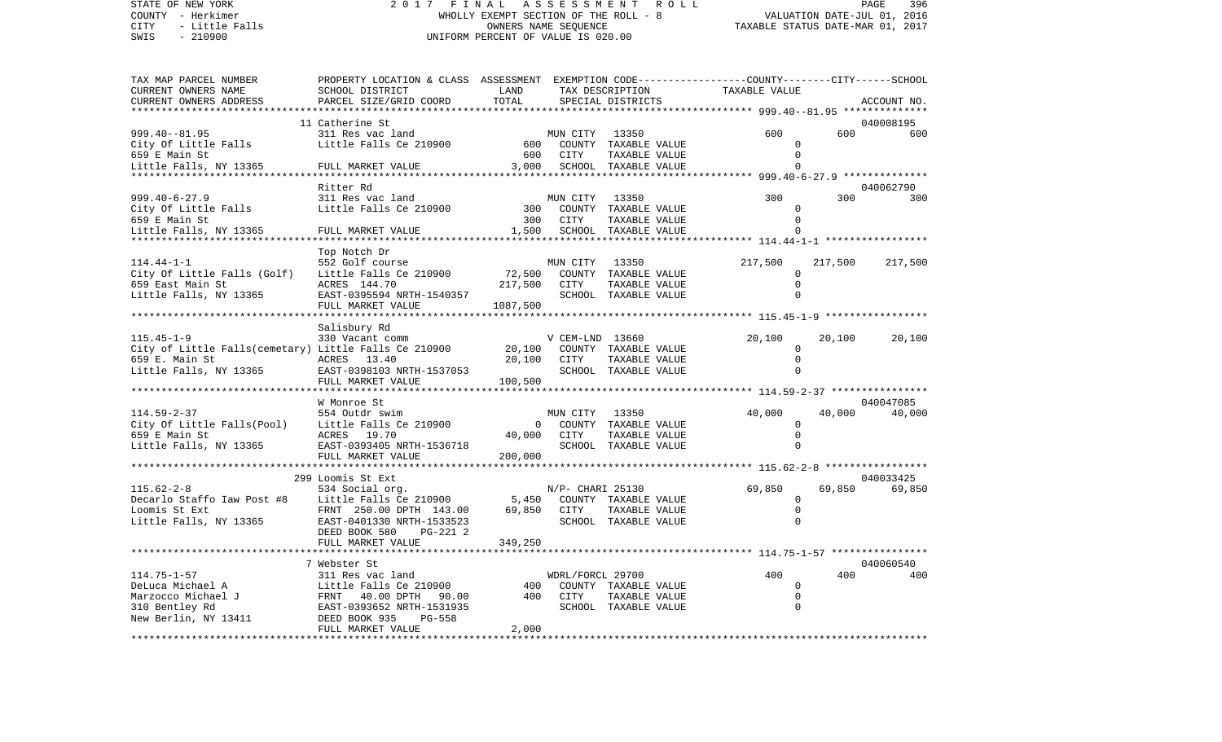COUNTY - Herkimer WHOLLY EXEMPT SECTION OF THE ROLL - 8 VALUATION DATE-JUL 01, 2016 CITY - Little Falls OWNERS NAME SEQUENCE TAXABLE STATUS DATE-MAR 01, 2017 SWIS - 210900 UNIFORM PERCENT OF VALUE IS 020.00TAX MAP PARCEL NUMBER PROPERTY LOCATION & CLASS ASSESSMENT EXEMPTION CODE------------------COUNTY--------CITY------SCHOOL CURRENT OWNERS NAME SCHOOL DISTRICT LAND TAX DESCRIPTION TAXABLE VALUECURRENT OWNERS ADDRESS PARCEL SIZE/GRID COORD TOTAL SPECIAL DISTRICTS ACCOUNT NO. \*\*\*\*\*\*\*\*\*\*\*\*\*\*\*\*\*\*\*\*\*\*\*\*\*\*\*\*\*\*\*\*\*\*\*\*\*\*\*\*\*\*\*\*\*\*\*\*\*\*\*\*\*\*\*\*\*\*\*\*\*\*\*\*\*\*\*\*\*\*\*\*\*\*\*\*\*\*\*\*\*\*\*\*\*\*\*\*\*\*\*\*\*\*\*\*\*\*\*\*\*\*\* 999.40--81.95 \*\*\*\*\*\*\*\*\*\*\*\*\*\*11 Catherine St 040008195 999.40--81.95 311 Res vac land MUN CITY 13350 600 600 600City Of Little Falls Little Falls Ce 210900 600 COUNTY TAXABLE VALUE 0 659 E Main St 600 CITY TAXABLE VALUE 0Little Falls, NY 13365 FULL MARKET VALUE 3,000 SCHOOL TAXABLE VALUE 0 \*\*\*\*\*\*\*\*\*\*\*\*\*\*\*\*\*\*\*\*\*\*\*\*\*\*\*\*\*\*\*\*\*\*\*\*\*\*\*\*\*\*\*\*\*\*\*\*\*\*\*\*\*\*\*\*\*\*\*\*\*\*\*\*\*\*\*\*\*\*\*\*\*\*\*\*\*\*\*\*\*\*\*\*\*\*\*\*\*\*\*\*\*\*\*\*\*\*\*\*\*\*\* 999.40-6-27.9 \*\*\*\*\*\*\*\*\*\*\*\*\*\* Ritter Rd 040062790999.40-6-27.9 311 Res vac land MUN CITY 13350 300 300 300City Of Little Falls Little Falls Ce 210900 300 COUNTY TAXABLE VALUE 0 659 E Main St 300 CITY TAXABLE VALUE 300 COMPUTER AND 300 CITY OF TAXABLE VALUE Little Falls, NY 13365 FULL MARKET VALUE 1,500 SCHOOL TAXABLE VALUE 0 \*\*\*\*\*\*\*\*\*\*\*\*\*\*\*\*\*\*\*\*\*\*\*\*\*\*\*\*\*\*\*\*\*\*\*\*\*\*\*\*\*\*\*\*\*\*\*\*\*\*\*\*\*\*\*\*\*\*\*\*\*\*\*\*\*\*\*\*\*\*\*\*\*\*\*\*\*\*\*\*\*\*\*\*\*\*\*\*\*\*\*\*\*\*\*\*\*\*\*\*\*\*\* 114.44-1-1 \*\*\*\*\*\*\*\*\*\*\*\*\*\*\*\*\* Top Notch Dr 114.44-1-1 552 Golf course MUN CITY 13350 217,500 217,500 217,500 City Of Little Falls (Golf) Little Falls Ce 210900 72,500 COUNTY TAXABLE VALUE 0 659 East Main St ACRES 144.70 217,500 CITY TAXABLE VALUE 0 Little Falls, NY 13365 EAST-0395594 NRTH-1540357 SCHOOL TAXABLE VALUE 0 FULL MARKET VALUE 1087,500 \*\*\*\*\*\*\*\*\*\*\*\*\*\*\*\*\*\*\*\*\*\*\*\*\*\*\*\*\*\*\*\*\*\*\*\*\*\*\*\*\*\*\*\*\*\*\*\*\*\*\*\*\*\*\*\*\*\*\*\*\*\*\*\*\*\*\*\*\*\*\*\*\*\*\*\*\*\*\*\*\*\*\*\*\*\*\*\*\*\*\*\*\*\*\*\*\*\*\*\*\*\*\* 115.45-1-9 \*\*\*\*\*\*\*\*\*\*\*\*\*\*\*\*\* Salisbury Rd 115.45-1-9 330 Vacant comm V CEM-LND 13660 20,100 20,100 20,100 City of Little Falls(cemetary) Little Falls Ce 210900 20,100 COUNTY TAXABLE VALUE 0 659 E. Main St ACRES 13.40 20,100 CITY TAXABLE VALUE 0 Little Falls, NY 13365 EAST-0398103 NRTH-1537053 SCHOOL TAXABLE VALUE 0 FULL MARKET VALUE 100,500 \*\*\*\*\*\*\*\*\*\*\*\*\*\*\*\*\*\*\*\*\*\*\*\*\*\*\*\*\*\*\*\*\*\*\*\*\*\*\*\*\*\*\*\*\*\*\*\*\*\*\*\*\*\*\*\*\*\*\*\*\*\*\*\*\*\*\*\*\*\*\*\*\*\*\*\*\*\*\*\*\*\*\*\*\*\*\*\*\*\*\*\*\*\*\*\*\*\*\*\*\*\*\* 114.59-2-37 \*\*\*\*\*\*\*\*\*\*\*\*\*\*\*\* W Monroe St 040047085114.59-2-37 554 Outdr swim MUN CITY 13350 40,000 40,000 40,000 City Of Little Falls(Pool) bittle Falls Ce 210900 0 0 COUNTY TAXABLE VALUE 0 0 659 E Main St ACRES 19.70 40,000 CITY TAXABLE VALUE 0 Little Falls, NY 13365 EAST-0393405 NRTH-1536718 SCHOOL TAXABLE VALUE 0 FULL MARKET VALUE 200,000 \*\*\*\*\*\*\*\*\*\*\*\*\*\*\*\*\*\*\*\*\*\*\*\*\*\*\*\*\*\*\*\*\*\*\*\*\*\*\*\*\*\*\*\*\*\*\*\*\*\*\*\*\*\*\*\*\*\*\*\*\*\*\*\*\*\*\*\*\*\*\*\*\*\*\*\*\*\*\*\*\*\*\*\*\*\*\*\*\*\*\*\*\*\*\*\*\*\*\*\*\*\*\* 115.62-2-8 \*\*\*\*\*\*\*\*\*\*\*\*\*\*\*\*\* 299 Loomis St Ext 040033425115.62-2-8 534 Social org. N/P- CHARI 25130 69,850 69,850 69,850 Decarlo Staffo Iaw Post #8 Little Falls Ce 210900 5,450 COUNTY TAXABLE VALUE 0 Loomis St. Ext.  $F_{RNT}$  250.00 DPTH 143.00 69.850 CITY TAXABLE VALUE 0 Little Falls, NY 13365 EAST-0401330 NRTH-1533523 SCHOOL TAXABLE VALUE 0 DEED BOOK 580 PG-221 2 FULL MARKET VALUE 349,250 \*\*\*\*\*\*\*\*\*\*\*\*\*\*\*\*\*\*\*\*\*\*\*\*\*\*\*\*\*\*\*\*\*\*\*\*\*\*\*\*\*\*\*\*\*\*\*\*\*\*\*\*\*\*\*\*\*\*\*\*\*\*\*\*\*\*\*\*\*\*\*\*\*\*\*\*\*\*\*\*\*\*\*\*\*\*\*\*\*\*\*\*\*\*\*\*\*\*\*\*\*\*\* 114.75-1-57 \*\*\*\*\*\*\*\*\*\*\*\*\*\*\*\* 7 Webster St 040060540114.75-1-57 311 Res vac land WDRL/FORCL 29700 400 400 400 DeLuca Michael A Little Falls Ce 210900 400 COUNTY TAXABLE VALUE 0Marzocco Michael J FRNT 40.00 DPTH 90.00 400 CITY TAXABLE VALUE 0310 Bentley Rd EAST-0393652 NRTH-1531935 SCHOOL TAXABLE VALUE 0 New Berlin, NY 13411 DEED BOOK 935 PG-558 FULL MARKET VALUE 2,000 \*\*\*\*\*\*\*\*\*\*\*\*\*\*\*\*\*\*\*\*\*\*\*\*\*\*\*\*\*\*\*\*\*\*\*\*\*\*\*\*\*\*\*\*\*\*\*\*\*\*\*\*\*\*\*\*\*\*\*\*\*\*\*\*\*\*\*\*\*\*\*\*\*\*\*\*\*\*\*\*\*\*\*\*\*\*\*\*\*\*\*\*\*\*\*\*\*\*\*\*\*\*\*\*\*\*\*\*\*\*\*\*\*\*\*\*\*\*\*\*\*\*\*\*\*\*\*\*\*\*\*\*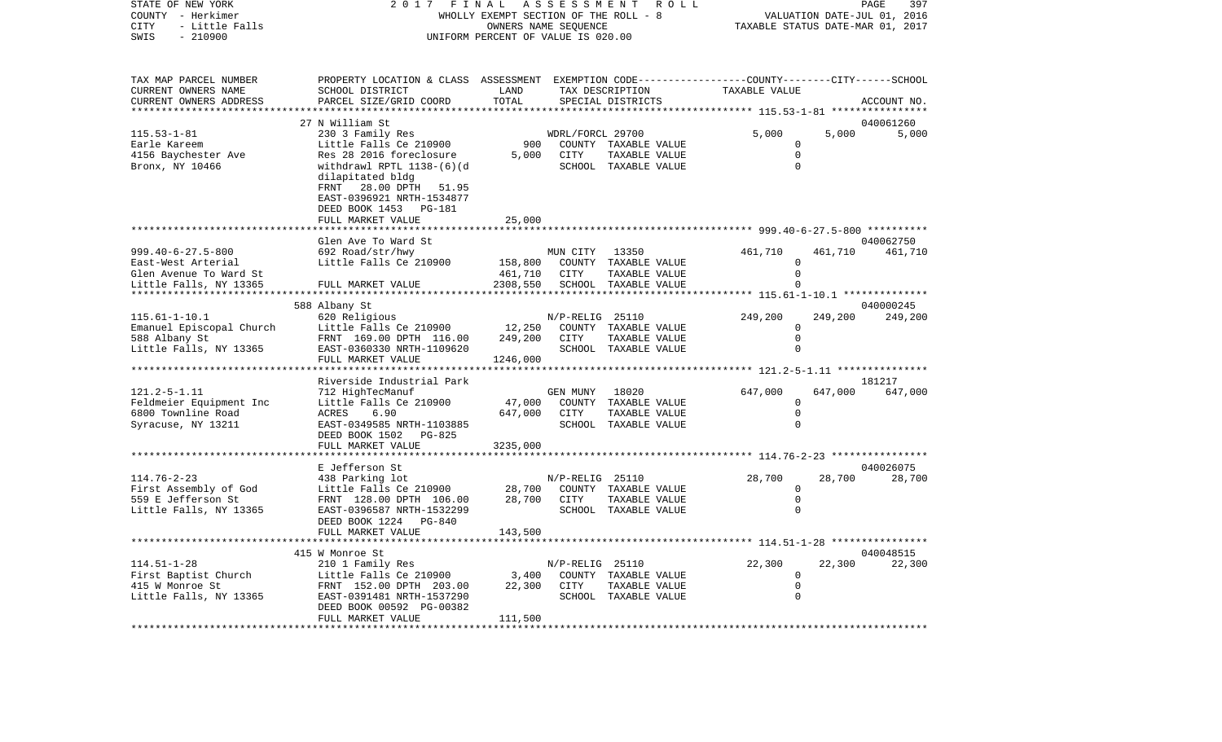## STATE OF NEW YORK 2017 FINAL ASSESSMENT ROLL COUNTY - Herkimer **WHOLLY EXEMPT SECTION OF THE ROLL - 8** VALUATION DATE-JUL 01, 2016 CITY - Little Falls OWNERS NAME SEQUENCE TAXABLE STATUS DATE-MAR 01, 2017 UNIFORM PERCENT OF VALUE IS 020.00

PAGE 397

| TAX MAP PARCEL NUMBER                   | PROPERTY LOCATION & CLASS ASSESSMENT EXEMPTION CODE----------------COUNTY-------CITY------SCHOOL |                 |                  |                                       |                            |         |             |
|-----------------------------------------|--------------------------------------------------------------------------------------------------|-----------------|------------------|---------------------------------------|----------------------------|---------|-------------|
| CURRENT OWNERS NAME                     | SCHOOL DISTRICT                                                                                  | LAND            |                  | TAX DESCRIPTION                       | TAXABLE VALUE              |         |             |
| CURRENT OWNERS ADDRESS                  | PARCEL SIZE/GRID COORD                                                                           | TOTAL           |                  | SPECIAL DISTRICTS                     |                            |         | ACCOUNT NO. |
|                                         | 27 N William St                                                                                  |                 |                  |                                       |                            |         | 040061260   |
| $115.53 - 1 - 81$                       | 230 3 Family Res                                                                                 |                 | WDRL/FORCL 29700 |                                       | 5,000                      | 5,000   | 5,000       |
| Earle Kareem                            | Little Falls Ce 210900                                                                           | 900             |                  | COUNTY TAXABLE VALUE                  | 0                          |         |             |
| 4156 Baychester Ave                     | Res 28 2016 foreclosure                                                                          | 5,000           | CITY             | TAXABLE VALUE                         | $\Omega$                   |         |             |
| Bronx, NY 10466                         | withdrawl RPTL 1138-(6)(d                                                                        |                 |                  | SCHOOL TAXABLE VALUE                  | $\Omega$                   |         |             |
|                                         | dilapitated bldg                                                                                 |                 |                  |                                       |                            |         |             |
|                                         | FRNT<br>28.00 DPTH 51.95                                                                         |                 |                  |                                       |                            |         |             |
|                                         | EAST-0396921 NRTH-1534877                                                                        |                 |                  |                                       |                            |         |             |
|                                         | DEED BOOK 1453 PG-181                                                                            |                 |                  |                                       |                            |         |             |
|                                         | FULL MARKET VALUE                                                                                | 25,000          |                  |                                       |                            |         |             |
|                                         | Glen Ave To Ward St                                                                              |                 |                  |                                       |                            |         | 040062750   |
| $999.40 - 6 - 27.5 - 800$               | 692 Road/str/hwy                                                                                 |                 | MUN CITY         | 13350                                 | 461,710                    | 461,710 | 461,710     |
| East-West Arterial                      | Little Falls Ce 210900                                                                           | 158,800         | COUNTY           | TAXABLE VALUE                         | $\Omega$                   |         |             |
| Glen Avenue To Ward St                  |                                                                                                  | 461,710         | CITY             | TAXABLE VALUE                         | $\Omega$                   |         |             |
| Little Falls, NY 13365                  | FULL MARKET VALUE                                                                                | 2308,550        |                  | SCHOOL TAXABLE VALUE                  | $\cap$                     |         |             |
|                                         |                                                                                                  |                 |                  |                                       |                            |         |             |
|                                         | 588 Albany St                                                                                    |                 |                  |                                       |                            |         | 040000245   |
| $115.61 - 1 - 10.1$                     | 620 Religious                                                                                    |                 | N/P-RELIG 25110  |                                       | 249,200                    | 249,200 | 249,200     |
| Emanuel Episcopal Church                | Little Falls Ce 210900                                                                           | 12,250          |                  | COUNTY TAXABLE VALUE                  | 0                          |         |             |
| 588 Albany St                           | FRNT 169.00 DPTH 116.00                                                                          | 249,200         | CITY             | TAXABLE VALUE                         | $\mathbf 0$                |         |             |
| Little Falls, NY 13365                  | EAST-0360330 NRTH-1109620                                                                        |                 |                  | SCHOOL TAXABLE VALUE                  | $\Omega$                   |         |             |
|                                         | FULL MARKET VALUE                                                                                | 1246,000        |                  |                                       |                            |         |             |
|                                         | Riverside Industrial Park                                                                        |                 |                  |                                       |                            |         | 181217      |
| $121.2 - 5 - 1.11$                      | 712 HighTecManuf                                                                                 |                 | GEN MUNY         | 18020                                 | 647,000                    | 647,000 | 647,000     |
| Feldmeier Equipment Inc                 | Little Falls Ce 210900                                                                           | 47,000          |                  | COUNTY TAXABLE VALUE                  | $\mathbf 0$                |         |             |
| 6800 Townline Road                      | 6.90<br>ACRES                                                                                    | 647,000         | CITY             | TAXABLE VALUE                         | $\mathbf 0$                |         |             |
| Syracuse, NY 13211                      | EAST-0349585 NRTH-1103885                                                                        |                 |                  | SCHOOL TAXABLE VALUE                  | $\Omega$                   |         |             |
|                                         | DEED BOOK 1502 PG-825                                                                            |                 |                  |                                       |                            |         |             |
|                                         | FULL MARKET VALUE                                                                                | 3235,000        |                  |                                       |                            |         |             |
|                                         | E Jefferson St                                                                                   |                 |                  |                                       |                            |         | 040026075   |
| $114.76 - 2 - 23$                       | 438 Parking lot                                                                                  |                 | N/P-RELIG 25110  |                                       | 28,700                     | 28,700  | 28,700      |
| First Assembly of God                   | Little Falls Ce 210900                                                                           | 28,700          |                  | COUNTY TAXABLE VALUE                  | $\mathbf 0$                |         |             |
| 559 E Jefferson St                      | FRNT 128.00 DPTH 106.00                                                                          | 28,700          | CITY             | TAXABLE VALUE                         | $\mathbf 0$                |         |             |
| Little Falls, NY 13365                  | EAST-0396587 NRTH-1532299                                                                        |                 |                  | SCHOOL TAXABLE VALUE                  | $\Omega$                   |         |             |
|                                         | DEED BOOK 1224 PG-840                                                                            |                 |                  |                                       |                            |         |             |
|                                         | FULL MARKET VALUE                                                                                | 143,500         |                  |                                       |                            |         |             |
|                                         |                                                                                                  |                 |                  |                                       |                            |         |             |
|                                         | 415 W Monroe St                                                                                  |                 |                  |                                       |                            |         | 040048515   |
| $114.51 - 1 - 28$                       | 210 1 Family Res                                                                                 |                 | N/P-RELIG 25110  |                                       | 22,300                     | 22,300  | 22,300      |
| First Baptist Church<br>415 W Monroe St | Little Falls Ce 210900<br>FRNT 152.00 DPTH 203.00                                                | 3,400<br>22,300 | CITY             | COUNTY TAXABLE VALUE<br>TAXABLE VALUE | $\mathbf 0$<br>$\mathsf 0$ |         |             |
| Little Falls, NY 13365                  | EAST-0391481 NRTH-1537290                                                                        |                 |                  | SCHOOL TAXABLE VALUE                  | $\Omega$                   |         |             |
|                                         | DEED BOOK 00592 PG-00382                                                                         |                 |                  |                                       |                            |         |             |
|                                         | FULL MARKET VALUE                                                                                | 111,500         |                  |                                       |                            |         |             |
|                                         |                                                                                                  |                 |                  |                                       |                            |         |             |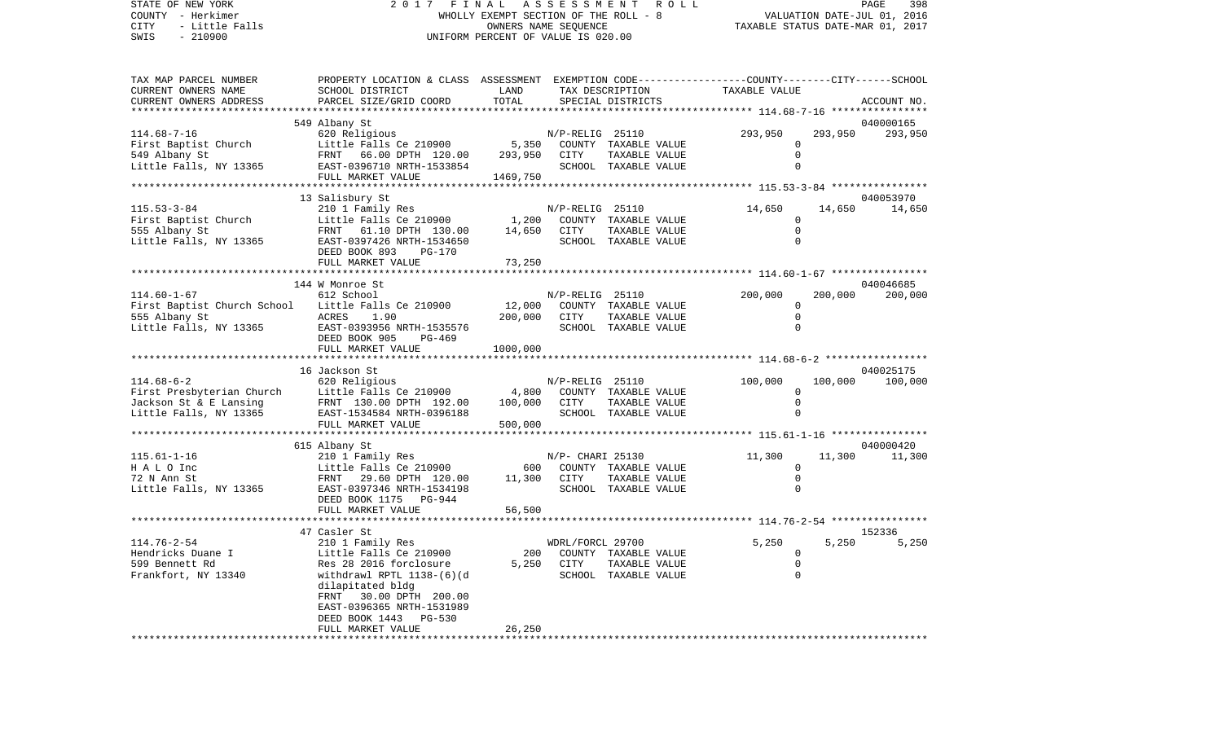| STATE OF NEW YORK<br>COUNTY - Herkimer<br><b>CITY</b><br>- Little Falls<br>SWIS<br>$-210900$ | 2017                                                                                            | FINAL<br>A S S E S S M E N T<br>WHOLLY EXEMPT SECTION OF THE ROLL - 8<br>OWNERS NAME SEQUENCE<br>UNIFORM PERCENT OF VALUE IS 020.00 |                  | 398<br>PAGE<br>VALUATION DATE-JUL 01, 2016<br>TAXABLE STATUS DATE-MAR 01, 2017 |                                              |         |             |
|----------------------------------------------------------------------------------------------|-------------------------------------------------------------------------------------------------|-------------------------------------------------------------------------------------------------------------------------------------|------------------|--------------------------------------------------------------------------------|----------------------------------------------|---------|-------------|
| TAX MAP PARCEL NUMBER                                                                        | PROPERTY LOCATION & CLASS ASSESSMENT EXEMPTION CODE---------------COUNTY-------CITY------SCHOOL |                                                                                                                                     |                  |                                                                                |                                              |         |             |
| CURRENT OWNERS NAME                                                                          | SCHOOL DISTRICT                                                                                 | LAND                                                                                                                                |                  | TAX DESCRIPTION                                                                | TAXABLE VALUE                                |         |             |
| CURRENT OWNERS ADDRESS<br>**********************                                             | PARCEL SIZE/GRID COORD                                                                          | TOTAL                                                                                                                               |                  | SPECIAL DISTRICTS                                                              |                                              |         | ACCOUNT NO. |
|                                                                                              | 549 Albany St                                                                                   |                                                                                                                                     |                  |                                                                                |                                              |         | 040000165   |
| $114.68 - 7 - 16$                                                                            | 620 Religious                                                                                   |                                                                                                                                     | N/P-RELIG 25110  |                                                                                | 293,950                                      | 293,950 | 293,950     |
| First Baptist Church                                                                         | Little Falls Ce 210900                                                                          | 5,350                                                                                                                               |                  | COUNTY TAXABLE VALUE                                                           | 0                                            |         |             |
| 549 Albany St                                                                                | FRNT 66.00 DPTH 120.00                                                                          | 293,950                                                                                                                             | CITY             | TAXABLE VALUE                                                                  | $\mathbf 0$                                  |         |             |
| Little Falls, NY 13365                                                                       | EAST-0396710 NRTH-1533854                                                                       |                                                                                                                                     |                  | SCHOOL TAXABLE VALUE                                                           | $\mathbf 0$                                  |         |             |
|                                                                                              | FULL MARKET VALUE                                                                               | 1469,750                                                                                                                            |                  |                                                                                |                                              |         |             |
| *********************                                                                        |                                                                                                 |                                                                                                                                     |                  |                                                                                |                                              |         |             |
|                                                                                              | 13 Salisbury St                                                                                 |                                                                                                                                     |                  |                                                                                |                                              |         | 040053970   |
| $115.53 - 3 - 84$                                                                            | 210 1 Family Res                                                                                |                                                                                                                                     | N/P-RELIG 25110  |                                                                                | 14,650                                       | 14,650  | 14,650      |
| First Baptist Church                                                                         | Little Falls Ce 210900                                                                          | 1,200                                                                                                                               |                  | COUNTY TAXABLE VALUE                                                           | 0<br>$\mathbf 0$                             |         |             |
| 555 Albany St<br>Little Falls, NY 13365                                                      | FRNT 61.10 DPTH 130.00<br>EAST-0397426 NRTH-1534650                                             | 14,650                                                                                                                              | CITY             | TAXABLE VALUE<br>SCHOOL TAXABLE VALUE                                          | $\Omega$                                     |         |             |
|                                                                                              | DEED BOOK 893<br><b>PG-170</b>                                                                  |                                                                                                                                     |                  |                                                                                |                                              |         |             |
|                                                                                              | FULL MARKET VALUE                                                                               | 73,250                                                                                                                              |                  |                                                                                |                                              |         |             |
|                                                                                              |                                                                                                 |                                                                                                                                     |                  |                                                                                |                                              |         |             |
|                                                                                              | 144 W Monroe St                                                                                 |                                                                                                                                     |                  |                                                                                |                                              |         | 040046685   |
| $114.60 - 1 - 67$                                                                            | 612 School                                                                                      |                                                                                                                                     | N/P-RELIG 25110  |                                                                                | 200,000                                      | 200,000 | 200,000     |
| First Baptist Church School                                                                  | Little Falls Ce 210900                                                                          | 12,000                                                                                                                              |                  | COUNTY TAXABLE VALUE                                                           | 0                                            |         |             |
| 555 Albany St                                                                                | ACRES<br>1.90                                                                                   | 200,000                                                                                                                             | CITY             | TAXABLE VALUE                                                                  | $\mathbf 0$                                  |         |             |
| Little Falls, NY 13365                                                                       | EAST-0393956 NRTH-1535576<br>DEED BOOK 905<br>PG-469                                            |                                                                                                                                     |                  | SCHOOL TAXABLE VALUE                                                           | $\Omega$                                     |         |             |
|                                                                                              | FULL MARKET VALUE                                                                               | 1000,000                                                                                                                            |                  |                                                                                |                                              |         |             |
|                                                                                              | 16 Jackson St                                                                                   |                                                                                                                                     |                  |                                                                                |                                              |         | 040025175   |
| $114.68 - 6 - 2$                                                                             | 620 Religious                                                                                   |                                                                                                                                     | N/P-RELIG 25110  |                                                                                | 100,000                                      | 100,000 | 100,000     |
| First Presbyterian Church                                                                    | Little Falls Ce 210900                                                                          | 4,800                                                                                                                               |                  | COUNTY TAXABLE VALUE                                                           | $\mathbf 0$                                  |         |             |
| Jackson St & E Lansing                                                                       | FRNT 130.00 DPTH 192.00                                                                         | 100,000                                                                                                                             | CITY             | TAXABLE VALUE                                                                  | $\mathbf 0$                                  |         |             |
| Little Falls, NY 13365                                                                       | EAST-1534584 NRTH-0396188                                                                       |                                                                                                                                     |                  | SCHOOL TAXABLE VALUE                                                           | $\mathbf 0$                                  |         |             |
|                                                                                              | FULL MARKET VALUE                                                                               | 500,000                                                                                                                             |                  |                                                                                |                                              |         |             |
|                                                                                              |                                                                                                 |                                                                                                                                     |                  |                                                                                | ************** 115.61-1-16 ***************** |         |             |
|                                                                                              | 615 Albany St                                                                                   |                                                                                                                                     |                  |                                                                                |                                              |         | 040000420   |
| $115.61 - 1 - 16$                                                                            | 210 1 Family Res                                                                                |                                                                                                                                     | N/P- CHARI 25130 |                                                                                | 11,300                                       | 11,300  | 11,300      |
| H A L O Inc                                                                                  | Little Falls Ce 210900                                                                          | 600                                                                                                                                 |                  | COUNTY TAXABLE VALUE                                                           | 0                                            |         |             |
| 72 N Ann St                                                                                  | 29.60 DPTH 120.00<br>FRNT                                                                       | 11,300                                                                                                                              | CITY             | TAXABLE VALUE                                                                  | $\mathbf 0$<br>$\Omega$                      |         |             |
| Little Falls, NY 13365                                                                       | EAST-0397346 NRTH-1534198<br>DEED BOOK 1175 PG-944                                              |                                                                                                                                     |                  | SCHOOL TAXABLE VALUE                                                           |                                              |         |             |
|                                                                                              | FULL MARKET VALUE                                                                               | 56,500                                                                                                                              |                  |                                                                                |                                              |         |             |
|                                                                                              |                                                                                                 |                                                                                                                                     |                  |                                                                                |                                              |         |             |
|                                                                                              | 47 Casler St                                                                                    |                                                                                                                                     |                  |                                                                                |                                              |         | 152336      |
| 114.76-2-54                                                                                  | 210 1 Family Res                                                                                |                                                                                                                                     | WDRL/FORCL 29700 |                                                                                | 5,250                                        | 5,250   | 5,250       |
| Hendricks Duane I                                                                            | Little Falls Ce 210900                                                                          | 200                                                                                                                                 |                  | COUNTY TAXABLE VALUE                                                           | 0                                            |         |             |
| 599 Bennett Rd                                                                               | Res 28 2016 forclosure                                                                          | 5,250                                                                                                                               | CITY             | TAXABLE VALUE                                                                  | 0                                            |         |             |
| Frankfort, NY 13340                                                                          | withdrawl RPTL 1138-(6)(d                                                                       |                                                                                                                                     |                  | SCHOOL TAXABLE VALUE                                                           | $\mathbf 0$                                  |         |             |
|                                                                                              | dilapitated bldg                                                                                |                                                                                                                                     |                  |                                                                                |                                              |         |             |
|                                                                                              | FRNT 30.00 DPTH 200.00                                                                          |                                                                                                                                     |                  |                                                                                |                                              |         |             |
|                                                                                              | EAST-0396365 NRTH-1531989<br>DEED BOOK 1443<br>PG-530                                           |                                                                                                                                     |                  |                                                                                |                                              |         |             |
|                                                                                              | FULL MARKET VALUE                                                                               | 26,250                                                                                                                              |                  |                                                                                |                                              |         |             |
|                                                                                              | ***********************                                                                         | ************                                                                                                                        |                  |                                                                                |                                              |         |             |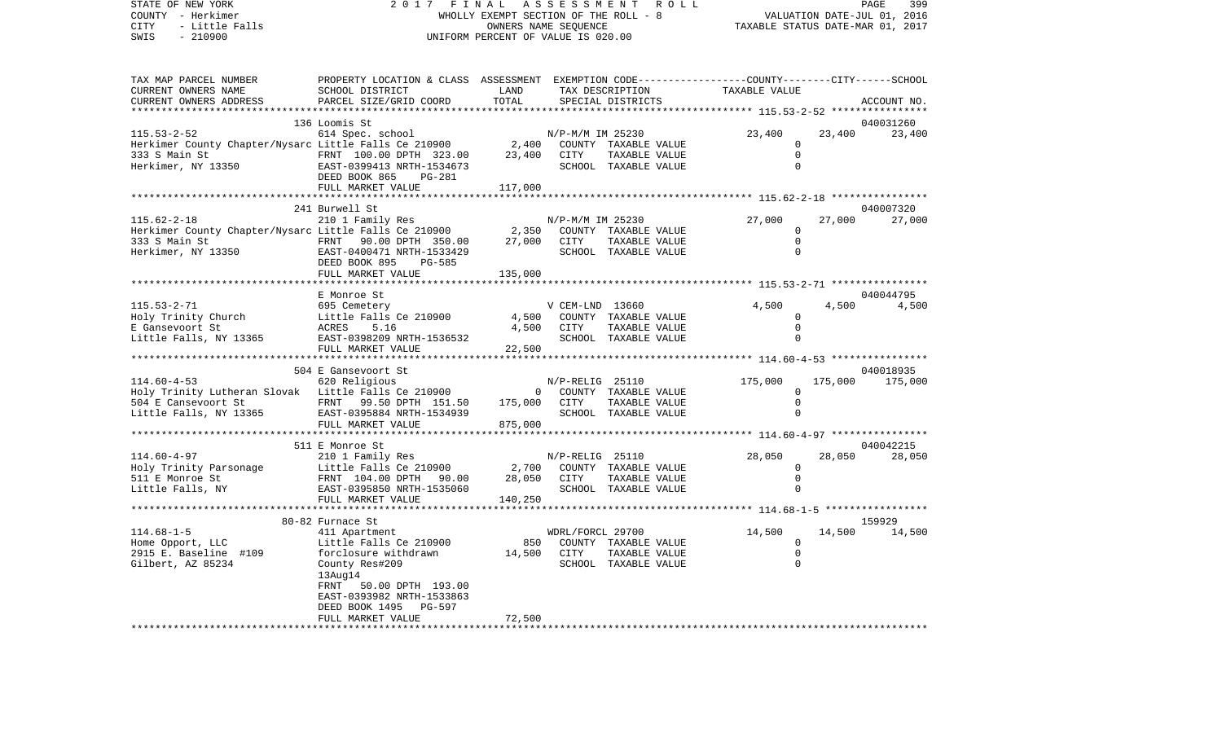STATE OF NEW YORK 2 0 1 7 F I N A L A S S E S S M E N T R O L L PAGE 399COUNTY - Herkimer **WHOLLY EXEMPT SECTION OF THE ROLL - 8** VALUATION DATE-JUL 01, 2016 CITY - Little Falls OWNERS NAME SEQUENCE TAXABLE STATUS DATE-MAR 01, 2017 SWIS - 210900 UNIFORM PERCENT OF VALUE IS 020.00

399

| TAX MAP PARCEL NUMBER                                                                                                                                                                                                                  | PROPERTY LOCATION & CLASS ASSESSMENT EXEMPTION CODE---------------COUNTY-------CITY------SCHOOL |         |                          |                |        |                 |
|----------------------------------------------------------------------------------------------------------------------------------------------------------------------------------------------------------------------------------------|-------------------------------------------------------------------------------------------------|---------|--------------------------|----------------|--------|-----------------|
| CURRENT OWNERS NAME                                                                                                                                                                                                                    | SCHOOL DISTRICT                                                                                 | LAND    | TAX DESCRIPTION          | TAXABLE VALUE  |        |                 |
| CURRENT OWNERS ADDRESS                                                                                                                                                                                                                 | PARCEL SIZE/GRID COORD TOTAL                                                                    |         | SPECIAL DISTRICTS        |                |        | ACCOUNT NO.     |
|                                                                                                                                                                                                                                        |                                                                                                 |         |                          |                |        |                 |
|                                                                                                                                                                                                                                        | 136 Loomis St                                                                                   |         |                          |                |        | 040031260       |
| 115.53-2-52<br>Herkimer County Chapter/Nysarc Little Falls Ce 210900 2,400 COUNTY TAXABLE VALUE<br>333 S Main St FRNT 100.00 DPTH 323.00 23,400 CITY TAXABLE VALUE<br>Herkimer, NY 13350 EAST-0399413 NRTH-1534673 SCHOOL TAXABLE VA   |                                                                                                 |         |                          | 23,400         | 23,400 | 23,400          |
|                                                                                                                                                                                                                                        |                                                                                                 |         |                          | $\mathbf{0}$   |        |                 |
|                                                                                                                                                                                                                                        |                                                                                                 |         |                          | $\Omega$       |        |                 |
|                                                                                                                                                                                                                                        |                                                                                                 |         |                          | $\Omega$       |        |                 |
|                                                                                                                                                                                                                                        |                                                                                                 |         |                          |                |        |                 |
|                                                                                                                                                                                                                                        | FULL MARKET VALUE                                                                               | 117,000 |                          |                |        |                 |
|                                                                                                                                                                                                                                        |                                                                                                 |         |                          |                |        |                 |
|                                                                                                                                                                                                                                        | 241 Burwell St                                                                                  |         |                          |                |        | 040007320       |
| 115.62-2-18<br>Herkimer County Chapter/Nysarc Little Falls Ce 210900 2,350 COUNTY TAXABLE VALUE<br>333 S Main St<br>Herkimer, NY 13350 2007 22,000 DPTH 350.00 27,000 CITY TAXABLE VALUE<br>Herkimer, NY 13350 2007 22,000 27,000 CITY |                                                                                                 |         |                          | 27,000         |        | 27,000 27,000   |
|                                                                                                                                                                                                                                        |                                                                                                 |         |                          | $\Omega$       |        |                 |
|                                                                                                                                                                                                                                        |                                                                                                 |         | TAXABLE VALUE            | $\mathbf 0$    |        |                 |
|                                                                                                                                                                                                                                        |                                                                                                 |         |                          | $\Omega$       |        |                 |
|                                                                                                                                                                                                                                        | DEED BOOK 895<br>PG-585                                                                         |         |                          |                |        |                 |
|                                                                                                                                                                                                                                        |                                                                                                 | 135,000 |                          |                |        |                 |
|                                                                                                                                                                                                                                        | FULL MARKET VALUE                                                                               |         |                          |                |        |                 |
|                                                                                                                                                                                                                                        |                                                                                                 |         |                          |                |        | 040044795       |
|                                                                                                                                                                                                                                        | E Monroe St                                                                                     |         |                          |                |        |                 |
| $115.53 - 2 - 71$                                                                                                                                                                                                                      | 695 Cemetery                                                                                    |         | V CEM-LND 13660          | 4,500          |        | 4,500 4,500     |
|                                                                                                                                                                                                                                        |                                                                                                 |         |                          | $\mathbf{0}$   |        |                 |
|                                                                                                                                                                                                                                        |                                                                                                 |         | TAXABLE VALUE            | $\Omega$       |        |                 |
|                                                                                                                                                                                                                                        |                                                                                                 |         | SCHOOL TAXABLE VALUE     | $\Omega$       |        |                 |
| HOLY ITINCY CONTROL ACTES 5.10<br>E Gansevoort St BAST-0398209 NRTH-1536532<br>Little Falls, NY 13365 FULL MARKET VALUE 22<br>FULL MARKET VALUE 22                                                                                     |                                                                                                 | 22,500  |                          |                |        |                 |
|                                                                                                                                                                                                                                        |                                                                                                 |         |                          |                |        |                 |
|                                                                                                                                                                                                                                        | 504 E Gansevoort St                                                                             |         |                          |                |        | 040018935       |
| 114.60-4-53<br>Holy Trinity Lutheran Slovak Little Falls Ce 210900 M/P-RELIG 25110                                                                                                                                                     |                                                                                                 |         |                          | 175,000        |        | 175,000 175,000 |
|                                                                                                                                                                                                                                        |                                                                                                 |         |                          | $\Omega$       |        |                 |
|                                                                                                                                                                                                                                        |                                                                                                 |         |                          | $\mathbf 0$    |        |                 |
| 504 E Cansevoort St                 FRNT     99.50 DPTH   151.50         175,000     CITY     TAXABLE VALUE<br>Little Falls, NY 13365         EAST-0395884 NRTH-1534939                 SCHOOL  TAXABLE VALUE                          |                                                                                                 |         |                          | $\Omega$       |        |                 |
|                                                                                                                                                                                                                                        | FULL MARKET VALUE                                                                               | 875,000 |                          |                |        |                 |
|                                                                                                                                                                                                                                        |                                                                                                 |         |                          |                |        |                 |
|                                                                                                                                                                                                                                        | 511 E Monroe St                                                                                 |         |                          |                |        | 040042215       |
|                                                                                                                                                                                                                                        |                                                                                                 |         |                          | 28,050         | 28,050 | 28,050          |
|                                                                                                                                                                                                                                        |                                                                                                 |         |                          | $\mathbf 0$    |        |                 |
|                                                                                                                                                                                                                                        |                                                                                                 |         |                          | $\mathbf 0$    |        |                 |
|                                                                                                                                                                                                                                        |                                                                                                 |         |                          | $\Omega$       |        |                 |
|                                                                                                                                                                                                                                        | FULL MARKET VALUE                                                                               | 140,250 |                          |                |        |                 |
|                                                                                                                                                                                                                                        |                                                                                                 |         |                          |                |        |                 |
|                                                                                                                                                                                                                                        | 80-82 Furnace St                                                                                |         |                          |                |        | 159929          |
| $114.68 - 1 - 5$                                                                                                                                                                                                                       | 411 Apartment                                                                                   |         | WDRL/FORCL 29700         | 14,500         |        | 14,500 14,500   |
| Home Opport, LLC                                                                                                                                                                                                                       | Little Falls Ce 210900                                                                          |         | 850 COUNTY TAXABLE VALUE | $\overline{0}$ |        |                 |
| 2915 E. Baseline #109 forclosure withdrawn 14,500 CITY                                                                                                                                                                                 |                                                                                                 |         | TAXABLE VALUE            | $\Omega$       |        |                 |
| Gilbert, AZ 85234                                                                                                                                                                                                                      | County Res#209                                                                                  |         | SCHOOL TAXABLE VALUE     | $\mathbf 0$    |        |                 |
|                                                                                                                                                                                                                                        | $13$ Aug $14$                                                                                   |         |                          |                |        |                 |
|                                                                                                                                                                                                                                        | FRNT 50.00 DPTH 193.00                                                                          |         |                          |                |        |                 |
|                                                                                                                                                                                                                                        |                                                                                                 |         |                          |                |        |                 |
|                                                                                                                                                                                                                                        | EAST-0393982 NRTH-1533863                                                                       |         |                          |                |        |                 |
|                                                                                                                                                                                                                                        | DEED BOOK 1495 PG-597                                                                           |         |                          |                |        |                 |
|                                                                                                                                                                                                                                        | FULL MARKET VALUE                                                                               | 72,500  |                          |                |        |                 |
|                                                                                                                                                                                                                                        |                                                                                                 |         |                          |                |        |                 |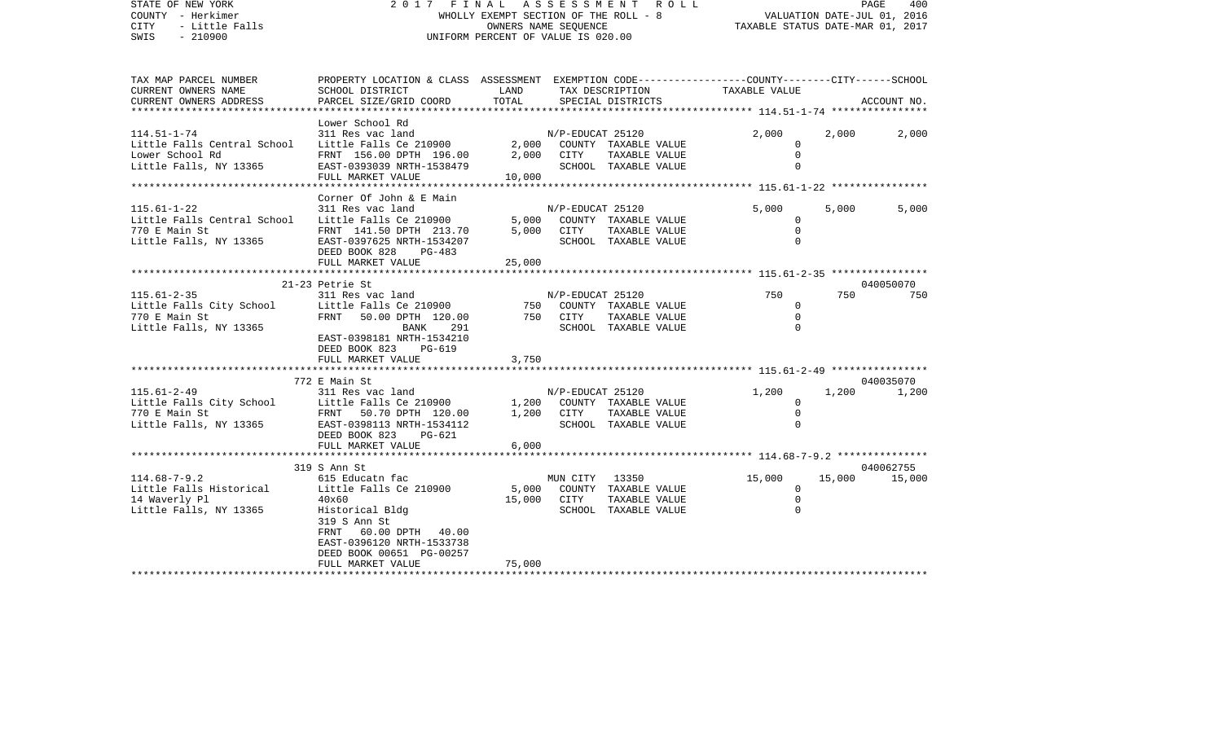| STATE OF NEW YORK<br>COUNTY - Herkimer<br>CITY<br>- Little Falls<br>$-210900$<br>SWIS |                                                                                                | 2017 FINAL ASSESSMENT ROLL<br>WHOLLY EXEMPT SECTION OF THE ROLL - 8<br>OWNERS NAME SEOUENCE<br>UNIFORM PERCENT OF VALUE IS 020.00 | PAGE<br>400<br>VALUATION DATE-JUL 01, 2016<br>TAXABLE STATUS DATE-MAR 01, 2017 |                               |             |       |               |
|---------------------------------------------------------------------------------------|------------------------------------------------------------------------------------------------|-----------------------------------------------------------------------------------------------------------------------------------|--------------------------------------------------------------------------------|-------------------------------|-------------|-------|---------------|
| TAX MAP PARCEL NUMBER                                                                 | PROPERTY LOCATION & CLASS ASSESSMENT EXEMPTION CODE---------------COUNTY-------CITY-----SCHOOL |                                                                                                                                   |                                                                                | TAX DESCRIPTION TAXABLE VALUE |             |       |               |
| CURRENT OWNERS NAME<br>CURRENT OWNERS ADDRESS<br>*************************            | SCHOOL DISTRICT<br>PARCEL SIZE/GRID COORD                                                      | LAND<br>TOTAL                                                                                                                     |                                                                                | SPECIAL DISTRICTS             |             |       | ACCOUNT NO.   |
|                                                                                       | Lower School Rd                                                                                |                                                                                                                                   |                                                                                |                               |             |       |               |
| $114.51 - 1 - 74$                                                                     | 311 Res vac land                                                                               |                                                                                                                                   | N/P-EDUCAT 25120                                                               |                               | 2,000       | 2,000 | 2,000         |
| Little Falls Central School                                                           | Little Falls Ce 210900 2,000 COUNTY TAXABLE VALUE                                              |                                                                                                                                   |                                                                                |                               | 0           |       |               |
| Lower School Rd                                                                       | FRNT 156.00 DPTH 196.00 2,000 CITY                                                             |                                                                                                                                   |                                                                                | TAXABLE VALUE                 | $\mathbf 0$ |       |               |
| Little Falls, NY 13365                                                                | EAST-0393039 NRTH-1538479<br>FULL MARKET VALUE                                                 | 10,000                                                                                                                            |                                                                                | SCHOOL TAXABLE VALUE          | $\Omega$    |       |               |
|                                                                                       |                                                                                                |                                                                                                                                   |                                                                                |                               |             |       |               |
|                                                                                       | Corner Of John & E Main                                                                        |                                                                                                                                   |                                                                                |                               |             |       |               |
| $115.61 - 1 - 22$                                                                     | 311 Res vac land                                                                               |                                                                                                                                   | N/P-EDUCAT 25120                                                               |                               | 5,000       | 5,000 | 5,000         |
| Little Falls Central School                                                           | Little Falls Ce 210900                                                                         |                                                                                                                                   |                                                                                | 5,000 COUNTY TAXABLE VALUE    | $\Omega$    |       |               |
| 770 E Main St                                                                         | FRNT 141.50 DPTH 213.70                                                                        |                                                                                                                                   | 5,000 CITY                                                                     | TAXABLE VALUE                 | $\mathbf 0$ |       |               |
| Little Falls, NY 13365                                                                | EAST-0397625 NRTH-1534207                                                                      |                                                                                                                                   |                                                                                | SCHOOL TAXABLE VALUE          | $\Omega$    |       |               |
|                                                                                       | DEED BOOK 828<br>PG-483<br>FULL MARKET VALUE                                                   | 25,000                                                                                                                            |                                                                                |                               |             |       |               |
|                                                                                       |                                                                                                |                                                                                                                                   |                                                                                |                               |             |       |               |
|                                                                                       | 21-23 Petrie St                                                                                |                                                                                                                                   |                                                                                |                               |             |       | 040050070     |
| $115.61 - 2 - 35$                                                                     | 311 Res vac land                                                                               |                                                                                                                                   | N/P-EDUCAT 25120                                                               |                               | 750         | 750   | 750           |
| Little Falls City School                                                              | Little Falls Ce 210900                                                                         |                                                                                                                                   |                                                                                | 750 COUNTY TAXABLE VALUE      | 0           |       |               |
| 770 E Main St                                                                         | FRNT 50.00 DPTH 120.00                                                                         |                                                                                                                                   | 750 CITY                                                                       | TAXABLE VALUE                 | $\Omega$    |       |               |
| Little Falls, NY 13365                                                                | BANK<br>291                                                                                    |                                                                                                                                   |                                                                                | SCHOOL TAXABLE VALUE          | $\Omega$    |       |               |
|                                                                                       | EAST-0398181 NRTH-1534210                                                                      |                                                                                                                                   |                                                                                |                               |             |       |               |
|                                                                                       | DEED BOOK 823 PG-619<br>FULL MARKET VALUE                                                      | 3,750                                                                                                                             |                                                                                |                               |             |       |               |
|                                                                                       |                                                                                                |                                                                                                                                   |                                                                                |                               |             |       |               |
|                                                                                       | 772 E Main St                                                                                  |                                                                                                                                   |                                                                                |                               |             |       | 040035070     |
| $115.61 - 2 - 49$                                                                     | 311 Res vac land                                                                               |                                                                                                                                   | N/P-EDUCAT 25120                                                               |                               | 1,200       |       | 1,200 1,200   |
| Little Falls City School Little Falls Ce $210900$                                     |                                                                                                |                                                                                                                                   |                                                                                | 1,200 COUNTY TAXABLE VALUE    | $\mathbf 0$ |       |               |
| 770 E Main St                                                                         | FRNT 50.70 DPTH 120.00                                                                         |                                                                                                                                   | 1,200 CITY                                                                     | TAXABLE VALUE                 | $\Omega$    |       |               |
| Little Falls, NY 13365                                                                | EAST-0398113 NRTH-1534112                                                                      |                                                                                                                                   |                                                                                | SCHOOL TAXABLE VALUE          | $\Omega$    |       |               |
|                                                                                       | DEED BOOK 823<br>$PG-621$<br>FULL MARKET VALUE                                                 | 6,000                                                                                                                             |                                                                                |                               |             |       |               |
|                                                                                       | ***************************                                                                    |                                                                                                                                   |                                                                                |                               |             |       |               |
|                                                                                       | 319 S Ann St                                                                                   |                                                                                                                                   |                                                                                |                               |             |       | 040062755     |
| $114.68 - 7 - 9.2$                                                                    | 615 Educatn fac                                                                                |                                                                                                                                   |                                                                                | MUN CITY 13350                | 15,000      |       | 15,000 15,000 |
| Little Falls Historical                                                               | Little Falls Ce 210900                                                                         | 5,000                                                                                                                             |                                                                                | COUNTY TAXABLE VALUE          | 0           |       |               |
| 14 Waverly Pl                                                                         | 40x60                                                                                          | 15,000 CITY                                                                                                                       |                                                                                | TAXABLE VALUE                 | $\mathbf 0$ |       |               |
| Little Falls, NY 13365                                                                | Historical Bldg                                                                                |                                                                                                                                   |                                                                                | SCHOOL TAXABLE VALUE          | $\mathbf 0$ |       |               |
|                                                                                       | 319 S Ann St<br>FRNT 60.00 DPTH 40.00                                                          |                                                                                                                                   |                                                                                |                               |             |       |               |
|                                                                                       | EAST-0396120 NRTH-1533738                                                                      |                                                                                                                                   |                                                                                |                               |             |       |               |
|                                                                                       | DEED BOOK 00651 PG-00257                                                                       |                                                                                                                                   |                                                                                |                               |             |       |               |
|                                                                                       | FULL MARKET VALUE                                                                              | 75,000                                                                                                                            |                                                                                |                               |             |       |               |
|                                                                                       |                                                                                                |                                                                                                                                   |                                                                                |                               |             |       |               |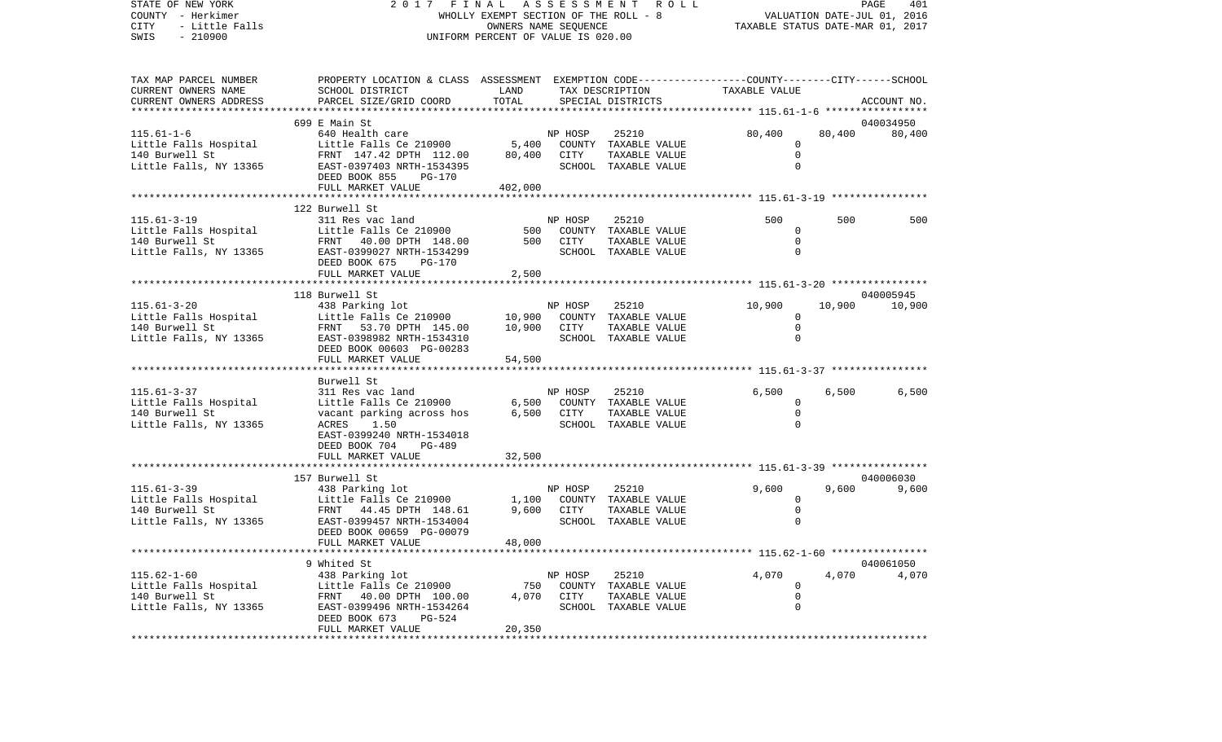COUNTY - Herkimer WHOLLY EXEMPT SECTION OF THE ROLL - 8 VALUATION DATE-JUL 01, 2016 CITY - Little Falls OWNERS NAME SEQUENCE TAXABLE STATUS DATE-MAR 01, 2017 SWIS - 210900 UNIFORM PERCENT OF VALUE IS 020.00TAX MAP PARCEL NUMBER PROPERTY LOCATION & CLASS ASSESSMENT EXEMPTION CODE------------------COUNTY--------CITY------SCHOOL CURRENT OWNERS NAME SCHOOL DISTRICT LAND TAX DESCRIPTION TAXABLE VALUECURRENT OWNERS ADDRESS PARCEL SIZE/GRID COORD TOTAL SPECIAL DISTRICTS ACCOUNT NO. \*\*\*\*\*\*\*\*\*\*\*\*\*\*\*\*\*\*\*\*\*\*\*\*\*\*\*\*\*\*\*\*\*\*\*\*\*\*\*\*\*\*\*\*\*\*\*\*\*\*\*\*\*\*\*\*\*\*\*\*\*\*\*\*\*\*\*\*\*\*\*\*\*\*\*\*\*\*\*\*\*\*\*\*\*\*\*\*\*\*\*\*\*\*\*\*\*\*\*\*\*\*\* 115.61-1-6 \*\*\*\*\*\*\*\*\*\*\*\*\*\*\*\*\* 699 E Main St 040034950115.61-1-6 640 Health care NP HOSP 25210 80,400 80,400 80,400 Little Falls Hospital  $L$  Little Falls Ce 210900 5,400 COUNTY TAXABLE VALUE 0 140 Burwell St FRNT 147.42 DPTH 112.00 80,400 CITY TAXABLE VALUE 0 Little Falls, NY 13365 EAST-0397403 NRTH-1534395 SCHOOL TAXABLE VALUE 0 DEED BOOK 855 PG-170FULL MARKET VALUE 402,000 \*\*\*\*\*\*\*\*\*\*\*\*\*\*\*\*\*\*\*\*\*\*\*\*\*\*\*\*\*\*\*\*\*\*\*\*\*\*\*\*\*\*\*\*\*\*\*\*\*\*\*\*\*\*\*\*\*\*\*\*\*\*\*\*\*\*\*\*\*\*\*\*\*\*\*\*\*\*\*\*\*\*\*\*\*\*\*\*\*\*\*\*\*\*\*\*\*\*\*\*\*\*\* 115.61-3-19 \*\*\*\*\*\*\*\*\*\*\*\*\*\*\*\* 122 Burwell St115.61-3-19 311 Res vac land NP HOSP 25210 500 500 500Little Falls Hospital  $L$  Little Falls Ce 210900 500 COUNTY TAXABLE VALUE 0 140 Burwell St FRNT 40.00 DPTH 148.00 500 CITY TAXABLE VALUE 0Little Falls, NY 13365 BAST-0399027 NRTH-1534299 SCHOOL TAXABLE VALUE 0 DEED BOOK 675 PG-170FULL MARKET VALUE 2,500 \*\*\*\*\*\*\*\*\*\*\*\*\*\*\*\*\*\*\*\*\*\*\*\*\*\*\*\*\*\*\*\*\*\*\*\*\*\*\*\*\*\*\*\*\*\*\*\*\*\*\*\*\*\*\*\*\*\*\*\*\*\*\*\*\*\*\*\*\*\*\*\*\*\*\*\*\*\*\*\*\*\*\*\*\*\*\*\*\*\*\*\*\*\*\*\*\*\*\*\*\*\*\* 115.61-3-20 \*\*\*\*\*\*\*\*\*\*\*\*\*\*\*\* 118 Burwell St 040005945115.61-3-20 438 Parking lot NP HOSP 25210 10,900 10,900 10,900 Little Falls Hospital  $L$  Little Falls Ce 210900  $10,900$  COUNTY TAXABLE VALUE 0 140 Burwell St FRNT 53.70 DPTH 145.00 10,900 CITY TAXABLE VALUE 0 Little Falls, NY 13365 EAST-0398982 NRTH-1534310 SCHOOL TAXABLE VALUE 0 DEED BOOK 00603 PG-00283 FULL MARKET VALUE 54,500 \*\*\*\*\*\*\*\*\*\*\*\*\*\*\*\*\*\*\*\*\*\*\*\*\*\*\*\*\*\*\*\*\*\*\*\*\*\*\*\*\*\*\*\*\*\*\*\*\*\*\*\*\*\*\*\*\*\*\*\*\*\*\*\*\*\*\*\*\*\*\*\*\*\*\*\*\*\*\*\*\*\*\*\*\*\*\*\*\*\*\*\*\*\*\*\*\*\*\*\*\*\*\* 115.61-3-37 \*\*\*\*\*\*\*\*\*\*\*\*\*\*\*\* Burwell St 115.61-3-37 311 Res vac land NP HOSP 25210 6,500 6,500 6,500 Little Falls Hospital  $L$ ittle Falls Ce 210900 6,500 COUNTY TAXABLE VALUE 0 140 Burwell St vacant parking across hos 6,500 CITY TAXABLE VALUE 0 Little Falls, NY 13365 ACRES 1.50 SCHOOL TAXABLE VALUE 0 EAST-0399240 NRTH-1534018 DEED BOOK 704 PG-489FULL MARKET VALUE 32,500 \*\*\*\*\*\*\*\*\*\*\*\*\*\*\*\*\*\*\*\*\*\*\*\*\*\*\*\*\*\*\*\*\*\*\*\*\*\*\*\*\*\*\*\*\*\*\*\*\*\*\*\*\*\*\*\*\*\*\*\*\*\*\*\*\*\*\*\*\*\*\*\*\*\*\*\*\*\*\*\*\*\*\*\*\*\*\*\*\*\*\*\*\*\*\*\*\*\*\*\*\*\*\* 115.61-3-39 \*\*\*\*\*\*\*\*\*\*\*\*\*\*\*\*157 Burwell St 040006030 115.61-3-39 438 Parking lot NP HOSP 25210 9,600 9,600 9,600 Little Falls Hospital Little Falls Ce 210900 1,100 COUNTY TAXABLE VALUE 0 FRNT 44.45 DPTH 148.61 9,600 CITY TAXABLE VALUE Little Falls, NY 13365 EAST-0399457 NRTH-1534004 SCHOOL TAXABLE VALUE 0 DEED BOOK 00659 PG-00079 FULL MARKET VALUE 48,000 \*\*\*\*\*\*\*\*\*\*\*\*\*\*\*\*\*\*\*\*\*\*\*\*\*\*\*\*\*\*\*\*\*\*\*\*\*\*\*\*\*\*\*\*\*\*\*\*\*\*\*\*\*\*\*\*\*\*\*\*\*\*\*\*\*\*\*\*\*\*\*\*\*\*\*\*\*\*\*\*\*\*\*\*\*\*\*\*\*\*\*\*\*\*\*\*\*\*\*\*\*\*\* 115.62-1-60 \*\*\*\*\*\*\*\*\*\*\*\*\*\*\*\* 9 Whited St 040061050115.62-1-60 438 Parking lot NP HOSP 25210 4,070 4,070 4,070 Little Falls Hospital  $L$ ittle Falls Ce 210900 750 COUNTY TAXABLE VALUE  $\qquad \qquad 0$ 140 Burwell St FRNT 40.00 DPTH 100.00 4,070 CITY TAXABLE VALUE 0 Little Falls, NY 13365 EAST-0399496 NRTH-1534264 SCHOOL TAXABLE VALUE 0 DEED BOOK 673 PG-524FULL MARKET VALUE 20,350 \*\*\*\*\*\*\*\*\*\*\*\*\*\*\*\*\*\*\*\*\*\*\*\*\*\*\*\*\*\*\*\*\*\*\*\*\*\*\*\*\*\*\*\*\*\*\*\*\*\*\*\*\*\*\*\*\*\*\*\*\*\*\*\*\*\*\*\*\*\*\*\*\*\*\*\*\*\*\*\*\*\*\*\*\*\*\*\*\*\*\*\*\*\*\*\*\*\*\*\*\*\*\*\*\*\*\*\*\*\*\*\*\*\*\*\*\*\*\*\*\*\*\*\*\*\*\*\*\*\*\*\*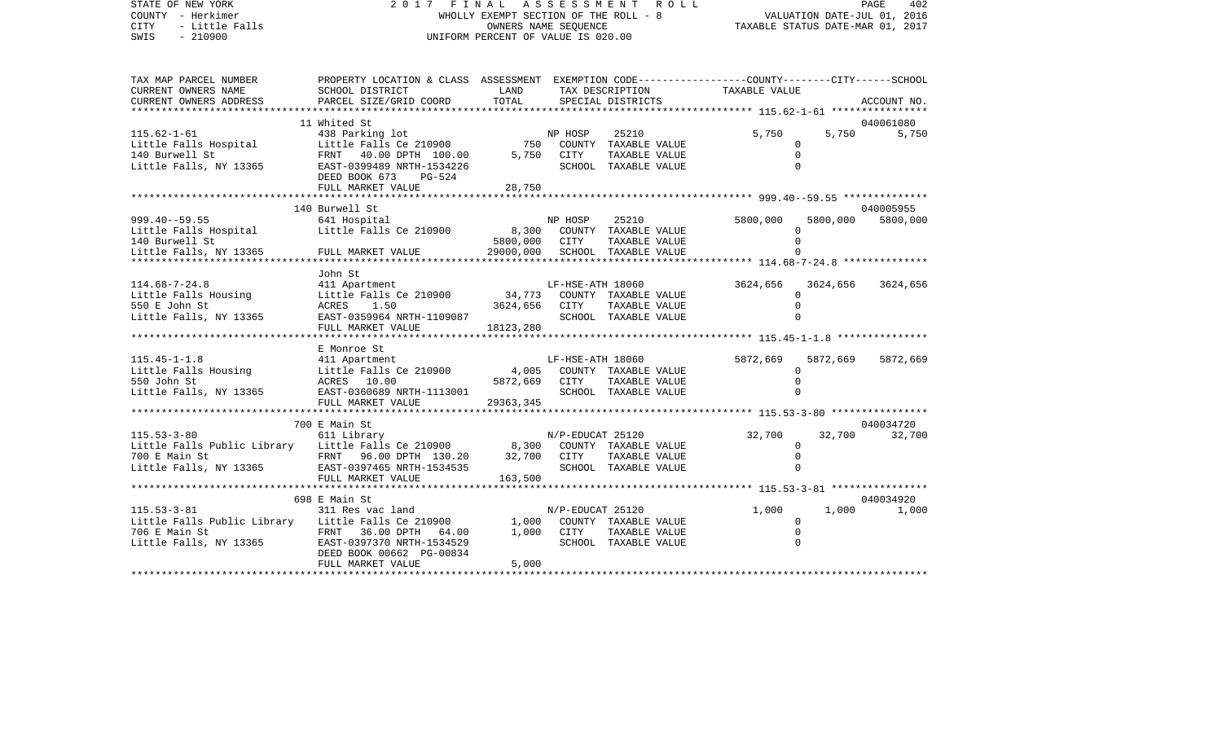## STATE OF NEW YORK 2 0 1 7 F I N A L A S S E S S M E N T R O L L PAGE 402COUNTY - Herkimer **WHOLLY EXEMPT SECTION OF THE ROLL - 8** VALUATION DATE-JUL 01, 2016 CITY - Little Falls OWNERS NAME SEQUENCE TAXABLE STATUS DATE-MAR 01, 2017 UNIFORM PERCENT OF VALUE IS 020.00

PAGE 402

| TAX MAP PARCEL NUMBER                       | PROPERTY LOCATION & CLASS ASSESSMENT EXEMPTION CODE---------------COUNTY-------CITY------SCHOOL |               |                  |                                |                      |          |             |
|---------------------------------------------|-------------------------------------------------------------------------------------------------|---------------|------------------|--------------------------------|----------------------|----------|-------------|
| CURRENT OWNERS NAME                         | SCHOOL DISTRICT                                                                                 | LAND          |                  | TAX DESCRIPTION                | TAXABLE VALUE        |          |             |
| CURRENT OWNERS ADDRESS                      | PARCEL SIZE/GRID COORD                                                                          | TOTAL         |                  | SPECIAL DISTRICTS              |                      |          | ACCOUNT NO. |
|                                             | 11 Whited St                                                                                    |               |                  |                                |                      |          | 040061080   |
| $115.62 - 1 - 61$                           | 438 Parking lot                                                                                 |               | NP HOSP          | 25210                          | 5,750                | 5,750    | 5,750       |
| Little Falls Hospital                       | Little Falls Ce 210900                                                                          | 750           |                  | COUNTY TAXABLE VALUE           | $\Omega$             |          |             |
| 140 Burwell St                              | FRNT 40.00 DPTH 100.00                                                                          | 5,750         | CITY             | TAXABLE VALUE                  | $\Omega$             |          |             |
| Little Falls, NY 13365                      | EAST-0399489 NRTH-1534226                                                                       |               |                  | SCHOOL TAXABLE VALUE           |                      |          |             |
|                                             | DEED BOOK 673<br>PG-524                                                                         |               |                  |                                |                      |          |             |
|                                             | FULL MARKET VALUE                                                                               | 28,750        |                  |                                |                      |          |             |
|                                             |                                                                                                 |               |                  |                                |                      |          |             |
|                                             | 140 Burwell St                                                                                  |               |                  |                                |                      |          | 040005955   |
| $999.40--59.55$                             | 641 Hospital                                                                                    |               | NP HOSP          | 25210                          | 5800,000             | 5800,000 | 5800,000    |
| Little Falls Hospital                       | Little Falls Ce 210900 8,300                                                                    |               |                  | COUNTY TAXABLE VALUE           | $\Omega$             |          |             |
| 140 Burwell St                              |                                                                                                 | 5800,000      | CITY             | TAXABLE VALUE                  |                      |          |             |
| Little Falls, NY 13365                      | FULL MARKET VALUE                                                                               |               |                  | 29000,000 SCHOOL TAXABLE VALUE |                      |          |             |
|                                             |                                                                                                 |               |                  |                                |                      |          |             |
|                                             | John St                                                                                         |               |                  |                                |                      |          |             |
| $114.68 - 7 - 24.8$<br>Little Falls Housing | 411 Apartment<br>Little Falls Ce 210900                                                         |               | LF-HSE-ATH 18060 | 34,773 COUNTY TAXABLE VALUE    | 3624,656<br>$\Omega$ | 3624,656 | 3624,656    |
| 550 E John St                               | ACRES 1.50                                                                                      | 3624,656      | CITY             | TAXABLE VALUE                  |                      |          |             |
| Little Falls, NY 13365                      | EAST-0359964 NRTH-1109087                                                                       |               |                  | SCHOOL TAXABLE VALUE           | $\Omega$             |          |             |
|                                             | FULL MARKET VALUE                                                                               | 18123,280     |                  |                                |                      |          |             |
|                                             |                                                                                                 |               |                  |                                |                      |          |             |
|                                             | E Monroe St                                                                                     |               |                  |                                |                      |          |             |
| $115.45 - 1 - 1.8$                          | 411 Apartment                                                                                   |               | LF-HSE-ATH 18060 |                                | 5872,669             | 5872,669 | 5872,669    |
| Little Falls Housing                        | Little Falls Ce 210900                                                                          | 4,005         |                  | COUNTY TAXABLE VALUE           | 0                    |          |             |
| 550 John St                                 | ACRES 10.00                                                                                     | 5872,669 CITY |                  | TAXABLE VALUE                  | $\Omega$             |          |             |
| Little Falls, NY 13365                      | EAST-0360689 NRTH-1113001                                                                       |               |                  | SCHOOL TAXABLE VALUE           |                      |          |             |
|                                             | FULL MARKET VALUE                                                                               | 29363,345     |                  |                                |                      |          |             |
|                                             | *************************                                                                       |               |                  |                                |                      |          |             |
|                                             | 700 E Main St                                                                                   |               |                  |                                |                      |          | 040034720   |
| $115.53 - 3 - 80$                           | 611 Library                                                                                     |               | N/P-EDUCAT 25120 |                                | 32,700               | 32,700   | 32,700      |
| Little Falls Public Library                 | Little Falls Ce 210900 8,300 COUNTY TAXABLE VALUE                                               |               |                  |                                | $\Omega$             |          |             |
| 700 E Main St                               | FRNT 96.00 DPTH 130.20                                                                          | 32,700        | CITY             | TAXABLE VALUE                  | 0                    |          |             |
| Little Falls, NY 13365                      | EAST-0397465 NRTH-1534535                                                                       |               |                  | SCHOOL TAXABLE VALUE           | $\Omega$             |          |             |
|                                             | FULL MARKET VALUE                                                                               | 163,500       |                  |                                |                      |          |             |
|                                             | 698 E Main St                                                                                   |               |                  |                                |                      |          | 040034920   |
| $115.53 - 3 - 81$                           | 311 Res vac land                                                                                |               | N/P-EDUCAT 25120 |                                | 1,000                | 1,000    | 1,000       |
| Little Falls Public Library                 | Little Falls Ce 210900                                                                          | 1,000         |                  | COUNTY TAXABLE VALUE           | $\Omega$             |          |             |
| 706 E Main St                               | FRNT 36.00 DPTH 64.00                                                                           |               | 1,000 CITY       | TAXABLE VALUE                  | $\Omega$             |          |             |
| Little Falls, NY 13365                      | EAST-0397370 NRTH-1534529                                                                       |               |                  | SCHOOL TAXABLE VALUE           | $\Omega$             |          |             |
|                                             | DEED BOOK 00662 PG-00834                                                                        |               |                  |                                |                      |          |             |
|                                             | FULL MARKET VALUE                                                                               | 5,000         |                  |                                |                      |          |             |
|                                             |                                                                                                 |               |                  |                                |                      |          |             |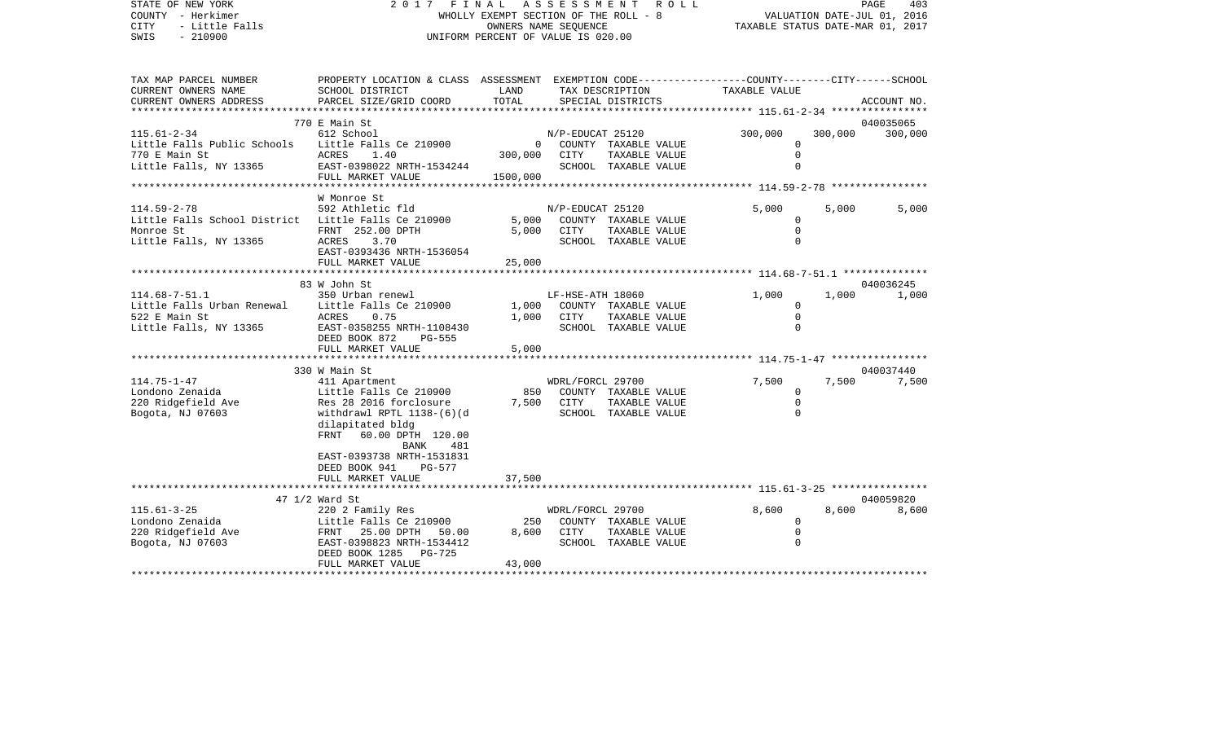| STATE OF NEW YORK<br>COUNTY - Herkimer<br><b>CITY</b><br>- Little Falls<br>$-210900$<br>SWIS                    | 2017<br>FINAL<br>WHOLLY EXEMPT SECTION OF THE ROLL - 8<br>UNIFORM PERCENT OF VALUE IS 020.00                                                                                                                                         | TAXABLE STATUS DATE-MAR 01, 2017      | VALUATION DATE-JUL 01, 2016 | PAGE<br>403                                                   |                                                                   |         |                    |
|-----------------------------------------------------------------------------------------------------------------|--------------------------------------------------------------------------------------------------------------------------------------------------------------------------------------------------------------------------------------|---------------------------------------|-----------------------------|---------------------------------------------------------------|-------------------------------------------------------------------|---------|--------------------|
| TAX MAP PARCEL NUMBER<br>CURRENT OWNERS NAME<br>CURRENT OWNERS ADDRESS                                          | PROPERTY LOCATION & CLASS ASSESSMENT EXEMPTION CODE---------------COUNTY-------CITY------SCHOOL<br>SCHOOL DISTRICT<br>PARCEL SIZE/GRID COORD                                                                                         | LAND<br>TOTAL                         | TAX DESCRIPTION             | SPECIAL DISTRICTS                                             | TAXABLE VALUE                                                     |         | ACCOUNT NO.        |
|                                                                                                                 |                                                                                                                                                                                                                                      |                                       |                             |                                                               | ***************** 115.61-2-34 *****************                   |         |                    |
|                                                                                                                 | 770 E Main St                                                                                                                                                                                                                        |                                       |                             |                                                               |                                                                   |         | 040035065          |
| $115.61 - 2 - 34$<br>Little Falls Public Schools<br>770 E Main St<br>Little Falls, NY 13365                     | 612 School<br>Little Falls Ce 210900<br>ACRES 1.40<br>EAST-0398022 NRTH-1534244<br>FULL MARKET VALUE                                                                                                                                 | $\overline{0}$<br>300,000<br>1500,000 | N/P-EDUCAT 25120<br>CITY    | COUNTY TAXABLE VALUE<br>TAXABLE VALUE<br>SCHOOL TAXABLE VALUE | 300,000<br>$\Omega$<br>$\mathbf 0$<br>$\Omega$                    | 300,000 | 300,000            |
|                                                                                                                 |                                                                                                                                                                                                                                      |                                       |                             |                                                               |                                                                   |         |                    |
| $114.59 - 2 - 78$<br>Little Falls School District Little Falls Ce 210900<br>Monroe St<br>Little Falls, NY 13365 | W Monroe St<br>592 Athletic fld<br>FRNT 252.00 DPTH<br>ACRES<br>3.70<br>EAST-0393436 NRTH-1536054<br>FULL MARKET VALUE<br>**********************                                                                                     | 5,000<br>5,000<br>25,000              | N/P-EDUCAT 25120<br>CITY    | COUNTY TAXABLE VALUE<br>TAXABLE VALUE<br>SCHOOL TAXABLE VALUE | 5,000<br>$\mathbf 0$<br>$\mathbf 0$<br>$\Omega$                   | 5,000   | 5,000              |
|                                                                                                                 | 83 W John St                                                                                                                                                                                                                         |                                       |                             |                                                               |                                                                   |         | 040036245          |
| $114.68 - 7 - 51.1$<br>Little Falls Urban Renewal<br>522 E Main St<br>Little Falls, NY 13365                    | 350 Urban renewl<br>Little Falls Ce 210900<br>ACRES<br>0.75<br>EAST-0358255 NRTH-1108430<br>DEED BOOK 872<br>PG-555<br>FULL MARKET VALUE                                                                                             | 1,000<br>1,000<br>5,000               | LF-HSE-ATH 18060<br>CITY    | COUNTY TAXABLE VALUE<br>TAXABLE VALUE<br>SCHOOL TAXABLE VALUE | 1,000<br>0<br>$\mathbf 0$<br>$\Omega$                             | 1,000   | 1,000              |
|                                                                                                                 | ************************                                                                                                                                                                                                             |                                       |                             |                                                               |                                                                   |         |                    |
| $114.75 - 1 - 47$<br>Londono Zenaida<br>220 Ridgefield Ave<br>Bogota, NJ 07603                                  | 330 W Main St<br>411 Apartment<br>Little Falls Ce 210900<br>Res 28 2016 forclosure<br>withdrawl RPTL 1138-(6)(d<br>dilapitated bldg<br>FRNT 60.00 DPTH 120.00<br>BANK<br>481<br>EAST-0393738 NRTH-1531831<br>DEED BOOK 941<br>PG-577 | 850<br>7,500                          | WDRL/FORCL 29700<br>CITY    | COUNTY TAXABLE VALUE<br>TAXABLE VALUE<br>SCHOOL TAXABLE VALUE | 7,500<br>0<br>$\mathbf 0$<br>$\mathbf 0$                          | 7,500   | 040037440<br>7,500 |
|                                                                                                                 | FULL MARKET VALUE                                                                                                                                                                                                                    | 37,500                                |                             |                                                               | *********************************** 115.61-3-25 ***************** |         |                    |
|                                                                                                                 | 47 1/2 Ward St                                                                                                                                                                                                                       |                                       |                             |                                                               |                                                                   |         | 040059820          |
| $115.61 - 3 - 25$<br>Londono Zenaida<br>220 Ridgefield Ave<br>Bogota, NJ 07603                                  | 220 2 Family Res<br>Little Falls Ce 210900<br>FRNT 25.00 DPTH 50.00<br>EAST-0398823 NRTH-1534412<br>DEED BOOK 1285 PG-725<br>FULL MARKET VALUE                                                                                       | 250<br>8,600<br>43,000                | WDRL/FORCL 29700<br>CITY    | COUNTY TAXABLE VALUE<br>TAXABLE VALUE<br>SCHOOL TAXABLE VALUE | 8,600<br>$\mathbf 0$<br>$\mathbf 0$<br>$\Omega$                   | 8,600   | 8,600              |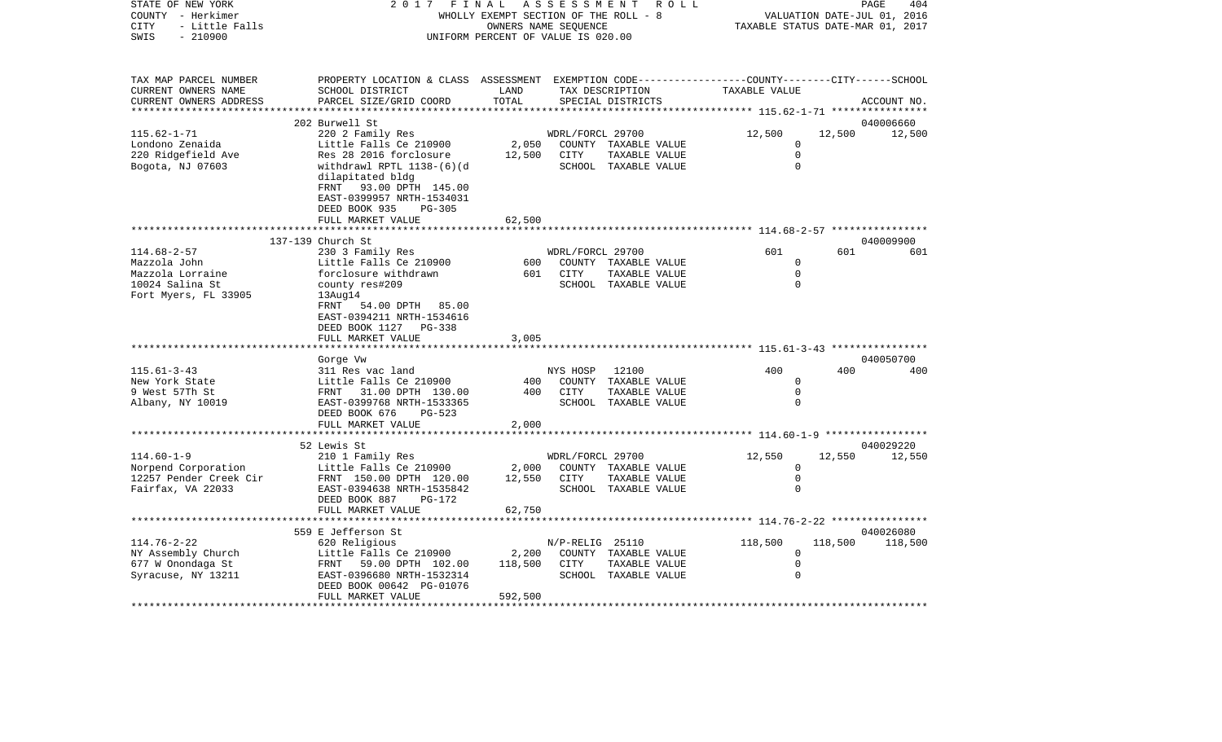| COUNTY<br>– Herkimer<br>CITY<br>- Little Falls<br>SWIS<br>$-210900$ |                                                                                                 | WHOLLY EXEMPT SECTION OF THE ROLL - 8<br>OWNERS NAME SEQUENCE<br>UNIFORM PERCENT OF VALUE IS 020.00 |                  |                                                                    | VALUATION DATE-JUL 01, 2016<br>TAXABLE STATUS DATE-MAR 01, 2017 |         |             |  |
|---------------------------------------------------------------------|-------------------------------------------------------------------------------------------------|-----------------------------------------------------------------------------------------------------|------------------|--------------------------------------------------------------------|-----------------------------------------------------------------|---------|-------------|--|
|                                                                     |                                                                                                 |                                                                                                     |                  |                                                                    |                                                                 |         |             |  |
| TAX MAP PARCEL NUMBER                                               | PROPERTY LOCATION & CLASS ASSESSMENT EXEMPTION CODE---------------COUNTY-------CITY------SCHOOL |                                                                                                     |                  |                                                                    |                                                                 |         |             |  |
| CURRENT OWNERS NAME                                                 | SCHOOL DISTRICT                                                                                 | LAND                                                                                                |                  | TAX DESCRIPTION                                                    | TAXABLE VALUE                                                   |         |             |  |
| CURRENT OWNERS ADDRESS                                              | PARCEL SIZE/GRID COORD                                                                          | TOTAL                                                                                               |                  | SPECIAL DISTRICTS                                                  |                                                                 |         | ACCOUNT NO. |  |
|                                                                     | * * * * * * * * * * * * *                                                                       |                                                                                                     |                  |                                                                    | *************** 115.62-1-71 *****************                   |         |             |  |
|                                                                     | 202 Burwell St                                                                                  |                                                                                                     |                  |                                                                    |                                                                 |         | 040006660   |  |
| $115.62 - 1 - 71$                                                   | 220 2 Family Res                                                                                |                                                                                                     | WDRL/FORCL 29700 |                                                                    | 12,500                                                          | 12,500  | 12,500      |  |
| Londono Zenaida                                                     | Little Falls Ce 210900                                                                          | 2,050                                                                                               |                  | COUNTY TAXABLE VALUE                                               | 0                                                               |         |             |  |
| 220 Ridgefield Ave                                                  | Res 28 2016 forclosure                                                                          | 12,500                                                                                              | CITY             | TAXABLE VALUE                                                      | $\Omega$                                                        |         |             |  |
| Bogota, NJ 07603                                                    | withdrawl RPTL 1138-(6)(d<br>dilapitated bldg                                                   |                                                                                                     |                  | SCHOOL TAXABLE VALUE                                               | $\Omega$                                                        |         |             |  |
|                                                                     | FRNT 93.00 DPTH 145.00<br>EAST-0399957 NRTH-1534031                                             |                                                                                                     |                  |                                                                    |                                                                 |         |             |  |
|                                                                     | DEED BOOK 935<br>PG-305                                                                         |                                                                                                     |                  |                                                                    |                                                                 |         |             |  |
|                                                                     | FULL MARKET VALUE                                                                               | 62,500                                                                                              |                  |                                                                    |                                                                 |         |             |  |
|                                                                     |                                                                                                 |                                                                                                     |                  |                                                                    | *********************** 114.68-2-57 *****************           |         |             |  |
|                                                                     | 137-139 Church St                                                                               |                                                                                                     |                  |                                                                    |                                                                 |         | 040009900   |  |
| $114.68 - 2 - 57$                                                   | 230 3 Family Res                                                                                |                                                                                                     | WDRL/FORCL 29700 |                                                                    | 601                                                             | 601     | 601         |  |
| Mazzola John                                                        | Little Falls Ce 210900                                                                          | 600                                                                                                 |                  | COUNTY TAXABLE VALUE                                               | $\Omega$                                                        |         |             |  |
| Mazzola Lorraine                                                    | forclosure withdrawn                                                                            | 601                                                                                                 | <b>CITY</b>      | TAXABLE VALUE                                                      | $\Omega$                                                        |         |             |  |
| 10024 Salina St                                                     | county res#209                                                                                  |                                                                                                     |                  | SCHOOL TAXABLE VALUE                                               | $\Omega$                                                        |         |             |  |
| Fort Myers, FL 33905                                                | 13Aug14                                                                                         |                                                                                                     |                  |                                                                    |                                                                 |         |             |  |
|                                                                     | FRNT<br>54.00 DPTH 85.00                                                                        |                                                                                                     |                  |                                                                    |                                                                 |         |             |  |
|                                                                     | EAST-0394211 NRTH-1534616                                                                       |                                                                                                     |                  |                                                                    |                                                                 |         |             |  |
|                                                                     | DEED BOOK 1127 PG-338                                                                           |                                                                                                     |                  |                                                                    |                                                                 |         |             |  |
|                                                                     | FULL MARKET VALUE                                                                               | 3,005                                                                                               |                  | ************************************ 115.61-3-43 ***************** |                                                                 |         |             |  |
|                                                                     | Gorge Vw                                                                                        |                                                                                                     |                  |                                                                    |                                                                 |         | 040050700   |  |
| $115.61 - 3 - 43$                                                   | 311 Res vac land                                                                                |                                                                                                     | NYS HOSP         | 12100                                                              | 400                                                             | 400     | 400         |  |
| New York State                                                      | Little Falls Ce 210900                                                                          | 400                                                                                                 |                  | COUNTY TAXABLE VALUE                                               | $\mathbf 0$                                                     |         |             |  |
| 9 West 57Th St                                                      | FRNT 31.00 DPTH 130.00                                                                          | 400                                                                                                 | CITY             | TAXABLE VALUE                                                      | 0                                                               |         |             |  |
| Albany, NY 10019                                                    | EAST-0399768 NRTH-1533365                                                                       |                                                                                                     |                  | SCHOOL TAXABLE VALUE                                               | $\Omega$                                                        |         |             |  |
|                                                                     | DEED BOOK 676<br>PG-523                                                                         |                                                                                                     |                  |                                                                    |                                                                 |         |             |  |
|                                                                     | FULL MARKET VALUE                                                                               | 2,000                                                                                               |                  |                                                                    |                                                                 |         |             |  |
|                                                                     | ********************                                                                            |                                                                                                     |                  |                                                                    |                                                                 |         |             |  |
|                                                                     | 52 Lewis St                                                                                     |                                                                                                     |                  |                                                                    |                                                                 |         | 040029220   |  |
| $114.60 - 1 - 9$                                                    | 210 1 Family Res                                                                                |                                                                                                     | WDRL/FORCL 29700 |                                                                    | 12,550                                                          | 12,550  | 12,550      |  |
| Norpend Corporation                                                 | Little Falls Ce 210900                                                                          | 2,000                                                                                               |                  | COUNTY TAXABLE VALUE                                               | 0                                                               |         |             |  |
| 12257 Pender Creek Cir                                              | FRNT 150.00 DPTH 120.00                                                                         | 12,550                                                                                              | CITY             | TAXABLE VALUE                                                      | $\mathbf 0$                                                     |         |             |  |
| Fairfax, VA 22033                                                   | EAST-0394638 NRTH-1535842                                                                       |                                                                                                     |                  | SCHOOL TAXABLE VALUE                                               | 0                                                               |         |             |  |
|                                                                     | DEED BOOK 887<br>PG-172                                                                         |                                                                                                     |                  |                                                                    |                                                                 |         |             |  |
|                                                                     | FULL MARKET VALUE                                                                               | 62,750                                                                                              |                  |                                                                    |                                                                 |         |             |  |
|                                                                     |                                                                                                 |                                                                                                     |                  |                                                                    | *********** 114.76-2-22 *****************                       |         |             |  |
|                                                                     | 559 E Jefferson St                                                                              |                                                                                                     |                  |                                                                    |                                                                 |         | 040026080   |  |
| $114.76 - 2 - 22$                                                   | 620 Religious                                                                                   |                                                                                                     | N/P-RELIG 25110  |                                                                    | 118,500                                                         | 118,500 | 118,500     |  |
| NY Assembly Church                                                  | Little Falls Ce 210900                                                                          | 2,200                                                                                               |                  | COUNTY TAXABLE VALUE                                               | 0                                                               |         |             |  |
| 677 W Onondaga St                                                   | FRNT<br>59.00 DPTH 102.00                                                                       | 118,500                                                                                             | CITY             | TAXABLE VALUE                                                      | $\mathbf 0$                                                     |         |             |  |
| Syracuse, NY 13211                                                  | EAST-0396680 NRTH-1532314                                                                       |                                                                                                     |                  | SCHOOL TAXABLE VALUE                                               | $\mathbf 0$                                                     |         |             |  |
|                                                                     | DEED BOOK 00642 PG-01076                                                                        |                                                                                                     |                  |                                                                    |                                                                 |         |             |  |
|                                                                     | FULL MARKET VALUE<br>********************                                                       | 592,500                                                                                             |                  |                                                                    |                                                                 |         |             |  |

PAGE 404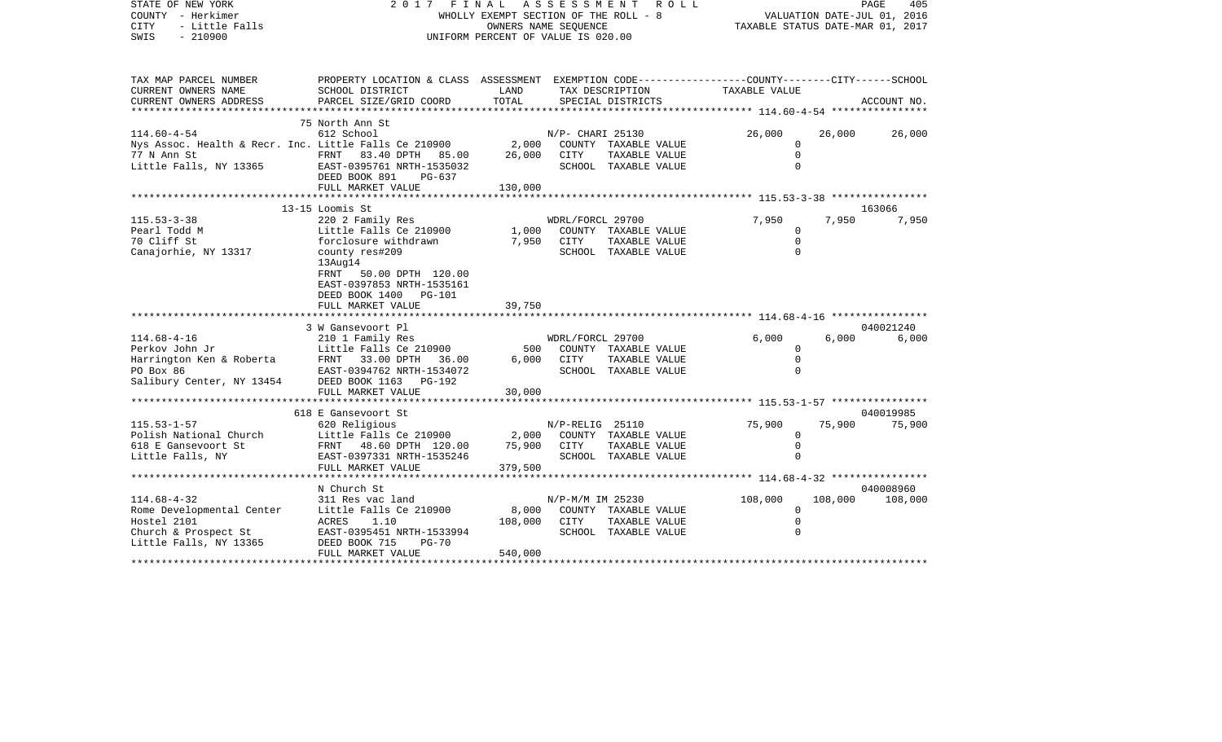| STATE OF NEW YORK<br>COUNTY - Herkimer<br><b>CITY</b><br>- Little Falls<br>SWIS<br>$-210900$ | 2017<br>FINAL<br>WHOLLY EXEMPT SECTION OF THE ROLL - 8<br>UNIFORM PERCENT OF VALUE IS 020.00 | TAXABLE STATUS DATE-MAR 01, 2017     |                  | PAGE<br>405<br>VALUATION DATE-JUL 01, 2016                                      |                                                 |         |             |
|----------------------------------------------------------------------------------------------|----------------------------------------------------------------------------------------------|--------------------------------------|------------------|---------------------------------------------------------------------------------|-------------------------------------------------|---------|-------------|
| TAX MAP PARCEL NUMBER<br>CURRENT OWNERS NAME                                                 | PROPERTY LOCATION & CLASS ASSESSMENT<br>SCHOOL DISTRICT                                      | LAND                                 |                  | EXEMPTION CODE-----------------COUNTY-------CITY------SCHOOL<br>TAX DESCRIPTION | TAXABLE VALUE                                   |         |             |
| CURRENT OWNERS ADDRESS                                                                       | PARCEL SIZE/GRID COORD                                                                       | TOTAL                                |                  | SPECIAL DISTRICTS                                                               |                                                 |         | ACCOUNT NO. |
| *********************                                                                        |                                                                                              | *****************************        |                  |                                                                                 | ***************** 114.60-4-54 ***************** |         |             |
|                                                                                              | 75 North Ann St                                                                              |                                      |                  |                                                                                 |                                                 |         |             |
| $114.60 - 4 - 54$                                                                            | 612 School                                                                                   |                                      | N/P- CHARI 25130 |                                                                                 | 26,000                                          | 26,000  | 26,000      |
| Nys Assoc. Health & Recr. Inc. Little Falls Ce 210900                                        |                                                                                              | 2,000                                |                  | COUNTY TAXABLE VALUE                                                            | 0                                               |         |             |
| 77 N Ann St                                                                                  | FRNT 83.40 DPTH 85.00                                                                        | 26,000                               | <b>CITY</b>      | TAXABLE VALUE                                                                   | $\mathbf 0$                                     |         |             |
| Little Falls, NY 13365                                                                       | EAST-0395761 NRTH-1535032                                                                    |                                      |                  | SCHOOL TAXABLE VALUE                                                            | $\Omega$                                        |         |             |
|                                                                                              | DEED BOOK 891<br>PG-637<br>FULL MARKET VALUE                                                 | 130,000                              |                  |                                                                                 |                                                 |         |             |
|                                                                                              |                                                                                              |                                      |                  |                                                                                 | ************ 115.53-3-38 *****************      |         |             |
|                                                                                              | 13-15 Loomis St                                                                              |                                      |                  |                                                                                 |                                                 |         | 163066      |
| $115.53 - 3 - 38$                                                                            | 220 2 Family Res                                                                             |                                      | WDRL/FORCL 29700 |                                                                                 | 7,950                                           | 7,950   | 7,950       |
| Pearl Todd M                                                                                 | Little Falls Ce 210900                                                                       | 1,000                                |                  | COUNTY TAXABLE VALUE                                                            | $\Omega$                                        |         |             |
| 70 Cliff St                                                                                  | forclosure withdrawn                                                                         | 7,950                                | CITY             | TAXABLE VALUE                                                                   | $\Omega$                                        |         |             |
| Canajorhie, NY 13317                                                                         | county res#209                                                                               |                                      |                  | SCHOOL TAXABLE VALUE                                                            | $\Omega$                                        |         |             |
|                                                                                              | 13Aug14                                                                                      |                                      |                  |                                                                                 |                                                 |         |             |
|                                                                                              | FRNT<br>50.00 DPTH 120.00<br>EAST-0397853 NRTH-1535161                                       |                                      |                  |                                                                                 |                                                 |         |             |
|                                                                                              | DEED BOOK 1400 PG-101                                                                        |                                      |                  |                                                                                 |                                                 |         |             |
|                                                                                              | FULL MARKET VALUE                                                                            | 39,750                               |                  |                                                                                 |                                                 |         |             |
|                                                                                              | ****************************                                                                 |                                      |                  |                                                                                 |                                                 |         |             |
|                                                                                              | 3 W Gansevoort Pl                                                                            |                                      |                  |                                                                                 |                                                 |         | 040021240   |
| $114.68 - 4 - 16$                                                                            | 210 1 Family Res                                                                             |                                      | WDRL/FORCL 29700 |                                                                                 | 6,000                                           | 6,000   | 6,000       |
| Perkov John Jr                                                                               | Little Falls Ce 210900                                                                       | 500                                  |                  | COUNTY TAXABLE VALUE                                                            | $\Omega$                                        |         |             |
| Harrington Ken & Roberta<br>PO Box 86                                                        | FRNT 33.00 DPTH<br>36.00<br>EAST-0394762 NRTH-1534072                                        | 6,000                                | CITY             | TAXABLE VALUE                                                                   | $\Omega$<br>$\Omega$                            |         |             |
| Salibury Center, NY 13454                                                                    | DEED BOOK 1163<br>PG-192                                                                     |                                      |                  | SCHOOL TAXABLE VALUE                                                            |                                                 |         |             |
|                                                                                              | FULL MARKET VALUE                                                                            | 30,000                               |                  |                                                                                 |                                                 |         |             |
|                                                                                              | ************************                                                                     |                                      |                  |                                                                                 |                                                 |         |             |
|                                                                                              | 618 E Gansevoort St                                                                          |                                      |                  |                                                                                 |                                                 |         | 040019985   |
| $115.53 - 1 - 57$                                                                            | 620 Religious                                                                                |                                      | N/P-RELIG 25110  |                                                                                 | 75,900                                          | 75,900  | 75,900      |
| Polish National Church                                                                       | Little Falls Ce 210900                                                                       | 2,000                                |                  | COUNTY TAXABLE VALUE                                                            | 0                                               |         |             |
| 618 E Gansevoort St                                                                          | FRNT 48.60 DPTH 120.00                                                                       | 75,900                               | CITY             | TAXABLE VALUE                                                                   | $\mathbf 0$                                     |         |             |
| Little Falls, NY                                                                             | EAST-0397331 NRTH-1535246                                                                    |                                      |                  | SCHOOL TAXABLE VALUE                                                            | $\mathbf 0$                                     |         |             |
|                                                                                              | FULL MARKET VALUE<br>**********************                                                  | 379,500<br>* * * * * * * * * * * * * |                  |                                                                                 |                                                 |         |             |
|                                                                                              | N Church St                                                                                  |                                      |                  |                                                                                 |                                                 |         | 040008960   |
| $114.68 - 4 - 32$                                                                            | 311 Res vac land                                                                             |                                      | N/P-M/M IM 25230 |                                                                                 | 108,000                                         | 108,000 | 108,000     |
| Rome Developmental Center                                                                    | Little Falls Ce 210900                                                                       | 8,000                                |                  | COUNTY TAXABLE VALUE                                                            | $\mathbf 0$                                     |         |             |
| Hostel 2101                                                                                  | ACRES<br>1.10                                                                                | 108,000                              | CITY             | TAXABLE VALUE                                                                   | $\Omega$                                        |         |             |
| Church & Prospect St                                                                         | EAST-0395451 NRTH-1533994                                                                    |                                      |                  | SCHOOL TAXABLE VALUE                                                            | $\Omega$                                        |         |             |
| Little Falls, NY 13365                                                                       | DEED BOOK 715<br>$PG-70$                                                                     |                                      |                  |                                                                                 |                                                 |         |             |
|                                                                                              | FULL MARKET VALUE                                                                            | 540,000                              |                  |                                                                                 |                                                 |         |             |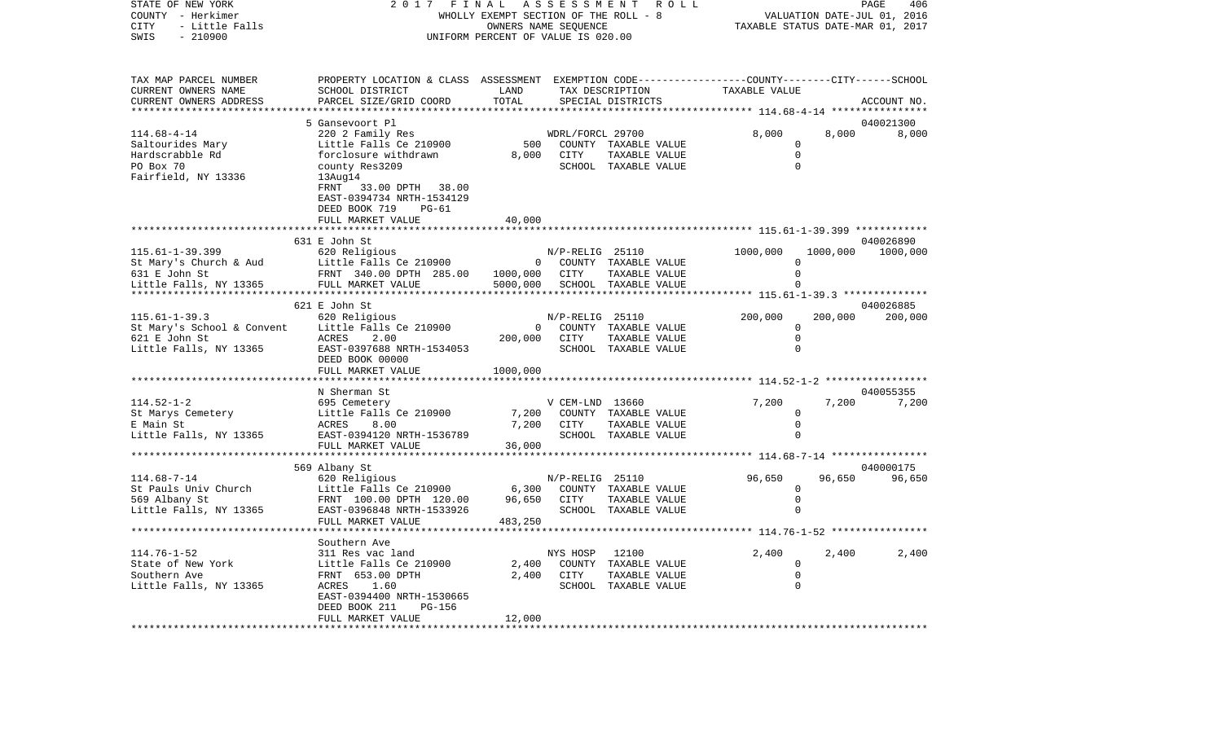COUNTY - Herkimer WHOLLY EXEMPT SECTION OF THE ROLL - 8 VALUATION DATE-JUL 01, 2016 CITY - Little Falls OWNERS NAME SEQUENCE TAXABLE STATUS DATE-MAR 01, 2017 SWIS - 210900 UNIFORM PERCENT OF VALUE IS 020.00TAX MAP PARCEL NUMBER PROPERTY LOCATION & CLASS ASSESSMENT EXEMPTION CODE------------------COUNTY--------CITY------SCHOOL CURRENT OWNERS NAME SCHOOL DISTRICT LAND TAX DESCRIPTION TAXABLE VALUECURRENT OWNERS ADDRESS PARCEL SIZE/GRID COORD TOTAL SPECIAL DISTRICTS ACCOUNT NO. \*\*\*\*\*\*\*\*\*\*\*\*\*\*\*\*\*\*\*\*\*\*\*\*\*\*\*\*\*\*\*\*\*\*\*\*\*\*\*\*\*\*\*\*\*\*\*\*\*\*\*\*\*\*\*\*\*\*\*\*\*\*\*\*\*\*\*\*\*\*\*\*\*\*\*\*\*\*\*\*\*\*\*\*\*\*\*\*\*\*\*\*\*\*\*\*\*\*\*\*\*\*\* 114.68-4-14 \*\*\*\*\*\*\*\*\*\*\*\*\*\*\*\* 5 Gansevoort Pl 040021300114.68-4-14 220 2 Family Res WDRL/FORCL 29700 8,000 8,000 8,000 Saltourides Mary Little Falls Ce 210900 500 COUNTY TAXABLE VALUE 0 Hardscrabble Rd forclosure withdrawn 8,000 CITY TAXABLE VALUE 0 PO Box 70 county Res3209 county Res3209 county Resserve and SCHOOL TAXABLE VALUE 0 Fairfield, NY 13336 13Aug14 FRNT 33.00 DPTH 38.00 EAST-0394734 NRTH-1534129 DEED BOOK 719 PG-61FULL MARKET VALUE 40,000 \*\*\*\*\*\*\*\*\*\*\*\*\*\*\*\*\*\*\*\*\*\*\*\*\*\*\*\*\*\*\*\*\*\*\*\*\*\*\*\*\*\*\*\*\*\*\*\*\*\*\*\*\*\*\*\*\*\*\*\*\*\*\*\*\*\*\*\*\*\*\*\*\*\*\*\*\*\*\*\*\*\*\*\*\*\*\*\*\*\*\*\*\*\*\*\*\*\*\*\*\*\*\* 115.61-1-39.399 \*\*\*\*\*\*\*\*\*\*\*\* 631 E John St 040026890115.61-1-39.399 620 Religious N/P-RELIG 25110 1000,000 1000,000 1000,000 St Mary's Church & Aud Little Falls Ce 210900 0 COUNTY TAXABLE VALUE 0 631 E John St FRNT 340.00 DPTH 285.00 1000,000 CITY TAXABLE VALUE 0 Little Falls, NY 13365 FULL MARKET VALUE 5000,000 SCHOOL TAXABLE VALUE 0 \*\*\*\*\*\*\*\*\*\*\*\*\*\*\*\*\*\*\*\*\*\*\*\*\*\*\*\*\*\*\*\*\*\*\*\*\*\*\*\*\*\*\*\*\*\*\*\*\*\*\*\*\*\*\*\*\*\*\*\*\*\*\*\*\*\*\*\*\*\*\*\*\*\*\*\*\*\*\*\*\*\*\*\*\*\*\*\*\*\*\*\*\*\*\*\*\*\*\*\*\*\*\* 115.61-1-39.3 \*\*\*\*\*\*\*\*\*\*\*\*\*\* 621 E John St 040026885115.61-1-39.3 620 Religious N/P-RELIG 25110 200,000 200,000 200,000 St Mary's School & Convent Little Falls Ce 210900 0 00000 0 COUNTY TAXABLE VALUE 0 621 E John St ACRES 2.00 200,000 CITY TAXABLE VALUE 0 Little Falls, NY 13365 EAST-0397688 NRTH-1534053 SCHOOL TAXABLE VALUE 0 DEED BOOK 00000FULL MARKET VALUE 1000,000 \*\*\*\*\*\*\*\*\*\*\*\*\*\*\*\*\*\*\*\*\*\*\*\*\*\*\*\*\*\*\*\*\*\*\*\*\*\*\*\*\*\*\*\*\*\*\*\*\*\*\*\*\*\*\*\*\*\*\*\*\*\*\*\*\*\*\*\*\*\*\*\*\*\*\*\*\*\*\*\*\*\*\*\*\*\*\*\*\*\*\*\*\*\*\*\*\*\*\*\*\*\*\* 114.52-1-2 \*\*\*\*\*\*\*\*\*\*\*\*\*\*\*\*\* N Sherman St 040055355114.52-1-2 695 Cemetery V CEM-LND 13660 7,200 7,200 7,200 St Marys Cemetery **Example Falls Ce 210900** 7,200 COUNTY TAXABLE VALUE 0 E Main St ACRES 8.00 7,200 CITY TAXABLE VALUE 0 Little Falls, NY 13365 EAST-0394120 NRTH-1536789 SCHOOL TAXABLE VALUE 0 FULL MARKET VALUE 36,000 \*\*\*\*\*\*\*\*\*\*\*\*\*\*\*\*\*\*\*\*\*\*\*\*\*\*\*\*\*\*\*\*\*\*\*\*\*\*\*\*\*\*\*\*\*\*\*\*\*\*\*\*\*\*\*\*\*\*\*\*\*\*\*\*\*\*\*\*\*\*\*\*\*\*\*\*\*\*\*\*\*\*\*\*\*\*\*\*\*\*\*\*\*\*\*\*\*\*\*\*\*\*\* 114.68-7-14 \*\*\*\*\*\*\*\*\*\*\*\*\*\*\*\* 569 Albany St 040000175 114.68-7-14 620 Religious N/P-RELIG 25110 96,650 96,650 96,650 St Pauls Univ Church Little Falls Ce 210900 6,300 COUNTY TAXABLE VALUE 0 569 Albany St FRNT 100.00 DPTH 120.00 96,650 CITY TAXABLE VALUE 0 EAST-0396848 NRTH-1533926 SCHOOL TAXABLE VALUE FULL MARKET VALUE 483,250 \*\*\*\*\*\*\*\*\*\*\*\*\*\*\*\*\*\*\*\*\*\*\*\*\*\*\*\*\*\*\*\*\*\*\*\*\*\*\*\*\*\*\*\*\*\*\*\*\*\*\*\*\*\*\*\*\*\*\*\*\*\*\*\*\*\*\*\*\*\*\*\*\*\*\*\*\*\*\*\*\*\*\*\*\*\*\*\*\*\*\*\*\*\*\*\*\*\*\*\*\*\*\* 114.76-1-52 \*\*\*\*\*\*\*\*\*\*\*\*\*\*\*\* Southern Ave114.76-1-52 311 Res vac land NYS HOSP 12100 2,400 2,400 2,400 State of New York **Little Falls Ce 210900** 2.400 COUNTY TAXABLE VALUE 0 Southern Ave FRNT 653.00 DPTH 2,400 CITY TAXABLE VALUE 0 Little Falls, NY 13365 ACRES 1.60 SCHOOL TAXABLE VALUE 0 EAST-0394400 NRTH-1530665 DEED BOOK 211 PG-156FULL MARKET VALUE 12,000 \*\*\*\*\*\*\*\*\*\*\*\*\*\*\*\*\*\*\*\*\*\*\*\*\*\*\*\*\*\*\*\*\*\*\*\*\*\*\*\*\*\*\*\*\*\*\*\*\*\*\*\*\*\*\*\*\*\*\*\*\*\*\*\*\*\*\*\*\*\*\*\*\*\*\*\*\*\*\*\*\*\*\*\*\*\*\*\*\*\*\*\*\*\*\*\*\*\*\*\*\*\*\*\*\*\*\*\*\*\*\*\*\*\*\*\*\*\*\*\*\*\*\*\*\*\*\*\*\*\*\*\*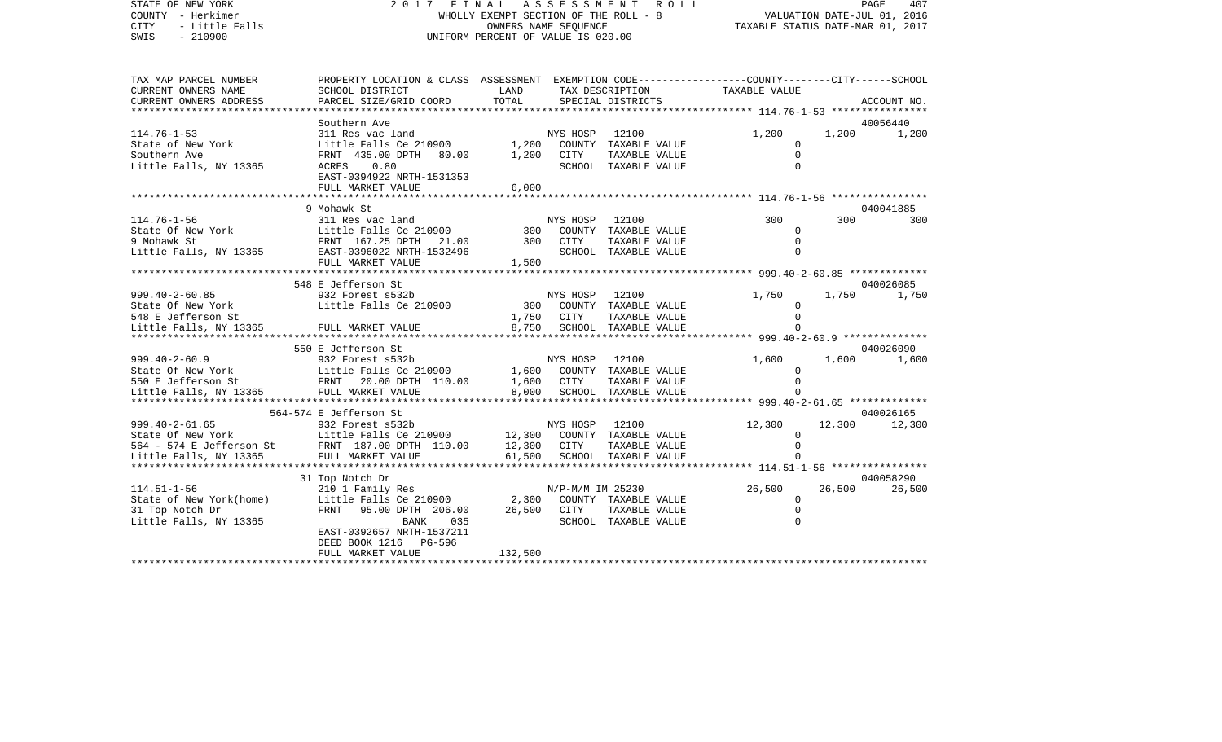STATE OF NEW YORK 2 0 1 7 F I N A L A S S E S S M E N T R O L L PAGE 407COUNTY - Herkimer WHOLLY EXEMPT SECTION OF THE ROLL - 8 VALUATION DATE-JUL 01, 2016 CITY - Little Falls OWNERS NAME SEQUENCE TAXABLE STATUS DATE-MAR 01, 2017 SWIS - 210900 UNIFORM PERCENT OF VALUE IS 020.00

TAX MAP PARCEL NUMBER PROPERTY LOCATION & CLASS ASSESSMENT EXEMPTION CODE------------------COUNTY--------CITY------SCHOOL CURRENT OWNERS NAME SCHOOL DISTRICT LAND TAX DESCRIPTION TAXABLE VALUECURRENT OWNERS ADDRESS PARCEL SIZE/GRID COORD TOTAL SPECIAL DISTRICTS ACCOUNT NO. \*\*\*\*\*\*\*\*\*\*\*\*\*\*\*\*\*\*\*\*\*\*\*\*\*\*\*\*\*\*\*\*\*\*\*\*\*\*\*\*\*\*\*\*\*\*\*\*\*\*\*\*\*\*\*\*\*\*\*\*\*\*\*\*\*\*\*\*\*\*\*\*\*\*\*\*\*\*\*\*\*\*\*\*\*\*\*\*\*\*\*\*\*\*\*\*\*\*\*\*\*\*\* 114.76-1-53 \*\*\*\*\*\*\*\*\*\*\*\*\*\*\*\* Southern Ave 40056440114.76-1-53 311 Res vac land NYS HOSP 12100 1,200 1,200 1,200 State of New York **Little Falls Ce 210900** 1,200 COUNTY TAXABLE VALUE 0 Southern Ave FRNT 435.00 DPTH 80.00 1,200 CITY TAXABLE VALUE 0 Little Falls, NY 13365 ACRES 0.80 SCHOOL TAXABLE VALUE 0 EAST-0394922 NRTH-1531353FULL MARKET VALUE 6,000 \*\*\*\*\*\*\*\*\*\*\*\*\*\*\*\*\*\*\*\*\*\*\*\*\*\*\*\*\*\*\*\*\*\*\*\*\*\*\*\*\*\*\*\*\*\*\*\*\*\*\*\*\*\*\*\*\*\*\*\*\*\*\*\*\*\*\*\*\*\*\*\*\*\*\*\*\*\*\*\*\*\*\*\*\*\*\*\*\*\*\*\*\*\*\*\*\*\*\*\*\*\*\* 114.76-1-56 \*\*\*\*\*\*\*\*\*\*\*\*\*\*\*\*9 Mohawk St 040041885 114.76-1-56 311 Res vac land NYS HOSP 12100 300 300 300State Of New York **Little Falls Ce 210900** 300 COUNTY TAXABLE VALUE 0 9 Mohawk St FRNT 167.25 DPTH 21.00 300 CITY TAXABLE VALUE 0Little Falls, NY 13365 BAST-0396022 NRTH-1532496 SCHOOL TAXABLE VALUE 0 FULL MARKET VALUE 1,500 \*\*\*\*\*\*\*\*\*\*\*\*\*\*\*\*\*\*\*\*\*\*\*\*\*\*\*\*\*\*\*\*\*\*\*\*\*\*\*\*\*\*\*\*\*\*\*\*\*\*\*\*\*\*\*\*\*\*\*\*\*\*\*\*\*\*\*\*\*\*\*\*\*\*\*\*\*\*\*\*\*\*\*\*\*\*\*\*\*\*\*\*\*\*\*\*\*\*\*\*\*\*\* 999.40-2-60.85 \*\*\*\*\*\*\*\*\*\*\*\*\* 548 E Jefferson St 040026085999.40-2-60.85 932 Forest s532b NYS HOSP 12100 1,750 1,750 1,750 State Of New York **Little Falls Ce 210900** 300 COUNTY TAXABLE VALUE 0 548 E Jefferson St 1,750 CITY TAXABLE VALUE 0 Little Falls, NY 13365 FULL MARKET VALUE 8,750 SCHOOL TAXABLE VALUE 0 \*\*\*\*\*\*\*\*\*\*\*\*\*\*\*\*\*\*\*\*\*\*\*\*\*\*\*\*\*\*\*\*\*\*\*\*\*\*\*\*\*\*\*\*\*\*\*\*\*\*\*\*\*\*\*\*\*\*\*\*\*\*\*\*\*\*\*\*\*\*\*\*\*\*\*\*\*\*\*\*\*\*\*\*\*\*\*\*\*\*\*\*\*\*\*\*\*\*\*\*\*\*\* 999.40-2-60.9 \*\*\*\*\*\*\*\*\*\*\*\*\*\* 550 E Jefferson St 040026090999.40-2-60.9 932 Forest s532b NYS HOSP 12100 1,600 1,600 1,600 1,600 State Of New York **Little Falls Ce 210900** 1,600 COUNTY TAXABLE VALUE 0 550 E Jefferson St FRNT 20.00 DPTH 110.00 1,600 CITY TAXABLE VALUE 0 Little Falls, NY 13365 FULL MARKET VALUE 8,000 SCHOOL TAXABLE VALUE 0 \*\*\*\*\*\*\*\*\*\*\*\*\*\*\*\*\*\*\*\*\*\*\*\*\*\*\*\*\*\*\*\*\*\*\*\*\*\*\*\*\*\*\*\*\*\*\*\*\*\*\*\*\*\*\*\*\*\*\*\*\*\*\*\*\*\*\*\*\*\*\*\*\*\*\*\*\*\*\*\*\*\*\*\*\*\*\*\*\*\*\*\*\*\*\*\*\*\*\*\*\*\*\* 999.40-2-61.65 \*\*\*\*\*\*\*\*\*\*\*\*\* 564-574 E Jefferson St 040026165999.40-2-61.65 932 Forest s532b NYS HOSP 12100 12,300 12,300 12,300 12,300 State Of New York **Little Falls Ce 210900** 12,300 COUNTY TAXABLE VALUE 0 564 - 574 E Jefferson St FRNT 187.00 DPTH 110.00 12,300 CITY TAXABLE VALUE 0 Little Falls, NY 13365 FULL MARKET VALUE 61,500 SCHOOL TAXABLE VALUE 0 \*\*\*\*\*\*\*\*\*\*\*\*\*\*\*\*\*\*\*\*\*\*\*\*\*\*\*\*\*\*\*\*\*\*\*\*\*\*\*\*\*\*\*\*\*\*\*\*\*\*\*\*\*\*\*\*\*\*\*\*\*\*\*\*\*\*\*\*\*\*\*\*\*\*\*\*\*\*\*\*\*\*\*\*\*\*\*\*\*\*\*\*\*\*\*\*\*\*\*\*\*\*\* 114.51-1-56 \*\*\*\*\*\*\*\*\*\*\*\*\*\*\*\* 31 Top Notch Dr 040058290 114.51-1-56 210 1 Family Res N/P-M/M IM 25230 26,500 26,500 26,500 State of New York(home) Little Falls Ce 210900 2.300 COUNTY TAXABLE VALUE 0 31 Top Notch Dr FRNT 95.00 DPTH 206.00 26,500 CITY TAXABLE VALUE 0 Little Falls, NY 13365 BANK 035 SCHOOL TAXABLE VALUE 0 EAST-0392657 NRTH-1537211 DEED BOOK 1216 PG-596FULL MARKET VALUE 132,500 \*\*\*\*\*\*\*\*\*\*\*\*\*\*\*\*\*\*\*\*\*\*\*\*\*\*\*\*\*\*\*\*\*\*\*\*\*\*\*\*\*\*\*\*\*\*\*\*\*\*\*\*\*\*\*\*\*\*\*\*\*\*\*\*\*\*\*\*\*\*\*\*\*\*\*\*\*\*\*\*\*\*\*\*\*\*\*\*\*\*\*\*\*\*\*\*\*\*\*\*\*\*\*\*\*\*\*\*\*\*\*\*\*\*\*\*\*\*\*\*\*\*\*\*\*\*\*\*\*\*\*\*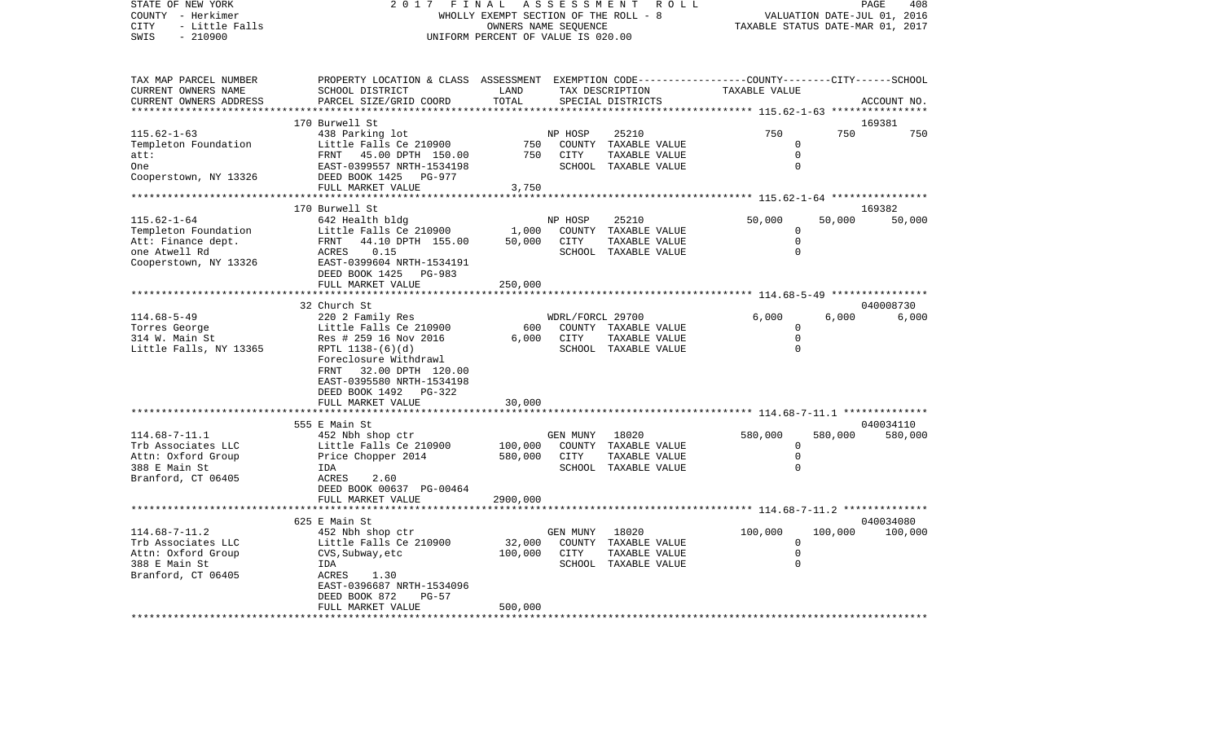COUNTY - Herkimer WHOLLY EXEMPT SECTION OF THE ROLL - 8 VALUATION DATE-JUL 01, 2016 CITY - Little Falls OWNERS NAME SEQUENCE TAXABLE STATUS DATE-MAR 01, 2017 SWIS - 210900 UNIFORM PERCENT OF VALUE IS 020.00TAX MAP PARCEL NUMBER PROPERTY LOCATION & CLASS ASSESSMENT EXEMPTION CODE------------------COUNTY--------CITY------SCHOOL CURRENT OWNERS NAME SCHOOL DISTRICT LAND TAX DESCRIPTION TAXABLE VALUECURRENT OWNERS ADDRESS PARCEL SIZE/GRID COORD TOTAL SPECIAL DISTRICTS ACCOUNT NO. \*\*\*\*\*\*\*\*\*\*\*\*\*\*\*\*\*\*\*\*\*\*\*\*\*\*\*\*\*\*\*\*\*\*\*\*\*\*\*\*\*\*\*\*\*\*\*\*\*\*\*\*\*\*\*\*\*\*\*\*\*\*\*\*\*\*\*\*\*\*\*\*\*\*\*\*\*\*\*\*\*\*\*\*\*\*\*\*\*\*\*\*\*\*\*\*\*\*\*\*\*\*\* 115.62-1-63 \*\*\*\*\*\*\*\*\*\*\*\*\*\*\*\*170 Burwell St 169381 115.62-1-63 438 Parking lot NP HOSP 25210 750 750 750 Templeton Foundation Little Falls Ce 210900 750 COUNTY TAXABLE VALUE 0 att: FRNT 45.00 DPTH 150.00 750 CITY TAXABLE VALUE 0One EAST-0399557 NRTH-1534198 SCHOOL TAXABLE VALUE 0Cooperstown, NY 13326 DEED BOOK 1425 PG-977 FULL MARKET VALUE 3,750 \*\*\*\*\*\*\*\*\*\*\*\*\*\*\*\*\*\*\*\*\*\*\*\*\*\*\*\*\*\*\*\*\*\*\*\*\*\*\*\*\*\*\*\*\*\*\*\*\*\*\*\*\*\*\*\*\*\*\*\*\*\*\*\*\*\*\*\*\*\*\*\*\*\*\*\*\*\*\*\*\*\*\*\*\*\*\*\*\*\*\*\*\*\*\*\*\*\*\*\*\*\*\* 115.62-1-64 \*\*\*\*\*\*\*\*\*\*\*\*\*\*\*\* 170 Burwell St 169382115.62-1-64 642 Health bldg NP HOSP 25210 50,000 50,000 50,000 Templeton Foundation Little Falls Ce 210900 1,000 COUNTY TAXABLE VALUE 0 FRNT 44.10 DPTH 155.00 50.000 CITY TAXABLE VALUE 0 one Atwell Rd ACRES 0.15 SCHOOL TAXABLE VALUE 0Cooperstown, NY 13326 EAST-0399604 NRTH-1534191 DEED BOOK 1425 PG-983 FULL MARKET VALUE 250,000 \*\*\*\*\*\*\*\*\*\*\*\*\*\*\*\*\*\*\*\*\*\*\*\*\*\*\*\*\*\*\*\*\*\*\*\*\*\*\*\*\*\*\*\*\*\*\*\*\*\*\*\*\*\*\*\*\*\*\*\*\*\*\*\*\*\*\*\*\*\*\*\*\*\*\*\*\*\*\*\*\*\*\*\*\*\*\*\*\*\*\*\*\*\*\*\*\*\*\*\*\*\*\* 114.68-5-49 \*\*\*\*\*\*\*\*\*\*\*\*\*\*\*\* 32 Church St 040008730114.68-5-49 220 2 Family Res WDRL/FORCL 29700 6,000 6,000 6,000 Torres George Little Falls Ce 210900 600 COUNTY TAXABLE VALUE 0 314 W. Main St Res # 259 16 Nov 2016 6,000 CITY TAXABLE VALUE 0 Little Falls, NY 13365 RPTL 1138-(6)(d) SCHOOL TAXABLE VALUE 0 Foreclosure Withdrawl FRNT 32.00 DPTH 120.00 EAST-0395580 NRTH-1534198 DEED BOOK 1492 PG-322 FULL MARKET VALUE 30,000 \*\*\*\*\*\*\*\*\*\*\*\*\*\*\*\*\*\*\*\*\*\*\*\*\*\*\*\*\*\*\*\*\*\*\*\*\*\*\*\*\*\*\*\*\*\*\*\*\*\*\*\*\*\*\*\*\*\*\*\*\*\*\*\*\*\*\*\*\*\*\*\*\*\*\*\*\*\*\*\*\*\*\*\*\*\*\*\*\*\*\*\*\*\*\*\*\*\*\*\*\*\*\* 114.68-7-11.1 \*\*\*\*\*\*\*\*\*\*\*\*\*\* 555 E Main St 040034110114.68-7-11.1 452 Nbh shop ctr GEN MUNY 18020 580,000 580,000 580,000 Trb Associates LLC Little Falls Ce 210900 100,000 COUNTY TAXABLE VALUE 0 Attn: Oxford Group Price Chopper 2014 580,000 CITY TAXABLE VALUE 0 388 E Main St IDA SCHOOL TAXABLE VALUE 0Branford, CT 06405 ACRES 2.60 DEED BOOK 00637 PG-00464 FULL MARKET VALUE 2900,000 \*\*\*\*\*\*\*\*\*\*\*\*\*\*\*\*\*\*\*\*\*\*\*\*\*\*\*\*\*\*\*\*\*\*\*\*\*\*\*\*\*\*\*\*\*\*\*\*\*\*\*\*\*\*\*\*\*\*\*\*\*\*\*\*\*\*\*\*\*\*\*\*\*\*\*\*\*\*\*\*\*\*\*\*\*\*\*\*\*\*\*\*\*\*\*\*\*\*\*\*\*\*\* 114.68-7-11.2 \*\*\*\*\*\*\*\*\*\*\*\*\*\* 625 E Main St 040034080114.68-7-11.2 452 Nbh shop ctr GEN MUNY 18020 100,000 100,000 100,000 Trb Associates LLC Little Falls Ce 210900 32,000 COUNTY TAXABLE VALUE 0 Attn: Oxford Group CVS, Subway, etc 100,000 CITY TAXABLE VALUE 0 388 E Main St IDA SCHOOL TAXABLE VALUE 0Branford, CT 06405 ACRES 1.30 EAST-0396687 NRTH-1534096 DEED BOOK 872 PG-57FULL MARKET VALUE 500,000 \*\*\*\*\*\*\*\*\*\*\*\*\*\*\*\*\*\*\*\*\*\*\*\*\*\*\*\*\*\*\*\*\*\*\*\*\*\*\*\*\*\*\*\*\*\*\*\*\*\*\*\*\*\*\*\*\*\*\*\*\*\*\*\*\*\*\*\*\*\*\*\*\*\*\*\*\*\*\*\*\*\*\*\*\*\*\*\*\*\*\*\*\*\*\*\*\*\*\*\*\*\*\*\*\*\*\*\*\*\*\*\*\*\*\*\*\*\*\*\*\*\*\*\*\*\*\*\*\*\*\*\*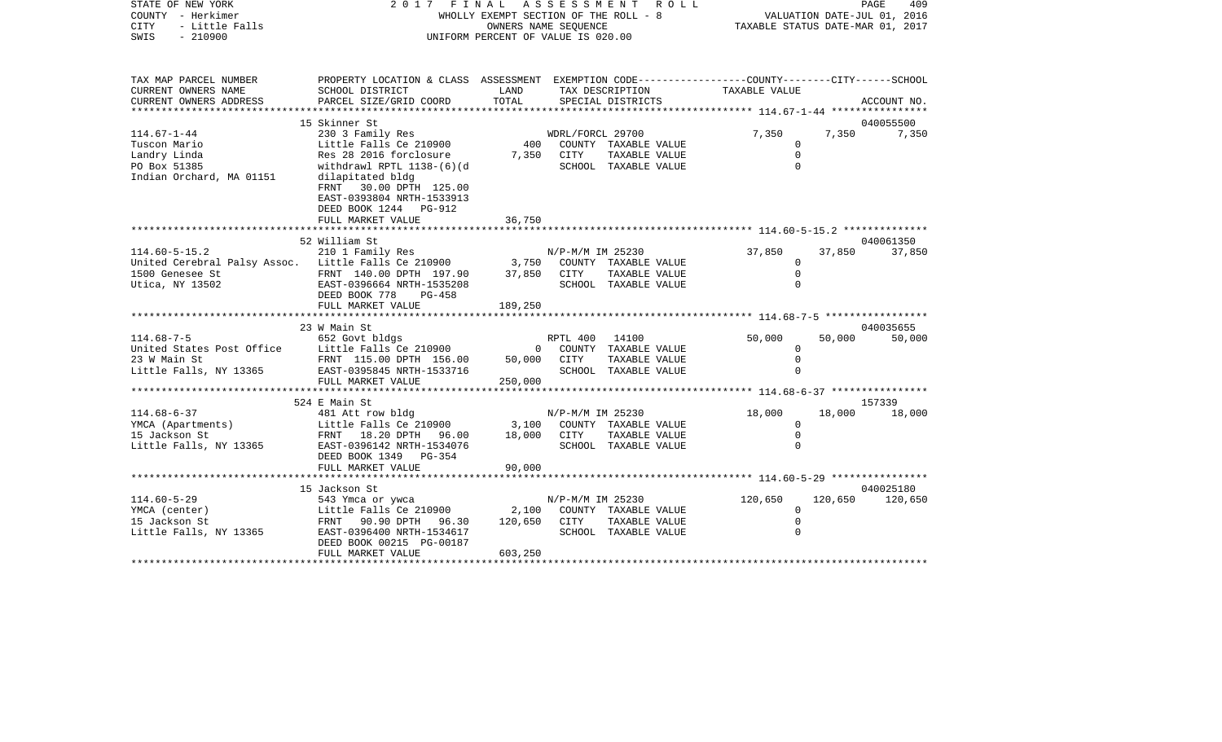STATE OF NEW YORK 2 0 1 7 F I N A L A S S E S S M E N T R O L L PAGE 409VALUATION DATE-JUL 01, 2016 COUNTY - Herkimer WHOLLY EXEMPT SECTION OF THE ROLL - 8 CITY - Little Falls OWNERS NAME SEQUENCE TAXABLE STATUS DATE-MAR 01, 2017 SWIS - 210900 UNIFORM PERCENT OF VALUE IS 020.00TAX MAP PARCEL NUMBER PROPERTY LOCATION & CLASS ASSESSMENT EXEMPTION CODE------------------COUNTY--------CITY------SCHOOL CURRENT OWNERS NAME SCHOOL DISTRICT LAND TAX DESCRIPTION TAXABLE VALUECURRENT OWNERS ADDRESS PARCEL SIZE/GRID COORD TOTAL SPECIAL DISTRICTS ACCOUNT NO. \*\*\*\*\*\*\*\*\*\*\*\*\*\*\*\*\*\*\*\*\*\*\*\*\*\*\*\*\*\*\*\*\*\*\*\*\*\*\*\*\*\*\*\*\*\*\*\*\*\*\*\*\*\*\*\*\*\*\*\*\*\*\*\*\*\*\*\*\*\*\*\*\*\*\*\*\*\*\*\*\*\*\*\*\*\*\*\*\*\*\*\*\*\*\*\*\*\*\*\*\*\*\* 114.67-1-44 \*\*\*\*\*\*\*\*\*\*\*\*\*\*\*\*15 Skinner St 040055500 114.67-1-44 230 3 Family Res WDRL/FORCL 29700 7,350 7,350 7,350 Tuscon Mario Little Falls Ce 210900 400 COUNTY TAXABLE VALUE 0 Landry Linda Res 28 2016 forclosure 7,350 CITY TAXABLE VALUE 0 PO Box 51385 withdrawl RPTL 1138-(6)(d SCHOOL TAXABLE VALUE 0 Indian Orchard, MA 01151 dilapitated bldg FRNT 30.00 DPTH 125.00 EAST-0393804 NRTH-1533913 DEED BOOK 1244 PG-912FULL MARKET VALUE 36,750 \*\*\*\*\*\*\*\*\*\*\*\*\*\*\*\*\*\*\*\*\*\*\*\*\*\*\*\*\*\*\*\*\*\*\*\*\*\*\*\*\*\*\*\*\*\*\*\*\*\*\*\*\*\*\*\*\*\*\*\*\*\*\*\*\*\*\*\*\*\*\*\*\*\*\*\*\*\*\*\*\*\*\*\*\*\*\*\*\*\*\*\*\*\*\*\*\*\*\*\*\*\*\* 114.60-5-15.2 \*\*\*\*\*\*\*\*\*\*\*\*\*\* 52 William St 040061350114.60-5-15.2 210 1 Family Res N/P-M/M IM 25230 37,850 37,850 37,850 United Cerebral Palsy Assoc. Little Falls Ce 210900 3,750 COUNTY TAXABLE VALUE 0 1500 Genesee St FRNT 140.00 DPTH 197.90 37,850 CITY TAXABLE VALUE 0 Utica, NY 13502 EAST-0396664 NRTH-1535208 SCHOOL TAXABLE VALUE 0 DEED BOOK 778 PG-458FULL MARKET VALUE 189,250 \*\*\*\*\*\*\*\*\*\*\*\*\*\*\*\*\*\*\*\*\*\*\*\*\*\*\*\*\*\*\*\*\*\*\*\*\*\*\*\*\*\*\*\*\*\*\*\*\*\*\*\*\*\*\*\*\*\*\*\*\*\*\*\*\*\*\*\*\*\*\*\*\*\*\*\*\*\*\*\*\*\*\*\*\*\*\*\*\*\*\*\*\*\*\*\*\*\*\*\*\*\*\* 114.68-7-5 \*\*\*\*\*\*\*\*\*\*\*\*\*\*\*\*\* 23 W Main St 040035655114.68-7-5 652 Govt bldgs RPTL 400 14100 50,000 50,000 50,000 United States Post Office Little Falls Ce 210900 0 COUNTY TAXABLE VALUE 0 23 W Main St FRNT 115.00 DPTH 156.00 50,000 CITY TAXABLE VALUE 0 Little Falls, NY 13365 EAST-0395845 NRTH-1533716 SCHOOL TAXABLE VALUE 0 FULL MARKET VALUE 250,000 \*\*\*\*\*\*\*\*\*\*\*\*\*\*\*\*\*\*\*\*\*\*\*\*\*\*\*\*\*\*\*\*\*\*\*\*\*\*\*\*\*\*\*\*\*\*\*\*\*\*\*\*\*\*\*\*\*\*\*\*\*\*\*\*\*\*\*\*\*\*\*\*\*\*\*\*\*\*\*\*\*\*\*\*\*\*\*\*\*\*\*\*\*\*\*\*\*\*\*\*\*\*\* 114.68-6-37 \*\*\*\*\*\*\*\*\*\*\*\*\*\*\*\* 524 E Main St 157339114.68-6-37 481 Att row bldg N/P-M/M IM 25230 18,000 18,000 18,000 YMCA (Apartments) Little Falls Ce 210900 3,100 COUNTY TAXABLE VALUE 0 15 Jackson St FRNT 18.20 DPTH 96.00 18,000 CITY TAXABLE VALUE 0 Little Falls, NY 13365 EAST-0396142 NRTH-1534076 SCHOOL TAXABLE VALUE 0 DEED BOOK 1349 PG-354FULL MARKET VALUE 90,000 \*\*\*\*\*\*\*\*\*\*\*\*\*\*\*\*\*\*\*\*\*\*\*\*\*\*\*\*\*\*\*\*\*\*\*\*\*\*\*\*\*\*\*\*\*\*\*\*\*\*\*\*\*\*\*\*\*\*\*\*\*\*\*\*\*\*\*\*\*\*\*\*\*\*\*\*\*\*\*\*\*\*\*\*\*\*\*\*\*\*\*\*\*\*\*\*\*\*\*\*\*\*\* 114.60-5-29 \*\*\*\*\*\*\*\*\*\*\*\*\*\*\*\* 15 Jackson St 040025180114.60-5-29 543 Ymca or ywca N/P-M/M IM 25230 120,650 120,650 120,650 Little Falls Ce  $210900$  2,100 COUNTY TAXABLE VALUE 15 Jackson St FRNT 90.90 DPTH 96.30 120,650 CITY TAXABLE VALUE 0 Little Falls, NY 13365 BAST-0396400 NRTH-1534617 SCHOOL TAXABLE VALUE 0 DEED BOOK 00215 PG-00187FULL MARKET VALUE 603,250 \*\*\*\*\*\*\*\*\*\*\*\*\*\*\*\*\*\*\*\*\*\*\*\*\*\*\*\*\*\*\*\*\*\*\*\*\*\*\*\*\*\*\*\*\*\*\*\*\*\*\*\*\*\*\*\*\*\*\*\*\*\*\*\*\*\*\*\*\*\*\*\*\*\*\*\*\*\*\*\*\*\*\*\*\*\*\*\*\*\*\*\*\*\*\*\*\*\*\*\*\*\*\*\*\*\*\*\*\*\*\*\*\*\*\*\*\*\*\*\*\*\*\*\*\*\*\*\*\*\*\*\*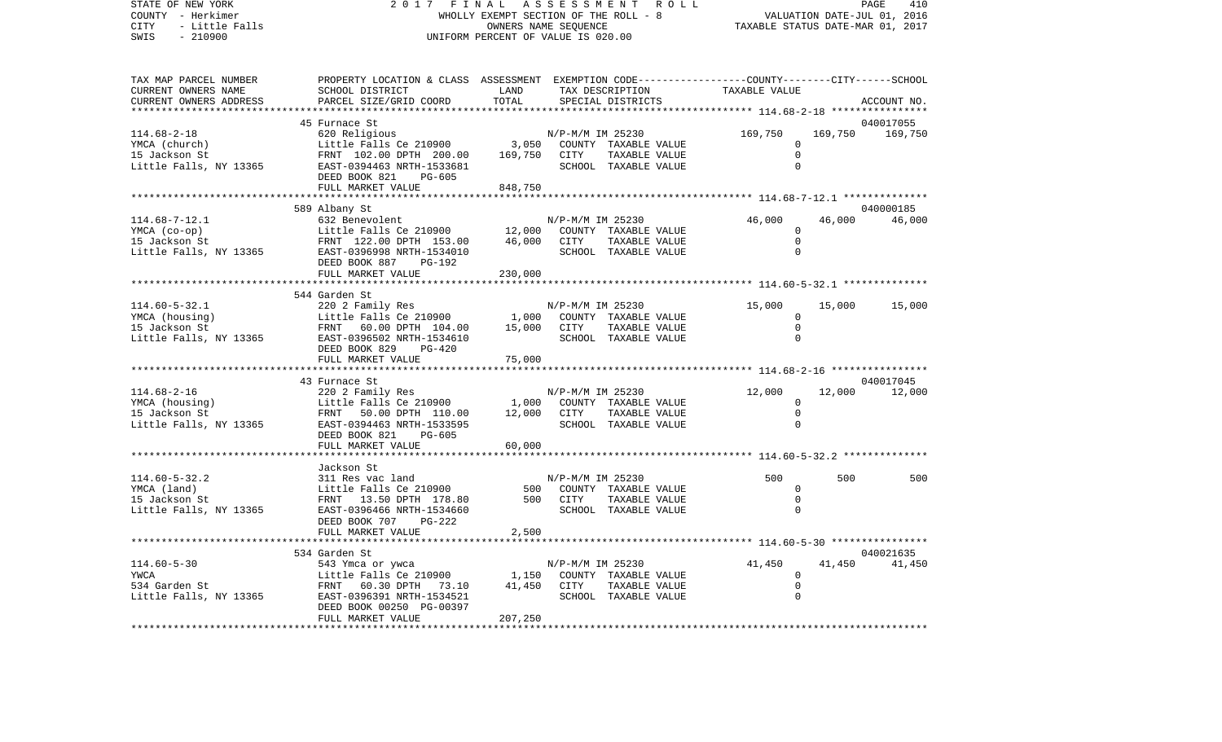VALUATION DATE-JUL 01, 2016 COUNTY - Herkimer WHOLLY EXEMPT SECTION OF THE ROLL - 8 CITY - Little Falls OWNERS NAME SEQUENCE TAXABLE STATUS DATE-MAR 01, 2017 SWIS - 210900 UNIFORM PERCENT OF VALUE IS 020.00TAX MAP PARCEL NUMBER PROPERTY LOCATION & CLASS ASSESSMENT EXEMPTION CODE------------------COUNTY--------CITY------SCHOOL CURRENT OWNERS NAME SCHOOL DISTRICT LAND TAX DESCRIPTION TAXABLE VALUECURRENT OWNERS ADDRESS PARCEL SIZE/GRID COORD TOTAL SPECIAL DISTRICTS ACCOUNT NO. \*\*\*\*\*\*\*\*\*\*\*\*\*\*\*\*\*\*\*\*\*\*\*\*\*\*\*\*\*\*\*\*\*\*\*\*\*\*\*\*\*\*\*\*\*\*\*\*\*\*\*\*\*\*\*\*\*\*\*\*\*\*\*\*\*\*\*\*\*\*\*\*\*\*\*\*\*\*\*\*\*\*\*\*\*\*\*\*\*\*\*\*\*\*\*\*\*\*\*\*\*\*\* 114.68-2-18 \*\*\*\*\*\*\*\*\*\*\*\*\*\*\*\* 45 Furnace St 040017055114.68-2-18 620 Religious N/P-M/M IM 25230 169,750 169,750 169,750 YMCA (church) Little Falls Ce 210900 3,050 COUNTY TAXABLE VALUE 0 15 Jackson St FRNT 102.00 DPTH 200.00 169,750 CITY TAXABLE VALUE 0 Little Falls, NY 13365 EAST-0394463 NRTH-1533681 SCHOOL TAXABLE VALUE 0 DEED BOOK 821 PG-605FULL MARKET VALUE 848,750 \*\*\*\*\*\*\*\*\*\*\*\*\*\*\*\*\*\*\*\*\*\*\*\*\*\*\*\*\*\*\*\*\*\*\*\*\*\*\*\*\*\*\*\*\*\*\*\*\*\*\*\*\*\*\*\*\*\*\*\*\*\*\*\*\*\*\*\*\*\*\*\*\*\*\*\*\*\*\*\*\*\*\*\*\*\*\*\*\*\*\*\*\*\*\*\*\*\*\*\*\*\*\* 114.68-7-12.1 \*\*\*\*\*\*\*\*\*\*\*\*\*\* 589 Albany St 040000185 114.68-7-12.1 632 Benevolent N/P-M/M IM 25230 46,000 46,000 46,000 YMCA (co-op) Little Falls Ce 210900 12,000 COUNTY TAXABLE VALUE 0 15 Jackson St FRNT 122.00 DPTH 153.00 46,000 CITY TAXABLE VALUE 0 Little Falls, NY 13365 EAST-0396998 NRTH-1534010 SCHOOL TAXABLE VALUE 0 DEED BOOK 887 PG-192FULL MARKET VALUE 230,000 \*\*\*\*\*\*\*\*\*\*\*\*\*\*\*\*\*\*\*\*\*\*\*\*\*\*\*\*\*\*\*\*\*\*\*\*\*\*\*\*\*\*\*\*\*\*\*\*\*\*\*\*\*\*\*\*\*\*\*\*\*\*\*\*\*\*\*\*\*\*\*\*\*\*\*\*\*\*\*\*\*\*\*\*\*\*\*\*\*\*\*\*\*\*\*\*\*\*\*\*\*\*\* 114.60-5-32.1 \*\*\*\*\*\*\*\*\*\*\*\*\*\* 544 Garden St114.60-5-32.1 220 2 Family Res 19900 N/P-M/M IM 25230 15,000 15,000 15,000 15,000<br>15,000 15,000 15,000 15,000 15,000 15,000 200NTY TAXABLE VALUE Little Falls Ce 210900 1,000 COUNTY TAXABLE VALUE 0 15 Jackson St FRNT 60.00 DPTH 104.00 15,000 CITY TAXABLE VALUE 0 Little Falls, NY 13365 BAST-0396502 NRTH-1534610 SCHOOL TAXABLE VALUE 0 DEED BOOK 829 PG-420FULL MARKET VALUE 75,000 \*\*\*\*\*\*\*\*\*\*\*\*\*\*\*\*\*\*\*\*\*\*\*\*\*\*\*\*\*\*\*\*\*\*\*\*\*\*\*\*\*\*\*\*\*\*\*\*\*\*\*\*\*\*\*\*\*\*\*\*\*\*\*\*\*\*\*\*\*\*\*\*\*\*\*\*\*\*\*\*\*\*\*\*\*\*\*\*\*\*\*\*\*\*\*\*\*\*\*\*\*\*\* 114.68-2-16 \*\*\*\*\*\*\*\*\*\*\*\*\*\*\*\* 43 Furnace St 040017045114.68-2-16 220 2 Family Res N/P-M/M IM 25230 12,000 12,000 12,000 YMCA (housing) Little Falls Ce 210900 1,000 COUNTY TAXABLE VALUE 0 15 Jackson St FRNT 50.00 DPTH 110.00 12,000 CITY TAXABLE VALUE 0 Little Falls, NY 13365 EAST-0394463 NRTH-1533595 SCHOOL TAXABLE VALUE 0 DEED BOOK 821 PG-605 FULL MARKET VALUE 60,000 \*\*\*\*\*\*\*\*\*\*\*\*\*\*\*\*\*\*\*\*\*\*\*\*\*\*\*\*\*\*\*\*\*\*\*\*\*\*\*\*\*\*\*\*\*\*\*\*\*\*\*\*\*\*\*\*\*\*\*\*\*\*\*\*\*\*\*\*\*\*\*\*\*\*\*\*\*\*\*\*\*\*\*\*\*\*\*\*\*\*\*\*\*\*\*\*\*\*\*\*\*\*\* 114.60-5-32.2 \*\*\*\*\*\*\*\*\*\*\*\*\*\* Jackson St114.60-5-32.2 311 Res vac land N/P-M/M IM 25230 500 500 500 YMCA (land) Little Falls Ce 210900 500 COUNTY TAXABLE VALUE 0 15 Jackson St FRNT 13.50 DPTH 178.80 500 CITY TAXABLE VALUE 0 $\cap$ Little Falls, NY 13365 BAST-0396466 NRTH-1534660 SCHOOL TAXABLE VALUE DEED BOOK 707 PG-222FULL MARKET VALUE 2,500 \*\*\*\*\*\*\*\*\*\*\*\*\*\*\*\*\*\*\*\*\*\*\*\*\*\*\*\*\*\*\*\*\*\*\*\*\*\*\*\*\*\*\*\*\*\*\*\*\*\*\*\*\*\*\*\*\*\*\*\*\*\*\*\*\*\*\*\*\*\*\*\*\*\*\*\*\*\*\*\*\*\*\*\*\*\*\*\*\*\*\*\*\*\*\*\*\*\*\*\*\*\*\* 114.60-5-30 \*\*\*\*\*\*\*\*\*\*\*\*\*\*\*\* 534 Garden St 040021635114.60-5-30 543 Ymca or ywca N/P-M/M IM 25230 41,450 41,450 41,450 41,450<br>VWCA 100 1.1ttle Falls Ce 210900 1.50 COUNTY TAXARLE VALUE 0 Little Falls Ce 210900 1,150 COUNTY TAXABLE VALUE 0 534 Garden St FRNT 60.30 DPTH 73.10 41,450 CITY TAXABLE VALUE 0 Little Falls, NY 13365 BAST-0396391 NRTH-1534521 SCHOOL TAXABLE VALUE 0 DEED BOOK 00250 PG-00397 FULL MARKET VALUE 207,250 \*\*\*\*\*\*\*\*\*\*\*\*\*\*\*\*\*\*\*\*\*\*\*\*\*\*\*\*\*\*\*\*\*\*\*\*\*\*\*\*\*\*\*\*\*\*\*\*\*\*\*\*\*\*\*\*\*\*\*\*\*\*\*\*\*\*\*\*\*\*\*\*\*\*\*\*\*\*\*\*\*\*\*\*\*\*\*\*\*\*\*\*\*\*\*\*\*\*\*\*\*\*\*\*\*\*\*\*\*\*\*\*\*\*\*\*\*\*\*\*\*\*\*\*\*\*\*\*\*\*\*\*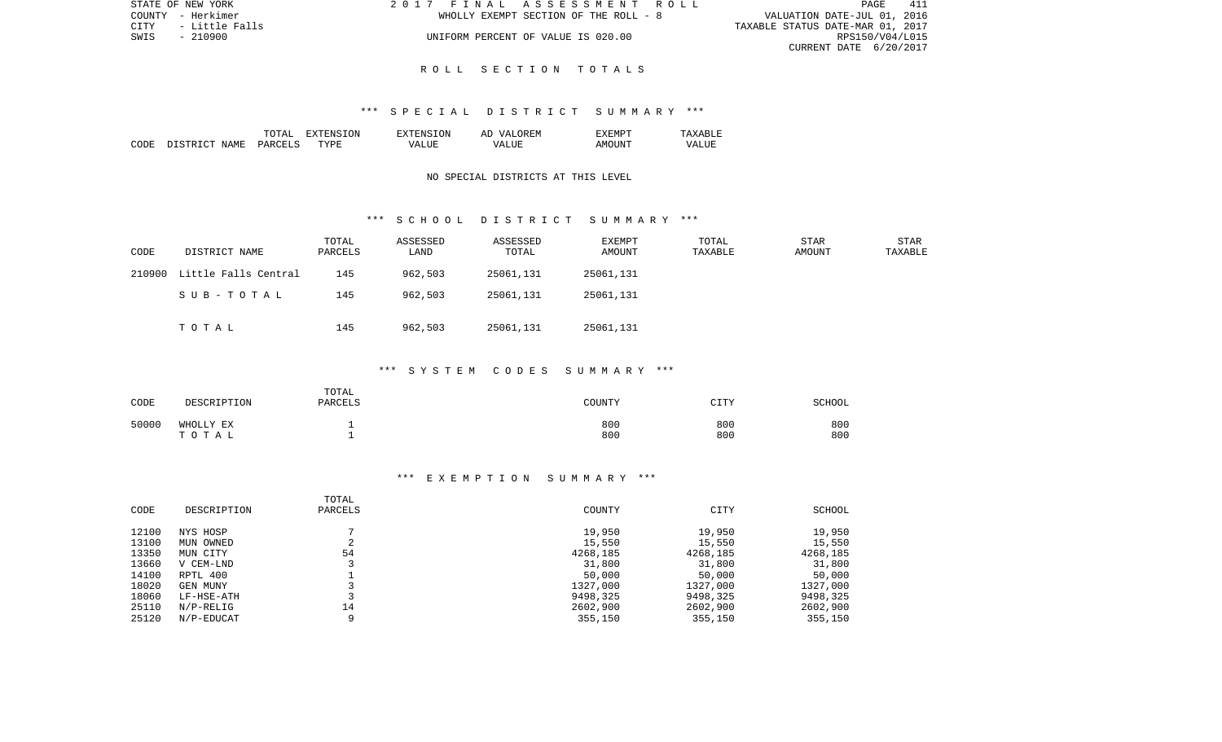| STATE OF NEW YORK |                          |  | 2017 FINAL ASSESSMENT ROLL            |                                  |                        | PAGE | 411 |
|-------------------|--------------------------|--|---------------------------------------|----------------------------------|------------------------|------|-----|
| COUNTY - Herkimer |                          |  | WHOLLY EXEMPT SECTION OF THE ROLL - 8 | VALUATION DATE-JUL 01, 2016      |                        |      |     |
|                   | CITY      - Little Falls |  |                                       | TAXABLE STATUS DATE-MAR 01, 2017 |                        |      |     |
| SWIS              | - 210900                 |  | UNIFORM PERCENT OF VALUE IS 020.00    |                                  | RPS150/V04/L015        |      |     |
|                   |                          |  |                                       |                                  | CURRENT DATE 6/20/2017 |      |     |

#### R O L L S E C T I O N T O T A L S

#### \*\*\* S P E C I A L D I S T R I C T S U M M A R Y \*\*\*

|      |                   | TOTAT         | .ON<br>. А  | TON.<br>$T^{\mathrm{v}}$ T $F$ NS. | OR EN<br>77 D<br>AΓ | "XFMPT          |             |
|------|-------------------|---------------|-------------|------------------------------------|---------------------|-----------------|-------------|
| CODE | . STRICT<br>NAME. | <b>PARCFT</b> | <b>TYPE</b> | vд                                 | - ---<br>∖7∆<br>.   | דוחד<br>A M() I | 7∆<br>7 N N |

## NO SPECIAL DISTRICTS AT THIS LEVEL

#### \*\*\* S C H O O L D I S T R I C T S U M M A R Y \*\*\*

| CODE   | DISTRICT NAME        | TOTAL<br>PARCELS | ASSESSED<br>LAND | ASSESSED<br>TOTAL | EXEMPT<br>AMOUNT | TOTAL<br>TAXABLE | STAR<br>AMOUNT | STAR<br>TAXABLE |
|--------|----------------------|------------------|------------------|-------------------|------------------|------------------|----------------|-----------------|
| 210900 | Little Falls Central | 145              | 962,503          | 25061,131         | 25061,131        |                  |                |                 |
|        | SUB-TOTAL            | 145              | 962,503          | 25061,131         | 25061,131        |                  |                |                 |
|        | TOTAL                | 145              | 962,503          | 25061,131         | 25061,131        |                  |                |                 |

# \*\*\* S Y S T E M C O D E S S U M M A R Y \*\*\*

| CODE  | DESCRIPTION        | TOTAL<br>PARCELS | COUNTY     | <b>CITY</b> | SCHOOL     |
|-------|--------------------|------------------|------------|-------------|------------|
| 50000 | WHOLLY EX<br>TOTAL |                  | 800<br>800 | 800<br>800  | 800<br>800 |

#### \*\*\* E X E M P T I O N S U M M A R Y \*\*\*

| CODE  | DESCRIPTION  | TOTAL<br>PARCELS | COUNTY   | CITY     | SCHOOL   |
|-------|--------------|------------------|----------|----------|----------|
| 12100 | NYS HOSP     |                  | 19,950   | 19,950   | 19,950   |
| 13100 | OWNED<br>MUN | ∠                | 15,550   | 15,550   | 15,550   |
| 13350 | MUN CITY     | 54               | 4268,185 | 4268,185 | 4268,185 |
| 13660 | V CEM-LND    |                  | 31,800   | 31,800   | 31,800   |
| 14100 | RPTL 400     |                  | 50,000   | 50,000   | 50,000   |
| 18020 | GEN MUNY     |                  | 1327,000 | 1327,000 | 1327,000 |
| 18060 | LF-HSE-ATH   |                  | 9498,325 | 9498,325 | 9498,325 |
| 25110 | $N/P-RELLIG$ | 14               | 2602,900 | 2602,900 | 2602,900 |
| 25120 | N/P-EDUCAT   | Q                | 355,150  | 355,150  | 355,150  |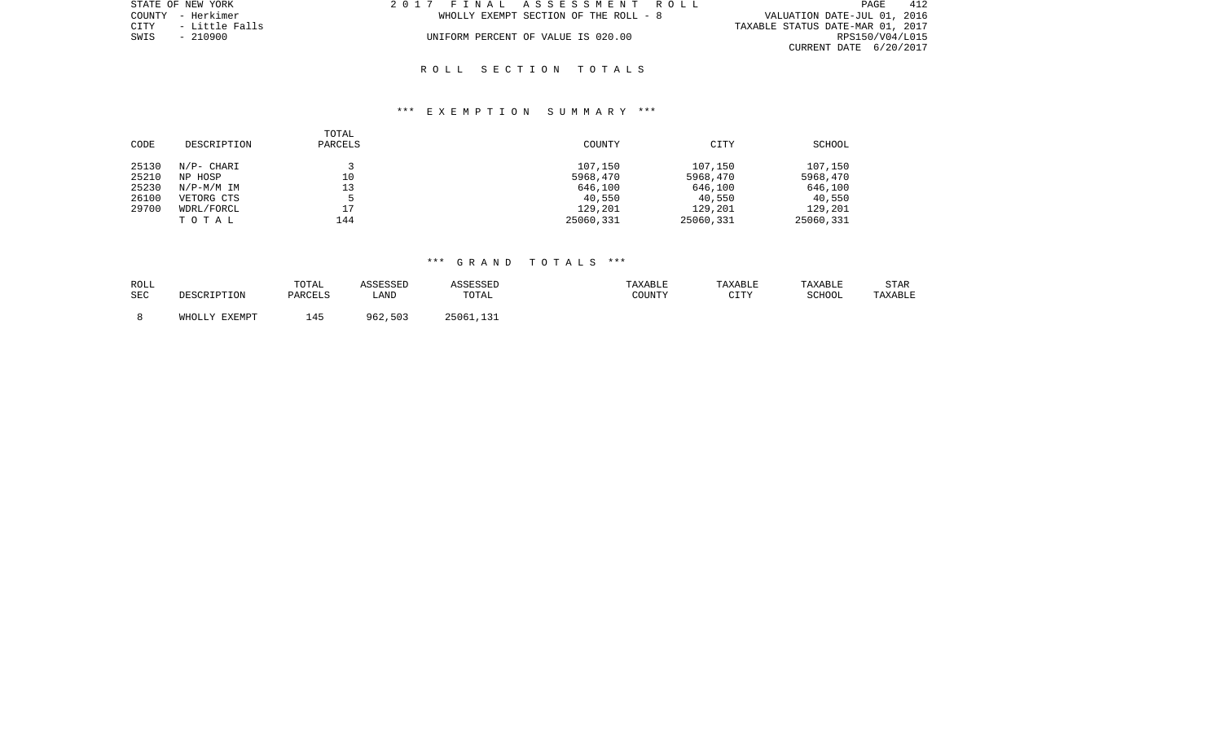| STATE OF NEW YORK      | 2017 FINAL ASSESSMENT ROLL            | 412<br>PAGE                      |
|------------------------|---------------------------------------|----------------------------------|
| COUNTY - Herkimer      | WHOLLY EXEMPT SECTION OF THE ROLL - 8 | VALUATION DATE-JUL 01, 2016      |
| CITY<br>- Little Falls |                                       | TAXABLE STATUS DATE-MAR 01, 2017 |
| SWIS<br>$-210900$      | UNIFORM PERCENT OF VALUE IS 020.00    | RPS150/V04/L015                  |
|                        |                                       | CURRENT DATE 6/20/2017           |

#### R O L L S E C T I O N T O T A L S

### \*\*\* E X E M P T I O N S U M M A R Y \*\*\*

| CODE  | DESCRIPTION | TOTAL<br>PARCELS | COUNTY    | CITY      | SCHOOL    |
|-------|-------------|------------------|-----------|-----------|-----------|
| 25130 | N/P- CHARI  |                  | 107,150   | 107,150   | 107,150   |
| 25210 | NP HOSP     | 10               | 5968,470  | 5968,470  | 5968,470  |
| 25230 | N/P-M/M IM  | 13               | 646,100   | 646,100   | 646,100   |
| 26100 | VETORG CTS  | ь                | 40,550    | 40,550    | 40,550    |
| 29700 | WDRL/FORCL  | 17               | 129,201   | 129,201   | 129,201   |
|       | TOTAL       | 144              | 25060,331 | 25060,331 | 25060,331 |

| ROLL       |               | TOTAL   | ASSESSED | ASSESSED  | TAXABLE | TAXABLE     | TAXABLE | STAR    |
|------------|---------------|---------|----------|-----------|---------|-------------|---------|---------|
| <b>SEC</b> | DESCRIPTION   | PARCELS | ∟AND     | TOTAL     | COUNTY  | CTTV<br>ᅩᅩᅩ | SCHOOL  | TAXABLE |
|            |               |         |          |           |         |             |         |         |
|            | WHOLLY EXEMPT | 45      | 962,503  | 25061,131 |         |             |         |         |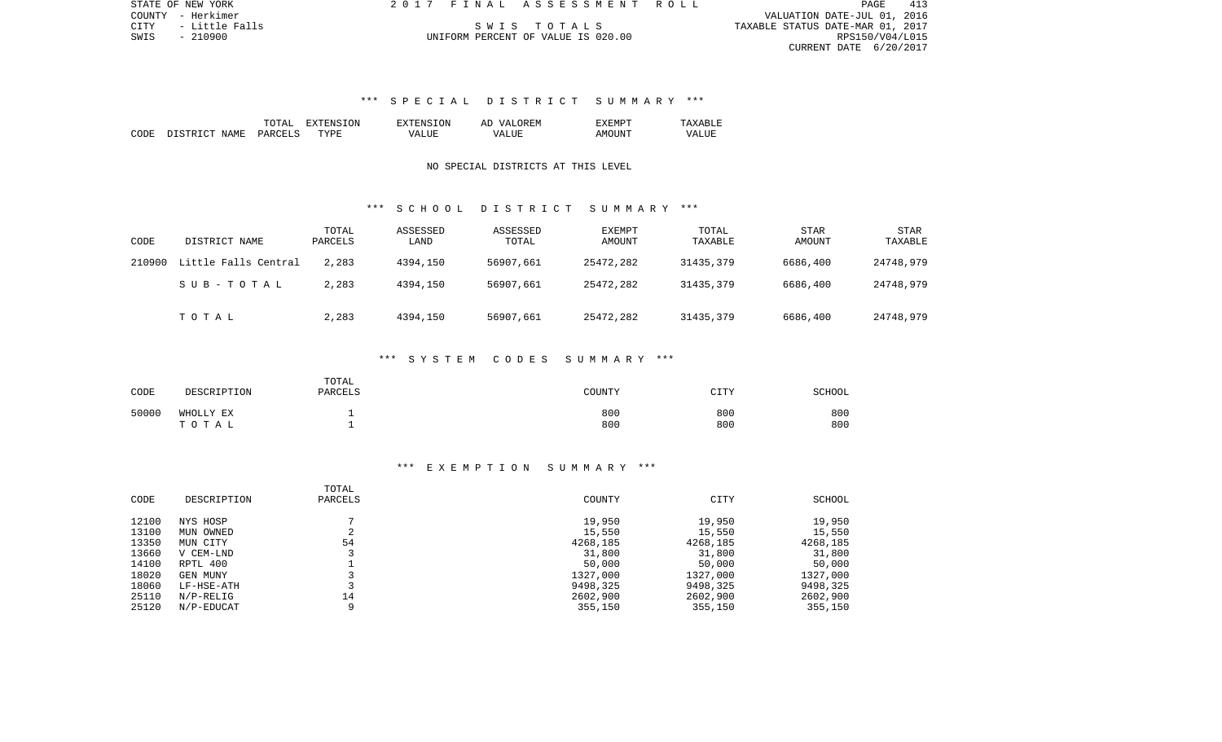|      | STATE OF NEW YORK   | 2017 FINAL ASSESSMENT ROLL         |                                  | PAGE            | 413 |
|------|---------------------|------------------------------------|----------------------------------|-----------------|-----|
|      | COUNTY - Herkimer   |                                    | VALUATION DATE-JUL 01, 2016      |                 |     |
|      | CITY - Little Falls | SWIS TOTALS                        | TAXABLE STATUS DATE-MAR 01, 2017 |                 |     |
| SWIS | $-210900$           | UNIFORM PERCENT OF VALUE IS 020.00 |                                  | RPS150/V04/L015 |     |
|      |                     |                                    | CURRENT DATE 6/20/2017           |                 |     |

# \*\*\* S P E C I A L D I S T R I C T S U M M A R Y \*\*\*

|      |                   | $m \wedge m \wedge r$<br>LOTAL | 3ION<br>EXTENS<br>н: х | 'SION<br>CNS-               | OREM<br><b>T77</b><br>АC | EXEMPT       |       |
|------|-------------------|--------------------------------|------------------------|-----------------------------|--------------------------|--------------|-------|
| CODE | NAME<br>DI STRICT | <b>DARCELS</b>                 | TYPF                   | <b>TJTF</b><br>$\sqrt{A}$ . | VALIJE                   | AMC<br>ntint | VALUL |

## NO SPECIAL DISTRICTS AT THIS LEVEL

### \*\*\* S C H O O L D I S T R I C T S U M M A R Y \*\*\*

| CODE   | DISTRICT NAME        | TOTAL<br>PARCELS | ASSESSED<br>LAND | ASSESSED<br>TOTAL | <b>EXEMPT</b><br>AMOUNT | TOTAL<br>TAXABLE | <b>STAR</b><br>AMOUNT | STAR<br>TAXABLE |
|--------|----------------------|------------------|------------------|-------------------|-------------------------|------------------|-----------------------|-----------------|
| 210900 | Little Falls Central | 2,283            | 4394,150         | 56907,661         | 25472,282               | 31435,379        | 6686,400              | 24748,979       |
|        | SUB-TOTAL            | 2,283            | 4394,150         | 56907,661         | 25472,282               | 31435,379        | 6686,400              | 24748,979       |
|        | тотаь                | 2,283            | 4394,150         | 56907,661         | 25472,282               | 31435,379        | 6686,400              | 24748,979       |

#### \*\*\* S Y S T E M C O D E S S U M M A R Y \*\*\*

| CODE  | DESCRIPTION            | TOTAL<br><b>PARCELS</b> | COUNTY     | CTTV<br>◡∸∸∸ | <b>SCHOOL</b> |
|-------|------------------------|-------------------------|------------|--------------|---------------|
| 50000 | WHOLLY EX<br>T O T A L |                         | 800<br>800 | 800<br>800   | 800<br>800    |

#### \*\*\* E X E M P T I O N S U M M A R Y \*\*\*

| CODE  | DESCRIPTION  | TOTAL<br>PARCELS | COUNTY   | CITY     | SCHOOL   |
|-------|--------------|------------------|----------|----------|----------|
| 12100 | NYS HOSP     |                  | 19,950   | 19,950   | 19,950   |
| 13100 | OWNED<br>MUN | 2                | 15,550   | 15,550   | 15,550   |
| 13350 | MUN CITY     | 54               | 4268,185 | 4268,185 | 4268,185 |
| 13660 | V CEM-LND    |                  | 31,800   | 31,800   | 31,800   |
| 14100 | RPTL 400     |                  | 50,000   | 50,000   | 50,000   |
| 18020 | GEN MUNY     |                  | 1327,000 | 1327,000 | 1327,000 |
| 18060 | LF-HSE-ATH   |                  | 9498,325 | 9498,325 | 9498,325 |
| 25110 | $N/P-RELLIG$ | 14               | 2602,900 | 2602,900 | 2602,900 |
| 25120 | N/P-EDUCAT   | 9                | 355,150  | 355,150  | 355,150  |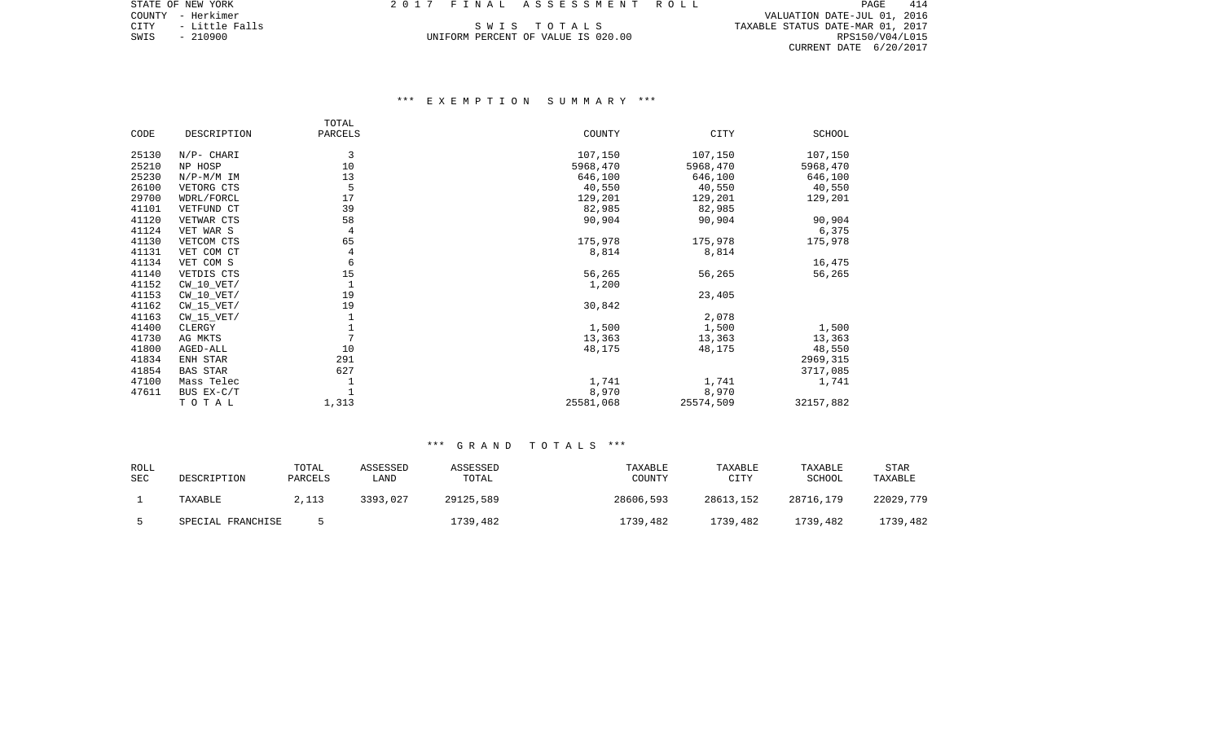COUNTY - Herkimer VALUATION DATE-JUL 01, 2016 CITY - Little Falls S W I S T O T A L S TAXABLE STATUS DATE-MAR 01, 2017 CITY - Little Falls (2017)<br>SWIS - 210900 UNIFORM PERCENT OF VALUE IS 020.00 (2017) TAXABLE STATUS DATE-MAR 01, 2017<br>SWIS - 210900 RPS150/V04/L015 CURRENT DATE 6/20/2017

# \*\*\* E X E M P T I O N S U M M A R Y \*\*\*

|       |                 | TOTAL          |           |           |           |
|-------|-----------------|----------------|-----------|-----------|-----------|
| CODE  | DESCRIPTION     | PARCELS        | COUNTY    | CITY      | SCHOOL    |
|       |                 |                |           |           |           |
| 25130 | $N/P-$ CHARI    | 3              | 107,150   | 107,150   | 107,150   |
| 25210 | NP HOSP         | 10             | 5968,470  | 5968,470  | 5968,470  |
| 25230 | $N/P-M/M$ IM    | 13             | 646,100   | 646,100   | 646,100   |
| 26100 | VETORG CTS      | 5              | 40,550    | 40,550    | 40,550    |
| 29700 | WDRL/FORCL      | 17             | 129,201   | 129,201   | 129,201   |
| 41101 | VETFUND CT      | 39             | 82,985    | 82,985    |           |
| 41120 | VETWAR CTS      | 58             | 90,904    | 90,904    | 90,904    |
| 41124 | VET WAR S       | 4              |           |           | 6,375     |
| 41130 | VETCOM CTS      | 65             | 175,978   | 175,978   | 175,978   |
| 41131 | VET COM CT      | 4              | 8,814     | 8,814     |           |
| 41134 | VET COM S       | 6              |           |           | 16,475    |
| 41140 | VETDIS CTS      | 15             | 56,265    | 56,265    | 56,265    |
| 41152 | $CW_10_VET/$    |                | 1,200     |           |           |
| 41153 | $CW_10_VET/$    | 19             |           | 23,405    |           |
| 41162 | $CW_15_VET/$    | 19             | 30,842    |           |           |
| 41163 | $CW_15_VET/$    |                |           | 2,078     |           |
| 41400 | CLERGY          | 1              | 1,500     | 1,500     | 1,500     |
| 41730 | AG MKTS         | $\overline{7}$ | 13,363    | 13,363    | 13,363    |
| 41800 | AGED-ALL        | 10             | 48,175    | 48,175    | 48,550    |
| 41834 | ENH STAR        | 291            |           |           | 2969,315  |
| 41854 | <b>BAS STAR</b> | 627            |           |           | 3717,085  |
| 47100 | Mass Telec      |                | 1,741     | 1,741     | 1,741     |
| 47611 | BUS EX-C/T      |                | 8,970     | 8,970     |           |
|       | TOTAL           | 1,313          | 25581,068 | 25574,509 | 32157,882 |
|       |                 |                |           |           |           |

| ROLL<br><b>SEC</b> | DESCRIPTION       | TOTAL<br>PARCELS | ASSESSED<br>LAND | ASSESSED<br>TOTAL | TAXABLE<br>COUNTY | TAXABLE<br>CITY | TAXABLE<br>SCHOOL | STAR<br>TAXABLE |
|--------------------|-------------------|------------------|------------------|-------------------|-------------------|-----------------|-------------------|-----------------|
|                    | TAXABLE           | 2,113            | 3393,027         | 29125,589         | 28606,593         | 28613,152       | 28716,179         | 22029,779       |
|                    | SPECIAL FRANCHISE |                  |                  | 1739,482          | 1739,482          | 1739,482        | 1739,482          | 1739,482        |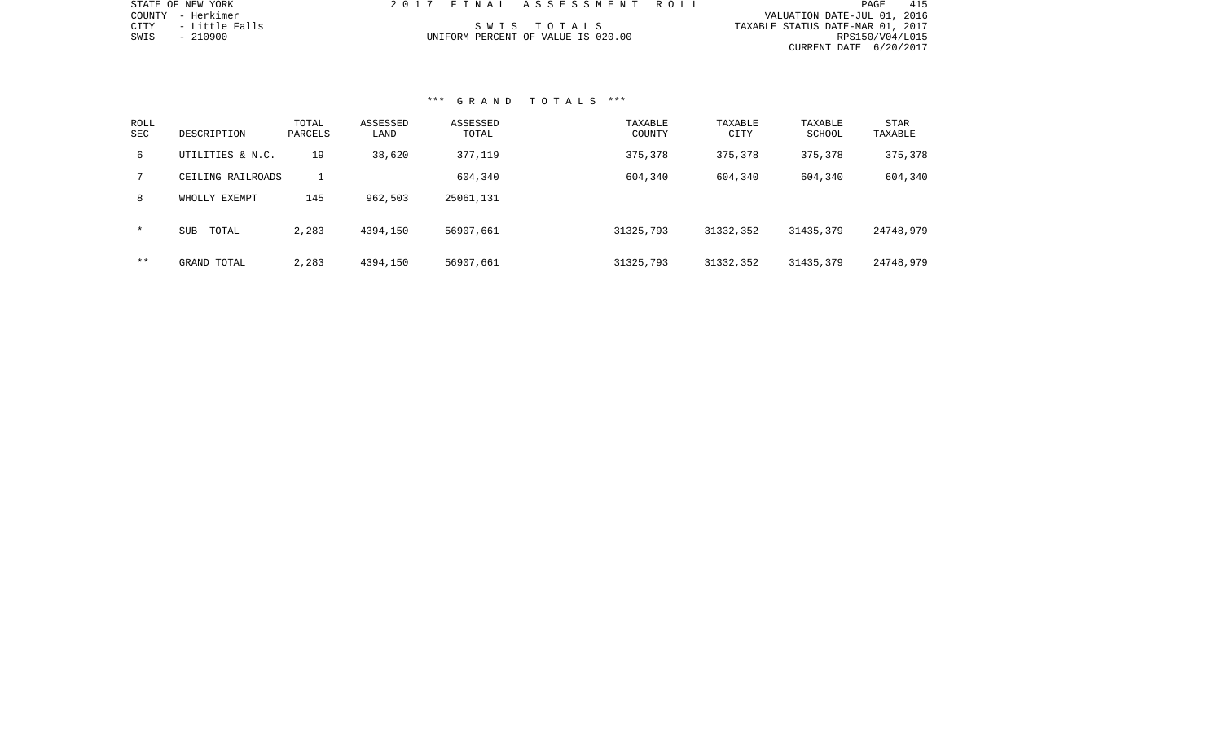| STATE OF NEW YORK        | 2017 FINAL ASSESSMENT ROLL         |                                  | PAGE            | 415 |
|--------------------------|------------------------------------|----------------------------------|-----------------|-----|
| COUNTY - Herkimer        |                                    | VALUATION DATE-JUL 01, 2016      |                 |     |
| CITY      - Little Falls | SWIS TOTALS                        | TAXABLE STATUS DATE-MAR 01, 2017 |                 |     |
| SWIS<br>- 210900         | UNIFORM PERCENT OF VALUE IS 020.00 |                                  | RPS150/V04/L015 |     |
|                          |                                    | CURRENT DATE 6/20/2017           |                 |     |
|                          |                                    |                                  |                 |     |

# \*\*\* G R A N D T O T A L S \*\*\*

STATE OF NEW YORK

| ROLL<br>SEC | DESCRIPTION         | TOTAL<br>PARCELS | ASSESSED<br>LAND | ASSESSED<br>TOTAL | TAXABLE<br>COUNTY | TAXABLE<br><b>CITY</b> | TAXABLE<br>SCHOOL | STAR<br>TAXABLE |
|-------------|---------------------|------------------|------------------|-------------------|-------------------|------------------------|-------------------|-----------------|
| 6           | UTILITIES & N.C.    | 19               | 38,620           | 377,119           | 375,378           | 375,378                | 375,378           | 375,378         |
| 7           | CEILING RAILROADS   |                  |                  | 604,340           | 604,340           | 604,340                | 604,340           | 604,340         |
| 8           | WHOLLY EXEMPT       | 145              | 962,503          | 25061,131         |                   |                        |                   |                 |
| $\star$     | <b>SUB</b><br>TOTAL | 2,283            | 4394,150         | 56907,661         | 31325,793         | 31332,352              | 31435,379         | 24748,979       |
| $* *$       | GRAND TOTAL         | 2,283            | 4394,150         | 56907,661         | 31325,793         | 31332,352              | 31435,379         | 24748,979       |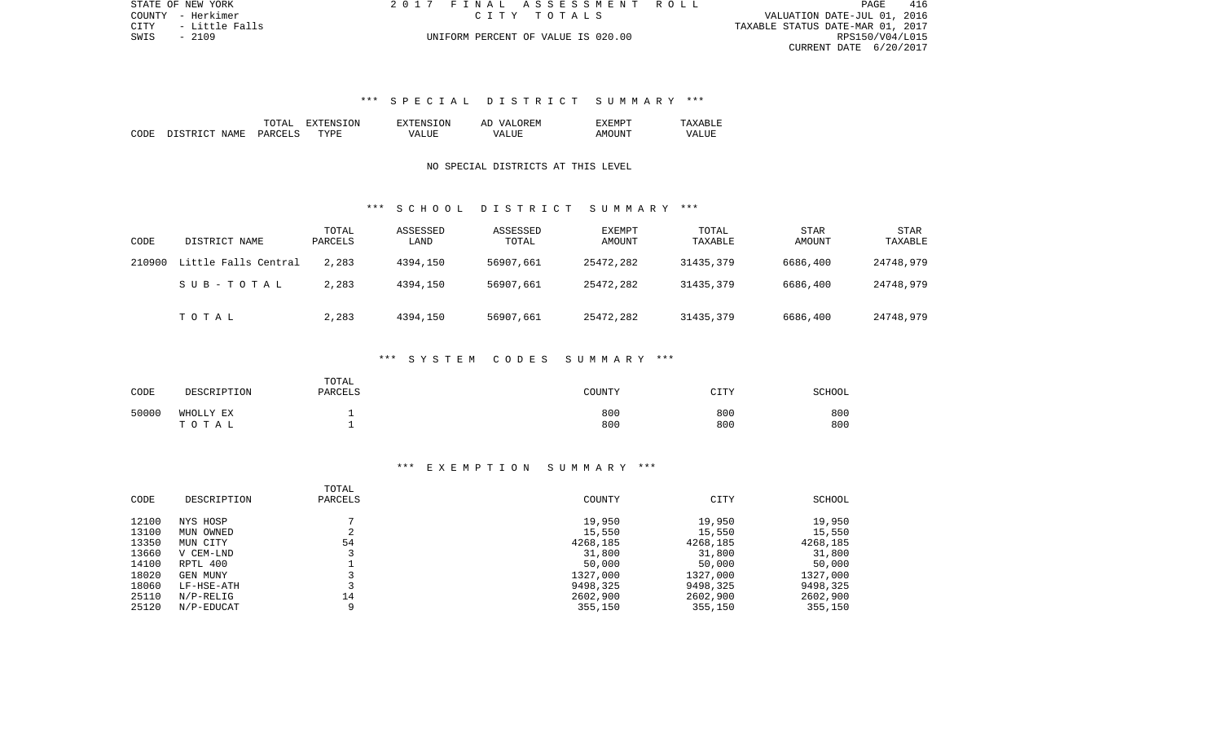CITY - Little Falls TAXABLE STATUS DATE-MAR 01, 2017 UNIFORM PERCENT OF VALUE IS 020.00 **RPS150/V04/L015** CURRENT DATE 6/20/2017

STATE OF NEW YORK 2 0 1 7 F I N A L A S S E S S M E N T R O L L PAGE 416COUNTY - Herkimer C I T Y T O T A L S VALUATION DATE-JUL 01, 2016

# \*\*\* S P E C I A L D I S T R I C T S U M M A R Y \*\*\*

|      |                  | TOTAL                        | SION<br>.וחידאי | <b>EXTENSION</b>   | <b>VAT.</b><br>OREM<br>Al | EXEMPT |       |
|------|------------------|------------------------------|-----------------|--------------------|---------------------------|--------|-------|
| CODE | DISTRICT<br>NAME | PARCELS<br>المحافظ التقاسمات | <b>TYPE</b>     | $   -$<br>VA.<br>. | <b>TTTT</b><br>٦7Δ        | AMOUNT | VALUE |

## NO SPECIAL DISTRICTS AT THIS LEVEL

### \*\*\* S C H O O L D I S T R I C T S U M M A R Y \*\*\*

| CODE   | DISTRICT NAME        | TOTAL<br>PARCELS | ASSESSED<br>LAND | ASSESSED<br>TOTAL | <b>EXEMPT</b><br>AMOUNT | TOTAL<br>TAXABLE | STAR<br>AMOUNT | STAR<br>TAXABLE |
|--------|----------------------|------------------|------------------|-------------------|-------------------------|------------------|----------------|-----------------|
| 210900 | Little Falls Central | 2,283            | 4394,150         | 56907,661         | 25472,282               | 31435,379        | 6686,400       | 24748,979       |
|        | SUB-TOTAL            | 2,283            | 4394,150         | 56907,661         | 25472,282               | 31435,379        | 6686,400       | 24748,979       |
|        | TOTAL                | 2,283            | 4394,150         | 56907,661         | 25472,282               | 31435,379        | 6686,400       | 24748,979       |

#### \*\*\* S Y S T E M C O D E S S U M M A R Y \*\*\*

| CODE  | DESCRIPTION            | TOTAL<br><b>PARCELS</b> | COUNTY     | CTTV<br>◡∸∸∸ | <b>SCHOOL</b> |
|-------|------------------------|-------------------------|------------|--------------|---------------|
| 50000 | WHOLLY EX<br>T O T A L |                         | 800<br>800 | 800<br>800   | 800<br>800    |

## \*\*\* E X E M P T I O N S U M M A R Y \*\*\*

| CODE  | DESCRIPTION  | TOTAL<br>PARCELS | COUNTY   | CITY     | SCHOOL   |
|-------|--------------|------------------|----------|----------|----------|
| 12100 | NYS HOSP     |                  | 19,950   | 19,950   | 19,950   |
| 13100 | OWNED<br>MUN | 2                | 15,550   | 15,550   | 15,550   |
| 13350 | MUN CITY     | 54               | 4268,185 | 4268,185 | 4268,185 |
| 13660 | V CEM-LND    |                  | 31,800   | 31,800   | 31,800   |
| 14100 | RPTL 400     |                  | 50,000   | 50,000   | 50,000   |
| 18020 | GEN MUNY     |                  | 1327,000 | 1327,000 | 1327,000 |
| 18060 | LF-HSE-ATH   |                  | 9498,325 | 9498,325 | 9498,325 |
| 25110 | $N/P-RELIG$  | 14               | 2602,900 | 2602,900 | 2602,900 |
| 25120 | N/P-EDUCAT   | 9                | 355,150  | 355,150  | 355,150  |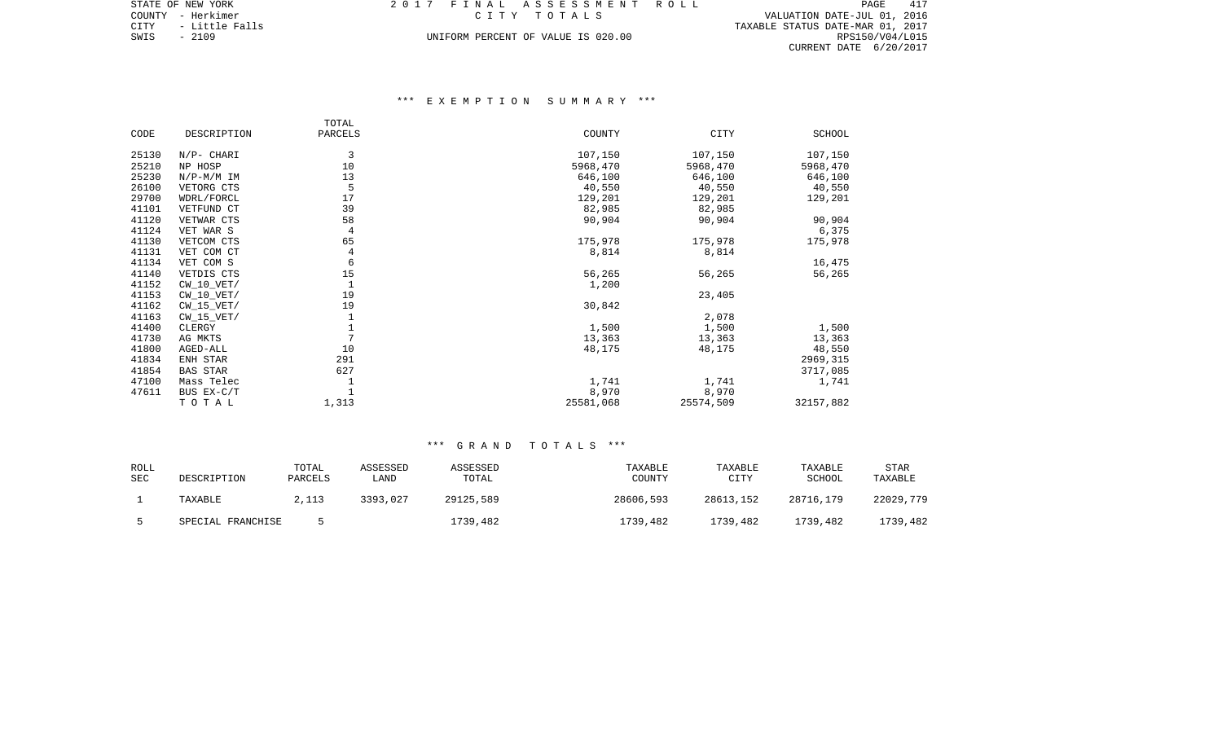CITY - Little Falls TAXABLE STATUS DATE-MAR 01, 2017 SWIS - Little Falls (1991) The Community of the City of the City of the City of Little Falls (1991) CITY - Little Falls (1991) DATE-MAR 01, 2017<br>SWIS - 2109 RPS150/V04/L015 (2001) DATE-MAR 01, 2017 CURRENT DATE 6/20/2017

# \*\*\* E X E M P T I O N S U M M A R Y \*\*\*

|       |                 | TOTAL   |           |           |           |
|-------|-----------------|---------|-----------|-----------|-----------|
| CODE  | DESCRIPTION     | PARCELS | COUNTY    | CITY      | SCHOOL    |
| 25130 | $N/P-$ CHARI    | 3       | 107,150   | 107,150   | 107,150   |
| 25210 | NP HOSP         | 10      | 5968,470  | 5968,470  | 5968,470  |
| 25230 | $N/P-M/M$ IM    | 13      | 646,100   | 646,100   | 646,100   |
| 26100 | VETORG CTS      | 5       | 40,550    | 40,550    | 40,550    |
| 29700 | WDRL/FORCL      | 17      | 129,201   | 129,201   | 129,201   |
| 41101 | VETFUND CT      | 39      | 82,985    | 82,985    |           |
| 41120 | VETWAR CTS      | 58      | 90,904    | 90,904    | 90,904    |
| 41124 | VET WAR S       | 4       |           |           | 6,375     |
| 41130 | VETCOM CTS      | 65      | 175,978   | 175,978   | 175,978   |
| 41131 | VET COM CT      | 4       | 8,814     | 8,814     |           |
| 41134 | VET COM S       | 6       |           |           | 16,475    |
| 41140 | VETDIS CTS      | 15      | 56,265    | 56,265    | 56,265    |
| 41152 | $CW_10_VET/$    |         | 1,200     |           |           |
| 41153 | $CW_10_VET/$    | 19      |           | 23,405    |           |
| 41162 | $CW_15_VET/$    | 19      | 30,842    |           |           |
| 41163 | $CW_15_VET/$    |         |           | 2,078     |           |
| 41400 | CLERGY          |         | 1,500     | 1,500     | 1,500     |
| 41730 | AG MKTS         | 7       | 13,363    | 13,363    | 13,363    |
| 41800 | AGED-ALL        | 10      | 48,175    | 48,175    | 48,550    |
| 41834 | ENH STAR        | 291     |           |           | 2969,315  |
| 41854 | <b>BAS STAR</b> | 627     |           |           | 3717,085  |
| 47100 | Mass Telec      |         | 1,741     | 1,741     | 1,741     |
| 47611 | BUS EX-C/T      |         | 8,970     | 8,970     |           |
|       | TOTAL           | 1,313   | 25581,068 | 25574,509 | 32157,882 |

| ROLL<br><b>SEC</b> | DESCRIPTION       | TOTAL<br>PARCELS | ASSESSED<br>LAND | ASSESSED<br>TOTAL | TAXABLE<br>COUNTY | TAXABLE<br>CITY | TAXABLE<br>SCHOOL | <b>STAR</b><br>TAXABLE |
|--------------------|-------------------|------------------|------------------|-------------------|-------------------|-----------------|-------------------|------------------------|
|                    | TAXABLE           | 2,113            | 3393,027         | 29125,589         | 28606,593         | 28613,152       | 28716,179         | 22029,779              |
|                    | SPECIAL FRANCHISE |                  |                  | 1739,482          | 1739,482          | 1739,482        | 1739,482          | 1739,482               |